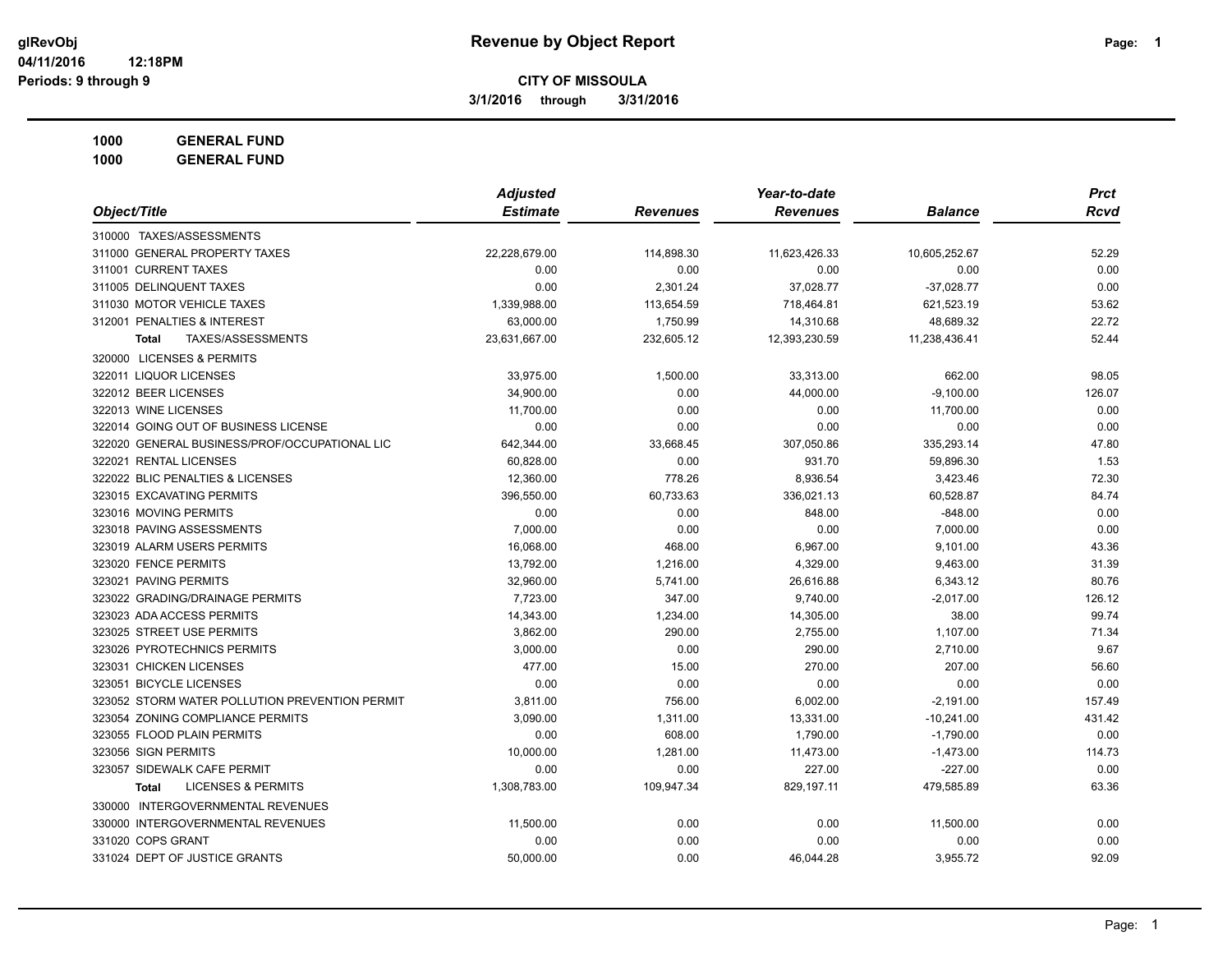**3/1/2016 through 3/31/2016**

**1000 GENERAL FUND**

|                                                | <b>Adjusted</b> |                 | Year-to-date    |                | <b>Prct</b> |
|------------------------------------------------|-----------------|-----------------|-----------------|----------------|-------------|
| Object/Title                                   | <b>Estimate</b> | <b>Revenues</b> | <b>Revenues</b> | <b>Balance</b> | <b>Rcvd</b> |
| 310000 TAXES/ASSESSMENTS                       |                 |                 |                 |                |             |
| 311000 GENERAL PROPERTY TAXES                  | 22,228,679.00   | 114,898.30      | 11,623,426.33   | 10,605,252.67  | 52.29       |
| 311001 CURRENT TAXES                           | 0.00            | 0.00            | 0.00            | 0.00           | 0.00        |
| 311005 DELINQUENT TAXES                        | 0.00            | 2,301.24        | 37,028.77       | $-37,028.77$   | 0.00        |
| 311030 MOTOR VEHICLE TAXES                     | 1,339,988.00    | 113,654.59      | 718,464.81      | 621,523.19     | 53.62       |
| 312001 PENALTIES & INTEREST                    | 63,000.00       | 1,750.99        | 14,310.68       | 48,689.32      | 22.72       |
| <b>TAXES/ASSESSMENTS</b><br><b>Total</b>       | 23,631,667.00   | 232,605.12      | 12,393,230.59   | 11,238,436.41  | 52.44       |
| 320000 LICENSES & PERMITS                      |                 |                 |                 |                |             |
| 322011 LIQUOR LICENSES                         | 33,975.00       | 1,500.00        | 33,313.00       | 662.00         | 98.05       |
| 322012 BEER LICENSES                           | 34,900.00       | 0.00            | 44,000.00       | $-9,100.00$    | 126.07      |
| 322013 WINE LICENSES                           | 11,700.00       | 0.00            | 0.00            | 11,700.00      | 0.00        |
| 322014 GOING OUT OF BUSINESS LICENSE           | 0.00            | 0.00            | 0.00            | 0.00           | 0.00        |
| 322020 GENERAL BUSINESS/PROF/OCCUPATIONAL LIC  | 642,344.00      | 33,668.45       | 307,050.86      | 335,293.14     | 47.80       |
| 322021 RENTAL LICENSES                         | 60,828.00       | 0.00            | 931.70          | 59,896.30      | 1.53        |
| 322022 BLIC PENALTIES & LICENSES               | 12,360.00       | 778.26          | 8,936.54        | 3,423.46       | 72.30       |
| 323015 EXCAVATING PERMITS                      | 396,550.00      | 60,733.63       | 336,021.13      | 60,528.87      | 84.74       |
| 323016 MOVING PERMITS                          | 0.00            | 0.00            | 848.00          | $-848.00$      | 0.00        |
| 323018 PAVING ASSESSMENTS                      | 7,000.00        | 0.00            | 0.00            | 7,000.00       | 0.00        |
| 323019 ALARM USERS PERMITS                     | 16,068.00       | 468.00          | 6,967.00        | 9,101.00       | 43.36       |
| 323020 FENCE PERMITS                           | 13,792.00       | 1,216.00        | 4,329.00        | 9,463.00       | 31.39       |
| 323021 PAVING PERMITS                          | 32,960.00       | 5,741.00        | 26,616.88       | 6,343.12       | 80.76       |
| 323022 GRADING/DRAINAGE PERMITS                | 7,723.00        | 347.00          | 9,740.00        | $-2,017.00$    | 126.12      |
| 323023 ADA ACCESS PERMITS                      | 14,343.00       | 1,234.00        | 14,305.00       | 38.00          | 99.74       |
| 323025 STREET USE PERMITS                      | 3,862.00        | 290.00          | 2,755.00        | 1,107.00       | 71.34       |
| 323026 PYROTECHNICS PERMITS                    | 3,000.00        | 0.00            | 290.00          | 2,710.00       | 9.67        |
| 323031 CHICKEN LICENSES                        | 477.00          | 15.00           | 270.00          | 207.00         | 56.60       |
| 323051 BICYCLE LICENSES                        | 0.00            | 0.00            | 0.00            | 0.00           | 0.00        |
| 323052 STORM WATER POLLUTION PREVENTION PERMIT | 3,811.00        | 756.00          | 6,002.00        | $-2,191.00$    | 157.49      |
| 323054 ZONING COMPLIANCE PERMITS               | 3,090.00        | 1,311.00        | 13,331.00       | $-10,241.00$   | 431.42      |
| 323055 FLOOD PLAIN PERMITS                     | 0.00            | 608.00          | 1,790.00        | $-1,790.00$    | 0.00        |
| 323056 SIGN PERMITS                            | 10,000.00       | 1,281.00        | 11,473.00       | $-1,473.00$    | 114.73      |
| 323057 SIDEWALK CAFE PERMIT                    | 0.00            | 0.00            | 227.00          | $-227.00$      | 0.00        |
| <b>LICENSES &amp; PERMITS</b><br><b>Total</b>  | 1,308,783.00    | 109,947.34      | 829,197.11      | 479,585.89     | 63.36       |
| 330000 INTERGOVERNMENTAL REVENUES              |                 |                 |                 |                |             |
| 330000 INTERGOVERNMENTAL REVENUES              | 11,500.00       | 0.00            | 0.00            | 11,500.00      | 0.00        |
| 331020 COPS GRANT                              | 0.00            | 0.00            | 0.00            | 0.00           | 0.00        |
| 331024 DEPT OF JUSTICE GRANTS                  | 50,000.00       | 0.00            | 46,044.28       | 3,955.72       | 92.09       |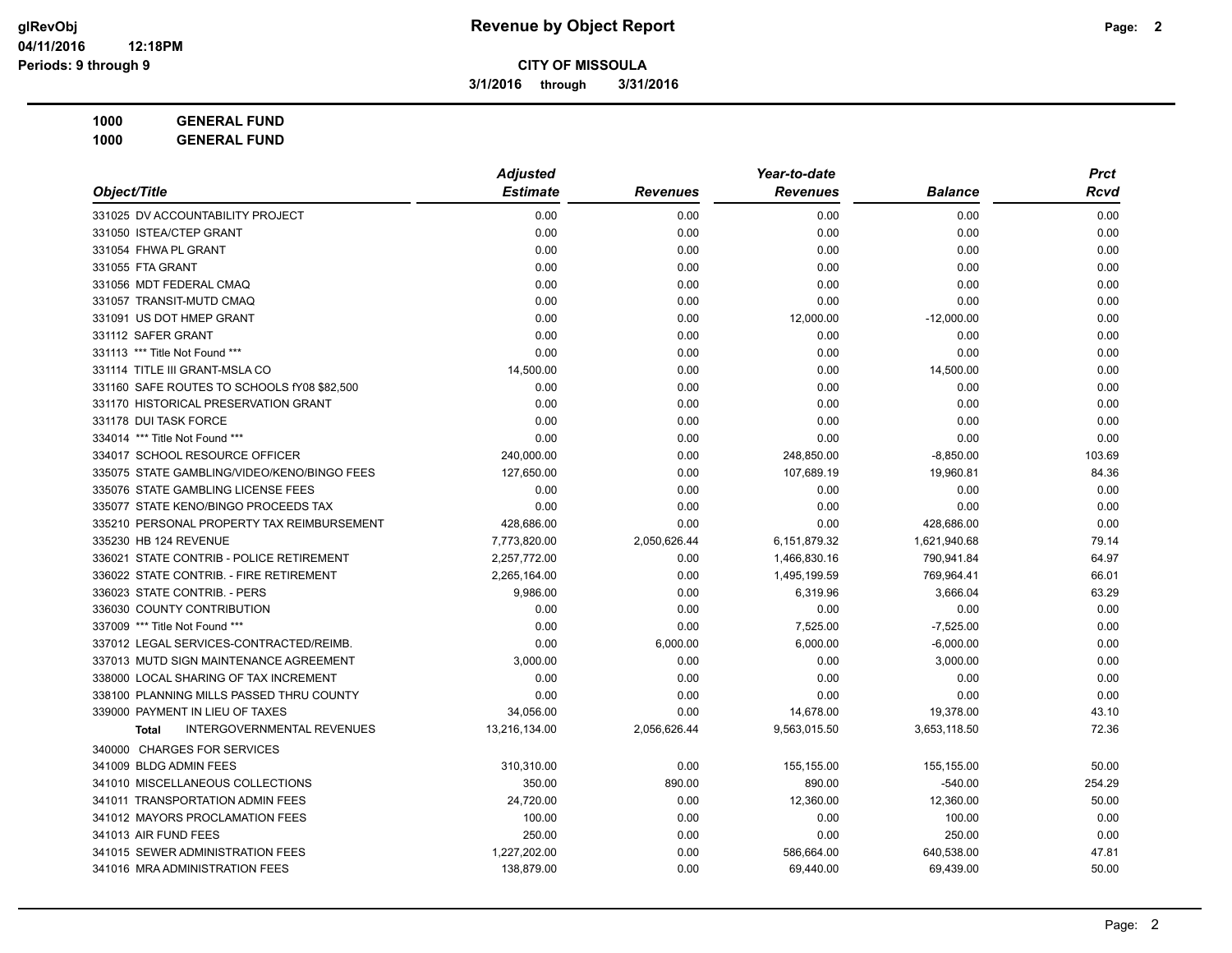**3/1/2016 through 3/31/2016**

**1000 GENERAL FUND 1000 GENERAL FUND**

|                                                   | <b>Adjusted</b> |                 | Year-to-date    |                | <b>Prct</b> |
|---------------------------------------------------|-----------------|-----------------|-----------------|----------------|-------------|
| Object/Title                                      | <b>Estimate</b> | <b>Revenues</b> | <b>Revenues</b> | <b>Balance</b> | Rcvd        |
| 331025 DV ACCOUNTABILITY PROJECT                  | 0.00            | 0.00            | 0.00            | 0.00           | 0.00        |
| 331050 ISTEA/CTEP GRANT                           | 0.00            | 0.00            | 0.00            | 0.00           | 0.00        |
| 331054 FHWA PL GRANT                              | 0.00            | 0.00            | 0.00            | 0.00           | 0.00        |
| 331055 FTA GRANT                                  | 0.00            | 0.00            | 0.00            | 0.00           | 0.00        |
| 331056 MDT FEDERAL CMAQ                           | 0.00            | 0.00            | 0.00            | 0.00           | 0.00        |
| 331057 TRANSIT-MUTD CMAQ                          | 0.00            | 0.00            | 0.00            | 0.00           | 0.00        |
| 331091 US DOT HMEP GRANT                          | 0.00            | 0.00            | 12,000.00       | $-12,000.00$   | 0.00        |
| 331112 SAFER GRANT                                | 0.00            | 0.00            | 0.00            | 0.00           | 0.00        |
| 331113 *** Title Not Found ***                    | 0.00            | 0.00            | 0.00            | 0.00           | 0.00        |
| 331114 TITLE III GRANT-MSLA CO                    | 14,500.00       | 0.00            | 0.00            | 14,500.00      | 0.00        |
| 331160 SAFE ROUTES TO SCHOOLS fY08 \$82,500       | 0.00            | 0.00            | 0.00            | 0.00           | 0.00        |
| 331170 HISTORICAL PRESERVATION GRANT              | 0.00            | 0.00            | 0.00            | 0.00           | 0.00        |
| 331178 DUI TASK FORCE                             | 0.00            | 0.00            | 0.00            | 0.00           | 0.00        |
| 334014 *** Title Not Found ***                    | 0.00            | 0.00            | 0.00            | 0.00           | 0.00        |
| 334017 SCHOOL RESOURCE OFFICER                    | 240,000.00      | 0.00            | 248,850.00      | $-8,850.00$    | 103.69      |
| 335075 STATE GAMBLING/VIDEO/KENO/BINGO FEES       | 127,650.00      | 0.00            | 107,689.19      | 19,960.81      | 84.36       |
| 335076 STATE GAMBLING LICENSE FEES                | 0.00            | 0.00            | 0.00            | 0.00           | 0.00        |
| 335077 STATE KENO/BINGO PROCEEDS TAX              | 0.00            | 0.00            | 0.00            | 0.00           | 0.00        |
| 335210 PERSONAL PROPERTY TAX REIMBURSEMENT        | 428,686.00      | 0.00            | 0.00            | 428,686.00     | 0.00        |
| 335230 HB 124 REVENUE                             | 7,773,820.00    | 2,050,626.44    | 6,151,879.32    | 1,621,940.68   | 79.14       |
| 336021 STATE CONTRIB - POLICE RETIREMENT          | 2,257,772.00    | 0.00            | 1,466,830.16    | 790,941.84     | 64.97       |
| 336022 STATE CONTRIB. - FIRE RETIREMENT           | 2,265,164.00    | 0.00            | 1,495,199.59    | 769,964.41     | 66.01       |
| 336023 STATE CONTRIB. - PERS                      | 9,986.00        | 0.00            | 6,319.96        | 3,666.04       | 63.29       |
| 336030 COUNTY CONTRIBUTION                        | 0.00            | 0.00            | 0.00            | 0.00           | 0.00        |
| 337009 *** Title Not Found ***                    | 0.00            | 0.00            | 7,525.00        | $-7,525.00$    | 0.00        |
| 337012 LEGAL SERVICES-CONTRACTED/REIMB.           | 0.00            | 6,000.00        | 6,000.00        | $-6,000.00$    | 0.00        |
| 337013 MUTD SIGN MAINTENANCE AGREEMENT            | 3,000.00        | 0.00            | 0.00            | 3,000.00       | 0.00        |
| 338000 LOCAL SHARING OF TAX INCREMENT             | 0.00            | 0.00            | 0.00            | 0.00           | 0.00        |
| 338100 PLANNING MILLS PASSED THRU COUNTY          | 0.00            | 0.00            | 0.00            | 0.00           | 0.00        |
| 339000 PAYMENT IN LIEU OF TAXES                   | 34,056.00       | 0.00            | 14,678.00       | 19,378.00      | 43.10       |
| <b>INTERGOVERNMENTAL REVENUES</b><br><b>Total</b> | 13,216,134.00   | 2,056,626.44    | 9,563,015.50    | 3,653,118.50   | 72.36       |
| 340000 CHARGES FOR SERVICES                       |                 |                 |                 |                |             |
| 341009 BLDG ADMIN FEES                            | 310,310.00      | 0.00            | 155,155.00      | 155,155.00     | 50.00       |
| 341010 MISCELLANEOUS COLLECTIONS                  | 350.00          | 890.00          | 890.00          | $-540.00$      | 254.29      |
| 341011 TRANSPORTATION ADMIN FEES                  | 24,720.00       | 0.00            | 12,360.00       | 12,360.00      | 50.00       |
| 341012 MAYORS PROCLAMATION FEES                   | 100.00          | 0.00            | 0.00            | 100.00         | 0.00        |
| 341013 AIR FUND FEES                              | 250.00          | 0.00            | 0.00            | 250.00         | 0.00        |
| 341015 SEWER ADMINISTRATION FEES                  | 1,227,202.00    | 0.00            | 586,664.00      | 640,538.00     | 47.81       |
| 341016 MRA ADMINISTRATION FEES                    | 138,879.00      | 0.00            | 69,440.00       | 69,439.00      | 50.00       |
|                                                   |                 |                 |                 |                |             |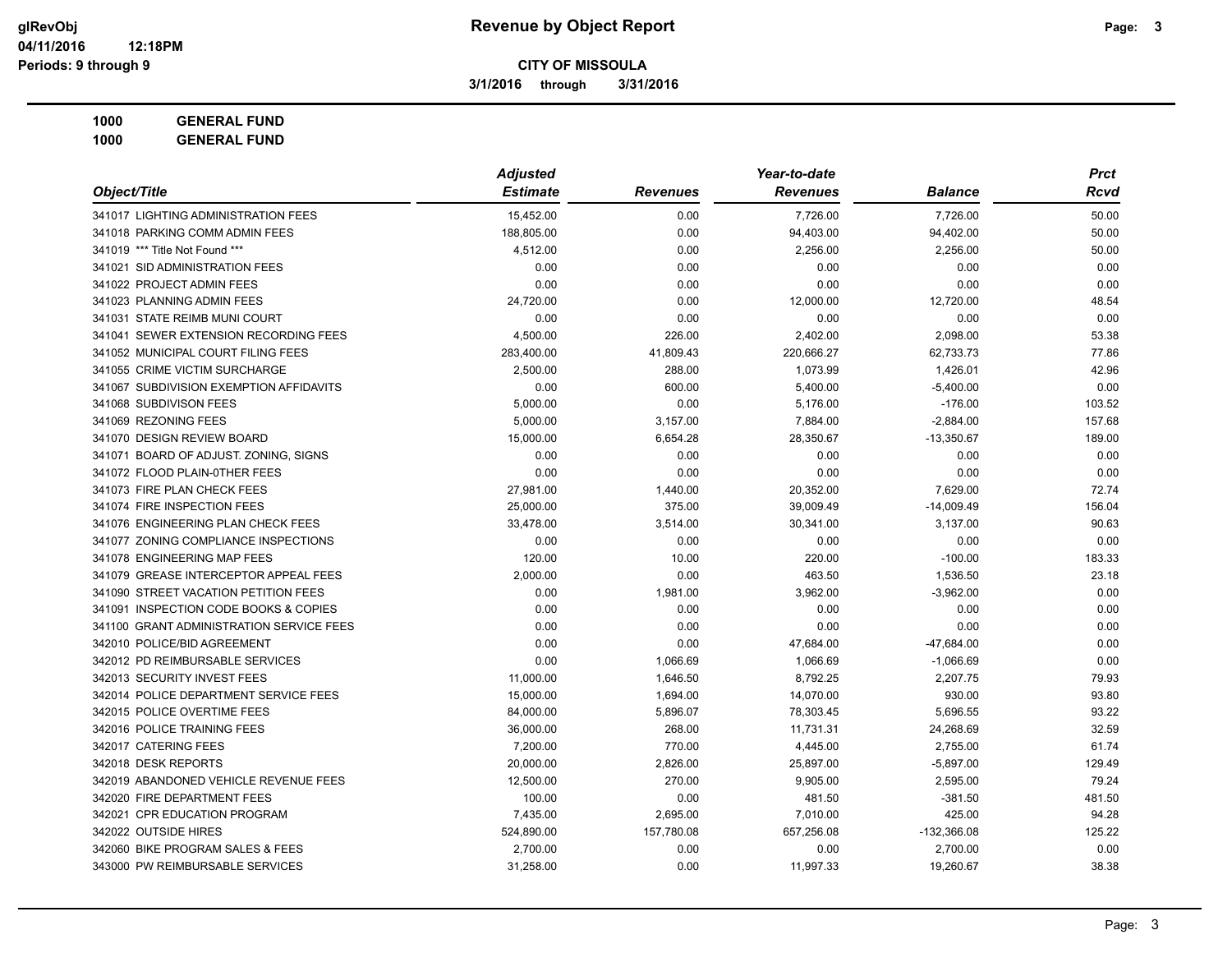**3/1/2016 through 3/31/2016**

**1000 GENERAL FUND 1000 GENERAL FUND**

|                                          | <b>Adjusted</b> |                 | Year-to-date    |                | <b>Prct</b> |
|------------------------------------------|-----------------|-----------------|-----------------|----------------|-------------|
| Object/Title                             | <b>Estimate</b> | <b>Revenues</b> | <b>Revenues</b> | <b>Balance</b> | Rcvd        |
| 341017 LIGHTING ADMINISTRATION FEES      | 15,452.00       | 0.00            | 7,726.00        | 7,726.00       | 50.00       |
| 341018 PARKING COMM ADMIN FEES           | 188,805.00      | 0.00            | 94,403.00       | 94,402.00      | 50.00       |
| 341019 *** Title Not Found ***           | 4,512.00        | 0.00            | 2,256.00        | 2,256.00       | 50.00       |
| 341021 SID ADMINISTRATION FEES           | 0.00            | 0.00            | 0.00            | 0.00           | 0.00        |
| 341022 PROJECT ADMIN FEES                | 0.00            | 0.00            | 0.00            | 0.00           | 0.00        |
| 341023 PLANNING ADMIN FEES               | 24,720.00       | 0.00            | 12,000.00       | 12,720.00      | 48.54       |
| 341031 STATE REIMB MUNI COURT            | 0.00            | 0.00            | 0.00            | 0.00           | 0.00        |
| 341041 SEWER EXTENSION RECORDING FEES    | 4,500.00        | 226.00          | 2,402.00        | 2,098.00       | 53.38       |
| 341052 MUNICIPAL COURT FILING FEES       | 283,400.00      | 41,809.43       | 220,666.27      | 62,733.73      | 77.86       |
| 341055 CRIME VICTIM SURCHARGE            | 2,500.00        | 288.00          | 1,073.99        | 1,426.01       | 42.96       |
| 341067 SUBDIVISION EXEMPTION AFFIDAVITS  | 0.00            | 600.00          | 5,400.00        | $-5,400.00$    | 0.00        |
| 341068 SUBDIVISON FEES                   | 5,000.00        | 0.00            | 5,176.00        | $-176.00$      | 103.52      |
| 341069 REZONING FEES                     | 5,000.00        | 3,157.00        | 7,884.00        | $-2,884.00$    | 157.68      |
| 341070 DESIGN REVIEW BOARD               | 15,000.00       | 6,654.28        | 28,350.67       | $-13,350.67$   | 189.00      |
| 341071 BOARD OF ADJUST. ZONING, SIGNS    | 0.00            | 0.00            | 0.00            | 0.00           | 0.00        |
| 341072 FLOOD PLAIN-0THER FEES            | 0.00            | 0.00            | 0.00            | 0.00           | 0.00        |
| 341073 FIRE PLAN CHECK FEES              | 27,981.00       | 1,440.00        | 20,352.00       | 7,629.00       | 72.74       |
| 341074 FIRE INSPECTION FEES              | 25,000.00       | 375.00          | 39,009.49       | $-14,009.49$   | 156.04      |
| 341076 ENGINEERING PLAN CHECK FEES       | 33,478.00       | 3,514.00        | 30,341.00       | 3,137.00       | 90.63       |
| 341077 ZONING COMPLIANCE INSPECTIONS     | 0.00            | 0.00            | 0.00            | 0.00           | 0.00        |
| 341078 ENGINEERING MAP FEES              | 120.00          | 10.00           | 220.00          | $-100.00$      | 183.33      |
| 341079 GREASE INTERCEPTOR APPEAL FEES    | 2,000.00        | 0.00            | 463.50          | 1,536.50       | 23.18       |
| 341090 STREET VACATION PETITION FEES     | 0.00            | 1,981.00        | 3,962.00        | $-3,962.00$    | 0.00        |
| 341091 INSPECTION CODE BOOKS & COPIES    | 0.00            | 0.00            | 0.00            | 0.00           | 0.00        |
| 341100 GRANT ADMINISTRATION SERVICE FEES | 0.00            | 0.00            | 0.00            | 0.00           | 0.00        |
| 342010 POLICE/BID AGREEMENT              | 0.00            | 0.00            | 47,684.00       | -47,684.00     | 0.00        |
| 342012 PD REIMBURSABLE SERVICES          | 0.00            | 1,066.69        | 1,066.69        | $-1,066.69$    | 0.00        |
| 342013 SECURITY INVEST FEES              | 11,000.00       | 1,646.50        | 8,792.25        | 2,207.75       | 79.93       |
| 342014 POLICE DEPARTMENT SERVICE FEES    | 15,000.00       | 1,694.00        | 14,070.00       | 930.00         | 93.80       |
| 342015 POLICE OVERTIME FEES              | 84,000.00       | 5,896.07        | 78,303.45       | 5,696.55       | 93.22       |
| 342016 POLICE TRAINING FEES              | 36,000.00       | 268.00          | 11,731.31       | 24,268.69      | 32.59       |
| 342017 CATERING FEES                     | 7,200.00        | 770.00          | 4,445.00        | 2,755.00       | 61.74       |
| 342018 DESK REPORTS                      | 20,000.00       | 2,826.00        | 25,897.00       | $-5,897.00$    | 129.49      |
| 342019 ABANDONED VEHICLE REVENUE FEES    | 12,500.00       | 270.00          | 9,905.00        | 2,595.00       | 79.24       |
| 342020 FIRE DEPARTMENT FEES              | 100.00          | 0.00            | 481.50          | $-381.50$      | 481.50      |
| 342021 CPR EDUCATION PROGRAM             | 7,435.00        | 2,695.00        | 7,010.00        | 425.00         | 94.28       |
| 342022 OUTSIDE HIRES                     | 524,890.00      | 157,780.08      | 657,256.08      | $-132,366.08$  | 125.22      |
| 342060 BIKE PROGRAM SALES & FEES         | 2,700.00        | 0.00            | 0.00            | 2,700.00       | 0.00        |
| 343000 PW REIMBURSABLE SERVICES          | 31,258.00       | 0.00            | 11,997.33       | 19,260.67      | 38.38       |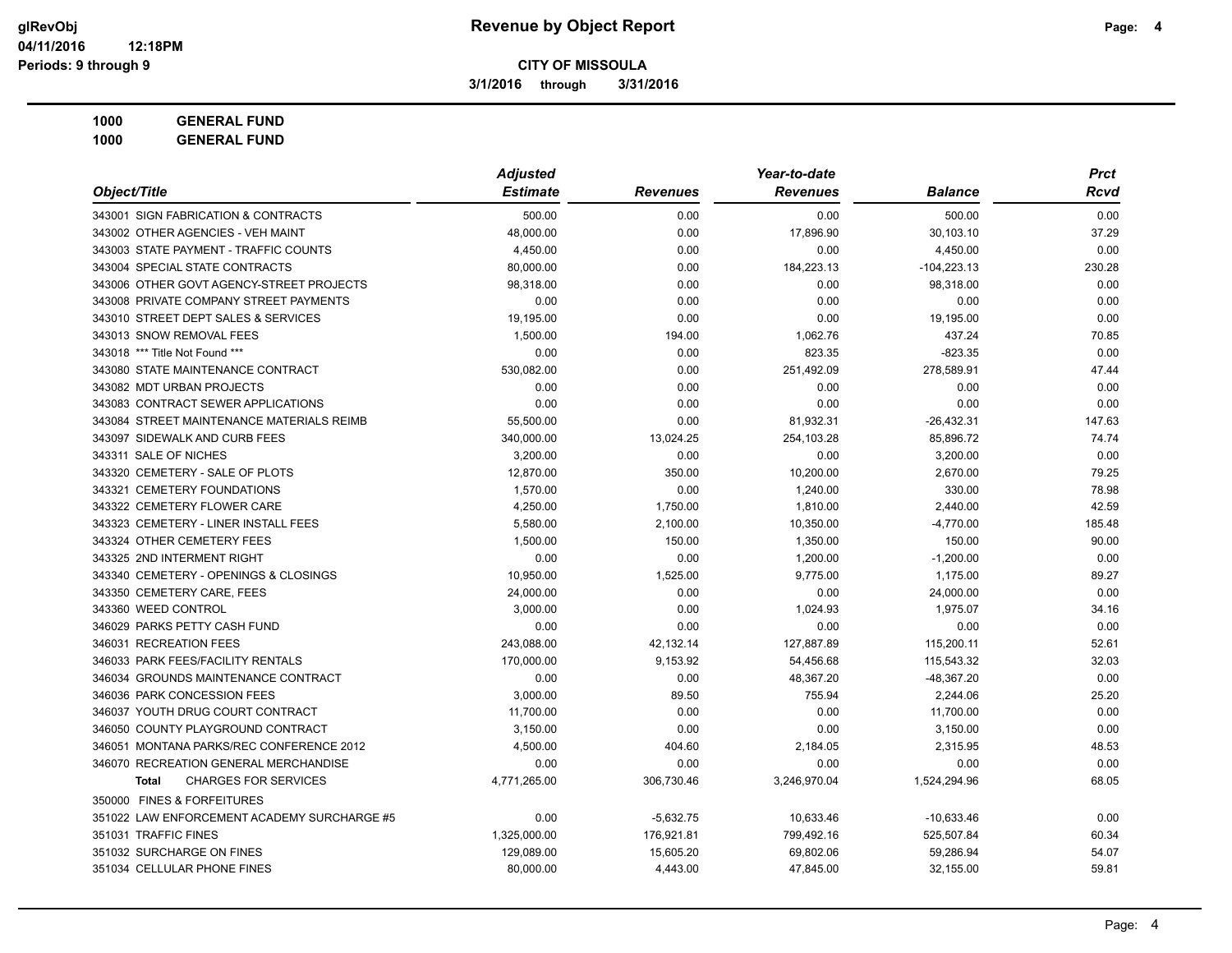**3/1/2016 through 3/31/2016**

**1000 GENERAL FUND 1000 GENERAL FUND**

|                                             | <b>Adjusted</b> |                 | Year-to-date    |                | <b>Prct</b> |
|---------------------------------------------|-----------------|-----------------|-----------------|----------------|-------------|
| Object/Title                                | <b>Estimate</b> | <b>Revenues</b> | <b>Revenues</b> | <b>Balance</b> | Rcvd        |
| 343001 SIGN FABRICATION & CONTRACTS         | 500.00          | 0.00            | 0.00            | 500.00         | 0.00        |
| 343002 OTHER AGENCIES - VEH MAINT           | 48,000.00       | 0.00            | 17,896.90       | 30,103.10      | 37.29       |
| 343003 STATE PAYMENT - TRAFFIC COUNTS       | 4,450.00        | 0.00            | 0.00            | 4,450.00       | 0.00        |
| 343004 SPECIAL STATE CONTRACTS              | 80,000.00       | 0.00            | 184,223.13      | $-104,223.13$  | 230.28      |
| 343006 OTHER GOVT AGENCY-STREET PROJECTS    | 98,318.00       | 0.00            | 0.00            | 98,318.00      | 0.00        |
| 343008 PRIVATE COMPANY STREET PAYMENTS      | 0.00            | 0.00            | 0.00            | 0.00           | 0.00        |
| 343010 STREET DEPT SALES & SERVICES         | 19,195.00       | 0.00            | 0.00            | 19,195.00      | 0.00        |
| 343013 SNOW REMOVAL FEES                    | 1,500.00        | 194.00          | 1,062.76        | 437.24         | 70.85       |
| 343018 *** Title Not Found ***              | 0.00            | 0.00            | 823.35          | $-823.35$      | 0.00        |
| 343080 STATE MAINTENANCE CONTRACT           | 530,082.00      | 0.00            | 251,492.09      | 278,589.91     | 47.44       |
| 343082 MDT URBAN PROJECTS                   | 0.00            | 0.00            | 0.00            | 0.00           | 0.00        |
| 343083 CONTRACT SEWER APPLICATIONS          | 0.00            | 0.00            | 0.00            | 0.00           | 0.00        |
| 343084 STREET MAINTENANCE MATERIALS REIMB   | 55,500.00       | 0.00            | 81,932.31       | $-26,432.31$   | 147.63      |
| 343097 SIDEWALK AND CURB FEES               | 340,000.00      | 13,024.25       | 254,103.28      | 85,896.72      | 74.74       |
| 343311 SALE OF NICHES                       | 3.200.00        | 0.00            | 0.00            | 3,200.00       | 0.00        |
| 343320 CEMETERY - SALE OF PLOTS             | 12,870.00       | 350.00          | 10,200.00       | 2,670.00       | 79.25       |
| 343321 CEMETERY FOUNDATIONS                 | 1,570.00        | 0.00            | 1,240.00        | 330.00         | 78.98       |
| 343322 CEMETERY FLOWER CARE                 | 4,250.00        | 1,750.00        | 1,810.00        | 2,440.00       | 42.59       |
| 343323 CEMETERY - LINER INSTALL FEES        | 5,580.00        | 2,100.00        | 10,350.00       | $-4,770.00$    | 185.48      |
| 343324 OTHER CEMETERY FEES                  | 1,500.00        | 150.00          | 1,350.00        | 150.00         | 90.00       |
| 343325 2ND INTERMENT RIGHT                  | 0.00            | 0.00            | 1,200.00        | $-1,200.00$    | 0.00        |
| 343340 CEMETERY - OPENINGS & CLOSINGS       | 10,950.00       | 1,525.00        | 9,775.00        | 1,175.00       | 89.27       |
| 343350 CEMETERY CARE, FEES                  | 24,000.00       | 0.00            | 0.00            | 24,000.00      | 0.00        |
| 343360 WEED CONTROL                         | 3,000.00        | 0.00            | 1,024.93        | 1,975.07       | 34.16       |
| 346029 PARKS PETTY CASH FUND                | 0.00            | 0.00            | 0.00            | 0.00           | 0.00        |
| 346031 RECREATION FEES                      | 243,088.00      | 42,132.14       | 127,887.89      | 115,200.11     | 52.61       |
| 346033 PARK FEES/FACILITY RENTALS           | 170,000.00      | 9,153.92        | 54,456.68       | 115,543.32     | 32.03       |
| 346034 GROUNDS MAINTENANCE CONTRACT         | 0.00            | 0.00            | 48,367.20       | -48,367.20     | 0.00        |
| 346036 PARK CONCESSION FEES                 | 3,000.00        | 89.50           | 755.94          | 2,244.06       | 25.20       |
| 346037 YOUTH DRUG COURT CONTRACT            | 11,700.00       | 0.00            | 0.00            | 11,700.00      | 0.00        |
| 346050 COUNTY PLAYGROUND CONTRACT           | 3,150.00        | 0.00            | 0.00            | 3,150.00       | 0.00        |
| 346051 MONTANA PARKS/REC CONFERENCE 2012    | 4,500.00        | 404.60          | 2,184.05        | 2,315.95       | 48.53       |
| 346070 RECREATION GENERAL MERCHANDISE       | 0.00            | 0.00            | 0.00            | 0.00           | 0.00        |
| <b>CHARGES FOR SERVICES</b><br>Total        | 4,771,265.00    | 306,730.46      | 3,246,970.04    | 1,524,294.96   | 68.05       |
| 350000 FINES & FORFEITURES                  |                 |                 |                 |                |             |
| 351022 LAW ENFORCEMENT ACADEMY SURCHARGE #5 | 0.00            | $-5,632.75$     | 10,633.46       | $-10,633.46$   | 0.00        |
| 351031 TRAFFIC FINES                        | 1,325,000.00    | 176,921.81      | 799,492.16      | 525,507.84     | 60.34       |
| 351032 SURCHARGE ON FINES                   | 129,089.00      | 15.605.20       | 69.802.06       | 59.286.94      | 54.07       |

351034 CELLULAR PHONE FINES 80,000.00 4,443.00 47,845.00 32,155.00 59.81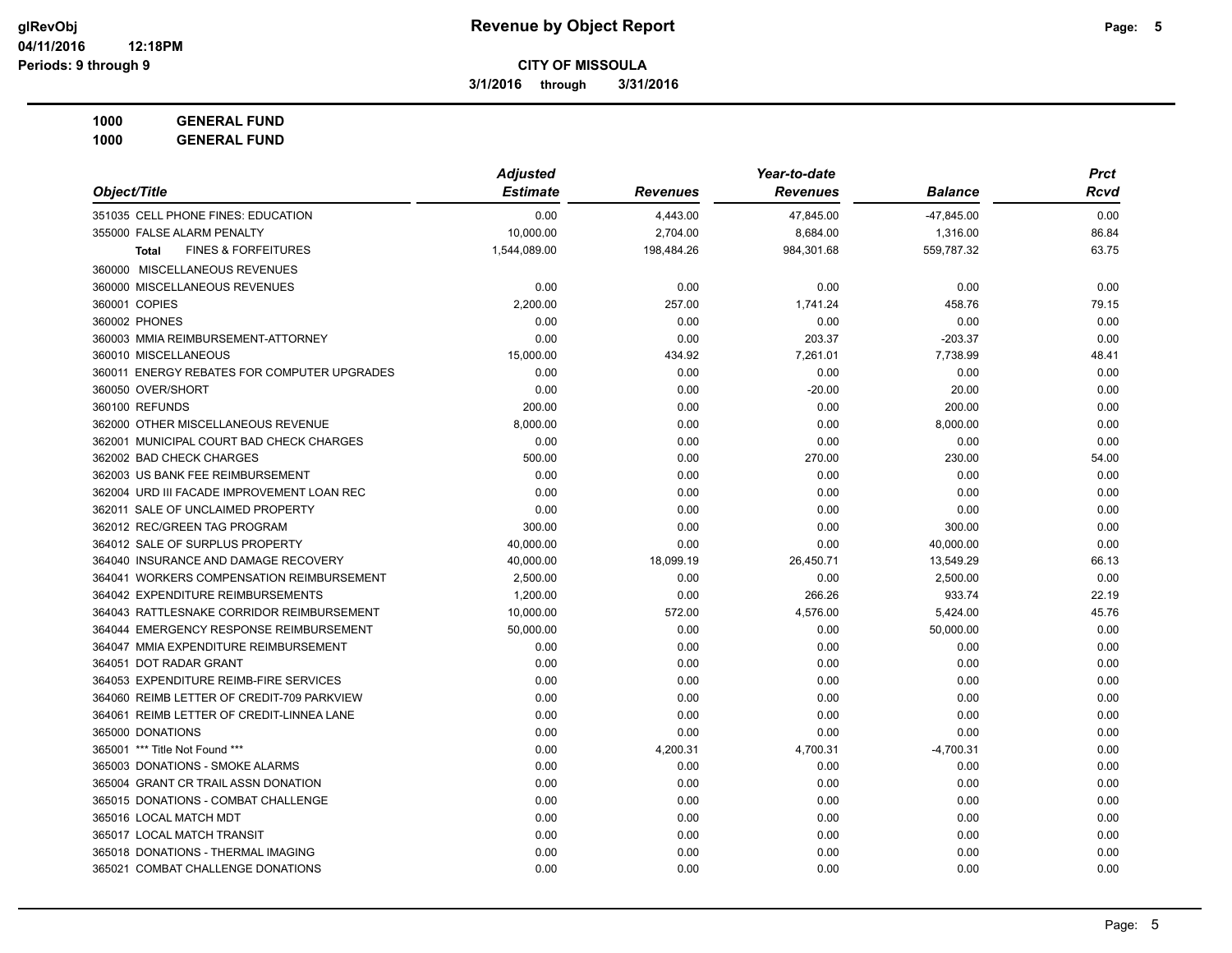**3/1/2016 through 3/31/2016**

| <b>GENERAL FUND</b><br>1000 |
|-----------------------------|
|-----------------------------|

|                                                | <b>Adjusted</b> |                 | Year-to-date    |                | <b>Prct</b> |  |
|------------------------------------------------|-----------------|-----------------|-----------------|----------------|-------------|--|
| Object/Title                                   | <b>Estimate</b> | <b>Revenues</b> | <b>Revenues</b> | <b>Balance</b> | Rcvd        |  |
| 351035 CELL PHONE FINES: EDUCATION             | 0.00            | 4,443.00        | 47,845.00       | $-47,845.00$   | 0.00        |  |
| 355000 FALSE ALARM PENALTY                     | 10,000.00       | 2,704.00        | 8,684.00        | 1,316.00       | 86.84       |  |
| <b>FINES &amp; FORFEITURES</b><br><b>Total</b> | 1,544,089.00    | 198,484.26      | 984,301.68      | 559,787.32     | 63.75       |  |
| 360000 MISCELLANEOUS REVENUES                  |                 |                 |                 |                |             |  |
| 360000 MISCELLANEOUS REVENUES                  | 0.00            | 0.00            | 0.00            | 0.00           | 0.00        |  |
| 360001 COPIES                                  | 2,200.00        | 257.00          | 1,741.24        | 458.76         | 79.15       |  |
| 360002 PHONES                                  | 0.00            | 0.00            | 0.00            | 0.00           | 0.00        |  |
| 360003 MMIA REIMBURSEMENT-ATTORNEY             | 0.00            | 0.00            | 203.37          | $-203.37$      | 0.00        |  |
| 360010 MISCELLANEOUS                           | 15,000.00       | 434.92          | 7,261.01        | 7,738.99       | 48.41       |  |
| 360011 ENERGY REBATES FOR COMPUTER UPGRADES    | 0.00            | 0.00            | 0.00            | 0.00           | 0.00        |  |
| 360050 OVER/SHORT                              | 0.00            | 0.00            | $-20.00$        | 20.00          | 0.00        |  |
| 360100 REFUNDS                                 | 200.00          | 0.00            | 0.00            | 200.00         | 0.00        |  |
| 362000 OTHER MISCELLANEOUS REVENUE             | 8,000.00        | 0.00            | 0.00            | 8,000.00       | 0.00        |  |
| 362001 MUNICIPAL COURT BAD CHECK CHARGES       | 0.00            | 0.00            | 0.00            | 0.00           | 0.00        |  |
| 362002 BAD CHECK CHARGES                       | 500.00          | 0.00            | 270.00          | 230.00         | 54.00       |  |
| 362003 US BANK FEE REIMBURSEMENT               | 0.00            | 0.00            | 0.00            | 0.00           | 0.00        |  |
| 362004 URD III FACADE IMPROVEMENT LOAN REC     | 0.00            | 0.00            | 0.00            | 0.00           | 0.00        |  |
| 362011 SALE OF UNCLAIMED PROPERTY              | 0.00            | 0.00            | 0.00            | 0.00           | 0.00        |  |
| 362012 REC/GREEN TAG PROGRAM                   | 300.00          | 0.00            | 0.00            | 300.00         | 0.00        |  |
| 364012 SALE OF SURPLUS PROPERTY                | 40,000.00       | 0.00            | 0.00            | 40,000.00      | 0.00        |  |
| 364040 INSURANCE AND DAMAGE RECOVERY           | 40,000.00       | 18,099.19       | 26,450.71       | 13,549.29      | 66.13       |  |
| 364041 WORKERS COMPENSATION REIMBURSEMENT      | 2,500.00        | 0.00            | 0.00            | 2,500.00       | 0.00        |  |
| 364042 EXPENDITURE REIMBURSEMENTS              | 1,200.00        | 0.00            | 266.26          | 933.74         | 22.19       |  |
| 364043 RATTLESNAKE CORRIDOR REIMBURSEMENT      | 10,000.00       | 572.00          | 4,576.00        | 5,424.00       | 45.76       |  |
| 364044 EMERGENCY RESPONSE REIMBURSEMENT        | 50,000.00       | 0.00            | 0.00            | 50,000.00      | 0.00        |  |
| 364047 MMIA EXPENDITURE REIMBURSEMENT          | 0.00            | 0.00            | 0.00            | 0.00           | 0.00        |  |
| 364051 DOT RADAR GRANT                         | 0.00            | 0.00            | 0.00            | 0.00           | 0.00        |  |
| 364053 EXPENDITURE REIMB-FIRE SERVICES         | 0.00            | 0.00            | 0.00            | 0.00           | 0.00        |  |
| 364060 REIMB LETTER OF CREDIT-709 PARKVIEW     | 0.00            | 0.00            | 0.00            | 0.00           | 0.00        |  |
| 364061 REIMB LETTER OF CREDIT-LINNEA LANE      | 0.00            | 0.00            | 0.00            | 0.00           | 0.00        |  |
| 365000 DONATIONS                               | 0.00            | 0.00            | 0.00            | 0.00           | 0.00        |  |
| 365001 *** Title Not Found ***                 | 0.00            | 4,200.31        | 4,700.31        | $-4,700.31$    | 0.00        |  |
| 365003 DONATIONS - SMOKE ALARMS                | 0.00            | 0.00            | 0.00            | 0.00           | 0.00        |  |
| 365004 GRANT CR TRAIL ASSN DONATION            | 0.00            | 0.00            | 0.00            | 0.00           | 0.00        |  |
| 365015 DONATIONS - COMBAT CHALLENGE            | 0.00            | 0.00            | 0.00            | 0.00           | 0.00        |  |
| 365016 LOCAL MATCH MDT                         | 0.00            | 0.00            | 0.00            | 0.00           | 0.00        |  |
| 365017 LOCAL MATCH TRANSIT                     | 0.00            | 0.00            | 0.00            | 0.00           | 0.00        |  |
| 365018 DONATIONS - THERMAL IMAGING             | 0.00            | 0.00            | 0.00            | 0.00           | 0.00        |  |
| 365021 COMBAT CHALLENGE DONATIONS              | 0.00            | 0.00            | 0.00            | 0.00           | 0.00        |  |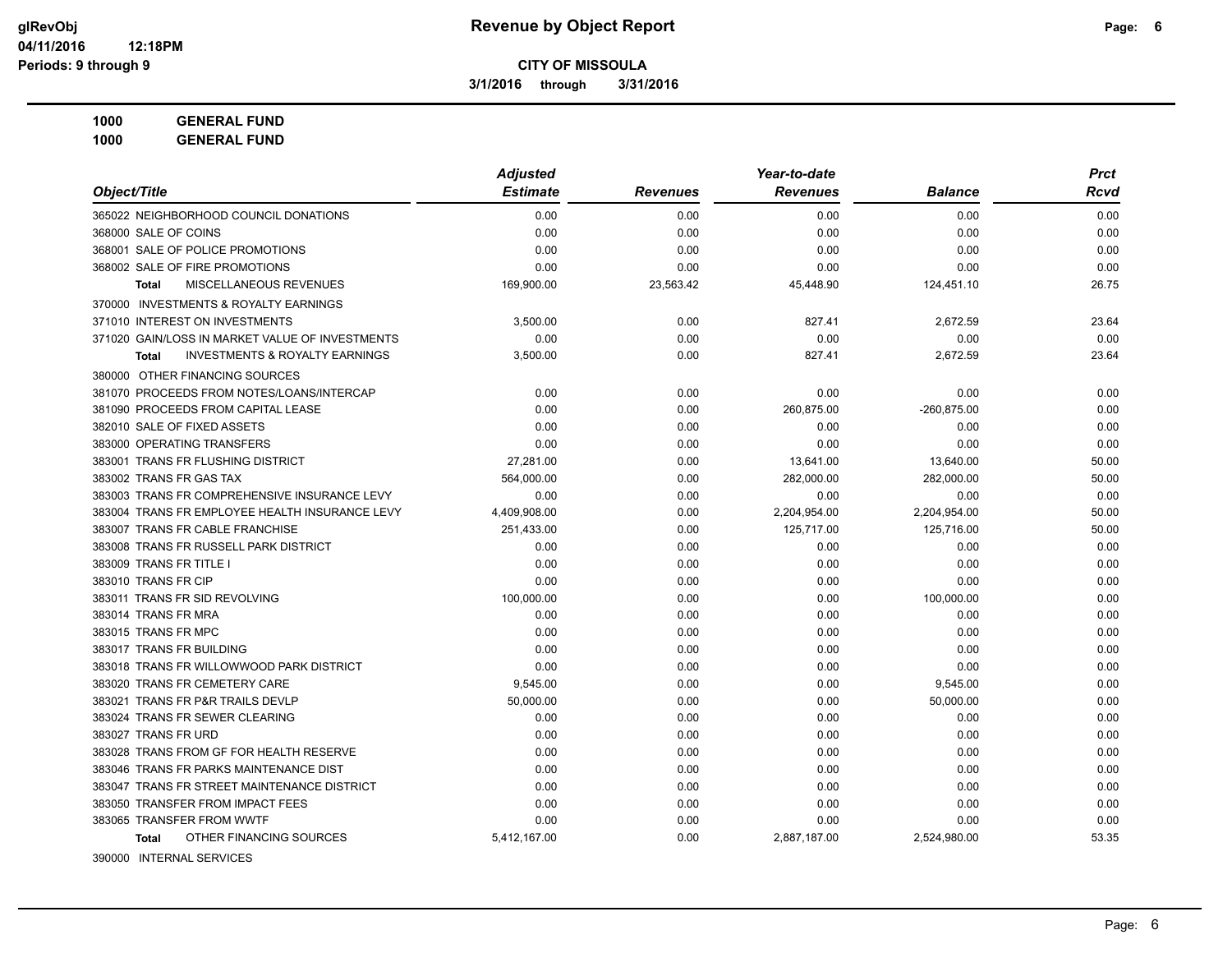**3/1/2016 through 3/31/2016**

**1000 GENERAL FUND**

**1000 GENERAL FUND**

|                                                           | <b>Adjusted</b> |                 | Year-to-date    |                | <b>Prct</b> |
|-----------------------------------------------------------|-----------------|-----------------|-----------------|----------------|-------------|
| Object/Title                                              | <b>Estimate</b> | <b>Revenues</b> | <b>Revenues</b> | <b>Balance</b> | <b>Rcvd</b> |
| 365022 NEIGHBORHOOD COUNCIL DONATIONS                     | 0.00            | 0.00            | 0.00            | 0.00           | 0.00        |
| 368000 SALE OF COINS                                      | 0.00            | 0.00            | 0.00            | 0.00           | 0.00        |
| 368001 SALE OF POLICE PROMOTIONS                          | 0.00            | 0.00            | 0.00            | 0.00           | 0.00        |
| 368002 SALE OF FIRE PROMOTIONS                            | 0.00            | 0.00            | 0.00            | 0.00           | 0.00        |
| MISCELLANEOUS REVENUES<br><b>Total</b>                    | 169,900.00      | 23,563.42       | 45,448.90       | 124,451.10     | 26.75       |
| 370000 INVESTMENTS & ROYALTY EARNINGS                     |                 |                 |                 |                |             |
| 371010 INTEREST ON INVESTMENTS                            | 3,500.00        | 0.00            | 827.41          | 2,672.59       | 23.64       |
| 371020 GAIN/LOSS IN MARKET VALUE OF INVESTMENTS           | 0.00            | 0.00            | 0.00            | 0.00           | 0.00        |
| <b>INVESTMENTS &amp; ROYALTY EARNINGS</b><br><b>Total</b> | 3,500.00        | 0.00            | 827.41          | 2,672.59       | 23.64       |
| 380000 OTHER FINANCING SOURCES                            |                 |                 |                 |                |             |
| 381070 PROCEEDS FROM NOTES/LOANS/INTERCAP                 | 0.00            | 0.00            | 0.00            | 0.00           | 0.00        |
| 381090 PROCEEDS FROM CAPITAL LEASE                        | 0.00            | 0.00            | 260,875.00      | $-260,875.00$  | 0.00        |
| 382010 SALE OF FIXED ASSETS                               | 0.00            | 0.00            | 0.00            | 0.00           | 0.00        |
| 383000 OPERATING TRANSFERS                                | 0.00            | 0.00            | 0.00            | 0.00           | 0.00        |
| 383001 TRANS FR FLUSHING DISTRICT                         | 27,281.00       | 0.00            | 13,641.00       | 13,640.00      | 50.00       |
| 383002 TRANS FR GAS TAX                                   | 564,000.00      | 0.00            | 282,000.00      | 282,000.00     | 50.00       |
| 383003 TRANS FR COMPREHENSIVE INSURANCE LEVY              | 0.00            | 0.00            | 0.00            | 0.00           | 0.00        |
| 383004 TRANS FR EMPLOYEE HEALTH INSURANCE LEVY            | 4,409,908.00    | 0.00            | 2,204,954.00    | 2,204,954.00   | 50.00       |
| 383007 TRANS FR CABLE FRANCHISE                           | 251,433.00      | 0.00            | 125,717.00      | 125,716.00     | 50.00       |
| 383008 TRANS FR RUSSELL PARK DISTRICT                     | 0.00            | 0.00            | 0.00            | 0.00           | 0.00        |
| 383009 TRANS FR TITLE I                                   | 0.00            | 0.00            | 0.00            | 0.00           | 0.00        |
| 383010 TRANS FR CIP                                       | 0.00            | 0.00            | 0.00            | 0.00           | 0.00        |
| 383011 TRANS FR SID REVOLVING                             | 100,000.00      | 0.00            | 0.00            | 100,000.00     | 0.00        |
| 383014 TRANS FR MRA                                       | 0.00            | 0.00            | 0.00            | 0.00           | 0.00        |
| 383015 TRANS FR MPC                                       | 0.00            | 0.00            | 0.00            | 0.00           | 0.00        |
| 383017 TRANS FR BUILDING                                  | 0.00            | 0.00            | 0.00            | 0.00           | 0.00        |
| 383018 TRANS FR WILLOWWOOD PARK DISTRICT                  | 0.00            | 0.00            | 0.00            | 0.00           | 0.00        |
| 383020 TRANS FR CEMETERY CARE                             | 9,545.00        | 0.00            | 0.00            | 9,545.00       | 0.00        |
| 383021 TRANS FR P&R TRAILS DEVLP                          | 50,000.00       | 0.00            | 0.00            | 50,000.00      | 0.00        |
| 383024 TRANS FR SEWER CLEARING                            | 0.00            | 0.00            | 0.00            | 0.00           | 0.00        |
| 383027 TRANS FR URD                                       | 0.00            | 0.00            | 0.00            | 0.00           | 0.00        |
| 383028 TRANS FROM GF FOR HEALTH RESERVE                   | 0.00            | 0.00            | 0.00            | 0.00           | 0.00        |
| 383046 TRANS FR PARKS MAINTENANCE DIST                    | 0.00            | 0.00            | 0.00            | 0.00           | 0.00        |
| 383047 TRANS FR STREET MAINTENANCE DISTRICT               | 0.00            | 0.00            | 0.00            | 0.00           | 0.00        |
| 383050 TRANSFER FROM IMPACT FEES                          | 0.00            | 0.00            | 0.00            | 0.00           | 0.00        |
| 383065 TRANSFER FROM WWTF                                 | 0.00            | 0.00            | 0.00            | 0.00           | 0.00        |
| OTHER FINANCING SOURCES<br><b>Total</b>                   | 5,412,167.00    | 0.00            | 2,887,187.00    | 2,524,980.00   | 53.35       |
|                                                           |                 |                 |                 |                |             |

390000 INTERNAL SERVICES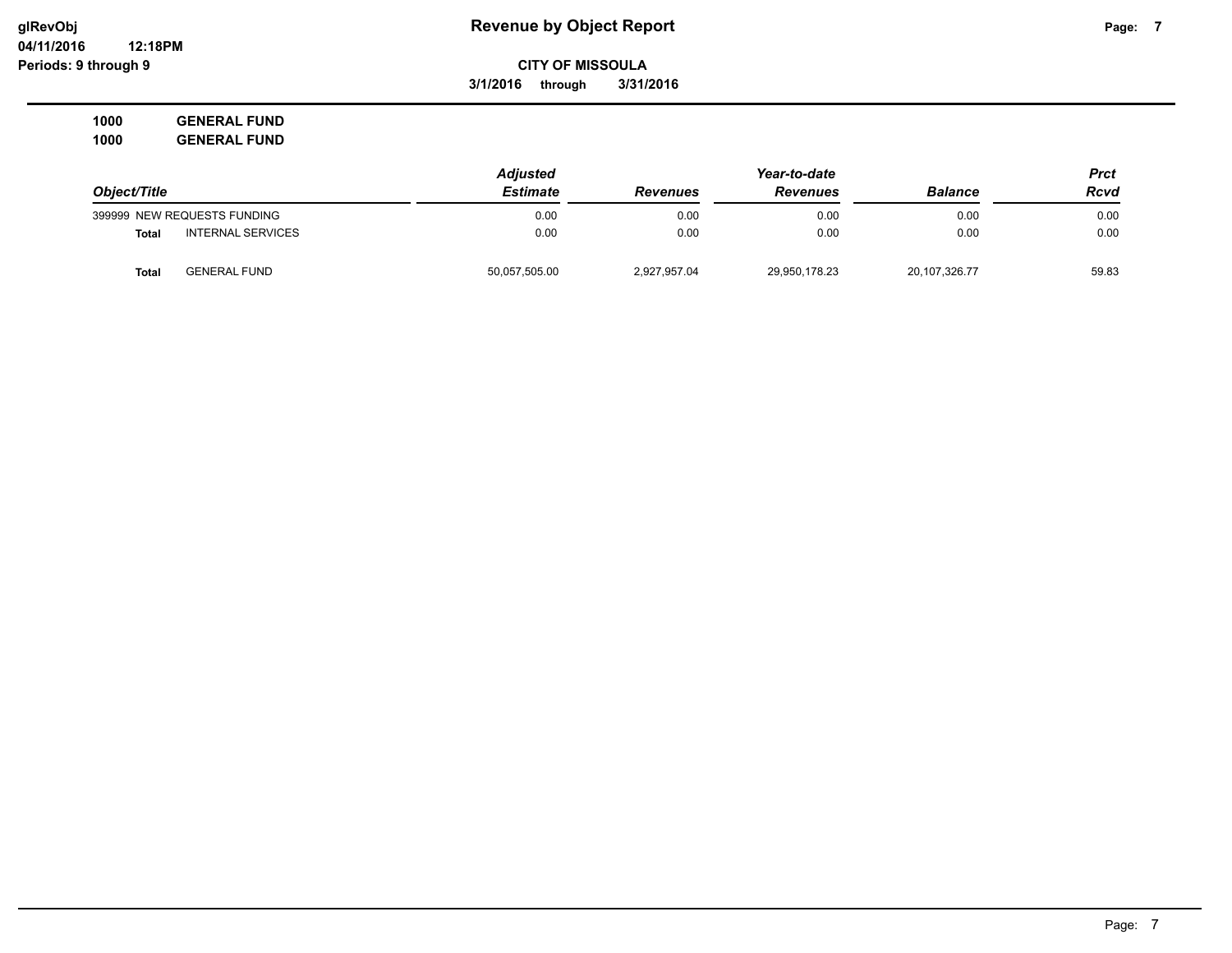**3/1/2016 through 3/31/2016**

**1000 GENERAL FUND 1000 GENERAL FUND**

|                                   | <b>Adjusted</b> |                 |                 | Prct           |       |
|-----------------------------------|-----------------|-----------------|-----------------|----------------|-------|
| Object/Title                      | <b>Estimate</b> | <b>Revenues</b> | <b>Revenues</b> | <b>Balance</b> | Rcvd  |
| 399999 NEW REQUESTS FUNDING       | 0.00            | 0.00            | 0.00            | 0.00           | 0.00  |
| <b>INTERNAL SERVICES</b><br>Total | 0.00            | 0.00            | 0.00            | 0.00           | 0.00  |
| <b>GENERAL FUND</b><br>Total      | 50,057,505.00   | 2,927,957.04    | 29,950,178.23   | 20,107,326.77  | 59.83 |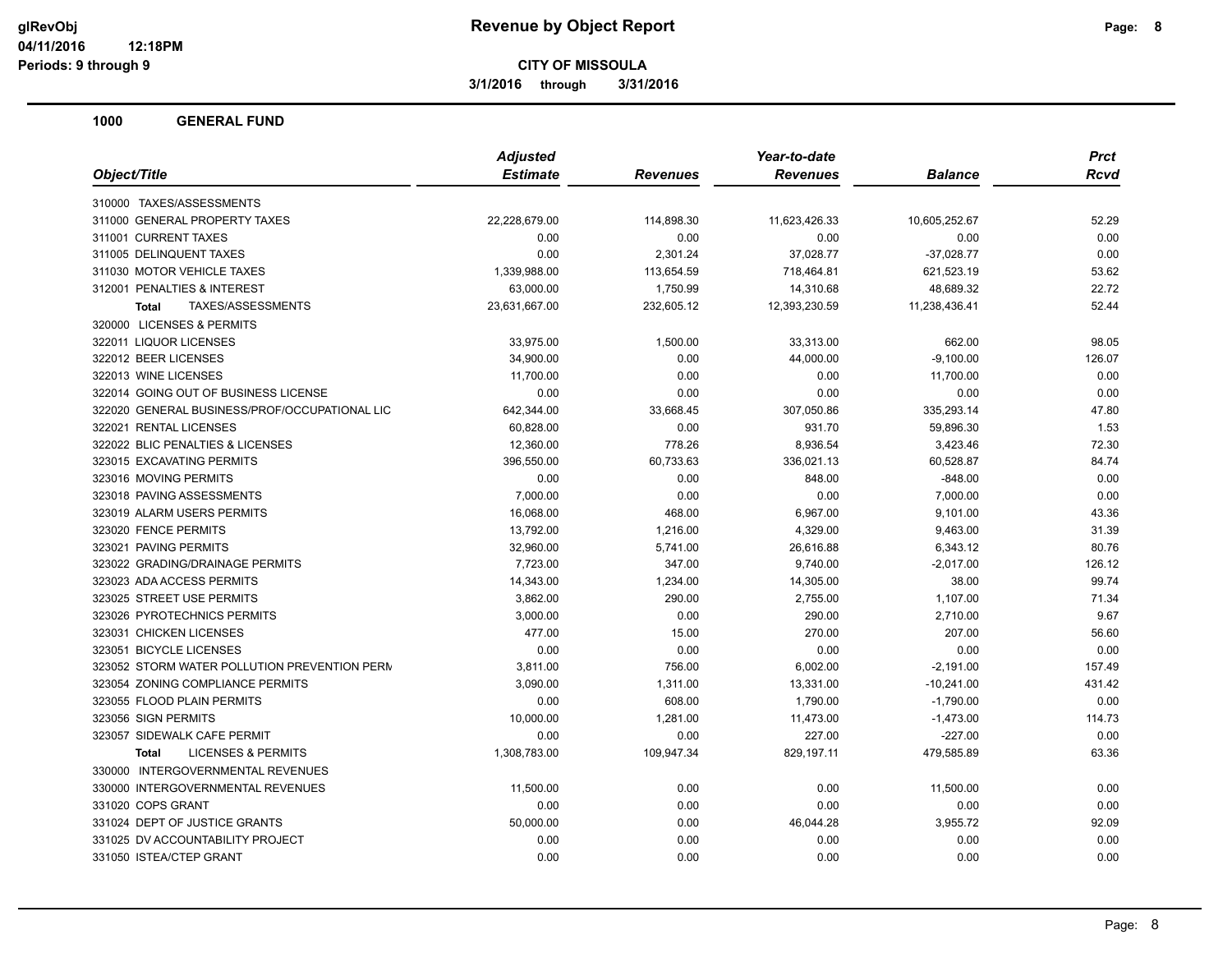**3/1/2016 through 3/31/2016**

| <b>Estimate</b><br><b>Revenues</b><br><b>Balance</b><br>Rcvd<br>Revenues<br>22,228,679.00<br>11,623,426.33<br>52.29<br>114,898.30<br>10,605,252.67<br>0.00<br>0.00<br>0.00<br>0.00<br>0.00<br>0.00<br>2,301.24<br>37,028.77<br>$-37,028.77$<br>0.00<br>1,339,988.00<br>113,654.59<br>718,464.81<br>621,523.19<br>53.62<br>63,000.00<br>1,750.99<br>14,310.68<br>48,689.32<br>22.72<br>TAXES/ASSESSMENTS<br>23,631,667.00<br>232,605.12<br>12,393,230.59<br>11,238,436.41<br>52.44<br><b>Total</b><br>1,500.00<br>33,313.00<br>33,975.00<br>662.00<br>98.05<br>0.00<br>34,900.00<br>44,000.00<br>$-9,100.00$<br>126.07<br>0.00<br>0.00<br>11,700.00<br>0.00<br>11,700.00<br>0.00<br>0.00<br>0.00<br>0.00<br>0.00<br>335,293.14<br>642,344.00<br>33,668.45<br>307,050.86<br>47.80<br>60,828.00<br>0.00<br>931.70<br>59,896.30<br>1.53<br>778.26<br>3,423.46<br>72.30<br>12,360.00<br>8,936.54<br>60,733.63<br>336,021.13<br>60,528.87<br>84.74<br>396,550.00<br>0.00<br>0.00<br>848.00<br>$-848.00$<br>0.00<br>7,000.00<br>0.00<br>7,000.00<br>0.00<br>0.00<br>6,967.00<br>16,068.00<br>468.00<br>9,101.00<br>43.36<br>13,792.00<br>1,216.00<br>4,329.00<br>9,463.00<br>31.39<br>32,960.00<br>5,741.00<br>26,616.88<br>6,343.12<br>80.76<br>7,723.00<br>347.00<br>9,740.00<br>$-2,017.00$<br>126.12<br>14,343.00<br>1,234.00<br>14,305.00<br>38.00<br>99.74<br>3,862.00<br>290.00<br>2,755.00<br>1,107.00<br>71.34<br>0.00<br>2,710.00<br>9.67<br>3,000.00<br>290.00<br>477.00<br>15.00<br>270.00<br>207.00<br>56.60<br>0.00<br>0.00<br>0.00<br>0.00<br>0.00<br>3,811.00<br>756.00<br>6,002.00<br>$-2,191.00$<br>157.49<br>3,090.00<br>1,311.00<br>13,331.00<br>$-10,241.00$<br>431.42<br>0.00<br>608.00<br>1,790.00<br>$-1,790.00$<br>0.00<br>10,000.00<br>1,281.00<br>11,473.00<br>$-1,473.00$<br>114.73 |                                               | <b>Adjusted</b> |      | Year-to-date | <b>Prct</b> |      |
|----------------------------------------------------------------------------------------------------------------------------------------------------------------------------------------------------------------------------------------------------------------------------------------------------------------------------------------------------------------------------------------------------------------------------------------------------------------------------------------------------------------------------------------------------------------------------------------------------------------------------------------------------------------------------------------------------------------------------------------------------------------------------------------------------------------------------------------------------------------------------------------------------------------------------------------------------------------------------------------------------------------------------------------------------------------------------------------------------------------------------------------------------------------------------------------------------------------------------------------------------------------------------------------------------------------------------------------------------------------------------------------------------------------------------------------------------------------------------------------------------------------------------------------------------------------------------------------------------------------------------------------------------------------------------------------------------------------------------------------------------------------------------------------------------------|-----------------------------------------------|-----------------|------|--------------|-------------|------|
|                                                                                                                                                                                                                                                                                                                                                                                                                                                                                                                                                                                                                                                                                                                                                                                                                                                                                                                                                                                                                                                                                                                                                                                                                                                                                                                                                                                                                                                                                                                                                                                                                                                                                                                                                                                                          | Object/Title                                  |                 |      |              |             |      |
|                                                                                                                                                                                                                                                                                                                                                                                                                                                                                                                                                                                                                                                                                                                                                                                                                                                                                                                                                                                                                                                                                                                                                                                                                                                                                                                                                                                                                                                                                                                                                                                                                                                                                                                                                                                                          | 310000 TAXES/ASSESSMENTS                      |                 |      |              |             |      |
|                                                                                                                                                                                                                                                                                                                                                                                                                                                                                                                                                                                                                                                                                                                                                                                                                                                                                                                                                                                                                                                                                                                                                                                                                                                                                                                                                                                                                                                                                                                                                                                                                                                                                                                                                                                                          | 311000 GENERAL PROPERTY TAXES                 |                 |      |              |             |      |
|                                                                                                                                                                                                                                                                                                                                                                                                                                                                                                                                                                                                                                                                                                                                                                                                                                                                                                                                                                                                                                                                                                                                                                                                                                                                                                                                                                                                                                                                                                                                                                                                                                                                                                                                                                                                          | 311001 CURRENT TAXES                          |                 |      |              |             |      |
|                                                                                                                                                                                                                                                                                                                                                                                                                                                                                                                                                                                                                                                                                                                                                                                                                                                                                                                                                                                                                                                                                                                                                                                                                                                                                                                                                                                                                                                                                                                                                                                                                                                                                                                                                                                                          | 311005 DELINQUENT TAXES                       |                 |      |              |             |      |
|                                                                                                                                                                                                                                                                                                                                                                                                                                                                                                                                                                                                                                                                                                                                                                                                                                                                                                                                                                                                                                                                                                                                                                                                                                                                                                                                                                                                                                                                                                                                                                                                                                                                                                                                                                                                          | 311030 MOTOR VEHICLE TAXES                    |                 |      |              |             |      |
|                                                                                                                                                                                                                                                                                                                                                                                                                                                                                                                                                                                                                                                                                                                                                                                                                                                                                                                                                                                                                                                                                                                                                                                                                                                                                                                                                                                                                                                                                                                                                                                                                                                                                                                                                                                                          | 312001 PENALTIES & INTEREST                   |                 |      |              |             |      |
|                                                                                                                                                                                                                                                                                                                                                                                                                                                                                                                                                                                                                                                                                                                                                                                                                                                                                                                                                                                                                                                                                                                                                                                                                                                                                                                                                                                                                                                                                                                                                                                                                                                                                                                                                                                                          |                                               |                 |      |              |             |      |
|                                                                                                                                                                                                                                                                                                                                                                                                                                                                                                                                                                                                                                                                                                                                                                                                                                                                                                                                                                                                                                                                                                                                                                                                                                                                                                                                                                                                                                                                                                                                                                                                                                                                                                                                                                                                          | 320000 LICENSES & PERMITS                     |                 |      |              |             |      |
|                                                                                                                                                                                                                                                                                                                                                                                                                                                                                                                                                                                                                                                                                                                                                                                                                                                                                                                                                                                                                                                                                                                                                                                                                                                                                                                                                                                                                                                                                                                                                                                                                                                                                                                                                                                                          | 322011 LIQUOR LICENSES                        |                 |      |              |             |      |
|                                                                                                                                                                                                                                                                                                                                                                                                                                                                                                                                                                                                                                                                                                                                                                                                                                                                                                                                                                                                                                                                                                                                                                                                                                                                                                                                                                                                                                                                                                                                                                                                                                                                                                                                                                                                          | 322012 BEER LICENSES                          |                 |      |              |             |      |
|                                                                                                                                                                                                                                                                                                                                                                                                                                                                                                                                                                                                                                                                                                                                                                                                                                                                                                                                                                                                                                                                                                                                                                                                                                                                                                                                                                                                                                                                                                                                                                                                                                                                                                                                                                                                          | 322013 WINE LICENSES                          |                 |      |              |             |      |
|                                                                                                                                                                                                                                                                                                                                                                                                                                                                                                                                                                                                                                                                                                                                                                                                                                                                                                                                                                                                                                                                                                                                                                                                                                                                                                                                                                                                                                                                                                                                                                                                                                                                                                                                                                                                          | 322014 GOING OUT OF BUSINESS LICENSE          |                 |      |              |             |      |
|                                                                                                                                                                                                                                                                                                                                                                                                                                                                                                                                                                                                                                                                                                                                                                                                                                                                                                                                                                                                                                                                                                                                                                                                                                                                                                                                                                                                                                                                                                                                                                                                                                                                                                                                                                                                          | 322020 GENERAL BUSINESS/PROF/OCCUPATIONAL LIC |                 |      |              |             |      |
|                                                                                                                                                                                                                                                                                                                                                                                                                                                                                                                                                                                                                                                                                                                                                                                                                                                                                                                                                                                                                                                                                                                                                                                                                                                                                                                                                                                                                                                                                                                                                                                                                                                                                                                                                                                                          | 322021 RENTAL LICENSES                        |                 |      |              |             |      |
|                                                                                                                                                                                                                                                                                                                                                                                                                                                                                                                                                                                                                                                                                                                                                                                                                                                                                                                                                                                                                                                                                                                                                                                                                                                                                                                                                                                                                                                                                                                                                                                                                                                                                                                                                                                                          | 322022 BLIC PENALTIES & LICENSES              |                 |      |              |             |      |
|                                                                                                                                                                                                                                                                                                                                                                                                                                                                                                                                                                                                                                                                                                                                                                                                                                                                                                                                                                                                                                                                                                                                                                                                                                                                                                                                                                                                                                                                                                                                                                                                                                                                                                                                                                                                          | 323015 EXCAVATING PERMITS                     |                 |      |              |             |      |
|                                                                                                                                                                                                                                                                                                                                                                                                                                                                                                                                                                                                                                                                                                                                                                                                                                                                                                                                                                                                                                                                                                                                                                                                                                                                                                                                                                                                                                                                                                                                                                                                                                                                                                                                                                                                          | 323016 MOVING PERMITS                         |                 |      |              |             |      |
|                                                                                                                                                                                                                                                                                                                                                                                                                                                                                                                                                                                                                                                                                                                                                                                                                                                                                                                                                                                                                                                                                                                                                                                                                                                                                                                                                                                                                                                                                                                                                                                                                                                                                                                                                                                                          | 323018 PAVING ASSESSMENTS                     |                 |      |              |             |      |
|                                                                                                                                                                                                                                                                                                                                                                                                                                                                                                                                                                                                                                                                                                                                                                                                                                                                                                                                                                                                                                                                                                                                                                                                                                                                                                                                                                                                                                                                                                                                                                                                                                                                                                                                                                                                          | 323019 ALARM USERS PERMITS                    |                 |      |              |             |      |
|                                                                                                                                                                                                                                                                                                                                                                                                                                                                                                                                                                                                                                                                                                                                                                                                                                                                                                                                                                                                                                                                                                                                                                                                                                                                                                                                                                                                                                                                                                                                                                                                                                                                                                                                                                                                          | 323020 FENCE PERMITS                          |                 |      |              |             |      |
|                                                                                                                                                                                                                                                                                                                                                                                                                                                                                                                                                                                                                                                                                                                                                                                                                                                                                                                                                                                                                                                                                                                                                                                                                                                                                                                                                                                                                                                                                                                                                                                                                                                                                                                                                                                                          | 323021 PAVING PERMITS                         |                 |      |              |             |      |
|                                                                                                                                                                                                                                                                                                                                                                                                                                                                                                                                                                                                                                                                                                                                                                                                                                                                                                                                                                                                                                                                                                                                                                                                                                                                                                                                                                                                                                                                                                                                                                                                                                                                                                                                                                                                          | 323022 GRADING/DRAINAGE PERMITS               |                 |      |              |             |      |
|                                                                                                                                                                                                                                                                                                                                                                                                                                                                                                                                                                                                                                                                                                                                                                                                                                                                                                                                                                                                                                                                                                                                                                                                                                                                                                                                                                                                                                                                                                                                                                                                                                                                                                                                                                                                          | 323023 ADA ACCESS PERMITS                     |                 |      |              |             |      |
|                                                                                                                                                                                                                                                                                                                                                                                                                                                                                                                                                                                                                                                                                                                                                                                                                                                                                                                                                                                                                                                                                                                                                                                                                                                                                                                                                                                                                                                                                                                                                                                                                                                                                                                                                                                                          | 323025 STREET USE PERMITS                     |                 |      |              |             |      |
|                                                                                                                                                                                                                                                                                                                                                                                                                                                                                                                                                                                                                                                                                                                                                                                                                                                                                                                                                                                                                                                                                                                                                                                                                                                                                                                                                                                                                                                                                                                                                                                                                                                                                                                                                                                                          | 323026 PYROTECHNICS PERMITS                   |                 |      |              |             |      |
|                                                                                                                                                                                                                                                                                                                                                                                                                                                                                                                                                                                                                                                                                                                                                                                                                                                                                                                                                                                                                                                                                                                                                                                                                                                                                                                                                                                                                                                                                                                                                                                                                                                                                                                                                                                                          | 323031 CHICKEN LICENSES                       |                 |      |              |             |      |
|                                                                                                                                                                                                                                                                                                                                                                                                                                                                                                                                                                                                                                                                                                                                                                                                                                                                                                                                                                                                                                                                                                                                                                                                                                                                                                                                                                                                                                                                                                                                                                                                                                                                                                                                                                                                          | 323051 BICYCLE LICENSES                       |                 |      |              |             |      |
|                                                                                                                                                                                                                                                                                                                                                                                                                                                                                                                                                                                                                                                                                                                                                                                                                                                                                                                                                                                                                                                                                                                                                                                                                                                                                                                                                                                                                                                                                                                                                                                                                                                                                                                                                                                                          | 323052 STORM WATER POLLUTION PREVENTION PERM  |                 |      |              |             |      |
|                                                                                                                                                                                                                                                                                                                                                                                                                                                                                                                                                                                                                                                                                                                                                                                                                                                                                                                                                                                                                                                                                                                                                                                                                                                                                                                                                                                                                                                                                                                                                                                                                                                                                                                                                                                                          | 323054 ZONING COMPLIANCE PERMITS              |                 |      |              |             |      |
|                                                                                                                                                                                                                                                                                                                                                                                                                                                                                                                                                                                                                                                                                                                                                                                                                                                                                                                                                                                                                                                                                                                                                                                                                                                                                                                                                                                                                                                                                                                                                                                                                                                                                                                                                                                                          | 323055 FLOOD PLAIN PERMITS                    |                 |      |              |             |      |
|                                                                                                                                                                                                                                                                                                                                                                                                                                                                                                                                                                                                                                                                                                                                                                                                                                                                                                                                                                                                                                                                                                                                                                                                                                                                                                                                                                                                                                                                                                                                                                                                                                                                                                                                                                                                          | 323056 SIGN PERMITS                           |                 |      |              |             |      |
|                                                                                                                                                                                                                                                                                                                                                                                                                                                                                                                                                                                                                                                                                                                                                                                                                                                                                                                                                                                                                                                                                                                                                                                                                                                                                                                                                                                                                                                                                                                                                                                                                                                                                                                                                                                                          | 323057 SIDEWALK CAFE PERMIT                   | 0.00            | 0.00 | 227.00       | $-227.00$   | 0.00 |
| <b>LICENSES &amp; PERMITS</b><br>1,308,783.00<br>109,947.34<br>829,197.11<br>479,585.89<br>63.36<br><b>Total</b>                                                                                                                                                                                                                                                                                                                                                                                                                                                                                                                                                                                                                                                                                                                                                                                                                                                                                                                                                                                                                                                                                                                                                                                                                                                                                                                                                                                                                                                                                                                                                                                                                                                                                         |                                               |                 |      |              |             |      |
|                                                                                                                                                                                                                                                                                                                                                                                                                                                                                                                                                                                                                                                                                                                                                                                                                                                                                                                                                                                                                                                                                                                                                                                                                                                                                                                                                                                                                                                                                                                                                                                                                                                                                                                                                                                                          | 330000 INTERGOVERNMENTAL REVENUES             |                 |      |              |             |      |
| 0.00<br>0.00<br>11,500.00<br>11,500.00<br>0.00                                                                                                                                                                                                                                                                                                                                                                                                                                                                                                                                                                                                                                                                                                                                                                                                                                                                                                                                                                                                                                                                                                                                                                                                                                                                                                                                                                                                                                                                                                                                                                                                                                                                                                                                                           | 330000 INTERGOVERNMENTAL REVENUES             |                 |      |              |             |      |
| 0.00<br>0.00<br>0.00<br>0.00<br>0.00                                                                                                                                                                                                                                                                                                                                                                                                                                                                                                                                                                                                                                                                                                                                                                                                                                                                                                                                                                                                                                                                                                                                                                                                                                                                                                                                                                                                                                                                                                                                                                                                                                                                                                                                                                     | 331020 COPS GRANT                             |                 |      |              |             |      |
| 50,000.00<br>0.00<br>46,044.28<br>3,955.72<br>92.09                                                                                                                                                                                                                                                                                                                                                                                                                                                                                                                                                                                                                                                                                                                                                                                                                                                                                                                                                                                                                                                                                                                                                                                                                                                                                                                                                                                                                                                                                                                                                                                                                                                                                                                                                      | 331024 DEPT OF JUSTICE GRANTS                 |                 |      |              |             |      |
| 0.00<br>0.00<br>0.00<br>0.00<br>0.00                                                                                                                                                                                                                                                                                                                                                                                                                                                                                                                                                                                                                                                                                                                                                                                                                                                                                                                                                                                                                                                                                                                                                                                                                                                                                                                                                                                                                                                                                                                                                                                                                                                                                                                                                                     | 331025 DV ACCOUNTABILITY PROJECT              |                 |      |              |             |      |
| 0.00<br>0.00<br>0.00<br>0.00<br>0.00                                                                                                                                                                                                                                                                                                                                                                                                                                                                                                                                                                                                                                                                                                                                                                                                                                                                                                                                                                                                                                                                                                                                                                                                                                                                                                                                                                                                                                                                                                                                                                                                                                                                                                                                                                     | 331050 ISTEA/CTEP GRANT                       |                 |      |              |             |      |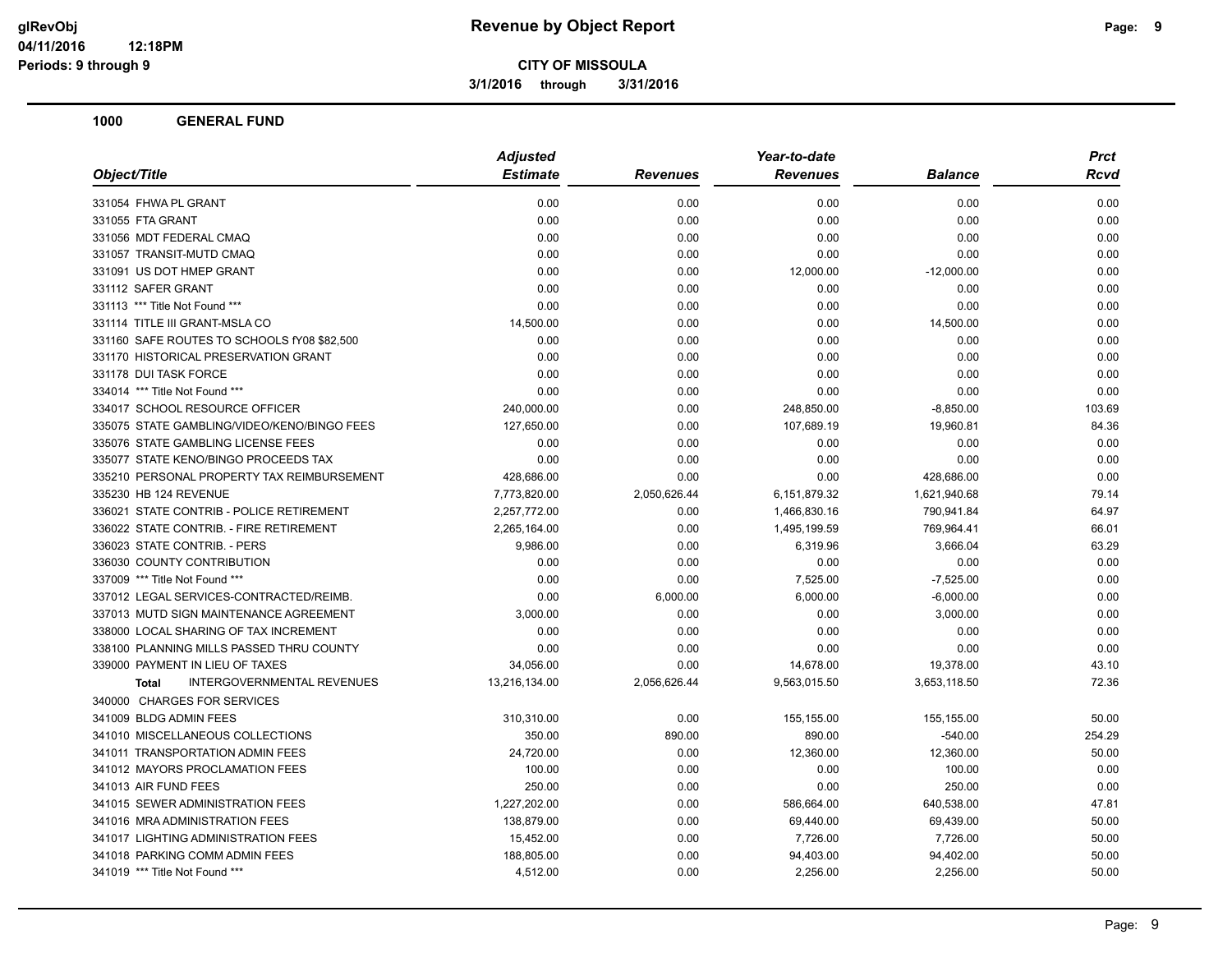**3/1/2016 through 3/31/2016**

| <b>Estimate</b><br><b>Revenues</b><br><b>Revenues</b><br><b>Balance</b><br>0.00<br>0.00<br>0.00<br>0.00<br>0.00<br>0.00<br>0.00<br>0.00<br>0.00<br>0.00<br>0.00<br>0.00<br>0.00<br>0.00<br>0.00<br>0.00<br>0.00<br>0.00<br>12,000.00<br>$-12,000.00$<br>0.00<br>0.00<br>0.00<br>0.00<br>0.00<br>0.00<br>0.00<br>0.00<br>14,500.00<br>0.00<br>0.00<br>14,500.00<br>0.00<br>0.00<br>0.00<br>0.00<br>0.00<br>0.00<br>0.00<br>0.00<br>0.00<br>0.00<br>0.00<br>0.00<br>0.00<br>0.00<br>0.00<br>0.00<br>240,000.00<br>0.00<br>248,850.00<br>$-8,850.00$<br>127,650.00<br>107,689.19<br>19,960.81<br>0.00<br>0.00<br>0.00<br>0.00<br>0.00<br>0.00<br>0.00<br>0.00<br>0.00<br>428,686.00<br>0.00<br>0.00<br>428,686.00<br>7,773,820.00<br>2,050,626.44<br>6,151,879.32<br>1,621,940.68<br>2,257,772.00<br>0.00<br>1,466,830.16<br>790,941.84<br>2,265,164.00<br>0.00<br>1,495,199.59<br>769,964.41<br>9,986.00<br>0.00<br>6,319.96<br>3,666.04<br>0.00<br>0.00<br>0.00<br>0.00<br>0.00<br>7,525.00<br>0.00<br>$-7,525.00$<br>0.00<br>6,000.00<br>6,000.00<br>$-6,000.00$<br>3,000.00<br>0.00<br>0.00<br>3,000.00<br>0.00<br>0.00<br>0.00<br>0.00<br>0.00<br>0.00<br>0.00<br>0.00<br>0.00<br>14,678.00<br>19,378.00<br>34,056.00<br><b>INTERGOVERNMENTAL REVENUES</b><br>13,216,134.00<br>2,056,626.44<br>9,563,015.50<br>3,653,118.50<br><b>Total</b><br>310,310.00<br>0.00<br>155,155.00<br>155,155.00<br>350.00<br>890.00<br>890.00<br>$-540.00$<br>24,720.00<br>0.00<br>12,360.00<br>12,360.00<br>0.00<br>0.00<br>100.00<br>100.00<br>250.00<br>0.00<br>0.00<br>250.00<br>1,227,202.00<br>0.00<br>640,538.00<br>586,664.00<br>138,879.00<br>0.00<br>69,440.00<br>69,439.00<br>15,452.00<br>0.00<br>7,726.00<br>7,726.00<br>188,805.00<br>0.00<br>94,402.00<br>94,403.00<br>4,512.00<br>2,256.00<br>2,256.00<br>0.00 | Object/Title                                | <b>Adjusted</b> | Year-to-date | Prct |        |
|----------------------------------------------------------------------------------------------------------------------------------------------------------------------------------------------------------------------------------------------------------------------------------------------------------------------------------------------------------------------------------------------------------------------------------------------------------------------------------------------------------------------------------------------------------------------------------------------------------------------------------------------------------------------------------------------------------------------------------------------------------------------------------------------------------------------------------------------------------------------------------------------------------------------------------------------------------------------------------------------------------------------------------------------------------------------------------------------------------------------------------------------------------------------------------------------------------------------------------------------------------------------------------------------------------------------------------------------------------------------------------------------------------------------------------------------------------------------------------------------------------------------------------------------------------------------------------------------------------------------------------------------------------------------------------------------------------------------------------------------------------------------------------------------------------------|---------------------------------------------|-----------------|--------------|------|--------|
|                                                                                                                                                                                                                                                                                                                                                                                                                                                                                                                                                                                                                                                                                                                                                                                                                                                                                                                                                                                                                                                                                                                                                                                                                                                                                                                                                                                                                                                                                                                                                                                                                                                                                                                                                                                                                |                                             |                 |              |      | Rcvd   |
|                                                                                                                                                                                                                                                                                                                                                                                                                                                                                                                                                                                                                                                                                                                                                                                                                                                                                                                                                                                                                                                                                                                                                                                                                                                                                                                                                                                                                                                                                                                                                                                                                                                                                                                                                                                                                | 331054 FHWA PL GRANT                        |                 |              |      | 0.00   |
|                                                                                                                                                                                                                                                                                                                                                                                                                                                                                                                                                                                                                                                                                                                                                                                                                                                                                                                                                                                                                                                                                                                                                                                                                                                                                                                                                                                                                                                                                                                                                                                                                                                                                                                                                                                                                | 331055 FTA GRANT                            |                 |              |      | 0.00   |
|                                                                                                                                                                                                                                                                                                                                                                                                                                                                                                                                                                                                                                                                                                                                                                                                                                                                                                                                                                                                                                                                                                                                                                                                                                                                                                                                                                                                                                                                                                                                                                                                                                                                                                                                                                                                                | 331056 MDT FEDERAL CMAQ                     |                 |              |      | 0.00   |
|                                                                                                                                                                                                                                                                                                                                                                                                                                                                                                                                                                                                                                                                                                                                                                                                                                                                                                                                                                                                                                                                                                                                                                                                                                                                                                                                                                                                                                                                                                                                                                                                                                                                                                                                                                                                                | 331057 TRANSIT-MUTD CMAQ                    |                 |              |      | 0.00   |
|                                                                                                                                                                                                                                                                                                                                                                                                                                                                                                                                                                                                                                                                                                                                                                                                                                                                                                                                                                                                                                                                                                                                                                                                                                                                                                                                                                                                                                                                                                                                                                                                                                                                                                                                                                                                                | 331091 US DOT HMEP GRANT                    |                 |              |      | 0.00   |
|                                                                                                                                                                                                                                                                                                                                                                                                                                                                                                                                                                                                                                                                                                                                                                                                                                                                                                                                                                                                                                                                                                                                                                                                                                                                                                                                                                                                                                                                                                                                                                                                                                                                                                                                                                                                                | 331112 SAFER GRANT                          |                 |              |      | 0.00   |
|                                                                                                                                                                                                                                                                                                                                                                                                                                                                                                                                                                                                                                                                                                                                                                                                                                                                                                                                                                                                                                                                                                                                                                                                                                                                                                                                                                                                                                                                                                                                                                                                                                                                                                                                                                                                                | 331113 *** Title Not Found ***              |                 |              |      | 0.00   |
|                                                                                                                                                                                                                                                                                                                                                                                                                                                                                                                                                                                                                                                                                                                                                                                                                                                                                                                                                                                                                                                                                                                                                                                                                                                                                                                                                                                                                                                                                                                                                                                                                                                                                                                                                                                                                | 331114 TITLE III GRANT-MSLA CO              |                 |              |      | 0.00   |
|                                                                                                                                                                                                                                                                                                                                                                                                                                                                                                                                                                                                                                                                                                                                                                                                                                                                                                                                                                                                                                                                                                                                                                                                                                                                                                                                                                                                                                                                                                                                                                                                                                                                                                                                                                                                                | 331160 SAFE ROUTES TO SCHOOLS fY08 \$82,500 |                 |              |      | 0.00   |
|                                                                                                                                                                                                                                                                                                                                                                                                                                                                                                                                                                                                                                                                                                                                                                                                                                                                                                                                                                                                                                                                                                                                                                                                                                                                                                                                                                                                                                                                                                                                                                                                                                                                                                                                                                                                                | 331170 HISTORICAL PRESERVATION GRANT        |                 |              |      | 0.00   |
|                                                                                                                                                                                                                                                                                                                                                                                                                                                                                                                                                                                                                                                                                                                                                                                                                                                                                                                                                                                                                                                                                                                                                                                                                                                                                                                                                                                                                                                                                                                                                                                                                                                                                                                                                                                                                | 331178 DUI TASK FORCE                       |                 |              |      | 0.00   |
|                                                                                                                                                                                                                                                                                                                                                                                                                                                                                                                                                                                                                                                                                                                                                                                                                                                                                                                                                                                                                                                                                                                                                                                                                                                                                                                                                                                                                                                                                                                                                                                                                                                                                                                                                                                                                | 334014 *** Title Not Found ***              |                 |              |      | 0.00   |
|                                                                                                                                                                                                                                                                                                                                                                                                                                                                                                                                                                                                                                                                                                                                                                                                                                                                                                                                                                                                                                                                                                                                                                                                                                                                                                                                                                                                                                                                                                                                                                                                                                                                                                                                                                                                                | 334017 SCHOOL RESOURCE OFFICER              |                 |              |      | 103.69 |
|                                                                                                                                                                                                                                                                                                                                                                                                                                                                                                                                                                                                                                                                                                                                                                                                                                                                                                                                                                                                                                                                                                                                                                                                                                                                                                                                                                                                                                                                                                                                                                                                                                                                                                                                                                                                                | 335075 STATE GAMBLING/VIDEO/KENO/BINGO FEES |                 |              |      | 84.36  |
|                                                                                                                                                                                                                                                                                                                                                                                                                                                                                                                                                                                                                                                                                                                                                                                                                                                                                                                                                                                                                                                                                                                                                                                                                                                                                                                                                                                                                                                                                                                                                                                                                                                                                                                                                                                                                | 335076 STATE GAMBLING LICENSE FEES          |                 |              |      | 0.00   |
|                                                                                                                                                                                                                                                                                                                                                                                                                                                                                                                                                                                                                                                                                                                                                                                                                                                                                                                                                                                                                                                                                                                                                                                                                                                                                                                                                                                                                                                                                                                                                                                                                                                                                                                                                                                                                | 335077 STATE KENO/BINGO PROCEEDS TAX        |                 |              |      | 0.00   |
|                                                                                                                                                                                                                                                                                                                                                                                                                                                                                                                                                                                                                                                                                                                                                                                                                                                                                                                                                                                                                                                                                                                                                                                                                                                                                                                                                                                                                                                                                                                                                                                                                                                                                                                                                                                                                | 335210 PERSONAL PROPERTY TAX REIMBURSEMENT  |                 |              |      | 0.00   |
|                                                                                                                                                                                                                                                                                                                                                                                                                                                                                                                                                                                                                                                                                                                                                                                                                                                                                                                                                                                                                                                                                                                                                                                                                                                                                                                                                                                                                                                                                                                                                                                                                                                                                                                                                                                                                | 335230 HB 124 REVENUE                       |                 |              |      | 79.14  |
|                                                                                                                                                                                                                                                                                                                                                                                                                                                                                                                                                                                                                                                                                                                                                                                                                                                                                                                                                                                                                                                                                                                                                                                                                                                                                                                                                                                                                                                                                                                                                                                                                                                                                                                                                                                                                | 336021 STATE CONTRIB - POLICE RETIREMENT    |                 |              |      | 64.97  |
|                                                                                                                                                                                                                                                                                                                                                                                                                                                                                                                                                                                                                                                                                                                                                                                                                                                                                                                                                                                                                                                                                                                                                                                                                                                                                                                                                                                                                                                                                                                                                                                                                                                                                                                                                                                                                | 336022 STATE CONTRIB. - FIRE RETIREMENT     |                 |              |      | 66.01  |
|                                                                                                                                                                                                                                                                                                                                                                                                                                                                                                                                                                                                                                                                                                                                                                                                                                                                                                                                                                                                                                                                                                                                                                                                                                                                                                                                                                                                                                                                                                                                                                                                                                                                                                                                                                                                                | 336023 STATE CONTRIB. - PERS                |                 |              |      | 63.29  |
|                                                                                                                                                                                                                                                                                                                                                                                                                                                                                                                                                                                                                                                                                                                                                                                                                                                                                                                                                                                                                                                                                                                                                                                                                                                                                                                                                                                                                                                                                                                                                                                                                                                                                                                                                                                                                | 336030 COUNTY CONTRIBUTION                  |                 |              |      | 0.00   |
|                                                                                                                                                                                                                                                                                                                                                                                                                                                                                                                                                                                                                                                                                                                                                                                                                                                                                                                                                                                                                                                                                                                                                                                                                                                                                                                                                                                                                                                                                                                                                                                                                                                                                                                                                                                                                | 337009 *** Title Not Found ***              |                 |              |      | 0.00   |
|                                                                                                                                                                                                                                                                                                                                                                                                                                                                                                                                                                                                                                                                                                                                                                                                                                                                                                                                                                                                                                                                                                                                                                                                                                                                                                                                                                                                                                                                                                                                                                                                                                                                                                                                                                                                                | 337012 LEGAL SERVICES-CONTRACTED/REIMB.     |                 |              |      | 0.00   |
|                                                                                                                                                                                                                                                                                                                                                                                                                                                                                                                                                                                                                                                                                                                                                                                                                                                                                                                                                                                                                                                                                                                                                                                                                                                                                                                                                                                                                                                                                                                                                                                                                                                                                                                                                                                                                | 337013 MUTD SIGN MAINTENANCE AGREEMENT      |                 |              |      | 0.00   |
|                                                                                                                                                                                                                                                                                                                                                                                                                                                                                                                                                                                                                                                                                                                                                                                                                                                                                                                                                                                                                                                                                                                                                                                                                                                                                                                                                                                                                                                                                                                                                                                                                                                                                                                                                                                                                | 338000 LOCAL SHARING OF TAX INCREMENT       |                 |              |      | 0.00   |
|                                                                                                                                                                                                                                                                                                                                                                                                                                                                                                                                                                                                                                                                                                                                                                                                                                                                                                                                                                                                                                                                                                                                                                                                                                                                                                                                                                                                                                                                                                                                                                                                                                                                                                                                                                                                                | 338100 PLANNING MILLS PASSED THRU COUNTY    |                 |              |      | 0.00   |
|                                                                                                                                                                                                                                                                                                                                                                                                                                                                                                                                                                                                                                                                                                                                                                                                                                                                                                                                                                                                                                                                                                                                                                                                                                                                                                                                                                                                                                                                                                                                                                                                                                                                                                                                                                                                                | 339000 PAYMENT IN LIEU OF TAXES             |                 |              |      | 43.10  |
|                                                                                                                                                                                                                                                                                                                                                                                                                                                                                                                                                                                                                                                                                                                                                                                                                                                                                                                                                                                                                                                                                                                                                                                                                                                                                                                                                                                                                                                                                                                                                                                                                                                                                                                                                                                                                |                                             |                 |              |      | 72.36  |
|                                                                                                                                                                                                                                                                                                                                                                                                                                                                                                                                                                                                                                                                                                                                                                                                                                                                                                                                                                                                                                                                                                                                                                                                                                                                                                                                                                                                                                                                                                                                                                                                                                                                                                                                                                                                                | 340000 CHARGES FOR SERVICES                 |                 |              |      |        |
|                                                                                                                                                                                                                                                                                                                                                                                                                                                                                                                                                                                                                                                                                                                                                                                                                                                                                                                                                                                                                                                                                                                                                                                                                                                                                                                                                                                                                                                                                                                                                                                                                                                                                                                                                                                                                | 341009 BLDG ADMIN FEES                      |                 |              |      | 50.00  |
|                                                                                                                                                                                                                                                                                                                                                                                                                                                                                                                                                                                                                                                                                                                                                                                                                                                                                                                                                                                                                                                                                                                                                                                                                                                                                                                                                                                                                                                                                                                                                                                                                                                                                                                                                                                                                | 341010 MISCELLANEOUS COLLECTIONS            |                 |              |      | 254.29 |
|                                                                                                                                                                                                                                                                                                                                                                                                                                                                                                                                                                                                                                                                                                                                                                                                                                                                                                                                                                                                                                                                                                                                                                                                                                                                                                                                                                                                                                                                                                                                                                                                                                                                                                                                                                                                                | 341011 TRANSPORTATION ADMIN FEES            |                 |              |      | 50.00  |
|                                                                                                                                                                                                                                                                                                                                                                                                                                                                                                                                                                                                                                                                                                                                                                                                                                                                                                                                                                                                                                                                                                                                                                                                                                                                                                                                                                                                                                                                                                                                                                                                                                                                                                                                                                                                                | 341012 MAYORS PROCLAMATION FEES             |                 |              |      | 0.00   |
|                                                                                                                                                                                                                                                                                                                                                                                                                                                                                                                                                                                                                                                                                                                                                                                                                                                                                                                                                                                                                                                                                                                                                                                                                                                                                                                                                                                                                                                                                                                                                                                                                                                                                                                                                                                                                | 341013 AIR FUND FEES                        |                 |              |      | 0.00   |
|                                                                                                                                                                                                                                                                                                                                                                                                                                                                                                                                                                                                                                                                                                                                                                                                                                                                                                                                                                                                                                                                                                                                                                                                                                                                                                                                                                                                                                                                                                                                                                                                                                                                                                                                                                                                                | 341015 SEWER ADMINISTRATION FEES            |                 |              |      | 47.81  |
|                                                                                                                                                                                                                                                                                                                                                                                                                                                                                                                                                                                                                                                                                                                                                                                                                                                                                                                                                                                                                                                                                                                                                                                                                                                                                                                                                                                                                                                                                                                                                                                                                                                                                                                                                                                                                | 341016 MRA ADMINISTRATION FEES              |                 |              |      | 50.00  |
|                                                                                                                                                                                                                                                                                                                                                                                                                                                                                                                                                                                                                                                                                                                                                                                                                                                                                                                                                                                                                                                                                                                                                                                                                                                                                                                                                                                                                                                                                                                                                                                                                                                                                                                                                                                                                | 341017 LIGHTING ADMINISTRATION FEES         |                 |              |      | 50.00  |
|                                                                                                                                                                                                                                                                                                                                                                                                                                                                                                                                                                                                                                                                                                                                                                                                                                                                                                                                                                                                                                                                                                                                                                                                                                                                                                                                                                                                                                                                                                                                                                                                                                                                                                                                                                                                                | 341018 PARKING COMM ADMIN FEES              |                 |              |      | 50.00  |
|                                                                                                                                                                                                                                                                                                                                                                                                                                                                                                                                                                                                                                                                                                                                                                                                                                                                                                                                                                                                                                                                                                                                                                                                                                                                                                                                                                                                                                                                                                                                                                                                                                                                                                                                                                                                                | 341019 *** Title Not Found ***              |                 |              |      | 50.00  |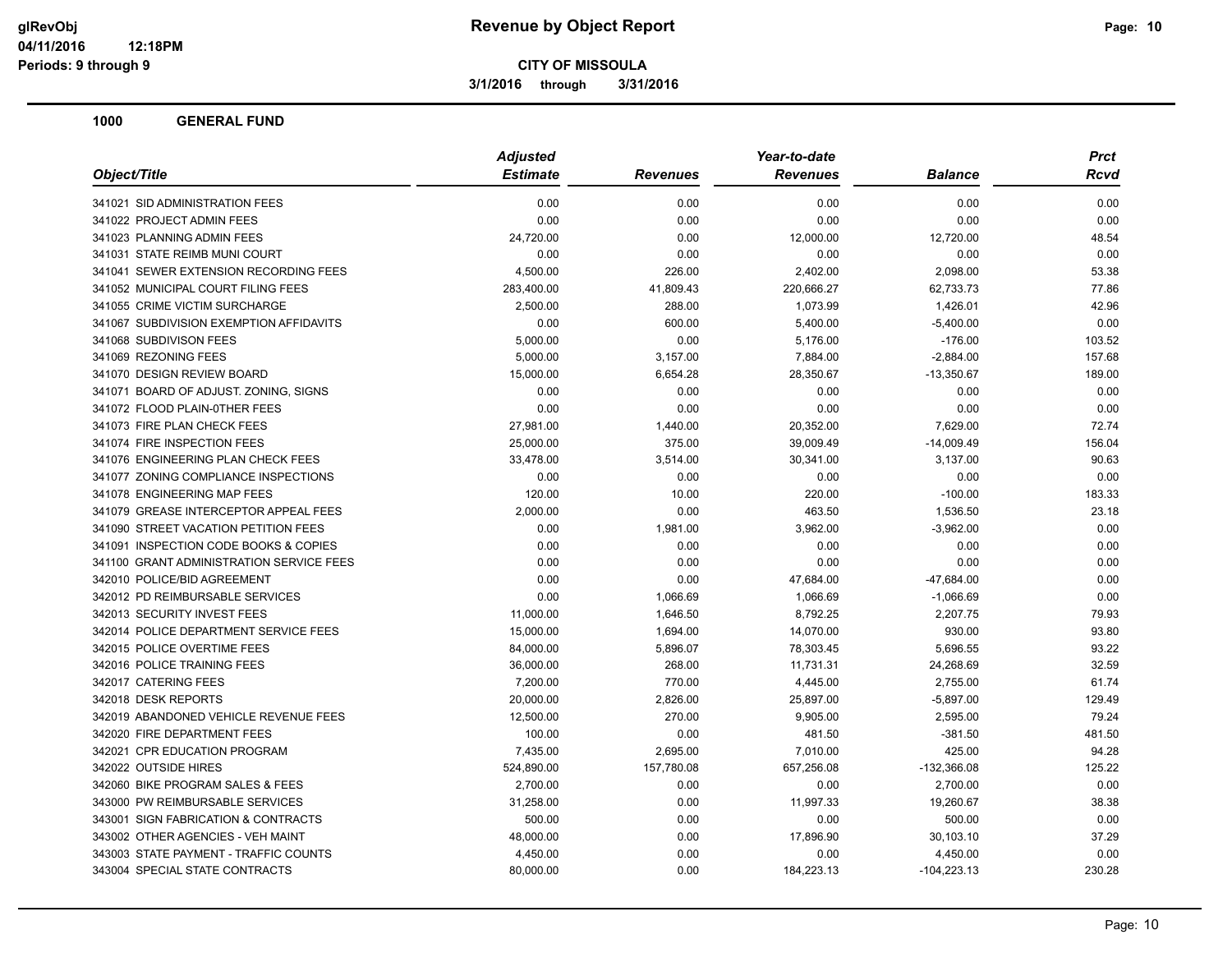**3/1/2016 through 3/31/2016**

| <b>Estimate</b><br><b>Revenues</b><br><b>Balance</b><br><b>Revenues</b><br>0.00<br>0.00<br>0.00<br>0.00<br>0.00<br>0.00<br>0.00<br>0.00<br>0.00<br>24,720.00<br>12,000.00<br>12,720.00<br>0.00<br>0.00<br>0.00<br>0.00<br>4,500.00<br>226.00<br>2,402.00<br>2,098.00<br>283,400.00<br>41,809.43<br>220,666.27<br>62,733.73<br>2,500.00<br>288.00<br>1,073.99<br>1,426.01<br>0.00<br>600.00<br>5,400.00<br>$-5,400.00$<br>5,000.00<br>0.00<br>5,176.00<br>$-176.00$<br>5,000.00<br>3,157.00<br>7,884.00<br>$-2,884.00$<br>15,000.00<br>6,654.28<br>28,350.67<br>$-13,350.67$<br>0.00<br>0.00<br>0.00<br>0.00<br>0.00<br>0.00<br>0.00<br>0.00<br>27,981.00<br>1,440.00<br>20,352.00<br>7,629.00<br>375.00<br>39,009.49<br>$-14,009.49$<br>25,000.00<br>33,478.00<br>3,514.00<br>30,341.00<br>3,137.00<br>0.00<br>0.00<br>0.00<br>0.00<br>120.00<br>10.00<br>220.00<br>$-100.00$<br>2,000.00<br>0.00<br>463.50<br>1,536.50<br>0.00<br>1,981.00<br>3,962.00<br>$-3,962.00$<br>0.00<br>0.00<br>0.00<br>0.00<br>0.00<br>0.00<br>0.00<br>0.00<br>0.00<br>0.00<br>47,684.00<br>$-47,684.00$<br>0.00<br>1,066.69<br>1,066.69<br>$-1,066.69$<br>11,000.00<br>1,646.50<br>8,792.25<br>2,207.75<br>14,070.00<br>930.00<br>15,000.00<br>1,694.00<br>84,000.00<br>5,896.07<br>78,303.45<br>5,696.55<br>36,000.00<br>268.00<br>11,731.31<br>24,268.69<br>7,200.00<br>770.00<br>4,445.00<br>2,755.00<br>20,000.00<br>2,826.00<br>25,897.00<br>$-5,897.00$<br>12,500.00<br>270.00<br>9,905.00<br>2,595.00<br>100.00<br>0.00<br>481.50<br>$-381.50$<br>7,435.00<br>2,695.00<br>7,010.00<br>425.00<br>524,890.00<br>157,780.08<br>657,256.08<br>$-132,366.08$<br>2,700.00<br>0.00<br>0.00<br>2,700.00<br>0.00<br>31,258.00<br>11,997.33<br>19,260.67<br>500.00<br>0.00<br>0.00<br>500.00<br>48,000.00<br>0.00<br>17,896.90<br>30,103.10<br>4,450.00<br>0.00<br>0.00<br>4,450.00<br>0.00<br>184,223.13<br>80,000.00<br>$-104,223.13$ | Object/Title                             | <b>Adjusted</b> | Year-to-date | <b>Prct</b> |        |
|------------------------------------------------------------------------------------------------------------------------------------------------------------------------------------------------------------------------------------------------------------------------------------------------------------------------------------------------------------------------------------------------------------------------------------------------------------------------------------------------------------------------------------------------------------------------------------------------------------------------------------------------------------------------------------------------------------------------------------------------------------------------------------------------------------------------------------------------------------------------------------------------------------------------------------------------------------------------------------------------------------------------------------------------------------------------------------------------------------------------------------------------------------------------------------------------------------------------------------------------------------------------------------------------------------------------------------------------------------------------------------------------------------------------------------------------------------------------------------------------------------------------------------------------------------------------------------------------------------------------------------------------------------------------------------------------------------------------------------------------------------------------------------------------------------------------------------------------------------------------------------------------------------------|------------------------------------------|-----------------|--------------|-------------|--------|
|                                                                                                                                                                                                                                                                                                                                                                                                                                                                                                                                                                                                                                                                                                                                                                                                                                                                                                                                                                                                                                                                                                                                                                                                                                                                                                                                                                                                                                                                                                                                                                                                                                                                                                                                                                                                                                                                                                                  |                                          |                 |              |             | Rcvd   |
|                                                                                                                                                                                                                                                                                                                                                                                                                                                                                                                                                                                                                                                                                                                                                                                                                                                                                                                                                                                                                                                                                                                                                                                                                                                                                                                                                                                                                                                                                                                                                                                                                                                                                                                                                                                                                                                                                                                  | 341021 SID ADMINISTRATION FEES           |                 |              |             | 0.00   |
|                                                                                                                                                                                                                                                                                                                                                                                                                                                                                                                                                                                                                                                                                                                                                                                                                                                                                                                                                                                                                                                                                                                                                                                                                                                                                                                                                                                                                                                                                                                                                                                                                                                                                                                                                                                                                                                                                                                  | 341022 PROJECT ADMIN FEES                |                 |              |             | 0.00   |
|                                                                                                                                                                                                                                                                                                                                                                                                                                                                                                                                                                                                                                                                                                                                                                                                                                                                                                                                                                                                                                                                                                                                                                                                                                                                                                                                                                                                                                                                                                                                                                                                                                                                                                                                                                                                                                                                                                                  | 341023 PLANNING ADMIN FEES               |                 |              |             | 48.54  |
|                                                                                                                                                                                                                                                                                                                                                                                                                                                                                                                                                                                                                                                                                                                                                                                                                                                                                                                                                                                                                                                                                                                                                                                                                                                                                                                                                                                                                                                                                                                                                                                                                                                                                                                                                                                                                                                                                                                  | 341031 STATE REIMB MUNI COURT            |                 |              |             | 0.00   |
|                                                                                                                                                                                                                                                                                                                                                                                                                                                                                                                                                                                                                                                                                                                                                                                                                                                                                                                                                                                                                                                                                                                                                                                                                                                                                                                                                                                                                                                                                                                                                                                                                                                                                                                                                                                                                                                                                                                  | 341041 SEWER EXTENSION RECORDING FEES    |                 |              |             | 53.38  |
|                                                                                                                                                                                                                                                                                                                                                                                                                                                                                                                                                                                                                                                                                                                                                                                                                                                                                                                                                                                                                                                                                                                                                                                                                                                                                                                                                                                                                                                                                                                                                                                                                                                                                                                                                                                                                                                                                                                  | 341052 MUNICIPAL COURT FILING FEES       |                 |              |             | 77.86  |
|                                                                                                                                                                                                                                                                                                                                                                                                                                                                                                                                                                                                                                                                                                                                                                                                                                                                                                                                                                                                                                                                                                                                                                                                                                                                                                                                                                                                                                                                                                                                                                                                                                                                                                                                                                                                                                                                                                                  | 341055 CRIME VICTIM SURCHARGE            |                 |              |             | 42.96  |
|                                                                                                                                                                                                                                                                                                                                                                                                                                                                                                                                                                                                                                                                                                                                                                                                                                                                                                                                                                                                                                                                                                                                                                                                                                                                                                                                                                                                                                                                                                                                                                                                                                                                                                                                                                                                                                                                                                                  | 341067 SUBDIVISION EXEMPTION AFFIDAVITS  |                 |              |             | 0.00   |
|                                                                                                                                                                                                                                                                                                                                                                                                                                                                                                                                                                                                                                                                                                                                                                                                                                                                                                                                                                                                                                                                                                                                                                                                                                                                                                                                                                                                                                                                                                                                                                                                                                                                                                                                                                                                                                                                                                                  | 341068 SUBDIVISON FEES                   |                 |              |             | 103.52 |
|                                                                                                                                                                                                                                                                                                                                                                                                                                                                                                                                                                                                                                                                                                                                                                                                                                                                                                                                                                                                                                                                                                                                                                                                                                                                                                                                                                                                                                                                                                                                                                                                                                                                                                                                                                                                                                                                                                                  | 341069 REZONING FEES                     |                 |              |             | 157.68 |
|                                                                                                                                                                                                                                                                                                                                                                                                                                                                                                                                                                                                                                                                                                                                                                                                                                                                                                                                                                                                                                                                                                                                                                                                                                                                                                                                                                                                                                                                                                                                                                                                                                                                                                                                                                                                                                                                                                                  | 341070 DESIGN REVIEW BOARD               |                 |              |             | 189.00 |
|                                                                                                                                                                                                                                                                                                                                                                                                                                                                                                                                                                                                                                                                                                                                                                                                                                                                                                                                                                                                                                                                                                                                                                                                                                                                                                                                                                                                                                                                                                                                                                                                                                                                                                                                                                                                                                                                                                                  | 341071 BOARD OF ADJUST. ZONING, SIGNS    |                 |              |             | 0.00   |
|                                                                                                                                                                                                                                                                                                                                                                                                                                                                                                                                                                                                                                                                                                                                                                                                                                                                                                                                                                                                                                                                                                                                                                                                                                                                                                                                                                                                                                                                                                                                                                                                                                                                                                                                                                                                                                                                                                                  | 341072 FLOOD PLAIN-0THER FEES            |                 |              |             | 0.00   |
|                                                                                                                                                                                                                                                                                                                                                                                                                                                                                                                                                                                                                                                                                                                                                                                                                                                                                                                                                                                                                                                                                                                                                                                                                                                                                                                                                                                                                                                                                                                                                                                                                                                                                                                                                                                                                                                                                                                  | 341073 FIRE PLAN CHECK FEES              |                 |              |             | 72.74  |
|                                                                                                                                                                                                                                                                                                                                                                                                                                                                                                                                                                                                                                                                                                                                                                                                                                                                                                                                                                                                                                                                                                                                                                                                                                                                                                                                                                                                                                                                                                                                                                                                                                                                                                                                                                                                                                                                                                                  | 341074 FIRE INSPECTION FEES              |                 |              |             | 156.04 |
|                                                                                                                                                                                                                                                                                                                                                                                                                                                                                                                                                                                                                                                                                                                                                                                                                                                                                                                                                                                                                                                                                                                                                                                                                                                                                                                                                                                                                                                                                                                                                                                                                                                                                                                                                                                                                                                                                                                  | 341076 ENGINEERING PLAN CHECK FEES       |                 |              |             | 90.63  |
|                                                                                                                                                                                                                                                                                                                                                                                                                                                                                                                                                                                                                                                                                                                                                                                                                                                                                                                                                                                                                                                                                                                                                                                                                                                                                                                                                                                                                                                                                                                                                                                                                                                                                                                                                                                                                                                                                                                  | 341077 ZONING COMPLIANCE INSPECTIONS     |                 |              |             | 0.00   |
|                                                                                                                                                                                                                                                                                                                                                                                                                                                                                                                                                                                                                                                                                                                                                                                                                                                                                                                                                                                                                                                                                                                                                                                                                                                                                                                                                                                                                                                                                                                                                                                                                                                                                                                                                                                                                                                                                                                  | 341078 ENGINEERING MAP FEES              |                 |              |             | 183.33 |
|                                                                                                                                                                                                                                                                                                                                                                                                                                                                                                                                                                                                                                                                                                                                                                                                                                                                                                                                                                                                                                                                                                                                                                                                                                                                                                                                                                                                                                                                                                                                                                                                                                                                                                                                                                                                                                                                                                                  | 341079 GREASE INTERCEPTOR APPEAL FEES    |                 |              |             | 23.18  |
|                                                                                                                                                                                                                                                                                                                                                                                                                                                                                                                                                                                                                                                                                                                                                                                                                                                                                                                                                                                                                                                                                                                                                                                                                                                                                                                                                                                                                                                                                                                                                                                                                                                                                                                                                                                                                                                                                                                  | 341090 STREET VACATION PETITION FEES     |                 |              |             | 0.00   |
|                                                                                                                                                                                                                                                                                                                                                                                                                                                                                                                                                                                                                                                                                                                                                                                                                                                                                                                                                                                                                                                                                                                                                                                                                                                                                                                                                                                                                                                                                                                                                                                                                                                                                                                                                                                                                                                                                                                  | 341091 INSPECTION CODE BOOKS & COPIES    |                 |              |             | 0.00   |
|                                                                                                                                                                                                                                                                                                                                                                                                                                                                                                                                                                                                                                                                                                                                                                                                                                                                                                                                                                                                                                                                                                                                                                                                                                                                                                                                                                                                                                                                                                                                                                                                                                                                                                                                                                                                                                                                                                                  | 341100 GRANT ADMINISTRATION SERVICE FEES |                 |              |             | 0.00   |
|                                                                                                                                                                                                                                                                                                                                                                                                                                                                                                                                                                                                                                                                                                                                                                                                                                                                                                                                                                                                                                                                                                                                                                                                                                                                                                                                                                                                                                                                                                                                                                                                                                                                                                                                                                                                                                                                                                                  | 342010 POLICE/BID AGREEMENT              |                 |              |             | 0.00   |
|                                                                                                                                                                                                                                                                                                                                                                                                                                                                                                                                                                                                                                                                                                                                                                                                                                                                                                                                                                                                                                                                                                                                                                                                                                                                                                                                                                                                                                                                                                                                                                                                                                                                                                                                                                                                                                                                                                                  | 342012 PD REIMBURSABLE SERVICES          |                 |              |             | 0.00   |
|                                                                                                                                                                                                                                                                                                                                                                                                                                                                                                                                                                                                                                                                                                                                                                                                                                                                                                                                                                                                                                                                                                                                                                                                                                                                                                                                                                                                                                                                                                                                                                                                                                                                                                                                                                                                                                                                                                                  | 342013 SECURITY INVEST FEES              |                 |              |             | 79.93  |
|                                                                                                                                                                                                                                                                                                                                                                                                                                                                                                                                                                                                                                                                                                                                                                                                                                                                                                                                                                                                                                                                                                                                                                                                                                                                                                                                                                                                                                                                                                                                                                                                                                                                                                                                                                                                                                                                                                                  | 342014 POLICE DEPARTMENT SERVICE FEES    |                 |              |             | 93.80  |
|                                                                                                                                                                                                                                                                                                                                                                                                                                                                                                                                                                                                                                                                                                                                                                                                                                                                                                                                                                                                                                                                                                                                                                                                                                                                                                                                                                                                                                                                                                                                                                                                                                                                                                                                                                                                                                                                                                                  | 342015 POLICE OVERTIME FEES              |                 |              |             | 93.22  |
|                                                                                                                                                                                                                                                                                                                                                                                                                                                                                                                                                                                                                                                                                                                                                                                                                                                                                                                                                                                                                                                                                                                                                                                                                                                                                                                                                                                                                                                                                                                                                                                                                                                                                                                                                                                                                                                                                                                  | 342016 POLICE TRAINING FEES              |                 |              |             | 32.59  |
|                                                                                                                                                                                                                                                                                                                                                                                                                                                                                                                                                                                                                                                                                                                                                                                                                                                                                                                                                                                                                                                                                                                                                                                                                                                                                                                                                                                                                                                                                                                                                                                                                                                                                                                                                                                                                                                                                                                  | 342017 CATERING FEES                     |                 |              |             | 61.74  |
|                                                                                                                                                                                                                                                                                                                                                                                                                                                                                                                                                                                                                                                                                                                                                                                                                                                                                                                                                                                                                                                                                                                                                                                                                                                                                                                                                                                                                                                                                                                                                                                                                                                                                                                                                                                                                                                                                                                  | 342018 DESK REPORTS                      |                 |              |             | 129.49 |
|                                                                                                                                                                                                                                                                                                                                                                                                                                                                                                                                                                                                                                                                                                                                                                                                                                                                                                                                                                                                                                                                                                                                                                                                                                                                                                                                                                                                                                                                                                                                                                                                                                                                                                                                                                                                                                                                                                                  | 342019 ABANDONED VEHICLE REVENUE FEES    |                 |              |             | 79.24  |
|                                                                                                                                                                                                                                                                                                                                                                                                                                                                                                                                                                                                                                                                                                                                                                                                                                                                                                                                                                                                                                                                                                                                                                                                                                                                                                                                                                                                                                                                                                                                                                                                                                                                                                                                                                                                                                                                                                                  | 342020 FIRE DEPARTMENT FEES              |                 |              |             | 481.50 |
|                                                                                                                                                                                                                                                                                                                                                                                                                                                                                                                                                                                                                                                                                                                                                                                                                                                                                                                                                                                                                                                                                                                                                                                                                                                                                                                                                                                                                                                                                                                                                                                                                                                                                                                                                                                                                                                                                                                  | 342021 CPR EDUCATION PROGRAM             |                 |              |             | 94.28  |
|                                                                                                                                                                                                                                                                                                                                                                                                                                                                                                                                                                                                                                                                                                                                                                                                                                                                                                                                                                                                                                                                                                                                                                                                                                                                                                                                                                                                                                                                                                                                                                                                                                                                                                                                                                                                                                                                                                                  | 342022 OUTSIDE HIRES                     |                 |              |             | 125.22 |
|                                                                                                                                                                                                                                                                                                                                                                                                                                                                                                                                                                                                                                                                                                                                                                                                                                                                                                                                                                                                                                                                                                                                                                                                                                                                                                                                                                                                                                                                                                                                                                                                                                                                                                                                                                                                                                                                                                                  | 342060 BIKE PROGRAM SALES & FEES         |                 |              |             | 0.00   |
|                                                                                                                                                                                                                                                                                                                                                                                                                                                                                                                                                                                                                                                                                                                                                                                                                                                                                                                                                                                                                                                                                                                                                                                                                                                                                                                                                                                                                                                                                                                                                                                                                                                                                                                                                                                                                                                                                                                  | 343000 PW REIMBURSABLE SERVICES          |                 |              |             | 38.38  |
|                                                                                                                                                                                                                                                                                                                                                                                                                                                                                                                                                                                                                                                                                                                                                                                                                                                                                                                                                                                                                                                                                                                                                                                                                                                                                                                                                                                                                                                                                                                                                                                                                                                                                                                                                                                                                                                                                                                  | 343001 SIGN FABRICATION & CONTRACTS      |                 |              |             | 0.00   |
|                                                                                                                                                                                                                                                                                                                                                                                                                                                                                                                                                                                                                                                                                                                                                                                                                                                                                                                                                                                                                                                                                                                                                                                                                                                                                                                                                                                                                                                                                                                                                                                                                                                                                                                                                                                                                                                                                                                  | 343002 OTHER AGENCIES - VEH MAINT        |                 |              |             | 37.29  |
|                                                                                                                                                                                                                                                                                                                                                                                                                                                                                                                                                                                                                                                                                                                                                                                                                                                                                                                                                                                                                                                                                                                                                                                                                                                                                                                                                                                                                                                                                                                                                                                                                                                                                                                                                                                                                                                                                                                  | 343003 STATE PAYMENT - TRAFFIC COUNTS    |                 |              |             | 0.00   |
|                                                                                                                                                                                                                                                                                                                                                                                                                                                                                                                                                                                                                                                                                                                                                                                                                                                                                                                                                                                                                                                                                                                                                                                                                                                                                                                                                                                                                                                                                                                                                                                                                                                                                                                                                                                                                                                                                                                  | 343004 SPECIAL STATE CONTRACTS           |                 |              |             | 230.28 |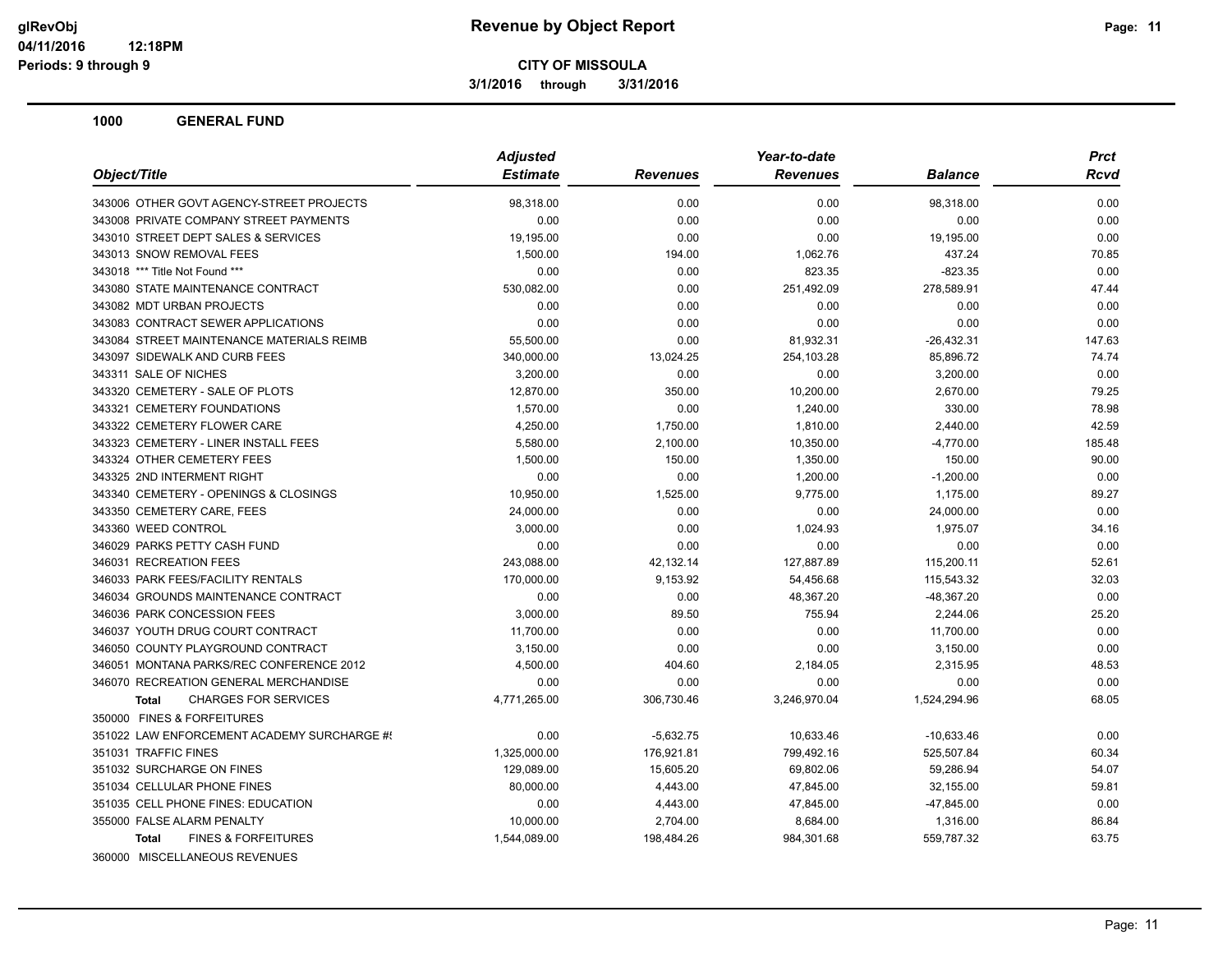**3/1/2016 through 3/31/2016**

|                                                | <b>Adjusted</b> |                 | Year-to-date    |                | <b>Prct</b> |
|------------------------------------------------|-----------------|-----------------|-----------------|----------------|-------------|
| Object/Title                                   | <b>Estimate</b> | <b>Revenues</b> | <b>Revenues</b> | <b>Balance</b> | Rcvd        |
| 343006 OTHER GOVT AGENCY-STREET PROJECTS       | 98,318.00       | 0.00            | 0.00            | 98,318.00      | 0.00        |
| 343008 PRIVATE COMPANY STREET PAYMENTS         | 0.00            | 0.00            | 0.00            | 0.00           | 0.00        |
| 343010 STREET DEPT SALES & SERVICES            | 19,195.00       | 0.00            | 0.00            | 19,195.00      | 0.00        |
| 343013 SNOW REMOVAL FEES                       | 1,500.00        | 194.00          | 1,062.76        | 437.24         | 70.85       |
| 343018 *** Title Not Found ***                 | 0.00            | 0.00            | 823.35          | $-823.35$      | 0.00        |
| 343080 STATE MAINTENANCE CONTRACT              | 530,082.00      | 0.00            | 251,492.09      | 278,589.91     | 47.44       |
| 343082 MDT URBAN PROJECTS                      | 0.00            | 0.00            | 0.00            | 0.00           | 0.00        |
| 343083 CONTRACT SEWER APPLICATIONS             | 0.00            | 0.00            | 0.00            | 0.00           | 0.00        |
| 343084 STREET MAINTENANCE MATERIALS REIMB      | 55,500.00       | 0.00            | 81,932.31       | $-26,432.31$   | 147.63      |
| 343097 SIDEWALK AND CURB FEES                  | 340,000.00      | 13,024.25       | 254,103.28      | 85,896.72      | 74.74       |
| 343311 SALE OF NICHES                          | 3,200.00        | 0.00            | 0.00            | 3,200.00       | 0.00        |
| 343320 CEMETERY - SALE OF PLOTS                | 12,870.00       | 350.00          | 10,200.00       | 2,670.00       | 79.25       |
| 343321 CEMETERY FOUNDATIONS                    | 1,570.00        | 0.00            | 1,240.00        | 330.00         | 78.98       |
| 343322 CEMETERY FLOWER CARE                    | 4,250.00        | 1,750.00        | 1,810.00        | 2,440.00       | 42.59       |
| 343323 CEMETERY - LINER INSTALL FEES           | 5,580.00        | 2,100.00        | 10,350.00       | $-4,770.00$    | 185.48      |
| 343324 OTHER CEMETERY FEES                     | 1,500.00        | 150.00          | 1,350.00        | 150.00         | 90.00       |
| 343325 2ND INTERMENT RIGHT                     | 0.00            | 0.00            | 1,200.00        | $-1,200.00$    | 0.00        |
| 343340 CEMETERY - OPENINGS & CLOSINGS          | 10,950.00       | 1,525.00        | 9,775.00        | 1,175.00       | 89.27       |
| 343350 CEMETERY CARE, FEES                     | 24,000.00       | 0.00            | 0.00            | 24,000.00      | 0.00        |
| 343360 WEED CONTROL                            | 3,000.00        | 0.00            | 1,024.93        | 1,975.07       | 34.16       |
| 346029 PARKS PETTY CASH FUND                   | 0.00            | 0.00            | 0.00            | 0.00           | 0.00        |
| 346031 RECREATION FEES                         | 243,088.00      | 42,132.14       | 127,887.89      | 115,200.11     | 52.61       |
| 346033 PARK FEES/FACILITY RENTALS              | 170,000.00      | 9,153.92        | 54,456.68       | 115,543.32     | 32.03       |
| 346034 GROUNDS MAINTENANCE CONTRACT            | 0.00            | 0.00            | 48,367.20       | $-48,367.20$   | 0.00        |
| 346036 PARK CONCESSION FEES                    | 3,000.00        | 89.50           | 755.94          | 2,244.06       | 25.20       |
| 346037 YOUTH DRUG COURT CONTRACT               | 11,700.00       | 0.00            | 0.00            | 11,700.00      | 0.00        |
| 346050 COUNTY PLAYGROUND CONTRACT              | 3,150.00        | 0.00            | 0.00            | 3,150.00       | 0.00        |
| 346051 MONTANA PARKS/REC CONFERENCE 2012       | 4,500.00        | 404.60          | 2,184.05        | 2,315.95       | 48.53       |
| 346070 RECREATION GENERAL MERCHANDISE          | 0.00            | 0.00            | 0.00            | 0.00           | 0.00        |
| <b>CHARGES FOR SERVICES</b><br>Total           | 4,771,265.00    | 306,730.46      | 3,246,970.04    | 1,524,294.96   | 68.05       |
| 350000 FINES & FORFEITURES                     |                 |                 |                 |                |             |
| 351022 LAW ENFORCEMENT ACADEMY SURCHARGE #!    | 0.00            | $-5,632.75$     | 10,633.46       | $-10,633.46$   | 0.00        |
| 351031 TRAFFIC FINES                           | 1,325,000.00    | 176,921.81      | 799,492.16      | 525,507.84     | 60.34       |
| 351032 SURCHARGE ON FINES                      | 129,089.00      | 15,605.20       | 69,802.06       | 59,286.94      | 54.07       |
| 351034 CELLULAR PHONE FINES                    | 80,000.00       | 4,443.00        | 47,845.00       | 32,155.00      | 59.81       |
| 351035 CELL PHONE FINES: EDUCATION             | 0.00            | 4,443.00        | 47,845.00       | $-47,845.00$   | 0.00        |
| 355000 FALSE ALARM PENALTY                     | 10,000.00       | 2,704.00        | 8,684.00        | 1,316.00       | 86.84       |
| <b>FINES &amp; FORFEITURES</b><br><b>Total</b> | 1,544,089.00    | 198,484.26      | 984,301.68      | 559,787.32     | 63.75       |
| 360000 MISCELLANEOUS REVENUES                  |                 |                 |                 |                |             |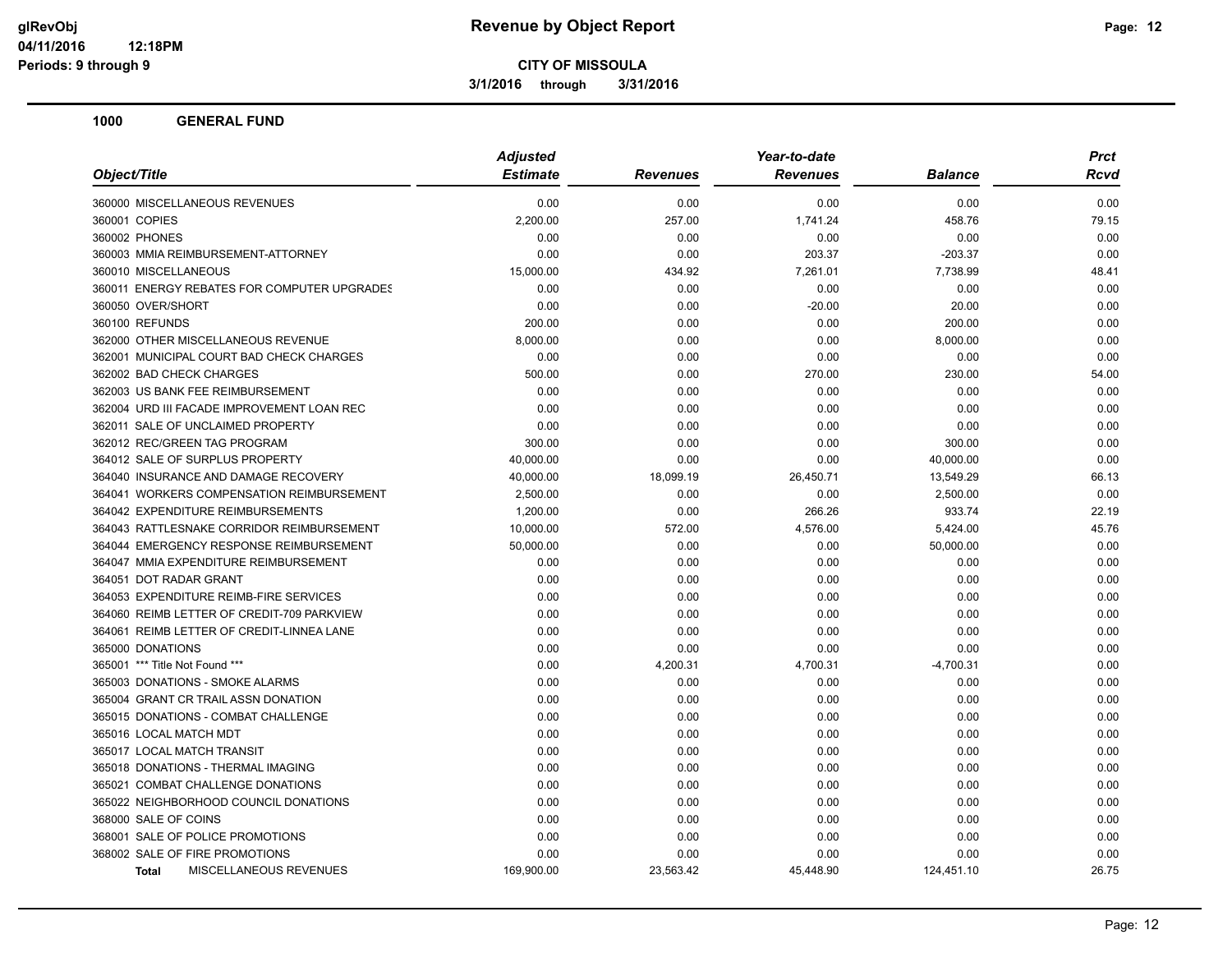**3/1/2016 through 3/31/2016**

| Object/Title                                | <b>Adjusted</b> |                 | Year-to-date    |                | <b>Prct</b> |
|---------------------------------------------|-----------------|-----------------|-----------------|----------------|-------------|
|                                             | <b>Estimate</b> | <b>Revenues</b> | <b>Revenues</b> | <b>Balance</b> | Rcvd        |
| 360000 MISCELLANEOUS REVENUES               | 0.00            | 0.00            | 0.00            | 0.00           | 0.00        |
| 360001 COPIES                               | 2,200.00        | 257.00          | 1,741.24        | 458.76         | 79.15       |
| 360002 PHONES                               | 0.00            | 0.00            | 0.00            | 0.00           | 0.00        |
| 360003 MMIA REIMBURSEMENT-ATTORNEY          | 0.00            | 0.00            | 203.37          | $-203.37$      | 0.00        |
| 360010 MISCELLANEOUS                        | 15,000.00       | 434.92          | 7,261.01        | 7,738.99       | 48.41       |
| 360011 ENERGY REBATES FOR COMPUTER UPGRADES | 0.00            | 0.00            | 0.00            | 0.00           | 0.00        |
| 360050 OVER/SHORT                           | 0.00            | 0.00            | $-20.00$        | 20.00          | 0.00        |
| 360100 REFUNDS                              | 200.00          | 0.00            | 0.00            | 200.00         | 0.00        |
| 362000 OTHER MISCELLANEOUS REVENUE          | 8,000.00        | 0.00            | 0.00            | 8,000.00       | 0.00        |
| 362001 MUNICIPAL COURT BAD CHECK CHARGES    | 0.00            | 0.00            | 0.00            | 0.00           | 0.00        |
| 362002 BAD CHECK CHARGES                    | 500.00          | 0.00            | 270.00          | 230.00         | 54.00       |
| 362003 US BANK FEE REIMBURSEMENT            | 0.00            | 0.00            | 0.00            | 0.00           | 0.00        |
| 362004 URD III FACADE IMPROVEMENT LOAN REC  | 0.00            | 0.00            | 0.00            | 0.00           | 0.00        |
| 362011 SALE OF UNCLAIMED PROPERTY           | 0.00            | 0.00            | 0.00            | 0.00           | 0.00        |
| 362012 REC/GREEN TAG PROGRAM                | 300.00          | 0.00            | 0.00            | 300.00         | 0.00        |
| 364012 SALE OF SURPLUS PROPERTY             | 40,000.00       | 0.00            | 0.00            | 40,000.00      | 0.00        |
| 364040 INSURANCE AND DAMAGE RECOVERY        | 40,000.00       | 18,099.19       | 26,450.71       | 13,549.29      | 66.13       |
| 364041 WORKERS COMPENSATION REIMBURSEMENT   | 2,500.00        | 0.00            | 0.00            | 2,500.00       | 0.00        |
| 364042 EXPENDITURE REIMBURSEMENTS           | 1,200.00        | 0.00            | 266.26          | 933.74         | 22.19       |
| 364043 RATTLESNAKE CORRIDOR REIMBURSEMENT   | 10,000.00       | 572.00          | 4,576.00        | 5,424.00       | 45.76       |
| 364044 EMERGENCY RESPONSE REIMBURSEMENT     | 50,000.00       | 0.00            | 0.00            | 50,000.00      | 0.00        |
| 364047 MMIA EXPENDITURE REIMBURSEMENT       | 0.00            | 0.00            | 0.00            | 0.00           | 0.00        |
| 364051 DOT RADAR GRANT                      | 0.00            | 0.00            | 0.00            | 0.00           | 0.00        |
| 364053 EXPENDITURE REIMB-FIRE SERVICES      | 0.00            | 0.00            | 0.00            | 0.00           | 0.00        |
| 364060 REIMB LETTER OF CREDIT-709 PARKVIEW  | 0.00            | 0.00            | 0.00            | 0.00           | 0.00        |
| 364061 REIMB LETTER OF CREDIT-LINNEA LANE   | 0.00            | 0.00            | 0.00            | 0.00           | 0.00        |
| 365000 DONATIONS                            | 0.00            | 0.00            | 0.00            | 0.00           | 0.00        |
| 365001 *** Title Not Found ***              | 0.00            | 4,200.31        | 4,700.31        | $-4,700.31$    | 0.00        |
| 365003 DONATIONS - SMOKE ALARMS             | 0.00            | 0.00            | 0.00            | 0.00           | 0.00        |
| 365004 GRANT CR TRAIL ASSN DONATION         | 0.00            | 0.00            | 0.00            | 0.00           | 0.00        |
| 365015 DONATIONS - COMBAT CHALLENGE         | 0.00            | 0.00            | 0.00            | 0.00           | 0.00        |
| 365016 LOCAL MATCH MDT                      | 0.00            | 0.00            | 0.00            | 0.00           | 0.00        |
| 365017 LOCAL MATCH TRANSIT                  | 0.00            | 0.00            | 0.00            | 0.00           | 0.00        |
| 365018 DONATIONS - THERMAL IMAGING          | 0.00            | 0.00            | 0.00            | 0.00           | 0.00        |
| 365021 COMBAT CHALLENGE DONATIONS           | 0.00            | 0.00            | 0.00            | 0.00           | 0.00        |
| 365022 NEIGHBORHOOD COUNCIL DONATIONS       | 0.00            | 0.00            | 0.00            | 0.00           | 0.00        |
| 368000 SALE OF COINS                        | 0.00            | 0.00            | 0.00            | 0.00           | 0.00        |
| 368001 SALE OF POLICE PROMOTIONS            | 0.00            | 0.00            | 0.00            | 0.00           | 0.00        |
| 368002 SALE OF FIRE PROMOTIONS              | 0.00            | 0.00            | 0.00            | 0.00           | 0.00        |
| MISCELLANEOUS REVENUES<br>Total             | 169,900.00      | 23,563.42       | 45,448.90       | 124,451.10     | 26.75       |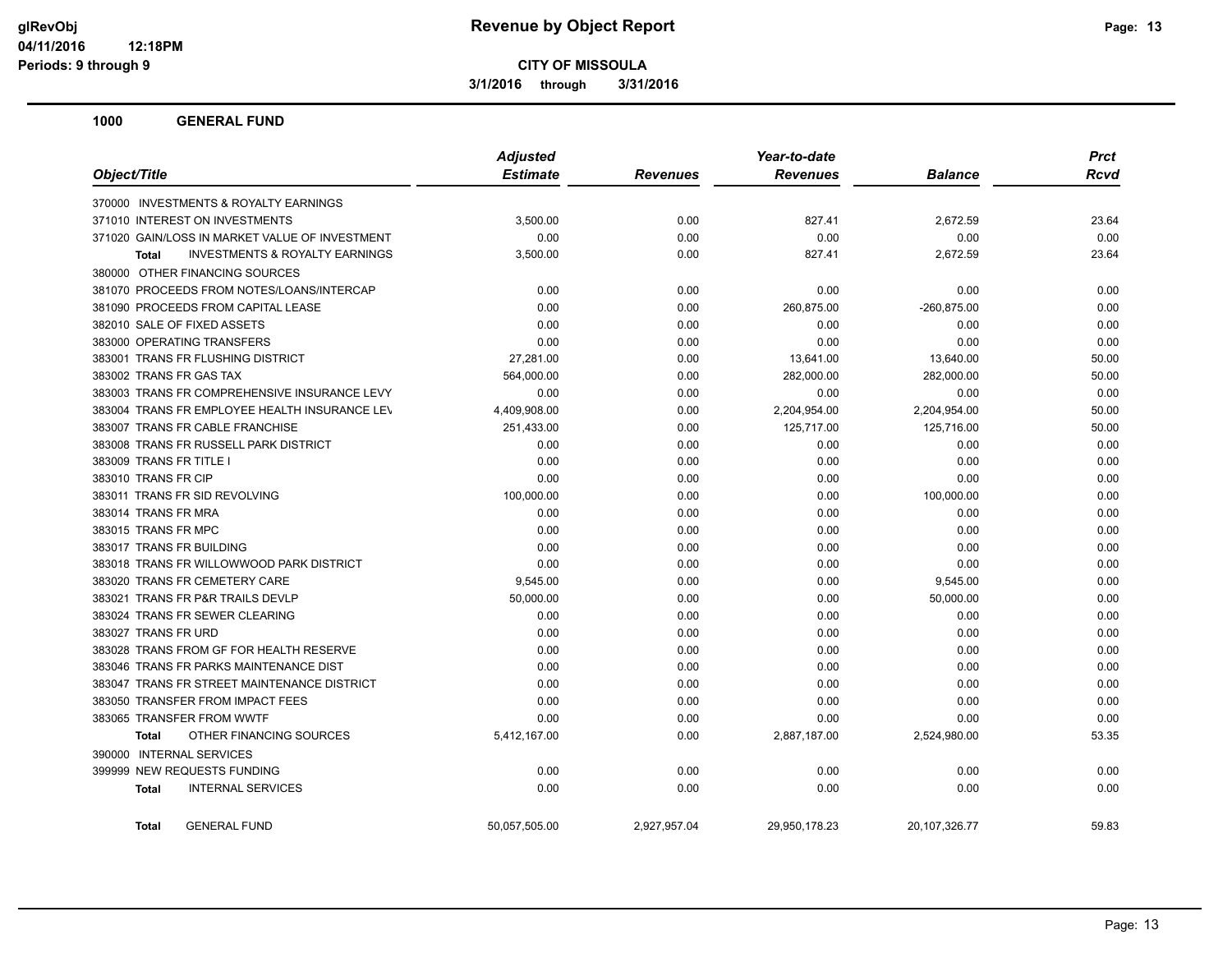**3/1/2016 through 3/31/2016**

| Object/Title                                   | <b>Adjusted</b> | Year-to-date    |                 |                | <b>Prct</b> |
|------------------------------------------------|-----------------|-----------------|-----------------|----------------|-------------|
|                                                | <b>Estimate</b> | <b>Revenues</b> | <b>Revenues</b> | <b>Balance</b> | <b>Rcvd</b> |
| 370000 INVESTMENTS & ROYALTY EARNINGS          |                 |                 |                 |                |             |
| 371010 INTEREST ON INVESTMENTS                 | 3,500.00        | 0.00            | 827.41          | 2,672.59       | 23.64       |
| 371020 GAIN/LOSS IN MARKET VALUE OF INVESTMENT | 0.00            | 0.00            | 0.00            | 0.00           | 0.00        |
| INVESTMENTS & ROYALTY EARNINGS<br><b>Total</b> | 3,500.00        | 0.00            | 827.41          | 2,672.59       | 23.64       |
| 380000 OTHER FINANCING SOURCES                 |                 |                 |                 |                |             |
| 381070 PROCEEDS FROM NOTES/LOANS/INTERCAP      | 0.00            | 0.00            | 0.00            | 0.00           | 0.00        |
| 381090 PROCEEDS FROM CAPITAL LEASE             | 0.00            | 0.00            | 260,875.00      | $-260,875.00$  | 0.00        |
| 382010 SALE OF FIXED ASSETS                    | 0.00            | 0.00            | 0.00            | 0.00           | 0.00        |
| 383000 OPERATING TRANSFERS                     | 0.00            | 0.00            | 0.00            | 0.00           | 0.00        |
| 383001 TRANS FR FLUSHING DISTRICT              | 27,281.00       | 0.00            | 13,641.00       | 13,640.00      | 50.00       |
| 383002 TRANS FR GAS TAX                        | 564,000.00      | 0.00            | 282,000.00      | 282,000.00     | 50.00       |
| 383003 TRANS FR COMPREHENSIVE INSURANCE LEVY   | 0.00            | 0.00            | 0.00            | 0.00           | 0.00        |
| 383004 TRANS FR EMPLOYEE HEALTH INSURANCE LEV  | 4,409,908.00    | 0.00            | 2,204,954.00    | 2,204,954.00   | 50.00       |
| 383007 TRANS FR CABLE FRANCHISE                | 251,433.00      | 0.00            | 125,717.00      | 125,716.00     | 50.00       |
| 383008 TRANS FR RUSSELL PARK DISTRICT          | 0.00            | 0.00            | 0.00            | 0.00           | 0.00        |
| 383009 TRANS FR TITLE I                        | 0.00            | 0.00            | 0.00            | 0.00           | 0.00        |
| 383010 TRANS FR CIP                            | 0.00            | 0.00            | 0.00            | 0.00           | 0.00        |
| 383011 TRANS FR SID REVOLVING                  | 100,000.00      | 0.00            | 0.00            | 100,000.00     | 0.00        |
| 383014 TRANS FR MRA                            | 0.00            | 0.00            | 0.00            | 0.00           | 0.00        |
| 383015 TRANS FR MPC                            | 0.00            | 0.00            | 0.00            | 0.00           | 0.00        |
| 383017 TRANS FR BUILDING                       | 0.00            | 0.00            | 0.00            | 0.00           | 0.00        |
| 383018 TRANS FR WILLOWWOOD PARK DISTRICT       | 0.00            | 0.00            | 0.00            | 0.00           | 0.00        |
| 383020 TRANS FR CEMETERY CARE                  | 9,545.00        | 0.00            | 0.00            | 9,545.00       | 0.00        |
| 383021 TRANS FR P&R TRAILS DEVLP               | 50,000.00       | 0.00            | 0.00            | 50,000.00      | 0.00        |
| 383024 TRANS FR SEWER CLEARING                 | 0.00            | 0.00            | 0.00            | 0.00           | 0.00        |
| 383027 TRANS FR URD                            | 0.00            | 0.00            | 0.00            | 0.00           | 0.00        |
| 383028 TRANS FROM GF FOR HEALTH RESERVE        | 0.00            | 0.00            | 0.00            | 0.00           | 0.00        |
| 383046 TRANS FR PARKS MAINTENANCE DIST         | 0.00            | 0.00            | 0.00            | 0.00           | 0.00        |
| 383047 TRANS FR STREET MAINTENANCE DISTRICT    | 0.00            | 0.00            | 0.00            | 0.00           | 0.00        |
| 383050 TRANSFER FROM IMPACT FEES               | 0.00            | 0.00            | 0.00            | 0.00           | 0.00        |
| 383065 TRANSFER FROM WWTF                      | 0.00            | 0.00            | 0.00            | 0.00           | 0.00        |
| OTHER FINANCING SOURCES<br><b>Total</b>        | 5,412,167.00    | 0.00            | 2,887,187.00    | 2,524,980.00   | 53.35       |
| 390000 INTERNAL SERVICES                       |                 |                 |                 |                |             |
| 399999 NEW REQUESTS FUNDING                    | 0.00            | 0.00            | 0.00            | 0.00           | 0.00        |
| <b>INTERNAL SERVICES</b><br>Total              | 0.00            | 0.00            | 0.00            | 0.00           | 0.00        |
| <b>GENERAL FUND</b><br>Total                   | 50,057,505.00   | 2,927,957.04    | 29,950,178.23   | 20,107,326.77  | 59.83       |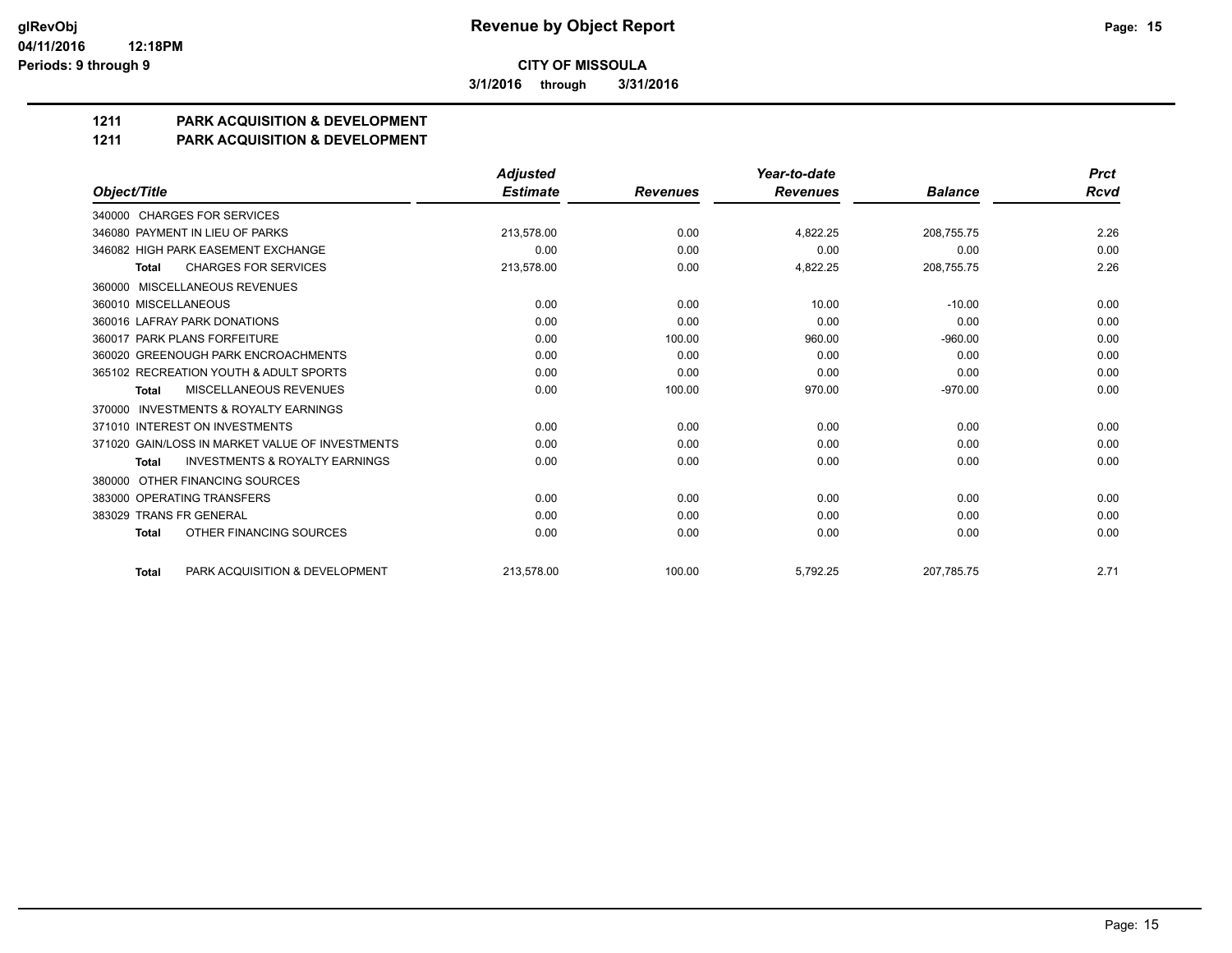**3/1/2016 through 3/31/2016**

# **1211 PARK ACQUISITION & DEVELOPMENT**

#### **1211 PARK ACQUISITION & DEVELOPMENT**

|                                                           | <b>Adjusted</b> |                 | Year-to-date    |                | <b>Prct</b> |
|-----------------------------------------------------------|-----------------|-----------------|-----------------|----------------|-------------|
| Object/Title                                              | <b>Estimate</b> | <b>Revenues</b> | <b>Revenues</b> | <b>Balance</b> | <b>Rcvd</b> |
| 340000 CHARGES FOR SERVICES                               |                 |                 |                 |                |             |
| 346080 PAYMENT IN LIEU OF PARKS                           | 213,578.00      | 0.00            | 4,822.25        | 208,755.75     | 2.26        |
| 346082 HIGH PARK EASEMENT EXCHANGE                        | 0.00            | 0.00            | 0.00            | 0.00           | 0.00        |
| <b>CHARGES FOR SERVICES</b><br><b>Total</b>               | 213,578.00      | 0.00            | 4,822.25        | 208,755.75     | 2.26        |
| MISCELLANEOUS REVENUES<br>360000                          |                 |                 |                 |                |             |
| 360010 MISCELLANEOUS                                      | 0.00            | 0.00            | 10.00           | $-10.00$       | 0.00        |
| 360016 LAFRAY PARK DONATIONS                              | 0.00            | 0.00            | 0.00            | 0.00           | 0.00        |
| 360017 PARK PLANS FORFEITURE                              | 0.00            | 100.00          | 960.00          | $-960.00$      | 0.00        |
| 360020 GREENOUGH PARK ENCROACHMENTS                       | 0.00            | 0.00            | 0.00            | 0.00           | 0.00        |
| 365102 RECREATION YOUTH & ADULT SPORTS                    | 0.00            | 0.00            | 0.00            | 0.00           | 0.00        |
| <b>MISCELLANEOUS REVENUES</b><br><b>Total</b>             | 0.00            | 100.00          | 970.00          | $-970.00$      | 0.00        |
| INVESTMENTS & ROYALTY EARNINGS<br>370000                  |                 |                 |                 |                |             |
| 371010 INTEREST ON INVESTMENTS                            | 0.00            | 0.00            | 0.00            | 0.00           | 0.00        |
| 371020 GAIN/LOSS IN MARKET VALUE OF INVESTMENTS           | 0.00            | 0.00            | 0.00            | 0.00           | 0.00        |
| <b>INVESTMENTS &amp; ROYALTY EARNINGS</b><br><b>Total</b> | 0.00            | 0.00            | 0.00            | 0.00           | 0.00        |
| OTHER FINANCING SOURCES<br>380000                         |                 |                 |                 |                |             |
| 383000 OPERATING TRANSFERS                                | 0.00            | 0.00            | 0.00            | 0.00           | 0.00        |
| 383029 TRANS FR GENERAL                                   | 0.00            | 0.00            | 0.00            | 0.00           | 0.00        |
| OTHER FINANCING SOURCES<br><b>Total</b>                   | 0.00            | 0.00            | 0.00            | 0.00           | 0.00        |
| PARK ACQUISITION & DEVELOPMENT<br><b>Total</b>            | 213.578.00      | 100.00          | 5.792.25        | 207.785.75     | 2.71        |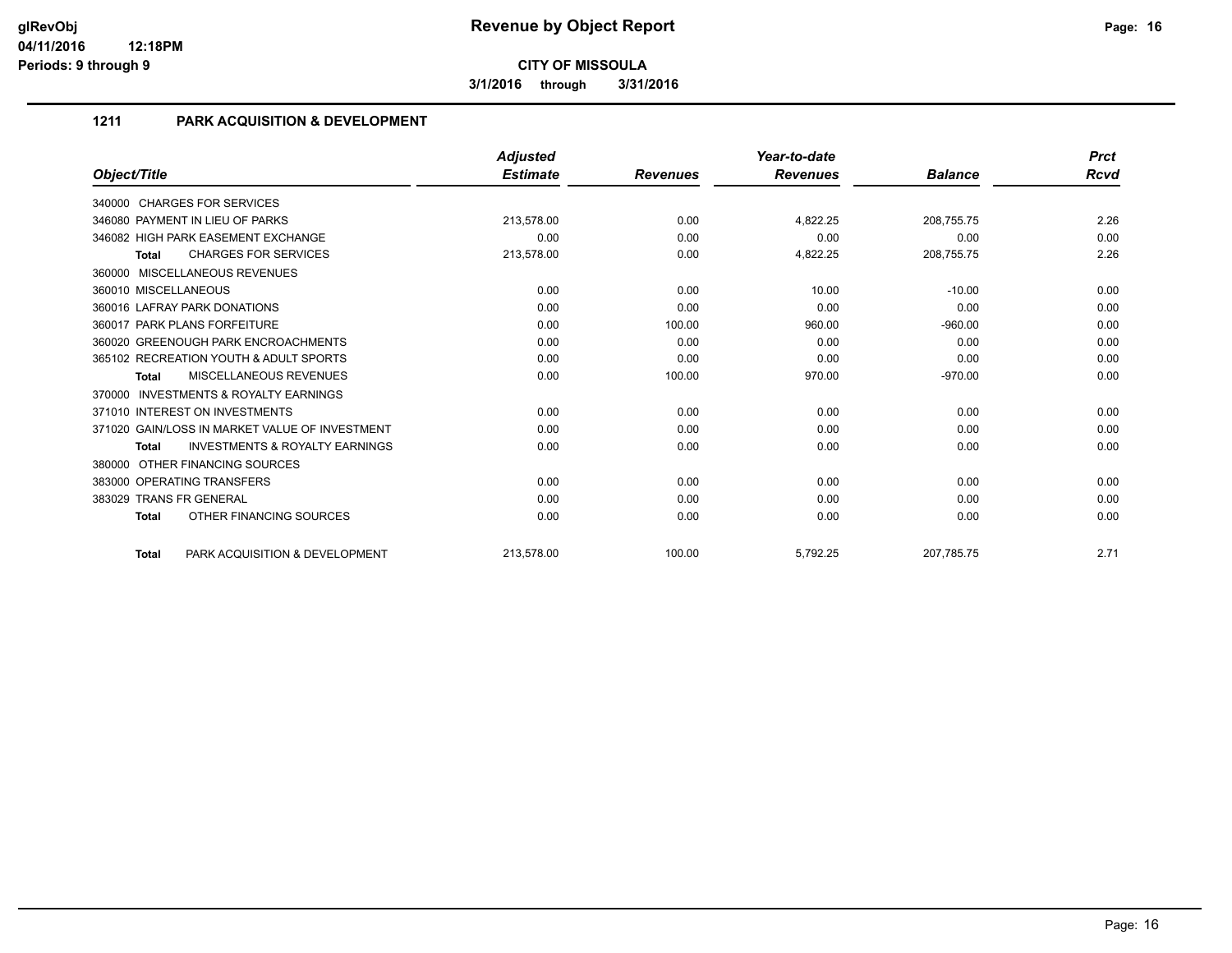**3/1/2016 through 3/31/2016**

### **1211 PARK ACQUISITION & DEVELOPMENT**

|                                                           | <b>Adjusted</b> |                 | Year-to-date    |                | <b>Prct</b> |
|-----------------------------------------------------------|-----------------|-----------------|-----------------|----------------|-------------|
| Object/Title                                              | <b>Estimate</b> | <b>Revenues</b> | <b>Revenues</b> | <b>Balance</b> | Rcvd        |
| 340000 CHARGES FOR SERVICES                               |                 |                 |                 |                |             |
| 346080 PAYMENT IN LIEU OF PARKS                           | 213.578.00      | 0.00            | 4,822.25        | 208,755.75     | 2.26        |
| 346082 HIGH PARK EASEMENT EXCHANGE                        | 0.00            | 0.00            | 0.00            | 0.00           | 0.00        |
| <b>CHARGES FOR SERVICES</b><br><b>Total</b>               | 213,578.00      | 0.00            | 4,822.25        | 208,755.75     | 2.26        |
| 360000 MISCELLANEOUS REVENUES                             |                 |                 |                 |                |             |
| 360010 MISCELLANEOUS                                      | 0.00            | 0.00            | 10.00           | $-10.00$       | 0.00        |
| 360016 LAFRAY PARK DONATIONS                              | 0.00            | 0.00            | 0.00            | 0.00           | 0.00        |
| 360017 PARK PLANS FORFEITURE                              | 0.00            | 100.00          | 960.00          | $-960.00$      | 0.00        |
| 360020 GREENOUGH PARK ENCROACHMENTS                       | 0.00            | 0.00            | 0.00            | 0.00           | 0.00        |
| 365102 RECREATION YOUTH & ADULT SPORTS                    | 0.00            | 0.00            | 0.00            | 0.00           | 0.00        |
| <b>MISCELLANEOUS REVENUES</b><br><b>Total</b>             | 0.00            | 100.00          | 970.00          | $-970.00$      | 0.00        |
| <b>INVESTMENTS &amp; ROYALTY EARNINGS</b><br>370000       |                 |                 |                 |                |             |
| 371010 INTEREST ON INVESTMENTS                            | 0.00            | 0.00            | 0.00            | 0.00           | 0.00        |
| 371020 GAIN/LOSS IN MARKET VALUE OF INVESTMENT            | 0.00            | 0.00            | 0.00            | 0.00           | 0.00        |
| <b>INVESTMENTS &amp; ROYALTY EARNINGS</b><br><b>Total</b> | 0.00            | 0.00            | 0.00            | 0.00           | 0.00        |
| OTHER FINANCING SOURCES<br>380000                         |                 |                 |                 |                |             |
| 383000 OPERATING TRANSFERS                                | 0.00            | 0.00            | 0.00            | 0.00           | 0.00        |
| 383029 TRANS FR GENERAL                                   | 0.00            | 0.00            | 0.00            | 0.00           | 0.00        |
| OTHER FINANCING SOURCES<br><b>Total</b>                   | 0.00            | 0.00            | 0.00            | 0.00           | 0.00        |
| PARK ACQUISITION & DEVELOPMENT<br><b>Total</b>            | 213.578.00      | 100.00          | 5,792.25        | 207.785.75     | 2.71        |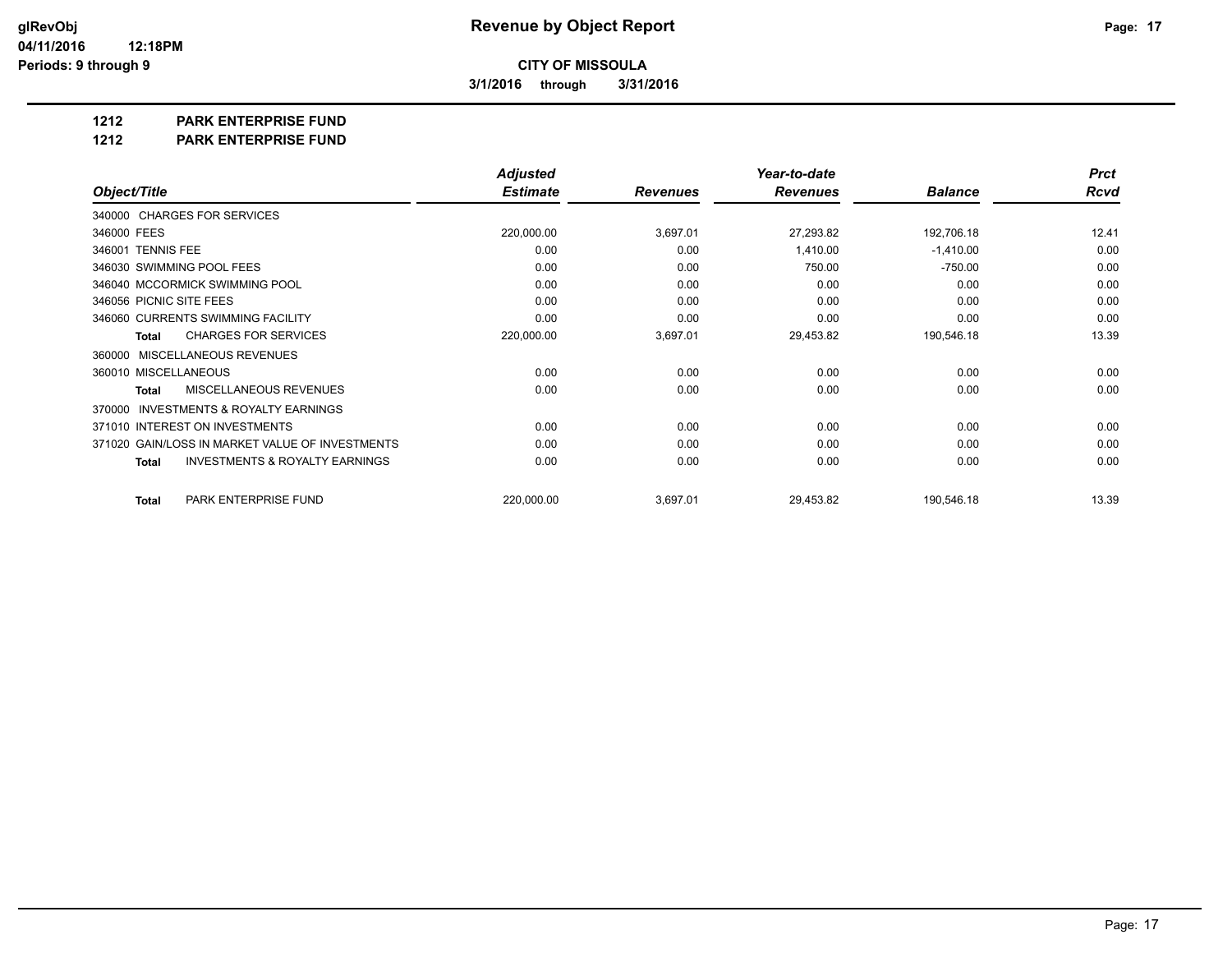**3/1/2016 through 3/31/2016**

**1212 PARK ENTERPRISE FUND**

**1212 PARK ENTERPRISE FUND**

|                                                           | <b>Adjusted</b> |                 | Year-to-date    |                | <b>Prct</b> |
|-----------------------------------------------------------|-----------------|-----------------|-----------------|----------------|-------------|
| Object/Title                                              | <b>Estimate</b> | <b>Revenues</b> | <b>Revenues</b> | <b>Balance</b> | <b>Rcvd</b> |
| 340000 CHARGES FOR SERVICES                               |                 |                 |                 |                |             |
| 346000 FEES                                               | 220,000.00      | 3,697.01        | 27,293.82       | 192,706.18     | 12.41       |
| 346001 TENNIS FEE                                         | 0.00            | 0.00            | 1,410.00        | $-1,410.00$    | 0.00        |
| 346030 SWIMMING POOL FEES                                 | 0.00            | 0.00            | 750.00          | $-750.00$      | 0.00        |
| 346040 MCCORMICK SWIMMING POOL                            | 0.00            | 0.00            | 0.00            | 0.00           | 0.00        |
| 346056 PICNIC SITE FEES                                   | 0.00            | 0.00            | 0.00            | 0.00           | 0.00        |
| 346060 CURRENTS SWIMMING FACILITY                         | 0.00            | 0.00            | 0.00            | 0.00           | 0.00        |
| <b>CHARGES FOR SERVICES</b><br><b>Total</b>               | 220,000.00      | 3,697.01        | 29,453.82       | 190,546.18     | 13.39       |
| MISCELLANEOUS REVENUES<br>360000                          |                 |                 |                 |                |             |
| 360010 MISCELLANEOUS                                      | 0.00            | 0.00            | 0.00            | 0.00           | 0.00        |
| <b>MISCELLANEOUS REVENUES</b><br>Total                    | 0.00            | 0.00            | 0.00            | 0.00           | 0.00        |
| <b>INVESTMENTS &amp; ROYALTY EARNINGS</b><br>370000       |                 |                 |                 |                |             |
| 371010 INTEREST ON INVESTMENTS                            | 0.00            | 0.00            | 0.00            | 0.00           | 0.00        |
| 371020 GAIN/LOSS IN MARKET VALUE OF INVESTMENTS           | 0.00            | 0.00            | 0.00            | 0.00           | 0.00        |
| <b>INVESTMENTS &amp; ROYALTY EARNINGS</b><br><b>Total</b> | 0.00            | 0.00            | 0.00            | 0.00           | 0.00        |
| PARK ENTERPRISE FUND<br><b>Total</b>                      | 220,000.00      | 3,697.01        | 29,453.82       | 190,546.18     | 13.39       |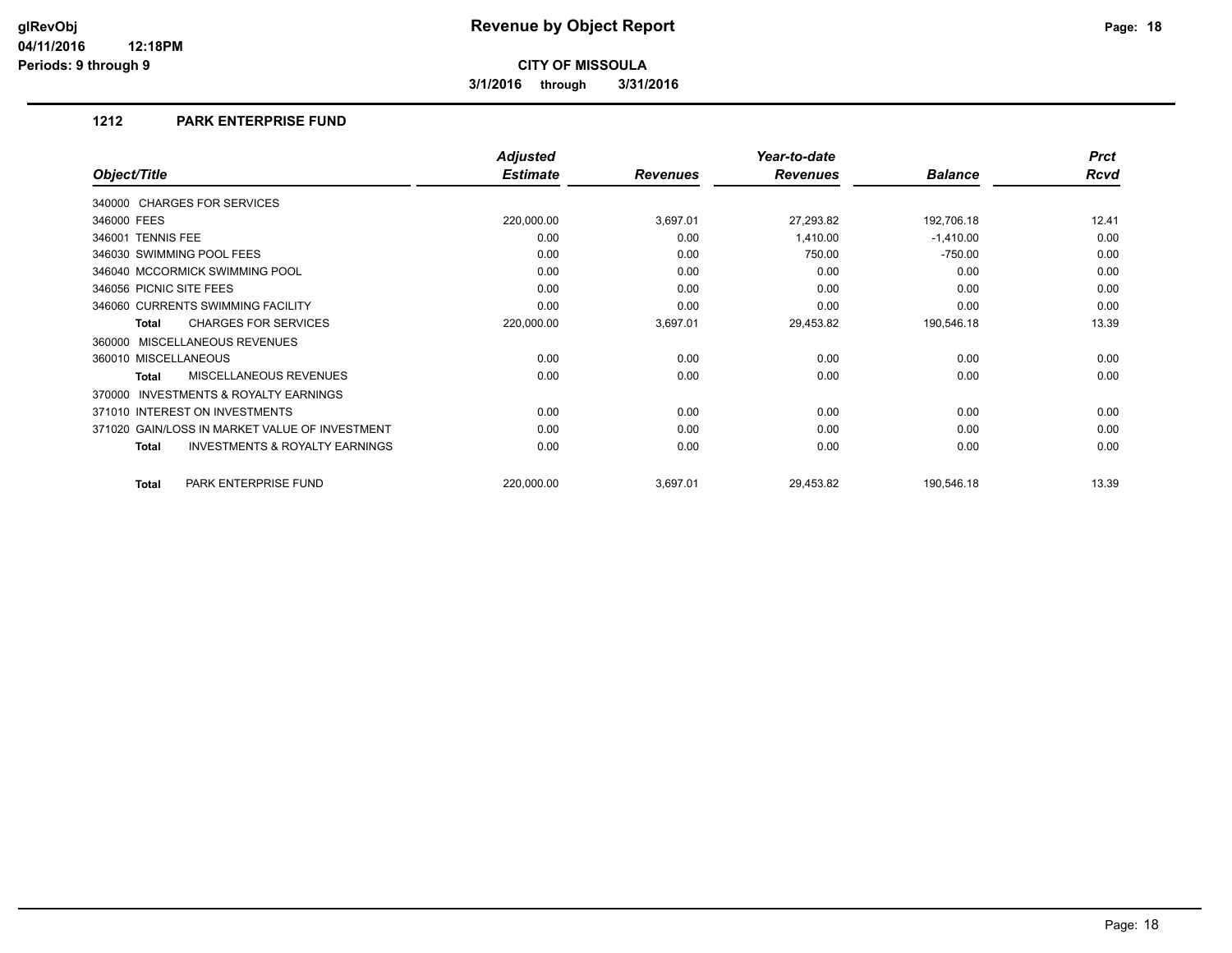**3/1/2016 through 3/31/2016**

#### **1212 PARK ENTERPRISE FUND**

|                                                           | <b>Adjusted</b> |                 | Year-to-date    |                | <b>Prct</b> |
|-----------------------------------------------------------|-----------------|-----------------|-----------------|----------------|-------------|
| Object/Title                                              | <b>Estimate</b> | <b>Revenues</b> | <b>Revenues</b> | <b>Balance</b> | <b>Rcvd</b> |
| 340000 CHARGES FOR SERVICES                               |                 |                 |                 |                |             |
| 346000 FEES                                               | 220,000.00      | 3,697.01        | 27,293.82       | 192,706.18     | 12.41       |
| 346001 TENNIS FEE                                         | 0.00            | 0.00            | 1,410.00        | $-1,410.00$    | 0.00        |
| 346030 SWIMMING POOL FEES                                 | 0.00            | 0.00            | 750.00          | $-750.00$      | 0.00        |
| 346040 MCCORMICK SWIMMING POOL                            | 0.00            | 0.00            | 0.00            | 0.00           | 0.00        |
| 346056 PICNIC SITE FEES                                   | 0.00            | 0.00            | 0.00            | 0.00           | 0.00        |
| 346060 CURRENTS SWIMMING FACILITY                         | 0.00            | 0.00            | 0.00            | 0.00           | 0.00        |
| <b>CHARGES FOR SERVICES</b><br><b>Total</b>               | 220,000.00      | 3,697.01        | 29,453.82       | 190,546.18     | 13.39       |
| 360000 MISCELLANEOUS REVENUES                             |                 |                 |                 |                |             |
| 360010 MISCELLANEOUS                                      | 0.00            | 0.00            | 0.00            | 0.00           | 0.00        |
| MISCELLANEOUS REVENUES<br>Total                           | 0.00            | 0.00            | 0.00            | 0.00           | 0.00        |
| INVESTMENTS & ROYALTY EARNINGS<br>370000                  |                 |                 |                 |                |             |
| 371010 INTEREST ON INVESTMENTS                            | 0.00            | 0.00            | 0.00            | 0.00           | 0.00        |
| 371020 GAIN/LOSS IN MARKET VALUE OF INVESTMENT            | 0.00            | 0.00            | 0.00            | 0.00           | 0.00        |
| <b>INVESTMENTS &amp; ROYALTY EARNINGS</b><br><b>Total</b> | 0.00            | 0.00            | 0.00            | 0.00           | 0.00        |
| PARK ENTERPRISE FUND<br><b>Total</b>                      | 220,000.00      | 3,697.01        | 29,453.82       | 190,546.18     | 13.39       |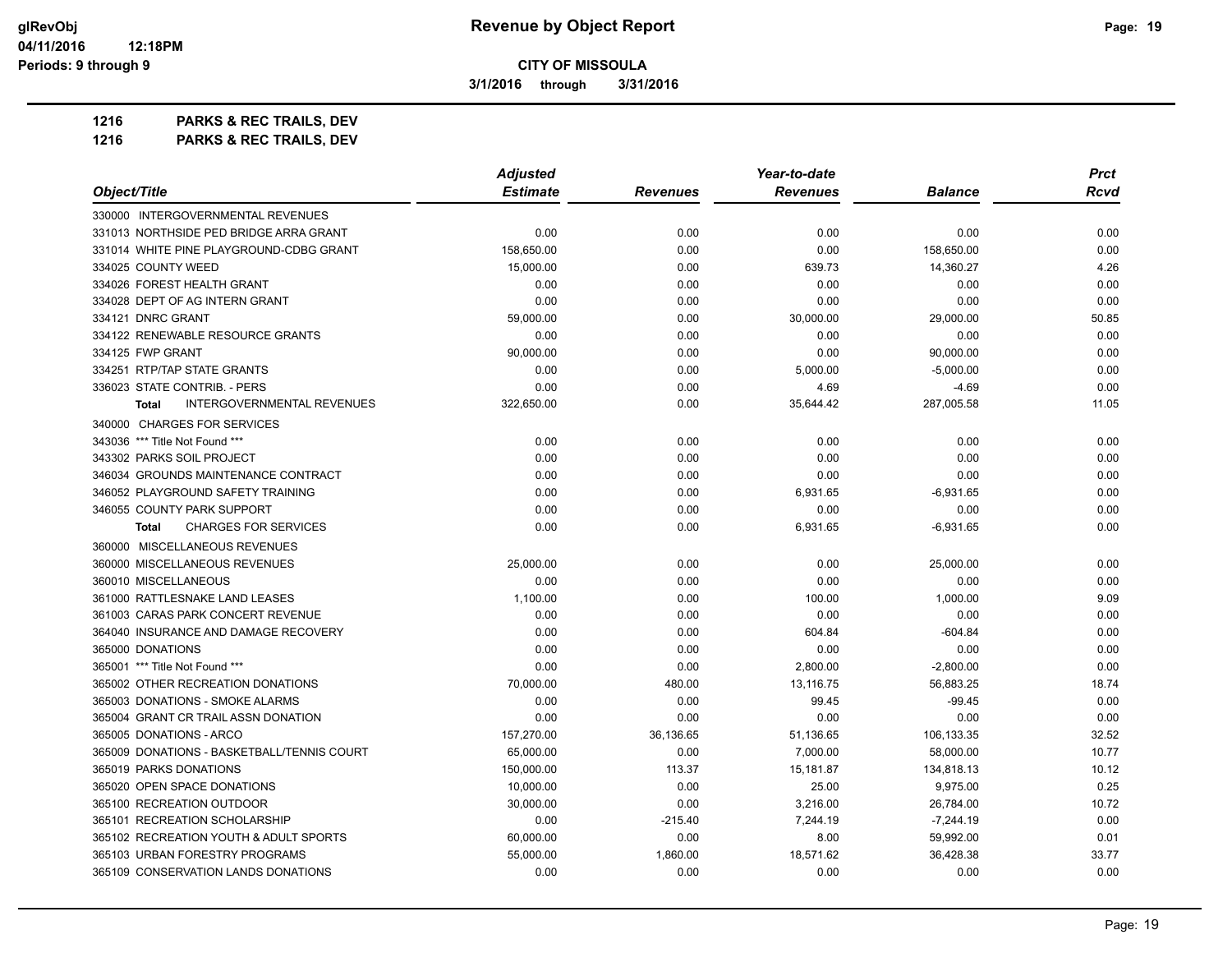**3/1/2016 through 3/31/2016**

**1216 PARKS & REC TRAILS, DEV**

| 1216 | <b>PARKS &amp; REC TRAILS, DEV</b> |
|------|------------------------------------|
|------|------------------------------------|

| Object/Title                                      | <b>Adjusted</b> |                 | Year-to-date    |                | <b>Prct</b> |
|---------------------------------------------------|-----------------|-----------------|-----------------|----------------|-------------|
|                                                   | <b>Estimate</b> | <b>Revenues</b> | <b>Revenues</b> | <b>Balance</b> | <b>Rcvd</b> |
| 330000 INTERGOVERNMENTAL REVENUES                 |                 |                 |                 |                |             |
| 331013 NORTHSIDE PED BRIDGE ARRA GRANT            | 0.00            | 0.00            | 0.00            | 0.00           | 0.00        |
| 331014 WHITE PINE PLAYGROUND-CDBG GRANT           | 158,650.00      | 0.00            | 0.00            | 158,650.00     | 0.00        |
| 334025 COUNTY WEED                                | 15,000.00       | 0.00            | 639.73          | 14,360.27      | 4.26        |
| 334026 FOREST HEALTH GRANT                        | 0.00            | 0.00            | 0.00            | 0.00           | 0.00        |
| 334028 DEPT OF AG INTERN GRANT                    | 0.00            | 0.00            | 0.00            | 0.00           | 0.00        |
| 334121 DNRC GRANT                                 | 59,000.00       | 0.00            | 30,000.00       | 29,000.00      | 50.85       |
| 334122 RENEWABLE RESOURCE GRANTS                  | 0.00            | 0.00            | 0.00            | 0.00           | 0.00        |
| 334125 FWP GRANT                                  | 90,000.00       | 0.00            | 0.00            | 90,000.00      | 0.00        |
| 334251 RTP/TAP STATE GRANTS                       | 0.00            | 0.00            | 5,000.00        | $-5,000.00$    | 0.00        |
| 336023 STATE CONTRIB. - PERS                      | 0.00            | 0.00            | 4.69            | $-4.69$        | 0.00        |
| <b>INTERGOVERNMENTAL REVENUES</b><br><b>Total</b> | 322,650.00      | 0.00            | 35,644.42       | 287,005.58     | 11.05       |
| 340000 CHARGES FOR SERVICES                       |                 |                 |                 |                |             |
| 343036 *** Title Not Found ***                    | 0.00            | 0.00            | 0.00            | 0.00           | 0.00        |
| 343302 PARKS SOIL PROJECT                         | 0.00            | 0.00            | 0.00            | 0.00           | 0.00        |
| 346034 GROUNDS MAINTENANCE CONTRACT               | 0.00            | 0.00            | 0.00            | 0.00           | 0.00        |
| 346052 PLAYGROUND SAFETY TRAINING                 | 0.00            | 0.00            | 6,931.65        | $-6,931.65$    | 0.00        |
| 346055 COUNTY PARK SUPPORT                        | 0.00            | 0.00            | 0.00            | 0.00           | 0.00        |
| <b>CHARGES FOR SERVICES</b><br>Total              | 0.00            | 0.00            | 6,931.65        | $-6,931.65$    | 0.00        |
| 360000 MISCELLANEOUS REVENUES                     |                 |                 |                 |                |             |
| 360000 MISCELLANEOUS REVENUES                     | 25,000.00       | 0.00            | 0.00            | 25,000.00      | 0.00        |
| 360010 MISCELLANEOUS                              | 0.00            | 0.00            | 0.00            | 0.00           | 0.00        |
| 361000 RATTLESNAKE LAND LEASES                    | 1.100.00        | 0.00            | 100.00          | 1,000.00       | 9.09        |
| 361003 CARAS PARK CONCERT REVENUE                 | 0.00            | 0.00            | 0.00            | 0.00           | 0.00        |
| 364040 INSURANCE AND DAMAGE RECOVERY              | 0.00            | 0.00            | 604.84          | $-604.84$      | 0.00        |
| 365000 DONATIONS                                  | 0.00            | 0.00            | 0.00            | 0.00           | 0.00        |
| 365001 *** Title Not Found ***                    | 0.00            | 0.00            | 2,800.00        | $-2,800.00$    | 0.00        |
| 365002 OTHER RECREATION DONATIONS                 | 70,000.00       | 480.00          | 13,116.75       | 56,883.25      | 18.74       |
| 365003 DONATIONS - SMOKE ALARMS                   | 0.00            | 0.00            | 99.45           | $-99.45$       | 0.00        |
| 365004 GRANT CR TRAIL ASSN DONATION               | 0.00            | 0.00            | 0.00            | 0.00           | 0.00        |
| 365005 DONATIONS - ARCO                           | 157,270.00      | 36,136.65       | 51,136.65       | 106,133.35     | 32.52       |
| 365009 DONATIONS - BASKETBALL/TENNIS COURT        | 65,000.00       | 0.00            | 7,000.00        | 58,000.00      | 10.77       |
| 365019 PARKS DONATIONS                            | 150,000.00      | 113.37          | 15,181.87       | 134,818.13     | 10.12       |
| 365020 OPEN SPACE DONATIONS                       | 10,000.00       | 0.00            | 25.00           | 9,975.00       | 0.25        |
| 365100 RECREATION OUTDOOR                         | 30,000.00       | 0.00            | 3,216.00        | 26,784.00      | 10.72       |
| 365101 RECREATION SCHOLARSHIP                     | 0.00            | $-215.40$       | 7,244.19        | $-7,244.19$    | 0.00        |
| 365102 RECREATION YOUTH & ADULT SPORTS            | 60,000.00       | 0.00            | 8.00            | 59,992.00      | 0.01        |
| 365103 URBAN FORESTRY PROGRAMS                    | 55,000.00       | 1,860.00        | 18,571.62       | 36,428.38      | 33.77       |
| 365109 CONSERVATION LANDS DONATIONS               | 0.00            | 0.00            | 0.00            | 0.00           | 0.00        |
|                                                   |                 |                 |                 |                |             |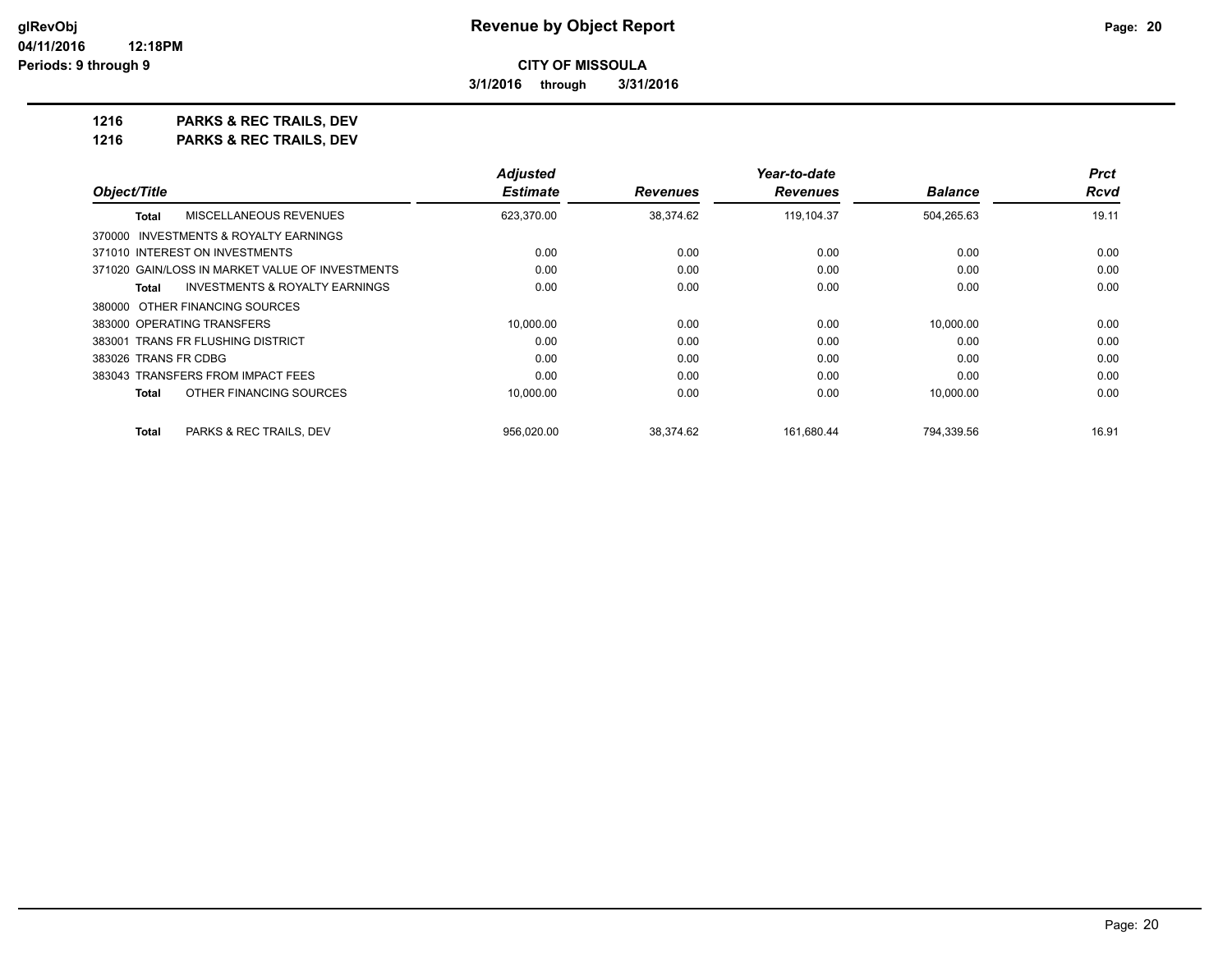**3/1/2016 through 3/31/2016**

**1216 PARKS & REC TRAILS, DEV 1216 PARKS & REC TRAILS, DEV**

|                                                 | <b>Adjusted</b> |                 | Year-to-date    |                | <b>Prct</b> |
|-------------------------------------------------|-----------------|-----------------|-----------------|----------------|-------------|
| Object/Title                                    | <b>Estimate</b> | <b>Revenues</b> | <b>Revenues</b> | <b>Balance</b> | Rcvd        |
| MISCELLANEOUS REVENUES<br><b>Total</b>          | 623,370.00      | 38,374.62       | 119,104.37      | 504,265.63     | 19.11       |
| 370000 INVESTMENTS & ROYALTY EARNINGS           |                 |                 |                 |                |             |
| 371010 INTEREST ON INVESTMENTS                  | 0.00            | 0.00            | 0.00            | 0.00           | 0.00        |
| 371020 GAIN/LOSS IN MARKET VALUE OF INVESTMENTS | 0.00            | 0.00            | 0.00            | 0.00           | 0.00        |
| INVESTMENTS & ROYALTY EARNINGS<br>Total         | 0.00            | 0.00            | 0.00            | 0.00           | 0.00        |
| 380000 OTHER FINANCING SOURCES                  |                 |                 |                 |                |             |
| 383000 OPERATING TRANSFERS                      | 10,000.00       | 0.00            | 0.00            | 10.000.00      | 0.00        |
| 383001 TRANS FR FLUSHING DISTRICT               | 0.00            | 0.00            | 0.00            | 0.00           | 0.00        |
| 383026 TRANS FR CDBG                            | 0.00            | 0.00            | 0.00            | 0.00           | 0.00        |
| 383043 TRANSFERS FROM IMPACT FEES               | 0.00            | 0.00            | 0.00            | 0.00           | 0.00        |
| OTHER FINANCING SOURCES<br><b>Total</b>         | 10,000.00       | 0.00            | 0.00            | 10,000.00      | 0.00        |
| <b>Total</b><br>PARKS & REC TRAILS, DEV         | 956.020.00      | 38.374.62       | 161.680.44      | 794.339.56     | 16.91       |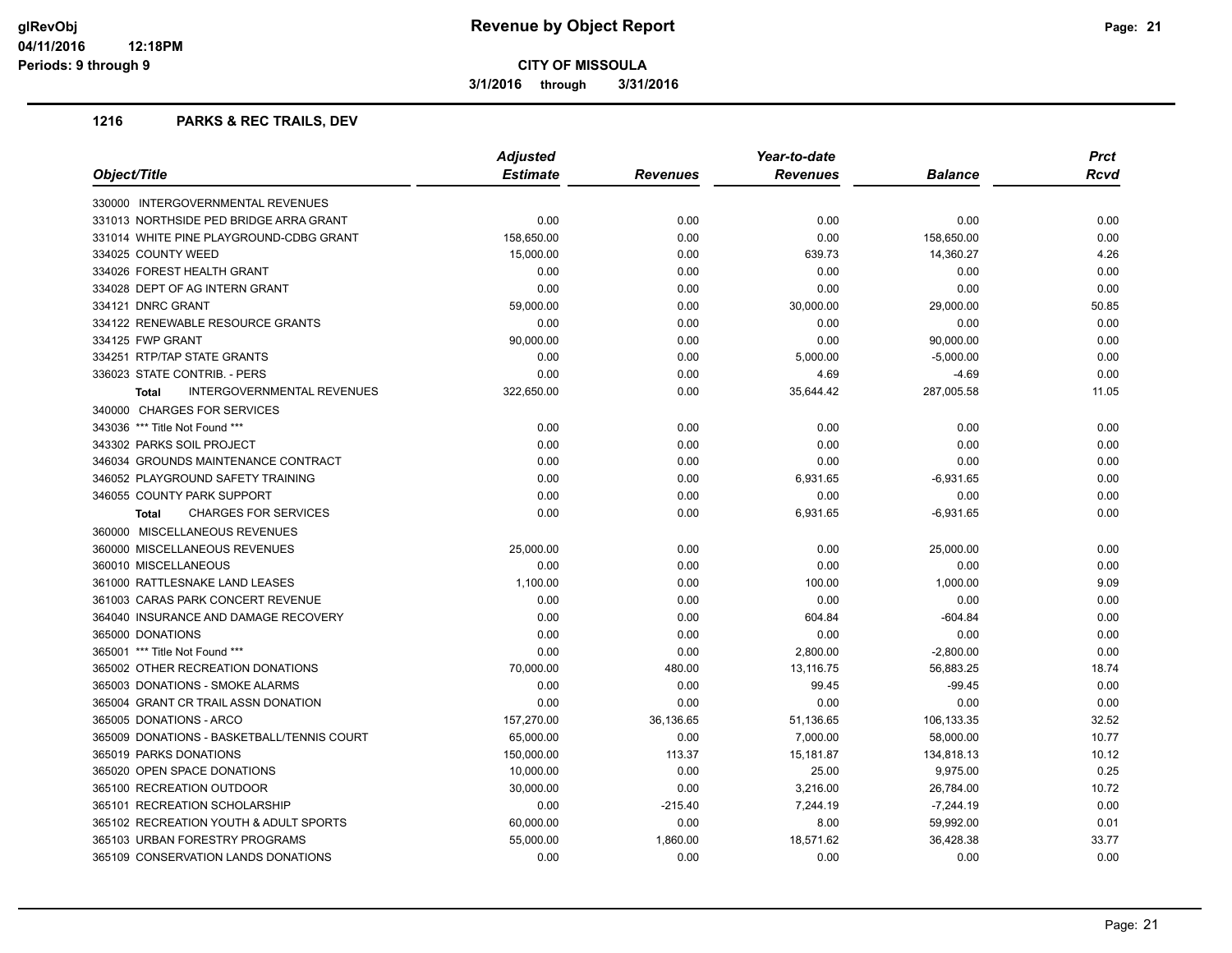**3/1/2016 through 3/31/2016**

#### **1216 PARKS & REC TRAILS, DEV**

| Object/Title                                | <b>Adjusted</b> |           | Year-to-date    |                | <b>Prct</b> |
|---------------------------------------------|-----------------|-----------|-----------------|----------------|-------------|
|                                             | <b>Estimate</b> | Revenues  | <b>Revenues</b> | <b>Balance</b> | <b>Rcvd</b> |
| 330000 INTERGOVERNMENTAL REVENUES           |                 |           |                 |                |             |
| 331013 NORTHSIDE PED BRIDGE ARRA GRANT      | 0.00            | 0.00      | 0.00            | 0.00           | 0.00        |
| 331014 WHITE PINE PLAYGROUND-CDBG GRANT     | 158,650.00      | 0.00      | 0.00            | 158,650.00     | 0.00        |
| 334025 COUNTY WEED                          | 15,000.00       | 0.00      | 639.73          | 14,360.27      | 4.26        |
| 334026 FOREST HEALTH GRANT                  | 0.00            | 0.00      | 0.00            | 0.00           | 0.00        |
| 334028 DEPT OF AG INTERN GRANT              | 0.00            | 0.00      | 0.00            | 0.00           | 0.00        |
| 334121 DNRC GRANT                           | 59,000.00       | 0.00      | 30,000.00       | 29,000.00      | 50.85       |
| 334122 RENEWABLE RESOURCE GRANTS            | 0.00            | 0.00      | 0.00            | 0.00           | 0.00        |
| 334125 FWP GRANT                            | 90,000.00       | 0.00      | 0.00            | 90,000.00      | 0.00        |
| 334251 RTP/TAP STATE GRANTS                 | 0.00            | 0.00      | 5,000.00        | $-5,000.00$    | 0.00        |
| 336023 STATE CONTRIB. - PERS                | 0.00            | 0.00      | 4.69            | $-4.69$        | 0.00        |
| INTERGOVERNMENTAL REVENUES<br><b>Total</b>  | 322,650.00      | 0.00      | 35,644.42       | 287,005.58     | 11.05       |
| 340000 CHARGES FOR SERVICES                 |                 |           |                 |                |             |
| 343036 *** Title Not Found ***              | 0.00            | 0.00      | 0.00            | 0.00           | 0.00        |
| 343302 PARKS SOIL PROJECT                   | 0.00            | 0.00      | 0.00            | 0.00           | 0.00        |
| 346034 GROUNDS MAINTENANCE CONTRACT         | 0.00            | 0.00      | 0.00            | 0.00           | 0.00        |
| 346052 PLAYGROUND SAFETY TRAINING           | 0.00            | 0.00      | 6,931.65        | $-6,931.65$    | 0.00        |
| 346055 COUNTY PARK SUPPORT                  | 0.00            | 0.00      | 0.00            | 0.00           | 0.00        |
| <b>CHARGES FOR SERVICES</b><br><b>Total</b> | 0.00            | 0.00      | 6,931.65        | -6,931.65      | 0.00        |
| 360000 MISCELLANEOUS REVENUES               |                 |           |                 |                |             |
| 360000 MISCELLANEOUS REVENUES               | 25,000.00       | 0.00      | 0.00            | 25,000.00      | 0.00        |
| 360010 MISCELLANEOUS                        | 0.00            | 0.00      | 0.00            | 0.00           | 0.00        |
| 361000 RATTLESNAKE LAND LEASES              | 1,100.00        | 0.00      | 100.00          | 1,000.00       | 9.09        |
| 361003 CARAS PARK CONCERT REVENUE           | 0.00            | 0.00      | 0.00            | 0.00           | 0.00        |
| 364040 INSURANCE AND DAMAGE RECOVERY        | 0.00            | 0.00      | 604.84          | $-604.84$      | 0.00        |
| 365000 DONATIONS                            | 0.00            | 0.00      | 0.00            | 0.00           | 0.00        |
| 365001 *** Title Not Found ***              | 0.00            | 0.00      | 2,800.00        | $-2,800.00$    | 0.00        |
| 365002 OTHER RECREATION DONATIONS           | 70,000.00       | 480.00    | 13,116.75       | 56,883.25      | 18.74       |
| 365003 DONATIONS - SMOKE ALARMS             | 0.00            | 0.00      | 99.45           | $-99.45$       | 0.00        |
| 365004 GRANT CR TRAIL ASSN DONATION         | 0.00            | 0.00      | 0.00            | 0.00           | 0.00        |
| 365005 DONATIONS - ARCO                     | 157,270.00      | 36,136.65 | 51,136.65       | 106,133.35     | 32.52       |
| 365009 DONATIONS - BASKETBALL/TENNIS COURT  | 65,000.00       | 0.00      | 7,000.00        | 58,000.00      | 10.77       |
| 365019 PARKS DONATIONS                      | 150,000.00      | 113.37    | 15,181.87       | 134,818.13     | 10.12       |
| 365020 OPEN SPACE DONATIONS                 | 10,000.00       | 0.00      | 25.00           | 9,975.00       | 0.25        |
| 365100 RECREATION OUTDOOR                   | 30,000.00       | 0.00      | 3,216.00        | 26,784.00      | 10.72       |
| 365101 RECREATION SCHOLARSHIP               | 0.00            | $-215.40$ | 7,244.19        | $-7,244.19$    | 0.00        |
| 365102 RECREATION YOUTH & ADULT SPORTS      | 60,000.00       | 0.00      | 8.00            | 59,992.00      | 0.01        |
| 365103 URBAN FORESTRY PROGRAMS              | 55,000.00       | 1,860.00  | 18,571.62       | 36,428.38      | 33.77       |
| 365109 CONSERVATION LANDS DONATIONS         | 0.00            | 0.00      | 0.00            | 0.00           | 0.00        |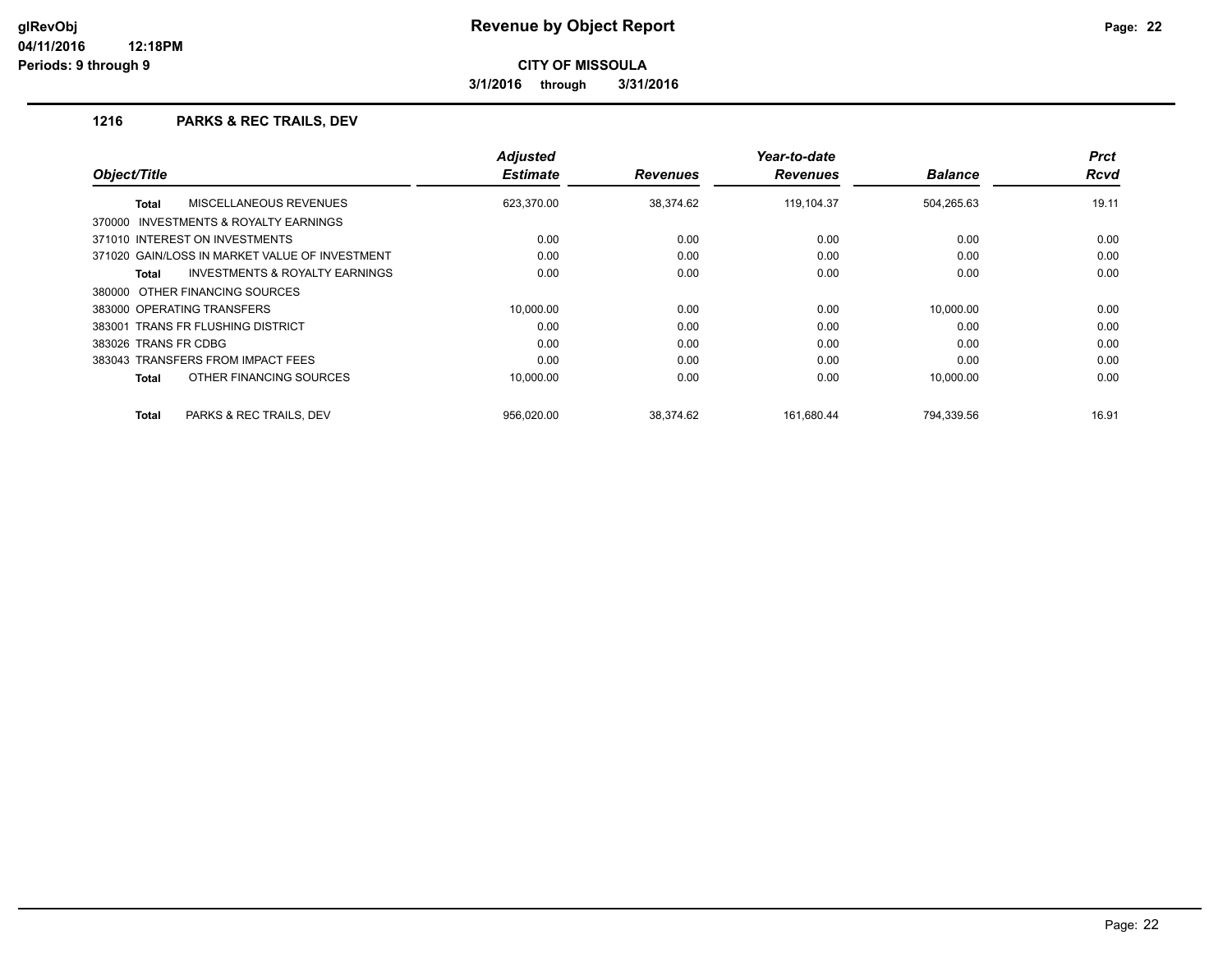**3/1/2016 through 3/31/2016**

#### **1216 PARKS & REC TRAILS, DEV**

| Object/Title                                       | <b>Adjusted</b><br><b>Estimate</b> | <b>Revenues</b> | Year-to-date<br><b>Revenues</b> | <b>Balance</b> | <b>Prct</b><br><b>Rcvd</b> |
|----------------------------------------------------|------------------------------------|-----------------|---------------------------------|----------------|----------------------------|
|                                                    |                                    |                 |                                 |                |                            |
| MISCELLANEOUS REVENUES<br>Total                    | 623,370.00                         | 38.374.62       | 119.104.37                      | 504,265.63     | 19.11                      |
| INVESTMENTS & ROYALTY EARNINGS<br>370000           |                                    |                 |                                 |                |                            |
| 371010 INTEREST ON INVESTMENTS                     | 0.00                               | 0.00            | 0.00                            | 0.00           | 0.00                       |
| 371020 GAIN/LOSS IN MARKET VALUE OF INVESTMENT     | 0.00                               | 0.00            | 0.00                            | 0.00           | 0.00                       |
| <b>INVESTMENTS &amp; ROYALTY EARNINGS</b><br>Total | 0.00                               | 0.00            | 0.00                            | 0.00           | 0.00                       |
| 380000 OTHER FINANCING SOURCES                     |                                    |                 |                                 |                |                            |
| 383000 OPERATING TRANSFERS                         | 10.000.00                          | 0.00            | 0.00                            | 10.000.00      | 0.00                       |
| 383001 TRANS FR FLUSHING DISTRICT                  | 0.00                               | 0.00            | 0.00                            | 0.00           | 0.00                       |
| 383026 TRANS FR CDBG                               | 0.00                               | 0.00            | 0.00                            | 0.00           | 0.00                       |
| 383043 TRANSFERS FROM IMPACT FEES                  | 0.00                               | 0.00            | 0.00                            | 0.00           | 0.00                       |
| OTHER FINANCING SOURCES<br>Total                   | 10,000.00                          | 0.00            | 0.00                            | 10,000.00      | 0.00                       |
| PARKS & REC TRAILS, DEV<br><b>Total</b>            | 956,020.00                         | 38,374.62       | 161,680.44                      | 794,339.56     | 16.91                      |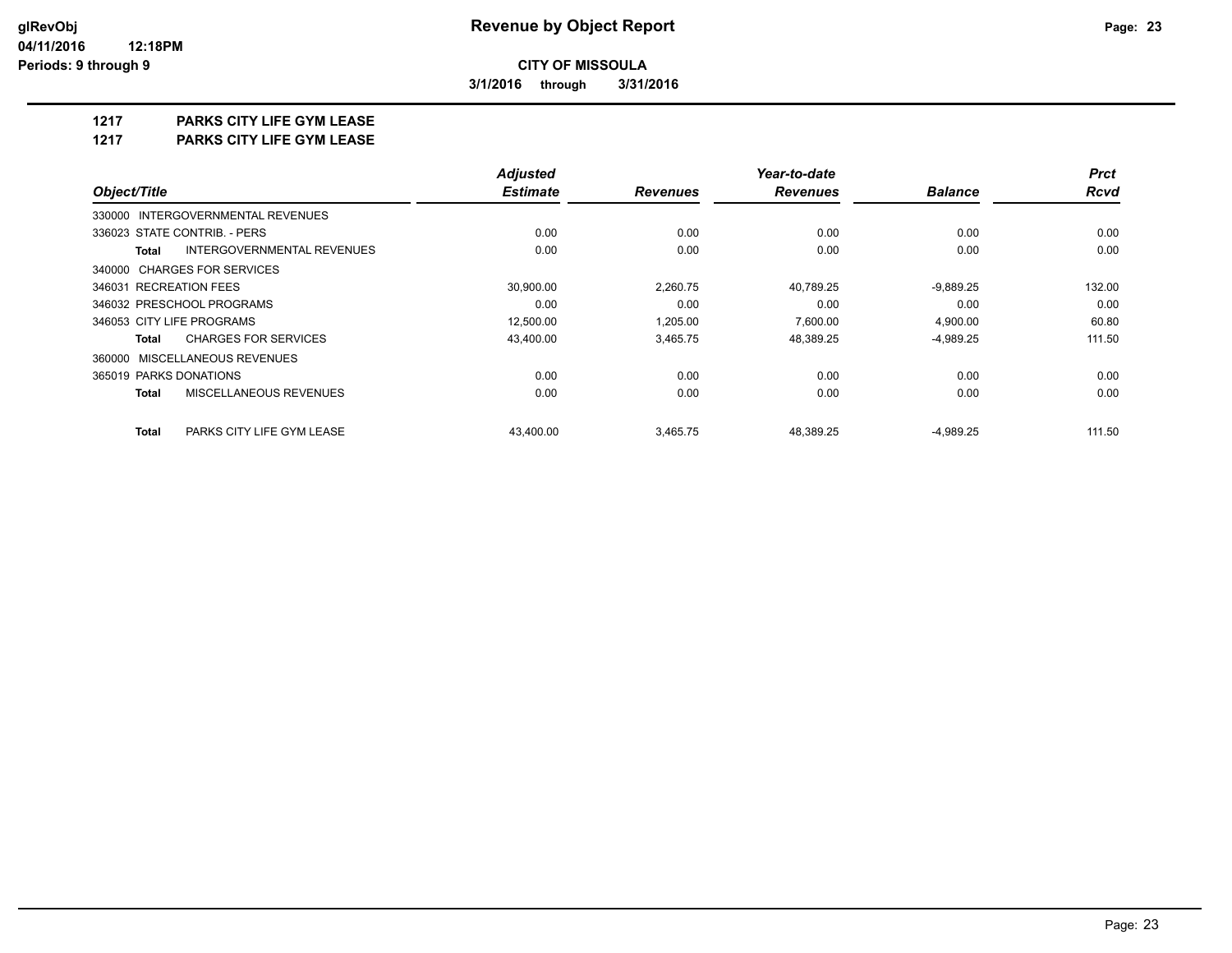**3/1/2016 through 3/31/2016**

## **1217 PARKS CITY LIFE GYM LEASE**

**1217 PARKS CITY LIFE GYM LEASE**

|                                            | <b>Adjusted</b> |                 | Year-to-date    |                | <b>Prct</b> |
|--------------------------------------------|-----------------|-----------------|-----------------|----------------|-------------|
| Object/Title                               | <b>Estimate</b> | <b>Revenues</b> | <b>Revenues</b> | <b>Balance</b> | <b>Rcvd</b> |
| 330000 INTERGOVERNMENTAL REVENUES          |                 |                 |                 |                |             |
| 336023 STATE CONTRIB. - PERS               | 0.00            | 0.00            | 0.00            | 0.00           | 0.00        |
| INTERGOVERNMENTAL REVENUES<br><b>Total</b> | 0.00            | 0.00            | 0.00            | 0.00           | 0.00        |
| 340000 CHARGES FOR SERVICES                |                 |                 |                 |                |             |
| 346031 RECREATION FEES                     | 30,900.00       | 2,260.75        | 40,789.25       | $-9,889.25$    | 132.00      |
| 346032 PRESCHOOL PROGRAMS                  | 0.00            | 0.00            | 0.00            | 0.00           | 0.00        |
| 346053 CITY LIFE PROGRAMS                  | 12,500.00       | 1,205.00        | 7,600.00        | 4,900.00       | 60.80       |
| <b>CHARGES FOR SERVICES</b><br>Total       | 43,400.00       | 3,465.75        | 48,389.25       | $-4,989.25$    | 111.50      |
| 360000 MISCELLANEOUS REVENUES              |                 |                 |                 |                |             |
| 365019 PARKS DONATIONS                     | 0.00            | 0.00            | 0.00            | 0.00           | 0.00        |
| MISCELLANEOUS REVENUES<br><b>Total</b>     | 0.00            | 0.00            | 0.00            | 0.00           | 0.00        |
| <b>Total</b><br>PARKS CITY LIFE GYM LEASE  | 43.400.00       | 3.465.75        | 48.389.25       | $-4,989.25$    | 111.50      |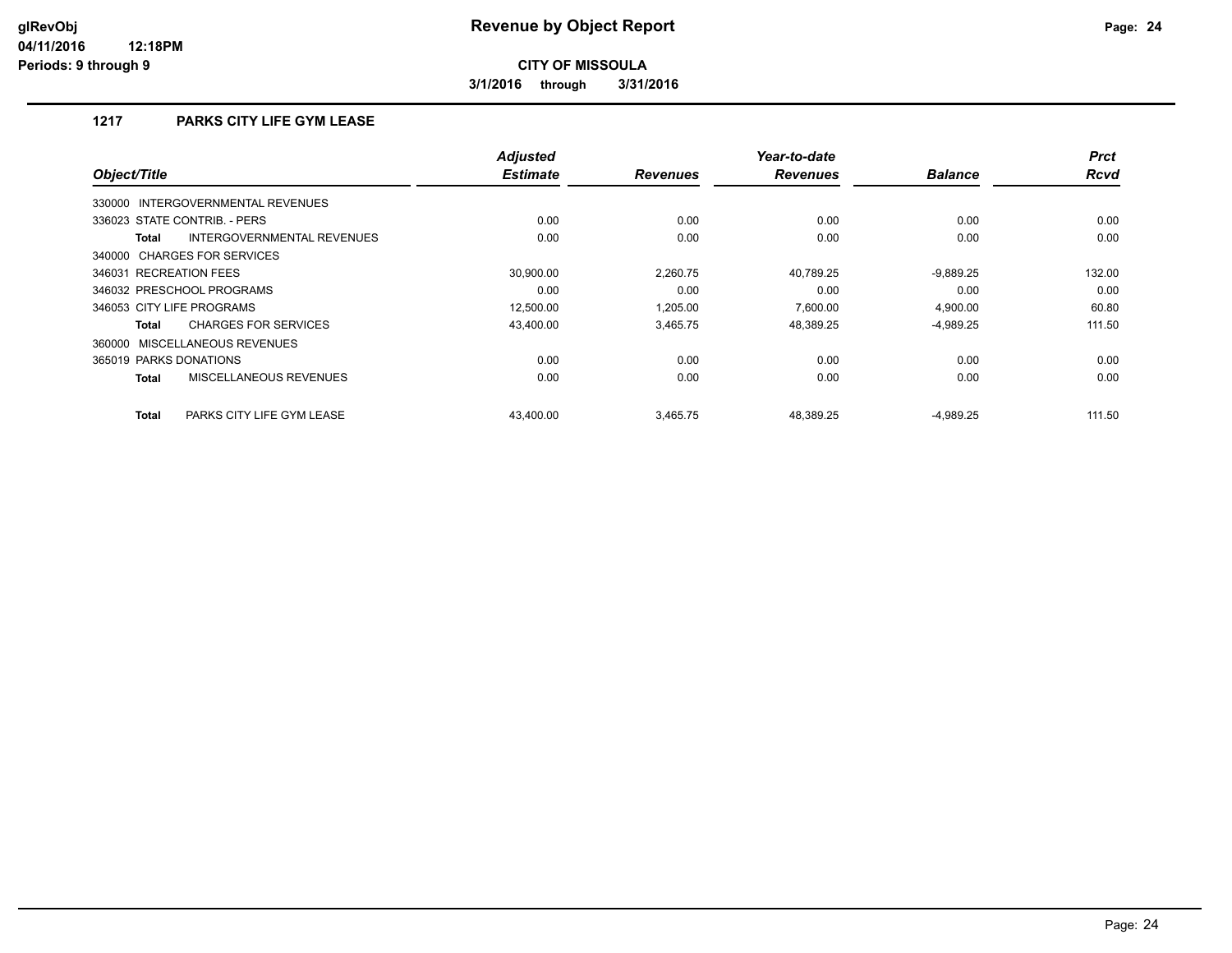**3/1/2016 through 3/31/2016**

# **1217 PARKS CITY LIFE GYM LEASE**

| Object/Title                                | <b>Adjusted</b><br><b>Estimate</b> | <b>Revenues</b> | Year-to-date<br><b>Revenues</b> | <b>Balance</b> | <b>Prct</b><br><b>Rcvd</b> |
|---------------------------------------------|------------------------------------|-----------------|---------------------------------|----------------|----------------------------|
| 330000 INTERGOVERNMENTAL REVENUES           |                                    |                 |                                 |                |                            |
| 336023 STATE CONTRIB. - PERS                | 0.00                               | 0.00            | 0.00                            | 0.00           | 0.00                       |
| INTERGOVERNMENTAL REVENUES<br><b>Total</b>  | 0.00                               | 0.00            | 0.00                            | 0.00           | 0.00                       |
| 340000 CHARGES FOR SERVICES                 |                                    |                 |                                 |                |                            |
| 346031 RECREATION FEES                      | 30,900.00                          | 2,260.75        | 40,789.25                       | $-9,889.25$    | 132.00                     |
| 346032 PRESCHOOL PROGRAMS                   | 0.00                               | 0.00            | 0.00                            | 0.00           | 0.00                       |
| 346053 CITY LIFE PROGRAMS                   | 12.500.00                          | 1.205.00        | 7.600.00                        | 4.900.00       | 60.80                      |
| <b>CHARGES FOR SERVICES</b><br><b>Total</b> | 43.400.00                          | 3.465.75        | 48,389.25                       | $-4,989.25$    | 111.50                     |
| 360000 MISCELLANEOUS REVENUES               |                                    |                 |                                 |                |                            |
| 365019 PARKS DONATIONS                      | 0.00                               | 0.00            | 0.00                            | 0.00           | 0.00                       |
| MISCELLANEOUS REVENUES<br><b>Total</b>      | 0.00                               | 0.00            | 0.00                            | 0.00           | 0.00                       |
| <b>Total</b><br>PARKS CITY LIFE GYM LEASE   | 43.400.00                          | 3.465.75        | 48.389.25                       | $-4,989.25$    | 111.50                     |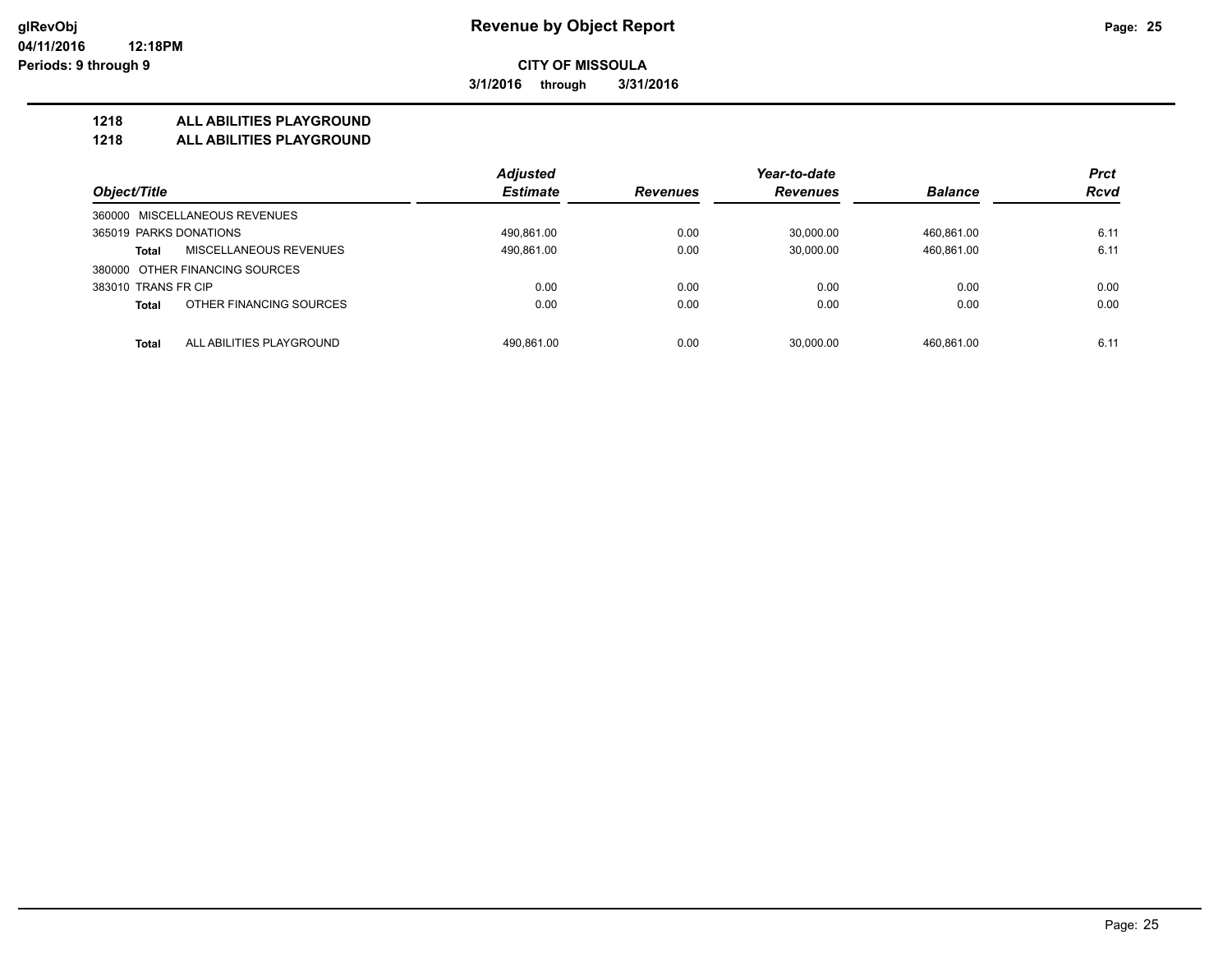**3/1/2016 through 3/31/2016**

#### **1218 ALL ABILITIES PLAYGROUND**

**1218 ALL ABILITIES PLAYGROUND**

|                                          | <b>Adjusted</b> |                 | Year-to-date    |                | <b>Prct</b> |
|------------------------------------------|-----------------|-----------------|-----------------|----------------|-------------|
| Object/Title                             | <b>Estimate</b> | <b>Revenues</b> | <b>Revenues</b> | <b>Balance</b> | <b>Rcvd</b> |
| 360000 MISCELLANEOUS REVENUES            |                 |                 |                 |                |             |
| 365019 PARKS DONATIONS                   | 490,861.00      | 0.00            | 30.000.00       | 460.861.00     | 6.11        |
| MISCELLANEOUS REVENUES<br><b>Total</b>   | 490,861.00      | 0.00            | 30,000.00       | 460,861.00     | 6.11        |
| 380000 OTHER FINANCING SOURCES           |                 |                 |                 |                |             |
| 383010 TRANS FR CIP                      | 0.00            | 0.00            | 0.00            | 0.00           | 0.00        |
| OTHER FINANCING SOURCES<br><b>Total</b>  | 0.00            | 0.00            | 0.00            | 0.00           | 0.00        |
| ALL ABILITIES PLAYGROUND<br><b>Total</b> | 490.861.00      | 0.00            | 30.000.00       | 460.861.00     | 6.11        |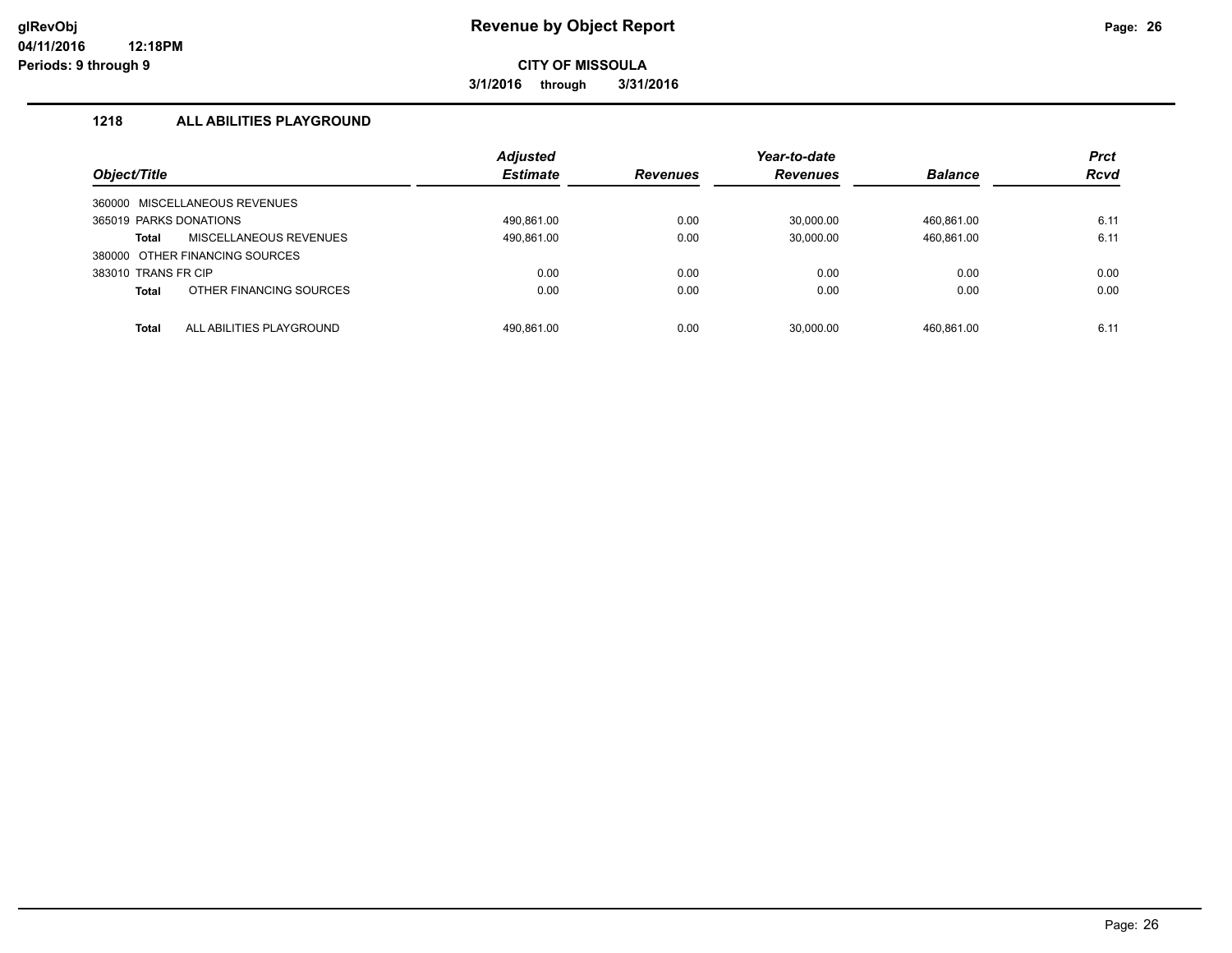**3/1/2016 through 3/31/2016**

### **1218 ALL ABILITIES PLAYGROUND**

|                        |                                | <b>Adjusted</b> |                 | Year-to-date    |                | <b>Prct</b> |
|------------------------|--------------------------------|-----------------|-----------------|-----------------|----------------|-------------|
| Object/Title           |                                | <b>Estimate</b> | <b>Revenues</b> | <b>Revenues</b> | <b>Balance</b> | <b>Rcvd</b> |
| 360000                 | MISCELLANEOUS REVENUES         |                 |                 |                 |                |             |
| 365019 PARKS DONATIONS |                                | 490.861.00      | 0.00            | 30.000.00       | 460.861.00     | 6.11        |
| Total                  | MISCELLANEOUS REVENUES         | 490,861.00      | 0.00            | 30,000.00       | 460,861.00     | 6.11        |
|                        | 380000 OTHER FINANCING SOURCES |                 |                 |                 |                |             |
| 383010 TRANS FR CIP    |                                | 0.00            | 0.00            | 0.00            | 0.00           | 0.00        |
| <b>Total</b>           | OTHER FINANCING SOURCES        | 0.00            | 0.00            | 0.00            | 0.00           | 0.00        |
| Total                  | ALL ABILITIES PLAYGROUND       | 490.861.00      | 0.00            | 30.000.00       | 460.861.00     | 6.11        |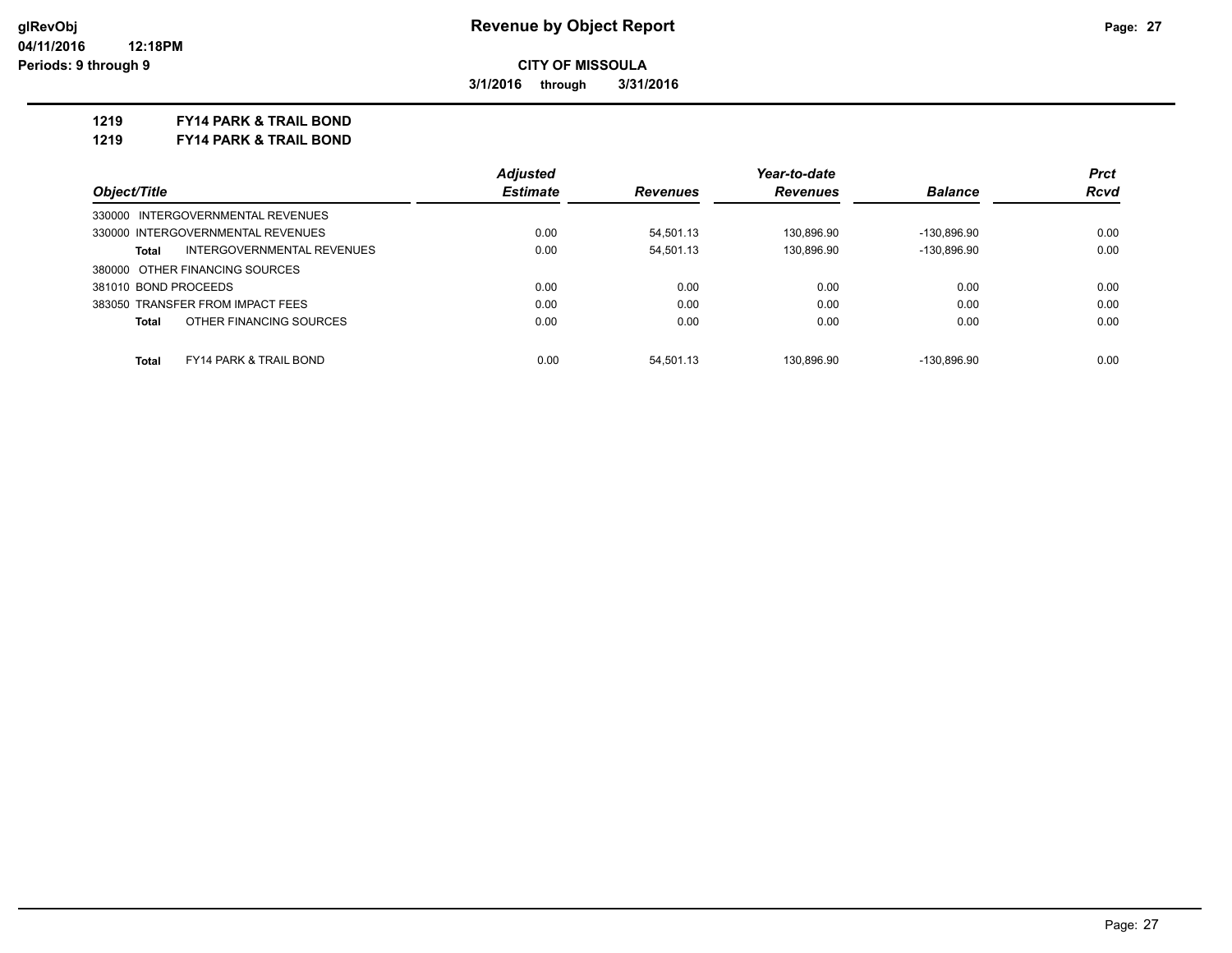**3/1/2016 through 3/31/2016**

**1219 FY14 PARK & TRAIL BOND**

**1219 FY14 PARK & TRAIL BOND**

|                                                   | <b>Adjusted</b> |                 | Year-to-date    |                | <b>Prct</b> |
|---------------------------------------------------|-----------------|-----------------|-----------------|----------------|-------------|
| Object/Title                                      | <b>Estimate</b> | <b>Revenues</b> | <b>Revenues</b> | <b>Balance</b> | Rcvd        |
| 330000 INTERGOVERNMENTAL REVENUES                 |                 |                 |                 |                |             |
| 330000 INTERGOVERNMENTAL REVENUES                 | 0.00            | 54.501.13       | 130.896.90      | -130.896.90    | 0.00        |
| INTERGOVERNMENTAL REVENUES<br>Total               | 0.00            | 54.501.13       | 130.896.90      | -130.896.90    | 0.00        |
| 380000 OTHER FINANCING SOURCES                    |                 |                 |                 |                |             |
| 381010 BOND PROCEEDS                              | 0.00            | 0.00            | 0.00            | 0.00           | 0.00        |
| 383050 TRANSFER FROM IMPACT FEES                  | 0.00            | 0.00            | 0.00            | 0.00           | 0.00        |
| OTHER FINANCING SOURCES<br><b>Total</b>           | 0.00            | 0.00            | 0.00            | 0.00           | 0.00        |
|                                                   |                 |                 |                 |                |             |
| <b>Total</b><br><b>FY14 PARK &amp; TRAIL BOND</b> | 0.00            | 54.501.13       | 130.896.90      | $-130.896.90$  | 0.00        |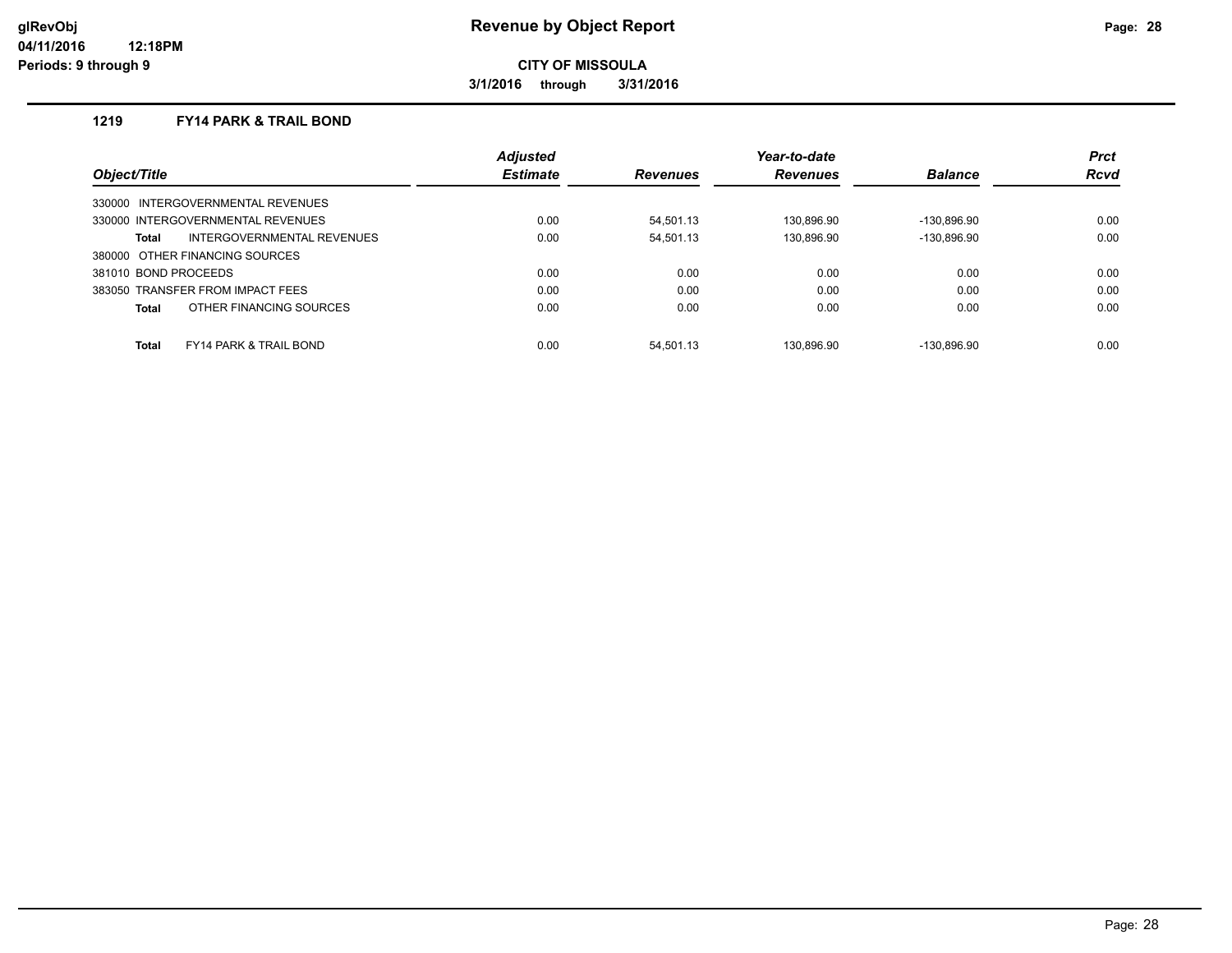**3/1/2016 through 3/31/2016**

#### **1219 FY14 PARK & TRAIL BOND**

|                                            | <b>Adjusted</b> |                 | Year-to-date    |                | <b>Prct</b> |
|--------------------------------------------|-----------------|-----------------|-----------------|----------------|-------------|
| Object/Title                               | <b>Estimate</b> | <b>Revenues</b> | <b>Revenues</b> | <b>Balance</b> | <b>Rcvd</b> |
| INTERGOVERNMENTAL REVENUES<br>330000       |                 |                 |                 |                |             |
| 330000 INTERGOVERNMENTAL REVENUES          | 0.00            | 54.501.13       | 130.896.90      | -130.896.90    | 0.00        |
| INTERGOVERNMENTAL REVENUES<br>Total        | 0.00            | 54.501.13       | 130.896.90      | -130.896.90    | 0.00        |
| 380000 OTHER FINANCING SOURCES             |                 |                 |                 |                |             |
| 381010 BOND PROCEEDS                       | 0.00            | 0.00            | 0.00            | 0.00           | 0.00        |
| 383050 TRANSFER FROM IMPACT FEES           | 0.00            | 0.00            | 0.00            | 0.00           | 0.00        |
| OTHER FINANCING SOURCES<br>Total           | 0.00            | 0.00            | 0.00            | 0.00           | 0.00        |
|                                            |                 |                 |                 |                |             |
| Total<br><b>FY14 PARK &amp; TRAIL BOND</b> | 0.00            | 54.501.13       | 130.896.90      | -130.896.90    | 0.00        |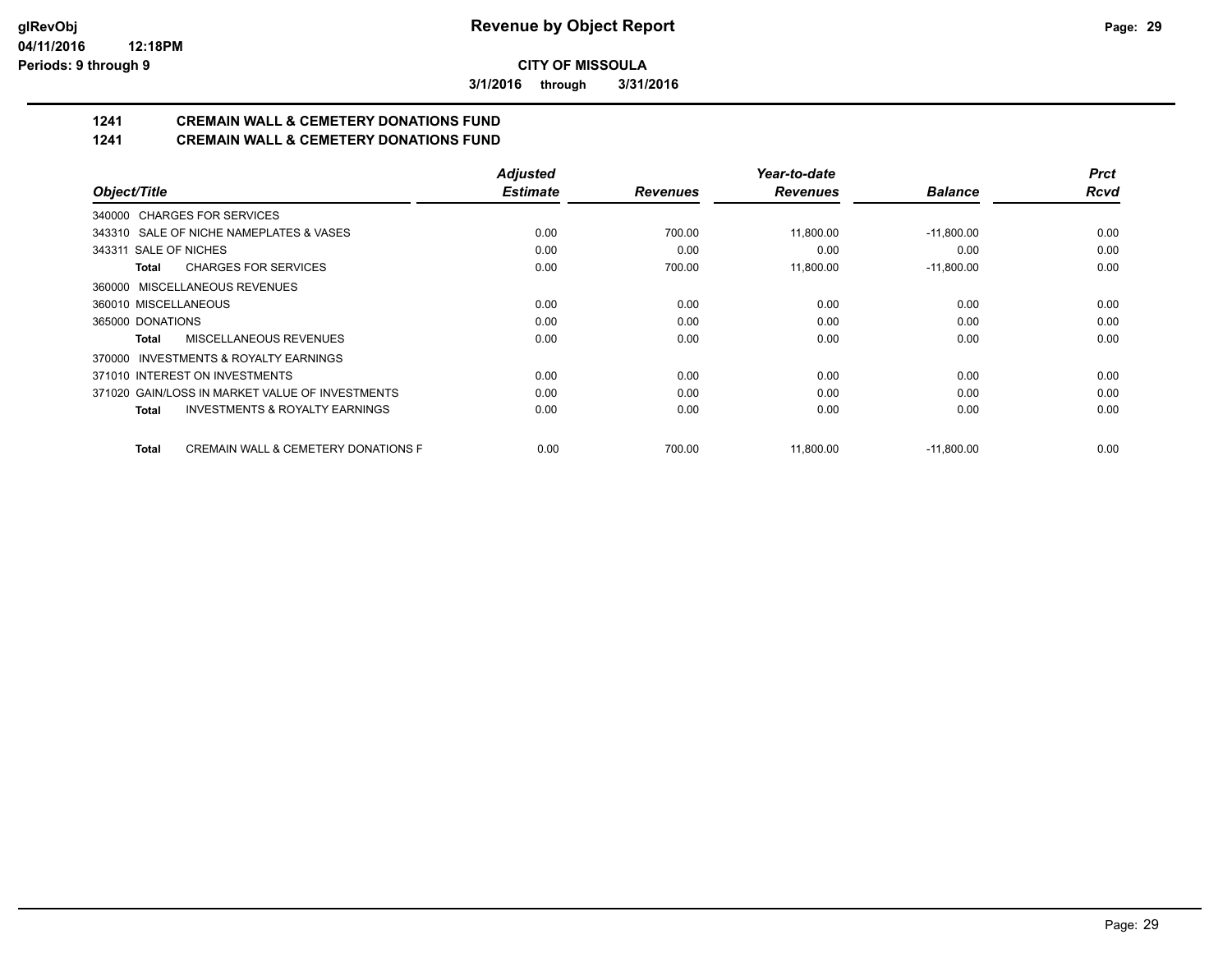**3/1/2016 through 3/31/2016**

# **1241 CREMAIN WALL & CEMETERY DONATIONS FUND**

# **1241 CREMAIN WALL & CEMETERY DONATIONS FUND**

|                                                     | <b>Adjusted</b> |                 | Year-to-date    |                | <b>Prct</b> |
|-----------------------------------------------------|-----------------|-----------------|-----------------|----------------|-------------|
| Object/Title                                        | <b>Estimate</b> | <b>Revenues</b> | <b>Revenues</b> | <b>Balance</b> | <b>Rcvd</b> |
| 340000 CHARGES FOR SERVICES                         |                 |                 |                 |                |             |
| 343310 SALE OF NICHE NAMEPLATES & VASES             | 0.00            | 700.00          | 11,800.00       | $-11,800.00$   | 0.00        |
| 343311 SALE OF NICHES                               | 0.00            | 0.00            | 0.00            | 0.00           | 0.00        |
| <b>CHARGES FOR SERVICES</b><br>Total                | 0.00            | 700.00          | 11,800.00       | $-11,800.00$   | 0.00        |
| 360000 MISCELLANEOUS REVENUES                       |                 |                 |                 |                |             |
| 360010 MISCELLANEOUS                                | 0.00            | 0.00            | 0.00            | 0.00           | 0.00        |
| 365000 DONATIONS                                    | 0.00            | 0.00            | 0.00            | 0.00           | 0.00        |
| MISCELLANEOUS REVENUES<br>Total                     | 0.00            | 0.00            | 0.00            | 0.00           | 0.00        |
| 370000 INVESTMENTS & ROYALTY EARNINGS               |                 |                 |                 |                |             |
| 371010 INTEREST ON INVESTMENTS                      | 0.00            | 0.00            | 0.00            | 0.00           | 0.00        |
| 371020 GAIN/LOSS IN MARKET VALUE OF INVESTMENTS     | 0.00            | 0.00            | 0.00            | 0.00           | 0.00        |
| <b>INVESTMENTS &amp; ROYALTY EARNINGS</b><br>Total  | 0.00            | 0.00            | 0.00            | 0.00           | 0.00        |
| CREMAIN WALL & CEMETERY DONATIONS F<br><b>Total</b> | 0.00            | 700.00          | 11,800.00       | $-11,800.00$   | 0.00        |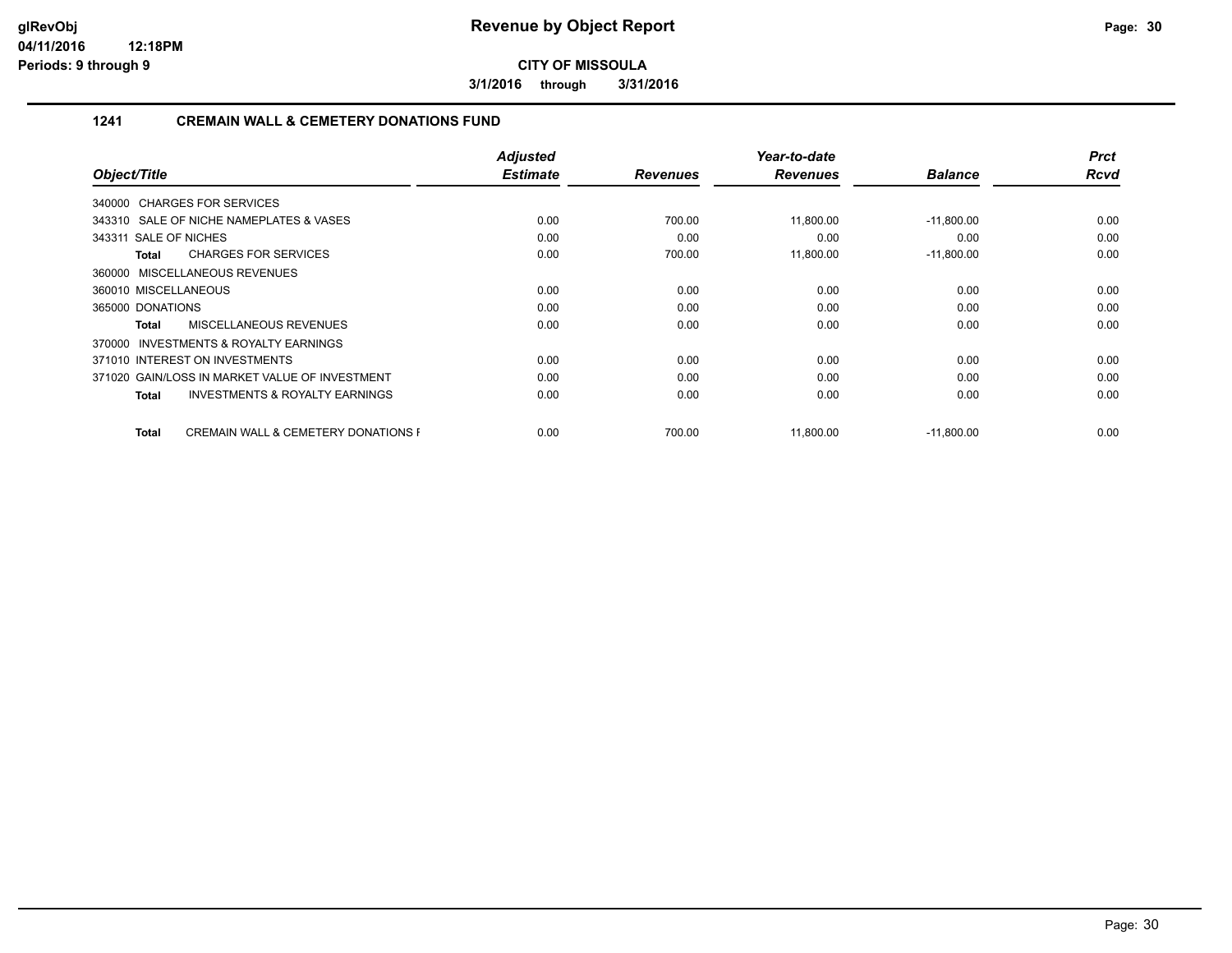**3/1/2016 through 3/31/2016**

#### **1241 CREMAIN WALL & CEMETERY DONATIONS FUND**

|                                                         | <b>Adjusted</b> |                 | Year-to-date    |                | <b>Prct</b> |
|---------------------------------------------------------|-----------------|-----------------|-----------------|----------------|-------------|
| Object/Title                                            | <b>Estimate</b> | <b>Revenues</b> | <b>Revenues</b> | <b>Balance</b> | <b>Rcvd</b> |
| 340000 CHARGES FOR SERVICES                             |                 |                 |                 |                |             |
| 343310 SALE OF NICHE NAMEPLATES & VASES                 | 0.00            | 700.00          | 11,800.00       | $-11,800.00$   | 0.00        |
| 343311 SALE OF NICHES                                   | 0.00            | 0.00            | 0.00            | 0.00           | 0.00        |
| <b>CHARGES FOR SERVICES</b><br>Total                    | 0.00            | 700.00          | 11,800.00       | $-11,800.00$   | 0.00        |
| 360000 MISCELLANEOUS REVENUES                           |                 |                 |                 |                |             |
| 360010 MISCELLANEOUS                                    | 0.00            | 0.00            | 0.00            | 0.00           | 0.00        |
| 365000 DONATIONS                                        | 0.00            | 0.00            | 0.00            | 0.00           | 0.00        |
| MISCELLANEOUS REVENUES<br>Total                         | 0.00            | 0.00            | 0.00            | 0.00           | 0.00        |
| <b>INVESTMENTS &amp; ROYALTY EARNINGS</b><br>370000     |                 |                 |                 |                |             |
| 371010 INTEREST ON INVESTMENTS                          | 0.00            | 0.00            | 0.00            | 0.00           | 0.00        |
| 371020 GAIN/LOSS IN MARKET VALUE OF INVESTMENT          | 0.00            | 0.00            | 0.00            | 0.00           | 0.00        |
| <b>INVESTMENTS &amp; ROYALTY EARNINGS</b><br>Total      | 0.00            | 0.00            | 0.00            | 0.00           | 0.00        |
|                                                         |                 |                 |                 |                |             |
| <b>CREMAIN WALL &amp; CEMETERY DONATIONS F</b><br>Total | 0.00            | 700.00          | 11,800.00       | $-11,800.00$   | 0.00        |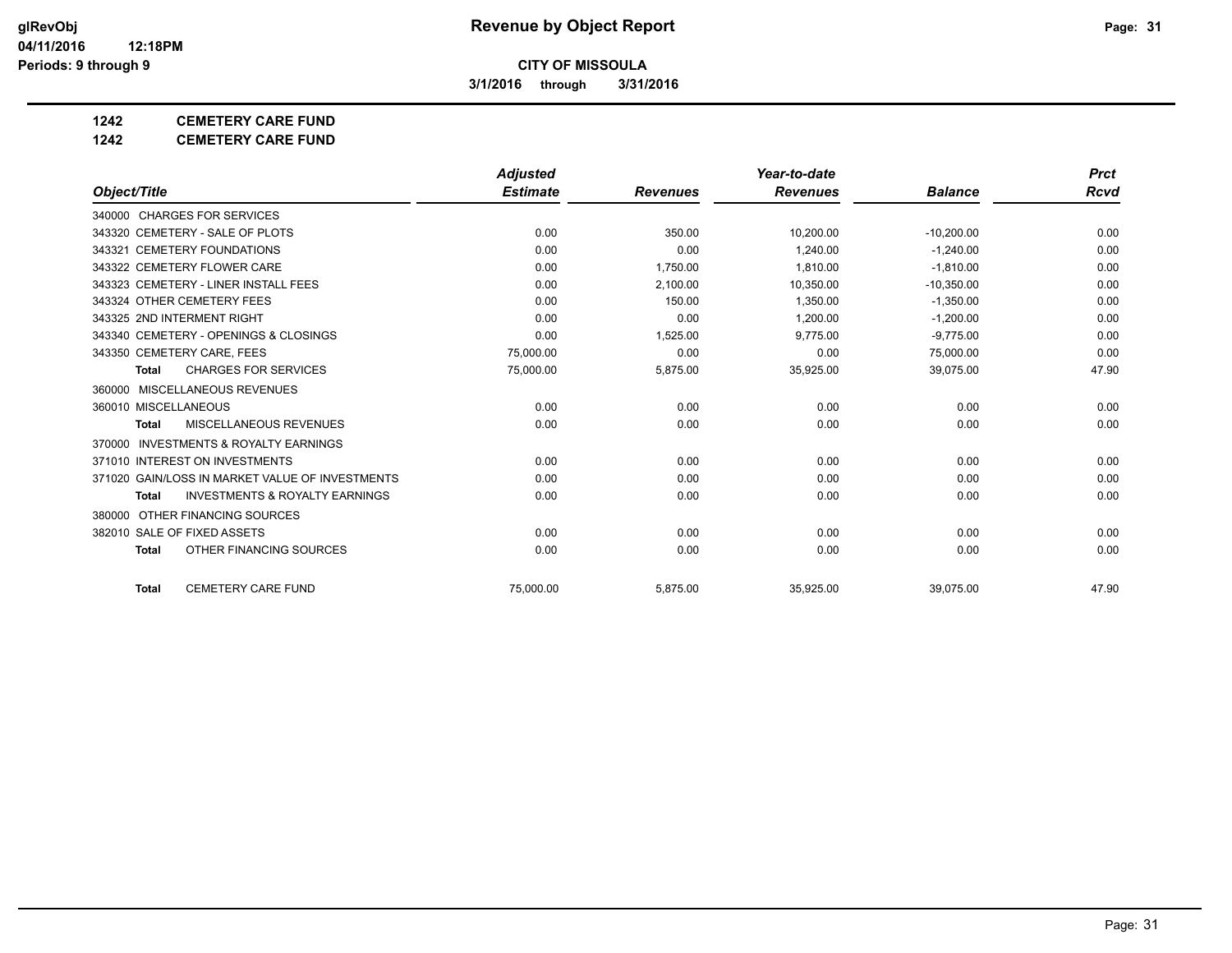**3/1/2016 through 3/31/2016**

## **1242 CEMETERY CARE FUND**

**1242 CEMETERY CARE FUND**

|                                                           | <b>Adjusted</b> |                 | Year-to-date    |                | <b>Prct</b> |
|-----------------------------------------------------------|-----------------|-----------------|-----------------|----------------|-------------|
| Object/Title                                              | <b>Estimate</b> | <b>Revenues</b> | <b>Revenues</b> | <b>Balance</b> | Rcvd        |
| 340000 CHARGES FOR SERVICES                               |                 |                 |                 |                |             |
| 343320 CEMETERY - SALE OF PLOTS                           | 0.00            | 350.00          | 10,200.00       | $-10,200.00$   | 0.00        |
| 343321 CEMETERY FOUNDATIONS                               | 0.00            | 0.00            | 1.240.00        | $-1.240.00$    | 0.00        |
| 343322 CEMETERY FLOWER CARE                               | 0.00            | 1.750.00        | 1.810.00        | $-1.810.00$    | 0.00        |
| 343323 CEMETERY - LINER INSTALL FEES                      | 0.00            | 2,100.00        | 10,350.00       | $-10,350.00$   | 0.00        |
| 343324 OTHER CEMETERY FEES                                | 0.00            | 150.00          | 1.350.00        | $-1,350.00$    | 0.00        |
| 343325 2ND INTERMENT RIGHT                                | 0.00            | 0.00            | 1.200.00        | $-1.200.00$    | 0.00        |
| 343340 CEMETERY - OPENINGS & CLOSINGS                     | 0.00            | 1,525.00        | 9,775.00        | $-9,775.00$    | 0.00        |
| 343350 CEMETERY CARE, FEES                                | 75.000.00       | 0.00            | 0.00            | 75,000.00      | 0.00        |
| <b>CHARGES FOR SERVICES</b><br><b>Total</b>               | 75,000.00       | 5,875.00        | 35,925.00       | 39,075.00      | 47.90       |
| 360000 MISCELLANEOUS REVENUES                             |                 |                 |                 |                |             |
| 360010 MISCELLANEOUS                                      | 0.00            | 0.00            | 0.00            | 0.00           | 0.00        |
| MISCELLANEOUS REVENUES<br><b>Total</b>                    | 0.00            | 0.00            | 0.00            | 0.00           | 0.00        |
| <b>INVESTMENTS &amp; ROYALTY EARNINGS</b><br>370000       |                 |                 |                 |                |             |
| 371010 INTEREST ON INVESTMENTS                            | 0.00            | 0.00            | 0.00            | 0.00           | 0.00        |
| 371020 GAIN/LOSS IN MARKET VALUE OF INVESTMENTS           | 0.00            | 0.00            | 0.00            | 0.00           | 0.00        |
| <b>INVESTMENTS &amp; ROYALTY EARNINGS</b><br><b>Total</b> | 0.00            | 0.00            | 0.00            | 0.00           | 0.00        |
| 380000 OTHER FINANCING SOURCES                            |                 |                 |                 |                |             |
| 382010 SALE OF FIXED ASSETS                               | 0.00            | 0.00            | 0.00            | 0.00           | 0.00        |
| OTHER FINANCING SOURCES<br><b>Total</b>                   | 0.00            | 0.00            | 0.00            | 0.00           | 0.00        |
| <b>CEMETERY CARE FUND</b><br><b>Total</b>                 | 75.000.00       | 5,875.00        | 35,925.00       | 39.075.00      | 47.90       |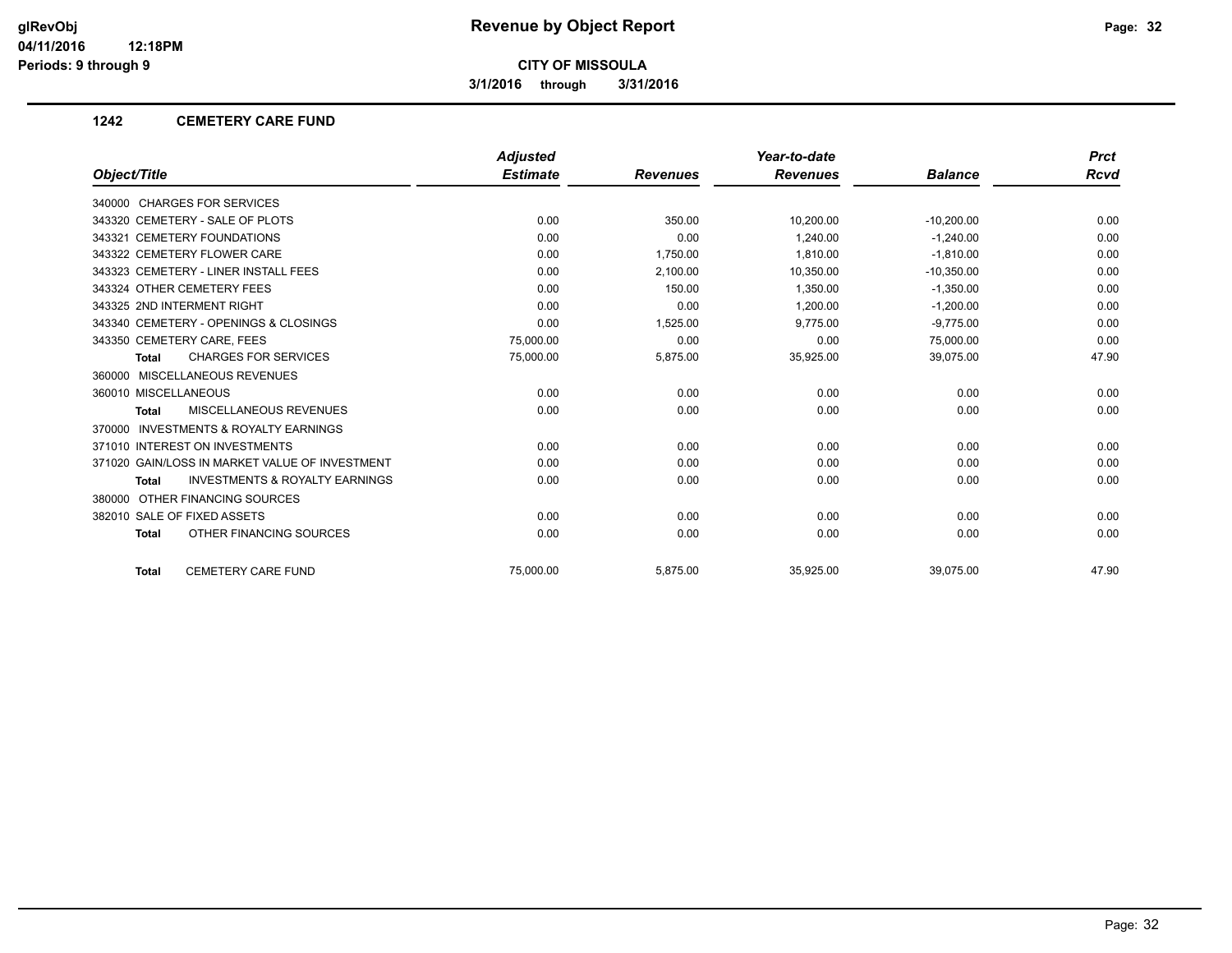**3/1/2016 through 3/31/2016**

#### **1242 CEMETERY CARE FUND**

|                                                           | <b>Adjusted</b> |                 | Year-to-date    |                | <b>Prct</b> |
|-----------------------------------------------------------|-----------------|-----------------|-----------------|----------------|-------------|
| Object/Title                                              | <b>Estimate</b> | <b>Revenues</b> | <b>Revenues</b> | <b>Balance</b> | <b>Rcvd</b> |
| 340000 CHARGES FOR SERVICES                               |                 |                 |                 |                |             |
| 343320 CEMETERY - SALE OF PLOTS                           | 0.00            | 350.00          | 10,200.00       | $-10,200.00$   | 0.00        |
| 343321 CEMETERY FOUNDATIONS                               | 0.00            | 0.00            | 1,240.00        | $-1,240.00$    | 0.00        |
| 343322 CEMETERY FLOWER CARE                               | 0.00            | 1,750.00        | 1,810.00        | $-1,810.00$    | 0.00        |
| 343323 CEMETERY - LINER INSTALL FEES                      | 0.00            | 2,100.00        | 10,350.00       | $-10,350.00$   | 0.00        |
| 343324 OTHER CEMETERY FEES                                | 0.00            | 150.00          | 1.350.00        | $-1,350.00$    | 0.00        |
| 343325 2ND INTERMENT RIGHT                                | 0.00            | 0.00            | 1,200.00        | $-1,200.00$    | 0.00        |
| 343340 CEMETERY - OPENINGS & CLOSINGS                     | 0.00            | 1,525.00        | 9,775.00        | $-9,775.00$    | 0.00        |
| 343350 CEMETERY CARE, FEES                                | 75,000.00       | 0.00            | 0.00            | 75,000.00      | 0.00        |
| <b>CHARGES FOR SERVICES</b><br><b>Total</b>               | 75,000.00       | 5,875.00        | 35,925.00       | 39,075.00      | 47.90       |
| 360000 MISCELLANEOUS REVENUES                             |                 |                 |                 |                |             |
| 360010 MISCELLANEOUS                                      | 0.00            | 0.00            | 0.00            | 0.00           | 0.00        |
| MISCELLANEOUS REVENUES<br><b>Total</b>                    | 0.00            | 0.00            | 0.00            | 0.00           | 0.00        |
| <b>INVESTMENTS &amp; ROYALTY EARNINGS</b><br>370000       |                 |                 |                 |                |             |
| 371010 INTEREST ON INVESTMENTS                            | 0.00            | 0.00            | 0.00            | 0.00           | 0.00        |
| 371020 GAIN/LOSS IN MARKET VALUE OF INVESTMENT            | 0.00            | 0.00            | 0.00            | 0.00           | 0.00        |
| <b>INVESTMENTS &amp; ROYALTY EARNINGS</b><br><b>Total</b> | 0.00            | 0.00            | 0.00            | 0.00           | 0.00        |
| 380000 OTHER FINANCING SOURCES                            |                 |                 |                 |                |             |
| 382010 SALE OF FIXED ASSETS                               | 0.00            | 0.00            | 0.00            | 0.00           | 0.00        |
| OTHER FINANCING SOURCES<br><b>Total</b>                   | 0.00            | 0.00            | 0.00            | 0.00           | 0.00        |
| <b>CEMETERY CARE FUND</b><br><b>Total</b>                 | 75.000.00       | 5,875.00        | 35,925.00       | 39,075.00      | 47.90       |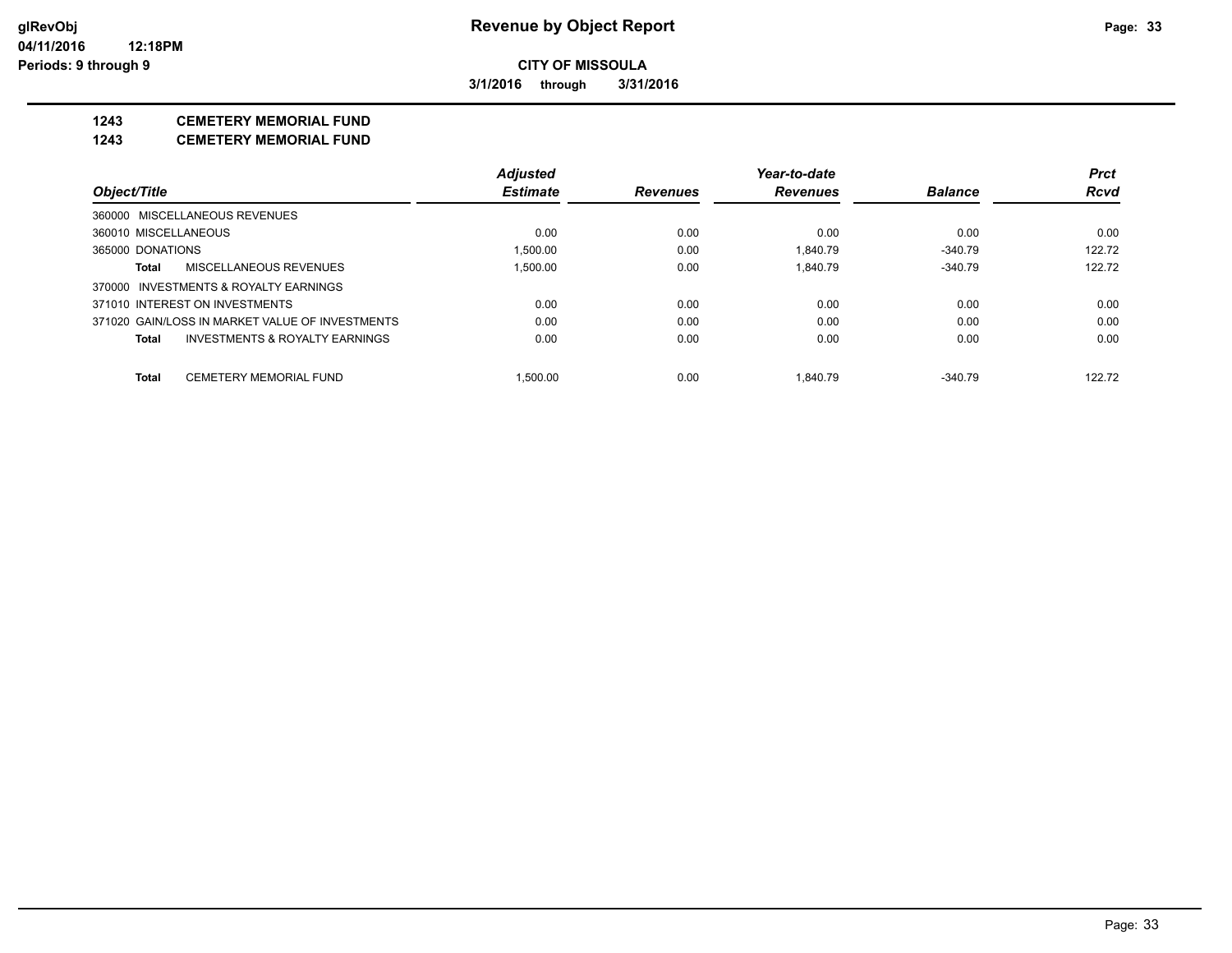**3/1/2016 through 3/31/2016**

# **1243 CEMETERY MEMORIAL FUND**

**1243 CEMETERY MEMORIAL FUND**

|                                                 |                                | <b>Adjusted</b> |                 | Year-to-date    |                | <b>Prct</b> |
|-------------------------------------------------|--------------------------------|-----------------|-----------------|-----------------|----------------|-------------|
| Object/Title                                    |                                | <b>Estimate</b> | <b>Revenues</b> | <b>Revenues</b> | <b>Balance</b> | <b>Rcvd</b> |
| 360000 MISCELLANEOUS REVENUES                   |                                |                 |                 |                 |                |             |
| 360010 MISCELLANEOUS                            |                                | 0.00            | 0.00            | 0.00            | 0.00           | 0.00        |
| 365000 DONATIONS                                |                                | 1.500.00        | 0.00            | 1.840.79        | $-340.79$      | 122.72      |
| MISCELLANEOUS REVENUES<br>Total                 |                                | 1.500.00        | 0.00            | 1.840.79        | $-340.79$      | 122.72      |
| 370000 INVESTMENTS & ROYALTY EARNINGS           |                                |                 |                 |                 |                |             |
| 371010 INTEREST ON INVESTMENTS                  |                                | 0.00            | 0.00            | 0.00            | 0.00           | 0.00        |
| 371020 GAIN/LOSS IN MARKET VALUE OF INVESTMENTS |                                | 0.00            | 0.00            | 0.00            | 0.00           | 0.00        |
| Total                                           | INVESTMENTS & ROYALTY EARNINGS | 0.00            | 0.00            | 0.00            | 0.00           | 0.00        |
| <b>CEMETERY MEMORIAL FUND</b><br>Total          |                                | 1.500.00        | 0.00            | 1.840.79        | $-340.79$      | 122.72      |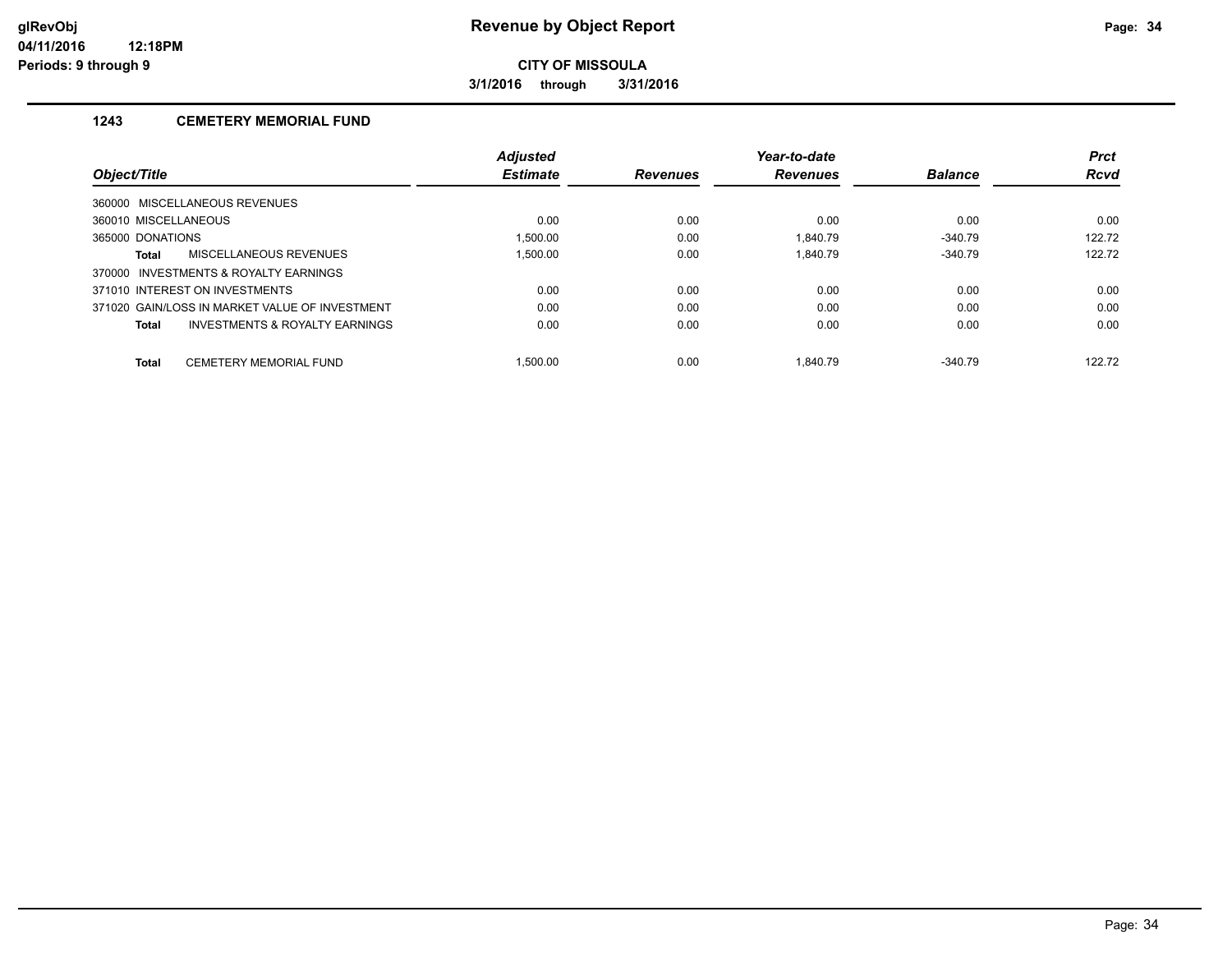**3/1/2016 through 3/31/2016**

## **1243 CEMETERY MEMORIAL FUND**

|                                                | <b>Adjusted</b> |                 | Year-to-date    |                | <b>Prct</b> |
|------------------------------------------------|-----------------|-----------------|-----------------|----------------|-------------|
| Object/Title                                   | <b>Estimate</b> | <b>Revenues</b> | <b>Revenues</b> | <b>Balance</b> | <b>Rcvd</b> |
| 360000 MISCELLANEOUS REVENUES                  |                 |                 |                 |                |             |
| 360010 MISCELLANEOUS                           | 0.00            | 0.00            | 0.00            | 0.00           | 0.00        |
| 365000 DONATIONS                               | 1.500.00        | 0.00            | 1.840.79        | $-340.79$      | 122.72      |
| MISCELLANEOUS REVENUES<br>Total                | 1.500.00        | 0.00            | 1.840.79        | $-340.79$      | 122.72      |
| 370000 INVESTMENTS & ROYALTY EARNINGS          |                 |                 |                 |                |             |
| 371010 INTEREST ON INVESTMENTS                 | 0.00            | 0.00            | 0.00            | 0.00           | 0.00        |
| 371020 GAIN/LOSS IN MARKET VALUE OF INVESTMENT | 0.00            | 0.00            | 0.00            | 0.00           | 0.00        |
| INVESTMENTS & ROYALTY EARNINGS<br>Total        | 0.00            | 0.00            | 0.00            | 0.00           | 0.00        |
| <b>CEMETERY MEMORIAL FUND</b><br><b>Total</b>  | .500.00         | 0.00            | 1.840.79        | $-340.79$      | 122.72      |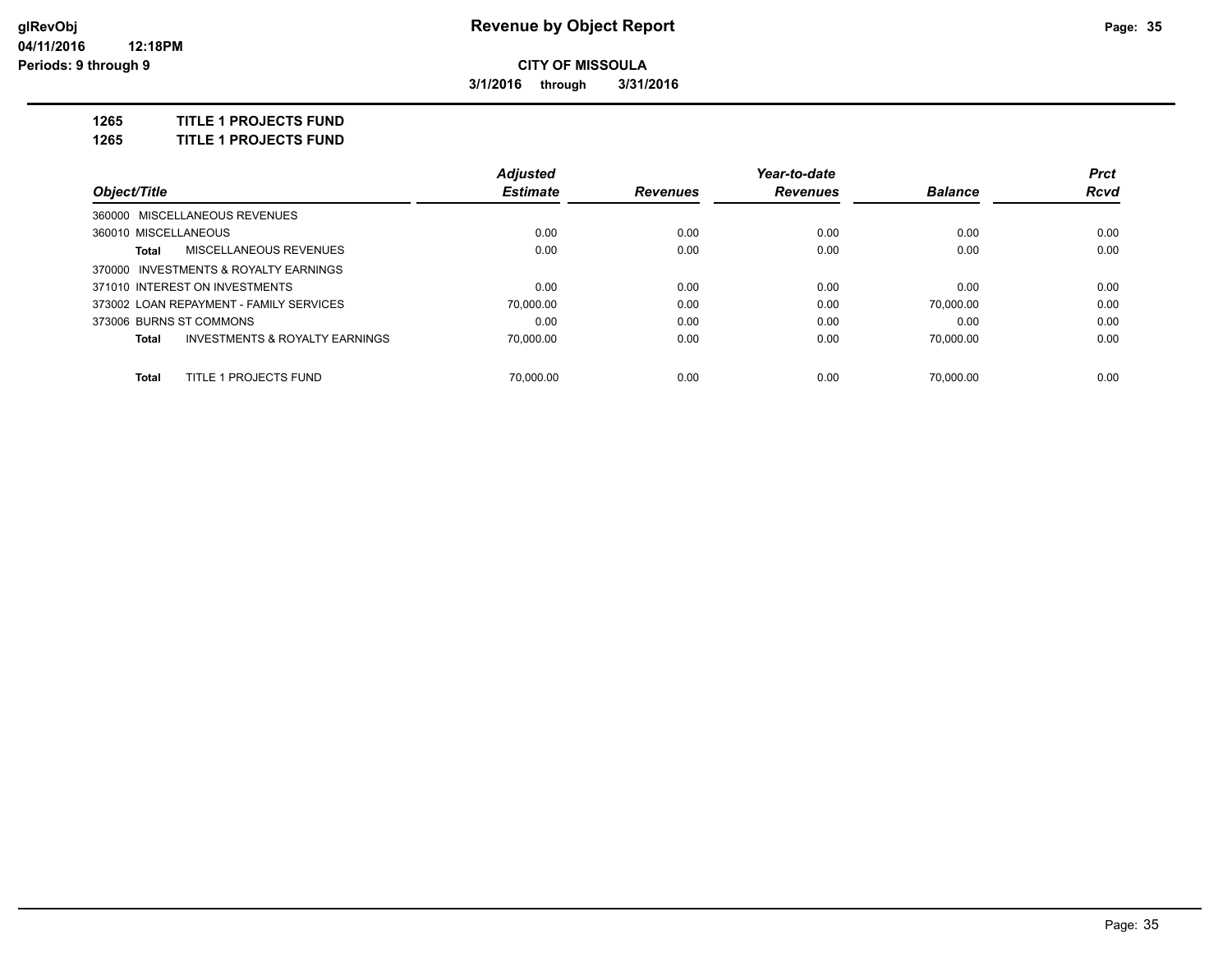**3/1/2016 through 3/31/2016**

**1265 TITLE 1 PROJECTS FUND**

**1265 TITLE 1 PROJECTS FUND**

|                                |                                           | <b>Adjusted</b> |                 | Year-to-date    |                | <b>Prct</b> |
|--------------------------------|-------------------------------------------|-----------------|-----------------|-----------------|----------------|-------------|
| Object/Title                   |                                           | <b>Estimate</b> | <b>Revenues</b> | <b>Revenues</b> | <b>Balance</b> | Rcvd        |
| 360000 MISCELLANEOUS REVENUES  |                                           |                 |                 |                 |                |             |
| 360010 MISCELLANEOUS           |                                           | 0.00            | 0.00            | 0.00            | 0.00           | 0.00        |
| Total                          | MISCELLANEOUS REVENUES                    | 0.00            | 0.00            | 0.00            | 0.00           | 0.00        |
|                                | 370000 INVESTMENTS & ROYALTY EARNINGS     |                 |                 |                 |                |             |
| 371010 INTEREST ON INVESTMENTS |                                           | 0.00            | 0.00            | 0.00            | 0.00           | 0.00        |
|                                | 373002 LOAN REPAYMENT - FAMILY SERVICES   | 70.000.00       | 0.00            | 0.00            | 70.000.00      | 0.00        |
| 373006 BURNS ST COMMONS        |                                           | 0.00            | 0.00            | 0.00            | 0.00           | 0.00        |
| Total                          | <b>INVESTMENTS &amp; ROYALTY EARNINGS</b> | 70.000.00       | 0.00            | 0.00            | 70.000.00      | 0.00        |
| Total                          | TITLE 1 PROJECTS FUND                     | 70.000.00       | 0.00            | 0.00            | 70.000.00      | 0.00        |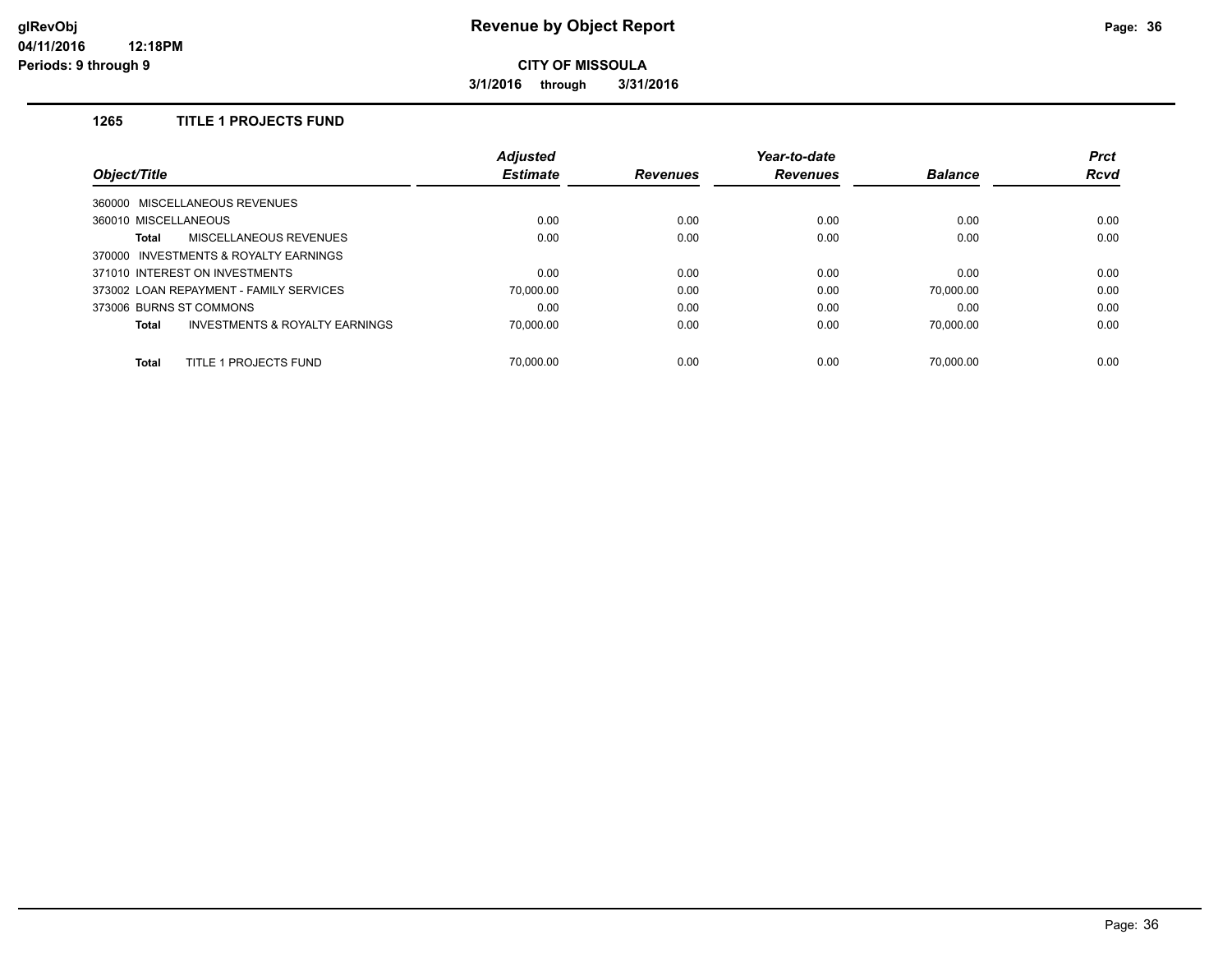**3/1/2016 through 3/31/2016**

#### **1265 TITLE 1 PROJECTS FUND**

| Object/Title                            | <b>Adjusted</b> |                 | Year-to-date    |                | <b>Prct</b> |
|-----------------------------------------|-----------------|-----------------|-----------------|----------------|-------------|
|                                         | <b>Estimate</b> | <b>Revenues</b> | <b>Revenues</b> | <b>Balance</b> | <b>Rcvd</b> |
| 360000 MISCELLANEOUS REVENUES           |                 |                 |                 |                |             |
| 360010 MISCELLANEOUS                    | 0.00            | 0.00            | 0.00            | 0.00           | 0.00        |
| <b>MISCELLANEOUS REVENUES</b><br>Total  | 0.00            | 0.00            | 0.00            | 0.00           | 0.00        |
| 370000 INVESTMENTS & ROYALTY EARNINGS   |                 |                 |                 |                |             |
| 371010 INTEREST ON INVESTMENTS          | 0.00            | 0.00            | 0.00            | 0.00           | 0.00        |
| 373002 LOAN REPAYMENT - FAMILY SERVICES | 70,000.00       | 0.00            | 0.00            | 70,000.00      | 0.00        |
| 373006 BURNS ST COMMONS                 | 0.00            | 0.00            | 0.00            | 0.00           | 0.00        |
| INVESTMENTS & ROYALTY EARNINGS<br>Total | 70.000.00       | 0.00            | 0.00            | 70.000.00      | 0.00        |
| TITLE 1 PROJECTS FUND<br><b>Total</b>   | 70.000.00       | 0.00            | 0.00            | 70.000.00      | 0.00        |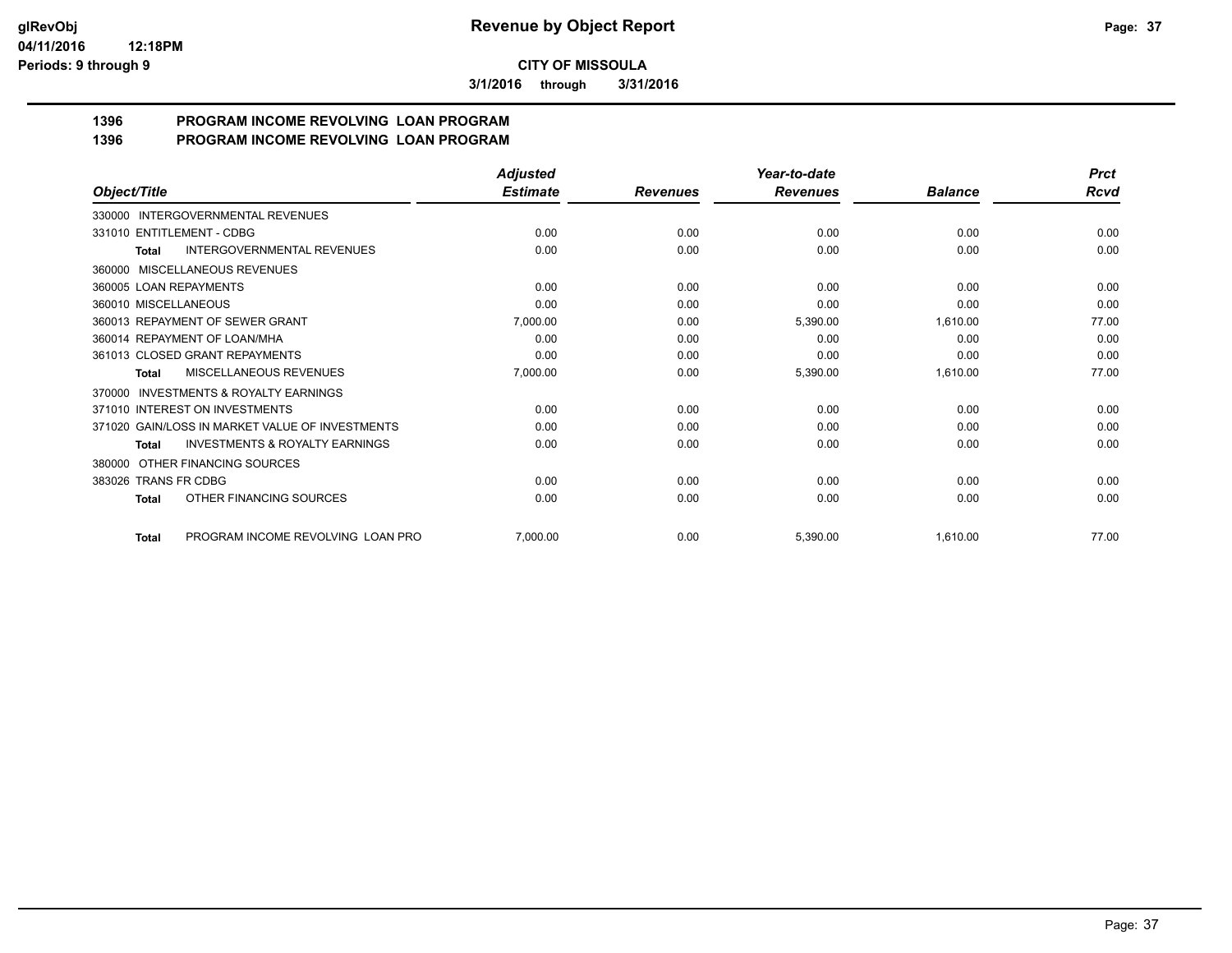**3/1/2016 through 3/31/2016**

#### **1396 PROGRAM INCOME REVOLVING LOAN PROGRAM 1396 PROGRAM INCOME REVOLVING LOAN PROGRAM**

|                                                           | <b>Adjusted</b> |                 | Year-to-date    |                | <b>Prct</b> |
|-----------------------------------------------------------|-----------------|-----------------|-----------------|----------------|-------------|
| Object/Title                                              | <b>Estimate</b> | <b>Revenues</b> | <b>Revenues</b> | <b>Balance</b> | Rcvd        |
| 330000 INTERGOVERNMENTAL REVENUES                         |                 |                 |                 |                |             |
| 331010 ENTITLEMENT - CDBG                                 | 0.00            | 0.00            | 0.00            | 0.00           | 0.00        |
| <b>INTERGOVERNMENTAL REVENUES</b><br><b>Total</b>         | 0.00            | 0.00            | 0.00            | 0.00           | 0.00        |
| 360000 MISCELLANEOUS REVENUES                             |                 |                 |                 |                |             |
| 360005 LOAN REPAYMENTS                                    | 0.00            | 0.00            | 0.00            | 0.00           | 0.00        |
| 360010 MISCELLANEOUS                                      | 0.00            | 0.00            | 0.00            | 0.00           | 0.00        |
| 360013 REPAYMENT OF SEWER GRANT                           | 7,000.00        | 0.00            | 5,390.00        | 1,610.00       | 77.00       |
| 360014 REPAYMENT OF LOAN/MHA                              | 0.00            | 0.00            | 0.00            | 0.00           | 0.00        |
| 361013 CLOSED GRANT REPAYMENTS                            | 0.00            | 0.00            | 0.00            | 0.00           | 0.00        |
| <b>MISCELLANEOUS REVENUES</b><br><b>Total</b>             | 7,000.00        | 0.00            | 5,390.00        | 1,610.00       | 77.00       |
| <b>INVESTMENTS &amp; ROYALTY EARNINGS</b><br>370000       |                 |                 |                 |                |             |
| 371010 INTEREST ON INVESTMENTS                            | 0.00            | 0.00            | 0.00            | 0.00           | 0.00        |
| 371020 GAIN/LOSS IN MARKET VALUE OF INVESTMENTS           | 0.00            | 0.00            | 0.00            | 0.00           | 0.00        |
| <b>INVESTMENTS &amp; ROYALTY EARNINGS</b><br><b>Total</b> | 0.00            | 0.00            | 0.00            | 0.00           | 0.00        |
| 380000 OTHER FINANCING SOURCES                            |                 |                 |                 |                |             |
| 383026 TRANS FR CDBG                                      | 0.00            | 0.00            | 0.00            | 0.00           | 0.00        |
| OTHER FINANCING SOURCES<br><b>Total</b>                   | 0.00            | 0.00            | 0.00            | 0.00           | 0.00        |
| PROGRAM INCOME REVOLVING LOAN PRO<br><b>Total</b>         | 7,000.00        | 0.00            | 5,390.00        | 1,610.00       | 77.00       |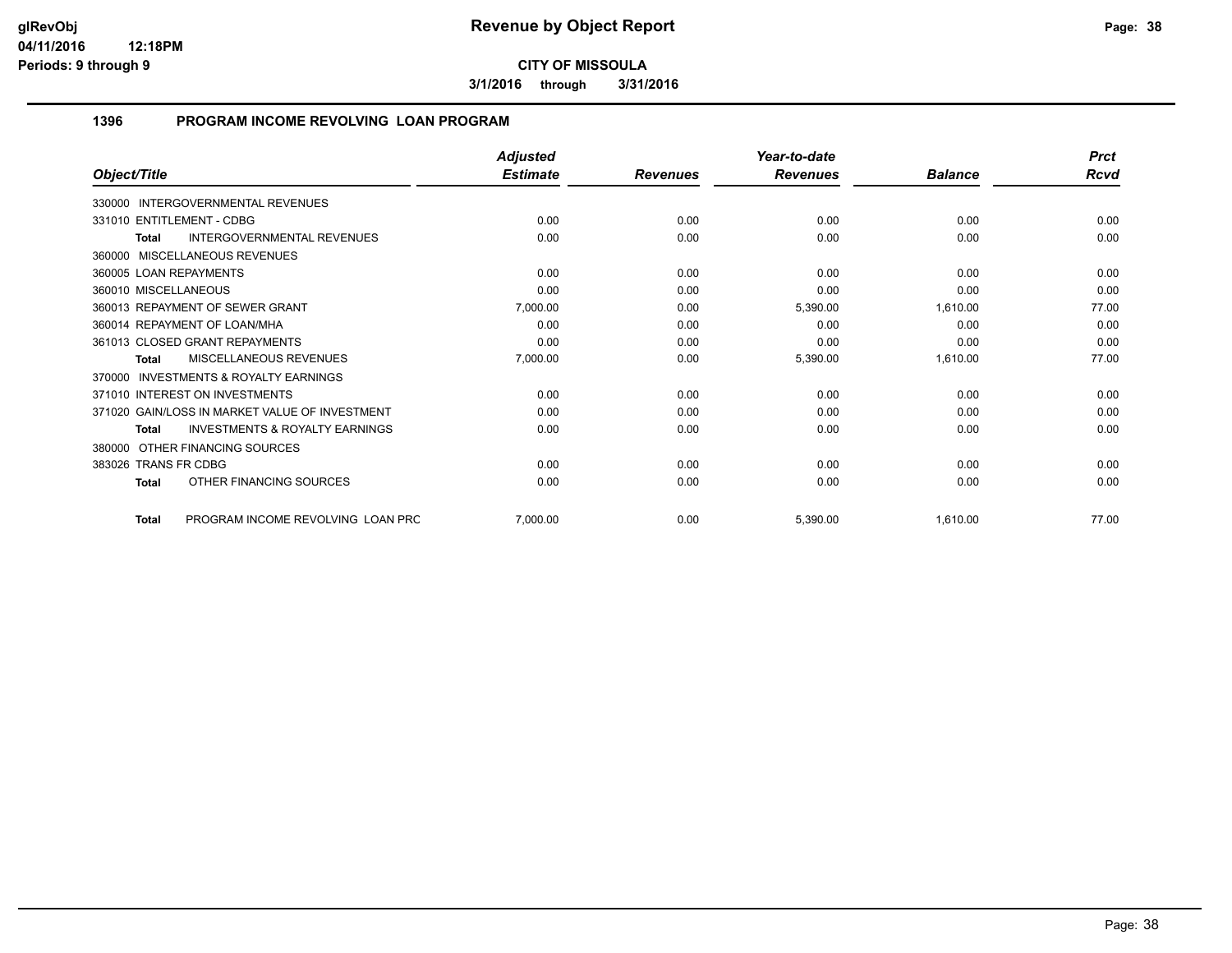**3/1/2016 through 3/31/2016**

### **1396 PROGRAM INCOME REVOLVING LOAN PROGRAM**

|                                                           | <b>Adjusted</b> |                 | Year-to-date    |                | <b>Prct</b> |
|-----------------------------------------------------------|-----------------|-----------------|-----------------|----------------|-------------|
| Object/Title                                              | <b>Estimate</b> | <b>Revenues</b> | <b>Revenues</b> | <b>Balance</b> | <b>Rcvd</b> |
| 330000 INTERGOVERNMENTAL REVENUES                         |                 |                 |                 |                |             |
| 331010 ENTITLEMENT - CDBG                                 | 0.00            | 0.00            | 0.00            | 0.00           | 0.00        |
| INTERGOVERNMENTAL REVENUES<br><b>Total</b>                | 0.00            | 0.00            | 0.00            | 0.00           | 0.00        |
| 360000 MISCELLANEOUS REVENUES                             |                 |                 |                 |                |             |
| 360005 LOAN REPAYMENTS                                    | 0.00            | 0.00            | 0.00            | 0.00           | 0.00        |
| 360010 MISCELLANEOUS                                      | 0.00            | 0.00            | 0.00            | 0.00           | 0.00        |
| 360013 REPAYMENT OF SEWER GRANT                           | 7,000.00        | 0.00            | 5,390.00        | 1,610.00       | 77.00       |
| 360014 REPAYMENT OF LOAN/MHA                              | 0.00            | 0.00            | 0.00            | 0.00           | 0.00        |
| 361013 CLOSED GRANT REPAYMENTS                            | 0.00            | 0.00            | 0.00            | 0.00           | 0.00        |
| <b>MISCELLANEOUS REVENUES</b><br><b>Total</b>             | 7,000.00        | 0.00            | 5,390.00        | 1,610.00       | 77.00       |
| <b>INVESTMENTS &amp; ROYALTY EARNINGS</b><br>370000       |                 |                 |                 |                |             |
| 371010 INTEREST ON INVESTMENTS                            | 0.00            | 0.00            | 0.00            | 0.00           | 0.00        |
| 371020 GAIN/LOSS IN MARKET VALUE OF INVESTMENT            | 0.00            | 0.00            | 0.00            | 0.00           | 0.00        |
| <b>INVESTMENTS &amp; ROYALTY EARNINGS</b><br><b>Total</b> | 0.00            | 0.00            | 0.00            | 0.00           | 0.00        |
| 380000 OTHER FINANCING SOURCES                            |                 |                 |                 |                |             |
| 383026 TRANS FR CDBG                                      | 0.00            | 0.00            | 0.00            | 0.00           | 0.00        |
| OTHER FINANCING SOURCES<br><b>Total</b>                   | 0.00            | 0.00            | 0.00            | 0.00           | 0.00        |
| PROGRAM INCOME REVOLVING LOAN PRC<br><b>Total</b>         | 7,000.00        | 0.00            | 5,390.00        | 1,610.00       | 77.00       |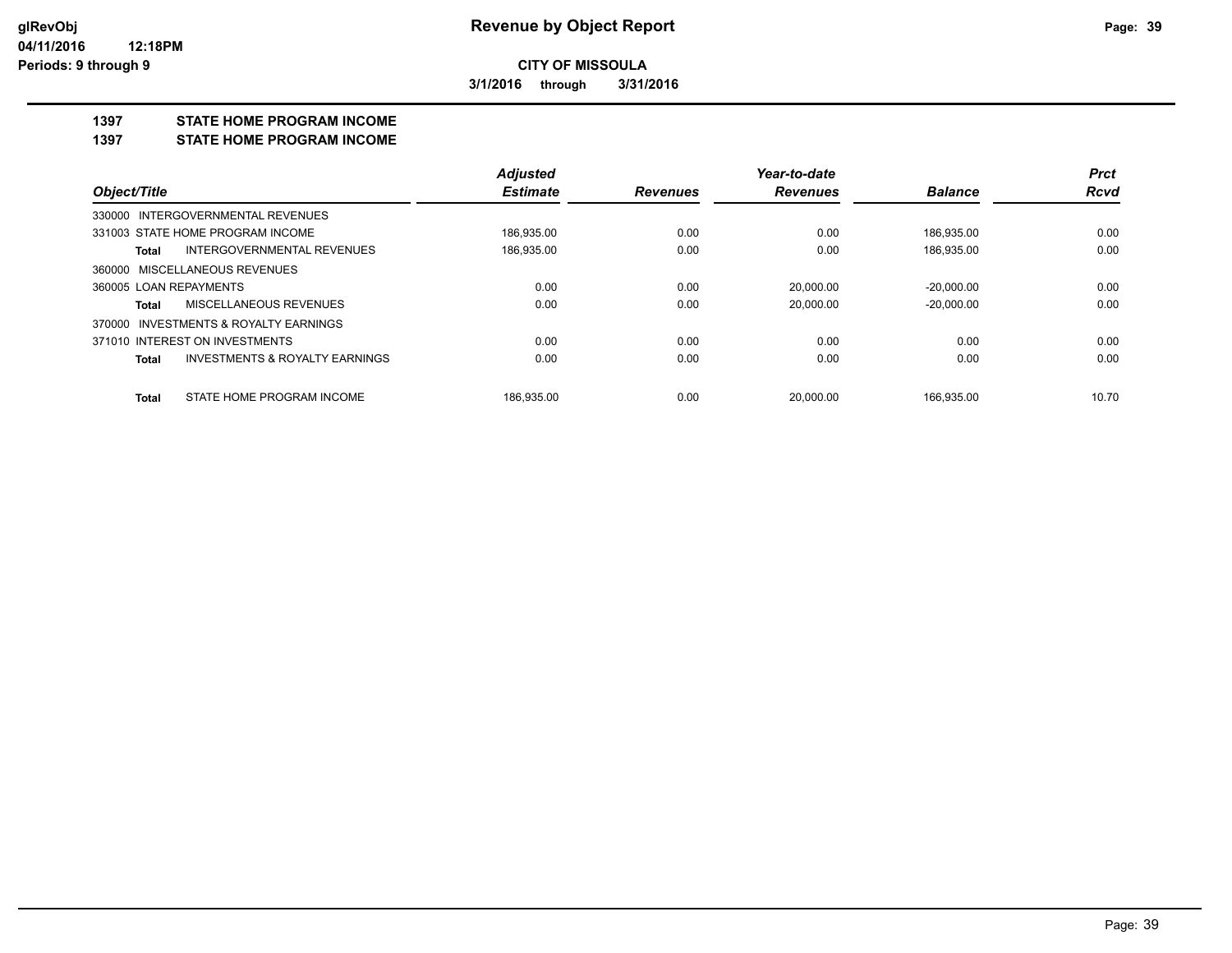**3/1/2016 through 3/31/2016**

#### **1397 STATE HOME PROGRAM INCOME**

**1397 STATE HOME PROGRAM INCOME**

|                                                    | <b>Adjusted</b> |                 | Year-to-date    |                | <b>Prct</b> |
|----------------------------------------------------|-----------------|-----------------|-----------------|----------------|-------------|
| Object/Title                                       | <b>Estimate</b> | <b>Revenues</b> | <b>Revenues</b> | <b>Balance</b> | <b>Rcvd</b> |
| 330000 INTERGOVERNMENTAL REVENUES                  |                 |                 |                 |                |             |
| 331003 STATE HOME PROGRAM INCOME                   | 186,935.00      | 0.00            | 0.00            | 186,935.00     | 0.00        |
| INTERGOVERNMENTAL REVENUES<br>Total                | 186,935.00      | 0.00            | 0.00            | 186,935.00     | 0.00        |
| 360000 MISCELLANEOUS REVENUES                      |                 |                 |                 |                |             |
| 360005 LOAN REPAYMENTS                             | 0.00            | 0.00            | 20.000.00       | $-20.000.00$   | 0.00        |
| MISCELLANEOUS REVENUES<br>Total                    | 0.00            | 0.00            | 20,000.00       | $-20.000.00$   | 0.00        |
| 370000 INVESTMENTS & ROYALTY EARNINGS              |                 |                 |                 |                |             |
| 371010 INTEREST ON INVESTMENTS                     | 0.00            | 0.00            | 0.00            | 0.00           | 0.00        |
| <b>INVESTMENTS &amp; ROYALTY EARNINGS</b><br>Total | 0.00            | 0.00            | 0.00            | 0.00           | 0.00        |
| STATE HOME PROGRAM INCOME<br>Total                 | 186.935.00      | 0.00            | 20.000.00       | 166.935.00     | 10.70       |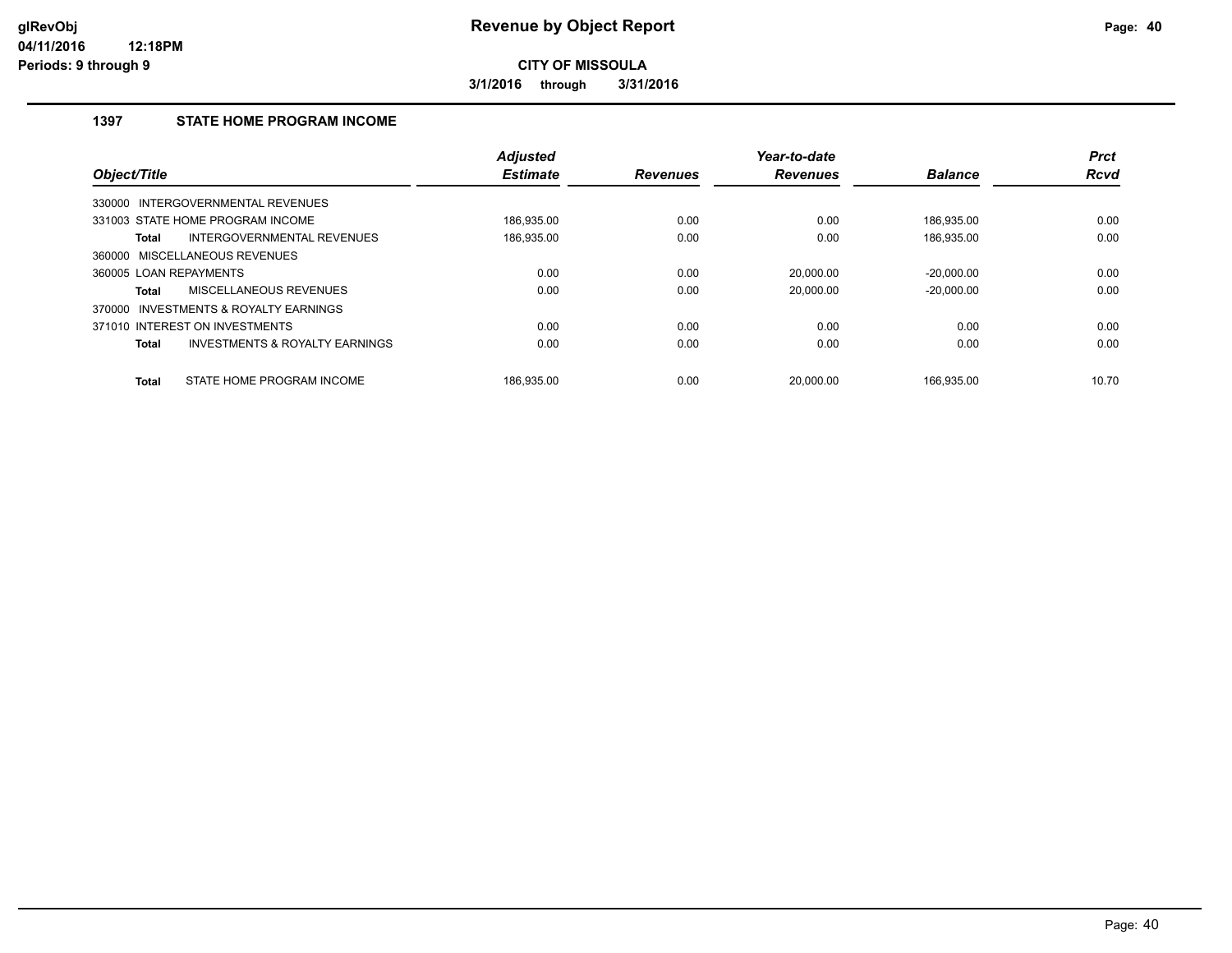**3/1/2016 through 3/31/2016**

## **1397 STATE HOME PROGRAM INCOME**

| Object/Title           |                                           | <b>Adjusted</b><br><b>Estimate</b> | <b>Revenues</b> | Year-to-date<br><b>Revenues</b> | <b>Balance</b> | <b>Prct</b><br><b>Rcvd</b> |
|------------------------|-------------------------------------------|------------------------------------|-----------------|---------------------------------|----------------|----------------------------|
|                        |                                           |                                    |                 |                                 |                |                            |
|                        | 330000 INTERGOVERNMENTAL REVENUES         |                                    |                 |                                 |                |                            |
|                        | 331003 STATE HOME PROGRAM INCOME          | 186.935.00                         | 0.00            | 0.00                            | 186.935.00     | 0.00                       |
| Total                  | INTERGOVERNMENTAL REVENUES                | 186,935.00                         | 0.00            | 0.00                            | 186,935.00     | 0.00                       |
|                        | 360000 MISCELLANEOUS REVENUES             |                                    |                 |                                 |                |                            |
| 360005 LOAN REPAYMENTS |                                           | 0.00                               | 0.00            | 20.000.00                       | $-20.000.00$   | 0.00                       |
| Total                  | MISCELLANEOUS REVENUES                    | 0.00                               | 0.00            | 20.000.00                       | $-20.000.00$   | 0.00                       |
| 370000                 | INVESTMENTS & ROYALTY EARNINGS            |                                    |                 |                                 |                |                            |
|                        | 371010 INTEREST ON INVESTMENTS            | 0.00                               | 0.00            | 0.00                            | 0.00           | 0.00                       |
| <b>Total</b>           | <b>INVESTMENTS &amp; ROYALTY EARNINGS</b> | 0.00                               | 0.00            | 0.00                            | 0.00           | 0.00                       |
| <b>Total</b>           | STATE HOME PROGRAM INCOME                 | 186.935.00                         | 0.00            | 20.000.00                       | 166.935.00     | 10.70                      |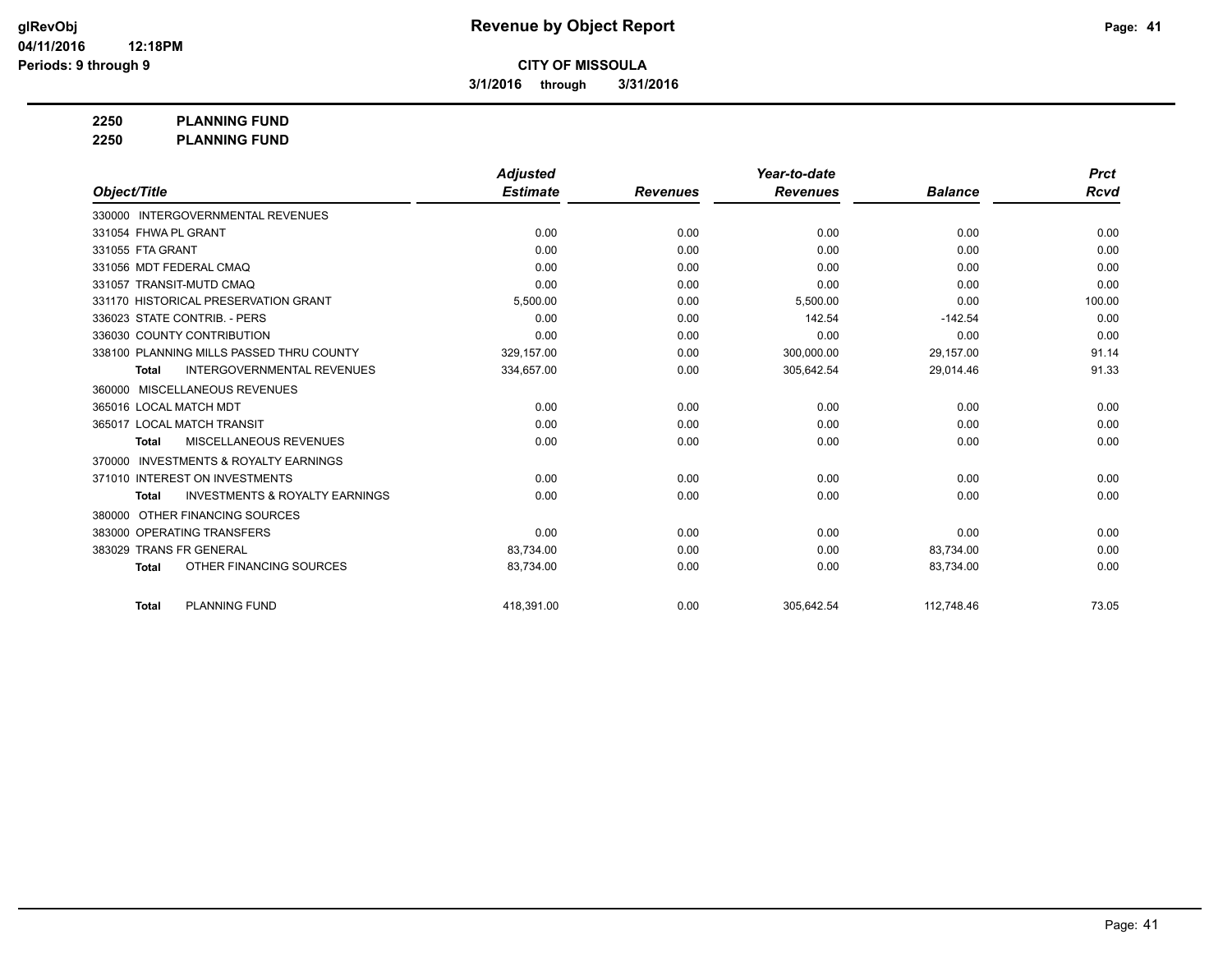**3/1/2016 through 3/31/2016**

**2250 PLANNING FUND**

**2250 PLANNING FUND**

|                                                     | <b>Adjusted</b> |                 | Year-to-date    |                | <b>Prct</b> |
|-----------------------------------------------------|-----------------|-----------------|-----------------|----------------|-------------|
| Object/Title                                        | <b>Estimate</b> | <b>Revenues</b> | <b>Revenues</b> | <b>Balance</b> | Rcvd        |
| 330000 INTERGOVERNMENTAL REVENUES                   |                 |                 |                 |                |             |
| 331054 FHWA PL GRANT                                | 0.00            | 0.00            | 0.00            | 0.00           | 0.00        |
| 331055 FTA GRANT                                    | 0.00            | 0.00            | 0.00            | 0.00           | 0.00        |
| 331056 MDT FEDERAL CMAQ                             | 0.00            | 0.00            | 0.00            | 0.00           | 0.00        |
| 331057 TRANSIT-MUTD CMAQ                            | 0.00            | 0.00            | 0.00            | 0.00           | 0.00        |
| 331170 HISTORICAL PRESERVATION GRANT                | 5,500.00        | 0.00            | 5,500.00        | 0.00           | 100.00      |
| 336023 STATE CONTRIB. - PERS                        | 0.00            | 0.00            | 142.54          | $-142.54$      | 0.00        |
| 336030 COUNTY CONTRIBUTION                          | 0.00            | 0.00            | 0.00            | 0.00           | 0.00        |
| 338100 PLANNING MILLS PASSED THRU COUNTY            | 329,157.00      | 0.00            | 300,000.00      | 29,157.00      | 91.14       |
| <b>INTERGOVERNMENTAL REVENUES</b><br><b>Total</b>   | 334,657.00      | 0.00            | 305,642.54      | 29,014.46      | 91.33       |
| <b>MISCELLANEOUS REVENUES</b><br>360000             |                 |                 |                 |                |             |
| 365016 LOCAL MATCH MDT                              | 0.00            | 0.00            | 0.00            | 0.00           | 0.00        |
| 365017 LOCAL MATCH TRANSIT                          | 0.00            | 0.00            | 0.00            | 0.00           | 0.00        |
| MISCELLANEOUS REVENUES<br><b>Total</b>              | 0.00            | 0.00            | 0.00            | 0.00           | 0.00        |
| <b>INVESTMENTS &amp; ROYALTY EARNINGS</b><br>370000 |                 |                 |                 |                |             |
| 371010 INTEREST ON INVESTMENTS                      | 0.00            | 0.00            | 0.00            | 0.00           | 0.00        |
| <b>INVESTMENTS &amp; ROYALTY EARNINGS</b><br>Total  | 0.00            | 0.00            | 0.00            | 0.00           | 0.00        |
| OTHER FINANCING SOURCES<br>380000                   |                 |                 |                 |                |             |
| 383000 OPERATING TRANSFERS                          | 0.00            | 0.00            | 0.00            | 0.00           | 0.00        |
| 383029 TRANS FR GENERAL                             | 83,734.00       | 0.00            | 0.00            | 83,734.00      | 0.00        |
| OTHER FINANCING SOURCES<br><b>Total</b>             | 83,734.00       | 0.00            | 0.00            | 83,734.00      | 0.00        |
| <b>PLANNING FUND</b><br><b>Total</b>                | 418.391.00      | 0.00            | 305.642.54      | 112.748.46     | 73.05       |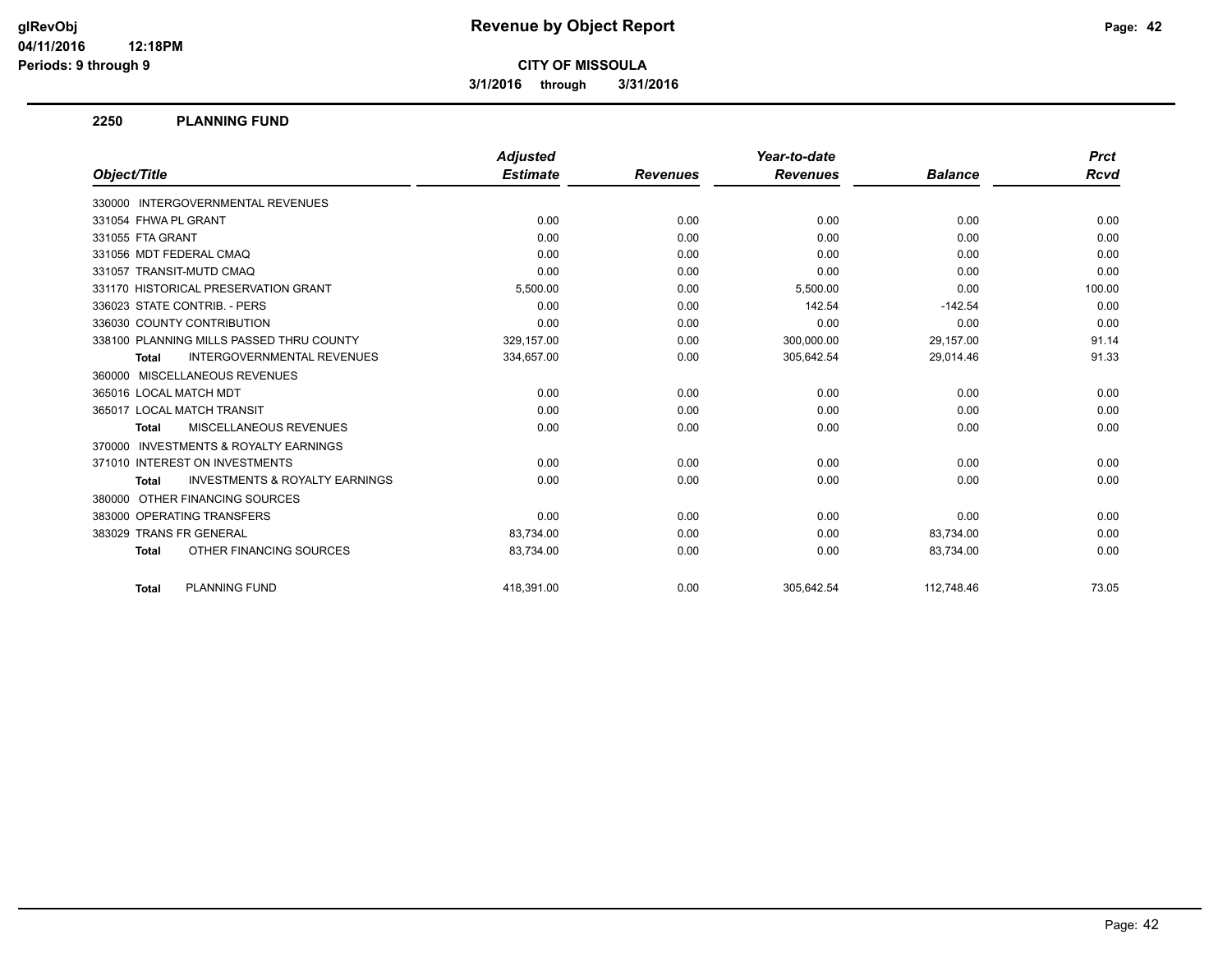**3/1/2016 through 3/31/2016**

#### **2250 PLANNING FUND**

|                                                           | <b>Adjusted</b> |                 | Year-to-date    |                | <b>Prct</b> |
|-----------------------------------------------------------|-----------------|-----------------|-----------------|----------------|-------------|
| Object/Title                                              | <b>Estimate</b> | <b>Revenues</b> | <b>Revenues</b> | <b>Balance</b> | Rcvd        |
| 330000 INTERGOVERNMENTAL REVENUES                         |                 |                 |                 |                |             |
| 331054 FHWA PL GRANT                                      | 0.00            | 0.00            | 0.00            | 0.00           | 0.00        |
| 331055 FTA GRANT                                          | 0.00            | 0.00            | 0.00            | 0.00           | 0.00        |
| 331056 MDT FEDERAL CMAQ                                   | 0.00            | 0.00            | 0.00            | 0.00           | 0.00        |
| 331057 TRANSIT-MUTD CMAQ                                  | 0.00            | 0.00            | 0.00            | 0.00           | 0.00        |
| 331170 HISTORICAL PRESERVATION GRANT                      | 5,500.00        | 0.00            | 5,500.00        | 0.00           | 100.00      |
| 336023 STATE CONTRIB. - PERS                              | 0.00            | 0.00            | 142.54          | $-142.54$      | 0.00        |
| 336030 COUNTY CONTRIBUTION                                | 0.00            | 0.00            | 0.00            | 0.00           | 0.00        |
| 338100 PLANNING MILLS PASSED THRU COUNTY                  | 329,157.00      | 0.00            | 300,000.00      | 29,157.00      | 91.14       |
| <b>INTERGOVERNMENTAL REVENUES</b><br><b>Total</b>         | 334,657.00      | 0.00            | 305,642.54      | 29,014.46      | 91.33       |
| 360000 MISCELLANEOUS REVENUES                             |                 |                 |                 |                |             |
| 365016 LOCAL MATCH MDT                                    | 0.00            | 0.00            | 0.00            | 0.00           | 0.00        |
| 365017 LOCAL MATCH TRANSIT                                | 0.00            | 0.00            | 0.00            | 0.00           | 0.00        |
| MISCELLANEOUS REVENUES<br><b>Total</b>                    | 0.00            | 0.00            | 0.00            | 0.00           | 0.00        |
| 370000 INVESTMENTS & ROYALTY EARNINGS                     |                 |                 |                 |                |             |
| 371010 INTEREST ON INVESTMENTS                            | 0.00            | 0.00            | 0.00            | 0.00           | 0.00        |
| <b>INVESTMENTS &amp; ROYALTY EARNINGS</b><br><b>Total</b> | 0.00            | 0.00            | 0.00            | 0.00           | 0.00        |
| 380000 OTHER FINANCING SOURCES                            |                 |                 |                 |                |             |
| 383000 OPERATING TRANSFERS                                | 0.00            | 0.00            | 0.00            | 0.00           | 0.00        |
| 383029 TRANS FR GENERAL                                   | 83,734.00       | 0.00            | 0.00            | 83,734.00      | 0.00        |
| OTHER FINANCING SOURCES<br><b>Total</b>                   | 83,734.00       | 0.00            | 0.00            | 83,734.00      | 0.00        |
| <b>PLANNING FUND</b><br><b>Total</b>                      | 418.391.00      | 0.00            | 305.642.54      | 112.748.46     | 73.05       |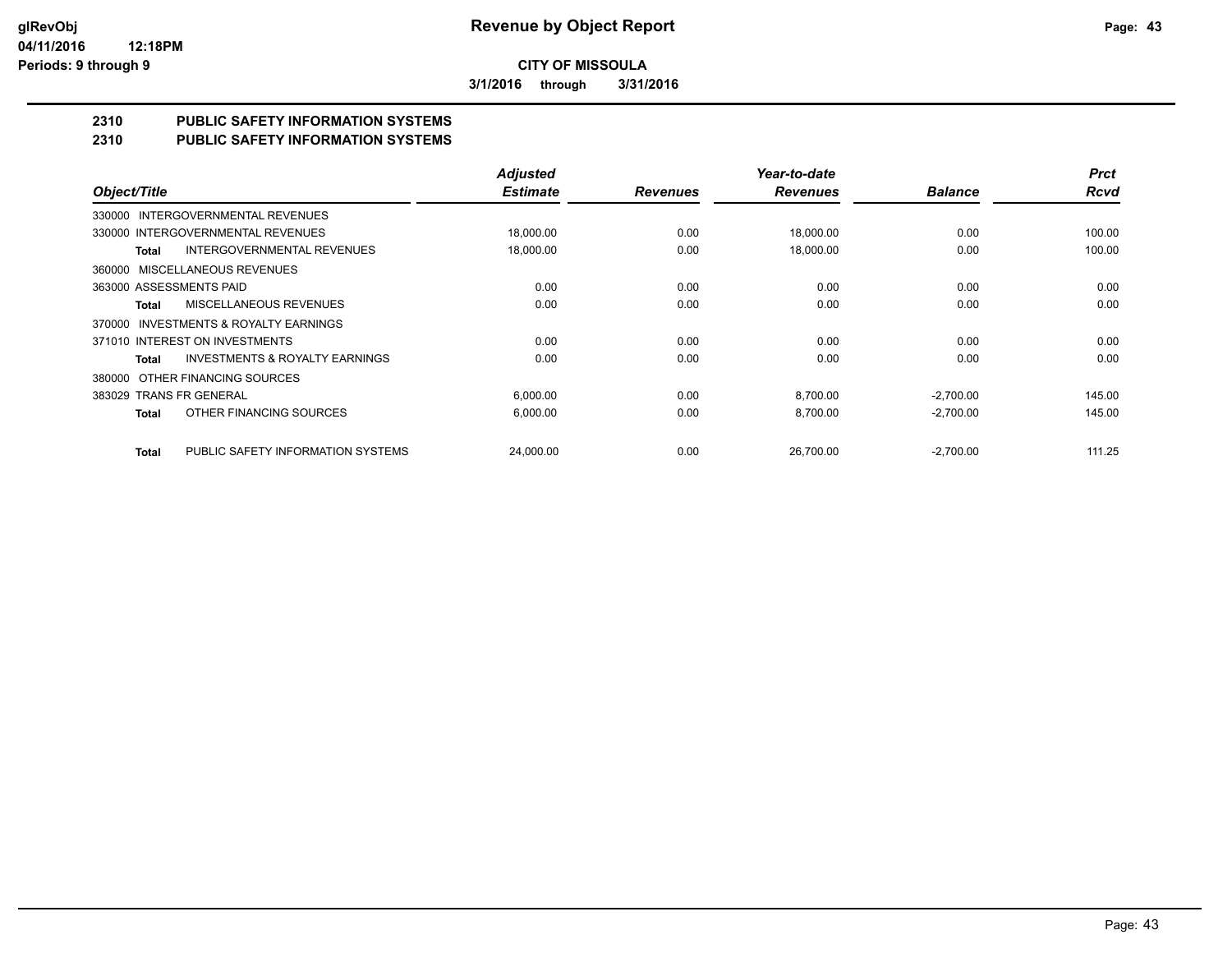**3/1/2016 through 3/31/2016**

## **2310 PUBLIC SAFETY INFORMATION SYSTEMS**

## **2310 PUBLIC SAFETY INFORMATION SYSTEMS**

|                                                    | <b>Adjusted</b> |                 | Year-to-date    |                | <b>Prct</b> |
|----------------------------------------------------|-----------------|-----------------|-----------------|----------------|-------------|
| Object/Title                                       | <b>Estimate</b> | <b>Revenues</b> | <b>Revenues</b> | <b>Balance</b> | <b>Rcvd</b> |
| INTERGOVERNMENTAL REVENUES<br>330000               |                 |                 |                 |                |             |
| 330000 INTERGOVERNMENTAL REVENUES                  | 18,000.00       | 0.00            | 18,000.00       | 0.00           | 100.00      |
| <b>INTERGOVERNMENTAL REVENUES</b><br>Total         | 18,000.00       | 0.00            | 18.000.00       | 0.00           | 100.00      |
| MISCELLANEOUS REVENUES<br>360000                   |                 |                 |                 |                |             |
| 363000 ASSESSMENTS PAID                            | 0.00            | 0.00            | 0.00            | 0.00           | 0.00        |
| MISCELLANEOUS REVENUES<br>Total                    | 0.00            | 0.00            | 0.00            | 0.00           | 0.00        |
| INVESTMENTS & ROYALTY EARNINGS<br>370000           |                 |                 |                 |                |             |
| 371010 INTEREST ON INVESTMENTS                     | 0.00            | 0.00            | 0.00            | 0.00           | 0.00        |
| <b>INVESTMENTS &amp; ROYALTY EARNINGS</b><br>Total | 0.00            | 0.00            | 0.00            | 0.00           | 0.00        |
| OTHER FINANCING SOURCES<br>380000                  |                 |                 |                 |                |             |
| 383029 TRANS FR GENERAL                            | 6,000.00        | 0.00            | 8,700.00        | $-2,700.00$    | 145.00      |
| OTHER FINANCING SOURCES<br><b>Total</b>            | 6,000.00        | 0.00            | 8,700.00        | $-2,700.00$    | 145.00      |
|                                                    |                 |                 |                 |                |             |
| PUBLIC SAFETY INFORMATION SYSTEMS<br><b>Total</b>  | 24.000.00       | 0.00            | 26.700.00       | $-2,700.00$    | 111.25      |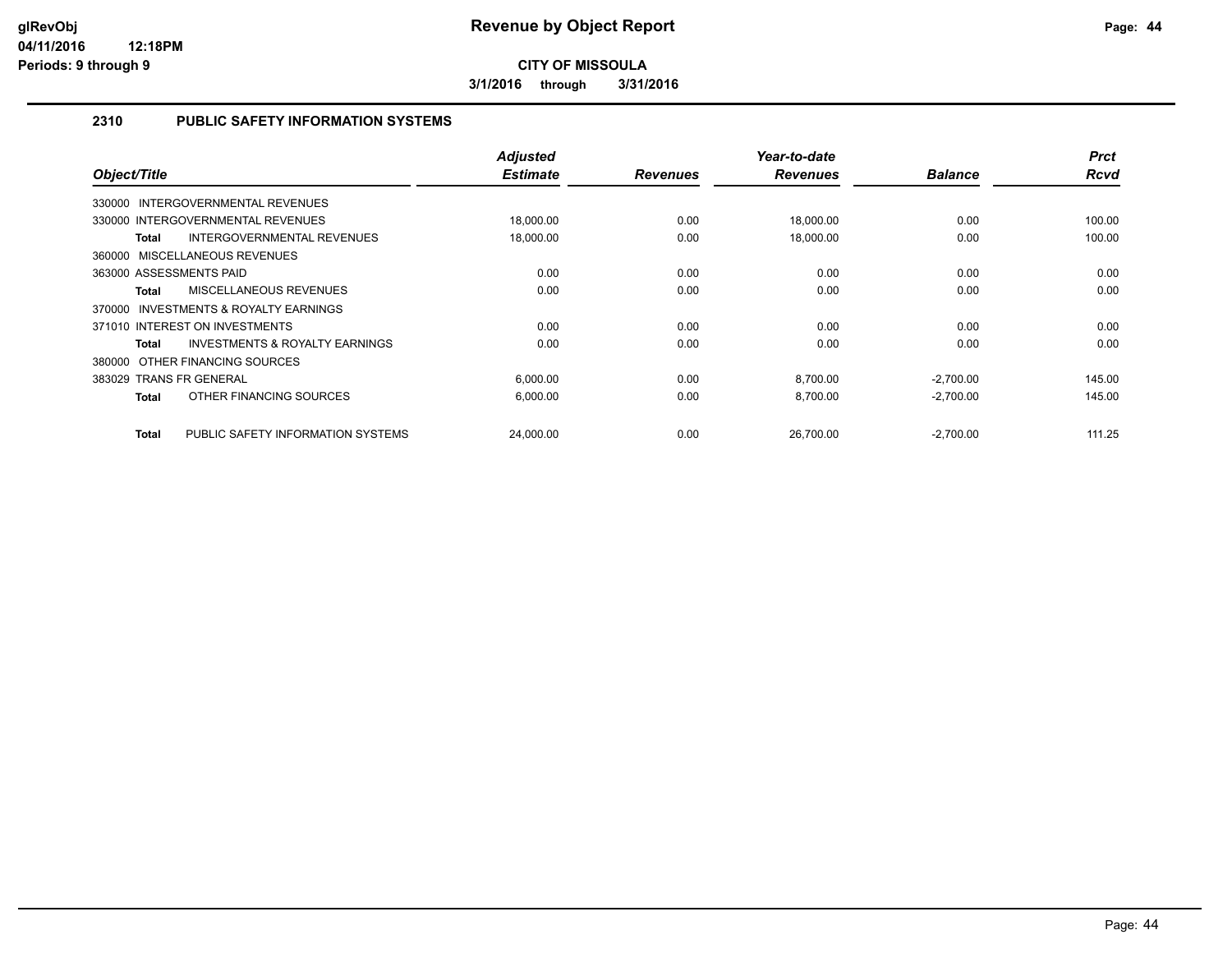**3/1/2016 through 3/31/2016**

## **2310 PUBLIC SAFETY INFORMATION SYSTEMS**

| Object/Title                                              | <b>Adjusted</b><br><b>Estimate</b> | <b>Revenues</b> | Year-to-date<br><b>Revenues</b> | <b>Balance</b> | <b>Prct</b><br><b>Rcvd</b> |
|-----------------------------------------------------------|------------------------------------|-----------------|---------------------------------|----------------|----------------------------|
| INTERGOVERNMENTAL REVENUES<br>330000                      |                                    |                 |                                 |                |                            |
| 330000 INTERGOVERNMENTAL REVENUES                         | 18,000.00                          | 0.00            | 18,000.00                       | 0.00           | 100.00                     |
| INTERGOVERNMENTAL REVENUES<br><b>Total</b>                | 18,000.00                          | 0.00            | 18,000.00                       | 0.00           | 100.00                     |
| 360000 MISCELLANEOUS REVENUES                             |                                    |                 |                                 |                |                            |
| 363000 ASSESSMENTS PAID                                   | 0.00                               | 0.00            | 0.00                            | 0.00           | 0.00                       |
| MISCELLANEOUS REVENUES<br><b>Total</b>                    | 0.00                               | 0.00            | 0.00                            | 0.00           | 0.00                       |
| INVESTMENTS & ROYALTY EARNINGS<br>370000                  |                                    |                 |                                 |                |                            |
| 371010 INTEREST ON INVESTMENTS                            | 0.00                               | 0.00            | 0.00                            | 0.00           | 0.00                       |
| <b>INVESTMENTS &amp; ROYALTY EARNINGS</b><br><b>Total</b> | 0.00                               | 0.00            | 0.00                            | 0.00           | 0.00                       |
| 380000 OTHER FINANCING SOURCES                            |                                    |                 |                                 |                |                            |
| 383029 TRANS FR GENERAL                                   | 6,000.00                           | 0.00            | 8,700.00                        | $-2,700.00$    | 145.00                     |
| OTHER FINANCING SOURCES<br><b>Total</b>                   | 6,000.00                           | 0.00            | 8,700.00                        | $-2,700.00$    | 145.00                     |
|                                                           |                                    |                 |                                 |                |                            |
| PUBLIC SAFETY INFORMATION SYSTEMS<br><b>Total</b>         | 24,000.00                          | 0.00            | 26,700.00                       | $-2,700.00$    | 111.25                     |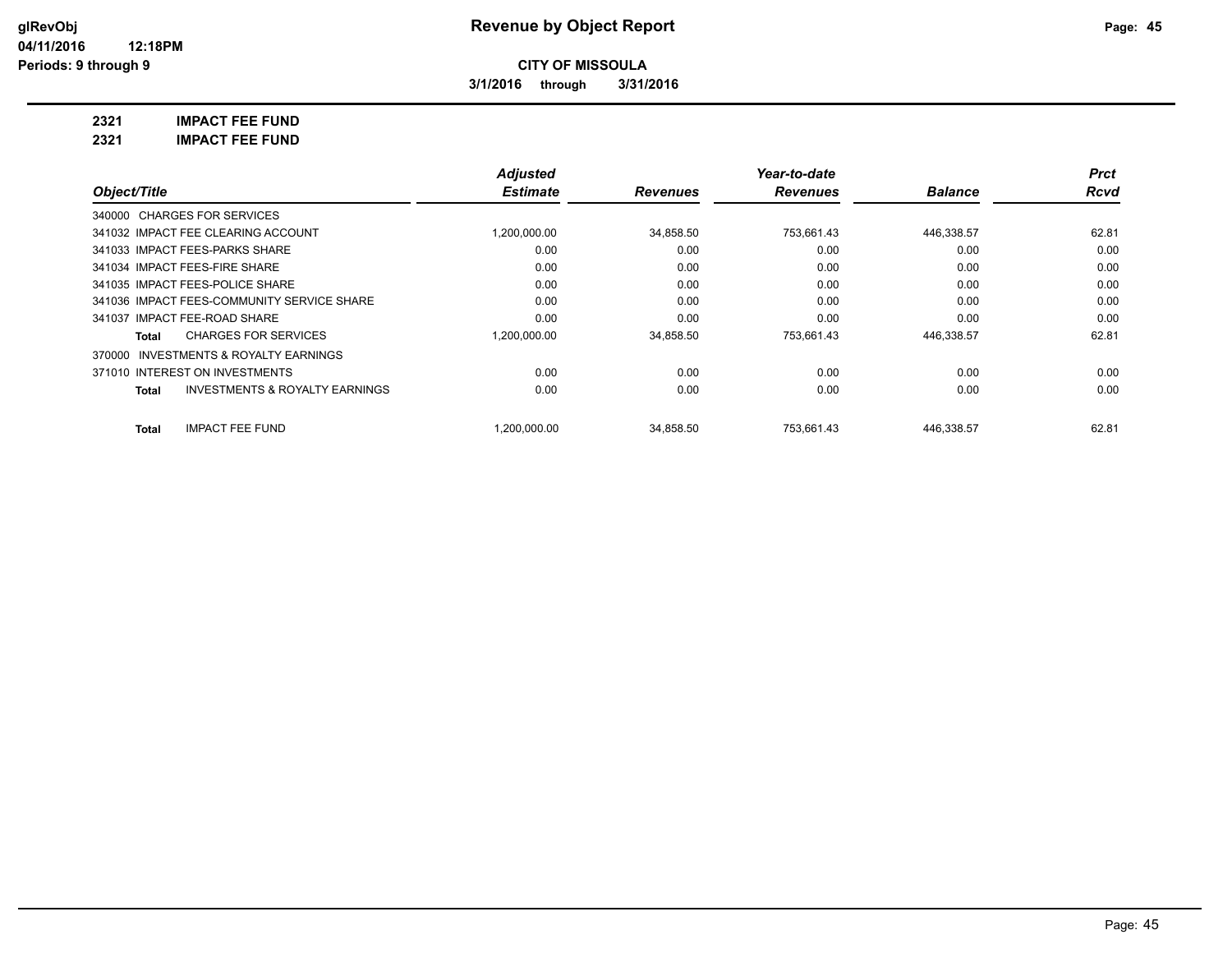**3/1/2016 through 3/31/2016**

**2321 IMPACT FEE FUND 2321 IMPACT FEE FUND**

|                                                           | <b>Adjusted</b> |                 | Year-to-date    |                | <b>Prct</b> |
|-----------------------------------------------------------|-----------------|-----------------|-----------------|----------------|-------------|
| Object/Title                                              | <b>Estimate</b> | <b>Revenues</b> | <b>Revenues</b> | <b>Balance</b> | Rcvd        |
| 340000 CHARGES FOR SERVICES                               |                 |                 |                 |                |             |
| 341032 IMPACT FEE CLEARING ACCOUNT                        | 1,200,000.00    | 34,858.50       | 753,661.43      | 446,338.57     | 62.81       |
| 341033 IMPACT FEES-PARKS SHARE                            | 0.00            | 0.00            | 0.00            | 0.00           | 0.00        |
| 341034 IMPACT FEES-FIRE SHARE                             | 0.00            | 0.00            | 0.00            | 0.00           | 0.00        |
| 341035 IMPACT FEES-POLICE SHARE                           | 0.00            | 0.00            | 0.00            | 0.00           | 0.00        |
| 341036 IMPACT FEES-COMMUNITY SERVICE SHARE                | 0.00            | 0.00            | 0.00            | 0.00           | 0.00        |
| 341037 IMPACT FEE-ROAD SHARE                              | 0.00            | 0.00            | 0.00            | 0.00           | 0.00        |
| <b>CHARGES FOR SERVICES</b><br>Total                      | 1,200,000.00    | 34,858.50       | 753.661.43      | 446,338.57     | 62.81       |
| 370000 INVESTMENTS & ROYALTY EARNINGS                     |                 |                 |                 |                |             |
| 371010 INTEREST ON INVESTMENTS                            | 0.00            | 0.00            | 0.00            | 0.00           | 0.00        |
| <b>INVESTMENTS &amp; ROYALTY EARNINGS</b><br><b>Total</b> | 0.00            | 0.00            | 0.00            | 0.00           | 0.00        |
| <b>IMPACT FEE FUND</b><br><b>Total</b>                    | 1.200.000.00    | 34.858.50       | 753.661.43      | 446.338.57     | 62.81       |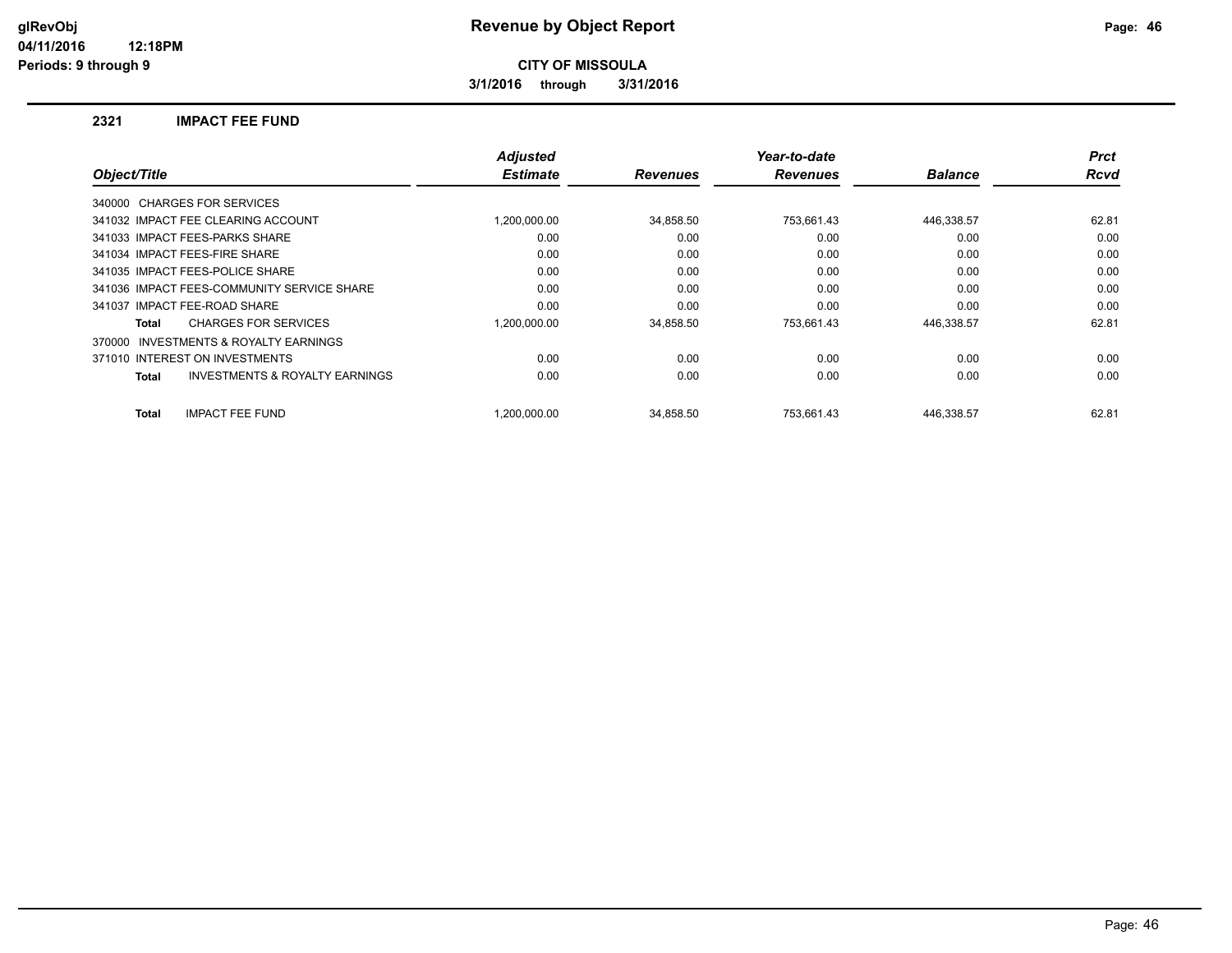**3/1/2016 through 3/31/2016**

#### **2321 IMPACT FEE FUND**

| Object/Title                                       | <b>Adjusted</b><br><b>Estimate</b> | <b>Revenues</b> | Year-to-date<br><b>Revenues</b> | <b>Balance</b> | <b>Prct</b><br><b>Rcvd</b> |
|----------------------------------------------------|------------------------------------|-----------------|---------------------------------|----------------|----------------------------|
|                                                    |                                    |                 |                                 |                |                            |
| 340000 CHARGES FOR SERVICES                        |                                    |                 |                                 |                |                            |
| 341032 IMPACT FEE CLEARING ACCOUNT                 | 1.200.000.00                       | 34,858.50       | 753,661.43                      | 446,338.57     | 62.81                      |
| 341033 IMPACT FEES-PARKS SHARE                     | 0.00                               | 0.00            | 0.00                            | 0.00           | 0.00                       |
| 341034 IMPACT FEES-FIRE SHARE                      | 0.00                               | 0.00            | 0.00                            | 0.00           | 0.00                       |
| 341035 IMPACT FEES-POLICE SHARE                    | 0.00                               | 0.00            | 0.00                            | 0.00           | 0.00                       |
| 341036 IMPACT FEES-COMMUNITY SERVICE SHARE         | 0.00                               | 0.00            | 0.00                            | 0.00           | 0.00                       |
| 341037 IMPACT FEE-ROAD SHARE                       | 0.00                               | 0.00            | 0.00                            | 0.00           | 0.00                       |
| <b>CHARGES FOR SERVICES</b><br>Total               | 1.200.000.00                       | 34,858.50       | 753.661.43                      | 446,338.57     | 62.81                      |
| INVESTMENTS & ROYALTY EARNINGS<br>370000           |                                    |                 |                                 |                |                            |
| 371010 INTEREST ON INVESTMENTS                     | 0.00                               | 0.00            | 0.00                            | 0.00           | 0.00                       |
| <b>INVESTMENTS &amp; ROYALTY EARNINGS</b><br>Total | 0.00                               | 0.00            | 0.00                            | 0.00           | 0.00                       |
| <b>IMPACT FEE FUND</b><br><b>Total</b>             | 1.200.000.00                       | 34.858.50       | 753.661.43                      | 446,338.57     | 62.81                      |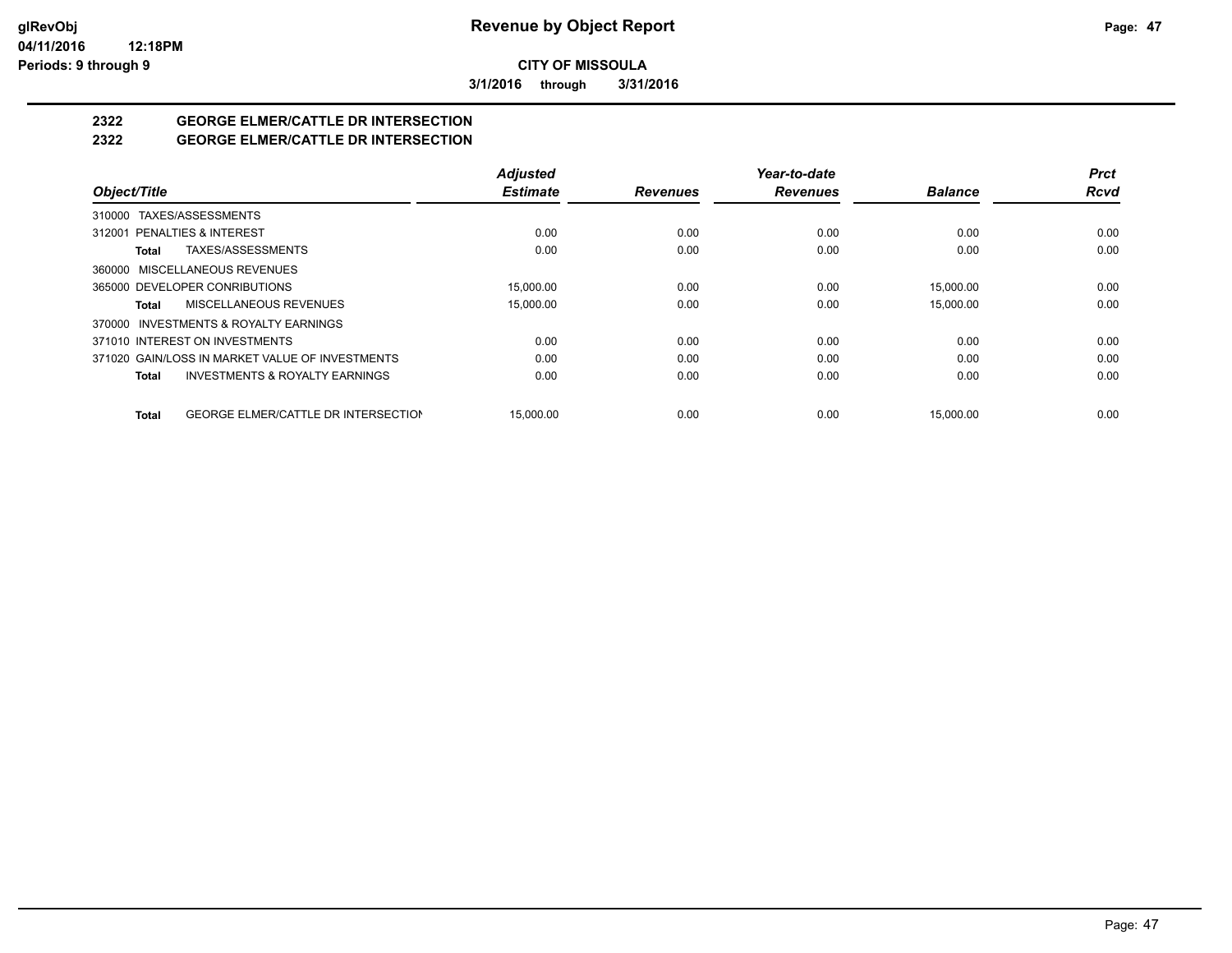**3/1/2016 through 3/31/2016**

## **2322 GEORGE ELMER/CATTLE DR INTERSECTION**

## **2322 GEORGE ELMER/CATTLE DR INTERSECTION**

|                                                            | <b>Adjusted</b> |                 | Year-to-date    |                | <b>Prct</b> |
|------------------------------------------------------------|-----------------|-----------------|-----------------|----------------|-------------|
| Object/Title                                               | <b>Estimate</b> | <b>Revenues</b> | <b>Revenues</b> | <b>Balance</b> | <b>Rcvd</b> |
| 310000 TAXES/ASSESSMENTS                                   |                 |                 |                 |                |             |
| 312001 PENALTIES & INTEREST                                | 0.00            | 0.00            | 0.00            | 0.00           | 0.00        |
| TAXES/ASSESSMENTS<br>Total                                 | 0.00            | 0.00            | 0.00            | 0.00           | 0.00        |
| MISCELLANEOUS REVENUES<br>360000                           |                 |                 |                 |                |             |
| 365000 DEVELOPER CONRIBUTIONS                              | 15.000.00       | 0.00            | 0.00            | 15.000.00      | 0.00        |
| MISCELLANEOUS REVENUES<br>Total                            | 15,000.00       | 0.00            | 0.00            | 15,000.00      | 0.00        |
| INVESTMENTS & ROYALTY EARNINGS<br>370000                   |                 |                 |                 |                |             |
| 371010 INTEREST ON INVESTMENTS                             | 0.00            | 0.00            | 0.00            | 0.00           | 0.00        |
| 371020 GAIN/LOSS IN MARKET VALUE OF INVESTMENTS            | 0.00            | 0.00            | 0.00            | 0.00           | 0.00        |
| <b>INVESTMENTS &amp; ROYALTY EARNINGS</b><br>Total         | 0.00            | 0.00            | 0.00            | 0.00           | 0.00        |
| <b>GEORGE ELMER/CATTLE DR INTERSECTION</b><br><b>Total</b> | 15.000.00       | 0.00            | 0.00            | 15.000.00      | 0.00        |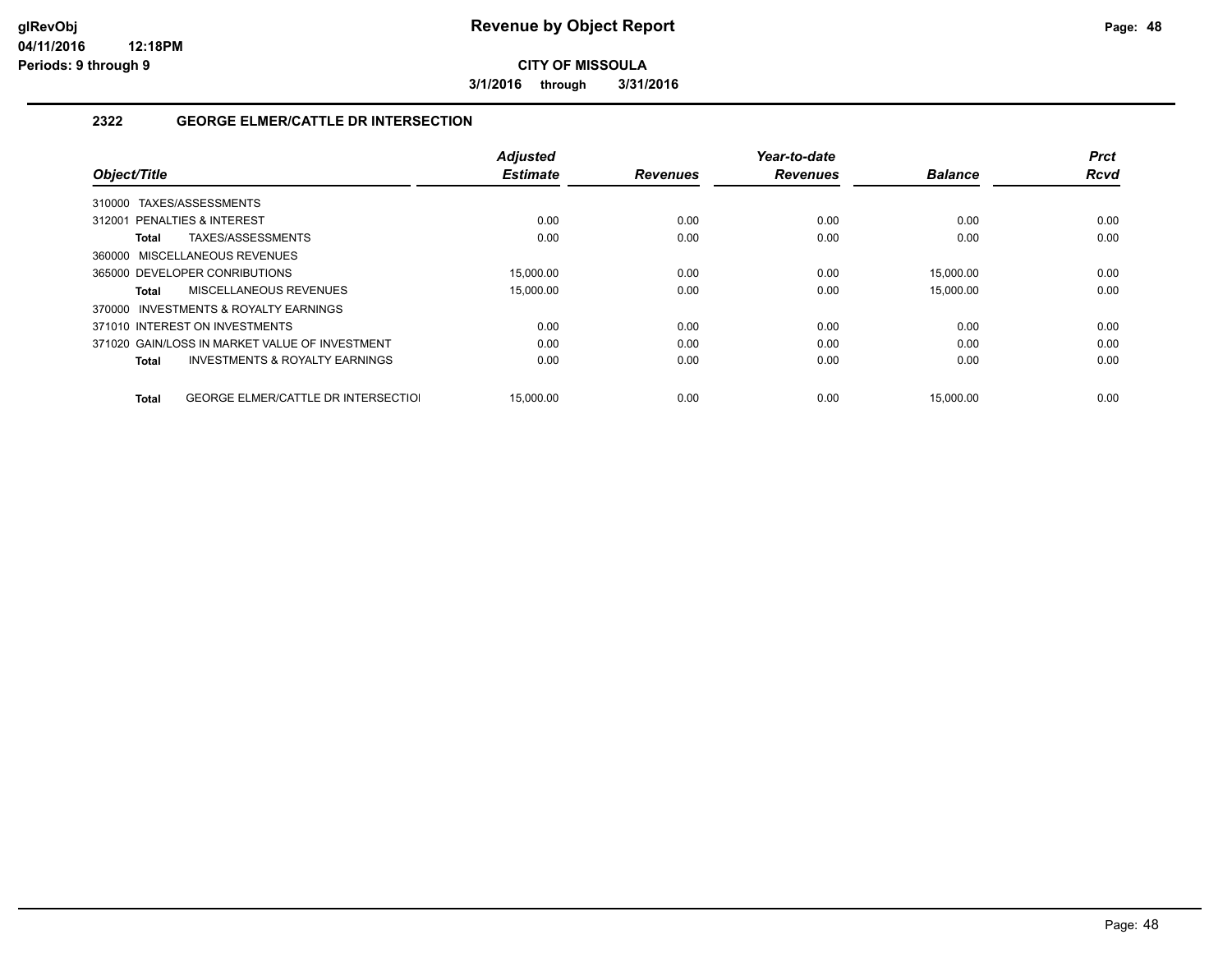**3/1/2016 through 3/31/2016**

### **2322 GEORGE ELMER/CATTLE DR INTERSECTION**

| Object/Title                                        | <b>Adjusted</b><br><b>Estimate</b> | <b>Revenues</b> | Year-to-date<br><b>Revenues</b> | <b>Balance</b> | <b>Prct</b><br><b>Rcvd</b> |
|-----------------------------------------------------|------------------------------------|-----------------|---------------------------------|----------------|----------------------------|
|                                                     |                                    |                 |                                 |                |                            |
| TAXES/ASSESSMENTS<br>310000                         |                                    |                 |                                 |                |                            |
| 312001 PENALTIES & INTEREST                         | 0.00                               | 0.00            | 0.00                            | 0.00           | 0.00                       |
| TAXES/ASSESSMENTS<br>Total                          | 0.00                               | 0.00            | 0.00                            | 0.00           | 0.00                       |
| 360000 MISCELLANEOUS REVENUES                       |                                    |                 |                                 |                |                            |
| 365000 DEVELOPER CONRIBUTIONS                       | 15.000.00                          | 0.00            | 0.00                            | 15.000.00      | 0.00                       |
| MISCELLANEOUS REVENUES<br>Total                     | 15,000.00                          | 0.00            | 0.00                            | 15,000.00      | 0.00                       |
| 370000 INVESTMENTS & ROYALTY EARNINGS               |                                    |                 |                                 |                |                            |
| 371010 INTEREST ON INVESTMENTS                      | 0.00                               | 0.00            | 0.00                            | 0.00           | 0.00                       |
| 371020 GAIN/LOSS IN MARKET VALUE OF INVESTMENT      | 0.00                               | 0.00            | 0.00                            | 0.00           | 0.00                       |
| <b>INVESTMENTS &amp; ROYALTY EARNINGS</b><br>Total  | 0.00                               | 0.00            | 0.00                            | 0.00           | 0.00                       |
|                                                     |                                    |                 |                                 |                |                            |
| <b>GEORGE ELMER/CATTLE DR INTERSECTIOL</b><br>Total | 15.000.00                          | 0.00            | 0.00                            | 15.000.00      | 0.00                       |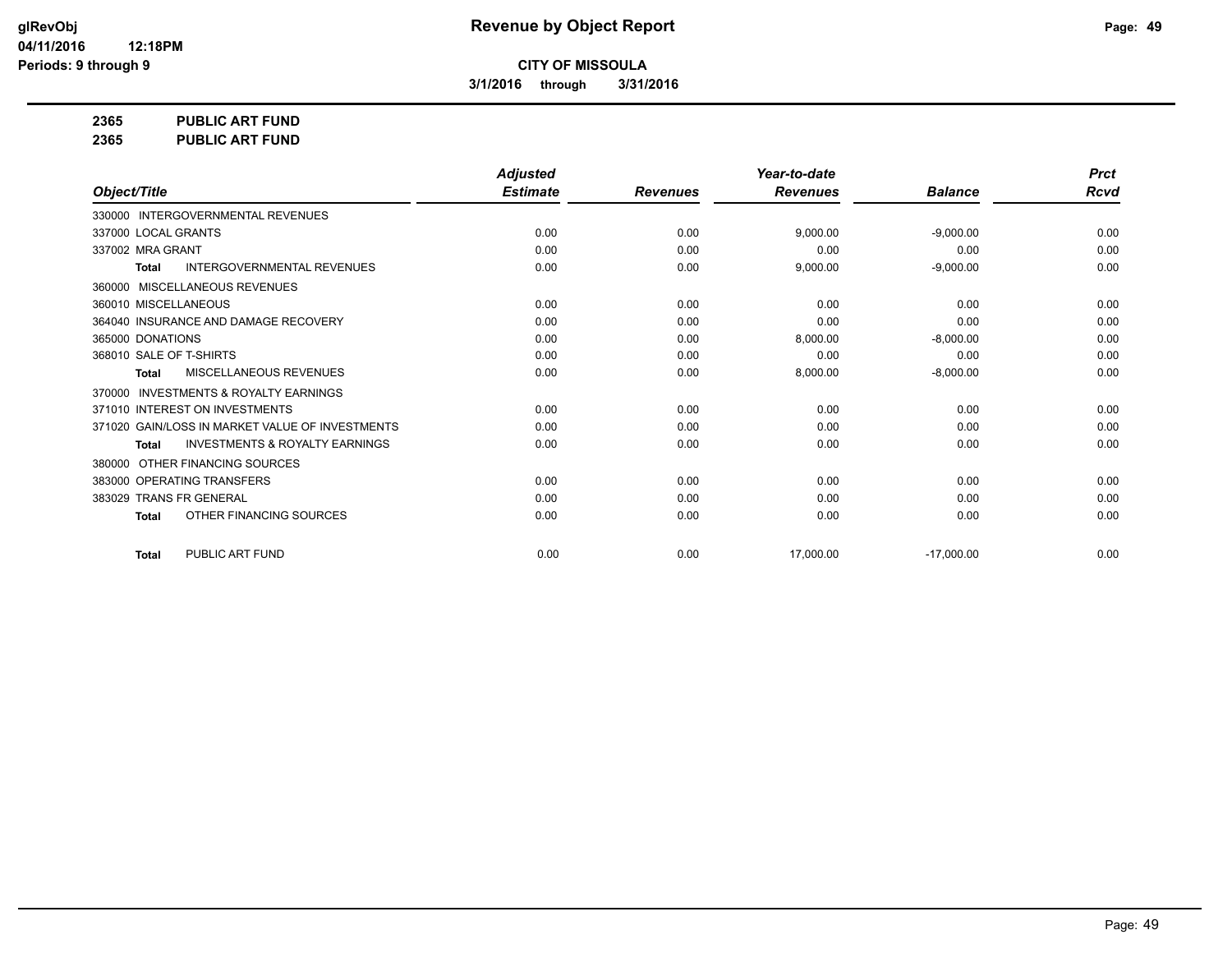**3/1/2016 through 3/31/2016**

**2365 PUBLIC ART FUND**

**2365 PUBLIC ART FUND**

|                                                           | <b>Adjusted</b> |                 | Year-to-date    |                | <b>Prct</b> |
|-----------------------------------------------------------|-----------------|-----------------|-----------------|----------------|-------------|
| Object/Title                                              | <b>Estimate</b> | <b>Revenues</b> | <b>Revenues</b> | <b>Balance</b> | <b>Rcvd</b> |
| 330000 INTERGOVERNMENTAL REVENUES                         |                 |                 |                 |                |             |
| 337000 LOCAL GRANTS                                       | 0.00            | 0.00            | 9,000.00        | $-9,000.00$    | 0.00        |
| 337002 MRA GRANT                                          | 0.00            | 0.00            | 0.00            | 0.00           | 0.00        |
| <b>INTERGOVERNMENTAL REVENUES</b><br><b>Total</b>         | 0.00            | 0.00            | 9,000.00        | $-9,000.00$    | 0.00        |
| MISCELLANEOUS REVENUES<br>360000                          |                 |                 |                 |                |             |
| 360010 MISCELLANEOUS                                      | 0.00            | 0.00            | 0.00            | 0.00           | 0.00        |
| 364040 INSURANCE AND DAMAGE RECOVERY                      | 0.00            | 0.00            | 0.00            | 0.00           | 0.00        |
| 365000 DONATIONS                                          | 0.00            | 0.00            | 8,000.00        | $-8,000.00$    | 0.00        |
| 368010 SALE OF T-SHIRTS                                   | 0.00            | 0.00            | 0.00            | 0.00           | 0.00        |
| MISCELLANEOUS REVENUES<br><b>Total</b>                    | 0.00            | 0.00            | 8,000.00        | $-8,000.00$    | 0.00        |
| <b>INVESTMENTS &amp; ROYALTY EARNINGS</b><br>370000       |                 |                 |                 |                |             |
| 371010 INTEREST ON INVESTMENTS                            | 0.00            | 0.00            | 0.00            | 0.00           | 0.00        |
| 371020 GAIN/LOSS IN MARKET VALUE OF INVESTMENTS           | 0.00            | 0.00            | 0.00            | 0.00           | 0.00        |
| <b>INVESTMENTS &amp; ROYALTY EARNINGS</b><br><b>Total</b> | 0.00            | 0.00            | 0.00            | 0.00           | 0.00        |
| OTHER FINANCING SOURCES<br>380000                         |                 |                 |                 |                |             |
| 383000 OPERATING TRANSFERS                                | 0.00            | 0.00            | 0.00            | 0.00           | 0.00        |
| 383029 TRANS FR GENERAL                                   | 0.00            | 0.00            | 0.00            | 0.00           | 0.00        |
| OTHER FINANCING SOURCES<br><b>Total</b>                   | 0.00            | 0.00            | 0.00            | 0.00           | 0.00        |
| PUBLIC ART FUND<br><b>Total</b>                           | 0.00            | 0.00            | 17,000.00       | $-17,000.00$   | 0.00        |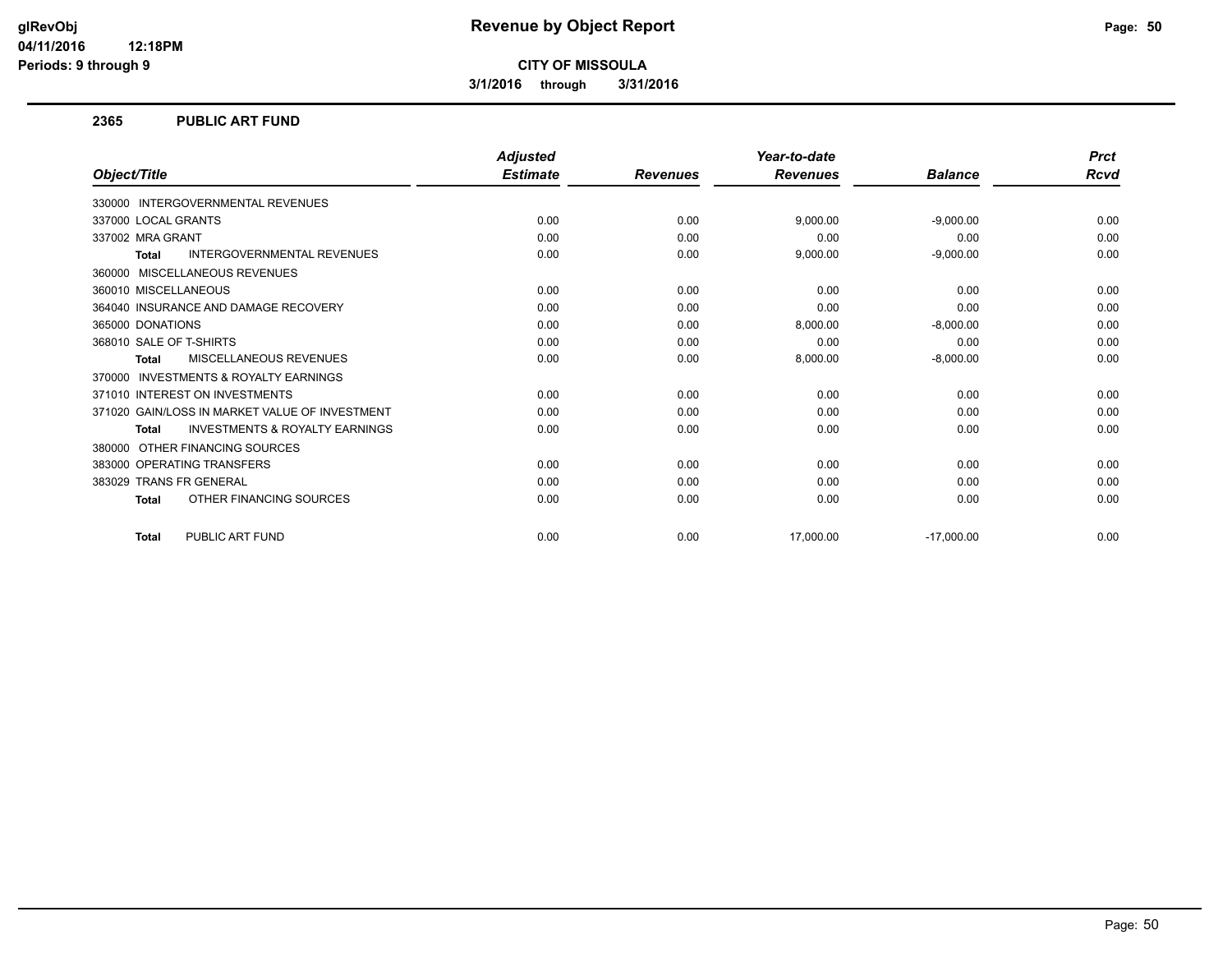**3/1/2016 through 3/31/2016**

#### **2365 PUBLIC ART FUND**

|                                                           | <b>Adjusted</b> |                 | Year-to-date    |                | <b>Prct</b> |
|-----------------------------------------------------------|-----------------|-----------------|-----------------|----------------|-------------|
| Object/Title                                              | <b>Estimate</b> | <b>Revenues</b> | <b>Revenues</b> | <b>Balance</b> | <b>Rcvd</b> |
| <b>INTERGOVERNMENTAL REVENUES</b><br>330000               |                 |                 |                 |                |             |
| 337000 LOCAL GRANTS                                       | 0.00            | 0.00            | 9,000.00        | $-9,000.00$    | 0.00        |
| 337002 MRA GRANT                                          | 0.00            | 0.00            | 0.00            | 0.00           | 0.00        |
| <b>INTERGOVERNMENTAL REVENUES</b><br><b>Total</b>         | 0.00            | 0.00            | 9,000.00        | $-9,000.00$    | 0.00        |
| MISCELLANEOUS REVENUES<br>360000                          |                 |                 |                 |                |             |
| 360010 MISCELLANEOUS                                      | 0.00            | 0.00            | 0.00            | 0.00           | 0.00        |
| 364040 INSURANCE AND DAMAGE RECOVERY                      | 0.00            | 0.00            | 0.00            | 0.00           | 0.00        |
| 365000 DONATIONS                                          | 0.00            | 0.00            | 8,000.00        | $-8,000.00$    | 0.00        |
| 368010 SALE OF T-SHIRTS                                   | 0.00            | 0.00            | 0.00            | 0.00           | 0.00        |
| MISCELLANEOUS REVENUES<br><b>Total</b>                    | 0.00            | 0.00            | 8,000.00        | $-8,000.00$    | 0.00        |
| <b>INVESTMENTS &amp; ROYALTY EARNINGS</b><br>370000       |                 |                 |                 |                |             |
| 371010 INTEREST ON INVESTMENTS                            | 0.00            | 0.00            | 0.00            | 0.00           | 0.00        |
| 371020 GAIN/LOSS IN MARKET VALUE OF INVESTMENT            | 0.00            | 0.00            | 0.00            | 0.00           | 0.00        |
| <b>INVESTMENTS &amp; ROYALTY EARNINGS</b><br><b>Total</b> | 0.00            | 0.00            | 0.00            | 0.00           | 0.00        |
| OTHER FINANCING SOURCES<br>380000                         |                 |                 |                 |                |             |
| 383000 OPERATING TRANSFERS                                | 0.00            | 0.00            | 0.00            | 0.00           | 0.00        |
| 383029 TRANS FR GENERAL                                   | 0.00            | 0.00            | 0.00            | 0.00           | 0.00        |
| OTHER FINANCING SOURCES<br><b>Total</b>                   | 0.00            | 0.00            | 0.00            | 0.00           | 0.00        |
| PUBLIC ART FUND<br><b>Total</b>                           | 0.00            | 0.00            | 17,000.00       | $-17,000.00$   | 0.00        |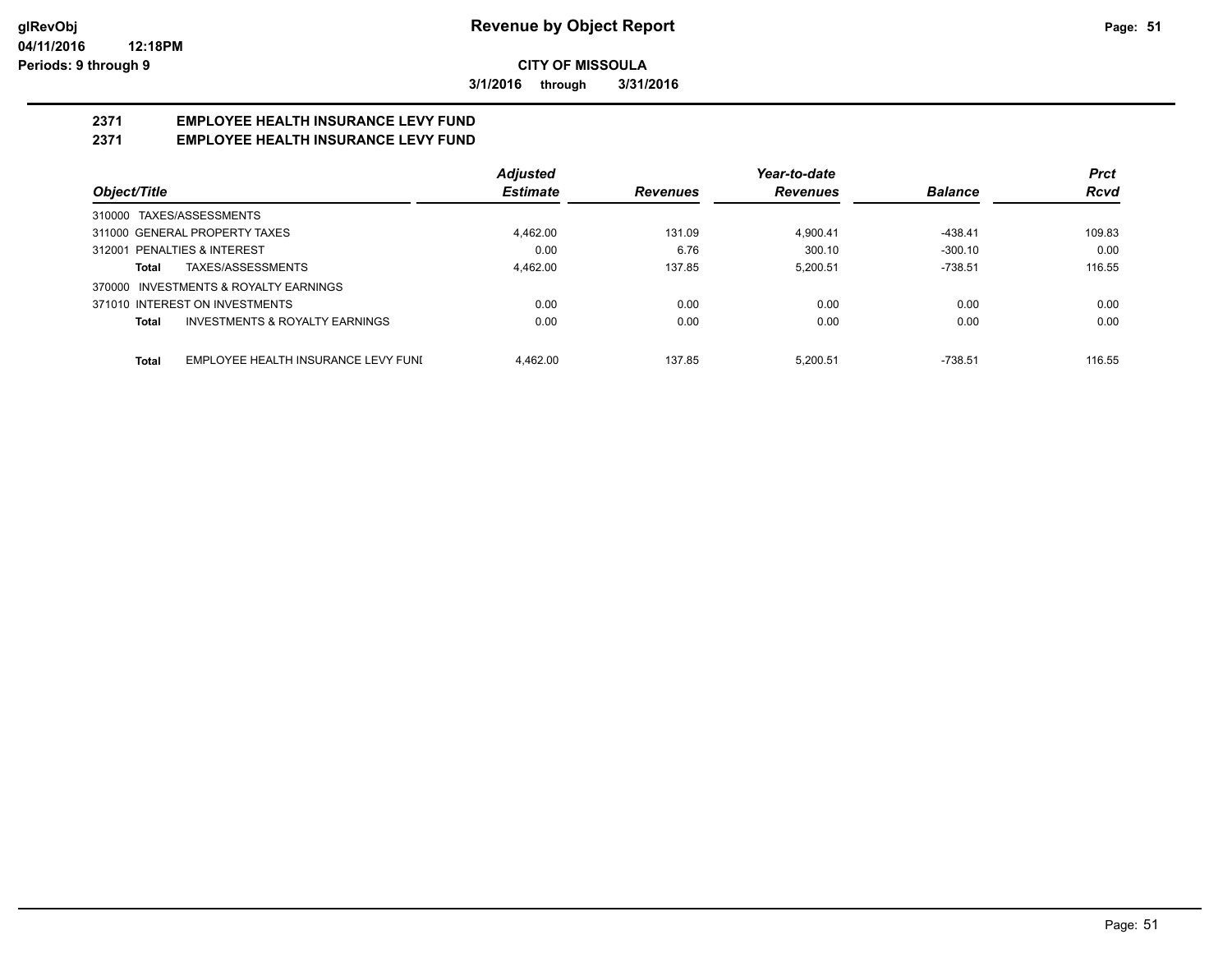**3/1/2016 through 3/31/2016**

## **2371 EMPLOYEE HEALTH INSURANCE LEVY FUND**

## **2371 EMPLOYEE HEALTH INSURANCE LEVY FUND**

|                                              | <b>Adjusted</b> |                 | Year-to-date    |                | <b>Prct</b> |
|----------------------------------------------|-----------------|-----------------|-----------------|----------------|-------------|
| Object/Title                                 | <b>Estimate</b> | <b>Revenues</b> | <b>Revenues</b> | <b>Balance</b> | <b>Rcvd</b> |
| 310000 TAXES/ASSESSMENTS                     |                 |                 |                 |                |             |
| 311000 GENERAL PROPERTY TAXES                | 4,462.00        | 131.09          | 4.900.41        | -438.41        | 109.83      |
| 312001 PENALTIES & INTEREST                  | 0.00            | 6.76            | 300.10          | $-300.10$      | 0.00        |
| TAXES/ASSESSMENTS<br>Total                   | 4,462.00        | 137.85          | 5.200.51        | $-738.51$      | 116.55      |
| INVESTMENTS & ROYALTY EARNINGS<br>370000     |                 |                 |                 |                |             |
| 371010 INTEREST ON INVESTMENTS               | 0.00            | 0.00            | 0.00            | 0.00           | 0.00        |
| INVESTMENTS & ROYALTY EARNINGS<br>Total      | 0.00            | 0.00            | 0.00            | 0.00           | 0.00        |
| EMPLOYEE HEALTH INSURANCE LEVY FUNI<br>Total | 4.462.00        | 137.85          | 5.200.51        | $-738.51$      | 116.55      |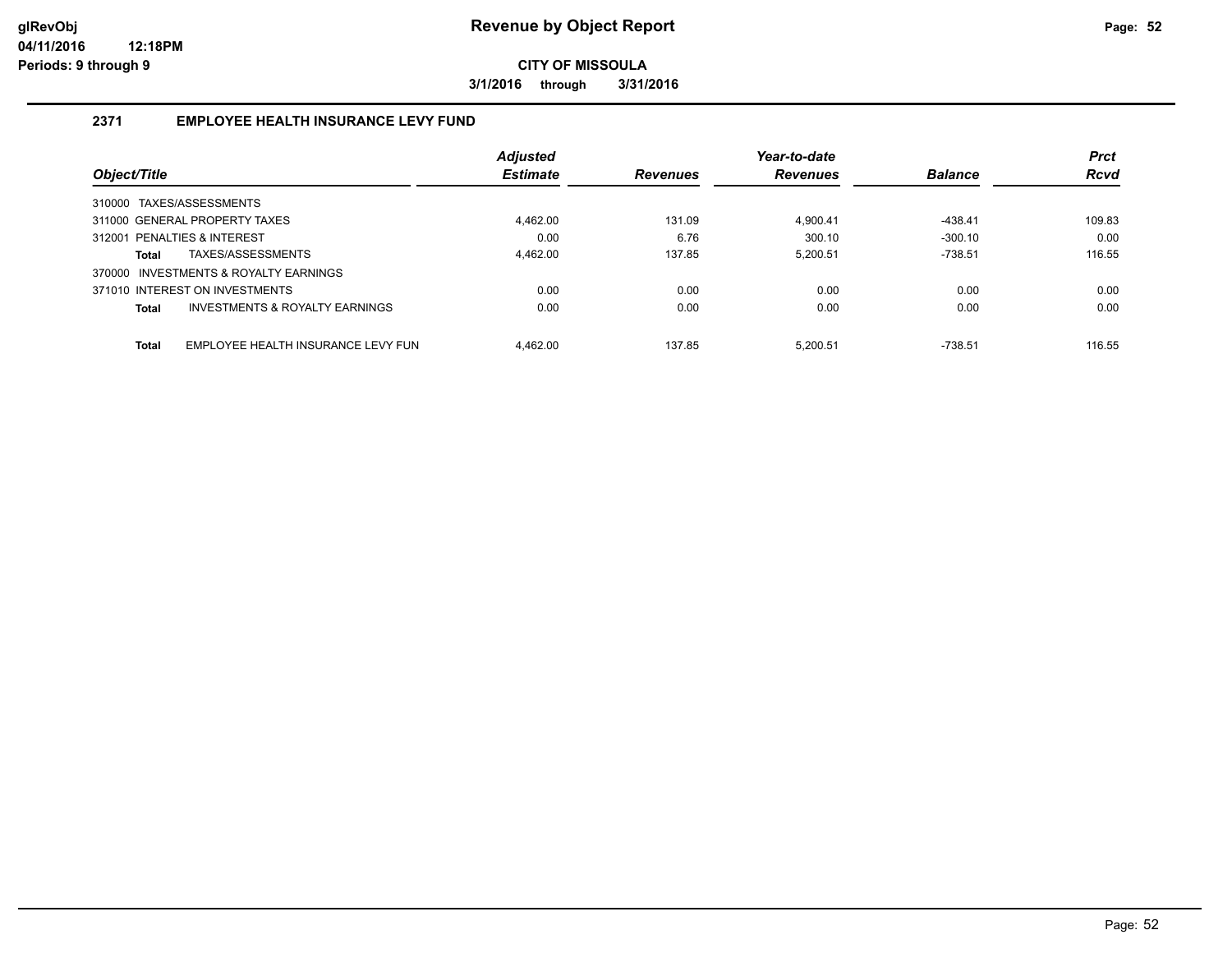**3/1/2016 through 3/31/2016**

## **2371 EMPLOYEE HEALTH INSURANCE LEVY FUND**

|                                                    | <b>Adjusted</b> |                 | Year-to-date    |                | <b>Prct</b> |
|----------------------------------------------------|-----------------|-----------------|-----------------|----------------|-------------|
| Object/Title                                       | <b>Estimate</b> | <b>Revenues</b> | <b>Revenues</b> | <b>Balance</b> | <b>Rcvd</b> |
| 310000 TAXES/ASSESSMENTS                           |                 |                 |                 |                |             |
| 311000 GENERAL PROPERTY TAXES                      | 4.462.00        | 131.09          | 4.900.41        | $-438.41$      | 109.83      |
| 312001 PENALTIES & INTEREST                        | 0.00            | 6.76            | 300.10          | $-300.10$      | 0.00        |
| TAXES/ASSESSMENTS<br><b>Total</b>                  | 4.462.00        | 137.85          | 5.200.51        | $-738.51$      | 116.55      |
| 370000 INVESTMENTS & ROYALTY EARNINGS              |                 |                 |                 |                |             |
| 371010 INTEREST ON INVESTMENTS                     | 0.00            | 0.00            | 0.00            | 0.00           | 0.00        |
| INVESTMENTS & ROYALTY EARNINGS<br><b>Total</b>     | 0.00            | 0.00            | 0.00            | 0.00           | 0.00        |
| <b>Total</b><br>EMPLOYEE HEALTH INSURANCE LEVY FUN | 4.462.00        | 137.85          | 5.200.51        | $-738.51$      | 116.55      |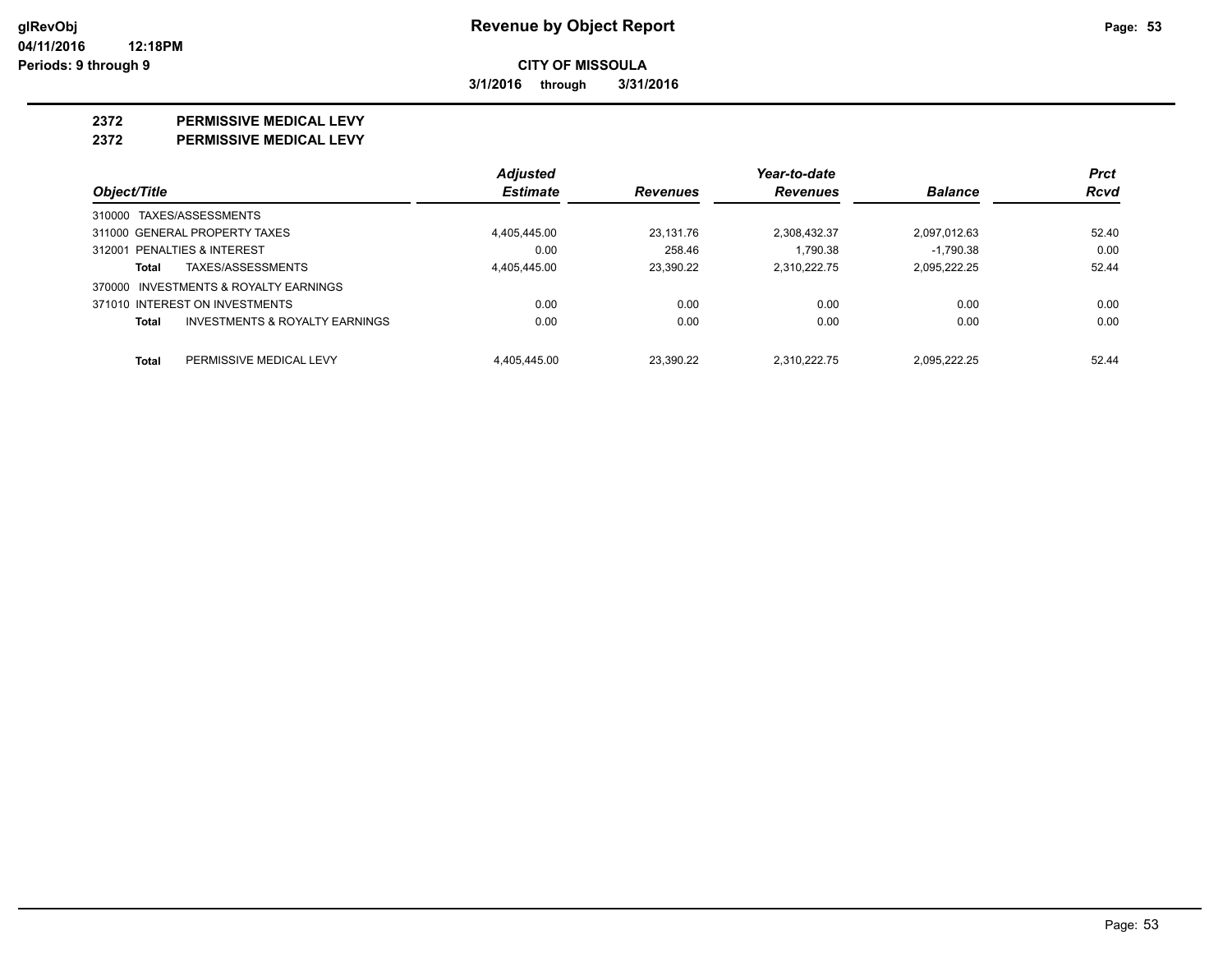**3/1/2016 through 3/31/2016**

#### **2372 PERMISSIVE MEDICAL LEVY**

**2372 PERMISSIVE MEDICAL LEVY**

|                                                    | <b>Adjusted</b> |                 | Year-to-date    |                | <b>Prct</b> |
|----------------------------------------------------|-----------------|-----------------|-----------------|----------------|-------------|
| Object/Title                                       | <b>Estimate</b> | <b>Revenues</b> | <b>Revenues</b> | <b>Balance</b> | <b>Rcvd</b> |
| 310000 TAXES/ASSESSMENTS                           |                 |                 |                 |                |             |
| 311000 GENERAL PROPERTY TAXES                      | 4,405,445.00    | 23.131.76       | 2,308,432.37    | 2,097,012.63   | 52.40       |
| 312001 PENALTIES & INTEREST                        | 0.00            | 258.46          | 1.790.38        | $-1.790.38$    | 0.00        |
| TAXES/ASSESSMENTS<br>Total                         | 4.405.445.00    | 23.390.22       | 2.310.222.75    | 2.095.222.25   | 52.44       |
| 370000 INVESTMENTS & ROYALTY EARNINGS              |                 |                 |                 |                |             |
| 371010 INTEREST ON INVESTMENTS                     | 0.00            | 0.00            | 0.00            | 0.00           | 0.00        |
| <b>INVESTMENTS &amp; ROYALTY EARNINGS</b><br>Total | 0.00            | 0.00            | 0.00            | 0.00           | 0.00        |
| Total<br>PERMISSIVE MEDICAL LEVY                   | 4.405.445.00    | 23.390.22       | 2.310.222.75    | 2.095.222.25   | 52.44       |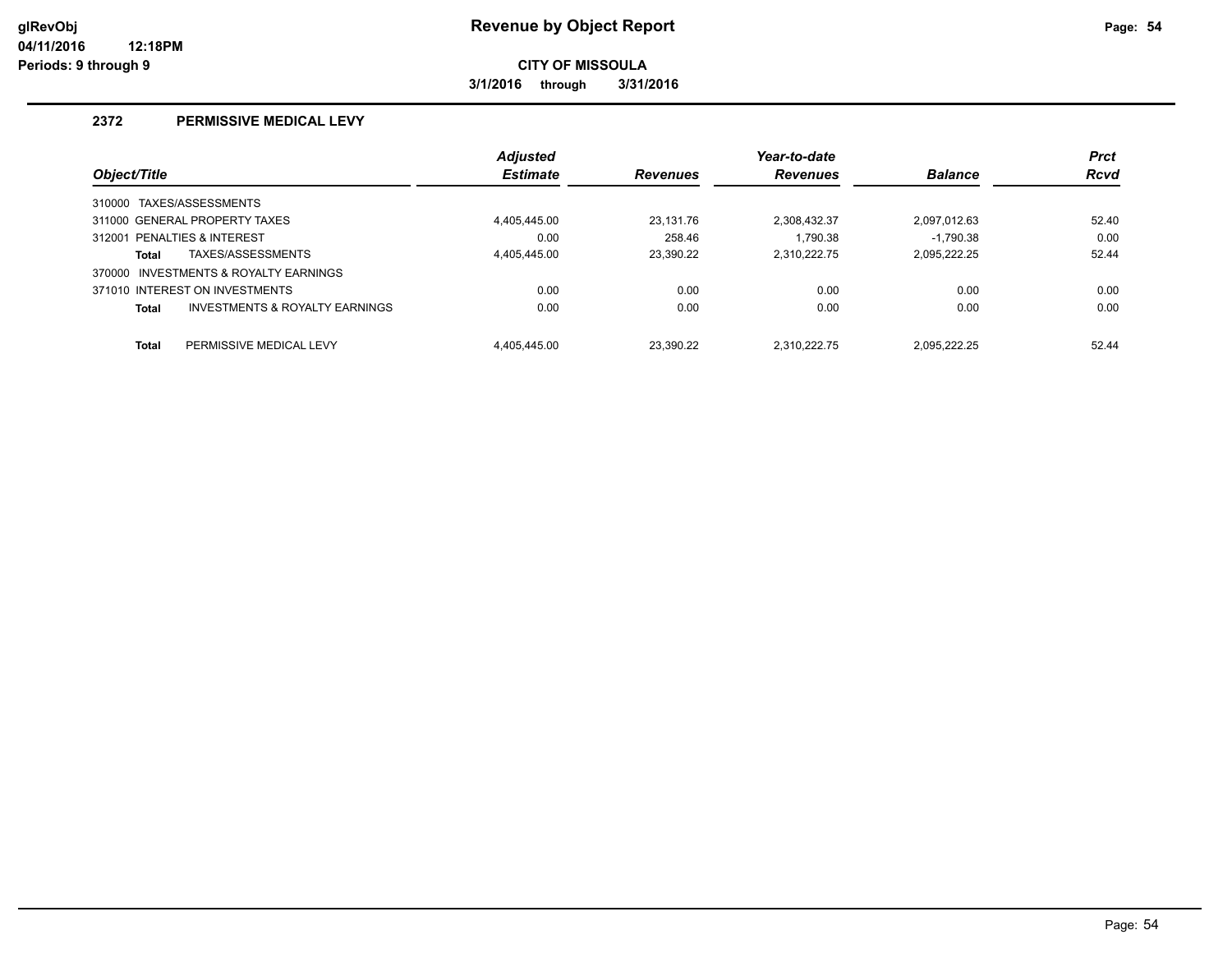**3/1/2016 through 3/31/2016**

### **2372 PERMISSIVE MEDICAL LEVY**

|                                                | <b>Adjusted</b> |                 | Year-to-date    |                | <b>Prct</b> |
|------------------------------------------------|-----------------|-----------------|-----------------|----------------|-------------|
| Object/Title                                   | <b>Estimate</b> | <b>Revenues</b> | <b>Revenues</b> | <b>Balance</b> | <b>Rcvd</b> |
| 310000 TAXES/ASSESSMENTS                       |                 |                 |                 |                |             |
| 311000 GENERAL PROPERTY TAXES                  | 4.405.445.00    | 23.131.76       | 2.308.432.37    | 2.097.012.63   | 52.40       |
| 312001 PENALTIES & INTEREST                    | 0.00            | 258.46          | 1.790.38        | $-1.790.38$    | 0.00        |
| TAXES/ASSESSMENTS<br><b>Total</b>              | 4,405,445.00    | 23,390.22       | 2.310.222.75    | 2.095.222.25   | 52.44       |
| 370000 INVESTMENTS & ROYALTY EARNINGS          |                 |                 |                 |                |             |
| 371010 INTEREST ON INVESTMENTS                 | 0.00            | 0.00            | 0.00            | 0.00           | 0.00        |
| INVESTMENTS & ROYALTY EARNINGS<br><b>Total</b> | 0.00            | 0.00            | 0.00            | 0.00           | 0.00        |
| <b>Total</b><br>PERMISSIVE MEDICAL LEVY        | 4.405.445.00    | 23.390.22       | 2.310.222.75    | 2.095.222.25   | 52.44       |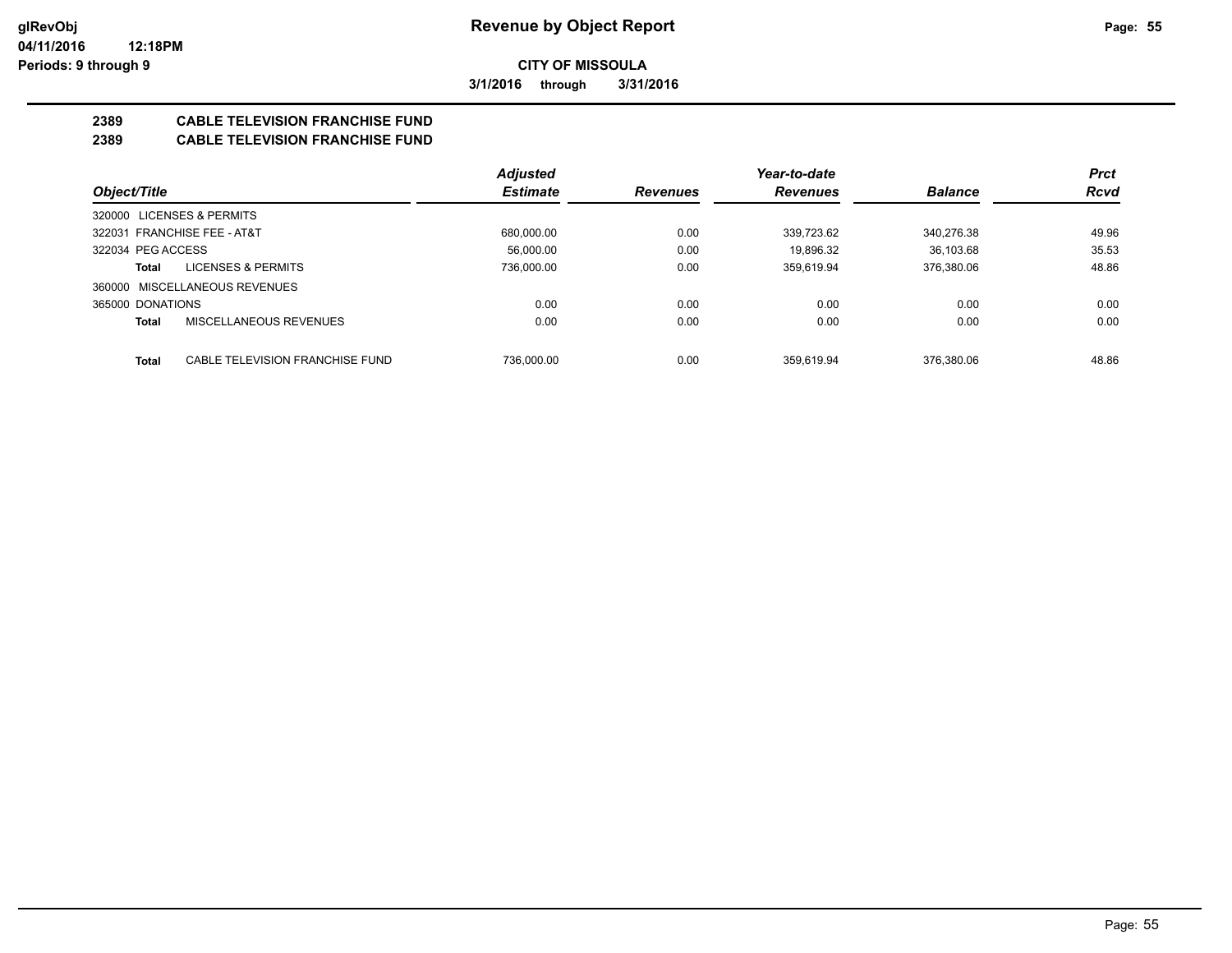**3/1/2016 through 3/31/2016**

## **2389 CABLE TELEVISION FRANCHISE FUND**

## **2389 CABLE TELEVISION FRANCHISE FUND**

|                                                 | <b>Adjusted</b> |                 | Year-to-date    |                | <b>Prct</b> |
|-------------------------------------------------|-----------------|-----------------|-----------------|----------------|-------------|
| Object/Title                                    | <b>Estimate</b> | <b>Revenues</b> | <b>Revenues</b> | <b>Balance</b> | <b>Rcvd</b> |
| <b>LICENSES &amp; PERMITS</b><br>320000         |                 |                 |                 |                |             |
| 322031 FRANCHISE FEE - AT&T                     | 680,000.00      | 0.00            | 339.723.62      | 340.276.38     | 49.96       |
| 322034 PEG ACCESS                               | 56.000.00       | 0.00            | 19.896.32       | 36.103.68      | 35.53       |
| LICENSES & PERMITS<br>Total                     | 736.000.00      | 0.00            | 359.619.94      | 376.380.06     | 48.86       |
| 360000 MISCELLANEOUS REVENUES                   |                 |                 |                 |                |             |
| 365000 DONATIONS                                | 0.00            | 0.00            | 0.00            | 0.00           | 0.00        |
| MISCELLANEOUS REVENUES<br><b>Total</b>          | 0.00            | 0.00            | 0.00            | 0.00           | 0.00        |
|                                                 |                 |                 |                 |                |             |
| CABLE TELEVISION FRANCHISE FUND<br><b>Total</b> | 736.000.00      | 0.00            | 359.619.94      | 376.380.06     | 48.86       |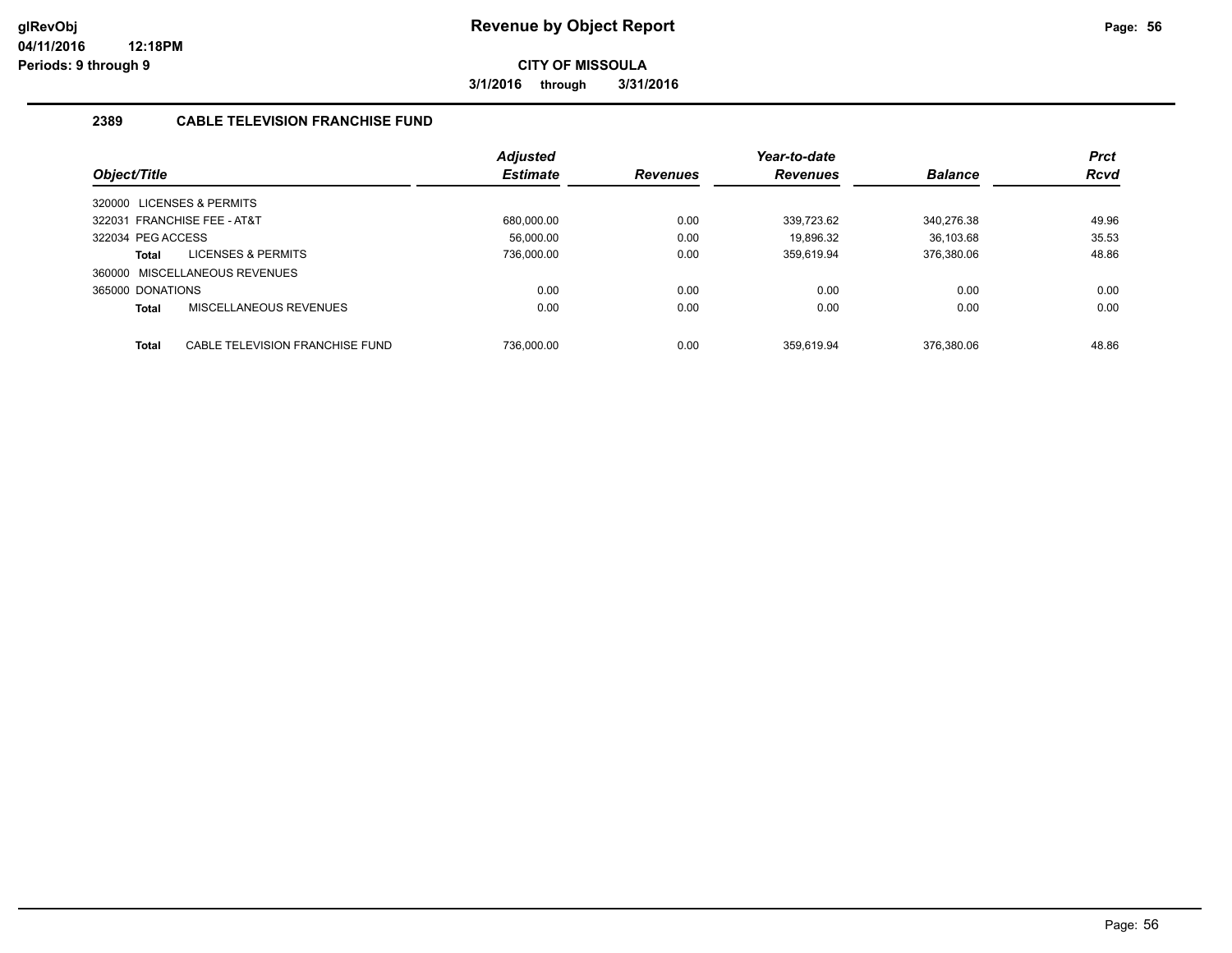**3/1/2016 through 3/31/2016**

## **2389 CABLE TELEVISION FRANCHISE FUND**

|                           |                                 | <b>Adjusted</b> |                 | Year-to-date   |             | <b>Prct</b> |
|---------------------------|---------------------------------|-----------------|-----------------|----------------|-------------|-------------|
| Object/Title              | <b>Estimate</b>                 | <b>Revenues</b> | <b>Revenues</b> | <b>Balance</b> | <b>Rcvd</b> |             |
| 320000 LICENSES & PERMITS |                                 |                 |                 |                |             |             |
|                           | 322031 FRANCHISE FEE - AT&T     | 680.000.00      | 0.00            | 339.723.62     | 340.276.38  | 49.96       |
| 322034 PEG ACCESS         |                                 | 56.000.00       | 0.00            | 19.896.32      | 36.103.68   | 35.53       |
| Total                     | LICENSES & PERMITS              | 736.000.00      | 0.00            | 359.619.94     | 376.380.06  | 48.86       |
|                           | 360000 MISCELLANEOUS REVENUES   |                 |                 |                |             |             |
| 365000 DONATIONS          |                                 | 0.00            | 0.00            | 0.00           | 0.00        | 0.00        |
| Total                     | MISCELLANEOUS REVENUES          | 0.00            | 0.00            | 0.00           | 0.00        | 0.00        |
|                           |                                 |                 |                 |                |             |             |
| Total                     | CABLE TELEVISION FRANCHISE FUND | 736.000.00      | 0.00            | 359.619.94     | 376.380.06  | 48.86       |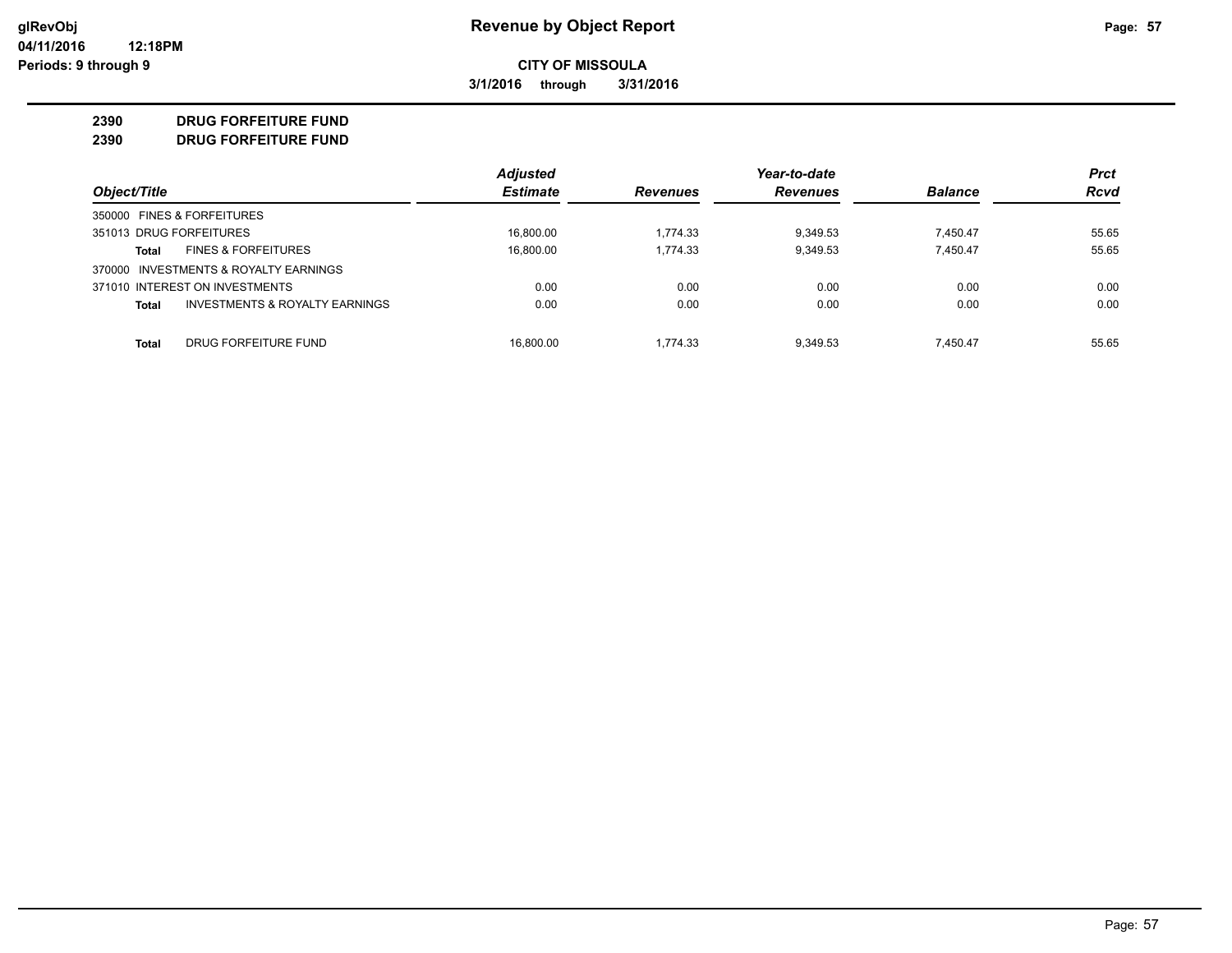**3/1/2016 through 3/31/2016**

## **2390 DRUG FORFEITURE FUND**

**2390 DRUG FORFEITURE FUND**

|                                                           | <b>Adjusted</b> |                 | Year-to-date    |                | <b>Prct</b> |
|-----------------------------------------------------------|-----------------|-----------------|-----------------|----------------|-------------|
| Object/Title                                              | <b>Estimate</b> | <b>Revenues</b> | <b>Revenues</b> | <b>Balance</b> | <b>Rcvd</b> |
| 350000 FINES & FORFEITURES                                |                 |                 |                 |                |             |
| 351013 DRUG FORFEITURES                                   | 16.800.00       | 1.774.33        | 9.349.53        | 7.450.47       | 55.65       |
| <b>FINES &amp; FORFEITURES</b><br>Total                   | 16,800.00       | 1.774.33        | 9,349.53        | 7.450.47       | 55.65       |
| 370000 INVESTMENTS & ROYALTY EARNINGS                     |                 |                 |                 |                |             |
| 371010 INTEREST ON INVESTMENTS                            | 0.00            | 0.00            | 0.00            | 0.00           | 0.00        |
| <b>INVESTMENTS &amp; ROYALTY EARNINGS</b><br><b>Total</b> | 0.00            | 0.00            | 0.00            | 0.00           | 0.00        |
| DRUG FORFEITURE FUND<br>Total                             | 16.800.00       | 1.774.33        | 9.349.53        | 7.450.47       | 55.65       |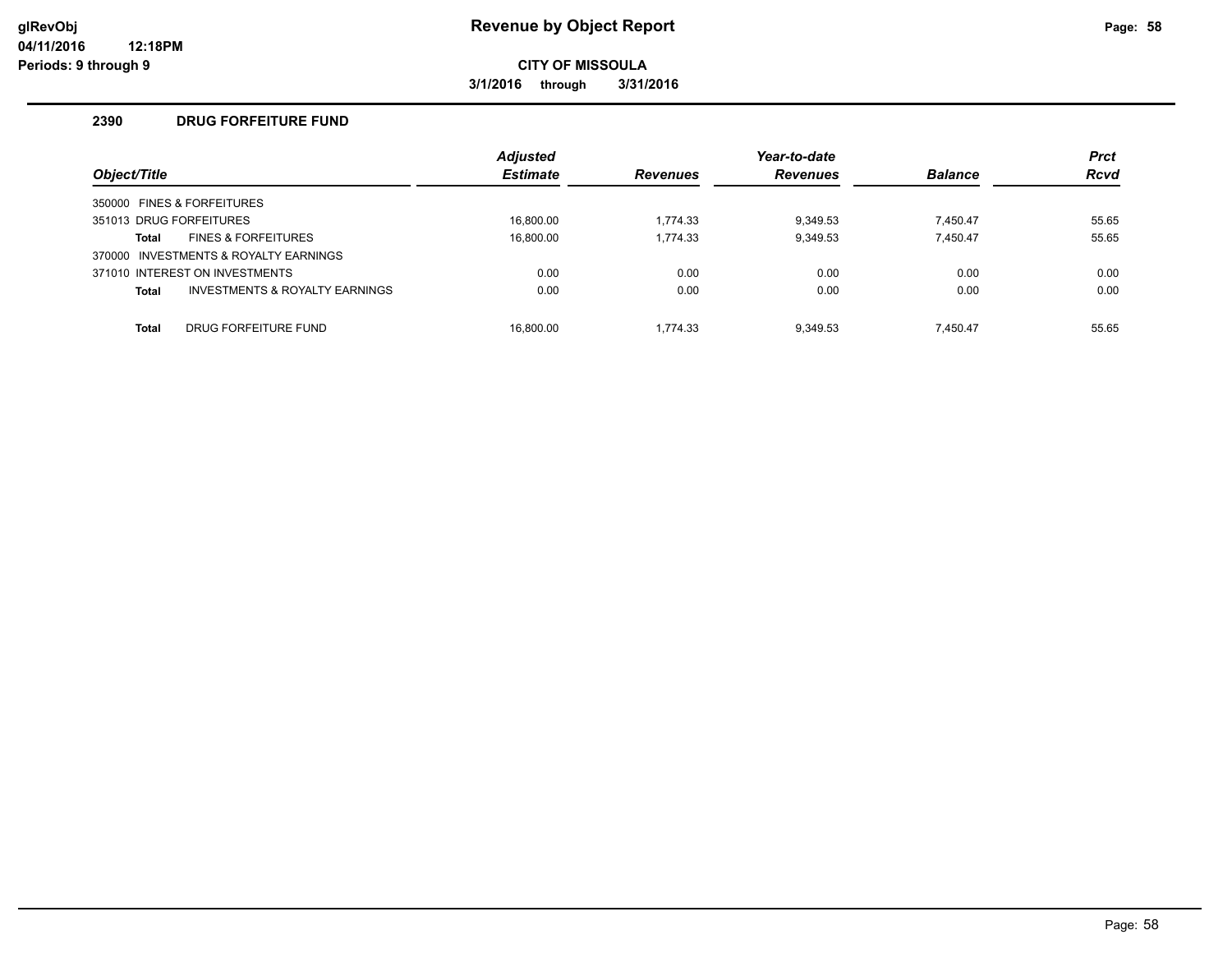**3/1/2016 through 3/31/2016**

#### **2390 DRUG FORFEITURE FUND**

| Object/Title |                                           | <b>Adjusted</b><br><b>Estimate</b> | <b>Revenues</b> | Year-to-date<br><b>Revenues</b> | <b>Balance</b> | <b>Prct</b><br><b>Rcvd</b> |
|--------------|-------------------------------------------|------------------------------------|-----------------|---------------------------------|----------------|----------------------------|
|              | 350000 FINES & FORFEITURES                |                                    |                 |                                 |                |                            |
|              | 351013 DRUG FORFEITURES                   | 16.800.00                          | 1.774.33        | 9,349.53                        | 7.450.47       | 55.65                      |
| Total        | <b>FINES &amp; FORFEITURES</b>            | 16.800.00                          | 1,774.33        | 9,349.53                        | 7.450.47       | 55.65                      |
|              | 370000 INVESTMENTS & ROYALTY EARNINGS     |                                    |                 |                                 |                |                            |
|              | 371010 INTEREST ON INVESTMENTS            | 0.00                               | 0.00            | 0.00                            | 0.00           | 0.00                       |
| <b>Total</b> | <b>INVESTMENTS &amp; ROYALTY EARNINGS</b> | 0.00                               | 0.00            | 0.00                            | 0.00           | 0.00                       |
| <b>Total</b> | DRUG FORFEITURE FUND                      | 16.800.00                          | 1.774.33        | 9.349.53                        | 7.450.47       | 55.65                      |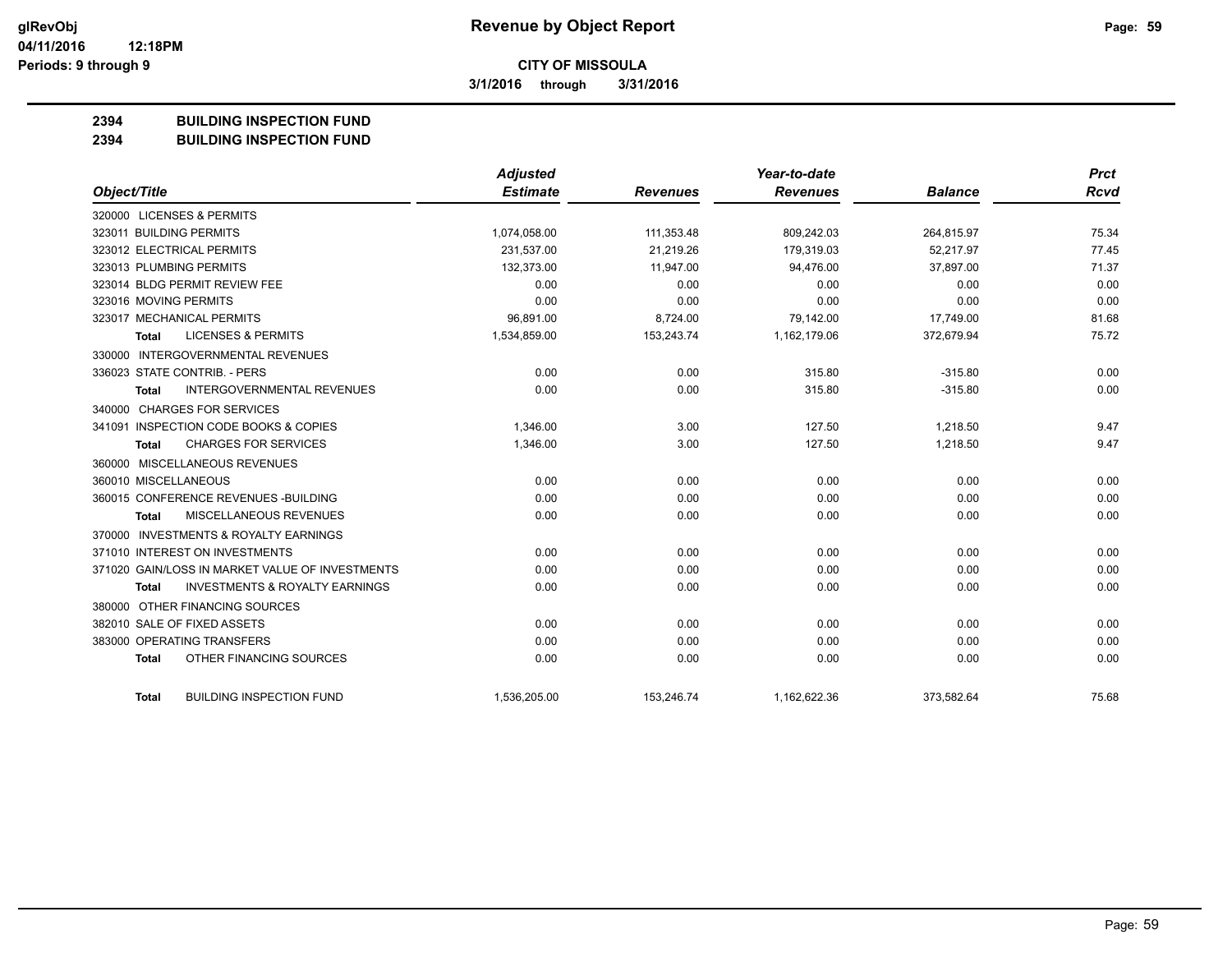**3/1/2016 through 3/31/2016**

## **2394 BUILDING INSPECTION FUND**

**2394 BUILDING INSPECTION FUND**

|                                                           | Adjusted        |                 | Year-to-date    |                | <b>Prct</b> |
|-----------------------------------------------------------|-----------------|-----------------|-----------------|----------------|-------------|
| Object/Title                                              | <b>Estimate</b> | <b>Revenues</b> | <b>Revenues</b> | <b>Balance</b> | Rcvd        |
| 320000 LICENSES & PERMITS                                 |                 |                 |                 |                |             |
| 323011 BUILDING PERMITS                                   | 1,074,058.00    | 111,353.48      | 809,242.03      | 264,815.97     | 75.34       |
| 323012 ELECTRICAL PERMITS                                 | 231,537.00      | 21,219.26       | 179,319.03      | 52,217.97      | 77.45       |
| 323013 PLUMBING PERMITS                                   | 132,373.00      | 11,947.00       | 94,476.00       | 37,897.00      | 71.37       |
| 323014 BLDG PERMIT REVIEW FEE                             | 0.00            | 0.00            | 0.00            | 0.00           | 0.00        |
| 323016 MOVING PERMITS                                     | 0.00            | 0.00            | 0.00            | 0.00           | 0.00        |
| 323017 MECHANICAL PERMITS                                 | 96,891.00       | 8,724.00        | 79,142.00       | 17,749.00      | 81.68       |
| <b>LICENSES &amp; PERMITS</b><br>Total                    | 1,534,859.00    | 153,243.74      | 1,162,179.06    | 372,679.94     | 75.72       |
| 330000 INTERGOVERNMENTAL REVENUES                         |                 |                 |                 |                |             |
| 336023 STATE CONTRIB. - PERS                              | 0.00            | 0.00            | 315.80          | $-315.80$      | 0.00        |
| <b>INTERGOVERNMENTAL REVENUES</b><br><b>Total</b>         | 0.00            | 0.00            | 315.80          | $-315.80$      | 0.00        |
| 340000 CHARGES FOR SERVICES                               |                 |                 |                 |                |             |
| 341091 INSPECTION CODE BOOKS & COPIES                     | 1,346.00        | 3.00            | 127.50          | 1,218.50       | 9.47        |
| <b>CHARGES FOR SERVICES</b><br><b>Total</b>               | 1,346.00        | 3.00            | 127.50          | 1,218.50       | 9.47        |
| 360000 MISCELLANEOUS REVENUES                             |                 |                 |                 |                |             |
| 360010 MISCELLANEOUS                                      | 0.00            | 0.00            | 0.00            | 0.00           | 0.00        |
| 360015 CONFERENCE REVENUES - BUILDING                     | 0.00            | 0.00            | 0.00            | 0.00           | 0.00        |
| MISCELLANEOUS REVENUES<br><b>Total</b>                    | 0.00            | 0.00            | 0.00            | 0.00           | 0.00        |
| 370000 INVESTMENTS & ROYALTY EARNINGS                     |                 |                 |                 |                |             |
| 371010 INTEREST ON INVESTMENTS                            | 0.00            | 0.00            | 0.00            | 0.00           | 0.00        |
| 371020 GAIN/LOSS IN MARKET VALUE OF INVESTMENTS           | 0.00            | 0.00            | 0.00            | 0.00           | 0.00        |
| <b>INVESTMENTS &amp; ROYALTY EARNINGS</b><br><b>Total</b> | 0.00            | 0.00            | 0.00            | 0.00           | 0.00        |
| 380000 OTHER FINANCING SOURCES                            |                 |                 |                 |                |             |
| 382010 SALE OF FIXED ASSETS                               | 0.00            | 0.00            | 0.00            | 0.00           | 0.00        |
| 383000 OPERATING TRANSFERS                                | 0.00            | 0.00            | 0.00            | 0.00           | 0.00        |
| OTHER FINANCING SOURCES<br><b>Total</b>                   | 0.00            | 0.00            | 0.00            | 0.00           | 0.00        |
| <b>BUILDING INSPECTION FUND</b><br><b>Total</b>           | 1,536,205.00    | 153,246.74      | 1,162,622.36    | 373,582.64     | 75.68       |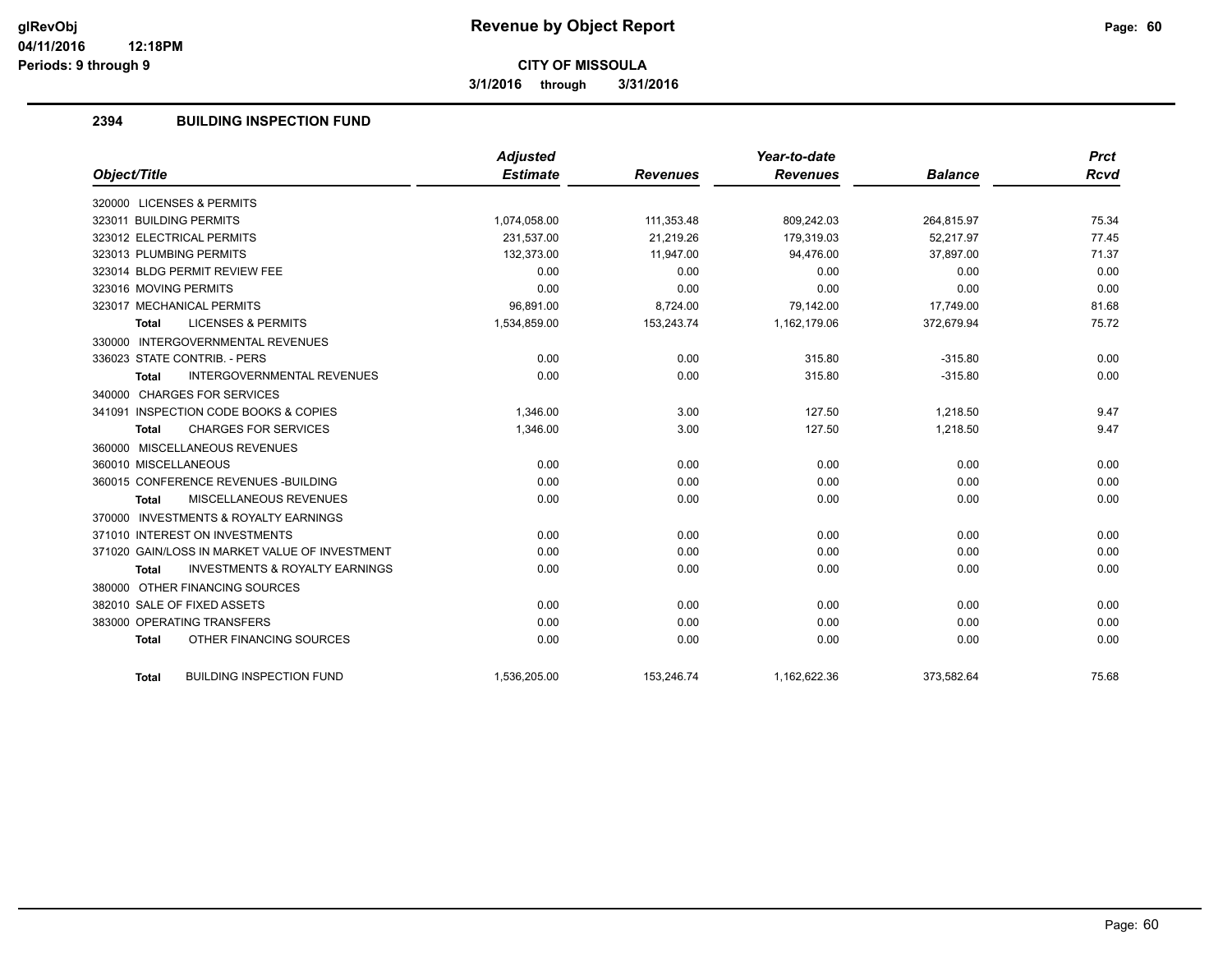**3/1/2016 through 3/31/2016**

## **2394 BUILDING INSPECTION FUND**

|                                                           | <b>Adjusted</b> |                 | Year-to-date    |                | <b>Prct</b> |
|-----------------------------------------------------------|-----------------|-----------------|-----------------|----------------|-------------|
| Object/Title                                              | <b>Estimate</b> | <b>Revenues</b> | <b>Revenues</b> | <b>Balance</b> | Rcvd        |
| 320000 LICENSES & PERMITS                                 |                 |                 |                 |                |             |
| 323011 BUILDING PERMITS                                   | 1,074,058.00    | 111,353.48      | 809,242.03      | 264,815.97     | 75.34       |
| 323012 ELECTRICAL PERMITS                                 | 231.537.00      | 21.219.26       | 179.319.03      | 52.217.97      | 77.45       |
| 323013 PLUMBING PERMITS                                   | 132,373.00      | 11,947.00       | 94,476.00       | 37,897.00      | 71.37       |
| 323014 BLDG PERMIT REVIEW FEE                             | 0.00            | 0.00            | 0.00            | 0.00           | 0.00        |
| 323016 MOVING PERMITS                                     | 0.00            | 0.00            | 0.00            | 0.00           | 0.00        |
| 323017 MECHANICAL PERMITS                                 | 96,891.00       | 8,724.00        | 79,142.00       | 17,749.00      | 81.68       |
| <b>LICENSES &amp; PERMITS</b><br><b>Total</b>             | 1,534,859.00    | 153,243.74      | 1,162,179.06    | 372,679.94     | 75.72       |
| 330000 INTERGOVERNMENTAL REVENUES                         |                 |                 |                 |                |             |
| 336023 STATE CONTRIB. - PERS                              | 0.00            | 0.00            | 315.80          | $-315.80$      | 0.00        |
| <b>INTERGOVERNMENTAL REVENUES</b><br><b>Total</b>         | 0.00            | 0.00            | 315.80          | $-315.80$      | 0.00        |
| 340000 CHARGES FOR SERVICES                               |                 |                 |                 |                |             |
| 341091 INSPECTION CODE BOOKS & COPIES                     | 1,346.00        | 3.00            | 127.50          | 1,218.50       | 9.47        |
| <b>CHARGES FOR SERVICES</b><br><b>Total</b>               | 1,346.00        | 3.00            | 127.50          | 1,218.50       | 9.47        |
| 360000 MISCELLANEOUS REVENUES                             |                 |                 |                 |                |             |
| 360010 MISCELLANEOUS                                      | 0.00            | 0.00            | 0.00            | 0.00           | 0.00        |
| 360015 CONFERENCE REVENUES - BUILDING                     | 0.00            | 0.00            | 0.00            | 0.00           | 0.00        |
| MISCELLANEOUS REVENUES<br><b>Total</b>                    | 0.00            | 0.00            | 0.00            | 0.00           | 0.00        |
| 370000 INVESTMENTS & ROYALTY EARNINGS                     |                 |                 |                 |                |             |
| 371010 INTEREST ON INVESTMENTS                            | 0.00            | 0.00            | 0.00            | 0.00           | 0.00        |
| 371020 GAIN/LOSS IN MARKET VALUE OF INVESTMENT            | 0.00            | 0.00            | 0.00            | 0.00           | 0.00        |
| <b>INVESTMENTS &amp; ROYALTY EARNINGS</b><br><b>Total</b> | 0.00            | 0.00            | 0.00            | 0.00           | 0.00        |
| 380000 OTHER FINANCING SOURCES                            |                 |                 |                 |                |             |
| 382010 SALE OF FIXED ASSETS                               | 0.00            | 0.00            | 0.00            | 0.00           | 0.00        |
| 383000 OPERATING TRANSFERS                                | 0.00            | 0.00            | 0.00            | 0.00           | 0.00        |
| OTHER FINANCING SOURCES<br><b>Total</b>                   | 0.00            | 0.00            | 0.00            | 0.00           | 0.00        |
|                                                           |                 |                 |                 |                |             |
| <b>BUILDING INSPECTION FUND</b><br><b>Total</b>           | 1,536,205.00    | 153,246.74      | 1,162,622.36    | 373,582.64     | 75.68       |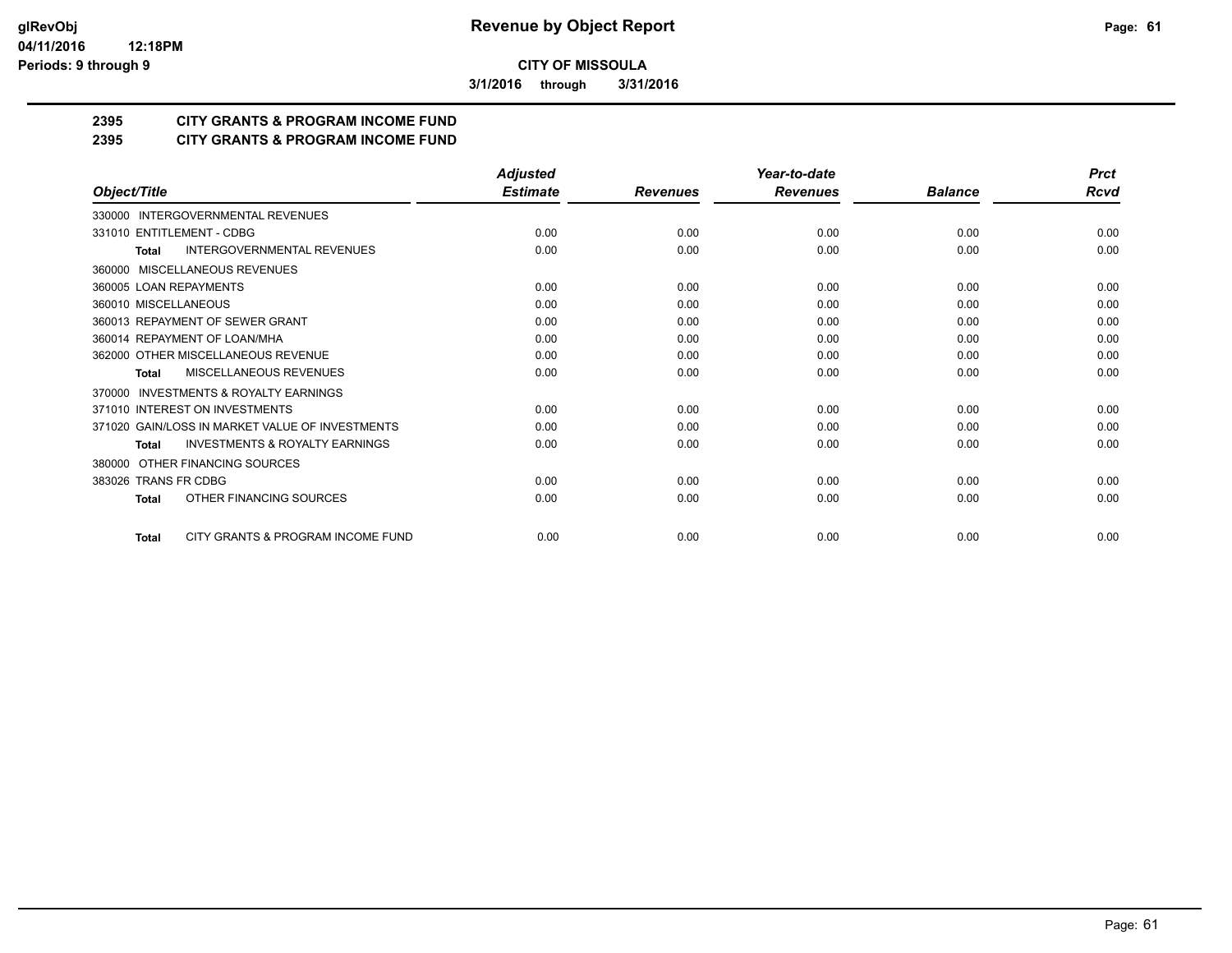**3/1/2016 through 3/31/2016**

## **2395 CITY GRANTS & PROGRAM INCOME FUND**

## **2395 CITY GRANTS & PROGRAM INCOME FUND**

|                                                           | <b>Adjusted</b> |                 | Year-to-date    |                | <b>Prct</b> |
|-----------------------------------------------------------|-----------------|-----------------|-----------------|----------------|-------------|
| Object/Title                                              | <b>Estimate</b> | <b>Revenues</b> | <b>Revenues</b> | <b>Balance</b> | Rcvd        |
| 330000 INTERGOVERNMENTAL REVENUES                         |                 |                 |                 |                |             |
| 331010 ENTITLEMENT - CDBG                                 | 0.00            | 0.00            | 0.00            | 0.00           | 0.00        |
| <b>INTERGOVERNMENTAL REVENUES</b><br><b>Total</b>         | 0.00            | 0.00            | 0.00            | 0.00           | 0.00        |
| MISCELLANEOUS REVENUES<br>360000                          |                 |                 |                 |                |             |
| 360005 LOAN REPAYMENTS                                    | 0.00            | 0.00            | 0.00            | 0.00           | 0.00        |
| 360010 MISCELLANEOUS                                      | 0.00            | 0.00            | 0.00            | 0.00           | 0.00        |
| 360013 REPAYMENT OF SEWER GRANT                           | 0.00            | 0.00            | 0.00            | 0.00           | 0.00        |
| 360014 REPAYMENT OF LOAN/MHA                              | 0.00            | 0.00            | 0.00            | 0.00           | 0.00        |
| 362000 OTHER MISCELLANEOUS REVENUE                        | 0.00            | 0.00            | 0.00            | 0.00           | 0.00        |
| MISCELLANEOUS REVENUES<br><b>Total</b>                    | 0.00            | 0.00            | 0.00            | 0.00           | 0.00        |
| <b>INVESTMENTS &amp; ROYALTY EARNINGS</b><br>370000       |                 |                 |                 |                |             |
| 371010 INTEREST ON INVESTMENTS                            | 0.00            | 0.00            | 0.00            | 0.00           | 0.00        |
| 371020 GAIN/LOSS IN MARKET VALUE OF INVESTMENTS           | 0.00            | 0.00            | 0.00            | 0.00           | 0.00        |
| <b>INVESTMENTS &amp; ROYALTY EARNINGS</b><br><b>Total</b> | 0.00            | 0.00            | 0.00            | 0.00           | 0.00        |
| OTHER FINANCING SOURCES<br>380000                         |                 |                 |                 |                |             |
| 383026 TRANS FR CDBG                                      | 0.00            | 0.00            | 0.00            | 0.00           | 0.00        |
| OTHER FINANCING SOURCES<br><b>Total</b>                   | 0.00            | 0.00            | 0.00            | 0.00           | 0.00        |
| CITY GRANTS & PROGRAM INCOME FUND<br><b>Total</b>         | 0.00            | 0.00            | 0.00            | 0.00           | 0.00        |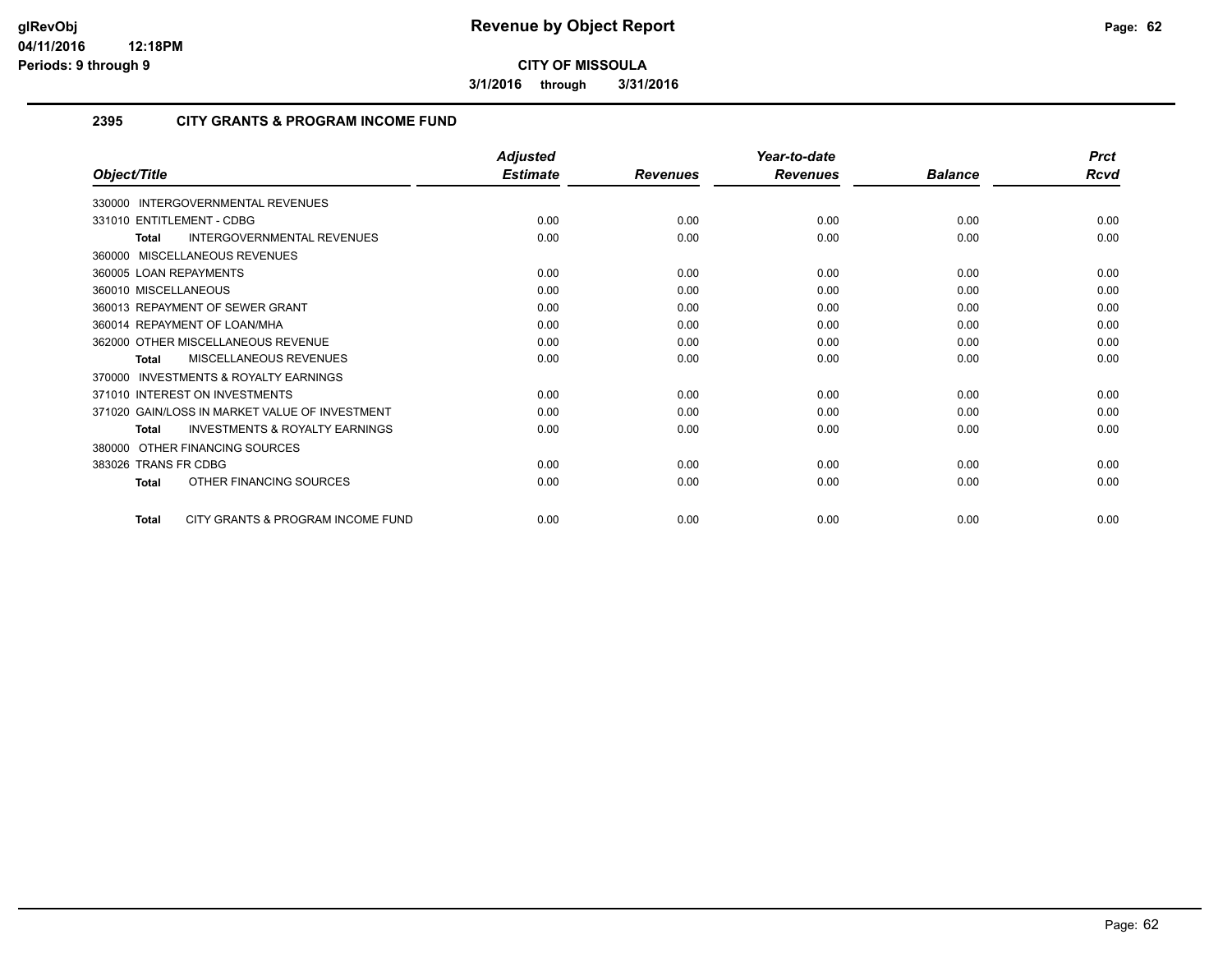**3/1/2016 through 3/31/2016**

## **2395 CITY GRANTS & PROGRAM INCOME FUND**

|                                                           | <b>Adjusted</b> |                 | Year-to-date    |                | <b>Prct</b> |
|-----------------------------------------------------------|-----------------|-----------------|-----------------|----------------|-------------|
| Object/Title                                              | <b>Estimate</b> | <b>Revenues</b> | <b>Revenues</b> | <b>Balance</b> | Rcvd        |
| 330000 INTERGOVERNMENTAL REVENUES                         |                 |                 |                 |                |             |
| 331010 ENTITLEMENT - CDBG                                 | 0.00            | 0.00            | 0.00            | 0.00           | 0.00        |
| INTERGOVERNMENTAL REVENUES<br><b>Total</b>                | 0.00            | 0.00            | 0.00            | 0.00           | 0.00        |
| 360000 MISCELLANEOUS REVENUES                             |                 |                 |                 |                |             |
| 360005 LOAN REPAYMENTS                                    | 0.00            | 0.00            | 0.00            | 0.00           | 0.00        |
| 360010 MISCELLANEOUS                                      | 0.00            | 0.00            | 0.00            | 0.00           | 0.00        |
| 360013 REPAYMENT OF SEWER GRANT                           | 0.00            | 0.00            | 0.00            | 0.00           | 0.00        |
| 360014 REPAYMENT OF LOAN/MHA                              | 0.00            | 0.00            | 0.00            | 0.00           | 0.00        |
| 362000 OTHER MISCELLANEOUS REVENUE                        | 0.00            | 0.00            | 0.00            | 0.00           | 0.00        |
| <b>MISCELLANEOUS REVENUES</b><br><b>Total</b>             | 0.00            | 0.00            | 0.00            | 0.00           | 0.00        |
| <b>INVESTMENTS &amp; ROYALTY EARNINGS</b><br>370000       |                 |                 |                 |                |             |
| 371010 INTEREST ON INVESTMENTS                            | 0.00            | 0.00            | 0.00            | 0.00           | 0.00        |
| 371020 GAIN/LOSS IN MARKET VALUE OF INVESTMENT            | 0.00            | 0.00            | 0.00            | 0.00           | 0.00        |
| <b>INVESTMENTS &amp; ROYALTY EARNINGS</b><br><b>Total</b> | 0.00            | 0.00            | 0.00            | 0.00           | 0.00        |
| 380000 OTHER FINANCING SOURCES                            |                 |                 |                 |                |             |
| 383026 TRANS FR CDBG                                      | 0.00            | 0.00            | 0.00            | 0.00           | 0.00        |
| OTHER FINANCING SOURCES<br><b>Total</b>                   | 0.00            | 0.00            | 0.00            | 0.00           | 0.00        |
| CITY GRANTS & PROGRAM INCOME FUND<br><b>Total</b>         | 0.00            | 0.00            | 0.00            | 0.00           | 0.00        |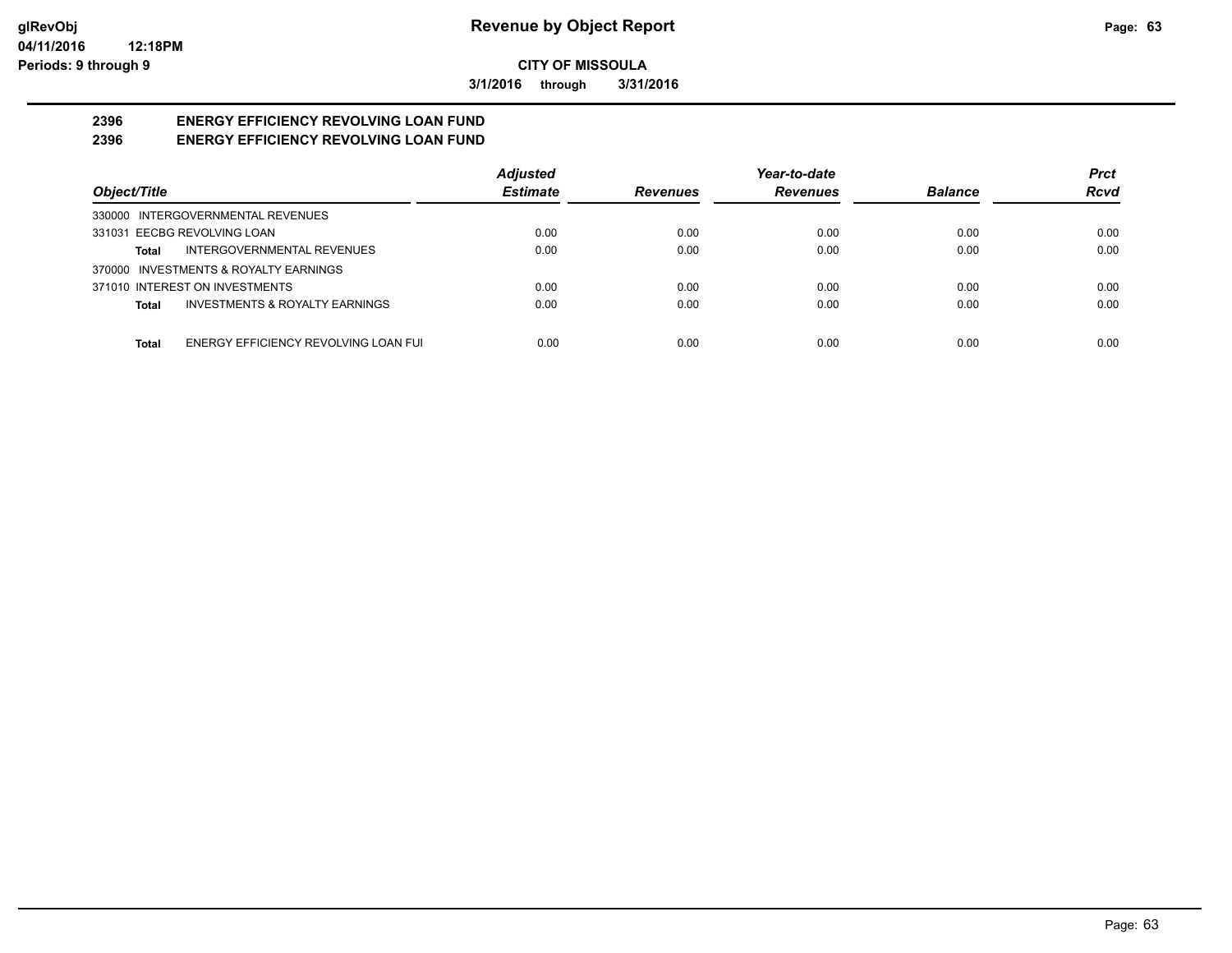**3/1/2016 through 3/31/2016**

#### **2396 ENERGY EFFICIENCY REVOLVING LOAN FUND 2396 ENERGY EFFICIENCY REVOLVING LOAN FUND**

|                                               | <b>Adjusted</b> |                 | Year-to-date    |                | <b>Prct</b> |
|-----------------------------------------------|-----------------|-----------------|-----------------|----------------|-------------|
| Object/Title                                  | <b>Estimate</b> | <b>Revenues</b> | <b>Revenues</b> | <b>Balance</b> | <b>Rcvd</b> |
| 330000 INTERGOVERNMENTAL REVENUES             |                 |                 |                 |                |             |
| 331031 EECBG REVOLVING LOAN                   | 0.00            | 0.00            | 0.00            | 0.00           | 0.00        |
| INTERGOVERNMENTAL REVENUES<br>Total           | 0.00            | 0.00            | 0.00            | 0.00           | 0.00        |
| 370000 INVESTMENTS & ROYALTY EARNINGS         |                 |                 |                 |                |             |
| 371010 INTEREST ON INVESTMENTS                | 0.00            | 0.00            | 0.00            | 0.00           | 0.00        |
| INVESTMENTS & ROYALTY EARNINGS<br>Total       | 0.00            | 0.00            | 0.00            | 0.00           | 0.00        |
|                                               |                 |                 |                 |                |             |
| ENERGY EFFICIENCY REVOLVING LOAN FUI<br>Total | 0.00            | 0.00            | 0.00            | 0.00           | 0.00        |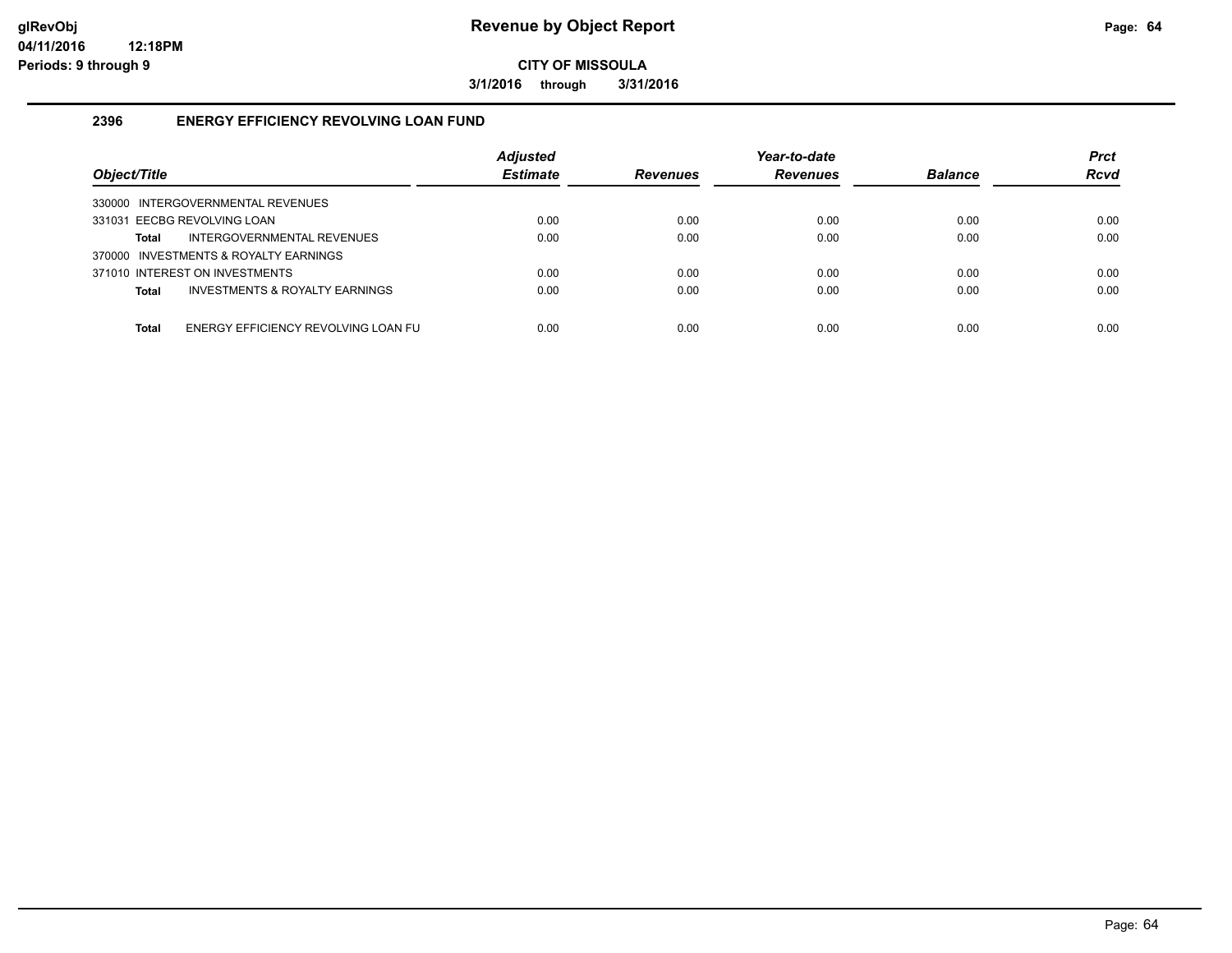**3/1/2016 through 3/31/2016**

## **2396 ENERGY EFFICIENCY REVOLVING LOAN FUND**

| Object/Title                                        | <b>Adjusted</b><br><b>Estimate</b> | <b>Revenues</b> | Year-to-date<br><b>Revenues</b> | <b>Balance</b> | <b>Prct</b><br><b>Rcvd</b> |
|-----------------------------------------------------|------------------------------------|-----------------|---------------------------------|----------------|----------------------------|
| 330000 INTERGOVERNMENTAL REVENUES                   |                                    |                 |                                 |                |                            |
| 331031 EECBG REVOLVING LOAN                         | 0.00                               | 0.00            | 0.00                            | 0.00           | 0.00                       |
| INTERGOVERNMENTAL REVENUES<br>Total                 | 0.00                               | 0.00            | 0.00                            | 0.00           | 0.00                       |
| 370000 INVESTMENTS & ROYALTY EARNINGS               |                                    |                 |                                 |                |                            |
| 371010 INTEREST ON INVESTMENTS                      | 0.00                               | 0.00            | 0.00                            | 0.00           | 0.00                       |
| INVESTMENTS & ROYALTY EARNINGS<br><b>Total</b>      | 0.00                               | 0.00            | 0.00                            | 0.00           | 0.00                       |
|                                                     |                                    |                 |                                 |                |                            |
| ENERGY EFFICIENCY REVOLVING LOAN FU<br><b>Total</b> | 0.00                               | 0.00            | 0.00                            | 0.00           | 0.00                       |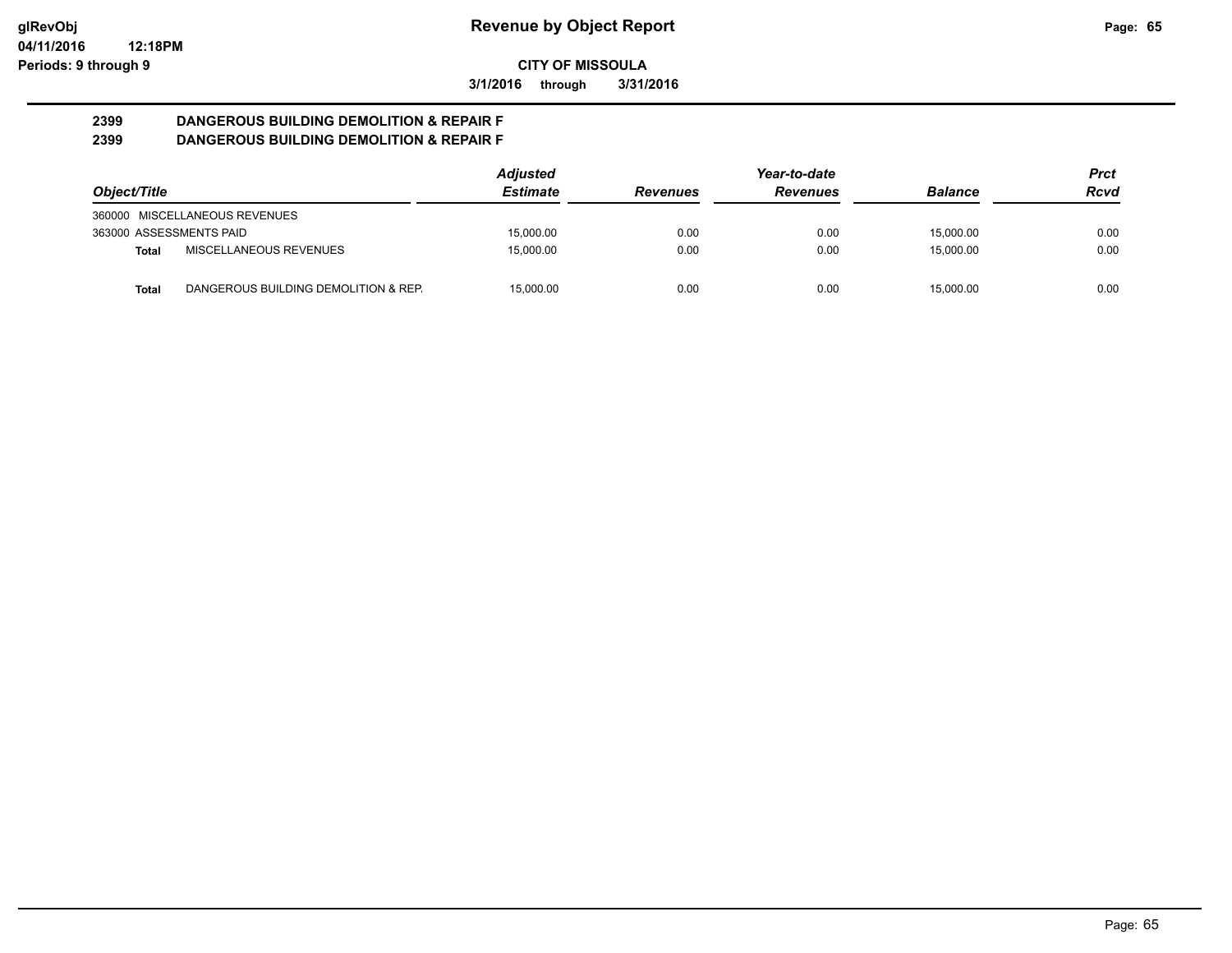**3/1/2016 through 3/31/2016**

#### **2399 DANGEROUS BUILDING DEMOLITION & REPAIR F 2399 DANGEROUS BUILDING DEMOLITION & REPAIR F**

|                         |                                      | <b>Adjusted</b> |                 | Year-to-date    |                | Prct |
|-------------------------|--------------------------------------|-----------------|-----------------|-----------------|----------------|------|
| Object/Title            |                                      | <b>Estimate</b> | <b>Revenues</b> | <b>Revenues</b> | <b>Balance</b> | Rcvd |
|                         | 360000 MISCELLANEOUS REVENUES        |                 |                 |                 |                |      |
| 363000 ASSESSMENTS PAID |                                      | 15.000.00       | 0.00            | 0.00            | 15.000.00      | 0.00 |
| Total                   | MISCELLANEOUS REVENUES               | 15.000.00       | 0.00            | 0.00            | 15.000.00      | 0.00 |
| Total                   | DANGEROUS BUILDING DEMOLITION & REP. | 15.000.00       | 0.00            | 0.00            | 15.000.00      | 0.00 |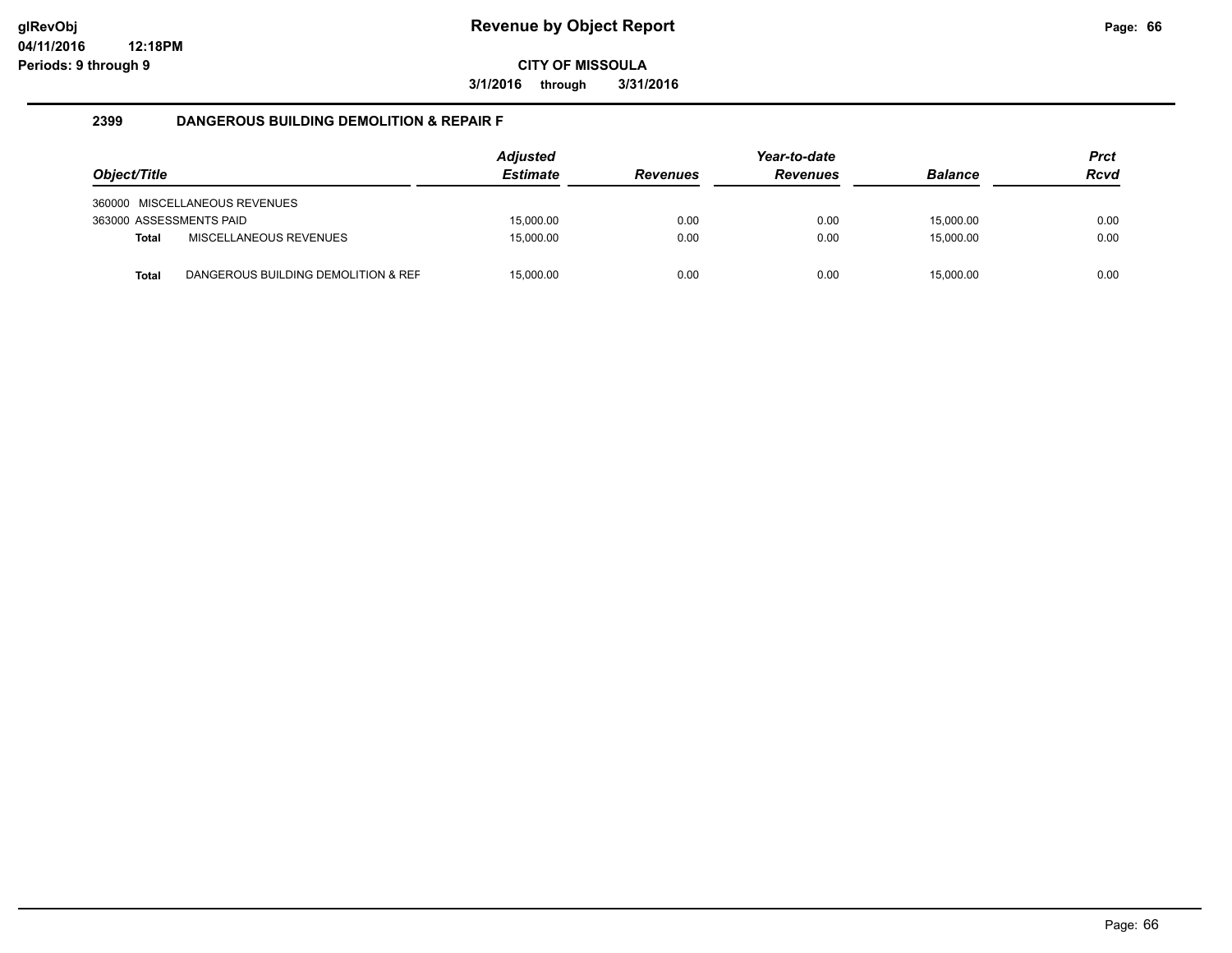**3/1/2016 through 3/31/2016**

#### **2399 DANGEROUS BUILDING DEMOLITION & REPAIR F**

|                         |                                     | <b>Adjusted</b> |                 | Year-to-date    |                | <b>Prct</b> |
|-------------------------|-------------------------------------|-----------------|-----------------|-----------------|----------------|-------------|
| Object/Title            |                                     | <b>Estimate</b> | <b>Revenues</b> | <b>Revenues</b> | <b>Balance</b> | <b>Rcvd</b> |
|                         | 360000 MISCELLANEOUS REVENUES       |                 |                 |                 |                |             |
| 363000 ASSESSMENTS PAID |                                     | 15.000.00       | 0.00            | 0.00            | 15.000.00      | 0.00        |
| <b>Total</b>            | MISCELLANEOUS REVENUES              | 15.000.00       | 0.00            | 0.00            | 15.000.00      | 0.00        |
|                         |                                     |                 |                 |                 |                |             |
| <b>Total</b>            | DANGEROUS BUILDING DEMOLITION & REF | 15,000.00       | 0.00            | 0.00            | 15.000.00      | 0.00        |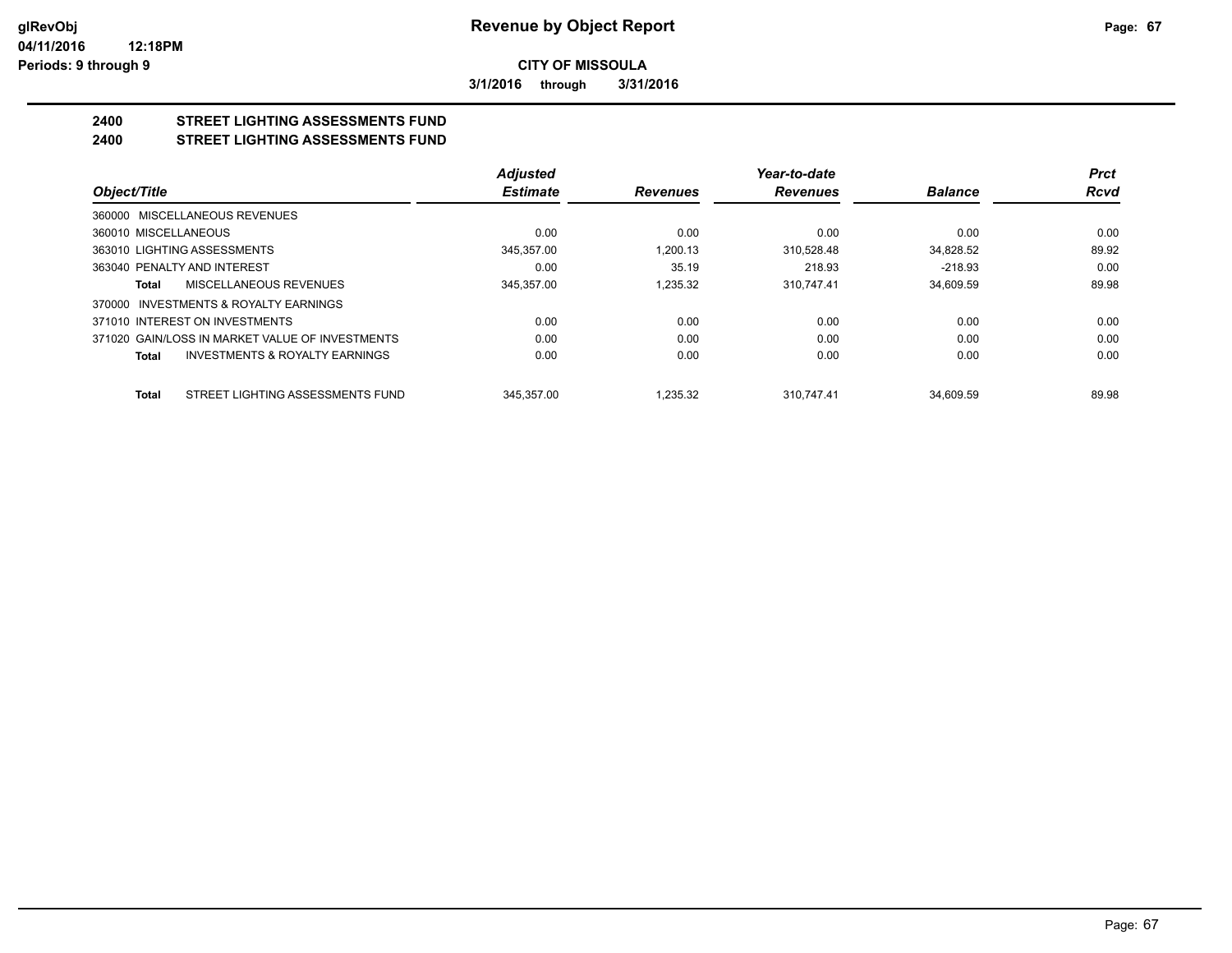**3/1/2016 through 3/31/2016**

#### **2400 STREET LIGHTING ASSESSMENTS FUND 2400 STREET LIGHTING ASSESSMENTS FUND**

|                                                 | <b>Adjusted</b> |                 | Year-to-date    |                | <b>Prct</b> |
|-------------------------------------------------|-----------------|-----------------|-----------------|----------------|-------------|
| Object/Title                                    | <b>Estimate</b> | <b>Revenues</b> | <b>Revenues</b> | <b>Balance</b> | <b>Rcvd</b> |
| 360000 MISCELLANEOUS REVENUES                   |                 |                 |                 |                |             |
| 360010 MISCELLANEOUS                            | 0.00            | 0.00            | 0.00            | 0.00           | 0.00        |
| 363010 LIGHTING ASSESSMENTS                     | 345.357.00      | 1.200.13        | 310.528.48      | 34.828.52      | 89.92       |
| 363040 PENALTY AND INTEREST                     | 0.00            | 35.19           | 218.93          | $-218.93$      | 0.00        |
| MISCELLANEOUS REVENUES<br>Total                 | 345.357.00      | 1.235.32        | 310.747.41      | 34.609.59      | 89.98       |
| 370000 INVESTMENTS & ROYALTY EARNINGS           |                 |                 |                 |                |             |
| 371010 INTEREST ON INVESTMENTS                  | 0.00            | 0.00            | 0.00            | 0.00           | 0.00        |
| 371020 GAIN/LOSS IN MARKET VALUE OF INVESTMENTS | 0.00            | 0.00            | 0.00            | 0.00           | 0.00        |
| INVESTMENTS & ROYALTY EARNINGS<br>Total         | 0.00            | 0.00            | 0.00            | 0.00           | 0.00        |
| STREET LIGHTING ASSESSMENTS FUND<br>Total       | 345.357.00      | 1.235.32        | 310.747.41      | 34.609.59      | 89.98       |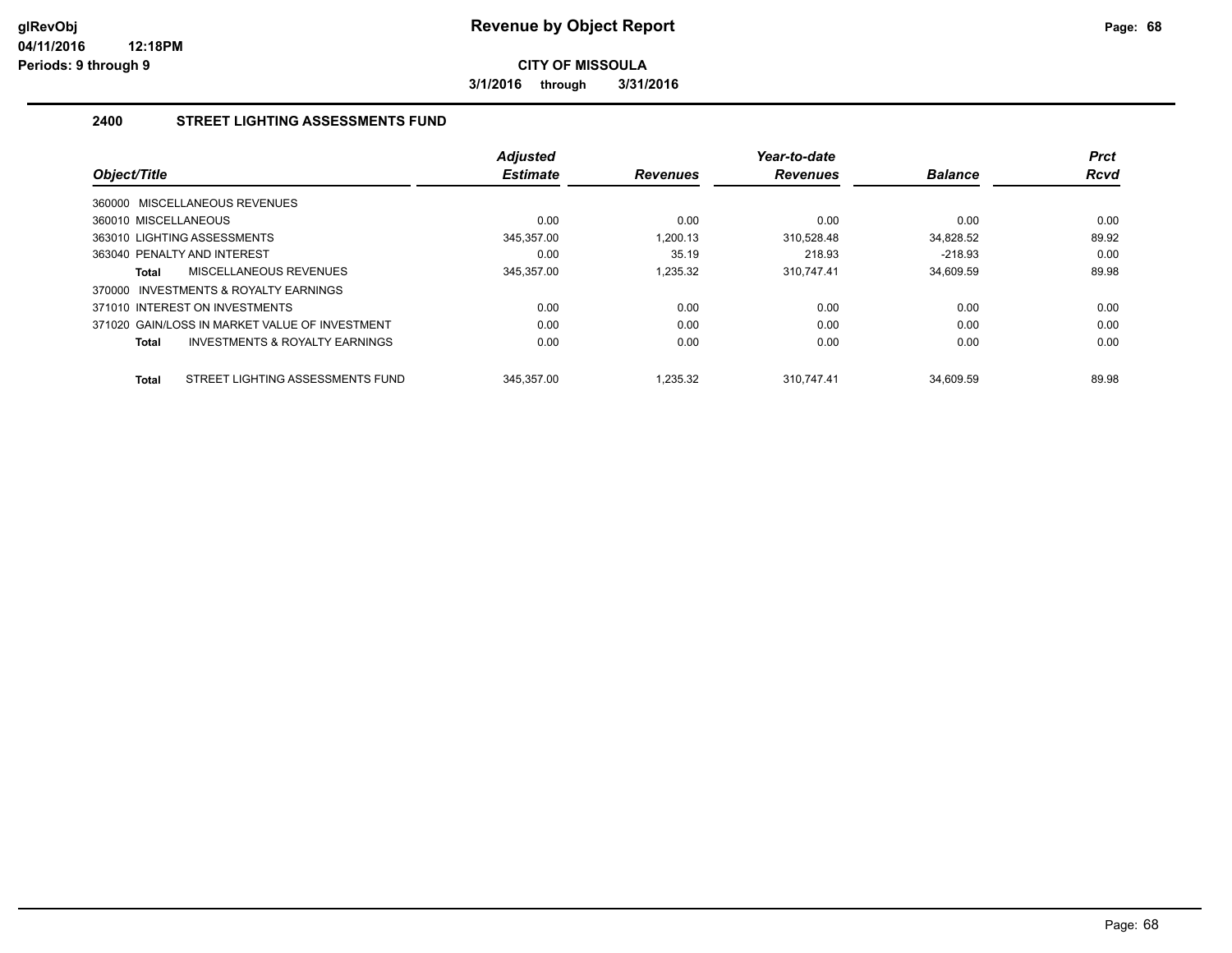**3/1/2016 through 3/31/2016**

## **2400 STREET LIGHTING ASSESSMENTS FUND**

| Object/Title                                     | <b>Adjusted</b><br><b>Estimate</b> | <b>Revenues</b> | Year-to-date<br><b>Revenues</b> | <b>Balance</b> | <b>Prct</b><br><b>Rcvd</b> |
|--------------------------------------------------|------------------------------------|-----------------|---------------------------------|----------------|----------------------------|
| 360000 MISCELLANEOUS REVENUES                    |                                    |                 |                                 |                |                            |
| 360010 MISCELLANEOUS                             | 0.00                               | 0.00            | 0.00                            | 0.00           | 0.00                       |
| 363010 LIGHTING ASSESSMENTS                      | 345.357.00                         | 1.200.13        | 310.528.48                      | 34.828.52      | 89.92                      |
| 363040 PENALTY AND INTEREST                      | 0.00                               | 35.19           | 218.93                          | $-218.93$      | 0.00                       |
| MISCELLANEOUS REVENUES<br>Total                  | 345,357.00                         | 1,235.32        | 310,747.41                      | 34,609.59      | 89.98                      |
| 370000 INVESTMENTS & ROYALTY EARNINGS            |                                    |                 |                                 |                |                            |
| 371010 INTEREST ON INVESTMENTS                   | 0.00                               | 0.00            | 0.00                            | 0.00           | 0.00                       |
| 371020 GAIN/LOSS IN MARKET VALUE OF INVESTMENT   | 0.00                               | 0.00            | 0.00                            | 0.00           | 0.00                       |
| INVESTMENTS & ROYALTY EARNINGS<br>Total          | 0.00                               | 0.00            | 0.00                            | 0.00           | 0.00                       |
|                                                  |                                    |                 |                                 |                |                            |
| STREET LIGHTING ASSESSMENTS FUND<br><b>Total</b> | 345.357.00                         | 1.235.32        | 310.747.41                      | 34.609.59      | 89.98                      |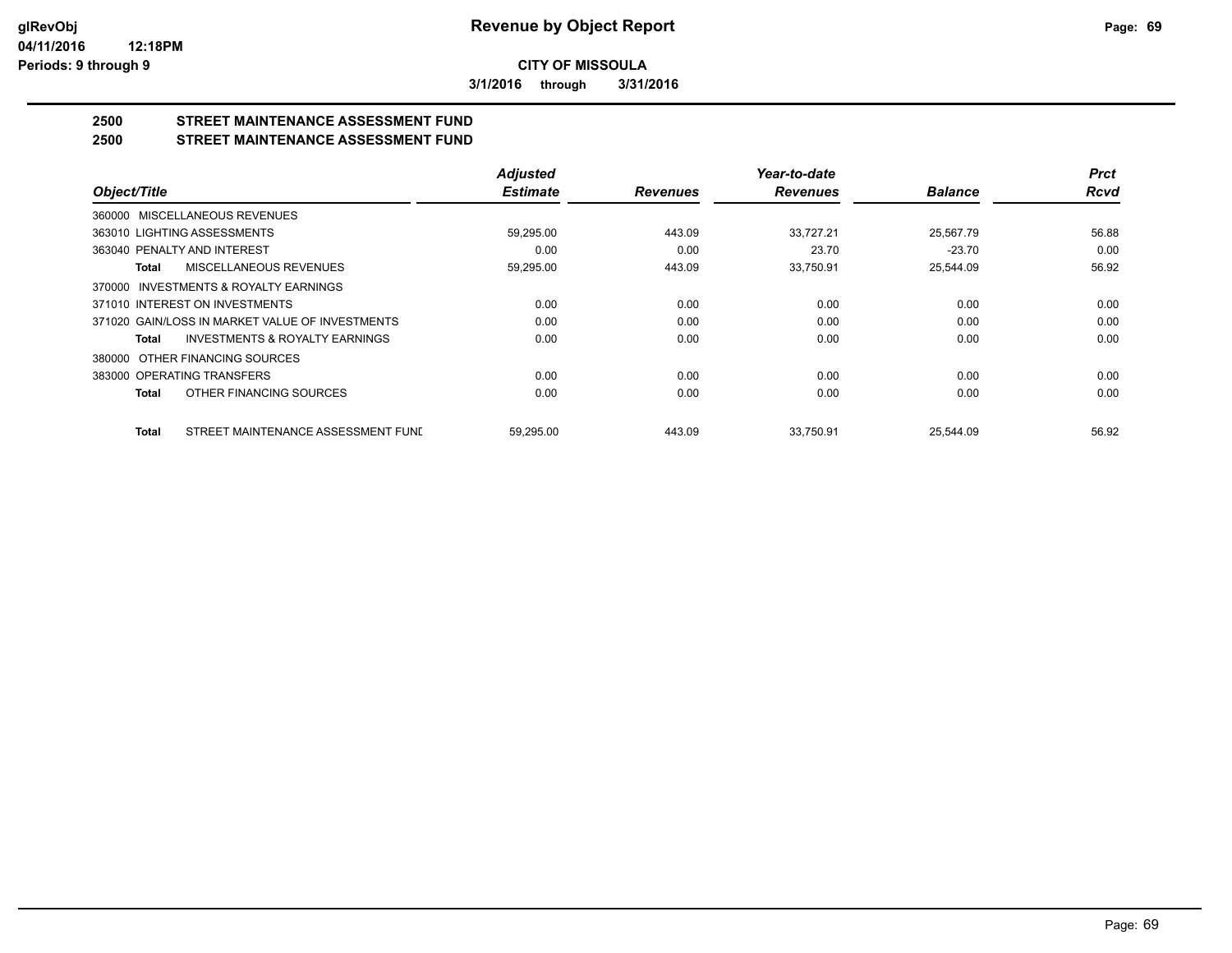**3/1/2016 through 3/31/2016**

## **2500 STREET MAINTENANCE ASSESSMENT FUND**

**2500 STREET MAINTENANCE ASSESSMENT FUND**

|                                                    | <b>Adjusted</b> |                 | Year-to-date    |                | <b>Prct</b> |
|----------------------------------------------------|-----------------|-----------------|-----------------|----------------|-------------|
| Object/Title                                       | <b>Estimate</b> | <b>Revenues</b> | <b>Revenues</b> | <b>Balance</b> | <b>Rcvd</b> |
| 360000 MISCELLANEOUS REVENUES                      |                 |                 |                 |                |             |
| 363010 LIGHTING ASSESSMENTS                        | 59,295.00       | 443.09          | 33,727.21       | 25,567.79      | 56.88       |
| 363040 PENALTY AND INTEREST                        | 0.00            | 0.00            | 23.70           | $-23.70$       | 0.00        |
| MISCELLANEOUS REVENUES<br>Total                    | 59,295.00       | 443.09          | 33.750.91       | 25.544.09      | 56.92       |
| 370000 INVESTMENTS & ROYALTY EARNINGS              |                 |                 |                 |                |             |
| 371010 INTEREST ON INVESTMENTS                     | 0.00            | 0.00            | 0.00            | 0.00           | 0.00        |
| 371020 GAIN/LOSS IN MARKET VALUE OF INVESTMENTS    | 0.00            | 0.00            | 0.00            | 0.00           | 0.00        |
| INVESTMENTS & ROYALTY EARNINGS<br>Total            | 0.00            | 0.00            | 0.00            | 0.00           | 0.00        |
| 380000 OTHER FINANCING SOURCES                     |                 |                 |                 |                |             |
| 383000 OPERATING TRANSFERS                         | 0.00            | 0.00            | 0.00            | 0.00           | 0.00        |
| OTHER FINANCING SOURCES<br><b>Total</b>            | 0.00            | 0.00            | 0.00            | 0.00           | 0.00        |
| STREET MAINTENANCE ASSESSMENT FUNI<br><b>Total</b> | 59.295.00       | 443.09          | 33.750.91       | 25.544.09      | 56.92       |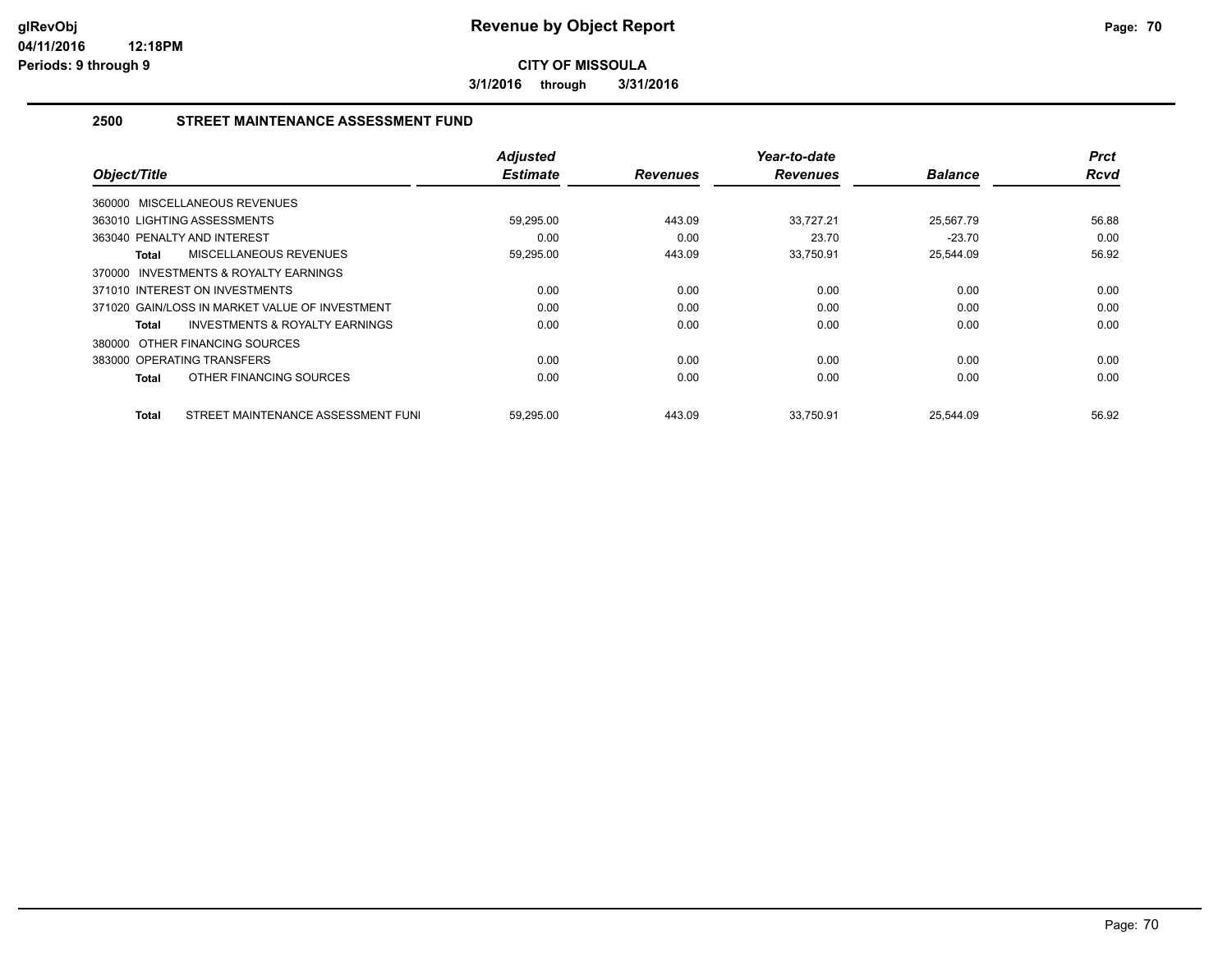**3/1/2016 through 3/31/2016**

## **2500 STREET MAINTENANCE ASSESSMENT FUND**

| Object/Title                   |                                                | <b>Adjusted</b><br><b>Estimate</b> | <b>Revenues</b> | Year-to-date<br><b>Revenues</b> | <b>Balance</b> | <b>Prct</b><br><b>Rcvd</b> |
|--------------------------------|------------------------------------------------|------------------------------------|-----------------|---------------------------------|----------------|----------------------------|
| 360000 MISCELLANEOUS REVENUES  |                                                |                                    |                 |                                 |                |                            |
|                                |                                                |                                    |                 |                                 |                |                            |
| 363010 LIGHTING ASSESSMENTS    |                                                | 59,295.00                          | 443.09          | 33,727.21                       | 25,567.79      | 56.88                      |
| 363040 PENALTY AND INTEREST    |                                                | 0.00                               | 0.00            | 23.70                           | $-23.70$       | 0.00                       |
| Total                          | MISCELLANEOUS REVENUES                         | 59,295.00                          | 443.09          | 33,750.91                       | 25,544.09      | 56.92                      |
| 370000                         | <b>INVESTMENTS &amp; ROYALTY EARNINGS</b>      |                                    |                 |                                 |                |                            |
| 371010 INTEREST ON INVESTMENTS |                                                | 0.00                               | 0.00            | 0.00                            | 0.00           | 0.00                       |
|                                | 371020 GAIN/LOSS IN MARKET VALUE OF INVESTMENT | 0.00                               | 0.00            | 0.00                            | 0.00           | 0.00                       |
| Total                          | <b>INVESTMENTS &amp; ROYALTY EARNINGS</b>      | 0.00                               | 0.00            | 0.00                            | 0.00           | 0.00                       |
| 380000 OTHER FINANCING SOURCES |                                                |                                    |                 |                                 |                |                            |
| 383000 OPERATING TRANSFERS     |                                                | 0.00                               | 0.00            | 0.00                            | 0.00           | 0.00                       |
| Total                          | OTHER FINANCING SOURCES                        | 0.00                               | 0.00            | 0.00                            | 0.00           | 0.00                       |
| Total                          | STREET MAINTENANCE ASSESSMENT FUNI             | 59,295.00                          | 443.09          | 33.750.91                       | 25,544.09      | 56.92                      |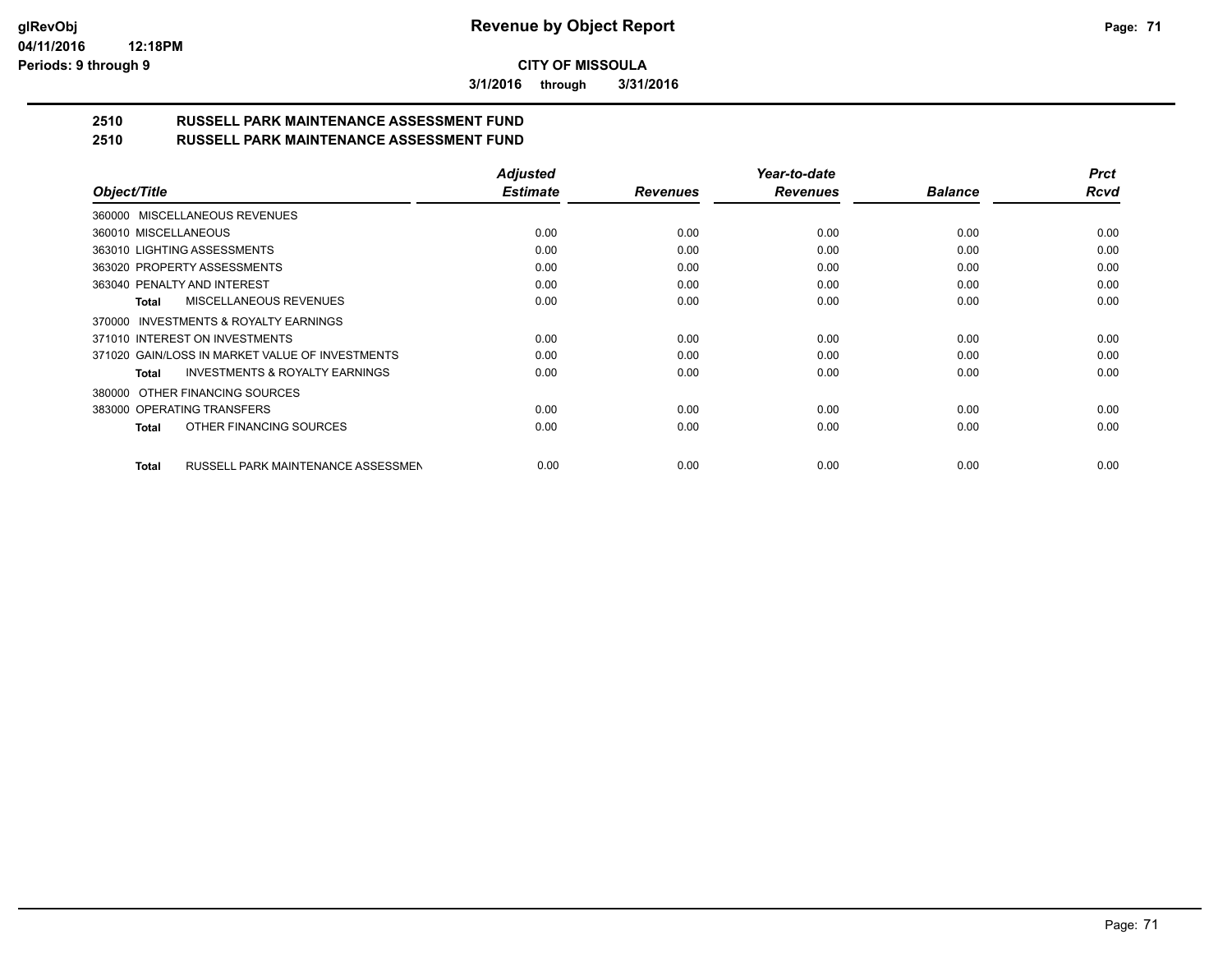**3/1/2016 through 3/31/2016**

# **2510 RUSSELL PARK MAINTENANCE ASSESSMENT FUND**

| 2510 | <b>RUSSELL PARK MAINTENANCE ASSESSMENT FUND</b> |  |
|------|-------------------------------------------------|--|
|      |                                                 |  |

|                                                           | <b>Adjusted</b> |                 | Year-to-date    |                | <b>Prct</b> |
|-----------------------------------------------------------|-----------------|-----------------|-----------------|----------------|-------------|
| Object/Title                                              | <b>Estimate</b> | <b>Revenues</b> | <b>Revenues</b> | <b>Balance</b> | <b>Rcvd</b> |
| 360000 MISCELLANEOUS REVENUES                             |                 |                 |                 |                |             |
| 360010 MISCELLANEOUS                                      | 0.00            | 0.00            | 0.00            | 0.00           | 0.00        |
| 363010 LIGHTING ASSESSMENTS                               | 0.00            | 0.00            | 0.00            | 0.00           | 0.00        |
| 363020 PROPERTY ASSESSMENTS                               | 0.00            | 0.00            | 0.00            | 0.00           | 0.00        |
| 363040 PENALTY AND INTEREST                               | 0.00            | 0.00            | 0.00            | 0.00           | 0.00        |
| MISCELLANEOUS REVENUES<br><b>Total</b>                    | 0.00            | 0.00            | 0.00            | 0.00           | 0.00        |
| INVESTMENTS & ROYALTY EARNINGS<br>370000                  |                 |                 |                 |                |             |
| 371010 INTEREST ON INVESTMENTS                            | 0.00            | 0.00            | 0.00            | 0.00           | 0.00        |
| 371020 GAIN/LOSS IN MARKET VALUE OF INVESTMENTS           | 0.00            | 0.00            | 0.00            | 0.00           | 0.00        |
| <b>INVESTMENTS &amp; ROYALTY EARNINGS</b><br><b>Total</b> | 0.00            | 0.00            | 0.00            | 0.00           | 0.00        |
| OTHER FINANCING SOURCES<br>380000                         |                 |                 |                 |                |             |
| 383000 OPERATING TRANSFERS                                | 0.00            | 0.00            | 0.00            | 0.00           | 0.00        |
| OTHER FINANCING SOURCES<br>Total                          | 0.00            | 0.00            | 0.00            | 0.00           | 0.00        |
| RUSSELL PARK MAINTENANCE ASSESSMEN<br><b>Total</b>        | 0.00            | 0.00            | 0.00            | 0.00           | 0.00        |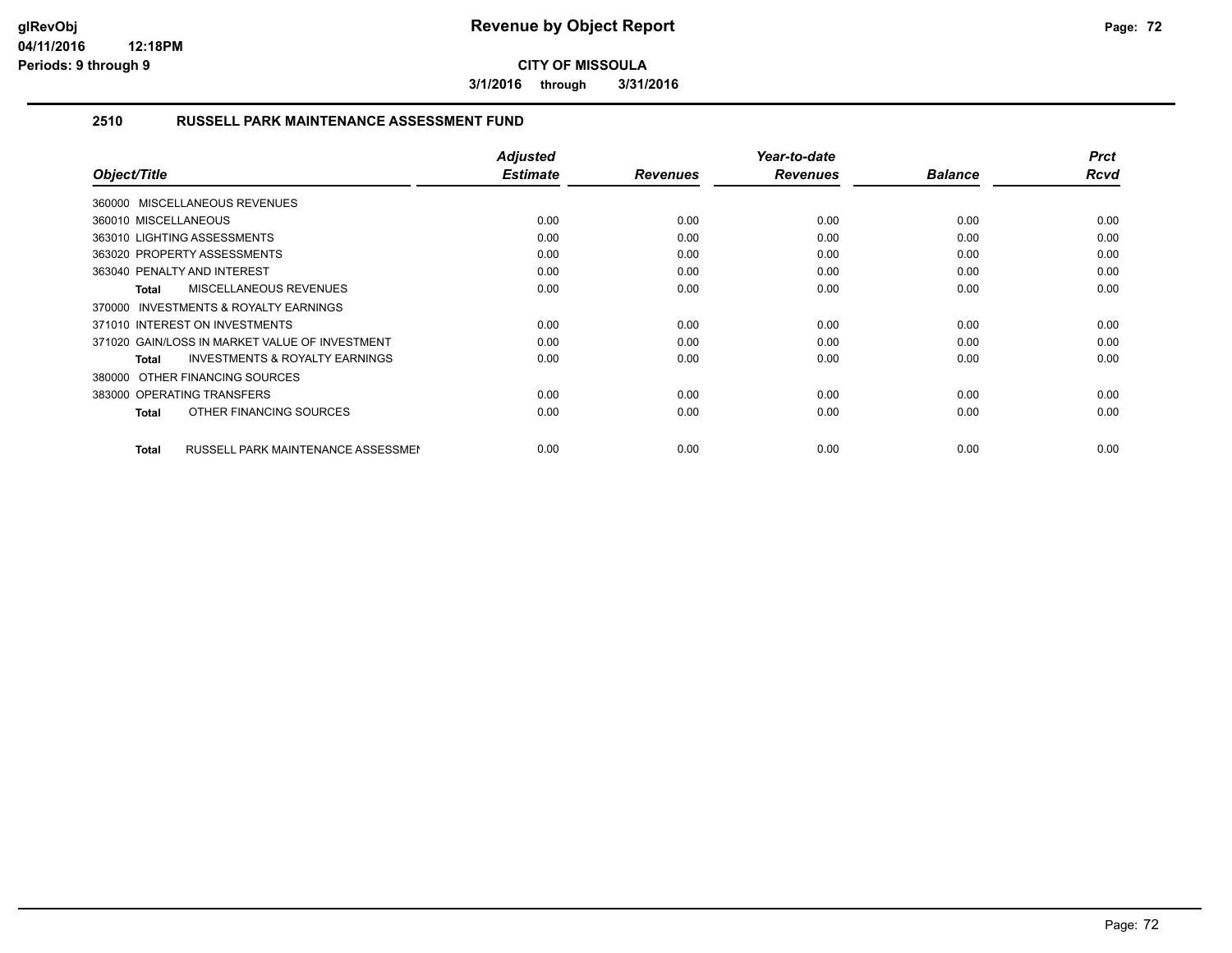**3/1/2016 through 3/31/2016**

### **2510 RUSSELL PARK MAINTENANCE ASSESSMENT FUND**

| Object/Title                                              | <b>Adjusted</b><br><b>Estimate</b> | <b>Revenues</b> | Year-to-date<br><b>Revenues</b> | <b>Balance</b> | <b>Prct</b><br>Rcvd |
|-----------------------------------------------------------|------------------------------------|-----------------|---------------------------------|----------------|---------------------|
| 360000 MISCELLANEOUS REVENUES                             |                                    |                 |                                 |                |                     |
| 360010 MISCELLANEOUS                                      | 0.00                               | 0.00            | 0.00                            | 0.00           | 0.00                |
| 363010 LIGHTING ASSESSMENTS                               | 0.00                               | 0.00            | 0.00                            | 0.00           | 0.00                |
| 363020 PROPERTY ASSESSMENTS                               | 0.00                               | 0.00            | 0.00                            | 0.00           | 0.00                |
| 363040 PENALTY AND INTEREST                               | 0.00                               | 0.00            | 0.00                            | 0.00           | 0.00                |
| MISCELLANEOUS REVENUES<br><b>Total</b>                    | 0.00                               | 0.00            | 0.00                            | 0.00           | 0.00                |
| <b>INVESTMENTS &amp; ROYALTY EARNINGS</b><br>370000       |                                    |                 |                                 |                |                     |
| 371010 INTEREST ON INVESTMENTS                            | 0.00                               | 0.00            | 0.00                            | 0.00           | 0.00                |
| 371020 GAIN/LOSS IN MARKET VALUE OF INVESTMENT            | 0.00                               | 0.00            | 0.00                            | 0.00           | 0.00                |
| <b>INVESTMENTS &amp; ROYALTY EARNINGS</b><br>Total        | 0.00                               | 0.00            | 0.00                            | 0.00           | 0.00                |
| 380000 OTHER FINANCING SOURCES                            |                                    |                 |                                 |                |                     |
| 383000 OPERATING TRANSFERS                                | 0.00                               | 0.00            | 0.00                            | 0.00           | 0.00                |
| OTHER FINANCING SOURCES<br><b>Total</b>                   | 0.00                               | 0.00            | 0.00                            | 0.00           | 0.00                |
|                                                           |                                    |                 |                                 |                |                     |
| <b>RUSSELL PARK MAINTENANCE ASSESSMEN</b><br><b>Total</b> | 0.00                               | 0.00            | 0.00                            | 0.00           | 0.00                |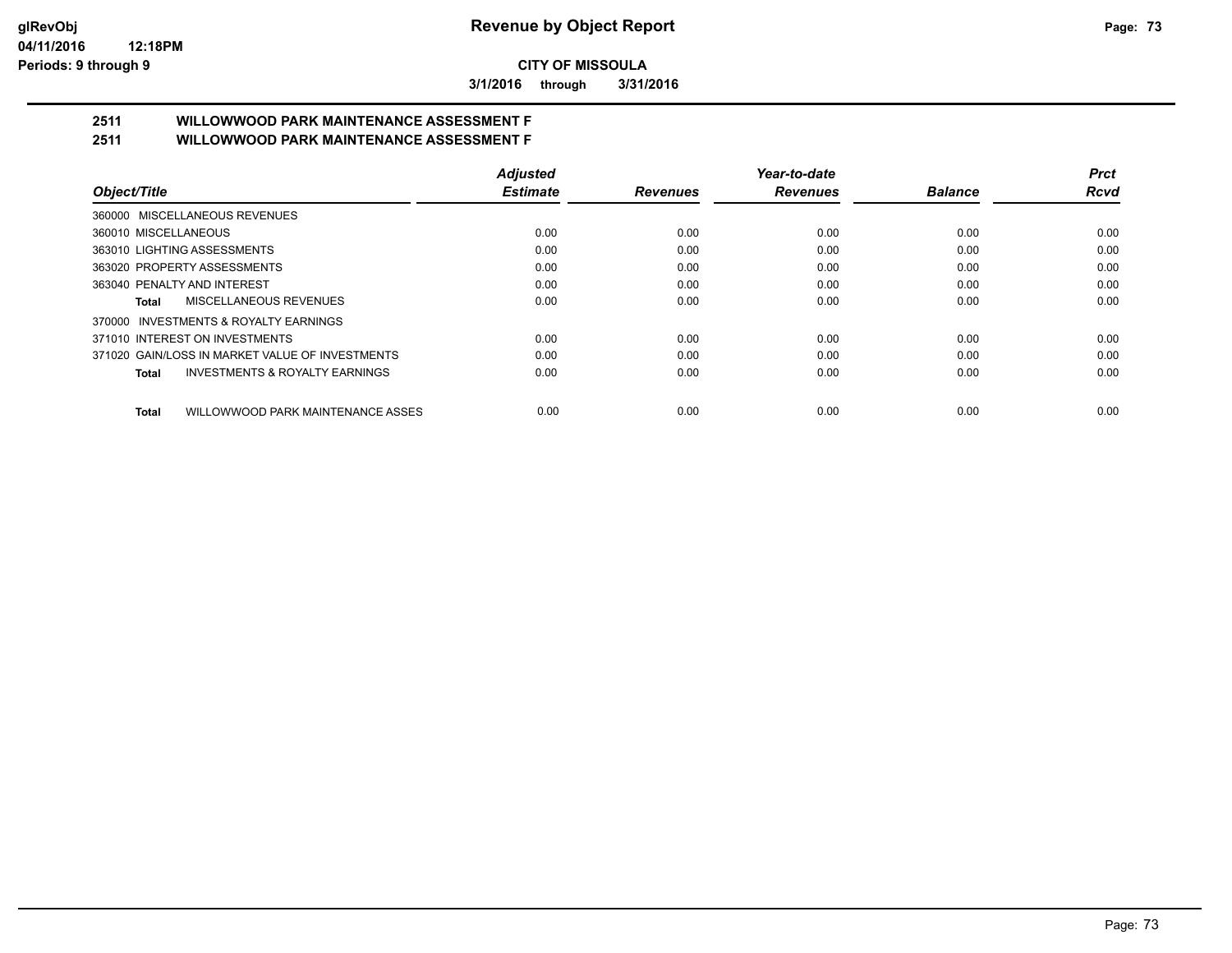**3/1/2016 through 3/31/2016**

# **2511 WILLOWWOOD PARK MAINTENANCE ASSESSMENT F**

**2511 WILLOWWOOD PARK MAINTENANCE ASSESSMENT F**

|                                                    | <b>Adjusted</b> |                 | Year-to-date    |                | Prct |
|----------------------------------------------------|-----------------|-----------------|-----------------|----------------|------|
| Object/Title                                       | <b>Estimate</b> | <b>Revenues</b> | <b>Revenues</b> | <b>Balance</b> | Rcvd |
| 360000 MISCELLANEOUS REVENUES                      |                 |                 |                 |                |      |
| 360010 MISCELLANEOUS                               | 0.00            | 0.00            | 0.00            | 0.00           | 0.00 |
| 363010 LIGHTING ASSESSMENTS                        | 0.00            | 0.00            | 0.00            | 0.00           | 0.00 |
| 363020 PROPERTY ASSESSMENTS                        | 0.00            | 0.00            | 0.00            | 0.00           | 0.00 |
| 363040 PENALTY AND INTEREST                        | 0.00            | 0.00            | 0.00            | 0.00           | 0.00 |
| MISCELLANEOUS REVENUES<br>Total                    | 0.00            | 0.00            | 0.00            | 0.00           | 0.00 |
| 370000 INVESTMENTS & ROYALTY EARNINGS              |                 |                 |                 |                |      |
| 371010 INTEREST ON INVESTMENTS                     | 0.00            | 0.00            | 0.00            | 0.00           | 0.00 |
| 371020 GAIN/LOSS IN MARKET VALUE OF INVESTMENTS    | 0.00            | 0.00            | 0.00            | 0.00           | 0.00 |
| <b>INVESTMENTS &amp; ROYALTY EARNINGS</b><br>Total | 0.00            | 0.00            | 0.00            | 0.00           | 0.00 |
| WILLOWWOOD PARK MAINTENANCE ASSES<br><b>Total</b>  | 0.00            | 0.00            | 0.00            | 0.00           | 0.00 |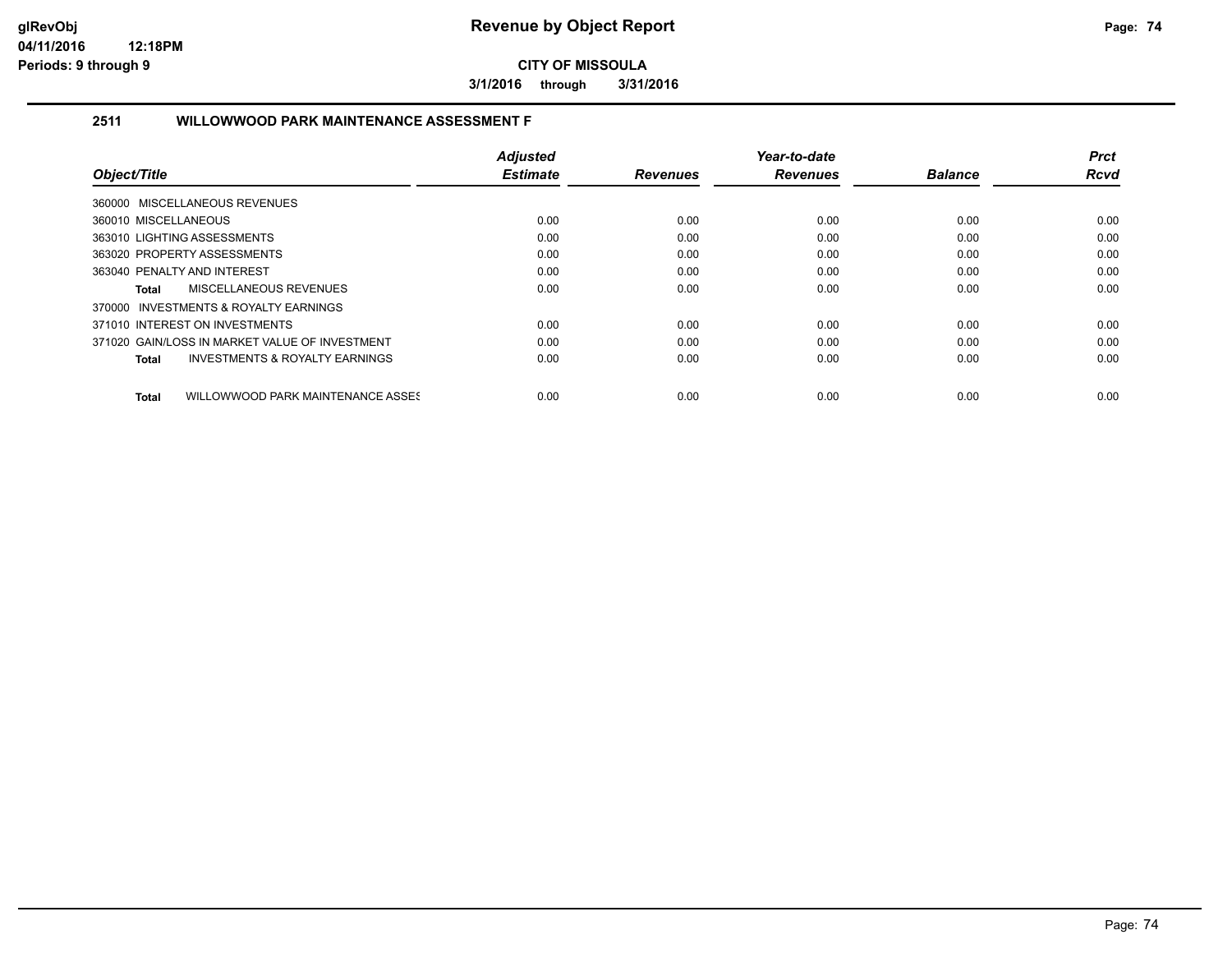**3/1/2016 through 3/31/2016**

## **2511 WILLOWWOOD PARK MAINTENANCE ASSESSMENT F**

|                                                    | <b>Adjusted</b> |                 | Year-to-date    |                | <b>Prct</b> |
|----------------------------------------------------|-----------------|-----------------|-----------------|----------------|-------------|
| Object/Title                                       | <b>Estimate</b> | <b>Revenues</b> | <b>Revenues</b> | <b>Balance</b> | <b>Rcvd</b> |
| 360000 MISCELLANEOUS REVENUES                      |                 |                 |                 |                |             |
| 360010 MISCELLANEOUS                               | 0.00            | 0.00            | 0.00            | 0.00           | 0.00        |
| 363010 LIGHTING ASSESSMENTS                        | 0.00            | 0.00            | 0.00            | 0.00           | 0.00        |
| 363020 PROPERTY ASSESSMENTS                        | 0.00            | 0.00            | 0.00            | 0.00           | 0.00        |
| 363040 PENALTY AND INTEREST                        | 0.00            | 0.00            | 0.00            | 0.00           | 0.00        |
| MISCELLANEOUS REVENUES<br>Total                    | 0.00            | 0.00            | 0.00            | 0.00           | 0.00        |
| 370000 INVESTMENTS & ROYALTY EARNINGS              |                 |                 |                 |                |             |
| 371010 INTEREST ON INVESTMENTS                     | 0.00            | 0.00            | 0.00            | 0.00           | 0.00        |
| 371020 GAIN/LOSS IN MARKET VALUE OF INVESTMENT     | 0.00            | 0.00            | 0.00            | 0.00           | 0.00        |
| <b>INVESTMENTS &amp; ROYALTY EARNINGS</b><br>Total | 0.00            | 0.00            | 0.00            | 0.00           | 0.00        |
| WILLOWWOOD PARK MAINTENANCE ASSES<br>Total         | 0.00            | 0.00            | 0.00            | 0.00           | 0.00        |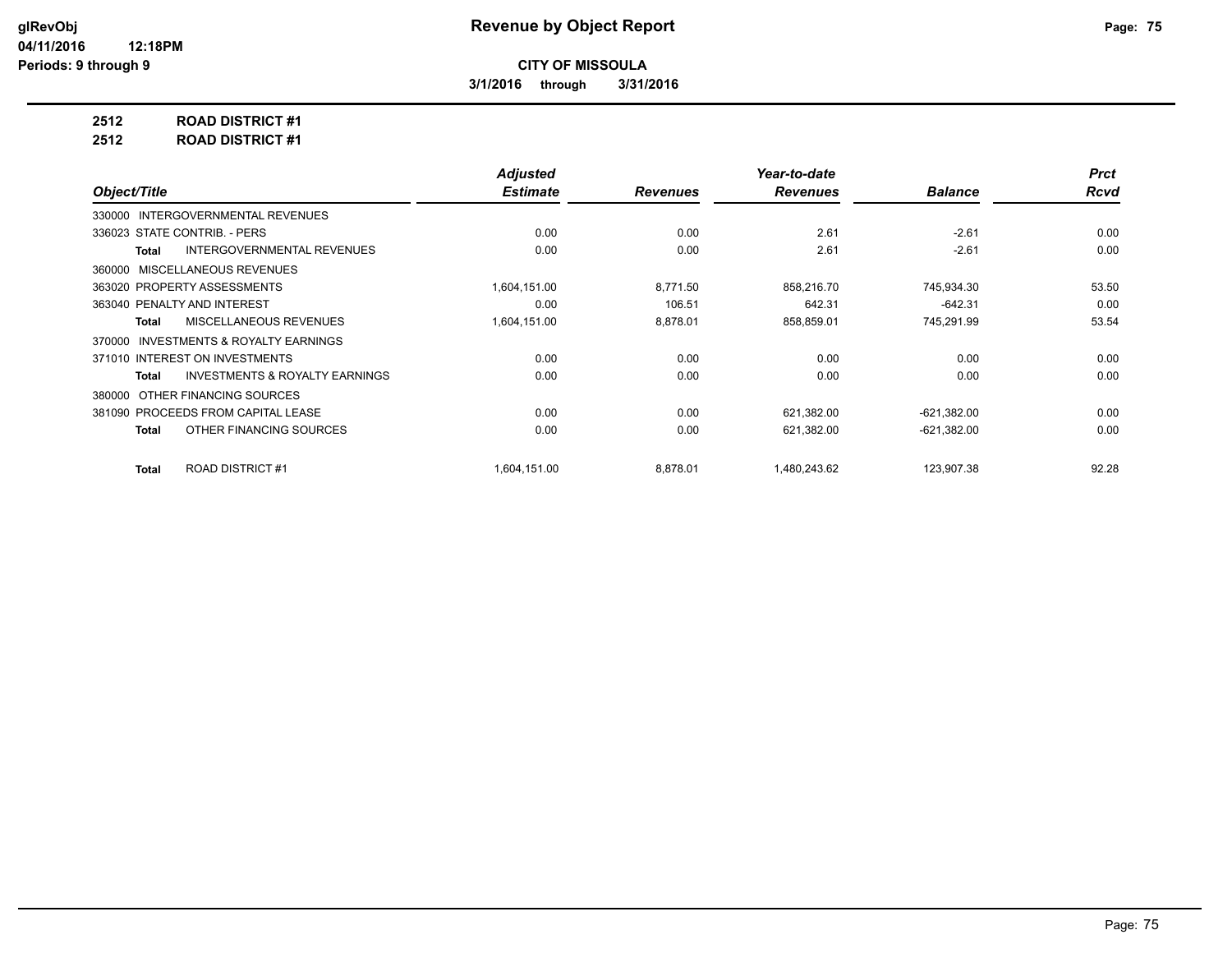**3/1/2016 through 3/31/2016**

**2512 ROAD DISTRICT #1**

**2512 ROAD DISTRICT #1**

|                                                    | <b>Adjusted</b> |                 | Year-to-date    |                | <b>Prct</b> |
|----------------------------------------------------|-----------------|-----------------|-----------------|----------------|-------------|
| Object/Title                                       | <b>Estimate</b> | <b>Revenues</b> | <b>Revenues</b> | <b>Balance</b> | <b>Rcvd</b> |
| INTERGOVERNMENTAL REVENUES<br>330000               |                 |                 |                 |                |             |
| 336023 STATE CONTRIB. - PERS                       | 0.00            | 0.00            | 2.61            | $-2.61$        | 0.00        |
| <b>INTERGOVERNMENTAL REVENUES</b><br>Total         | 0.00            | 0.00            | 2.61            | $-2.61$        | 0.00        |
| 360000 MISCELLANEOUS REVENUES                      |                 |                 |                 |                |             |
| 363020 PROPERTY ASSESSMENTS                        | 1,604,151.00    | 8,771.50        | 858,216.70      | 745,934.30     | 53.50       |
| 363040 PENALTY AND INTEREST                        | 0.00            | 106.51          | 642.31          | $-642.31$      | 0.00        |
| MISCELLANEOUS REVENUES<br>Total                    | 1,604,151.00    | 8,878.01        | 858,859.01      | 745,291.99     | 53.54       |
| 370000 INVESTMENTS & ROYALTY EARNINGS              |                 |                 |                 |                |             |
| 371010 INTEREST ON INVESTMENTS                     | 0.00            | 0.00            | 0.00            | 0.00           | 0.00        |
| <b>INVESTMENTS &amp; ROYALTY EARNINGS</b><br>Total | 0.00            | 0.00            | 0.00            | 0.00           | 0.00        |
| 380000 OTHER FINANCING SOURCES                     |                 |                 |                 |                |             |
| 381090 PROCEEDS FROM CAPITAL LEASE                 | 0.00            | 0.00            | 621,382.00      | $-621,382.00$  | 0.00        |
| OTHER FINANCING SOURCES<br>Total                   | 0.00            | 0.00            | 621,382.00      | $-621,382.00$  | 0.00        |
| <b>ROAD DISTRICT #1</b><br><b>Total</b>            | 1.604.151.00    | 8,878.01        | 1.480.243.62    | 123,907.38     | 92.28       |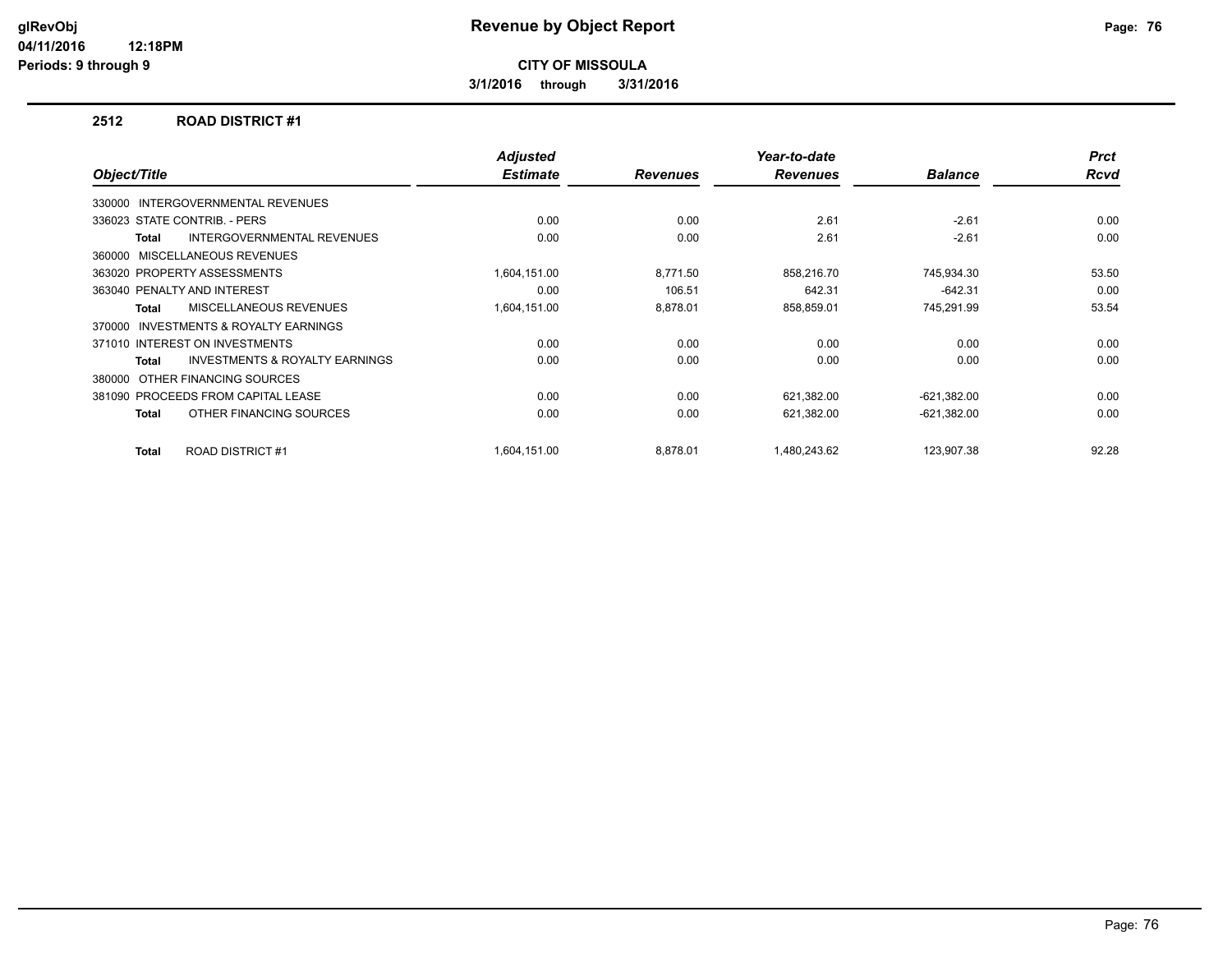**3/1/2016 through 3/31/2016**

#### **2512 ROAD DISTRICT #1**

| Object/Title                                        | <b>Adjusted</b><br><b>Estimate</b> | <b>Revenues</b> | Year-to-date<br><b>Revenues</b> | <b>Balance</b> | <b>Prct</b><br><b>Rcvd</b> |
|-----------------------------------------------------|------------------------------------|-----------------|---------------------------------|----------------|----------------------------|
|                                                     |                                    |                 |                                 |                |                            |
| INTERGOVERNMENTAL REVENUES<br>330000                |                                    |                 |                                 |                |                            |
| 336023 STATE CONTRIB. - PERS                        | 0.00                               | 0.00            | 2.61                            | $-2.61$        | 0.00                       |
| <b>INTERGOVERNMENTAL REVENUES</b><br>Total          | 0.00                               | 0.00            | 2.61                            | $-2.61$        | 0.00                       |
| MISCELLANEOUS REVENUES<br>360000                    |                                    |                 |                                 |                |                            |
| 363020 PROPERTY ASSESSMENTS                         | 1,604,151.00                       | 8,771.50        | 858,216.70                      | 745,934.30     | 53.50                      |
| 363040 PENALTY AND INTEREST                         | 0.00                               | 106.51          | 642.31                          | $-642.31$      | 0.00                       |
| MISCELLANEOUS REVENUES<br><b>Total</b>              | 1,604,151.00                       | 8,878.01        | 858,859.01                      | 745,291.99     | 53.54                      |
| <b>INVESTMENTS &amp; ROYALTY EARNINGS</b><br>370000 |                                    |                 |                                 |                |                            |
| 371010 INTEREST ON INVESTMENTS                      | 0.00                               | 0.00            | 0.00                            | 0.00           | 0.00                       |
| <b>INVESTMENTS &amp; ROYALTY EARNINGS</b><br>Total  | 0.00                               | 0.00            | 0.00                            | 0.00           | 0.00                       |
| OTHER FINANCING SOURCES<br>380000                   |                                    |                 |                                 |                |                            |
| 381090 PROCEEDS FROM CAPITAL LEASE                  | 0.00                               | 0.00            | 621,382.00                      | $-621,382.00$  | 0.00                       |
| OTHER FINANCING SOURCES<br><b>Total</b>             | 0.00                               | 0.00            | 621,382.00                      | $-621,382.00$  | 0.00                       |
| ROAD DISTRICT #1<br><b>Total</b>                    | 1,604,151.00                       | 8,878.01        | 1,480,243.62                    | 123,907.38     | 92.28                      |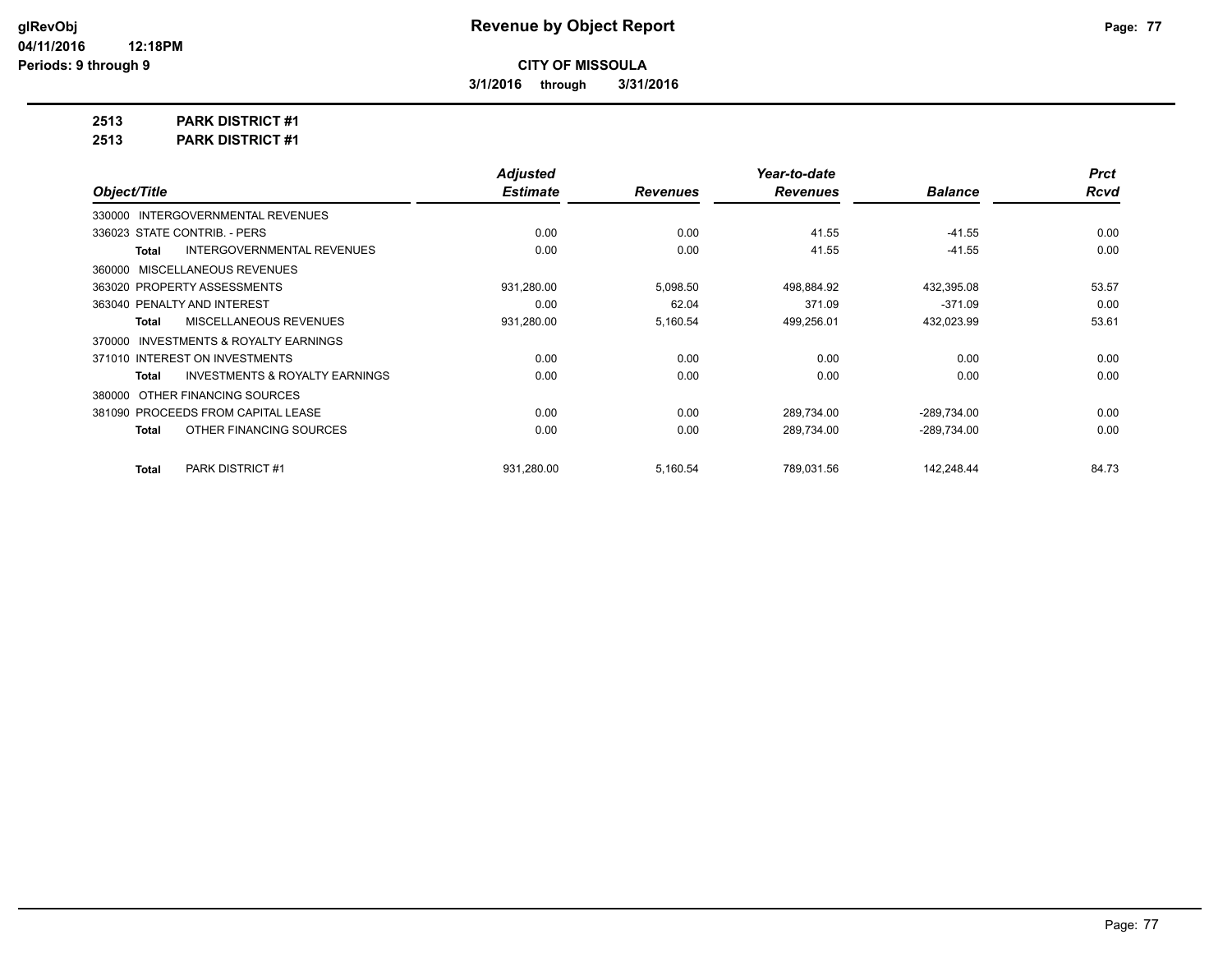**3/1/2016 through 3/31/2016**

**2513 PARK DISTRICT #1**

**2513 PARK DISTRICT #1**

|                                                     | <b>Adjusted</b> |                 | Year-to-date    |                | <b>Prct</b> |
|-----------------------------------------------------|-----------------|-----------------|-----------------|----------------|-------------|
| Object/Title                                        | <b>Estimate</b> | <b>Revenues</b> | <b>Revenues</b> | <b>Balance</b> | <b>Rcvd</b> |
| 330000 INTERGOVERNMENTAL REVENUES                   |                 |                 |                 |                |             |
| 336023 STATE CONTRIB. - PERS                        | 0.00            | 0.00            | 41.55           | $-41.55$       | 0.00        |
| <b>INTERGOVERNMENTAL REVENUES</b><br>Total          | 0.00            | 0.00            | 41.55           | $-41.55$       | 0.00        |
| 360000 MISCELLANEOUS REVENUES                       |                 |                 |                 |                |             |
| 363020 PROPERTY ASSESSMENTS                         | 931,280.00      | 5,098.50        | 498,884.92      | 432,395.08     | 53.57       |
| 363040 PENALTY AND INTEREST                         | 0.00            | 62.04           | 371.09          | $-371.09$      | 0.00        |
| MISCELLANEOUS REVENUES<br>Total                     | 931,280.00      | 5,160.54        | 499,256.01      | 432,023.99     | 53.61       |
| <b>INVESTMENTS &amp; ROYALTY EARNINGS</b><br>370000 |                 |                 |                 |                |             |
| 371010 INTEREST ON INVESTMENTS                      | 0.00            | 0.00            | 0.00            | 0.00           | 0.00        |
| <b>INVESTMENTS &amp; ROYALTY EARNINGS</b><br>Total  | 0.00            | 0.00            | 0.00            | 0.00           | 0.00        |
| 380000 OTHER FINANCING SOURCES                      |                 |                 |                 |                |             |
| 381090 PROCEEDS FROM CAPITAL LEASE                  | 0.00            | 0.00            | 289,734.00      | $-289,734.00$  | 0.00        |
| OTHER FINANCING SOURCES<br>Total                    | 0.00            | 0.00            | 289,734.00      | $-289,734.00$  | 0.00        |
| <b>PARK DISTRICT #1</b><br><b>Total</b>             | 931,280.00      | 5,160.54        | 789,031.56      | 142,248.44     | 84.73       |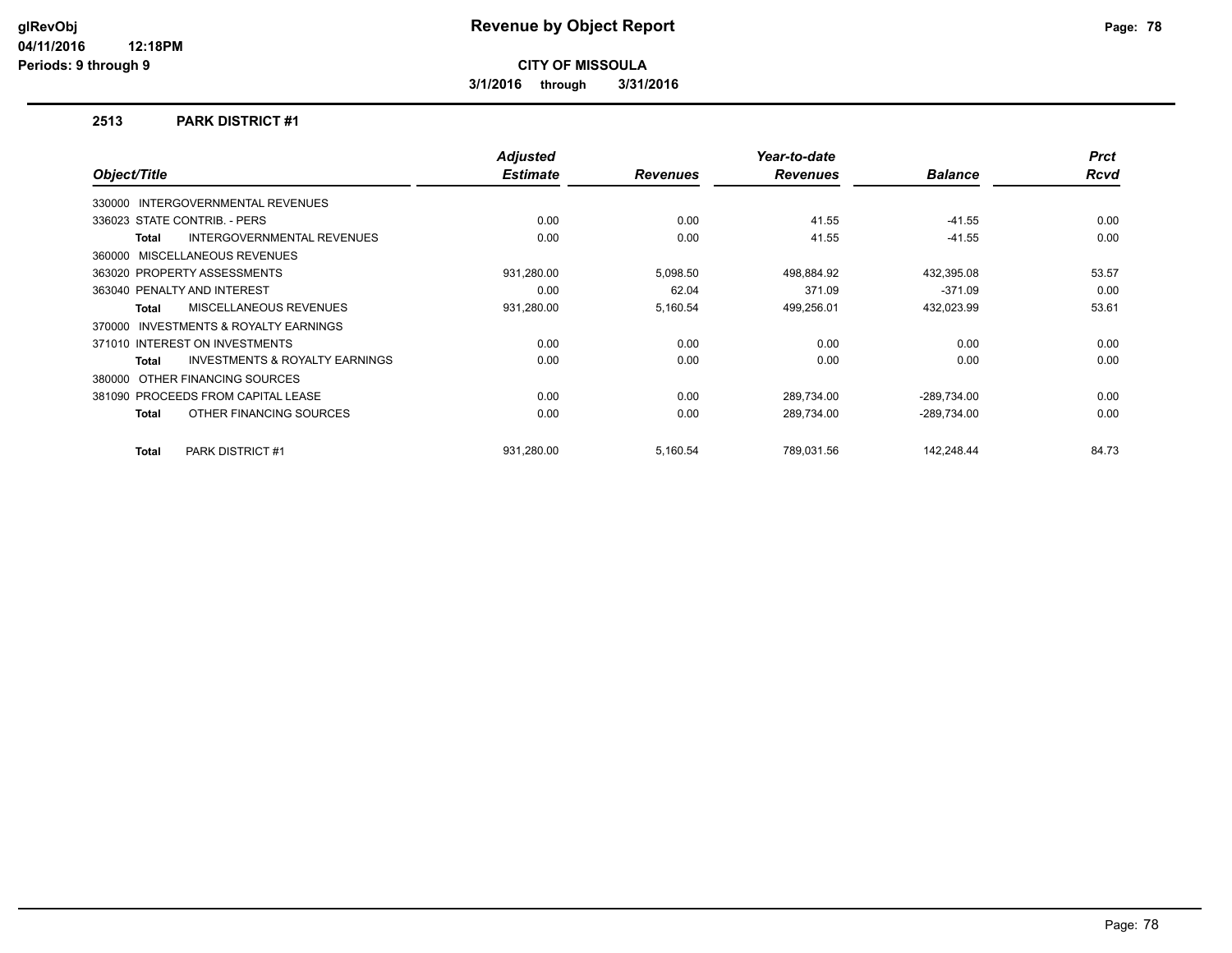**3/1/2016 through 3/31/2016**

#### **2513 PARK DISTRICT #1**

|                                                     | <b>Adjusted</b> |                 | Year-to-date    |                | <b>Prct</b> |
|-----------------------------------------------------|-----------------|-----------------|-----------------|----------------|-------------|
| Object/Title                                        | <b>Estimate</b> | <b>Revenues</b> | <b>Revenues</b> | <b>Balance</b> | <b>Rcvd</b> |
| <b>INTERGOVERNMENTAL REVENUES</b><br>330000         |                 |                 |                 |                |             |
| 336023 STATE CONTRIB. - PERS                        | 0.00            | 0.00            | 41.55           | $-41.55$       | 0.00        |
| <b>INTERGOVERNMENTAL REVENUES</b><br>Total          | 0.00            | 0.00            | 41.55           | $-41.55$       | 0.00        |
| MISCELLANEOUS REVENUES<br>360000                    |                 |                 |                 |                |             |
| 363020 PROPERTY ASSESSMENTS                         | 931,280.00      | 5,098.50        | 498,884.92      | 432,395.08     | 53.57       |
| 363040 PENALTY AND INTEREST                         | 0.00            | 62.04           | 371.09          | $-371.09$      | 0.00        |
| <b>MISCELLANEOUS REVENUES</b><br>Total              | 931,280.00      | 5,160.54        | 499,256.01      | 432,023.99     | 53.61       |
| <b>INVESTMENTS &amp; ROYALTY EARNINGS</b><br>370000 |                 |                 |                 |                |             |
| 371010 INTEREST ON INVESTMENTS                      | 0.00            | 0.00            | 0.00            | 0.00           | 0.00        |
| <b>INVESTMENTS &amp; ROYALTY EARNINGS</b><br>Total  | 0.00            | 0.00            | 0.00            | 0.00           | 0.00        |
| 380000 OTHER FINANCING SOURCES                      |                 |                 |                 |                |             |
| 381090 PROCEEDS FROM CAPITAL LEASE                  | 0.00            | 0.00            | 289,734.00      | $-289,734.00$  | 0.00        |
| OTHER FINANCING SOURCES<br>Total                    | 0.00            | 0.00            | 289,734.00      | $-289,734.00$  | 0.00        |
|                                                     |                 |                 |                 |                |             |
| PARK DISTRICT #1<br>Total                           | 931,280.00      | 5,160.54        | 789,031.56      | 142,248.44     | 84.73       |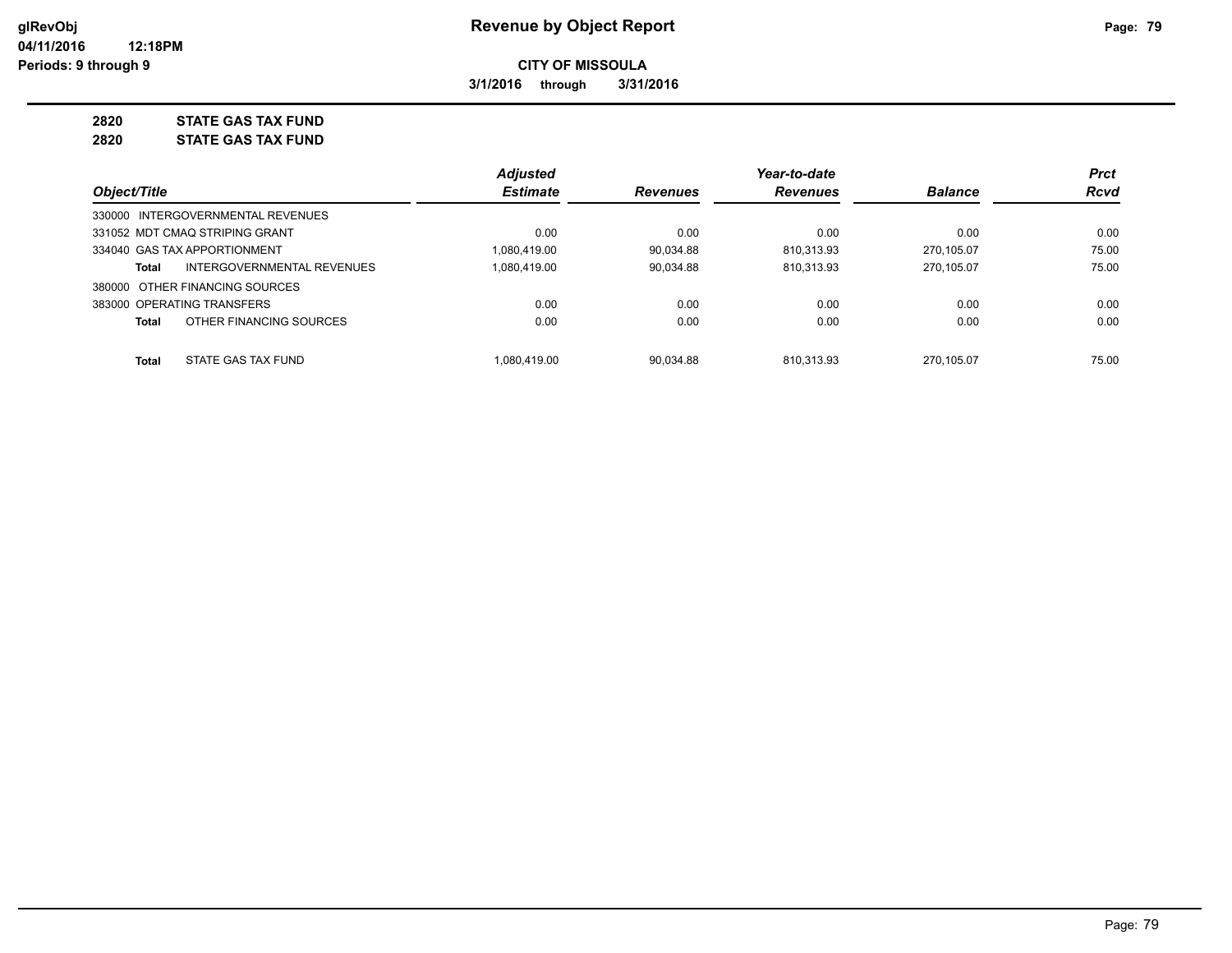**3/1/2016 through 3/31/2016**

# **2820 STATE GAS TAX FUND**

**2820 STATE GAS TAX FUND**

|                                            | <b>Adjusted</b> |                 | Year-to-date    |                | <b>Prct</b> |
|--------------------------------------------|-----------------|-----------------|-----------------|----------------|-------------|
| Object/Title                               | <b>Estimate</b> | <b>Revenues</b> | <b>Revenues</b> | <b>Balance</b> | <b>Rcvd</b> |
| 330000 INTERGOVERNMENTAL REVENUES          |                 |                 |                 |                |             |
| 331052 MDT CMAQ STRIPING GRANT             | 0.00            | 0.00            | 0.00            | 0.00           | 0.00        |
| 334040 GAS TAX APPORTIONMENT               | 1.080.419.00    | 90.034.88       | 810.313.93      | 270.105.07     | 75.00       |
| INTERGOVERNMENTAL REVENUES<br><b>Total</b> | 1,080,419.00    | 90,034.88       | 810,313.93      | 270.105.07     | 75.00       |
| 380000 OTHER FINANCING SOURCES             |                 |                 |                 |                |             |
| 383000 OPERATING TRANSFERS                 | 0.00            | 0.00            | 0.00            | 0.00           | 0.00        |
| OTHER FINANCING SOURCES<br><b>Total</b>    | 0.00            | 0.00            | 0.00            | 0.00           | 0.00        |
| STATE GAS TAX FUND<br><b>Total</b>         | 1.080.419.00    | 90.034.88       | 810.313.93      | 270.105.07     | 75.00       |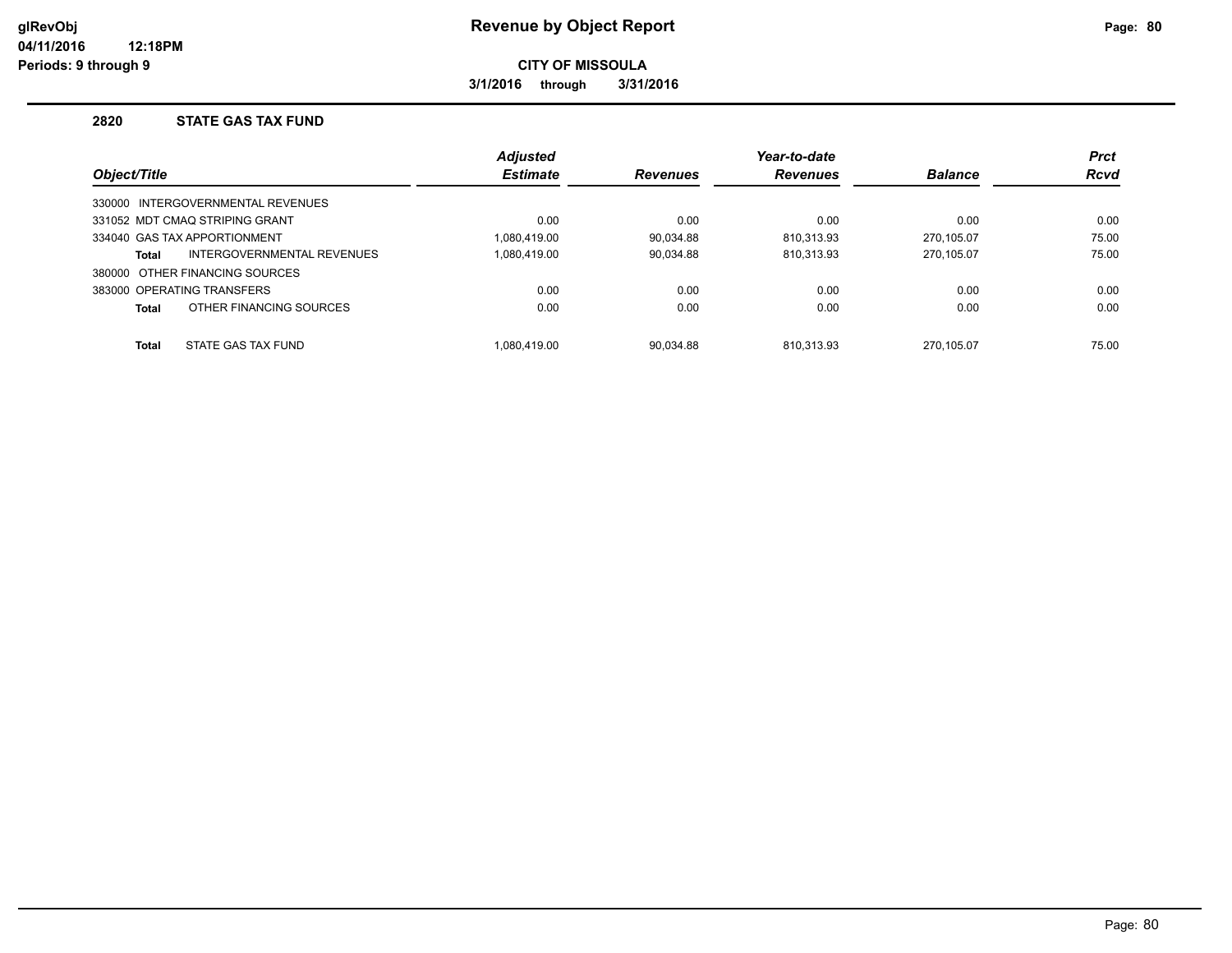**3/1/2016 through 3/31/2016**

#### **2820 STATE GAS TAX FUND**

|              |                                   | <b>Adjusted</b> |                 | Year-to-date   |             | <b>Prct</b> |
|--------------|-----------------------------------|-----------------|-----------------|----------------|-------------|-------------|
| Object/Title | <b>Estimate</b>                   | <b>Revenues</b> | <b>Revenues</b> | <b>Balance</b> | <b>Rcvd</b> |             |
|              | 330000 INTERGOVERNMENTAL REVENUES |                 |                 |                |             |             |
|              | 331052 MDT CMAQ STRIPING GRANT    | 0.00            | 0.00            | 0.00           | 0.00        | 0.00        |
|              | 334040 GAS TAX APPORTIONMENT      | 1.080.419.00    | 90.034.88       | 810.313.93     | 270.105.07  | 75.00       |
| Total        | INTERGOVERNMENTAL REVENUES        | 1.080.419.00    | 90.034.88       | 810.313.93     | 270.105.07  | 75.00       |
|              | 380000 OTHER FINANCING SOURCES    |                 |                 |                |             |             |
|              | 383000 OPERATING TRANSFERS        | 0.00            | 0.00            | 0.00           | 0.00        | 0.00        |
| Total        | OTHER FINANCING SOURCES           | 0.00            | 0.00            | 0.00           | 0.00        | 0.00        |
| <b>Total</b> | STATE GAS TAX FUND                | 1.080.419.00    | 90.034.88       | 810.313.93     | 270.105.07  | 75.00       |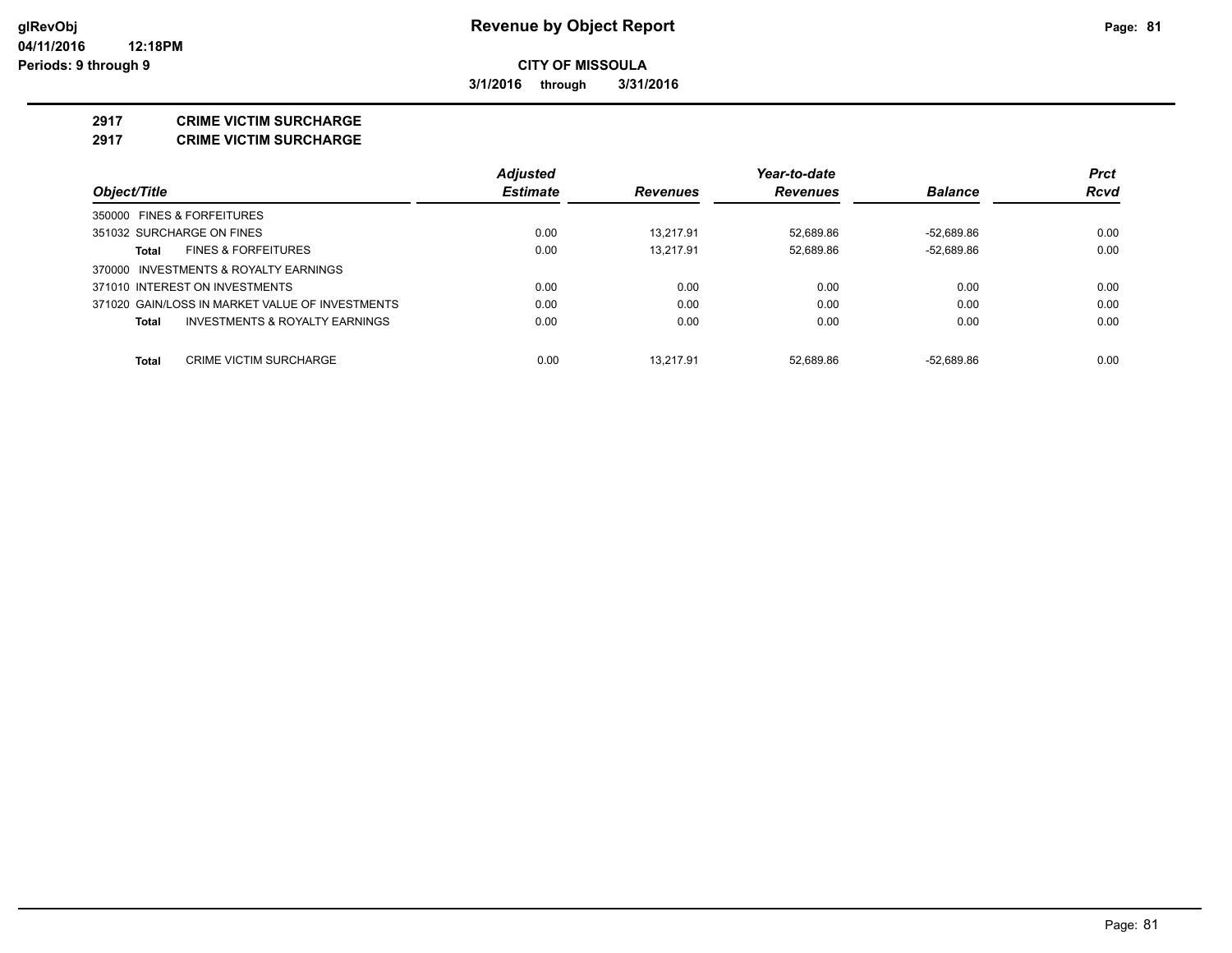**3/1/2016 through 3/31/2016**

#### **2917 CRIME VICTIM SURCHARGE**

**2917 CRIME VICTIM SURCHARGE**

|                                                 | <b>Adjusted</b> |                 | Year-to-date    |                | <b>Prct</b> |
|-------------------------------------------------|-----------------|-----------------|-----------------|----------------|-------------|
| Object/Title                                    | <b>Estimate</b> | <b>Revenues</b> | <b>Revenues</b> | <b>Balance</b> | Rcvd        |
| 350000 FINES & FORFEITURES                      |                 |                 |                 |                |             |
| 351032 SURCHARGE ON FINES                       | 0.00            | 13.217.91       | 52.689.86       | $-52.689.86$   | 0.00        |
| <b>FINES &amp; FORFEITURES</b><br>Total         | 0.00            | 13.217.91       | 52.689.86       | $-52,689.86$   | 0.00        |
| 370000 INVESTMENTS & ROYALTY EARNINGS           |                 |                 |                 |                |             |
| 371010 INTEREST ON INVESTMENTS                  | 0.00            | 0.00            | 0.00            | 0.00           | 0.00        |
| 371020 GAIN/LOSS IN MARKET VALUE OF INVESTMENTS | 0.00            | 0.00            | 0.00            | 0.00           | 0.00        |
| INVESTMENTS & ROYALTY EARNINGS<br>Total         | 0.00            | 0.00            | 0.00            | 0.00           | 0.00        |
| Total<br><b>CRIME VICTIM SURCHARGE</b>          | 0.00            | 13.217.91       | 52.689.86       | $-52.689.86$   | 0.00        |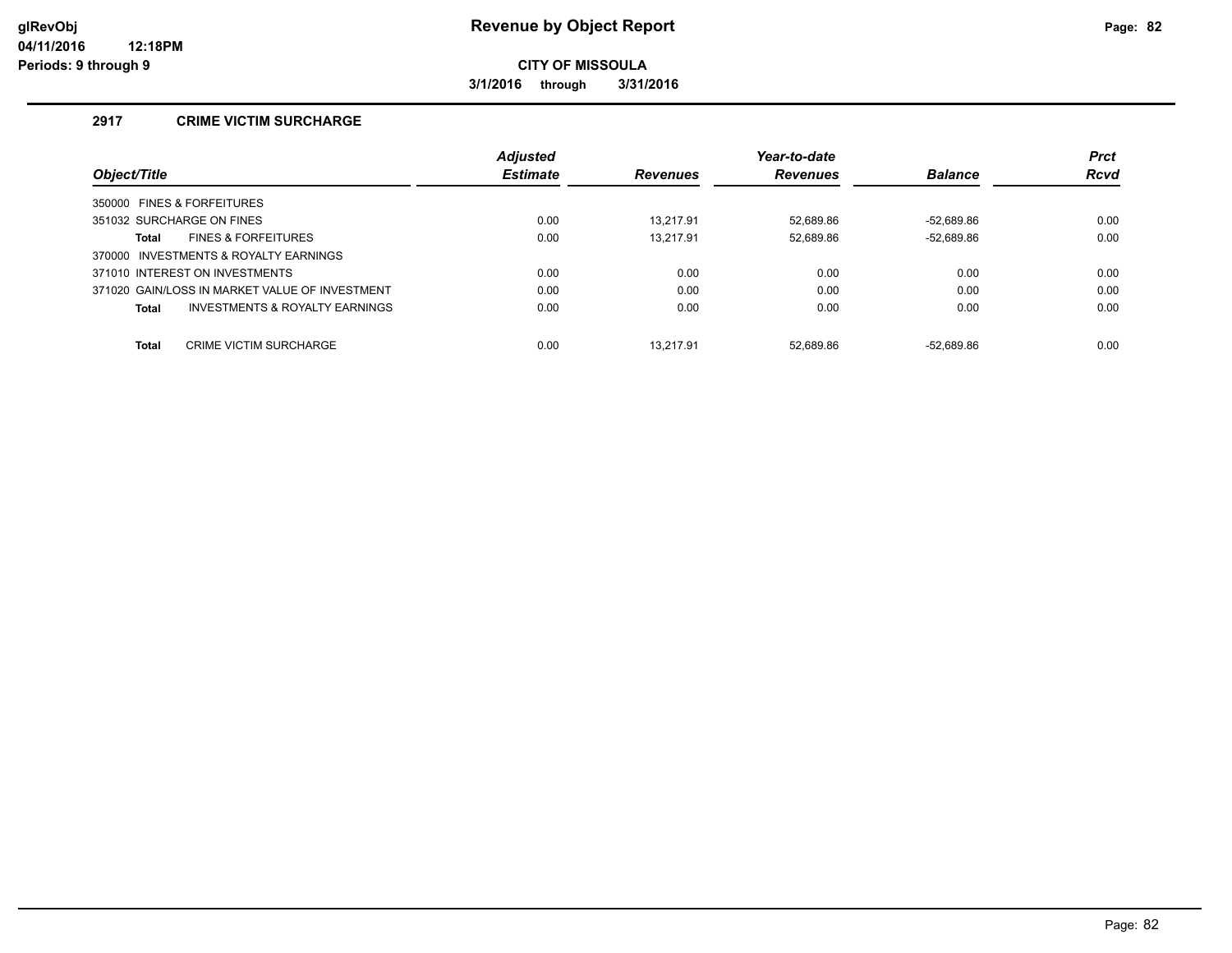**3/1/2016 through 3/31/2016**

## **2917 CRIME VICTIM SURCHARGE**

|                                                | <b>Adjusted</b> |                 | Year-to-date    |                | <b>Prct</b> |
|------------------------------------------------|-----------------|-----------------|-----------------|----------------|-------------|
| Object/Title                                   | <b>Estimate</b> | <b>Revenues</b> | <b>Revenues</b> | <b>Balance</b> | <b>Rcvd</b> |
| 350000 FINES & FORFEITURES                     |                 |                 |                 |                |             |
| 351032 SURCHARGE ON FINES                      | 0.00            | 13.217.91       | 52.689.86       | $-52.689.86$   | 0.00        |
| <b>FINES &amp; FORFEITURES</b><br>Total        | 0.00            | 13.217.91       | 52,689.86       | $-52,689.86$   | 0.00        |
| 370000 INVESTMENTS & ROYALTY EARNINGS          |                 |                 |                 |                |             |
| 371010 INTEREST ON INVESTMENTS                 | 0.00            | 0.00            | 0.00            | 0.00           | 0.00        |
| 371020 GAIN/LOSS IN MARKET VALUE OF INVESTMENT | 0.00            | 0.00            | 0.00            | 0.00           | 0.00        |
| INVESTMENTS & ROYALTY EARNINGS<br>Total        | 0.00            | 0.00            | 0.00            | 0.00           | 0.00        |
|                                                |                 |                 |                 |                |             |
| <b>Total</b><br><b>CRIME VICTIM SURCHARGE</b>  | 0.00            | 13.217.91       | 52.689.86       | $-52.689.86$   | 0.00        |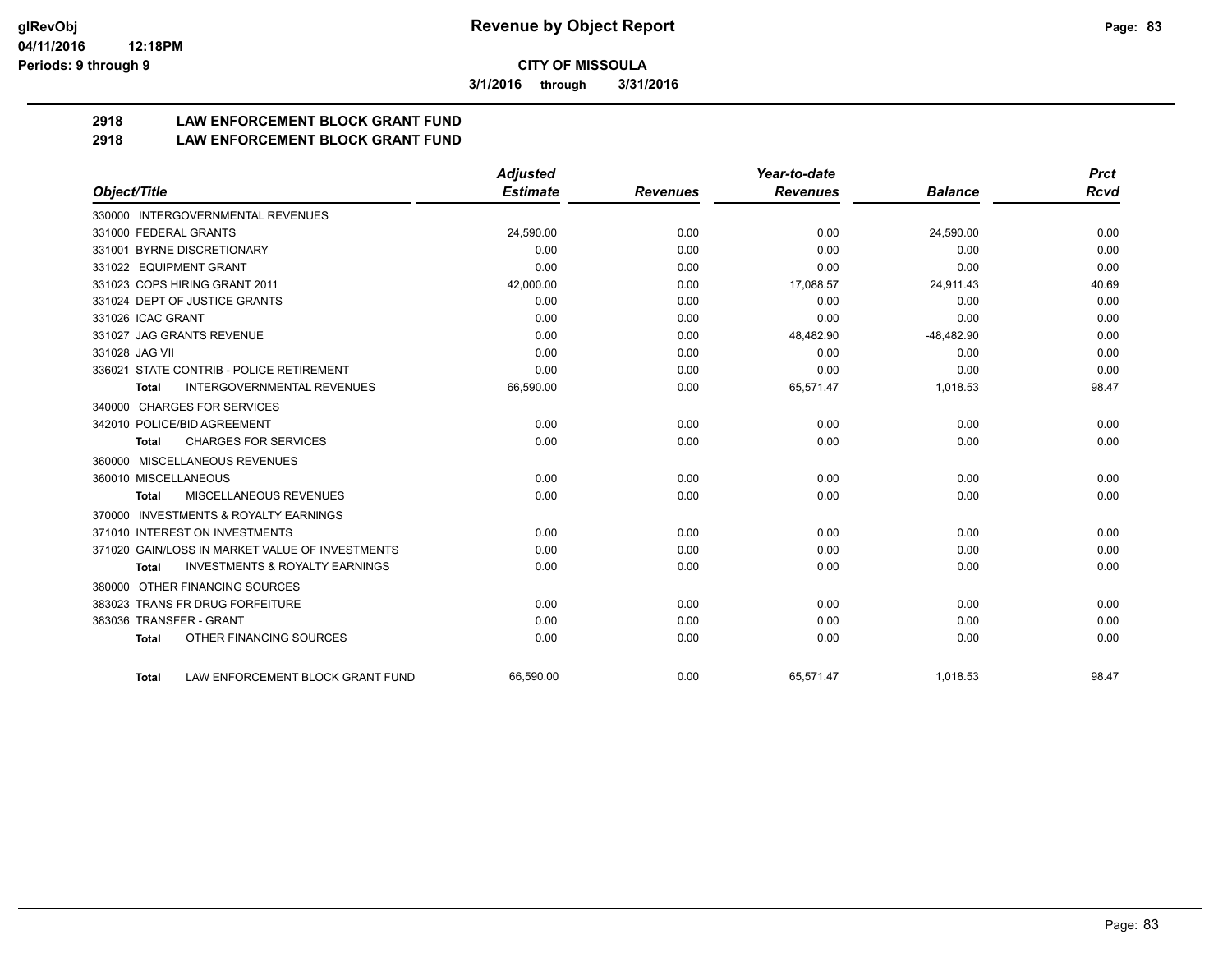**3/1/2016 through 3/31/2016**

# **2918 LAW ENFORCEMENT BLOCK GRANT FUND**

## **2918 LAW ENFORCEMENT BLOCK GRANT FUND**

|                         |                                                 | <b>Adjusted</b> |                 | Year-to-date    |                | <b>Prct</b> |
|-------------------------|-------------------------------------------------|-----------------|-----------------|-----------------|----------------|-------------|
| Object/Title            |                                                 | <b>Estimate</b> | <b>Revenues</b> | <b>Revenues</b> | <b>Balance</b> | <b>Rcvd</b> |
|                         | 330000 INTERGOVERNMENTAL REVENUES               |                 |                 |                 |                |             |
| 331000 FEDERAL GRANTS   |                                                 | 24,590.00       | 0.00            | 0.00            | 24,590.00      | 0.00        |
|                         | 331001 BYRNE DISCRETIONARY                      | 0.00            | 0.00            | 0.00            | 0.00           | 0.00        |
| 331022 EQUIPMENT GRANT  |                                                 | 0.00            | 0.00            | 0.00            | 0.00           | 0.00        |
|                         | 331023 COPS HIRING GRANT 2011                   | 42,000.00       | 0.00            | 17,088.57       | 24,911.43      | 40.69       |
|                         | 331024 DEPT OF JUSTICE GRANTS                   | 0.00            | 0.00            | 0.00            | 0.00           | 0.00        |
| 331026 ICAC GRANT       |                                                 | 0.00            | 0.00            | 0.00            | 0.00           | 0.00        |
|                         | 331027 JAG GRANTS REVENUE                       | 0.00            | 0.00            | 48,482.90       | $-48,482.90$   | 0.00        |
| 331028 JAG VII          |                                                 | 0.00            | 0.00            | 0.00            | 0.00           | 0.00        |
|                         | 336021 STATE CONTRIB - POLICE RETIREMENT        | 0.00            | 0.00            | 0.00            | 0.00           | 0.00        |
| Total                   | <b>INTERGOVERNMENTAL REVENUES</b>               | 66,590.00       | 0.00            | 65,571.47       | 1,018.53       | 98.47       |
|                         | 340000 CHARGES FOR SERVICES                     |                 |                 |                 |                |             |
|                         | 342010 POLICE/BID AGREEMENT                     | 0.00            | 0.00            | 0.00            | 0.00           | 0.00        |
| <b>Total</b>            | <b>CHARGES FOR SERVICES</b>                     | 0.00            | 0.00            | 0.00            | 0.00           | 0.00        |
| 360000                  | MISCELLANEOUS REVENUES                          |                 |                 |                 |                |             |
| 360010 MISCELLANEOUS    |                                                 | 0.00            | 0.00            | 0.00            | 0.00           | 0.00        |
| <b>Total</b>            | MISCELLANEOUS REVENUES                          | 0.00            | 0.00            | 0.00            | 0.00           | 0.00        |
| 370000                  | <b>INVESTMENTS &amp; ROYALTY EARNINGS</b>       |                 |                 |                 |                |             |
|                         | 371010 INTEREST ON INVESTMENTS                  | 0.00            | 0.00            | 0.00            | 0.00           | 0.00        |
|                         | 371020 GAIN/LOSS IN MARKET VALUE OF INVESTMENTS | 0.00            | 0.00            | 0.00            | 0.00           | 0.00        |
| <b>Total</b>            | <b>INVESTMENTS &amp; ROYALTY EARNINGS</b>       | 0.00            | 0.00            | 0.00            | 0.00           | 0.00        |
| 380000                  | OTHER FINANCING SOURCES                         |                 |                 |                 |                |             |
|                         | 383023 TRANS FR DRUG FORFEITURE                 | 0.00            | 0.00            | 0.00            | 0.00           | 0.00        |
| 383036 TRANSFER - GRANT |                                                 | 0.00            | 0.00            | 0.00            | 0.00           | 0.00        |
| <b>Total</b>            | OTHER FINANCING SOURCES                         | 0.00            | 0.00            | 0.00            | 0.00           | 0.00        |
| <b>Total</b>            | LAW ENFORCEMENT BLOCK GRANT FUND                | 66.590.00       | 0.00            | 65,571.47       | 1.018.53       | 98.47       |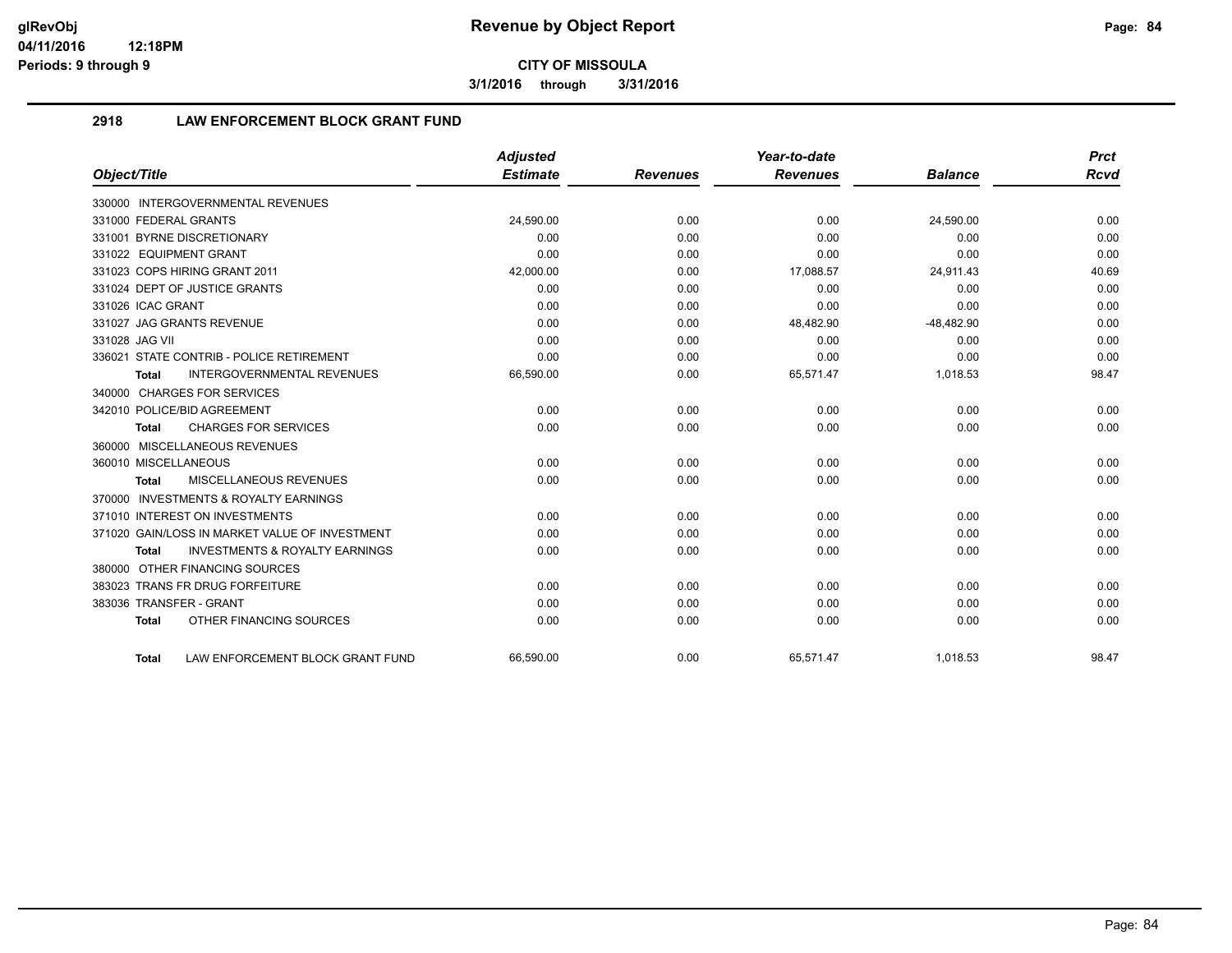**3/1/2016 through 3/31/2016**

## **2918 LAW ENFORCEMENT BLOCK GRANT FUND**

|                                                           | <b>Adjusted</b> |                 | Year-to-date    |                | <b>Prct</b> |
|-----------------------------------------------------------|-----------------|-----------------|-----------------|----------------|-------------|
| Object/Title                                              | <b>Estimate</b> | <b>Revenues</b> | <b>Revenues</b> | <b>Balance</b> | <b>Rcvd</b> |
| 330000 INTERGOVERNMENTAL REVENUES                         |                 |                 |                 |                |             |
| 331000 FEDERAL GRANTS                                     | 24,590.00       | 0.00            | 0.00            | 24,590.00      | 0.00        |
| 331001 BYRNE DISCRETIONARY                                | 0.00            | 0.00            | 0.00            | 0.00           | 0.00        |
| 331022 EQUIPMENT GRANT                                    | 0.00            | 0.00            | 0.00            | 0.00           | 0.00        |
| 331023 COPS HIRING GRANT 2011                             | 42,000.00       | 0.00            | 17,088.57       | 24,911.43      | 40.69       |
| 331024 DEPT OF JUSTICE GRANTS                             | 0.00            | 0.00            | 0.00            | 0.00           | 0.00        |
| 331026 ICAC GRANT                                         | 0.00            | 0.00            | 0.00            | 0.00           | 0.00        |
| 331027 JAG GRANTS REVENUE                                 | 0.00            | 0.00            | 48,482.90       | $-48,482.90$   | 0.00        |
| 331028 JAG VII                                            | 0.00            | 0.00            | 0.00            | 0.00           | 0.00        |
| 336021 STATE CONTRIB - POLICE RETIREMENT                  | 0.00            | 0.00            | 0.00            | 0.00           | 0.00        |
| <b>INTERGOVERNMENTAL REVENUES</b><br><b>Total</b>         | 66,590.00       | 0.00            | 65,571.47       | 1,018.53       | 98.47       |
| 340000 CHARGES FOR SERVICES                               |                 |                 |                 |                |             |
| 342010 POLICE/BID AGREEMENT                               | 0.00            | 0.00            | 0.00            | 0.00           | 0.00        |
| <b>CHARGES FOR SERVICES</b><br><b>Total</b>               | 0.00            | 0.00            | 0.00            | 0.00           | 0.00        |
| 360000 MISCELLANEOUS REVENUES                             |                 |                 |                 |                |             |
| 360010 MISCELLANEOUS                                      | 0.00            | 0.00            | 0.00            | 0.00           | 0.00        |
| MISCELLANEOUS REVENUES<br><b>Total</b>                    | 0.00            | 0.00            | 0.00            | 0.00           | 0.00        |
| 370000 INVESTMENTS & ROYALTY EARNINGS                     |                 |                 |                 |                |             |
| 371010 INTEREST ON INVESTMENTS                            | 0.00            | 0.00            | 0.00            | 0.00           | 0.00        |
| 371020 GAIN/LOSS IN MARKET VALUE OF INVESTMENT            | 0.00            | 0.00            | 0.00            | 0.00           | 0.00        |
| <b>INVESTMENTS &amp; ROYALTY EARNINGS</b><br><b>Total</b> | 0.00            | 0.00            | 0.00            | 0.00           | 0.00        |
| 380000 OTHER FINANCING SOURCES                            |                 |                 |                 |                |             |
| 383023 TRANS FR DRUG FORFEITURE                           | 0.00            | 0.00            | 0.00            | 0.00           | 0.00        |
| 383036 TRANSFER - GRANT                                   | 0.00            | 0.00            | 0.00            | 0.00           | 0.00        |
| OTHER FINANCING SOURCES<br><b>Total</b>                   | 0.00            | 0.00            | 0.00            | 0.00           | 0.00        |
| LAW ENFORCEMENT BLOCK GRANT FUND<br>Total                 | 66.590.00       | 0.00            | 65.571.47       | 1.018.53       | 98.47       |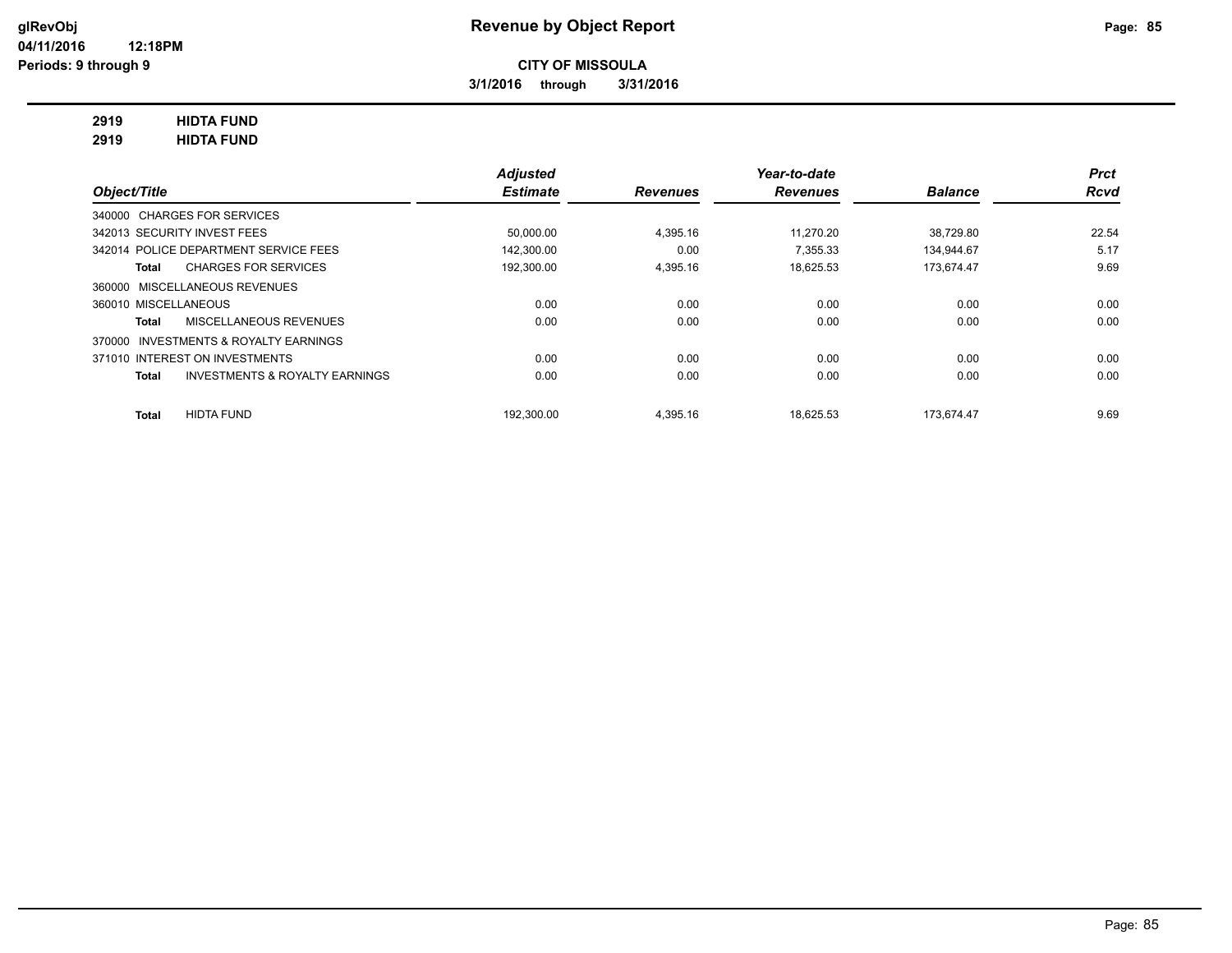**3/1/2016 through 3/31/2016**

## **2919 HIDTA FUND**

**2919 HIDTA FUND**

|                                                    | <b>Adjusted</b> |                 | Year-to-date    |                | <b>Prct</b> |
|----------------------------------------------------|-----------------|-----------------|-----------------|----------------|-------------|
| Object/Title                                       | <b>Estimate</b> | <b>Revenues</b> | <b>Revenues</b> | <b>Balance</b> | <b>Rcvd</b> |
| 340000 CHARGES FOR SERVICES                        |                 |                 |                 |                |             |
| 342013 SECURITY INVEST FEES                        | 50,000.00       | 4,395.16        | 11.270.20       | 38,729.80      | 22.54       |
| 342014 POLICE DEPARTMENT SERVICE FEES              | 142.300.00      | 0.00            | 7.355.33        | 134.944.67     | 5.17        |
| <b>CHARGES FOR SERVICES</b><br>Total               | 192,300.00      | 4.395.16        | 18.625.53       | 173.674.47     | 9.69        |
| 360000 MISCELLANEOUS REVENUES                      |                 |                 |                 |                |             |
| 360010 MISCELLANEOUS                               | 0.00            | 0.00            | 0.00            | 0.00           | 0.00        |
| MISCELLANEOUS REVENUES<br>Total                    | 0.00            | 0.00            | 0.00            | 0.00           | 0.00        |
| INVESTMENTS & ROYALTY EARNINGS<br>370000           |                 |                 |                 |                |             |
| 371010 INTEREST ON INVESTMENTS                     | 0.00            | 0.00            | 0.00            | 0.00           | 0.00        |
| <b>INVESTMENTS &amp; ROYALTY EARNINGS</b><br>Total | 0.00            | 0.00            | 0.00            | 0.00           | 0.00        |
| <b>HIDTA FUND</b><br><b>Total</b>                  | 192.300.00      | 4.395.16        | 18.625.53       | 173.674.47     | 9.69        |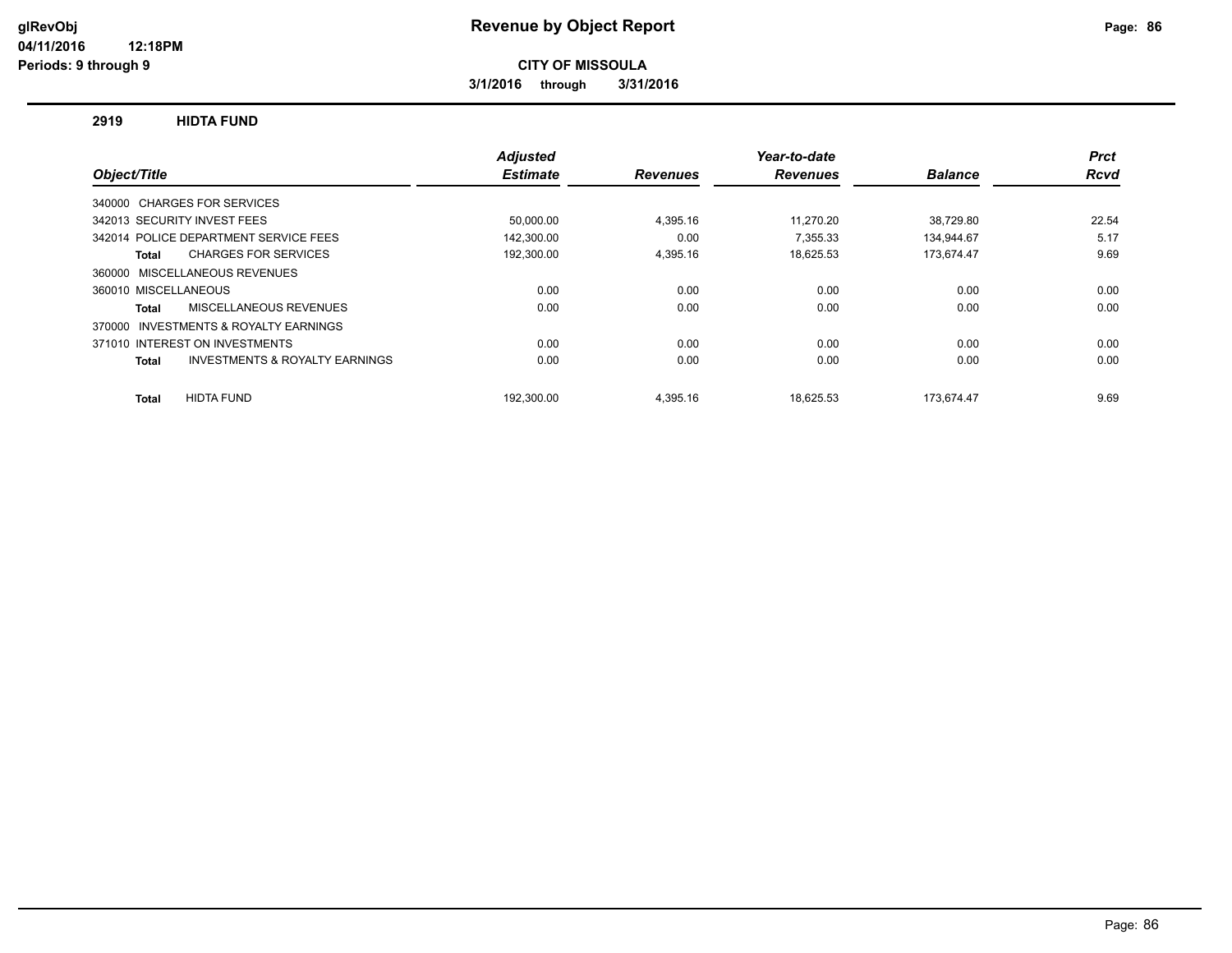**3/1/2016 through 3/31/2016**

#### **2919 HIDTA FUND**

|                                                           | <b>Adjusted</b> |                 | Year-to-date    |                | <b>Prct</b> |
|-----------------------------------------------------------|-----------------|-----------------|-----------------|----------------|-------------|
| Object/Title                                              | <b>Estimate</b> | <b>Revenues</b> | <b>Revenues</b> | <b>Balance</b> | Rcvd        |
| 340000 CHARGES FOR SERVICES                               |                 |                 |                 |                |             |
| 342013 SECURITY INVEST FEES                               | 50,000.00       | 4,395.16        | 11.270.20       | 38,729.80      | 22.54       |
| 342014 POLICE DEPARTMENT SERVICE FEES                     | 142.300.00      | 0.00            | 7.355.33        | 134.944.67     | 5.17        |
| <b>CHARGES FOR SERVICES</b><br>Total                      | 192,300.00      | 4,395.16        | 18,625.53       | 173,674.47     | 9.69        |
| MISCELLANEOUS REVENUES<br>360000                          |                 |                 |                 |                |             |
| 360010 MISCELLANEOUS                                      | 0.00            | 0.00            | 0.00            | 0.00           | 0.00        |
| MISCELLANEOUS REVENUES<br>Total                           | 0.00            | 0.00            | 0.00            | 0.00           | 0.00        |
| INVESTMENTS & ROYALTY EARNINGS<br>370000                  |                 |                 |                 |                |             |
| 371010 INTEREST ON INVESTMENTS                            | 0.00            | 0.00            | 0.00            | 0.00           | 0.00        |
| <b>INVESTMENTS &amp; ROYALTY EARNINGS</b><br><b>Total</b> | 0.00            | 0.00            | 0.00            | 0.00           | 0.00        |
| <b>HIDTA FUND</b><br>Total                                | 192.300.00      | 4.395.16        | 18.625.53       | 173.674.47     | 9.69        |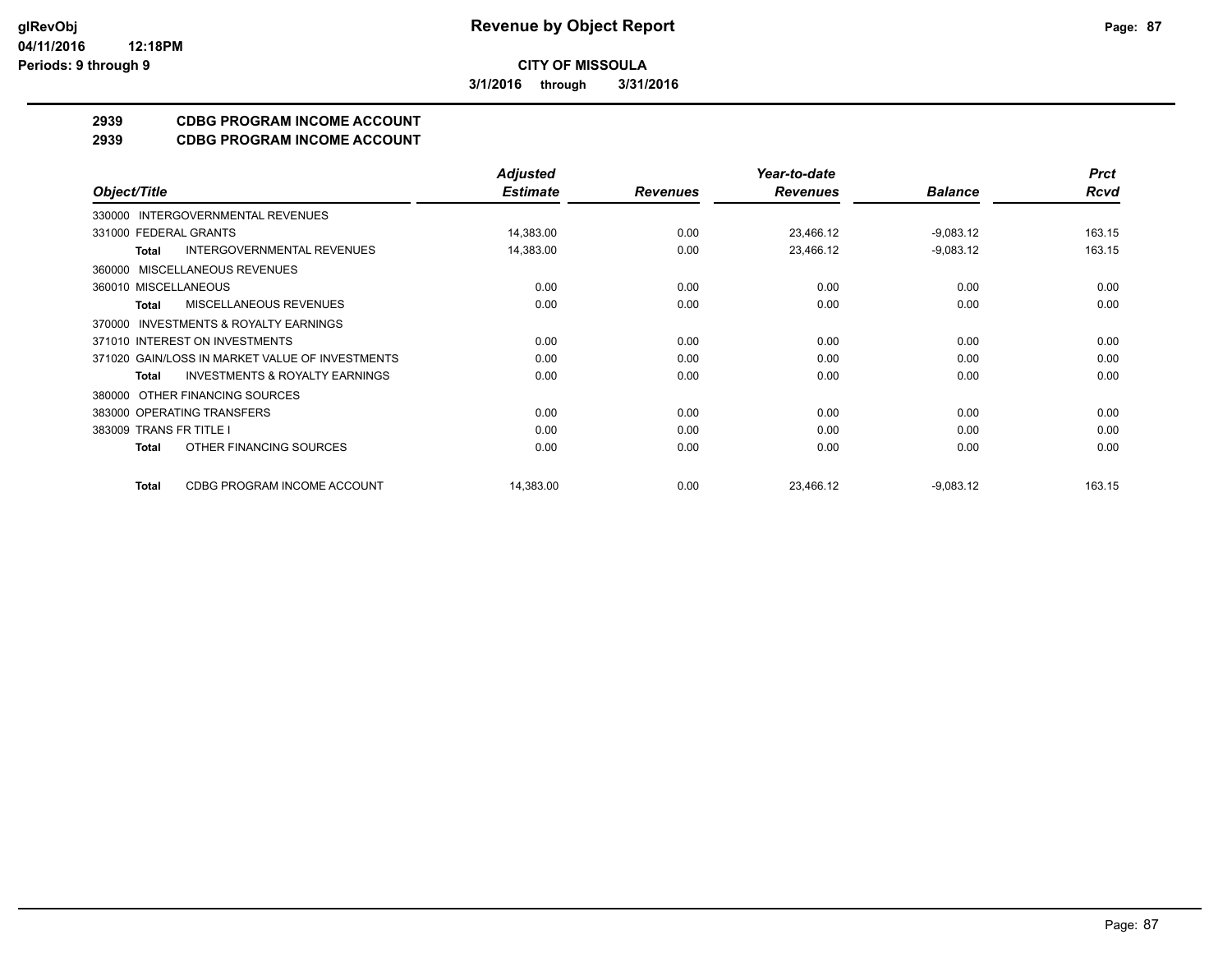**3/1/2016 through 3/31/2016**

## **2939 CDBG PROGRAM INCOME ACCOUNT**

**2939 CDBG PROGRAM INCOME ACCOUNT**

|                                                           | <b>Adjusted</b> |                 | Year-to-date    |                | <b>Prct</b> |
|-----------------------------------------------------------|-----------------|-----------------|-----------------|----------------|-------------|
| Object/Title                                              | <b>Estimate</b> | <b>Revenues</b> | <b>Revenues</b> | <b>Balance</b> | <b>Rcvd</b> |
| INTERGOVERNMENTAL REVENUES<br>330000                      |                 |                 |                 |                |             |
| 331000 FEDERAL GRANTS                                     | 14,383.00       | 0.00            | 23,466.12       | $-9,083.12$    | 163.15      |
| <b>INTERGOVERNMENTAL REVENUES</b><br><b>Total</b>         | 14,383.00       | 0.00            | 23,466.12       | $-9,083.12$    | 163.15      |
| MISCELLANEOUS REVENUES<br>360000                          |                 |                 |                 |                |             |
| 360010 MISCELLANEOUS                                      | 0.00            | 0.00            | 0.00            | 0.00           | 0.00        |
| MISCELLANEOUS REVENUES<br>Total                           | 0.00            | 0.00            | 0.00            | 0.00           | 0.00        |
| <b>INVESTMENTS &amp; ROYALTY EARNINGS</b><br>370000       |                 |                 |                 |                |             |
| 371010 INTEREST ON INVESTMENTS                            | 0.00            | 0.00            | 0.00            | 0.00           | 0.00        |
| 371020 GAIN/LOSS IN MARKET VALUE OF INVESTMENTS           | 0.00            | 0.00            | 0.00            | 0.00           | 0.00        |
| <b>INVESTMENTS &amp; ROYALTY EARNINGS</b><br><b>Total</b> | 0.00            | 0.00            | 0.00            | 0.00           | 0.00        |
| OTHER FINANCING SOURCES<br>380000                         |                 |                 |                 |                |             |
| 383000 OPERATING TRANSFERS                                | 0.00            | 0.00            | 0.00            | 0.00           | 0.00        |
| 383009 TRANS FR TITLE I                                   | 0.00            | 0.00            | 0.00            | 0.00           | 0.00        |
| OTHER FINANCING SOURCES<br><b>Total</b>                   | 0.00            | 0.00            | 0.00            | 0.00           | 0.00        |
| CDBG PROGRAM INCOME ACCOUNT<br><b>Total</b>               | 14,383.00       | 0.00            | 23,466.12       | $-9,083.12$    | 163.15      |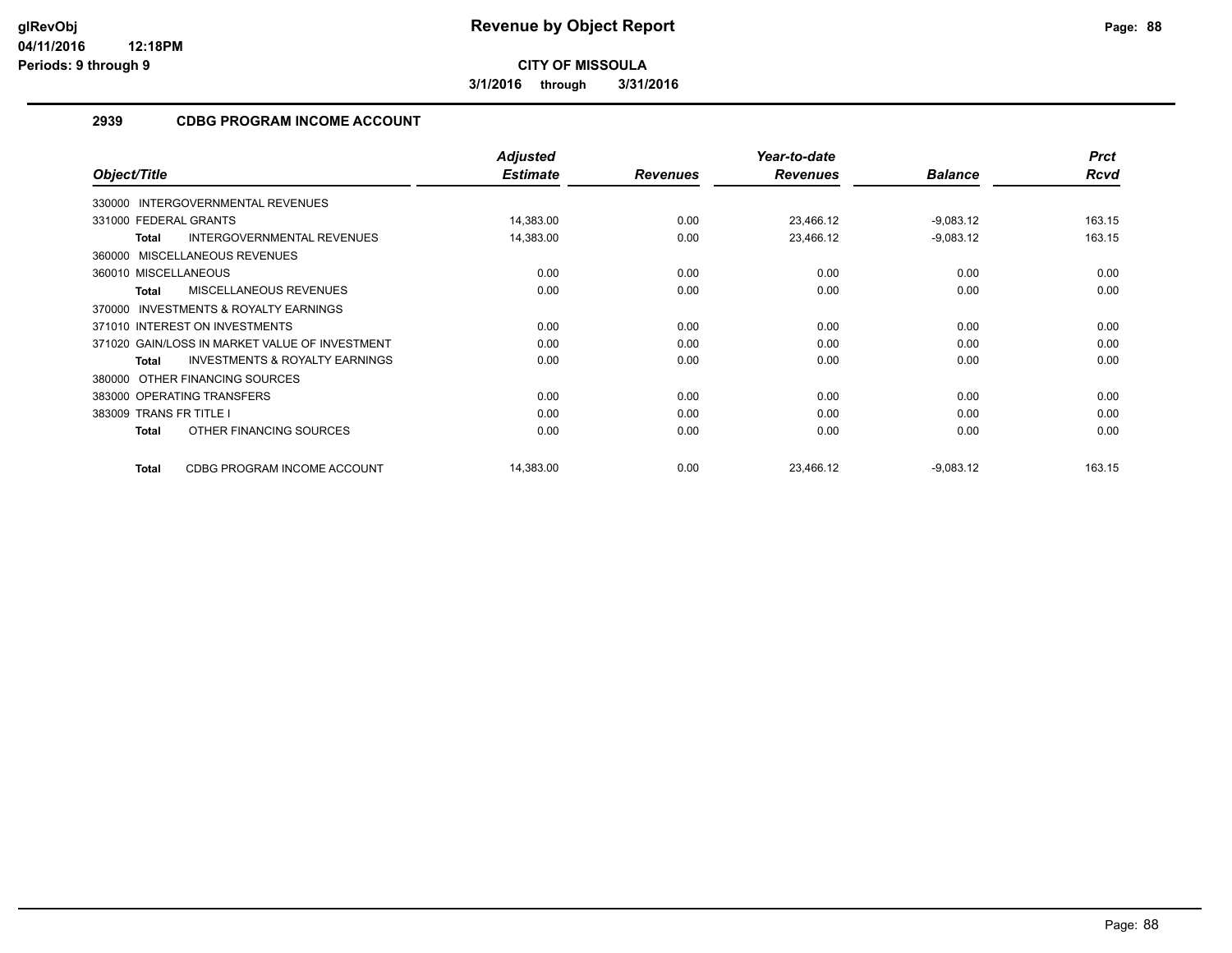**3/1/2016 through 3/31/2016**

## **2939 CDBG PROGRAM INCOME ACCOUNT**

|                                                           | <b>Adjusted</b> |                 | Year-to-date    |                | <b>Prct</b> |
|-----------------------------------------------------------|-----------------|-----------------|-----------------|----------------|-------------|
| Object/Title                                              | <b>Estimate</b> | <b>Revenues</b> | <b>Revenues</b> | <b>Balance</b> | Rcvd        |
| 330000 INTERGOVERNMENTAL REVENUES                         |                 |                 |                 |                |             |
| 331000 FEDERAL GRANTS                                     | 14,383.00       | 0.00            | 23,466.12       | $-9,083.12$    | 163.15      |
| <b>INTERGOVERNMENTAL REVENUES</b><br><b>Total</b>         | 14,383.00       | 0.00            | 23,466.12       | $-9,083.12$    | 163.15      |
| 360000 MISCELLANEOUS REVENUES                             |                 |                 |                 |                |             |
| 360010 MISCELLANEOUS                                      | 0.00            | 0.00            | 0.00            | 0.00           | 0.00        |
| MISCELLANEOUS REVENUES<br><b>Total</b>                    | 0.00            | 0.00            | 0.00            | 0.00           | 0.00        |
| 370000 INVESTMENTS & ROYALTY EARNINGS                     |                 |                 |                 |                |             |
| 371010 INTEREST ON INVESTMENTS                            | 0.00            | 0.00            | 0.00            | 0.00           | 0.00        |
| 371020 GAIN/LOSS IN MARKET VALUE OF INVESTMENT            | 0.00            | 0.00            | 0.00            | 0.00           | 0.00        |
| <b>INVESTMENTS &amp; ROYALTY EARNINGS</b><br><b>Total</b> | 0.00            | 0.00            | 0.00            | 0.00           | 0.00        |
| 380000 OTHER FINANCING SOURCES                            |                 |                 |                 |                |             |
| 383000 OPERATING TRANSFERS                                | 0.00            | 0.00            | 0.00            | 0.00           | 0.00        |
| 383009 TRANS FR TITLE I                                   | 0.00            | 0.00            | 0.00            | 0.00           | 0.00        |
| OTHER FINANCING SOURCES<br><b>Total</b>                   | 0.00            | 0.00            | 0.00            | 0.00           | 0.00        |
| CDBG PROGRAM INCOME ACCOUNT<br><b>Total</b>               | 14,383.00       | 0.00            | 23.466.12       | $-9,083.12$    | 163.15      |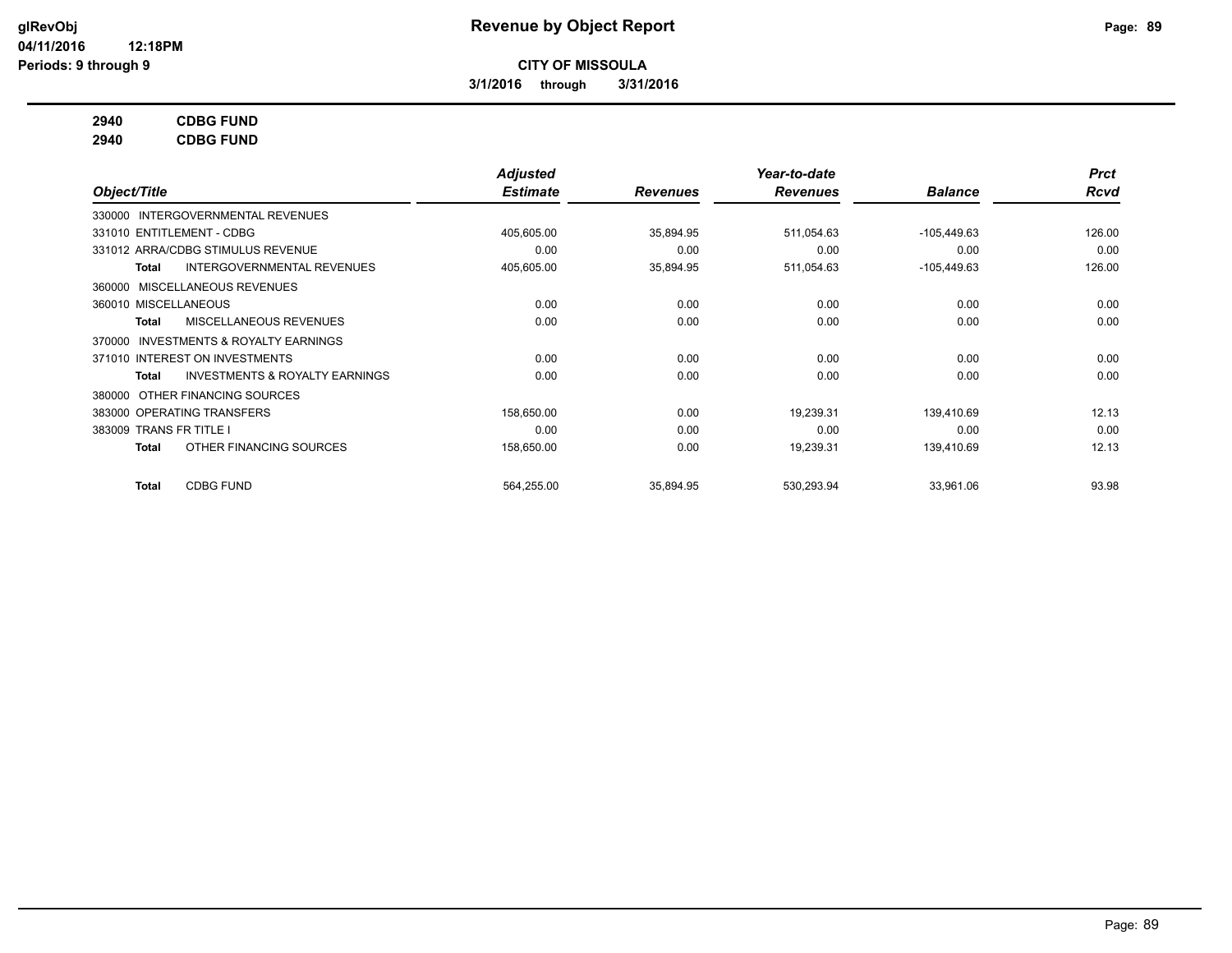**3/1/2016 through 3/31/2016**

## **2940 CDBG FUND**

**2940 CDBG FUND**

|                                                     | Adjusted        |                 | Year-to-date    |                | <b>Prct</b> |
|-----------------------------------------------------|-----------------|-----------------|-----------------|----------------|-------------|
| Object/Title                                        | <b>Estimate</b> | <b>Revenues</b> | <b>Revenues</b> | <b>Balance</b> | <b>Rcvd</b> |
| 330000 INTERGOVERNMENTAL REVENUES                   |                 |                 |                 |                |             |
| 331010 ENTITLEMENT - CDBG                           | 405,605.00      | 35,894.95       | 511,054.63      | $-105,449.63$  | 126.00      |
| 331012 ARRA/CDBG STIMULUS REVENUE                   | 0.00            | 0.00            | 0.00            | 0.00           | 0.00        |
| INTERGOVERNMENTAL REVENUES<br>Total                 | 405,605.00      | 35,894.95       | 511,054.63      | $-105,449.63$  | 126.00      |
| MISCELLANEOUS REVENUES<br>360000                    |                 |                 |                 |                |             |
| 360010 MISCELLANEOUS                                | 0.00            | 0.00            | 0.00            | 0.00           | 0.00        |
| MISCELLANEOUS REVENUES<br>Total                     | 0.00            | 0.00            | 0.00            | 0.00           | 0.00        |
| <b>INVESTMENTS &amp; ROYALTY EARNINGS</b><br>370000 |                 |                 |                 |                |             |
| 371010 INTEREST ON INVESTMENTS                      | 0.00            | 0.00            | 0.00            | 0.00           | 0.00        |
| <b>INVESTMENTS &amp; ROYALTY EARNINGS</b><br>Total  | 0.00            | 0.00            | 0.00            | 0.00           | 0.00        |
| OTHER FINANCING SOURCES<br>380000                   |                 |                 |                 |                |             |
| 383000 OPERATING TRANSFERS                          | 158,650.00      | 0.00            | 19,239.31       | 139.410.69     | 12.13       |
| 383009 TRANS FR TITLE I                             | 0.00            | 0.00            | 0.00            | 0.00           | 0.00        |
| OTHER FINANCING SOURCES<br>Total                    | 158,650.00      | 0.00            | 19,239.31       | 139,410.69     | 12.13       |
| <b>CDBG FUND</b><br>Total                           | 564,255.00      | 35,894.95       | 530,293.94      | 33,961.06      | 93.98       |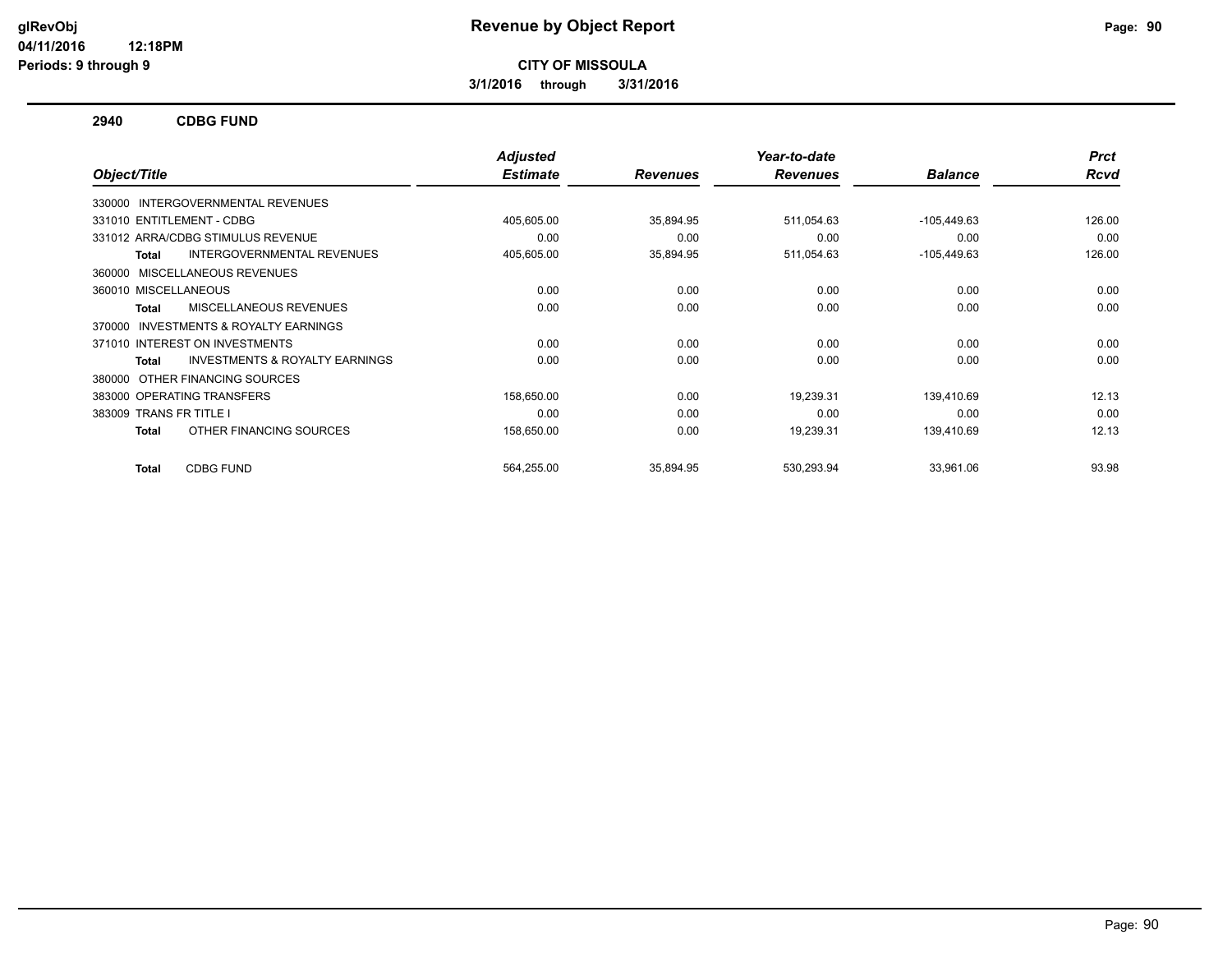**3/1/2016 through 3/31/2016**

#### **2940 CDBG FUND**

|                                                           | <b>Adjusted</b> |                 | Year-to-date    |                | <b>Prct</b> |
|-----------------------------------------------------------|-----------------|-----------------|-----------------|----------------|-------------|
| Object/Title                                              | <b>Estimate</b> | <b>Revenues</b> | <b>Revenues</b> | <b>Balance</b> | <b>Rcvd</b> |
| 330000 INTERGOVERNMENTAL REVENUES                         |                 |                 |                 |                |             |
| 331010 ENTITLEMENT - CDBG                                 | 405,605.00      | 35,894.95       | 511,054.63      | $-105,449.63$  | 126.00      |
| 331012 ARRA/CDBG STIMULUS REVENUE                         | 0.00            | 0.00            | 0.00            | 0.00           | 0.00        |
| <b>INTERGOVERNMENTAL REVENUES</b><br><b>Total</b>         | 405,605.00      | 35,894.95       | 511,054.63      | $-105,449.63$  | 126.00      |
| MISCELLANEOUS REVENUES<br>360000                          |                 |                 |                 |                |             |
| 360010 MISCELLANEOUS                                      | 0.00            | 0.00            | 0.00            | 0.00           | 0.00        |
| MISCELLANEOUS REVENUES<br><b>Total</b>                    | 0.00            | 0.00            | 0.00            | 0.00           | 0.00        |
| INVESTMENTS & ROYALTY EARNINGS<br>370000                  |                 |                 |                 |                |             |
| 371010 INTEREST ON INVESTMENTS                            | 0.00            | 0.00            | 0.00            | 0.00           | 0.00        |
| <b>INVESTMENTS &amp; ROYALTY EARNINGS</b><br><b>Total</b> | 0.00            | 0.00            | 0.00            | 0.00           | 0.00        |
| OTHER FINANCING SOURCES<br>380000                         |                 |                 |                 |                |             |
| 383000 OPERATING TRANSFERS                                | 158,650.00      | 0.00            | 19.239.31       | 139.410.69     | 12.13       |
| 383009 TRANS FR TITLE I                                   | 0.00            | 0.00            | 0.00            | 0.00           | 0.00        |
| OTHER FINANCING SOURCES<br><b>Total</b>                   | 158,650.00      | 0.00            | 19,239.31       | 139,410.69     | 12.13       |
| <b>CDBG FUND</b><br><b>Total</b>                          | 564,255.00      | 35,894.95       | 530,293.94      | 33,961.06      | 93.98       |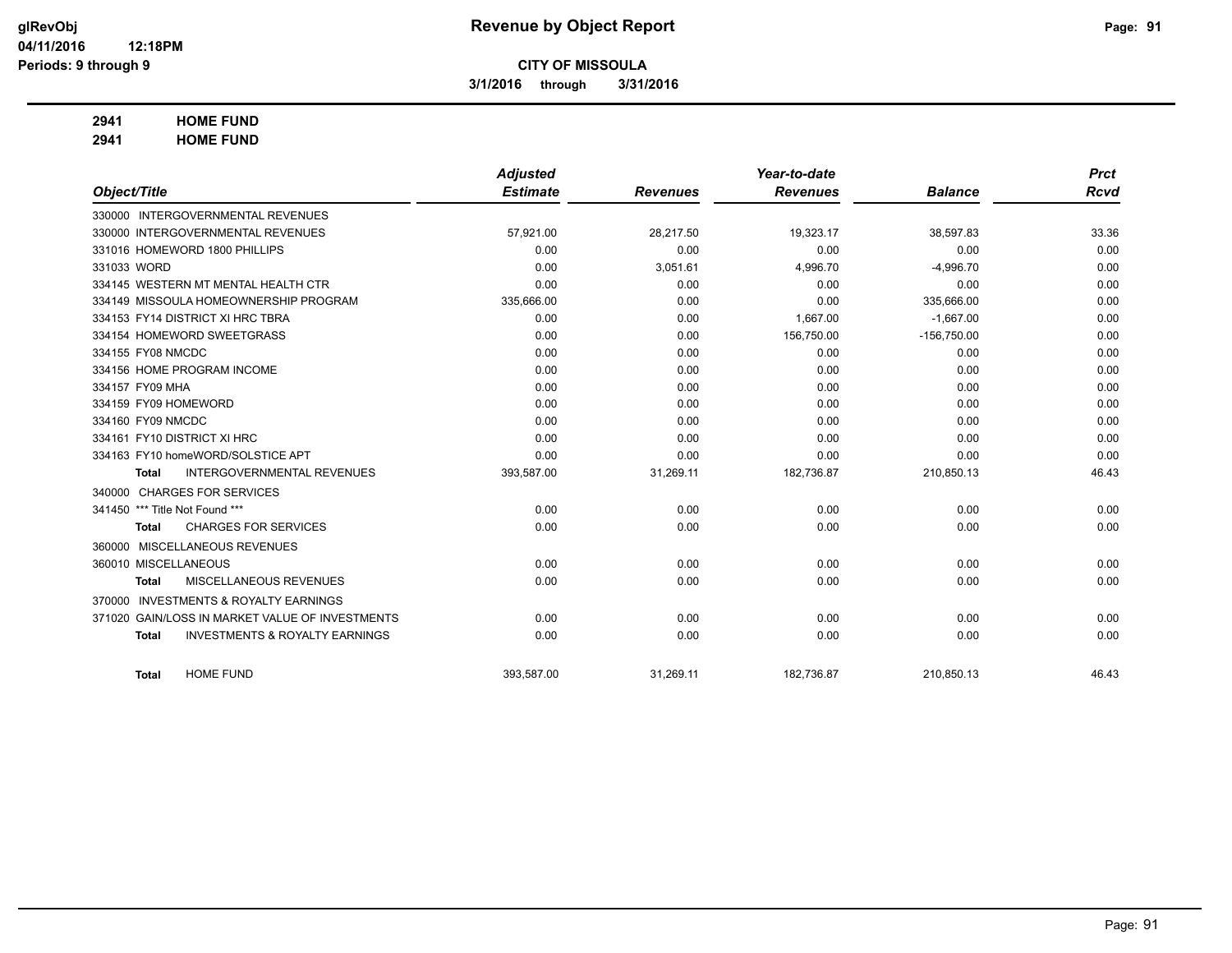**3/1/2016 through 3/31/2016**

## **2941 HOME FUND**

**2941 HOME FUND**

|                                |                                                 | <b>Adjusted</b> |                 | Year-to-date    |                | <b>Prct</b> |
|--------------------------------|-------------------------------------------------|-----------------|-----------------|-----------------|----------------|-------------|
| Object/Title                   |                                                 | <b>Estimate</b> | <b>Revenues</b> | <b>Revenues</b> | <b>Balance</b> | <b>Rcvd</b> |
|                                | 330000 INTERGOVERNMENTAL REVENUES               |                 |                 |                 |                |             |
|                                | 330000 INTERGOVERNMENTAL REVENUES               | 57,921.00       | 28,217.50       | 19,323.17       | 38,597.83      | 33.36       |
|                                | 331016 HOMEWORD 1800 PHILLIPS                   | 0.00            | 0.00            | 0.00            | 0.00           | 0.00        |
| 331033 WORD                    |                                                 | 0.00            | 3,051.61        | 4,996.70        | $-4,996.70$    | 0.00        |
|                                | 334145 WESTERN MT MENTAL HEALTH CTR             | 0.00            | 0.00            | 0.00            | 0.00           | 0.00        |
|                                | 334149 MISSOULA HOMEOWNERSHIP PROGRAM           | 335,666.00      | 0.00            | 0.00            | 335,666.00     | 0.00        |
|                                | 334153 FY14 DISTRICT XI HRC TBRA                | 0.00            | 0.00            | 1,667.00        | $-1,667.00$    | 0.00        |
|                                | 334154 HOMEWORD SWEETGRASS                      | 0.00            | 0.00            | 156,750.00      | $-156,750.00$  | 0.00        |
| 334155 FY08 NMCDC              |                                                 | 0.00            | 0.00            | 0.00            | 0.00           | 0.00        |
|                                | 334156 HOME PROGRAM INCOME                      | 0.00            | 0.00            | 0.00            | 0.00           | 0.00        |
| 334157 FY09 MHA                |                                                 | 0.00            | 0.00            | 0.00            | 0.00           | 0.00        |
| 334159 FY09 HOMEWORD           |                                                 | 0.00            | 0.00            | 0.00            | 0.00           | 0.00        |
| 334160 FY09 NMCDC              |                                                 | 0.00            | 0.00            | 0.00            | 0.00           | 0.00        |
|                                | 334161 FY10 DISTRICT XI HRC                     | 0.00            | 0.00            | 0.00            | 0.00           | 0.00        |
|                                | 334163 FY10 homeWORD/SOLSTICE APT               | 0.00            | 0.00            | 0.00            | 0.00           | 0.00        |
| <b>Total</b>                   | <b>INTERGOVERNMENTAL REVENUES</b>               | 393,587.00      | 31,269.11       | 182,736.87      | 210,850.13     | 46.43       |
|                                | 340000 CHARGES FOR SERVICES                     |                 |                 |                 |                |             |
| 341450 *** Title Not Found *** |                                                 | 0.00            | 0.00            | 0.00            | 0.00           | 0.00        |
| <b>Total</b>                   | <b>CHARGES FOR SERVICES</b>                     | 0.00            | 0.00            | 0.00            | 0.00           | 0.00        |
|                                | 360000 MISCELLANEOUS REVENUES                   |                 |                 |                 |                |             |
| 360010 MISCELLANEOUS           |                                                 | 0.00            | 0.00            | 0.00            | 0.00           | 0.00        |
| <b>Total</b>                   | MISCELLANEOUS REVENUES                          | 0.00            | 0.00            | 0.00            | 0.00           | 0.00        |
| 370000                         | <b>INVESTMENTS &amp; ROYALTY EARNINGS</b>       |                 |                 |                 |                |             |
|                                | 371020 GAIN/LOSS IN MARKET VALUE OF INVESTMENTS | 0.00            | 0.00            | 0.00            | 0.00           | 0.00        |
| <b>Total</b>                   | <b>INVESTMENTS &amp; ROYALTY EARNINGS</b>       | 0.00            | 0.00            | 0.00            | 0.00           | 0.00        |
|                                |                                                 |                 |                 |                 |                |             |
| <b>Total</b>                   | <b>HOME FUND</b>                                | 393,587.00      | 31,269.11       | 182,736.87      | 210,850.13     | 46.43       |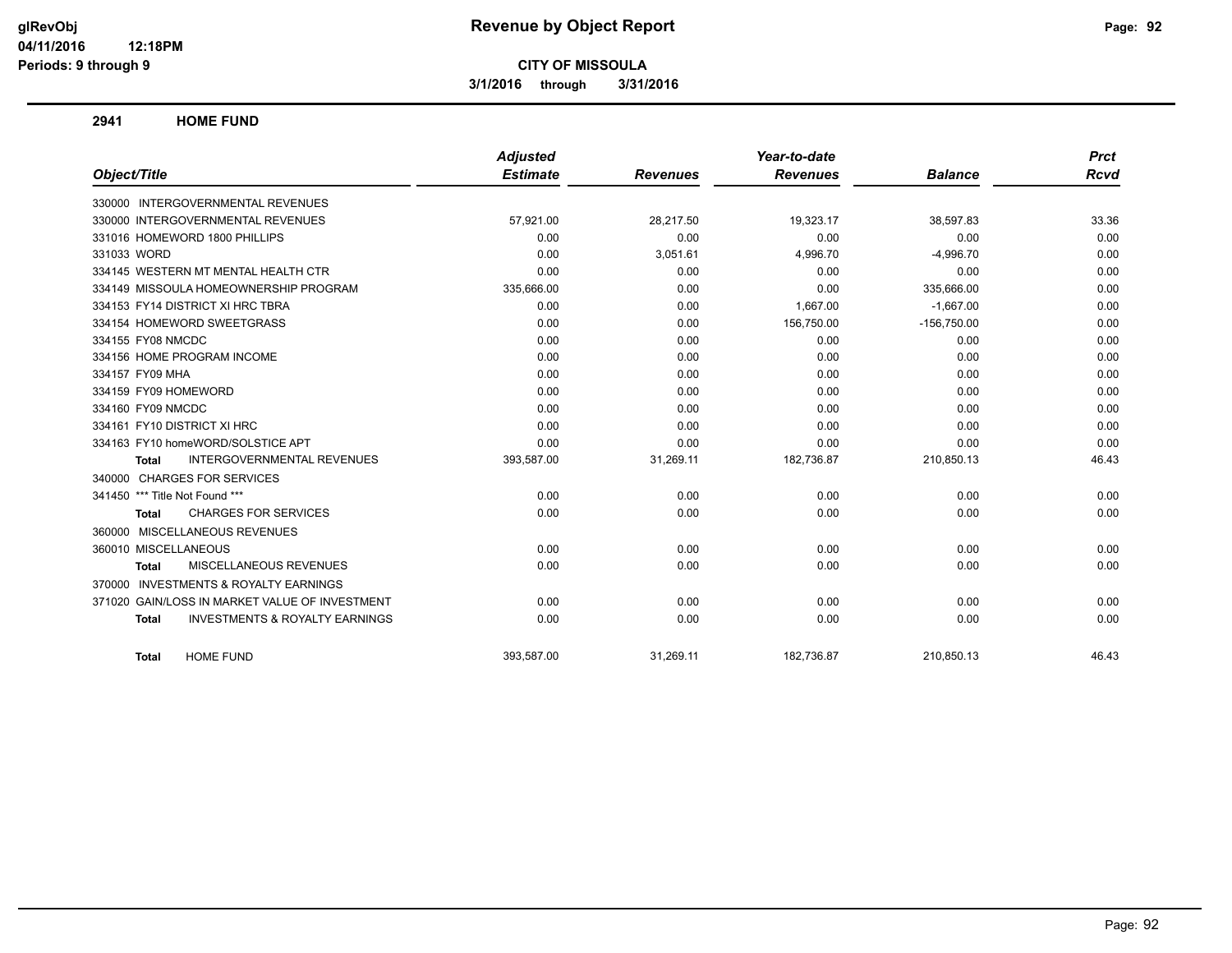**3/1/2016 through 3/31/2016**

#### **2941 HOME FUND**

|                                                           | <b>Adjusted</b> |                 | Year-to-date    |                | <b>Prct</b> |
|-----------------------------------------------------------|-----------------|-----------------|-----------------|----------------|-------------|
| Object/Title                                              | <b>Estimate</b> | <b>Revenues</b> | <b>Revenues</b> | <b>Balance</b> | Rcvd        |
| 330000 INTERGOVERNMENTAL REVENUES                         |                 |                 |                 |                |             |
| 330000 INTERGOVERNMENTAL REVENUES                         | 57,921.00       | 28,217.50       | 19,323.17       | 38,597.83      | 33.36       |
| 331016 HOMEWORD 1800 PHILLIPS                             | 0.00            | 0.00            | 0.00            | 0.00           | 0.00        |
| 331033 WORD                                               | 0.00            | 3,051.61        | 4,996.70        | $-4,996.70$    | 0.00        |
| 334145 WESTERN MT MENTAL HEALTH CTR                       | 0.00            | 0.00            | 0.00            | 0.00           | 0.00        |
| 334149 MISSOULA HOMEOWNERSHIP PROGRAM                     | 335,666.00      | 0.00            | 0.00            | 335,666.00     | 0.00        |
| 334153 FY14 DISTRICT XI HRC TBRA                          | 0.00            | 0.00            | 1,667.00        | $-1,667.00$    | 0.00        |
| 334154 HOMEWORD SWEETGRASS                                | 0.00            | 0.00            | 156,750.00      | $-156,750.00$  | 0.00        |
| 334155 FY08 NMCDC                                         | 0.00            | 0.00            | 0.00            | 0.00           | 0.00        |
| 334156 HOME PROGRAM INCOME                                | 0.00            | 0.00            | 0.00            | 0.00           | 0.00        |
| 334157 FY09 MHA                                           | 0.00            | 0.00            | 0.00            | 0.00           | 0.00        |
| 334159 FY09 HOMEWORD                                      | 0.00            | 0.00            | 0.00            | 0.00           | 0.00        |
| 334160 FY09 NMCDC                                         | 0.00            | 0.00            | 0.00            | 0.00           | 0.00        |
| 334161 FY10 DISTRICT XI HRC                               | 0.00            | 0.00            | 0.00            | 0.00           | 0.00        |
| 334163 FY10 homeWORD/SOLSTICE APT                         | 0.00            | 0.00            | 0.00            | 0.00           | 0.00        |
| <b>INTERGOVERNMENTAL REVENUES</b><br><b>Total</b>         | 393,587.00      | 31,269.11       | 182,736.87      | 210,850.13     | 46.43       |
| 340000 CHARGES FOR SERVICES                               |                 |                 |                 |                |             |
| 341450 *** Title Not Found ***                            | 0.00            | 0.00            | 0.00            | 0.00           | 0.00        |
| <b>CHARGES FOR SERVICES</b><br>Total                      | 0.00            | 0.00            | 0.00            | 0.00           | 0.00        |
| 360000 MISCELLANEOUS REVENUES                             |                 |                 |                 |                |             |
| 360010 MISCELLANEOUS                                      | 0.00            | 0.00            | 0.00            | 0.00           | 0.00        |
| MISCELLANEOUS REVENUES<br><b>Total</b>                    | 0.00            | 0.00            | 0.00            | 0.00           | 0.00        |
| 370000 INVESTMENTS & ROYALTY EARNINGS                     |                 |                 |                 |                |             |
| 371020 GAIN/LOSS IN MARKET VALUE OF INVESTMENT            | 0.00            | 0.00            | 0.00            | 0.00           | 0.00        |
| <b>INVESTMENTS &amp; ROYALTY EARNINGS</b><br><b>Total</b> | 0.00            | 0.00            | 0.00            | 0.00           | 0.00        |
| <b>HOME FUND</b><br><b>Total</b>                          | 393,587.00      | 31,269.11       | 182,736.87      | 210,850.13     | 46.43       |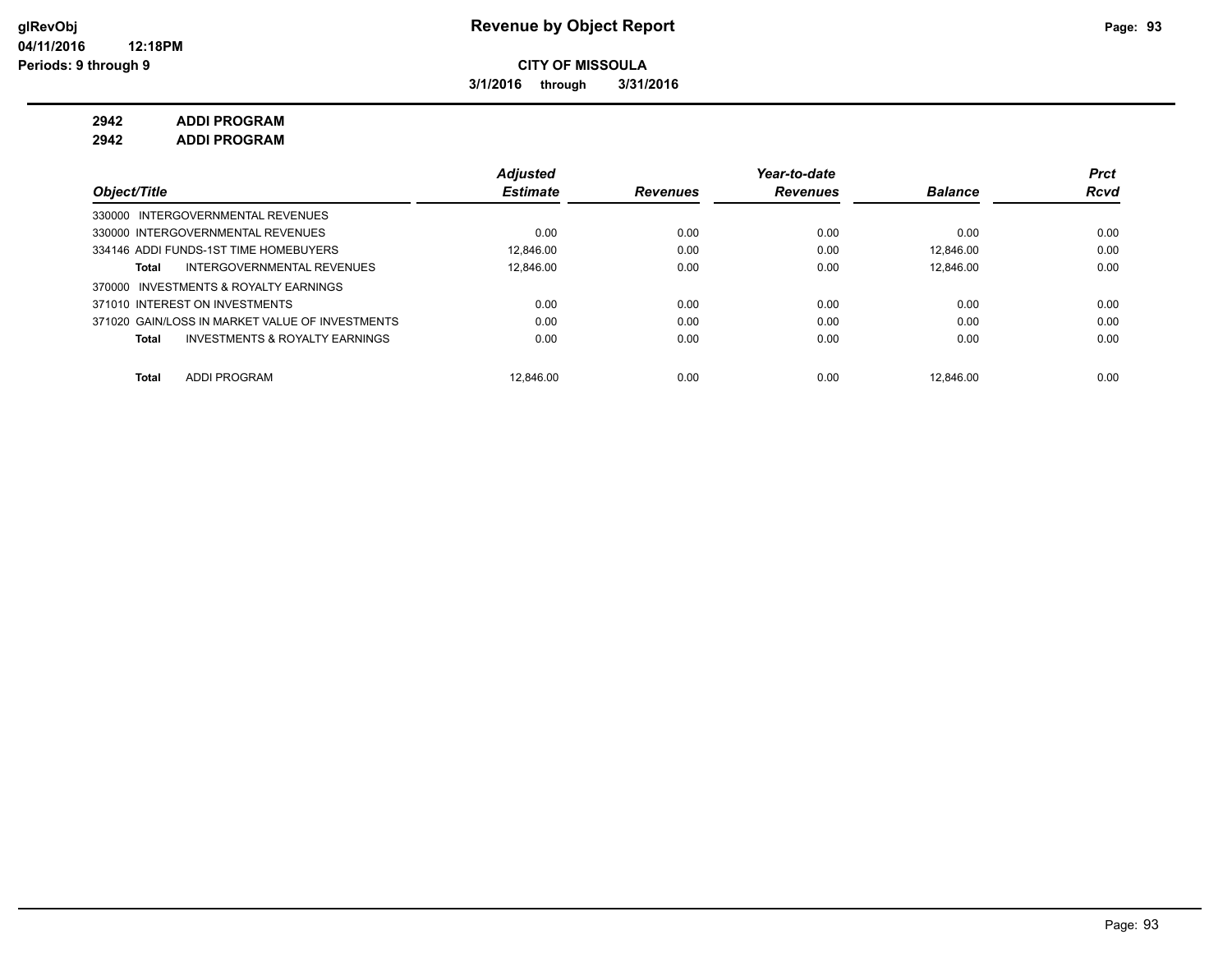**3/1/2016 through 3/31/2016**

**2942 ADDI PROGRAM**

**2942 ADDI PROGRAM**

|                                                    | <b>Adjusted</b> |                 | Year-to-date    |                | <b>Prct</b> |
|----------------------------------------------------|-----------------|-----------------|-----------------|----------------|-------------|
| Object/Title                                       | <b>Estimate</b> | <b>Revenues</b> | <b>Revenues</b> | <b>Balance</b> | <b>Rcvd</b> |
| 330000 INTERGOVERNMENTAL REVENUES                  |                 |                 |                 |                |             |
| 330000 INTERGOVERNMENTAL REVENUES                  | 0.00            | 0.00            | 0.00            | 0.00           | 0.00        |
| 334146 ADDI FUNDS-1ST TIME HOMEBUYERS              | 12.846.00       | 0.00            | 0.00            | 12.846.00      | 0.00        |
| INTERGOVERNMENTAL REVENUES<br>Total                | 12.846.00       | 0.00            | 0.00            | 12.846.00      | 0.00        |
| 370000 INVESTMENTS & ROYALTY EARNINGS              |                 |                 |                 |                |             |
| 371010 INTEREST ON INVESTMENTS                     | 0.00            | 0.00            | 0.00            | 0.00           | 0.00        |
| 371020 GAIN/LOSS IN MARKET VALUE OF INVESTMENTS    | 0.00            | 0.00            | 0.00            | 0.00           | 0.00        |
| <b>INVESTMENTS &amp; ROYALTY EARNINGS</b><br>Total | 0.00            | 0.00            | 0.00            | 0.00           | 0.00        |
|                                                    |                 |                 |                 |                |             |
| <b>ADDI PROGRAM</b><br>Total                       | 12.846.00       | 0.00            | 0.00            | 12.846.00      | 0.00        |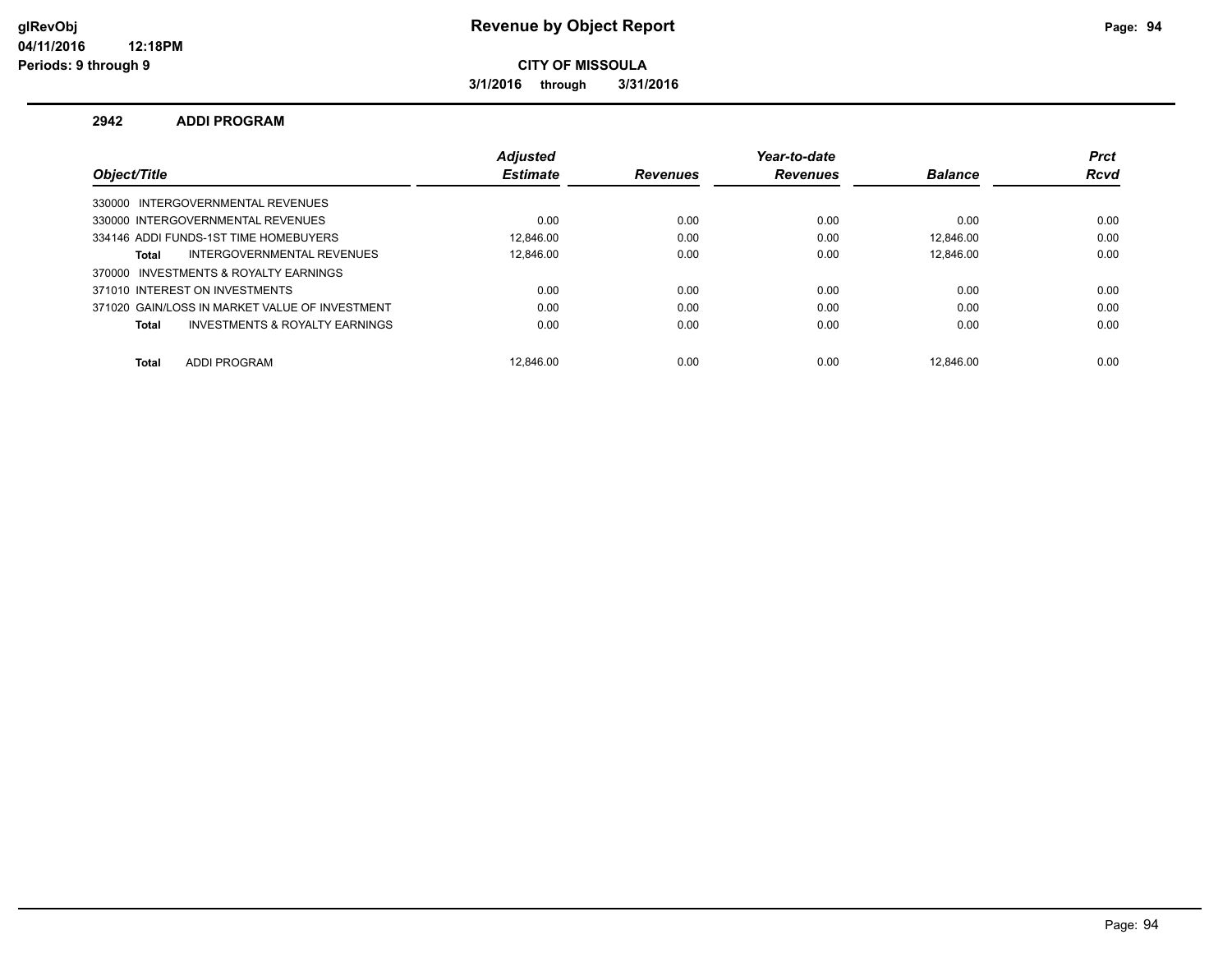## **glRevObj Revenue by Object Report Page: 94**

**CITY OF MISSOULA**

**3/1/2016 through 3/31/2016**

#### **2942 ADDI PROGRAM**

|                                                | <b>Adiusted</b> |                 | Year-to-date    |                | <b>Prct</b> |
|------------------------------------------------|-----------------|-----------------|-----------------|----------------|-------------|
| Object/Title                                   | <b>Estimate</b> | <b>Revenues</b> | <b>Revenues</b> | <b>Balance</b> | <b>Rcvd</b> |
| 330000 INTERGOVERNMENTAL REVENUES              |                 |                 |                 |                |             |
| 330000 INTERGOVERNMENTAL REVENUES              | 0.00            | 0.00            | 0.00            | 0.00           | 0.00        |
| 334146 ADDI FUNDS-1ST TIME HOMEBUYERS          | 12.846.00       | 0.00            | 0.00            | 12.846.00      | 0.00        |
| INTERGOVERNMENTAL REVENUES<br><b>Total</b>     | 12.846.00       | 0.00            | 0.00            | 12.846.00      | 0.00        |
| 370000 INVESTMENTS & ROYALTY EARNINGS          |                 |                 |                 |                |             |
| 371010 INTEREST ON INVESTMENTS                 | 0.00            | 0.00            | 0.00            | 0.00           | 0.00        |
| 371020 GAIN/LOSS IN MARKET VALUE OF INVESTMENT | 0.00            | 0.00            | 0.00            | 0.00           | 0.00        |
| INVESTMENTS & ROYALTY EARNINGS<br><b>Total</b> | 0.00            | 0.00            | 0.00            | 0.00           | 0.00        |
| <b>ADDI PROGRAM</b><br><b>Total</b>            | 12.846.00       | 0.00            | 0.00            | 12.846.00      | 0.00        |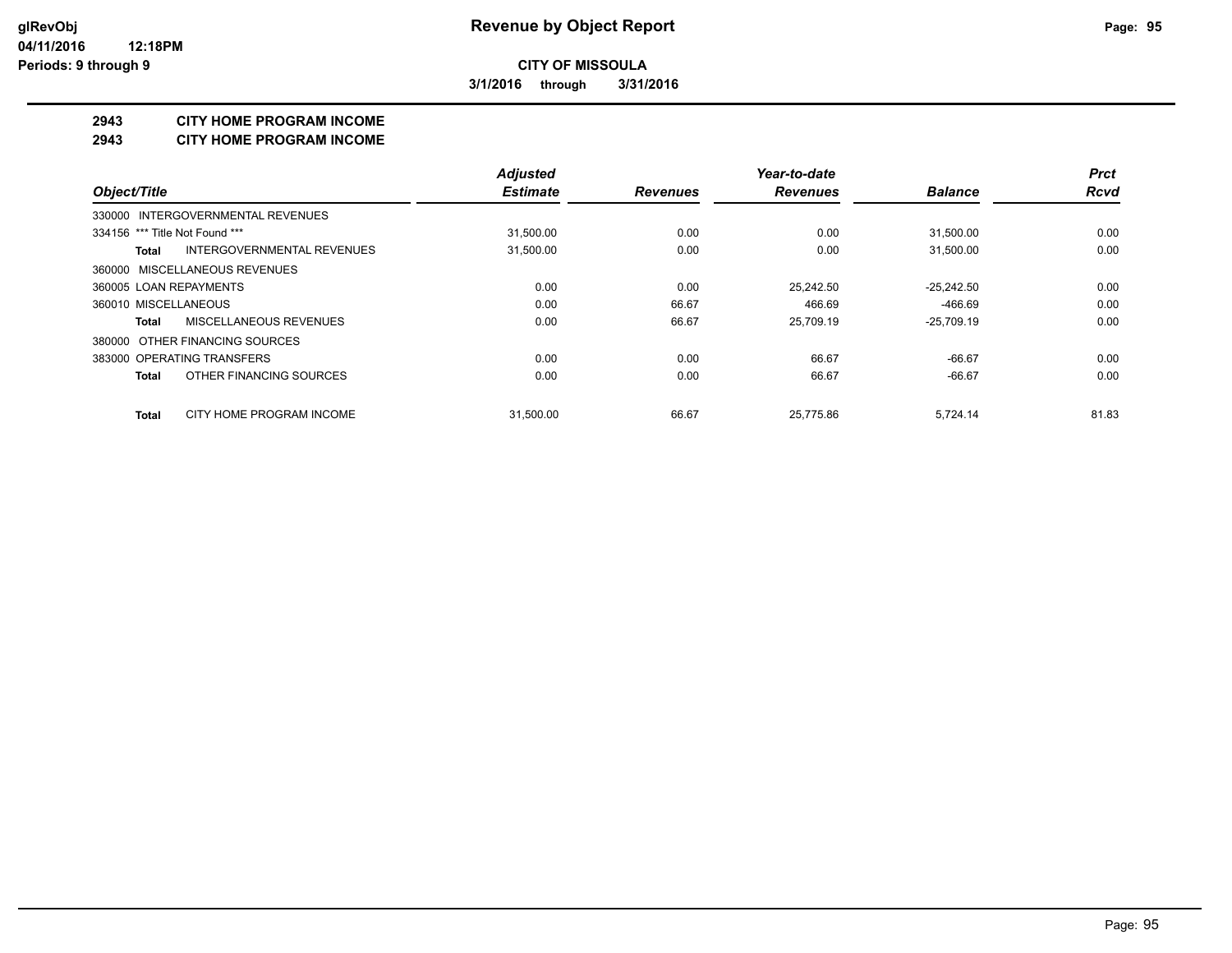**3/1/2016 through 3/31/2016**

#### **2943 CITY HOME PROGRAM INCOME**

#### **2943 CITY HOME PROGRAM INCOME**

|                                            | <b>Adjusted</b> |                 | Year-to-date    |                | <b>Prct</b> |
|--------------------------------------------|-----------------|-----------------|-----------------|----------------|-------------|
| Object/Title                               | <b>Estimate</b> | <b>Revenues</b> | <b>Revenues</b> | <b>Balance</b> | <b>Rcvd</b> |
| 330000 INTERGOVERNMENTAL REVENUES          |                 |                 |                 |                |             |
| 334156 *** Title Not Found ***             | 31,500.00       | 0.00            | 0.00            | 31,500.00      | 0.00        |
| <b>INTERGOVERNMENTAL REVENUES</b><br>Total | 31,500.00       | 0.00            | 0.00            | 31,500.00      | 0.00        |
| 360000 MISCELLANEOUS REVENUES              |                 |                 |                 |                |             |
| 360005 LOAN REPAYMENTS                     | 0.00            | 0.00            | 25.242.50       | $-25,242.50$   | 0.00        |
| 360010 MISCELLANEOUS                       | 0.00            | 66.67           | 466.69          | $-466.69$      | 0.00        |
| MISCELLANEOUS REVENUES<br>Total            | 0.00            | 66.67           | 25,709.19       | $-25,709.19$   | 0.00        |
| 380000 OTHER FINANCING SOURCES             |                 |                 |                 |                |             |
| 383000 OPERATING TRANSFERS                 | 0.00            | 0.00            | 66.67           | $-66.67$       | 0.00        |
| OTHER FINANCING SOURCES<br>Total           | 0.00            | 0.00            | 66.67           | $-66.67$       | 0.00        |
| CITY HOME PROGRAM INCOME<br>Total          | 31.500.00       | 66.67           | 25.775.86       | 5,724.14       | 81.83       |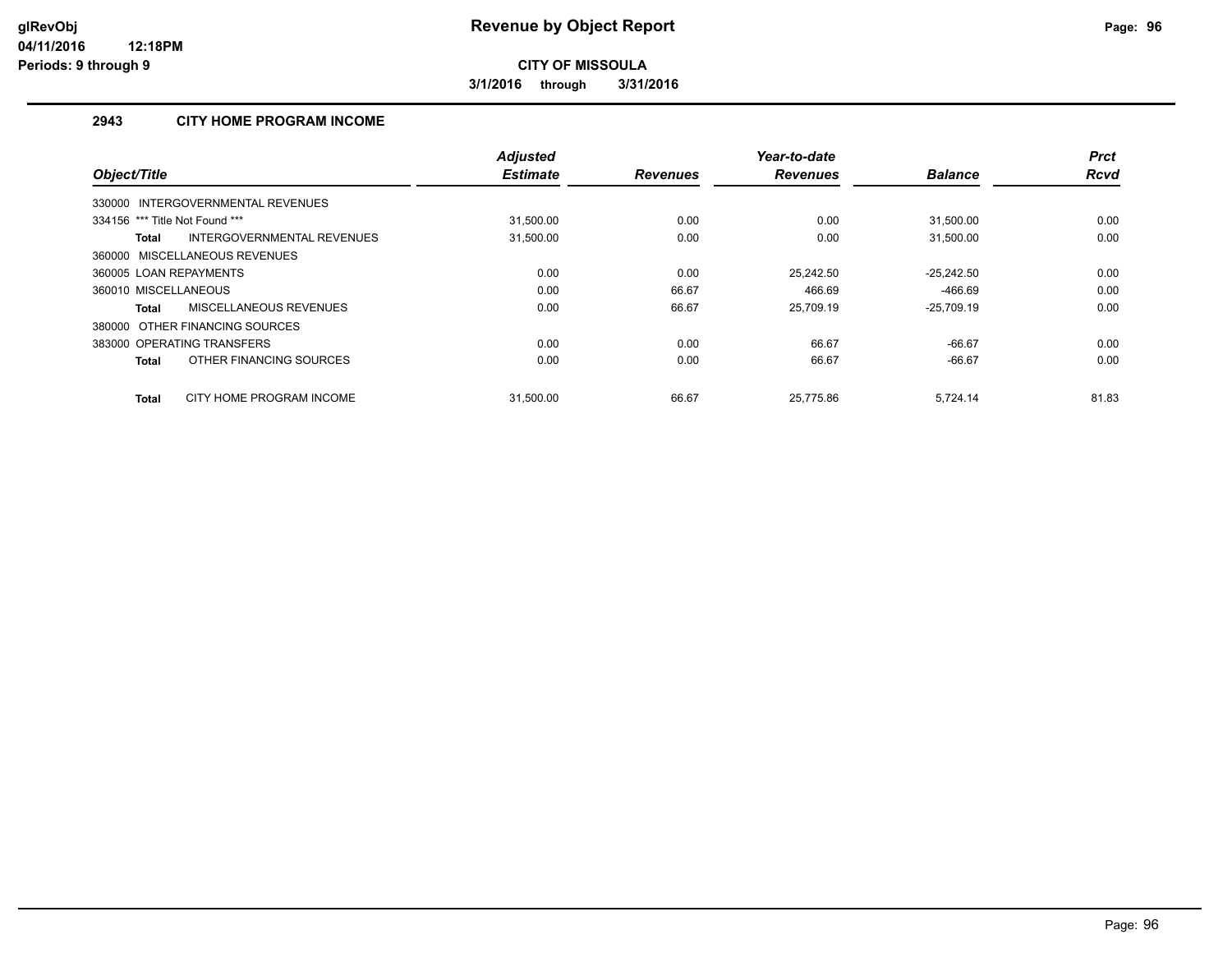**3/1/2016 through 3/31/2016**

## **2943 CITY HOME PROGRAM INCOME**

|                                            | <b>Adjusted</b> |                 | Year-to-date    |                | <b>Prct</b> |
|--------------------------------------------|-----------------|-----------------|-----------------|----------------|-------------|
| Object/Title                               | <b>Estimate</b> | <b>Revenues</b> | <b>Revenues</b> | <b>Balance</b> | <b>Rcvd</b> |
| 330000 INTERGOVERNMENTAL REVENUES          |                 |                 |                 |                |             |
| 334156 *** Title Not Found ***             | 31,500.00       | 0.00            | 0.00            | 31,500.00      | 0.00        |
| INTERGOVERNMENTAL REVENUES<br><b>Total</b> | 31,500.00       | 0.00            | 0.00            | 31,500.00      | 0.00        |
| 360000 MISCELLANEOUS REVENUES              |                 |                 |                 |                |             |
| 360005 LOAN REPAYMENTS                     | 0.00            | 0.00            | 25.242.50       | $-25,242.50$   | 0.00        |
| 360010 MISCELLANEOUS                       | 0.00            | 66.67           | 466.69          | -466.69        | 0.00        |
| MISCELLANEOUS REVENUES<br><b>Total</b>     | 0.00            | 66.67           | 25.709.19       | $-25.709.19$   | 0.00        |
| 380000 OTHER FINANCING SOURCES             |                 |                 |                 |                |             |
| 383000 OPERATING TRANSFERS                 | 0.00            | 0.00            | 66.67           | $-66.67$       | 0.00        |
| OTHER FINANCING SOURCES<br><b>Total</b>    | 0.00            | 0.00            | 66.67           | $-66.67$       | 0.00        |
| CITY HOME PROGRAM INCOME<br><b>Total</b>   | 31.500.00       | 66.67           | 25.775.86       | 5.724.14       | 81.83       |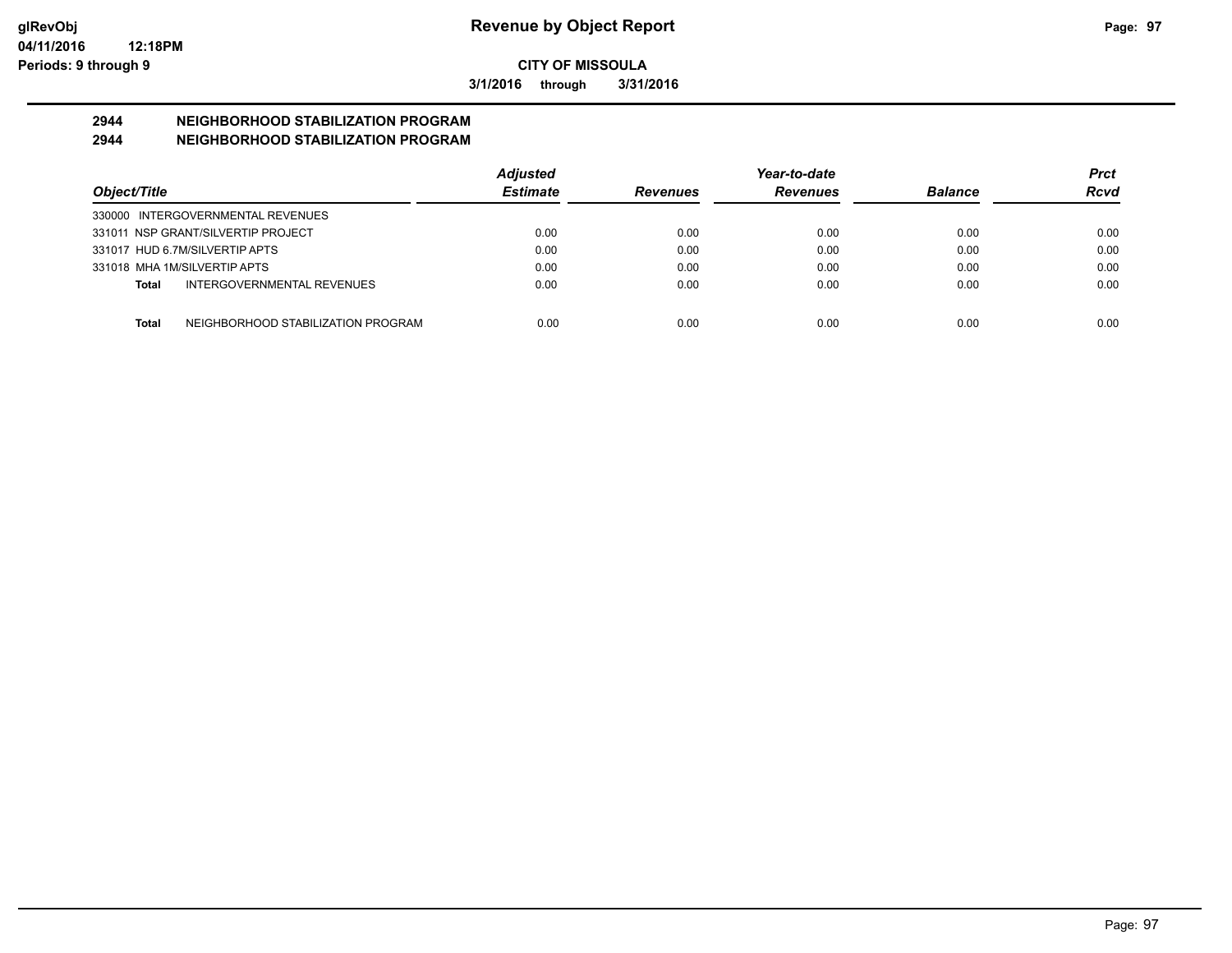**3/1/2016 through 3/31/2016**

# **2944 NEIGHBORHOOD STABILIZATION PROGRAM**

## **2944 NEIGHBORHOOD STABILIZATION PROGRAM**

|                                                    | <b>Adjusted</b> |                 | Year-to-date    |                | Prct |
|----------------------------------------------------|-----------------|-----------------|-----------------|----------------|------|
| Object/Title                                       | <b>Estimate</b> | <b>Revenues</b> | <b>Revenues</b> | <b>Balance</b> | Rcvd |
| 330000 INTERGOVERNMENTAL REVENUES                  |                 |                 |                 |                |      |
| 331011 NSP GRANT/SILVERTIP PROJECT                 | 0.00            | 0.00            | 0.00            | 0.00           | 0.00 |
| 331017 HUD 6.7M/SILVERTIP APTS                     | 0.00            | 0.00            | 0.00            | 0.00           | 0.00 |
| 331018 MHA 1M/SILVERTIP APTS                       | 0.00            | 0.00            | 0.00            | 0.00           | 0.00 |
| INTERGOVERNMENTAL REVENUES<br>Total                | 0.00            | 0.00            | 0.00            | 0.00           | 0.00 |
|                                                    |                 |                 |                 |                |      |
| NEIGHBORHOOD STABILIZATION PROGRAM<br><b>Total</b> | 0.00            | 0.00            | 0.00            | 0.00           | 0.00 |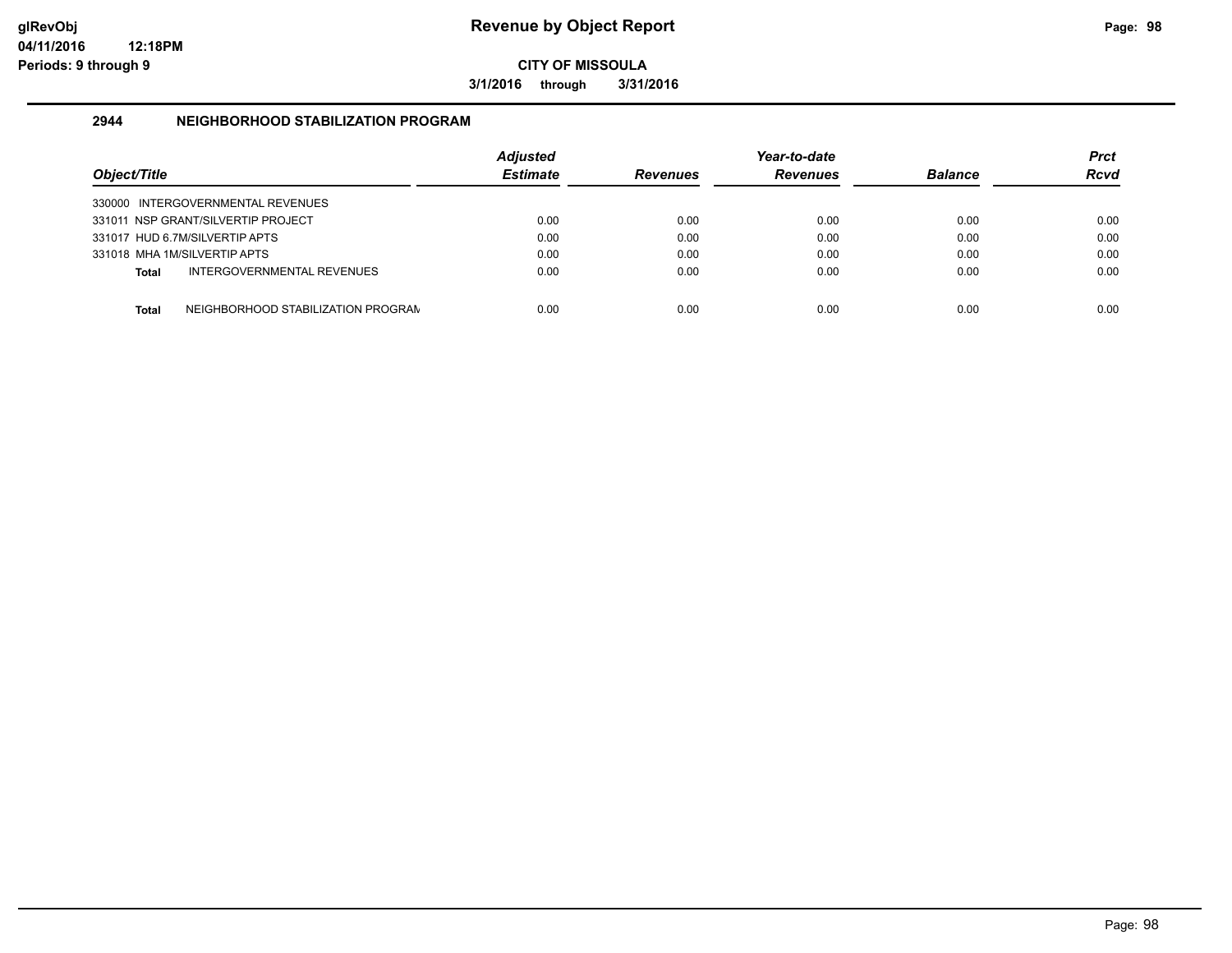**3/1/2016 through 3/31/2016**

### **2944 NEIGHBORHOOD STABILIZATION PROGRAM**

| Object/Title |                                    | <b>Adjusted</b><br><b>Estimate</b> | <b>Revenues</b> | Year-to-date<br><b>Revenues</b> | <b>Balance</b> | Prct<br><b>Rcvd</b> |
|--------------|------------------------------------|------------------------------------|-----------------|---------------------------------|----------------|---------------------|
|              | 330000 INTERGOVERNMENTAL REVENUES  |                                    |                 |                                 |                |                     |
|              | 331011 NSP GRANT/SILVERTIP PROJECT | 0.00                               | 0.00            | 0.00                            | 0.00           | 0.00                |
|              | 331017 HUD 6.7M/SILVERTIP APTS     | 0.00                               | 0.00            | 0.00                            | 0.00           | 0.00                |
|              | 331018 MHA 1M/SILVERTIP APTS       | 0.00                               | 0.00            | 0.00                            | 0.00           | 0.00                |
| Total        | INTERGOVERNMENTAL REVENUES         | 0.00                               | 0.00            | 0.00                            | 0.00           | 0.00                |
| Total        | NEIGHBORHOOD STABILIZATION PROGRAM | 0.00                               | 0.00            | 0.00                            | 0.00           | 0.00                |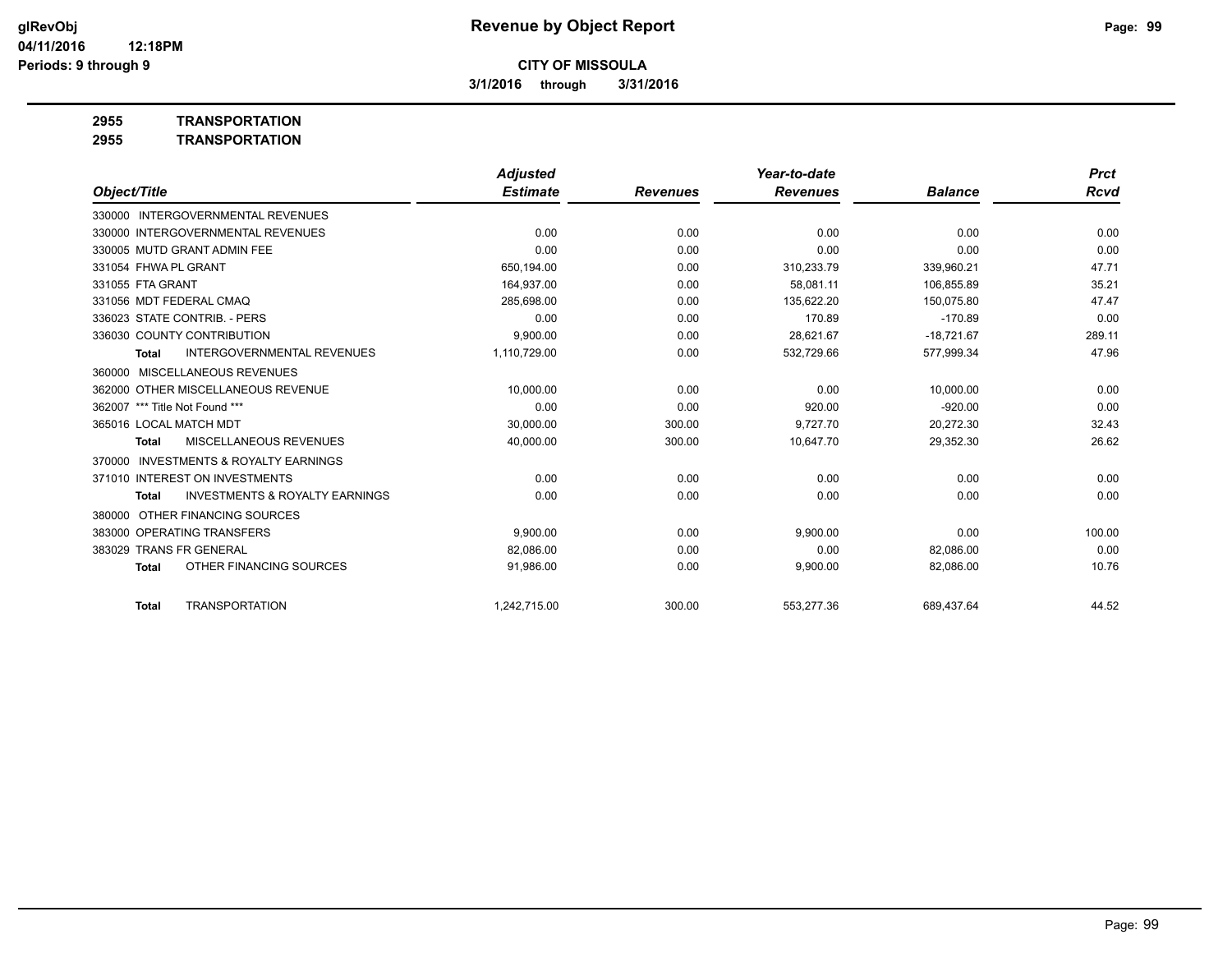**3/1/2016 through 3/31/2016**

**2955 TRANSPORTATION**

| 2955 | <b>TRANSPORTATION</b> |
|------|-----------------------|
|      |                       |

|                                                     | <b>Adjusted</b> |                 | Year-to-date    |                | <b>Prct</b> |
|-----------------------------------------------------|-----------------|-----------------|-----------------|----------------|-------------|
| Object/Title                                        | <b>Estimate</b> | <b>Revenues</b> | <b>Revenues</b> | <b>Balance</b> | Rcvd        |
| 330000 INTERGOVERNMENTAL REVENUES                   |                 |                 |                 |                |             |
| 330000 INTERGOVERNMENTAL REVENUES                   | 0.00            | 0.00            | 0.00            | 0.00           | 0.00        |
| 330005 MUTD GRANT ADMIN FEE                         | 0.00            | 0.00            | 0.00            | 0.00           | 0.00        |
| 331054 FHWA PL GRANT                                | 650,194.00      | 0.00            | 310,233.79      | 339,960.21     | 47.71       |
| 331055 FTA GRANT                                    | 164.937.00      | 0.00            | 58.081.11       | 106.855.89     | 35.21       |
| 331056 MDT FEDERAL CMAO                             | 285,698.00      | 0.00            | 135,622.20      | 150,075.80     | 47.47       |
| 336023 STATE CONTRIB. - PERS                        | 0.00            | 0.00            | 170.89          | $-170.89$      | 0.00        |
| 336030 COUNTY CONTRIBUTION                          | 9.900.00        | 0.00            | 28,621.67       | $-18,721.67$   | 289.11      |
| <b>INTERGOVERNMENTAL REVENUES</b><br>Total          | 1,110,729.00    | 0.00            | 532,729.66      | 577,999.34     | 47.96       |
| 360000 MISCELLANEOUS REVENUES                       |                 |                 |                 |                |             |
| 362000 OTHER MISCELLANEOUS REVENUE                  | 10,000.00       | 0.00            | 0.00            | 10,000.00      | 0.00        |
| 362007 *** Title Not Found ***                      | 0.00            | 0.00            | 920.00          | $-920.00$      | 0.00        |
| 365016 LOCAL MATCH MDT                              | 30,000.00       | 300.00          | 9,727.70        | 20,272.30      | 32.43       |
| <b>MISCELLANEOUS REVENUES</b><br>Total              | 40,000.00       | 300.00          | 10,647.70       | 29,352.30      | 26.62       |
| <b>INVESTMENTS &amp; ROYALTY EARNINGS</b><br>370000 |                 |                 |                 |                |             |
| 371010 INTEREST ON INVESTMENTS                      | 0.00            | 0.00            | 0.00            | 0.00           | 0.00        |
| <b>INVESTMENTS &amp; ROYALTY EARNINGS</b><br>Total  | 0.00            | 0.00            | 0.00            | 0.00           | 0.00        |
| 380000 OTHER FINANCING SOURCES                      |                 |                 |                 |                |             |
| 383000 OPERATING TRANSFERS                          | 9.900.00        | 0.00            | 9.900.00        | 0.00           | 100.00      |
| 383029 TRANS FR GENERAL                             | 82,086.00       | 0.00            | 0.00            | 82,086.00      | 0.00        |
| OTHER FINANCING SOURCES<br>Total                    | 91,986.00       | 0.00            | 9,900.00        | 82,086.00      | 10.76       |
| <b>TRANSPORTATION</b><br>Total                      | 1,242,715.00    | 300.00          | 553,277.36      | 689,437.64     | 44.52       |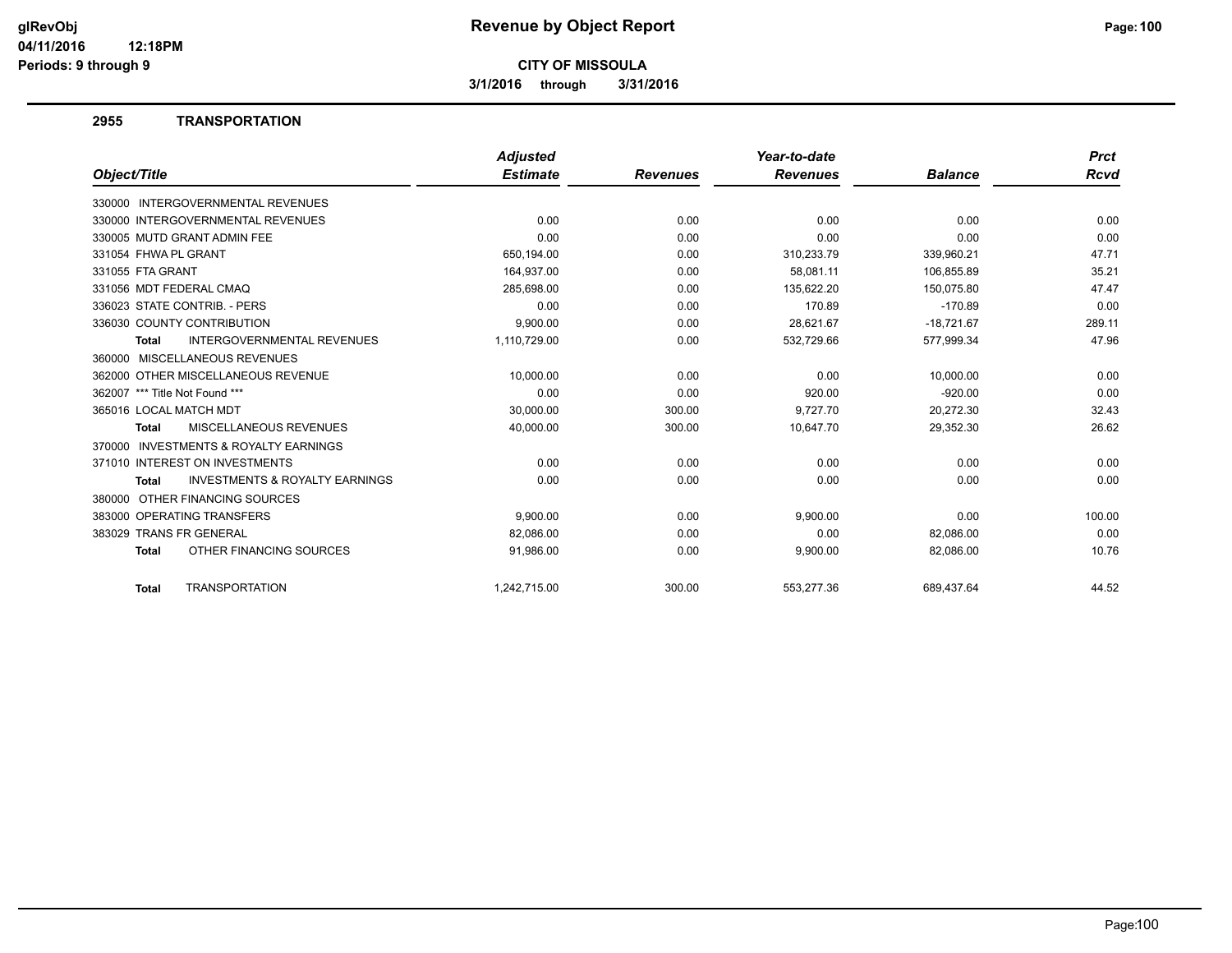**3/1/2016 through 3/31/2016**

#### **2955 TRANSPORTATION**

|                                                           | <b>Adjusted</b> |                 | Year-to-date    |                | <b>Prct</b> |
|-----------------------------------------------------------|-----------------|-----------------|-----------------|----------------|-------------|
| Object/Title                                              | <b>Estimate</b> | <b>Revenues</b> | <b>Revenues</b> | <b>Balance</b> | Rcvd        |
| 330000 INTERGOVERNMENTAL REVENUES                         |                 |                 |                 |                |             |
| 330000 INTERGOVERNMENTAL REVENUES                         | 0.00            | 0.00            | 0.00            | 0.00           | 0.00        |
| 330005 MUTD GRANT ADMIN FEE                               | 0.00            | 0.00            | 0.00            | 0.00           | 0.00        |
| 331054 FHWA PL GRANT                                      | 650,194.00      | 0.00            | 310,233.79      | 339,960.21     | 47.71       |
| 331055 FTA GRANT                                          | 164,937.00      | 0.00            | 58,081.11       | 106,855.89     | 35.21       |
| 331056 MDT FEDERAL CMAQ                                   | 285,698.00      | 0.00            | 135,622.20      | 150,075.80     | 47.47       |
| 336023 STATE CONTRIB. - PERS                              | 0.00            | 0.00            | 170.89          | $-170.89$      | 0.00        |
| 336030 COUNTY CONTRIBUTION                                | 9,900.00        | 0.00            | 28,621.67       | $-18,721.67$   | 289.11      |
| <b>INTERGOVERNMENTAL REVENUES</b><br><b>Total</b>         | 1,110,729.00    | 0.00            | 532,729.66      | 577,999.34     | 47.96       |
| 360000 MISCELLANEOUS REVENUES                             |                 |                 |                 |                |             |
| 362000 OTHER MISCELLANEOUS REVENUE                        | 10,000.00       | 0.00            | 0.00            | 10,000.00      | 0.00        |
| 362007 *** Title Not Found ***                            | 0.00            | 0.00            | 920.00          | $-920.00$      | 0.00        |
| 365016 LOCAL MATCH MDT                                    | 30,000.00       | 300.00          | 9,727.70        | 20,272.30      | 32.43       |
| <b>MISCELLANEOUS REVENUES</b><br>Total                    | 40,000.00       | 300.00          | 10,647.70       | 29,352.30      | 26.62       |
| INVESTMENTS & ROYALTY EARNINGS<br>370000                  |                 |                 |                 |                |             |
| 371010 INTEREST ON INVESTMENTS                            | 0.00            | 0.00            | 0.00            | 0.00           | 0.00        |
| <b>INVESTMENTS &amp; ROYALTY EARNINGS</b><br><b>Total</b> | 0.00            | 0.00            | 0.00            | 0.00           | 0.00        |
| 380000 OTHER FINANCING SOURCES                            |                 |                 |                 |                |             |
| 383000 OPERATING TRANSFERS                                | 9,900.00        | 0.00            | 9,900.00        | 0.00           | 100.00      |
| 383029 TRANS FR GENERAL                                   | 82,086.00       | 0.00            | 0.00            | 82,086.00      | 0.00        |
| OTHER FINANCING SOURCES<br><b>Total</b>                   | 91,986.00       | 0.00            | 9,900.00        | 82,086.00      | 10.76       |
| <b>TRANSPORTATION</b><br><b>Total</b>                     | 1.242.715.00    | 300.00          | 553.277.36      | 689.437.64     | 44.52       |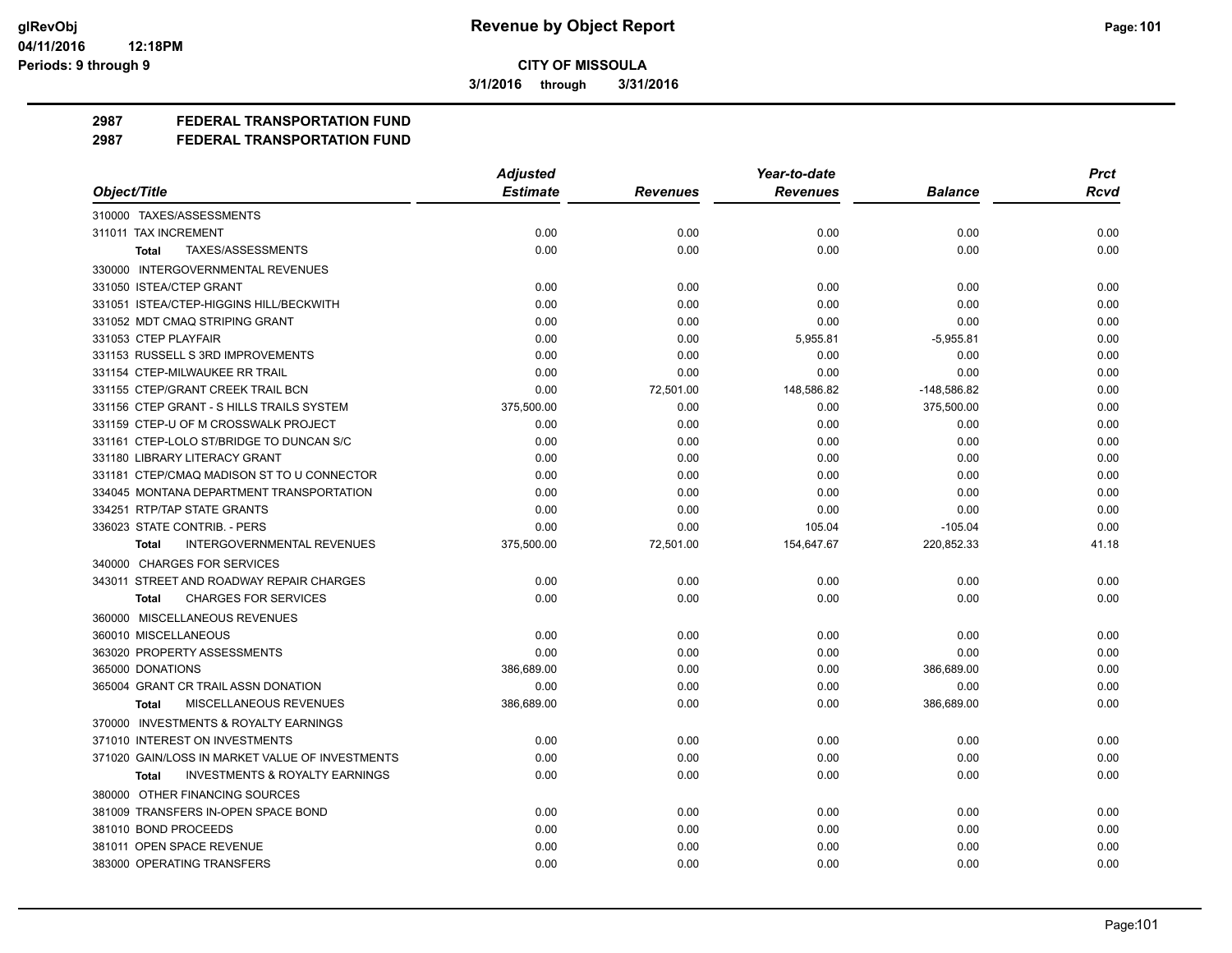**3/1/2016 through 3/31/2016**

**2987 FEDERAL TRANSPORTATION FUND**

|                                                           | <b>Adjusted</b> |                 | Year-to-date    |                | <b>Prct</b> |
|-----------------------------------------------------------|-----------------|-----------------|-----------------|----------------|-------------|
| Object/Title                                              | <b>Estimate</b> | <b>Revenues</b> | <b>Revenues</b> | <b>Balance</b> | Rcvd        |
| 310000 TAXES/ASSESSMENTS                                  |                 |                 |                 |                |             |
| 311011 TAX INCREMENT                                      | 0.00            | 0.00            | 0.00            | 0.00           | 0.00        |
| TAXES/ASSESSMENTS<br>Total                                | 0.00            | 0.00            | 0.00            | 0.00           | 0.00        |
| 330000 INTERGOVERNMENTAL REVENUES                         |                 |                 |                 |                |             |
| 331050 ISTEA/CTEP GRANT                                   | 0.00            | 0.00            | 0.00            | 0.00           | 0.00        |
| 331051 ISTEA/CTEP-HIGGINS HILL/BECKWITH                   | 0.00            | 0.00            | 0.00            | 0.00           | 0.00        |
| 331052 MDT CMAQ STRIPING GRANT                            | 0.00            | 0.00            | 0.00            | 0.00           | 0.00        |
| 331053 CTEP PLAYFAIR                                      | 0.00            | 0.00            | 5,955.81        | $-5,955.81$    | 0.00        |
| 331153 RUSSELL S 3RD IMPROVEMENTS                         | 0.00            | 0.00            | 0.00            | 0.00           | 0.00        |
| 331154 CTEP-MILWAUKEE RR TRAIL                            | 0.00            | 0.00            | 0.00            | 0.00           | 0.00        |
| 331155 CTEP/GRANT CREEK TRAIL BCN                         | 0.00            | 72,501.00       | 148,586.82      | -148,586.82    | 0.00        |
| 331156 CTEP GRANT - S HILLS TRAILS SYSTEM                 | 375,500.00      | 0.00            | 0.00            | 375,500.00     | 0.00        |
| 331159 CTEP-U OF M CROSSWALK PROJECT                      | 0.00            | 0.00            | 0.00            | 0.00           | 0.00        |
| 331161 CTEP-LOLO ST/BRIDGE TO DUNCAN S/C                  | 0.00            | 0.00            | 0.00            | 0.00           | 0.00        |
| 331180 LIBRARY LITERACY GRANT                             | 0.00            | 0.00            | 0.00            | 0.00           | 0.00        |
| 331181 CTEP/CMAQ MADISON ST TO U CONNECTOR                | 0.00            | 0.00            | 0.00            | 0.00           | 0.00        |
| 334045 MONTANA DEPARTMENT TRANSPORTATION                  | 0.00            | 0.00            | 0.00            | 0.00           | 0.00        |
| 334251 RTP/TAP STATE GRANTS                               | 0.00            | 0.00            | 0.00            | 0.00           | 0.00        |
| 336023 STATE CONTRIB. - PERS                              | 0.00            | 0.00            | 105.04          | $-105.04$      | 0.00        |
| <b>INTERGOVERNMENTAL REVENUES</b><br><b>Total</b>         | 375,500.00      | 72,501.00       | 154,647.67      | 220,852.33     | 41.18       |
| 340000 CHARGES FOR SERVICES                               |                 |                 |                 |                |             |
| 343011 STREET AND ROADWAY REPAIR CHARGES                  | 0.00            | 0.00            | 0.00            | 0.00           | 0.00        |
| <b>CHARGES FOR SERVICES</b><br><b>Total</b>               | 0.00            | 0.00            | 0.00            | 0.00           | 0.00        |
| 360000 MISCELLANEOUS REVENUES                             |                 |                 |                 |                |             |
| 360010 MISCELLANEOUS                                      | 0.00            | 0.00            | 0.00            | 0.00           | 0.00        |
| 363020 PROPERTY ASSESSMENTS                               | 0.00            | 0.00            | 0.00            | 0.00           | 0.00        |
| 365000 DONATIONS                                          | 386,689.00      | 0.00            | 0.00            | 386,689.00     | 0.00        |
| 365004 GRANT CR TRAIL ASSN DONATION                       | 0.00            | 0.00            | 0.00            | 0.00           | 0.00        |
| MISCELLANEOUS REVENUES<br><b>Total</b>                    | 386,689.00      | 0.00            | 0.00            | 386,689.00     | 0.00        |
| 370000 INVESTMENTS & ROYALTY EARNINGS                     |                 |                 |                 |                |             |
| 371010 INTEREST ON INVESTMENTS                            | 0.00            | 0.00            | 0.00            | 0.00           | 0.00        |
| 371020 GAIN/LOSS IN MARKET VALUE OF INVESTMENTS           | 0.00            | 0.00            | 0.00            | 0.00           | 0.00        |
| <b>INVESTMENTS &amp; ROYALTY EARNINGS</b><br><b>Total</b> | 0.00            | 0.00            | 0.00            | 0.00           | 0.00        |
| 380000 OTHER FINANCING SOURCES                            |                 |                 |                 |                |             |
| 381009 TRANSFERS IN-OPEN SPACE BOND                       | 0.00            | 0.00            | 0.00            | 0.00           | 0.00        |
| 381010 BOND PROCEEDS                                      | 0.00            | 0.00            | 0.00            | 0.00           | 0.00        |
| 381011 OPEN SPACE REVENUE                                 | 0.00            | 0.00            | 0.00            | 0.00           | 0.00        |
| 383000 OPERATING TRANSFERS                                | 0.00            | 0.00            | 0.00            | 0.00           | 0.00        |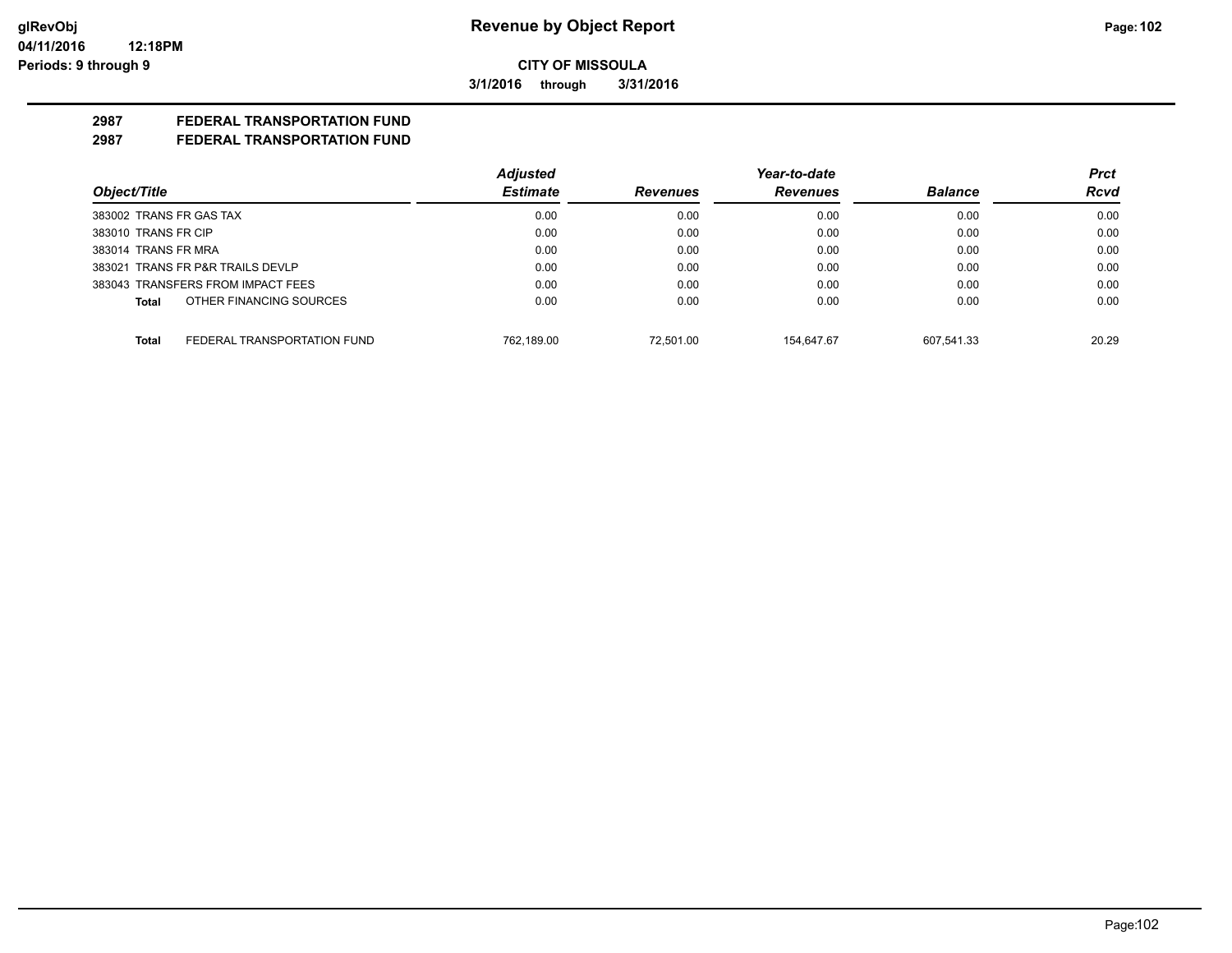**3/1/2016 through 3/31/2016**

## **2987 FEDERAL TRANSPORTATION FUND**

|                                      | <b>Adjusted</b> |                 | Year-to-date    |                | <b>Prct</b> |
|--------------------------------------|-----------------|-----------------|-----------------|----------------|-------------|
| Object/Title                         | <b>Estimate</b> | <b>Revenues</b> | <b>Revenues</b> | <b>Balance</b> | <b>Rcvd</b> |
| 383002 TRANS FR GAS TAX              | 0.00            | 0.00            | 0.00            | 0.00           | 0.00        |
| 383010 TRANS FR CIP                  | 0.00            | 0.00            | 0.00            | 0.00           | 0.00        |
| 383014 TRANS FR MRA                  | 0.00            | 0.00            | 0.00            | 0.00           | 0.00        |
| 383021 TRANS FR P&R TRAILS DEVLP     | 0.00            | 0.00            | 0.00            | 0.00           | 0.00        |
| 383043 TRANSFERS FROM IMPACT FEES    | 0.00            | 0.00            | 0.00            | 0.00           | 0.00        |
| OTHER FINANCING SOURCES<br>Total     | 0.00            | 0.00            | 0.00            | 0.00           | 0.00        |
| FEDERAL TRANSPORTATION FUND<br>Total | 762.189.00      | 72.501.00       | 154.647.67      | 607.541.33     | 20.29       |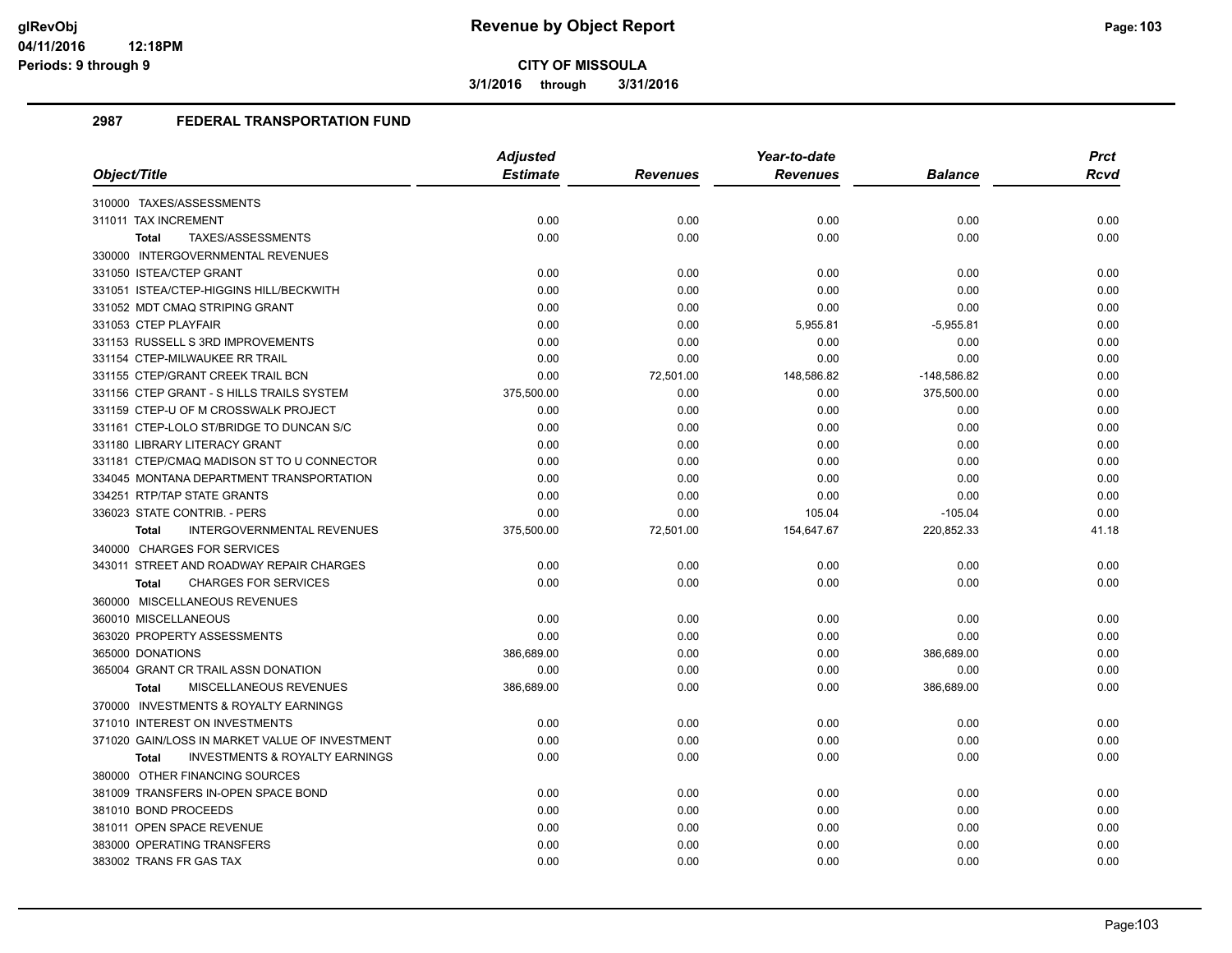**3/1/2016 through 3/31/2016**

|                                                           | <b>Adjusted</b> |                 | Year-to-date    |                                                                                                                                                                                                                                                                             | <b>Prct</b> |
|-----------------------------------------------------------|-----------------|-----------------|-----------------|-----------------------------------------------------------------------------------------------------------------------------------------------------------------------------------------------------------------------------------------------------------------------------|-------------|
| Object/Title                                              | <b>Estimate</b> | <b>Revenues</b> | <b>Revenues</b> | <b>Balance</b><br>0.00<br>0.00<br>0.00<br>0.00<br>0.00<br>$-5,955.81$<br>0.00<br>0.00<br>$-148,586.82$<br>375,500.00<br>0.00<br>0.00<br>0.00<br>0.00<br>0.00<br>0.00<br>$-105.04$<br>220,852.33<br>0.00<br>0.00<br>0.00<br>0.00<br>386,689.00<br>0.00<br>386,689.00<br>0.00 | <b>Rcvd</b> |
| 310000 TAXES/ASSESSMENTS                                  |                 |                 |                 |                                                                                                                                                                                                                                                                             |             |
| 311011 TAX INCREMENT                                      | 0.00            | 0.00            | 0.00            |                                                                                                                                                                                                                                                                             | 0.00        |
| TAXES/ASSESSMENTS<br><b>Total</b>                         | 0.00            | 0.00            | 0.00            |                                                                                                                                                                                                                                                                             | 0.00        |
| 330000 INTERGOVERNMENTAL REVENUES                         |                 |                 |                 |                                                                                                                                                                                                                                                                             |             |
| 331050 ISTEA/CTEP GRANT                                   | 0.00            | 0.00            | 0.00            |                                                                                                                                                                                                                                                                             | 0.00        |
| 331051 ISTEA/CTEP-HIGGINS HILL/BECKWITH                   | 0.00            | 0.00            | 0.00            |                                                                                                                                                                                                                                                                             | 0.00        |
| 331052 MDT CMAQ STRIPING GRANT                            | 0.00            | 0.00            | 0.00            |                                                                                                                                                                                                                                                                             | 0.00        |
| 331053 CTEP PLAYFAIR                                      | 0.00            | 0.00            | 5,955.81        |                                                                                                                                                                                                                                                                             | 0.00        |
| 331153 RUSSELL S 3RD IMPROVEMENTS                         | 0.00            | 0.00            | 0.00            |                                                                                                                                                                                                                                                                             | 0.00        |
| 331154 CTEP-MILWAUKEE RR TRAIL                            | 0.00            | 0.00            | 0.00            |                                                                                                                                                                                                                                                                             | 0.00        |
| 331155 CTEP/GRANT CREEK TRAIL BCN                         | 0.00            | 72,501.00       | 148,586.82      |                                                                                                                                                                                                                                                                             | 0.00        |
| 331156 CTEP GRANT - S HILLS TRAILS SYSTEM                 | 375,500.00      | 0.00            | 0.00            |                                                                                                                                                                                                                                                                             | 0.00        |
| 331159 CTEP-U OF M CROSSWALK PROJECT                      | 0.00            | 0.00            | 0.00            |                                                                                                                                                                                                                                                                             | 0.00        |
| 331161 CTEP-LOLO ST/BRIDGE TO DUNCAN S/C                  | 0.00            | 0.00            | 0.00            |                                                                                                                                                                                                                                                                             | 0.00        |
| 331180 LIBRARY LITERACY GRANT                             | 0.00            | 0.00            | 0.00            |                                                                                                                                                                                                                                                                             | 0.00        |
| 331181 CTEP/CMAQ MADISON ST TO U CONNECTOR                | 0.00            | 0.00            | 0.00            |                                                                                                                                                                                                                                                                             | 0.00        |
| 334045 MONTANA DEPARTMENT TRANSPORTATION                  | 0.00            | 0.00            | 0.00            |                                                                                                                                                                                                                                                                             | 0.00        |
| 334251 RTP/TAP STATE GRANTS                               | 0.00            | 0.00            | 0.00            |                                                                                                                                                                                                                                                                             | 0.00        |
| 336023 STATE CONTRIB. - PERS                              | 0.00            | 0.00            | 105.04          |                                                                                                                                                                                                                                                                             | 0.00        |
| <b>INTERGOVERNMENTAL REVENUES</b><br>Total                | 375,500.00      | 72,501.00       | 154,647.67      |                                                                                                                                                                                                                                                                             | 41.18       |
| 340000 CHARGES FOR SERVICES                               |                 |                 |                 |                                                                                                                                                                                                                                                                             |             |
| 343011 STREET AND ROADWAY REPAIR CHARGES                  | 0.00            | 0.00            | 0.00            |                                                                                                                                                                                                                                                                             | 0.00        |
| <b>CHARGES FOR SERVICES</b><br><b>Total</b>               | 0.00            | 0.00            | 0.00            |                                                                                                                                                                                                                                                                             | 0.00        |
| 360000 MISCELLANEOUS REVENUES                             |                 |                 |                 |                                                                                                                                                                                                                                                                             |             |
| 360010 MISCELLANEOUS                                      | 0.00            | 0.00            | 0.00            |                                                                                                                                                                                                                                                                             | 0.00        |
| 363020 PROPERTY ASSESSMENTS                               | 0.00            | 0.00            | 0.00            |                                                                                                                                                                                                                                                                             | 0.00        |
| 365000 DONATIONS                                          | 386,689.00      | 0.00            | 0.00            |                                                                                                                                                                                                                                                                             | 0.00        |
| 365004 GRANT CR TRAIL ASSN DONATION                       | 0.00            | 0.00            | 0.00            |                                                                                                                                                                                                                                                                             | 0.00        |
| MISCELLANEOUS REVENUES<br>Total                           | 386,689.00      | 0.00            | 0.00            |                                                                                                                                                                                                                                                                             | 0.00        |
| 370000 INVESTMENTS & ROYALTY EARNINGS                     |                 |                 |                 |                                                                                                                                                                                                                                                                             |             |
| 371010 INTEREST ON INVESTMENTS                            | 0.00            | 0.00            | 0.00            |                                                                                                                                                                                                                                                                             | 0.00        |
| 371020 GAIN/LOSS IN MARKET VALUE OF INVESTMENT            | 0.00            | 0.00            | 0.00            | 0.00                                                                                                                                                                                                                                                                        | 0.00        |
| <b>INVESTMENTS &amp; ROYALTY EARNINGS</b><br><b>Total</b> | 0.00            | 0.00            | 0.00            | 0.00                                                                                                                                                                                                                                                                        | 0.00        |
| 380000 OTHER FINANCING SOURCES                            |                 |                 |                 |                                                                                                                                                                                                                                                                             |             |
| 381009 TRANSFERS IN-OPEN SPACE BOND                       | 0.00            | 0.00            | 0.00            | 0.00                                                                                                                                                                                                                                                                        | 0.00        |
| 381010 BOND PROCEEDS                                      | 0.00            | 0.00            | 0.00            | 0.00                                                                                                                                                                                                                                                                        | 0.00        |
| 381011 OPEN SPACE REVENUE                                 | 0.00            | 0.00            | 0.00            | 0.00                                                                                                                                                                                                                                                                        | 0.00        |
| 383000 OPERATING TRANSFERS                                | 0.00            | 0.00            | 0.00            | 0.00                                                                                                                                                                                                                                                                        | 0.00        |
| 383002 TRANS FR GAS TAX                                   | 0.00            | 0.00            | 0.00            | 0.00                                                                                                                                                                                                                                                                        | 0.00        |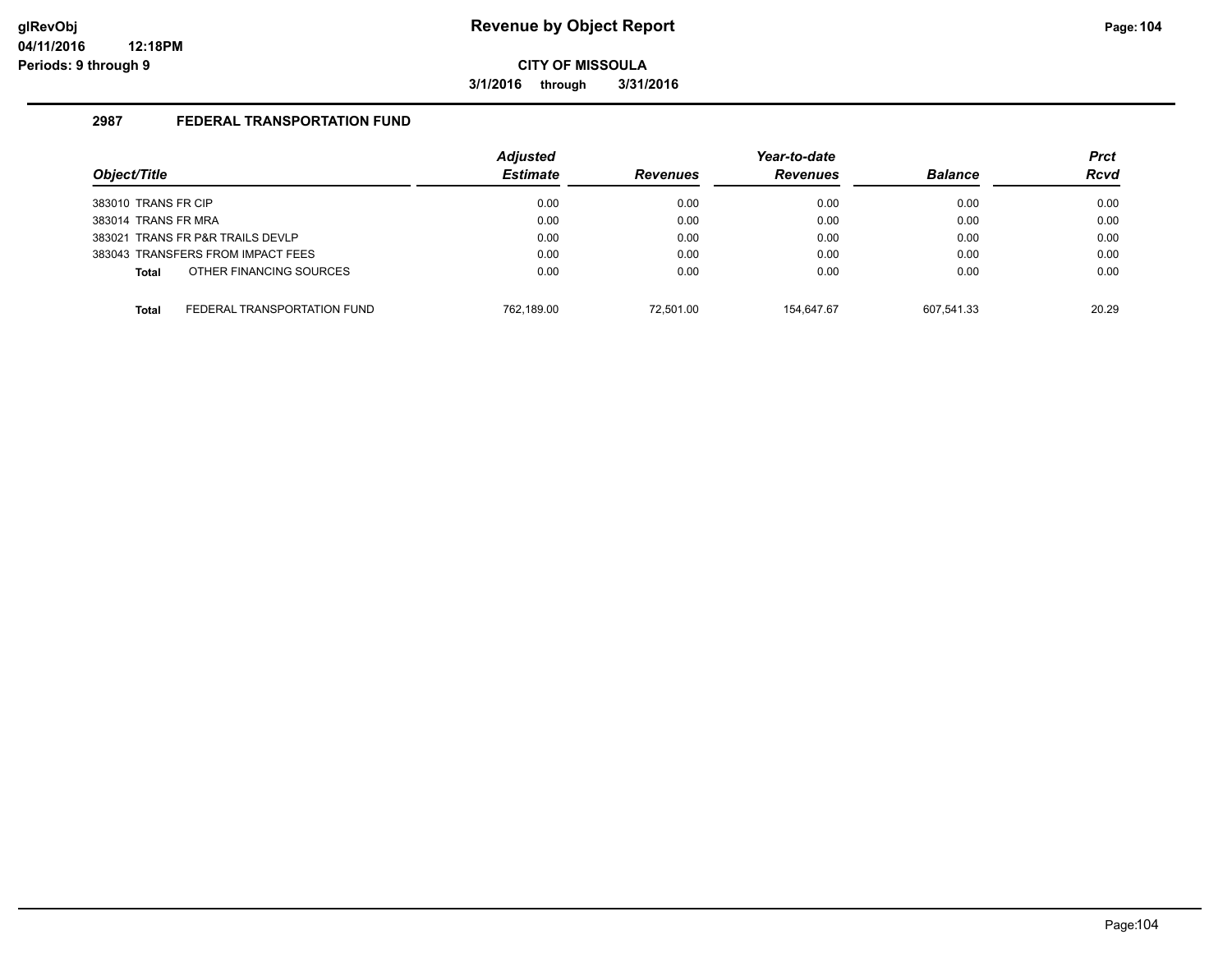**3/1/2016 through 3/31/2016**

|                                         | <b>Adjusted</b> |                 | Year-to-date    |                | <b>Prct</b> |
|-----------------------------------------|-----------------|-----------------|-----------------|----------------|-------------|
| Object/Title                            | <b>Estimate</b> | <b>Revenues</b> | <b>Revenues</b> | <b>Balance</b> | <b>Rcvd</b> |
| 383010 TRANS FR CIP                     | 0.00            | 0.00            | 0.00            | 0.00           | 0.00        |
| 383014 TRANS FR MRA                     | 0.00            | 0.00            | 0.00            | 0.00           | 0.00        |
| 383021 TRANS FR P&R TRAILS DEVLP        | 0.00            | 0.00            | 0.00            | 0.00           | 0.00        |
| 383043 TRANSFERS FROM IMPACT FEES       | 0.00            | 0.00            | 0.00            | 0.00           | 0.00        |
| OTHER FINANCING SOURCES<br><b>Total</b> | 0.00            | 0.00            | 0.00            | 0.00           | 0.00        |
| FEDERAL TRANSPORTATION FUND<br>Total    | 762.189.00      | 72.501.00       | 154.647.67      | 607.541.33     | 20.29       |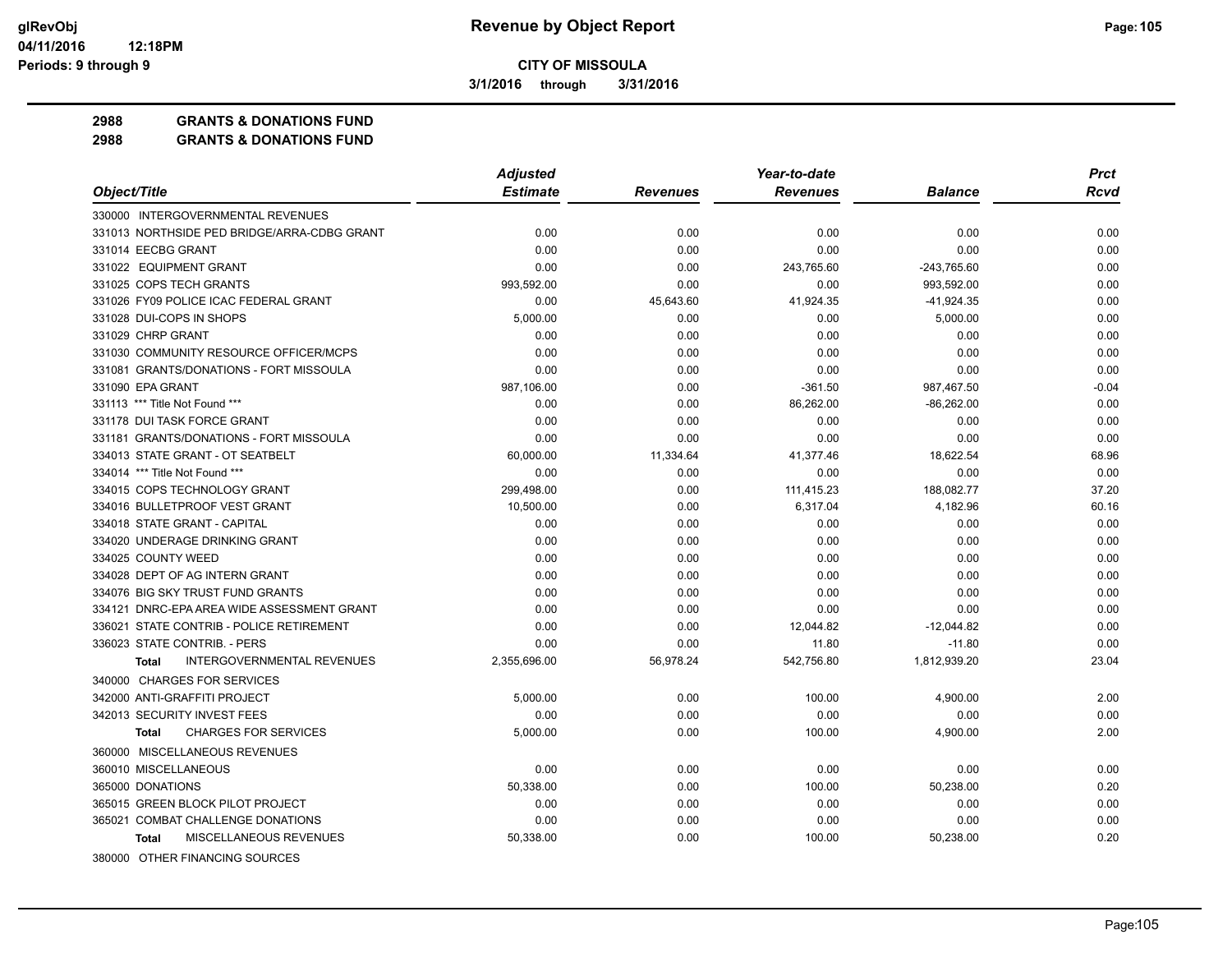**3/1/2016 through 3/31/2016**

### **2988 GRANTS & DONATIONS FUND**

| <b>Estimate</b><br>Object/Title<br><b>Revenues</b><br><b>Balance</b><br><b>Rcvd</b><br><b>Revenues</b><br>330000 INTERGOVERNMENTAL REVENUES<br>331013 NORTHSIDE PED BRIDGE/ARRA-CDBG GRANT<br>0.00<br>0.00<br>0.00<br>0.00<br>0.00<br>331014 EECBG GRANT<br>0.00<br>0.00<br>0.00<br>0.00<br>0.00<br>331022 EQUIPMENT GRANT<br>0.00<br>0.00<br>243,765.60<br>$-243,765.60$<br>0.00<br>331025 COPS TECH GRANTS<br>993,592.00<br>0.00<br>0.00<br>993,592.00<br>0.00<br>331026 FY09 POLICE ICAC FEDERAL GRANT<br>0.00<br>45,643.60<br>41,924.35<br>$-41,924.35$<br>0.00<br>331028 DUI-COPS IN SHOPS<br>5,000.00<br>0.00<br>5,000.00<br>0.00<br>0.00<br>331029 CHRP GRANT<br>0.00<br>0.00<br>0.00<br>0.00<br>0.00<br>331030 COMMUNITY RESOURCE OFFICER/MCPS<br>0.00<br>0.00<br>0.00<br>0.00<br>0.00<br>331081 GRANTS/DONATIONS - FORT MISSOULA<br>0.00<br>0.00<br>0.00<br>0.00<br>0.00<br>331090 EPA GRANT<br>987,106.00<br>0.00<br>$-361.50$<br>987,467.50<br>$-0.04$<br>86,262.00<br>$-86,262.00$<br>331113 *** Title Not Found ***<br>0.00<br>0.00<br>0.00<br>331178 DUI TASK FORCE GRANT<br>0.00<br>0.00<br>0.00<br>0.00<br>0.00<br>0.00<br>331181 GRANTS/DONATIONS - FORT MISSOULA<br>0.00<br>0.00<br>0.00<br>0.00<br>334013 STATE GRANT - OT SEATBELT<br>18,622.54<br>60,000.00<br>11,334.64<br>41,377.46<br>68.96<br>0.00<br>334014 *** Title Not Found ***<br>0.00<br>0.00<br>0.00<br>0.00<br>299,498.00<br>37.20<br>334015 COPS TECHNOLOGY GRANT<br>0.00<br>111,415.23<br>188,082.77<br>334016 BULLETPROOF VEST GRANT<br>10,500.00<br>0.00<br>6,317.04<br>4,182.96<br>60.16<br>334018 STATE GRANT - CAPITAL<br>0.00<br>0.00<br>0.00<br>0.00<br>0.00<br>334020 UNDERAGE DRINKING GRANT<br>0.00<br>0.00<br>0.00<br>0.00<br>0.00<br>334025 COUNTY WEED<br>0.00<br>0.00<br>0.00<br>0.00<br>0.00<br>334028 DEPT OF AG INTERN GRANT<br>0.00<br>0.00<br>0.00<br>0.00<br>0.00<br>334076 BIG SKY TRUST FUND GRANTS<br>0.00<br>0.00<br>0.00<br>0.00<br>0.00<br>0.00<br>0.00<br>0.00<br>0.00<br>0.00<br>334121 DNRC-EPA AREA WIDE ASSESSMENT GRANT<br>336021 STATE CONTRIB - POLICE RETIREMENT<br>0.00<br>0.00<br>12,044.82<br>$-12,044.82$<br>0.00<br>0.00<br>336023 STATE CONTRIB. - PERS<br>0.00<br>11.80<br>$-11.80$<br>0.00<br><b>INTERGOVERNMENTAL REVENUES</b><br>56,978.24<br>542,756.80<br>1,812,939.20<br>23.04<br>2,355,696.00<br><b>Total</b><br>340000 CHARGES FOR SERVICES<br>342000 ANTI-GRAFFITI PROJECT<br>0.00<br>5,000.00<br>100.00<br>4,900.00<br>2.00<br>342013 SECURITY INVEST FEES<br>0.00<br>0.00<br>0.00<br>0.00<br>0.00<br><b>CHARGES FOR SERVICES</b><br>2.00<br>5,000.00<br>0.00<br>100.00<br>4,900.00<br><b>Total</b><br>360000 MISCELLANEOUS REVENUES<br>360010 MISCELLANEOUS<br>0.00<br>0.00<br>0.00<br>0.00<br>0.00<br>365000 DONATIONS<br>50,338.00<br>0.00<br>100.00<br>50,238.00<br>0.20<br>365015 GREEN BLOCK PILOT PROJECT<br>0.00<br>0.00<br>0.00<br>0.00<br>0.00<br>365021 COMBAT CHALLENGE DONATIONS<br>0.00<br>0.00<br>0.00<br>0.00<br>0.00<br>MISCELLANEOUS REVENUES<br>50,238.00<br>0.20<br>50,338.00<br>0.00<br>100.00<br><b>Total</b> |                                | <b>Adjusted</b> | Year-to-date | <b>Prct</b> |
|-----------------------------------------------------------------------------------------------------------------------------------------------------------------------------------------------------------------------------------------------------------------------------------------------------------------------------------------------------------------------------------------------------------------------------------------------------------------------------------------------------------------------------------------------------------------------------------------------------------------------------------------------------------------------------------------------------------------------------------------------------------------------------------------------------------------------------------------------------------------------------------------------------------------------------------------------------------------------------------------------------------------------------------------------------------------------------------------------------------------------------------------------------------------------------------------------------------------------------------------------------------------------------------------------------------------------------------------------------------------------------------------------------------------------------------------------------------------------------------------------------------------------------------------------------------------------------------------------------------------------------------------------------------------------------------------------------------------------------------------------------------------------------------------------------------------------------------------------------------------------------------------------------------------------------------------------------------------------------------------------------------------------------------------------------------------------------------------------------------------------------------------------------------------------------------------------------------------------------------------------------------------------------------------------------------------------------------------------------------------------------------------------------------------------------------------------------------------------------------------------------------------------------------------------------------------------------------------------------------------------------------------------------------------------------------------------------------------------------------------------------------------------------------------------------------------------------------------------------------------------------------------------------------------------------------------------------------------------------------------------------------------------------------------------------------------------------|--------------------------------|-----------------|--------------|-------------|
|                                                                                                                                                                                                                                                                                                                                                                                                                                                                                                                                                                                                                                                                                                                                                                                                                                                                                                                                                                                                                                                                                                                                                                                                                                                                                                                                                                                                                                                                                                                                                                                                                                                                                                                                                                                                                                                                                                                                                                                                                                                                                                                                                                                                                                                                                                                                                                                                                                                                                                                                                                                                                                                                                                                                                                                                                                                                                                                                                                                                                                                                             |                                |                 |              |             |
|                                                                                                                                                                                                                                                                                                                                                                                                                                                                                                                                                                                                                                                                                                                                                                                                                                                                                                                                                                                                                                                                                                                                                                                                                                                                                                                                                                                                                                                                                                                                                                                                                                                                                                                                                                                                                                                                                                                                                                                                                                                                                                                                                                                                                                                                                                                                                                                                                                                                                                                                                                                                                                                                                                                                                                                                                                                                                                                                                                                                                                                                             |                                |                 |              |             |
|                                                                                                                                                                                                                                                                                                                                                                                                                                                                                                                                                                                                                                                                                                                                                                                                                                                                                                                                                                                                                                                                                                                                                                                                                                                                                                                                                                                                                                                                                                                                                                                                                                                                                                                                                                                                                                                                                                                                                                                                                                                                                                                                                                                                                                                                                                                                                                                                                                                                                                                                                                                                                                                                                                                                                                                                                                                                                                                                                                                                                                                                             |                                |                 |              |             |
|                                                                                                                                                                                                                                                                                                                                                                                                                                                                                                                                                                                                                                                                                                                                                                                                                                                                                                                                                                                                                                                                                                                                                                                                                                                                                                                                                                                                                                                                                                                                                                                                                                                                                                                                                                                                                                                                                                                                                                                                                                                                                                                                                                                                                                                                                                                                                                                                                                                                                                                                                                                                                                                                                                                                                                                                                                                                                                                                                                                                                                                                             |                                |                 |              |             |
|                                                                                                                                                                                                                                                                                                                                                                                                                                                                                                                                                                                                                                                                                                                                                                                                                                                                                                                                                                                                                                                                                                                                                                                                                                                                                                                                                                                                                                                                                                                                                                                                                                                                                                                                                                                                                                                                                                                                                                                                                                                                                                                                                                                                                                                                                                                                                                                                                                                                                                                                                                                                                                                                                                                                                                                                                                                                                                                                                                                                                                                                             |                                |                 |              |             |
|                                                                                                                                                                                                                                                                                                                                                                                                                                                                                                                                                                                                                                                                                                                                                                                                                                                                                                                                                                                                                                                                                                                                                                                                                                                                                                                                                                                                                                                                                                                                                                                                                                                                                                                                                                                                                                                                                                                                                                                                                                                                                                                                                                                                                                                                                                                                                                                                                                                                                                                                                                                                                                                                                                                                                                                                                                                                                                                                                                                                                                                                             |                                |                 |              |             |
|                                                                                                                                                                                                                                                                                                                                                                                                                                                                                                                                                                                                                                                                                                                                                                                                                                                                                                                                                                                                                                                                                                                                                                                                                                                                                                                                                                                                                                                                                                                                                                                                                                                                                                                                                                                                                                                                                                                                                                                                                                                                                                                                                                                                                                                                                                                                                                                                                                                                                                                                                                                                                                                                                                                                                                                                                                                                                                                                                                                                                                                                             |                                |                 |              |             |
|                                                                                                                                                                                                                                                                                                                                                                                                                                                                                                                                                                                                                                                                                                                                                                                                                                                                                                                                                                                                                                                                                                                                                                                                                                                                                                                                                                                                                                                                                                                                                                                                                                                                                                                                                                                                                                                                                                                                                                                                                                                                                                                                                                                                                                                                                                                                                                                                                                                                                                                                                                                                                                                                                                                                                                                                                                                                                                                                                                                                                                                                             |                                |                 |              |             |
|                                                                                                                                                                                                                                                                                                                                                                                                                                                                                                                                                                                                                                                                                                                                                                                                                                                                                                                                                                                                                                                                                                                                                                                                                                                                                                                                                                                                                                                                                                                                                                                                                                                                                                                                                                                                                                                                                                                                                                                                                                                                                                                                                                                                                                                                                                                                                                                                                                                                                                                                                                                                                                                                                                                                                                                                                                                                                                                                                                                                                                                                             |                                |                 |              |             |
|                                                                                                                                                                                                                                                                                                                                                                                                                                                                                                                                                                                                                                                                                                                                                                                                                                                                                                                                                                                                                                                                                                                                                                                                                                                                                                                                                                                                                                                                                                                                                                                                                                                                                                                                                                                                                                                                                                                                                                                                                                                                                                                                                                                                                                                                                                                                                                                                                                                                                                                                                                                                                                                                                                                                                                                                                                                                                                                                                                                                                                                                             |                                |                 |              |             |
|                                                                                                                                                                                                                                                                                                                                                                                                                                                                                                                                                                                                                                                                                                                                                                                                                                                                                                                                                                                                                                                                                                                                                                                                                                                                                                                                                                                                                                                                                                                                                                                                                                                                                                                                                                                                                                                                                                                                                                                                                                                                                                                                                                                                                                                                                                                                                                                                                                                                                                                                                                                                                                                                                                                                                                                                                                                                                                                                                                                                                                                                             |                                |                 |              |             |
|                                                                                                                                                                                                                                                                                                                                                                                                                                                                                                                                                                                                                                                                                                                                                                                                                                                                                                                                                                                                                                                                                                                                                                                                                                                                                                                                                                                                                                                                                                                                                                                                                                                                                                                                                                                                                                                                                                                                                                                                                                                                                                                                                                                                                                                                                                                                                                                                                                                                                                                                                                                                                                                                                                                                                                                                                                                                                                                                                                                                                                                                             |                                |                 |              |             |
|                                                                                                                                                                                                                                                                                                                                                                                                                                                                                                                                                                                                                                                                                                                                                                                                                                                                                                                                                                                                                                                                                                                                                                                                                                                                                                                                                                                                                                                                                                                                                                                                                                                                                                                                                                                                                                                                                                                                                                                                                                                                                                                                                                                                                                                                                                                                                                                                                                                                                                                                                                                                                                                                                                                                                                                                                                                                                                                                                                                                                                                                             |                                |                 |              |             |
|                                                                                                                                                                                                                                                                                                                                                                                                                                                                                                                                                                                                                                                                                                                                                                                                                                                                                                                                                                                                                                                                                                                                                                                                                                                                                                                                                                                                                                                                                                                                                                                                                                                                                                                                                                                                                                                                                                                                                                                                                                                                                                                                                                                                                                                                                                                                                                                                                                                                                                                                                                                                                                                                                                                                                                                                                                                                                                                                                                                                                                                                             |                                |                 |              |             |
|                                                                                                                                                                                                                                                                                                                                                                                                                                                                                                                                                                                                                                                                                                                                                                                                                                                                                                                                                                                                                                                                                                                                                                                                                                                                                                                                                                                                                                                                                                                                                                                                                                                                                                                                                                                                                                                                                                                                                                                                                                                                                                                                                                                                                                                                                                                                                                                                                                                                                                                                                                                                                                                                                                                                                                                                                                                                                                                                                                                                                                                                             |                                |                 |              |             |
|                                                                                                                                                                                                                                                                                                                                                                                                                                                                                                                                                                                                                                                                                                                                                                                                                                                                                                                                                                                                                                                                                                                                                                                                                                                                                                                                                                                                                                                                                                                                                                                                                                                                                                                                                                                                                                                                                                                                                                                                                                                                                                                                                                                                                                                                                                                                                                                                                                                                                                                                                                                                                                                                                                                                                                                                                                                                                                                                                                                                                                                                             |                                |                 |              |             |
|                                                                                                                                                                                                                                                                                                                                                                                                                                                                                                                                                                                                                                                                                                                                                                                                                                                                                                                                                                                                                                                                                                                                                                                                                                                                                                                                                                                                                                                                                                                                                                                                                                                                                                                                                                                                                                                                                                                                                                                                                                                                                                                                                                                                                                                                                                                                                                                                                                                                                                                                                                                                                                                                                                                                                                                                                                                                                                                                                                                                                                                                             |                                |                 |              |             |
|                                                                                                                                                                                                                                                                                                                                                                                                                                                                                                                                                                                                                                                                                                                                                                                                                                                                                                                                                                                                                                                                                                                                                                                                                                                                                                                                                                                                                                                                                                                                                                                                                                                                                                                                                                                                                                                                                                                                                                                                                                                                                                                                                                                                                                                                                                                                                                                                                                                                                                                                                                                                                                                                                                                                                                                                                                                                                                                                                                                                                                                                             |                                |                 |              |             |
|                                                                                                                                                                                                                                                                                                                                                                                                                                                                                                                                                                                                                                                                                                                                                                                                                                                                                                                                                                                                                                                                                                                                                                                                                                                                                                                                                                                                                                                                                                                                                                                                                                                                                                                                                                                                                                                                                                                                                                                                                                                                                                                                                                                                                                                                                                                                                                                                                                                                                                                                                                                                                                                                                                                                                                                                                                                                                                                                                                                                                                                                             |                                |                 |              |             |
|                                                                                                                                                                                                                                                                                                                                                                                                                                                                                                                                                                                                                                                                                                                                                                                                                                                                                                                                                                                                                                                                                                                                                                                                                                                                                                                                                                                                                                                                                                                                                                                                                                                                                                                                                                                                                                                                                                                                                                                                                                                                                                                                                                                                                                                                                                                                                                                                                                                                                                                                                                                                                                                                                                                                                                                                                                                                                                                                                                                                                                                                             |                                |                 |              |             |
|                                                                                                                                                                                                                                                                                                                                                                                                                                                                                                                                                                                                                                                                                                                                                                                                                                                                                                                                                                                                                                                                                                                                                                                                                                                                                                                                                                                                                                                                                                                                                                                                                                                                                                                                                                                                                                                                                                                                                                                                                                                                                                                                                                                                                                                                                                                                                                                                                                                                                                                                                                                                                                                                                                                                                                                                                                                                                                                                                                                                                                                                             |                                |                 |              |             |
|                                                                                                                                                                                                                                                                                                                                                                                                                                                                                                                                                                                                                                                                                                                                                                                                                                                                                                                                                                                                                                                                                                                                                                                                                                                                                                                                                                                                                                                                                                                                                                                                                                                                                                                                                                                                                                                                                                                                                                                                                                                                                                                                                                                                                                                                                                                                                                                                                                                                                                                                                                                                                                                                                                                                                                                                                                                                                                                                                                                                                                                                             |                                |                 |              |             |
|                                                                                                                                                                                                                                                                                                                                                                                                                                                                                                                                                                                                                                                                                                                                                                                                                                                                                                                                                                                                                                                                                                                                                                                                                                                                                                                                                                                                                                                                                                                                                                                                                                                                                                                                                                                                                                                                                                                                                                                                                                                                                                                                                                                                                                                                                                                                                                                                                                                                                                                                                                                                                                                                                                                                                                                                                                                                                                                                                                                                                                                                             |                                |                 |              |             |
|                                                                                                                                                                                                                                                                                                                                                                                                                                                                                                                                                                                                                                                                                                                                                                                                                                                                                                                                                                                                                                                                                                                                                                                                                                                                                                                                                                                                                                                                                                                                                                                                                                                                                                                                                                                                                                                                                                                                                                                                                                                                                                                                                                                                                                                                                                                                                                                                                                                                                                                                                                                                                                                                                                                                                                                                                                                                                                                                                                                                                                                                             |                                |                 |              |             |
|                                                                                                                                                                                                                                                                                                                                                                                                                                                                                                                                                                                                                                                                                                                                                                                                                                                                                                                                                                                                                                                                                                                                                                                                                                                                                                                                                                                                                                                                                                                                                                                                                                                                                                                                                                                                                                                                                                                                                                                                                                                                                                                                                                                                                                                                                                                                                                                                                                                                                                                                                                                                                                                                                                                                                                                                                                                                                                                                                                                                                                                                             |                                |                 |              |             |
|                                                                                                                                                                                                                                                                                                                                                                                                                                                                                                                                                                                                                                                                                                                                                                                                                                                                                                                                                                                                                                                                                                                                                                                                                                                                                                                                                                                                                                                                                                                                                                                                                                                                                                                                                                                                                                                                                                                                                                                                                                                                                                                                                                                                                                                                                                                                                                                                                                                                                                                                                                                                                                                                                                                                                                                                                                                                                                                                                                                                                                                                             |                                |                 |              |             |
|                                                                                                                                                                                                                                                                                                                                                                                                                                                                                                                                                                                                                                                                                                                                                                                                                                                                                                                                                                                                                                                                                                                                                                                                                                                                                                                                                                                                                                                                                                                                                                                                                                                                                                                                                                                                                                                                                                                                                                                                                                                                                                                                                                                                                                                                                                                                                                                                                                                                                                                                                                                                                                                                                                                                                                                                                                                                                                                                                                                                                                                                             |                                |                 |              |             |
|                                                                                                                                                                                                                                                                                                                                                                                                                                                                                                                                                                                                                                                                                                                                                                                                                                                                                                                                                                                                                                                                                                                                                                                                                                                                                                                                                                                                                                                                                                                                                                                                                                                                                                                                                                                                                                                                                                                                                                                                                                                                                                                                                                                                                                                                                                                                                                                                                                                                                                                                                                                                                                                                                                                                                                                                                                                                                                                                                                                                                                                                             |                                |                 |              |             |
|                                                                                                                                                                                                                                                                                                                                                                                                                                                                                                                                                                                                                                                                                                                                                                                                                                                                                                                                                                                                                                                                                                                                                                                                                                                                                                                                                                                                                                                                                                                                                                                                                                                                                                                                                                                                                                                                                                                                                                                                                                                                                                                                                                                                                                                                                                                                                                                                                                                                                                                                                                                                                                                                                                                                                                                                                                                                                                                                                                                                                                                                             |                                |                 |              |             |
|                                                                                                                                                                                                                                                                                                                                                                                                                                                                                                                                                                                                                                                                                                                                                                                                                                                                                                                                                                                                                                                                                                                                                                                                                                                                                                                                                                                                                                                                                                                                                                                                                                                                                                                                                                                                                                                                                                                                                                                                                                                                                                                                                                                                                                                                                                                                                                                                                                                                                                                                                                                                                                                                                                                                                                                                                                                                                                                                                                                                                                                                             |                                |                 |              |             |
|                                                                                                                                                                                                                                                                                                                                                                                                                                                                                                                                                                                                                                                                                                                                                                                                                                                                                                                                                                                                                                                                                                                                                                                                                                                                                                                                                                                                                                                                                                                                                                                                                                                                                                                                                                                                                                                                                                                                                                                                                                                                                                                                                                                                                                                                                                                                                                                                                                                                                                                                                                                                                                                                                                                                                                                                                                                                                                                                                                                                                                                                             |                                |                 |              |             |
|                                                                                                                                                                                                                                                                                                                                                                                                                                                                                                                                                                                                                                                                                                                                                                                                                                                                                                                                                                                                                                                                                                                                                                                                                                                                                                                                                                                                                                                                                                                                                                                                                                                                                                                                                                                                                                                                                                                                                                                                                                                                                                                                                                                                                                                                                                                                                                                                                                                                                                                                                                                                                                                                                                                                                                                                                                                                                                                                                                                                                                                                             |                                |                 |              |             |
|                                                                                                                                                                                                                                                                                                                                                                                                                                                                                                                                                                                                                                                                                                                                                                                                                                                                                                                                                                                                                                                                                                                                                                                                                                                                                                                                                                                                                                                                                                                                                                                                                                                                                                                                                                                                                                                                                                                                                                                                                                                                                                                                                                                                                                                                                                                                                                                                                                                                                                                                                                                                                                                                                                                                                                                                                                                                                                                                                                                                                                                                             |                                |                 |              |             |
|                                                                                                                                                                                                                                                                                                                                                                                                                                                                                                                                                                                                                                                                                                                                                                                                                                                                                                                                                                                                                                                                                                                                                                                                                                                                                                                                                                                                                                                                                                                                                                                                                                                                                                                                                                                                                                                                                                                                                                                                                                                                                                                                                                                                                                                                                                                                                                                                                                                                                                                                                                                                                                                                                                                                                                                                                                                                                                                                                                                                                                                                             |                                |                 |              |             |
|                                                                                                                                                                                                                                                                                                                                                                                                                                                                                                                                                                                                                                                                                                                                                                                                                                                                                                                                                                                                                                                                                                                                                                                                                                                                                                                                                                                                                                                                                                                                                                                                                                                                                                                                                                                                                                                                                                                                                                                                                                                                                                                                                                                                                                                                                                                                                                                                                                                                                                                                                                                                                                                                                                                                                                                                                                                                                                                                                                                                                                                                             |                                |                 |              |             |
|                                                                                                                                                                                                                                                                                                                                                                                                                                                                                                                                                                                                                                                                                                                                                                                                                                                                                                                                                                                                                                                                                                                                                                                                                                                                                                                                                                                                                                                                                                                                                                                                                                                                                                                                                                                                                                                                                                                                                                                                                                                                                                                                                                                                                                                                                                                                                                                                                                                                                                                                                                                                                                                                                                                                                                                                                                                                                                                                                                                                                                                                             |                                |                 |              |             |
|                                                                                                                                                                                                                                                                                                                                                                                                                                                                                                                                                                                                                                                                                                                                                                                                                                                                                                                                                                                                                                                                                                                                                                                                                                                                                                                                                                                                                                                                                                                                                                                                                                                                                                                                                                                                                                                                                                                                                                                                                                                                                                                                                                                                                                                                                                                                                                                                                                                                                                                                                                                                                                                                                                                                                                                                                                                                                                                                                                                                                                                                             |                                |                 |              |             |
|                                                                                                                                                                                                                                                                                                                                                                                                                                                                                                                                                                                                                                                                                                                                                                                                                                                                                                                                                                                                                                                                                                                                                                                                                                                                                                                                                                                                                                                                                                                                                                                                                                                                                                                                                                                                                                                                                                                                                                                                                                                                                                                                                                                                                                                                                                                                                                                                                                                                                                                                                                                                                                                                                                                                                                                                                                                                                                                                                                                                                                                                             |                                |                 |              |             |
|                                                                                                                                                                                                                                                                                                                                                                                                                                                                                                                                                                                                                                                                                                                                                                                                                                                                                                                                                                                                                                                                                                                                                                                                                                                                                                                                                                                                                                                                                                                                                                                                                                                                                                                                                                                                                                                                                                                                                                                                                                                                                                                                                                                                                                                                                                                                                                                                                                                                                                                                                                                                                                                                                                                                                                                                                                                                                                                                                                                                                                                                             | 380000 OTHER FINANCING SOURCES |                 |              |             |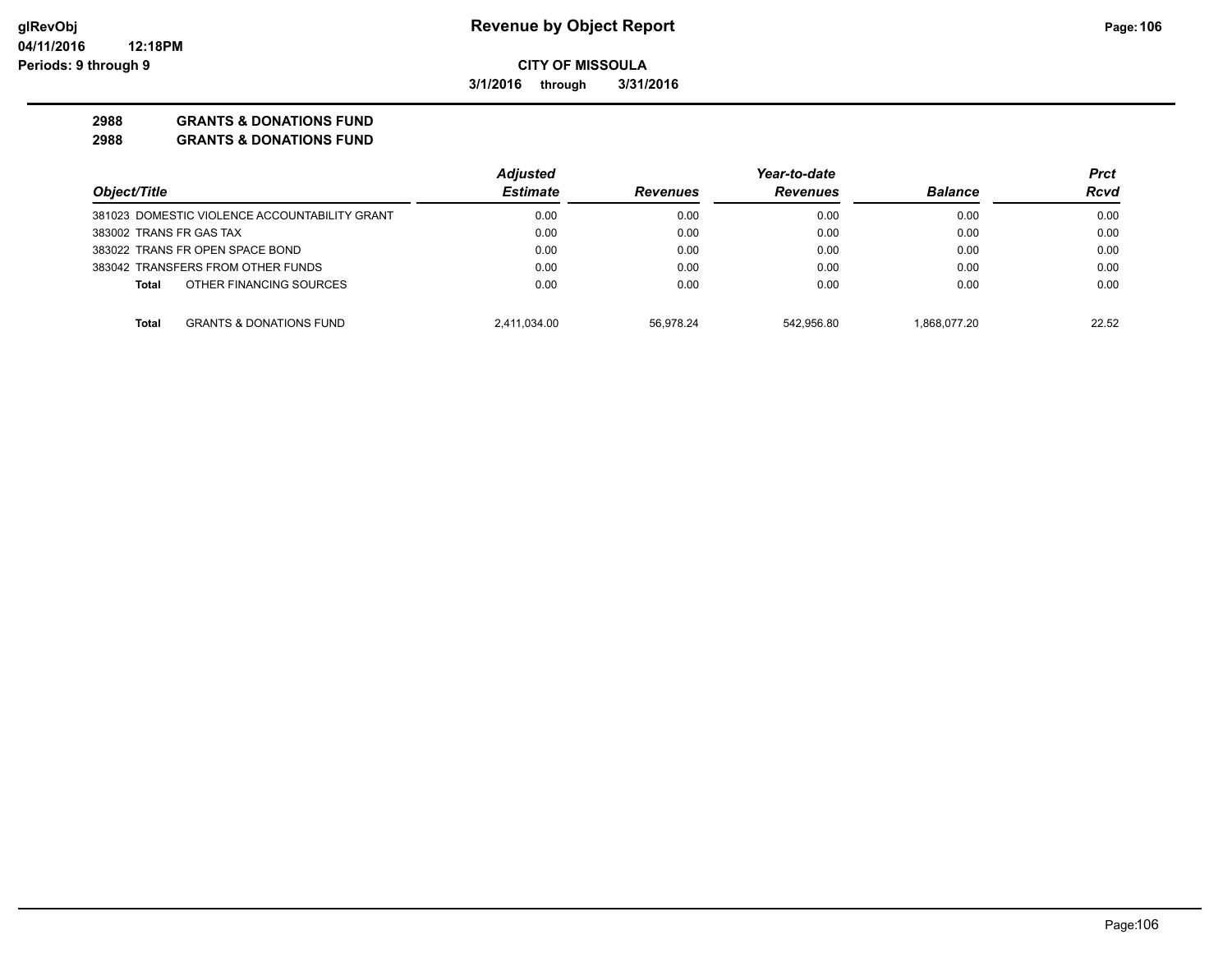**3/1/2016 through 3/31/2016**

## **2988 GRANTS & DONATIONS FUND**

|                                                    | <b>Adjusted</b> |                 | Year-to-date    |                | Prct  |
|----------------------------------------------------|-----------------|-----------------|-----------------|----------------|-------|
| Object/Title                                       | <b>Estimate</b> | <b>Revenues</b> | <b>Revenues</b> | <b>Balance</b> | Rcvd  |
| 381023 DOMESTIC VIOLENCE ACCOUNTABILITY GRANT      | 0.00            | 0.00            | 0.00            | 0.00           | 0.00  |
| 383002 TRANS FR GAS TAX                            | 0.00            | 0.00            | 0.00            | 0.00           | 0.00  |
| 383022 TRANS FR OPEN SPACE BOND                    | 0.00            | 0.00            | 0.00            | 0.00           | 0.00  |
| 383042 TRANSFERS FROM OTHER FUNDS                  | 0.00            | 0.00            | 0.00            | 0.00           | 0.00  |
| OTHER FINANCING SOURCES<br>Total                   | 0.00            | 0.00            | 0.00            | 0.00           | 0.00  |
| <b>GRANTS &amp; DONATIONS FUND</b><br><b>Total</b> | 2,411,034.00    | 56.978.24       | 542.956.80      | 1.868.077.20   | 22.52 |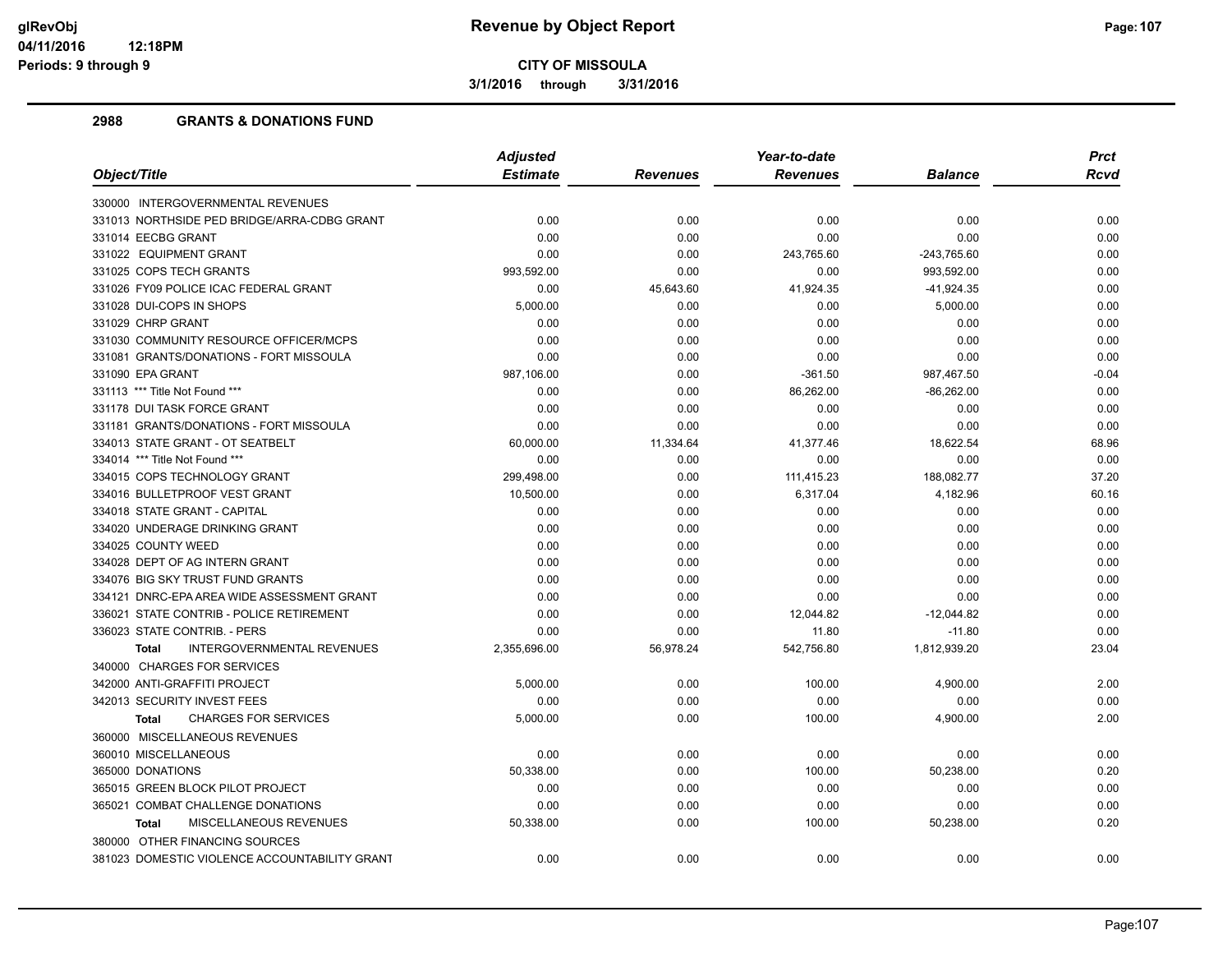**3/1/2016 through 3/31/2016**

|                                               | <b>Adjusted</b> | Year-to-date    |                 |                | <b>Prct</b> |
|-----------------------------------------------|-----------------|-----------------|-----------------|----------------|-------------|
| Object/Title                                  | <b>Estimate</b> | <b>Revenues</b> | <b>Revenues</b> | <b>Balance</b> | Rcvd        |
| 330000 INTERGOVERNMENTAL REVENUES             |                 |                 |                 |                |             |
| 331013 NORTHSIDE PED BRIDGE/ARRA-CDBG GRANT   | 0.00            | 0.00            | 0.00            | 0.00           | 0.00        |
| 331014 EECBG GRANT                            | 0.00            | 0.00            | 0.00            | 0.00           | 0.00        |
| 331022 EQUIPMENT GRANT                        | 0.00            | 0.00            | 243,765.60      | $-243,765.60$  | 0.00        |
| 331025 COPS TECH GRANTS                       | 993,592.00      | 0.00            | 0.00            | 993,592.00     | 0.00        |
| 331026 FY09 POLICE ICAC FEDERAL GRANT         | 0.00            | 45,643.60       | 41,924.35       | $-41,924.35$   | 0.00        |
| 331028 DUI-COPS IN SHOPS                      | 5,000.00        | 0.00            | 0.00            | 5,000.00       | 0.00        |
| 331029 CHRP GRANT                             | 0.00            | 0.00            | 0.00            | 0.00           | 0.00        |
| 331030 COMMUNITY RESOURCE OFFICER/MCPS        | 0.00            | 0.00            | 0.00            | 0.00           | 0.00        |
| 331081 GRANTS/DONATIONS - FORT MISSOULA       | 0.00            | 0.00            | 0.00            | 0.00           | 0.00        |
| 331090 EPA GRANT                              | 987,106.00      | 0.00            | $-361.50$       | 987,467.50     | $-0.04$     |
| 331113 *** Title Not Found ***                | 0.00            | 0.00            | 86,262.00       | $-86,262.00$   | 0.00        |
| 331178 DUI TASK FORCE GRANT                   | 0.00            | 0.00            | 0.00            | 0.00           | 0.00        |
| 331181 GRANTS/DONATIONS - FORT MISSOULA       | 0.00            | 0.00            | 0.00            | 0.00           | 0.00        |
| 334013 STATE GRANT - OT SEATBELT              | 60,000.00       | 11,334.64       | 41,377.46       | 18,622.54      | 68.96       |
| 334014 *** Title Not Found ***                | 0.00            | 0.00            | 0.00            | 0.00           | 0.00        |
| 334015 COPS TECHNOLOGY GRANT                  | 299,498.00      | 0.00            | 111,415.23      | 188,082.77     | 37.20       |
| 334016 BULLETPROOF VEST GRANT                 | 10,500.00       | 0.00            | 6,317.04        | 4,182.96       | 60.16       |
| 334018 STATE GRANT - CAPITAL                  | 0.00            | 0.00            | 0.00            | 0.00           | 0.00        |
| 334020 UNDERAGE DRINKING GRANT                | 0.00            | 0.00            | 0.00            | 0.00           | 0.00        |
| 334025 COUNTY WEED                            | 0.00            | 0.00            | 0.00            | 0.00           | 0.00        |
| 334028 DEPT OF AG INTERN GRANT                | 0.00            | 0.00            | 0.00            | 0.00           | 0.00        |
| 334076 BIG SKY TRUST FUND GRANTS              | 0.00            | 0.00            | 0.00            | 0.00           | 0.00        |
| 334121 DNRC-EPA AREA WIDE ASSESSMENT GRANT    | 0.00            | 0.00            | 0.00            | 0.00           | 0.00        |
| 336021 STATE CONTRIB - POLICE RETIREMENT      | 0.00            | 0.00            | 12,044.82       | $-12,044.82$   | 0.00        |
| 336023 STATE CONTRIB. - PERS                  | 0.00            | 0.00            | 11.80           | $-11.80$       | 0.00        |
| INTERGOVERNMENTAL REVENUES<br><b>Total</b>    | 2,355,696.00    | 56,978.24       | 542,756.80      | 1,812,939.20   | 23.04       |
| 340000 CHARGES FOR SERVICES                   |                 |                 |                 |                |             |
| 342000 ANTI-GRAFFITI PROJECT                  | 5,000.00        | 0.00            | 100.00          | 4,900.00       | 2.00        |
| 342013 SECURITY INVEST FEES                   | 0.00            | 0.00            | 0.00            | 0.00           | 0.00        |
| <b>CHARGES FOR SERVICES</b><br><b>Total</b>   | 5,000.00        | 0.00            | 100.00          | 4,900.00       | 2.00        |
| 360000 MISCELLANEOUS REVENUES                 |                 |                 |                 |                |             |
| 360010 MISCELLANEOUS                          | 0.00            | 0.00            | 0.00            | 0.00           | 0.00        |
| 365000 DONATIONS                              | 50,338.00       | 0.00            | 100.00          | 50,238.00      | 0.20        |
| 365015 GREEN BLOCK PILOT PROJECT              | 0.00            | 0.00            | 0.00            | 0.00           | 0.00        |
| 365021 COMBAT CHALLENGE DONATIONS             | 0.00            | 0.00            | 0.00            | 0.00           | 0.00        |
| <b>MISCELLANEOUS REVENUES</b><br><b>Total</b> | 50,338.00       | 0.00            | 100.00          | 50,238.00      | 0.20        |
| 380000 OTHER FINANCING SOURCES                |                 |                 |                 |                |             |
| 381023 DOMESTIC VIOLENCE ACCOUNTABILITY GRANT | 0.00            | 0.00            | 0.00            | 0.00           | 0.00        |
|                                               |                 |                 |                 |                |             |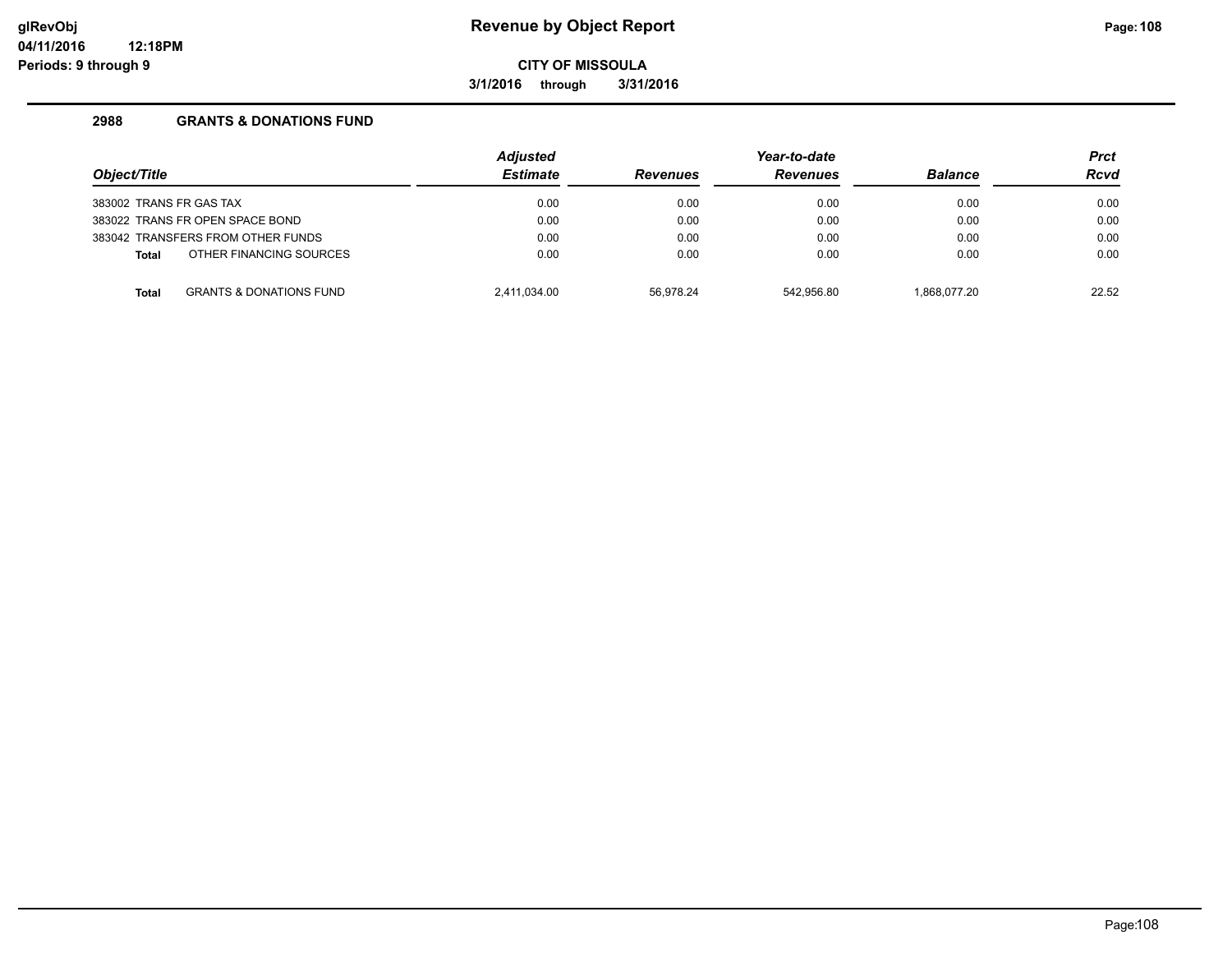**3/1/2016 through 3/31/2016**

| Object/Title                      |                                    | <b>Adjusted</b> |                 | Year-to-date    |                |             |
|-----------------------------------|------------------------------------|-----------------|-----------------|-----------------|----------------|-------------|
|                                   |                                    | <b>Estimate</b> | <b>Revenues</b> | <b>Revenues</b> | <b>Balance</b> | <b>Rcvd</b> |
| 383002 TRANS FR GAS TAX           |                                    | 0.00            | 0.00            | 0.00            | 0.00           | 0.00        |
| 383022 TRANS FR OPEN SPACE BOND   |                                    | 0.00            | 0.00            | 0.00            | 0.00           | 0.00        |
| 383042 TRANSFERS FROM OTHER FUNDS |                                    | 0.00            | 0.00            | 0.00            | 0.00           | 0.00        |
| <b>Total</b>                      | OTHER FINANCING SOURCES            | 0.00            | 0.00            | 0.00            | 0.00           | 0.00        |
| <b>Total</b>                      | <b>GRANTS &amp; DONATIONS FUND</b> | 2.411.034.00    | 56.978.24       | 542.956.80      | 1.868.077.20   | 22.52       |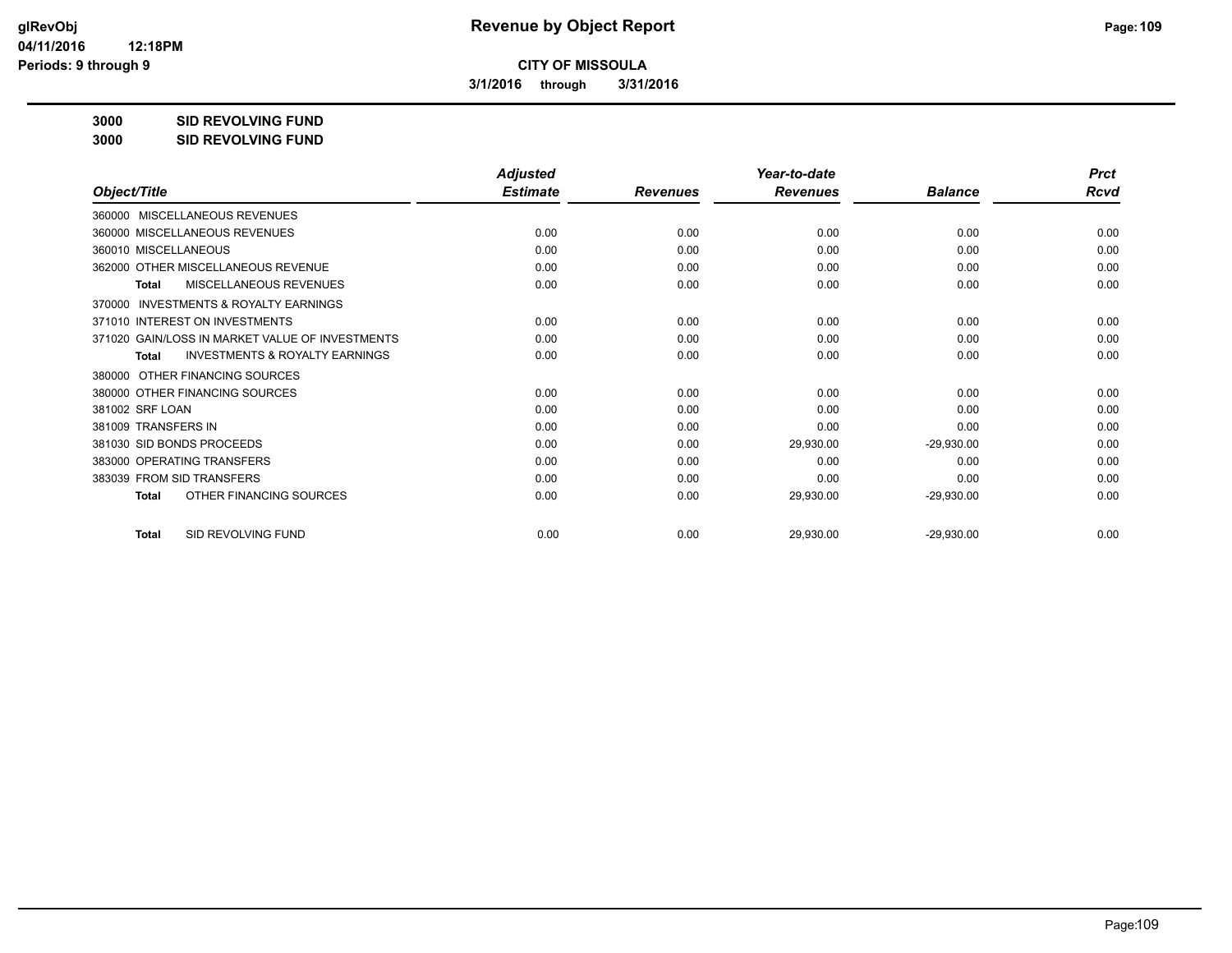**3/1/2016 through 3/31/2016**

**3000 SID REVOLVING FUND**

| 3000 | <b>SID REVOLVING FUND</b> |
|------|---------------------------|
|      |                           |

|                                                           | <b>Adjusted</b> |                 | Year-to-date    |                | <b>Prct</b> |
|-----------------------------------------------------------|-----------------|-----------------|-----------------|----------------|-------------|
| Object/Title                                              | <b>Estimate</b> | <b>Revenues</b> | <b>Revenues</b> | <b>Balance</b> | <b>Rcvd</b> |
| 360000 MISCELLANEOUS REVENUES                             |                 |                 |                 |                |             |
| 360000 MISCELLANEOUS REVENUES                             | 0.00            | 0.00            | 0.00            | 0.00           | 0.00        |
| 360010 MISCELLANEOUS                                      | 0.00            | 0.00            | 0.00            | 0.00           | 0.00        |
| 362000 OTHER MISCELLANEOUS REVENUE                        | 0.00            | 0.00            | 0.00            | 0.00           | 0.00        |
| <b>MISCELLANEOUS REVENUES</b><br>Total                    | 0.00            | 0.00            | 0.00            | 0.00           | 0.00        |
| INVESTMENTS & ROYALTY EARNINGS<br>370000                  |                 |                 |                 |                |             |
| 371010 INTEREST ON INVESTMENTS                            | 0.00            | 0.00            | 0.00            | 0.00           | 0.00        |
| 371020 GAIN/LOSS IN MARKET VALUE OF INVESTMENTS           | 0.00            | 0.00            | 0.00            | 0.00           | 0.00        |
| <b>INVESTMENTS &amp; ROYALTY EARNINGS</b><br><b>Total</b> | 0.00            | 0.00            | 0.00            | 0.00           | 0.00        |
| OTHER FINANCING SOURCES<br>380000                         |                 |                 |                 |                |             |
| 380000 OTHER FINANCING SOURCES                            | 0.00            | 0.00            | 0.00            | 0.00           | 0.00        |
| 381002 SRF LOAN                                           | 0.00            | 0.00            | 0.00            | 0.00           | 0.00        |
| 381009 TRANSFERS IN                                       | 0.00            | 0.00            | 0.00            | 0.00           | 0.00        |
| 381030 SID BONDS PROCEEDS                                 | 0.00            | 0.00            | 29,930.00       | $-29,930.00$   | 0.00        |
| 383000 OPERATING TRANSFERS                                | 0.00            | 0.00            | 0.00            | 0.00           | 0.00        |
| 383039 FROM SID TRANSFERS                                 | 0.00            | 0.00            | 0.00            | 0.00           | 0.00        |
| OTHER FINANCING SOURCES<br>Total                          | 0.00            | 0.00            | 29,930.00       | $-29,930.00$   | 0.00        |
| SID REVOLVING FUND<br><b>Total</b>                        | 0.00            | 0.00            | 29,930.00       | $-29,930.00$   | 0.00        |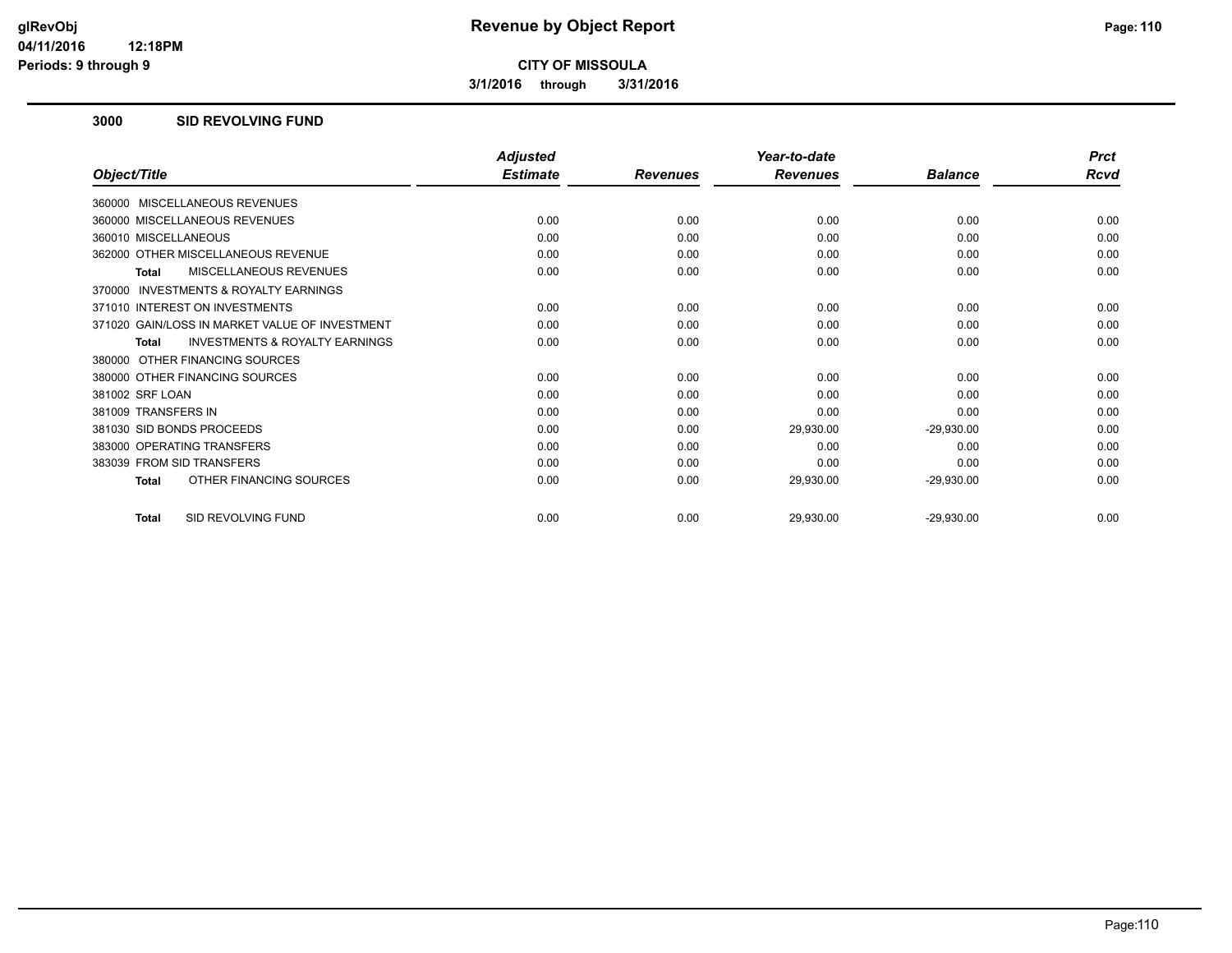**3/1/2016 through 3/31/2016**

### **3000 SID REVOLVING FUND**

|                                                     | <b>Adjusted</b> |                 | Year-to-date    |                | <b>Prct</b> |
|-----------------------------------------------------|-----------------|-----------------|-----------------|----------------|-------------|
| Object/Title                                        | <b>Estimate</b> | <b>Revenues</b> | <b>Revenues</b> | <b>Balance</b> | Rcvd        |
| 360000 MISCELLANEOUS REVENUES                       |                 |                 |                 |                |             |
| 360000 MISCELLANEOUS REVENUES                       | 0.00            | 0.00            | 0.00            | 0.00           | 0.00        |
| 360010 MISCELLANEOUS                                | 0.00            | 0.00            | 0.00            | 0.00           | 0.00        |
| 362000 OTHER MISCELLANEOUS REVENUE                  | 0.00            | 0.00            | 0.00            | 0.00           | 0.00        |
| <b>MISCELLANEOUS REVENUES</b><br>Total              | 0.00            | 0.00            | 0.00            | 0.00           | 0.00        |
| <b>INVESTMENTS &amp; ROYALTY EARNINGS</b><br>370000 |                 |                 |                 |                |             |
| 371010 INTEREST ON INVESTMENTS                      | 0.00            | 0.00            | 0.00            | 0.00           | 0.00        |
| 371020 GAIN/LOSS IN MARKET VALUE OF INVESTMENT      | 0.00            | 0.00            | 0.00            | 0.00           | 0.00        |
| <b>INVESTMENTS &amp; ROYALTY EARNINGS</b><br>Total  | 0.00            | 0.00            | 0.00            | 0.00           | 0.00        |
| 380000 OTHER FINANCING SOURCES                      |                 |                 |                 |                |             |
| 380000 OTHER FINANCING SOURCES                      | 0.00            | 0.00            | 0.00            | 0.00           | 0.00        |
| 381002 SRF LOAN                                     | 0.00            | 0.00            | 0.00            | 0.00           | 0.00        |
| 381009 TRANSFERS IN                                 | 0.00            | 0.00            | 0.00            | 0.00           | 0.00        |
| 381030 SID BONDS PROCEEDS                           | 0.00            | 0.00            | 29,930.00       | $-29,930.00$   | 0.00        |
| 383000 OPERATING TRANSFERS                          | 0.00            | 0.00            | 0.00            | 0.00           | 0.00        |
| 383039 FROM SID TRANSFERS                           | 0.00            | 0.00            | 0.00            | 0.00           | 0.00        |
| OTHER FINANCING SOURCES<br><b>Total</b>             | 0.00            | 0.00            | 29,930.00       | $-29,930.00$   | 0.00        |
| SID REVOLVING FUND<br><b>Total</b>                  | 0.00            | 0.00            | 29,930.00       | $-29,930.00$   | 0.00        |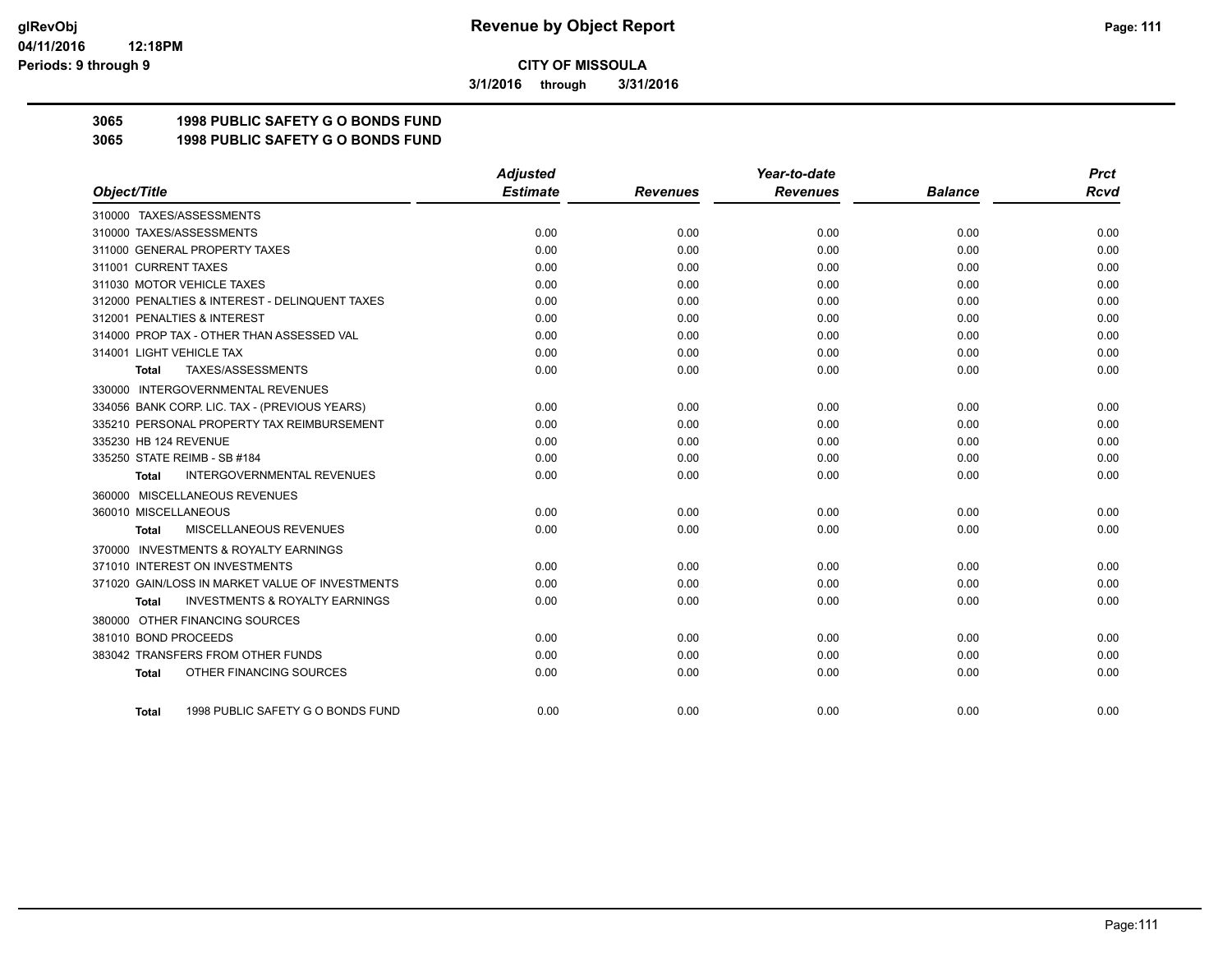**3/1/2016 through 3/31/2016**

## **3065 1998 PUBLIC SAFETY G O BONDS FUND**

**3065 1998 PUBLIC SAFETY G O BONDS FUND**

|                                                     | <b>Adjusted</b> |                 | Year-to-date    |                | <b>Prct</b> |
|-----------------------------------------------------|-----------------|-----------------|-----------------|----------------|-------------|
| Object/Title                                        | <b>Estimate</b> | <b>Revenues</b> | <b>Revenues</b> | <b>Balance</b> | Rcvd        |
| 310000 TAXES/ASSESSMENTS                            |                 |                 |                 |                |             |
| 310000 TAXES/ASSESSMENTS                            | 0.00            | 0.00            | 0.00            | 0.00           | 0.00        |
| 311000 GENERAL PROPERTY TAXES                       | 0.00            | 0.00            | 0.00            | 0.00           | 0.00        |
| 311001 CURRENT TAXES                                | 0.00            | 0.00            | 0.00            | 0.00           | 0.00        |
| 311030 MOTOR VEHICLE TAXES                          | 0.00            | 0.00            | 0.00            | 0.00           | 0.00        |
| 312000 PENALTIES & INTEREST - DELINQUENT TAXES      | 0.00            | 0.00            | 0.00            | 0.00           | 0.00        |
| 312001 PENALTIES & INTEREST                         | 0.00            | 0.00            | 0.00            | 0.00           | 0.00        |
| 314000 PROP TAX - OTHER THAN ASSESSED VAL           | 0.00            | 0.00            | 0.00            | 0.00           | 0.00        |
| 314001 LIGHT VEHICLE TAX                            | 0.00            | 0.00            | 0.00            | 0.00           | 0.00        |
| TAXES/ASSESSMENTS<br>Total                          | 0.00            | 0.00            | 0.00            | 0.00           | 0.00        |
| 330000 INTERGOVERNMENTAL REVENUES                   |                 |                 |                 |                |             |
| 334056 BANK CORP. LIC. TAX - (PREVIOUS YEARS)       | 0.00            | 0.00            | 0.00            | 0.00           | 0.00        |
| 335210 PERSONAL PROPERTY TAX REIMBURSEMENT          | 0.00            | 0.00            | 0.00            | 0.00           | 0.00        |
| 335230 HB 124 REVENUE                               | 0.00            | 0.00            | 0.00            | 0.00           | 0.00        |
| 335250 STATE REIMB - SB #184                        | 0.00            | 0.00            | 0.00            | 0.00           | 0.00        |
| <b>INTERGOVERNMENTAL REVENUES</b><br><b>Total</b>   | 0.00            | 0.00            | 0.00            | 0.00           | 0.00        |
| 360000 MISCELLANEOUS REVENUES                       |                 |                 |                 |                |             |
| 360010 MISCELLANEOUS                                | 0.00            | 0.00            | 0.00            | 0.00           | 0.00        |
| MISCELLANEOUS REVENUES<br>Total                     | 0.00            | 0.00            | 0.00            | 0.00           | 0.00        |
| <b>INVESTMENTS &amp; ROYALTY EARNINGS</b><br>370000 |                 |                 |                 |                |             |
| 371010 INTEREST ON INVESTMENTS                      | 0.00            | 0.00            | 0.00            | 0.00           | 0.00        |
| 371020 GAIN/LOSS IN MARKET VALUE OF INVESTMENTS     | 0.00            | 0.00            | 0.00            | 0.00           | 0.00        |
| <b>INVESTMENTS &amp; ROYALTY EARNINGS</b><br>Total  | 0.00            | 0.00            | 0.00            | 0.00           | 0.00        |
| 380000 OTHER FINANCING SOURCES                      |                 |                 |                 |                |             |
| 381010 BOND PROCEEDS                                | 0.00            | 0.00            | 0.00            | 0.00           | 0.00        |
| 383042 TRANSFERS FROM OTHER FUNDS                   | 0.00            | 0.00            | 0.00            | 0.00           | 0.00        |
| OTHER FINANCING SOURCES<br><b>Total</b>             | 0.00            | 0.00            | 0.00            | 0.00           | 0.00        |
| 1998 PUBLIC SAFETY G O BONDS FUND<br>Total          | 0.00            | 0.00            | 0.00            | 0.00           | 0.00        |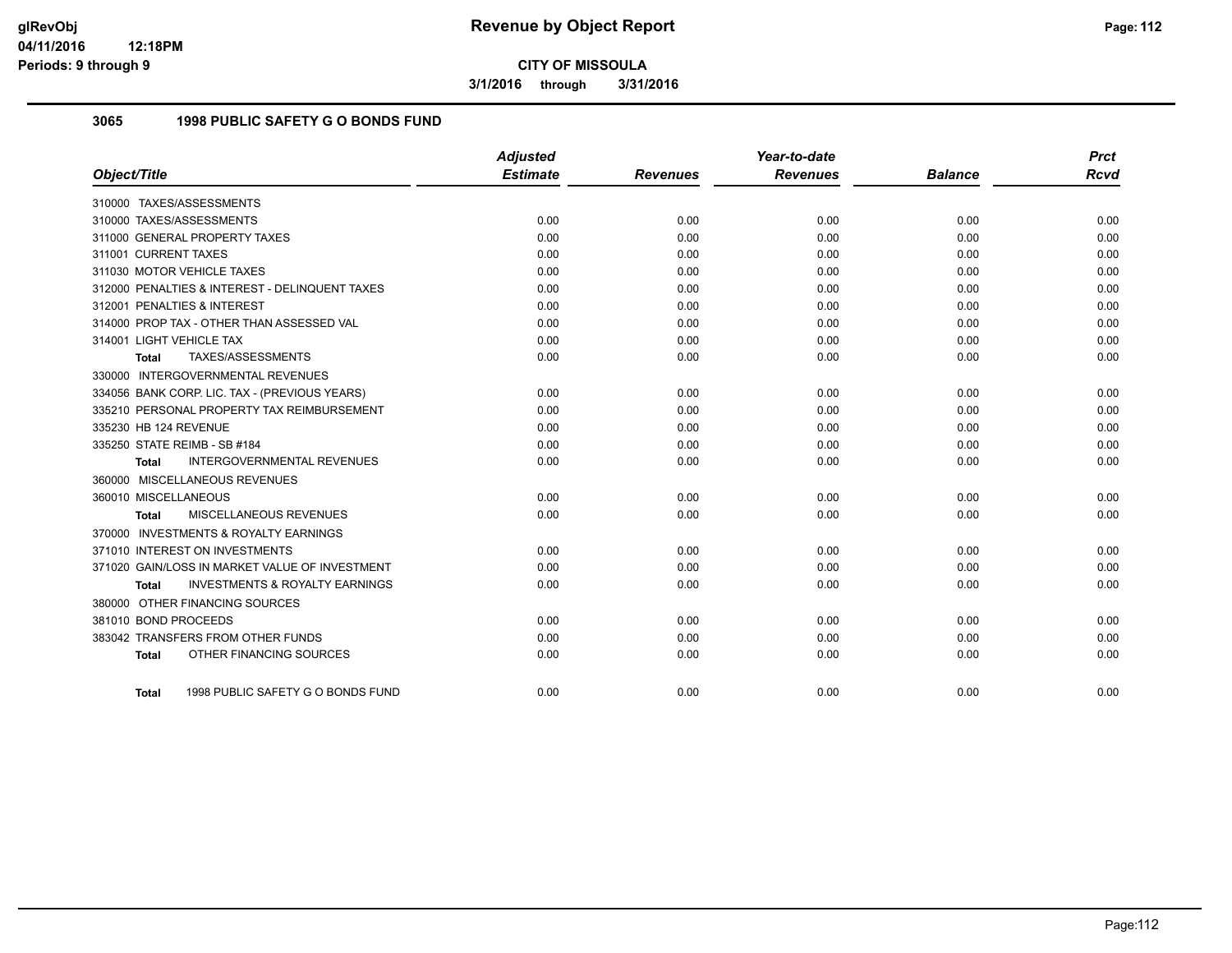**3/1/2016 through 3/31/2016**

## **3065 1998 PUBLIC SAFETY G O BONDS FUND**

|                                                    | <b>Adjusted</b> |                 | Year-to-date    |                | <b>Prct</b> |
|----------------------------------------------------|-----------------|-----------------|-----------------|----------------|-------------|
| Object/Title                                       | <b>Estimate</b> | <b>Revenues</b> | <b>Revenues</b> | <b>Balance</b> | <b>Rcvd</b> |
| 310000 TAXES/ASSESSMENTS                           |                 |                 |                 |                |             |
| 310000 TAXES/ASSESSMENTS                           | 0.00            | 0.00            | 0.00            | 0.00           | 0.00        |
| 311000 GENERAL PROPERTY TAXES                      | 0.00            | 0.00            | 0.00            | 0.00           | 0.00        |
| 311001 CURRENT TAXES                               | 0.00            | 0.00            | 0.00            | 0.00           | 0.00        |
| 311030 MOTOR VEHICLE TAXES                         | 0.00            | 0.00            | 0.00            | 0.00           | 0.00        |
| 312000 PENALTIES & INTEREST - DELINQUENT TAXES     | 0.00            | 0.00            | 0.00            | 0.00           | 0.00        |
| 312001 PENALTIES & INTEREST                        | 0.00            | 0.00            | 0.00            | 0.00           | 0.00        |
| 314000 PROP TAX - OTHER THAN ASSESSED VAL          | 0.00            | 0.00            | 0.00            | 0.00           | 0.00        |
| 314001 LIGHT VEHICLE TAX                           | 0.00            | 0.00            | 0.00            | 0.00           | 0.00        |
| TAXES/ASSESSMENTS<br>Total                         | 0.00            | 0.00            | 0.00            | 0.00           | 0.00        |
| 330000 INTERGOVERNMENTAL REVENUES                  |                 |                 |                 |                |             |
| 334056 BANK CORP. LIC. TAX - (PREVIOUS YEARS)      | 0.00            | 0.00            | 0.00            | 0.00           | 0.00        |
| 335210 PERSONAL PROPERTY TAX REIMBURSEMENT         | 0.00            | 0.00            | 0.00            | 0.00           | 0.00        |
| 335230 HB 124 REVENUE                              | 0.00            | 0.00            | 0.00            | 0.00           | 0.00        |
| 335250 STATE REIMB - SB #184                       | 0.00            | 0.00            | 0.00            | 0.00           | 0.00        |
| INTERGOVERNMENTAL REVENUES<br><b>Total</b>         | 0.00            | 0.00            | 0.00            | 0.00           | 0.00        |
| 360000 MISCELLANEOUS REVENUES                      |                 |                 |                 |                |             |
| 360010 MISCELLANEOUS                               | 0.00            | 0.00            | 0.00            | 0.00           | 0.00        |
| <b>MISCELLANEOUS REVENUES</b><br>Total             | 0.00            | 0.00            | 0.00            | 0.00           | 0.00        |
| 370000 INVESTMENTS & ROYALTY EARNINGS              |                 |                 |                 |                |             |
| 371010 INTEREST ON INVESTMENTS                     | 0.00            | 0.00            | 0.00            | 0.00           | 0.00        |
| 371020 GAIN/LOSS IN MARKET VALUE OF INVESTMENT     | 0.00            | 0.00            | 0.00            | 0.00           | 0.00        |
| <b>INVESTMENTS &amp; ROYALTY EARNINGS</b><br>Total | 0.00            | 0.00            | 0.00            | 0.00           | 0.00        |
| 380000 OTHER FINANCING SOURCES                     |                 |                 |                 |                |             |
| 381010 BOND PROCEEDS                               | 0.00            | 0.00            | 0.00            | 0.00           | 0.00        |
| 383042 TRANSFERS FROM OTHER FUNDS                  | 0.00            | 0.00            | 0.00            | 0.00           | 0.00        |
| OTHER FINANCING SOURCES<br><b>Total</b>            | 0.00            | 0.00            | 0.00            | 0.00           | 0.00        |
| 1998 PUBLIC SAFETY G O BONDS FUND<br>Total         | 0.00            | 0.00            | 0.00            | 0.00           | 0.00        |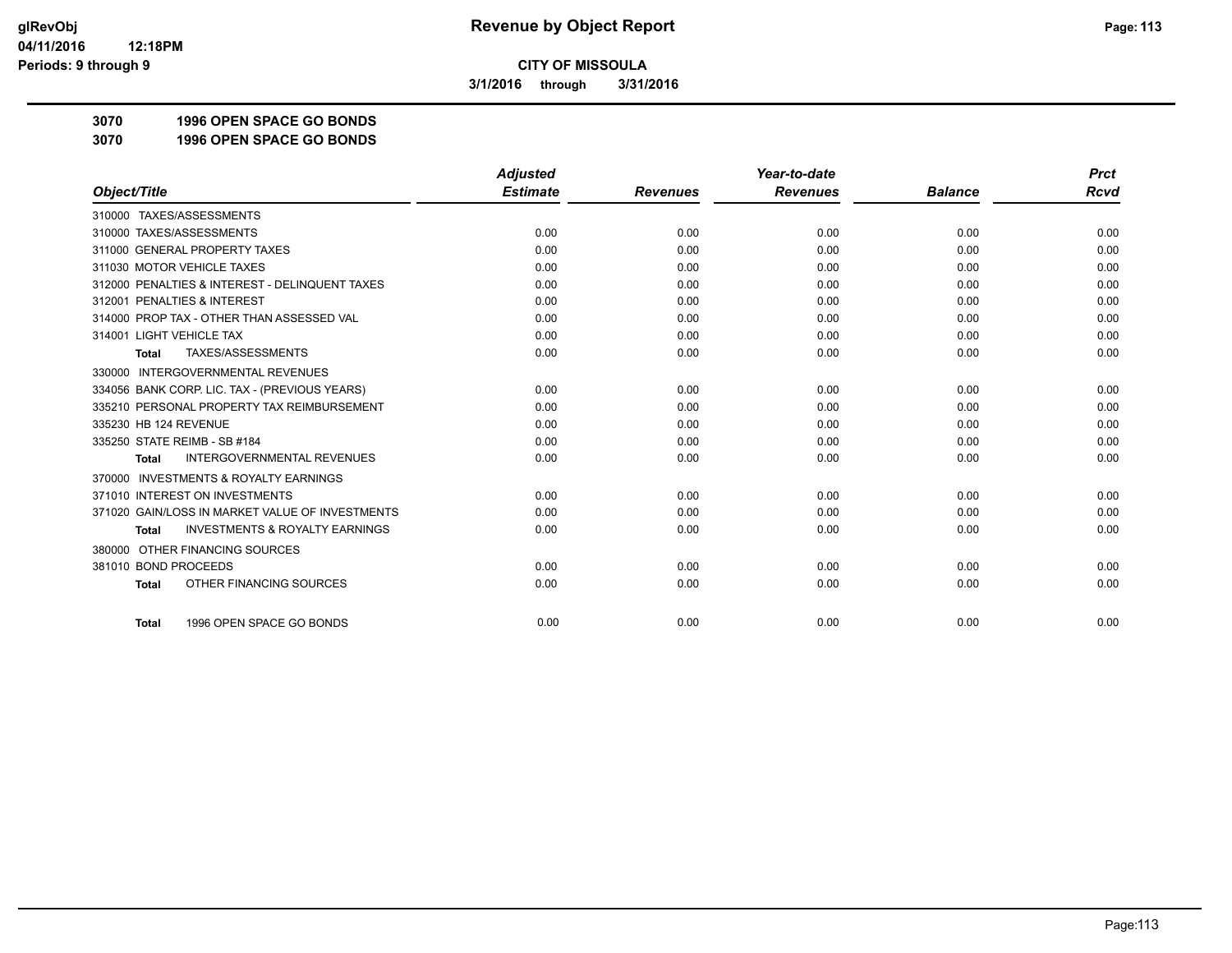**3/1/2016 through 3/31/2016**

**3070 1996 OPEN SPACE GO BONDS**

**3070 1996 OPEN SPACE GO BONDS**

|                                                     | <b>Adjusted</b> |                 | Year-to-date    |                | <b>Prct</b> |
|-----------------------------------------------------|-----------------|-----------------|-----------------|----------------|-------------|
| Object/Title                                        | <b>Estimate</b> | <b>Revenues</b> | <b>Revenues</b> | <b>Balance</b> | Rcvd        |
| 310000 TAXES/ASSESSMENTS                            |                 |                 |                 |                |             |
| 310000 TAXES/ASSESSMENTS                            | 0.00            | 0.00            | 0.00            | 0.00           | 0.00        |
| 311000 GENERAL PROPERTY TAXES                       | 0.00            | 0.00            | 0.00            | 0.00           | 0.00        |
| 311030 MOTOR VEHICLE TAXES                          | 0.00            | 0.00            | 0.00            | 0.00           | 0.00        |
| 312000 PENALTIES & INTEREST - DELINQUENT TAXES      | 0.00            | 0.00            | 0.00            | 0.00           | 0.00        |
| 312001 PENALTIES & INTEREST                         | 0.00            | 0.00            | 0.00            | 0.00           | 0.00        |
| 314000 PROP TAX - OTHER THAN ASSESSED VAL           | 0.00            | 0.00            | 0.00            | 0.00           | 0.00        |
| 314001 LIGHT VEHICLE TAX                            | 0.00            | 0.00            | 0.00            | 0.00           | 0.00        |
| <b>TAXES/ASSESSMENTS</b><br><b>Total</b>            | 0.00            | 0.00            | 0.00            | 0.00           | 0.00        |
| 330000 INTERGOVERNMENTAL REVENUES                   |                 |                 |                 |                |             |
| 334056 BANK CORP. LIC. TAX - (PREVIOUS YEARS)       | 0.00            | 0.00            | 0.00            | 0.00           | 0.00        |
| 335210 PERSONAL PROPERTY TAX REIMBURSEMENT          | 0.00            | 0.00            | 0.00            | 0.00           | 0.00        |
| 335230 HB 124 REVENUE                               | 0.00            | 0.00            | 0.00            | 0.00           | 0.00        |
| 335250 STATE REIMB - SB #184                        | 0.00            | 0.00            | 0.00            | 0.00           | 0.00        |
| <b>INTERGOVERNMENTAL REVENUES</b><br><b>Total</b>   | 0.00            | 0.00            | 0.00            | 0.00           | 0.00        |
| <b>INVESTMENTS &amp; ROYALTY EARNINGS</b><br>370000 |                 |                 |                 |                |             |
| 371010 INTEREST ON INVESTMENTS                      | 0.00            | 0.00            | 0.00            | 0.00           | 0.00        |
| 371020 GAIN/LOSS IN MARKET VALUE OF INVESTMENTS     | 0.00            | 0.00            | 0.00            | 0.00           | 0.00        |
| <b>INVESTMENTS &amp; ROYALTY EARNINGS</b><br>Total  | 0.00            | 0.00            | 0.00            | 0.00           | 0.00        |
| OTHER FINANCING SOURCES<br>380000                   |                 |                 |                 |                |             |
| 381010 BOND PROCEEDS                                | 0.00            | 0.00            | 0.00            | 0.00           | 0.00        |
| OTHER FINANCING SOURCES<br><b>Total</b>             | 0.00            | 0.00            | 0.00            | 0.00           | 0.00        |
| 1996 OPEN SPACE GO BONDS<br><b>Total</b>            | 0.00            | 0.00            | 0.00            | 0.00           | 0.00        |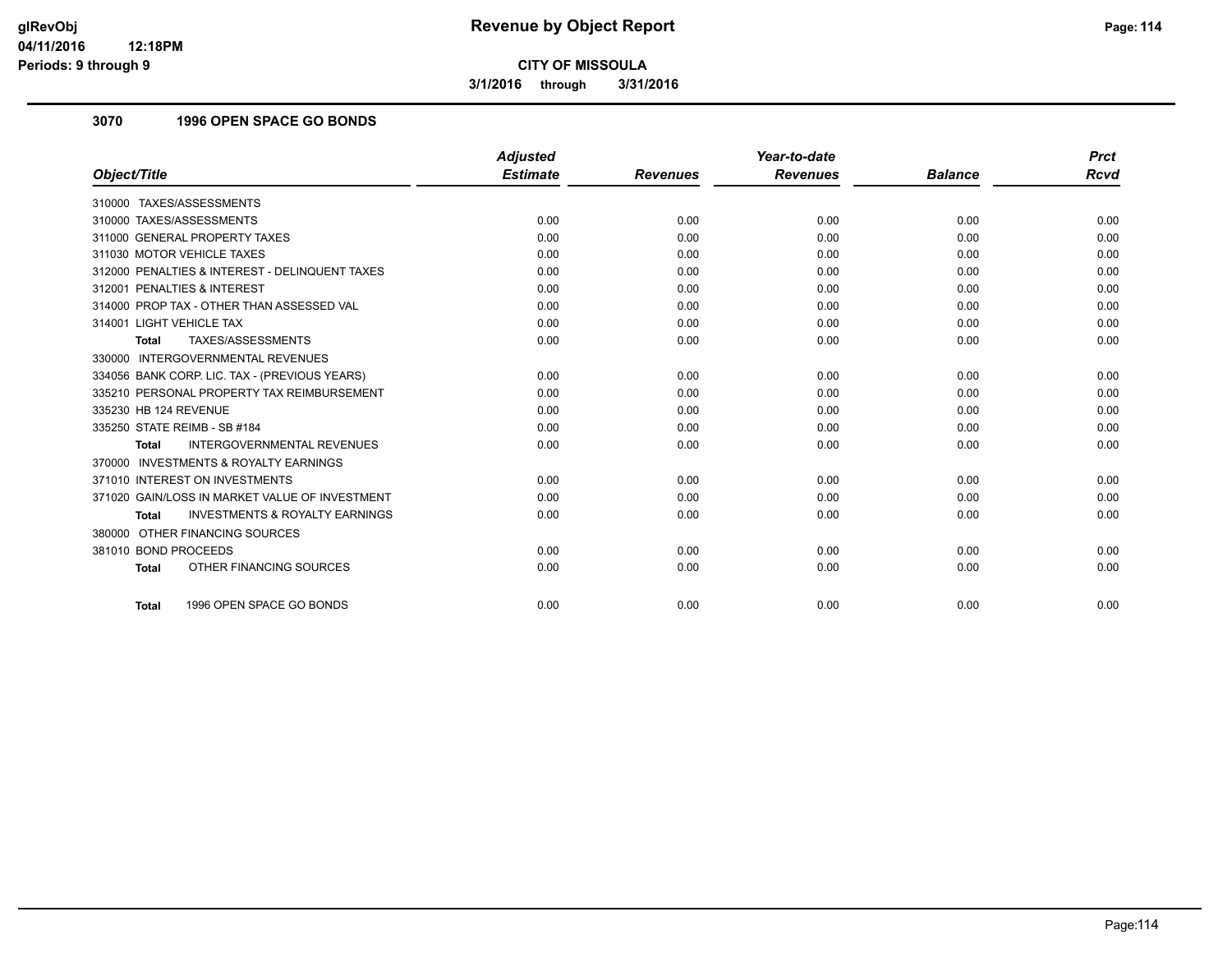**3/1/2016 through 3/31/2016**

## **3070 1996 OPEN SPACE GO BONDS**

|                                                           | <b>Adjusted</b> |                 | Year-to-date    |                | <b>Prct</b> |
|-----------------------------------------------------------|-----------------|-----------------|-----------------|----------------|-------------|
| Object/Title                                              | <b>Estimate</b> | <b>Revenues</b> | <b>Revenues</b> | <b>Balance</b> | Rcvd        |
| 310000 TAXES/ASSESSMENTS                                  |                 |                 |                 |                |             |
| 310000 TAXES/ASSESSMENTS                                  | 0.00            | 0.00            | 0.00            | 0.00           | 0.00        |
| 311000 GENERAL PROPERTY TAXES                             | 0.00            | 0.00            | 0.00            | 0.00           | 0.00        |
| 311030 MOTOR VEHICLE TAXES                                | 0.00            | 0.00            | 0.00            | 0.00           | 0.00        |
| 312000 PENALTIES & INTEREST - DELINQUENT TAXES            | 0.00            | 0.00            | 0.00            | 0.00           | 0.00        |
| 312001 PENALTIES & INTEREST                               | 0.00            | 0.00            | 0.00            | 0.00           | 0.00        |
| 314000 PROP TAX - OTHER THAN ASSESSED VAL                 | 0.00            | 0.00            | 0.00            | 0.00           | 0.00        |
| 314001 LIGHT VEHICLE TAX                                  | 0.00            | 0.00            | 0.00            | 0.00           | 0.00        |
| TAXES/ASSESSMENTS<br><b>Total</b>                         | 0.00            | 0.00            | 0.00            | 0.00           | 0.00        |
| 330000 INTERGOVERNMENTAL REVENUES                         |                 |                 |                 |                |             |
| 334056 BANK CORP. LIC. TAX - (PREVIOUS YEARS)             | 0.00            | 0.00            | 0.00            | 0.00           | 0.00        |
| 335210 PERSONAL PROPERTY TAX REIMBURSEMENT                | 0.00            | 0.00            | 0.00            | 0.00           | 0.00        |
| 335230 HB 124 REVENUE                                     | 0.00            | 0.00            | 0.00            | 0.00           | 0.00        |
| 335250 STATE REIMB - SB #184                              | 0.00            | 0.00            | 0.00            | 0.00           | 0.00        |
| <b>INTERGOVERNMENTAL REVENUES</b><br>Total                | 0.00            | 0.00            | 0.00            | 0.00           | 0.00        |
| 370000 INVESTMENTS & ROYALTY EARNINGS                     |                 |                 |                 |                |             |
| 371010 INTEREST ON INVESTMENTS                            | 0.00            | 0.00            | 0.00            | 0.00           | 0.00        |
| 371020 GAIN/LOSS IN MARKET VALUE OF INVESTMENT            | 0.00            | 0.00            | 0.00            | 0.00           | 0.00        |
| <b>INVESTMENTS &amp; ROYALTY EARNINGS</b><br><b>Total</b> | 0.00            | 0.00            | 0.00            | 0.00           | 0.00        |
| 380000 OTHER FINANCING SOURCES                            |                 |                 |                 |                |             |
| 381010 BOND PROCEEDS                                      | 0.00            | 0.00            | 0.00            | 0.00           | 0.00        |
| OTHER FINANCING SOURCES<br><b>Total</b>                   | 0.00            | 0.00            | 0.00            | 0.00           | 0.00        |
|                                                           |                 |                 |                 |                |             |
| 1996 OPEN SPACE GO BONDS<br><b>Total</b>                  | 0.00            | 0.00            | 0.00            | 0.00           | 0.00        |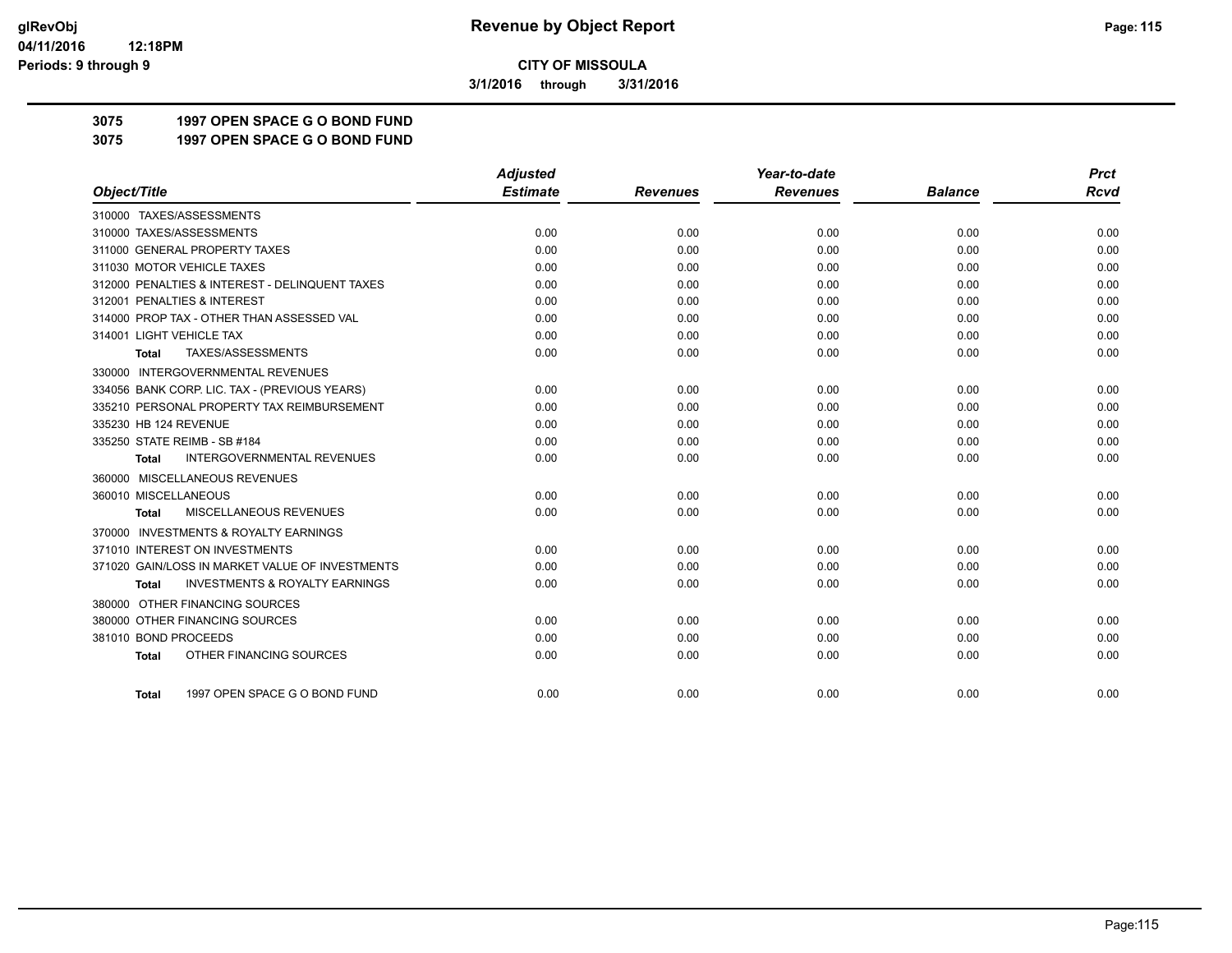**3/1/2016 through 3/31/2016**

## **3075 1997 OPEN SPACE G O BOND FUND**

**3075 1997 OPEN SPACE G O BOND FUND**

|                                                           | <b>Adjusted</b> |                 | Year-to-date    |                | <b>Prct</b> |
|-----------------------------------------------------------|-----------------|-----------------|-----------------|----------------|-------------|
| Object/Title                                              | <b>Estimate</b> | <b>Revenues</b> | <b>Revenues</b> | <b>Balance</b> | <b>Rcvd</b> |
| 310000 TAXES/ASSESSMENTS                                  |                 |                 |                 |                |             |
| 310000 TAXES/ASSESSMENTS                                  | 0.00            | 0.00            | 0.00            | 0.00           | 0.00        |
| 311000 GENERAL PROPERTY TAXES                             | 0.00            | 0.00            | 0.00            | 0.00           | 0.00        |
| 311030 MOTOR VEHICLE TAXES                                | 0.00            | 0.00            | 0.00            | 0.00           | 0.00        |
| 312000 PENALTIES & INTEREST - DELINQUENT TAXES            | 0.00            | 0.00            | 0.00            | 0.00           | 0.00        |
| 312001 PENALTIES & INTEREST                               | 0.00            | 0.00            | 0.00            | 0.00           | 0.00        |
| 314000 PROP TAX - OTHER THAN ASSESSED VAL                 | 0.00            | 0.00            | 0.00            | 0.00           | 0.00        |
| 314001 LIGHT VEHICLE TAX                                  | 0.00            | 0.00            | 0.00            | 0.00           | 0.00        |
| TAXES/ASSESSMENTS<br>Total                                | 0.00            | 0.00            | 0.00            | 0.00           | 0.00        |
| 330000 INTERGOVERNMENTAL REVENUES                         |                 |                 |                 |                |             |
| 334056 BANK CORP. LIC. TAX - (PREVIOUS YEARS)             | 0.00            | 0.00            | 0.00            | 0.00           | 0.00        |
| 335210 PERSONAL PROPERTY TAX REIMBURSEMENT                | 0.00            | 0.00            | 0.00            | 0.00           | 0.00        |
| 335230 HB 124 REVENUE                                     | 0.00            | 0.00            | 0.00            | 0.00           | 0.00        |
| 335250 STATE REIMB - SB #184                              | 0.00            | 0.00            | 0.00            | 0.00           | 0.00        |
| <b>INTERGOVERNMENTAL REVENUES</b><br><b>Total</b>         | 0.00            | 0.00            | 0.00            | 0.00           | 0.00        |
| 360000 MISCELLANEOUS REVENUES                             |                 |                 |                 |                |             |
| 360010 MISCELLANEOUS                                      | 0.00            | 0.00            | 0.00            | 0.00           | 0.00        |
| MISCELLANEOUS REVENUES<br><b>Total</b>                    | 0.00            | 0.00            | 0.00            | 0.00           | 0.00        |
| 370000 INVESTMENTS & ROYALTY EARNINGS                     |                 |                 |                 |                |             |
| 371010 INTEREST ON INVESTMENTS                            | 0.00            | 0.00            | 0.00            | 0.00           | 0.00        |
| 371020 GAIN/LOSS IN MARKET VALUE OF INVESTMENTS           | 0.00            | 0.00            | 0.00            | 0.00           | 0.00        |
| <b>INVESTMENTS &amp; ROYALTY EARNINGS</b><br><b>Total</b> | 0.00            | 0.00            | 0.00            | 0.00           | 0.00        |
| 380000 OTHER FINANCING SOURCES                            |                 |                 |                 |                |             |
| 380000 OTHER FINANCING SOURCES                            | 0.00            | 0.00            | 0.00            | 0.00           | 0.00        |
| 381010 BOND PROCEEDS                                      | 0.00            | 0.00            | 0.00            | 0.00           | 0.00        |
| OTHER FINANCING SOURCES<br><b>Total</b>                   | 0.00            | 0.00            | 0.00            | 0.00           | 0.00        |
|                                                           |                 |                 |                 |                |             |
| 1997 OPEN SPACE G O BOND FUND<br><b>Total</b>             | 0.00            | 0.00            | 0.00            | 0.00           | 0.00        |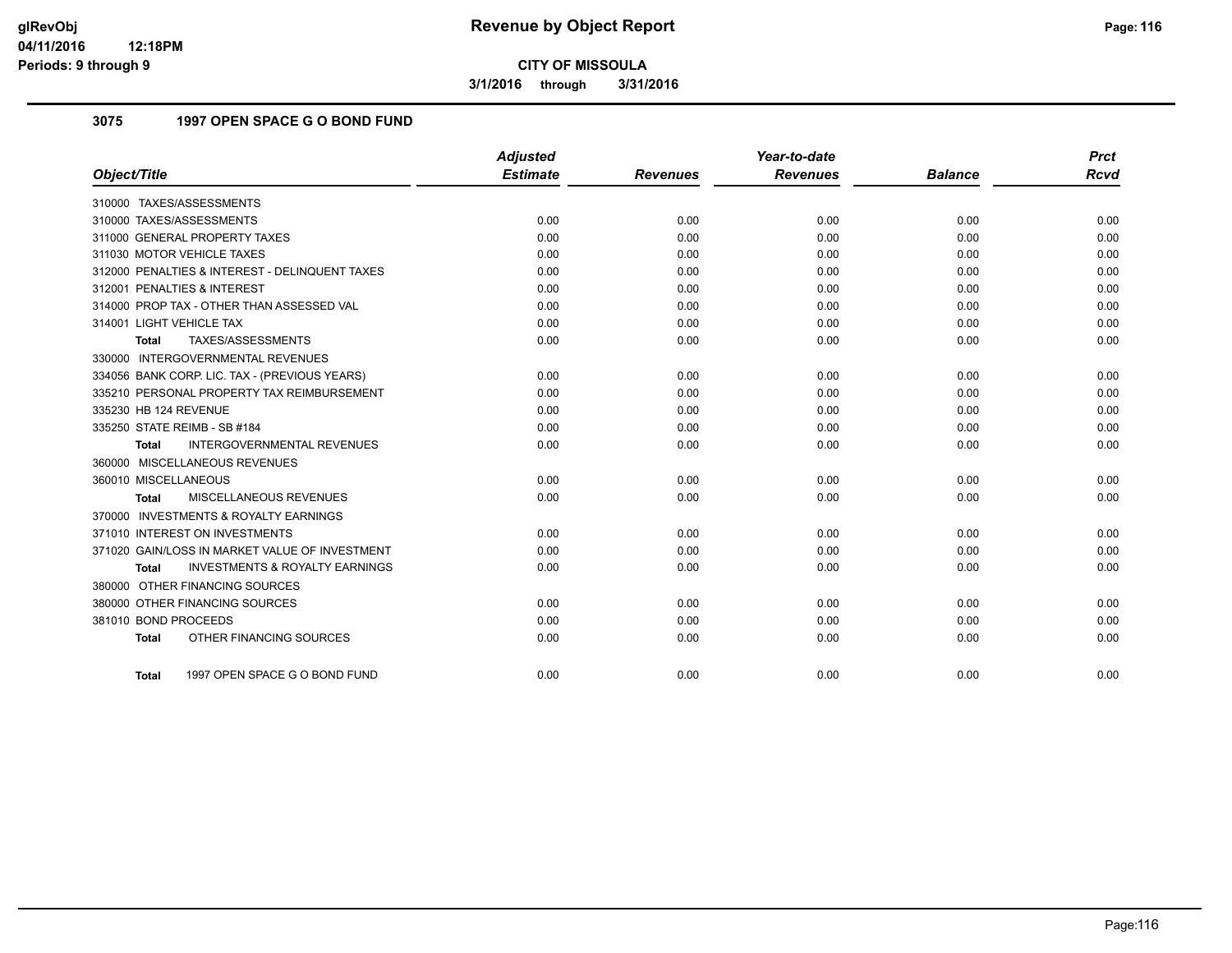**3/1/2016 through 3/31/2016**

## **3075 1997 OPEN SPACE G O BOND FUND**

|                                                           | <b>Adjusted</b> |                 | Year-to-date    |                | <b>Prct</b> |
|-----------------------------------------------------------|-----------------|-----------------|-----------------|----------------|-------------|
| Object/Title                                              | <b>Estimate</b> | <b>Revenues</b> | <b>Revenues</b> | <b>Balance</b> | <b>Rcvd</b> |
| 310000 TAXES/ASSESSMENTS                                  |                 |                 |                 |                |             |
| 310000 TAXES/ASSESSMENTS                                  | 0.00            | 0.00            | 0.00            | 0.00           | 0.00        |
| 311000 GENERAL PROPERTY TAXES                             | 0.00            | 0.00            | 0.00            | 0.00           | 0.00        |
| 311030 MOTOR VEHICLE TAXES                                | 0.00            | 0.00            | 0.00            | 0.00           | 0.00        |
| 312000 PENALTIES & INTEREST - DELINQUENT TAXES            | 0.00            | 0.00            | 0.00            | 0.00           | 0.00        |
| 312001 PENALTIES & INTEREST                               | 0.00            | 0.00            | 0.00            | 0.00           | 0.00        |
| 314000 PROP TAX - OTHER THAN ASSESSED VAL                 | 0.00            | 0.00            | 0.00            | 0.00           | 0.00        |
| 314001 LIGHT VEHICLE TAX                                  | 0.00            | 0.00            | 0.00            | 0.00           | 0.00        |
| TAXES/ASSESSMENTS<br>Total                                | 0.00            | 0.00            | 0.00            | 0.00           | 0.00        |
| 330000 INTERGOVERNMENTAL REVENUES                         |                 |                 |                 |                |             |
| 334056 BANK CORP. LIC. TAX - (PREVIOUS YEARS)             | 0.00            | 0.00            | 0.00            | 0.00           | 0.00        |
| 335210 PERSONAL PROPERTY TAX REIMBURSEMENT                | 0.00            | 0.00            | 0.00            | 0.00           | 0.00        |
| 335230 HB 124 REVENUE                                     | 0.00            | 0.00            | 0.00            | 0.00           | 0.00        |
| 335250 STATE REIMB - SB #184                              | 0.00            | 0.00            | 0.00            | 0.00           | 0.00        |
| INTERGOVERNMENTAL REVENUES<br>Total                       | 0.00            | 0.00            | 0.00            | 0.00           | 0.00        |
| 360000 MISCELLANEOUS REVENUES                             |                 |                 |                 |                |             |
| 360010 MISCELLANEOUS                                      | 0.00            | 0.00            | 0.00            | 0.00           | 0.00        |
| <b>MISCELLANEOUS REVENUES</b><br>Total                    | 0.00            | 0.00            | 0.00            | 0.00           | 0.00        |
| 370000 INVESTMENTS & ROYALTY EARNINGS                     |                 |                 |                 |                |             |
| 371010 INTEREST ON INVESTMENTS                            | 0.00            | 0.00            | 0.00            | 0.00           | 0.00        |
| 371020 GAIN/LOSS IN MARKET VALUE OF INVESTMENT            | 0.00            | 0.00            | 0.00            | 0.00           | 0.00        |
| <b>INVESTMENTS &amp; ROYALTY EARNINGS</b><br><b>Total</b> | 0.00            | 0.00            | 0.00            | 0.00           | 0.00        |
| 380000 OTHER FINANCING SOURCES                            |                 |                 |                 |                |             |
| 380000 OTHER FINANCING SOURCES                            | 0.00            | 0.00            | 0.00            | 0.00           | 0.00        |
| 381010 BOND PROCEEDS                                      | 0.00            | 0.00            | 0.00            | 0.00           | 0.00        |
| OTHER FINANCING SOURCES<br><b>Total</b>                   | 0.00            | 0.00            | 0.00            | 0.00           | 0.00        |
| 1997 OPEN SPACE G O BOND FUND<br>Total                    | 0.00            | 0.00            | 0.00            | 0.00           | 0.00        |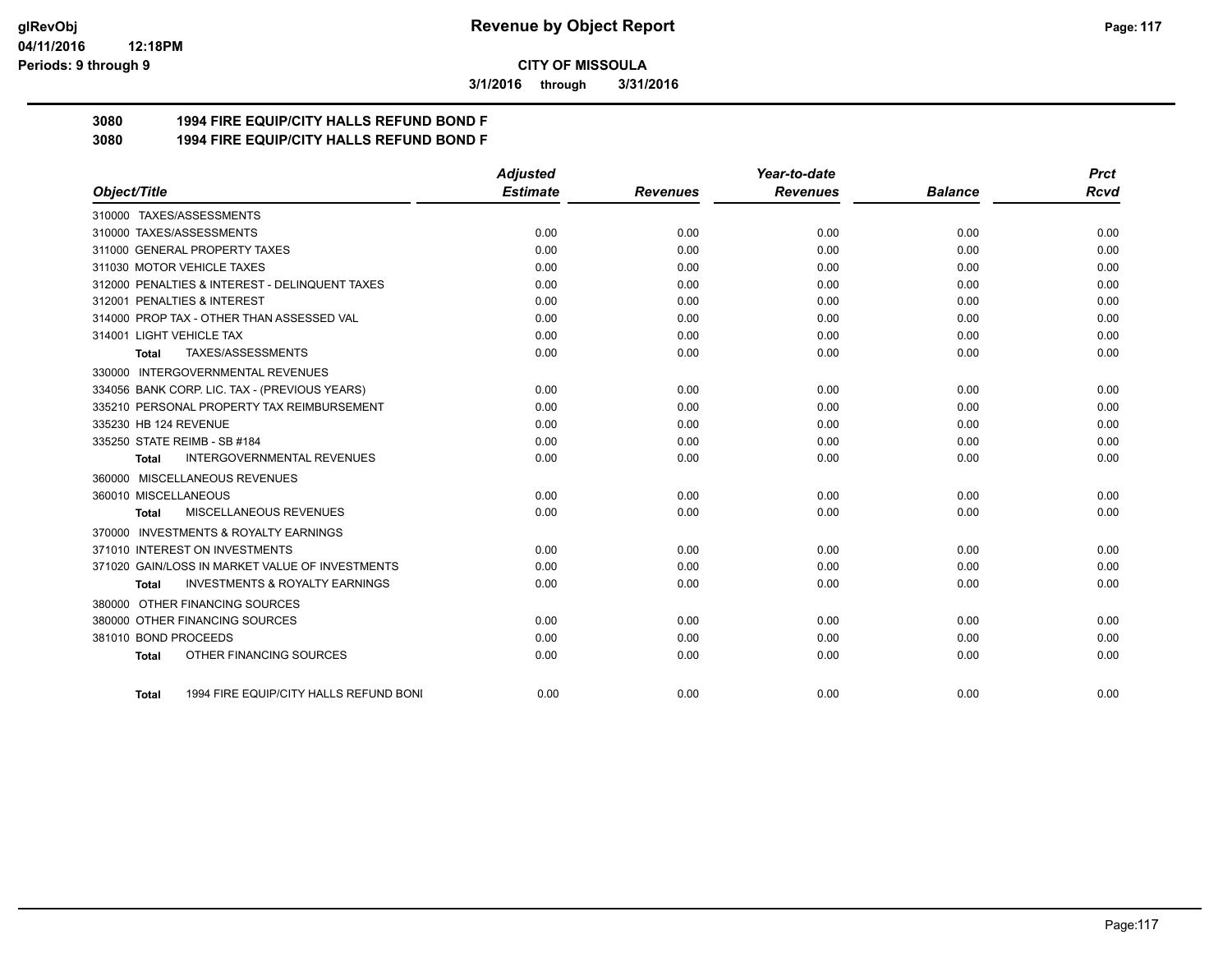**3/1/2016 through 3/31/2016**

## **3080 1994 FIRE EQUIP/CITY HALLS REFUND BOND F**

**3080 1994 FIRE EQUIP/CITY HALLS REFUND BOND F**

|                                                           | <b>Adjusted</b> |                 | Year-to-date    |                | <b>Prct</b> |
|-----------------------------------------------------------|-----------------|-----------------|-----------------|----------------|-------------|
| Object/Title                                              | <b>Estimate</b> | <b>Revenues</b> | <b>Revenues</b> | <b>Balance</b> | <b>Rcvd</b> |
| 310000 TAXES/ASSESSMENTS                                  |                 |                 |                 |                |             |
| 310000 TAXES/ASSESSMENTS                                  | 0.00            | 0.00            | 0.00            | 0.00           | 0.00        |
| 311000 GENERAL PROPERTY TAXES                             | 0.00            | 0.00            | 0.00            | 0.00           | 0.00        |
| 311030 MOTOR VEHICLE TAXES                                | 0.00            | 0.00            | 0.00            | 0.00           | 0.00        |
| 312000 PENALTIES & INTEREST - DELINQUENT TAXES            | 0.00            | 0.00            | 0.00            | 0.00           | 0.00        |
| 312001 PENALTIES & INTEREST                               | 0.00            | 0.00            | 0.00            | 0.00           | 0.00        |
| 314000 PROP TAX - OTHER THAN ASSESSED VAL                 | 0.00            | 0.00            | 0.00            | 0.00           | 0.00        |
| 314001 LIGHT VEHICLE TAX                                  | 0.00            | 0.00            | 0.00            | 0.00           | 0.00        |
| TAXES/ASSESSMENTS<br>Total                                | 0.00            | 0.00            | 0.00            | 0.00           | 0.00        |
| 330000 INTERGOVERNMENTAL REVENUES                         |                 |                 |                 |                |             |
| 334056 BANK CORP. LIC. TAX - (PREVIOUS YEARS)             | 0.00            | 0.00            | 0.00            | 0.00           | 0.00        |
| 335210 PERSONAL PROPERTY TAX REIMBURSEMENT                | 0.00            | 0.00            | 0.00            | 0.00           | 0.00        |
| 335230 HB 124 REVENUE                                     | 0.00            | 0.00            | 0.00            | 0.00           | 0.00        |
| 335250 STATE REIMB - SB #184                              | 0.00            | 0.00            | 0.00            | 0.00           | 0.00        |
| <b>INTERGOVERNMENTAL REVENUES</b><br>Total                | 0.00            | 0.00            | 0.00            | 0.00           | 0.00        |
| 360000 MISCELLANEOUS REVENUES                             |                 |                 |                 |                |             |
| 360010 MISCELLANEOUS                                      | 0.00            | 0.00            | 0.00            | 0.00           | 0.00        |
| MISCELLANEOUS REVENUES<br><b>Total</b>                    | 0.00            | 0.00            | 0.00            | 0.00           | 0.00        |
| 370000 INVESTMENTS & ROYALTY EARNINGS                     |                 |                 |                 |                |             |
| 371010 INTEREST ON INVESTMENTS                            | 0.00            | 0.00            | 0.00            | 0.00           | 0.00        |
| 371020 GAIN/LOSS IN MARKET VALUE OF INVESTMENTS           | 0.00            | 0.00            | 0.00            | 0.00           | 0.00        |
| <b>INVESTMENTS &amp; ROYALTY EARNINGS</b><br><b>Total</b> | 0.00            | 0.00            | 0.00            | 0.00           | 0.00        |
| 380000 OTHER FINANCING SOURCES                            |                 |                 |                 |                |             |
| 380000 OTHER FINANCING SOURCES                            | 0.00            | 0.00            | 0.00            | 0.00           | 0.00        |
| 381010 BOND PROCEEDS                                      | 0.00            | 0.00            | 0.00            | 0.00           | 0.00        |
| OTHER FINANCING SOURCES<br><b>Total</b>                   | 0.00            | 0.00            | 0.00            | 0.00           | 0.00        |
|                                                           |                 |                 |                 |                |             |
| 1994 FIRE EQUIP/CITY HALLS REFUND BONI<br>Total           | 0.00            | 0.00            | 0.00            | 0.00           | 0.00        |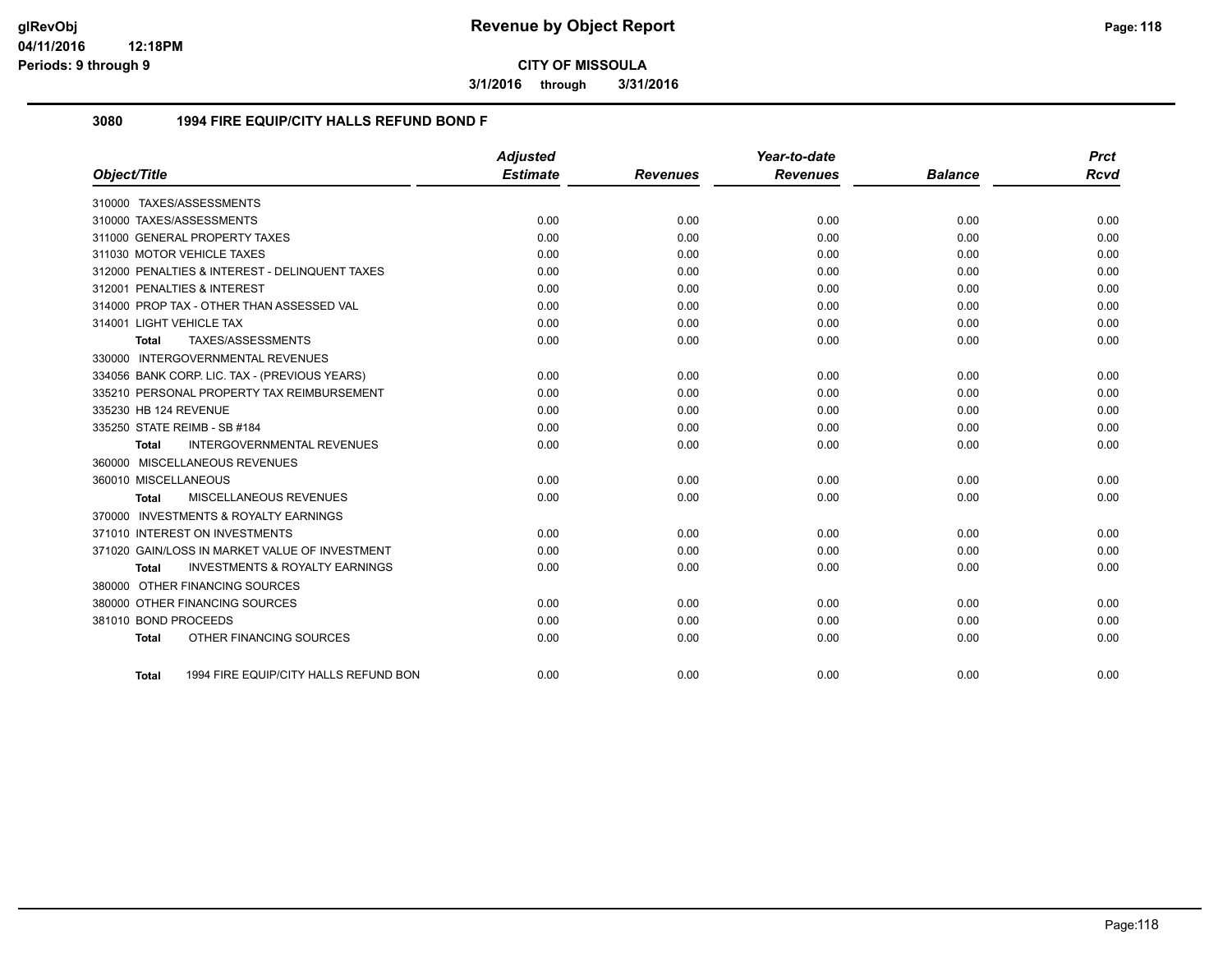**3/1/2016 through 3/31/2016**

### **3080 1994 FIRE EQUIP/CITY HALLS REFUND BOND F**

|                                                    | Adjusted        |                 | Year-to-date    |                | <b>Prct</b> |
|----------------------------------------------------|-----------------|-----------------|-----------------|----------------|-------------|
| Object/Title                                       | <b>Estimate</b> | <b>Revenues</b> | <b>Revenues</b> | <b>Balance</b> | <b>Rcvd</b> |
| 310000 TAXES/ASSESSMENTS                           |                 |                 |                 |                |             |
| 310000 TAXES/ASSESSMENTS                           | 0.00            | 0.00            | 0.00            | 0.00           | 0.00        |
| 311000 GENERAL PROPERTY TAXES                      | 0.00            | 0.00            | 0.00            | 0.00           | 0.00        |
| 311030 MOTOR VEHICLE TAXES                         | 0.00            | 0.00            | 0.00            | 0.00           | 0.00        |
| 312000 PENALTIES & INTEREST - DELINQUENT TAXES     | 0.00            | 0.00            | 0.00            | 0.00           | 0.00        |
| 312001 PENALTIES & INTEREST                        | 0.00            | 0.00            | 0.00            | 0.00           | 0.00        |
| 314000 PROP TAX - OTHER THAN ASSESSED VAL          | 0.00            | 0.00            | 0.00            | 0.00           | 0.00        |
| 314001 LIGHT VEHICLE TAX                           | 0.00            | 0.00            | 0.00            | 0.00           | 0.00        |
| TAXES/ASSESSMENTS<br><b>Total</b>                  | 0.00            | 0.00            | 0.00            | 0.00           | 0.00        |
| 330000 INTERGOVERNMENTAL REVENUES                  |                 |                 |                 |                |             |
| 334056 BANK CORP. LIC. TAX - (PREVIOUS YEARS)      | 0.00            | 0.00            | 0.00            | 0.00           | 0.00        |
| 335210 PERSONAL PROPERTY TAX REIMBURSEMENT         | 0.00            | 0.00            | 0.00            | 0.00           | 0.00        |
| 335230 HB 124 REVENUE                              | 0.00            | 0.00            | 0.00            | 0.00           | 0.00        |
| 335250 STATE REIMB - SB #184                       | 0.00            | 0.00            | 0.00            | 0.00           | 0.00        |
| <b>INTERGOVERNMENTAL REVENUES</b><br><b>Total</b>  | 0.00            | 0.00            | 0.00            | 0.00           | 0.00        |
| 360000 MISCELLANEOUS REVENUES                      |                 |                 |                 |                |             |
| 360010 MISCELLANEOUS                               | 0.00            | 0.00            | 0.00            | 0.00           | 0.00        |
| MISCELLANEOUS REVENUES<br>Total                    | 0.00            | 0.00            | 0.00            | 0.00           | 0.00        |
| 370000 INVESTMENTS & ROYALTY EARNINGS              |                 |                 |                 |                |             |
| 371010 INTEREST ON INVESTMENTS                     | 0.00            | 0.00            | 0.00            | 0.00           | 0.00        |
| 371020 GAIN/LOSS IN MARKET VALUE OF INVESTMENT     | 0.00            | 0.00            | 0.00            | 0.00           | 0.00        |
| <b>INVESTMENTS &amp; ROYALTY EARNINGS</b><br>Total | 0.00            | 0.00            | 0.00            | 0.00           | 0.00        |
| 380000 OTHER FINANCING SOURCES                     |                 |                 |                 |                |             |
| 380000 OTHER FINANCING SOURCES                     | 0.00            | 0.00            | 0.00            | 0.00           | 0.00        |
| 381010 BOND PROCEEDS                               | 0.00            | 0.00            | 0.00            | 0.00           | 0.00        |
| OTHER FINANCING SOURCES<br><b>Total</b>            | 0.00            | 0.00            | 0.00            | 0.00           | 0.00        |
|                                                    |                 |                 |                 |                |             |
| 1994 FIRE EQUIP/CITY HALLS REFUND BON<br>Total     | 0.00            | 0.00            | 0.00            | 0.00           | 0.00        |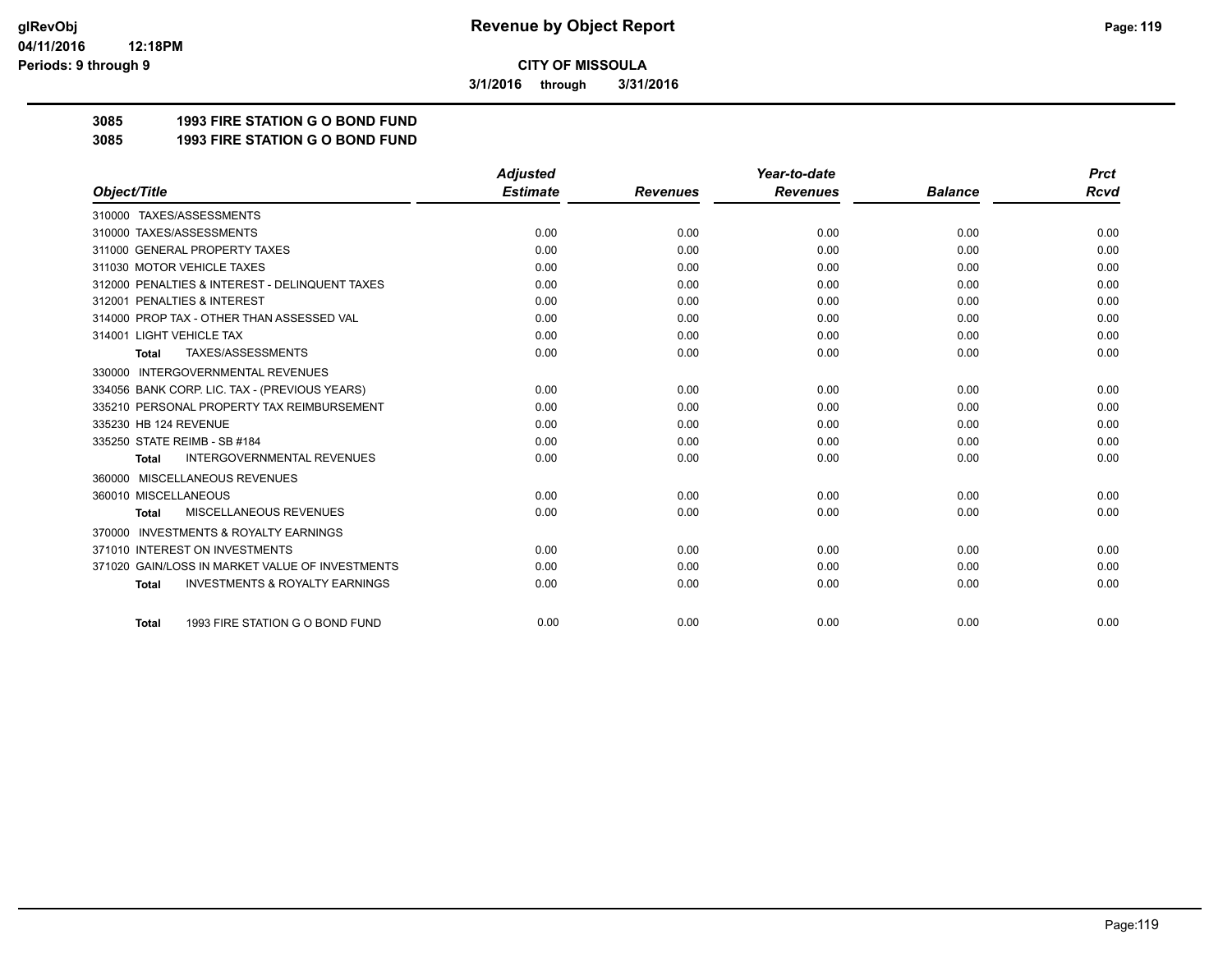**3/1/2016 through 3/31/2016**

## **3085 1993 FIRE STATION G O BOND FUND**

**3085 1993 FIRE STATION G O BOND FUND**

|                                                           | <b>Adjusted</b> |                 | Year-to-date    |                | <b>Prct</b> |
|-----------------------------------------------------------|-----------------|-----------------|-----------------|----------------|-------------|
| Object/Title                                              | <b>Estimate</b> | <b>Revenues</b> | <b>Revenues</b> | <b>Balance</b> | <b>Rcvd</b> |
| 310000 TAXES/ASSESSMENTS                                  |                 |                 |                 |                |             |
| 310000 TAXES/ASSESSMENTS                                  | 0.00            | 0.00            | 0.00            | 0.00           | 0.00        |
| 311000 GENERAL PROPERTY TAXES                             | 0.00            | 0.00            | 0.00            | 0.00           | 0.00        |
| 311030 MOTOR VEHICLE TAXES                                | 0.00            | 0.00            | 0.00            | 0.00           | 0.00        |
| 312000 PENALTIES & INTEREST - DELINQUENT TAXES            | 0.00            | 0.00            | 0.00            | 0.00           | 0.00        |
| 312001 PENALTIES & INTEREST                               | 0.00            | 0.00            | 0.00            | 0.00           | 0.00        |
| 314000 PROP TAX - OTHER THAN ASSESSED VAL                 | 0.00            | 0.00            | 0.00            | 0.00           | 0.00        |
| 314001 LIGHT VEHICLE TAX                                  | 0.00            | 0.00            | 0.00            | 0.00           | 0.00        |
| TAXES/ASSESSMENTS<br><b>Total</b>                         | 0.00            | 0.00            | 0.00            | 0.00           | 0.00        |
| 330000 INTERGOVERNMENTAL REVENUES                         |                 |                 |                 |                |             |
| 334056 BANK CORP. LIC. TAX - (PREVIOUS YEARS)             | 0.00            | 0.00            | 0.00            | 0.00           | 0.00        |
| 335210 PERSONAL PROPERTY TAX REIMBURSEMENT                | 0.00            | 0.00            | 0.00            | 0.00           | 0.00        |
| 335230 HB 124 REVENUE                                     | 0.00            | 0.00            | 0.00            | 0.00           | 0.00        |
| 335250 STATE REIMB - SB #184                              | 0.00            | 0.00            | 0.00            | 0.00           | 0.00        |
| <b>INTERGOVERNMENTAL REVENUES</b><br><b>Total</b>         | 0.00            | 0.00            | 0.00            | 0.00           | 0.00        |
| MISCELLANEOUS REVENUES<br>360000                          |                 |                 |                 |                |             |
| 360010 MISCELLANEOUS                                      | 0.00            | 0.00            | 0.00            | 0.00           | 0.00        |
| MISCELLANEOUS REVENUES<br><b>Total</b>                    | 0.00            | 0.00            | 0.00            | 0.00           | 0.00        |
| <b>INVESTMENTS &amp; ROYALTY EARNINGS</b><br>370000       |                 |                 |                 |                |             |
| 371010 INTEREST ON INVESTMENTS                            | 0.00            | 0.00            | 0.00            | 0.00           | 0.00        |
| 371020 GAIN/LOSS IN MARKET VALUE OF INVESTMENTS           | 0.00            | 0.00            | 0.00            | 0.00           | 0.00        |
| <b>INVESTMENTS &amp; ROYALTY EARNINGS</b><br><b>Total</b> | 0.00            | 0.00            | 0.00            | 0.00           | 0.00        |
| 1993 FIRE STATION G O BOND FUND<br><b>Total</b>           | 0.00            | 0.00            | 0.00            | 0.00           | 0.00        |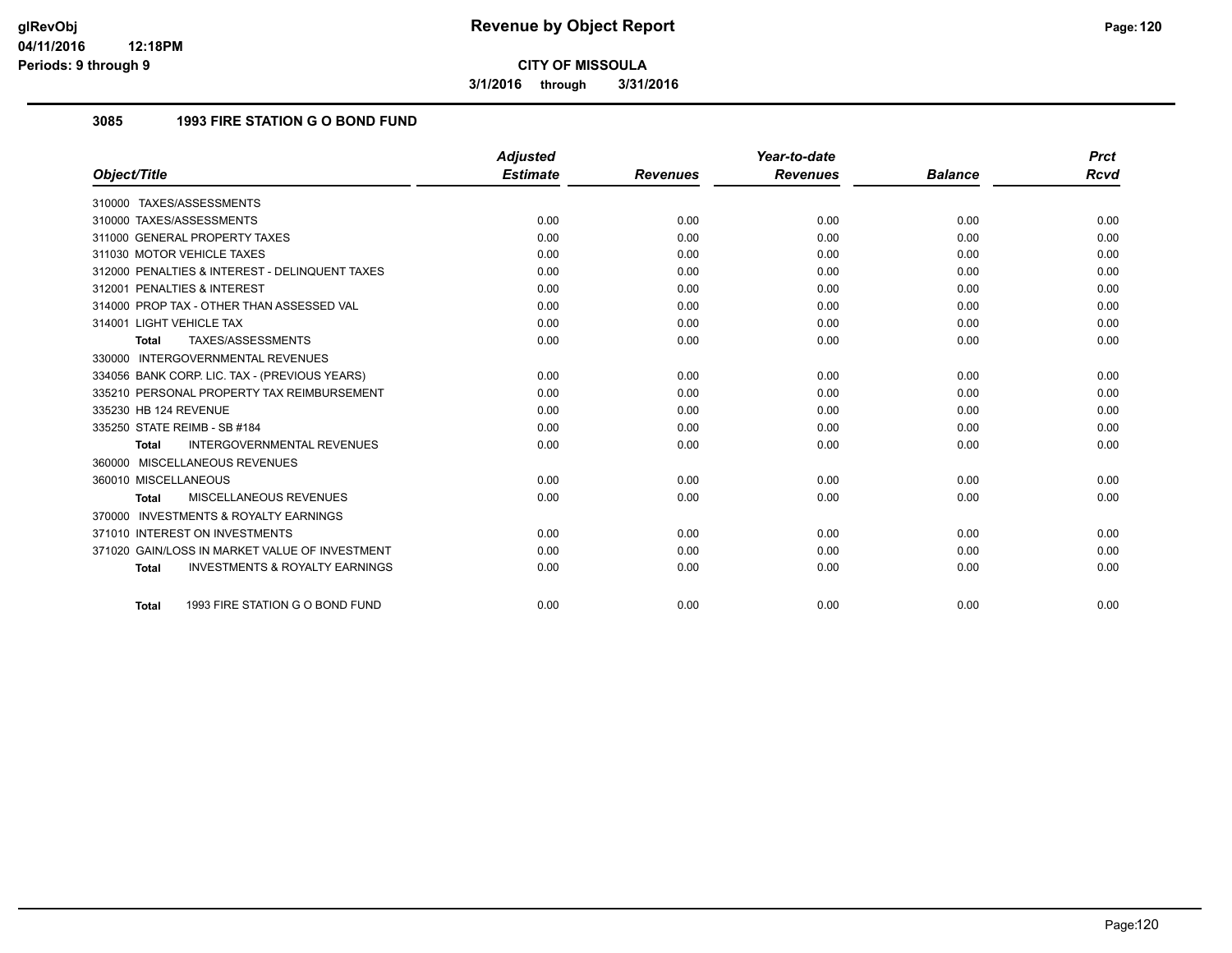**3/1/2016 through 3/31/2016**

## **3085 1993 FIRE STATION G O BOND FUND**

|                                                           | <b>Adjusted</b> |                 | Year-to-date    |                | <b>Prct</b> |
|-----------------------------------------------------------|-----------------|-----------------|-----------------|----------------|-------------|
| Object/Title                                              | <b>Estimate</b> | <b>Revenues</b> | <b>Revenues</b> | <b>Balance</b> | Rcvd        |
| 310000 TAXES/ASSESSMENTS                                  |                 |                 |                 |                |             |
| 310000 TAXES/ASSESSMENTS                                  | 0.00            | 0.00            | 0.00            | 0.00           | 0.00        |
| 311000 GENERAL PROPERTY TAXES                             | 0.00            | 0.00            | 0.00            | 0.00           | 0.00        |
| 311030 MOTOR VEHICLE TAXES                                | 0.00            | 0.00            | 0.00            | 0.00           | 0.00        |
| 312000 PENALTIES & INTEREST - DELINQUENT TAXES            | 0.00            | 0.00            | 0.00            | 0.00           | 0.00        |
| 312001 PENALTIES & INTEREST                               | 0.00            | 0.00            | 0.00            | 0.00           | 0.00        |
| 314000 PROP TAX - OTHER THAN ASSESSED VAL                 | 0.00            | 0.00            | 0.00            | 0.00           | 0.00        |
| 314001 LIGHT VEHICLE TAX                                  | 0.00            | 0.00            | 0.00            | 0.00           | 0.00        |
| TAXES/ASSESSMENTS<br>Total                                | 0.00            | 0.00            | 0.00            | 0.00           | 0.00        |
| 330000 INTERGOVERNMENTAL REVENUES                         |                 |                 |                 |                |             |
| 334056 BANK CORP. LIC. TAX - (PREVIOUS YEARS)             | 0.00            | 0.00            | 0.00            | 0.00           | 0.00        |
| 335210 PERSONAL PROPERTY TAX REIMBURSEMENT                | 0.00            | 0.00            | 0.00            | 0.00           | 0.00        |
| 335230 HB 124 REVENUE                                     | 0.00            | 0.00            | 0.00            | 0.00           | 0.00        |
| 335250 STATE REIMB - SB #184                              | 0.00            | 0.00            | 0.00            | 0.00           | 0.00        |
| <b>INTERGOVERNMENTAL REVENUES</b><br><b>Total</b>         | 0.00            | 0.00            | 0.00            | 0.00           | 0.00        |
| 360000 MISCELLANEOUS REVENUES                             |                 |                 |                 |                |             |
| 360010 MISCELLANEOUS                                      | 0.00            | 0.00            | 0.00            | 0.00           | 0.00        |
| MISCELLANEOUS REVENUES<br><b>Total</b>                    | 0.00            | 0.00            | 0.00            | 0.00           | 0.00        |
| 370000 INVESTMENTS & ROYALTY EARNINGS                     |                 |                 |                 |                |             |
| 371010 INTEREST ON INVESTMENTS                            | 0.00            | 0.00            | 0.00            | 0.00           | 0.00        |
| 371020 GAIN/LOSS IN MARKET VALUE OF INVESTMENT            | 0.00            | 0.00            | 0.00            | 0.00           | 0.00        |
| <b>INVESTMENTS &amp; ROYALTY EARNINGS</b><br><b>Total</b> | 0.00            | 0.00            | 0.00            | 0.00           | 0.00        |
| 1993 FIRE STATION G O BOND FUND<br><b>Total</b>           | 0.00            | 0.00            | 0.00            | 0.00           | 0.00        |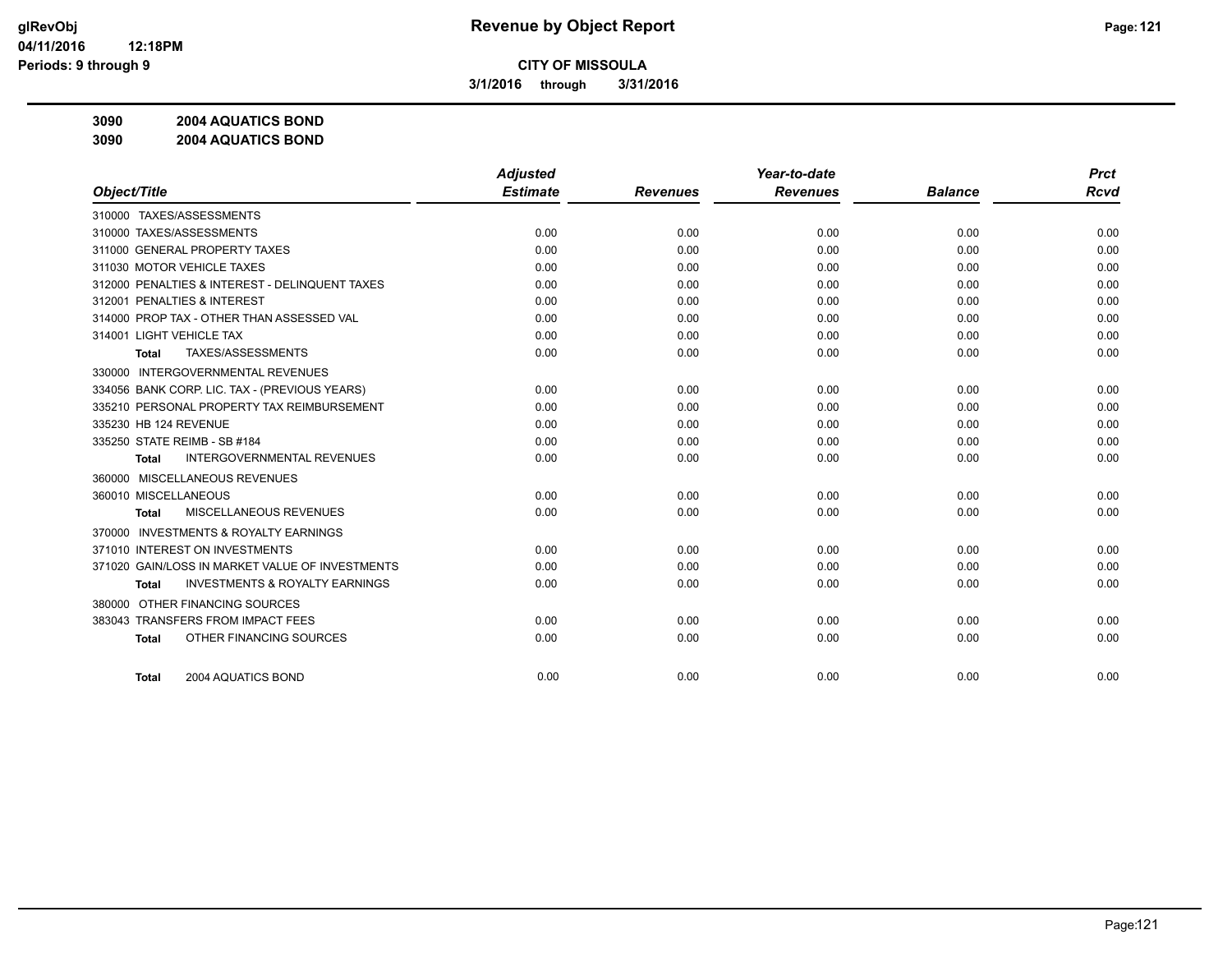**3/1/2016 through 3/31/2016**

**3090 2004 AQUATICS BOND**

**3090 2004 AQUATICS BOND**

|                                                     | <b>Adjusted</b> |                 | Year-to-date    |                | <b>Prct</b> |
|-----------------------------------------------------|-----------------|-----------------|-----------------|----------------|-------------|
| Object/Title                                        | <b>Estimate</b> | <b>Revenues</b> | <b>Revenues</b> | <b>Balance</b> | <b>Rcvd</b> |
| 310000 TAXES/ASSESSMENTS                            |                 |                 |                 |                |             |
| 310000 TAXES/ASSESSMENTS                            | 0.00            | 0.00            | 0.00            | 0.00           | 0.00        |
| 311000 GENERAL PROPERTY TAXES                       | 0.00            | 0.00            | 0.00            | 0.00           | 0.00        |
| 311030 MOTOR VEHICLE TAXES                          | 0.00            | 0.00            | 0.00            | 0.00           | 0.00        |
| 312000 PENALTIES & INTEREST - DELINQUENT TAXES      | 0.00            | 0.00            | 0.00            | 0.00           | 0.00        |
| 312001 PENALTIES & INTEREST                         | 0.00            | 0.00            | 0.00            | 0.00           | 0.00        |
| 314000 PROP TAX - OTHER THAN ASSESSED VAL           | 0.00            | 0.00            | 0.00            | 0.00           | 0.00        |
| 314001 LIGHT VEHICLE TAX                            | 0.00            | 0.00            | 0.00            | 0.00           | 0.00        |
| TAXES/ASSESSMENTS<br>Total                          | 0.00            | 0.00            | 0.00            | 0.00           | 0.00        |
| <b>INTERGOVERNMENTAL REVENUES</b><br>330000         |                 |                 |                 |                |             |
| 334056 BANK CORP. LIC. TAX - (PREVIOUS YEARS)       | 0.00            | 0.00            | 0.00            | 0.00           | 0.00        |
| 335210 PERSONAL PROPERTY TAX REIMBURSEMENT          | 0.00            | 0.00            | 0.00            | 0.00           | 0.00        |
| 335230 HB 124 REVENUE                               | 0.00            | 0.00            | 0.00            | 0.00           | 0.00        |
| 335250 STATE REIMB - SB #184                        | 0.00            | 0.00            | 0.00            | 0.00           | 0.00        |
| <b>INTERGOVERNMENTAL REVENUES</b><br><b>Total</b>   | 0.00            | 0.00            | 0.00            | 0.00           | 0.00        |
| 360000 MISCELLANEOUS REVENUES                       |                 |                 |                 |                |             |
| 360010 MISCELLANEOUS                                | 0.00            | 0.00            | 0.00            | 0.00           | 0.00        |
| MISCELLANEOUS REVENUES<br><b>Total</b>              | 0.00            | 0.00            | 0.00            | 0.00           | 0.00        |
| <b>INVESTMENTS &amp; ROYALTY EARNINGS</b><br>370000 |                 |                 |                 |                |             |
| 371010 INTEREST ON INVESTMENTS                      | 0.00            | 0.00            | 0.00            | 0.00           | 0.00        |
| 371020 GAIN/LOSS IN MARKET VALUE OF INVESTMENTS     | 0.00            | 0.00            | 0.00            | 0.00           | 0.00        |
| <b>INVESTMENTS &amp; ROYALTY EARNINGS</b><br>Total  | 0.00            | 0.00            | 0.00            | 0.00           | 0.00        |
| OTHER FINANCING SOURCES<br>380000                   |                 |                 |                 |                |             |
| 383043 TRANSFERS FROM IMPACT FEES                   | 0.00            | 0.00            | 0.00            | 0.00           | 0.00        |
| OTHER FINANCING SOURCES<br><b>Total</b>             | 0.00            | 0.00            | 0.00            | 0.00           | 0.00        |
|                                                     |                 |                 |                 |                |             |
| 2004 AQUATICS BOND<br><b>Total</b>                  | 0.00            | 0.00            | 0.00            | 0.00           | 0.00        |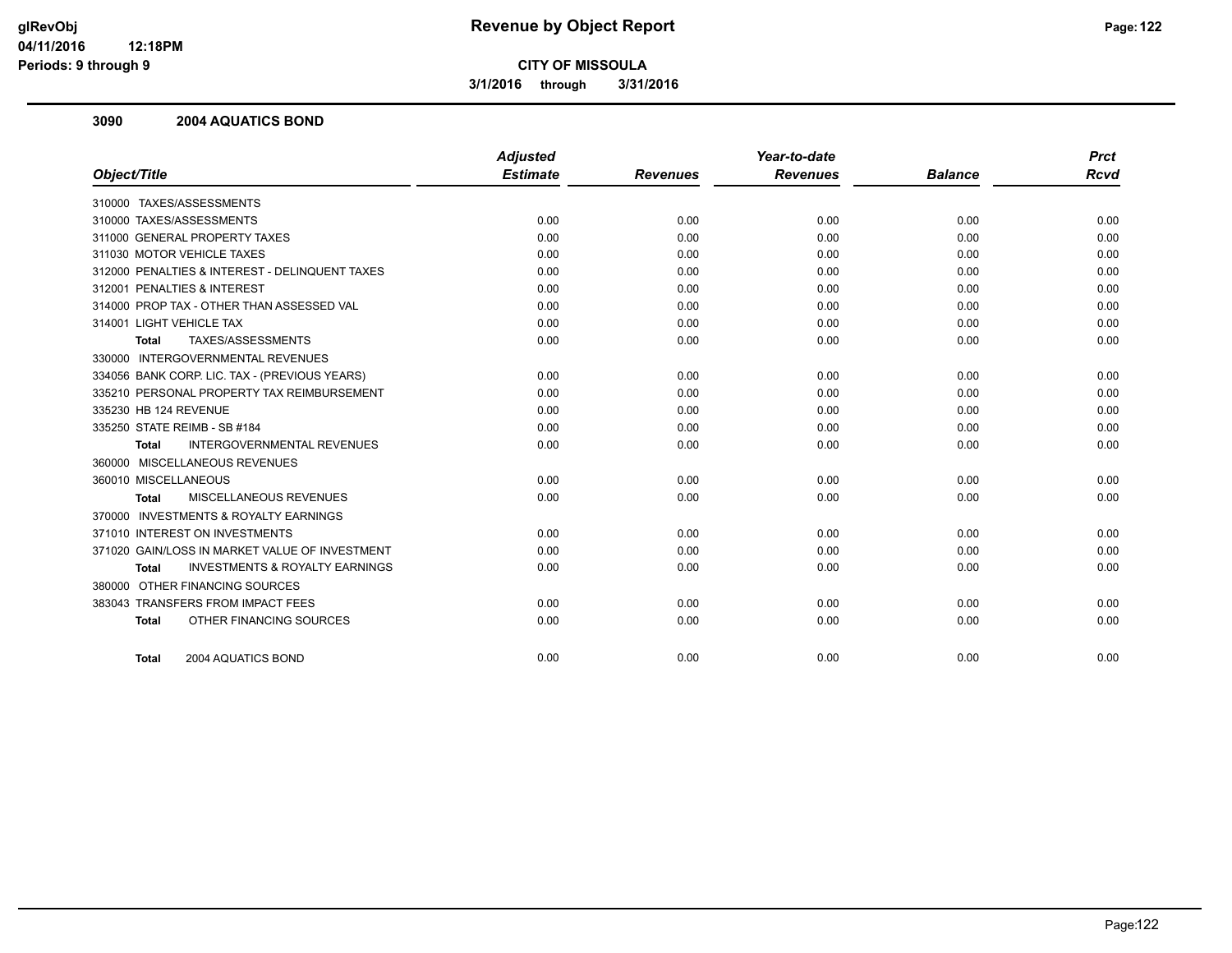**3/1/2016 through 3/31/2016**

#### **3090 2004 AQUATICS BOND**

|                                                           | <b>Adjusted</b> |                 | Year-to-date    |                | <b>Prct</b> |
|-----------------------------------------------------------|-----------------|-----------------|-----------------|----------------|-------------|
| Object/Title                                              | <b>Estimate</b> | <b>Revenues</b> | <b>Revenues</b> | <b>Balance</b> | <b>Rcvd</b> |
| 310000 TAXES/ASSESSMENTS                                  |                 |                 |                 |                |             |
| 310000 TAXES/ASSESSMENTS                                  | 0.00            | 0.00            | 0.00            | 0.00           | 0.00        |
| 311000 GENERAL PROPERTY TAXES                             | 0.00            | 0.00            | 0.00            | 0.00           | 0.00        |
| 311030 MOTOR VEHICLE TAXES                                | 0.00            | 0.00            | 0.00            | 0.00           | 0.00        |
| 312000 PENALTIES & INTEREST - DELINQUENT TAXES            | 0.00            | 0.00            | 0.00            | 0.00           | 0.00        |
| 312001 PENALTIES & INTEREST                               | 0.00            | 0.00            | 0.00            | 0.00           | 0.00        |
| 314000 PROP TAX - OTHER THAN ASSESSED VAL                 | 0.00            | 0.00            | 0.00            | 0.00           | 0.00        |
| 314001 LIGHT VEHICLE TAX                                  | 0.00            | 0.00            | 0.00            | 0.00           | 0.00        |
| TAXES/ASSESSMENTS<br><b>Total</b>                         | 0.00            | 0.00            | 0.00            | 0.00           | 0.00        |
| 330000 INTERGOVERNMENTAL REVENUES                         |                 |                 |                 |                |             |
| 334056 BANK CORP. LIC. TAX - (PREVIOUS YEARS)             | 0.00            | 0.00            | 0.00            | 0.00           | 0.00        |
| 335210 PERSONAL PROPERTY TAX REIMBURSEMENT                | 0.00            | 0.00            | 0.00            | 0.00           | 0.00        |
| 335230 HB 124 REVENUE                                     | 0.00            | 0.00            | 0.00            | 0.00           | 0.00        |
| 335250 STATE REIMB - SB #184                              | 0.00            | 0.00            | 0.00            | 0.00           | 0.00        |
| <b>INTERGOVERNMENTAL REVENUES</b><br><b>Total</b>         | 0.00            | 0.00            | 0.00            | 0.00           | 0.00        |
| 360000 MISCELLANEOUS REVENUES                             |                 |                 |                 |                |             |
| 360010 MISCELLANEOUS                                      | 0.00            | 0.00            | 0.00            | 0.00           | 0.00        |
| MISCELLANEOUS REVENUES<br>Total                           | 0.00            | 0.00            | 0.00            | 0.00           | 0.00        |
| 370000 INVESTMENTS & ROYALTY EARNINGS                     |                 |                 |                 |                |             |
| 371010 INTEREST ON INVESTMENTS                            | 0.00            | 0.00            | 0.00            | 0.00           | 0.00        |
| 371020 GAIN/LOSS IN MARKET VALUE OF INVESTMENT            | 0.00            | 0.00            | 0.00            | 0.00           | 0.00        |
| <b>INVESTMENTS &amp; ROYALTY EARNINGS</b><br><b>Total</b> | 0.00            | 0.00            | 0.00            | 0.00           | 0.00        |
| 380000 OTHER FINANCING SOURCES                            |                 |                 |                 |                |             |
| 383043 TRANSFERS FROM IMPACT FEES                         | 0.00            | 0.00            | 0.00            | 0.00           | 0.00        |
| OTHER FINANCING SOURCES<br><b>Total</b>                   | 0.00            | 0.00            | 0.00            | 0.00           | 0.00        |
|                                                           |                 |                 |                 |                |             |
| 2004 AQUATICS BOND<br><b>Total</b>                        | 0.00            | 0.00            | 0.00            | 0.00           | 0.00        |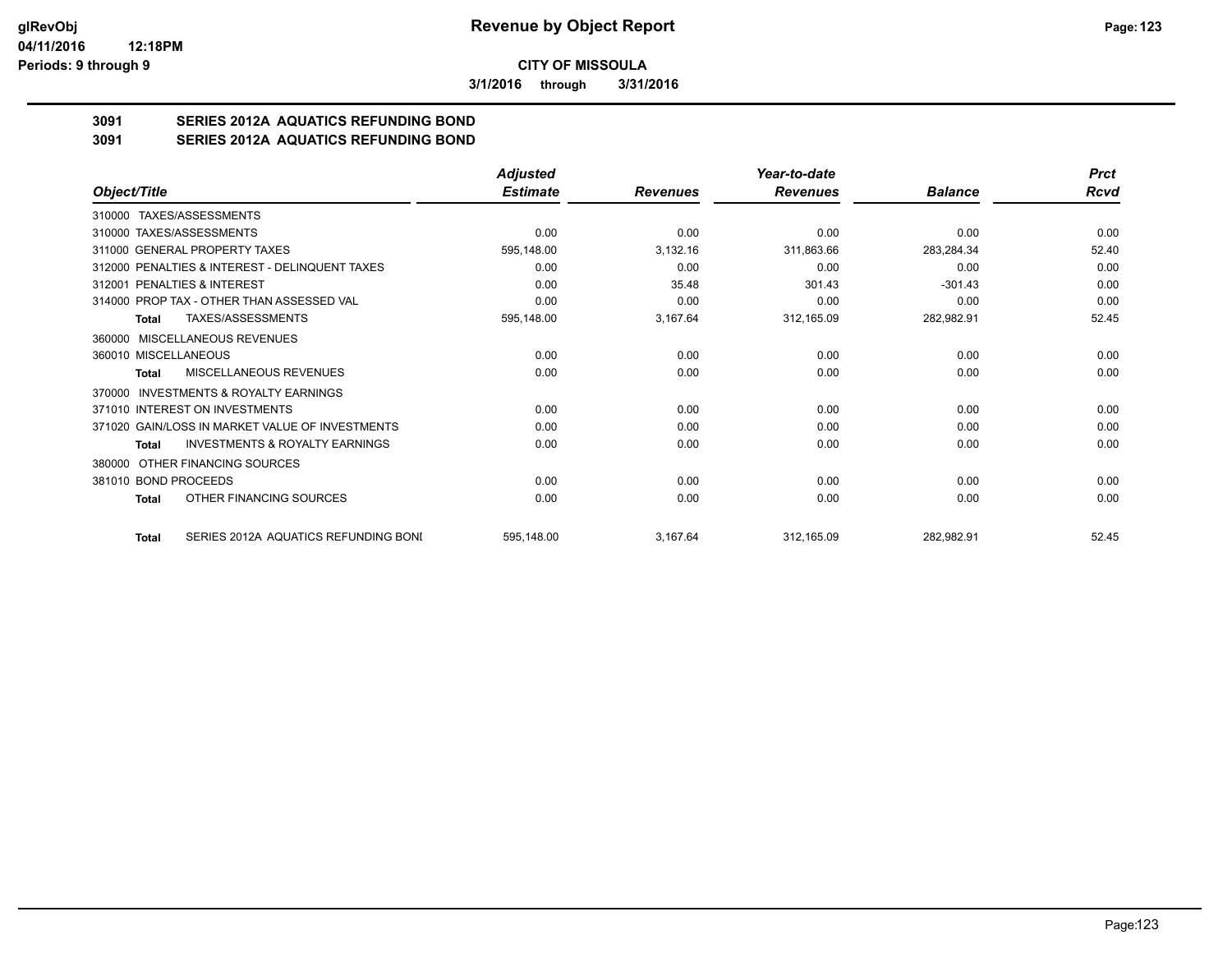**3/1/2016 through 3/31/2016**

# **3091 SERIES 2012A AQUATICS REFUNDING BOND**

**3091 SERIES 2012A AQUATICS REFUNDING BOND**

|                                                    | <b>Adjusted</b> |                 | Year-to-date    |                | <b>Prct</b> |
|----------------------------------------------------|-----------------|-----------------|-----------------|----------------|-------------|
| Object/Title                                       | <b>Estimate</b> | <b>Revenues</b> | <b>Revenues</b> | <b>Balance</b> | Rcvd        |
| 310000 TAXES/ASSESSMENTS                           |                 |                 |                 |                |             |
| 310000 TAXES/ASSESSMENTS                           | 0.00            | 0.00            | 0.00            | 0.00           | 0.00        |
| 311000 GENERAL PROPERTY TAXES                      | 595,148.00      | 3,132.16        | 311,863.66      | 283,284.34     | 52.40       |
| 312000 PENALTIES & INTEREST - DELINQUENT TAXES     | 0.00            | 0.00            | 0.00            | 0.00           | 0.00        |
| 312001 PENALTIES & INTEREST                        | 0.00            | 35.48           | 301.43          | $-301.43$      | 0.00        |
| 314000 PROP TAX - OTHER THAN ASSESSED VAL          | 0.00            | 0.00            | 0.00            | 0.00           | 0.00        |
| TAXES/ASSESSMENTS<br>Total                         | 595,148.00      | 3,167.64        | 312,165.09      | 282,982.91     | 52.45       |
| 360000 MISCELLANEOUS REVENUES                      |                 |                 |                 |                |             |
| 360010 MISCELLANEOUS                               | 0.00            | 0.00            | 0.00            | 0.00           | 0.00        |
| MISCELLANEOUS REVENUES<br>Total                    | 0.00            | 0.00            | 0.00            | 0.00           | 0.00        |
| INVESTMENTS & ROYALTY EARNINGS<br>370000           |                 |                 |                 |                |             |
| 371010 INTEREST ON INVESTMENTS                     | 0.00            | 0.00            | 0.00            | 0.00           | 0.00        |
| 371020 GAIN/LOSS IN MARKET VALUE OF INVESTMENTS    | 0.00            | 0.00            | 0.00            | 0.00           | 0.00        |
| <b>INVESTMENTS &amp; ROYALTY EARNINGS</b><br>Total | 0.00            | 0.00            | 0.00            | 0.00           | 0.00        |
| OTHER FINANCING SOURCES<br>380000                  |                 |                 |                 |                |             |
| 381010 BOND PROCEEDS                               | 0.00            | 0.00            | 0.00            | 0.00           | 0.00        |
| OTHER FINANCING SOURCES<br>Total                   | 0.00            | 0.00            | 0.00            | 0.00           | 0.00        |
| SERIES 2012A AQUATICS REFUNDING BONI<br>Total      | 595,148.00      | 3,167.64        | 312,165.09      | 282,982.91     | 52.45       |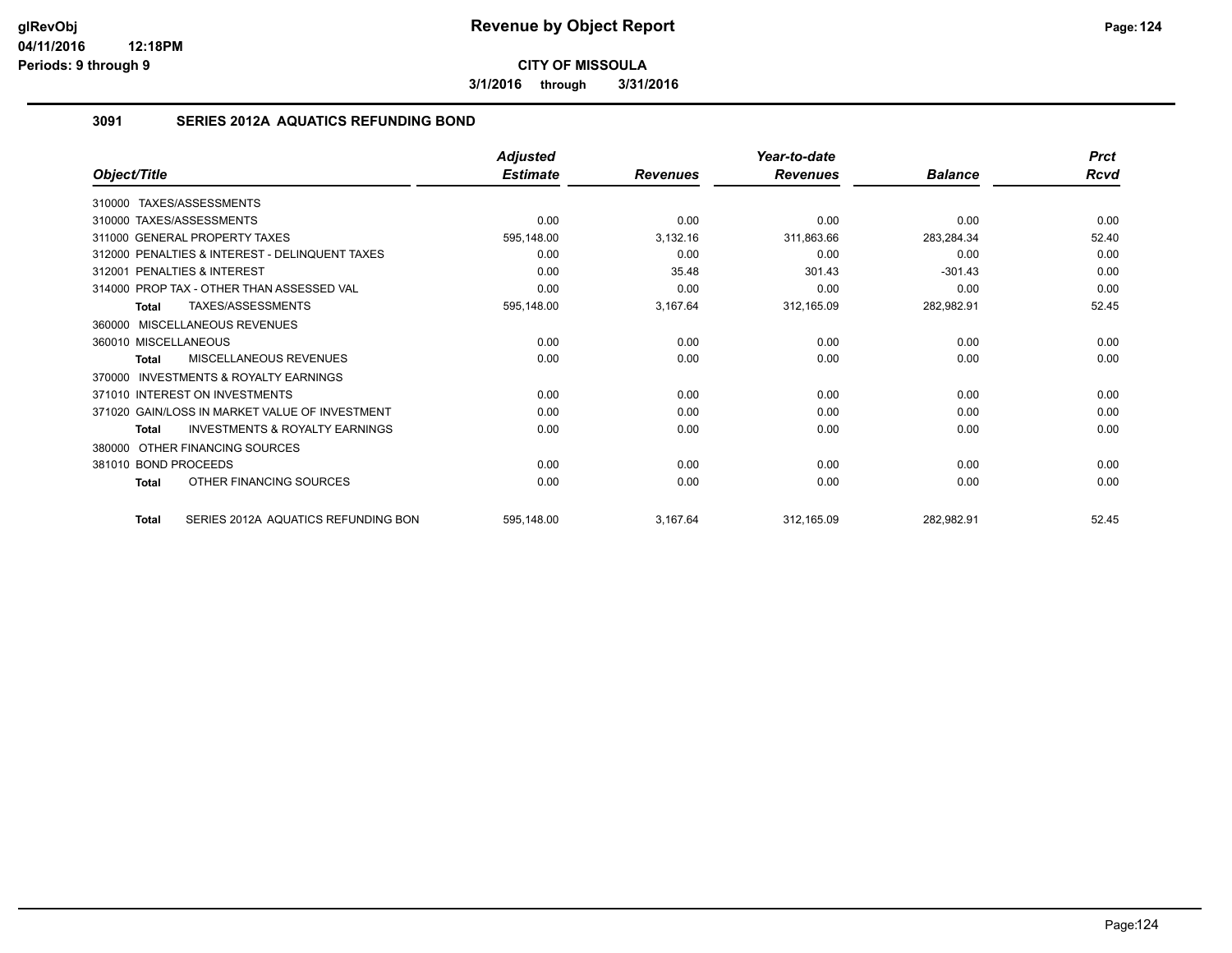**3/1/2016 through 3/31/2016**

## **3091 SERIES 2012A AQUATICS REFUNDING BOND**

|                                                           | <b>Adjusted</b> |                 | Year-to-date    |                | <b>Prct</b> |
|-----------------------------------------------------------|-----------------|-----------------|-----------------|----------------|-------------|
| Object/Title                                              | <b>Estimate</b> | <b>Revenues</b> | <b>Revenues</b> | <b>Balance</b> | Rcvd        |
| 310000 TAXES/ASSESSMENTS                                  |                 |                 |                 |                |             |
| 310000 TAXES/ASSESSMENTS                                  | 0.00            | 0.00            | 0.00            | 0.00           | 0.00        |
| 311000 GENERAL PROPERTY TAXES                             | 595,148.00      | 3,132.16        | 311,863.66      | 283,284.34     | 52.40       |
| 312000 PENALTIES & INTEREST - DELINQUENT TAXES            | 0.00            | 0.00            | 0.00            | 0.00           | 0.00        |
| 312001 PENALTIES & INTEREST                               | 0.00            | 35.48           | 301.43          | $-301.43$      | 0.00        |
| 314000 PROP TAX - OTHER THAN ASSESSED VAL                 | 0.00            | 0.00            | 0.00            | 0.00           | 0.00        |
| TAXES/ASSESSMENTS<br><b>Total</b>                         | 595,148.00      | 3,167.64        | 312,165.09      | 282,982.91     | 52.45       |
| 360000 MISCELLANEOUS REVENUES                             |                 |                 |                 |                |             |
| 360010 MISCELLANEOUS                                      | 0.00            | 0.00            | 0.00            | 0.00           | 0.00        |
| <b>MISCELLANEOUS REVENUES</b><br>Total                    | 0.00            | 0.00            | 0.00            | 0.00           | 0.00        |
| <b>INVESTMENTS &amp; ROYALTY EARNINGS</b><br>370000       |                 |                 |                 |                |             |
| 371010 INTEREST ON INVESTMENTS                            | 0.00            | 0.00            | 0.00            | 0.00           | 0.00        |
| 371020 GAIN/LOSS IN MARKET VALUE OF INVESTMENT            | 0.00            | 0.00            | 0.00            | 0.00           | 0.00        |
| <b>INVESTMENTS &amp; ROYALTY EARNINGS</b><br><b>Total</b> | 0.00            | 0.00            | 0.00            | 0.00           | 0.00        |
| OTHER FINANCING SOURCES<br>380000                         |                 |                 |                 |                |             |
| 381010 BOND PROCEEDS                                      | 0.00            | 0.00            | 0.00            | 0.00           | 0.00        |
| OTHER FINANCING SOURCES<br><b>Total</b>                   | 0.00            | 0.00            | 0.00            | 0.00           | 0.00        |
| SERIES 2012A AQUATICS REFUNDING BON<br><b>Total</b>       | 595,148.00      | 3,167.64        | 312,165.09      | 282,982.91     | 52.45       |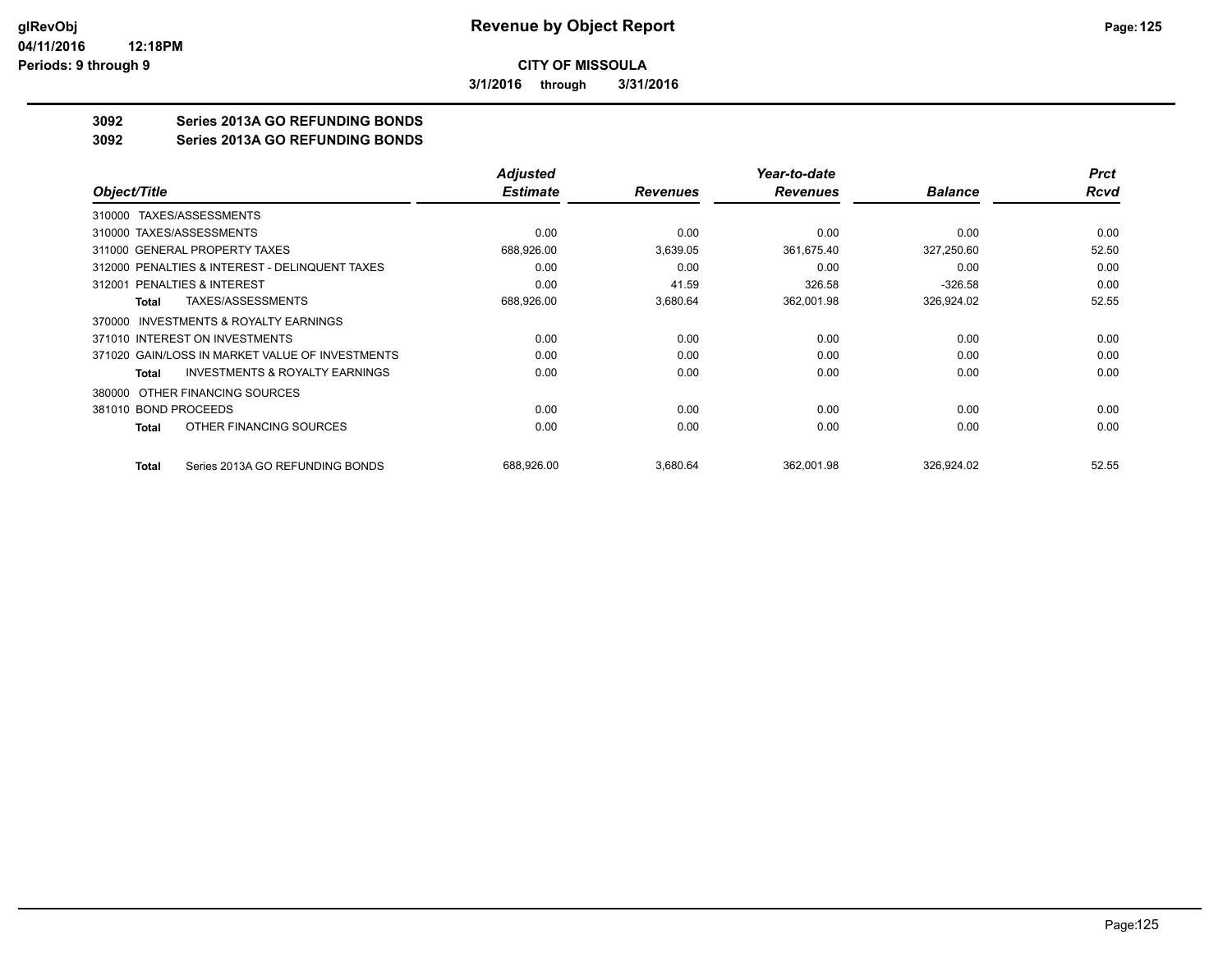**3/1/2016 through 3/31/2016**

## **3092 Series 2013A GO REFUNDING BONDS**

#### **3092 Series 2013A GO REFUNDING BONDS**

|                                                           | <b>Adjusted</b> |                 | Year-to-date    |                | <b>Prct</b> |
|-----------------------------------------------------------|-----------------|-----------------|-----------------|----------------|-------------|
| Object/Title                                              | <b>Estimate</b> | <b>Revenues</b> | <b>Revenues</b> | <b>Balance</b> | <b>Rcvd</b> |
| TAXES/ASSESSMENTS<br>310000                               |                 |                 |                 |                |             |
| 310000 TAXES/ASSESSMENTS                                  | 0.00            | 0.00            | 0.00            | 0.00           | 0.00        |
| 311000 GENERAL PROPERTY TAXES                             | 688,926.00      | 3,639.05        | 361,675.40      | 327,250.60     | 52.50       |
| 312000 PENALTIES & INTEREST - DELINQUENT TAXES            | 0.00            | 0.00            | 0.00            | 0.00           | 0.00        |
| 312001 PENALTIES & INTEREST                               | 0.00            | 41.59           | 326.58          | $-326.58$      | 0.00        |
| <b>TAXES/ASSESSMENTS</b><br>Total                         | 688,926.00      | 3,680.64        | 362,001.98      | 326,924.02     | 52.55       |
| <b>INVESTMENTS &amp; ROYALTY EARNINGS</b><br>370000       |                 |                 |                 |                |             |
| 371010 INTEREST ON INVESTMENTS                            | 0.00            | 0.00            | 0.00            | 0.00           | 0.00        |
| 371020 GAIN/LOSS IN MARKET VALUE OF INVESTMENTS           | 0.00            | 0.00            | 0.00            | 0.00           | 0.00        |
| <b>INVESTMENTS &amp; ROYALTY EARNINGS</b><br><b>Total</b> | 0.00            | 0.00            | 0.00            | 0.00           | 0.00        |
| OTHER FINANCING SOURCES<br>380000                         |                 |                 |                 |                |             |
| 381010 BOND PROCEEDS                                      | 0.00            | 0.00            | 0.00            | 0.00           | 0.00        |
| OTHER FINANCING SOURCES<br><b>Total</b>                   | 0.00            | 0.00            | 0.00            | 0.00           | 0.00        |
| Series 2013A GO REFUNDING BONDS<br><b>Total</b>           | 688,926.00      | 3,680.64        | 362,001.98      | 326,924.02     | 52.55       |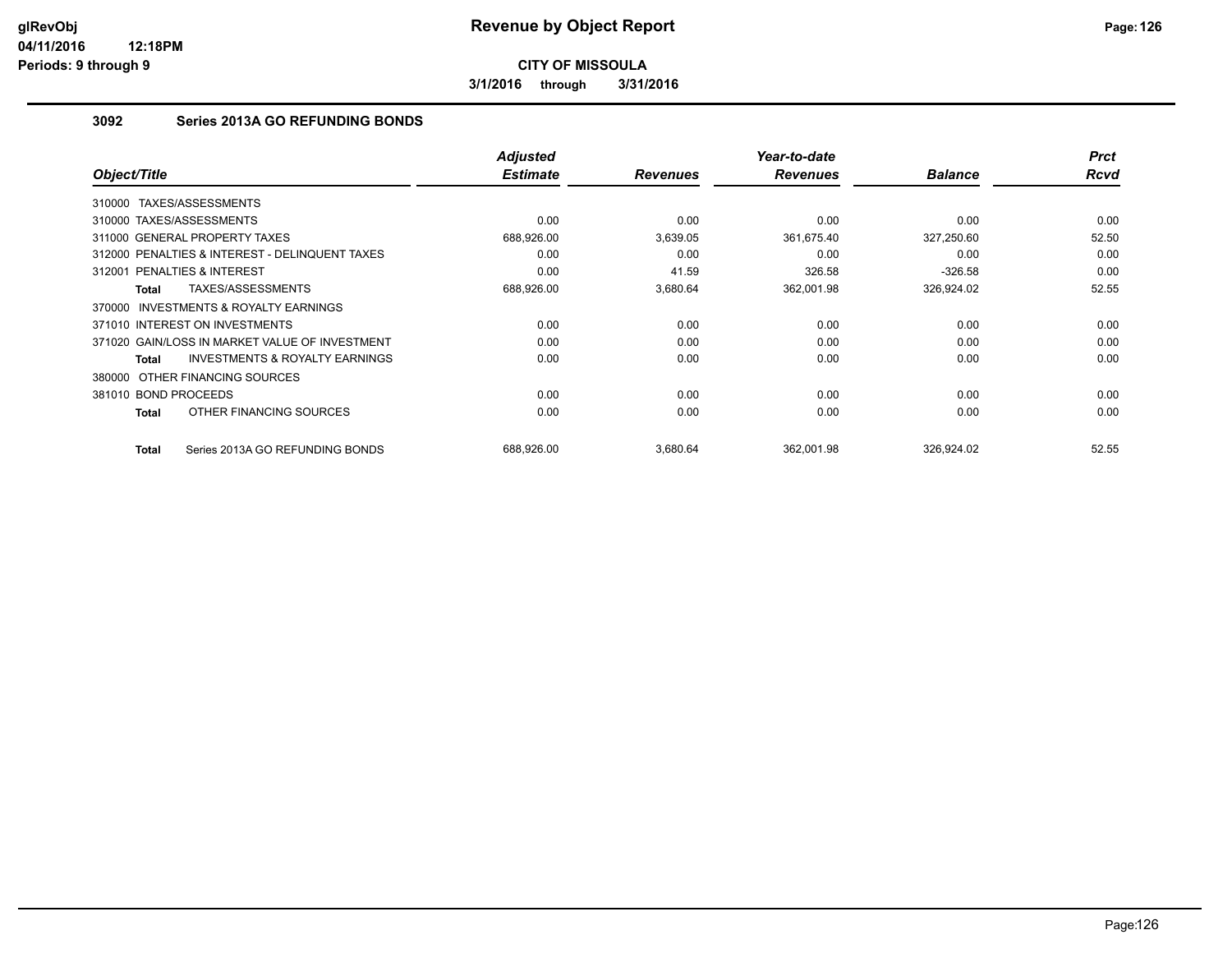**3/1/2016 through 3/31/2016**

## **3092 Series 2013A GO REFUNDING BONDS**

| Object/Title                   |                                                | <b>Adjusted</b><br><b>Estimate</b> | <b>Revenues</b> | Year-to-date<br><b>Revenues</b> | <b>Balance</b> | <b>Prct</b><br><b>Rcvd</b> |
|--------------------------------|------------------------------------------------|------------------------------------|-----------------|---------------------------------|----------------|----------------------------|
| TAXES/ASSESSMENTS<br>310000    |                                                |                                    |                 |                                 |                |                            |
| 310000 TAXES/ASSESSMENTS       |                                                | 0.00                               | 0.00            | 0.00                            | 0.00           | 0.00                       |
| 311000 GENERAL PROPERTY TAXES  |                                                | 688,926.00                         | 3,639.05        | 361,675.40                      | 327,250.60     | 52.50                      |
|                                | 312000 PENALTIES & INTEREST - DELINQUENT TAXES | 0.00                               | 0.00            | 0.00                            | 0.00           | 0.00                       |
| PENALTIES & INTEREST<br>312001 |                                                | 0.00                               | 41.59           | 326.58                          | $-326.58$      | 0.00                       |
| Total                          | TAXES/ASSESSMENTS                              | 688,926.00                         | 3,680.64        | 362,001.98                      | 326,924.02     | 52.55                      |
| 370000                         | <b>INVESTMENTS &amp; ROYALTY EARNINGS</b>      |                                    |                 |                                 |                |                            |
| 371010 INTEREST ON INVESTMENTS |                                                | 0.00                               | 0.00            | 0.00                            | 0.00           | 0.00                       |
|                                | 371020 GAIN/LOSS IN MARKET VALUE OF INVESTMENT | 0.00                               | 0.00            | 0.00                            | 0.00           | 0.00                       |
| Total                          | <b>INVESTMENTS &amp; ROYALTY EARNINGS</b>      | 0.00                               | 0.00            | 0.00                            | 0.00           | 0.00                       |
| 380000 OTHER FINANCING SOURCES |                                                |                                    |                 |                                 |                |                            |
| 381010 BOND PROCEEDS           |                                                | 0.00                               | 0.00            | 0.00                            | 0.00           | 0.00                       |
| Total                          | OTHER FINANCING SOURCES                        | 0.00                               | 0.00            | 0.00                            | 0.00           | 0.00                       |
| Total                          | Series 2013A GO REFUNDING BONDS                | 688.926.00                         | 3,680.64        | 362.001.98                      | 326.924.02     | 52.55                      |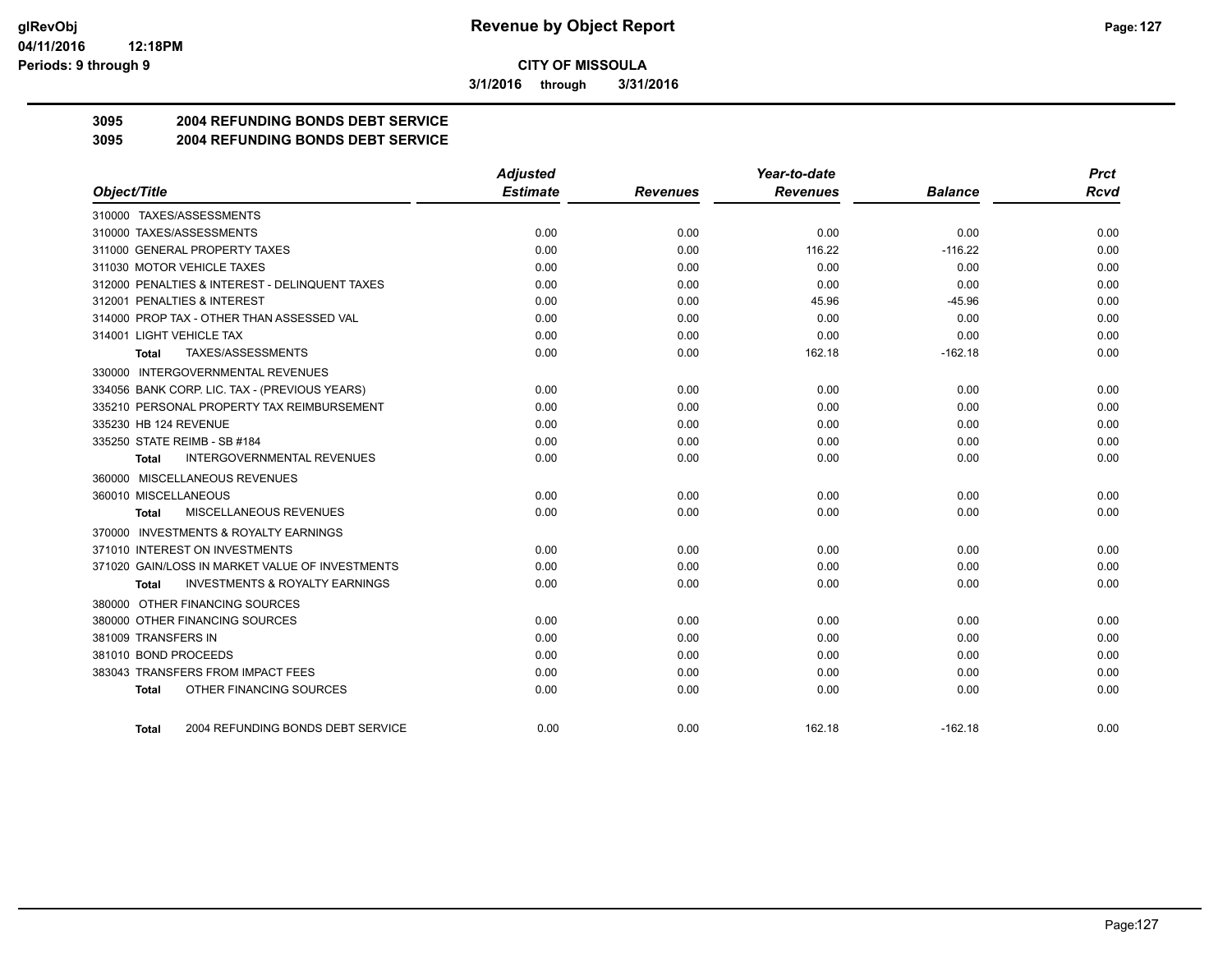**3/1/2016 through 3/31/2016**

## **3095 2004 REFUNDING BONDS DEBT SERVICE**

### **3095 2004 REFUNDING BONDS DEBT SERVICE**

|                                                    | <b>Adjusted</b> |                 | Year-to-date    |                | <b>Prct</b> |
|----------------------------------------------------|-----------------|-----------------|-----------------|----------------|-------------|
| Object/Title                                       | <b>Estimate</b> | <b>Revenues</b> | <b>Revenues</b> | <b>Balance</b> | <b>Rcvd</b> |
| 310000 TAXES/ASSESSMENTS                           |                 |                 |                 |                |             |
| 310000 TAXES/ASSESSMENTS                           | 0.00            | 0.00            | 0.00            | 0.00           | 0.00        |
| 311000 GENERAL PROPERTY TAXES                      | 0.00            | 0.00            | 116.22          | $-116.22$      | 0.00        |
| 311030 MOTOR VEHICLE TAXES                         | 0.00            | 0.00            | 0.00            | 0.00           | 0.00        |
| 312000 PENALTIES & INTEREST - DELINQUENT TAXES     | 0.00            | 0.00            | 0.00            | 0.00           | 0.00        |
| 312001 PENALTIES & INTEREST                        | 0.00            | 0.00            | 45.96           | $-45.96$       | 0.00        |
| 314000 PROP TAX - OTHER THAN ASSESSED VAL          | 0.00            | 0.00            | 0.00            | 0.00           | 0.00        |
| 314001 LIGHT VEHICLE TAX                           | 0.00            | 0.00            | 0.00            | 0.00           | 0.00        |
| TAXES/ASSESSMENTS<br>Total                         | 0.00            | 0.00            | 162.18          | $-162.18$      | 0.00        |
| 330000 INTERGOVERNMENTAL REVENUES                  |                 |                 |                 |                |             |
| 334056 BANK CORP. LIC. TAX - (PREVIOUS YEARS)      | 0.00            | 0.00            | 0.00            | 0.00           | 0.00        |
| 335210 PERSONAL PROPERTY TAX REIMBURSEMENT         | 0.00            | 0.00            | 0.00            | 0.00           | 0.00        |
| 335230 HB 124 REVENUE                              | 0.00            | 0.00            | 0.00            | 0.00           | 0.00        |
| 335250 STATE REIMB - SB #184                       | 0.00            | 0.00            | 0.00            | 0.00           | 0.00        |
| <b>INTERGOVERNMENTAL REVENUES</b><br>Total         | 0.00            | 0.00            | 0.00            | 0.00           | 0.00        |
| 360000 MISCELLANEOUS REVENUES                      |                 |                 |                 |                |             |
| 360010 MISCELLANEOUS                               | 0.00            | 0.00            | 0.00            | 0.00           | 0.00        |
| <b>MISCELLANEOUS REVENUES</b><br><b>Total</b>      | 0.00            | 0.00            | 0.00            | 0.00           | 0.00        |
| 370000 INVESTMENTS & ROYALTY EARNINGS              |                 |                 |                 |                |             |
| 371010 INTEREST ON INVESTMENTS                     | 0.00            | 0.00            | 0.00            | 0.00           | 0.00        |
| 371020 GAIN/LOSS IN MARKET VALUE OF INVESTMENTS    | 0.00            | 0.00            | 0.00            | 0.00           | 0.00        |
| <b>INVESTMENTS &amp; ROYALTY EARNINGS</b><br>Total | 0.00            | 0.00            | 0.00            | 0.00           | 0.00        |
| 380000 OTHER FINANCING SOURCES                     |                 |                 |                 |                |             |
| 380000 OTHER FINANCING SOURCES                     | 0.00            | 0.00            | 0.00            | 0.00           | 0.00        |
| 381009 TRANSFERS IN                                | 0.00            | 0.00            | 0.00            | 0.00           | 0.00        |
| 381010 BOND PROCEEDS                               | 0.00            | 0.00            | 0.00            | 0.00           | 0.00        |
| 383043 TRANSFERS FROM IMPACT FEES                  | 0.00            | 0.00            | 0.00            | 0.00           | 0.00        |
| OTHER FINANCING SOURCES<br>Total                   | 0.00            | 0.00            | 0.00            | 0.00           | 0.00        |
|                                                    |                 |                 |                 |                |             |
| 2004 REFUNDING BONDS DEBT SERVICE<br>Total         | 0.00            | 0.00            | 162.18          | $-162.18$      | 0.00        |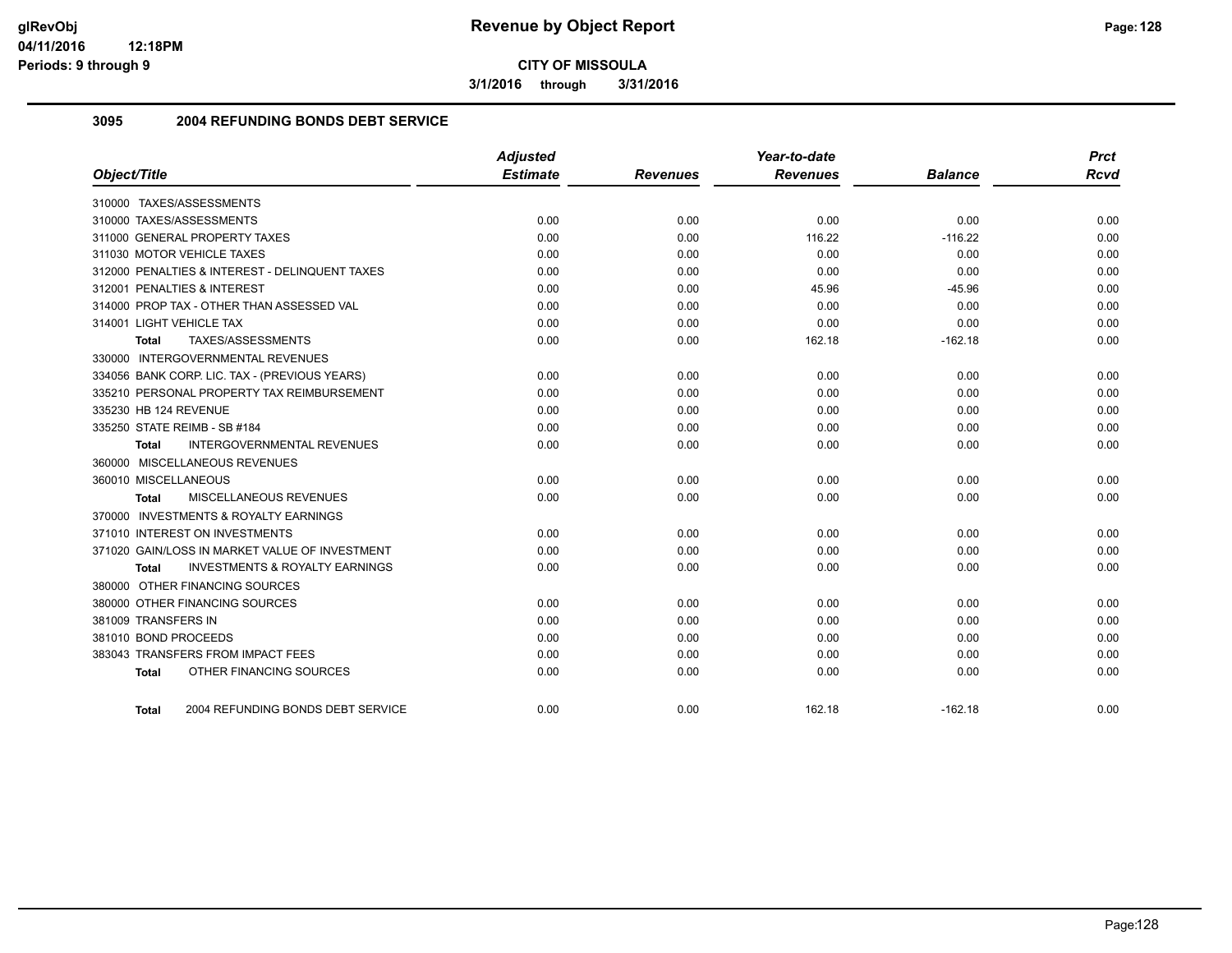**3/1/2016 through 3/31/2016**

## **3095 2004 REFUNDING BONDS DEBT SERVICE**

|                                                    | <b>Adjusted</b> |                 | Year-to-date    |                | <b>Prct</b> |
|----------------------------------------------------|-----------------|-----------------|-----------------|----------------|-------------|
| Object/Title                                       | <b>Estimate</b> | <b>Revenues</b> | <b>Revenues</b> | <b>Balance</b> | <b>Rcvd</b> |
| 310000 TAXES/ASSESSMENTS                           |                 |                 |                 |                |             |
| 310000 TAXES/ASSESSMENTS                           | 0.00            | 0.00            | 0.00            | 0.00           | 0.00        |
| 311000 GENERAL PROPERTY TAXES                      | 0.00            | 0.00            | 116.22          | $-116.22$      | 0.00        |
| 311030 MOTOR VEHICLE TAXES                         | 0.00            | 0.00            | 0.00            | 0.00           | 0.00        |
| 312000 PENALTIES & INTEREST - DELINQUENT TAXES     | 0.00            | 0.00            | 0.00            | 0.00           | 0.00        |
| 312001 PENALTIES & INTEREST                        | 0.00            | 0.00            | 45.96           | $-45.96$       | 0.00        |
| 314000 PROP TAX - OTHER THAN ASSESSED VAL          | 0.00            | 0.00            | 0.00            | 0.00           | 0.00        |
| 314001 LIGHT VEHICLE TAX                           | 0.00            | 0.00            | 0.00            | 0.00           | 0.00        |
| TAXES/ASSESSMENTS<br>Total                         | 0.00            | 0.00            | 162.18          | $-162.18$      | 0.00        |
| 330000 INTERGOVERNMENTAL REVENUES                  |                 |                 |                 |                |             |
| 334056 BANK CORP. LIC. TAX - (PREVIOUS YEARS)      | 0.00            | 0.00            | 0.00            | 0.00           | 0.00        |
| 335210 PERSONAL PROPERTY TAX REIMBURSEMENT         | 0.00            | 0.00            | 0.00            | 0.00           | 0.00        |
| 335230 HB 124 REVENUE                              | 0.00            | 0.00            | 0.00            | 0.00           | 0.00        |
| 335250 STATE REIMB - SB #184                       | 0.00            | 0.00            | 0.00            | 0.00           | 0.00        |
| <b>INTERGOVERNMENTAL REVENUES</b><br>Total         | 0.00            | 0.00            | 0.00            | 0.00           | 0.00        |
| 360000 MISCELLANEOUS REVENUES                      |                 |                 |                 |                |             |
| 360010 MISCELLANEOUS                               | 0.00            | 0.00            | 0.00            | 0.00           | 0.00        |
| MISCELLANEOUS REVENUES<br>Total                    | 0.00            | 0.00            | 0.00            | 0.00           | 0.00        |
| 370000 INVESTMENTS & ROYALTY EARNINGS              |                 |                 |                 |                |             |
| 371010 INTEREST ON INVESTMENTS                     | 0.00            | 0.00            | 0.00            | 0.00           | 0.00        |
| 371020 GAIN/LOSS IN MARKET VALUE OF INVESTMENT     | 0.00            | 0.00            | 0.00            | 0.00           | 0.00        |
| <b>INVESTMENTS &amp; ROYALTY EARNINGS</b><br>Total | 0.00            | 0.00            | 0.00            | 0.00           | 0.00        |
| 380000 OTHER FINANCING SOURCES                     |                 |                 |                 |                |             |
| 380000 OTHER FINANCING SOURCES                     | 0.00            | 0.00            | 0.00            | 0.00           | 0.00        |
| 381009 TRANSFERS IN                                | 0.00            | 0.00            | 0.00            | 0.00           | 0.00        |
| 381010 BOND PROCEEDS                               | 0.00            | 0.00            | 0.00            | 0.00           | 0.00        |
| 383043 TRANSFERS FROM IMPACT FEES                  | 0.00            | 0.00            | 0.00            | 0.00           | 0.00        |
| OTHER FINANCING SOURCES<br><b>Total</b>            | 0.00            | 0.00            | 0.00            | 0.00           | 0.00        |
| 2004 REFUNDING BONDS DEBT SERVICE<br>Total         | 0.00            | 0.00            | 162.18          | $-162.18$      | 0.00        |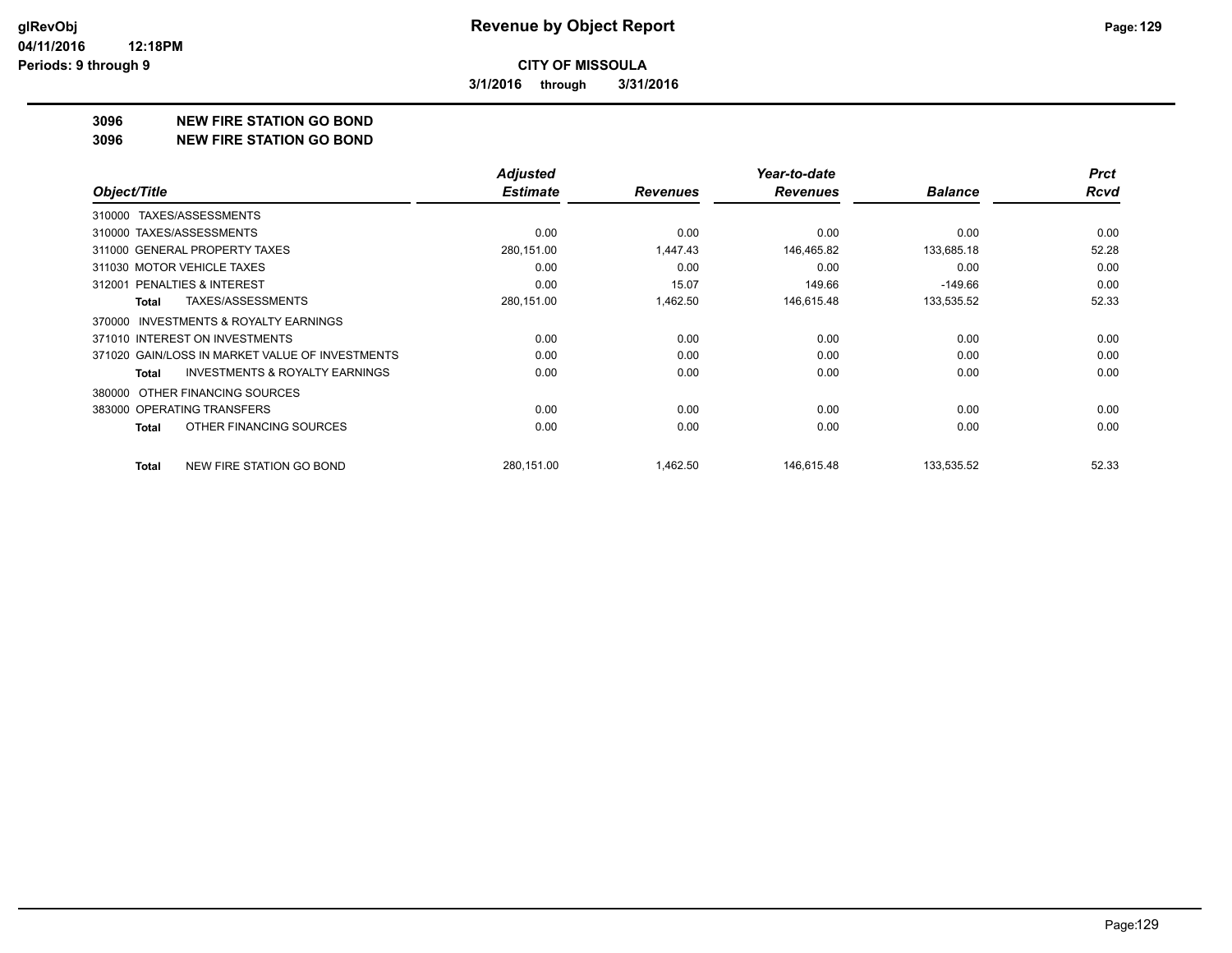**3/1/2016 through 3/31/2016**

#### **3096 NEW FIRE STATION GO BOND**

#### **3096 NEW FIRE STATION GO BOND**

|                                                     | <b>Adjusted</b> |                 | Year-to-date    |                | <b>Prct</b> |
|-----------------------------------------------------|-----------------|-----------------|-----------------|----------------|-------------|
| Object/Title                                        | <b>Estimate</b> | <b>Revenues</b> | <b>Revenues</b> | <b>Balance</b> | <b>Rcvd</b> |
| TAXES/ASSESSMENTS<br>310000                         |                 |                 |                 |                |             |
| 310000 TAXES/ASSESSMENTS                            | 0.00            | 0.00            | 0.00            | 0.00           | 0.00        |
| 311000 GENERAL PROPERTY TAXES                       | 280,151.00      | 1,447.43        | 146,465.82      | 133,685.18     | 52.28       |
| 311030 MOTOR VEHICLE TAXES                          | 0.00            | 0.00            | 0.00            | 0.00           | 0.00        |
| 312001 PENALTIES & INTEREST                         | 0.00            | 15.07           | 149.66          | $-149.66$      | 0.00        |
| TAXES/ASSESSMENTS<br>Total                          | 280,151.00      | 1,462.50        | 146,615.48      | 133,535.52     | 52.33       |
| <b>INVESTMENTS &amp; ROYALTY EARNINGS</b><br>370000 |                 |                 |                 |                |             |
| 371010 INTEREST ON INVESTMENTS                      | 0.00            | 0.00            | 0.00            | 0.00           | 0.00        |
| 371020 GAIN/LOSS IN MARKET VALUE OF INVESTMENTS     | 0.00            | 0.00            | 0.00            | 0.00           | 0.00        |
| <b>INVESTMENTS &amp; ROYALTY EARNINGS</b><br>Total  | 0.00            | 0.00            | 0.00            | 0.00           | 0.00        |
| OTHER FINANCING SOURCES<br>380000                   |                 |                 |                 |                |             |
| 383000 OPERATING TRANSFERS                          | 0.00            | 0.00            | 0.00            | 0.00           | 0.00        |
| OTHER FINANCING SOURCES<br>Total                    | 0.00            | 0.00            | 0.00            | 0.00           | 0.00        |
| NEW FIRE STATION GO BOND<br>Total                   | 280,151.00      | 1,462.50        | 146,615.48      | 133,535.52     | 52.33       |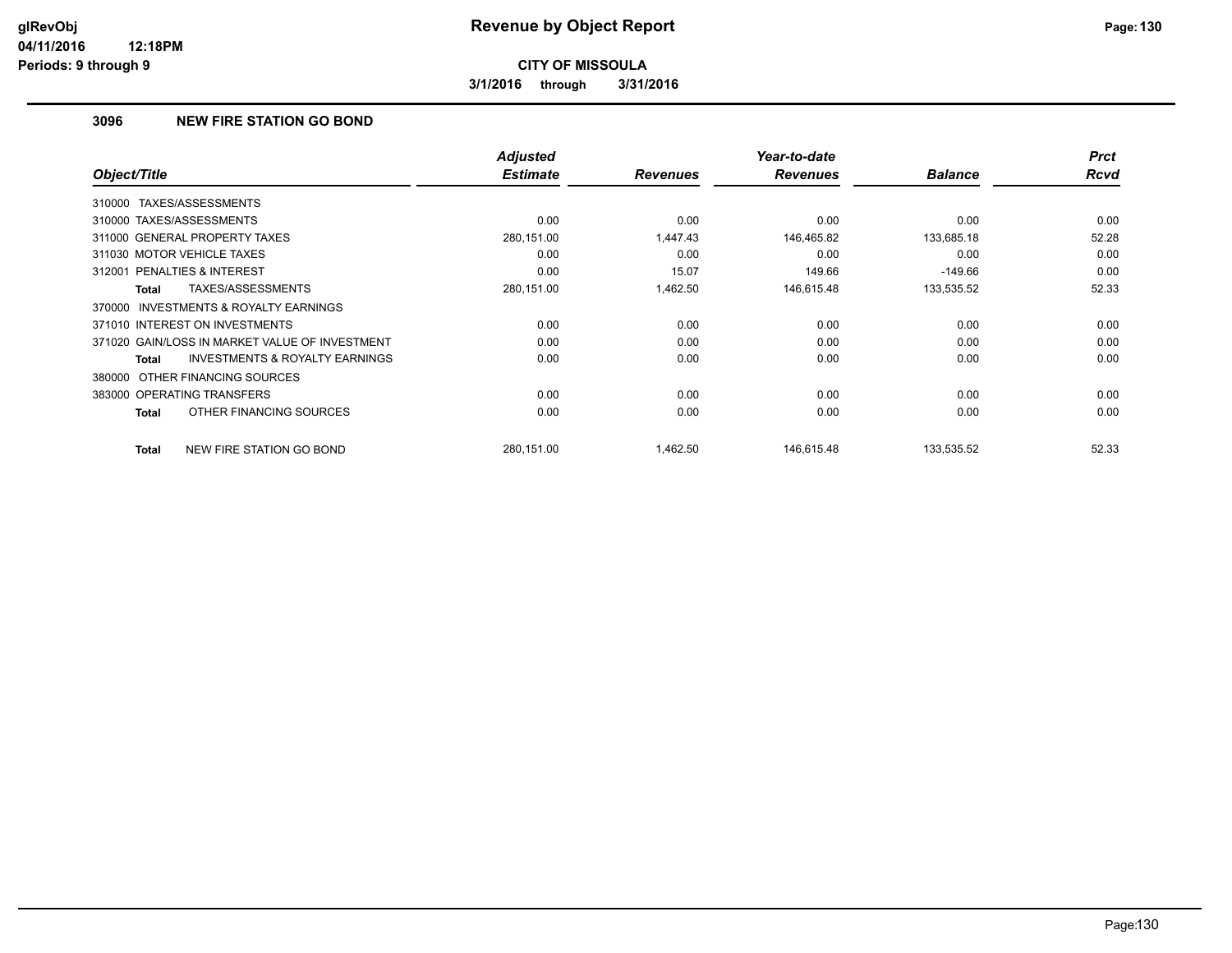**3/1/2016 through 3/31/2016**

## **3096 NEW FIRE STATION GO BOND**

|                                                     | <b>Adjusted</b> |                 | Year-to-date    |                | <b>Prct</b> |
|-----------------------------------------------------|-----------------|-----------------|-----------------|----------------|-------------|
| Object/Title                                        | <b>Estimate</b> | <b>Revenues</b> | <b>Revenues</b> | <b>Balance</b> | <b>Rcvd</b> |
| 310000 TAXES/ASSESSMENTS                            |                 |                 |                 |                |             |
| 310000 TAXES/ASSESSMENTS                            | 0.00            | 0.00            | 0.00            | 0.00           | 0.00        |
| 311000 GENERAL PROPERTY TAXES                       | 280,151.00      | 1.447.43        | 146,465.82      | 133,685.18     | 52.28       |
| 311030 MOTOR VEHICLE TAXES                          | 0.00            | 0.00            | 0.00            | 0.00           | 0.00        |
| 312001 PENALTIES & INTEREST                         | 0.00            | 15.07           | 149.66          | $-149.66$      | 0.00        |
| TAXES/ASSESSMENTS<br>Total                          | 280,151.00      | 1,462.50        | 146,615.48      | 133,535.52     | 52.33       |
| <b>INVESTMENTS &amp; ROYALTY EARNINGS</b><br>370000 |                 |                 |                 |                |             |
| 371010 INTEREST ON INVESTMENTS                      | 0.00            | 0.00            | 0.00            | 0.00           | 0.00        |
| 371020 GAIN/LOSS IN MARKET VALUE OF INVESTMENT      | 0.00            | 0.00            | 0.00            | 0.00           | 0.00        |
| <b>INVESTMENTS &amp; ROYALTY EARNINGS</b><br>Total  | 0.00            | 0.00            | 0.00            | 0.00           | 0.00        |
| 380000 OTHER FINANCING SOURCES                      |                 |                 |                 |                |             |
| 383000 OPERATING TRANSFERS                          | 0.00            | 0.00            | 0.00            | 0.00           | 0.00        |
| OTHER FINANCING SOURCES<br>Total                    | 0.00            | 0.00            | 0.00            | 0.00           | 0.00        |
| NEW FIRE STATION GO BOND<br>Total                   | 280.151.00      | 1,462.50        | 146.615.48      | 133,535.52     | 52.33       |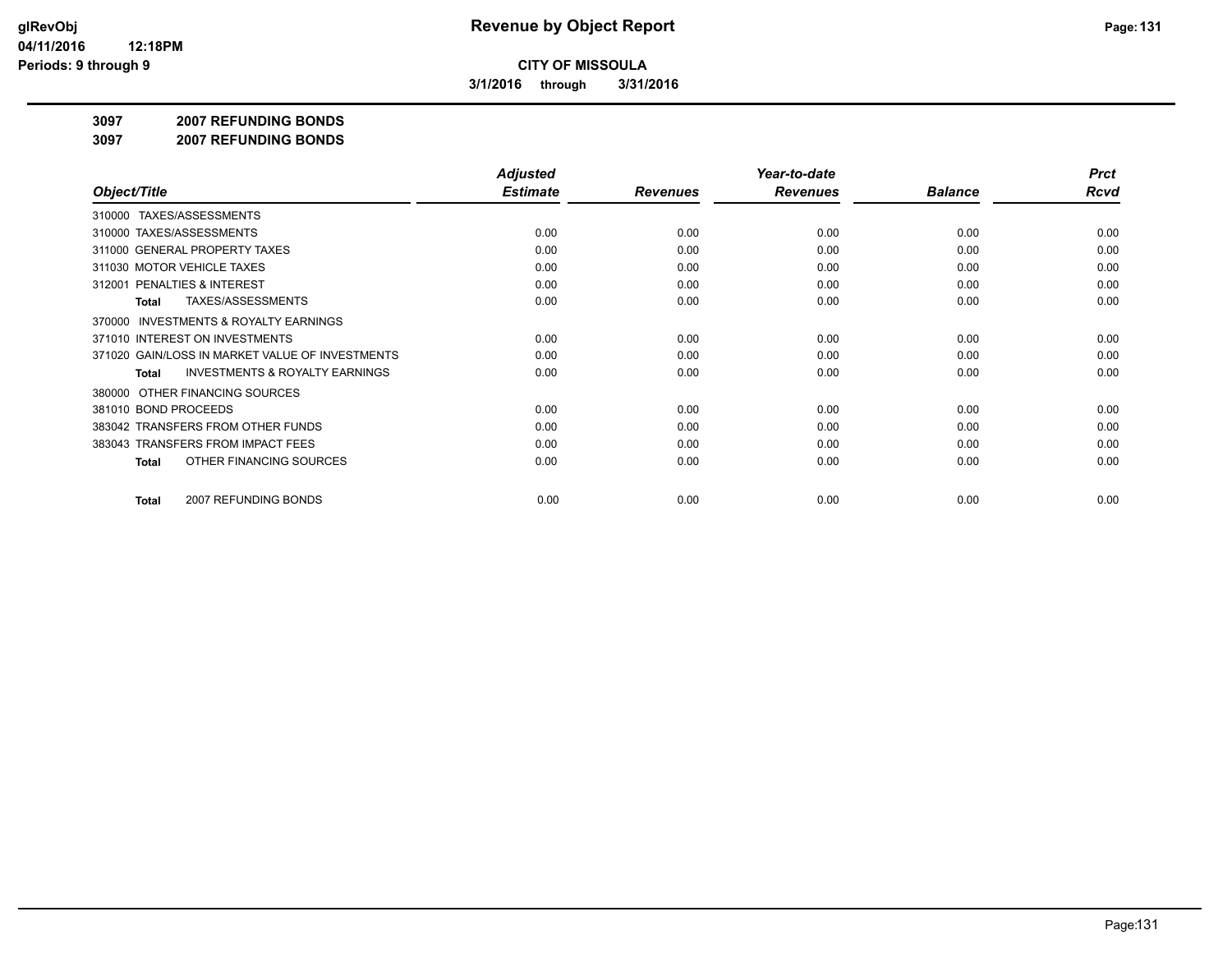**3/1/2016 through 3/31/2016**

#### **3097 2007 REFUNDING BONDS**

**3097 2007 REFUNDING BONDS**

|                                                           | <b>Adjusted</b> |                 | Year-to-date    |                | <b>Prct</b> |
|-----------------------------------------------------------|-----------------|-----------------|-----------------|----------------|-------------|
| Object/Title                                              | <b>Estimate</b> | <b>Revenues</b> | <b>Revenues</b> | <b>Balance</b> | <b>Rcvd</b> |
| 310000 TAXES/ASSESSMENTS                                  |                 |                 |                 |                |             |
| 310000 TAXES/ASSESSMENTS                                  | 0.00            | 0.00            | 0.00            | 0.00           | 0.00        |
| 311000 GENERAL PROPERTY TAXES                             | 0.00            | 0.00            | 0.00            | 0.00           | 0.00        |
| 311030 MOTOR VEHICLE TAXES                                | 0.00            | 0.00            | 0.00            | 0.00           | 0.00        |
| 312001 PENALTIES & INTEREST                               | 0.00            | 0.00            | 0.00            | 0.00           | 0.00        |
| <b>TAXES/ASSESSMENTS</b><br>Total                         | 0.00            | 0.00            | 0.00            | 0.00           | 0.00        |
| <b>INVESTMENTS &amp; ROYALTY EARNINGS</b><br>370000       |                 |                 |                 |                |             |
| 371010 INTEREST ON INVESTMENTS                            | 0.00            | 0.00            | 0.00            | 0.00           | 0.00        |
| 371020 GAIN/LOSS IN MARKET VALUE OF INVESTMENTS           | 0.00            | 0.00            | 0.00            | 0.00           | 0.00        |
| <b>INVESTMENTS &amp; ROYALTY EARNINGS</b><br><b>Total</b> | 0.00            | 0.00            | 0.00            | 0.00           | 0.00        |
| OTHER FINANCING SOURCES<br>380000                         |                 |                 |                 |                |             |
| 381010 BOND PROCEEDS                                      | 0.00            | 0.00            | 0.00            | 0.00           | 0.00        |
| 383042 TRANSFERS FROM OTHER FUNDS                         | 0.00            | 0.00            | 0.00            | 0.00           | 0.00        |
| 383043 TRANSFERS FROM IMPACT FEES                         | 0.00            | 0.00            | 0.00            | 0.00           | 0.00        |
| OTHER FINANCING SOURCES<br>Total                          | 0.00            | 0.00            | 0.00            | 0.00           | 0.00        |
|                                                           |                 |                 |                 |                | 0.00        |
| 2007 REFUNDING BONDS<br>Total                             | 0.00            | 0.00            | 0.00            | 0.00           |             |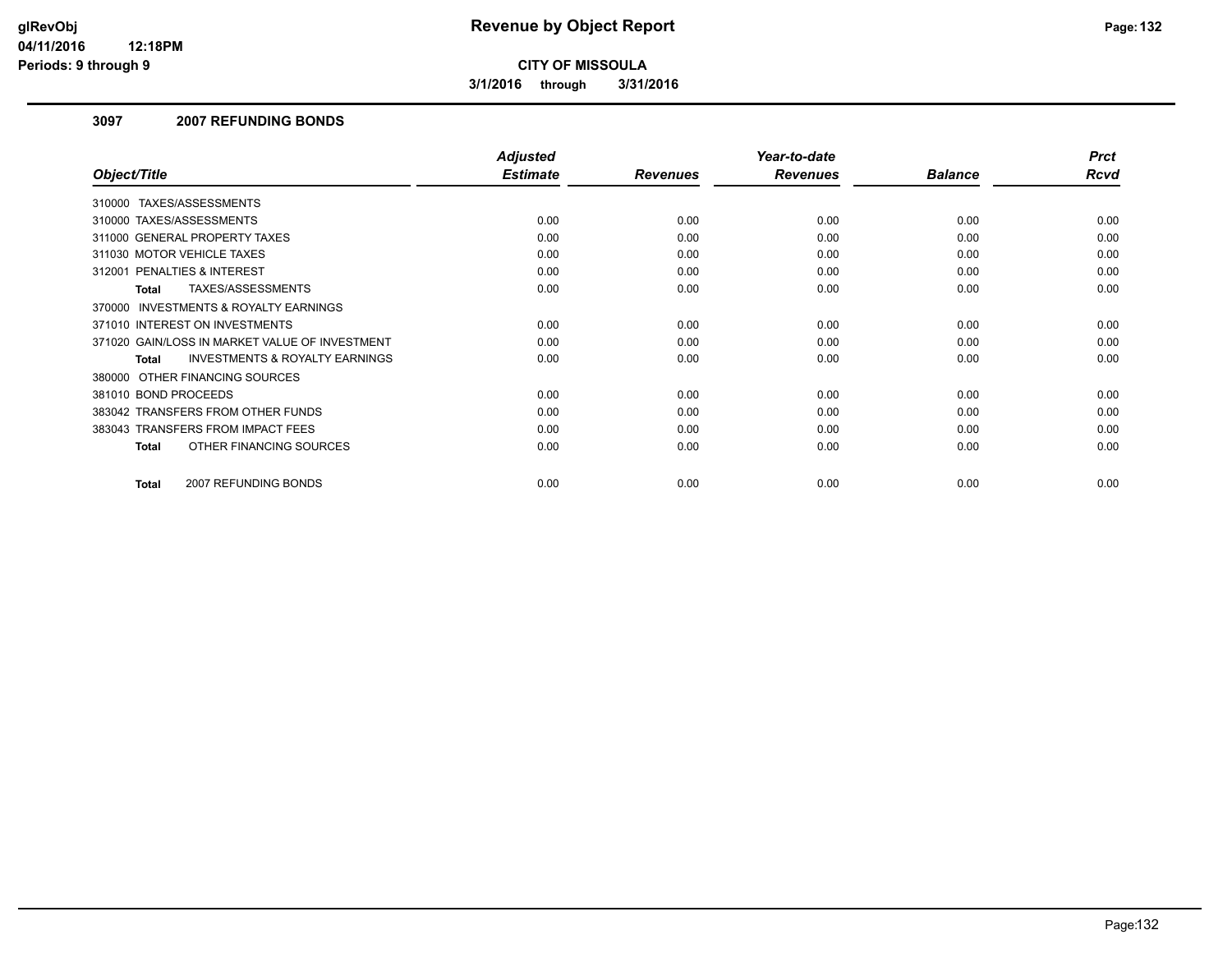**3/1/2016 through 3/31/2016**

## **3097 2007 REFUNDING BONDS**

|                                                           | <b>Adjusted</b> |                 | Year-to-date    |                | <b>Prct</b> |
|-----------------------------------------------------------|-----------------|-----------------|-----------------|----------------|-------------|
| Object/Title                                              | <b>Estimate</b> | <b>Revenues</b> | <b>Revenues</b> | <b>Balance</b> | <b>Rcvd</b> |
| 310000 TAXES/ASSESSMENTS                                  |                 |                 |                 |                |             |
| 310000 TAXES/ASSESSMENTS                                  | 0.00            | 0.00            | 0.00            | 0.00           | 0.00        |
| 311000 GENERAL PROPERTY TAXES                             | 0.00            | 0.00            | 0.00            | 0.00           | 0.00        |
| 311030 MOTOR VEHICLE TAXES                                | 0.00            | 0.00            | 0.00            | 0.00           | 0.00        |
| 312001 PENALTIES & INTEREST                               | 0.00            | 0.00            | 0.00            | 0.00           | 0.00        |
| TAXES/ASSESSMENTS<br>Total                                | 0.00            | 0.00            | 0.00            | 0.00           | 0.00        |
| 370000 INVESTMENTS & ROYALTY EARNINGS                     |                 |                 |                 |                |             |
| 371010 INTEREST ON INVESTMENTS                            | 0.00            | 0.00            | 0.00            | 0.00           | 0.00        |
| 371020 GAIN/LOSS IN MARKET VALUE OF INVESTMENT            | 0.00            | 0.00            | 0.00            | 0.00           | 0.00        |
| <b>INVESTMENTS &amp; ROYALTY EARNINGS</b><br><b>Total</b> | 0.00            | 0.00            | 0.00            | 0.00           | 0.00        |
| 380000 OTHER FINANCING SOURCES                            |                 |                 |                 |                |             |
| 381010 BOND PROCEEDS                                      | 0.00            | 0.00            | 0.00            | 0.00           | 0.00        |
| 383042 TRANSFERS FROM OTHER FUNDS                         | 0.00            | 0.00            | 0.00            | 0.00           | 0.00        |
| 383043 TRANSFERS FROM IMPACT FEES                         | 0.00            | 0.00            | 0.00            | 0.00           | 0.00        |
| OTHER FINANCING SOURCES<br>Total                          | 0.00            | 0.00            | 0.00            | 0.00           | 0.00        |
|                                                           |                 |                 |                 |                |             |
| 2007 REFUNDING BONDS<br>Total                             | 0.00            | 0.00            | 0.00            | 0.00           | 0.00        |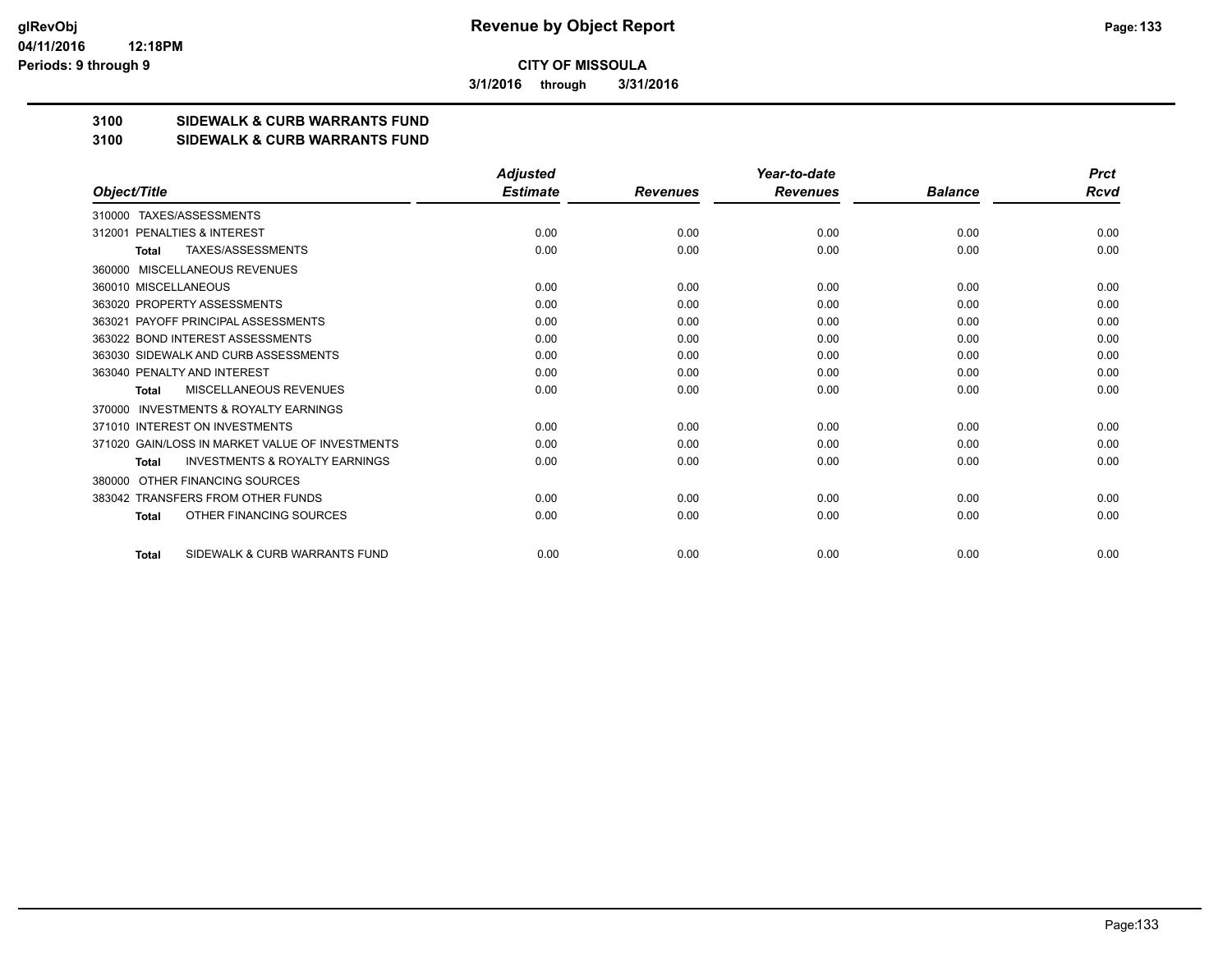**3/1/2016 through 3/31/2016**

## **3100 SIDEWALK & CURB WARRANTS FUND**

#### **3100 SIDEWALK & CURB WARRANTS FUND**

|                                                           | <b>Adjusted</b> |                 | Year-to-date    |                | <b>Prct</b> |
|-----------------------------------------------------------|-----------------|-----------------|-----------------|----------------|-------------|
| Object/Title                                              | <b>Estimate</b> | <b>Revenues</b> | <b>Revenues</b> | <b>Balance</b> | Rcvd        |
| 310000 TAXES/ASSESSMENTS                                  |                 |                 |                 |                |             |
| PENALTIES & INTEREST<br>312001                            | 0.00            | 0.00            | 0.00            | 0.00           | 0.00        |
| TAXES/ASSESSMENTS<br><b>Total</b>                         | 0.00            | 0.00            | 0.00            | 0.00           | 0.00        |
| MISCELLANEOUS REVENUES<br>360000                          |                 |                 |                 |                |             |
| 360010 MISCELLANEOUS                                      | 0.00            | 0.00            | 0.00            | 0.00           | 0.00        |
| 363020 PROPERTY ASSESSMENTS                               | 0.00            | 0.00            | 0.00            | 0.00           | 0.00        |
| 363021 PAYOFF PRINCIPAL ASSESSMENTS                       | 0.00            | 0.00            | 0.00            | 0.00           | 0.00        |
| 363022 BOND INTEREST ASSESSMENTS                          | 0.00            | 0.00            | 0.00            | 0.00           | 0.00        |
| 363030 SIDEWALK AND CURB ASSESSMENTS                      | 0.00            | 0.00            | 0.00            | 0.00           | 0.00        |
| 363040 PENALTY AND INTEREST                               | 0.00            | 0.00            | 0.00            | 0.00           | 0.00        |
| MISCELLANEOUS REVENUES<br><b>Total</b>                    | 0.00            | 0.00            | 0.00            | 0.00           | 0.00        |
| <b>INVESTMENTS &amp; ROYALTY EARNINGS</b><br>370000       |                 |                 |                 |                |             |
| 371010 INTEREST ON INVESTMENTS                            | 0.00            | 0.00            | 0.00            | 0.00           | 0.00        |
| 371020 GAIN/LOSS IN MARKET VALUE OF INVESTMENTS           | 0.00            | 0.00            | 0.00            | 0.00           | 0.00        |
| <b>INVESTMENTS &amp; ROYALTY EARNINGS</b><br><b>Total</b> | 0.00            | 0.00            | 0.00            | 0.00           | 0.00        |
| OTHER FINANCING SOURCES<br>380000                         |                 |                 |                 |                |             |
| 383042 TRANSFERS FROM OTHER FUNDS                         | 0.00            | 0.00            | 0.00            | 0.00           | 0.00        |
| OTHER FINANCING SOURCES<br><b>Total</b>                   | 0.00            | 0.00            | 0.00            | 0.00           | 0.00        |
| SIDEWALK & CURB WARRANTS FUND<br><b>Total</b>             | 0.00            | 0.00            | 0.00            | 0.00           | 0.00        |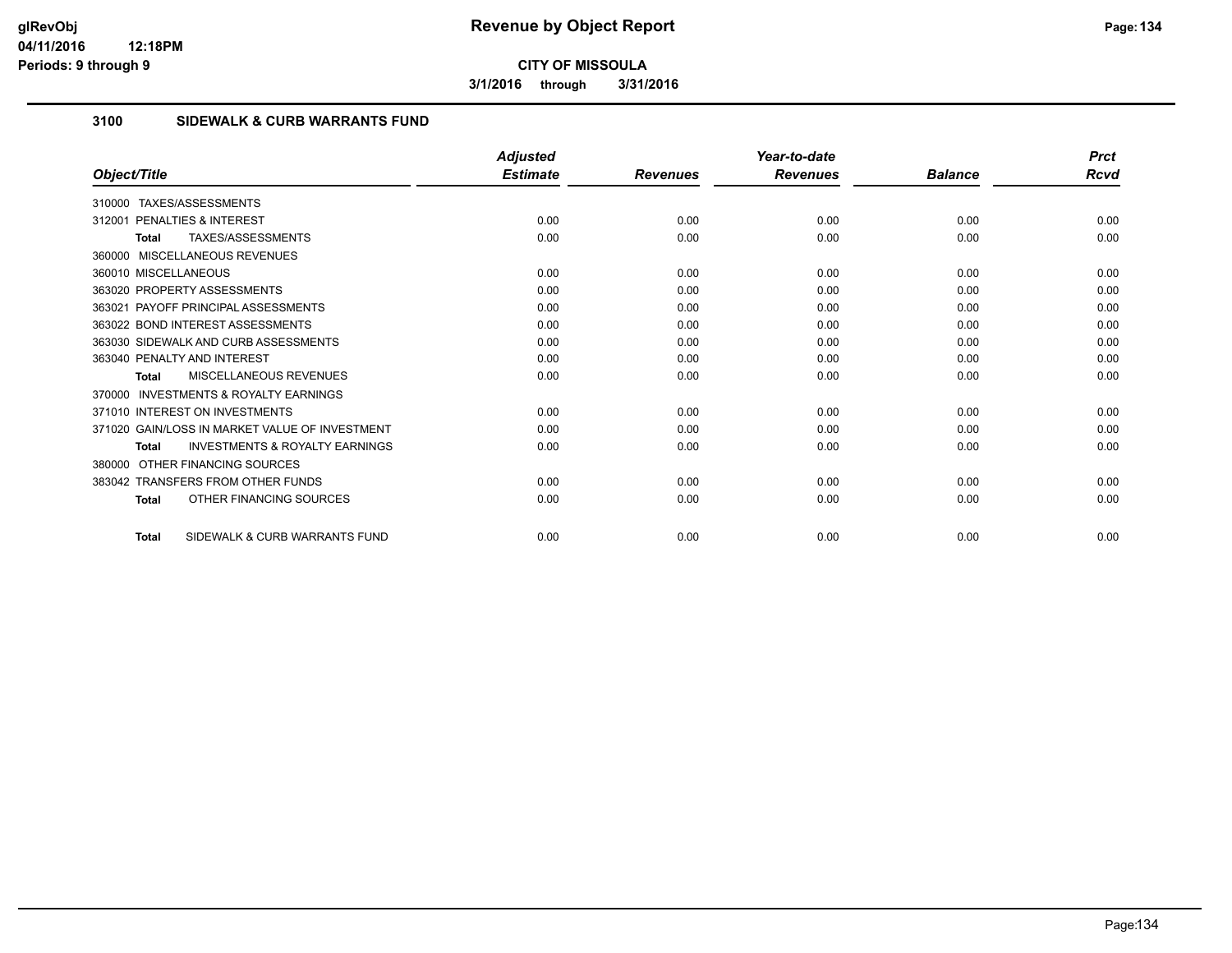**3/1/2016 through 3/31/2016**

## **3100 SIDEWALK & CURB WARRANTS FUND**

|                                                     | <b>Adjusted</b> |                 | Year-to-date    |                | <b>Prct</b> |
|-----------------------------------------------------|-----------------|-----------------|-----------------|----------------|-------------|
| Object/Title                                        | <b>Estimate</b> | <b>Revenues</b> | <b>Revenues</b> | <b>Balance</b> | Rcvd        |
| TAXES/ASSESSMENTS<br>310000                         |                 |                 |                 |                |             |
| PENALTIES & INTEREST<br>312001                      | 0.00            | 0.00            | 0.00            | 0.00           | 0.00        |
| TAXES/ASSESSMENTS<br>Total                          | 0.00            | 0.00            | 0.00            | 0.00           | 0.00        |
| 360000 MISCELLANEOUS REVENUES                       |                 |                 |                 |                |             |
| 360010 MISCELLANEOUS                                | 0.00            | 0.00            | 0.00            | 0.00           | 0.00        |
| 363020 PROPERTY ASSESSMENTS                         | 0.00            | 0.00            | 0.00            | 0.00           | 0.00        |
| 363021 PAYOFF PRINCIPAL ASSESSMENTS                 | 0.00            | 0.00            | 0.00            | 0.00           | 0.00        |
| 363022 BOND INTEREST ASSESSMENTS                    | 0.00            | 0.00            | 0.00            | 0.00           | 0.00        |
| 363030 SIDEWALK AND CURB ASSESSMENTS                | 0.00            | 0.00            | 0.00            | 0.00           | 0.00        |
| 363040 PENALTY AND INTEREST                         | 0.00            | 0.00            | 0.00            | 0.00           | 0.00        |
| MISCELLANEOUS REVENUES<br>Total                     | 0.00            | 0.00            | 0.00            | 0.00           | 0.00        |
| <b>INVESTMENTS &amp; ROYALTY EARNINGS</b><br>370000 |                 |                 |                 |                |             |
| 371010 INTEREST ON INVESTMENTS                      | 0.00            | 0.00            | 0.00            | 0.00           | 0.00        |
| 371020 GAIN/LOSS IN MARKET VALUE OF INVESTMENT      | 0.00            | 0.00            | 0.00            | 0.00           | 0.00        |
| <b>INVESTMENTS &amp; ROYALTY EARNINGS</b><br>Total  | 0.00            | 0.00            | 0.00            | 0.00           | 0.00        |
| OTHER FINANCING SOURCES<br>380000                   |                 |                 |                 |                |             |
| 383042 TRANSFERS FROM OTHER FUNDS                   | 0.00            | 0.00            | 0.00            | 0.00           | 0.00        |
| OTHER FINANCING SOURCES<br><b>Total</b>             | 0.00            | 0.00            | 0.00            | 0.00           | 0.00        |
| SIDEWALK & CURB WARRANTS FUND<br><b>Total</b>       | 0.00            | 0.00            | 0.00            | 0.00           | 0.00        |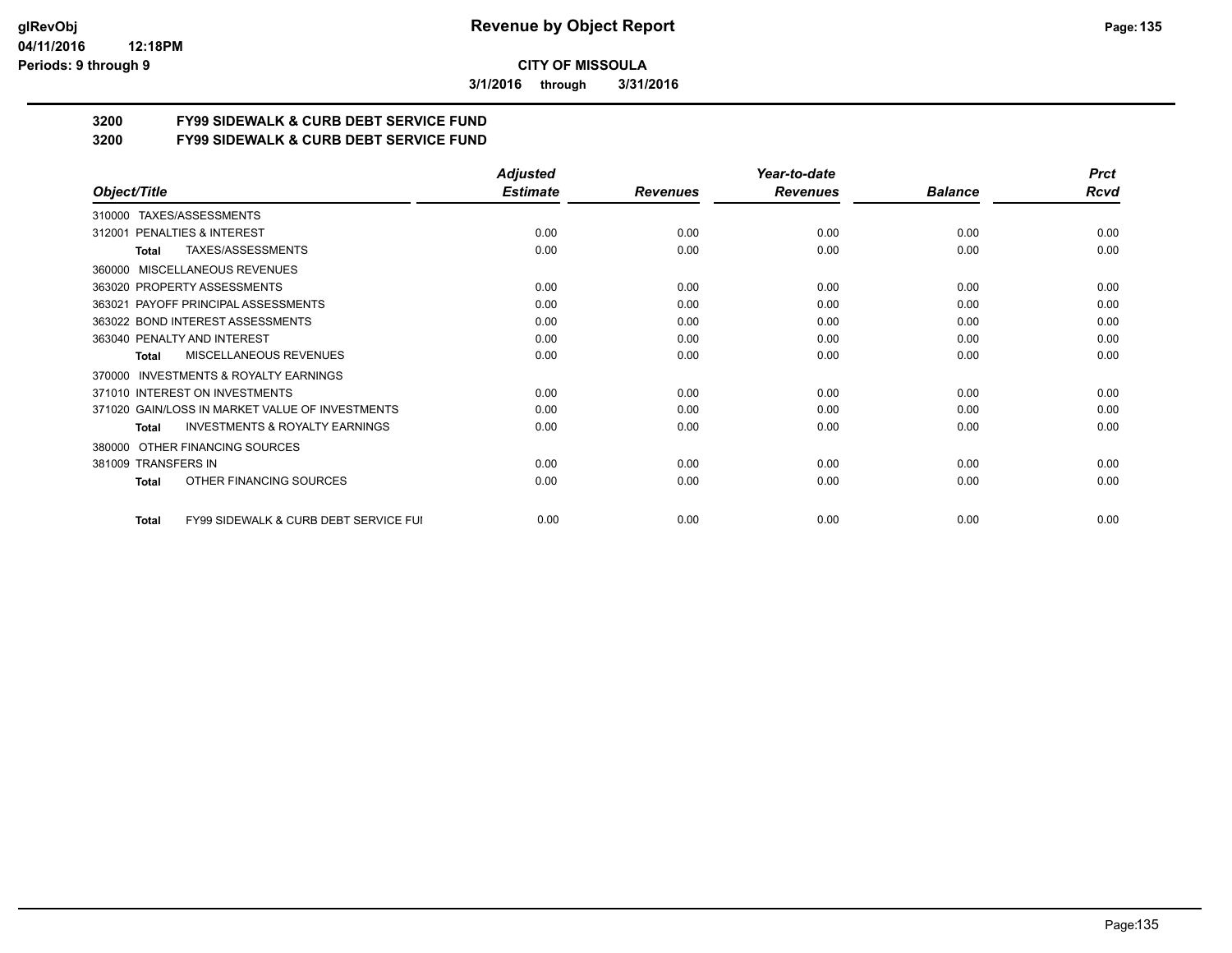**3/1/2016 through 3/31/2016**

# **3200 FY99 SIDEWALK & CURB DEBT SERVICE FUND**

**3200 FY99 SIDEWALK & CURB DEBT SERVICE FUND**

|                                                           | <b>Adjusted</b> |                 | Year-to-date    |                | <b>Prct</b> |
|-----------------------------------------------------------|-----------------|-----------------|-----------------|----------------|-------------|
| Object/Title                                              | <b>Estimate</b> | <b>Revenues</b> | <b>Revenues</b> | <b>Balance</b> | Rcvd        |
| TAXES/ASSESSMENTS<br>310000                               |                 |                 |                 |                |             |
| PENALTIES & INTEREST<br>312001                            | 0.00            | 0.00            | 0.00            | 0.00           | 0.00        |
| TAXES/ASSESSMENTS<br>Total                                | 0.00            | 0.00            | 0.00            | 0.00           | 0.00        |
| MISCELLANEOUS REVENUES<br>360000                          |                 |                 |                 |                |             |
| 363020 PROPERTY ASSESSMENTS                               | 0.00            | 0.00            | 0.00            | 0.00           | 0.00        |
| 363021 PAYOFF PRINCIPAL ASSESSMENTS                       | 0.00            | 0.00            | 0.00            | 0.00           | 0.00        |
| 363022 BOND INTEREST ASSESSMENTS                          | 0.00            | 0.00            | 0.00            | 0.00           | 0.00        |
| 363040 PENALTY AND INTEREST                               | 0.00            | 0.00            | 0.00            | 0.00           | 0.00        |
| MISCELLANEOUS REVENUES<br>Total                           | 0.00            | 0.00            | 0.00            | 0.00           | 0.00        |
| <b>INVESTMENTS &amp; ROYALTY EARNINGS</b><br>370000       |                 |                 |                 |                |             |
| 371010 INTEREST ON INVESTMENTS                            | 0.00            | 0.00            | 0.00            | 0.00           | 0.00        |
| 371020 GAIN/LOSS IN MARKET VALUE OF INVESTMENTS           | 0.00            | 0.00            | 0.00            | 0.00           | 0.00        |
| <b>INVESTMENTS &amp; ROYALTY EARNINGS</b><br><b>Total</b> | 0.00            | 0.00            | 0.00            | 0.00           | 0.00        |
| OTHER FINANCING SOURCES<br>380000                         |                 |                 |                 |                |             |
| 381009 TRANSFERS IN                                       | 0.00            | 0.00            | 0.00            | 0.00           | 0.00        |
| OTHER FINANCING SOURCES<br><b>Total</b>                   | 0.00            | 0.00            | 0.00            | 0.00           | 0.00        |
| FY99 SIDEWALK & CURB DEBT SERVICE FUI<br><b>Total</b>     | 0.00            | 0.00            | 0.00            | 0.00           | 0.00        |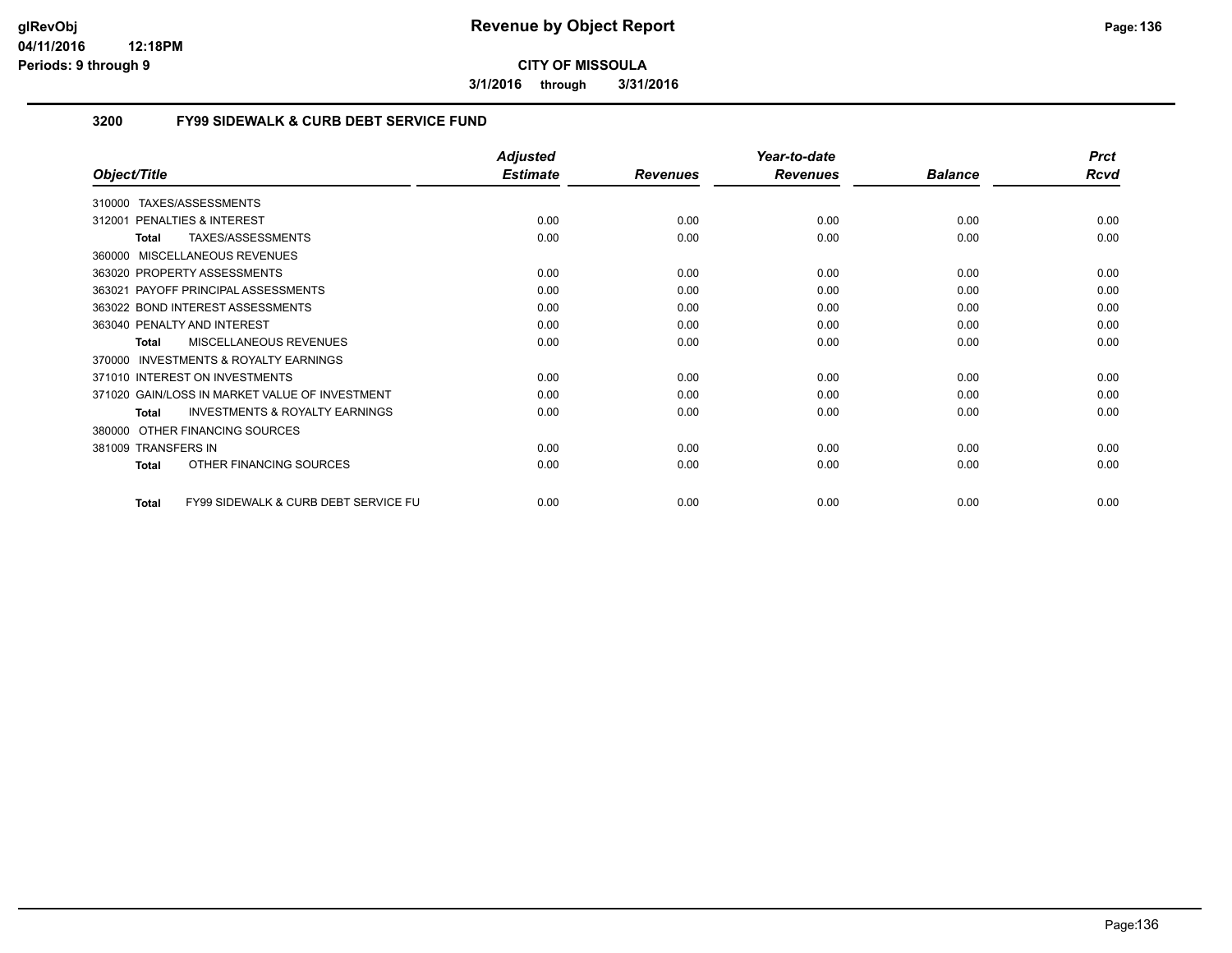**3/1/2016 through 3/31/2016**

## **3200 FY99 SIDEWALK & CURB DEBT SERVICE FUND**

|                                                                 | <b>Adjusted</b> |                 | Year-to-date    |                | <b>Prct</b> |
|-----------------------------------------------------------------|-----------------|-----------------|-----------------|----------------|-------------|
| Object/Title                                                    | <b>Estimate</b> | <b>Revenues</b> | <b>Revenues</b> | <b>Balance</b> | <b>Rcvd</b> |
| TAXES/ASSESSMENTS<br>310000                                     |                 |                 |                 |                |             |
| PENALTIES & INTEREST<br>312001                                  | 0.00            | 0.00            | 0.00            | 0.00           | 0.00        |
| TAXES/ASSESSMENTS<br><b>Total</b>                               | 0.00            | 0.00            | 0.00            | 0.00           | 0.00        |
| 360000 MISCELLANEOUS REVENUES                                   |                 |                 |                 |                |             |
| 363020 PROPERTY ASSESSMENTS                                     | 0.00            | 0.00            | 0.00            | 0.00           | 0.00        |
| 363021 PAYOFF PRINCIPAL ASSESSMENTS                             | 0.00            | 0.00            | 0.00            | 0.00           | 0.00        |
| 363022 BOND INTEREST ASSESSMENTS                                | 0.00            | 0.00            | 0.00            | 0.00           | 0.00        |
| 363040 PENALTY AND INTEREST                                     | 0.00            | 0.00            | 0.00            | 0.00           | 0.00        |
| <b>MISCELLANEOUS REVENUES</b><br><b>Total</b>                   | 0.00            | 0.00            | 0.00            | 0.00           | 0.00        |
| <b>INVESTMENTS &amp; ROYALTY EARNINGS</b><br>370000             |                 |                 |                 |                |             |
| 371010 INTEREST ON INVESTMENTS                                  | 0.00            | 0.00            | 0.00            | 0.00           | 0.00        |
| 371020 GAIN/LOSS IN MARKET VALUE OF INVESTMENT                  | 0.00            | 0.00            | 0.00            | 0.00           | 0.00        |
| <b>INVESTMENTS &amp; ROYALTY EARNINGS</b><br><b>Total</b>       | 0.00            | 0.00            | 0.00            | 0.00           | 0.00        |
| OTHER FINANCING SOURCES<br>380000                               |                 |                 |                 |                |             |
| 381009 TRANSFERS IN                                             | 0.00            | 0.00            | 0.00            | 0.00           | 0.00        |
| OTHER FINANCING SOURCES<br><b>Total</b>                         | 0.00            | 0.00            | 0.00            | 0.00           | 0.00        |
| <b>FY99 SIDEWALK &amp; CURB DEBT SERVICE FU</b><br><b>Total</b> | 0.00            | 0.00            | 0.00            | 0.00           | 0.00        |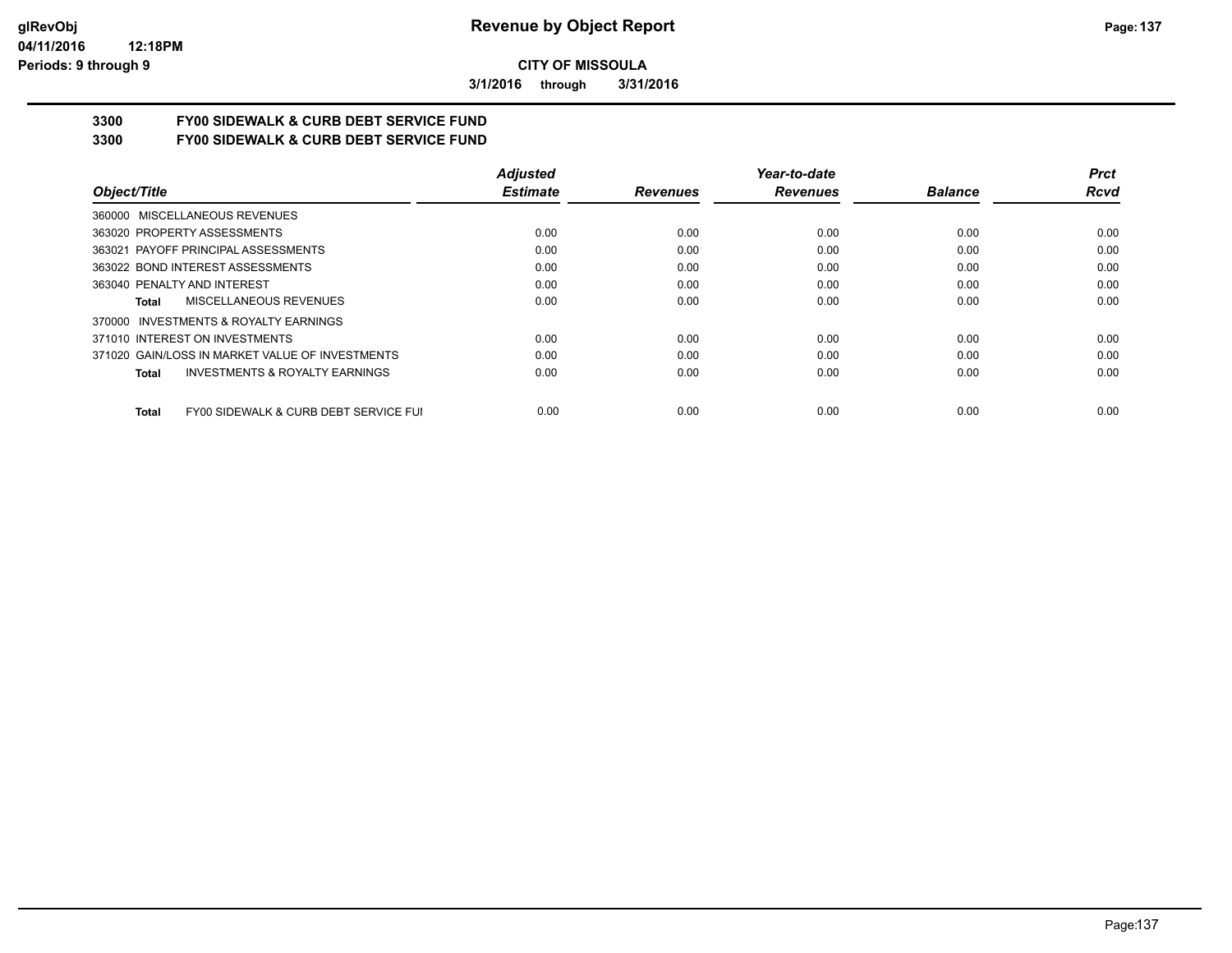**3/1/2016 through 3/31/2016**

# **3300 FY00 SIDEWALK & CURB DEBT SERVICE FUND**

**3300 FY00 SIDEWALK & CURB DEBT SERVICE FUND**

|                                                           | <b>Adjusted</b> |                 | Year-to-date    |                | <b>Prct</b> |
|-----------------------------------------------------------|-----------------|-----------------|-----------------|----------------|-------------|
| Object/Title                                              | <b>Estimate</b> | <b>Revenues</b> | <b>Revenues</b> | <b>Balance</b> | Rcvd        |
| 360000 MISCELLANEOUS REVENUES                             |                 |                 |                 |                |             |
| 363020 PROPERTY ASSESSMENTS                               | 0.00            | 0.00            | 0.00            | 0.00           | 0.00        |
| 363021 PAYOFF PRINCIPAL ASSESSMENTS                       | 0.00            | 0.00            | 0.00            | 0.00           | 0.00        |
| 363022 BOND INTEREST ASSESSMENTS                          | 0.00            | 0.00            | 0.00            | 0.00           | 0.00        |
| 363040 PENALTY AND INTEREST                               | 0.00            | 0.00            | 0.00            | 0.00           | 0.00        |
| MISCELLANEOUS REVENUES<br>Total                           | 0.00            | 0.00            | 0.00            | 0.00           | 0.00        |
| INVESTMENTS & ROYALTY EARNINGS<br>370000                  |                 |                 |                 |                |             |
| 371010 INTEREST ON INVESTMENTS                            | 0.00            | 0.00            | 0.00            | 0.00           | 0.00        |
| 371020 GAIN/LOSS IN MARKET VALUE OF INVESTMENTS           | 0.00            | 0.00            | 0.00            | 0.00           | 0.00        |
| <b>INVESTMENTS &amp; ROYALTY EARNINGS</b><br><b>Total</b> | 0.00            | 0.00            | 0.00            | 0.00           | 0.00        |
| FY00 SIDEWALK & CURB DEBT SERVICE FUI<br><b>Total</b>     | 0.00            | 0.00            | 0.00            | 0.00           | 0.00        |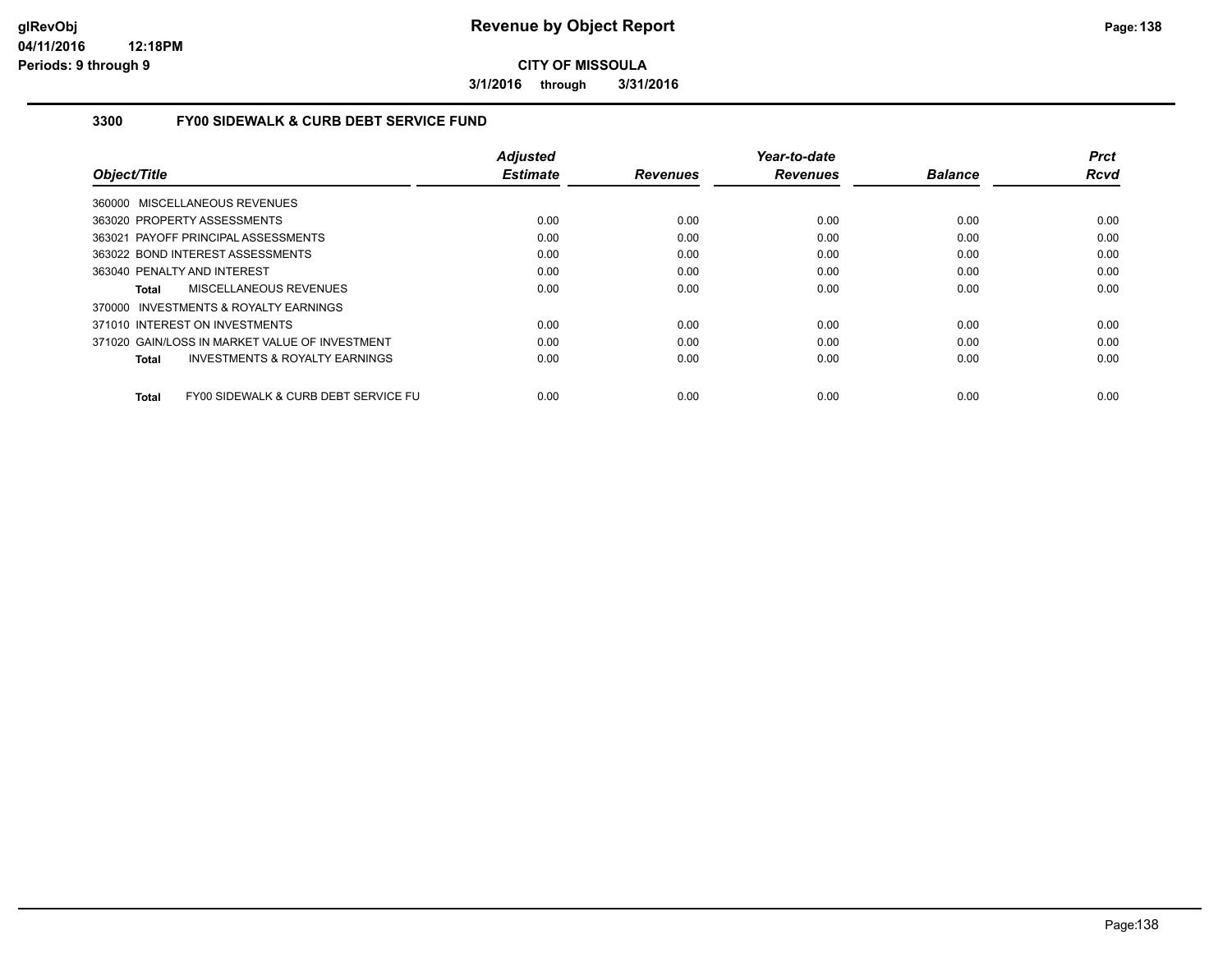**3/1/2016 through 3/31/2016**

## **3300 FY00 SIDEWALK & CURB DEBT SERVICE FUND**

|                                                    | <b>Adjusted</b> |                 | Year-to-date    |                | Prct        |
|----------------------------------------------------|-----------------|-----------------|-----------------|----------------|-------------|
| Object/Title                                       | <b>Estimate</b> | <b>Revenues</b> | <b>Revenues</b> | <b>Balance</b> | <b>Rcvd</b> |
| 360000 MISCELLANEOUS REVENUES                      |                 |                 |                 |                |             |
| 363020 PROPERTY ASSESSMENTS                        | 0.00            | 0.00            | 0.00            | 0.00           | 0.00        |
| 363021 PAYOFF PRINCIPAL ASSESSMENTS                | 0.00            | 0.00            | 0.00            | 0.00           | 0.00        |
| 363022 BOND INTEREST ASSESSMENTS                   | 0.00            | 0.00            | 0.00            | 0.00           | 0.00        |
| 363040 PENALTY AND INTEREST                        | 0.00            | 0.00            | 0.00            | 0.00           | 0.00        |
| MISCELLANEOUS REVENUES<br>Total                    | 0.00            | 0.00            | 0.00            | 0.00           | 0.00        |
| 370000 INVESTMENTS & ROYALTY EARNINGS              |                 |                 |                 |                |             |
| 371010 INTEREST ON INVESTMENTS                     | 0.00            | 0.00            | 0.00            | 0.00           | 0.00        |
| 371020 GAIN/LOSS IN MARKET VALUE OF INVESTMENT     | 0.00            | 0.00            | 0.00            | 0.00           | 0.00        |
| <b>INVESTMENTS &amp; ROYALTY EARNINGS</b><br>Total | 0.00            | 0.00            | 0.00            | 0.00           | 0.00        |
| FY00 SIDEWALK & CURB DEBT SERVICE FU<br>Total      | 0.00            | 0.00            | 0.00            | 0.00           | 0.00        |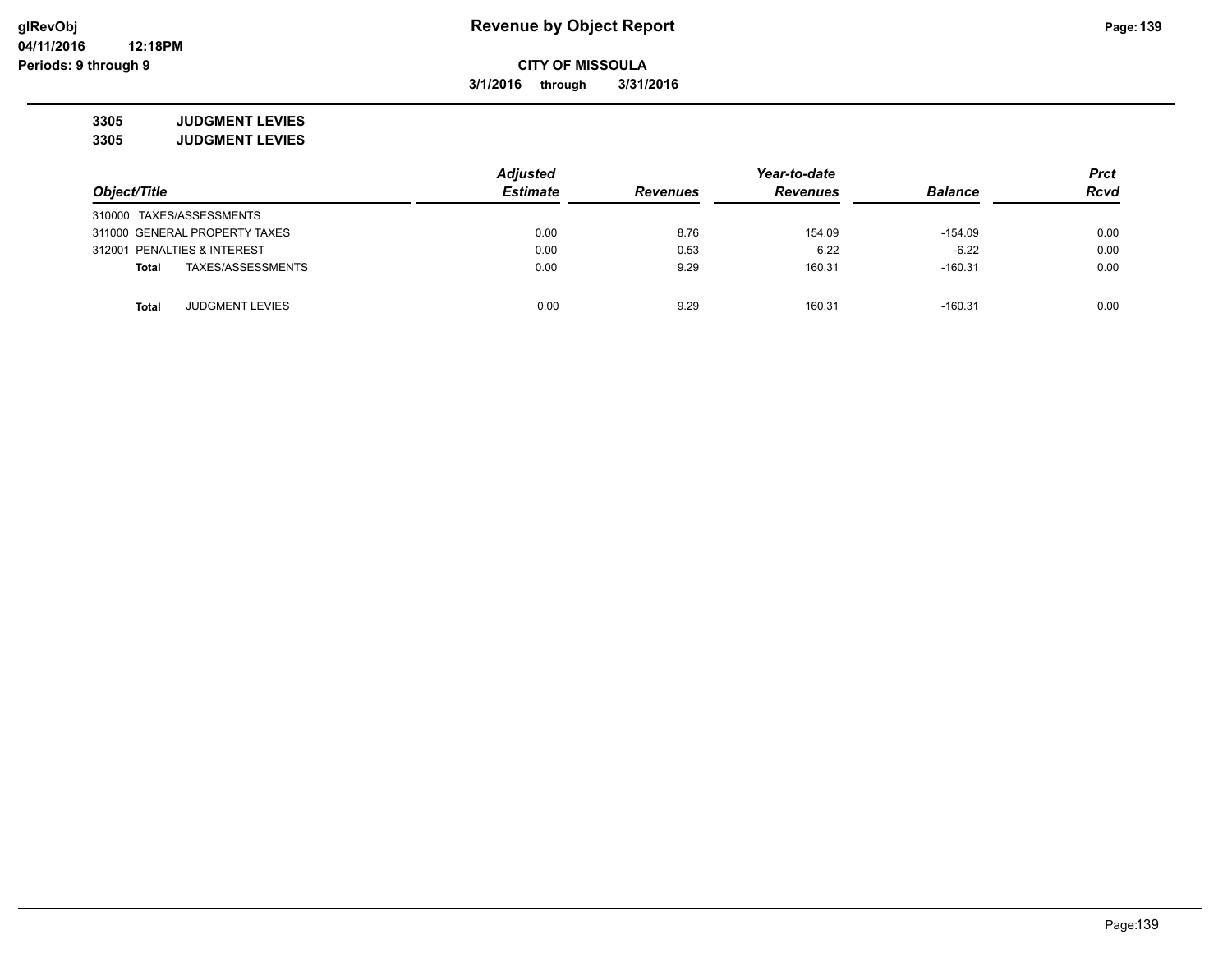**3/1/2016 through 3/31/2016**

**3305 JUDGMENT LEVIES 3305 JUDGMENT LEVIES**

|                               |                        | <b>Adjusted</b> |                 | Year-to-date    |                |             |  |
|-------------------------------|------------------------|-----------------|-----------------|-----------------|----------------|-------------|--|
| Object/Title                  |                        | <b>Estimate</b> | <b>Revenues</b> | <b>Revenues</b> | <b>Balance</b> | <b>Rcvd</b> |  |
| 310000 TAXES/ASSESSMENTS      |                        |                 |                 |                 |                |             |  |
| 311000 GENERAL PROPERTY TAXES |                        | 0.00            | 8.76            | 154.09          | $-154.09$      | 0.00        |  |
| 312001 PENALTIES & INTEREST   |                        | 0.00            | 0.53            | 6.22            | $-6.22$        | 0.00        |  |
| <b>Total</b>                  | TAXES/ASSESSMENTS      | 0.00            | 9.29            | 160.31          | $-160.31$      | 0.00        |  |
| Total                         | <b>JUDGMENT LEVIES</b> | 0.00            | 9.29            | 160.31          | $-160.31$      | 0.00        |  |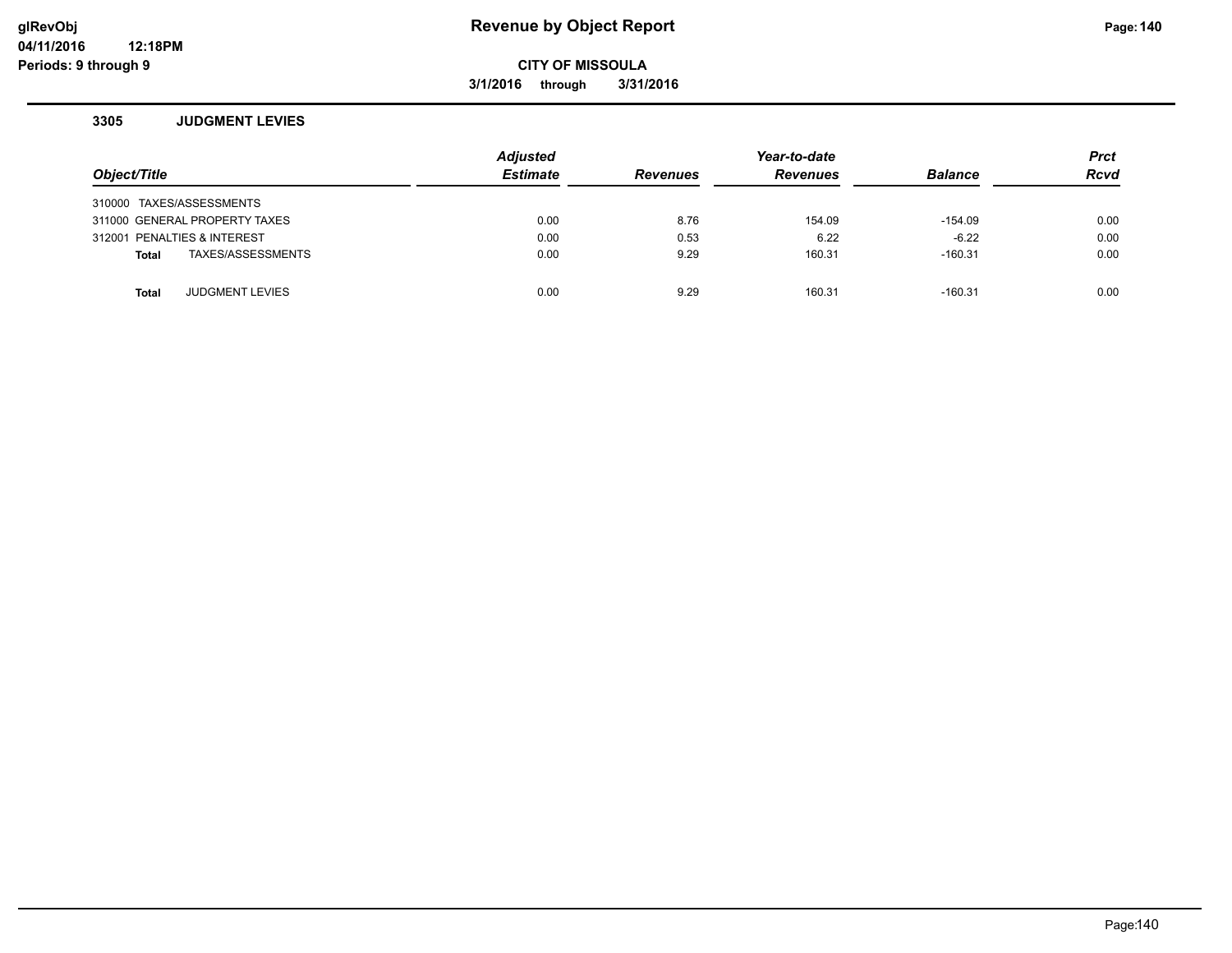## **glRevObj Revenue by Object Report Page:140**

**CITY OF MISSOULA**

**3/1/2016 through 3/31/2016**

#### **3305 JUDGMENT LEVIES**

| Object/Title                           | <b>Adjusted</b><br><b>Estimate</b> | <b>Revenues</b> | Year-to-date<br><b>Revenues</b> | <b>Balance</b> | <b>Prct</b><br><b>Rcvd</b> |
|----------------------------------------|------------------------------------|-----------------|---------------------------------|----------------|----------------------------|
| 310000 TAXES/ASSESSMENTS               |                                    |                 |                                 |                |                            |
| 311000 GENERAL PROPERTY TAXES          | 0.00                               | 8.76            | 154.09                          | -154.09        | 0.00                       |
| 312001 PENALTIES & INTEREST            | 0.00                               | 0.53            | 6.22                            | $-6.22$        | 0.00                       |
| TAXES/ASSESSMENTS<br>Total             | 0.00                               | 9.29            | 160.31                          | $-160.31$      | 0.00                       |
|                                        |                                    |                 |                                 |                |                            |
| <b>JUDGMENT LEVIES</b><br><b>Total</b> | 0.00                               | 9.29            | 160.31                          | $-160.31$      | 0.00                       |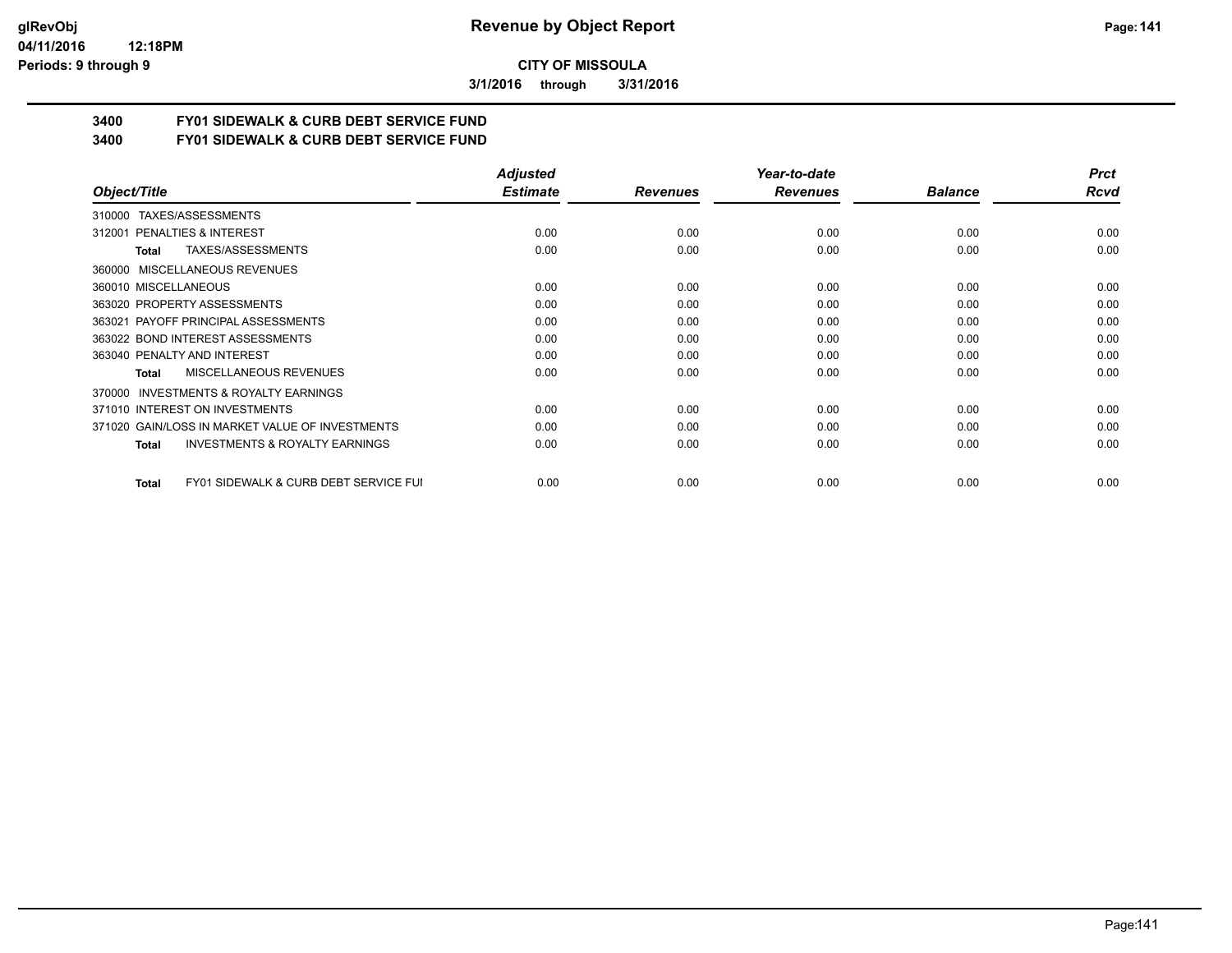**3/1/2016 through 3/31/2016**

# **3400 FY01 SIDEWALK & CURB DEBT SERVICE FUND**

**3400 FY01 SIDEWALK & CURB DEBT SERVICE FUND**

|                                                           | <b>Adjusted</b> |                 | Year-to-date    |                | <b>Prct</b> |
|-----------------------------------------------------------|-----------------|-----------------|-----------------|----------------|-------------|
| Object/Title                                              | <b>Estimate</b> | <b>Revenues</b> | <b>Revenues</b> | <b>Balance</b> | Rcvd        |
| TAXES/ASSESSMENTS<br>310000                               |                 |                 |                 |                |             |
| 312001 PENALTIES & INTEREST                               | 0.00            | 0.00            | 0.00            | 0.00           | 0.00        |
| <b>TAXES/ASSESSMENTS</b><br>Total                         | 0.00            | 0.00            | 0.00            | 0.00           | 0.00        |
| 360000 MISCELLANEOUS REVENUES                             |                 |                 |                 |                |             |
| 360010 MISCELLANEOUS                                      | 0.00            | 0.00            | 0.00            | 0.00           | 0.00        |
| 363020 PROPERTY ASSESSMENTS                               | 0.00            | 0.00            | 0.00            | 0.00           | 0.00        |
| 363021 PAYOFF PRINCIPAL ASSESSMENTS                       | 0.00            | 0.00            | 0.00            | 0.00           | 0.00        |
| 363022 BOND INTEREST ASSESSMENTS                          | 0.00            | 0.00            | 0.00            | 0.00           | 0.00        |
| 363040 PENALTY AND INTEREST                               | 0.00            | 0.00            | 0.00            | 0.00           | 0.00        |
| MISCELLANEOUS REVENUES<br>Total                           | 0.00            | 0.00            | 0.00            | 0.00           | 0.00        |
| <b>INVESTMENTS &amp; ROYALTY EARNINGS</b><br>370000       |                 |                 |                 |                |             |
| 371010 INTEREST ON INVESTMENTS                            | 0.00            | 0.00            | 0.00            | 0.00           | 0.00        |
| 371020 GAIN/LOSS IN MARKET VALUE OF INVESTMENTS           | 0.00            | 0.00            | 0.00            | 0.00           | 0.00        |
| <b>INVESTMENTS &amp; ROYALTY EARNINGS</b><br>Total        | 0.00            | 0.00            | 0.00            | 0.00           | 0.00        |
|                                                           |                 |                 |                 |                |             |
| <b>FY01 SIDEWALK &amp; CURB DEBT SERVICE FUI</b><br>Total | 0.00            | 0.00            | 0.00            | 0.00           | 0.00        |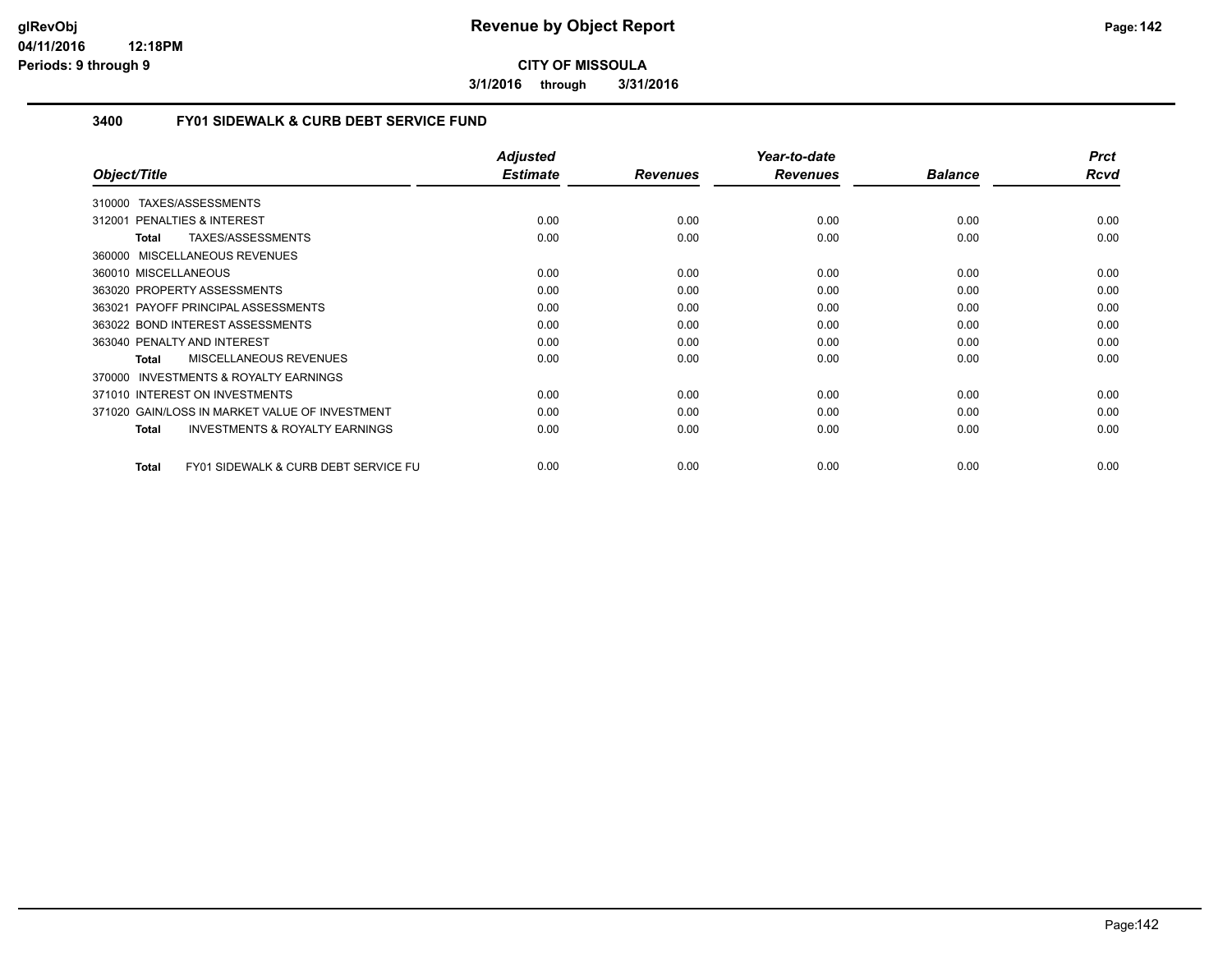**3/1/2016 through 3/31/2016**

## **3400 FY01 SIDEWALK & CURB DEBT SERVICE FUND**

|                                                                 | <b>Adjusted</b> |                 | Year-to-date    |                | <b>Prct</b> |
|-----------------------------------------------------------------|-----------------|-----------------|-----------------|----------------|-------------|
| Object/Title                                                    | <b>Estimate</b> | <b>Revenues</b> | <b>Revenues</b> | <b>Balance</b> | Rcvd        |
| 310000 TAXES/ASSESSMENTS                                        |                 |                 |                 |                |             |
| 312001 PENALTIES & INTEREST                                     | 0.00            | 0.00            | 0.00            | 0.00           | 0.00        |
| TAXES/ASSESSMENTS<br>Total                                      | 0.00            | 0.00            | 0.00            | 0.00           | 0.00        |
| 360000 MISCELLANEOUS REVENUES                                   |                 |                 |                 |                |             |
| 360010 MISCELLANEOUS                                            | 0.00            | 0.00            | 0.00            | 0.00           | 0.00        |
| 363020 PROPERTY ASSESSMENTS                                     | 0.00            | 0.00            | 0.00            | 0.00           | 0.00        |
| 363021 PAYOFF PRINCIPAL ASSESSMENTS                             | 0.00            | 0.00            | 0.00            | 0.00           | 0.00        |
| 363022 BOND INTEREST ASSESSMENTS                                | 0.00            | 0.00            | 0.00            | 0.00           | 0.00        |
| 363040 PENALTY AND INTEREST                                     | 0.00            | 0.00            | 0.00            | 0.00           | 0.00        |
| <b>MISCELLANEOUS REVENUES</b><br><b>Total</b>                   | 0.00            | 0.00            | 0.00            | 0.00           | 0.00        |
| <b>INVESTMENTS &amp; ROYALTY EARNINGS</b><br>370000             |                 |                 |                 |                |             |
| 371010 INTEREST ON INVESTMENTS                                  | 0.00            | 0.00            | 0.00            | 0.00           | 0.00        |
| 371020 GAIN/LOSS IN MARKET VALUE OF INVESTMENT                  | 0.00            | 0.00            | 0.00            | 0.00           | 0.00        |
| <b>INVESTMENTS &amp; ROYALTY EARNINGS</b><br><b>Total</b>       | 0.00            | 0.00            | 0.00            | 0.00           | 0.00        |
| <b>FY01 SIDEWALK &amp; CURB DEBT SERVICE FU</b><br><b>Total</b> | 0.00            | 0.00            | 0.00            | 0.00           | 0.00        |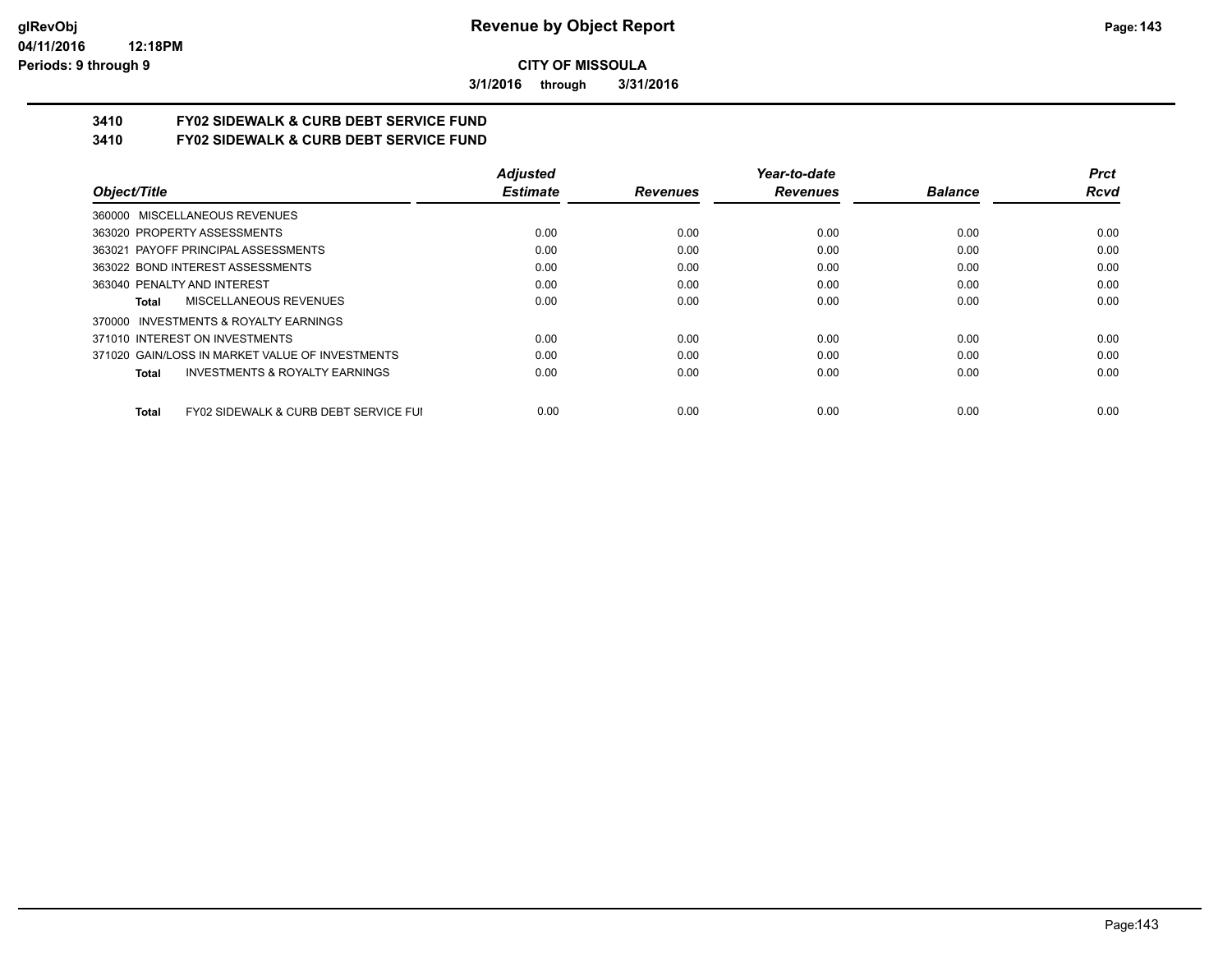**3/1/2016 through 3/31/2016**

# **3410 FY02 SIDEWALK & CURB DEBT SERVICE FUND**

**3410 FY02 SIDEWALK & CURB DEBT SERVICE FUND**

|                                                                  | <b>Adjusted</b> |                 | Year-to-date    |                | <b>Prct</b> |
|------------------------------------------------------------------|-----------------|-----------------|-----------------|----------------|-------------|
| Object/Title                                                     | <b>Estimate</b> | <b>Revenues</b> | <b>Revenues</b> | <b>Balance</b> | <b>Rcvd</b> |
| 360000 MISCELLANEOUS REVENUES                                    |                 |                 |                 |                |             |
| 363020 PROPERTY ASSESSMENTS                                      | 0.00            | 0.00            | 0.00            | 0.00           | 0.00        |
| 363021 PAYOFF PRINCIPAL ASSESSMENTS                              | 0.00            | 0.00            | 0.00            | 0.00           | 0.00        |
| 363022 BOND INTEREST ASSESSMENTS                                 | 0.00            | 0.00            | 0.00            | 0.00           | 0.00        |
| 363040 PENALTY AND INTEREST                                      | 0.00            | 0.00            | 0.00            | 0.00           | 0.00        |
| MISCELLANEOUS REVENUES<br>Total                                  | 0.00            | 0.00            | 0.00            | 0.00           | 0.00        |
| INVESTMENTS & ROYALTY EARNINGS<br>370000                         |                 |                 |                 |                |             |
| 371010 INTEREST ON INVESTMENTS                                   | 0.00            | 0.00            | 0.00            | 0.00           | 0.00        |
| 371020 GAIN/LOSS IN MARKET VALUE OF INVESTMENTS                  | 0.00            | 0.00            | 0.00            | 0.00           | 0.00        |
| <b>INVESTMENTS &amp; ROYALTY EARNINGS</b><br>Total               | 0.00            | 0.00            | 0.00            | 0.00           | 0.00        |
| <b>FY02 SIDEWALK &amp; CURB DEBT SERVICE FUI</b><br><b>Total</b> | 0.00            | 0.00            | 0.00            | 0.00           | 0.00        |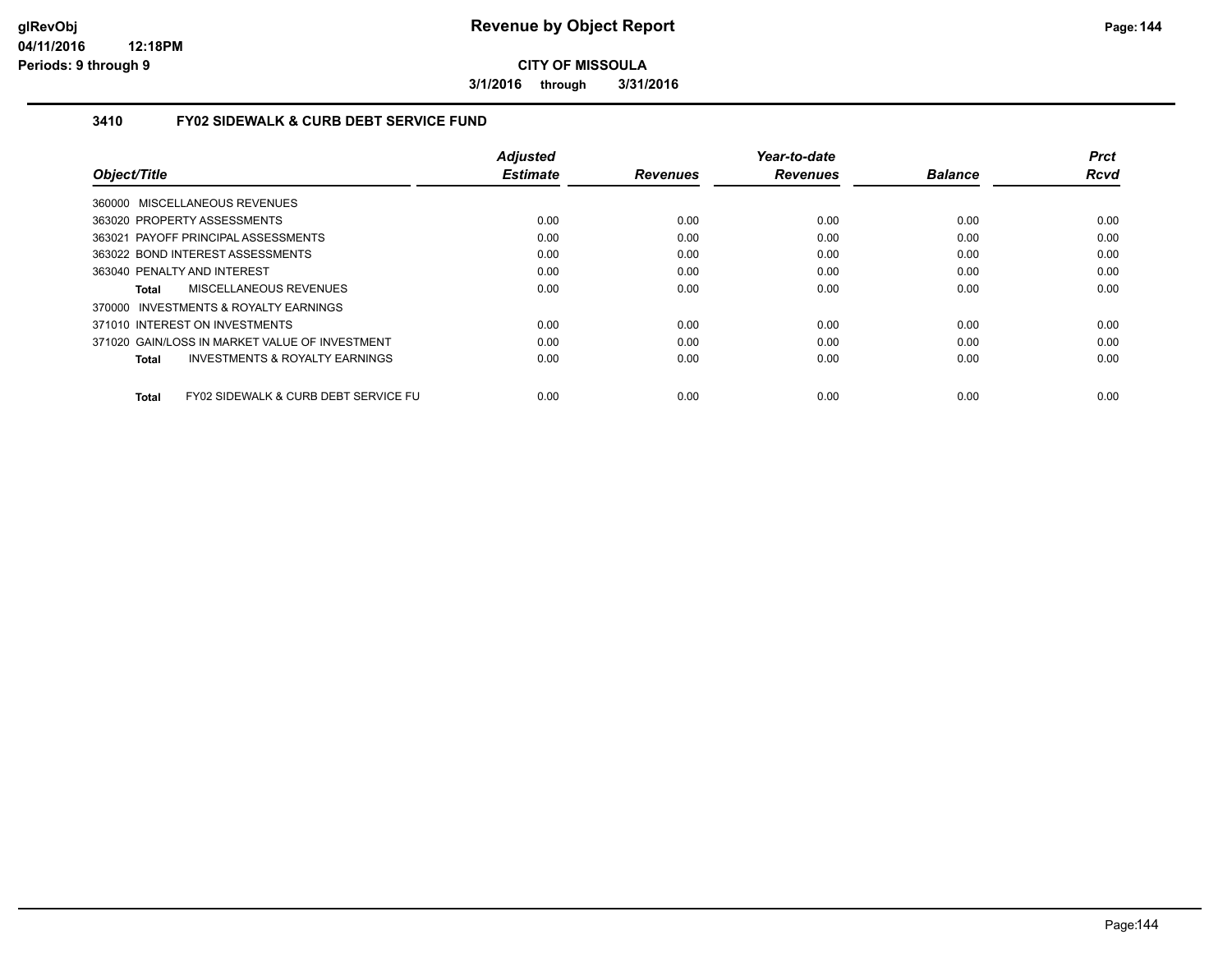**3/1/2016 through 3/31/2016**

## **3410 FY02 SIDEWALK & CURB DEBT SERVICE FUND**

|                                                    | <b>Adjusted</b> |                 | Year-to-date    |                | <b>Prct</b> |
|----------------------------------------------------|-----------------|-----------------|-----------------|----------------|-------------|
| Object/Title                                       | <b>Estimate</b> | <b>Revenues</b> | <b>Revenues</b> | <b>Balance</b> | <b>Rcvd</b> |
| 360000 MISCELLANEOUS REVENUES                      |                 |                 |                 |                |             |
| 363020 PROPERTY ASSESSMENTS                        | 0.00            | 0.00            | 0.00            | 0.00           | 0.00        |
| 363021 PAYOFF PRINCIPAL ASSESSMENTS                | 0.00            | 0.00            | 0.00            | 0.00           | 0.00        |
| 363022 BOND INTEREST ASSESSMENTS                   | 0.00            | 0.00            | 0.00            | 0.00           | 0.00        |
| 363040 PENALTY AND INTEREST                        | 0.00            | 0.00            | 0.00            | 0.00           | 0.00        |
| MISCELLANEOUS REVENUES<br>Total                    | 0.00            | 0.00            | 0.00            | 0.00           | 0.00        |
| 370000 INVESTMENTS & ROYALTY EARNINGS              |                 |                 |                 |                |             |
| 371010 INTEREST ON INVESTMENTS                     | 0.00            | 0.00            | 0.00            | 0.00           | 0.00        |
| 371020 GAIN/LOSS IN MARKET VALUE OF INVESTMENT     | 0.00            | 0.00            | 0.00            | 0.00           | 0.00        |
| <b>INVESTMENTS &amp; ROYALTY EARNINGS</b><br>Total | 0.00            | 0.00            | 0.00            | 0.00           | 0.00        |
| FY02 SIDEWALK & CURB DEBT SERVICE FU<br>Total      | 0.00            | 0.00            | 0.00            | 0.00           | 0.00        |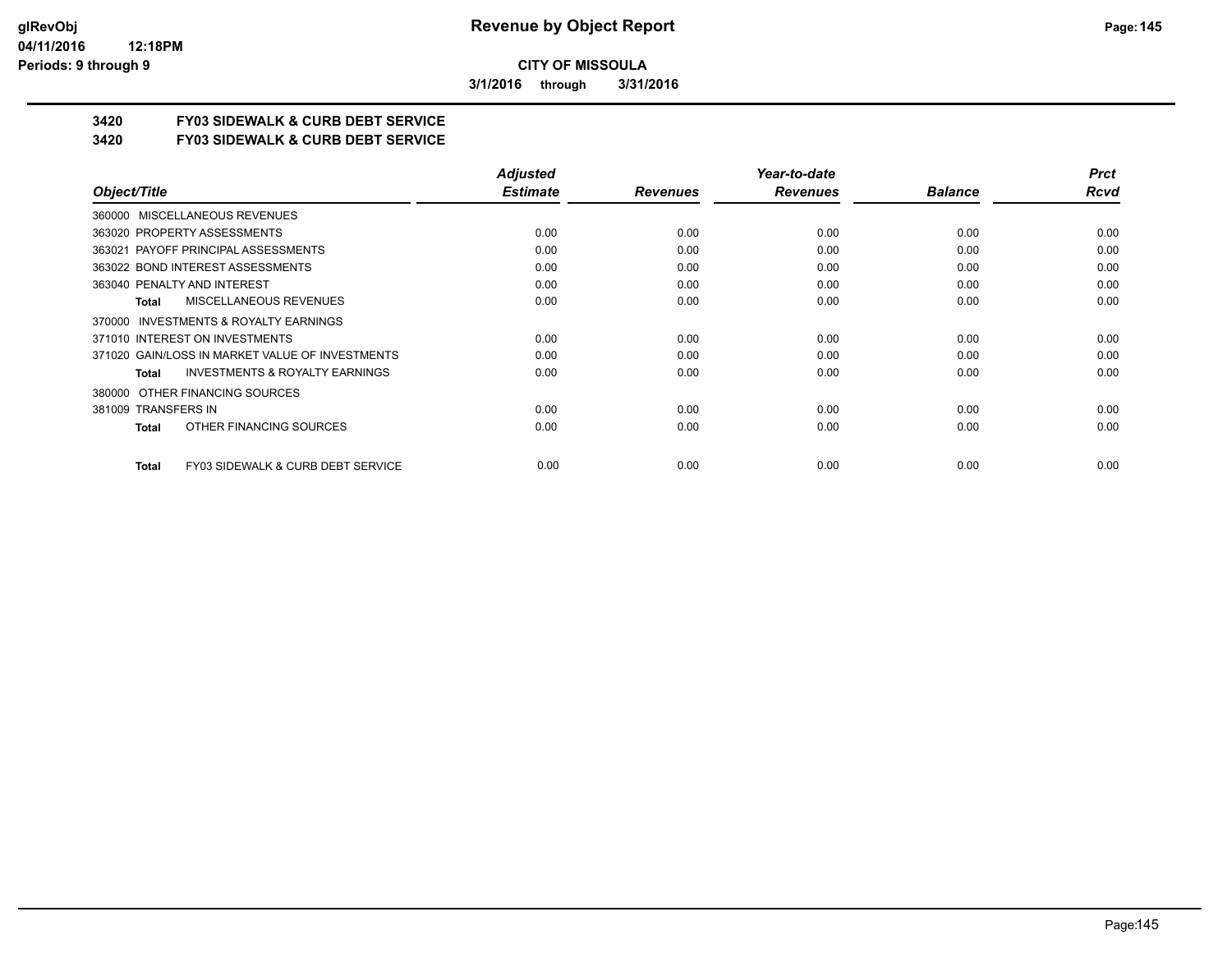**3/1/2016 through 3/31/2016**

## **3420 FY03 SIDEWALK & CURB DEBT SERVICE**

**3420 FY03 SIDEWALK & CURB DEBT SERVICE**

|                                                           | <b>Adjusted</b> |                 | Year-to-date    |                | <b>Prct</b> |
|-----------------------------------------------------------|-----------------|-----------------|-----------------|----------------|-------------|
| Object/Title                                              | <b>Estimate</b> | <b>Revenues</b> | <b>Revenues</b> | <b>Balance</b> | Rcvd        |
| 360000 MISCELLANEOUS REVENUES                             |                 |                 |                 |                |             |
| 363020 PROPERTY ASSESSMENTS                               | 0.00            | 0.00            | 0.00            | 0.00           | 0.00        |
| 363021 PAYOFF PRINCIPAL ASSESSMENTS                       | 0.00            | 0.00            | 0.00            | 0.00           | 0.00        |
| 363022 BOND INTEREST ASSESSMENTS                          | 0.00            | 0.00            | 0.00            | 0.00           | 0.00        |
| 363040 PENALTY AND INTEREST                               | 0.00            | 0.00            | 0.00            | 0.00           | 0.00        |
| MISCELLANEOUS REVENUES<br><b>Total</b>                    | 0.00            | 0.00            | 0.00            | 0.00           | 0.00        |
| 370000 INVESTMENTS & ROYALTY EARNINGS                     |                 |                 |                 |                |             |
| 371010 INTEREST ON INVESTMENTS                            | 0.00            | 0.00            | 0.00            | 0.00           | 0.00        |
| 371020 GAIN/LOSS IN MARKET VALUE OF INVESTMENTS           | 0.00            | 0.00            | 0.00            | 0.00           | 0.00        |
| <b>INVESTMENTS &amp; ROYALTY EARNINGS</b><br><b>Total</b> | 0.00            | 0.00            | 0.00            | 0.00           | 0.00        |
| OTHER FINANCING SOURCES<br>380000                         |                 |                 |                 |                |             |
| 381009 TRANSFERS IN                                       | 0.00            | 0.00            | 0.00            | 0.00           | 0.00        |
| OTHER FINANCING SOURCES<br>Total                          | 0.00            | 0.00            | 0.00            | 0.00           | 0.00        |
| FY03 SIDEWALK & CURB DEBT SERVICE<br><b>Total</b>         | 0.00            | 0.00            | 0.00            | 0.00           | 0.00        |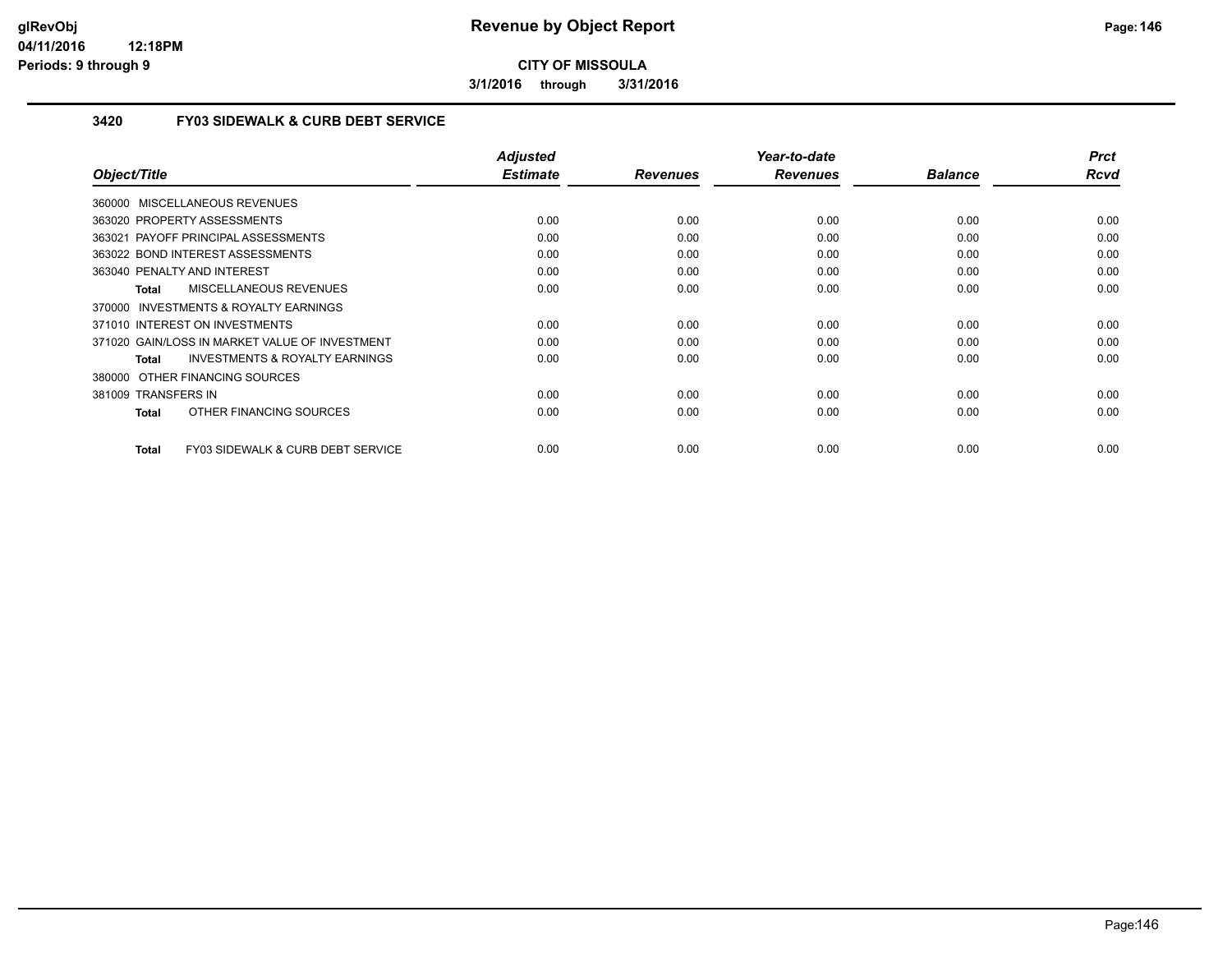**3/1/2016 through 3/31/2016**

### **3420 FY03 SIDEWALK & CURB DEBT SERVICE**

| Object/Title                                       | <b>Adjusted</b><br><b>Estimate</b> | <b>Revenues</b> | Year-to-date<br><b>Revenues</b> | <b>Balance</b> | <b>Prct</b><br><b>Rcvd</b> |
|----------------------------------------------------|------------------------------------|-----------------|---------------------------------|----------------|----------------------------|
| 360000 MISCELLANEOUS REVENUES                      |                                    |                 |                                 |                |                            |
|                                                    |                                    |                 |                                 |                |                            |
| 363020 PROPERTY ASSESSMENTS                        | 0.00                               | 0.00            | 0.00                            | 0.00           | 0.00                       |
| 363021 PAYOFF PRINCIPAL ASSESSMENTS                | 0.00                               | 0.00            | 0.00                            | 0.00           | 0.00                       |
| 363022 BOND INTEREST ASSESSMENTS                   | 0.00                               | 0.00            | 0.00                            | 0.00           | 0.00                       |
| 363040 PENALTY AND INTEREST                        | 0.00                               | 0.00            | 0.00                            | 0.00           | 0.00                       |
| MISCELLANEOUS REVENUES<br>Total                    | 0.00                               | 0.00            | 0.00                            | 0.00           | 0.00                       |
| 370000 INVESTMENTS & ROYALTY EARNINGS              |                                    |                 |                                 |                |                            |
| 371010 INTEREST ON INVESTMENTS                     | 0.00                               | 0.00            | 0.00                            | 0.00           | 0.00                       |
| 371020 GAIN/LOSS IN MARKET VALUE OF INVESTMENT     | 0.00                               | 0.00            | 0.00                            | 0.00           | 0.00                       |
| <b>INVESTMENTS &amp; ROYALTY EARNINGS</b><br>Total | 0.00                               | 0.00            | 0.00                            | 0.00           | 0.00                       |
| 380000 OTHER FINANCING SOURCES                     |                                    |                 |                                 |                |                            |
| 381009 TRANSFERS IN                                | 0.00                               | 0.00            | 0.00                            | 0.00           | 0.00                       |
| OTHER FINANCING SOURCES<br>Total                   | 0.00                               | 0.00            | 0.00                            | 0.00           | 0.00                       |
|                                                    |                                    |                 |                                 |                |                            |
| FY03 SIDEWALK & CURB DEBT SERVICE<br>Total         | 0.00                               | 0.00            | 0.00                            | 0.00           | 0.00                       |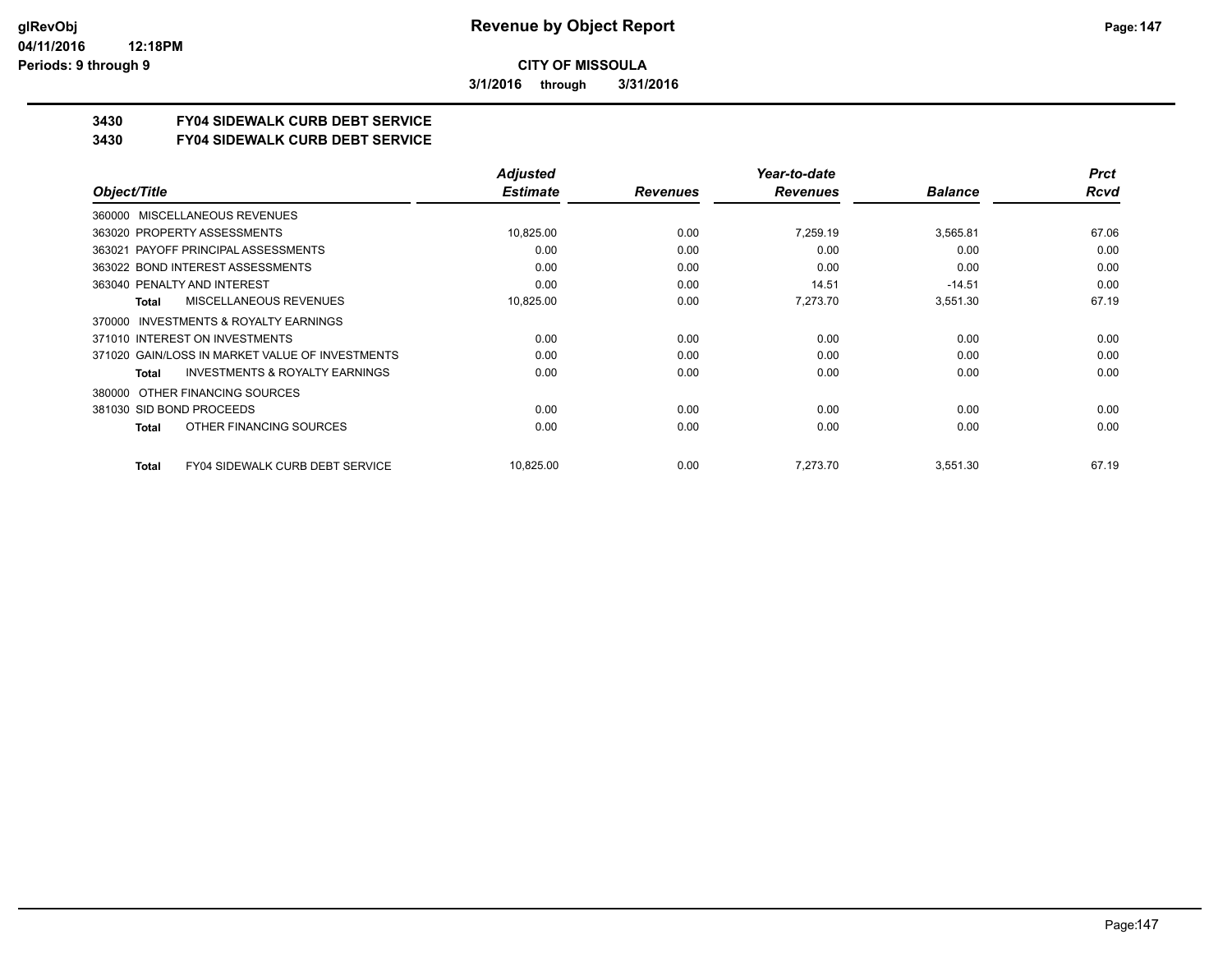**3/1/2016 through 3/31/2016**

## **3430 FY04 SIDEWALK CURB DEBT SERVICE**

#### **3430 FY04 SIDEWALK CURB DEBT SERVICE**

|                                                     | <b>Adjusted</b> |                 | Year-to-date    |                | <b>Prct</b> |
|-----------------------------------------------------|-----------------|-----------------|-----------------|----------------|-------------|
| Object/Title                                        | <b>Estimate</b> | <b>Revenues</b> | <b>Revenues</b> | <b>Balance</b> | <b>Rcvd</b> |
| MISCELLANEOUS REVENUES<br>360000                    |                 |                 |                 |                |             |
| 363020 PROPERTY ASSESSMENTS                         | 10,825.00       | 0.00            | 7,259.19        | 3,565.81       | 67.06       |
| 363021 PAYOFF PRINCIPAL ASSESSMENTS                 | 0.00            | 0.00            | 0.00            | 0.00           | 0.00        |
| 363022 BOND INTEREST ASSESSMENTS                    | 0.00            | 0.00            | 0.00            | 0.00           | 0.00        |
| 363040 PENALTY AND INTEREST                         | 0.00            | 0.00            | 14.51           | $-14.51$       | 0.00        |
| MISCELLANEOUS REVENUES<br>Total                     | 10,825.00       | 0.00            | 7,273.70        | 3,551.30       | 67.19       |
| <b>INVESTMENTS &amp; ROYALTY EARNINGS</b><br>370000 |                 |                 |                 |                |             |
| 371010 INTEREST ON INVESTMENTS                      | 0.00            | 0.00            | 0.00            | 0.00           | 0.00        |
| 371020 GAIN/LOSS IN MARKET VALUE OF INVESTMENTS     | 0.00            | 0.00            | 0.00            | 0.00           | 0.00        |
| <b>INVESTMENTS &amp; ROYALTY EARNINGS</b><br>Total  | 0.00            | 0.00            | 0.00            | 0.00           | 0.00        |
| OTHER FINANCING SOURCES<br>380000                   |                 |                 |                 |                |             |
| 381030 SID BOND PROCEEDS                            | 0.00            | 0.00            | 0.00            | 0.00           | 0.00        |
| OTHER FINANCING SOURCES<br>Total                    | 0.00            | 0.00            | 0.00            | 0.00           | 0.00        |
| <b>FY04 SIDEWALK CURB DEBT SERVICE</b><br>Total     | 10,825.00       | 0.00            | 7.273.70        | 3,551.30       | 67.19       |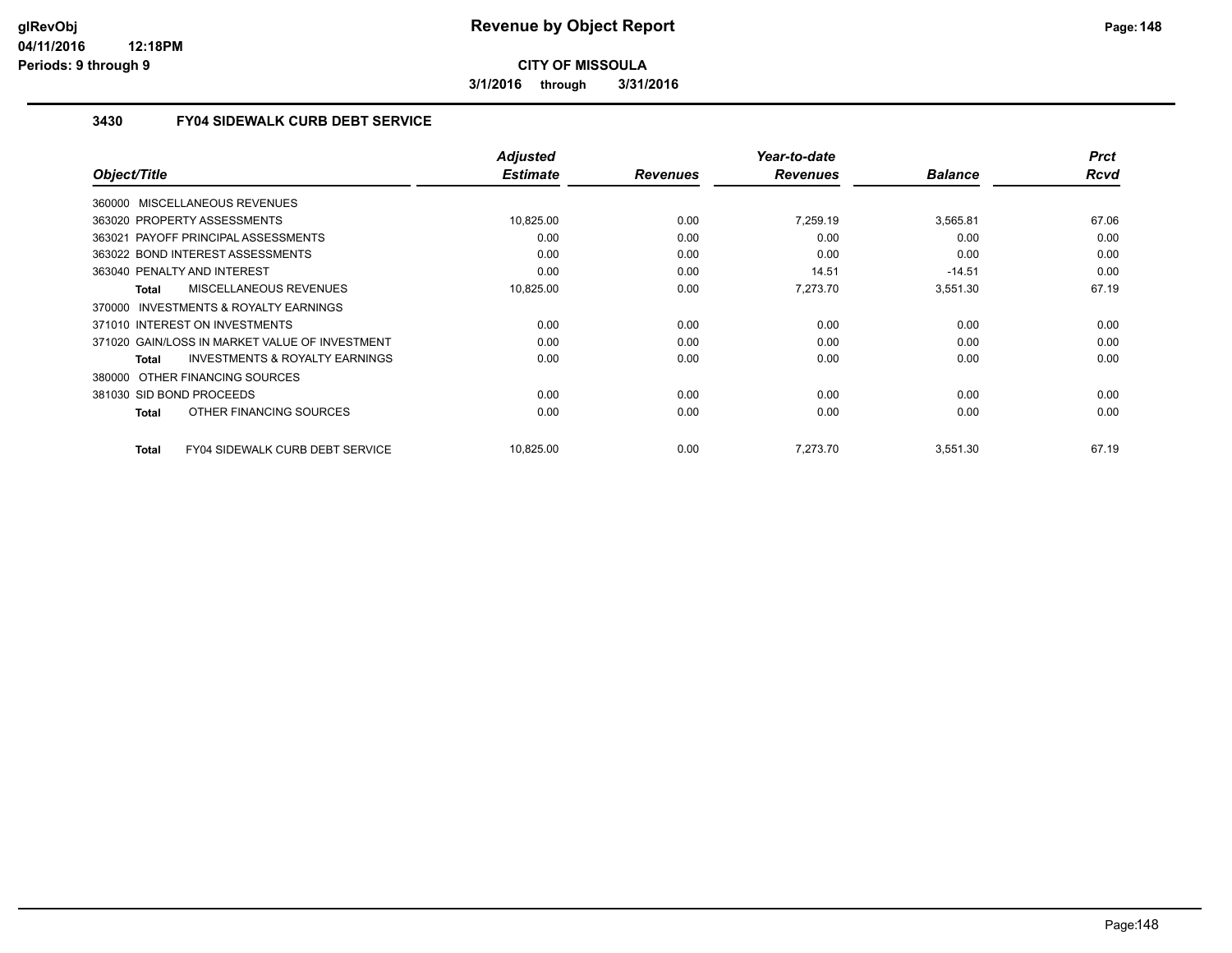**3/1/2016 through 3/31/2016**

## **3430 FY04 SIDEWALK CURB DEBT SERVICE**

| Object/Title                                       | <b>Adjusted</b><br><b>Estimate</b> | <b>Revenues</b> | Year-to-date<br><b>Revenues</b> | <b>Balance</b> | <b>Prct</b><br>Rcvd |
|----------------------------------------------------|------------------------------------|-----------------|---------------------------------|----------------|---------------------|
|                                                    |                                    |                 |                                 |                |                     |
| 360000 MISCELLANEOUS REVENUES                      |                                    |                 |                                 |                |                     |
| 363020 PROPERTY ASSESSMENTS                        | 10,825.00                          | 0.00            | 7.259.19                        | 3,565.81       | 67.06               |
| 363021 PAYOFF PRINCIPAL ASSESSMENTS                | 0.00                               | 0.00            | 0.00                            | 0.00           | 0.00                |
| 363022 BOND INTEREST ASSESSMENTS                   | 0.00                               | 0.00            | 0.00                            | 0.00           | 0.00                |
| 363040 PENALTY AND INTEREST                        | 0.00                               | 0.00            | 14.51                           | $-14.51$       | 0.00                |
| MISCELLANEOUS REVENUES<br>Total                    | 10,825.00                          | 0.00            | 7,273.70                        | 3,551.30       | 67.19               |
| 370000 INVESTMENTS & ROYALTY EARNINGS              |                                    |                 |                                 |                |                     |
| 371010 INTEREST ON INVESTMENTS                     | 0.00                               | 0.00            | 0.00                            | 0.00           | 0.00                |
| 371020 GAIN/LOSS IN MARKET VALUE OF INVESTMENT     | 0.00                               | 0.00            | 0.00                            | 0.00           | 0.00                |
| <b>INVESTMENTS &amp; ROYALTY EARNINGS</b><br>Total | 0.00                               | 0.00            | 0.00                            | 0.00           | 0.00                |
| 380000 OTHER FINANCING SOURCES                     |                                    |                 |                                 |                |                     |
| 381030 SID BOND PROCEEDS                           | 0.00                               | 0.00            | 0.00                            | 0.00           | 0.00                |
| OTHER FINANCING SOURCES<br>Total                   | 0.00                               | 0.00            | 0.00                            | 0.00           | 0.00                |
| FY04 SIDEWALK CURB DEBT SERVICE<br>Total           | 10,825.00                          | 0.00            | 7,273.70                        | 3,551.30       | 67.19               |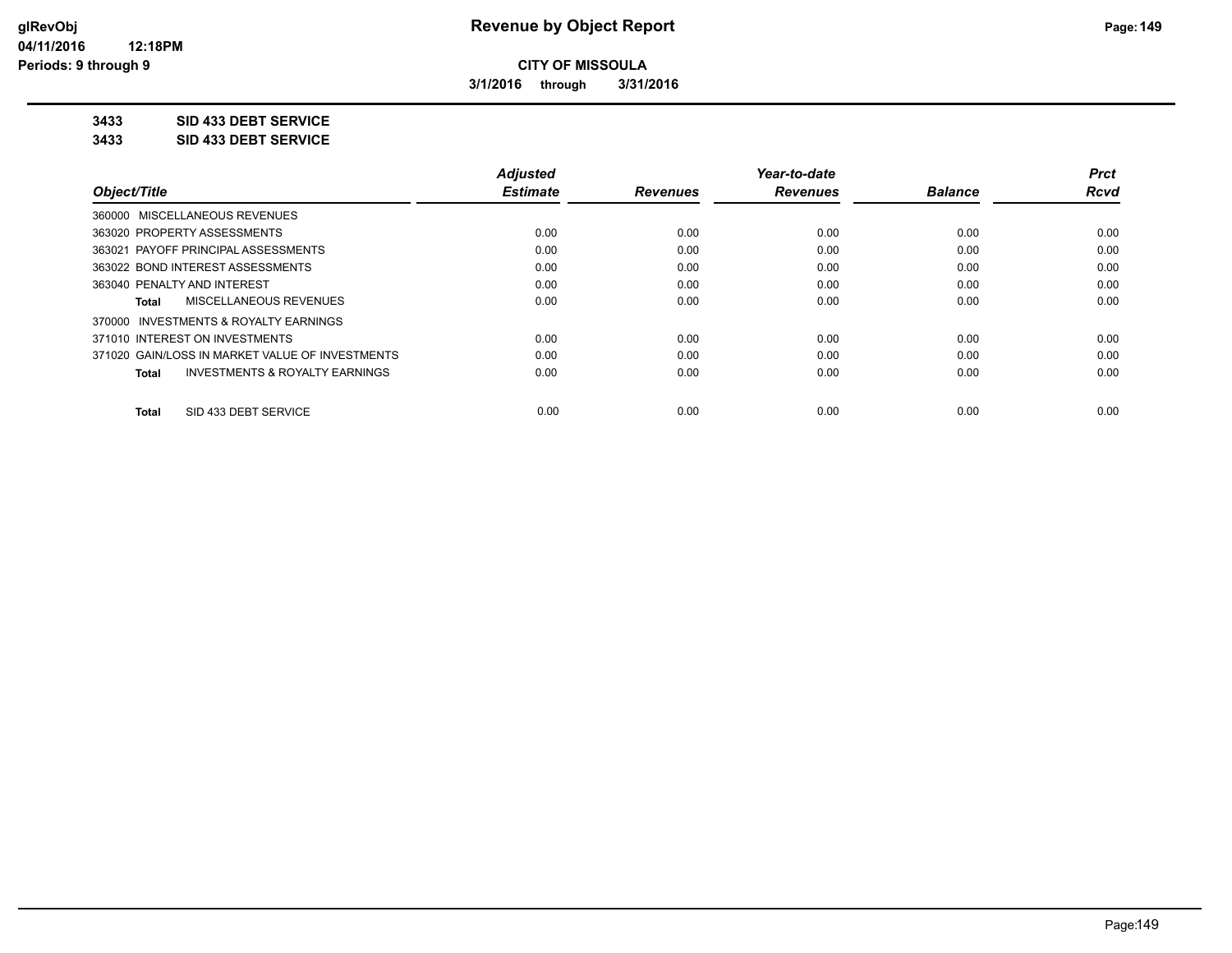**3/1/2016 through 3/31/2016**

## **3433 SID 433 DEBT SERVICE**

**3433 SID 433 DEBT SERVICE**

|                                                           | <b>Adjusted</b> |                 | Year-to-date    |                | <b>Prct</b> |
|-----------------------------------------------------------|-----------------|-----------------|-----------------|----------------|-------------|
| Object/Title                                              | <b>Estimate</b> | <b>Revenues</b> | <b>Revenues</b> | <b>Balance</b> | Rcvd        |
| 360000 MISCELLANEOUS REVENUES                             |                 |                 |                 |                |             |
| 363020 PROPERTY ASSESSMENTS                               | 0.00            | 0.00            | 0.00            | 0.00           | 0.00        |
| 363021 PAYOFF PRINCIPAL ASSESSMENTS                       | 0.00            | 0.00            | 0.00            | 0.00           | 0.00        |
| 363022 BOND INTEREST ASSESSMENTS                          | 0.00            | 0.00            | 0.00            | 0.00           | 0.00        |
| 363040 PENALTY AND INTEREST                               | 0.00            | 0.00            | 0.00            | 0.00           | 0.00        |
| MISCELLANEOUS REVENUES<br>Total                           | 0.00            | 0.00            | 0.00            | 0.00           | 0.00        |
| 370000 INVESTMENTS & ROYALTY EARNINGS                     |                 |                 |                 |                |             |
| 371010 INTEREST ON INVESTMENTS                            | 0.00            | 0.00            | 0.00            | 0.00           | 0.00        |
| 371020 GAIN/LOSS IN MARKET VALUE OF INVESTMENTS           | 0.00            | 0.00            | 0.00            | 0.00           | 0.00        |
| <b>INVESTMENTS &amp; ROYALTY EARNINGS</b><br><b>Total</b> | 0.00            | 0.00            | 0.00            | 0.00           | 0.00        |
| SID 433 DEBT SERVICE<br>Total                             | 0.00            | 0.00            | 0.00            | 0.00           | 0.00        |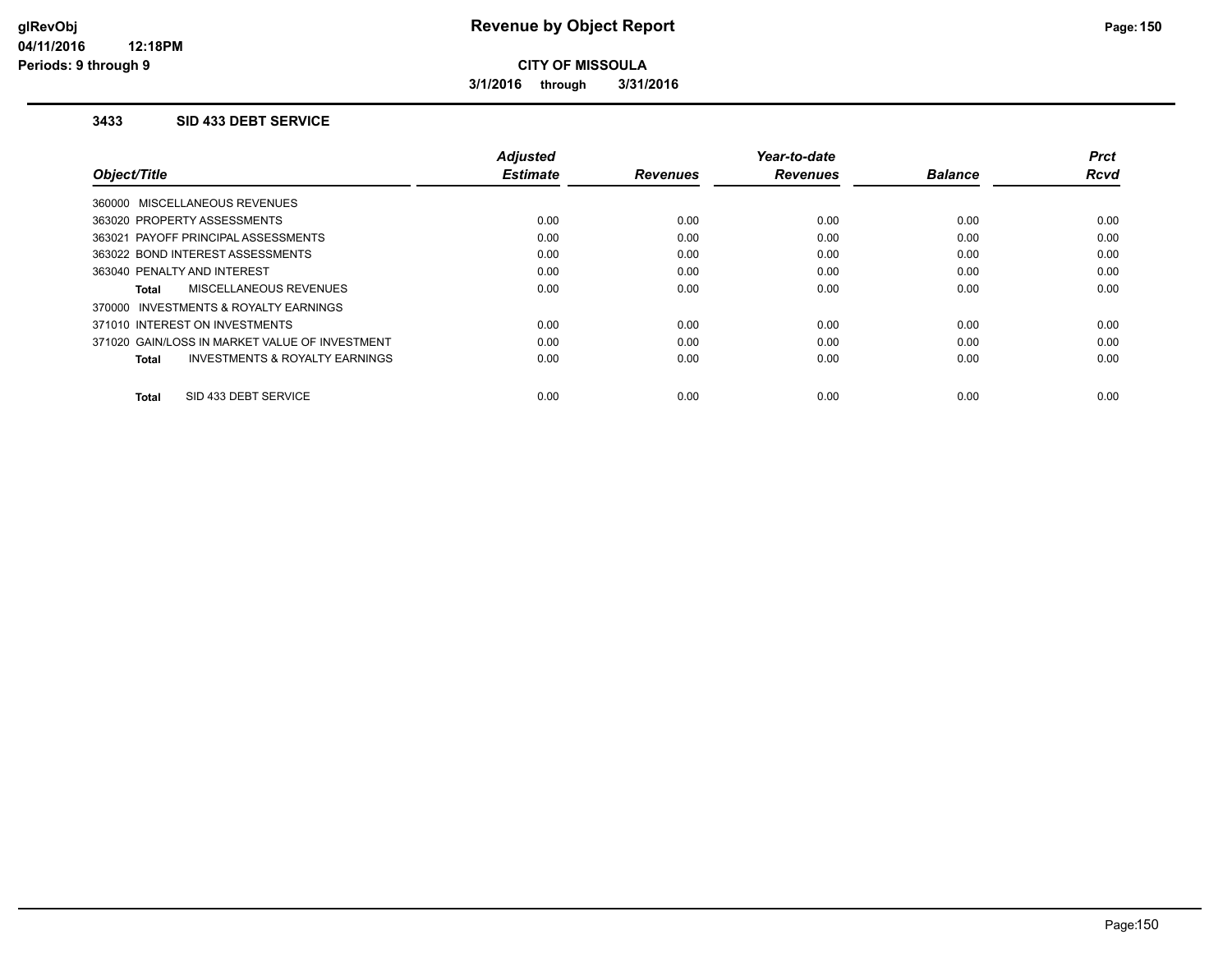**3/1/2016 through 3/31/2016**

#### **3433 SID 433 DEBT SERVICE**

|                                                     | <b>Adjusted</b> |                 | Year-to-date    |                | <b>Prct</b> |
|-----------------------------------------------------|-----------------|-----------------|-----------------|----------------|-------------|
| Object/Title                                        | <b>Estimate</b> | <b>Revenues</b> | <b>Revenues</b> | <b>Balance</b> | <b>Rcvd</b> |
| 360000 MISCELLANEOUS REVENUES                       |                 |                 |                 |                |             |
| 363020 PROPERTY ASSESSMENTS                         | 0.00            | 0.00            | 0.00            | 0.00           | 0.00        |
| 363021 PAYOFF PRINCIPAL ASSESSMENTS                 | 0.00            | 0.00            | 0.00            | 0.00           | 0.00        |
| 363022 BOND INTEREST ASSESSMENTS                    | 0.00            | 0.00            | 0.00            | 0.00           | 0.00        |
| 363040 PENALTY AND INTEREST                         | 0.00            | 0.00            | 0.00            | 0.00           | 0.00        |
| <b>MISCELLANEOUS REVENUES</b><br>Total              | 0.00            | 0.00            | 0.00            | 0.00           | 0.00        |
| <b>INVESTMENTS &amp; ROYALTY EARNINGS</b><br>370000 |                 |                 |                 |                |             |
| 371010 INTEREST ON INVESTMENTS                      | 0.00            | 0.00            | 0.00            | 0.00           | 0.00        |
| 371020 GAIN/LOSS IN MARKET VALUE OF INVESTMENT      | 0.00            | 0.00            | 0.00            | 0.00           | 0.00        |
| <b>INVESTMENTS &amp; ROYALTY EARNINGS</b><br>Total  | 0.00            | 0.00            | 0.00            | 0.00           | 0.00        |
|                                                     |                 |                 |                 |                |             |
| SID 433 DEBT SERVICE<br>Total                       | 0.00            | 0.00            | 0.00            | 0.00           | 0.00        |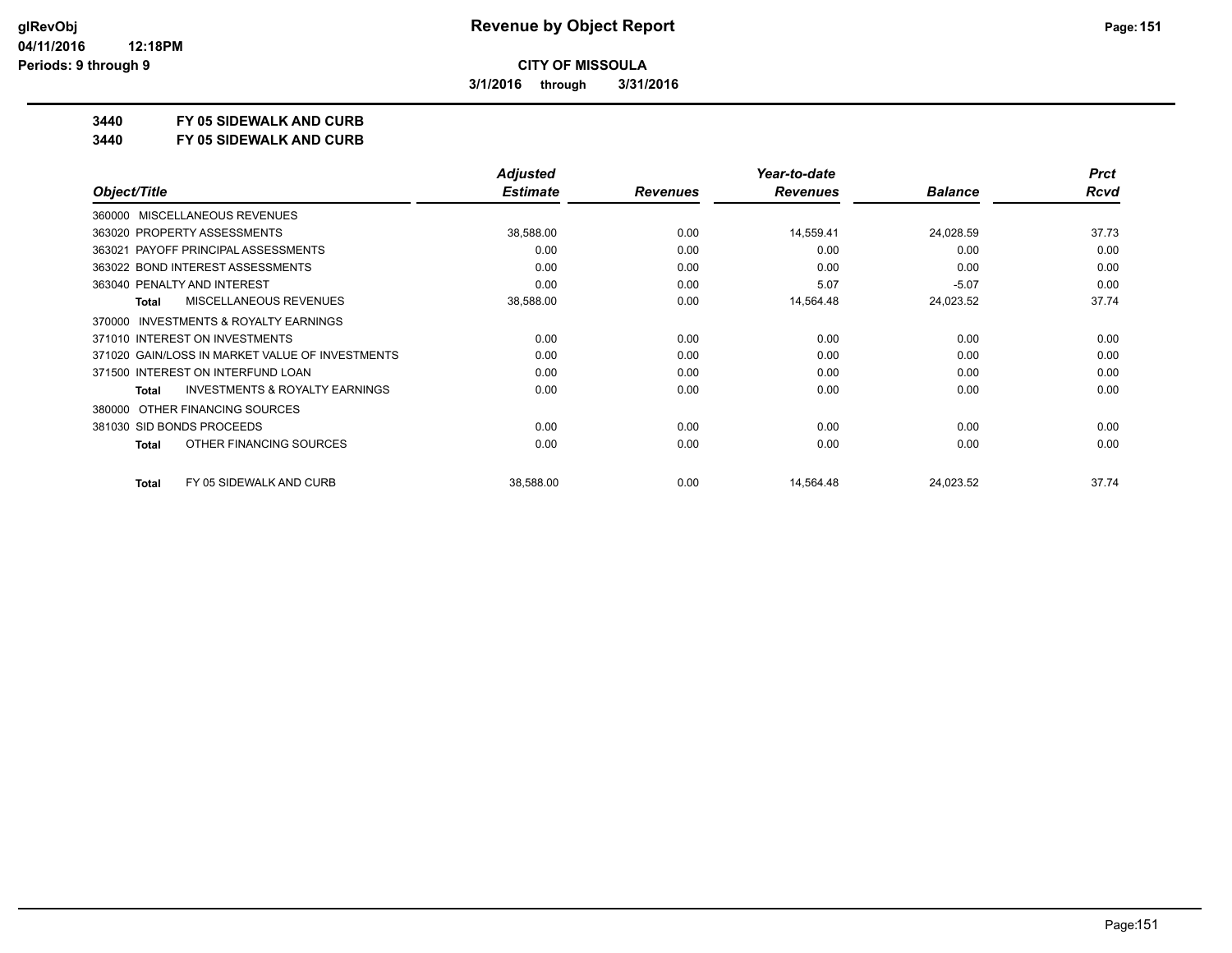**3/1/2016 through 3/31/2016**

## **3440 FY 05 SIDEWALK AND CURB**

**3440 FY 05 SIDEWALK AND CURB**

|                                                           | <b>Adjusted</b> |                 | Year-to-date    |                | <b>Prct</b> |
|-----------------------------------------------------------|-----------------|-----------------|-----------------|----------------|-------------|
| Object/Title                                              | <b>Estimate</b> | <b>Revenues</b> | <b>Revenues</b> | <b>Balance</b> | <b>Rcvd</b> |
| 360000 MISCELLANEOUS REVENUES                             |                 |                 |                 |                |             |
| 363020 PROPERTY ASSESSMENTS                               | 38,588.00       | 0.00            | 14,559.41       | 24,028.59      | 37.73       |
| 363021 PAYOFF PRINCIPAL ASSESSMENTS                       | 0.00            | 0.00            | 0.00            | 0.00           | 0.00        |
| 363022 BOND INTEREST ASSESSMENTS                          | 0.00            | 0.00            | 0.00            | 0.00           | 0.00        |
| 363040 PENALTY AND INTEREST                               | 0.00            | 0.00            | 5.07            | $-5.07$        | 0.00        |
| <b>MISCELLANEOUS REVENUES</b><br><b>Total</b>             | 38,588.00       | 0.00            | 14,564.48       | 24,023.52      | 37.74       |
| <b>INVESTMENTS &amp; ROYALTY EARNINGS</b><br>370000       |                 |                 |                 |                |             |
| 371010 INTEREST ON INVESTMENTS                            | 0.00            | 0.00            | 0.00            | 0.00           | 0.00        |
| 371020 GAIN/LOSS IN MARKET VALUE OF INVESTMENTS           | 0.00            | 0.00            | 0.00            | 0.00           | 0.00        |
| 371500 INTEREST ON INTERFUND LOAN                         | 0.00            | 0.00            | 0.00            | 0.00           | 0.00        |
| <b>INVESTMENTS &amp; ROYALTY EARNINGS</b><br><b>Total</b> | 0.00            | 0.00            | 0.00            | 0.00           | 0.00        |
| OTHER FINANCING SOURCES<br>380000                         |                 |                 |                 |                |             |
| 381030 SID BONDS PROCEEDS                                 | 0.00            | 0.00            | 0.00            | 0.00           | 0.00        |
| OTHER FINANCING SOURCES<br><b>Total</b>                   | 0.00            | 0.00            | 0.00            | 0.00           | 0.00        |
| FY 05 SIDEWALK AND CURB<br><b>Total</b>                   | 38,588.00       | 0.00            | 14,564.48       | 24,023.52      | 37.74       |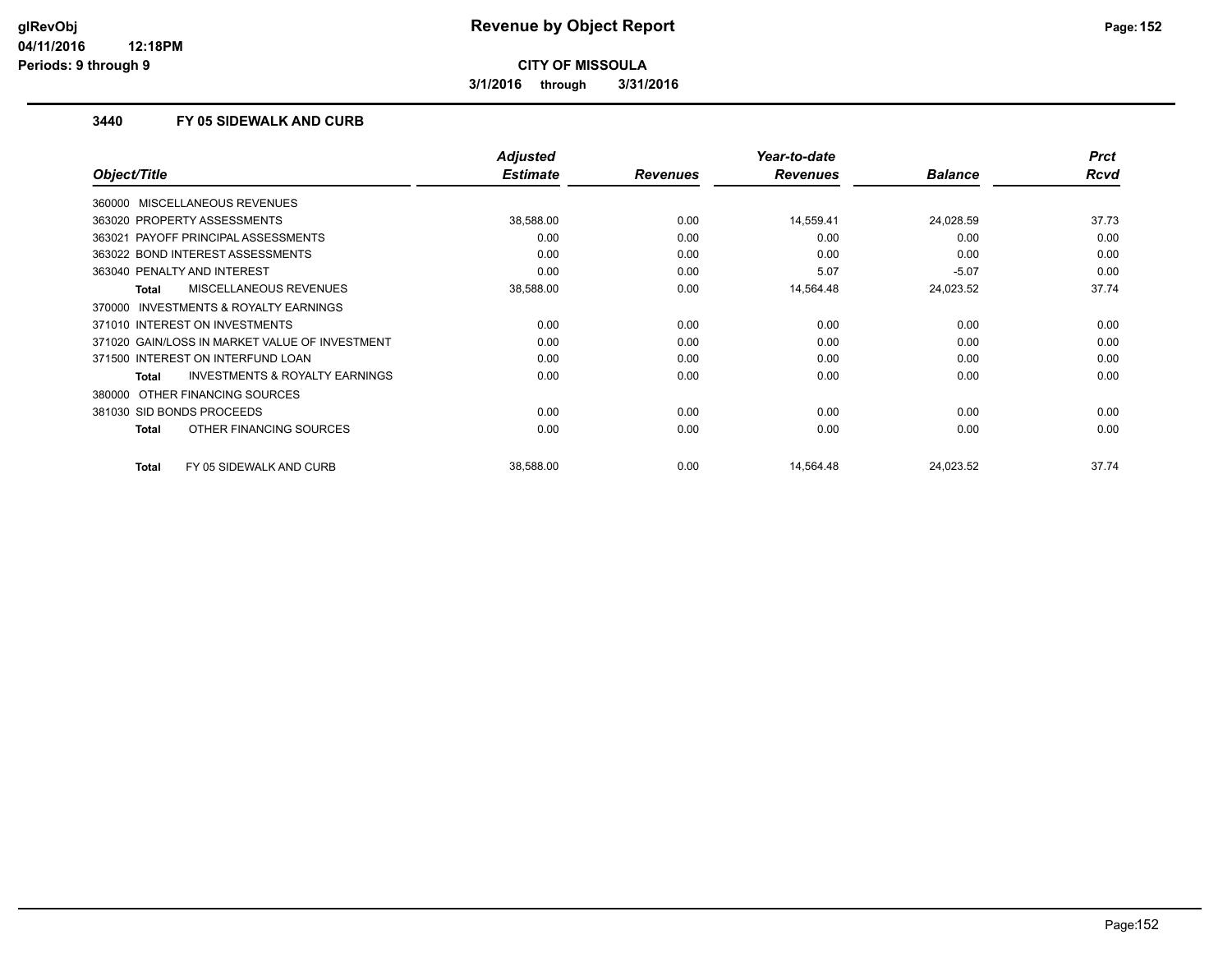**3/1/2016 through 3/31/2016**

### **3440 FY 05 SIDEWALK AND CURB**

|                                                     | <b>Adjusted</b> |                 | Year-to-date    |                | <b>Prct</b> |
|-----------------------------------------------------|-----------------|-----------------|-----------------|----------------|-------------|
| Object/Title                                        | <b>Estimate</b> | <b>Revenues</b> | <b>Revenues</b> | <b>Balance</b> | <b>Rcvd</b> |
| 360000 MISCELLANEOUS REVENUES                       |                 |                 |                 |                |             |
| 363020 PROPERTY ASSESSMENTS                         | 38,588.00       | 0.00            | 14,559.41       | 24,028.59      | 37.73       |
| 363021 PAYOFF PRINCIPAL ASSESSMENTS                 | 0.00            | 0.00            | 0.00            | 0.00           | 0.00        |
| 363022 BOND INTEREST ASSESSMENTS                    | 0.00            | 0.00            | 0.00            | 0.00           | 0.00        |
| 363040 PENALTY AND INTEREST                         | 0.00            | 0.00            | 5.07            | $-5.07$        | 0.00        |
| <b>MISCELLANEOUS REVENUES</b><br>Total              | 38,588.00       | 0.00            | 14,564.48       | 24,023.52      | 37.74       |
| <b>INVESTMENTS &amp; ROYALTY EARNINGS</b><br>370000 |                 |                 |                 |                |             |
| 371010 INTEREST ON INVESTMENTS                      | 0.00            | 0.00            | 0.00            | 0.00           | 0.00        |
| 371020 GAIN/LOSS IN MARKET VALUE OF INVESTMENT      | 0.00            | 0.00            | 0.00            | 0.00           | 0.00        |
| 371500 INTEREST ON INTERFUND LOAN                   | 0.00            | 0.00            | 0.00            | 0.00           | 0.00        |
| <b>INVESTMENTS &amp; ROYALTY EARNINGS</b><br>Total  | 0.00            | 0.00            | 0.00            | 0.00           | 0.00        |
| 380000 OTHER FINANCING SOURCES                      |                 |                 |                 |                |             |
| 381030 SID BONDS PROCEEDS                           | 0.00            | 0.00            | 0.00            | 0.00           | 0.00        |
| OTHER FINANCING SOURCES<br>Total                    | 0.00            | 0.00            | 0.00            | 0.00           | 0.00        |
| <b>Total</b><br>FY 05 SIDEWALK AND CURB             | 38,588.00       | 0.00            | 14,564.48       | 24,023.52      | 37.74       |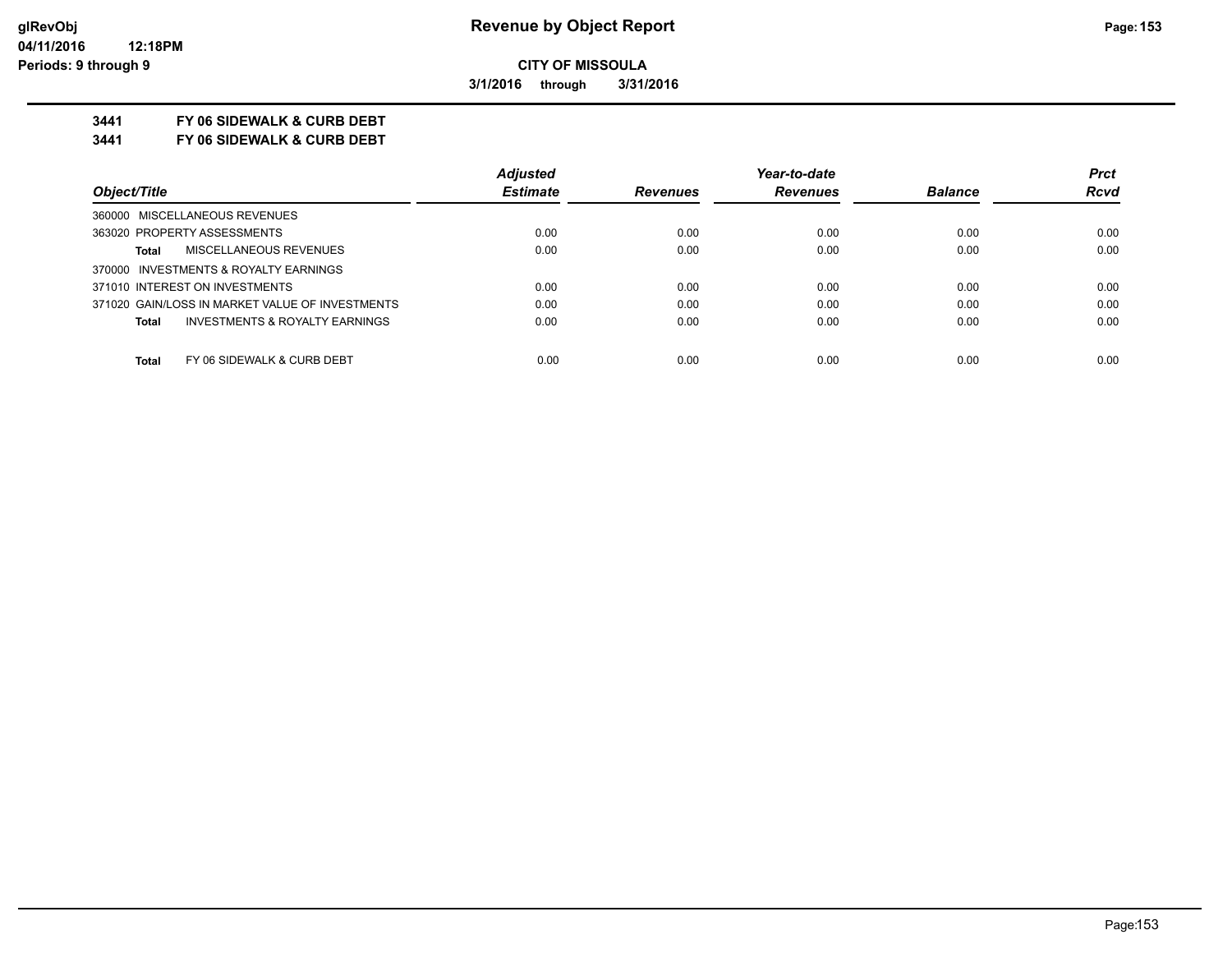**3/1/2016 through 3/31/2016**

## **3441 FY 06 SIDEWALK & CURB DEBT**

**3441 FY 06 SIDEWALK & CURB DEBT**

|                                                           | <b>Adjusted</b> |                 | Year-to-date    |                | <b>Prct</b> |
|-----------------------------------------------------------|-----------------|-----------------|-----------------|----------------|-------------|
| Object/Title                                              | <b>Estimate</b> | <b>Revenues</b> | <b>Revenues</b> | <b>Balance</b> | <b>Rcvd</b> |
| 360000 MISCELLANEOUS REVENUES                             |                 |                 |                 |                |             |
| 363020 PROPERTY ASSESSMENTS                               | 0.00            | 0.00            | 0.00            | 0.00           | 0.00        |
| MISCELLANEOUS REVENUES<br><b>Total</b>                    | 0.00            | 0.00            | 0.00            | 0.00           | 0.00        |
| 370000 INVESTMENTS & ROYALTY EARNINGS                     |                 |                 |                 |                |             |
| 371010 INTEREST ON INVESTMENTS                            | 0.00            | 0.00            | 0.00            | 0.00           | 0.00        |
| 371020 GAIN/LOSS IN MARKET VALUE OF INVESTMENTS           | 0.00            | 0.00            | 0.00            | 0.00           | 0.00        |
| <b>INVESTMENTS &amp; ROYALTY EARNINGS</b><br><b>Total</b> | 0.00            | 0.00            | 0.00            | 0.00           | 0.00        |
| Total<br>FY 06 SIDEWALK & CURB DEBT                       | 0.00            | 0.00            | 0.00            | 0.00           | 0.00        |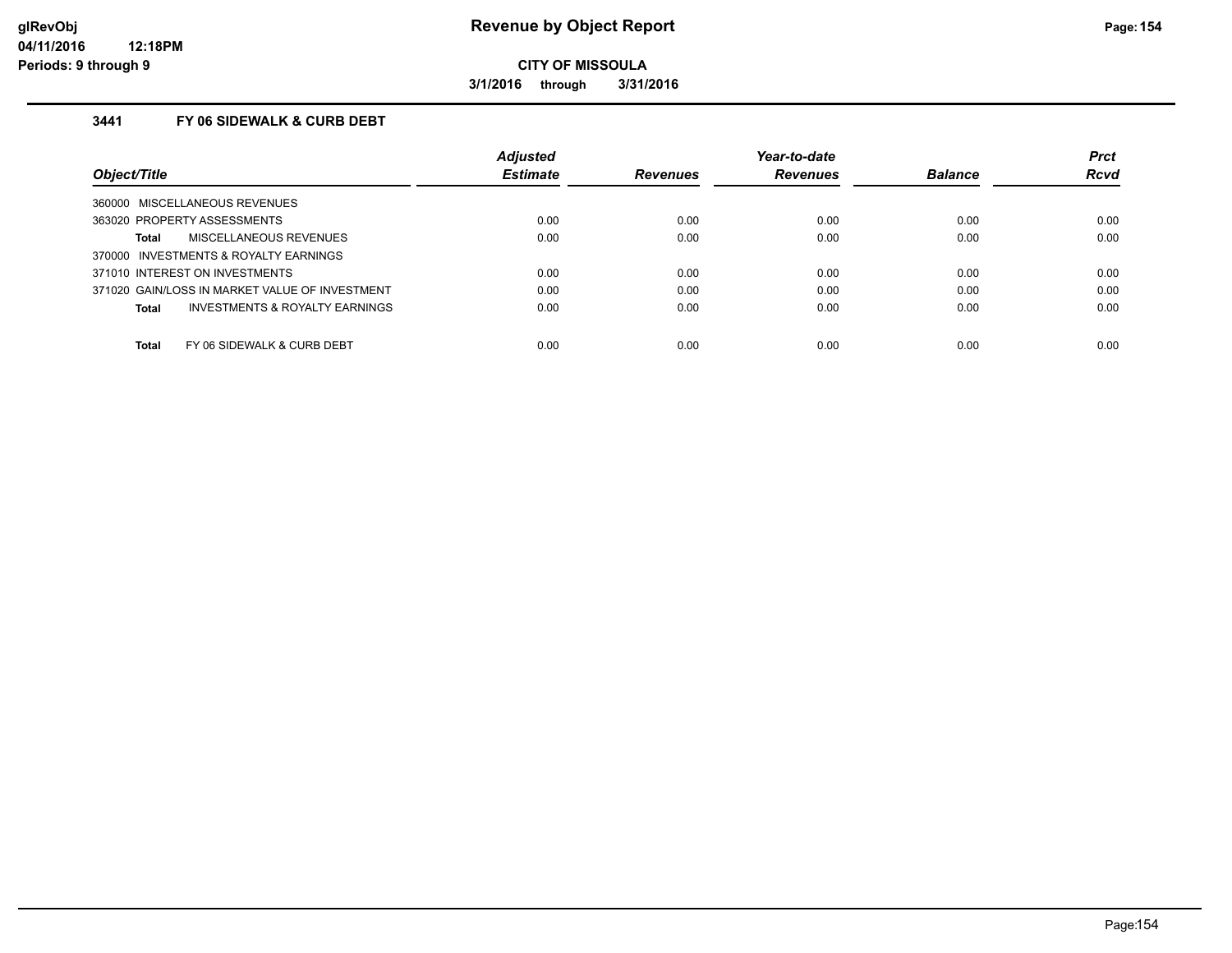**3/1/2016 through 3/31/2016**

## **3441 FY 06 SIDEWALK & CURB DEBT**

|                                                     | <b>Adjusted</b> |                 | Year-to-date    |                | <b>Prct</b> |
|-----------------------------------------------------|-----------------|-----------------|-----------------|----------------|-------------|
| Object/Title                                        | <b>Estimate</b> | <b>Revenues</b> | <b>Revenues</b> | <b>Balance</b> | <b>Rcvd</b> |
| MISCELLANEOUS REVENUES<br>360000                    |                 |                 |                 |                |             |
| 363020 PROPERTY ASSESSMENTS                         | 0.00            | 0.00            | 0.00            | 0.00           | 0.00        |
| <b>MISCELLANEOUS REVENUES</b><br>Total              | 0.00            | 0.00            | 0.00            | 0.00           | 0.00        |
| <b>INVESTMENTS &amp; ROYALTY EARNINGS</b><br>370000 |                 |                 |                 |                |             |
| 371010 INTEREST ON INVESTMENTS                      | 0.00            | 0.00            | 0.00            | 0.00           | 0.00        |
| 371020 GAIN/LOSS IN MARKET VALUE OF INVESTMENT      | 0.00            | 0.00            | 0.00            | 0.00           | 0.00        |
| INVESTMENTS & ROYALTY EARNINGS<br>Total             | 0.00            | 0.00            | 0.00            | 0.00           | 0.00        |
| Total<br>FY 06 SIDEWALK & CURB DEBT                 | 0.00            | 0.00            | 0.00            | 0.00           | 0.00        |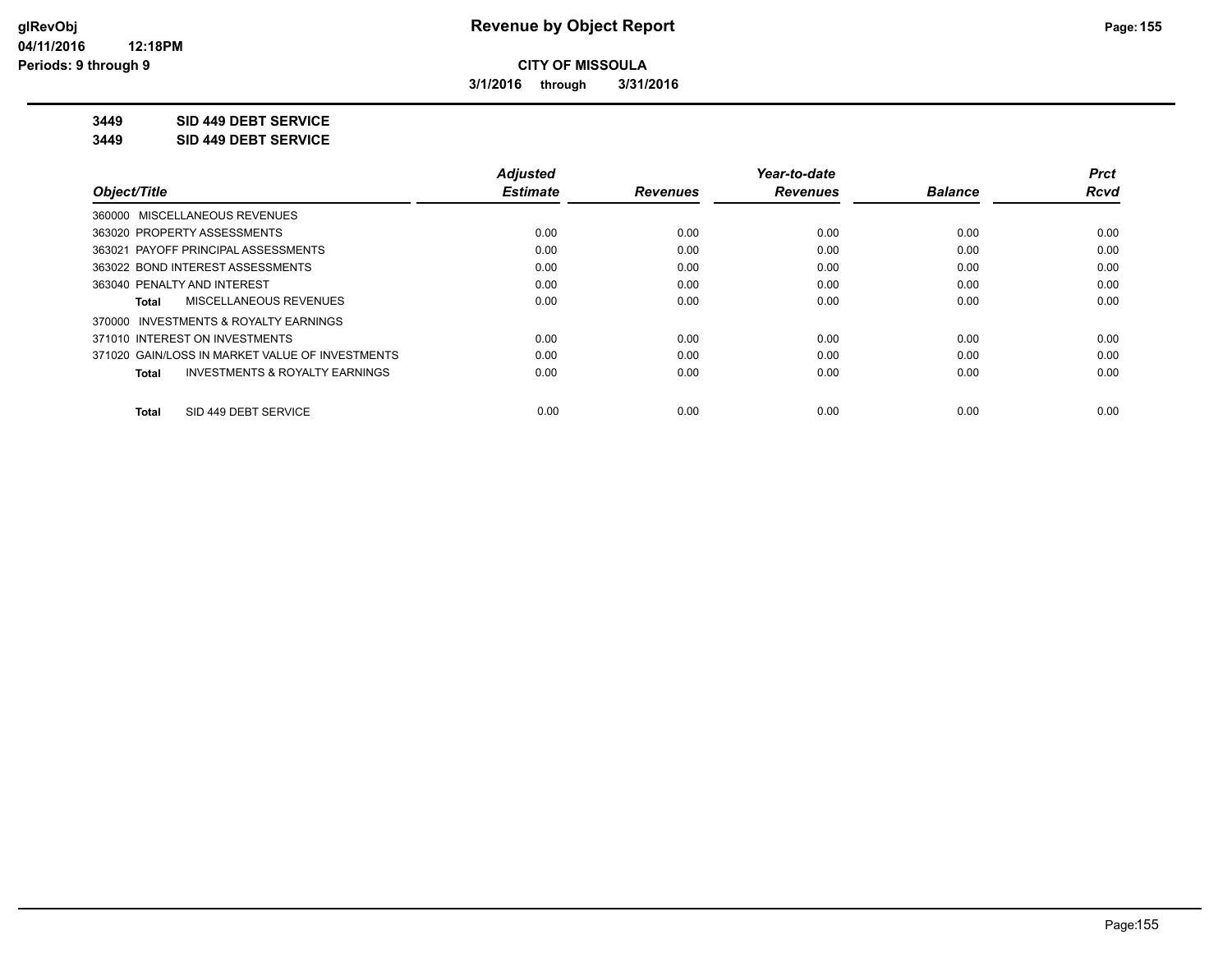**3/1/2016 through 3/31/2016**

**3449 SID 449 DEBT SERVICE**

**3449 SID 449 DEBT SERVICE**

|                                                           | <b>Adjusted</b> |                 | Year-to-date    |                | <b>Prct</b> |
|-----------------------------------------------------------|-----------------|-----------------|-----------------|----------------|-------------|
| Object/Title                                              | <b>Estimate</b> | <b>Revenues</b> | <b>Revenues</b> | <b>Balance</b> | Rcvd        |
| 360000 MISCELLANEOUS REVENUES                             |                 |                 |                 |                |             |
| 363020 PROPERTY ASSESSMENTS                               | 0.00            | 0.00            | 0.00            | 0.00           | 0.00        |
| 363021 PAYOFF PRINCIPAL ASSESSMENTS                       | 0.00            | 0.00            | 0.00            | 0.00           | 0.00        |
| 363022 BOND INTEREST ASSESSMENTS                          | 0.00            | 0.00            | 0.00            | 0.00           | 0.00        |
| 363040 PENALTY AND INTEREST                               | 0.00            | 0.00            | 0.00            | 0.00           | 0.00        |
| MISCELLANEOUS REVENUES<br>Total                           | 0.00            | 0.00            | 0.00            | 0.00           | 0.00        |
| 370000 INVESTMENTS & ROYALTY EARNINGS                     |                 |                 |                 |                |             |
| 371010 INTEREST ON INVESTMENTS                            | 0.00            | 0.00            | 0.00            | 0.00           | 0.00        |
| 371020 GAIN/LOSS IN MARKET VALUE OF INVESTMENTS           | 0.00            | 0.00            | 0.00            | 0.00           | 0.00        |
| <b>INVESTMENTS &amp; ROYALTY EARNINGS</b><br><b>Total</b> | 0.00            | 0.00            | 0.00            | 0.00           | 0.00        |
| SID 449 DEBT SERVICE<br>Total                             | 0.00            | 0.00            | 0.00            | 0.00           | 0.00        |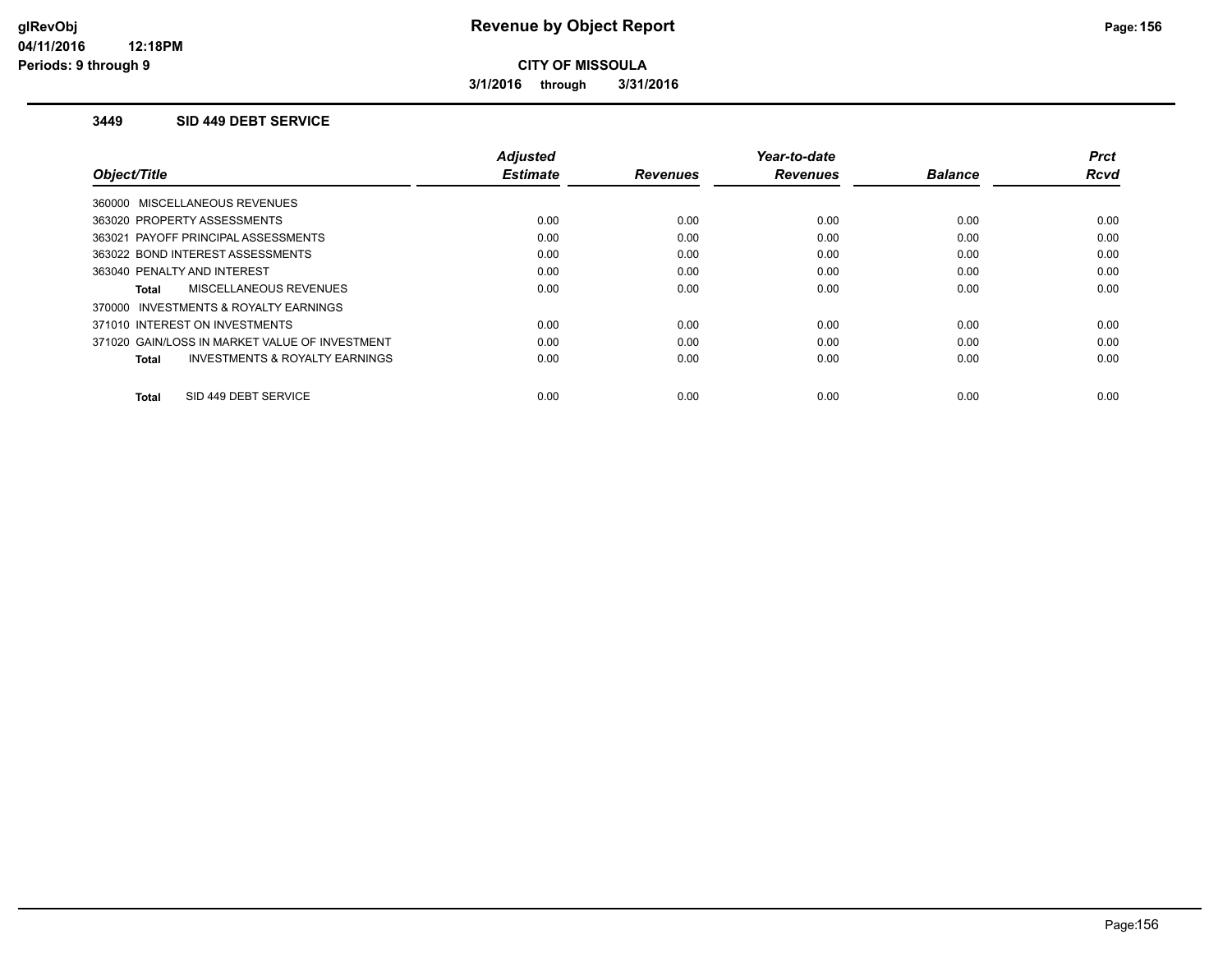**3/1/2016 through 3/31/2016**

#### **3449 SID 449 DEBT SERVICE**

|                                                     | <b>Adjusted</b> |                 | Year-to-date    |                | <b>Prct</b> |
|-----------------------------------------------------|-----------------|-----------------|-----------------|----------------|-------------|
| Object/Title                                        | <b>Estimate</b> | <b>Revenues</b> | <b>Revenues</b> | <b>Balance</b> | <b>Rcvd</b> |
| 360000 MISCELLANEOUS REVENUES                       |                 |                 |                 |                |             |
| 363020 PROPERTY ASSESSMENTS                         | 0.00            | 0.00            | 0.00            | 0.00           | 0.00        |
| 363021 PAYOFF PRINCIPAL ASSESSMENTS                 | 0.00            | 0.00            | 0.00            | 0.00           | 0.00        |
| 363022 BOND INTEREST ASSESSMENTS                    | 0.00            | 0.00            | 0.00            | 0.00           | 0.00        |
| 363040 PENALTY AND INTEREST                         | 0.00            | 0.00            | 0.00            | 0.00           | 0.00        |
| <b>MISCELLANEOUS REVENUES</b><br>Total              | 0.00            | 0.00            | 0.00            | 0.00           | 0.00        |
| <b>INVESTMENTS &amp; ROYALTY EARNINGS</b><br>370000 |                 |                 |                 |                |             |
| 371010 INTEREST ON INVESTMENTS                      | 0.00            | 0.00            | 0.00            | 0.00           | 0.00        |
| 371020 GAIN/LOSS IN MARKET VALUE OF INVESTMENT      | 0.00            | 0.00            | 0.00            | 0.00           | 0.00        |
| <b>INVESTMENTS &amp; ROYALTY EARNINGS</b><br>Total  | 0.00            | 0.00            | 0.00            | 0.00           | 0.00        |
|                                                     |                 |                 |                 |                |             |
| SID 449 DEBT SERVICE<br>Total                       | 0.00            | 0.00            | 0.00            | 0.00           | 0.00        |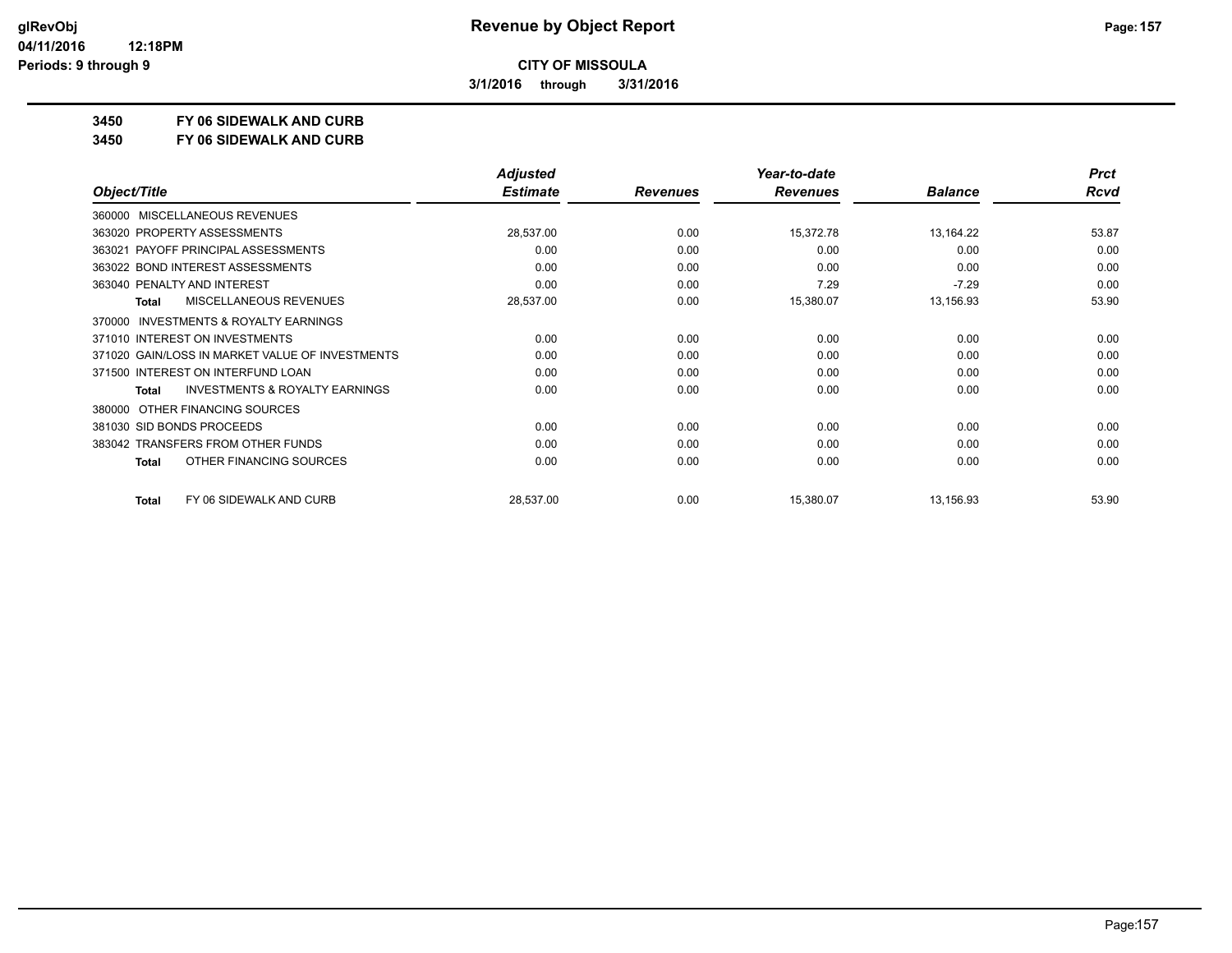**3/1/2016 through 3/31/2016**

**3450 FY 06 SIDEWALK AND CURB**

**3450 FY 06 SIDEWALK AND CURB**

|                                                           | <b>Adjusted</b> |                 | Year-to-date    |                | <b>Prct</b> |
|-----------------------------------------------------------|-----------------|-----------------|-----------------|----------------|-------------|
| Object/Title                                              | <b>Estimate</b> | <b>Revenues</b> | <b>Revenues</b> | <b>Balance</b> | <b>Rcvd</b> |
| <b>MISCELLANEOUS REVENUES</b><br>360000                   |                 |                 |                 |                |             |
| 363020 PROPERTY ASSESSMENTS                               | 28,537.00       | 0.00            | 15,372.78       | 13,164.22      | 53.87       |
| 363021 PAYOFF PRINCIPAL ASSESSMENTS                       | 0.00            | 0.00            | 0.00            | 0.00           | 0.00        |
| 363022 BOND INTEREST ASSESSMENTS                          | 0.00            | 0.00            | 0.00            | 0.00           | 0.00        |
| 363040 PENALTY AND INTEREST                               | 0.00            | 0.00            | 7.29            | $-7.29$        | 0.00        |
| <b>MISCELLANEOUS REVENUES</b><br><b>Total</b>             | 28,537.00       | 0.00            | 15,380.07       | 13,156.93      | 53.90       |
| <b>INVESTMENTS &amp; ROYALTY EARNINGS</b><br>370000       |                 |                 |                 |                |             |
| 371010 INTEREST ON INVESTMENTS                            | 0.00            | 0.00            | 0.00            | 0.00           | 0.00        |
| 371020 GAIN/LOSS IN MARKET VALUE OF INVESTMENTS           | 0.00            | 0.00            | 0.00            | 0.00           | 0.00        |
| 371500 INTEREST ON INTERFUND LOAN                         | 0.00            | 0.00            | 0.00            | 0.00           | 0.00        |
| <b>INVESTMENTS &amp; ROYALTY EARNINGS</b><br><b>Total</b> | 0.00            | 0.00            | 0.00            | 0.00           | 0.00        |
| OTHER FINANCING SOURCES<br>380000                         |                 |                 |                 |                |             |
| 381030 SID BONDS PROCEEDS                                 | 0.00            | 0.00            | 0.00            | 0.00           | 0.00        |
| 383042 TRANSFERS FROM OTHER FUNDS                         | 0.00            | 0.00            | 0.00            | 0.00           | 0.00        |
| OTHER FINANCING SOURCES<br>Total                          | 0.00            | 0.00            | 0.00            | 0.00           | 0.00        |
| FY 06 SIDEWALK AND CURB<br><b>Total</b>                   | 28,537.00       | 0.00            | 15,380.07       | 13,156.93      | 53.90       |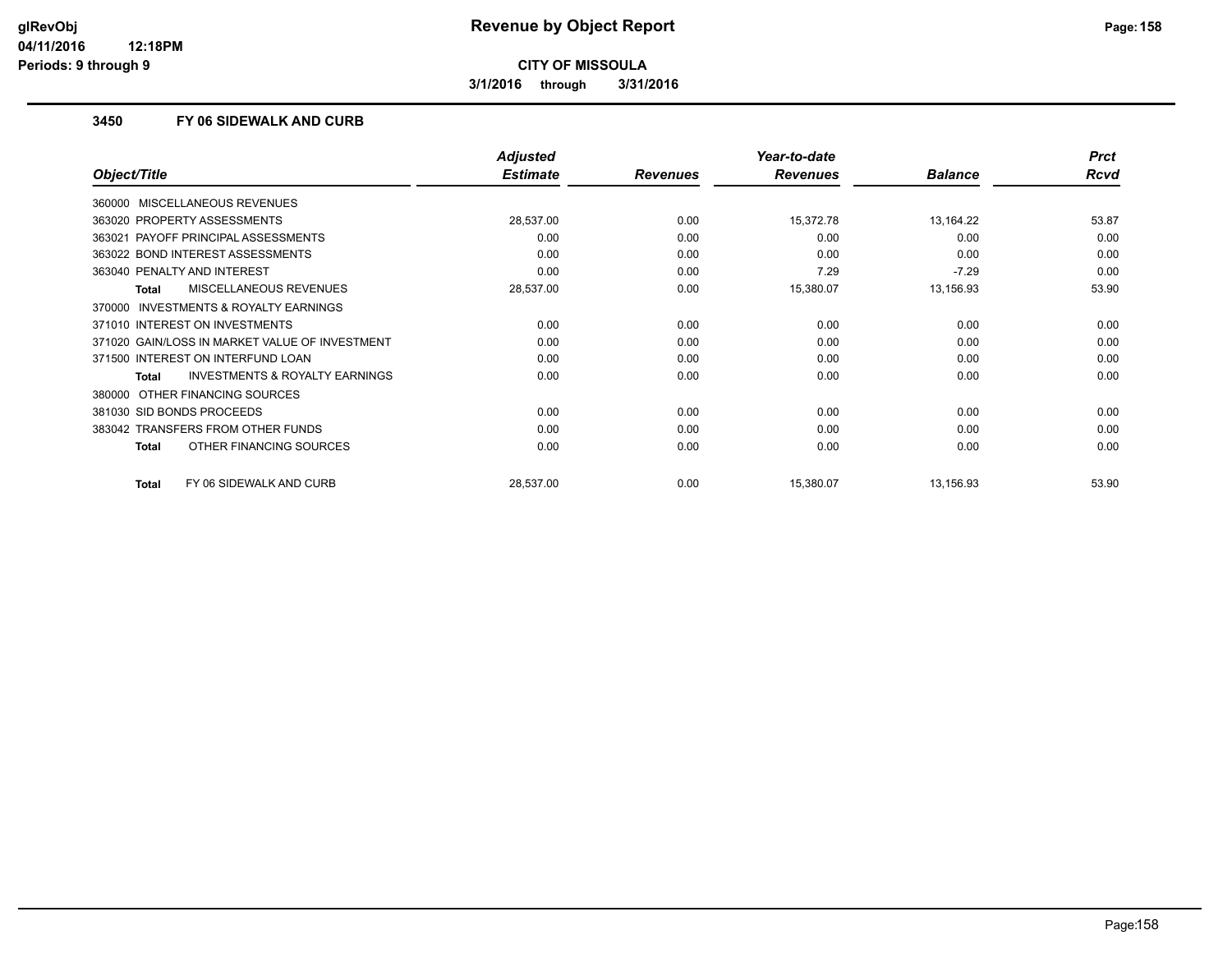**3/1/2016 through 3/31/2016**

### **3450 FY 06 SIDEWALK AND CURB**

|                                                    | <b>Adjusted</b> |                 | Year-to-date    |                | <b>Prct</b> |
|----------------------------------------------------|-----------------|-----------------|-----------------|----------------|-------------|
| Object/Title                                       | <b>Estimate</b> | <b>Revenues</b> | <b>Revenues</b> | <b>Balance</b> | Rcvd        |
| 360000 MISCELLANEOUS REVENUES                      |                 |                 |                 |                |             |
| 363020 PROPERTY ASSESSMENTS                        | 28,537.00       | 0.00            | 15,372.78       | 13,164.22      | 53.87       |
| PAYOFF PRINCIPAL ASSESSMENTS<br>363021             | 0.00            | 0.00            | 0.00            | 0.00           | 0.00        |
| 363022 BOND INTEREST ASSESSMENTS                   | 0.00            | 0.00            | 0.00            | 0.00           | 0.00        |
| 363040 PENALTY AND INTEREST                        | 0.00            | 0.00            | 7.29            | $-7.29$        | 0.00        |
| MISCELLANEOUS REVENUES<br>Total                    | 28,537.00       | 0.00            | 15,380.07       | 13,156.93      | 53.90       |
| 370000 INVESTMENTS & ROYALTY EARNINGS              |                 |                 |                 |                |             |
| 371010 INTEREST ON INVESTMENTS                     | 0.00            | 0.00            | 0.00            | 0.00           | 0.00        |
| 371020 GAIN/LOSS IN MARKET VALUE OF INVESTMENT     | 0.00            | 0.00            | 0.00            | 0.00           | 0.00        |
| 371500 INTEREST ON INTERFUND LOAN                  | 0.00            | 0.00            | 0.00            | 0.00           | 0.00        |
| <b>INVESTMENTS &amp; ROYALTY EARNINGS</b><br>Total | 0.00            | 0.00            | 0.00            | 0.00           | 0.00        |
| OTHER FINANCING SOURCES<br>380000                  |                 |                 |                 |                |             |
| 381030 SID BONDS PROCEEDS                          | 0.00            | 0.00            | 0.00            | 0.00           | 0.00        |
| 383042 TRANSFERS FROM OTHER FUNDS                  | 0.00            | 0.00            | 0.00            | 0.00           | 0.00        |
| OTHER FINANCING SOURCES<br><b>Total</b>            | 0.00            | 0.00            | 0.00            | 0.00           | 0.00        |
| FY 06 SIDEWALK AND CURB<br><b>Total</b>            | 28,537.00       | 0.00            | 15,380.07       | 13,156.93      | 53.90       |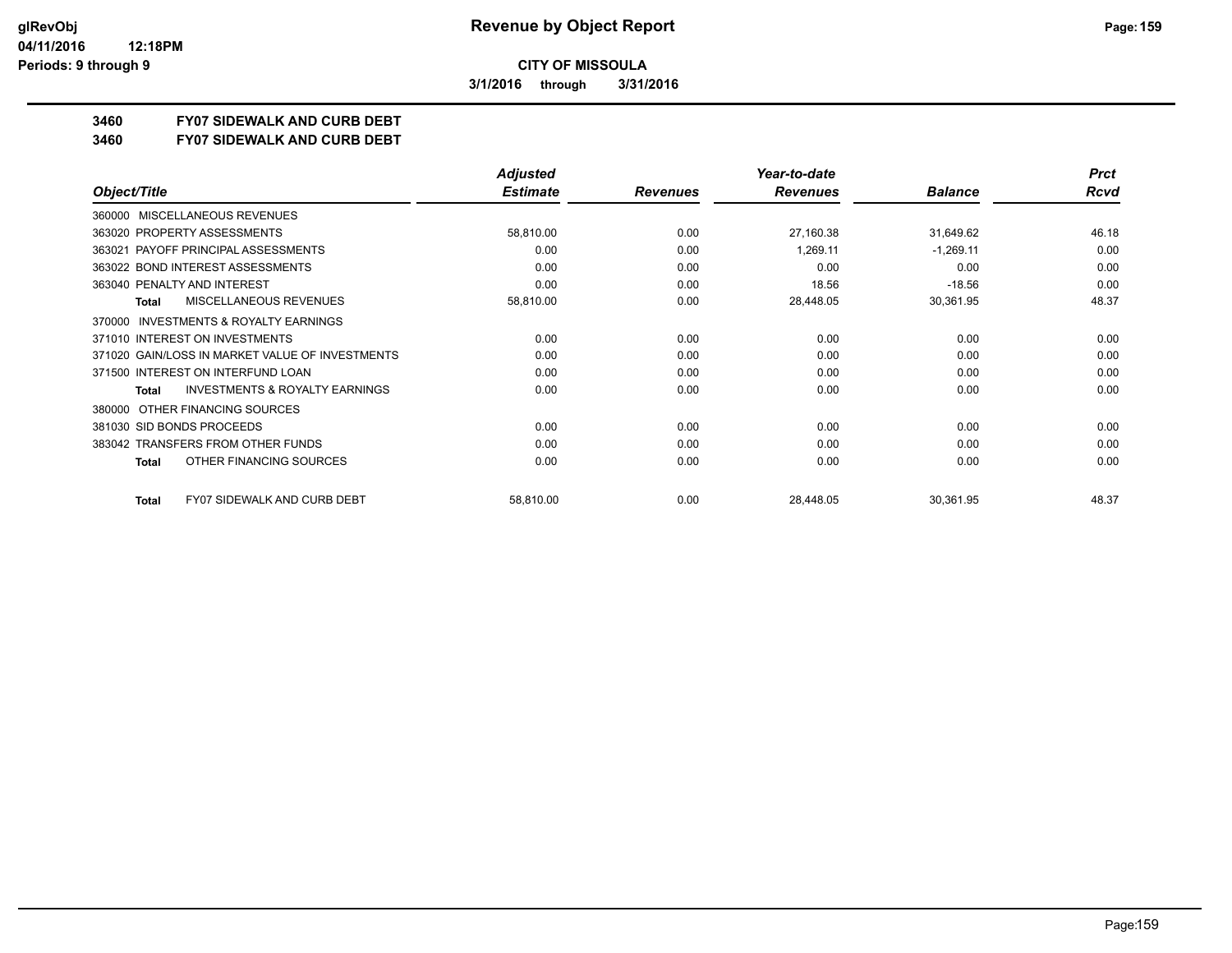**3/1/2016 through 3/31/2016**

## **3460 FY07 SIDEWALK AND CURB DEBT**

#### **3460 FY07 SIDEWALK AND CURB DEBT**

|                                                     | <b>Adjusted</b> |                 | Year-to-date    |                | <b>Prct</b> |
|-----------------------------------------------------|-----------------|-----------------|-----------------|----------------|-------------|
| Object/Title                                        | <b>Estimate</b> | <b>Revenues</b> | <b>Revenues</b> | <b>Balance</b> | Rcvd        |
| MISCELLANEOUS REVENUES<br>360000                    |                 |                 |                 |                |             |
| 363020 PROPERTY ASSESSMENTS                         | 58,810.00       | 0.00            | 27,160.38       | 31,649.62      | 46.18       |
| PAYOFF PRINCIPAL ASSESSMENTS<br>363021              | 0.00            | 0.00            | 1,269.11        | $-1,269.11$    | 0.00        |
| 363022 BOND INTEREST ASSESSMENTS                    | 0.00            | 0.00            | 0.00            | 0.00           | 0.00        |
| 363040 PENALTY AND INTEREST                         | 0.00            | 0.00            | 18.56           | $-18.56$       | 0.00        |
| MISCELLANEOUS REVENUES<br>Total                     | 58,810.00       | 0.00            | 28,448.05       | 30,361.95      | 48.37       |
| <b>INVESTMENTS &amp; ROYALTY EARNINGS</b><br>370000 |                 |                 |                 |                |             |
| 371010 INTEREST ON INVESTMENTS                      | 0.00            | 0.00            | 0.00            | 0.00           | 0.00        |
| 371020 GAIN/LOSS IN MARKET VALUE OF INVESTMENTS     | 0.00            | 0.00            | 0.00            | 0.00           | 0.00        |
| 371500 INTEREST ON INTERFUND LOAN                   | 0.00            | 0.00            | 0.00            | 0.00           | 0.00        |
| <b>INVESTMENTS &amp; ROYALTY EARNINGS</b><br>Total  | 0.00            | 0.00            | 0.00            | 0.00           | 0.00        |
| OTHER FINANCING SOURCES<br>380000                   |                 |                 |                 |                |             |
| 381030 SID BONDS PROCEEDS                           | 0.00            | 0.00            | 0.00            | 0.00           | 0.00        |
| 383042 TRANSFERS FROM OTHER FUNDS                   | 0.00            | 0.00            | 0.00            | 0.00           | 0.00        |
| OTHER FINANCING SOURCES<br><b>Total</b>             | 0.00            | 0.00            | 0.00            | 0.00           | 0.00        |
|                                                     |                 |                 |                 |                |             |
| <b>FY07 SIDEWALK AND CURB DEBT</b><br>Total         | 58,810.00       | 0.00            | 28,448.05       | 30,361.95      | 48.37       |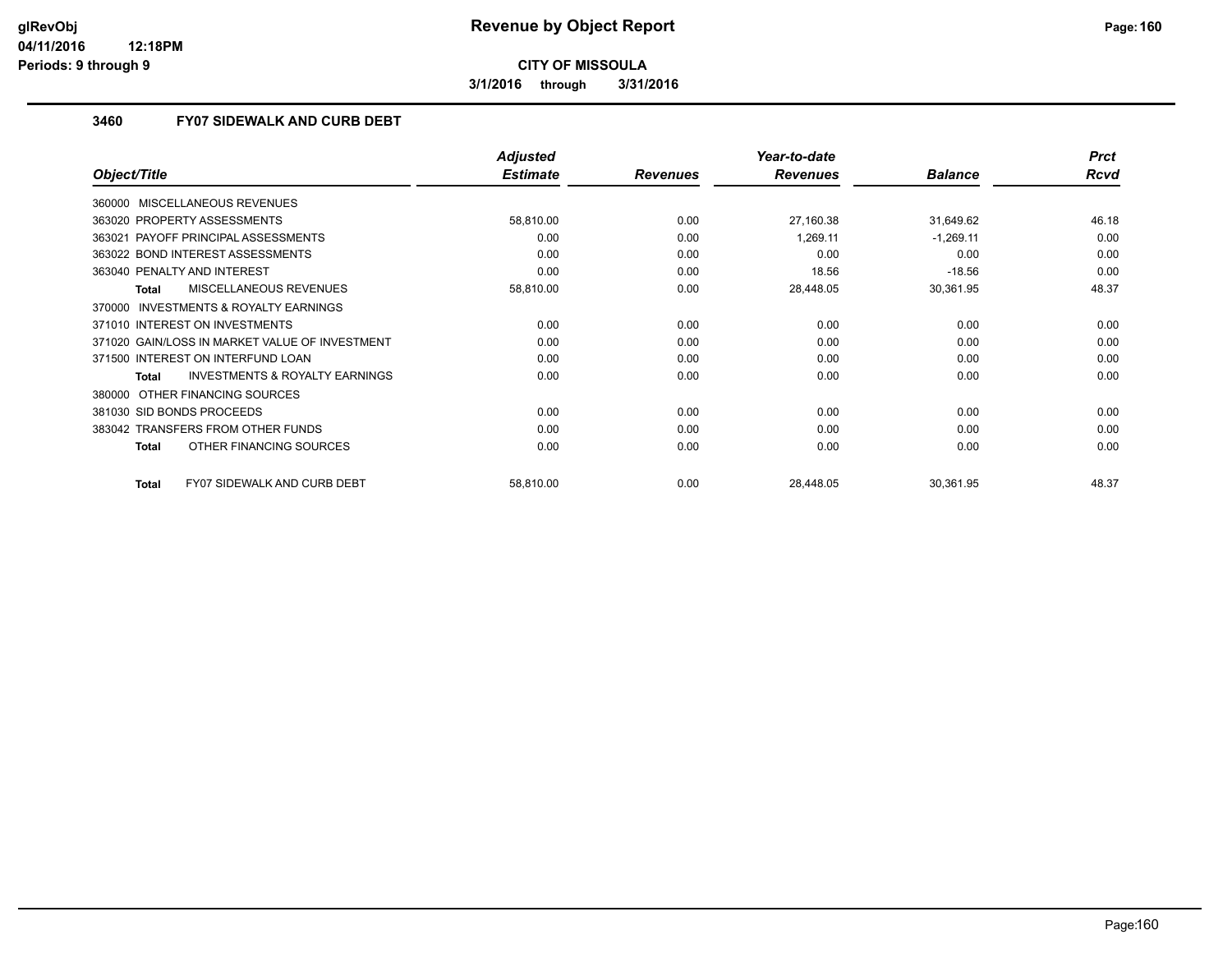**3/1/2016 through 3/31/2016**

### **3460 FY07 SIDEWALK AND CURB DEBT**

|                                                    | <b>Adjusted</b> |                 | Year-to-date    |                | <b>Prct</b> |
|----------------------------------------------------|-----------------|-----------------|-----------------|----------------|-------------|
| Object/Title                                       | <b>Estimate</b> | <b>Revenues</b> | <b>Revenues</b> | <b>Balance</b> | <b>Rcvd</b> |
| 360000 MISCELLANEOUS REVENUES                      |                 |                 |                 |                |             |
| 363020 PROPERTY ASSESSMENTS                        | 58,810.00       | 0.00            | 27,160.38       | 31,649.62      | 46.18       |
| PAYOFF PRINCIPAL ASSESSMENTS<br>363021             | 0.00            | 0.00            | 1.269.11        | $-1,269.11$    | 0.00        |
| 363022 BOND INTEREST ASSESSMENTS                   | 0.00            | 0.00            | 0.00            | 0.00           | 0.00        |
| 363040 PENALTY AND INTEREST                        | 0.00            | 0.00            | 18.56           | $-18.56$       | 0.00        |
| MISCELLANEOUS REVENUES<br>Total                    | 58,810.00       | 0.00            | 28,448.05       | 30,361.95      | 48.37       |
| 370000 INVESTMENTS & ROYALTY EARNINGS              |                 |                 |                 |                |             |
| 371010 INTEREST ON INVESTMENTS                     | 0.00            | 0.00            | 0.00            | 0.00           | 0.00        |
| 371020 GAIN/LOSS IN MARKET VALUE OF INVESTMENT     | 0.00            | 0.00            | 0.00            | 0.00           | 0.00        |
| 371500 INTEREST ON INTERFUND LOAN                  | 0.00            | 0.00            | 0.00            | 0.00           | 0.00        |
| <b>INVESTMENTS &amp; ROYALTY EARNINGS</b><br>Total | 0.00            | 0.00            | 0.00            | 0.00           | 0.00        |
| OTHER FINANCING SOURCES<br>380000                  |                 |                 |                 |                |             |
| 381030 SID BONDS PROCEEDS                          | 0.00            | 0.00            | 0.00            | 0.00           | 0.00        |
| 383042 TRANSFERS FROM OTHER FUNDS                  | 0.00            | 0.00            | 0.00            | 0.00           | 0.00        |
| OTHER FINANCING SOURCES<br><b>Total</b>            | 0.00            | 0.00            | 0.00            | 0.00           | 0.00        |
| <b>FY07 SIDEWALK AND CURB DEBT</b><br><b>Total</b> | 58,810.00       | 0.00            | 28,448.05       | 30,361.95      | 48.37       |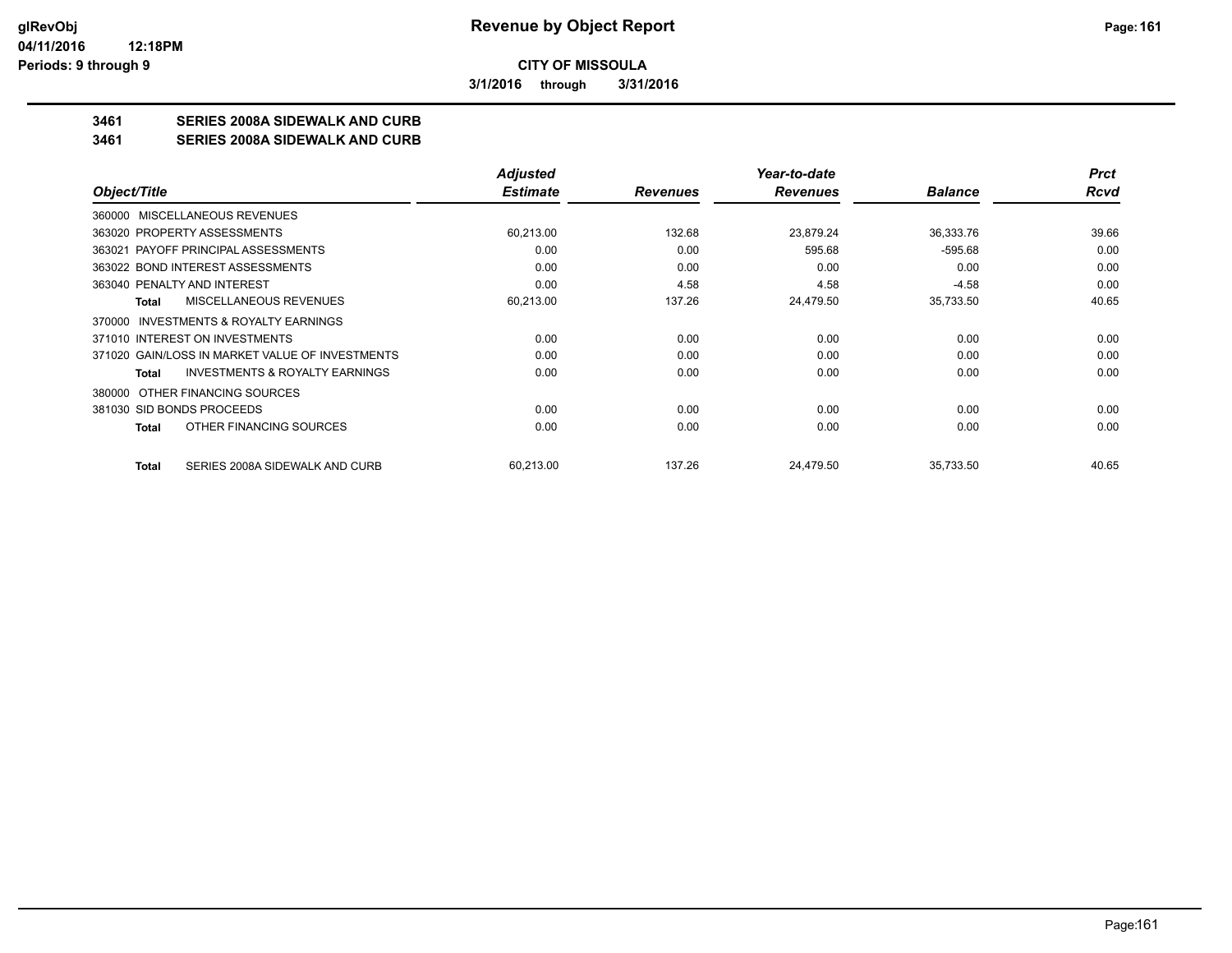**3/1/2016 through 3/31/2016**

## **3461 SERIES 2008A SIDEWALK AND CURB**

**3461 SERIES 2008A SIDEWALK AND CURB**

|                                                    | <b>Adjusted</b> |                 | Year-to-date    |                | <b>Prct</b> |
|----------------------------------------------------|-----------------|-----------------|-----------------|----------------|-------------|
| Object/Title                                       | <b>Estimate</b> | <b>Revenues</b> | <b>Revenues</b> | <b>Balance</b> | Rcvd        |
| 360000 MISCELLANEOUS REVENUES                      |                 |                 |                 |                |             |
| 363020 PROPERTY ASSESSMENTS                        | 60,213.00       | 132.68          | 23,879.24       | 36,333.76      | 39.66       |
| 363021 PAYOFF PRINCIPAL ASSESSMENTS                | 0.00            | 0.00            | 595.68          | $-595.68$      | 0.00        |
| 363022 BOND INTEREST ASSESSMENTS                   | 0.00            | 0.00            | 0.00            | 0.00           | 0.00        |
| 363040 PENALTY AND INTEREST                        | 0.00            | 4.58            | 4.58            | $-4.58$        | 0.00        |
| <b>MISCELLANEOUS REVENUES</b><br>Total             | 60,213.00       | 137.26          | 24,479.50       | 35,733.50      | 40.65       |
| 370000 INVESTMENTS & ROYALTY EARNINGS              |                 |                 |                 |                |             |
| 371010 INTEREST ON INVESTMENTS                     | 0.00            | 0.00            | 0.00            | 0.00           | 0.00        |
| 371020 GAIN/LOSS IN MARKET VALUE OF INVESTMENTS    | 0.00            | 0.00            | 0.00            | 0.00           | 0.00        |
| <b>INVESTMENTS &amp; ROYALTY EARNINGS</b><br>Total | 0.00            | 0.00            | 0.00            | 0.00           | 0.00        |
| OTHER FINANCING SOURCES<br>380000                  |                 |                 |                 |                |             |
| 381030 SID BONDS PROCEEDS                          | 0.00            | 0.00            | 0.00            | 0.00           | 0.00        |
| OTHER FINANCING SOURCES<br>Total                   | 0.00            | 0.00            | 0.00            | 0.00           | 0.00        |
| SERIES 2008A SIDEWALK AND CURB<br><b>Total</b>     | 60,213.00       | 137.26          | 24.479.50       | 35,733.50      | 40.65       |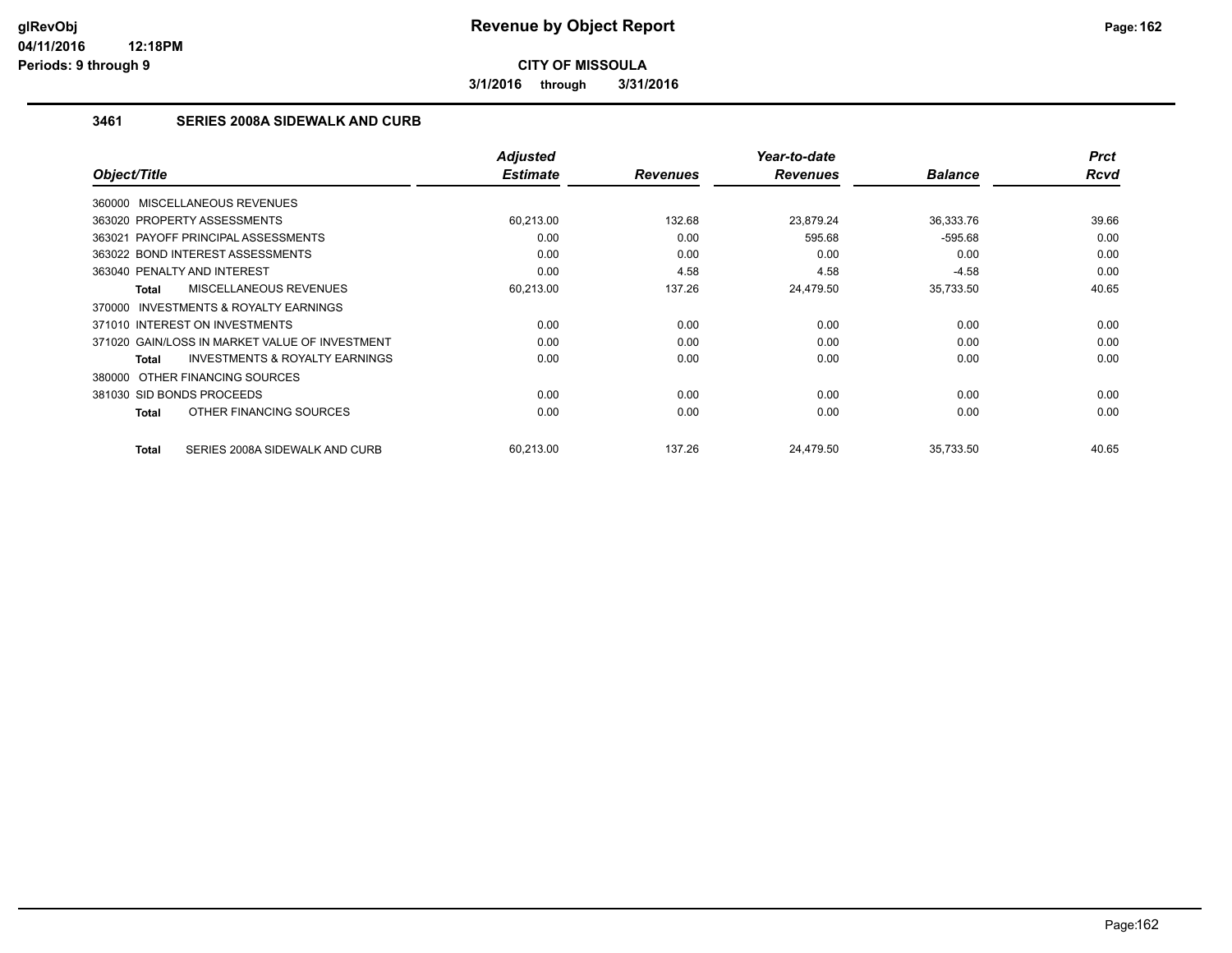**3/1/2016 through 3/31/2016**

## **3461 SERIES 2008A SIDEWALK AND CURB**

|                                                           | <b>Adjusted</b><br><b>Estimate</b> |                 | Year-to-date<br><b>Revenues</b> | <b>Balance</b> | <b>Prct</b><br><b>Rcvd</b> |
|-----------------------------------------------------------|------------------------------------|-----------------|---------------------------------|----------------|----------------------------|
| Object/Title                                              |                                    | <b>Revenues</b> |                                 |                |                            |
| 360000 MISCELLANEOUS REVENUES                             |                                    |                 |                                 |                |                            |
| 363020 PROPERTY ASSESSMENTS                               | 60.213.00                          | 132.68          | 23.879.24                       | 36,333.76      | 39.66                      |
| 363021 PAYOFF PRINCIPAL ASSESSMENTS                       | 0.00                               | 0.00            | 595.68                          | $-595.68$      | 0.00                       |
| 363022 BOND INTEREST ASSESSMENTS                          | 0.00                               | 0.00            | 0.00                            | 0.00           | 0.00                       |
| 363040 PENALTY AND INTEREST                               | 0.00                               | 4.58            | 4.58                            | $-4.58$        | 0.00                       |
| <b>MISCELLANEOUS REVENUES</b><br><b>Total</b>             | 60,213.00                          | 137.26          | 24,479.50                       | 35,733.50      | 40.65                      |
| <b>INVESTMENTS &amp; ROYALTY EARNINGS</b><br>370000       |                                    |                 |                                 |                |                            |
| 371010 INTEREST ON INVESTMENTS                            | 0.00                               | 0.00            | 0.00                            | 0.00           | 0.00                       |
| 371020 GAIN/LOSS IN MARKET VALUE OF INVESTMENT            | 0.00                               | 0.00            | 0.00                            | 0.00           | 0.00                       |
| <b>INVESTMENTS &amp; ROYALTY EARNINGS</b><br><b>Total</b> | 0.00                               | 0.00            | 0.00                            | 0.00           | 0.00                       |
| 380000 OTHER FINANCING SOURCES                            |                                    |                 |                                 |                |                            |
| 381030 SID BONDS PROCEEDS                                 | 0.00                               | 0.00            | 0.00                            | 0.00           | 0.00                       |
| OTHER FINANCING SOURCES<br><b>Total</b>                   | 0.00                               | 0.00            | 0.00                            | 0.00           | 0.00                       |
| SERIES 2008A SIDEWALK AND CURB<br><b>Total</b>            | 60,213.00                          | 137.26          | 24.479.50                       | 35,733.50      | 40.65                      |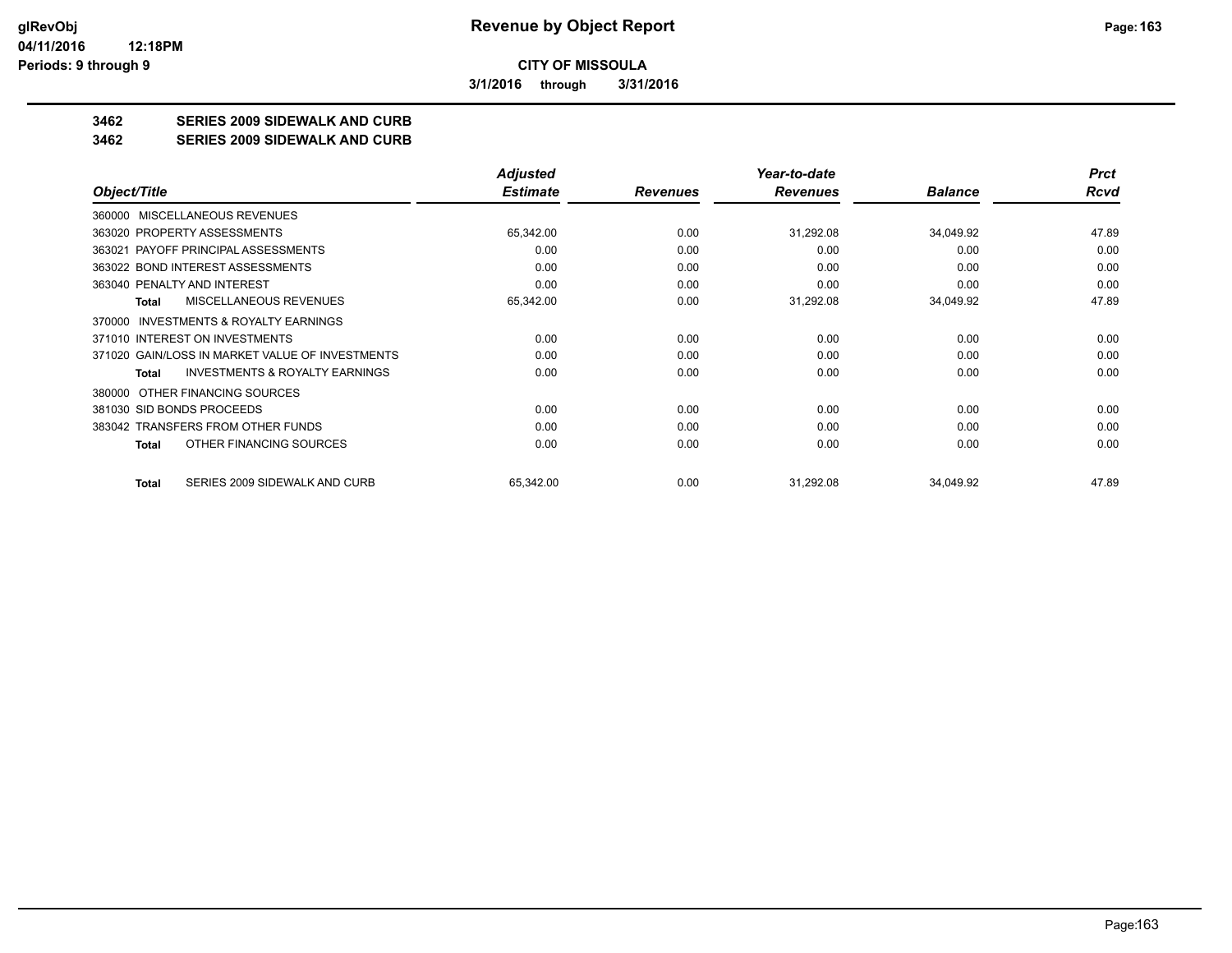**3/1/2016 through 3/31/2016**

## **3462 SERIES 2009 SIDEWALK AND CURB**

#### **3462 SERIES 2009 SIDEWALK AND CURB**

|                                                    | Adjusted        |                 | Year-to-date    |                | <b>Prct</b> |
|----------------------------------------------------|-----------------|-----------------|-----------------|----------------|-------------|
| Object/Title                                       | <b>Estimate</b> | <b>Revenues</b> | <b>Revenues</b> | <b>Balance</b> | Rcvd        |
| <b>MISCELLANEOUS REVENUES</b><br>360000            |                 |                 |                 |                |             |
| 363020 PROPERTY ASSESSMENTS                        | 65,342.00       | 0.00            | 31,292.08       | 34,049.92      | 47.89       |
| 363021 PAYOFF PRINCIPAL ASSESSMENTS                | 0.00            | 0.00            | 0.00            | 0.00           | 0.00        |
| 363022 BOND INTEREST ASSESSMENTS                   | 0.00            | 0.00            | 0.00            | 0.00           | 0.00        |
| 363040 PENALTY AND INTEREST                        | 0.00            | 0.00            | 0.00            | 0.00           | 0.00        |
| <b>MISCELLANEOUS REVENUES</b><br><b>Total</b>      | 65,342.00       | 0.00            | 31,292.08       | 34,049.92      | 47.89       |
| INVESTMENTS & ROYALTY EARNINGS<br>370000           |                 |                 |                 |                |             |
| 371010 INTEREST ON INVESTMENTS                     | 0.00            | 0.00            | 0.00            | 0.00           | 0.00        |
| 371020 GAIN/LOSS IN MARKET VALUE OF INVESTMENTS    | 0.00            | 0.00            | 0.00            | 0.00           | 0.00        |
| <b>INVESTMENTS &amp; ROYALTY EARNINGS</b><br>Total | 0.00            | 0.00            | 0.00            | 0.00           | 0.00        |
| OTHER FINANCING SOURCES<br>380000                  |                 |                 |                 |                |             |
| 381030 SID BONDS PROCEEDS                          | 0.00            | 0.00            | 0.00            | 0.00           | 0.00        |
| 383042 TRANSFERS FROM OTHER FUNDS                  | 0.00            | 0.00            | 0.00            | 0.00           | 0.00        |
| OTHER FINANCING SOURCES<br>Total                   | 0.00            | 0.00            | 0.00            | 0.00           | 0.00        |
| SERIES 2009 SIDEWALK AND CURB<br>Total             | 65,342.00       | 0.00            | 31,292.08       | 34,049.92      | 47.89       |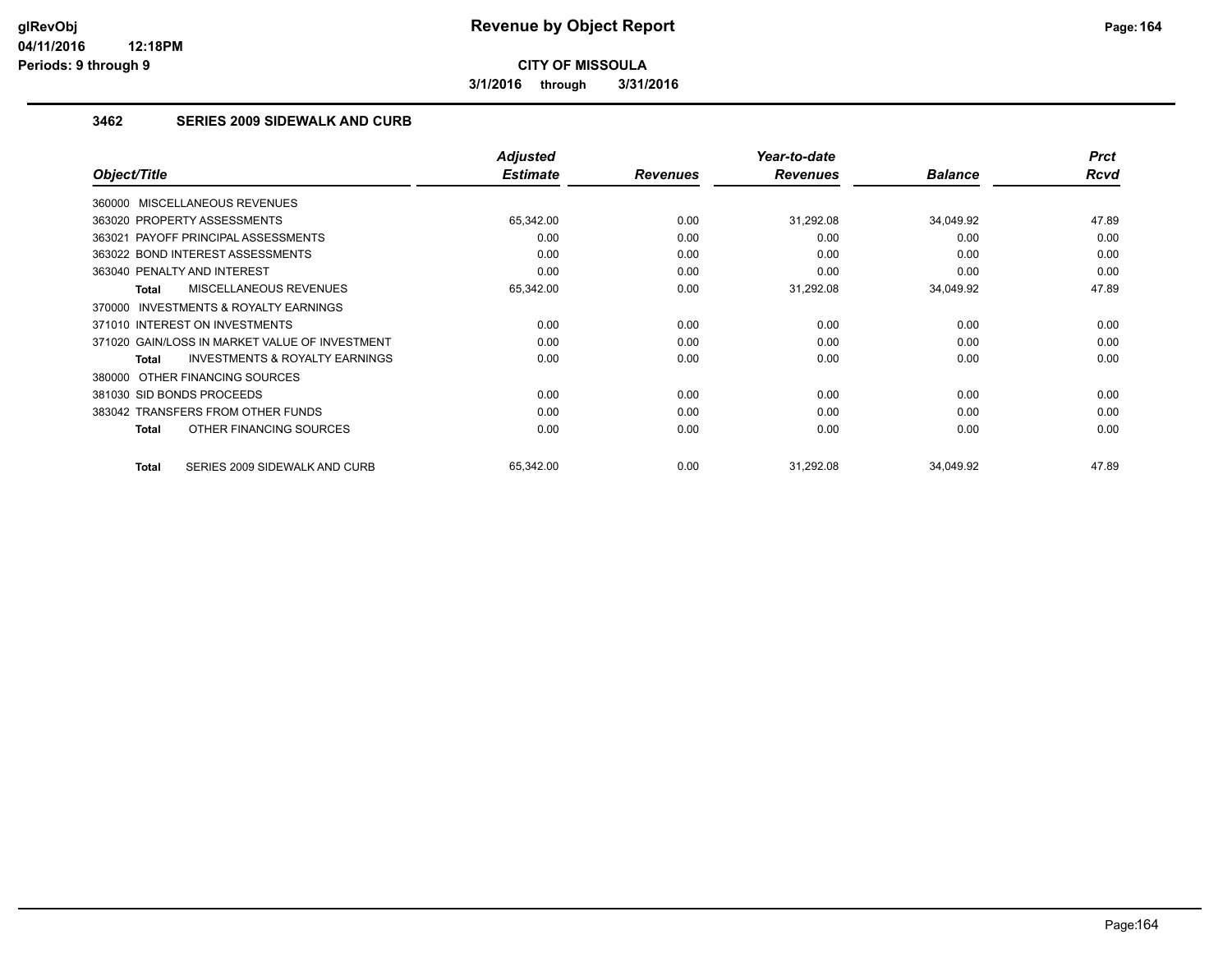**3/1/2016 through 3/31/2016**

## **3462 SERIES 2009 SIDEWALK AND CURB**

|                                                           | <b>Adjusted</b> |                 | Year-to-date    |                | <b>Prct</b> |
|-----------------------------------------------------------|-----------------|-----------------|-----------------|----------------|-------------|
| Object/Title                                              | <b>Estimate</b> | <b>Revenues</b> | <b>Revenues</b> | <b>Balance</b> | Rcvd        |
| 360000 MISCELLANEOUS REVENUES                             |                 |                 |                 |                |             |
| 363020 PROPERTY ASSESSMENTS                               | 65,342.00       | 0.00            | 31,292.08       | 34,049.92      | 47.89       |
| 363021 PAYOFF PRINCIPAL ASSESSMENTS                       | 0.00            | 0.00            | 0.00            | 0.00           | 0.00        |
| 363022 BOND INTEREST ASSESSMENTS                          | 0.00            | 0.00            | 0.00            | 0.00           | 0.00        |
| 363040 PENALTY AND INTEREST                               | 0.00            | 0.00            | 0.00            | 0.00           | 0.00        |
| MISCELLANEOUS REVENUES<br><b>Total</b>                    | 65,342.00       | 0.00            | 31,292.08       | 34,049.92      | 47.89       |
| <b>INVESTMENTS &amp; ROYALTY EARNINGS</b><br>370000       |                 |                 |                 |                |             |
| 371010 INTEREST ON INVESTMENTS                            | 0.00            | 0.00            | 0.00            | 0.00           | 0.00        |
| 371020 GAIN/LOSS IN MARKET VALUE OF INVESTMENT            | 0.00            | 0.00            | 0.00            | 0.00           | 0.00        |
| <b>INVESTMENTS &amp; ROYALTY EARNINGS</b><br><b>Total</b> | 0.00            | 0.00            | 0.00            | 0.00           | 0.00        |
| 380000 OTHER FINANCING SOURCES                            |                 |                 |                 |                |             |
| 381030 SID BONDS PROCEEDS                                 | 0.00            | 0.00            | 0.00            | 0.00           | 0.00        |
| 383042 TRANSFERS FROM OTHER FUNDS                         | 0.00            | 0.00            | 0.00            | 0.00           | 0.00        |
| OTHER FINANCING SOURCES<br>Total                          | 0.00            | 0.00            | 0.00            | 0.00           | 0.00        |
| SERIES 2009 SIDEWALK AND CURB<br>Total                    | 65,342.00       | 0.00            | 31,292.08       | 34,049.92      | 47.89       |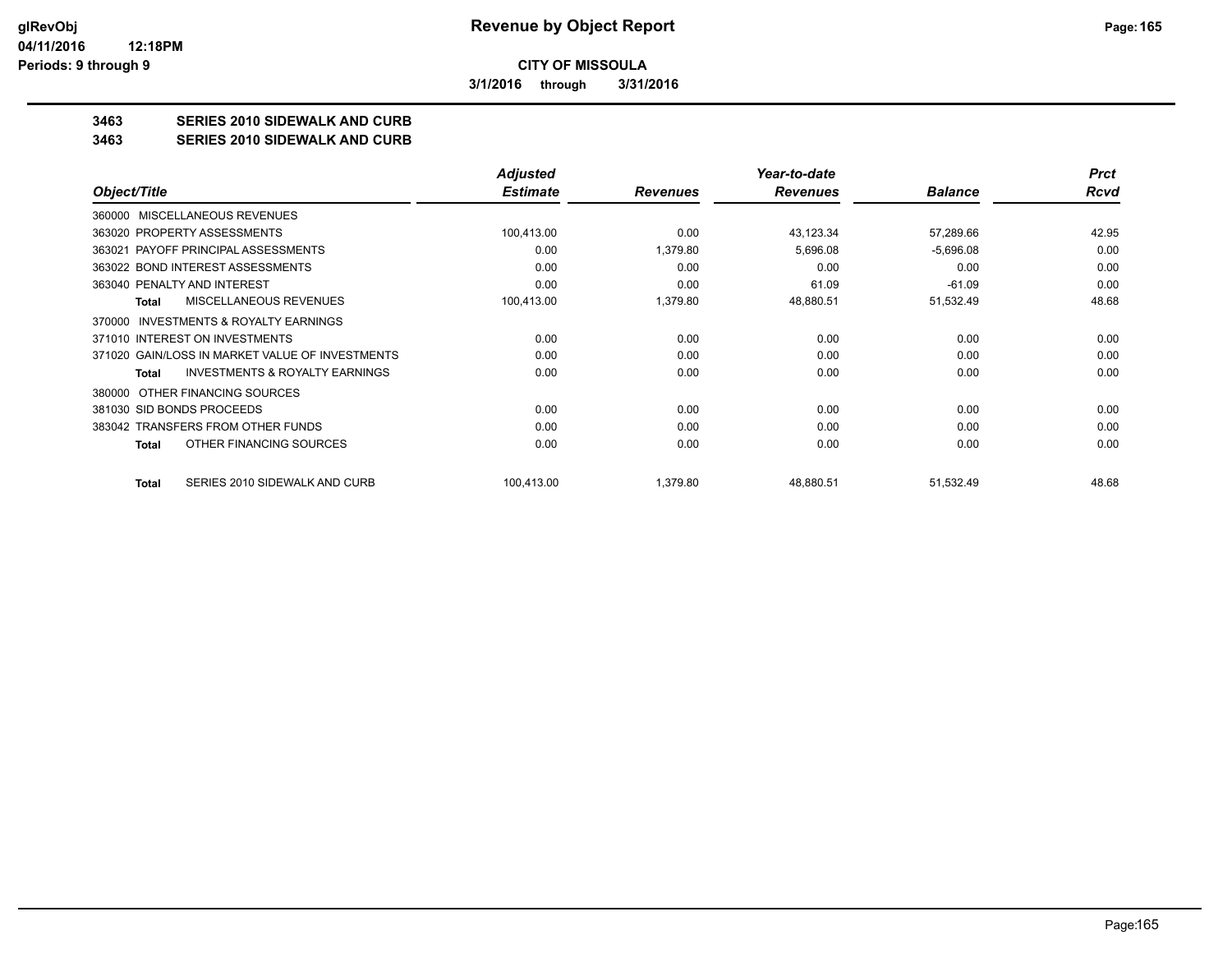**3/1/2016 through 3/31/2016**

## **3463 SERIES 2010 SIDEWALK AND CURB**

#### **3463 SERIES 2010 SIDEWALK AND CURB**

|                                                    | <b>Adjusted</b> |                 | Year-to-date    |                | <b>Prct</b> |
|----------------------------------------------------|-----------------|-----------------|-----------------|----------------|-------------|
| Object/Title                                       | <b>Estimate</b> | <b>Revenues</b> | <b>Revenues</b> | <b>Balance</b> | Rcvd        |
| <b>MISCELLANEOUS REVENUES</b><br>360000            |                 |                 |                 |                |             |
| 363020 PROPERTY ASSESSMENTS                        | 100,413.00      | 0.00            | 43,123.34       | 57,289.66      | 42.95       |
| 363021 PAYOFF PRINCIPAL ASSESSMENTS                | 0.00            | 1,379.80        | 5,696.08        | $-5,696.08$    | 0.00        |
| 363022 BOND INTEREST ASSESSMENTS                   | 0.00            | 0.00            | 0.00            | 0.00           | 0.00        |
| 363040 PENALTY AND INTEREST                        | 0.00            | 0.00            | 61.09           | $-61.09$       | 0.00        |
| <b>MISCELLANEOUS REVENUES</b><br>Total             | 100,413.00      | 1,379.80        | 48,880.51       | 51,532.49      | 48.68       |
| INVESTMENTS & ROYALTY EARNINGS<br>370000           |                 |                 |                 |                |             |
| 371010 INTEREST ON INVESTMENTS                     | 0.00            | 0.00            | 0.00            | 0.00           | 0.00        |
| 371020 GAIN/LOSS IN MARKET VALUE OF INVESTMENTS    | 0.00            | 0.00            | 0.00            | 0.00           | 0.00        |
| <b>INVESTMENTS &amp; ROYALTY EARNINGS</b><br>Total | 0.00            | 0.00            | 0.00            | 0.00           | 0.00        |
| OTHER FINANCING SOURCES<br>380000                  |                 |                 |                 |                |             |
| 381030 SID BONDS PROCEEDS                          | 0.00            | 0.00            | 0.00            | 0.00           | 0.00        |
| 383042 TRANSFERS FROM OTHER FUNDS                  | 0.00            | 0.00            | 0.00            | 0.00           | 0.00        |
| OTHER FINANCING SOURCES<br>Total                   | 0.00            | 0.00            | 0.00            | 0.00           | 0.00        |
| SERIES 2010 SIDEWALK AND CURB<br>Total             | 100,413.00      | 1,379.80        | 48,880.51       | 51,532.49      | 48.68       |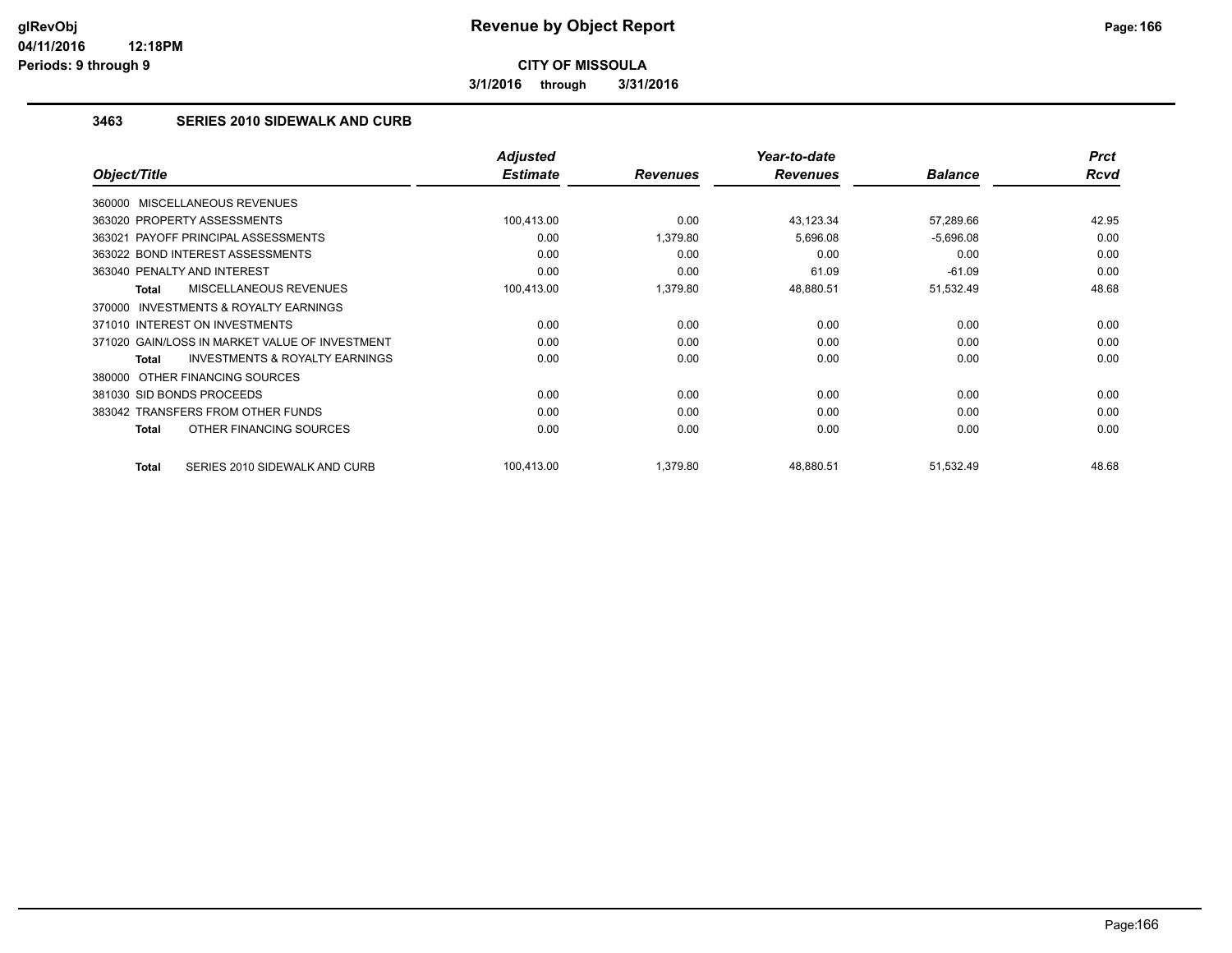**3/1/2016 through 3/31/2016**

## **3463 SERIES 2010 SIDEWALK AND CURB**

|                                                     | <b>Adjusted</b> |                 | Year-to-date    |                | <b>Prct</b> |
|-----------------------------------------------------|-----------------|-----------------|-----------------|----------------|-------------|
| Object/Title                                        | <b>Estimate</b> | <b>Revenues</b> | <b>Revenues</b> | <b>Balance</b> | <b>Rcvd</b> |
| 360000 MISCELLANEOUS REVENUES                       |                 |                 |                 |                |             |
| 363020 PROPERTY ASSESSMENTS                         | 100,413.00      | 0.00            | 43,123.34       | 57,289.66      | 42.95       |
| 363021 PAYOFF PRINCIPAL ASSESSMENTS                 | 0.00            | 1,379.80        | 5,696.08        | $-5,696.08$    | 0.00        |
| 363022 BOND INTEREST ASSESSMENTS                    | 0.00            | 0.00            | 0.00            | 0.00           | 0.00        |
| 363040 PENALTY AND INTEREST                         | 0.00            | 0.00            | 61.09           | $-61.09$       | 0.00        |
| <b>MISCELLANEOUS REVENUES</b><br>Total              | 100,413.00      | 1,379.80        | 48,880.51       | 51,532.49      | 48.68       |
| <b>INVESTMENTS &amp; ROYALTY EARNINGS</b><br>370000 |                 |                 |                 |                |             |
| 371010 INTEREST ON INVESTMENTS                      | 0.00            | 0.00            | 0.00            | 0.00           | 0.00        |
| 371020 GAIN/LOSS IN MARKET VALUE OF INVESTMENT      | 0.00            | 0.00            | 0.00            | 0.00           | 0.00        |
| <b>INVESTMENTS &amp; ROYALTY EARNINGS</b><br>Total  | 0.00            | 0.00            | 0.00            | 0.00           | 0.00        |
| 380000 OTHER FINANCING SOURCES                      |                 |                 |                 |                |             |
| 381030 SID BONDS PROCEEDS                           | 0.00            | 0.00            | 0.00            | 0.00           | 0.00        |
| 383042 TRANSFERS FROM OTHER FUNDS                   | 0.00            | 0.00            | 0.00            | 0.00           | 0.00        |
| OTHER FINANCING SOURCES<br>Total                    | 0.00            | 0.00            | 0.00            | 0.00           | 0.00        |
| SERIES 2010 SIDEWALK AND CURB<br><b>Total</b>       | 100.413.00      | 1,379.80        | 48,880.51       | 51,532.49      | 48.68       |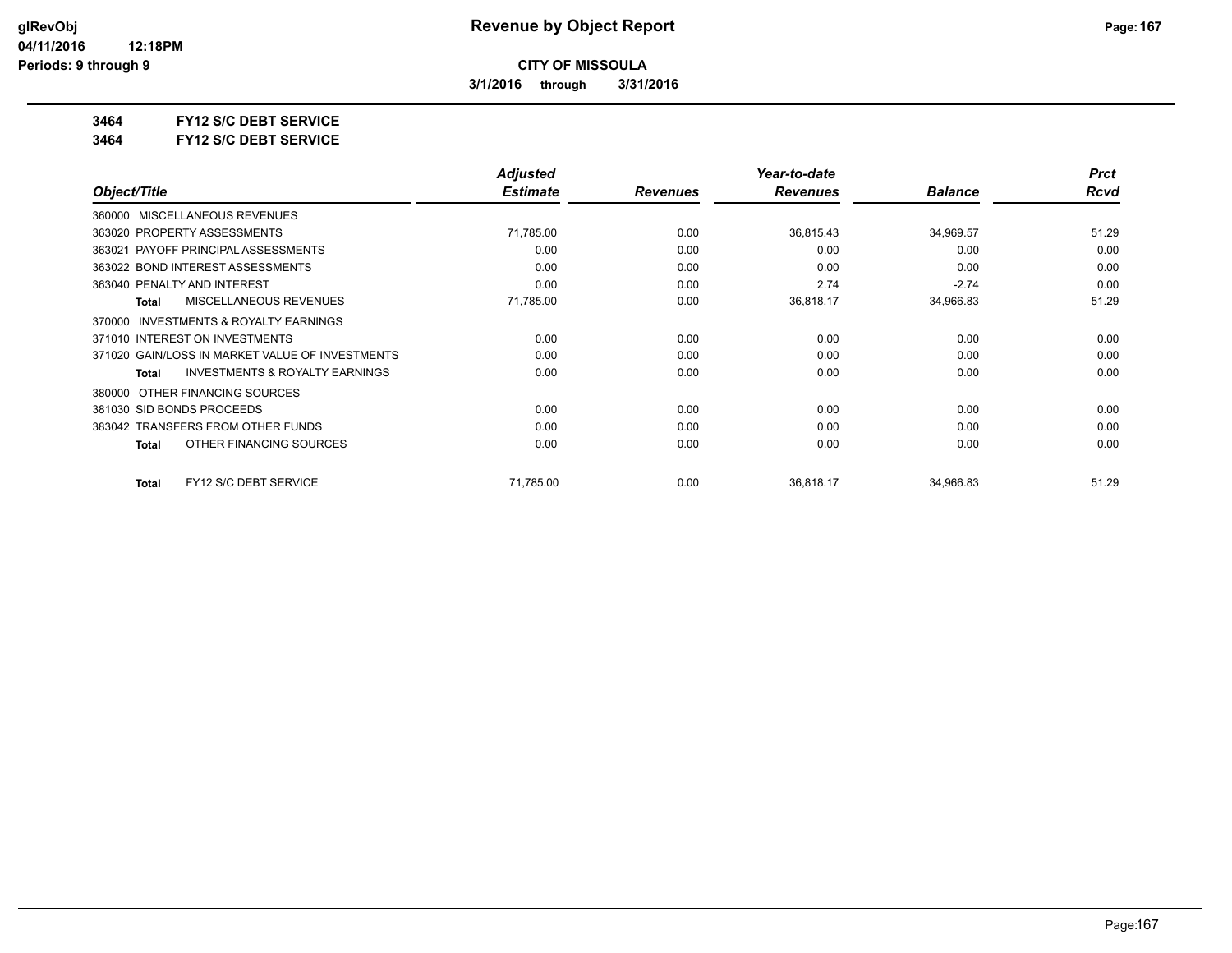**3/1/2016 through 3/31/2016**

**3464 FY12 S/C DEBT SERVICE**

**3464 FY12 S/C DEBT SERVICE**

|                                                    | <b>Adjusted</b> |                 | Year-to-date    |                | <b>Prct</b> |
|----------------------------------------------------|-----------------|-----------------|-----------------|----------------|-------------|
| Object/Title                                       | <b>Estimate</b> | <b>Revenues</b> | <b>Revenues</b> | <b>Balance</b> | Rcvd        |
| MISCELLANEOUS REVENUES<br>360000                   |                 |                 |                 |                |             |
| 363020 PROPERTY ASSESSMENTS                        | 71,785.00       | 0.00            | 36,815.43       | 34,969.57      | 51.29       |
| 363021 PAYOFF PRINCIPAL ASSESSMENTS                | 0.00            | 0.00            | 0.00            | 0.00           | 0.00        |
| 363022 BOND INTEREST ASSESSMENTS                   | 0.00            | 0.00            | 0.00            | 0.00           | 0.00        |
| 363040 PENALTY AND INTEREST                        | 0.00            | 0.00            | 2.74            | $-2.74$        | 0.00        |
| <b>MISCELLANEOUS REVENUES</b><br><b>Total</b>      | 71,785.00       | 0.00            | 36,818.17       | 34,966.83      | 51.29       |
| INVESTMENTS & ROYALTY EARNINGS<br>370000           |                 |                 |                 |                |             |
| 371010 INTEREST ON INVESTMENTS                     | 0.00            | 0.00            | 0.00            | 0.00           | 0.00        |
| 371020 GAIN/LOSS IN MARKET VALUE OF INVESTMENTS    | 0.00            | 0.00            | 0.00            | 0.00           | 0.00        |
| <b>INVESTMENTS &amp; ROYALTY EARNINGS</b><br>Total | 0.00            | 0.00            | 0.00            | 0.00           | 0.00        |
| OTHER FINANCING SOURCES<br>380000                  |                 |                 |                 |                |             |
| 381030 SID BONDS PROCEEDS                          | 0.00            | 0.00            | 0.00            | 0.00           | 0.00        |
| 383042 TRANSFERS FROM OTHER FUNDS                  | 0.00            | 0.00            | 0.00            | 0.00           | 0.00        |
| OTHER FINANCING SOURCES<br>Total                   | 0.00            | 0.00            | 0.00            | 0.00           | 0.00        |
| FY12 S/C DEBT SERVICE<br><b>Total</b>              | 71,785.00       | 0.00            | 36,818.17       | 34,966.83      | 51.29       |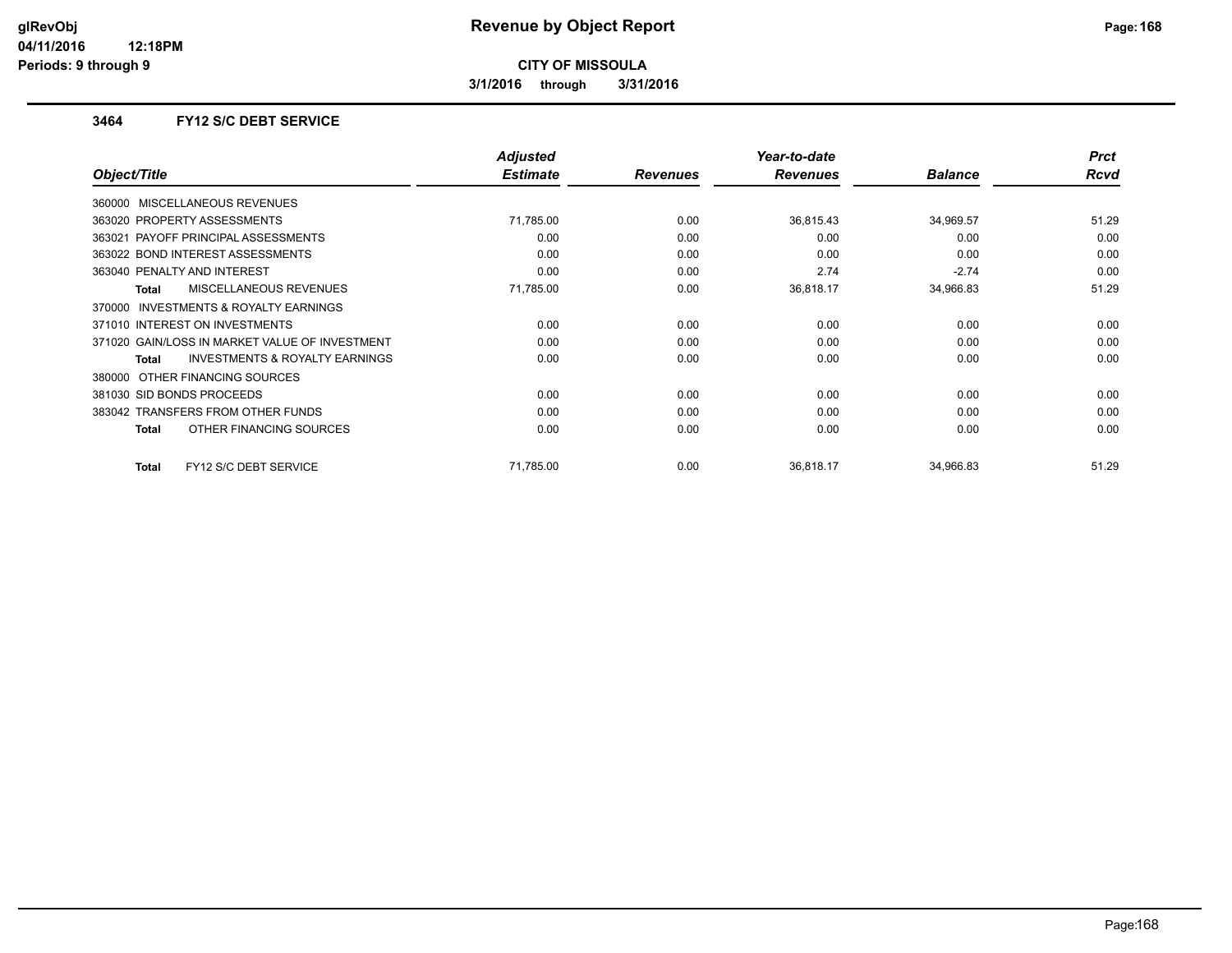**3/1/2016 through 3/31/2016**

### **3464 FY12 S/C DEBT SERVICE**

|                                                     | <b>Adjusted</b> |                 | Year-to-date    |                | <b>Prct</b> |
|-----------------------------------------------------|-----------------|-----------------|-----------------|----------------|-------------|
| Object/Title                                        | <b>Estimate</b> | <b>Revenues</b> | <b>Revenues</b> | <b>Balance</b> | <b>Rcvd</b> |
| 360000 MISCELLANEOUS REVENUES                       |                 |                 |                 |                |             |
| 363020 PROPERTY ASSESSMENTS                         | 71,785.00       | 0.00            | 36,815.43       | 34,969.57      | 51.29       |
| 363021 PAYOFF PRINCIPAL ASSESSMENTS                 | 0.00            | 0.00            | 0.00            | 0.00           | 0.00        |
| 363022 BOND INTEREST ASSESSMENTS                    | 0.00            | 0.00            | 0.00            | 0.00           | 0.00        |
| 363040 PENALTY AND INTEREST                         | 0.00            | 0.00            | 2.74            | $-2.74$        | 0.00        |
| <b>MISCELLANEOUS REVENUES</b><br>Total              | 71,785.00       | 0.00            | 36,818.17       | 34,966.83      | 51.29       |
| <b>INVESTMENTS &amp; ROYALTY EARNINGS</b><br>370000 |                 |                 |                 |                |             |
| 371010 INTEREST ON INVESTMENTS                      | 0.00            | 0.00            | 0.00            | 0.00           | 0.00        |
| 371020 GAIN/LOSS IN MARKET VALUE OF INVESTMENT      | 0.00            | 0.00            | 0.00            | 0.00           | 0.00        |
| <b>INVESTMENTS &amp; ROYALTY EARNINGS</b><br>Total  | 0.00            | 0.00            | 0.00            | 0.00           | 0.00        |
| 380000 OTHER FINANCING SOURCES                      |                 |                 |                 |                |             |
| 381030 SID BONDS PROCEEDS                           | 0.00            | 0.00            | 0.00            | 0.00           | 0.00        |
| 383042 TRANSFERS FROM OTHER FUNDS                   | 0.00            | 0.00            | 0.00            | 0.00           | 0.00        |
| OTHER FINANCING SOURCES<br>Total                    | 0.00            | 0.00            | 0.00            | 0.00           | 0.00        |
| FY12 S/C DEBT SERVICE<br><b>Total</b>               | 71,785.00       | 0.00            | 36,818.17       | 34,966.83      | 51.29       |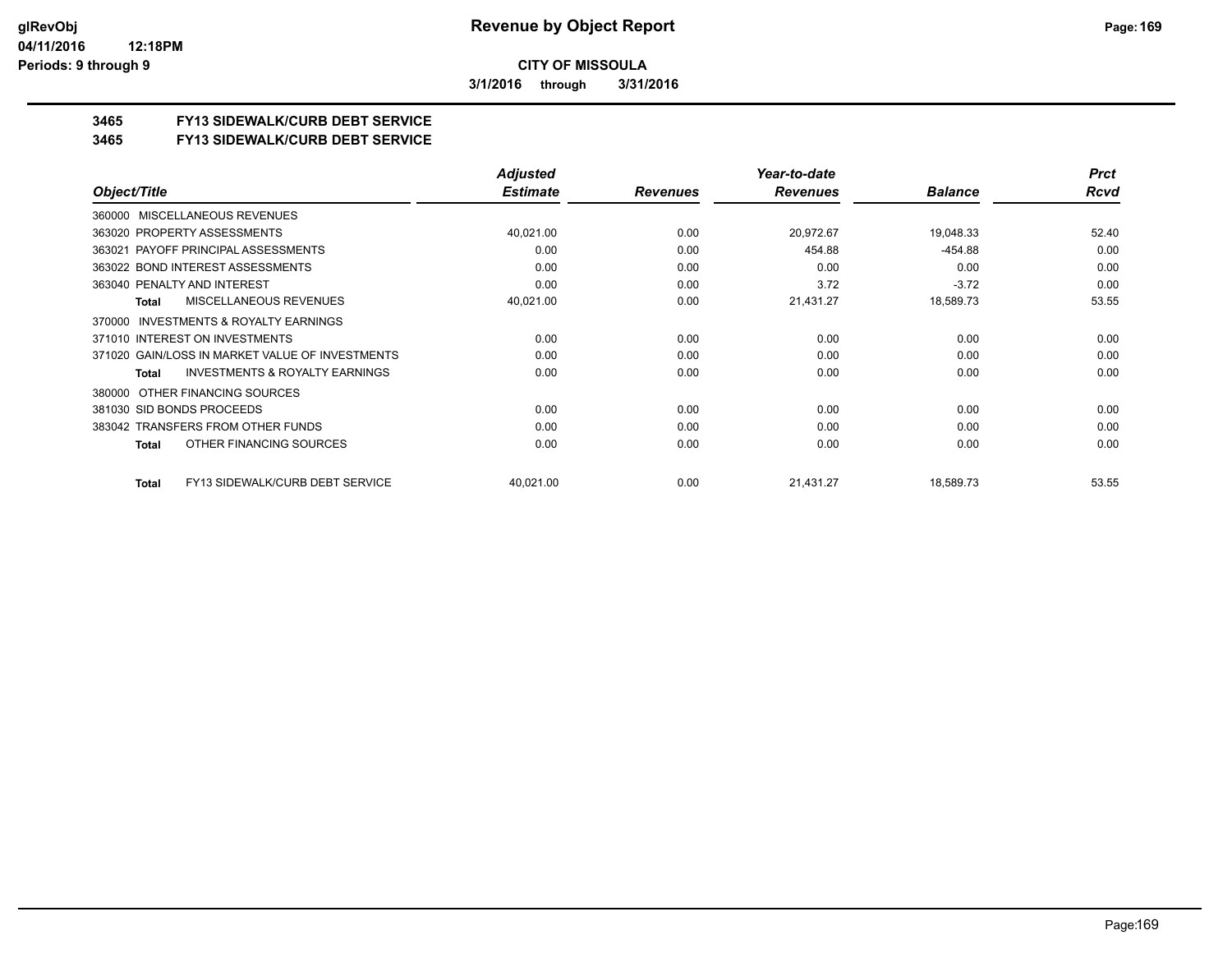**3/1/2016 through 3/31/2016**

## **3465 FY13 SIDEWALK/CURB DEBT SERVICE**

#### **3465 FY13 SIDEWALK/CURB DEBT SERVICE**

|                                                     | <b>Adjusted</b> |                 | Year-to-date    |                | <b>Prct</b> |
|-----------------------------------------------------|-----------------|-----------------|-----------------|----------------|-------------|
| Object/Title                                        | <b>Estimate</b> | <b>Revenues</b> | <b>Revenues</b> | <b>Balance</b> | Rcvd        |
| MISCELLANEOUS REVENUES<br>360000                    |                 |                 |                 |                |             |
| 363020 PROPERTY ASSESSMENTS                         | 40,021.00       | 0.00            | 20,972.67       | 19,048.33      | 52.40       |
| 363021 PAYOFF PRINCIPAL ASSESSMENTS                 | 0.00            | 0.00            | 454.88          | $-454.88$      | 0.00        |
| 363022 BOND INTEREST ASSESSMENTS                    | 0.00            | 0.00            | 0.00            | 0.00           | 0.00        |
| 363040 PENALTY AND INTEREST                         | 0.00            | 0.00            | 3.72            | $-3.72$        | 0.00        |
| MISCELLANEOUS REVENUES<br>Total                     | 40,021.00       | 0.00            | 21,431.27       | 18,589.73      | 53.55       |
| <b>INVESTMENTS &amp; ROYALTY EARNINGS</b><br>370000 |                 |                 |                 |                |             |
| 371010 INTEREST ON INVESTMENTS                      | 0.00            | 0.00            | 0.00            | 0.00           | 0.00        |
| 371020 GAIN/LOSS IN MARKET VALUE OF INVESTMENTS     | 0.00            | 0.00            | 0.00            | 0.00           | 0.00        |
| <b>INVESTMENTS &amp; ROYALTY EARNINGS</b><br>Total  | 0.00            | 0.00            | 0.00            | 0.00           | 0.00        |
| 380000 OTHER FINANCING SOURCES                      |                 |                 |                 |                |             |
| 381030 SID BONDS PROCEEDS                           | 0.00            | 0.00            | 0.00            | 0.00           | 0.00        |
| 383042 TRANSFERS FROM OTHER FUNDS                   | 0.00            | 0.00            | 0.00            | 0.00           | 0.00        |
| OTHER FINANCING SOURCES<br>Total                    | 0.00            | 0.00            | 0.00            | 0.00           | 0.00        |
| FY13 SIDEWALK/CURB DEBT SERVICE<br>Total            | 40,021.00       | 0.00            | 21,431.27       | 18,589.73      | 53.55       |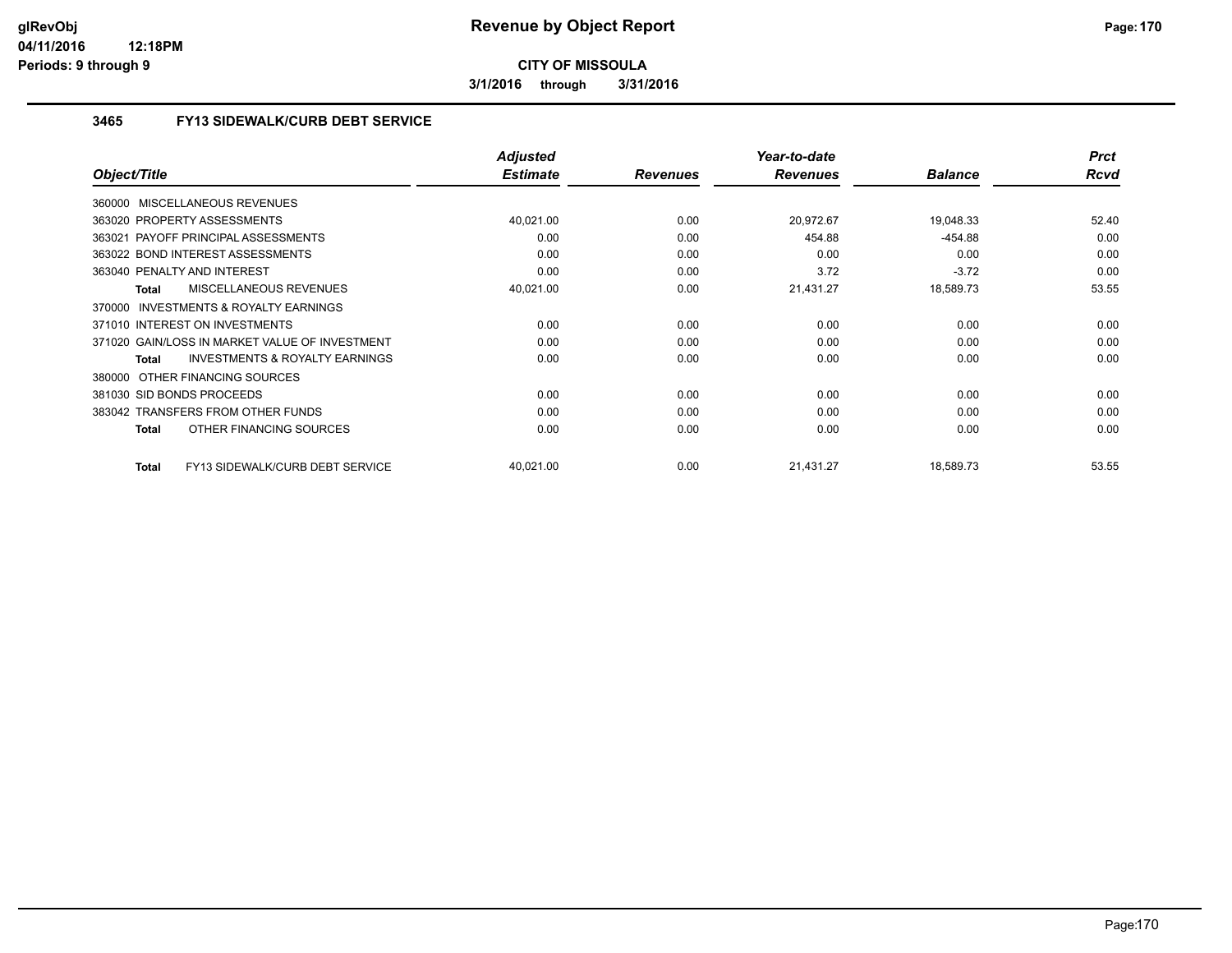**3/1/2016 through 3/31/2016**

### **3465 FY13 SIDEWALK/CURB DEBT SERVICE**

|                                                           | <b>Adjusted</b> |                 | Year-to-date    |                | <b>Prct</b> |
|-----------------------------------------------------------|-----------------|-----------------|-----------------|----------------|-------------|
| Object/Title                                              | <b>Estimate</b> | <b>Revenues</b> | <b>Revenues</b> | <b>Balance</b> | <b>Rcvd</b> |
| 360000 MISCELLANEOUS REVENUES                             |                 |                 |                 |                |             |
| 363020 PROPERTY ASSESSMENTS                               | 40,021.00       | 0.00            | 20,972.67       | 19,048.33      | 52.40       |
| 363021 PAYOFF PRINCIPAL ASSESSMENTS                       | 0.00            | 0.00            | 454.88          | $-454.88$      | 0.00        |
| 363022 BOND INTEREST ASSESSMENTS                          | 0.00            | 0.00            | 0.00            | 0.00           | 0.00        |
| 363040 PENALTY AND INTEREST                               | 0.00            | 0.00            | 3.72            | $-3.72$        | 0.00        |
| MISCELLANEOUS REVENUES<br><b>Total</b>                    | 40,021.00       | 0.00            | 21,431.27       | 18,589.73      | 53.55       |
| <b>INVESTMENTS &amp; ROYALTY EARNINGS</b><br>370000       |                 |                 |                 |                |             |
| 371010 INTEREST ON INVESTMENTS                            | 0.00            | 0.00            | 0.00            | 0.00           | 0.00        |
| 371020 GAIN/LOSS IN MARKET VALUE OF INVESTMENT            | 0.00            | 0.00            | 0.00            | 0.00           | 0.00        |
| <b>INVESTMENTS &amp; ROYALTY EARNINGS</b><br><b>Total</b> | 0.00            | 0.00            | 0.00            | 0.00           | 0.00        |
| OTHER FINANCING SOURCES<br>380000                         |                 |                 |                 |                |             |
| 381030 SID BONDS PROCEEDS                                 | 0.00            | 0.00            | 0.00            | 0.00           | 0.00        |
| 383042 TRANSFERS FROM OTHER FUNDS                         | 0.00            | 0.00            | 0.00            | 0.00           | 0.00        |
| OTHER FINANCING SOURCES<br><b>Total</b>                   | 0.00            | 0.00            | 0.00            | 0.00           | 0.00        |
| FY13 SIDEWALK/CURB DEBT SERVICE<br>Total                  | 40,021.00       | 0.00            | 21,431.27       | 18,589.73      | 53.55       |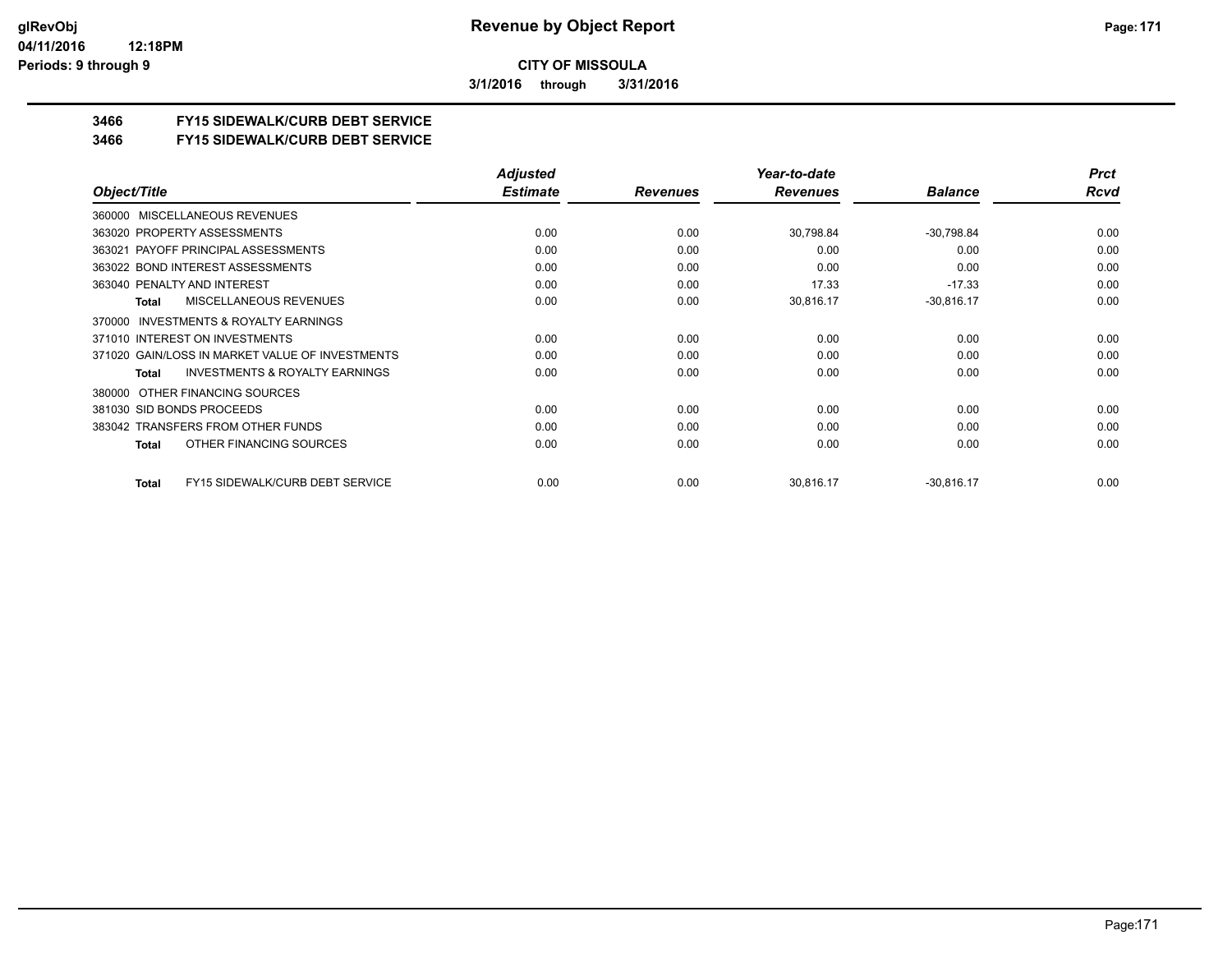**3/1/2016 through 3/31/2016**

## **3466 FY15 SIDEWALK/CURB DEBT SERVICE**

#### **3466 FY15 SIDEWALK/CURB DEBT SERVICE**

|                                                    | <b>Adjusted</b> |                 | Year-to-date    |                | <b>Prct</b> |
|----------------------------------------------------|-----------------|-----------------|-----------------|----------------|-------------|
| Object/Title                                       | <b>Estimate</b> | <b>Revenues</b> | <b>Revenues</b> | <b>Balance</b> | Rcvd        |
| MISCELLANEOUS REVENUES<br>360000                   |                 |                 |                 |                |             |
| 363020 PROPERTY ASSESSMENTS                        | 0.00            | 0.00            | 30,798.84       | $-30,798.84$   | 0.00        |
| 363021 PAYOFF PRINCIPAL ASSESSMENTS                | 0.00            | 0.00            | 0.00            | 0.00           | 0.00        |
| 363022 BOND INTEREST ASSESSMENTS                   | 0.00            | 0.00            | 0.00            | 0.00           | 0.00        |
| 363040 PENALTY AND INTEREST                        | 0.00            | 0.00            | 17.33           | $-17.33$       | 0.00        |
| <b>MISCELLANEOUS REVENUES</b><br>Total             | 0.00            | 0.00            | 30,816.17       | $-30,816.17$   | 0.00        |
| INVESTMENTS & ROYALTY EARNINGS<br>370000           |                 |                 |                 |                |             |
| 371010 INTEREST ON INVESTMENTS                     | 0.00            | 0.00            | 0.00            | 0.00           | 0.00        |
| 371020 GAIN/LOSS IN MARKET VALUE OF INVESTMENTS    | 0.00            | 0.00            | 0.00            | 0.00           | 0.00        |
| <b>INVESTMENTS &amp; ROYALTY EARNINGS</b><br>Total | 0.00            | 0.00            | 0.00            | 0.00           | 0.00        |
| 380000 OTHER FINANCING SOURCES                     |                 |                 |                 |                |             |
| 381030 SID BONDS PROCEEDS                          | 0.00            | 0.00            | 0.00            | 0.00           | 0.00        |
| 383042 TRANSFERS FROM OTHER FUNDS                  | 0.00            | 0.00            | 0.00            | 0.00           | 0.00        |
| OTHER FINANCING SOURCES<br>Total                   | 0.00            | 0.00            | 0.00            | 0.00           | 0.00        |
| <b>FY15 SIDEWALK/CURB DEBT SERVICE</b><br>Total    | 0.00            | 0.00            | 30,816.17       | $-30,816.17$   | 0.00        |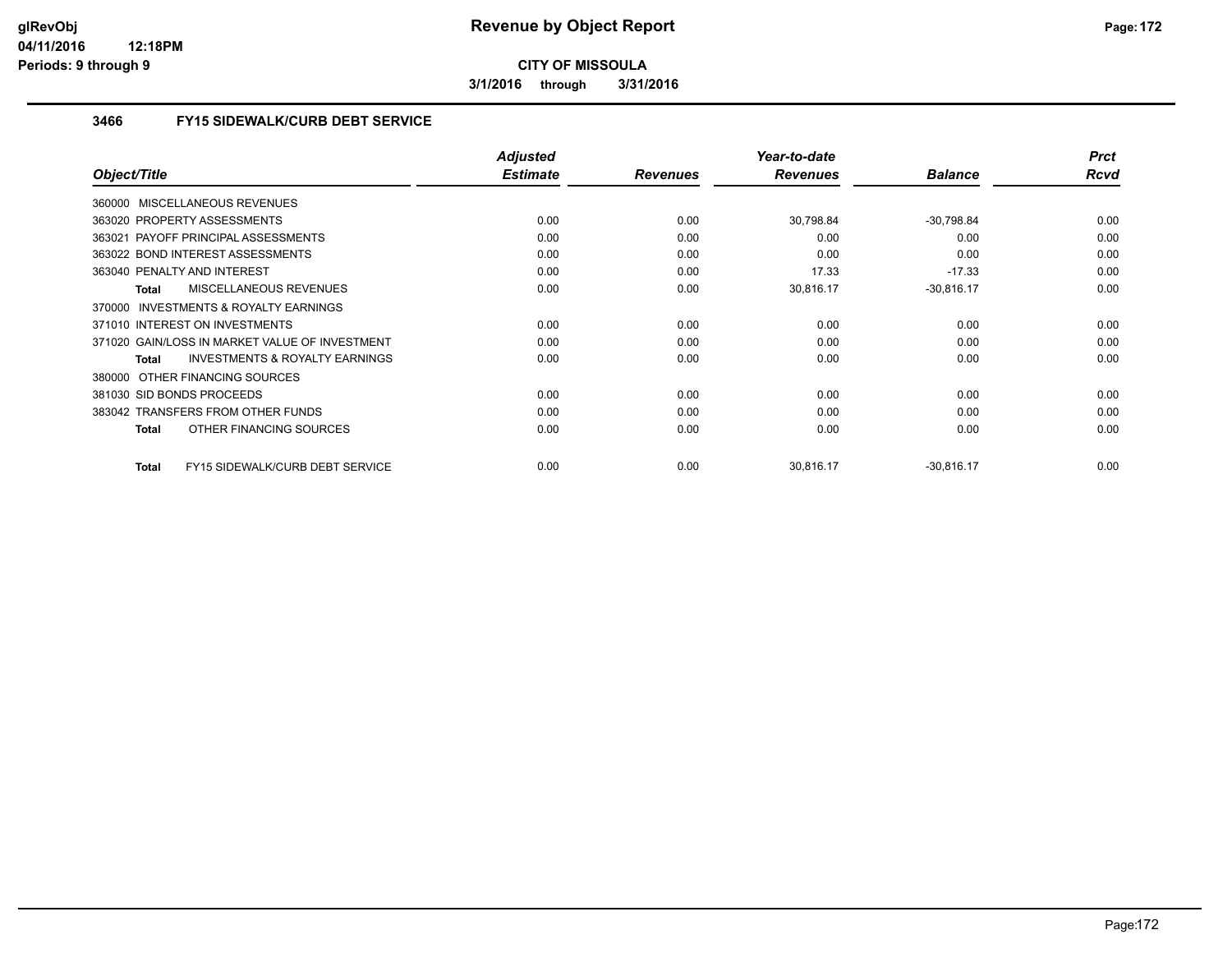**3/1/2016 through 3/31/2016**

### **3466 FY15 SIDEWALK/CURB DEBT SERVICE**

|                                                    | <b>Adjusted</b> |                 | Year-to-date    |                | <b>Prct</b> |
|----------------------------------------------------|-----------------|-----------------|-----------------|----------------|-------------|
| Object/Title                                       | <b>Estimate</b> | <b>Revenues</b> | <b>Revenues</b> | <b>Balance</b> | Rcvd        |
| 360000 MISCELLANEOUS REVENUES                      |                 |                 |                 |                |             |
| 363020 PROPERTY ASSESSMENTS                        | 0.00            | 0.00            | 30,798.84       | $-30,798.84$   | 0.00        |
| 363021 PAYOFF PRINCIPAL ASSESSMENTS                | 0.00            | 0.00            | 0.00            | 0.00           | 0.00        |
| 363022 BOND INTEREST ASSESSMENTS                   | 0.00            | 0.00            | 0.00            | 0.00           | 0.00        |
| 363040 PENALTY AND INTEREST                        | 0.00            | 0.00            | 17.33           | $-17.33$       | 0.00        |
| <b>MISCELLANEOUS REVENUES</b><br><b>Total</b>      | 0.00            | 0.00            | 30,816.17       | $-30,816.17$   | 0.00        |
| 370000 INVESTMENTS & ROYALTY EARNINGS              |                 |                 |                 |                |             |
| 371010 INTEREST ON INVESTMENTS                     | 0.00            | 0.00            | 0.00            | 0.00           | 0.00        |
| 371020 GAIN/LOSS IN MARKET VALUE OF INVESTMENT     | 0.00            | 0.00            | 0.00            | 0.00           | 0.00        |
| <b>INVESTMENTS &amp; ROYALTY EARNINGS</b><br>Total | 0.00            | 0.00            | 0.00            | 0.00           | 0.00        |
| OTHER FINANCING SOURCES<br>380000                  |                 |                 |                 |                |             |
| 381030 SID BONDS PROCEEDS                          | 0.00            | 0.00            | 0.00            | 0.00           | 0.00        |
| 383042 TRANSFERS FROM OTHER FUNDS                  | 0.00            | 0.00            | 0.00            | 0.00           | 0.00        |
| OTHER FINANCING SOURCES<br><b>Total</b>            | 0.00            | 0.00            | 0.00            | 0.00           | 0.00        |
| FY15 SIDEWALK/CURB DEBT SERVICE<br><b>Total</b>    | 0.00            | 0.00            | 30.816.17       | $-30,816.17$   | 0.00        |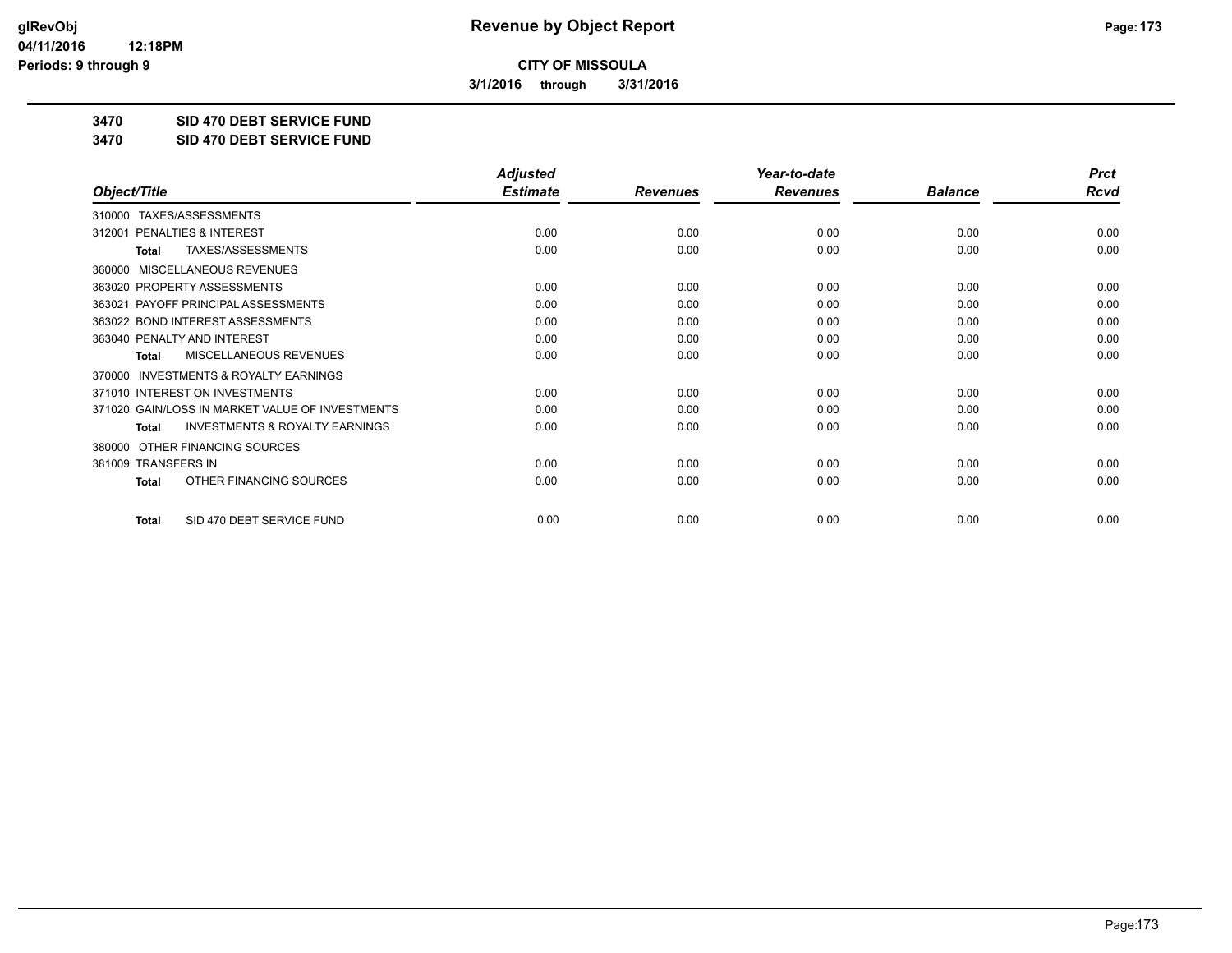**3/1/2016 through 3/31/2016**

**3470 SID 470 DEBT SERVICE FUND**

**3470 SID 470 DEBT SERVICE FUND**

|                                                     | <b>Adjusted</b> |                 | Year-to-date    |                |             |
|-----------------------------------------------------|-----------------|-----------------|-----------------|----------------|-------------|
| Object/Title                                        | <b>Estimate</b> | <b>Revenues</b> | <b>Revenues</b> | <b>Balance</b> | <b>Rcvd</b> |
| TAXES/ASSESSMENTS<br>310000                         |                 |                 |                 |                |             |
| PENALTIES & INTEREST<br>312001                      | 0.00            | 0.00            | 0.00            | 0.00           | 0.00        |
| TAXES/ASSESSMENTS<br>Total                          | 0.00            | 0.00            | 0.00            | 0.00           | 0.00        |
| MISCELLANEOUS REVENUES<br>360000                    |                 |                 |                 |                |             |
| 363020 PROPERTY ASSESSMENTS                         | 0.00            | 0.00            | 0.00            | 0.00           | 0.00        |
| PAYOFF PRINCIPAL ASSESSMENTS<br>363021              | 0.00            | 0.00            | 0.00            | 0.00           | 0.00        |
| 363022 BOND INTEREST ASSESSMENTS                    | 0.00            | 0.00            | 0.00            | 0.00           | 0.00        |
| 363040 PENALTY AND INTEREST                         | 0.00            | 0.00            | 0.00            | 0.00           | 0.00        |
| MISCELLANEOUS REVENUES<br>Total                     | 0.00            | 0.00            | 0.00            | 0.00           | 0.00        |
| <b>INVESTMENTS &amp; ROYALTY EARNINGS</b><br>370000 |                 |                 |                 |                |             |
| 371010 INTEREST ON INVESTMENTS                      | 0.00            | 0.00            | 0.00            | 0.00           | 0.00        |
| 371020 GAIN/LOSS IN MARKET VALUE OF INVESTMENTS     | 0.00            | 0.00            | 0.00            | 0.00           | 0.00        |
| <b>INVESTMENTS &amp; ROYALTY EARNINGS</b><br>Total  | 0.00            | 0.00            | 0.00            | 0.00           | 0.00        |
| OTHER FINANCING SOURCES<br>380000                   |                 |                 |                 |                |             |
| 381009 TRANSFERS IN                                 | 0.00            | 0.00            | 0.00            | 0.00           | 0.00        |
| OTHER FINANCING SOURCES<br><b>Total</b>             | 0.00            | 0.00            | 0.00            | 0.00           | 0.00        |
| SID 470 DEBT SERVICE FUND<br><b>Total</b>           | 0.00            | 0.00            | 0.00            | 0.00           | 0.00        |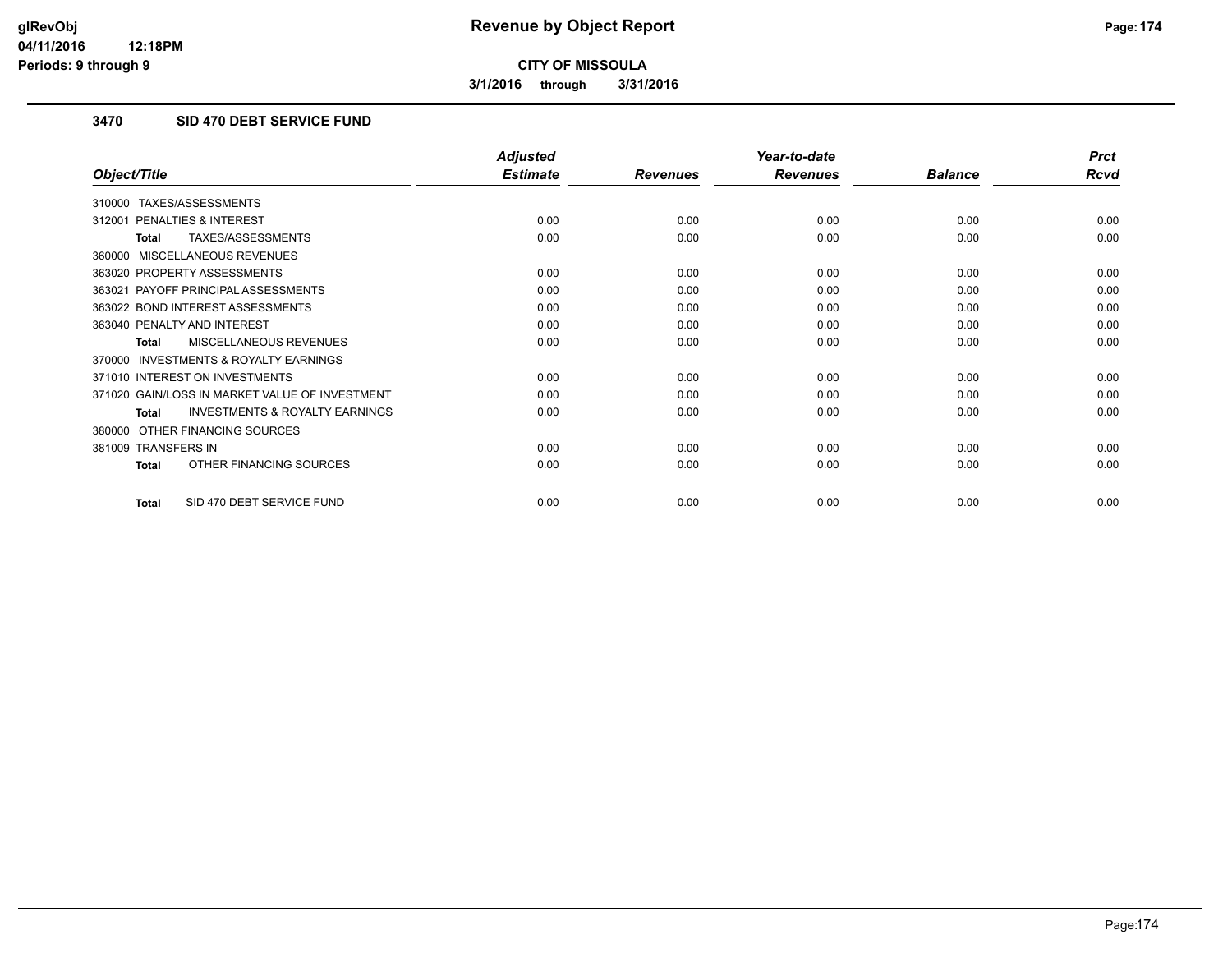**3/1/2016 through 3/31/2016**

## **3470 SID 470 DEBT SERVICE FUND**

|                                                     | <b>Adjusted</b> |                 | Year-to-date    |                | <b>Prct</b> |
|-----------------------------------------------------|-----------------|-----------------|-----------------|----------------|-------------|
| Object/Title                                        | <b>Estimate</b> | <b>Revenues</b> | <b>Revenues</b> | <b>Balance</b> | <b>Rcvd</b> |
| TAXES/ASSESSMENTS<br>310000                         |                 |                 |                 |                |             |
| <b>PENALTIES &amp; INTEREST</b><br>312001           | 0.00            | 0.00            | 0.00            | 0.00           | 0.00        |
| TAXES/ASSESSMENTS<br>Total                          | 0.00            | 0.00            | 0.00            | 0.00           | 0.00        |
| MISCELLANEOUS REVENUES<br>360000                    |                 |                 |                 |                |             |
| 363020 PROPERTY ASSESSMENTS                         | 0.00            | 0.00            | 0.00            | 0.00           | 0.00        |
| 363021 PAYOFF PRINCIPAL ASSESSMENTS                 | 0.00            | 0.00            | 0.00            | 0.00           | 0.00        |
| 363022 BOND INTEREST ASSESSMENTS                    | 0.00            | 0.00            | 0.00            | 0.00           | 0.00        |
| 363040 PENALTY AND INTEREST                         | 0.00            | 0.00            | 0.00            | 0.00           | 0.00        |
| <b>MISCELLANEOUS REVENUES</b><br><b>Total</b>       | 0.00            | 0.00            | 0.00            | 0.00           | 0.00        |
| <b>INVESTMENTS &amp; ROYALTY EARNINGS</b><br>370000 |                 |                 |                 |                |             |
| 371010 INTEREST ON INVESTMENTS                      | 0.00            | 0.00            | 0.00            | 0.00           | 0.00        |
| 371020 GAIN/LOSS IN MARKET VALUE OF INVESTMENT      | 0.00            | 0.00            | 0.00            | 0.00           | 0.00        |
| <b>INVESTMENTS &amp; ROYALTY EARNINGS</b><br>Total  | 0.00            | 0.00            | 0.00            | 0.00           | 0.00        |
| OTHER FINANCING SOURCES<br>380000                   |                 |                 |                 |                |             |
| 381009 TRANSFERS IN                                 | 0.00            | 0.00            | 0.00            | 0.00           | 0.00        |
| OTHER FINANCING SOURCES<br><b>Total</b>             | 0.00            | 0.00            | 0.00            | 0.00           | 0.00        |
| SID 470 DEBT SERVICE FUND<br><b>Total</b>           | 0.00            | 0.00            | 0.00            | 0.00           | 0.00        |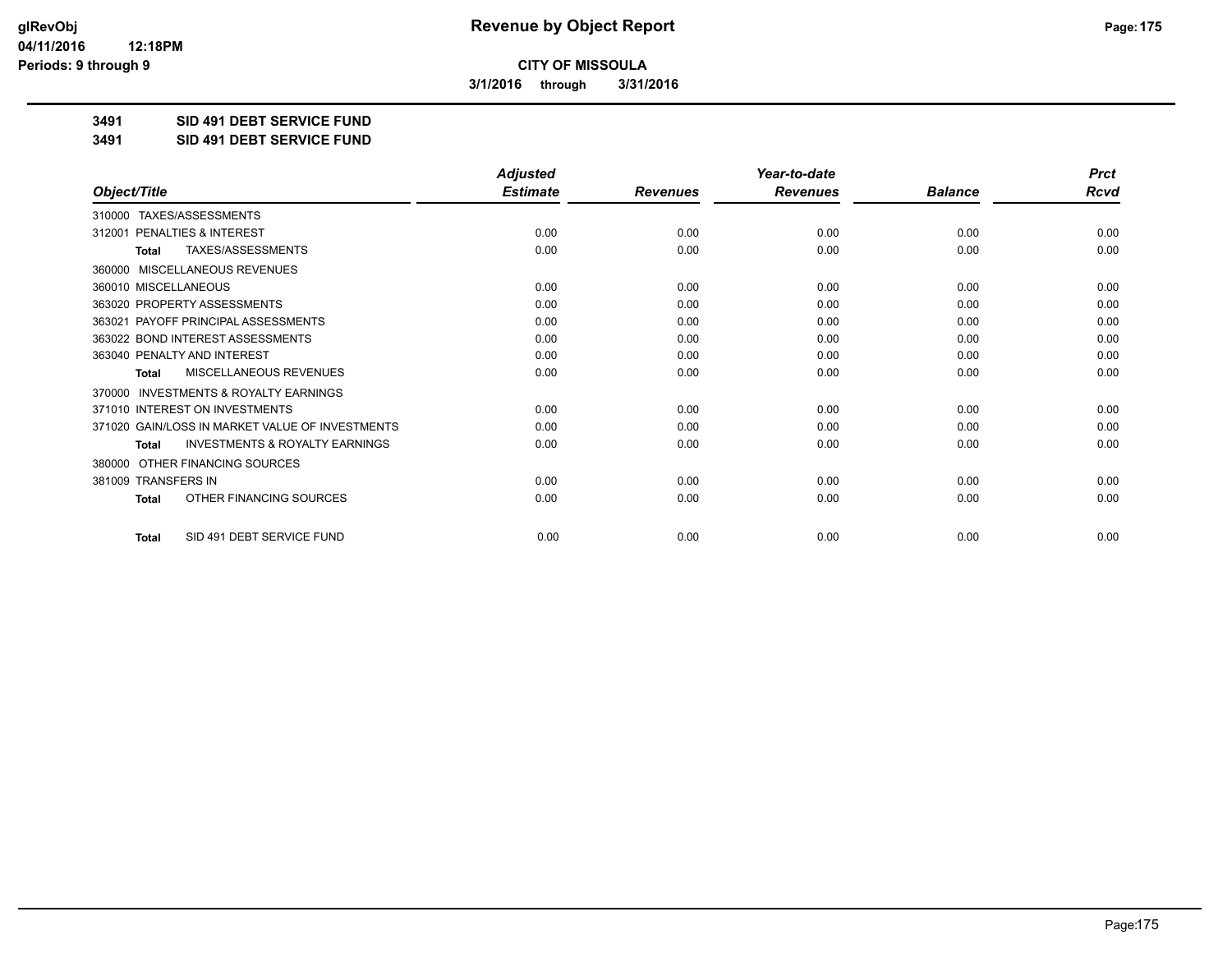**3/1/2016 through 3/31/2016**

**3491 SID 491 DEBT SERVICE FUND**

**3491 SID 491 DEBT SERVICE FUND**

|                                                           | <b>Adjusted</b> |                 | Year-to-date    |                | <b>Prct</b> |
|-----------------------------------------------------------|-----------------|-----------------|-----------------|----------------|-------------|
| Object/Title                                              | <b>Estimate</b> | <b>Revenues</b> | <b>Revenues</b> | <b>Balance</b> | <b>Rcvd</b> |
| TAXES/ASSESSMENTS<br>310000                               |                 |                 |                 |                |             |
| 312001 PENALTIES & INTEREST                               | 0.00            | 0.00            | 0.00            | 0.00           | 0.00        |
| TAXES/ASSESSMENTS<br><b>Total</b>                         | 0.00            | 0.00            | 0.00            | 0.00           | 0.00        |
| <b>MISCELLANEOUS REVENUES</b><br>360000                   |                 |                 |                 |                |             |
| 360010 MISCELLANEOUS                                      | 0.00            | 0.00            | 0.00            | 0.00           | 0.00        |
| 363020 PROPERTY ASSESSMENTS                               | 0.00            | 0.00            | 0.00            | 0.00           | 0.00        |
| 363021 PAYOFF PRINCIPAL ASSESSMENTS                       | 0.00            | 0.00            | 0.00            | 0.00           | 0.00        |
| 363022 BOND INTEREST ASSESSMENTS                          | 0.00            | 0.00            | 0.00            | 0.00           | 0.00        |
| 363040 PENALTY AND INTEREST                               | 0.00            | 0.00            | 0.00            | 0.00           | 0.00        |
| MISCELLANEOUS REVENUES<br><b>Total</b>                    | 0.00            | 0.00            | 0.00            | 0.00           | 0.00        |
| <b>INVESTMENTS &amp; ROYALTY EARNINGS</b><br>370000       |                 |                 |                 |                |             |
| 371010 INTEREST ON INVESTMENTS                            | 0.00            | 0.00            | 0.00            | 0.00           | 0.00        |
| 371020 GAIN/LOSS IN MARKET VALUE OF INVESTMENTS           | 0.00            | 0.00            | 0.00            | 0.00           | 0.00        |
| <b>INVESTMENTS &amp; ROYALTY EARNINGS</b><br><b>Total</b> | 0.00            | 0.00            | 0.00            | 0.00           | 0.00        |
| OTHER FINANCING SOURCES<br>380000                         |                 |                 |                 |                |             |
| 381009 TRANSFERS IN                                       | 0.00            | 0.00            | 0.00            | 0.00           | 0.00        |
| OTHER FINANCING SOURCES<br><b>Total</b>                   | 0.00            | 0.00            | 0.00            | 0.00           | 0.00        |
| SID 491 DEBT SERVICE FUND<br><b>Total</b>                 | 0.00            | 0.00            | 0.00            | 0.00           | 0.00        |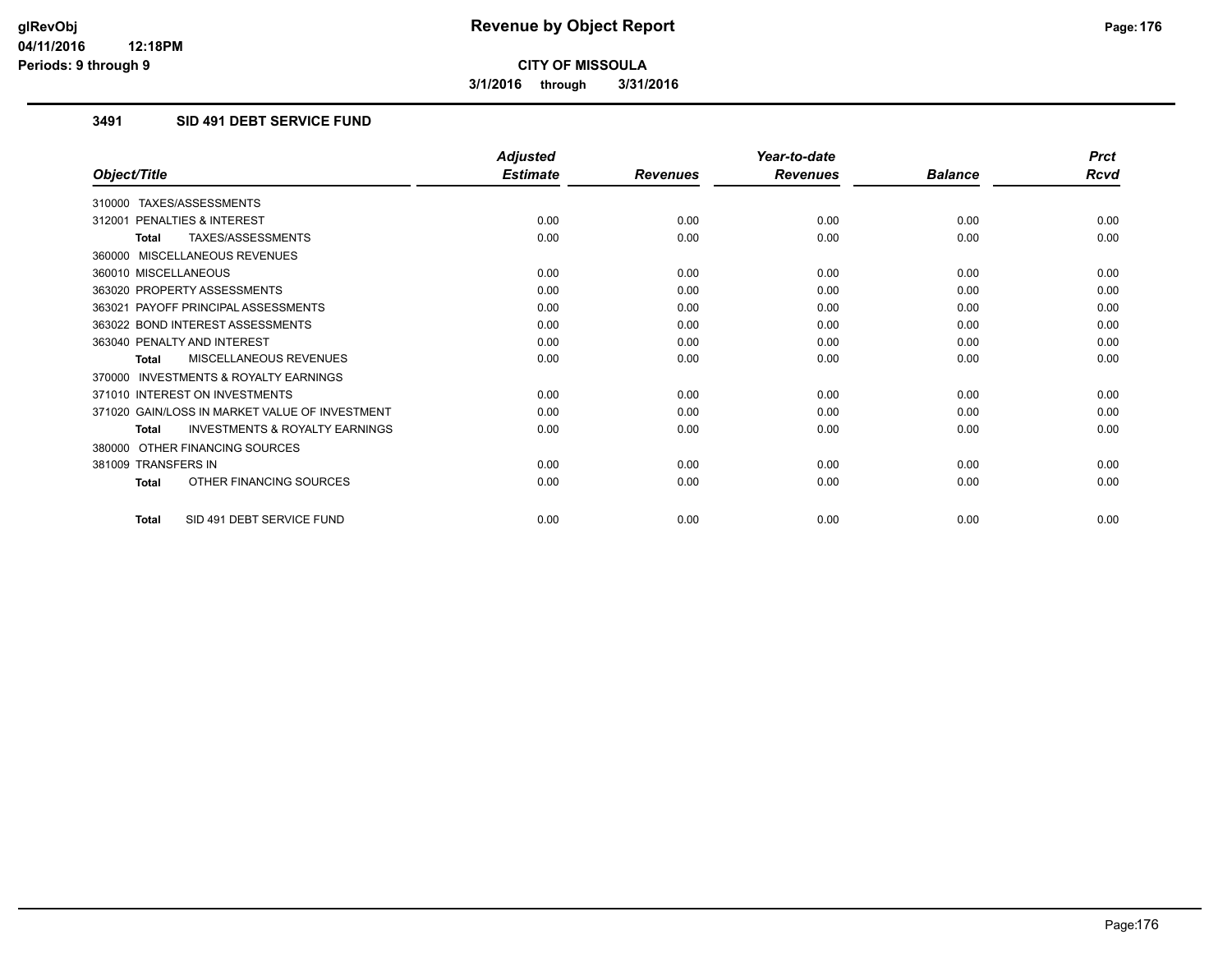**3/1/2016 through 3/31/2016**

## **3491 SID 491 DEBT SERVICE FUND**

|                                                           | <b>Adjusted</b> |                 | Year-to-date    |                | <b>Prct</b> |
|-----------------------------------------------------------|-----------------|-----------------|-----------------|----------------|-------------|
| Object/Title                                              | <b>Estimate</b> | <b>Revenues</b> | <b>Revenues</b> | <b>Balance</b> | <b>Rcvd</b> |
| 310000 TAXES/ASSESSMENTS                                  |                 |                 |                 |                |             |
| 312001 PENALTIES & INTEREST                               | 0.00            | 0.00            | 0.00            | 0.00           | 0.00        |
| TAXES/ASSESSMENTS<br><b>Total</b>                         | 0.00            | 0.00            | 0.00            | 0.00           | 0.00        |
| 360000 MISCELLANEOUS REVENUES                             |                 |                 |                 |                |             |
| 360010 MISCELLANEOUS                                      | 0.00            | 0.00            | 0.00            | 0.00           | 0.00        |
| 363020 PROPERTY ASSESSMENTS                               | 0.00            | 0.00            | 0.00            | 0.00           | 0.00        |
| 363021 PAYOFF PRINCIPAL ASSESSMENTS                       | 0.00            | 0.00            | 0.00            | 0.00           | 0.00        |
| 363022 BOND INTEREST ASSESSMENTS                          | 0.00            | 0.00            | 0.00            | 0.00           | 0.00        |
| 363040 PENALTY AND INTEREST                               | 0.00            | 0.00            | 0.00            | 0.00           | 0.00        |
| MISCELLANEOUS REVENUES<br><b>Total</b>                    | 0.00            | 0.00            | 0.00            | 0.00           | 0.00        |
| <b>INVESTMENTS &amp; ROYALTY EARNINGS</b><br>370000       |                 |                 |                 |                |             |
| 371010 INTEREST ON INVESTMENTS                            | 0.00            | 0.00            | 0.00            | 0.00           | 0.00        |
| 371020 GAIN/LOSS IN MARKET VALUE OF INVESTMENT            | 0.00            | 0.00            | 0.00            | 0.00           | 0.00        |
| <b>INVESTMENTS &amp; ROYALTY EARNINGS</b><br><b>Total</b> | 0.00            | 0.00            | 0.00            | 0.00           | 0.00        |
| OTHER FINANCING SOURCES<br>380000                         |                 |                 |                 |                |             |
| 381009 TRANSFERS IN                                       | 0.00            | 0.00            | 0.00            | 0.00           | 0.00        |
| OTHER FINANCING SOURCES<br><b>Total</b>                   | 0.00            | 0.00            | 0.00            | 0.00           | 0.00        |
| SID 491 DEBT SERVICE FUND<br><b>Total</b>                 | 0.00            | 0.00            | 0.00            | 0.00           | 0.00        |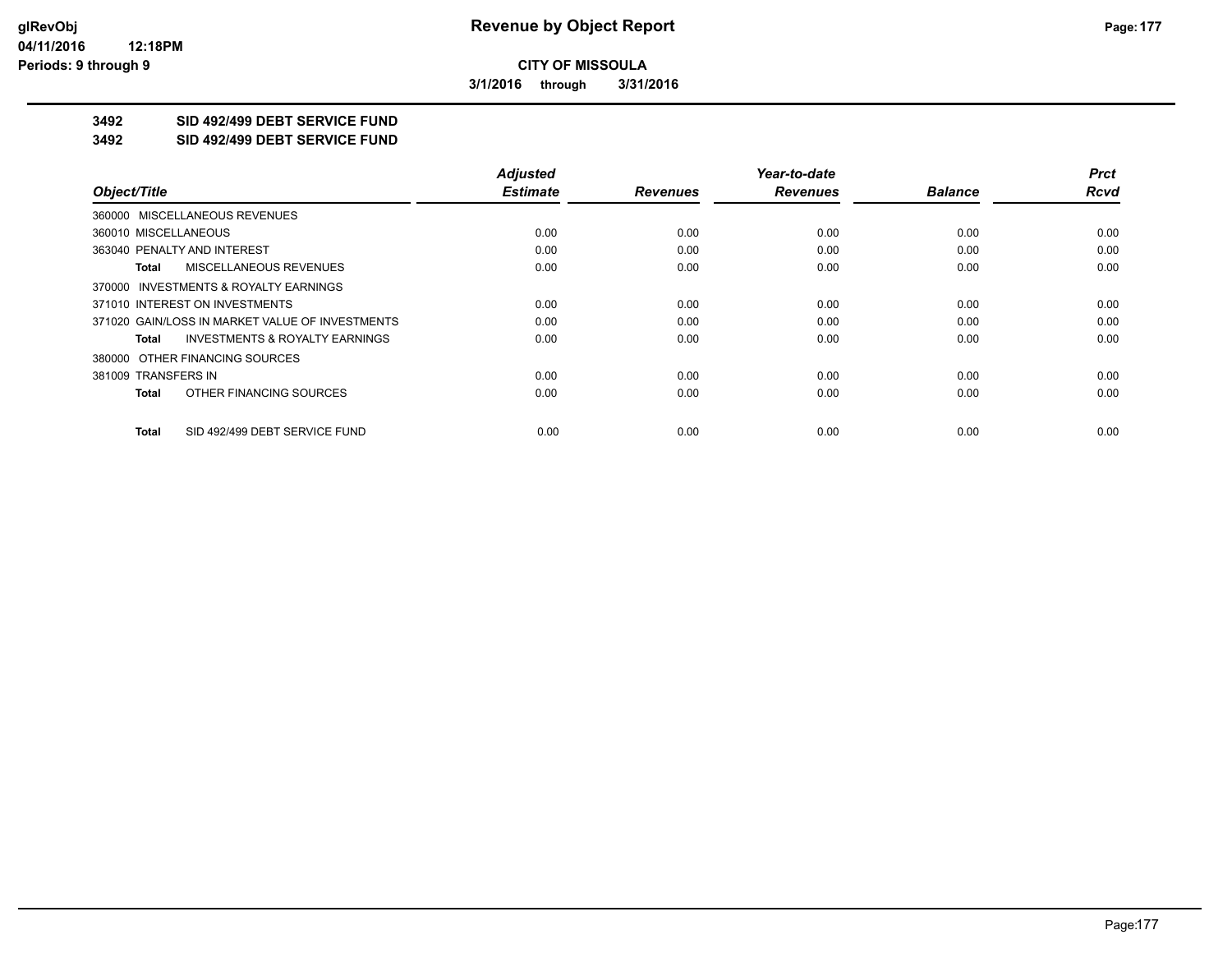**3/1/2016 through 3/31/2016**

## **3492 SID 492/499 DEBT SERVICE FUND**

**3492 SID 492/499 DEBT SERVICE FUND**

|                                                    | <b>Adjusted</b> |                 | Year-to-date    |                | <b>Prct</b> |
|----------------------------------------------------|-----------------|-----------------|-----------------|----------------|-------------|
| Object/Title                                       | <b>Estimate</b> | <b>Revenues</b> | <b>Revenues</b> | <b>Balance</b> | <b>Rcvd</b> |
| 360000 MISCELLANEOUS REVENUES                      |                 |                 |                 |                |             |
| 360010 MISCELLANEOUS                               | 0.00            | 0.00            | 0.00            | 0.00           | 0.00        |
| 363040 PENALTY AND INTEREST                        | 0.00            | 0.00            | 0.00            | 0.00           | 0.00        |
| <b>MISCELLANEOUS REVENUES</b><br>Total             | 0.00            | 0.00            | 0.00            | 0.00           | 0.00        |
| 370000 INVESTMENTS & ROYALTY EARNINGS              |                 |                 |                 |                |             |
| 371010 INTEREST ON INVESTMENTS                     | 0.00            | 0.00            | 0.00            | 0.00           | 0.00        |
| 371020 GAIN/LOSS IN MARKET VALUE OF INVESTMENTS    | 0.00            | 0.00            | 0.00            | 0.00           | 0.00        |
| <b>INVESTMENTS &amp; ROYALTY EARNINGS</b><br>Total | 0.00            | 0.00            | 0.00            | 0.00           | 0.00        |
| 380000 OTHER FINANCING SOURCES                     |                 |                 |                 |                |             |
| 381009 TRANSFERS IN                                | 0.00            | 0.00            | 0.00            | 0.00           | 0.00        |
| OTHER FINANCING SOURCES<br>Total                   | 0.00            | 0.00            | 0.00            | 0.00           | 0.00        |
| SID 492/499 DEBT SERVICE FUND<br>Total             | 0.00            | 0.00            | 0.00            | 0.00           | 0.00        |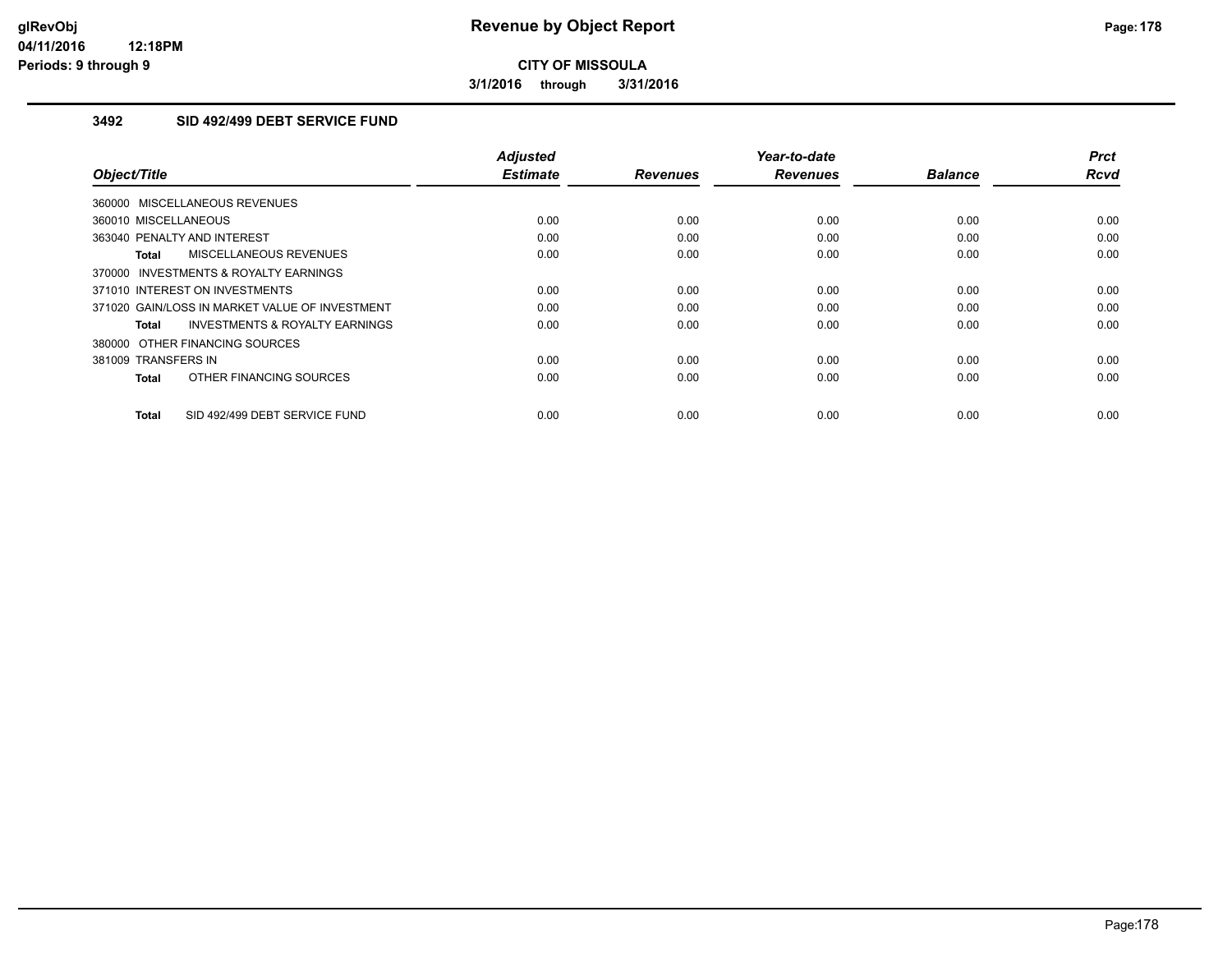**3/1/2016 through 3/31/2016**

## **3492 SID 492/499 DEBT SERVICE FUND**

| Object/Title                                              | <b>Adjusted</b><br><b>Estimate</b> | <b>Revenues</b> | Year-to-date<br><b>Revenues</b> | <b>Balance</b> | <b>Prct</b><br><b>Rcvd</b> |
|-----------------------------------------------------------|------------------------------------|-----------------|---------------------------------|----------------|----------------------------|
| 360000 MISCELLANEOUS REVENUES                             |                                    |                 |                                 |                |                            |
| 360010 MISCELLANEOUS                                      | 0.00                               | 0.00            | 0.00                            | 0.00           | 0.00                       |
| 363040 PENALTY AND INTEREST                               | 0.00                               | 0.00            | 0.00                            | 0.00           | 0.00                       |
| MISCELLANEOUS REVENUES<br><b>Total</b>                    | 0.00                               | 0.00            | 0.00                            | 0.00           | 0.00                       |
| 370000 INVESTMENTS & ROYALTY EARNINGS                     |                                    |                 |                                 |                |                            |
| 371010 INTEREST ON INVESTMENTS                            | 0.00                               | 0.00            | 0.00                            | 0.00           | 0.00                       |
| 371020 GAIN/LOSS IN MARKET VALUE OF INVESTMENT            | 0.00                               | 0.00            | 0.00                            | 0.00           | 0.00                       |
| <b>INVESTMENTS &amp; ROYALTY EARNINGS</b><br><b>Total</b> | 0.00                               | 0.00            | 0.00                            | 0.00           | 0.00                       |
| 380000 OTHER FINANCING SOURCES                            |                                    |                 |                                 |                |                            |
| 381009 TRANSFERS IN                                       | 0.00                               | 0.00            | 0.00                            | 0.00           | 0.00                       |
| OTHER FINANCING SOURCES<br><b>Total</b>                   | 0.00                               | 0.00            | 0.00                            | 0.00           | 0.00                       |
| SID 492/499 DEBT SERVICE FUND<br><b>Total</b>             | 0.00                               | 0.00            | 0.00                            | 0.00           | 0.00                       |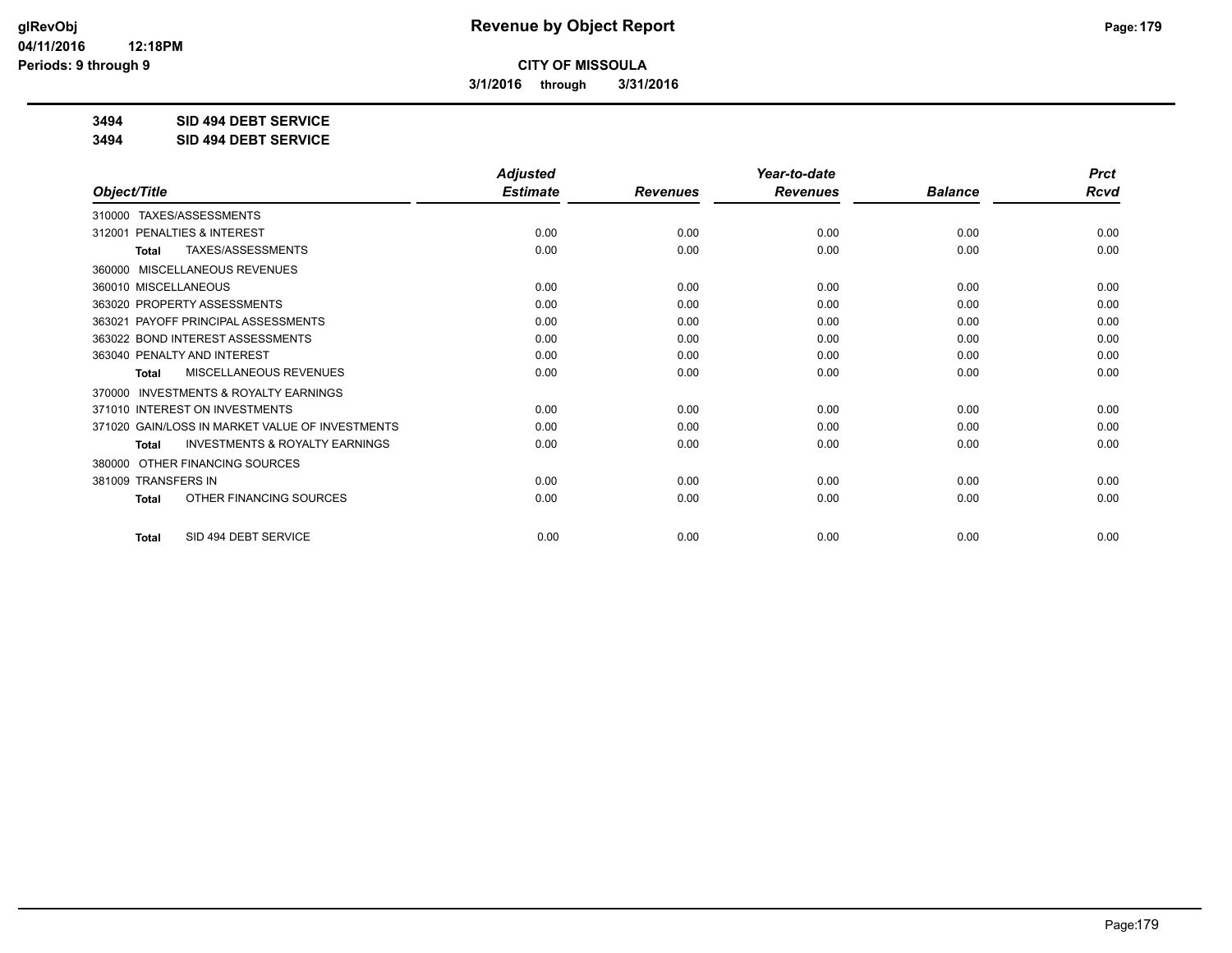**3/1/2016 through 3/31/2016**

**3494 SID 494 DEBT SERVICE**

**3494 SID 494 DEBT SERVICE**

|                                                           | <b>Adjusted</b> |                 | Year-to-date    |                | <b>Prct</b> |
|-----------------------------------------------------------|-----------------|-----------------|-----------------|----------------|-------------|
| Object/Title                                              | <b>Estimate</b> | <b>Revenues</b> | <b>Revenues</b> | <b>Balance</b> | Rcvd        |
| 310000 TAXES/ASSESSMENTS                                  |                 |                 |                 |                |             |
| 312001 PENALTIES & INTEREST                               | 0.00            | 0.00            | 0.00            | 0.00           | 0.00        |
| TAXES/ASSESSMENTS<br><b>Total</b>                         | 0.00            | 0.00            | 0.00            | 0.00           | 0.00        |
| MISCELLANEOUS REVENUES<br>360000                          |                 |                 |                 |                |             |
| 360010 MISCELLANEOUS                                      | 0.00            | 0.00            | 0.00            | 0.00           | 0.00        |
| 363020 PROPERTY ASSESSMENTS                               | 0.00            | 0.00            | 0.00            | 0.00           | 0.00        |
| 363021 PAYOFF PRINCIPAL ASSESSMENTS                       | 0.00            | 0.00            | 0.00            | 0.00           | 0.00        |
| 363022 BOND INTEREST ASSESSMENTS                          | 0.00            | 0.00            | 0.00            | 0.00           | 0.00        |
| 363040 PENALTY AND INTEREST                               | 0.00            | 0.00            | 0.00            | 0.00           | 0.00        |
| <b>MISCELLANEOUS REVENUES</b><br><b>Total</b>             | 0.00            | 0.00            | 0.00            | 0.00           | 0.00        |
| <b>INVESTMENTS &amp; ROYALTY EARNINGS</b><br>370000       |                 |                 |                 |                |             |
| 371010 INTEREST ON INVESTMENTS                            | 0.00            | 0.00            | 0.00            | 0.00           | 0.00        |
| 371020 GAIN/LOSS IN MARKET VALUE OF INVESTMENTS           | 0.00            | 0.00            | 0.00            | 0.00           | 0.00        |
| <b>INVESTMENTS &amp; ROYALTY EARNINGS</b><br><b>Total</b> | 0.00            | 0.00            | 0.00            | 0.00           | 0.00        |
| OTHER FINANCING SOURCES<br>380000                         |                 |                 |                 |                |             |
| 381009 TRANSFERS IN                                       | 0.00            | 0.00            | 0.00            | 0.00           | 0.00        |
| OTHER FINANCING SOURCES<br><b>Total</b>                   | 0.00            | 0.00            | 0.00            | 0.00           | 0.00        |
| SID 494 DEBT SERVICE<br><b>Total</b>                      | 0.00            | 0.00            | 0.00            | 0.00           | 0.00        |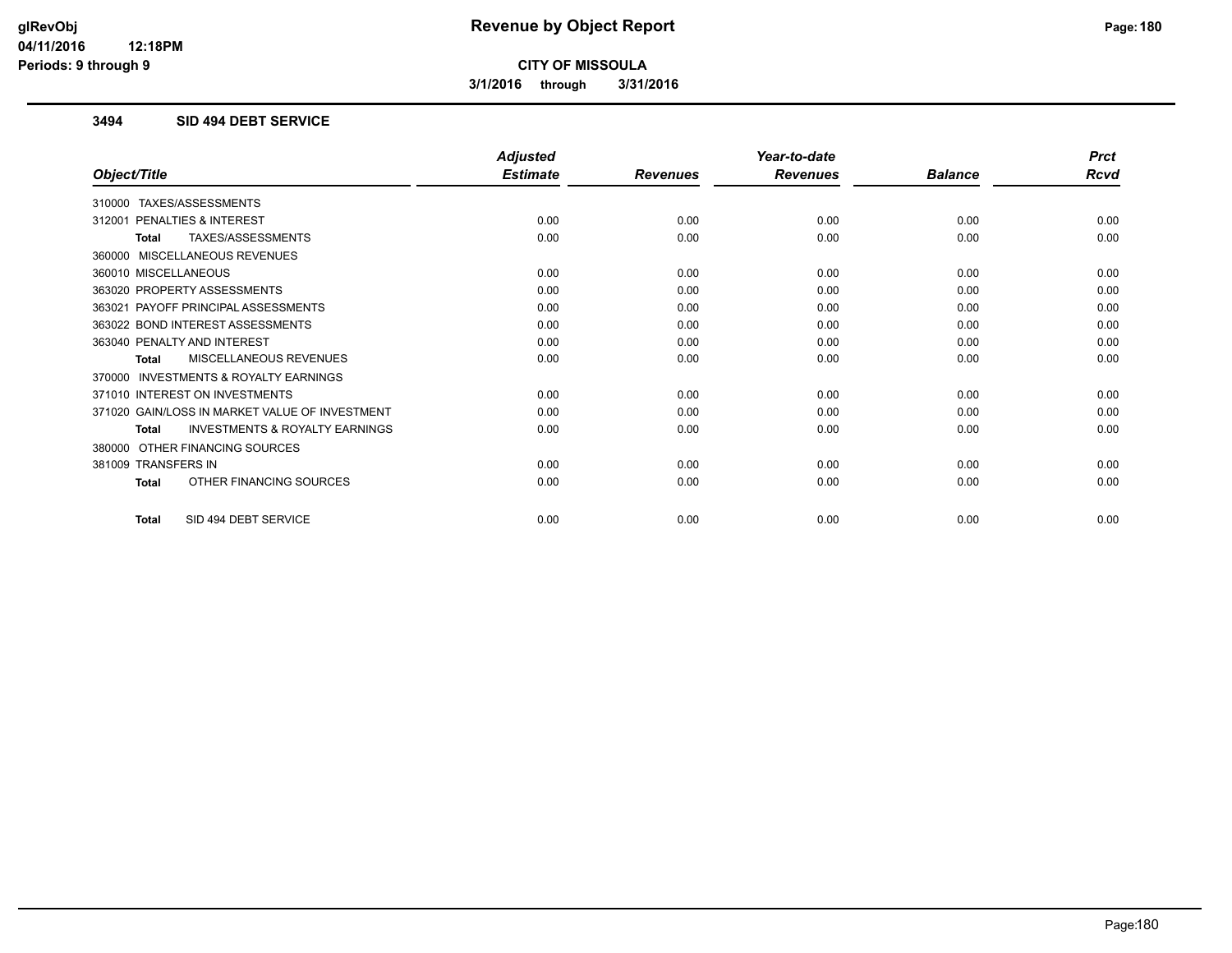**3/1/2016 through 3/31/2016**

### **3494 SID 494 DEBT SERVICE**

| <b>Adjusted</b> |                 | Year-to-date    |                | <b>Prct</b> |
|-----------------|-----------------|-----------------|----------------|-------------|
| <b>Estimate</b> | <b>Revenues</b> | <b>Revenues</b> | <b>Balance</b> | <b>Rcvd</b> |
|                 |                 |                 |                |             |
| 0.00            | 0.00            | 0.00            | 0.00           | 0.00        |
| 0.00            | 0.00            | 0.00            | 0.00           | 0.00        |
|                 |                 |                 |                |             |
| 0.00            | 0.00            | 0.00            | 0.00           | 0.00        |
| 0.00            | 0.00            | 0.00            | 0.00           | 0.00        |
| 0.00            | 0.00            | 0.00            | 0.00           | 0.00        |
| 0.00            | 0.00            | 0.00            | 0.00           | 0.00        |
| 0.00            | 0.00            | 0.00            | 0.00           | 0.00        |
| 0.00            | 0.00            | 0.00            | 0.00           | 0.00        |
|                 |                 |                 |                |             |
| 0.00            | 0.00            | 0.00            | 0.00           | 0.00        |
| 0.00            | 0.00            | 0.00            | 0.00           | 0.00        |
| 0.00            | 0.00            | 0.00            | 0.00           | 0.00        |
|                 |                 |                 |                |             |
| 0.00            | 0.00            | 0.00            | 0.00           | 0.00        |
| 0.00            | 0.00            | 0.00            | 0.00           | 0.00        |
| 0.00            | 0.00            | 0.00            | 0.00           | 0.00        |
|                 |                 |                 |                |             |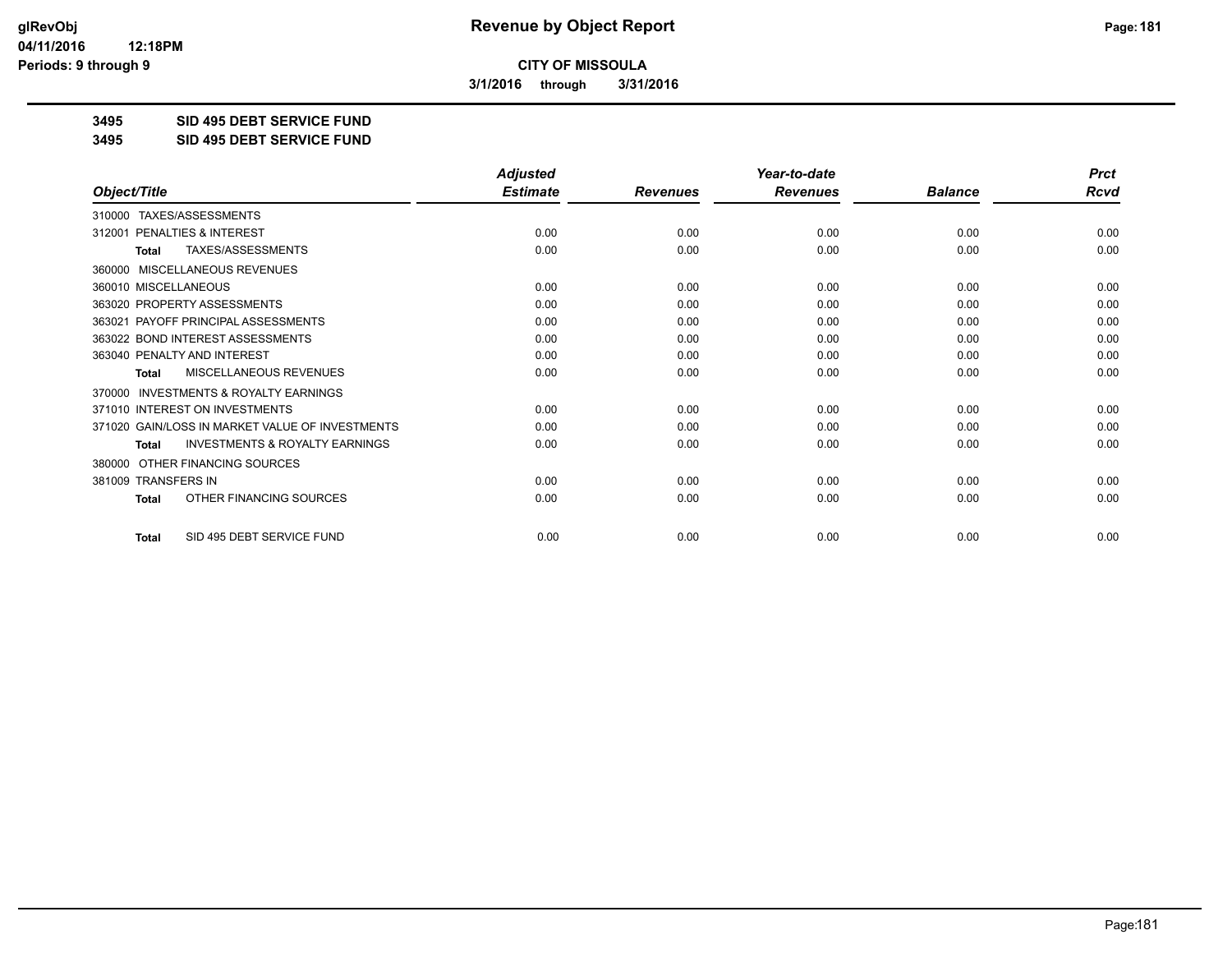**3/1/2016 through 3/31/2016**

**3495 SID 495 DEBT SERVICE FUND**

**3495 SID 495 DEBT SERVICE FUND**

|                                                           | <b>Adjusted</b> |                 | Year-to-date    |                | <b>Prct</b> |
|-----------------------------------------------------------|-----------------|-----------------|-----------------|----------------|-------------|
| Object/Title                                              | <b>Estimate</b> | <b>Revenues</b> | <b>Revenues</b> | <b>Balance</b> | Rcvd        |
| TAXES/ASSESSMENTS<br>310000                               |                 |                 |                 |                |             |
| PENALTIES & INTEREST<br>312001                            | 0.00            | 0.00            | 0.00            | 0.00           | 0.00        |
| TAXES/ASSESSMENTS<br>Total                                | 0.00            | 0.00            | 0.00            | 0.00           | 0.00        |
| MISCELLANEOUS REVENUES<br>360000                          |                 |                 |                 |                |             |
| 360010 MISCELLANEOUS                                      | 0.00            | 0.00            | 0.00            | 0.00           | 0.00        |
| 363020 PROPERTY ASSESSMENTS                               | 0.00            | 0.00            | 0.00            | 0.00           | 0.00        |
| 363021 PAYOFF PRINCIPAL ASSESSMENTS                       | 0.00            | 0.00            | 0.00            | 0.00           | 0.00        |
| 363022 BOND INTEREST ASSESSMENTS                          | 0.00            | 0.00            | 0.00            | 0.00           | 0.00        |
| 363040 PENALTY AND INTEREST                               | 0.00            | 0.00            | 0.00            | 0.00           | 0.00        |
| <b>MISCELLANEOUS REVENUES</b><br><b>Total</b>             | 0.00            | 0.00            | 0.00            | 0.00           | 0.00        |
| <b>INVESTMENTS &amp; ROYALTY EARNINGS</b><br>370000       |                 |                 |                 |                |             |
| 371010 INTEREST ON INVESTMENTS                            | 0.00            | 0.00            | 0.00            | 0.00           | 0.00        |
| 371020 GAIN/LOSS IN MARKET VALUE OF INVESTMENTS           | 0.00            | 0.00            | 0.00            | 0.00           | 0.00        |
| <b>INVESTMENTS &amp; ROYALTY EARNINGS</b><br><b>Total</b> | 0.00            | 0.00            | 0.00            | 0.00           | 0.00        |
| OTHER FINANCING SOURCES<br>380000                         |                 |                 |                 |                |             |
| 381009 TRANSFERS IN                                       | 0.00            | 0.00            | 0.00            | 0.00           | 0.00        |
| OTHER FINANCING SOURCES<br><b>Total</b>                   | 0.00            | 0.00            | 0.00            | 0.00           | 0.00        |
| SID 495 DEBT SERVICE FUND<br><b>Total</b>                 | 0.00            | 0.00            | 0.00            | 0.00           | 0.00        |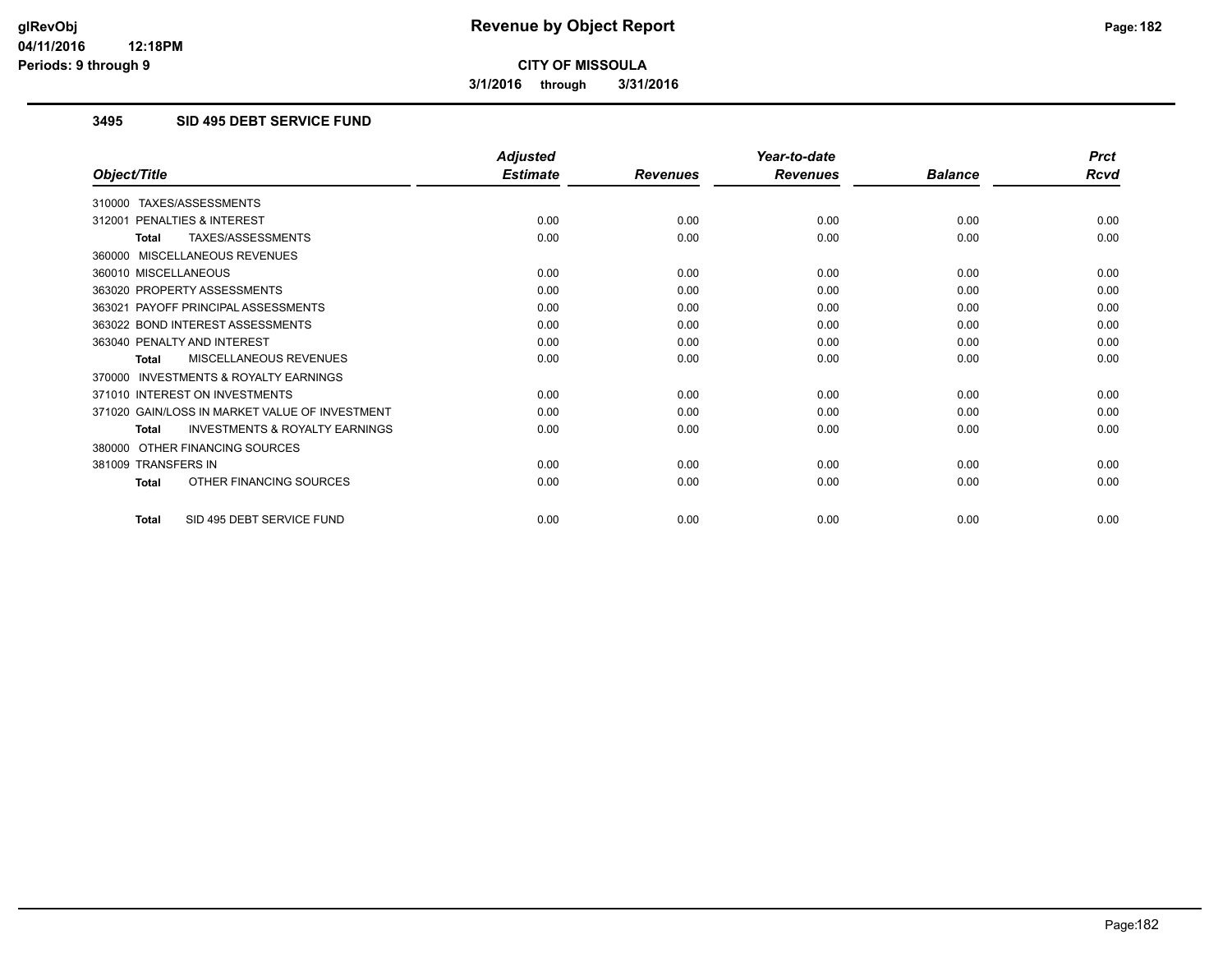**3/1/2016 through 3/31/2016**

# **3495 SID 495 DEBT SERVICE FUND**

|                                                           | <b>Adjusted</b> |                 | Year-to-date    |                | <b>Prct</b> |
|-----------------------------------------------------------|-----------------|-----------------|-----------------|----------------|-------------|
| Object/Title                                              | <b>Estimate</b> | <b>Revenues</b> | <b>Revenues</b> | <b>Balance</b> | <b>Rcvd</b> |
| 310000 TAXES/ASSESSMENTS                                  |                 |                 |                 |                |             |
| PENALTIES & INTEREST<br>312001                            | 0.00            | 0.00            | 0.00            | 0.00           | 0.00        |
| TAXES/ASSESSMENTS<br><b>Total</b>                         | 0.00            | 0.00            | 0.00            | 0.00           | 0.00        |
| 360000 MISCELLANEOUS REVENUES                             |                 |                 |                 |                |             |
| 360010 MISCELLANEOUS                                      | 0.00            | 0.00            | 0.00            | 0.00           | 0.00        |
| 363020 PROPERTY ASSESSMENTS                               | 0.00            | 0.00            | 0.00            | 0.00           | 0.00        |
| 363021 PAYOFF PRINCIPAL ASSESSMENTS                       | 0.00            | 0.00            | 0.00            | 0.00           | 0.00        |
| 363022 BOND INTEREST ASSESSMENTS                          | 0.00            | 0.00            | 0.00            | 0.00           | 0.00        |
| 363040 PENALTY AND INTEREST                               | 0.00            | 0.00            | 0.00            | 0.00           | 0.00        |
| MISCELLANEOUS REVENUES<br><b>Total</b>                    | 0.00            | 0.00            | 0.00            | 0.00           | 0.00        |
| <b>INVESTMENTS &amp; ROYALTY EARNINGS</b><br>370000       |                 |                 |                 |                |             |
| 371010 INTEREST ON INVESTMENTS                            | 0.00            | 0.00            | 0.00            | 0.00           | 0.00        |
| 371020 GAIN/LOSS IN MARKET VALUE OF INVESTMENT            | 0.00            | 0.00            | 0.00            | 0.00           | 0.00        |
| <b>INVESTMENTS &amp; ROYALTY EARNINGS</b><br><b>Total</b> | 0.00            | 0.00            | 0.00            | 0.00           | 0.00        |
| OTHER FINANCING SOURCES<br>380000                         |                 |                 |                 |                |             |
| 381009 TRANSFERS IN                                       | 0.00            | 0.00            | 0.00            | 0.00           | 0.00        |
| OTHER FINANCING SOURCES<br><b>Total</b>                   | 0.00            | 0.00            | 0.00            | 0.00           | 0.00        |
| SID 495 DEBT SERVICE FUND<br><b>Total</b>                 | 0.00            | 0.00            | 0.00            | 0.00           | 0.00        |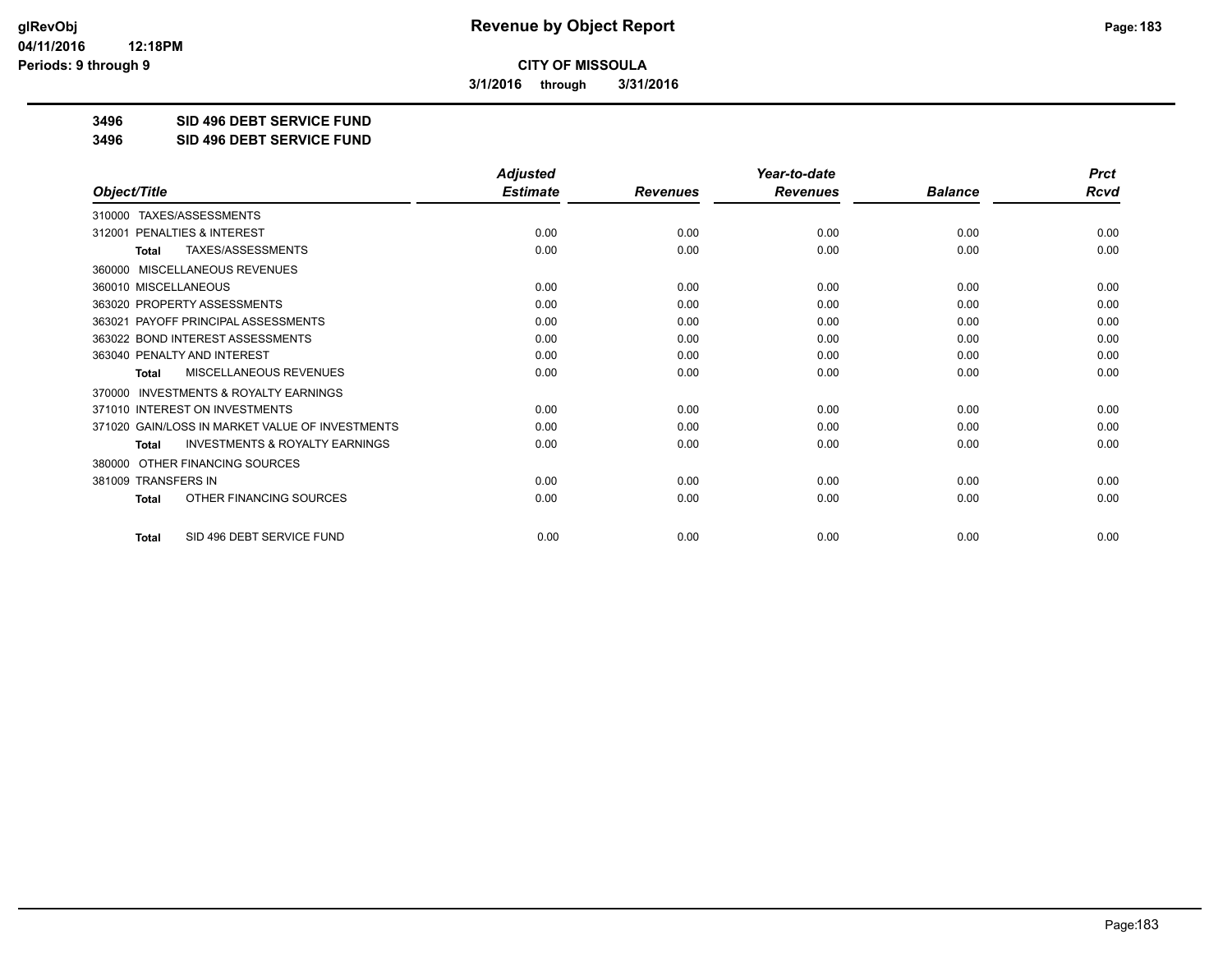**3/1/2016 through 3/31/2016**

**3496 SID 496 DEBT SERVICE FUND**

**3496 SID 496 DEBT SERVICE FUND**

|                                                           | <b>Adjusted</b> |                 | Year-to-date    |                | <b>Prct</b> |
|-----------------------------------------------------------|-----------------|-----------------|-----------------|----------------|-------------|
| Object/Title                                              | <b>Estimate</b> | <b>Revenues</b> | <b>Revenues</b> | <b>Balance</b> | Rcvd        |
| TAXES/ASSESSMENTS<br>310000                               |                 |                 |                 |                |             |
| PENALTIES & INTEREST<br>312001                            | 0.00            | 0.00            | 0.00            | 0.00           | 0.00        |
| <b>TAXES/ASSESSMENTS</b><br>Total                         | 0.00            | 0.00            | 0.00            | 0.00           | 0.00        |
| MISCELLANEOUS REVENUES<br>360000                          |                 |                 |                 |                |             |
| 360010 MISCELLANEOUS                                      | 0.00            | 0.00            | 0.00            | 0.00           | 0.00        |
| 363020 PROPERTY ASSESSMENTS                               | 0.00            | 0.00            | 0.00            | 0.00           | 0.00        |
| 363021 PAYOFF PRINCIPAL ASSESSMENTS                       | 0.00            | 0.00            | 0.00            | 0.00           | 0.00        |
| 363022 BOND INTEREST ASSESSMENTS                          | 0.00            | 0.00            | 0.00            | 0.00           | 0.00        |
| 363040 PENALTY AND INTEREST                               | 0.00            | 0.00            | 0.00            | 0.00           | 0.00        |
| MISCELLANEOUS REVENUES<br>Total                           | 0.00            | 0.00            | 0.00            | 0.00           | 0.00        |
| <b>INVESTMENTS &amp; ROYALTY EARNINGS</b><br>370000       |                 |                 |                 |                |             |
| 371010 INTEREST ON INVESTMENTS                            | 0.00            | 0.00            | 0.00            | 0.00           | 0.00        |
| 371020 GAIN/LOSS IN MARKET VALUE OF INVESTMENTS           | 0.00            | 0.00            | 0.00            | 0.00           | 0.00        |
| <b>INVESTMENTS &amp; ROYALTY EARNINGS</b><br><b>Total</b> | 0.00            | 0.00            | 0.00            | 0.00           | 0.00        |
| OTHER FINANCING SOURCES<br>380000                         |                 |                 |                 |                |             |
| 381009 TRANSFERS IN                                       | 0.00            | 0.00            | 0.00            | 0.00           | 0.00        |
| OTHER FINANCING SOURCES<br><b>Total</b>                   | 0.00            | 0.00            | 0.00            | 0.00           | 0.00        |
| SID 496 DEBT SERVICE FUND<br><b>Total</b>                 | 0.00            | 0.00            | 0.00            | 0.00           | 0.00        |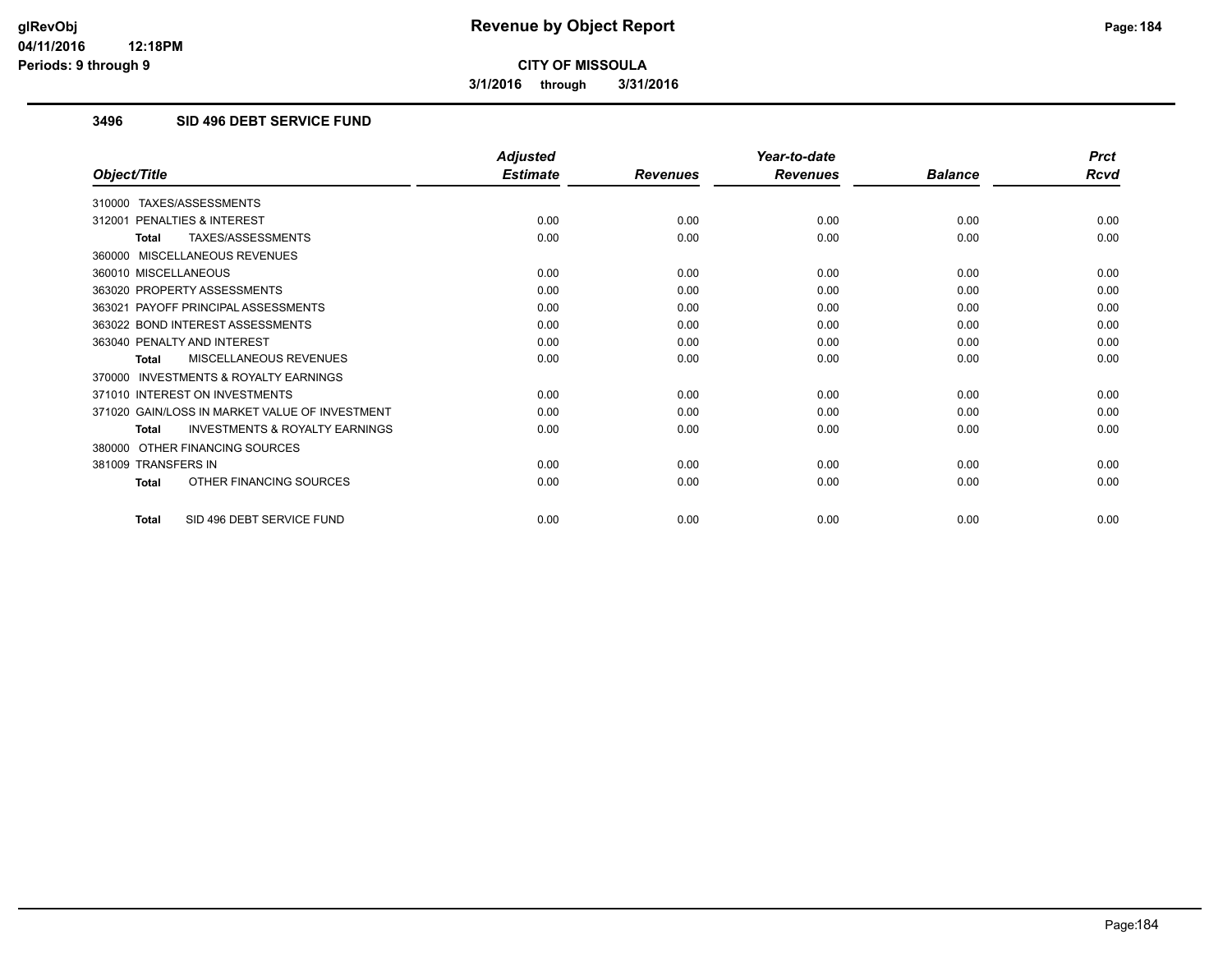**3/1/2016 through 3/31/2016**

#### **3496 SID 496 DEBT SERVICE FUND**

|                                                           | <b>Adjusted</b> |                 | Year-to-date    |                | <b>Prct</b> |
|-----------------------------------------------------------|-----------------|-----------------|-----------------|----------------|-------------|
| Object/Title                                              | <b>Estimate</b> | <b>Revenues</b> | <b>Revenues</b> | <b>Balance</b> | <b>Rcvd</b> |
| 310000 TAXES/ASSESSMENTS                                  |                 |                 |                 |                |             |
| 312001 PENALTIES & INTEREST                               | 0.00            | 0.00            | 0.00            | 0.00           | 0.00        |
| TAXES/ASSESSMENTS<br><b>Total</b>                         | 0.00            | 0.00            | 0.00            | 0.00           | 0.00        |
| 360000 MISCELLANEOUS REVENUES                             |                 |                 |                 |                |             |
| 360010 MISCELLANEOUS                                      | 0.00            | 0.00            | 0.00            | 0.00           | 0.00        |
| 363020 PROPERTY ASSESSMENTS                               | 0.00            | 0.00            | 0.00            | 0.00           | 0.00        |
| 363021 PAYOFF PRINCIPAL ASSESSMENTS                       | 0.00            | 0.00            | 0.00            | 0.00           | 0.00        |
| 363022 BOND INTEREST ASSESSMENTS                          | 0.00            | 0.00            | 0.00            | 0.00           | 0.00        |
| 363040 PENALTY AND INTEREST                               | 0.00            | 0.00            | 0.00            | 0.00           | 0.00        |
| MISCELLANEOUS REVENUES<br>Total                           | 0.00            | 0.00            | 0.00            | 0.00           | 0.00        |
| 370000 INVESTMENTS & ROYALTY EARNINGS                     |                 |                 |                 |                |             |
| 371010 INTEREST ON INVESTMENTS                            | 0.00            | 0.00            | 0.00            | 0.00           | 0.00        |
| 371020 GAIN/LOSS IN MARKET VALUE OF INVESTMENT            | 0.00            | 0.00            | 0.00            | 0.00           | 0.00        |
| <b>INVESTMENTS &amp; ROYALTY EARNINGS</b><br><b>Total</b> | 0.00            | 0.00            | 0.00            | 0.00           | 0.00        |
| 380000 OTHER FINANCING SOURCES                            |                 |                 |                 |                |             |
| 381009 TRANSFERS IN                                       | 0.00            | 0.00            | 0.00            | 0.00           | 0.00        |
| OTHER FINANCING SOURCES<br><b>Total</b>                   | 0.00            | 0.00            | 0.00            | 0.00           | 0.00        |
| SID 496 DEBT SERVICE FUND<br><b>Total</b>                 | 0.00            | 0.00            | 0.00            | 0.00           | 0.00        |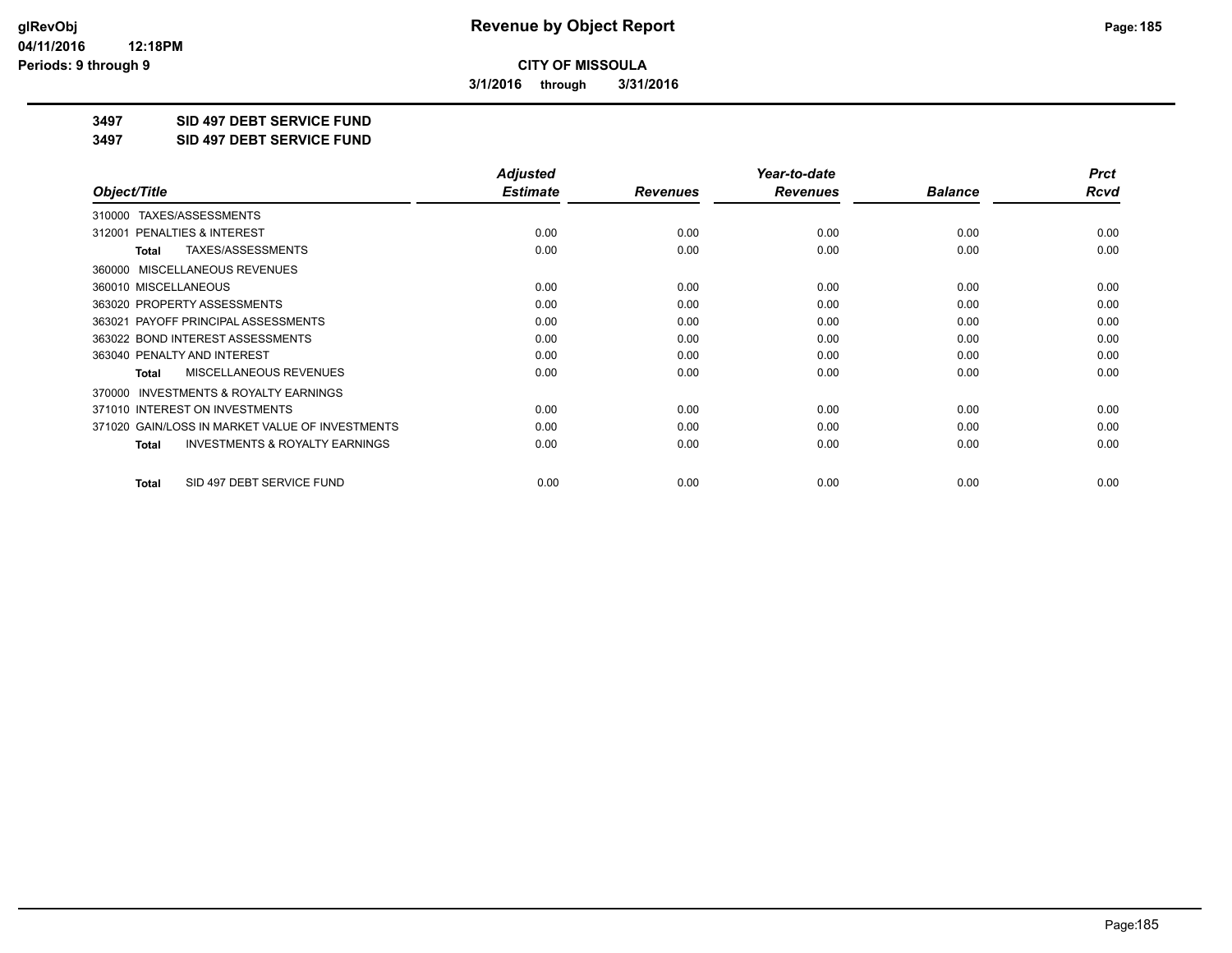**3/1/2016 through 3/31/2016**

**3497 SID 497 DEBT SERVICE FUND**

**3497 SID 497 DEBT SERVICE FUND**

|                                                           | <b>Adjusted</b> |                 | Year-to-date    |                | <b>Prct</b> |
|-----------------------------------------------------------|-----------------|-----------------|-----------------|----------------|-------------|
| Object/Title                                              | <b>Estimate</b> | <b>Revenues</b> | <b>Revenues</b> | <b>Balance</b> | Rcvd        |
| TAXES/ASSESSMENTS<br>310000                               |                 |                 |                 |                |             |
| 312001 PENALTIES & INTEREST                               | 0.00            | 0.00            | 0.00            | 0.00           | 0.00        |
| TAXES/ASSESSMENTS<br>Total                                | 0.00            | 0.00            | 0.00            | 0.00           | 0.00        |
| MISCELLANEOUS REVENUES<br>360000                          |                 |                 |                 |                |             |
| 360010 MISCELLANEOUS                                      | 0.00            | 0.00            | 0.00            | 0.00           | 0.00        |
| 363020 PROPERTY ASSESSMENTS                               | 0.00            | 0.00            | 0.00            | 0.00           | 0.00        |
| 363021 PAYOFF PRINCIPAL ASSESSMENTS                       | 0.00            | 0.00            | 0.00            | 0.00           | 0.00        |
| 363022 BOND INTEREST ASSESSMENTS                          | 0.00            | 0.00            | 0.00            | 0.00           | 0.00        |
| 363040 PENALTY AND INTEREST                               | 0.00            | 0.00            | 0.00            | 0.00           | 0.00        |
| MISCELLANEOUS REVENUES<br><b>Total</b>                    | 0.00            | 0.00            | 0.00            | 0.00           | 0.00        |
| <b>INVESTMENTS &amp; ROYALTY EARNINGS</b><br>370000       |                 |                 |                 |                |             |
| 371010 INTEREST ON INVESTMENTS                            | 0.00            | 0.00            | 0.00            | 0.00           | 0.00        |
| 371020 GAIN/LOSS IN MARKET VALUE OF INVESTMENTS           | 0.00            | 0.00            | 0.00            | 0.00           | 0.00        |
| <b>INVESTMENTS &amp; ROYALTY EARNINGS</b><br><b>Total</b> | 0.00            | 0.00            | 0.00            | 0.00           | 0.00        |
| SID 497 DEBT SERVICE FUND<br>Total                        | 0.00            | 0.00            | 0.00            | 0.00           | 0.00        |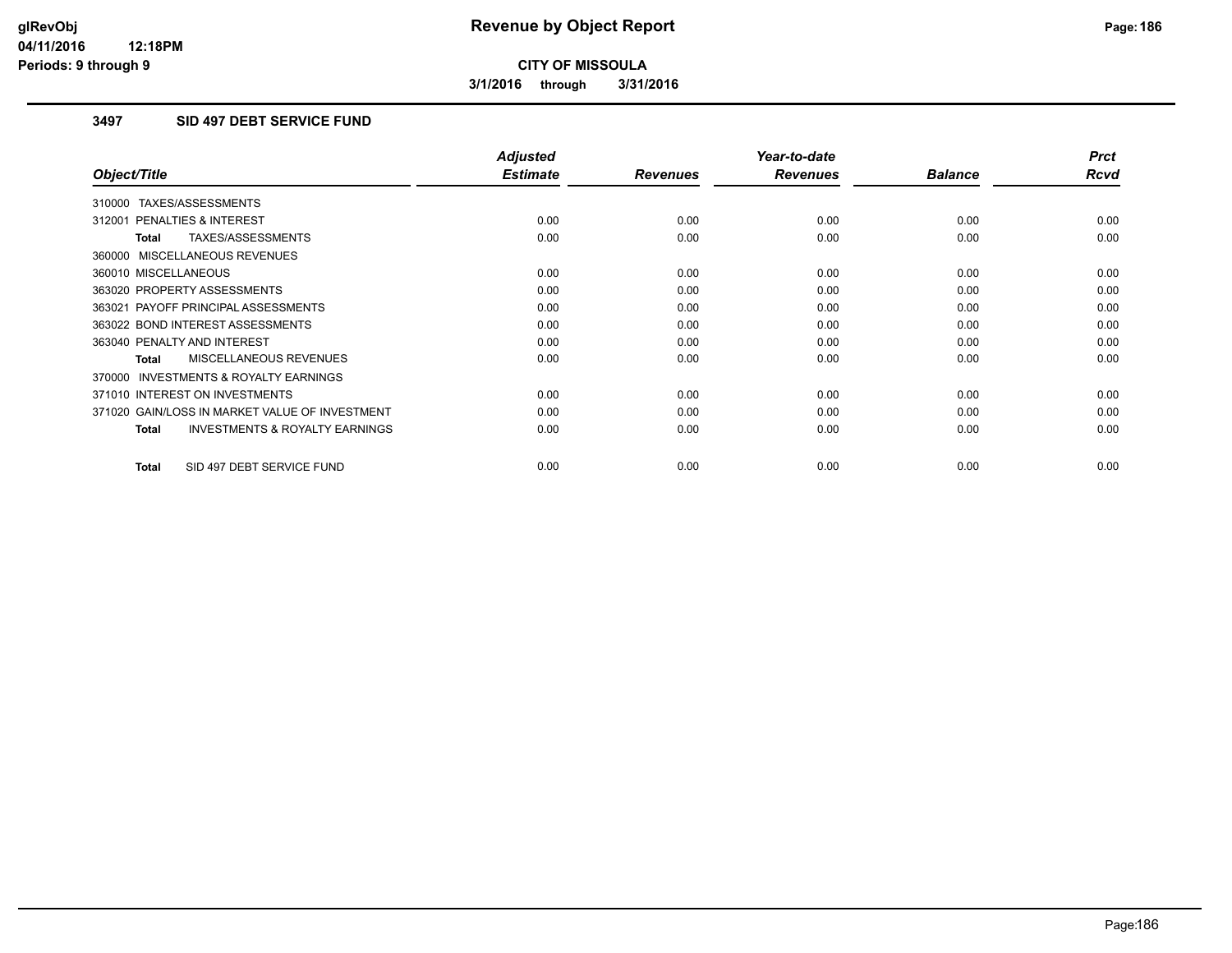**3/1/2016 through 3/31/2016**

# **3497 SID 497 DEBT SERVICE FUND**

|                                                     | <b>Adjusted</b> |                 | Year-to-date    |                | <b>Prct</b> |
|-----------------------------------------------------|-----------------|-----------------|-----------------|----------------|-------------|
| Object/Title                                        | <b>Estimate</b> | <b>Revenues</b> | <b>Revenues</b> | <b>Balance</b> | <b>Rcvd</b> |
| 310000 TAXES/ASSESSMENTS                            |                 |                 |                 |                |             |
| 312001 PENALTIES & INTEREST                         | 0.00            | 0.00            | 0.00            | 0.00           | 0.00        |
| TAXES/ASSESSMENTS<br><b>Total</b>                   | 0.00            | 0.00            | 0.00            | 0.00           | 0.00        |
| 360000 MISCELLANEOUS REVENUES                       |                 |                 |                 |                |             |
| 360010 MISCELLANEOUS                                | 0.00            | 0.00            | 0.00            | 0.00           | 0.00        |
| 363020 PROPERTY ASSESSMENTS                         | 0.00            | 0.00            | 0.00            | 0.00           | 0.00        |
| 363021 PAYOFF PRINCIPAL ASSESSMENTS                 | 0.00            | 0.00            | 0.00            | 0.00           | 0.00        |
| 363022 BOND INTEREST ASSESSMENTS                    | 0.00            | 0.00            | 0.00            | 0.00           | 0.00        |
| 363040 PENALTY AND INTEREST                         | 0.00            | 0.00            | 0.00            | 0.00           | 0.00        |
| <b>MISCELLANEOUS REVENUES</b><br>Total              | 0.00            | 0.00            | 0.00            | 0.00           | 0.00        |
| <b>INVESTMENTS &amp; ROYALTY EARNINGS</b><br>370000 |                 |                 |                 |                |             |
| 371010 INTEREST ON INVESTMENTS                      | 0.00            | 0.00            | 0.00            | 0.00           | 0.00        |
| 371020 GAIN/LOSS IN MARKET VALUE OF INVESTMENT      | 0.00            | 0.00            | 0.00            | 0.00           | 0.00        |
| <b>INVESTMENTS &amp; ROYALTY EARNINGS</b><br>Total  | 0.00            | 0.00            | 0.00            | 0.00           | 0.00        |
| SID 497 DEBT SERVICE FUND<br><b>Total</b>           | 0.00            | 0.00            | 0.00            | 0.00           | 0.00        |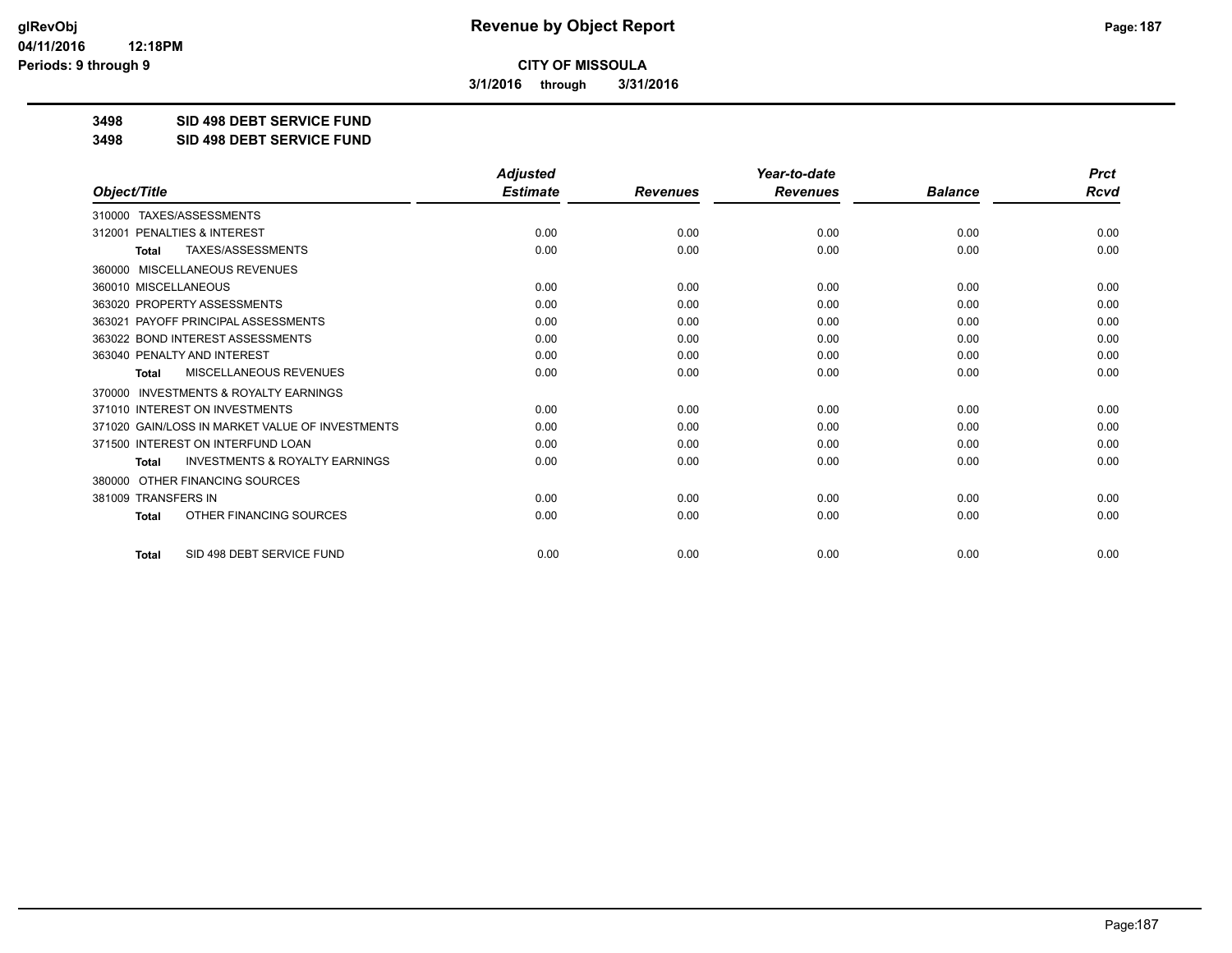**3/1/2016 through 3/31/2016**

**3498 SID 498 DEBT SERVICE FUND**

**3498 SID 498 DEBT SERVICE FUND**

|                                                           | <b>Adjusted</b> |                 | Year-to-date    |                | <b>Prct</b> |
|-----------------------------------------------------------|-----------------|-----------------|-----------------|----------------|-------------|
| Object/Title                                              | <b>Estimate</b> | <b>Revenues</b> | <b>Revenues</b> | <b>Balance</b> | <b>Rcvd</b> |
| TAXES/ASSESSMENTS<br>310000                               |                 |                 |                 |                |             |
| PENALTIES & INTEREST<br>312001                            | 0.00            | 0.00            | 0.00            | 0.00           | 0.00        |
| TAXES/ASSESSMENTS<br><b>Total</b>                         | 0.00            | 0.00            | 0.00            | 0.00           | 0.00        |
| 360000 MISCELLANEOUS REVENUES                             |                 |                 |                 |                |             |
| 360010 MISCELLANEOUS                                      | 0.00            | 0.00            | 0.00            | 0.00           | 0.00        |
| 363020 PROPERTY ASSESSMENTS                               | 0.00            | 0.00            | 0.00            | 0.00           | 0.00        |
| PAYOFF PRINCIPAL ASSESSMENTS<br>363021                    | 0.00            | 0.00            | 0.00            | 0.00           | 0.00        |
| 363022 BOND INTEREST ASSESSMENTS                          | 0.00            | 0.00            | 0.00            | 0.00           | 0.00        |
| 363040 PENALTY AND INTEREST                               | 0.00            | 0.00            | 0.00            | 0.00           | 0.00        |
| MISCELLANEOUS REVENUES<br><b>Total</b>                    | 0.00            | 0.00            | 0.00            | 0.00           | 0.00        |
| 370000 INVESTMENTS & ROYALTY EARNINGS                     |                 |                 |                 |                |             |
| 371010 INTEREST ON INVESTMENTS                            | 0.00            | 0.00            | 0.00            | 0.00           | 0.00        |
| 371020 GAIN/LOSS IN MARKET VALUE OF INVESTMENTS           | 0.00            | 0.00            | 0.00            | 0.00           | 0.00        |
| 371500 INTEREST ON INTERFUND LOAN                         | 0.00            | 0.00            | 0.00            | 0.00           | 0.00        |
| <b>INVESTMENTS &amp; ROYALTY EARNINGS</b><br><b>Total</b> | 0.00            | 0.00            | 0.00            | 0.00           | 0.00        |
| OTHER FINANCING SOURCES<br>380000                         |                 |                 |                 |                |             |
| 381009 TRANSFERS IN                                       | 0.00            | 0.00            | 0.00            | 0.00           | 0.00        |
| OTHER FINANCING SOURCES<br><b>Total</b>                   | 0.00            | 0.00            | 0.00            | 0.00           | 0.00        |
| SID 498 DEBT SERVICE FUND<br>Total                        | 0.00            | 0.00            | 0.00            | 0.00           | 0.00        |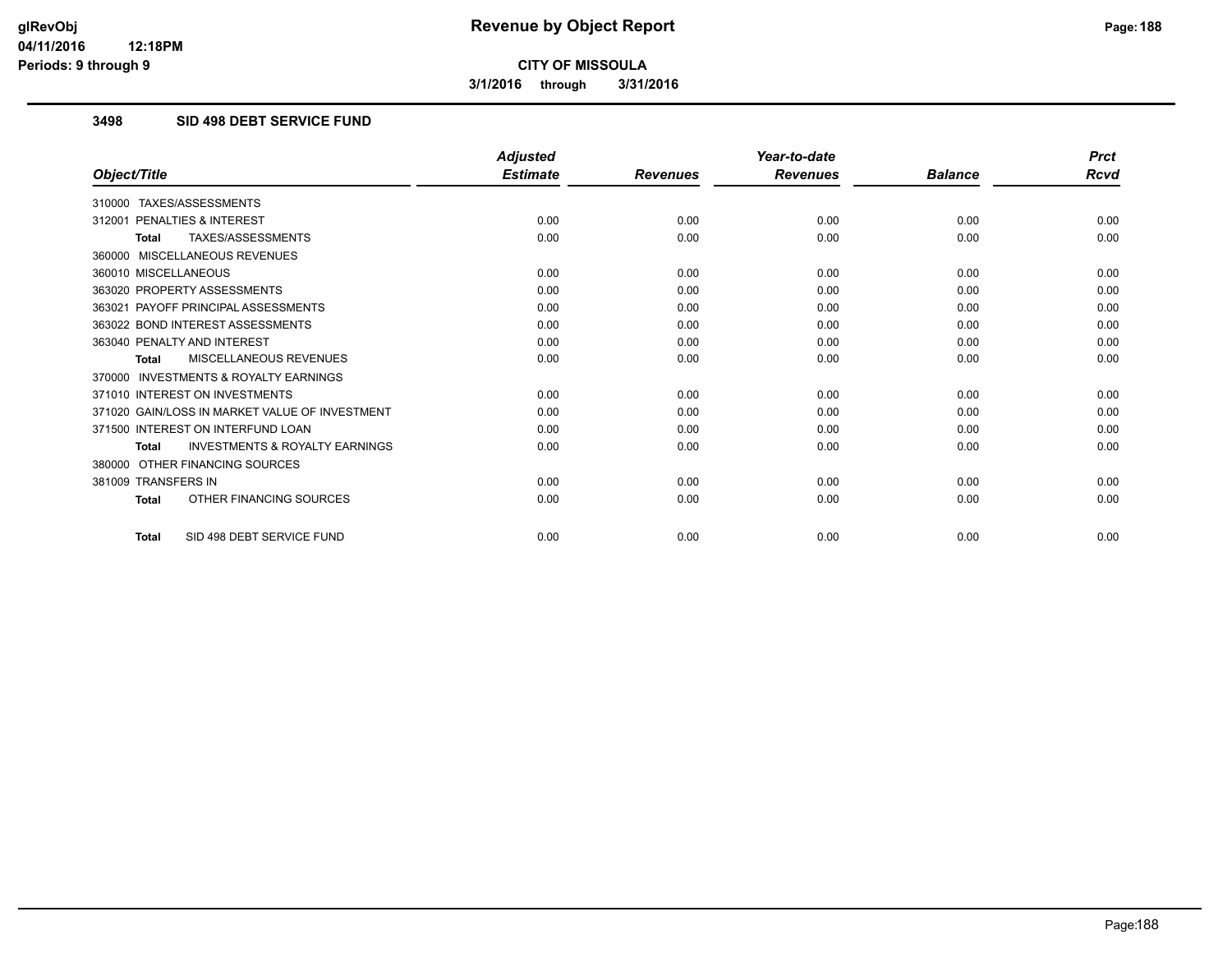**3/1/2016 through 3/31/2016**

# **3498 SID 498 DEBT SERVICE FUND**

|                                                           | <b>Adjusted</b> |                 | Year-to-date    |                | <b>Prct</b> |
|-----------------------------------------------------------|-----------------|-----------------|-----------------|----------------|-------------|
| Object/Title                                              | <b>Estimate</b> | <b>Revenues</b> | <b>Revenues</b> | <b>Balance</b> | <b>Rcvd</b> |
| TAXES/ASSESSMENTS<br>310000                               |                 |                 |                 |                |             |
| 312001 PENALTIES & INTEREST                               | 0.00            | 0.00            | 0.00            | 0.00           | 0.00        |
| TAXES/ASSESSMENTS<br>Total                                | 0.00            | 0.00            | 0.00            | 0.00           | 0.00        |
| 360000 MISCELLANEOUS REVENUES                             |                 |                 |                 |                |             |
| 360010 MISCELLANEOUS                                      | 0.00            | 0.00            | 0.00            | 0.00           | 0.00        |
| 363020 PROPERTY ASSESSMENTS                               | 0.00            | 0.00            | 0.00            | 0.00           | 0.00        |
| 363021 PAYOFF PRINCIPAL ASSESSMENTS                       | 0.00            | 0.00            | 0.00            | 0.00           | 0.00        |
| 363022 BOND INTEREST ASSESSMENTS                          | 0.00            | 0.00            | 0.00            | 0.00           | 0.00        |
| 363040 PENALTY AND INTEREST                               | 0.00            | 0.00            | 0.00            | 0.00           | 0.00        |
| MISCELLANEOUS REVENUES<br><b>Total</b>                    | 0.00            | 0.00            | 0.00            | 0.00           | 0.00        |
| <b>INVESTMENTS &amp; ROYALTY EARNINGS</b><br>370000       |                 |                 |                 |                |             |
| 371010 INTEREST ON INVESTMENTS                            | 0.00            | 0.00            | 0.00            | 0.00           | 0.00        |
| 371020 GAIN/LOSS IN MARKET VALUE OF INVESTMENT            | 0.00            | 0.00            | 0.00            | 0.00           | 0.00        |
| 371500 INTEREST ON INTERFUND LOAN                         | 0.00            | 0.00            | 0.00            | 0.00           | 0.00        |
| <b>INVESTMENTS &amp; ROYALTY EARNINGS</b><br><b>Total</b> | 0.00            | 0.00            | 0.00            | 0.00           | 0.00        |
| OTHER FINANCING SOURCES<br>380000                         |                 |                 |                 |                |             |
| 381009 TRANSFERS IN                                       | 0.00            | 0.00            | 0.00            | 0.00           | 0.00        |
| OTHER FINANCING SOURCES<br><b>Total</b>                   | 0.00            | 0.00            | 0.00            | 0.00           | 0.00        |
| SID 498 DEBT SERVICE FUND<br>Total                        | 0.00            | 0.00            | 0.00            | 0.00           | 0.00        |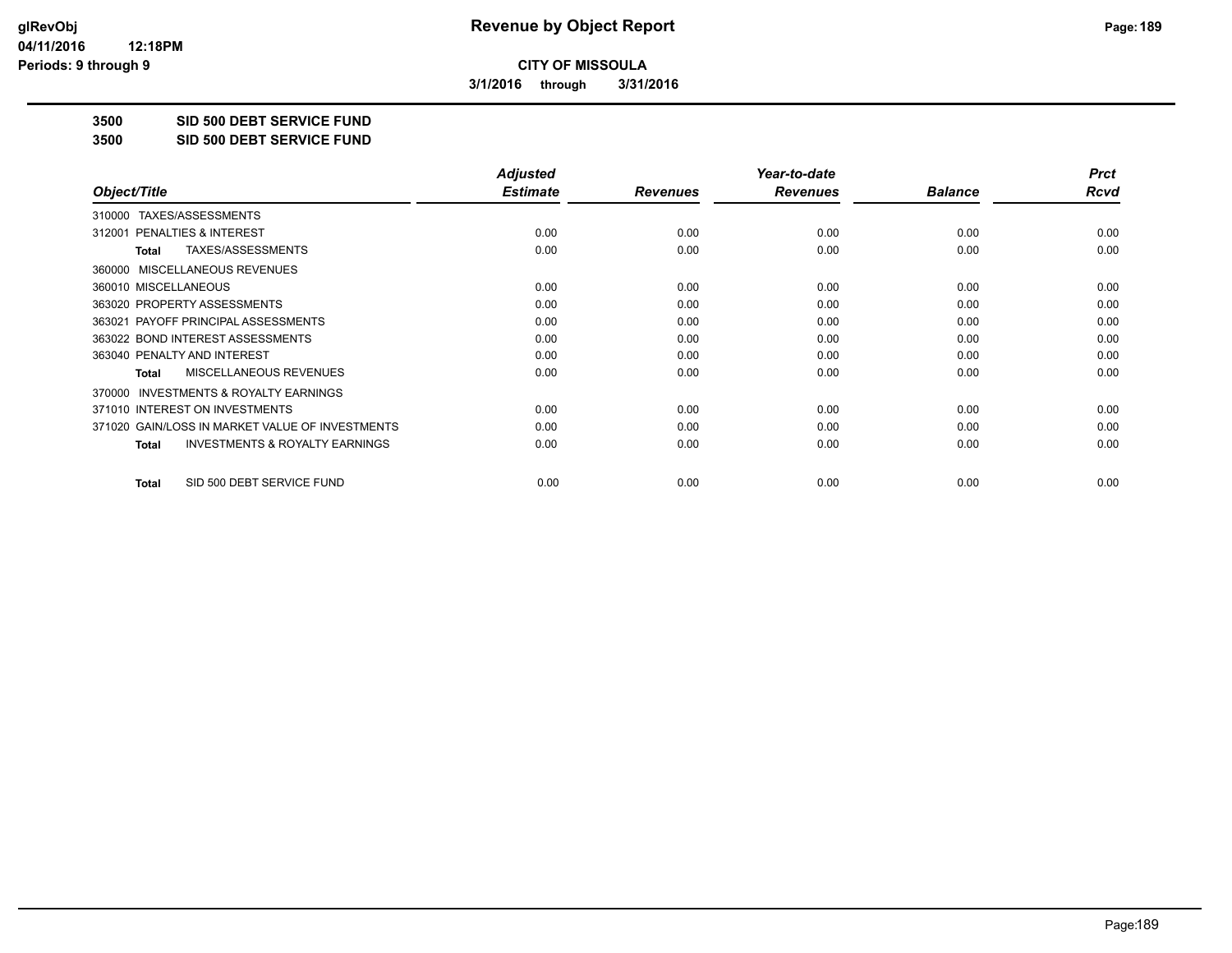**3/1/2016 through 3/31/2016**

**3500 SID 500 DEBT SERVICE FUND**

**3500 SID 500 DEBT SERVICE FUND**

|                                                           | <b>Adjusted</b> |                 | Year-to-date    |                | <b>Prct</b> |
|-----------------------------------------------------------|-----------------|-----------------|-----------------|----------------|-------------|
| Object/Title                                              | <b>Estimate</b> | <b>Revenues</b> | <b>Revenues</b> | <b>Balance</b> | Rcvd        |
| TAXES/ASSESSMENTS<br>310000                               |                 |                 |                 |                |             |
| <b>PENALTIES &amp; INTEREST</b><br>312001                 | 0.00            | 0.00            | 0.00            | 0.00           | 0.00        |
| TAXES/ASSESSMENTS<br><b>Total</b>                         | 0.00            | 0.00            | 0.00            | 0.00           | 0.00        |
| 360000 MISCELLANEOUS REVENUES                             |                 |                 |                 |                |             |
| 360010 MISCELLANEOUS                                      | 0.00            | 0.00            | 0.00            | 0.00           | 0.00        |
| 363020 PROPERTY ASSESSMENTS                               | 0.00            | 0.00            | 0.00            | 0.00           | 0.00        |
| 363021 PAYOFF PRINCIPAL ASSESSMENTS                       | 0.00            | 0.00            | 0.00            | 0.00           | 0.00        |
| 363022 BOND INTEREST ASSESSMENTS                          | 0.00            | 0.00            | 0.00            | 0.00           | 0.00        |
| 363040 PENALTY AND INTEREST                               | 0.00            | 0.00            | 0.00            | 0.00           | 0.00        |
| MISCELLANEOUS REVENUES<br><b>Total</b>                    | 0.00            | 0.00            | 0.00            | 0.00           | 0.00        |
| 370000 INVESTMENTS & ROYALTY EARNINGS                     |                 |                 |                 |                |             |
| 371010 INTEREST ON INVESTMENTS                            | 0.00            | 0.00            | 0.00            | 0.00           | 0.00        |
| 371020 GAIN/LOSS IN MARKET VALUE OF INVESTMENTS           | 0.00            | 0.00            | 0.00            | 0.00           | 0.00        |
| <b>INVESTMENTS &amp; ROYALTY EARNINGS</b><br><b>Total</b> | 0.00            | 0.00            | 0.00            | 0.00           | 0.00        |
|                                                           |                 |                 |                 |                |             |
| SID 500 DEBT SERVICE FUND<br>Total                        | 0.00            | 0.00            | 0.00            | 0.00           | 0.00        |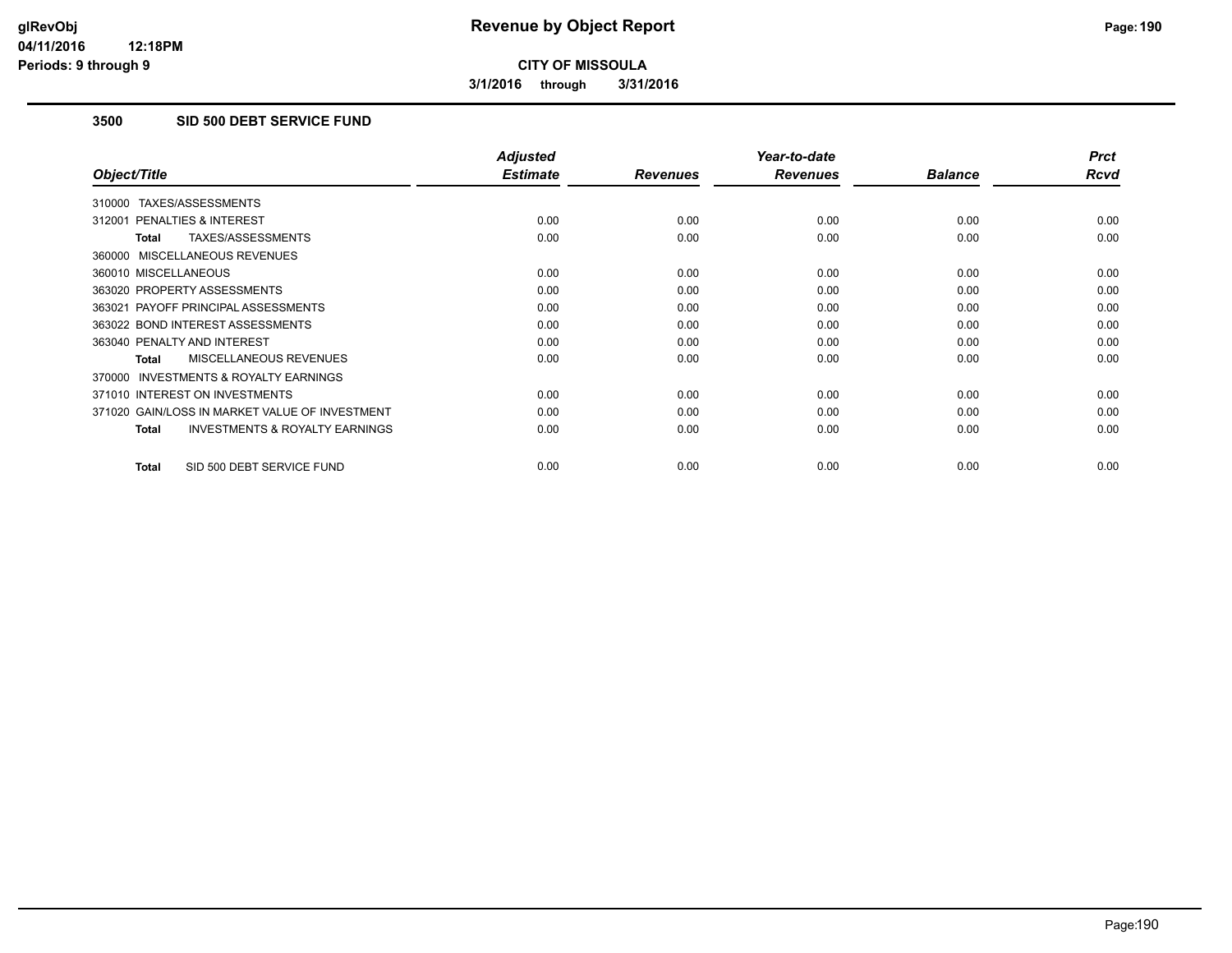**3/1/2016 through 3/31/2016**

# **3500 SID 500 DEBT SERVICE FUND**

|                                                           | <b>Adjusted</b> |                 | Year-to-date    |                | <b>Prct</b> |
|-----------------------------------------------------------|-----------------|-----------------|-----------------|----------------|-------------|
| Object/Title                                              | <b>Estimate</b> | <b>Revenues</b> | <b>Revenues</b> | <b>Balance</b> | <b>Rcvd</b> |
| 310000 TAXES/ASSESSMENTS                                  |                 |                 |                 |                |             |
| 312001 PENALTIES & INTEREST                               | 0.00            | 0.00            | 0.00            | 0.00           | 0.00        |
| TAXES/ASSESSMENTS<br><b>Total</b>                         | 0.00            | 0.00            | 0.00            | 0.00           | 0.00        |
| 360000 MISCELLANEOUS REVENUES                             |                 |                 |                 |                |             |
| 360010 MISCELLANEOUS                                      | 0.00            | 0.00            | 0.00            | 0.00           | 0.00        |
| 363020 PROPERTY ASSESSMENTS                               | 0.00            | 0.00            | 0.00            | 0.00           | 0.00        |
| 363021 PAYOFF PRINCIPAL ASSESSMENTS                       | 0.00            | 0.00            | 0.00            | 0.00           | 0.00        |
| 363022 BOND INTEREST ASSESSMENTS                          | 0.00            | 0.00            | 0.00            | 0.00           | 0.00        |
| 363040 PENALTY AND INTEREST                               | 0.00            | 0.00            | 0.00            | 0.00           | 0.00        |
| MISCELLANEOUS REVENUES<br>Total                           | 0.00            | 0.00            | 0.00            | 0.00           | 0.00        |
| <b>INVESTMENTS &amp; ROYALTY EARNINGS</b><br>370000       |                 |                 |                 |                |             |
| 371010 INTEREST ON INVESTMENTS                            | 0.00            | 0.00            | 0.00            | 0.00           | 0.00        |
| 371020 GAIN/LOSS IN MARKET VALUE OF INVESTMENT            | 0.00            | 0.00            | 0.00            | 0.00           | 0.00        |
| <b>INVESTMENTS &amp; ROYALTY EARNINGS</b><br><b>Total</b> | 0.00            | 0.00            | 0.00            | 0.00           | 0.00        |
| SID 500 DEBT SERVICE FUND<br><b>Total</b>                 | 0.00            | 0.00            | 0.00            | 0.00           | 0.00        |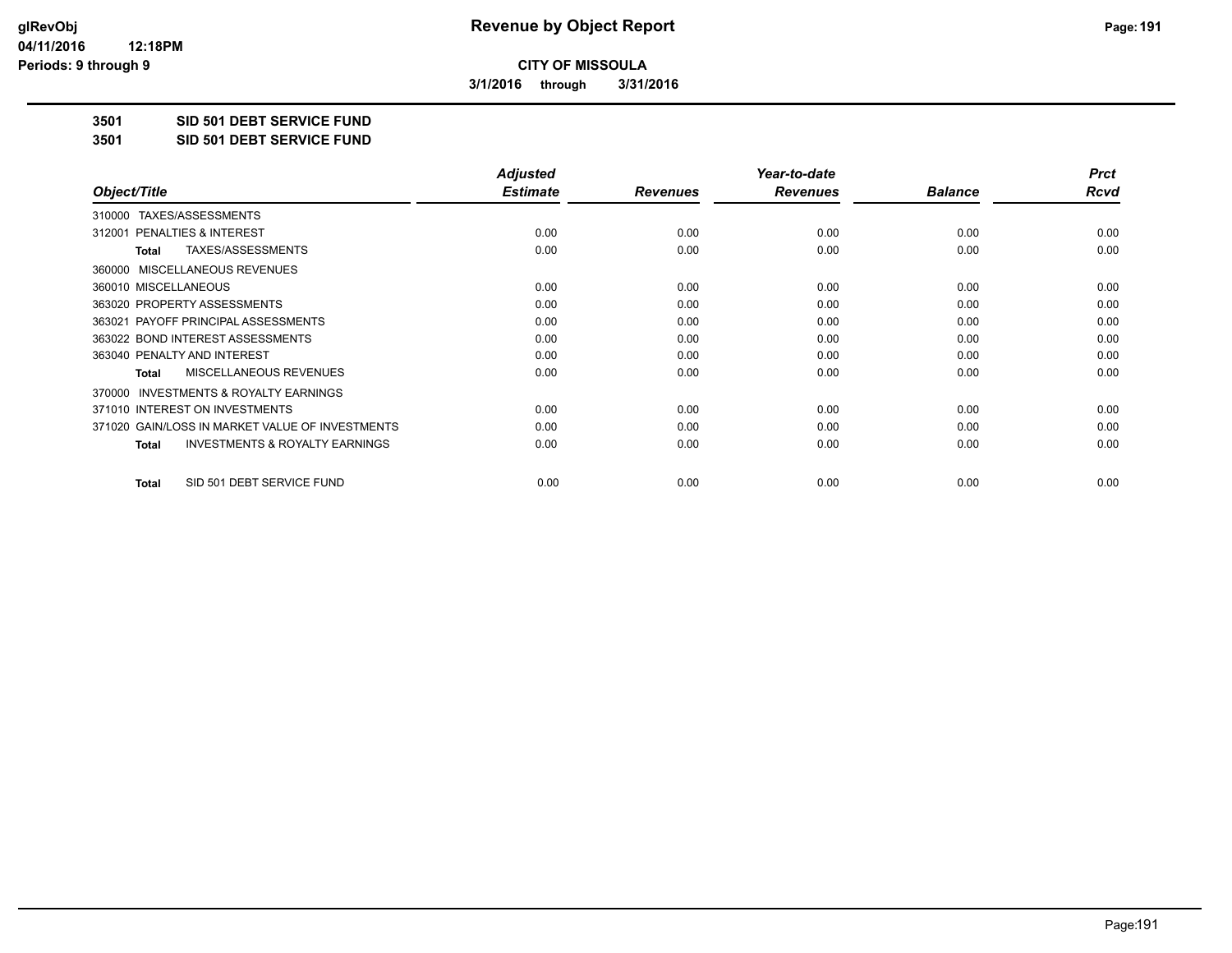**3/1/2016 through 3/31/2016**

**3501 SID 501 DEBT SERVICE FUND**

**3501 SID 501 DEBT SERVICE FUND**

|                                                    | <b>Adjusted</b> |                 | Year-to-date    |                | <b>Prct</b> |
|----------------------------------------------------|-----------------|-----------------|-----------------|----------------|-------------|
| Object/Title                                       | <b>Estimate</b> | <b>Revenues</b> | <b>Revenues</b> | <b>Balance</b> | Rcvd        |
| TAXES/ASSESSMENTS<br>310000                        |                 |                 |                 |                |             |
| <b>PENALTIES &amp; INTEREST</b><br>312001          | 0.00            | 0.00            | 0.00            | 0.00           | 0.00        |
| TAXES/ASSESSMENTS<br><b>Total</b>                  | 0.00            | 0.00            | 0.00            | 0.00           | 0.00        |
| 360000 MISCELLANEOUS REVENUES                      |                 |                 |                 |                |             |
| 360010 MISCELLANEOUS                               | 0.00            | 0.00            | 0.00            | 0.00           | 0.00        |
| 363020 PROPERTY ASSESSMENTS                        | 0.00            | 0.00            | 0.00            | 0.00           | 0.00        |
| 363021 PAYOFF PRINCIPAL ASSESSMENTS                | 0.00            | 0.00            | 0.00            | 0.00           | 0.00        |
| 363022 BOND INTEREST ASSESSMENTS                   | 0.00            | 0.00            | 0.00            | 0.00           | 0.00        |
| 363040 PENALTY AND INTEREST                        | 0.00            | 0.00            | 0.00            | 0.00           | 0.00        |
| MISCELLANEOUS REVENUES<br><b>Total</b>             | 0.00            | 0.00            | 0.00            | 0.00           | 0.00        |
| 370000 INVESTMENTS & ROYALTY EARNINGS              |                 |                 |                 |                |             |
| 371010 INTEREST ON INVESTMENTS                     | 0.00            | 0.00            | 0.00            | 0.00           | 0.00        |
| 371020 GAIN/LOSS IN MARKET VALUE OF INVESTMENTS    | 0.00            | 0.00            | 0.00            | 0.00           | 0.00        |
| <b>INVESTMENTS &amp; ROYALTY EARNINGS</b><br>Total | 0.00            | 0.00            | 0.00            | 0.00           | 0.00        |
|                                                    |                 |                 |                 |                |             |
| SID 501 DEBT SERVICE FUND<br><b>Total</b>          | 0.00            | 0.00            | 0.00            | 0.00           | 0.00        |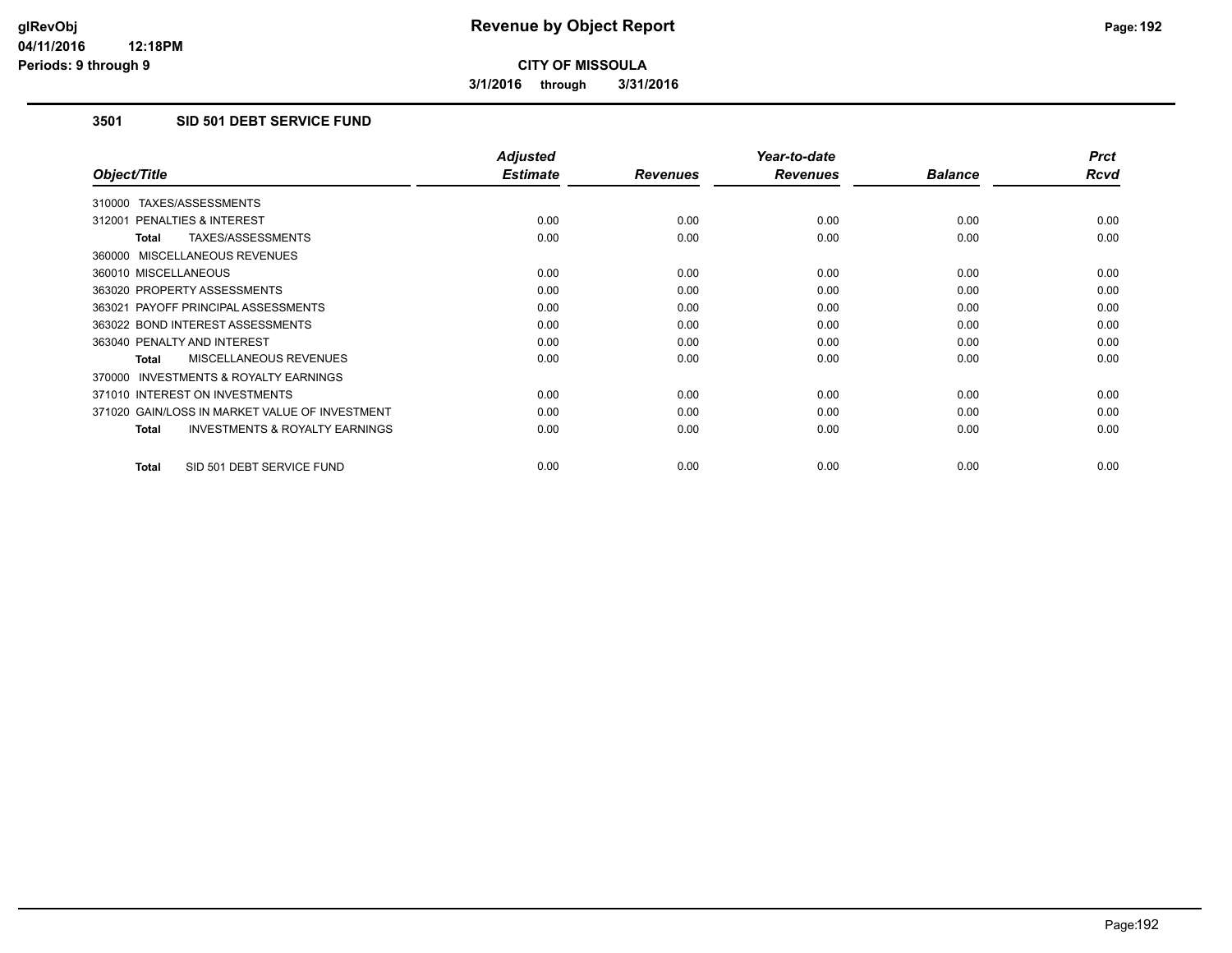**3/1/2016 through 3/31/2016**

# **3501 SID 501 DEBT SERVICE FUND**

|                                                           | <b>Adjusted</b> |                 | Year-to-date    |                | <b>Prct</b> |
|-----------------------------------------------------------|-----------------|-----------------|-----------------|----------------|-------------|
| Object/Title                                              | <b>Estimate</b> | <b>Revenues</b> | <b>Revenues</b> | <b>Balance</b> | <b>Rcvd</b> |
| 310000 TAXES/ASSESSMENTS                                  |                 |                 |                 |                |             |
| 312001 PENALTIES & INTEREST                               | 0.00            | 0.00            | 0.00            | 0.00           | 0.00        |
| <b>TAXES/ASSESSMENTS</b><br><b>Total</b>                  | 0.00            | 0.00            | 0.00            | 0.00           | 0.00        |
| 360000 MISCELLANEOUS REVENUES                             |                 |                 |                 |                |             |
| 360010 MISCELLANEOUS                                      | 0.00            | 0.00            | 0.00            | 0.00           | 0.00        |
| 363020 PROPERTY ASSESSMENTS                               | 0.00            | 0.00            | 0.00            | 0.00           | 0.00        |
| 363021 PAYOFF PRINCIPAL ASSESSMENTS                       | 0.00            | 0.00            | 0.00            | 0.00           | 0.00        |
| 363022 BOND INTEREST ASSESSMENTS                          | 0.00            | 0.00            | 0.00            | 0.00           | 0.00        |
| 363040 PENALTY AND INTEREST                               | 0.00            | 0.00            | 0.00            | 0.00           | 0.00        |
| MISCELLANEOUS REVENUES<br><b>Total</b>                    | 0.00            | 0.00            | 0.00            | 0.00           | 0.00        |
| <b>INVESTMENTS &amp; ROYALTY EARNINGS</b><br>370000       |                 |                 |                 |                |             |
| 371010 INTEREST ON INVESTMENTS                            | 0.00            | 0.00            | 0.00            | 0.00           | 0.00        |
| 371020 GAIN/LOSS IN MARKET VALUE OF INVESTMENT            | 0.00            | 0.00            | 0.00            | 0.00           | 0.00        |
| <b>INVESTMENTS &amp; ROYALTY EARNINGS</b><br><b>Total</b> | 0.00            | 0.00            | 0.00            | 0.00           | 0.00        |
| SID 501 DEBT SERVICE FUND<br><b>Total</b>                 | 0.00            | 0.00            | 0.00            | 0.00           | 0.00        |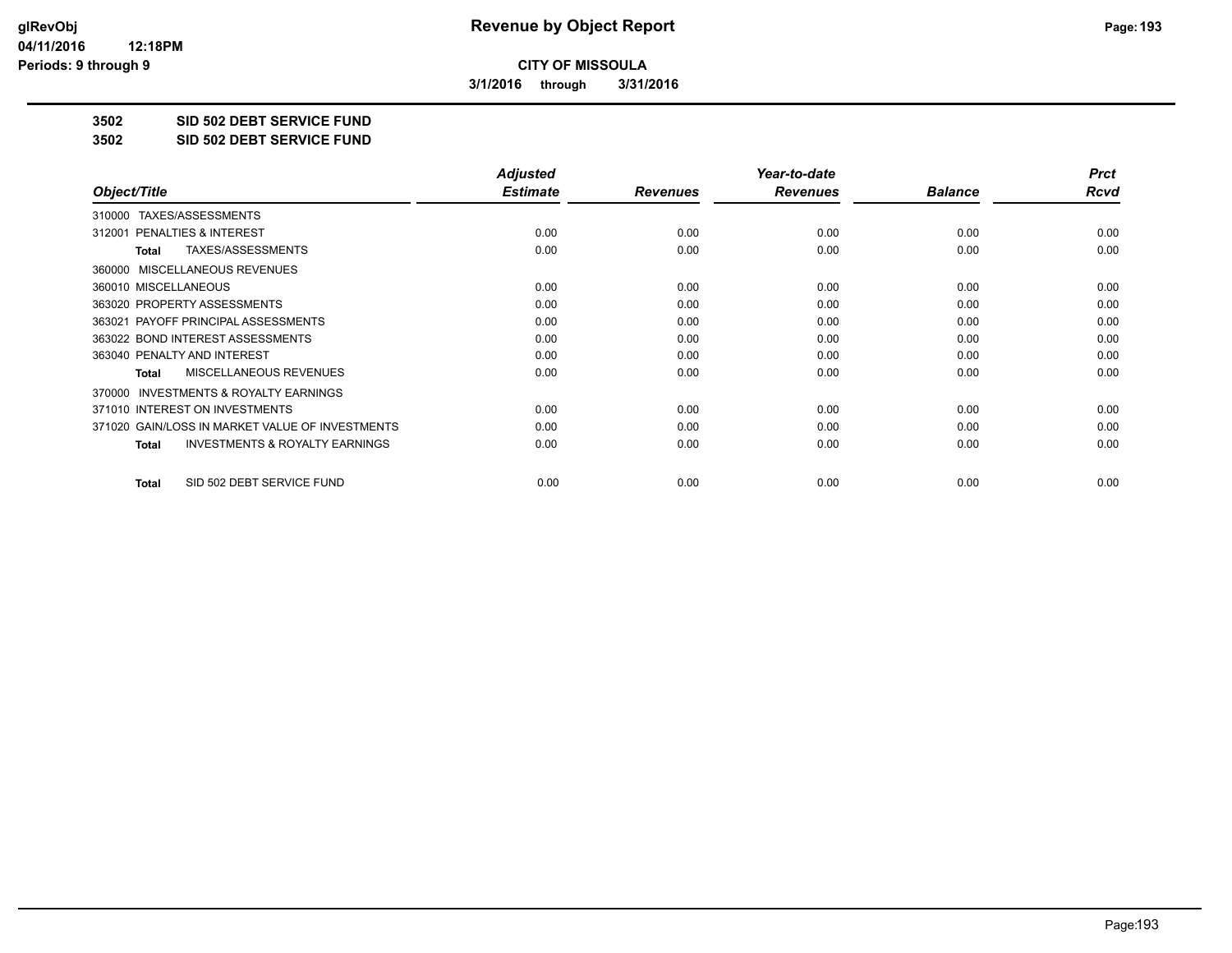**3/1/2016 through 3/31/2016**

**3502 SID 502 DEBT SERVICE FUND**

**3502 SID 502 DEBT SERVICE FUND**

|                                                           | <b>Adjusted</b> |                 | Year-to-date    |                | <b>Prct</b> |
|-----------------------------------------------------------|-----------------|-----------------|-----------------|----------------|-------------|
| Object/Title                                              | <b>Estimate</b> | <b>Revenues</b> | <b>Revenues</b> | <b>Balance</b> | Rcvd        |
| TAXES/ASSESSMENTS<br>310000                               |                 |                 |                 |                |             |
| 312001 PENALTIES & INTEREST                               | 0.00            | 0.00            | 0.00            | 0.00           | 0.00        |
| TAXES/ASSESSMENTS<br>Total                                | 0.00            | 0.00            | 0.00            | 0.00           | 0.00        |
| MISCELLANEOUS REVENUES<br>360000                          |                 |                 |                 |                |             |
| 360010 MISCELLANEOUS                                      | 0.00            | 0.00            | 0.00            | 0.00           | 0.00        |
| 363020 PROPERTY ASSESSMENTS                               | 0.00            | 0.00            | 0.00            | 0.00           | 0.00        |
| 363021 PAYOFF PRINCIPAL ASSESSMENTS                       | 0.00            | 0.00            | 0.00            | 0.00           | 0.00        |
| 363022 BOND INTEREST ASSESSMENTS                          | 0.00            | 0.00            | 0.00            | 0.00           | 0.00        |
| 363040 PENALTY AND INTEREST                               | 0.00            | 0.00            | 0.00            | 0.00           | 0.00        |
| MISCELLANEOUS REVENUES<br><b>Total</b>                    | 0.00            | 0.00            | 0.00            | 0.00           | 0.00        |
| <b>INVESTMENTS &amp; ROYALTY EARNINGS</b><br>370000       |                 |                 |                 |                |             |
| 371010 INTEREST ON INVESTMENTS                            | 0.00            | 0.00            | 0.00            | 0.00           | 0.00        |
| 371020 GAIN/LOSS IN MARKET VALUE OF INVESTMENTS           | 0.00            | 0.00            | 0.00            | 0.00           | 0.00        |
| <b>INVESTMENTS &amp; ROYALTY EARNINGS</b><br><b>Total</b> | 0.00            | 0.00            | 0.00            | 0.00           | 0.00        |
| SID 502 DEBT SERVICE FUND<br><b>Total</b>                 | 0.00            | 0.00            | 0.00            | 0.00           | 0.00        |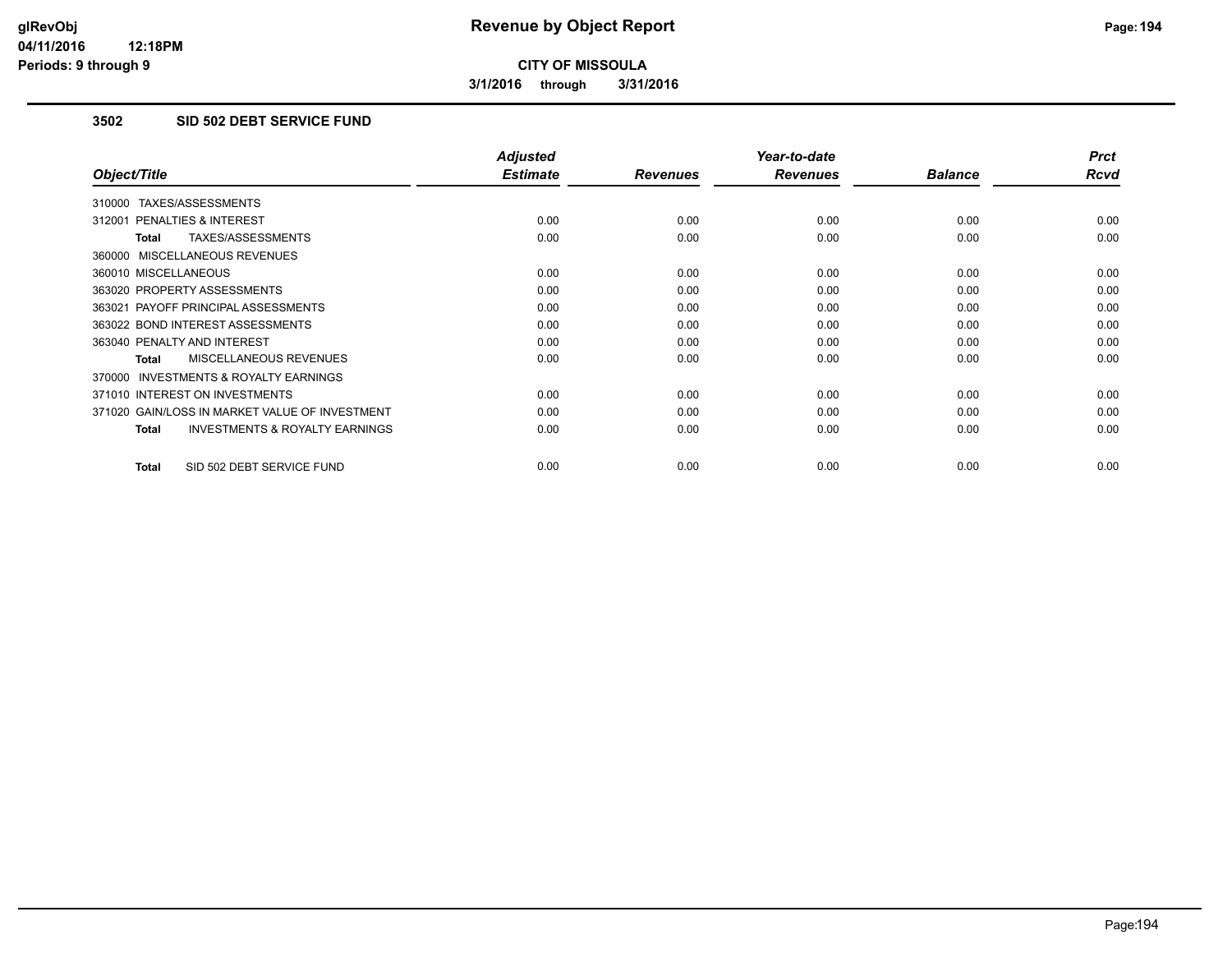**3/1/2016 through 3/31/2016**

# **3502 SID 502 DEBT SERVICE FUND**

|                                                           | <b>Adjusted</b> |                 | Year-to-date    |                | <b>Prct</b> |
|-----------------------------------------------------------|-----------------|-----------------|-----------------|----------------|-------------|
| Object/Title                                              | <b>Estimate</b> | <b>Revenues</b> | <b>Revenues</b> | <b>Balance</b> | <b>Rcvd</b> |
| 310000 TAXES/ASSESSMENTS                                  |                 |                 |                 |                |             |
| 312001 PENALTIES & INTEREST                               | 0.00            | 0.00            | 0.00            | 0.00           | 0.00        |
| TAXES/ASSESSMENTS<br><b>Total</b>                         | 0.00            | 0.00            | 0.00            | 0.00           | 0.00        |
| 360000 MISCELLANEOUS REVENUES                             |                 |                 |                 |                |             |
| 360010 MISCELLANEOUS                                      | 0.00            | 0.00            | 0.00            | 0.00           | 0.00        |
| 363020 PROPERTY ASSESSMENTS                               | 0.00            | 0.00            | 0.00            | 0.00           | 0.00        |
| 363021 PAYOFF PRINCIPAL ASSESSMENTS                       | 0.00            | 0.00            | 0.00            | 0.00           | 0.00        |
| 363022 BOND INTEREST ASSESSMENTS                          | 0.00            | 0.00            | 0.00            | 0.00           | 0.00        |
| 363040 PENALTY AND INTEREST                               | 0.00            | 0.00            | 0.00            | 0.00           | 0.00        |
| MISCELLANEOUS REVENUES<br>Total                           | 0.00            | 0.00            | 0.00            | 0.00           | 0.00        |
| <b>INVESTMENTS &amp; ROYALTY EARNINGS</b><br>370000       |                 |                 |                 |                |             |
| 371010 INTEREST ON INVESTMENTS                            | 0.00            | 0.00            | 0.00            | 0.00           | 0.00        |
| 371020 GAIN/LOSS IN MARKET VALUE OF INVESTMENT            | 0.00            | 0.00            | 0.00            | 0.00           | 0.00        |
| <b>INVESTMENTS &amp; ROYALTY EARNINGS</b><br><b>Total</b> | 0.00            | 0.00            | 0.00            | 0.00           | 0.00        |
|                                                           |                 |                 |                 |                |             |
| SID 502 DEBT SERVICE FUND<br><b>Total</b>                 | 0.00            | 0.00            | 0.00            | 0.00           | 0.00        |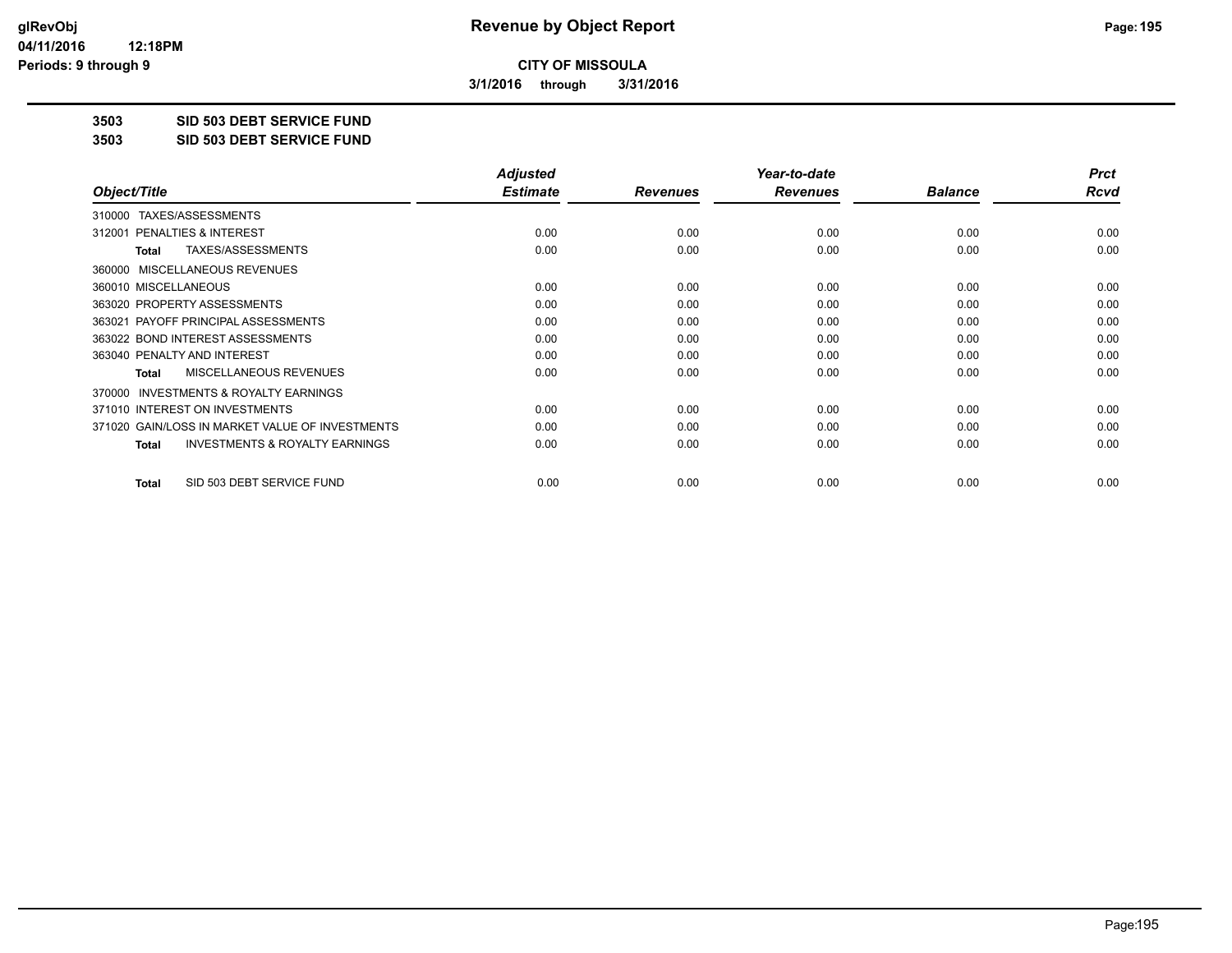**3/1/2016 through 3/31/2016**

**3503 SID 503 DEBT SERVICE FUND**

**3503 SID 503 DEBT SERVICE FUND**

|                                                           | <b>Adjusted</b> |                 | Year-to-date    |                | <b>Prct</b> |
|-----------------------------------------------------------|-----------------|-----------------|-----------------|----------------|-------------|
| Object/Title                                              | <b>Estimate</b> | <b>Revenues</b> | <b>Revenues</b> | <b>Balance</b> | Rcvd        |
| TAXES/ASSESSMENTS<br>310000                               |                 |                 |                 |                |             |
| 312001 PENALTIES & INTEREST                               | 0.00            | 0.00            | 0.00            | 0.00           | 0.00        |
| TAXES/ASSESSMENTS<br>Total                                | 0.00            | 0.00            | 0.00            | 0.00           | 0.00        |
| MISCELLANEOUS REVENUES<br>360000                          |                 |                 |                 |                |             |
| 360010 MISCELLANEOUS                                      | 0.00            | 0.00            | 0.00            | 0.00           | 0.00        |
| 363020 PROPERTY ASSESSMENTS                               | 0.00            | 0.00            | 0.00            | 0.00           | 0.00        |
| 363021 PAYOFF PRINCIPAL ASSESSMENTS                       | 0.00            | 0.00            | 0.00            | 0.00           | 0.00        |
| 363022 BOND INTEREST ASSESSMENTS                          | 0.00            | 0.00            | 0.00            | 0.00           | 0.00        |
| 363040 PENALTY AND INTEREST                               | 0.00            | 0.00            | 0.00            | 0.00           | 0.00        |
| MISCELLANEOUS REVENUES<br><b>Total</b>                    | 0.00            | 0.00            | 0.00            | 0.00           | 0.00        |
| <b>INVESTMENTS &amp; ROYALTY EARNINGS</b><br>370000       |                 |                 |                 |                |             |
| 371010 INTEREST ON INVESTMENTS                            | 0.00            | 0.00            | 0.00            | 0.00           | 0.00        |
| 371020 GAIN/LOSS IN MARKET VALUE OF INVESTMENTS           | 0.00            | 0.00            | 0.00            | 0.00           | 0.00        |
| <b>INVESTMENTS &amp; ROYALTY EARNINGS</b><br><b>Total</b> | 0.00            | 0.00            | 0.00            | 0.00           | 0.00        |
| SID 503 DEBT SERVICE FUND<br><b>Total</b>                 | 0.00            | 0.00            | 0.00            | 0.00           | 0.00        |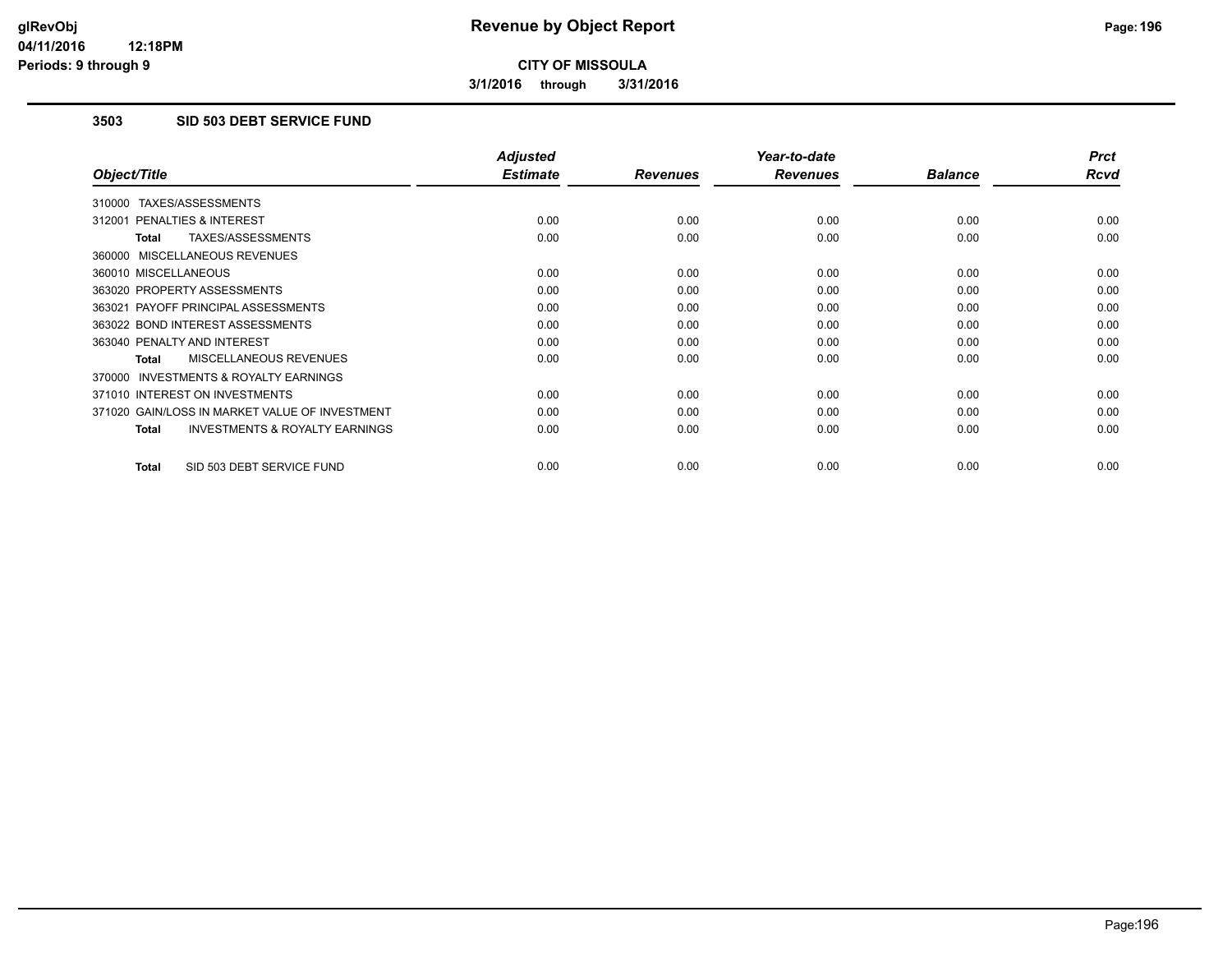**3/1/2016 through 3/31/2016**

# **3503 SID 503 DEBT SERVICE FUND**

| <b>Adjusted</b> |                         | Year-to-date            |                         | <b>Prct</b>            |
|-----------------|-------------------------|-------------------------|-------------------------|------------------------|
|                 |                         |                         |                         | <b>Rcvd</b>            |
|                 |                         |                         |                         |                        |
| 0.00            | 0.00                    | 0.00                    | 0.00                    | 0.00                   |
| 0.00            | 0.00                    | 0.00                    | 0.00                    | 0.00                   |
|                 |                         |                         |                         |                        |
| 0.00            | 0.00                    | 0.00                    | 0.00                    | 0.00                   |
| 0.00            | 0.00                    | 0.00                    | 0.00                    | 0.00                   |
| 0.00            | 0.00                    | 0.00                    | 0.00                    | 0.00                   |
| 0.00            | 0.00                    | 0.00                    | 0.00                    | 0.00                   |
| 0.00            | 0.00                    | 0.00                    | 0.00                    | 0.00                   |
| 0.00            | 0.00                    | 0.00                    | 0.00                    | 0.00                   |
|                 |                         |                         |                         |                        |
| 0.00            | 0.00                    | 0.00                    | 0.00                    | 0.00                   |
| 0.00            | 0.00                    | 0.00                    | 0.00                    | 0.00                   |
| 0.00            | 0.00                    | 0.00                    | 0.00                    | 0.00                   |
|                 |                         |                         |                         | 0.00                   |
|                 | <b>Estimate</b><br>0.00 | <b>Revenues</b><br>0.00 | <b>Revenues</b><br>0.00 | <b>Balance</b><br>0.00 |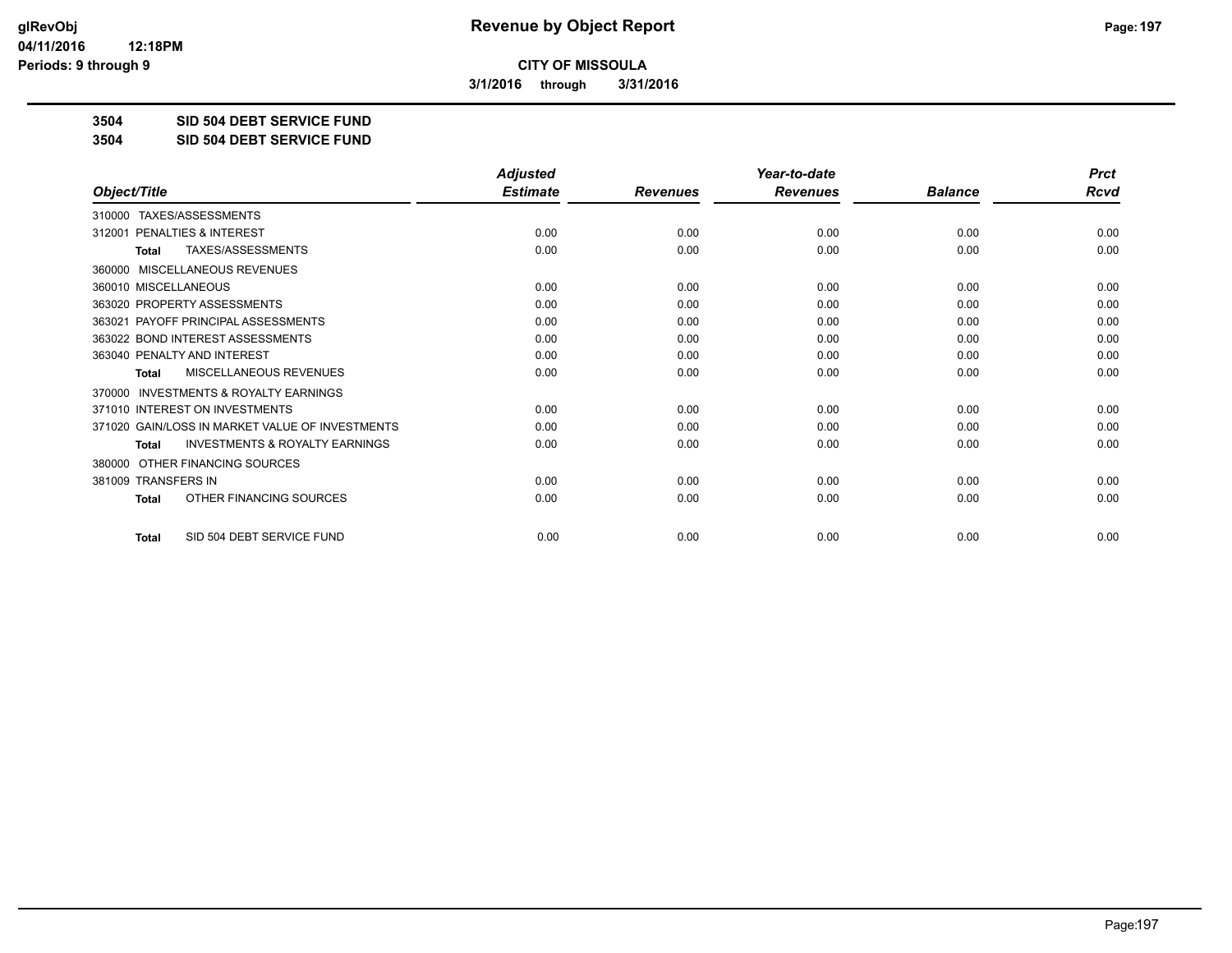**3/1/2016 through 3/31/2016**

**3504 SID 504 DEBT SERVICE FUND**

**3504 SID 504 DEBT SERVICE FUND**

|                                                           | <b>Adjusted</b> |                 | Year-to-date    |                | <b>Prct</b> |
|-----------------------------------------------------------|-----------------|-----------------|-----------------|----------------|-------------|
| Object/Title                                              | <b>Estimate</b> | <b>Revenues</b> | <b>Revenues</b> | <b>Balance</b> | Rcvd        |
| TAXES/ASSESSMENTS<br>310000                               |                 |                 |                 |                |             |
| PENALTIES & INTEREST<br>312001                            | 0.00            | 0.00            | 0.00            | 0.00           | 0.00        |
| TAXES/ASSESSMENTS<br>Total                                | 0.00            | 0.00            | 0.00            | 0.00           | 0.00        |
| MISCELLANEOUS REVENUES<br>360000                          |                 |                 |                 |                |             |
| 360010 MISCELLANEOUS                                      | 0.00            | 0.00            | 0.00            | 0.00           | 0.00        |
| 363020 PROPERTY ASSESSMENTS                               | 0.00            | 0.00            | 0.00            | 0.00           | 0.00        |
| 363021 PAYOFF PRINCIPAL ASSESSMENTS                       | 0.00            | 0.00            | 0.00            | 0.00           | 0.00        |
| 363022 BOND INTEREST ASSESSMENTS                          | 0.00            | 0.00            | 0.00            | 0.00           | 0.00        |
| 363040 PENALTY AND INTEREST                               | 0.00            | 0.00            | 0.00            | 0.00           | 0.00        |
| <b>MISCELLANEOUS REVENUES</b><br><b>Total</b>             | 0.00            | 0.00            | 0.00            | 0.00           | 0.00        |
| <b>INVESTMENTS &amp; ROYALTY EARNINGS</b><br>370000       |                 |                 |                 |                |             |
| 371010 INTEREST ON INVESTMENTS                            | 0.00            | 0.00            | 0.00            | 0.00           | 0.00        |
| 371020 GAIN/LOSS IN MARKET VALUE OF INVESTMENTS           | 0.00            | 0.00            | 0.00            | 0.00           | 0.00        |
| <b>INVESTMENTS &amp; ROYALTY EARNINGS</b><br><b>Total</b> | 0.00            | 0.00            | 0.00            | 0.00           | 0.00        |
| OTHER FINANCING SOURCES<br>380000                         |                 |                 |                 |                |             |
| 381009 TRANSFERS IN                                       | 0.00            | 0.00            | 0.00            | 0.00           | 0.00        |
| OTHER FINANCING SOURCES<br><b>Total</b>                   | 0.00            | 0.00            | 0.00            | 0.00           | 0.00        |
| SID 504 DEBT SERVICE FUND<br><b>Total</b>                 | 0.00            | 0.00            | 0.00            | 0.00           | 0.00        |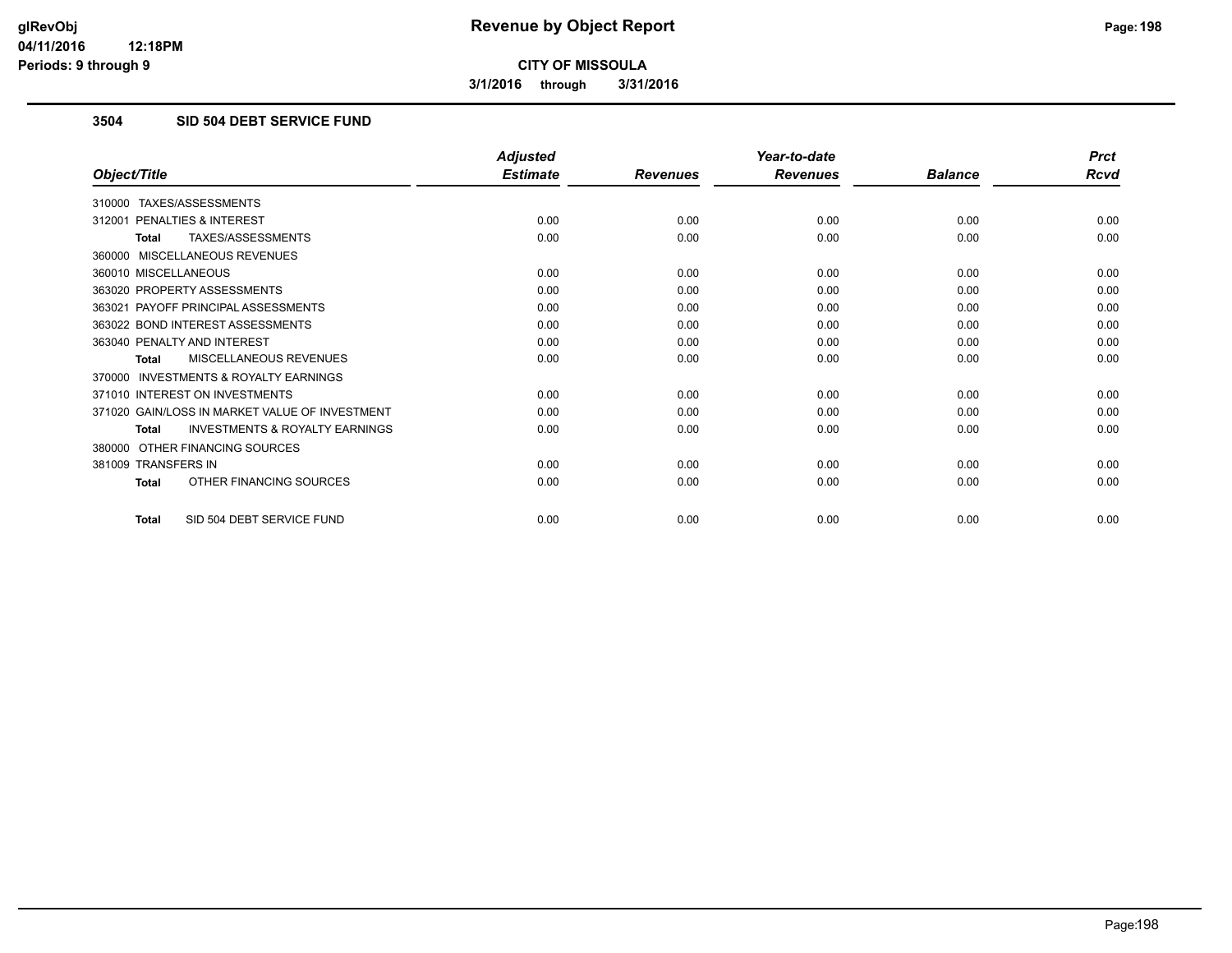**3/1/2016 through 3/31/2016**

# **3504 SID 504 DEBT SERVICE FUND**

|                                                           | <b>Adjusted</b> |                 | Year-to-date    |                | <b>Prct</b> |
|-----------------------------------------------------------|-----------------|-----------------|-----------------|----------------|-------------|
| Object/Title                                              | <b>Estimate</b> | <b>Revenues</b> | <b>Revenues</b> | <b>Balance</b> | <b>Rcvd</b> |
| 310000 TAXES/ASSESSMENTS                                  |                 |                 |                 |                |             |
| 312001 PENALTIES & INTEREST                               | 0.00            | 0.00            | 0.00            | 0.00           | 0.00        |
| TAXES/ASSESSMENTS<br><b>Total</b>                         | 0.00            | 0.00            | 0.00            | 0.00           | 0.00        |
| 360000 MISCELLANEOUS REVENUES                             |                 |                 |                 |                |             |
| 360010 MISCELLANEOUS                                      | 0.00            | 0.00            | 0.00            | 0.00           | 0.00        |
| 363020 PROPERTY ASSESSMENTS                               | 0.00            | 0.00            | 0.00            | 0.00           | 0.00        |
| 363021 PAYOFF PRINCIPAL ASSESSMENTS                       | 0.00            | 0.00            | 0.00            | 0.00           | 0.00        |
| 363022 BOND INTEREST ASSESSMENTS                          | 0.00            | 0.00            | 0.00            | 0.00           | 0.00        |
| 363040 PENALTY AND INTEREST                               | 0.00            | 0.00            | 0.00            | 0.00           | 0.00        |
| MISCELLANEOUS REVENUES<br>Total                           | 0.00            | 0.00            | 0.00            | 0.00           | 0.00        |
| 370000 INVESTMENTS & ROYALTY EARNINGS                     |                 |                 |                 |                |             |
| 371010 INTEREST ON INVESTMENTS                            | 0.00            | 0.00            | 0.00            | 0.00           | 0.00        |
| 371020 GAIN/LOSS IN MARKET VALUE OF INVESTMENT            | 0.00            | 0.00            | 0.00            | 0.00           | 0.00        |
| <b>INVESTMENTS &amp; ROYALTY EARNINGS</b><br><b>Total</b> | 0.00            | 0.00            | 0.00            | 0.00           | 0.00        |
| 380000 OTHER FINANCING SOURCES                            |                 |                 |                 |                |             |
| 381009 TRANSFERS IN                                       | 0.00            | 0.00            | 0.00            | 0.00           | 0.00        |
| OTHER FINANCING SOURCES<br><b>Total</b>                   | 0.00            | 0.00            | 0.00            | 0.00           | 0.00        |
| SID 504 DEBT SERVICE FUND<br><b>Total</b>                 | 0.00            | 0.00            | 0.00            | 0.00           | 0.00        |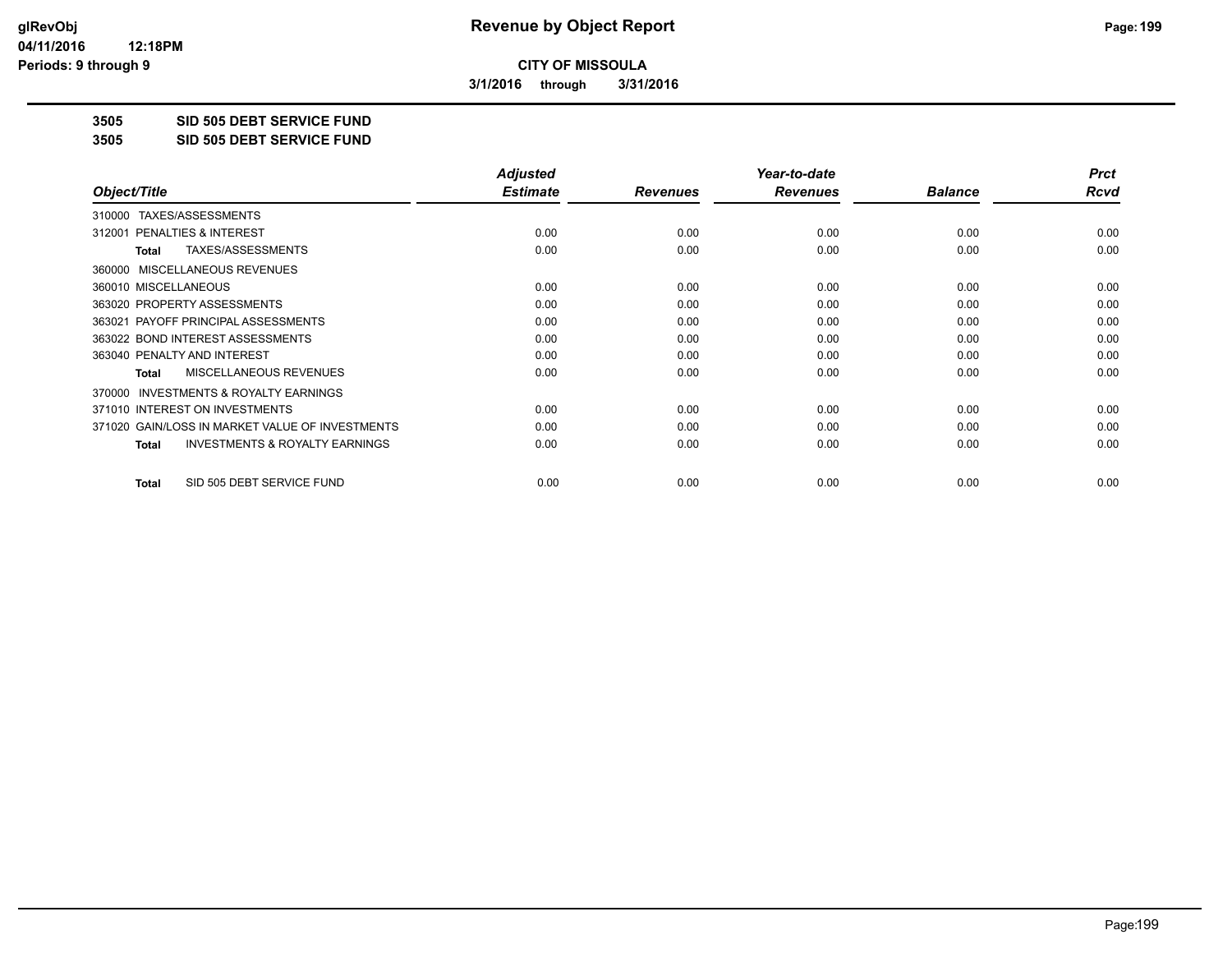**3/1/2016 through 3/31/2016**

**3505 SID 505 DEBT SERVICE FUND**

**3505 SID 505 DEBT SERVICE FUND**

|                                                           | <b>Adjusted</b> |                 | Year-to-date    |                | <b>Prct</b> |
|-----------------------------------------------------------|-----------------|-----------------|-----------------|----------------|-------------|
| Object/Title                                              | <b>Estimate</b> | <b>Revenues</b> | <b>Revenues</b> | <b>Balance</b> | Rcvd        |
| TAXES/ASSESSMENTS<br>310000                               |                 |                 |                 |                |             |
| 312001 PENALTIES & INTEREST                               | 0.00            | 0.00            | 0.00            | 0.00           | 0.00        |
| TAXES/ASSESSMENTS<br><b>Total</b>                         | 0.00            | 0.00            | 0.00            | 0.00           | 0.00        |
| MISCELLANEOUS REVENUES<br>360000                          |                 |                 |                 |                |             |
| 360010 MISCELLANEOUS                                      | 0.00            | 0.00            | 0.00            | 0.00           | 0.00        |
| 363020 PROPERTY ASSESSMENTS                               | 0.00            | 0.00            | 0.00            | 0.00           | 0.00        |
| 363021 PAYOFF PRINCIPAL ASSESSMENTS                       | 0.00            | 0.00            | 0.00            | 0.00           | 0.00        |
| 363022 BOND INTEREST ASSESSMENTS                          | 0.00            | 0.00            | 0.00            | 0.00           | 0.00        |
| 363040 PENALTY AND INTEREST                               | 0.00            | 0.00            | 0.00            | 0.00           | 0.00        |
| <b>MISCELLANEOUS REVENUES</b><br><b>Total</b>             | 0.00            | 0.00            | 0.00            | 0.00           | 0.00        |
| 370000 INVESTMENTS & ROYALTY EARNINGS                     |                 |                 |                 |                |             |
| 371010 INTEREST ON INVESTMENTS                            | 0.00            | 0.00            | 0.00            | 0.00           | 0.00        |
| 371020 GAIN/LOSS IN MARKET VALUE OF INVESTMENTS           | 0.00            | 0.00            | 0.00            | 0.00           | 0.00        |
| <b>INVESTMENTS &amp; ROYALTY EARNINGS</b><br><b>Total</b> | 0.00            | 0.00            | 0.00            | 0.00           | 0.00        |
| SID 505 DEBT SERVICE FUND<br><b>Total</b>                 | 0.00            | 0.00            | 0.00            | 0.00           | 0.00        |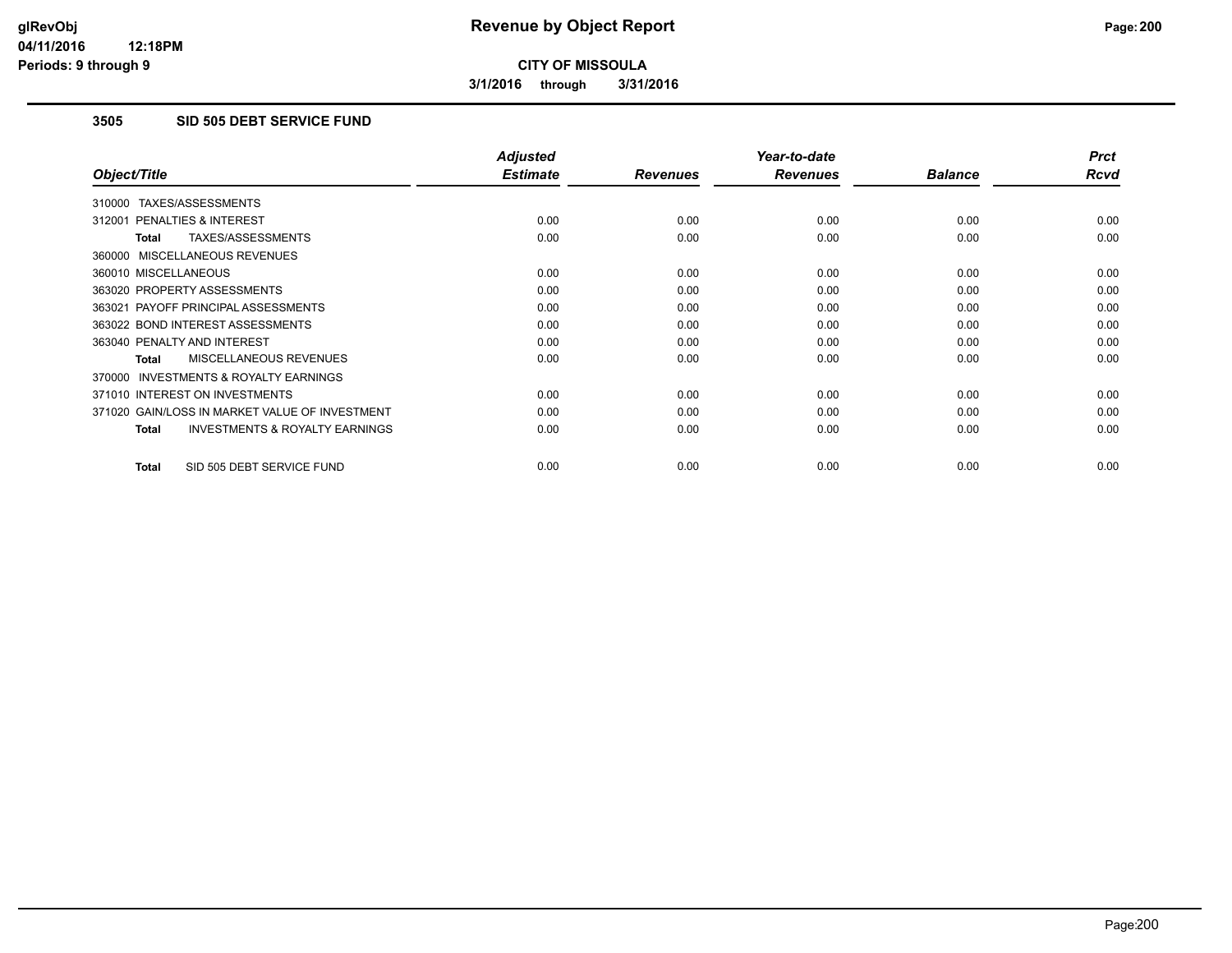**3/1/2016 through 3/31/2016**

# **3505 SID 505 DEBT SERVICE FUND**

|                                                           | <b>Adjusted</b> |                 | Year-to-date    |                | <b>Prct</b> |
|-----------------------------------------------------------|-----------------|-----------------|-----------------|----------------|-------------|
| Object/Title                                              | <b>Estimate</b> | <b>Revenues</b> | <b>Revenues</b> | <b>Balance</b> | <b>Rcvd</b> |
| 310000 TAXES/ASSESSMENTS                                  |                 |                 |                 |                |             |
| 312001 PENALTIES & INTEREST                               | 0.00            | 0.00            | 0.00            | 0.00           | 0.00        |
| TAXES/ASSESSMENTS<br><b>Total</b>                         | 0.00            | 0.00            | 0.00            | 0.00           | 0.00        |
| 360000 MISCELLANEOUS REVENUES                             |                 |                 |                 |                |             |
| 360010 MISCELLANEOUS                                      | 0.00            | 0.00            | 0.00            | 0.00           | 0.00        |
| 363020 PROPERTY ASSESSMENTS                               | 0.00            | 0.00            | 0.00            | 0.00           | 0.00        |
| 363021 PAYOFF PRINCIPAL ASSESSMENTS                       | 0.00            | 0.00            | 0.00            | 0.00           | 0.00        |
| 363022 BOND INTEREST ASSESSMENTS                          | 0.00            | 0.00            | 0.00            | 0.00           | 0.00        |
| 363040 PENALTY AND INTEREST                               | 0.00            | 0.00            | 0.00            | 0.00           | 0.00        |
| MISCELLANEOUS REVENUES<br>Total                           | 0.00            | 0.00            | 0.00            | 0.00           | 0.00        |
| INVESTMENTS & ROYALTY EARNINGS<br>370000                  |                 |                 |                 |                |             |
| 371010 INTEREST ON INVESTMENTS                            | 0.00            | 0.00            | 0.00            | 0.00           | 0.00        |
| 371020 GAIN/LOSS IN MARKET VALUE OF INVESTMENT            | 0.00            | 0.00            | 0.00            | 0.00           | 0.00        |
| <b>INVESTMENTS &amp; ROYALTY EARNINGS</b><br><b>Total</b> | 0.00            | 0.00            | 0.00            | 0.00           | 0.00        |
| SID 505 DEBT SERVICE FUND<br><b>Total</b>                 | 0.00            | 0.00            | 0.00            | 0.00           | 0.00        |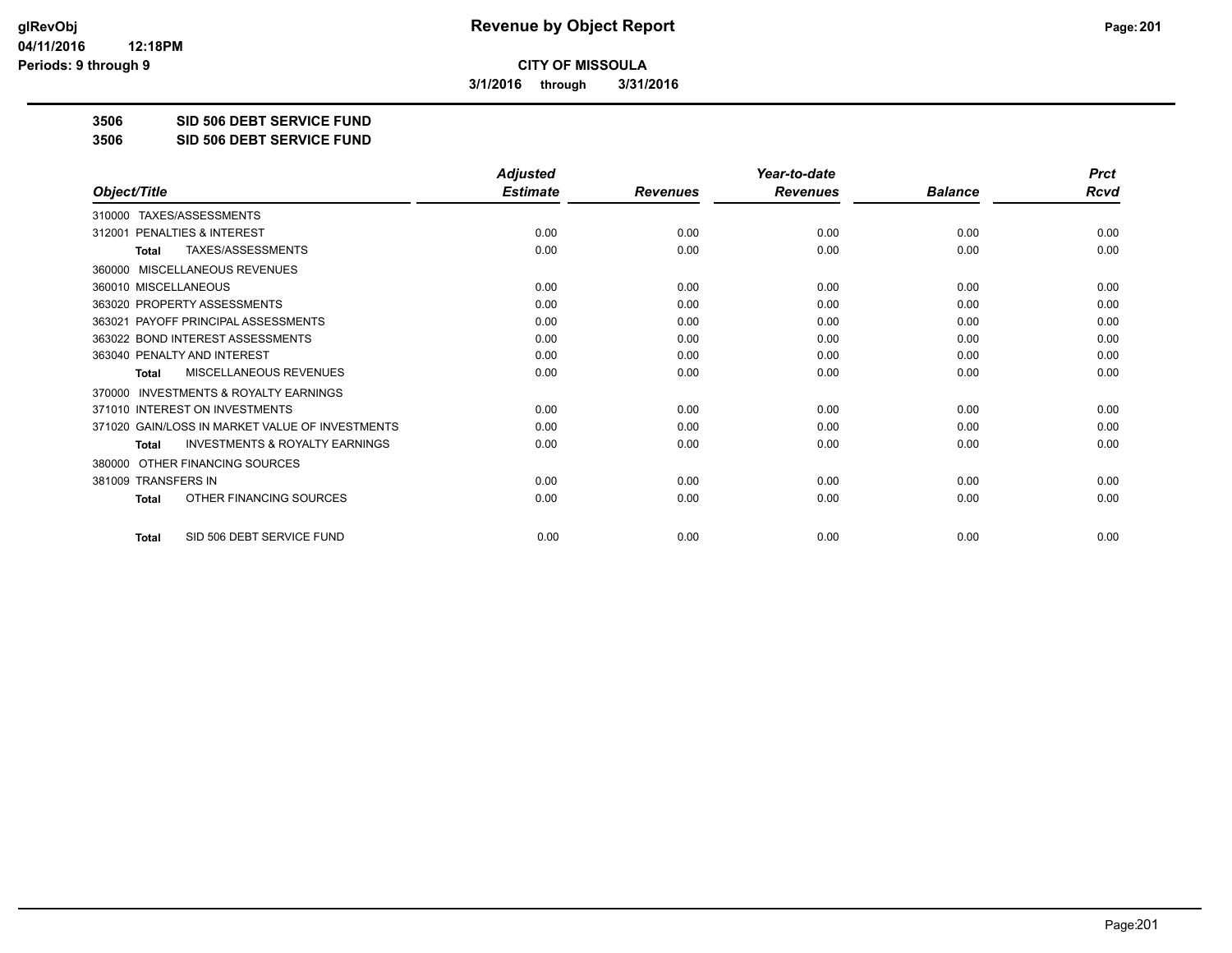**3/1/2016 through 3/31/2016**

**3506 SID 506 DEBT SERVICE FUND**

**3506 SID 506 DEBT SERVICE FUND**

|                                                           | <b>Adjusted</b> |                 | Year-to-date    |                | <b>Prct</b> |
|-----------------------------------------------------------|-----------------|-----------------|-----------------|----------------|-------------|
| Object/Title                                              | <b>Estimate</b> | <b>Revenues</b> | <b>Revenues</b> | <b>Balance</b> | Rcvd        |
| TAXES/ASSESSMENTS<br>310000                               |                 |                 |                 |                |             |
| PENALTIES & INTEREST<br>312001                            | 0.00            | 0.00            | 0.00            | 0.00           | 0.00        |
| TAXES/ASSESSMENTS<br>Total                                | 0.00            | 0.00            | 0.00            | 0.00           | 0.00        |
| MISCELLANEOUS REVENUES<br>360000                          |                 |                 |                 |                |             |
| 360010 MISCELLANEOUS                                      | 0.00            | 0.00            | 0.00            | 0.00           | 0.00        |
| 363020 PROPERTY ASSESSMENTS                               | 0.00            | 0.00            | 0.00            | 0.00           | 0.00        |
| 363021 PAYOFF PRINCIPAL ASSESSMENTS                       | 0.00            | 0.00            | 0.00            | 0.00           | 0.00        |
| 363022 BOND INTEREST ASSESSMENTS                          | 0.00            | 0.00            | 0.00            | 0.00           | 0.00        |
| 363040 PENALTY AND INTEREST                               | 0.00            | 0.00            | 0.00            | 0.00           | 0.00        |
| <b>MISCELLANEOUS REVENUES</b><br><b>Total</b>             | 0.00            | 0.00            | 0.00            | 0.00           | 0.00        |
| <b>INVESTMENTS &amp; ROYALTY EARNINGS</b><br>370000       |                 |                 |                 |                |             |
| 371010 INTEREST ON INVESTMENTS                            | 0.00            | 0.00            | 0.00            | 0.00           | 0.00        |
| 371020 GAIN/LOSS IN MARKET VALUE OF INVESTMENTS           | 0.00            | 0.00            | 0.00            | 0.00           | 0.00        |
| <b>INVESTMENTS &amp; ROYALTY EARNINGS</b><br><b>Total</b> | 0.00            | 0.00            | 0.00            | 0.00           | 0.00        |
| OTHER FINANCING SOURCES<br>380000                         |                 |                 |                 |                |             |
| 381009 TRANSFERS IN                                       | 0.00            | 0.00            | 0.00            | 0.00           | 0.00        |
| OTHER FINANCING SOURCES<br><b>Total</b>                   | 0.00            | 0.00            | 0.00            | 0.00           | 0.00        |
| SID 506 DEBT SERVICE FUND<br><b>Total</b>                 | 0.00            | 0.00            | 0.00            | 0.00           | 0.00        |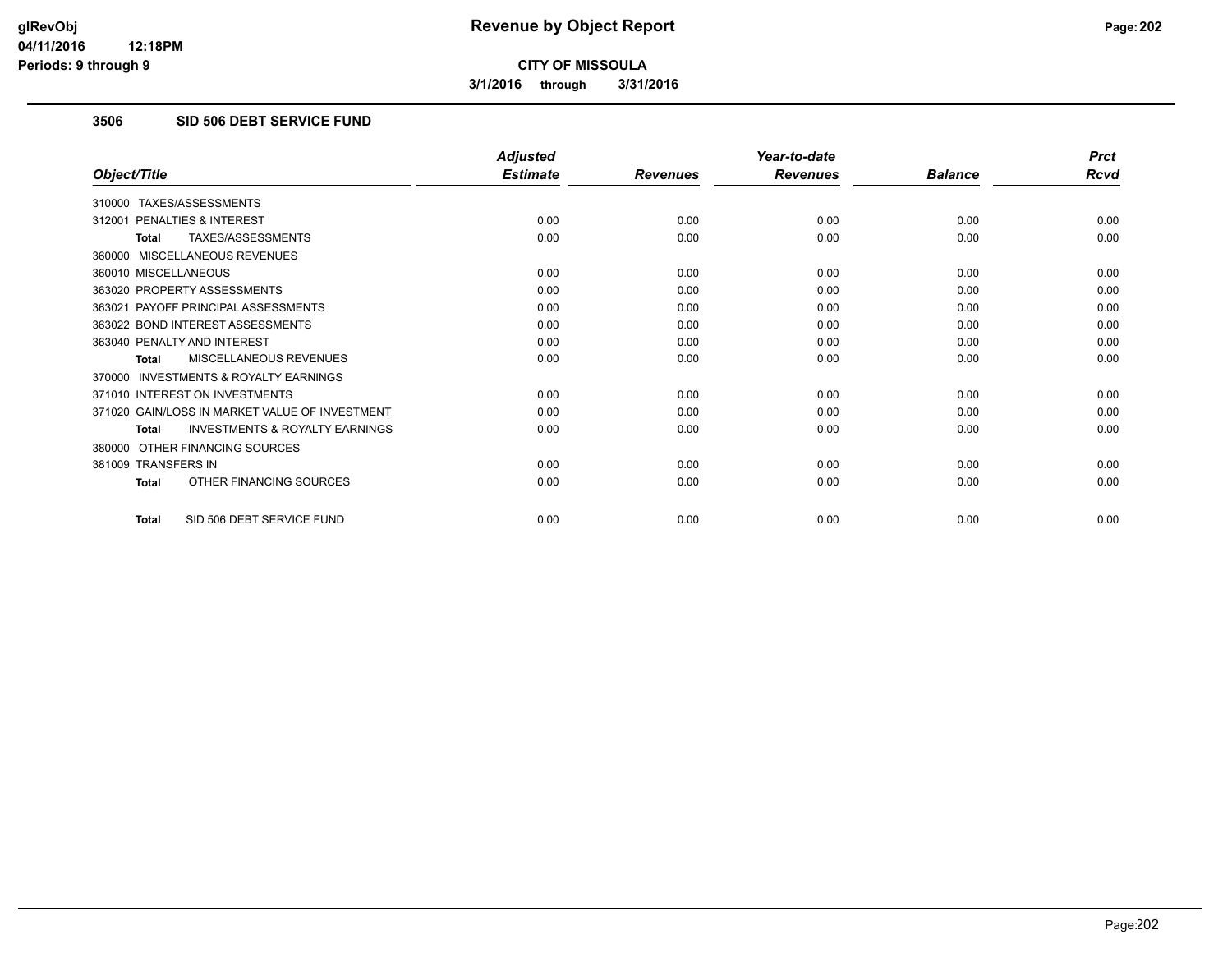**3/1/2016 through 3/31/2016**

# **3506 SID 506 DEBT SERVICE FUND**

|                                                           | <b>Adjusted</b> |                 | Year-to-date    |                | <b>Prct</b> |
|-----------------------------------------------------------|-----------------|-----------------|-----------------|----------------|-------------|
| Object/Title                                              | <b>Estimate</b> | <b>Revenues</b> | <b>Revenues</b> | <b>Balance</b> | <b>Rcvd</b> |
| 310000 TAXES/ASSESSMENTS                                  |                 |                 |                 |                |             |
| 312001 PENALTIES & INTEREST                               | 0.00            | 0.00            | 0.00            | 0.00           | 0.00        |
| TAXES/ASSESSMENTS<br><b>Total</b>                         | 0.00            | 0.00            | 0.00            | 0.00           | 0.00        |
| 360000 MISCELLANEOUS REVENUES                             |                 |                 |                 |                |             |
| 360010 MISCELLANEOUS                                      | 0.00            | 0.00            | 0.00            | 0.00           | 0.00        |
| 363020 PROPERTY ASSESSMENTS                               | 0.00            | 0.00            | 0.00            | 0.00           | 0.00        |
| 363021 PAYOFF PRINCIPAL ASSESSMENTS                       | 0.00            | 0.00            | 0.00            | 0.00           | 0.00        |
| 363022 BOND INTEREST ASSESSMENTS                          | 0.00            | 0.00            | 0.00            | 0.00           | 0.00        |
| 363040 PENALTY AND INTEREST                               | 0.00            | 0.00            | 0.00            | 0.00           | 0.00        |
| MISCELLANEOUS REVENUES<br>Total                           | 0.00            | 0.00            | 0.00            | 0.00           | 0.00        |
| 370000 INVESTMENTS & ROYALTY EARNINGS                     |                 |                 |                 |                |             |
| 371010 INTEREST ON INVESTMENTS                            | 0.00            | 0.00            | 0.00            | 0.00           | 0.00        |
| 371020 GAIN/LOSS IN MARKET VALUE OF INVESTMENT            | 0.00            | 0.00            | 0.00            | 0.00           | 0.00        |
| <b>INVESTMENTS &amp; ROYALTY EARNINGS</b><br><b>Total</b> | 0.00            | 0.00            | 0.00            | 0.00           | 0.00        |
| 380000 OTHER FINANCING SOURCES                            |                 |                 |                 |                |             |
| 381009 TRANSFERS IN                                       | 0.00            | 0.00            | 0.00            | 0.00           | 0.00        |
| OTHER FINANCING SOURCES<br><b>Total</b>                   | 0.00            | 0.00            | 0.00            | 0.00           | 0.00        |
| SID 506 DEBT SERVICE FUND<br><b>Total</b>                 | 0.00            | 0.00            | 0.00            | 0.00           | 0.00        |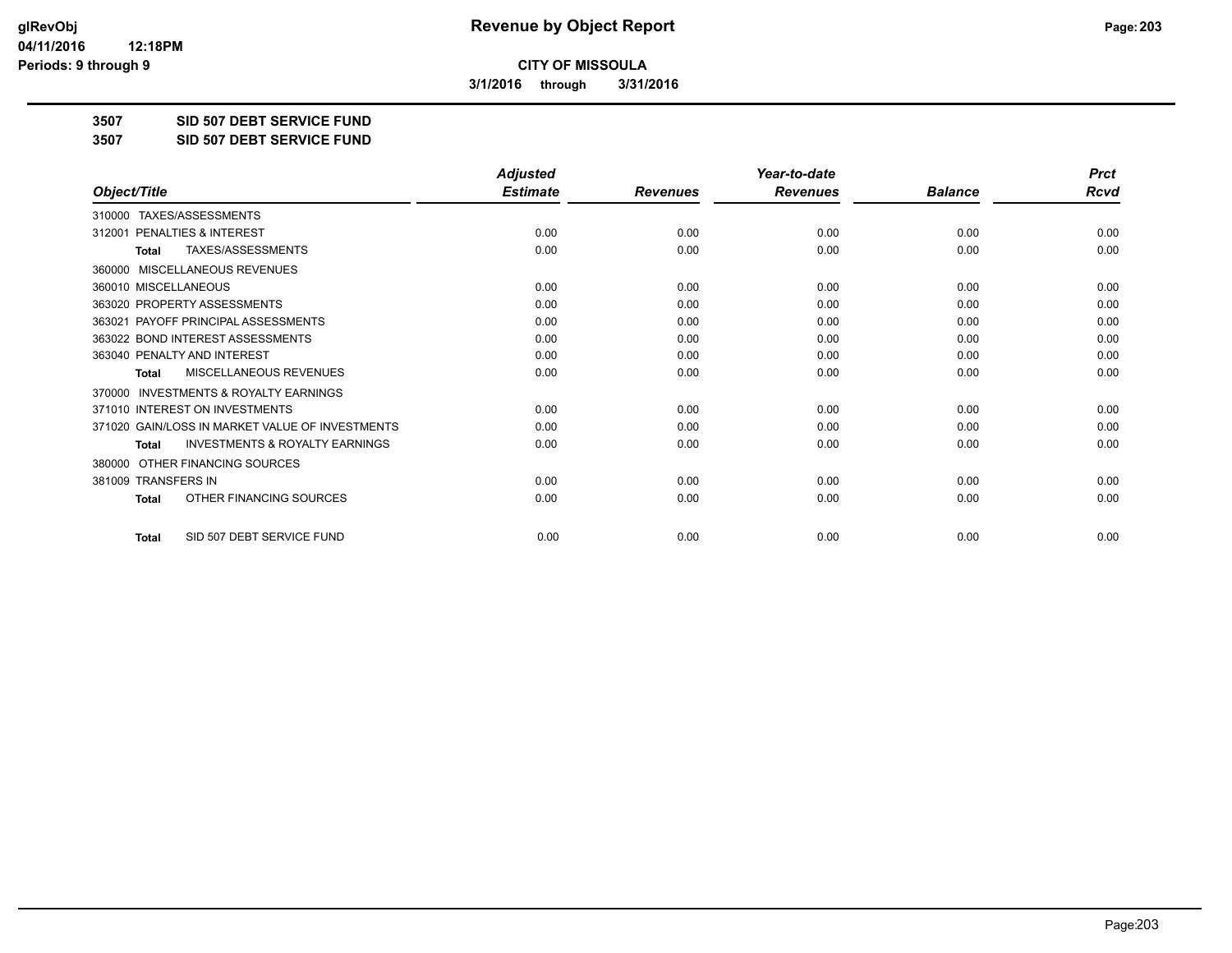**3/1/2016 through 3/31/2016**

**3507 SID 507 DEBT SERVICE FUND**

**3507 SID 507 DEBT SERVICE FUND**

|                                                           | <b>Adjusted</b> |                 | Year-to-date    |                | <b>Prct</b> |
|-----------------------------------------------------------|-----------------|-----------------|-----------------|----------------|-------------|
| Object/Title                                              | <b>Estimate</b> | <b>Revenues</b> | <b>Revenues</b> | <b>Balance</b> | <b>Rcvd</b> |
| TAXES/ASSESSMENTS<br>310000                               |                 |                 |                 |                |             |
| 312001 PENALTIES & INTEREST                               | 0.00            | 0.00            | 0.00            | 0.00           | 0.00        |
| TAXES/ASSESSMENTS<br><b>Total</b>                         | 0.00            | 0.00            | 0.00            | 0.00           | 0.00        |
| MISCELLANEOUS REVENUES<br>360000                          |                 |                 |                 |                |             |
| 360010 MISCELLANEOUS                                      | 0.00            | 0.00            | 0.00            | 0.00           | 0.00        |
| 363020 PROPERTY ASSESSMENTS                               | 0.00            | 0.00            | 0.00            | 0.00           | 0.00        |
| 363021 PAYOFF PRINCIPAL ASSESSMENTS                       | 0.00            | 0.00            | 0.00            | 0.00           | 0.00        |
| 363022 BOND INTEREST ASSESSMENTS                          | 0.00            | 0.00            | 0.00            | 0.00           | 0.00        |
| 363040 PENALTY AND INTEREST                               | 0.00            | 0.00            | 0.00            | 0.00           | 0.00        |
| MISCELLANEOUS REVENUES<br><b>Total</b>                    | 0.00            | 0.00            | 0.00            | 0.00           | 0.00        |
| <b>INVESTMENTS &amp; ROYALTY EARNINGS</b><br>370000       |                 |                 |                 |                |             |
| 371010 INTEREST ON INVESTMENTS                            | 0.00            | 0.00            | 0.00            | 0.00           | 0.00        |
| 371020 GAIN/LOSS IN MARKET VALUE OF INVESTMENTS           | 0.00            | 0.00            | 0.00            | 0.00           | 0.00        |
| <b>INVESTMENTS &amp; ROYALTY EARNINGS</b><br><b>Total</b> | 0.00            | 0.00            | 0.00            | 0.00           | 0.00        |
| OTHER FINANCING SOURCES<br>380000                         |                 |                 |                 |                |             |
| 381009 TRANSFERS IN                                       | 0.00            | 0.00            | 0.00            | 0.00           | 0.00        |
| OTHER FINANCING SOURCES<br><b>Total</b>                   | 0.00            | 0.00            | 0.00            | 0.00           | 0.00        |
| SID 507 DEBT SERVICE FUND<br><b>Total</b>                 | 0.00            | 0.00            | 0.00            | 0.00           | 0.00        |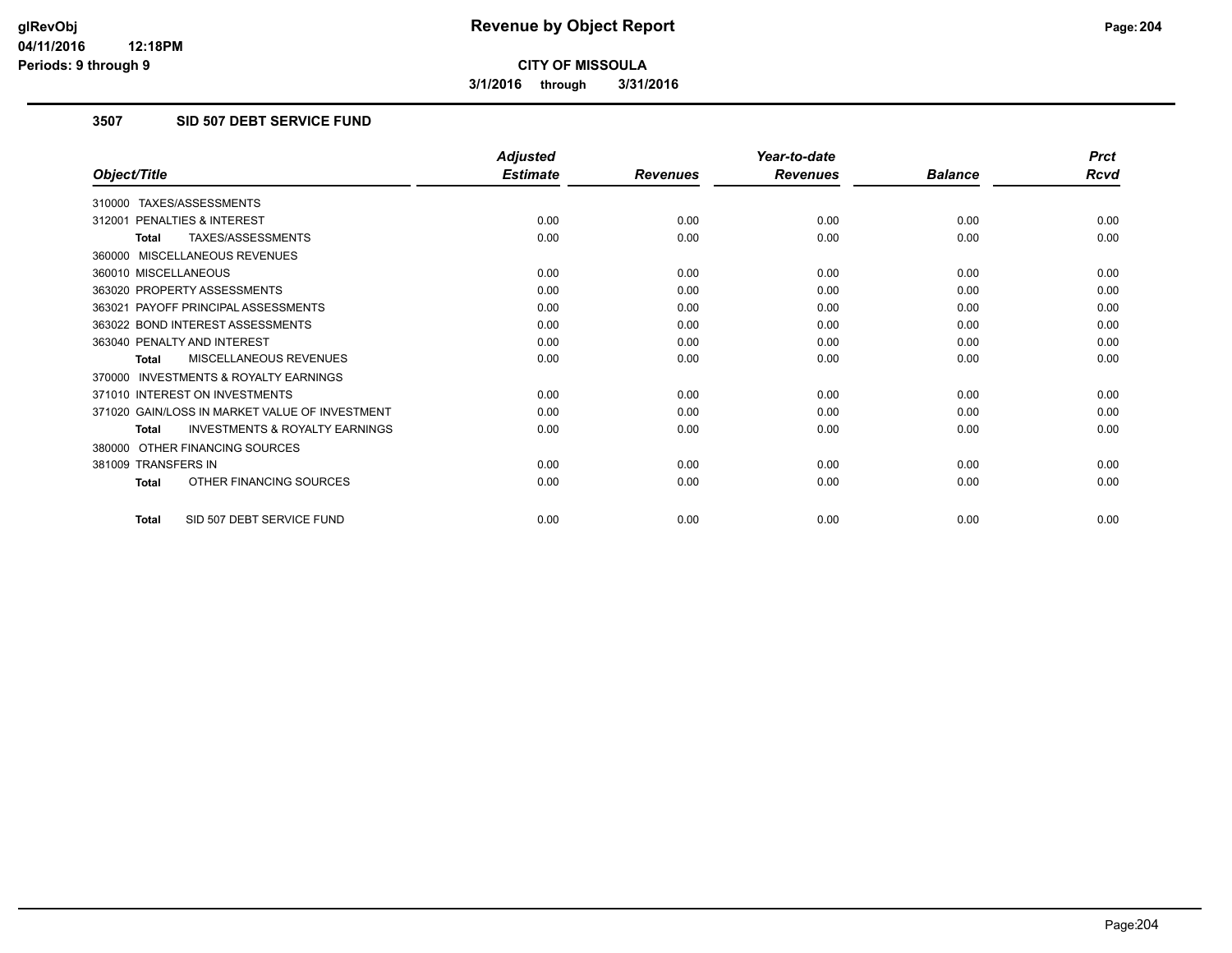**3/1/2016 through 3/31/2016**

# **3507 SID 507 DEBT SERVICE FUND**

|                                                           | <b>Adjusted</b> |                 | Year-to-date    |                | <b>Prct</b> |
|-----------------------------------------------------------|-----------------|-----------------|-----------------|----------------|-------------|
| Object/Title                                              | <b>Estimate</b> | <b>Revenues</b> | <b>Revenues</b> | <b>Balance</b> | <b>Rcvd</b> |
| 310000 TAXES/ASSESSMENTS                                  |                 |                 |                 |                |             |
| 312001 PENALTIES & INTEREST                               | 0.00            | 0.00            | 0.00            | 0.00           | 0.00        |
| TAXES/ASSESSMENTS<br><b>Total</b>                         | 0.00            | 0.00            | 0.00            | 0.00           | 0.00        |
| 360000 MISCELLANEOUS REVENUES                             |                 |                 |                 |                |             |
| 360010 MISCELLANEOUS                                      | 0.00            | 0.00            | 0.00            | 0.00           | 0.00        |
| 363020 PROPERTY ASSESSMENTS                               | 0.00            | 0.00            | 0.00            | 0.00           | 0.00        |
| 363021 PAYOFF PRINCIPAL ASSESSMENTS                       | 0.00            | 0.00            | 0.00            | 0.00           | 0.00        |
| 363022 BOND INTEREST ASSESSMENTS                          | 0.00            | 0.00            | 0.00            | 0.00           | 0.00        |
| 363040 PENALTY AND INTEREST                               | 0.00            | 0.00            | 0.00            | 0.00           | 0.00        |
| MISCELLANEOUS REVENUES<br><b>Total</b>                    | 0.00            | 0.00            | 0.00            | 0.00           | 0.00        |
| <b>INVESTMENTS &amp; ROYALTY EARNINGS</b><br>370000       |                 |                 |                 |                |             |
| 371010 INTEREST ON INVESTMENTS                            | 0.00            | 0.00            | 0.00            | 0.00           | 0.00        |
| 371020 GAIN/LOSS IN MARKET VALUE OF INVESTMENT            | 0.00            | 0.00            | 0.00            | 0.00           | 0.00        |
| <b>INVESTMENTS &amp; ROYALTY EARNINGS</b><br><b>Total</b> | 0.00            | 0.00            | 0.00            | 0.00           | 0.00        |
| 380000 OTHER FINANCING SOURCES                            |                 |                 |                 |                |             |
| 381009 TRANSFERS IN                                       | 0.00            | 0.00            | 0.00            | 0.00           | 0.00        |
| OTHER FINANCING SOURCES<br>Total                          | 0.00            | 0.00            | 0.00            | 0.00           | 0.00        |
| SID 507 DEBT SERVICE FUND<br>Total                        | 0.00            | 0.00            | 0.00            | 0.00           | 0.00        |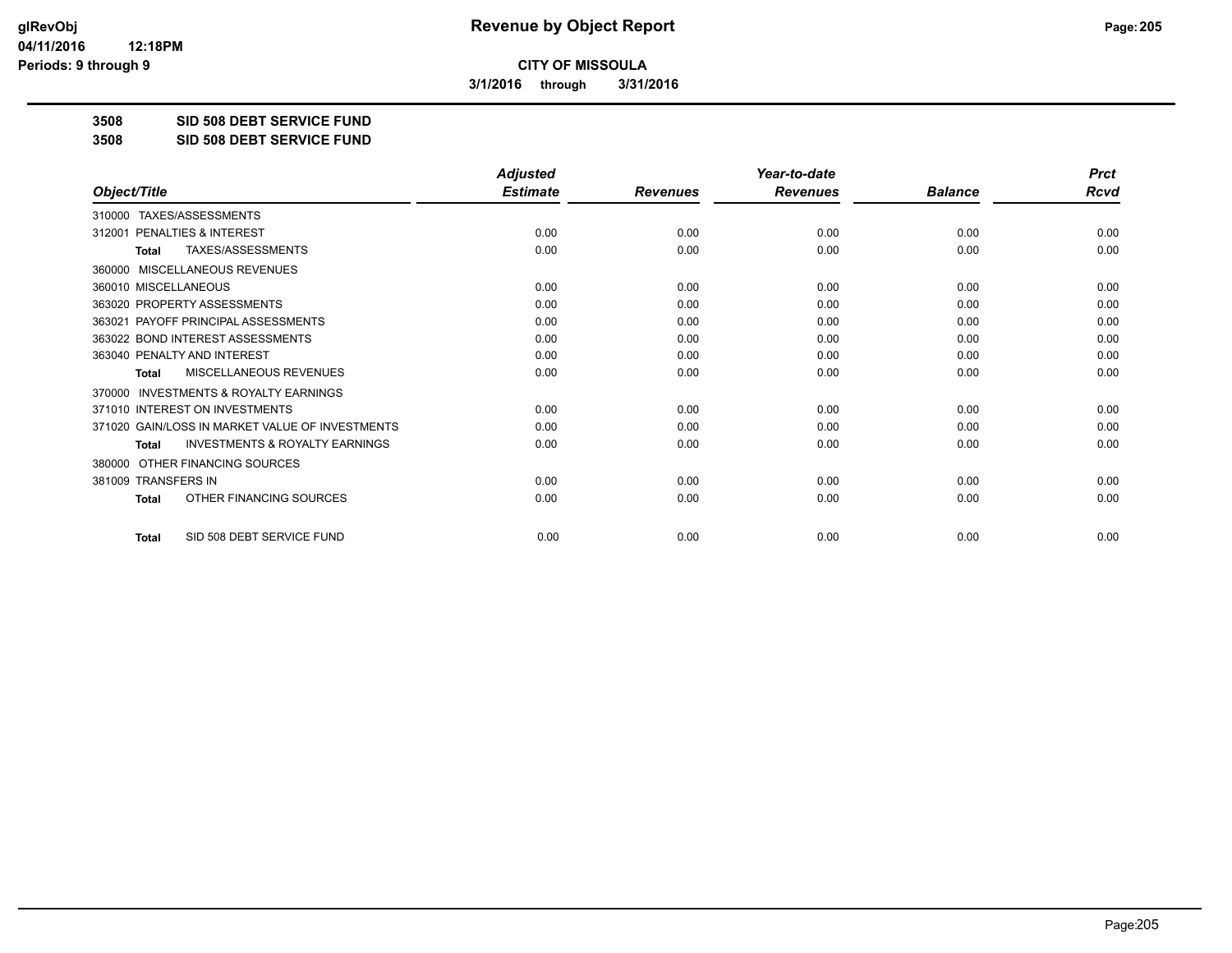**3/1/2016 through 3/31/2016**

**3508 SID 508 DEBT SERVICE FUND**

**3508 SID 508 DEBT SERVICE FUND**

|                                                           | <b>Adjusted</b> |                 | Year-to-date    |                | <b>Prct</b> |
|-----------------------------------------------------------|-----------------|-----------------|-----------------|----------------|-------------|
| Object/Title                                              | <b>Estimate</b> | <b>Revenues</b> | <b>Revenues</b> | <b>Balance</b> | <b>Rcvd</b> |
| 310000 TAXES/ASSESSMENTS                                  |                 |                 |                 |                |             |
| PENALTIES & INTEREST<br>312001                            | 0.00            | 0.00            | 0.00            | 0.00           | 0.00        |
| TAXES/ASSESSMENTS<br><b>Total</b>                         | 0.00            | 0.00            | 0.00            | 0.00           | 0.00        |
| MISCELLANEOUS REVENUES<br>360000                          |                 |                 |                 |                |             |
| 360010 MISCELLANEOUS                                      | 0.00            | 0.00            | 0.00            | 0.00           | 0.00        |
| 363020 PROPERTY ASSESSMENTS                               | 0.00            | 0.00            | 0.00            | 0.00           | 0.00        |
| PAYOFF PRINCIPAL ASSESSMENTS<br>363021                    | 0.00            | 0.00            | 0.00            | 0.00           | 0.00        |
| 363022 BOND INTEREST ASSESSMENTS                          | 0.00            | 0.00            | 0.00            | 0.00           | 0.00        |
| 363040 PENALTY AND INTEREST                               | 0.00            | 0.00            | 0.00            | 0.00           | 0.00        |
| MISCELLANEOUS REVENUES<br><b>Total</b>                    | 0.00            | 0.00            | 0.00            | 0.00           | 0.00        |
| <b>INVESTMENTS &amp; ROYALTY EARNINGS</b><br>370000       |                 |                 |                 |                |             |
| 371010 INTEREST ON INVESTMENTS                            | 0.00            | 0.00            | 0.00            | 0.00           | 0.00        |
| 371020 GAIN/LOSS IN MARKET VALUE OF INVESTMENTS           | 0.00            | 0.00            | 0.00            | 0.00           | 0.00        |
| <b>INVESTMENTS &amp; ROYALTY EARNINGS</b><br><b>Total</b> | 0.00            | 0.00            | 0.00            | 0.00           | 0.00        |
| OTHER FINANCING SOURCES<br>380000                         |                 |                 |                 |                |             |
| 381009 TRANSFERS IN                                       | 0.00            | 0.00            | 0.00            | 0.00           | 0.00        |
| OTHER FINANCING SOURCES<br><b>Total</b>                   | 0.00            | 0.00            | 0.00            | 0.00           | 0.00        |
| SID 508 DEBT SERVICE FUND<br><b>Total</b>                 | 0.00            | 0.00            | 0.00            | 0.00           | 0.00        |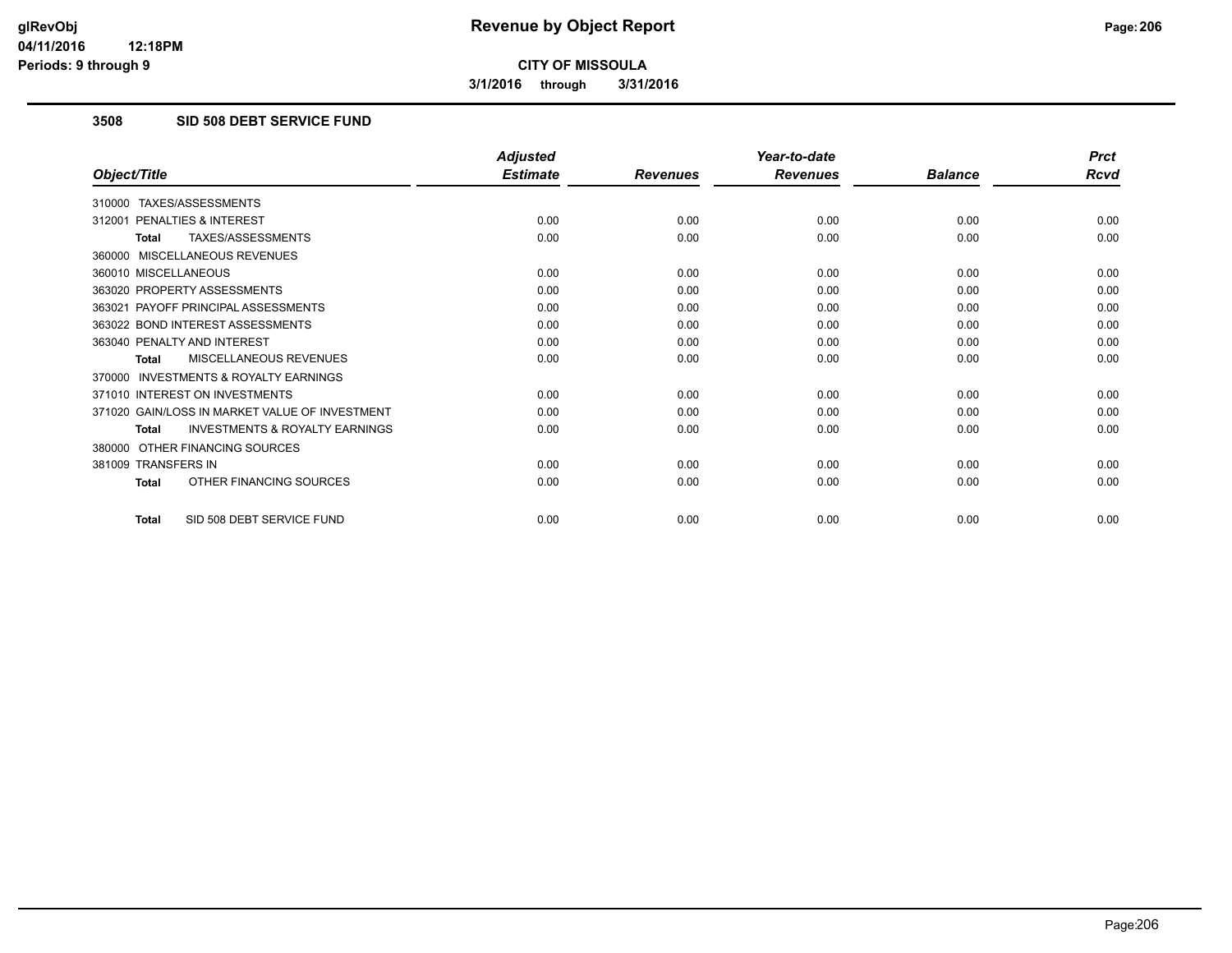**3/1/2016 through 3/31/2016**

# **3508 SID 508 DEBT SERVICE FUND**

|                                                           | <b>Adjusted</b> |                 | Year-to-date    |                | <b>Prct</b> |
|-----------------------------------------------------------|-----------------|-----------------|-----------------|----------------|-------------|
| Object/Title                                              | <b>Estimate</b> | <b>Revenues</b> | <b>Revenues</b> | <b>Balance</b> | <b>Rcvd</b> |
| 310000 TAXES/ASSESSMENTS                                  |                 |                 |                 |                |             |
| 312001 PENALTIES & INTEREST                               | 0.00            | 0.00            | 0.00            | 0.00           | 0.00        |
| TAXES/ASSESSMENTS<br><b>Total</b>                         | 0.00            | 0.00            | 0.00            | 0.00           | 0.00        |
| 360000 MISCELLANEOUS REVENUES                             |                 |                 |                 |                |             |
| 360010 MISCELLANEOUS                                      | 0.00            | 0.00            | 0.00            | 0.00           | 0.00        |
| 363020 PROPERTY ASSESSMENTS                               | 0.00            | 0.00            | 0.00            | 0.00           | 0.00        |
| 363021 PAYOFF PRINCIPAL ASSESSMENTS                       | 0.00            | 0.00            | 0.00            | 0.00           | 0.00        |
| 363022 BOND INTEREST ASSESSMENTS                          | 0.00            | 0.00            | 0.00            | 0.00           | 0.00        |
| 363040 PENALTY AND INTEREST                               | 0.00            | 0.00            | 0.00            | 0.00           | 0.00        |
| MISCELLANEOUS REVENUES<br><b>Total</b>                    | 0.00            | 0.00            | 0.00            | 0.00           | 0.00        |
| <b>INVESTMENTS &amp; ROYALTY EARNINGS</b><br>370000       |                 |                 |                 |                |             |
| 371010 INTEREST ON INVESTMENTS                            | 0.00            | 0.00            | 0.00            | 0.00           | 0.00        |
| 371020 GAIN/LOSS IN MARKET VALUE OF INVESTMENT            | 0.00            | 0.00            | 0.00            | 0.00           | 0.00        |
| <b>INVESTMENTS &amp; ROYALTY EARNINGS</b><br><b>Total</b> | 0.00            | 0.00            | 0.00            | 0.00           | 0.00        |
| 380000 OTHER FINANCING SOURCES                            |                 |                 |                 |                |             |
| 381009 TRANSFERS IN                                       | 0.00            | 0.00            | 0.00            | 0.00           | 0.00        |
| OTHER FINANCING SOURCES<br>Total                          | 0.00            | 0.00            | 0.00            | 0.00           | 0.00        |
| SID 508 DEBT SERVICE FUND<br>Total                        | 0.00            | 0.00            | 0.00            | 0.00           | 0.00        |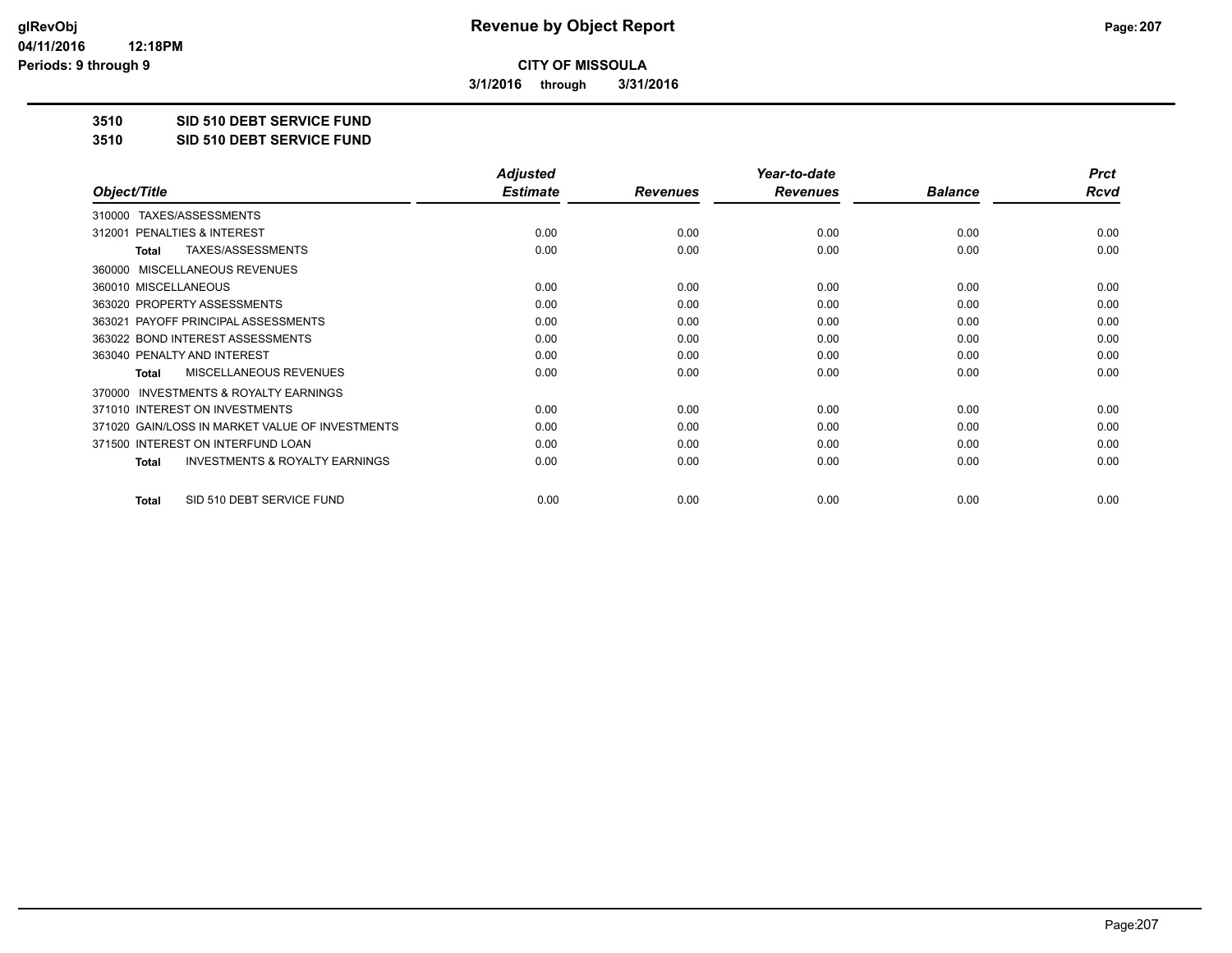**3/1/2016 through 3/31/2016**

**3510 SID 510 DEBT SERVICE FUND**

**3510 SID 510 DEBT SERVICE FUND**

|                                                           | <b>Adjusted</b> |                 | Year-to-date    |                | <b>Prct</b> |
|-----------------------------------------------------------|-----------------|-----------------|-----------------|----------------|-------------|
| Object/Title                                              | <b>Estimate</b> | <b>Revenues</b> | <b>Revenues</b> | <b>Balance</b> | <b>Rcvd</b> |
| TAXES/ASSESSMENTS<br>310000                               |                 |                 |                 |                |             |
| 312001 PENALTIES & INTEREST                               | 0.00            | 0.00            | 0.00            | 0.00           | 0.00        |
| TAXES/ASSESSMENTS<br><b>Total</b>                         | 0.00            | 0.00            | 0.00            | 0.00           | 0.00        |
| <b>MISCELLANEOUS REVENUES</b><br>360000                   |                 |                 |                 |                |             |
| 360010 MISCELLANEOUS                                      | 0.00            | 0.00            | 0.00            | 0.00           | 0.00        |
| 363020 PROPERTY ASSESSMENTS                               | 0.00            | 0.00            | 0.00            | 0.00           | 0.00        |
| 363021 PAYOFF PRINCIPAL ASSESSMENTS                       | 0.00            | 0.00            | 0.00            | 0.00           | 0.00        |
| 363022 BOND INTEREST ASSESSMENTS                          | 0.00            | 0.00            | 0.00            | 0.00           | 0.00        |
| 363040 PENALTY AND INTEREST                               | 0.00            | 0.00            | 0.00            | 0.00           | 0.00        |
| MISCELLANEOUS REVENUES<br><b>Total</b>                    | 0.00            | 0.00            | 0.00            | 0.00           | 0.00        |
| <b>INVESTMENTS &amp; ROYALTY EARNINGS</b><br>370000       |                 |                 |                 |                |             |
| 371010 INTEREST ON INVESTMENTS                            | 0.00            | 0.00            | 0.00            | 0.00           | 0.00        |
| 371020 GAIN/LOSS IN MARKET VALUE OF INVESTMENTS           | 0.00            | 0.00            | 0.00            | 0.00           | 0.00        |
| 371500 INTEREST ON INTERFUND LOAN                         | 0.00            | 0.00            | 0.00            | 0.00           | 0.00        |
| <b>INVESTMENTS &amp; ROYALTY EARNINGS</b><br><b>Total</b> | 0.00            | 0.00            | 0.00            | 0.00           | 0.00        |
| SID 510 DEBT SERVICE FUND<br>Total                        | 0.00            | 0.00            | 0.00            | 0.00           | 0.00        |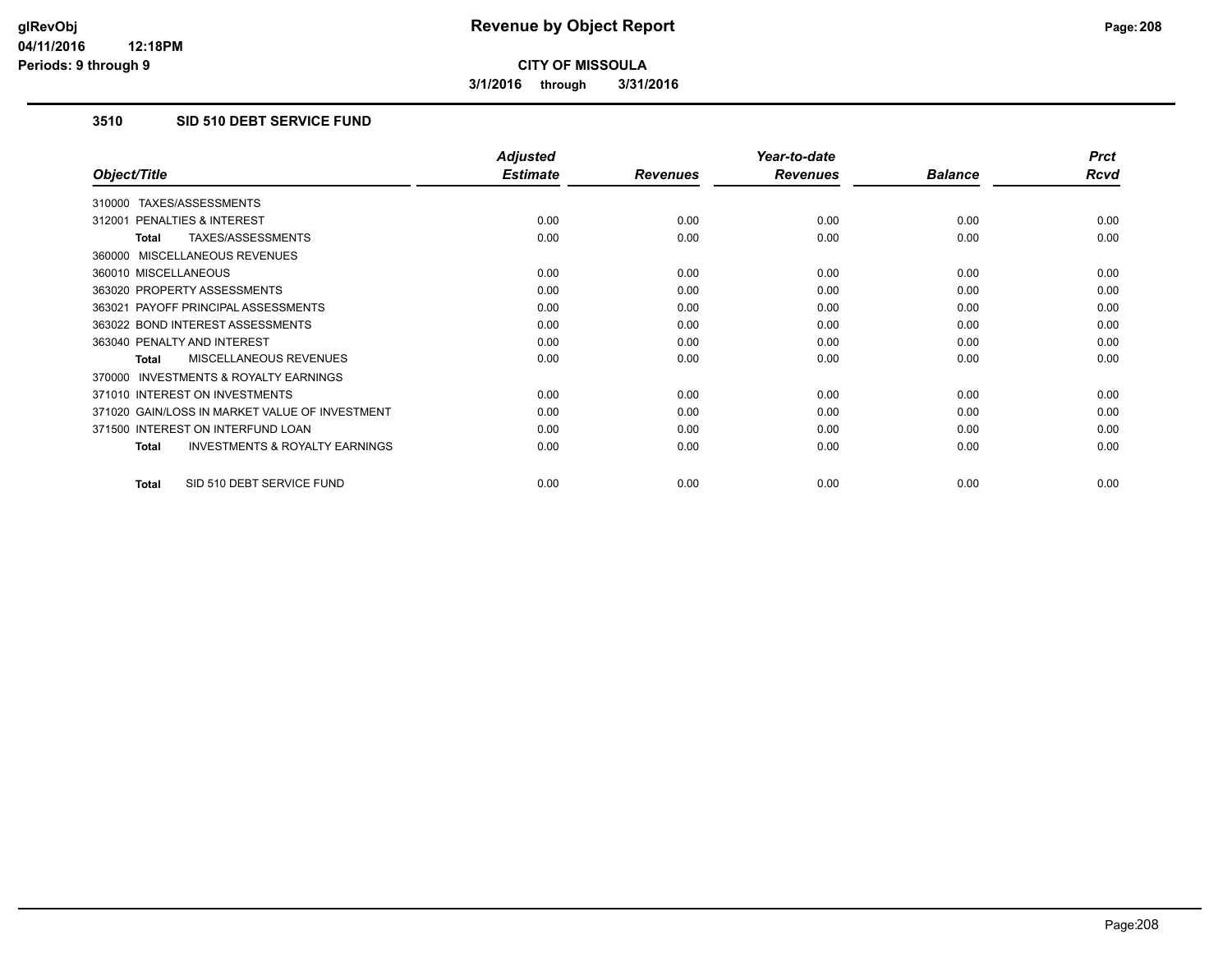**3/1/2016 through 3/31/2016**

# **3510 SID 510 DEBT SERVICE FUND**

|                                                           | <b>Adjusted</b> |                 | Year-to-date    |                | <b>Prct</b> |
|-----------------------------------------------------------|-----------------|-----------------|-----------------|----------------|-------------|
| Object/Title                                              | <b>Estimate</b> | <b>Revenues</b> | <b>Revenues</b> | <b>Balance</b> | Rcvd        |
| TAXES/ASSESSMENTS<br>310000                               |                 |                 |                 |                |             |
| <b>PENALTIES &amp; INTEREST</b><br>312001                 | 0.00            | 0.00            | 0.00            | 0.00           | 0.00        |
| TAXES/ASSESSMENTS<br>Total                                | 0.00            | 0.00            | 0.00            | 0.00           | 0.00        |
| 360000 MISCELLANEOUS REVENUES                             |                 |                 |                 |                |             |
| 360010 MISCELLANEOUS                                      | 0.00            | 0.00            | 0.00            | 0.00           | 0.00        |
| 363020 PROPERTY ASSESSMENTS                               | 0.00            | 0.00            | 0.00            | 0.00           | 0.00        |
| 363021 PAYOFF PRINCIPAL ASSESSMENTS                       | 0.00            | 0.00            | 0.00            | 0.00           | 0.00        |
| 363022 BOND INTEREST ASSESSMENTS                          | 0.00            | 0.00            | 0.00            | 0.00           | 0.00        |
| 363040 PENALTY AND INTEREST                               | 0.00            | 0.00            | 0.00            | 0.00           | 0.00        |
| <b>MISCELLANEOUS REVENUES</b><br><b>Total</b>             | 0.00            | 0.00            | 0.00            | 0.00           | 0.00        |
| <b>INVESTMENTS &amp; ROYALTY EARNINGS</b><br>370000       |                 |                 |                 |                |             |
| 371010 INTEREST ON INVESTMENTS                            | 0.00            | 0.00            | 0.00            | 0.00           | 0.00        |
| 371020 GAIN/LOSS IN MARKET VALUE OF INVESTMENT            | 0.00            | 0.00            | 0.00            | 0.00           | 0.00        |
| 371500 INTEREST ON INTERFUND LOAN                         | 0.00            | 0.00            | 0.00            | 0.00           | 0.00        |
| <b>INVESTMENTS &amp; ROYALTY EARNINGS</b><br><b>Total</b> | 0.00            | 0.00            | 0.00            | 0.00           | 0.00        |
|                                                           |                 |                 |                 |                |             |
| SID 510 DEBT SERVICE FUND<br><b>Total</b>                 | 0.00            | 0.00            | 0.00            | 0.00           | 0.00        |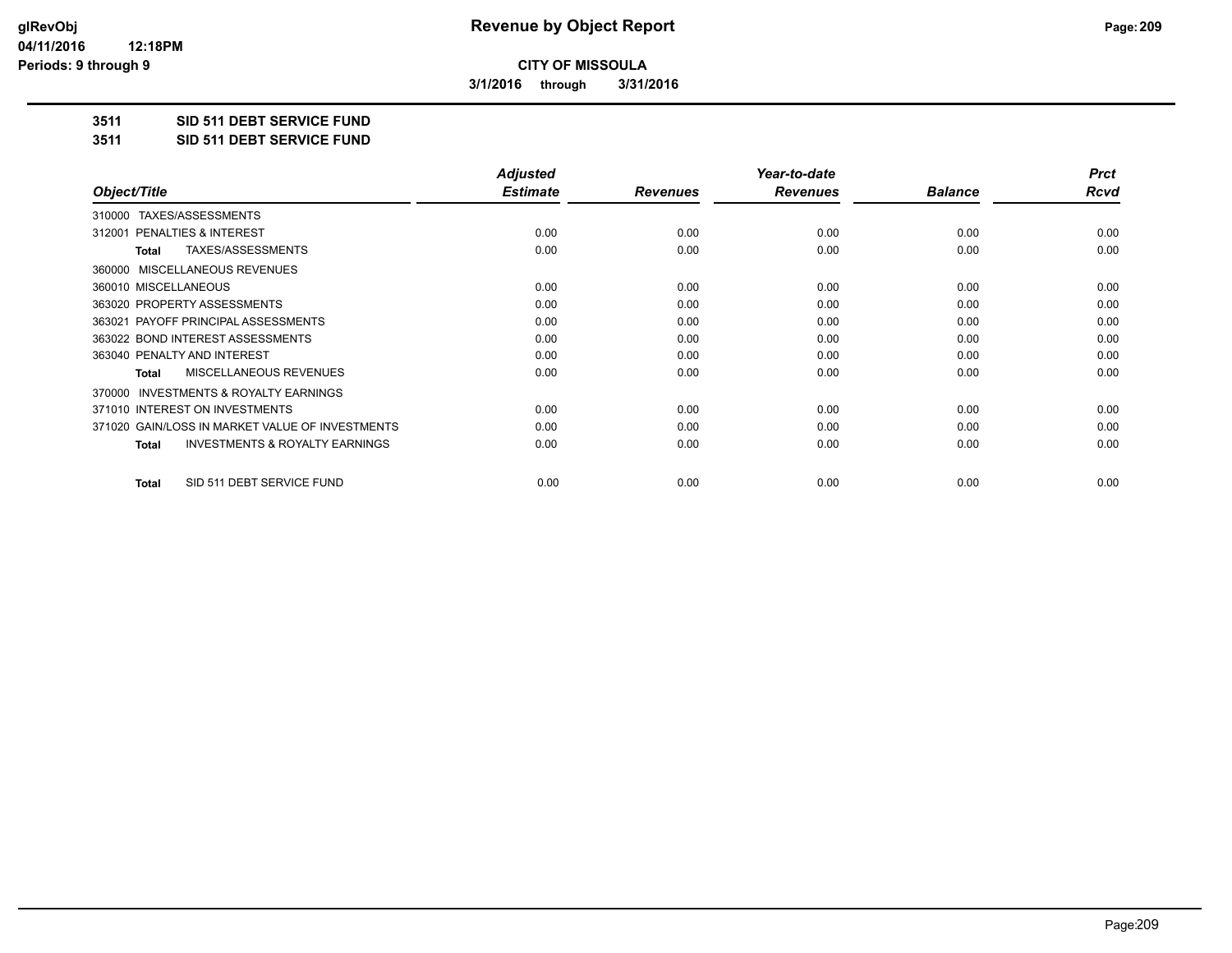**3/1/2016 through 3/31/2016**

**3511 SID 511 DEBT SERVICE FUND**

**3511 SID 511 DEBT SERVICE FUND**

|                                                           | <b>Adjusted</b> |                 | Year-to-date    |                | <b>Prct</b> |
|-----------------------------------------------------------|-----------------|-----------------|-----------------|----------------|-------------|
| Object/Title                                              | <b>Estimate</b> | <b>Revenues</b> | <b>Revenues</b> | <b>Balance</b> | Rcvd        |
| TAXES/ASSESSMENTS<br>310000                               |                 |                 |                 |                |             |
| 312001 PENALTIES & INTEREST                               | 0.00            | 0.00            | 0.00            | 0.00           | 0.00        |
| TAXES/ASSESSMENTS<br>Total                                | 0.00            | 0.00            | 0.00            | 0.00           | 0.00        |
| MISCELLANEOUS REVENUES<br>360000                          |                 |                 |                 |                |             |
| 360010 MISCELLANEOUS                                      | 0.00            | 0.00            | 0.00            | 0.00           | 0.00        |
| 363020 PROPERTY ASSESSMENTS                               | 0.00            | 0.00            | 0.00            | 0.00           | 0.00        |
| 363021 PAYOFF PRINCIPAL ASSESSMENTS                       | 0.00            | 0.00            | 0.00            | 0.00           | 0.00        |
| 363022 BOND INTEREST ASSESSMENTS                          | 0.00            | 0.00            | 0.00            | 0.00           | 0.00        |
| 363040 PENALTY AND INTEREST                               | 0.00            | 0.00            | 0.00            | 0.00           | 0.00        |
| MISCELLANEOUS REVENUES<br><b>Total</b>                    | 0.00            | 0.00            | 0.00            | 0.00           | 0.00        |
| <b>INVESTMENTS &amp; ROYALTY EARNINGS</b><br>370000       |                 |                 |                 |                |             |
| 371010 INTEREST ON INVESTMENTS                            | 0.00            | 0.00            | 0.00            | 0.00           | 0.00        |
| 371020 GAIN/LOSS IN MARKET VALUE OF INVESTMENTS           | 0.00            | 0.00            | 0.00            | 0.00           | 0.00        |
| <b>INVESTMENTS &amp; ROYALTY EARNINGS</b><br><b>Total</b> | 0.00            | 0.00            | 0.00            | 0.00           | 0.00        |
| SID 511 DEBT SERVICE FUND<br>Total                        | 0.00            | 0.00            | 0.00            | 0.00           | 0.00        |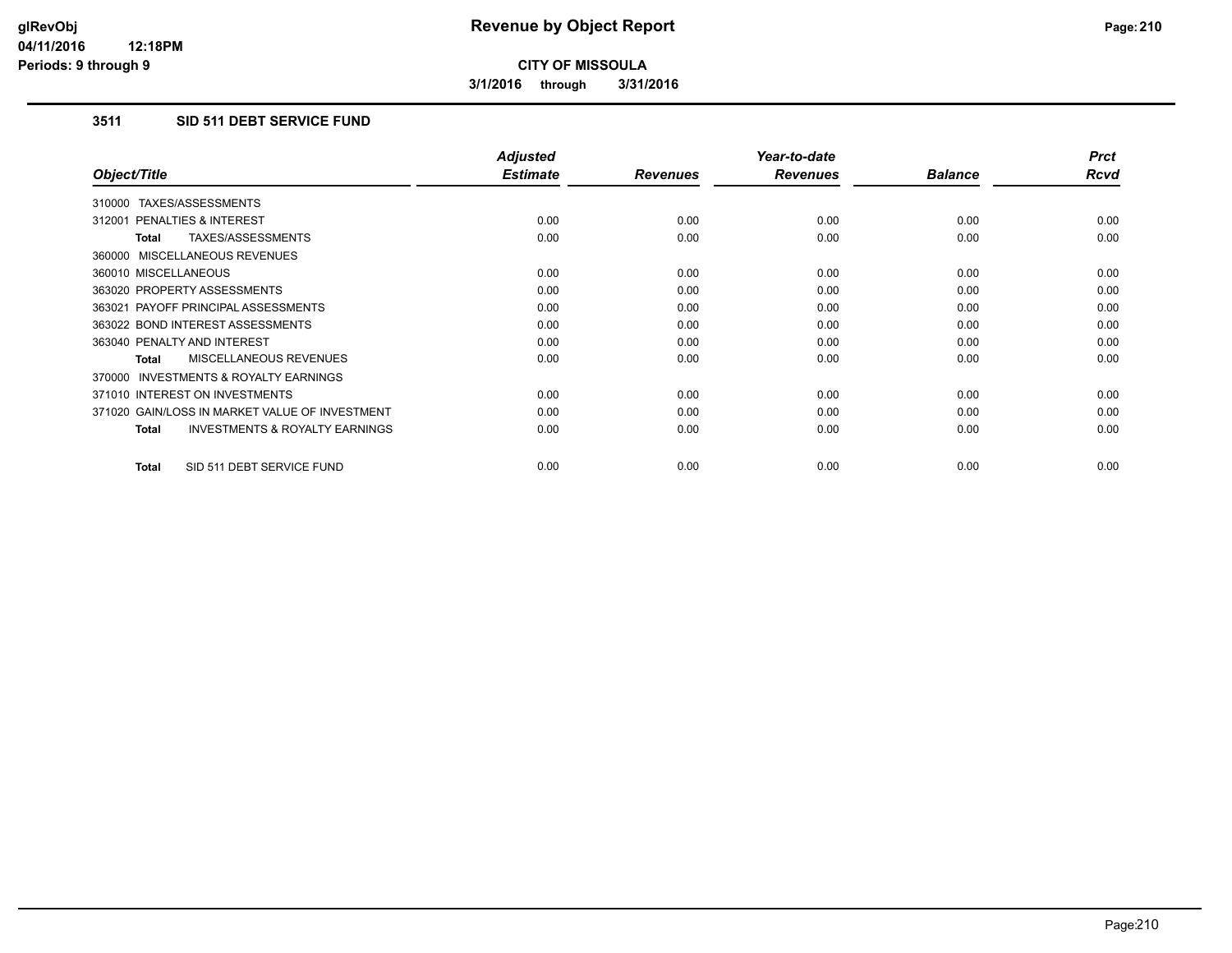**3/1/2016 through 3/31/2016**

# **3511 SID 511 DEBT SERVICE FUND**

|                                                           | <b>Adjusted</b> |                 | Year-to-date    |                | <b>Prct</b> |
|-----------------------------------------------------------|-----------------|-----------------|-----------------|----------------|-------------|
| Object/Title                                              | <b>Estimate</b> | <b>Revenues</b> | <b>Revenues</b> | <b>Balance</b> | <b>Rcvd</b> |
| 310000 TAXES/ASSESSMENTS                                  |                 |                 |                 |                |             |
| 312001 PENALTIES & INTEREST                               | 0.00            | 0.00            | 0.00            | 0.00           | 0.00        |
| TAXES/ASSESSMENTS<br><b>Total</b>                         | 0.00            | 0.00            | 0.00            | 0.00           | 0.00        |
| 360000 MISCELLANEOUS REVENUES                             |                 |                 |                 |                |             |
| 360010 MISCELLANEOUS                                      | 0.00            | 0.00            | 0.00            | 0.00           | 0.00        |
| 363020 PROPERTY ASSESSMENTS                               | 0.00            | 0.00            | 0.00            | 0.00           | 0.00        |
| 363021 PAYOFF PRINCIPAL ASSESSMENTS                       | 0.00            | 0.00            | 0.00            | 0.00           | 0.00        |
| 363022 BOND INTEREST ASSESSMENTS                          | 0.00            | 0.00            | 0.00            | 0.00           | 0.00        |
| 363040 PENALTY AND INTEREST                               | 0.00            | 0.00            | 0.00            | 0.00           | 0.00        |
| MISCELLANEOUS REVENUES<br>Total                           | 0.00            | 0.00            | 0.00            | 0.00           | 0.00        |
| <b>INVESTMENTS &amp; ROYALTY EARNINGS</b><br>370000       |                 |                 |                 |                |             |
| 371010 INTEREST ON INVESTMENTS                            | 0.00            | 0.00            | 0.00            | 0.00           | 0.00        |
| 371020 GAIN/LOSS IN MARKET VALUE OF INVESTMENT            | 0.00            | 0.00            | 0.00            | 0.00           | 0.00        |
| <b>INVESTMENTS &amp; ROYALTY EARNINGS</b><br><b>Total</b> | 0.00            | 0.00            | 0.00            | 0.00           | 0.00        |
| SID 511 DEBT SERVICE FUND<br><b>Total</b>                 | 0.00            | 0.00            | 0.00            | 0.00           | 0.00        |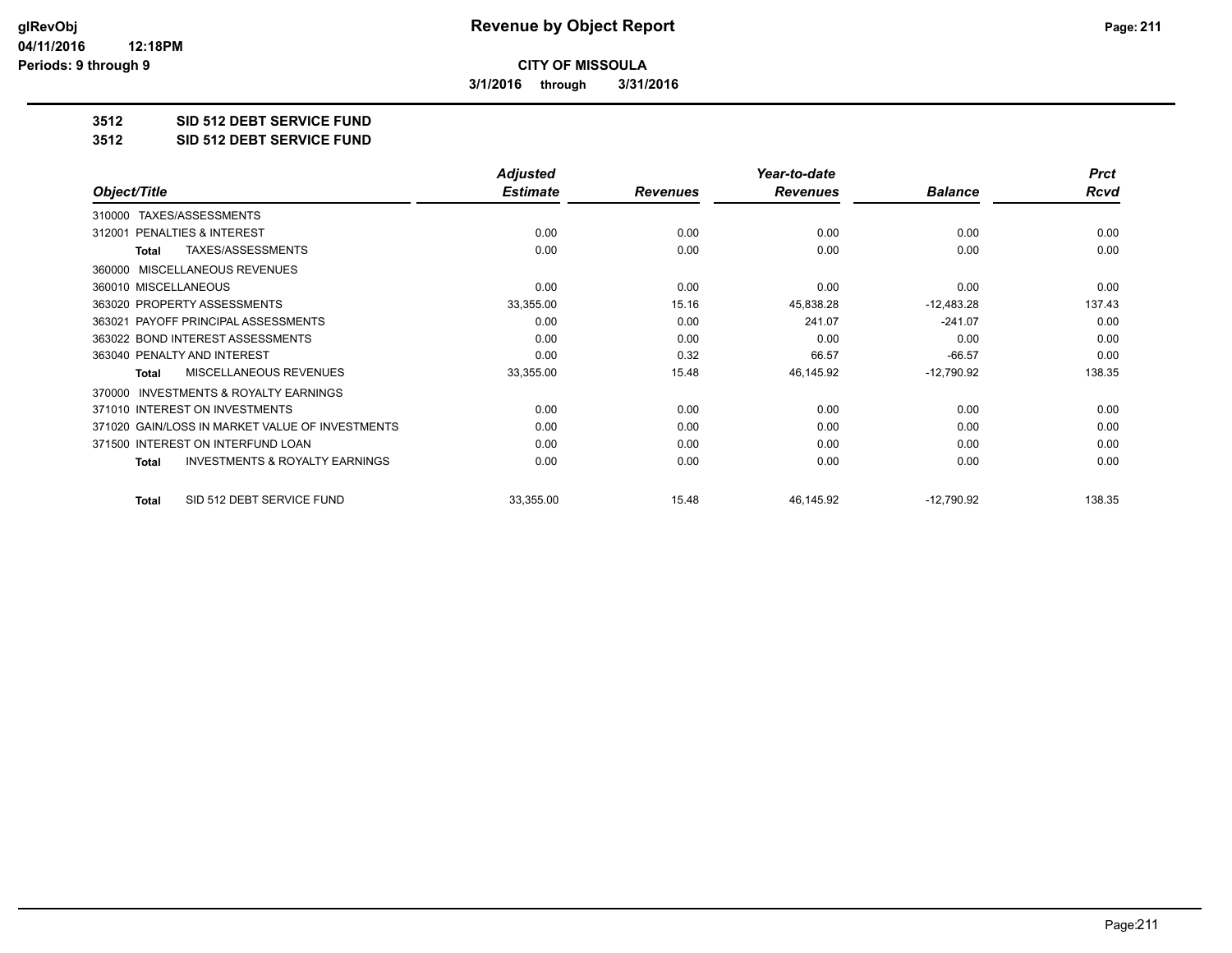**3/1/2016 through 3/31/2016**

**3512 SID 512 DEBT SERVICE FUND**

**3512 SID 512 DEBT SERVICE FUND**

|                                                           | <b>Adjusted</b> |                 | Year-to-date    |                | <b>Prct</b> |
|-----------------------------------------------------------|-----------------|-----------------|-----------------|----------------|-------------|
| Object/Title                                              | <b>Estimate</b> | <b>Revenues</b> | <b>Revenues</b> | <b>Balance</b> | Rcvd        |
| TAXES/ASSESSMENTS<br>310000                               |                 |                 |                 |                |             |
| <b>PENALTIES &amp; INTEREST</b><br>312001                 | 0.00            | 0.00            | 0.00            | 0.00           | 0.00        |
| TAXES/ASSESSMENTS<br><b>Total</b>                         | 0.00            | 0.00            | 0.00            | 0.00           | 0.00        |
| MISCELLANEOUS REVENUES<br>360000                          |                 |                 |                 |                |             |
| 360010 MISCELLANEOUS                                      | 0.00            | 0.00            | 0.00            | 0.00           | 0.00        |
| 363020 PROPERTY ASSESSMENTS                               | 33,355.00       | 15.16           | 45,838.28       | $-12,483.28$   | 137.43      |
| 363021 PAYOFF PRINCIPAL ASSESSMENTS                       | 0.00            | 0.00            | 241.07          | $-241.07$      | 0.00        |
| 363022 BOND INTEREST ASSESSMENTS                          | 0.00            | 0.00            | 0.00            | 0.00           | 0.00        |
| 363040 PENALTY AND INTEREST                               | 0.00            | 0.32            | 66.57           | $-66.57$       | 0.00        |
| <b>MISCELLANEOUS REVENUES</b><br><b>Total</b>             | 33,355.00       | 15.48           | 46,145.92       | $-12,790.92$   | 138.35      |
| <b>INVESTMENTS &amp; ROYALTY EARNINGS</b><br>370000       |                 |                 |                 |                |             |
| 371010 INTEREST ON INVESTMENTS                            | 0.00            | 0.00            | 0.00            | 0.00           | 0.00        |
| 371020 GAIN/LOSS IN MARKET VALUE OF INVESTMENTS           | 0.00            | 0.00            | 0.00            | 0.00           | 0.00        |
| 371500 INTEREST ON INTERFUND LOAN                         | 0.00            | 0.00            | 0.00            | 0.00           | 0.00        |
| <b>INVESTMENTS &amp; ROYALTY EARNINGS</b><br><b>Total</b> | 0.00            | 0.00            | 0.00            | 0.00           | 0.00        |
| SID 512 DEBT SERVICE FUND<br><b>Total</b>                 | 33,355.00       | 15.48           | 46,145.92       | $-12,790.92$   | 138.35      |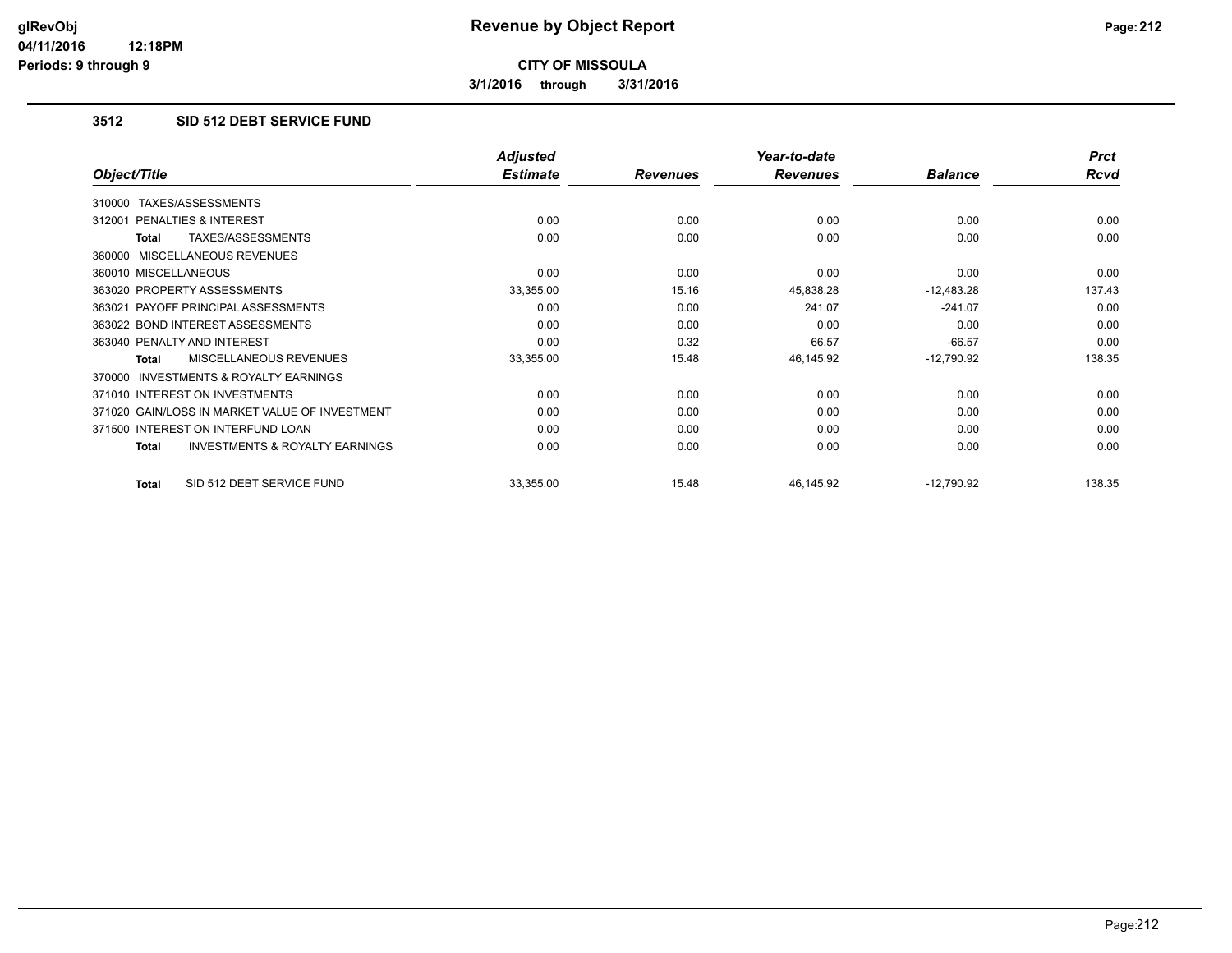**3/1/2016 through 3/31/2016**

# **3512 SID 512 DEBT SERVICE FUND**

|                                                     | <b>Adjusted</b> |                 | Year-to-date    |                | <b>Prct</b> |
|-----------------------------------------------------|-----------------|-----------------|-----------------|----------------|-------------|
| Object/Title                                        | <b>Estimate</b> | <b>Revenues</b> | <b>Revenues</b> | <b>Balance</b> | Rcvd        |
| TAXES/ASSESSMENTS<br>310000                         |                 |                 |                 |                |             |
| PENALTIES & INTEREST<br>312001                      | 0.00            | 0.00            | 0.00            | 0.00           | 0.00        |
| TAXES/ASSESSMENTS<br>Total                          | 0.00            | 0.00            | 0.00            | 0.00           | 0.00        |
| 360000 MISCELLANEOUS REVENUES                       |                 |                 |                 |                |             |
| 360010 MISCELLANEOUS                                | 0.00            | 0.00            | 0.00            | 0.00           | 0.00        |
| 363020 PROPERTY ASSESSMENTS                         | 33,355.00       | 15.16           | 45,838.28       | $-12,483.28$   | 137.43      |
| 363021 PAYOFF PRINCIPAL ASSESSMENTS                 | 0.00            | 0.00            | 241.07          | $-241.07$      | 0.00        |
| 363022 BOND INTEREST ASSESSMENTS                    | 0.00            | 0.00            | 0.00            | 0.00           | 0.00        |
| 363040 PENALTY AND INTEREST                         | 0.00            | 0.32            | 66.57           | $-66.57$       | 0.00        |
| MISCELLANEOUS REVENUES<br>Total                     | 33,355.00       | 15.48           | 46,145.92       | $-12,790.92$   | 138.35      |
| <b>INVESTMENTS &amp; ROYALTY EARNINGS</b><br>370000 |                 |                 |                 |                |             |
| 371010 INTEREST ON INVESTMENTS                      | 0.00            | 0.00            | 0.00            | 0.00           | 0.00        |
| 371020 GAIN/LOSS IN MARKET VALUE OF INVESTMENT      | 0.00            | 0.00            | 0.00            | 0.00           | 0.00        |
| 371500 INTEREST ON INTERFUND LOAN                   | 0.00            | 0.00            | 0.00            | 0.00           | 0.00        |
| <b>INVESTMENTS &amp; ROYALTY EARNINGS</b><br>Total  | 0.00            | 0.00            | 0.00            | 0.00           | 0.00        |
| SID 512 DEBT SERVICE FUND<br>Total                  | 33,355.00       | 15.48           | 46,145.92       | $-12,790.92$   | 138.35      |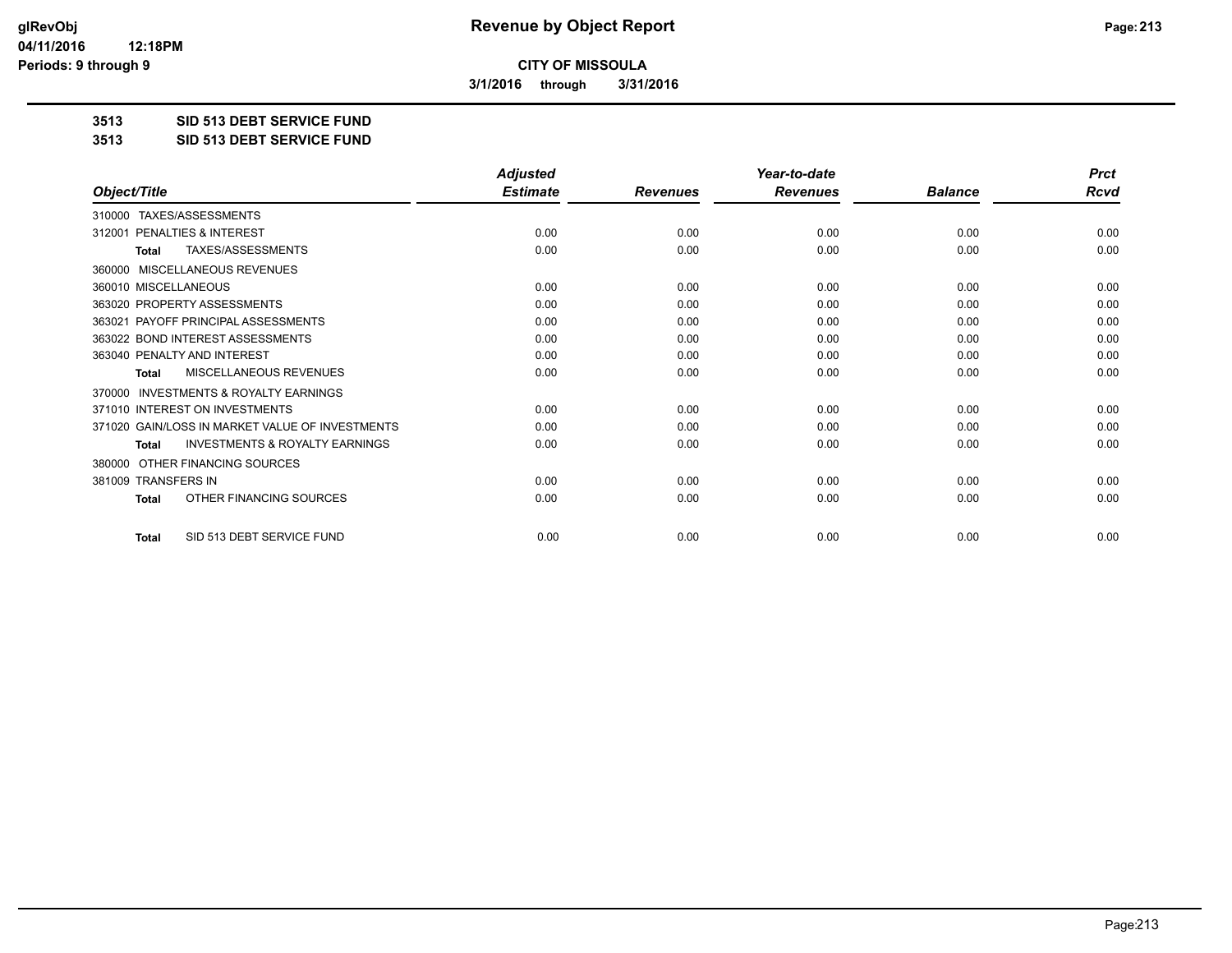**3/1/2016 through 3/31/2016**

**3513 SID 513 DEBT SERVICE FUND**

**3513 SID 513 DEBT SERVICE FUND**

|                                                           | <b>Adjusted</b> |                 | Year-to-date    |                | <b>Prct</b> |
|-----------------------------------------------------------|-----------------|-----------------|-----------------|----------------|-------------|
| Object/Title                                              | <b>Estimate</b> | <b>Revenues</b> | <b>Revenues</b> | <b>Balance</b> | <b>Rcvd</b> |
| TAXES/ASSESSMENTS<br>310000                               |                 |                 |                 |                |             |
| 312001 PENALTIES & INTEREST                               | 0.00            | 0.00            | 0.00            | 0.00           | 0.00        |
| TAXES/ASSESSMENTS<br><b>Total</b>                         | 0.00            | 0.00            | 0.00            | 0.00           | 0.00        |
| MISCELLANEOUS REVENUES<br>360000                          |                 |                 |                 |                |             |
| 360010 MISCELLANEOUS                                      | 0.00            | 0.00            | 0.00            | 0.00           | 0.00        |
| 363020 PROPERTY ASSESSMENTS                               | 0.00            | 0.00            | 0.00            | 0.00           | 0.00        |
| 363021 PAYOFF PRINCIPAL ASSESSMENTS                       | 0.00            | 0.00            | 0.00            | 0.00           | 0.00        |
| 363022 BOND INTEREST ASSESSMENTS                          | 0.00            | 0.00            | 0.00            | 0.00           | 0.00        |
| 363040 PENALTY AND INTEREST                               | 0.00            | 0.00            | 0.00            | 0.00           | 0.00        |
| <b>MISCELLANEOUS REVENUES</b><br><b>Total</b>             | 0.00            | 0.00            | 0.00            | 0.00           | 0.00        |
| <b>INVESTMENTS &amp; ROYALTY EARNINGS</b><br>370000       |                 |                 |                 |                |             |
| 371010 INTEREST ON INVESTMENTS                            | 0.00            | 0.00            | 0.00            | 0.00           | 0.00        |
| 371020 GAIN/LOSS IN MARKET VALUE OF INVESTMENTS           | 0.00            | 0.00            | 0.00            | 0.00           | 0.00        |
| <b>INVESTMENTS &amp; ROYALTY EARNINGS</b><br><b>Total</b> | 0.00            | 0.00            | 0.00            | 0.00           | 0.00        |
| OTHER FINANCING SOURCES<br>380000                         |                 |                 |                 |                |             |
| 381009 TRANSFERS IN                                       | 0.00            | 0.00            | 0.00            | 0.00           | 0.00        |
| OTHER FINANCING SOURCES<br>Total                          | 0.00            | 0.00            | 0.00            | 0.00           | 0.00        |
| SID 513 DEBT SERVICE FUND<br><b>Total</b>                 | 0.00            | 0.00            | 0.00            | 0.00           | 0.00        |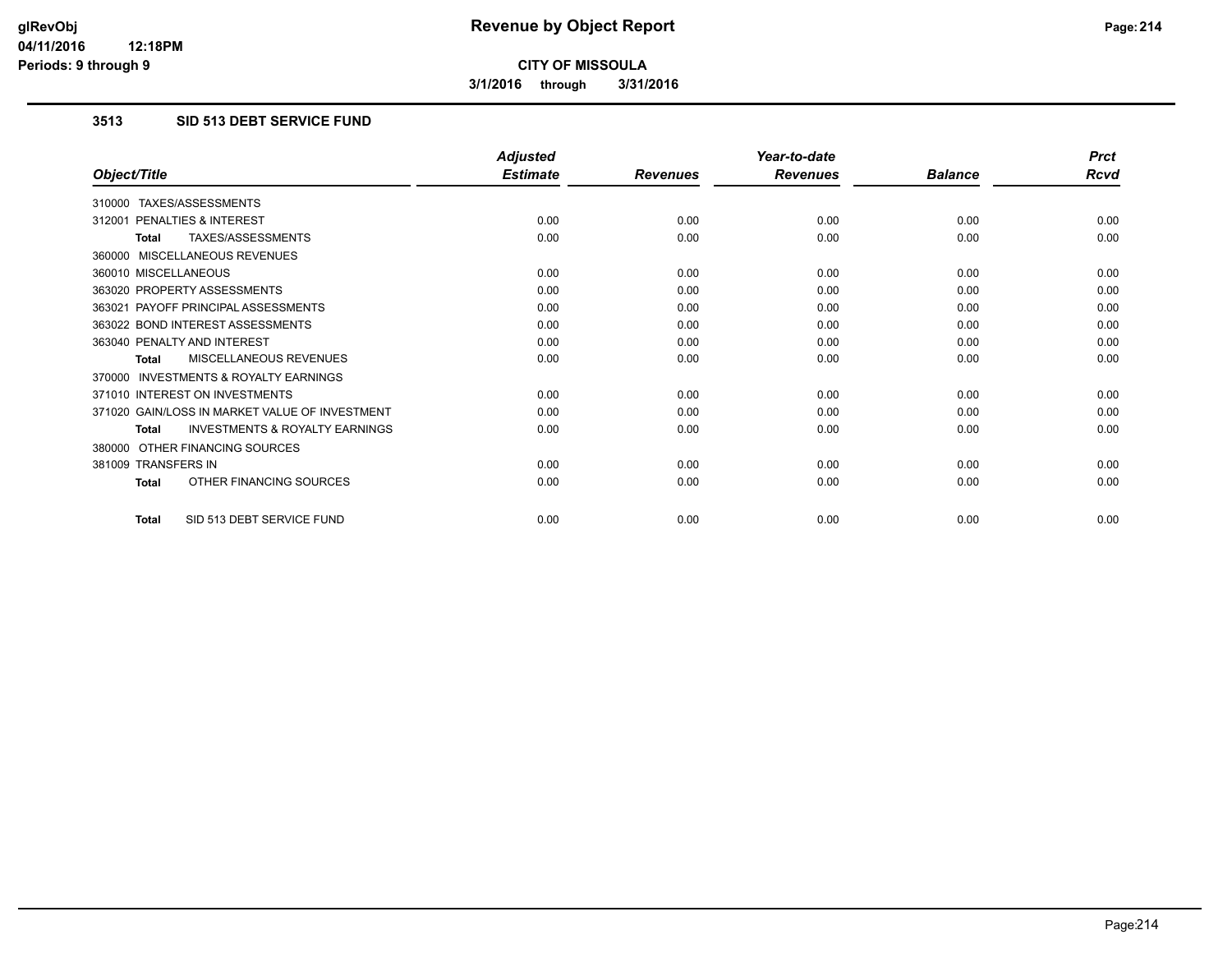**3/1/2016 through 3/31/2016**

# **3513 SID 513 DEBT SERVICE FUND**

|                                                           | <b>Adjusted</b> |                 | Year-to-date    |                | <b>Prct</b> |
|-----------------------------------------------------------|-----------------|-----------------|-----------------|----------------|-------------|
| Object/Title                                              | <b>Estimate</b> | <b>Revenues</b> | <b>Revenues</b> | <b>Balance</b> | <b>Rcvd</b> |
| 310000 TAXES/ASSESSMENTS                                  |                 |                 |                 |                |             |
| 312001 PENALTIES & INTEREST                               | 0.00            | 0.00            | 0.00            | 0.00           | 0.00        |
| <b>TAXES/ASSESSMENTS</b><br><b>Total</b>                  | 0.00            | 0.00            | 0.00            | 0.00           | 0.00        |
| 360000 MISCELLANEOUS REVENUES                             |                 |                 |                 |                |             |
| 360010 MISCELLANEOUS                                      | 0.00            | 0.00            | 0.00            | 0.00           | 0.00        |
| 363020 PROPERTY ASSESSMENTS                               | 0.00            | 0.00            | 0.00            | 0.00           | 0.00        |
| 363021 PAYOFF PRINCIPAL ASSESSMENTS                       | 0.00            | 0.00            | 0.00            | 0.00           | 0.00        |
| 363022 BOND INTEREST ASSESSMENTS                          | 0.00            | 0.00            | 0.00            | 0.00           | 0.00        |
| 363040 PENALTY AND INTEREST                               | 0.00            | 0.00            | 0.00            | 0.00           | 0.00        |
| MISCELLANEOUS REVENUES<br><b>Total</b>                    | 0.00            | 0.00            | 0.00            | 0.00           | 0.00        |
| <b>INVESTMENTS &amp; ROYALTY EARNINGS</b><br>370000       |                 |                 |                 |                |             |
| 371010 INTEREST ON INVESTMENTS                            | 0.00            | 0.00            | 0.00            | 0.00           | 0.00        |
| 371020 GAIN/LOSS IN MARKET VALUE OF INVESTMENT            | 0.00            | 0.00            | 0.00            | 0.00           | 0.00        |
| <b>INVESTMENTS &amp; ROYALTY EARNINGS</b><br><b>Total</b> | 0.00            | 0.00            | 0.00            | 0.00           | 0.00        |
| 380000 OTHER FINANCING SOURCES                            |                 |                 |                 |                |             |
| 381009 TRANSFERS IN                                       | 0.00            | 0.00            | 0.00            | 0.00           | 0.00        |
| OTHER FINANCING SOURCES<br><b>Total</b>                   | 0.00            | 0.00            | 0.00            | 0.00           | 0.00        |
| SID 513 DEBT SERVICE FUND<br><b>Total</b>                 | 0.00            | 0.00            | 0.00            | 0.00           | 0.00        |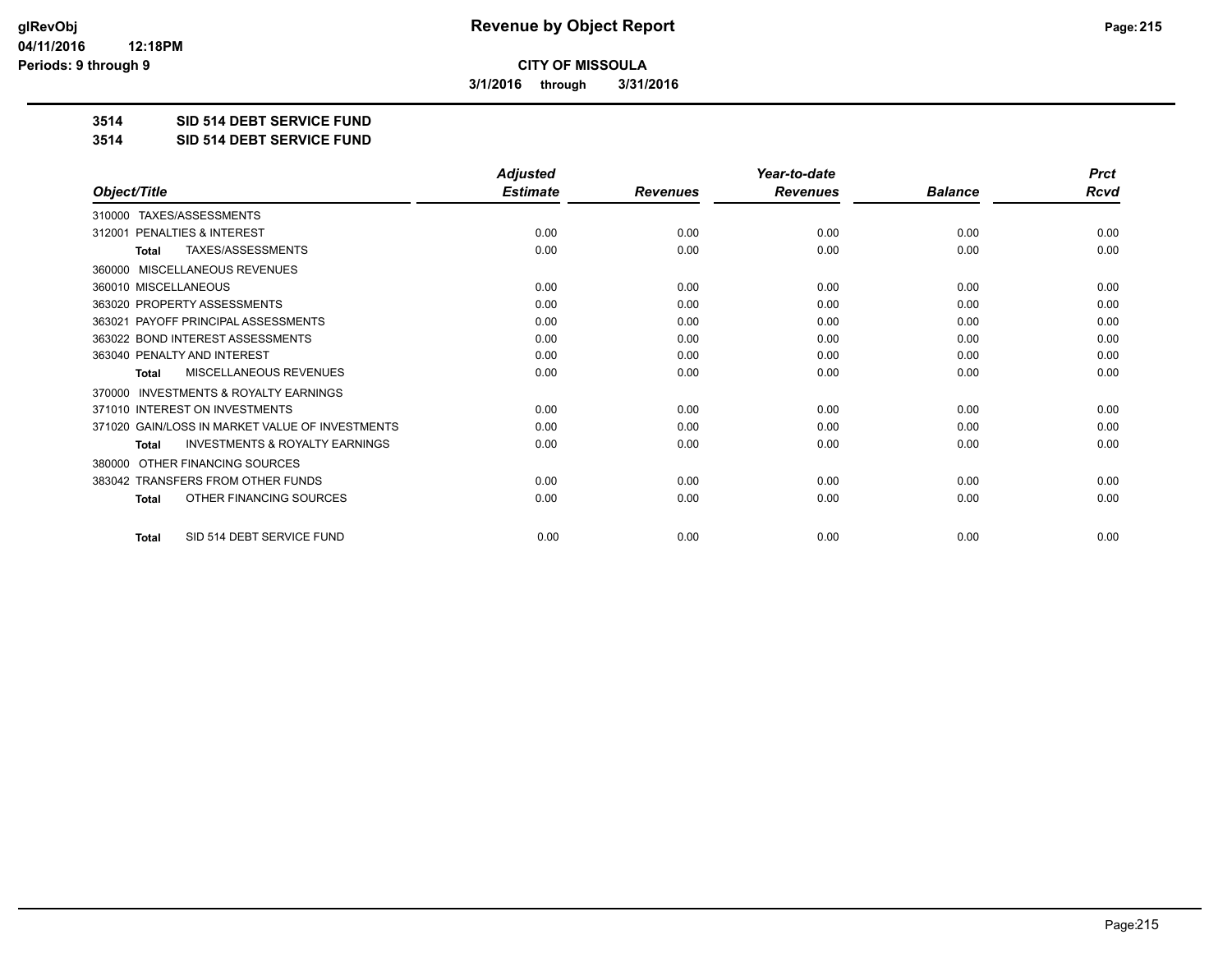**3/1/2016 through 3/31/2016**

**3514 SID 514 DEBT SERVICE FUND**

**3514 SID 514 DEBT SERVICE FUND**

|                                                           | <b>Adjusted</b> |                 | Year-to-date    |                | <b>Prct</b> |
|-----------------------------------------------------------|-----------------|-----------------|-----------------|----------------|-------------|
| Object/Title                                              | <b>Estimate</b> | <b>Revenues</b> | <b>Revenues</b> | <b>Balance</b> | Rcvd        |
| TAXES/ASSESSMENTS<br>310000                               |                 |                 |                 |                |             |
| PENALTIES & INTEREST<br>312001                            | 0.00            | 0.00            | 0.00            | 0.00           | 0.00        |
| TAXES/ASSESSMENTS<br><b>Total</b>                         | 0.00            | 0.00            | 0.00            | 0.00           | 0.00        |
| MISCELLANEOUS REVENUES<br>360000                          |                 |                 |                 |                |             |
| 360010 MISCELLANEOUS                                      | 0.00            | 0.00            | 0.00            | 0.00           | 0.00        |
| 363020 PROPERTY ASSESSMENTS                               | 0.00            | 0.00            | 0.00            | 0.00           | 0.00        |
| 363021 PAYOFF PRINCIPAL ASSESSMENTS                       | 0.00            | 0.00            | 0.00            | 0.00           | 0.00        |
| 363022 BOND INTEREST ASSESSMENTS                          | 0.00            | 0.00            | 0.00            | 0.00           | 0.00        |
| 363040 PENALTY AND INTEREST                               | 0.00            | 0.00            | 0.00            | 0.00           | 0.00        |
| <b>MISCELLANEOUS REVENUES</b><br>Total                    | 0.00            | 0.00            | 0.00            | 0.00           | 0.00        |
| <b>INVESTMENTS &amp; ROYALTY EARNINGS</b><br>370000       |                 |                 |                 |                |             |
| 371010 INTEREST ON INVESTMENTS                            | 0.00            | 0.00            | 0.00            | 0.00           | 0.00        |
| 371020 GAIN/LOSS IN MARKET VALUE OF INVESTMENTS           | 0.00            | 0.00            | 0.00            | 0.00           | 0.00        |
| <b>INVESTMENTS &amp; ROYALTY EARNINGS</b><br><b>Total</b> | 0.00            | 0.00            | 0.00            | 0.00           | 0.00        |
| OTHER FINANCING SOURCES<br>380000                         |                 |                 |                 |                |             |
| 383042 TRANSFERS FROM OTHER FUNDS                         | 0.00            | 0.00            | 0.00            | 0.00           | 0.00        |
| OTHER FINANCING SOURCES<br><b>Total</b>                   | 0.00            | 0.00            | 0.00            | 0.00           | 0.00        |
| SID 514 DEBT SERVICE FUND<br><b>Total</b>                 | 0.00            | 0.00            | 0.00            | 0.00           | 0.00        |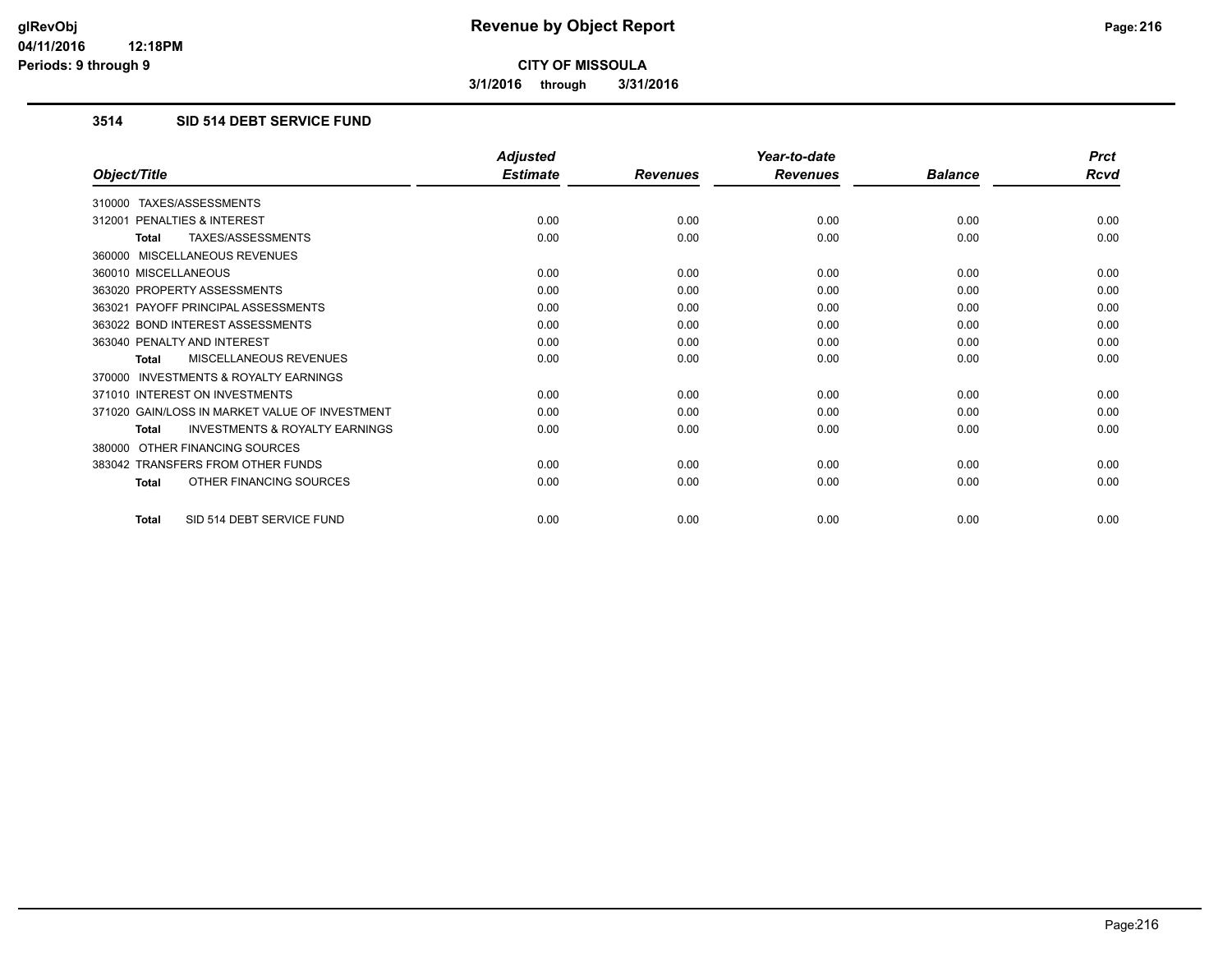**3/1/2016 through 3/31/2016**

# **3514 SID 514 DEBT SERVICE FUND**

|                                                           | <b>Adjusted</b> |                 | Year-to-date    |                | <b>Prct</b> |
|-----------------------------------------------------------|-----------------|-----------------|-----------------|----------------|-------------|
| Object/Title                                              | <b>Estimate</b> | <b>Revenues</b> | <b>Revenues</b> | <b>Balance</b> | Rcvd        |
| 310000 TAXES/ASSESSMENTS                                  |                 |                 |                 |                |             |
| 312001 PENALTIES & INTEREST                               | 0.00            | 0.00            | 0.00            | 0.00           | 0.00        |
| <b>TAXES/ASSESSMENTS</b><br><b>Total</b>                  | 0.00            | 0.00            | 0.00            | 0.00           | 0.00        |
| 360000 MISCELLANEOUS REVENUES                             |                 |                 |                 |                |             |
| 360010 MISCELLANEOUS                                      | 0.00            | 0.00            | 0.00            | 0.00           | 0.00        |
| 363020 PROPERTY ASSESSMENTS                               | 0.00            | 0.00            | 0.00            | 0.00           | 0.00        |
| 363021 PAYOFF PRINCIPAL ASSESSMENTS                       | 0.00            | 0.00            | 0.00            | 0.00           | 0.00        |
| 363022 BOND INTEREST ASSESSMENTS                          | 0.00            | 0.00            | 0.00            | 0.00           | 0.00        |
| 363040 PENALTY AND INTEREST                               | 0.00            | 0.00            | 0.00            | 0.00           | 0.00        |
| <b>MISCELLANEOUS REVENUES</b><br><b>Total</b>             | 0.00            | 0.00            | 0.00            | 0.00           | 0.00        |
| <b>INVESTMENTS &amp; ROYALTY EARNINGS</b><br>370000       |                 |                 |                 |                |             |
| 371010 INTEREST ON INVESTMENTS                            | 0.00            | 0.00            | 0.00            | 0.00           | 0.00        |
| 371020 GAIN/LOSS IN MARKET VALUE OF INVESTMENT            | 0.00            | 0.00            | 0.00            | 0.00           | 0.00        |
| <b>INVESTMENTS &amp; ROYALTY EARNINGS</b><br><b>Total</b> | 0.00            | 0.00            | 0.00            | 0.00           | 0.00        |
| OTHER FINANCING SOURCES<br>380000                         |                 |                 |                 |                |             |
| 383042 TRANSFERS FROM OTHER FUNDS                         | 0.00            | 0.00            | 0.00            | 0.00           | 0.00        |
| OTHER FINANCING SOURCES<br><b>Total</b>                   | 0.00            | 0.00            | 0.00            | 0.00           | 0.00        |
| SID 514 DEBT SERVICE FUND<br>Total                        | 0.00            | 0.00            | 0.00            | 0.00           | 0.00        |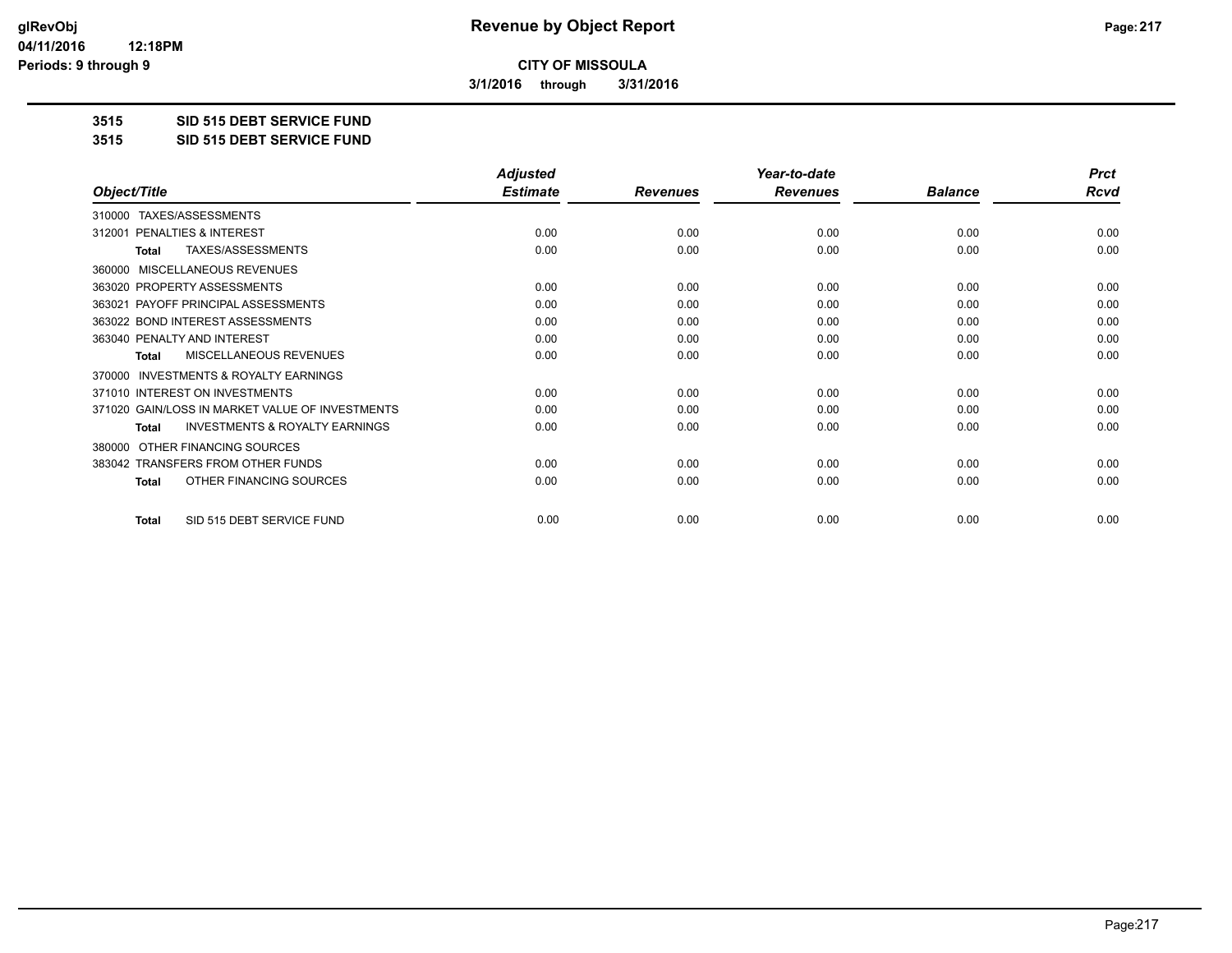**3/1/2016 through 3/31/2016**

**3515 SID 515 DEBT SERVICE FUND**

**3515 SID 515 DEBT SERVICE FUND**

|                                                           | <b>Adjusted</b> |                 | Year-to-date    |                | <b>Prct</b> |
|-----------------------------------------------------------|-----------------|-----------------|-----------------|----------------|-------------|
| Object/Title                                              | <b>Estimate</b> | <b>Revenues</b> | <b>Revenues</b> | <b>Balance</b> | <b>Rcvd</b> |
| TAXES/ASSESSMENTS<br>310000                               |                 |                 |                 |                |             |
| PENALTIES & INTEREST<br>312001                            | 0.00            | 0.00            | 0.00            | 0.00           | 0.00        |
| TAXES/ASSESSMENTS<br>Total                                | 0.00            | 0.00            | 0.00            | 0.00           | 0.00        |
| MISCELLANEOUS REVENUES<br>360000                          |                 |                 |                 |                |             |
| 363020 PROPERTY ASSESSMENTS                               | 0.00            | 0.00            | 0.00            | 0.00           | 0.00        |
| 363021 PAYOFF PRINCIPAL ASSESSMENTS                       | 0.00            | 0.00            | 0.00            | 0.00           | 0.00        |
| 363022 BOND INTEREST ASSESSMENTS                          | 0.00            | 0.00            | 0.00            | 0.00           | 0.00        |
| 363040 PENALTY AND INTEREST                               | 0.00            | 0.00            | 0.00            | 0.00           | 0.00        |
| MISCELLANEOUS REVENUES<br><b>Total</b>                    | 0.00            | 0.00            | 0.00            | 0.00           | 0.00        |
| <b>INVESTMENTS &amp; ROYALTY EARNINGS</b><br>370000       |                 |                 |                 |                |             |
| 371010 INTEREST ON INVESTMENTS                            | 0.00            | 0.00            | 0.00            | 0.00           | 0.00        |
| 371020 GAIN/LOSS IN MARKET VALUE OF INVESTMENTS           | 0.00            | 0.00            | 0.00            | 0.00           | 0.00        |
| <b>INVESTMENTS &amp; ROYALTY EARNINGS</b><br><b>Total</b> | 0.00            | 0.00            | 0.00            | 0.00           | 0.00        |
| OTHER FINANCING SOURCES<br>380000                         |                 |                 |                 |                |             |
| 383042 TRANSFERS FROM OTHER FUNDS                         | 0.00            | 0.00            | 0.00            | 0.00           | 0.00        |
| OTHER FINANCING SOURCES<br><b>Total</b>                   | 0.00            | 0.00            | 0.00            | 0.00           | 0.00        |
|                                                           |                 |                 |                 |                |             |
| SID 515 DEBT SERVICE FUND<br><b>Total</b>                 | 0.00            | 0.00            | 0.00            | 0.00           | 0.00        |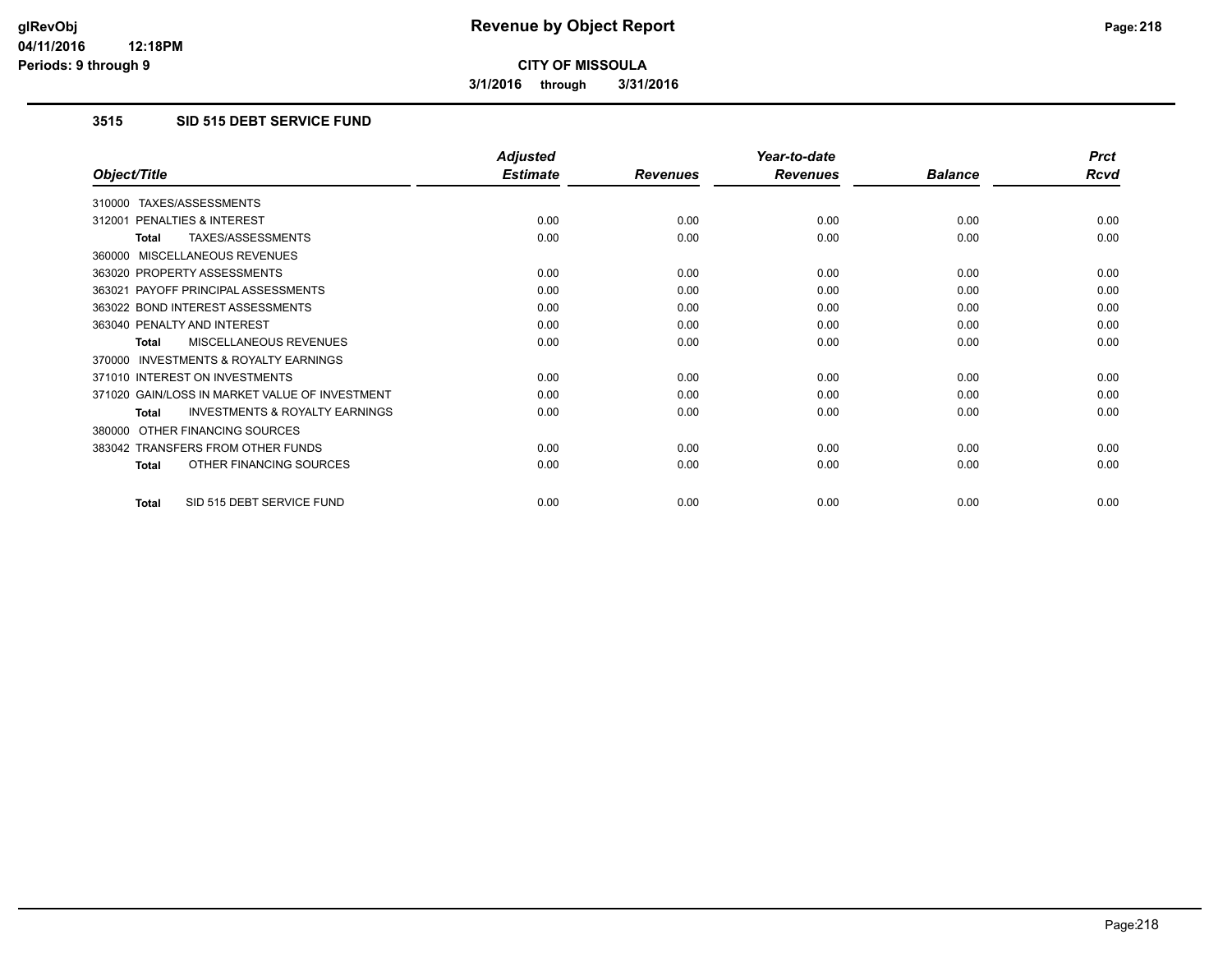**3/1/2016 through 3/31/2016**

### **3515 SID 515 DEBT SERVICE FUND**

|                                                    | <b>Adjusted</b> |                 | Year-to-date    |                | <b>Prct</b> |
|----------------------------------------------------|-----------------|-----------------|-----------------|----------------|-------------|
| Object/Title                                       | <b>Estimate</b> | <b>Revenues</b> | <b>Revenues</b> | <b>Balance</b> | <b>Rcvd</b> |
| TAXES/ASSESSMENTS<br>310000                        |                 |                 |                 |                |             |
| <b>PENALTIES &amp; INTEREST</b><br>312001          | 0.00            | 0.00            | 0.00            | 0.00           | 0.00        |
| TAXES/ASSESSMENTS<br>Total                         | 0.00            | 0.00            | 0.00            | 0.00           | 0.00        |
| MISCELLANEOUS REVENUES<br>360000                   |                 |                 |                 |                |             |
| 363020 PROPERTY ASSESSMENTS                        | 0.00            | 0.00            | 0.00            | 0.00           | 0.00        |
| 363021 PAYOFF PRINCIPAL ASSESSMENTS                | 0.00            | 0.00            | 0.00            | 0.00           | 0.00        |
| 363022 BOND INTEREST ASSESSMENTS                   | 0.00            | 0.00            | 0.00            | 0.00           | 0.00        |
| 363040 PENALTY AND INTEREST                        | 0.00            | 0.00            | 0.00            | 0.00           | 0.00        |
| <b>MISCELLANEOUS REVENUES</b><br><b>Total</b>      | 0.00            | 0.00            | 0.00            | 0.00           | 0.00        |
| INVESTMENTS & ROYALTY EARNINGS<br>370000           |                 |                 |                 |                |             |
| 371010 INTEREST ON INVESTMENTS                     | 0.00            | 0.00            | 0.00            | 0.00           | 0.00        |
| 371020 GAIN/LOSS IN MARKET VALUE OF INVESTMENT     | 0.00            | 0.00            | 0.00            | 0.00           | 0.00        |
| <b>INVESTMENTS &amp; ROYALTY EARNINGS</b><br>Total | 0.00            | 0.00            | 0.00            | 0.00           | 0.00        |
| OTHER FINANCING SOURCES<br>380000                  |                 |                 |                 |                |             |
| 383042 TRANSFERS FROM OTHER FUNDS                  | 0.00            | 0.00            | 0.00            | 0.00           | 0.00        |
| OTHER FINANCING SOURCES<br><b>Total</b>            | 0.00            | 0.00            | 0.00            | 0.00           | 0.00        |
| SID 515 DEBT SERVICE FUND<br>Total                 | 0.00            | 0.00            | 0.00            | 0.00           | 0.00        |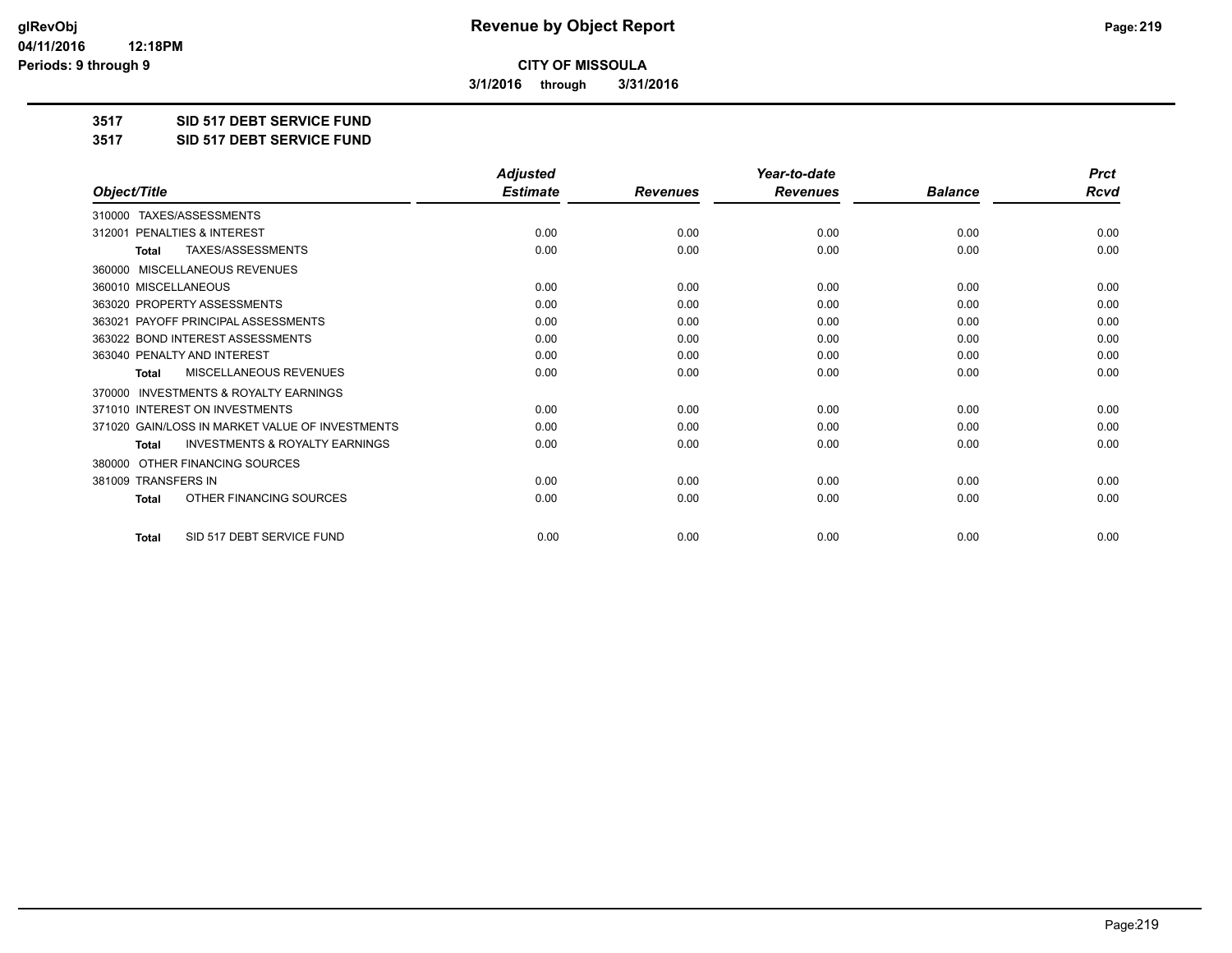**3/1/2016 through 3/31/2016**

**3517 SID 517 DEBT SERVICE FUND**

**3517 SID 517 DEBT SERVICE FUND**

|                                                           | <b>Adjusted</b> |                 | Year-to-date    |                | <b>Prct</b> |
|-----------------------------------------------------------|-----------------|-----------------|-----------------|----------------|-------------|
| Object/Title                                              | <b>Estimate</b> | <b>Revenues</b> | <b>Revenues</b> | <b>Balance</b> | <b>Rcvd</b> |
| TAXES/ASSESSMENTS<br>310000                               |                 |                 |                 |                |             |
| 312001 PENALTIES & INTEREST                               | 0.00            | 0.00            | 0.00            | 0.00           | 0.00        |
| TAXES/ASSESSMENTS<br><b>Total</b>                         | 0.00            | 0.00            | 0.00            | 0.00           | 0.00        |
| MISCELLANEOUS REVENUES<br>360000                          |                 |                 |                 |                |             |
| 360010 MISCELLANEOUS                                      | 0.00            | 0.00            | 0.00            | 0.00           | 0.00        |
| 363020 PROPERTY ASSESSMENTS                               | 0.00            | 0.00            | 0.00            | 0.00           | 0.00        |
| 363021 PAYOFF PRINCIPAL ASSESSMENTS                       | 0.00            | 0.00            | 0.00            | 0.00           | 0.00        |
| 363022 BOND INTEREST ASSESSMENTS                          | 0.00            | 0.00            | 0.00            | 0.00           | 0.00        |
| 363040 PENALTY AND INTEREST                               | 0.00            | 0.00            | 0.00            | 0.00           | 0.00        |
| <b>MISCELLANEOUS REVENUES</b><br><b>Total</b>             | 0.00            | 0.00            | 0.00            | 0.00           | 0.00        |
| <b>INVESTMENTS &amp; ROYALTY EARNINGS</b><br>370000       |                 |                 |                 |                |             |
| 371010 INTEREST ON INVESTMENTS                            | 0.00            | 0.00            | 0.00            | 0.00           | 0.00        |
| 371020 GAIN/LOSS IN MARKET VALUE OF INVESTMENTS           | 0.00            | 0.00            | 0.00            | 0.00           | 0.00        |
| <b>INVESTMENTS &amp; ROYALTY EARNINGS</b><br><b>Total</b> | 0.00            | 0.00            | 0.00            | 0.00           | 0.00        |
| OTHER FINANCING SOURCES<br>380000                         |                 |                 |                 |                |             |
| 381009 TRANSFERS IN                                       | 0.00            | 0.00            | 0.00            | 0.00           | 0.00        |
| OTHER FINANCING SOURCES<br>Total                          | 0.00            | 0.00            | 0.00            | 0.00           | 0.00        |
| SID 517 DEBT SERVICE FUND<br><b>Total</b>                 | 0.00            | 0.00            | 0.00            | 0.00           | 0.00        |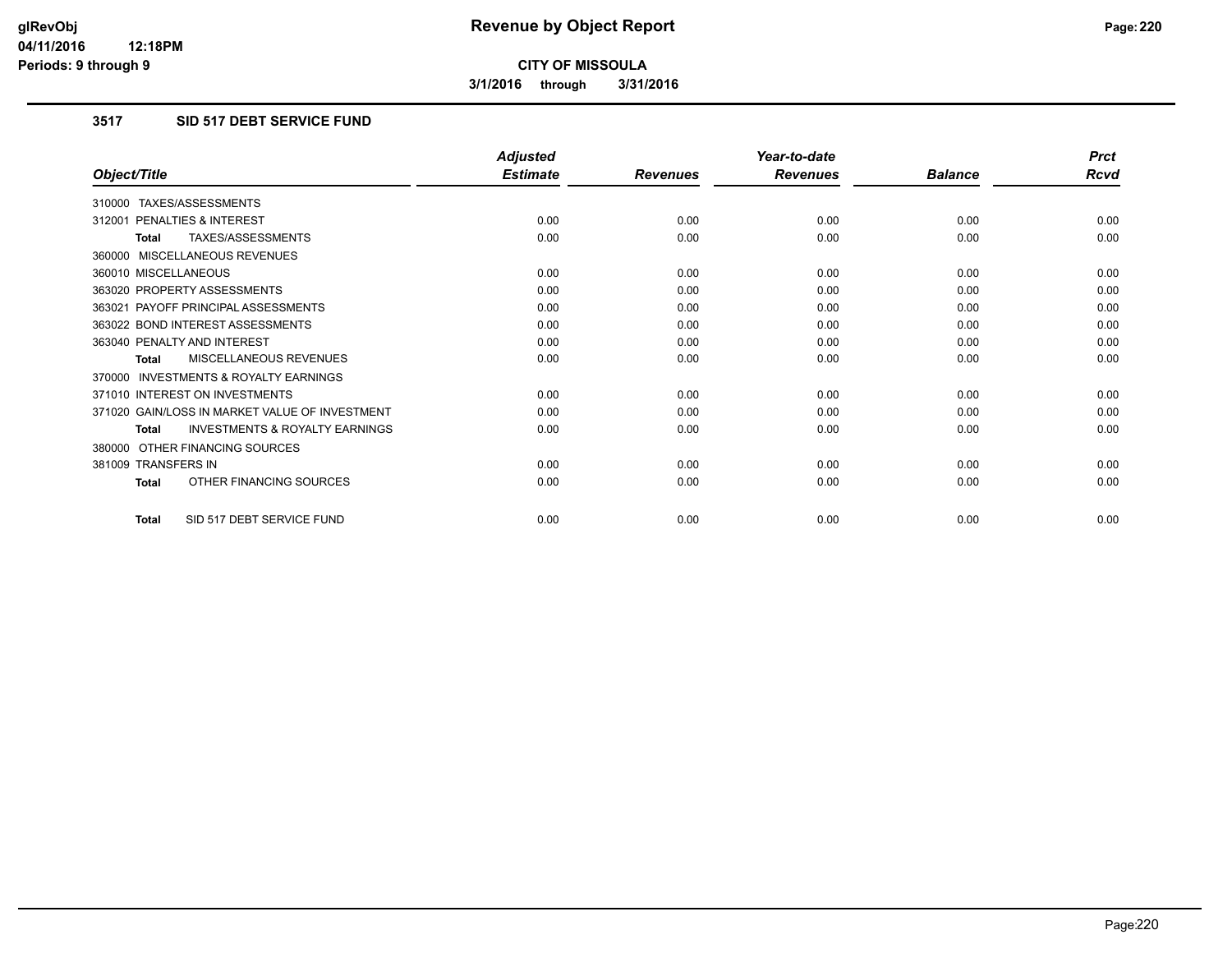**3/1/2016 through 3/31/2016**

#### **3517 SID 517 DEBT SERVICE FUND**

|                                                           | <b>Adjusted</b> |                 | Year-to-date    |                | <b>Prct</b> |
|-----------------------------------------------------------|-----------------|-----------------|-----------------|----------------|-------------|
| Object/Title                                              | <b>Estimate</b> | <b>Revenues</b> | <b>Revenues</b> | <b>Balance</b> | <b>Rcvd</b> |
| 310000 TAXES/ASSESSMENTS                                  |                 |                 |                 |                |             |
| 312001 PENALTIES & INTEREST                               | 0.00            | 0.00            | 0.00            | 0.00           | 0.00        |
| TAXES/ASSESSMENTS<br><b>Total</b>                         | 0.00            | 0.00            | 0.00            | 0.00           | 0.00        |
| 360000 MISCELLANEOUS REVENUES                             |                 |                 |                 |                |             |
| 360010 MISCELLANEOUS                                      | 0.00            | 0.00            | 0.00            | 0.00           | 0.00        |
| 363020 PROPERTY ASSESSMENTS                               | 0.00            | 0.00            | 0.00            | 0.00           | 0.00        |
| 363021 PAYOFF PRINCIPAL ASSESSMENTS                       | 0.00            | 0.00            | 0.00            | 0.00           | 0.00        |
| 363022 BOND INTEREST ASSESSMENTS                          | 0.00            | 0.00            | 0.00            | 0.00           | 0.00        |
| 363040 PENALTY AND INTEREST                               | 0.00            | 0.00            | 0.00            | 0.00           | 0.00        |
| MISCELLANEOUS REVENUES<br><b>Total</b>                    | 0.00            | 0.00            | 0.00            | 0.00           | 0.00        |
| <b>INVESTMENTS &amp; ROYALTY EARNINGS</b><br>370000       |                 |                 |                 |                |             |
| 371010 INTEREST ON INVESTMENTS                            | 0.00            | 0.00            | 0.00            | 0.00           | 0.00        |
| 371020 GAIN/LOSS IN MARKET VALUE OF INVESTMENT            | 0.00            | 0.00            | 0.00            | 0.00           | 0.00        |
| <b>INVESTMENTS &amp; ROYALTY EARNINGS</b><br><b>Total</b> | 0.00            | 0.00            | 0.00            | 0.00           | 0.00        |
| 380000 OTHER FINANCING SOURCES                            |                 |                 |                 |                |             |
| 381009 TRANSFERS IN                                       | 0.00            | 0.00            | 0.00            | 0.00           | 0.00        |
| OTHER FINANCING SOURCES<br>Total                          | 0.00            | 0.00            | 0.00            | 0.00           | 0.00        |
| SID 517 DEBT SERVICE FUND<br><b>Total</b>                 | 0.00            | 0.00            | 0.00            | 0.00           | 0.00        |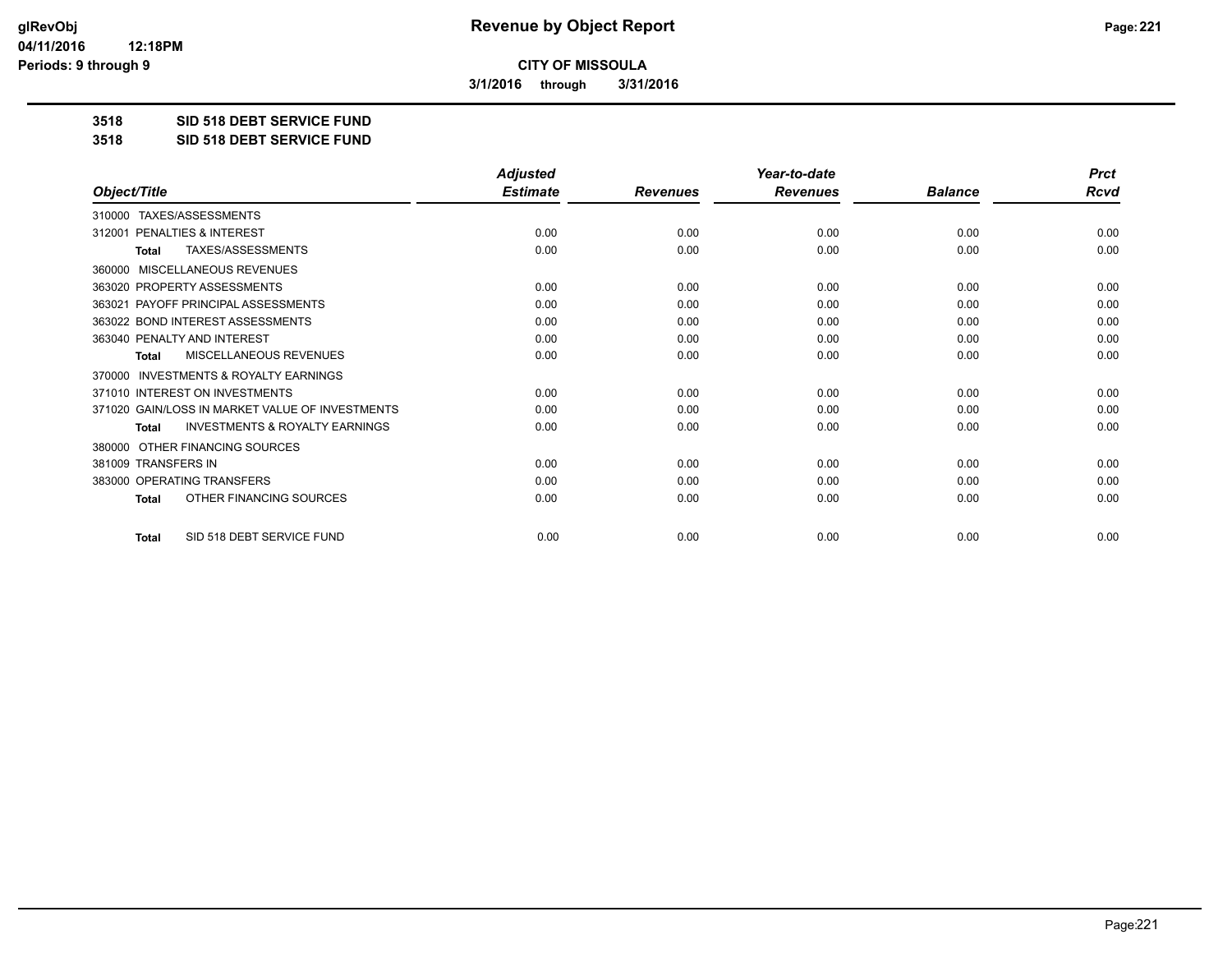**3/1/2016 through 3/31/2016**

**3518 SID 518 DEBT SERVICE FUND**

**3518 SID 518 DEBT SERVICE FUND**

|                                                           | <b>Adjusted</b> |                 | Year-to-date    |                | <b>Prct</b> |
|-----------------------------------------------------------|-----------------|-----------------|-----------------|----------------|-------------|
| Object/Title                                              | <b>Estimate</b> | <b>Revenues</b> | <b>Revenues</b> | <b>Balance</b> | <b>Rcvd</b> |
| 310000 TAXES/ASSESSMENTS                                  |                 |                 |                 |                |             |
| PENALTIES & INTEREST<br>312001                            | 0.00            | 0.00            | 0.00            | 0.00           | 0.00        |
| <b>TAXES/ASSESSMENTS</b><br><b>Total</b>                  | 0.00            | 0.00            | 0.00            | 0.00           | 0.00        |
| MISCELLANEOUS REVENUES<br>360000                          |                 |                 |                 |                |             |
| 363020 PROPERTY ASSESSMENTS                               | 0.00            | 0.00            | 0.00            | 0.00           | 0.00        |
| 363021 PAYOFF PRINCIPAL ASSESSMENTS                       | 0.00            | 0.00            | 0.00            | 0.00           | 0.00        |
| 363022 BOND INTEREST ASSESSMENTS                          | 0.00            | 0.00            | 0.00            | 0.00           | 0.00        |
| 363040 PENALTY AND INTEREST                               | 0.00            | 0.00            | 0.00            | 0.00           | 0.00        |
| <b>MISCELLANEOUS REVENUES</b><br><b>Total</b>             | 0.00            | 0.00            | 0.00            | 0.00           | 0.00        |
| <b>INVESTMENTS &amp; ROYALTY EARNINGS</b><br>370000       |                 |                 |                 |                |             |
| 371010 INTEREST ON INVESTMENTS                            | 0.00            | 0.00            | 0.00            | 0.00           | 0.00        |
| 371020 GAIN/LOSS IN MARKET VALUE OF INVESTMENTS           | 0.00            | 0.00            | 0.00            | 0.00           | 0.00        |
| <b>INVESTMENTS &amp; ROYALTY EARNINGS</b><br><b>Total</b> | 0.00            | 0.00            | 0.00            | 0.00           | 0.00        |
| OTHER FINANCING SOURCES<br>380000                         |                 |                 |                 |                |             |
| 381009 TRANSFERS IN                                       | 0.00            | 0.00            | 0.00            | 0.00           | 0.00        |
| 383000 OPERATING TRANSFERS                                | 0.00            | 0.00            | 0.00            | 0.00           | 0.00        |
| OTHER FINANCING SOURCES<br><b>Total</b>                   | 0.00            | 0.00            | 0.00            | 0.00           | 0.00        |
| SID 518 DEBT SERVICE FUND<br><b>Total</b>                 | 0.00            | 0.00            | 0.00            | 0.00           | 0.00        |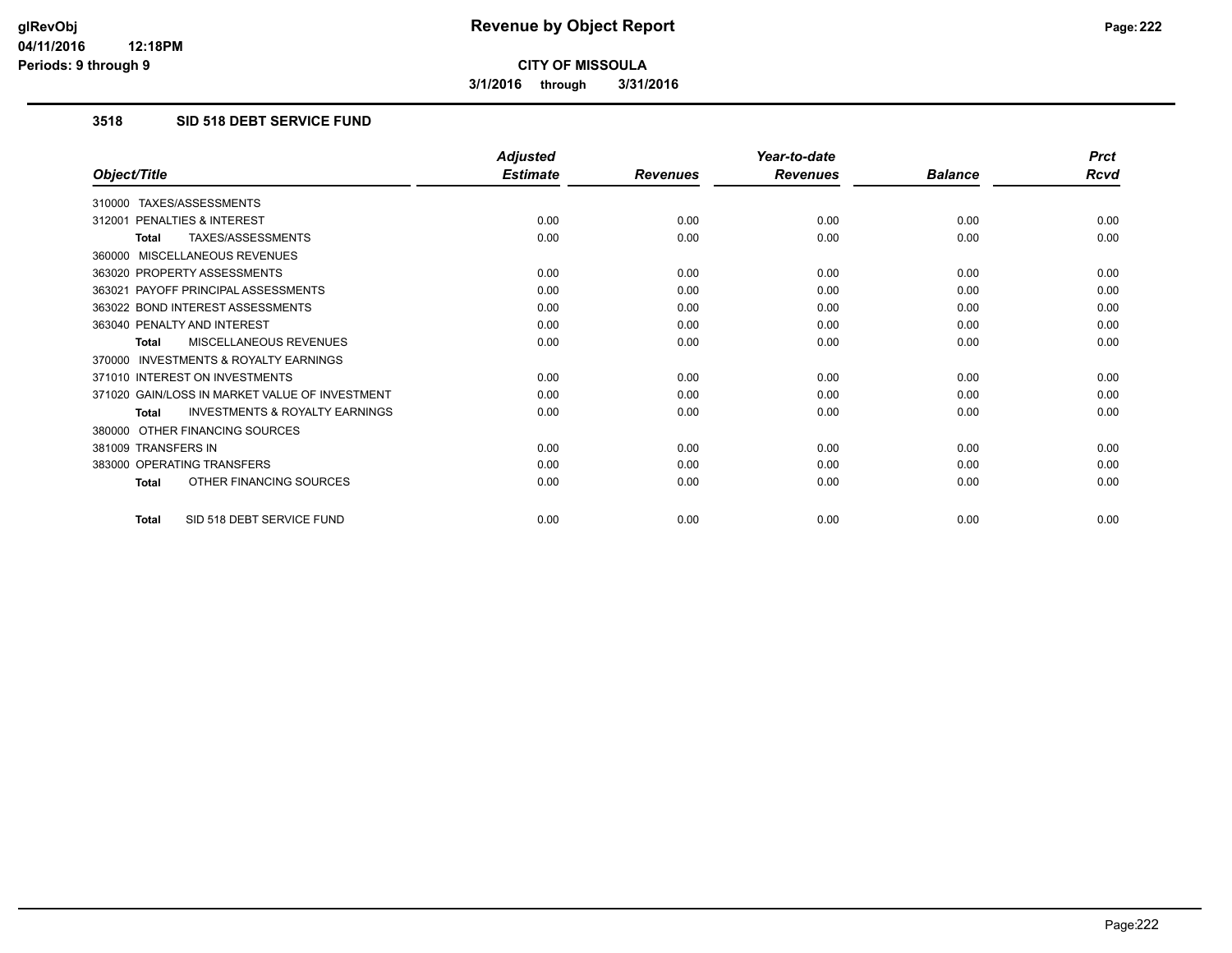**3/1/2016 through 3/31/2016**

## **3518 SID 518 DEBT SERVICE FUND**

|                                                           | <b>Adjusted</b> |                 | Year-to-date    |                | <b>Prct</b> |
|-----------------------------------------------------------|-----------------|-----------------|-----------------|----------------|-------------|
| Object/Title                                              | <b>Estimate</b> | <b>Revenues</b> | <b>Revenues</b> | <b>Balance</b> | <b>Rcvd</b> |
| 310000 TAXES/ASSESSMENTS                                  |                 |                 |                 |                |             |
| PENALTIES & INTEREST<br>312001                            | 0.00            | 0.00            | 0.00            | 0.00           | 0.00        |
| TAXES/ASSESSMENTS<br><b>Total</b>                         | 0.00            | 0.00            | 0.00            | 0.00           | 0.00        |
| 360000 MISCELLANEOUS REVENUES                             |                 |                 |                 |                |             |
| 363020 PROPERTY ASSESSMENTS                               | 0.00            | 0.00            | 0.00            | 0.00           | 0.00        |
| 363021 PAYOFF PRINCIPAL ASSESSMENTS                       | 0.00            | 0.00            | 0.00            | 0.00           | 0.00        |
| 363022 BOND INTEREST ASSESSMENTS                          | 0.00            | 0.00            | 0.00            | 0.00           | 0.00        |
| 363040 PENALTY AND INTEREST                               | 0.00            | 0.00            | 0.00            | 0.00           | 0.00        |
| MISCELLANEOUS REVENUES<br><b>Total</b>                    | 0.00            | 0.00            | 0.00            | 0.00           | 0.00        |
| <b>INVESTMENTS &amp; ROYALTY EARNINGS</b><br>370000       |                 |                 |                 |                |             |
| 371010 INTEREST ON INVESTMENTS                            | 0.00            | 0.00            | 0.00            | 0.00           | 0.00        |
| 371020 GAIN/LOSS IN MARKET VALUE OF INVESTMENT            | 0.00            | 0.00            | 0.00            | 0.00           | 0.00        |
| <b>INVESTMENTS &amp; ROYALTY EARNINGS</b><br><b>Total</b> | 0.00            | 0.00            | 0.00            | 0.00           | 0.00        |
| 380000 OTHER FINANCING SOURCES                            |                 |                 |                 |                |             |
| 381009 TRANSFERS IN                                       | 0.00            | 0.00            | 0.00            | 0.00           | 0.00        |
| 383000 OPERATING TRANSFERS                                | 0.00            | 0.00            | 0.00            | 0.00           | 0.00        |
| OTHER FINANCING SOURCES<br><b>Total</b>                   | 0.00            | 0.00            | 0.00            | 0.00           | 0.00        |
| SID 518 DEBT SERVICE FUND<br><b>Total</b>                 | 0.00            | 0.00            | 0.00            | 0.00           | 0.00        |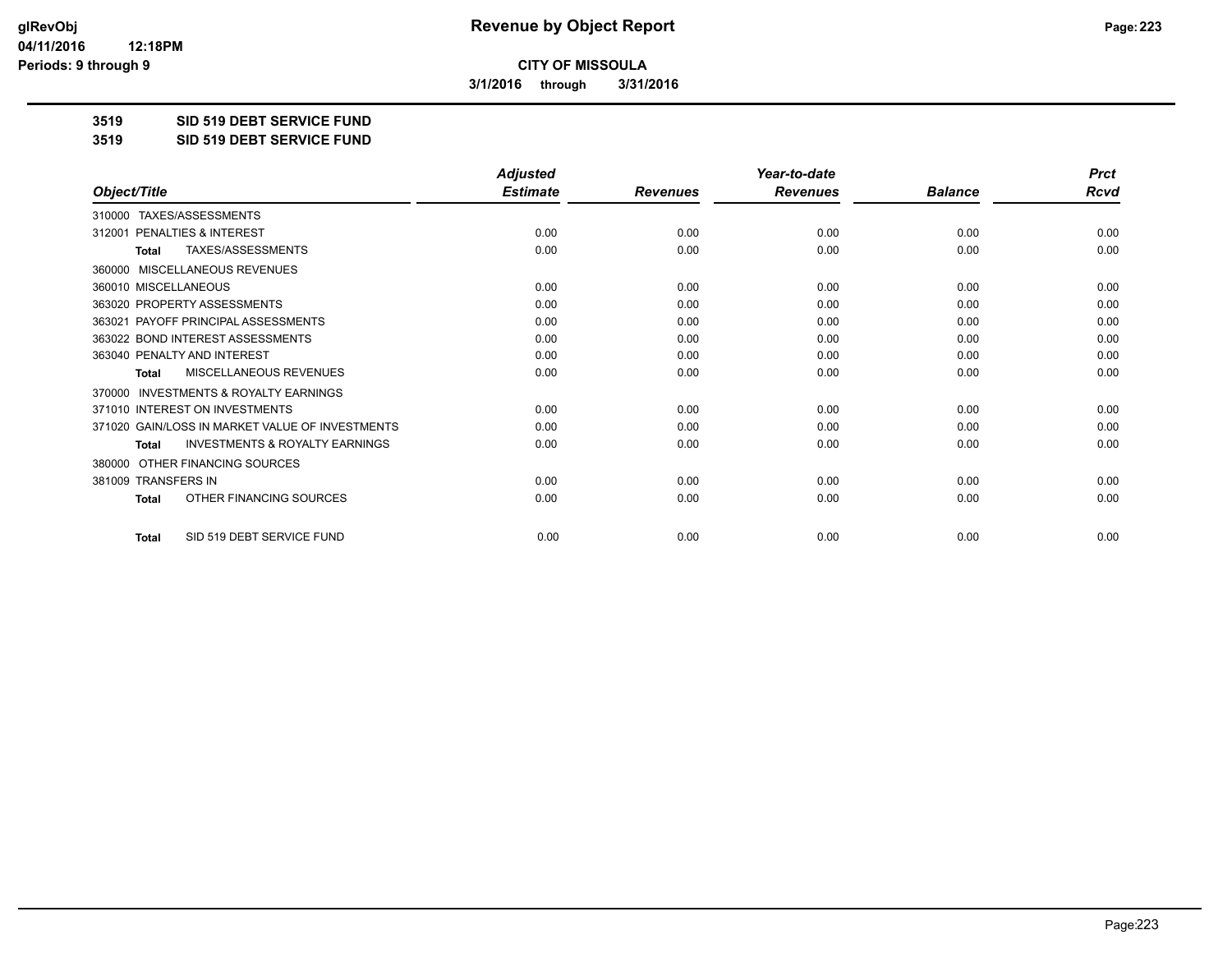**3/1/2016 through 3/31/2016**

**3519 SID 519 DEBT SERVICE FUND**

**3519 SID 519 DEBT SERVICE FUND**

|                                                           | <b>Adjusted</b> |                 | Year-to-date    |                | <b>Prct</b> |
|-----------------------------------------------------------|-----------------|-----------------|-----------------|----------------|-------------|
| Object/Title                                              | <b>Estimate</b> | <b>Revenues</b> | <b>Revenues</b> | <b>Balance</b> | <b>Rcvd</b> |
| 310000 TAXES/ASSESSMENTS                                  |                 |                 |                 |                |             |
| PENALTIES & INTEREST<br>312001                            | 0.00            | 0.00            | 0.00            | 0.00           | 0.00        |
| <b>TAXES/ASSESSMENTS</b><br><b>Total</b>                  | 0.00            | 0.00            | 0.00            | 0.00           | 0.00        |
| MISCELLANEOUS REVENUES<br>360000                          |                 |                 |                 |                |             |
| 360010 MISCELLANEOUS                                      | 0.00            | 0.00            | 0.00            | 0.00           | 0.00        |
| 363020 PROPERTY ASSESSMENTS                               | 0.00            | 0.00            | 0.00            | 0.00           | 0.00        |
| 363021 PAYOFF PRINCIPAL ASSESSMENTS                       | 0.00            | 0.00            | 0.00            | 0.00           | 0.00        |
| 363022 BOND INTEREST ASSESSMENTS                          | 0.00            | 0.00            | 0.00            | 0.00           | 0.00        |
| 363040 PENALTY AND INTEREST                               | 0.00            | 0.00            | 0.00            | 0.00           | 0.00        |
| MISCELLANEOUS REVENUES<br>Total                           | 0.00            | 0.00            | 0.00            | 0.00           | 0.00        |
| <b>INVESTMENTS &amp; ROYALTY EARNINGS</b><br>370000       |                 |                 |                 |                |             |
| 371010 INTEREST ON INVESTMENTS                            | 0.00            | 0.00            | 0.00            | 0.00           | 0.00        |
| 371020 GAIN/LOSS IN MARKET VALUE OF INVESTMENTS           | 0.00            | 0.00            | 0.00            | 0.00           | 0.00        |
| <b>INVESTMENTS &amp; ROYALTY EARNINGS</b><br><b>Total</b> | 0.00            | 0.00            | 0.00            | 0.00           | 0.00        |
| OTHER FINANCING SOURCES<br>380000                         |                 |                 |                 |                |             |
| 381009 TRANSFERS IN                                       | 0.00            | 0.00            | 0.00            | 0.00           | 0.00        |
| OTHER FINANCING SOURCES<br><b>Total</b>                   | 0.00            | 0.00            | 0.00            | 0.00           | 0.00        |
| SID 519 DEBT SERVICE FUND<br><b>Total</b>                 | 0.00            | 0.00            | 0.00            | 0.00           | 0.00        |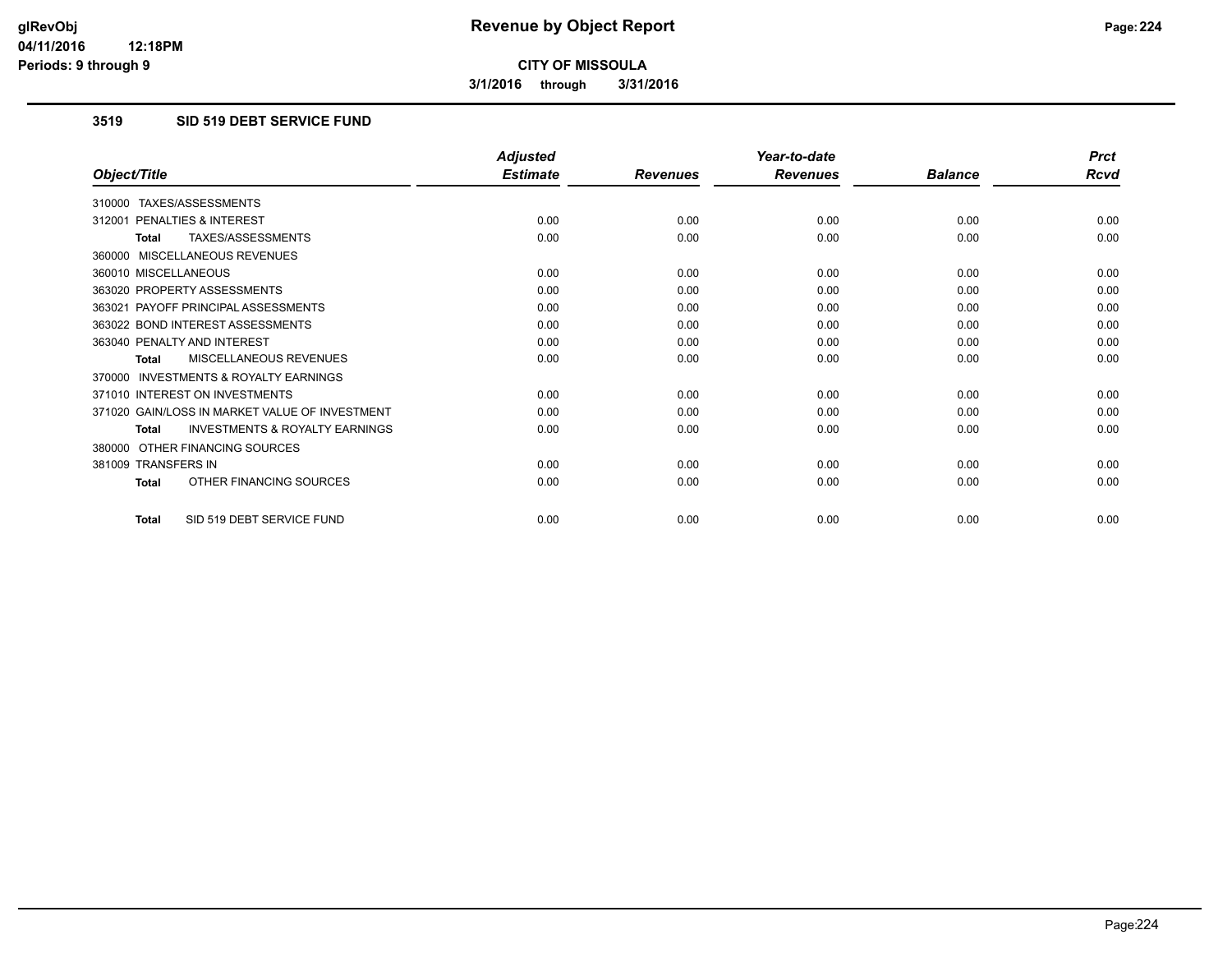**3/1/2016 through 3/31/2016**

### **3519 SID 519 DEBT SERVICE FUND**

|                                                           | <b>Adjusted</b> |                 | Year-to-date    |                | <b>Prct</b> |
|-----------------------------------------------------------|-----------------|-----------------|-----------------|----------------|-------------|
| Object/Title                                              | <b>Estimate</b> | <b>Revenues</b> | <b>Revenues</b> | <b>Balance</b> | <b>Rcvd</b> |
| 310000 TAXES/ASSESSMENTS                                  |                 |                 |                 |                |             |
| PENALTIES & INTEREST<br>312001                            | 0.00            | 0.00            | 0.00            | 0.00           | 0.00        |
| TAXES/ASSESSMENTS<br><b>Total</b>                         | 0.00            | 0.00            | 0.00            | 0.00           | 0.00        |
| 360000 MISCELLANEOUS REVENUES                             |                 |                 |                 |                |             |
| 360010 MISCELLANEOUS                                      | 0.00            | 0.00            | 0.00            | 0.00           | 0.00        |
| 363020 PROPERTY ASSESSMENTS                               | 0.00            | 0.00            | 0.00            | 0.00           | 0.00        |
| 363021 PAYOFF PRINCIPAL ASSESSMENTS                       | 0.00            | 0.00            | 0.00            | 0.00           | 0.00        |
| 363022 BOND INTEREST ASSESSMENTS                          | 0.00            | 0.00            | 0.00            | 0.00           | 0.00        |
| 363040 PENALTY AND INTEREST                               | 0.00            | 0.00            | 0.00            | 0.00           | 0.00        |
| MISCELLANEOUS REVENUES<br><b>Total</b>                    | 0.00            | 0.00            | 0.00            | 0.00           | 0.00        |
| <b>INVESTMENTS &amp; ROYALTY EARNINGS</b><br>370000       |                 |                 |                 |                |             |
| 371010 INTEREST ON INVESTMENTS                            | 0.00            | 0.00            | 0.00            | 0.00           | 0.00        |
| 371020 GAIN/LOSS IN MARKET VALUE OF INVESTMENT            | 0.00            | 0.00            | 0.00            | 0.00           | 0.00        |
| <b>INVESTMENTS &amp; ROYALTY EARNINGS</b><br><b>Total</b> | 0.00            | 0.00            | 0.00            | 0.00           | 0.00        |
| 380000 OTHER FINANCING SOURCES                            |                 |                 |                 |                |             |
| 381009 TRANSFERS IN                                       | 0.00            | 0.00            | 0.00            | 0.00           | 0.00        |
| OTHER FINANCING SOURCES<br><b>Total</b>                   | 0.00            | 0.00            | 0.00            | 0.00           | 0.00        |
| SID 519 DEBT SERVICE FUND<br><b>Total</b>                 | 0.00            | 0.00            | 0.00            | 0.00           | 0.00        |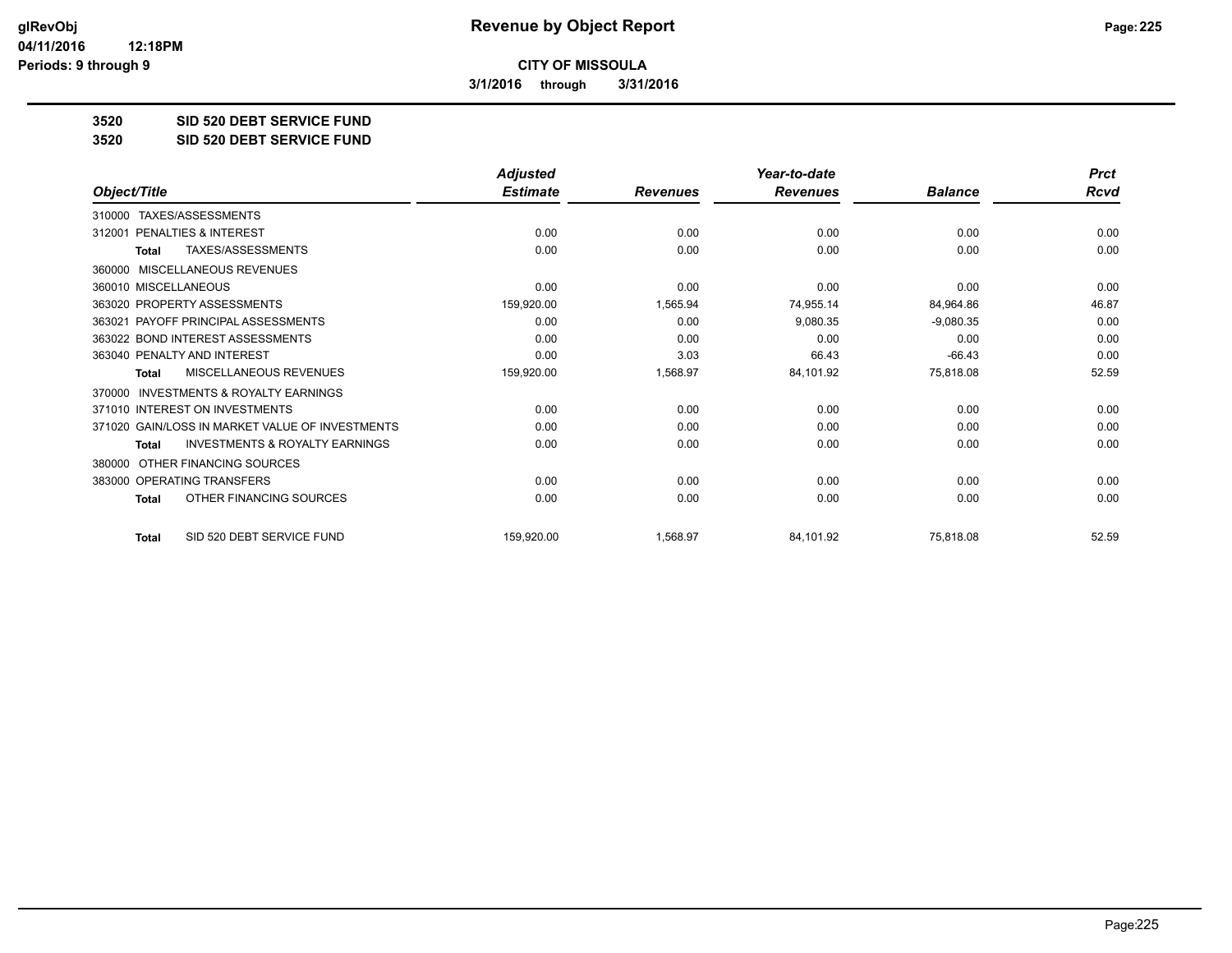**3/1/2016 through 3/31/2016**

**3520 SID 520 DEBT SERVICE FUND**

**3520 SID 520 DEBT SERVICE FUND**

|                                                           | <b>Adjusted</b> |                 | Year-to-date    |                | <b>Prct</b> |
|-----------------------------------------------------------|-----------------|-----------------|-----------------|----------------|-------------|
| Object/Title                                              | <b>Estimate</b> | <b>Revenues</b> | <b>Revenues</b> | <b>Balance</b> | <b>Rcvd</b> |
| TAXES/ASSESSMENTS<br>310000                               |                 |                 |                 |                |             |
| 312001 PENALTIES & INTEREST                               | 0.00            | 0.00            | 0.00            | 0.00           | 0.00        |
| <b>TAXES/ASSESSMENTS</b><br><b>Total</b>                  | 0.00            | 0.00            | 0.00            | 0.00           | 0.00        |
| MISCELLANEOUS REVENUES<br>360000                          |                 |                 |                 |                |             |
| 360010 MISCELLANEOUS                                      | 0.00            | 0.00            | 0.00            | 0.00           | 0.00        |
| 363020 PROPERTY ASSESSMENTS                               | 159,920.00      | 1,565.94        | 74,955.14       | 84,964.86      | 46.87       |
| 363021 PAYOFF PRINCIPAL ASSESSMENTS                       | 0.00            | 0.00            | 9,080.35        | $-9,080.35$    | 0.00        |
| 363022 BOND INTEREST ASSESSMENTS                          | 0.00            | 0.00            | 0.00            | 0.00           | 0.00        |
| 363040 PENALTY AND INTEREST                               | 0.00            | 3.03            | 66.43           | $-66.43$       | 0.00        |
| <b>MISCELLANEOUS REVENUES</b><br><b>Total</b>             | 159,920.00      | 1,568.97        | 84,101.92       | 75,818.08      | 52.59       |
| <b>INVESTMENTS &amp; ROYALTY EARNINGS</b><br>370000       |                 |                 |                 |                |             |
| 371010 INTEREST ON INVESTMENTS                            | 0.00            | 0.00            | 0.00            | 0.00           | 0.00        |
| 371020 GAIN/LOSS IN MARKET VALUE OF INVESTMENTS           | 0.00            | 0.00            | 0.00            | 0.00           | 0.00        |
| <b>INVESTMENTS &amp; ROYALTY EARNINGS</b><br><b>Total</b> | 0.00            | 0.00            | 0.00            | 0.00           | 0.00        |
| OTHER FINANCING SOURCES<br>380000                         |                 |                 |                 |                |             |
| 383000 OPERATING TRANSFERS                                | 0.00            | 0.00            | 0.00            | 0.00           | 0.00        |
| OTHER FINANCING SOURCES<br><b>Total</b>                   | 0.00            | 0.00            | 0.00            | 0.00           | 0.00        |
| SID 520 DEBT SERVICE FUND<br><b>Total</b>                 | 159,920.00      | 1,568.97        | 84,101.92       | 75,818.08      | 52.59       |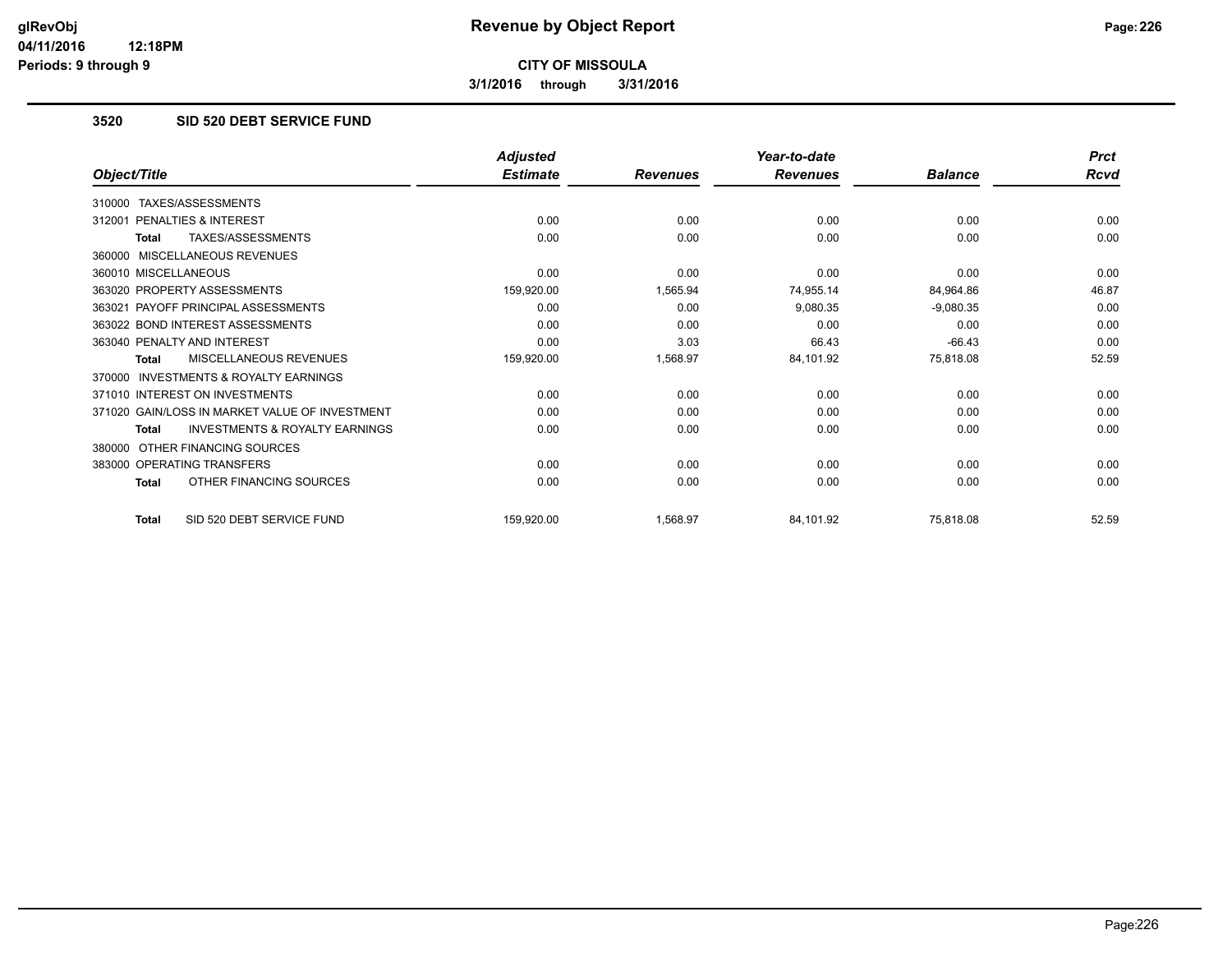**3/1/2016 through 3/31/2016**

### **3520 SID 520 DEBT SERVICE FUND**

|                                                           | <b>Adjusted</b> |                 | Year-to-date    |                | <b>Prct</b> |
|-----------------------------------------------------------|-----------------|-----------------|-----------------|----------------|-------------|
| Object/Title                                              | <b>Estimate</b> | <b>Revenues</b> | <b>Revenues</b> | <b>Balance</b> | Rcvd        |
| TAXES/ASSESSMENTS<br>310000                               |                 |                 |                 |                |             |
| PENALTIES & INTEREST<br>312001                            | 0.00            | 0.00            | 0.00            | 0.00           | 0.00        |
| TAXES/ASSESSMENTS<br><b>Total</b>                         | 0.00            | 0.00            | 0.00            | 0.00           | 0.00        |
| MISCELLANEOUS REVENUES<br>360000                          |                 |                 |                 |                |             |
| 360010 MISCELLANEOUS                                      | 0.00            | 0.00            | 0.00            | 0.00           | 0.00        |
| 363020 PROPERTY ASSESSMENTS                               | 159,920.00      | 1,565.94        | 74,955.14       | 84,964.86      | 46.87       |
| 363021 PAYOFF PRINCIPAL ASSESSMENTS                       | 0.00            | 0.00            | 9,080.35        | $-9,080.35$    | 0.00        |
| 363022 BOND INTEREST ASSESSMENTS                          | 0.00            | 0.00            | 0.00            | 0.00           | 0.00        |
| 363040 PENALTY AND INTEREST                               | 0.00            | 3.03            | 66.43           | $-66.43$       | 0.00        |
| MISCELLANEOUS REVENUES<br><b>Total</b>                    | 159,920.00      | 1,568.97        | 84,101.92       | 75,818.08      | 52.59       |
| INVESTMENTS & ROYALTY EARNINGS<br>370000                  |                 |                 |                 |                |             |
| 371010 INTEREST ON INVESTMENTS                            | 0.00            | 0.00            | 0.00            | 0.00           | 0.00        |
| 371020 GAIN/LOSS IN MARKET VALUE OF INVESTMENT            | 0.00            | 0.00            | 0.00            | 0.00           | 0.00        |
| <b>INVESTMENTS &amp; ROYALTY EARNINGS</b><br><b>Total</b> | 0.00            | 0.00            | 0.00            | 0.00           | 0.00        |
| OTHER FINANCING SOURCES<br>380000                         |                 |                 |                 |                |             |
| 383000 OPERATING TRANSFERS                                | 0.00            | 0.00            | 0.00            | 0.00           | 0.00        |
| OTHER FINANCING SOURCES<br><b>Total</b>                   | 0.00            | 0.00            | 0.00            | 0.00           | 0.00        |
| SID 520 DEBT SERVICE FUND<br><b>Total</b>                 | 159,920.00      | 1,568.97        | 84,101.92       | 75,818.08      | 52.59       |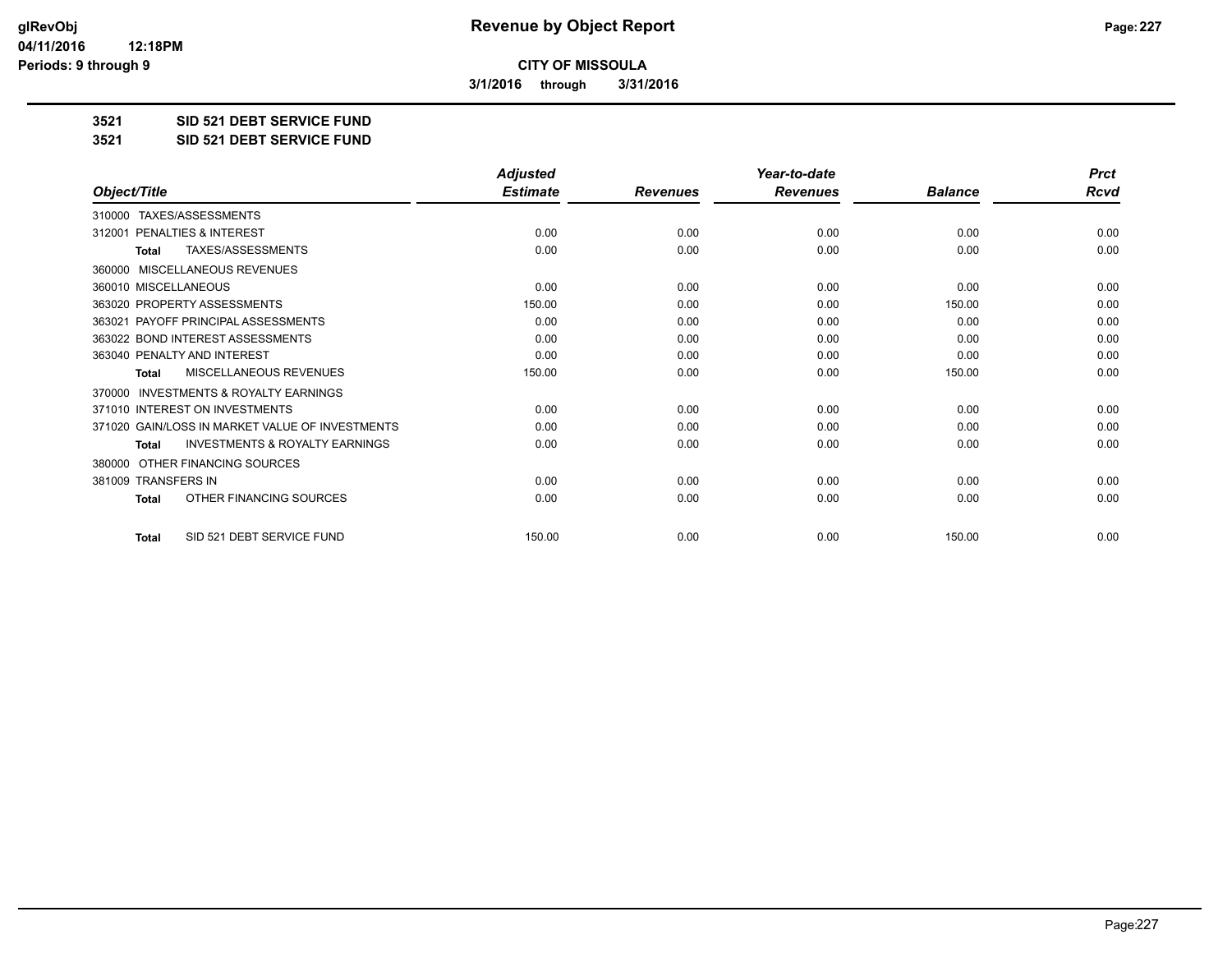**3/1/2016 through 3/31/2016**

**3521 SID 521 DEBT SERVICE FUND**

**3521 SID 521 DEBT SERVICE FUND**

|                                                           | <b>Adjusted</b> |                 | Year-to-date    |                | <b>Prct</b> |
|-----------------------------------------------------------|-----------------|-----------------|-----------------|----------------|-------------|
| Object/Title                                              | <b>Estimate</b> | <b>Revenues</b> | <b>Revenues</b> | <b>Balance</b> | <b>Rcvd</b> |
| TAXES/ASSESSMENTS<br>310000                               |                 |                 |                 |                |             |
| 312001 PENALTIES & INTEREST                               | 0.00            | 0.00            | 0.00            | 0.00           | 0.00        |
| TAXES/ASSESSMENTS<br><b>Total</b>                         | 0.00            | 0.00            | 0.00            | 0.00           | 0.00        |
| MISCELLANEOUS REVENUES<br>360000                          |                 |                 |                 |                |             |
| 360010 MISCELLANEOUS                                      | 0.00            | 0.00            | 0.00            | 0.00           | 0.00        |
| 363020 PROPERTY ASSESSMENTS                               | 150.00          | 0.00            | 0.00            | 150.00         | 0.00        |
| 363021 PAYOFF PRINCIPAL ASSESSMENTS                       | 0.00            | 0.00            | 0.00            | 0.00           | 0.00        |
| 363022 BOND INTEREST ASSESSMENTS                          | 0.00            | 0.00            | 0.00            | 0.00           | 0.00        |
| 363040 PENALTY AND INTEREST                               | 0.00            | 0.00            | 0.00            | 0.00           | 0.00        |
| <b>MISCELLANEOUS REVENUES</b><br><b>Total</b>             | 150.00          | 0.00            | 0.00            | 150.00         | 0.00        |
| <b>INVESTMENTS &amp; ROYALTY EARNINGS</b><br>370000       |                 |                 |                 |                |             |
| 371010 INTEREST ON INVESTMENTS                            | 0.00            | 0.00            | 0.00            | 0.00           | 0.00        |
| 371020 GAIN/LOSS IN MARKET VALUE OF INVESTMENTS           | 0.00            | 0.00            | 0.00            | 0.00           | 0.00        |
| <b>INVESTMENTS &amp; ROYALTY EARNINGS</b><br><b>Total</b> | 0.00            | 0.00            | 0.00            | 0.00           | 0.00        |
| OTHER FINANCING SOURCES<br>380000                         |                 |                 |                 |                |             |
| 381009 TRANSFERS IN                                       | 0.00            | 0.00            | 0.00            | 0.00           | 0.00        |
| OTHER FINANCING SOURCES<br>Total                          | 0.00            | 0.00            | 0.00            | 0.00           | 0.00        |
| SID 521 DEBT SERVICE FUND<br><b>Total</b>                 | 150.00          | 0.00            | 0.00            | 150.00         | 0.00        |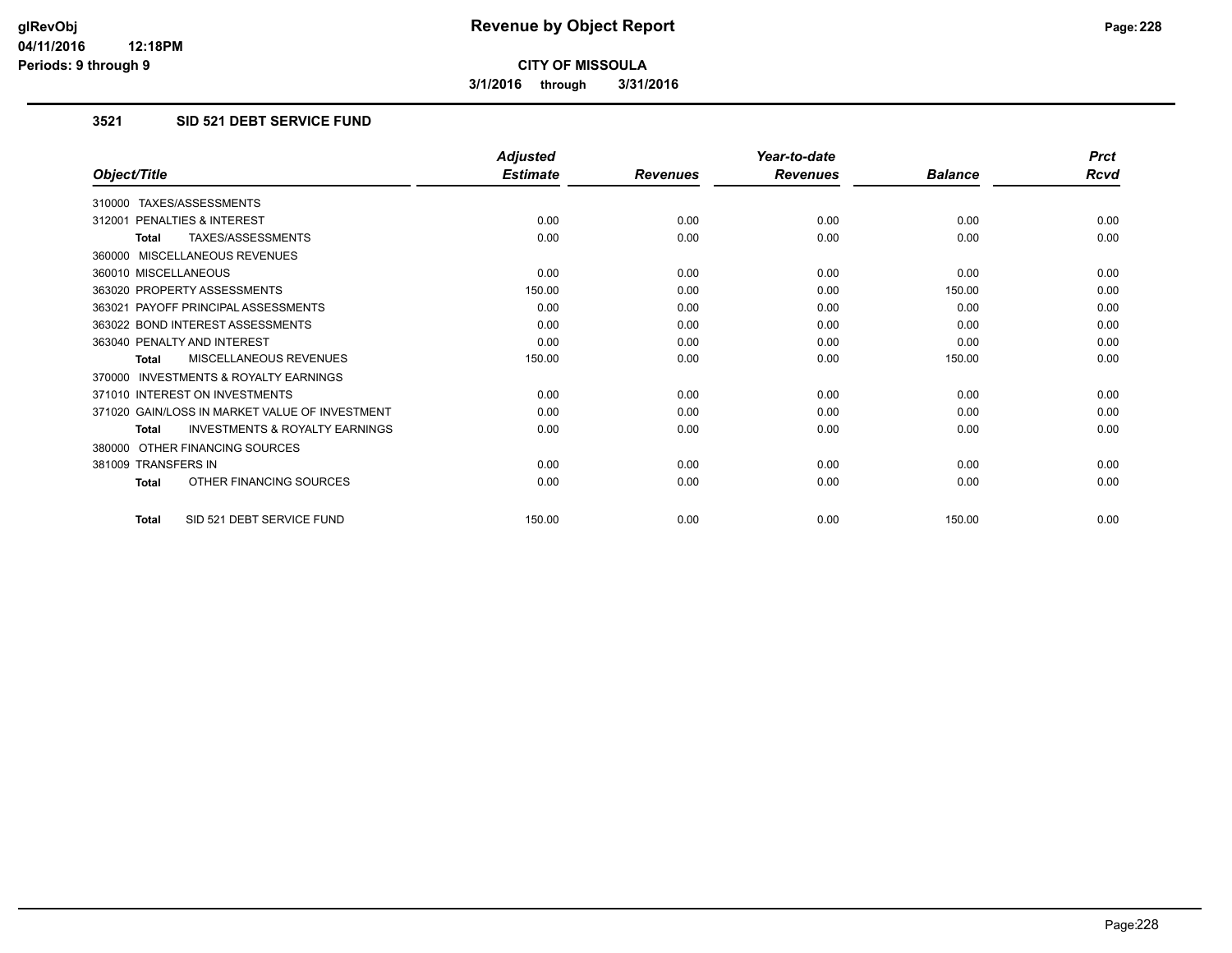**3/1/2016 through 3/31/2016**

## **3521 SID 521 DEBT SERVICE FUND**

|                                                           | <b>Adjusted</b> |                 | Year-to-date    |                | <b>Prct</b> |
|-----------------------------------------------------------|-----------------|-----------------|-----------------|----------------|-------------|
| Object/Title                                              | <b>Estimate</b> | <b>Revenues</b> | <b>Revenues</b> | <b>Balance</b> | <b>Rcvd</b> |
| 310000 TAXES/ASSESSMENTS                                  |                 |                 |                 |                |             |
| 312001 PENALTIES & INTEREST                               | 0.00            | 0.00            | 0.00            | 0.00           | 0.00        |
| TAXES/ASSESSMENTS<br><b>Total</b>                         | 0.00            | 0.00            | 0.00            | 0.00           | 0.00        |
| 360000 MISCELLANEOUS REVENUES                             |                 |                 |                 |                |             |
| 360010 MISCELLANEOUS                                      | 0.00            | 0.00            | 0.00            | 0.00           | 0.00        |
| 363020 PROPERTY ASSESSMENTS                               | 150.00          | 0.00            | 0.00            | 150.00         | 0.00        |
| 363021 PAYOFF PRINCIPAL ASSESSMENTS                       | 0.00            | 0.00            | 0.00            | 0.00           | 0.00        |
| 363022 BOND INTEREST ASSESSMENTS                          | 0.00            | 0.00            | 0.00            | 0.00           | 0.00        |
| 363040 PENALTY AND INTEREST                               | 0.00            | 0.00            | 0.00            | 0.00           | 0.00        |
| MISCELLANEOUS REVENUES<br><b>Total</b>                    | 150.00          | 0.00            | 0.00            | 150.00         | 0.00        |
| <b>INVESTMENTS &amp; ROYALTY EARNINGS</b><br>370000       |                 |                 |                 |                |             |
| 371010 INTEREST ON INVESTMENTS                            | 0.00            | 0.00            | 0.00            | 0.00           | 0.00        |
| 371020 GAIN/LOSS IN MARKET VALUE OF INVESTMENT            | 0.00            | 0.00            | 0.00            | 0.00           | 0.00        |
| <b>INVESTMENTS &amp; ROYALTY EARNINGS</b><br><b>Total</b> | 0.00            | 0.00            | 0.00            | 0.00           | 0.00        |
| 380000 OTHER FINANCING SOURCES                            |                 |                 |                 |                |             |
| 381009 TRANSFERS IN                                       | 0.00            | 0.00            | 0.00            | 0.00           | 0.00        |
| OTHER FINANCING SOURCES<br>Total                          | 0.00            | 0.00            | 0.00            | 0.00           | 0.00        |
| SID 521 DEBT SERVICE FUND<br><b>Total</b>                 | 150.00          | 0.00            | 0.00            | 150.00         | 0.00        |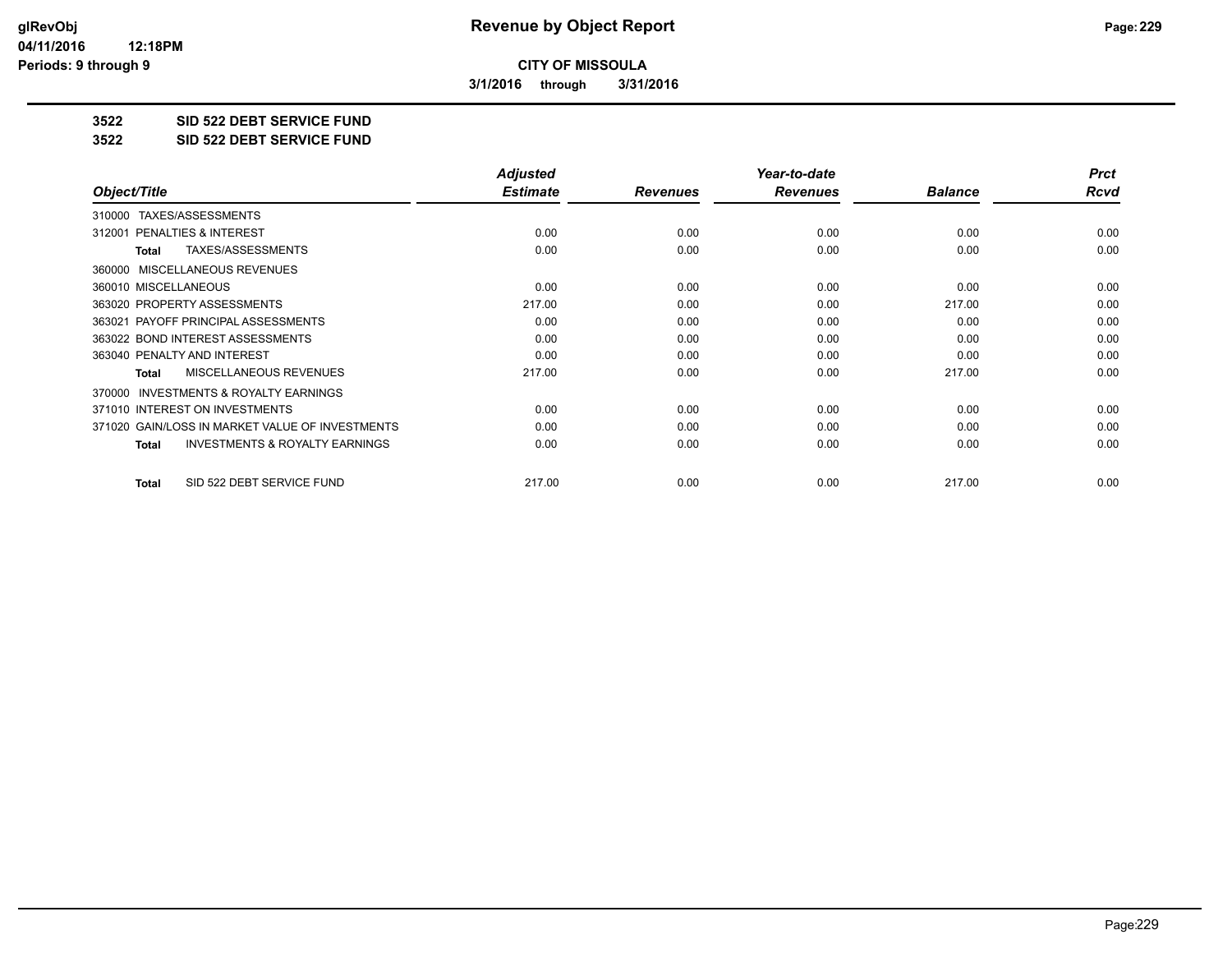**3/1/2016 through 3/31/2016**

**3522 SID 522 DEBT SERVICE FUND**

**3522 SID 522 DEBT SERVICE FUND**

|                                                    | <b>Adjusted</b> |                 | Year-to-date    |                | <b>Prct</b> |
|----------------------------------------------------|-----------------|-----------------|-----------------|----------------|-------------|
| Object/Title                                       | <b>Estimate</b> | <b>Revenues</b> | <b>Revenues</b> | <b>Balance</b> | Rcvd        |
| TAXES/ASSESSMENTS<br>310000                        |                 |                 |                 |                |             |
| PENALTIES & INTEREST<br>312001                     | 0.00            | 0.00            | 0.00            | 0.00           | 0.00        |
| TAXES/ASSESSMENTS<br>Total                         | 0.00            | 0.00            | 0.00            | 0.00           | 0.00        |
| 360000 MISCELLANEOUS REVENUES                      |                 |                 |                 |                |             |
| 360010 MISCELLANEOUS                               | 0.00            | 0.00            | 0.00            | 0.00           | 0.00        |
| 363020 PROPERTY ASSESSMENTS                        | 217.00          | 0.00            | 0.00            | 217.00         | 0.00        |
| 363021 PAYOFF PRINCIPAL ASSESSMENTS                | 0.00            | 0.00            | 0.00            | 0.00           | 0.00        |
| 363022 BOND INTEREST ASSESSMENTS                   | 0.00            | 0.00            | 0.00            | 0.00           | 0.00        |
| 363040 PENALTY AND INTEREST                        | 0.00            | 0.00            | 0.00            | 0.00           | 0.00        |
| <b>MISCELLANEOUS REVENUES</b><br>Total             | 217.00          | 0.00            | 0.00            | 217.00         | 0.00        |
| 370000 INVESTMENTS & ROYALTY EARNINGS              |                 |                 |                 |                |             |
| 371010 INTEREST ON INVESTMENTS                     | 0.00            | 0.00            | 0.00            | 0.00           | 0.00        |
| 371020 GAIN/LOSS IN MARKET VALUE OF INVESTMENTS    | 0.00            | 0.00            | 0.00            | 0.00           | 0.00        |
| <b>INVESTMENTS &amp; ROYALTY EARNINGS</b><br>Total | 0.00            | 0.00            | 0.00            | 0.00           | 0.00        |
| SID 522 DEBT SERVICE FUND<br>Total                 | 217.00          | 0.00            | 0.00            | 217.00         | 0.00        |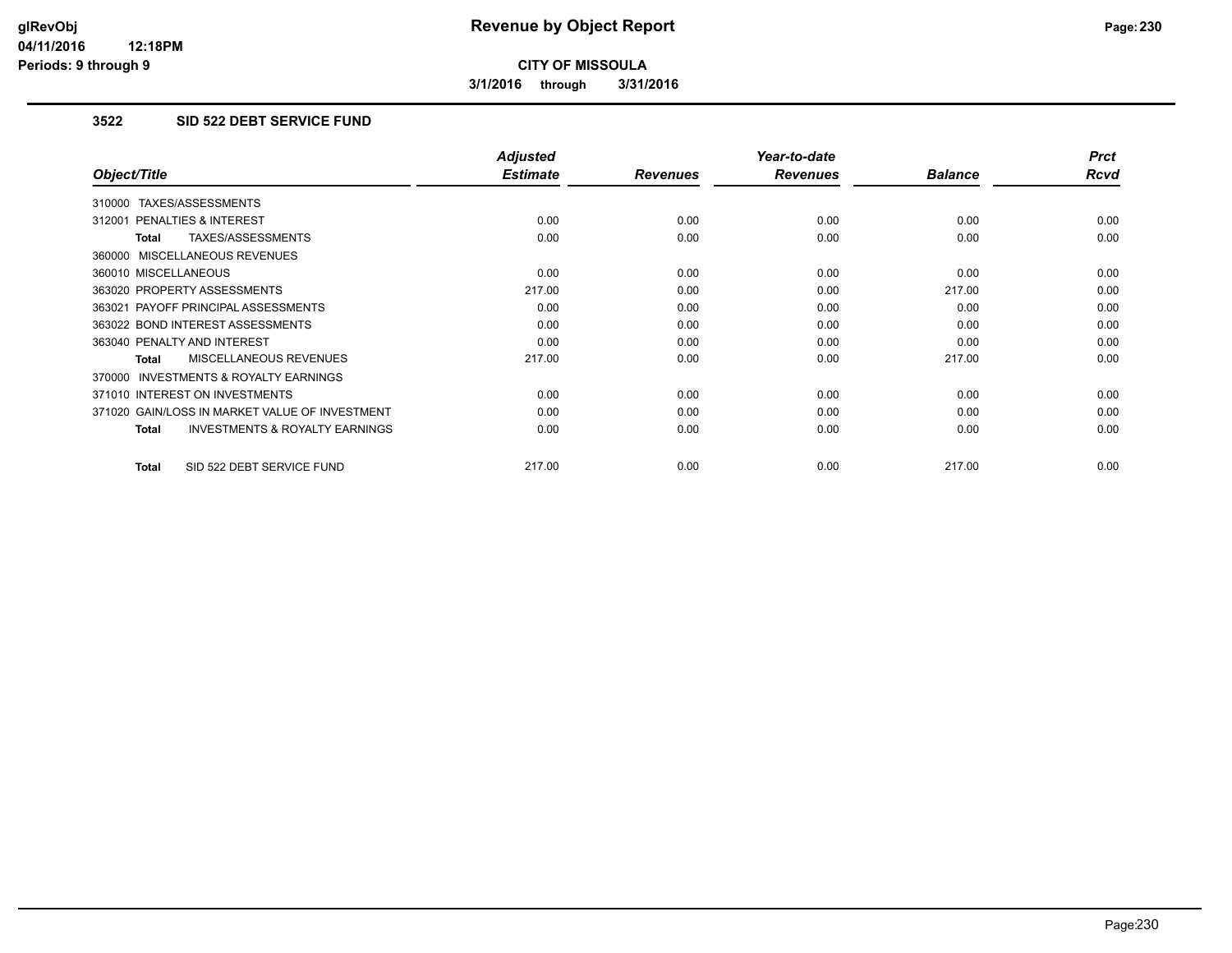**3/1/2016 through 3/31/2016**

### **3522 SID 522 DEBT SERVICE FUND**

|                                                           | <b>Adjusted</b> |                 | Year-to-date    |                | <b>Prct</b> |
|-----------------------------------------------------------|-----------------|-----------------|-----------------|----------------|-------------|
| Object/Title                                              | <b>Estimate</b> | <b>Revenues</b> | <b>Revenues</b> | <b>Balance</b> | <b>Rcvd</b> |
| 310000 TAXES/ASSESSMENTS                                  |                 |                 |                 |                |             |
| 312001 PENALTIES & INTEREST                               | 0.00            | 0.00            | 0.00            | 0.00           | 0.00        |
| TAXES/ASSESSMENTS<br><b>Total</b>                         | 0.00            | 0.00            | 0.00            | 0.00           | 0.00        |
| 360000 MISCELLANEOUS REVENUES                             |                 |                 |                 |                |             |
| 360010 MISCELLANEOUS                                      | 0.00            | 0.00            | 0.00            | 0.00           | 0.00        |
| 363020 PROPERTY ASSESSMENTS                               | 217.00          | 0.00            | 0.00            | 217.00         | 0.00        |
| 363021 PAYOFF PRINCIPAL ASSESSMENTS                       | 0.00            | 0.00            | 0.00            | 0.00           | 0.00        |
| 363022 BOND INTEREST ASSESSMENTS                          | 0.00            | 0.00            | 0.00            | 0.00           | 0.00        |
| 363040 PENALTY AND INTEREST                               | 0.00            | 0.00            | 0.00            | 0.00           | 0.00        |
| MISCELLANEOUS REVENUES<br><b>Total</b>                    | 217.00          | 0.00            | 0.00            | 217.00         | 0.00        |
| <b>INVESTMENTS &amp; ROYALTY EARNINGS</b><br>370000       |                 |                 |                 |                |             |
| 371010 INTEREST ON INVESTMENTS                            | 0.00            | 0.00            | 0.00            | 0.00           | 0.00        |
| 371020 GAIN/LOSS IN MARKET VALUE OF INVESTMENT            | 0.00            | 0.00            | 0.00            | 0.00           | 0.00        |
| <b>INVESTMENTS &amp; ROYALTY EARNINGS</b><br><b>Total</b> | 0.00            | 0.00            | 0.00            | 0.00           | 0.00        |
| SID 522 DEBT SERVICE FUND<br><b>Total</b>                 | 217.00          | 0.00            | 0.00            | 217.00         | 0.00        |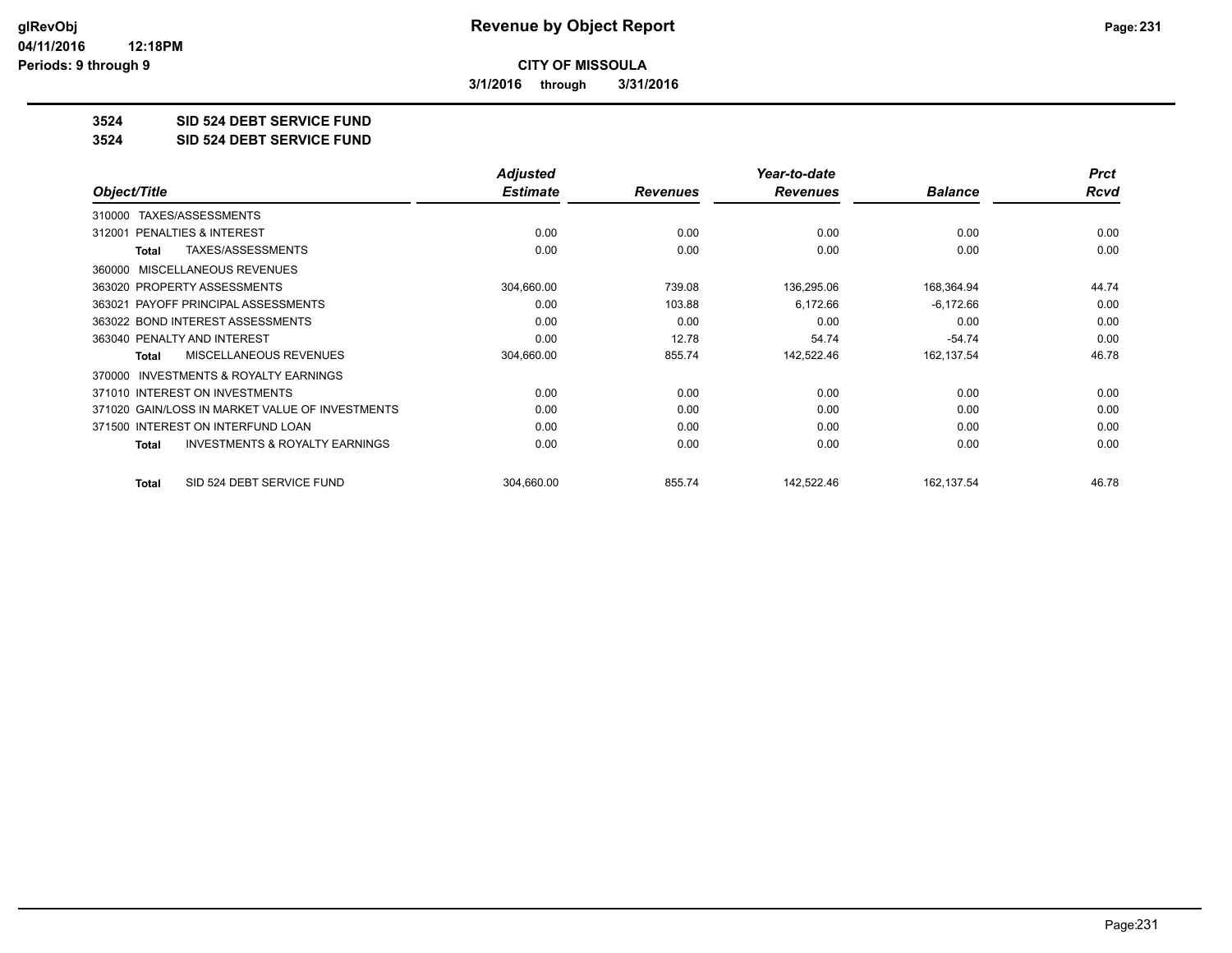**3/1/2016 through 3/31/2016**

**3524 SID 524 DEBT SERVICE FUND**

**3524 SID 524 DEBT SERVICE FUND**

|                                                     | <b>Adjusted</b> |                 | Year-to-date    |                | <b>Prct</b> |
|-----------------------------------------------------|-----------------|-----------------|-----------------|----------------|-------------|
| Object/Title                                        | <b>Estimate</b> | <b>Revenues</b> | <b>Revenues</b> | <b>Balance</b> | Rcvd        |
| TAXES/ASSESSMENTS<br>310000                         |                 |                 |                 |                |             |
| <b>PENALTIES &amp; INTEREST</b><br>312001           | 0.00            | 0.00            | 0.00            | 0.00           | 0.00        |
| TAXES/ASSESSMENTS<br>Total                          | 0.00            | 0.00            | 0.00            | 0.00           | 0.00        |
| 360000 MISCELLANEOUS REVENUES                       |                 |                 |                 |                |             |
| 363020 PROPERTY ASSESSMENTS                         | 304,660.00      | 739.08          | 136,295.06      | 168,364.94     | 44.74       |
| 363021 PAYOFF PRINCIPAL ASSESSMENTS                 | 0.00            | 103.88          | 6,172.66        | $-6,172.66$    | 0.00        |
| 363022 BOND INTEREST ASSESSMENTS                    | 0.00            | 0.00            | 0.00            | 0.00           | 0.00        |
| 363040 PENALTY AND INTEREST                         | 0.00            | 12.78           | 54.74           | $-54.74$       | 0.00        |
| <b>MISCELLANEOUS REVENUES</b><br>Total              | 304,660.00      | 855.74          | 142,522.46      | 162,137.54     | 46.78       |
| <b>INVESTMENTS &amp; ROYALTY EARNINGS</b><br>370000 |                 |                 |                 |                |             |
| 371010 INTEREST ON INVESTMENTS                      | 0.00            | 0.00            | 0.00            | 0.00           | 0.00        |
| 371020 GAIN/LOSS IN MARKET VALUE OF INVESTMENTS     | 0.00            | 0.00            | 0.00            | 0.00           | 0.00        |
| 371500 INTEREST ON INTERFUND LOAN                   | 0.00            | 0.00            | 0.00            | 0.00           | 0.00        |
| <b>INVESTMENTS &amp; ROYALTY EARNINGS</b><br>Total  | 0.00            | 0.00            | 0.00            | 0.00           | 0.00        |
| SID 524 DEBT SERVICE FUND<br><b>Total</b>           | 304,660.00      | 855.74          | 142,522.46      | 162,137.54     | 46.78       |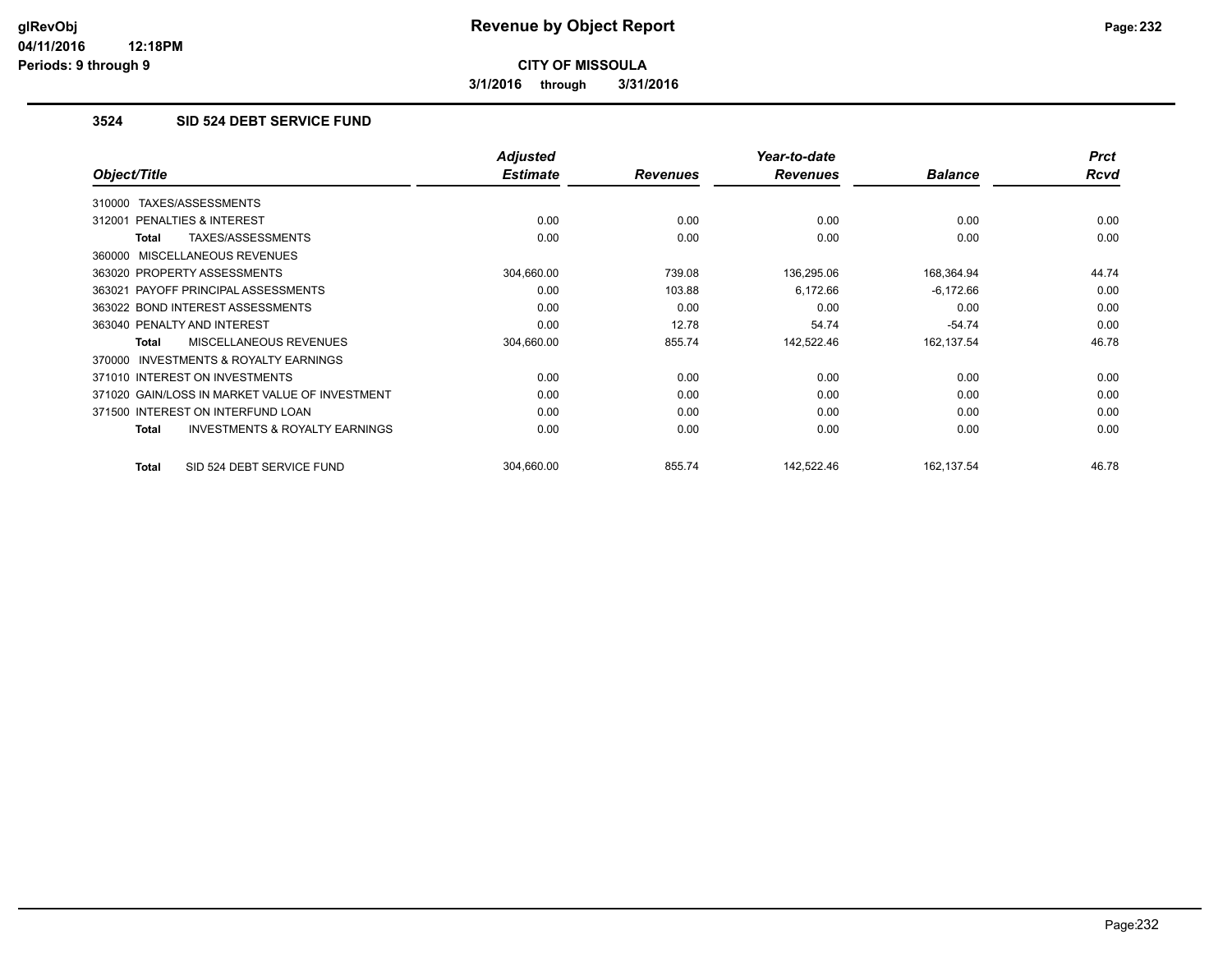**3/1/2016 through 3/31/2016**

## **3524 SID 524 DEBT SERVICE FUND**

|                                                     | <b>Adjusted</b> |                 | Year-to-date    |                | <b>Prct</b> |
|-----------------------------------------------------|-----------------|-----------------|-----------------|----------------|-------------|
| Object/Title                                        | <b>Estimate</b> | <b>Revenues</b> | <b>Revenues</b> | <b>Balance</b> | <b>Rcvd</b> |
| TAXES/ASSESSMENTS<br>310000                         |                 |                 |                 |                |             |
| 312001 PENALTIES & INTEREST                         | 0.00            | 0.00            | 0.00            | 0.00           | 0.00        |
| TAXES/ASSESSMENTS<br>Total                          | 0.00            | 0.00            | 0.00            | 0.00           | 0.00        |
| 360000 MISCELLANEOUS REVENUES                       |                 |                 |                 |                |             |
| 363020 PROPERTY ASSESSMENTS                         | 304,660.00      | 739.08          | 136,295.06      | 168,364.94     | 44.74       |
| 363021 PAYOFF PRINCIPAL ASSESSMENTS                 | 0.00            | 103.88          | 6,172.66        | $-6,172.66$    | 0.00        |
| 363022 BOND INTEREST ASSESSMENTS                    | 0.00            | 0.00            | 0.00            | 0.00           | 0.00        |
| 363040 PENALTY AND INTEREST                         | 0.00            | 12.78           | 54.74           | $-54.74$       | 0.00        |
| MISCELLANEOUS REVENUES<br><b>Total</b>              | 304,660.00      | 855.74          | 142,522.46      | 162,137.54     | 46.78       |
| <b>INVESTMENTS &amp; ROYALTY EARNINGS</b><br>370000 |                 |                 |                 |                |             |
| 371010 INTEREST ON INVESTMENTS                      | 0.00            | 0.00            | 0.00            | 0.00           | 0.00        |
| 371020 GAIN/LOSS IN MARKET VALUE OF INVESTMENT      | 0.00            | 0.00            | 0.00            | 0.00           | 0.00        |
| 371500 INTEREST ON INTERFUND LOAN                   | 0.00            | 0.00            | 0.00            | 0.00           | 0.00        |
| <b>INVESTMENTS &amp; ROYALTY EARNINGS</b><br>Total  | 0.00            | 0.00            | 0.00            | 0.00           | 0.00        |
| SID 524 DEBT SERVICE FUND<br>Total                  | 304,660.00      | 855.74          | 142,522.46      | 162,137.54     | 46.78       |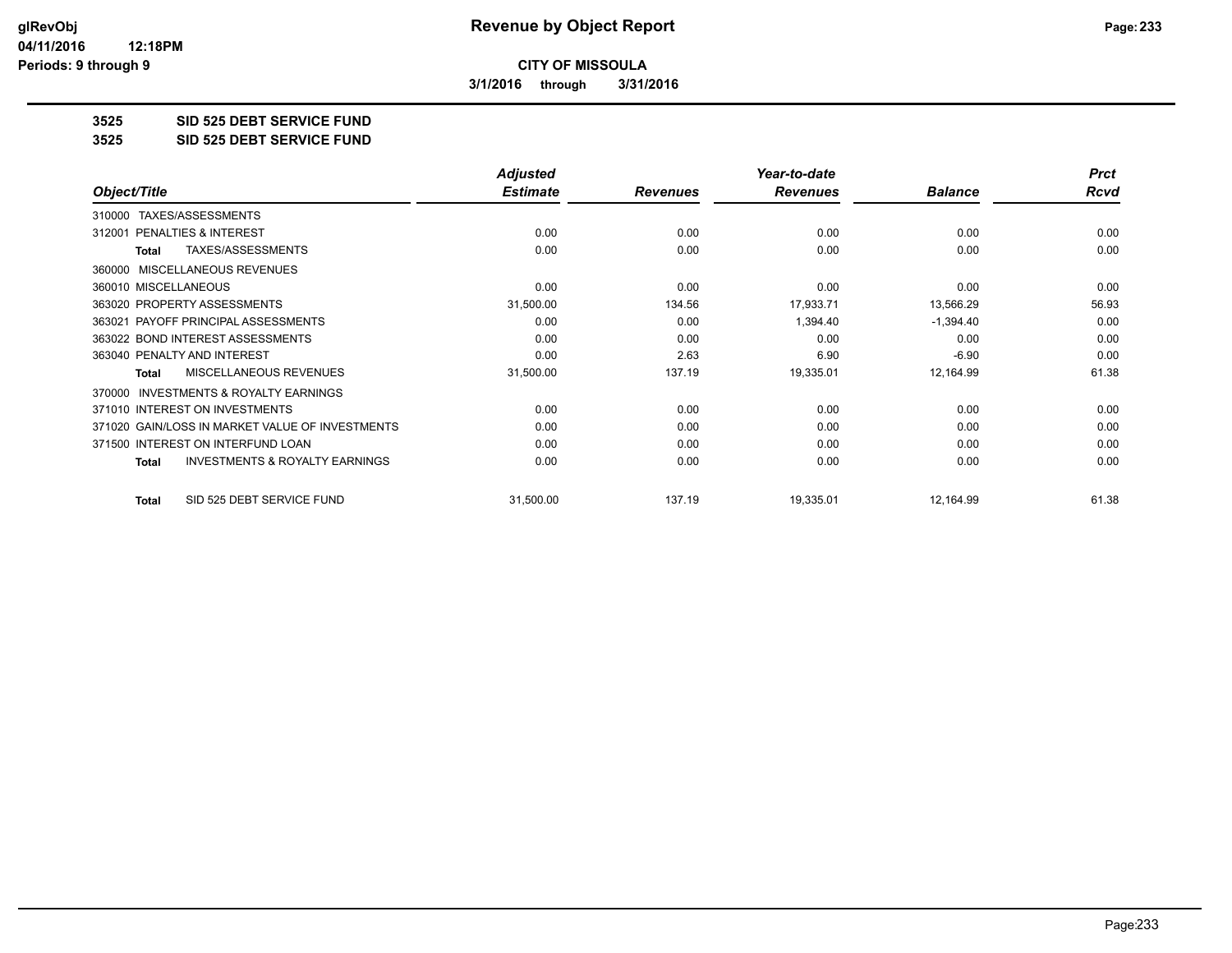**3/1/2016 through 3/31/2016**

**3525 SID 525 DEBT SERVICE FUND**

**3525 SID 525 DEBT SERVICE FUND**

|                                                           | <b>Adjusted</b> |                 | Year-to-date    |                | <b>Prct</b> |
|-----------------------------------------------------------|-----------------|-----------------|-----------------|----------------|-------------|
| Object/Title                                              | <b>Estimate</b> | <b>Revenues</b> | <b>Revenues</b> | <b>Balance</b> | Rcvd        |
| TAXES/ASSESSMENTS<br>310000                               |                 |                 |                 |                |             |
| 312001 PENALTIES & INTEREST                               | 0.00            | 0.00            | 0.00            | 0.00           | 0.00        |
| TAXES/ASSESSMENTS<br>Total                                | 0.00            | 0.00            | 0.00            | 0.00           | 0.00        |
| <b>MISCELLANEOUS REVENUES</b><br>360000                   |                 |                 |                 |                |             |
| 360010 MISCELLANEOUS                                      | 0.00            | 0.00            | 0.00            | 0.00           | 0.00        |
| 363020 PROPERTY ASSESSMENTS                               | 31,500.00       | 134.56          | 17,933.71       | 13,566.29      | 56.93       |
| 363021 PAYOFF PRINCIPAL ASSESSMENTS                       | 0.00            | 0.00            | 1,394.40        | $-1,394.40$    | 0.00        |
| 363022 BOND INTEREST ASSESSMENTS                          | 0.00            | 0.00            | 0.00            | 0.00           | 0.00        |
| 363040 PENALTY AND INTEREST                               | 0.00            | 2.63            | 6.90            | $-6.90$        | 0.00        |
| <b>MISCELLANEOUS REVENUES</b><br>Total                    | 31,500.00       | 137.19          | 19,335.01       | 12,164.99      | 61.38       |
| INVESTMENTS & ROYALTY EARNINGS<br>370000                  |                 |                 |                 |                |             |
| 371010 INTEREST ON INVESTMENTS                            | 0.00            | 0.00            | 0.00            | 0.00           | 0.00        |
| 371020 GAIN/LOSS IN MARKET VALUE OF INVESTMENTS           | 0.00            | 0.00            | 0.00            | 0.00           | 0.00        |
| 371500 INTEREST ON INTERFUND LOAN                         | 0.00            | 0.00            | 0.00            | 0.00           | 0.00        |
| <b>INVESTMENTS &amp; ROYALTY EARNINGS</b><br><b>Total</b> | 0.00            | 0.00            | 0.00            | 0.00           | 0.00        |
| SID 525 DEBT SERVICE FUND<br>Total                        | 31,500.00       | 137.19          | 19,335.01       | 12,164.99      | 61.38       |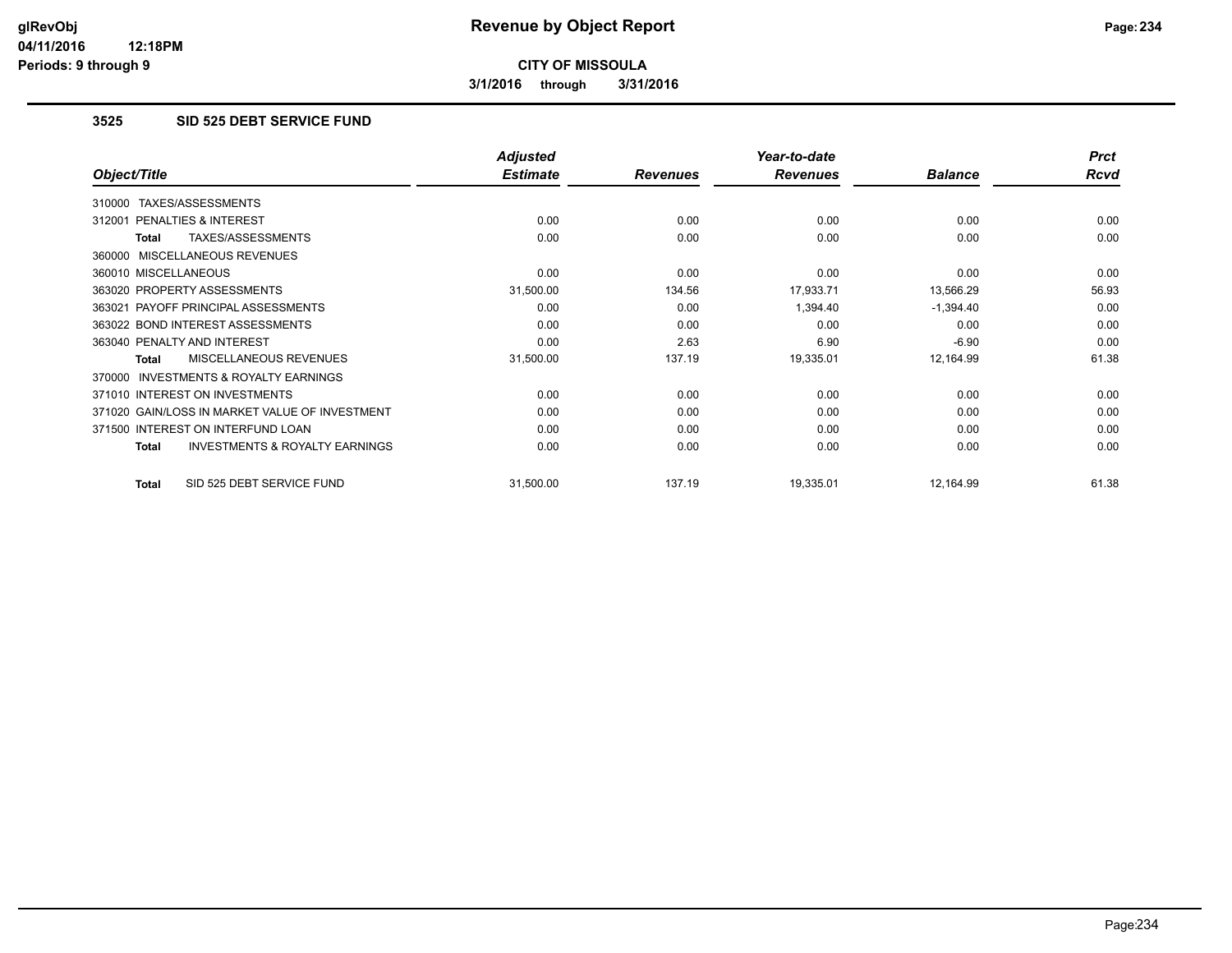**3/1/2016 through 3/31/2016**

#### **3525 SID 525 DEBT SERVICE FUND**

|                                                           | <b>Adjusted</b> |                 | Year-to-date    |                | <b>Prct</b> |
|-----------------------------------------------------------|-----------------|-----------------|-----------------|----------------|-------------|
| Object/Title                                              | <b>Estimate</b> | <b>Revenues</b> | <b>Revenues</b> | <b>Balance</b> | Rcvd        |
| TAXES/ASSESSMENTS<br>310000                               |                 |                 |                 |                |             |
| 312001 PENALTIES & INTEREST                               | 0.00            | 0.00            | 0.00            | 0.00           | 0.00        |
| TAXES/ASSESSMENTS<br>Total                                | 0.00            | 0.00            | 0.00            | 0.00           | 0.00        |
| 360000 MISCELLANEOUS REVENUES                             |                 |                 |                 |                |             |
| 360010 MISCELLANEOUS                                      | 0.00            | 0.00            | 0.00            | 0.00           | 0.00        |
| 363020 PROPERTY ASSESSMENTS                               | 31,500.00       | 134.56          | 17,933.71       | 13,566.29      | 56.93       |
| 363021 PAYOFF PRINCIPAL ASSESSMENTS                       | 0.00            | 0.00            | 1,394.40        | $-1,394.40$    | 0.00        |
| 363022 BOND INTEREST ASSESSMENTS                          | 0.00            | 0.00            | 0.00            | 0.00           | 0.00        |
| 363040 PENALTY AND INTEREST                               | 0.00            | 2.63            | 6.90            | $-6.90$        | 0.00        |
| <b>MISCELLANEOUS REVENUES</b><br>Total                    | 31,500.00       | 137.19          | 19,335.01       | 12,164.99      | 61.38       |
| 370000 INVESTMENTS & ROYALTY EARNINGS                     |                 |                 |                 |                |             |
| 371010 INTEREST ON INVESTMENTS                            | 0.00            | 0.00            | 0.00            | 0.00           | 0.00        |
| 371020 GAIN/LOSS IN MARKET VALUE OF INVESTMENT            | 0.00            | 0.00            | 0.00            | 0.00           | 0.00        |
| 371500 INTEREST ON INTERFUND LOAN                         | 0.00            | 0.00            | 0.00            | 0.00           | 0.00        |
| <b>INVESTMENTS &amp; ROYALTY EARNINGS</b><br><b>Total</b> | 0.00            | 0.00            | 0.00            | 0.00           | 0.00        |
| SID 525 DEBT SERVICE FUND<br>Total                        | 31,500.00       | 137.19          | 19,335.01       | 12,164.99      | 61.38       |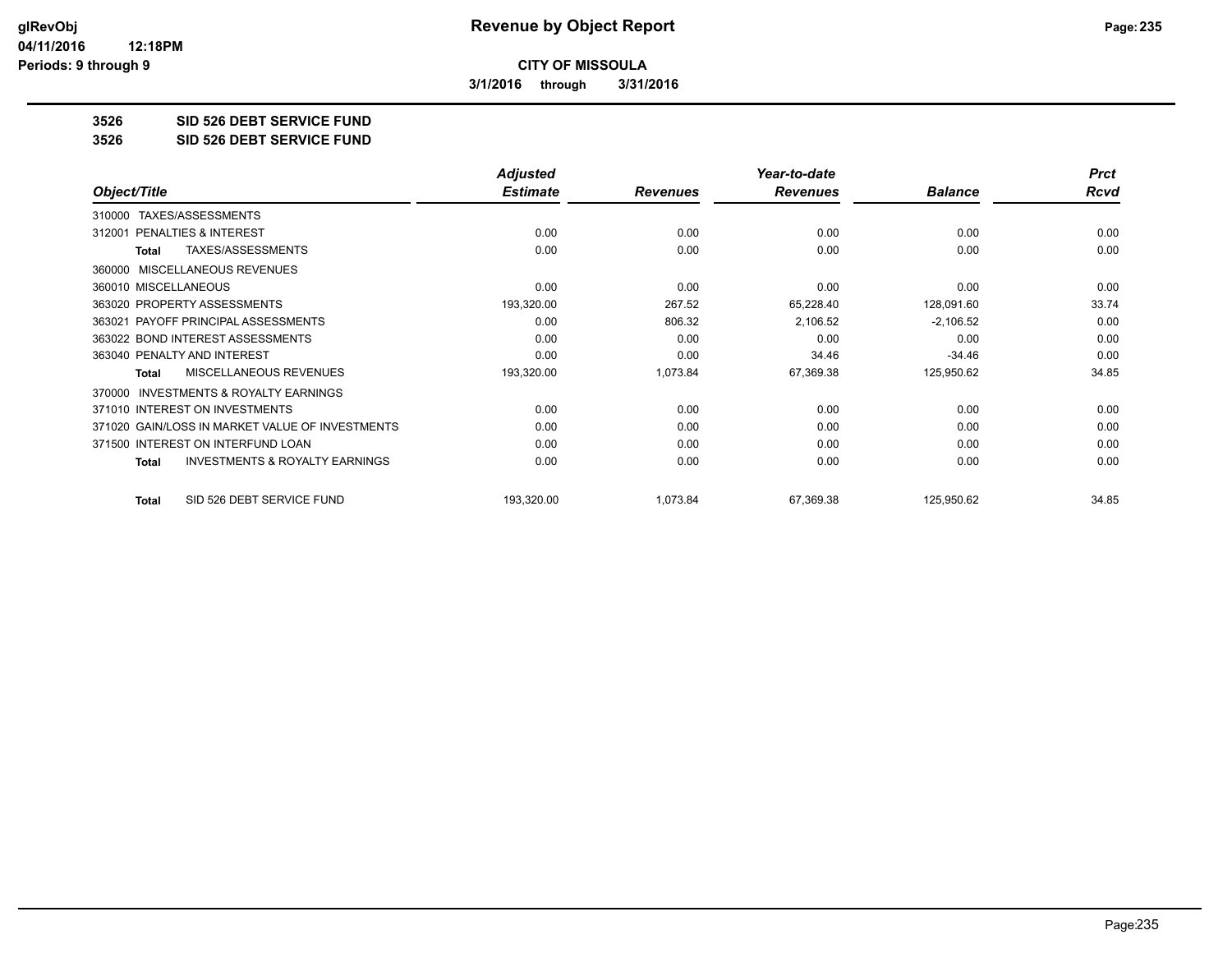**3/1/2016 through 3/31/2016**

**3526 SID 526 DEBT SERVICE FUND**

**3526 SID 526 DEBT SERVICE FUND**

|                                                           | <b>Adjusted</b> |                 | Year-to-date    |                | <b>Prct</b> |
|-----------------------------------------------------------|-----------------|-----------------|-----------------|----------------|-------------|
| Object/Title                                              | <b>Estimate</b> | <b>Revenues</b> | <b>Revenues</b> | <b>Balance</b> | <b>Rcvd</b> |
| TAXES/ASSESSMENTS<br>310000                               |                 |                 |                 |                |             |
| PENALTIES & INTEREST<br>312001                            | 0.00            | 0.00            | 0.00            | 0.00           | 0.00        |
| TAXES/ASSESSMENTS<br><b>Total</b>                         | 0.00            | 0.00            | 0.00            | 0.00           | 0.00        |
| MISCELLANEOUS REVENUES<br>360000                          |                 |                 |                 |                |             |
| 360010 MISCELLANEOUS                                      | 0.00            | 0.00            | 0.00            | 0.00           | 0.00        |
| 363020 PROPERTY ASSESSMENTS                               | 193,320.00      | 267.52          | 65,228.40       | 128,091.60     | 33.74       |
| 363021 PAYOFF PRINCIPAL ASSESSMENTS                       | 0.00            | 806.32          | 2,106.52        | $-2,106.52$    | 0.00        |
| 363022 BOND INTEREST ASSESSMENTS                          | 0.00            | 0.00            | 0.00            | 0.00           | 0.00        |
| 363040 PENALTY AND INTEREST                               | 0.00            | 0.00            | 34.46           | $-34.46$       | 0.00        |
| <b>MISCELLANEOUS REVENUES</b><br><b>Total</b>             | 193,320.00      | 1,073.84        | 67,369.38       | 125,950.62     | 34.85       |
| <b>INVESTMENTS &amp; ROYALTY EARNINGS</b><br>370000       |                 |                 |                 |                |             |
| 371010 INTEREST ON INVESTMENTS                            | 0.00            | 0.00            | 0.00            | 0.00           | 0.00        |
| 371020 GAIN/LOSS IN MARKET VALUE OF INVESTMENTS           | 0.00            | 0.00            | 0.00            | 0.00           | 0.00        |
| 371500 INTEREST ON INTERFUND LOAN                         | 0.00            | 0.00            | 0.00            | 0.00           | 0.00        |
| <b>INVESTMENTS &amp; ROYALTY EARNINGS</b><br><b>Total</b> | 0.00            | 0.00            | 0.00            | 0.00           | 0.00        |
| SID 526 DEBT SERVICE FUND<br><b>Total</b>                 | 193,320.00      | 1,073.84        | 67,369.38       | 125,950.62     | 34.85       |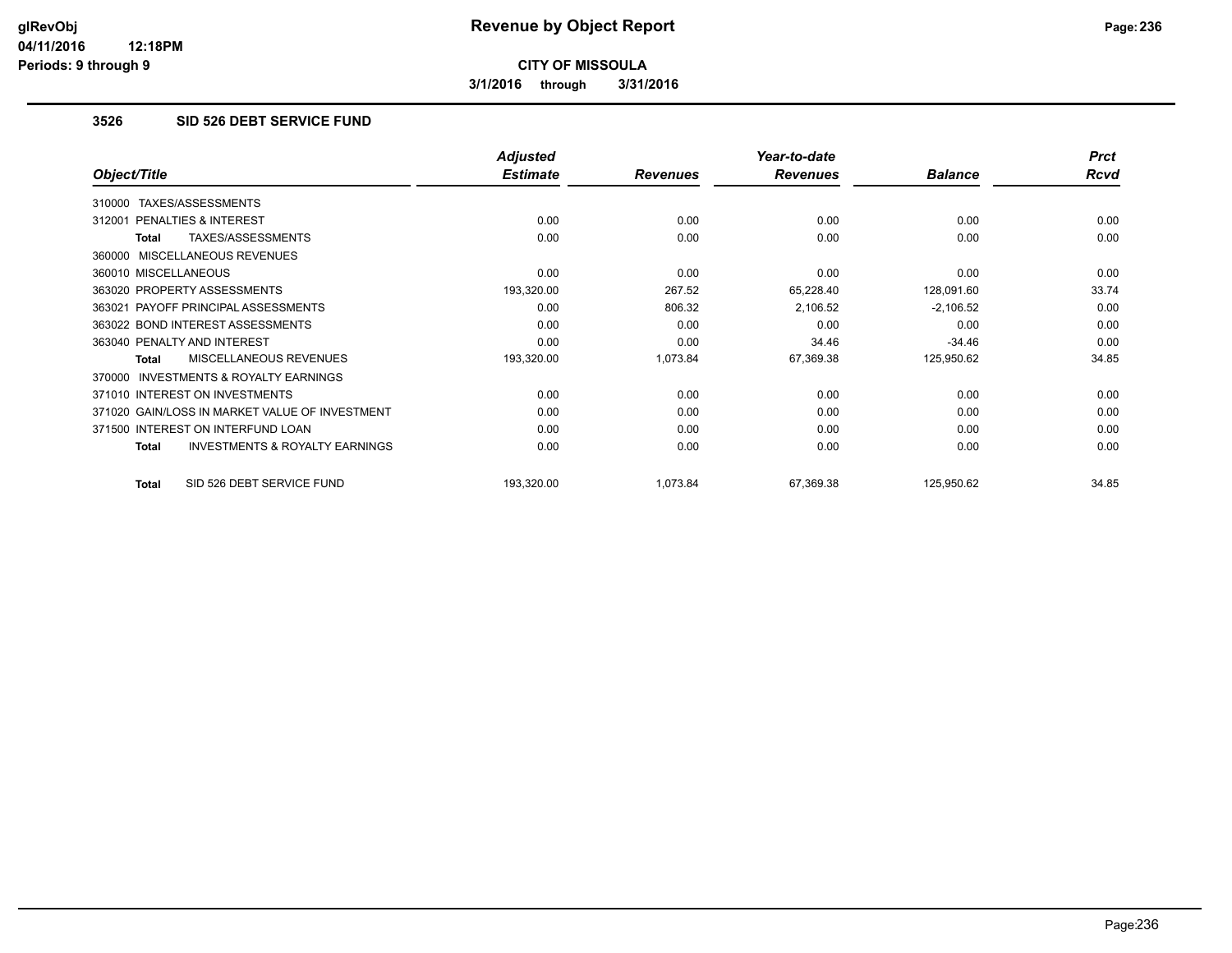**3/1/2016 through 3/31/2016**

### **3526 SID 526 DEBT SERVICE FUND**

|                                                    | <b>Adjusted</b> |                 | Year-to-date    |                | <b>Prct</b> |
|----------------------------------------------------|-----------------|-----------------|-----------------|----------------|-------------|
| Object/Title                                       | <b>Estimate</b> | <b>Revenues</b> | <b>Revenues</b> | <b>Balance</b> | <b>Rcvd</b> |
| TAXES/ASSESSMENTS<br>310000                        |                 |                 |                 |                |             |
| 312001 PENALTIES & INTEREST                        | 0.00            | 0.00            | 0.00            | 0.00           | 0.00        |
| TAXES/ASSESSMENTS<br>Total                         | 0.00            | 0.00            | 0.00            | 0.00           | 0.00        |
| 360000 MISCELLANEOUS REVENUES                      |                 |                 |                 |                |             |
| 360010 MISCELLANEOUS                               | 0.00            | 0.00            | 0.00            | 0.00           | 0.00        |
| 363020 PROPERTY ASSESSMENTS                        | 193,320.00      | 267.52          | 65,228.40       | 128,091.60     | 33.74       |
| 363021 PAYOFF PRINCIPAL ASSESSMENTS                | 0.00            | 806.32          | 2,106.52        | $-2,106.52$    | 0.00        |
| 363022 BOND INTEREST ASSESSMENTS                   | 0.00            | 0.00            | 0.00            | 0.00           | 0.00        |
| 363040 PENALTY AND INTEREST                        | 0.00            | 0.00            | 34.46           | $-34.46$       | 0.00        |
| <b>MISCELLANEOUS REVENUES</b><br>Total             | 193,320.00      | 1,073.84        | 67,369.38       | 125,950.62     | 34.85       |
| 370000 INVESTMENTS & ROYALTY EARNINGS              |                 |                 |                 |                |             |
| 371010 INTEREST ON INVESTMENTS                     | 0.00            | 0.00            | 0.00            | 0.00           | 0.00        |
| 371020 GAIN/LOSS IN MARKET VALUE OF INVESTMENT     | 0.00            | 0.00            | 0.00            | 0.00           | 0.00        |
| 371500 INTEREST ON INTERFUND LOAN                  | 0.00            | 0.00            | 0.00            | 0.00           | 0.00        |
| <b>INVESTMENTS &amp; ROYALTY EARNINGS</b><br>Total | 0.00            | 0.00            | 0.00            | 0.00           | 0.00        |
| SID 526 DEBT SERVICE FUND<br>Total                 | 193,320.00      | 1,073.84        | 67,369.38       | 125,950.62     | 34.85       |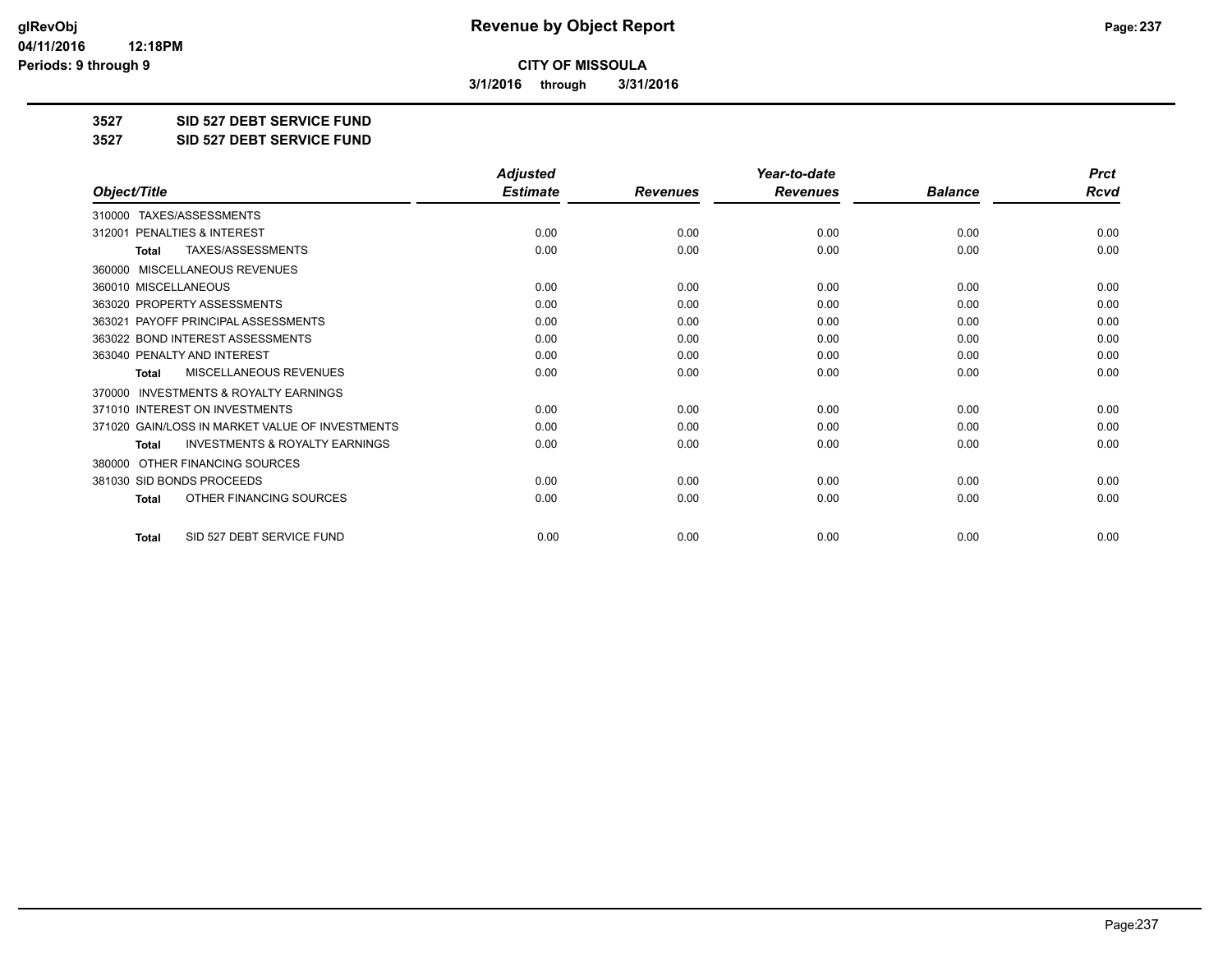**3/1/2016 through 3/31/2016**

**3527 SID 527 DEBT SERVICE FUND**

**3527 SID 527 DEBT SERVICE FUND**

|                                                           | <b>Adjusted</b> |                 | Year-to-date    |                | <b>Prct</b> |
|-----------------------------------------------------------|-----------------|-----------------|-----------------|----------------|-------------|
| Object/Title                                              | <b>Estimate</b> | <b>Revenues</b> | <b>Revenues</b> | <b>Balance</b> | <b>Rcvd</b> |
| TAXES/ASSESSMENTS<br>310000                               |                 |                 |                 |                |             |
| 312001 PENALTIES & INTEREST                               | 0.00            | 0.00            | 0.00            | 0.00           | 0.00        |
| TAXES/ASSESSMENTS<br><b>Total</b>                         | 0.00            | 0.00            | 0.00            | 0.00           | 0.00        |
| MISCELLANEOUS REVENUES<br>360000                          |                 |                 |                 |                |             |
| 360010 MISCELLANEOUS                                      | 0.00            | 0.00            | 0.00            | 0.00           | 0.00        |
| 363020 PROPERTY ASSESSMENTS                               | 0.00            | 0.00            | 0.00            | 0.00           | 0.00        |
| 363021 PAYOFF PRINCIPAL ASSESSMENTS                       | 0.00            | 0.00            | 0.00            | 0.00           | 0.00        |
| 363022 BOND INTEREST ASSESSMENTS                          | 0.00            | 0.00            | 0.00            | 0.00           | 0.00        |
| 363040 PENALTY AND INTEREST                               | 0.00            | 0.00            | 0.00            | 0.00           | 0.00        |
| <b>MISCELLANEOUS REVENUES</b><br><b>Total</b>             | 0.00            | 0.00            | 0.00            | 0.00           | 0.00        |
| <b>INVESTMENTS &amp; ROYALTY EARNINGS</b><br>370000       |                 |                 |                 |                |             |
| 371010 INTEREST ON INVESTMENTS                            | 0.00            | 0.00            | 0.00            | 0.00           | 0.00        |
| 371020 GAIN/LOSS IN MARKET VALUE OF INVESTMENTS           | 0.00            | 0.00            | 0.00            | 0.00           | 0.00        |
| <b>INVESTMENTS &amp; ROYALTY EARNINGS</b><br><b>Total</b> | 0.00            | 0.00            | 0.00            | 0.00           | 0.00        |
| OTHER FINANCING SOURCES<br>380000                         |                 |                 |                 |                |             |
| 381030 SID BONDS PROCEEDS                                 | 0.00            | 0.00            | 0.00            | 0.00           | 0.00        |
| OTHER FINANCING SOURCES<br>Total                          | 0.00            | 0.00            | 0.00            | 0.00           | 0.00        |
| SID 527 DEBT SERVICE FUND<br><b>Total</b>                 | 0.00            | 0.00            | 0.00            | 0.00           | 0.00        |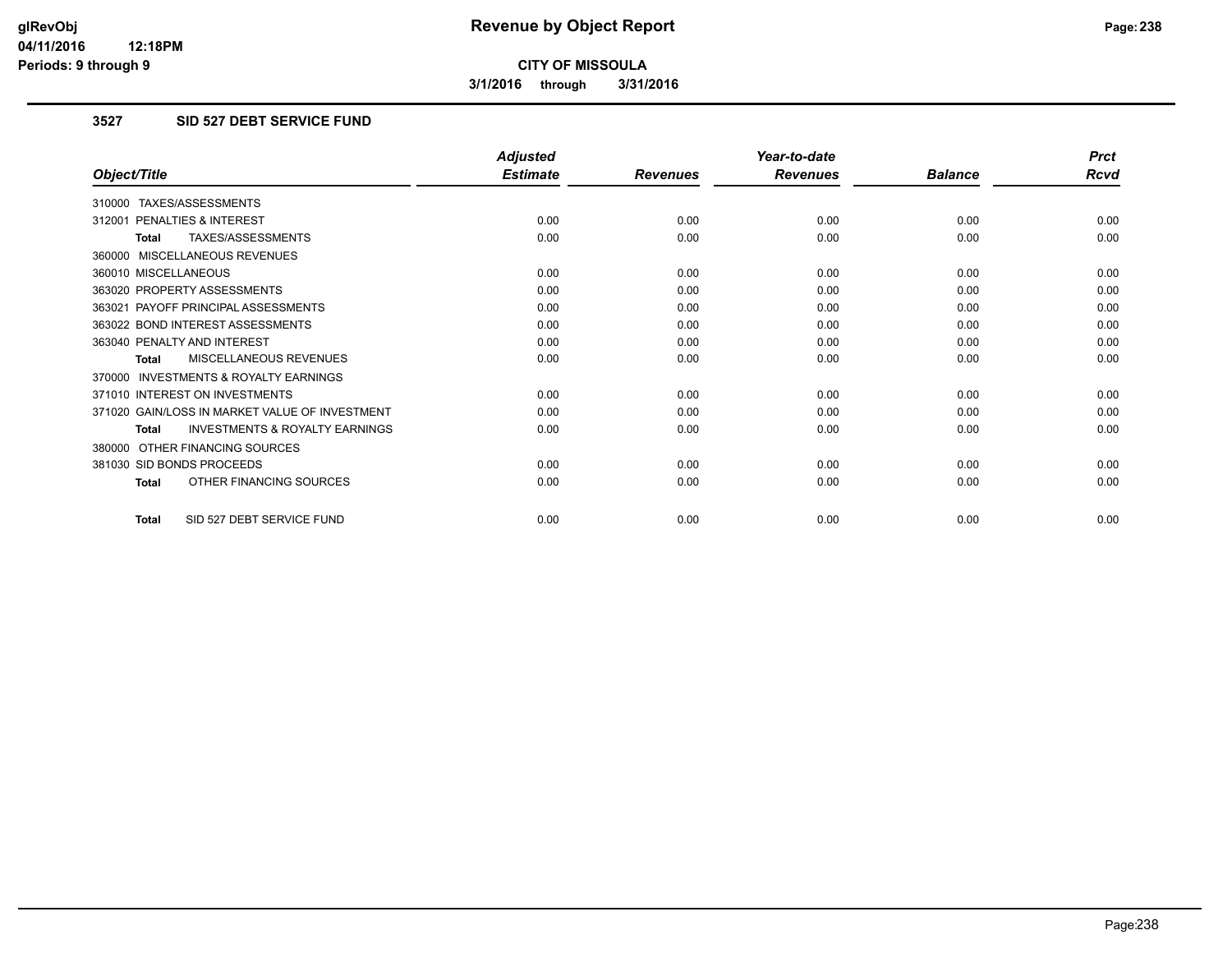**3/1/2016 through 3/31/2016**

## **3527 SID 527 DEBT SERVICE FUND**

|                                                           | <b>Adjusted</b> |                 | Year-to-date    |                | <b>Prct</b> |
|-----------------------------------------------------------|-----------------|-----------------|-----------------|----------------|-------------|
| Object/Title                                              | <b>Estimate</b> | <b>Revenues</b> | <b>Revenues</b> | <b>Balance</b> | <b>Rcvd</b> |
| 310000 TAXES/ASSESSMENTS                                  |                 |                 |                 |                |             |
| 312001 PENALTIES & INTEREST                               | 0.00            | 0.00            | 0.00            | 0.00           | 0.00        |
| TAXES/ASSESSMENTS<br><b>Total</b>                         | 0.00            | 0.00            | 0.00            | 0.00           | 0.00        |
| 360000 MISCELLANEOUS REVENUES                             |                 |                 |                 |                |             |
| 360010 MISCELLANEOUS                                      | 0.00            | 0.00            | 0.00            | 0.00           | 0.00        |
| 363020 PROPERTY ASSESSMENTS                               | 0.00            | 0.00            | 0.00            | 0.00           | 0.00        |
| 363021 PAYOFF PRINCIPAL ASSESSMENTS                       | 0.00            | 0.00            | 0.00            | 0.00           | 0.00        |
| 363022 BOND INTEREST ASSESSMENTS                          | 0.00            | 0.00            | 0.00            | 0.00           | 0.00        |
| 363040 PENALTY AND INTEREST                               | 0.00            | 0.00            | 0.00            | 0.00           | 0.00        |
| MISCELLANEOUS REVENUES<br><b>Total</b>                    | 0.00            | 0.00            | 0.00            | 0.00           | 0.00        |
| <b>INVESTMENTS &amp; ROYALTY EARNINGS</b><br>370000       |                 |                 |                 |                |             |
| 371010 INTEREST ON INVESTMENTS                            | 0.00            | 0.00            | 0.00            | 0.00           | 0.00        |
| 371020 GAIN/LOSS IN MARKET VALUE OF INVESTMENT            | 0.00            | 0.00            | 0.00            | 0.00           | 0.00        |
| <b>INVESTMENTS &amp; ROYALTY EARNINGS</b><br><b>Total</b> | 0.00            | 0.00            | 0.00            | 0.00           | 0.00        |
| OTHER FINANCING SOURCES<br>380000                         |                 |                 |                 |                |             |
| 381030 SID BONDS PROCEEDS                                 | 0.00            | 0.00            | 0.00            | 0.00           | 0.00        |
| OTHER FINANCING SOURCES<br>Total                          | 0.00            | 0.00            | 0.00            | 0.00           | 0.00        |
| SID 527 DEBT SERVICE FUND<br><b>Total</b>                 | 0.00            | 0.00            | 0.00            | 0.00           | 0.00        |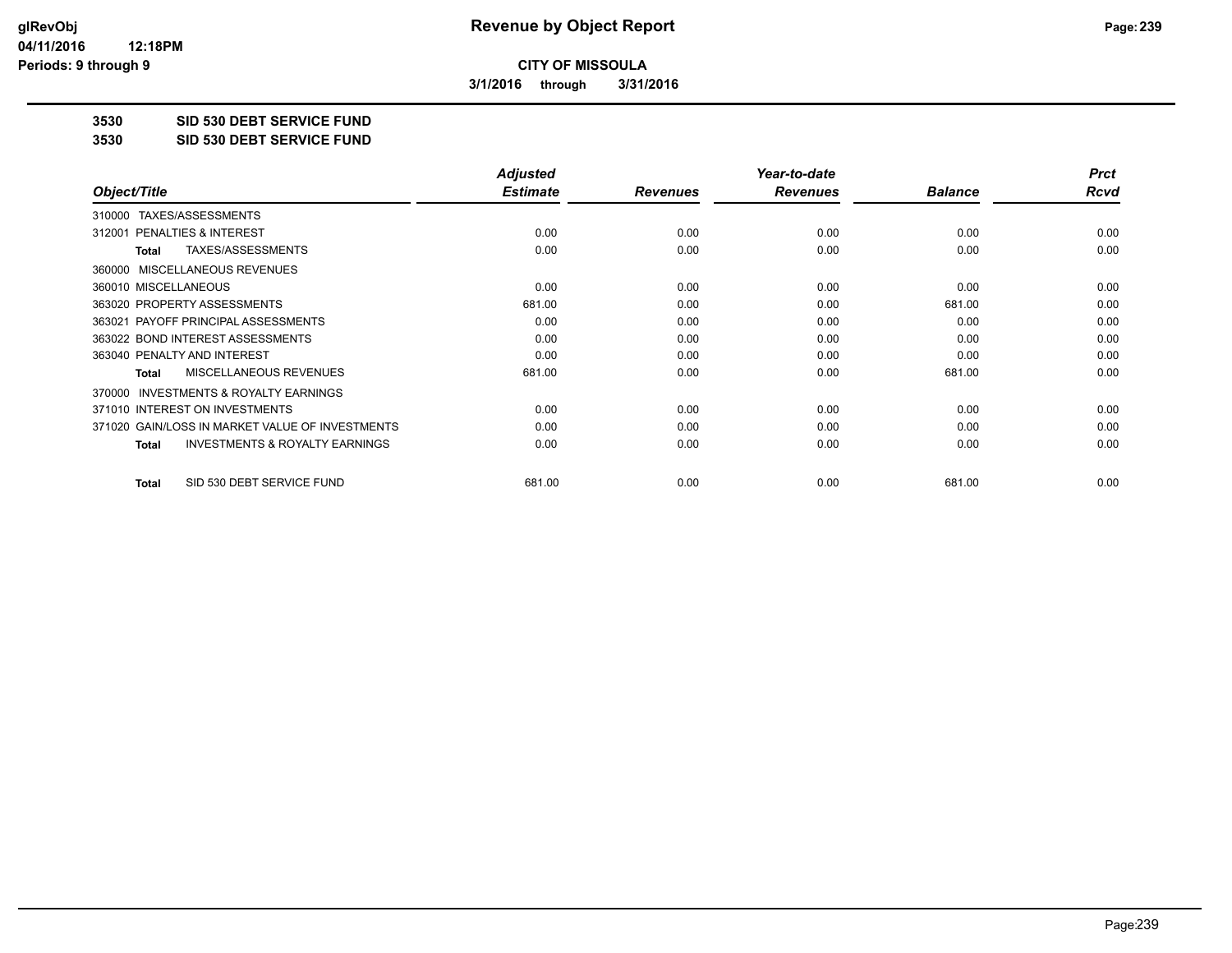**3/1/2016 through 3/31/2016**

**3530 SID 530 DEBT SERVICE FUND**

**3530 SID 530 DEBT SERVICE FUND**

|                                                           | <b>Adjusted</b> |                 | Year-to-date    |                | <b>Prct</b> |
|-----------------------------------------------------------|-----------------|-----------------|-----------------|----------------|-------------|
| Object/Title                                              | <b>Estimate</b> | <b>Revenues</b> | <b>Revenues</b> | <b>Balance</b> | Rcvd        |
| TAXES/ASSESSMENTS<br>310000                               |                 |                 |                 |                |             |
| 312001 PENALTIES & INTEREST                               | 0.00            | 0.00            | 0.00            | 0.00           | 0.00        |
| TAXES/ASSESSMENTS<br><b>Total</b>                         | 0.00            | 0.00            | 0.00            | 0.00           | 0.00        |
| 360000 MISCELLANEOUS REVENUES                             |                 |                 |                 |                |             |
| 360010 MISCELLANEOUS                                      | 0.00            | 0.00            | 0.00            | 0.00           | 0.00        |
| 363020 PROPERTY ASSESSMENTS                               | 681.00          | 0.00            | 0.00            | 681.00         | 0.00        |
| 363021 PAYOFF PRINCIPAL ASSESSMENTS                       | 0.00            | 0.00            | 0.00            | 0.00           | 0.00        |
| 363022 BOND INTEREST ASSESSMENTS                          | 0.00            | 0.00            | 0.00            | 0.00           | 0.00        |
| 363040 PENALTY AND INTEREST                               | 0.00            | 0.00            | 0.00            | 0.00           | 0.00        |
| <b>MISCELLANEOUS REVENUES</b><br><b>Total</b>             | 681.00          | 0.00            | 0.00            | 681.00         | 0.00        |
| 370000 INVESTMENTS & ROYALTY EARNINGS                     |                 |                 |                 |                |             |
| 371010 INTEREST ON INVESTMENTS                            | 0.00            | 0.00            | 0.00            | 0.00           | 0.00        |
| 371020 GAIN/LOSS IN MARKET VALUE OF INVESTMENTS           | 0.00            | 0.00            | 0.00            | 0.00           | 0.00        |
| <b>INVESTMENTS &amp; ROYALTY EARNINGS</b><br><b>Total</b> | 0.00            | 0.00            | 0.00            | 0.00           | 0.00        |
| SID 530 DEBT SERVICE FUND<br><b>Total</b>                 | 681.00          | 0.00            | 0.00            | 681.00         | 0.00        |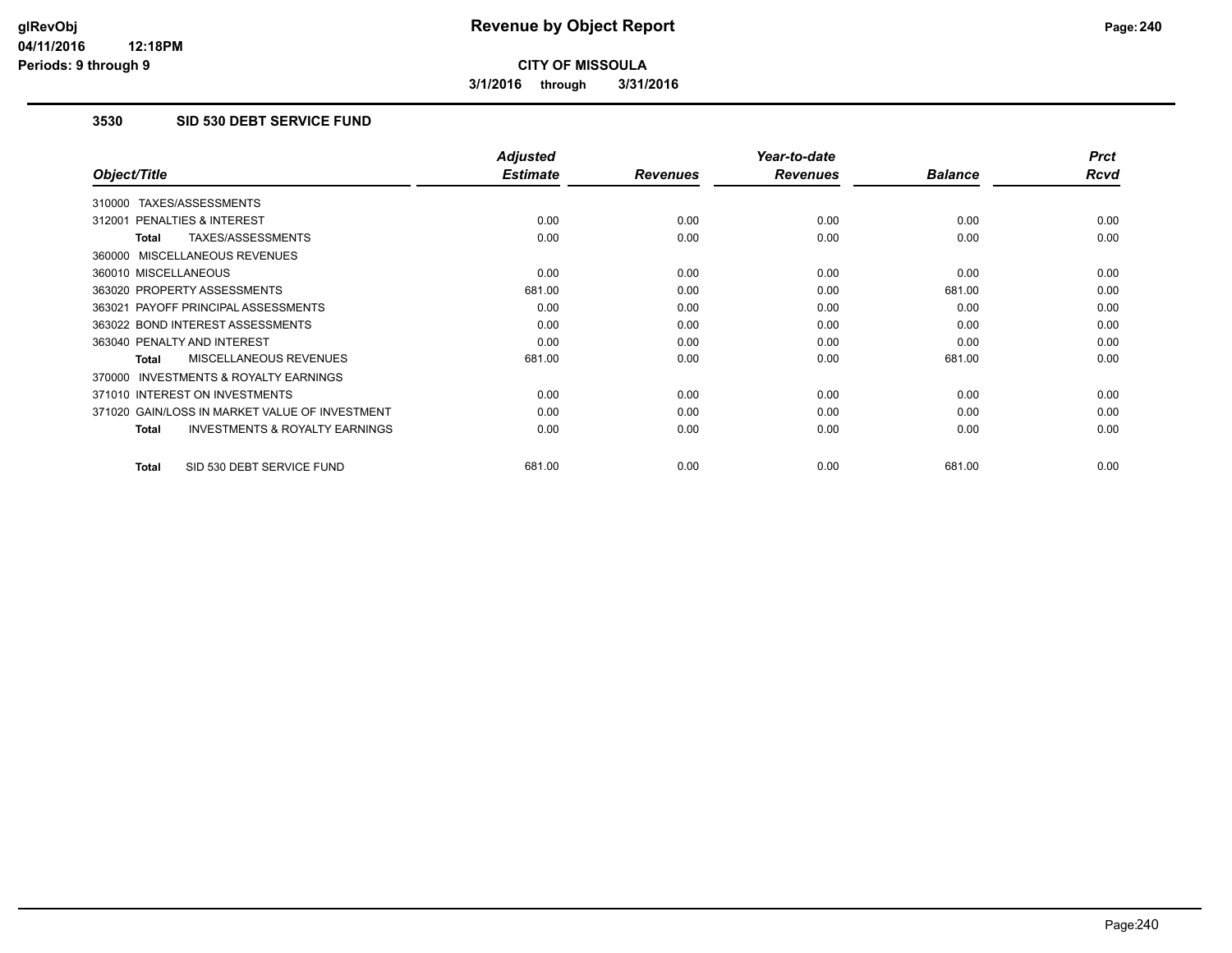**3/1/2016 through 3/31/2016**

### **3530 SID 530 DEBT SERVICE FUND**

|                                                           | <b>Adjusted</b> |                 | Year-to-date    |                | <b>Prct</b> |
|-----------------------------------------------------------|-----------------|-----------------|-----------------|----------------|-------------|
| Object/Title                                              | <b>Estimate</b> | <b>Revenues</b> | <b>Revenues</b> | <b>Balance</b> | <b>Rcvd</b> |
| 310000 TAXES/ASSESSMENTS                                  |                 |                 |                 |                |             |
| 312001 PENALTIES & INTEREST                               | 0.00            | 0.00            | 0.00            | 0.00           | 0.00        |
| <b>TAXES/ASSESSMENTS</b><br><b>Total</b>                  | 0.00            | 0.00            | 0.00            | 0.00           | 0.00        |
| 360000 MISCELLANEOUS REVENUES                             |                 |                 |                 |                |             |
| 360010 MISCELLANEOUS                                      | 0.00            | 0.00            | 0.00            | 0.00           | 0.00        |
| 363020 PROPERTY ASSESSMENTS                               | 681.00          | 0.00            | 0.00            | 681.00         | 0.00        |
| 363021 PAYOFF PRINCIPAL ASSESSMENTS                       | 0.00            | 0.00            | 0.00            | 0.00           | 0.00        |
| 363022 BOND INTEREST ASSESSMENTS                          | 0.00            | 0.00            | 0.00            | 0.00           | 0.00        |
| 363040 PENALTY AND INTEREST                               | 0.00            | 0.00            | 0.00            | 0.00           | 0.00        |
| MISCELLANEOUS REVENUES<br><b>Total</b>                    | 681.00          | 0.00            | 0.00            | 681.00         | 0.00        |
| <b>INVESTMENTS &amp; ROYALTY EARNINGS</b><br>370000       |                 |                 |                 |                |             |
| 371010 INTEREST ON INVESTMENTS                            | 0.00            | 0.00            | 0.00            | 0.00           | 0.00        |
| 371020 GAIN/LOSS IN MARKET VALUE OF INVESTMENT            | 0.00            | 0.00            | 0.00            | 0.00           | 0.00        |
| <b>INVESTMENTS &amp; ROYALTY EARNINGS</b><br><b>Total</b> | 0.00            | 0.00            | 0.00            | 0.00           | 0.00        |
| SID 530 DEBT SERVICE FUND<br><b>Total</b>                 | 681.00          | 0.00            | 0.00            | 681.00         | 0.00        |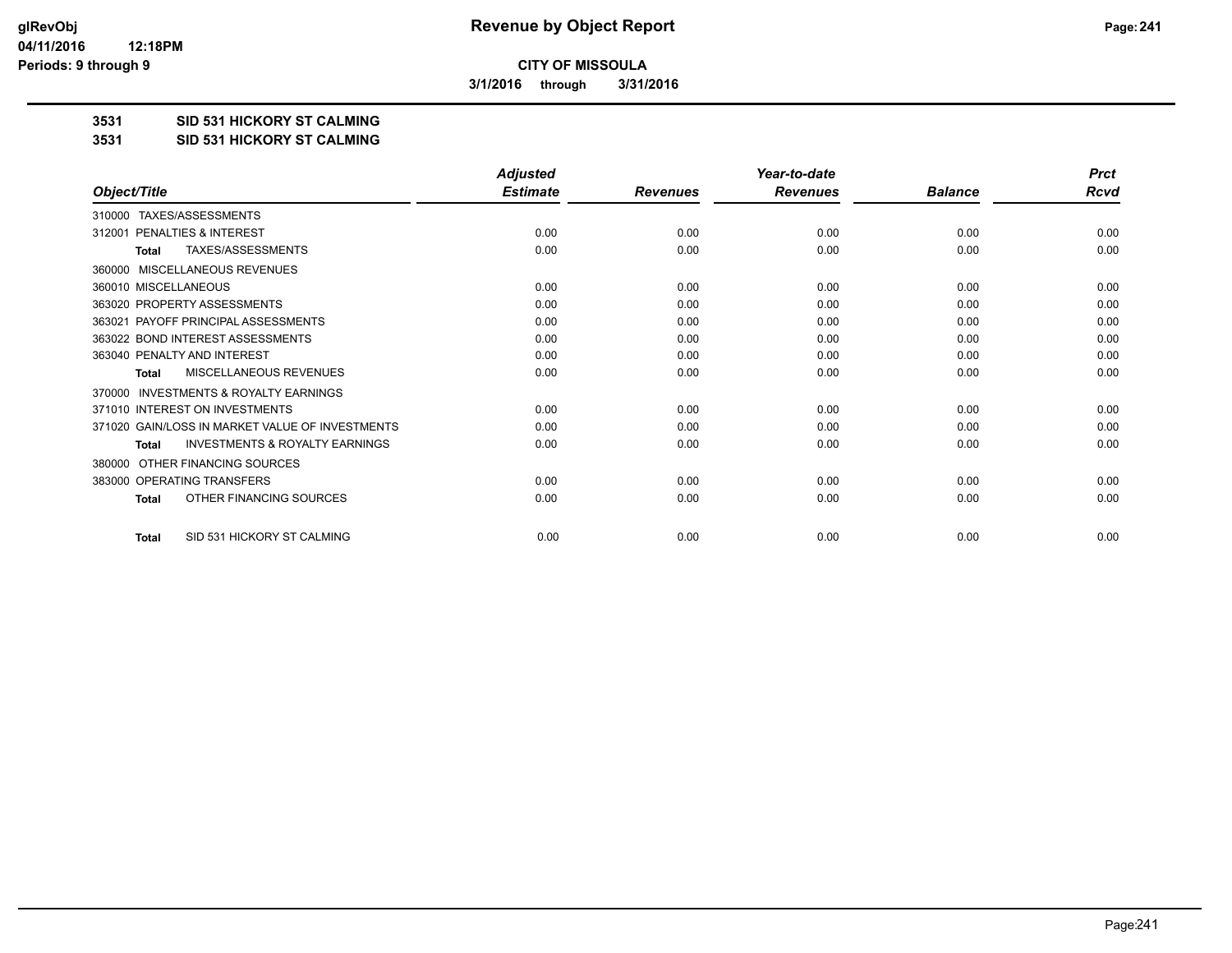**3/1/2016 through 3/31/2016**

#### **3531 SID 531 HICKORY ST CALMING**

#### **3531 SID 531 HICKORY ST CALMING**

|                                                     | <b>Adjusted</b> |                 | Year-to-date    |                | <b>Prct</b> |
|-----------------------------------------------------|-----------------|-----------------|-----------------|----------------|-------------|
| Object/Title                                        | <b>Estimate</b> | <b>Revenues</b> | <b>Revenues</b> | <b>Balance</b> | Rcvd        |
| TAXES/ASSESSMENTS<br>310000                         |                 |                 |                 |                |             |
| PENALTIES & INTEREST<br>312001                      | 0.00            | 0.00            | 0.00            | 0.00           | 0.00        |
| TAXES/ASSESSMENTS<br><b>Total</b>                   | 0.00            | 0.00            | 0.00            | 0.00           | 0.00        |
| MISCELLANEOUS REVENUES<br>360000                    |                 |                 |                 |                |             |
| 360010 MISCELLANEOUS                                | 0.00            | 0.00            | 0.00            | 0.00           | 0.00        |
| 363020 PROPERTY ASSESSMENTS                         | 0.00            | 0.00            | 0.00            | 0.00           | 0.00        |
| PAYOFF PRINCIPAL ASSESSMENTS<br>363021              | 0.00            | 0.00            | 0.00            | 0.00           | 0.00        |
| 363022 BOND INTEREST ASSESSMENTS                    | 0.00            | 0.00            | 0.00            | 0.00           | 0.00        |
| 363040 PENALTY AND INTEREST                         | 0.00            | 0.00            | 0.00            | 0.00           | 0.00        |
| MISCELLANEOUS REVENUES<br>Total                     | 0.00            | 0.00            | 0.00            | 0.00           | 0.00        |
| <b>INVESTMENTS &amp; ROYALTY EARNINGS</b><br>370000 |                 |                 |                 |                |             |
| 371010 INTEREST ON INVESTMENTS                      | 0.00            | 0.00            | 0.00            | 0.00           | 0.00        |
| 371020 GAIN/LOSS IN MARKET VALUE OF INVESTMENTS     | 0.00            | 0.00            | 0.00            | 0.00           | 0.00        |
| <b>INVESTMENTS &amp; ROYALTY EARNINGS</b><br>Total  | 0.00            | 0.00            | 0.00            | 0.00           | 0.00        |
| OTHER FINANCING SOURCES<br>380000                   |                 |                 |                 |                |             |
| 383000 OPERATING TRANSFERS                          | 0.00            | 0.00            | 0.00            | 0.00           | 0.00        |
| OTHER FINANCING SOURCES<br><b>Total</b>             | 0.00            | 0.00            | 0.00            | 0.00           | 0.00        |
| SID 531 HICKORY ST CALMING<br><b>Total</b>          | 0.00            | 0.00            | 0.00            | 0.00           | 0.00        |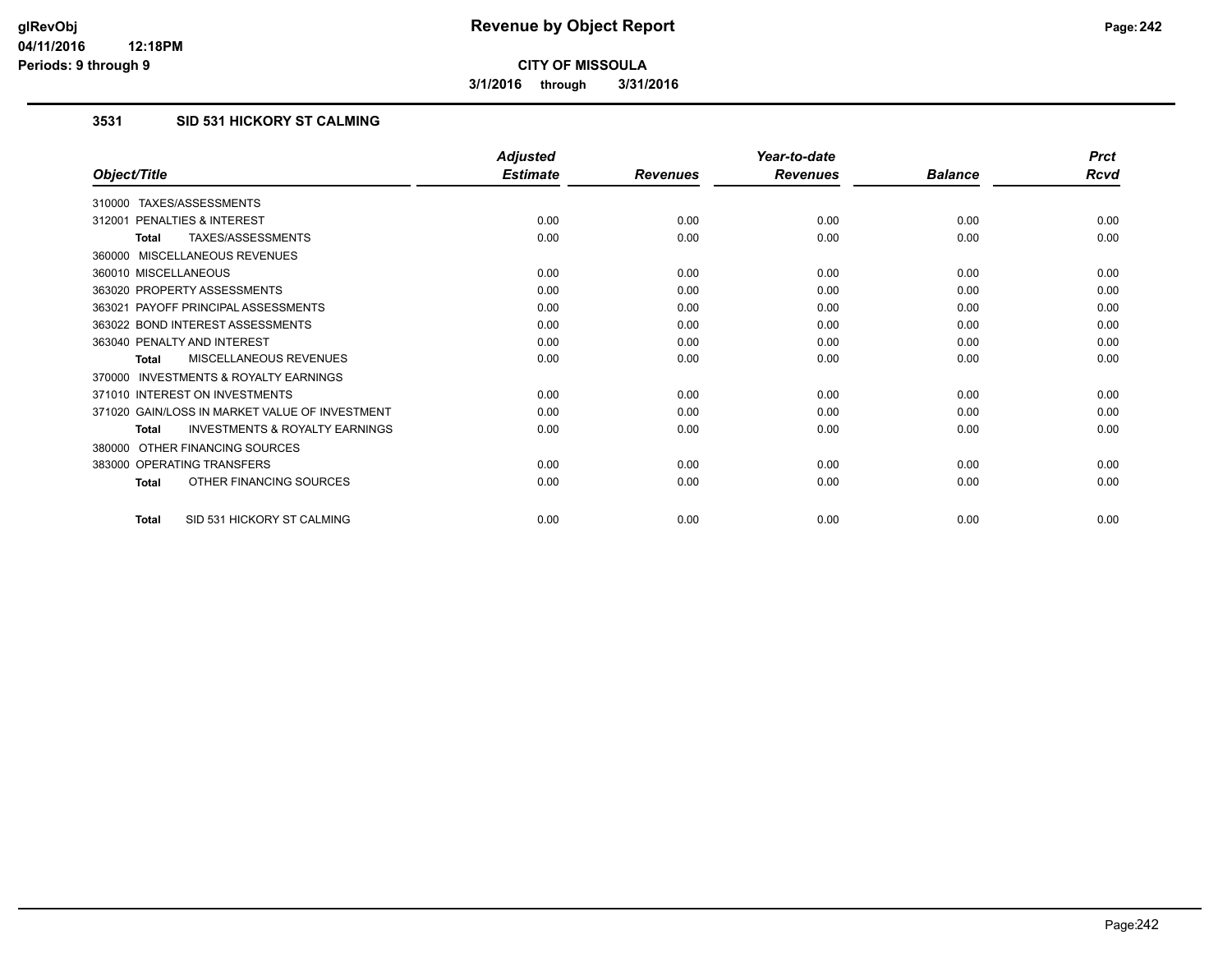**3/1/2016 through 3/31/2016**

## **3531 SID 531 HICKORY ST CALMING**

|                                                           | <b>Adjusted</b> |                 | Year-to-date    |                | <b>Prct</b> |
|-----------------------------------------------------------|-----------------|-----------------|-----------------|----------------|-------------|
| Object/Title                                              | <b>Estimate</b> | <b>Revenues</b> | <b>Revenues</b> | <b>Balance</b> | <b>Rcvd</b> |
| 310000 TAXES/ASSESSMENTS                                  |                 |                 |                 |                |             |
| 312001 PENALTIES & INTEREST                               | 0.00            | 0.00            | 0.00            | 0.00           | 0.00        |
| <b>TAXES/ASSESSMENTS</b><br><b>Total</b>                  | 0.00            | 0.00            | 0.00            | 0.00           | 0.00        |
| 360000 MISCELLANEOUS REVENUES                             |                 |                 |                 |                |             |
| 360010 MISCELLANEOUS                                      | 0.00            | 0.00            | 0.00            | 0.00           | 0.00        |
| 363020 PROPERTY ASSESSMENTS                               | 0.00            | 0.00            | 0.00            | 0.00           | 0.00        |
| 363021 PAYOFF PRINCIPAL ASSESSMENTS                       | 0.00            | 0.00            | 0.00            | 0.00           | 0.00        |
| 363022 BOND INTEREST ASSESSMENTS                          | 0.00            | 0.00            | 0.00            | 0.00           | 0.00        |
| 363040 PENALTY AND INTEREST                               | 0.00            | 0.00            | 0.00            | 0.00           | 0.00        |
| <b>MISCELLANEOUS REVENUES</b><br><b>Total</b>             | 0.00            | 0.00            | 0.00            | 0.00           | 0.00        |
| 370000 INVESTMENTS & ROYALTY EARNINGS                     |                 |                 |                 |                |             |
| 371010 INTEREST ON INVESTMENTS                            | 0.00            | 0.00            | 0.00            | 0.00           | 0.00        |
| 371020 GAIN/LOSS IN MARKET VALUE OF INVESTMENT            | 0.00            | 0.00            | 0.00            | 0.00           | 0.00        |
| <b>INVESTMENTS &amp; ROYALTY EARNINGS</b><br><b>Total</b> | 0.00            | 0.00            | 0.00            | 0.00           | 0.00        |
| OTHER FINANCING SOURCES<br>380000                         |                 |                 |                 |                |             |
| 383000 OPERATING TRANSFERS                                | 0.00            | 0.00            | 0.00            | 0.00           | 0.00        |
| OTHER FINANCING SOURCES<br><b>Total</b>                   | 0.00            | 0.00            | 0.00            | 0.00           | 0.00        |
| SID 531 HICKORY ST CALMING<br><b>Total</b>                | 0.00            | 0.00            | 0.00            | 0.00           | 0.00        |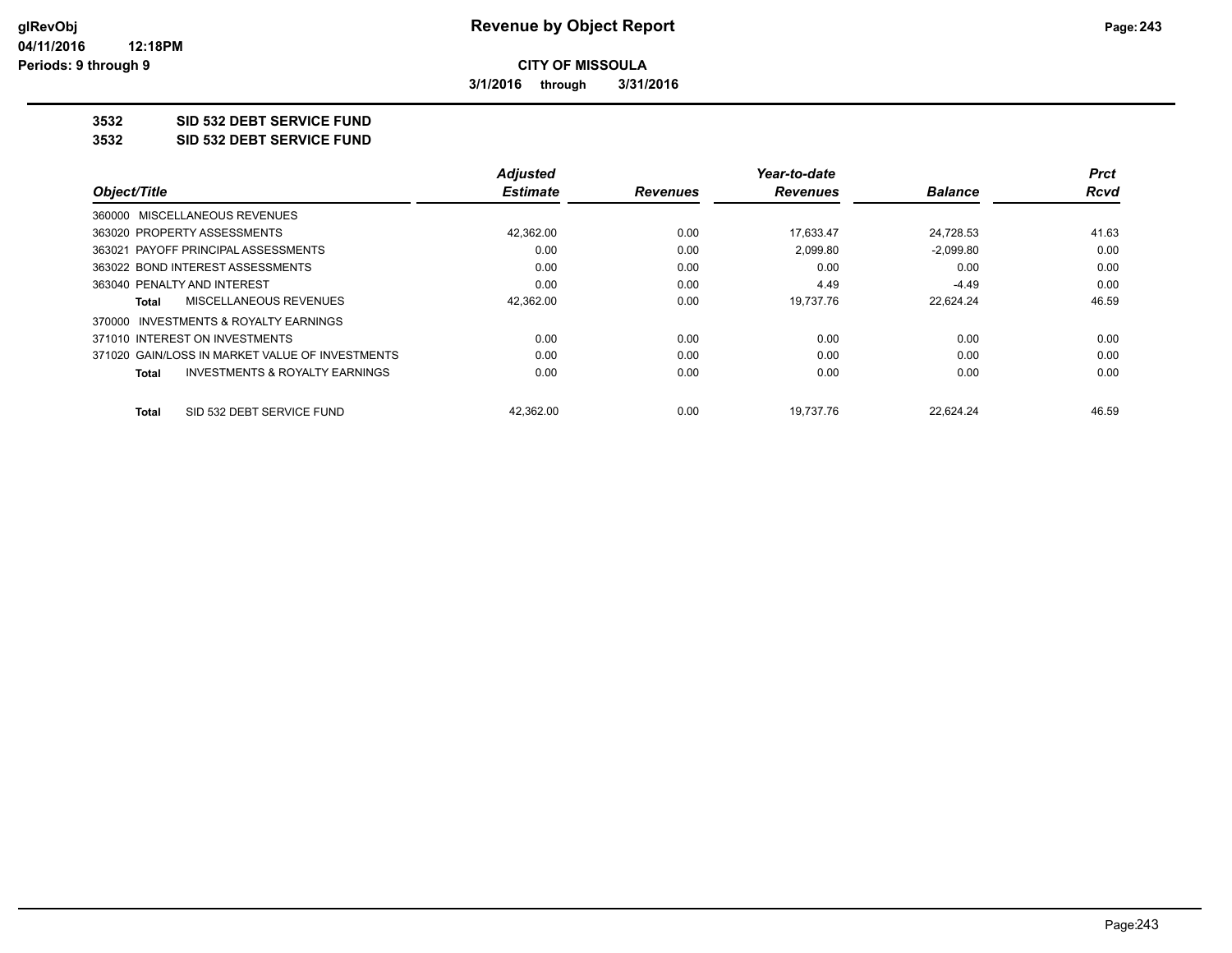**3/1/2016 through 3/31/2016**

## **3532 SID 532 DEBT SERVICE FUND**

**3532 SID 532 DEBT SERVICE FUND**

|                                                 | <b>Adjusted</b> |                 | Year-to-date    |                | <b>Prct</b> |
|-------------------------------------------------|-----------------|-----------------|-----------------|----------------|-------------|
| Object/Title                                    | <b>Estimate</b> | <b>Revenues</b> | <b>Revenues</b> | <b>Balance</b> | Rcvd        |
| 360000 MISCELLANEOUS REVENUES                   |                 |                 |                 |                |             |
| 363020 PROPERTY ASSESSMENTS                     | 42,362.00       | 0.00            | 17,633.47       | 24,728.53      | 41.63       |
| 363021 PAYOFF PRINCIPAL ASSESSMENTS             | 0.00            | 0.00            | 2.099.80        | $-2.099.80$    | 0.00        |
| 363022 BOND INTEREST ASSESSMENTS                | 0.00            | 0.00            | 0.00            | 0.00           | 0.00        |
| 363040 PENALTY AND INTEREST                     | 0.00            | 0.00            | 4.49            | $-4.49$        | 0.00        |
| MISCELLANEOUS REVENUES<br>Total                 | 42,362.00       | 0.00            | 19,737.76       | 22,624.24      | 46.59       |
| 370000 INVESTMENTS & ROYALTY EARNINGS           |                 |                 |                 |                |             |
| 371010 INTEREST ON INVESTMENTS                  | 0.00            | 0.00            | 0.00            | 0.00           | 0.00        |
| 371020 GAIN/LOSS IN MARKET VALUE OF INVESTMENTS | 0.00            | 0.00            | 0.00            | 0.00           | 0.00        |
| INVESTMENTS & ROYALTY EARNINGS<br><b>Total</b>  | 0.00            | 0.00            | 0.00            | 0.00           | 0.00        |
| SID 532 DEBT SERVICE FUND<br>Total              | 42.362.00       | 0.00            | 19.737.76       | 22.624.24      | 46.59       |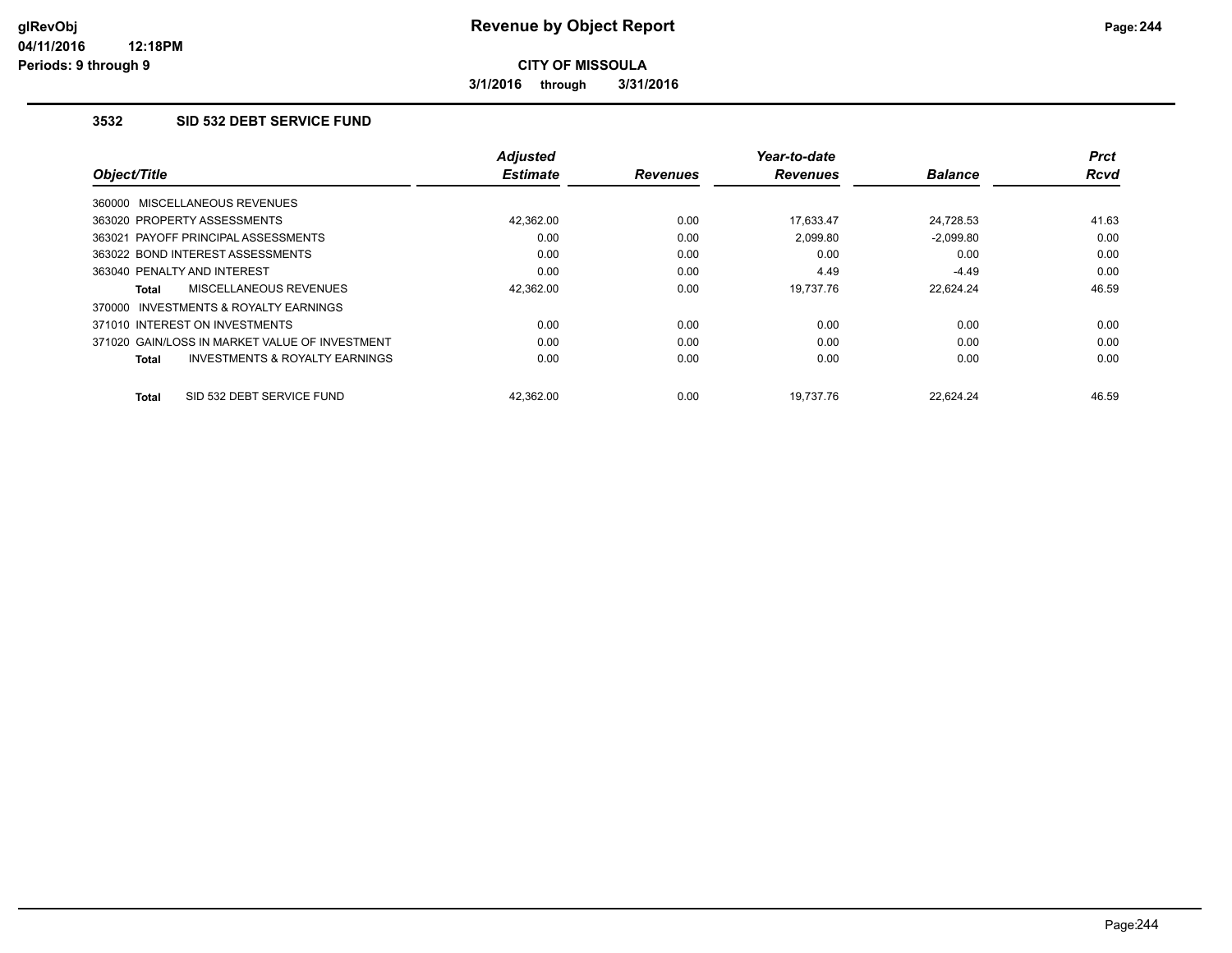**3/1/2016 through 3/31/2016**

#### **3532 SID 532 DEBT SERVICE FUND**

|                                                           | <b>Adjusted</b> |                 | Year-to-date    |                | Prct        |
|-----------------------------------------------------------|-----------------|-----------------|-----------------|----------------|-------------|
| Object/Title                                              | <b>Estimate</b> | <b>Revenues</b> | <b>Revenues</b> | <b>Balance</b> | <b>Rcvd</b> |
| 360000 MISCELLANEOUS REVENUES                             |                 |                 |                 |                |             |
| 363020 PROPERTY ASSESSMENTS                               | 42.362.00       | 0.00            | 17,633.47       | 24,728.53      | 41.63       |
| 363021 PAYOFF PRINCIPAL ASSESSMENTS                       | 0.00            | 0.00            | 2,099.80        | $-2,099.80$    | 0.00        |
| 363022 BOND INTEREST ASSESSMENTS                          | 0.00            | 0.00            | 0.00            | 0.00           | 0.00        |
| 363040 PENALTY AND INTEREST                               | 0.00            | 0.00            | 4.49            | $-4.49$        | 0.00        |
| MISCELLANEOUS REVENUES<br><b>Total</b>                    | 42,362.00       | 0.00            | 19,737.76       | 22,624.24      | 46.59       |
| 370000 INVESTMENTS & ROYALTY EARNINGS                     |                 |                 |                 |                |             |
| 371010 INTEREST ON INVESTMENTS                            | 0.00            | 0.00            | 0.00            | 0.00           | 0.00        |
| 371020 GAIN/LOSS IN MARKET VALUE OF INVESTMENT            | 0.00            | 0.00            | 0.00            | 0.00           | 0.00        |
| <b>INVESTMENTS &amp; ROYALTY EARNINGS</b><br><b>Total</b> | 0.00            | 0.00            | 0.00            | 0.00           | 0.00        |
| SID 532 DEBT SERVICE FUND<br><b>Total</b>                 | 42.362.00       | 0.00            | 19.737.76       | 22.624.24      | 46.59       |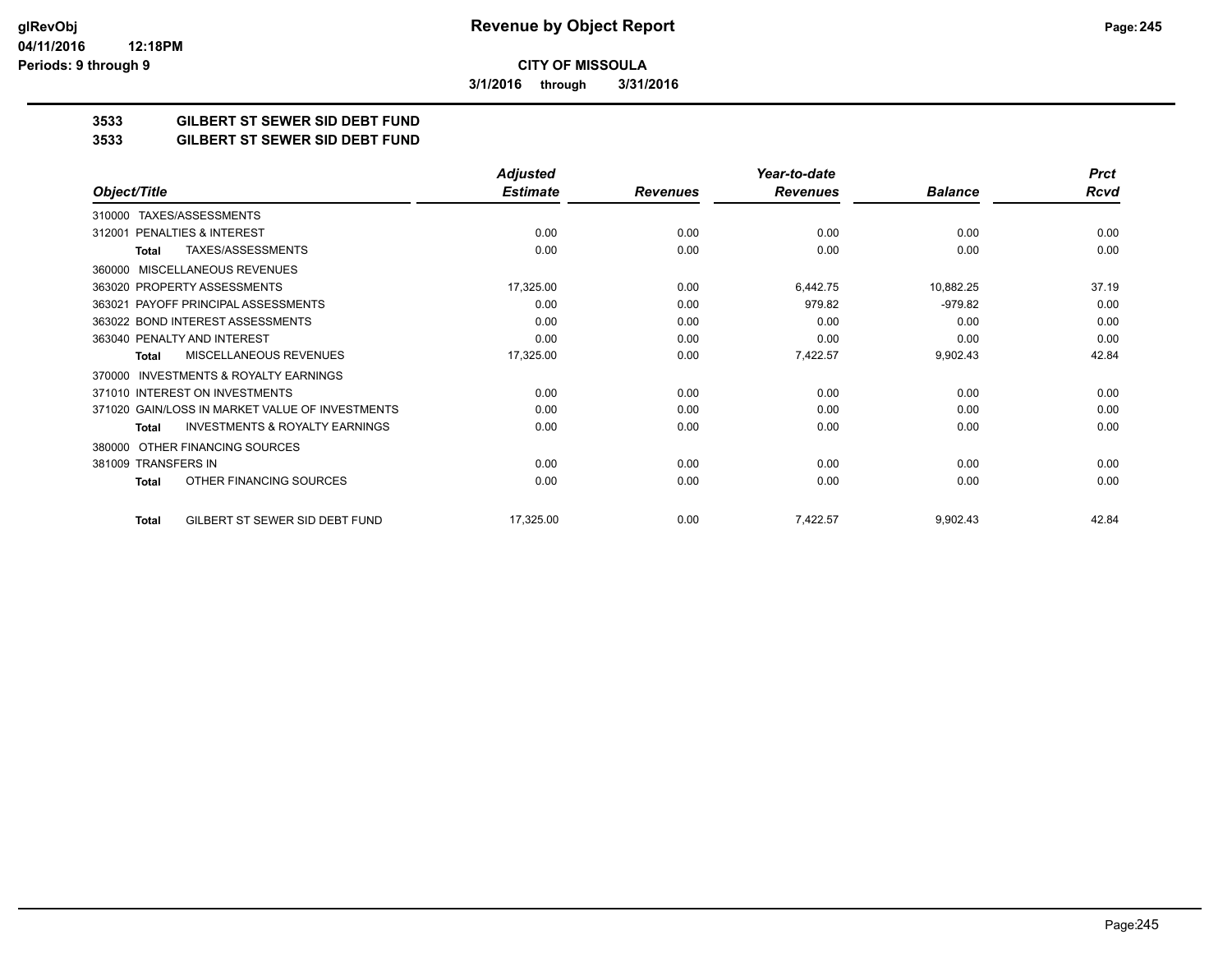**3/1/2016 through 3/31/2016**

## **3533 GILBERT ST SEWER SID DEBT FUND**

#### **3533 GILBERT ST SEWER SID DEBT FUND**

|                                                           | <b>Adjusted</b> |                 | Year-to-date    |                | <b>Prct</b> |
|-----------------------------------------------------------|-----------------|-----------------|-----------------|----------------|-------------|
| Object/Title                                              | <b>Estimate</b> | <b>Revenues</b> | <b>Revenues</b> | <b>Balance</b> | Rcvd        |
| TAXES/ASSESSMENTS<br>310000                               |                 |                 |                 |                |             |
| PENALTIES & INTEREST<br>312001                            | 0.00            | 0.00            | 0.00            | 0.00           | 0.00        |
| TAXES/ASSESSMENTS<br>Total                                | 0.00            | 0.00            | 0.00            | 0.00           | 0.00        |
| <b>MISCELLANEOUS REVENUES</b><br>360000                   |                 |                 |                 |                |             |
| 363020 PROPERTY ASSESSMENTS                               | 17,325.00       | 0.00            | 6,442.75        | 10,882.25      | 37.19       |
| PAYOFF PRINCIPAL ASSESSMENTS<br>363021                    | 0.00            | 0.00            | 979.82          | $-979.82$      | 0.00        |
| 363022 BOND INTEREST ASSESSMENTS                          | 0.00            | 0.00            | 0.00            | 0.00           | 0.00        |
| 363040 PENALTY AND INTEREST                               | 0.00            | 0.00            | 0.00            | 0.00           | 0.00        |
| <b>MISCELLANEOUS REVENUES</b><br>Total                    | 17,325.00       | 0.00            | 7,422.57        | 9,902.43       | 42.84       |
| <b>INVESTMENTS &amp; ROYALTY EARNINGS</b><br>370000       |                 |                 |                 |                |             |
| 371010 INTEREST ON INVESTMENTS                            | 0.00            | 0.00            | 0.00            | 0.00           | 0.00        |
| 371020 GAIN/LOSS IN MARKET VALUE OF INVESTMENTS           | 0.00            | 0.00            | 0.00            | 0.00           | 0.00        |
| <b>INVESTMENTS &amp; ROYALTY EARNINGS</b><br><b>Total</b> | 0.00            | 0.00            | 0.00            | 0.00           | 0.00        |
| OTHER FINANCING SOURCES<br>380000                         |                 |                 |                 |                |             |
| 381009 TRANSFERS IN                                       | 0.00            | 0.00            | 0.00            | 0.00           | 0.00        |
| OTHER FINANCING SOURCES<br><b>Total</b>                   | 0.00            | 0.00            | 0.00            | 0.00           | 0.00        |
| GILBERT ST SEWER SID DEBT FUND<br><b>Total</b>            | 17,325.00       | 0.00            | 7,422.57        | 9,902.43       | 42.84       |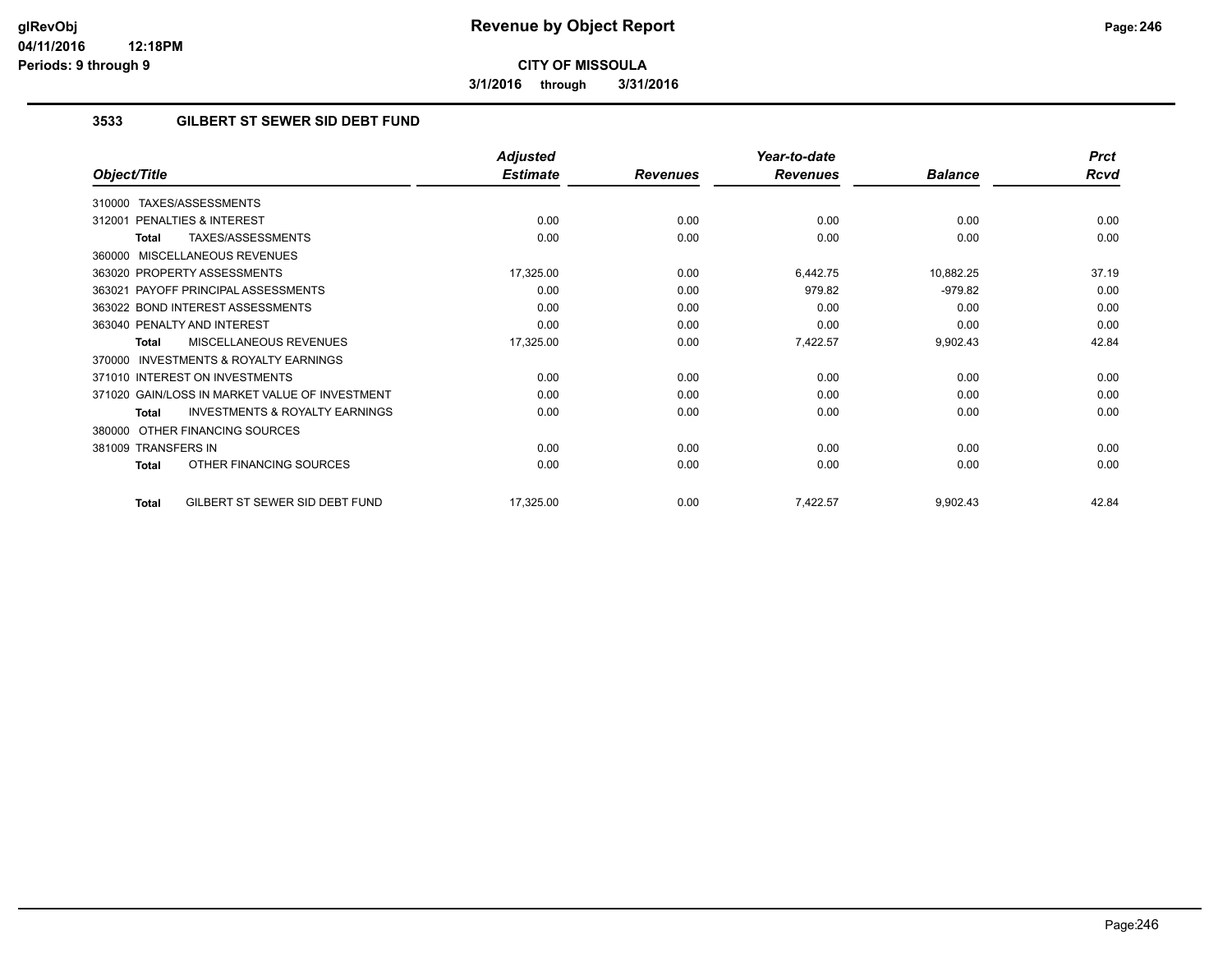**3/1/2016 through 3/31/2016**

## **3533 GILBERT ST SEWER SID DEBT FUND**

|                                                           | <b>Adjusted</b> |                 | Year-to-date    |                | <b>Prct</b> |
|-----------------------------------------------------------|-----------------|-----------------|-----------------|----------------|-------------|
| Object/Title                                              | <b>Estimate</b> | <b>Revenues</b> | <b>Revenues</b> | <b>Balance</b> | <b>Rcvd</b> |
| TAXES/ASSESSMENTS<br>310000                               |                 |                 |                 |                |             |
| 312001 PENALTIES & INTEREST                               | 0.00            | 0.00            | 0.00            | 0.00           | 0.00        |
| TAXES/ASSESSMENTS<br>Total                                | 0.00            | 0.00            | 0.00            | 0.00           | 0.00        |
| 360000 MISCELLANEOUS REVENUES                             |                 |                 |                 |                |             |
| 363020 PROPERTY ASSESSMENTS                               | 17,325.00       | 0.00            | 6,442.75        | 10,882.25      | 37.19       |
| 363021 PAYOFF PRINCIPAL ASSESSMENTS                       | 0.00            | 0.00            | 979.82          | $-979.82$      | 0.00        |
| 363022 BOND INTEREST ASSESSMENTS                          | 0.00            | 0.00            | 0.00            | 0.00           | 0.00        |
| 363040 PENALTY AND INTEREST                               | 0.00            | 0.00            | 0.00            | 0.00           | 0.00        |
| MISCELLANEOUS REVENUES<br><b>Total</b>                    | 17,325.00       | 0.00            | 7,422.57        | 9,902.43       | 42.84       |
| <b>INVESTMENTS &amp; ROYALTY EARNINGS</b><br>370000       |                 |                 |                 |                |             |
| 371010 INTEREST ON INVESTMENTS                            | 0.00            | 0.00            | 0.00            | 0.00           | 0.00        |
| 371020 GAIN/LOSS IN MARKET VALUE OF INVESTMENT            | 0.00            | 0.00            | 0.00            | 0.00           | 0.00        |
| <b>INVESTMENTS &amp; ROYALTY EARNINGS</b><br><b>Total</b> | 0.00            | 0.00            | 0.00            | 0.00           | 0.00        |
| OTHER FINANCING SOURCES<br>380000                         |                 |                 |                 |                |             |
| 381009 TRANSFERS IN                                       | 0.00            | 0.00            | 0.00            | 0.00           | 0.00        |
| OTHER FINANCING SOURCES<br><b>Total</b>                   | 0.00            | 0.00            | 0.00            | 0.00           | 0.00        |
| GILBERT ST SEWER SID DEBT FUND<br>Total                   | 17,325.00       | 0.00            | 7,422.57        | 9,902.43       | 42.84       |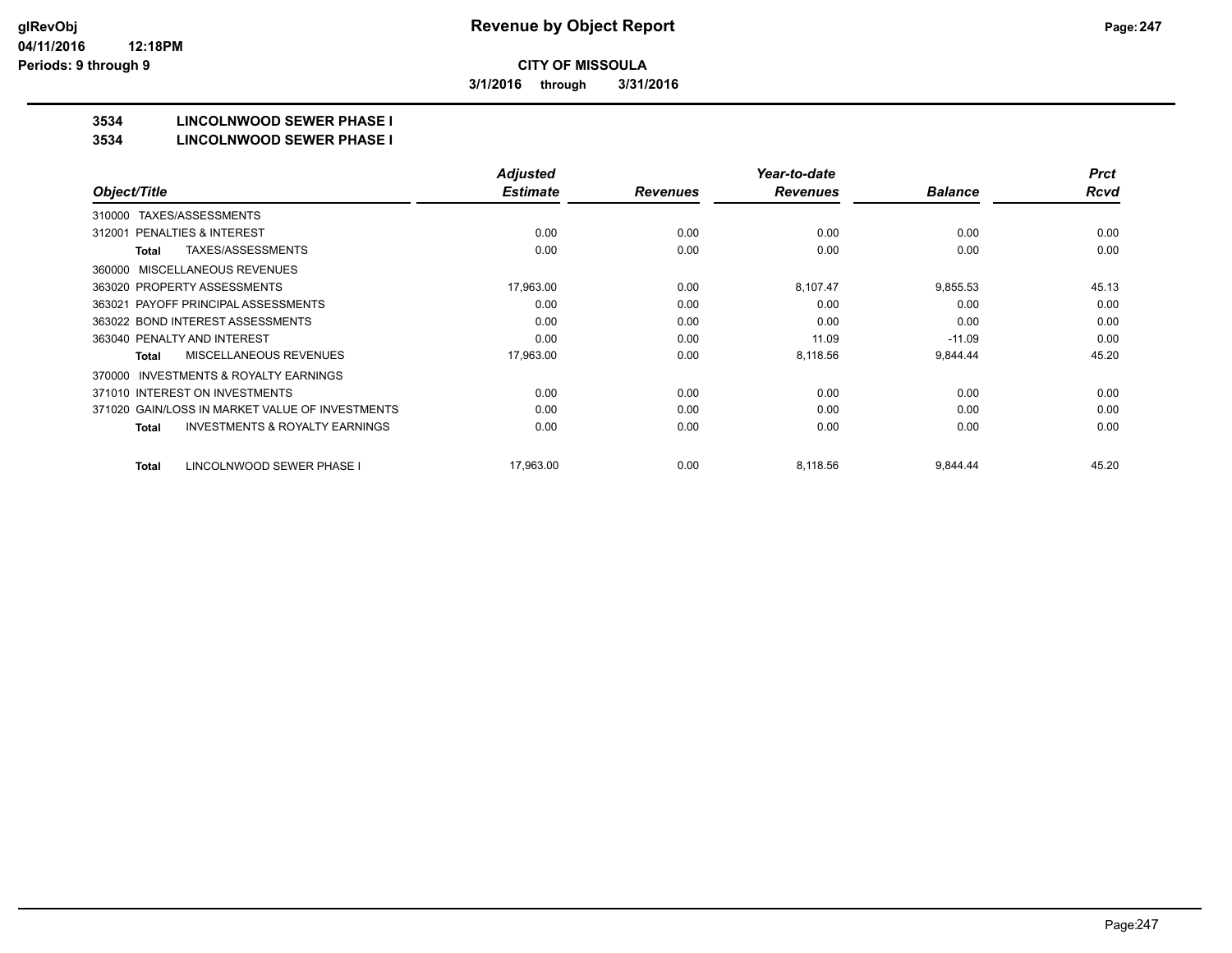**3/1/2016 through 3/31/2016**

# **3534 LINCOLNWOOD SEWER PHASE I**

#### **3534 LINCOLNWOOD SEWER PHASE I**

|                                                           | <b>Adjusted</b> |                 | Year-to-date    |                | <b>Prct</b> |
|-----------------------------------------------------------|-----------------|-----------------|-----------------|----------------|-------------|
| Object/Title                                              | <b>Estimate</b> | <b>Revenues</b> | <b>Revenues</b> | <b>Balance</b> | <b>Rcvd</b> |
| TAXES/ASSESSMENTS<br>310000                               |                 |                 |                 |                |             |
| PENALTIES & INTEREST<br>312001                            | 0.00            | 0.00            | 0.00            | 0.00           | 0.00        |
| TAXES/ASSESSMENTS<br><b>Total</b>                         | 0.00            | 0.00            | 0.00            | 0.00           | 0.00        |
| MISCELLANEOUS REVENUES<br>360000                          |                 |                 |                 |                |             |
| 363020 PROPERTY ASSESSMENTS                               | 17,963.00       | 0.00            | 8,107.47        | 9,855.53       | 45.13       |
| 363021 PAYOFF PRINCIPAL ASSESSMENTS                       | 0.00            | 0.00            | 0.00            | 0.00           | 0.00        |
| 363022 BOND INTEREST ASSESSMENTS                          | 0.00            | 0.00            | 0.00            | 0.00           | 0.00        |
| 363040 PENALTY AND INTEREST                               | 0.00            | 0.00            | 11.09           | $-11.09$       | 0.00        |
| <b>MISCELLANEOUS REVENUES</b><br>Total                    | 17,963.00       | 0.00            | 8,118.56        | 9,844.44       | 45.20       |
| INVESTMENTS & ROYALTY EARNINGS<br>370000                  |                 |                 |                 |                |             |
| 371010 INTEREST ON INVESTMENTS                            | 0.00            | 0.00            | 0.00            | 0.00           | 0.00        |
| 371020 GAIN/LOSS IN MARKET VALUE OF INVESTMENTS           | 0.00            | 0.00            | 0.00            | 0.00           | 0.00        |
| <b>INVESTMENTS &amp; ROYALTY EARNINGS</b><br><b>Total</b> | 0.00            | 0.00            | 0.00            | 0.00           | 0.00        |
| LINCOLNWOOD SEWER PHASE I<br><b>Total</b>                 | 17.963.00       | 0.00            | 8.118.56        | 9,844.44       | 45.20       |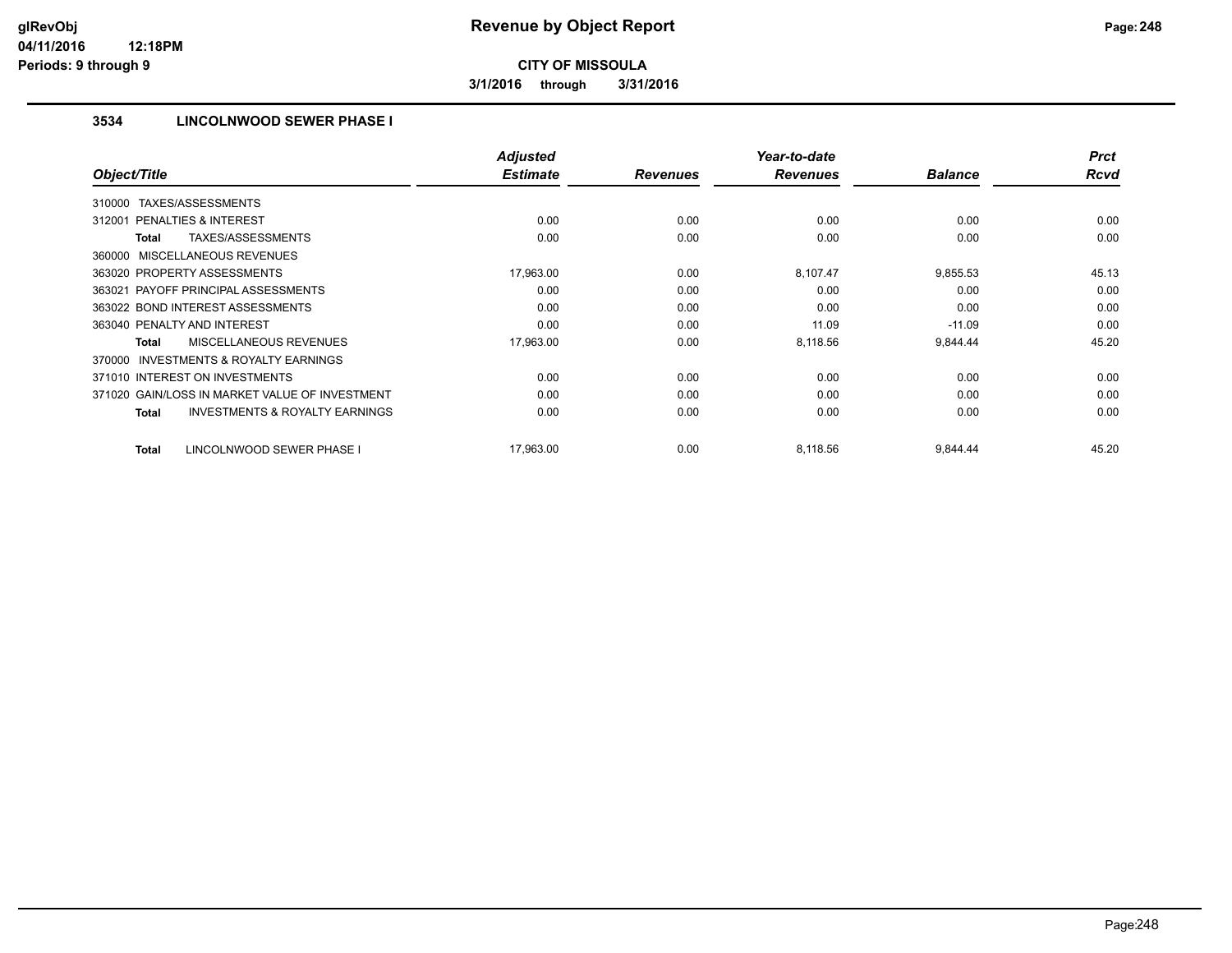**3/1/2016 through 3/31/2016**

## **3534 LINCOLNWOOD SEWER PHASE I**

|                                                           | <b>Adjusted</b> |                 | Year-to-date    |                | <b>Prct</b> |
|-----------------------------------------------------------|-----------------|-----------------|-----------------|----------------|-------------|
| Object/Title                                              | <b>Estimate</b> | <b>Revenues</b> | <b>Revenues</b> | <b>Balance</b> | <b>Rcvd</b> |
| TAXES/ASSESSMENTS<br>310000                               |                 |                 |                 |                |             |
| 312001 PENALTIES & INTEREST                               | 0.00            | 0.00            | 0.00            | 0.00           | 0.00        |
| <b>TAXES/ASSESSMENTS</b><br><b>Total</b>                  | 0.00            | 0.00            | 0.00            | 0.00           | 0.00        |
| 360000 MISCELLANEOUS REVENUES                             |                 |                 |                 |                |             |
| 363020 PROPERTY ASSESSMENTS                               | 17,963.00       | 0.00            | 8,107.47        | 9,855.53       | 45.13       |
| 363021 PAYOFF PRINCIPAL ASSESSMENTS                       | 0.00            | 0.00            | 0.00            | 0.00           | 0.00        |
| 363022 BOND INTEREST ASSESSMENTS                          | 0.00            | 0.00            | 0.00            | 0.00           | 0.00        |
| 363040 PENALTY AND INTEREST                               | 0.00            | 0.00            | 11.09           | $-11.09$       | 0.00        |
| MISCELLANEOUS REVENUES<br><b>Total</b>                    | 17,963.00       | 0.00            | 8,118.56        | 9,844.44       | 45.20       |
| INVESTMENTS & ROYALTY EARNINGS<br>370000                  |                 |                 |                 |                |             |
| 371010 INTEREST ON INVESTMENTS                            | 0.00            | 0.00            | 0.00            | 0.00           | 0.00        |
| 371020 GAIN/LOSS IN MARKET VALUE OF INVESTMENT            | 0.00            | 0.00            | 0.00            | 0.00           | 0.00        |
| <b>INVESTMENTS &amp; ROYALTY EARNINGS</b><br><b>Total</b> | 0.00            | 0.00            | 0.00            | 0.00           | 0.00        |
| LINCOLNWOOD SEWER PHASE I<br><b>Total</b>                 | 17,963.00       | 0.00            | 8,118.56        | 9,844.44       | 45.20       |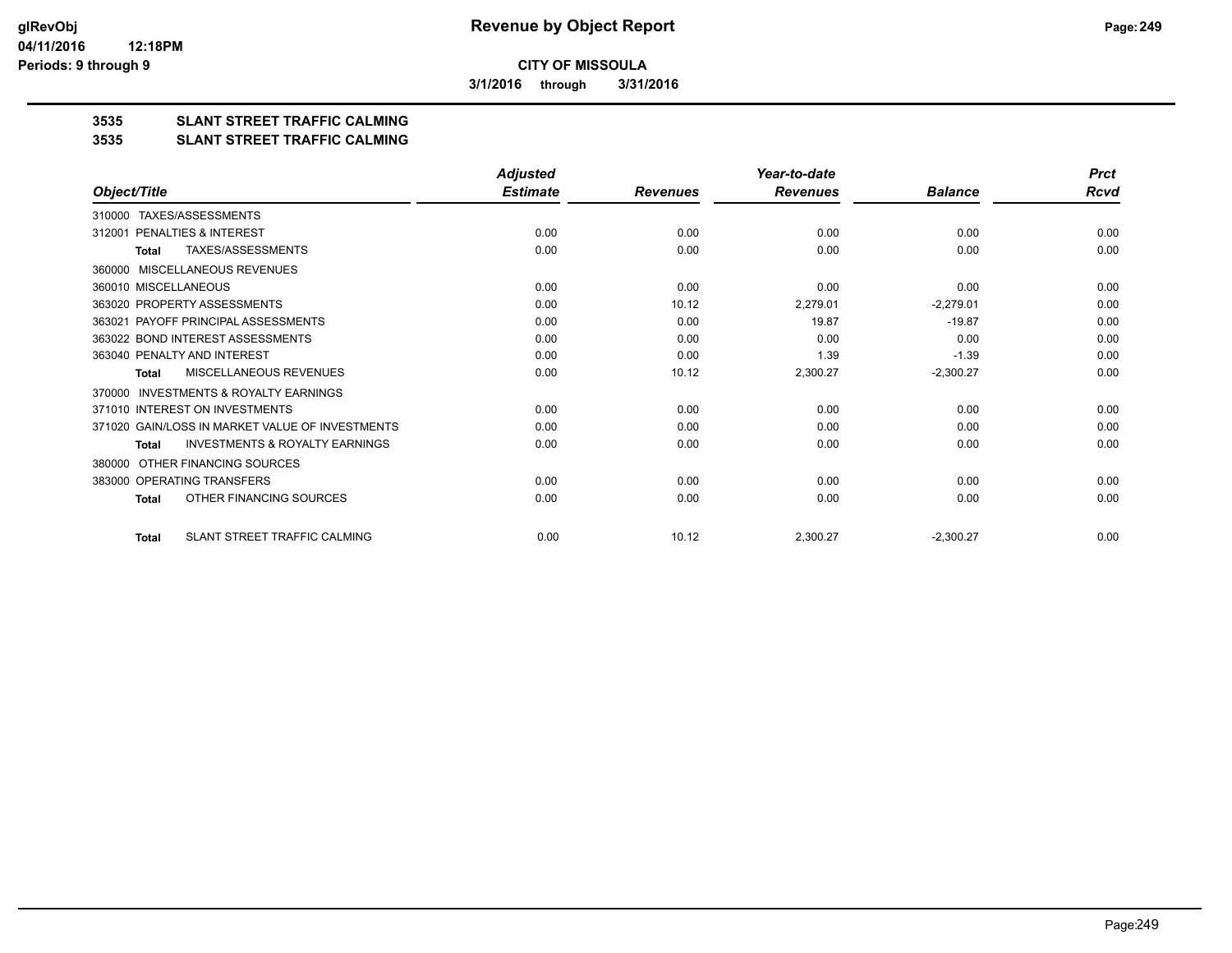**3/1/2016 through 3/31/2016**

## **3535 SLANT STREET TRAFFIC CALMING**

#### **3535 SLANT STREET TRAFFIC CALMING**

|                                                           | <b>Adjusted</b> |                 | Year-to-date    |                | <b>Prct</b> |
|-----------------------------------------------------------|-----------------|-----------------|-----------------|----------------|-------------|
| Object/Title                                              | <b>Estimate</b> | <b>Revenues</b> | <b>Revenues</b> | <b>Balance</b> | <b>Rcvd</b> |
| TAXES/ASSESSMENTS<br>310000                               |                 |                 |                 |                |             |
| 312001 PENALTIES & INTEREST                               | 0.00            | 0.00            | 0.00            | 0.00           | 0.00        |
| TAXES/ASSESSMENTS<br><b>Total</b>                         | 0.00            | 0.00            | 0.00            | 0.00           | 0.00        |
| MISCELLANEOUS REVENUES<br>360000                          |                 |                 |                 |                |             |
| 360010 MISCELLANEOUS                                      | 0.00            | 0.00            | 0.00            | 0.00           | 0.00        |
| 363020 PROPERTY ASSESSMENTS                               | 0.00            | 10.12           | 2,279.01        | $-2,279.01$    | 0.00        |
| 363021 PAYOFF PRINCIPAL ASSESSMENTS                       | 0.00            | 0.00            | 19.87           | $-19.87$       | 0.00        |
| 363022 BOND INTEREST ASSESSMENTS                          | 0.00            | 0.00            | 0.00            | 0.00           | 0.00        |
| 363040 PENALTY AND INTEREST                               | 0.00            | 0.00            | 1.39            | $-1.39$        | 0.00        |
| MISCELLANEOUS REVENUES<br>Total                           | 0.00            | 10.12           | 2,300.27        | $-2,300.27$    | 0.00        |
| <b>INVESTMENTS &amp; ROYALTY EARNINGS</b><br>370000       |                 |                 |                 |                |             |
| 371010 INTEREST ON INVESTMENTS                            | 0.00            | 0.00            | 0.00            | 0.00           | 0.00        |
| 371020 GAIN/LOSS IN MARKET VALUE OF INVESTMENTS           | 0.00            | 0.00            | 0.00            | 0.00           | 0.00        |
| <b>INVESTMENTS &amp; ROYALTY EARNINGS</b><br><b>Total</b> | 0.00            | 0.00            | 0.00            | 0.00           | 0.00        |
| OTHER FINANCING SOURCES<br>380000                         |                 |                 |                 |                |             |
| 383000 OPERATING TRANSFERS                                | 0.00            | 0.00            | 0.00            | 0.00           | 0.00        |
| OTHER FINANCING SOURCES<br><b>Total</b>                   | 0.00            | 0.00            | 0.00            | 0.00           | 0.00        |
| SLANT STREET TRAFFIC CALMING<br><b>Total</b>              | 0.00            | 10.12           | 2,300.27        | $-2,300.27$    | 0.00        |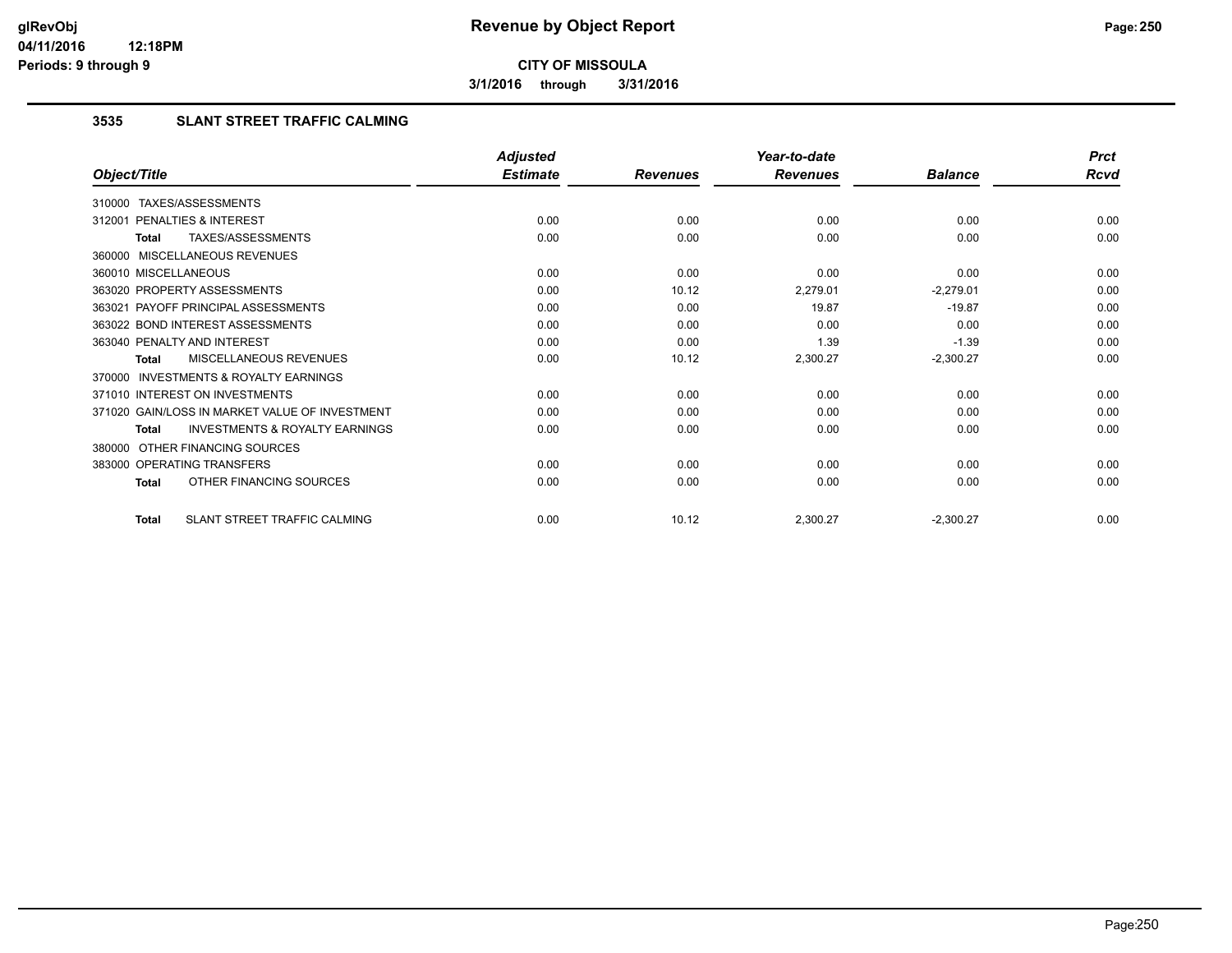**3/1/2016 through 3/31/2016**

### **3535 SLANT STREET TRAFFIC CALMING**

|                                                           | <b>Adjusted</b> |                 | Year-to-date    |                | <b>Prct</b> |
|-----------------------------------------------------------|-----------------|-----------------|-----------------|----------------|-------------|
| Object/Title                                              | <b>Estimate</b> | <b>Revenues</b> | <b>Revenues</b> | <b>Balance</b> | <b>Rcvd</b> |
| 310000 TAXES/ASSESSMENTS                                  |                 |                 |                 |                |             |
| PENALTIES & INTEREST<br>312001                            | 0.00            | 0.00            | 0.00            | 0.00           | 0.00        |
| TAXES/ASSESSMENTS<br><b>Total</b>                         | 0.00            | 0.00            | 0.00            | 0.00           | 0.00        |
| 360000 MISCELLANEOUS REVENUES                             |                 |                 |                 |                |             |
| 360010 MISCELLANEOUS                                      | 0.00            | 0.00            | 0.00            | 0.00           | 0.00        |
| 363020 PROPERTY ASSESSMENTS                               | 0.00            | 10.12           | 2,279.01        | $-2,279.01$    | 0.00        |
| 363021 PAYOFF PRINCIPAL ASSESSMENTS                       | 0.00            | 0.00            | 19.87           | $-19.87$       | 0.00        |
| 363022 BOND INTEREST ASSESSMENTS                          | 0.00            | 0.00            | 0.00            | 0.00           | 0.00        |
| 363040 PENALTY AND INTEREST                               | 0.00            | 0.00            | 1.39            | $-1.39$        | 0.00        |
| <b>MISCELLANEOUS REVENUES</b><br><b>Total</b>             | 0.00            | 10.12           | 2,300.27        | $-2,300.27$    | 0.00        |
| <b>INVESTMENTS &amp; ROYALTY EARNINGS</b><br>370000       |                 |                 |                 |                |             |
| 371010 INTEREST ON INVESTMENTS                            | 0.00            | 0.00            | 0.00            | 0.00           | 0.00        |
| 371020 GAIN/LOSS IN MARKET VALUE OF INVESTMENT            | 0.00            | 0.00            | 0.00            | 0.00           | 0.00        |
| <b>INVESTMENTS &amp; ROYALTY EARNINGS</b><br><b>Total</b> | 0.00            | 0.00            | 0.00            | 0.00           | 0.00        |
| OTHER FINANCING SOURCES<br>380000                         |                 |                 |                 |                |             |
| 383000 OPERATING TRANSFERS                                | 0.00            | 0.00            | 0.00            | 0.00           | 0.00        |
| OTHER FINANCING SOURCES<br><b>Total</b>                   | 0.00            | 0.00            | 0.00            | 0.00           | 0.00        |
| SLANT STREET TRAFFIC CALMING<br><b>Total</b>              | 0.00            | 10.12           | 2,300.27        | $-2,300.27$    | 0.00        |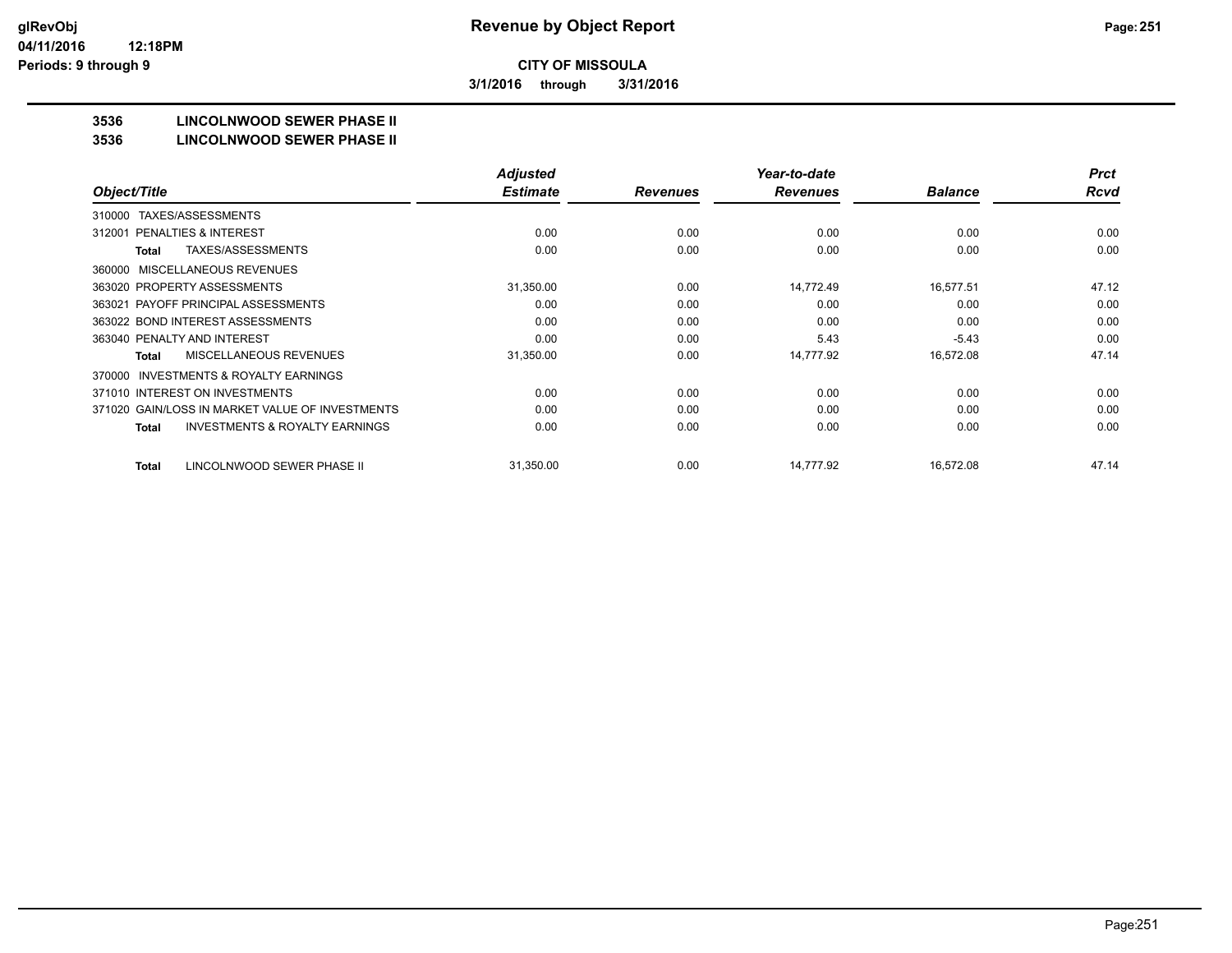**3/1/2016 through 3/31/2016**

## **3536 LINCOLNWOOD SEWER PHASE II**

#### **3536 LINCOLNWOOD SEWER PHASE II**

|                                                    | <b>Adjusted</b> |                 | Year-to-date    |                | <b>Prct</b> |
|----------------------------------------------------|-----------------|-----------------|-----------------|----------------|-------------|
| Object/Title                                       | <b>Estimate</b> | <b>Revenues</b> | <b>Revenues</b> | <b>Balance</b> | <b>Rcvd</b> |
| TAXES/ASSESSMENTS<br>310000                        |                 |                 |                 |                |             |
| <b>PENALTIES &amp; INTEREST</b><br>312001          | 0.00            | 0.00            | 0.00            | 0.00           | 0.00        |
| TAXES/ASSESSMENTS<br>Total                         | 0.00            | 0.00            | 0.00            | 0.00           | 0.00        |
| MISCELLANEOUS REVENUES<br>360000                   |                 |                 |                 |                |             |
| 363020 PROPERTY ASSESSMENTS                        | 31,350.00       | 0.00            | 14,772.49       | 16,577.51      | 47.12       |
| 363021 PAYOFF PRINCIPAL ASSESSMENTS                | 0.00            | 0.00            | 0.00            | 0.00           | 0.00        |
| 363022 BOND INTEREST ASSESSMENTS                   | 0.00            | 0.00            | 0.00            | 0.00           | 0.00        |
| 363040 PENALTY AND INTEREST                        | 0.00            | 0.00            | 5.43            | $-5.43$        | 0.00        |
| MISCELLANEOUS REVENUES<br>Total                    | 31,350.00       | 0.00            | 14,777.92       | 16,572.08      | 47.14       |
| INVESTMENTS & ROYALTY EARNINGS<br>370000           |                 |                 |                 |                |             |
| 371010 INTEREST ON INVESTMENTS                     | 0.00            | 0.00            | 0.00            | 0.00           | 0.00        |
| 371020 GAIN/LOSS IN MARKET VALUE OF INVESTMENTS    | 0.00            | 0.00            | 0.00            | 0.00           | 0.00        |
| <b>INVESTMENTS &amp; ROYALTY EARNINGS</b><br>Total | 0.00            | 0.00            | 0.00            | 0.00           | 0.00        |
| LINCOLNWOOD SEWER PHASE II<br>Total                | 31,350.00       | 0.00            | 14,777.92       | 16,572.08      | 47.14       |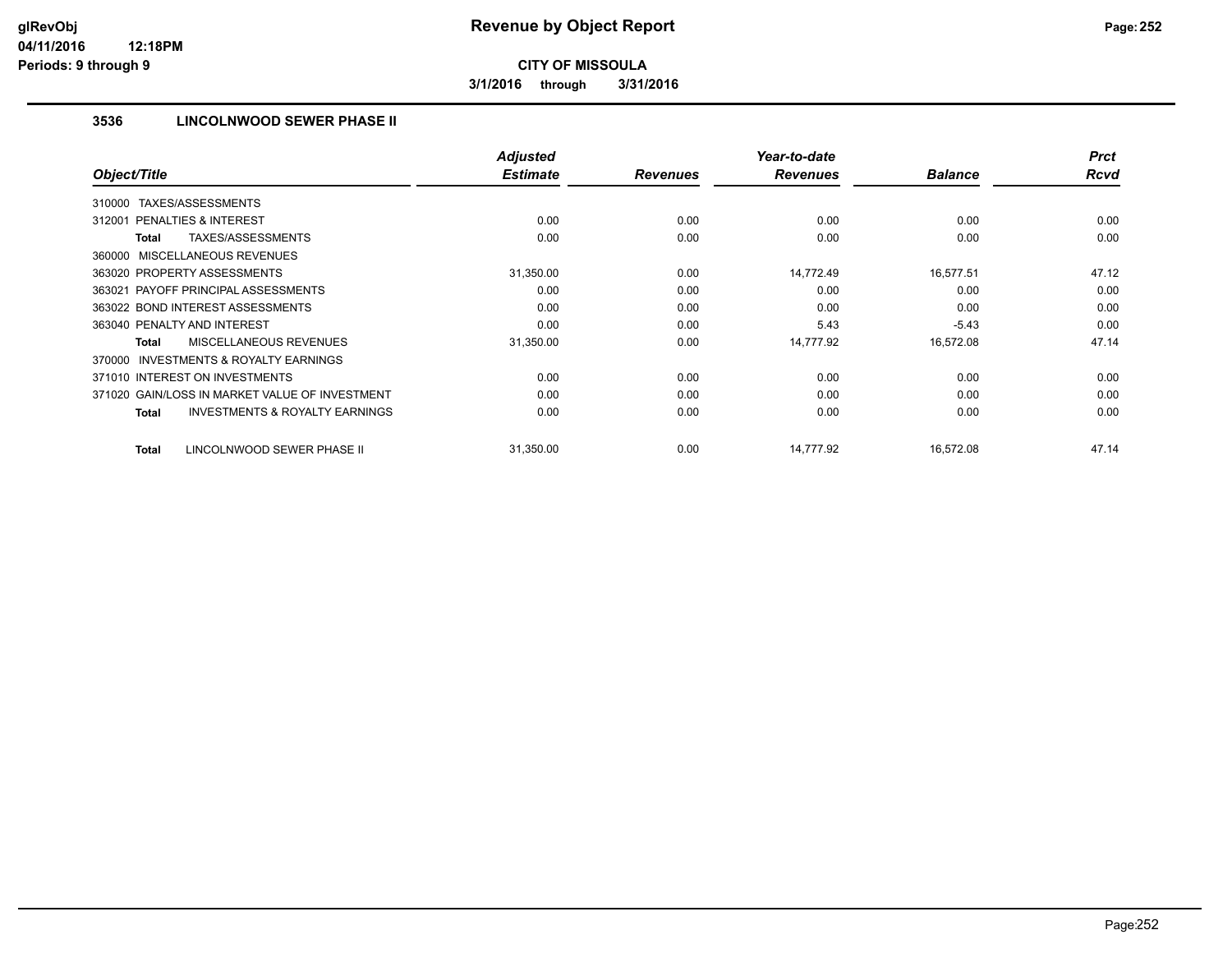**3/1/2016 through 3/31/2016**

## **3536 LINCOLNWOOD SEWER PHASE II**

|                                                           | <b>Adjusted</b> |                 | Year-to-date    |                | <b>Prct</b> |
|-----------------------------------------------------------|-----------------|-----------------|-----------------|----------------|-------------|
| Object/Title                                              | <b>Estimate</b> | <b>Revenues</b> | <b>Revenues</b> | <b>Balance</b> | <b>Rcvd</b> |
| TAXES/ASSESSMENTS<br>310000                               |                 |                 |                 |                |             |
| 312001 PENALTIES & INTEREST                               | 0.00            | 0.00            | 0.00            | 0.00           | 0.00        |
| <b>TAXES/ASSESSMENTS</b><br><b>Total</b>                  | 0.00            | 0.00            | 0.00            | 0.00           | 0.00        |
| 360000 MISCELLANEOUS REVENUES                             |                 |                 |                 |                |             |
| 363020 PROPERTY ASSESSMENTS                               | 31,350.00       | 0.00            | 14,772.49       | 16,577.51      | 47.12       |
| 363021 PAYOFF PRINCIPAL ASSESSMENTS                       | 0.00            | 0.00            | 0.00            | 0.00           | 0.00        |
| 363022 BOND INTEREST ASSESSMENTS                          | 0.00            | 0.00            | 0.00            | 0.00           | 0.00        |
| 363040 PENALTY AND INTEREST                               | 0.00            | 0.00            | 5.43            | $-5.43$        | 0.00        |
| MISCELLANEOUS REVENUES<br><b>Total</b>                    | 31,350.00       | 0.00            | 14,777.92       | 16,572.08      | 47.14       |
| <b>INVESTMENTS &amp; ROYALTY EARNINGS</b><br>370000       |                 |                 |                 |                |             |
| 371010 INTEREST ON INVESTMENTS                            | 0.00            | 0.00            | 0.00            | 0.00           | 0.00        |
| 371020 GAIN/LOSS IN MARKET VALUE OF INVESTMENT            | 0.00            | 0.00            | 0.00            | 0.00           | 0.00        |
| <b>INVESTMENTS &amp; ROYALTY EARNINGS</b><br><b>Total</b> | 0.00            | 0.00            | 0.00            | 0.00           | 0.00        |
| LINCOLNWOOD SEWER PHASE II<br><b>Total</b>                | 31,350.00       | 0.00            | 14,777.92       | 16,572.08      | 47.14       |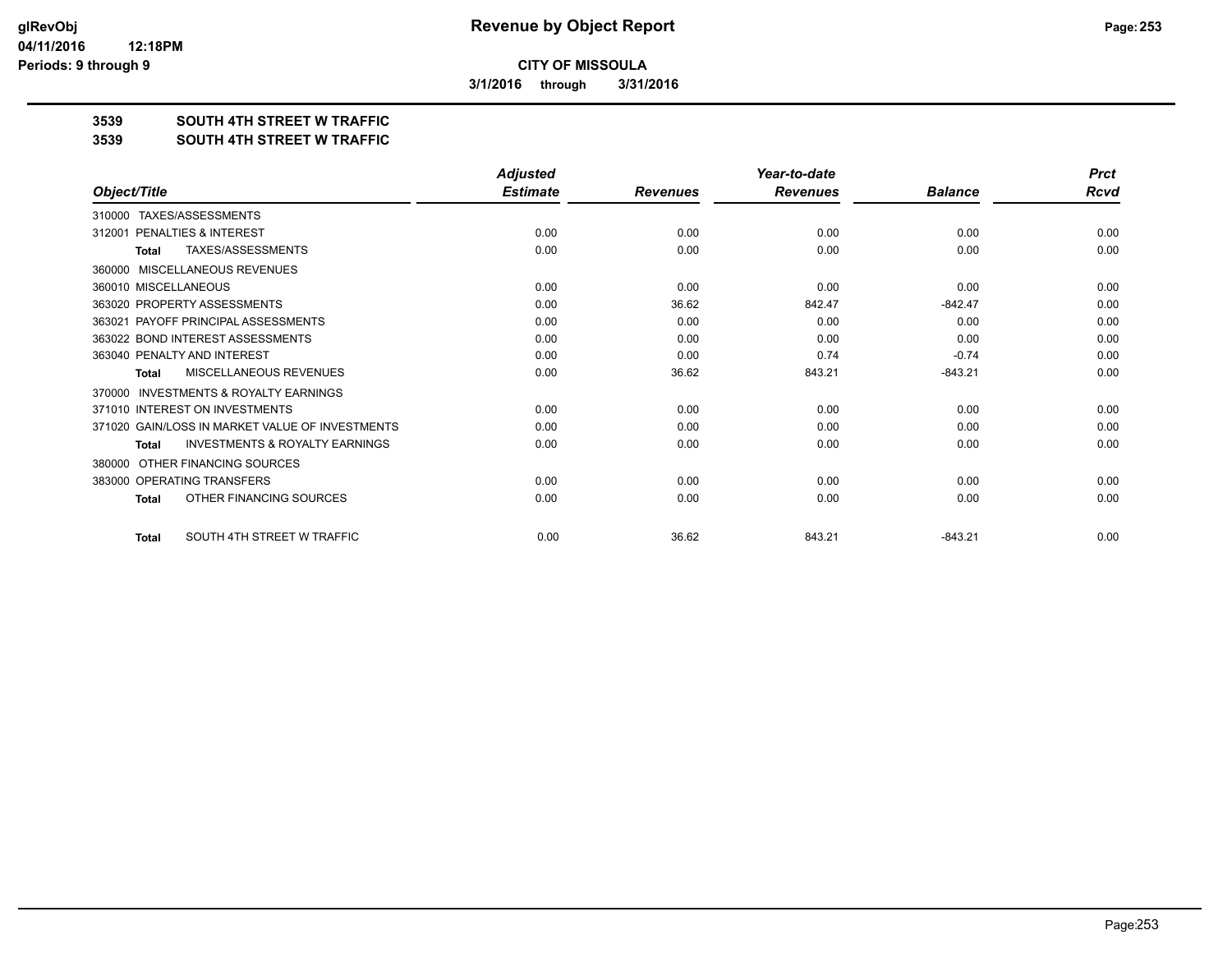**3/1/2016 through 3/31/2016**

## **3539 SOUTH 4TH STREET W TRAFFIC**

#### **3539 SOUTH 4TH STREET W TRAFFIC**

|                                                     | <b>Adjusted</b> |                 | Year-to-date    |                | <b>Prct</b> |
|-----------------------------------------------------|-----------------|-----------------|-----------------|----------------|-------------|
| Object/Title                                        | <b>Estimate</b> | <b>Revenues</b> | <b>Revenues</b> | <b>Balance</b> | Rcvd        |
| TAXES/ASSESSMENTS<br>310000                         |                 |                 |                 |                |             |
| PENALTIES & INTEREST<br>312001                      | 0.00            | 0.00            | 0.00            | 0.00           | 0.00        |
| TAXES/ASSESSMENTS<br><b>Total</b>                   | 0.00            | 0.00            | 0.00            | 0.00           | 0.00        |
| MISCELLANEOUS REVENUES<br>360000                    |                 |                 |                 |                |             |
| 360010 MISCELLANEOUS                                | 0.00            | 0.00            | 0.00            | 0.00           | 0.00        |
| 363020 PROPERTY ASSESSMENTS                         | 0.00            | 36.62           | 842.47          | $-842.47$      | 0.00        |
| 363021 PAYOFF PRINCIPAL ASSESSMENTS                 | 0.00            | 0.00            | 0.00            | 0.00           | 0.00        |
| 363022 BOND INTEREST ASSESSMENTS                    | 0.00            | 0.00            | 0.00            | 0.00           | 0.00        |
| 363040 PENALTY AND INTEREST                         | 0.00            | 0.00            | 0.74            | $-0.74$        | 0.00        |
| <b>MISCELLANEOUS REVENUES</b><br>Total              | 0.00            | 36.62           | 843.21          | $-843.21$      | 0.00        |
| <b>INVESTMENTS &amp; ROYALTY EARNINGS</b><br>370000 |                 |                 |                 |                |             |
| 371010 INTEREST ON INVESTMENTS                      | 0.00            | 0.00            | 0.00            | 0.00           | 0.00        |
| 371020 GAIN/LOSS IN MARKET VALUE OF INVESTMENTS     | 0.00            | 0.00            | 0.00            | 0.00           | 0.00        |
| <b>INVESTMENTS &amp; ROYALTY EARNINGS</b><br>Total  | 0.00            | 0.00            | 0.00            | 0.00           | 0.00        |
| OTHER FINANCING SOURCES<br>380000                   |                 |                 |                 |                |             |
| 383000 OPERATING TRANSFERS                          | 0.00            | 0.00            | 0.00            | 0.00           | 0.00        |
| OTHER FINANCING SOURCES<br><b>Total</b>             | 0.00            | 0.00            | 0.00            | 0.00           | 0.00        |
| SOUTH 4TH STREET W TRAFFIC<br><b>Total</b>          | 0.00            | 36.62           | 843.21          | $-843.21$      | 0.00        |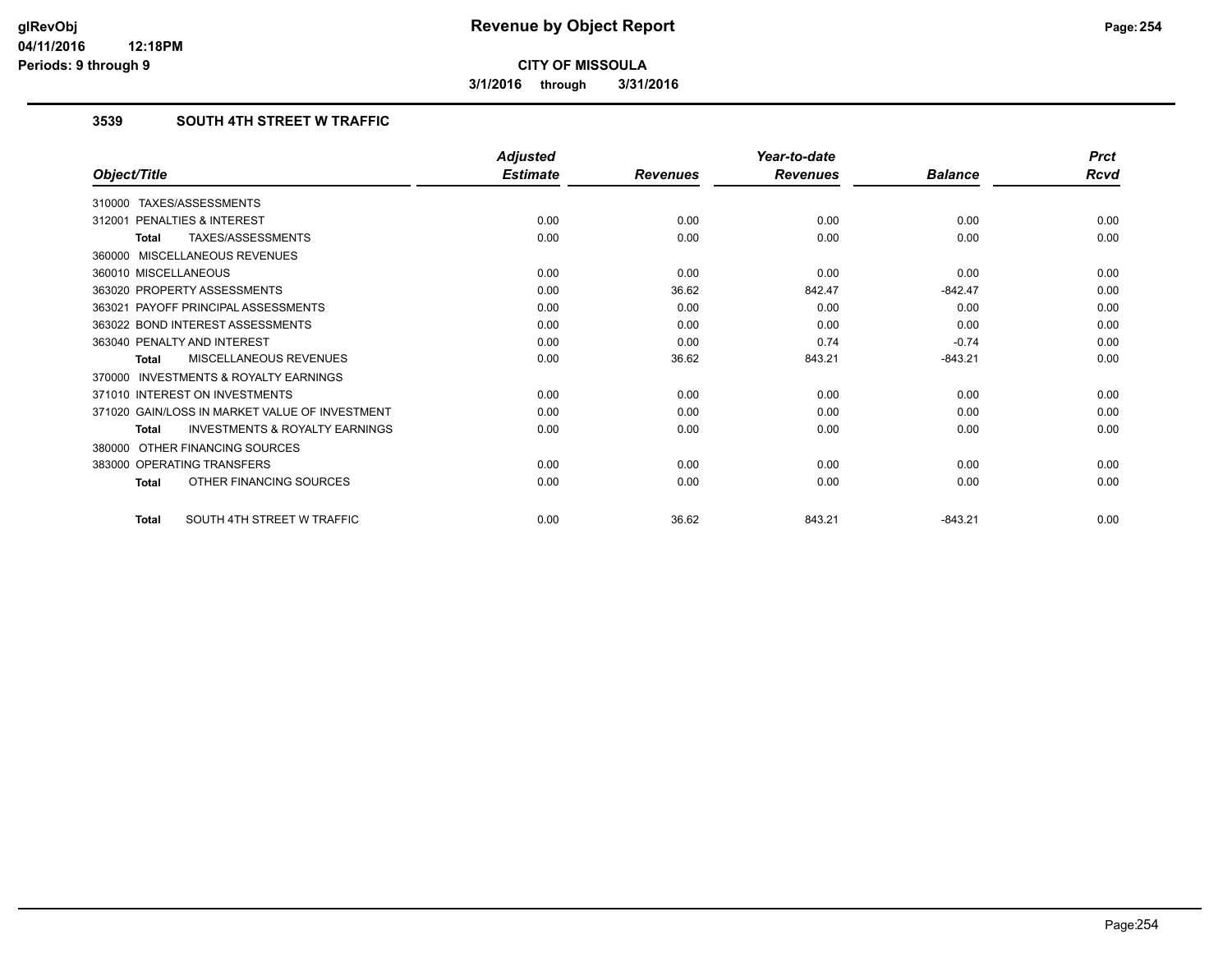**3/1/2016 through 3/31/2016**

## **3539 SOUTH 4TH STREET W TRAFFIC**

|                                                           | <b>Adjusted</b> |                 | Year-to-date    |                | <b>Prct</b> |
|-----------------------------------------------------------|-----------------|-----------------|-----------------|----------------|-------------|
| Object/Title                                              | <b>Estimate</b> | <b>Revenues</b> | <b>Revenues</b> | <b>Balance</b> | <b>Rcvd</b> |
| 310000 TAXES/ASSESSMENTS                                  |                 |                 |                 |                |             |
| PENALTIES & INTEREST<br>312001                            | 0.00            | 0.00            | 0.00            | 0.00           | 0.00        |
| TAXES/ASSESSMENTS<br><b>Total</b>                         | 0.00            | 0.00            | 0.00            | 0.00           | 0.00        |
| 360000 MISCELLANEOUS REVENUES                             |                 |                 |                 |                |             |
| 360010 MISCELLANEOUS                                      | 0.00            | 0.00            | 0.00            | 0.00           | 0.00        |
| 363020 PROPERTY ASSESSMENTS                               | 0.00            | 36.62           | 842.47          | $-842.47$      | 0.00        |
| 363021 PAYOFF PRINCIPAL ASSESSMENTS                       | 0.00            | 0.00            | 0.00            | 0.00           | 0.00        |
| 363022 BOND INTEREST ASSESSMENTS                          | 0.00            | 0.00            | 0.00            | 0.00           | 0.00        |
| 363040 PENALTY AND INTEREST                               | 0.00            | 0.00            | 0.74            | $-0.74$        | 0.00        |
| MISCELLANEOUS REVENUES<br><b>Total</b>                    | 0.00            | 36.62           | 843.21          | $-843.21$      | 0.00        |
| <b>INVESTMENTS &amp; ROYALTY EARNINGS</b><br>370000       |                 |                 |                 |                |             |
| 371010 INTEREST ON INVESTMENTS                            | 0.00            | 0.00            | 0.00            | 0.00           | 0.00        |
| 371020 GAIN/LOSS IN MARKET VALUE OF INVESTMENT            | 0.00            | 0.00            | 0.00            | 0.00           | 0.00        |
| <b>INVESTMENTS &amp; ROYALTY EARNINGS</b><br><b>Total</b> | 0.00            | 0.00            | 0.00            | 0.00           | 0.00        |
| OTHER FINANCING SOURCES<br>380000                         |                 |                 |                 |                |             |
| 383000 OPERATING TRANSFERS                                | 0.00            | 0.00            | 0.00            | 0.00           | 0.00        |
| OTHER FINANCING SOURCES<br><b>Total</b>                   | 0.00            | 0.00            | 0.00            | 0.00           | 0.00        |
| SOUTH 4TH STREET W TRAFFIC<br><b>Total</b>                | 0.00            | 36.62           | 843.21          | $-843.21$      | 0.00        |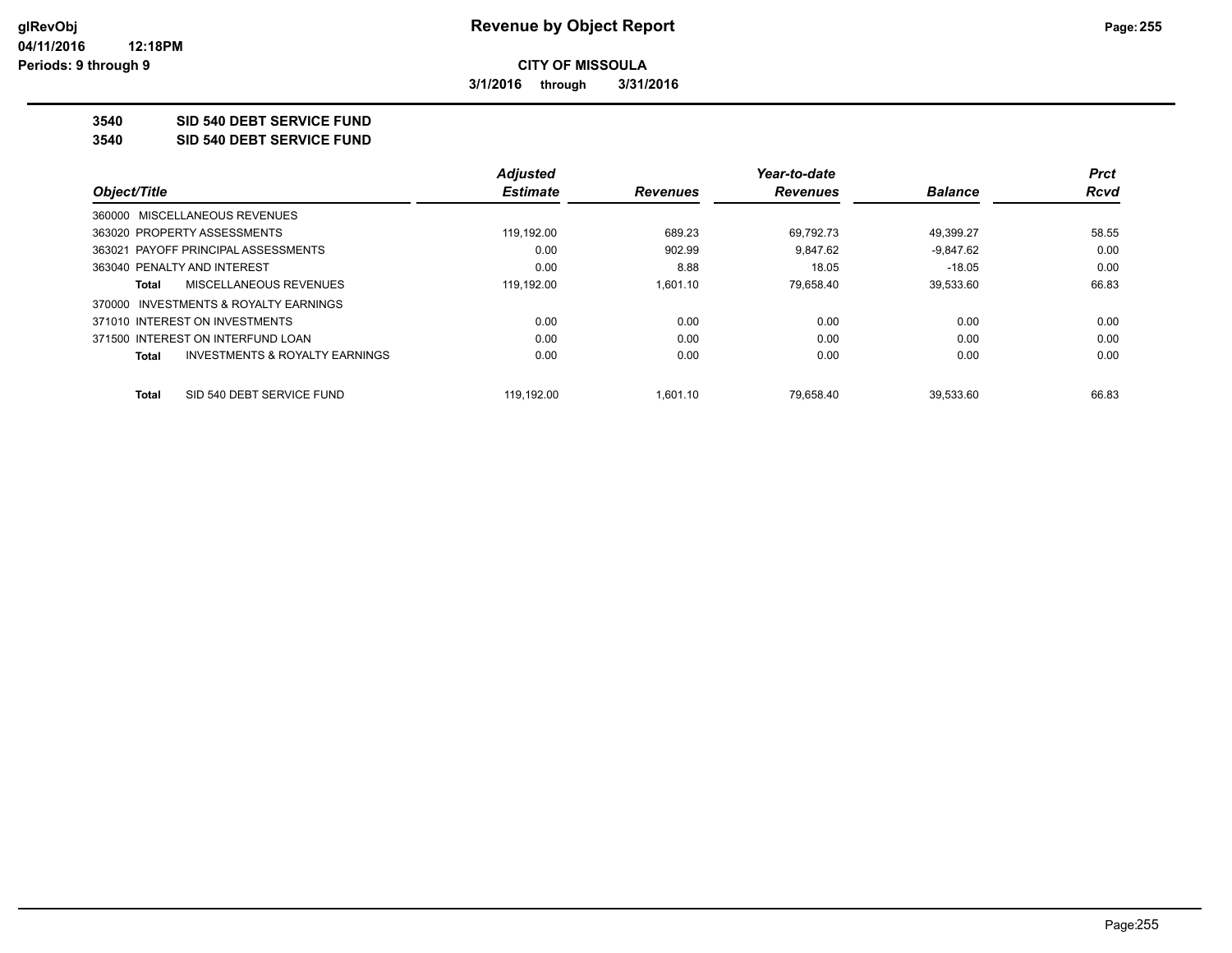**3/1/2016 through 3/31/2016**

**3540 SID 540 DEBT SERVICE FUND**

**3540 SID 540 DEBT SERVICE FUND**

|                                                    | <b>Adjusted</b> |                 | Year-to-date    |                | <b>Prct</b> |
|----------------------------------------------------|-----------------|-----------------|-----------------|----------------|-------------|
| Object/Title                                       | <b>Estimate</b> | <b>Revenues</b> | <b>Revenues</b> | <b>Balance</b> | <b>Rcvd</b> |
| 360000 MISCELLANEOUS REVENUES                      |                 |                 |                 |                |             |
| 363020 PROPERTY ASSESSMENTS                        | 119.192.00      | 689.23          | 69.792.73       | 49.399.27      | 58.55       |
| 363021 PAYOFF PRINCIPAL ASSESSMENTS                | 0.00            | 902.99          | 9.847.62        | $-9,847.62$    | 0.00        |
| 363040 PENALTY AND INTEREST                        | 0.00            | 8.88            | 18.05           | $-18.05$       | 0.00        |
| MISCELLANEOUS REVENUES<br>Total                    | 119,192.00      | 1.601.10        | 79,658.40       | 39,533.60      | 66.83       |
| 370000 INVESTMENTS & ROYALTY EARNINGS              |                 |                 |                 |                |             |
| 371010 INTEREST ON INVESTMENTS                     | 0.00            | 0.00            | 0.00            | 0.00           | 0.00        |
| 371500 INTEREST ON INTERFUND LOAN                  | 0.00            | 0.00            | 0.00            | 0.00           | 0.00        |
| <b>INVESTMENTS &amp; ROYALTY EARNINGS</b><br>Total | 0.00            | 0.00            | 0.00            | 0.00           | 0.00        |
| SID 540 DEBT SERVICE FUND<br>Total                 | 119.192.00      | 1.601.10        | 79.658.40       | 39.533.60      | 66.83       |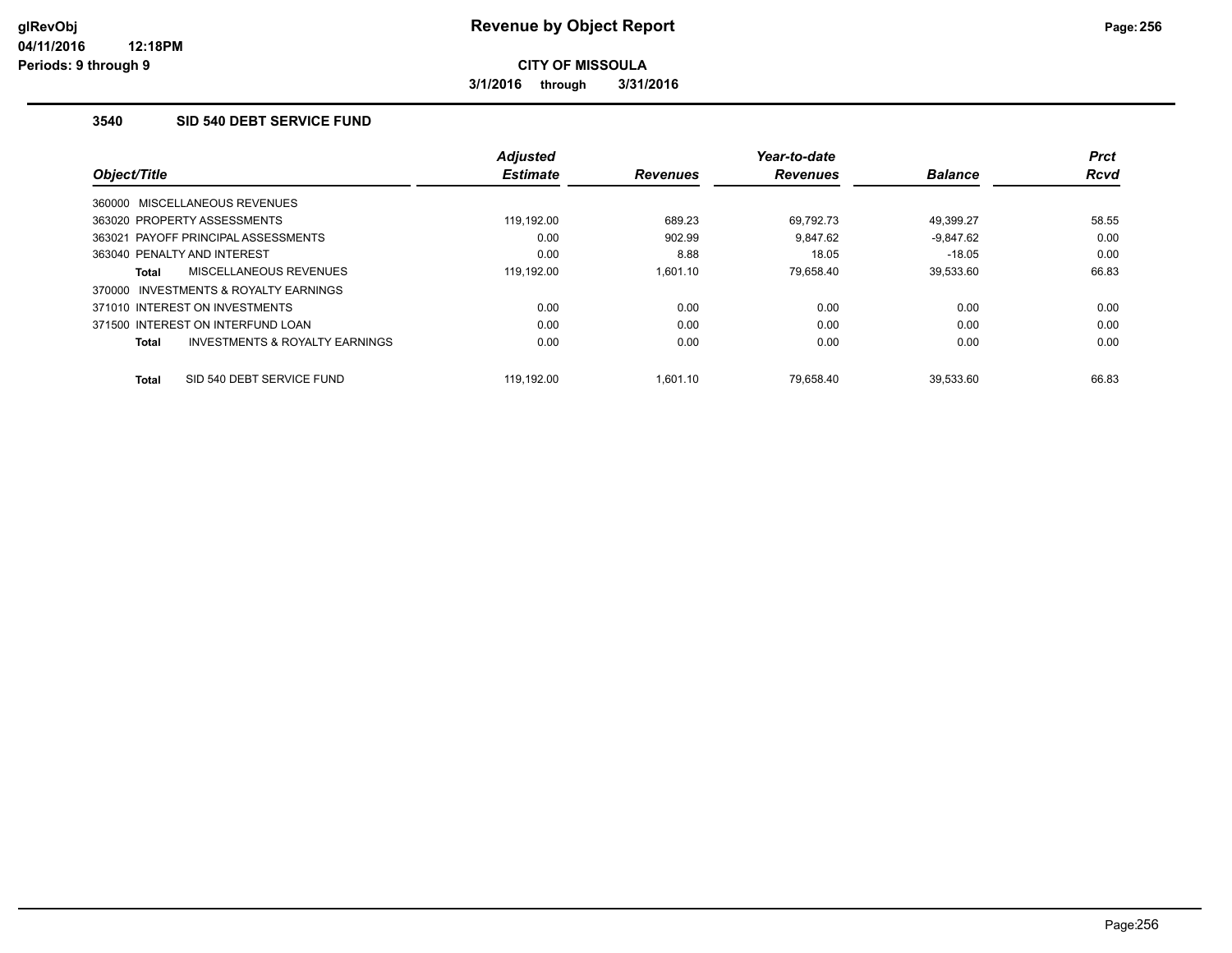**3/1/2016 through 3/31/2016**

## **3540 SID 540 DEBT SERVICE FUND**

|                                                           | <b>Adjusted</b> |                 | Year-to-date    |                | <b>Prct</b> |
|-----------------------------------------------------------|-----------------|-----------------|-----------------|----------------|-------------|
| Object/Title                                              | <b>Estimate</b> | <b>Revenues</b> | <b>Revenues</b> | <b>Balance</b> | <b>Rcvd</b> |
| 360000 MISCELLANEOUS REVENUES                             |                 |                 |                 |                |             |
| 363020 PROPERTY ASSESSMENTS                               | 119.192.00      | 689.23          | 69.792.73       | 49.399.27      | 58.55       |
| 363021 PAYOFF PRINCIPAL ASSESSMENTS                       | 0.00            | 902.99          | 9.847.62        | $-9.847.62$    | 0.00        |
| 363040 PENALTY AND INTEREST                               | 0.00            | 8.88            | 18.05           | $-18.05$       | 0.00        |
| MISCELLANEOUS REVENUES<br><b>Total</b>                    | 119,192.00      | 1.601.10        | 79,658.40       | 39,533.60      | 66.83       |
| INVESTMENTS & ROYALTY EARNINGS<br>370000                  |                 |                 |                 |                |             |
| 371010 INTEREST ON INVESTMENTS                            | 0.00            | 0.00            | 0.00            | 0.00           | 0.00        |
| 371500 INTEREST ON INTERFUND LOAN                         | 0.00            | 0.00            | 0.00            | 0.00           | 0.00        |
| <b>INVESTMENTS &amp; ROYALTY EARNINGS</b><br><b>Total</b> | 0.00            | 0.00            | 0.00            | 0.00           | 0.00        |
| SID 540 DEBT SERVICE FUND<br><b>Total</b>                 | 119.192.00      | 1.601.10        | 79.658.40       | 39.533.60      | 66.83       |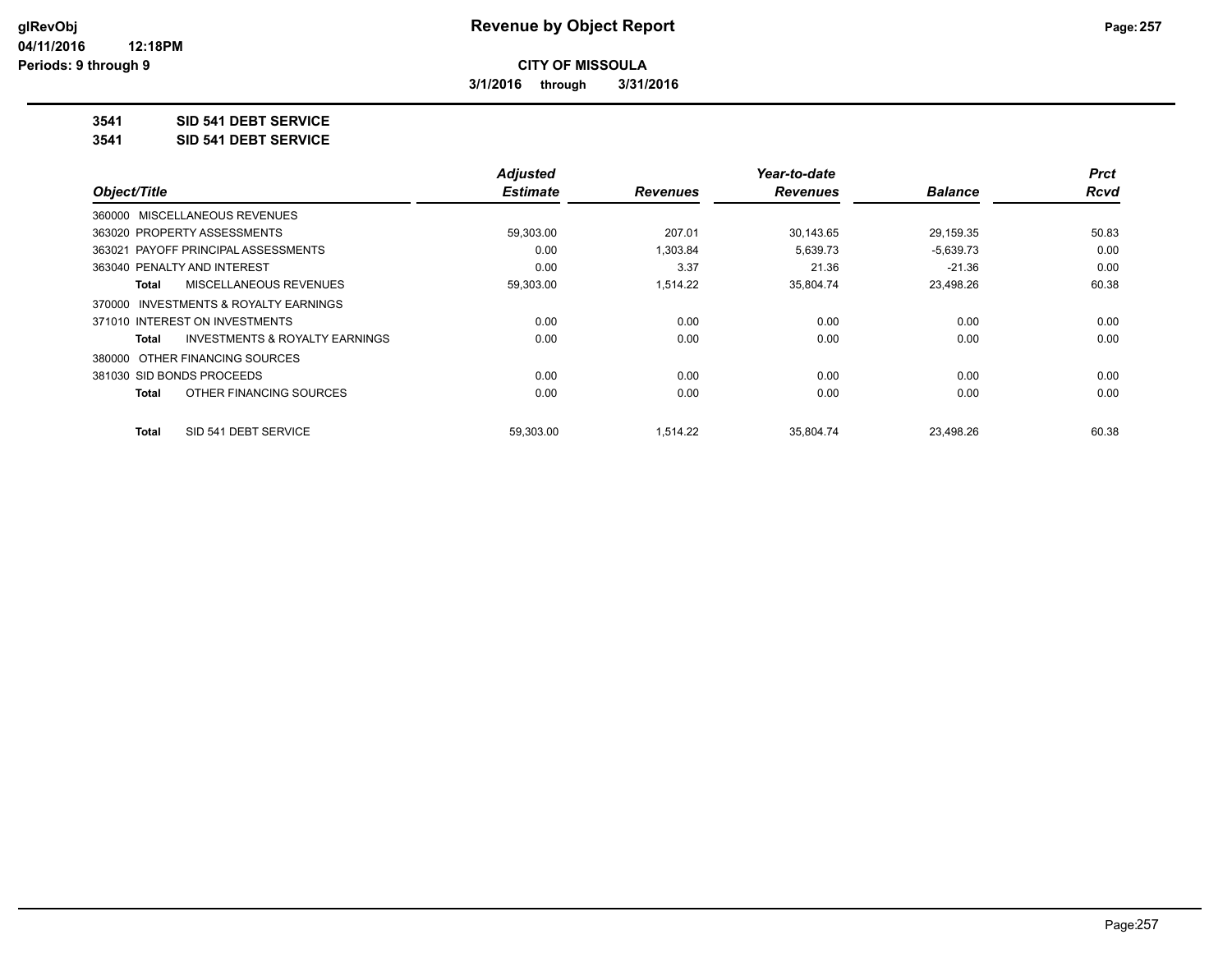**3/1/2016 through 3/31/2016**

## **3541 SID 541 DEBT SERVICE**

**3541 SID 541 DEBT SERVICE**

|                                         | <b>Adjusted</b> |                 | Year-to-date    |                | <b>Prct</b> |
|-----------------------------------------|-----------------|-----------------|-----------------|----------------|-------------|
| Object/Title                            | <b>Estimate</b> | <b>Revenues</b> | <b>Revenues</b> | <b>Balance</b> | <b>Rcvd</b> |
| 360000 MISCELLANEOUS REVENUES           |                 |                 |                 |                |             |
| 363020 PROPERTY ASSESSMENTS             | 59,303.00       | 207.01          | 30,143.65       | 29,159.35      | 50.83       |
| 363021 PAYOFF PRINCIPAL ASSESSMENTS     | 0.00            | 1,303.84        | 5,639.73        | $-5,639.73$    | 0.00        |
| 363040 PENALTY AND INTEREST             | 0.00            | 3.37            | 21.36           | $-21.36$       | 0.00        |
| MISCELLANEOUS REVENUES<br>Total         | 59,303.00       | 1,514.22        | 35,804.74       | 23,498.26      | 60.38       |
| 370000 INVESTMENTS & ROYALTY EARNINGS   |                 |                 |                 |                |             |
| 371010 INTEREST ON INVESTMENTS          | 0.00            | 0.00            | 0.00            | 0.00           | 0.00        |
| INVESTMENTS & ROYALTY EARNINGS<br>Total | 0.00            | 0.00            | 0.00            | 0.00           | 0.00        |
| 380000 OTHER FINANCING SOURCES          |                 |                 |                 |                |             |
| 381030 SID BONDS PROCEEDS               | 0.00            | 0.00            | 0.00            | 0.00           | 0.00        |
| OTHER FINANCING SOURCES<br>Total        | 0.00            | 0.00            | 0.00            | 0.00           | 0.00        |
| SID 541 DEBT SERVICE<br>Total           | 59.303.00       | 1.514.22        | 35.804.74       | 23.498.26      | 60.38       |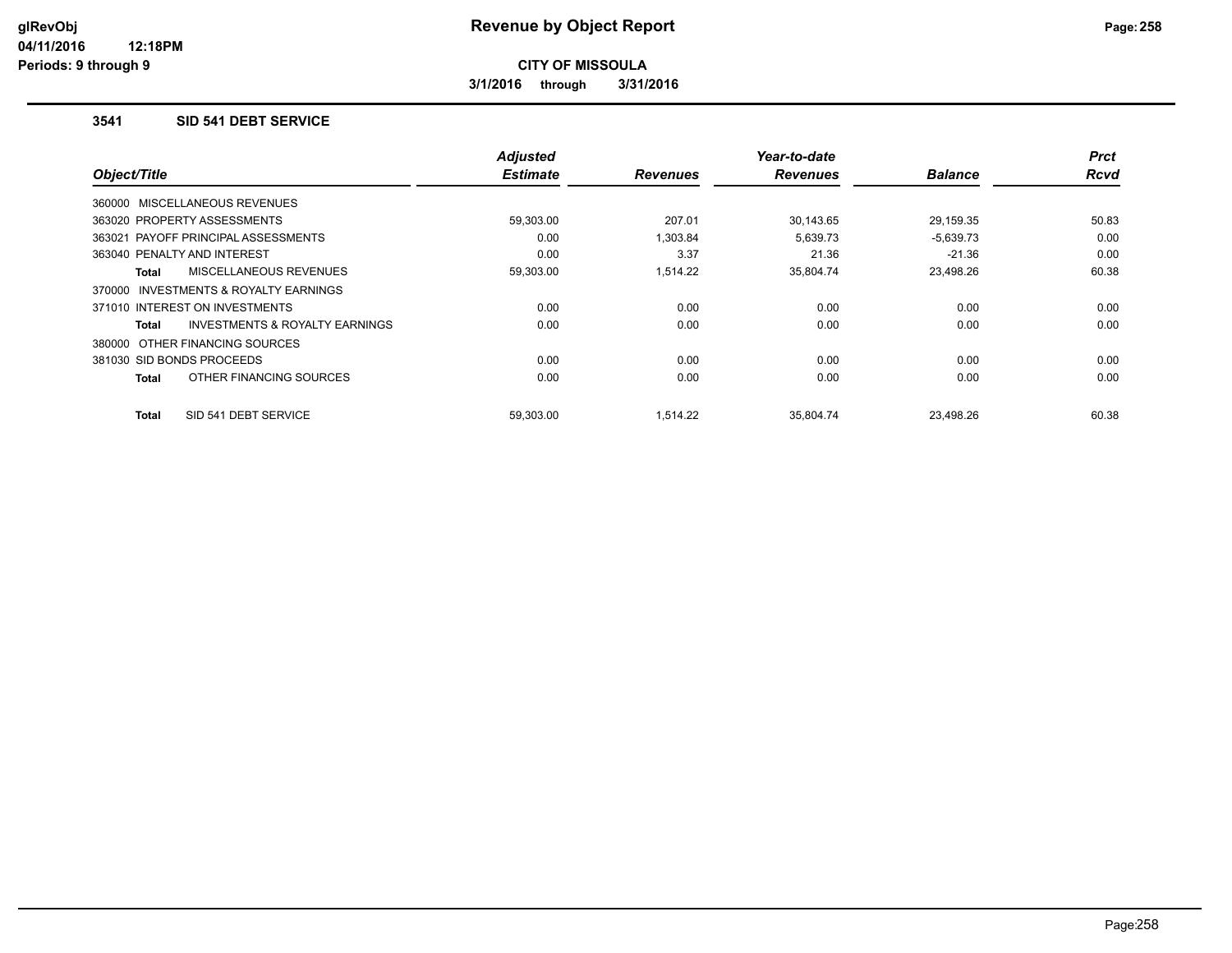**3/1/2016 through 3/31/2016**

#### **3541 SID 541 DEBT SERVICE**

|                                                     | <b>Adjusted</b><br><b>Estimate</b> |                 | Year-to-date<br><b>Revenues</b> | <b>Balance</b> | <b>Prct</b><br>Rcvd |
|-----------------------------------------------------|------------------------------------|-----------------|---------------------------------|----------------|---------------------|
| Object/Title                                        |                                    | <b>Revenues</b> |                                 |                |                     |
| 360000 MISCELLANEOUS REVENUES                       |                                    |                 |                                 |                |                     |
| 363020 PROPERTY ASSESSMENTS                         | 59,303.00                          | 207.01          | 30,143.65                       | 29,159.35      | 50.83               |
| 363021 PAYOFF PRINCIPAL ASSESSMENTS                 | 0.00                               | 1,303.84        | 5,639.73                        | $-5,639.73$    | 0.00                |
| 363040 PENALTY AND INTEREST                         | 0.00                               | 3.37            | 21.36                           | $-21.36$       | 0.00                |
| MISCELLANEOUS REVENUES<br>Total                     | 59,303.00                          | 1,514.22        | 35,804.74                       | 23,498.26      | 60.38               |
| <b>INVESTMENTS &amp; ROYALTY EARNINGS</b><br>370000 |                                    |                 |                                 |                |                     |
| 371010 INTEREST ON INVESTMENTS                      | 0.00                               | 0.00            | 0.00                            | 0.00           | 0.00                |
| INVESTMENTS & ROYALTY EARNINGS<br>Total             | 0.00                               | 0.00            | 0.00                            | 0.00           | 0.00                |
| 380000 OTHER FINANCING SOURCES                      |                                    |                 |                                 |                |                     |
| 381030 SID BONDS PROCEEDS                           | 0.00                               | 0.00            | 0.00                            | 0.00           | 0.00                |
| OTHER FINANCING SOURCES<br><b>Total</b>             | 0.00                               | 0.00            | 0.00                            | 0.00           | 0.00                |
| SID 541 DEBT SERVICE<br><b>Total</b>                | 59.303.00                          | 1.514.22        | 35.804.74                       | 23.498.26      | 60.38               |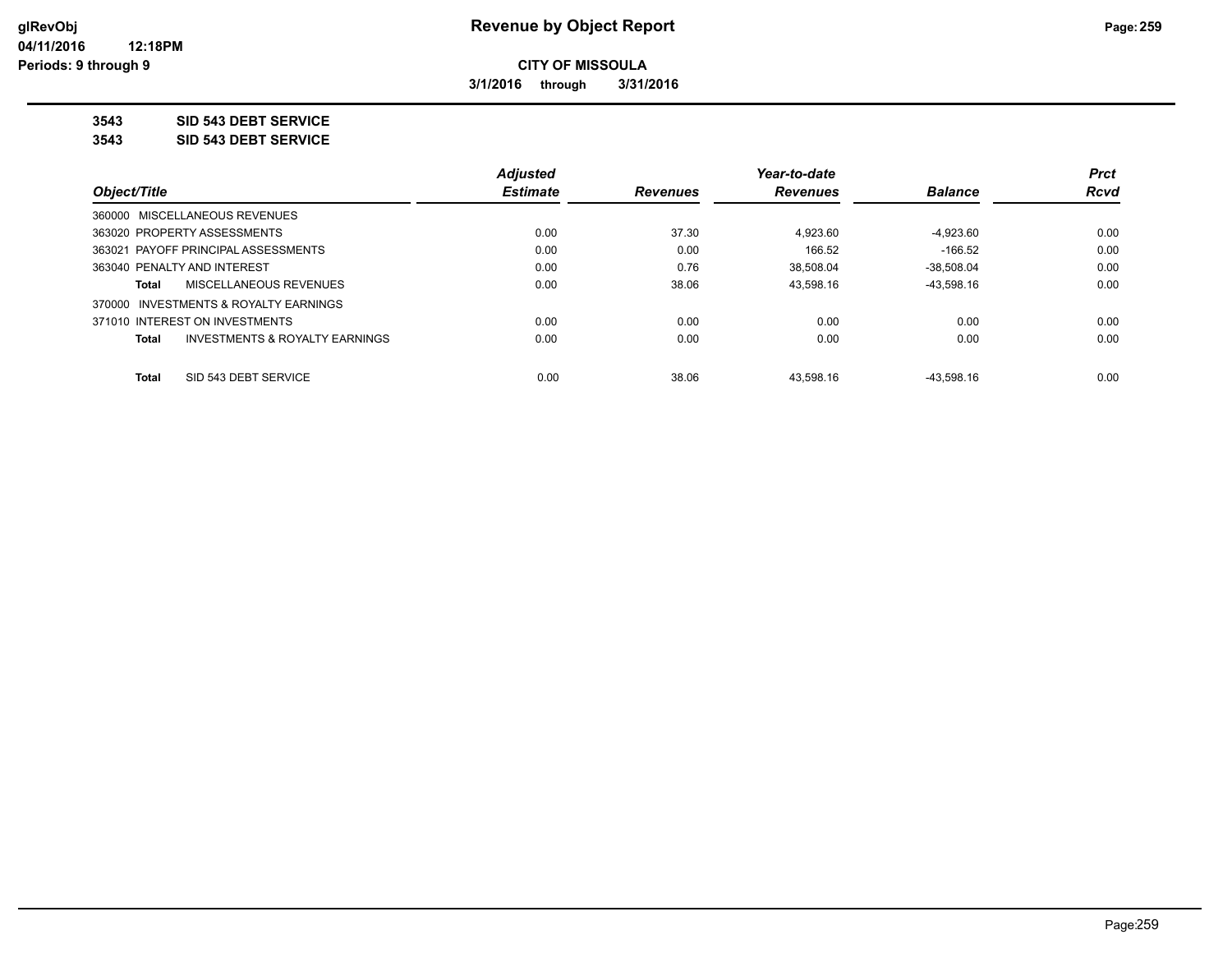**3/1/2016 through 3/31/2016**

**3543 SID 543 DEBT SERVICE**

**3543 SID 543 DEBT SERVICE**

|                                |                                       | <b>Adjusted</b> |                 | Year-to-date    |                | <b>Prct</b> |
|--------------------------------|---------------------------------------|-----------------|-----------------|-----------------|----------------|-------------|
| Object/Title                   |                                       | <b>Estimate</b> | <b>Revenues</b> | <b>Revenues</b> | <b>Balance</b> | <b>Rcvd</b> |
| 360000 MISCELLANEOUS REVENUES  |                                       |                 |                 |                 |                |             |
| 363020 PROPERTY ASSESSMENTS    |                                       | 0.00            | 37.30           | 4.923.60        | $-4,923.60$    | 0.00        |
|                                | 363021 PAYOFF PRINCIPAL ASSESSMENTS   | 0.00            | 0.00            | 166.52          | $-166.52$      | 0.00        |
| 363040 PENALTY AND INTEREST    |                                       | 0.00            | 0.76            | 38.508.04       | $-38.508.04$   | 0.00        |
| Total                          | MISCELLANEOUS REVENUES                | 0.00            | 38.06           | 43.598.16       | $-43.598.16$   | 0.00        |
|                                | 370000 INVESTMENTS & ROYALTY EARNINGS |                 |                 |                 |                |             |
| 371010 INTEREST ON INVESTMENTS |                                       | 0.00            | 0.00            | 0.00            | 0.00           | 0.00        |
| Total                          | INVESTMENTS & ROYALTY EARNINGS        | 0.00            | 0.00            | 0.00            | 0.00           | 0.00        |
| <b>Total</b>                   | SID 543 DEBT SERVICE                  | 0.00            | 38.06           | 43.598.16       | $-43.598.16$   | 0.00        |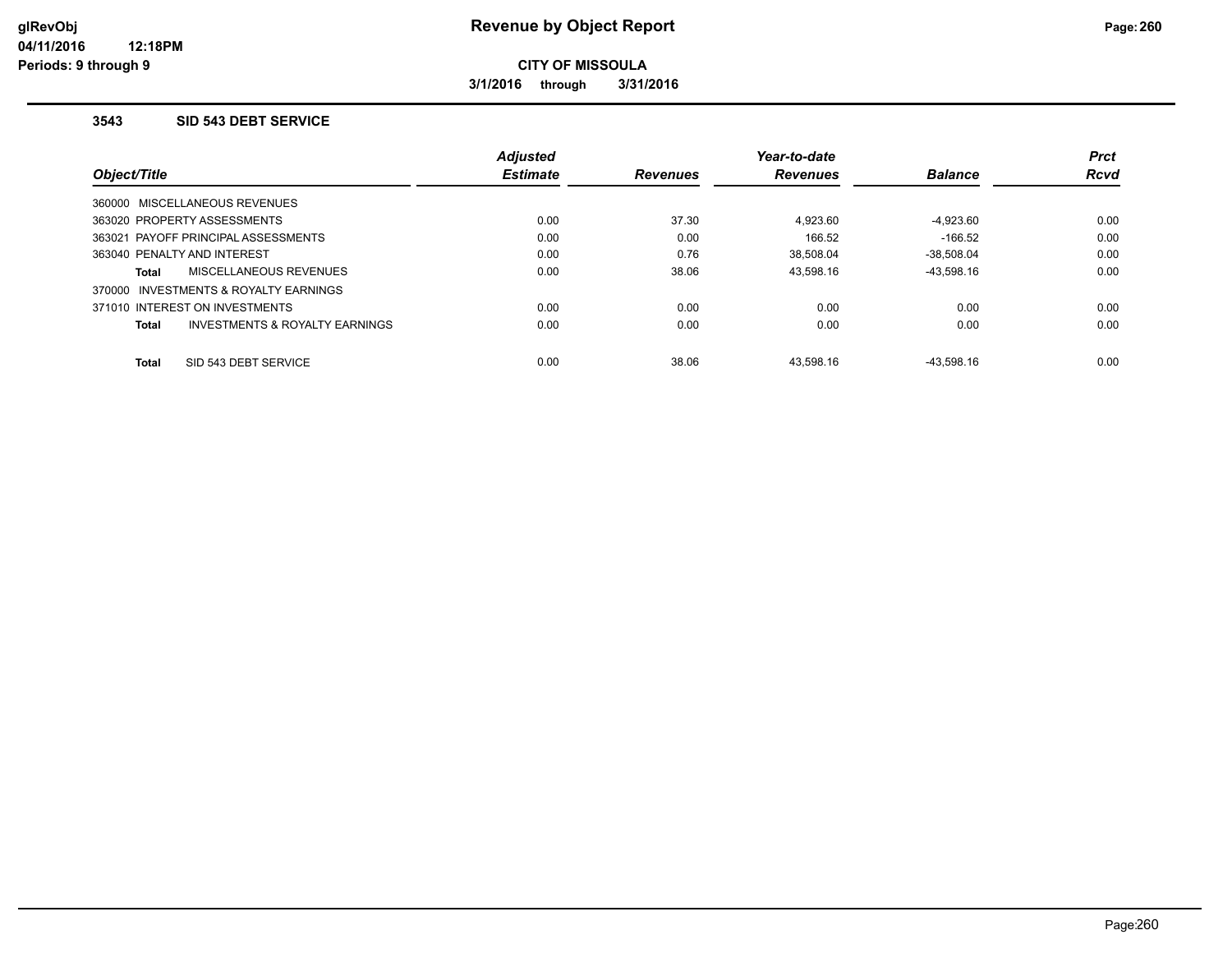**3/1/2016 through 3/31/2016**

#### **3543 SID 543 DEBT SERVICE**

|                                                           | <b>Adjusted</b> |                 | Year-to-date    |                | <b>Prct</b> |
|-----------------------------------------------------------|-----------------|-----------------|-----------------|----------------|-------------|
| Object/Title                                              | <b>Estimate</b> | <b>Revenues</b> | <b>Revenues</b> | <b>Balance</b> | <b>Rcvd</b> |
| 360000 MISCELLANEOUS REVENUES                             |                 |                 |                 |                |             |
| 363020 PROPERTY ASSESSMENTS                               | 0.00            | 37.30           | 4.923.60        | $-4,923.60$    | 0.00        |
| 363021 PAYOFF PRINCIPAL ASSESSMENTS                       | 0.00            | 0.00            | 166.52          | $-166.52$      | 0.00        |
| 363040 PENALTY AND INTEREST                               | 0.00            | 0.76            | 38.508.04       | $-38.508.04$   | 0.00        |
| <b>MISCELLANEOUS REVENUES</b><br>Total                    | 0.00            | 38.06           | 43.598.16       | $-43.598.16$   | 0.00        |
| 370000 INVESTMENTS & ROYALTY EARNINGS                     |                 |                 |                 |                |             |
| 371010 INTEREST ON INVESTMENTS                            | 0.00            | 0.00            | 0.00            | 0.00           | 0.00        |
| <b>INVESTMENTS &amp; ROYALTY EARNINGS</b><br><b>Total</b> | 0.00            | 0.00            | 0.00            | 0.00           | 0.00        |
| SID 543 DEBT SERVICE<br><b>Total</b>                      | 0.00            | 38.06           | 43.598.16       | $-43.598.16$   | 0.00        |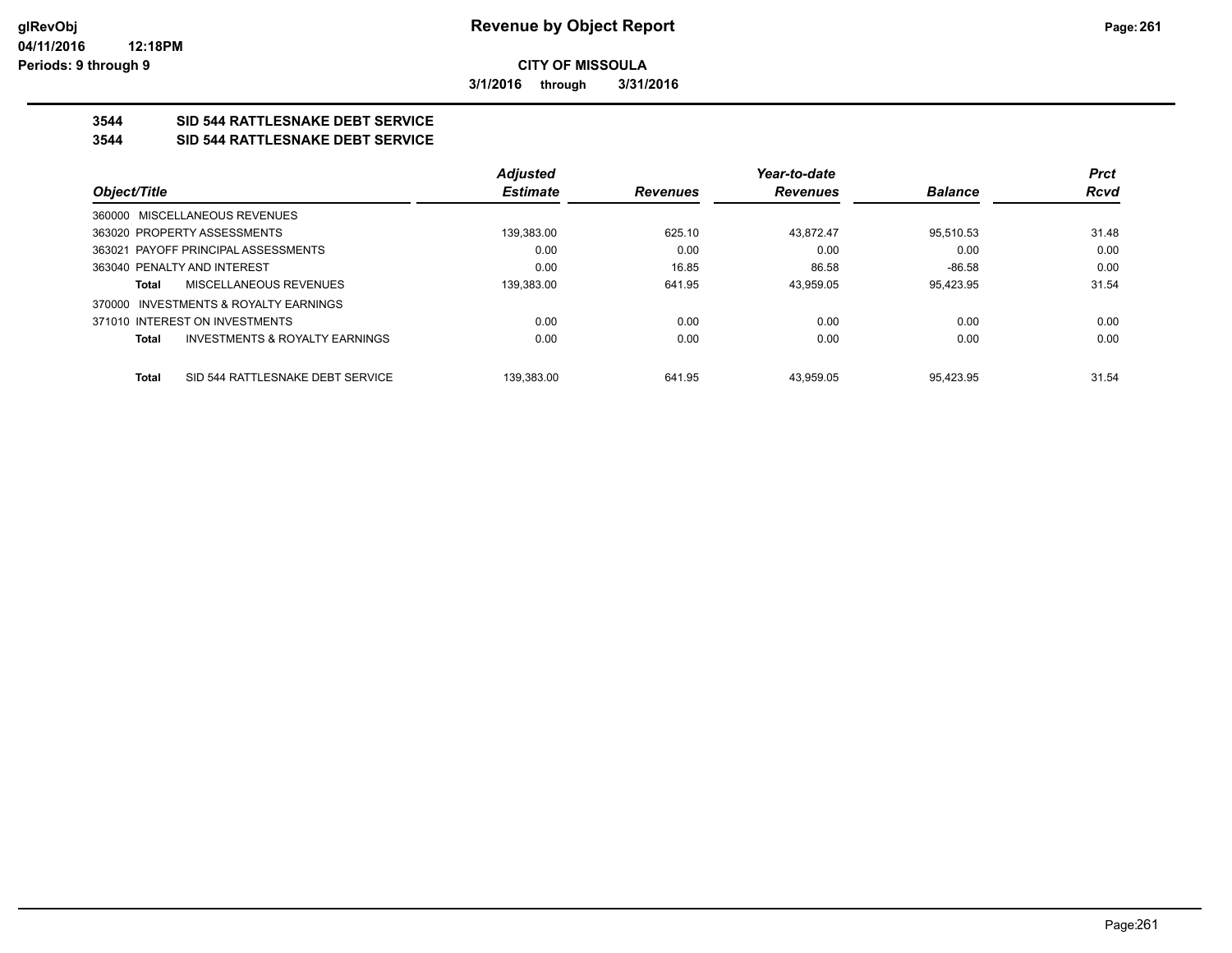**3/1/2016 through 3/31/2016**

## **3544 SID 544 RATTLESNAKE DEBT SERVICE**

### **3544 SID 544 RATTLESNAKE DEBT SERVICE**

|                                |                                           | <b>Adjusted</b> |                 | Year-to-date    |                | <b>Prct</b> |
|--------------------------------|-------------------------------------------|-----------------|-----------------|-----------------|----------------|-------------|
| Object/Title                   |                                           | <b>Estimate</b> | <b>Revenues</b> | <b>Revenues</b> | <b>Balance</b> | <b>Rcvd</b> |
|                                | 360000 MISCELLANEOUS REVENUES             |                 |                 |                 |                |             |
| 363020 PROPERTY ASSESSMENTS    |                                           | 139.383.00      | 625.10          | 43.872.47       | 95.510.53      | 31.48       |
|                                | 363021 PAYOFF PRINCIPAL ASSESSMENTS       | 0.00            | 0.00            | 0.00            | 0.00           | 0.00        |
| 363040 PENALTY AND INTEREST    |                                           | 0.00            | 16.85           | 86.58           | $-86.58$       | 0.00        |
| Total                          | MISCELLANEOUS REVENUES                    | 139.383.00      | 641.95          | 43.959.05       | 95.423.95      | 31.54       |
| 370000                         | INVESTMENTS & ROYALTY EARNINGS            |                 |                 |                 |                |             |
| 371010 INTEREST ON INVESTMENTS |                                           | 0.00            | 0.00            | 0.00            | 0.00           | 0.00        |
| <b>Total</b>                   | <b>INVESTMENTS &amp; ROYALTY EARNINGS</b> | 0.00            | 0.00            | 0.00            | 0.00           | 0.00        |
| <b>Total</b>                   | SID 544 RATTLESNAKE DEBT SERVICE          | 139.383.00      | 641.95          | 43.959.05       | 95.423.95      | 31.54       |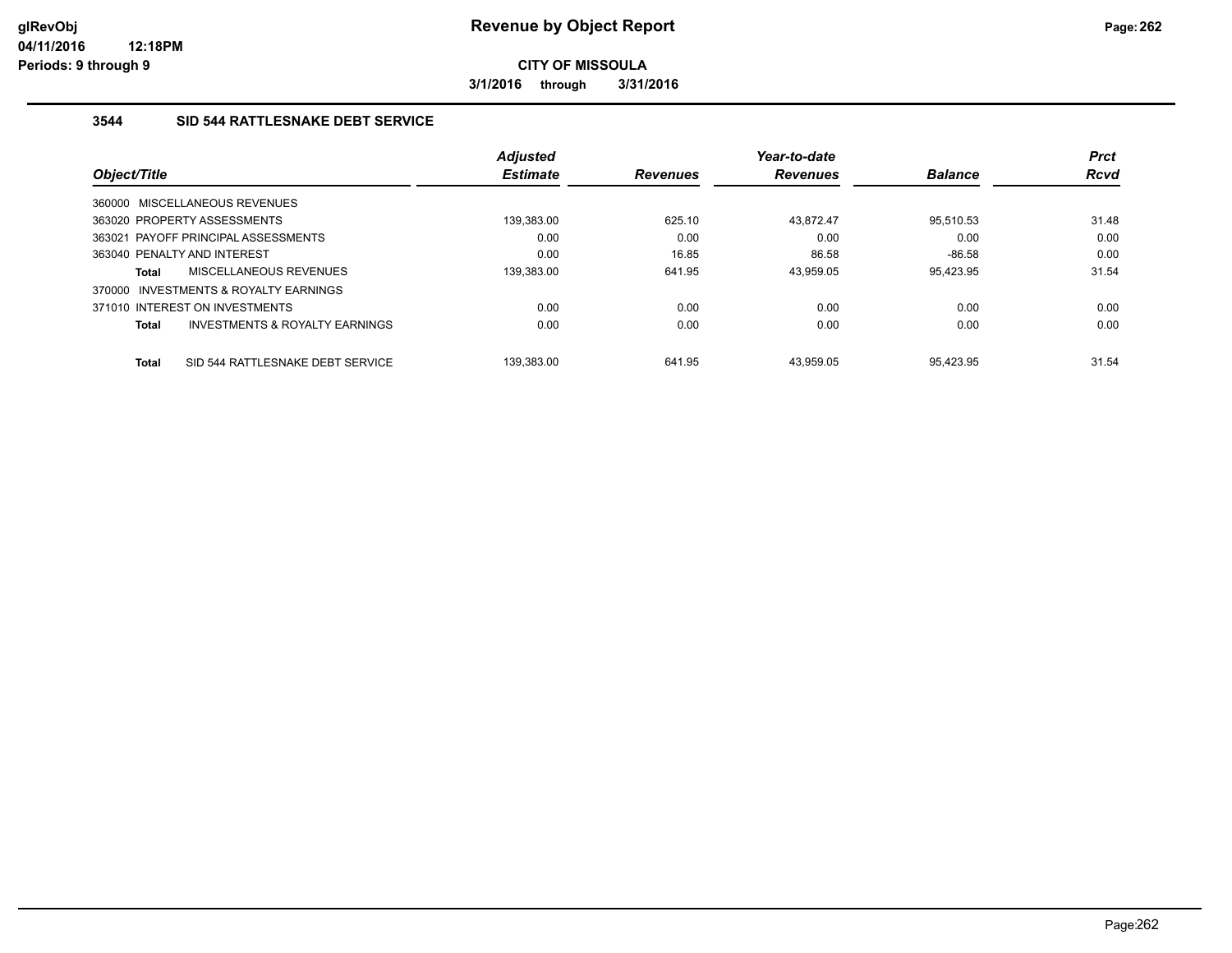**3/1/2016 through 3/31/2016**

## **3544 SID 544 RATTLESNAKE DEBT SERVICE**

|                             |                                           | <b>Adjusted</b> |                 | Year-to-date    |                | <b>Prct</b> |
|-----------------------------|-------------------------------------------|-----------------|-----------------|-----------------|----------------|-------------|
| Object/Title                |                                           | <b>Estimate</b> | <b>Revenues</b> | <b>Revenues</b> | <b>Balance</b> | <b>Rcvd</b> |
|                             | 360000 MISCELLANEOUS REVENUES             |                 |                 |                 |                |             |
|                             | 363020 PROPERTY ASSESSMENTS               | 139.383.00      | 625.10          | 43.872.47       | 95.510.53      | 31.48       |
|                             | 363021 PAYOFF PRINCIPAL ASSESSMENTS       | 0.00            | 0.00            | 0.00            | 0.00           | 0.00        |
| 363040 PENALTY AND INTEREST |                                           | 0.00            | 16.85           | 86.58           | $-86.58$       | 0.00        |
| <b>Total</b>                | <b>MISCELLANEOUS REVENUES</b>             | 139,383.00      | 641.95          | 43.959.05       | 95.423.95      | 31.54       |
| 370000                      | INVESTMENTS & ROYALTY EARNINGS            |                 |                 |                 |                |             |
|                             | 371010 INTEREST ON INVESTMENTS            | 0.00            | 0.00            | 0.00            | 0.00           | 0.00        |
| <b>Total</b>                | <b>INVESTMENTS &amp; ROYALTY EARNINGS</b> | 0.00            | 0.00            | 0.00            | 0.00           | 0.00        |
| <b>Total</b>                | SID 544 RATTLESNAKE DEBT SERVICE          | 139.383.00      | 641.95          | 43.959.05       | 95.423.95      | 31.54       |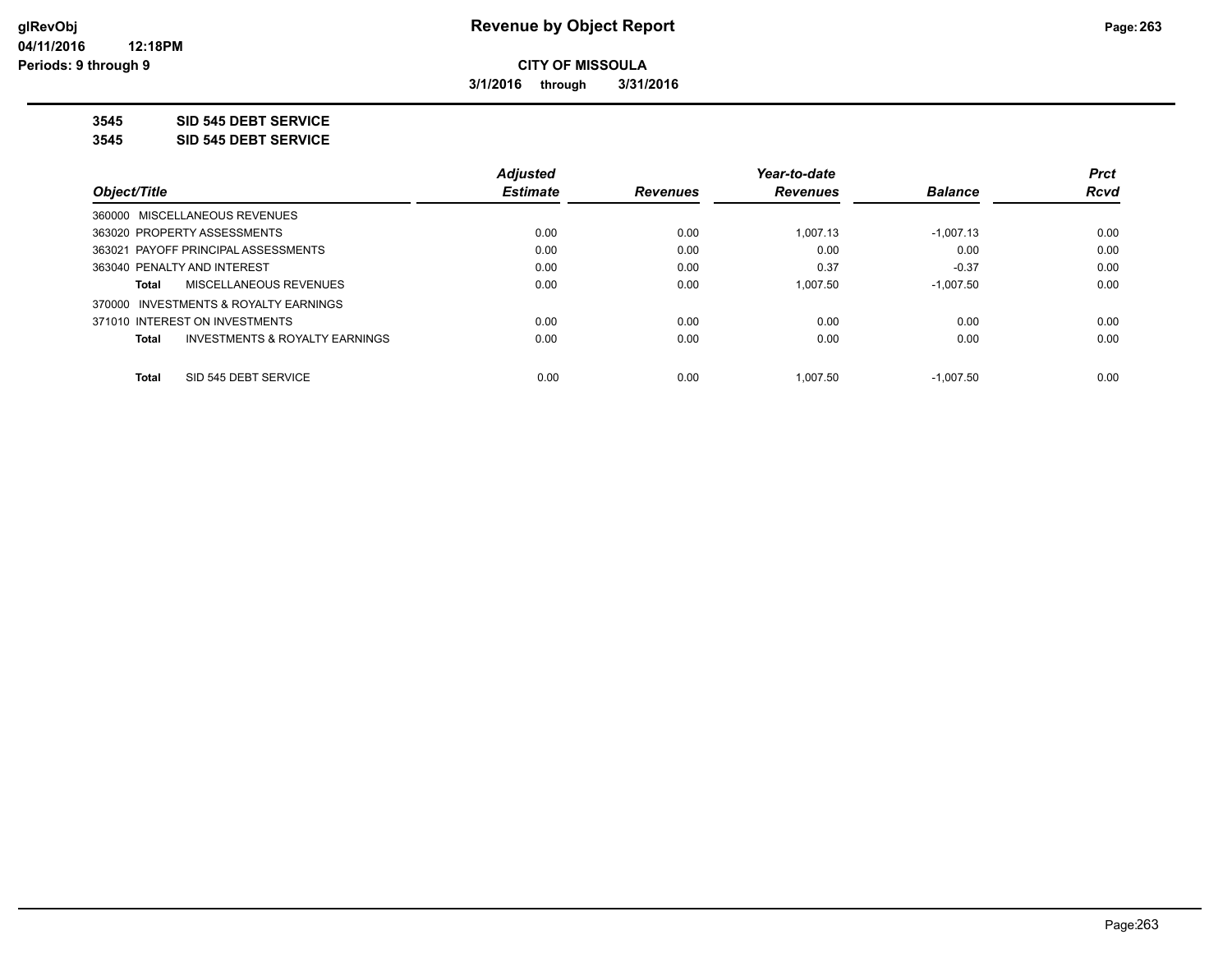**3/1/2016 through 3/31/2016**

**3545 SID 545 DEBT SERVICE**

**3545 SID 545 DEBT SERVICE**

|                                         | <b>Adjusted</b> |                 | Year-to-date    |                | <b>Prct</b> |
|-----------------------------------------|-----------------|-----------------|-----------------|----------------|-------------|
| Object/Title                            | <b>Estimate</b> | <b>Revenues</b> | <b>Revenues</b> | <b>Balance</b> | <b>Rcvd</b> |
| 360000 MISCELLANEOUS REVENUES           |                 |                 |                 |                |             |
| 363020 PROPERTY ASSESSMENTS             | 0.00            | 0.00            | 1.007.13        | $-1,007.13$    | 0.00        |
| 363021 PAYOFF PRINCIPAL ASSESSMENTS     | 0.00            | 0.00            | 0.00            | 0.00           | 0.00        |
| 363040 PENALTY AND INTEREST             | 0.00            | 0.00            | 0.37            | $-0.37$        | 0.00        |
| MISCELLANEOUS REVENUES<br>Total         | 0.00            | 0.00            | 1.007.50        | $-1.007.50$    | 0.00        |
| 370000 INVESTMENTS & ROYALTY EARNINGS   |                 |                 |                 |                |             |
| 371010 INTEREST ON INVESTMENTS          | 0.00            | 0.00            | 0.00            | 0.00           | 0.00        |
| INVESTMENTS & ROYALTY EARNINGS<br>Total | 0.00            | 0.00            | 0.00            | 0.00           | 0.00        |
|                                         |                 |                 |                 |                |             |
| SID 545 DEBT SERVICE<br><b>Total</b>    | 0.00            | 0.00            | 1.007.50        | $-1.007.50$    | 0.00        |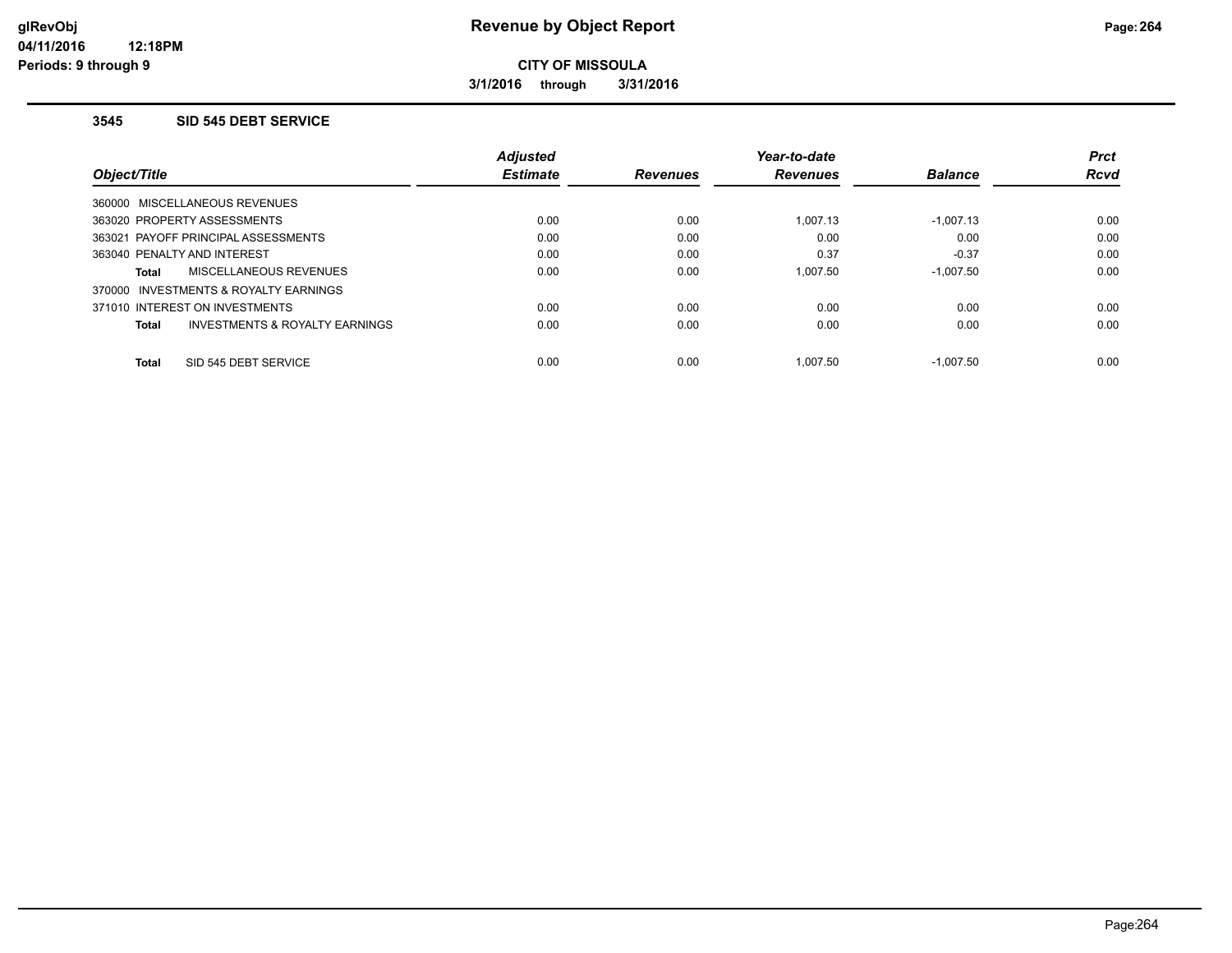**3/1/2016 through 3/31/2016**

#### **3545 SID 545 DEBT SERVICE**

|                                         | <b>Adjusted</b> |                 | Year-to-date    |                | <b>Prct</b> |
|-----------------------------------------|-----------------|-----------------|-----------------|----------------|-------------|
| Object/Title                            | <b>Estimate</b> | <b>Revenues</b> | <b>Revenues</b> | <b>Balance</b> | <b>Rcvd</b> |
| 360000 MISCELLANEOUS REVENUES           |                 |                 |                 |                |             |
| 363020 PROPERTY ASSESSMENTS             | 0.00            | 0.00            | 1.007.13        | $-1,007.13$    | 0.00        |
| 363021 PAYOFF PRINCIPAL ASSESSMENTS     | 0.00            | 0.00            | 0.00            | 0.00           | 0.00        |
| 363040 PENALTY AND INTEREST             | 0.00            | 0.00            | 0.37            | $-0.37$        | 0.00        |
| MISCELLANEOUS REVENUES<br>Total         | 0.00            | 0.00            | 1.007.50        | $-1.007.50$    | 0.00        |
| 370000 INVESTMENTS & ROYALTY EARNINGS   |                 |                 |                 |                |             |
| 371010 INTEREST ON INVESTMENTS          | 0.00            | 0.00            | 0.00            | 0.00           | 0.00        |
| INVESTMENTS & ROYALTY EARNINGS<br>Total | 0.00            | 0.00            | 0.00            | 0.00           | 0.00        |
| SID 545 DEBT SERVICE<br><b>Total</b>    | 0.00            | 0.00            | 1.007.50        | $-1.007.50$    | 0.00        |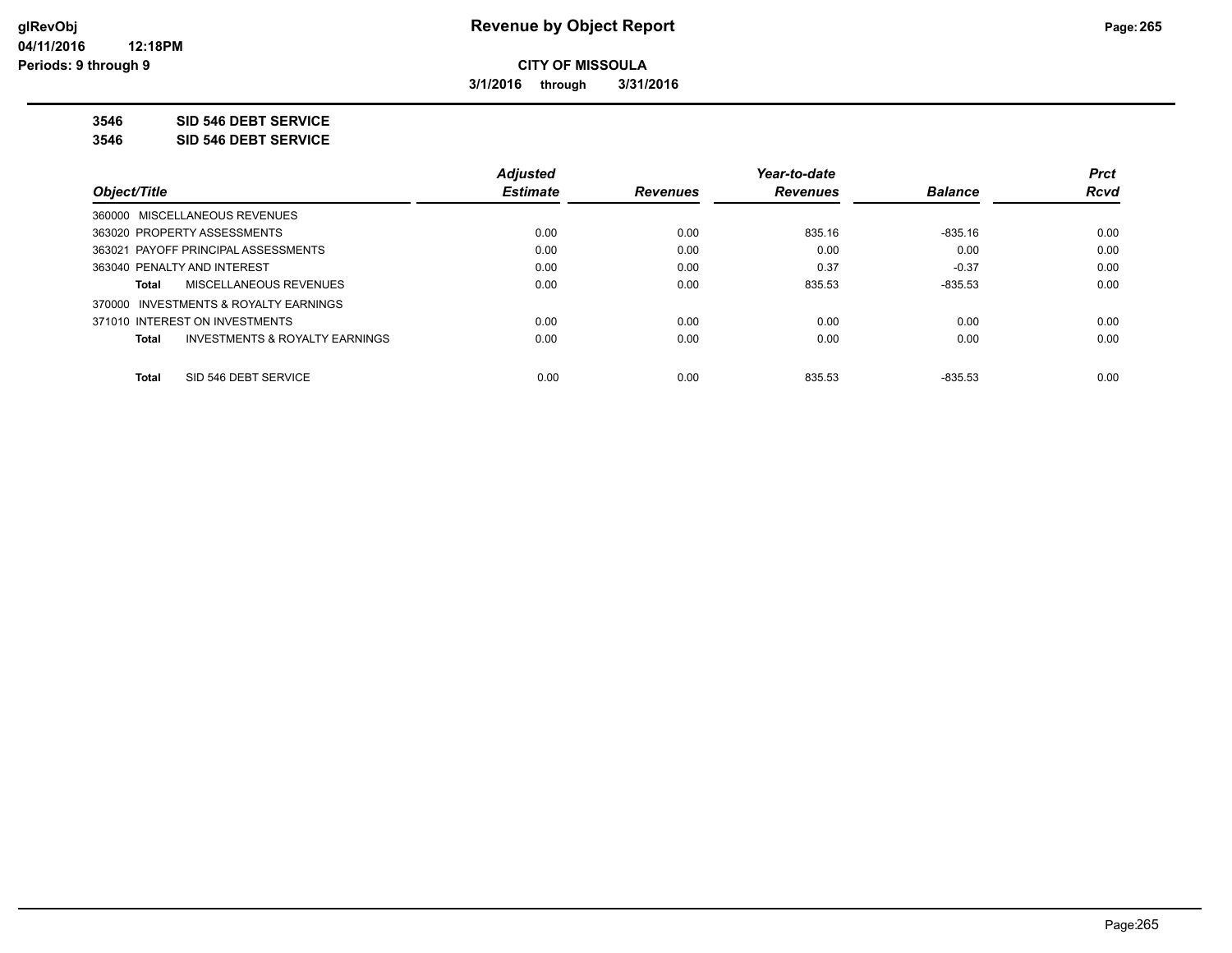**3/1/2016 through 3/31/2016**

**3546 SID 546 DEBT SERVICE**

**3546 SID 546 DEBT SERVICE**

|                                                    | <b>Adjusted</b> |                 | Year-to-date    |                | <b>Prct</b> |
|----------------------------------------------------|-----------------|-----------------|-----------------|----------------|-------------|
| Object/Title                                       | <b>Estimate</b> | <b>Revenues</b> | <b>Revenues</b> | <b>Balance</b> | Rcvd        |
| 360000 MISCELLANEOUS REVENUES                      |                 |                 |                 |                |             |
| 363020 PROPERTY ASSESSMENTS                        | 0.00            | 0.00            | 835.16          | $-835.16$      | 0.00        |
| 363021 PAYOFF PRINCIPAL ASSESSMENTS                | 0.00            | 0.00            | 0.00            | 0.00           | 0.00        |
| 363040 PENALTY AND INTEREST                        | 0.00            | 0.00            | 0.37            | $-0.37$        | 0.00        |
| MISCELLANEOUS REVENUES<br>Total                    | 0.00            | 0.00            | 835.53          | $-835.53$      | 0.00        |
| 370000 INVESTMENTS & ROYALTY EARNINGS              |                 |                 |                 |                |             |
| 371010 INTEREST ON INVESTMENTS                     | 0.00            | 0.00            | 0.00            | 0.00           | 0.00        |
| <b>INVESTMENTS &amp; ROYALTY EARNINGS</b><br>Total | 0.00            | 0.00            | 0.00            | 0.00           | 0.00        |
| SID 546 DEBT SERVICE<br><b>Total</b>               | 0.00            | 0.00            | 835.53          | $-835.53$      | 0.00        |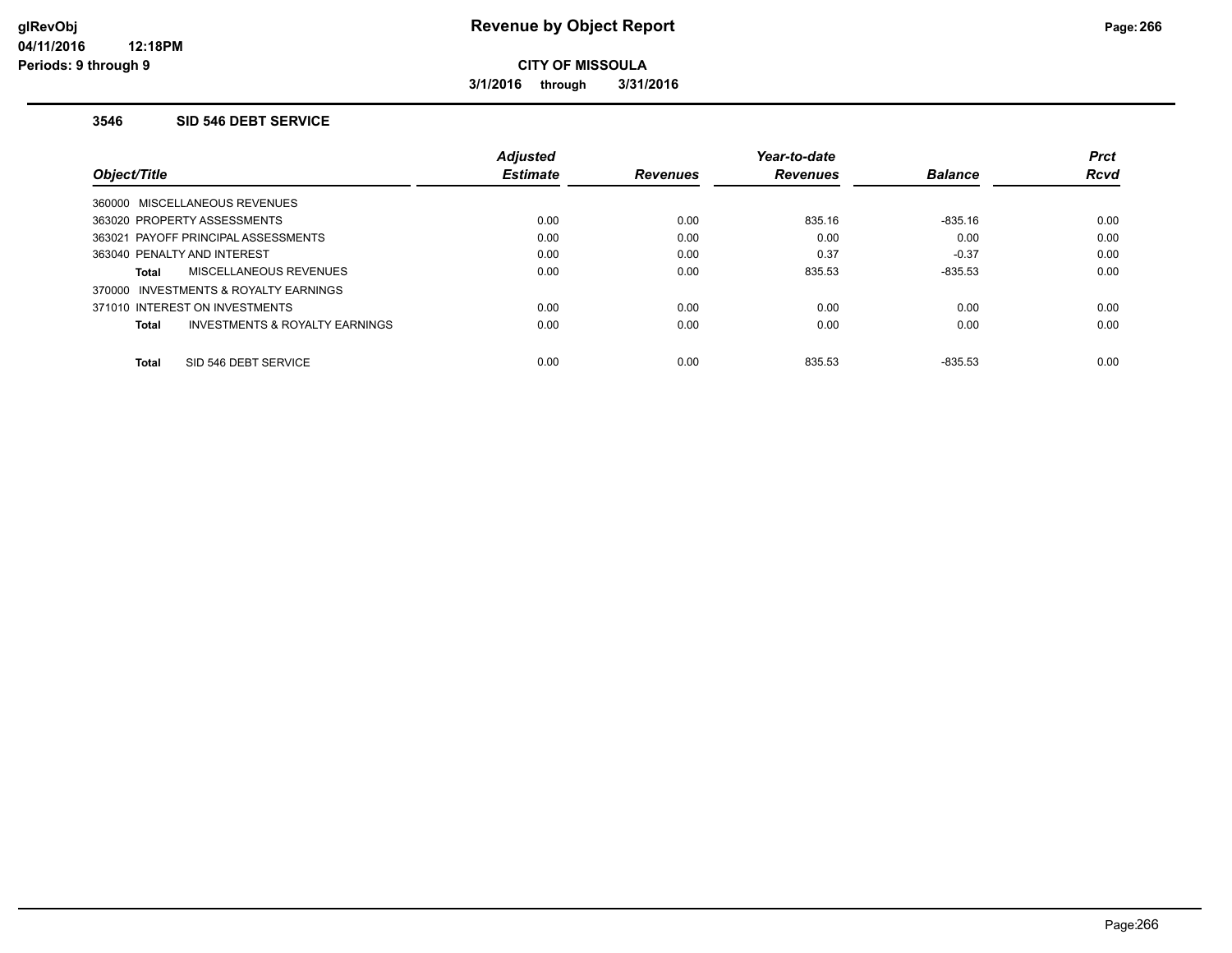**3/1/2016 through 3/31/2016**

#### **3546 SID 546 DEBT SERVICE**

|                                         | <b>Adjusted</b> |                 | Year-to-date    |                | <b>Prct</b> |
|-----------------------------------------|-----------------|-----------------|-----------------|----------------|-------------|
| Object/Title                            | <b>Estimate</b> | <b>Revenues</b> | <b>Revenues</b> | <b>Balance</b> | <b>Rcvd</b> |
| 360000 MISCELLANEOUS REVENUES           |                 |                 |                 |                |             |
| 363020 PROPERTY ASSESSMENTS             | 0.00            | 0.00            | 835.16          | $-835.16$      | 0.00        |
| 363021 PAYOFF PRINCIPAL ASSESSMENTS     | 0.00            | 0.00            | 0.00            | 0.00           | 0.00        |
| 363040 PENALTY AND INTEREST             | 0.00            | 0.00            | 0.37            | $-0.37$        | 0.00        |
| MISCELLANEOUS REVENUES<br><b>Total</b>  | 0.00            | 0.00            | 835.53          | $-835.53$      | 0.00        |
| 370000 INVESTMENTS & ROYALTY EARNINGS   |                 |                 |                 |                |             |
| 371010 INTEREST ON INVESTMENTS          | 0.00            | 0.00            | 0.00            | 0.00           | 0.00        |
| INVESTMENTS & ROYALTY EARNINGS<br>Total | 0.00            | 0.00            | 0.00            | 0.00           | 0.00        |
| SID 546 DEBT SERVICE<br><b>Total</b>    | 0.00            | 0.00            | 835.53          | $-835.53$      | 0.00        |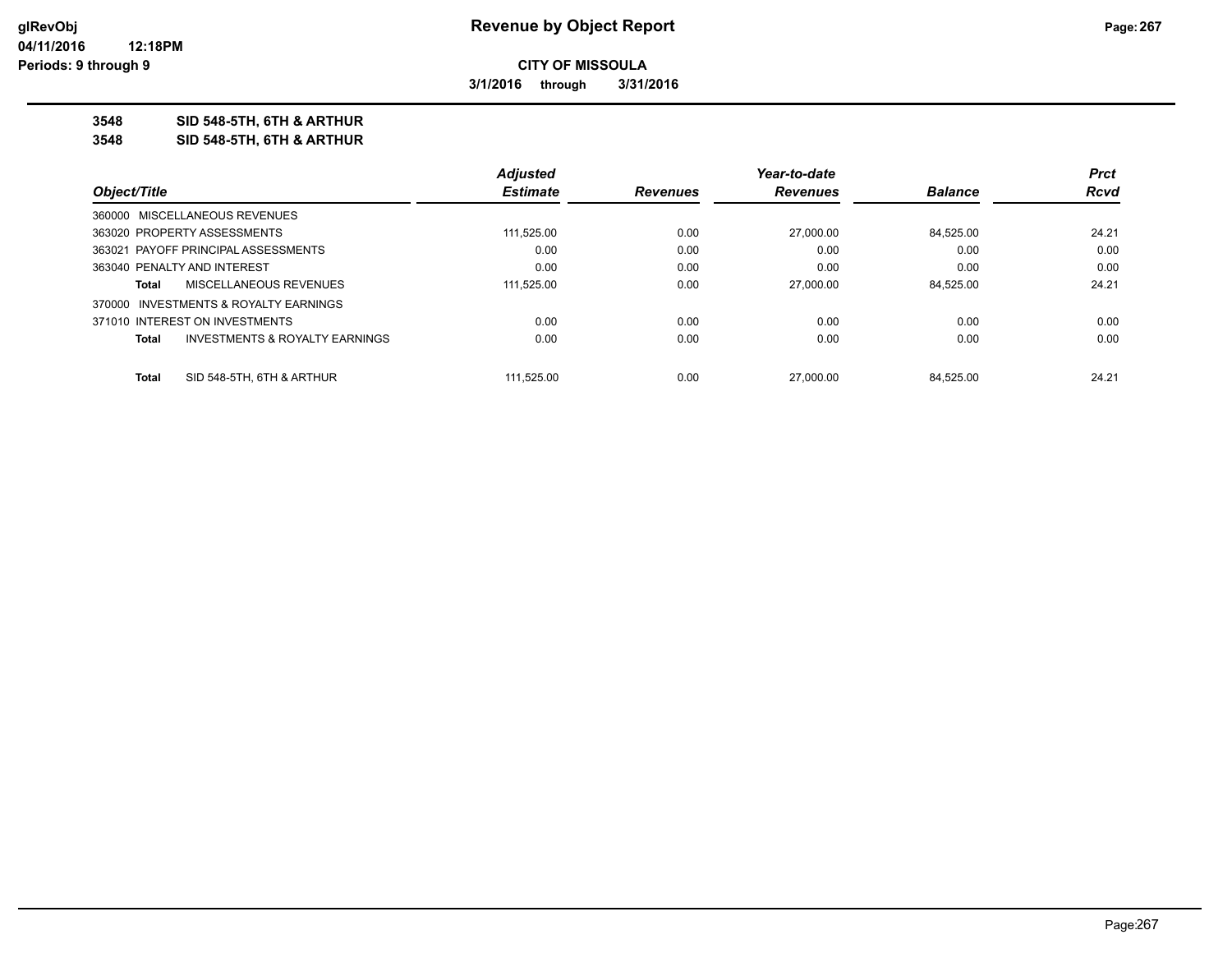**3/1/2016 through 3/31/2016**

**3548 SID 548-5TH, 6TH & ARTHUR**

**3548 SID 548-5TH, 6TH & ARTHUR**

|                                                    | <b>Adjusted</b> |                 | Year-to-date    |                | <b>Prct</b> |
|----------------------------------------------------|-----------------|-----------------|-----------------|----------------|-------------|
| Object/Title                                       | <b>Estimate</b> | <b>Revenues</b> | <b>Revenues</b> | <b>Balance</b> | Rcvd        |
| 360000 MISCELLANEOUS REVENUES                      |                 |                 |                 |                |             |
| 363020 PROPERTY ASSESSMENTS                        | 111,525.00      | 0.00            | 27,000.00       | 84.525.00      | 24.21       |
| 363021 PAYOFF PRINCIPAL ASSESSMENTS                | 0.00            | 0.00            | 0.00            | 0.00           | 0.00        |
| 363040 PENALTY AND INTEREST                        | 0.00            | 0.00            | 0.00            | 0.00           | 0.00        |
| MISCELLANEOUS REVENUES<br>Total                    | 111,525.00      | 0.00            | 27,000.00       | 84.525.00      | 24.21       |
| 370000 INVESTMENTS & ROYALTY EARNINGS              |                 |                 |                 |                |             |
| 371010 INTEREST ON INVESTMENTS                     | 0.00            | 0.00            | 0.00            | 0.00           | 0.00        |
| <b>INVESTMENTS &amp; ROYALTY EARNINGS</b><br>Total | 0.00            | 0.00            | 0.00            | 0.00           | 0.00        |
| SID 548-5TH, 6TH & ARTHUR<br>Total                 | 111.525.00      | 0.00            | 27,000.00       | 84.525.00      | 24.21       |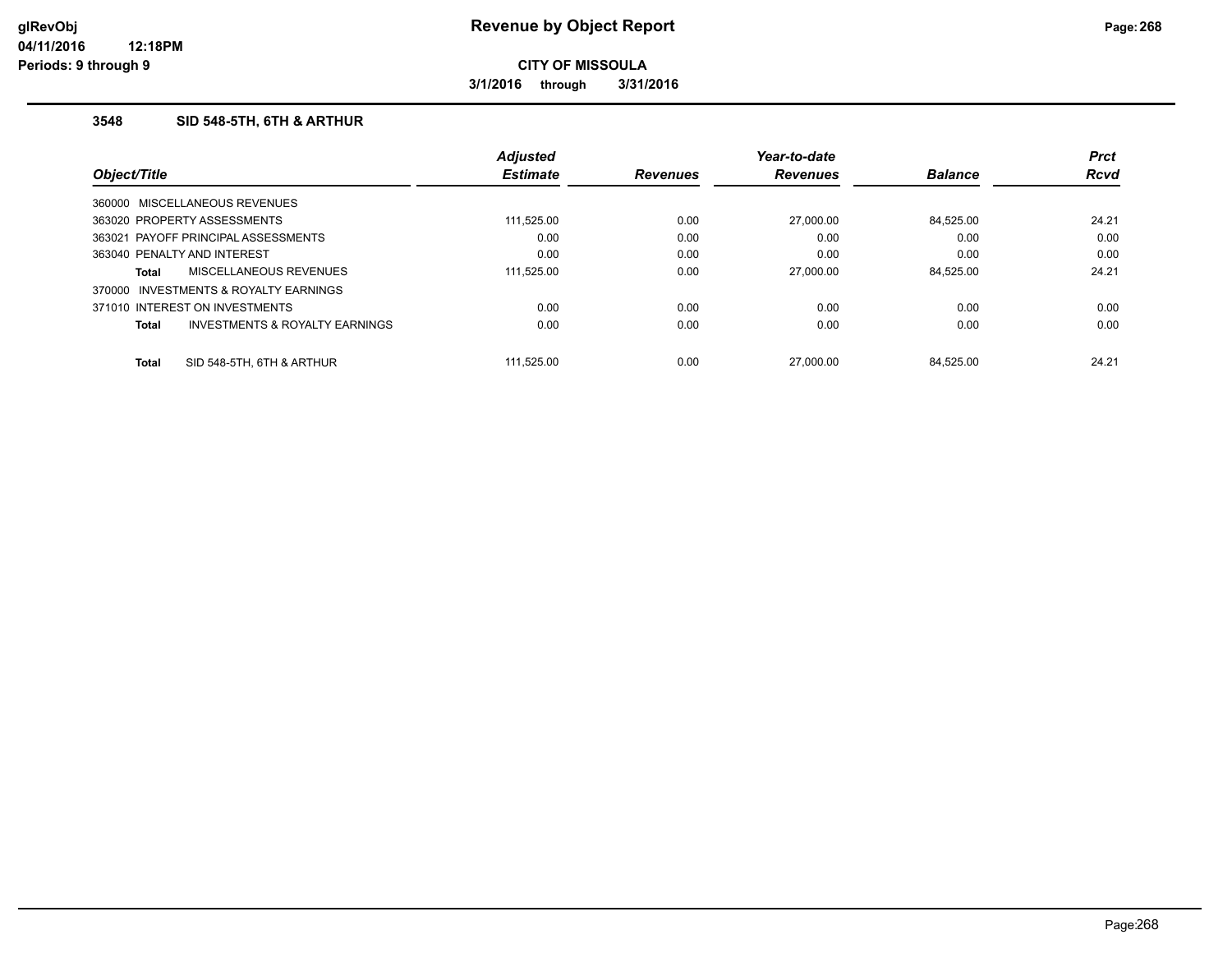**3/1/2016 through 3/31/2016**

## **3548 SID 548-5TH, 6TH & ARTHUR**

|              |                                     | <b>Adjusted</b> |                 | Year-to-date    |                | <b>Prct</b> |
|--------------|-------------------------------------|-----------------|-----------------|-----------------|----------------|-------------|
|              | Object/Title                        | <b>Estimate</b> | <b>Revenues</b> | <b>Revenues</b> | <b>Balance</b> | <b>Rcvd</b> |
|              | 360000 MISCELLANEOUS REVENUES       |                 |                 |                 |                |             |
|              | 363020 PROPERTY ASSESSMENTS         | 111,525.00      | 0.00            | 27,000.00       | 84.525.00      | 24.21       |
|              | 363021 PAYOFF PRINCIPAL ASSESSMENTS | 0.00            | 0.00            | 0.00            | 0.00           | 0.00        |
|              | 363040 PENALTY AND INTEREST         | 0.00            | 0.00            | 0.00            | 0.00           | 0.00        |
| Total        | MISCELLANEOUS REVENUES              | 111.525.00      | 0.00            | 27,000.00       | 84.525.00      | 24.21       |
| 370000       | INVESTMENTS & ROYALTY EARNINGS      |                 |                 |                 |                |             |
|              | 371010 INTEREST ON INVESTMENTS      | 0.00            | 0.00            | 0.00            | 0.00           | 0.00        |
| Total        | INVESTMENTS & ROYALTY EARNINGS      | 0.00            | 0.00            | 0.00            | 0.00           | 0.00        |
| <b>Total</b> | SID 548-5TH, 6TH & ARTHUR           | 111.525.00      | 0.00            | 27.000.00       | 84.525.00      | 24.21       |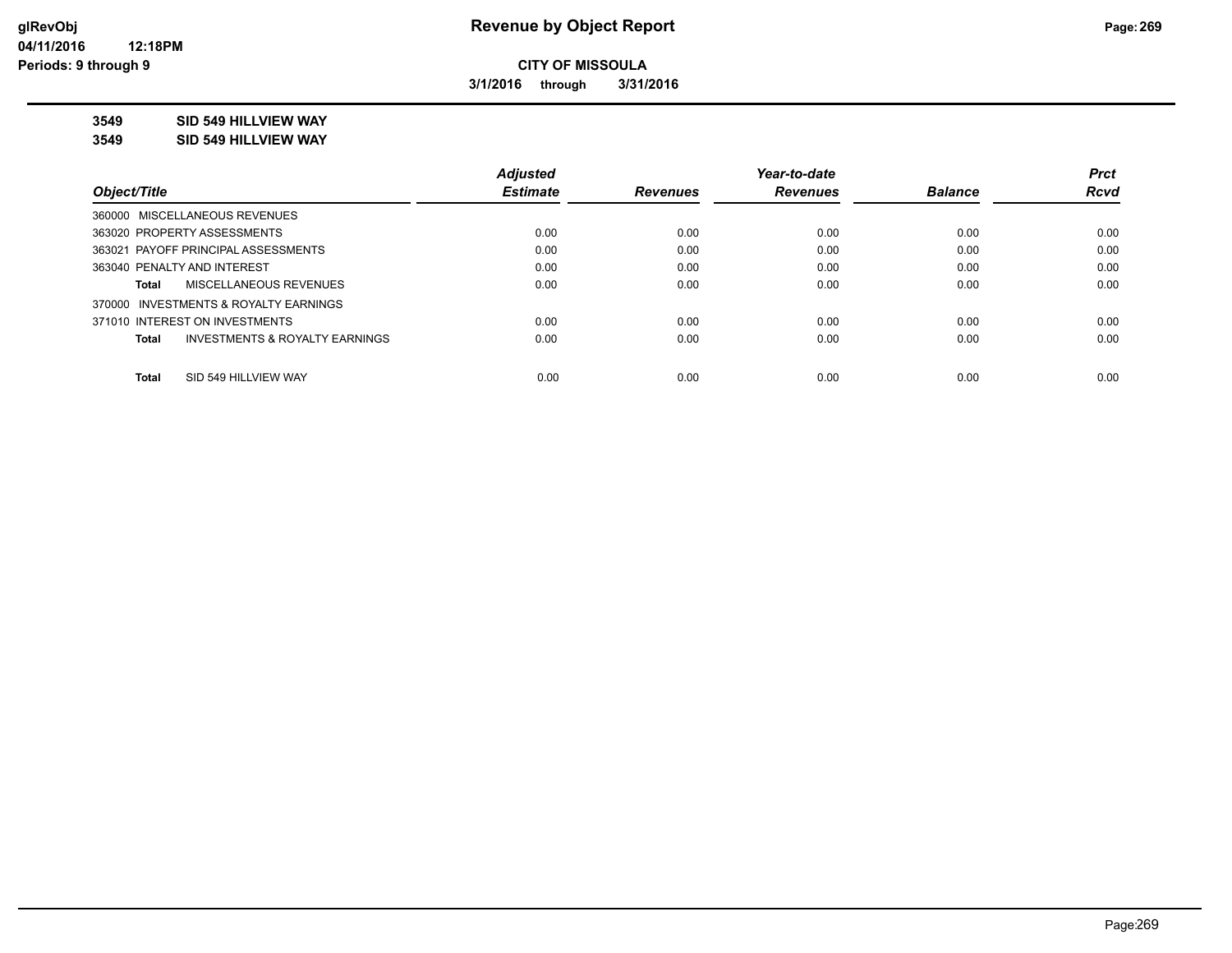**3/1/2016 through 3/31/2016**

## **3549 SID 549 HILLVIEW WAY**

**3549 SID 549 HILLVIEW WAY**

|                                         | <b>Adjusted</b> |                 | Year-to-date    |                | <b>Prct</b> |
|-----------------------------------------|-----------------|-----------------|-----------------|----------------|-------------|
| Object/Title                            | <b>Estimate</b> | <b>Revenues</b> | <b>Revenues</b> | <b>Balance</b> | <b>Rcvd</b> |
| 360000 MISCELLANEOUS REVENUES           |                 |                 |                 |                |             |
| 363020 PROPERTY ASSESSMENTS             | 0.00            | 0.00            | 0.00            | 0.00           | 0.00        |
| 363021 PAYOFF PRINCIPAL ASSESSMENTS     | 0.00            | 0.00            | 0.00            | 0.00           | 0.00        |
| 363040 PENALTY AND INTEREST             | 0.00            | 0.00            | 0.00            | 0.00           | 0.00        |
| <b>MISCELLANEOUS REVENUES</b><br>Total  | 0.00            | 0.00            | 0.00            | 0.00           | 0.00        |
| 370000 INVESTMENTS & ROYALTY EARNINGS   |                 |                 |                 |                |             |
| 371010 INTEREST ON INVESTMENTS          | 0.00            | 0.00            | 0.00            | 0.00           | 0.00        |
| INVESTMENTS & ROYALTY EARNINGS<br>Total | 0.00            | 0.00            | 0.00            | 0.00           | 0.00        |
| SID 549 HILLVIEW WAY<br><b>Total</b>    | 0.00            | 0.00            | 0.00            | 0.00           | 0.00        |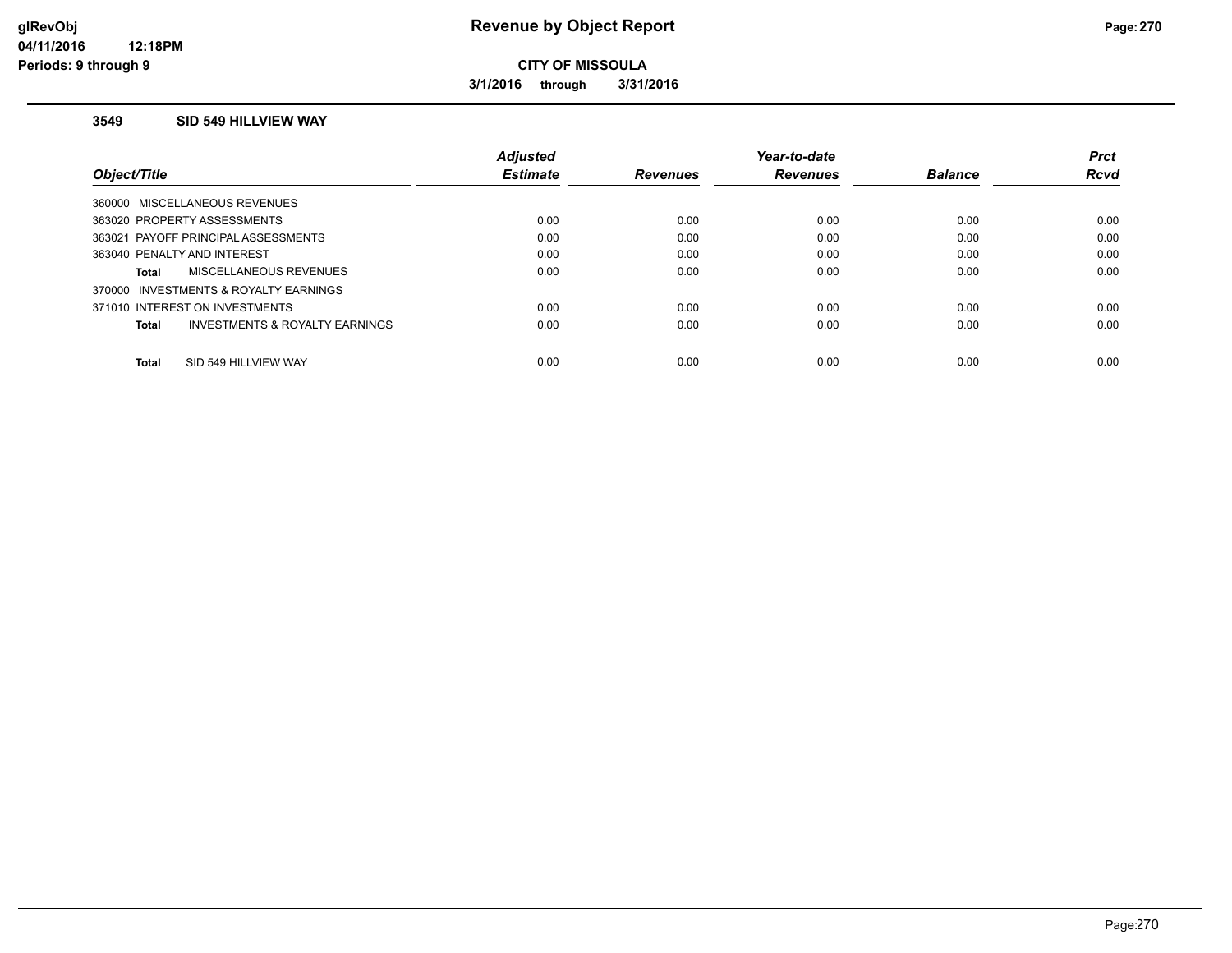**3/1/2016 through 3/31/2016**

#### **3549 SID 549 HILLVIEW WAY**

|                                                | <b>Adiusted</b> |                 | Year-to-date    |                | <b>Prct</b> |
|------------------------------------------------|-----------------|-----------------|-----------------|----------------|-------------|
| Object/Title                                   | <b>Estimate</b> | <b>Revenues</b> | <b>Revenues</b> | <b>Balance</b> | <b>Rcvd</b> |
| 360000 MISCELLANEOUS REVENUES                  |                 |                 |                 |                |             |
| 363020 PROPERTY ASSESSMENTS                    | 0.00            | 0.00            | 0.00            | 0.00           | 0.00        |
| 363021 PAYOFF PRINCIPAL ASSESSMENTS            | 0.00            | 0.00            | 0.00            | 0.00           | 0.00        |
| 363040 PENALTY AND INTEREST                    | 0.00            | 0.00            | 0.00            | 0.00           | 0.00        |
| MISCELLANEOUS REVENUES<br><b>Total</b>         | 0.00            | 0.00            | 0.00            | 0.00           | 0.00        |
| 370000 INVESTMENTS & ROYALTY EARNINGS          |                 |                 |                 |                |             |
| 371010 INTEREST ON INVESTMENTS                 | 0.00            | 0.00            | 0.00            | 0.00           | 0.00        |
| INVESTMENTS & ROYALTY EARNINGS<br><b>Total</b> | 0.00            | 0.00            | 0.00            | 0.00           | 0.00        |
|                                                |                 |                 |                 |                |             |
| SID 549 HILLVIEW WAY<br><b>Total</b>           | 0.00            | 0.00            | 0.00            | 0.00           | 0.00        |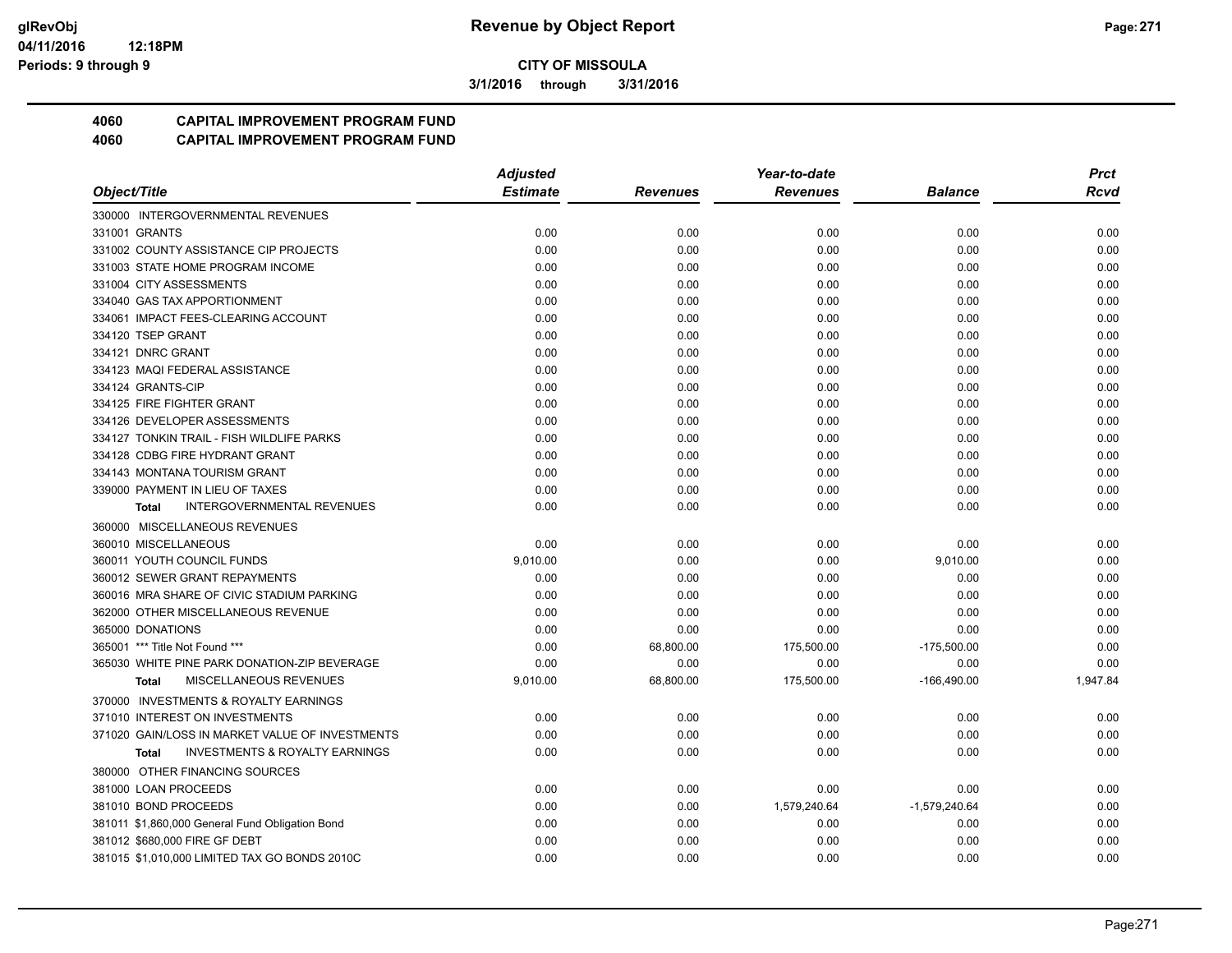**3/1/2016 through 3/31/2016**

## **4060 CAPITAL IMPROVEMENT PROGRAM FUND**

|                                                           | <b>Adjusted</b> |                 | Year-to-date    |                 | <b>Prct</b> |
|-----------------------------------------------------------|-----------------|-----------------|-----------------|-----------------|-------------|
| Object/Title                                              | <b>Estimate</b> | <b>Revenues</b> | <b>Revenues</b> | Balance         | Rcvd        |
| 330000 INTERGOVERNMENTAL REVENUES                         |                 |                 |                 |                 |             |
| 331001 GRANTS                                             | 0.00            | 0.00            | 0.00            | 0.00            | 0.00        |
| 331002 COUNTY ASSISTANCE CIP PROJECTS                     | 0.00            | 0.00            | 0.00            | 0.00            | 0.00        |
| 331003 STATE HOME PROGRAM INCOME                          | 0.00            | 0.00            | 0.00            | 0.00            | 0.00        |
| 331004 CITY ASSESSMENTS                                   | 0.00            | 0.00            | 0.00            | 0.00            | 0.00        |
| 334040 GAS TAX APPORTIONMENT                              | 0.00            | 0.00            | 0.00            | 0.00            | 0.00        |
| 334061 IMPACT FEES-CLEARING ACCOUNT                       | 0.00            | 0.00            | 0.00            | 0.00            | 0.00        |
| 334120 TSEP GRANT                                         | 0.00            | 0.00            | 0.00            | 0.00            | 0.00        |
| 334121 DNRC GRANT                                         | 0.00            | 0.00            | 0.00            | 0.00            | 0.00        |
| 334123 MAQI FEDERAL ASSISTANCE                            | 0.00            | 0.00            | 0.00            | 0.00            | 0.00        |
| 334124 GRANTS-CIP                                         | 0.00            | 0.00            | 0.00            | 0.00            | 0.00        |
| 334125 FIRE FIGHTER GRANT                                 | 0.00            | 0.00            | 0.00            | 0.00            | 0.00        |
| 334126 DEVELOPER ASSESSMENTS                              | 0.00            | 0.00            | 0.00            | 0.00            | 0.00        |
| 334127 TONKIN TRAIL - FISH WILDLIFE PARKS                 | 0.00            | 0.00            | 0.00            | 0.00            | 0.00        |
| 334128 CDBG FIRE HYDRANT GRANT                            | 0.00            | 0.00            | 0.00            | 0.00            | 0.00        |
| 334143 MONTANA TOURISM GRANT                              | 0.00            | 0.00            | 0.00            | 0.00            | 0.00        |
| 339000 PAYMENT IN LIEU OF TAXES                           | 0.00            | 0.00            | 0.00            | 0.00            | 0.00        |
| <b>INTERGOVERNMENTAL REVENUES</b><br><b>Total</b>         | 0.00            | 0.00            | 0.00            | 0.00            | 0.00        |
| 360000 MISCELLANEOUS REVENUES                             |                 |                 |                 |                 |             |
| 360010 MISCELLANEOUS                                      | 0.00            | 0.00            | 0.00            | 0.00            | 0.00        |
| 360011 YOUTH COUNCIL FUNDS                                | 9,010.00        | 0.00            | 0.00            | 9,010.00        | 0.00        |
| 360012 SEWER GRANT REPAYMENTS                             | 0.00            | 0.00            | 0.00            | 0.00            | 0.00        |
| 360016 MRA SHARE OF CIVIC STADIUM PARKING                 | 0.00            | 0.00            | 0.00            | 0.00            | 0.00        |
| 362000 OTHER MISCELLANEOUS REVENUE                        | 0.00            | 0.00            | 0.00            | 0.00            | 0.00        |
| 365000 DONATIONS                                          | 0.00            | 0.00            | 0.00            | 0.00            | 0.00        |
| 365001 *** Title Not Found ***                            | 0.00            | 68,800.00       | 175,500.00      | $-175,500.00$   | 0.00        |
| 365030 WHITE PINE PARK DONATION-ZIP BEVERAGE              | 0.00            | 0.00            | 0.00            | 0.00            | 0.00        |
| MISCELLANEOUS REVENUES<br><b>Total</b>                    | 9,010.00        | 68,800.00       | 175,500.00      | $-166,490.00$   | 1,947.84    |
| 370000 INVESTMENTS & ROYALTY EARNINGS                     |                 |                 |                 |                 |             |
| 371010 INTEREST ON INVESTMENTS                            | 0.00            | 0.00            | 0.00            | 0.00            | 0.00        |
| 371020 GAIN/LOSS IN MARKET VALUE OF INVESTMENTS           | 0.00            | 0.00            | 0.00            | 0.00            | 0.00        |
| <b>INVESTMENTS &amp; ROYALTY EARNINGS</b><br><b>Total</b> | 0.00            | 0.00            | 0.00            | 0.00            | 0.00        |
| 380000 OTHER FINANCING SOURCES                            |                 |                 |                 |                 |             |
| 381000 LOAN PROCEEDS                                      | 0.00            | 0.00            | 0.00            | 0.00            | 0.00        |
| 381010 BOND PROCEEDS                                      | 0.00            | 0.00            | 1,579,240.64    | $-1,579,240.64$ | 0.00        |
| 381011 \$1,860,000 General Fund Obligation Bond           | 0.00            | 0.00            | 0.00            | 0.00            | 0.00        |
| 381012 \$680,000 FIRE GF DEBT                             | 0.00            | 0.00            | 0.00            | 0.00            | 0.00        |
| 381015 \$1,010,000 LIMITED TAX GO BONDS 2010C             | 0.00            | 0.00            | 0.00            | 0.00            | 0.00        |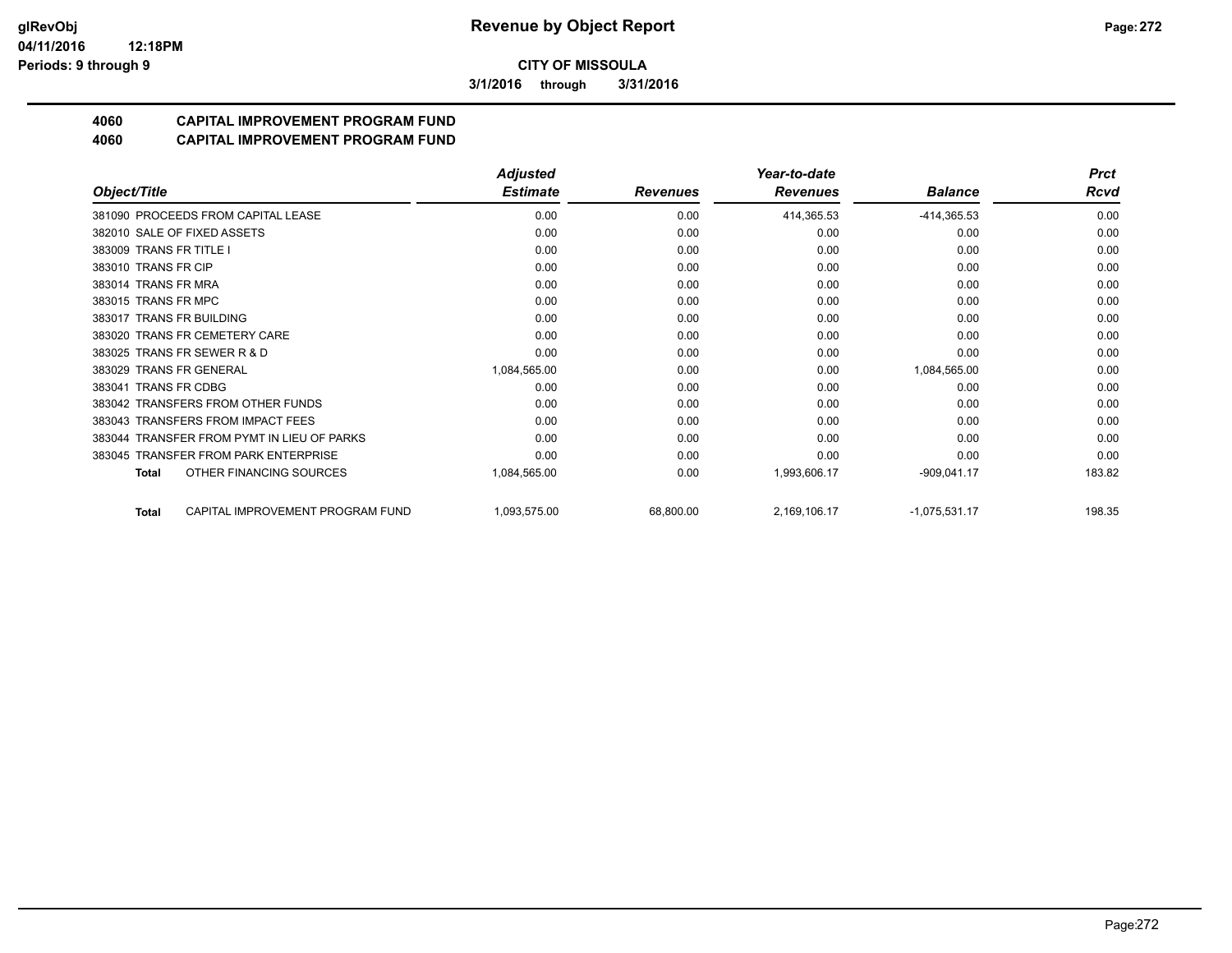**3/1/2016 through 3/31/2016**

# **4060 CAPITAL IMPROVEMENT PROGRAM FUND**

|                                                  | <b>Adjusted</b> |                 | Year-to-date    |                 | <b>Prct</b> |
|--------------------------------------------------|-----------------|-----------------|-----------------|-----------------|-------------|
| Object/Title                                     | <b>Estimate</b> | <b>Revenues</b> | <b>Revenues</b> | <b>Balance</b>  | Rcvd        |
| 381090 PROCEEDS FROM CAPITAL LEASE               | 0.00            | 0.00            | 414,365.53      | $-414,365.53$   | 0.00        |
| 382010 SALE OF FIXED ASSETS                      | 0.00            | 0.00            | 0.00            | 0.00            | 0.00        |
| 383009 TRANS FR TITLE I                          | 0.00            | 0.00            | 0.00            | 0.00            | 0.00        |
| 383010 TRANS FR CIP                              | 0.00            | 0.00            | 0.00            | 0.00            | 0.00        |
| 383014 TRANS FR MRA                              | 0.00            | 0.00            | 0.00            | 0.00            | 0.00        |
| 383015 TRANS FR MPC                              | 0.00            | 0.00            | 0.00            | 0.00            | 0.00        |
| 383017 TRANS FR BUILDING                         | 0.00            | 0.00            | 0.00            | 0.00            | 0.00        |
| 383020 TRANS FR CEMETERY CARE                    | 0.00            | 0.00            | 0.00            | 0.00            | 0.00        |
| 383025 TRANS FR SEWER R & D                      | 0.00            | 0.00            | 0.00            | 0.00            | 0.00        |
| 383029 TRANS FR GENERAL                          | 1,084,565.00    | 0.00            | 0.00            | 1,084,565.00    | 0.00        |
| 383041 TRANS FR CDBG                             | 0.00            | 0.00            | 0.00            | 0.00            | 0.00        |
| 383042 TRANSFERS FROM OTHER FUNDS                | 0.00            | 0.00            | 0.00            | 0.00            | 0.00        |
| 383043 TRANSFERS FROM IMPACT FEES                | 0.00            | 0.00            | 0.00            | 0.00            | 0.00        |
| 383044 TRANSFER FROM PYMT IN LIEU OF PARKS       | 0.00            | 0.00            | 0.00            | 0.00            | 0.00        |
| 383045 TRANSFER FROM PARK ENTERPRISE             | 0.00            | 0.00            | 0.00            | 0.00            | 0.00        |
| OTHER FINANCING SOURCES<br>Total                 | 1,084,565.00    | 0.00            | 1,993,606.17    | $-909,041.17$   | 183.82      |
| CAPITAL IMPROVEMENT PROGRAM FUND<br><b>Total</b> | 1,093,575.00    | 68,800.00       | 2,169,106.17    | $-1,075,531.17$ | 198.35      |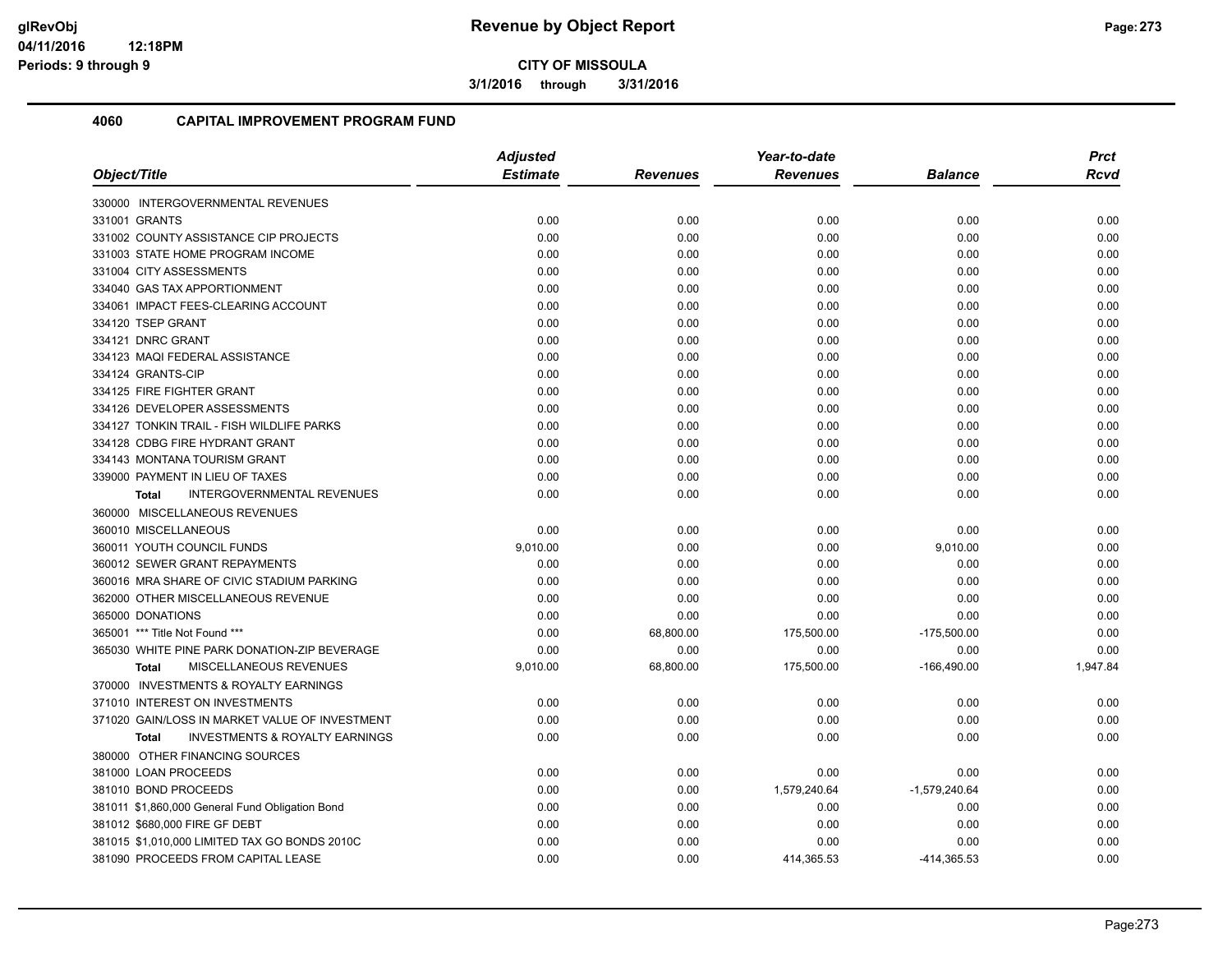**3/1/2016 through 3/31/2016**

| Object/Title                                       | <b>Adjusted</b> |                 | Year-to-date    |                 |             |
|----------------------------------------------------|-----------------|-----------------|-----------------|-----------------|-------------|
|                                                    | <b>Estimate</b> | <b>Revenues</b> | <b>Revenues</b> | <b>Balance</b>  | <b>Rcvd</b> |
| 330000 INTERGOVERNMENTAL REVENUES                  |                 |                 |                 |                 |             |
| 331001 GRANTS                                      | 0.00            | 0.00            | 0.00            | 0.00            | 0.00        |
| 331002 COUNTY ASSISTANCE CIP PROJECTS              | 0.00            | 0.00            | 0.00            | 0.00            | 0.00        |
| 331003 STATE HOME PROGRAM INCOME                   | 0.00            | 0.00            | 0.00            | 0.00            | 0.00        |
| 331004 CITY ASSESSMENTS                            | 0.00            | 0.00            | 0.00            | 0.00            | 0.00        |
| 334040 GAS TAX APPORTIONMENT                       | 0.00            | 0.00            | 0.00            | 0.00            | 0.00        |
| 334061 IMPACT FEES-CLEARING ACCOUNT                | 0.00            | 0.00            | 0.00            | 0.00            | 0.00        |
| 334120 TSEP GRANT                                  | 0.00            | 0.00            | 0.00            | 0.00            | 0.00        |
| 334121 DNRC GRANT                                  | 0.00            | 0.00            | 0.00            | 0.00            | 0.00        |
| 334123 MAQI FEDERAL ASSISTANCE                     | 0.00            | 0.00            | 0.00            | 0.00            | 0.00        |
| 334124 GRANTS-CIP                                  | 0.00            | 0.00            | 0.00            | 0.00            | 0.00        |
| 334125 FIRE FIGHTER GRANT                          | 0.00            | 0.00            | 0.00            | 0.00            | 0.00        |
| 334126 DEVELOPER ASSESSMENTS                       | 0.00            | 0.00            | 0.00            | 0.00            | 0.00        |
| 334127 TONKIN TRAIL - FISH WILDLIFE PARKS          | 0.00            | 0.00            | 0.00            | 0.00            | 0.00        |
| 334128 CDBG FIRE HYDRANT GRANT                     | 0.00            | 0.00            | 0.00            | 0.00            | 0.00        |
| 334143 MONTANA TOURISM GRANT                       | 0.00            | 0.00            | 0.00            | 0.00            | 0.00        |
| 339000 PAYMENT IN LIEU OF TAXES                    | 0.00            | 0.00            | 0.00            | 0.00            | 0.00        |
| <b>INTERGOVERNMENTAL REVENUES</b><br><b>Total</b>  | 0.00            | 0.00            | 0.00            | 0.00            | 0.00        |
| 360000 MISCELLANEOUS REVENUES                      |                 |                 |                 |                 |             |
| 360010 MISCELLANEOUS                               | 0.00            | 0.00            | 0.00            | 0.00            | 0.00        |
| 360011 YOUTH COUNCIL FUNDS                         | 9,010.00        | 0.00            | 0.00            | 9,010.00        | 0.00        |
| 360012 SEWER GRANT REPAYMENTS                      | 0.00            | 0.00            | 0.00            | 0.00            | 0.00        |
| 360016 MRA SHARE OF CIVIC STADIUM PARKING          | 0.00            | 0.00            | 0.00            | 0.00            | 0.00        |
| 362000 OTHER MISCELLANEOUS REVENUE                 | 0.00            | 0.00            | 0.00            | 0.00            | 0.00        |
| 365000 DONATIONS                                   | 0.00            | 0.00            | 0.00            | 0.00            | 0.00        |
| 365001 *** Title Not Found ***                     | 0.00            | 68,800.00       | 175,500.00      | $-175,500.00$   | 0.00        |
| 365030 WHITE PINE PARK DONATION-ZIP BEVERAGE       | 0.00            | 0.00            | 0.00            | 0.00            | 0.00        |
| MISCELLANEOUS REVENUES<br><b>Total</b>             | 9,010.00        | 68,800.00       | 175,500.00      | $-166,490.00$   | 1,947.84    |
| 370000 INVESTMENTS & ROYALTY EARNINGS              |                 |                 |                 |                 |             |
| 371010 INTEREST ON INVESTMENTS                     | 0.00            | 0.00            | 0.00            | 0.00            | 0.00        |
| 371020 GAIN/LOSS IN MARKET VALUE OF INVESTMENT     | 0.00            | 0.00            | 0.00            | 0.00            | 0.00        |
| <b>INVESTMENTS &amp; ROYALTY EARNINGS</b><br>Total | 0.00            | 0.00            | 0.00            | 0.00            | 0.00        |
| 380000 OTHER FINANCING SOURCES                     |                 |                 |                 |                 |             |
| 381000 LOAN PROCEEDS                               | 0.00            | 0.00            | 0.00            | 0.00            | 0.00        |
| 381010 BOND PROCEEDS                               | 0.00            | 0.00            | 1,579,240.64    | $-1,579,240.64$ | 0.00        |
| 381011 \$1,860,000 General Fund Obligation Bond    | 0.00            | 0.00            | 0.00            | 0.00            | 0.00        |
| 381012 \$680,000 FIRE GF DEBT                      | 0.00            | 0.00            | 0.00            | 0.00            | 0.00        |
| 381015 \$1,010,000 LIMITED TAX GO BONDS 2010C      | 0.00            | 0.00            | 0.00            | 0.00            | 0.00        |
| 381090 PROCEEDS FROM CAPITAL LEASE                 | 0.00            | 0.00            | 414,365.53      | -414,365.53     | 0.00        |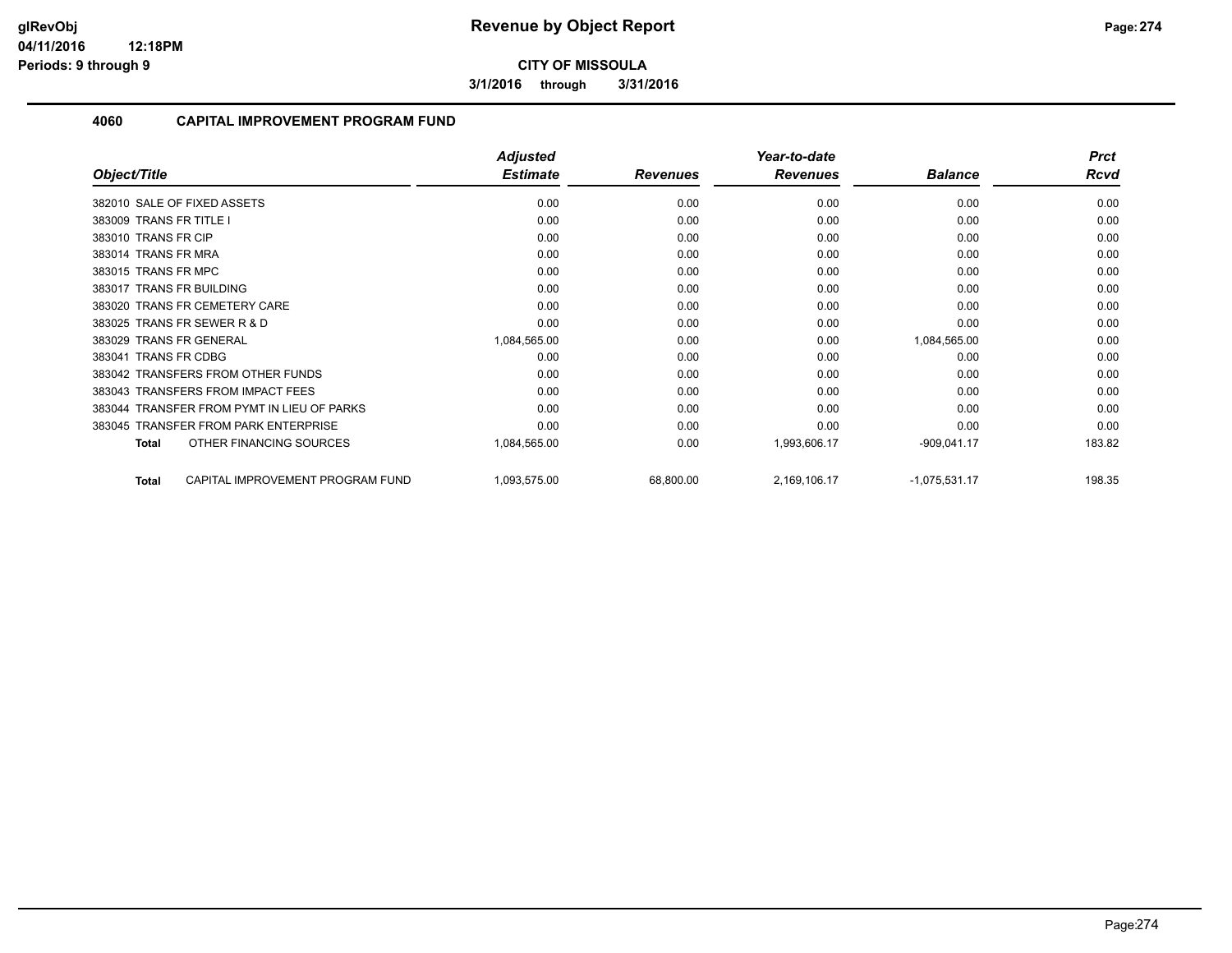**3/1/2016 through 3/31/2016**

|                                                  | <b>Adjusted</b> |                 | Year-to-date    |                 | <b>Prct</b> |
|--------------------------------------------------|-----------------|-----------------|-----------------|-----------------|-------------|
| Object/Title                                     | <b>Estimate</b> | <b>Revenues</b> | <b>Revenues</b> | <b>Balance</b>  | <b>Rcvd</b> |
| 382010 SALE OF FIXED ASSETS                      | 0.00            | 0.00            | 0.00            | 0.00            | 0.00        |
| 383009 TRANS FR TITLE I                          | 0.00            | 0.00            | 0.00            | 0.00            | 0.00        |
| 383010 TRANS FR CIP                              | 0.00            | 0.00            | 0.00            | 0.00            | 0.00        |
| 383014 TRANS FR MRA                              | 0.00            | 0.00            | 0.00            | 0.00            | 0.00        |
| 383015 TRANS FR MPC                              | 0.00            | 0.00            | 0.00            | 0.00            | 0.00        |
| 383017 TRANS FR BUILDING                         | 0.00            | 0.00            | 0.00            | 0.00            | 0.00        |
| 383020 TRANS FR CEMETERY CARE                    | 0.00            | 0.00            | 0.00            | 0.00            | 0.00        |
| 383025 TRANS FR SEWER R & D                      | 0.00            | 0.00            | 0.00            | 0.00            | 0.00        |
| 383029 TRANS FR GENERAL                          | 1,084,565.00    | 0.00            | 0.00            | 1,084,565.00    | 0.00        |
| 383041 TRANS FR CDBG                             | 0.00            | 0.00            | 0.00            | 0.00            | 0.00        |
| 383042 TRANSFERS FROM OTHER FUNDS                | 0.00            | 0.00            | 0.00            | 0.00            | 0.00        |
| 383043 TRANSFERS FROM IMPACT FEES                | 0.00            | 0.00            | 0.00            | 0.00            | 0.00        |
| 383044 TRANSFER FROM PYMT IN LIEU OF PARKS       | 0.00            | 0.00            | 0.00            | 0.00            | 0.00        |
| 383045 TRANSFER FROM PARK ENTERPRISE             | 0.00            | 0.00            | 0.00            | 0.00            | 0.00        |
| OTHER FINANCING SOURCES<br><b>Total</b>          | 1,084,565.00    | 0.00            | 1,993,606.17    | $-909,041.17$   | 183.82      |
| CAPITAL IMPROVEMENT PROGRAM FUND<br><b>Total</b> | 1,093,575.00    | 68,800.00       | 2,169,106.17    | $-1,075,531.17$ | 198.35      |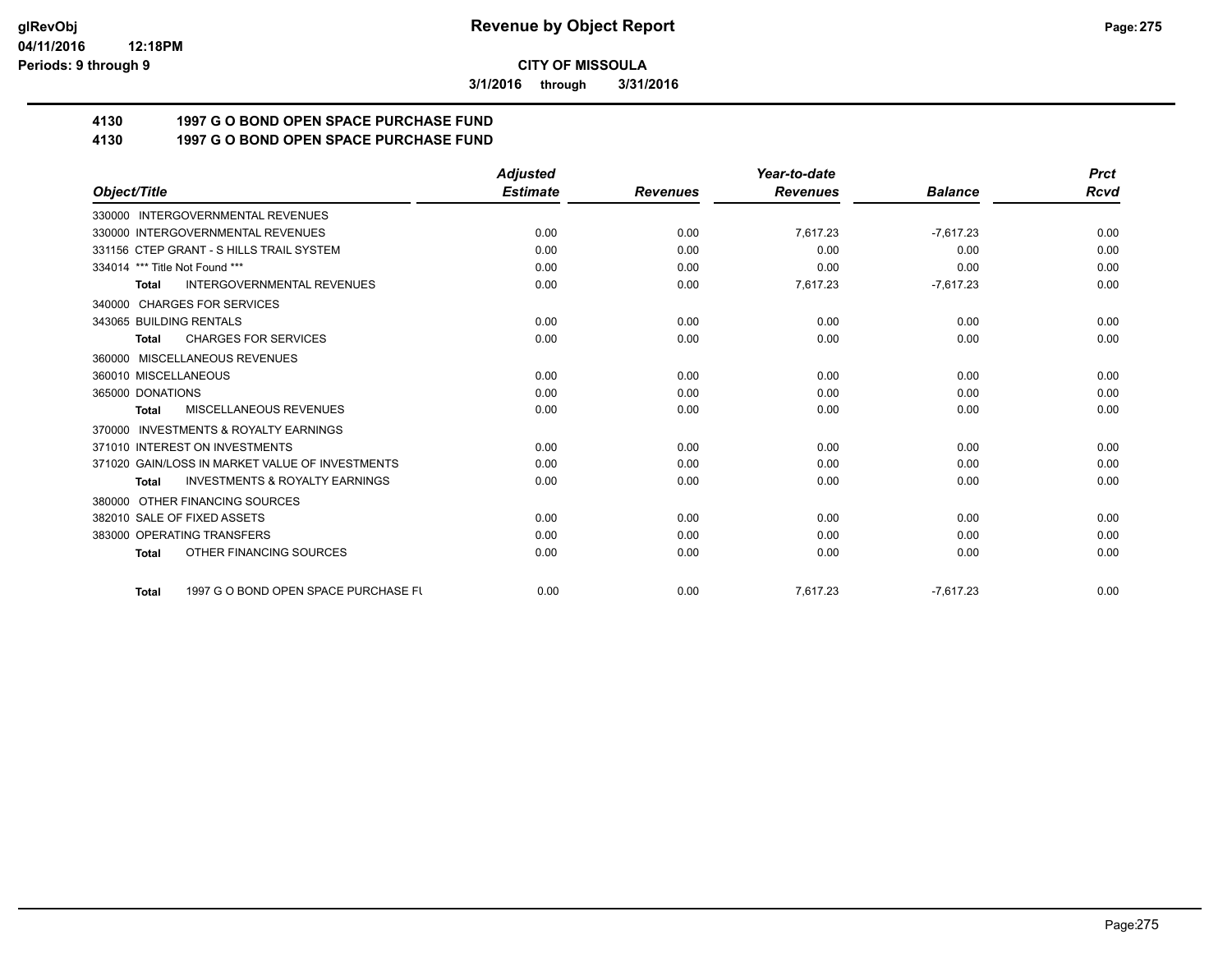**3/1/2016 through 3/31/2016**

# **4130 1997 G O BOND OPEN SPACE PURCHASE FUND**

## **4130 1997 G O BOND OPEN SPACE PURCHASE FUND**

|                                                           | <b>Adjusted</b> |                 | Year-to-date    |                | <b>Prct</b> |
|-----------------------------------------------------------|-----------------|-----------------|-----------------|----------------|-------------|
| Object/Title                                              | <b>Estimate</b> | <b>Revenues</b> | <b>Revenues</b> | <b>Balance</b> | Rcvd        |
| 330000 INTERGOVERNMENTAL REVENUES                         |                 |                 |                 |                |             |
| 330000 INTERGOVERNMENTAL REVENUES                         | 0.00            | 0.00            | 7,617.23        | $-7,617.23$    | 0.00        |
| 331156 CTEP GRANT - S HILLS TRAIL SYSTEM                  | 0.00            | 0.00            | 0.00            | 0.00           | 0.00        |
| 334014 *** Title Not Found ***                            | 0.00            | 0.00            | 0.00            | 0.00           | 0.00        |
| <b>INTERGOVERNMENTAL REVENUES</b><br><b>Total</b>         | 0.00            | 0.00            | 7,617.23        | $-7,617.23$    | 0.00        |
| <b>CHARGES FOR SERVICES</b><br>340000                     |                 |                 |                 |                |             |
| 343065 BUILDING RENTALS                                   | 0.00            | 0.00            | 0.00            | 0.00           | 0.00        |
| <b>CHARGES FOR SERVICES</b><br><b>Total</b>               | 0.00            | 0.00            | 0.00            | 0.00           | 0.00        |
| 360000 MISCELLANEOUS REVENUES                             |                 |                 |                 |                |             |
| 360010 MISCELLANEOUS                                      | 0.00            | 0.00            | 0.00            | 0.00           | 0.00        |
| 365000 DONATIONS                                          | 0.00            | 0.00            | 0.00            | 0.00           | 0.00        |
| <b>MISCELLANEOUS REVENUES</b><br><b>Total</b>             | 0.00            | 0.00            | 0.00            | 0.00           | 0.00        |
| <b>INVESTMENTS &amp; ROYALTY EARNINGS</b><br>370000       |                 |                 |                 |                |             |
| 371010 INTEREST ON INVESTMENTS                            | 0.00            | 0.00            | 0.00            | 0.00           | 0.00        |
| 371020 GAIN/LOSS IN MARKET VALUE OF INVESTMENTS           | 0.00            | 0.00            | 0.00            | 0.00           | 0.00        |
| <b>INVESTMENTS &amp; ROYALTY EARNINGS</b><br><b>Total</b> | 0.00            | 0.00            | 0.00            | 0.00           | 0.00        |
| OTHER FINANCING SOURCES<br>380000                         |                 |                 |                 |                |             |
| 382010 SALE OF FIXED ASSETS                               | 0.00            | 0.00            | 0.00            | 0.00           | 0.00        |
| 383000 OPERATING TRANSFERS                                | 0.00            | 0.00            | 0.00            | 0.00           | 0.00        |
| OTHER FINANCING SOURCES<br><b>Total</b>                   | 0.00            | 0.00            | 0.00            | 0.00           | 0.00        |
| 1997 G O BOND OPEN SPACE PURCHASE FU<br><b>Total</b>      | 0.00            | 0.00            | 7,617.23        | $-7.617.23$    | 0.00        |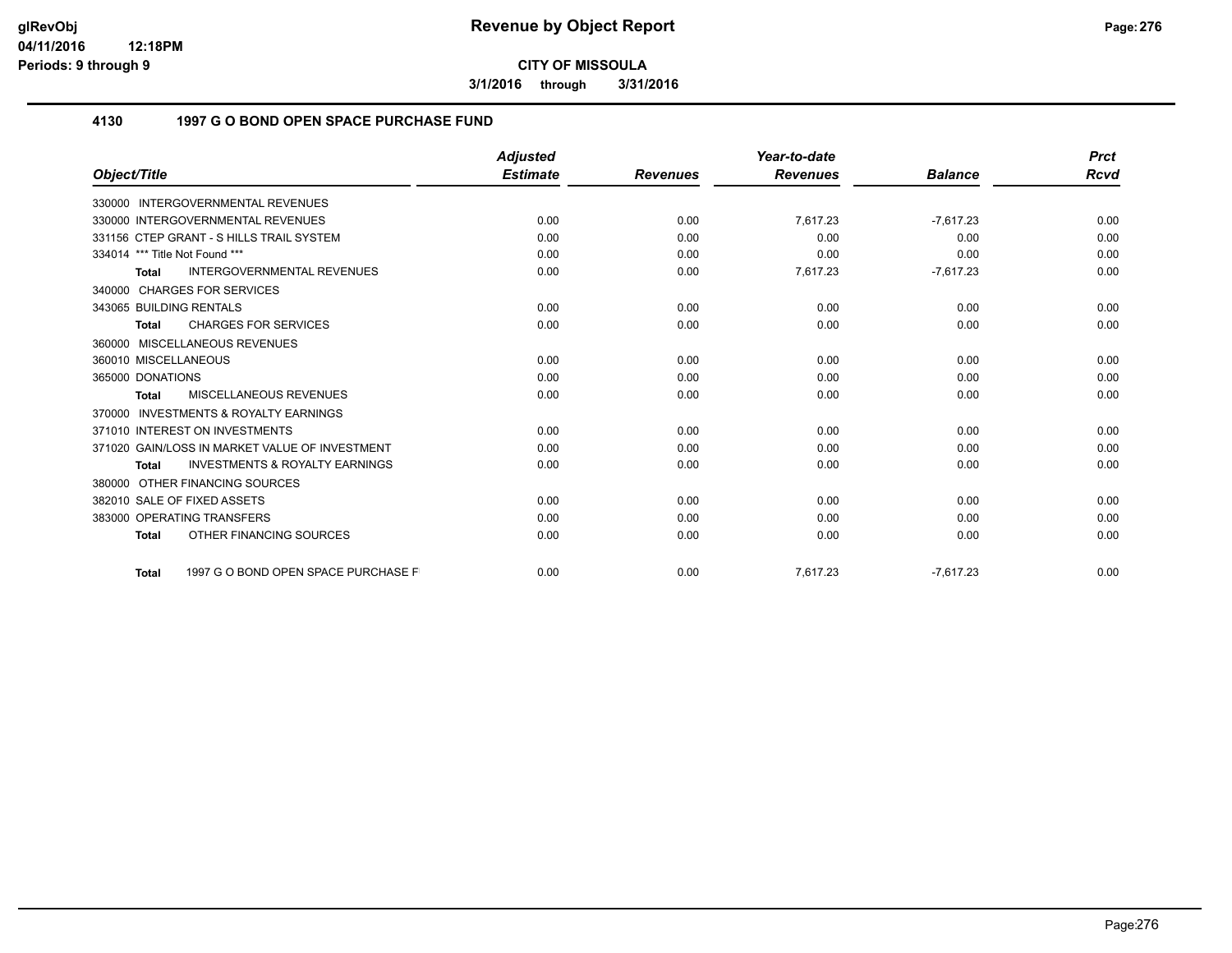**3/1/2016 through 3/31/2016**

## **4130 1997 G O BOND OPEN SPACE PURCHASE FUND**

|                                                           | <b>Adjusted</b> |                 | Year-to-date    |                | <b>Prct</b> |
|-----------------------------------------------------------|-----------------|-----------------|-----------------|----------------|-------------|
| Object/Title                                              | <b>Estimate</b> | <b>Revenues</b> | <b>Revenues</b> | <b>Balance</b> | <b>Rcvd</b> |
| 330000 INTERGOVERNMENTAL REVENUES                         |                 |                 |                 |                |             |
| 330000 INTERGOVERNMENTAL REVENUES                         | 0.00            | 0.00            | 7,617.23        | $-7,617.23$    | 0.00        |
| 331156 CTEP GRANT - S HILLS TRAIL SYSTEM                  | 0.00            | 0.00            | 0.00            | 0.00           | 0.00        |
| 334014 *** Title Not Found ***                            | 0.00            | 0.00            | 0.00            | 0.00           | 0.00        |
| <b>INTERGOVERNMENTAL REVENUES</b><br><b>Total</b>         | 0.00            | 0.00            | 7,617.23        | $-7,617.23$    | 0.00        |
| 340000 CHARGES FOR SERVICES                               |                 |                 |                 |                |             |
| 343065 BUILDING RENTALS                                   | 0.00            | 0.00            | 0.00            | 0.00           | 0.00        |
| <b>CHARGES FOR SERVICES</b><br><b>Total</b>               | 0.00            | 0.00            | 0.00            | 0.00           | 0.00        |
| 360000 MISCELLANEOUS REVENUES                             |                 |                 |                 |                |             |
| 360010 MISCELLANEOUS                                      | 0.00            | 0.00            | 0.00            | 0.00           | 0.00        |
| 365000 DONATIONS                                          | 0.00            | 0.00            | 0.00            | 0.00           | 0.00        |
| <b>MISCELLANEOUS REVENUES</b><br><b>Total</b>             | 0.00            | 0.00            | 0.00            | 0.00           | 0.00        |
| <b>INVESTMENTS &amp; ROYALTY EARNINGS</b><br>370000       |                 |                 |                 |                |             |
| 371010 INTEREST ON INVESTMENTS                            | 0.00            | 0.00            | 0.00            | 0.00           | 0.00        |
| 371020 GAIN/LOSS IN MARKET VALUE OF INVESTMENT            | 0.00            | 0.00            | 0.00            | 0.00           | 0.00        |
| <b>INVESTMENTS &amp; ROYALTY EARNINGS</b><br><b>Total</b> | 0.00            | 0.00            | 0.00            | 0.00           | 0.00        |
| 380000 OTHER FINANCING SOURCES                            |                 |                 |                 |                |             |
| 382010 SALE OF FIXED ASSETS                               | 0.00            | 0.00            | 0.00            | 0.00           | 0.00        |
| 383000 OPERATING TRANSFERS                                | 0.00            | 0.00            | 0.00            | 0.00           | 0.00        |
| OTHER FINANCING SOURCES<br><b>Total</b>                   | 0.00            | 0.00            | 0.00            | 0.00           | 0.00        |
| 1997 G O BOND OPEN SPACE PURCHASE F<br><b>Total</b>       | 0.00            | 0.00            | 7,617.23        | $-7,617.23$    | 0.00        |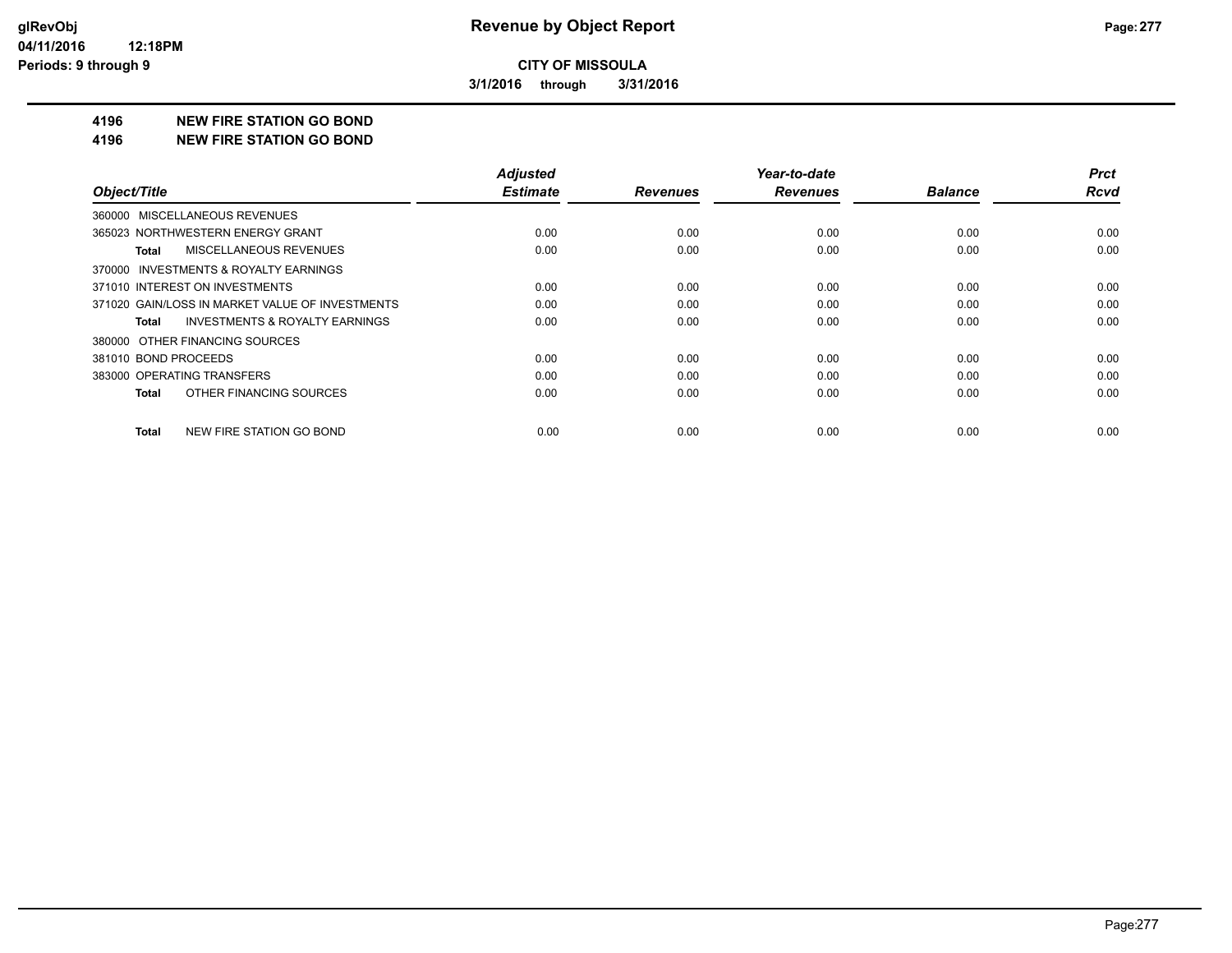**3/1/2016 through 3/31/2016**

#### **4196 NEW FIRE STATION GO BOND**

#### **4196 NEW FIRE STATION GO BOND**

|                                                    | <b>Adjusted</b> |                 | Year-to-date    |                | <b>Prct</b> |
|----------------------------------------------------|-----------------|-----------------|-----------------|----------------|-------------|
| Object/Title                                       | <b>Estimate</b> | <b>Revenues</b> | <b>Revenues</b> | <b>Balance</b> | <b>Rcvd</b> |
| 360000 MISCELLANEOUS REVENUES                      |                 |                 |                 |                |             |
| 365023 NORTHWESTERN ENERGY GRANT                   | 0.00            | 0.00            | 0.00            | 0.00           | 0.00        |
| MISCELLANEOUS REVENUES<br>Total                    | 0.00            | 0.00            | 0.00            | 0.00           | 0.00        |
| 370000 INVESTMENTS & ROYALTY EARNINGS              |                 |                 |                 |                |             |
| 371010 INTEREST ON INVESTMENTS                     | 0.00            | 0.00            | 0.00            | 0.00           | 0.00        |
| 371020 GAIN/LOSS IN MARKET VALUE OF INVESTMENTS    | 0.00            | 0.00            | 0.00            | 0.00           | 0.00        |
| <b>INVESTMENTS &amp; ROYALTY EARNINGS</b><br>Total | 0.00            | 0.00            | 0.00            | 0.00           | 0.00        |
| 380000 OTHER FINANCING SOURCES                     |                 |                 |                 |                |             |
| 381010 BOND PROCEEDS                               | 0.00            | 0.00            | 0.00            | 0.00           | 0.00        |
| 383000 OPERATING TRANSFERS                         | 0.00            | 0.00            | 0.00            | 0.00           | 0.00        |
| OTHER FINANCING SOURCES<br>Total                   | 0.00            | 0.00            | 0.00            | 0.00           | 0.00        |
| NEW FIRE STATION GO BOND<br>Total                  | 0.00            | 0.00            | 0.00            | 0.00           | 0.00        |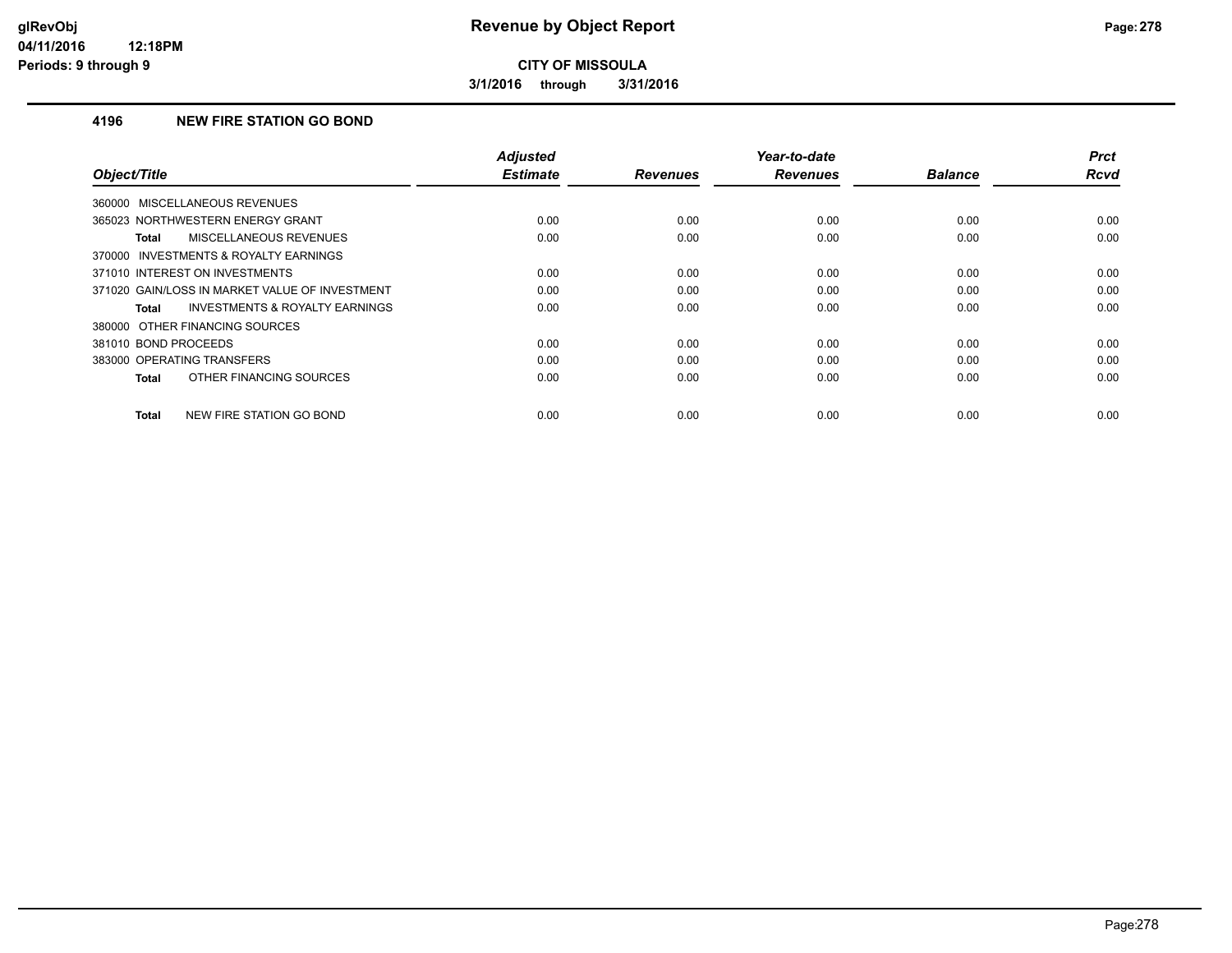**3/1/2016 through 3/31/2016**

## **4196 NEW FIRE STATION GO BOND**

| Object/Title                                              | <b>Adjusted</b><br><b>Estimate</b> | <b>Revenues</b> | Year-to-date<br><b>Revenues</b> | <b>Balance</b> | <b>Prct</b><br><b>Rcvd</b> |
|-----------------------------------------------------------|------------------------------------|-----------------|---------------------------------|----------------|----------------------------|
| 360000 MISCELLANEOUS REVENUES                             |                                    |                 |                                 |                |                            |
| 365023 NORTHWESTERN ENERGY GRANT                          | 0.00                               | 0.00            | 0.00                            | 0.00           | 0.00                       |
| MISCELLANEOUS REVENUES<br>Total                           | 0.00                               | 0.00            | 0.00                            | 0.00           | 0.00                       |
| 370000 INVESTMENTS & ROYALTY EARNINGS                     |                                    |                 |                                 |                |                            |
| 371010 INTEREST ON INVESTMENTS                            | 0.00                               | 0.00            | 0.00                            | 0.00           | 0.00                       |
| 371020 GAIN/LOSS IN MARKET VALUE OF INVESTMENT            | 0.00                               | 0.00            | 0.00                            | 0.00           | 0.00                       |
| <b>INVESTMENTS &amp; ROYALTY EARNINGS</b><br><b>Total</b> | 0.00                               | 0.00            | 0.00                            | 0.00           | 0.00                       |
| 380000 OTHER FINANCING SOURCES                            |                                    |                 |                                 |                |                            |
| 381010 BOND PROCEEDS                                      | 0.00                               | 0.00            | 0.00                            | 0.00           | 0.00                       |
| 383000 OPERATING TRANSFERS                                | 0.00                               | 0.00            | 0.00                            | 0.00           | 0.00                       |
| OTHER FINANCING SOURCES<br>Total                          | 0.00                               | 0.00            | 0.00                            | 0.00           | 0.00                       |
| NEW FIRE STATION GO BOND<br><b>Total</b>                  | 0.00                               | 0.00            | 0.00                            | 0.00           | 0.00                       |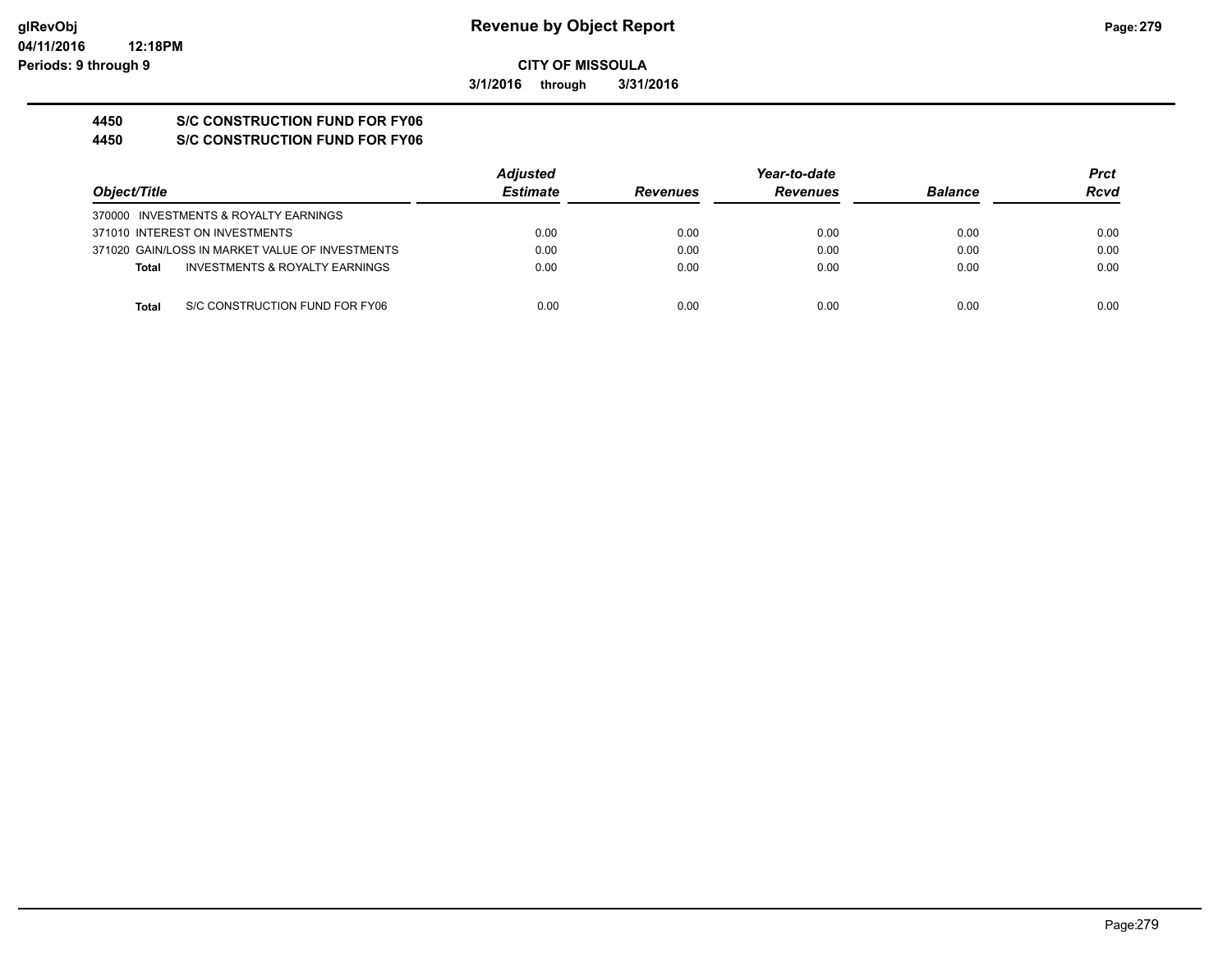**3/1/2016 through 3/31/2016**

# **4450 S/C CONSTRUCTION FUND FOR FY06**

**4450 S/C CONSTRUCTION FUND FOR FY06**

|                                                           | <b>Adjusted</b> |                 | Year-to-date    |                | Prct |
|-----------------------------------------------------------|-----------------|-----------------|-----------------|----------------|------|
| Object/Title                                              | <b>Estimate</b> | <b>Revenues</b> | <b>Revenues</b> | <b>Balance</b> | Rcvd |
| 370000 INVESTMENTS & ROYALTY EARNINGS                     |                 |                 |                 |                |      |
| 371010 INTEREST ON INVESTMENTS                            | 0.00            | 0.00            | 0.00            | 0.00           | 0.00 |
| 371020 GAIN/LOSS IN MARKET VALUE OF INVESTMENTS           | 0.00            | 0.00            | 0.00            | 0.00           | 0.00 |
| <b>INVESTMENTS &amp; ROYALTY EARNINGS</b><br><b>Total</b> | 0.00            | 0.00            | 0.00            | 0.00           | 0.00 |
| S/C CONSTRUCTION FUND FOR FY06<br><b>Total</b>            | 0.00            | 0.00            | 0.00            | 0.00           | 0.00 |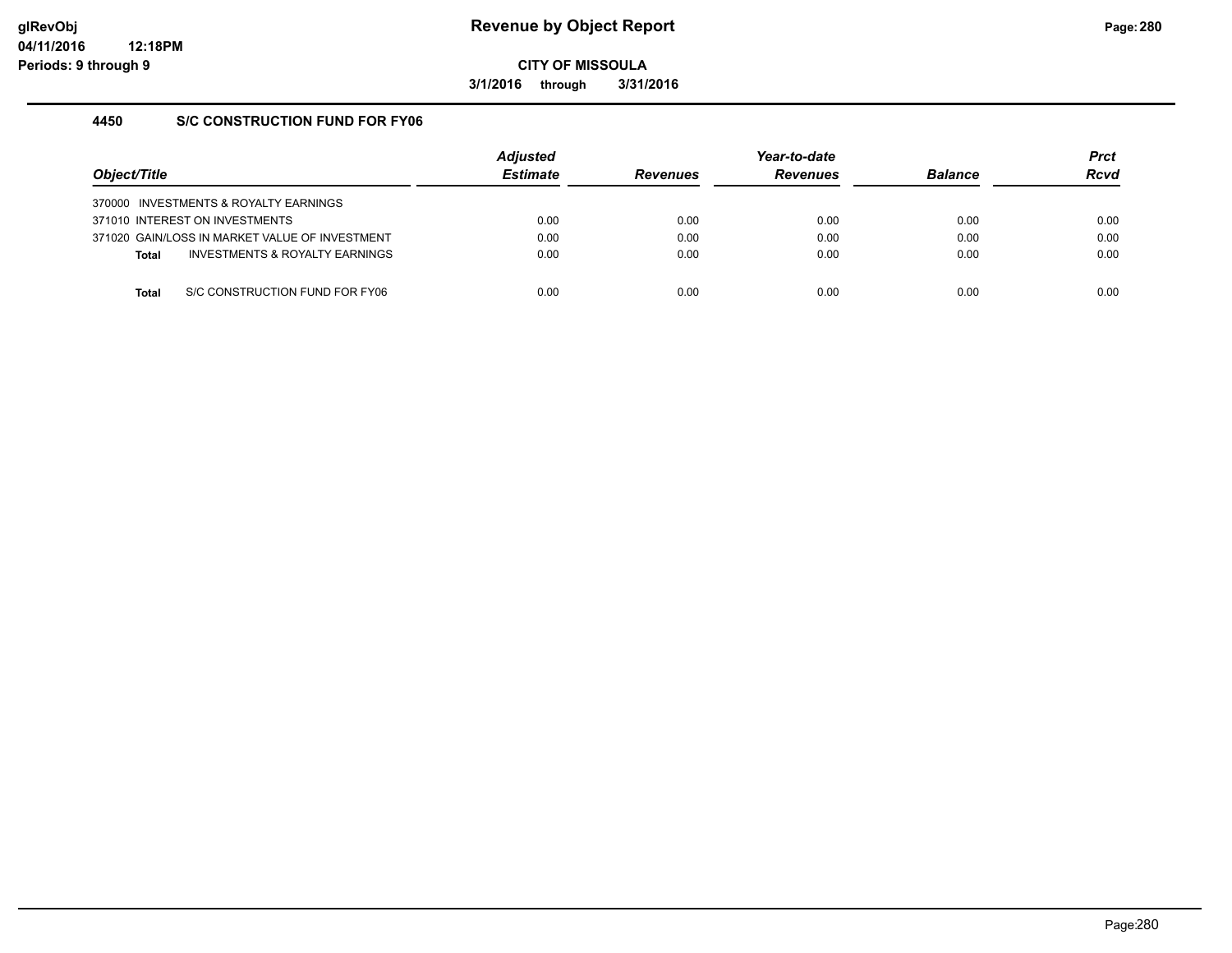**3/1/2016 through 3/31/2016**

### **4450 S/C CONSTRUCTION FUND FOR FY06**

| Object/Title                   |                                                | <b>Adjusted</b><br><b>Estimate</b> | <b>Revenues</b> | Year-to-date<br><b>Revenues</b> | <b>Balance</b> | <b>Prct</b><br><b>Rcvd</b> |
|--------------------------------|------------------------------------------------|------------------------------------|-----------------|---------------------------------|----------------|----------------------------|
|                                | 370000 INVESTMENTS & ROYALTY EARNINGS          |                                    |                 |                                 |                |                            |
| 371010 INTEREST ON INVESTMENTS |                                                | 0.00                               | 0.00            | 0.00                            | 0.00           | 0.00                       |
|                                | 371020 GAIN/LOSS IN MARKET VALUE OF INVESTMENT | 0.00                               | 0.00            | 0.00                            | 0.00           | 0.00                       |
| <b>Total</b>                   | <b>INVESTMENTS &amp; ROYALTY EARNINGS</b>      | 0.00                               | 0.00            | 0.00                            | 0.00           | 0.00                       |
|                                |                                                |                                    |                 |                                 |                |                            |
| Total                          | S/C CONSTRUCTION FUND FOR FY06                 | 0.00                               | 0.00            | 0.00                            | 0.00           | 0.00                       |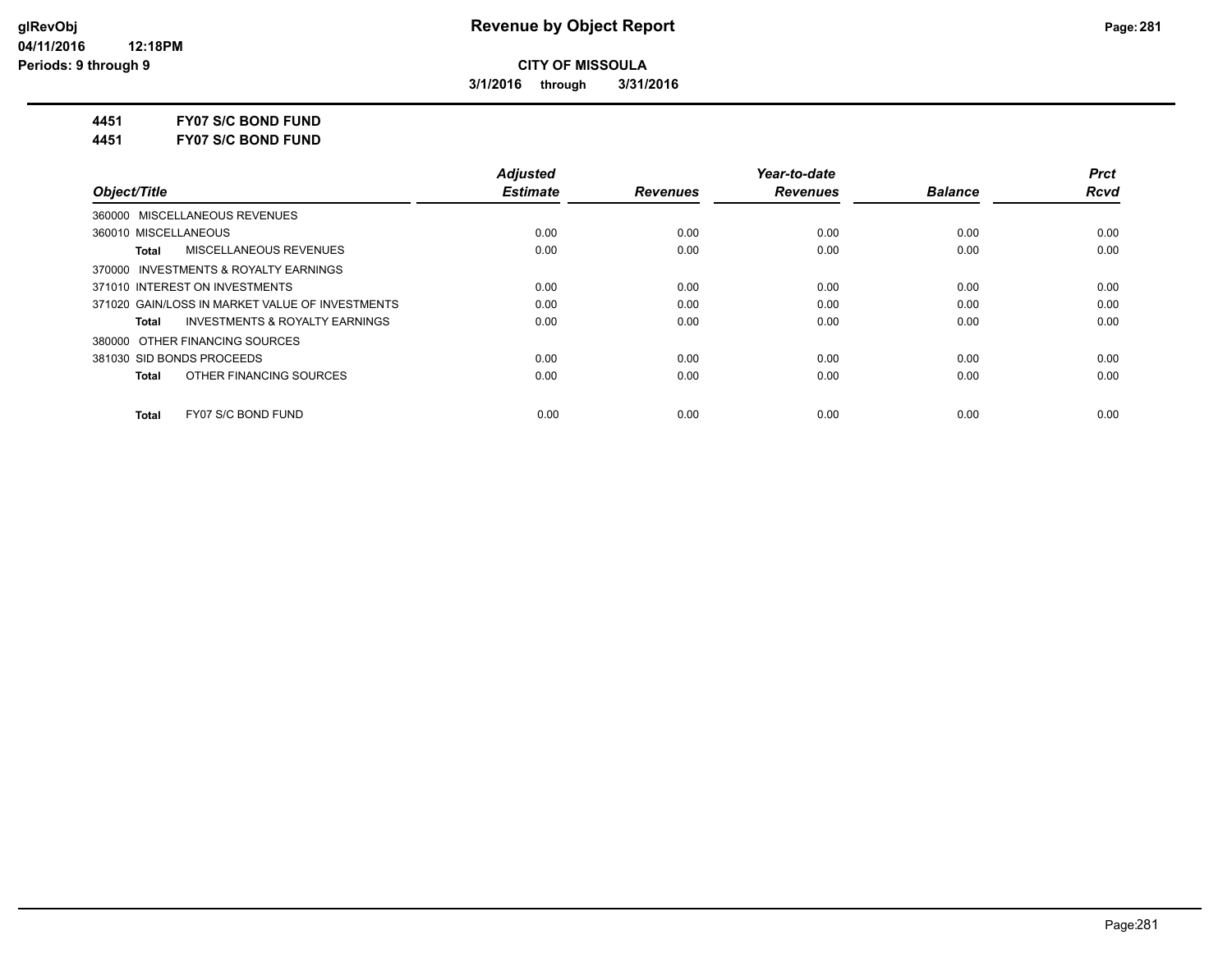**3/1/2016 through 3/31/2016**

**4451 FY07 S/C BOND FUND**

**4451 FY07 S/C BOND FUND**

|                                                    | <b>Adiusted</b> |                 | Year-to-date    |                | <b>Prct</b> |
|----------------------------------------------------|-----------------|-----------------|-----------------|----------------|-------------|
| Object/Title                                       | <b>Estimate</b> | <b>Revenues</b> | <b>Revenues</b> | <b>Balance</b> | <b>Rcvd</b> |
| 360000 MISCELLANEOUS REVENUES                      |                 |                 |                 |                |             |
| 360010 MISCELLANEOUS                               | 0.00            | 0.00            | 0.00            | 0.00           | 0.00        |
| MISCELLANEOUS REVENUES<br>Total                    | 0.00            | 0.00            | 0.00            | 0.00           | 0.00        |
| 370000 INVESTMENTS & ROYALTY EARNINGS              |                 |                 |                 |                |             |
| 371010 INTEREST ON INVESTMENTS                     | 0.00            | 0.00            | 0.00            | 0.00           | 0.00        |
| 371020 GAIN/LOSS IN MARKET VALUE OF INVESTMENTS    | 0.00            | 0.00            | 0.00            | 0.00           | 0.00        |
| <b>INVESTMENTS &amp; ROYALTY EARNINGS</b><br>Total | 0.00            | 0.00            | 0.00            | 0.00           | 0.00        |
| 380000 OTHER FINANCING SOURCES                     |                 |                 |                 |                |             |
| 381030 SID BONDS PROCEEDS                          | 0.00            | 0.00            | 0.00            | 0.00           | 0.00        |
| OTHER FINANCING SOURCES<br>Total                   | 0.00            | 0.00            | 0.00            | 0.00           | 0.00        |
| FY07 S/C BOND FUND<br><b>Total</b>                 | 0.00            | 0.00            | 0.00            | 0.00           | 0.00        |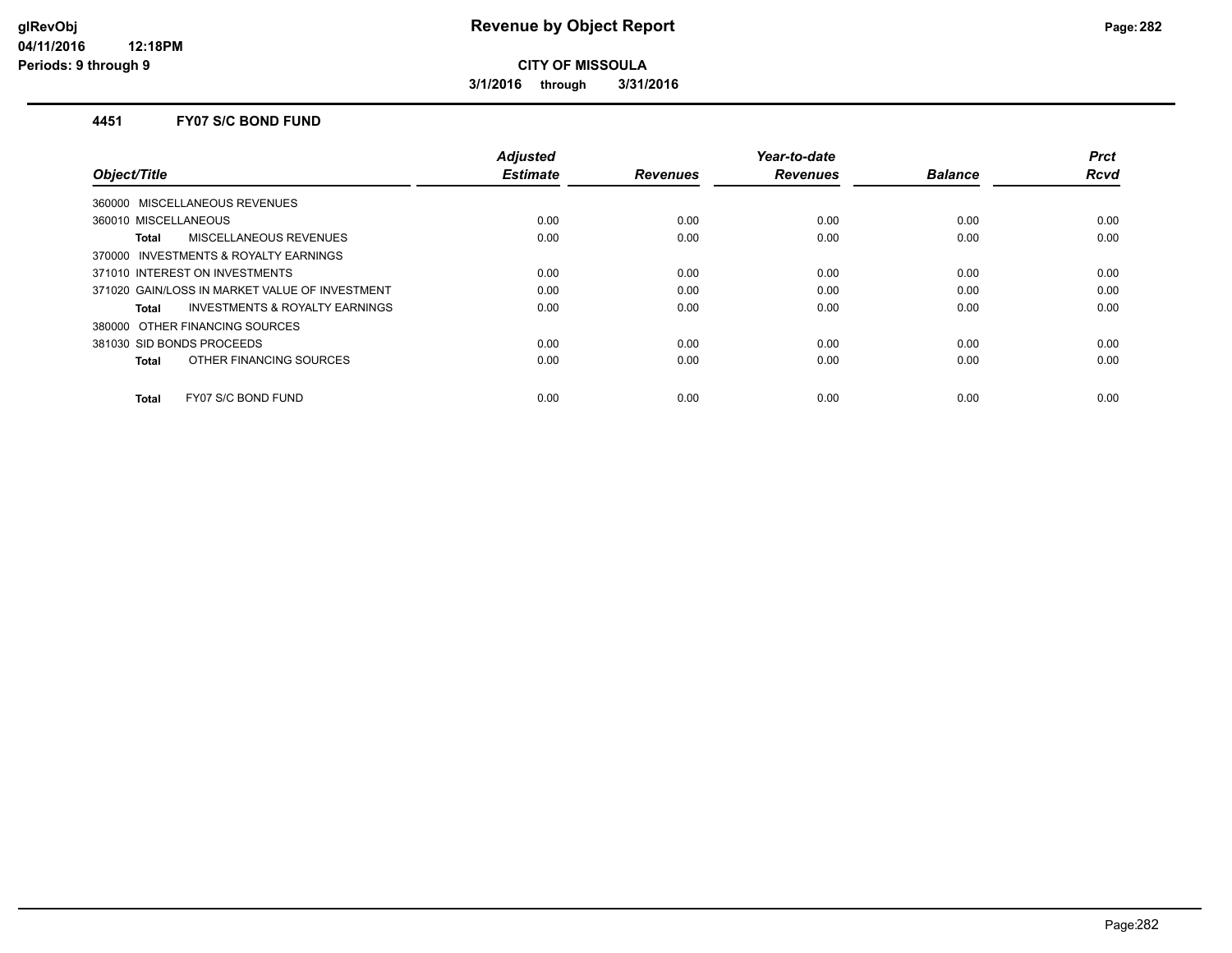**3/1/2016 through 3/31/2016**

#### **4451 FY07 S/C BOND FUND**

| Object/Title                                   | <b>Adjusted</b><br><b>Estimate</b> | <b>Revenues</b> | Year-to-date<br><b>Revenues</b> | <b>Balance</b> | <b>Prct</b><br><b>Rcvd</b> |
|------------------------------------------------|------------------------------------|-----------------|---------------------------------|----------------|----------------------------|
| 360000 MISCELLANEOUS REVENUES                  |                                    |                 |                                 |                |                            |
|                                                |                                    |                 |                                 |                |                            |
| 360010 MISCELLANEOUS                           | 0.00                               | 0.00            | 0.00                            | 0.00           | 0.00                       |
| MISCELLANEOUS REVENUES<br>Total                | 0.00                               | 0.00            | 0.00                            | 0.00           | 0.00                       |
| 370000 INVESTMENTS & ROYALTY EARNINGS          |                                    |                 |                                 |                |                            |
| 371010 INTEREST ON INVESTMENTS                 | 0.00                               | 0.00            | 0.00                            | 0.00           | 0.00                       |
| 371020 GAIN/LOSS IN MARKET VALUE OF INVESTMENT | 0.00                               | 0.00            | 0.00                            | 0.00           | 0.00                       |
| INVESTMENTS & ROYALTY EARNINGS<br>Total        | 0.00                               | 0.00            | 0.00                            | 0.00           | 0.00                       |
| 380000 OTHER FINANCING SOURCES                 |                                    |                 |                                 |                |                            |
| 381030 SID BONDS PROCEEDS                      | 0.00                               | 0.00            | 0.00                            | 0.00           | 0.00                       |
| OTHER FINANCING SOURCES<br>Total               | 0.00                               | 0.00            | 0.00                            | 0.00           | 0.00                       |
| FY07 S/C BOND FUND<br><b>Total</b>             | 0.00                               | 0.00            | 0.00                            | 0.00           | 0.00                       |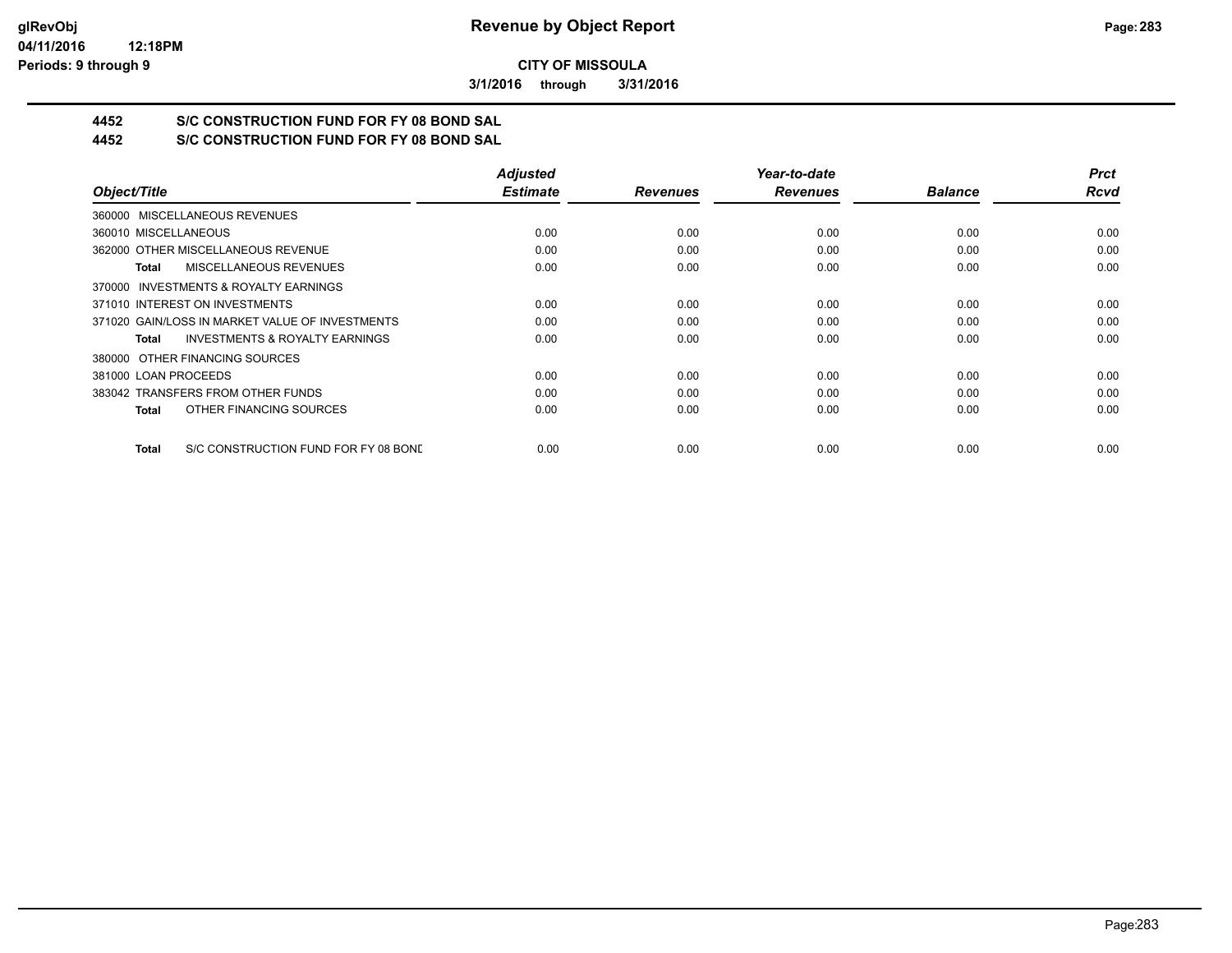**3/1/2016 through 3/31/2016**

# **4452 S/C CONSTRUCTION FUND FOR FY 08 BOND SAL**

**4452 S/C CONSTRUCTION FUND FOR FY 08 BOND SAL**

|                                                      | <b>Adjusted</b> |                 | Year-to-date    |                | <b>Prct</b> |
|------------------------------------------------------|-----------------|-----------------|-----------------|----------------|-------------|
| Object/Title                                         | <b>Estimate</b> | <b>Revenues</b> | <b>Revenues</b> | <b>Balance</b> | <b>Rcvd</b> |
| 360000 MISCELLANEOUS REVENUES                        |                 |                 |                 |                |             |
| 360010 MISCELLANEOUS                                 | 0.00            | 0.00            | 0.00            | 0.00           | 0.00        |
| 362000 OTHER MISCELLANEOUS REVENUE                   | 0.00            | 0.00            | 0.00            | 0.00           | 0.00        |
| <b>MISCELLANEOUS REVENUES</b><br>Total               | 0.00            | 0.00            | 0.00            | 0.00           | 0.00        |
| 370000 INVESTMENTS & ROYALTY EARNINGS                |                 |                 |                 |                |             |
| 371010 INTEREST ON INVESTMENTS                       | 0.00            | 0.00            | 0.00            | 0.00           | 0.00        |
| 371020 GAIN/LOSS IN MARKET VALUE OF INVESTMENTS      | 0.00            | 0.00            | 0.00            | 0.00           | 0.00        |
| <b>INVESTMENTS &amp; ROYALTY EARNINGS</b><br>Total   | 0.00            | 0.00            | 0.00            | 0.00           | 0.00        |
| 380000 OTHER FINANCING SOURCES                       |                 |                 |                 |                |             |
| 381000 LOAN PROCEEDS                                 | 0.00            | 0.00            | 0.00            | 0.00           | 0.00        |
| 383042 TRANSFERS FROM OTHER FUNDS                    | 0.00            | 0.00            | 0.00            | 0.00           | 0.00        |
| OTHER FINANCING SOURCES<br>Total                     | 0.00            | 0.00            | 0.00            | 0.00           | 0.00        |
| S/C CONSTRUCTION FUND FOR FY 08 BONE<br><b>Total</b> | 0.00            | 0.00            | 0.00            | 0.00           | 0.00        |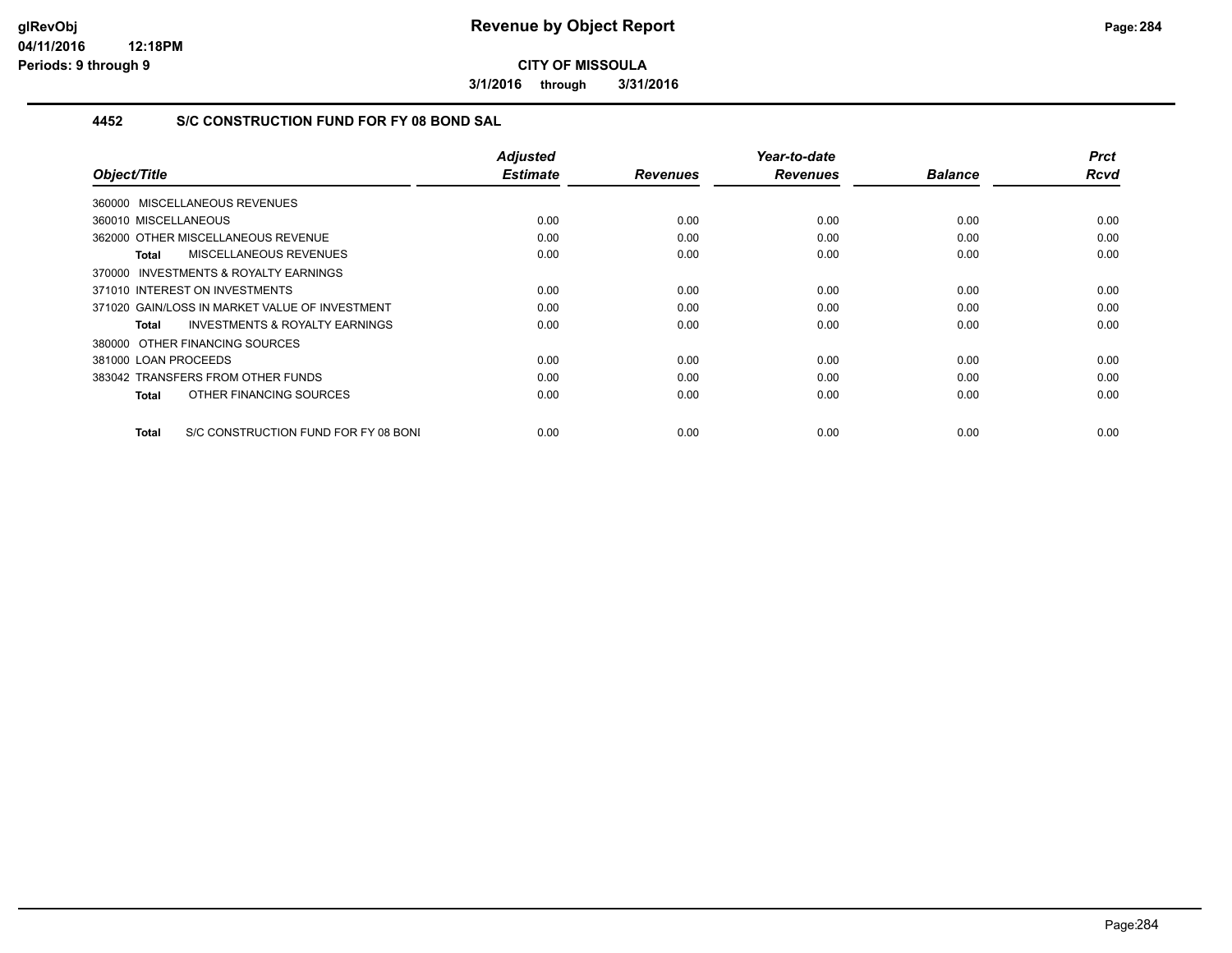**3/1/2016 through 3/31/2016**

## **4452 S/C CONSTRUCTION FUND FOR FY 08 BOND SAL**

| Object/Title                                        | <b>Adjusted</b><br><b>Estimate</b> | <b>Revenues</b> | Year-to-date<br><b>Revenues</b> | <b>Balance</b> | <b>Prct</b><br><b>Rcvd</b> |
|-----------------------------------------------------|------------------------------------|-----------------|---------------------------------|----------------|----------------------------|
|                                                     |                                    |                 |                                 |                |                            |
| 360000 MISCELLANEOUS REVENUES                       |                                    |                 |                                 |                |                            |
| 360010 MISCELLANEOUS                                | 0.00                               | 0.00            | 0.00                            | 0.00           | 0.00                       |
| 362000 OTHER MISCELLANEOUS REVENUE                  | 0.00                               | 0.00            | 0.00                            | 0.00           | 0.00                       |
| MISCELLANEOUS REVENUES<br>Total                     | 0.00                               | 0.00            | 0.00                            | 0.00           | 0.00                       |
| <b>INVESTMENTS &amp; ROYALTY EARNINGS</b><br>370000 |                                    |                 |                                 |                |                            |
| 371010 INTEREST ON INVESTMENTS                      | 0.00                               | 0.00            | 0.00                            | 0.00           | 0.00                       |
| 371020 GAIN/LOSS IN MARKET VALUE OF INVESTMENT      | 0.00                               | 0.00            | 0.00                            | 0.00           | 0.00                       |
| <b>INVESTMENTS &amp; ROYALTY EARNINGS</b><br>Total  | 0.00                               | 0.00            | 0.00                            | 0.00           | 0.00                       |
| 380000 OTHER FINANCING SOURCES                      |                                    |                 |                                 |                |                            |
| 381000 LOAN PROCEEDS                                | 0.00                               | 0.00            | 0.00                            | 0.00           | 0.00                       |
| 383042 TRANSFERS FROM OTHER FUNDS                   | 0.00                               | 0.00            | 0.00                            | 0.00           | 0.00                       |
| OTHER FINANCING SOURCES<br>Total                    | 0.00                               | 0.00            | 0.00                            | 0.00           | 0.00                       |
|                                                     |                                    |                 |                                 |                |                            |
| S/C CONSTRUCTION FUND FOR FY 08 BONI<br>Total       | 0.00                               | 0.00            | 0.00                            | 0.00           | 0.00                       |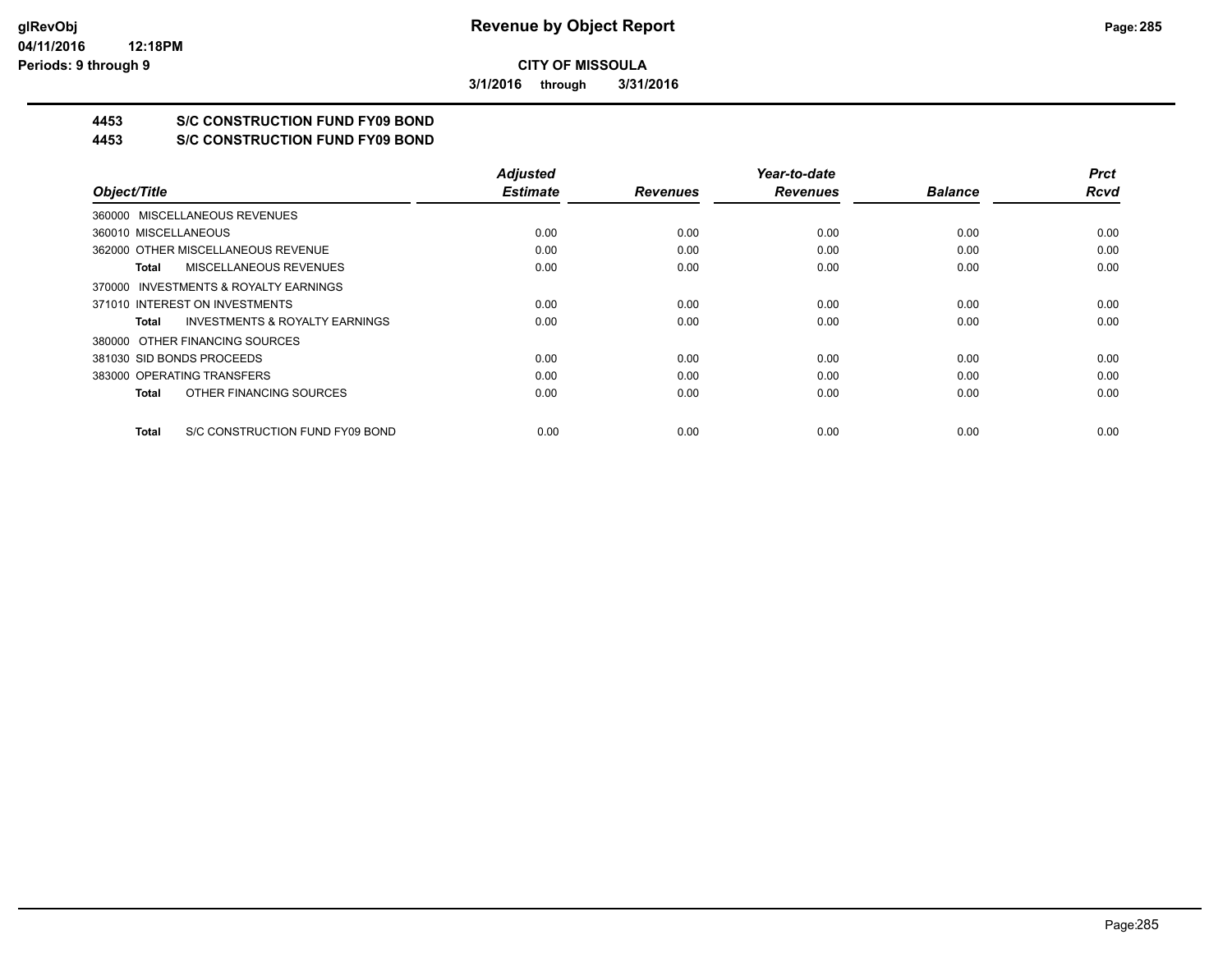**3/1/2016 through 3/31/2016**

## **4453 S/C CONSTRUCTION FUND FY09 BOND**

**4453 S/C CONSTRUCTION FUND FY09 BOND**

|                                                    | <b>Adjusted</b> |                 | Year-to-date    |                | <b>Prct</b> |
|----------------------------------------------------|-----------------|-----------------|-----------------|----------------|-------------|
| Object/Title                                       | <b>Estimate</b> | <b>Revenues</b> | <b>Revenues</b> | <b>Balance</b> | <b>Rcvd</b> |
| 360000 MISCELLANEOUS REVENUES                      |                 |                 |                 |                |             |
| 360010 MISCELLANEOUS                               | 0.00            | 0.00            | 0.00            | 0.00           | 0.00        |
| 362000 OTHER MISCELLANEOUS REVENUE                 | 0.00            | 0.00            | 0.00            | 0.00           | 0.00        |
| MISCELLANEOUS REVENUES<br>Total                    | 0.00            | 0.00            | 0.00            | 0.00           | 0.00        |
| 370000 INVESTMENTS & ROYALTY EARNINGS              |                 |                 |                 |                |             |
| 371010 INTEREST ON INVESTMENTS                     | 0.00            | 0.00            | 0.00            | 0.00           | 0.00        |
| <b>INVESTMENTS &amp; ROYALTY EARNINGS</b><br>Total | 0.00            | 0.00            | 0.00            | 0.00           | 0.00        |
| 380000 OTHER FINANCING SOURCES                     |                 |                 |                 |                |             |
| 381030 SID BONDS PROCEEDS                          | 0.00            | 0.00            | 0.00            | 0.00           | 0.00        |
| 383000 OPERATING TRANSFERS                         | 0.00            | 0.00            | 0.00            | 0.00           | 0.00        |
| OTHER FINANCING SOURCES<br>Total                   | 0.00            | 0.00            | 0.00            | 0.00           | 0.00        |
| S/C CONSTRUCTION FUND FY09 BOND<br>Total           | 0.00            | 0.00            | 0.00            | 0.00           | 0.00        |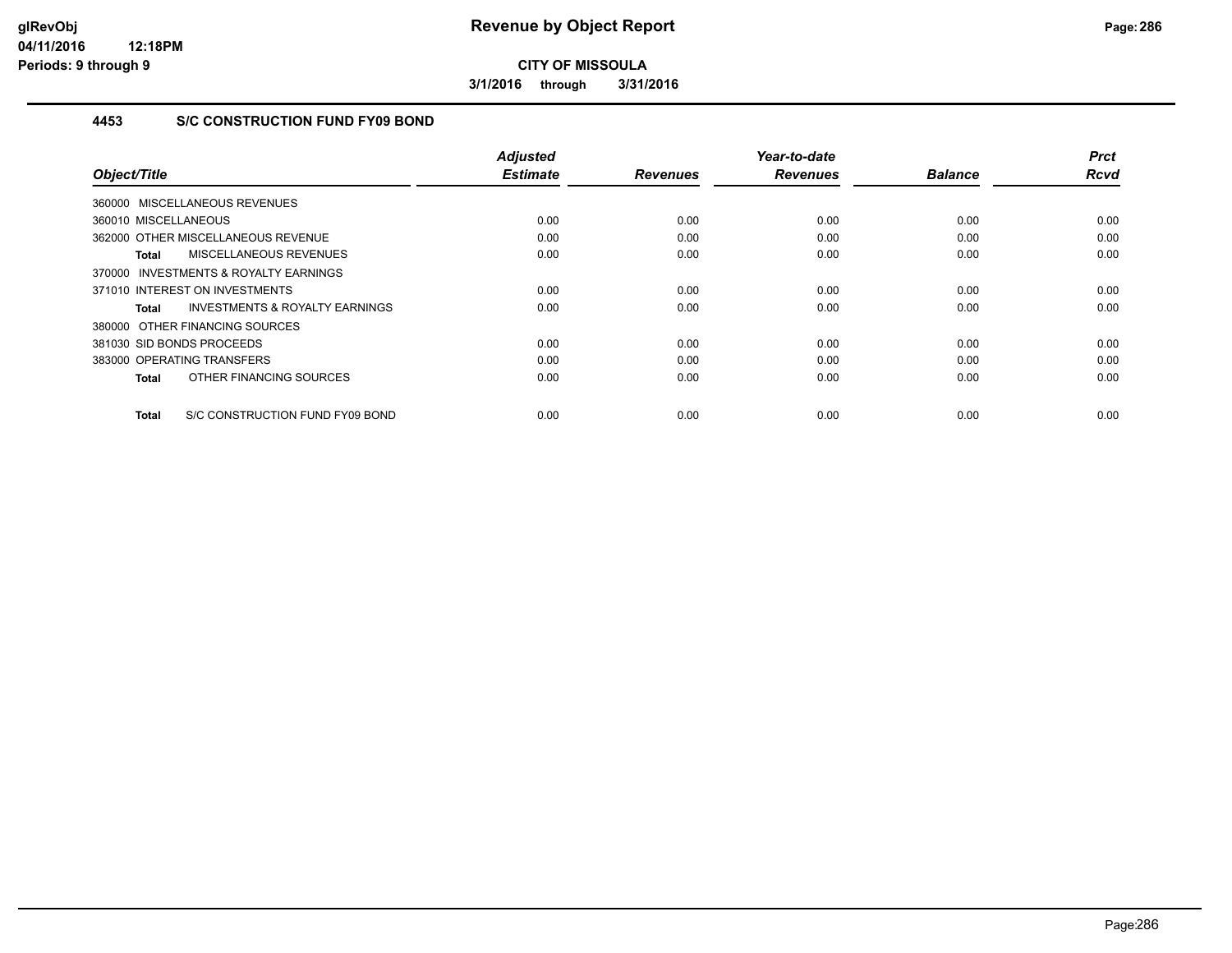**3/1/2016 through 3/31/2016**

## **4453 S/C CONSTRUCTION FUND FY09 BOND**

|                                                     | <b>Adjusted</b><br><b>Estimate</b> | <b>Revenues</b> | Year-to-date<br><b>Revenues</b> | <b>Balance</b> | <b>Prct</b><br><b>Rcvd</b> |
|-----------------------------------------------------|------------------------------------|-----------------|---------------------------------|----------------|----------------------------|
| Object/Title                                        |                                    |                 |                                 |                |                            |
| 360000 MISCELLANEOUS REVENUES                       |                                    |                 |                                 |                |                            |
| 360010 MISCELLANEOUS                                | 0.00                               | 0.00            | 0.00                            | 0.00           | 0.00                       |
| 362000 OTHER MISCELLANEOUS REVENUE                  | 0.00                               | 0.00            | 0.00                            | 0.00           | 0.00                       |
| MISCELLANEOUS REVENUES<br>Total                     | 0.00                               | 0.00            | 0.00                            | 0.00           | 0.00                       |
| <b>INVESTMENTS &amp; ROYALTY EARNINGS</b><br>370000 |                                    |                 |                                 |                |                            |
| 371010 INTEREST ON INVESTMENTS                      | 0.00                               | 0.00            | 0.00                            | 0.00           | 0.00                       |
| <b>INVESTMENTS &amp; ROYALTY EARNINGS</b><br>Total  | 0.00                               | 0.00            | 0.00                            | 0.00           | 0.00                       |
| 380000 OTHER FINANCING SOURCES                      |                                    |                 |                                 |                |                            |
| 381030 SID BONDS PROCEEDS                           | 0.00                               | 0.00            | 0.00                            | 0.00           | 0.00                       |
| 383000 OPERATING TRANSFERS                          | 0.00                               | 0.00            | 0.00                            | 0.00           | 0.00                       |
| OTHER FINANCING SOURCES<br><b>Total</b>             | 0.00                               | 0.00            | 0.00                            | 0.00           | 0.00                       |
| S/C CONSTRUCTION FUND FY09 BOND<br><b>Total</b>     | 0.00                               | 0.00            | 0.00                            | 0.00           | 0.00                       |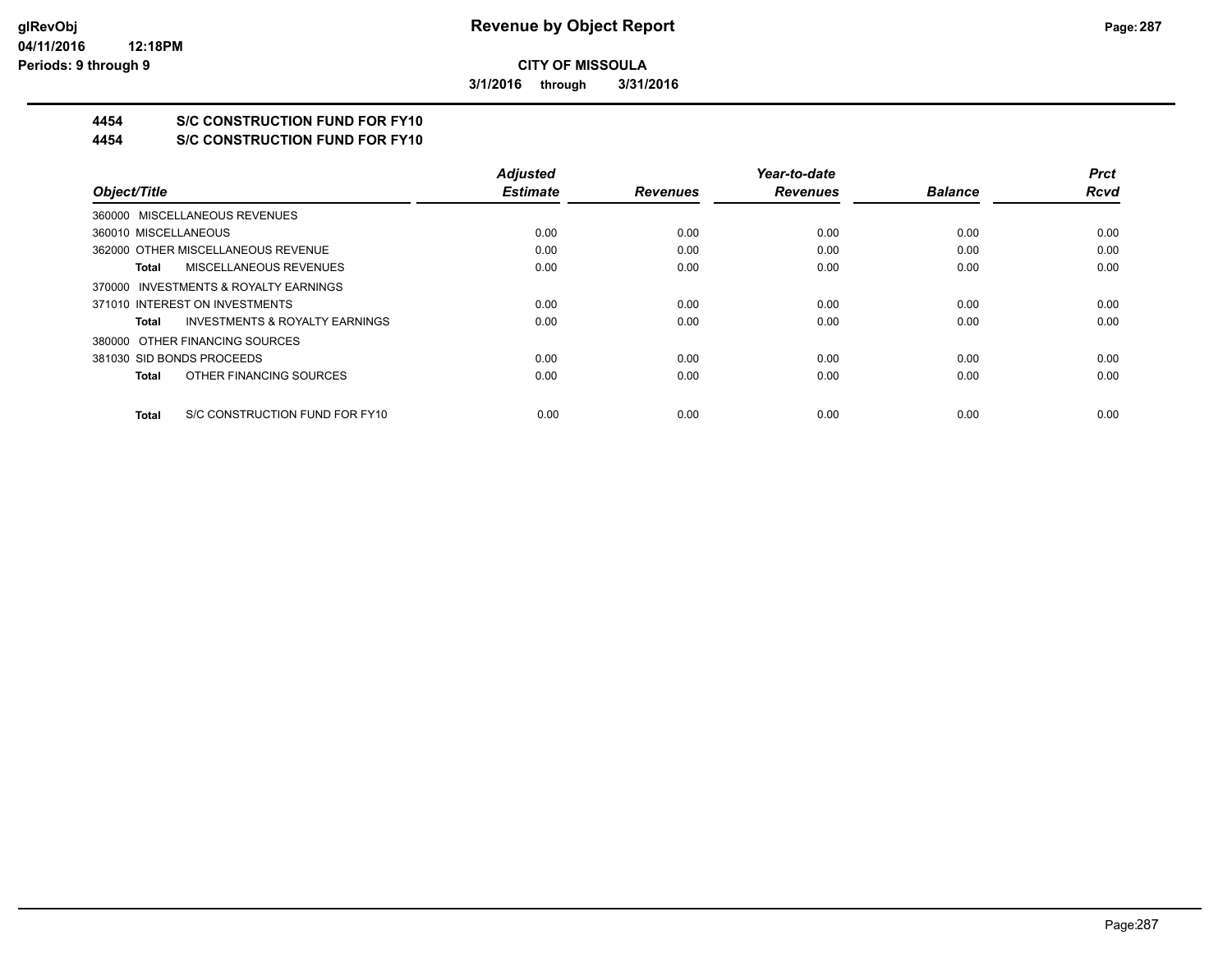**3/1/2016 through 3/31/2016**

## **4454 S/C CONSTRUCTION FUND FOR FY10**

**4454 S/C CONSTRUCTION FUND FOR FY10**

|                                                    | <b>Adjusted</b> |                 | Year-to-date    |                | <b>Prct</b> |
|----------------------------------------------------|-----------------|-----------------|-----------------|----------------|-------------|
| Object/Title                                       | <b>Estimate</b> | <b>Revenues</b> | <b>Revenues</b> | <b>Balance</b> | Rcvd        |
| 360000 MISCELLANEOUS REVENUES                      |                 |                 |                 |                |             |
| 360010 MISCELLANEOUS                               | 0.00            | 0.00            | 0.00            | 0.00           | 0.00        |
| 362000 OTHER MISCELLANEOUS REVENUE                 | 0.00            | 0.00            | 0.00            | 0.00           | 0.00        |
| MISCELLANEOUS REVENUES<br>Total                    | 0.00            | 0.00            | 0.00            | 0.00           | 0.00        |
| 370000 INVESTMENTS & ROYALTY EARNINGS              |                 |                 |                 |                |             |
| 371010 INTEREST ON INVESTMENTS                     | 0.00            | 0.00            | 0.00            | 0.00           | 0.00        |
| <b>INVESTMENTS &amp; ROYALTY EARNINGS</b><br>Total | 0.00            | 0.00            | 0.00            | 0.00           | 0.00        |
| 380000 OTHER FINANCING SOURCES                     |                 |                 |                 |                |             |
| 381030 SID BONDS PROCEEDS                          | 0.00            | 0.00            | 0.00            | 0.00           | 0.00        |
| OTHER FINANCING SOURCES<br>Total                   | 0.00            | 0.00            | 0.00            | 0.00           | 0.00        |
| S/C CONSTRUCTION FUND FOR FY10<br>Total            | 0.00            | 0.00            | 0.00            | 0.00           | 0.00        |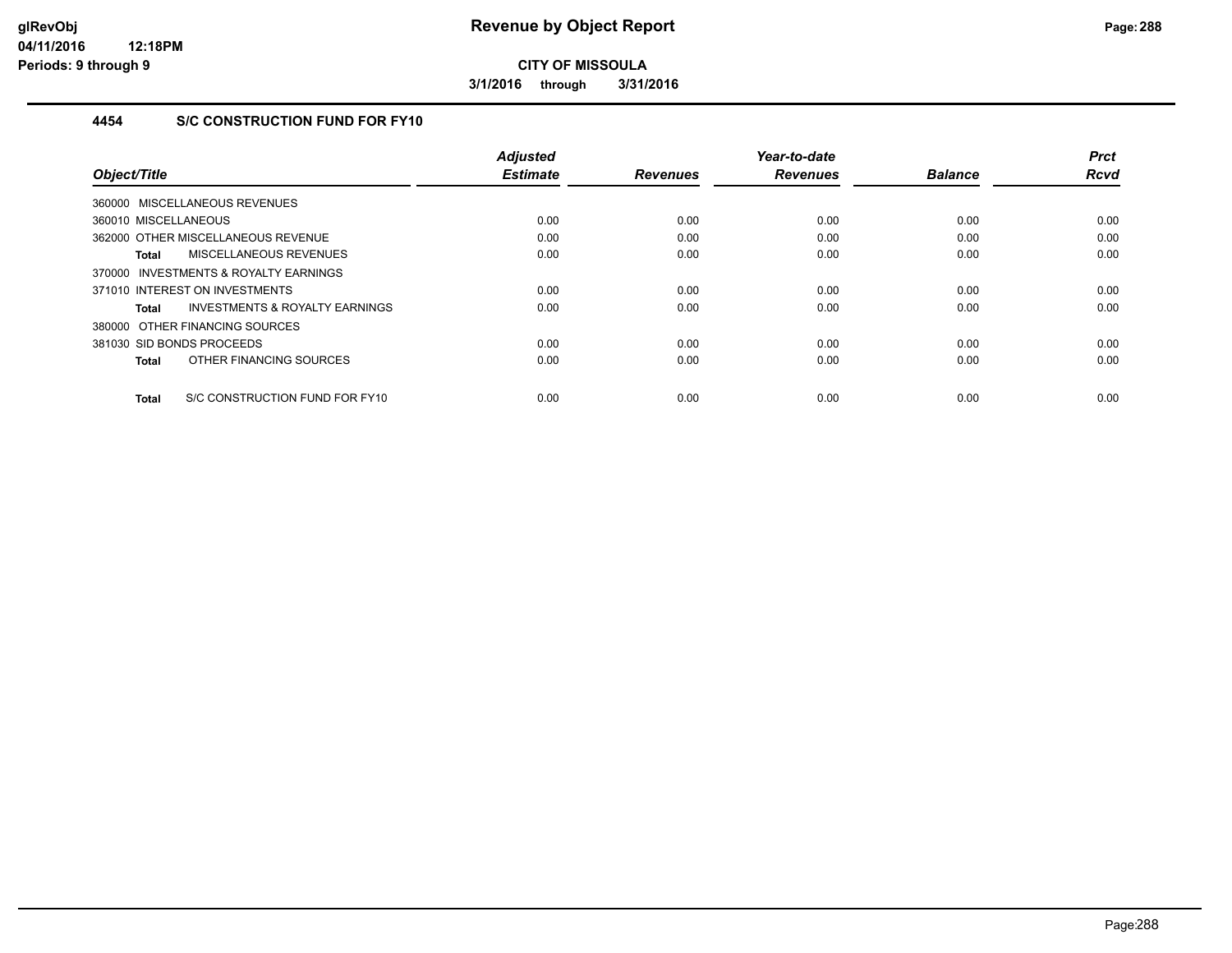**3/1/2016 through 3/31/2016**

## **4454 S/C CONSTRUCTION FUND FOR FY10**

| Object/Title                                   | <b>Adjusted</b><br><b>Estimate</b> | <b>Revenues</b> | Year-to-date<br><b>Revenues</b> | <b>Balance</b> | <b>Prct</b><br><b>Rcvd</b> |
|------------------------------------------------|------------------------------------|-----------------|---------------------------------|----------------|----------------------------|
|                                                |                                    |                 |                                 |                |                            |
| 360000 MISCELLANEOUS REVENUES                  |                                    |                 |                                 |                |                            |
| 360010 MISCELLANEOUS                           | 0.00                               | 0.00            | 0.00                            | 0.00           | 0.00                       |
| 362000 OTHER MISCELLANEOUS REVENUE             | 0.00                               | 0.00            | 0.00                            | 0.00           | 0.00                       |
| MISCELLANEOUS REVENUES<br><b>Total</b>         | 0.00                               | 0.00            | 0.00                            | 0.00           | 0.00                       |
| 370000 INVESTMENTS & ROYALTY EARNINGS          |                                    |                 |                                 |                |                            |
| 371010 INTEREST ON INVESTMENTS                 | 0.00                               | 0.00            | 0.00                            | 0.00           | 0.00                       |
| INVESTMENTS & ROYALTY EARNINGS<br>Total        | 0.00                               | 0.00            | 0.00                            | 0.00           | 0.00                       |
| 380000 OTHER FINANCING SOURCES                 |                                    |                 |                                 |                |                            |
| 381030 SID BONDS PROCEEDS                      | 0.00                               | 0.00            | 0.00                            | 0.00           | 0.00                       |
| OTHER FINANCING SOURCES<br><b>Total</b>        | 0.00                               | 0.00            | 0.00                            | 0.00           | 0.00                       |
| S/C CONSTRUCTION FUND FOR FY10<br><b>Total</b> | 0.00                               | 0.00            | 0.00                            | 0.00           | 0.00                       |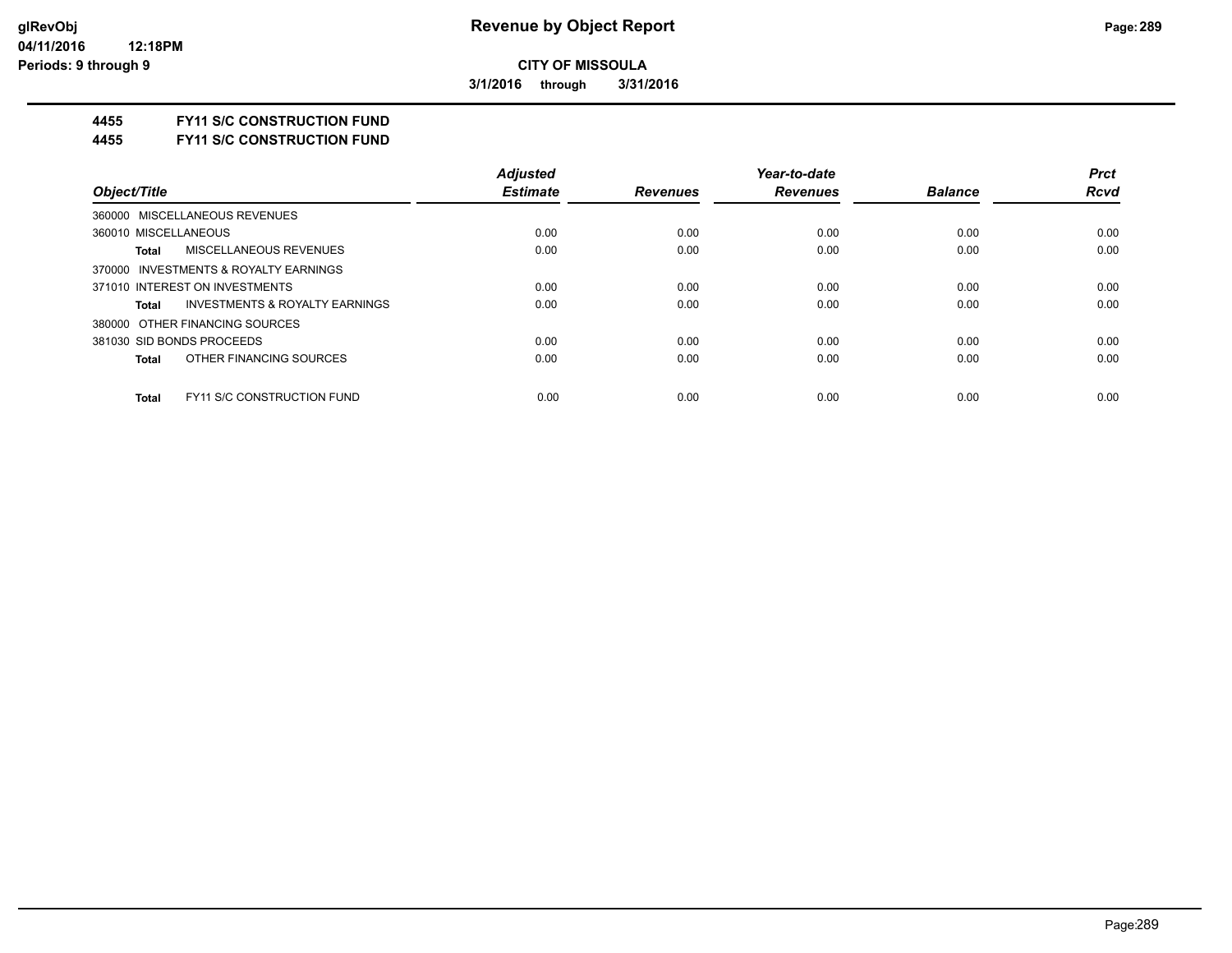**3/1/2016 through 3/31/2016**

#### **4455 FY11 S/C CONSTRUCTION FUND**

**4455 FY11 S/C CONSTRUCTION FUND**

|                                                    | <b>Adjusted</b> |                 | Year-to-date    |                | <b>Prct</b> |
|----------------------------------------------------|-----------------|-----------------|-----------------|----------------|-------------|
| Object/Title                                       | <b>Estimate</b> | <b>Revenues</b> | <b>Revenues</b> | <b>Balance</b> | <b>Rcvd</b> |
| 360000 MISCELLANEOUS REVENUES                      |                 |                 |                 |                |             |
| 360010 MISCELLANEOUS                               | 0.00            | 0.00            | 0.00            | 0.00           | 0.00        |
| MISCELLANEOUS REVENUES<br><b>Total</b>             | 0.00            | 0.00            | 0.00            | 0.00           | 0.00        |
| 370000 INVESTMENTS & ROYALTY EARNINGS              |                 |                 |                 |                |             |
| 371010 INTEREST ON INVESTMENTS                     | 0.00            | 0.00            | 0.00            | 0.00           | 0.00        |
| <b>INVESTMENTS &amp; ROYALTY EARNINGS</b><br>Total | 0.00            | 0.00            | 0.00            | 0.00           | 0.00        |
| 380000 OTHER FINANCING SOURCES                     |                 |                 |                 |                |             |
| 381030 SID BONDS PROCEEDS                          | 0.00            | 0.00            | 0.00            | 0.00           | 0.00        |
| OTHER FINANCING SOURCES<br><b>Total</b>            | 0.00            | 0.00            | 0.00            | 0.00           | 0.00        |
| <b>FY11 S/C CONSTRUCTION FUND</b><br><b>Total</b>  | 0.00            | 0.00            | 0.00            | 0.00           | 0.00        |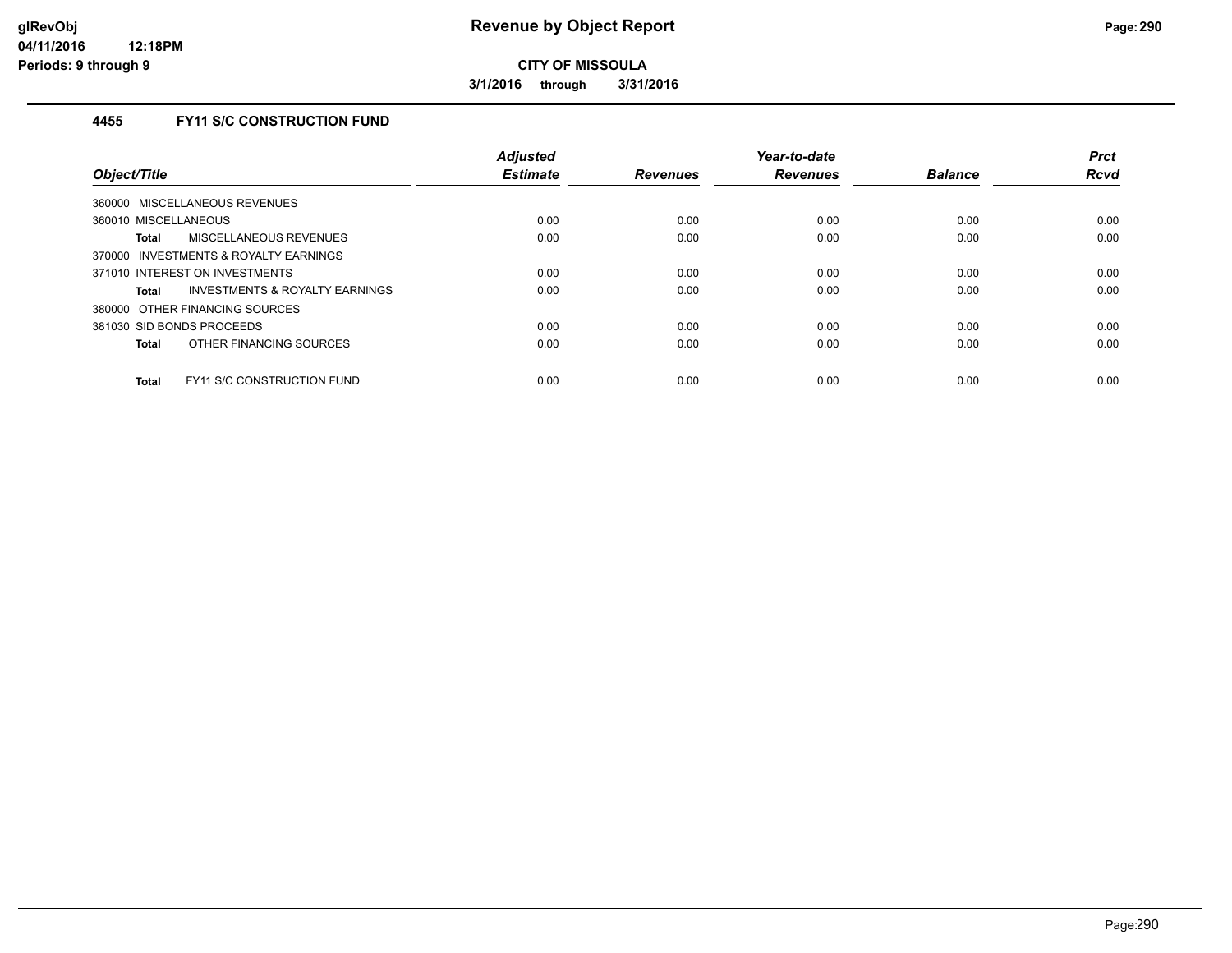**3/1/2016 through 3/31/2016**

## **4455 FY11 S/C CONSTRUCTION FUND**

| Object/Title                                       | <b>Adjusted</b><br><b>Estimate</b> | <b>Revenues</b> | Year-to-date<br><b>Revenues</b> | <b>Balance</b> | <b>Prct</b><br><b>Rcvd</b> |
|----------------------------------------------------|------------------------------------|-----------------|---------------------------------|----------------|----------------------------|
| 360000 MISCELLANEOUS REVENUES                      |                                    |                 |                                 |                |                            |
| 360010 MISCELLANEOUS                               | 0.00                               | 0.00            | 0.00                            | 0.00           | 0.00                       |
| MISCELLANEOUS REVENUES<br>Total                    | 0.00                               | 0.00            | 0.00                            | 0.00           | 0.00                       |
| 370000 INVESTMENTS & ROYALTY EARNINGS              |                                    |                 |                                 |                |                            |
| 371010 INTEREST ON INVESTMENTS                     | 0.00                               | 0.00            | 0.00                            | 0.00           | 0.00                       |
| <b>INVESTMENTS &amp; ROYALTY EARNINGS</b><br>Total | 0.00                               | 0.00            | 0.00                            | 0.00           | 0.00                       |
| 380000 OTHER FINANCING SOURCES                     |                                    |                 |                                 |                |                            |
| 381030 SID BONDS PROCEEDS                          | 0.00                               | 0.00            | 0.00                            | 0.00           | 0.00                       |
| OTHER FINANCING SOURCES<br>Total                   | 0.00                               | 0.00            | 0.00                            | 0.00           | 0.00                       |
| <b>FY11 S/C CONSTRUCTION FUND</b><br>Total         | 0.00                               | 0.00            | 0.00                            | 0.00           | 0.00                       |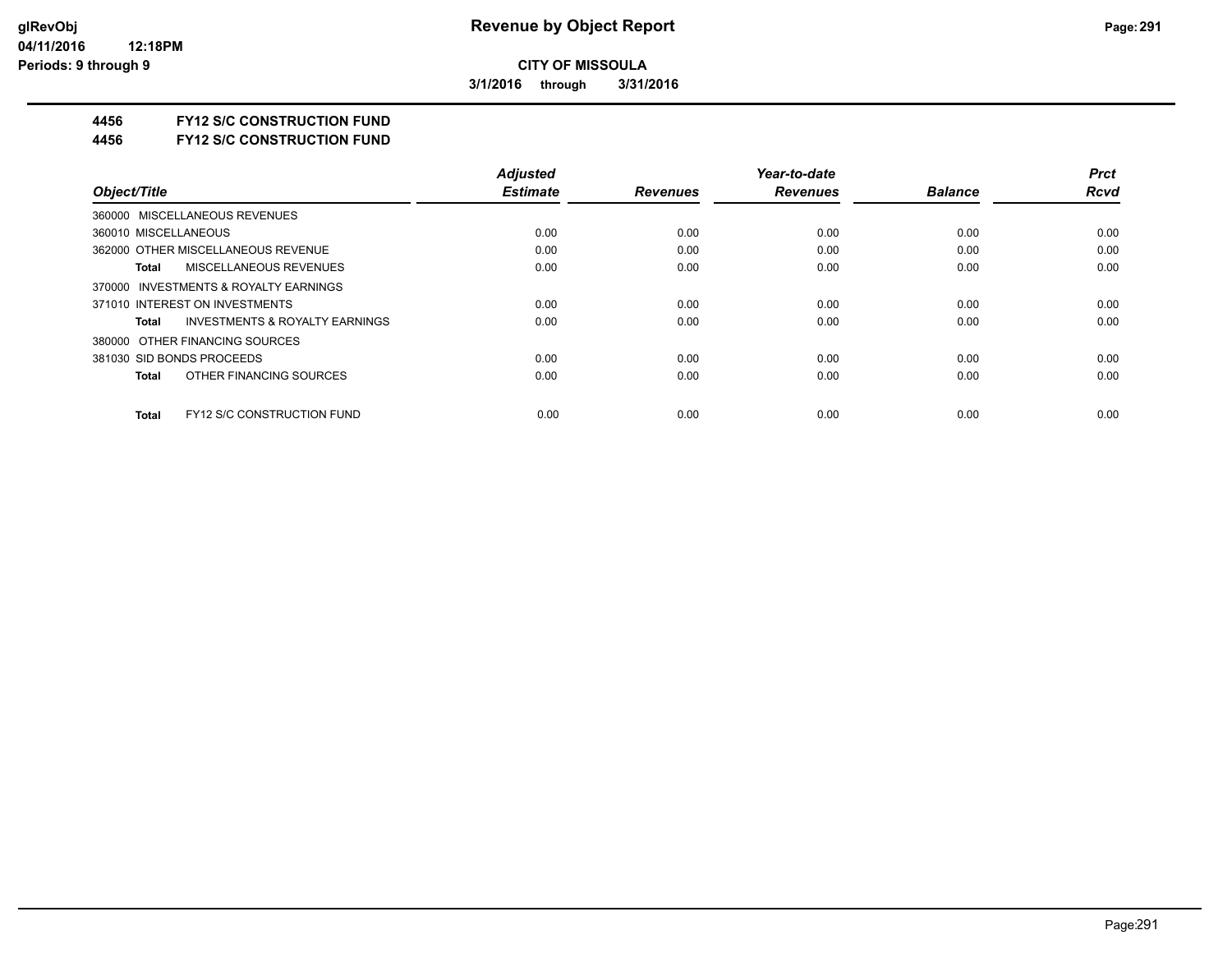**3/1/2016 through 3/31/2016**

## **4456 FY12 S/C CONSTRUCTION FUND**

**4456 FY12 S/C CONSTRUCTION FUND**

|                                                   | <b>Adjusted</b> |                 | Year-to-date    |                | <b>Prct</b> |
|---------------------------------------------------|-----------------|-----------------|-----------------|----------------|-------------|
| Object/Title                                      | <b>Estimate</b> | <b>Revenues</b> | <b>Revenues</b> | <b>Balance</b> | <b>Rcvd</b> |
| 360000 MISCELLANEOUS REVENUES                     |                 |                 |                 |                |             |
| 360010 MISCELLANEOUS                              | 0.00            | 0.00            | 0.00            | 0.00           | 0.00        |
| 362000 OTHER MISCELLANEOUS REVENUE                | 0.00            | 0.00            | 0.00            | 0.00           | 0.00        |
| <b>MISCELLANEOUS REVENUES</b><br>Total            | 0.00            | 0.00            | 0.00            | 0.00           | 0.00        |
| 370000 INVESTMENTS & ROYALTY EARNINGS             |                 |                 |                 |                |             |
| 371010 INTEREST ON INVESTMENTS                    | 0.00            | 0.00            | 0.00            | 0.00           | 0.00        |
| INVESTMENTS & ROYALTY EARNINGS<br>Total           | 0.00            | 0.00            | 0.00            | 0.00           | 0.00        |
| 380000 OTHER FINANCING SOURCES                    |                 |                 |                 |                |             |
| 381030 SID BONDS PROCEEDS                         | 0.00            | 0.00            | 0.00            | 0.00           | 0.00        |
| OTHER FINANCING SOURCES<br><b>Total</b>           | 0.00            | 0.00            | 0.00            | 0.00           | 0.00        |
| <b>FY12 S/C CONSTRUCTION FUND</b><br><b>Total</b> | 0.00            | 0.00            | 0.00            | 0.00           | 0.00        |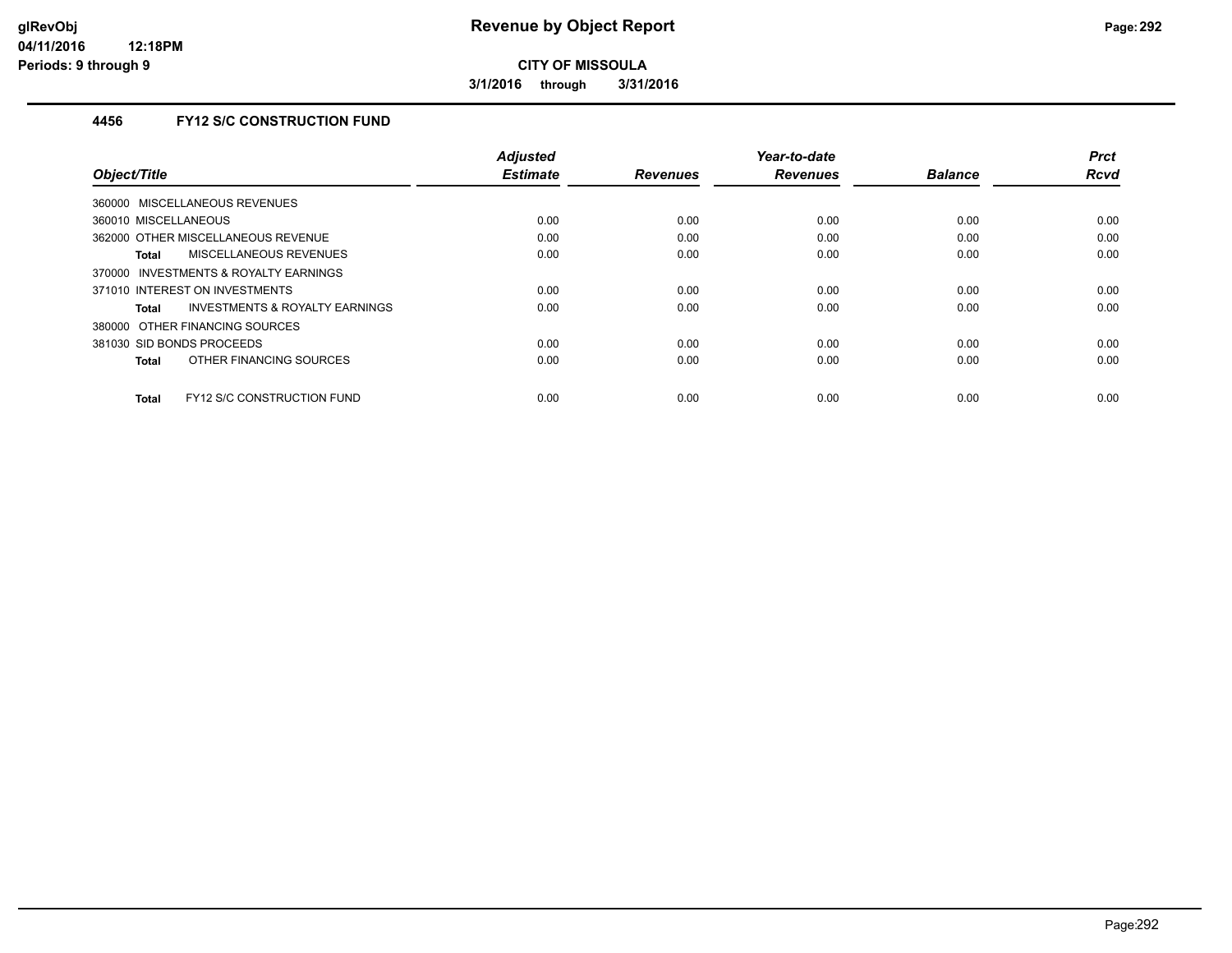**3/1/2016 through 3/31/2016**

## **4456 FY12 S/C CONSTRUCTION FUND**

|                                            | <b>Adjusted</b> |                 | Year-to-date    |                | <b>Prct</b> |
|--------------------------------------------|-----------------|-----------------|-----------------|----------------|-------------|
| Object/Title                               | <b>Estimate</b> | <b>Revenues</b> | <b>Revenues</b> | <b>Balance</b> | <b>Rcvd</b> |
| 360000 MISCELLANEOUS REVENUES              |                 |                 |                 |                |             |
| 360010 MISCELLANEOUS                       | 0.00            | 0.00            | 0.00            | 0.00           | 0.00        |
| 362000 OTHER MISCELLANEOUS REVENUE         | 0.00            | 0.00            | 0.00            | 0.00           | 0.00        |
| <b>MISCELLANEOUS REVENUES</b><br>Total     | 0.00            | 0.00            | 0.00            | 0.00           | 0.00        |
| INVESTMENTS & ROYALTY EARNINGS<br>370000   |                 |                 |                 |                |             |
| 371010 INTEREST ON INVESTMENTS             | 0.00            | 0.00            | 0.00            | 0.00           | 0.00        |
| INVESTMENTS & ROYALTY EARNINGS<br>Total    | 0.00            | 0.00            | 0.00            | 0.00           | 0.00        |
| 380000 OTHER FINANCING SOURCES             |                 |                 |                 |                |             |
| 381030 SID BONDS PROCEEDS                  | 0.00            | 0.00            | 0.00            | 0.00           | 0.00        |
| OTHER FINANCING SOURCES<br><b>Total</b>    | 0.00            | 0.00            | 0.00            | 0.00           | 0.00        |
|                                            |                 |                 |                 |                |             |
| FY12 S/C CONSTRUCTION FUND<br><b>Total</b> | 0.00            | 0.00            | 0.00            | 0.00           | 0.00        |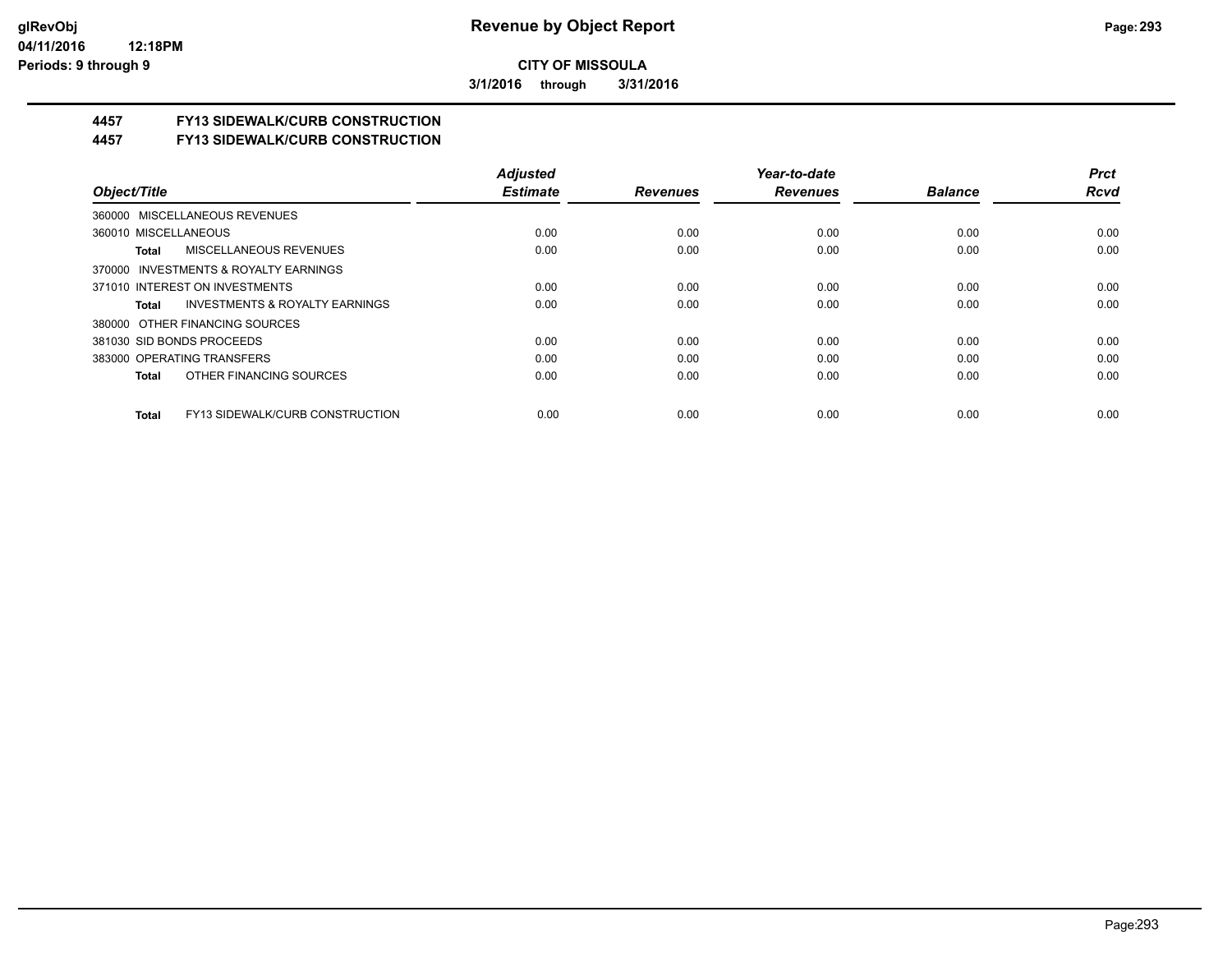**3/1/2016 through 3/31/2016**

## **4457 FY13 SIDEWALK/CURB CONSTRUCTION**

**4457 FY13 SIDEWALK/CURB CONSTRUCTION**

|                                                    | <b>Adiusted</b> |                 | Year-to-date    |                | <b>Prct</b> |
|----------------------------------------------------|-----------------|-----------------|-----------------|----------------|-------------|
| Object/Title                                       | <b>Estimate</b> | <b>Revenues</b> | <b>Revenues</b> | <b>Balance</b> | <b>Rcvd</b> |
| 360000 MISCELLANEOUS REVENUES                      |                 |                 |                 |                |             |
| 360010 MISCELLANEOUS                               | 0.00            | 0.00            | 0.00            | 0.00           | 0.00        |
| <b>MISCELLANEOUS REVENUES</b><br>Total             | 0.00            | 0.00            | 0.00            | 0.00           | 0.00        |
| 370000 INVESTMENTS & ROYALTY EARNINGS              |                 |                 |                 |                |             |
| 371010 INTEREST ON INVESTMENTS                     | 0.00            | 0.00            | 0.00            | 0.00           | 0.00        |
| <b>INVESTMENTS &amp; ROYALTY EARNINGS</b><br>Total | 0.00            | 0.00            | 0.00            | 0.00           | 0.00        |
| 380000 OTHER FINANCING SOURCES                     |                 |                 |                 |                |             |
| 381030 SID BONDS PROCEEDS                          | 0.00            | 0.00            | 0.00            | 0.00           | 0.00        |
| 383000 OPERATING TRANSFERS                         | 0.00            | 0.00            | 0.00            | 0.00           | 0.00        |
| OTHER FINANCING SOURCES<br>Total                   | 0.00            | 0.00            | 0.00            | 0.00           | 0.00        |
| FY13 SIDEWALK/CURB CONSTRUCTION<br>Total           | 0.00            | 0.00            | 0.00            | 0.00           | 0.00        |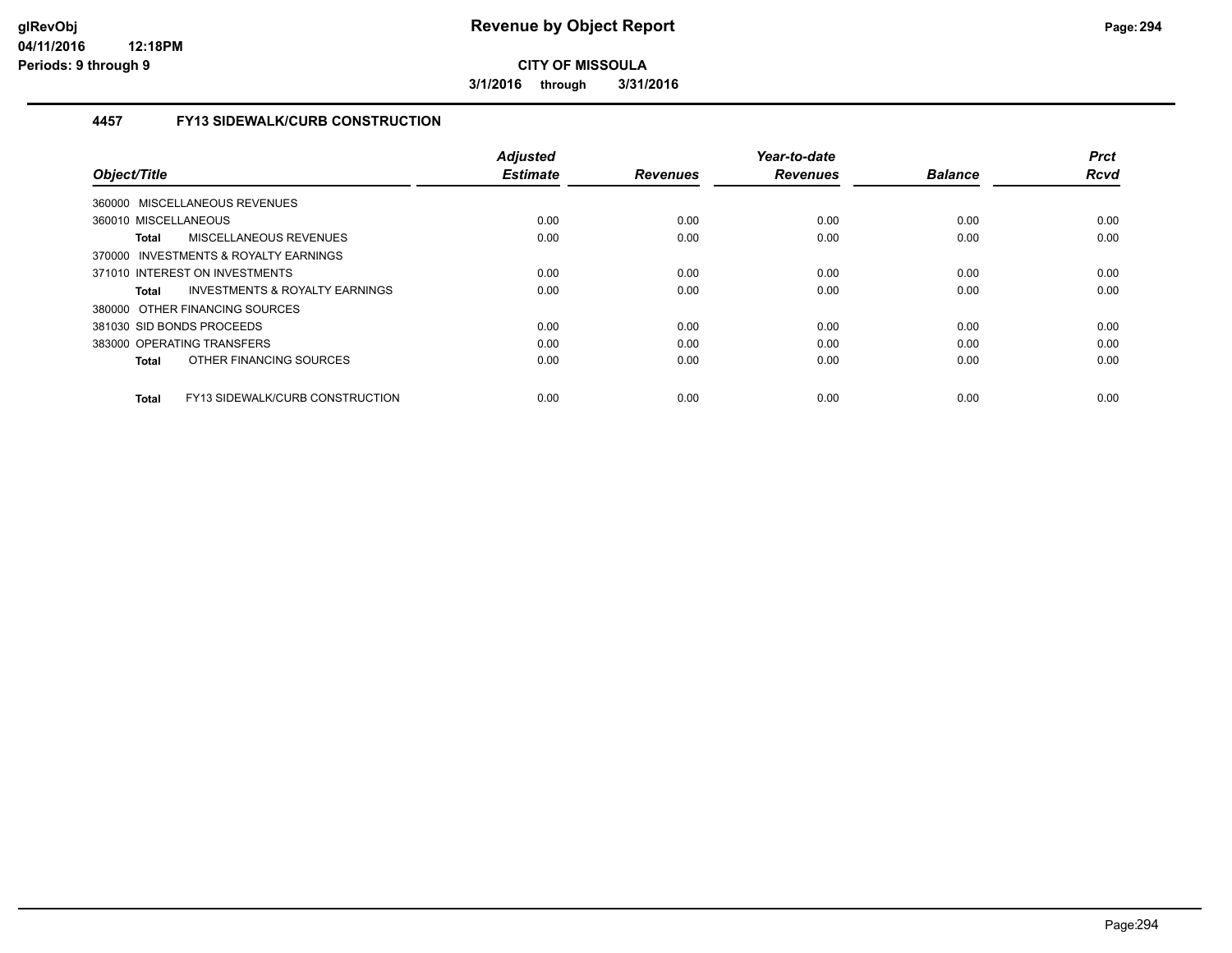**3/1/2016 through 3/31/2016**

### **4457 FY13 SIDEWALK/CURB CONSTRUCTION**

| Object/Title                                    | <b>Adjusted</b><br><b>Estimate</b> | <b>Revenues</b> | Year-to-date<br><b>Revenues</b> | <b>Balance</b> | <b>Prct</b><br><b>Rcvd</b> |
|-------------------------------------------------|------------------------------------|-----------------|---------------------------------|----------------|----------------------------|
| <b>MISCELLANEOUS REVENUES</b><br>360000         |                                    |                 |                                 |                |                            |
| 360010 MISCELLANEOUS                            | 0.00                               | 0.00            | 0.00                            | 0.00           | 0.00                       |
| MISCELLANEOUS REVENUES<br>Total                 | 0.00                               | 0.00            | 0.00                            | 0.00           | 0.00                       |
| 370000 INVESTMENTS & ROYALTY EARNINGS           |                                    |                 |                                 |                |                            |
| 371010 INTEREST ON INVESTMENTS                  | 0.00                               | 0.00            | 0.00                            | 0.00           | 0.00                       |
| INVESTMENTS & ROYALTY EARNINGS<br>Total         | 0.00                               | 0.00            | 0.00                            | 0.00           | 0.00                       |
| 380000 OTHER FINANCING SOURCES                  |                                    |                 |                                 |                |                            |
| 381030 SID BONDS PROCEEDS                       | 0.00                               | 0.00            | 0.00                            | 0.00           | 0.00                       |
| 383000 OPERATING TRANSFERS                      | 0.00                               | 0.00            | 0.00                            | 0.00           | 0.00                       |
| OTHER FINANCING SOURCES<br><b>Total</b>         | 0.00                               | 0.00            | 0.00                            | 0.00           | 0.00                       |
| FY13 SIDEWALK/CURB CONSTRUCTION<br><b>Total</b> | 0.00                               | 0.00            | 0.00                            | 0.00           | 0.00                       |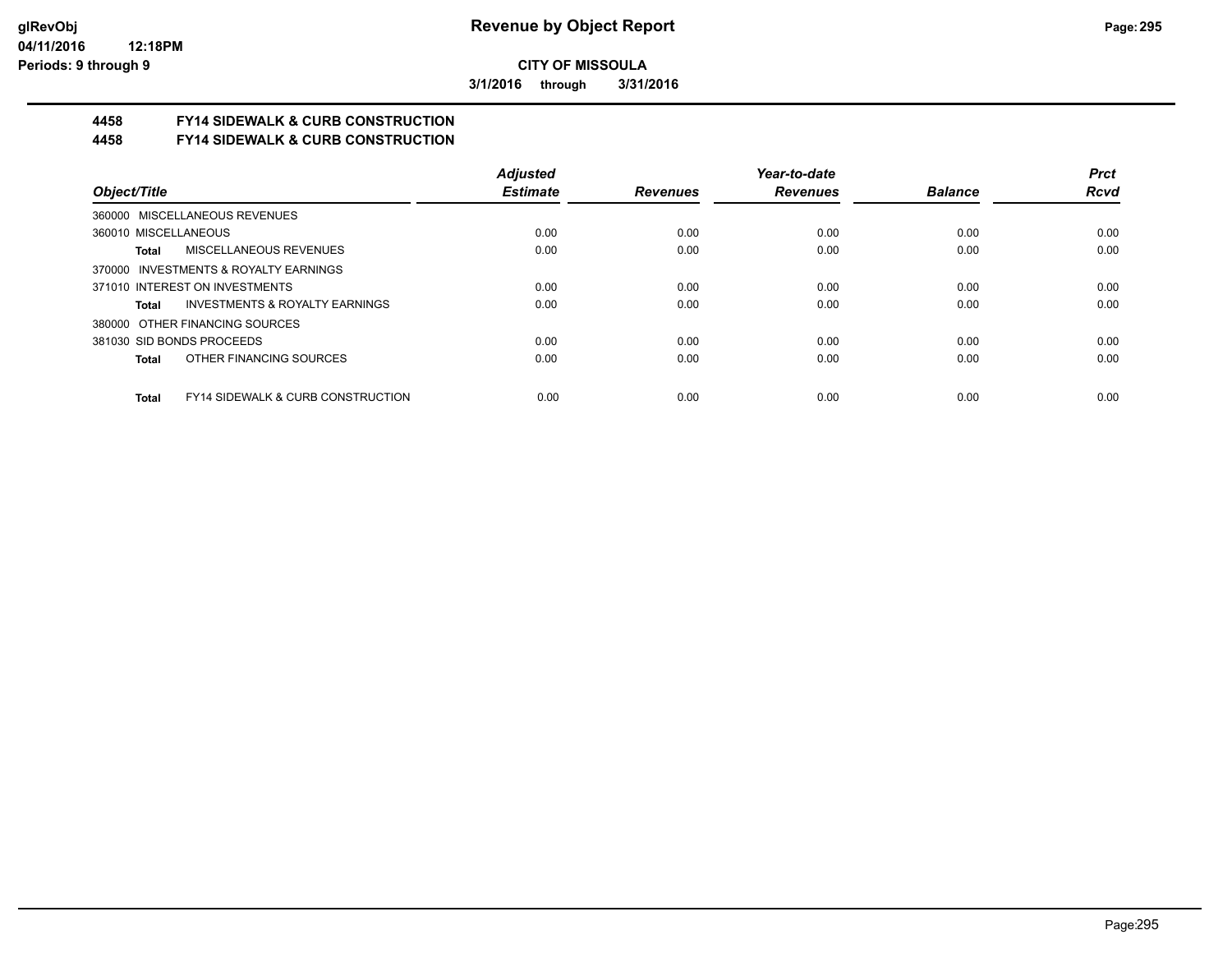**3/1/2016 through 3/31/2016**

# **4458 FY14 SIDEWALK & CURB CONSTRUCTION**

**4458 FY14 SIDEWALK & CURB CONSTRUCTION**

|                                                              | <b>Adiusted</b> |                 | Year-to-date    |                | <b>Prct</b> |
|--------------------------------------------------------------|-----------------|-----------------|-----------------|----------------|-------------|
| Object/Title                                                 | <b>Estimate</b> | <b>Revenues</b> | <b>Revenues</b> | <b>Balance</b> | <b>Rcvd</b> |
| 360000 MISCELLANEOUS REVENUES                                |                 |                 |                 |                |             |
| 360010 MISCELLANEOUS                                         | 0.00            | 0.00            | 0.00            | 0.00           | 0.00        |
| <b>MISCELLANEOUS REVENUES</b><br>Total                       | 0.00            | 0.00            | 0.00            | 0.00           | 0.00        |
| 370000 INVESTMENTS & ROYALTY EARNINGS                        |                 |                 |                 |                |             |
| 371010 INTEREST ON INVESTMENTS                               | 0.00            | 0.00            | 0.00            | 0.00           | 0.00        |
| <b>INVESTMENTS &amp; ROYALTY EARNINGS</b><br>Total           | 0.00            | 0.00            | 0.00            | 0.00           | 0.00        |
| 380000 OTHER FINANCING SOURCES                               |                 |                 |                 |                |             |
| 381030 SID BONDS PROCEEDS                                    | 0.00            | 0.00            | 0.00            | 0.00           | 0.00        |
| OTHER FINANCING SOURCES<br>Total                             | 0.00            | 0.00            | 0.00            | 0.00           | 0.00        |
|                                                              |                 |                 |                 |                |             |
| <b>FY14 SIDEWALK &amp; CURB CONSTRUCTION</b><br><b>Total</b> | 0.00            | 0.00            | 0.00            | 0.00           | 0.00        |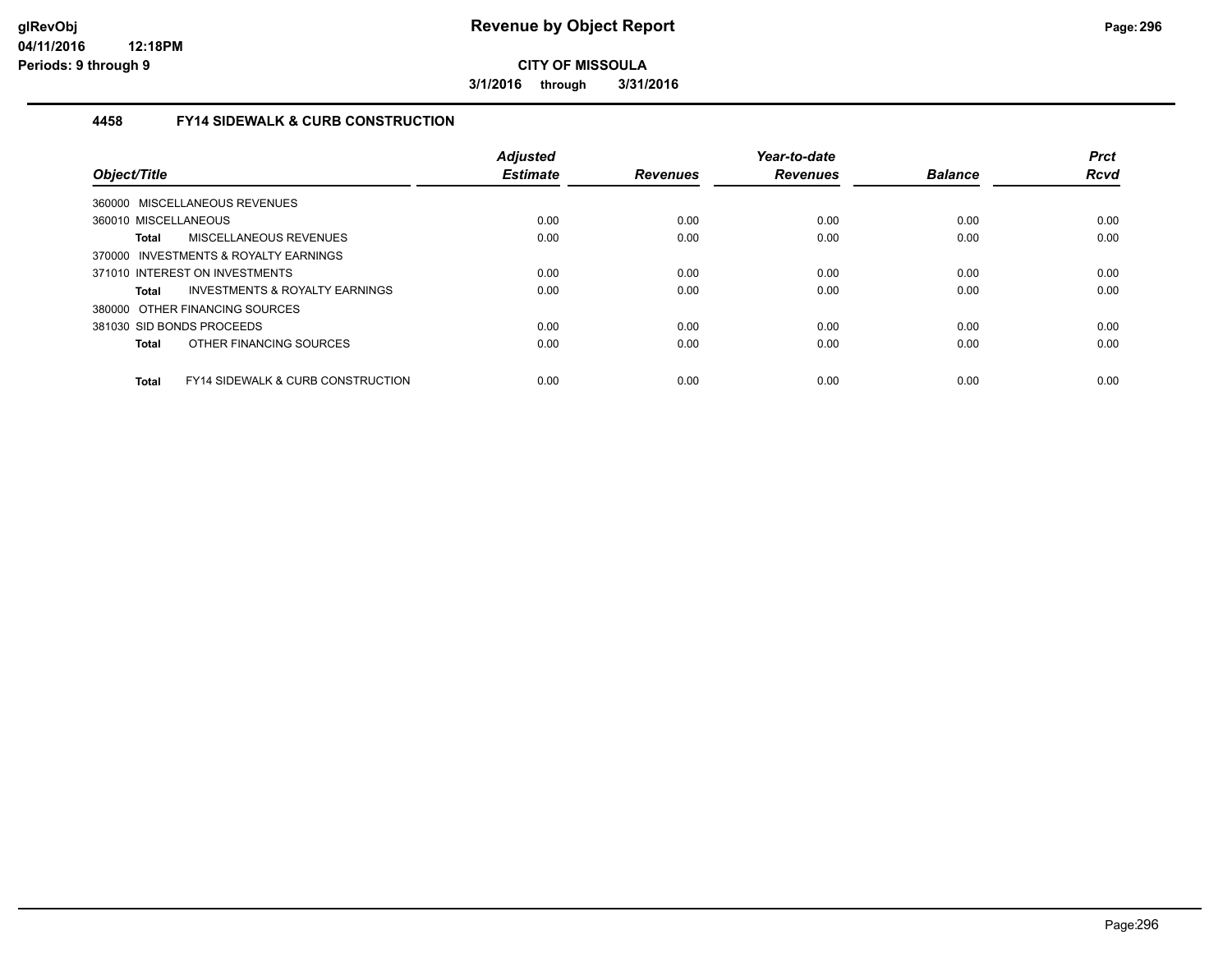**3/1/2016 through 3/31/2016**

### **4458 FY14 SIDEWALK & CURB CONSTRUCTION**

| Object/Title              |                                              | <b>Adjusted</b><br><b>Estimate</b> | <b>Revenues</b> | Year-to-date<br><b>Revenues</b> | <b>Balance</b> | <b>Prct</b><br><b>Rcvd</b> |
|---------------------------|----------------------------------------------|------------------------------------|-----------------|---------------------------------|----------------|----------------------------|
|                           | 360000 MISCELLANEOUS REVENUES                |                                    |                 |                                 |                |                            |
| 360010 MISCELLANEOUS      |                                              | 0.00                               | 0.00            | 0.00                            | 0.00           | 0.00                       |
| Total                     | MISCELLANEOUS REVENUES                       | 0.00                               | 0.00            | 0.00                            | 0.00           | 0.00                       |
|                           | 370000 INVESTMENTS & ROYALTY EARNINGS        |                                    |                 |                                 |                |                            |
|                           | 371010 INTEREST ON INVESTMENTS               | 0.00                               | 0.00            | 0.00                            | 0.00           | 0.00                       |
| <b>Total</b>              | INVESTMENTS & ROYALTY EARNINGS               | 0.00                               | 0.00            | 0.00                            | 0.00           | 0.00                       |
|                           | 380000 OTHER FINANCING SOURCES               |                                    |                 |                                 |                |                            |
| 381030 SID BONDS PROCEEDS |                                              | 0.00                               | 0.00            | 0.00                            | 0.00           | 0.00                       |
| <b>Total</b>              | OTHER FINANCING SOURCES                      | 0.00                               | 0.00            | 0.00                            | 0.00           | 0.00                       |
| <b>Total</b>              | <b>FY14 SIDEWALK &amp; CURB CONSTRUCTION</b> | 0.00                               | 0.00            | 0.00                            | 0.00           | 0.00                       |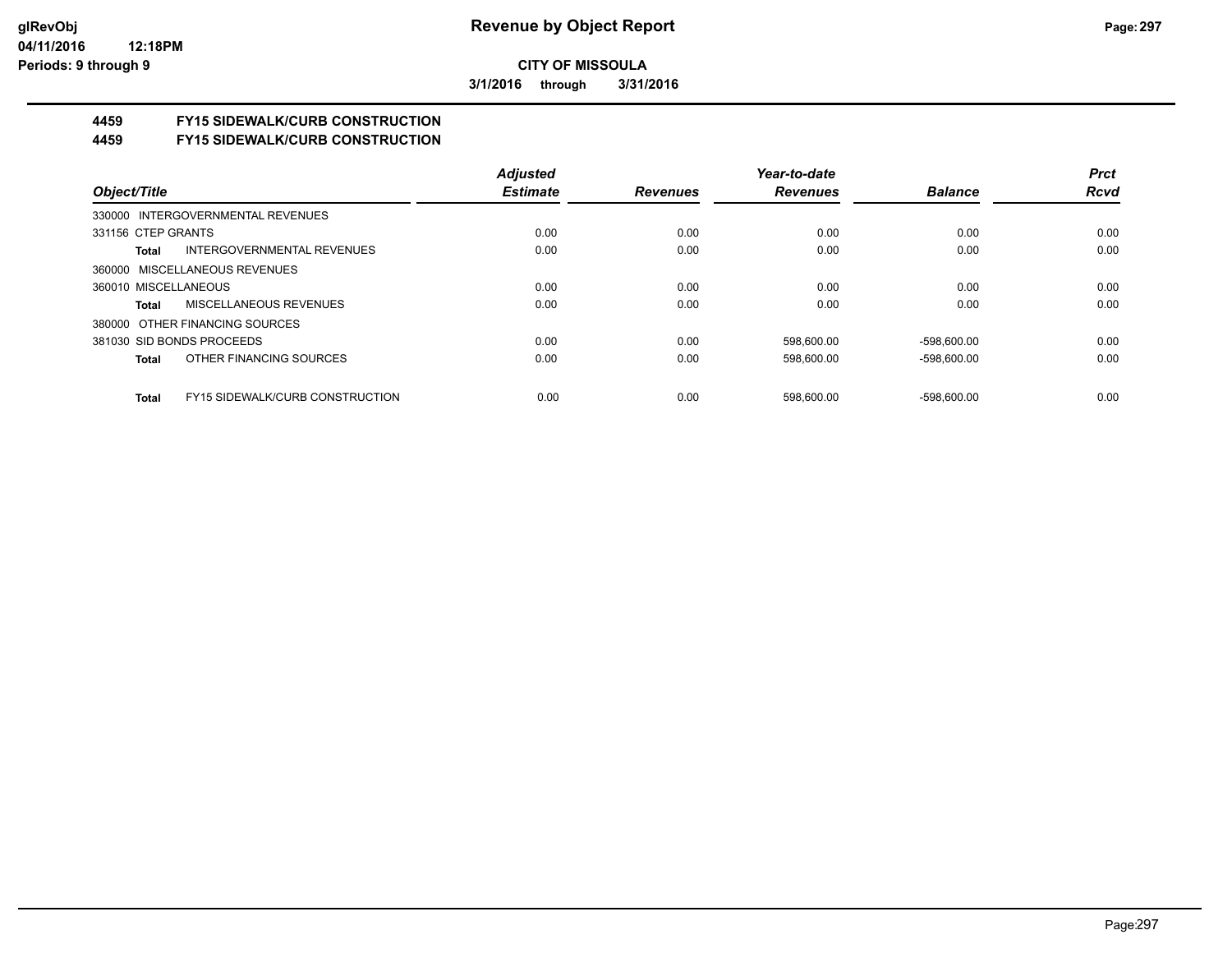**3/1/2016 through 3/31/2016**

# **4459 FY15 SIDEWALK/CURB CONSTRUCTION**

**4459 FY15 SIDEWALK/CURB CONSTRUCTION**

|                                                        | <b>Adjusted</b> |                 | Year-to-date    |                | <b>Prct</b> |
|--------------------------------------------------------|-----------------|-----------------|-----------------|----------------|-------------|
| Object/Title                                           | <b>Estimate</b> | <b>Revenues</b> | <b>Revenues</b> | <b>Balance</b> | <b>Rcvd</b> |
| 330000 INTERGOVERNMENTAL REVENUES                      |                 |                 |                 |                |             |
| 331156 CTEP GRANTS                                     | 0.00            | 0.00            | 0.00            | 0.00           | 0.00        |
| INTERGOVERNMENTAL REVENUES<br>Total                    | 0.00            | 0.00            | 0.00            | 0.00           | 0.00        |
| 360000 MISCELLANEOUS REVENUES                          |                 |                 |                 |                |             |
| 360010 MISCELLANEOUS                                   | 0.00            | 0.00            | 0.00            | 0.00           | 0.00        |
| <b>MISCELLANEOUS REVENUES</b><br>Total                 | 0.00            | 0.00            | 0.00            | 0.00           | 0.00        |
| 380000 OTHER FINANCING SOURCES                         |                 |                 |                 |                |             |
| 381030 SID BONDS PROCEEDS                              | 0.00            | 0.00            | 598,600.00      | $-598,600.00$  | 0.00        |
| OTHER FINANCING SOURCES<br>Total                       | 0.00            | 0.00            | 598.600.00      | $-598.600.00$  | 0.00        |
| <b>FY15 SIDEWALK/CURB CONSTRUCTION</b><br><b>Total</b> | 0.00            | 0.00            | 598.600.00      | $-598.600.00$  | 0.00        |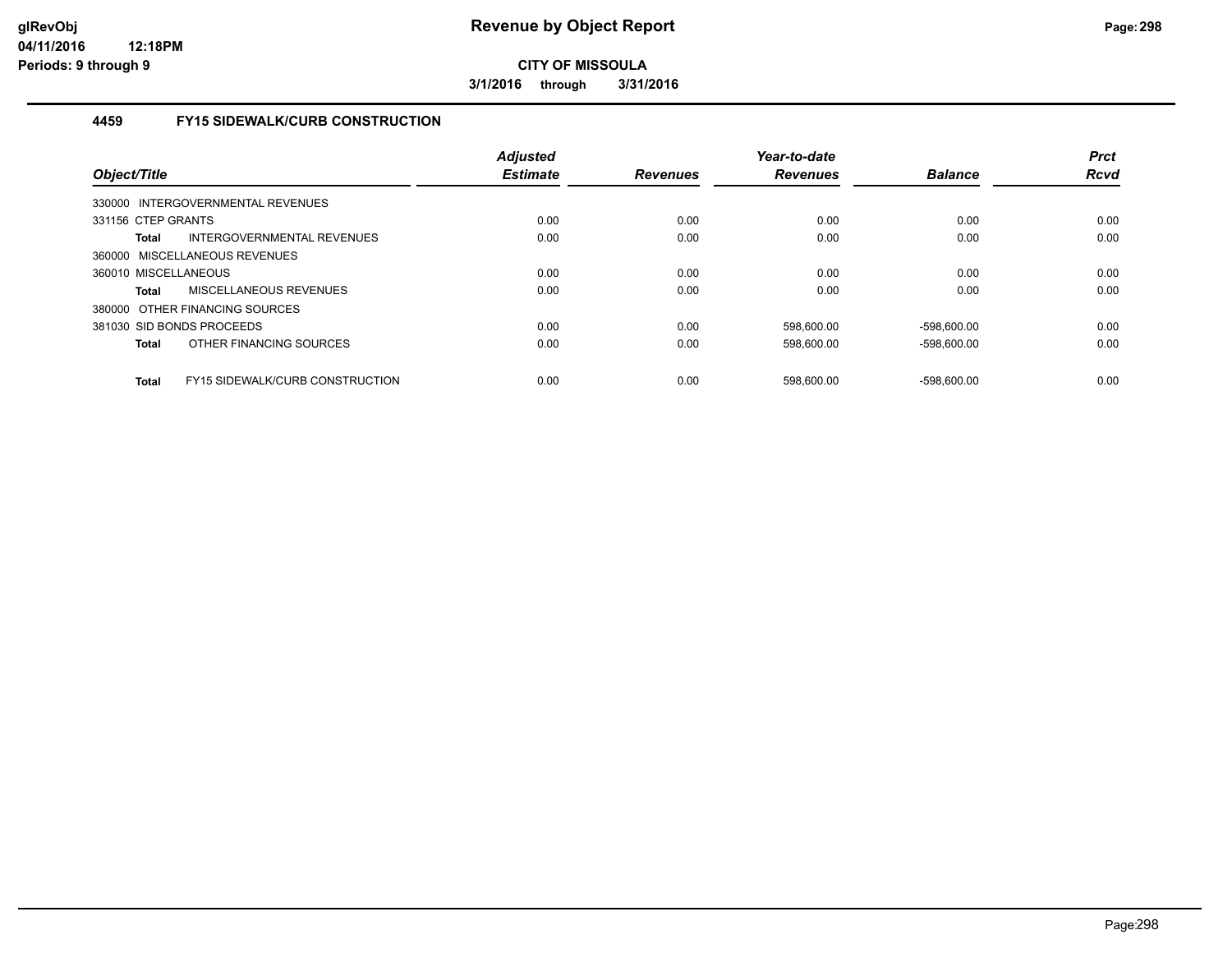**3/1/2016 through 3/31/2016**

### **4459 FY15 SIDEWALK/CURB CONSTRUCTION**

| Object/Title         |                                        | Adjusted<br><b>Estimate</b> | <b>Revenues</b> | Year-to-date<br><b>Revenues</b> | <b>Balance</b> | <b>Prct</b><br><b>Rcvd</b> |
|----------------------|----------------------------------------|-----------------------------|-----------------|---------------------------------|----------------|----------------------------|
|                      | 330000 INTERGOVERNMENTAL REVENUES      |                             |                 |                                 |                |                            |
| 331156 CTEP GRANTS   |                                        | 0.00                        | 0.00            | 0.00                            | 0.00           | 0.00                       |
| <b>Total</b>         | INTERGOVERNMENTAL REVENUES             | 0.00                        | 0.00            | 0.00                            | 0.00           | 0.00                       |
|                      | 360000 MISCELLANEOUS REVENUES          |                             |                 |                                 |                |                            |
| 360010 MISCELLANEOUS |                                        | 0.00                        | 0.00            | 0.00                            | 0.00           | 0.00                       |
| Total                | MISCELLANEOUS REVENUES                 | 0.00                        | 0.00            | 0.00                            | 0.00           | 0.00                       |
|                      | 380000 OTHER FINANCING SOURCES         |                             |                 |                                 |                |                            |
|                      | 381030 SID BONDS PROCEEDS              | 0.00                        | 0.00            | 598.600.00                      | $-598.600.00$  | 0.00                       |
| <b>Total</b>         | OTHER FINANCING SOURCES                | 0.00                        | 0.00            | 598,600.00                      | $-598.600.00$  | 0.00                       |
| <b>Total</b>         | <b>FY15 SIDEWALK/CURB CONSTRUCTION</b> | 0.00                        | 0.00            | 598.600.00                      | $-598.600.00$  | 0.00                       |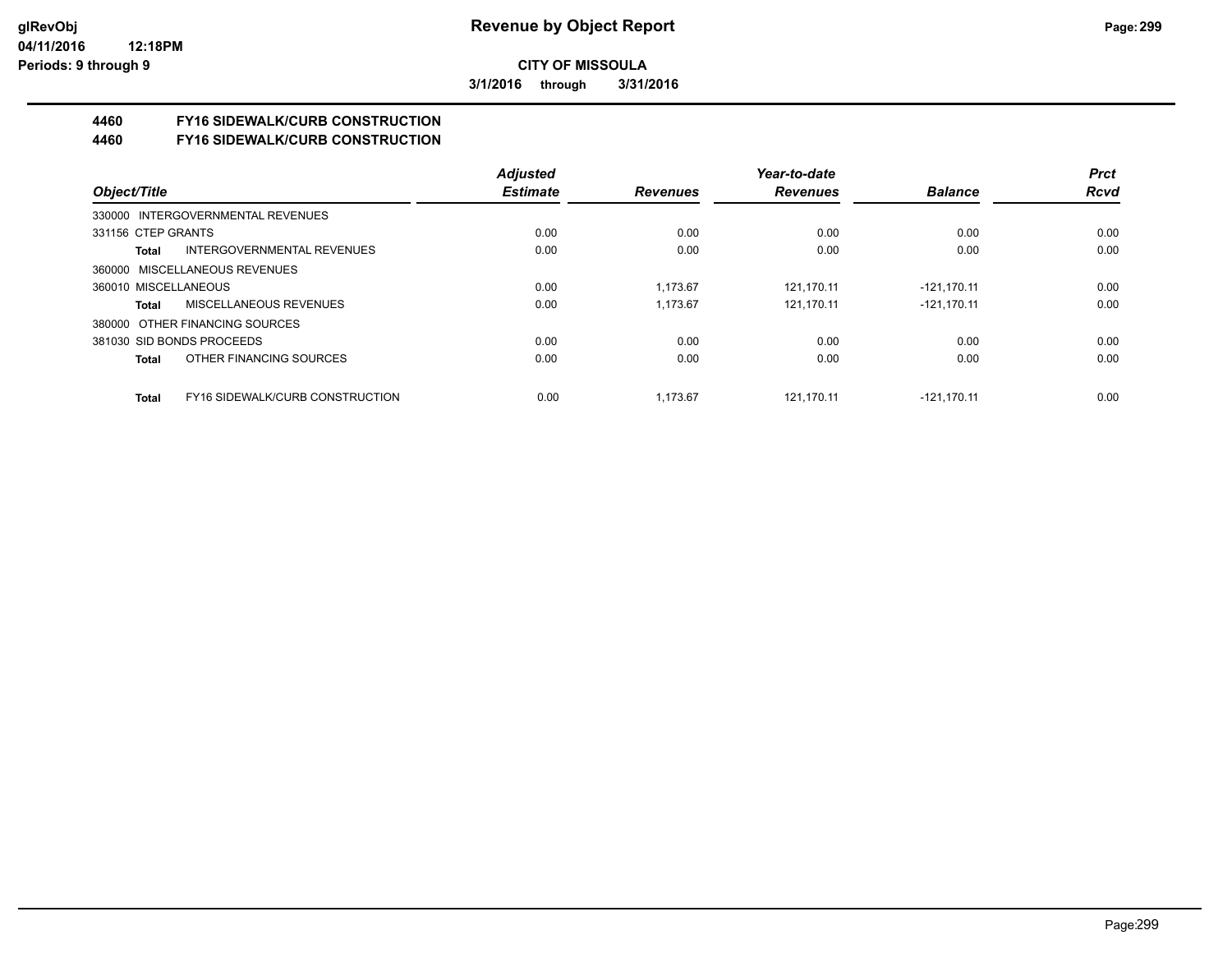**3/1/2016 through 3/31/2016**

# **4460 FY16 SIDEWALK/CURB CONSTRUCTION**

**4460 FY16 SIDEWALK/CURB CONSTRUCTION**

|                      |                                        | <b>Adjusted</b> |                 | Year-to-date    |                | <b>Prct</b> |
|----------------------|----------------------------------------|-----------------|-----------------|-----------------|----------------|-------------|
| Object/Title         |                                        | <b>Estimate</b> | <b>Revenues</b> | <b>Revenues</b> | <b>Balance</b> | <b>Rcvd</b> |
|                      | 330000 INTERGOVERNMENTAL REVENUES      |                 |                 |                 |                |             |
| 331156 CTEP GRANTS   |                                        | 0.00            | 0.00            | 0.00            | 0.00           | 0.00        |
| Total                | <b>INTERGOVERNMENTAL REVENUES</b>      | 0.00            | 0.00            | 0.00            | 0.00           | 0.00        |
|                      | 360000 MISCELLANEOUS REVENUES          |                 |                 |                 |                |             |
| 360010 MISCELLANEOUS |                                        | 0.00            | 1.173.67        | 121.170.11      | $-121,170.11$  | 0.00        |
| Total                | MISCELLANEOUS REVENUES                 | 0.00            | 1.173.67        | 121.170.11      | $-121.170.11$  | 0.00        |
|                      | 380000 OTHER FINANCING SOURCES         |                 |                 |                 |                |             |
|                      | 381030 SID BONDS PROCEEDS              | 0.00            | 0.00            | 0.00            | 0.00           | 0.00        |
| Total                | OTHER FINANCING SOURCES                | 0.00            | 0.00            | 0.00            | 0.00           | 0.00        |
| <b>Total</b>         | <b>FY16 SIDEWALK/CURB CONSTRUCTION</b> | 0.00            | 1.173.67        | 121.170.11      | $-121.170.11$  | 0.00        |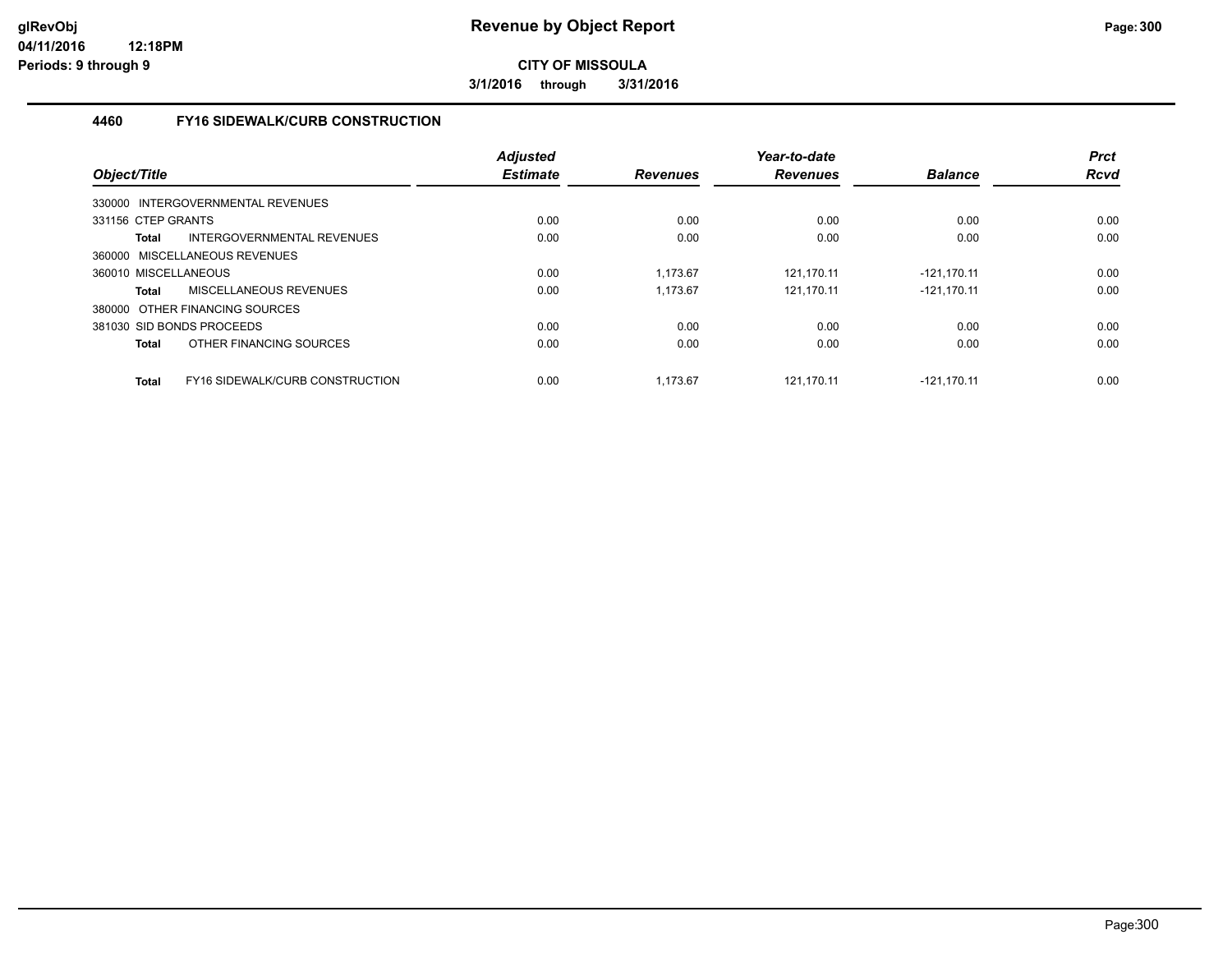**3/1/2016 through 3/31/2016**

### **4460 FY16 SIDEWALK/CURB CONSTRUCTION**

| Object/Title                           |                                 | <b>Adjusted</b><br><b>Estimate</b> | <b>Revenues</b> | Year-to-date<br><b>Revenues</b> | <b>Balance</b> | <b>Prct</b><br><b>Rcvd</b> |
|----------------------------------------|---------------------------------|------------------------------------|-----------------|---------------------------------|----------------|----------------------------|
| 330000 INTERGOVERNMENTAL REVENUES      |                                 |                                    |                 |                                 |                |                            |
| 331156 CTEP GRANTS                     |                                 | 0.00                               | 0.00            | 0.00                            | 0.00           | 0.00                       |
| <b>Total</b>                           | INTERGOVERNMENTAL REVENUES      | 0.00                               | 0.00            | 0.00                            | 0.00           | 0.00                       |
| 360000 MISCELLANEOUS REVENUES          |                                 |                                    |                 |                                 |                |                            |
| 360010 MISCELLANEOUS                   |                                 | 0.00                               | 1.173.67        | 121.170.11                      | -121.170.11    | 0.00                       |
| MISCELLANEOUS REVENUES<br><b>Total</b> |                                 | 0.00                               | 1.173.67        | 121.170.11                      | $-121.170.11$  | 0.00                       |
| 380000 OTHER FINANCING SOURCES         |                                 |                                    |                 |                                 |                |                            |
| 381030 SID BONDS PROCEEDS              |                                 | 0.00                               | 0.00            | 0.00                            | 0.00           | 0.00                       |
| <b>Total</b>                           | OTHER FINANCING SOURCES         | 0.00                               | 0.00            | 0.00                            | 0.00           | 0.00                       |
| <b>Total</b>                           | FY16 SIDEWALK/CURB CONSTRUCTION | 0.00                               | 1.173.67        | 121.170.11                      | $-121.170.11$  | 0.00                       |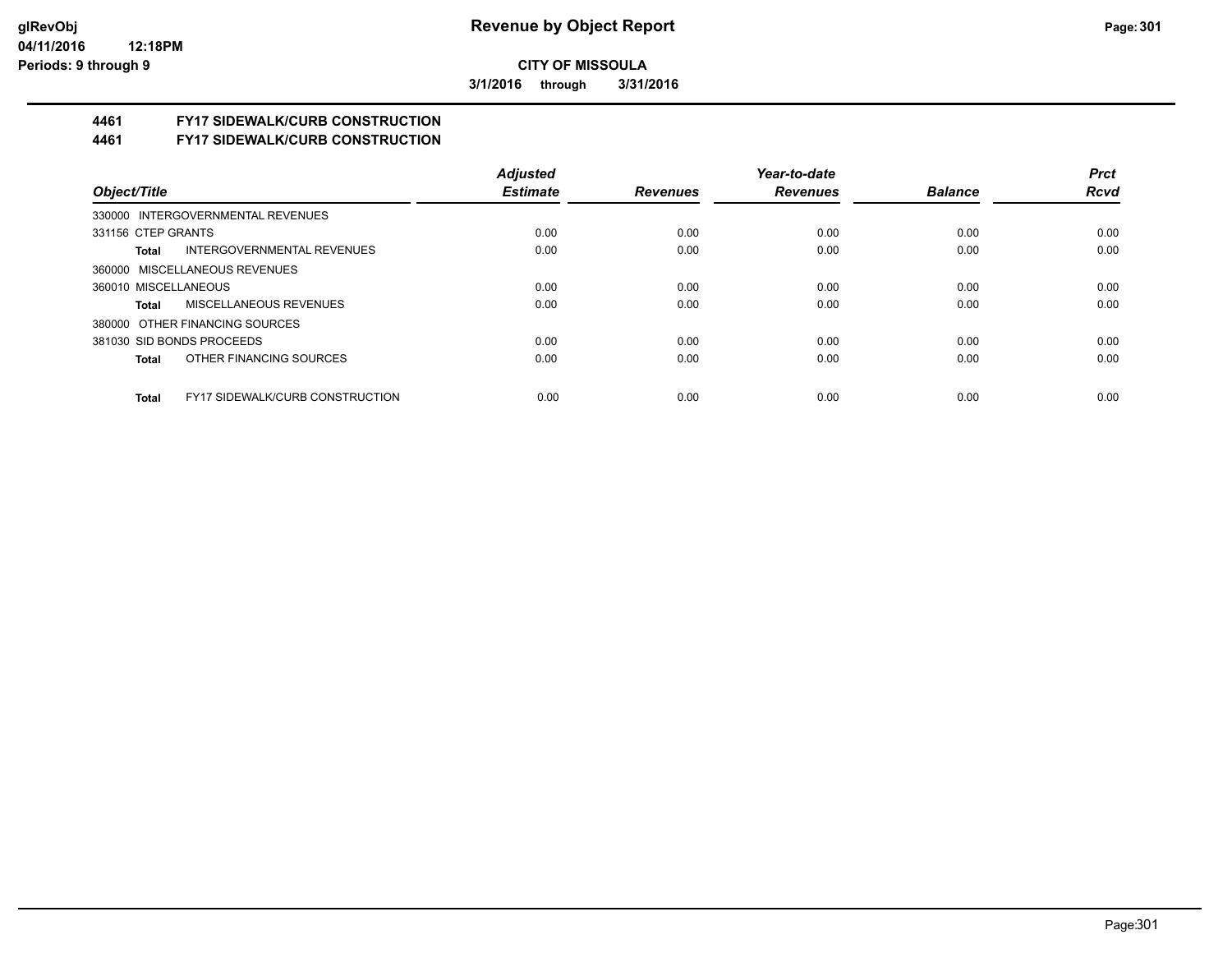**3/1/2016 through 3/31/2016**

# **4461 FY17 SIDEWALK/CURB CONSTRUCTION**

**4461 FY17 SIDEWALK/CURB CONSTRUCTION**

|                                                        | <b>Adjusted</b> |                 | Year-to-date    |                | <b>Prct</b> |
|--------------------------------------------------------|-----------------|-----------------|-----------------|----------------|-------------|
| Object/Title                                           | <b>Estimate</b> | <b>Revenues</b> | <b>Revenues</b> | <b>Balance</b> | <b>Rcvd</b> |
| 330000 INTERGOVERNMENTAL REVENUES                      |                 |                 |                 |                |             |
| 331156 CTEP GRANTS                                     | 0.00            | 0.00            | 0.00            | 0.00           | 0.00        |
| INTERGOVERNMENTAL REVENUES<br>Total                    | 0.00            | 0.00            | 0.00            | 0.00           | 0.00        |
| 360000 MISCELLANEOUS REVENUES                          |                 |                 |                 |                |             |
| 360010 MISCELLANEOUS                                   | 0.00            | 0.00            | 0.00            | 0.00           | 0.00        |
| MISCELLANEOUS REVENUES<br>Total                        | 0.00            | 0.00            | 0.00            | 0.00           | 0.00        |
| 380000 OTHER FINANCING SOURCES                         |                 |                 |                 |                |             |
| 381030 SID BONDS PROCEEDS                              | 0.00            | 0.00            | 0.00            | 0.00           | 0.00        |
| OTHER FINANCING SOURCES<br>Total                       | 0.00            | 0.00            | 0.00            | 0.00           | 0.00        |
|                                                        |                 |                 |                 |                |             |
| <b>FY17 SIDEWALK/CURB CONSTRUCTION</b><br><b>Total</b> | 0.00            | 0.00            | 0.00            | 0.00           | 0.00        |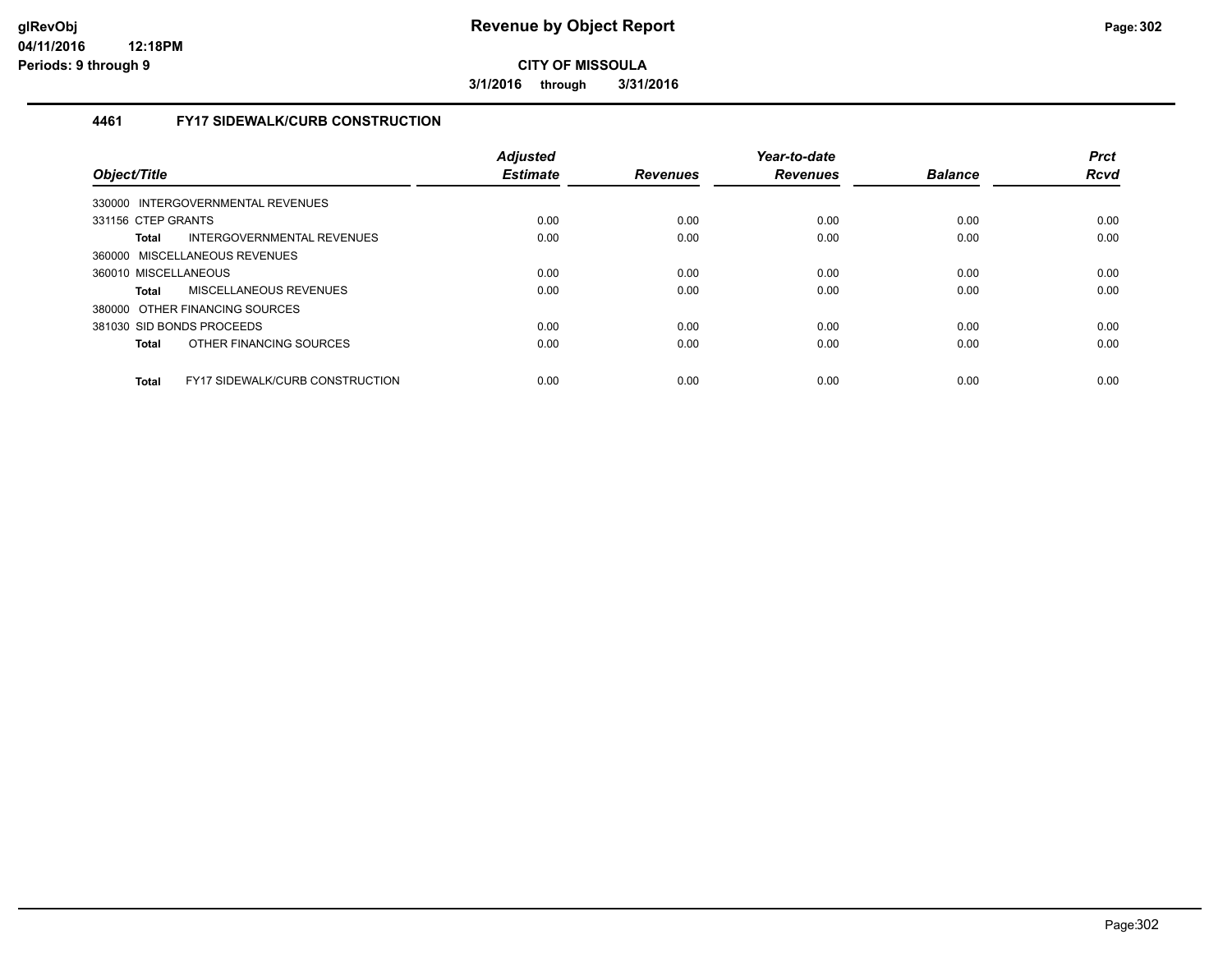**3/1/2016 through 3/31/2016**

### **4461 FY17 SIDEWALK/CURB CONSTRUCTION**

| Object/Title                      |                                        | <b>Adjusted</b><br><b>Estimate</b> | <b>Revenues</b> | Year-to-date<br><b>Revenues</b> | <b>Balance</b> | <b>Prct</b><br><b>Rcvd</b> |
|-----------------------------------|----------------------------------------|------------------------------------|-----------------|---------------------------------|----------------|----------------------------|
| 330000 INTERGOVERNMENTAL REVENUES |                                        |                                    |                 |                                 |                |                            |
| 331156 CTEP GRANTS                |                                        | 0.00                               | 0.00            | 0.00                            | 0.00           | 0.00                       |
| <b>Total</b>                      | INTERGOVERNMENTAL REVENUES             | 0.00                               | 0.00            | 0.00                            | 0.00           | 0.00                       |
| 360000 MISCELLANEOUS REVENUES     |                                        |                                    |                 |                                 |                |                            |
| 360010 MISCELLANEOUS              |                                        | 0.00                               | 0.00            | 0.00                            | 0.00           | 0.00                       |
| <b>Total</b>                      | MISCELLANEOUS REVENUES                 | 0.00                               | 0.00            | 0.00                            | 0.00           | 0.00                       |
| 380000 OTHER FINANCING SOURCES    |                                        |                                    |                 |                                 |                |                            |
| 381030 SID BONDS PROCEEDS         |                                        | 0.00                               | 0.00            | 0.00                            | 0.00           | 0.00                       |
| <b>Total</b>                      | OTHER FINANCING SOURCES                | 0.00                               | 0.00            | 0.00                            | 0.00           | 0.00                       |
| <b>Total</b>                      | <b>FY17 SIDEWALK/CURB CONSTRUCTION</b> | 0.00                               | 0.00            | 0.00                            | 0.00           | 0.00                       |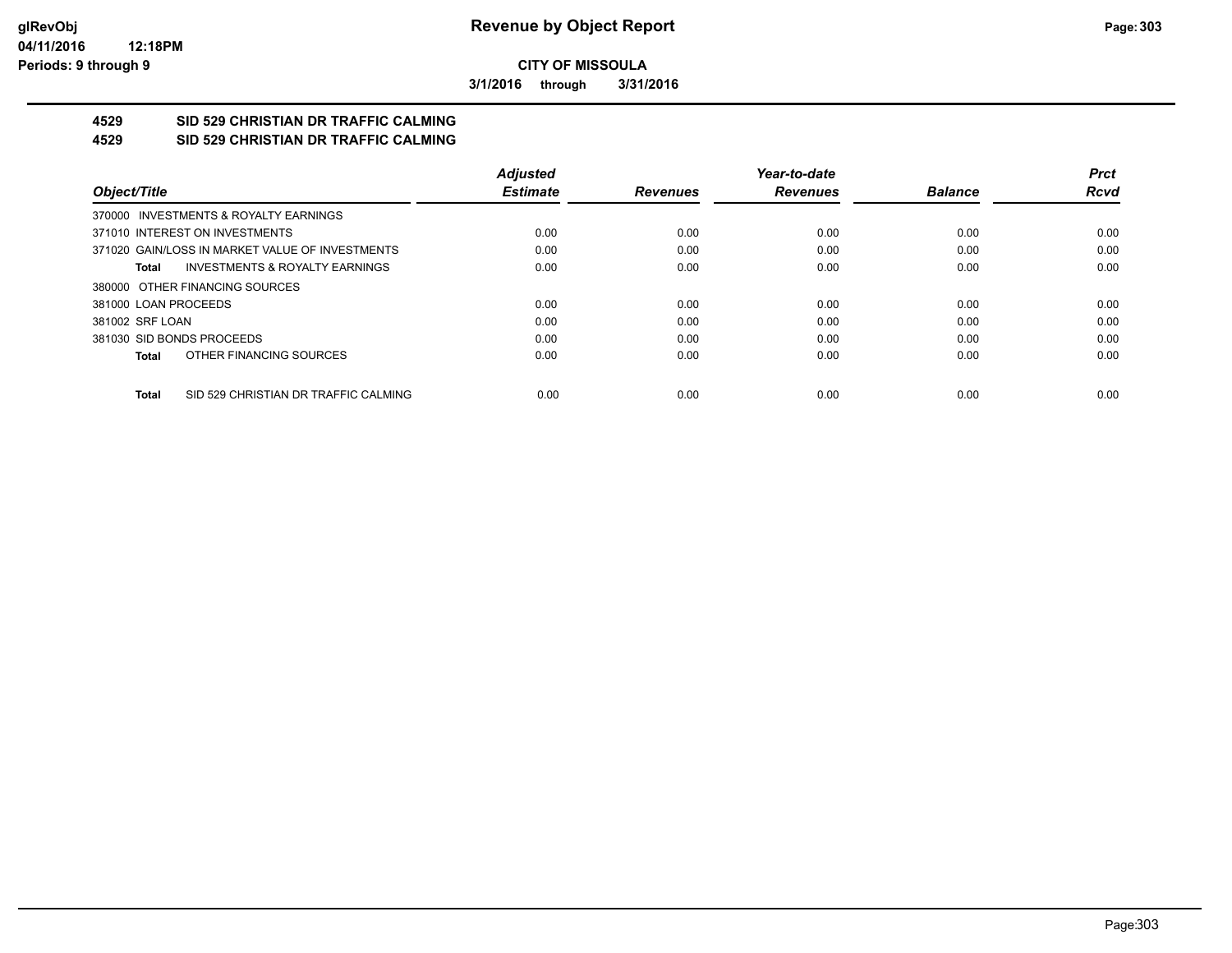**3/1/2016 through 3/31/2016**

#### **4529 SID 529 CHRISTIAN DR TRAFFIC CALMING 4529 SID 529 CHRISTIAN DR TRAFFIC CALMING**

|                      |                                                 | <b>Adjusted</b> |                 | Year-to-date    |                | <b>Prct</b> |
|----------------------|-------------------------------------------------|-----------------|-----------------|-----------------|----------------|-------------|
| Object/Title         |                                                 | <b>Estimate</b> | <b>Revenues</b> | <b>Revenues</b> | <b>Balance</b> | <b>Rcvd</b> |
|                      | 370000 INVESTMENTS & ROYALTY EARNINGS           |                 |                 |                 |                |             |
|                      | 371010 INTEREST ON INVESTMENTS                  | 0.00            | 0.00            | 0.00            | 0.00           | 0.00        |
|                      | 371020 GAIN/LOSS IN MARKET VALUE OF INVESTMENTS | 0.00            | 0.00            | 0.00            | 0.00           | 0.00        |
| Total                | <b>INVESTMENTS &amp; ROYALTY EARNINGS</b>       | 0.00            | 0.00            | 0.00            | 0.00           | 0.00        |
|                      | 380000 OTHER FINANCING SOURCES                  |                 |                 |                 |                |             |
| 381000 LOAN PROCEEDS |                                                 | 0.00            | 0.00            | 0.00            | 0.00           | 0.00        |
| 381002 SRF LOAN      |                                                 | 0.00            | 0.00            | 0.00            | 0.00           | 0.00        |
|                      | 381030 SID BONDS PROCEEDS                       | 0.00            | 0.00            | 0.00            | 0.00           | 0.00        |
| Total                | OTHER FINANCING SOURCES                         | 0.00            | 0.00            | 0.00            | 0.00           | 0.00        |
| <b>Total</b>         | SID 529 CHRISTIAN DR TRAFFIC CALMING            | 0.00            | 0.00            | 0.00            | 0.00           | 0.00        |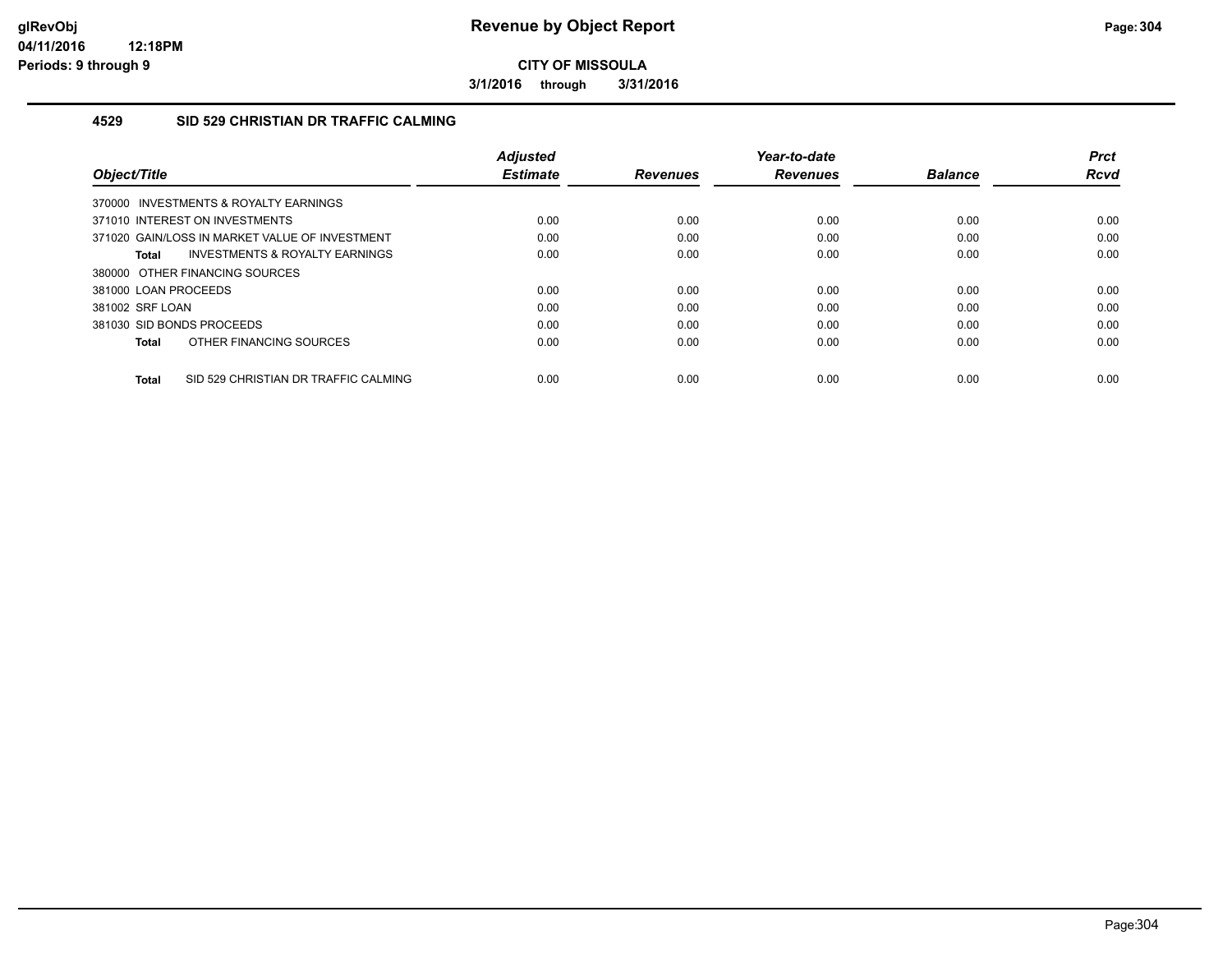**3/1/2016 through 3/31/2016**

#### **4529 SID 529 CHRISTIAN DR TRAFFIC CALMING**

| Object/Title                                       | <b>Adjusted</b><br><b>Estimate</b> | <b>Revenues</b> | Year-to-date<br><b>Revenues</b> | <b>Balance</b> | <b>Prct</b><br>Rcvd |
|----------------------------------------------------|------------------------------------|-----------------|---------------------------------|----------------|---------------------|
| 370000 INVESTMENTS & ROYALTY EARNINGS              |                                    |                 |                                 |                |                     |
| 371010 INTEREST ON INVESTMENTS                     | 0.00                               | 0.00            | 0.00                            | 0.00           | 0.00                |
| 371020 GAIN/LOSS IN MARKET VALUE OF INVESTMENT     | 0.00                               | 0.00            | 0.00                            | 0.00           | 0.00                |
| <b>INVESTMENTS &amp; ROYALTY EARNINGS</b><br>Total | 0.00                               | 0.00            | 0.00                            | 0.00           | 0.00                |
| 380000 OTHER FINANCING SOURCES                     |                                    |                 |                                 |                |                     |
| 381000 LOAN PROCEEDS                               | 0.00                               | 0.00            | 0.00                            | 0.00           | 0.00                |
| 381002 SRF LOAN                                    | 0.00                               | 0.00            | 0.00                            | 0.00           | 0.00                |
| 381030 SID BONDS PROCEEDS                          | 0.00                               | 0.00            | 0.00                            | 0.00           | 0.00                |
| OTHER FINANCING SOURCES<br>Total                   | 0.00                               | 0.00            | 0.00                            | 0.00           | 0.00                |
| SID 529 CHRISTIAN DR TRAFFIC CALMING<br>Total      | 0.00                               | 0.00            | 0.00                            | 0.00           | 0.00                |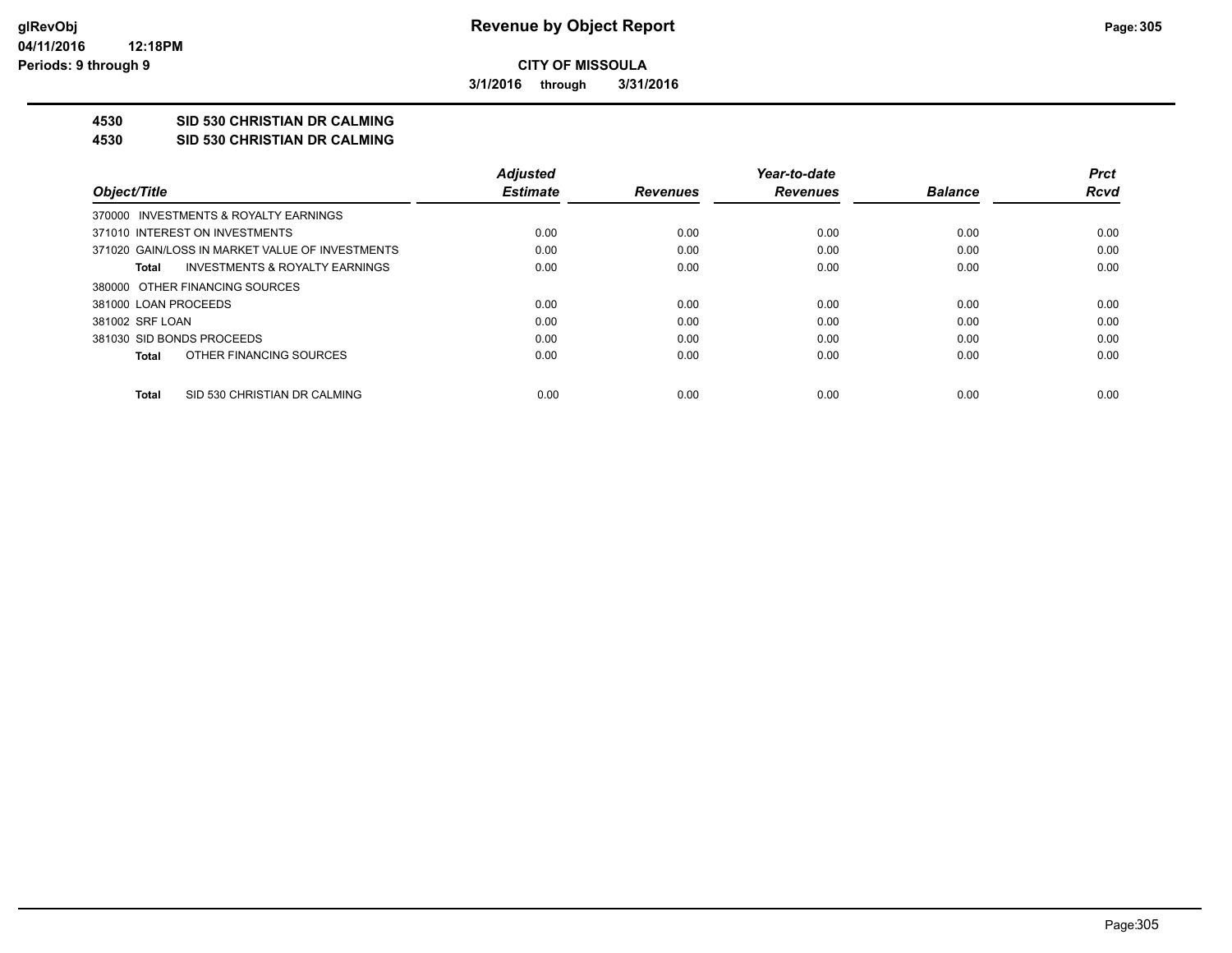**3/1/2016 through 3/31/2016**

## **4530 SID 530 CHRISTIAN DR CALMING**

**4530 SID 530 CHRISTIAN DR CALMING**

|                                                 | <b>Adjusted</b> |                 | Year-to-date    |                | <b>Prct</b> |
|-------------------------------------------------|-----------------|-----------------|-----------------|----------------|-------------|
| Object/Title                                    | <b>Estimate</b> | <b>Revenues</b> | <b>Revenues</b> | <b>Balance</b> | Rcvd        |
| 370000 INVESTMENTS & ROYALTY EARNINGS           |                 |                 |                 |                |             |
| 371010 INTEREST ON INVESTMENTS                  | 0.00            | 0.00            | 0.00            | 0.00           | 0.00        |
| 371020 GAIN/LOSS IN MARKET VALUE OF INVESTMENTS | 0.00            | 0.00            | 0.00            | 0.00           | 0.00        |
| INVESTMENTS & ROYALTY EARNINGS<br>Total         | 0.00            | 0.00            | 0.00            | 0.00           | 0.00        |
| 380000 OTHER FINANCING SOURCES                  |                 |                 |                 |                |             |
| 381000 LOAN PROCEEDS                            | 0.00            | 0.00            | 0.00            | 0.00           | 0.00        |
| 381002 SRF LOAN                                 | 0.00            | 0.00            | 0.00            | 0.00           | 0.00        |
| 381030 SID BONDS PROCEEDS                       | 0.00            | 0.00            | 0.00            | 0.00           | 0.00        |
| OTHER FINANCING SOURCES<br>Total                | 0.00            | 0.00            | 0.00            | 0.00           | 0.00        |
| SID 530 CHRISTIAN DR CALMING<br>Total           | 0.00            | 0.00            | 0.00            | 0.00           | 0.00        |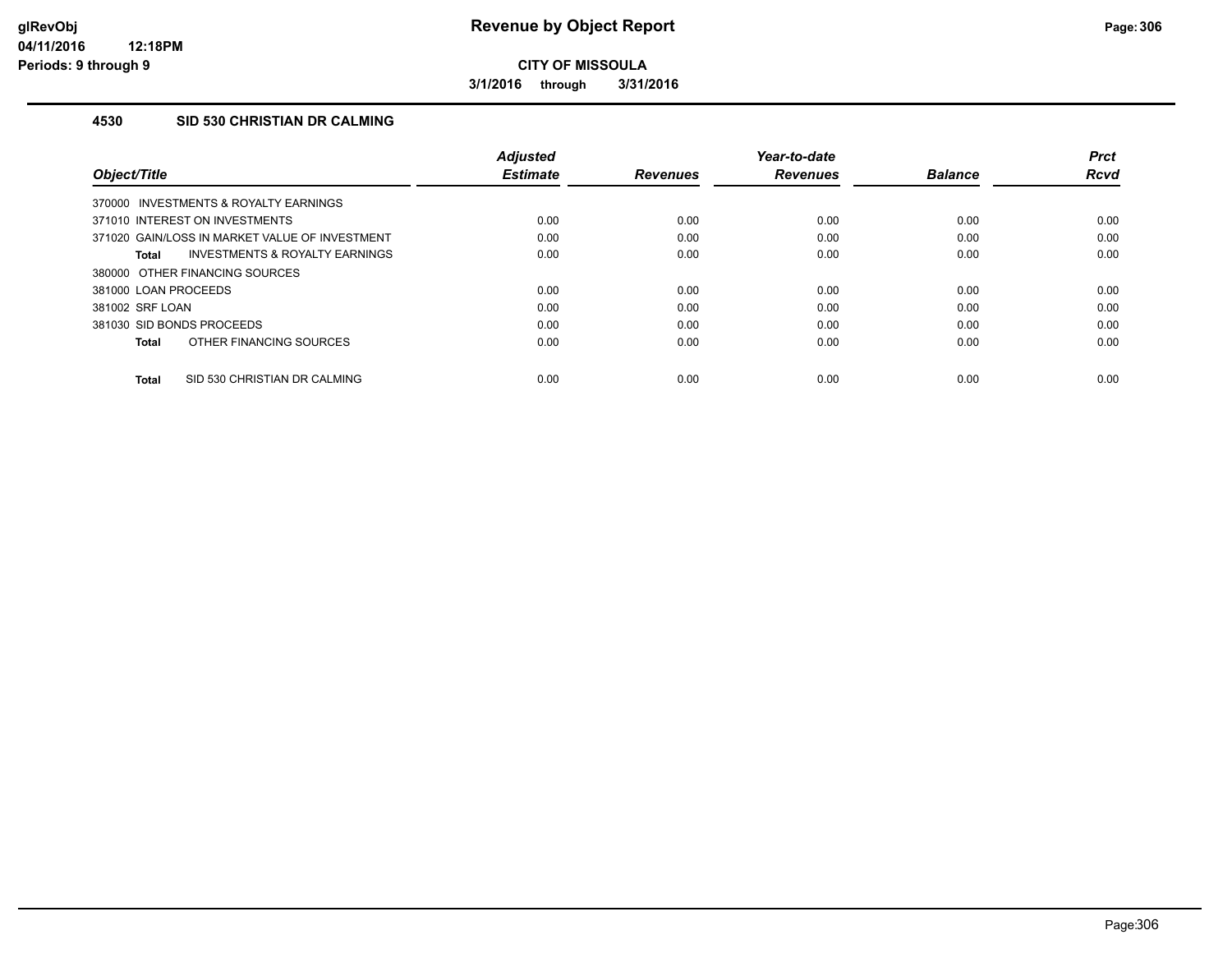**3/1/2016 through 3/31/2016**

#### **4530 SID 530 CHRISTIAN DR CALMING**

| Object/Title                                       | <b>Adjusted</b><br><b>Estimate</b> | <b>Revenues</b> | Year-to-date<br><b>Revenues</b> | <b>Balance</b> | <b>Prct</b><br>Rcvd |
|----------------------------------------------------|------------------------------------|-----------------|---------------------------------|----------------|---------------------|
| 370000 INVESTMENTS & ROYALTY EARNINGS              |                                    |                 |                                 |                |                     |
| 371010 INTEREST ON INVESTMENTS                     | 0.00                               | 0.00            | 0.00                            | 0.00           | 0.00                |
| 371020 GAIN/LOSS IN MARKET VALUE OF INVESTMENT     | 0.00                               | 0.00            | 0.00                            | 0.00           | 0.00                |
| <b>INVESTMENTS &amp; ROYALTY EARNINGS</b><br>Total | 0.00                               | 0.00            | 0.00                            | 0.00           | 0.00                |
| 380000 OTHER FINANCING SOURCES                     |                                    |                 |                                 |                |                     |
| 381000 LOAN PROCEEDS                               | 0.00                               | 0.00            | 0.00                            | 0.00           | 0.00                |
| 381002 SRF LOAN                                    | 0.00                               | 0.00            | 0.00                            | 0.00           | 0.00                |
| 381030 SID BONDS PROCEEDS                          | 0.00                               | 0.00            | 0.00                            | 0.00           | 0.00                |
| OTHER FINANCING SOURCES<br><b>Total</b>            | 0.00                               | 0.00            | 0.00                            | 0.00           | 0.00                |
| SID 530 CHRISTIAN DR CALMING<br>Total              | 0.00                               | 0.00            | 0.00                            | 0.00           | 0.00                |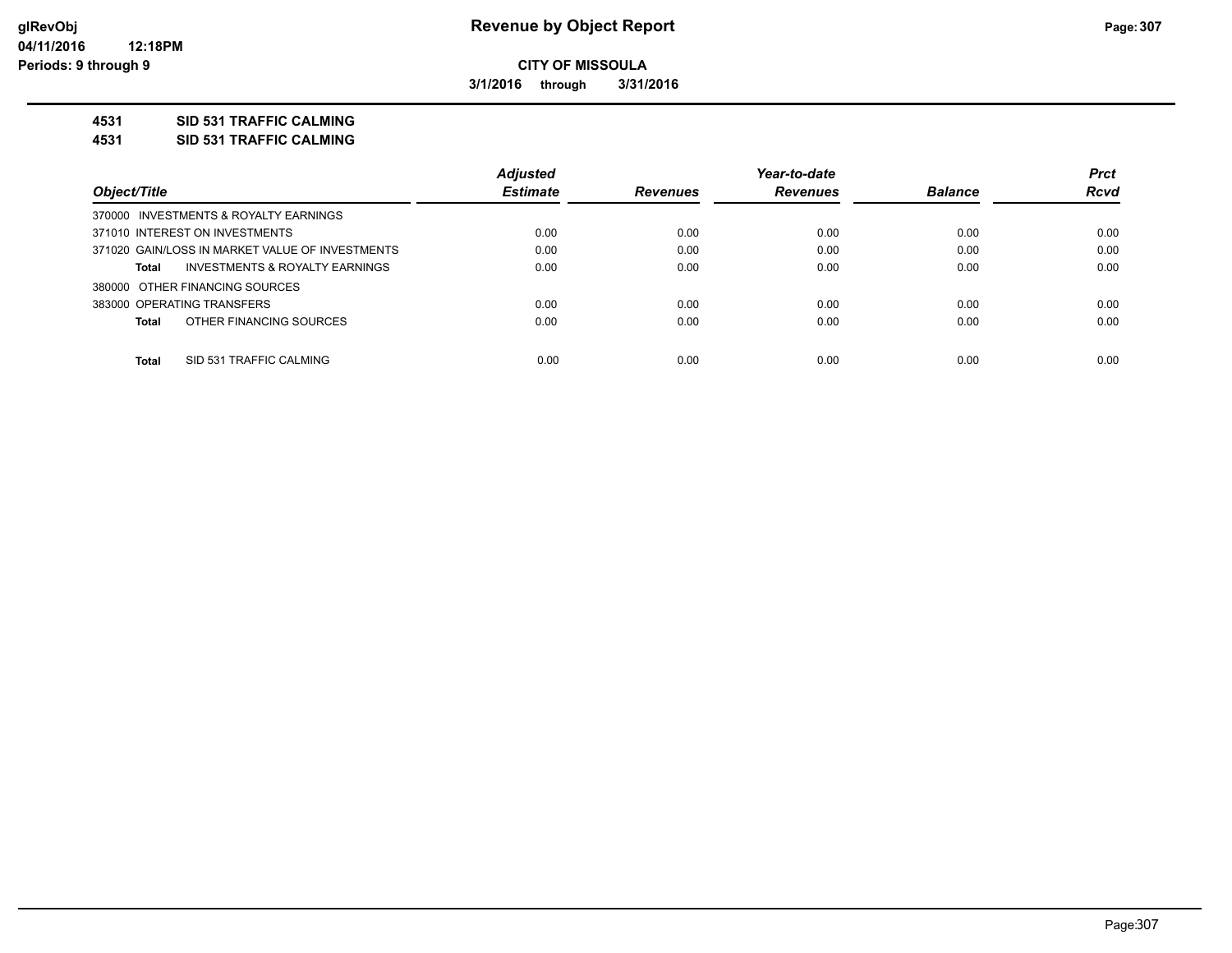**3/1/2016 through 3/31/2016**

#### **4531 SID 531 TRAFFIC CALMING**

**4531 SID 531 TRAFFIC CALMING**

|                                                 | <b>Adjusted</b> |                 | Year-to-date    |                | <b>Prct</b> |
|-------------------------------------------------|-----------------|-----------------|-----------------|----------------|-------------|
| Object/Title                                    | <b>Estimate</b> | <b>Revenues</b> | <b>Revenues</b> | <b>Balance</b> | <b>Rcvd</b> |
| 370000 INVESTMENTS & ROYALTY EARNINGS           |                 |                 |                 |                |             |
| 371010 INTEREST ON INVESTMENTS                  | 0.00            | 0.00            | 0.00            | 0.00           | 0.00        |
| 371020 GAIN/LOSS IN MARKET VALUE OF INVESTMENTS | 0.00            | 0.00            | 0.00            | 0.00           | 0.00        |
| INVESTMENTS & ROYALTY EARNINGS<br>Total         | 0.00            | 0.00            | 0.00            | 0.00           | 0.00        |
| 380000 OTHER FINANCING SOURCES                  |                 |                 |                 |                |             |
| 383000 OPERATING TRANSFERS                      | 0.00            | 0.00            | 0.00            | 0.00           | 0.00        |
| OTHER FINANCING SOURCES<br>Total                | 0.00            | 0.00            | 0.00            | 0.00           | 0.00        |
| <b>Total</b><br>SID 531 TRAFFIC CALMING         | 0.00            | 0.00            | 0.00            | 0.00           | 0.00        |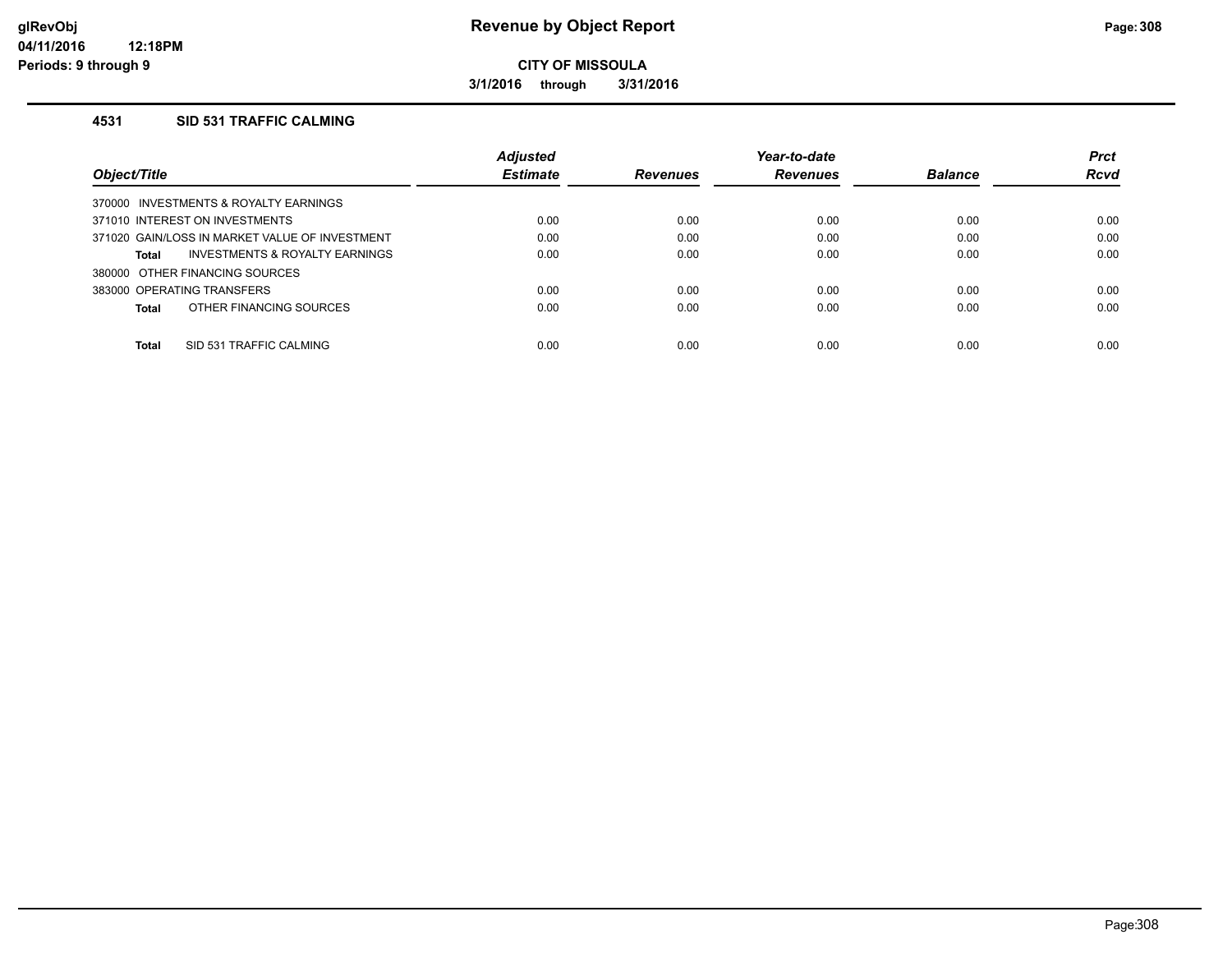**3/1/2016 through 3/31/2016**

### **4531 SID 531 TRAFFIC CALMING**

|                                                    | Adjusted        |                 | Year-to-date    |                | <b>Prct</b> |
|----------------------------------------------------|-----------------|-----------------|-----------------|----------------|-------------|
| Object/Title                                       | <b>Estimate</b> | <b>Revenues</b> | <b>Revenues</b> | <b>Balance</b> | <b>Rcvd</b> |
| 370000 INVESTMENTS & ROYALTY EARNINGS              |                 |                 |                 |                |             |
| 371010 INTEREST ON INVESTMENTS                     | 0.00            | 0.00            | 0.00            | 0.00           | 0.00        |
| 371020 GAIN/LOSS IN MARKET VALUE OF INVESTMENT     | 0.00            | 0.00            | 0.00            | 0.00           | 0.00        |
| <b>INVESTMENTS &amp; ROYALTY EARNINGS</b><br>Total | 0.00            | 0.00            | 0.00            | 0.00           | 0.00        |
| 380000 OTHER FINANCING SOURCES                     |                 |                 |                 |                |             |
| 383000 OPERATING TRANSFERS                         | 0.00            | 0.00            | 0.00            | 0.00           | 0.00        |
| OTHER FINANCING SOURCES<br>Total                   | 0.00            | 0.00            | 0.00            | 0.00           | 0.00        |
|                                                    |                 |                 |                 |                |             |
| <b>Total</b><br>SID 531 TRAFFIC CALMING            | 0.00            | 0.00            | 0.00            | 0.00           | 0.00        |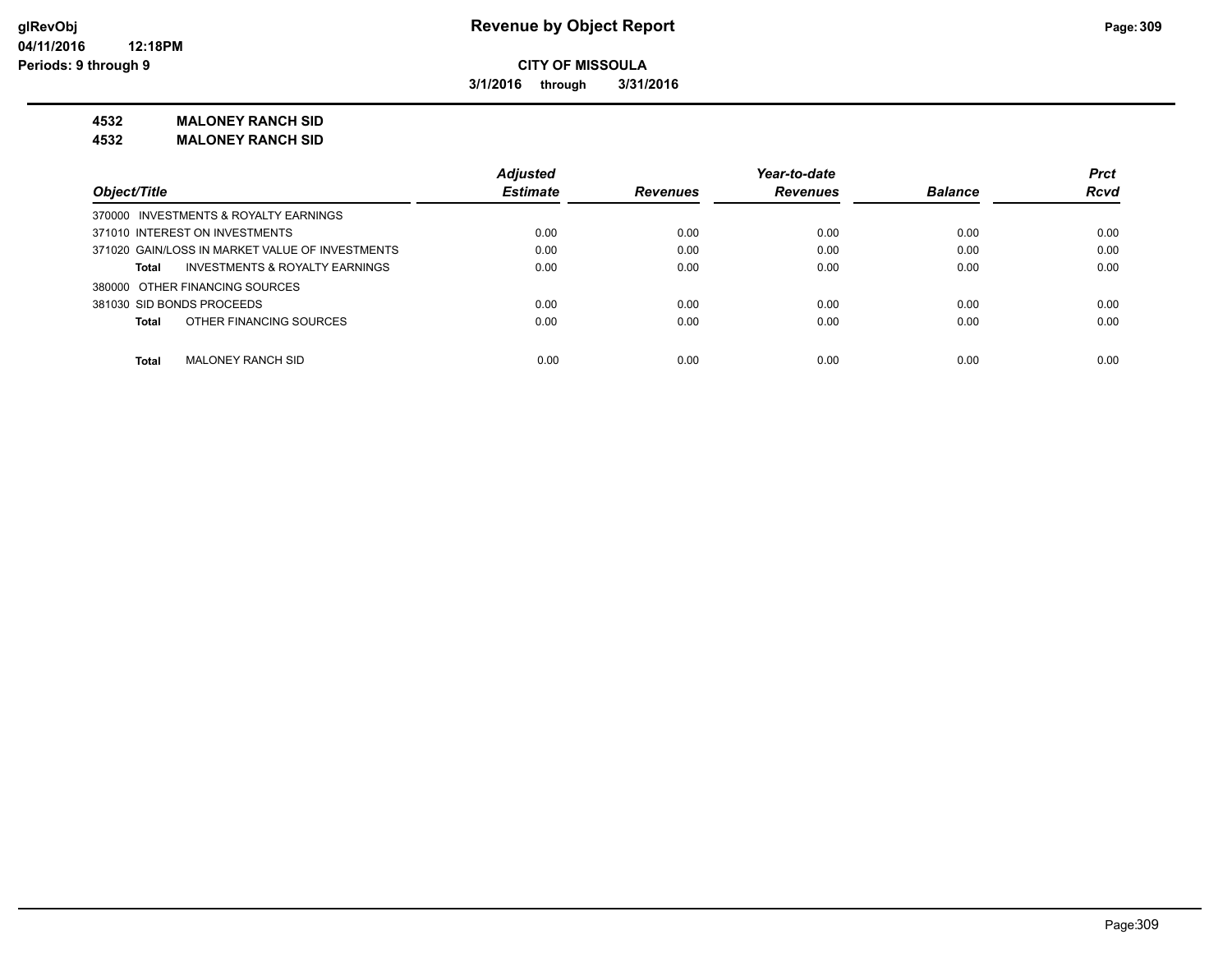**3/1/2016 through 3/31/2016**

#### **4532 MALONEY RANCH SID**

**4532 MALONEY RANCH SID**

|                                                 | <b>Adjusted</b> |                 | Year-to-date    |                | <b>Prct</b> |
|-------------------------------------------------|-----------------|-----------------|-----------------|----------------|-------------|
| Object/Title                                    | <b>Estimate</b> | <b>Revenues</b> | <b>Revenues</b> | <b>Balance</b> | <b>Rcvd</b> |
| 370000 INVESTMENTS & ROYALTY EARNINGS           |                 |                 |                 |                |             |
| 371010 INTEREST ON INVESTMENTS                  | 0.00            | 0.00            | 0.00            | 0.00           | 0.00        |
| 371020 GAIN/LOSS IN MARKET VALUE OF INVESTMENTS | 0.00            | 0.00            | 0.00            | 0.00           | 0.00        |
| INVESTMENTS & ROYALTY EARNINGS<br>Total         | 0.00            | 0.00            | 0.00            | 0.00           | 0.00        |
| 380000 OTHER FINANCING SOURCES                  |                 |                 |                 |                |             |
| 381030 SID BONDS PROCEEDS                       | 0.00            | 0.00            | 0.00            | 0.00           | 0.00        |
| OTHER FINANCING SOURCES<br><b>Total</b>         | 0.00            | 0.00            | 0.00            | 0.00           | 0.00        |
| Total<br>MALONEY RANCH SID                      | 0.00            | 0.00            | 0.00            | 0.00           | 0.00        |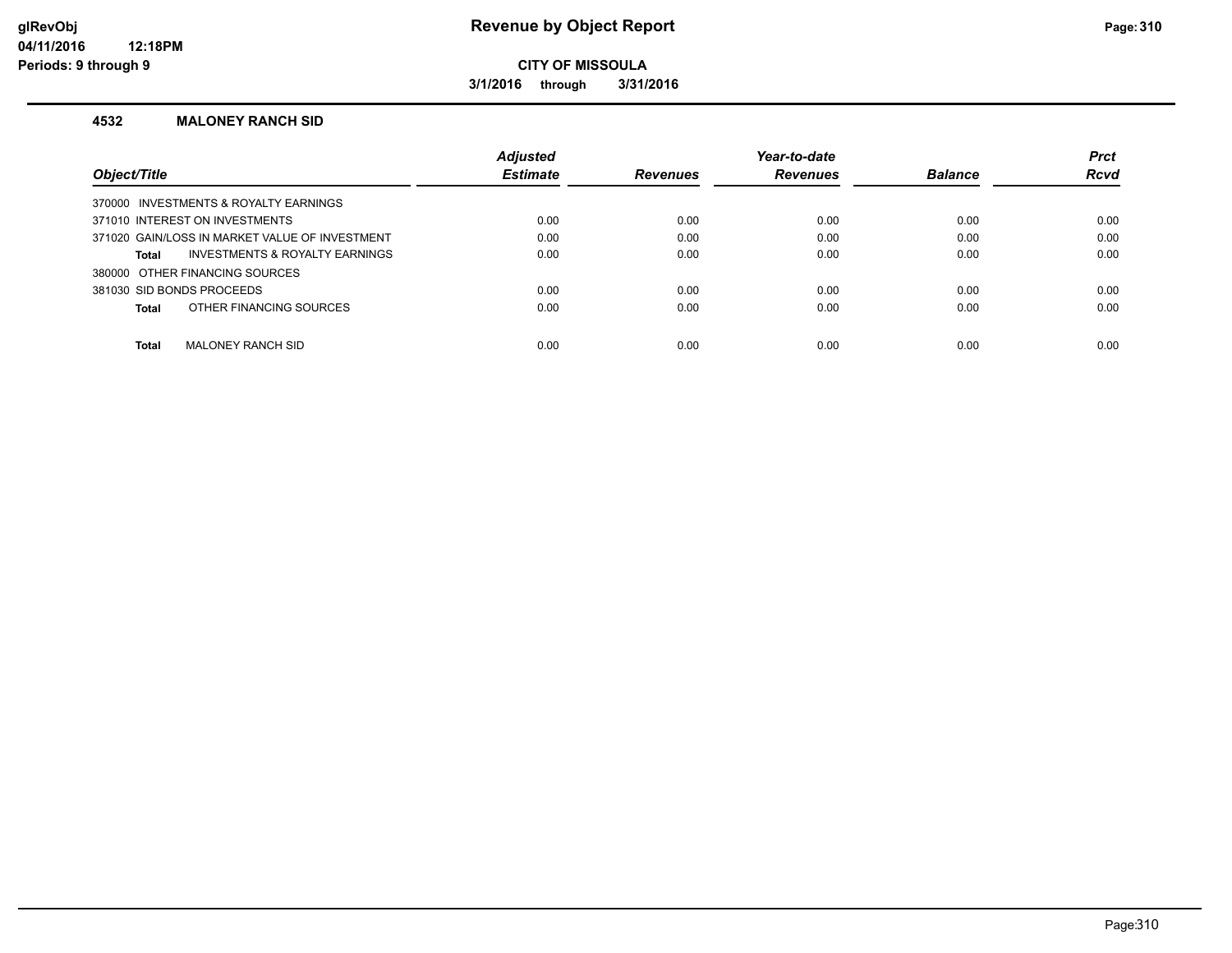## **glRevObj Revenue by Object Report Page:310**

**CITY OF MISSOULA**

**3/1/2016 through 3/31/2016**

#### **4532 MALONEY RANCH SID**

|                                                | <b>Adjusted</b> |                 | Year-to-date    |                | <b>Prct</b> |
|------------------------------------------------|-----------------|-----------------|-----------------|----------------|-------------|
| Object/Title                                   | <b>Estimate</b> | <b>Revenues</b> | <b>Revenues</b> | <b>Balance</b> | <b>Rcvd</b> |
| 370000 INVESTMENTS & ROYALTY EARNINGS          |                 |                 |                 |                |             |
| 371010 INTEREST ON INVESTMENTS                 | 0.00            | 0.00            | 0.00            | 0.00           | 0.00        |
| 371020 GAIN/LOSS IN MARKET VALUE OF INVESTMENT | 0.00            | 0.00            | 0.00            | 0.00           | 0.00        |
| INVESTMENTS & ROYALTY EARNINGS<br>Total        | 0.00            | 0.00            | 0.00            | 0.00           | 0.00        |
| 380000 OTHER FINANCING SOURCES                 |                 |                 |                 |                |             |
| 381030 SID BONDS PROCEEDS                      | 0.00            | 0.00            | 0.00            | 0.00           | 0.00        |
| OTHER FINANCING SOURCES<br>Total               | 0.00            | 0.00            | 0.00            | 0.00           | 0.00        |
|                                                |                 |                 |                 |                |             |
| <b>Total</b><br>MALONEY RANCH SID              | 0.00            | 0.00            | 0.00            | 0.00           | 0.00        |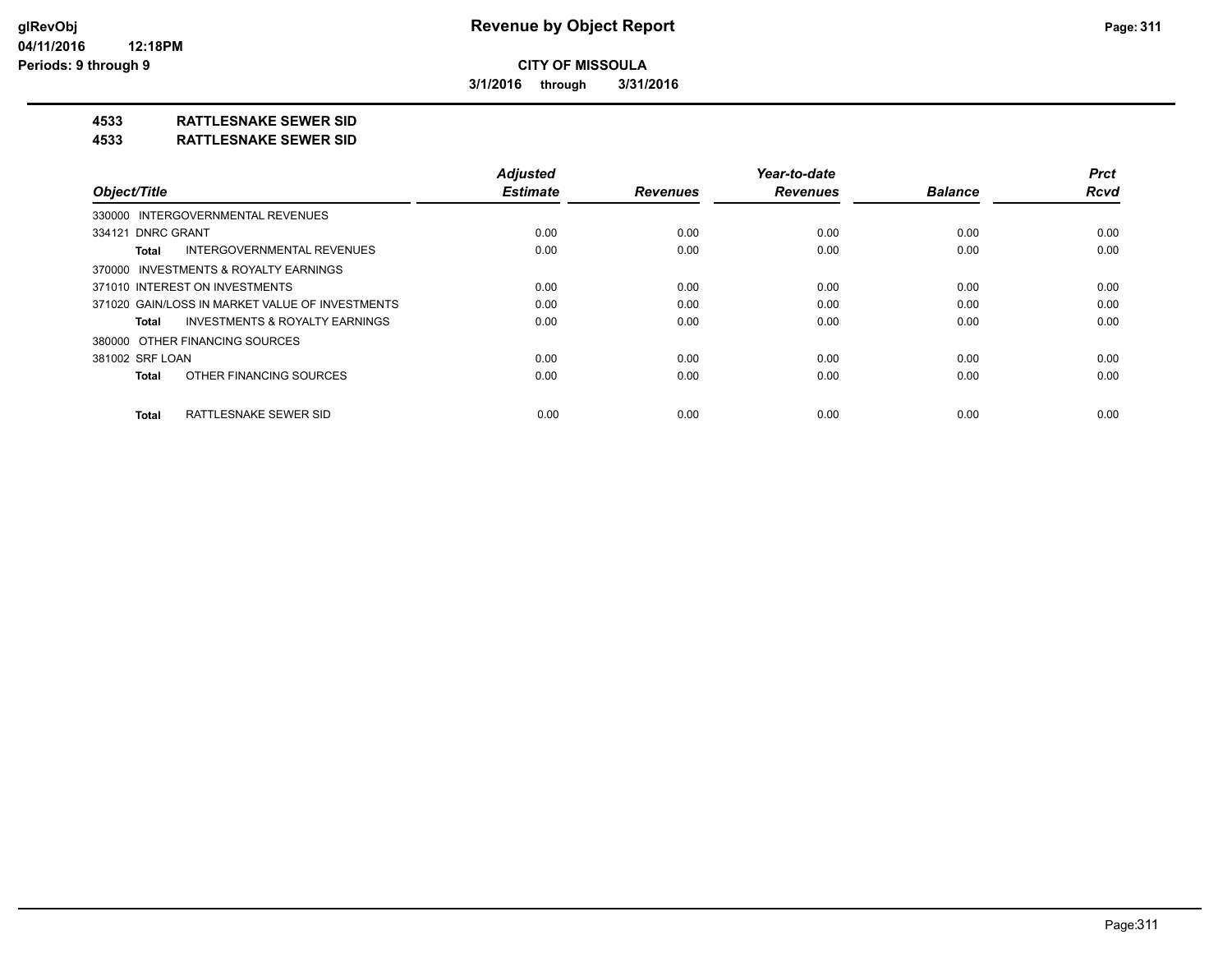**3/1/2016 through 3/31/2016**

## **4533 RATTLESNAKE SEWER SID**

#### **4533 RATTLESNAKE SEWER SID**

| Object/Title                                       | <b>Adiusted</b><br><b>Estimate</b> | <b>Revenues</b> | Year-to-date<br><b>Revenues</b> | <b>Balance</b> | <b>Prct</b><br>Rcvd |
|----------------------------------------------------|------------------------------------|-----------------|---------------------------------|----------------|---------------------|
| 330000 INTERGOVERNMENTAL REVENUES                  |                                    |                 |                                 |                |                     |
|                                                    |                                    |                 |                                 |                |                     |
| 334121 DNRC GRANT                                  | 0.00                               | 0.00            | 0.00                            | 0.00           | 0.00                |
| <b>INTERGOVERNMENTAL REVENUES</b><br>Total         | 0.00                               | 0.00            | 0.00                            | 0.00           | 0.00                |
| 370000 INVESTMENTS & ROYALTY EARNINGS              |                                    |                 |                                 |                |                     |
| 371010 INTEREST ON INVESTMENTS                     | 0.00                               | 0.00            | 0.00                            | 0.00           | 0.00                |
| 371020 GAIN/LOSS IN MARKET VALUE OF INVESTMENTS    | 0.00                               | 0.00            | 0.00                            | 0.00           | 0.00                |
| <b>INVESTMENTS &amp; ROYALTY EARNINGS</b><br>Total | 0.00                               | 0.00            | 0.00                            | 0.00           | 0.00                |
| 380000 OTHER FINANCING SOURCES                     |                                    |                 |                                 |                |                     |
| 381002 SRF LOAN                                    | 0.00                               | 0.00            | 0.00                            | 0.00           | 0.00                |
| OTHER FINANCING SOURCES<br><b>Total</b>            | 0.00                               | 0.00            | 0.00                            | 0.00           | 0.00                |
| RATTLESNAKE SEWER SID<br><b>Total</b>              | 0.00                               | 0.00            | 0.00                            | 0.00           | 0.00                |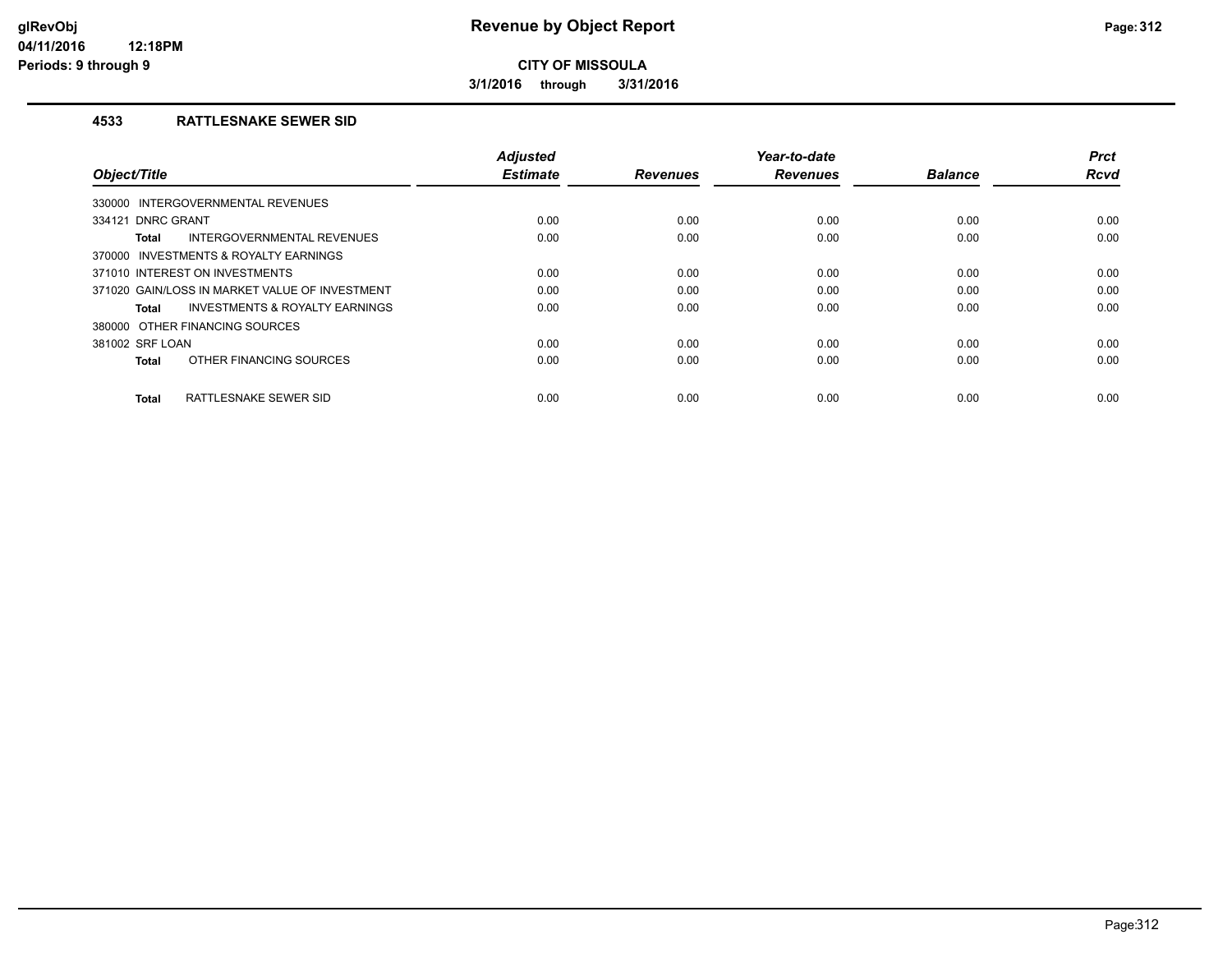**3/1/2016 through 3/31/2016**

#### **4533 RATTLESNAKE SEWER SID**

| Object/Title                                   | <b>Adjusted</b><br><b>Estimate</b> | <b>Revenues</b> | Year-to-date<br><b>Revenues</b> | <b>Balance</b> | <b>Prct</b><br><b>Rcvd</b> |
|------------------------------------------------|------------------------------------|-----------------|---------------------------------|----------------|----------------------------|
| INTERGOVERNMENTAL REVENUES<br>330000           |                                    |                 |                                 |                |                            |
| 334121 DNRC GRANT                              | 0.00                               | 0.00            | 0.00                            | 0.00           | 0.00                       |
| INTERGOVERNMENTAL REVENUES<br>Total            | 0.00                               | 0.00            | 0.00                            | 0.00           | 0.00                       |
| 370000 INVESTMENTS & ROYALTY EARNINGS          |                                    |                 |                                 |                |                            |
| 371010 INTEREST ON INVESTMENTS                 | 0.00                               | 0.00            | 0.00                            | 0.00           | 0.00                       |
| 371020 GAIN/LOSS IN MARKET VALUE OF INVESTMENT | 0.00                               | 0.00            | 0.00                            | 0.00           | 0.00                       |
| INVESTMENTS & ROYALTY EARNINGS<br>Total        | 0.00                               | 0.00            | 0.00                            | 0.00           | 0.00                       |
| 380000 OTHER FINANCING SOURCES                 |                                    |                 |                                 |                |                            |
| 381002 SRF LOAN                                | 0.00                               | 0.00            | 0.00                            | 0.00           | 0.00                       |
| OTHER FINANCING SOURCES<br><b>Total</b>        | 0.00                               | 0.00            | 0.00                            | 0.00           | 0.00                       |
| RATTLESNAKE SEWER SID<br><b>Total</b>          | 0.00                               | 0.00            | 0.00                            | 0.00           | 0.00                       |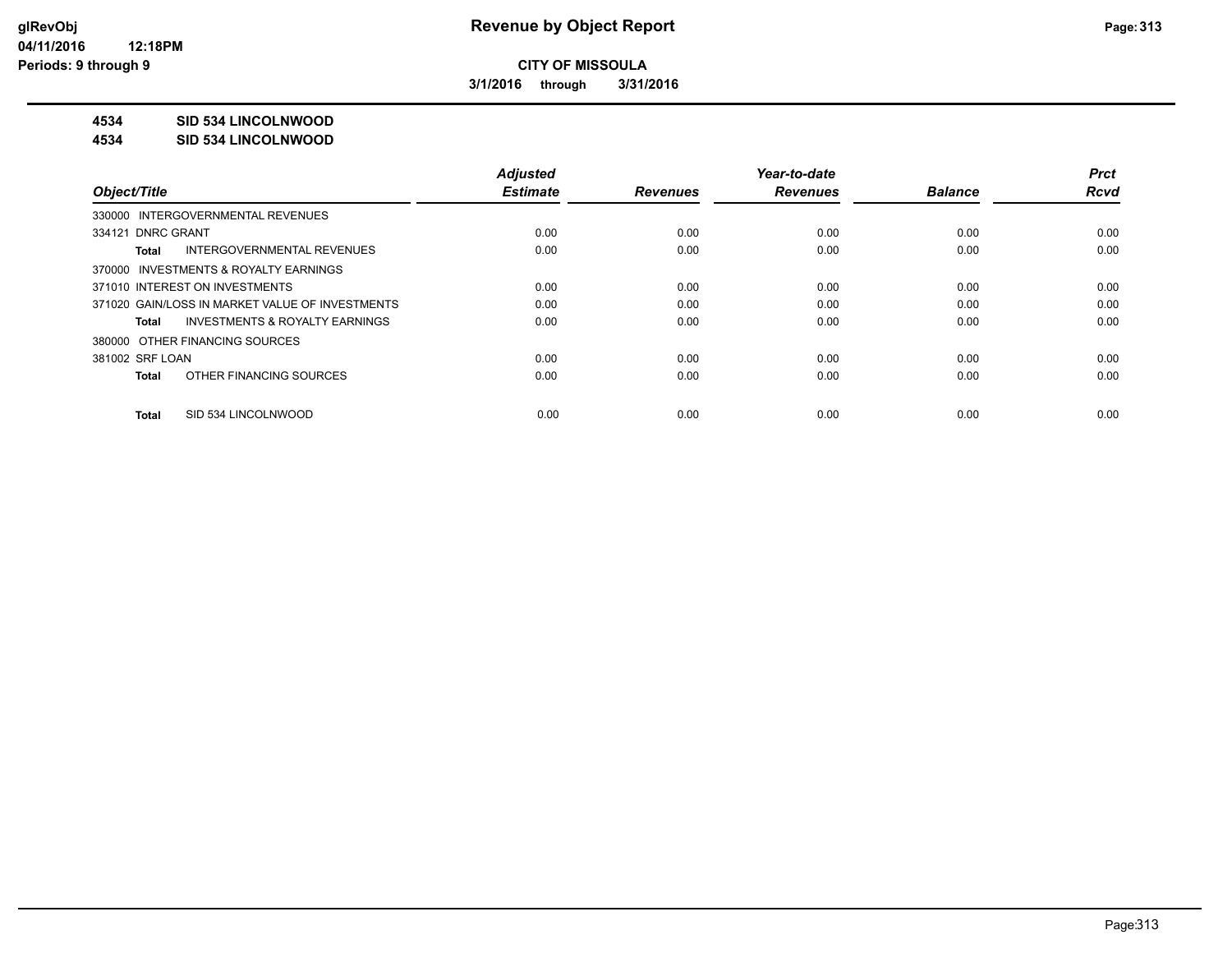**3/1/2016 through 3/31/2016**

### **4534 SID 534 LINCOLNWOOD**

#### **4534 SID 534 LINCOLNWOOD**

|                                                    | <b>Adjusted</b> |                 | Year-to-date    |                | <b>Prct</b> |
|----------------------------------------------------|-----------------|-----------------|-----------------|----------------|-------------|
| Object/Title                                       | <b>Estimate</b> | <b>Revenues</b> | <b>Revenues</b> | <b>Balance</b> | <b>Rcvd</b> |
| 330000 INTERGOVERNMENTAL REVENUES                  |                 |                 |                 |                |             |
| 334121 DNRC GRANT                                  | 0.00            | 0.00            | 0.00            | 0.00           | 0.00        |
| INTERGOVERNMENTAL REVENUES<br>Total                | 0.00            | 0.00            | 0.00            | 0.00           | 0.00        |
| 370000 INVESTMENTS & ROYALTY EARNINGS              |                 |                 |                 |                |             |
| 371010 INTEREST ON INVESTMENTS                     | 0.00            | 0.00            | 0.00            | 0.00           | 0.00        |
| 371020 GAIN/LOSS IN MARKET VALUE OF INVESTMENTS    | 0.00            | 0.00            | 0.00            | 0.00           | 0.00        |
| <b>INVESTMENTS &amp; ROYALTY EARNINGS</b><br>Total | 0.00            | 0.00            | 0.00            | 0.00           | 0.00        |
| 380000 OTHER FINANCING SOURCES                     |                 |                 |                 |                |             |
| 381002 SRF LOAN                                    | 0.00            | 0.00            | 0.00            | 0.00           | 0.00        |
| OTHER FINANCING SOURCES<br>Total                   | 0.00            | 0.00            | 0.00            | 0.00           | 0.00        |
| SID 534 LINCOLNWOOD<br>Total                       | 0.00            | 0.00            | 0.00            | 0.00           | 0.00        |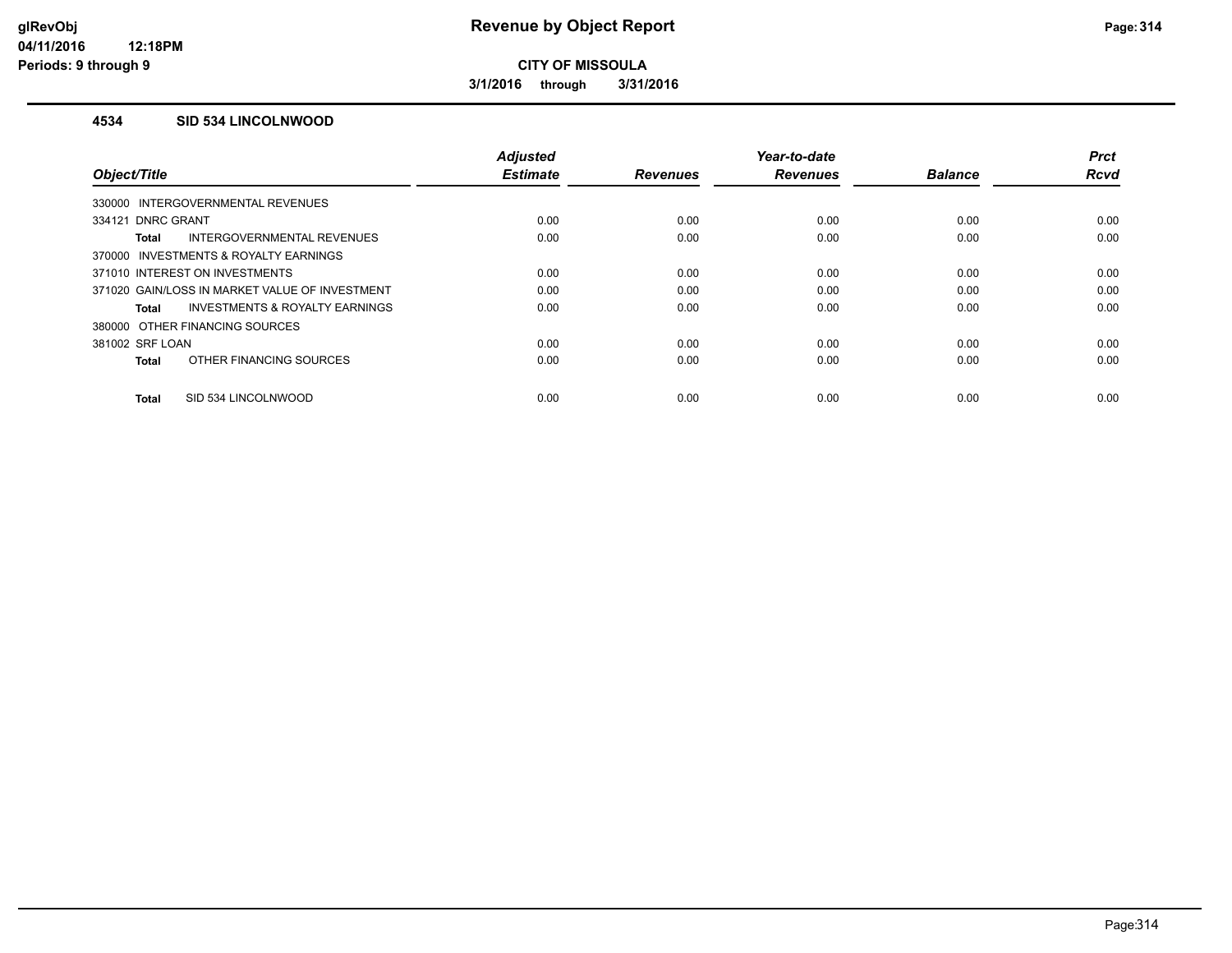**3/1/2016 through 3/31/2016**

#### **4534 SID 534 LINCOLNWOOD**

|                                                | <b>Adjusted</b> |                 | Year-to-date    |                | <b>Prct</b> |
|------------------------------------------------|-----------------|-----------------|-----------------|----------------|-------------|
| Object/Title                                   | <b>Estimate</b> | <b>Revenues</b> | <b>Revenues</b> | <b>Balance</b> | <b>Rcvd</b> |
| 330000 INTERGOVERNMENTAL REVENUES              |                 |                 |                 |                |             |
| 334121 DNRC GRANT                              | 0.00            | 0.00            | 0.00            | 0.00           | 0.00        |
| INTERGOVERNMENTAL REVENUES<br><b>Total</b>     | 0.00            | 0.00            | 0.00            | 0.00           | 0.00        |
| 370000 INVESTMENTS & ROYALTY EARNINGS          |                 |                 |                 |                |             |
| 371010 INTEREST ON INVESTMENTS                 | 0.00            | 0.00            | 0.00            | 0.00           | 0.00        |
| 371020 GAIN/LOSS IN MARKET VALUE OF INVESTMENT | 0.00            | 0.00            | 0.00            | 0.00           | 0.00        |
| INVESTMENTS & ROYALTY EARNINGS<br><b>Total</b> | 0.00            | 0.00            | 0.00            | 0.00           | 0.00        |
| 380000 OTHER FINANCING SOURCES                 |                 |                 |                 |                |             |
| 381002 SRF LOAN                                | 0.00            | 0.00            | 0.00            | 0.00           | 0.00        |
| OTHER FINANCING SOURCES<br><b>Total</b>        | 0.00            | 0.00            | 0.00            | 0.00           | 0.00        |
|                                                |                 |                 |                 |                |             |
| SID 534 LINCOLNWOOD<br><b>Total</b>            | 0.00            | 0.00            | 0.00            | 0.00           | 0.00        |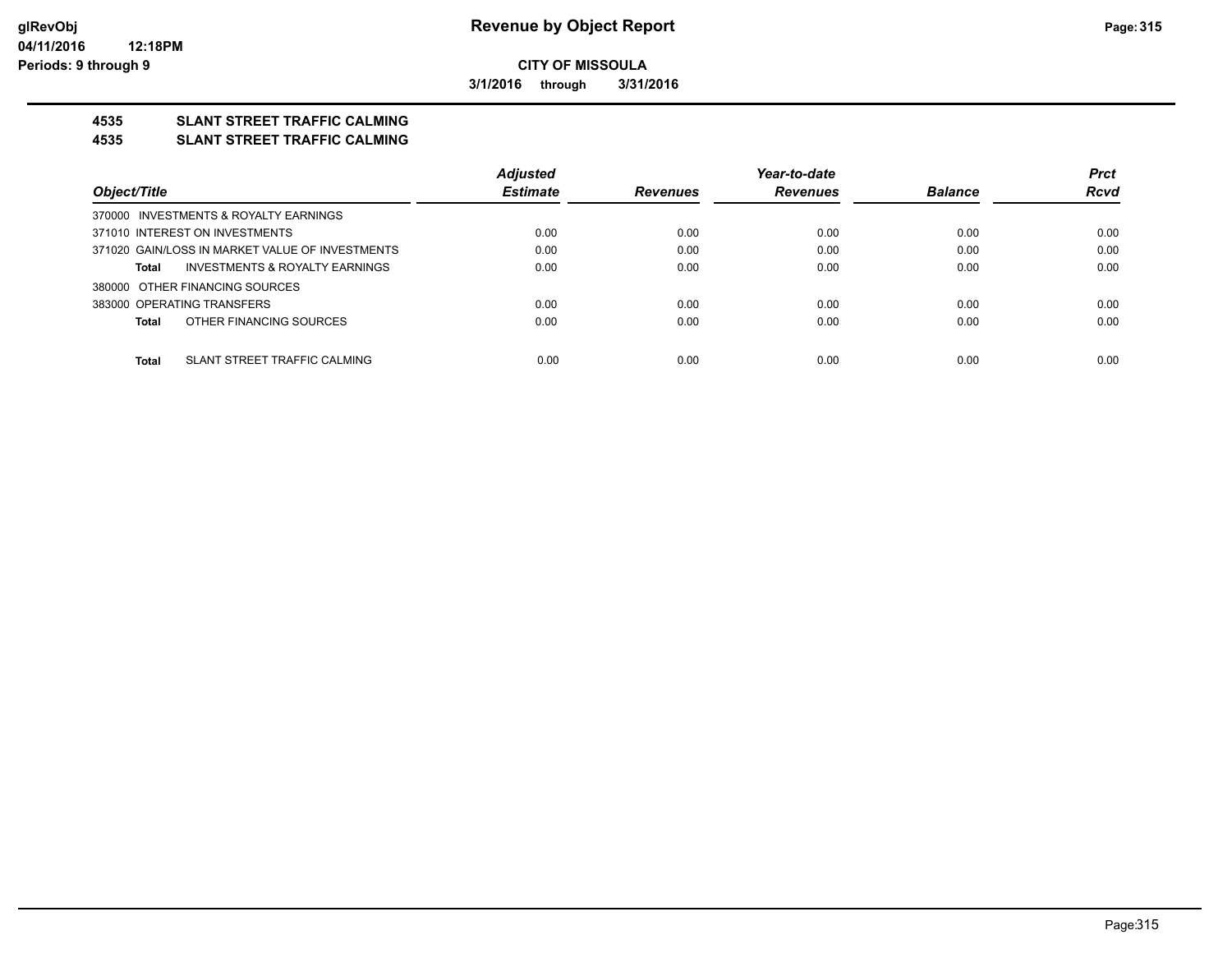**3/1/2016 through 3/31/2016**

## **4535 SLANT STREET TRAFFIC CALMING**

#### **4535 SLANT STREET TRAFFIC CALMING**

|                                                 | <b>Adjusted</b> |                 | Year-to-date    |                | <b>Prct</b> |
|-------------------------------------------------|-----------------|-----------------|-----------------|----------------|-------------|
| Object/Title                                    | <b>Estimate</b> | <b>Revenues</b> | <b>Revenues</b> | <b>Balance</b> | <b>Rcvd</b> |
| 370000 INVESTMENTS & ROYALTY EARNINGS           |                 |                 |                 |                |             |
| 371010 INTEREST ON INVESTMENTS                  | 0.00            | 0.00            | 0.00            | 0.00           | 0.00        |
| 371020 GAIN/LOSS IN MARKET VALUE OF INVESTMENTS | 0.00            | 0.00            | 0.00            | 0.00           | 0.00        |
| INVESTMENTS & ROYALTY EARNINGS<br>Total         | 0.00            | 0.00            | 0.00            | 0.00           | 0.00        |
| 380000 OTHER FINANCING SOURCES                  |                 |                 |                 |                |             |
| 383000 OPERATING TRANSFERS                      | 0.00            | 0.00            | 0.00            | 0.00           | 0.00        |
| OTHER FINANCING SOURCES<br>Total                | 0.00            | 0.00            | 0.00            | 0.00           | 0.00        |
|                                                 |                 |                 |                 |                |             |
| SLANT STREET TRAFFIC CALMING<br>Total           | 0.00            | 0.00            | 0.00            | 0.00           | 0.00        |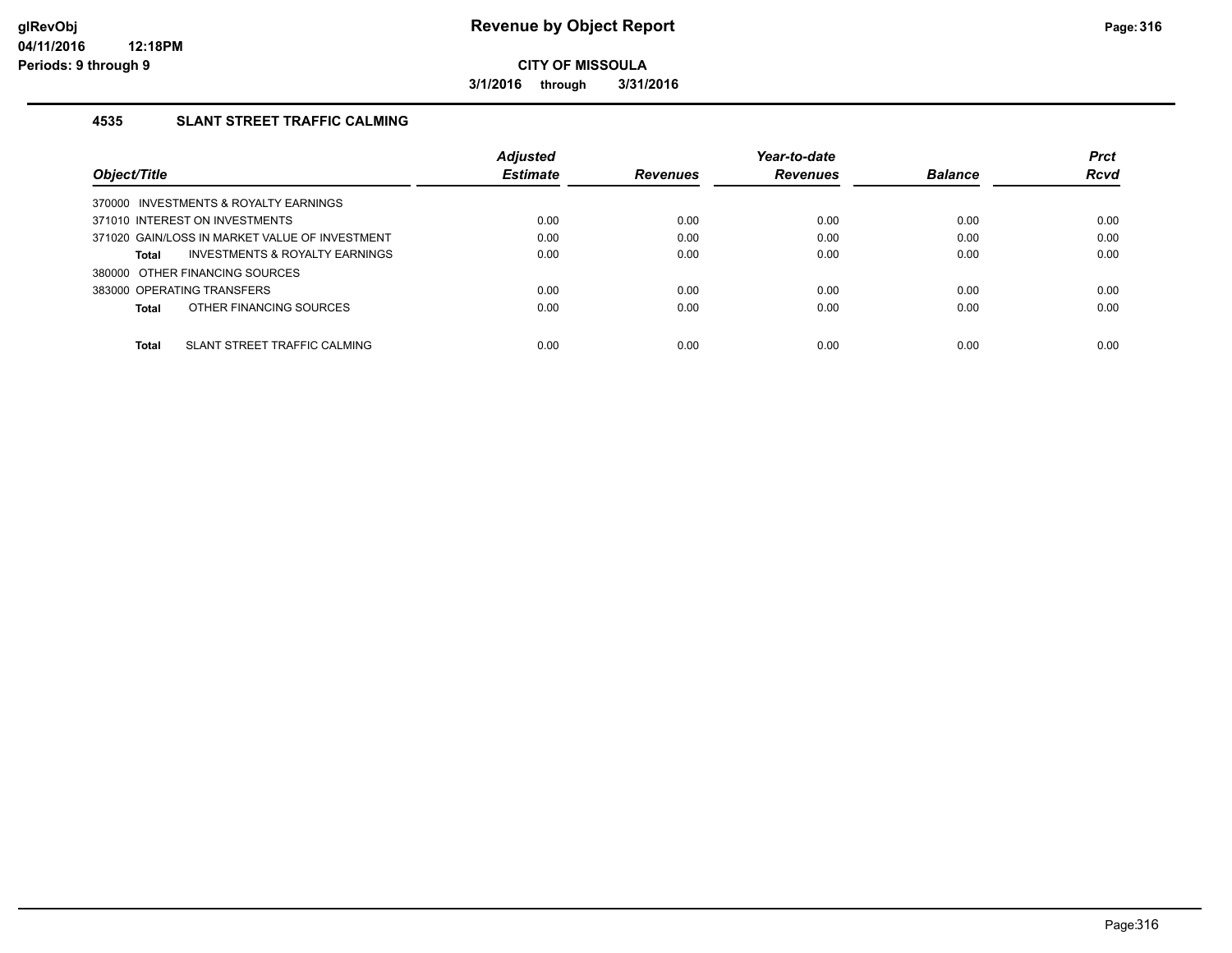**3/1/2016 through 3/31/2016**

### **4535 SLANT STREET TRAFFIC CALMING**

|                                                    | <b>Adjusted</b> |                 | Year-to-date    |                | <b>Prct</b> |
|----------------------------------------------------|-----------------|-----------------|-----------------|----------------|-------------|
| Object/Title                                       | <b>Estimate</b> | <b>Revenues</b> | <b>Revenues</b> | <b>Balance</b> | <b>Rcvd</b> |
| 370000 INVESTMENTS & ROYALTY EARNINGS              |                 |                 |                 |                |             |
| 371010 INTEREST ON INVESTMENTS                     | 0.00            | 0.00            | 0.00            | 0.00           | 0.00        |
| 371020 GAIN/LOSS IN MARKET VALUE OF INVESTMENT     | 0.00            | 0.00            | 0.00            | 0.00           | 0.00        |
| <b>INVESTMENTS &amp; ROYALTY EARNINGS</b><br>Total | 0.00            | 0.00            | 0.00            | 0.00           | 0.00        |
| 380000 OTHER FINANCING SOURCES                     |                 |                 |                 |                |             |
| 383000 OPERATING TRANSFERS                         | 0.00            | 0.00            | 0.00            | 0.00           | 0.00        |
| OTHER FINANCING SOURCES<br>Total                   | 0.00            | 0.00            | 0.00            | 0.00           | 0.00        |
|                                                    |                 |                 |                 |                |             |
| SLANT STREET TRAFFIC CALMING<br>Total              | 0.00            | 0.00            | 0.00            | 0.00           | 0.00        |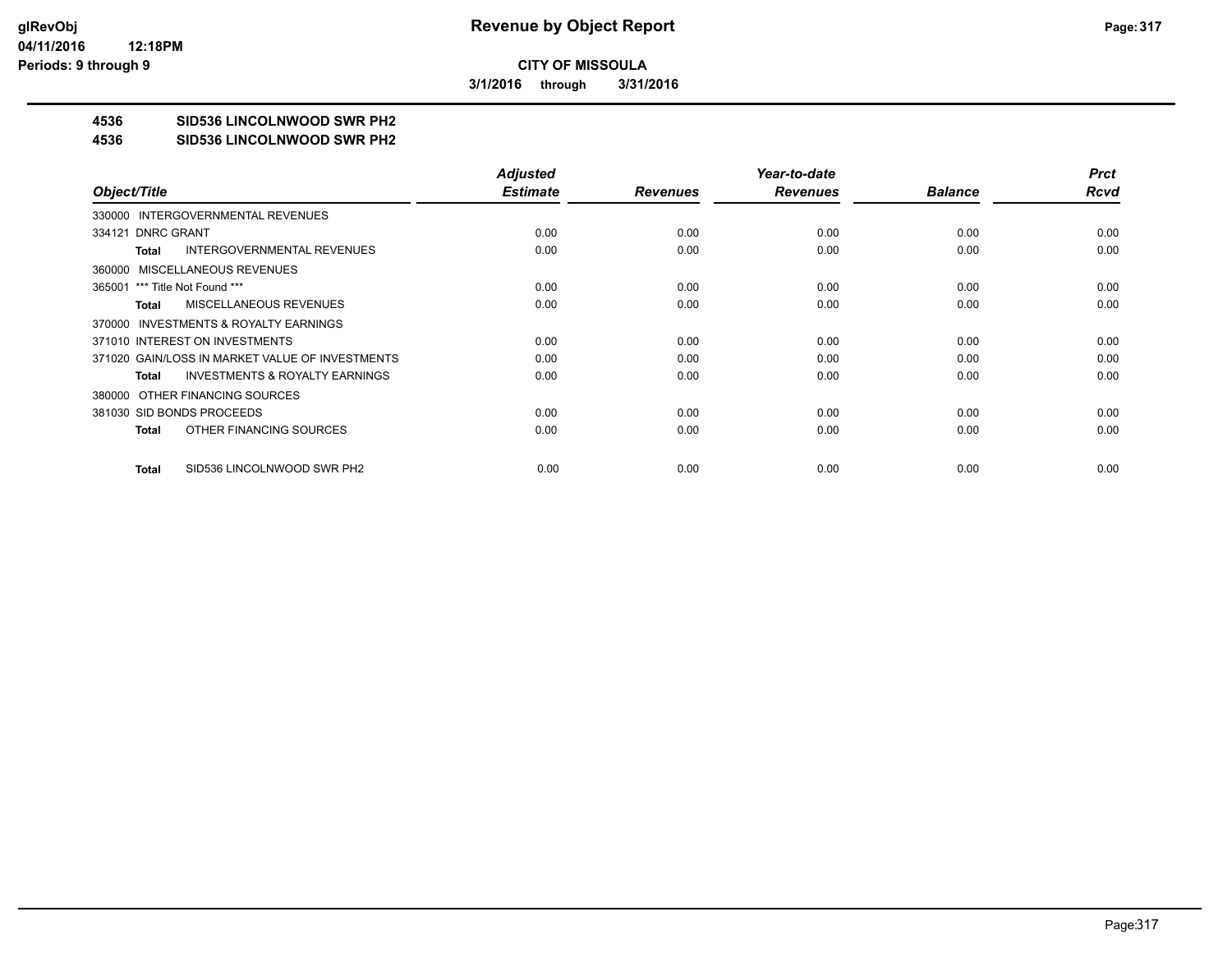**3/1/2016 through 3/31/2016**

## **4536 SID536 LINCOLNWOOD SWR PH2**

#### **4536 SID536 LINCOLNWOOD SWR PH2**

|                                                    | <b>Adjusted</b> |                 | Year-to-date    |                | <b>Prct</b> |
|----------------------------------------------------|-----------------|-----------------|-----------------|----------------|-------------|
| Object/Title                                       | <b>Estimate</b> | <b>Revenues</b> | <b>Revenues</b> | <b>Balance</b> | Rcvd        |
| 330000 INTERGOVERNMENTAL REVENUES                  |                 |                 |                 |                |             |
| 334121 DNRC GRANT                                  | 0.00            | 0.00            | 0.00            | 0.00           | 0.00        |
| <b>INTERGOVERNMENTAL REVENUES</b><br>Total         | 0.00            | 0.00            | 0.00            | 0.00           | 0.00        |
| 360000 MISCELLANEOUS REVENUES                      |                 |                 |                 |                |             |
| 365001 *** Title Not Found ***                     | 0.00            | 0.00            | 0.00            | 0.00           | 0.00        |
| <b>MISCELLANEOUS REVENUES</b><br>Total             | 0.00            | 0.00            | 0.00            | 0.00           | 0.00        |
| 370000 INVESTMENTS & ROYALTY EARNINGS              |                 |                 |                 |                |             |
| 371010 INTEREST ON INVESTMENTS                     | 0.00            | 0.00            | 0.00            | 0.00           | 0.00        |
| 371020 GAIN/LOSS IN MARKET VALUE OF INVESTMENTS    | 0.00            | 0.00            | 0.00            | 0.00           | 0.00        |
| <b>INVESTMENTS &amp; ROYALTY EARNINGS</b><br>Total | 0.00            | 0.00            | 0.00            | 0.00           | 0.00        |
| 380000 OTHER FINANCING SOURCES                     |                 |                 |                 |                |             |
| 381030 SID BONDS PROCEEDS                          | 0.00            | 0.00            | 0.00            | 0.00           | 0.00        |
| OTHER FINANCING SOURCES<br>Total                   | 0.00            | 0.00            | 0.00            | 0.00           | 0.00        |
|                                                    |                 |                 |                 |                |             |
| SID536 LINCOLNWOOD SWR PH2<br>Total                | 0.00            | 0.00            | 0.00            | 0.00           | 0.00        |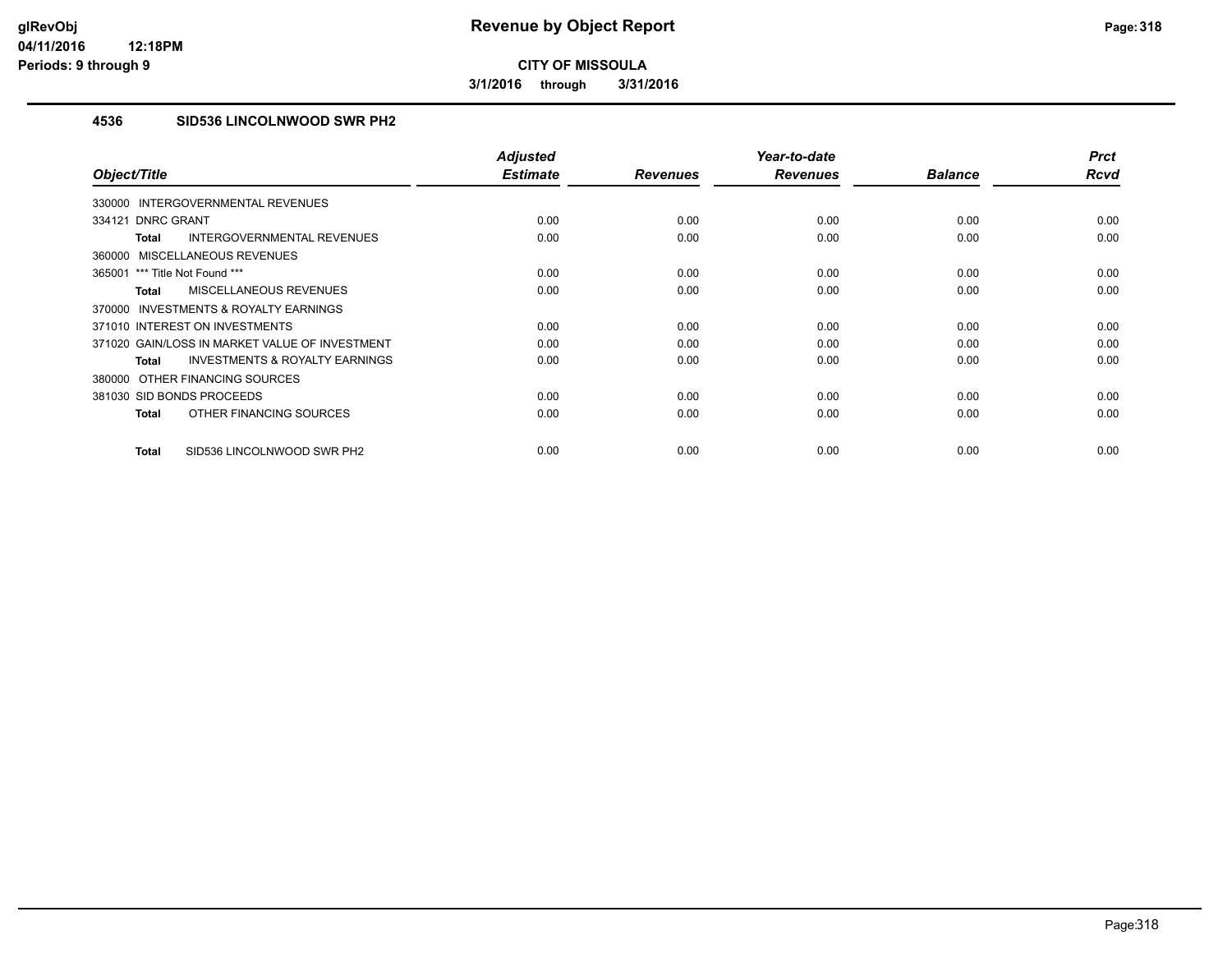**3/1/2016 through 3/31/2016**

### **4536 SID536 LINCOLNWOOD SWR PH2**

| Object/Title                                              | <b>Adjusted</b><br><b>Estimate</b> | <b>Revenues</b> | Year-to-date<br><b>Revenues</b> | <b>Balance</b> | <b>Prct</b><br><b>Rcvd</b> |
|-----------------------------------------------------------|------------------------------------|-----------------|---------------------------------|----------------|----------------------------|
| INTERGOVERNMENTAL REVENUES<br>330000                      |                                    |                 |                                 |                |                            |
| 334121 DNRC GRANT                                         | 0.00                               | 0.00            | 0.00                            | 0.00           | 0.00                       |
| INTERGOVERNMENTAL REVENUES                                | 0.00                               | 0.00            | 0.00                            | 0.00           | 0.00                       |
| <b>Total</b>                                              |                                    |                 |                                 |                |                            |
| MISCELLANEOUS REVENUES<br>360000                          |                                    |                 |                                 |                |                            |
| 365001 *** Title Not Found ***                            | 0.00                               | 0.00            | 0.00                            | 0.00           | 0.00                       |
| <b>MISCELLANEOUS REVENUES</b><br><b>Total</b>             | 0.00                               | 0.00            | 0.00                            | 0.00           | 0.00                       |
| <b>INVESTMENTS &amp; ROYALTY EARNINGS</b><br>370000       |                                    |                 |                                 |                |                            |
| 371010 INTEREST ON INVESTMENTS                            | 0.00                               | 0.00            | 0.00                            | 0.00           | 0.00                       |
| 371020 GAIN/LOSS IN MARKET VALUE OF INVESTMENT            | 0.00                               | 0.00            | 0.00                            | 0.00           | 0.00                       |
| <b>INVESTMENTS &amp; ROYALTY EARNINGS</b><br><b>Total</b> | 0.00                               | 0.00            | 0.00                            | 0.00           | 0.00                       |
| 380000 OTHER FINANCING SOURCES                            |                                    |                 |                                 |                |                            |
| 381030 SID BONDS PROCEEDS                                 | 0.00                               | 0.00            | 0.00                            | 0.00           | 0.00                       |
| OTHER FINANCING SOURCES<br><b>Total</b>                   | 0.00                               | 0.00            | 0.00                            | 0.00           | 0.00                       |
| SID536 LINCOLNWOOD SWR PH2<br><b>Total</b>                | 0.00                               | 0.00            | 0.00                            | 0.00           | 0.00                       |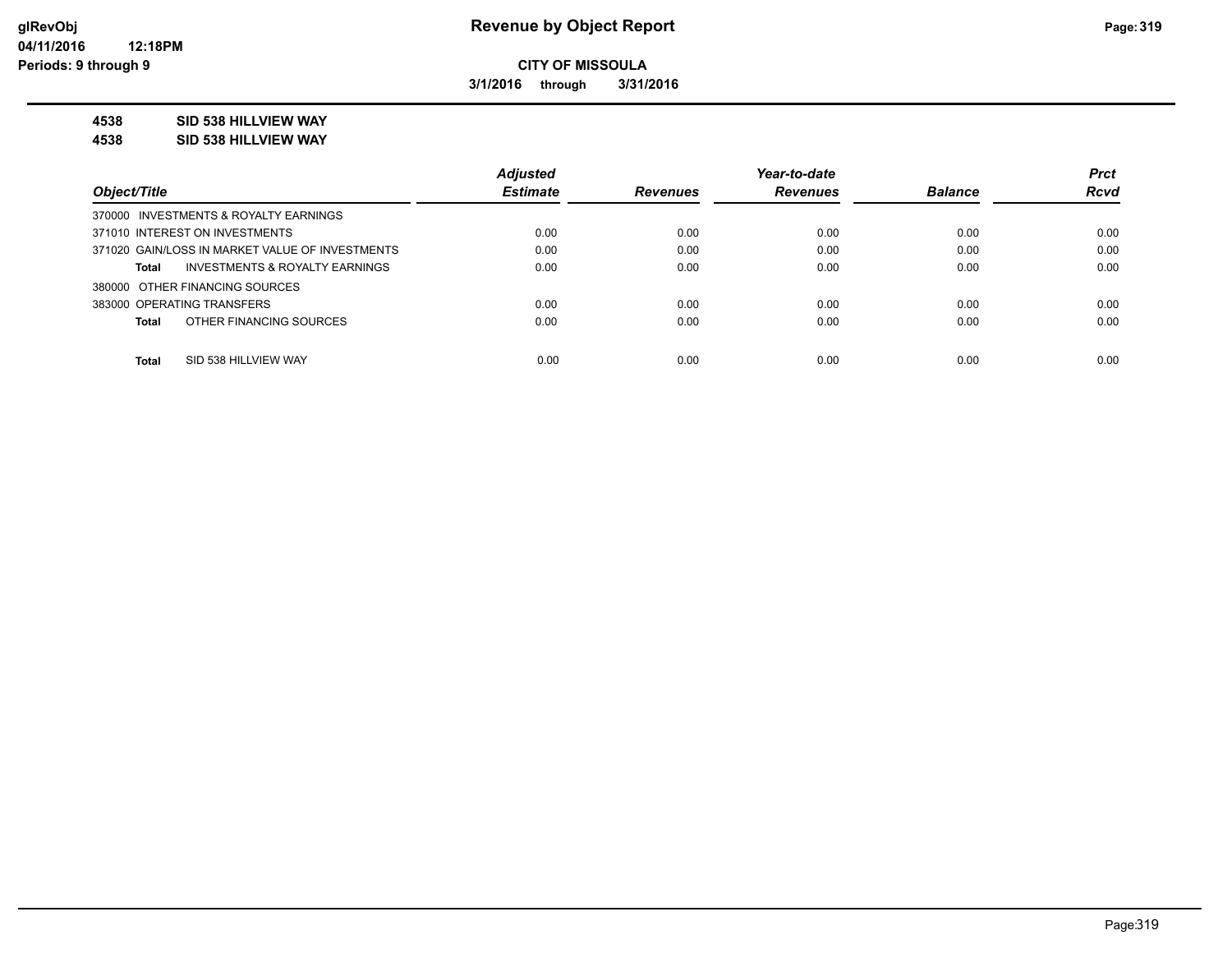**3/1/2016 through 3/31/2016**

#### **4538 SID 538 HILLVIEW WAY**

**4538 SID 538 HILLVIEW WAY**

|                                                    | <b>Adjusted</b> |                 | Year-to-date    |                | <b>Prct</b> |
|----------------------------------------------------|-----------------|-----------------|-----------------|----------------|-------------|
| Object/Title                                       | <b>Estimate</b> | <b>Revenues</b> | <b>Revenues</b> | <b>Balance</b> | <b>Rcvd</b> |
| 370000 INVESTMENTS & ROYALTY EARNINGS              |                 |                 |                 |                |             |
| 371010 INTEREST ON INVESTMENTS                     | 0.00            | 0.00            | 0.00            | 0.00           | 0.00        |
| 371020 GAIN/LOSS IN MARKET VALUE OF INVESTMENTS    | 0.00            | 0.00            | 0.00            | 0.00           | 0.00        |
| <b>INVESTMENTS &amp; ROYALTY EARNINGS</b><br>Total | 0.00            | 0.00            | 0.00            | 0.00           | 0.00        |
| 380000 OTHER FINANCING SOURCES                     |                 |                 |                 |                |             |
| 383000 OPERATING TRANSFERS                         | 0.00            | 0.00            | 0.00            | 0.00           | 0.00        |
| OTHER FINANCING SOURCES<br><b>Total</b>            | 0.00            | 0.00            | 0.00            | 0.00           | 0.00        |
|                                                    |                 |                 |                 |                |             |
| <b>Total</b><br>SID 538 HILLVIEW WAY               | 0.00            | 0.00            | 0.00            | 0.00           | 0.00        |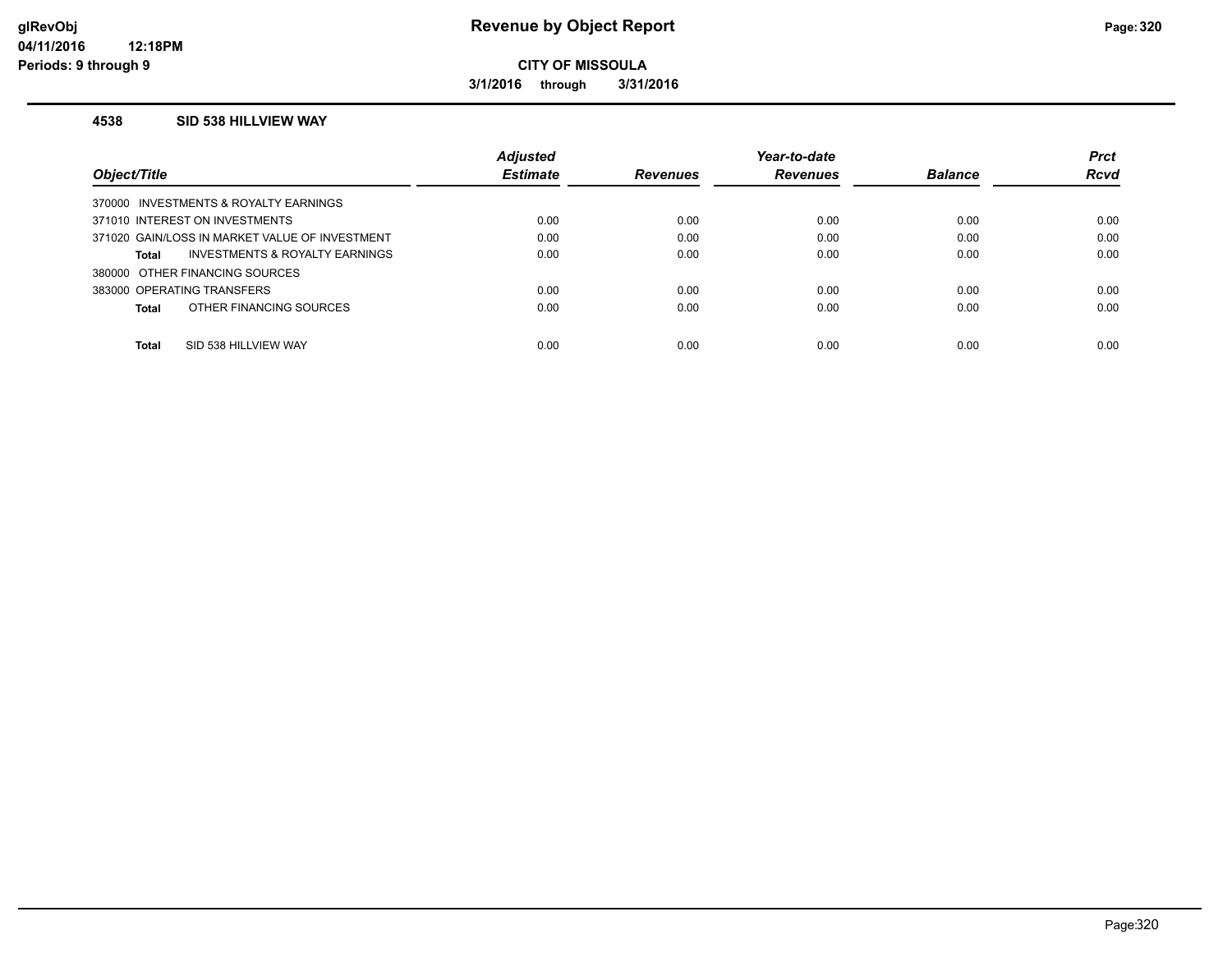**3/1/2016 through 3/31/2016**

#### **4538 SID 538 HILLVIEW WAY**

|                                                    | <b>Adjusted</b> |                 | Year-to-date    |                | <b>Prct</b> |
|----------------------------------------------------|-----------------|-----------------|-----------------|----------------|-------------|
| Object/Title                                       | <b>Estimate</b> | <b>Revenues</b> | <b>Revenues</b> | <b>Balance</b> | <b>Rcvd</b> |
| 370000 INVESTMENTS & ROYALTY EARNINGS              |                 |                 |                 |                |             |
| 371010 INTEREST ON INVESTMENTS                     | 0.00            | 0.00            | 0.00            | 0.00           | 0.00        |
| 371020 GAIN/LOSS IN MARKET VALUE OF INVESTMENT     | 0.00            | 0.00            | 0.00            | 0.00           | 0.00        |
| <b>INVESTMENTS &amp; ROYALTY EARNINGS</b><br>Total | 0.00            | 0.00            | 0.00            | 0.00           | 0.00        |
| 380000 OTHER FINANCING SOURCES                     |                 |                 |                 |                |             |
| 383000 OPERATING TRANSFERS                         | 0.00            | 0.00            | 0.00            | 0.00           | 0.00        |
| OTHER FINANCING SOURCES<br>Total                   | 0.00            | 0.00            | 0.00            | 0.00           | 0.00        |
|                                                    |                 |                 |                 |                |             |
| <b>Total</b><br>SID 538 HILLVIEW WAY               | 0.00            | 0.00            | 0.00            | 0.00           | 0.00        |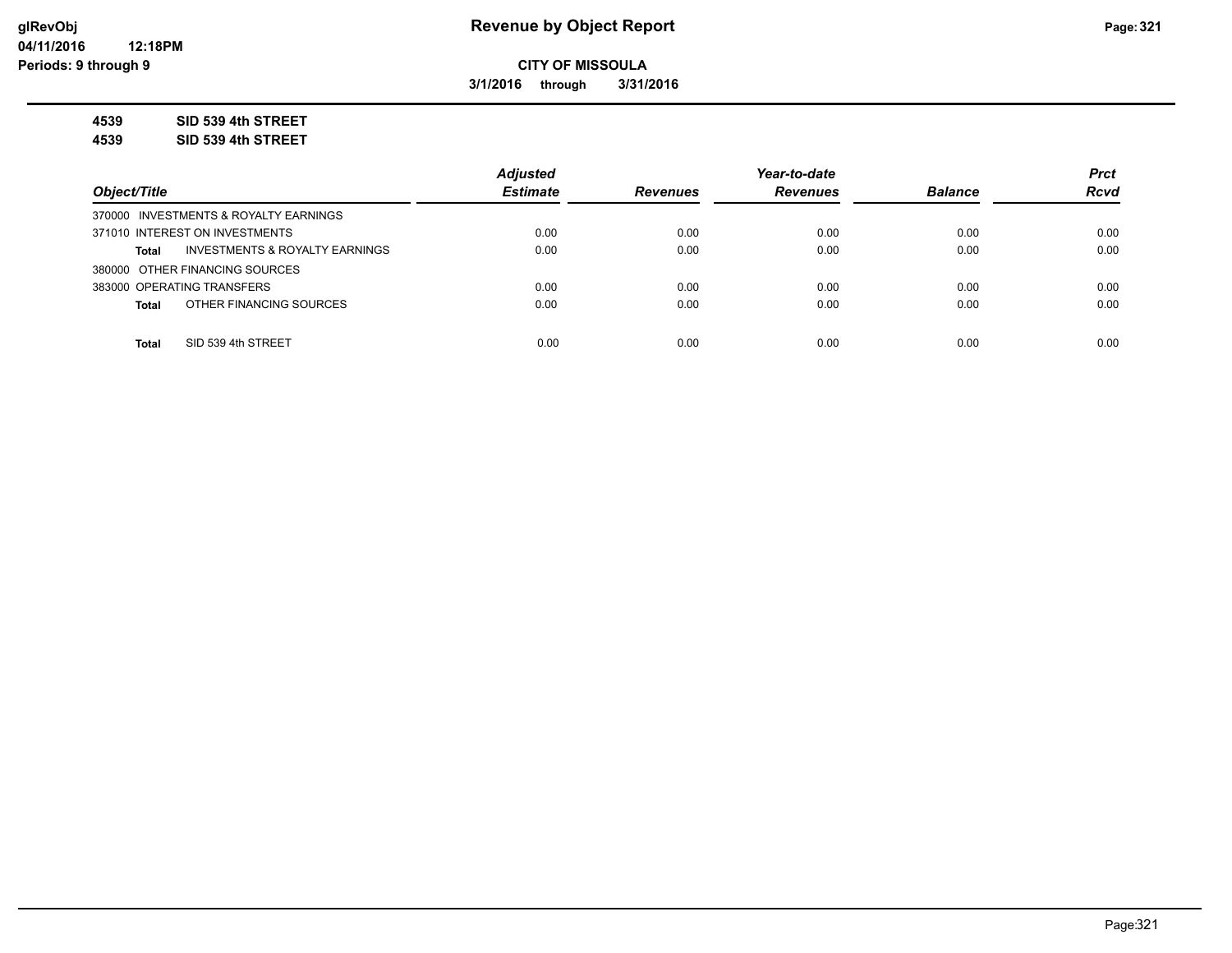**3/1/2016 through 3/31/2016**

**4539 SID 539 4th STREET**

**4539 SID 539 4th STREET**

|                                                | <b>Adjusted</b> |                 | Year-to-date    |                | <b>Prct</b> |
|------------------------------------------------|-----------------|-----------------|-----------------|----------------|-------------|
| Object/Title                                   | <b>Estimate</b> | <b>Revenues</b> | <b>Revenues</b> | <b>Balance</b> | <b>Rcvd</b> |
| 370000 INVESTMENTS & ROYALTY EARNINGS          |                 |                 |                 |                |             |
| 371010 INTEREST ON INVESTMENTS                 | 0.00            | 0.00            | 0.00            | 0.00           | 0.00        |
| INVESTMENTS & ROYALTY EARNINGS<br><b>Total</b> | 0.00            | 0.00            | 0.00            | 0.00           | 0.00        |
| 380000 OTHER FINANCING SOURCES                 |                 |                 |                 |                |             |
| 383000 OPERATING TRANSFERS                     | 0.00            | 0.00            | 0.00            | 0.00           | 0.00        |
| OTHER FINANCING SOURCES<br><b>Total</b>        | 0.00            | 0.00            | 0.00            | 0.00           | 0.00        |
|                                                |                 |                 |                 |                |             |
| SID 539 4th STREET<br><b>Total</b>             | 0.00            | 0.00            | 0.00            | 0.00           | 0.00        |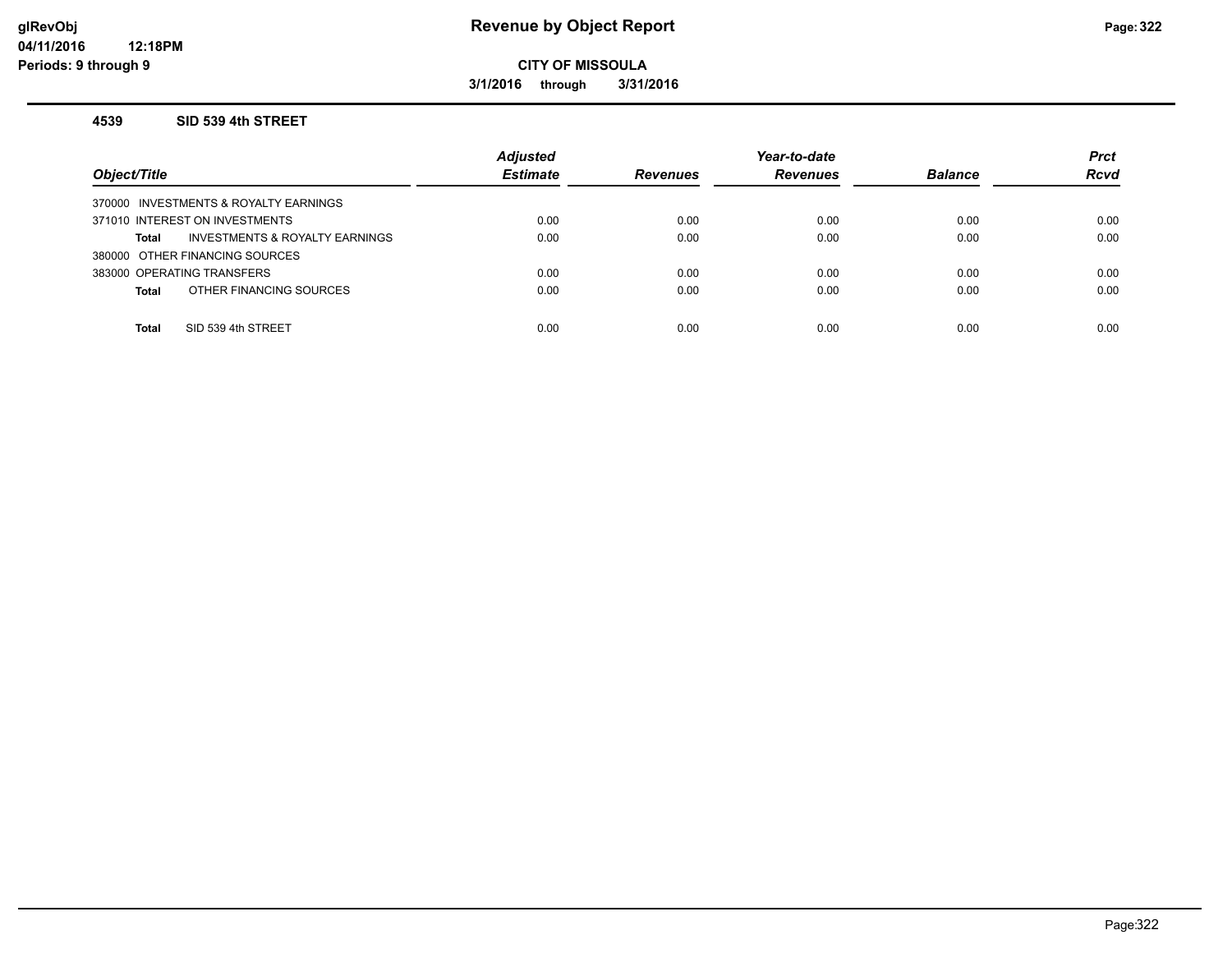### **glRevObj Revenue by Object Report Page:322**

**CITY OF MISSOULA**

**3/1/2016 through 3/31/2016**

#### **4539 SID 539 4th STREET**

| Object/Title                            | <b>Adjusted</b><br><b>Estimate</b> | Revenues | Year-to-date<br><b>Revenues</b> | <b>Balance</b> | <b>Prct</b><br><b>Rcvd</b> |
|-----------------------------------------|------------------------------------|----------|---------------------------------|----------------|----------------------------|
| 370000 INVESTMENTS & ROYALTY EARNINGS   |                                    |          |                                 |                |                            |
| 371010 INTEREST ON INVESTMENTS          | 0.00                               | 0.00     | 0.00                            | 0.00           | 0.00                       |
| INVESTMENTS & ROYALTY EARNINGS<br>Total | 0.00                               | 0.00     | 0.00                            | 0.00           | 0.00                       |
| 380000 OTHER FINANCING SOURCES          |                                    |          |                                 |                |                            |
| 383000 OPERATING TRANSFERS              | 0.00                               | 0.00     | 0.00                            | 0.00           | 0.00                       |
| OTHER FINANCING SOURCES<br><b>Total</b> | 0.00                               | 0.00     | 0.00                            | 0.00           | 0.00                       |
|                                         |                                    |          |                                 |                |                            |
| SID 539 4th STREET<br><b>Total</b>      | 0.00                               | 0.00     | 0.00                            | 0.00           | 0.00                       |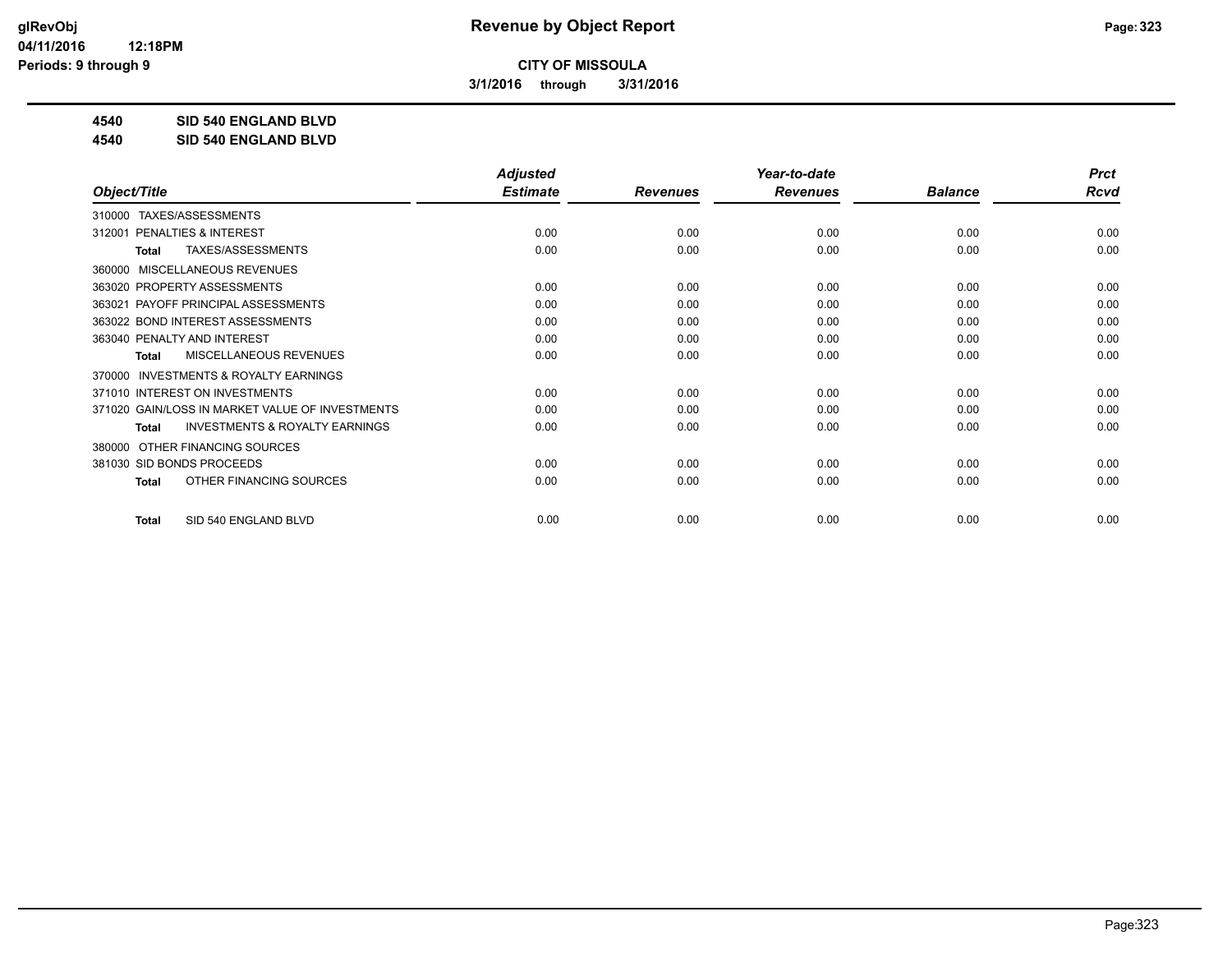**3/1/2016 through 3/31/2016**

**4540 SID 540 ENGLAND BLVD**

**4540 SID 540 ENGLAND BLVD**

|                                                           | <b>Adjusted</b> |                 | Year-to-date    |                | <b>Prct</b> |
|-----------------------------------------------------------|-----------------|-----------------|-----------------|----------------|-------------|
| Object/Title                                              | <b>Estimate</b> | <b>Revenues</b> | <b>Revenues</b> | <b>Balance</b> | <b>Rcvd</b> |
| TAXES/ASSESSMENTS<br>310000                               |                 |                 |                 |                |             |
| <b>PENALTIES &amp; INTEREST</b><br>312001                 | 0.00            | 0.00            | 0.00            | 0.00           | 0.00        |
| TAXES/ASSESSMENTS<br><b>Total</b>                         | 0.00            | 0.00            | 0.00            | 0.00           | 0.00        |
| MISCELLANEOUS REVENUES<br>360000                          |                 |                 |                 |                |             |
| 363020 PROPERTY ASSESSMENTS                               | 0.00            | 0.00            | 0.00            | 0.00           | 0.00        |
| PAYOFF PRINCIPAL ASSESSMENTS<br>363021                    | 0.00            | 0.00            | 0.00            | 0.00           | 0.00        |
| 363022 BOND INTEREST ASSESSMENTS                          | 0.00            | 0.00            | 0.00            | 0.00           | 0.00        |
| 363040 PENALTY AND INTEREST                               | 0.00            | 0.00            | 0.00            | 0.00           | 0.00        |
| <b>MISCELLANEOUS REVENUES</b><br><b>Total</b>             | 0.00            | 0.00            | 0.00            | 0.00           | 0.00        |
| <b>INVESTMENTS &amp; ROYALTY EARNINGS</b><br>370000       |                 |                 |                 |                |             |
| 371010 INTEREST ON INVESTMENTS                            | 0.00            | 0.00            | 0.00            | 0.00           | 0.00        |
| 371020 GAIN/LOSS IN MARKET VALUE OF INVESTMENTS           | 0.00            | 0.00            | 0.00            | 0.00           | 0.00        |
| <b>INVESTMENTS &amp; ROYALTY EARNINGS</b><br><b>Total</b> | 0.00            | 0.00            | 0.00            | 0.00           | 0.00        |
| OTHER FINANCING SOURCES<br>380000                         |                 |                 |                 |                |             |
| 381030 SID BONDS PROCEEDS                                 | 0.00            | 0.00            | 0.00            | 0.00           | 0.00        |
| OTHER FINANCING SOURCES<br><b>Total</b>                   | 0.00            | 0.00            | 0.00            | 0.00           | 0.00        |
|                                                           |                 |                 |                 |                |             |
| SID 540 ENGLAND BLVD<br><b>Total</b>                      | 0.00            | 0.00            | 0.00            | 0.00           | 0.00        |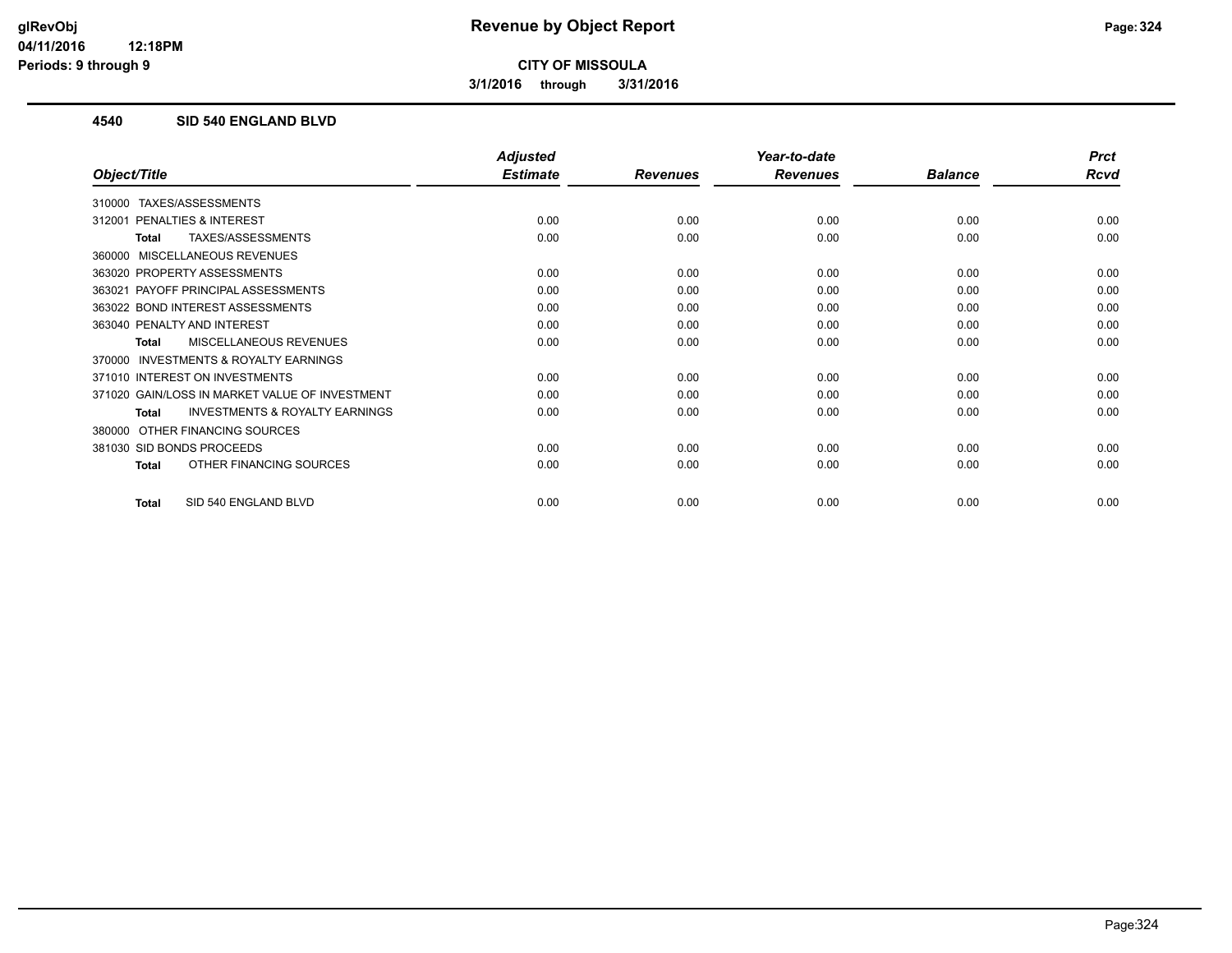**3/1/2016 through 3/31/2016**

#### **4540 SID 540 ENGLAND BLVD**

|                                                           | <b>Adjusted</b> |                 | Year-to-date    |                | <b>Prct</b> |
|-----------------------------------------------------------|-----------------|-----------------|-----------------|----------------|-------------|
| Object/Title                                              | <b>Estimate</b> | <b>Revenues</b> | <b>Revenues</b> | <b>Balance</b> | <b>Rcvd</b> |
| TAXES/ASSESSMENTS<br>310000                               |                 |                 |                 |                |             |
| <b>PENALTIES &amp; INTEREST</b><br>312001                 | 0.00            | 0.00            | 0.00            | 0.00           | 0.00        |
| TAXES/ASSESSMENTS<br><b>Total</b>                         | 0.00            | 0.00            | 0.00            | 0.00           | 0.00        |
| MISCELLANEOUS REVENUES<br>360000                          |                 |                 |                 |                |             |
| 363020 PROPERTY ASSESSMENTS                               | 0.00            | 0.00            | 0.00            | 0.00           | 0.00        |
| PAYOFF PRINCIPAL ASSESSMENTS<br>363021                    | 0.00            | 0.00            | 0.00            | 0.00           | 0.00        |
| 363022 BOND INTEREST ASSESSMENTS                          | 0.00            | 0.00            | 0.00            | 0.00           | 0.00        |
| 363040 PENALTY AND INTEREST                               | 0.00            | 0.00            | 0.00            | 0.00           | 0.00        |
| <b>MISCELLANEOUS REVENUES</b><br>Total                    | 0.00            | 0.00            | 0.00            | 0.00           | 0.00        |
| INVESTMENTS & ROYALTY EARNINGS<br>370000                  |                 |                 |                 |                |             |
| 371010 INTEREST ON INVESTMENTS                            | 0.00            | 0.00            | 0.00            | 0.00           | 0.00        |
| 371020 GAIN/LOSS IN MARKET VALUE OF INVESTMENT            | 0.00            | 0.00            | 0.00            | 0.00           | 0.00        |
| <b>INVESTMENTS &amp; ROYALTY EARNINGS</b><br><b>Total</b> | 0.00            | 0.00            | 0.00            | 0.00           | 0.00        |
| OTHER FINANCING SOURCES<br>380000                         |                 |                 |                 |                |             |
| 381030 SID BONDS PROCEEDS                                 | 0.00            | 0.00            | 0.00            | 0.00           | 0.00        |
| OTHER FINANCING SOURCES<br>Total                          | 0.00            | 0.00            | 0.00            | 0.00           | 0.00        |
| SID 540 ENGLAND BLVD<br><b>Total</b>                      | 0.00            | 0.00            | 0.00            | 0.00           | 0.00        |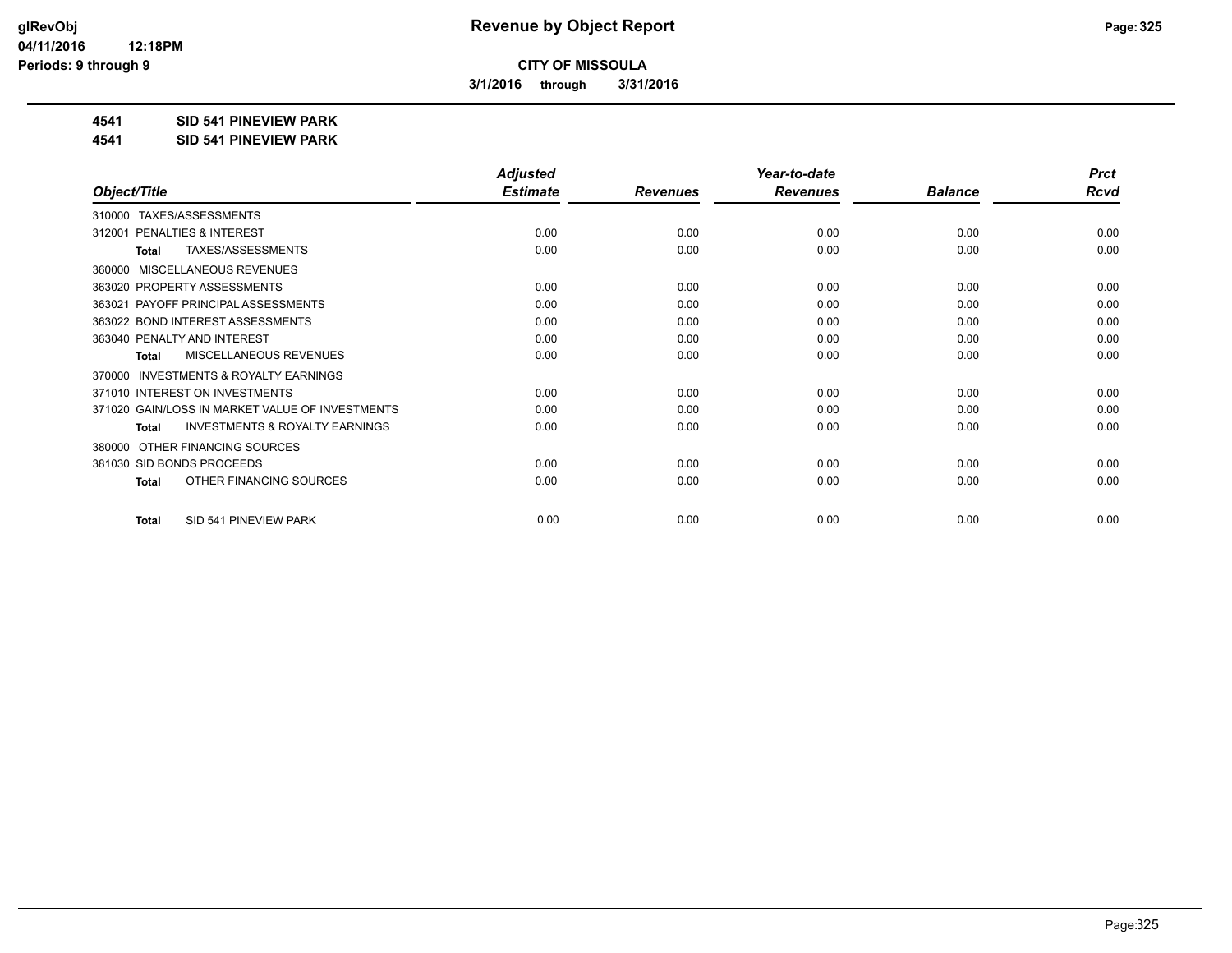**3/1/2016 through 3/31/2016**

#### **4541 SID 541 PINEVIEW PARK**

**4541 SID 541 PINEVIEW PARK**

|                                                           | <b>Adjusted</b> |                 | Year-to-date    |                | <b>Prct</b> |
|-----------------------------------------------------------|-----------------|-----------------|-----------------|----------------|-------------|
| Object/Title                                              | <b>Estimate</b> | <b>Revenues</b> | <b>Revenues</b> | <b>Balance</b> | <b>Rcvd</b> |
| TAXES/ASSESSMENTS<br>310000                               |                 |                 |                 |                |             |
| PENALTIES & INTEREST<br>312001                            | 0.00            | 0.00            | 0.00            | 0.00           | 0.00        |
| TAXES/ASSESSMENTS<br><b>Total</b>                         | 0.00            | 0.00            | 0.00            | 0.00           | 0.00        |
| MISCELLANEOUS REVENUES<br>360000                          |                 |                 |                 |                |             |
| 363020 PROPERTY ASSESSMENTS                               | 0.00            | 0.00            | 0.00            | 0.00           | 0.00        |
| PAYOFF PRINCIPAL ASSESSMENTS<br>363021                    | 0.00            | 0.00            | 0.00            | 0.00           | 0.00        |
| 363022 BOND INTEREST ASSESSMENTS                          | 0.00            | 0.00            | 0.00            | 0.00           | 0.00        |
| 363040 PENALTY AND INTEREST                               | 0.00            | 0.00            | 0.00            | 0.00           | 0.00        |
| <b>MISCELLANEOUS REVENUES</b><br>Total                    | 0.00            | 0.00            | 0.00            | 0.00           | 0.00        |
| <b>INVESTMENTS &amp; ROYALTY EARNINGS</b><br>370000       |                 |                 |                 |                |             |
| 371010 INTEREST ON INVESTMENTS                            | 0.00            | 0.00            | 0.00            | 0.00           | 0.00        |
| 371020 GAIN/LOSS IN MARKET VALUE OF INVESTMENTS           | 0.00            | 0.00            | 0.00            | 0.00           | 0.00        |
| <b>INVESTMENTS &amp; ROYALTY EARNINGS</b><br><b>Total</b> | 0.00            | 0.00            | 0.00            | 0.00           | 0.00        |
| OTHER FINANCING SOURCES<br>380000                         |                 |                 |                 |                |             |
| 381030 SID BONDS PROCEEDS                                 | 0.00            | 0.00            | 0.00            | 0.00           | 0.00        |
| OTHER FINANCING SOURCES<br><b>Total</b>                   | 0.00            | 0.00            | 0.00            | 0.00           | 0.00        |
|                                                           |                 |                 |                 |                |             |
| SID 541 PINEVIEW PARK<br><b>Total</b>                     | 0.00            | 0.00            | 0.00            | 0.00           | 0.00        |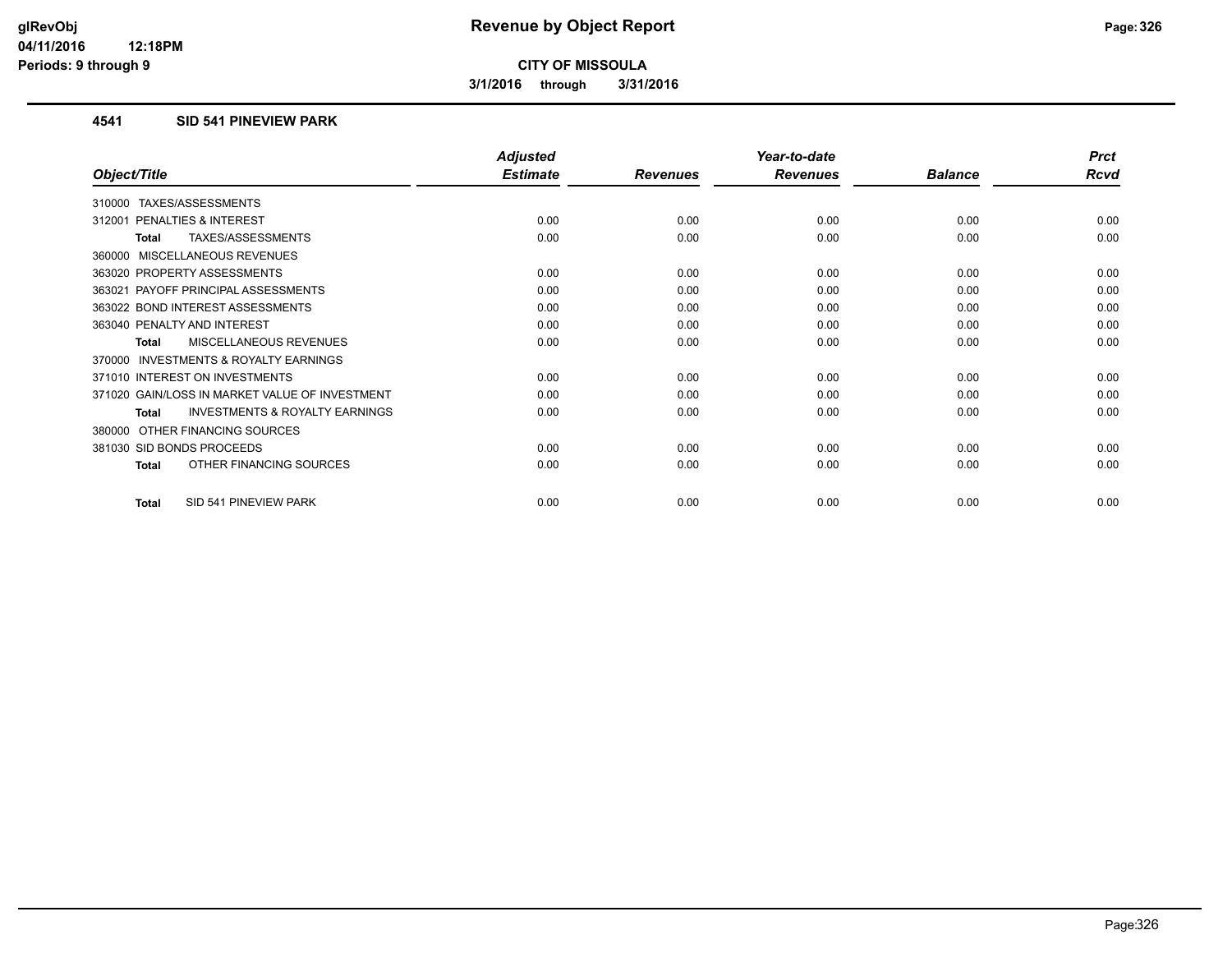**3/1/2016 through 3/31/2016**

#### **4541 SID 541 PINEVIEW PARK**

|                                                           | <b>Adjusted</b> |                 | Year-to-date    |                | <b>Prct</b> |
|-----------------------------------------------------------|-----------------|-----------------|-----------------|----------------|-------------|
| Object/Title                                              | <b>Estimate</b> | <b>Revenues</b> | <b>Revenues</b> | <b>Balance</b> | <b>Rcvd</b> |
| <b>TAXES/ASSESSMENTS</b><br>310000                        |                 |                 |                 |                |             |
| 312001 PENALTIES & INTEREST                               | 0.00            | 0.00            | 0.00            | 0.00           | 0.00        |
| TAXES/ASSESSMENTS<br><b>Total</b>                         | 0.00            | 0.00            | 0.00            | 0.00           | 0.00        |
| 360000 MISCELLANEOUS REVENUES                             |                 |                 |                 |                |             |
| 363020 PROPERTY ASSESSMENTS                               | 0.00            | 0.00            | 0.00            | 0.00           | 0.00        |
| 363021 PAYOFF PRINCIPAL ASSESSMENTS                       | 0.00            | 0.00            | 0.00            | 0.00           | 0.00        |
| 363022 BOND INTEREST ASSESSMENTS                          | 0.00            | 0.00            | 0.00            | 0.00           | 0.00        |
| 363040 PENALTY AND INTEREST                               | 0.00            | 0.00            | 0.00            | 0.00           | 0.00        |
| <b>MISCELLANEOUS REVENUES</b><br><b>Total</b>             | 0.00            | 0.00            | 0.00            | 0.00           | 0.00        |
| <b>INVESTMENTS &amp; ROYALTY EARNINGS</b><br>370000       |                 |                 |                 |                |             |
| 371010 INTEREST ON INVESTMENTS                            | 0.00            | 0.00            | 0.00            | 0.00           | 0.00        |
| 371020 GAIN/LOSS IN MARKET VALUE OF INVESTMENT            | 0.00            | 0.00            | 0.00            | 0.00           | 0.00        |
| <b>INVESTMENTS &amp; ROYALTY EARNINGS</b><br><b>Total</b> | 0.00            | 0.00            | 0.00            | 0.00           | 0.00        |
| OTHER FINANCING SOURCES<br>380000                         |                 |                 |                 |                |             |
| 381030 SID BONDS PROCEEDS                                 | 0.00            | 0.00            | 0.00            | 0.00           | 0.00        |
| OTHER FINANCING SOURCES<br>Total                          | 0.00            | 0.00            | 0.00            | 0.00           | 0.00        |
| SID 541 PINEVIEW PARK<br><b>Total</b>                     | 0.00            | 0.00            | 0.00            | 0.00           | 0.00        |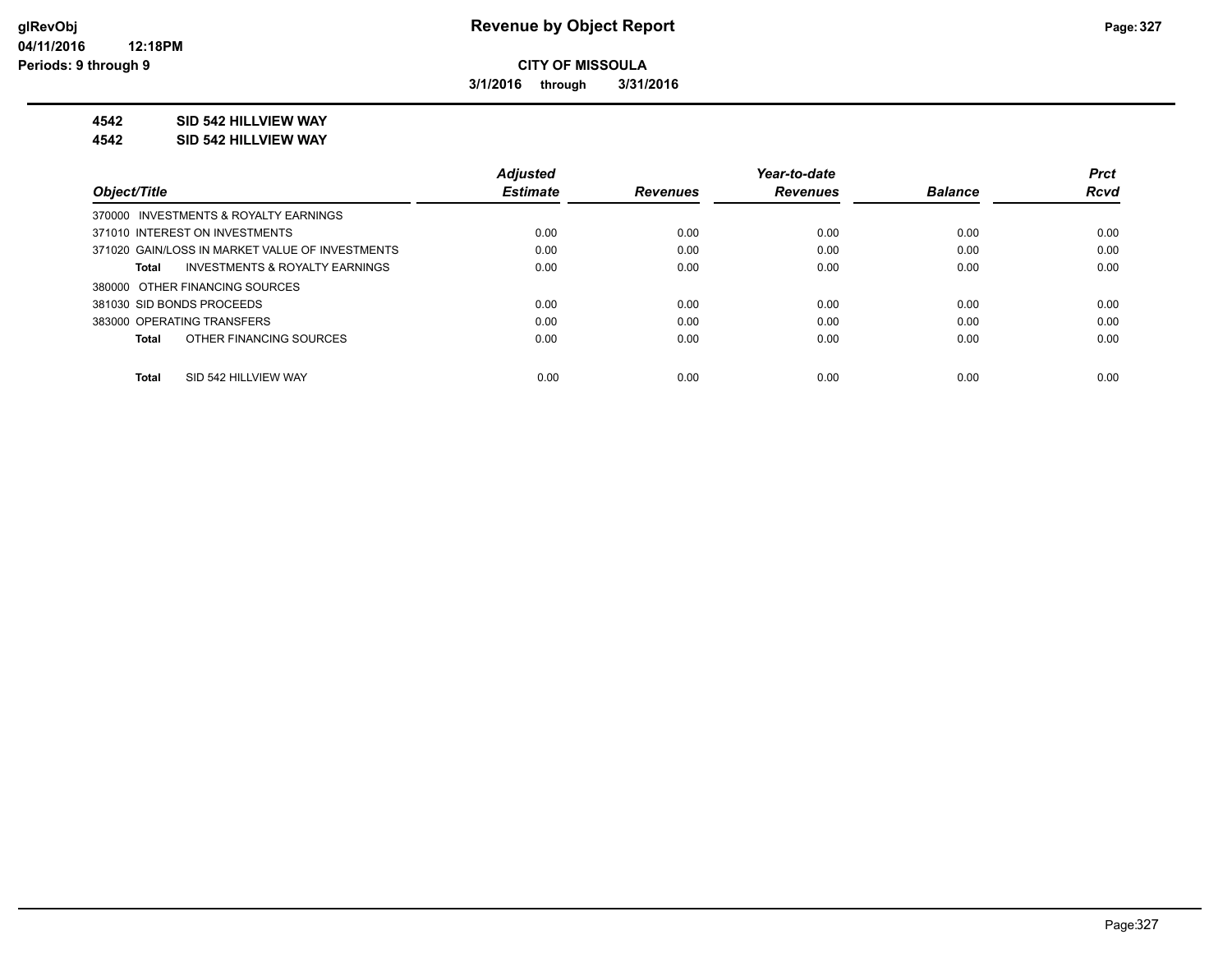**3/1/2016 through 3/31/2016**

#### **4542 SID 542 HILLVIEW WAY**

#### **4542 SID 542 HILLVIEW WAY**

|                                                 | <b>Adjusted</b> |                 | Year-to-date    |                | <b>Prct</b> |
|-------------------------------------------------|-----------------|-----------------|-----------------|----------------|-------------|
| Object/Title                                    | <b>Estimate</b> | <b>Revenues</b> | <b>Revenues</b> | <b>Balance</b> | <b>Rcvd</b> |
| 370000 INVESTMENTS & ROYALTY EARNINGS           |                 |                 |                 |                |             |
| 371010 INTEREST ON INVESTMENTS                  | 0.00            | 0.00            | 0.00            | 0.00           | 0.00        |
| 371020 GAIN/LOSS IN MARKET VALUE OF INVESTMENTS | 0.00            | 0.00            | 0.00            | 0.00           | 0.00        |
| INVESTMENTS & ROYALTY EARNINGS<br>Total         | 0.00            | 0.00            | 0.00            | 0.00           | 0.00        |
| 380000 OTHER FINANCING SOURCES                  |                 |                 |                 |                |             |
| 381030 SID BONDS PROCEEDS                       | 0.00            | 0.00            | 0.00            | 0.00           | 0.00        |
| 383000 OPERATING TRANSFERS                      | 0.00            | 0.00            | 0.00            | 0.00           | 0.00        |
| OTHER FINANCING SOURCES<br>Total                | 0.00            | 0.00            | 0.00            | 0.00           | 0.00        |
|                                                 |                 |                 |                 |                |             |
| SID 542 HILLVIEW WAY<br><b>Total</b>            | 0.00            | 0.00            | 0.00            | 0.00           | 0.00        |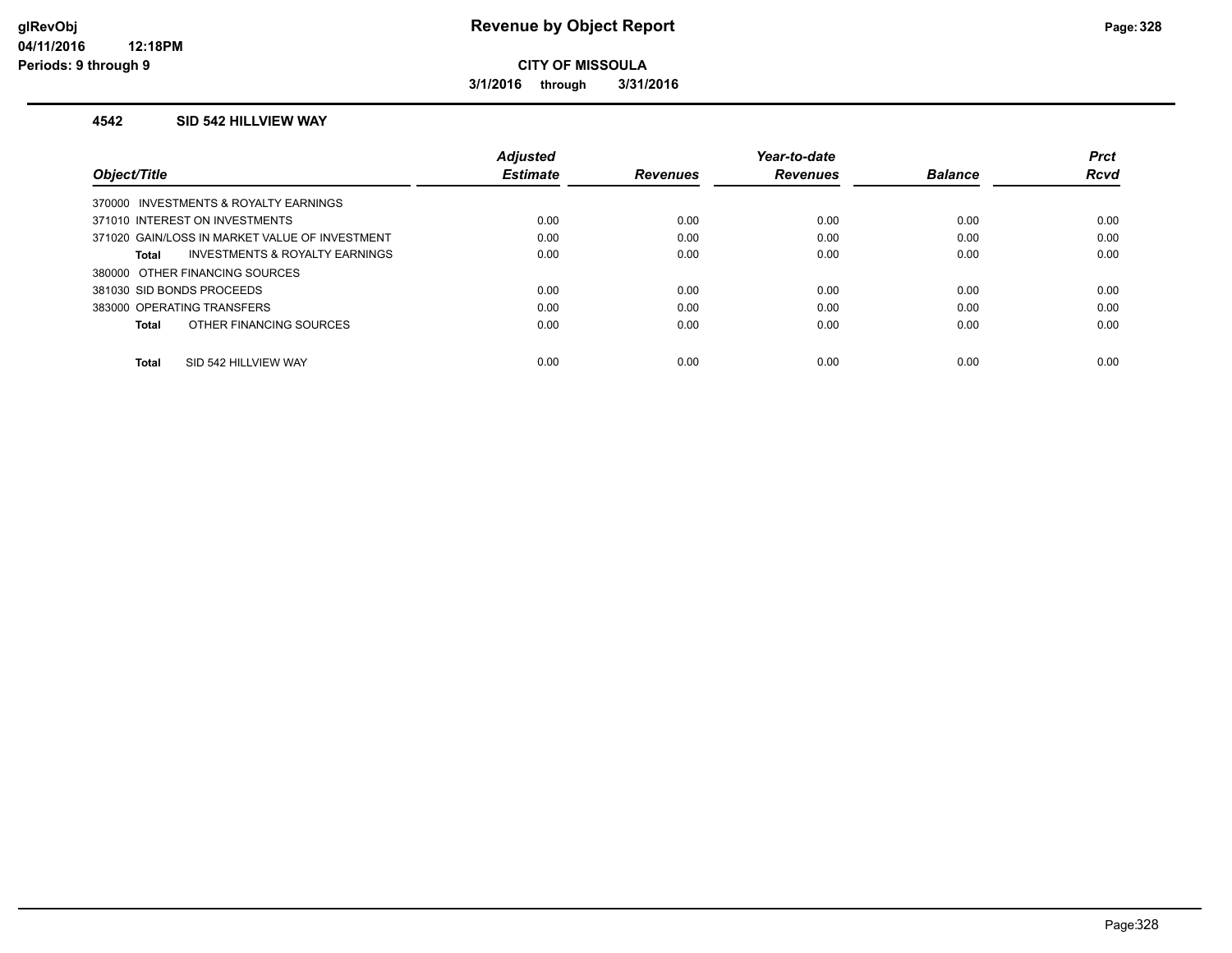**3/1/2016 through 3/31/2016**

#### **4542 SID 542 HILLVIEW WAY**

|                                                | <b>Adjusted</b> |                 | Year-to-date    |                | <b>Prct</b> |
|------------------------------------------------|-----------------|-----------------|-----------------|----------------|-------------|
| Object/Title                                   | <b>Estimate</b> | <b>Revenues</b> | <b>Revenues</b> | <b>Balance</b> | Rcvd        |
| 370000 INVESTMENTS & ROYALTY EARNINGS          |                 |                 |                 |                |             |
| 371010 INTEREST ON INVESTMENTS                 | 0.00            | 0.00            | 0.00            | 0.00           | 0.00        |
| 371020 GAIN/LOSS IN MARKET VALUE OF INVESTMENT | 0.00            | 0.00            | 0.00            | 0.00           | 0.00        |
| INVESTMENTS & ROYALTY EARNINGS<br>Total        | 0.00            | 0.00            | 0.00            | 0.00           | 0.00        |
| 380000 OTHER FINANCING SOURCES                 |                 |                 |                 |                |             |
| 381030 SID BONDS PROCEEDS                      | 0.00            | 0.00            | 0.00            | 0.00           | 0.00        |
| 383000 OPERATING TRANSFERS                     | 0.00            | 0.00            | 0.00            | 0.00           | 0.00        |
| OTHER FINANCING SOURCES<br>Total               | 0.00            | 0.00            | 0.00            | 0.00           | 0.00        |
|                                                |                 |                 |                 |                |             |
| SID 542 HILLVIEW WAY<br><b>Total</b>           | 0.00            | 0.00            | 0.00            | 0.00           | 0.00        |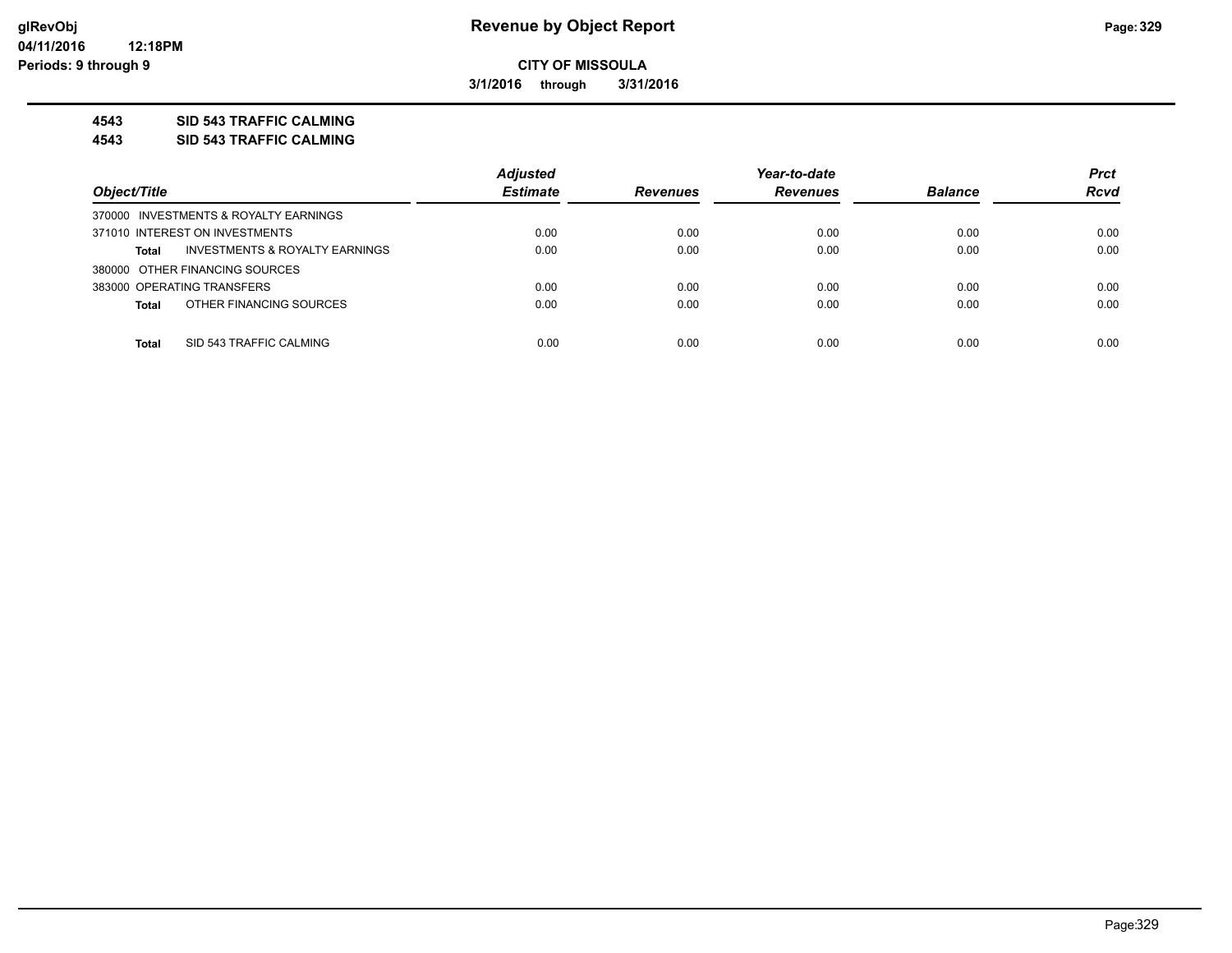**3/1/2016 through 3/31/2016**

#### **4543 SID 543 TRAFFIC CALMING**

**4543 SID 543 TRAFFIC CALMING**

|                                                    | <b>Adjusted</b> |                 | Year-to-date    |                | <b>Prct</b> |
|----------------------------------------------------|-----------------|-----------------|-----------------|----------------|-------------|
| Object/Title                                       | <b>Estimate</b> | <b>Revenues</b> | <b>Revenues</b> | <b>Balance</b> | <b>Rcvd</b> |
| 370000 INVESTMENTS & ROYALTY EARNINGS              |                 |                 |                 |                |             |
| 371010 INTEREST ON INVESTMENTS                     | 0.00            | 0.00            | 0.00            | 0.00           | 0.00        |
| <b>INVESTMENTS &amp; ROYALTY EARNINGS</b><br>Total | 0.00            | 0.00            | 0.00            | 0.00           | 0.00        |
| 380000 OTHER FINANCING SOURCES                     |                 |                 |                 |                |             |
| 383000 OPERATING TRANSFERS                         | 0.00            | 0.00            | 0.00            | 0.00           | 0.00        |
| OTHER FINANCING SOURCES<br><b>Total</b>            | 0.00            | 0.00            | 0.00            | 0.00           | 0.00        |
|                                                    |                 |                 |                 |                |             |
| SID 543 TRAFFIC CALMING<br><b>Total</b>            | 0.00            | 0.00            | 0.00            | 0.00           | 0.00        |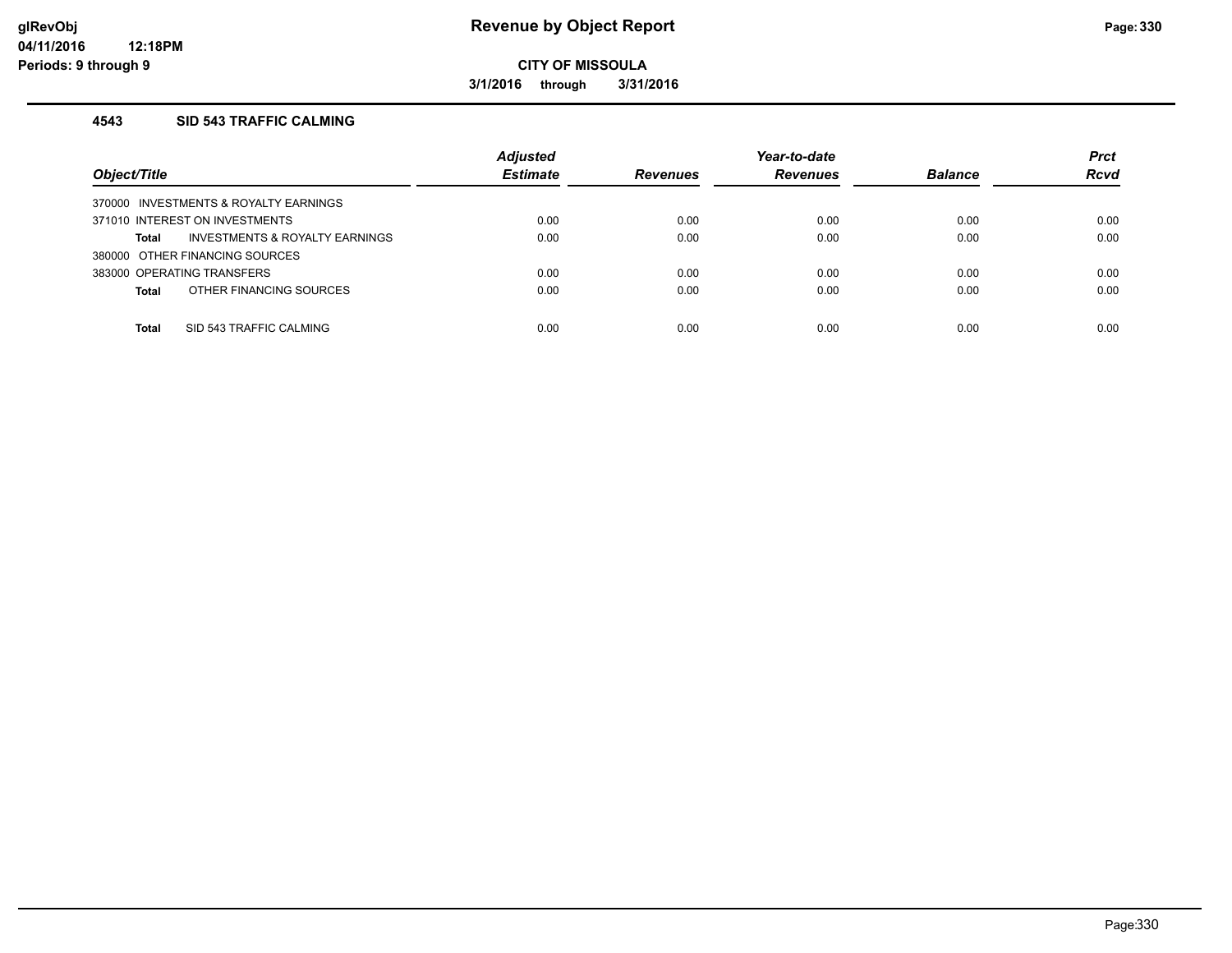**3/1/2016 through 3/31/2016**

#### **4543 SID 543 TRAFFIC CALMING**

| Object/Title                            | <b>Adjusted</b><br><b>Estimate</b> | <b>Revenues</b> | Year-to-date<br><b>Revenues</b> | <b>Balance</b> | <b>Prct</b><br><b>Rcvd</b> |
|-----------------------------------------|------------------------------------|-----------------|---------------------------------|----------------|----------------------------|
| 370000 INVESTMENTS & ROYALTY EARNINGS   |                                    |                 |                                 |                |                            |
| 371010 INTEREST ON INVESTMENTS          | 0.00                               | 0.00            | 0.00                            | 0.00           | 0.00                       |
| INVESTMENTS & ROYALTY EARNINGS<br>Total | 0.00                               | 0.00            | 0.00                            | 0.00           | 0.00                       |
| 380000 OTHER FINANCING SOURCES          |                                    |                 |                                 |                |                            |
| 383000 OPERATING TRANSFERS              | 0.00                               | 0.00            | 0.00                            | 0.00           | 0.00                       |
| OTHER FINANCING SOURCES<br><b>Total</b> | 0.00                               | 0.00            | 0.00                            | 0.00           | 0.00                       |
|                                         |                                    |                 |                                 |                |                            |
| SID 543 TRAFFIC CALMING<br><b>Total</b> | 0.00                               | 0.00            | 0.00                            | 0.00           | 0.00                       |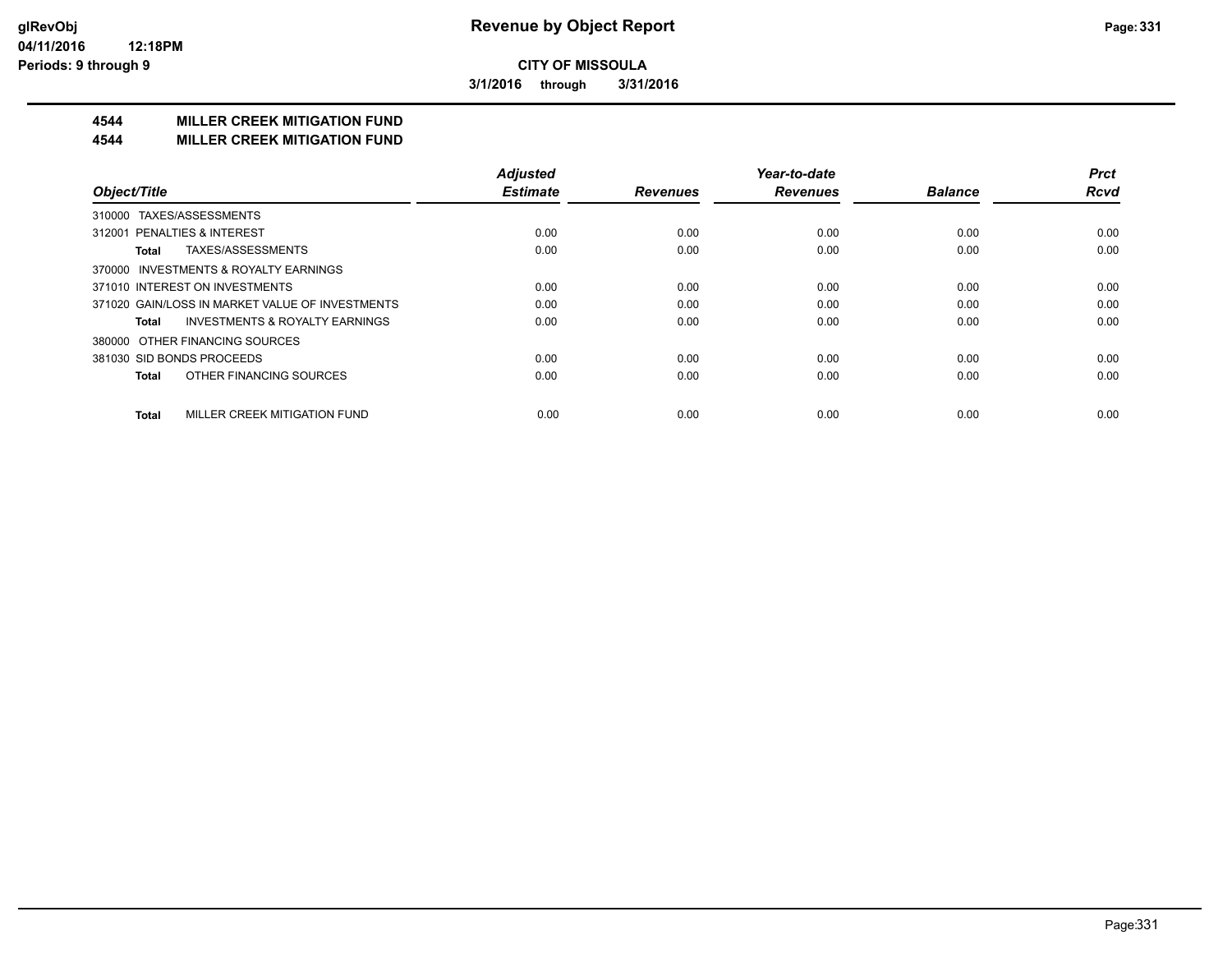**3/1/2016 through 3/31/2016**

# **4544 MILLER CREEK MITIGATION FUND**

#### **4544 MILLER CREEK MITIGATION FUND**

| Object/Title                                       | <b>Adjusted</b><br><b>Estimate</b> | <b>Revenues</b> | Year-to-date<br><b>Revenues</b> | <b>Balance</b> | <b>Prct</b><br><b>Rcvd</b> |
|----------------------------------------------------|------------------------------------|-----------------|---------------------------------|----------------|----------------------------|
|                                                    |                                    |                 |                                 |                |                            |
| TAXES/ASSESSMENTS<br>310000                        |                                    |                 |                                 |                |                            |
| 312001 PENALTIES & INTEREST                        | 0.00                               | 0.00            | 0.00                            | 0.00           | 0.00                       |
| TAXES/ASSESSMENTS<br>Total                         | 0.00                               | 0.00            | 0.00                            | 0.00           | 0.00                       |
| 370000 INVESTMENTS & ROYALTY EARNINGS              |                                    |                 |                                 |                |                            |
| 371010 INTEREST ON INVESTMENTS                     | 0.00                               | 0.00            | 0.00                            | 0.00           | 0.00                       |
| 371020 GAIN/LOSS IN MARKET VALUE OF INVESTMENTS    | 0.00                               | 0.00            | 0.00                            | 0.00           | 0.00                       |
| <b>INVESTMENTS &amp; ROYALTY EARNINGS</b><br>Total | 0.00                               | 0.00            | 0.00                            | 0.00           | 0.00                       |
| 380000 OTHER FINANCING SOURCES                     |                                    |                 |                                 |                |                            |
| 381030 SID BONDS PROCEEDS                          | 0.00                               | 0.00            | 0.00                            | 0.00           | 0.00                       |
| OTHER FINANCING SOURCES<br>Total                   | 0.00                               | 0.00            | 0.00                            | 0.00           | 0.00                       |
| MILLER CREEK MITIGATION FUND<br><b>Total</b>       | 0.00                               | 0.00            | 0.00                            | 0.00           | 0.00                       |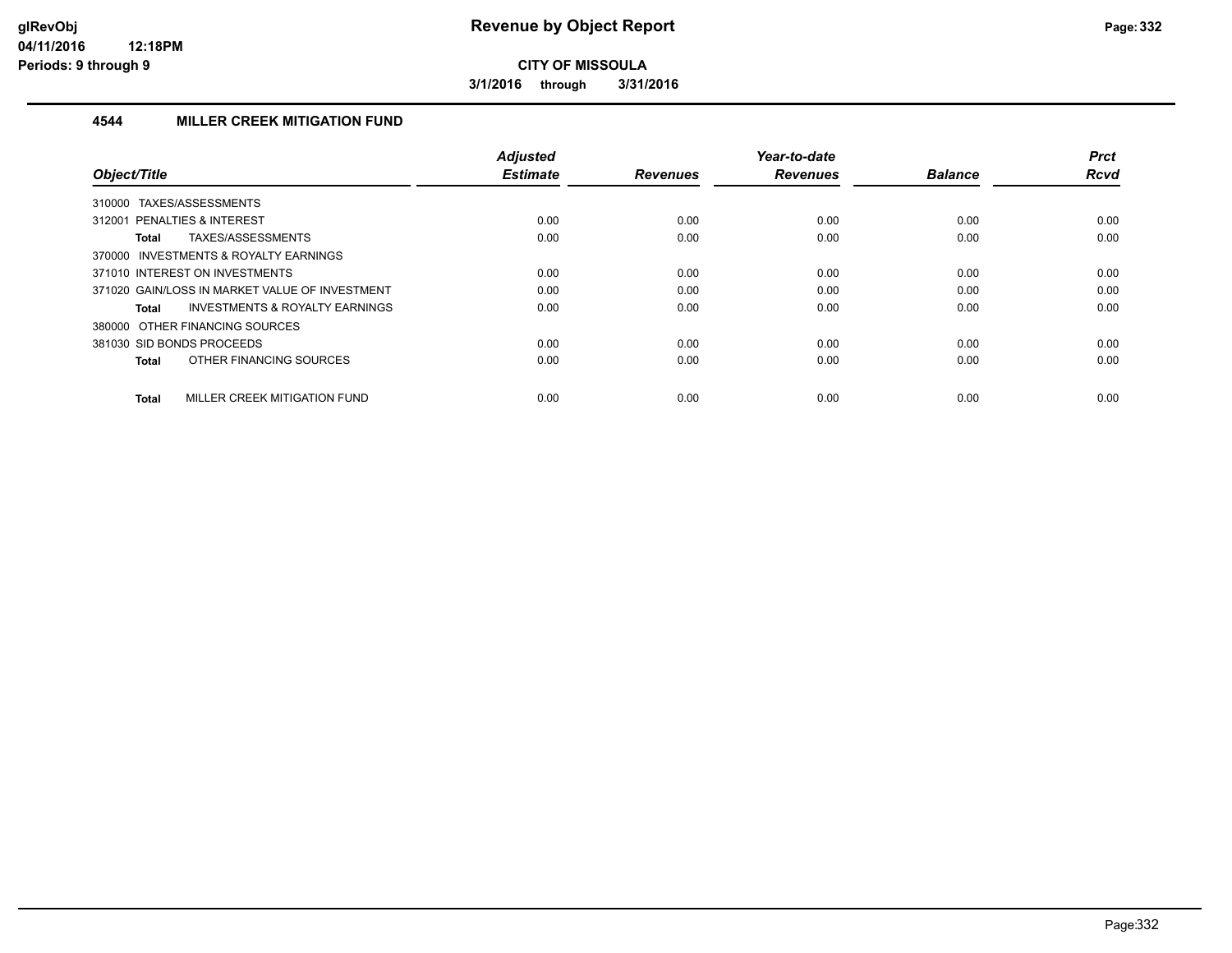**3/1/2016 through 3/31/2016**

#### **4544 MILLER CREEK MITIGATION FUND**

| Object/Title                                       | <b>Adjusted</b><br><b>Estimate</b> | <b>Revenues</b> | Year-to-date<br><b>Revenues</b> | <b>Balance</b> | <b>Prct</b><br><b>Rcvd</b> |
|----------------------------------------------------|------------------------------------|-----------------|---------------------------------|----------------|----------------------------|
| TAXES/ASSESSMENTS<br>310000                        |                                    |                 |                                 |                |                            |
| 312001 PENALTIES & INTEREST                        | 0.00                               | 0.00            | 0.00                            | 0.00           | 0.00                       |
| TAXES/ASSESSMENTS<br>Total                         | 0.00                               | 0.00            | 0.00                            | 0.00           | 0.00                       |
| 370000 INVESTMENTS & ROYALTY EARNINGS              |                                    |                 |                                 |                |                            |
| 371010 INTEREST ON INVESTMENTS                     | 0.00                               | 0.00            | 0.00                            | 0.00           | 0.00                       |
| 371020 GAIN/LOSS IN MARKET VALUE OF INVESTMENT     | 0.00                               | 0.00            | 0.00                            | 0.00           | 0.00                       |
| <b>INVESTMENTS &amp; ROYALTY EARNINGS</b><br>Total | 0.00                               | 0.00            | 0.00                            | 0.00           | 0.00                       |
| 380000 OTHER FINANCING SOURCES                     |                                    |                 |                                 |                |                            |
| 381030 SID BONDS PROCEEDS                          | 0.00                               | 0.00            | 0.00                            | 0.00           | 0.00                       |
| OTHER FINANCING SOURCES<br>Total                   | 0.00                               | 0.00            | 0.00                            | 0.00           | 0.00                       |
| MILLER CREEK MITIGATION FUND<br><b>Total</b>       | 0.00                               | 0.00            | 0.00                            | 0.00           | 0.00                       |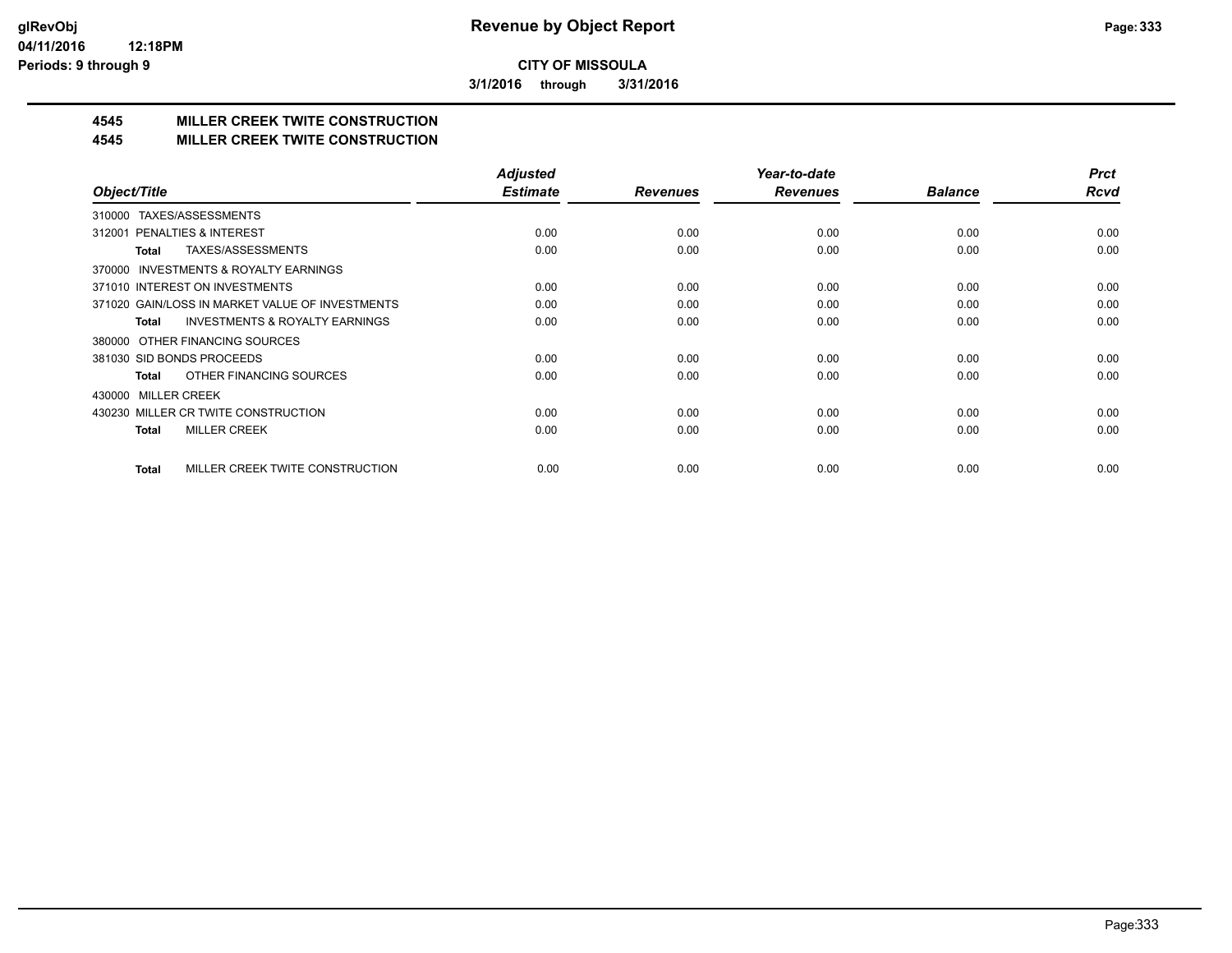**3/1/2016 through 3/31/2016**

# **4545 MILLER CREEK TWITE CONSTRUCTION**

#### **4545 MILLER CREEK TWITE CONSTRUCTION**

|                                                     | <b>Adjusted</b> |                 | Year-to-date    |                | <b>Prct</b> |
|-----------------------------------------------------|-----------------|-----------------|-----------------|----------------|-------------|
| Object/Title                                        | <b>Estimate</b> | <b>Revenues</b> | <b>Revenues</b> | <b>Balance</b> | <b>Rcvd</b> |
| TAXES/ASSESSMENTS<br>310000                         |                 |                 |                 |                |             |
| 312001 PENALTIES & INTEREST                         | 0.00            | 0.00            | 0.00            | 0.00           | 0.00        |
| TAXES/ASSESSMENTS<br>Total                          | 0.00            | 0.00            | 0.00            | 0.00           | 0.00        |
| <b>INVESTMENTS &amp; ROYALTY EARNINGS</b><br>370000 |                 |                 |                 |                |             |
| 371010 INTEREST ON INVESTMENTS                      | 0.00            | 0.00            | 0.00            | 0.00           | 0.00        |
| 371020 GAIN/LOSS IN MARKET VALUE OF INVESTMENTS     | 0.00            | 0.00            | 0.00            | 0.00           | 0.00        |
| <b>INVESTMENTS &amp; ROYALTY EARNINGS</b><br>Total  | 0.00            | 0.00            | 0.00            | 0.00           | 0.00        |
| 380000 OTHER FINANCING SOURCES                      |                 |                 |                 |                |             |
| 381030 SID BONDS PROCEEDS                           | 0.00            | 0.00            | 0.00            | 0.00           | 0.00        |
| OTHER FINANCING SOURCES<br>Total                    | 0.00            | 0.00            | 0.00            | 0.00           | 0.00        |
| 430000 MILLER CREEK                                 |                 |                 |                 |                |             |
| 430230 MILLER CR TWITE CONSTRUCTION                 | 0.00            | 0.00            | 0.00            | 0.00           | 0.00        |
| <b>MILLER CREEK</b><br><b>Total</b>                 | 0.00            | 0.00            | 0.00            | 0.00           | 0.00        |
|                                                     |                 |                 |                 |                |             |
| MILLER CREEK TWITE CONSTRUCTION<br>Total            | 0.00            | 0.00            | 0.00            | 0.00           | 0.00        |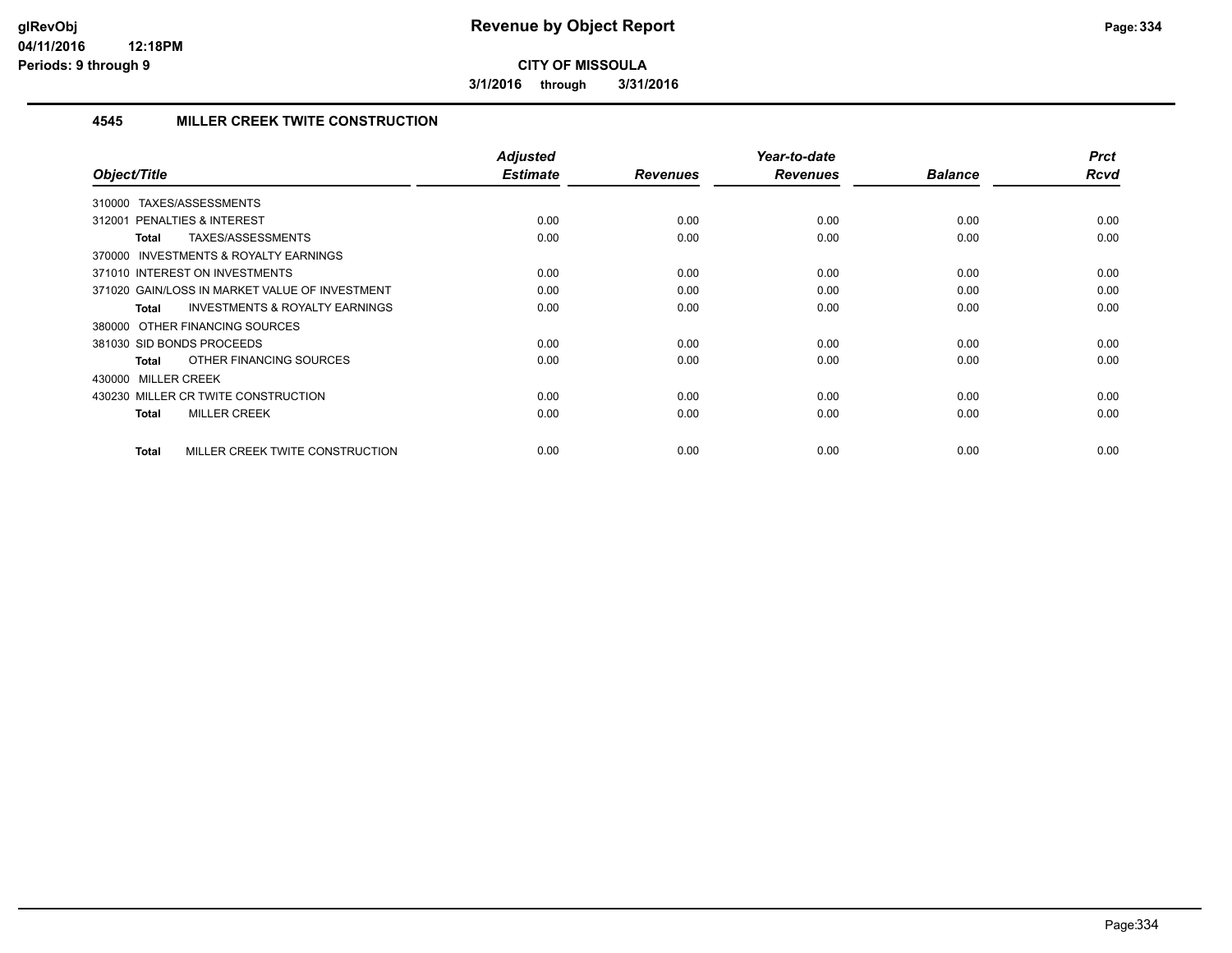**3/1/2016 through 3/31/2016**

#### **4545 MILLER CREEK TWITE CONSTRUCTION**

| Object/Title                                              | <b>Adjusted</b><br><b>Estimate</b> | <b>Revenues</b> | Year-to-date<br><b>Revenues</b> | <b>Balance</b> | <b>Prct</b><br><b>Rcvd</b> |
|-----------------------------------------------------------|------------------------------------|-----------------|---------------------------------|----------------|----------------------------|
| TAXES/ASSESSMENTS<br>310000                               |                                    |                 |                                 |                |                            |
| 312001 PENALTIES & INTEREST                               | 0.00                               | 0.00            | 0.00                            | 0.00           | 0.00                       |
| TAXES/ASSESSMENTS<br><b>Total</b>                         | 0.00                               | 0.00            | 0.00                            | 0.00           | 0.00                       |
| 370000 INVESTMENTS & ROYALTY EARNINGS                     |                                    |                 |                                 |                |                            |
| 371010 INTEREST ON INVESTMENTS                            | 0.00                               | 0.00            | 0.00                            | 0.00           | 0.00                       |
| 371020 GAIN/LOSS IN MARKET VALUE OF INVESTMENT            | 0.00                               | 0.00            | 0.00                            | 0.00           | 0.00                       |
| <b>INVESTMENTS &amp; ROYALTY EARNINGS</b><br><b>Total</b> | 0.00                               | 0.00            | 0.00                            | 0.00           | 0.00                       |
| 380000 OTHER FINANCING SOURCES                            |                                    |                 |                                 |                |                            |
| 381030 SID BONDS PROCEEDS                                 | 0.00                               | 0.00            | 0.00                            | 0.00           | 0.00                       |
| OTHER FINANCING SOURCES<br><b>Total</b>                   | 0.00                               | 0.00            | 0.00                            | 0.00           | 0.00                       |
| 430000 MILLER CREEK                                       |                                    |                 |                                 |                |                            |
| 430230 MILLER CR TWITE CONSTRUCTION                       | 0.00                               | 0.00            | 0.00                            | 0.00           | 0.00                       |
| <b>MILLER CREEK</b><br><b>Total</b>                       | 0.00                               | 0.00            | 0.00                            | 0.00           | 0.00                       |
| MILLER CREEK TWITE CONSTRUCTION<br><b>Total</b>           | 0.00                               | 0.00            | 0.00                            | 0.00           | 0.00                       |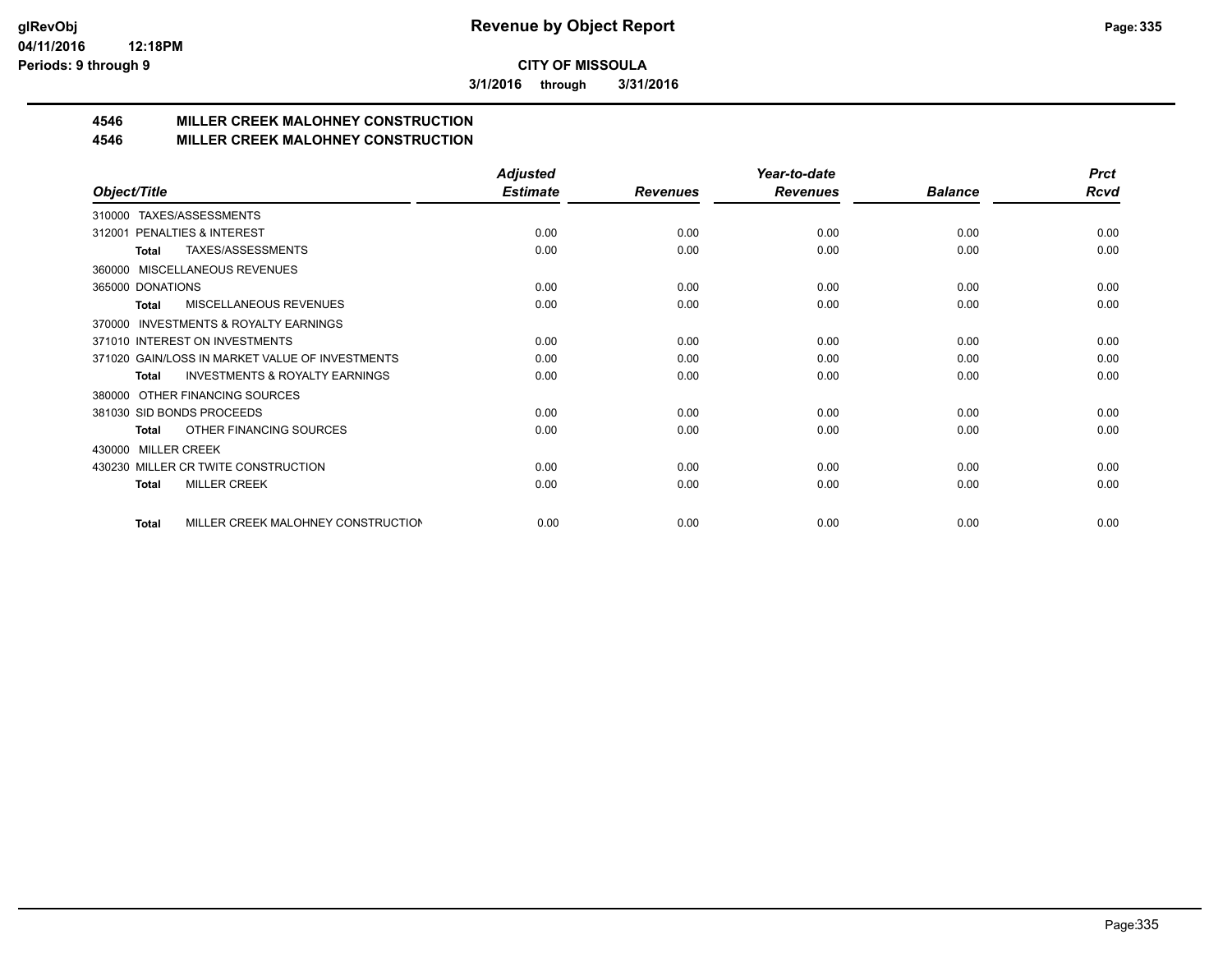**3/1/2016 through 3/31/2016**

# **4546 MILLER CREEK MALOHNEY CONSTRUCTION**

#### **4546 MILLER CREEK MALOHNEY CONSTRUCTION**

|                                                           | <b>Adjusted</b> |                 | Year-to-date    |                | <b>Prct</b> |
|-----------------------------------------------------------|-----------------|-----------------|-----------------|----------------|-------------|
| Object/Title                                              | <b>Estimate</b> | <b>Revenues</b> | <b>Revenues</b> | <b>Balance</b> | Rcvd        |
| TAXES/ASSESSMENTS<br>310000                               |                 |                 |                 |                |             |
| PENALTIES & INTEREST<br>312001                            | 0.00            | 0.00            | 0.00            | 0.00           | 0.00        |
| TAXES/ASSESSMENTS<br>Total                                | 0.00            | 0.00            | 0.00            | 0.00           | 0.00        |
| MISCELLANEOUS REVENUES<br>360000                          |                 |                 |                 |                |             |
| 365000 DONATIONS                                          | 0.00            | 0.00            | 0.00            | 0.00           | 0.00        |
| <b>MISCELLANEOUS REVENUES</b><br><b>Total</b>             | 0.00            | 0.00            | 0.00            | 0.00           | 0.00        |
| <b>INVESTMENTS &amp; ROYALTY EARNINGS</b><br>370000       |                 |                 |                 |                |             |
| 371010 INTEREST ON INVESTMENTS                            | 0.00            | 0.00            | 0.00            | 0.00           | 0.00        |
| 371020 GAIN/LOSS IN MARKET VALUE OF INVESTMENTS           | 0.00            | 0.00            | 0.00            | 0.00           | 0.00        |
| <b>INVESTMENTS &amp; ROYALTY EARNINGS</b><br><b>Total</b> | 0.00            | 0.00            | 0.00            | 0.00           | 0.00        |
| OTHER FINANCING SOURCES<br>380000                         |                 |                 |                 |                |             |
| 381030 SID BONDS PROCEEDS                                 | 0.00            | 0.00            | 0.00            | 0.00           | 0.00        |
| OTHER FINANCING SOURCES<br>Total                          | 0.00            | 0.00            | 0.00            | 0.00           | 0.00        |
| <b>MILLER CREEK</b><br>430000                             |                 |                 |                 |                |             |
| 430230 MILLER CR TWITE CONSTRUCTION                       | 0.00            | 0.00            | 0.00            | 0.00           | 0.00        |
| <b>MILLER CREEK</b><br><b>Total</b>                       | 0.00            | 0.00            | 0.00            | 0.00           | 0.00        |
|                                                           |                 |                 |                 |                |             |
| MILLER CREEK MALOHNEY CONSTRUCTION<br>Total               | 0.00            | 0.00            | 0.00            | 0.00           | 0.00        |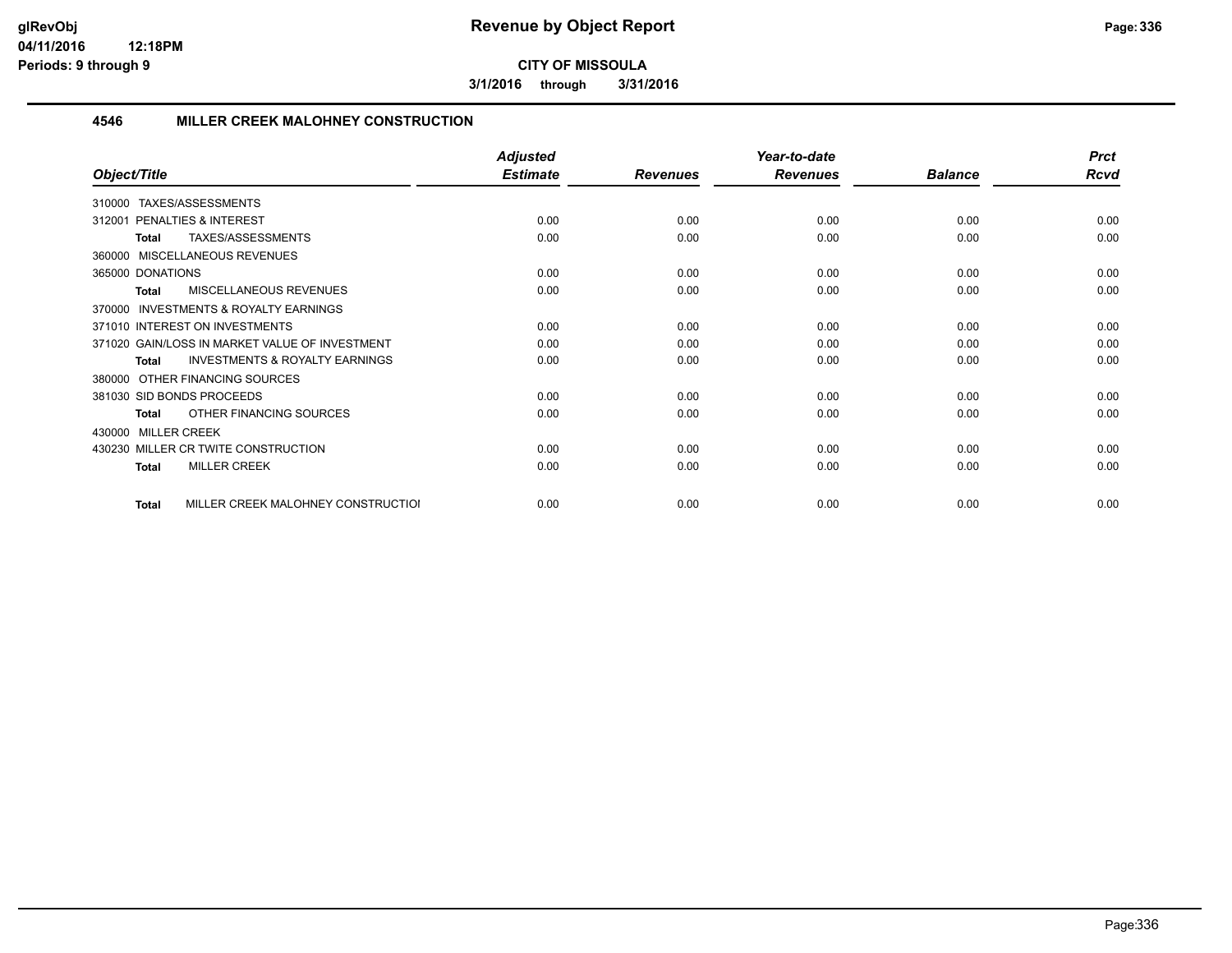**3/1/2016 through 3/31/2016**

#### **4546 MILLER CREEK MALOHNEY CONSTRUCTION**

|                                                    | <b>Adjusted</b> |                 | Year-to-date    |                | <b>Prct</b> |
|----------------------------------------------------|-----------------|-----------------|-----------------|----------------|-------------|
| Object/Title                                       | <b>Estimate</b> | <b>Revenues</b> | <b>Revenues</b> | <b>Balance</b> | <b>Rcvd</b> |
| TAXES/ASSESSMENTS<br>310000                        |                 |                 |                 |                |             |
| PENALTIES & INTEREST<br>312001                     | 0.00            | 0.00            | 0.00            | 0.00           | 0.00        |
| TAXES/ASSESSMENTS<br>Total                         | 0.00            | 0.00            | 0.00            | 0.00           | 0.00        |
| 360000 MISCELLANEOUS REVENUES                      |                 |                 |                 |                |             |
| 365000 DONATIONS                                   | 0.00            | 0.00            | 0.00            | 0.00           | 0.00        |
| MISCELLANEOUS REVENUES<br><b>Total</b>             | 0.00            | 0.00            | 0.00            | 0.00           | 0.00        |
| INVESTMENTS & ROYALTY EARNINGS<br>370000           |                 |                 |                 |                |             |
| 371010 INTEREST ON INVESTMENTS                     | 0.00            | 0.00            | 0.00            | 0.00           | 0.00        |
| 371020 GAIN/LOSS IN MARKET VALUE OF INVESTMENT     | 0.00            | 0.00            | 0.00            | 0.00           | 0.00        |
| <b>INVESTMENTS &amp; ROYALTY EARNINGS</b><br>Total | 0.00            | 0.00            | 0.00            | 0.00           | 0.00        |
| OTHER FINANCING SOURCES<br>380000                  |                 |                 |                 |                |             |
| 381030 SID BONDS PROCEEDS                          | 0.00            | 0.00            | 0.00            | 0.00           | 0.00        |
| OTHER FINANCING SOURCES<br>Total                   | 0.00            | 0.00            | 0.00            | 0.00           | 0.00        |
| 430000 MILLER CREEK                                |                 |                 |                 |                |             |
| 430230 MILLER CR TWITE CONSTRUCTION                | 0.00            | 0.00            | 0.00            | 0.00           | 0.00        |
| <b>MILLER CREEK</b><br><b>Total</b>                | 0.00            | 0.00            | 0.00            | 0.00           | 0.00        |
| MILLER CREEK MALOHNEY CONSTRUCTIOI<br><b>Total</b> | 0.00            | 0.00            | 0.00            | 0.00           | 0.00        |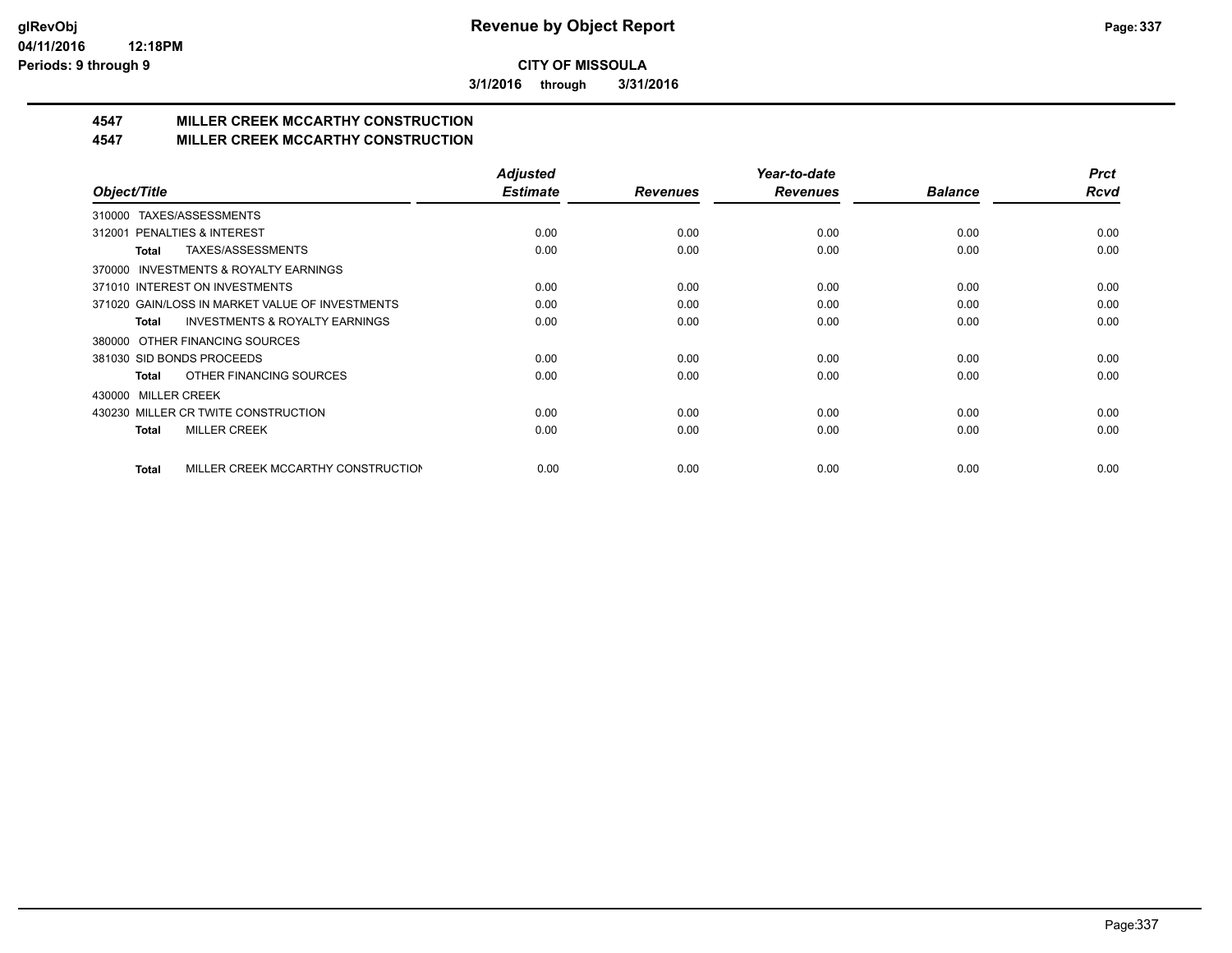**3/1/2016 through 3/31/2016**

# **4547 MILLER CREEK MCCARTHY CONSTRUCTION**

#### **4547 MILLER CREEK MCCARTHY CONSTRUCTION**

|                                                           | <b>Adjusted</b> |                 | Year-to-date    |                | <b>Prct</b> |
|-----------------------------------------------------------|-----------------|-----------------|-----------------|----------------|-------------|
| Object/Title                                              | <b>Estimate</b> | <b>Revenues</b> | <b>Revenues</b> | <b>Balance</b> | <b>Rcvd</b> |
| TAXES/ASSESSMENTS<br>310000                               |                 |                 |                 |                |             |
| PENALTIES & INTEREST<br>312001                            | 0.00            | 0.00            | 0.00            | 0.00           | 0.00        |
| TAXES/ASSESSMENTS<br>Total                                | 0.00            | 0.00            | 0.00            | 0.00           | 0.00        |
| INVESTMENTS & ROYALTY EARNINGS<br>370000                  |                 |                 |                 |                |             |
| 371010 INTEREST ON INVESTMENTS                            | 0.00            | 0.00            | 0.00            | 0.00           | 0.00        |
| 371020 GAIN/LOSS IN MARKET VALUE OF INVESTMENTS           | 0.00            | 0.00            | 0.00            | 0.00           | 0.00        |
| <b>INVESTMENTS &amp; ROYALTY EARNINGS</b><br><b>Total</b> | 0.00            | 0.00            | 0.00            | 0.00           | 0.00        |
| OTHER FINANCING SOURCES<br>380000                         |                 |                 |                 |                |             |
| 381030 SID BONDS PROCEEDS                                 | 0.00            | 0.00            | 0.00            | 0.00           | 0.00        |
| OTHER FINANCING SOURCES<br>Total                          | 0.00            | 0.00            | 0.00            | 0.00           | 0.00        |
| <b>MILLER CREEK</b><br>430000                             |                 |                 |                 |                |             |
| 430230 MILLER CR TWITE CONSTRUCTION                       | 0.00            | 0.00            | 0.00            | 0.00           | 0.00        |
| <b>MILLER CREEK</b><br>Total                              | 0.00            | 0.00            | 0.00            | 0.00           | 0.00        |
|                                                           |                 |                 |                 |                |             |
| MILLER CREEK MCCARTHY CONSTRUCTION<br><b>Total</b>        | 0.00            | 0.00            | 0.00            | 0.00           | 0.00        |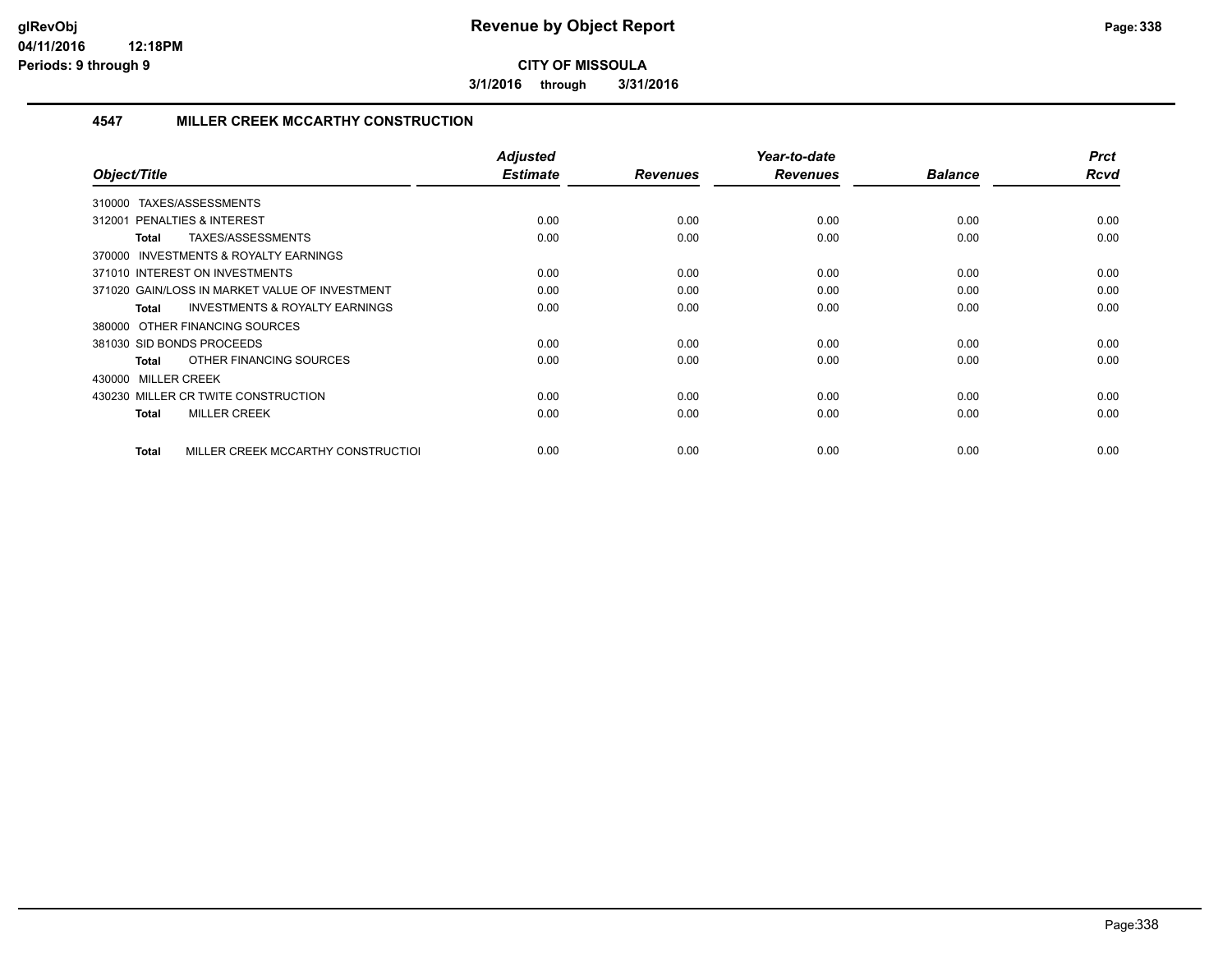**3/1/2016 through 3/31/2016**

#### **4547 MILLER CREEK MCCARTHY CONSTRUCTION**

| Object/Title                                              | <b>Adjusted</b><br><b>Estimate</b> | <b>Revenues</b> | Year-to-date<br><b>Revenues</b> | <b>Balance</b> | <b>Prct</b><br><b>Rcvd</b> |
|-----------------------------------------------------------|------------------------------------|-----------------|---------------------------------|----------------|----------------------------|
| TAXES/ASSESSMENTS<br>310000                               |                                    |                 |                                 |                |                            |
| <b>PENALTIES &amp; INTEREST</b><br>312001                 | 0.00                               | 0.00            | 0.00                            | 0.00           | 0.00                       |
| TAXES/ASSESSMENTS<br>Total                                | 0.00                               | 0.00            | 0.00                            | 0.00           | 0.00                       |
| 370000 INVESTMENTS & ROYALTY EARNINGS                     |                                    |                 |                                 |                |                            |
| 371010 INTEREST ON INVESTMENTS                            | 0.00                               | 0.00            | 0.00                            | 0.00           | 0.00                       |
| 371020 GAIN/LOSS IN MARKET VALUE OF INVESTMENT            | 0.00                               | 0.00            | 0.00                            | 0.00           | 0.00                       |
| <b>INVESTMENTS &amp; ROYALTY EARNINGS</b><br><b>Total</b> | 0.00                               | 0.00            | 0.00                            | 0.00           | 0.00                       |
| 380000 OTHER FINANCING SOURCES                            |                                    |                 |                                 |                |                            |
| 381030 SID BONDS PROCEEDS                                 | 0.00                               | 0.00            | 0.00                            | 0.00           | 0.00                       |
| OTHER FINANCING SOURCES<br>Total                          | 0.00                               | 0.00            | 0.00                            | 0.00           | 0.00                       |
| 430000 MILLER CREEK                                       |                                    |                 |                                 |                |                            |
| 430230 MILLER CR TWITE CONSTRUCTION                       | 0.00                               | 0.00            | 0.00                            | 0.00           | 0.00                       |
| <b>MILLER CREEK</b><br>Total                              | 0.00                               | 0.00            | 0.00                            | 0.00           | 0.00                       |
|                                                           |                                    |                 |                                 |                |                            |
| MILLER CREEK MCCARTHY CONSTRUCTIOL<br>Total               | 0.00                               | 0.00            | 0.00                            | 0.00           | 0.00                       |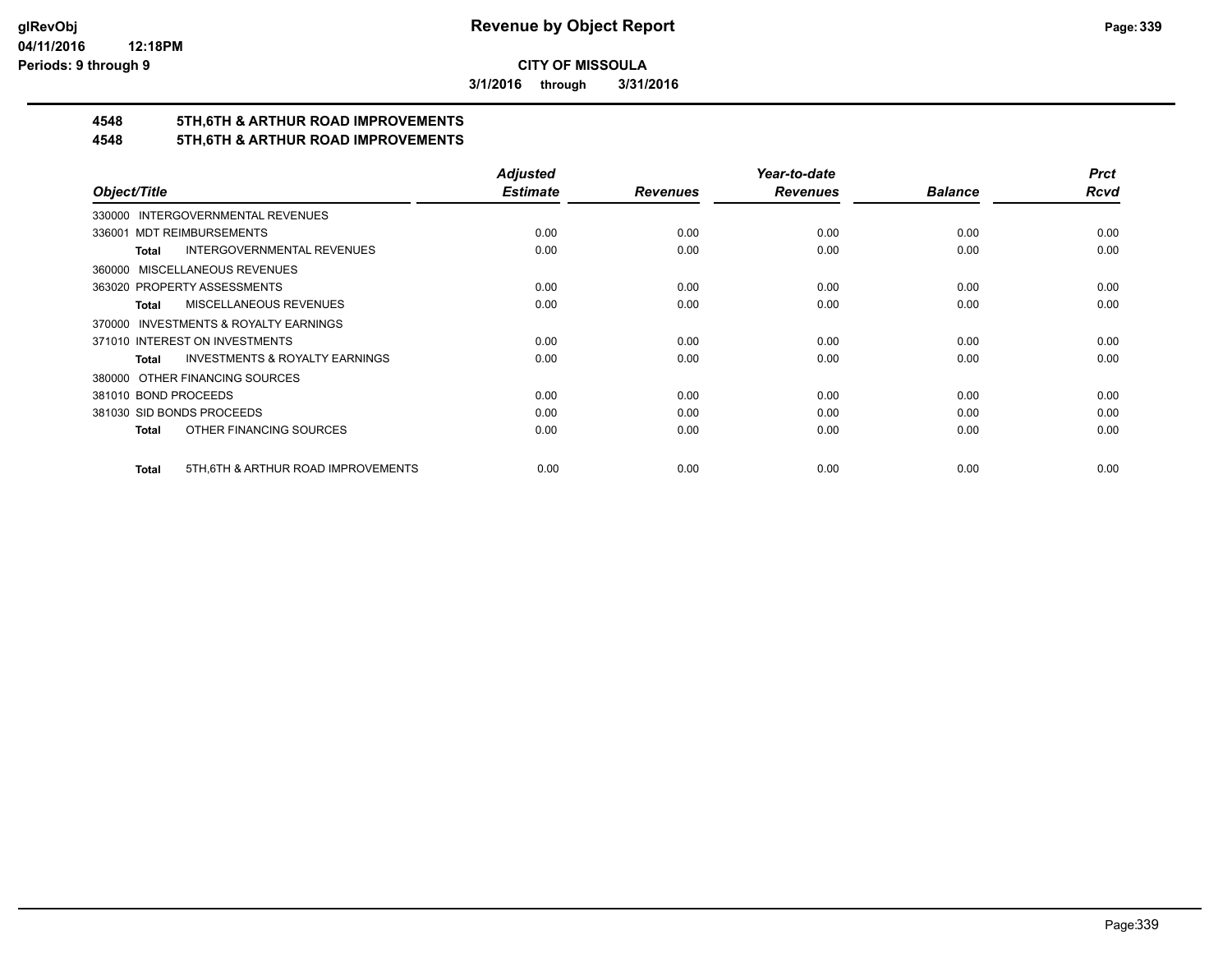**3/1/2016 through 3/31/2016**

# **4548 5TH,6TH & ARTHUR ROAD IMPROVEMENTS**

# **4548 5TH,6TH & ARTHUR ROAD IMPROVEMENTS**

|                                                           | <b>Adjusted</b> |                 | Year-to-date    |                | <b>Prct</b> |
|-----------------------------------------------------------|-----------------|-----------------|-----------------|----------------|-------------|
| Object/Title                                              | <b>Estimate</b> | <b>Revenues</b> | <b>Revenues</b> | <b>Balance</b> | Rcvd        |
| 330000 INTERGOVERNMENTAL REVENUES                         |                 |                 |                 |                |             |
| <b>MDT REIMBURSEMENTS</b><br>336001                       | 0.00            | 0.00            | 0.00            | 0.00           | 0.00        |
| <b>INTERGOVERNMENTAL REVENUES</b><br><b>Total</b>         | 0.00            | 0.00            | 0.00            | 0.00           | 0.00        |
| 360000 MISCELLANEOUS REVENUES                             |                 |                 |                 |                |             |
| 363020 PROPERTY ASSESSMENTS                               | 0.00            | 0.00            | 0.00            | 0.00           | 0.00        |
| MISCELLANEOUS REVENUES<br>Total                           | 0.00            | 0.00            | 0.00            | 0.00           | 0.00        |
| 370000 INVESTMENTS & ROYALTY EARNINGS                     |                 |                 |                 |                |             |
| 371010 INTEREST ON INVESTMENTS                            | 0.00            | 0.00            | 0.00            | 0.00           | 0.00        |
| <b>INVESTMENTS &amp; ROYALTY EARNINGS</b><br><b>Total</b> | 0.00            | 0.00            | 0.00            | 0.00           | 0.00        |
| 380000 OTHER FINANCING SOURCES                            |                 |                 |                 |                |             |
| 381010 BOND PROCEEDS                                      | 0.00            | 0.00            | 0.00            | 0.00           | 0.00        |
| 381030 SID BONDS PROCEEDS                                 | 0.00            | 0.00            | 0.00            | 0.00           | 0.00        |
| OTHER FINANCING SOURCES<br>Total                          | 0.00            | 0.00            | 0.00            | 0.00           | 0.00        |
| 5TH, 6TH & ARTHUR ROAD IMPROVEMENTS<br><b>Total</b>       | 0.00            | 0.00            | 0.00            | 0.00           | 0.00        |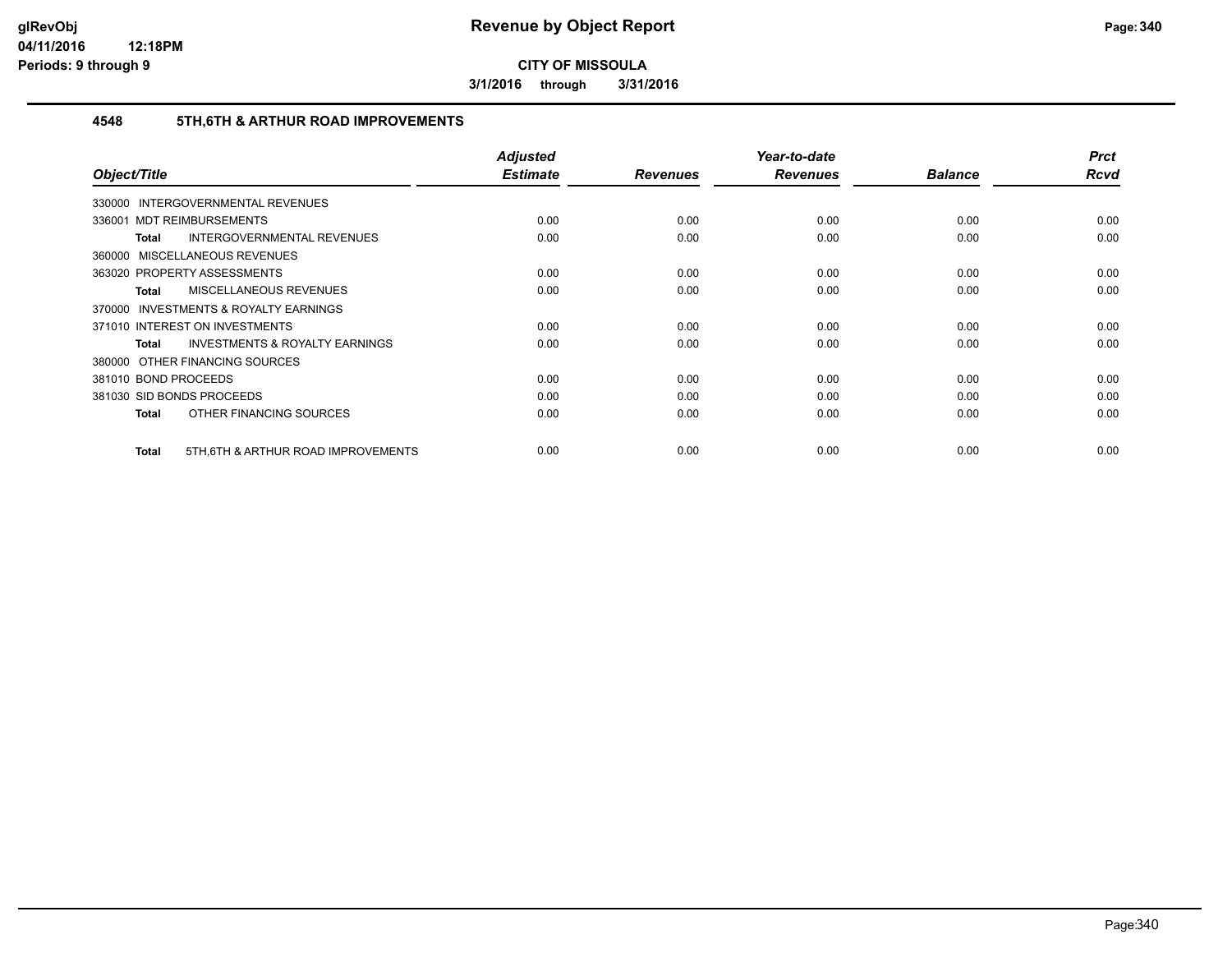**3/1/2016 through 3/31/2016**

#### **4548 5TH,6TH & ARTHUR ROAD IMPROVEMENTS**

| Object/Title                                       | <b>Adjusted</b><br><b>Estimate</b> | <b>Revenues</b> | Year-to-date<br><b>Revenues</b> | <b>Balance</b> | <b>Prct</b><br><b>Rcvd</b> |
|----------------------------------------------------|------------------------------------|-----------------|---------------------------------|----------------|----------------------------|
| <b>INTERGOVERNMENTAL REVENUES</b><br>330000        |                                    |                 |                                 |                |                            |
| 336001 MDT REIMBURSEMENTS                          | 0.00                               | 0.00            | 0.00                            | 0.00           | 0.00                       |
| <b>INTERGOVERNMENTAL REVENUES</b><br>Total         | 0.00                               | 0.00            | 0.00                            | 0.00           | 0.00                       |
| 360000 MISCELLANEOUS REVENUES                      |                                    |                 |                                 |                |                            |
| 363020 PROPERTY ASSESSMENTS                        | 0.00                               | 0.00            | 0.00                            | 0.00           | 0.00                       |
| <b>MISCELLANEOUS REVENUES</b><br>Total             | 0.00                               | 0.00            | 0.00                            | 0.00           | 0.00                       |
| 370000 INVESTMENTS & ROYALTY EARNINGS              |                                    |                 |                                 |                |                            |
| 371010 INTEREST ON INVESTMENTS                     | 0.00                               | 0.00            | 0.00                            | 0.00           | 0.00                       |
| <b>INVESTMENTS &amp; ROYALTY EARNINGS</b><br>Total | 0.00                               | 0.00            | 0.00                            | 0.00           | 0.00                       |
| 380000 OTHER FINANCING SOURCES                     |                                    |                 |                                 |                |                            |
| 381010 BOND PROCEEDS                               | 0.00                               | 0.00            | 0.00                            | 0.00           | 0.00                       |
| 381030 SID BONDS PROCEEDS                          | 0.00                               | 0.00            | 0.00                            | 0.00           | 0.00                       |
| OTHER FINANCING SOURCES<br>Total                   | 0.00                               | 0.00            | 0.00                            | 0.00           | 0.00                       |
| 5TH, 6TH & ARTHUR ROAD IMPROVEMENTS<br>Total       | 0.00                               | 0.00            | 0.00                            | 0.00           | 0.00                       |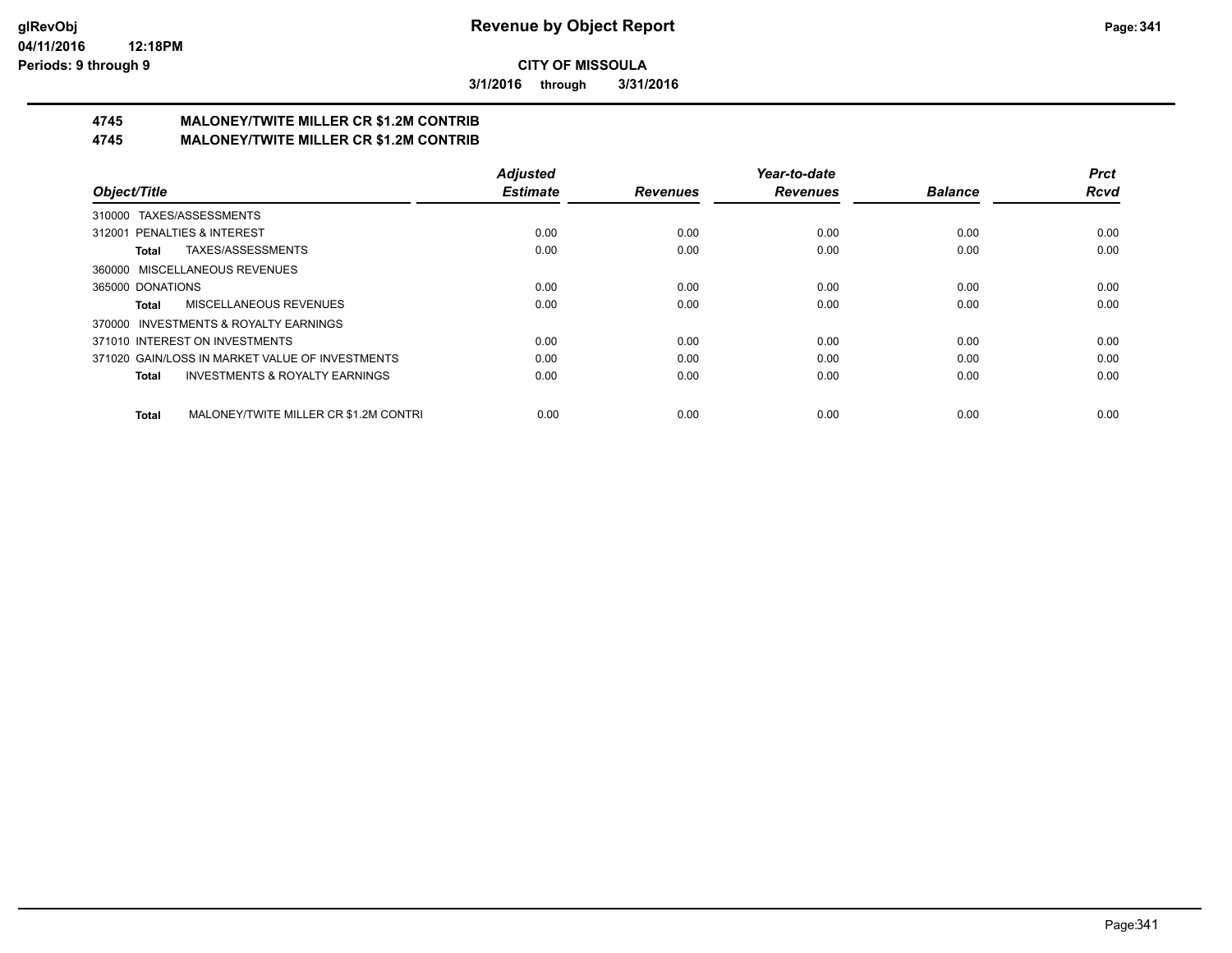**3/1/2016 through 3/31/2016**

# **4745 MALONEY/TWITE MILLER CR \$1.2M CONTRIB**

**4745 MALONEY/TWITE MILLER CR \$1.2M CONTRIB**

|                                                           | <b>Adjusted</b> |                 | Year-to-date    |                | <b>Prct</b> |
|-----------------------------------------------------------|-----------------|-----------------|-----------------|----------------|-------------|
| Object/Title                                              | <b>Estimate</b> | <b>Revenues</b> | <b>Revenues</b> | <b>Balance</b> | <b>Rcvd</b> |
| TAXES/ASSESSMENTS<br>310000                               |                 |                 |                 |                |             |
| 312001 PENALTIES & INTEREST                               | 0.00            | 0.00            | 0.00            | 0.00           | 0.00        |
| TAXES/ASSESSMENTS<br>Total                                | 0.00            | 0.00            | 0.00            | 0.00           | 0.00        |
| 360000 MISCELLANEOUS REVENUES                             |                 |                 |                 |                |             |
| 365000 DONATIONS                                          | 0.00            | 0.00            | 0.00            | 0.00           | 0.00        |
| MISCELLANEOUS REVENUES<br><b>Total</b>                    | 0.00            | 0.00            | 0.00            | 0.00           | 0.00        |
| INVESTMENTS & ROYALTY EARNINGS<br>370000                  |                 |                 |                 |                |             |
| 371010 INTEREST ON INVESTMENTS                            | 0.00            | 0.00            | 0.00            | 0.00           | 0.00        |
| 371020 GAIN/LOSS IN MARKET VALUE OF INVESTMENTS           | 0.00            | 0.00            | 0.00            | 0.00           | 0.00        |
| <b>INVESTMENTS &amp; ROYALTY EARNINGS</b><br><b>Total</b> | 0.00            | 0.00            | 0.00            | 0.00           | 0.00        |
| MALONEY/TWITE MILLER CR \$1.2M CONTRI<br><b>Total</b>     | 0.00            | 0.00            | 0.00            | 0.00           | 0.00        |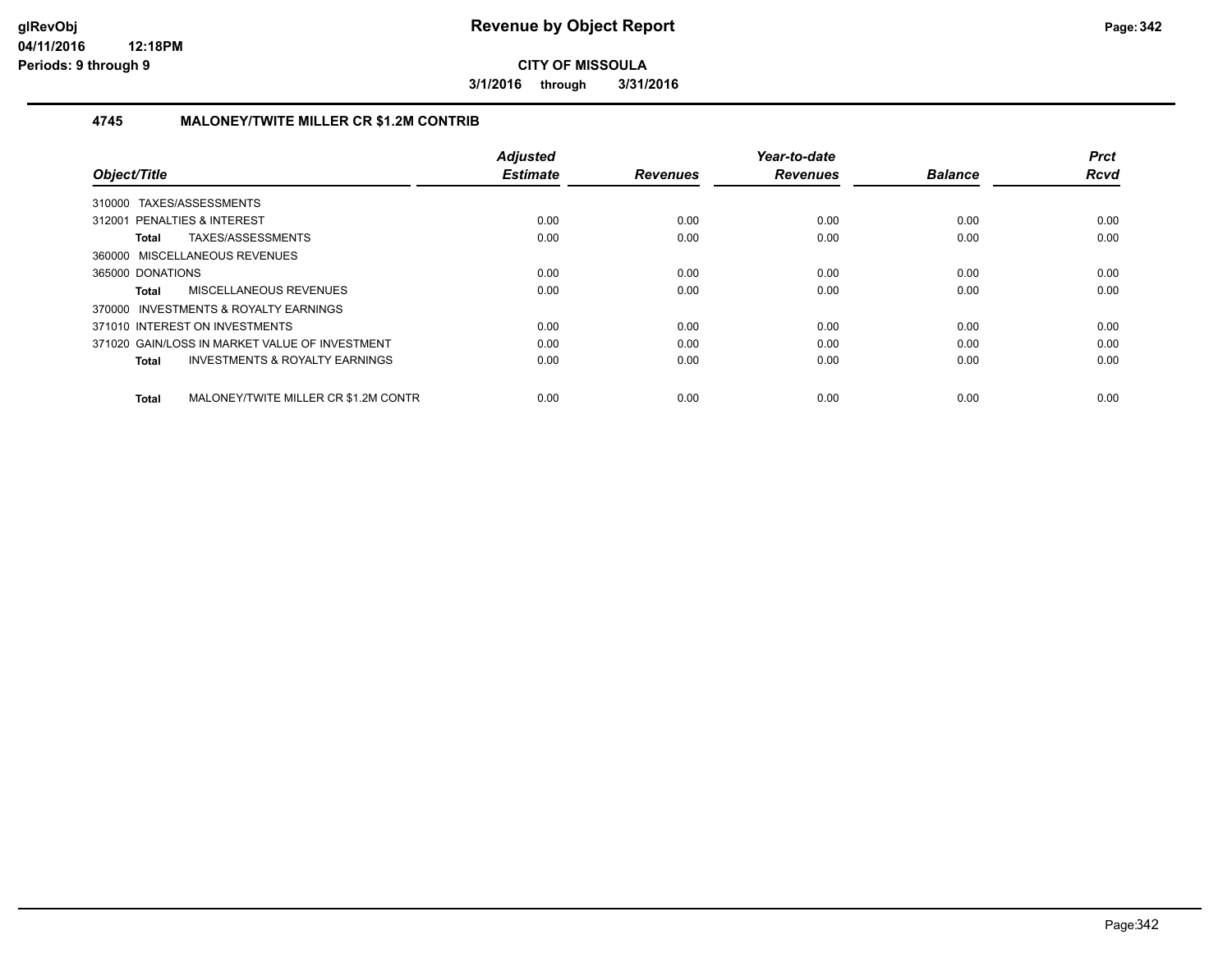**3/1/2016 through 3/31/2016**

#### **4745 MALONEY/TWITE MILLER CR \$1.2M CONTRIB**

| Object/Title                                       | <b>Adjusted</b><br><b>Estimate</b> | <b>Revenues</b> | Year-to-date<br><b>Revenues</b> | <b>Balance</b> | <b>Prct</b><br><b>Rcvd</b> |
|----------------------------------------------------|------------------------------------|-----------------|---------------------------------|----------------|----------------------------|
|                                                    |                                    |                 |                                 |                |                            |
| 310000 TAXES/ASSESSMENTS                           |                                    |                 |                                 |                |                            |
| 312001 PENALTIES & INTEREST                        | 0.00                               | 0.00            | 0.00                            | 0.00           | 0.00                       |
| TAXES/ASSESSMENTS<br>Total                         | 0.00                               | 0.00            | 0.00                            | 0.00           | 0.00                       |
| 360000 MISCELLANEOUS REVENUES                      |                                    |                 |                                 |                |                            |
| 365000 DONATIONS                                   | 0.00                               | 0.00            | 0.00                            | 0.00           | 0.00                       |
| <b>MISCELLANEOUS REVENUES</b><br>Total             | 0.00                               | 0.00            | 0.00                            | 0.00           | 0.00                       |
| 370000 INVESTMENTS & ROYALTY EARNINGS              |                                    |                 |                                 |                |                            |
| 371010 INTEREST ON INVESTMENTS                     | 0.00                               | 0.00            | 0.00                            | 0.00           | 0.00                       |
| 371020 GAIN/LOSS IN MARKET VALUE OF INVESTMENT     | 0.00                               | 0.00            | 0.00                            | 0.00           | 0.00                       |
| <b>INVESTMENTS &amp; ROYALTY EARNINGS</b><br>Total | 0.00                               | 0.00            | 0.00                            | 0.00           | 0.00                       |
|                                                    |                                    |                 |                                 |                |                            |
| MALONEY/TWITE MILLER CR \$1.2M CONTR<br>Total      | 0.00                               | 0.00            | 0.00                            | 0.00           | 0.00                       |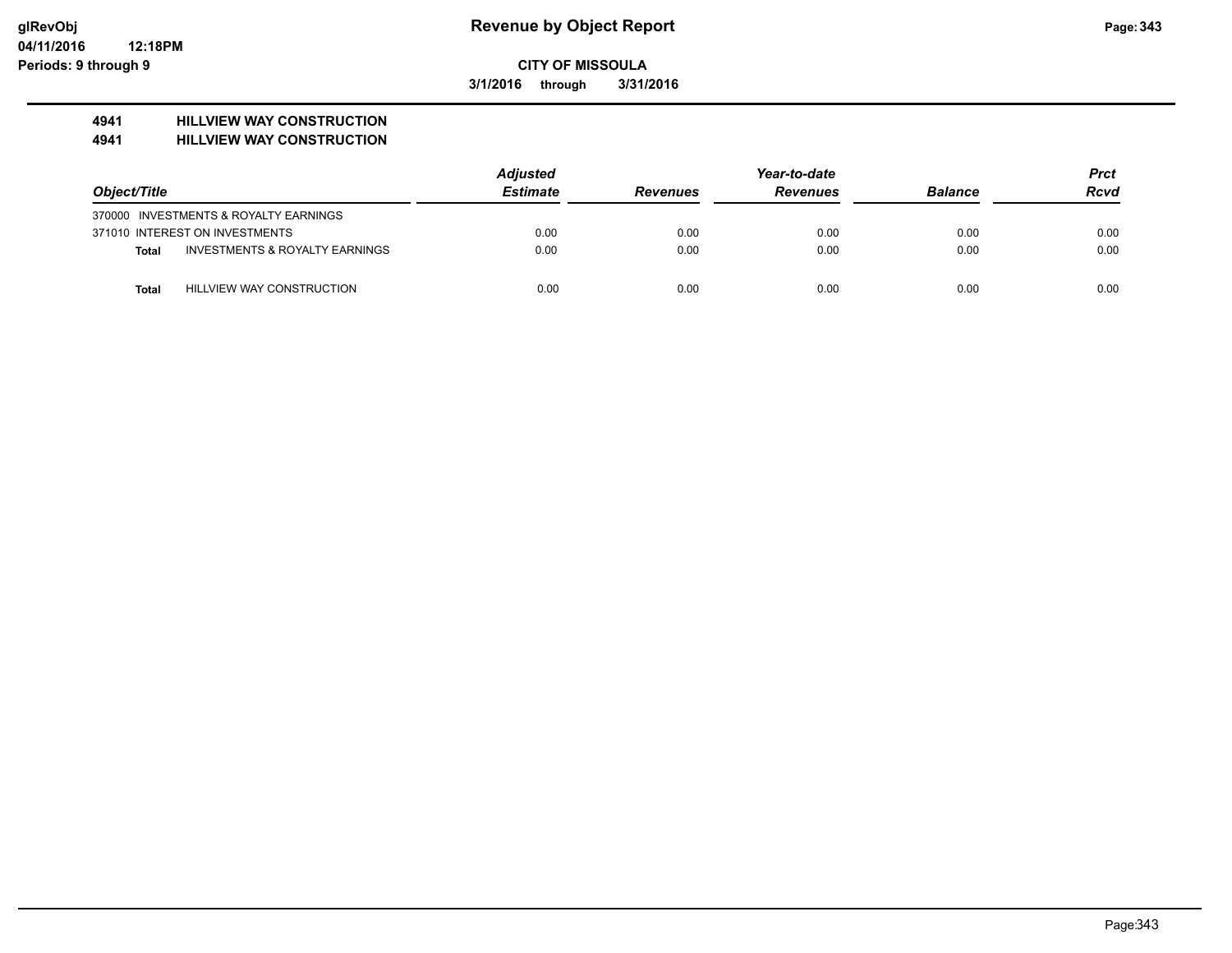**3/1/2016 through 3/31/2016**

# **4941 HILLVIEW WAY CONSTRUCTION**

**4941 HILLVIEW WAY CONSTRUCTION**

|              |                                           | <b>Adjusted</b> |                 | Year-to-date    |                | Prct |
|--------------|-------------------------------------------|-----------------|-----------------|-----------------|----------------|------|
| Object/Title |                                           | <b>Estimate</b> | <b>Revenues</b> | <b>Revenues</b> | <b>Balance</b> | Rcvd |
|              | 370000 INVESTMENTS & ROYALTY EARNINGS     |                 |                 |                 |                |      |
|              | 371010 INTEREST ON INVESTMENTS            | 0.00            | 0.00            | 0.00            | 0.00           | 0.00 |
| Total        | <b>INVESTMENTS &amp; ROYALTY EARNINGS</b> | 0.00            | 0.00            | 0.00            | 0.00           | 0.00 |
| <b>Total</b> | HILLVIEW WAY CONSTRUCTION                 | 0.00            | 0.00            | 0.00            | 0.00           | 0.00 |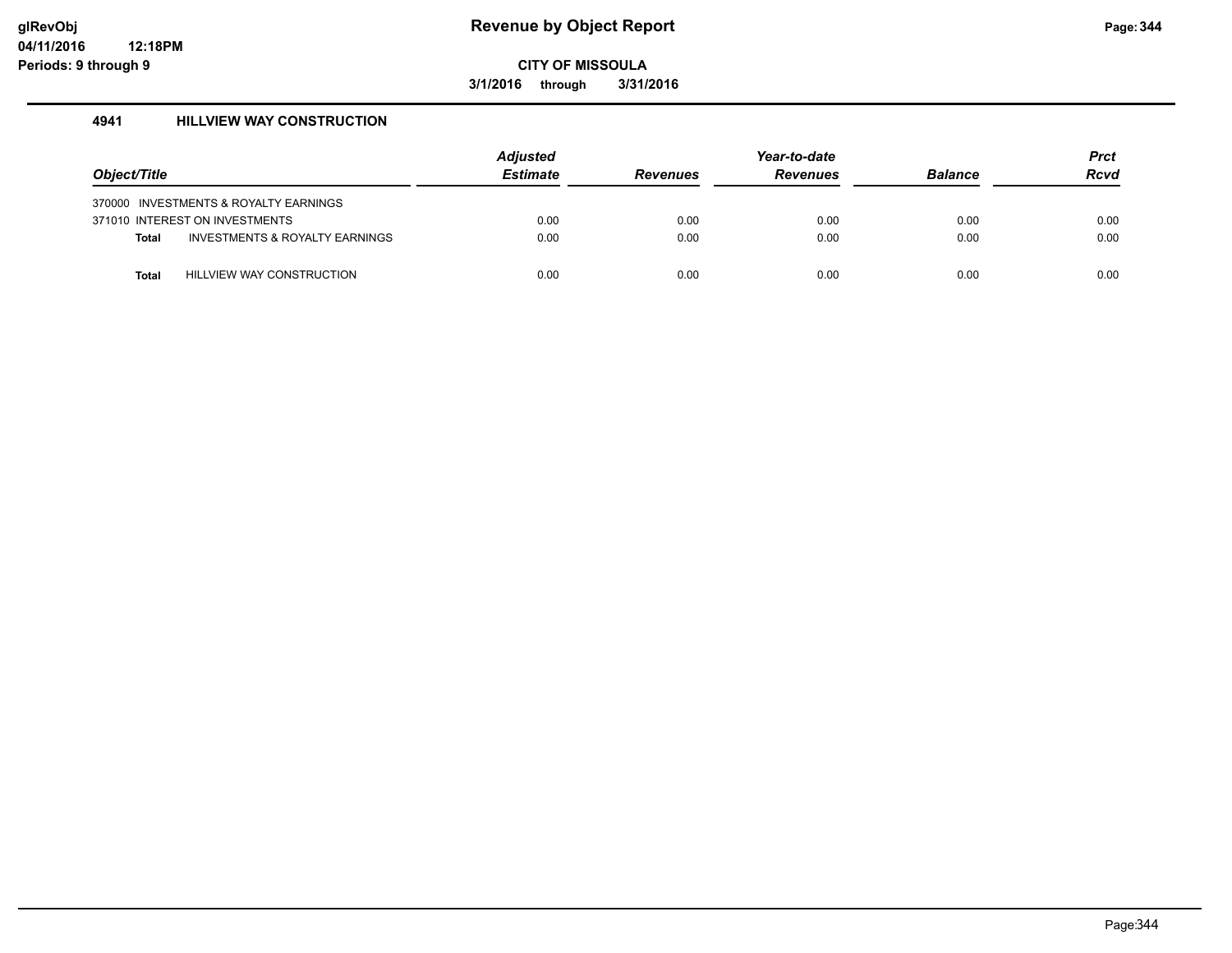**3/1/2016 through 3/31/2016**

#### **4941 HILLVIEW WAY CONSTRUCTION**

|              |                                           | <b>Adjusted</b> |                 | Year-to-date    |                | <b>Prct</b> |
|--------------|-------------------------------------------|-----------------|-----------------|-----------------|----------------|-------------|
| Object/Title |                                           | <b>Estimate</b> | <b>Revenues</b> | <b>Revenues</b> | <b>Balance</b> | <b>Rcvd</b> |
|              | 370000 INVESTMENTS & ROYALTY EARNINGS     |                 |                 |                 |                |             |
|              | 371010 INTEREST ON INVESTMENTS            | 0.00            | 0.00            | 0.00            | 0.00           | 0.00        |
| <b>Total</b> | <b>INVESTMENTS &amp; ROYALTY EARNINGS</b> | 0.00            | 0.00            | 0.00            | 0.00           | 0.00        |
| <b>Total</b> | <b>HILLVIEW WAY CONSTRUCTION</b>          | 0.00            | 0.00            | 0.00            | 0.00           | 0.00        |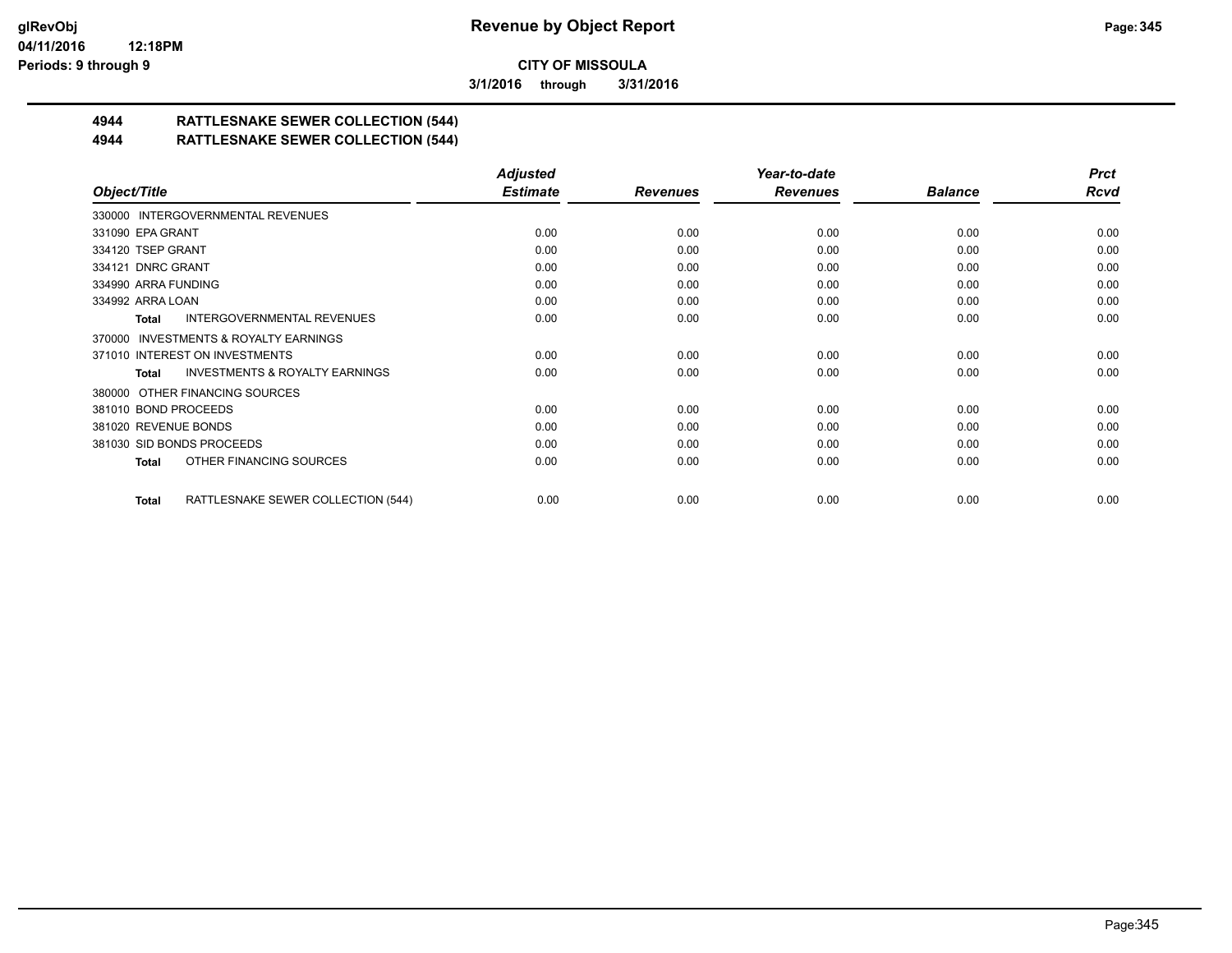**3/1/2016 through 3/31/2016**

# **4944 RATTLESNAKE SEWER COLLECTION (544)**

#### **4944 RATTLESNAKE SEWER COLLECTION (544)**

|                                                    | <b>Adjusted</b> |                 | Year-to-date    |                | <b>Prct</b> |
|----------------------------------------------------|-----------------|-----------------|-----------------|----------------|-------------|
| Object/Title                                       | <b>Estimate</b> | <b>Revenues</b> | <b>Revenues</b> | <b>Balance</b> | <b>Rcvd</b> |
| 330000 INTERGOVERNMENTAL REVENUES                  |                 |                 |                 |                |             |
| 331090 EPA GRANT                                   | 0.00            | 0.00            | 0.00            | 0.00           | 0.00        |
| 334120 TSEP GRANT                                  | 0.00            | 0.00            | 0.00            | 0.00           | 0.00        |
| 334121 DNRC GRANT                                  | 0.00            | 0.00            | 0.00            | 0.00           | 0.00        |
| 334990 ARRA FUNDING                                | 0.00            | 0.00            | 0.00            | 0.00           | 0.00        |
| 334992 ARRA LOAN                                   | 0.00            | 0.00            | 0.00            | 0.00           | 0.00        |
| <b>INTERGOVERNMENTAL REVENUES</b><br>Total         | 0.00            | 0.00            | 0.00            | 0.00           | 0.00        |
| 370000 INVESTMENTS & ROYALTY EARNINGS              |                 |                 |                 |                |             |
| 371010 INTEREST ON INVESTMENTS                     | 0.00            | 0.00            | 0.00            | 0.00           | 0.00        |
| <b>INVESTMENTS &amp; ROYALTY EARNINGS</b><br>Total | 0.00            | 0.00            | 0.00            | 0.00           | 0.00        |
| 380000 OTHER FINANCING SOURCES                     |                 |                 |                 |                |             |
| 381010 BOND PROCEEDS                               | 0.00            | 0.00            | 0.00            | 0.00           | 0.00        |
| 381020 REVENUE BONDS                               | 0.00            | 0.00            | 0.00            | 0.00           | 0.00        |
| 381030 SID BONDS PROCEEDS                          | 0.00            | 0.00            | 0.00            | 0.00           | 0.00        |
| OTHER FINANCING SOURCES<br>Total                   | 0.00            | 0.00            | 0.00            | 0.00           | 0.00        |
| RATTLESNAKE SEWER COLLECTION (544)<br>Total        | 0.00            | 0.00            | 0.00            | 0.00           | 0.00        |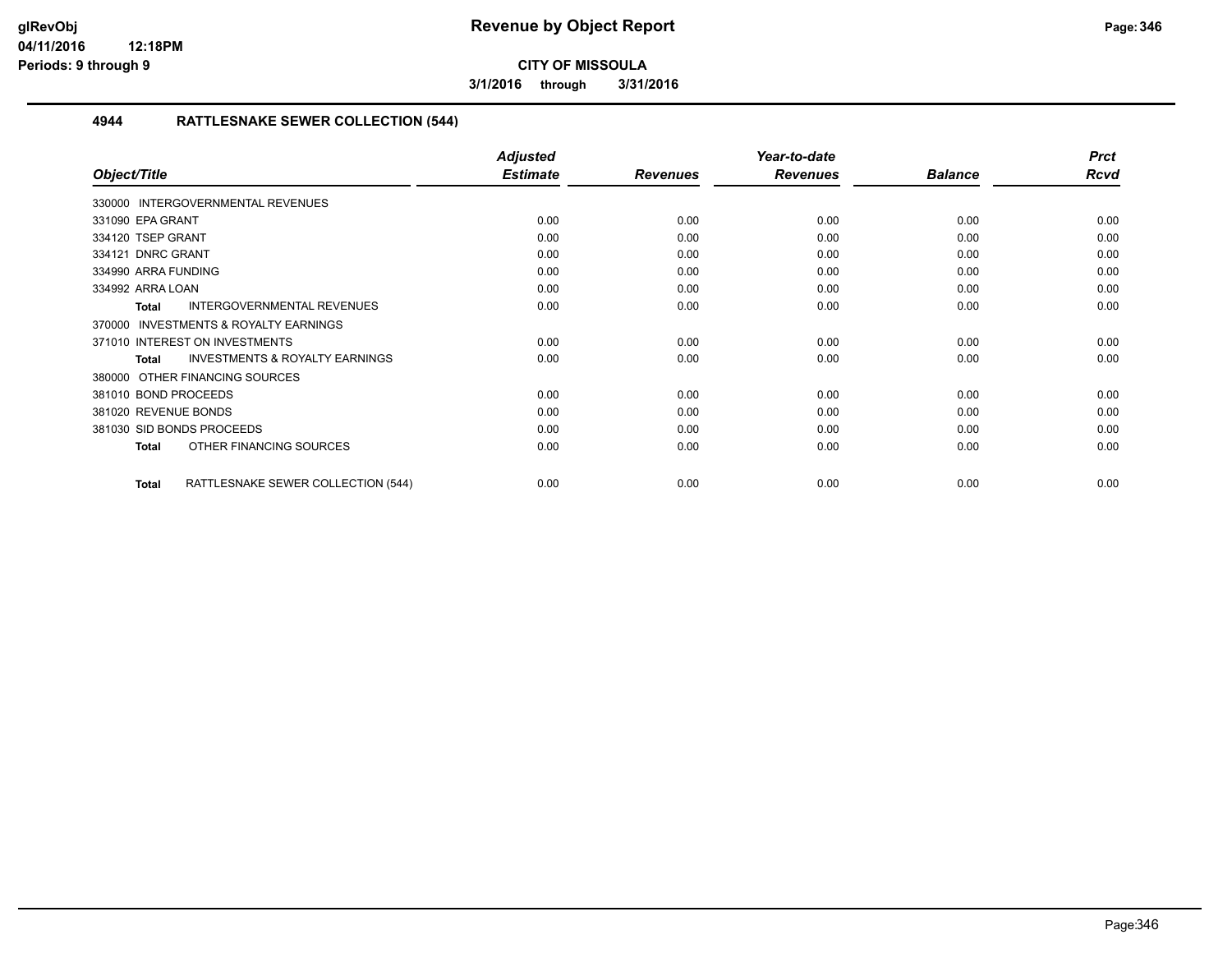**3/1/2016 through 3/31/2016**

#### **4944 RATTLESNAKE SEWER COLLECTION (544)**

|                                                     | <b>Adjusted</b> |                 | Year-to-date    |                | <b>Prct</b> |
|-----------------------------------------------------|-----------------|-----------------|-----------------|----------------|-------------|
| Object/Title                                        | <b>Estimate</b> | <b>Revenues</b> | <b>Revenues</b> | <b>Balance</b> | <b>Rcvd</b> |
| 330000 INTERGOVERNMENTAL REVENUES                   |                 |                 |                 |                |             |
| 331090 EPA GRANT                                    | 0.00            | 0.00            | 0.00            | 0.00           | 0.00        |
| 334120 TSEP GRANT                                   | 0.00            | 0.00            | 0.00            | 0.00           | 0.00        |
| 334121 DNRC GRANT                                   | 0.00            | 0.00            | 0.00            | 0.00           | 0.00        |
| 334990 ARRA FUNDING                                 | 0.00            | 0.00            | 0.00            | 0.00           | 0.00        |
| 334992 ARRA LOAN                                    | 0.00            | 0.00            | 0.00            | 0.00           | 0.00        |
| <b>INTERGOVERNMENTAL REVENUES</b><br><b>Total</b>   | 0.00            | 0.00            | 0.00            | 0.00           | 0.00        |
| <b>INVESTMENTS &amp; ROYALTY EARNINGS</b><br>370000 |                 |                 |                 |                |             |
| 371010 INTEREST ON INVESTMENTS                      | 0.00            | 0.00            | 0.00            | 0.00           | 0.00        |
| <b>INVESTMENTS &amp; ROYALTY EARNINGS</b><br>Total  | 0.00            | 0.00            | 0.00            | 0.00           | 0.00        |
| 380000 OTHER FINANCING SOURCES                      |                 |                 |                 |                |             |
| 381010 BOND PROCEEDS                                | 0.00            | 0.00            | 0.00            | 0.00           | 0.00        |
| 381020 REVENUE BONDS                                | 0.00            | 0.00            | 0.00            | 0.00           | 0.00        |
| 381030 SID BONDS PROCEEDS                           | 0.00            | 0.00            | 0.00            | 0.00           | 0.00        |
| OTHER FINANCING SOURCES<br><b>Total</b>             | 0.00            | 0.00            | 0.00            | 0.00           | 0.00        |
| RATTLESNAKE SEWER COLLECTION (544)<br><b>Total</b>  | 0.00            | 0.00            | 0.00            | 0.00           | 0.00        |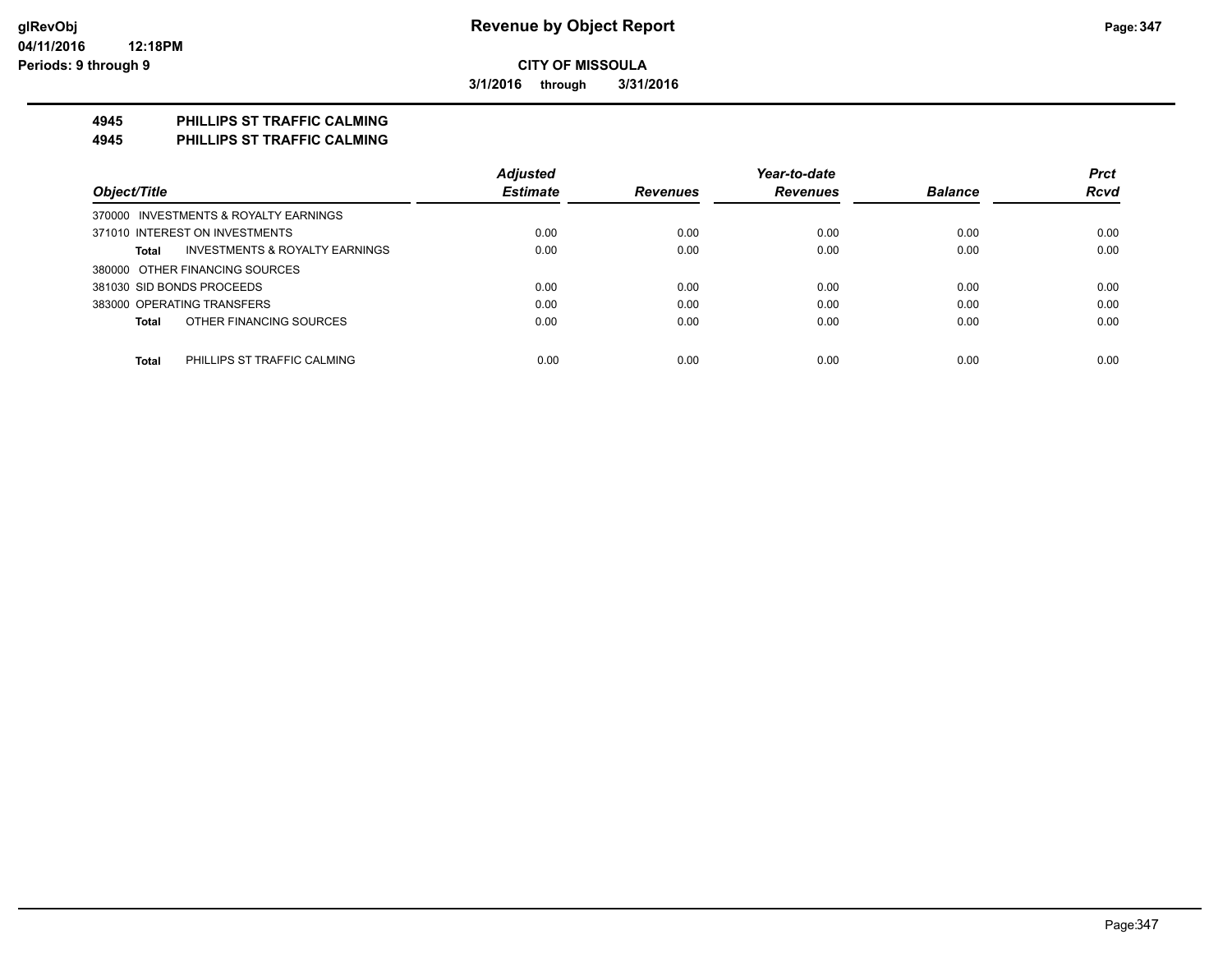**3/1/2016 through 3/31/2016**

## **4945 PHILLIPS ST TRAFFIC CALMING**

**4945 PHILLIPS ST TRAFFIC CALMING**

|                                             | <b>Adjusted</b> |                 | Year-to-date    |                | <b>Prct</b> |
|---------------------------------------------|-----------------|-----------------|-----------------|----------------|-------------|
| Object/Title                                | <b>Estimate</b> | <b>Revenues</b> | <b>Revenues</b> | <b>Balance</b> | <b>Rcvd</b> |
| 370000 INVESTMENTS & ROYALTY EARNINGS       |                 |                 |                 |                |             |
| 371010 INTEREST ON INVESTMENTS              | 0.00            | 0.00            | 0.00            | 0.00           | 0.00        |
| INVESTMENTS & ROYALTY EARNINGS<br>Total     | 0.00            | 0.00            | 0.00            | 0.00           | 0.00        |
| 380000 OTHER FINANCING SOURCES              |                 |                 |                 |                |             |
| 381030 SID BONDS PROCEEDS                   | 0.00            | 0.00            | 0.00            | 0.00           | 0.00        |
| 383000 OPERATING TRANSFERS                  | 0.00            | 0.00            | 0.00            | 0.00           | 0.00        |
| OTHER FINANCING SOURCES<br>Total            | 0.00            | 0.00            | 0.00            | 0.00           | 0.00        |
| <b>Total</b><br>PHILLIPS ST TRAFFIC CALMING | 0.00            | 0.00            | 0.00            | 0.00           | 0.00        |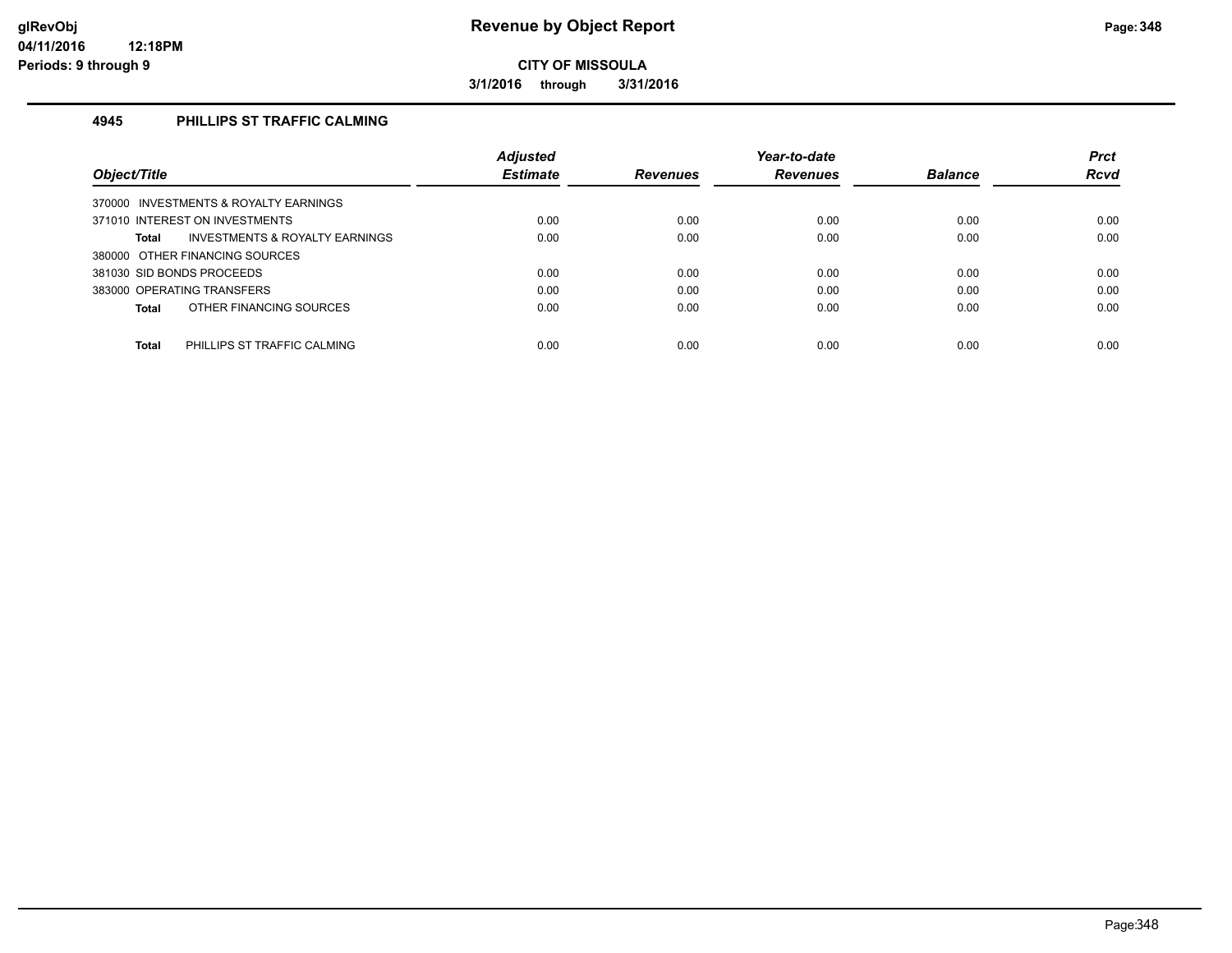**3/1/2016 through 3/31/2016**

#### **4945 PHILLIPS ST TRAFFIC CALMING**

|                                                    | <b>Adjusted</b> |                 | Year-to-date    |                | <b>Prct</b> |
|----------------------------------------------------|-----------------|-----------------|-----------------|----------------|-------------|
| Object/Title                                       | <b>Estimate</b> | <b>Revenues</b> | <b>Revenues</b> | <b>Balance</b> | <b>Rcvd</b> |
| 370000 INVESTMENTS & ROYALTY EARNINGS              |                 |                 |                 |                |             |
| 371010 INTEREST ON INVESTMENTS                     | 0.00            | 0.00            | 0.00            | 0.00           | 0.00        |
| <b>INVESTMENTS &amp; ROYALTY EARNINGS</b><br>Total | 0.00            | 0.00            | 0.00            | 0.00           | 0.00        |
| 380000 OTHER FINANCING SOURCES                     |                 |                 |                 |                |             |
| 381030 SID BONDS PROCEEDS                          | 0.00            | 0.00            | 0.00            | 0.00           | 0.00        |
| 383000 OPERATING TRANSFERS                         | 0.00            | 0.00            | 0.00            | 0.00           | 0.00        |
| OTHER FINANCING SOURCES<br>Total                   | 0.00            | 0.00            | 0.00            | 0.00           | 0.00        |
|                                                    |                 |                 |                 |                |             |
| Total<br>PHILLIPS ST TRAFFIC CALMING               | 0.00            | 0.00            | 0.00            | 0.00           | 0.00        |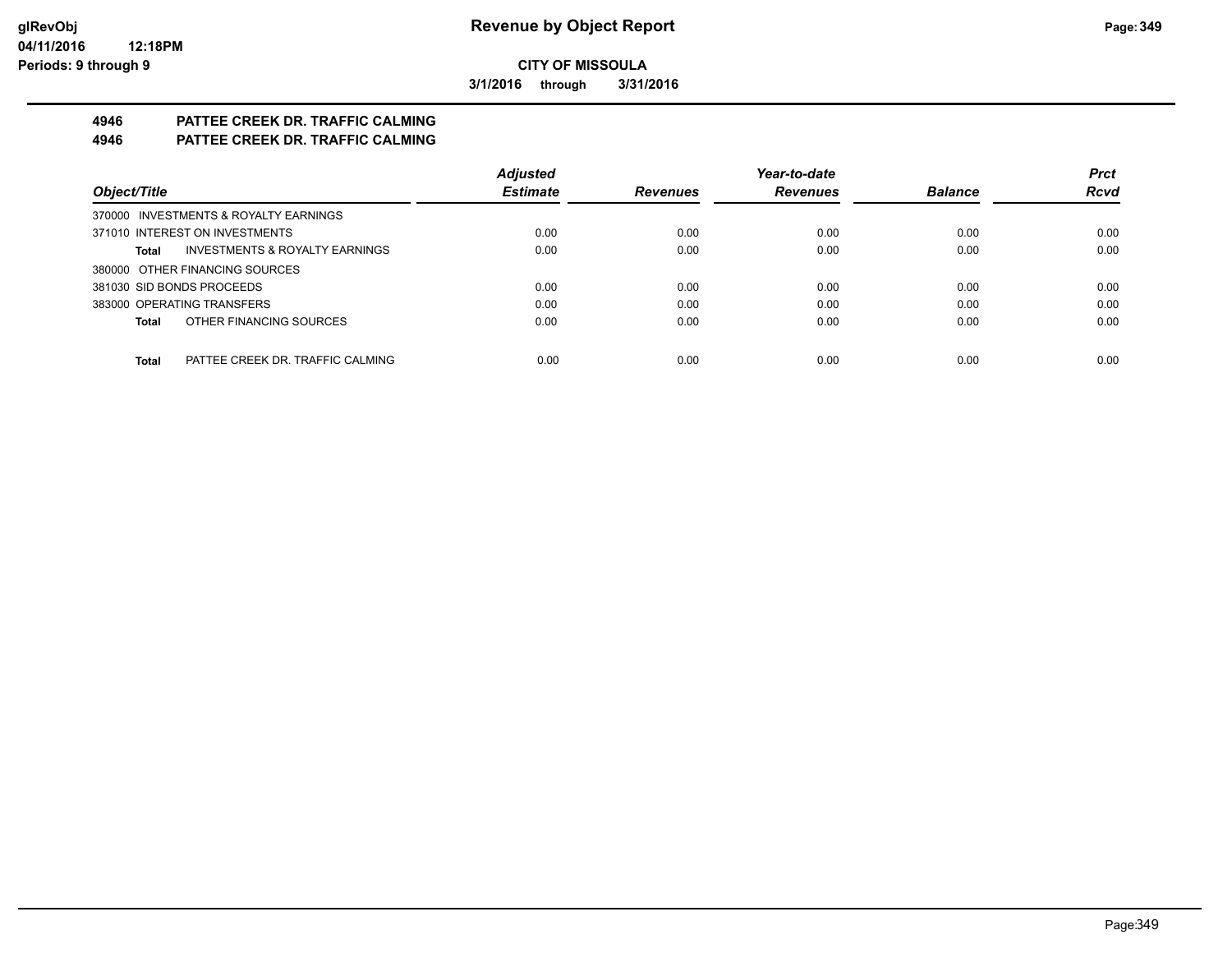**3/1/2016 through 3/31/2016**

# **4946 PATTEE CREEK DR. TRAFFIC CALMING**

# **4946 PATTEE CREEK DR. TRAFFIC CALMING**

|                                                    | <b>Adjusted</b> |                 | Year-to-date    |                | <b>Prct</b> |
|----------------------------------------------------|-----------------|-----------------|-----------------|----------------|-------------|
| Object/Title                                       | <b>Estimate</b> | <b>Revenues</b> | <b>Revenues</b> | <b>Balance</b> | <b>Rcvd</b> |
| 370000 INVESTMENTS & ROYALTY EARNINGS              |                 |                 |                 |                |             |
| 371010 INTEREST ON INVESTMENTS                     | 0.00            | 0.00            | 0.00            | 0.00           | 0.00        |
| <b>INVESTMENTS &amp; ROYALTY EARNINGS</b><br>Total | 0.00            | 0.00            | 0.00            | 0.00           | 0.00        |
| 380000 OTHER FINANCING SOURCES                     |                 |                 |                 |                |             |
| 381030 SID BONDS PROCEEDS                          | 0.00            | 0.00            | 0.00            | 0.00           | 0.00        |
| 383000 OPERATING TRANSFERS                         | 0.00            | 0.00            | 0.00            | 0.00           | 0.00        |
| OTHER FINANCING SOURCES<br>Total                   | 0.00            | 0.00            | 0.00            | 0.00           | 0.00        |
|                                                    |                 |                 |                 |                |             |
| Total<br>PATTEE CREEK DR. TRAFFIC CALMING          | 0.00            | 0.00            | 0.00            | 0.00           | 0.00        |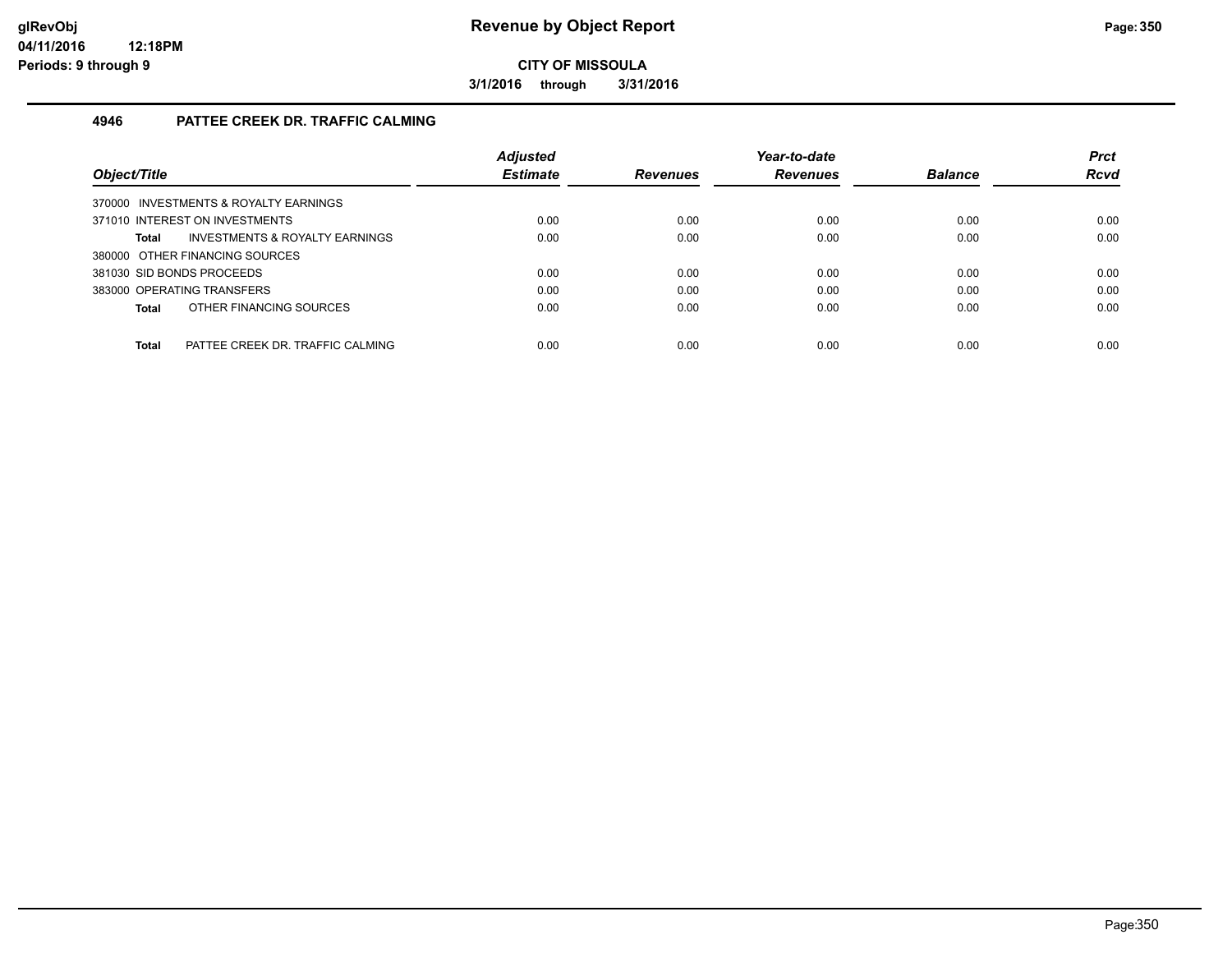**3/1/2016 through 3/31/2016**

#### **4946 PATTEE CREEK DR. TRAFFIC CALMING**

|                                                  | <b>Adjusted</b> |                 | Year-to-date    |                | <b>Prct</b> |
|--------------------------------------------------|-----------------|-----------------|-----------------|----------------|-------------|
| Object/Title                                     | <b>Estimate</b> | <b>Revenues</b> | <b>Revenues</b> | <b>Balance</b> | <b>Rcvd</b> |
| 370000 INVESTMENTS & ROYALTY EARNINGS            |                 |                 |                 |                |             |
| 371010 INTEREST ON INVESTMENTS                   | 0.00            | 0.00            | 0.00            | 0.00           | 0.00        |
| INVESTMENTS & ROYALTY EARNINGS<br>Total          | 0.00            | 0.00            | 0.00            | 0.00           | 0.00        |
| 380000 OTHER FINANCING SOURCES                   |                 |                 |                 |                |             |
| 381030 SID BONDS PROCEEDS                        | 0.00            | 0.00            | 0.00            | 0.00           | 0.00        |
| 383000 OPERATING TRANSFERS                       | 0.00            | 0.00            | 0.00            | 0.00           | 0.00        |
| OTHER FINANCING SOURCES<br><b>Total</b>          | 0.00            | 0.00            | 0.00            | 0.00           | 0.00        |
|                                                  |                 |                 |                 |                |             |
| <b>Total</b><br>PATTEE CREEK DR. TRAFFIC CALMING | 0.00            | 0.00            | 0.00            | 0.00           | 0.00        |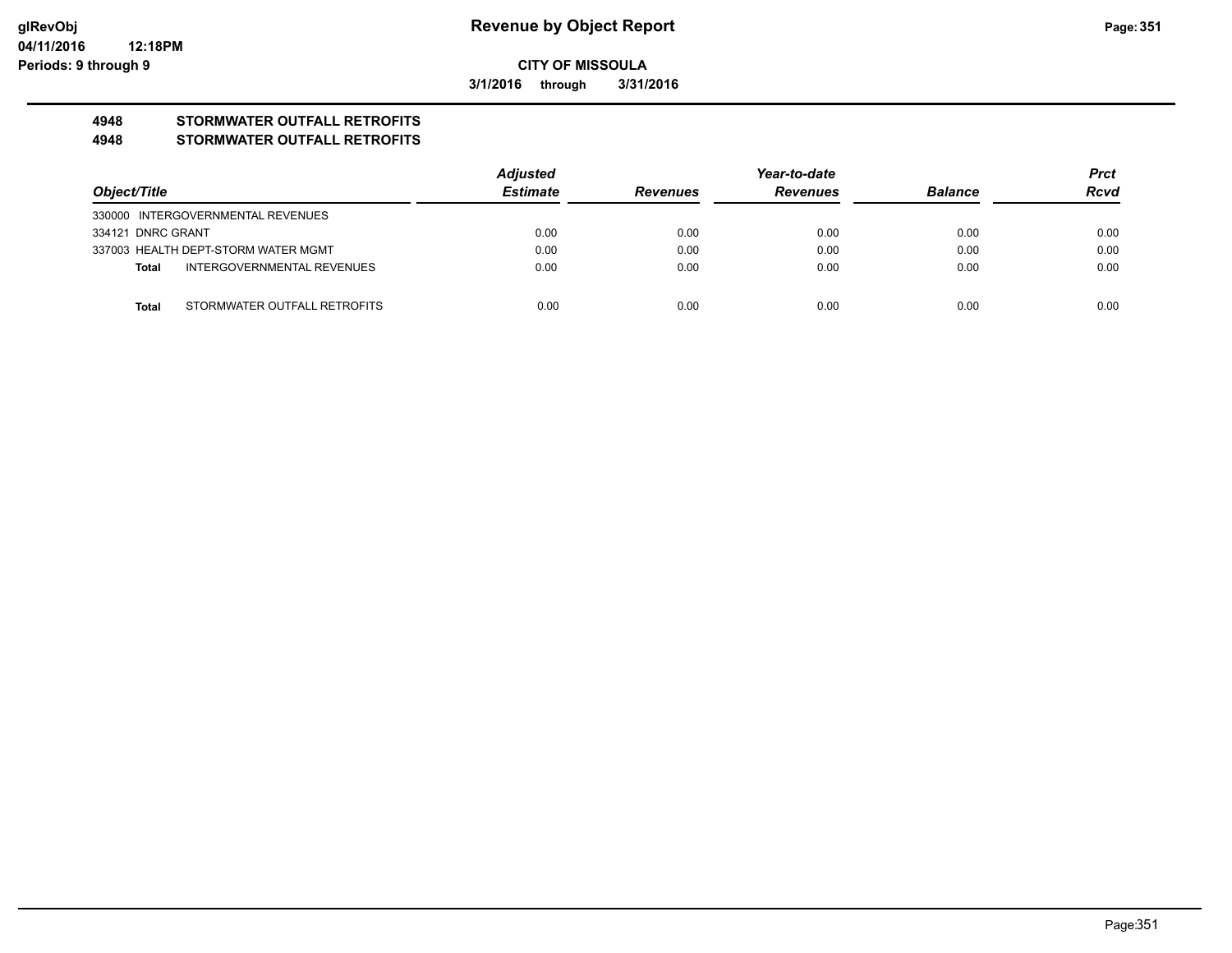**3/1/2016 through 3/31/2016**

# **4948 STORMWATER OUTFALL RETROFITS**

#### **4948 STORMWATER OUTFALL RETROFITS**

|                   |                                     | Adjusted        | Year-to-date    |                 |                | <b>Prct</b> |
|-------------------|-------------------------------------|-----------------|-----------------|-----------------|----------------|-------------|
| Object/Title      |                                     | <b>Estimate</b> | <b>Revenues</b> | <b>Revenues</b> | <b>Balance</b> | <b>Rcvd</b> |
|                   | 330000 INTERGOVERNMENTAL REVENUES   |                 |                 |                 |                |             |
| 334121 DNRC GRANT |                                     | 0.00            | 0.00            | 0.00            | 0.00           | 0.00        |
|                   | 337003 HEALTH DEPT-STORM WATER MGMT | 0.00            | 0.00            | 0.00            | 0.00           | 0.00        |
| Total             | INTERGOVERNMENTAL REVENUES          | 0.00            | 0.00            | 0.00            | 0.00           | 0.00        |
|                   |                                     |                 |                 |                 |                |             |
| Total             | STORMWATER OUTFALL RETROFITS        | 0.00            | 0.00            | 0.00            | 0.00           | 0.00        |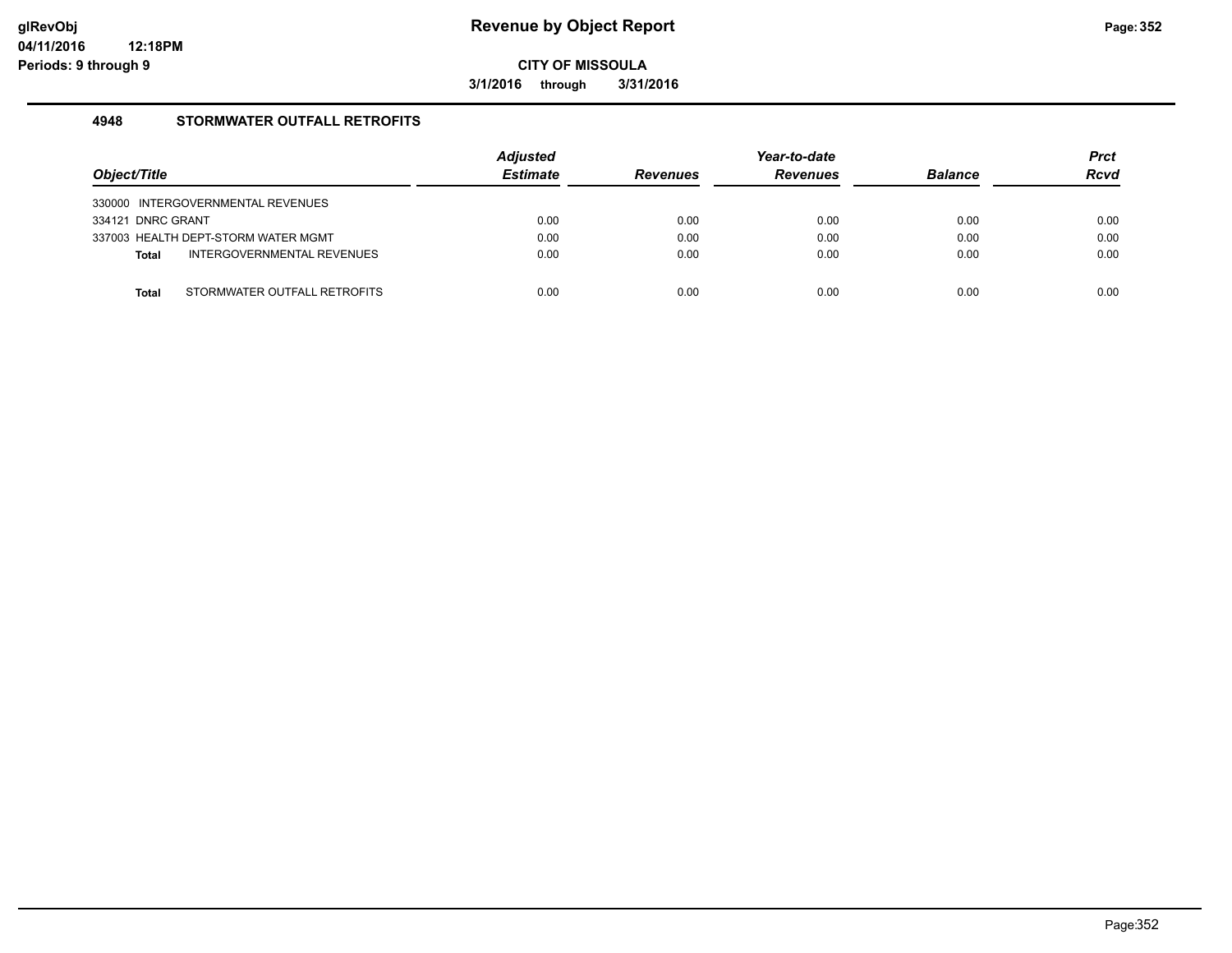**3/1/2016 through 3/31/2016**

#### **4948 STORMWATER OUTFALL RETROFITS**

| Object/Title                               | <b>Adjusted</b><br><b>Estimate</b> | <b>Revenues</b> | Year-to-date<br><b>Revenues</b> | <b>Balance</b> | <b>Prct</b><br><b>Rcvd</b> |
|--------------------------------------------|------------------------------------|-----------------|---------------------------------|----------------|----------------------------|
| 330000 INTERGOVERNMENTAL REVENUES          |                                    |                 |                                 |                |                            |
| 334121 DNRC GRANT                          | 0.00                               | 0.00            | 0.00                            | 0.00           | 0.00                       |
| 337003 HEALTH DEPT-STORM WATER MGMT        | 0.00                               | 0.00            | 0.00                            | 0.00           | 0.00                       |
| INTERGOVERNMENTAL REVENUES<br><b>Total</b> | 0.00                               | 0.00            | 0.00                            | 0.00           | 0.00                       |
|                                            |                                    |                 |                                 |                |                            |
| STORMWATER OUTFALL RETROFITS<br>Total      | 0.00                               | 0.00            | 0.00                            | 0.00           | 0.00                       |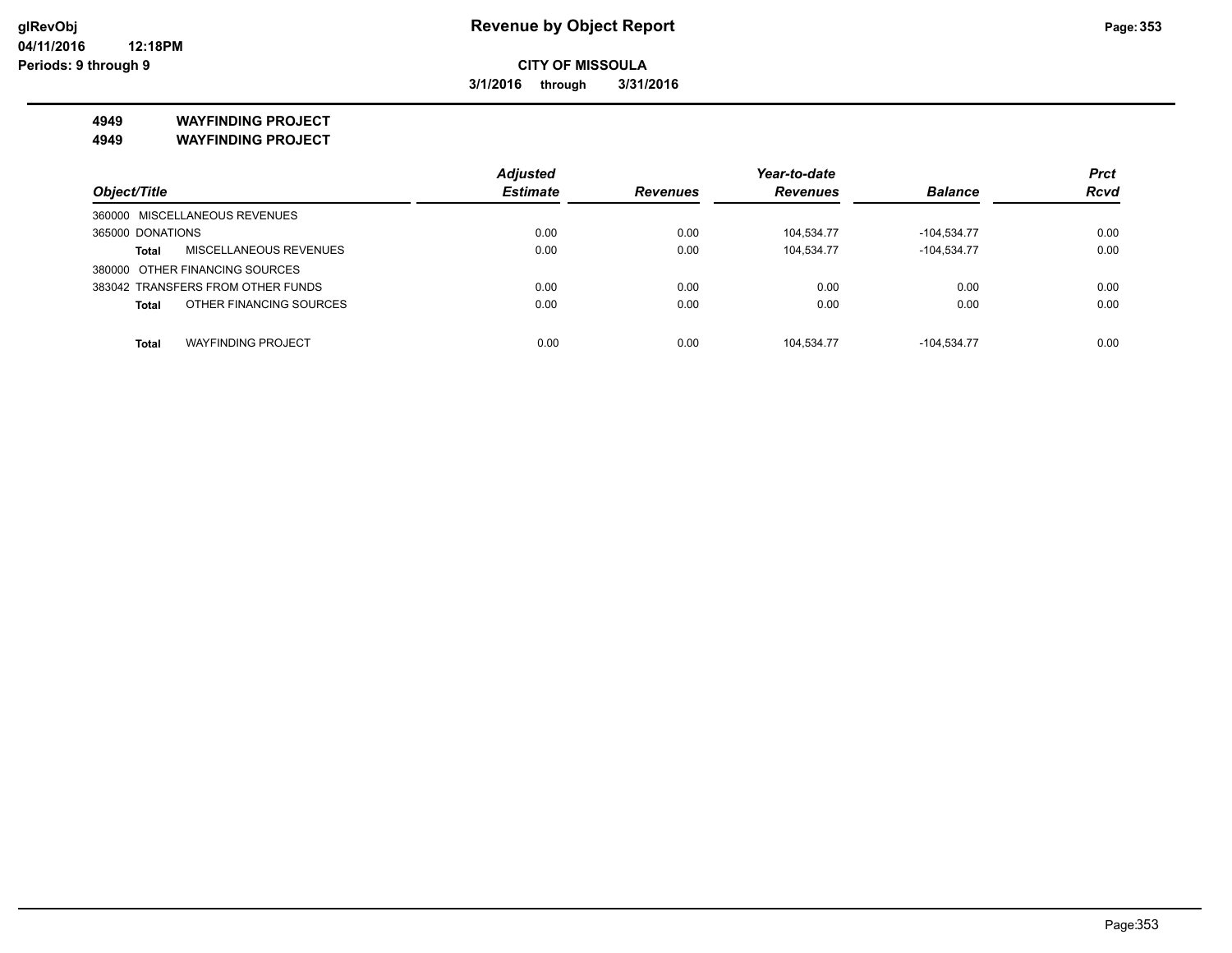**3/1/2016 through 3/31/2016**

**4949 WAYFINDING PROJECT**

**4949 WAYFINDING PROJECT**

|                                           | <b>Adjusted</b> |          | Year-to-date    |                | <b>Prct</b> |
|-------------------------------------------|-----------------|----------|-----------------|----------------|-------------|
| Object/Title                              | <b>Estimate</b> | Revenues | <b>Revenues</b> | <b>Balance</b> | <b>Rcvd</b> |
| 360000 MISCELLANEOUS REVENUES             |                 |          |                 |                |             |
| 365000 DONATIONS                          | 0.00            | 0.00     | 104,534.77      | $-104,534.77$  | 0.00        |
| MISCELLANEOUS REVENUES<br><b>Total</b>    | 0.00            | 0.00     | 104,534.77      | $-104,534.77$  | 0.00        |
| 380000 OTHER FINANCING SOURCES            |                 |          |                 |                |             |
| 383042 TRANSFERS FROM OTHER FUNDS         | 0.00            | 0.00     | 0.00            | 0.00           | 0.00        |
| OTHER FINANCING SOURCES<br><b>Total</b>   | 0.00            | 0.00     | 0.00            | 0.00           | 0.00        |
| <b>WAYFINDING PROJECT</b><br><b>Total</b> | 0.00            | 0.00     | 104.534.77      | $-104.534.77$  | 0.00        |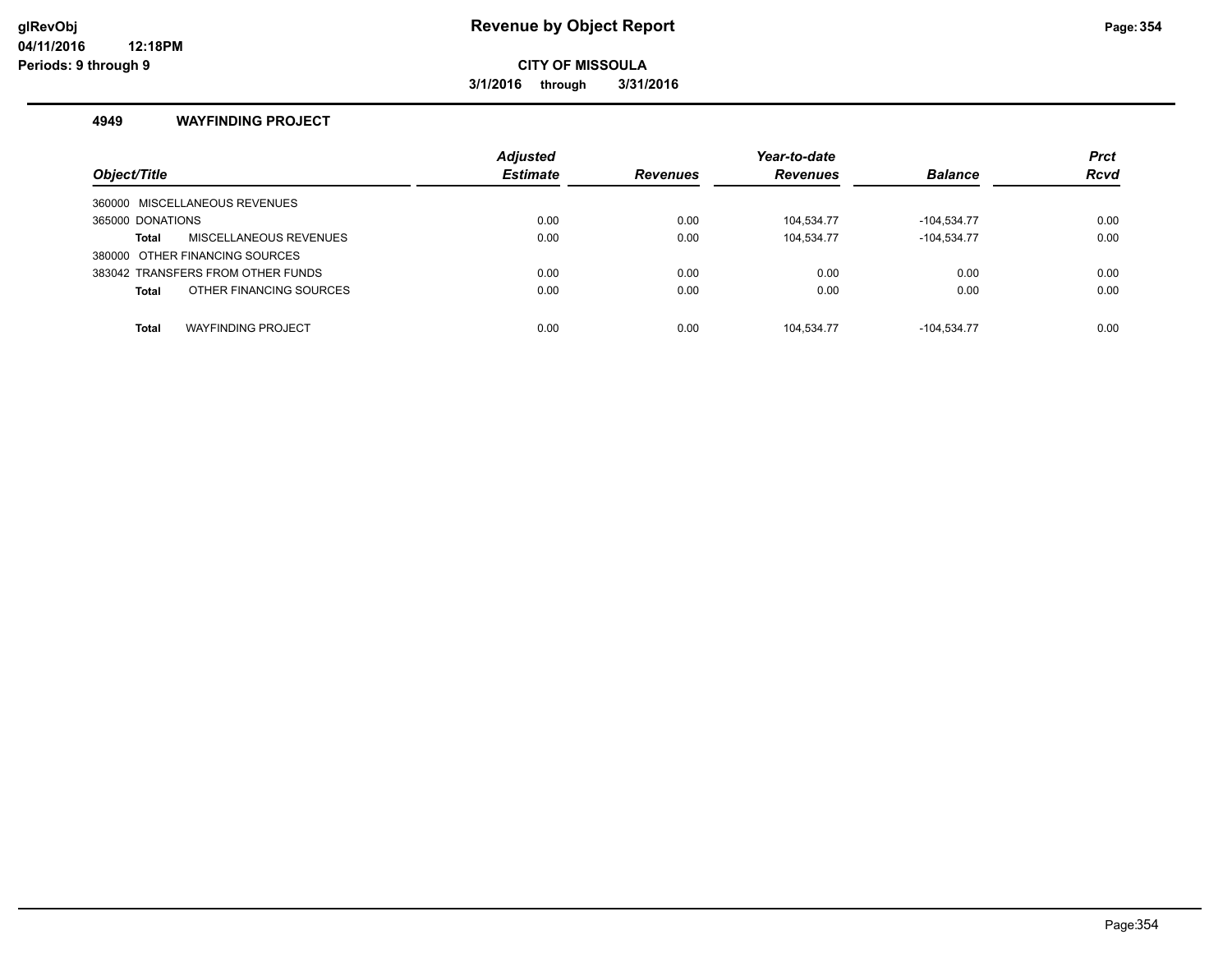### **glRevObj Revenue by Object Report Page:354**

**CITY OF MISSOULA**

**3/1/2016 through 3/31/2016**

#### **4949 WAYFINDING PROJECT**

|                                           | <b>Adjusted</b> |                 | Year-to-date    |                | <b>Prct</b> |
|-------------------------------------------|-----------------|-----------------|-----------------|----------------|-------------|
| Object/Title                              | <b>Estimate</b> | <b>Revenues</b> | <b>Revenues</b> | <b>Balance</b> | <b>Rcvd</b> |
| 360000 MISCELLANEOUS REVENUES             |                 |                 |                 |                |             |
| 365000 DONATIONS                          | 0.00            | 0.00            | 104,534.77      | $-104.534.77$  | 0.00        |
| MISCELLANEOUS REVENUES<br><b>Total</b>    | 0.00            | 0.00            | 104.534.77      | $-104.534.77$  | 0.00        |
| 380000 OTHER FINANCING SOURCES            |                 |                 |                 |                |             |
| 383042 TRANSFERS FROM OTHER FUNDS         | 0.00            | 0.00            | 0.00            | 0.00           | 0.00        |
| OTHER FINANCING SOURCES<br><b>Total</b>   | 0.00            | 0.00            | 0.00            | 0.00           | 0.00        |
|                                           |                 |                 |                 |                |             |
| <b>WAYFINDING PROJECT</b><br><b>Total</b> | 0.00            | 0.00            | 104.534.77      | $-104.534.77$  | 0.00        |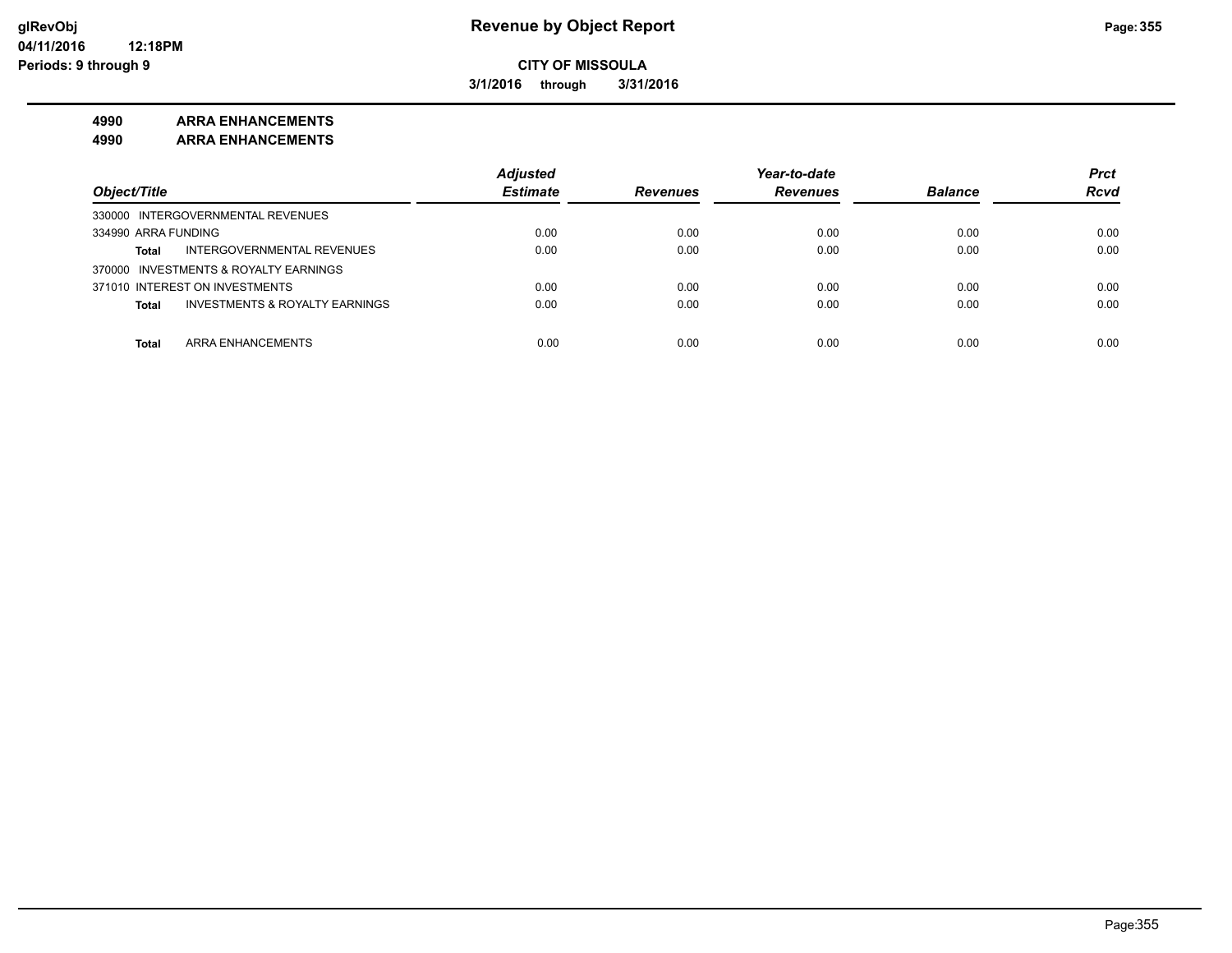**3/1/2016 through 3/31/2016**

#### **4990 ARRA ENHANCEMENTS**

**4990 ARRA ENHANCEMENTS**

|                                                           | <b>Adjusted</b> |                 | Year-to-date    |                | <b>Prct</b> |
|-----------------------------------------------------------|-----------------|-----------------|-----------------|----------------|-------------|
| Object/Title                                              | <b>Estimate</b> | <b>Revenues</b> | <b>Revenues</b> | <b>Balance</b> | <b>Rcvd</b> |
| 330000 INTERGOVERNMENTAL REVENUES                         |                 |                 |                 |                |             |
| 334990 ARRA FUNDING                                       | 0.00            | 0.00            | 0.00            | 0.00           | 0.00        |
| INTERGOVERNMENTAL REVENUES<br><b>Total</b>                | 0.00            | 0.00            | 0.00            | 0.00           | 0.00        |
| 370000 INVESTMENTS & ROYALTY EARNINGS                     |                 |                 |                 |                |             |
| 371010 INTEREST ON INVESTMENTS                            | 0.00            | 0.00            | 0.00            | 0.00           | 0.00        |
| <b>INVESTMENTS &amp; ROYALTY EARNINGS</b><br><b>Total</b> | 0.00            | 0.00            | 0.00            | 0.00           | 0.00        |
|                                                           |                 |                 |                 |                |             |
| ARRA ENHANCEMENTS<br><b>Total</b>                         | 0.00            | 0.00            | 0.00            | 0.00           | 0.00        |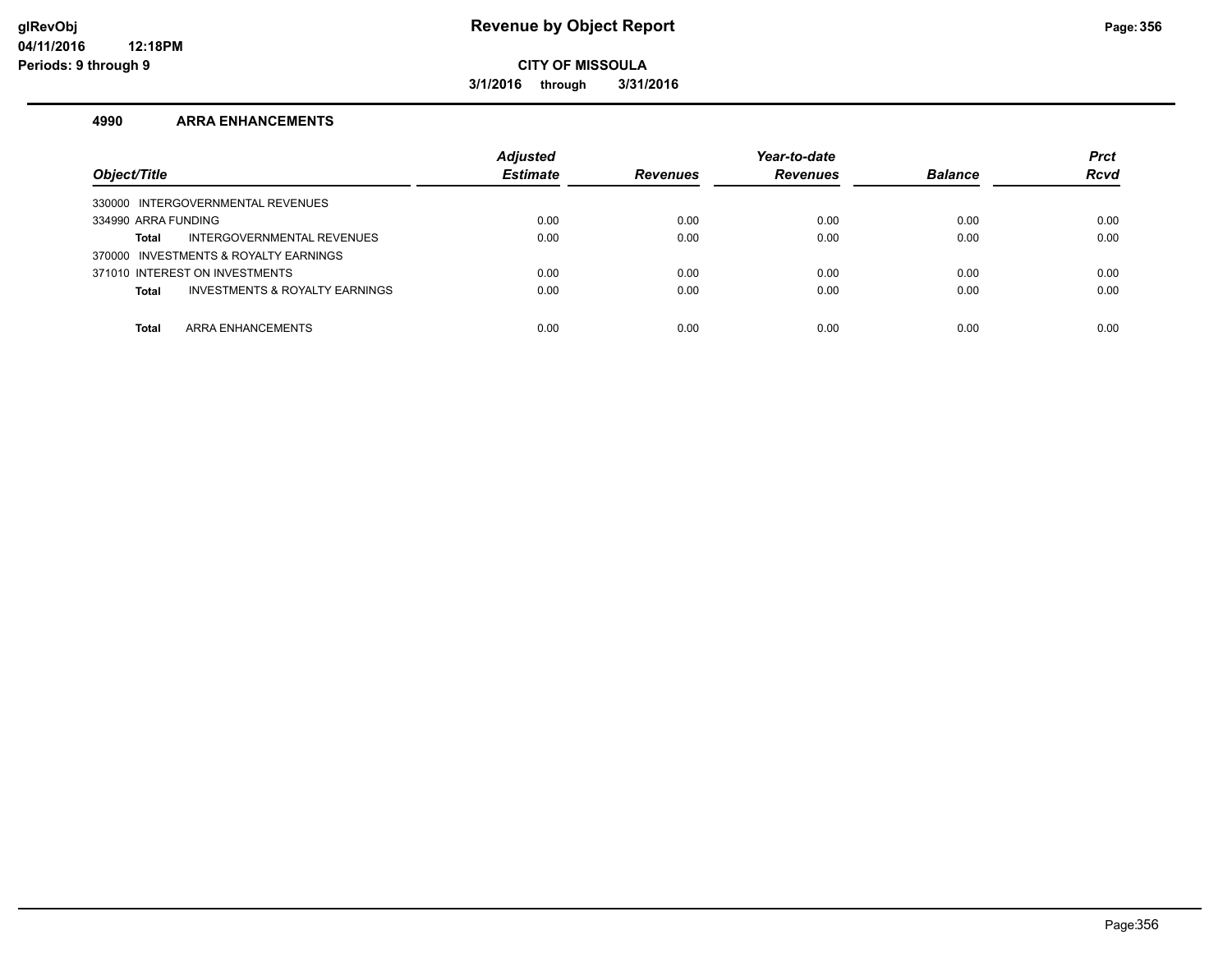**3/1/2016 through 3/31/2016**

#### **4990 ARRA ENHANCEMENTS**

| Object/Title                                   | <b>Adjusted</b><br><b>Estimate</b> | <b>Revenues</b> | Year-to-date<br><b>Revenues</b> | <b>Balance</b> | <b>Prct</b><br><b>Rcvd</b> |
|------------------------------------------------|------------------------------------|-----------------|---------------------------------|----------------|----------------------------|
| 330000 INTERGOVERNMENTAL REVENUES              |                                    |                 |                                 |                |                            |
| 334990 ARRA FUNDING                            | 0.00                               | 0.00            | 0.00                            | 0.00           | 0.00                       |
| INTERGOVERNMENTAL REVENUES<br>Total            | 0.00                               | 0.00            | 0.00                            | 0.00           | 0.00                       |
| 370000 INVESTMENTS & ROYALTY EARNINGS          |                                    |                 |                                 |                |                            |
| 371010 INTEREST ON INVESTMENTS                 | 0.00                               | 0.00            | 0.00                            | 0.00           | 0.00                       |
| INVESTMENTS & ROYALTY EARNINGS<br><b>Total</b> | 0.00                               | 0.00            | 0.00                            | 0.00           | 0.00                       |
|                                                |                                    |                 |                                 |                |                            |
| ARRA ENHANCEMENTS<br><b>Total</b>              | 0.00                               | 0.00            | 0.00                            | 0.00           | 0.00                       |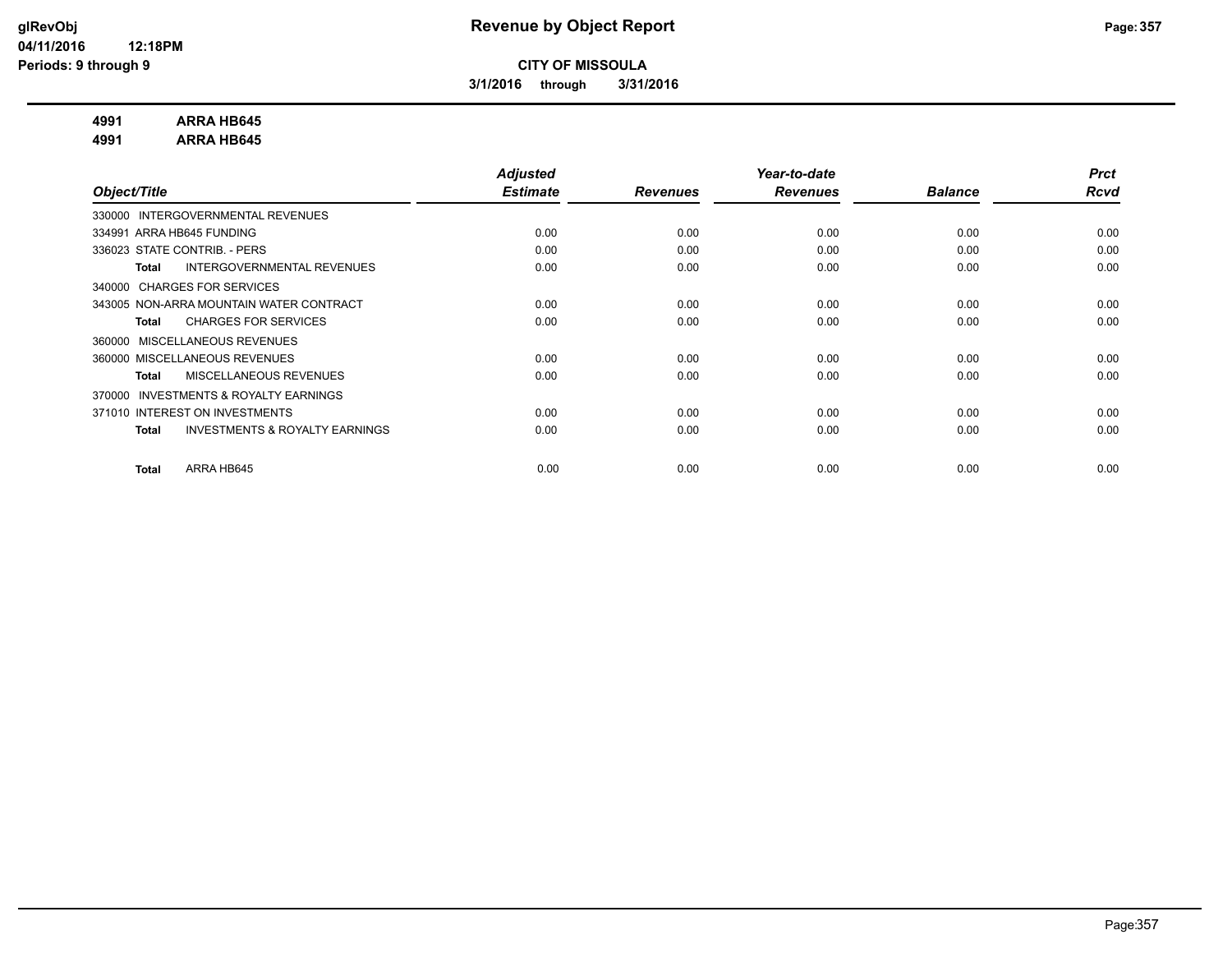**3/1/2016 through 3/31/2016**

#### **4991 ARRA HB645**

**4991 ARRA HB645**

|                                                           | <b>Adjusted</b> |                 | Year-to-date    |                | <b>Prct</b> |
|-----------------------------------------------------------|-----------------|-----------------|-----------------|----------------|-------------|
| Object/Title                                              | <b>Estimate</b> | <b>Revenues</b> | <b>Revenues</b> | <b>Balance</b> | Rcvd        |
| INTERGOVERNMENTAL REVENUES<br>330000                      |                 |                 |                 |                |             |
| 334991 ARRA HB645 FUNDING                                 | 0.00            | 0.00            | 0.00            | 0.00           | 0.00        |
| 336023 STATE CONTRIB. - PERS                              | 0.00            | 0.00            | 0.00            | 0.00           | 0.00        |
| INTERGOVERNMENTAL REVENUES<br><b>Total</b>                | 0.00            | 0.00            | 0.00            | 0.00           | 0.00        |
| 340000 CHARGES FOR SERVICES                               |                 |                 |                 |                |             |
| 343005 NON-ARRA MOUNTAIN WATER CONTRACT                   | 0.00            | 0.00            | 0.00            | 0.00           | 0.00        |
| <b>CHARGES FOR SERVICES</b><br><b>Total</b>               | 0.00            | 0.00            | 0.00            | 0.00           | 0.00        |
| MISCELLANEOUS REVENUES<br>360000                          |                 |                 |                 |                |             |
| 360000 MISCELLANEOUS REVENUES                             | 0.00            | 0.00            | 0.00            | 0.00           | 0.00        |
| MISCELLANEOUS REVENUES<br><b>Total</b>                    | 0.00            | 0.00            | 0.00            | 0.00           | 0.00        |
| <b>INVESTMENTS &amp; ROYALTY EARNINGS</b><br>370000       |                 |                 |                 |                |             |
| 371010 INTEREST ON INVESTMENTS                            | 0.00            | 0.00            | 0.00            | 0.00           | 0.00        |
| <b>INVESTMENTS &amp; ROYALTY EARNINGS</b><br><b>Total</b> | 0.00            | 0.00            | 0.00            | 0.00           | 0.00        |
|                                                           |                 |                 |                 |                |             |
| ARRA HB645<br><b>Total</b>                                | 0.00            | 0.00            | 0.00            | 0.00           | 0.00        |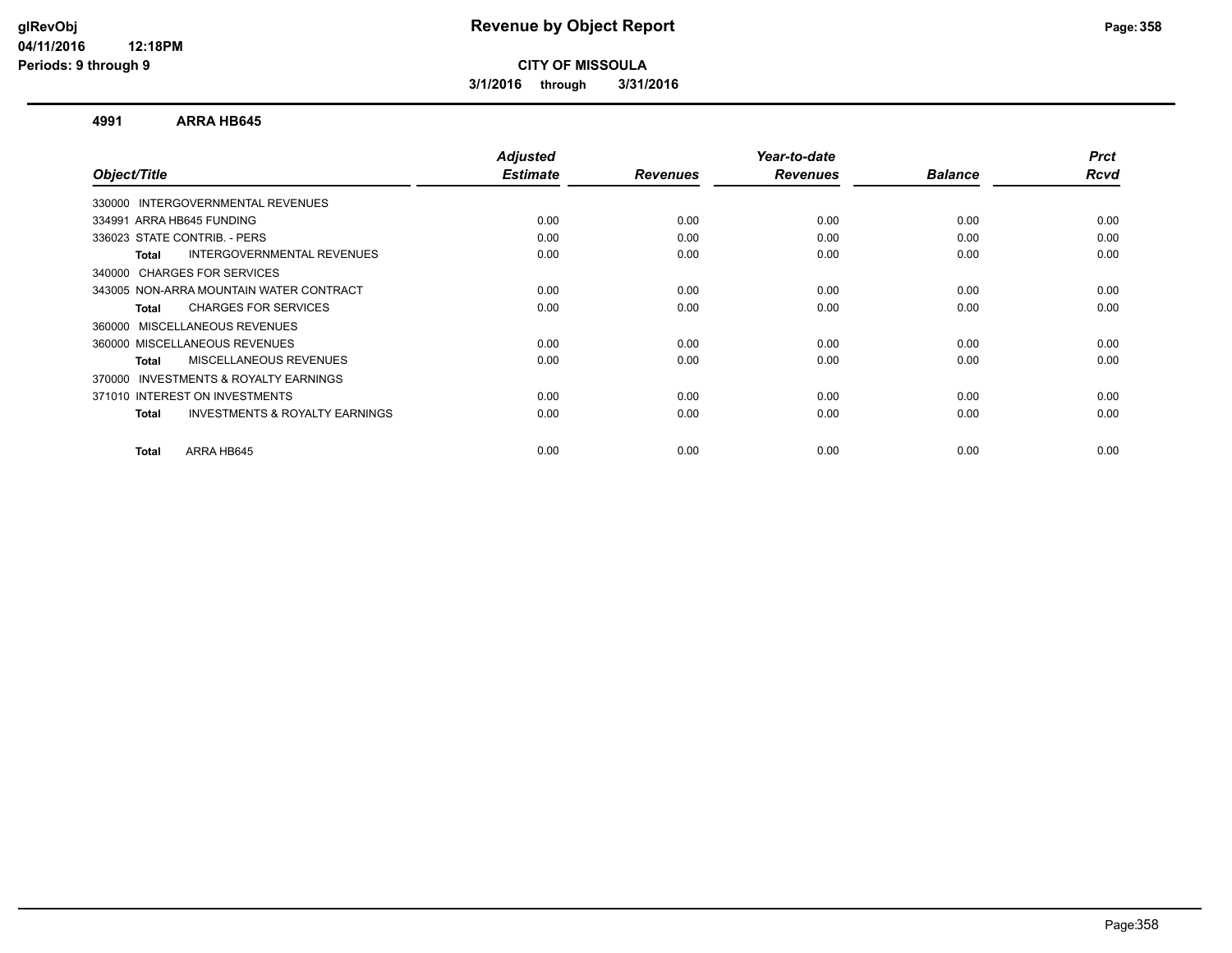**3/1/2016 through 3/31/2016**

#### **4991 ARRA HB645**

|      |                         |                         | <b>Balance</b>          | <b>Prct</b><br>Rcvd |
|------|-------------------------|-------------------------|-------------------------|---------------------|
|      |                         |                         |                         |                     |
|      |                         |                         |                         |                     |
| 0.00 | 0.00                    | 0.00                    | 0.00                    | 0.00                |
| 0.00 | 0.00                    | 0.00                    | 0.00                    | 0.00                |
| 0.00 | 0.00                    | 0.00                    | 0.00                    | 0.00                |
|      |                         |                         |                         |                     |
| 0.00 | 0.00                    | 0.00                    | 0.00                    | 0.00                |
| 0.00 | 0.00                    | 0.00                    | 0.00                    | 0.00                |
|      |                         |                         |                         |                     |
| 0.00 | 0.00                    | 0.00                    | 0.00                    | 0.00                |
| 0.00 | 0.00                    | 0.00                    | 0.00                    | 0.00                |
|      |                         |                         |                         |                     |
| 0.00 | 0.00                    | 0.00                    | 0.00                    | 0.00                |
| 0.00 | 0.00                    | 0.00                    | 0.00                    | 0.00                |
|      |                         |                         |                         | 0.00                |
|      | <b>Estimate</b><br>0.00 | <b>Revenues</b><br>0.00 | <b>Revenues</b><br>0.00 | 0.00                |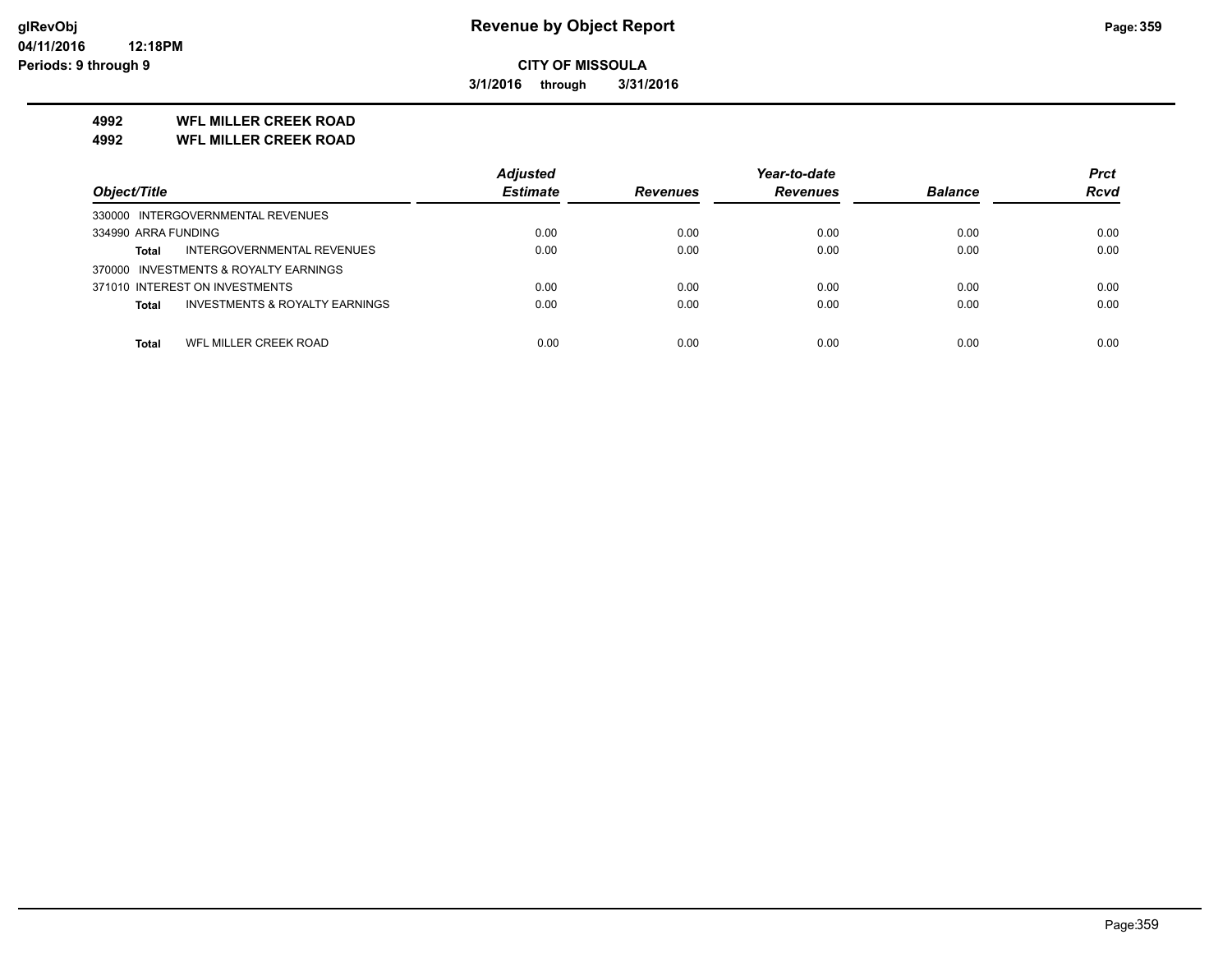**3/1/2016 through 3/31/2016**

### **4992 WFL MILLER CREEK ROAD**

**4992 WFL MILLER CREEK ROAD**

|                                                           | <b>Adjusted</b> |                 | Year-to-date    |                | <b>Prct</b> |
|-----------------------------------------------------------|-----------------|-----------------|-----------------|----------------|-------------|
| Object/Title                                              | <b>Estimate</b> | <b>Revenues</b> | <b>Revenues</b> | <b>Balance</b> | <b>Rcvd</b> |
| 330000 INTERGOVERNMENTAL REVENUES                         |                 |                 |                 |                |             |
| 334990 ARRA FUNDING                                       | 0.00            | 0.00            | 0.00            | 0.00           | 0.00        |
| INTERGOVERNMENTAL REVENUES<br><b>Total</b>                | 0.00            | 0.00            | 0.00            | 0.00           | 0.00        |
| 370000 INVESTMENTS & ROYALTY EARNINGS                     |                 |                 |                 |                |             |
| 371010 INTEREST ON INVESTMENTS                            | 0.00            | 0.00            | 0.00            | 0.00           | 0.00        |
| <b>INVESTMENTS &amp; ROYALTY EARNINGS</b><br><b>Total</b> | 0.00            | 0.00            | 0.00            | 0.00           | 0.00        |
|                                                           |                 |                 |                 |                |             |
| WFL MILLER CREEK ROAD<br>Total                            | 0.00            | 0.00            | 0.00            | 0.00           | 0.00        |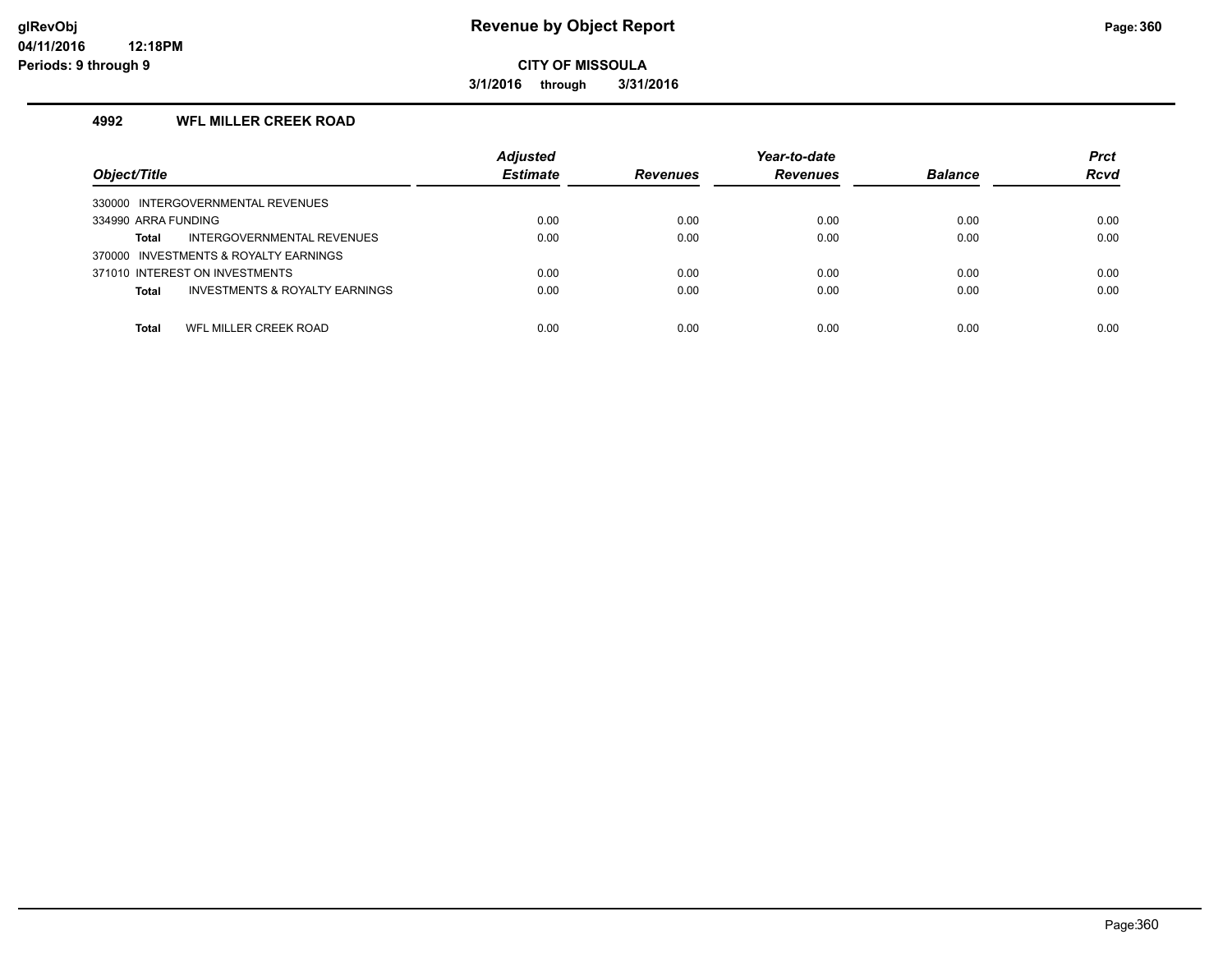**3/1/2016 through 3/31/2016**

#### **4992 WFL MILLER CREEK ROAD**

| Object/Title                                              | <b>Adjusted</b><br><b>Estimate</b> | <b>Revenues</b> | Year-to-date<br><b>Revenues</b> | <b>Balance</b> | <b>Prct</b><br><b>Rcvd</b> |
|-----------------------------------------------------------|------------------------------------|-----------------|---------------------------------|----------------|----------------------------|
| 330000 INTERGOVERNMENTAL REVENUES                         |                                    |                 |                                 |                |                            |
| 334990 ARRA FUNDING                                       | 0.00                               | 0.00            | 0.00                            | 0.00           | 0.00                       |
| INTERGOVERNMENTAL REVENUES<br>Total                       | 0.00                               | 0.00            | 0.00                            | 0.00           | 0.00                       |
| 370000 INVESTMENTS & ROYALTY EARNINGS                     |                                    |                 |                                 |                |                            |
| 371010 INTEREST ON INVESTMENTS                            | 0.00                               | 0.00            | 0.00                            | 0.00           | 0.00                       |
| <b>INVESTMENTS &amp; ROYALTY EARNINGS</b><br><b>Total</b> | 0.00                               | 0.00            | 0.00                            | 0.00           | 0.00                       |
|                                                           |                                    |                 |                                 |                |                            |
| WFL MILLER CREEK ROAD<br>Total                            | 0.00                               | 0.00            | 0.00                            | 0.00           | 0.00                       |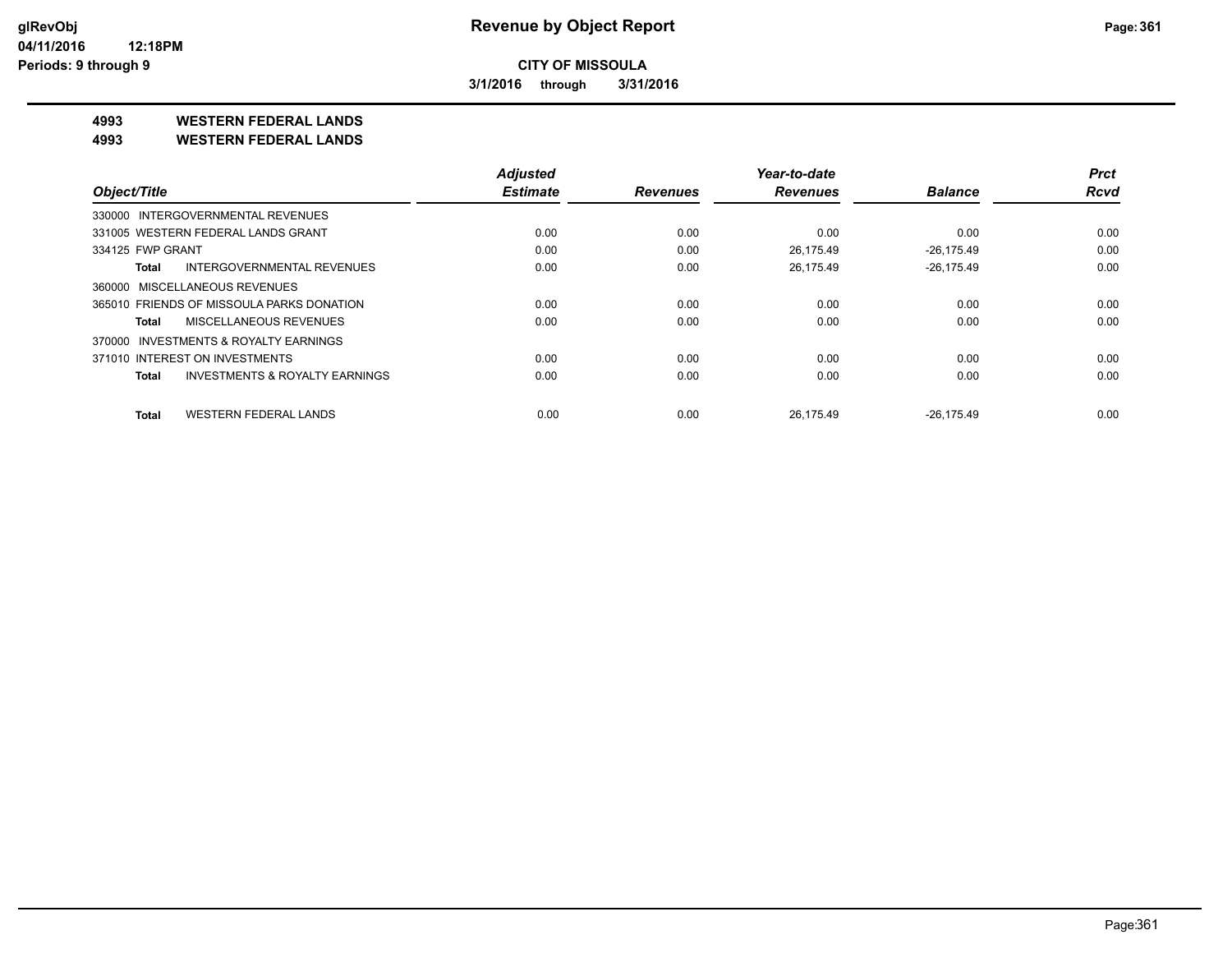**3/1/2016 through 3/31/2016**

**4993 WESTERN FEDERAL LANDS**

**4993 WESTERN FEDERAL LANDS**

|                                            | <b>Adjusted</b> |                 | Year-to-date    |                | <b>Prct</b> |
|--------------------------------------------|-----------------|-----------------|-----------------|----------------|-------------|
| Object/Title                               | <b>Estimate</b> | <b>Revenues</b> | <b>Revenues</b> | <b>Balance</b> | <b>Rcvd</b> |
| 330000 INTERGOVERNMENTAL REVENUES          |                 |                 |                 |                |             |
| 331005 WESTERN FEDERAL LANDS GRANT         | 0.00            | 0.00            | 0.00            | 0.00           | 0.00        |
| 334125 FWP GRANT                           | 0.00            | 0.00            | 26.175.49       | $-26.175.49$   | 0.00        |
| <b>INTERGOVERNMENTAL REVENUES</b><br>Total | 0.00            | 0.00            | 26.175.49       | $-26.175.49$   | 0.00        |
| 360000 MISCELLANEOUS REVENUES              |                 |                 |                 |                |             |
| 365010 FRIENDS OF MISSOULA PARKS DONATION  | 0.00            | 0.00            | 0.00            | 0.00           | 0.00        |
| MISCELLANEOUS REVENUES<br>Total            | 0.00            | 0.00            | 0.00            | 0.00           | 0.00        |
| INVESTMENTS & ROYALTY EARNINGS<br>370000   |                 |                 |                 |                |             |
| 371010 INTEREST ON INVESTMENTS             | 0.00            | 0.00            | 0.00            | 0.00           | 0.00        |
| INVESTMENTS & ROYALTY EARNINGS<br>Total    | 0.00            | 0.00            | 0.00            | 0.00           | 0.00        |
| <b>WESTERN FEDERAL LANDS</b><br>Total      | 0.00            | 0.00            | 26.175.49       | $-26.175.49$   | 0.00        |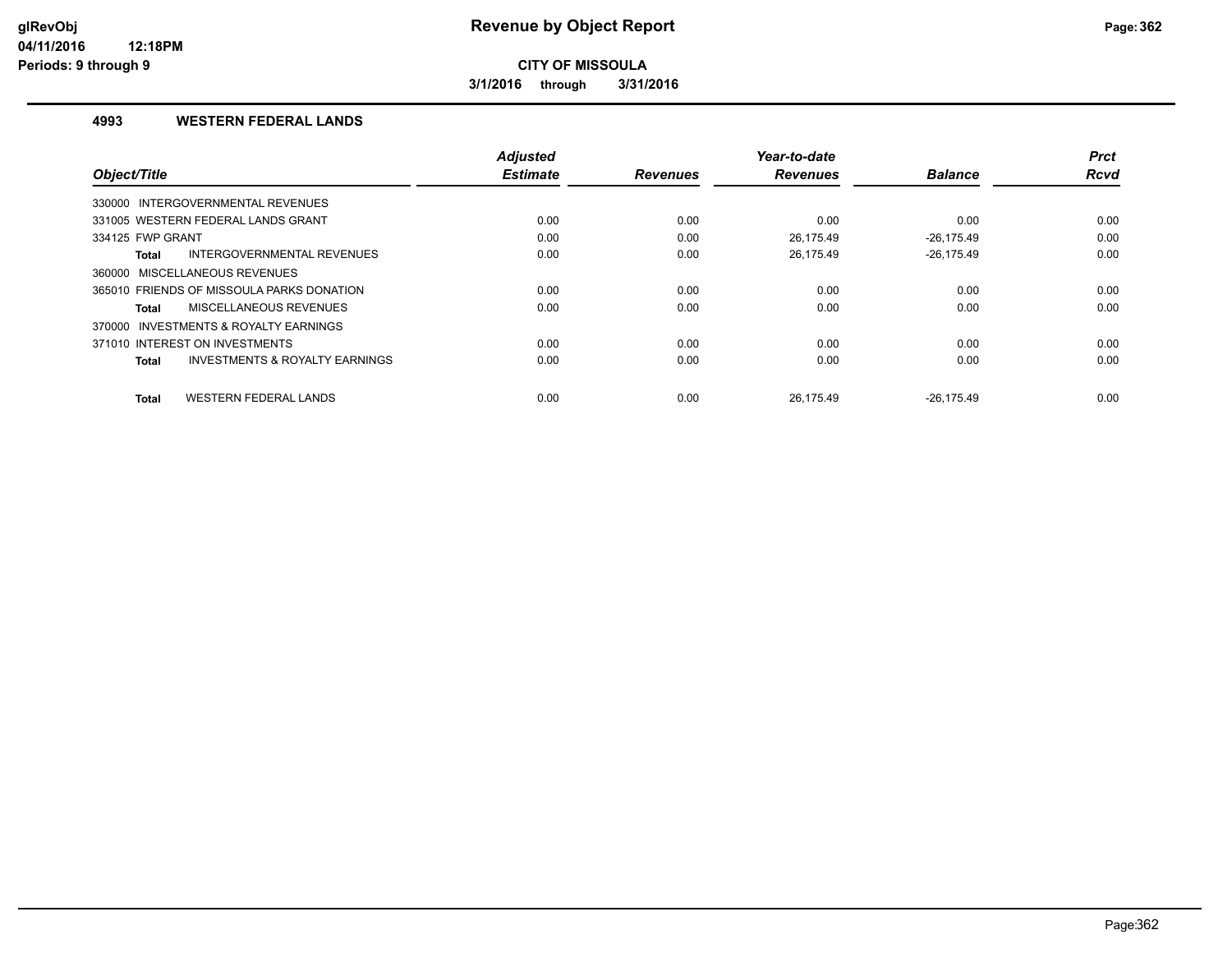**3/1/2016 through 3/31/2016**

#### **4993 WESTERN FEDERAL LANDS**

|                                                           | <b>Adjusted</b> |                 | Year-to-date    |                | <b>Prct</b> |
|-----------------------------------------------------------|-----------------|-----------------|-----------------|----------------|-------------|
| Object/Title                                              | <b>Estimate</b> | <b>Revenues</b> | <b>Revenues</b> | <b>Balance</b> | <b>Rcvd</b> |
| 330000 INTERGOVERNMENTAL REVENUES                         |                 |                 |                 |                |             |
| 331005 WESTERN FEDERAL LANDS GRANT                        | 0.00            | 0.00            | 0.00            | 0.00           | 0.00        |
| 334125 FWP GRANT                                          | 0.00            | 0.00            | 26.175.49       | $-26.175.49$   | 0.00        |
| INTERGOVERNMENTAL REVENUES<br><b>Total</b>                | 0.00            | 0.00            | 26.175.49       | $-26.175.49$   | 0.00        |
| 360000 MISCELLANEOUS REVENUES                             |                 |                 |                 |                |             |
| 365010 FRIENDS OF MISSOULA PARKS DONATION                 | 0.00            | 0.00            | 0.00            | 0.00           | 0.00        |
| MISCELLANEOUS REVENUES<br>Total                           | 0.00            | 0.00            | 0.00            | 0.00           | 0.00        |
| 370000 INVESTMENTS & ROYALTY EARNINGS                     |                 |                 |                 |                |             |
| 371010 INTEREST ON INVESTMENTS                            | 0.00            | 0.00            | 0.00            | 0.00           | 0.00        |
| <b>INVESTMENTS &amp; ROYALTY EARNINGS</b><br><b>Total</b> | 0.00            | 0.00            | 0.00            | 0.00           | 0.00        |
|                                                           |                 |                 |                 |                |             |
| <b>WESTERN FEDERAL LANDS</b><br><b>Total</b>              | 0.00            | 0.00            | 26.175.49       | $-26.175.49$   | 0.00        |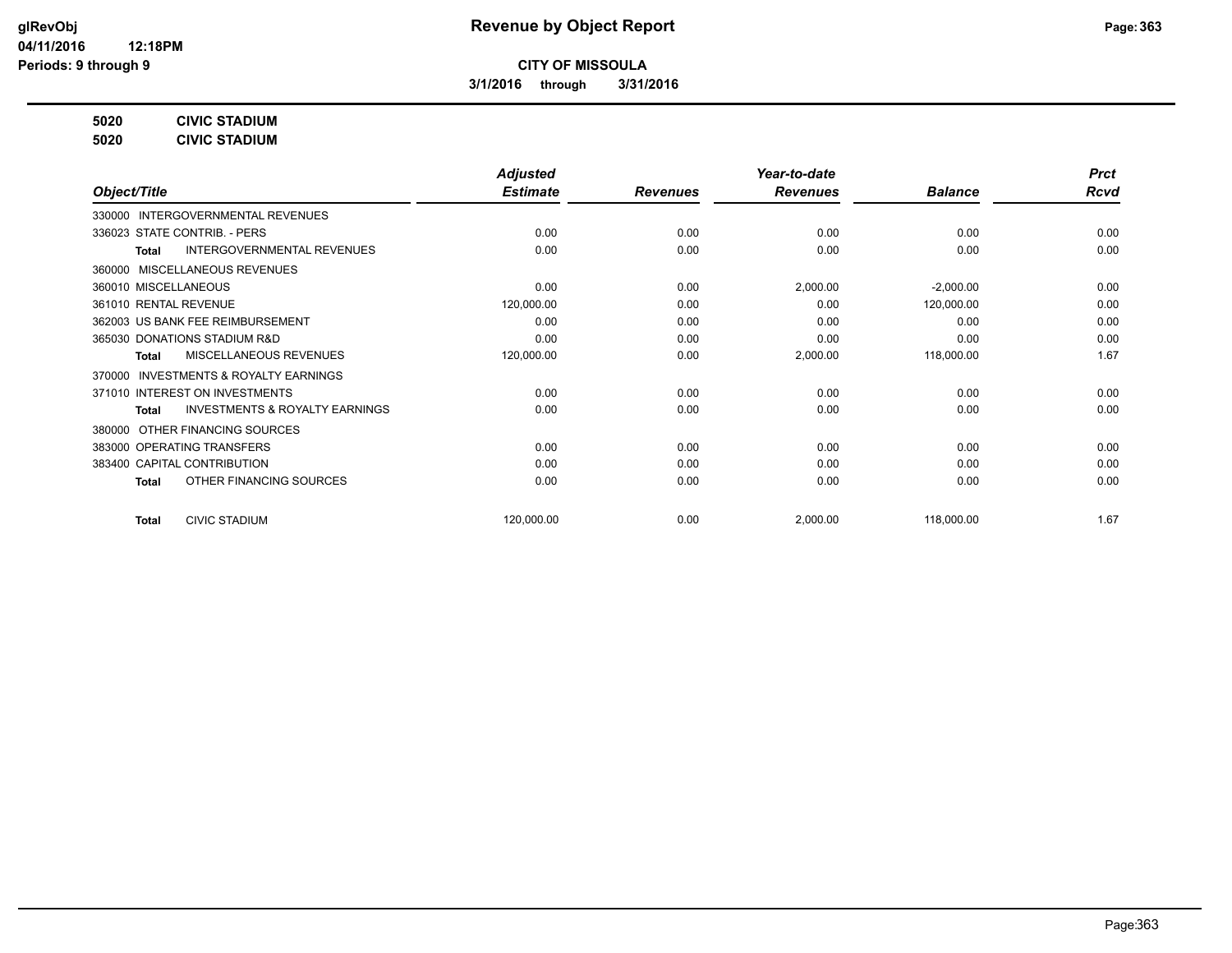**3/1/2016 through 3/31/2016**

**5020 CIVIC STADIUM**

**5020 CIVIC STADIUM**

| <b>Rcvd</b> |
|-------------|
|             |
| 0.00        |
| 0.00        |
|             |
| 0.00        |
| 0.00        |
| 0.00        |
| 0.00        |
| 1.67        |
|             |
| 0.00        |
| 0.00        |
|             |
| 0.00        |
| 0.00        |
| 0.00        |
| 1.67        |
|             |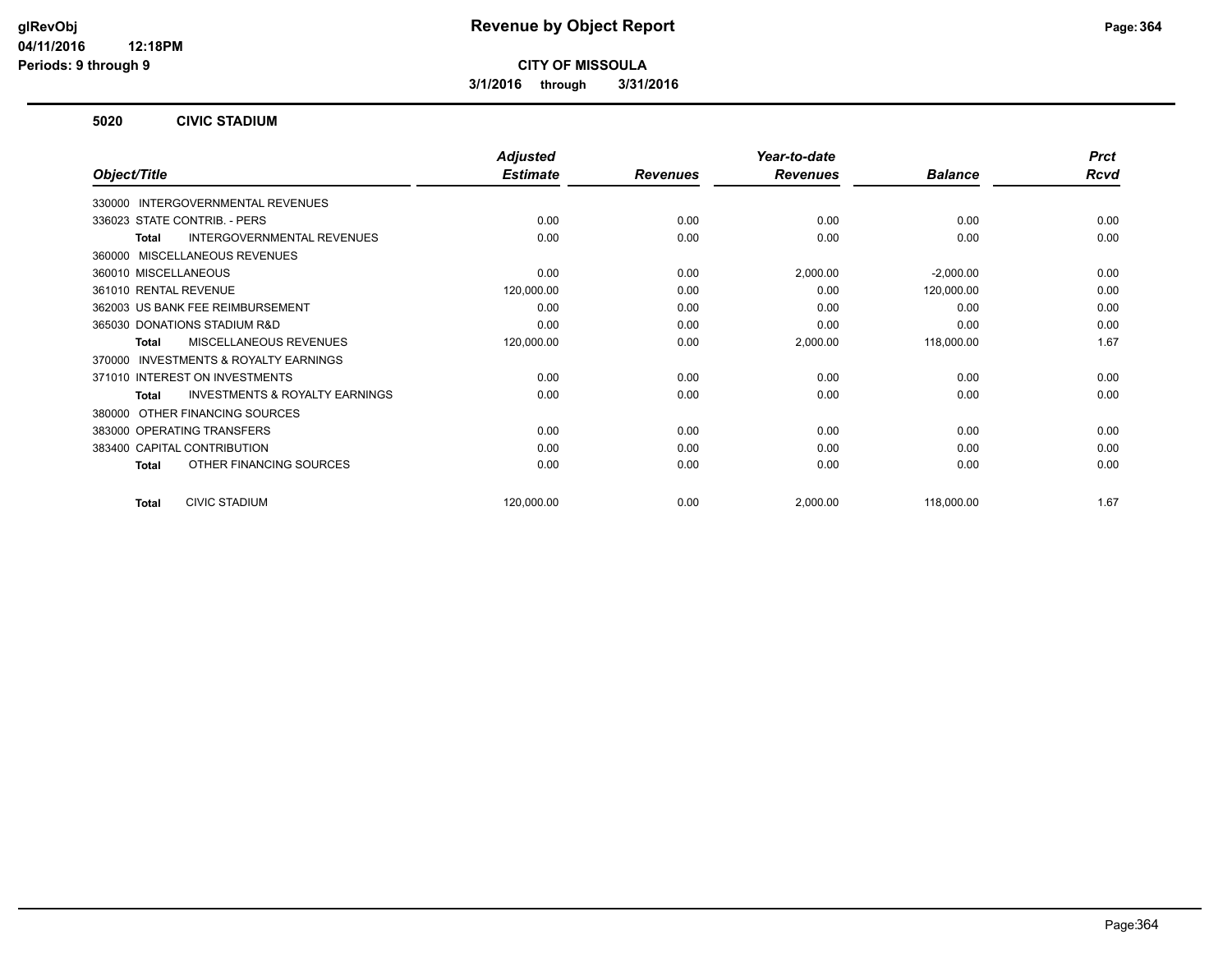**3/1/2016 through 3/31/2016**

#### **5020 CIVIC STADIUM**

|                                                           | <b>Adjusted</b> |                 | Year-to-date    |                | <b>Prct</b> |
|-----------------------------------------------------------|-----------------|-----------------|-----------------|----------------|-------------|
| Object/Title                                              | <b>Estimate</b> | <b>Revenues</b> | <b>Revenues</b> | <b>Balance</b> | <b>Rcvd</b> |
| INTERGOVERNMENTAL REVENUES<br>330000                      |                 |                 |                 |                |             |
| 336023 STATE CONTRIB. - PERS                              | 0.00            | 0.00            | 0.00            | 0.00           | 0.00        |
| <b>INTERGOVERNMENTAL REVENUES</b><br><b>Total</b>         | 0.00            | 0.00            | 0.00            | 0.00           | 0.00        |
| MISCELLANEOUS REVENUES<br>360000                          |                 |                 |                 |                |             |
| 360010 MISCELLANEOUS                                      | 0.00            | 0.00            | 2,000.00        | $-2,000.00$    | 0.00        |
| 361010 RENTAL REVENUE                                     | 120,000.00      | 0.00            | 0.00            | 120,000.00     | 0.00        |
| 362003 US BANK FEE REIMBURSEMENT                          | 0.00            | 0.00            | 0.00            | 0.00           | 0.00        |
| 365030 DONATIONS STADIUM R&D                              | 0.00            | 0.00            | 0.00            | 0.00           | 0.00        |
| MISCELLANEOUS REVENUES<br><b>Total</b>                    | 120,000.00      | 0.00            | 2,000.00        | 118,000.00     | 1.67        |
| <b>INVESTMENTS &amp; ROYALTY EARNINGS</b><br>370000       |                 |                 |                 |                |             |
| 371010 INTEREST ON INVESTMENTS                            | 0.00            | 0.00            | 0.00            | 0.00           | 0.00        |
| <b>INVESTMENTS &amp; ROYALTY EARNINGS</b><br><b>Total</b> | 0.00            | 0.00            | 0.00            | 0.00           | 0.00        |
| OTHER FINANCING SOURCES<br>380000                         |                 |                 |                 |                |             |
| 383000 OPERATING TRANSFERS                                | 0.00            | 0.00            | 0.00            | 0.00           | 0.00        |
| 383400 CAPITAL CONTRIBUTION                               | 0.00            | 0.00            | 0.00            | 0.00           | 0.00        |
| OTHER FINANCING SOURCES<br><b>Total</b>                   | 0.00            | 0.00            | 0.00            | 0.00           | 0.00        |
| <b>CIVIC STADIUM</b><br><b>Total</b>                      | 120,000.00      | 0.00            | 2,000.00        | 118,000.00     | 1.67        |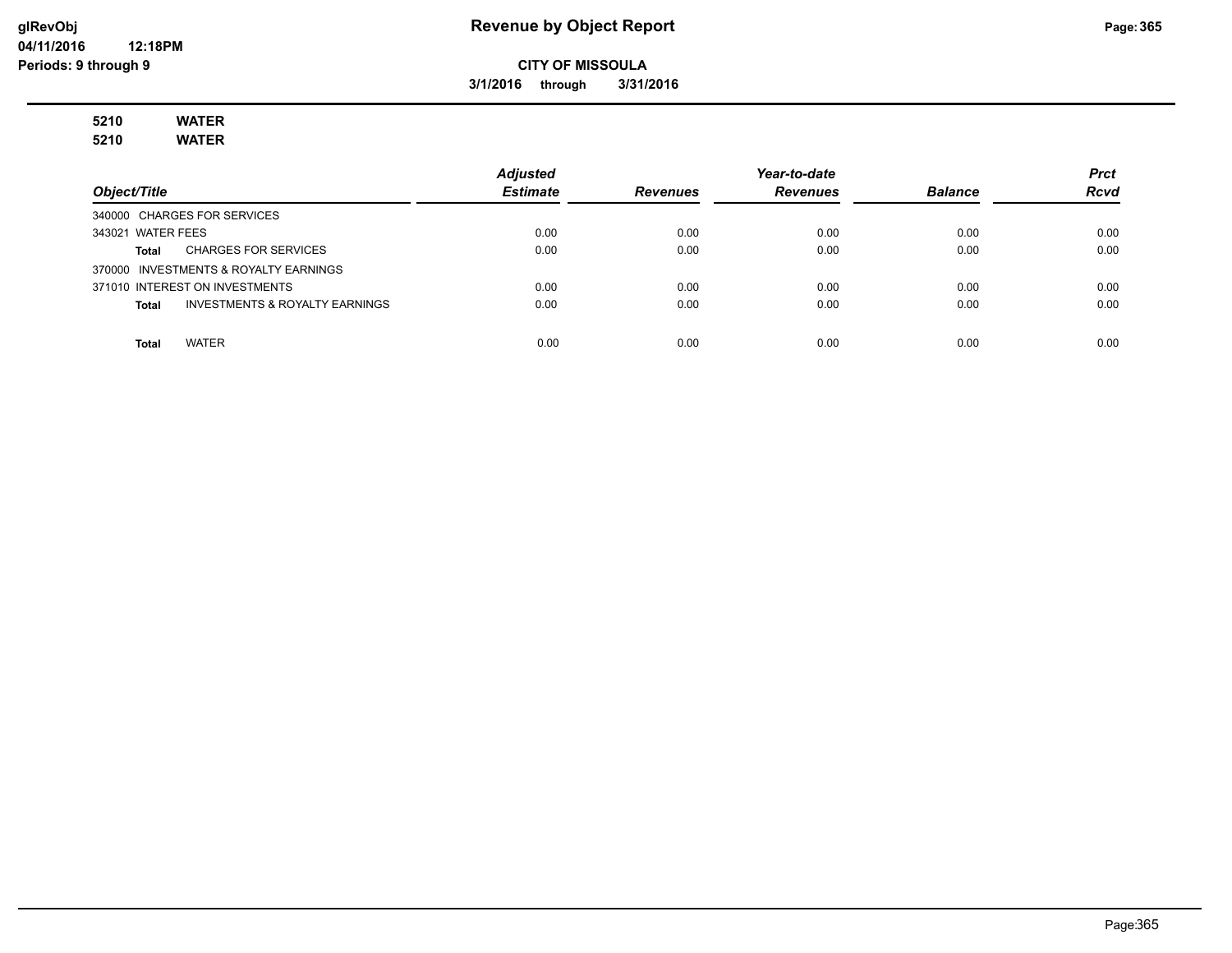#### **glRevObj Revenue by Object Report Page:365**

**CITY OF MISSOULA**

**3/1/2016 through 3/31/2016**

# **5210 WATER**

**5210 WATER**

|                                                    | <b>Adjusted</b> |                 | Year-to-date    |                | <b>Prct</b> |
|----------------------------------------------------|-----------------|-----------------|-----------------|----------------|-------------|
| Object/Title                                       | <b>Estimate</b> | <b>Revenues</b> | <b>Revenues</b> | <b>Balance</b> | <b>Rcvd</b> |
| 340000 CHARGES FOR SERVICES                        |                 |                 |                 |                |             |
| 343021 WATER FEES                                  | 0.00            | 0.00            | 0.00            | 0.00           | 0.00        |
| <b>CHARGES FOR SERVICES</b><br>Total               | 0.00            | 0.00            | 0.00            | 0.00           | 0.00        |
| 370000 INVESTMENTS & ROYALTY EARNINGS              |                 |                 |                 |                |             |
| 371010 INTEREST ON INVESTMENTS                     | 0.00            | 0.00            | 0.00            | 0.00           | 0.00        |
| <b>INVESTMENTS &amp; ROYALTY EARNINGS</b><br>Total | 0.00            | 0.00            | 0.00            | 0.00           | 0.00        |
|                                                    |                 |                 |                 |                |             |
| WATER<br>Total                                     | 0.00            | 0.00            | 0.00            | 0.00           | 0.00        |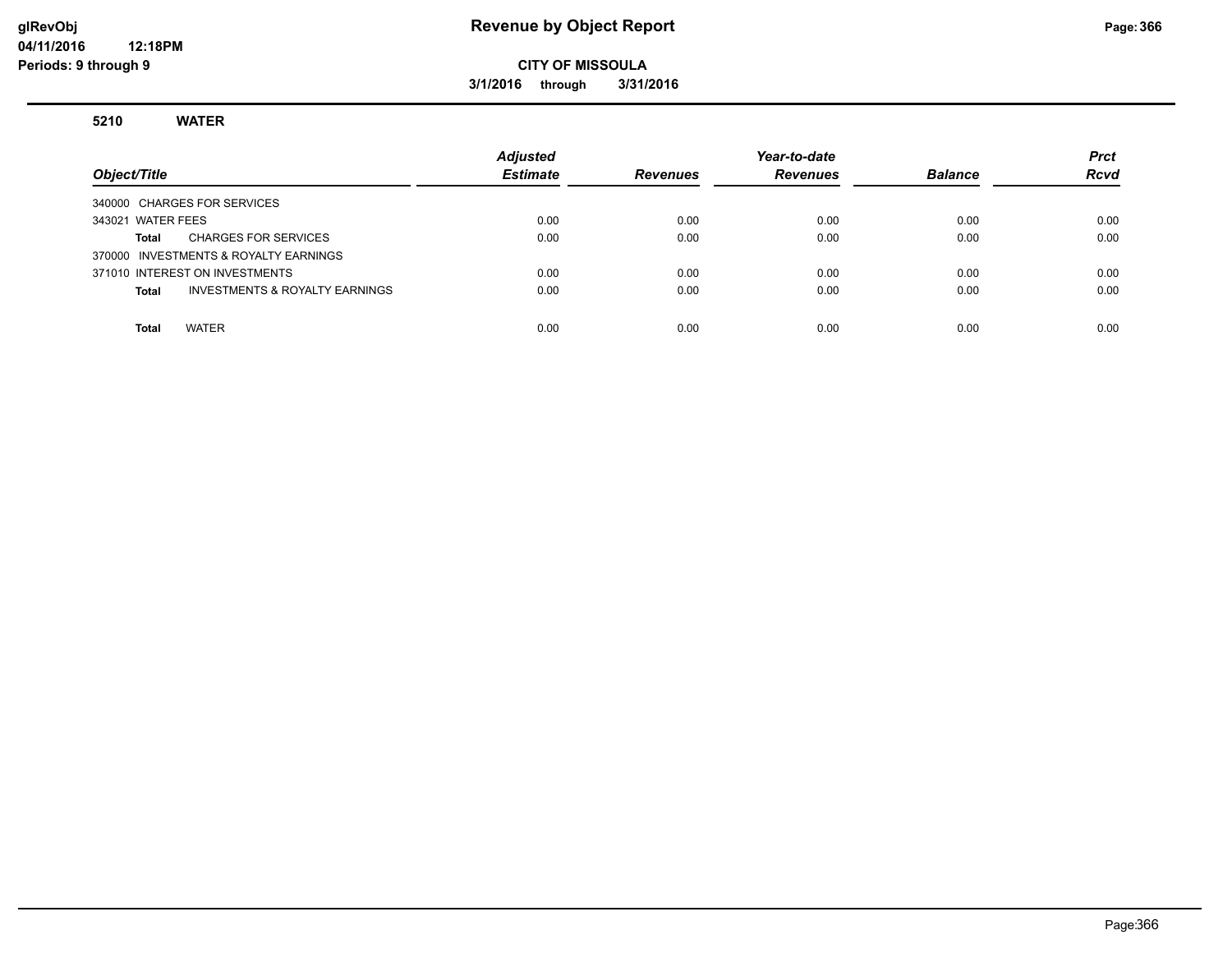#### **glRevObj Revenue by Object Report Page:366**

#### **CITY OF MISSOULA**

**3/1/2016 through 3/31/2016**

#### **5210 WATER**

| Object/Title                                       | <b>Adjusted</b><br><b>Estimate</b> | <b>Revenues</b> | Year-to-date<br><b>Revenues</b> | <b>Balance</b> | <b>Prct</b><br><b>Rcvd</b> |
|----------------------------------------------------|------------------------------------|-----------------|---------------------------------|----------------|----------------------------|
| 340000 CHARGES FOR SERVICES                        |                                    |                 |                                 |                |                            |
| 343021 WATER FEES                                  | 0.00                               | 0.00            | 0.00                            | 0.00           | 0.00                       |
| <b>CHARGES FOR SERVICES</b><br>Total               | 0.00                               | 0.00            | 0.00                            | 0.00           | 0.00                       |
| 370000 INVESTMENTS & ROYALTY EARNINGS              |                                    |                 |                                 |                |                            |
| 371010 INTEREST ON INVESTMENTS                     | 0.00                               | 0.00            | 0.00                            | 0.00           | 0.00                       |
| <b>INVESTMENTS &amp; ROYALTY EARNINGS</b><br>Total | 0.00                               | 0.00            | 0.00                            | 0.00           | 0.00                       |
|                                                    |                                    |                 |                                 |                |                            |
| <b>WATER</b><br><b>Total</b>                       | 0.00                               | 0.00            | 0.00                            | 0.00           | 0.00                       |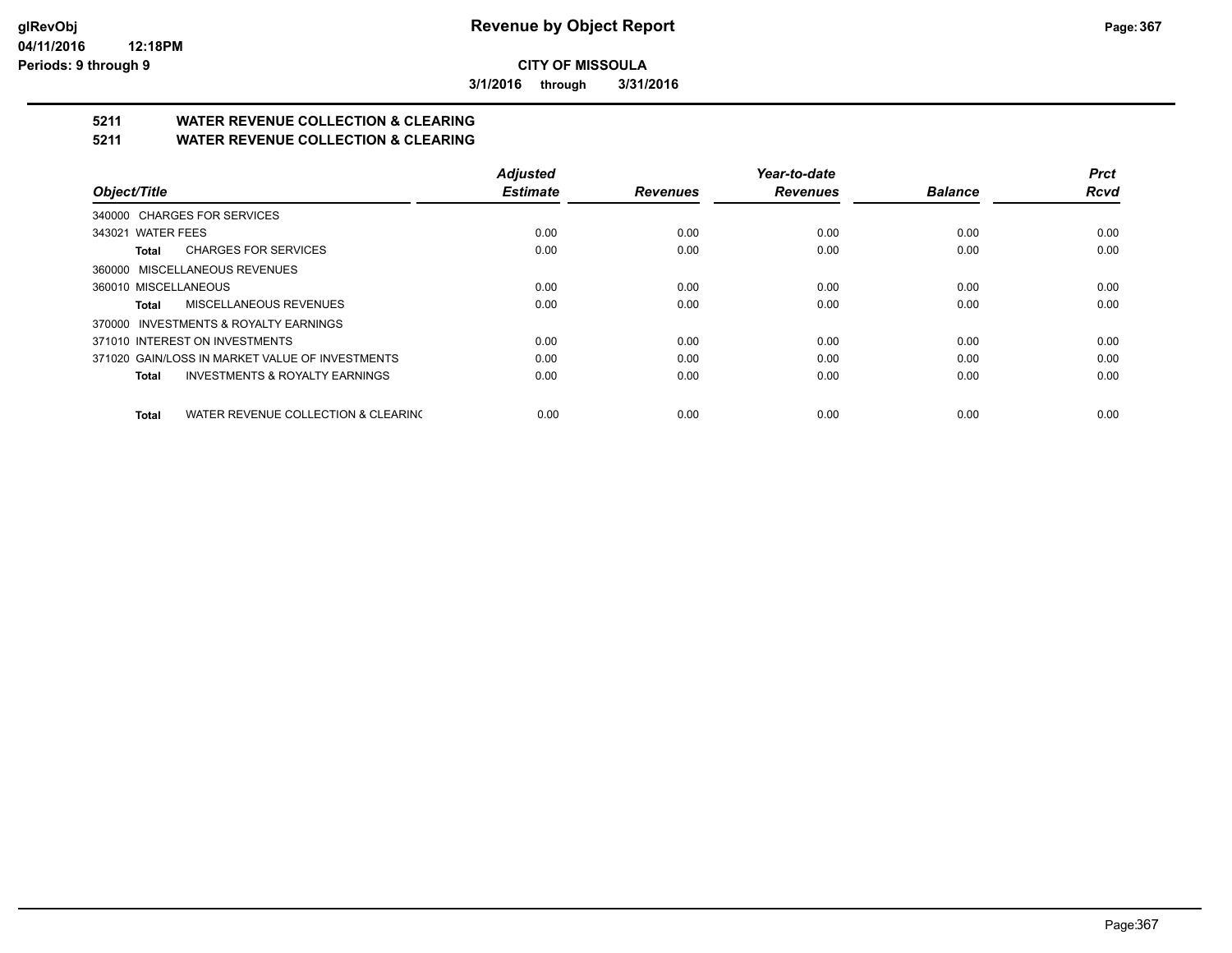**3/1/2016 through 3/31/2016**

## **5211 WATER REVENUE COLLECTION & CLEARING**

**5211 WATER REVENUE COLLECTION & CLEARING**

|                                                     | <b>Adjusted</b> |                 | Year-to-date    |                | <b>Prct</b> |
|-----------------------------------------------------|-----------------|-----------------|-----------------|----------------|-------------|
| Object/Title                                        | <b>Estimate</b> | <b>Revenues</b> | <b>Revenues</b> | <b>Balance</b> | <b>Rcvd</b> |
| 340000 CHARGES FOR SERVICES                         |                 |                 |                 |                |             |
| 343021 WATER FEES                                   | 0.00            | 0.00            | 0.00            | 0.00           | 0.00        |
| <b>CHARGES FOR SERVICES</b><br>Total                | 0.00            | 0.00            | 0.00            | 0.00           | 0.00        |
| 360000 MISCELLANEOUS REVENUES                       |                 |                 |                 |                |             |
| 360010 MISCELLANEOUS                                | 0.00            | 0.00            | 0.00            | 0.00           | 0.00        |
| MISCELLANEOUS REVENUES<br>Total                     | 0.00            | 0.00            | 0.00            | 0.00           | 0.00        |
| 370000 INVESTMENTS & ROYALTY EARNINGS               |                 |                 |                 |                |             |
| 371010 INTEREST ON INVESTMENTS                      | 0.00            | 0.00            | 0.00            | 0.00           | 0.00        |
| 371020 GAIN/LOSS IN MARKET VALUE OF INVESTMENTS     | 0.00            | 0.00            | 0.00            | 0.00           | 0.00        |
| <b>INVESTMENTS &amp; ROYALTY EARNINGS</b><br>Total  | 0.00            | 0.00            | 0.00            | 0.00           | 0.00        |
| WATER REVENUE COLLECTION & CLEARING<br><b>Total</b> | 0.00            | 0.00            | 0.00            | 0.00           | 0.00        |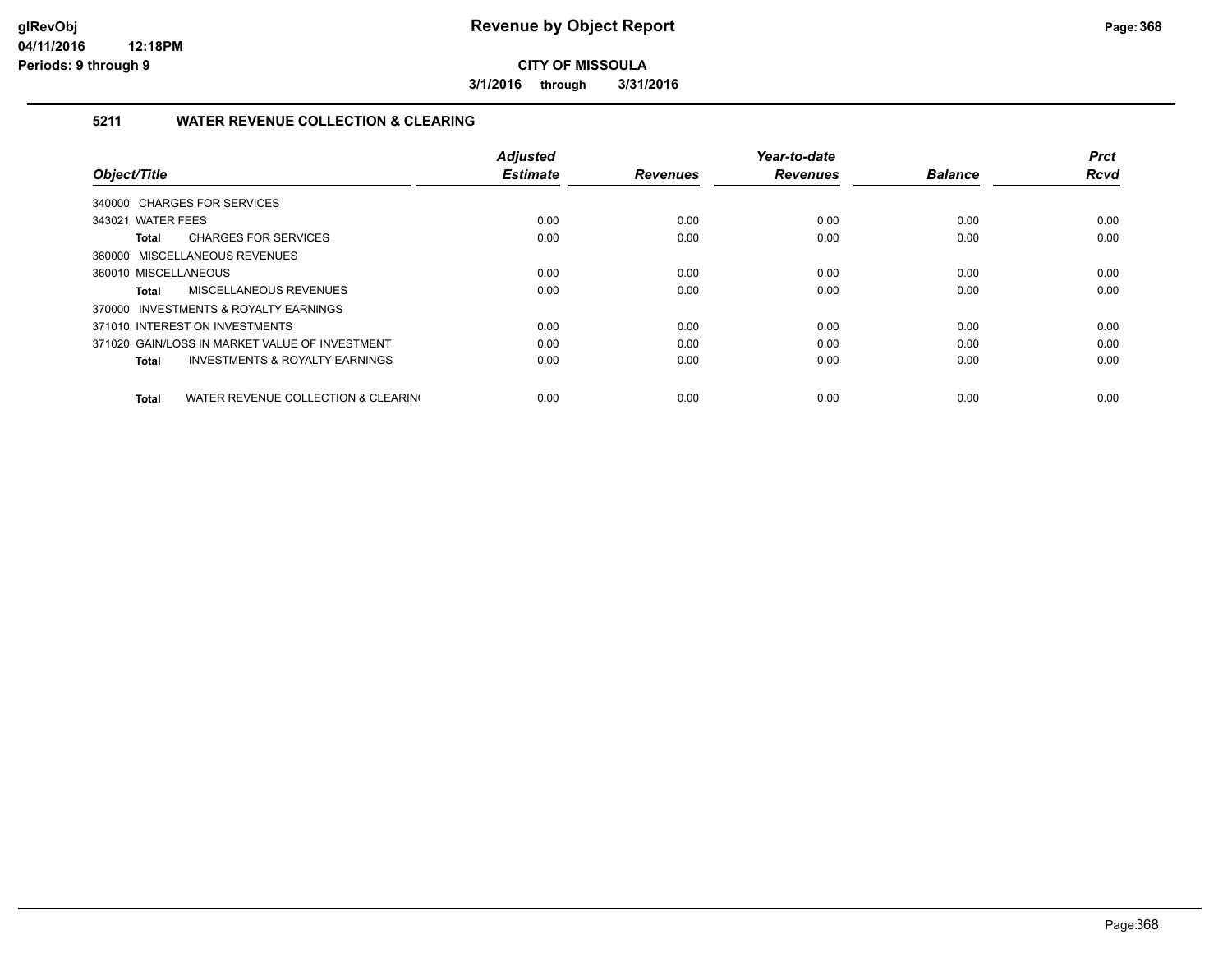**3/1/2016 through 3/31/2016**

#### **5211 WATER REVENUE COLLECTION & CLEARING**

|                                                     | <b>Adjusted</b> |                 | Year-to-date    |                | <b>Prct</b> |
|-----------------------------------------------------|-----------------|-----------------|-----------------|----------------|-------------|
| Object/Title                                        | <b>Estimate</b> | <b>Revenues</b> | <b>Revenues</b> | <b>Balance</b> | <b>Rcvd</b> |
| 340000 CHARGES FOR SERVICES                         |                 |                 |                 |                |             |
| 343021 WATER FEES                                   | 0.00            | 0.00            | 0.00            | 0.00           | 0.00        |
| <b>CHARGES FOR SERVICES</b><br>Total                | 0.00            | 0.00            | 0.00            | 0.00           | 0.00        |
| 360000 MISCELLANEOUS REVENUES                       |                 |                 |                 |                |             |
| 360010 MISCELLANEOUS                                | 0.00            | 0.00            | 0.00            | 0.00           | 0.00        |
| MISCELLANEOUS REVENUES<br><b>Total</b>              | 0.00            | 0.00            | 0.00            | 0.00           | 0.00        |
| 370000 INVESTMENTS & ROYALTY EARNINGS               |                 |                 |                 |                |             |
| 371010 INTEREST ON INVESTMENTS                      | 0.00            | 0.00            | 0.00            | 0.00           | 0.00        |
| 371020 GAIN/LOSS IN MARKET VALUE OF INVESTMENT      | 0.00            | 0.00            | 0.00            | 0.00           | 0.00        |
| <b>INVESTMENTS &amp; ROYALTY EARNINGS</b><br>Total  | 0.00            | 0.00            | 0.00            | 0.00           | 0.00        |
|                                                     |                 |                 |                 |                |             |
| WATER REVENUE COLLECTION & CLEARING<br><b>Total</b> | 0.00            | 0.00            | 0.00            | 0.00           | 0.00        |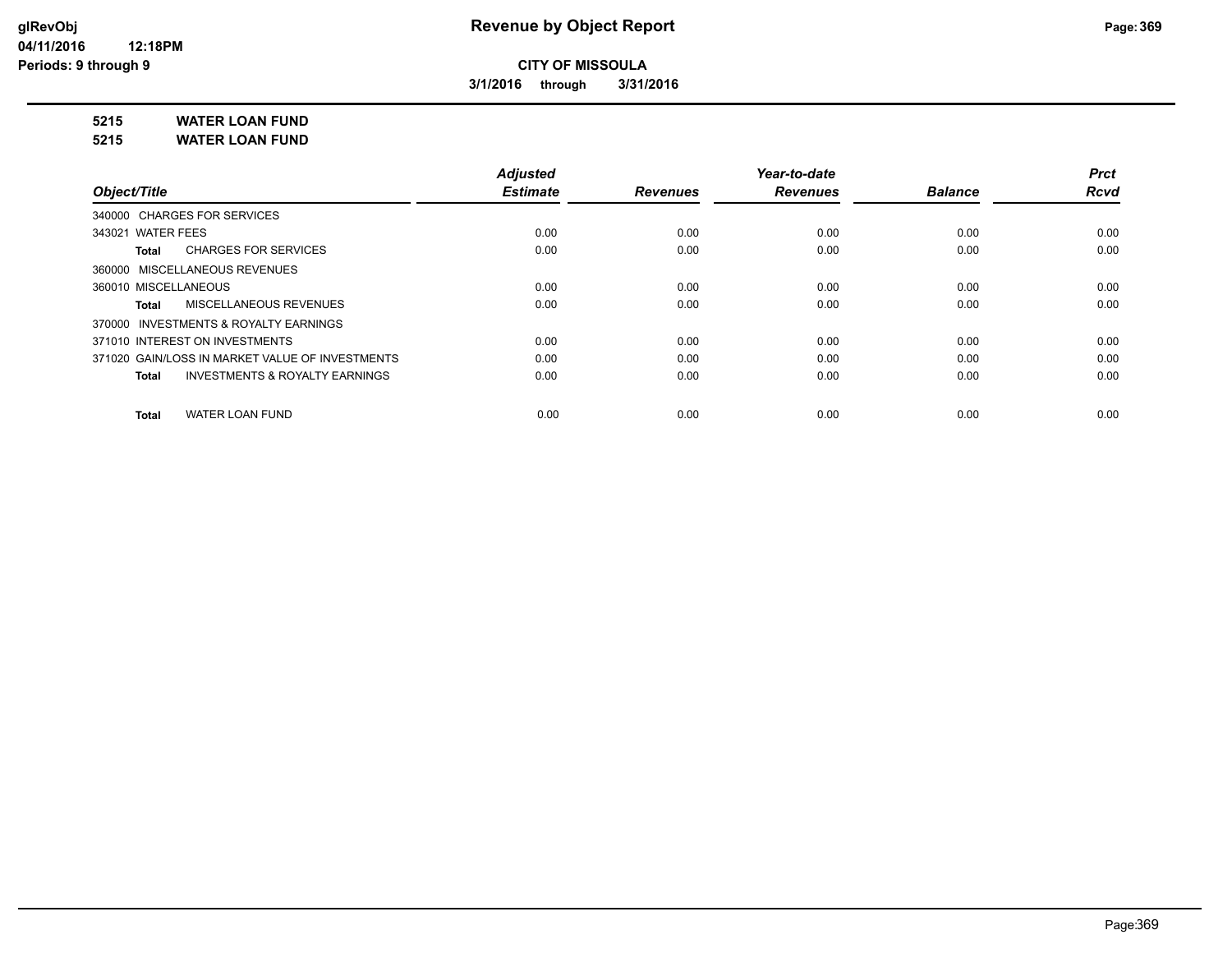**3/1/2016 through 3/31/2016**

**5215 WATER LOAN FUND**

**5215 WATER LOAN FUND**

|                                                           | <b>Adjusted</b> |                 | Year-to-date    |                | <b>Prct</b> |
|-----------------------------------------------------------|-----------------|-----------------|-----------------|----------------|-------------|
| Object/Title                                              | <b>Estimate</b> | <b>Revenues</b> | <b>Revenues</b> | <b>Balance</b> | <b>Rcvd</b> |
| 340000 CHARGES FOR SERVICES                               |                 |                 |                 |                |             |
| 343021 WATER FEES                                         | 0.00            | 0.00            | 0.00            | 0.00           | 0.00        |
| <b>CHARGES FOR SERVICES</b><br>Total                      | 0.00            | 0.00            | 0.00            | 0.00           | 0.00        |
| 360000 MISCELLANEOUS REVENUES                             |                 |                 |                 |                |             |
| 360010 MISCELLANEOUS                                      | 0.00            | 0.00            | 0.00            | 0.00           | 0.00        |
| MISCELLANEOUS REVENUES<br><b>Total</b>                    | 0.00            | 0.00            | 0.00            | 0.00           | 0.00        |
| 370000 INVESTMENTS & ROYALTY EARNINGS                     |                 |                 |                 |                |             |
| 371010 INTEREST ON INVESTMENTS                            | 0.00            | 0.00            | 0.00            | 0.00           | 0.00        |
| 371020 GAIN/LOSS IN MARKET VALUE OF INVESTMENTS           | 0.00            | 0.00            | 0.00            | 0.00           | 0.00        |
| <b>INVESTMENTS &amp; ROYALTY EARNINGS</b><br><b>Total</b> | 0.00            | 0.00            | 0.00            | 0.00           | 0.00        |
| <b>WATER LOAN FUND</b><br><b>Total</b>                    | 0.00            | 0.00            | 0.00            | 0.00           | 0.00        |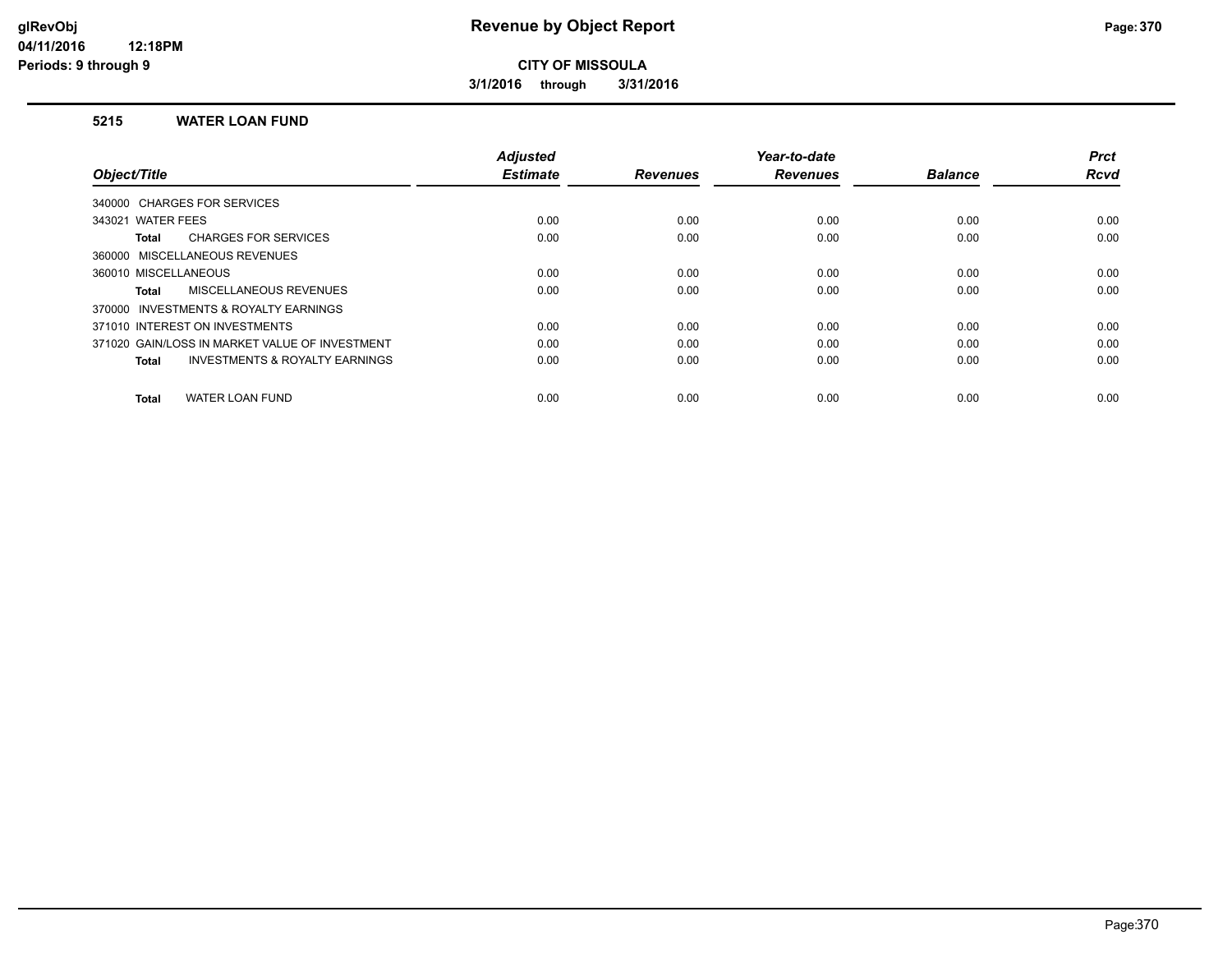**3/1/2016 through 3/31/2016**

#### **5215 WATER LOAN FUND**

|                                                           | <b>Adjusted</b> |                 | Year-to-date    |                | <b>Prct</b> |
|-----------------------------------------------------------|-----------------|-----------------|-----------------|----------------|-------------|
| Object/Title                                              | <b>Estimate</b> | <b>Revenues</b> | <b>Revenues</b> | <b>Balance</b> | <b>Rcvd</b> |
| 340000 CHARGES FOR SERVICES                               |                 |                 |                 |                |             |
| 343021 WATER FEES                                         | 0.00            | 0.00            | 0.00            | 0.00           | 0.00        |
| <b>CHARGES FOR SERVICES</b><br>Total                      | 0.00            | 0.00            | 0.00            | 0.00           | 0.00        |
| 360000 MISCELLANEOUS REVENUES                             |                 |                 |                 |                |             |
| 360010 MISCELLANEOUS                                      | 0.00            | 0.00            | 0.00            | 0.00           | 0.00        |
| <b>MISCELLANEOUS REVENUES</b><br><b>Total</b>             | 0.00            | 0.00            | 0.00            | 0.00           | 0.00        |
| INVESTMENTS & ROYALTY EARNINGS<br>370000                  |                 |                 |                 |                |             |
| 371010 INTEREST ON INVESTMENTS                            | 0.00            | 0.00            | 0.00            | 0.00           | 0.00        |
| 371020 GAIN/LOSS IN MARKET VALUE OF INVESTMENT            | 0.00            | 0.00            | 0.00            | 0.00           | 0.00        |
| <b>INVESTMENTS &amp; ROYALTY EARNINGS</b><br><b>Total</b> | 0.00            | 0.00            | 0.00            | 0.00           | 0.00        |
|                                                           |                 |                 |                 |                |             |
| <b>WATER LOAN FUND</b><br><b>Total</b>                    | 0.00            | 0.00            | 0.00            | 0.00           | 0.00        |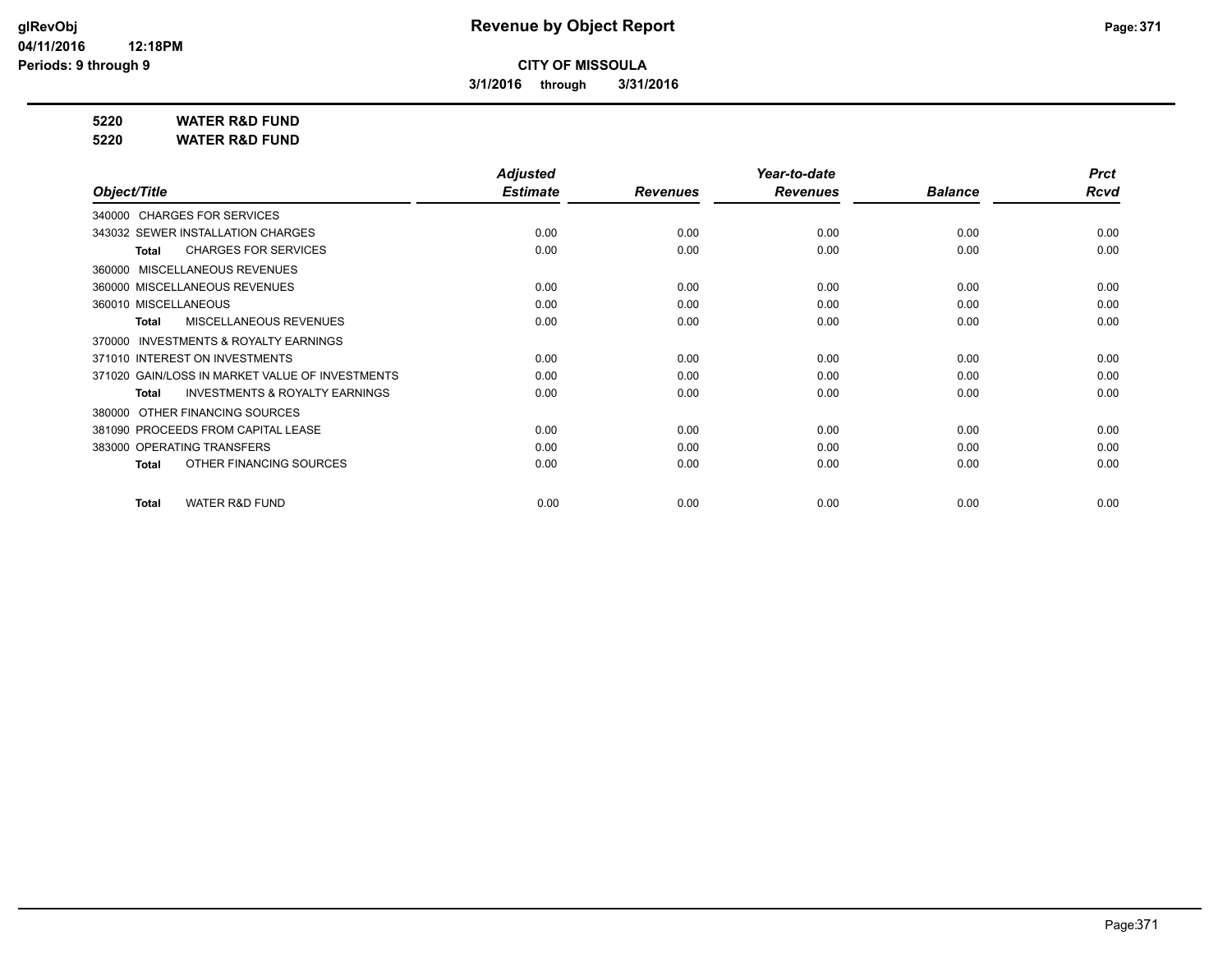**3/1/2016 through 3/31/2016**

**5220 WATER R&D FUND**

**5220 WATER R&D FUND**

|                                                           | <b>Adjusted</b> |                 | Year-to-date    |                | <b>Prct</b> |
|-----------------------------------------------------------|-----------------|-----------------|-----------------|----------------|-------------|
| Object/Title                                              | <b>Estimate</b> | <b>Revenues</b> | <b>Revenues</b> | <b>Balance</b> | Rcvd        |
| 340000 CHARGES FOR SERVICES                               |                 |                 |                 |                |             |
| 343032 SEWER INSTALLATION CHARGES                         | 0.00            | 0.00            | 0.00            | 0.00           | 0.00        |
| <b>CHARGES FOR SERVICES</b><br><b>Total</b>               | 0.00            | 0.00            | 0.00            | 0.00           | 0.00        |
| MISCELLANEOUS REVENUES<br>360000                          |                 |                 |                 |                |             |
| 360000 MISCELLANEOUS REVENUES                             | 0.00            | 0.00            | 0.00            | 0.00           | 0.00        |
| 360010 MISCELLANEOUS                                      | 0.00            | 0.00            | 0.00            | 0.00           | 0.00        |
| <b>MISCELLANEOUS REVENUES</b><br><b>Total</b>             | 0.00            | 0.00            | 0.00            | 0.00           | 0.00        |
| <b>INVESTMENTS &amp; ROYALTY EARNINGS</b><br>370000       |                 |                 |                 |                |             |
| 371010 INTEREST ON INVESTMENTS                            | 0.00            | 0.00            | 0.00            | 0.00           | 0.00        |
| 371020 GAIN/LOSS IN MARKET VALUE OF INVESTMENTS           | 0.00            | 0.00            | 0.00            | 0.00           | 0.00        |
| <b>INVESTMENTS &amp; ROYALTY EARNINGS</b><br><b>Total</b> | 0.00            | 0.00            | 0.00            | 0.00           | 0.00        |
| OTHER FINANCING SOURCES<br>380000                         |                 |                 |                 |                |             |
| 381090 PROCEEDS FROM CAPITAL LEASE                        | 0.00            | 0.00            | 0.00            | 0.00           | 0.00        |
| 383000 OPERATING TRANSFERS                                | 0.00            | 0.00            | 0.00            | 0.00           | 0.00        |
| OTHER FINANCING SOURCES<br><b>Total</b>                   | 0.00            | 0.00            | 0.00            | 0.00           | 0.00        |
| <b>WATER R&amp;D FUND</b><br>Total                        | 0.00            | 0.00            | 0.00            | 0.00           | 0.00        |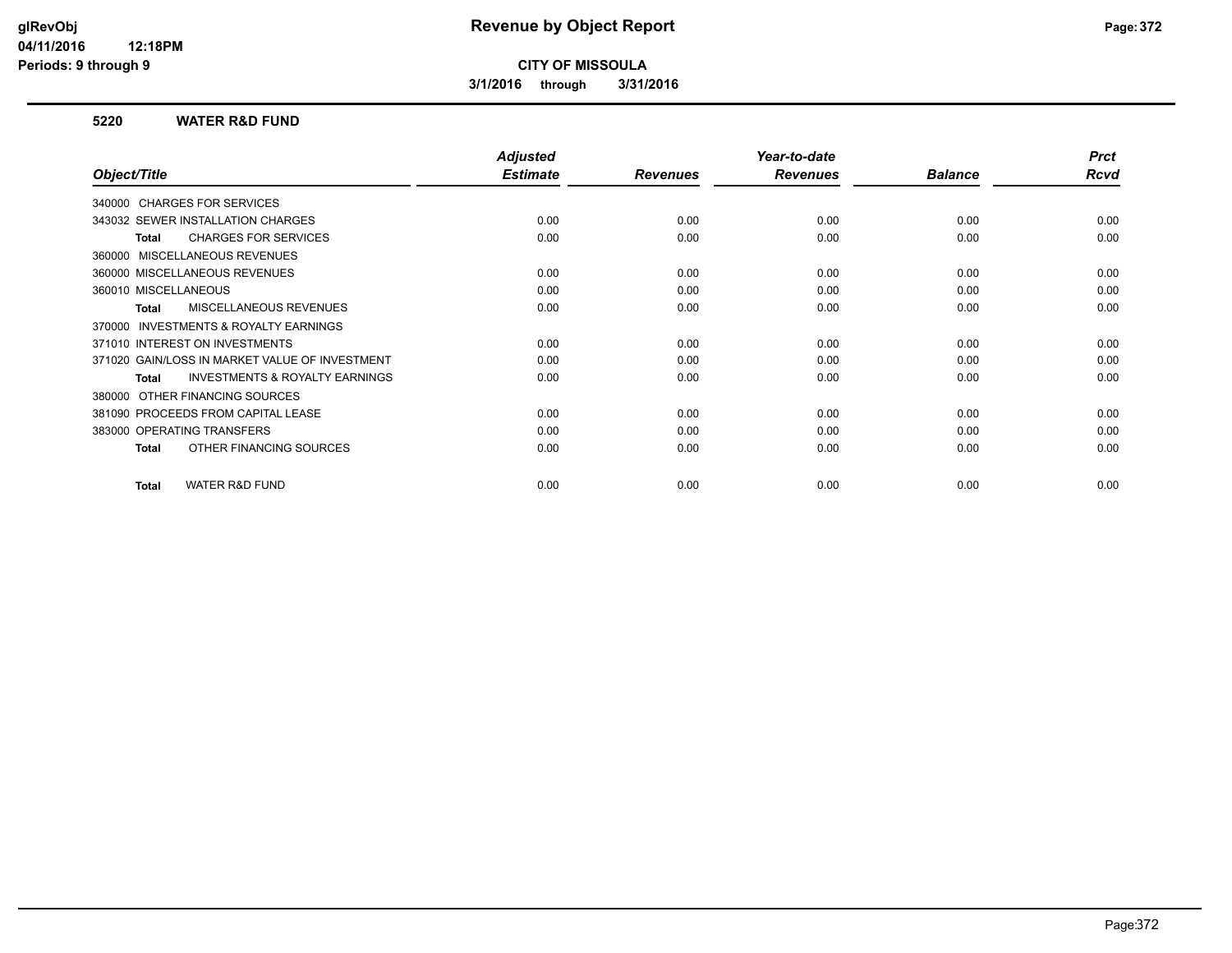**3/1/2016 through 3/31/2016**

#### **5220 WATER R&D FUND**

|                                                    | <b>Adjusted</b> |                 | Year-to-date    |                | <b>Prct</b> |
|----------------------------------------------------|-----------------|-----------------|-----------------|----------------|-------------|
| Object/Title                                       | <b>Estimate</b> | <b>Revenues</b> | <b>Revenues</b> | <b>Balance</b> | <b>Rcvd</b> |
| 340000 CHARGES FOR SERVICES                        |                 |                 |                 |                |             |
| 343032 SEWER INSTALLATION CHARGES                  | 0.00            | 0.00            | 0.00            | 0.00           | 0.00        |
| <b>CHARGES FOR SERVICES</b><br><b>Total</b>        | 0.00            | 0.00            | 0.00            | 0.00           | 0.00        |
| 360000 MISCELLANEOUS REVENUES                      |                 |                 |                 |                |             |
| 360000 MISCELLANEOUS REVENUES                      | 0.00            | 0.00            | 0.00            | 0.00           | 0.00        |
| 360010 MISCELLANEOUS                               | 0.00            | 0.00            | 0.00            | 0.00           | 0.00        |
| MISCELLANEOUS REVENUES<br>Total                    | 0.00            | 0.00            | 0.00            | 0.00           | 0.00        |
| INVESTMENTS & ROYALTY EARNINGS<br>370000           |                 |                 |                 |                |             |
| 371010 INTEREST ON INVESTMENTS                     | 0.00            | 0.00            | 0.00            | 0.00           | 0.00        |
| 371020 GAIN/LOSS IN MARKET VALUE OF INVESTMENT     | 0.00            | 0.00            | 0.00            | 0.00           | 0.00        |
| <b>INVESTMENTS &amp; ROYALTY EARNINGS</b><br>Total | 0.00            | 0.00            | 0.00            | 0.00           | 0.00        |
| OTHER FINANCING SOURCES<br>380000                  |                 |                 |                 |                |             |
| 381090 PROCEEDS FROM CAPITAL LEASE                 | 0.00            | 0.00            | 0.00            | 0.00           | 0.00        |
| 383000 OPERATING TRANSFERS                         | 0.00            | 0.00            | 0.00            | 0.00           | 0.00        |
| OTHER FINANCING SOURCES<br><b>Total</b>            | 0.00            | 0.00            | 0.00            | 0.00           | 0.00        |
|                                                    |                 |                 |                 |                |             |
| <b>WATER R&amp;D FUND</b><br><b>Total</b>          | 0.00            | 0.00            | 0.00            | 0.00           | 0.00        |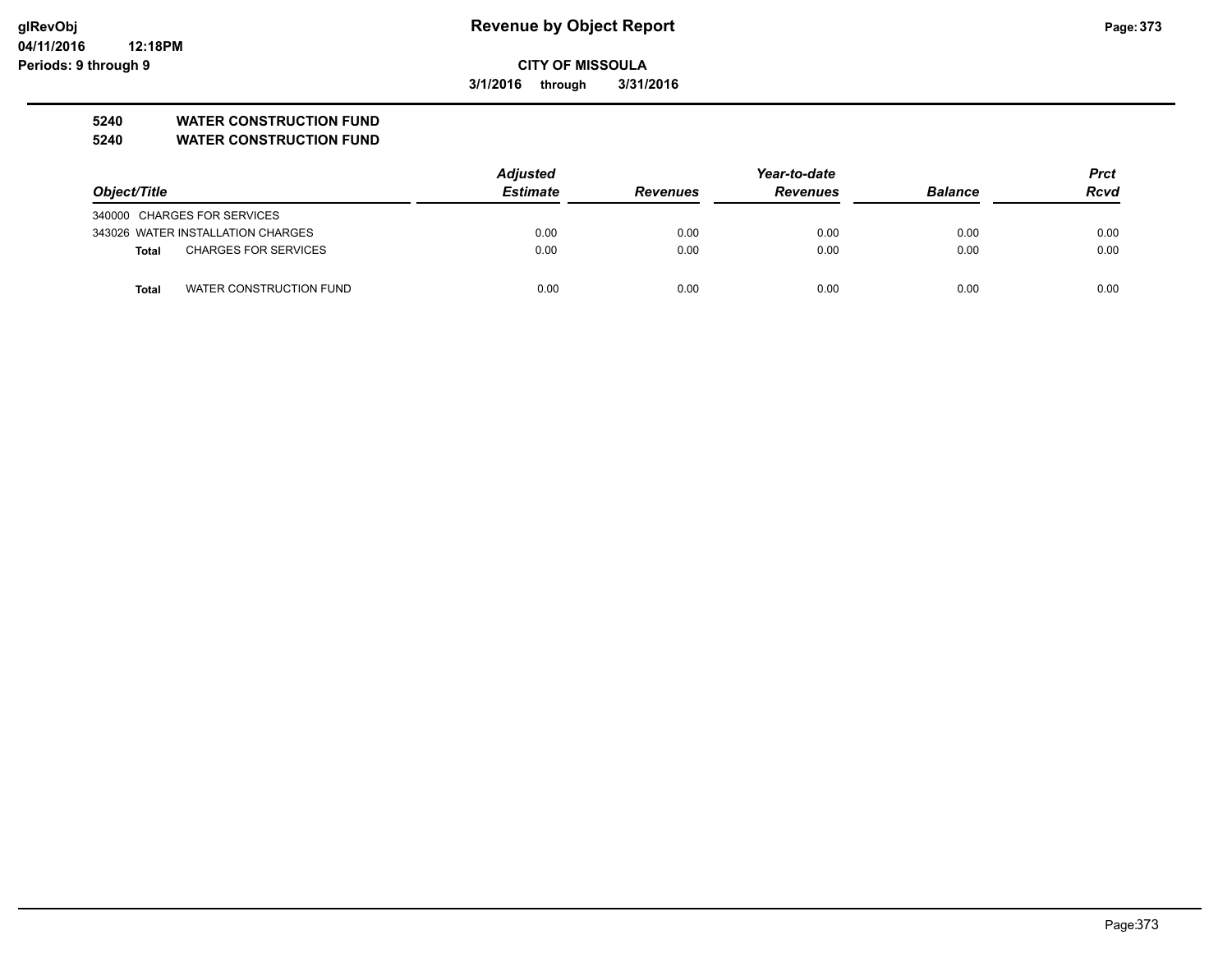**3/1/2016 through 3/31/2016**

#### **5240 WATER CONSTRUCTION FUND**

**5240 WATER CONSTRUCTION FUND**

|                                         | <b>Adjusted</b> |                 | Year-to-date    |                | <b>Prct</b> |
|-----------------------------------------|-----------------|-----------------|-----------------|----------------|-------------|
| Object/Title                            | <b>Estimate</b> | <b>Revenues</b> | <b>Revenues</b> | <b>Balance</b> | <b>Rcvd</b> |
| 340000 CHARGES FOR SERVICES             |                 |                 |                 |                |             |
| 343026 WATER INSTALLATION CHARGES       | 0.00            | 0.00            | 0.00            | 0.00           | 0.00        |
| <b>CHARGES FOR SERVICES</b><br>Total    | 0.00            | 0.00            | 0.00            | 0.00           | 0.00        |
| WATER CONSTRUCTION FUND<br><b>Total</b> | 0.00            | 0.00            | 0.00            | 0.00           | 0.00        |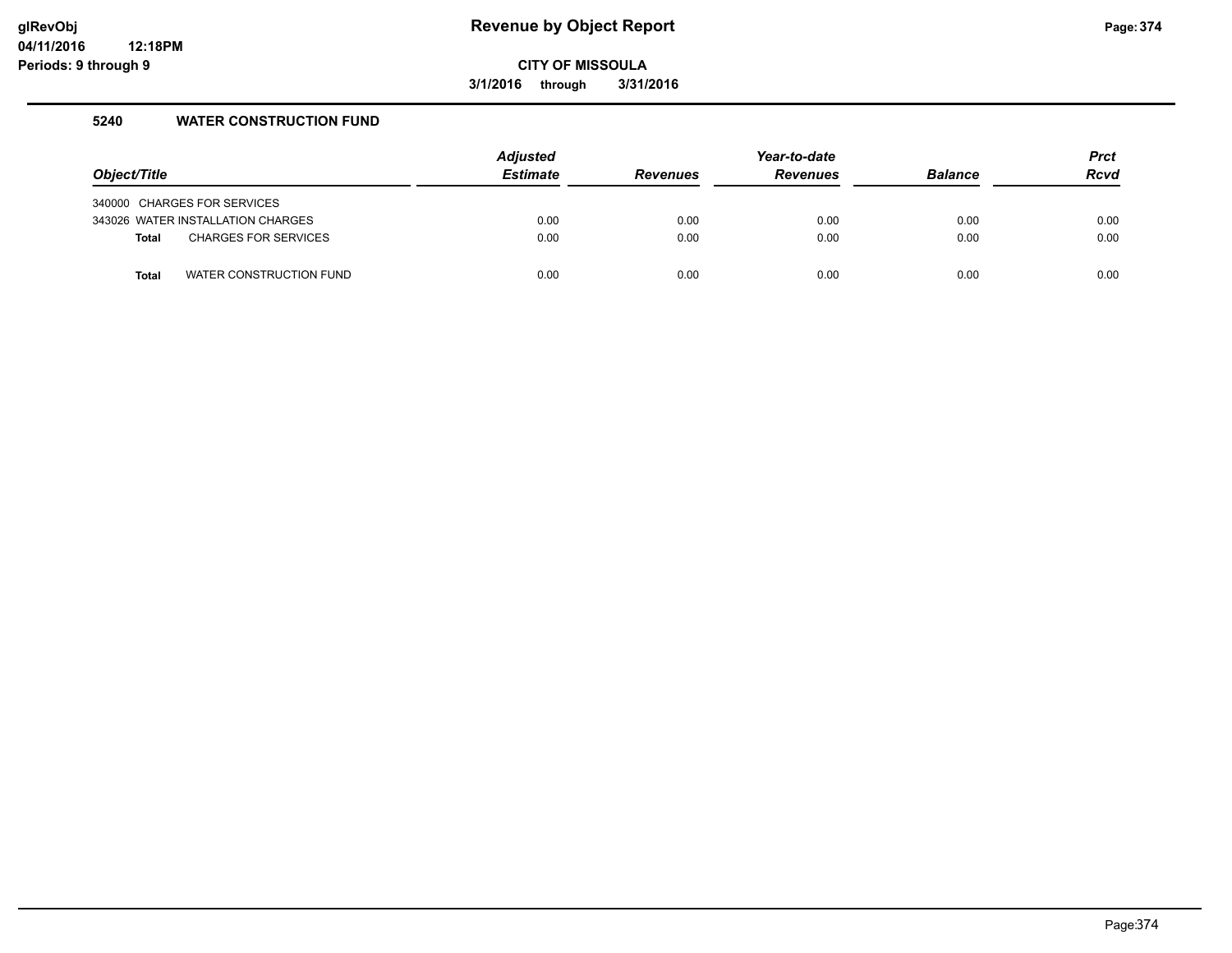#### **glRevObj Revenue by Object Report Page:374**

**CITY OF MISSOULA**

**3/1/2016 through 3/31/2016**

#### **5240 WATER CONSTRUCTION FUND**

| Object/Title |                                   | <b>Adjusted</b><br><b>Estimate</b> | <b>Revenues</b> | Year-to-date<br><b>Revenues</b> | <b>Balance</b> | <b>Prct</b><br><b>Rcvd</b> |
|--------------|-----------------------------------|------------------------------------|-----------------|---------------------------------|----------------|----------------------------|
|              | 340000 CHARGES FOR SERVICES       |                                    |                 |                                 |                |                            |
|              | 343026 WATER INSTALLATION CHARGES | 0.00                               | 0.00            | 0.00                            | 0.00           | 0.00                       |
| <b>Total</b> | <b>CHARGES FOR SERVICES</b>       | 0.00                               | 0.00            | 0.00                            | 0.00           | 0.00                       |
| Total        | WATER CONSTRUCTION FUND           | 0.00                               | 0.00            | 0.00                            | 0.00           | 0.00                       |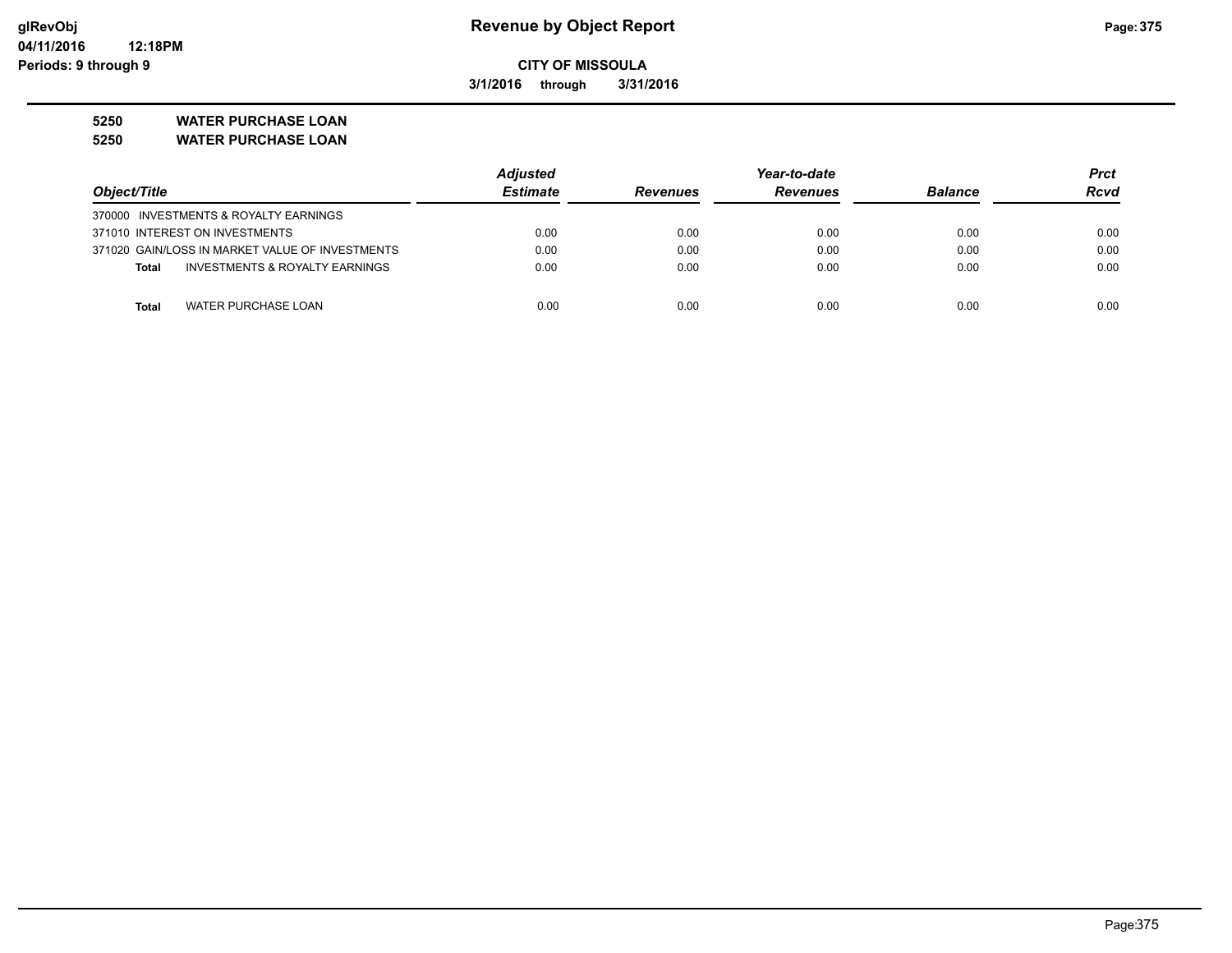**3/1/2016 through 3/31/2016**

**5250 WATER PURCHASE LOAN**

**5250 WATER PURCHASE LOAN**

|                                                           | <b>Adjusted</b> |                 | Year-to-date    |                | <b>Prct</b> |
|-----------------------------------------------------------|-----------------|-----------------|-----------------|----------------|-------------|
| Object/Title                                              | <b>Estimate</b> | <b>Revenues</b> | <b>Revenues</b> | <b>Balance</b> | <b>Rcvd</b> |
| 370000 INVESTMENTS & ROYALTY EARNINGS                     |                 |                 |                 |                |             |
| 371010 INTEREST ON INVESTMENTS                            | 0.00            | 0.00            | 0.00            | 0.00           | 0.00        |
| 371020 GAIN/LOSS IN MARKET VALUE OF INVESTMENTS           | 0.00            | 0.00            | 0.00            | 0.00           | 0.00        |
| <b>INVESTMENTS &amp; ROYALTY EARNINGS</b><br><b>Total</b> | 0.00            | 0.00            | 0.00            | 0.00           | 0.00        |
|                                                           |                 |                 |                 |                |             |
| <b>WATER PURCHASE LOAN</b><br>Total                       | 0.00            | 0.00            | 0.00            | 0.00           | 0.00        |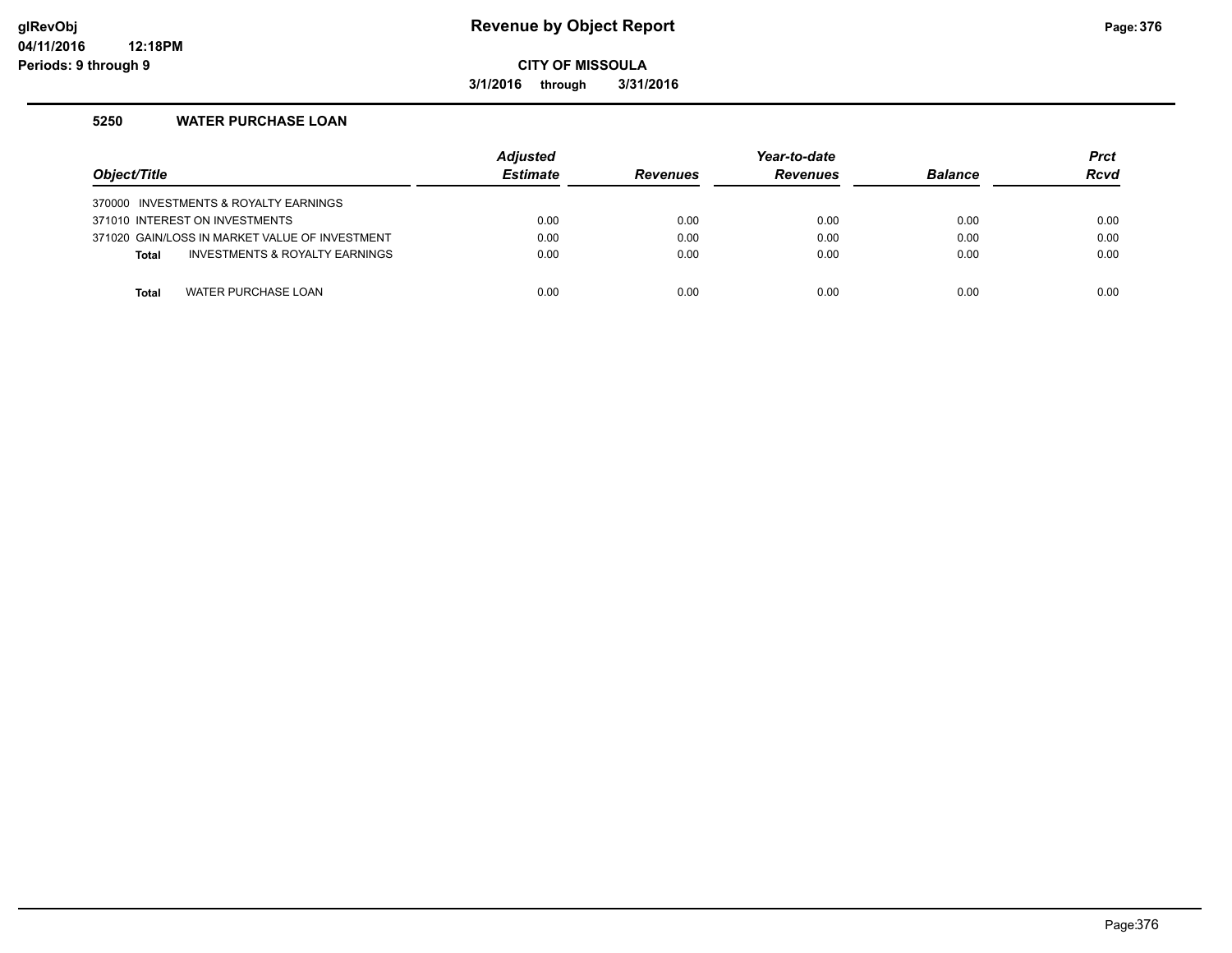#### **glRevObj Revenue by Object Report Page:376**

**CITY OF MISSOULA**

**3/1/2016 through 3/31/2016**

#### **5250 WATER PURCHASE LOAN**

| Object/Title |                                                | <b>Adjusted</b><br><b>Estimate</b> | <b>Revenues</b> | Year-to-date<br><b>Revenues</b> | <b>Balance</b> | <b>Prct</b><br>Rcvd |
|--------------|------------------------------------------------|------------------------------------|-----------------|---------------------------------|----------------|---------------------|
|              | 370000 INVESTMENTS & ROYALTY EARNINGS          |                                    |                 |                                 |                |                     |
|              | 371010 INTEREST ON INVESTMENTS                 | 0.00                               | 0.00            | 0.00                            | 0.00           | 0.00                |
|              | 371020 GAIN/LOSS IN MARKET VALUE OF INVESTMENT | 0.00                               | 0.00            | 0.00                            | 0.00           | 0.00                |
| <b>Total</b> | <b>INVESTMENTS &amp; ROYALTY EARNINGS</b>      | 0.00                               | 0.00            | 0.00                            | 0.00           | 0.00                |
|              |                                                |                                    |                 |                                 |                |                     |
| Total        | WATER PURCHASE LOAN                            | 0.00                               | 0.00            | 0.00                            | 0.00           | 0.00                |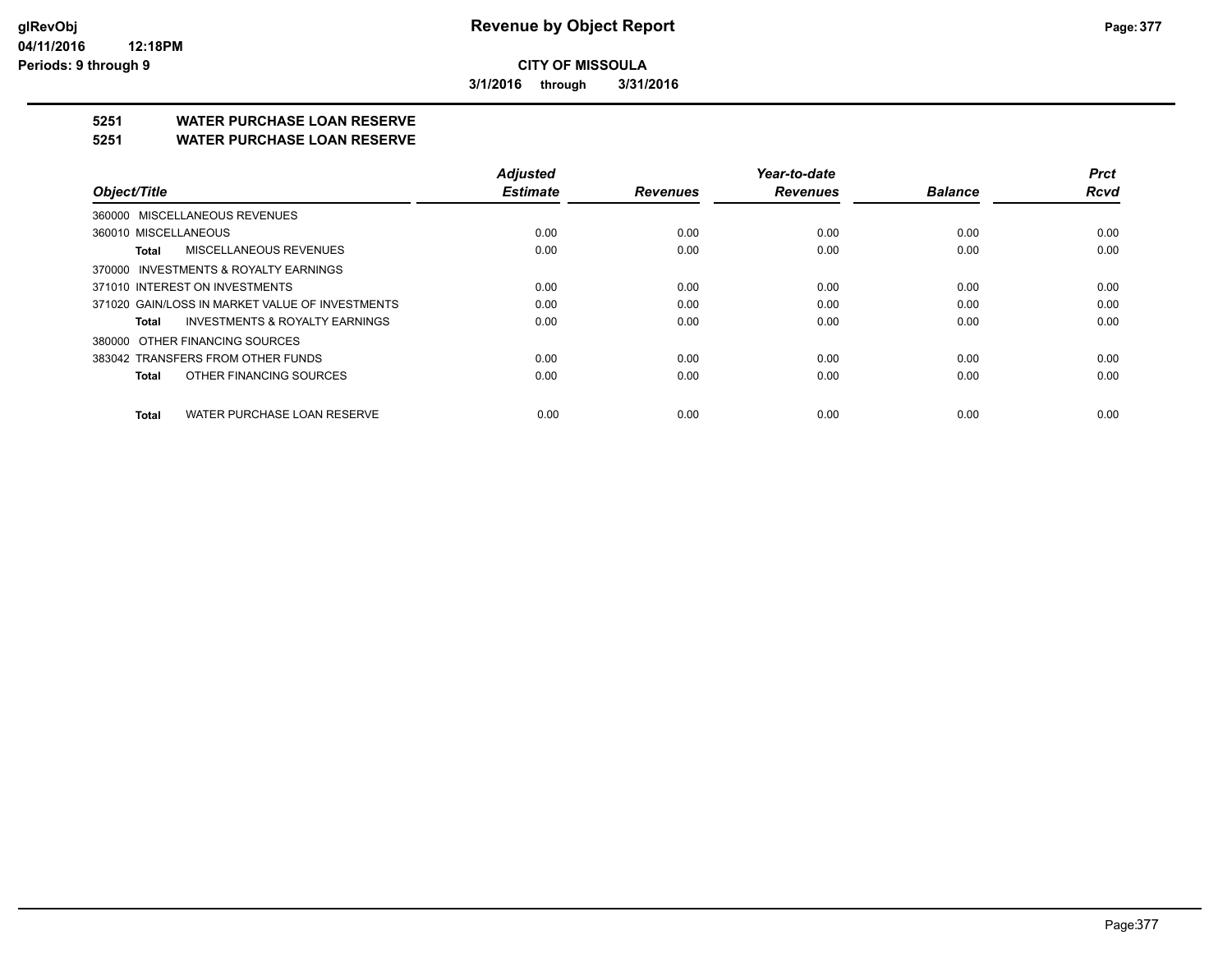**3/1/2016 through 3/31/2016**

## **5251 WATER PURCHASE LOAN RESERVE**

#### **5251 WATER PURCHASE LOAN RESERVE**

| Object/Title                                       | <b>Adiusted</b><br><b>Estimate</b> | <b>Revenues</b> | Year-to-date<br><b>Revenues</b> | <b>Balance</b> | <b>Prct</b><br><b>Rcvd</b> |
|----------------------------------------------------|------------------------------------|-----------------|---------------------------------|----------------|----------------------------|
| 360000 MISCELLANEOUS REVENUES                      |                                    |                 |                                 |                |                            |
| 360010 MISCELLANEOUS                               | 0.00                               | 0.00            | 0.00                            | 0.00           | 0.00                       |
| MISCELLANEOUS REVENUES<br>Total                    | 0.00                               | 0.00            | 0.00                            | 0.00           | 0.00                       |
| 370000 INVESTMENTS & ROYALTY EARNINGS              |                                    |                 |                                 |                |                            |
| 371010 INTEREST ON INVESTMENTS                     | 0.00                               | 0.00            | 0.00                            | 0.00           | 0.00                       |
| 371020 GAIN/LOSS IN MARKET VALUE OF INVESTMENTS    | 0.00                               | 0.00            | 0.00                            | 0.00           | 0.00                       |
| <b>INVESTMENTS &amp; ROYALTY EARNINGS</b><br>Total | 0.00                               | 0.00            | 0.00                            | 0.00           | 0.00                       |
| 380000 OTHER FINANCING SOURCES                     |                                    |                 |                                 |                |                            |
| 383042 TRANSFERS FROM OTHER FUNDS                  | 0.00                               | 0.00            | 0.00                            | 0.00           | 0.00                       |
| OTHER FINANCING SOURCES<br>Total                   | 0.00                               | 0.00            | 0.00                            | 0.00           | 0.00                       |
| WATER PURCHASE LOAN RESERVE<br><b>Total</b>        | 0.00                               | 0.00            | 0.00                            | 0.00           | 0.00                       |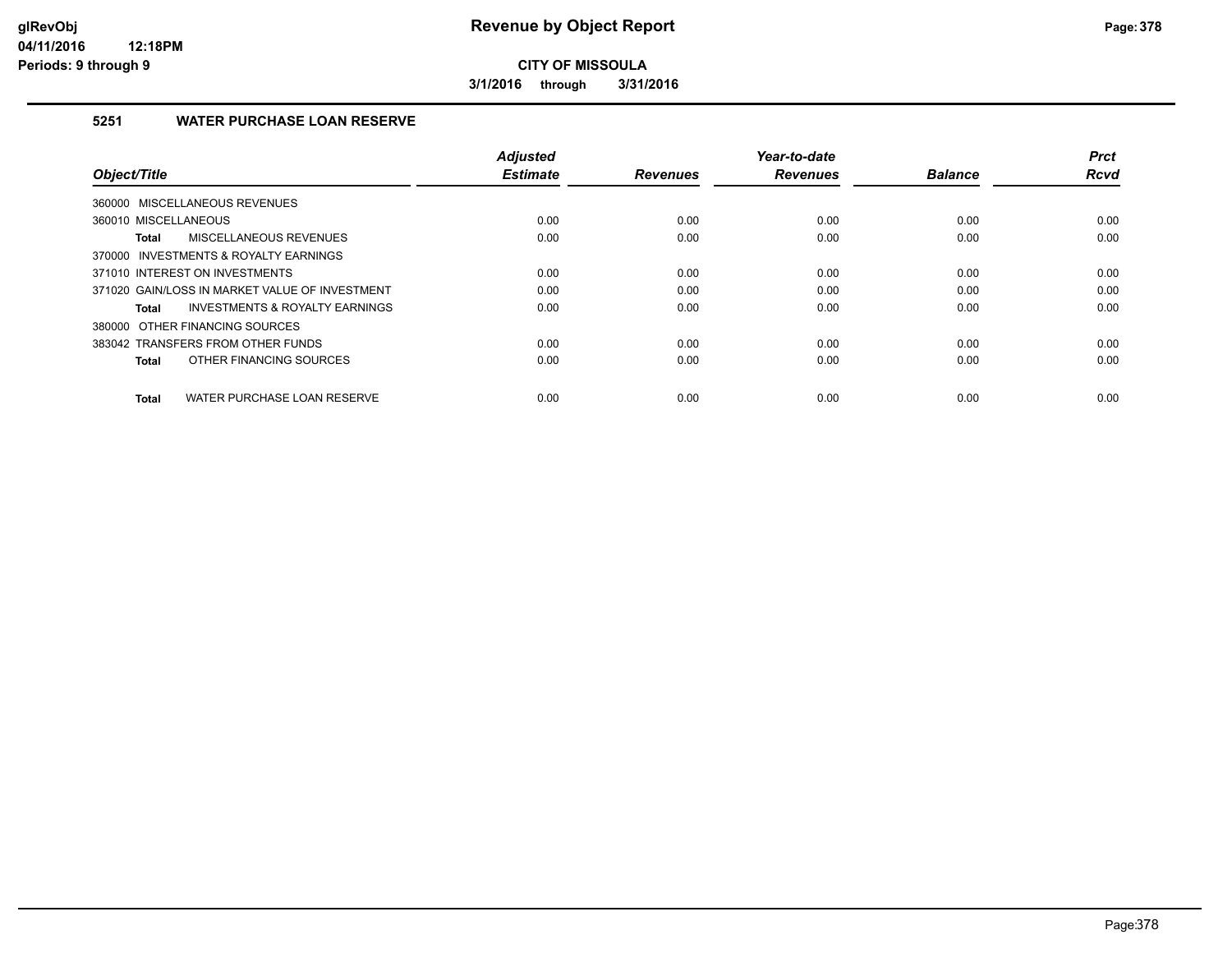**3/1/2016 through 3/31/2016**

#### **5251 WATER PURCHASE LOAN RESERVE**

| Object/Title                                   | <b>Adjusted</b><br><b>Estimate</b> | <b>Revenues</b> | Year-to-date<br><b>Revenues</b> | <b>Balance</b> | <b>Prct</b><br><b>Rcvd</b> |
|------------------------------------------------|------------------------------------|-----------------|---------------------------------|----------------|----------------------------|
| MISCELLANEOUS REVENUES<br>360000               |                                    |                 |                                 |                |                            |
|                                                |                                    |                 |                                 |                |                            |
| 360010 MISCELLANEOUS                           | 0.00                               | 0.00            | 0.00                            | 0.00           | 0.00                       |
| MISCELLANEOUS REVENUES<br>Total                | 0.00                               | 0.00            | 0.00                            | 0.00           | 0.00                       |
| 370000 INVESTMENTS & ROYALTY EARNINGS          |                                    |                 |                                 |                |                            |
| 371010 INTEREST ON INVESTMENTS                 | 0.00                               | 0.00            | 0.00                            | 0.00           | 0.00                       |
| 371020 GAIN/LOSS IN MARKET VALUE OF INVESTMENT | 0.00                               | 0.00            | 0.00                            | 0.00           | 0.00                       |
| INVESTMENTS & ROYALTY EARNINGS<br>Total        | 0.00                               | 0.00            | 0.00                            | 0.00           | 0.00                       |
| 380000 OTHER FINANCING SOURCES                 |                                    |                 |                                 |                |                            |
| 383042 TRANSFERS FROM OTHER FUNDS              | 0.00                               | 0.00            | 0.00                            | 0.00           | 0.00                       |
| OTHER FINANCING SOURCES<br><b>Total</b>        | 0.00                               | 0.00            | 0.00                            | 0.00           | 0.00                       |
| WATER PURCHASE LOAN RESERVE<br><b>Total</b>    | 0.00                               | 0.00            | 0.00                            | 0.00           | 0.00                       |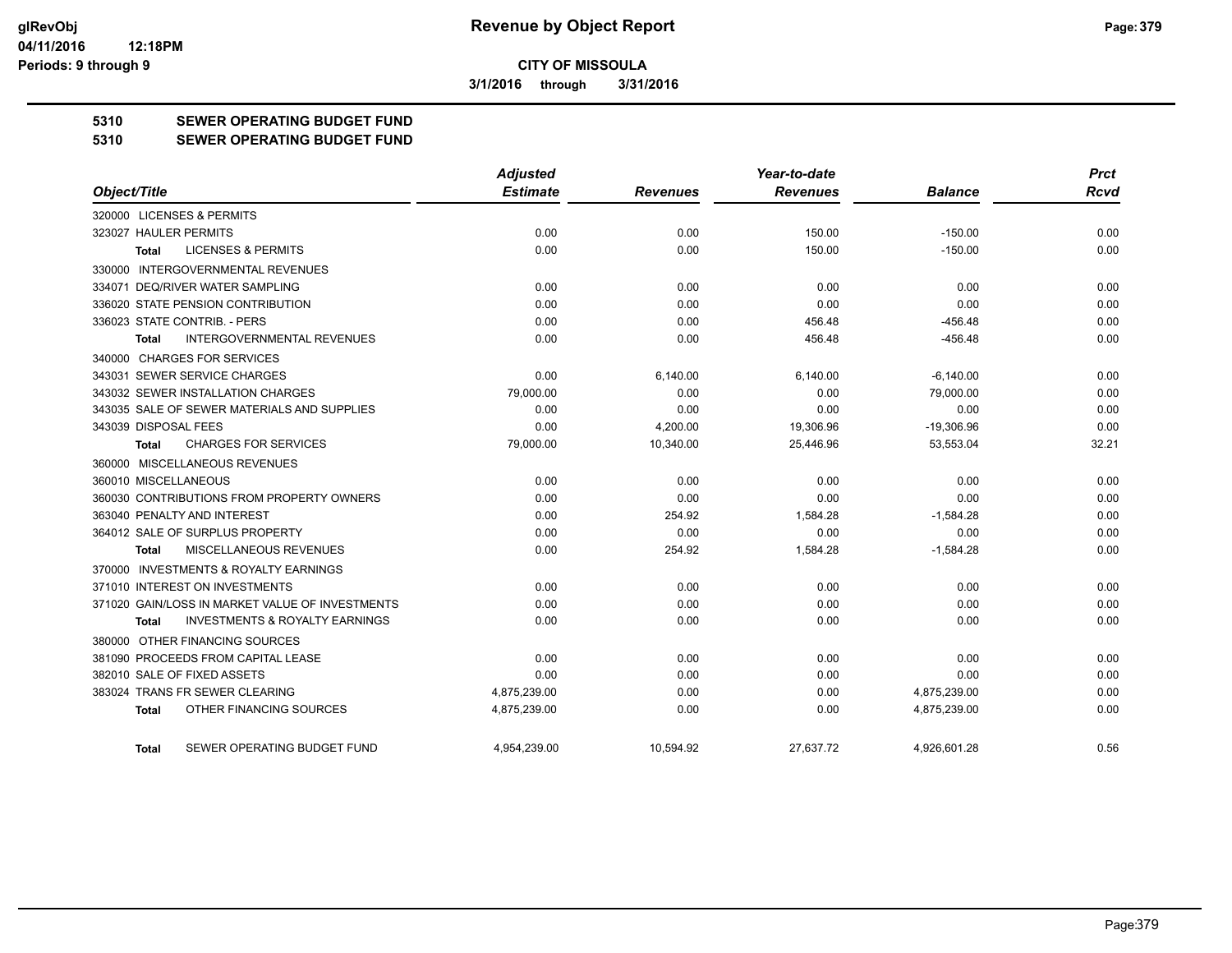**3/1/2016 through 3/31/2016**

#### **5310 SEWER OPERATING BUDGET FUND**

#### **5310 SEWER OPERATING BUDGET FUND**

|                                                           | <b>Adjusted</b> |                 | Year-to-date    |                | <b>Prct</b> |
|-----------------------------------------------------------|-----------------|-----------------|-----------------|----------------|-------------|
| Object/Title                                              | <b>Estimate</b> | <b>Revenues</b> | <b>Revenues</b> | <b>Balance</b> | Rcvd        |
| 320000 LICENSES & PERMITS                                 |                 |                 |                 |                |             |
| 323027 HAULER PERMITS                                     | 0.00            | 0.00            | 150.00          | $-150.00$      | 0.00        |
| <b>LICENSES &amp; PERMITS</b><br><b>Total</b>             | 0.00            | 0.00            | 150.00          | $-150.00$      | 0.00        |
| 330000 INTERGOVERNMENTAL REVENUES                         |                 |                 |                 |                |             |
| 334071 DEQ/RIVER WATER SAMPLING                           | 0.00            | 0.00            | 0.00            | 0.00           | 0.00        |
| 336020 STATE PENSION CONTRIBUTION                         | 0.00            | 0.00            | 0.00            | 0.00           | 0.00        |
| 336023 STATE CONTRIB. - PERS                              | 0.00            | 0.00            | 456.48          | $-456.48$      | 0.00        |
| <b>INTERGOVERNMENTAL REVENUES</b><br>Total                | 0.00            | 0.00            | 456.48          | $-456.48$      | 0.00        |
| 340000 CHARGES FOR SERVICES                               |                 |                 |                 |                |             |
| 343031 SEWER SERVICE CHARGES                              | 0.00            | 6,140.00        | 6,140.00        | $-6,140.00$    | 0.00        |
| 343032 SEWER INSTALLATION CHARGES                         | 79,000.00       | 0.00            | 0.00            | 79,000.00      | 0.00        |
| 343035 SALE OF SEWER MATERIALS AND SUPPLIES               | 0.00            | 0.00            | 0.00            | 0.00           | 0.00        |
| 343039 DISPOSAL FEES                                      | 0.00            | 4,200.00        | 19,306.96       | $-19,306.96$   | 0.00        |
| <b>CHARGES FOR SERVICES</b><br><b>Total</b>               | 79,000.00       | 10,340.00       | 25,446.96       | 53,553.04      | 32.21       |
| 360000 MISCELLANEOUS REVENUES                             |                 |                 |                 |                |             |
| 360010 MISCELLANEOUS                                      | 0.00            | 0.00            | 0.00            | 0.00           | 0.00        |
| 360030 CONTRIBUTIONS FROM PROPERTY OWNERS                 | 0.00            | 0.00            | 0.00            | 0.00           | 0.00        |
| 363040 PENALTY AND INTEREST                               | 0.00            | 254.92          | 1,584.28        | $-1,584.28$    | 0.00        |
| 364012 SALE OF SURPLUS PROPERTY                           | 0.00            | 0.00            | 0.00            | 0.00           | 0.00        |
| MISCELLANEOUS REVENUES<br><b>Total</b>                    | 0.00            | 254.92          | 1,584.28        | $-1,584.28$    | 0.00        |
| 370000 INVESTMENTS & ROYALTY EARNINGS                     |                 |                 |                 |                |             |
| 371010 INTEREST ON INVESTMENTS                            | 0.00            | 0.00            | 0.00            | 0.00           | 0.00        |
| 371020 GAIN/LOSS IN MARKET VALUE OF INVESTMENTS           | 0.00            | 0.00            | 0.00            | 0.00           | 0.00        |
| <b>INVESTMENTS &amp; ROYALTY EARNINGS</b><br><b>Total</b> | 0.00            | 0.00            | 0.00            | 0.00           | 0.00        |
| 380000 OTHER FINANCING SOURCES                            |                 |                 |                 |                |             |
| 381090 PROCEEDS FROM CAPITAL LEASE                        | 0.00            | 0.00            | 0.00            | 0.00           | 0.00        |
| 382010 SALE OF FIXED ASSETS                               | 0.00            | 0.00            | 0.00            | 0.00           | 0.00        |
| 383024 TRANS FR SEWER CLEARING                            | 4,875,239.00    | 0.00            | 0.00            | 4,875,239.00   | 0.00        |
| OTHER FINANCING SOURCES<br><b>Total</b>                   | 4,875,239.00    | 0.00            | 0.00            | 4,875,239.00   | 0.00        |
| SEWER OPERATING BUDGET FUND<br>Total                      | 4.954.239.00    | 10.594.92       | 27.637.72       | 4.926.601.28   | 0.56        |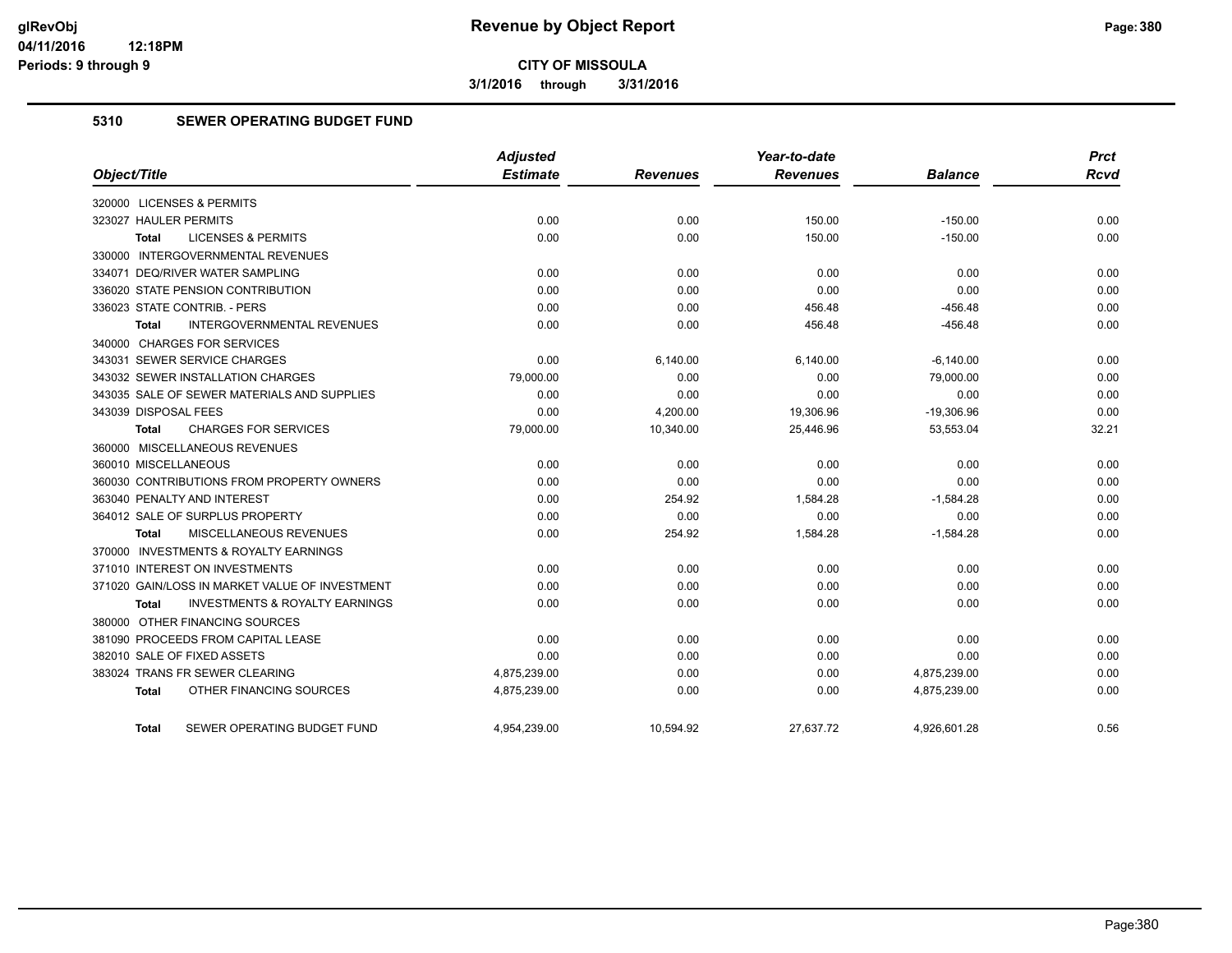**3/1/2016 through 3/31/2016**

#### **5310 SEWER OPERATING BUDGET FUND**

|                                                           | <b>Adjusted</b> |                 | Year-to-date    |                | <b>Prct</b> |
|-----------------------------------------------------------|-----------------|-----------------|-----------------|----------------|-------------|
| Object/Title                                              | <b>Estimate</b> | <b>Revenues</b> | <b>Revenues</b> | <b>Balance</b> | <b>Rcvd</b> |
| 320000 LICENSES & PERMITS                                 |                 |                 |                 |                |             |
| 323027 HAULER PERMITS                                     | 0.00            | 0.00            | 150.00          | $-150.00$      | 0.00        |
| <b>LICENSES &amp; PERMITS</b><br><b>Total</b>             | 0.00            | 0.00            | 150.00          | $-150.00$      | 0.00        |
| 330000 INTERGOVERNMENTAL REVENUES                         |                 |                 |                 |                |             |
| 334071 DEQ/RIVER WATER SAMPLING                           | 0.00            | 0.00            | 0.00            | 0.00           | 0.00        |
| 336020 STATE PENSION CONTRIBUTION                         | 0.00            | 0.00            | 0.00            | 0.00           | 0.00        |
| 336023 STATE CONTRIB. - PERS                              | 0.00            | 0.00            | 456.48          | $-456.48$      | 0.00        |
| <b>INTERGOVERNMENTAL REVENUES</b><br><b>Total</b>         | 0.00            | 0.00            | 456.48          | $-456.48$      | 0.00        |
| 340000 CHARGES FOR SERVICES                               |                 |                 |                 |                |             |
| 343031 SEWER SERVICE CHARGES                              | 0.00            | 6,140.00        | 6,140.00        | $-6,140.00$    | 0.00        |
| 343032 SEWER INSTALLATION CHARGES                         | 79,000.00       | 0.00            | 0.00            | 79,000.00      | 0.00        |
| 343035 SALE OF SEWER MATERIALS AND SUPPLIES               | 0.00            | 0.00            | 0.00            | 0.00           | 0.00        |
| 343039 DISPOSAL FEES                                      | 0.00            | 4,200.00        | 19,306.96       | $-19,306.96$   | 0.00        |
| <b>CHARGES FOR SERVICES</b><br><b>Total</b>               | 79,000.00       | 10,340.00       | 25,446.96       | 53,553.04      | 32.21       |
| 360000 MISCELLANEOUS REVENUES                             |                 |                 |                 |                |             |
| 360010 MISCELLANEOUS                                      | 0.00            | 0.00            | 0.00            | 0.00           | 0.00        |
| 360030 CONTRIBUTIONS FROM PROPERTY OWNERS                 | 0.00            | 0.00            | 0.00            | 0.00           | 0.00        |
| 363040 PENALTY AND INTEREST                               | 0.00            | 254.92          | 1.584.28        | $-1,584.28$    | 0.00        |
| 364012 SALE OF SURPLUS PROPERTY                           | 0.00            | 0.00            | 0.00            | 0.00           | 0.00        |
| MISCELLANEOUS REVENUES<br>Total                           | 0.00            | 254.92          | 1,584.28        | $-1,584.28$    | 0.00        |
| 370000 INVESTMENTS & ROYALTY EARNINGS                     |                 |                 |                 |                |             |
| 371010 INTEREST ON INVESTMENTS                            | 0.00            | 0.00            | 0.00            | 0.00           | 0.00        |
| 371020 GAIN/LOSS IN MARKET VALUE OF INVESTMENT            | 0.00            | 0.00            | 0.00            | 0.00           | 0.00        |
| <b>INVESTMENTS &amp; ROYALTY EARNINGS</b><br><b>Total</b> | 0.00            | 0.00            | 0.00            | 0.00           | 0.00        |
| 380000 OTHER FINANCING SOURCES                            |                 |                 |                 |                |             |
| 381090 PROCEEDS FROM CAPITAL LEASE                        | 0.00            | 0.00            | 0.00            | 0.00           | 0.00        |
| 382010 SALE OF FIXED ASSETS                               | 0.00            | 0.00            | 0.00            | 0.00           | 0.00        |
| 383024 TRANS FR SEWER CLEARING                            | 4,875,239.00    | 0.00            | 0.00            | 4,875,239.00   | 0.00        |
| OTHER FINANCING SOURCES<br>Total                          | 4,875,239.00    | 0.00            | 0.00            | 4,875,239.00   | 0.00        |
| SEWER OPERATING BUDGET FUND<br>Total                      | 4,954,239.00    | 10,594.92       | 27,637.72       | 4,926,601.28   | 0.56        |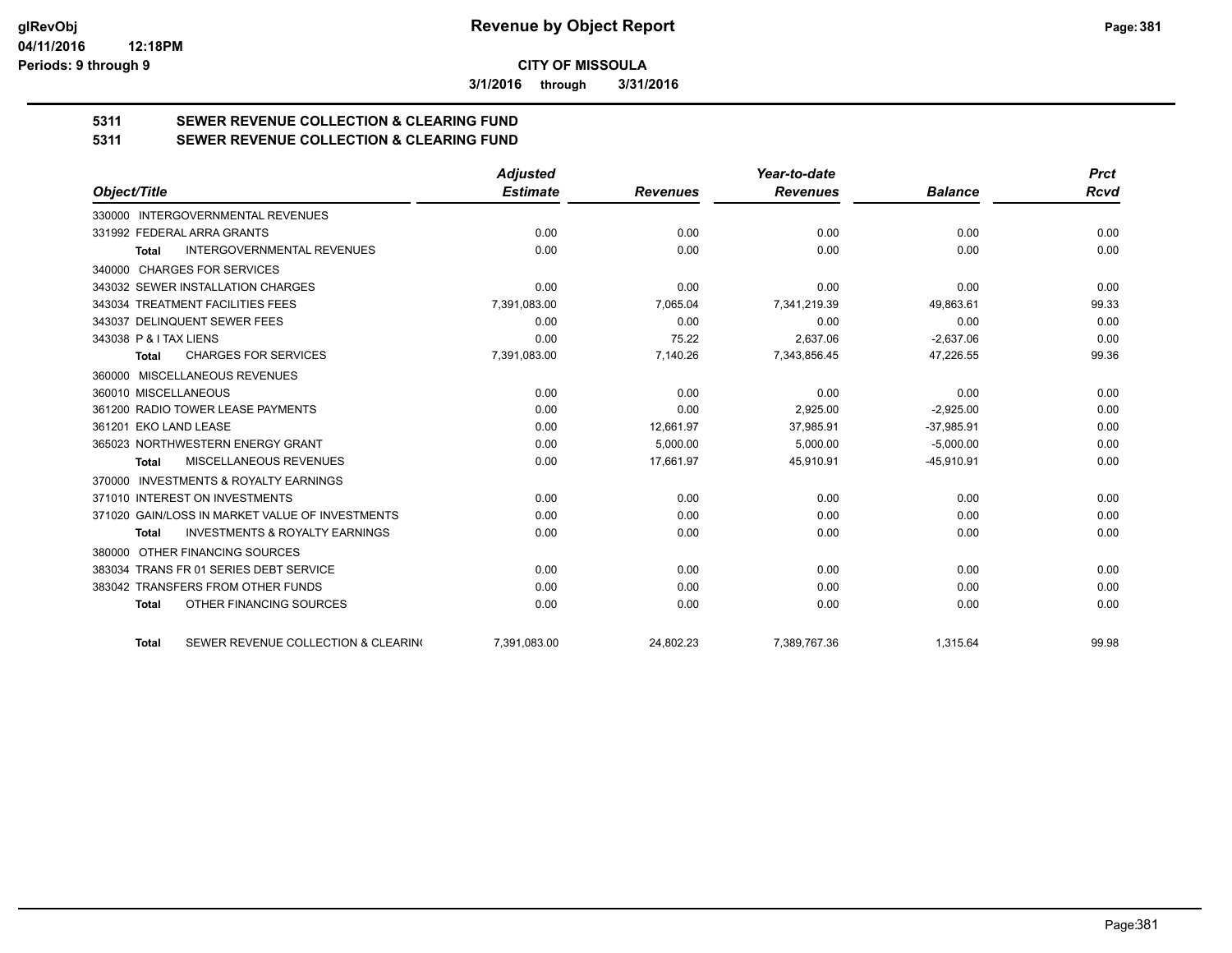**3/1/2016 through 3/31/2016**

# **5311 SEWER REVENUE COLLECTION & CLEARING FUND**

| 5311 | <b>SEWER REVENUE COLLECTION &amp; CLEARING FUND</b> |
|------|-----------------------------------------------------|
|      |                                                     |

|                                                           | <b>Adjusted</b> |                 | Year-to-date    |                | <b>Prct</b> |
|-----------------------------------------------------------|-----------------|-----------------|-----------------|----------------|-------------|
| Object/Title                                              | <b>Estimate</b> | <b>Revenues</b> | <b>Revenues</b> | <b>Balance</b> | <b>Rcvd</b> |
| 330000 INTERGOVERNMENTAL REVENUES                         |                 |                 |                 |                |             |
| 331992 FEDERAL ARRA GRANTS                                | 0.00            | 0.00            | 0.00            | 0.00           | 0.00        |
| <b>INTERGOVERNMENTAL REVENUES</b><br><b>Total</b>         | 0.00            | 0.00            | 0.00            | 0.00           | 0.00        |
| 340000 CHARGES FOR SERVICES                               |                 |                 |                 |                |             |
| 343032 SEWER INSTALLATION CHARGES                         | 0.00            | 0.00            | 0.00            | 0.00           | 0.00        |
| 343034 TREATMENT FACILITIES FEES                          | 7,391,083.00    | 7,065.04        | 7,341,219.39    | 49,863.61      | 99.33       |
| 343037 DELINQUENT SEWER FEES                              | 0.00            | 0.00            | 0.00            | 0.00           | 0.00        |
| 343038 P & I TAX LIENS                                    | 0.00            | 75.22           | 2,637.06        | $-2,637.06$    | 0.00        |
| <b>CHARGES FOR SERVICES</b><br><b>Total</b>               | 7,391,083.00    | 7,140.26        | 7,343,856.45    | 47,226.55      | 99.36       |
| MISCELLANEOUS REVENUES<br>360000                          |                 |                 |                 |                |             |
| 360010 MISCELLANEOUS                                      | 0.00            | 0.00            | 0.00            | 0.00           | 0.00        |
| 361200 RADIO TOWER LEASE PAYMENTS                         | 0.00            | 0.00            | 2,925.00        | $-2,925.00$    | 0.00        |
| 361201 EKO LAND LEASE                                     | 0.00            | 12.661.97       | 37.985.91       | $-37.985.91$   | 0.00        |
| 365023 NORTHWESTERN ENERGY GRANT                          | 0.00            | 5,000.00        | 5,000.00        | $-5,000.00$    | 0.00        |
| MISCELLANEOUS REVENUES<br><b>Total</b>                    | 0.00            | 17,661.97       | 45,910.91       | $-45,910.91$   | 0.00        |
| <b>INVESTMENTS &amp; ROYALTY EARNINGS</b><br>370000       |                 |                 |                 |                |             |
| 371010 INTEREST ON INVESTMENTS                            | 0.00            | 0.00            | 0.00            | 0.00           | 0.00        |
| 371020 GAIN/LOSS IN MARKET VALUE OF INVESTMENTS           | 0.00            | 0.00            | 0.00            | 0.00           | 0.00        |
| <b>INVESTMENTS &amp; ROYALTY EARNINGS</b><br><b>Total</b> | 0.00            | 0.00            | 0.00            | 0.00           | 0.00        |
| OTHER FINANCING SOURCES<br>380000                         |                 |                 |                 |                |             |
| 383034 TRANS FR 01 SERIES DEBT SERVICE                    | 0.00            | 0.00            | 0.00            | 0.00           | 0.00        |
| 383042 TRANSFERS FROM OTHER FUNDS                         | 0.00            | 0.00            | 0.00            | 0.00           | 0.00        |
| OTHER FINANCING SOURCES<br><b>Total</b>                   | 0.00            | 0.00            | 0.00            | 0.00           | 0.00        |
| SEWER REVENUE COLLECTION & CLEARING<br><b>Total</b>       | 7,391,083.00    | 24,802.23       | 7,389,767.36    | 1,315.64       | 99.98       |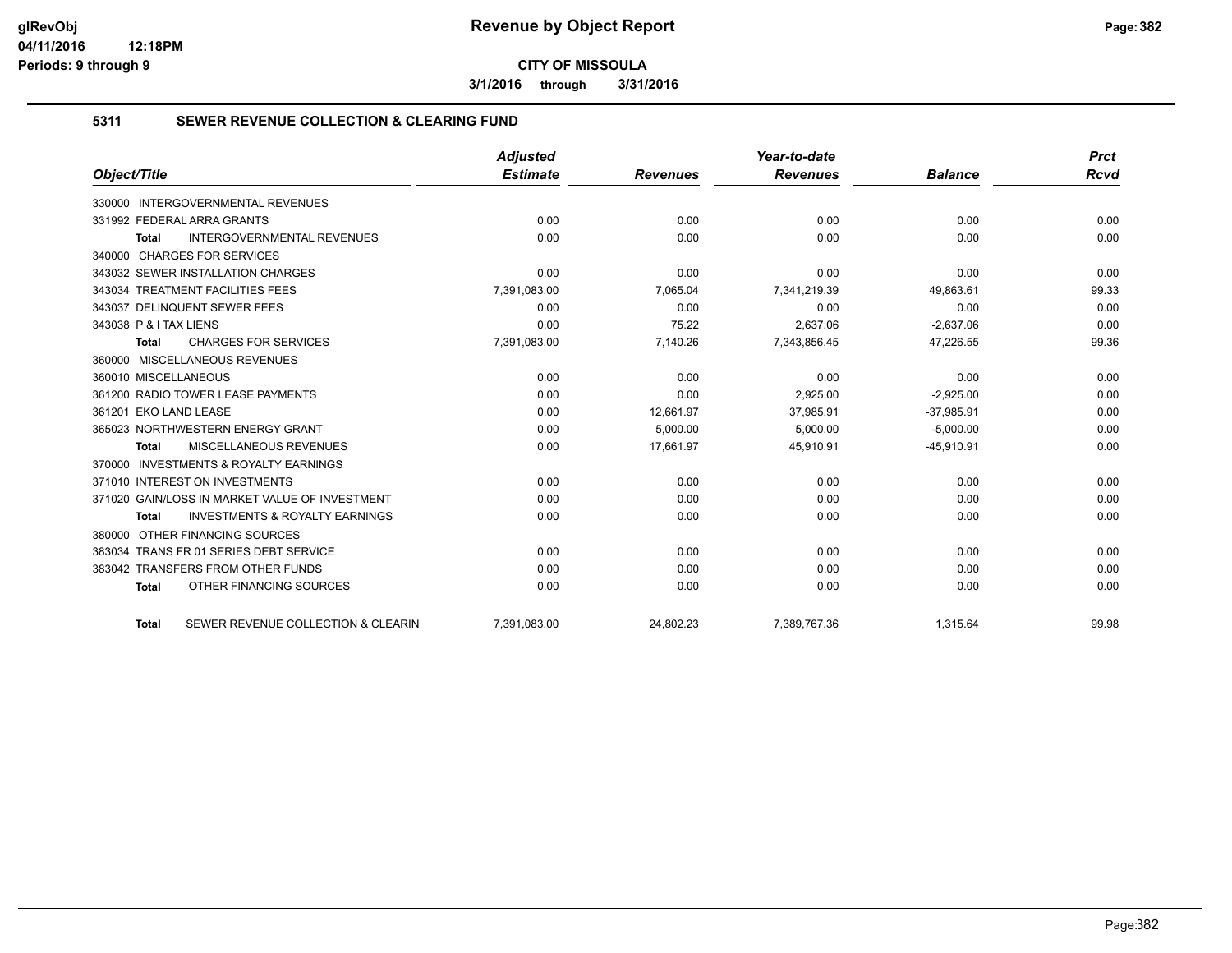**3/1/2016 through 3/31/2016**

#### **5311 SEWER REVENUE COLLECTION & CLEARING FUND**

|                                                           | <b>Adjusted</b> |                 | Year-to-date    |                | <b>Prct</b> |
|-----------------------------------------------------------|-----------------|-----------------|-----------------|----------------|-------------|
| Object/Title                                              | <b>Estimate</b> | <b>Revenues</b> | <b>Revenues</b> | <b>Balance</b> | <b>Rcvd</b> |
| 330000 INTERGOVERNMENTAL REVENUES                         |                 |                 |                 |                |             |
| 331992 FEDERAL ARRA GRANTS                                | 0.00            | 0.00            | 0.00            | 0.00           | 0.00        |
| <b>INTERGOVERNMENTAL REVENUES</b><br>Total                | 0.00            | 0.00            | 0.00            | 0.00           | 0.00        |
| 340000 CHARGES FOR SERVICES                               |                 |                 |                 |                |             |
| 343032 SEWER INSTALLATION CHARGES                         | 0.00            | 0.00            | 0.00            | 0.00           | 0.00        |
| 343034 TREATMENT FACILITIES FEES                          | 7,391,083.00    | 7,065.04        | 7,341,219.39    | 49,863.61      | 99.33       |
| 343037 DELINQUENT SEWER FEES                              | 0.00            | 0.00            | 0.00            | 0.00           | 0.00        |
| 343038 P & I TAX LIENS                                    | 0.00            | 75.22           | 2,637.06        | $-2,637.06$    | 0.00        |
| <b>CHARGES FOR SERVICES</b><br><b>Total</b>               | 7,391,083.00    | 7,140.26        | 7,343,856.45    | 47,226.55      | 99.36       |
| 360000 MISCELLANEOUS REVENUES                             |                 |                 |                 |                |             |
| 360010 MISCELLANEOUS                                      | 0.00            | 0.00            | 0.00            | 0.00           | 0.00        |
| 361200 RADIO TOWER LEASE PAYMENTS                         | 0.00            | 0.00            | 2.925.00        | $-2.925.00$    | 0.00        |
| 361201 EKO LAND LEASE                                     | 0.00            | 12,661.97       | 37,985.91       | $-37,985.91$   | 0.00        |
| 365023 NORTHWESTERN ENERGY GRANT                          | 0.00            | 5,000.00        | 5,000.00        | $-5,000.00$    | 0.00        |
| <b>MISCELLANEOUS REVENUES</b><br><b>Total</b>             | 0.00            | 17,661.97       | 45,910.91       | $-45,910.91$   | 0.00        |
| 370000 INVESTMENTS & ROYALTY EARNINGS                     |                 |                 |                 |                |             |
| 371010 INTEREST ON INVESTMENTS                            | 0.00            | 0.00            | 0.00            | 0.00           | 0.00        |
| 371020 GAIN/LOSS IN MARKET VALUE OF INVESTMENT            | 0.00            | 0.00            | 0.00            | 0.00           | 0.00        |
| <b>INVESTMENTS &amp; ROYALTY EARNINGS</b><br><b>Total</b> | 0.00            | 0.00            | 0.00            | 0.00           | 0.00        |
| 380000 OTHER FINANCING SOURCES                            |                 |                 |                 |                |             |
| 383034 TRANS FR 01 SERIES DEBT SERVICE                    | 0.00            | 0.00            | 0.00            | 0.00           | 0.00        |
| 383042 TRANSFERS FROM OTHER FUNDS                         | 0.00            | 0.00            | 0.00            | 0.00           | 0.00        |
| OTHER FINANCING SOURCES<br><b>Total</b>                   | 0.00            | 0.00            | 0.00            | 0.00           | 0.00        |
| SEWER REVENUE COLLECTION & CLEARIN<br><b>Total</b>        | 7,391,083.00    | 24,802.23       | 7,389,767.36    | 1,315.64       | 99.98       |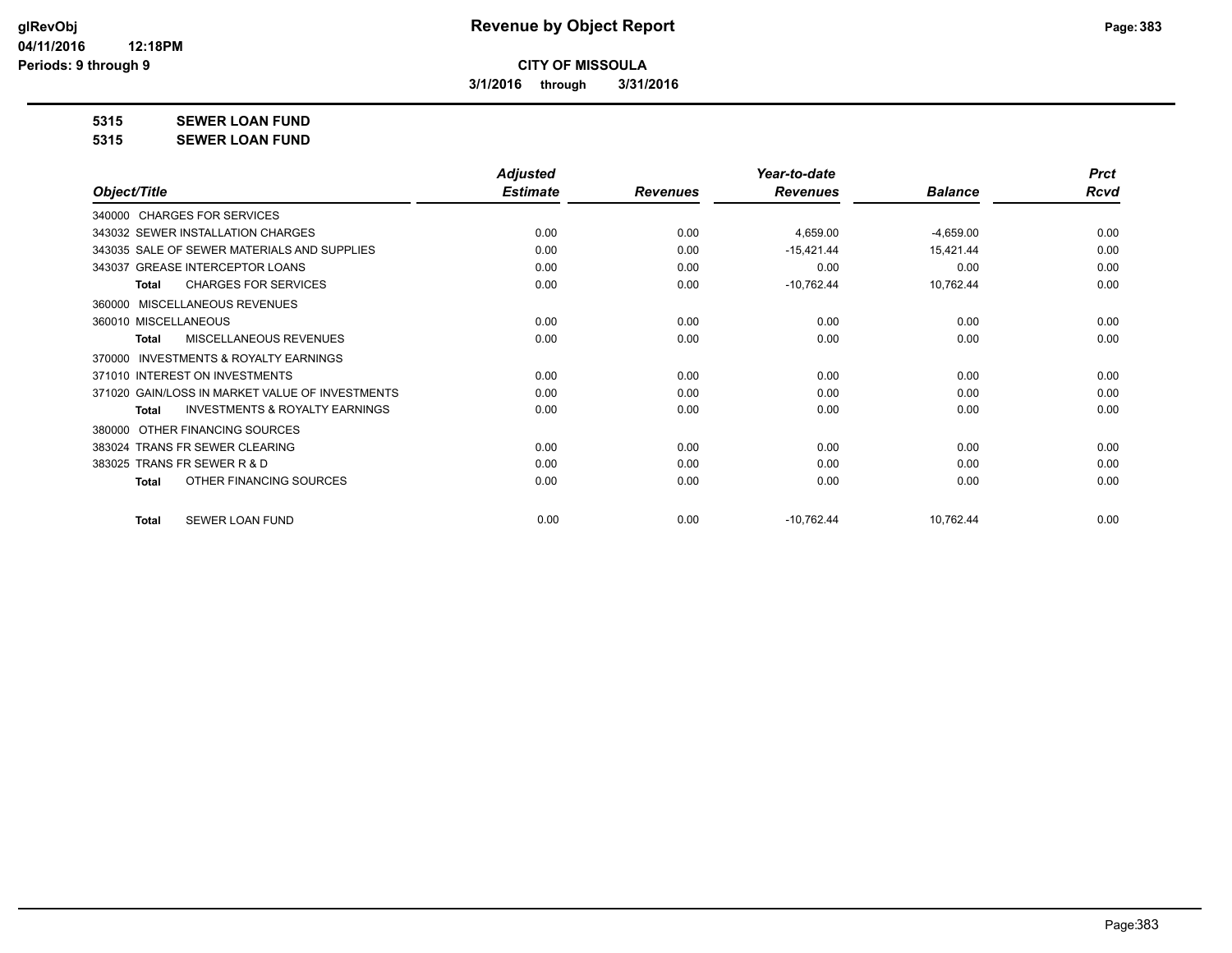**3/1/2016 through 3/31/2016**

**5315 SEWER LOAN FUND**

**5315 SEWER LOAN FUND**

|                                                           | <b>Adjusted</b> |                 | Year-to-date    |                | <b>Prct</b> |
|-----------------------------------------------------------|-----------------|-----------------|-----------------|----------------|-------------|
| Object/Title                                              | <b>Estimate</b> | <b>Revenues</b> | <b>Revenues</b> | <b>Balance</b> | <b>Rcvd</b> |
| 340000 CHARGES FOR SERVICES                               |                 |                 |                 |                |             |
| 343032 SEWER INSTALLATION CHARGES                         | 0.00            | 0.00            | 4,659.00        | $-4,659.00$    | 0.00        |
| 343035 SALE OF SEWER MATERIALS AND SUPPLIES               | 0.00            | 0.00            | $-15,421.44$    | 15,421.44      | 0.00        |
| 343037 GREASE INTERCEPTOR LOANS                           | 0.00            | 0.00            | 0.00            | 0.00           | 0.00        |
| <b>CHARGES FOR SERVICES</b><br><b>Total</b>               | 0.00            | 0.00            | $-10,762.44$    | 10,762.44      | 0.00        |
| MISCELLANEOUS REVENUES<br>360000                          |                 |                 |                 |                |             |
| 360010 MISCELLANEOUS                                      | 0.00            | 0.00            | 0.00            | 0.00           | 0.00        |
| MISCELLANEOUS REVENUES<br><b>Total</b>                    | 0.00            | 0.00            | 0.00            | 0.00           | 0.00        |
| <b>INVESTMENTS &amp; ROYALTY EARNINGS</b><br>370000       |                 |                 |                 |                |             |
| 371010 INTEREST ON INVESTMENTS                            | 0.00            | 0.00            | 0.00            | 0.00           | 0.00        |
| 371020 GAIN/LOSS IN MARKET VALUE OF INVESTMENTS           | 0.00            | 0.00            | 0.00            | 0.00           | 0.00        |
| <b>INVESTMENTS &amp; ROYALTY EARNINGS</b><br><b>Total</b> | 0.00            | 0.00            | 0.00            | 0.00           | 0.00        |
| OTHER FINANCING SOURCES<br>380000                         |                 |                 |                 |                |             |
| 383024 TRANS FR SEWER CLEARING                            | 0.00            | 0.00            | 0.00            | 0.00           | 0.00        |
| 383025 TRANS FR SEWER R & D                               | 0.00            | 0.00            | 0.00            | 0.00           | 0.00        |
| OTHER FINANCING SOURCES<br><b>Total</b>                   | 0.00            | 0.00            | 0.00            | 0.00           | 0.00        |
| <b>SEWER LOAN FUND</b><br><b>Total</b>                    | 0.00            | 0.00            | $-10,762.44$    | 10,762.44      | 0.00        |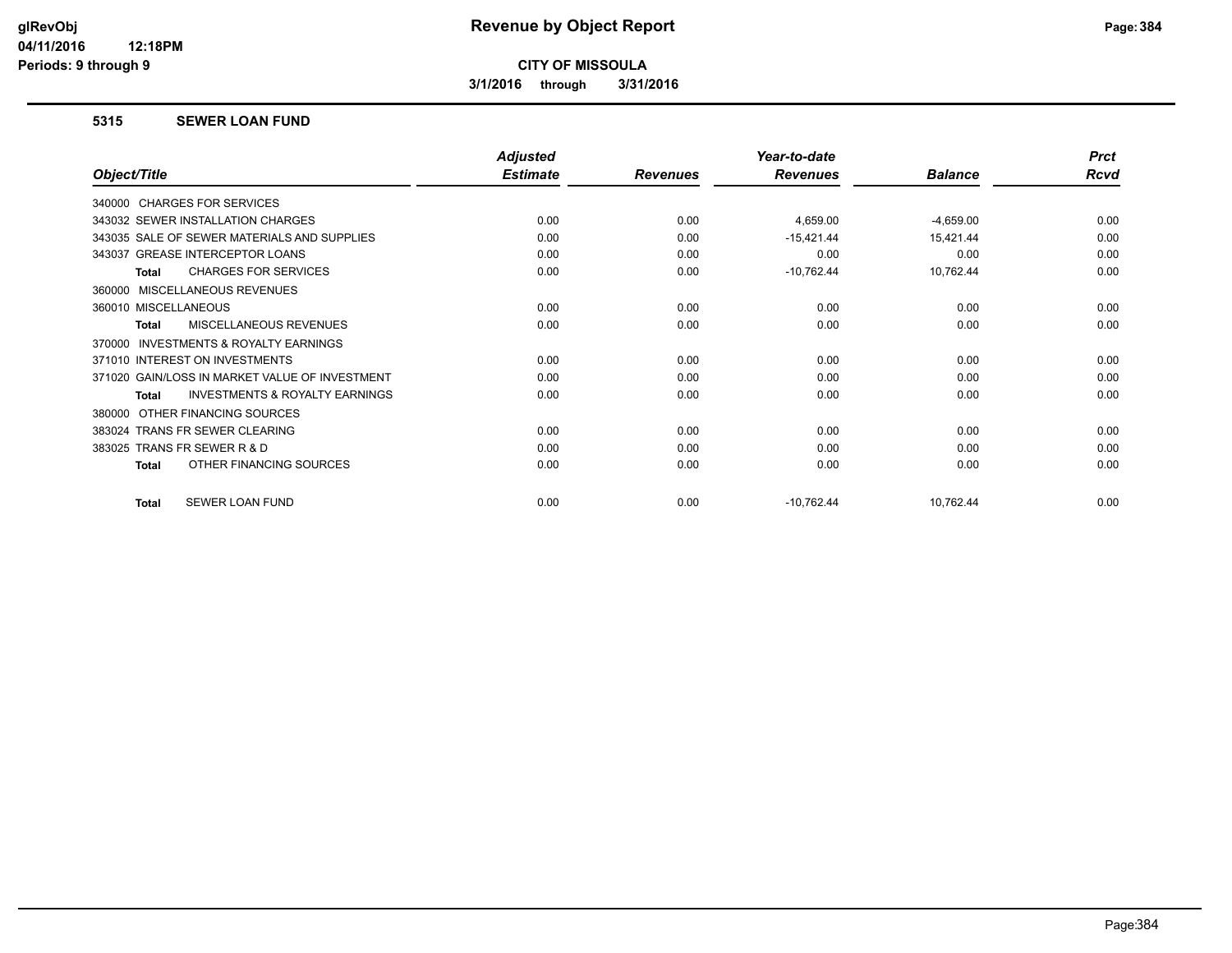**3/1/2016 through 3/31/2016**

#### **5315 SEWER LOAN FUND**

|                                                           | <b>Adjusted</b> |                 | Year-to-date    |                | <b>Prct</b> |
|-----------------------------------------------------------|-----------------|-----------------|-----------------|----------------|-------------|
| Object/Title                                              | <b>Estimate</b> | <b>Revenues</b> | <b>Revenues</b> | <b>Balance</b> | Rcvd        |
| 340000 CHARGES FOR SERVICES                               |                 |                 |                 |                |             |
| 343032 SEWER INSTALLATION CHARGES                         | 0.00            | 0.00            | 4,659.00        | $-4,659.00$    | 0.00        |
| 343035 SALE OF SEWER MATERIALS AND SUPPLIES               | 0.00            | 0.00            | $-15,421.44$    | 15,421.44      | 0.00        |
| 343037 GREASE INTERCEPTOR LOANS                           | 0.00            | 0.00            | 0.00            | 0.00           | 0.00        |
| <b>CHARGES FOR SERVICES</b><br>Total                      | 0.00            | 0.00            | $-10,762.44$    | 10,762.44      | 0.00        |
| MISCELLANEOUS REVENUES<br>360000                          |                 |                 |                 |                |             |
| 360010 MISCELLANEOUS                                      | 0.00            | 0.00            | 0.00            | 0.00           | 0.00        |
| MISCELLANEOUS REVENUES<br><b>Total</b>                    | 0.00            | 0.00            | 0.00            | 0.00           | 0.00        |
| INVESTMENTS & ROYALTY EARNINGS<br>370000                  |                 |                 |                 |                |             |
| 371010 INTEREST ON INVESTMENTS                            | 0.00            | 0.00            | 0.00            | 0.00           | 0.00        |
| 371020 GAIN/LOSS IN MARKET VALUE OF INVESTMENT            | 0.00            | 0.00            | 0.00            | 0.00           | 0.00        |
| <b>INVESTMENTS &amp; ROYALTY EARNINGS</b><br><b>Total</b> | 0.00            | 0.00            | 0.00            | 0.00           | 0.00        |
| OTHER FINANCING SOURCES<br>380000                         |                 |                 |                 |                |             |
| 383024 TRANS FR SEWER CLEARING                            | 0.00            | 0.00            | 0.00            | 0.00           | 0.00        |
| 383025 TRANS FR SEWER R & D                               | 0.00            | 0.00            | 0.00            | 0.00           | 0.00        |
| OTHER FINANCING SOURCES<br><b>Total</b>                   | 0.00            | 0.00            | 0.00            | 0.00           | 0.00        |
| SEWER LOAN FUND<br><b>Total</b>                           | 0.00            | 0.00            | $-10,762.44$    | 10,762.44      | 0.00        |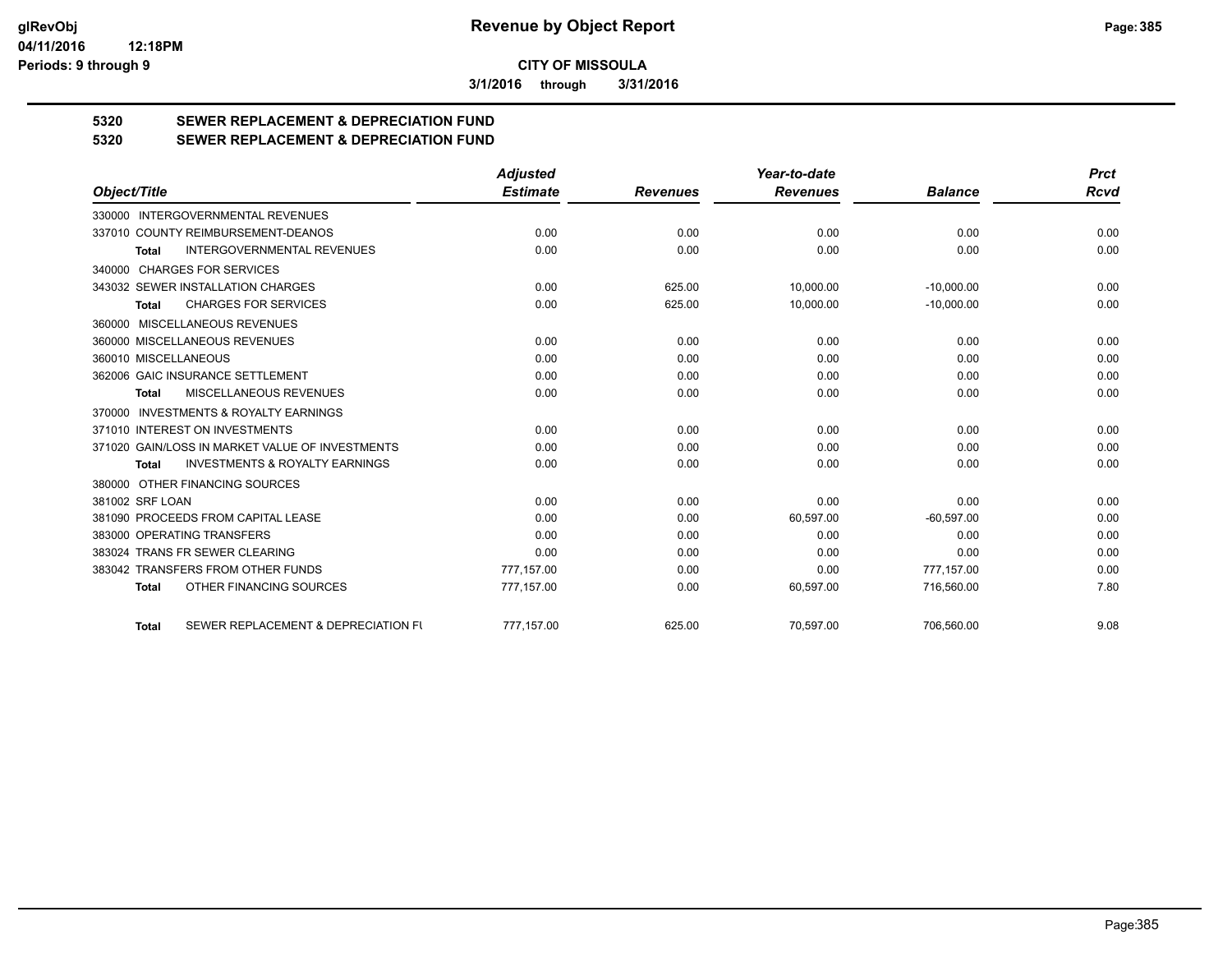**3/1/2016 through 3/31/2016**

# **5320 SEWER REPLACEMENT & DEPRECIATION FUND**

## **5320 SEWER REPLACEMENT & DEPRECIATION FUND**

|                                                           | <b>Adjusted</b> |                 | Year-to-date    |                | <b>Prct</b> |
|-----------------------------------------------------------|-----------------|-----------------|-----------------|----------------|-------------|
| Object/Title                                              | <b>Estimate</b> | <b>Revenues</b> | <b>Revenues</b> | <b>Balance</b> | Rcvd        |
| 330000 INTERGOVERNMENTAL REVENUES                         |                 |                 |                 |                |             |
| 337010 COUNTY REIMBURSEMENT-DEANOS                        | 0.00            | 0.00            | 0.00            | 0.00           | 0.00        |
| <b>INTERGOVERNMENTAL REVENUES</b><br><b>Total</b>         | 0.00            | 0.00            | 0.00            | 0.00           | 0.00        |
| 340000 CHARGES FOR SERVICES                               |                 |                 |                 |                |             |
| 343032 SEWER INSTALLATION CHARGES                         | 0.00            | 625.00          | 10,000.00       | $-10,000.00$   | 0.00        |
| <b>CHARGES FOR SERVICES</b><br><b>Total</b>               | 0.00            | 625.00          | 10,000.00       | $-10,000.00$   | 0.00        |
| 360000 MISCELLANEOUS REVENUES                             |                 |                 |                 |                |             |
| 360000 MISCELLANEOUS REVENUES                             | 0.00            | 0.00            | 0.00            | 0.00           | 0.00        |
| 360010 MISCELLANEOUS                                      | 0.00            | 0.00            | 0.00            | 0.00           | 0.00        |
| 362006 GAIC INSURANCE SETTLEMENT                          | 0.00            | 0.00            | 0.00            | 0.00           | 0.00        |
| MISCELLANEOUS REVENUES<br><b>Total</b>                    | 0.00            | 0.00            | 0.00            | 0.00           | 0.00        |
| 370000 INVESTMENTS & ROYALTY EARNINGS                     |                 |                 |                 |                |             |
| 371010 INTEREST ON INVESTMENTS                            | 0.00            | 0.00            | 0.00            | 0.00           | 0.00        |
| 371020 GAIN/LOSS IN MARKET VALUE OF INVESTMENTS           | 0.00            | 0.00            | 0.00            | 0.00           | 0.00        |
| <b>INVESTMENTS &amp; ROYALTY EARNINGS</b><br><b>Total</b> | 0.00            | 0.00            | 0.00            | 0.00           | 0.00        |
| 380000 OTHER FINANCING SOURCES                            |                 |                 |                 |                |             |
| 381002 SRF LOAN                                           | 0.00            | 0.00            | 0.00            | 0.00           | 0.00        |
| 381090 PROCEEDS FROM CAPITAL LEASE                        | 0.00            | 0.00            | 60,597.00       | $-60.597.00$   | 0.00        |
| 383000 OPERATING TRANSFERS                                | 0.00            | 0.00            | 0.00            | 0.00           | 0.00        |
| 383024 TRANS FR SEWER CLEARING                            | 0.00            | 0.00            | 0.00            | 0.00           | 0.00        |
| 383042 TRANSFERS FROM OTHER FUNDS                         | 777.157.00      | 0.00            | 0.00            | 777,157.00     | 0.00        |
| OTHER FINANCING SOURCES<br><b>Total</b>                   | 777,157.00      | 0.00            | 60,597.00       | 716,560.00     | 7.80        |
| SEWER REPLACEMENT & DEPRECIATION FU<br><b>Total</b>       | 777,157.00      | 625.00          | 70,597.00       | 706,560.00     | 9.08        |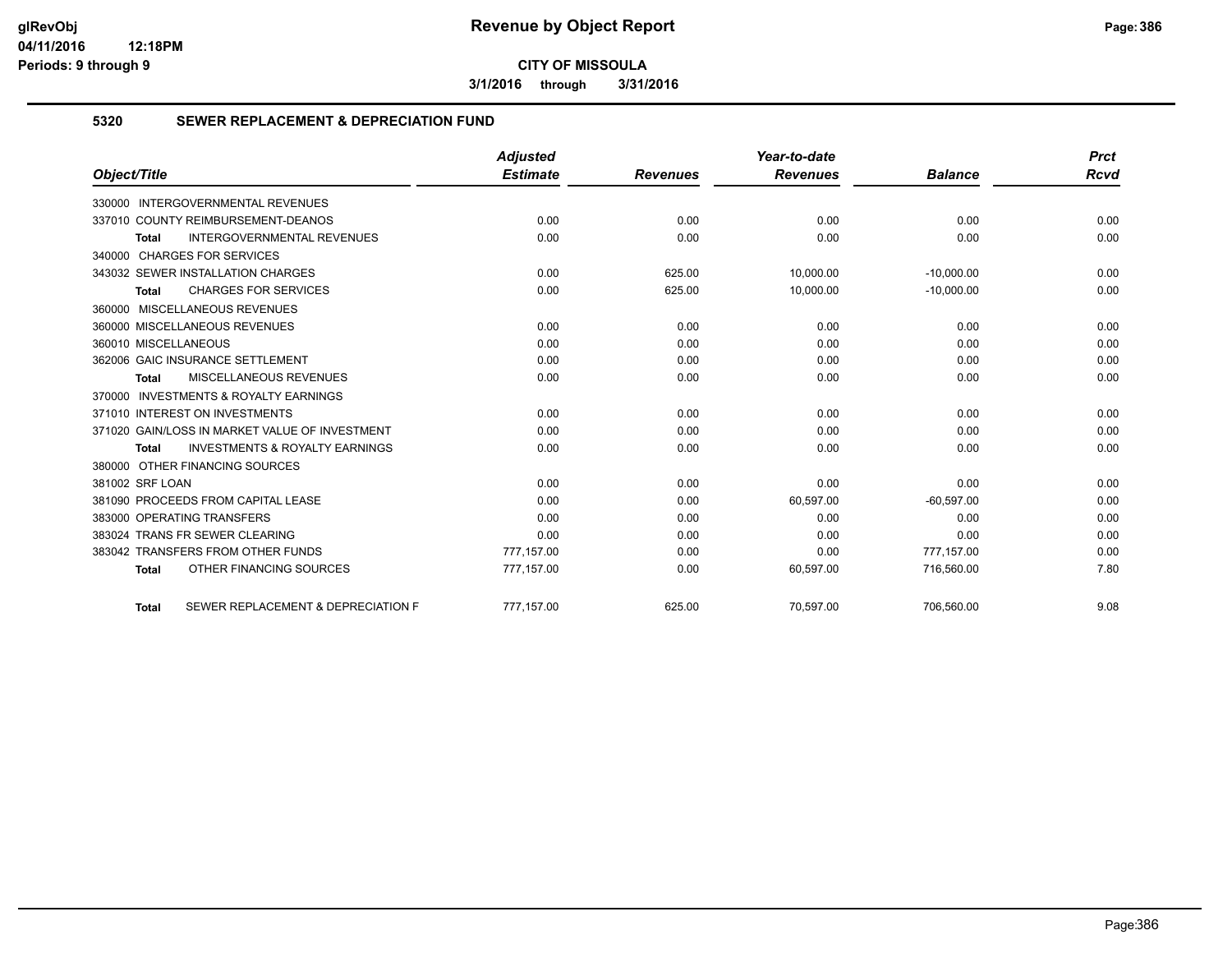**3/1/2016 through 3/31/2016**

#### **5320 SEWER REPLACEMENT & DEPRECIATION FUND**

|                                                           | <b>Adjusted</b> |                 | Year-to-date    |                | <b>Prct</b> |
|-----------------------------------------------------------|-----------------|-----------------|-----------------|----------------|-------------|
| Object/Title                                              | <b>Estimate</b> | <b>Revenues</b> | <b>Revenues</b> | <b>Balance</b> | Rcvd        |
| 330000 INTERGOVERNMENTAL REVENUES                         |                 |                 |                 |                |             |
| 337010 COUNTY REIMBURSEMENT-DEANOS                        | 0.00            | 0.00            | 0.00            | 0.00           | 0.00        |
| INTERGOVERNMENTAL REVENUES<br><b>Total</b>                | 0.00            | 0.00            | 0.00            | 0.00           | 0.00        |
| 340000 CHARGES FOR SERVICES                               |                 |                 |                 |                |             |
| 343032 SEWER INSTALLATION CHARGES                         | 0.00            | 625.00          | 10,000.00       | $-10,000.00$   | 0.00        |
| <b>CHARGES FOR SERVICES</b><br><b>Total</b>               | 0.00            | 625.00          | 10,000.00       | $-10,000.00$   | 0.00        |
| 360000 MISCELLANEOUS REVENUES                             |                 |                 |                 |                |             |
| 360000 MISCELLANEOUS REVENUES                             | 0.00            | 0.00            | 0.00            | 0.00           | 0.00        |
| 360010 MISCELLANEOUS                                      | 0.00            | 0.00            | 0.00            | 0.00           | 0.00        |
| 362006 GAIC INSURANCE SETTLEMENT                          | 0.00            | 0.00            | 0.00            | 0.00           | 0.00        |
| <b>MISCELLANEOUS REVENUES</b><br><b>Total</b>             | 0.00            | 0.00            | 0.00            | 0.00           | 0.00        |
| 370000 INVESTMENTS & ROYALTY EARNINGS                     |                 |                 |                 |                |             |
| 371010 INTEREST ON INVESTMENTS                            | 0.00            | 0.00            | 0.00            | 0.00           | 0.00        |
| 371020 GAIN/LOSS IN MARKET VALUE OF INVESTMENT            | 0.00            | 0.00            | 0.00            | 0.00           | 0.00        |
| <b>INVESTMENTS &amp; ROYALTY EARNINGS</b><br><b>Total</b> | 0.00            | 0.00            | 0.00            | 0.00           | 0.00        |
| 380000 OTHER FINANCING SOURCES                            |                 |                 |                 |                |             |
| 381002 SRF LOAN                                           | 0.00            | 0.00            | 0.00            | 0.00           | 0.00        |
| 381090 PROCEEDS FROM CAPITAL LEASE                        | 0.00            | 0.00            | 60,597.00       | $-60,597.00$   | 0.00        |
| 383000 OPERATING TRANSFERS                                | 0.00            | 0.00            | 0.00            | 0.00           | 0.00        |
| 383024 TRANS FR SEWER CLEARING                            | 0.00            | 0.00            | 0.00            | 0.00           | 0.00        |
| 383042 TRANSFERS FROM OTHER FUNDS                         | 777,157.00      | 0.00            | 0.00            | 777.157.00     | 0.00        |
| OTHER FINANCING SOURCES<br><b>Total</b>                   | 777,157.00      | 0.00            | 60,597.00       | 716,560.00     | 7.80        |
| SEWER REPLACEMENT & DEPRECIATION F<br><b>Total</b>        | 777.157.00      | 625.00          | 70,597.00       | 706.560.00     | 9.08        |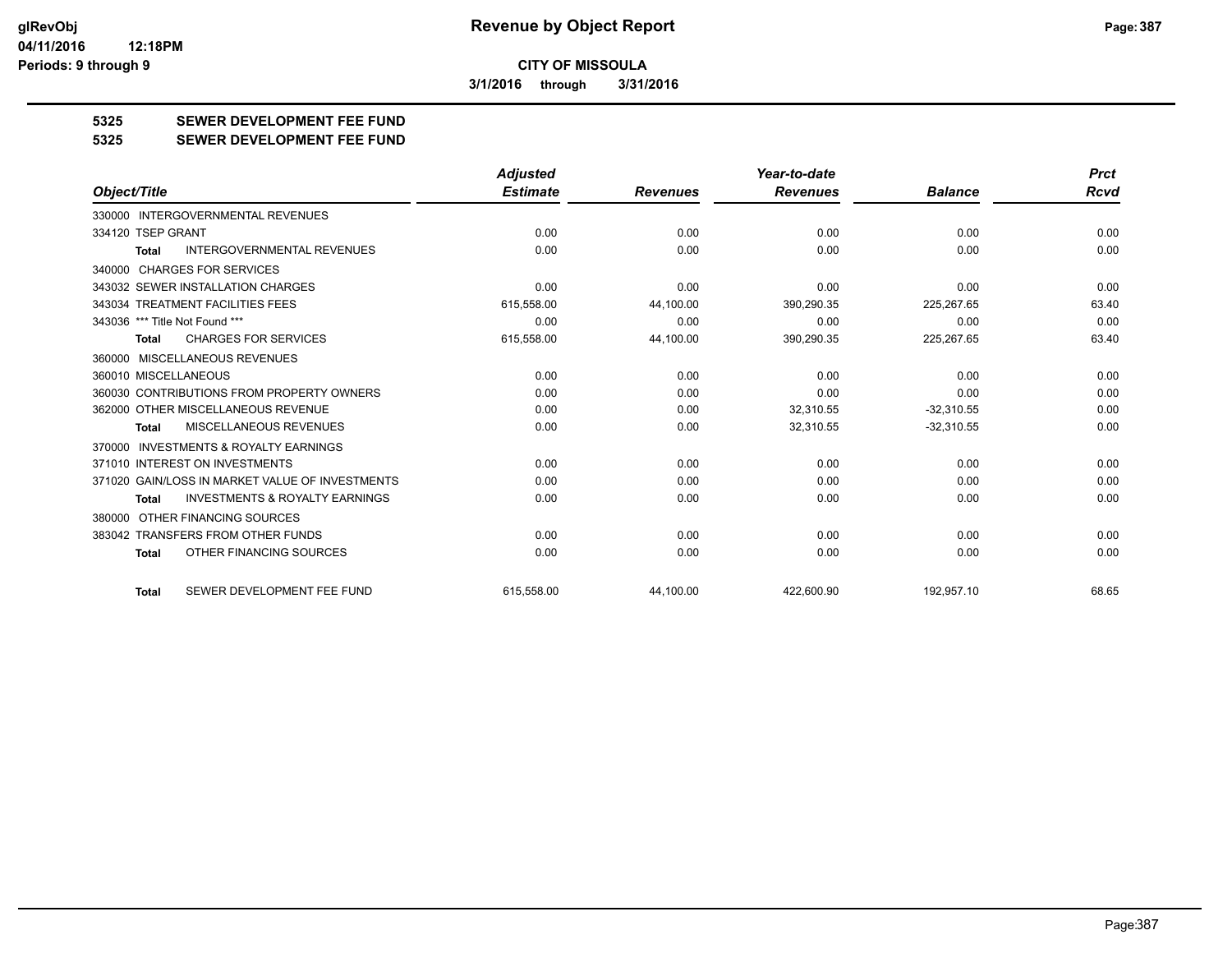**3/1/2016 through 3/31/2016**

## **5325 SEWER DEVELOPMENT FEE FUND**

#### **5325 SEWER DEVELOPMENT FEE FUND**

|                                                           | <b>Adjusted</b> |                 | Year-to-date    |                | <b>Prct</b> |
|-----------------------------------------------------------|-----------------|-----------------|-----------------|----------------|-------------|
| Object/Title                                              | <b>Estimate</b> | <b>Revenues</b> | <b>Revenues</b> | <b>Balance</b> | <b>Rcvd</b> |
| <b>INTERGOVERNMENTAL REVENUES</b><br>330000               |                 |                 |                 |                |             |
| 334120 TSEP GRANT                                         | 0.00            | 0.00            | 0.00            | 0.00           | 0.00        |
| <b>INTERGOVERNMENTAL REVENUES</b><br><b>Total</b>         | 0.00            | 0.00            | 0.00            | 0.00           | 0.00        |
| 340000 CHARGES FOR SERVICES                               |                 |                 |                 |                |             |
| 343032 SEWER INSTALLATION CHARGES                         | 0.00            | 0.00            | 0.00            | 0.00           | 0.00        |
| 343034 TREATMENT FACILITIES FEES                          | 615,558.00      | 44,100.00       | 390,290.35      | 225,267.65     | 63.40       |
| 343036 *** Title Not Found ***                            | 0.00            | 0.00            | 0.00            | 0.00           | 0.00        |
| <b>CHARGES FOR SERVICES</b><br><b>Total</b>               | 615,558.00      | 44,100.00       | 390,290.35      | 225,267.65     | 63.40       |
| 360000 MISCELLANEOUS REVENUES                             |                 |                 |                 |                |             |
| 360010 MISCELLANEOUS                                      | 0.00            | 0.00            | 0.00            | 0.00           | 0.00        |
| 360030 CONTRIBUTIONS FROM PROPERTY OWNERS                 | 0.00            | 0.00            | 0.00            | 0.00           | 0.00        |
| 362000 OTHER MISCELLANEOUS REVENUE                        | 0.00            | 0.00            | 32,310.55       | $-32,310.55$   | 0.00        |
| MISCELLANEOUS REVENUES<br><b>Total</b>                    | 0.00            | 0.00            | 32,310.55       | $-32,310.55$   | 0.00        |
| <b>INVESTMENTS &amp; ROYALTY EARNINGS</b><br>370000       |                 |                 |                 |                |             |
| 371010 INTEREST ON INVESTMENTS                            | 0.00            | 0.00            | 0.00            | 0.00           | 0.00        |
| 371020 GAIN/LOSS IN MARKET VALUE OF INVESTMENTS           | 0.00            | 0.00            | 0.00            | 0.00           | 0.00        |
| <b>INVESTMENTS &amp; ROYALTY EARNINGS</b><br><b>Total</b> | 0.00            | 0.00            | 0.00            | 0.00           | 0.00        |
| 380000 OTHER FINANCING SOURCES                            |                 |                 |                 |                |             |
| 383042 TRANSFERS FROM OTHER FUNDS                         | 0.00            | 0.00            | 0.00            | 0.00           | 0.00        |
| OTHER FINANCING SOURCES<br><b>Total</b>                   | 0.00            | 0.00            | 0.00            | 0.00           | 0.00        |
| SEWER DEVELOPMENT FEE FUND<br><b>Total</b>                | 615.558.00      | 44.100.00       | 422.600.90      | 192.957.10     | 68.65       |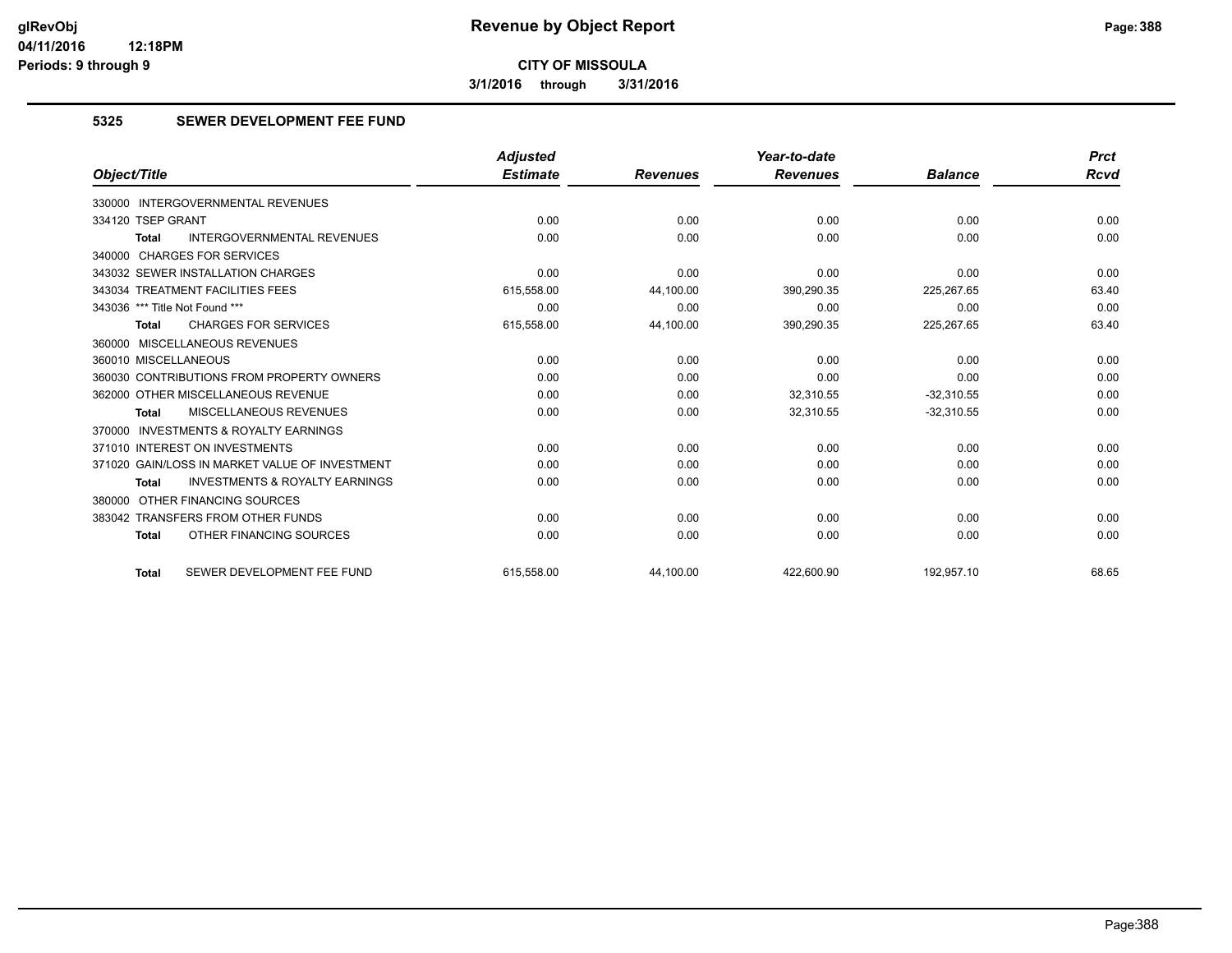**3/1/2016 through 3/31/2016**

#### **5325 SEWER DEVELOPMENT FEE FUND**

|                                                           | <b>Adjusted</b> |                 | Year-to-date    |                | <b>Prct</b> |
|-----------------------------------------------------------|-----------------|-----------------|-----------------|----------------|-------------|
| Object/Title                                              | <b>Estimate</b> | <b>Revenues</b> | <b>Revenues</b> | <b>Balance</b> | <b>Rcvd</b> |
| <b>INTERGOVERNMENTAL REVENUES</b><br>330000               |                 |                 |                 |                |             |
| 334120 TSEP GRANT                                         | 0.00            | 0.00            | 0.00            | 0.00           | 0.00        |
| <b>INTERGOVERNMENTAL REVENUES</b><br><b>Total</b>         | 0.00            | 0.00            | 0.00            | 0.00           | 0.00        |
| 340000 CHARGES FOR SERVICES                               |                 |                 |                 |                |             |
| 343032 SEWER INSTALLATION CHARGES                         | 0.00            | 0.00            | 0.00            | 0.00           | 0.00        |
| 343034 TREATMENT FACILITIES FEES                          | 615,558.00      | 44,100.00       | 390,290.35      | 225,267.65     | 63.40       |
| 343036 *** Title Not Found ***                            | 0.00            | 0.00            | 0.00            | 0.00           | 0.00        |
| <b>CHARGES FOR SERVICES</b><br><b>Total</b>               | 615,558.00      | 44,100.00       | 390,290.35      | 225,267.65     | 63.40       |
| 360000 MISCELLANEOUS REVENUES                             |                 |                 |                 |                |             |
| 360010 MISCELLANEOUS                                      | 0.00            | 0.00            | 0.00            | 0.00           | 0.00        |
| 360030 CONTRIBUTIONS FROM PROPERTY OWNERS                 | 0.00            | 0.00            | 0.00            | 0.00           | 0.00        |
| 362000 OTHER MISCELLANEOUS REVENUE                        | 0.00            | 0.00            | 32.310.55       | $-32.310.55$   | 0.00        |
| MISCELLANEOUS REVENUES<br><b>Total</b>                    | 0.00            | 0.00            | 32,310.55       | $-32,310.55$   | 0.00        |
| 370000 INVESTMENTS & ROYALTY EARNINGS                     |                 |                 |                 |                |             |
| 371010 INTEREST ON INVESTMENTS                            | 0.00            | 0.00            | 0.00            | 0.00           | 0.00        |
| 371020 GAIN/LOSS IN MARKET VALUE OF INVESTMENT            | 0.00            | 0.00            | 0.00            | 0.00           | 0.00        |
| <b>INVESTMENTS &amp; ROYALTY EARNINGS</b><br><b>Total</b> | 0.00            | 0.00            | 0.00            | 0.00           | 0.00        |
| 380000 OTHER FINANCING SOURCES                            |                 |                 |                 |                |             |
| 383042 TRANSFERS FROM OTHER FUNDS                         | 0.00            | 0.00            | 0.00            | 0.00           | 0.00        |
| OTHER FINANCING SOURCES<br><b>Total</b>                   | 0.00            | 0.00            | 0.00            | 0.00           | 0.00        |
| SEWER DEVELOPMENT FEE FUND<br><b>Total</b>                | 615.558.00      | 44.100.00       | 422.600.90      | 192,957.10     | 68.65       |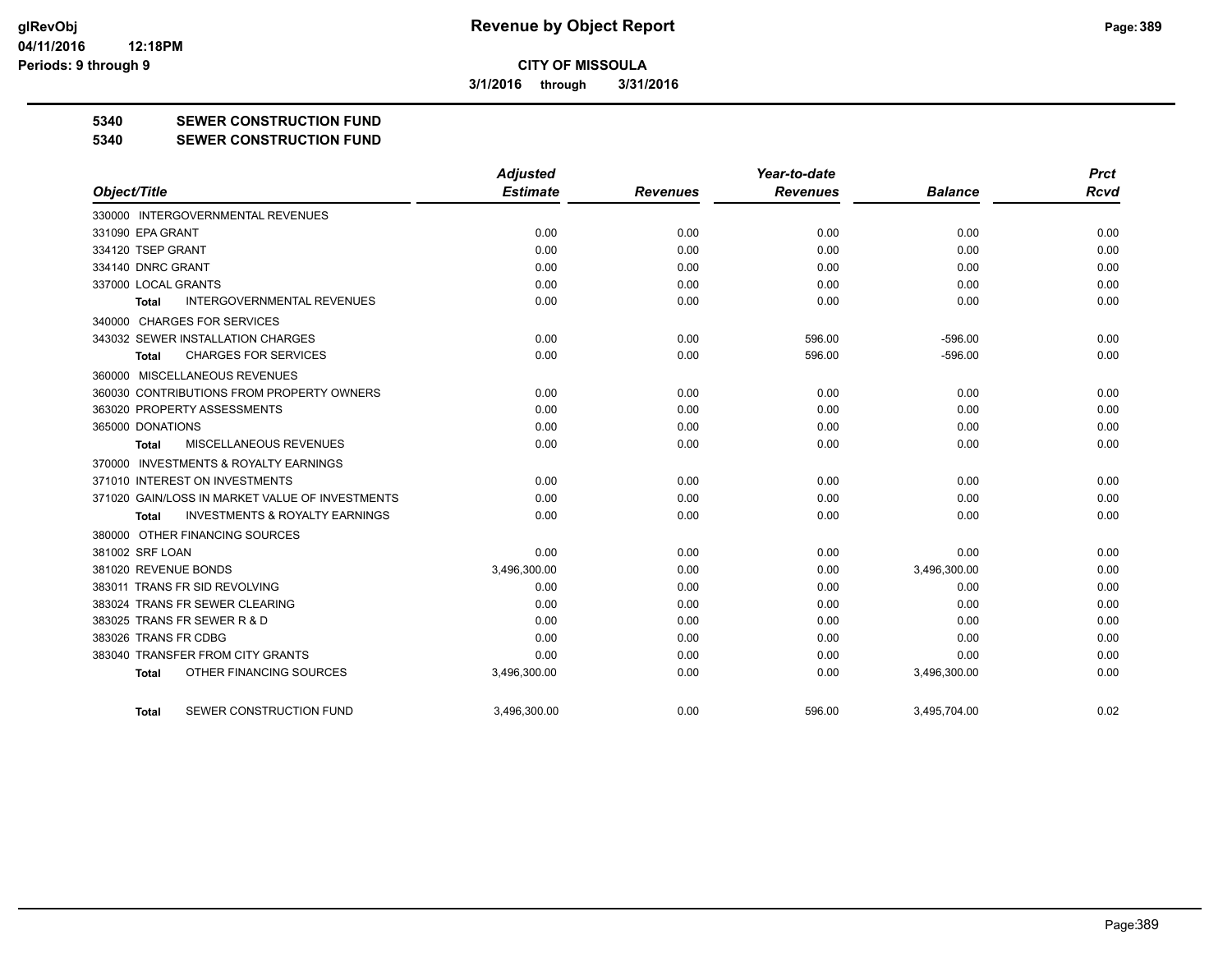**3/1/2016 through 3/31/2016**

#### **5340 SEWER CONSTRUCTION FUND**

**5340 SEWER CONSTRUCTION FUND**

|                                                     | <b>Adjusted</b> |                 | Year-to-date    |                | <b>Prct</b> |
|-----------------------------------------------------|-----------------|-----------------|-----------------|----------------|-------------|
| Object/Title                                        | <b>Estimate</b> | <b>Revenues</b> | <b>Revenues</b> | <b>Balance</b> | <b>Rcvd</b> |
| 330000 INTERGOVERNMENTAL REVENUES                   |                 |                 |                 |                |             |
| 331090 EPA GRANT                                    | 0.00            | 0.00            | 0.00            | 0.00           | 0.00        |
| 334120 TSEP GRANT                                   | 0.00            | 0.00            | 0.00            | 0.00           | 0.00        |
| 334140 DNRC GRANT                                   | 0.00            | 0.00            | 0.00            | 0.00           | 0.00        |
| 337000 LOCAL GRANTS                                 | 0.00            | 0.00            | 0.00            | 0.00           | 0.00        |
| <b>INTERGOVERNMENTAL REVENUES</b><br><b>Total</b>   | 0.00            | 0.00            | 0.00            | 0.00           | 0.00        |
| 340000 CHARGES FOR SERVICES                         |                 |                 |                 |                |             |
| 343032 SEWER INSTALLATION CHARGES                   | 0.00            | 0.00            | 596.00          | $-596.00$      | 0.00        |
| <b>CHARGES FOR SERVICES</b><br>Total                | 0.00            | 0.00            | 596.00          | $-596.00$      | 0.00        |
| 360000 MISCELLANEOUS REVENUES                       |                 |                 |                 |                |             |
| 360030 CONTRIBUTIONS FROM PROPERTY OWNERS           | 0.00            | 0.00            | 0.00            | 0.00           | 0.00        |
| 363020 PROPERTY ASSESSMENTS                         | 0.00            | 0.00            | 0.00            | 0.00           | 0.00        |
| 365000 DONATIONS                                    | 0.00            | 0.00            | 0.00            | 0.00           | 0.00        |
| MISCELLANEOUS REVENUES<br>Total                     | 0.00            | 0.00            | 0.00            | 0.00           | 0.00        |
| <b>INVESTMENTS &amp; ROYALTY EARNINGS</b><br>370000 |                 |                 |                 |                |             |
| 371010 INTEREST ON INVESTMENTS                      | 0.00            | 0.00            | 0.00            | 0.00           | 0.00        |
| 371020 GAIN/LOSS IN MARKET VALUE OF INVESTMENTS     | 0.00            | 0.00            | 0.00            | 0.00           | 0.00        |
| <b>INVESTMENTS &amp; ROYALTY EARNINGS</b><br>Total  | 0.00            | 0.00            | 0.00            | 0.00           | 0.00        |
| 380000 OTHER FINANCING SOURCES                      |                 |                 |                 |                |             |
| 381002 SRF LOAN                                     | 0.00            | 0.00            | 0.00            | 0.00           | 0.00        |
| 381020 REVENUE BONDS                                | 3,496,300.00    | 0.00            | 0.00            | 3,496,300.00   | 0.00        |
| 383011 TRANS FR SID REVOLVING                       | 0.00            | 0.00            | 0.00            | 0.00           | 0.00        |
| 383024 TRANS FR SEWER CLEARING                      | 0.00            | 0.00            | 0.00            | 0.00           | 0.00        |
| 383025 TRANS FR SEWER R & D                         | 0.00            | 0.00            | 0.00            | 0.00           | 0.00        |
| 383026 TRANS FR CDBG                                | 0.00            | 0.00            | 0.00            | 0.00           | 0.00        |
| 383040 TRANSFER FROM CITY GRANTS                    | 0.00            | 0.00            | 0.00            | 0.00           | 0.00        |
| OTHER FINANCING SOURCES<br><b>Total</b>             | 3,496,300.00    | 0.00            | 0.00            | 3,496,300.00   | 0.00        |
| SEWER CONSTRUCTION FUND<br>Total                    | 3.496.300.00    | 0.00            | 596.00          | 3.495.704.00   | 0.02        |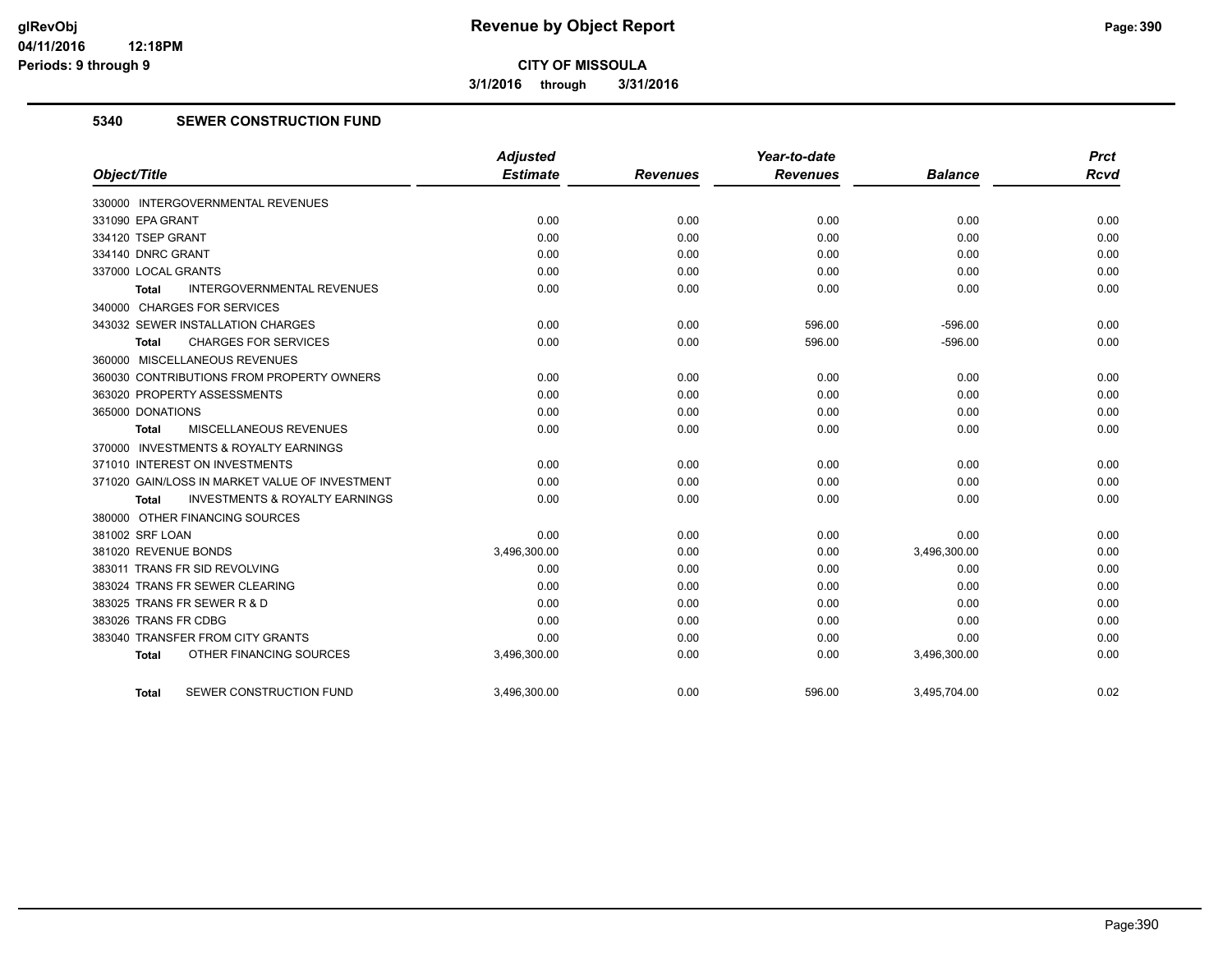**3/1/2016 through 3/31/2016**

#### **5340 SEWER CONSTRUCTION FUND**

| Object/Title                                       | <b>Adjusted</b><br><b>Estimate</b> | <b>Revenues</b> | Year-to-date<br><b>Revenues</b> | <b>Balance</b> | <b>Prct</b><br><b>Rcvd</b> |
|----------------------------------------------------|------------------------------------|-----------------|---------------------------------|----------------|----------------------------|
|                                                    |                                    |                 |                                 |                |                            |
| 330000 INTERGOVERNMENTAL REVENUES                  |                                    |                 |                                 |                |                            |
| 331090 EPA GRANT                                   | 0.00                               | 0.00            | 0.00                            | 0.00           | 0.00                       |
| 334120 TSEP GRANT                                  | 0.00                               | 0.00            | 0.00                            | 0.00           | 0.00                       |
| 334140 DNRC GRANT                                  | 0.00                               | 0.00            | 0.00                            | 0.00           | 0.00                       |
| 337000 LOCAL GRANTS                                | 0.00                               | 0.00            | 0.00                            | 0.00           | 0.00                       |
| <b>INTERGOVERNMENTAL REVENUES</b><br><b>Total</b>  | 0.00                               | 0.00            | 0.00                            | 0.00           | 0.00                       |
| 340000 CHARGES FOR SERVICES                        |                                    |                 |                                 |                |                            |
| 343032 SEWER INSTALLATION CHARGES                  | 0.00                               | 0.00            | 596.00                          | $-596.00$      | 0.00                       |
| <b>CHARGES FOR SERVICES</b><br>Total               | 0.00                               | 0.00            | 596.00                          | $-596.00$      | 0.00                       |
| 360000 MISCELLANEOUS REVENUES                      |                                    |                 |                                 |                |                            |
| 360030 CONTRIBUTIONS FROM PROPERTY OWNERS          | 0.00                               | 0.00            | 0.00                            | 0.00           | 0.00                       |
| 363020 PROPERTY ASSESSMENTS                        | 0.00                               | 0.00            | 0.00                            | 0.00           | 0.00                       |
| 365000 DONATIONS                                   | 0.00                               | 0.00            | 0.00                            | 0.00           | 0.00                       |
| MISCELLANEOUS REVENUES<br>Total                    | 0.00                               | 0.00            | 0.00                            | 0.00           | 0.00                       |
| 370000 INVESTMENTS & ROYALTY EARNINGS              |                                    |                 |                                 |                |                            |
| 371010 INTEREST ON INVESTMENTS                     | 0.00                               | 0.00            | 0.00                            | 0.00           | 0.00                       |
| 371020 GAIN/LOSS IN MARKET VALUE OF INVESTMENT     | 0.00                               | 0.00            | 0.00                            | 0.00           | 0.00                       |
| <b>INVESTMENTS &amp; ROYALTY EARNINGS</b><br>Total | 0.00                               | 0.00            | 0.00                            | 0.00           | 0.00                       |
| 380000 OTHER FINANCING SOURCES                     |                                    |                 |                                 |                |                            |
| 381002 SRF LOAN                                    | 0.00                               | 0.00            | 0.00                            | 0.00           | 0.00                       |
| 381020 REVENUE BONDS                               | 3,496,300.00                       | 0.00            | 0.00                            | 3,496,300.00   | 0.00                       |
| 383011 TRANS FR SID REVOLVING                      | 0.00                               | 0.00            | 0.00                            | 0.00           | 0.00                       |
| 383024 TRANS FR SEWER CLEARING                     | 0.00                               | 0.00            | 0.00                            | 0.00           | 0.00                       |
| 383025 TRANS FR SEWER R & D                        | 0.00                               | 0.00            | 0.00                            | 0.00           | 0.00                       |
| 383026 TRANS FR CDBG                               | 0.00                               | 0.00            | 0.00                            | 0.00           | 0.00                       |
| 383040 TRANSFER FROM CITY GRANTS                   | 0.00                               | 0.00            | 0.00                            | 0.00           | 0.00                       |
| OTHER FINANCING SOURCES<br><b>Total</b>            | 3,496,300.00                       | 0.00            | 0.00                            | 3,496,300.00   | 0.00                       |
| SEWER CONSTRUCTION FUND<br><b>Total</b>            | 3,496,300.00                       | 0.00            | 596.00                          | 3,495,704.00   | 0.02                       |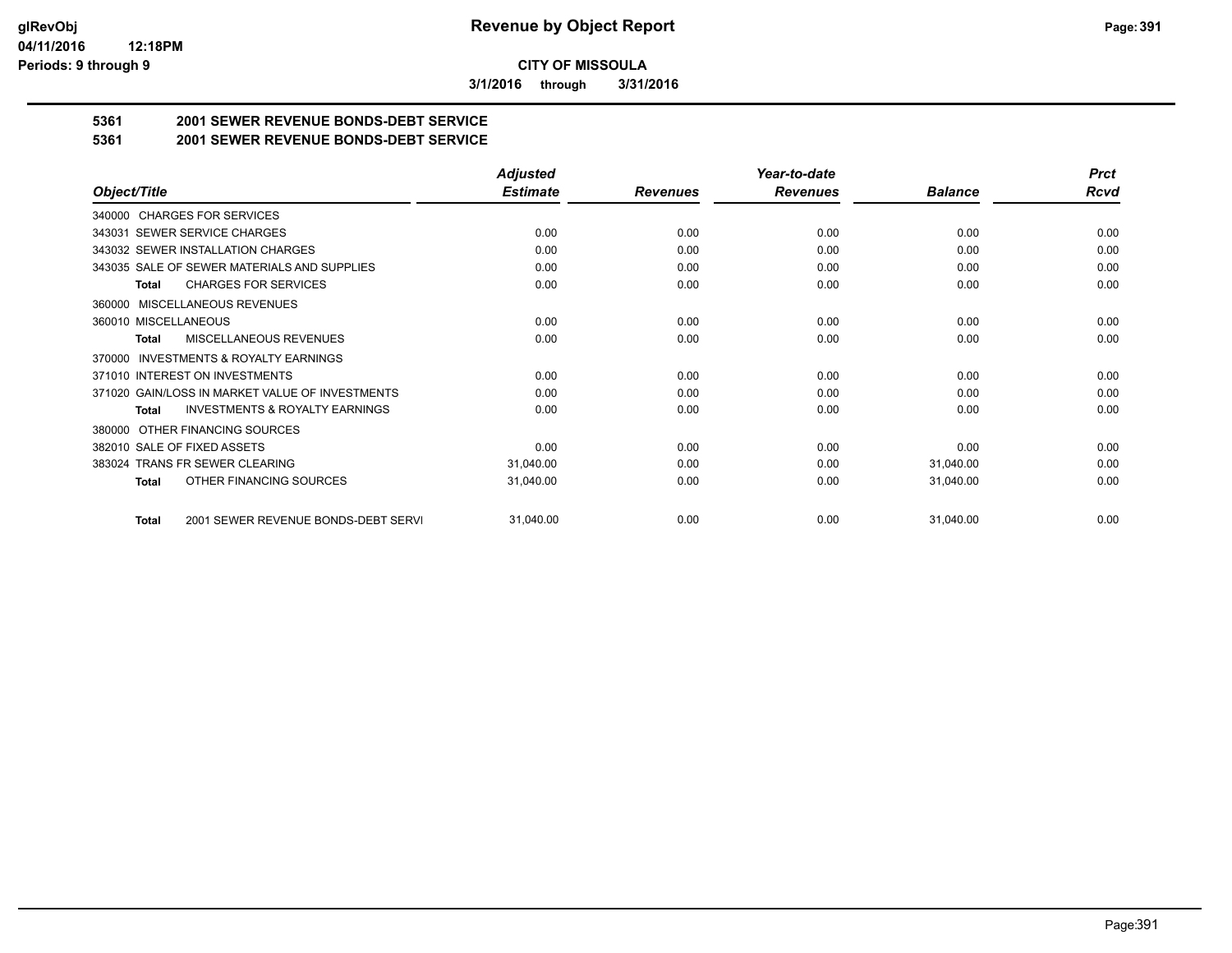**3/1/2016 through 3/31/2016**

## **5361 2001 SEWER REVENUE BONDS-DEBT SERVICE**

**5361 2001 SEWER REVENUE BONDS-DEBT SERVICE**

|                                                           | <b>Adjusted</b> |                 | Year-to-date    |                | <b>Prct</b> |
|-----------------------------------------------------------|-----------------|-----------------|-----------------|----------------|-------------|
| Object/Title                                              | <b>Estimate</b> | <b>Revenues</b> | <b>Revenues</b> | <b>Balance</b> | <b>Rcvd</b> |
| 340000 CHARGES FOR SERVICES                               |                 |                 |                 |                |             |
| SEWER SERVICE CHARGES<br>343031                           | 0.00            | 0.00            | 0.00            | 0.00           | 0.00        |
| 343032 SEWER INSTALLATION CHARGES                         | 0.00            | 0.00            | 0.00            | 0.00           | 0.00        |
| 343035 SALE OF SEWER MATERIALS AND SUPPLIES               | 0.00            | 0.00            | 0.00            | 0.00           | 0.00        |
| <b>CHARGES FOR SERVICES</b><br><b>Total</b>               | 0.00            | 0.00            | 0.00            | 0.00           | 0.00        |
| <b>MISCELLANEOUS REVENUES</b><br>360000                   |                 |                 |                 |                |             |
| 360010 MISCELLANEOUS                                      | 0.00            | 0.00            | 0.00            | 0.00           | 0.00        |
| <b>MISCELLANEOUS REVENUES</b><br>Total                    | 0.00            | 0.00            | 0.00            | 0.00           | 0.00        |
| INVESTMENTS & ROYALTY EARNINGS<br>370000                  |                 |                 |                 |                |             |
| 371010 INTEREST ON INVESTMENTS                            | 0.00            | 0.00            | 0.00            | 0.00           | 0.00        |
| 371020 GAIN/LOSS IN MARKET VALUE OF INVESTMENTS           | 0.00            | 0.00            | 0.00            | 0.00           | 0.00        |
| <b>INVESTMENTS &amp; ROYALTY EARNINGS</b><br><b>Total</b> | 0.00            | 0.00            | 0.00            | 0.00           | 0.00        |
| OTHER FINANCING SOURCES<br>380000                         |                 |                 |                 |                |             |
| 382010 SALE OF FIXED ASSETS                               | 0.00            | 0.00            | 0.00            | 0.00           | 0.00        |
| 383024 TRANS FR SEWER CLEARING                            | 31,040.00       | 0.00            | 0.00            | 31,040.00      | 0.00        |
| OTHER FINANCING SOURCES<br>Total                          | 31,040.00       | 0.00            | 0.00            | 31,040.00      | 0.00        |
| 2001 SEWER REVENUE BONDS-DEBT SERVI<br><b>Total</b>       | 31,040.00       | 0.00            | 0.00            | 31,040.00      | 0.00        |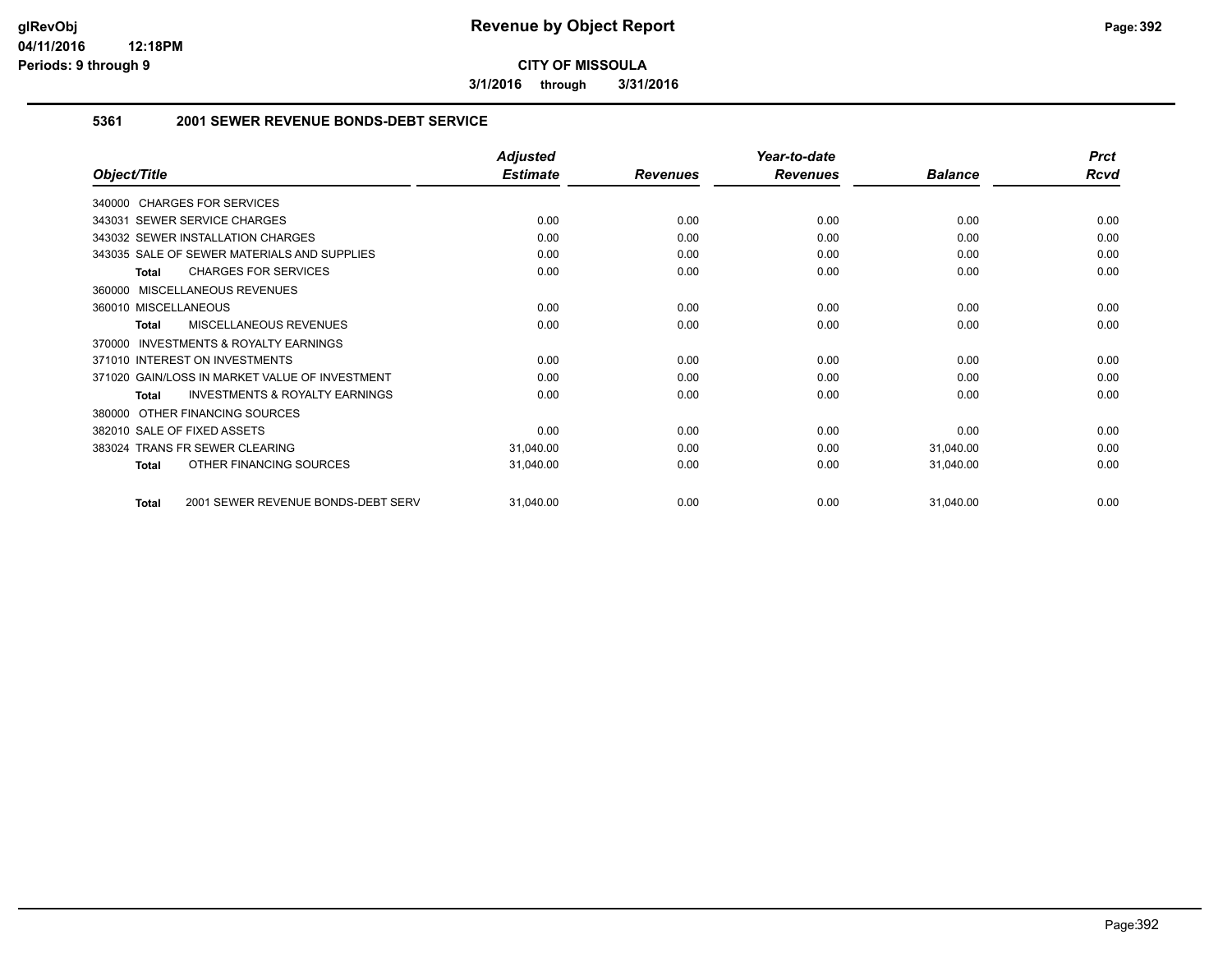**3/1/2016 through 3/31/2016**

#### **5361 2001 SEWER REVENUE BONDS-DEBT SERVICE**

|                                                           | <b>Adjusted</b> |                 | Year-to-date    |                | <b>Prct</b> |
|-----------------------------------------------------------|-----------------|-----------------|-----------------|----------------|-------------|
| Object/Title                                              | <b>Estimate</b> | <b>Revenues</b> | <b>Revenues</b> | <b>Balance</b> | <b>Rcvd</b> |
| 340000 CHARGES FOR SERVICES                               |                 |                 |                 |                |             |
| 343031 SEWER SERVICE CHARGES                              | 0.00            | 0.00            | 0.00            | 0.00           | 0.00        |
| 343032 SEWER INSTALLATION CHARGES                         | 0.00            | 0.00            | 0.00            | 0.00           | 0.00        |
| 343035 SALE OF SEWER MATERIALS AND SUPPLIES               | 0.00            | 0.00            | 0.00            | 0.00           | 0.00        |
| <b>CHARGES FOR SERVICES</b><br><b>Total</b>               | 0.00            | 0.00            | 0.00            | 0.00           | 0.00        |
| MISCELLANEOUS REVENUES<br>360000                          |                 |                 |                 |                |             |
| 360010 MISCELLANEOUS                                      | 0.00            | 0.00            | 0.00            | 0.00           | 0.00        |
| MISCELLANEOUS REVENUES<br><b>Total</b>                    | 0.00            | 0.00            | 0.00            | 0.00           | 0.00        |
| <b>INVESTMENTS &amp; ROYALTY EARNINGS</b><br>370000       |                 |                 |                 |                |             |
| 371010 INTEREST ON INVESTMENTS                            | 0.00            | 0.00            | 0.00            | 0.00           | 0.00        |
| 371020 GAIN/LOSS IN MARKET VALUE OF INVESTMENT            | 0.00            | 0.00            | 0.00            | 0.00           | 0.00        |
| <b>INVESTMENTS &amp; ROYALTY EARNINGS</b><br><b>Total</b> | 0.00            | 0.00            | 0.00            | 0.00           | 0.00        |
| OTHER FINANCING SOURCES<br>380000                         |                 |                 |                 |                |             |
| 382010 SALE OF FIXED ASSETS                               | 0.00            | 0.00            | 0.00            | 0.00           | 0.00        |
| <b>TRANS FR SEWER CLEARING</b><br>383024                  | 31,040.00       | 0.00            | 0.00            | 31,040.00      | 0.00        |
| OTHER FINANCING SOURCES<br><b>Total</b>                   | 31,040.00       | 0.00            | 0.00            | 31,040.00      | 0.00        |
| 2001 SEWER REVENUE BONDS-DEBT SERV<br><b>Total</b>        | 31,040.00       | 0.00            | 0.00            | 31,040.00      | 0.00        |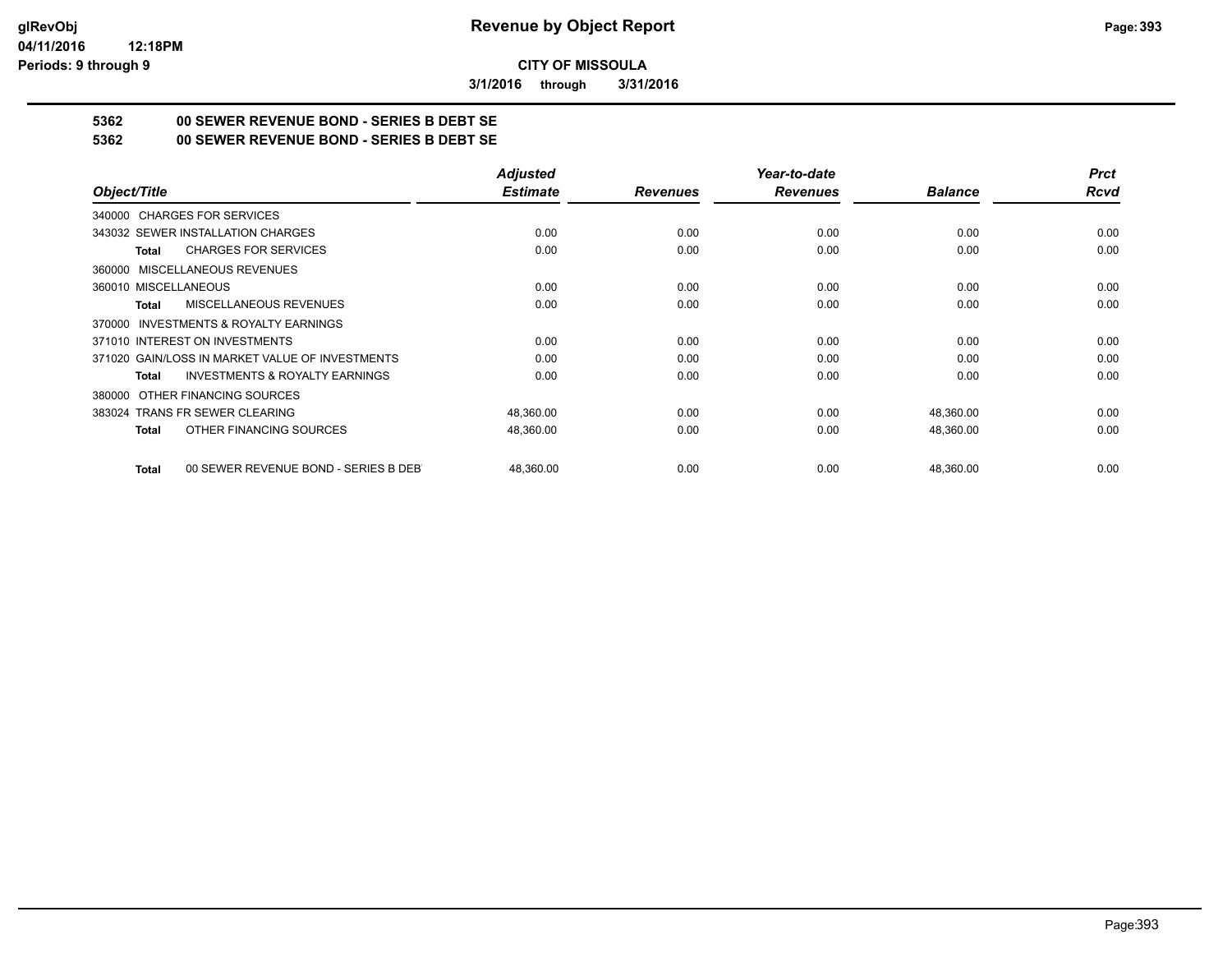**3/1/2016 through 3/31/2016**

## **5362 00 SEWER REVENUE BOND - SERIES B DEBT SE**

**5362 00 SEWER REVENUE BOND - SERIES B DEBT SE**

|                                                           | <b>Adjusted</b> |                 | Year-to-date    |                | <b>Prct</b> |
|-----------------------------------------------------------|-----------------|-----------------|-----------------|----------------|-------------|
| Object/Title                                              | <b>Estimate</b> | <b>Revenues</b> | <b>Revenues</b> | <b>Balance</b> | Rcvd        |
| 340000 CHARGES FOR SERVICES                               |                 |                 |                 |                |             |
| 343032 SEWER INSTALLATION CHARGES                         | 0.00            | 0.00            | 0.00            | 0.00           | 0.00        |
| <b>CHARGES FOR SERVICES</b><br><b>Total</b>               | 0.00            | 0.00            | 0.00            | 0.00           | 0.00        |
| 360000 MISCELLANEOUS REVENUES                             |                 |                 |                 |                |             |
| 360010 MISCELLANEOUS                                      | 0.00            | 0.00            | 0.00            | 0.00           | 0.00        |
| MISCELLANEOUS REVENUES<br>Total                           | 0.00            | 0.00            | 0.00            | 0.00           | 0.00        |
| 370000 INVESTMENTS & ROYALTY EARNINGS                     |                 |                 |                 |                |             |
| 371010 INTEREST ON INVESTMENTS                            | 0.00            | 0.00            | 0.00            | 0.00           | 0.00        |
| 371020 GAIN/LOSS IN MARKET VALUE OF INVESTMENTS           | 0.00            | 0.00            | 0.00            | 0.00           | 0.00        |
| <b>INVESTMENTS &amp; ROYALTY EARNINGS</b><br><b>Total</b> | 0.00            | 0.00            | 0.00            | 0.00           | 0.00        |
| 380000 OTHER FINANCING SOURCES                            |                 |                 |                 |                |             |
| 383024 TRANS FR SEWER CLEARING                            | 48,360.00       | 0.00            | 0.00            | 48,360.00      | 0.00        |
| OTHER FINANCING SOURCES<br><b>Total</b>                   | 48,360.00       | 0.00            | 0.00            | 48,360.00      | 0.00        |
| 00 SEWER REVENUE BOND - SERIES B DEB<br><b>Total</b>      | 48.360.00       | 0.00            | 0.00            | 48,360.00      | 0.00        |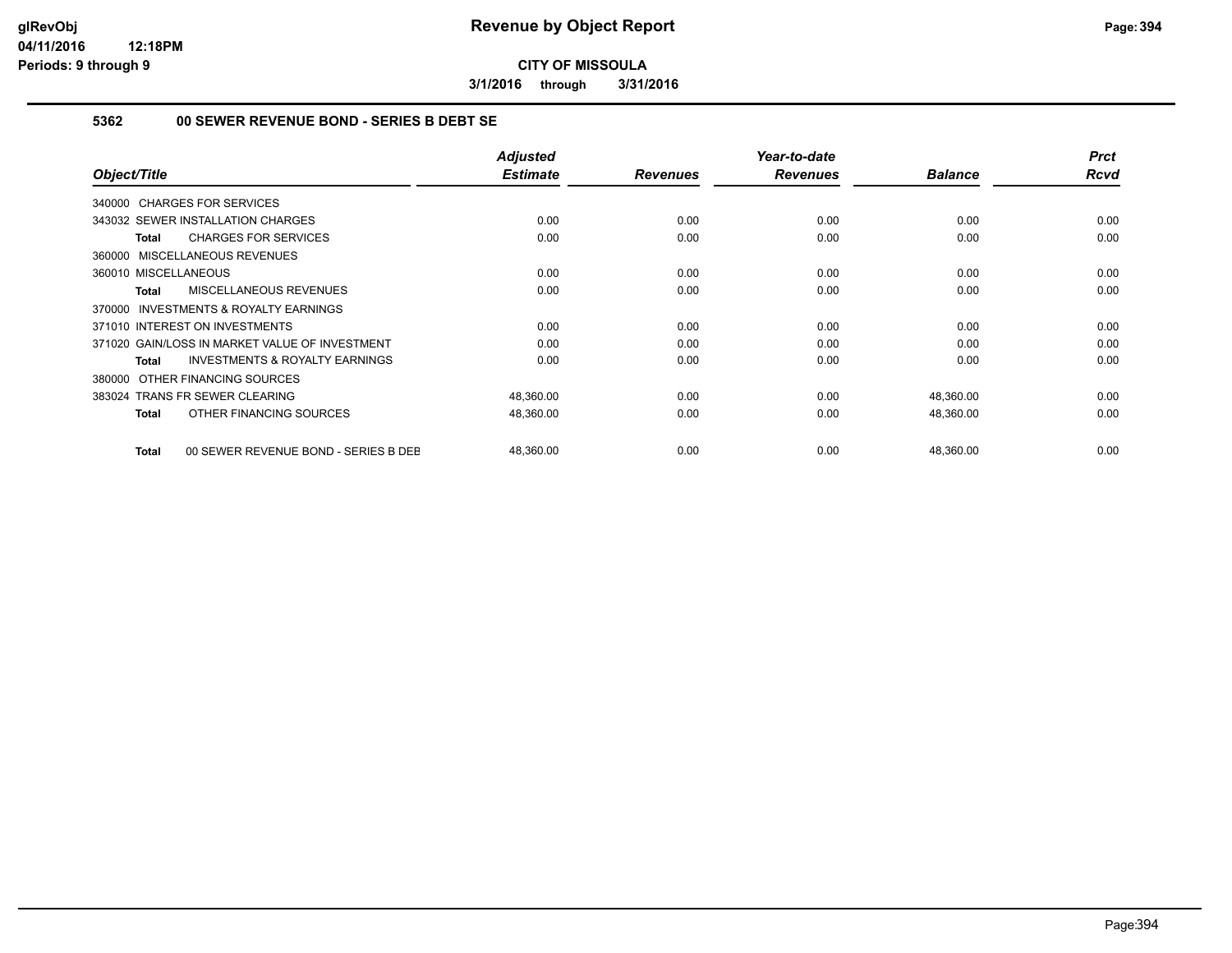**3/1/2016 through 3/31/2016**

#### **5362 00 SEWER REVENUE BOND - SERIES B DEBT SE**

| Object/Title                                              | <b>Adjusted</b><br><b>Estimate</b> | <b>Revenues</b> | Year-to-date<br><b>Revenues</b> | <b>Balance</b> | <b>Prct</b><br><b>Rcvd</b> |
|-----------------------------------------------------------|------------------------------------|-----------------|---------------------------------|----------------|----------------------------|
| 340000 CHARGES FOR SERVICES                               |                                    |                 |                                 |                |                            |
| 343032 SEWER INSTALLATION CHARGES                         | 0.00                               | 0.00            | 0.00                            | 0.00           | 0.00                       |
| <b>CHARGES FOR SERVICES</b><br>Total                      | 0.00                               | 0.00            | 0.00                            | 0.00           | 0.00                       |
| 360000 MISCELLANEOUS REVENUES                             |                                    |                 |                                 |                |                            |
| 360010 MISCELLANEOUS                                      | 0.00                               | 0.00            | 0.00                            | 0.00           | 0.00                       |
| MISCELLANEOUS REVENUES<br><b>Total</b>                    | 0.00                               | 0.00            | 0.00                            | 0.00           | 0.00                       |
| <b>INVESTMENTS &amp; ROYALTY EARNINGS</b><br>370000       |                                    |                 |                                 |                |                            |
| 371010 INTEREST ON INVESTMENTS                            | 0.00                               | 0.00            | 0.00                            | 0.00           | 0.00                       |
| 371020 GAIN/LOSS IN MARKET VALUE OF INVESTMENT            | 0.00                               | 0.00            | 0.00                            | 0.00           | 0.00                       |
| <b>INVESTMENTS &amp; ROYALTY EARNINGS</b><br><b>Total</b> | 0.00                               | 0.00            | 0.00                            | 0.00           | 0.00                       |
| OTHER FINANCING SOURCES<br>380000                         |                                    |                 |                                 |                |                            |
| 383024 TRANS FR SEWER CLEARING                            | 48,360.00                          | 0.00            | 0.00                            | 48,360.00      | 0.00                       |
| OTHER FINANCING SOURCES<br><b>Total</b>                   | 48,360.00                          | 0.00            | 0.00                            | 48,360.00      | 0.00                       |
| 00 SEWER REVENUE BOND - SERIES B DEE<br><b>Total</b>      | 48,360.00                          | 0.00            | 0.00                            | 48,360.00      | 0.00                       |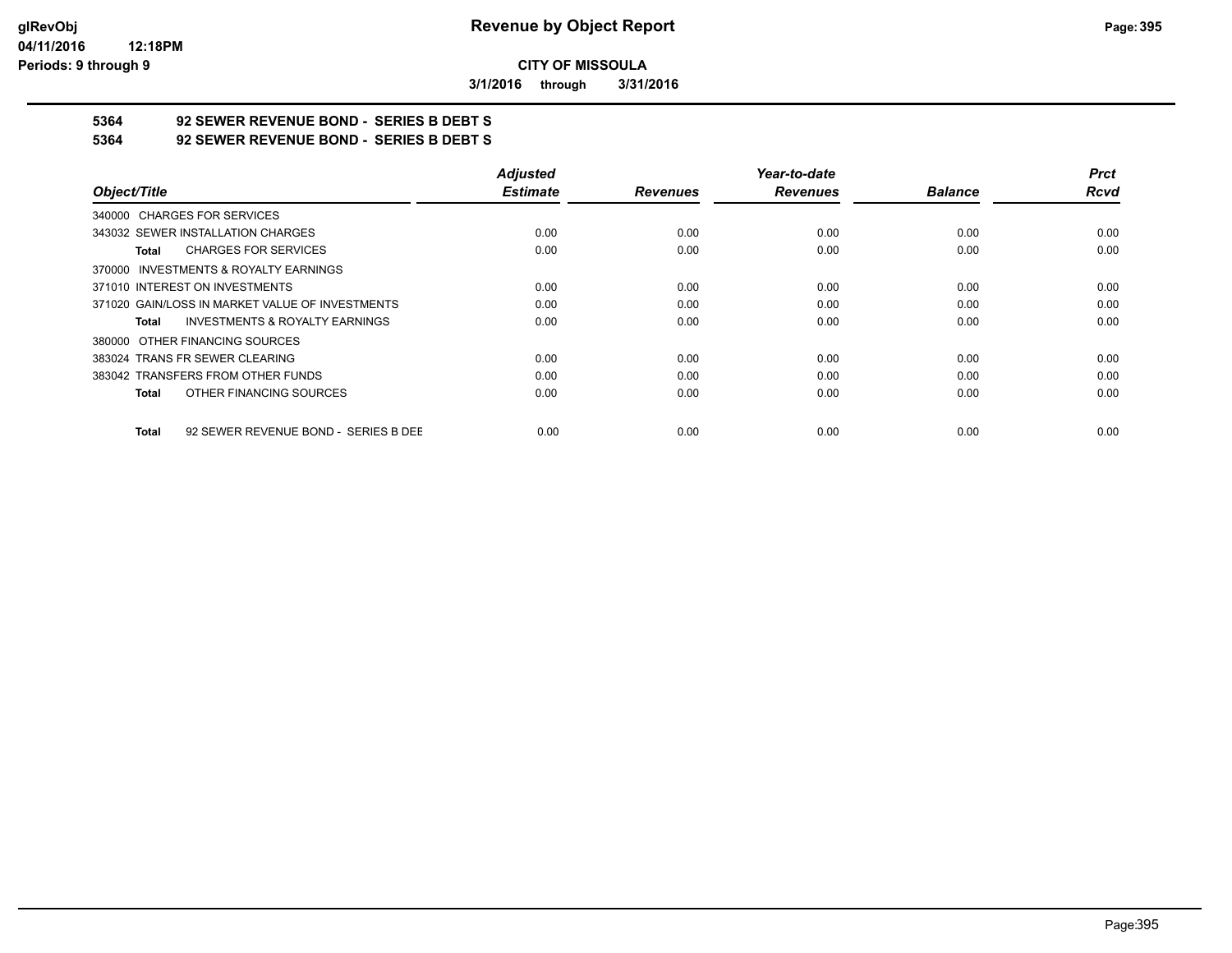**3/1/2016 through 3/31/2016**

# **5364 92 SEWER REVENUE BOND - SERIES B DEBT S**

**5364 92 SEWER REVENUE BOND - SERIES B DEBT S**

|                                                      | <b>Adjusted</b> |                 | Year-to-date    |                | <b>Prct</b> |
|------------------------------------------------------|-----------------|-----------------|-----------------|----------------|-------------|
| Object/Title                                         | <b>Estimate</b> | <b>Revenues</b> | <b>Revenues</b> | <b>Balance</b> | <b>Rcvd</b> |
| 340000 CHARGES FOR SERVICES                          |                 |                 |                 |                |             |
| 343032 SEWER INSTALLATION CHARGES                    | 0.00            | 0.00            | 0.00            | 0.00           | 0.00        |
| <b>CHARGES FOR SERVICES</b><br>Total                 | 0.00            | 0.00            | 0.00            | 0.00           | 0.00        |
| 370000 INVESTMENTS & ROYALTY EARNINGS                |                 |                 |                 |                |             |
| 371010 INTEREST ON INVESTMENTS                       | 0.00            | 0.00            | 0.00            | 0.00           | 0.00        |
| 371020 GAIN/LOSS IN MARKET VALUE OF INVESTMENTS      | 0.00            | 0.00            | 0.00            | 0.00           | 0.00        |
| <b>INVESTMENTS &amp; ROYALTY EARNINGS</b><br>Total   | 0.00            | 0.00            | 0.00            | 0.00           | 0.00        |
| 380000 OTHER FINANCING SOURCES                       |                 |                 |                 |                |             |
| 383024 TRANS FR SEWER CLEARING                       | 0.00            | 0.00            | 0.00            | 0.00           | 0.00        |
| 383042 TRANSFERS FROM OTHER FUNDS                    | 0.00            | 0.00            | 0.00            | 0.00           | 0.00        |
| OTHER FINANCING SOURCES<br>Total                     | 0.00            | 0.00            | 0.00            | 0.00           | 0.00        |
| 92 SEWER REVENUE BOND - SERIES B DEE<br><b>Total</b> | 0.00            | 0.00            | 0.00            | 0.00           | 0.00        |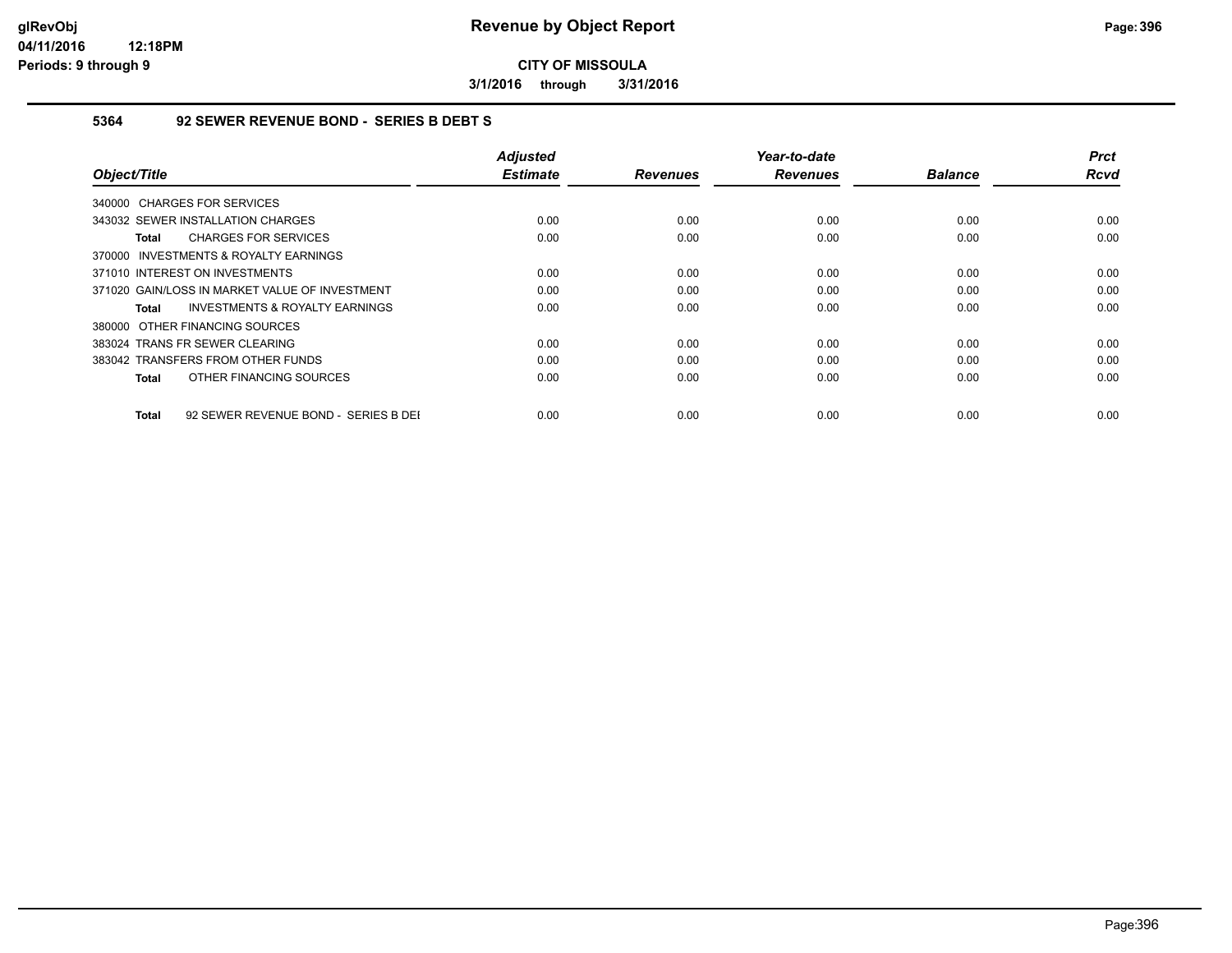**3/1/2016 through 3/31/2016**

#### **5364 92 SEWER REVENUE BOND - SERIES B DEBT S**

| Object/Title                                         | <b>Adjusted</b><br><b>Estimate</b> | <b>Revenues</b> | Year-to-date<br><b>Revenues</b> | <b>Balance</b> | <b>Prct</b><br>Rcvd |
|------------------------------------------------------|------------------------------------|-----------------|---------------------------------|----------------|---------------------|
| 340000 CHARGES FOR SERVICES                          |                                    |                 |                                 |                |                     |
| 343032 SEWER INSTALLATION CHARGES                    | 0.00                               | 0.00            | 0.00                            | 0.00           | 0.00                |
| <b>CHARGES FOR SERVICES</b><br>Total                 | 0.00                               | 0.00            | 0.00                            | 0.00           | 0.00                |
| 370000 INVESTMENTS & ROYALTY EARNINGS                |                                    |                 |                                 |                |                     |
| 371010 INTEREST ON INVESTMENTS                       | 0.00                               | 0.00            | 0.00                            | 0.00           | 0.00                |
| 371020 GAIN/LOSS IN MARKET VALUE OF INVESTMENT       | 0.00                               | 0.00            | 0.00                            | 0.00           | 0.00                |
| <b>INVESTMENTS &amp; ROYALTY EARNINGS</b><br>Total   | 0.00                               | 0.00            | 0.00                            | 0.00           | 0.00                |
| 380000 OTHER FINANCING SOURCES                       |                                    |                 |                                 |                |                     |
| 383024 TRANS FR SEWER CLEARING                       | 0.00                               | 0.00            | 0.00                            | 0.00           | 0.00                |
| 383042 TRANSFERS FROM OTHER FUNDS                    | 0.00                               | 0.00            | 0.00                            | 0.00           | 0.00                |
| OTHER FINANCING SOURCES<br>Total                     | 0.00                               | 0.00            | 0.00                            | 0.00           | 0.00                |
| 92 SEWER REVENUE BOND - SERIES B DEI<br><b>Total</b> | 0.00                               | 0.00            | 0.00                            | 0.00           | 0.00                |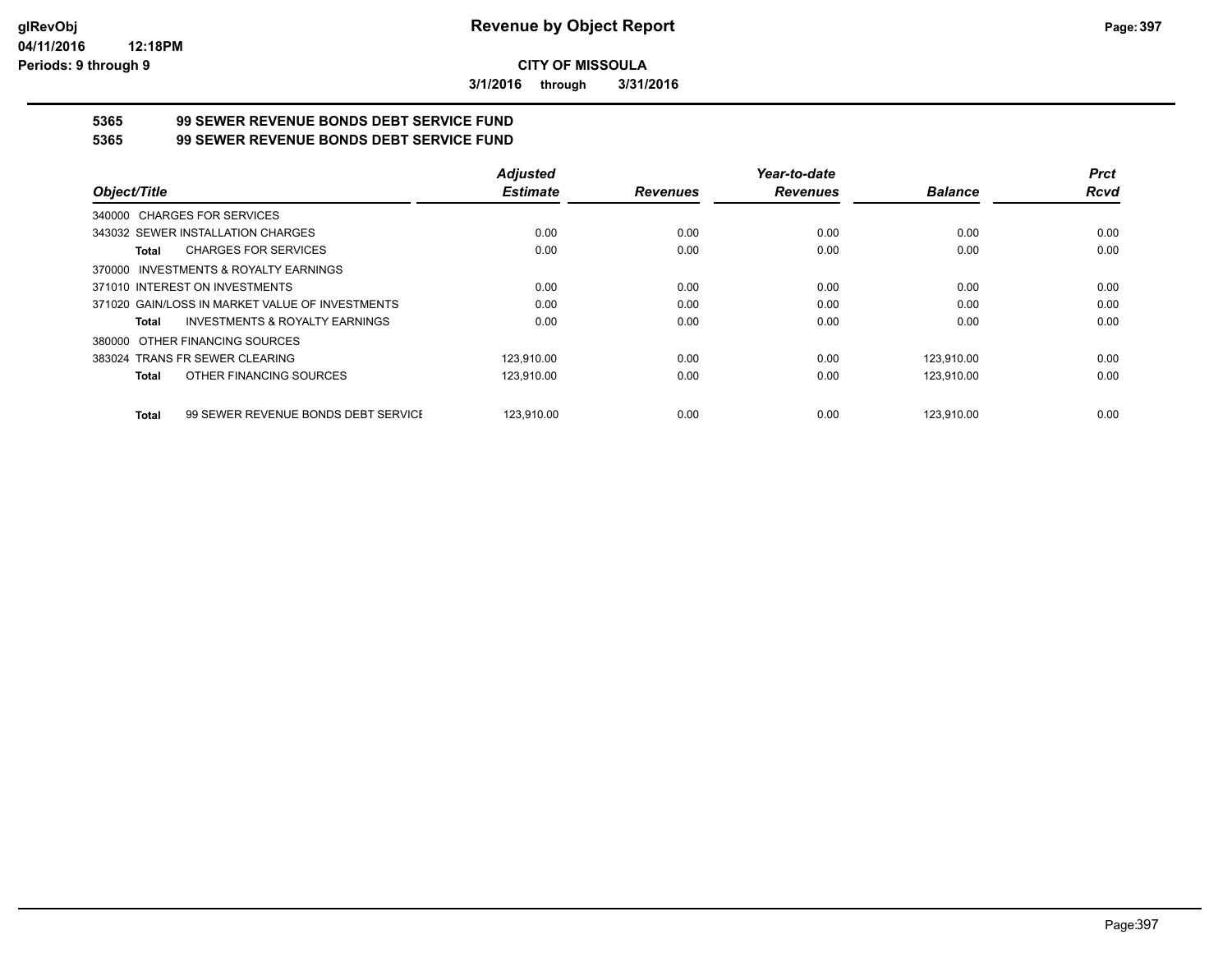**3/1/2016 through 3/31/2016**

# **5365 99 SEWER REVENUE BONDS DEBT SERVICE FUND**

**5365 99 SEWER REVENUE BONDS DEBT SERVICE FUND**

|                                                     | <b>Adjusted</b> |                 | Year-to-date    |                | <b>Prct</b> |
|-----------------------------------------------------|-----------------|-----------------|-----------------|----------------|-------------|
| Object/Title                                        | <b>Estimate</b> | <b>Revenues</b> | <b>Revenues</b> | <b>Balance</b> | <b>Rcvd</b> |
| 340000 CHARGES FOR SERVICES                         |                 |                 |                 |                |             |
| 343032 SEWER INSTALLATION CHARGES                   | 0.00            | 0.00            | 0.00            | 0.00           | 0.00        |
| <b>CHARGES FOR SERVICES</b><br>Total                | 0.00            | 0.00            | 0.00            | 0.00           | 0.00        |
| 370000 INVESTMENTS & ROYALTY EARNINGS               |                 |                 |                 |                |             |
| 371010 INTEREST ON INVESTMENTS                      | 0.00            | 0.00            | 0.00            | 0.00           | 0.00        |
| 371020 GAIN/LOSS IN MARKET VALUE OF INVESTMENTS     | 0.00            | 0.00            | 0.00            | 0.00           | 0.00        |
| <b>INVESTMENTS &amp; ROYALTY EARNINGS</b><br>Total  | 0.00            | 0.00            | 0.00            | 0.00           | 0.00        |
| 380000 OTHER FINANCING SOURCES                      |                 |                 |                 |                |             |
| 383024 TRANS FR SEWER CLEARING                      | 123.910.00      | 0.00            | 0.00            | 123.910.00     | 0.00        |
| OTHER FINANCING SOURCES<br>Total                    | 123,910.00      | 0.00            | 0.00            | 123,910.00     | 0.00        |
| 99 SEWER REVENUE BONDS DEBT SERVICE<br><b>Total</b> | 123.910.00      | 0.00            | 0.00            | 123.910.00     | 0.00        |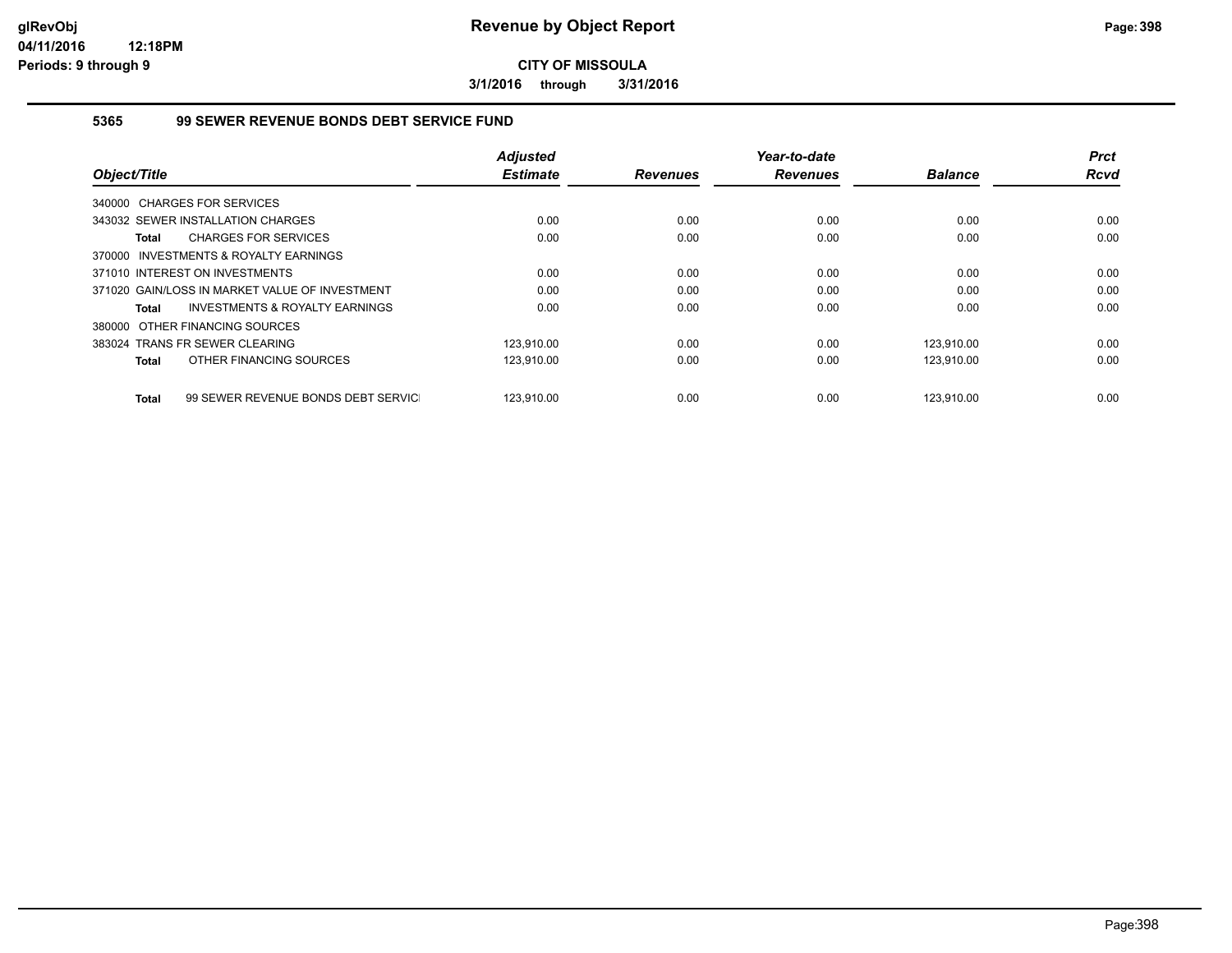**3/1/2016 through 3/31/2016**

### **5365 99 SEWER REVENUE BONDS DEBT SERVICE FUND**

|                                                           | <b>Adjusted</b> |                 | Year-to-date    |                | <b>Prct</b> |
|-----------------------------------------------------------|-----------------|-----------------|-----------------|----------------|-------------|
| Object/Title                                              | <b>Estimate</b> | <b>Revenues</b> | <b>Revenues</b> | <b>Balance</b> | <b>Rcvd</b> |
| 340000 CHARGES FOR SERVICES                               |                 |                 |                 |                |             |
| 343032 SEWER INSTALLATION CHARGES                         | 0.00            | 0.00            | 0.00            | 0.00           | 0.00        |
| <b>CHARGES FOR SERVICES</b><br><b>Total</b>               | 0.00            | 0.00            | 0.00            | 0.00           | 0.00        |
| 370000 INVESTMENTS & ROYALTY EARNINGS                     |                 |                 |                 |                |             |
| 371010 INTEREST ON INVESTMENTS                            | 0.00            | 0.00            | 0.00            | 0.00           | 0.00        |
| 371020 GAIN/LOSS IN MARKET VALUE OF INVESTMENT            | 0.00            | 0.00            | 0.00            | 0.00           | 0.00        |
| <b>INVESTMENTS &amp; ROYALTY EARNINGS</b><br><b>Total</b> | 0.00            | 0.00            | 0.00            | 0.00           | 0.00        |
| 380000 OTHER FINANCING SOURCES                            |                 |                 |                 |                |             |
| 383024 TRANS FR SEWER CLEARING                            | 123.910.00      | 0.00            | 0.00            | 123.910.00     | 0.00        |
| OTHER FINANCING SOURCES<br><b>Total</b>                   | 123,910.00      | 0.00            | 0.00            | 123,910.00     | 0.00        |
| 99 SEWER REVENUE BONDS DEBT SERVIC<br><b>Total</b>        | 123.910.00      | 0.00            | 0.00            | 123.910.00     | 0.00        |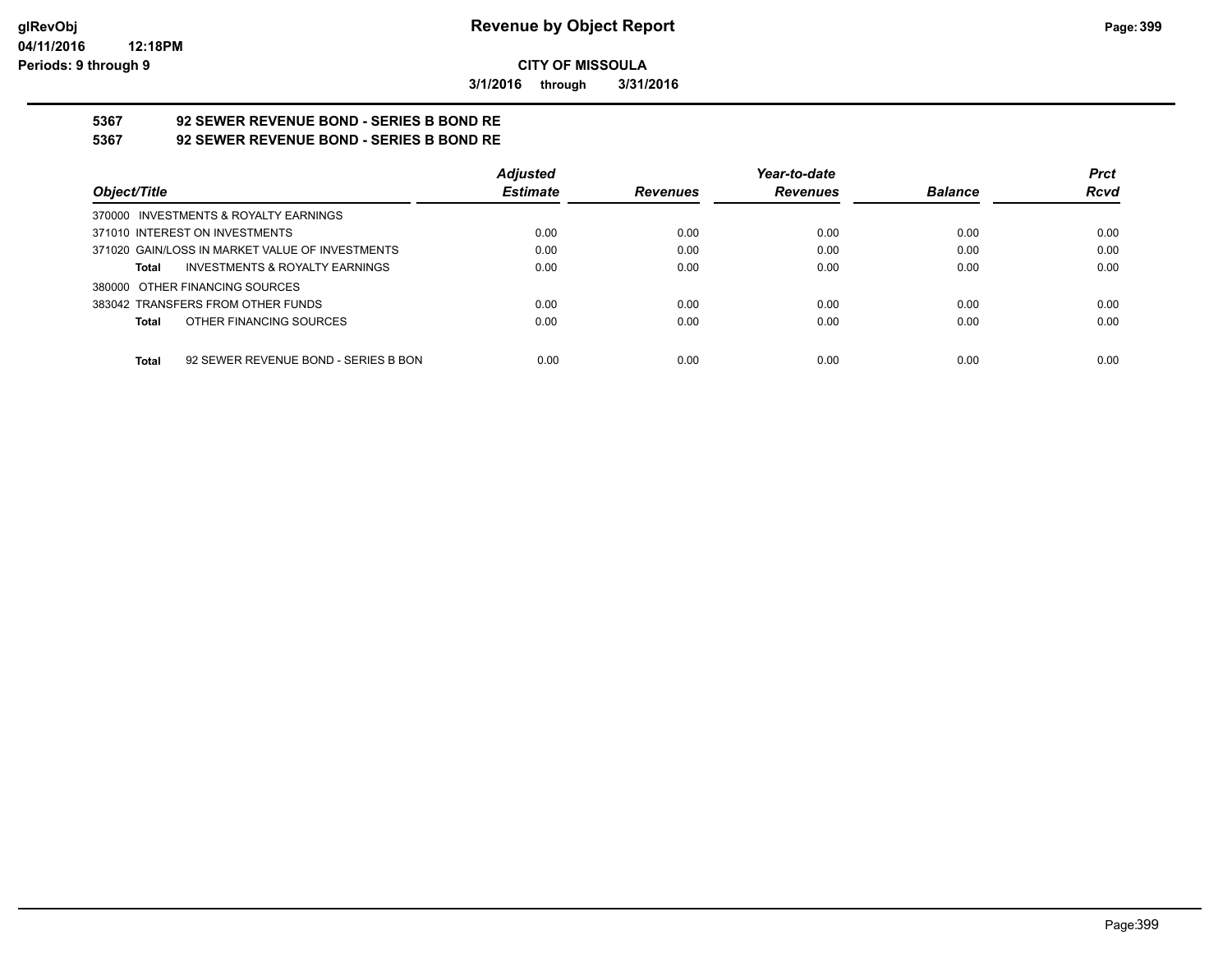**3/1/2016 through 3/31/2016**

# **5367 92 SEWER REVENUE BOND - SERIES B BOND RE**

**5367 92 SEWER REVENUE BOND - SERIES B BOND RE**

|                                                    | <b>Adjusted</b> |                 | Year-to-date    |                | <b>Prct</b> |
|----------------------------------------------------|-----------------|-----------------|-----------------|----------------|-------------|
| Object/Title                                       | <b>Estimate</b> | <b>Revenues</b> | <b>Revenues</b> | <b>Balance</b> | <b>Rcvd</b> |
| 370000 INVESTMENTS & ROYALTY EARNINGS              |                 |                 |                 |                |             |
| 371010 INTEREST ON INVESTMENTS                     | 0.00            | 0.00            | 0.00            | 0.00           | 0.00        |
| 371020 GAIN/LOSS IN MARKET VALUE OF INVESTMENTS    | 0.00            | 0.00            | 0.00            | 0.00           | 0.00        |
| <b>INVESTMENTS &amp; ROYALTY EARNINGS</b><br>Total | 0.00            | 0.00            | 0.00            | 0.00           | 0.00        |
| 380000 OTHER FINANCING SOURCES                     |                 |                 |                 |                |             |
| 383042 TRANSFERS FROM OTHER FUNDS                  | 0.00            | 0.00            | 0.00            | 0.00           | 0.00        |
| OTHER FINANCING SOURCES<br>Total                   | 0.00            | 0.00            | 0.00            | 0.00           | 0.00        |
|                                                    |                 |                 |                 |                |             |
| 92 SEWER REVENUE BOND - SERIES B BON<br>Total      | 0.00            | 0.00            | 0.00            | 0.00           | 0.00        |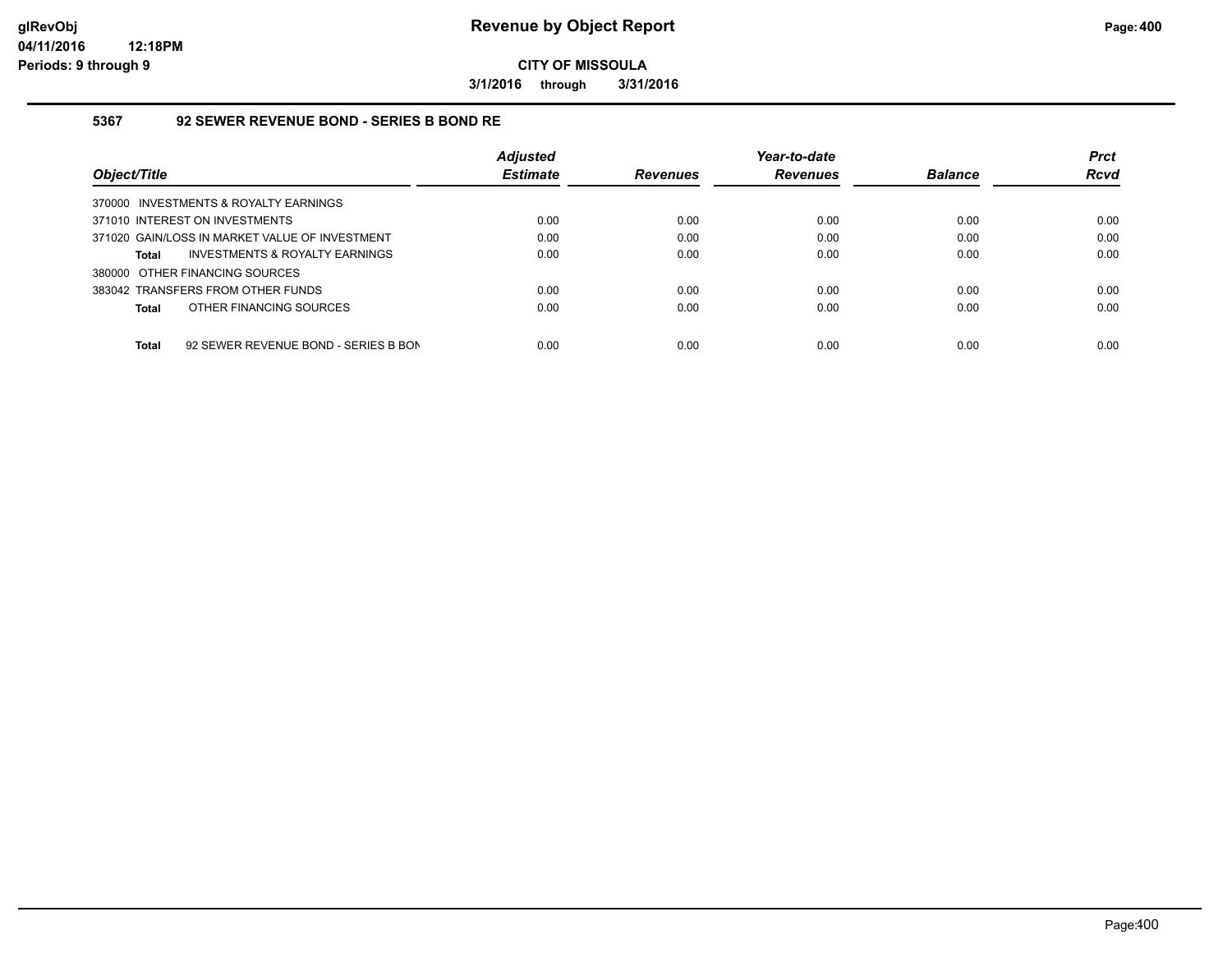**3/1/2016 through 3/31/2016**

#### **5367 92 SEWER REVENUE BOND - SERIES B BOND RE**

|                                                      | <b>Adjusted</b> |                 | Year-to-date    |                | <b>Prct</b> |
|------------------------------------------------------|-----------------|-----------------|-----------------|----------------|-------------|
| Object/Title                                         | <b>Estimate</b> | <b>Revenues</b> | <b>Revenues</b> | <b>Balance</b> | <b>Rcvd</b> |
| 370000 INVESTMENTS & ROYALTY EARNINGS                |                 |                 |                 |                |             |
| 371010 INTEREST ON INVESTMENTS                       | 0.00            | 0.00            | 0.00            | 0.00           | 0.00        |
| 371020 GAIN/LOSS IN MARKET VALUE OF INVESTMENT       | 0.00            | 0.00            | 0.00            | 0.00           | 0.00        |
| INVESTMENTS & ROYALTY EARNINGS<br>Total              | 0.00            | 0.00            | 0.00            | 0.00           | 0.00        |
| 380000 OTHER FINANCING SOURCES                       |                 |                 |                 |                |             |
| 383042 TRANSFERS FROM OTHER FUNDS                    | 0.00            | 0.00            | 0.00            | 0.00           | 0.00        |
| OTHER FINANCING SOURCES<br>Total                     | 0.00            | 0.00            | 0.00            | 0.00           | 0.00        |
|                                                      |                 |                 |                 |                |             |
| 92 SEWER REVENUE BOND - SERIES B BON<br><b>Total</b> | 0.00            | 0.00            | 0.00            | 0.00           | 0.00        |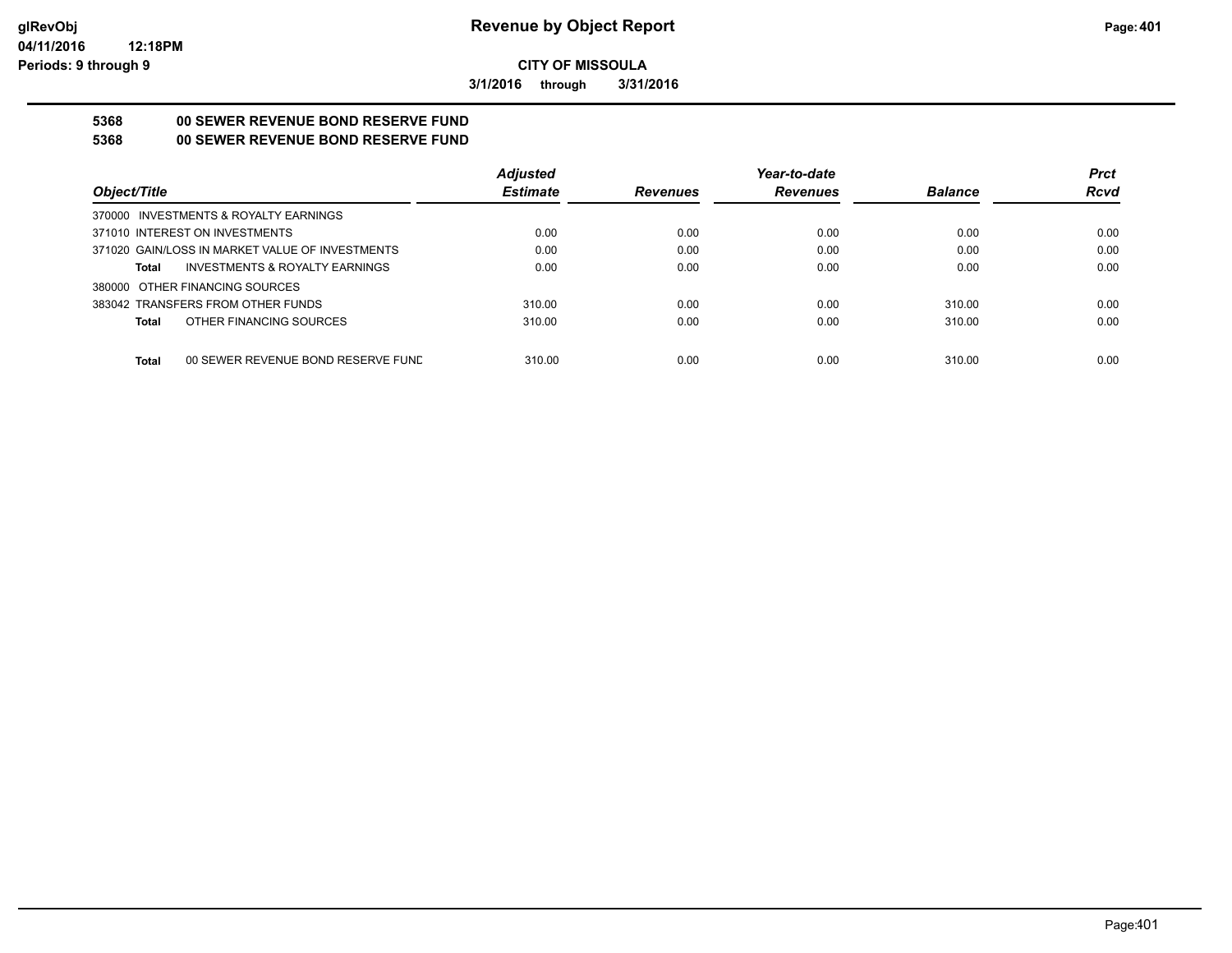**3/1/2016 through 3/31/2016**

# **5368 00 SEWER REVENUE BOND RESERVE FUND**

### **5368 00 SEWER REVENUE BOND RESERVE FUND**

|                                                    | <b>Adjusted</b> |                 | Year-to-date    |                | <b>Prct</b> |
|----------------------------------------------------|-----------------|-----------------|-----------------|----------------|-------------|
| Obiect/Title                                       | <b>Estimate</b> | <b>Revenues</b> | <b>Revenues</b> | <b>Balance</b> | <b>Rcvd</b> |
| 370000 INVESTMENTS & ROYALTY EARNINGS              |                 |                 |                 |                |             |
| 371010 INTEREST ON INVESTMENTS                     | 0.00            | 0.00            | 0.00            | 0.00           | 0.00        |
| 371020 GAIN/LOSS IN MARKET VALUE OF INVESTMENTS    | 0.00            | 0.00            | 0.00            | 0.00           | 0.00        |
| <b>INVESTMENTS &amp; ROYALTY EARNINGS</b><br>Total | 0.00            | 0.00            | 0.00            | 0.00           | 0.00        |
| 380000 OTHER FINANCING SOURCES                     |                 |                 |                 |                |             |
| 383042 TRANSFERS FROM OTHER FUNDS                  | 310.00          | 0.00            | 0.00            | 310.00         | 0.00        |
| OTHER FINANCING SOURCES<br>Total                   | 310.00          | 0.00            | 0.00            | 310.00         | 0.00        |
|                                                    |                 |                 |                 |                |             |
| <b>Total</b><br>00 SEWER REVENUE BOND RESERVE FUND | 310.00          | 0.00            | 0.00            | 310.00         | 0.00        |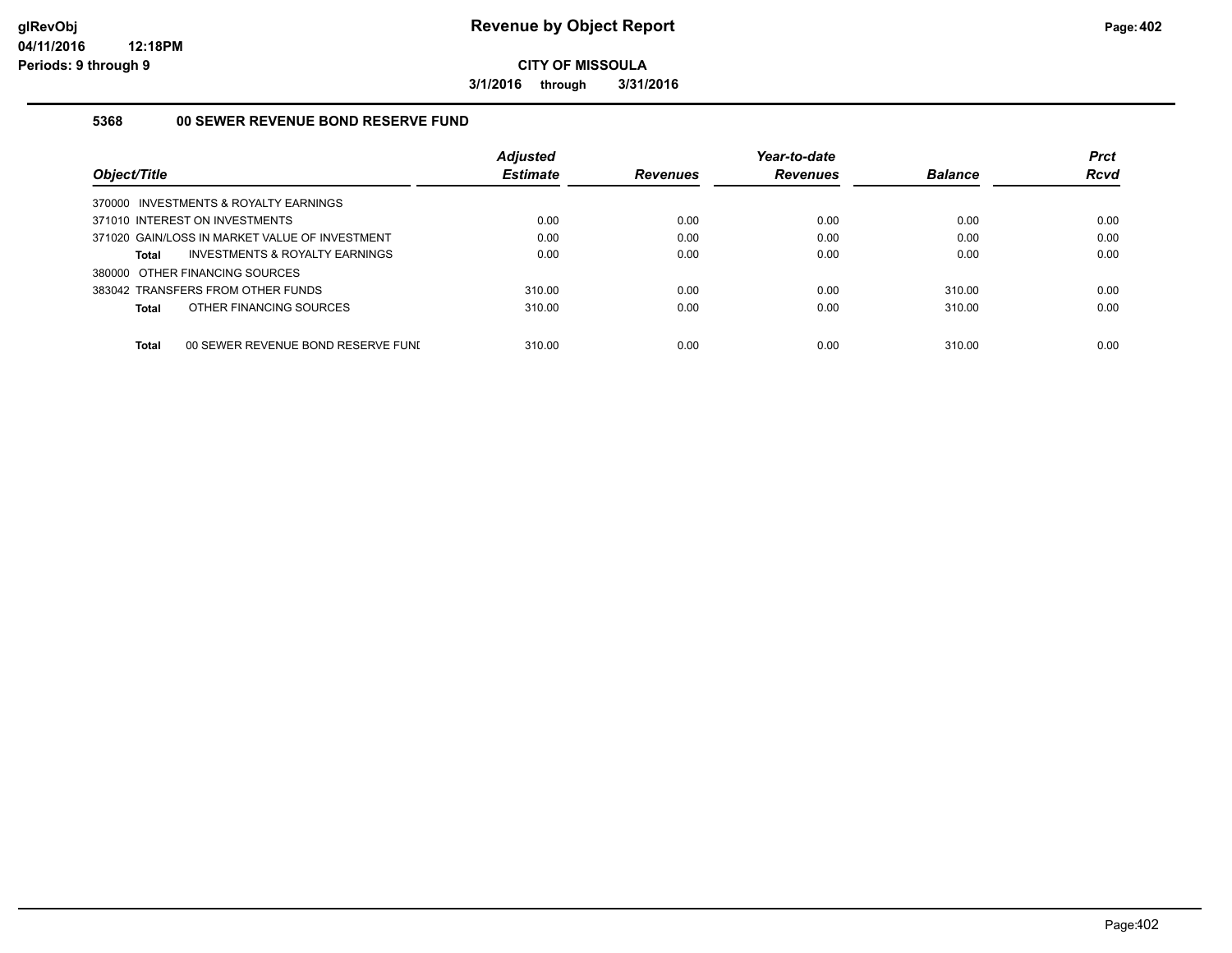**3/1/2016 through 3/31/2016**

#### **5368 00 SEWER REVENUE BOND RESERVE FUND**

| Object/Title                                       | <b>Adjusted</b><br><b>Estimate</b> | <b>Revenues</b> | Year-to-date<br><b>Revenues</b> | <b>Balance</b> | <b>Prct</b><br><b>Rcvd</b> |
|----------------------------------------------------|------------------------------------|-----------------|---------------------------------|----------------|----------------------------|
| 370000 INVESTMENTS & ROYALTY EARNINGS              |                                    |                 |                                 |                |                            |
| 371010 INTEREST ON INVESTMENTS                     | 0.00                               | 0.00            | 0.00                            | 0.00           | 0.00                       |
| 371020 GAIN/LOSS IN MARKET VALUE OF INVESTMENT     | 0.00                               | 0.00            | 0.00                            | 0.00           | 0.00                       |
| INVESTMENTS & ROYALTY EARNINGS<br><b>Total</b>     | 0.00                               | 0.00            | 0.00                            | 0.00           | 0.00                       |
| 380000 OTHER FINANCING SOURCES                     |                                    |                 |                                 |                |                            |
| 383042 TRANSFERS FROM OTHER FUNDS                  | 310.00                             | 0.00            | 0.00                            | 310.00         | 0.00                       |
| OTHER FINANCING SOURCES<br><b>Total</b>            | 310.00                             | 0.00            | 0.00                            | 310.00         | 0.00                       |
|                                                    |                                    |                 |                                 |                |                            |
| <b>Total</b><br>00 SEWER REVENUE BOND RESERVE FUNI | 310.00                             | 0.00            | 0.00                            | 310.00         | 0.00                       |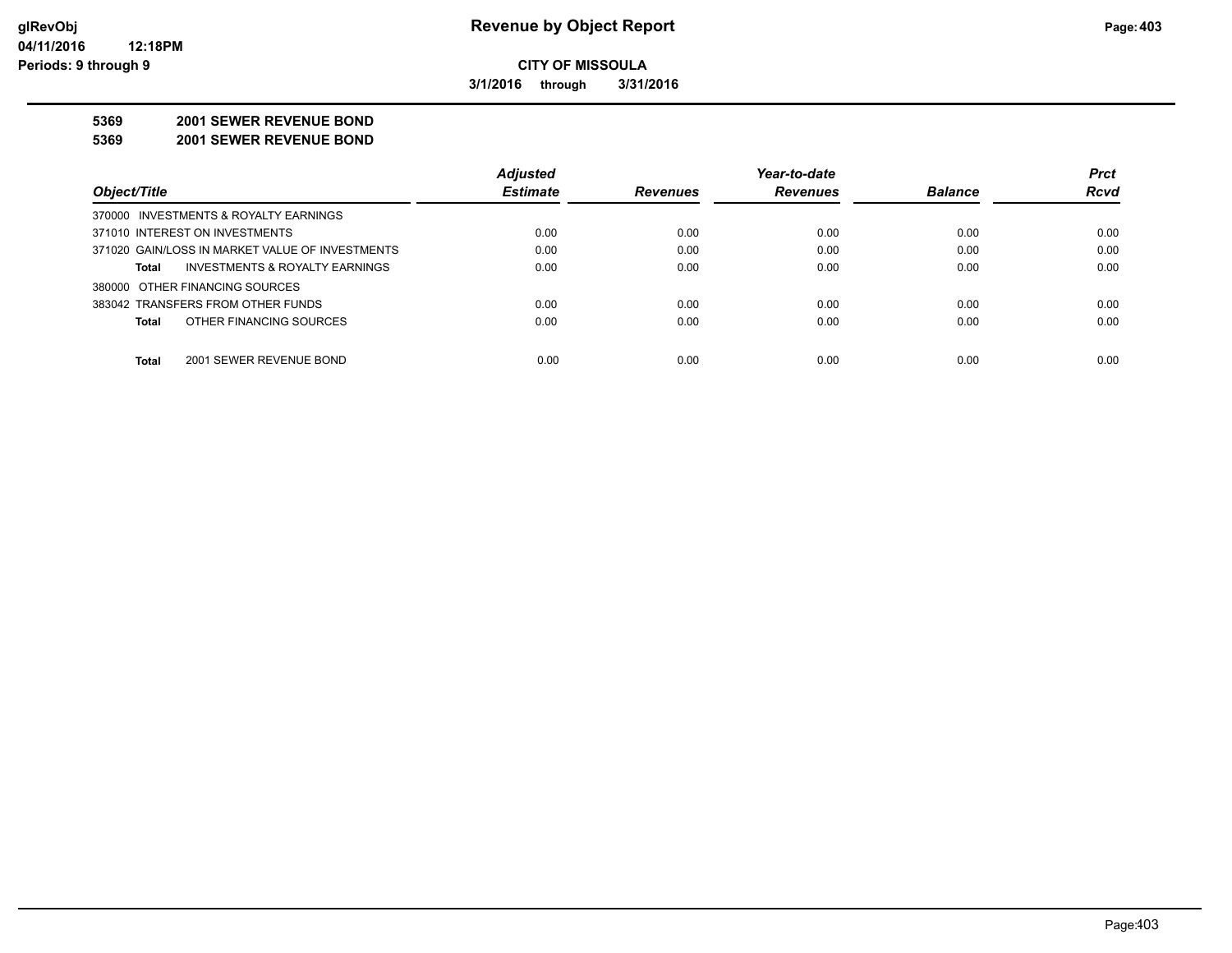**3/1/2016 through 3/31/2016**

#### **5369 2001 SEWER REVENUE BOND**

**5369 2001 SEWER REVENUE BOND**

|                                                 | <b>Adjusted</b> |                 | Year-to-date    |                | <b>Prct</b> |
|-------------------------------------------------|-----------------|-----------------|-----------------|----------------|-------------|
| Object/Title                                    | <b>Estimate</b> | <b>Revenues</b> | <b>Revenues</b> | <b>Balance</b> | <b>Rcvd</b> |
| 370000 INVESTMENTS & ROYALTY EARNINGS           |                 |                 |                 |                |             |
| 371010 INTEREST ON INVESTMENTS                  | 0.00            | 0.00            | 0.00            | 0.00           | 0.00        |
| 371020 GAIN/LOSS IN MARKET VALUE OF INVESTMENTS | 0.00            | 0.00            | 0.00            | 0.00           | 0.00        |
| INVESTMENTS & ROYALTY EARNINGS<br>Total         | 0.00            | 0.00            | 0.00            | 0.00           | 0.00        |
| 380000 OTHER FINANCING SOURCES                  |                 |                 |                 |                |             |
| 383042 TRANSFERS FROM OTHER FUNDS               | 0.00            | 0.00            | 0.00            | 0.00           | 0.00        |
| OTHER FINANCING SOURCES<br><b>Total</b>         | 0.00            | 0.00            | 0.00            | 0.00           | 0.00        |
|                                                 |                 |                 |                 |                |             |
| <b>Total</b><br>2001 SEWER REVENUE BOND         | 0.00            | 0.00            | 0.00            | 0.00           | 0.00        |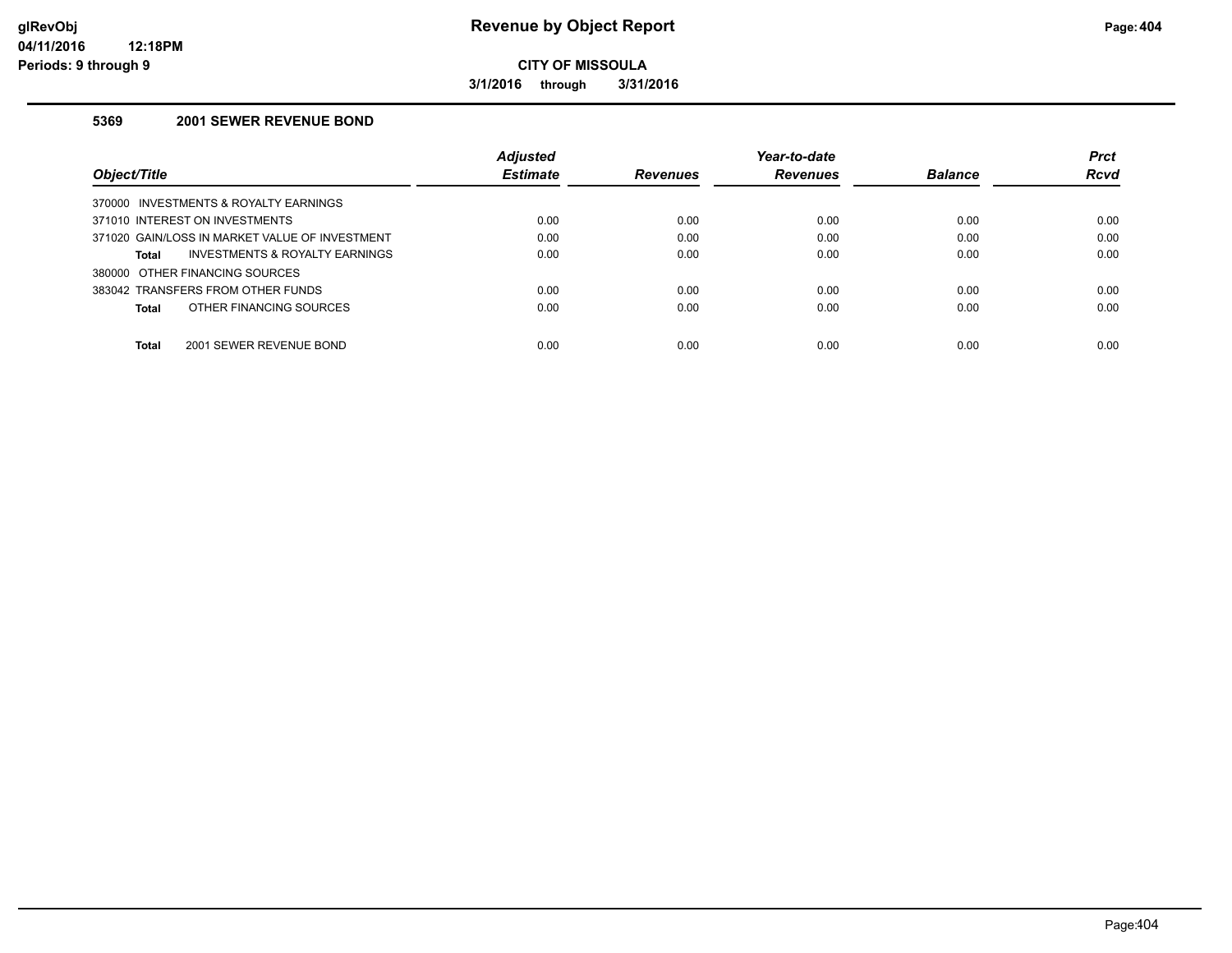**3/1/2016 through 3/31/2016**

#### **5369 2001 SEWER REVENUE BOND**

|                                                    | <b>Adjusted</b> |                 | Year-to-date    |                | <b>Prct</b> |
|----------------------------------------------------|-----------------|-----------------|-----------------|----------------|-------------|
| Object/Title                                       | <b>Estimate</b> | <b>Revenues</b> | <b>Revenues</b> | <b>Balance</b> | Rcvd        |
| INVESTMENTS & ROYALTY EARNINGS<br>370000           |                 |                 |                 |                |             |
| 371010 INTEREST ON INVESTMENTS                     | 0.00            | 0.00            | 0.00            | 0.00           | 0.00        |
| 371020 GAIN/LOSS IN MARKET VALUE OF INVESTMENT     | 0.00            | 0.00            | 0.00            | 0.00           | 0.00        |
| <b>INVESTMENTS &amp; ROYALTY EARNINGS</b><br>Total | 0.00            | 0.00            | 0.00            | 0.00           | 0.00        |
| 380000 OTHER FINANCING SOURCES                     |                 |                 |                 |                |             |
| 383042 TRANSFERS FROM OTHER FUNDS                  | 0.00            | 0.00            | 0.00            | 0.00           | 0.00        |
| OTHER FINANCING SOURCES<br>Total                   | 0.00            | 0.00            | 0.00            | 0.00           | 0.00        |
|                                                    |                 |                 |                 |                |             |
| Total<br>2001 SEWER REVENUE BOND                   | 0.00            | 0.00            | 0.00            | 0.00           | 0.00        |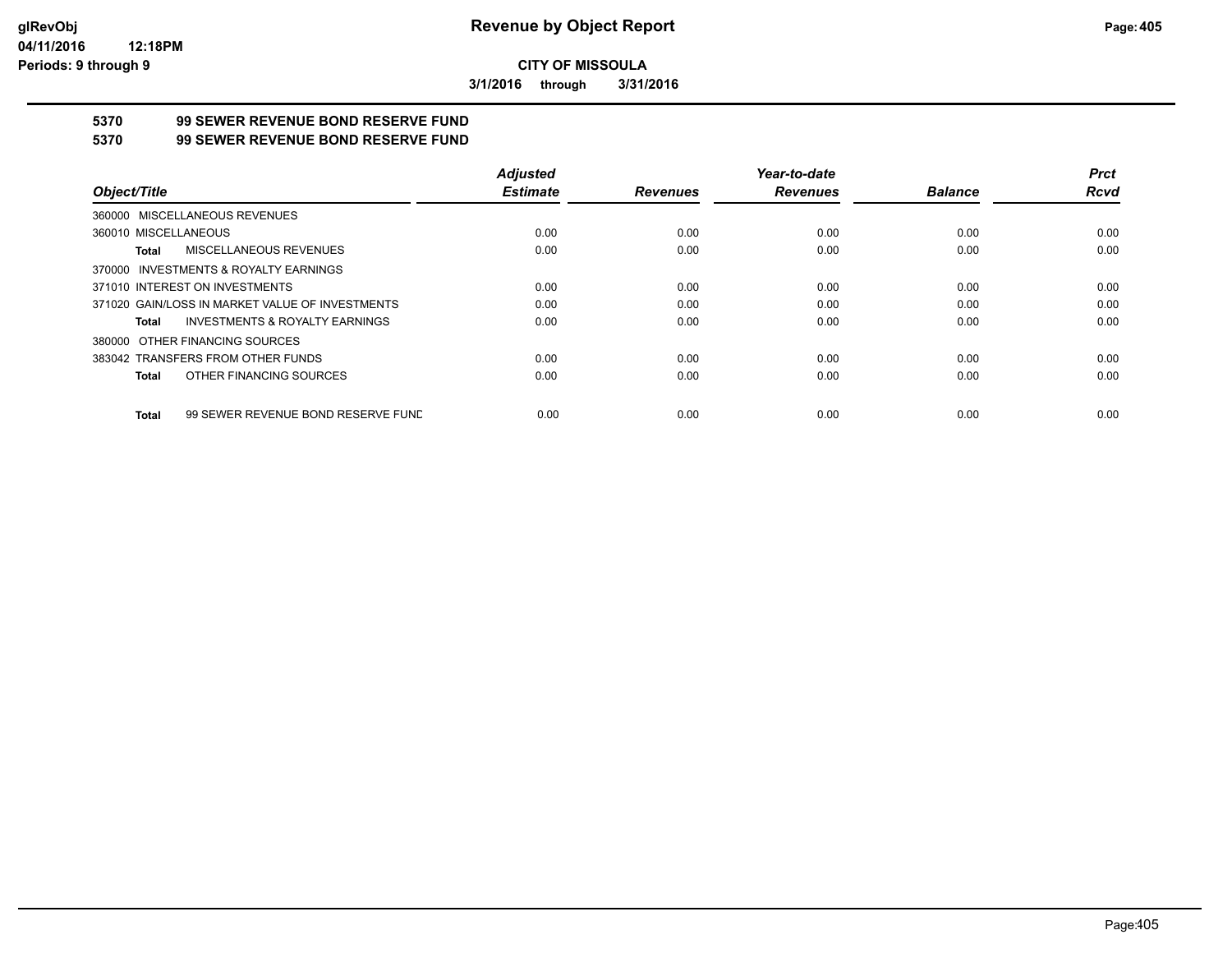**3/1/2016 through 3/31/2016**

# **5370 99 SEWER REVENUE BOND RESERVE FUND**

#### **5370 99 SEWER REVENUE BOND RESERVE FUND**

|                                                    | <b>Adjusted</b> |                 | Year-to-date    |                | <b>Prct</b> |
|----------------------------------------------------|-----------------|-----------------|-----------------|----------------|-------------|
| Object/Title                                       | <b>Estimate</b> | <b>Revenues</b> | <b>Revenues</b> | <b>Balance</b> | Rcvd        |
| 360000 MISCELLANEOUS REVENUES                      |                 |                 |                 |                |             |
| 360010 MISCELLANEOUS                               | 0.00            | 0.00            | 0.00            | 0.00           | 0.00        |
| MISCELLANEOUS REVENUES<br>Total                    | 0.00            | 0.00            | 0.00            | 0.00           | 0.00        |
| 370000 INVESTMENTS & ROYALTY EARNINGS              |                 |                 |                 |                |             |
| 371010 INTEREST ON INVESTMENTS                     | 0.00            | 0.00            | 0.00            | 0.00           | 0.00        |
| 371020 GAIN/LOSS IN MARKET VALUE OF INVESTMENTS    | 0.00            | 0.00            | 0.00            | 0.00           | 0.00        |
| <b>INVESTMENTS &amp; ROYALTY EARNINGS</b><br>Total | 0.00            | 0.00            | 0.00            | 0.00           | 0.00        |
| 380000 OTHER FINANCING SOURCES                     |                 |                 |                 |                |             |
| 383042 TRANSFERS FROM OTHER FUNDS                  | 0.00            | 0.00            | 0.00            | 0.00           | 0.00        |
| OTHER FINANCING SOURCES<br>Total                   | 0.00            | 0.00            | 0.00            | 0.00           | 0.00        |
| 99 SEWER REVENUE BOND RESERVE FUND<br>Total        | 0.00            | 0.00            | 0.00            | 0.00           | 0.00        |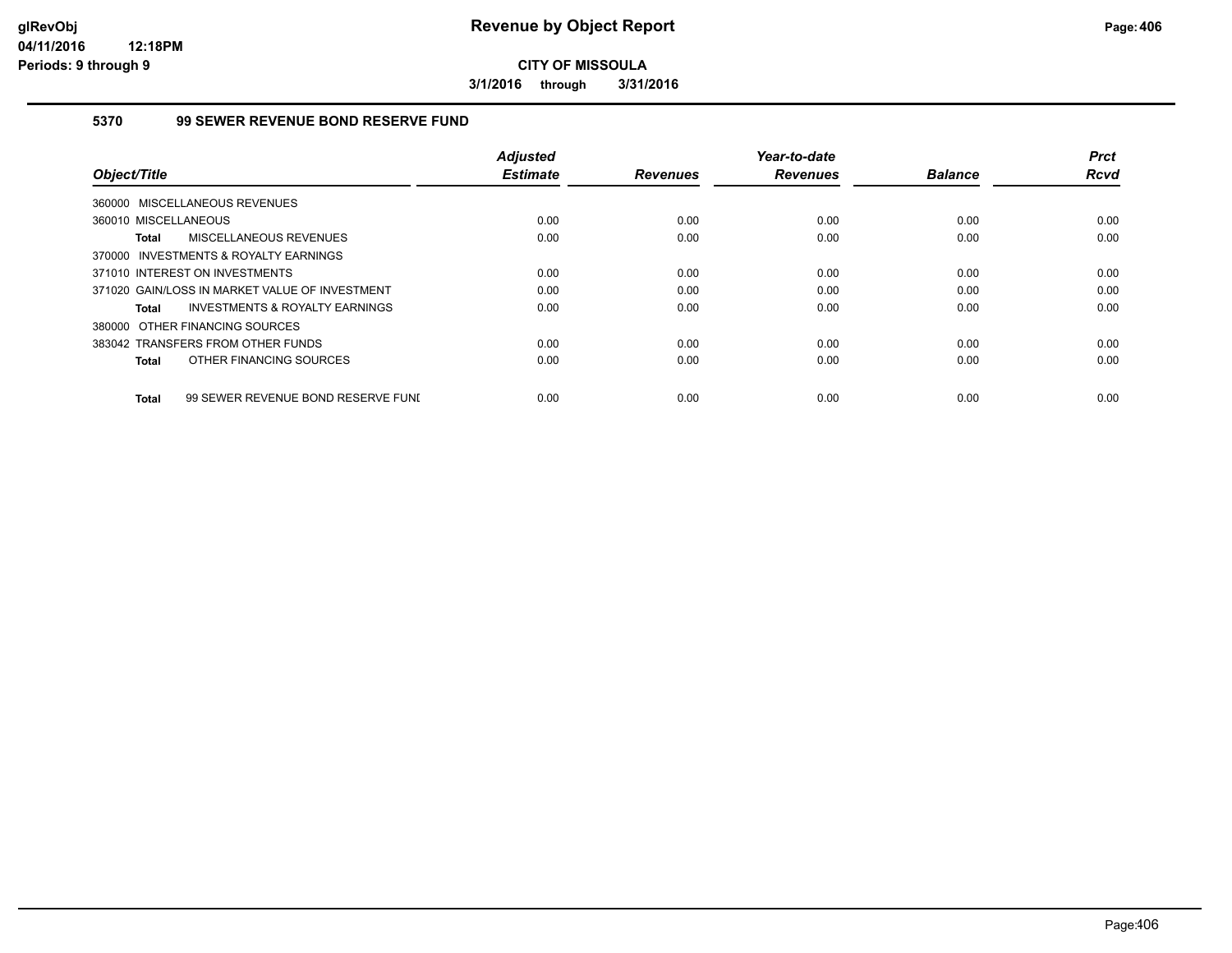**3/1/2016 through 3/31/2016**

### **5370 99 SEWER REVENUE BOND RESERVE FUND**

|                                                    | <b>Adjusted</b> |                 | Year-to-date    |                | <b>Prct</b> |
|----------------------------------------------------|-----------------|-----------------|-----------------|----------------|-------------|
| Object/Title                                       | <b>Estimate</b> | <b>Revenues</b> | <b>Revenues</b> | <b>Balance</b> | <b>Rcvd</b> |
| 360000 MISCELLANEOUS REVENUES                      |                 |                 |                 |                |             |
| 360010 MISCELLANEOUS                               | 0.00            | 0.00            | 0.00            | 0.00           | 0.00        |
| MISCELLANEOUS REVENUES<br><b>Total</b>             | 0.00            | 0.00            | 0.00            | 0.00           | 0.00        |
| 370000 INVESTMENTS & ROYALTY EARNINGS              |                 |                 |                 |                |             |
| 371010 INTEREST ON INVESTMENTS                     | 0.00            | 0.00            | 0.00            | 0.00           | 0.00        |
| 371020 GAIN/LOSS IN MARKET VALUE OF INVESTMENT     | 0.00            | 0.00            | 0.00            | 0.00           | 0.00        |
| INVESTMENTS & ROYALTY EARNINGS<br>Total            | 0.00            | 0.00            | 0.00            | 0.00           | 0.00        |
| 380000 OTHER FINANCING SOURCES                     |                 |                 |                 |                |             |
| 383042 TRANSFERS FROM OTHER FUNDS                  | 0.00            | 0.00            | 0.00            | 0.00           | 0.00        |
| OTHER FINANCING SOURCES<br><b>Total</b>            | 0.00            | 0.00            | 0.00            | 0.00           | 0.00        |
|                                                    |                 |                 |                 |                |             |
| 99 SEWER REVENUE BOND RESERVE FUNI<br><b>Total</b> | 0.00            | 0.00            | 0.00            | 0.00           | 0.00        |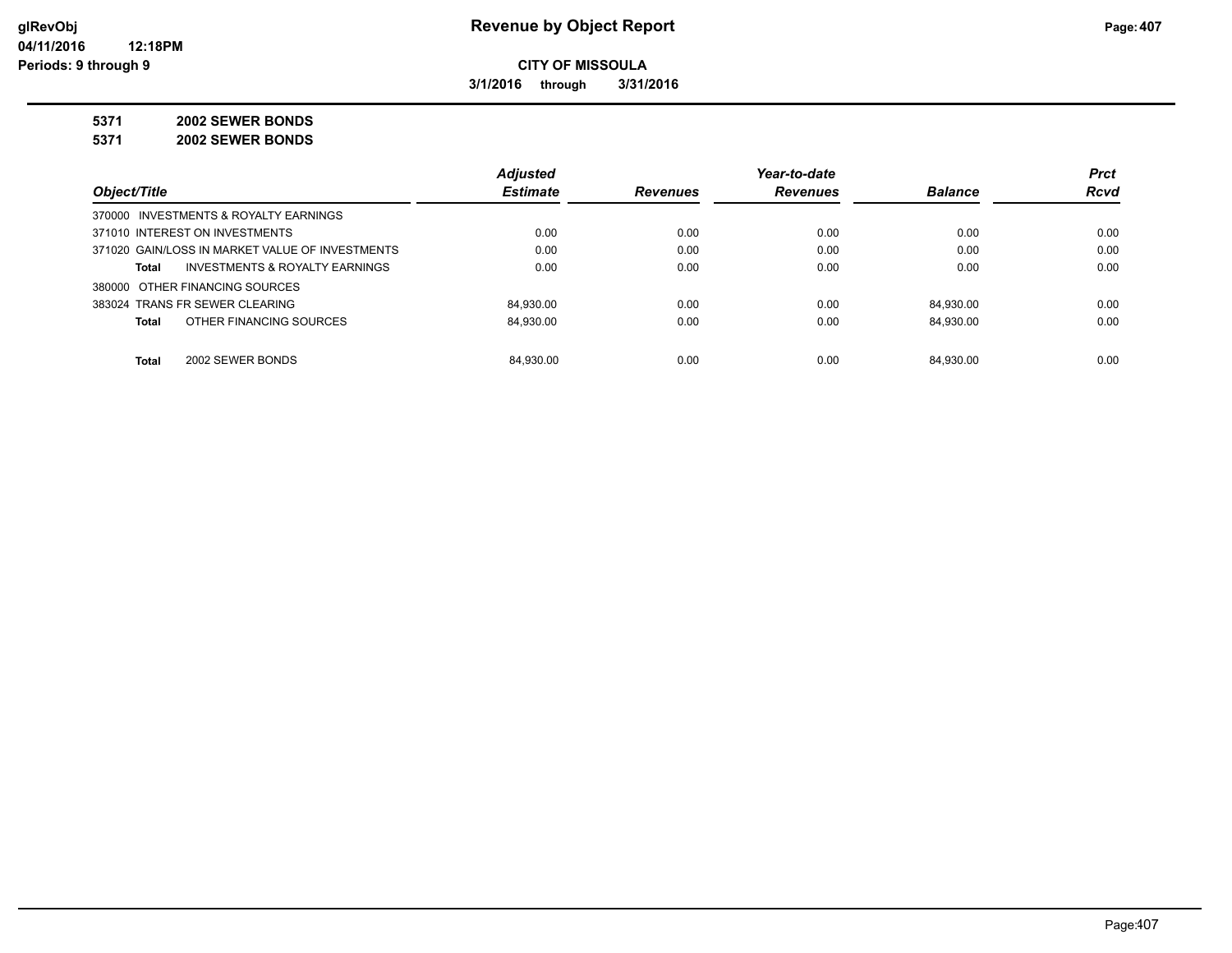**3/1/2016 through 3/31/2016**

**5371 2002 SEWER BONDS**

**5371 2002 SEWER BONDS**

|                                                 | <b>Adjusted</b> |                 | Year-to-date    |                | <b>Prct</b> |
|-------------------------------------------------|-----------------|-----------------|-----------------|----------------|-------------|
| Object/Title                                    | <b>Estimate</b> | <b>Revenues</b> | <b>Revenues</b> | <b>Balance</b> | <b>Rcvd</b> |
| 370000 INVESTMENTS & ROYALTY EARNINGS           |                 |                 |                 |                |             |
| 371010 INTEREST ON INVESTMENTS                  | 0.00            | 0.00            | 0.00            | 0.00           | 0.00        |
| 371020 GAIN/LOSS IN MARKET VALUE OF INVESTMENTS | 0.00            | 0.00            | 0.00            | 0.00           | 0.00        |
| INVESTMENTS & ROYALTY EARNINGS<br>Total         | 0.00            | 0.00            | 0.00            | 0.00           | 0.00        |
| 380000 OTHER FINANCING SOURCES                  |                 |                 |                 |                |             |
| 383024 TRANS FR SEWER CLEARING                  | 84.930.00       | 0.00            | 0.00            | 84.930.00      | 0.00        |
| OTHER FINANCING SOURCES<br>Total                | 84.930.00       | 0.00            | 0.00            | 84.930.00      | 0.00        |
|                                                 |                 |                 |                 |                |             |
| 2002 SEWER BONDS<br>Total                       | 84.930.00       | 0.00            | 0.00            | 84.930.00      | 0.00        |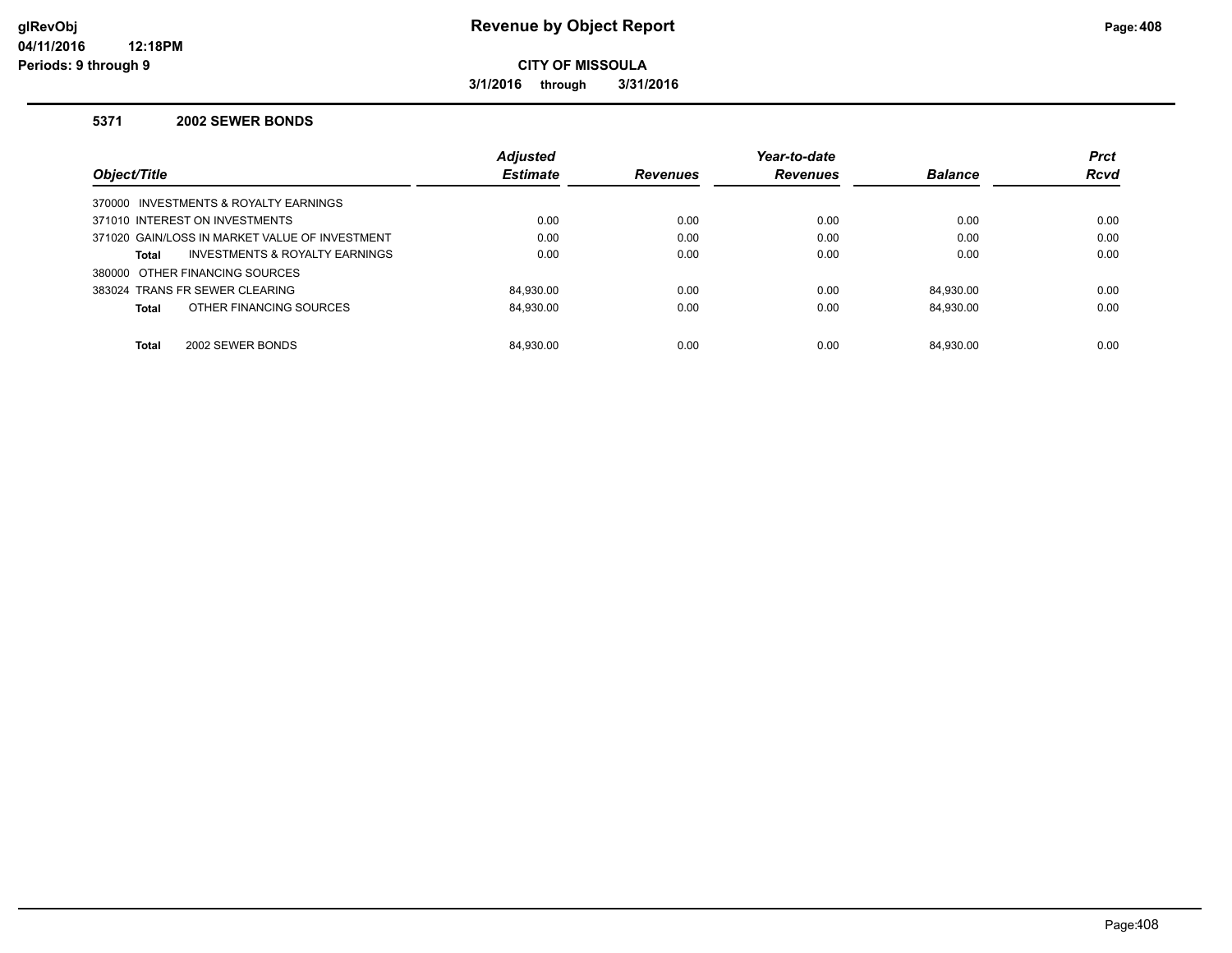### **glRevObj Revenue by Object Report Page:408**

**CITY OF MISSOULA**

**3/1/2016 through 3/31/2016**

#### **5371 2002 SEWER BONDS**

|                                                    | <b>Adjusted</b> |                 | Year-to-date    |                | <b>Prct</b> |
|----------------------------------------------------|-----------------|-----------------|-----------------|----------------|-------------|
| Object/Title                                       | <b>Estimate</b> | <b>Revenues</b> | <b>Revenues</b> | <b>Balance</b> | <b>Rcvd</b> |
| 370000 INVESTMENTS & ROYALTY EARNINGS              |                 |                 |                 |                |             |
| 371010 INTEREST ON INVESTMENTS                     | 0.00            | 0.00            | 0.00            | 0.00           | 0.00        |
| 371020 GAIN/LOSS IN MARKET VALUE OF INVESTMENT     | 0.00            | 0.00            | 0.00            | 0.00           | 0.00        |
| <b>INVESTMENTS &amp; ROYALTY EARNINGS</b><br>Total | 0.00            | 0.00            | 0.00            | 0.00           | 0.00        |
| 380000 OTHER FINANCING SOURCES                     |                 |                 |                 |                |             |
| 383024 TRANS FR SEWER CLEARING                     | 84.930.00       | 0.00            | 0.00            | 84.930.00      | 0.00        |
| OTHER FINANCING SOURCES<br><b>Total</b>            | 84.930.00       | 0.00            | 0.00            | 84.930.00      | 0.00        |
|                                                    |                 |                 |                 |                |             |
| <b>Total</b><br>2002 SEWER BONDS                   | 84.930.00       | 0.00            | 0.00            | 84.930.00      | 0.00        |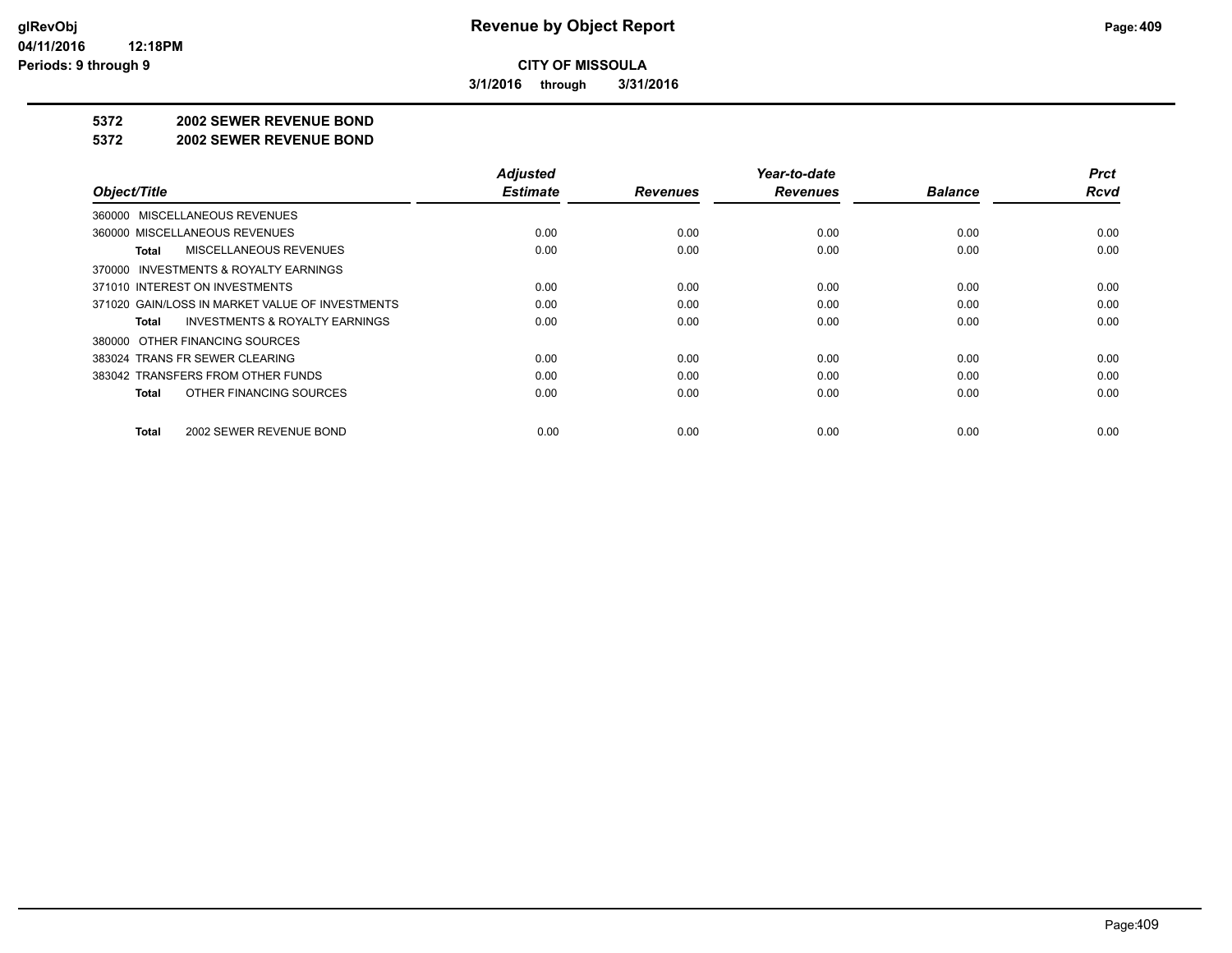**3/1/2016 through 3/31/2016**

#### **5372 2002 SEWER REVENUE BOND**

#### **5372 2002 SEWER REVENUE BOND**

| Object/Title                                       | <b>Adjusted</b><br><b>Estimate</b> | <b>Revenues</b> | Year-to-date<br><b>Revenues</b> | <b>Balance</b> | <b>Prct</b><br><b>Rcvd</b> |
|----------------------------------------------------|------------------------------------|-----------------|---------------------------------|----------------|----------------------------|
| 360000 MISCELLANEOUS REVENUES                      |                                    |                 |                                 |                |                            |
| 360000 MISCELLANEOUS REVENUES                      | 0.00                               | 0.00            | 0.00                            | 0.00           | 0.00                       |
| MISCELLANEOUS REVENUES<br>Total                    | 0.00                               | 0.00            | 0.00                            | 0.00           | 0.00                       |
| INVESTMENTS & ROYALTY EARNINGS<br>370000           |                                    |                 |                                 |                |                            |
| 371010 INTEREST ON INVESTMENTS                     | 0.00                               | 0.00            | 0.00                            | 0.00           | 0.00                       |
| 371020 GAIN/LOSS IN MARKET VALUE OF INVESTMENTS    | 0.00                               | 0.00            | 0.00                            | 0.00           | 0.00                       |
| <b>INVESTMENTS &amp; ROYALTY EARNINGS</b><br>Total | 0.00                               | 0.00            | 0.00                            | 0.00           | 0.00                       |
| 380000 OTHER FINANCING SOURCES                     |                                    |                 |                                 |                |                            |
| 383024 TRANS FR SEWER CLEARING                     | 0.00                               | 0.00            | 0.00                            | 0.00           | 0.00                       |
| 383042 TRANSFERS FROM OTHER FUNDS                  | 0.00                               | 0.00            | 0.00                            | 0.00           | 0.00                       |
| OTHER FINANCING SOURCES<br><b>Total</b>            | 0.00                               | 0.00            | 0.00                            | 0.00           | 0.00                       |
|                                                    |                                    |                 |                                 |                |                            |
| 2002 SEWER REVENUE BOND<br><b>Total</b>            | 0.00                               | 0.00            | 0.00                            | 0.00           | 0.00                       |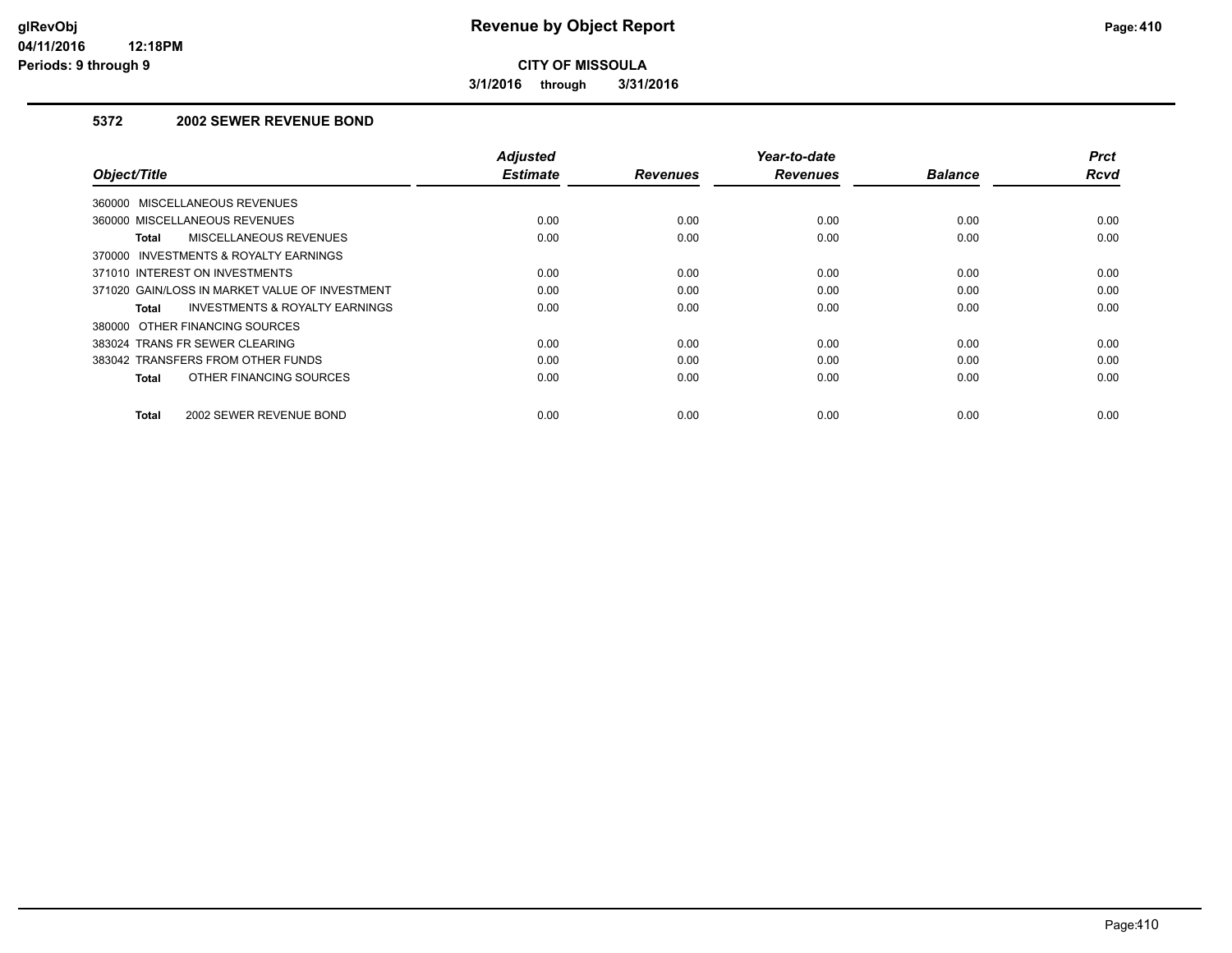**3/1/2016 through 3/31/2016**

### **5372 2002 SEWER REVENUE BOND**

| Object/Title                                       | <b>Adjusted</b><br><b>Estimate</b> | <b>Revenues</b> | Year-to-date<br><b>Revenues</b> | <b>Balance</b> | <b>Prct</b><br><b>Rcvd</b> |
|----------------------------------------------------|------------------------------------|-----------------|---------------------------------|----------------|----------------------------|
| 360000 MISCELLANEOUS REVENUES                      |                                    |                 |                                 |                |                            |
| 360000 MISCELLANEOUS REVENUES                      | 0.00                               | 0.00            | 0.00                            | 0.00           | 0.00                       |
| MISCELLANEOUS REVENUES<br>Total                    | 0.00                               | 0.00            | 0.00                            | 0.00           | 0.00                       |
| 370000 INVESTMENTS & ROYALTY EARNINGS              |                                    |                 |                                 |                |                            |
| 371010 INTEREST ON INVESTMENTS                     | 0.00                               | 0.00            | 0.00                            | 0.00           | 0.00                       |
| 371020 GAIN/LOSS IN MARKET VALUE OF INVESTMENT     | 0.00                               | 0.00            | 0.00                            | 0.00           | 0.00                       |
| <b>INVESTMENTS &amp; ROYALTY EARNINGS</b><br>Total | 0.00                               | 0.00            | 0.00                            | 0.00           | 0.00                       |
| 380000 OTHER FINANCING SOURCES                     |                                    |                 |                                 |                |                            |
| 383024 TRANS FR SEWER CLEARING                     | 0.00                               | 0.00            | 0.00                            | 0.00           | 0.00                       |
| 383042 TRANSFERS FROM OTHER FUNDS                  | 0.00                               | 0.00            | 0.00                            | 0.00           | 0.00                       |
| OTHER FINANCING SOURCES<br>Total                   | 0.00                               | 0.00            | 0.00                            | 0.00           | 0.00                       |
| 2002 SEWER REVENUE BOND<br>Total                   | 0.00                               | 0.00            | 0.00                            | 0.00           | 0.00                       |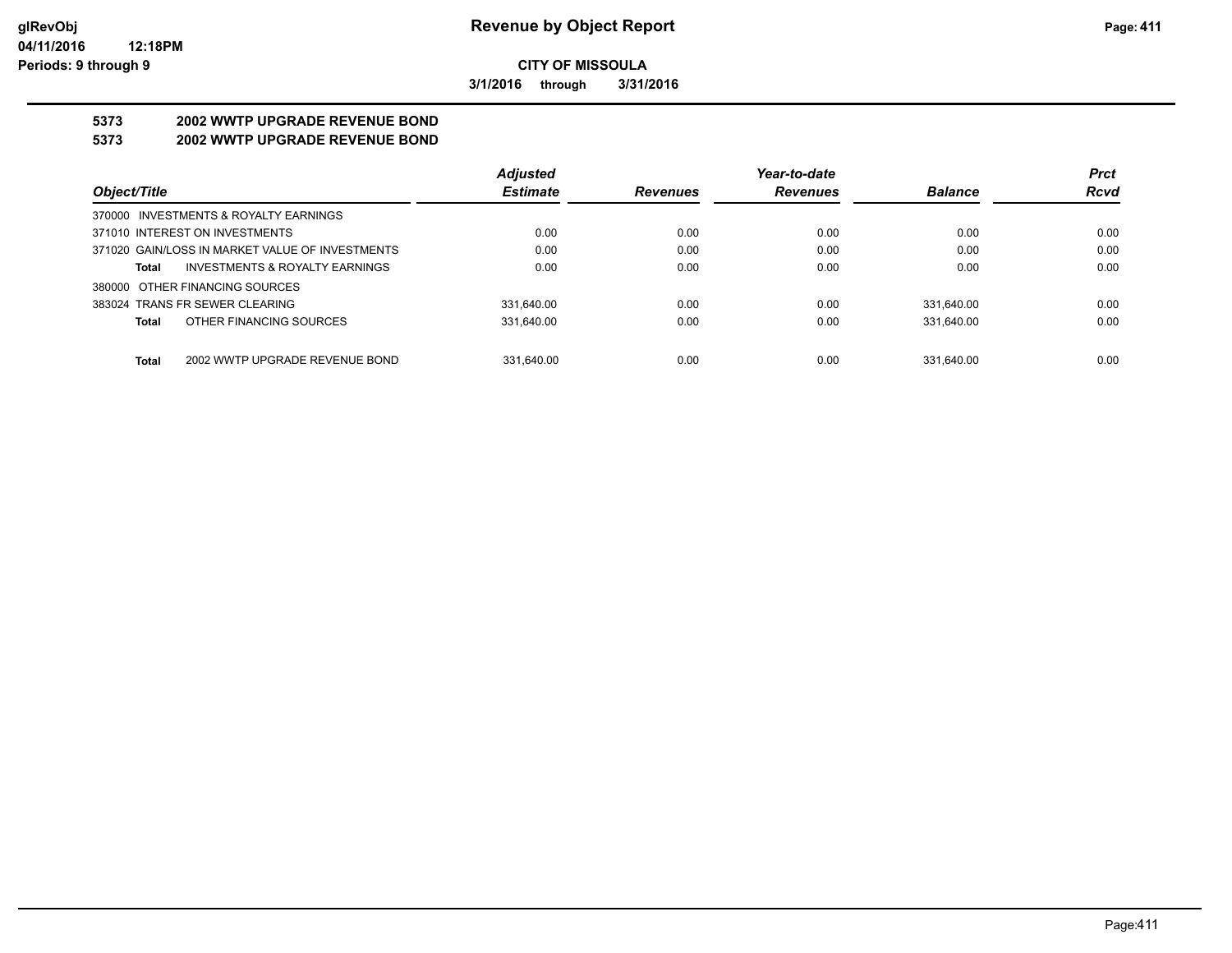**3/1/2016 through 3/31/2016**

# **5373 2002 WWTP UPGRADE REVENUE BOND**

### **5373 2002 WWTP UPGRADE REVENUE BOND**

|                                                 | <b>Adjusted</b> |                 | Year-to-date    |                | <b>Prct</b> |
|-------------------------------------------------|-----------------|-----------------|-----------------|----------------|-------------|
| Object/Title                                    | <b>Estimate</b> | <b>Revenues</b> | <b>Revenues</b> | <b>Balance</b> | <b>Rcvd</b> |
| 370000 INVESTMENTS & ROYALTY EARNINGS           |                 |                 |                 |                |             |
| 371010 INTEREST ON INVESTMENTS                  | 0.00            | 0.00            | 0.00            | 0.00           | 0.00        |
| 371020 GAIN/LOSS IN MARKET VALUE OF INVESTMENTS | 0.00            | 0.00            | 0.00            | 0.00           | 0.00        |
| INVESTMENTS & ROYALTY EARNINGS<br>Total         | 0.00            | 0.00            | 0.00            | 0.00           | 0.00        |
| 380000 OTHER FINANCING SOURCES                  |                 |                 |                 |                |             |
| 383024 TRANS FR SEWER CLEARING                  | 331.640.00      | 0.00            | 0.00            | 331.640.00     | 0.00        |
| OTHER FINANCING SOURCES<br>Total                | 331.640.00      | 0.00            | 0.00            | 331.640.00     | 0.00        |
|                                                 |                 |                 |                 |                |             |
| 2002 WWTP UPGRADE REVENUE BOND<br><b>Total</b>  | 331.640.00      | 0.00            | 0.00            | 331.640.00     | 0.00        |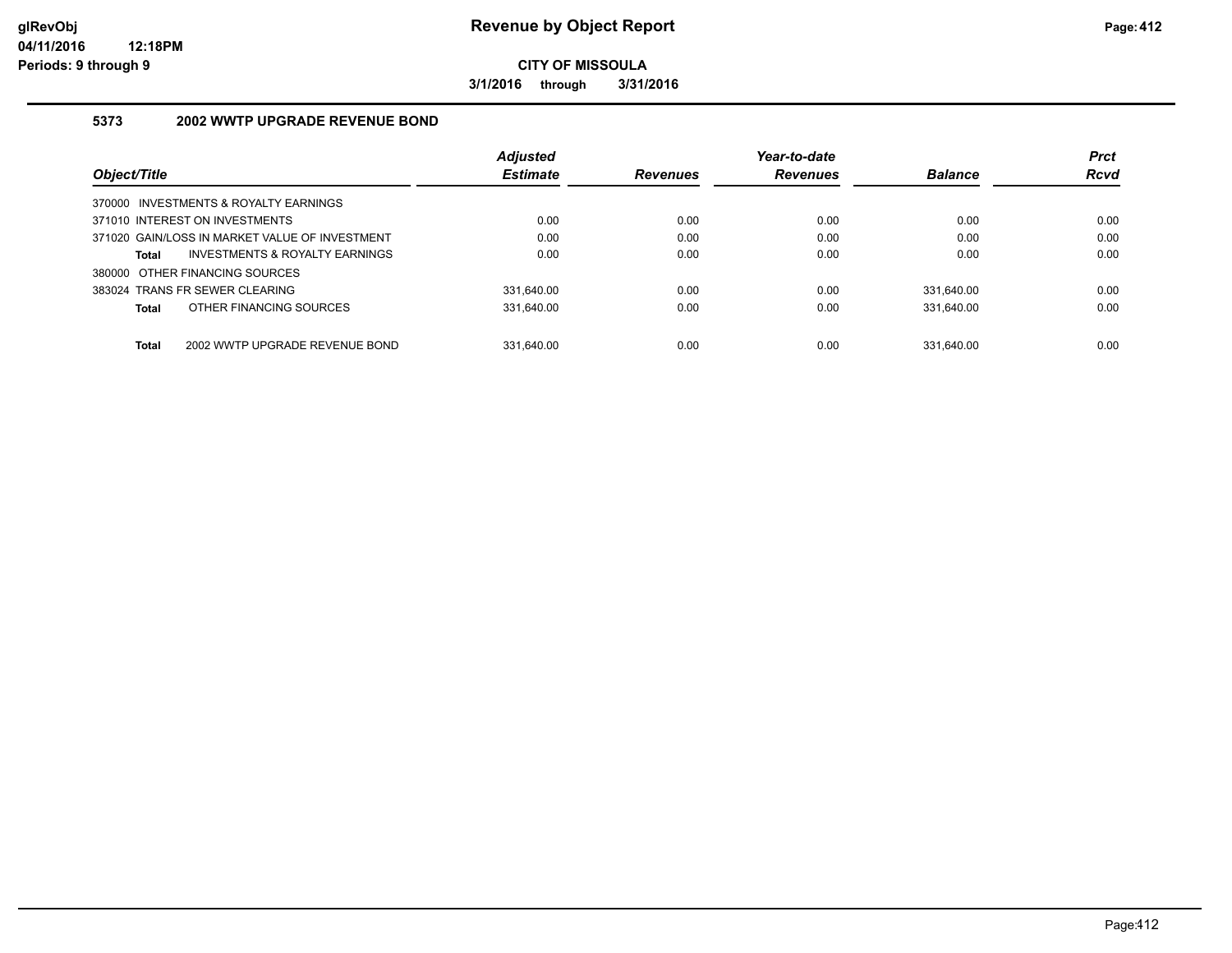**3/1/2016 through 3/31/2016**

### **5373 2002 WWTP UPGRADE REVENUE BOND**

|                                                | <b>Adjusted</b> |                 | Year-to-date    |                | <b>Prct</b> |
|------------------------------------------------|-----------------|-----------------|-----------------|----------------|-------------|
| Object/Title                                   | <b>Estimate</b> | <b>Revenues</b> | <b>Revenues</b> | <b>Balance</b> | <b>Rcvd</b> |
| 370000 INVESTMENTS & ROYALTY EARNINGS          |                 |                 |                 |                |             |
| 371010 INTEREST ON INVESTMENTS                 | 0.00            | 0.00            | 0.00            | 0.00           | 0.00        |
| 371020 GAIN/LOSS IN MARKET VALUE OF INVESTMENT | 0.00            | 0.00            | 0.00            | 0.00           | 0.00        |
| INVESTMENTS & ROYALTY EARNINGS<br>Total        | 0.00            | 0.00            | 0.00            | 0.00           | 0.00        |
| 380000 OTHER FINANCING SOURCES                 |                 |                 |                 |                |             |
| 383024 TRANS FR SEWER CLEARING                 | 331.640.00      | 0.00            | 0.00            | 331.640.00     | 0.00        |
| OTHER FINANCING SOURCES<br>Total               | 331.640.00      | 0.00            | 0.00            | 331.640.00     | 0.00        |
|                                                |                 |                 |                 |                |             |
| <b>Total</b><br>2002 WWTP UPGRADE REVENUE BOND | 331.640.00      | 0.00            | 0.00            | 331.640.00     | 0.00        |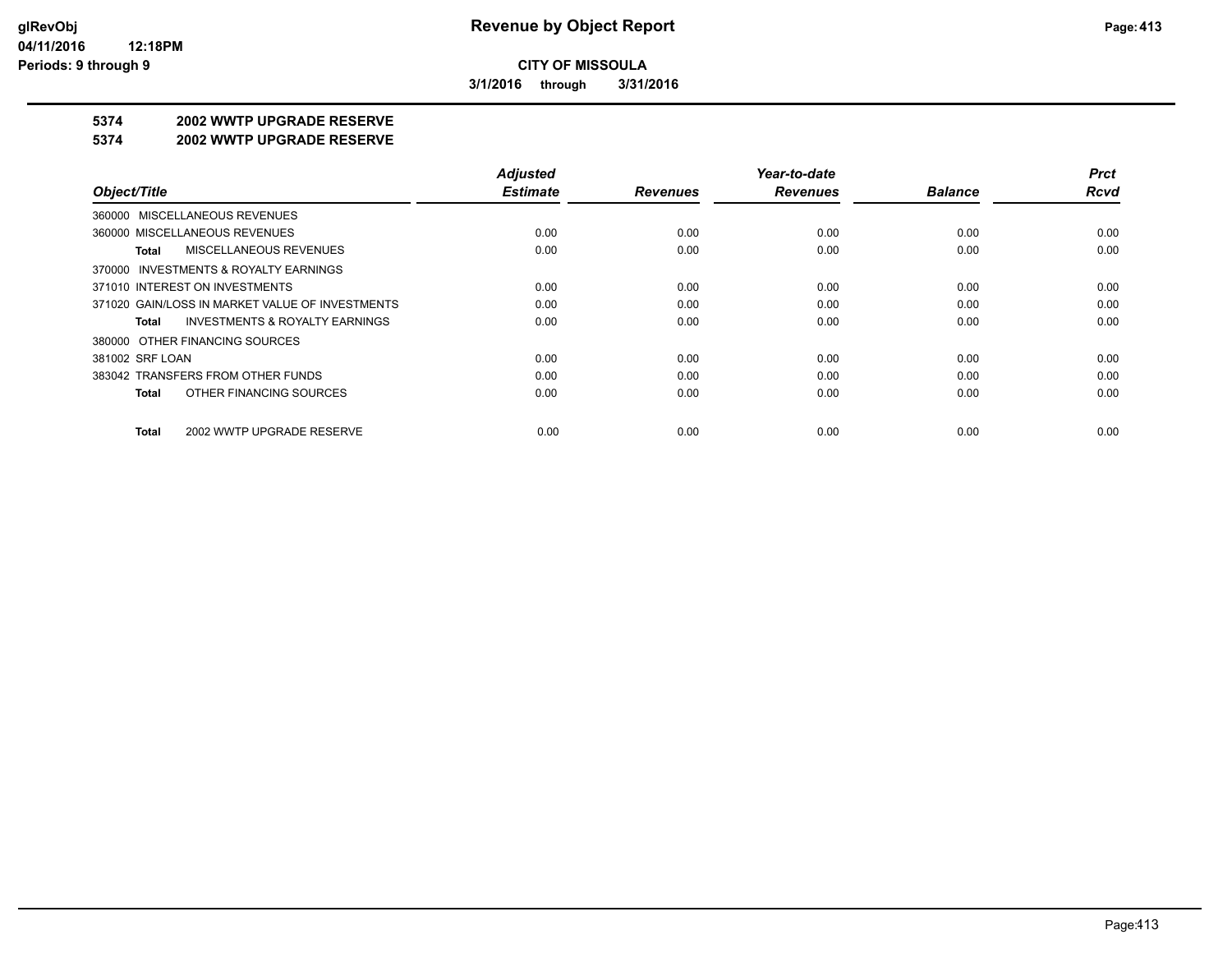**3/1/2016 through 3/31/2016**

### **5374 2002 WWTP UPGRADE RESERVE**

#### **5374 2002 WWTP UPGRADE RESERVE**

|                                                    | <b>Adjusted</b> |                 | Year-to-date    |                | <b>Prct</b> |
|----------------------------------------------------|-----------------|-----------------|-----------------|----------------|-------------|
| Object/Title                                       | <b>Estimate</b> | <b>Revenues</b> | <b>Revenues</b> | <b>Balance</b> | Rcvd        |
| 360000 MISCELLANEOUS REVENUES                      |                 |                 |                 |                |             |
| 360000 MISCELLANEOUS REVENUES                      | 0.00            | 0.00            | 0.00            | 0.00           | 0.00        |
| MISCELLANEOUS REVENUES<br>Total                    | 0.00            | 0.00            | 0.00            | 0.00           | 0.00        |
| 370000 INVESTMENTS & ROYALTY EARNINGS              |                 |                 |                 |                |             |
| 371010 INTEREST ON INVESTMENTS                     | 0.00            | 0.00            | 0.00            | 0.00           | 0.00        |
| 371020 GAIN/LOSS IN MARKET VALUE OF INVESTMENTS    | 0.00            | 0.00            | 0.00            | 0.00           | 0.00        |
| <b>INVESTMENTS &amp; ROYALTY EARNINGS</b><br>Total | 0.00            | 0.00            | 0.00            | 0.00           | 0.00        |
| 380000 OTHER FINANCING SOURCES                     |                 |                 |                 |                |             |
| 381002 SRF LOAN                                    | 0.00            | 0.00            | 0.00            | 0.00           | 0.00        |
| 383042 TRANSFERS FROM OTHER FUNDS                  | 0.00            | 0.00            | 0.00            | 0.00           | 0.00        |
| OTHER FINANCING SOURCES<br>Total                   | 0.00            | 0.00            | 0.00            | 0.00           | 0.00        |
| 2002 WWTP UPGRADE RESERVE<br>Total                 | 0.00            | 0.00            | 0.00            | 0.00           | 0.00        |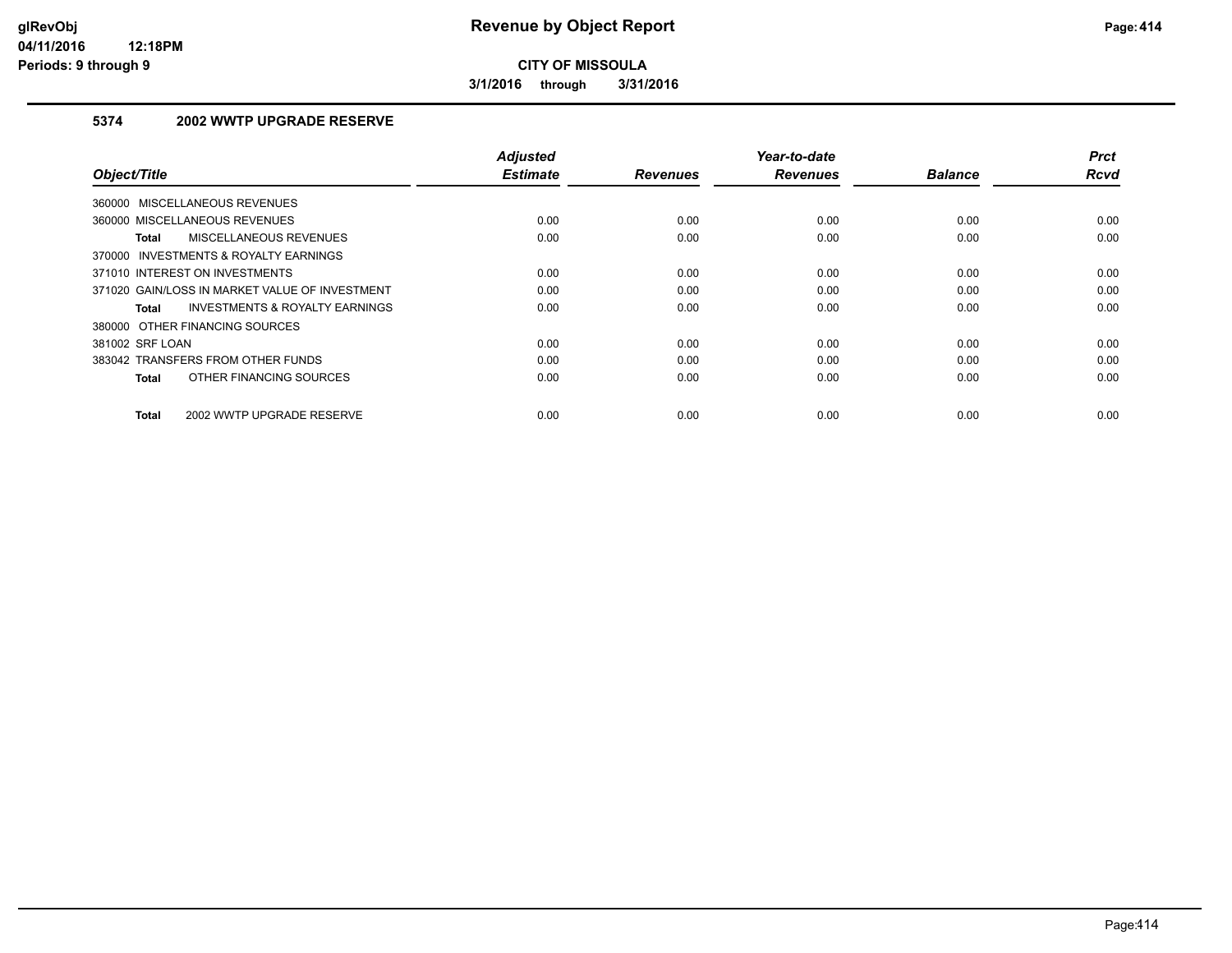**3/1/2016 through 3/31/2016**

### **5374 2002 WWTP UPGRADE RESERVE**

| Object/Title                                   | <b>Adjusted</b><br><b>Estimate</b> | <b>Revenues</b> | Year-to-date<br><b>Revenues</b> | <b>Balance</b> | <b>Prct</b><br><b>Rcvd</b> |
|------------------------------------------------|------------------------------------|-----------------|---------------------------------|----------------|----------------------------|
| 360000 MISCELLANEOUS REVENUES                  |                                    |                 |                                 |                |                            |
| 360000 MISCELLANEOUS REVENUES                  | 0.00                               | 0.00            | 0.00                            | 0.00           | 0.00                       |
| MISCELLANEOUS REVENUES<br>Total                | 0.00                               | 0.00            | 0.00                            | 0.00           | 0.00                       |
| 370000 INVESTMENTS & ROYALTY EARNINGS          |                                    |                 |                                 |                |                            |
| 371010 INTEREST ON INVESTMENTS                 | 0.00                               | 0.00            | 0.00                            | 0.00           | 0.00                       |
| 371020 GAIN/LOSS IN MARKET VALUE OF INVESTMENT | 0.00                               | 0.00            | 0.00                            | 0.00           | 0.00                       |
| INVESTMENTS & ROYALTY EARNINGS<br>Total        | 0.00                               | 0.00            | 0.00                            | 0.00           | 0.00                       |
| 380000 OTHER FINANCING SOURCES                 |                                    |                 |                                 |                |                            |
| 381002 SRF LOAN                                | 0.00                               | 0.00            | 0.00                            | 0.00           | 0.00                       |
| 383042 TRANSFERS FROM OTHER FUNDS              | 0.00                               | 0.00            | 0.00                            | 0.00           | 0.00                       |
| OTHER FINANCING SOURCES<br><b>Total</b>        | 0.00                               | 0.00            | 0.00                            | 0.00           | 0.00                       |
| 2002 WWTP UPGRADE RESERVE<br><b>Total</b>      | 0.00                               | 0.00            | 0.00                            | 0.00           | 0.00                       |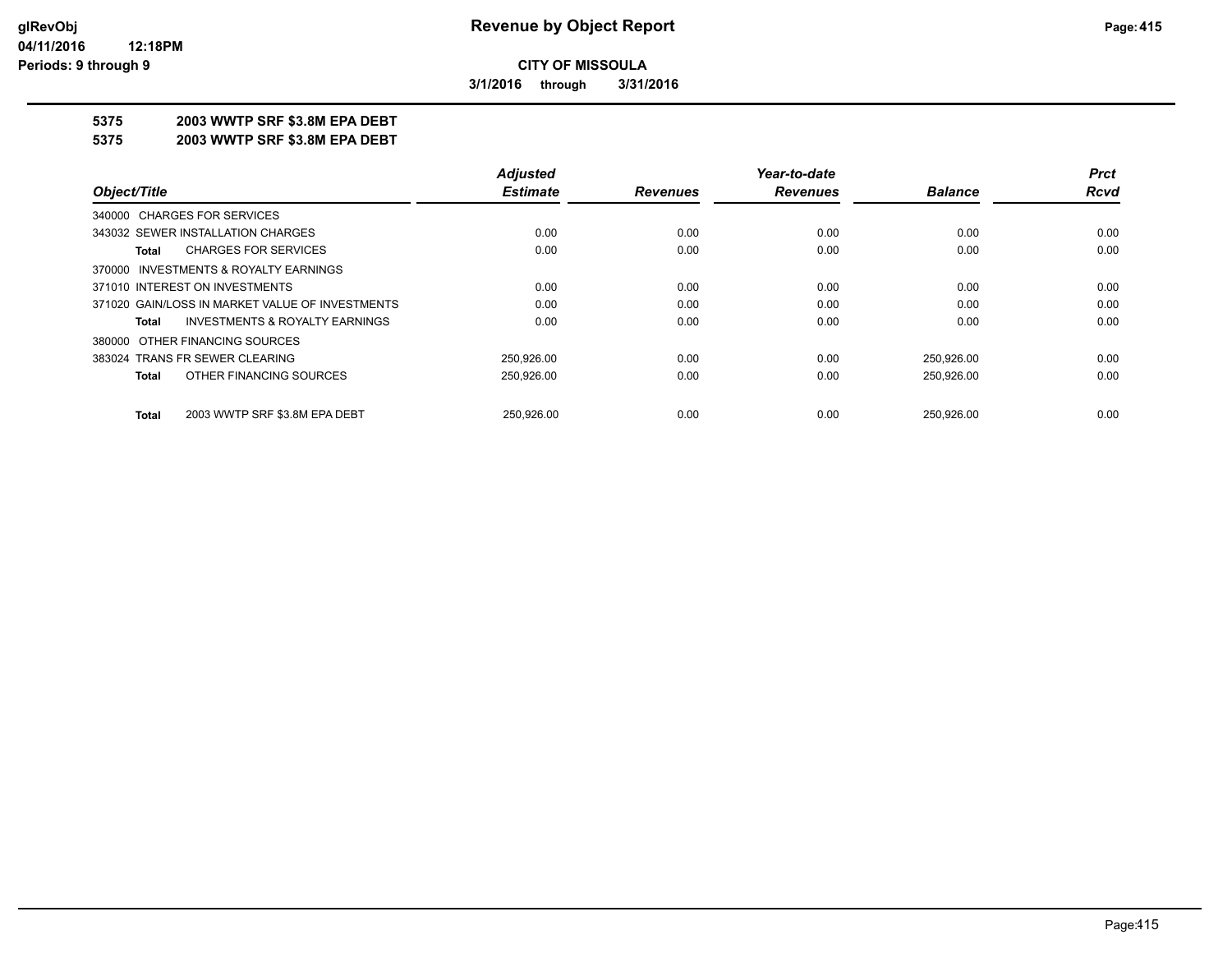**3/1/2016 through 3/31/2016**

### **5375 2003 WWTP SRF \$3.8M EPA DEBT**

**5375 2003 WWTP SRF \$3.8M EPA DEBT**

|                                                    | <b>Adjusted</b> |                 | Year-to-date    |                | <b>Prct</b> |
|----------------------------------------------------|-----------------|-----------------|-----------------|----------------|-------------|
| Object/Title                                       | <b>Estimate</b> | <b>Revenues</b> | <b>Revenues</b> | <b>Balance</b> | Rcvd        |
| 340000 CHARGES FOR SERVICES                        |                 |                 |                 |                |             |
| 343032 SEWER INSTALLATION CHARGES                  | 0.00            | 0.00            | 0.00            | 0.00           | 0.00        |
| <b>CHARGES FOR SERVICES</b><br>Total               | 0.00            | 0.00            | 0.00            | 0.00           | 0.00        |
| 370000 INVESTMENTS & ROYALTY EARNINGS              |                 |                 |                 |                |             |
| 371010 INTEREST ON INVESTMENTS                     | 0.00            | 0.00            | 0.00            | 0.00           | 0.00        |
| 371020 GAIN/LOSS IN MARKET VALUE OF INVESTMENTS    | 0.00            | 0.00            | 0.00            | 0.00           | 0.00        |
| <b>INVESTMENTS &amp; ROYALTY EARNINGS</b><br>Total | 0.00            | 0.00            | 0.00            | 0.00           | 0.00        |
| 380000 OTHER FINANCING SOURCES                     |                 |                 |                 |                |             |
| 383024 TRANS FR SEWER CLEARING                     | 250,926.00      | 0.00            | 0.00            | 250,926.00     | 0.00        |
| OTHER FINANCING SOURCES<br>Total                   | 250.926.00      | 0.00            | 0.00            | 250,926.00     | 0.00        |
| 2003 WWTP SRF \$3.8M EPA DEBT<br><b>Total</b>      | 250.926.00      | 0.00            | 0.00            | 250.926.00     | 0.00        |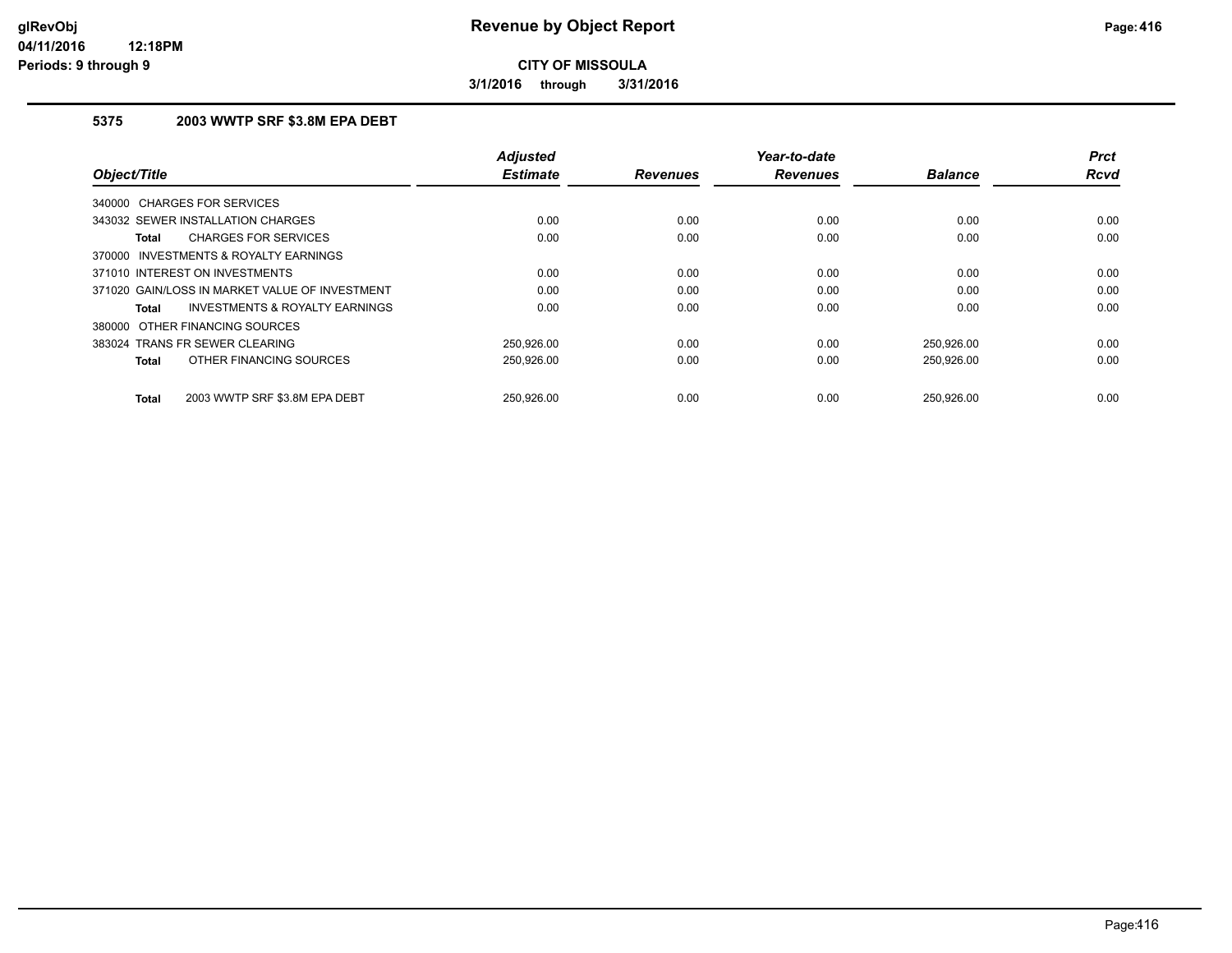**3/1/2016 through 3/31/2016**

### **5375 2003 WWTP SRF \$3.8M EPA DEBT**

| Object/Title                                       | <b>Adjusted</b><br><b>Estimate</b> | <b>Revenues</b> | Year-to-date<br><b>Revenues</b> | <b>Balance</b> | <b>Prct</b><br><b>Rcvd</b> |
|----------------------------------------------------|------------------------------------|-----------------|---------------------------------|----------------|----------------------------|
|                                                    |                                    |                 |                                 |                |                            |
| <b>CHARGES FOR SERVICES</b><br>340000              |                                    |                 |                                 |                |                            |
| 343032 SEWER INSTALLATION CHARGES                  | 0.00                               | 0.00            | 0.00                            | 0.00           | 0.00                       |
| <b>CHARGES FOR SERVICES</b><br>Total               | 0.00                               | 0.00            | 0.00                            | 0.00           | 0.00                       |
| 370000 INVESTMENTS & ROYALTY EARNINGS              |                                    |                 |                                 |                |                            |
| 371010 INTEREST ON INVESTMENTS                     | 0.00                               | 0.00            | 0.00                            | 0.00           | 0.00                       |
| 371020 GAIN/LOSS IN MARKET VALUE OF INVESTMENT     | 0.00                               | 0.00            | 0.00                            | 0.00           | 0.00                       |
| <b>INVESTMENTS &amp; ROYALTY EARNINGS</b><br>Total | 0.00                               | 0.00            | 0.00                            | 0.00           | 0.00                       |
| 380000 OTHER FINANCING SOURCES                     |                                    |                 |                                 |                |                            |
| 383024 TRANS FR SEWER CLEARING                     | 250,926.00                         | 0.00            | 0.00                            | 250,926.00     | 0.00                       |
| OTHER FINANCING SOURCES<br><b>Total</b>            | 250,926.00                         | 0.00            | 0.00                            | 250,926.00     | 0.00                       |
| 2003 WWTP SRF \$3.8M EPA DEBT<br>Total             | 250.926.00                         | 0.00            | 0.00                            | 250.926.00     | 0.00                       |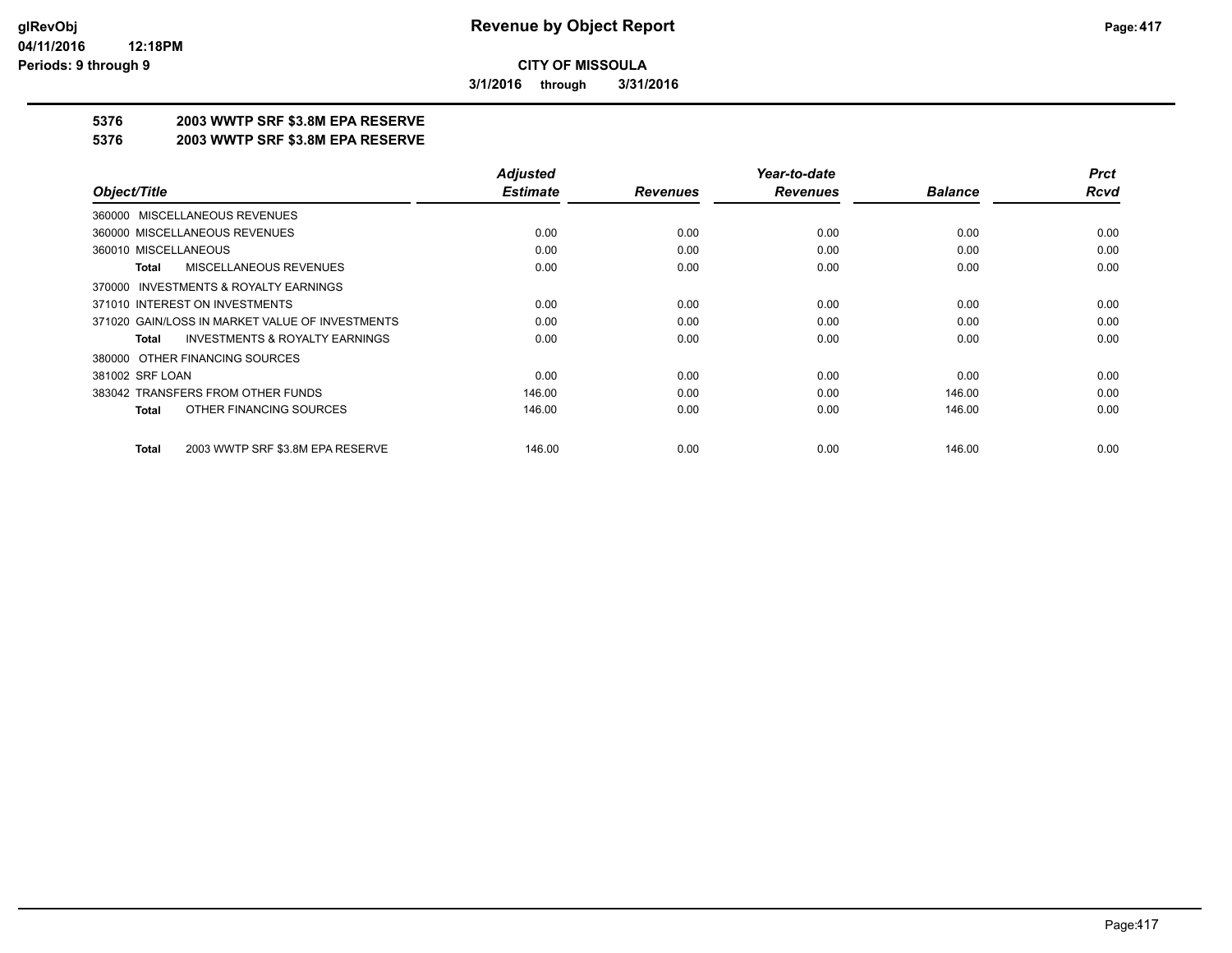**3/1/2016 through 3/31/2016**

### **5376 2003 WWTP SRF \$3.8M EPA RESERVE**

#### **5376 2003 WWTP SRF \$3.8M EPA RESERVE**

|                                                           | <b>Adjusted</b> |                 | Year-to-date    |                | <b>Prct</b> |
|-----------------------------------------------------------|-----------------|-----------------|-----------------|----------------|-------------|
| Object/Title                                              | <b>Estimate</b> | <b>Revenues</b> | <b>Revenues</b> | <b>Balance</b> | <b>Rcvd</b> |
| 360000 MISCELLANEOUS REVENUES                             |                 |                 |                 |                |             |
| 360000 MISCELLANEOUS REVENUES                             | 0.00            | 0.00            | 0.00            | 0.00           | 0.00        |
| 360010 MISCELLANEOUS                                      | 0.00            | 0.00            | 0.00            | 0.00           | 0.00        |
| MISCELLANEOUS REVENUES<br><b>Total</b>                    | 0.00            | 0.00            | 0.00            | 0.00           | 0.00        |
| 370000 INVESTMENTS & ROYALTY EARNINGS                     |                 |                 |                 |                |             |
| 371010 INTEREST ON INVESTMENTS                            | 0.00            | 0.00            | 0.00            | 0.00           | 0.00        |
| 371020 GAIN/LOSS IN MARKET VALUE OF INVESTMENTS           | 0.00            | 0.00            | 0.00            | 0.00           | 0.00        |
| <b>INVESTMENTS &amp; ROYALTY EARNINGS</b><br><b>Total</b> | 0.00            | 0.00            | 0.00            | 0.00           | 0.00        |
| 380000 OTHER FINANCING SOURCES                            |                 |                 |                 |                |             |
| 381002 SRF LOAN                                           | 0.00            | 0.00            | 0.00            | 0.00           | 0.00        |
| 383042 TRANSFERS FROM OTHER FUNDS                         | 146.00          | 0.00            | 0.00            | 146.00         | 0.00        |
| OTHER FINANCING SOURCES<br><b>Total</b>                   | 146.00          | 0.00            | 0.00            | 146.00         | 0.00        |
| 2003 WWTP SRF \$3.8M EPA RESERVE<br><b>Total</b>          | 146.00          | 0.00            | 0.00            | 146.00         | 0.00        |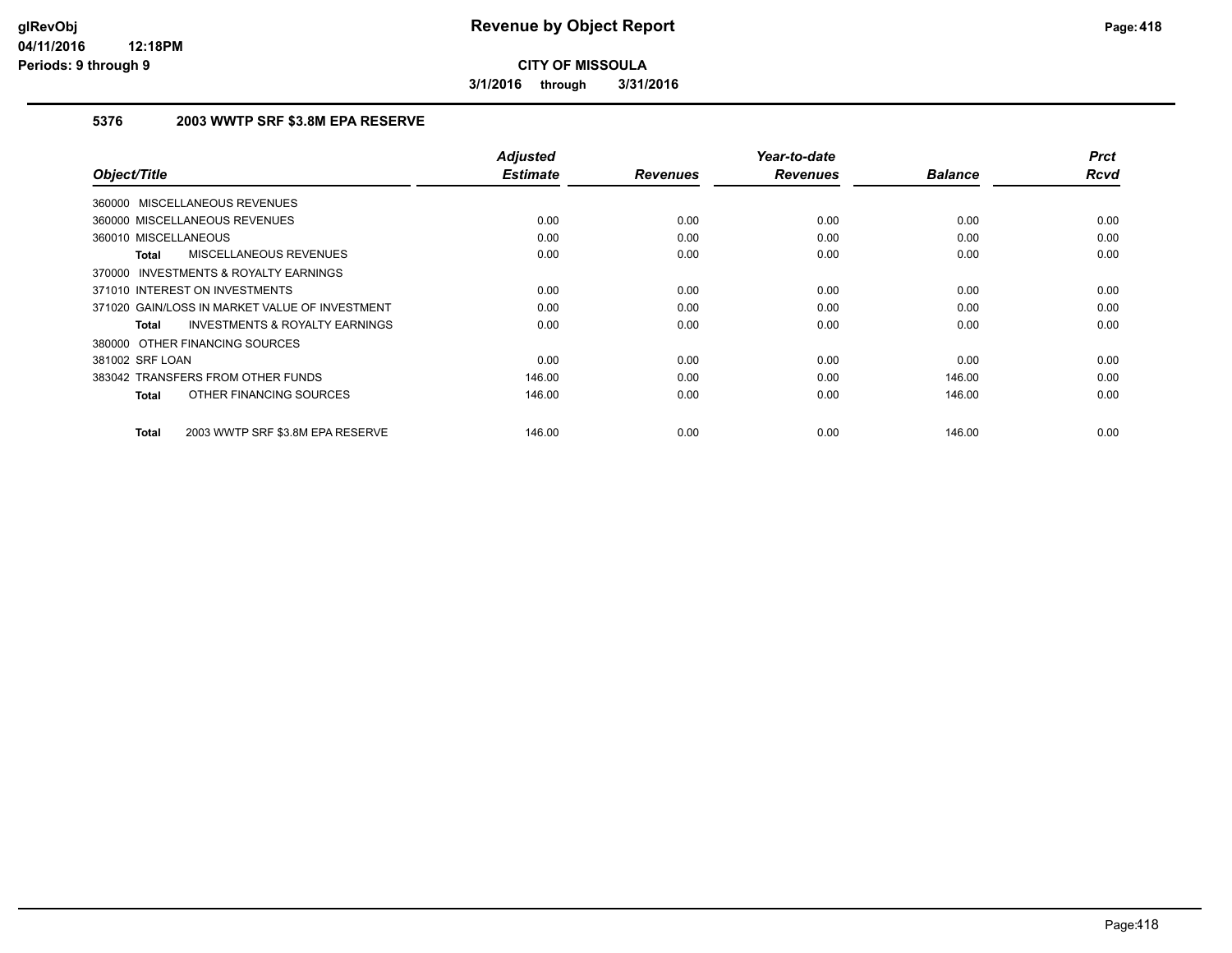**3/1/2016 through 3/31/2016**

### **5376 2003 WWTP SRF \$3.8M EPA RESERVE**

|                                                           | <b>Adjusted</b> |                 | Year-to-date    |                | <b>Prct</b><br><b>Rcvd</b> |
|-----------------------------------------------------------|-----------------|-----------------|-----------------|----------------|----------------------------|
| Object/Title                                              | <b>Estimate</b> | <b>Revenues</b> | <b>Revenues</b> | <b>Balance</b> |                            |
| 360000 MISCELLANEOUS REVENUES                             |                 |                 |                 |                |                            |
| 360000 MISCELLANEOUS REVENUES                             | 0.00            | 0.00            | 0.00            | 0.00           | 0.00                       |
| 360010 MISCELLANEOUS                                      | 0.00            | 0.00            | 0.00            | 0.00           | 0.00                       |
| <b>MISCELLANEOUS REVENUES</b><br>Total                    | 0.00            | 0.00            | 0.00            | 0.00           | 0.00                       |
| <b>INVESTMENTS &amp; ROYALTY EARNINGS</b><br>370000       |                 |                 |                 |                |                            |
| 371010 INTEREST ON INVESTMENTS                            | 0.00            | 0.00            | 0.00            | 0.00           | 0.00                       |
| 371020 GAIN/LOSS IN MARKET VALUE OF INVESTMENT            | 0.00            | 0.00            | 0.00            | 0.00           | 0.00                       |
| <b>INVESTMENTS &amp; ROYALTY EARNINGS</b><br><b>Total</b> | 0.00            | 0.00            | 0.00            | 0.00           | 0.00                       |
| 380000 OTHER FINANCING SOURCES                            |                 |                 |                 |                |                            |
| 381002 SRF LOAN                                           | 0.00            | 0.00            | 0.00            | 0.00           | 0.00                       |
| 383042 TRANSFERS FROM OTHER FUNDS                         | 146.00          | 0.00            | 0.00            | 146.00         | 0.00                       |
| OTHER FINANCING SOURCES<br><b>Total</b>                   | 146.00          | 0.00            | 0.00            | 146.00         | 0.00                       |
|                                                           |                 |                 |                 |                |                            |
| 2003 WWTP SRF \$3.8M EPA RESERVE<br><b>Total</b>          | 146.00          | 0.00            | 0.00            | 146.00         | 0.00                       |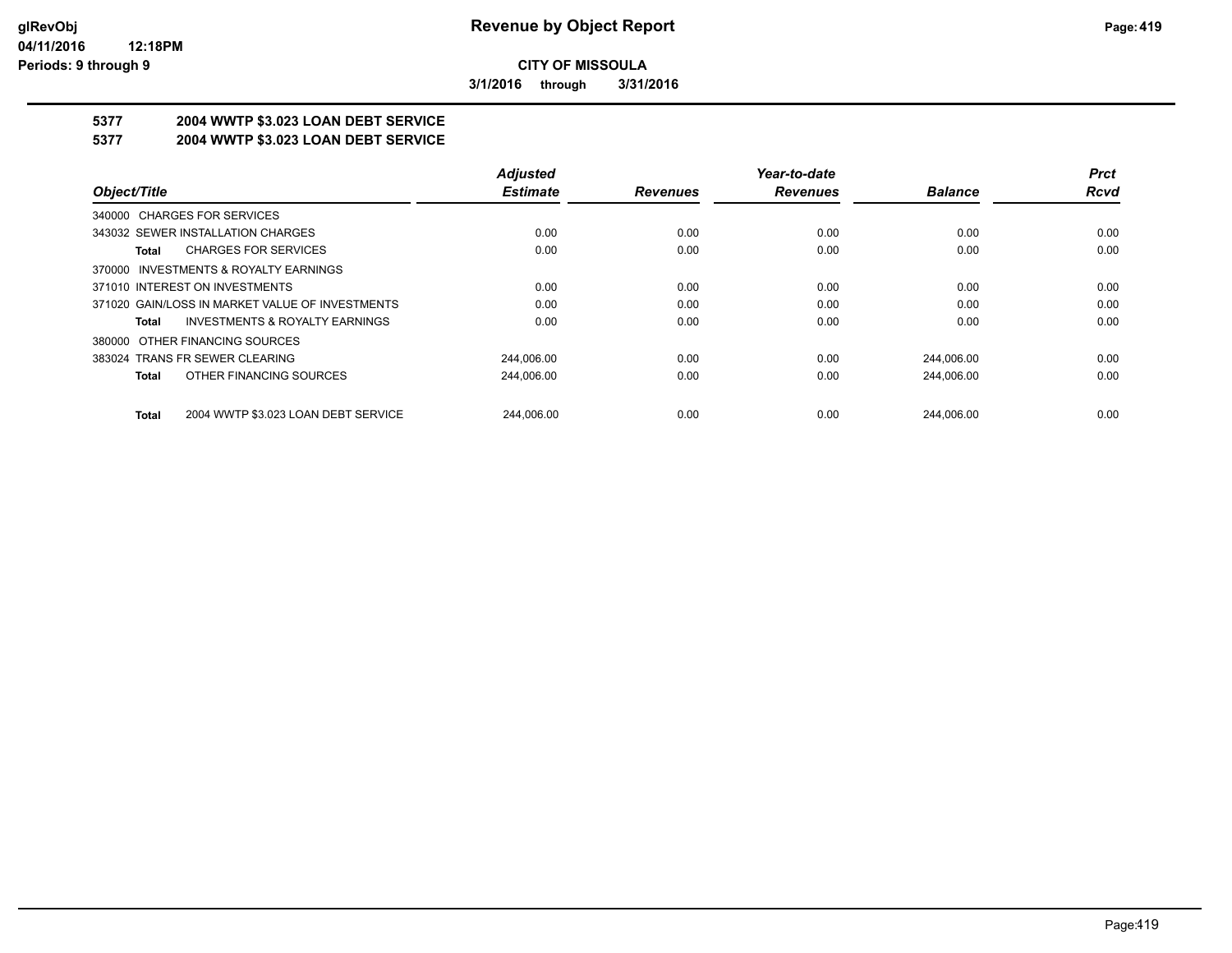**3/1/2016 through 3/31/2016**

# **5377 2004 WWTP \$3.023 LOAN DEBT SERVICE**

### **5377 2004 WWTP \$3.023 LOAN DEBT SERVICE**

|                                                     | <b>Adjusted</b> |                 | Year-to-date    |                | <b>Prct</b> |
|-----------------------------------------------------|-----------------|-----------------|-----------------|----------------|-------------|
| Object/Title                                        | <b>Estimate</b> | <b>Revenues</b> | <b>Revenues</b> | <b>Balance</b> | Rcvd        |
| 340000 CHARGES FOR SERVICES                         |                 |                 |                 |                |             |
| 343032 SEWER INSTALLATION CHARGES                   | 0.00            | 0.00            | 0.00            | 0.00           | 0.00        |
| <b>CHARGES FOR SERVICES</b><br>Total                | 0.00            | 0.00            | 0.00            | 0.00           | 0.00        |
| INVESTMENTS & ROYALTY EARNINGS<br>370000            |                 |                 |                 |                |             |
| 371010 INTEREST ON INVESTMENTS                      | 0.00            | 0.00            | 0.00            | 0.00           | 0.00        |
| 371020 GAIN/LOSS IN MARKET VALUE OF INVESTMENTS     | 0.00            | 0.00            | 0.00            | 0.00           | 0.00        |
| <b>INVESTMENTS &amp; ROYALTY EARNINGS</b><br>Total  | 0.00            | 0.00            | 0.00            | 0.00           | 0.00        |
| OTHER FINANCING SOURCES<br>380000                   |                 |                 |                 |                |             |
| 383024 TRANS FR SEWER CLEARING                      | 244.006.00      | 0.00            | 0.00            | 244.006.00     | 0.00        |
| OTHER FINANCING SOURCES<br><b>Total</b>             | 244,006.00      | 0.00            | 0.00            | 244,006.00     | 0.00        |
| 2004 WWTP \$3.023 LOAN DEBT SERVICE<br><b>Total</b> | 244.006.00      | 0.00            | 0.00            | 244.006.00     | 0.00        |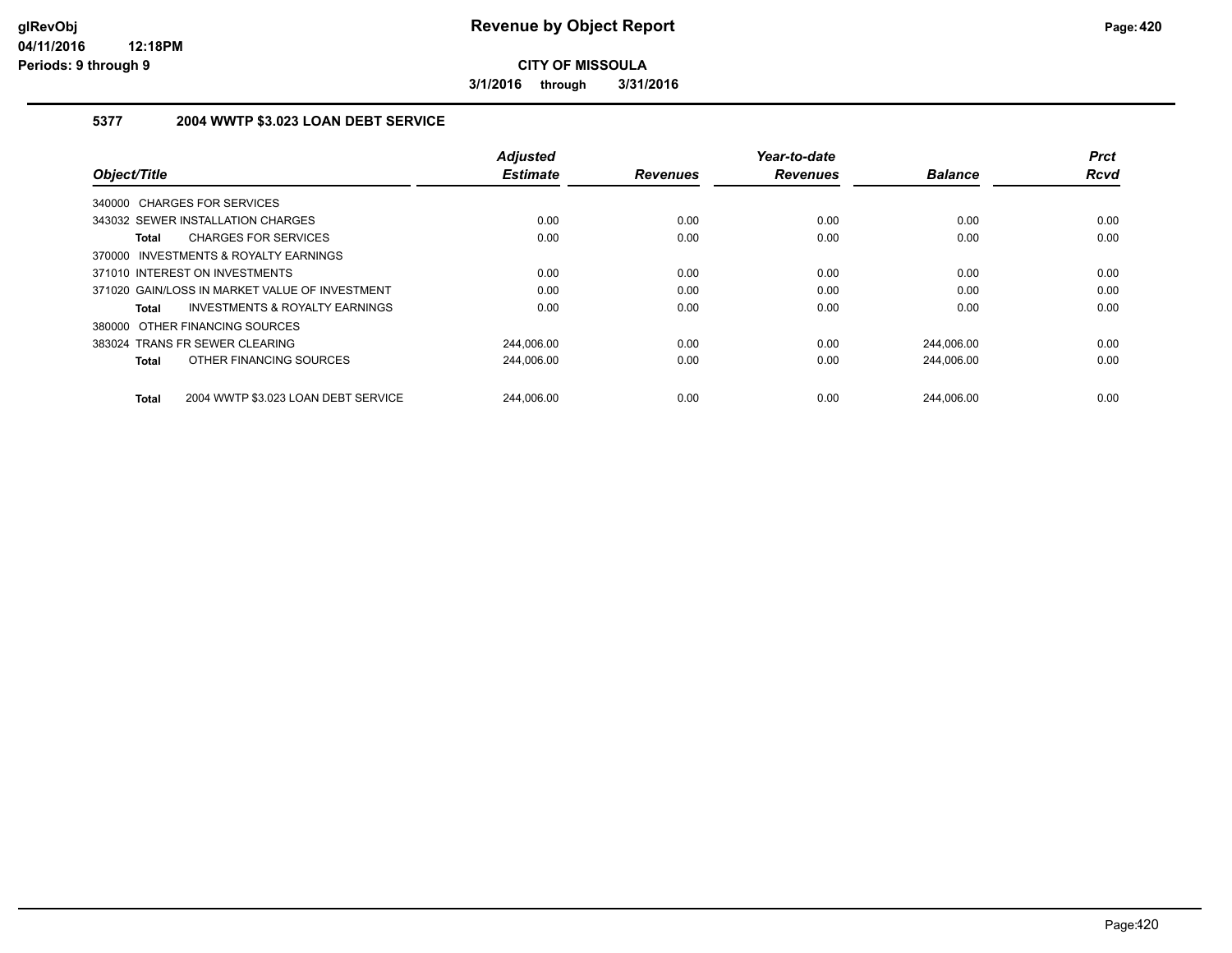**3/1/2016 through 3/31/2016**

### **5377 2004 WWTP \$3.023 LOAN DEBT SERVICE**

| Object/Title                                              | <b>Adjusted</b><br><b>Estimate</b> | <b>Revenues</b> | Year-to-date<br><b>Revenues</b> | <b>Balance</b> | <b>Prct</b><br><b>Rcvd</b> |
|-----------------------------------------------------------|------------------------------------|-----------------|---------------------------------|----------------|----------------------------|
| 340000 CHARGES FOR SERVICES                               |                                    |                 |                                 |                |                            |
| 343032 SEWER INSTALLATION CHARGES                         | 0.00                               | 0.00            | 0.00                            | 0.00           | 0.00                       |
| <b>CHARGES FOR SERVICES</b><br><b>Total</b>               | 0.00                               | 0.00            | 0.00                            | 0.00           | 0.00                       |
| 370000 INVESTMENTS & ROYALTY EARNINGS                     |                                    |                 |                                 |                |                            |
| 371010 INTEREST ON INVESTMENTS                            | 0.00                               | 0.00            | 0.00                            | 0.00           | 0.00                       |
| 371020 GAIN/LOSS IN MARKET VALUE OF INVESTMENT            | 0.00                               | 0.00            | 0.00                            | 0.00           | 0.00                       |
| <b>INVESTMENTS &amp; ROYALTY EARNINGS</b><br><b>Total</b> | 0.00                               | 0.00            | 0.00                            | 0.00           | 0.00                       |
| 380000 OTHER FINANCING SOURCES                            |                                    |                 |                                 |                |                            |
| 383024 TRANS FR SEWER CLEARING                            | 244.006.00                         | 0.00            | 0.00                            | 244.006.00     | 0.00                       |
| OTHER FINANCING SOURCES<br><b>Total</b>                   | 244,006.00                         | 0.00            | 0.00                            | 244,006.00     | 0.00                       |
| 2004 WWTP \$3.023 LOAN DEBT SERVICE<br><b>Total</b>       | 244.006.00                         | 0.00            | 0.00                            | 244.006.00     | 0.00                       |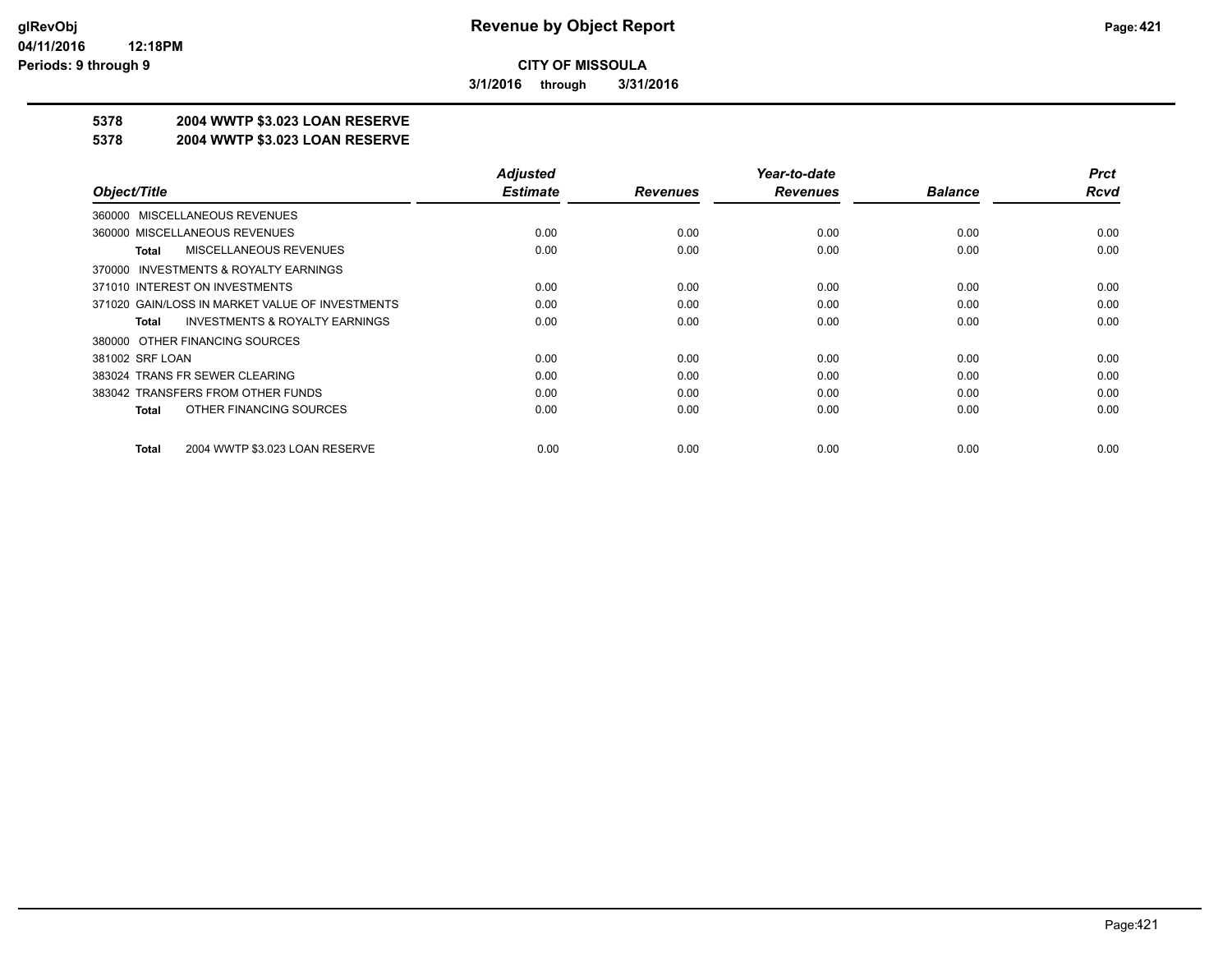**3/1/2016 through 3/31/2016**

### **5378 2004 WWTP \$3.023 LOAN RESERVE**

#### **5378 2004 WWTP \$3.023 LOAN RESERVE**

|                                                    | <b>Adjusted</b> |                 | Year-to-date    |                | <b>Prct</b> |
|----------------------------------------------------|-----------------|-----------------|-----------------|----------------|-------------|
| Object/Title                                       | <b>Estimate</b> | <b>Revenues</b> | <b>Revenues</b> | <b>Balance</b> | <b>Rcvd</b> |
| 360000 MISCELLANEOUS REVENUES                      |                 |                 |                 |                |             |
| 360000 MISCELLANEOUS REVENUES                      | 0.00            | 0.00            | 0.00            | 0.00           | 0.00        |
| MISCELLANEOUS REVENUES<br>Total                    | 0.00            | 0.00            | 0.00            | 0.00           | 0.00        |
| 370000 INVESTMENTS & ROYALTY EARNINGS              |                 |                 |                 |                |             |
| 371010 INTEREST ON INVESTMENTS                     | 0.00            | 0.00            | 0.00            | 0.00           | 0.00        |
| 371020 GAIN/LOSS IN MARKET VALUE OF INVESTMENTS    | 0.00            | 0.00            | 0.00            | 0.00           | 0.00        |
| <b>INVESTMENTS &amp; ROYALTY EARNINGS</b><br>Total | 0.00            | 0.00            | 0.00            | 0.00           | 0.00        |
| 380000 OTHER FINANCING SOURCES                     |                 |                 |                 |                |             |
| 381002 SRF LOAN                                    | 0.00            | 0.00            | 0.00            | 0.00           | 0.00        |
| 383024 TRANS FR SEWER CLEARING                     | 0.00            | 0.00            | 0.00            | 0.00           | 0.00        |
| 383042 TRANSFERS FROM OTHER FUNDS                  | 0.00            | 0.00            | 0.00            | 0.00           | 0.00        |
| OTHER FINANCING SOURCES<br>Total                   | 0.00            | 0.00            | 0.00            | 0.00           | 0.00        |
|                                                    |                 |                 |                 |                |             |
| 2004 WWTP \$3.023 LOAN RESERVE<br>Total            | 0.00            | 0.00            | 0.00            | 0.00           | 0.00        |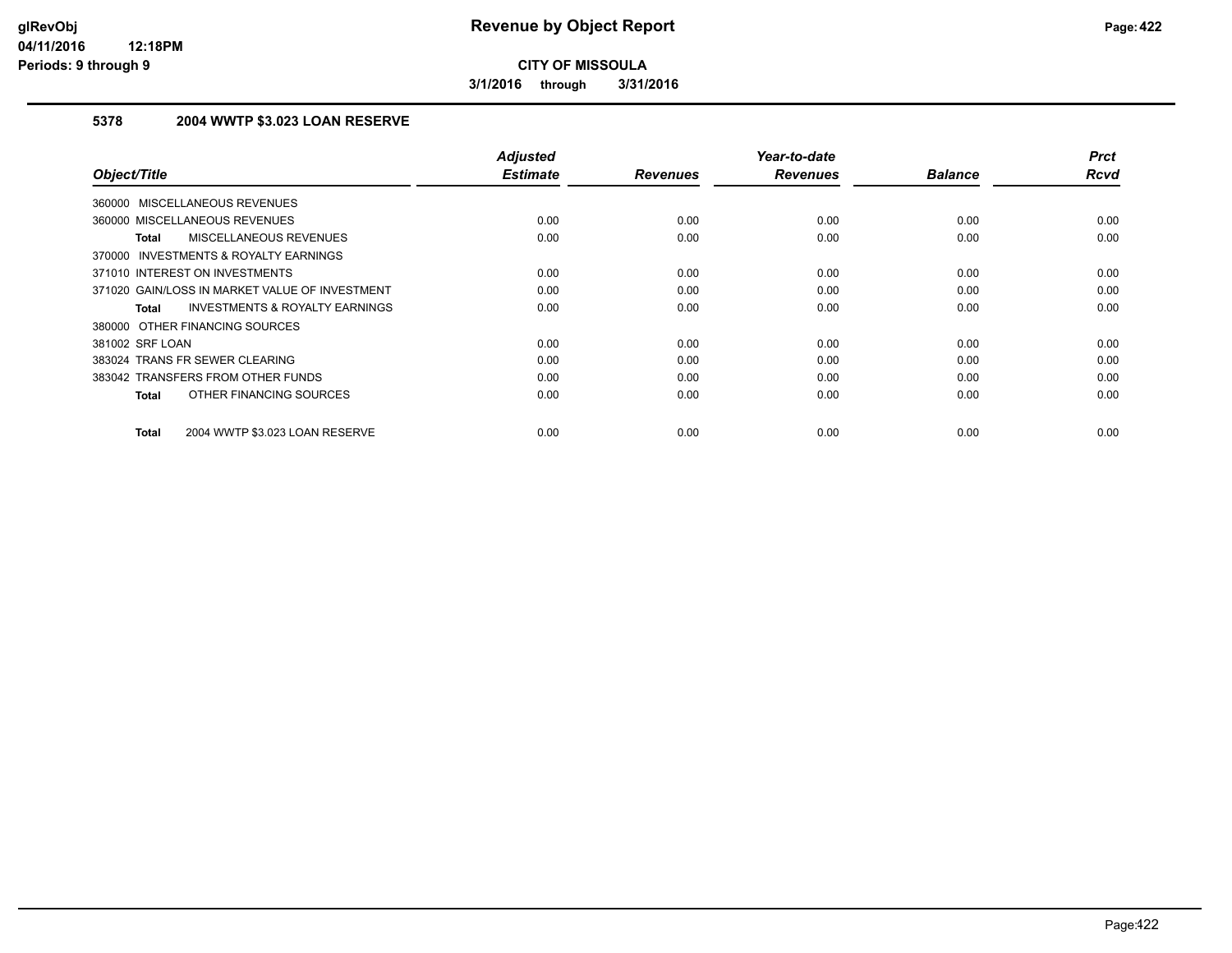**3/1/2016 through 3/31/2016**

### **5378 2004 WWTP \$3.023 LOAN RESERVE**

| Object/Title                                       | <b>Adjusted</b><br><b>Estimate</b> | <b>Revenues</b> | Year-to-date<br><b>Revenues</b> | <b>Balance</b> | <b>Prct</b><br><b>Rcvd</b> |
|----------------------------------------------------|------------------------------------|-----------------|---------------------------------|----------------|----------------------------|
|                                                    |                                    |                 |                                 |                |                            |
| <b>MISCELLANEOUS REVENUES</b><br>360000            |                                    |                 |                                 |                |                            |
| 360000 MISCELLANEOUS REVENUES                      | 0.00                               | 0.00            | 0.00                            | 0.00           | 0.00                       |
| MISCELLANEOUS REVENUES<br><b>Total</b>             | 0.00                               | 0.00            | 0.00                            | 0.00           | 0.00                       |
| INVESTMENTS & ROYALTY EARNINGS<br>370000           |                                    |                 |                                 |                |                            |
| 371010 INTEREST ON INVESTMENTS                     | 0.00                               | 0.00            | 0.00                            | 0.00           | 0.00                       |
| 371020 GAIN/LOSS IN MARKET VALUE OF INVESTMENT     | 0.00                               | 0.00            | 0.00                            | 0.00           | 0.00                       |
| <b>INVESTMENTS &amp; ROYALTY EARNINGS</b><br>Total | 0.00                               | 0.00            | 0.00                            | 0.00           | 0.00                       |
| 380000 OTHER FINANCING SOURCES                     |                                    |                 |                                 |                |                            |
| 381002 SRF LOAN                                    | 0.00                               | 0.00            | 0.00                            | 0.00           | 0.00                       |
| 383024 TRANS FR SEWER CLEARING                     | 0.00                               | 0.00            | 0.00                            | 0.00           | 0.00                       |
| 383042 TRANSFERS FROM OTHER FUNDS                  | 0.00                               | 0.00            | 0.00                            | 0.00           | 0.00                       |
| OTHER FINANCING SOURCES<br><b>Total</b>            | 0.00                               | 0.00            | 0.00                            | 0.00           | 0.00                       |
| 2004 WWTP \$3.023 LOAN RESERVE<br><b>Total</b>     | 0.00                               | 0.00            | 0.00                            | 0.00           | 0.00                       |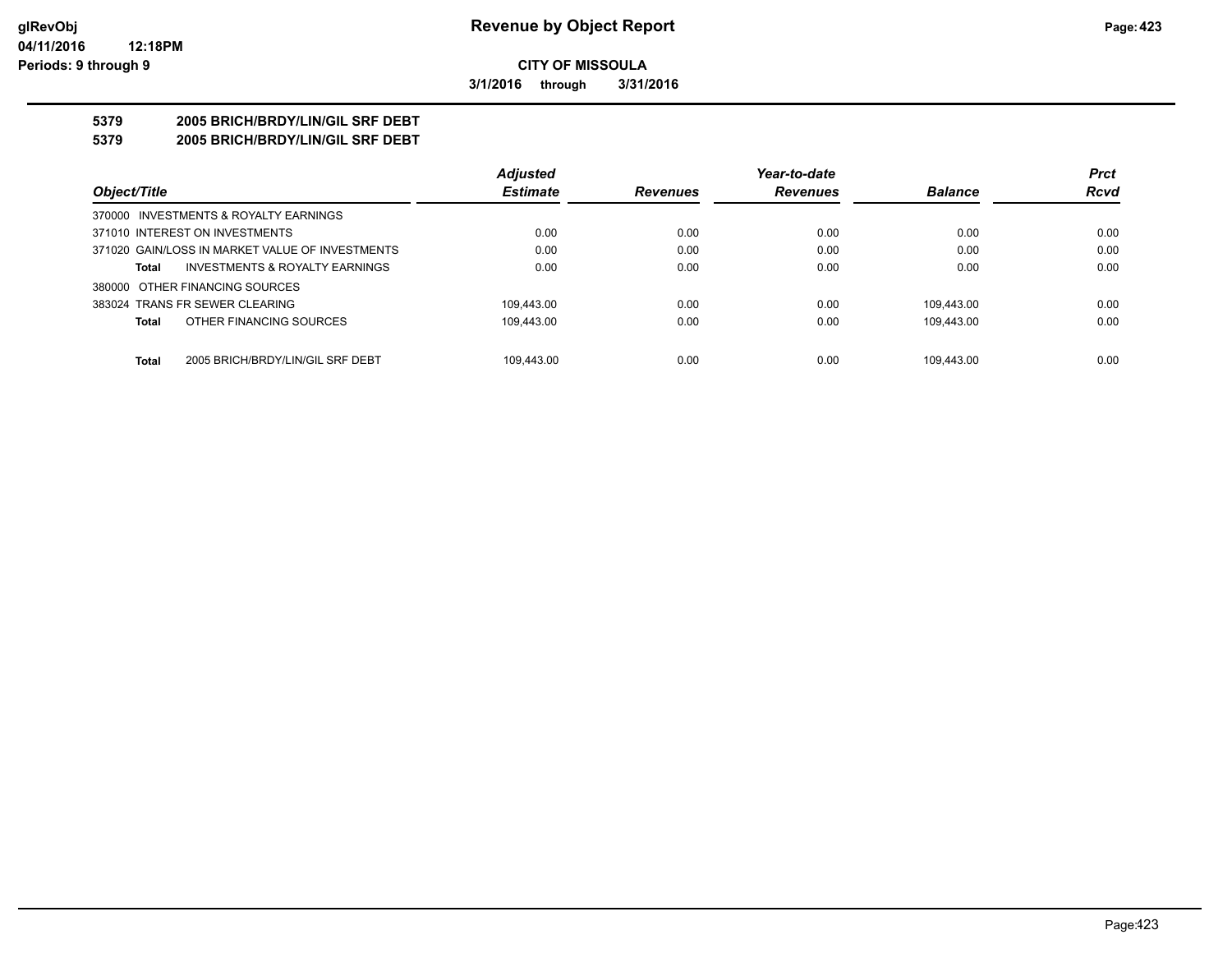**3/1/2016 through 3/31/2016**

### **5379 2005 BRICH/BRDY/LIN/GIL SRF DEBT**

**5379 2005 BRICH/BRDY/LIN/GIL SRF DEBT**

|                                                  | <b>Adjusted</b> |                 | Year-to-date    |                | <b>Prct</b> |
|--------------------------------------------------|-----------------|-----------------|-----------------|----------------|-------------|
| Object/Title                                     | <b>Estimate</b> | <b>Revenues</b> | <b>Revenues</b> | <b>Balance</b> | <b>Rcvd</b> |
| 370000 INVESTMENTS & ROYALTY EARNINGS            |                 |                 |                 |                |             |
| 371010 INTEREST ON INVESTMENTS                   | 0.00            | 0.00            | 0.00            | 0.00           | 0.00        |
| 371020 GAIN/LOSS IN MARKET VALUE OF INVESTMENTS  | 0.00            | 0.00            | 0.00            | 0.00           | 0.00        |
| INVESTMENTS & ROYALTY EARNINGS<br>Total          | 0.00            | 0.00            | 0.00            | 0.00           | 0.00        |
| 380000 OTHER FINANCING SOURCES                   |                 |                 |                 |                |             |
| 383024 TRANS FR SEWER CLEARING                   | 109.443.00      | 0.00            | 0.00            | 109.443.00     | 0.00        |
| OTHER FINANCING SOURCES<br>Total                 | 109.443.00      | 0.00            | 0.00            | 109.443.00     | 0.00        |
|                                                  |                 |                 |                 |                |             |
| <b>Total</b><br>2005 BRICH/BRDY/LIN/GIL SRF DEBT | 109.443.00      | 0.00            | 0.00            | 109.443.00     | 0.00        |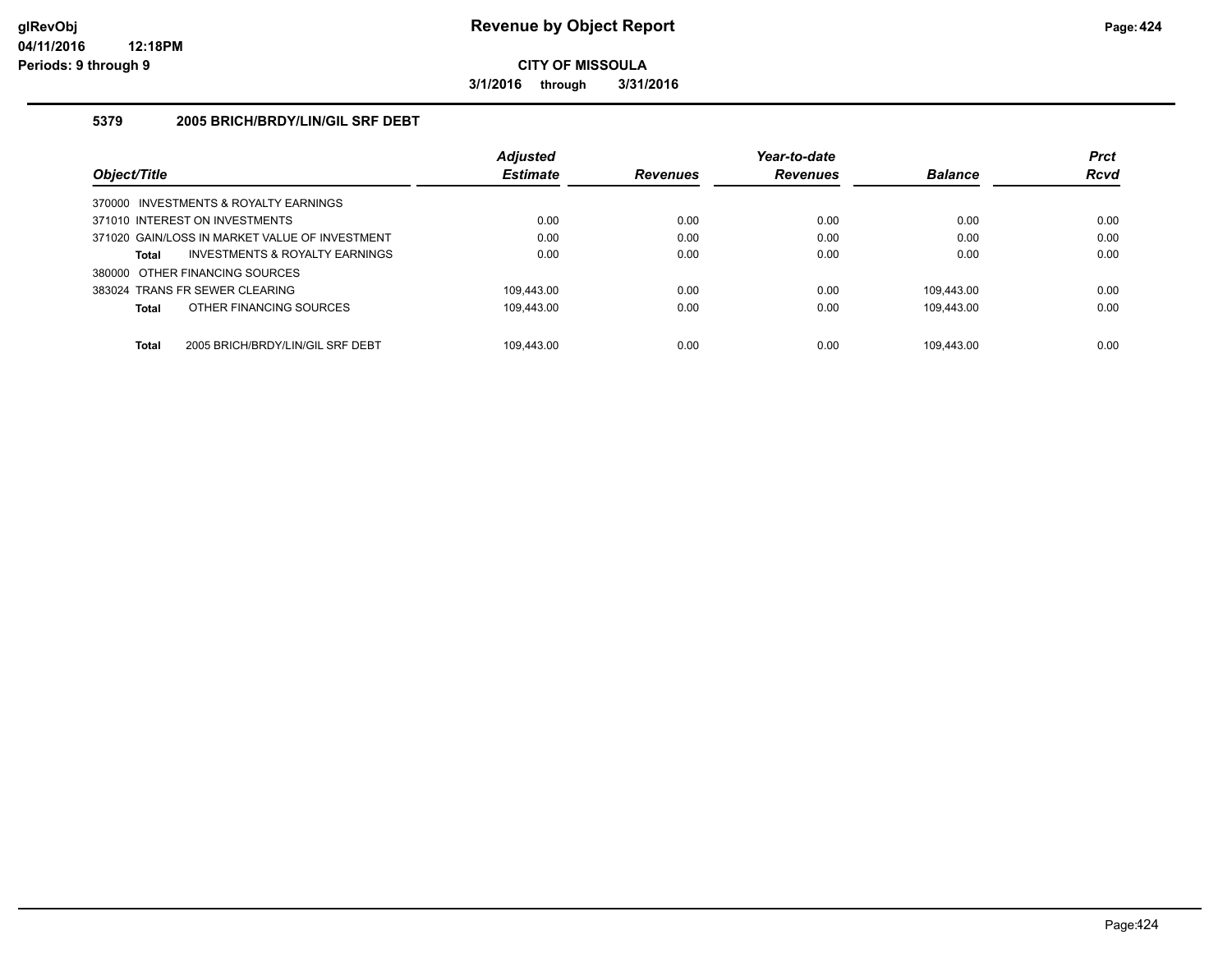**3/1/2016 through 3/31/2016**

#### **5379 2005 BRICH/BRDY/LIN/GIL SRF DEBT**

|                                                  | <b>Adjusted</b> |                 | Year-to-date    |                | <b>Prct</b> |
|--------------------------------------------------|-----------------|-----------------|-----------------|----------------|-------------|
| Object/Title                                     | <b>Estimate</b> | <b>Revenues</b> | <b>Revenues</b> | <b>Balance</b> | <b>Rcvd</b> |
| 370000 INVESTMENTS & ROYALTY EARNINGS            |                 |                 |                 |                |             |
| 371010 INTEREST ON INVESTMENTS                   | 0.00            | 0.00            | 0.00            | 0.00           | 0.00        |
| 371020 GAIN/LOSS IN MARKET VALUE OF INVESTMENT   | 0.00            | 0.00            | 0.00            | 0.00           | 0.00        |
| INVESTMENTS & ROYALTY EARNINGS<br>Total          | 0.00            | 0.00            | 0.00            | 0.00           | 0.00        |
| 380000 OTHER FINANCING SOURCES                   |                 |                 |                 |                |             |
| 383024 TRANS FR SEWER CLEARING                   | 109.443.00      | 0.00            | 0.00            | 109.443.00     | 0.00        |
| OTHER FINANCING SOURCES<br><b>Total</b>          | 109.443.00      | 0.00            | 0.00            | 109.443.00     | 0.00        |
|                                                  |                 |                 |                 |                |             |
| <b>Total</b><br>2005 BRICH/BRDY/LIN/GIL SRF DEBT | 109.443.00      | 0.00            | 0.00            | 109.443.00     | 0.00        |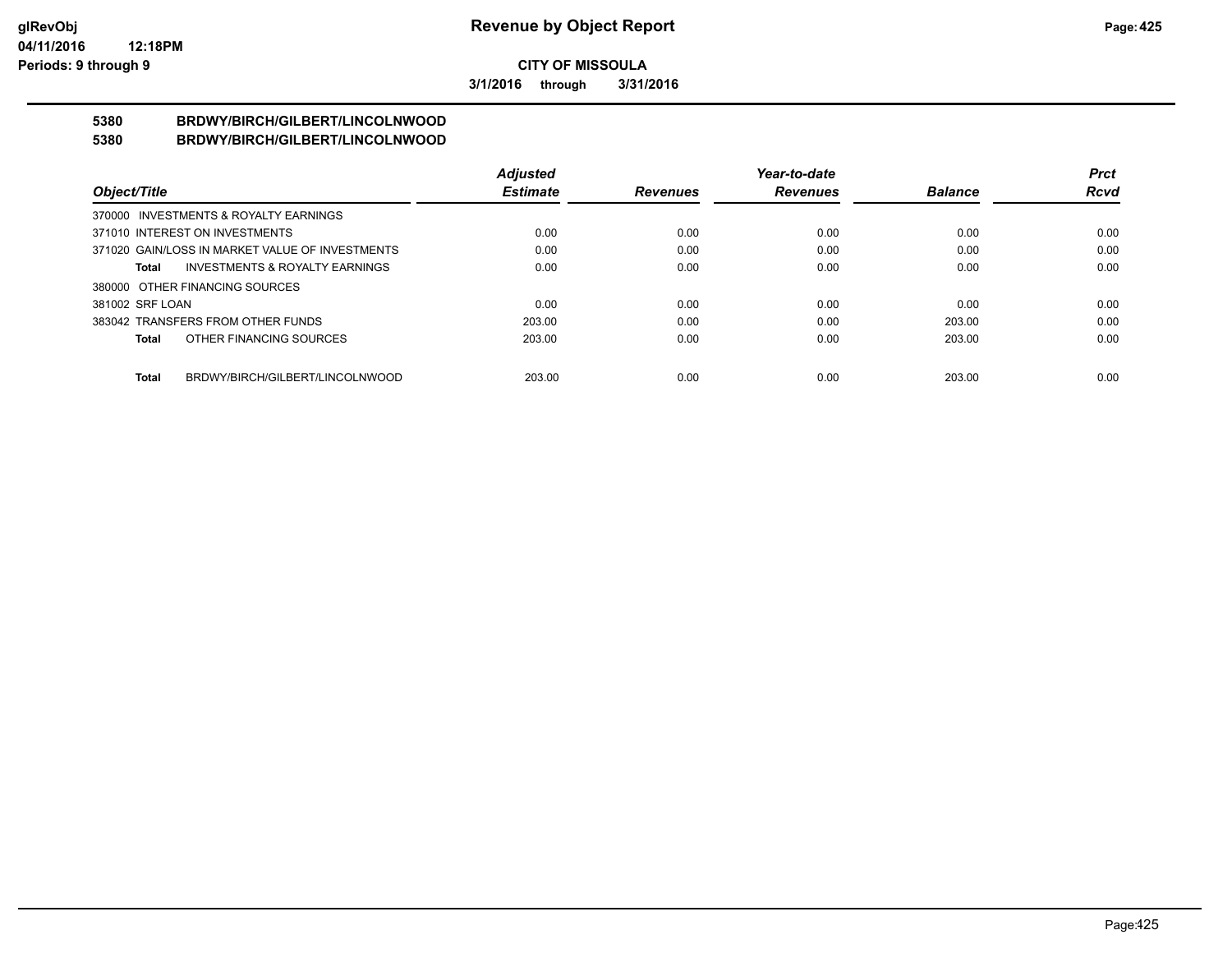**3/1/2016 through 3/31/2016**

#### **5380 BRDWY/BIRCH/GILBERT/LINCOLNWOOD 5380 BRDWY/BIRCH/GILBERT/LINCOLNWOOD**

|                                |                                                 | <b>Adjusted</b> |                 | Year-to-date    |                | Prct        |
|--------------------------------|-------------------------------------------------|-----------------|-----------------|-----------------|----------------|-------------|
| Object/Title                   |                                                 | <b>Estimate</b> | <b>Revenues</b> | <b>Revenues</b> | <b>Balance</b> | <b>Rcvd</b> |
|                                | 370000 INVESTMENTS & ROYALTY EARNINGS           |                 |                 |                 |                |             |
| 371010 INTEREST ON INVESTMENTS |                                                 | 0.00            | 0.00            | 0.00            | 0.00           | 0.00        |
|                                | 371020 GAIN/LOSS IN MARKET VALUE OF INVESTMENTS | 0.00            | 0.00            | 0.00            | 0.00           | 0.00        |
| Total                          | <b>INVESTMENTS &amp; ROYALTY EARNINGS</b>       | 0.00            | 0.00            | 0.00            | 0.00           | 0.00        |
| 380000 OTHER FINANCING SOURCES |                                                 |                 |                 |                 |                |             |
| 381002 SRF LOAN                |                                                 | 0.00            | 0.00            | 0.00            | 0.00           | 0.00        |
|                                | 383042 TRANSFERS FROM OTHER FUNDS               | 203.00          | 0.00            | 0.00            | 203.00         | 0.00        |
| Total                          | OTHER FINANCING SOURCES                         | 203.00          | 0.00            | 0.00            | 203.00         | 0.00        |
|                                |                                                 |                 |                 |                 |                |             |
| Total                          | BRDWY/BIRCH/GILBERT/LINCOLNWOOD                 | 203.00          | 0.00            | 0.00            | 203.00         | 0.00        |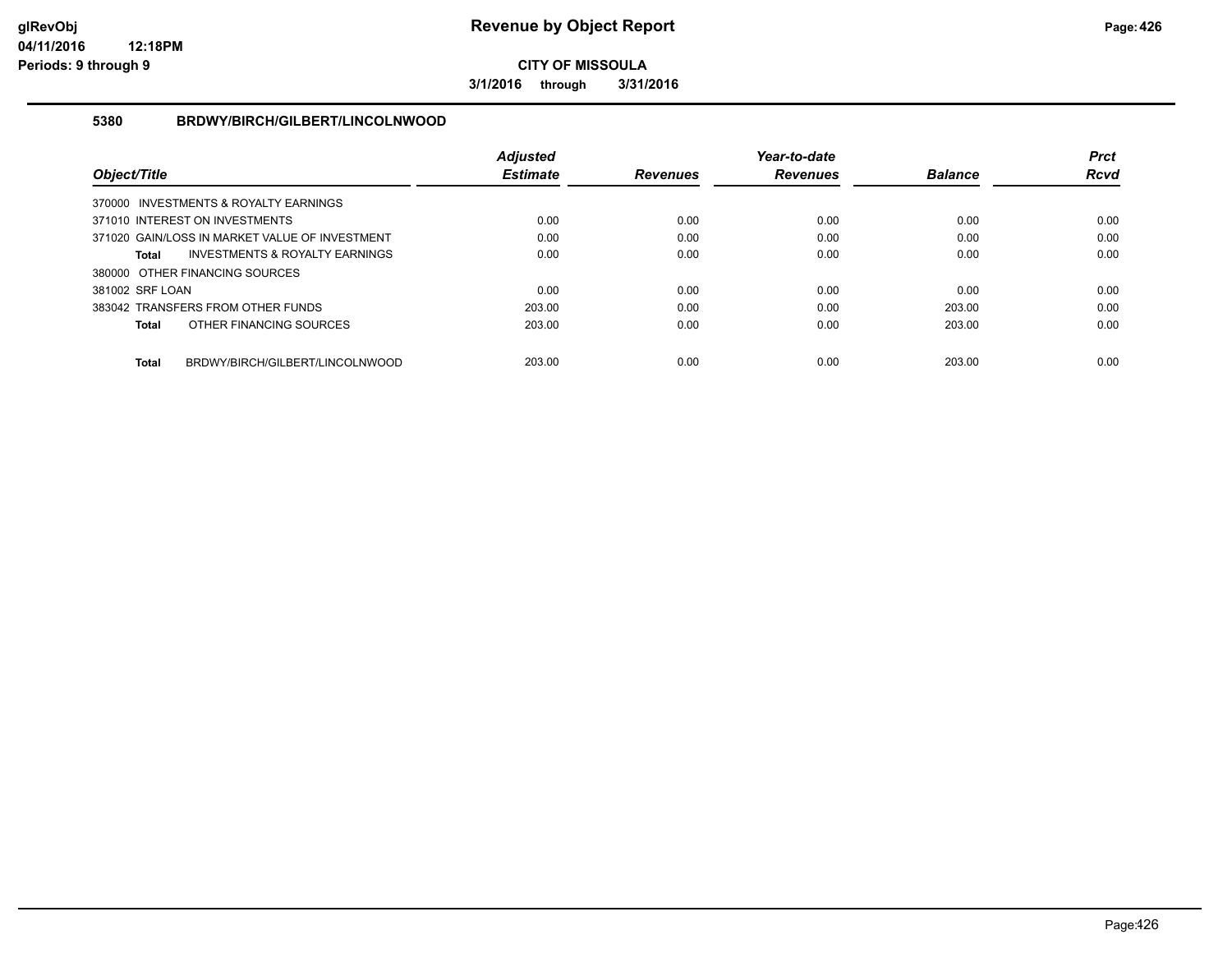**3/1/2016 through 3/31/2016**

### **5380 BRDWY/BIRCH/GILBERT/LINCOLNWOOD**

|                                                 | <b>Adiusted</b> |                 | Year-to-date    |                | <b>Prct</b> |
|-------------------------------------------------|-----------------|-----------------|-----------------|----------------|-------------|
| Object/Title                                    | <b>Estimate</b> | <b>Revenues</b> | <b>Revenues</b> | <b>Balance</b> | <b>Rcvd</b> |
| 370000 INVESTMENTS & ROYALTY EARNINGS           |                 |                 |                 |                |             |
| 371010 INTEREST ON INVESTMENTS                  | 0.00            | 0.00            | 0.00            | 0.00           | 0.00        |
| 371020 GAIN/LOSS IN MARKET VALUE OF INVESTMENT  | 0.00            | 0.00            | 0.00            | 0.00           | 0.00        |
| INVESTMENTS & ROYALTY EARNINGS<br>Total         | 0.00            | 0.00            | 0.00            | 0.00           | 0.00        |
| 380000 OTHER FINANCING SOURCES                  |                 |                 |                 |                |             |
| 381002 SRF LOAN                                 | 0.00            | 0.00            | 0.00            | 0.00           | 0.00        |
| 383042 TRANSFERS FROM OTHER FUNDS               | 203.00          | 0.00            | 0.00            | 203.00         | 0.00        |
| OTHER FINANCING SOURCES<br><b>Total</b>         | 203.00          | 0.00            | 0.00            | 203.00         | 0.00        |
|                                                 |                 |                 |                 |                |             |
| BRDWY/BIRCH/GILBERT/LINCOLNWOOD<br><b>Total</b> | 203.00          | 0.00            | 0.00            | 203.00         | 0.00        |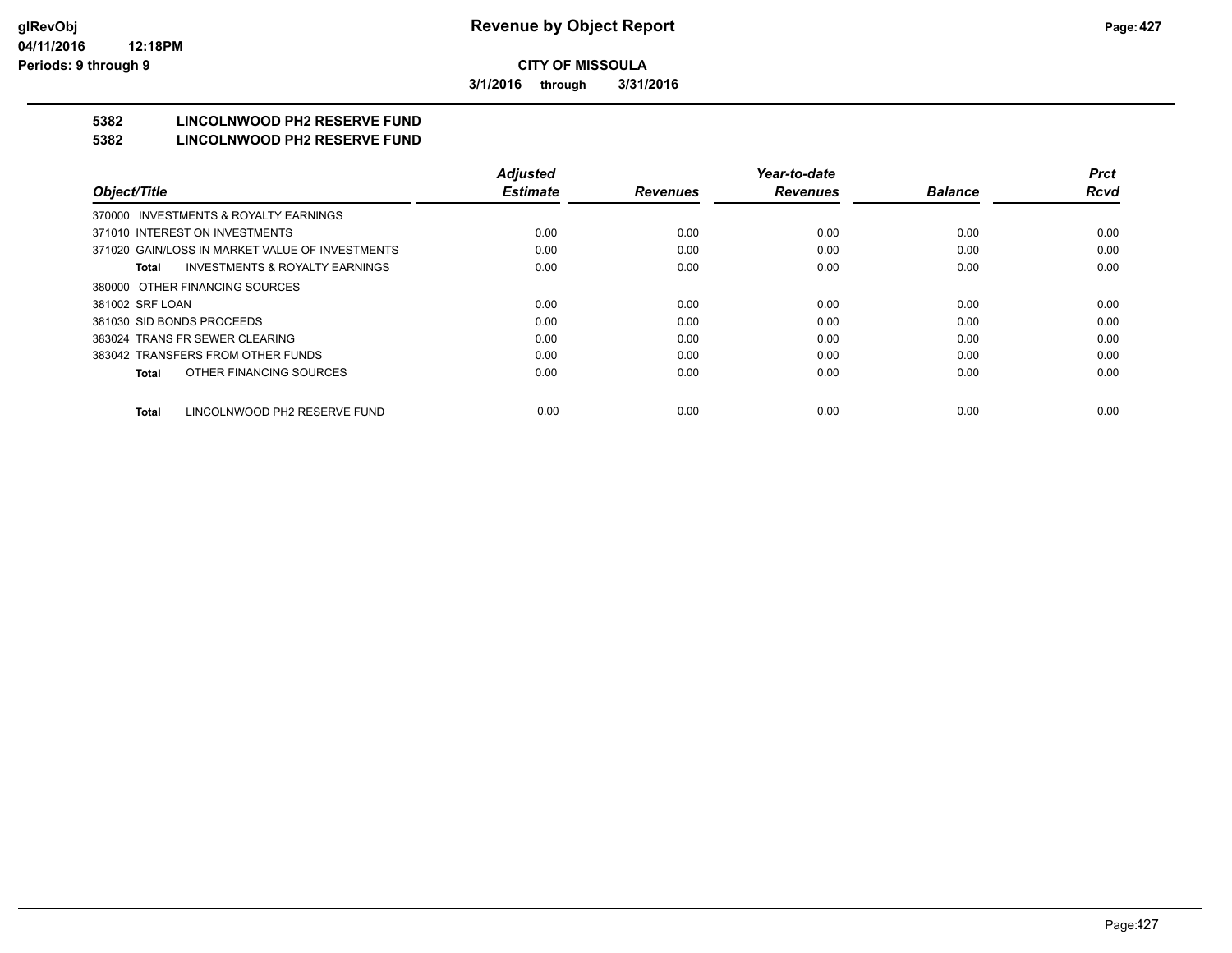**3/1/2016 through 3/31/2016**

# **5382 LINCOLNWOOD PH2 RESERVE FUND**

#### **5382 LINCOLNWOOD PH2 RESERVE FUND**

|                                                    | <b>Adjusted</b> |                 | Year-to-date    |                | <b>Prct</b> |
|----------------------------------------------------|-----------------|-----------------|-----------------|----------------|-------------|
| Object/Title                                       | <b>Estimate</b> | <b>Revenues</b> | <b>Revenues</b> | <b>Balance</b> | <b>Rcvd</b> |
| 370000 INVESTMENTS & ROYALTY EARNINGS              |                 |                 |                 |                |             |
| 371010 INTEREST ON INVESTMENTS                     | 0.00            | 0.00            | 0.00            | 0.00           | 0.00        |
| 371020 GAIN/LOSS IN MARKET VALUE OF INVESTMENTS    | 0.00            | 0.00            | 0.00            | 0.00           | 0.00        |
| <b>INVESTMENTS &amp; ROYALTY EARNINGS</b><br>Total | 0.00            | 0.00            | 0.00            | 0.00           | 0.00        |
| 380000 OTHER FINANCING SOURCES                     |                 |                 |                 |                |             |
| 381002 SRF LOAN                                    | 0.00            | 0.00            | 0.00            | 0.00           | 0.00        |
| 381030 SID BONDS PROCEEDS                          | 0.00            | 0.00            | 0.00            | 0.00           | 0.00        |
| 383024 TRANS FR SEWER CLEARING                     | 0.00            | 0.00            | 0.00            | 0.00           | 0.00        |
| 383042 TRANSFERS FROM OTHER FUNDS                  | 0.00            | 0.00            | 0.00            | 0.00           | 0.00        |
| OTHER FINANCING SOURCES<br><b>Total</b>            | 0.00            | 0.00            | 0.00            | 0.00           | 0.00        |
| LINCOLNWOOD PH2 RESERVE FUND<br><b>Total</b>       | 0.00            | 0.00            | 0.00            | 0.00           | 0.00        |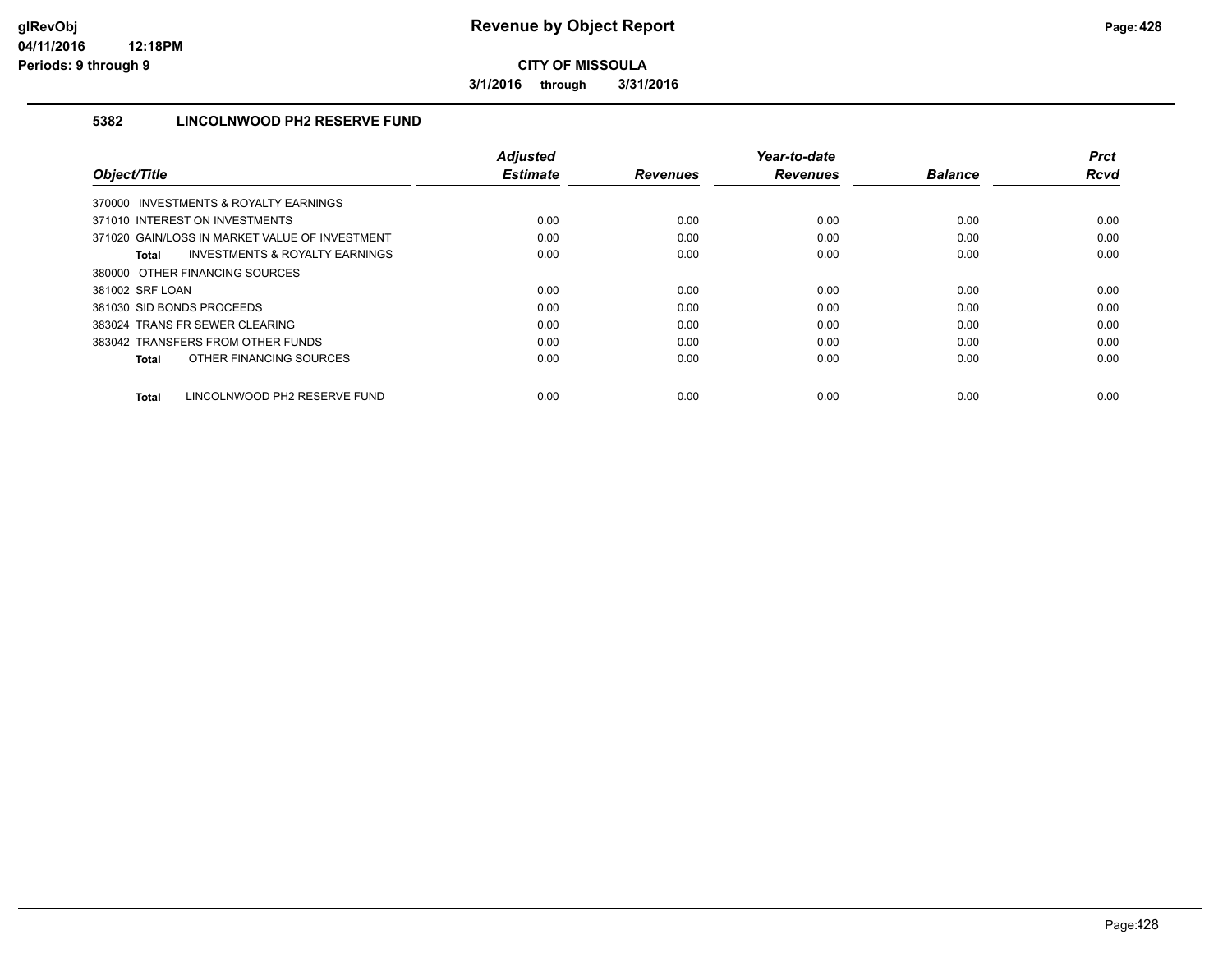**3/1/2016 through 3/31/2016**

### **5382 LINCOLNWOOD PH2 RESERVE FUND**

|                                                           | <b>Adiusted</b> |                 | Year-to-date    |                | <b>Prct</b> |
|-----------------------------------------------------------|-----------------|-----------------|-----------------|----------------|-------------|
| Object/Title                                              | <b>Estimate</b> | <b>Revenues</b> | <b>Revenues</b> | <b>Balance</b> | <b>Rcvd</b> |
| 370000 INVESTMENTS & ROYALTY EARNINGS                     |                 |                 |                 |                |             |
| 371010 INTEREST ON INVESTMENTS                            | 0.00            | 0.00            | 0.00            | 0.00           | 0.00        |
| 371020 GAIN/LOSS IN MARKET VALUE OF INVESTMENT            | 0.00            | 0.00            | 0.00            | 0.00           | 0.00        |
| <b>INVESTMENTS &amp; ROYALTY EARNINGS</b><br><b>Total</b> | 0.00            | 0.00            | 0.00            | 0.00           | 0.00        |
| 380000 OTHER FINANCING SOURCES                            |                 |                 |                 |                |             |
| 381002 SRF LOAN                                           | 0.00            | 0.00            | 0.00            | 0.00           | 0.00        |
| 381030 SID BONDS PROCEEDS                                 | 0.00            | 0.00            | 0.00            | 0.00           | 0.00        |
| 383024 TRANS FR SEWER CLEARING                            | 0.00            | 0.00            | 0.00            | 0.00           | 0.00        |
| 383042 TRANSFERS FROM OTHER FUNDS                         | 0.00            | 0.00            | 0.00            | 0.00           | 0.00        |
| OTHER FINANCING SOURCES<br><b>Total</b>                   | 0.00            | 0.00            | 0.00            | 0.00           | 0.00        |
|                                                           |                 |                 |                 |                |             |
| LINCOLNWOOD PH2 RESERVE FUND<br><b>Total</b>              | 0.00            | 0.00            | 0.00            | 0.00           | 0.00        |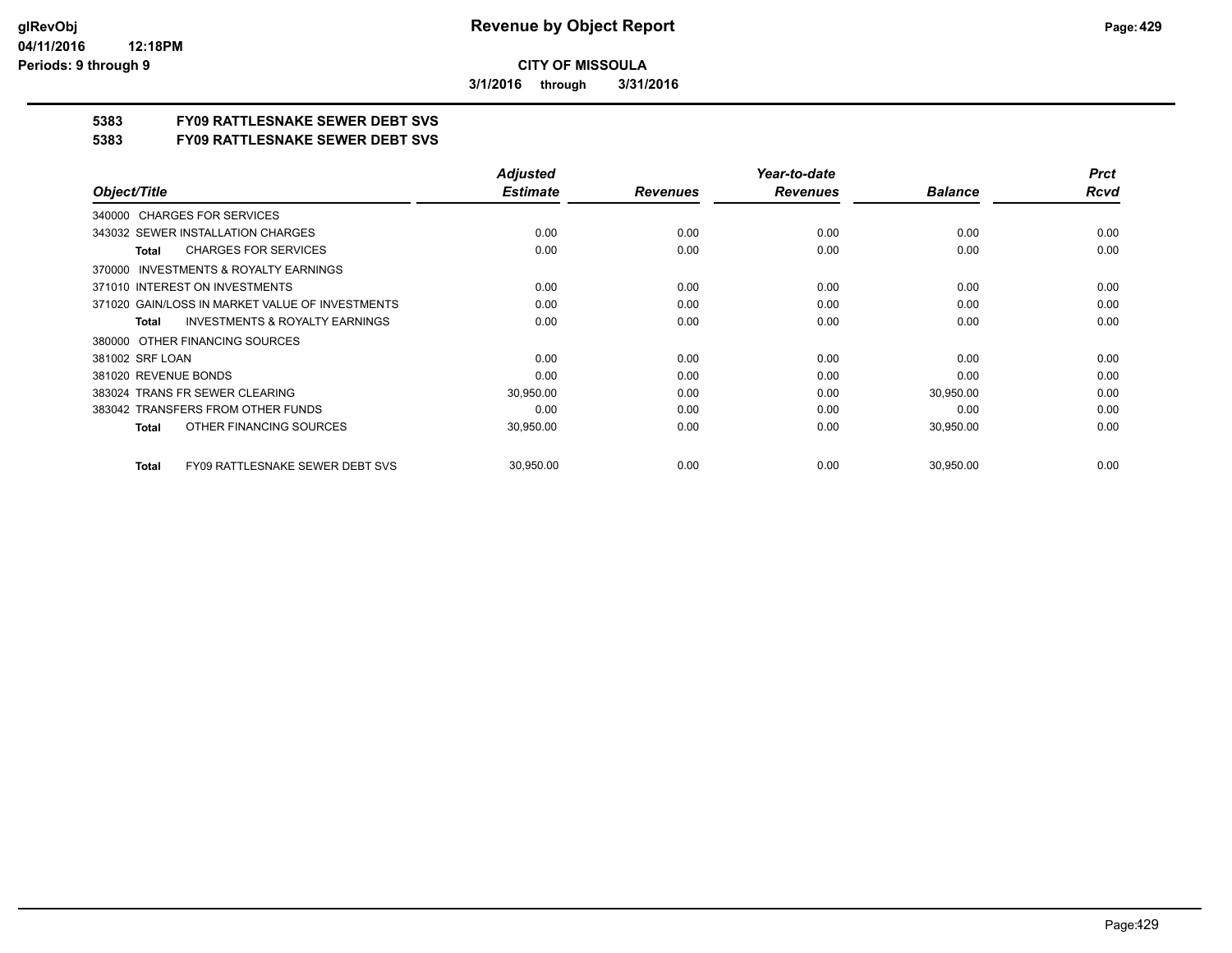**3/1/2016 through 3/31/2016**

### **5383 FY09 RATTLESNAKE SEWER DEBT SVS**

**5383 FY09 RATTLESNAKE SEWER DEBT SVS**

|                                                           | <b>Adjusted</b> |                 | Year-to-date    |                | <b>Prct</b> |
|-----------------------------------------------------------|-----------------|-----------------|-----------------|----------------|-------------|
| Object/Title                                              | <b>Estimate</b> | <b>Revenues</b> | <b>Revenues</b> | <b>Balance</b> | <b>Rcvd</b> |
| 340000 CHARGES FOR SERVICES                               |                 |                 |                 |                |             |
| 343032 SEWER INSTALLATION CHARGES                         | 0.00            | 0.00            | 0.00            | 0.00           | 0.00        |
| <b>CHARGES FOR SERVICES</b><br><b>Total</b>               | 0.00            | 0.00            | 0.00            | 0.00           | 0.00        |
| INVESTMENTS & ROYALTY EARNINGS<br>370000                  |                 |                 |                 |                |             |
| 371010 INTEREST ON INVESTMENTS                            | 0.00            | 0.00            | 0.00            | 0.00           | 0.00        |
| 371020 GAIN/LOSS IN MARKET VALUE OF INVESTMENTS           | 0.00            | 0.00            | 0.00            | 0.00           | 0.00        |
| <b>INVESTMENTS &amp; ROYALTY EARNINGS</b><br><b>Total</b> | 0.00            | 0.00            | 0.00            | 0.00           | 0.00        |
| OTHER FINANCING SOURCES<br>380000                         |                 |                 |                 |                |             |
| 381002 SRF LOAN                                           | 0.00            | 0.00            | 0.00            | 0.00           | 0.00        |
| 381020 REVENUE BONDS                                      | 0.00            | 0.00            | 0.00            | 0.00           | 0.00        |
| 383024 TRANS FR SEWER CLEARING                            | 30,950.00       | 0.00            | 0.00            | 30,950.00      | 0.00        |
| 383042 TRANSFERS FROM OTHER FUNDS                         | 0.00            | 0.00            | 0.00            | 0.00           | 0.00        |
| OTHER FINANCING SOURCES<br>Total                          | 30,950.00       | 0.00            | 0.00            | 30,950.00      | 0.00        |
| <b>FY09 RATTLESNAKE SEWER DEBT SVS</b><br><b>Total</b>    | 30,950.00       | 0.00            | 0.00            | 30,950.00      | 0.00        |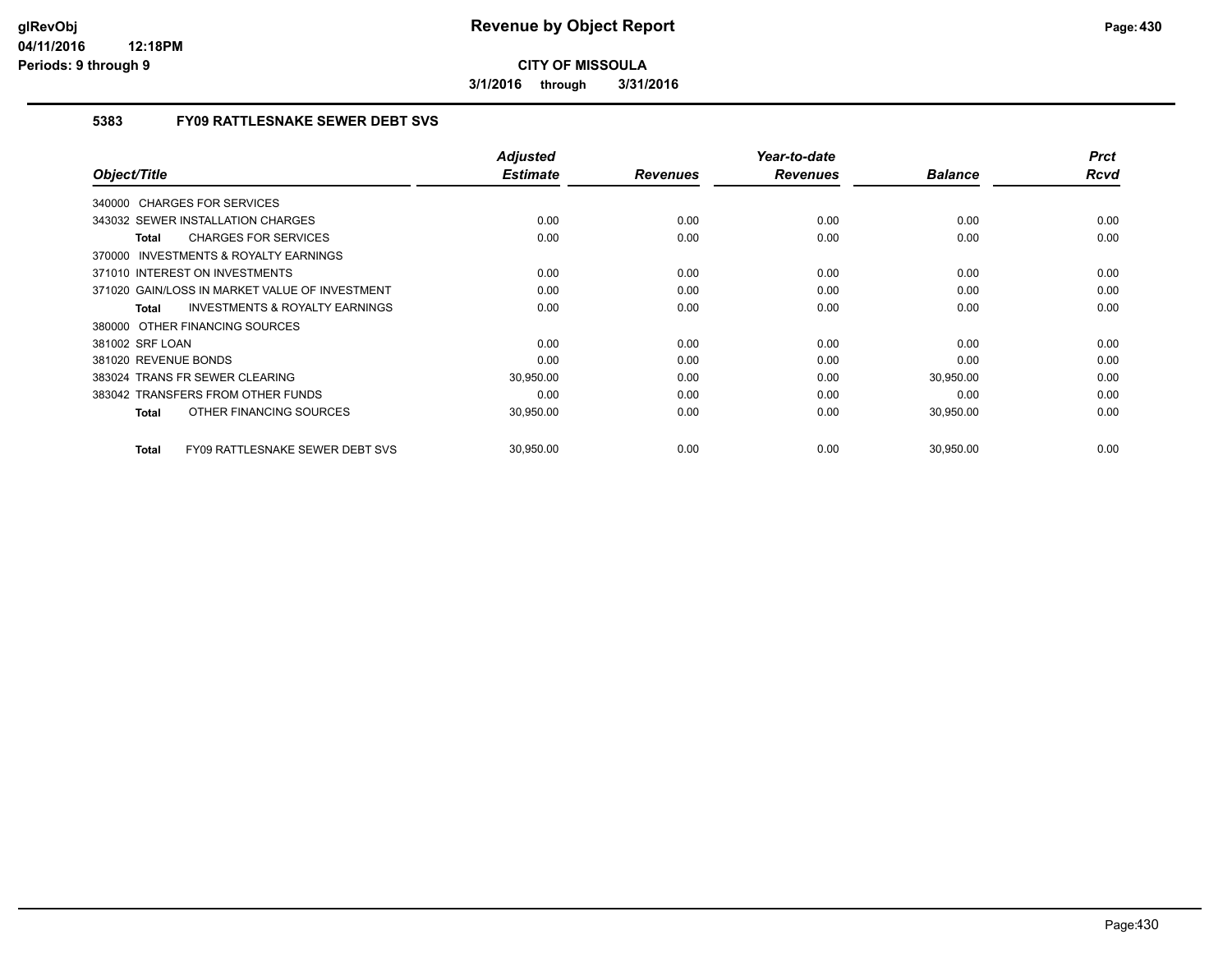**3/1/2016 through 3/31/2016**

### **5383 FY09 RATTLESNAKE SEWER DEBT SVS**

| Object/Title                                              | <b>Adjusted</b><br><b>Estimate</b> | <b>Revenues</b> | Year-to-date<br><b>Revenues</b> | <b>Balance</b> | <b>Prct</b><br><b>Rcvd</b> |
|-----------------------------------------------------------|------------------------------------|-----------------|---------------------------------|----------------|----------------------------|
|                                                           |                                    |                 |                                 |                |                            |
| 340000 CHARGES FOR SERVICES                               |                                    |                 |                                 |                |                            |
| 343032 SEWER INSTALLATION CHARGES                         | 0.00                               | 0.00            | 0.00                            | 0.00           | 0.00                       |
| <b>CHARGES FOR SERVICES</b><br>Total                      | 0.00                               | 0.00            | 0.00                            | 0.00           | 0.00                       |
| INVESTMENTS & ROYALTY EARNINGS<br>370000                  |                                    |                 |                                 |                |                            |
| 371010 INTEREST ON INVESTMENTS                            | 0.00                               | 0.00            | 0.00                            | 0.00           | 0.00                       |
| 371020 GAIN/LOSS IN MARKET VALUE OF INVESTMENT            | 0.00                               | 0.00            | 0.00                            | 0.00           | 0.00                       |
| <b>INVESTMENTS &amp; ROYALTY EARNINGS</b><br><b>Total</b> | 0.00                               | 0.00            | 0.00                            | 0.00           | 0.00                       |
| 380000 OTHER FINANCING SOURCES                            |                                    |                 |                                 |                |                            |
| 381002 SRF LOAN                                           | 0.00                               | 0.00            | 0.00                            | 0.00           | 0.00                       |
| 381020 REVENUE BONDS                                      | 0.00                               | 0.00            | 0.00                            | 0.00           | 0.00                       |
| 383024 TRANS FR SEWER CLEARING                            | 30,950.00                          | 0.00            | 0.00                            | 30,950.00      | 0.00                       |
| 383042 TRANSFERS FROM OTHER FUNDS                         | 0.00                               | 0.00            | 0.00                            | 0.00           | 0.00                       |
| OTHER FINANCING SOURCES<br><b>Total</b>                   | 30,950.00                          | 0.00            | 0.00                            | 30,950.00      | 0.00                       |
|                                                           |                                    |                 |                                 |                |                            |
| <b>FY09 RATTLESNAKE SEWER DEBT SVS</b><br><b>Total</b>    | 30,950.00                          | 0.00            | 0.00                            | 30,950.00      | 0.00                       |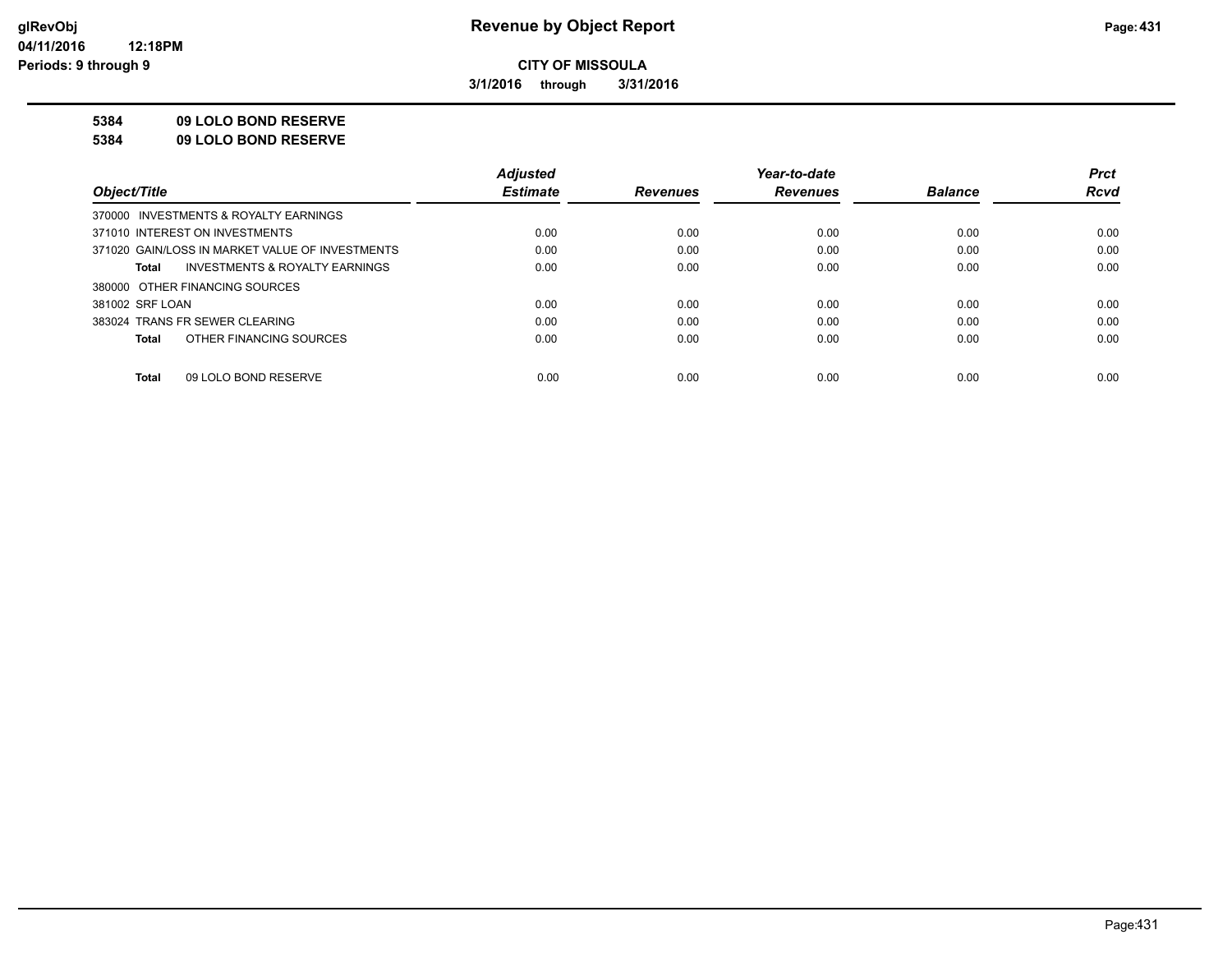**3/1/2016 through 3/31/2016**

#### **5384 09 LOLO BOND RESERVE**

**5384 09 LOLO BOND RESERVE**

|                                                    | <b>Adiusted</b> |                 | Year-to-date    |                | <b>Prct</b> |
|----------------------------------------------------|-----------------|-----------------|-----------------|----------------|-------------|
| Object/Title                                       | <b>Estimate</b> | <b>Revenues</b> | <b>Revenues</b> | <b>Balance</b> | <b>Rcvd</b> |
| 370000 INVESTMENTS & ROYALTY EARNINGS              |                 |                 |                 |                |             |
| 371010 INTEREST ON INVESTMENTS                     | 0.00            | 0.00            | 0.00            | 0.00           | 0.00        |
| 371020 GAIN/LOSS IN MARKET VALUE OF INVESTMENTS    | 0.00            | 0.00            | 0.00            | 0.00           | 0.00        |
| <b>INVESTMENTS &amp; ROYALTY EARNINGS</b><br>Total | 0.00            | 0.00            | 0.00            | 0.00           | 0.00        |
| 380000 OTHER FINANCING SOURCES                     |                 |                 |                 |                |             |
| 381002 SRF LOAN                                    | 0.00            | 0.00            | 0.00            | 0.00           | 0.00        |
| 383024 TRANS FR SEWER CLEARING                     | 0.00            | 0.00            | 0.00            | 0.00           | 0.00        |
| OTHER FINANCING SOURCES<br>Total                   | 0.00            | 0.00            | 0.00            | 0.00           | 0.00        |
|                                                    |                 |                 |                 |                |             |
| 09 LOLO BOND RESERVE<br>Total                      | 0.00            | 0.00            | 0.00            | 0.00           | 0.00        |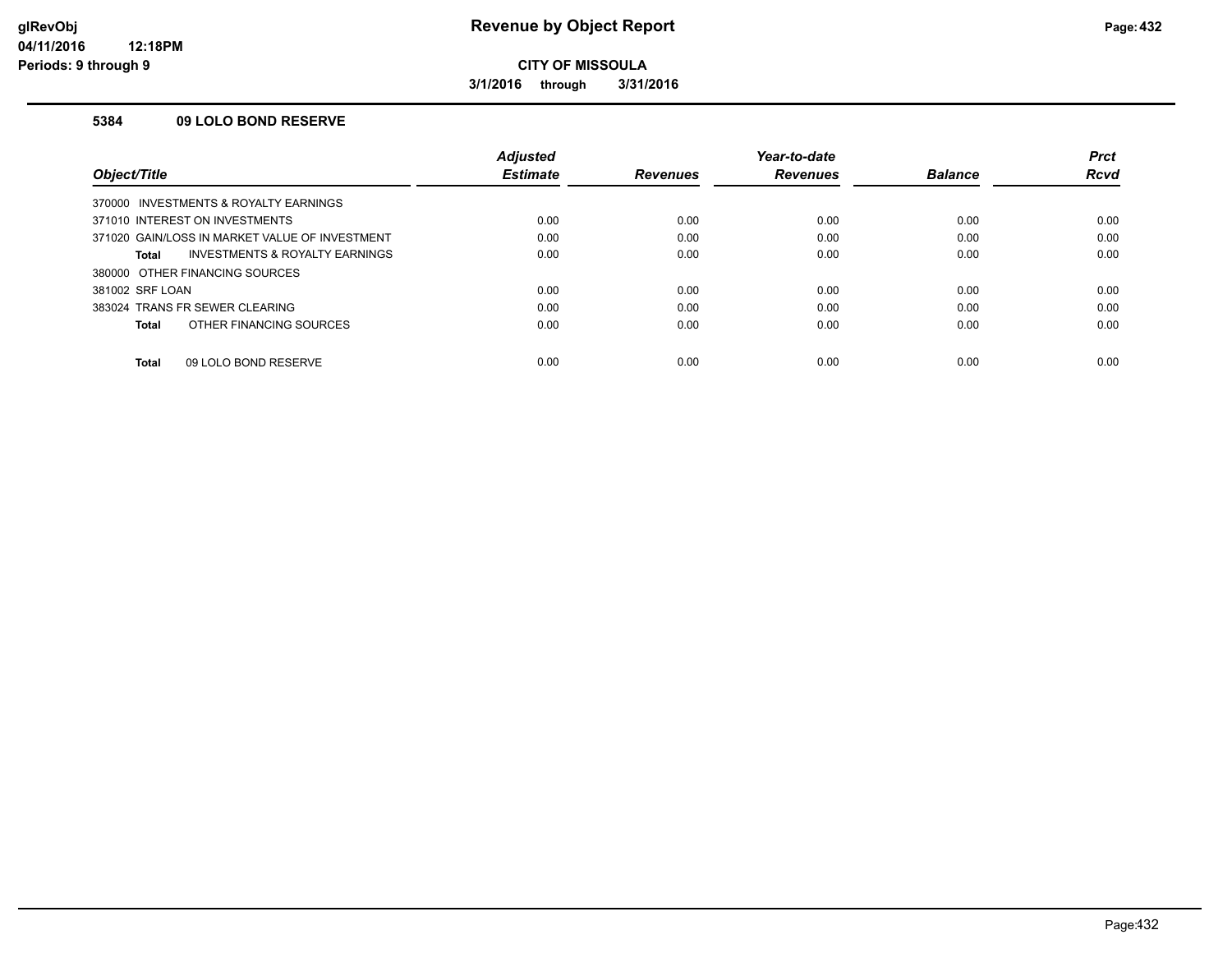**3/1/2016 through 3/31/2016**

#### **5384 09 LOLO BOND RESERVE**

|                                                    | <b>Adjusted</b> |                 | Year-to-date    |                | <b>Prct</b> |
|----------------------------------------------------|-----------------|-----------------|-----------------|----------------|-------------|
| Object/Title                                       | <b>Estimate</b> | <b>Revenues</b> | <b>Revenues</b> | <b>Balance</b> | Rcvd        |
| 370000 INVESTMENTS & ROYALTY EARNINGS              |                 |                 |                 |                |             |
| 371010 INTEREST ON INVESTMENTS                     | 0.00            | 0.00            | 0.00            | 0.00           | 0.00        |
| 371020 GAIN/LOSS IN MARKET VALUE OF INVESTMENT     | 0.00            | 0.00            | 0.00            | 0.00           | 0.00        |
| <b>INVESTMENTS &amp; ROYALTY EARNINGS</b><br>Total | 0.00            | 0.00            | 0.00            | 0.00           | 0.00        |
| 380000 OTHER FINANCING SOURCES                     |                 |                 |                 |                |             |
| 381002 SRF LOAN                                    | 0.00            | 0.00            | 0.00            | 0.00           | 0.00        |
| 383024 TRANS FR SEWER CLEARING                     | 0.00            | 0.00            | 0.00            | 0.00           | 0.00        |
| OTHER FINANCING SOURCES<br>Total                   | 0.00            | 0.00            | 0.00            | 0.00           | 0.00        |
| 09 LOLO BOND RESERVE<br>Total                      | 0.00            | 0.00            | 0.00            | 0.00           | 0.00        |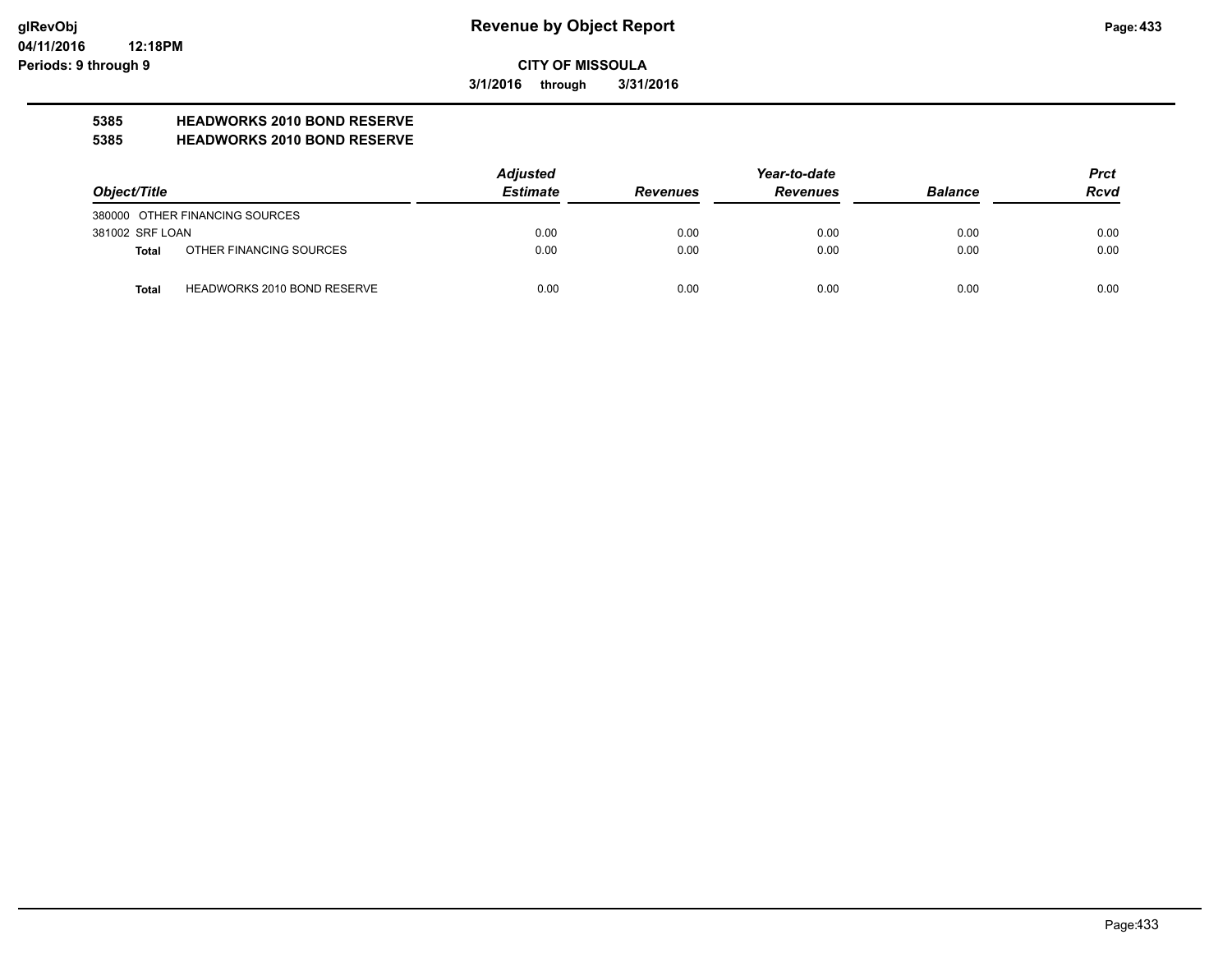**3/1/2016 through 3/31/2016**

# **5385 HEADWORKS 2010 BOND RESERVE**

#### **5385 HEADWORKS 2010 BOND RESERVE**

|                 |                                    | <b>Adjusted</b> |                 | Year-to-date    |                | <b>Prct</b> |
|-----------------|------------------------------------|-----------------|-----------------|-----------------|----------------|-------------|
| Object/Title    |                                    | <b>Estimate</b> | <b>Revenues</b> | <b>Revenues</b> | <b>Balance</b> | <b>Rcvd</b> |
|                 | 380000 OTHER FINANCING SOURCES     |                 |                 |                 |                |             |
| 381002 SRF LOAN |                                    | 0.00            | 0.00            | 0.00            | 0.00           | 0.00        |
| Total           | OTHER FINANCING SOURCES            | 0.00            | 0.00            | 0.00            | 0.00           | 0.00        |
| <b>Total</b>    | <b>HEADWORKS 2010 BOND RESERVE</b> | 0.00            | 0.00            | 0.00            | 0.00           | 0.00        |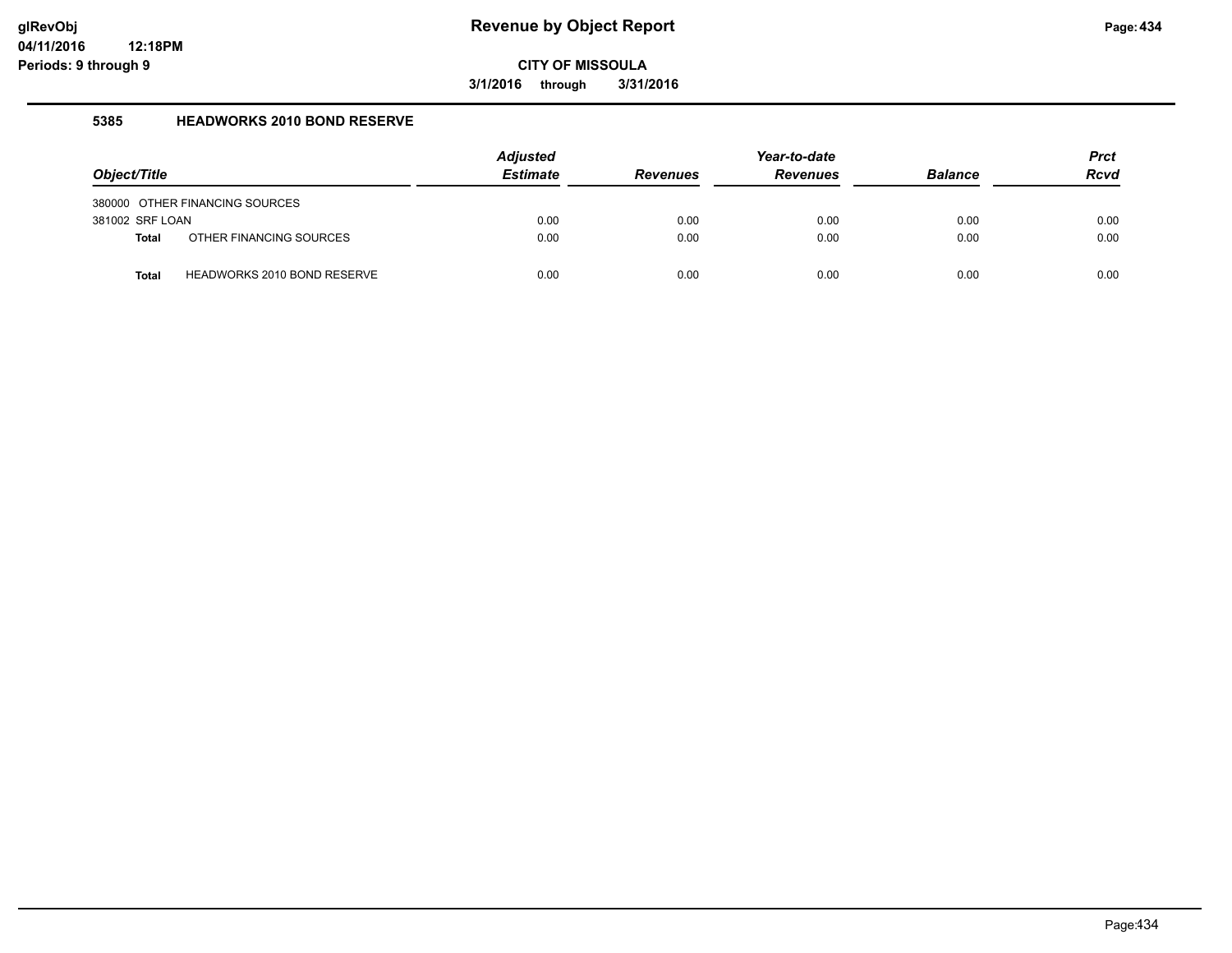**3/1/2016 through 3/31/2016**

#### **5385 HEADWORKS 2010 BOND RESERVE**

| Object/Title    |                                    | <b>Adjusted</b><br><b>Estimate</b> | <b>Revenues</b> | Year-to-date<br><b>Revenues</b> | <b>Balance</b> | <b>Prct</b><br><b>Rcvd</b> |
|-----------------|------------------------------------|------------------------------------|-----------------|---------------------------------|----------------|----------------------------|
|                 | 380000 OTHER FINANCING SOURCES     |                                    |                 |                                 |                |                            |
| 381002 SRF LOAN |                                    | 0.00                               | 0.00            | 0.00                            | 0.00           | 0.00                       |
| <b>Total</b>    | OTHER FINANCING SOURCES            | 0.00                               | 0.00            | 0.00                            | 0.00           | 0.00                       |
| <b>Total</b>    | <b>HEADWORKS 2010 BOND RESERVE</b> | 0.00                               | 0.00            | 0.00                            | 0.00           | 0.00                       |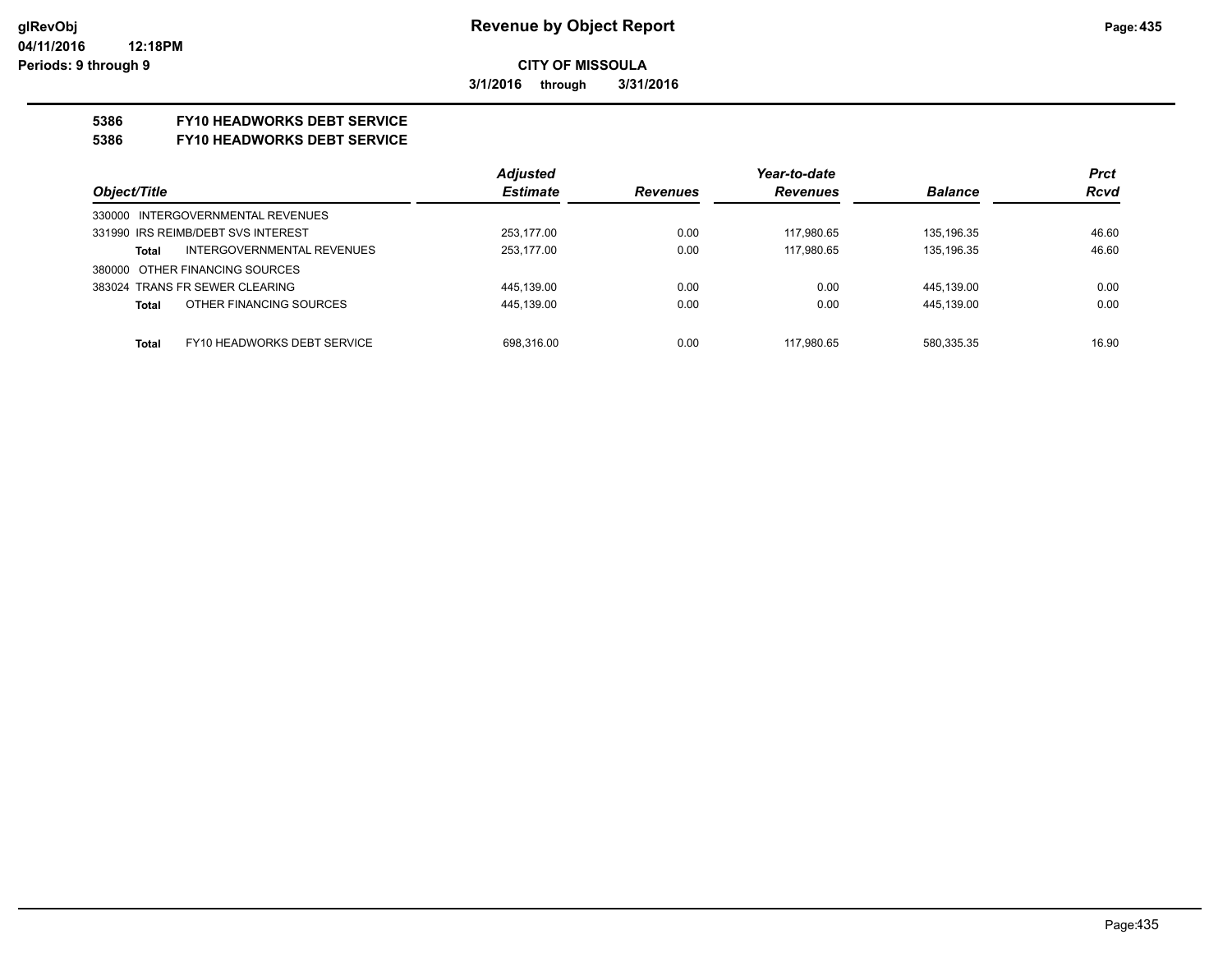**3/1/2016 through 3/31/2016**

## **5386 FY10 HEADWORKS DEBT SERVICE**

#### **5386 FY10 HEADWORKS DEBT SERVICE**

|                                             | <b>Adjusted</b> |                 | Year-to-date    |                | <b>Prct</b> |
|---------------------------------------------|-----------------|-----------------|-----------------|----------------|-------------|
| Object/Title                                | <b>Estimate</b> | <b>Revenues</b> | <b>Revenues</b> | <b>Balance</b> | <b>Rcvd</b> |
| 330000 INTERGOVERNMENTAL REVENUES           |                 |                 |                 |                |             |
| 331990 IRS REIMB/DEBT SVS INTEREST          | 253.177.00      | 0.00            | 117.980.65      | 135.196.35     | 46.60       |
| INTERGOVERNMENTAL REVENUES<br>Total         | 253.177.00      | 0.00            | 117.980.65      | 135.196.35     | 46.60       |
| 380000 OTHER FINANCING SOURCES              |                 |                 |                 |                |             |
| 383024 TRANS FR SEWER CLEARING              | 445.139.00      | 0.00            | 0.00            | 445,139.00     | 0.00        |
| OTHER FINANCING SOURCES<br><b>Total</b>     | 445,139.00      | 0.00            | 0.00            | 445,139.00     | 0.00        |
|                                             |                 |                 |                 |                |             |
| FY10 HEADWORKS DEBT SERVICE<br><b>Total</b> | 698.316.00      | 0.00            | 117.980.65      | 580.335.35     | 16.90       |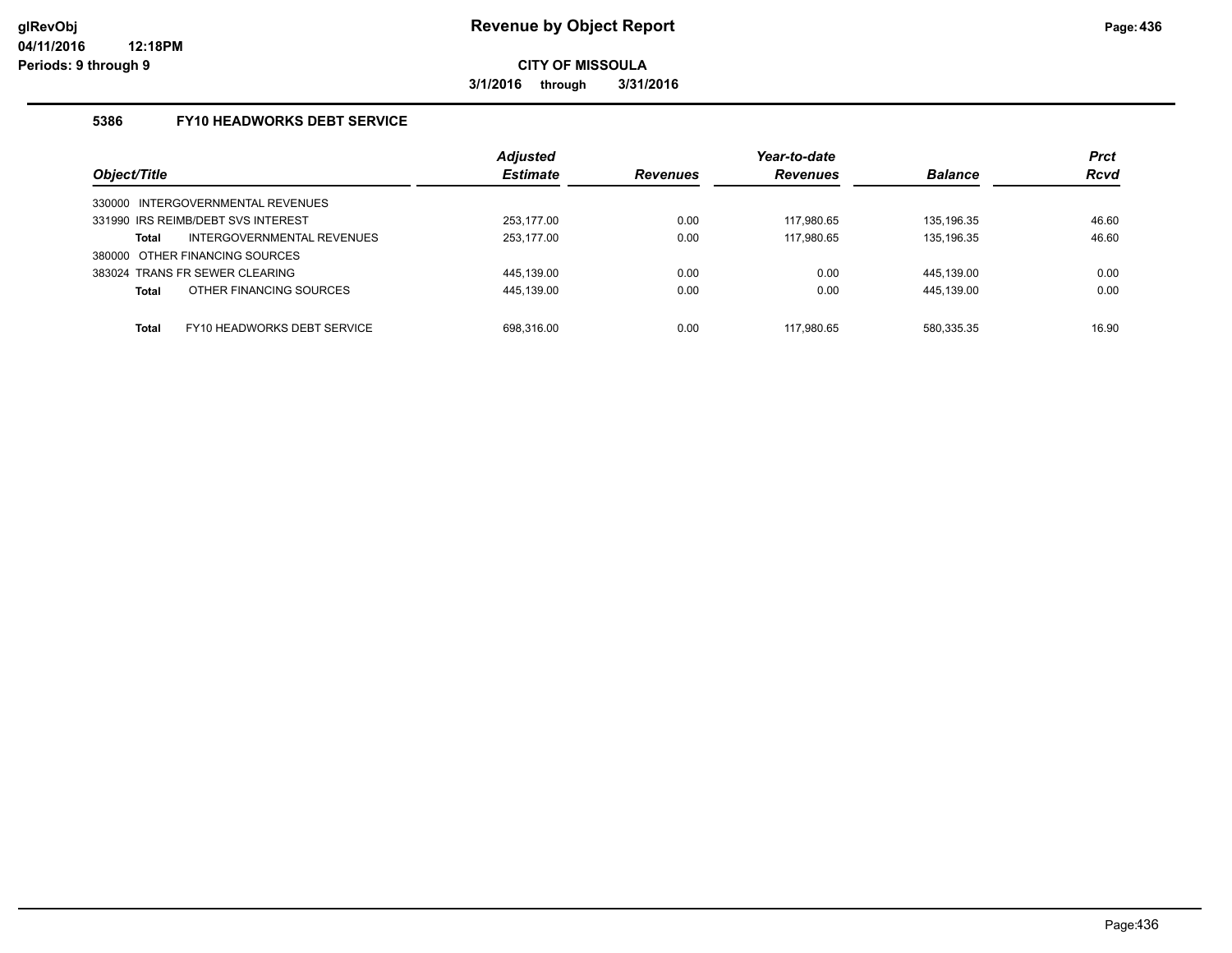**3/1/2016 through 3/31/2016**

### **5386 FY10 HEADWORKS DEBT SERVICE**

|                                      | <b>Adjusted</b> |                 | Year-to-date    |                | <b>Prct</b> |
|--------------------------------------|-----------------|-----------------|-----------------|----------------|-------------|
| Object/Title                         | <b>Estimate</b> | <b>Revenues</b> | <b>Revenues</b> | <b>Balance</b> | <b>Rcvd</b> |
| INTERGOVERNMENTAL REVENUES<br>330000 |                 |                 |                 |                |             |
| 331990 IRS REIMB/DEBT SVS INTEREST   | 253.177.00      | 0.00            | 117.980.65      | 135.196.35     | 46.60       |
| INTERGOVERNMENTAL REVENUES<br>Total  | 253,177.00      | 0.00            | 117,980.65      | 135,196.35     | 46.60       |
| 380000 OTHER FINANCING SOURCES       |                 |                 |                 |                |             |
| 383024 TRANS FR SEWER CLEARING       | 445.139.00      | 0.00            | 0.00            | 445.139.00     | 0.00        |
| OTHER FINANCING SOURCES<br>Total     | 445,139.00      | 0.00            | 0.00            | 445,139.00     | 0.00        |
| FY10 HEADWORKS DEBT SERVICE<br>Total | 698.316.00      | 0.00            | 117.980.65      | 580,335.35     | 16.90       |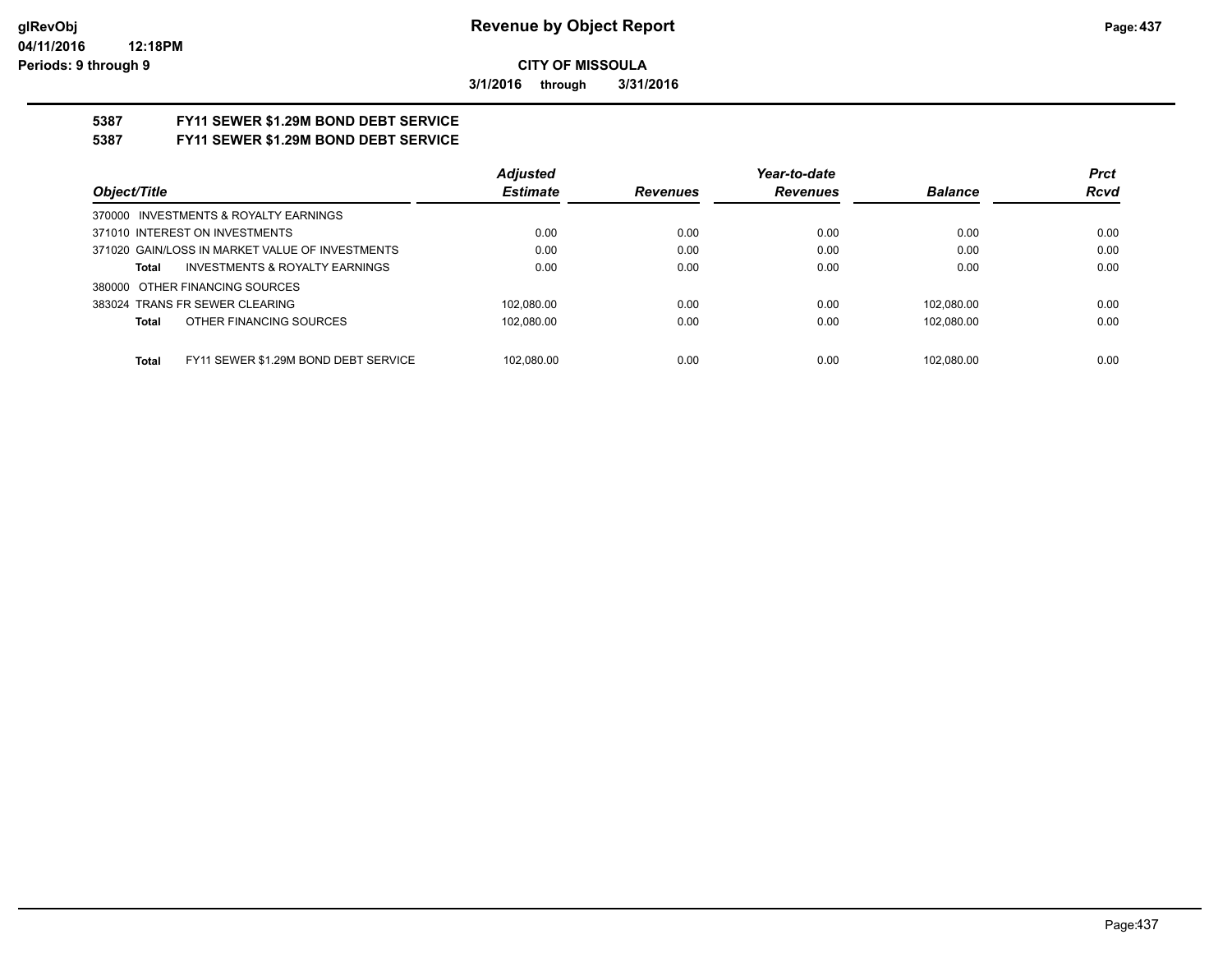**3/1/2016 through 3/31/2016**

# **5387 FY11 SEWER \$1.29M BOND DEBT SERVICE**

# **5387 FY11 SEWER \$1.29M BOND DEBT SERVICE**

|                                                      | <b>Adjusted</b> |                 | Year-to-date    |                | <b>Prct</b> |
|------------------------------------------------------|-----------------|-----------------|-----------------|----------------|-------------|
| Object/Title                                         | <b>Estimate</b> | <b>Revenues</b> | <b>Revenues</b> | <b>Balance</b> | <b>Rcvd</b> |
| 370000 INVESTMENTS & ROYALTY EARNINGS                |                 |                 |                 |                |             |
| 371010 INTEREST ON INVESTMENTS                       | 0.00            | 0.00            | 0.00            | 0.00           | 0.00        |
| 371020 GAIN/LOSS IN MARKET VALUE OF INVESTMENTS      | 0.00            | 0.00            | 0.00            | 0.00           | 0.00        |
| INVESTMENTS & ROYALTY EARNINGS<br>Total              | 0.00            | 0.00            | 0.00            | 0.00           | 0.00        |
| 380000 OTHER FINANCING SOURCES                       |                 |                 |                 |                |             |
| 383024 TRANS FR SEWER CLEARING                       | 102.080.00      | 0.00            | 0.00            | 102.080.00     | 0.00        |
| OTHER FINANCING SOURCES<br>Total                     | 102.080.00      | 0.00            | 0.00            | 102,080.00     | 0.00        |
|                                                      |                 |                 |                 |                |             |
| FY11 SEWER \$1.29M BOND DEBT SERVICE<br><b>Total</b> | 102.080.00      | 0.00            | 0.00            | 102.080.00     | 0.00        |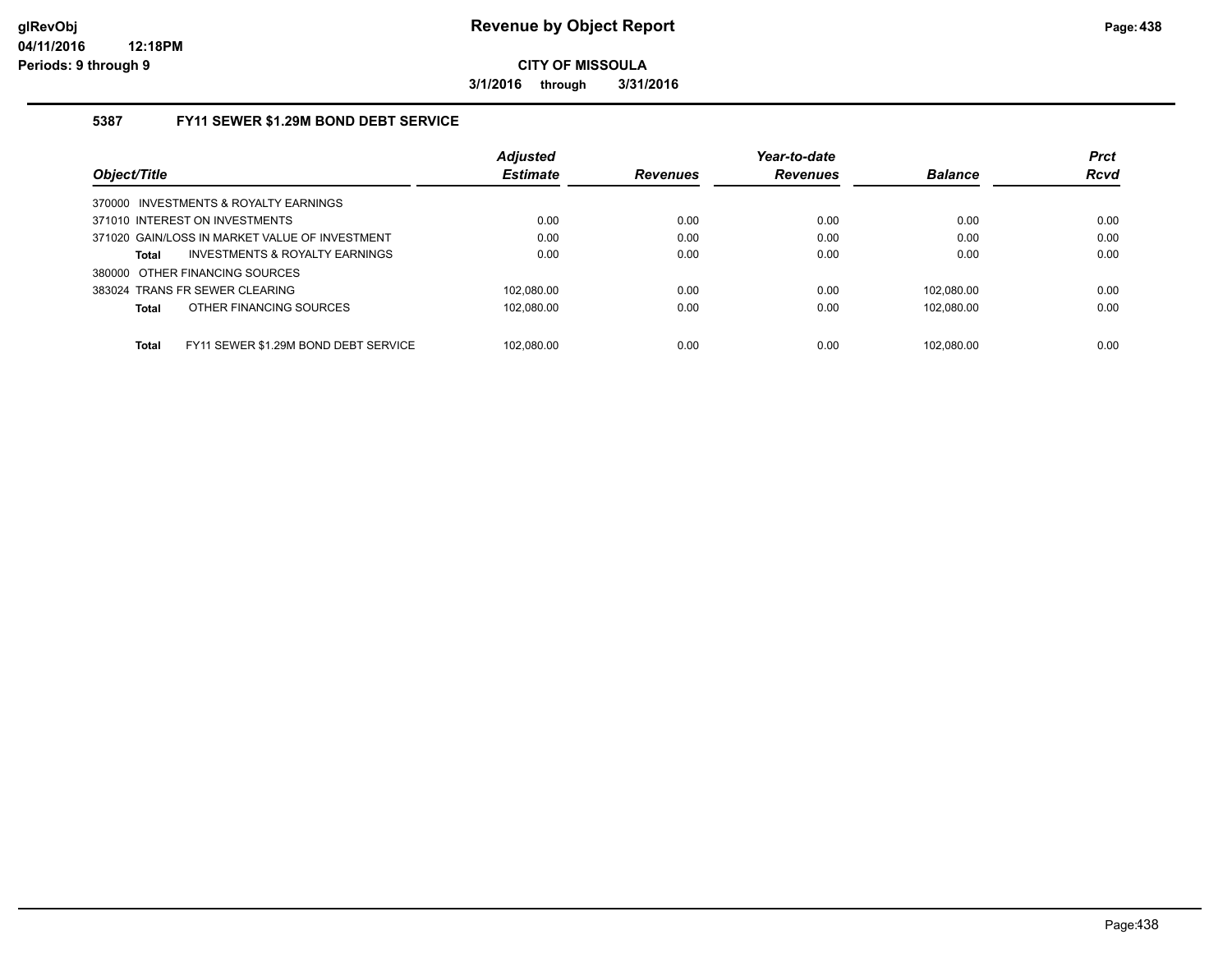**3/1/2016 through 3/31/2016**

### **5387 FY11 SEWER \$1.29M BOND DEBT SERVICE**

|                                                      | <b>Adjusted</b> |                 | Year-to-date    |                | <b>Prct</b> |
|------------------------------------------------------|-----------------|-----------------|-----------------|----------------|-------------|
| Object/Title                                         | <b>Estimate</b> | <b>Revenues</b> | <b>Revenues</b> | <b>Balance</b> | <b>Rcvd</b> |
| 370000 INVESTMENTS & ROYALTY EARNINGS                |                 |                 |                 |                |             |
| 371010 INTEREST ON INVESTMENTS                       | 0.00            | 0.00            | 0.00            | 0.00           | 0.00        |
| 371020 GAIN/LOSS IN MARKET VALUE OF INVESTMENT       | 0.00            | 0.00            | 0.00            | 0.00           | 0.00        |
| INVESTMENTS & ROYALTY EARNINGS<br><b>Total</b>       | 0.00            | 0.00            | 0.00            | 0.00           | 0.00        |
| 380000 OTHER FINANCING SOURCES                       |                 |                 |                 |                |             |
| 383024 TRANS FR SEWER CLEARING                       | 102.080.00      | 0.00            | 0.00            | 102.080.00     | 0.00        |
| OTHER FINANCING SOURCES<br><b>Total</b>              | 102.080.00      | 0.00            | 0.00            | 102.080.00     | 0.00        |
|                                                      |                 |                 |                 |                |             |
| FY11 SEWER \$1.29M BOND DEBT SERVICE<br><b>Total</b> | 102.080.00      | 0.00            | 0.00            | 102.080.00     | 0.00        |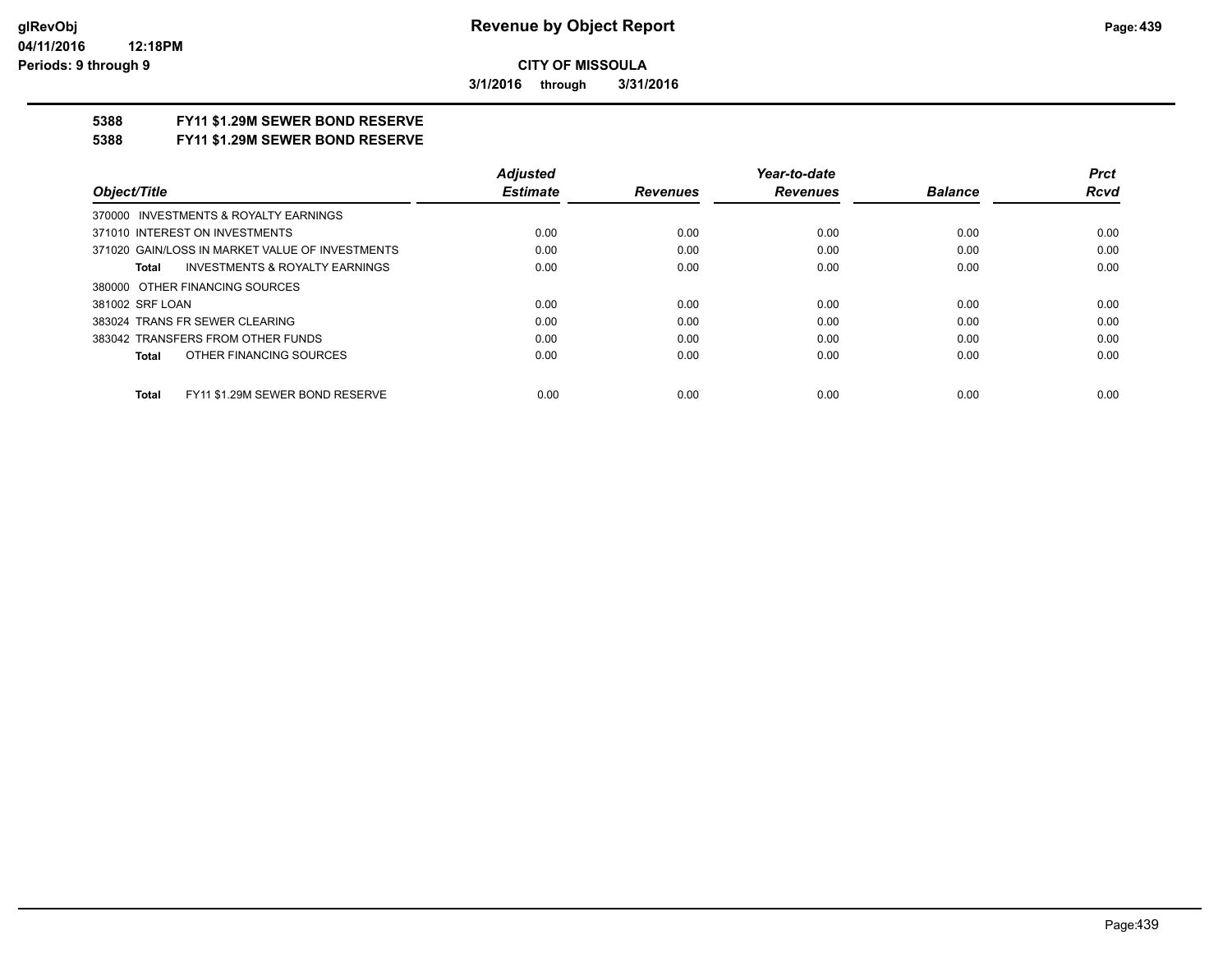**3/1/2016 through 3/31/2016**

## **5388 FY11 \$1.29M SEWER BOND RESERVE**

**5388 FY11 \$1.29M SEWER BOND RESERVE**

|                                                 | <b>Adiusted</b> |                 | Year-to-date    |                | <b>Prct</b> |
|-------------------------------------------------|-----------------|-----------------|-----------------|----------------|-------------|
| Object/Title                                    | <b>Estimate</b> | <b>Revenues</b> | <b>Revenues</b> | <b>Balance</b> | Rcvd        |
| 370000 INVESTMENTS & ROYALTY EARNINGS           |                 |                 |                 |                |             |
| 371010 INTEREST ON INVESTMENTS                  | 0.00            | 0.00            | 0.00            | 0.00           | 0.00        |
| 371020 GAIN/LOSS IN MARKET VALUE OF INVESTMENTS | 0.00            | 0.00            | 0.00            | 0.00           | 0.00        |
| INVESTMENTS & ROYALTY EARNINGS<br>Total         | 0.00            | 0.00            | 0.00            | 0.00           | 0.00        |
| 380000 OTHER FINANCING SOURCES                  |                 |                 |                 |                |             |
| 381002 SRF LOAN                                 | 0.00            | 0.00            | 0.00            | 0.00           | 0.00        |
| 383024 TRANS FR SEWER CLEARING                  | 0.00            | 0.00            | 0.00            | 0.00           | 0.00        |
| 383042 TRANSFERS FROM OTHER FUNDS               | 0.00            | 0.00            | 0.00            | 0.00           | 0.00        |
| OTHER FINANCING SOURCES<br>Total                | 0.00            | 0.00            | 0.00            | 0.00           | 0.00        |
| FY11 \$1.29M SEWER BOND RESERVE<br><b>Total</b> | 0.00            | 0.00            | 0.00            | 0.00           | 0.00        |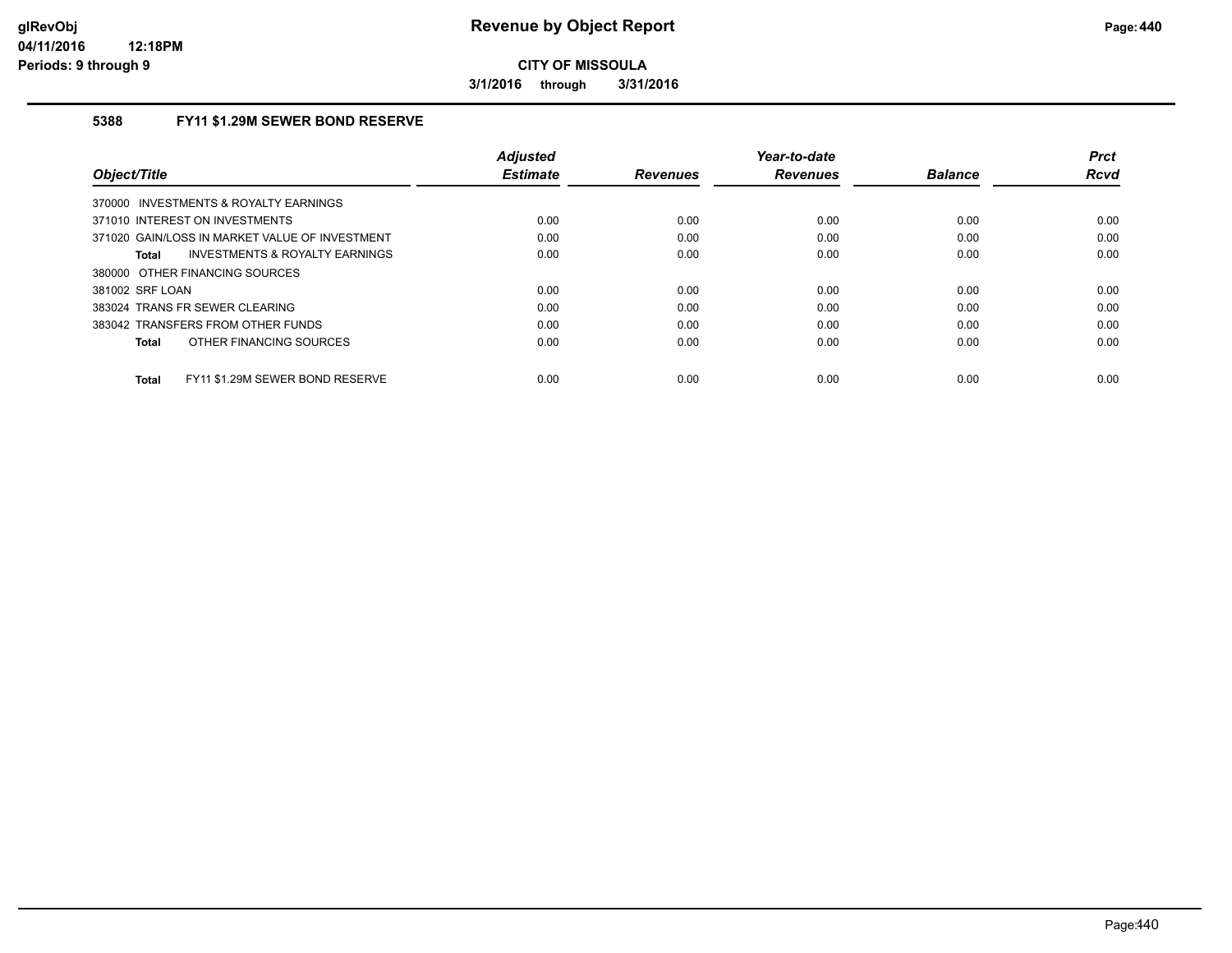**3/1/2016 through 3/31/2016**

### **5388 FY11 \$1.29M SEWER BOND RESERVE**

| Object/Title                                    | <b>Adjusted</b><br><b>Estimate</b> | <b>Revenues</b> | Year-to-date<br><b>Revenues</b> | <b>Balance</b> | <b>Prct</b><br>Rcvd |
|-------------------------------------------------|------------------------------------|-----------------|---------------------------------|----------------|---------------------|
| 370000 INVESTMENTS & ROYALTY EARNINGS           |                                    |                 |                                 |                |                     |
| 371010 INTEREST ON INVESTMENTS                  | 0.00                               | 0.00            | 0.00                            | 0.00           | 0.00                |
| 371020 GAIN/LOSS IN MARKET VALUE OF INVESTMENT  | 0.00                               | 0.00            | 0.00                            | 0.00           | 0.00                |
| INVESTMENTS & ROYALTY EARNINGS<br>Total         | 0.00                               | 0.00            | 0.00                            | 0.00           | 0.00                |
| 380000 OTHER FINANCING SOURCES                  |                                    |                 |                                 |                |                     |
| 381002 SRF LOAN                                 | 0.00                               | 0.00            | 0.00                            | 0.00           | 0.00                |
| 383024 TRANS FR SEWER CLEARING                  | 0.00                               | 0.00            | 0.00                            | 0.00           | 0.00                |
| 383042 TRANSFERS FROM OTHER FUNDS               | 0.00                               | 0.00            | 0.00                            | 0.00           | 0.00                |
| OTHER FINANCING SOURCES<br><b>Total</b>         | 0.00                               | 0.00            | 0.00                            | 0.00           | 0.00                |
| FY11 \$1.29M SEWER BOND RESERVE<br><b>Total</b> | 0.00                               | 0.00            | 0.00                            | 0.00           | 0.00                |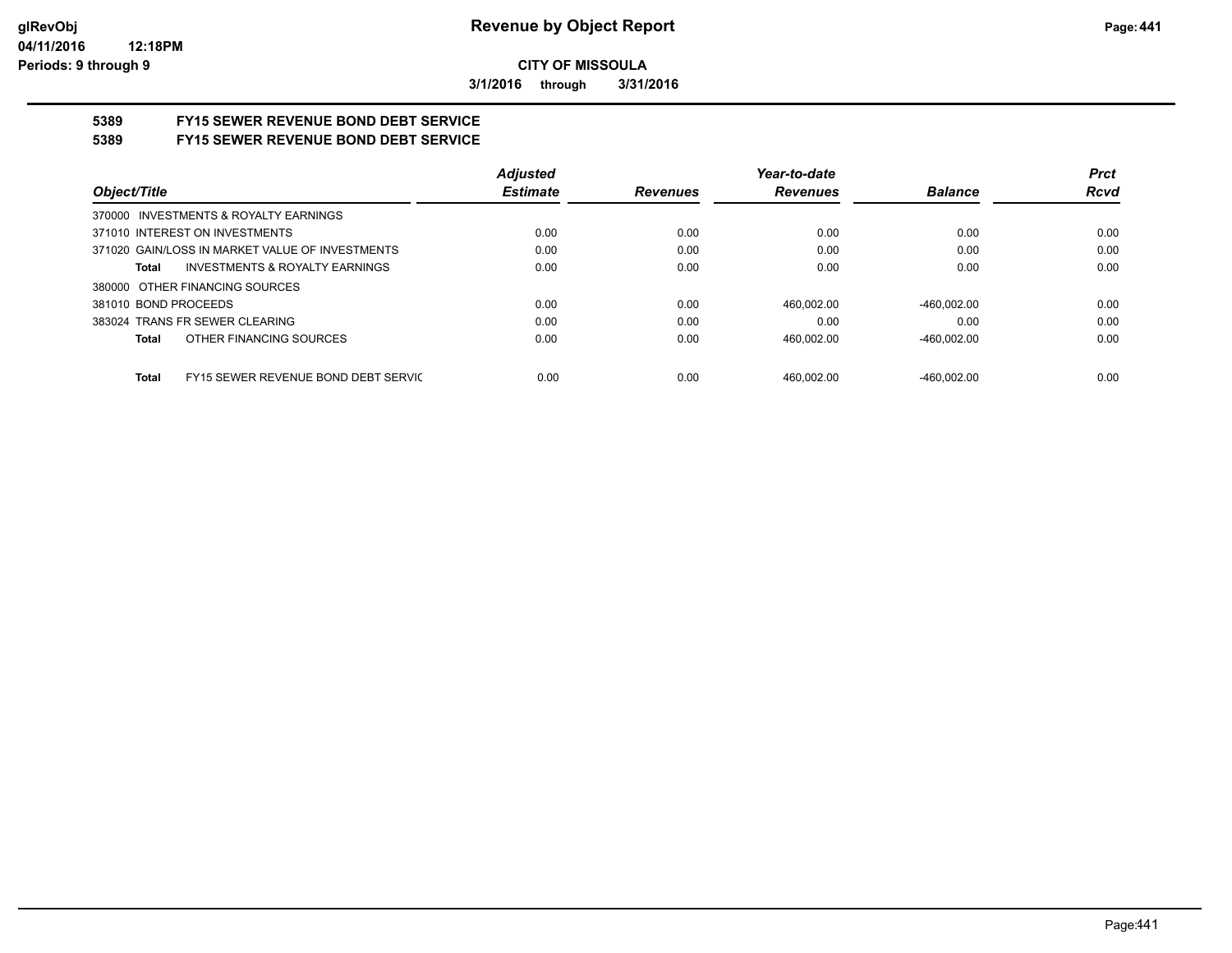**3/1/2016 through 3/31/2016**

# **5389 FY15 SEWER REVENUE BOND DEBT SERVICE**

# **5389 FY15 SEWER REVENUE BOND DEBT SERVICE**

|                                                     | <b>Adjusted</b> |          | Year-to-date    |                | <b>Prct</b> |
|-----------------------------------------------------|-----------------|----------|-----------------|----------------|-------------|
| Object/Title                                        | <b>Estimate</b> | Revenues | <b>Revenues</b> | <b>Balance</b> | <b>Rcvd</b> |
| 370000 INVESTMENTS & ROYALTY EARNINGS               |                 |          |                 |                |             |
| 371010 INTEREST ON INVESTMENTS                      | 0.00            | 0.00     | 0.00            | 0.00           | 0.00        |
| 371020 GAIN/LOSS IN MARKET VALUE OF INVESTMENTS     | 0.00            | 0.00     | 0.00            | 0.00           | 0.00        |
| <b>INVESTMENTS &amp; ROYALTY EARNINGS</b><br>Total  | 0.00            | 0.00     | 0.00            | 0.00           | 0.00        |
| 380000 OTHER FINANCING SOURCES                      |                 |          |                 |                |             |
| 381010 BOND PROCEEDS                                | 0.00            | 0.00     | 460.002.00      | $-460.002.00$  | 0.00        |
| 383024 TRANS FR SEWER CLEARING                      | 0.00            | 0.00     | 0.00            | 0.00           | 0.00        |
| OTHER FINANCING SOURCES<br>Total                    | 0.00            | 0.00     | 460.002.00      | $-460.002.00$  | 0.00        |
|                                                     |                 |          |                 |                |             |
| FY15 SEWER REVENUE BOND DEBT SERVIC<br><b>Total</b> | 0.00            | 0.00     | 460.002.00      | $-460.002.00$  | 0.00        |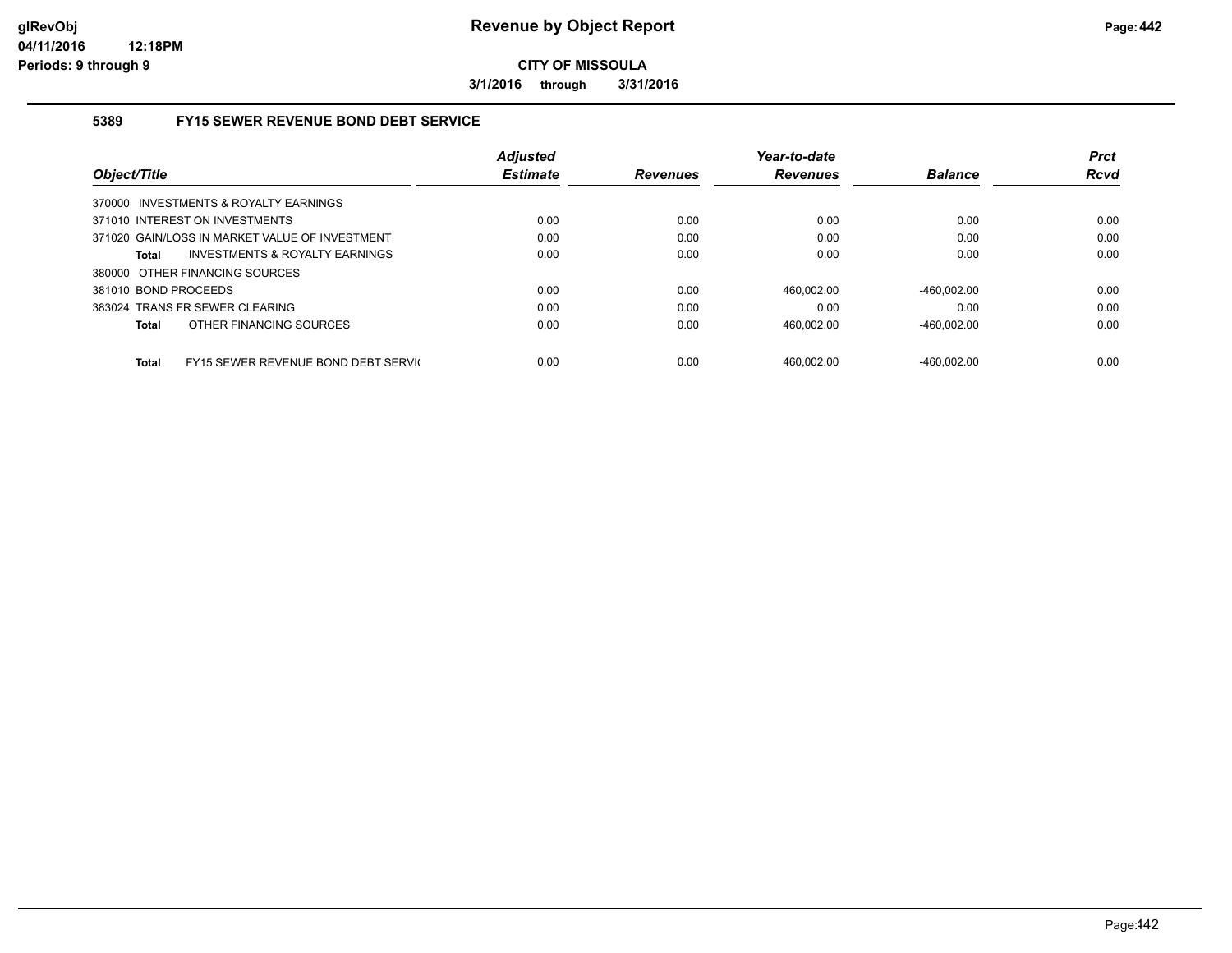**3/1/2016 through 3/31/2016**

#### **5389 FY15 SEWER REVENUE BOND DEBT SERVICE**

|                                                             | <b>Adiusted</b> |                 | Year-to-date    |                | <b>Prct</b> |
|-------------------------------------------------------------|-----------------|-----------------|-----------------|----------------|-------------|
| Object/Title                                                | <b>Estimate</b> | <b>Revenues</b> | <b>Revenues</b> | <b>Balance</b> | <b>Rcvd</b> |
| 370000 INVESTMENTS & ROYALTY EARNINGS                       |                 |                 |                 |                |             |
| 371010 INTEREST ON INVESTMENTS                              | 0.00            | 0.00            | 0.00            | 0.00           | 0.00        |
| 371020 GAIN/LOSS IN MARKET VALUE OF INVESTMENT              | 0.00            | 0.00            | 0.00            | 0.00           | 0.00        |
| INVESTMENTS & ROYALTY EARNINGS<br><b>Total</b>              | 0.00            | 0.00            | 0.00            | 0.00           | 0.00        |
| 380000 OTHER FINANCING SOURCES                              |                 |                 |                 |                |             |
| 381010 BOND PROCEEDS                                        | 0.00            | 0.00            | 460.002.00      | $-460.002.00$  | 0.00        |
| 383024 TRANS FR SEWER CLEARING                              | 0.00            | 0.00            | 0.00            | 0.00           | 0.00        |
| OTHER FINANCING SOURCES<br><b>Total</b>                     | 0.00            | 0.00            | 460,002.00      | $-460,002.00$  | 0.00        |
|                                                             |                 |                 |                 |                |             |
| <b>FY15 SEWER REVENUE BOND DEBT SERVICE</b><br><b>Total</b> | 0.00            | 0.00            | 460.002.00      | -460.002.00    | 0.00        |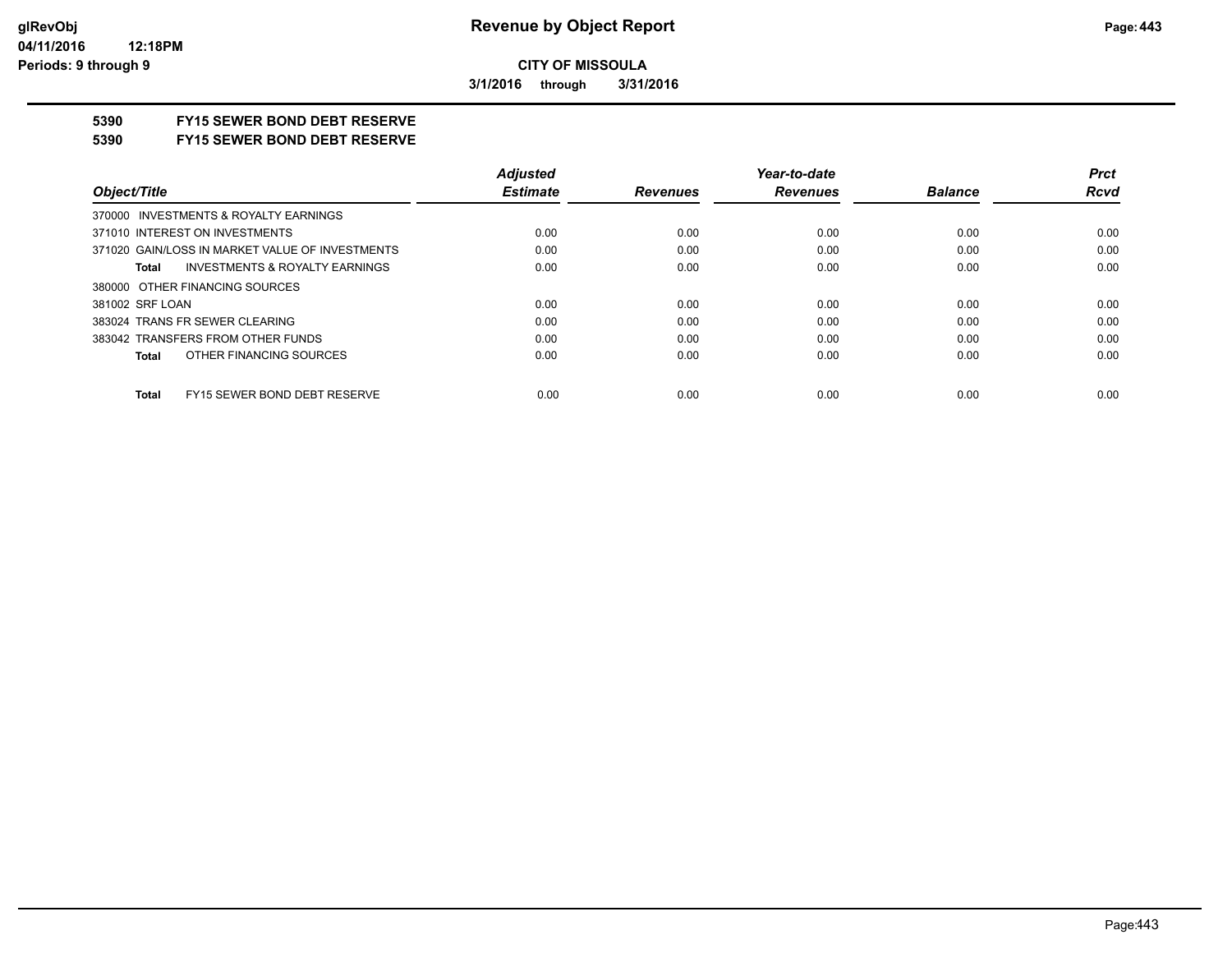**3/1/2016 through 3/31/2016**

## **5390 FY15 SEWER BOND DEBT RESERVE**

#### **5390 FY15 SEWER BOND DEBT RESERVE**

|                                                    | <b>Adjusted</b> |                 | Year-to-date    |                | <b>Prct</b> |
|----------------------------------------------------|-----------------|-----------------|-----------------|----------------|-------------|
| Object/Title                                       | <b>Estimate</b> | <b>Revenues</b> | <b>Revenues</b> | <b>Balance</b> | <b>Rcvd</b> |
| 370000 INVESTMENTS & ROYALTY EARNINGS              |                 |                 |                 |                |             |
| 371010 INTEREST ON INVESTMENTS                     | 0.00            | 0.00            | 0.00            | 0.00           | 0.00        |
| 371020 GAIN/LOSS IN MARKET VALUE OF INVESTMENTS    | 0.00            | 0.00            | 0.00            | 0.00           | 0.00        |
| <b>INVESTMENTS &amp; ROYALTY EARNINGS</b><br>Total | 0.00            | 0.00            | 0.00            | 0.00           | 0.00        |
| 380000 OTHER FINANCING SOURCES                     |                 |                 |                 |                |             |
| 381002 SRF LOAN                                    | 0.00            | 0.00            | 0.00            | 0.00           | 0.00        |
| 383024 TRANS FR SEWER CLEARING                     | 0.00            | 0.00            | 0.00            | 0.00           | 0.00        |
| 383042 TRANSFERS FROM OTHER FUNDS                  | 0.00            | 0.00            | 0.00            | 0.00           | 0.00        |
| OTHER FINANCING SOURCES<br>Total                   | 0.00            | 0.00            | 0.00            | 0.00           | 0.00        |
|                                                    |                 |                 |                 |                |             |
| FY15 SEWER BOND DEBT RESERVE<br><b>Total</b>       | 0.00            | 0.00            | 0.00            | 0.00           | 0.00        |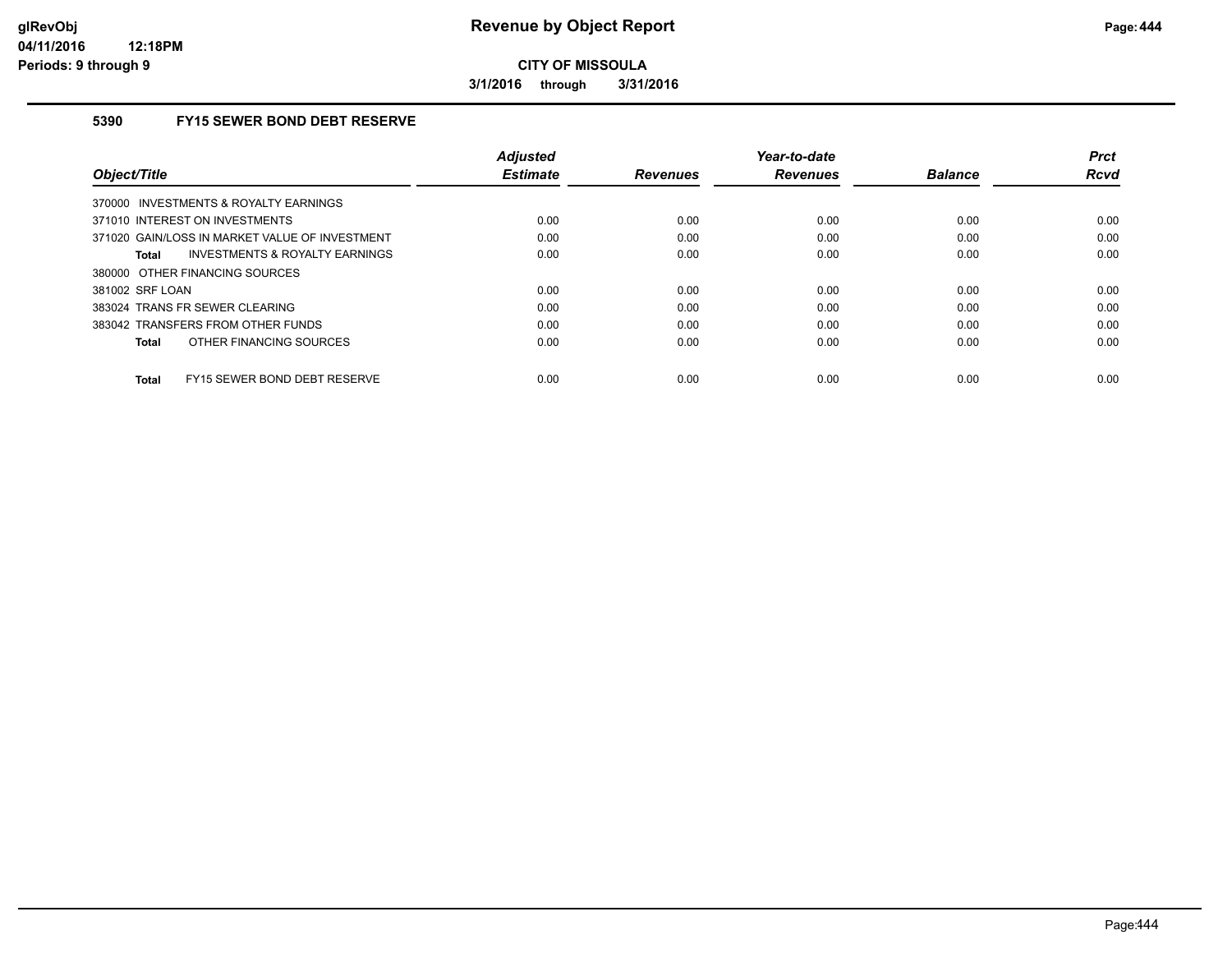**3/1/2016 through 3/31/2016**

### **5390 FY15 SEWER BOND DEBT RESERVE**

| Object/Title                                       | <b>Adjusted</b><br><b>Estimate</b> | <b>Revenues</b> | Year-to-date<br><b>Revenues</b> | <b>Balance</b> | <b>Prct</b><br>Rcvd |
|----------------------------------------------------|------------------------------------|-----------------|---------------------------------|----------------|---------------------|
| 370000 INVESTMENTS & ROYALTY EARNINGS              |                                    |                 |                                 |                |                     |
| 371010 INTEREST ON INVESTMENTS                     | 0.00                               | 0.00            | 0.00                            | 0.00           | 0.00                |
| 371020 GAIN/LOSS IN MARKET VALUE OF INVESTMENT     | 0.00                               | 0.00            | 0.00                            | 0.00           | 0.00                |
| <b>INVESTMENTS &amp; ROYALTY EARNINGS</b><br>Total | 0.00                               | 0.00            | 0.00                            | 0.00           | 0.00                |
| 380000 OTHER FINANCING SOURCES                     |                                    |                 |                                 |                |                     |
| 381002 SRF LOAN                                    | 0.00                               | 0.00            | 0.00                            | 0.00           | 0.00                |
| 383024 TRANS FR SEWER CLEARING                     | 0.00                               | 0.00            | 0.00                            | 0.00           | 0.00                |
| 383042 TRANSFERS FROM OTHER FUNDS                  | 0.00                               | 0.00            | 0.00                            | 0.00           | 0.00                |
| OTHER FINANCING SOURCES<br>Total                   | 0.00                               | 0.00            | 0.00                            | 0.00           | 0.00                |
| FY15 SEWER BOND DEBT RESERVE<br>Total              | 0.00                               | 0.00            | 0.00                            | 0.00           | 0.00                |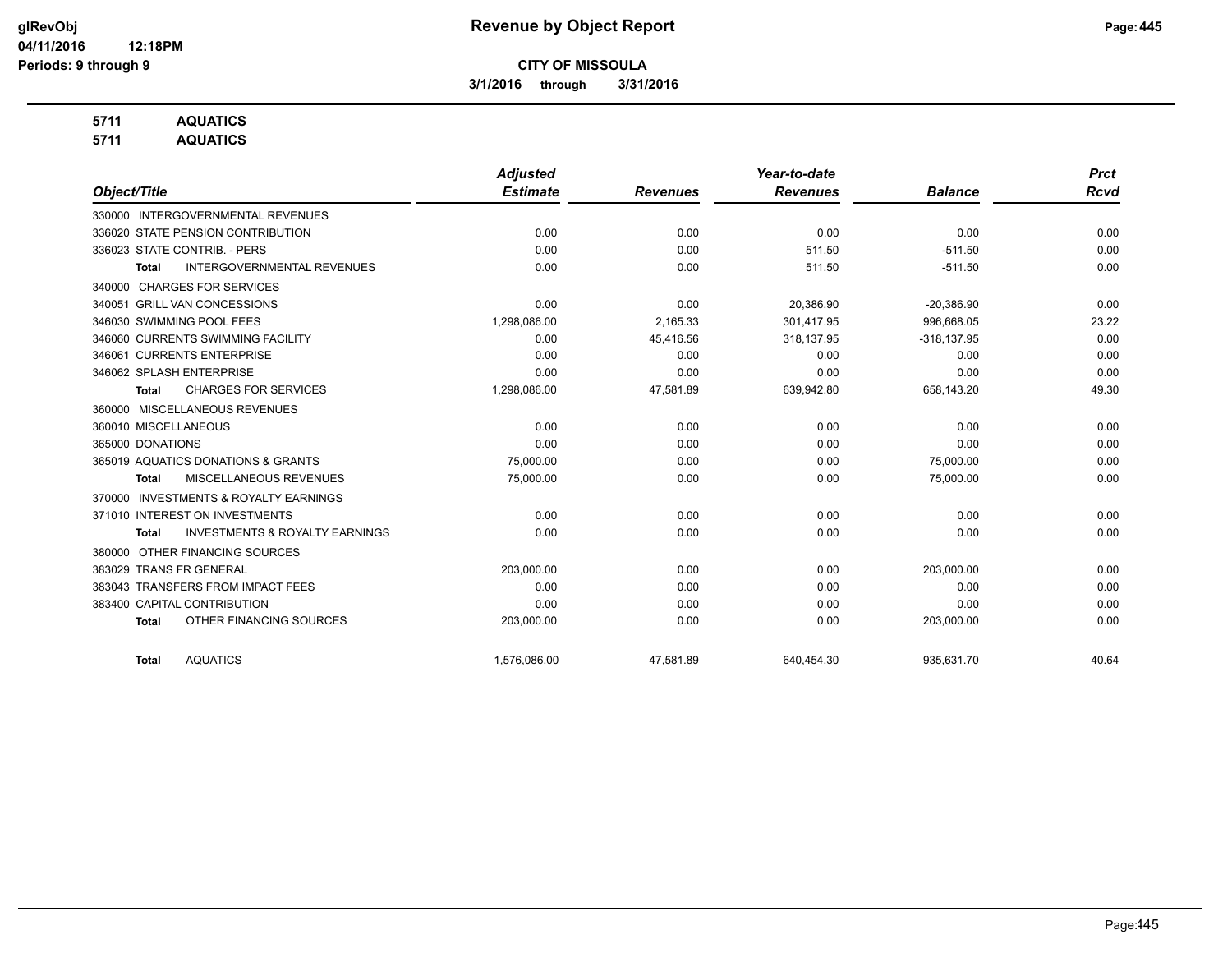**3/1/2016 through 3/31/2016**

## **5711 AQUATICS**

**5711 AQUATICS**

|                                                           | <b>Adjusted</b> |                 | Year-to-date    |                | <b>Prct</b> |
|-----------------------------------------------------------|-----------------|-----------------|-----------------|----------------|-------------|
| Object/Title                                              | <b>Estimate</b> | <b>Revenues</b> | <b>Revenues</b> | <b>Balance</b> | <b>Rcvd</b> |
| 330000 INTERGOVERNMENTAL REVENUES                         |                 |                 |                 |                |             |
| 336020 STATE PENSION CONTRIBUTION                         | 0.00            | 0.00            | 0.00            | 0.00           | 0.00        |
| 336023 STATE CONTRIB. - PERS                              | 0.00            | 0.00            | 511.50          | $-511.50$      | 0.00        |
| <b>INTERGOVERNMENTAL REVENUES</b><br>Total                | 0.00            | 0.00            | 511.50          | $-511.50$      | 0.00        |
| <b>CHARGES FOR SERVICES</b><br>340000                     |                 |                 |                 |                |             |
| 340051 GRILL VAN CONCESSIONS                              | 0.00            | 0.00            | 20,386.90       | $-20,386.90$   | 0.00        |
| 346030 SWIMMING POOL FEES                                 | 1,298,086.00    | 2,165.33        | 301,417.95      | 996,668.05     | 23.22       |
| 346060 CURRENTS SWIMMING FACILITY                         | 0.00            | 45,416.56       | 318,137.95      | $-318, 137.95$ | 0.00        |
| 346061 CURRENTS ENTERPRISE                                | 0.00            | 0.00            | 0.00            | 0.00           | 0.00        |
| 346062 SPLASH ENTERPRISE                                  | 0.00            | 0.00            | 0.00            | 0.00           | 0.00        |
| <b>CHARGES FOR SERVICES</b><br><b>Total</b>               | 1,298,086.00    | 47,581.89       | 639,942.80      | 658,143.20     | 49.30       |
| 360000 MISCELLANEOUS REVENUES                             |                 |                 |                 |                |             |
| 360010 MISCELLANEOUS                                      | 0.00            | 0.00            | 0.00            | 0.00           | 0.00        |
| 365000 DONATIONS                                          | 0.00            | 0.00            | 0.00            | 0.00           | 0.00        |
| 365019 AQUATICS DONATIONS & GRANTS                        | 75,000.00       | 0.00            | 0.00            | 75,000.00      | 0.00        |
| MISCELLANEOUS REVENUES<br>Total                           | 75,000.00       | 0.00            | 0.00            | 75,000.00      | 0.00        |
| <b>INVESTMENTS &amp; ROYALTY EARNINGS</b><br>370000       |                 |                 |                 |                |             |
| 371010 INTEREST ON INVESTMENTS                            | 0.00            | 0.00            | 0.00            | 0.00           | 0.00        |
| <b>INVESTMENTS &amp; ROYALTY EARNINGS</b><br><b>Total</b> | 0.00            | 0.00            | 0.00            | 0.00           | 0.00        |
| OTHER FINANCING SOURCES<br>380000                         |                 |                 |                 |                |             |
| 383029 TRANS FR GENERAL                                   | 203,000.00      | 0.00            | 0.00            | 203,000.00     | 0.00        |
| 383043 TRANSFERS FROM IMPACT FEES                         | 0.00            | 0.00            | 0.00            | 0.00           | 0.00        |
| 383400 CAPITAL CONTRIBUTION                               | 0.00            | 0.00            | 0.00            | 0.00           | 0.00        |
| OTHER FINANCING SOURCES<br><b>Total</b>                   | 203,000.00      | 0.00            | 0.00            | 203,000.00     | 0.00        |
| <b>AQUATICS</b><br><b>Total</b>                           | 1,576,086.00    | 47,581.89       | 640,454.30      | 935,631.70     | 40.64       |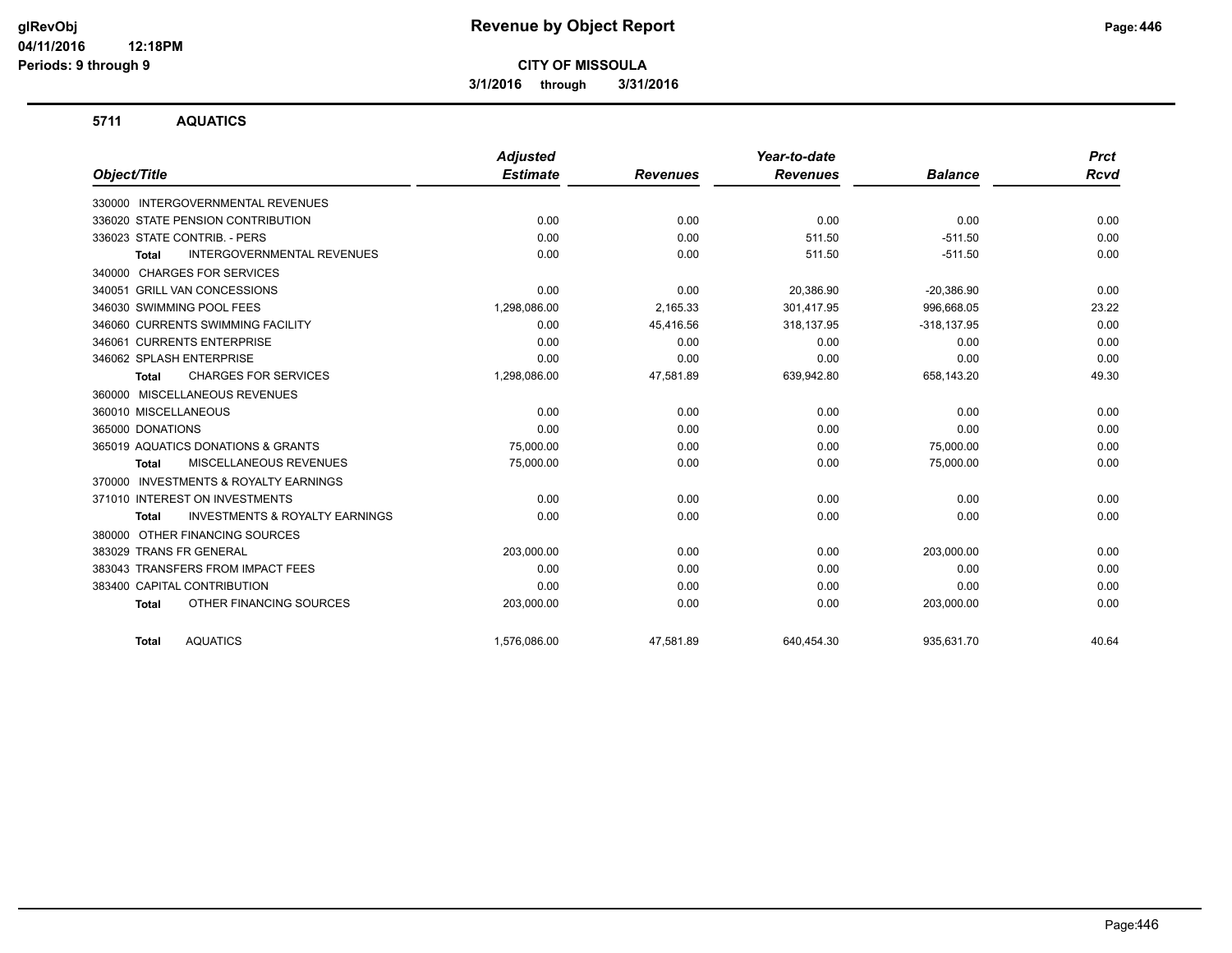**3/1/2016 through 3/31/2016**

#### **5711 AQUATICS**

|                                                           | <b>Adjusted</b> |                 | Year-to-date    |                | <b>Prct</b> |
|-----------------------------------------------------------|-----------------|-----------------|-----------------|----------------|-------------|
| Object/Title                                              | <b>Estimate</b> | <b>Revenues</b> | <b>Revenues</b> | <b>Balance</b> | <b>Rcvd</b> |
| 330000 INTERGOVERNMENTAL REVENUES                         |                 |                 |                 |                |             |
| 336020 STATE PENSION CONTRIBUTION                         | 0.00            | 0.00            | 0.00            | 0.00           | 0.00        |
| 336023 STATE CONTRIB. - PERS                              | 0.00            | 0.00            | 511.50          | $-511.50$      | 0.00        |
| <b>INTERGOVERNMENTAL REVENUES</b><br><b>Total</b>         | 0.00            | 0.00            | 511.50          | $-511.50$      | 0.00        |
| <b>CHARGES FOR SERVICES</b><br>340000                     |                 |                 |                 |                |             |
| 340051 GRILL VAN CONCESSIONS                              | 0.00            | 0.00            | 20,386.90       | $-20,386.90$   | 0.00        |
| 346030 SWIMMING POOL FEES                                 | 1,298,086.00    | 2,165.33        | 301,417.95      | 996,668.05     | 23.22       |
| 346060 CURRENTS SWIMMING FACILITY                         | 0.00            | 45,416.56       | 318,137.95      | $-318, 137.95$ | 0.00        |
| 346061 CURRENTS ENTERPRISE                                | 0.00            | 0.00            | 0.00            | 0.00           | 0.00        |
| 346062 SPLASH ENTERPRISE                                  | 0.00            | 0.00            | 0.00            | 0.00           | 0.00        |
| <b>CHARGES FOR SERVICES</b><br><b>Total</b>               | 1,298,086.00    | 47,581.89       | 639,942.80      | 658,143.20     | 49.30       |
| MISCELLANEOUS REVENUES<br>360000                          |                 |                 |                 |                |             |
| 360010 MISCELLANEOUS                                      | 0.00            | 0.00            | 0.00            | 0.00           | 0.00        |
| 365000 DONATIONS                                          | 0.00            | 0.00            | 0.00            | 0.00           | 0.00        |
| 365019 AQUATICS DONATIONS & GRANTS                        | 75,000.00       | 0.00            | 0.00            | 75,000.00      | 0.00        |
| MISCELLANEOUS REVENUES<br><b>Total</b>                    | 75,000.00       | 0.00            | 0.00            | 75,000.00      | 0.00        |
| <b>INVESTMENTS &amp; ROYALTY EARNINGS</b><br>370000       |                 |                 |                 |                |             |
| 371010 INTEREST ON INVESTMENTS                            | 0.00            | 0.00            | 0.00            | 0.00           | 0.00        |
| <b>INVESTMENTS &amp; ROYALTY EARNINGS</b><br><b>Total</b> | 0.00            | 0.00            | 0.00            | 0.00           | 0.00        |
| OTHER FINANCING SOURCES<br>380000                         |                 |                 |                 |                |             |
| 383029 TRANS FR GENERAL                                   | 203,000.00      | 0.00            | 0.00            | 203,000.00     | 0.00        |
| 383043 TRANSFERS FROM IMPACT FEES                         | 0.00            | 0.00            | 0.00            | 0.00           | 0.00        |
| 383400 CAPITAL CONTRIBUTION                               | 0.00            | 0.00            | 0.00            | 0.00           | 0.00        |
| OTHER FINANCING SOURCES<br><b>Total</b>                   | 203,000.00      | 0.00            | 0.00            | 203,000.00     | 0.00        |
| <b>AQUATICS</b><br><b>Total</b>                           | 1,576,086.00    | 47,581.89       | 640,454.30      | 935,631.70     | 40.64       |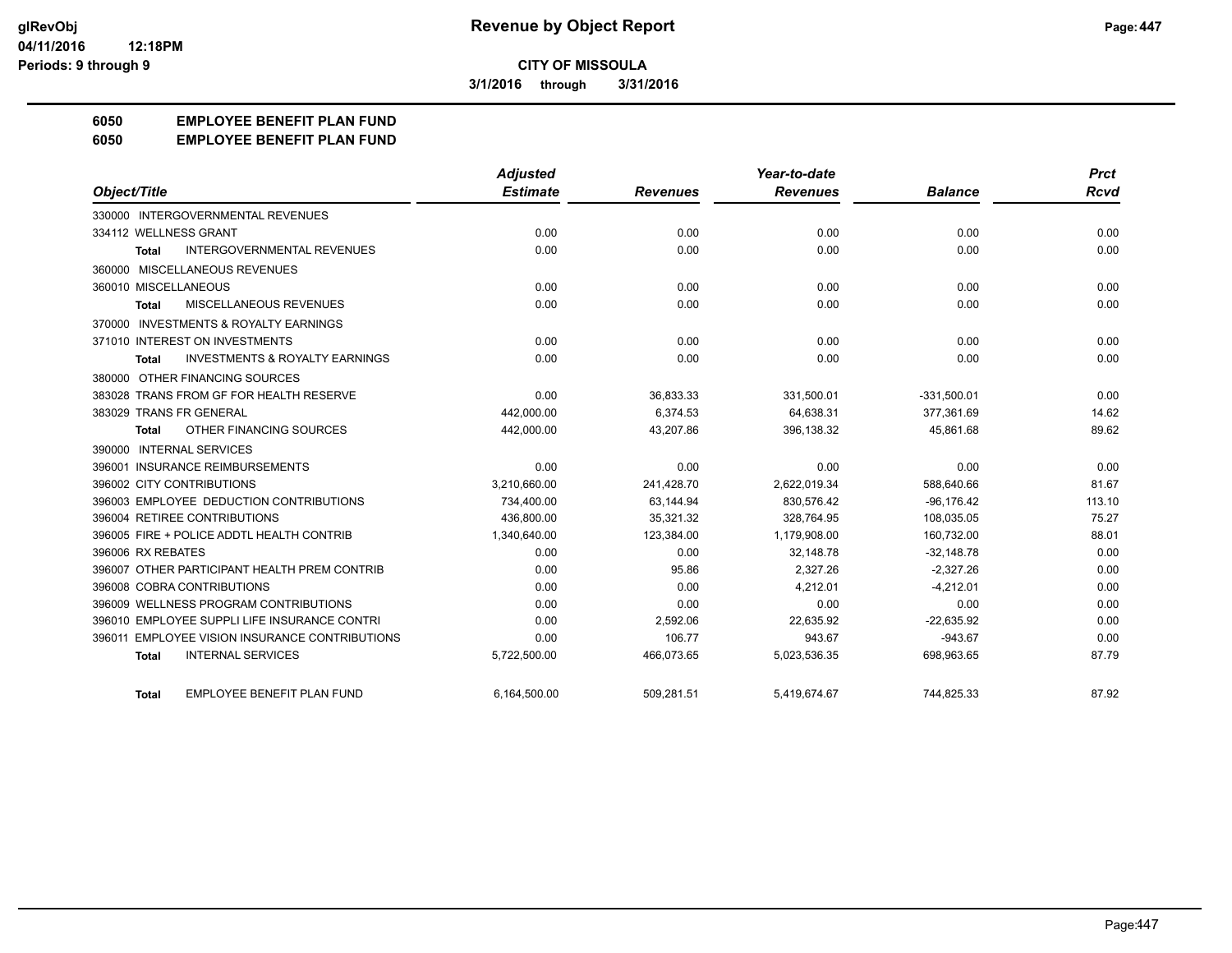**3/1/2016 through 3/31/2016**

# **6050 EMPLOYEE BENEFIT PLAN FUND**

#### **6050 EMPLOYEE BENEFIT PLAN FUND**

|                                                           | <b>Adjusted</b> |                 | Year-to-date    |                | <b>Prct</b> |
|-----------------------------------------------------------|-----------------|-----------------|-----------------|----------------|-------------|
| Object/Title                                              | <b>Estimate</b> | <b>Revenues</b> | <b>Revenues</b> | <b>Balance</b> | Rcvd        |
| 330000 INTERGOVERNMENTAL REVENUES                         |                 |                 |                 |                |             |
| 334112 WELLNESS GRANT                                     | 0.00            | 0.00            | 0.00            | 0.00           | 0.00        |
| <b>INTERGOVERNMENTAL REVENUES</b><br><b>Total</b>         | 0.00            | 0.00            | 0.00            | 0.00           | 0.00        |
| 360000 MISCELLANEOUS REVENUES                             |                 |                 |                 |                |             |
| 360010 MISCELLANEOUS                                      | 0.00            | 0.00            | 0.00            | 0.00           | 0.00        |
| MISCELLANEOUS REVENUES<br><b>Total</b>                    | 0.00            | 0.00            | 0.00            | 0.00           | 0.00        |
| 370000 INVESTMENTS & ROYALTY EARNINGS                     |                 |                 |                 |                |             |
| 371010 INTEREST ON INVESTMENTS                            | 0.00            | 0.00            | 0.00            | 0.00           | 0.00        |
| <b>INVESTMENTS &amp; ROYALTY EARNINGS</b><br><b>Total</b> | 0.00            | 0.00            | 0.00            | 0.00           | 0.00        |
| 380000 OTHER FINANCING SOURCES                            |                 |                 |                 |                |             |
| 383028 TRANS FROM GF FOR HEALTH RESERVE                   | 0.00            | 36,833.33       | 331,500.01      | $-331,500.01$  | 0.00        |
| 383029 TRANS FR GENERAL                                   | 442,000.00      | 6,374.53        | 64,638.31       | 377,361.69     | 14.62       |
| OTHER FINANCING SOURCES<br><b>Total</b>                   | 442,000.00      | 43,207.86       | 396,138.32      | 45,861.68      | 89.62       |
| 390000 INTERNAL SERVICES                                  |                 |                 |                 |                |             |
| 396001 INSURANCE REIMBURSEMENTS                           | 0.00            | 0.00            | 0.00            | 0.00           | 0.00        |
| 396002 CITY CONTRIBUTIONS                                 | 3,210,660.00    | 241,428.70      | 2,622,019.34    | 588,640.66     | 81.67       |
| 396003 EMPLOYEE DEDUCTION CONTRIBUTIONS                   | 734,400.00      | 63.144.94       | 830.576.42      | $-96.176.42$   | 113.10      |
| 396004 RETIREE CONTRIBUTIONS                              | 436,800.00      | 35,321.32       | 328,764.95      | 108,035.05     | 75.27       |
| 396005 FIRE + POLICE ADDTL HEALTH CONTRIB                 | 1,340,640.00    | 123,384.00      | 1,179,908.00    | 160,732.00     | 88.01       |
| 396006 RX REBATES                                         | 0.00            | 0.00            | 32.148.78       | $-32,148.78$   | 0.00        |
| 396007 OTHER PARTICIPANT HEALTH PREM CONTRIB              | 0.00            | 95.86           | 2,327.26        | $-2,327.26$    | 0.00        |
| 396008 COBRA CONTRIBUTIONS                                | 0.00            | 0.00            | 4,212.01        | $-4,212.01$    | 0.00        |
| 396009 WELLNESS PROGRAM CONTRIBUTIONS                     | 0.00            | 0.00            | 0.00            | 0.00           | 0.00        |
| 396010 EMPLOYEE SUPPLI LIFE INSURANCE CONTRI              | 0.00            | 2,592.06        | 22,635.92       | $-22,635.92$   | 0.00        |
| <b>EMPLOYEE VISION INSURANCE CONTRIBUTIONS</b><br>396011  | 0.00            | 106.77          | 943.67          | $-943.67$      | 0.00        |
| <b>INTERNAL SERVICES</b><br><b>Total</b>                  | 5,722,500.00    | 466,073.65      | 5,023,536.35    | 698,963.65     | 87.79       |
| <b>EMPLOYEE BENEFIT PLAN FUND</b><br>Total                | 6,164,500.00    | 509,281.51      | 5,419,674.67    | 744,825.33     | 87.92       |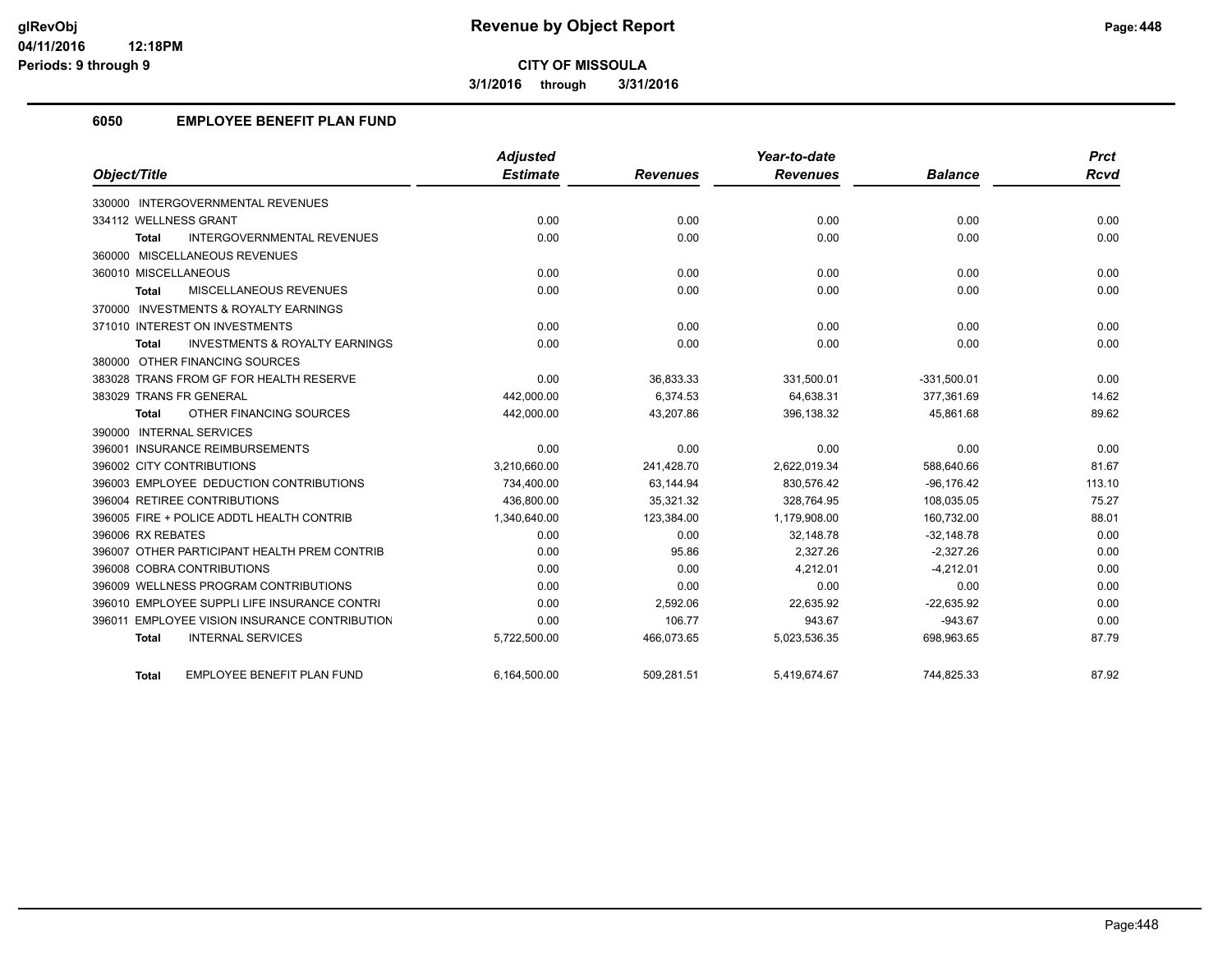**3/1/2016 through 3/31/2016**

# **6050 EMPLOYEE BENEFIT PLAN FUND**

|                                                           | <b>Adjusted</b> |                 | Year-to-date    |                | <b>Prct</b> |
|-----------------------------------------------------------|-----------------|-----------------|-----------------|----------------|-------------|
| Object/Title                                              | <b>Estimate</b> | <b>Revenues</b> | <b>Revenues</b> | <b>Balance</b> | Rcvd        |
| 330000 INTERGOVERNMENTAL REVENUES                         |                 |                 |                 |                |             |
| 334112 WELLNESS GRANT                                     | 0.00            | 0.00            | 0.00            | 0.00           | 0.00        |
| <b>INTERGOVERNMENTAL REVENUES</b><br><b>Total</b>         | 0.00            | 0.00            | 0.00            | 0.00           | 0.00        |
| 360000 MISCELLANEOUS REVENUES                             |                 |                 |                 |                |             |
| 360010 MISCELLANEOUS                                      | 0.00            | 0.00            | 0.00            | 0.00           | 0.00        |
| <b>MISCELLANEOUS REVENUES</b><br><b>Total</b>             | 0.00            | 0.00            | 0.00            | 0.00           | 0.00        |
| 370000 INVESTMENTS & ROYALTY EARNINGS                     |                 |                 |                 |                |             |
| 371010 INTEREST ON INVESTMENTS                            | 0.00            | 0.00            | 0.00            | 0.00           | 0.00        |
| <b>INVESTMENTS &amp; ROYALTY EARNINGS</b><br><b>Total</b> | 0.00            | 0.00            | 0.00            | 0.00           | 0.00        |
| 380000 OTHER FINANCING SOURCES                            |                 |                 |                 |                |             |
| 383028 TRANS FROM GF FOR HEALTH RESERVE                   | 0.00            | 36,833.33       | 331,500.01      | $-331,500.01$  | 0.00        |
| 383029 TRANS FR GENERAL                                   | 442,000.00      | 6,374.53        | 64,638.31       | 377,361.69     | 14.62       |
| OTHER FINANCING SOURCES<br><b>Total</b>                   | 442,000.00      | 43,207.86       | 396,138.32      | 45,861.68      | 89.62       |
| 390000 INTERNAL SERVICES                                  |                 |                 |                 |                |             |
| 396001 INSURANCE REIMBURSEMENTS                           | 0.00            | 0.00            | 0.00            | 0.00           | 0.00        |
| 396002 CITY CONTRIBUTIONS                                 | 3,210,660.00    | 241,428.70      | 2,622,019.34    | 588,640.66     | 81.67       |
| 396003 EMPLOYEE DEDUCTION CONTRIBUTIONS                   | 734,400.00      | 63,144.94       | 830,576.42      | $-96,176.42$   | 113.10      |
| 396004 RETIREE CONTRIBUTIONS                              | 436.800.00      | 35.321.32       | 328.764.95      | 108,035.05     | 75.27       |
| 396005 FIRE + POLICE ADDTL HEALTH CONTRIB                 | 1,340,640.00    | 123,384.00      | 1,179,908.00    | 160,732.00     | 88.01       |
| 396006 RX REBATES                                         | 0.00            | 0.00            | 32.148.78       | $-32,148.78$   | 0.00        |
| 396007 OTHER PARTICIPANT HEALTH PREM CONTRIB              | 0.00            | 95.86           | 2,327.26        | $-2,327.26$    | 0.00        |
| 396008 COBRA CONTRIBUTIONS                                | 0.00            | 0.00            | 4.212.01        | $-4.212.01$    | 0.00        |
| 396009 WELLNESS PROGRAM CONTRIBUTIONS                     | 0.00            | 0.00            | 0.00            | 0.00           | 0.00        |
| 396010 EMPLOYEE SUPPLI LIFE INSURANCE CONTRI              | 0.00            | 2,592.06        | 22,635.92       | $-22,635.92$   | 0.00        |
| 396011 EMPLOYEE VISION INSURANCE CONTRIBUTION             | 0.00            | 106.77          | 943.67          | $-943.67$      | 0.00        |
| <b>INTERNAL SERVICES</b><br><b>Total</b>                  | 5,722,500.00    | 466,073.65      | 5,023,536.35    | 698,963.65     | 87.79       |
| <b>EMPLOYEE BENEFIT PLAN FUND</b><br><b>Total</b>         | 6.164.500.00    | 509.281.51      | 5.419.674.67    | 744.825.33     | 87.92       |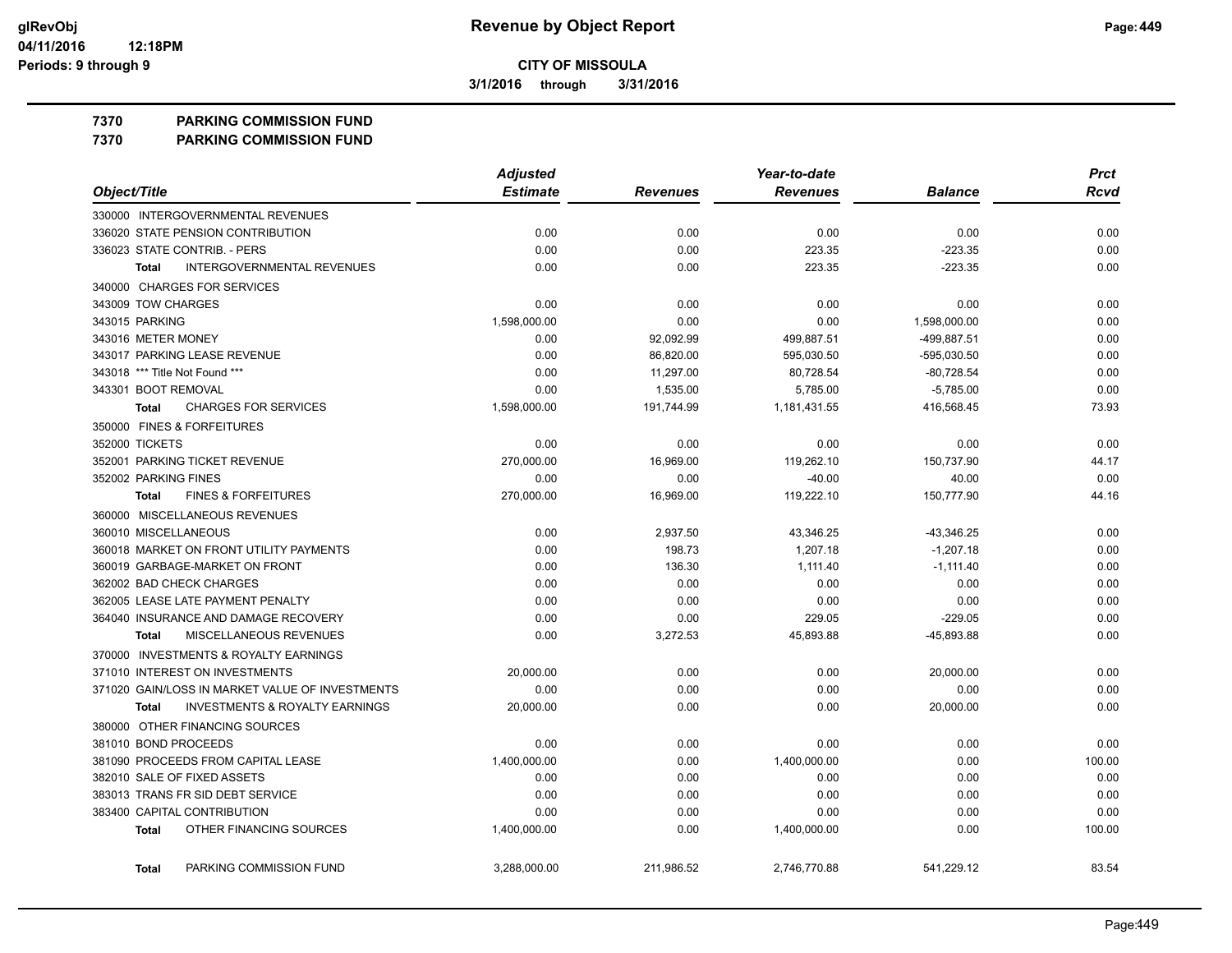**3/1/2016 through 3/31/2016**

### **7370 PARKING COMMISSION FUND**

**7370 PARKING COMMISSION FUND**

|                                                    | <b>Adjusted</b> |                 | Year-to-date    |                | <b>Prct</b> |
|----------------------------------------------------|-----------------|-----------------|-----------------|----------------|-------------|
| Object/Title                                       | <b>Estimate</b> | <b>Revenues</b> | <b>Revenues</b> | <b>Balance</b> | <b>Rcvd</b> |
| 330000 INTERGOVERNMENTAL REVENUES                  |                 |                 |                 |                |             |
| 336020 STATE PENSION CONTRIBUTION                  | 0.00            | 0.00            | 0.00            | 0.00           | 0.00        |
| 336023 STATE CONTRIB. - PERS                       | 0.00            | 0.00            | 223.35          | $-223.35$      | 0.00        |
| <b>INTERGOVERNMENTAL REVENUES</b><br><b>Total</b>  | 0.00            | 0.00            | 223.35          | $-223.35$      | 0.00        |
| 340000 CHARGES FOR SERVICES                        |                 |                 |                 |                |             |
| 343009 TOW CHARGES                                 | 0.00            | 0.00            | 0.00            | 0.00           | 0.00        |
| 343015 PARKING                                     | 1,598,000.00    | 0.00            | 0.00            | 1,598,000.00   | 0.00        |
| 343016 METER MONEY                                 | 0.00            | 92,092.99       | 499,887.51      | -499,887.51    | 0.00        |
| 343017 PARKING LEASE REVENUE                       | 0.00            | 86,820.00       | 595,030.50      | -595,030.50    | 0.00        |
| 343018 *** Title Not Found ***                     | 0.00            | 11,297.00       | 80,728.54       | $-80,728.54$   | 0.00        |
| 343301 BOOT REMOVAL                                | 0.00            | 1,535.00        | 5,785.00        | $-5,785.00$    | 0.00        |
| <b>CHARGES FOR SERVICES</b><br>Total               | 1,598,000.00    | 191,744.99      | 1,181,431.55    | 416,568.45     | 73.93       |
| 350000 FINES & FORFEITURES                         |                 |                 |                 |                |             |
| 352000 TICKETS                                     | 0.00            | 0.00            | 0.00            | 0.00           | 0.00        |
| 352001 PARKING TICKET REVENUE                      | 270,000.00      | 16,969.00       | 119,262.10      | 150,737.90     | 44.17       |
| 352002 PARKING FINES                               | 0.00            | 0.00            | $-40.00$        | 40.00          | 0.00        |
| <b>FINES &amp; FORFEITURES</b><br><b>Total</b>     | 270,000.00      | 16,969.00       | 119,222.10      | 150,777.90     | 44.16       |
| 360000 MISCELLANEOUS REVENUES                      |                 |                 |                 |                |             |
| 360010 MISCELLANEOUS                               | 0.00            | 2,937.50        | 43,346.25       | $-43,346.25$   | 0.00        |
| 360018 MARKET ON FRONT UTILITY PAYMENTS            | 0.00            | 198.73          | 1.207.18        | $-1.207.18$    | 0.00        |
| 360019 GARBAGE-MARKET ON FRONT                     | 0.00            | 136.30          | 1,111.40        | $-1,111.40$    | 0.00        |
| 362002 BAD CHECK CHARGES                           | 0.00            | 0.00            | 0.00            | 0.00           | 0.00        |
| 362005 LEASE LATE PAYMENT PENALTY                  | 0.00            | 0.00            | 0.00            | 0.00           | 0.00        |
| 364040 INSURANCE AND DAMAGE RECOVERY               | 0.00            | 0.00            | 229.05          | $-229.05$      | 0.00        |
| <b>MISCELLANEOUS REVENUES</b><br>Total             | 0.00            | 3,272.53        | 45,893.88       | -45,893.88     | 0.00        |
| 370000 INVESTMENTS & ROYALTY EARNINGS              |                 |                 |                 |                |             |
| 371010 INTEREST ON INVESTMENTS                     | 20,000.00       | 0.00            | 0.00            | 20,000.00      | 0.00        |
| 371020 GAIN/LOSS IN MARKET VALUE OF INVESTMENTS    | 0.00            | 0.00            | 0.00            | 0.00           | 0.00        |
| <b>INVESTMENTS &amp; ROYALTY EARNINGS</b><br>Total | 20,000.00       | 0.00            | 0.00            | 20,000.00      | 0.00        |
| 380000 OTHER FINANCING SOURCES                     |                 |                 |                 |                |             |
| 381010 BOND PROCEEDS                               | 0.00            | 0.00            | 0.00            | 0.00           | 0.00        |
| 381090 PROCEEDS FROM CAPITAL LEASE                 | 1,400,000.00    | 0.00            | 1,400,000.00    | 0.00           | 100.00      |
| 382010 SALE OF FIXED ASSETS                        | 0.00            | 0.00            | 0.00            | 0.00           | 0.00        |
| 383013 TRANS FR SID DEBT SERVICE                   | 0.00            | 0.00            | 0.00            | 0.00           | 0.00        |
| 383400 CAPITAL CONTRIBUTION                        | 0.00            | 0.00            | 0.00            | 0.00           | 0.00        |
| OTHER FINANCING SOURCES<br><b>Total</b>            | 1,400,000.00    | 0.00            | 1,400,000.00    | 0.00           | 100.00      |
| PARKING COMMISSION FUND<br><b>Total</b>            | 3,288,000.00    | 211,986.52      | 2,746,770.88    | 541,229.12     | 83.54       |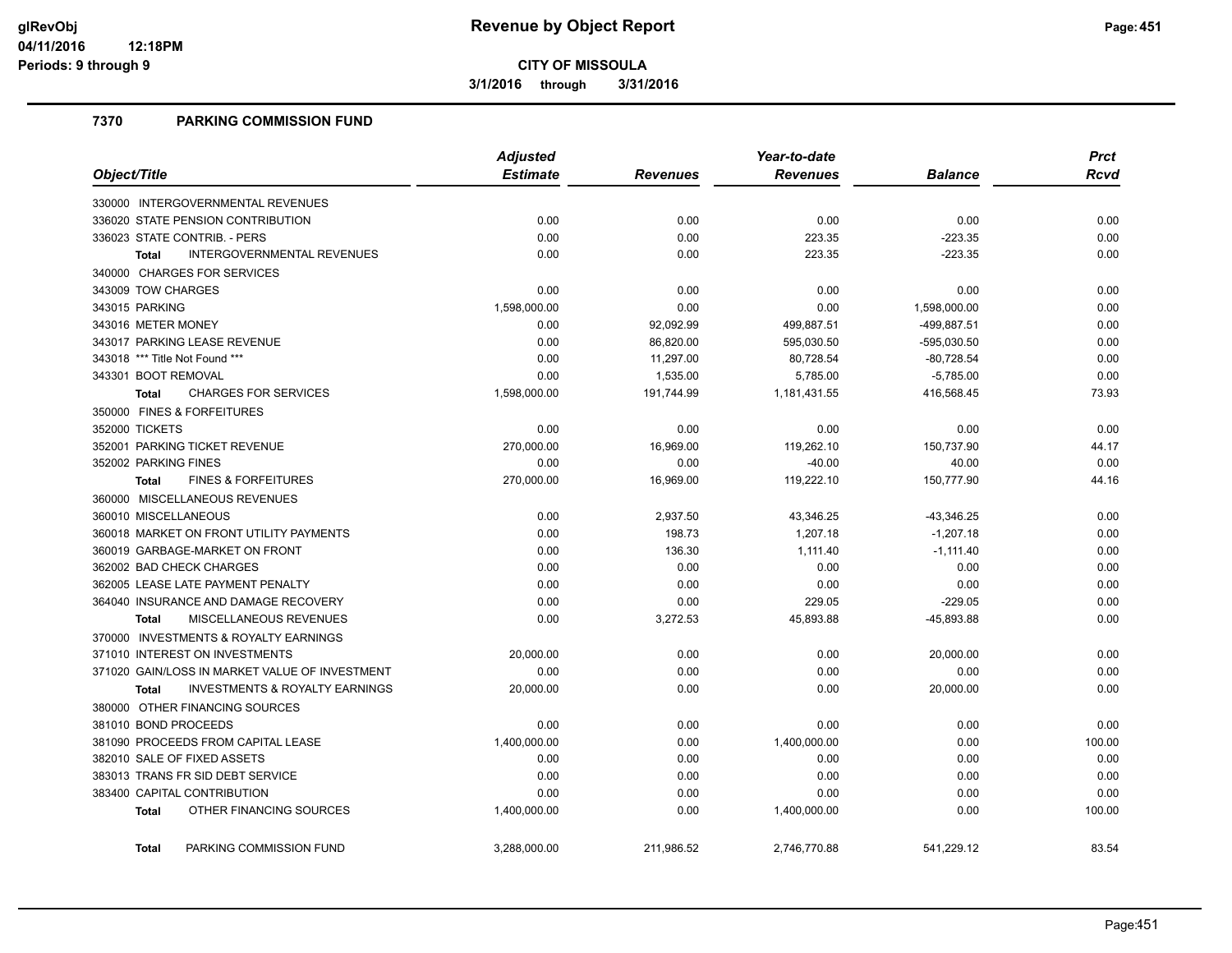**3/1/2016 through 3/31/2016**

### **7370 PARKING COMMISSION FUND**

|                                                           | <b>Adjusted</b> |            | Year-to-date    | <b>Prct</b>    |        |
|-----------------------------------------------------------|-----------------|------------|-----------------|----------------|--------|
| Object/Title                                              | <b>Estimate</b> | Revenues   | <b>Revenues</b> | <b>Balance</b> | Rcvd   |
| 330000 INTERGOVERNMENTAL REVENUES                         |                 |            |                 |                |        |
| 336020 STATE PENSION CONTRIBUTION                         | 0.00            | 0.00       | 0.00            | 0.00           | 0.00   |
| 336023 STATE CONTRIB. - PERS                              | 0.00            | 0.00       | 223.35          | $-223.35$      | 0.00   |
| <b>INTERGOVERNMENTAL REVENUES</b><br><b>Total</b>         | 0.00            | 0.00       | 223.35          | $-223.35$      | 0.00   |
| 340000 CHARGES FOR SERVICES                               |                 |            |                 |                |        |
| 343009 TOW CHARGES                                        | 0.00            | 0.00       | 0.00            | 0.00           | 0.00   |
| 343015 PARKING                                            | 1,598,000.00    | 0.00       | 0.00            | 1,598,000.00   | 0.00   |
| 343016 METER MONEY                                        | 0.00            | 92,092.99  | 499,887.51      | -499,887.51    | 0.00   |
| 343017 PARKING LEASE REVENUE                              | 0.00            | 86,820.00  | 595,030.50      | $-595,030.50$  | 0.00   |
| 343018 *** Title Not Found ***                            | 0.00            | 11,297.00  | 80,728.54       | $-80,728.54$   | 0.00   |
| 343301 BOOT REMOVAL                                       | 0.00            | 1,535.00   | 5,785.00        | $-5,785.00$    | 0.00   |
| <b>CHARGES FOR SERVICES</b><br>Total                      | 1,598,000.00    | 191,744.99 | 1,181,431.55    | 416,568.45     | 73.93  |
| 350000 FINES & FORFEITURES                                |                 |            |                 |                |        |
| 352000 TICKETS                                            | 0.00            | 0.00       | 0.00            | 0.00           | 0.00   |
| 352001 PARKING TICKET REVENUE                             | 270,000.00      | 16,969.00  | 119,262.10      | 150,737.90     | 44.17  |
| 352002 PARKING FINES                                      | 0.00            | 0.00       | $-40.00$        | 40.00          | 0.00   |
| <b>FINES &amp; FORFEITURES</b><br><b>Total</b>            | 270,000.00      | 16,969.00  | 119,222.10      | 150,777.90     | 44.16  |
| 360000 MISCELLANEOUS REVENUES                             |                 |            |                 |                |        |
| 360010 MISCELLANEOUS                                      | 0.00            | 2,937.50   | 43,346.25       | $-43,346.25$   | 0.00   |
| 360018 MARKET ON FRONT UTILITY PAYMENTS                   | 0.00            | 198.73     | 1,207.18        | $-1.207.18$    | 0.00   |
| 360019 GARBAGE-MARKET ON FRONT                            | 0.00            | 136.30     | 1,111.40        | $-1,111.40$    | 0.00   |
| 362002 BAD CHECK CHARGES                                  | 0.00            | 0.00       | 0.00            | 0.00           | 0.00   |
| 362005 LEASE LATE PAYMENT PENALTY                         | 0.00            | 0.00       | 0.00            | 0.00           | 0.00   |
| 364040 INSURANCE AND DAMAGE RECOVERY                      | 0.00            | 0.00       | 229.05          | $-229.05$      | 0.00   |
| MISCELLANEOUS REVENUES<br><b>Total</b>                    | 0.00            | 3,272.53   | 45,893.88       | -45,893.88     | 0.00   |
| 370000 INVESTMENTS & ROYALTY EARNINGS                     |                 |            |                 |                |        |
| 371010 INTEREST ON INVESTMENTS                            | 20,000.00       | 0.00       | 0.00            | 20,000.00      | 0.00   |
| 371020 GAIN/LOSS IN MARKET VALUE OF INVESTMENT            | 0.00            | 0.00       | 0.00            | 0.00           | 0.00   |
| <b>INVESTMENTS &amp; ROYALTY EARNINGS</b><br><b>Total</b> | 20,000.00       | 0.00       | 0.00            | 20,000.00      | 0.00   |
| 380000 OTHER FINANCING SOURCES                            |                 |            |                 |                |        |
| 381010 BOND PROCEEDS                                      | 0.00            | 0.00       | 0.00            | 0.00           | 0.00   |
| 381090 PROCEEDS FROM CAPITAL LEASE                        | 1,400,000.00    | 0.00       | 1,400,000.00    | 0.00           | 100.00 |
| 382010 SALE OF FIXED ASSETS                               | 0.00            | 0.00       | 0.00            | 0.00           | 0.00   |
| 383013 TRANS FR SID DEBT SERVICE                          | 0.00            | 0.00       | 0.00            | 0.00           | 0.00   |
| 383400 CAPITAL CONTRIBUTION                               | 0.00            | 0.00       | 0.00            | 0.00           | 0.00   |
| OTHER FINANCING SOURCES<br><b>Total</b>                   | 1,400,000.00    | 0.00       | 1,400,000.00    | 0.00           | 100.00 |
| PARKING COMMISSION FUND<br><b>Total</b>                   | 3.288.000.00    | 211.986.52 | 2.746.770.88    | 541.229.12     | 83.54  |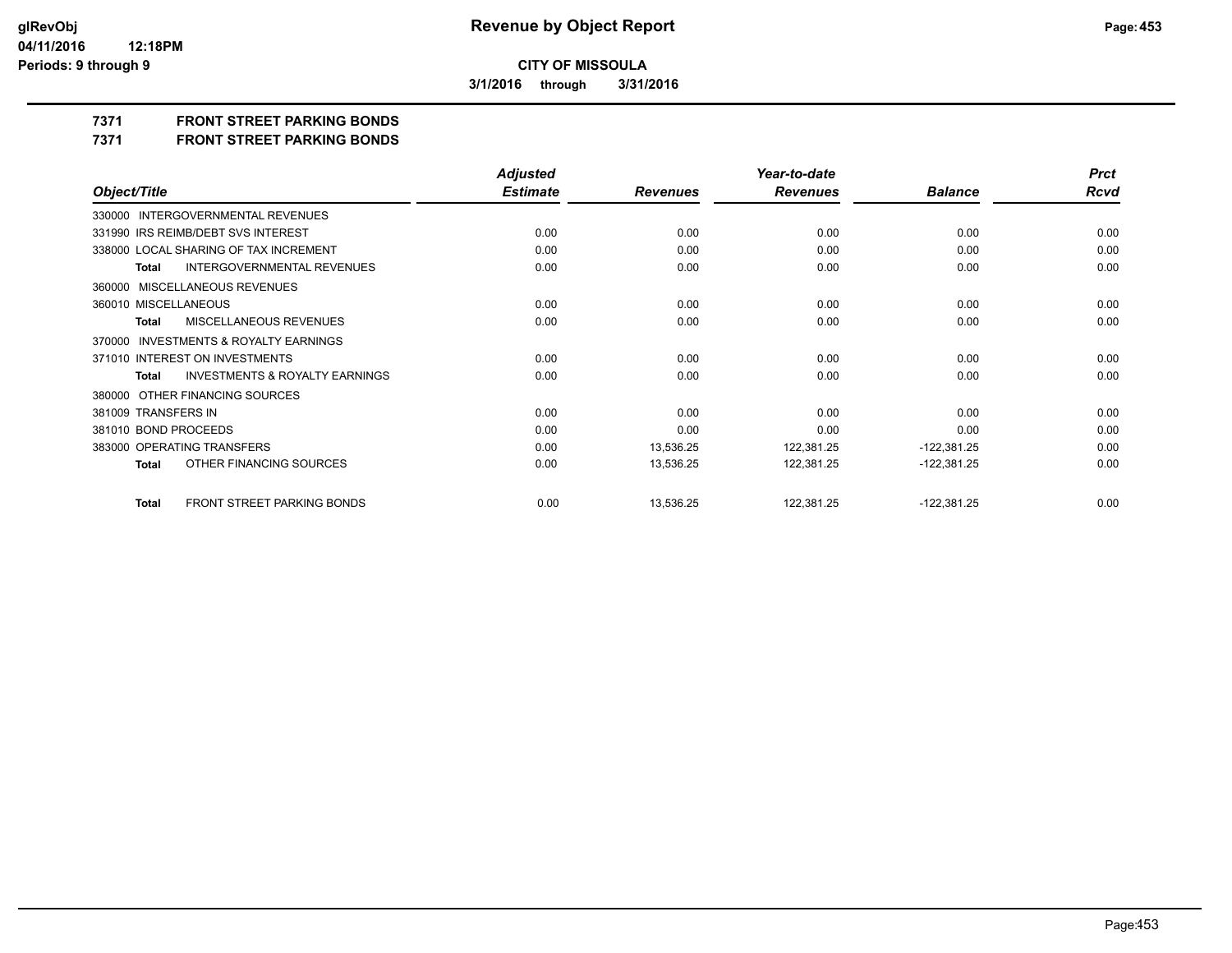**3/1/2016 through 3/31/2016**

## **7371 FRONT STREET PARKING BONDS**

**7371 FRONT STREET PARKING BONDS**

|                                                           | <b>Adjusted</b> |                 | Year-to-date    |                | <b>Prct</b> |
|-----------------------------------------------------------|-----------------|-----------------|-----------------|----------------|-------------|
| Object/Title                                              | <b>Estimate</b> | <b>Revenues</b> | <b>Revenues</b> | <b>Balance</b> | <b>Rcvd</b> |
| 330000 INTERGOVERNMENTAL REVENUES                         |                 |                 |                 |                |             |
| 331990 IRS REIMB/DEBT SVS INTEREST                        | 0.00            | 0.00            | 0.00            | 0.00           | 0.00        |
| 338000 LOCAL SHARING OF TAX INCREMENT                     | 0.00            | 0.00            | 0.00            | 0.00           | 0.00        |
| <b>INTERGOVERNMENTAL REVENUES</b><br><b>Total</b>         | 0.00            | 0.00            | 0.00            | 0.00           | 0.00        |
| 360000 MISCELLANEOUS REVENUES                             |                 |                 |                 |                |             |
| 360010 MISCELLANEOUS                                      | 0.00            | 0.00            | 0.00            | 0.00           | 0.00        |
| <b>MISCELLANEOUS REVENUES</b><br>Total                    | 0.00            | 0.00            | 0.00            | 0.00           | 0.00        |
| 370000 INVESTMENTS & ROYALTY EARNINGS                     |                 |                 |                 |                |             |
| 371010 INTEREST ON INVESTMENTS                            | 0.00            | 0.00            | 0.00            | 0.00           | 0.00        |
| <b>INVESTMENTS &amp; ROYALTY EARNINGS</b><br><b>Total</b> | 0.00            | 0.00            | 0.00            | 0.00           | 0.00        |
| 380000 OTHER FINANCING SOURCES                            |                 |                 |                 |                |             |
| 381009 TRANSFERS IN                                       | 0.00            | 0.00            | 0.00            | 0.00           | 0.00        |
| 381010 BOND PROCEEDS                                      | 0.00            | 0.00            | 0.00            | 0.00           | 0.00        |
| 383000 OPERATING TRANSFERS                                | 0.00            | 13,536.25       | 122,381.25      | $-122,381.25$  | 0.00        |
| OTHER FINANCING SOURCES<br><b>Total</b>                   | 0.00            | 13,536.25       | 122,381.25      | $-122,381.25$  | 0.00        |
| FRONT STREET PARKING BONDS<br><b>Total</b>                | 0.00            | 13,536.25       | 122,381.25      | $-122,381.25$  | 0.00        |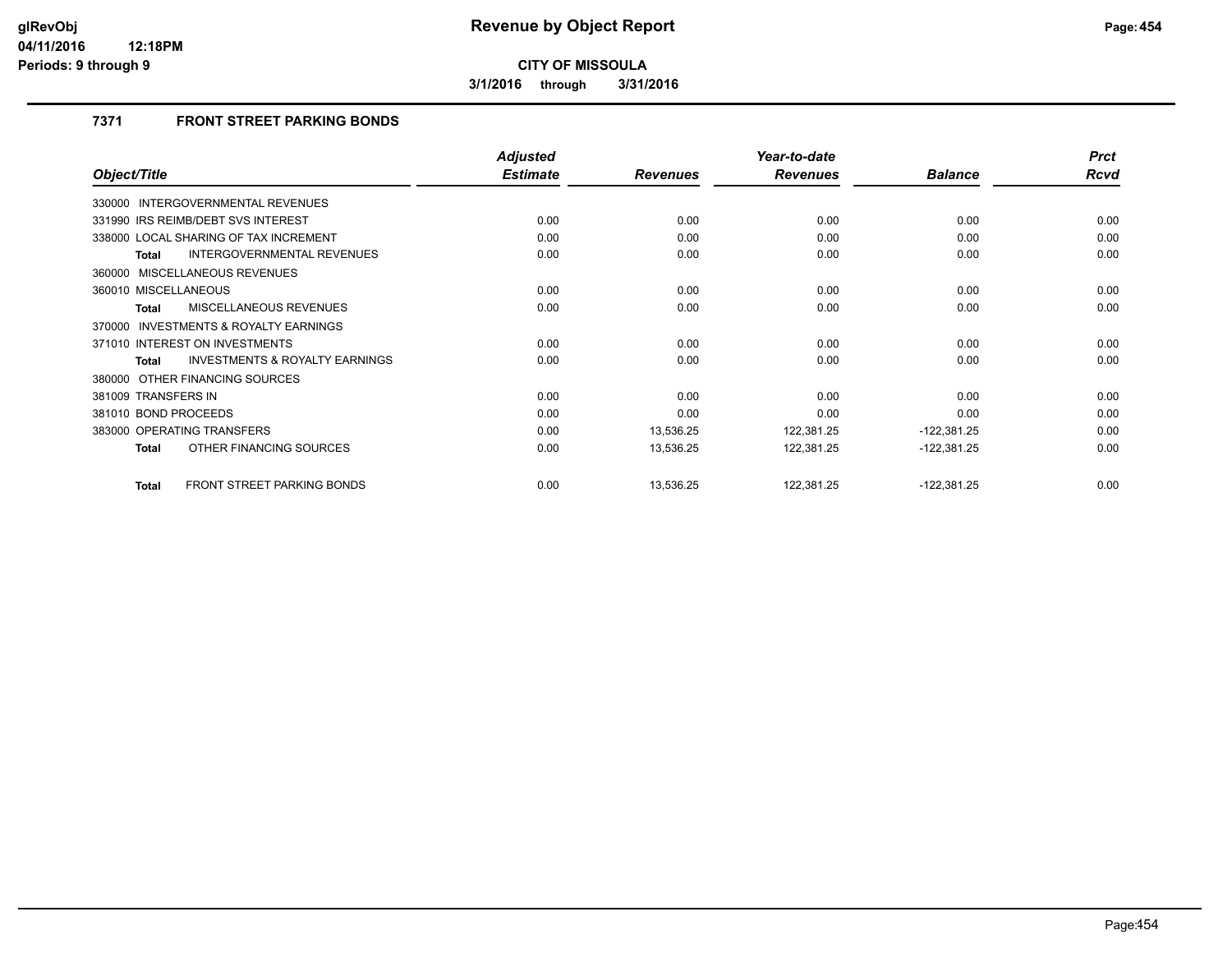**3/1/2016 through 3/31/2016**

## **7371 FRONT STREET PARKING BONDS**

|                                                           | <b>Adjusted</b> |                 | Year-to-date    |                | <b>Prct</b> |
|-----------------------------------------------------------|-----------------|-----------------|-----------------|----------------|-------------|
| Object/Title                                              | <b>Estimate</b> | <b>Revenues</b> | <b>Revenues</b> | <b>Balance</b> | Rcvd        |
| 330000 INTERGOVERNMENTAL REVENUES                         |                 |                 |                 |                |             |
| 331990 IRS REIMB/DEBT SVS INTEREST                        | 0.00            | 0.00            | 0.00            | 0.00           | 0.00        |
| 338000 LOCAL SHARING OF TAX INCREMENT                     | 0.00            | 0.00            | 0.00            | 0.00           | 0.00        |
| INTERGOVERNMENTAL REVENUES<br>Total                       | 0.00            | 0.00            | 0.00            | 0.00           | 0.00        |
| 360000 MISCELLANEOUS REVENUES                             |                 |                 |                 |                |             |
| 360010 MISCELLANEOUS                                      | 0.00            | 0.00            | 0.00            | 0.00           | 0.00        |
| MISCELLANEOUS REVENUES<br><b>Total</b>                    | 0.00            | 0.00            | 0.00            | 0.00           | 0.00        |
| 370000 INVESTMENTS & ROYALTY EARNINGS                     |                 |                 |                 |                |             |
| 371010 INTEREST ON INVESTMENTS                            | 0.00            | 0.00            | 0.00            | 0.00           | 0.00        |
| <b>INVESTMENTS &amp; ROYALTY EARNINGS</b><br><b>Total</b> | 0.00            | 0.00            | 0.00            | 0.00           | 0.00        |
| 380000 OTHER FINANCING SOURCES                            |                 |                 |                 |                |             |
| 381009 TRANSFERS IN                                       | 0.00            | 0.00            | 0.00            | 0.00           | 0.00        |
| 381010 BOND PROCEEDS                                      | 0.00            | 0.00            | 0.00            | 0.00           | 0.00        |
| 383000 OPERATING TRANSFERS                                | 0.00            | 13,536.25       | 122,381.25      | $-122,381.25$  | 0.00        |
| OTHER FINANCING SOURCES<br><b>Total</b>                   | 0.00            | 13,536.25       | 122,381.25      | $-122,381.25$  | 0.00        |
| <b>FRONT STREET PARKING BONDS</b><br><b>Total</b>         | 0.00            | 13,536.25       | 122,381.25      | $-122,381.25$  | 0.00        |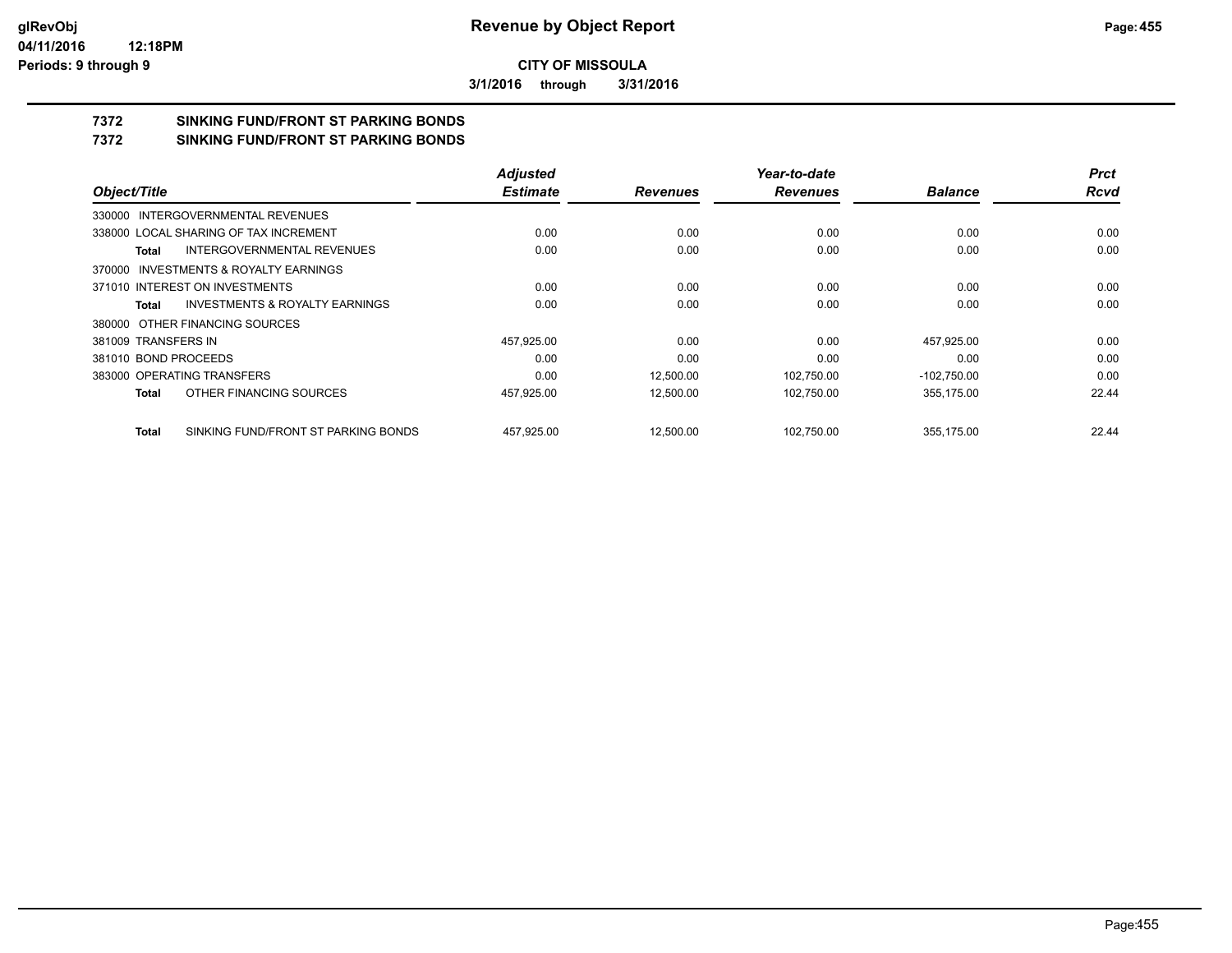**3/1/2016 through 3/31/2016**

# **7372 SINKING FUND/FRONT ST PARKING BONDS**

**7372 SINKING FUND/FRONT ST PARKING BONDS**

|                                              | <b>Adjusted</b> |                 | Year-to-date    |                | <b>Prct</b> |
|----------------------------------------------|-----------------|-----------------|-----------------|----------------|-------------|
| Object/Title                                 | <b>Estimate</b> | <b>Revenues</b> | <b>Revenues</b> | <b>Balance</b> | <b>Rcvd</b> |
| 330000 INTERGOVERNMENTAL REVENUES            |                 |                 |                 |                |             |
| 338000 LOCAL SHARING OF TAX INCREMENT        | 0.00            | 0.00            | 0.00            | 0.00           | 0.00        |
| INTERGOVERNMENTAL REVENUES<br>Total          | 0.00            | 0.00            | 0.00            | 0.00           | 0.00        |
| 370000 INVESTMENTS & ROYALTY EARNINGS        |                 |                 |                 |                |             |
| 371010 INTEREST ON INVESTMENTS               | 0.00            | 0.00            | 0.00            | 0.00           | 0.00        |
| INVESTMENTS & ROYALTY EARNINGS<br>Total      | 0.00            | 0.00            | 0.00            | 0.00           | 0.00        |
| 380000 OTHER FINANCING SOURCES               |                 |                 |                 |                |             |
| 381009 TRANSFERS IN                          | 457,925.00      | 0.00            | 0.00            | 457,925.00     | 0.00        |
| 381010 BOND PROCEEDS                         | 0.00            | 0.00            | 0.00            | 0.00           | 0.00        |
| 383000 OPERATING TRANSFERS                   | 0.00            | 12.500.00       | 102.750.00      | $-102.750.00$  | 0.00        |
| OTHER FINANCING SOURCES<br>Total             | 457,925.00      | 12,500.00       | 102,750.00      | 355,175.00     | 22.44       |
| SINKING FUND/FRONT ST PARKING BONDS<br>Total | 457.925.00      | 12,500.00       | 102.750.00      | 355.175.00     | 22.44       |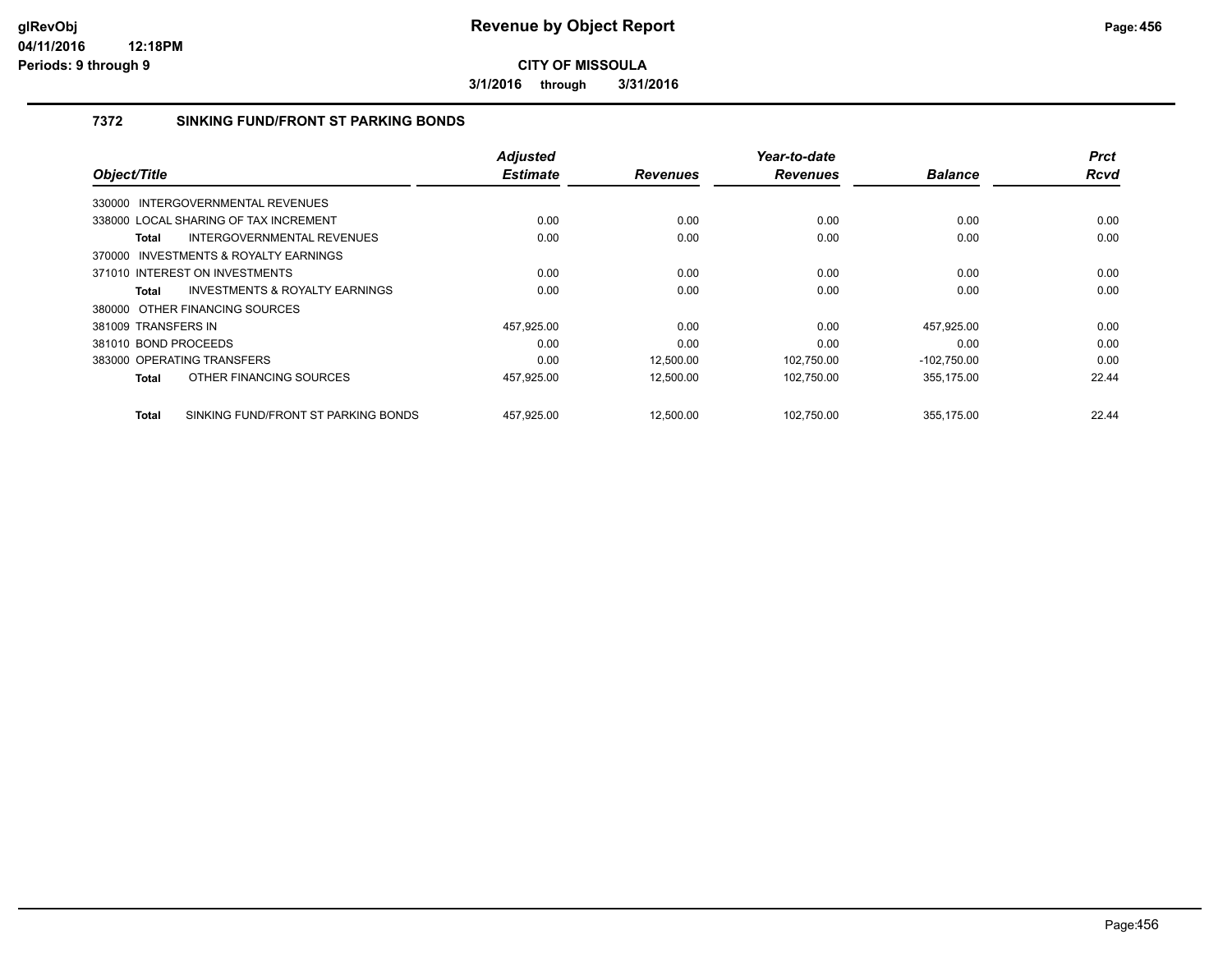**3/1/2016 through 3/31/2016**

#### **7372 SINKING FUND/FRONT ST PARKING BONDS**

|                                                     | <b>Adjusted</b> |                 | Year-to-date    |                | <b>Prct</b> |
|-----------------------------------------------------|-----------------|-----------------|-----------------|----------------|-------------|
| Object/Title                                        | <b>Estimate</b> | <b>Revenues</b> | <b>Revenues</b> | <b>Balance</b> | Rcvd        |
| 330000 INTERGOVERNMENTAL REVENUES                   |                 |                 |                 |                |             |
| 338000 LOCAL SHARING OF TAX INCREMENT               | 0.00            | 0.00            | 0.00            | 0.00           | 0.00        |
| INTERGOVERNMENTAL REVENUES<br>Total                 | 0.00            | 0.00            | 0.00            | 0.00           | 0.00        |
| 370000 INVESTMENTS & ROYALTY EARNINGS               |                 |                 |                 |                |             |
| 371010 INTEREST ON INVESTMENTS                      | 0.00            | 0.00            | 0.00            | 0.00           | 0.00        |
| <b>INVESTMENTS &amp; ROYALTY EARNINGS</b><br>Total  | 0.00            | 0.00            | 0.00            | 0.00           | 0.00        |
| 380000 OTHER FINANCING SOURCES                      |                 |                 |                 |                |             |
| 381009 TRANSFERS IN                                 | 457,925.00      | 0.00            | 0.00            | 457,925.00     | 0.00        |
| 381010 BOND PROCEEDS                                | 0.00            | 0.00            | 0.00            | 0.00           | 0.00        |
| 383000 OPERATING TRANSFERS                          | 0.00            | 12,500.00       | 102,750.00      | $-102,750.00$  | 0.00        |
| OTHER FINANCING SOURCES<br>Total                    | 457,925.00      | 12,500.00       | 102,750.00      | 355,175.00     | 22.44       |
| SINKING FUND/FRONT ST PARKING BONDS<br><b>Total</b> | 457,925.00      | 12,500.00       | 102,750.00      | 355,175.00     | 22.44       |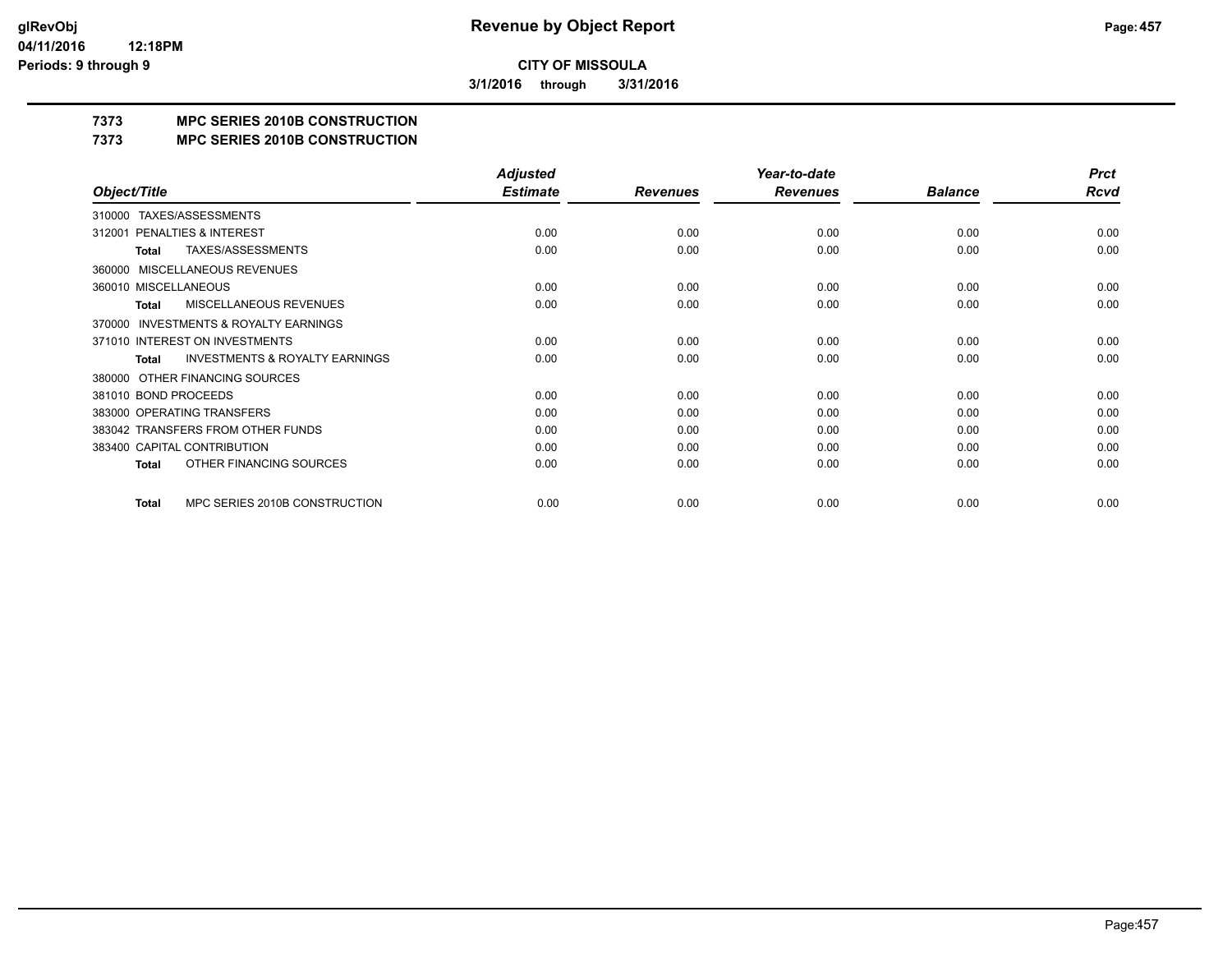**3/1/2016 through 3/31/2016**

# **7373 MPC SERIES 2010B CONSTRUCTION**

#### **7373 MPC SERIES 2010B CONSTRUCTION**

|                                                     | <b>Adjusted</b> |                 | Year-to-date    |                | <b>Prct</b> |
|-----------------------------------------------------|-----------------|-----------------|-----------------|----------------|-------------|
| Object/Title                                        | <b>Estimate</b> | <b>Revenues</b> | <b>Revenues</b> | <b>Balance</b> | Rcvd        |
| TAXES/ASSESSMENTS<br>310000                         |                 |                 |                 |                |             |
| PENALTIES & INTEREST<br>312001                      | 0.00            | 0.00            | 0.00            | 0.00           | 0.00        |
| TAXES/ASSESSMENTS<br>Total                          | 0.00            | 0.00            | 0.00            | 0.00           | 0.00        |
| <b>MISCELLANEOUS REVENUES</b><br>360000             |                 |                 |                 |                |             |
| 360010 MISCELLANEOUS                                | 0.00            | 0.00            | 0.00            | 0.00           | 0.00        |
| MISCELLANEOUS REVENUES<br>Total                     | 0.00            | 0.00            | 0.00            | 0.00           | 0.00        |
| <b>INVESTMENTS &amp; ROYALTY EARNINGS</b><br>370000 |                 |                 |                 |                |             |
| 371010 INTEREST ON INVESTMENTS                      | 0.00            | 0.00            | 0.00            | 0.00           | 0.00        |
| <b>INVESTMENTS &amp; ROYALTY EARNINGS</b><br>Total  | 0.00            | 0.00            | 0.00            | 0.00           | 0.00        |
| OTHER FINANCING SOURCES<br>380000                   |                 |                 |                 |                |             |
| 381010 BOND PROCEEDS                                | 0.00            | 0.00            | 0.00            | 0.00           | 0.00        |
| 383000 OPERATING TRANSFERS                          | 0.00            | 0.00            | 0.00            | 0.00           | 0.00        |
| 383042 TRANSFERS FROM OTHER FUNDS                   | 0.00            | 0.00            | 0.00            | 0.00           | 0.00        |
| 383400 CAPITAL CONTRIBUTION                         | 0.00            | 0.00            | 0.00            | 0.00           | 0.00        |
| OTHER FINANCING SOURCES<br><b>Total</b>             | 0.00            | 0.00            | 0.00            | 0.00           | 0.00        |
| MPC SERIES 2010B CONSTRUCTION<br>Total              | 0.00            | 0.00            | 0.00            | 0.00           | 0.00        |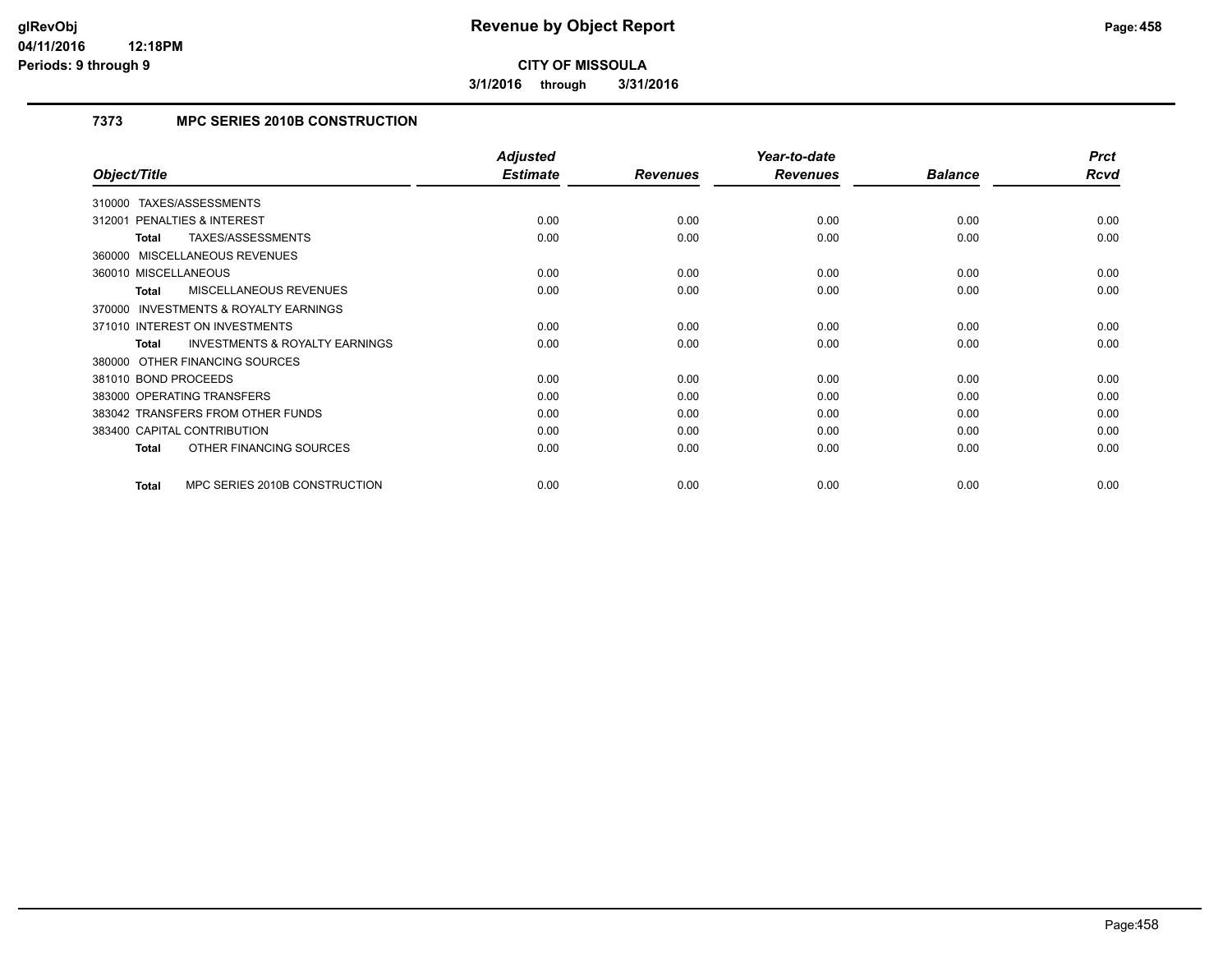**3/1/2016 through 3/31/2016**

### **7373 MPC SERIES 2010B CONSTRUCTION**

|                                                    | <b>Adjusted</b> |                 | Year-to-date    |                | <b>Prct</b> |
|----------------------------------------------------|-----------------|-----------------|-----------------|----------------|-------------|
| Object/Title                                       | <b>Estimate</b> | <b>Revenues</b> | <b>Revenues</b> | <b>Balance</b> | Rcvd        |
| TAXES/ASSESSMENTS<br>310000                        |                 |                 |                 |                |             |
| <b>PENALTIES &amp; INTEREST</b><br>312001          | 0.00            | 0.00            | 0.00            | 0.00           | 0.00        |
| TAXES/ASSESSMENTS<br>Total                         | 0.00            | 0.00            | 0.00            | 0.00           | 0.00        |
| 360000 MISCELLANEOUS REVENUES                      |                 |                 |                 |                |             |
| 360010 MISCELLANEOUS                               | 0.00            | 0.00            | 0.00            | 0.00           | 0.00        |
| MISCELLANEOUS REVENUES<br>Total                    | 0.00            | 0.00            | 0.00            | 0.00           | 0.00        |
| 370000 INVESTMENTS & ROYALTY EARNINGS              |                 |                 |                 |                |             |
| 371010 INTEREST ON INVESTMENTS                     | 0.00            | 0.00            | 0.00            | 0.00           | 0.00        |
| <b>INVESTMENTS &amp; ROYALTY EARNINGS</b><br>Total | 0.00            | 0.00            | 0.00            | 0.00           | 0.00        |
| 380000 OTHER FINANCING SOURCES                     |                 |                 |                 |                |             |
| 381010 BOND PROCEEDS                               | 0.00            | 0.00            | 0.00            | 0.00           | 0.00        |
| 383000 OPERATING TRANSFERS                         | 0.00            | 0.00            | 0.00            | 0.00           | 0.00        |
| 383042 TRANSFERS FROM OTHER FUNDS                  | 0.00            | 0.00            | 0.00            | 0.00           | 0.00        |
| 383400 CAPITAL CONTRIBUTION                        | 0.00            | 0.00            | 0.00            | 0.00           | 0.00        |
| OTHER FINANCING SOURCES<br><b>Total</b>            | 0.00            | 0.00            | 0.00            | 0.00           | 0.00        |
|                                                    |                 |                 |                 |                |             |
| MPC SERIES 2010B CONSTRUCTION<br><b>Total</b>      | 0.00            | 0.00            | 0.00            | 0.00           | 0.00        |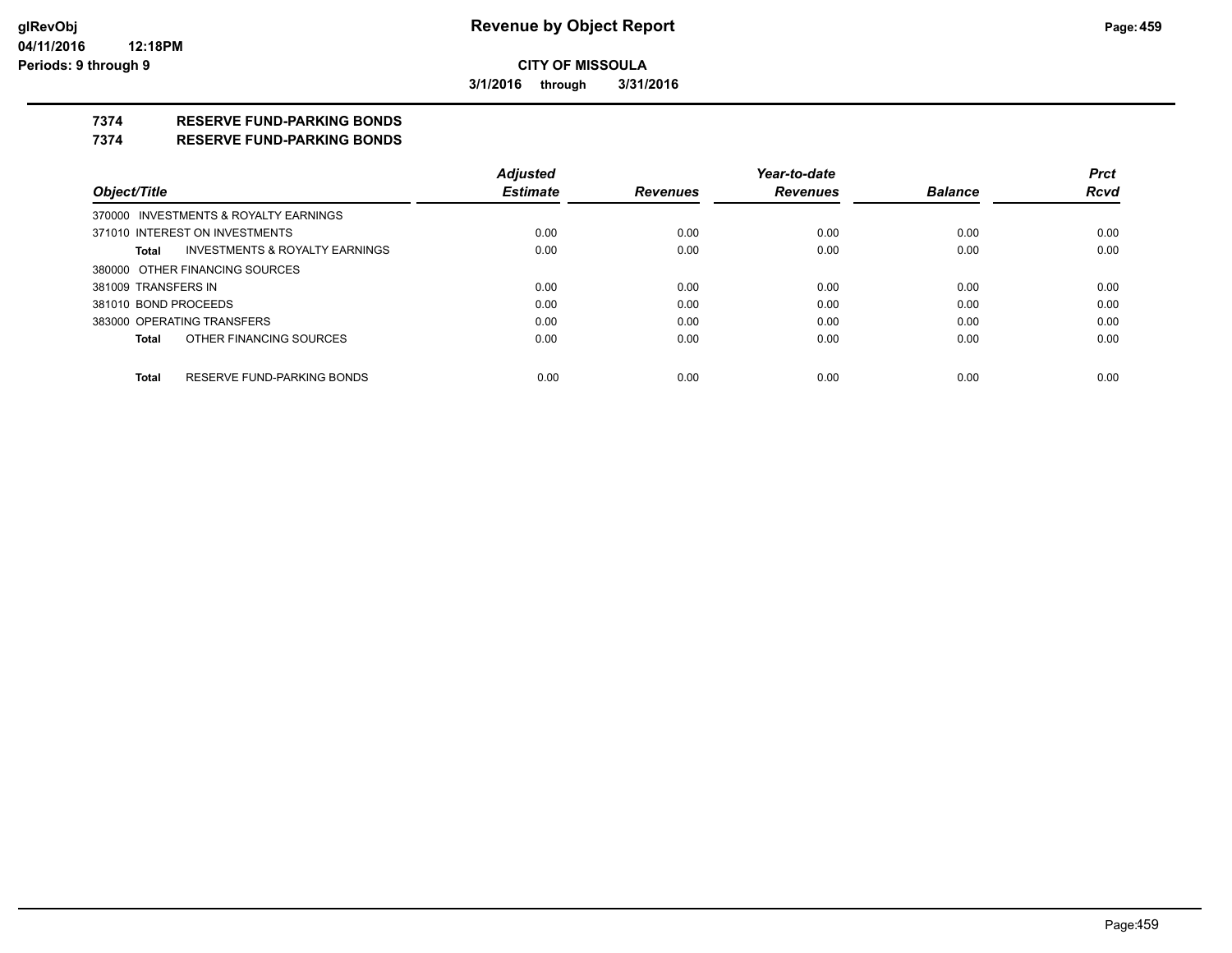**3/1/2016 through 3/31/2016**

## **7374 RESERVE FUND-PARKING BONDS**

#### **7374 RESERVE FUND-PARKING BONDS**

|                            |                                           | <b>Adjusted</b> |                 | Year-to-date    |                | <b>Prct</b> |
|----------------------------|-------------------------------------------|-----------------|-----------------|-----------------|----------------|-------------|
| Object/Title               |                                           | <b>Estimate</b> | <b>Revenues</b> | <b>Revenues</b> | <b>Balance</b> | <b>Rcvd</b> |
|                            | 370000 INVESTMENTS & ROYALTY EARNINGS     |                 |                 |                 |                |             |
|                            | 371010 INTEREST ON INVESTMENTS            | 0.00            | 0.00            | 0.00            | 0.00           | 0.00        |
| Total                      | <b>INVESTMENTS &amp; ROYALTY EARNINGS</b> | 0.00            | 0.00            | 0.00            | 0.00           | 0.00        |
|                            | 380000 OTHER FINANCING SOURCES            |                 |                 |                 |                |             |
| 381009 TRANSFERS IN        |                                           | 0.00            | 0.00            | 0.00            | 0.00           | 0.00        |
| 381010 BOND PROCEEDS       |                                           | 0.00            | 0.00            | 0.00            | 0.00           | 0.00        |
| 383000 OPERATING TRANSFERS |                                           | 0.00            | 0.00            | 0.00            | 0.00           | 0.00        |
| <b>Total</b>               | OTHER FINANCING SOURCES                   | 0.00            | 0.00            | 0.00            | 0.00           | 0.00        |
|                            |                                           |                 |                 |                 |                |             |
| <b>Total</b>               | RESERVE FUND-PARKING BONDS                | 0.00            | 0.00            | 0.00            | 0.00           | 0.00        |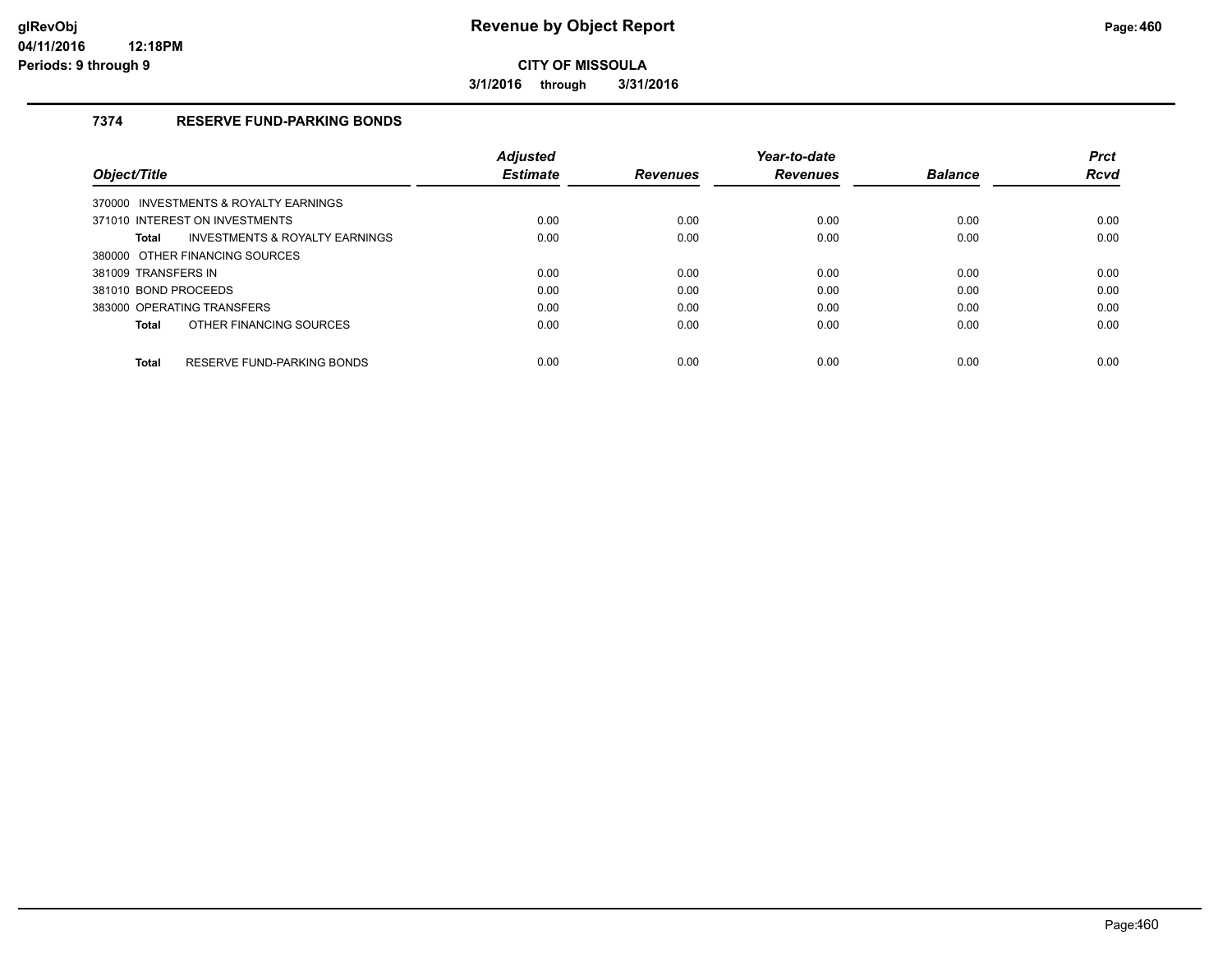**3/1/2016 through 3/31/2016**

### **7374 RESERVE FUND-PARKING BONDS**

|                                                    | <b>Adjusted</b> |                 | Year-to-date    |                | <b>Prct</b> |
|----------------------------------------------------|-----------------|-----------------|-----------------|----------------|-------------|
| Object/Title                                       | <b>Estimate</b> | <b>Revenues</b> | <b>Revenues</b> | <b>Balance</b> | <b>Rcvd</b> |
| 370000 INVESTMENTS & ROYALTY EARNINGS              |                 |                 |                 |                |             |
| 371010 INTEREST ON INVESTMENTS                     | 0.00            | 0.00            | 0.00            | 0.00           | 0.00        |
| <b>INVESTMENTS &amp; ROYALTY EARNINGS</b><br>Total | 0.00            | 0.00            | 0.00            | 0.00           | 0.00        |
| 380000 OTHER FINANCING SOURCES                     |                 |                 |                 |                |             |
| 381009 TRANSFERS IN                                | 0.00            | 0.00            | 0.00            | 0.00           | 0.00        |
| 381010 BOND PROCEEDS                               | 0.00            | 0.00            | 0.00            | 0.00           | 0.00        |
| 383000 OPERATING TRANSFERS                         | 0.00            | 0.00            | 0.00            | 0.00           | 0.00        |
| OTHER FINANCING SOURCES<br>Total                   | 0.00            | 0.00            | 0.00            | 0.00           | 0.00        |
| RESERVE FUND-PARKING BONDS<br>Total                | 0.00            | 0.00            | 0.00            | 0.00           | 0.00        |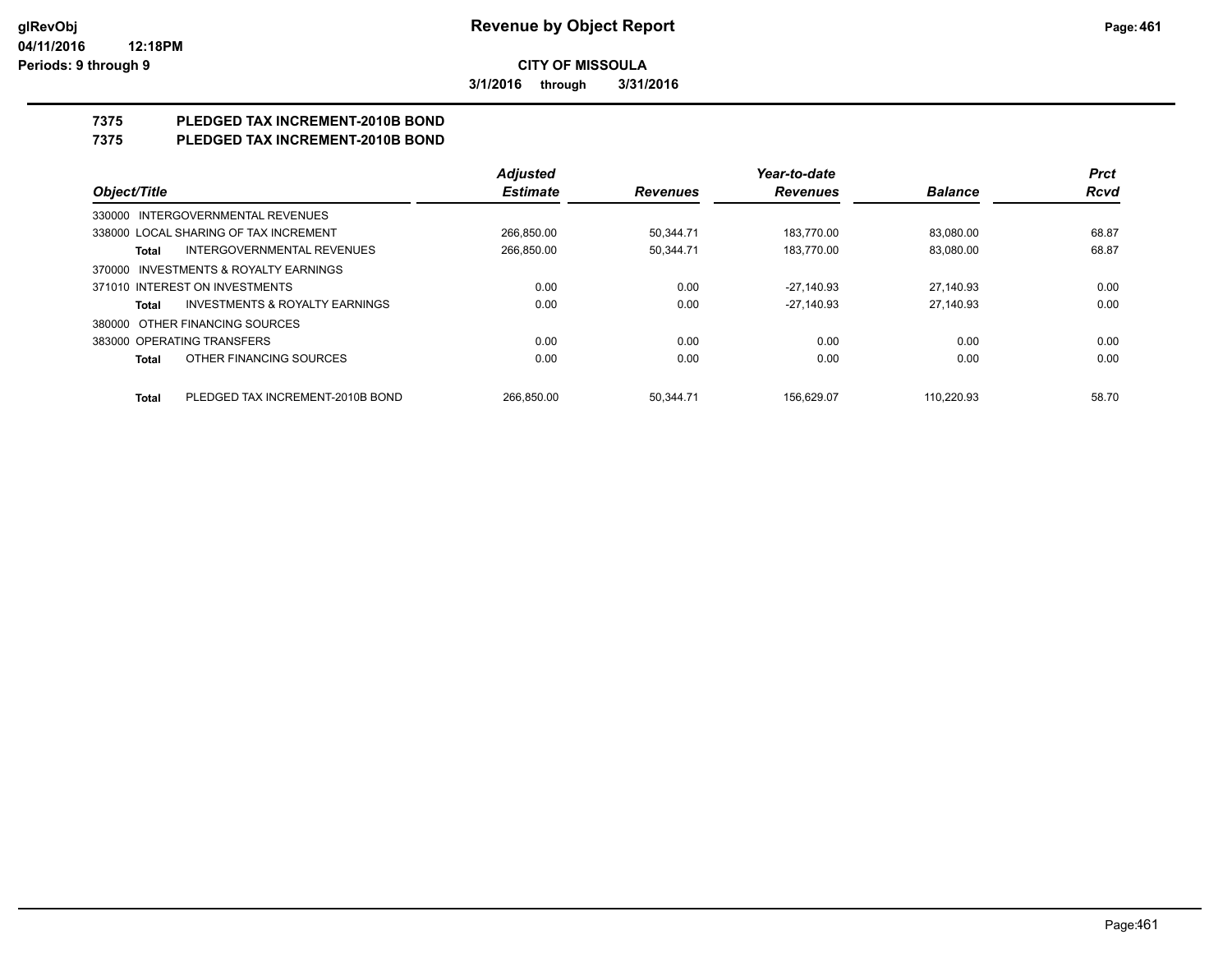**3/1/2016 through 3/31/2016**

# **7375 PLEDGED TAX INCREMENT-2010B BOND**

# **7375 PLEDGED TAX INCREMENT-2010B BOND**

|                                                    | <b>Adjusted</b> |                 | Year-to-date    |                | <b>Prct</b> |
|----------------------------------------------------|-----------------|-----------------|-----------------|----------------|-------------|
| Object/Title                                       | <b>Estimate</b> | <b>Revenues</b> | <b>Revenues</b> | <b>Balance</b> | <b>Rcvd</b> |
| 330000 INTERGOVERNMENTAL REVENUES                  |                 |                 |                 |                |             |
| 338000 LOCAL SHARING OF TAX INCREMENT              | 266,850.00      | 50,344.71       | 183,770.00      | 83,080.00      | 68.87       |
| <b>INTERGOVERNMENTAL REVENUES</b><br>Total         | 266,850.00      | 50.344.71       | 183.770.00      | 83.080.00      | 68.87       |
| INVESTMENTS & ROYALTY EARNINGS<br>370000           |                 |                 |                 |                |             |
| 371010 INTEREST ON INVESTMENTS                     | 0.00            | 0.00            | $-27.140.93$    | 27.140.93      | 0.00        |
| <b>INVESTMENTS &amp; ROYALTY EARNINGS</b><br>Total | 0.00            | 0.00            | $-27.140.93$    | 27.140.93      | 0.00        |
| 380000 OTHER FINANCING SOURCES                     |                 |                 |                 |                |             |
| 383000 OPERATING TRANSFERS                         | 0.00            | 0.00            | 0.00            | 0.00           | 0.00        |
| OTHER FINANCING SOURCES<br>Total                   | 0.00            | 0.00            | 0.00            | 0.00           | 0.00        |
| PLEDGED TAX INCREMENT-2010B BOND<br><b>Total</b>   | 266.850.00      | 50.344.71       | 156.629.07      | 110.220.93     | 58.70       |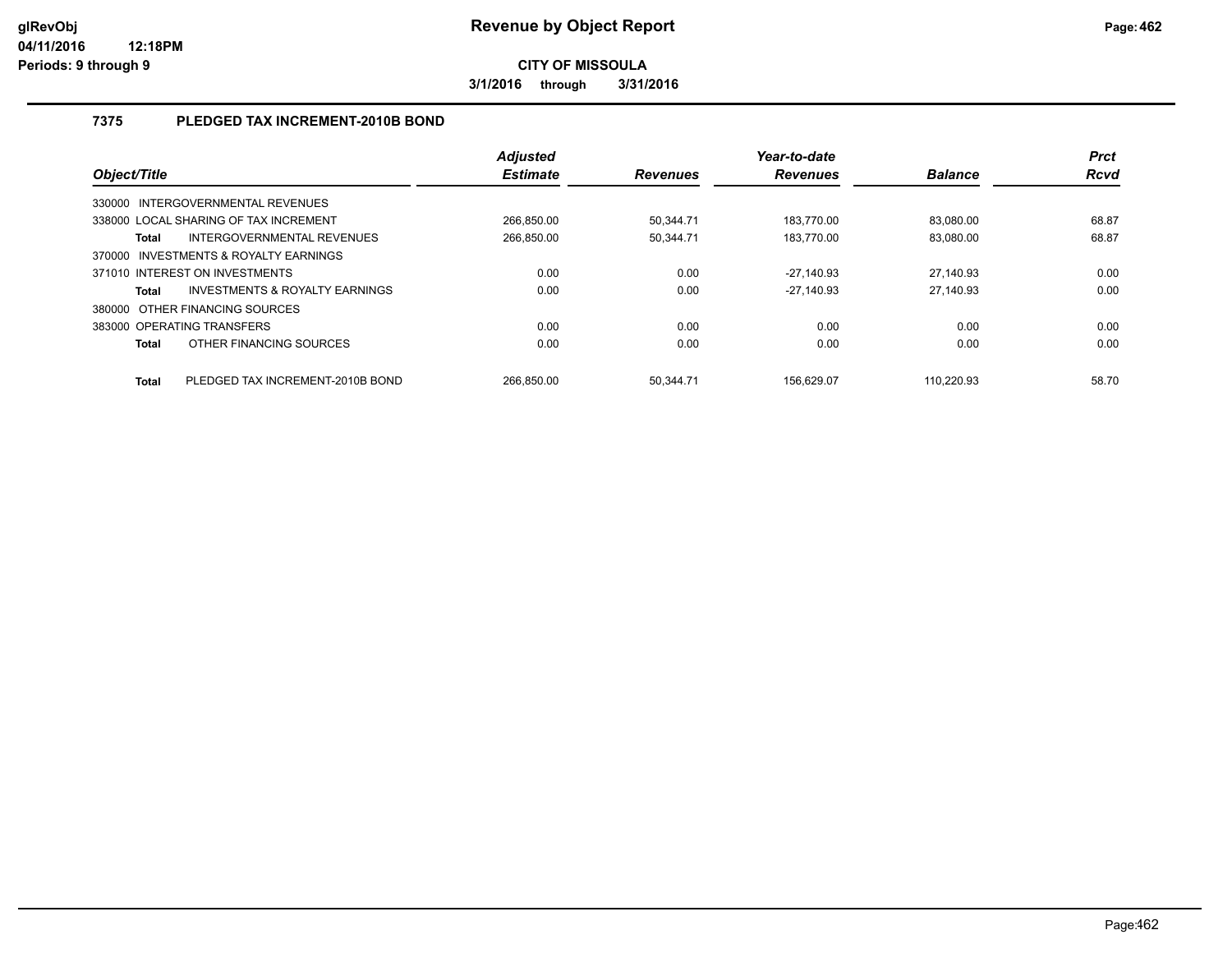**3/1/2016 through 3/31/2016**

### **7375 PLEDGED TAX INCREMENT-2010B BOND**

| Object/Title               |                                       | <b>Adjusted</b><br><b>Estimate</b> | <b>Revenues</b> | Year-to-date<br><b>Revenues</b> | <b>Balance</b> | <b>Prct</b><br><b>Rcvd</b> |
|----------------------------|---------------------------------------|------------------------------------|-----------------|---------------------------------|----------------|----------------------------|
|                            | 330000 INTERGOVERNMENTAL REVENUES     |                                    |                 |                                 |                |                            |
|                            | 338000 LOCAL SHARING OF TAX INCREMENT | 266.850.00                         | 50.344.71       | 183.770.00                      | 83.080.00      | 68.87                      |
| Total                      | INTERGOVERNMENTAL REVENUES            | 266.850.00                         | 50.344.71       | 183.770.00                      | 83.080.00      | 68.87                      |
|                            | 370000 INVESTMENTS & ROYALTY EARNINGS |                                    |                 |                                 |                |                            |
|                            | 371010 INTEREST ON INVESTMENTS        | 0.00                               | 0.00            | $-27,140.93$                    | 27,140.93      | 0.00                       |
| <b>Total</b>               | INVESTMENTS & ROYALTY EARNINGS        | 0.00                               | 0.00            | $-27.140.93$                    | 27.140.93      | 0.00                       |
|                            | 380000 OTHER FINANCING SOURCES        |                                    |                 |                                 |                |                            |
| 383000 OPERATING TRANSFERS |                                       | 0.00                               | 0.00            | 0.00                            | 0.00           | 0.00                       |
| <b>Total</b>               | OTHER FINANCING SOURCES               | 0.00                               | 0.00            | 0.00                            | 0.00           | 0.00                       |
| <b>Total</b>               | PLEDGED TAX INCREMENT-2010B BOND      | 266.850.00                         | 50.344.71       | 156.629.07                      | 110.220.93     | 58.70                      |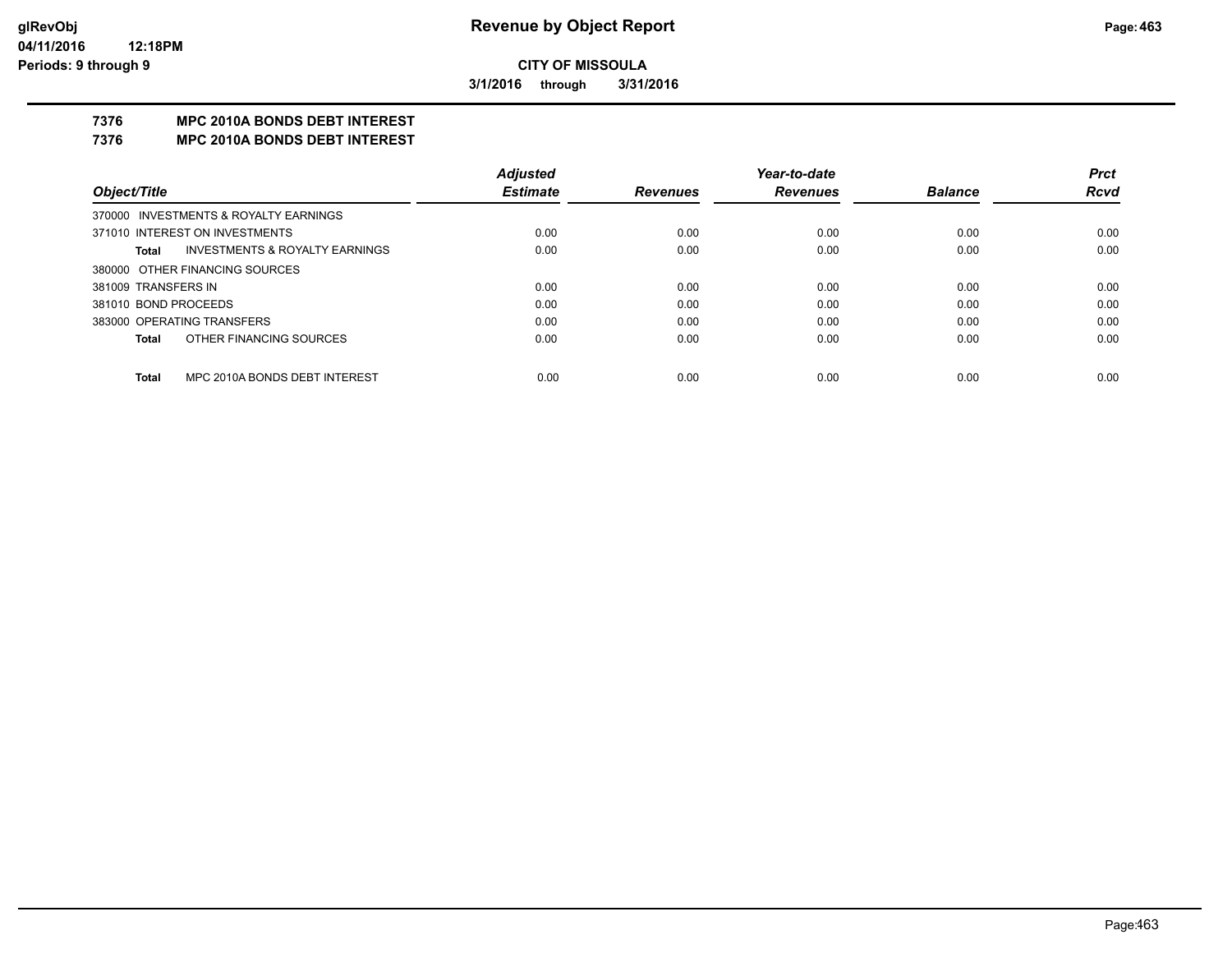**3/1/2016 through 3/31/2016**

### **7376 MPC 2010A BONDS DEBT INTEREST**

#### **7376 MPC 2010A BONDS DEBT INTEREST**

|                            |                                           | <b>Adjusted</b> |                 | Year-to-date    |                | <b>Prct</b> |
|----------------------------|-------------------------------------------|-----------------|-----------------|-----------------|----------------|-------------|
| Object/Title               |                                           | <b>Estimate</b> | <b>Revenues</b> | <b>Revenues</b> | <b>Balance</b> | <b>Rcvd</b> |
|                            | 370000 INVESTMENTS & ROYALTY EARNINGS     |                 |                 |                 |                |             |
|                            | 371010 INTEREST ON INVESTMENTS            | 0.00            | 0.00            | 0.00            | 0.00           | 0.00        |
| Total                      | <b>INVESTMENTS &amp; ROYALTY EARNINGS</b> | 0.00            | 0.00            | 0.00            | 0.00           | 0.00        |
|                            | 380000 OTHER FINANCING SOURCES            |                 |                 |                 |                |             |
| 381009 TRANSFERS IN        |                                           | 0.00            | 0.00            | 0.00            | 0.00           | 0.00        |
| 381010 BOND PROCEEDS       |                                           | 0.00            | 0.00            | 0.00            | 0.00           | 0.00        |
| 383000 OPERATING TRANSFERS |                                           | 0.00            | 0.00            | 0.00            | 0.00           | 0.00        |
| Total                      | OTHER FINANCING SOURCES                   | 0.00            | 0.00            | 0.00            | 0.00           | 0.00        |
|                            |                                           |                 |                 |                 |                |             |
| Total                      | MPC 2010A BONDS DEBT INTEREST             | 0.00            | 0.00            | 0.00            | 0.00           | 0.00        |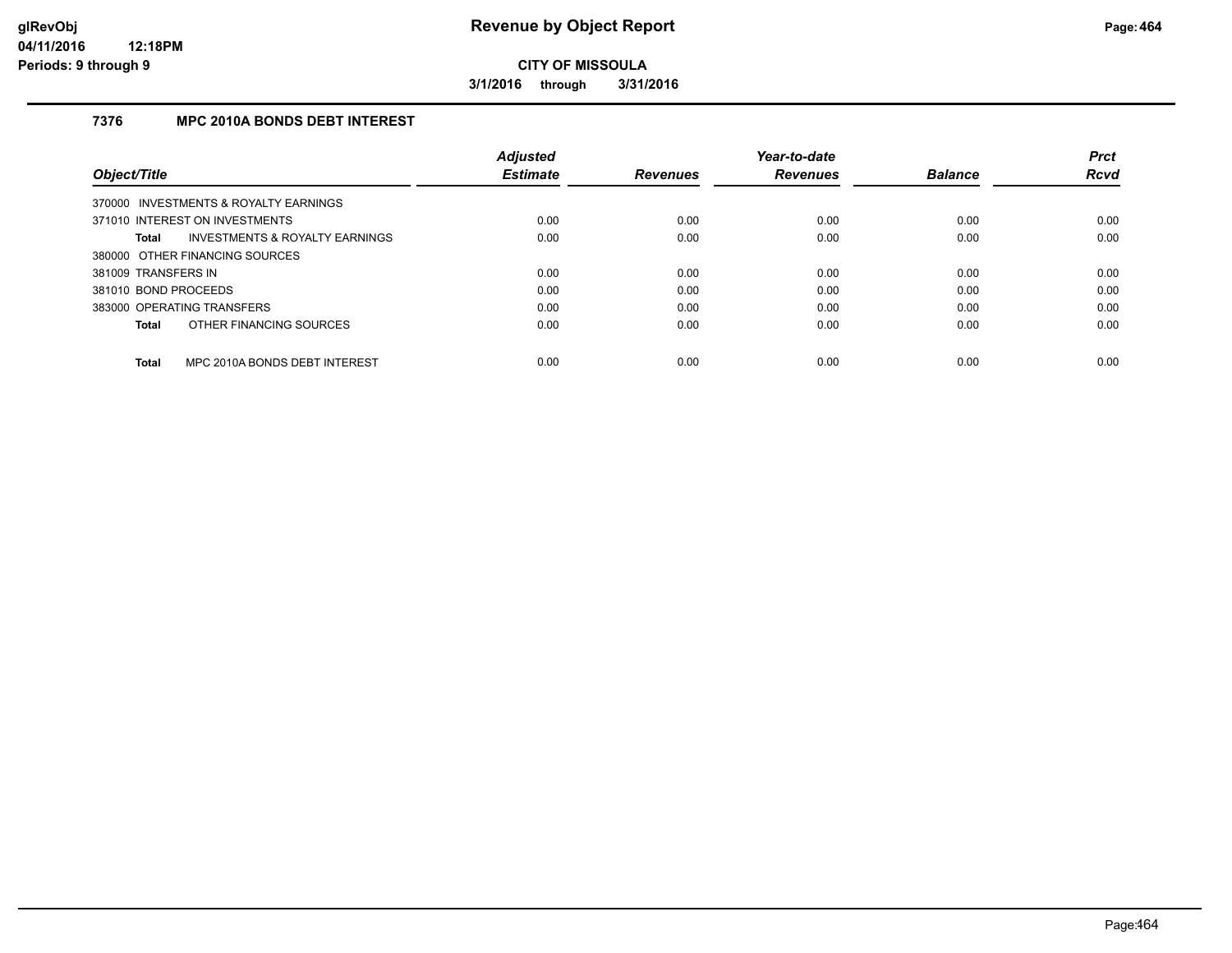**3/1/2016 through 3/31/2016**

### **7376 MPC 2010A BONDS DEBT INTEREST**

|                                               | <b>Adjusted</b> |                 | Year-to-date    |                | <b>Prct</b> |
|-----------------------------------------------|-----------------|-----------------|-----------------|----------------|-------------|
| Object/Title                                  | <b>Estimate</b> | <b>Revenues</b> | <b>Revenues</b> | <b>Balance</b> | <b>Rcvd</b> |
| 370000 INVESTMENTS & ROYALTY EARNINGS         |                 |                 |                 |                |             |
| 371010 INTEREST ON INVESTMENTS                | 0.00            | 0.00            | 0.00            | 0.00           | 0.00        |
| INVESTMENTS & ROYALTY EARNINGS<br>Total       | 0.00            | 0.00            | 0.00            | 0.00           | 0.00        |
| 380000 OTHER FINANCING SOURCES                |                 |                 |                 |                |             |
| 381009 TRANSFERS IN                           | 0.00            | 0.00            | 0.00            | 0.00           | 0.00        |
| 381010 BOND PROCEEDS                          | 0.00            | 0.00            | 0.00            | 0.00           | 0.00        |
| 383000 OPERATING TRANSFERS                    | 0.00            | 0.00            | 0.00            | 0.00           | 0.00        |
| OTHER FINANCING SOURCES<br>Total              | 0.00            | 0.00            | 0.00            | 0.00           | 0.00        |
| MPC 2010A BONDS DEBT INTEREST<br><b>Total</b> | 0.00            | 0.00            | 0.00            | 0.00           | 0.00        |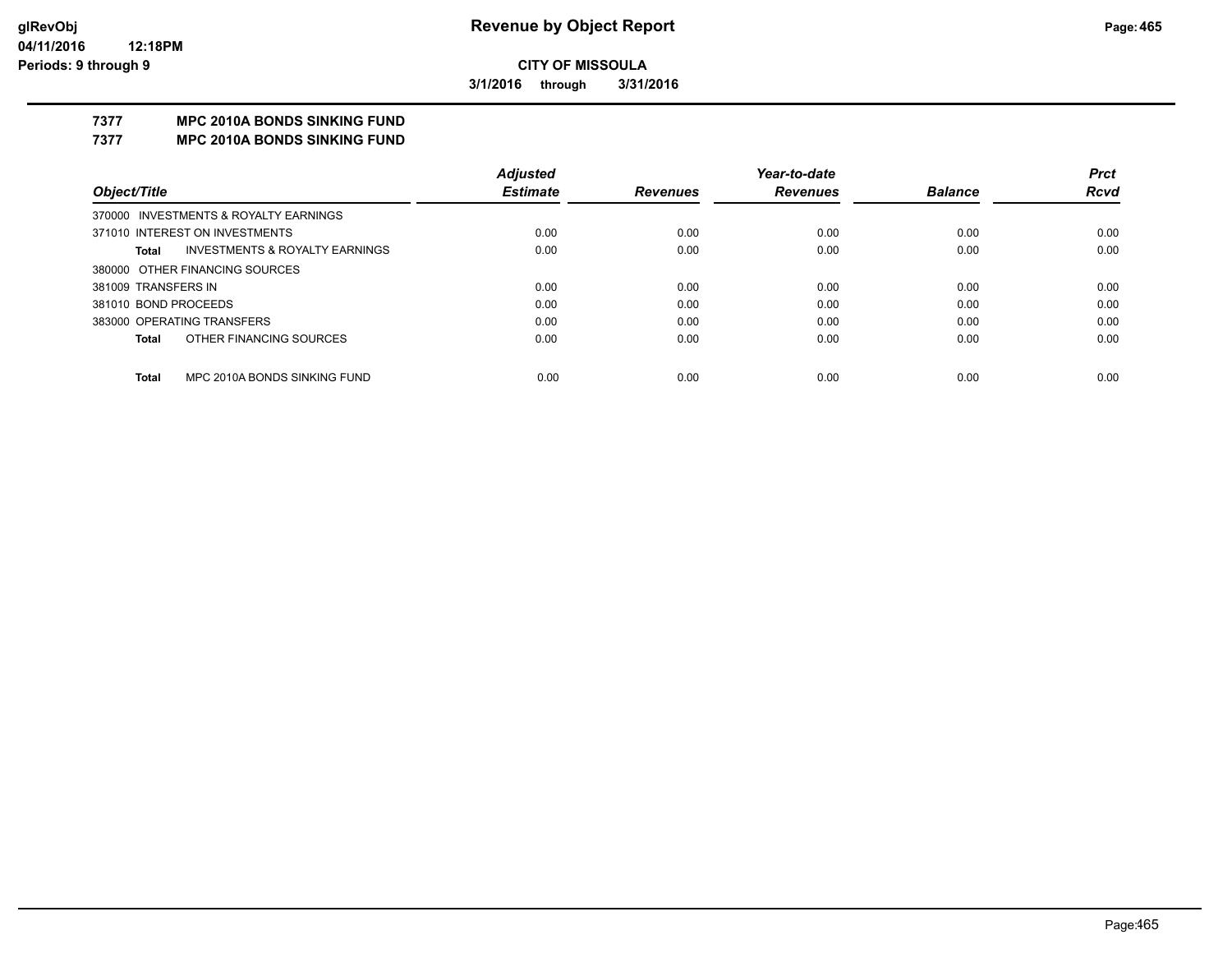**3/1/2016 through 3/31/2016**

# **7377 MPC 2010A BONDS SINKING FUND**

**7377 MPC 2010A BONDS SINKING FUND**

|                                              | <b>Adjusted</b> |                 | Year-to-date    |                | <b>Prct</b> |
|----------------------------------------------|-----------------|-----------------|-----------------|----------------|-------------|
| Object/Title                                 | <b>Estimate</b> | <b>Revenues</b> | <b>Revenues</b> | <b>Balance</b> | <b>Rcvd</b> |
| 370000 INVESTMENTS & ROYALTY EARNINGS        |                 |                 |                 |                |             |
| 371010 INTEREST ON INVESTMENTS               | 0.00            | 0.00            | 0.00            | 0.00           | 0.00        |
| INVESTMENTS & ROYALTY EARNINGS<br>Total      | 0.00            | 0.00            | 0.00            | 0.00           | 0.00        |
| 380000 OTHER FINANCING SOURCES               |                 |                 |                 |                |             |
| 381009 TRANSFERS IN                          | 0.00            | 0.00            | 0.00            | 0.00           | 0.00        |
| 381010 BOND PROCEEDS                         | 0.00            | 0.00            | 0.00            | 0.00           | 0.00        |
| 383000 OPERATING TRANSFERS                   | 0.00            | 0.00            | 0.00            | 0.00           | 0.00        |
| OTHER FINANCING SOURCES<br>Total             | 0.00            | 0.00            | 0.00            | 0.00           | 0.00        |
|                                              |                 |                 |                 |                |             |
| MPC 2010A BONDS SINKING FUND<br><b>Total</b> | 0.00            | 0.00            | 0.00            | 0.00           | 0.00        |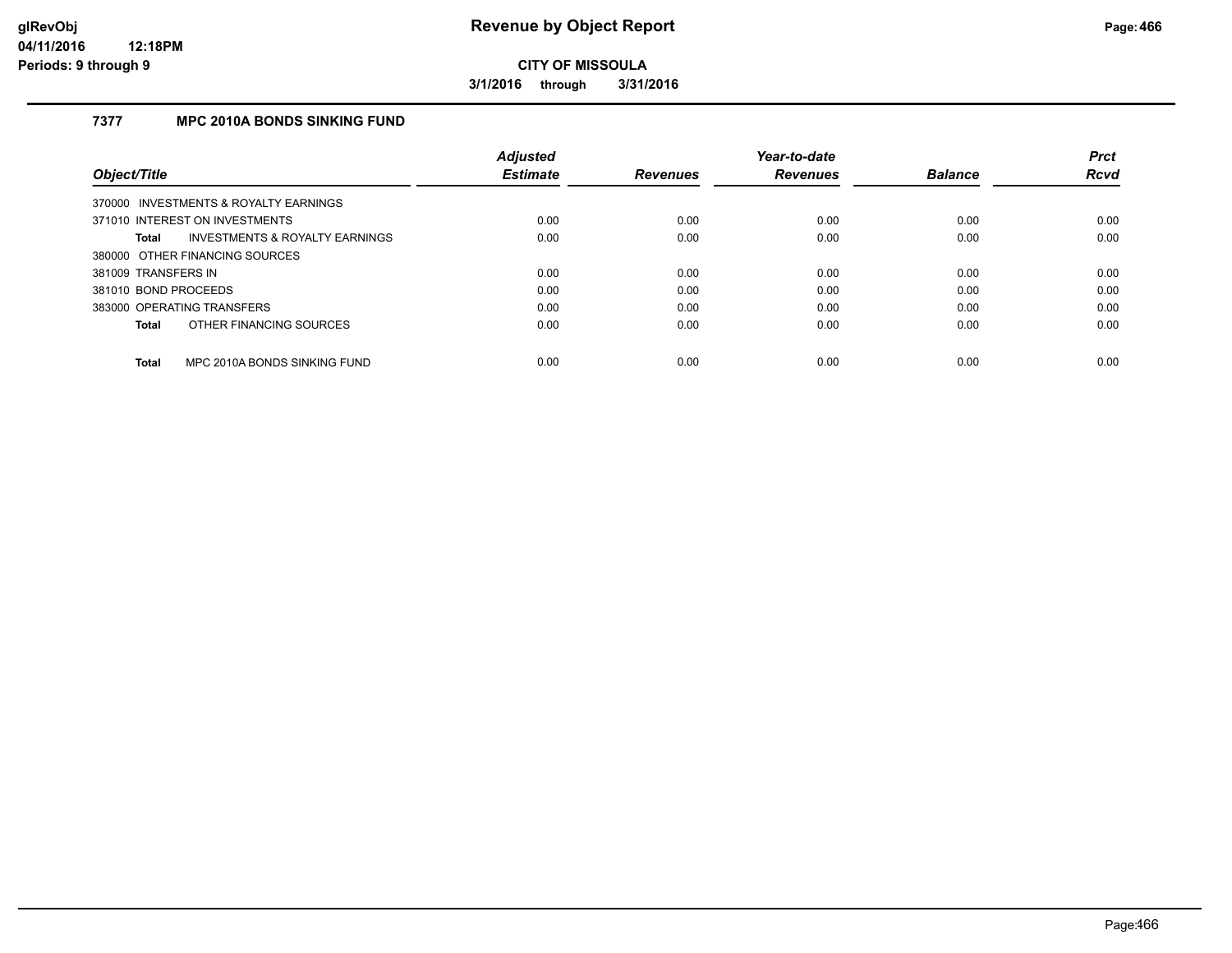**3/1/2016 through 3/31/2016**

### **7377 MPC 2010A BONDS SINKING FUND**

|                            |                                           | Adjusted        |                 | Year-to-date    |                | <b>Prct</b> |
|----------------------------|-------------------------------------------|-----------------|-----------------|-----------------|----------------|-------------|
| Object/Title               |                                           | <b>Estimate</b> | <b>Revenues</b> | <b>Revenues</b> | <b>Balance</b> | <b>Rcvd</b> |
|                            | 370000 INVESTMENTS & ROYALTY EARNINGS     |                 |                 |                 |                |             |
|                            | 371010 INTEREST ON INVESTMENTS            | 0.00            | 0.00            | 0.00            | 0.00           | 0.00        |
| Total                      | <b>INVESTMENTS &amp; ROYALTY EARNINGS</b> | 0.00            | 0.00            | 0.00            | 0.00           | 0.00        |
|                            | 380000 OTHER FINANCING SOURCES            |                 |                 |                 |                |             |
| 381009 TRANSFERS IN        |                                           | 0.00            | 0.00            | 0.00            | 0.00           | 0.00        |
| 381010 BOND PROCEEDS       |                                           | 0.00            | 0.00            | 0.00            | 0.00           | 0.00        |
| 383000 OPERATING TRANSFERS |                                           | 0.00            | 0.00            | 0.00            | 0.00           | 0.00        |
| Total                      | OTHER FINANCING SOURCES                   | 0.00            | 0.00            | 0.00            | 0.00           | 0.00        |
| <b>Total</b>               | MPC 2010A BONDS SINKING FUND              | 0.00            | 0.00            | 0.00            | 0.00           | 0.00        |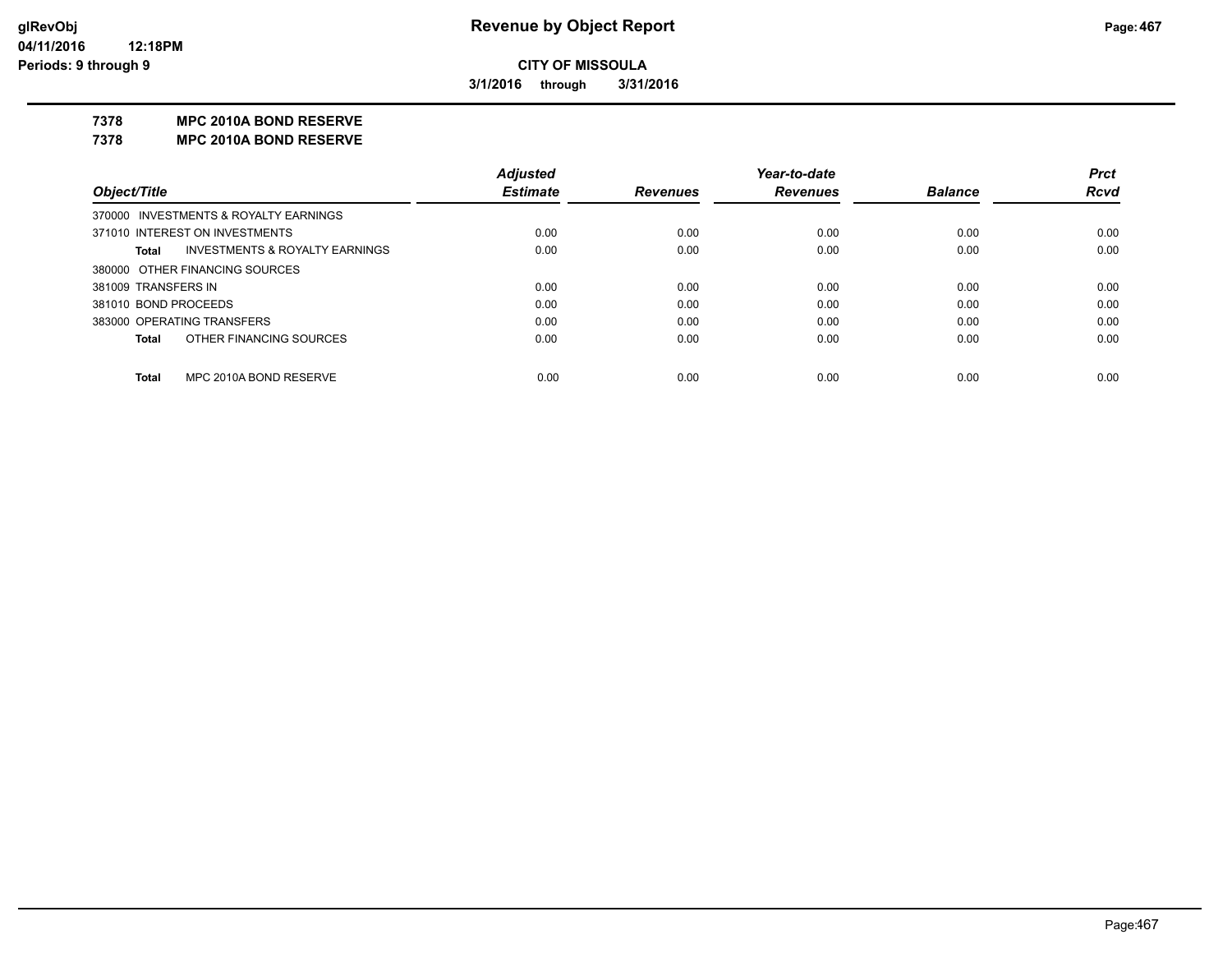**3/1/2016 through 3/31/2016**

#### **7378 MPC 2010A BOND RESERVE**

**7378 MPC 2010A BOND RESERVE**

|                      |                                           | <b>Adjusted</b> |                 | Year-to-date    |                | <b>Prct</b> |
|----------------------|-------------------------------------------|-----------------|-----------------|-----------------|----------------|-------------|
| Object/Title         |                                           | <b>Estimate</b> | <b>Revenues</b> | <b>Revenues</b> | <b>Balance</b> | <b>Rcvd</b> |
|                      | 370000 INVESTMENTS & ROYALTY EARNINGS     |                 |                 |                 |                |             |
|                      | 371010 INTEREST ON INVESTMENTS            | 0.00            | 0.00            | 0.00            | 0.00           | 0.00        |
| Total                | <b>INVESTMENTS &amp; ROYALTY EARNINGS</b> | 0.00            | 0.00            | 0.00            | 0.00           | 0.00        |
|                      | 380000 OTHER FINANCING SOURCES            |                 |                 |                 |                |             |
| 381009 TRANSFERS IN  |                                           | 0.00            | 0.00            | 0.00            | 0.00           | 0.00        |
| 381010 BOND PROCEEDS |                                           | 0.00            | 0.00            | 0.00            | 0.00           | 0.00        |
|                      | 383000 OPERATING TRANSFERS                | 0.00            | 0.00            | 0.00            | 0.00           | 0.00        |
| <b>Total</b>         | OTHER FINANCING SOURCES                   | 0.00            | 0.00            | 0.00            | 0.00           | 0.00        |
|                      |                                           |                 |                 |                 |                |             |
| <b>Total</b>         | MPC 2010A BOND RESERVE                    | 0.00            | 0.00            | 0.00            | 0.00           | 0.00        |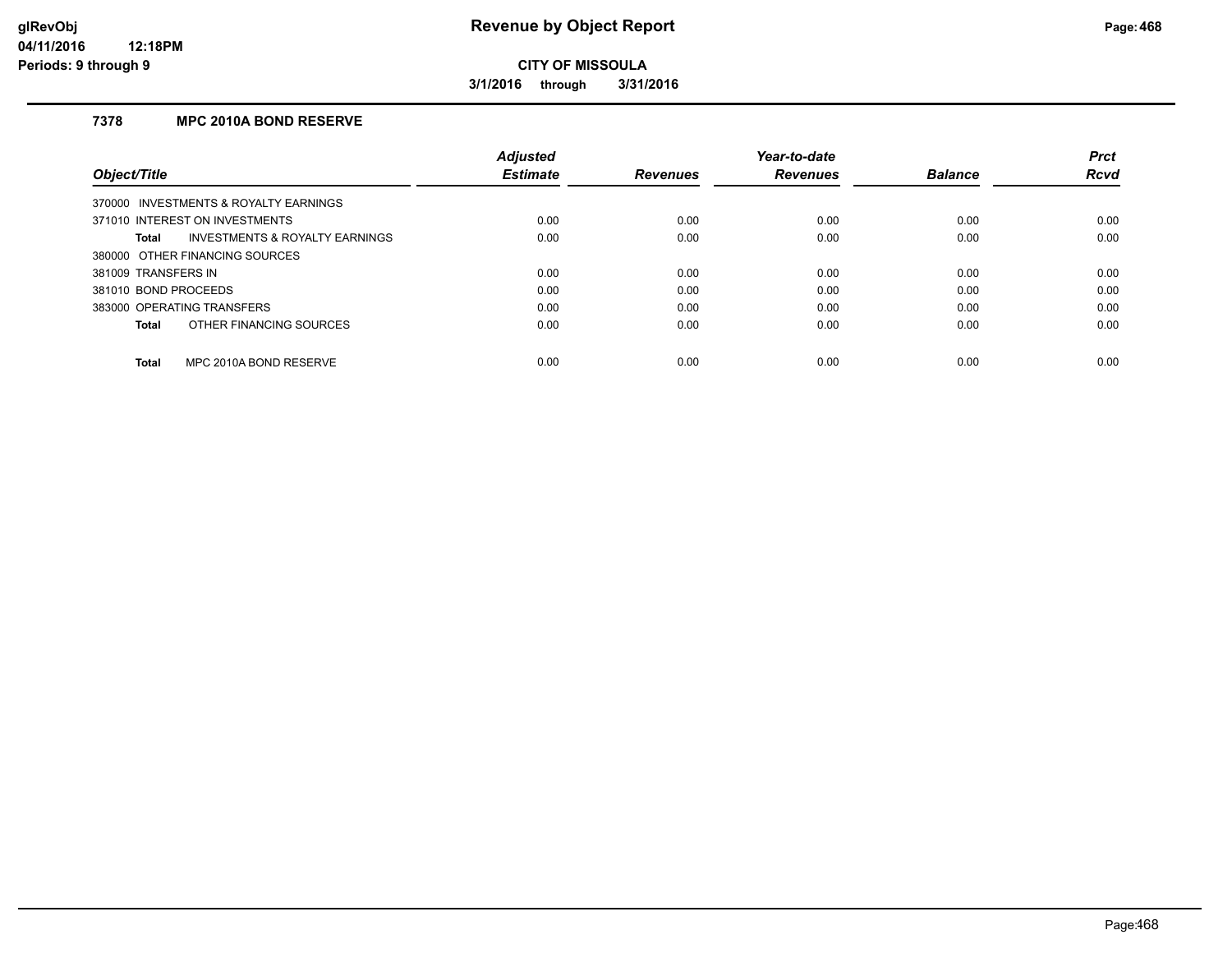**3/1/2016 through 3/31/2016**

#### **7378 MPC 2010A BOND RESERVE**

|                                         | <b>Adjusted</b> |                 | Year-to-date    |                | <b>Prct</b> |
|-----------------------------------------|-----------------|-----------------|-----------------|----------------|-------------|
| Object/Title                            | <b>Estimate</b> | <b>Revenues</b> | <b>Revenues</b> | <b>Balance</b> | <b>Rcvd</b> |
| 370000 INVESTMENTS & ROYALTY EARNINGS   |                 |                 |                 |                |             |
| 371010 INTEREST ON INVESTMENTS          | 0.00            | 0.00            | 0.00            | 0.00           | 0.00        |
| INVESTMENTS & ROYALTY EARNINGS<br>Total | 0.00            | 0.00            | 0.00            | 0.00           | 0.00        |
| 380000 OTHER FINANCING SOURCES          |                 |                 |                 |                |             |
| 381009 TRANSFERS IN                     | 0.00            | 0.00            | 0.00            | 0.00           | 0.00        |
| 381010 BOND PROCEEDS                    | 0.00            | 0.00            | 0.00            | 0.00           | 0.00        |
| 383000 OPERATING TRANSFERS              | 0.00            | 0.00            | 0.00            | 0.00           | 0.00        |
| OTHER FINANCING SOURCES<br>Total        | 0.00            | 0.00            | 0.00            | 0.00           | 0.00        |
| MPC 2010A BOND RESERVE<br><b>Total</b>  | 0.00            | 0.00            | 0.00            | 0.00           | 0.00        |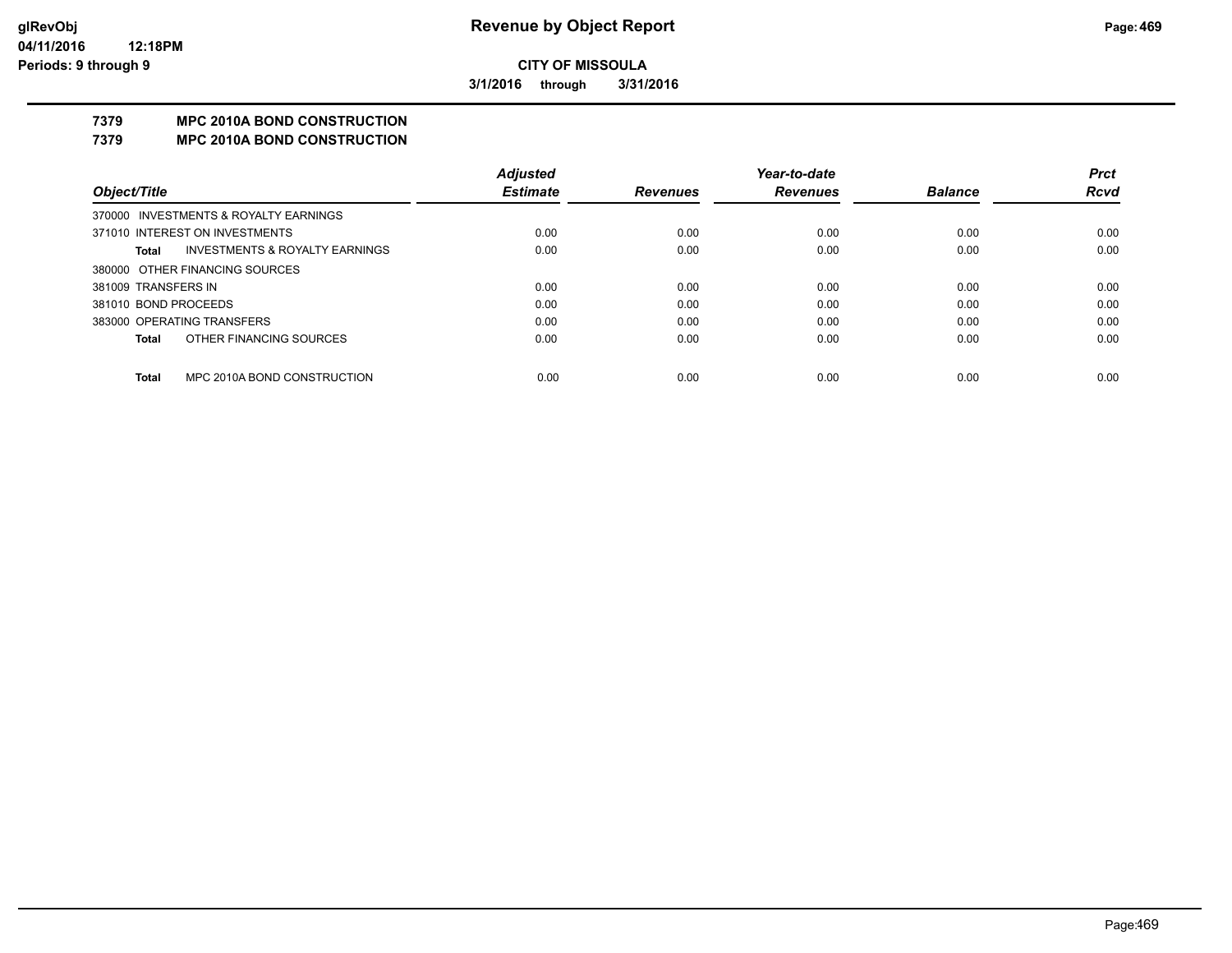**3/1/2016 through 3/31/2016**

## **7379 MPC 2010A BOND CONSTRUCTION**

#### **7379 MPC 2010A BOND CONSTRUCTION**

|                      |                                           | <b>Adjusted</b> |                 | Year-to-date    |                | <b>Prct</b> |
|----------------------|-------------------------------------------|-----------------|-----------------|-----------------|----------------|-------------|
| Object/Title         |                                           | <b>Estimate</b> | <b>Revenues</b> | <b>Revenues</b> | <b>Balance</b> | <b>Rcvd</b> |
|                      | 370000 INVESTMENTS & ROYALTY EARNINGS     |                 |                 |                 |                |             |
|                      | 371010 INTEREST ON INVESTMENTS            | 0.00            | 0.00            | 0.00            | 0.00           | 0.00        |
| Total                | <b>INVESTMENTS &amp; ROYALTY EARNINGS</b> | 0.00            | 0.00            | 0.00            | 0.00           | 0.00        |
|                      | 380000 OTHER FINANCING SOURCES            |                 |                 |                 |                |             |
| 381009 TRANSFERS IN  |                                           | 0.00            | 0.00            | 0.00            | 0.00           | 0.00        |
| 381010 BOND PROCEEDS |                                           | 0.00            | 0.00            | 0.00            | 0.00           | 0.00        |
|                      | 383000 OPERATING TRANSFERS                | 0.00            | 0.00            | 0.00            | 0.00           | 0.00        |
| <b>Total</b>         | OTHER FINANCING SOURCES                   | 0.00            | 0.00            | 0.00            | 0.00           | 0.00        |
|                      |                                           |                 |                 |                 |                |             |
| <b>Total</b>         | MPC 2010A BOND CONSTRUCTION               | 0.00            | 0.00            | 0.00            | 0.00           | 0.00        |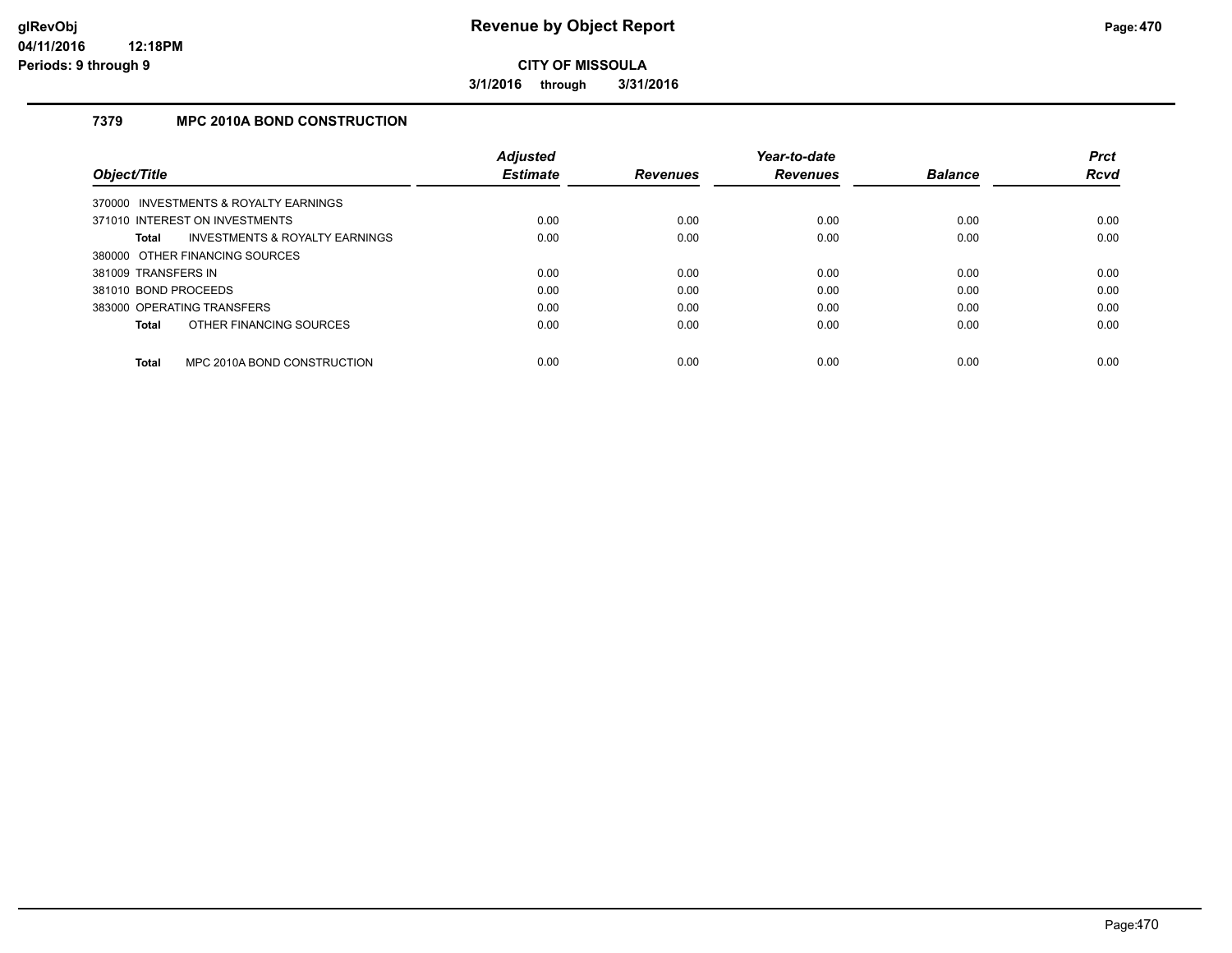**3/1/2016 through 3/31/2016**

## **7379 MPC 2010A BOND CONSTRUCTION**

|                      |                                       | <b>Adjusted</b> |                 | Year-to-date    |                | <b>Prct</b> |
|----------------------|---------------------------------------|-----------------|-----------------|-----------------|----------------|-------------|
| Object/Title         |                                       | <b>Estimate</b> | <b>Revenues</b> | <b>Revenues</b> | <b>Balance</b> | <b>Rcvd</b> |
|                      | 370000 INVESTMENTS & ROYALTY EARNINGS |                 |                 |                 |                |             |
|                      | 371010 INTEREST ON INVESTMENTS        | 0.00            | 0.00            | 0.00            | 0.00           | 0.00        |
| <b>Total</b>         | INVESTMENTS & ROYALTY EARNINGS        | 0.00            | 0.00            | 0.00            | 0.00           | 0.00        |
|                      | 380000 OTHER FINANCING SOURCES        |                 |                 |                 |                |             |
| 381009 TRANSFERS IN  |                                       | 0.00            | 0.00            | 0.00            | 0.00           | 0.00        |
| 381010 BOND PROCEEDS |                                       | 0.00            | 0.00            | 0.00            | 0.00           | 0.00        |
|                      | 383000 OPERATING TRANSFERS            | 0.00            | 0.00            | 0.00            | 0.00           | 0.00        |
| <b>Total</b>         | OTHER FINANCING SOURCES               | 0.00            | 0.00            | 0.00            | 0.00           | 0.00        |
| <b>Total</b>         | MPC 2010A BOND CONSTRUCTION           | 0.00            | 0.00            | 0.00            | 0.00           | 0.00        |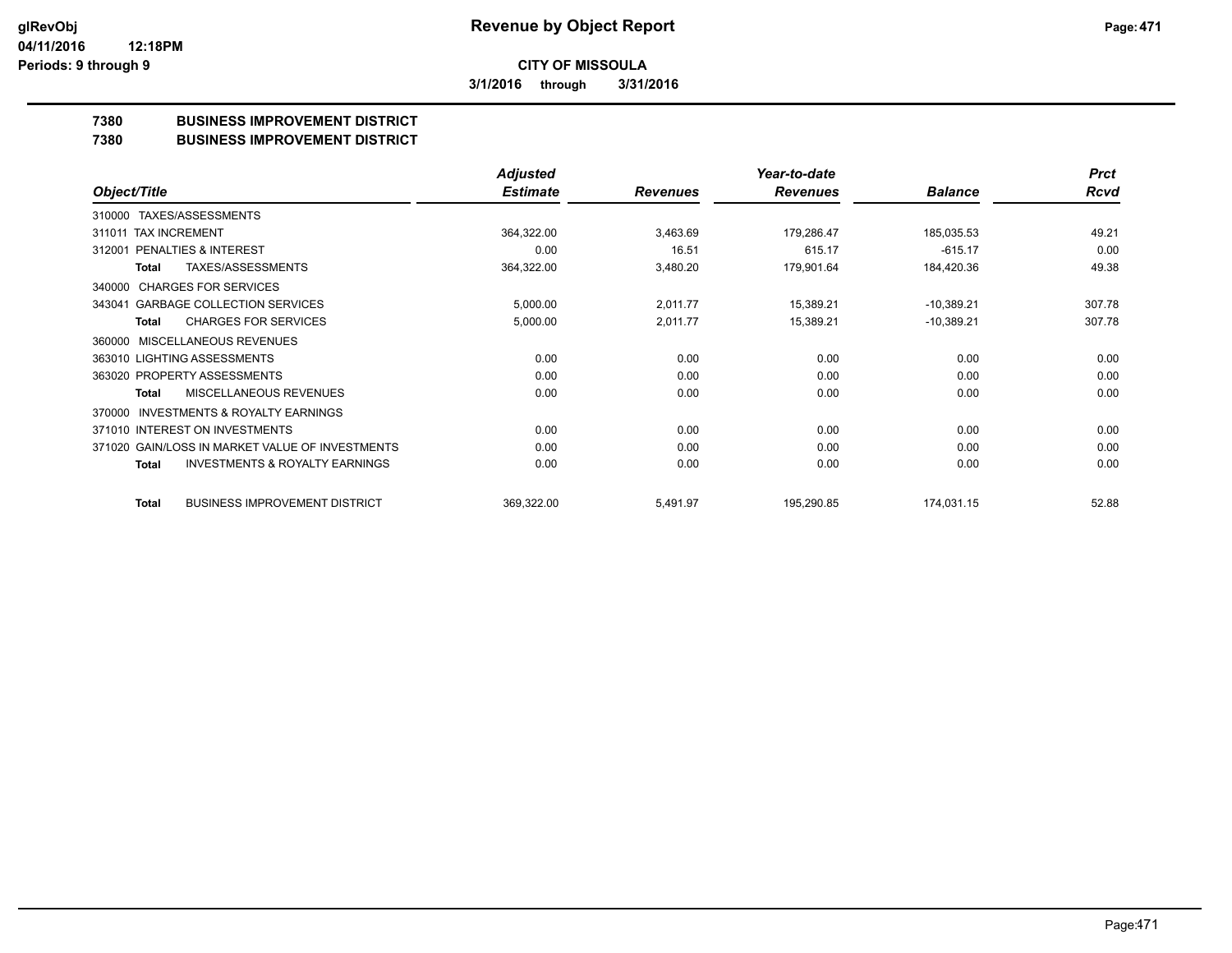**3/1/2016 through 3/31/2016**

## **7380 BUSINESS IMPROVEMENT DISTRICT**

#### **7380 BUSINESS IMPROVEMENT DISTRICT**

|                                                     | <b>Adjusted</b> |                 | Year-to-date    |                | <b>Prct</b> |
|-----------------------------------------------------|-----------------|-----------------|-----------------|----------------|-------------|
| Object/Title                                        | <b>Estimate</b> | <b>Revenues</b> | <b>Revenues</b> | <b>Balance</b> | <b>Rcvd</b> |
| TAXES/ASSESSMENTS<br>310000                         |                 |                 |                 |                |             |
| 311011 TAX INCREMENT                                | 364,322.00      | 3,463.69        | 179,286.47      | 185,035.53     | 49.21       |
| PENALTIES & INTEREST<br>312001                      | 0.00            | 16.51           | 615.17          | $-615.17$      | 0.00        |
| <b>TAXES/ASSESSMENTS</b><br>Total                   | 364,322.00      | 3,480.20        | 179,901.64      | 184,420.36     | 49.38       |
| <b>CHARGES FOR SERVICES</b><br>340000               |                 |                 |                 |                |             |
| <b>GARBAGE COLLECTION SERVICES</b><br>343041        | 5,000.00        | 2,011.77        | 15,389.21       | $-10,389.21$   | 307.78      |
| <b>CHARGES FOR SERVICES</b><br><b>Total</b>         | 5,000.00        | 2,011.77        | 15,389.21       | $-10,389.21$   | 307.78      |
| <b>MISCELLANEOUS REVENUES</b><br>360000             |                 |                 |                 |                |             |
| 363010 LIGHTING ASSESSMENTS                         | 0.00            | 0.00            | 0.00            | 0.00           | 0.00        |
| 363020 PROPERTY ASSESSMENTS                         | 0.00            | 0.00            | 0.00            | 0.00           | 0.00        |
| MISCELLANEOUS REVENUES<br>Total                     | 0.00            | 0.00            | 0.00            | 0.00           | 0.00        |
| <b>INVESTMENTS &amp; ROYALTY EARNINGS</b><br>370000 |                 |                 |                 |                |             |
| 371010 INTEREST ON INVESTMENTS                      | 0.00            | 0.00            | 0.00            | 0.00           | 0.00        |
| 371020 GAIN/LOSS IN MARKET VALUE OF INVESTMENTS     | 0.00            | 0.00            | 0.00            | 0.00           | 0.00        |
| <b>INVESTMENTS &amp; ROYALTY EARNINGS</b><br>Total  | 0.00            | 0.00            | 0.00            | 0.00           | 0.00        |
| <b>BUSINESS IMPROVEMENT DISTRICT</b><br>Total       | 369,322.00      | 5,491.97        | 195,290.85      | 174,031.15     | 52.88       |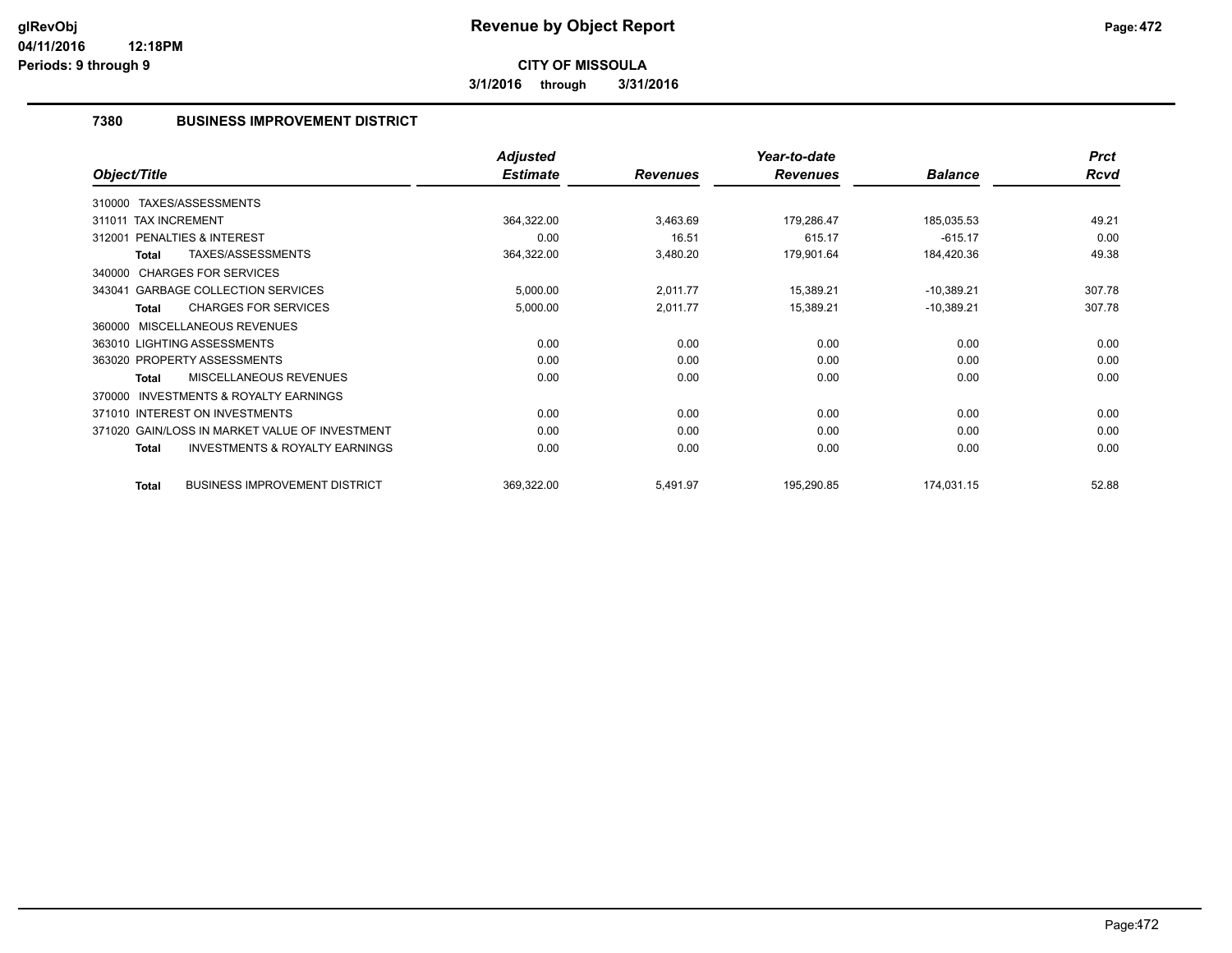**3/1/2016 through 3/31/2016**

## **7380 BUSINESS IMPROVEMENT DISTRICT**

|                                                           | <b>Adjusted</b> |                 | Year-to-date    |                | <b>Prct</b> |
|-----------------------------------------------------------|-----------------|-----------------|-----------------|----------------|-------------|
| Object/Title                                              | <b>Estimate</b> | <b>Revenues</b> | <b>Revenues</b> | <b>Balance</b> | <b>Rcvd</b> |
| 310000 TAXES/ASSESSMENTS                                  |                 |                 |                 |                |             |
| 311011 TAX INCREMENT                                      | 364,322.00      | 3,463.69        | 179,286.47      | 185,035.53     | 49.21       |
| <b>PENALTIES &amp; INTEREST</b><br>312001                 | 0.00            | 16.51           | 615.17          | $-615.17$      | 0.00        |
| TAXES/ASSESSMENTS<br>Total                                | 364,322.00      | 3,480.20        | 179,901.64      | 184,420.36     | 49.38       |
| 340000 CHARGES FOR SERVICES                               |                 |                 |                 |                |             |
| 343041 GARBAGE COLLECTION SERVICES                        | 5,000.00        | 2,011.77        | 15,389.21       | $-10,389.21$   | 307.78      |
| <b>CHARGES FOR SERVICES</b><br><b>Total</b>               | 5,000.00        | 2,011.77        | 15,389.21       | $-10,389.21$   | 307.78      |
| MISCELLANEOUS REVENUES<br>360000                          |                 |                 |                 |                |             |
| 363010 LIGHTING ASSESSMENTS                               | 0.00            | 0.00            | 0.00            | 0.00           | 0.00        |
| 363020 PROPERTY ASSESSMENTS                               | 0.00            | 0.00            | 0.00            | 0.00           | 0.00        |
| <b>MISCELLANEOUS REVENUES</b><br><b>Total</b>             | 0.00            | 0.00            | 0.00            | 0.00           | 0.00        |
| <b>INVESTMENTS &amp; ROYALTY EARNINGS</b><br>370000       |                 |                 |                 |                |             |
| 371010 INTEREST ON INVESTMENTS                            | 0.00            | 0.00            | 0.00            | 0.00           | 0.00        |
| 371020 GAIN/LOSS IN MARKET VALUE OF INVESTMENT            | 0.00            | 0.00            | 0.00            | 0.00           | 0.00        |
| <b>INVESTMENTS &amp; ROYALTY EARNINGS</b><br><b>Total</b> | 0.00            | 0.00            | 0.00            | 0.00           | 0.00        |
| <b>BUSINESS IMPROVEMENT DISTRICT</b><br><b>Total</b>      | 369,322.00      | 5,491.97        | 195,290.85      | 174,031.15     | 52.88       |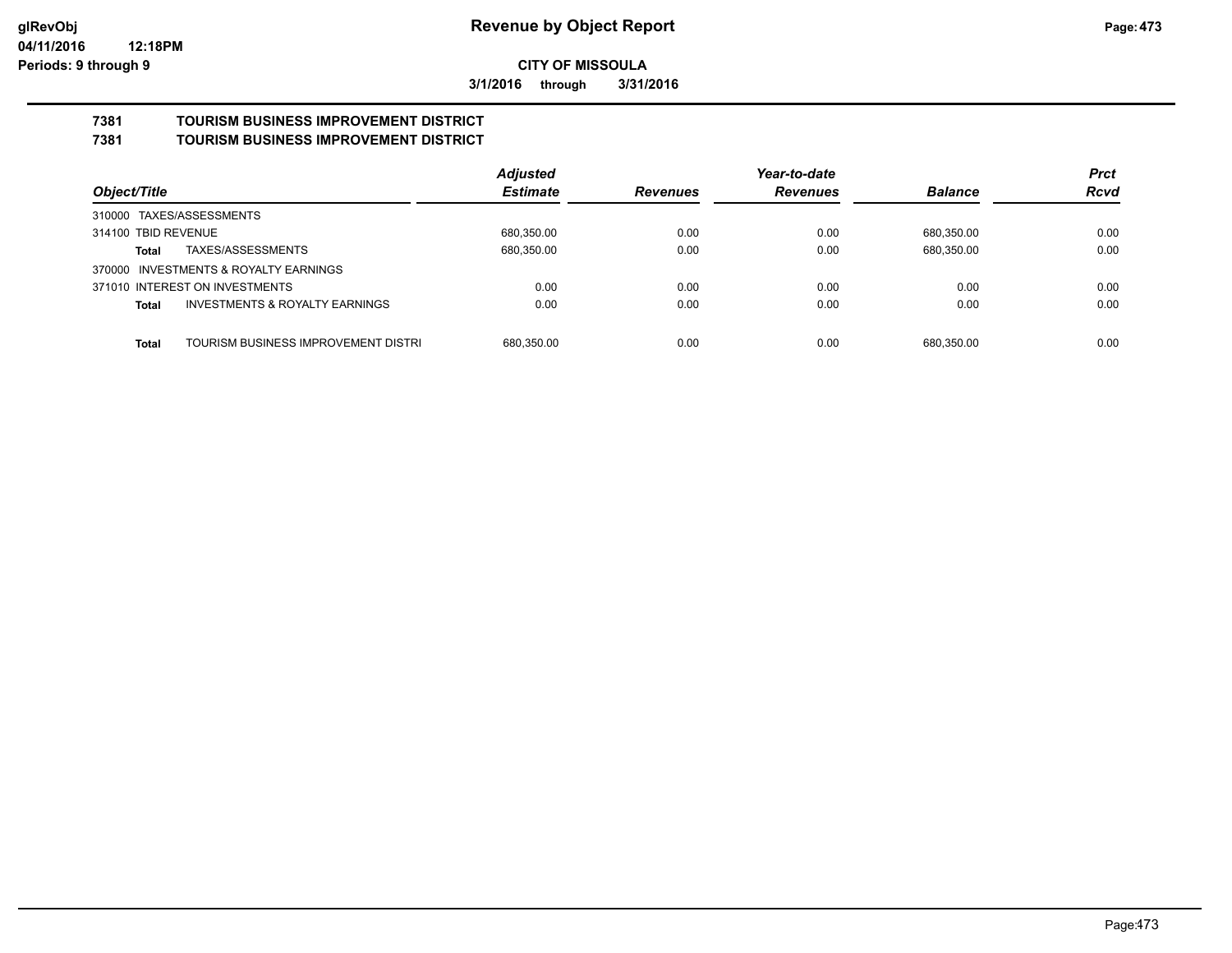**3/1/2016 through 3/31/2016**

#### **7381 TOURISM BUSINESS IMPROVEMENT DISTRICT 7381 TOURISM BUSINESS IMPROVEMENT DISTRICT**

|                                                           | <b>Adjusted</b> |                 | Year-to-date    |                | <b>Prct</b> |
|-----------------------------------------------------------|-----------------|-----------------|-----------------|----------------|-------------|
| Object/Title                                              | <b>Estimate</b> | <b>Revenues</b> | <b>Revenues</b> | <b>Balance</b> | <b>Rcvd</b> |
| 310000 TAXES/ASSESSMENTS                                  |                 |                 |                 |                |             |
| 314100 TBID REVENUE                                       | 680,350.00      | 0.00            | 0.00            | 680,350.00     | 0.00        |
| TAXES/ASSESSMENTS<br>Total                                | 680,350.00      | 0.00            | 0.00            | 680,350.00     | 0.00        |
| 370000 INVESTMENTS & ROYALTY EARNINGS                     |                 |                 |                 |                |             |
| 371010 INTEREST ON INVESTMENTS                            | 0.00            | 0.00            | 0.00            | 0.00           | 0.00        |
| <b>INVESTMENTS &amp; ROYALTY EARNINGS</b><br><b>Total</b> | 0.00            | 0.00            | 0.00            | 0.00           | 0.00        |
|                                                           |                 |                 |                 |                |             |
| TOURISM BUSINESS IMPROVEMENT DISTRI<br>Total              | 680.350.00      | 0.00            | 0.00            | 680.350.00     | 0.00        |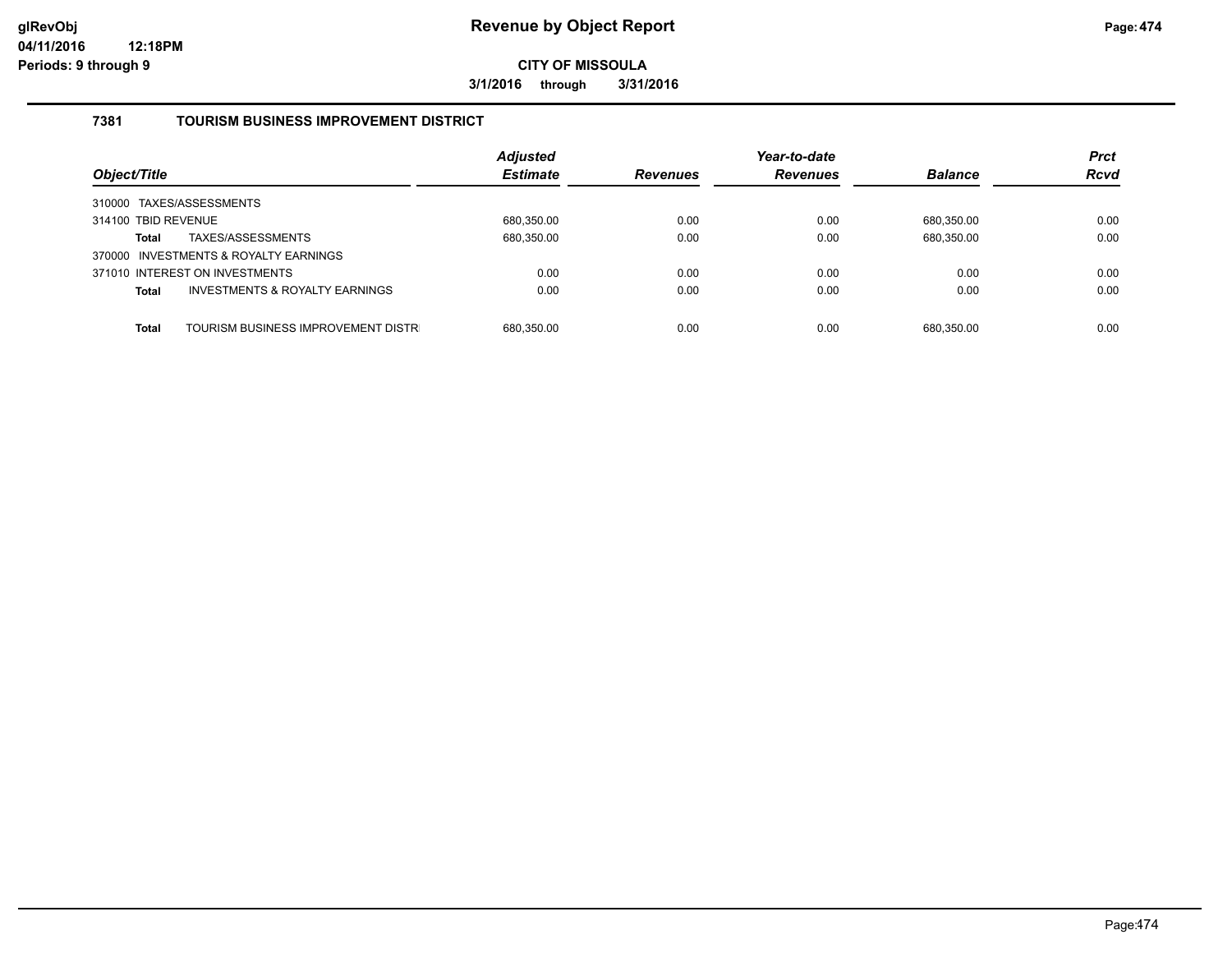**3/1/2016 through 3/31/2016**

## **7381 TOURISM BUSINESS IMPROVEMENT DISTRICT**

| Object/Title                                              | <b>Adjusted</b><br><b>Estimate</b> | <b>Revenues</b> | Year-to-date<br><b>Revenues</b> | <b>Balance</b> | <b>Prct</b><br><b>Rcvd</b> |
|-----------------------------------------------------------|------------------------------------|-----------------|---------------------------------|----------------|----------------------------|
| 310000 TAXES/ASSESSMENTS                                  |                                    |                 |                                 |                |                            |
| 314100 TBID REVENUE                                       | 680,350.00                         | 0.00            | 0.00                            | 680.350.00     | 0.00                       |
| TAXES/ASSESSMENTS<br><b>Total</b>                         | 680,350.00                         | 0.00            | 0.00                            | 680,350.00     | 0.00                       |
| 370000 INVESTMENTS & ROYALTY EARNINGS                     |                                    |                 |                                 |                |                            |
| 371010 INTEREST ON INVESTMENTS                            | 0.00                               | 0.00            | 0.00                            | 0.00           | 0.00                       |
| <b>INVESTMENTS &amp; ROYALTY EARNINGS</b><br><b>Total</b> | 0.00                               | 0.00            | 0.00                            | 0.00           | 0.00                       |
|                                                           |                                    |                 |                                 |                |                            |
| TOURISM BUSINESS IMPROVEMENT DISTR<br><b>Total</b>        | 680.350.00                         | 0.00            | 0.00                            | 680.350.00     | 0.00                       |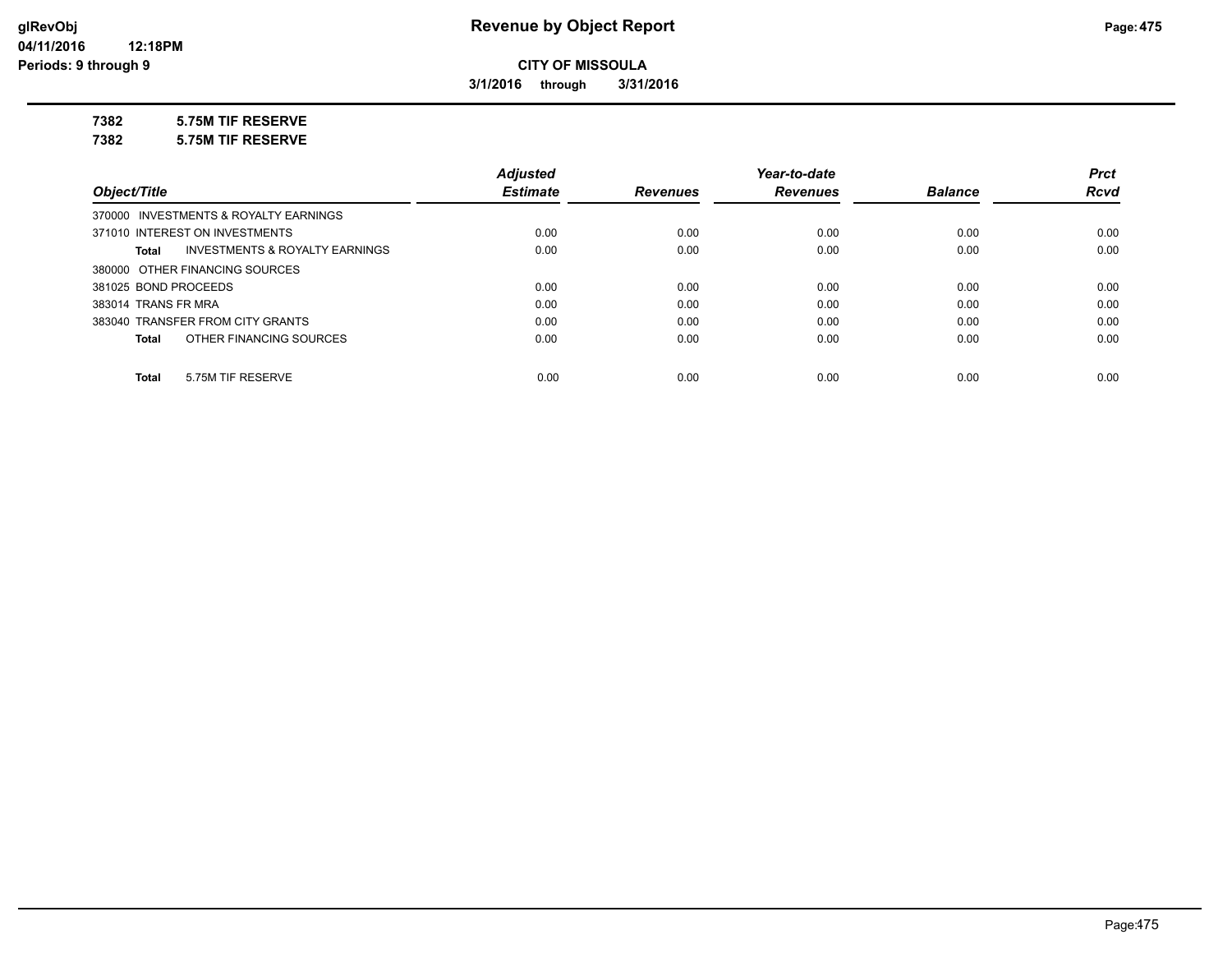**3/1/2016 through 3/31/2016**

## **7382 5.75M TIF RESERVE**

**7382 5.75M TIF RESERVE**

|                                                    | <b>Adjusted</b> |                 | Year-to-date    |                | <b>Prct</b> |
|----------------------------------------------------|-----------------|-----------------|-----------------|----------------|-------------|
| Object/Title                                       | <b>Estimate</b> | <b>Revenues</b> | <b>Revenues</b> | <b>Balance</b> | <b>Rcvd</b> |
| 370000 INVESTMENTS & ROYALTY EARNINGS              |                 |                 |                 |                |             |
| 371010 INTEREST ON INVESTMENTS                     | 0.00            | 0.00            | 0.00            | 0.00           | 0.00        |
| <b>INVESTMENTS &amp; ROYALTY EARNINGS</b><br>Total | 0.00            | 0.00            | 0.00            | 0.00           | 0.00        |
| 380000 OTHER FINANCING SOURCES                     |                 |                 |                 |                |             |
| 381025 BOND PROCEEDS                               | 0.00            | 0.00            | 0.00            | 0.00           | 0.00        |
| 383014 TRANS FR MRA                                | 0.00            | 0.00            | 0.00            | 0.00           | 0.00        |
| 383040 TRANSFER FROM CITY GRANTS                   | 0.00            | 0.00            | 0.00            | 0.00           | 0.00        |
| OTHER FINANCING SOURCES<br>Total                   | 0.00            | 0.00            | 0.00            | 0.00           | 0.00        |
|                                                    |                 |                 |                 |                |             |
| 5.75M TIF RESERVE<br><b>Total</b>                  | 0.00            | 0.00            | 0.00            | 0.00           | 0.00        |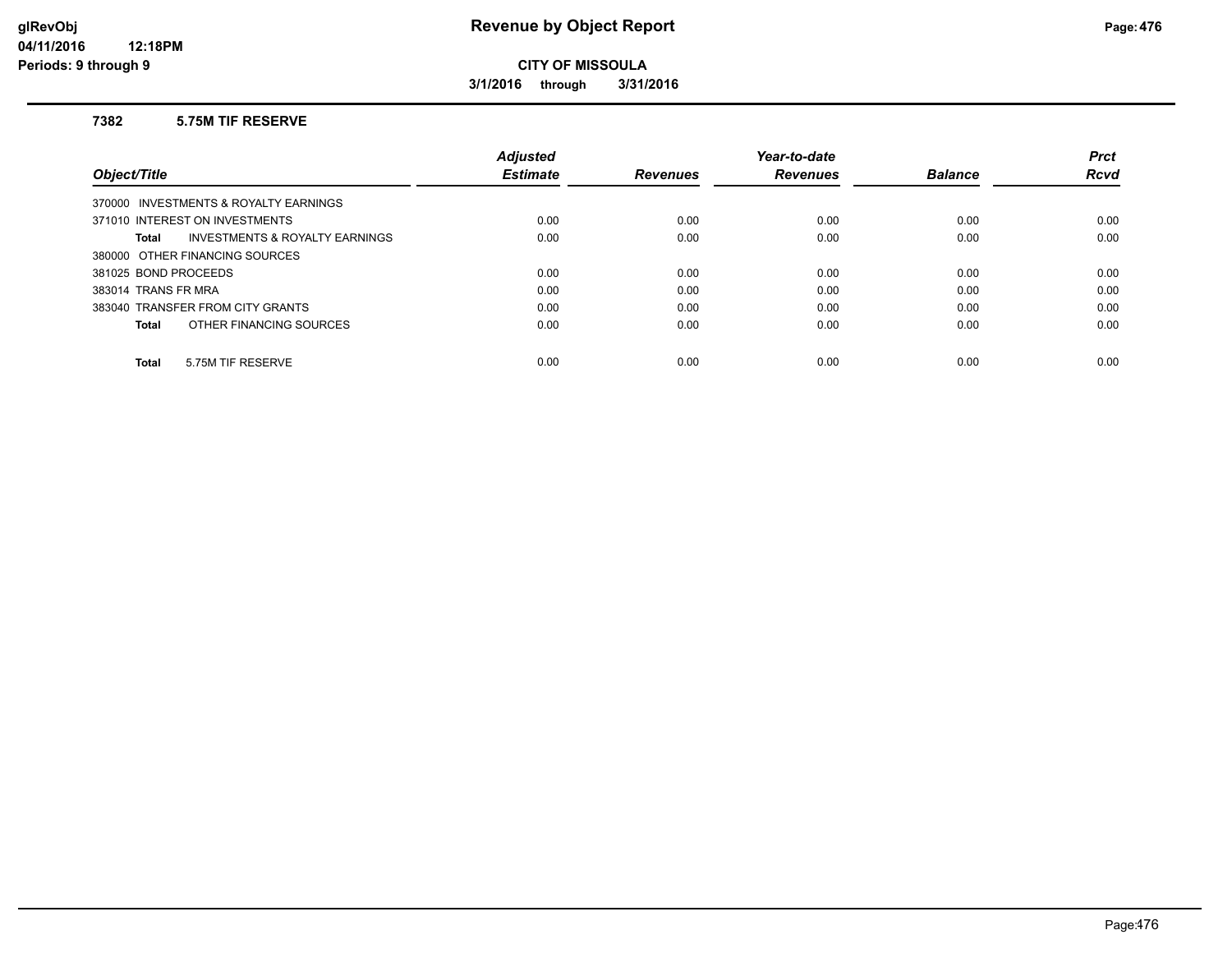**3/1/2016 through 3/31/2016**

#### **7382 5.75M TIF RESERVE**

|                                         | <b>Adjusted</b> |                 | Year-to-date    |                | <b>Prct</b> |
|-----------------------------------------|-----------------|-----------------|-----------------|----------------|-------------|
| Object/Title                            | <b>Estimate</b> | <b>Revenues</b> | <b>Revenues</b> | <b>Balance</b> | <b>Rcvd</b> |
| 370000 INVESTMENTS & ROYALTY EARNINGS   |                 |                 |                 |                |             |
| 371010 INTEREST ON INVESTMENTS          | 0.00            | 0.00            | 0.00            | 0.00           | 0.00        |
| INVESTMENTS & ROYALTY EARNINGS<br>Total | 0.00            | 0.00            | 0.00            | 0.00           | 0.00        |
| 380000 OTHER FINANCING SOURCES          |                 |                 |                 |                |             |
| 381025 BOND PROCEEDS                    | 0.00            | 0.00            | 0.00            | 0.00           | 0.00        |
| 383014 TRANS FR MRA                     | 0.00            | 0.00            | 0.00            | 0.00           | 0.00        |
| 383040 TRANSFER FROM CITY GRANTS        | 0.00            | 0.00            | 0.00            | 0.00           | 0.00        |
| OTHER FINANCING SOURCES<br><b>Total</b> | 0.00            | 0.00            | 0.00            | 0.00           | 0.00        |
| 5.75M TIF RESERVE<br><b>Total</b>       | 0.00            | 0.00            | 0.00            | 0.00           | 0.00        |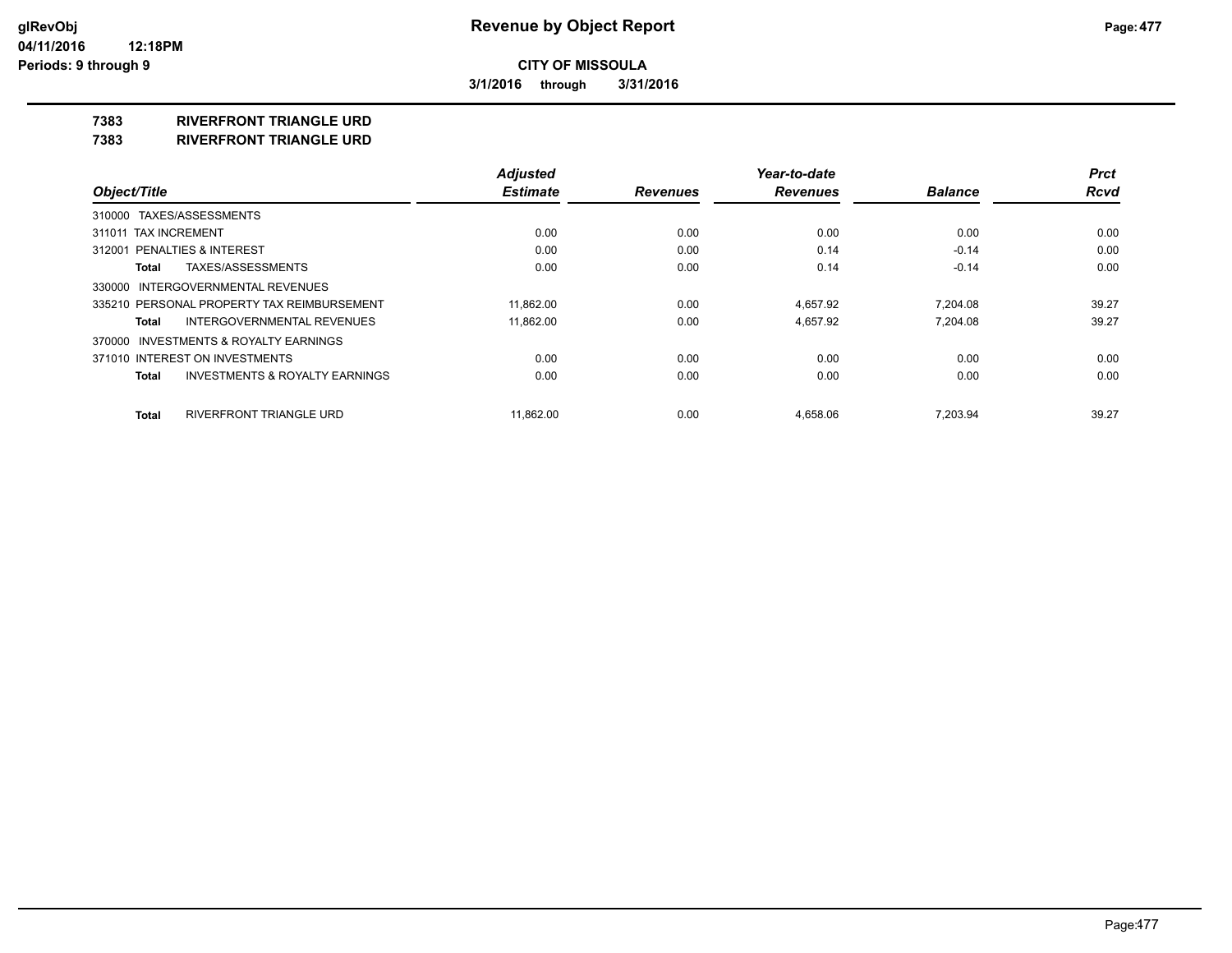**3/1/2016 through 3/31/2016**

## **7383 RIVERFRONT TRIANGLE URD**

**7383 RIVERFRONT TRIANGLE URD**

|                                                           | <b>Adjusted</b> |                 | Year-to-date    |                | <b>Prct</b> |
|-----------------------------------------------------------|-----------------|-----------------|-----------------|----------------|-------------|
| Object/Title                                              | <b>Estimate</b> | <b>Revenues</b> | <b>Revenues</b> | <b>Balance</b> | <b>Rcvd</b> |
| 310000 TAXES/ASSESSMENTS                                  |                 |                 |                 |                |             |
| 311011 TAX INCREMENT                                      | 0.00            | 0.00            | 0.00            | 0.00           | 0.00        |
| 312001 PENALTIES & INTEREST                               | 0.00            | 0.00            | 0.14            | $-0.14$        | 0.00        |
| TAXES/ASSESSMENTS<br>Total                                | 0.00            | 0.00            | 0.14            | $-0.14$        | 0.00        |
| 330000 INTERGOVERNMENTAL REVENUES                         |                 |                 |                 |                |             |
| 335210 PERSONAL PROPERTY TAX REIMBURSEMENT                | 11.862.00       | 0.00            | 4.657.92        | 7.204.08       | 39.27       |
| <b>INTERGOVERNMENTAL REVENUES</b><br>Total                | 11,862.00       | 0.00            | 4,657.92        | 7,204.08       | 39.27       |
| 370000 INVESTMENTS & ROYALTY EARNINGS                     |                 |                 |                 |                |             |
| 371010 INTEREST ON INVESTMENTS                            | 0.00            | 0.00            | 0.00            | 0.00           | 0.00        |
| <b>INVESTMENTS &amp; ROYALTY EARNINGS</b><br><b>Total</b> | 0.00            | 0.00            | 0.00            | 0.00           | 0.00        |
| RIVERFRONT TRIANGLE URD<br><b>Total</b>                   | 11.862.00       | 0.00            | 4.658.06        | 7.203.94       | 39.27       |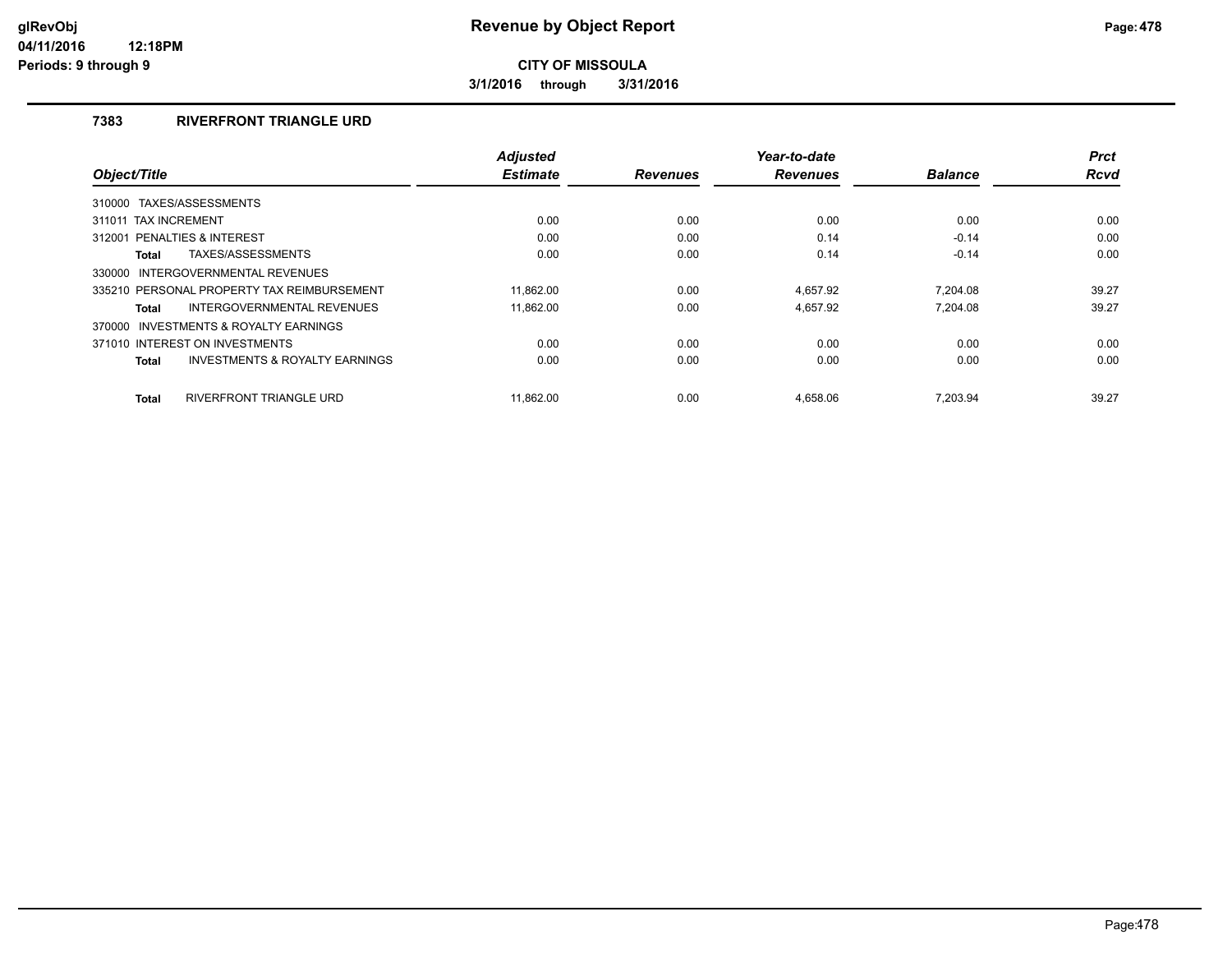**3/1/2016 through 3/31/2016**

## **7383 RIVERFRONT TRIANGLE URD**

|                                                           | <b>Adjusted</b> |                 | Year-to-date    |                | <b>Prct</b> |
|-----------------------------------------------------------|-----------------|-----------------|-----------------|----------------|-------------|
| Object/Title                                              | <b>Estimate</b> | <b>Revenues</b> | <b>Revenues</b> | <b>Balance</b> | <b>Rcvd</b> |
| TAXES/ASSESSMENTS<br>310000                               |                 |                 |                 |                |             |
| 311011 TAX INCREMENT                                      | 0.00            | 0.00            | 0.00            | 0.00           | 0.00        |
| 312001 PENALTIES & INTEREST                               | 0.00            | 0.00            | 0.14            | $-0.14$        | 0.00        |
| TAXES/ASSESSMENTS<br><b>Total</b>                         | 0.00            | 0.00            | 0.14            | $-0.14$        | 0.00        |
| INTERGOVERNMENTAL REVENUES<br>330000                      |                 |                 |                 |                |             |
| 335210 PERSONAL PROPERTY TAX REIMBURSEMENT                | 11.862.00       | 0.00            | 4.657.92        | 7.204.08       | 39.27       |
| INTERGOVERNMENTAL REVENUES<br>Total                       | 11.862.00       | 0.00            | 4.657.92        | 7.204.08       | 39.27       |
| 370000 INVESTMENTS & ROYALTY EARNINGS                     |                 |                 |                 |                |             |
| 371010 INTEREST ON INVESTMENTS                            | 0.00            | 0.00            | 0.00            | 0.00           | 0.00        |
| <b>INVESTMENTS &amp; ROYALTY EARNINGS</b><br><b>Total</b> | 0.00            | 0.00            | 0.00            | 0.00           | 0.00        |
| RIVERFRONT TRIANGLE URD<br><b>Total</b>                   | 11.862.00       | 0.00            | 4.658.06        | 7.203.94       | 39.27       |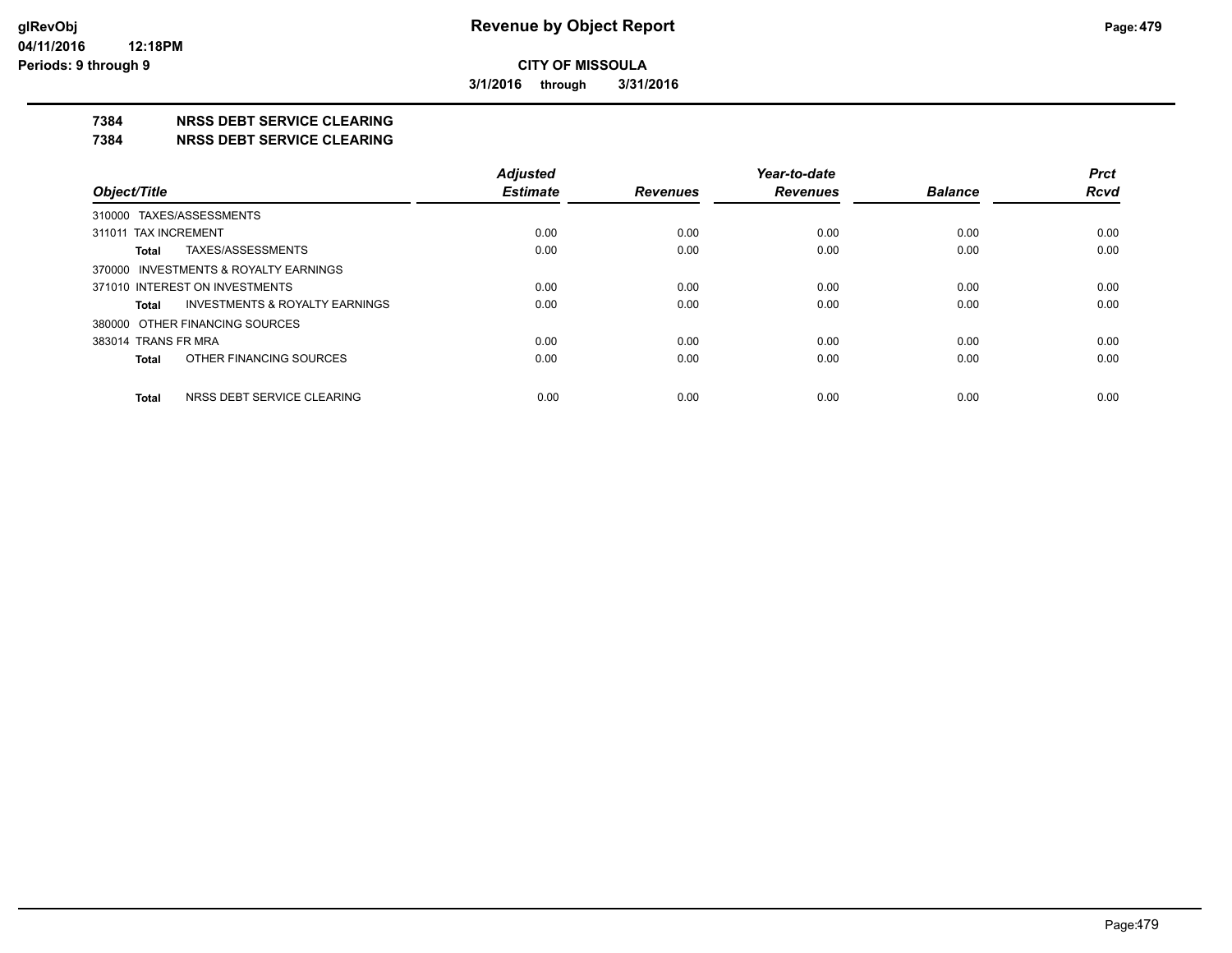**3/1/2016 through 3/31/2016**

### **7384 NRSS DEBT SERVICE CLEARING**

**7384 NRSS DEBT SERVICE CLEARING**

|                                            | <b>Adjusted</b> |                 | Year-to-date    |                | <b>Prct</b> |
|--------------------------------------------|-----------------|-----------------|-----------------|----------------|-------------|
| Object/Title                               | <b>Estimate</b> | <b>Revenues</b> | <b>Revenues</b> | <b>Balance</b> | <b>Rcvd</b> |
| 310000 TAXES/ASSESSMENTS                   |                 |                 |                 |                |             |
| 311011 TAX INCREMENT                       | 0.00            | 0.00            | 0.00            | 0.00           | 0.00        |
| TAXES/ASSESSMENTS<br>Total                 | 0.00            | 0.00            | 0.00            | 0.00           | 0.00        |
| 370000 INVESTMENTS & ROYALTY EARNINGS      |                 |                 |                 |                |             |
| 371010 INTEREST ON INVESTMENTS             | 0.00            | 0.00            | 0.00            | 0.00           | 0.00        |
| INVESTMENTS & ROYALTY EARNINGS<br>Total    | 0.00            | 0.00            | 0.00            | 0.00           | 0.00        |
| 380000 OTHER FINANCING SOURCES             |                 |                 |                 |                |             |
| 383014 TRANS FR MRA                        | 0.00            | 0.00            | 0.00            | 0.00           | 0.00        |
| OTHER FINANCING SOURCES<br>Total           | 0.00            | 0.00            | 0.00            | 0.00           | 0.00        |
| NRSS DEBT SERVICE CLEARING<br><b>Total</b> | 0.00            | 0.00            | 0.00            | 0.00           | 0.00        |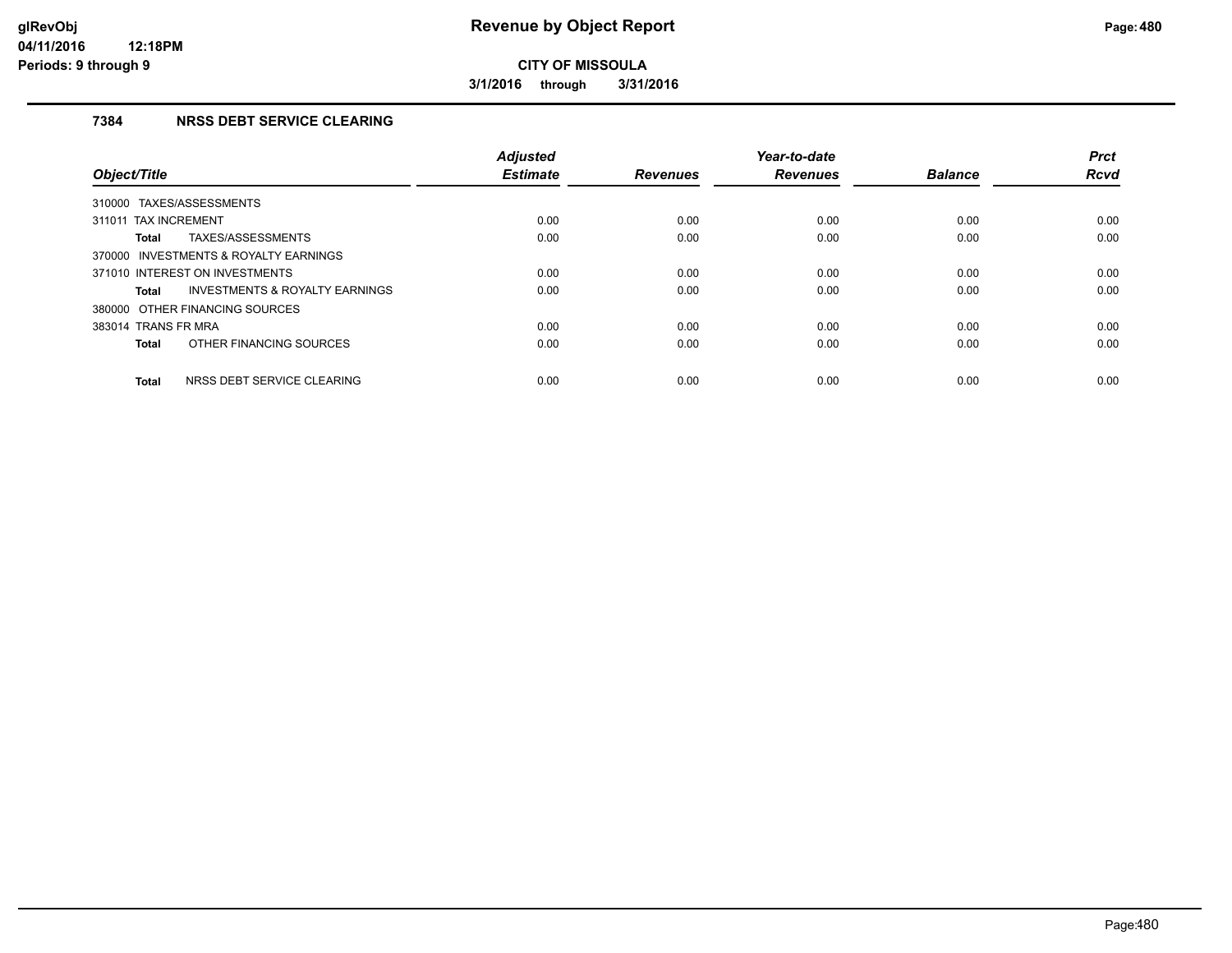**3/1/2016 through 3/31/2016**

## **7384 NRSS DEBT SERVICE CLEARING**

| Object/Title                                       | <b>Adjusted</b><br><b>Estimate</b> | <b>Revenues</b> | Year-to-date<br><b>Revenues</b> | <b>Balance</b> | <b>Prct</b><br><b>Rcvd</b> |
|----------------------------------------------------|------------------------------------|-----------------|---------------------------------|----------------|----------------------------|
| TAXES/ASSESSMENTS<br>310000                        |                                    |                 |                                 |                |                            |
| 311011 TAX INCREMENT                               | 0.00                               | 0.00            | 0.00                            | 0.00           | 0.00                       |
| TAXES/ASSESSMENTS<br>Total                         | 0.00                               | 0.00            | 0.00                            | 0.00           | 0.00                       |
| 370000 INVESTMENTS & ROYALTY EARNINGS              |                                    |                 |                                 |                |                            |
| 371010 INTEREST ON INVESTMENTS                     | 0.00                               | 0.00            | 0.00                            | 0.00           | 0.00                       |
| <b>INVESTMENTS &amp; ROYALTY EARNINGS</b><br>Total | 0.00                               | 0.00            | 0.00                            | 0.00           | 0.00                       |
| 380000 OTHER FINANCING SOURCES                     |                                    |                 |                                 |                |                            |
| 383014 TRANS FR MRA                                | 0.00                               | 0.00            | 0.00                            | 0.00           | 0.00                       |
| OTHER FINANCING SOURCES<br><b>Total</b>            | 0.00                               | 0.00            | 0.00                            | 0.00           | 0.00                       |
| NRSS DEBT SERVICE CLEARING<br><b>Total</b>         | 0.00                               | 0.00            | 0.00                            | 0.00           | 0.00                       |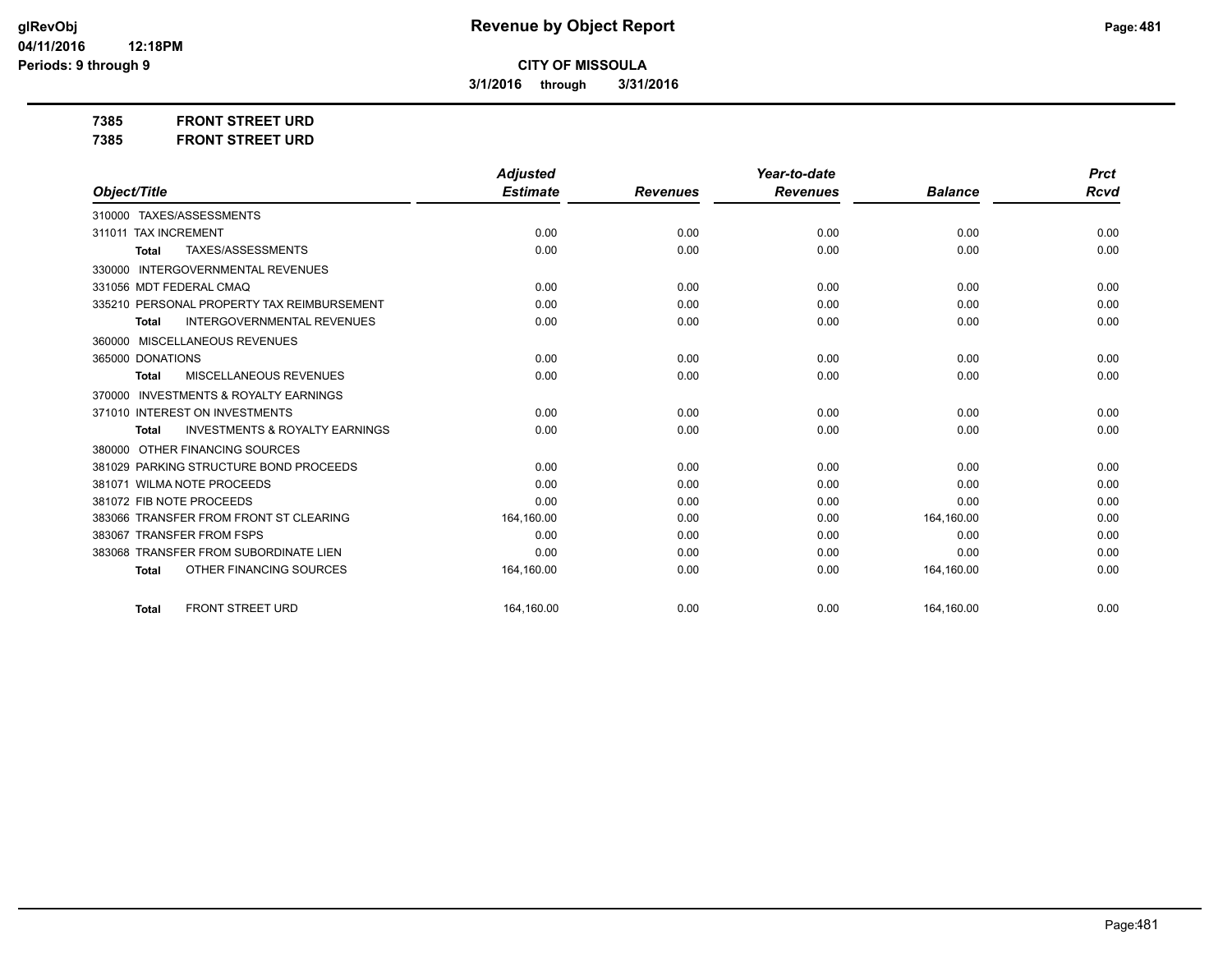**3/1/2016 through 3/31/2016**

**7385 FRONT STREET URD 7385 FRONT STREET URD**

|                                                           | <b>Adjusted</b> |                 | Year-to-date    |                | <b>Prct</b> |
|-----------------------------------------------------------|-----------------|-----------------|-----------------|----------------|-------------|
| Object/Title                                              | <b>Estimate</b> | <b>Revenues</b> | <b>Revenues</b> | <b>Balance</b> | <b>Rcvd</b> |
| 310000 TAXES/ASSESSMENTS                                  |                 |                 |                 |                |             |
| 311011 TAX INCREMENT                                      | 0.00            | 0.00            | 0.00            | 0.00           | 0.00        |
| TAXES/ASSESSMENTS<br><b>Total</b>                         | 0.00            | 0.00            | 0.00            | 0.00           | 0.00        |
| <b>INTERGOVERNMENTAL REVENUES</b><br>330000               |                 |                 |                 |                |             |
| 331056 MDT FEDERAL CMAQ                                   | 0.00            | 0.00            | 0.00            | 0.00           | 0.00        |
| 335210 PERSONAL PROPERTY TAX REIMBURSEMENT                | 0.00            | 0.00            | 0.00            | 0.00           | 0.00        |
| <b>INTERGOVERNMENTAL REVENUES</b><br><b>Total</b>         | 0.00            | 0.00            | 0.00            | 0.00           | 0.00        |
| 360000 MISCELLANEOUS REVENUES                             |                 |                 |                 |                |             |
| 365000 DONATIONS                                          | 0.00            | 0.00            | 0.00            | 0.00           | 0.00        |
| <b>MISCELLANEOUS REVENUES</b><br><b>Total</b>             | 0.00            | 0.00            | 0.00            | 0.00           | 0.00        |
| <b>INVESTMENTS &amp; ROYALTY EARNINGS</b><br>370000       |                 |                 |                 |                |             |
| 371010 INTEREST ON INVESTMENTS                            | 0.00            | 0.00            | 0.00            | 0.00           | 0.00        |
| <b>INVESTMENTS &amp; ROYALTY EARNINGS</b><br><b>Total</b> | 0.00            | 0.00            | 0.00            | 0.00           | 0.00        |
| 380000 OTHER FINANCING SOURCES                            |                 |                 |                 |                |             |
| 381029 PARKING STRUCTURE BOND PROCEEDS                    | 0.00            | 0.00            | 0.00            | 0.00           | 0.00        |
| 381071 WILMA NOTE PROCEEDS                                | 0.00            | 0.00            | 0.00            | 0.00           | 0.00        |
| 381072 FIB NOTE PROCEEDS                                  | 0.00            | 0.00            | 0.00            | 0.00           | 0.00        |
| 383066 TRANSFER FROM FRONT ST CLEARING                    | 164,160.00      | 0.00            | 0.00            | 164,160.00     | 0.00        |
| 383067 TRANSFER FROM FSPS                                 | 0.00            | 0.00            | 0.00            | 0.00           | 0.00        |
| 383068 TRANSFER FROM SUBORDINATE LIEN                     | 0.00            | 0.00            | 0.00            | 0.00           | 0.00        |
| OTHER FINANCING SOURCES<br><b>Total</b>                   | 164,160.00      | 0.00            | 0.00            | 164,160.00     | 0.00        |
| <b>FRONT STREET URD</b>                                   | 164,160.00      |                 |                 | 164,160.00     |             |
| <b>Total</b>                                              |                 | 0.00            | 0.00            |                | 0.00        |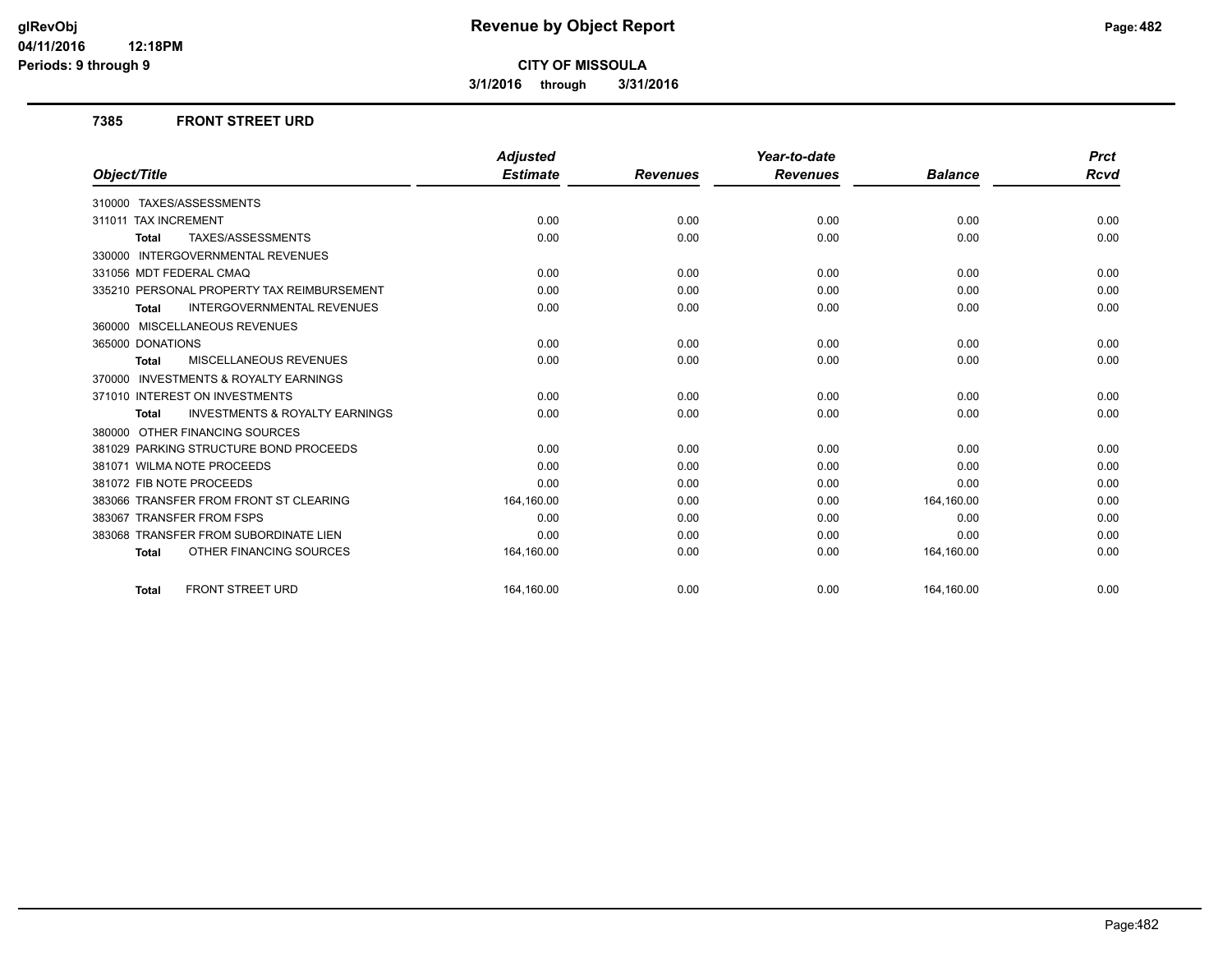**3/1/2016 through 3/31/2016**

#### **7385 FRONT STREET URD**

|                                                           | <b>Adjusted</b> |                 | Year-to-date    |                | <b>Prct</b> |
|-----------------------------------------------------------|-----------------|-----------------|-----------------|----------------|-------------|
| Object/Title                                              | <b>Estimate</b> | <b>Revenues</b> | <b>Revenues</b> | <b>Balance</b> | <b>Rcvd</b> |
| 310000 TAXES/ASSESSMENTS                                  |                 |                 |                 |                |             |
| 311011 TAX INCREMENT                                      | 0.00            | 0.00            | 0.00            | 0.00           | 0.00        |
| TAXES/ASSESSMENTS<br><b>Total</b>                         | 0.00            | 0.00            | 0.00            | 0.00           | 0.00        |
| 330000 INTERGOVERNMENTAL REVENUES                         |                 |                 |                 |                |             |
| 331056 MDT FEDERAL CMAQ                                   | 0.00            | 0.00            | 0.00            | 0.00           | 0.00        |
| 335210 PERSONAL PROPERTY TAX REIMBURSEMENT                | 0.00            | 0.00            | 0.00            | 0.00           | 0.00        |
| <b>INTERGOVERNMENTAL REVENUES</b><br><b>Total</b>         | 0.00            | 0.00            | 0.00            | 0.00           | 0.00        |
| 360000 MISCELLANEOUS REVENUES                             |                 |                 |                 |                |             |
| 365000 DONATIONS                                          | 0.00            | 0.00            | 0.00            | 0.00           | 0.00        |
| <b>MISCELLANEOUS REVENUES</b><br><b>Total</b>             | 0.00            | 0.00            | 0.00            | 0.00           | 0.00        |
| 370000 INVESTMENTS & ROYALTY EARNINGS                     |                 |                 |                 |                |             |
| 371010 INTEREST ON INVESTMENTS                            | 0.00            | 0.00            | 0.00            | 0.00           | 0.00        |
| <b>INVESTMENTS &amp; ROYALTY EARNINGS</b><br><b>Total</b> | 0.00            | 0.00            | 0.00            | 0.00           | 0.00        |
| 380000 OTHER FINANCING SOURCES                            |                 |                 |                 |                |             |
| 381029 PARKING STRUCTURE BOND PROCEEDS                    | 0.00            | 0.00            | 0.00            | 0.00           | 0.00        |
| 381071 WILMA NOTE PROCEEDS                                | 0.00            | 0.00            | 0.00            | 0.00           | 0.00        |
| 381072 FIB NOTE PROCEEDS                                  | 0.00            | 0.00            | 0.00            | 0.00           | 0.00        |
| 383066 TRANSFER FROM FRONT ST CLEARING                    | 164,160.00      | 0.00            | 0.00            | 164,160.00     | 0.00        |
| 383067 TRANSFER FROM FSPS                                 | 0.00            | 0.00            | 0.00            | 0.00           | 0.00        |
| 383068 TRANSFER FROM SUBORDINATE LIEN                     | 0.00            | 0.00            | 0.00            | 0.00           | 0.00        |
| OTHER FINANCING SOURCES<br><b>Total</b>                   | 164,160.00      | 0.00            | 0.00            | 164,160.00     | 0.00        |
| <b>FRONT STREET URD</b><br><b>Total</b>                   | 164.160.00      | 0.00            | 0.00            | 164,160.00     | 0.00        |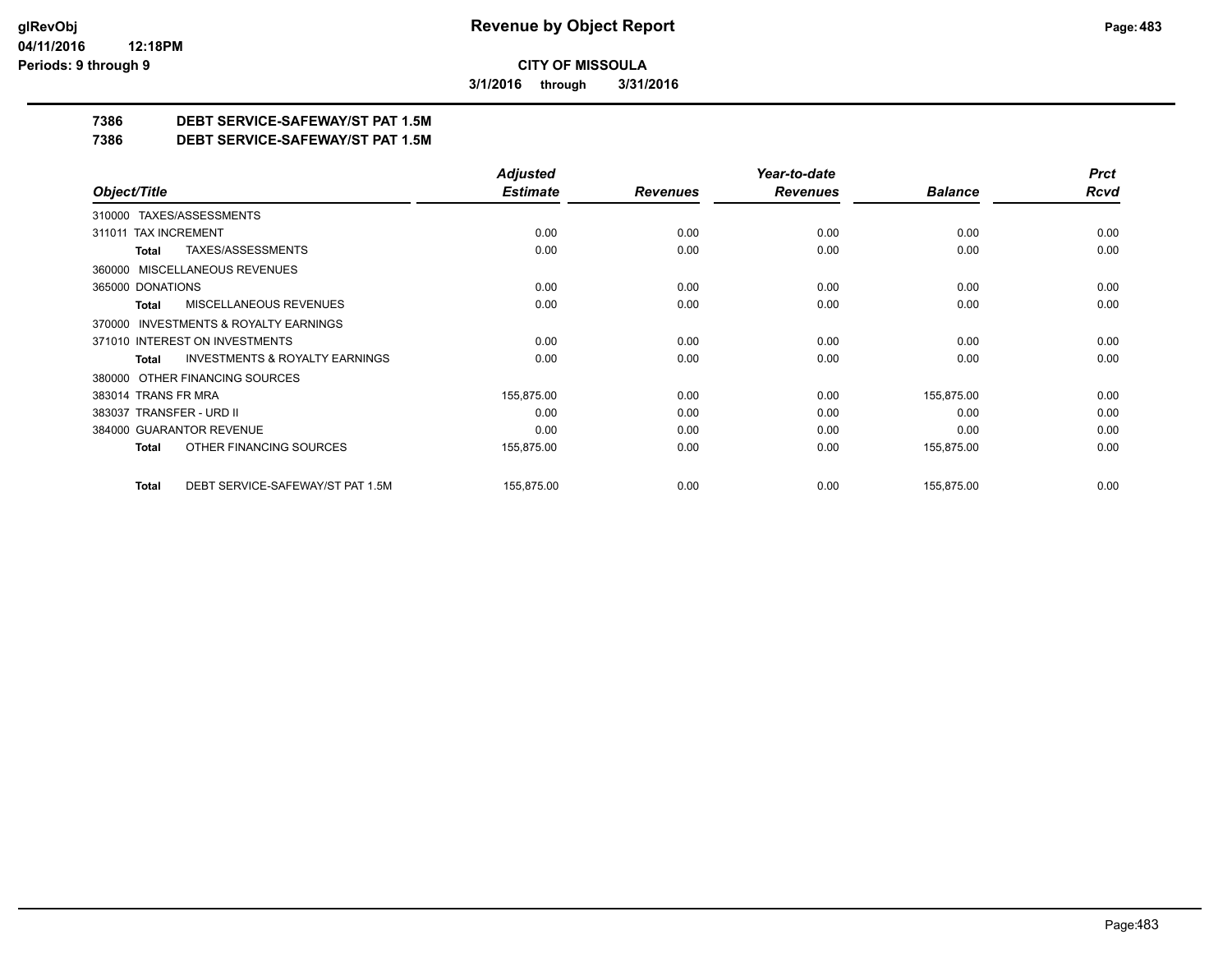**3/1/2016 through 3/31/2016**

## **7386 DEBT SERVICE-SAFEWAY/ST PAT 1.5M**

**7386 DEBT SERVICE-SAFEWAY/ST PAT 1.5M**

|                                                    | <b>Adjusted</b> |                 | Year-to-date    |                | <b>Prct</b> |
|----------------------------------------------------|-----------------|-----------------|-----------------|----------------|-------------|
| Object/Title                                       | <b>Estimate</b> | <b>Revenues</b> | <b>Revenues</b> | <b>Balance</b> | <b>Rcvd</b> |
| 310000 TAXES/ASSESSMENTS                           |                 |                 |                 |                |             |
| <b>TAX INCREMENT</b><br>311011                     | 0.00            | 0.00            | 0.00            | 0.00           | 0.00        |
| TAXES/ASSESSMENTS<br>Total                         | 0.00            | 0.00            | 0.00            | 0.00           | 0.00        |
| 360000 MISCELLANEOUS REVENUES                      |                 |                 |                 |                |             |
| 365000 DONATIONS                                   | 0.00            | 0.00            | 0.00            | 0.00           | 0.00        |
| <b>MISCELLANEOUS REVENUES</b><br>Total             | 0.00            | 0.00            | 0.00            | 0.00           | 0.00        |
| 370000 INVESTMENTS & ROYALTY EARNINGS              |                 |                 |                 |                |             |
| 371010 INTEREST ON INVESTMENTS                     | 0.00            | 0.00            | 0.00            | 0.00           | 0.00        |
| <b>INVESTMENTS &amp; ROYALTY EARNINGS</b><br>Total | 0.00            | 0.00            | 0.00            | 0.00           | 0.00        |
| OTHER FINANCING SOURCES<br>380000                  |                 |                 |                 |                |             |
| 383014 TRANS FR MRA                                | 155,875.00      | 0.00            | 0.00            | 155,875.00     | 0.00        |
| 383037 TRANSFER - URD II                           | 0.00            | 0.00            | 0.00            | 0.00           | 0.00        |
| 384000 GUARANTOR REVENUE                           | 0.00            | 0.00            | 0.00            | 0.00           | 0.00        |
| OTHER FINANCING SOURCES<br>Total                   | 155,875.00      | 0.00            | 0.00            | 155,875.00     | 0.00        |
| DEBT SERVICE-SAFEWAY/ST PAT 1.5M<br><b>Total</b>   | 155,875.00      | 0.00            | 0.00            | 155,875.00     | 0.00        |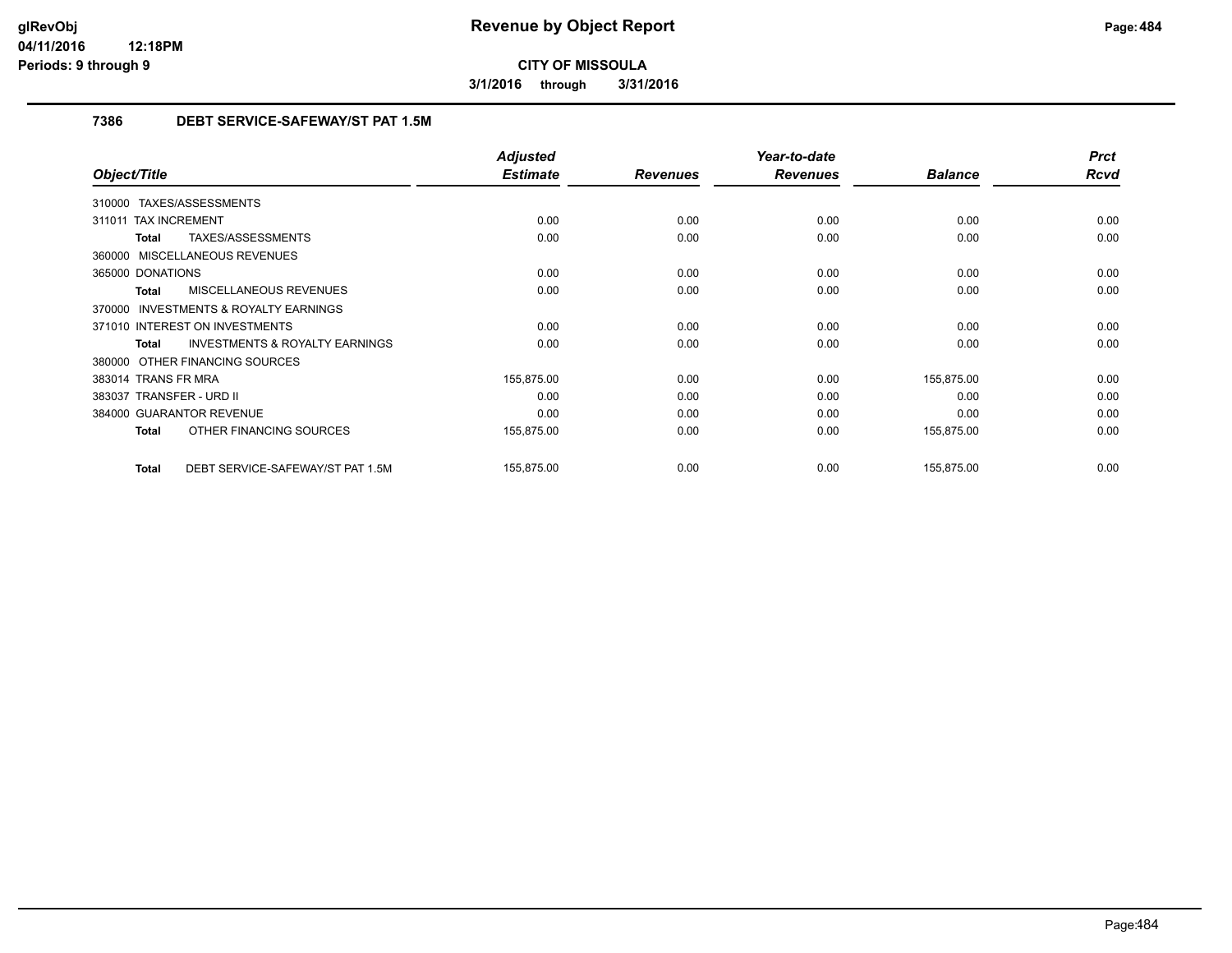**3/1/2016 through 3/31/2016**

## **7386 DEBT SERVICE-SAFEWAY/ST PAT 1.5M**

|                                                    | <b>Adjusted</b> |                 | Year-to-date    |                | <b>Prct</b> |
|----------------------------------------------------|-----------------|-----------------|-----------------|----------------|-------------|
| Object/Title                                       | <b>Estimate</b> | <b>Revenues</b> | <b>Revenues</b> | <b>Balance</b> | <b>Rcvd</b> |
| 310000 TAXES/ASSESSMENTS                           |                 |                 |                 |                |             |
| 311011 TAX INCREMENT                               | 0.00            | 0.00            | 0.00            | 0.00           | 0.00        |
| TAXES/ASSESSMENTS<br><b>Total</b>                  | 0.00            | 0.00            | 0.00            | 0.00           | 0.00        |
| 360000 MISCELLANEOUS REVENUES                      |                 |                 |                 |                |             |
| 365000 DONATIONS                                   | 0.00            | 0.00            | 0.00            | 0.00           | 0.00        |
| MISCELLANEOUS REVENUES<br>Total                    | 0.00            | 0.00            | 0.00            | 0.00           | 0.00        |
| 370000 INVESTMENTS & ROYALTY EARNINGS              |                 |                 |                 |                |             |
| 371010 INTEREST ON INVESTMENTS                     | 0.00            | 0.00            | 0.00            | 0.00           | 0.00        |
| <b>INVESTMENTS &amp; ROYALTY EARNINGS</b><br>Total | 0.00            | 0.00            | 0.00            | 0.00           | 0.00        |
| 380000 OTHER FINANCING SOURCES                     |                 |                 |                 |                |             |
| 383014 TRANS FR MRA                                | 155,875.00      | 0.00            | 0.00            | 155,875.00     | 0.00        |
| 383037 TRANSFER - URD II                           | 0.00            | 0.00            | 0.00            | 0.00           | 0.00        |
| 384000 GUARANTOR REVENUE                           | 0.00            | 0.00            | 0.00            | 0.00           | 0.00        |
| OTHER FINANCING SOURCES<br>Total                   | 155,875.00      | 0.00            | 0.00            | 155,875.00     | 0.00        |
| DEBT SERVICE-SAFEWAY/ST PAT 1.5M<br>Total          | 155,875.00      | 0.00            | 0.00            | 155,875.00     | 0.00        |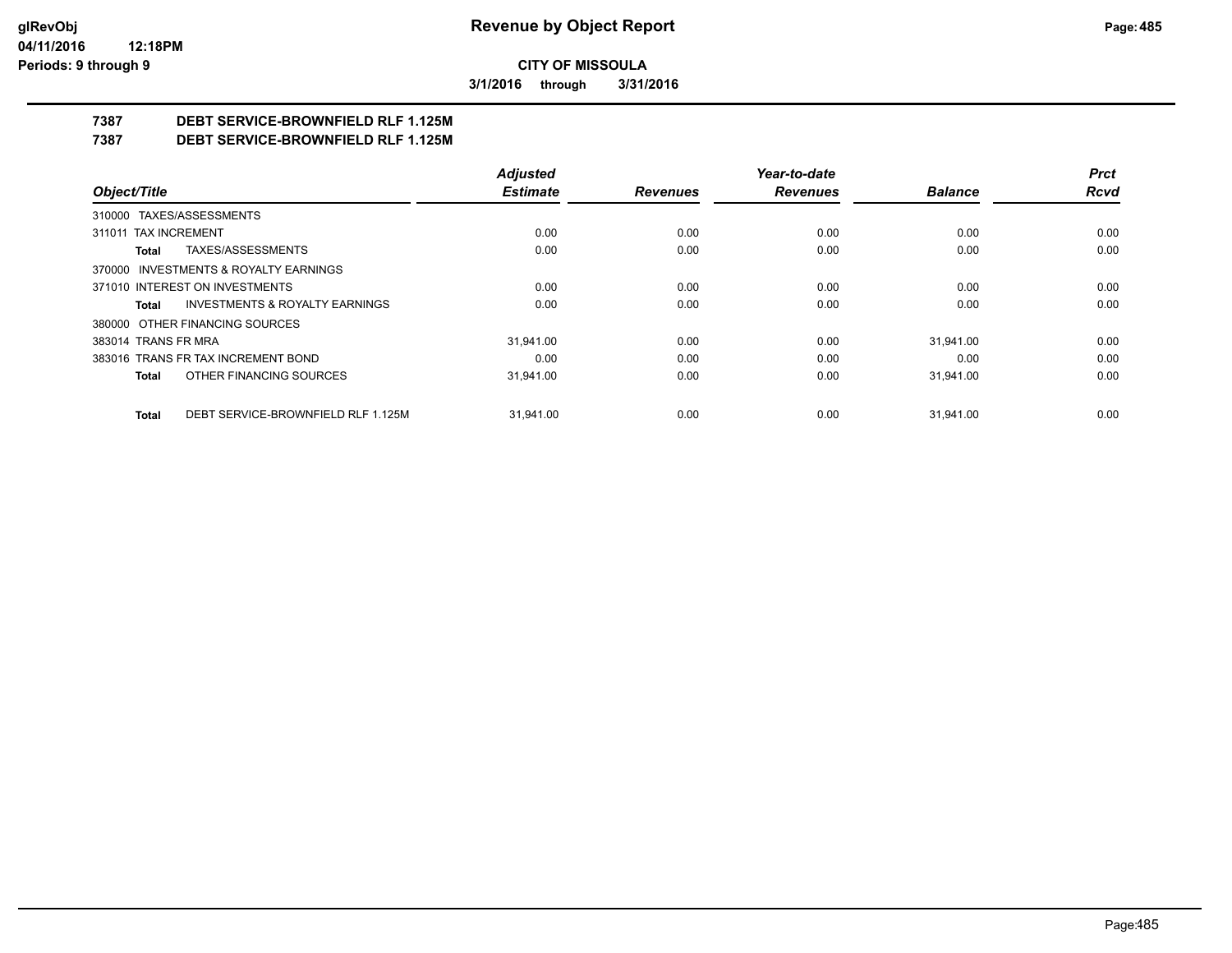**3/1/2016 through 3/31/2016**

## **7387 DEBT SERVICE-BROWNFIELD RLF 1.125M**

**7387 DEBT SERVICE-BROWNFIELD RLF 1.125M**

|                                                    | <b>Adjusted</b> |                 | Year-to-date    |                | <b>Prct</b> |
|----------------------------------------------------|-----------------|-----------------|-----------------|----------------|-------------|
| Object/Title                                       | <b>Estimate</b> | <b>Revenues</b> | <b>Revenues</b> | <b>Balance</b> | Rcvd        |
| 310000 TAXES/ASSESSMENTS                           |                 |                 |                 |                |             |
| 311011 TAX INCREMENT                               | 0.00            | 0.00            | 0.00            | 0.00           | 0.00        |
| TAXES/ASSESSMENTS<br>Total                         | 0.00            | 0.00            | 0.00            | 0.00           | 0.00        |
| 370000 INVESTMENTS & ROYALTY EARNINGS              |                 |                 |                 |                |             |
| 371010 INTEREST ON INVESTMENTS                     | 0.00            | 0.00            | 0.00            | 0.00           | 0.00        |
| <b>INVESTMENTS &amp; ROYALTY EARNINGS</b><br>Total | 0.00            | 0.00            | 0.00            | 0.00           | 0.00        |
| 380000 OTHER FINANCING SOURCES                     |                 |                 |                 |                |             |
| 383014 TRANS FR MRA                                | 31.941.00       | 0.00            | 0.00            | 31.941.00      | 0.00        |
| 383016 TRANS FR TAX INCREMENT BOND                 | 0.00            | 0.00            | 0.00            | 0.00           | 0.00        |
| OTHER FINANCING SOURCES<br>Total                   | 31.941.00       | 0.00            | 0.00            | 31.941.00      | 0.00        |
| DEBT SERVICE-BROWNFIELD RLF 1.125M<br><b>Total</b> | 31.941.00       | 0.00            | 0.00            | 31.941.00      | 0.00        |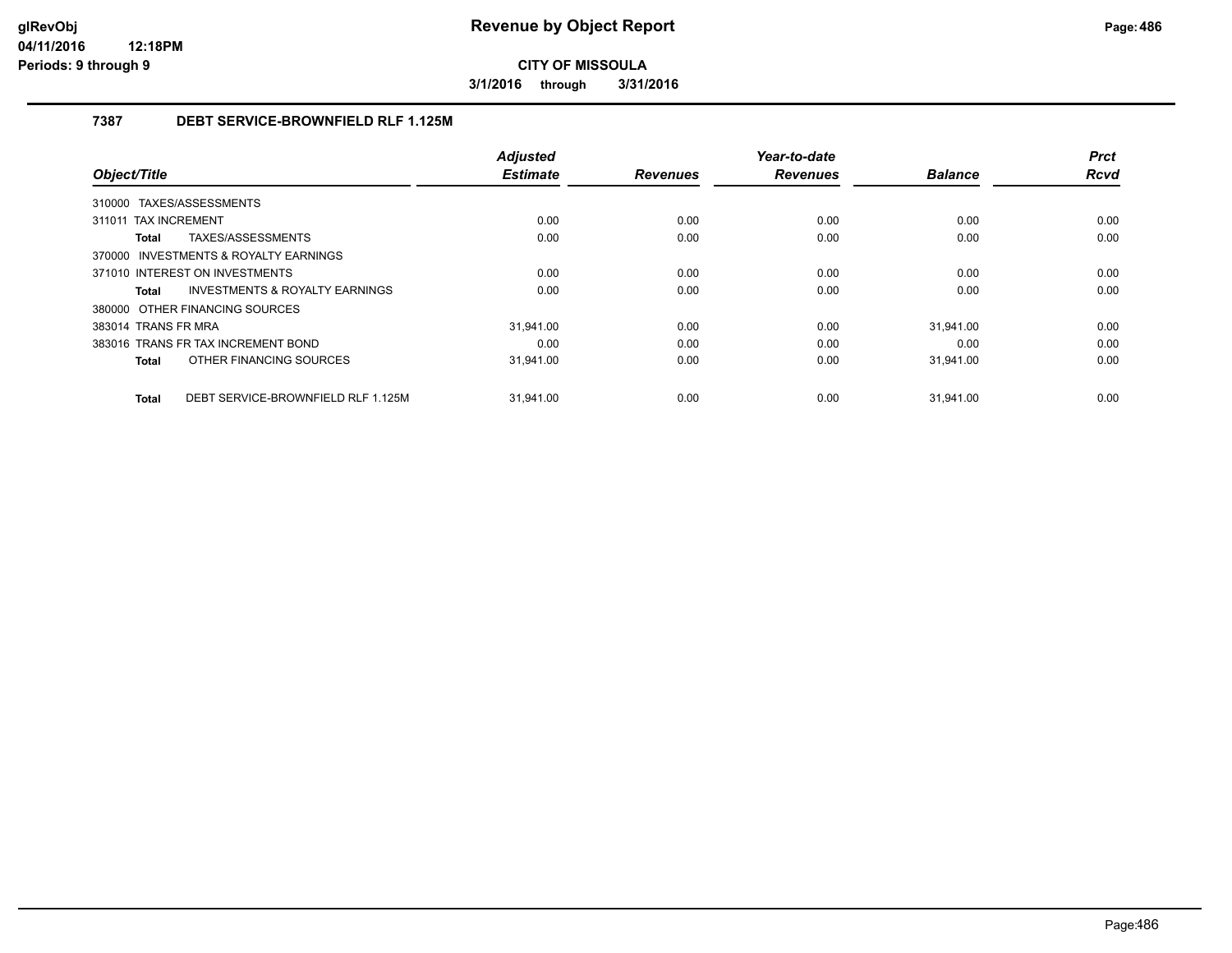**3/1/2016 through 3/31/2016**

## **7387 DEBT SERVICE-BROWNFIELD RLF 1.125M**

|                                             | <b>Adjusted</b> |                 | Year-to-date    |                | <b>Prct</b> |
|---------------------------------------------|-----------------|-----------------|-----------------|----------------|-------------|
| Object/Title                                | <b>Estimate</b> | <b>Revenues</b> | <b>Revenues</b> | <b>Balance</b> | <b>Rcvd</b> |
| 310000 TAXES/ASSESSMENTS                    |                 |                 |                 |                |             |
| 311011 TAX INCREMENT                        | 0.00            | 0.00            | 0.00            | 0.00           | 0.00        |
| TAXES/ASSESSMENTS<br>Total                  | 0.00            | 0.00            | 0.00            | 0.00           | 0.00        |
| 370000 INVESTMENTS & ROYALTY EARNINGS       |                 |                 |                 |                |             |
| 371010 INTEREST ON INVESTMENTS              | 0.00            | 0.00            | 0.00            | 0.00           | 0.00        |
| INVESTMENTS & ROYALTY EARNINGS<br>Total     | 0.00            | 0.00            | 0.00            | 0.00           | 0.00        |
| 380000 OTHER FINANCING SOURCES              |                 |                 |                 |                |             |
| 383014 TRANS FR MRA                         | 31.941.00       | 0.00            | 0.00            | 31.941.00      | 0.00        |
| 383016 TRANS FR TAX INCREMENT BOND          | 0.00            | 0.00            | 0.00            | 0.00           | 0.00        |
| OTHER FINANCING SOURCES<br>Total            | 31,941.00       | 0.00            | 0.00            | 31,941.00      | 0.00        |
|                                             |                 |                 |                 |                |             |
| DEBT SERVICE-BROWNFIELD RLF 1.125M<br>Total | 31.941.00       | 0.00            | 0.00            | 31.941.00      | 0.00        |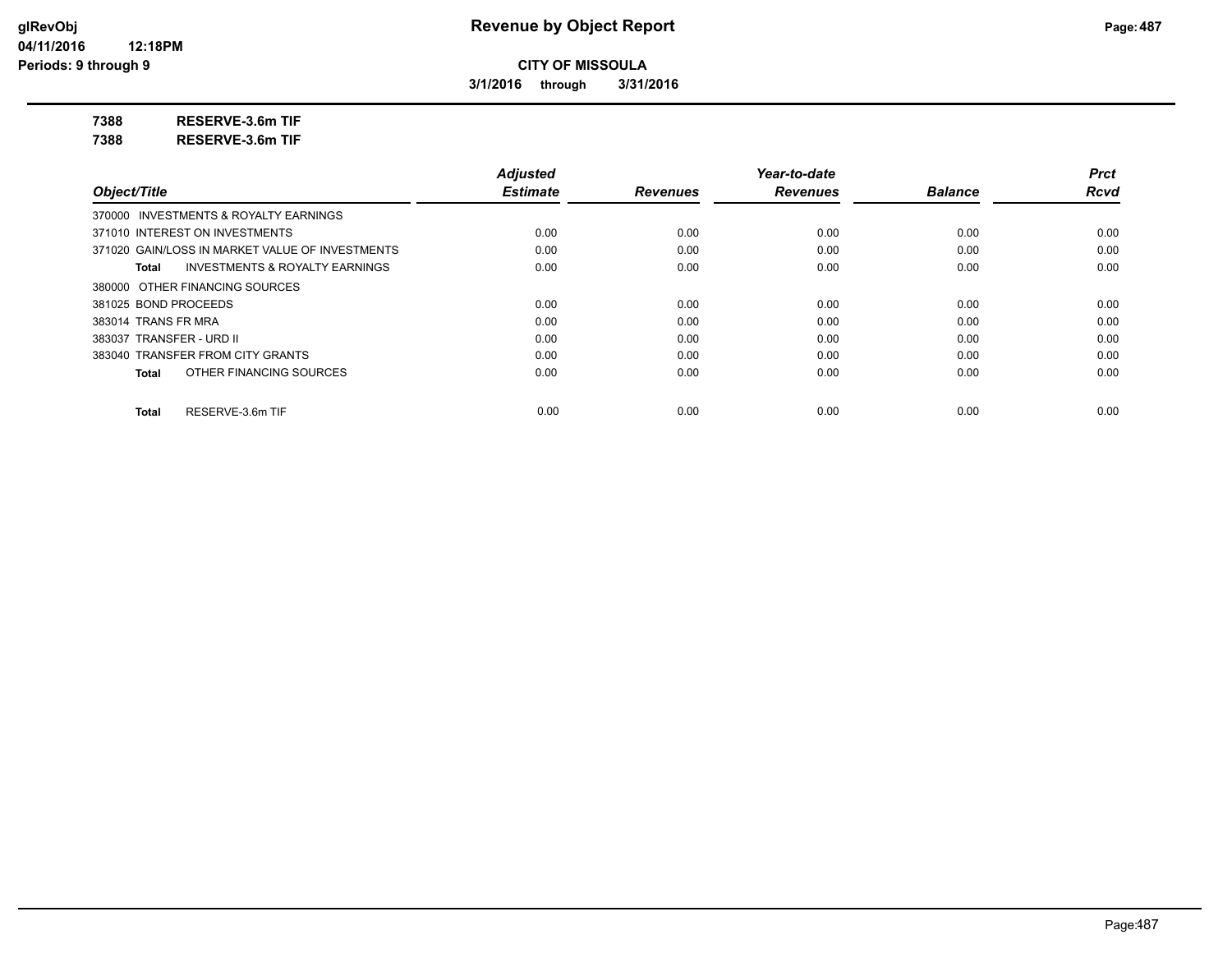**3/1/2016 through 3/31/2016**

**7388 RESERVE-3.6m TIF**

**7388 RESERVE-3.6m TIF**

|                                                    | <b>Adjusted</b> |                 | Year-to-date    |                | <b>Prct</b> |
|----------------------------------------------------|-----------------|-----------------|-----------------|----------------|-------------|
| Object/Title                                       | <b>Estimate</b> | <b>Revenues</b> | <b>Revenues</b> | <b>Balance</b> | <b>Rcvd</b> |
| 370000 INVESTMENTS & ROYALTY EARNINGS              |                 |                 |                 |                |             |
| 371010 INTEREST ON INVESTMENTS                     | 0.00            | 0.00            | 0.00            | 0.00           | 0.00        |
| 371020 GAIN/LOSS IN MARKET VALUE OF INVESTMENTS    | 0.00            | 0.00            | 0.00            | 0.00           | 0.00        |
| <b>INVESTMENTS &amp; ROYALTY EARNINGS</b><br>Total | 0.00            | 0.00            | 0.00            | 0.00           | 0.00        |
| 380000 OTHER FINANCING SOURCES                     |                 |                 |                 |                |             |
| 381025 BOND PROCEEDS                               | 0.00            | 0.00            | 0.00            | 0.00           | 0.00        |
| 383014 TRANS FR MRA                                | 0.00            | 0.00            | 0.00            | 0.00           | 0.00        |
| 383037 TRANSFER - URD II                           | 0.00            | 0.00            | 0.00            | 0.00           | 0.00        |
| 383040 TRANSFER FROM CITY GRANTS                   | 0.00            | 0.00            | 0.00            | 0.00           | 0.00        |
| OTHER FINANCING SOURCES<br>Total                   | 0.00            | 0.00            | 0.00            | 0.00           | 0.00        |
| RESERVE-3.6m TIF<br>Total                          | 0.00            | 0.00            | 0.00            | 0.00           | 0.00        |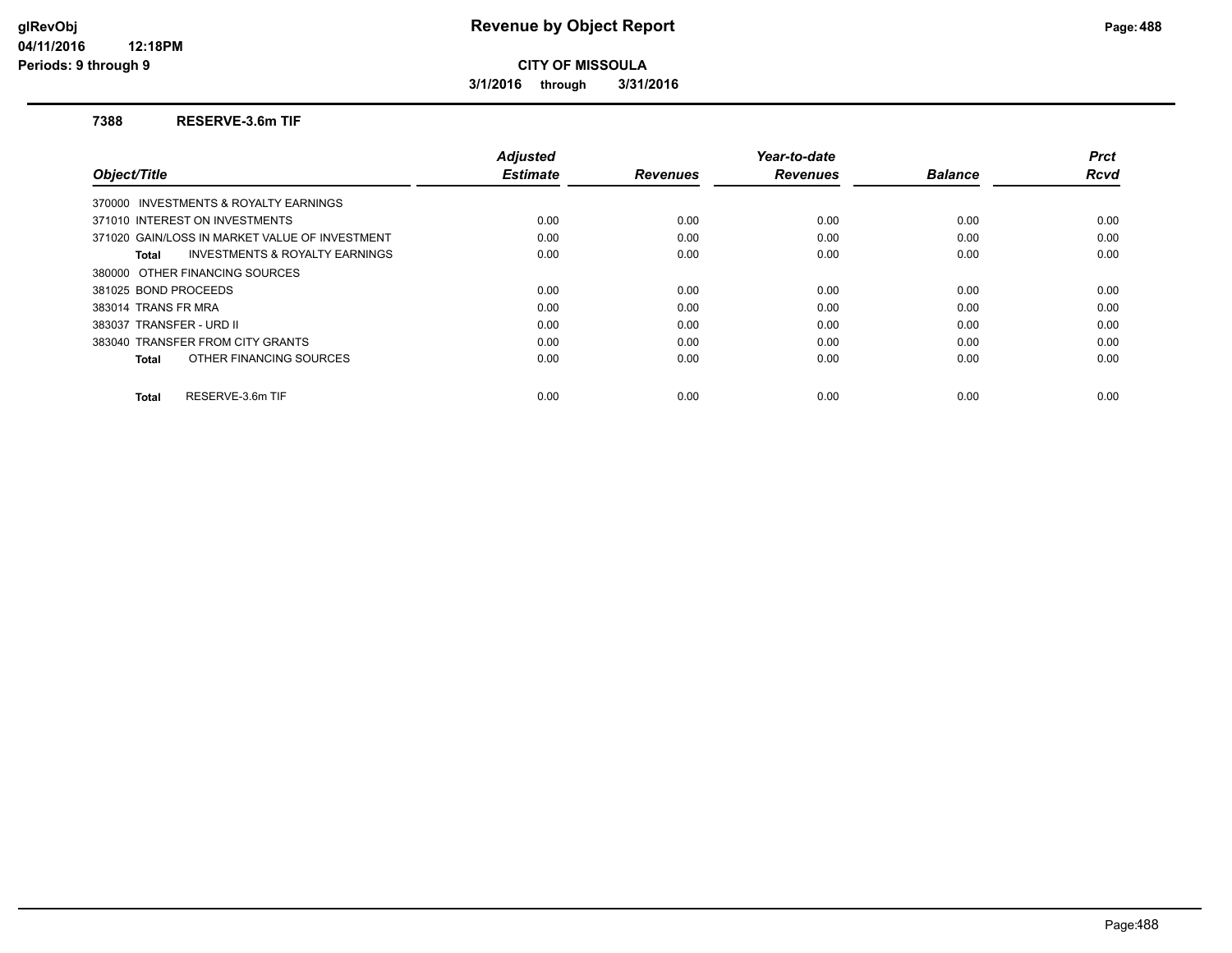**3/1/2016 through 3/31/2016**

#### **7388 RESERVE-3.6m TIF**

|                                                    | <b>Adjusted</b> |                 | Year-to-date    |                | <b>Prct</b> |
|----------------------------------------------------|-----------------|-----------------|-----------------|----------------|-------------|
| Object/Title                                       | <b>Estimate</b> | <b>Revenues</b> | <b>Revenues</b> | <b>Balance</b> | <b>Rcvd</b> |
| 370000 INVESTMENTS & ROYALTY EARNINGS              |                 |                 |                 |                |             |
| 371010 INTEREST ON INVESTMENTS                     | 0.00            | 0.00            | 0.00            | 0.00           | 0.00        |
| 371020 GAIN/LOSS IN MARKET VALUE OF INVESTMENT     | 0.00            | 0.00            | 0.00            | 0.00           | 0.00        |
| <b>INVESTMENTS &amp; ROYALTY EARNINGS</b><br>Total | 0.00            | 0.00            | 0.00            | 0.00           | 0.00        |
| 380000 OTHER FINANCING SOURCES                     |                 |                 |                 |                |             |
| 381025 BOND PROCEEDS                               | 0.00            | 0.00            | 0.00            | 0.00           | 0.00        |
| 383014 TRANS FR MRA                                | 0.00            | 0.00            | 0.00            | 0.00           | 0.00        |
| 383037 TRANSFER - URD II                           | 0.00            | 0.00            | 0.00            | 0.00           | 0.00        |
| 383040 TRANSFER FROM CITY GRANTS                   | 0.00            | 0.00            | 0.00            | 0.00           | 0.00        |
| OTHER FINANCING SOURCES<br>Total                   | 0.00            | 0.00            | 0.00            | 0.00           | 0.00        |
| RESERVE-3.6m TIF<br><b>Total</b>                   | 0.00            | 0.00            | 0.00            | 0.00           | 0.00        |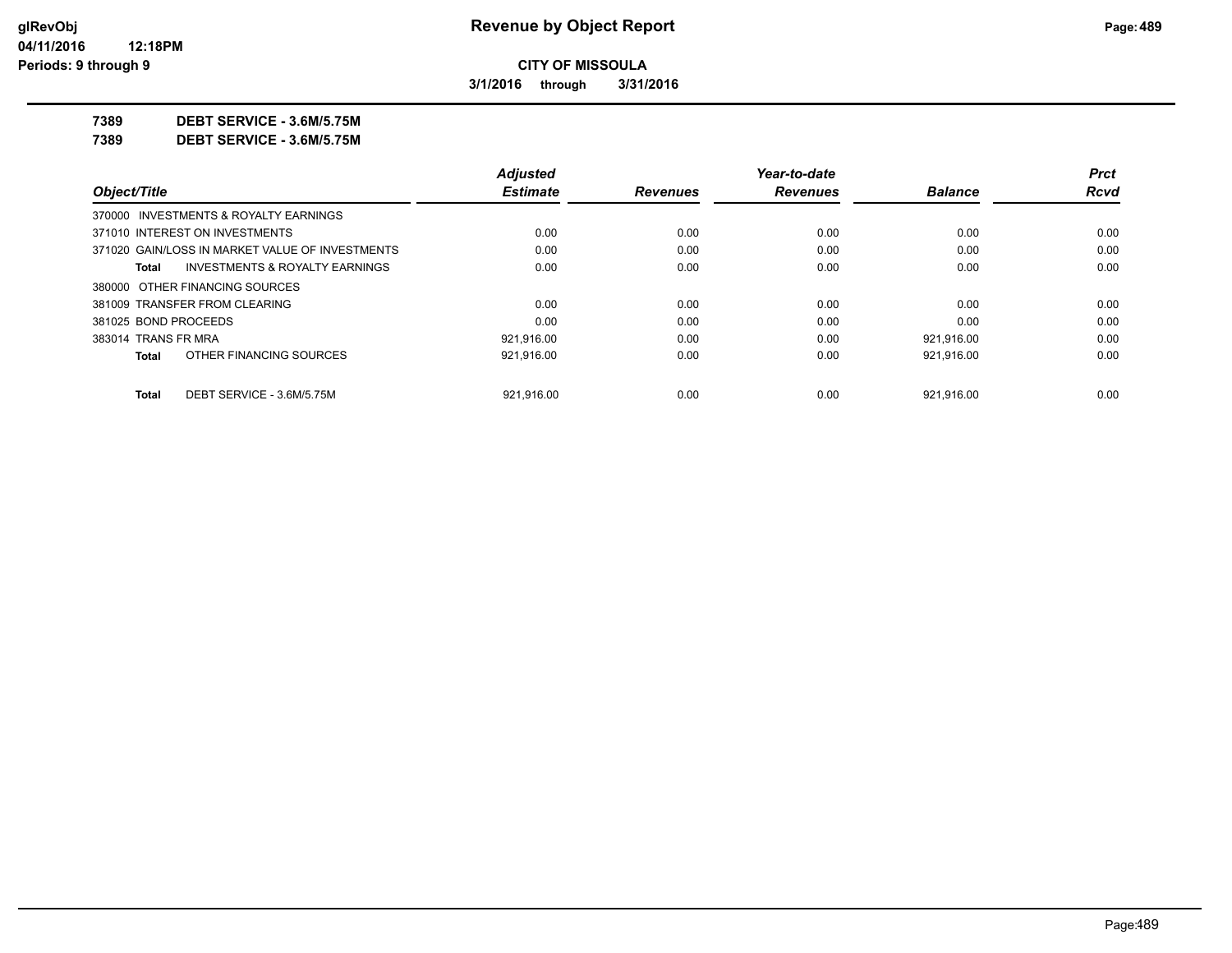**3/1/2016 through 3/31/2016**

**7389 DEBT SERVICE - 3.6M/5.75M**

**7389 DEBT SERVICE - 3.6M/5.75M**

|                      |                                                 | <b>Adjusted</b> |                 | Year-to-date    |                | <b>Prct</b> |
|----------------------|-------------------------------------------------|-----------------|-----------------|-----------------|----------------|-------------|
| Object/Title         |                                                 | <b>Estimate</b> | <b>Revenues</b> | <b>Revenues</b> | <b>Balance</b> | Rcvd        |
|                      | 370000 INVESTMENTS & ROYALTY EARNINGS           |                 |                 |                 |                |             |
|                      | 371010 INTEREST ON INVESTMENTS                  | 0.00            | 0.00            | 0.00            | 0.00           | 0.00        |
|                      | 371020 GAIN/LOSS IN MARKET VALUE OF INVESTMENTS | 0.00            | 0.00            | 0.00            | 0.00           | 0.00        |
| Total                | <b>INVESTMENTS &amp; ROYALTY EARNINGS</b>       | 0.00            | 0.00            | 0.00            | 0.00           | 0.00        |
|                      | 380000 OTHER FINANCING SOURCES                  |                 |                 |                 |                |             |
|                      | 381009 TRANSFER FROM CLEARING                   | 0.00            | 0.00            | 0.00            | 0.00           | 0.00        |
| 381025 BOND PROCEEDS |                                                 | 0.00            | 0.00            | 0.00            | 0.00           | 0.00        |
| 383014 TRANS FR MRA  |                                                 | 921,916.00      | 0.00            | 0.00            | 921,916.00     | 0.00        |
| Total                | OTHER FINANCING SOURCES                         | 921.916.00      | 0.00            | 0.00            | 921.916.00     | 0.00        |
| Total                | DEBT SERVICE - 3.6M/5.75M                       | 921.916.00      | 0.00            | 0.00            | 921.916.00     | 0.00        |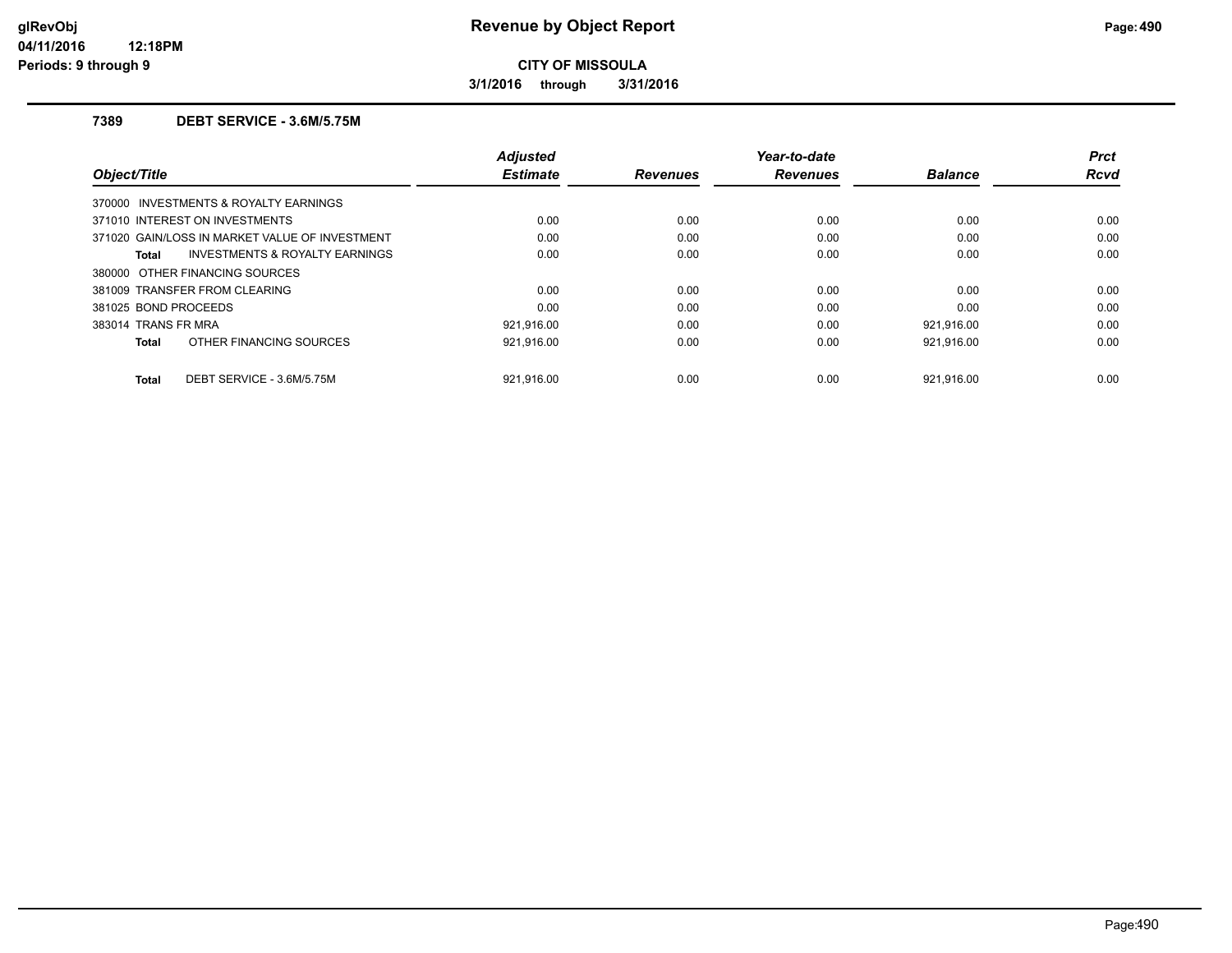**3/1/2016 through 3/31/2016**

## **7389 DEBT SERVICE - 3.6M/5.75M**

| Object/Title                                   | <b>Adjusted</b><br><b>Estimate</b> | <b>Revenues</b> | Year-to-date<br><b>Revenues</b> | <b>Balance</b> | <b>Prct</b><br><b>Rcvd</b> |
|------------------------------------------------|------------------------------------|-----------------|---------------------------------|----------------|----------------------------|
| 370000 INVESTMENTS & ROYALTY EARNINGS          |                                    |                 |                                 |                |                            |
| 371010 INTEREST ON INVESTMENTS                 | 0.00                               | 0.00            | 0.00                            | 0.00           | 0.00                       |
| 371020 GAIN/LOSS IN MARKET VALUE OF INVESTMENT | 0.00                               | 0.00            | 0.00                            | 0.00           | 0.00                       |
| INVESTMENTS & ROYALTY EARNINGS<br>Total        | 0.00                               | 0.00            | 0.00                            | 0.00           | 0.00                       |
| 380000 OTHER FINANCING SOURCES                 |                                    |                 |                                 |                |                            |
| 381009 TRANSFER FROM CLEARING                  | 0.00                               | 0.00            | 0.00                            | 0.00           | 0.00                       |
| 381025 BOND PROCEEDS                           | 0.00                               | 0.00            | 0.00                            | 0.00           | 0.00                       |
| 383014 TRANS FR MRA                            | 921.916.00                         | 0.00            | 0.00                            | 921.916.00     | 0.00                       |
| OTHER FINANCING SOURCES<br><b>Total</b>        | 921,916.00                         | 0.00            | 0.00                            | 921,916.00     | 0.00                       |
| DEBT SERVICE - 3.6M/5.75M<br><b>Total</b>      | 921.916.00                         | 0.00            | 0.00                            | 921.916.00     | 0.00                       |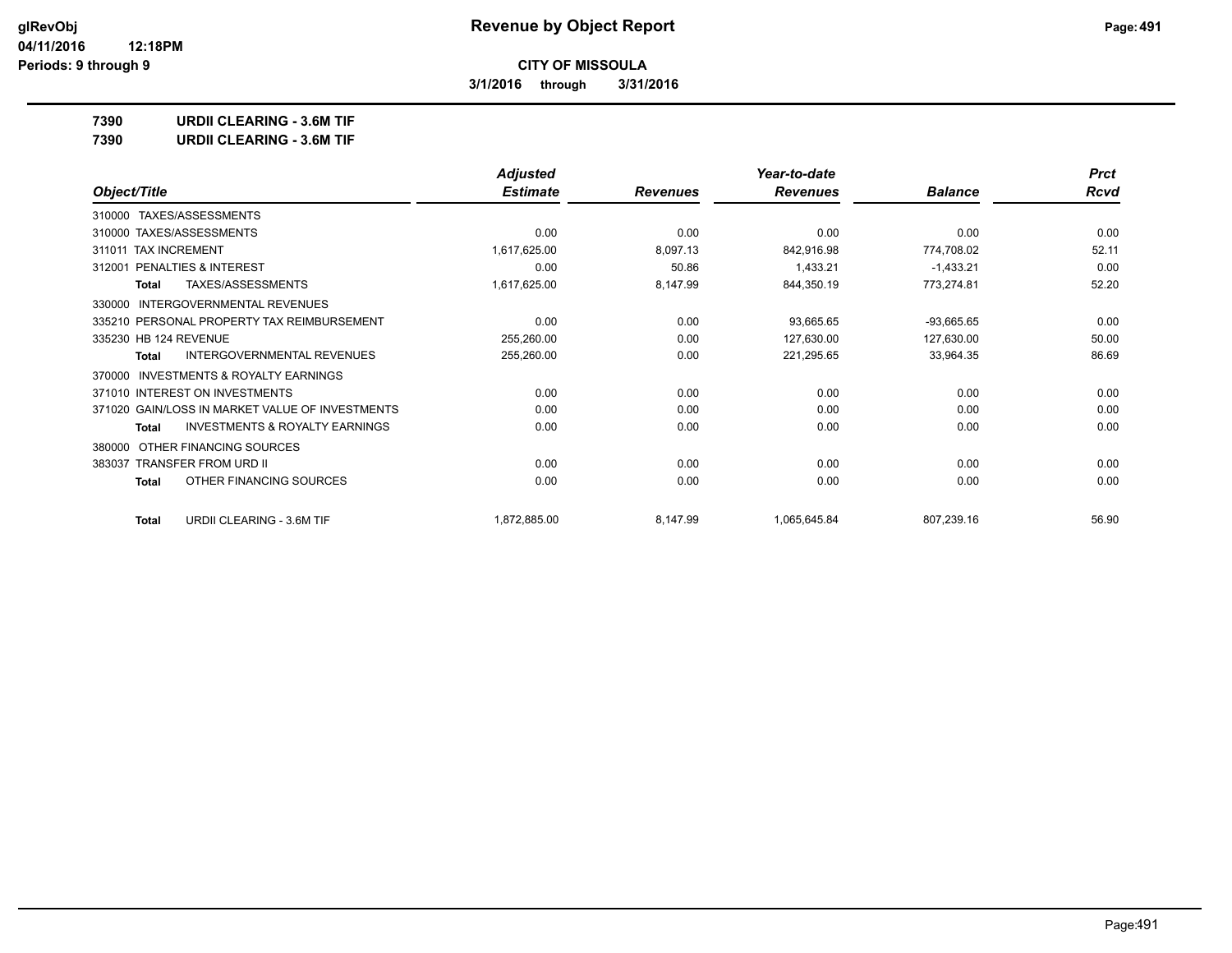**3/1/2016 through 3/31/2016**

**7390 URDII CLEARING - 3.6M TIF**

| 7390 | <b>URDII CLEARING - 3.6M TIF</b> |
|------|----------------------------------|
|      |                                  |

|                                                           | <b>Adjusted</b> |                 | Year-to-date    |                | <b>Prct</b> |
|-----------------------------------------------------------|-----------------|-----------------|-----------------|----------------|-------------|
| Object/Title                                              | <b>Estimate</b> | <b>Revenues</b> | <b>Revenues</b> | <b>Balance</b> | <b>Rcvd</b> |
| TAXES/ASSESSMENTS<br>310000                               |                 |                 |                 |                |             |
| 310000 TAXES/ASSESSMENTS                                  | 0.00            | 0.00            | 0.00            | 0.00           | 0.00        |
| 311011 TAX INCREMENT                                      | 1,617,625.00    | 8,097.13        | 842,916.98      | 774,708.02     | 52.11       |
| PENALTIES & INTEREST<br>312001                            | 0.00            | 50.86           | 1,433.21        | $-1,433.21$    | 0.00        |
| TAXES/ASSESSMENTS<br><b>Total</b>                         | 1,617,625.00    | 8,147.99        | 844,350.19      | 773,274.81     | 52.20       |
| <b>INTERGOVERNMENTAL REVENUES</b><br>330000               |                 |                 |                 |                |             |
| 335210 PERSONAL PROPERTY TAX REIMBURSEMENT                | 0.00            | 0.00            | 93,665.65       | $-93,665.65$   | 0.00        |
| 335230 HB 124 REVENUE                                     | 255,260.00      | 0.00            | 127,630.00      | 127,630.00     | 50.00       |
| <b>INTERGOVERNMENTAL REVENUES</b><br><b>Total</b>         | 255,260.00      | 0.00            | 221,295.65      | 33,964.35      | 86.69       |
| <b>INVESTMENTS &amp; ROYALTY EARNINGS</b><br>370000       |                 |                 |                 |                |             |
| 371010 INTEREST ON INVESTMENTS                            | 0.00            | 0.00            | 0.00            | 0.00           | 0.00        |
| 371020 GAIN/LOSS IN MARKET VALUE OF INVESTMENTS           | 0.00            | 0.00            | 0.00            | 0.00           | 0.00        |
| <b>INVESTMENTS &amp; ROYALTY EARNINGS</b><br><b>Total</b> | 0.00            | 0.00            | 0.00            | 0.00           | 0.00        |
| OTHER FINANCING SOURCES<br>380000                         |                 |                 |                 |                |             |
| 383037 TRANSFER FROM URD II                               | 0.00            | 0.00            | 0.00            | 0.00           | 0.00        |
| OTHER FINANCING SOURCES<br><b>Total</b>                   | 0.00            | 0.00            | 0.00            | 0.00           | 0.00        |
| URDII CLEARING - 3.6M TIF<br>Total                        | 1,872,885.00    | 8,147.99        | 1,065,645.84    | 807,239.16     | 56.90       |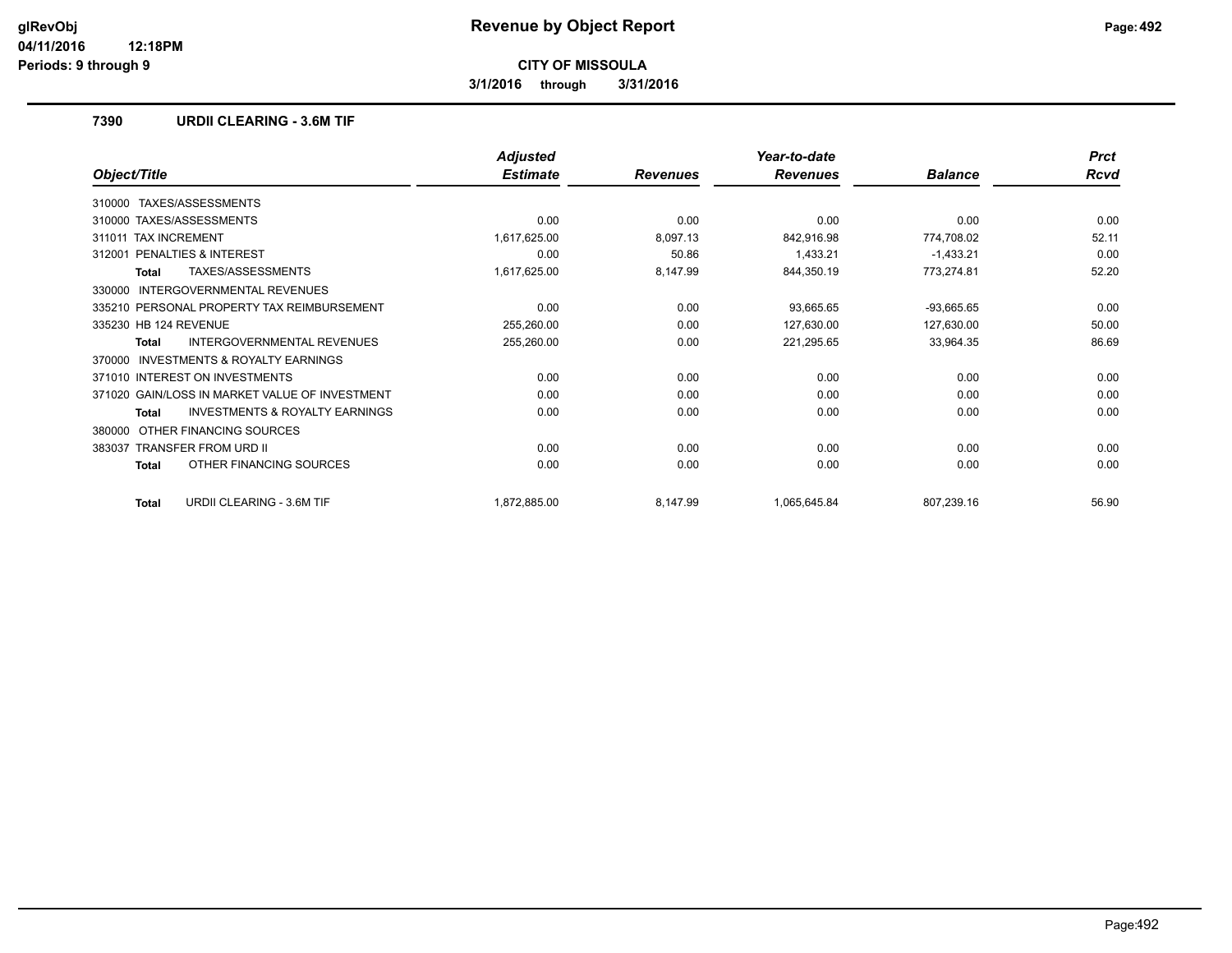**3/1/2016 through 3/31/2016**

### **7390 URDII CLEARING - 3.6M TIF**

|                                                           | <b>Adjusted</b> |                 | Year-to-date    |                | <b>Prct</b> |
|-----------------------------------------------------------|-----------------|-----------------|-----------------|----------------|-------------|
| Object/Title                                              | <b>Estimate</b> | <b>Revenues</b> | <b>Revenues</b> | <b>Balance</b> | <b>Rcvd</b> |
| TAXES/ASSESSMENTS<br>310000                               |                 |                 |                 |                |             |
| 310000 TAXES/ASSESSMENTS                                  | 0.00            | 0.00            | 0.00            | 0.00           | 0.00        |
| <b>TAX INCREMENT</b><br>311011                            | 1,617,625.00    | 8,097.13        | 842,916.98      | 774,708.02     | 52.11       |
| <b>PENALTIES &amp; INTEREST</b><br>312001                 | 0.00            | 50.86           | 1,433.21        | $-1,433.21$    | 0.00        |
| TAXES/ASSESSMENTS<br><b>Total</b>                         | 1,617,625.00    | 8,147.99        | 844,350.19      | 773,274.81     | 52.20       |
| <b>INTERGOVERNMENTAL REVENUES</b><br>330000               |                 |                 |                 |                |             |
| 335210 PERSONAL PROPERTY TAX REIMBURSEMENT                | 0.00            | 0.00            | 93,665.65       | $-93,665.65$   | 0.00        |
| 335230 HB 124 REVENUE                                     | 255,260.00      | 0.00            | 127,630.00      | 127,630.00     | 50.00       |
| <b>INTERGOVERNMENTAL REVENUES</b><br>Total                | 255,260.00      | 0.00            | 221,295.65      | 33,964.35      | 86.69       |
| INVESTMENTS & ROYALTY EARNINGS<br>370000                  |                 |                 |                 |                |             |
| 371010 INTEREST ON INVESTMENTS                            | 0.00            | 0.00            | 0.00            | 0.00           | 0.00        |
| 371020 GAIN/LOSS IN MARKET VALUE OF INVESTMENT            | 0.00            | 0.00            | 0.00            | 0.00           | 0.00        |
| <b>INVESTMENTS &amp; ROYALTY EARNINGS</b><br><b>Total</b> | 0.00            | 0.00            | 0.00            | 0.00           | 0.00        |
| OTHER FINANCING SOURCES<br>380000                         |                 |                 |                 |                |             |
| <b>TRANSFER FROM URD II</b><br>383037                     | 0.00            | 0.00            | 0.00            | 0.00           | 0.00        |
| OTHER FINANCING SOURCES<br><b>Total</b>                   | 0.00            | 0.00            | 0.00            | 0.00           | 0.00        |
| URDII CLEARING - 3.6M TIF<br><b>Total</b>                 | 1,872,885.00    | 8,147.99        | 1,065,645.84    | 807,239.16     | 56.90       |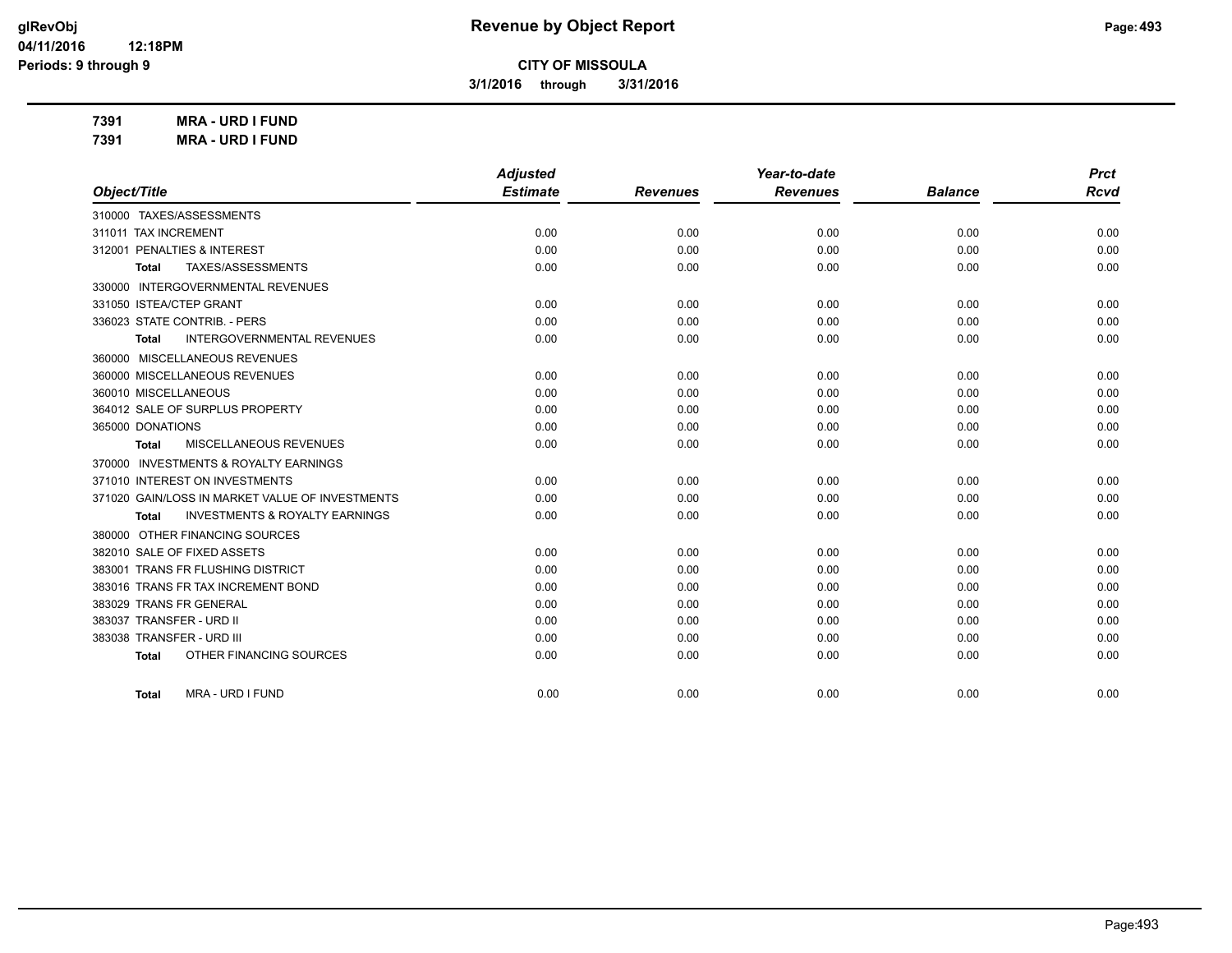**3/1/2016 through 3/31/2016**

**7391 MRA - URD I FUND 7391 MRA - URD I FUND**

|                                                    | <b>Adjusted</b> |                 | Year-to-date    |                | <b>Prct</b> |
|----------------------------------------------------|-----------------|-----------------|-----------------|----------------|-------------|
| Object/Title                                       | <b>Estimate</b> | <b>Revenues</b> | <b>Revenues</b> | <b>Balance</b> | <b>Rcvd</b> |
| 310000 TAXES/ASSESSMENTS                           |                 |                 |                 |                |             |
| 311011 TAX INCREMENT                               | 0.00            | 0.00            | 0.00            | 0.00           | 0.00        |
| 312001 PENALTIES & INTEREST                        | 0.00            | 0.00            | 0.00            | 0.00           | 0.00        |
| TAXES/ASSESSMENTS<br>Total                         | 0.00            | 0.00            | 0.00            | 0.00           | 0.00        |
| 330000 INTERGOVERNMENTAL REVENUES                  |                 |                 |                 |                |             |
| 331050 ISTEA/CTEP GRANT                            | 0.00            | 0.00            | 0.00            | 0.00           | 0.00        |
| 336023 STATE CONTRIB. - PERS                       | 0.00            | 0.00            | 0.00            | 0.00           | 0.00        |
| <b>INTERGOVERNMENTAL REVENUES</b><br>Total         | 0.00            | 0.00            | 0.00            | 0.00           | 0.00        |
| 360000 MISCELLANEOUS REVENUES                      |                 |                 |                 |                |             |
| 360000 MISCELLANEOUS REVENUES                      | 0.00            | 0.00            | 0.00            | 0.00           | 0.00        |
| 360010 MISCELLANEOUS                               | 0.00            | 0.00            | 0.00            | 0.00           | 0.00        |
| 364012 SALE OF SURPLUS PROPERTY                    | 0.00            | 0.00            | 0.00            | 0.00           | 0.00        |
| 365000 DONATIONS                                   | 0.00            | 0.00            | 0.00            | 0.00           | 0.00        |
| MISCELLANEOUS REVENUES<br>Total                    | 0.00            | 0.00            | 0.00            | 0.00           | 0.00        |
| 370000 INVESTMENTS & ROYALTY EARNINGS              |                 |                 |                 |                |             |
| 371010 INTEREST ON INVESTMENTS                     | 0.00            | 0.00            | 0.00            | 0.00           | 0.00        |
| 371020 GAIN/LOSS IN MARKET VALUE OF INVESTMENTS    | 0.00            | 0.00            | 0.00            | 0.00           | 0.00        |
| <b>INVESTMENTS &amp; ROYALTY EARNINGS</b><br>Total | 0.00            | 0.00            | 0.00            | 0.00           | 0.00        |
| 380000 OTHER FINANCING SOURCES                     |                 |                 |                 |                |             |
| 382010 SALE OF FIXED ASSETS                        | 0.00            | 0.00            | 0.00            | 0.00           | 0.00        |
| 383001 TRANS FR FLUSHING DISTRICT                  | 0.00            | 0.00            | 0.00            | 0.00           | 0.00        |
| 383016 TRANS FR TAX INCREMENT BOND                 | 0.00            | 0.00            | 0.00            | 0.00           | 0.00        |
| 383029 TRANS FR GENERAL                            | 0.00            | 0.00            | 0.00            | 0.00           | 0.00        |
| 383037 TRANSFER - URD II                           | 0.00            | 0.00            | 0.00            | 0.00           | 0.00        |
| 383038 TRANSFER - URD III                          | 0.00            | 0.00            | 0.00            | 0.00           | 0.00        |
| OTHER FINANCING SOURCES<br><b>Total</b>            | 0.00            | 0.00            | 0.00            | 0.00           | 0.00        |
|                                                    |                 |                 |                 |                |             |
| MRA - URD I FUND<br>Total                          | 0.00            | 0.00            | 0.00            | 0.00           | 0.00        |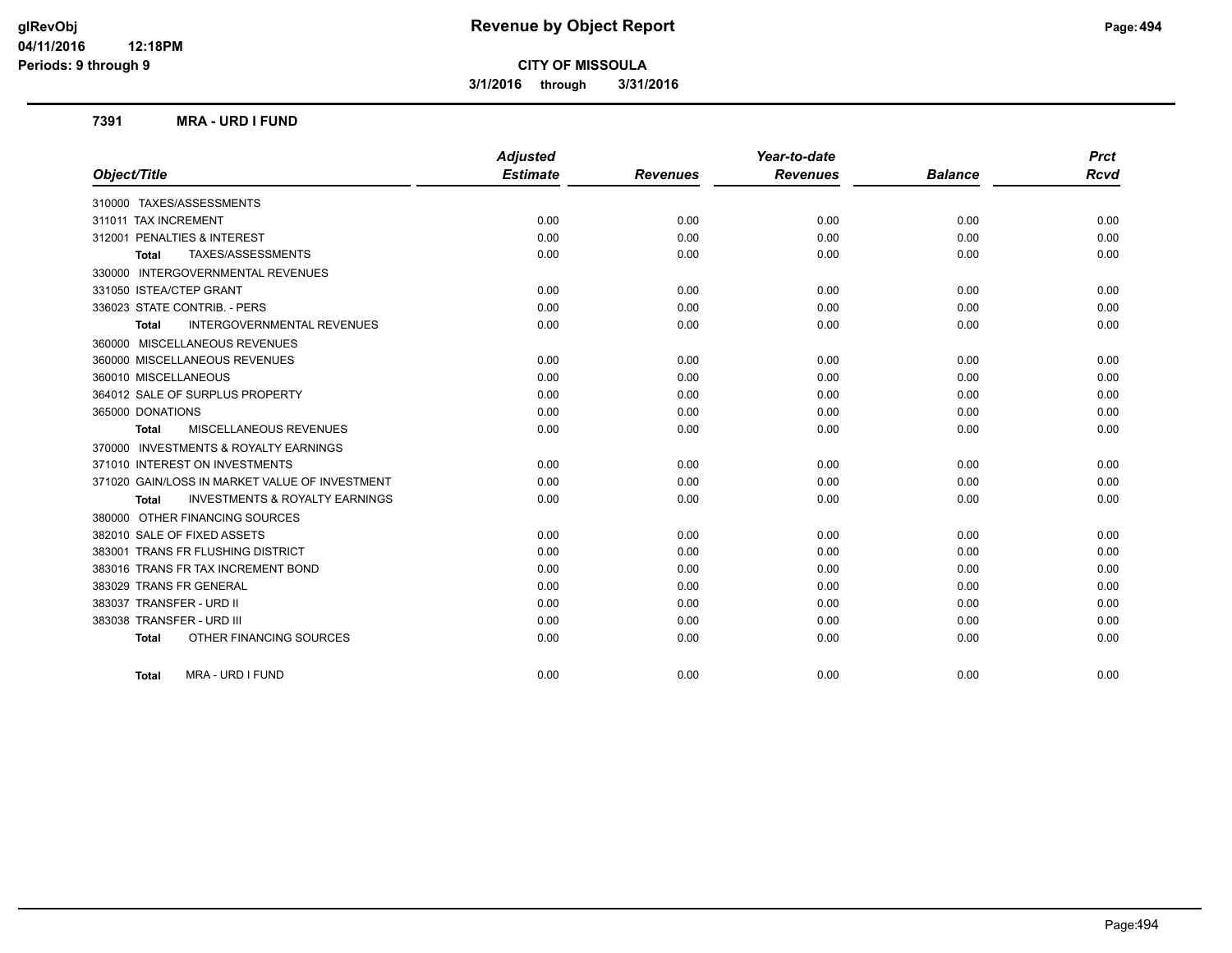**3/1/2016 through 3/31/2016**

#### **7391 MRA - URD I FUND**

|                                                    | <b>Adjusted</b> |                 | Year-to-date    |                | <b>Prct</b> |
|----------------------------------------------------|-----------------|-----------------|-----------------|----------------|-------------|
| Object/Title                                       | <b>Estimate</b> | <b>Revenues</b> | <b>Revenues</b> | <b>Balance</b> | <b>Rcvd</b> |
| 310000 TAXES/ASSESSMENTS                           |                 |                 |                 |                |             |
| 311011 TAX INCREMENT                               | 0.00            | 0.00            | 0.00            | 0.00           | 0.00        |
| 312001 PENALTIES & INTEREST                        | 0.00            | 0.00            | 0.00            | 0.00           | 0.00        |
| TAXES/ASSESSMENTS<br><b>Total</b>                  | 0.00            | 0.00            | 0.00            | 0.00           | 0.00        |
| 330000 INTERGOVERNMENTAL REVENUES                  |                 |                 |                 |                |             |
| 331050 ISTEA/CTEP GRANT                            | 0.00            | 0.00            | 0.00            | 0.00           | 0.00        |
| 336023 STATE CONTRIB. - PERS                       | 0.00            | 0.00            | 0.00            | 0.00           | 0.00        |
| <b>INTERGOVERNMENTAL REVENUES</b><br>Total         | 0.00            | 0.00            | 0.00            | 0.00           | 0.00        |
| 360000 MISCELLANEOUS REVENUES                      |                 |                 |                 |                |             |
| 360000 MISCELLANEOUS REVENUES                      | 0.00            | 0.00            | 0.00            | 0.00           | 0.00        |
| 360010 MISCELLANEOUS                               | 0.00            | 0.00            | 0.00            | 0.00           | 0.00        |
| 364012 SALE OF SURPLUS PROPERTY                    | 0.00            | 0.00            | 0.00            | 0.00           | 0.00        |
| 365000 DONATIONS                                   | 0.00            | 0.00            | 0.00            | 0.00           | 0.00        |
| <b>MISCELLANEOUS REVENUES</b><br><b>Total</b>      | 0.00            | 0.00            | 0.00            | 0.00           | 0.00        |
| 370000 INVESTMENTS & ROYALTY EARNINGS              |                 |                 |                 |                |             |
| 371010 INTEREST ON INVESTMENTS                     | 0.00            | 0.00            | 0.00            | 0.00           | 0.00        |
| 371020 GAIN/LOSS IN MARKET VALUE OF INVESTMENT     | 0.00            | 0.00            | 0.00            | 0.00           | 0.00        |
| <b>INVESTMENTS &amp; ROYALTY EARNINGS</b><br>Total | 0.00            | 0.00            | 0.00            | 0.00           | 0.00        |
| 380000 OTHER FINANCING SOURCES                     |                 |                 |                 |                |             |
| 382010 SALE OF FIXED ASSETS                        | 0.00            | 0.00            | 0.00            | 0.00           | 0.00        |
| 383001 TRANS FR FLUSHING DISTRICT                  | 0.00            | 0.00            | 0.00            | 0.00           | 0.00        |
| 383016 TRANS FR TAX INCREMENT BOND                 | 0.00            | 0.00            | 0.00            | 0.00           | 0.00        |
| 383029 TRANS FR GENERAL                            | 0.00            | 0.00            | 0.00            | 0.00           | 0.00        |
| 383037 TRANSFER - URD II                           | 0.00            | 0.00            | 0.00            | 0.00           | 0.00        |
| 383038 TRANSFER - URD III                          | 0.00            | 0.00            | 0.00            | 0.00           | 0.00        |
| OTHER FINANCING SOURCES<br><b>Total</b>            | 0.00            | 0.00            | 0.00            | 0.00           | 0.00        |
| MRA - URD I FUND<br><b>Total</b>                   | 0.00            | 0.00            | 0.00            | 0.00           | 0.00        |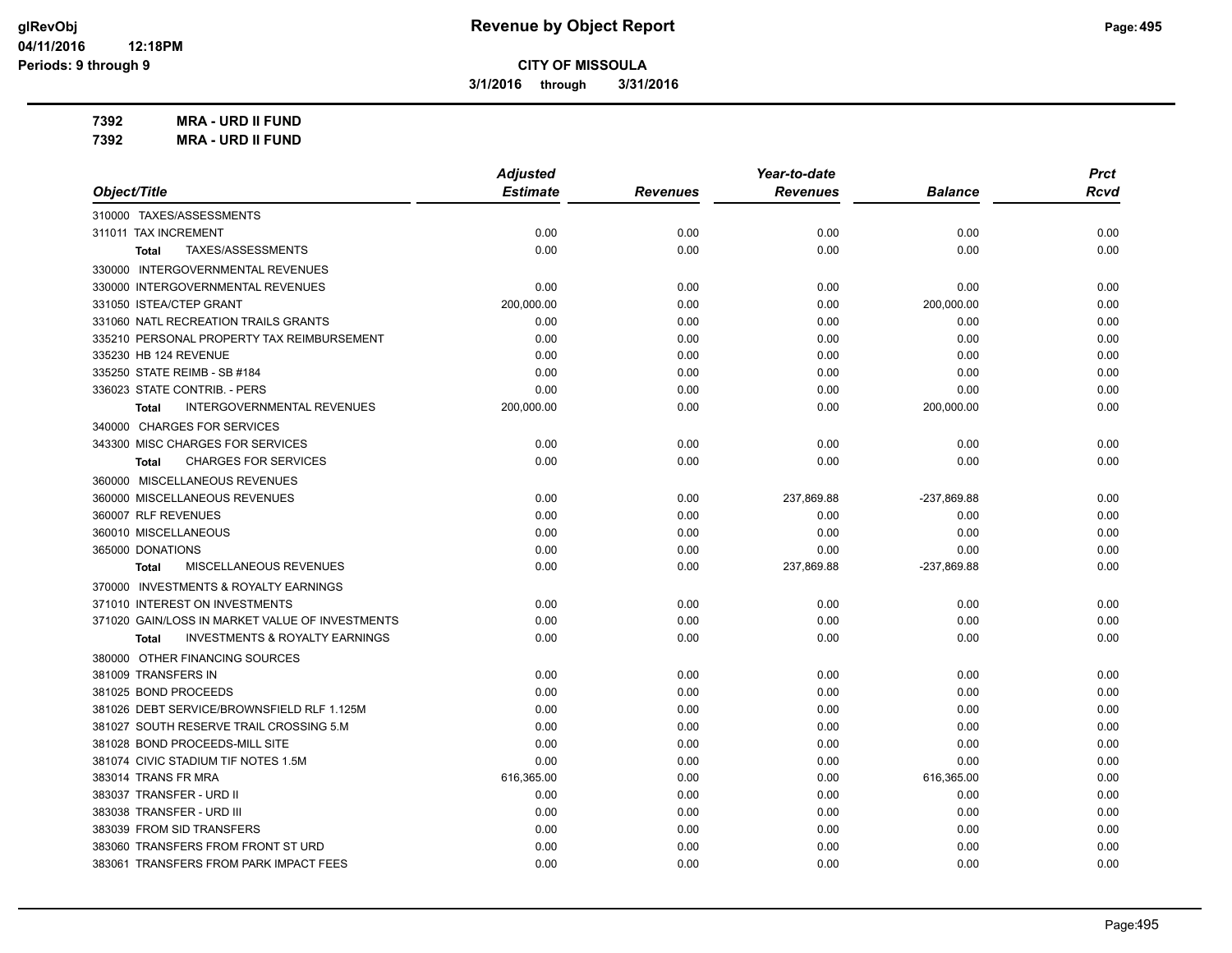**3/1/2016 through 3/31/2016**

**7392 MRA - URD II FUND 7392 MRA - URD II FUND**

|                                                           | <b>Adjusted</b> |                 | Year-to-date    |                | <b>Prct</b> |
|-----------------------------------------------------------|-----------------|-----------------|-----------------|----------------|-------------|
| Object/Title                                              | <b>Estimate</b> | <b>Revenues</b> | <b>Revenues</b> | <b>Balance</b> | <b>Rcvd</b> |
| 310000 TAXES/ASSESSMENTS                                  |                 |                 |                 |                |             |
| 311011 TAX INCREMENT                                      | 0.00            | 0.00            | 0.00            | 0.00           | 0.00        |
| TAXES/ASSESSMENTS<br><b>Total</b>                         | 0.00            | 0.00            | 0.00            | 0.00           | 0.00        |
| 330000 INTERGOVERNMENTAL REVENUES                         |                 |                 |                 |                |             |
| 330000 INTERGOVERNMENTAL REVENUES                         | 0.00            | 0.00            | 0.00            | 0.00           | 0.00        |
| 331050 ISTEA/CTEP GRANT                                   | 200,000.00      | 0.00            | 0.00            | 200,000.00     | 0.00        |
| 331060 NATL RECREATION TRAILS GRANTS                      | 0.00            | 0.00            | 0.00            | 0.00           | 0.00        |
| 335210 PERSONAL PROPERTY TAX REIMBURSEMENT                | 0.00            | 0.00            | 0.00            | 0.00           | 0.00        |
| 335230 HB 124 REVENUE                                     | 0.00            | 0.00            | 0.00            | 0.00           | 0.00        |
| 335250 STATE REIMB - SB #184                              | 0.00            | 0.00            | 0.00            | 0.00           | 0.00        |
| 336023 STATE CONTRIB. - PERS                              | 0.00            | 0.00            | 0.00            | 0.00           | 0.00        |
| <b>INTERGOVERNMENTAL REVENUES</b><br><b>Total</b>         | 200,000.00      | 0.00            | 0.00            | 200,000.00     | 0.00        |
| 340000 CHARGES FOR SERVICES                               |                 |                 |                 |                |             |
| 343300 MISC CHARGES FOR SERVICES                          | 0.00            | 0.00            | 0.00            | 0.00           | 0.00        |
| <b>CHARGES FOR SERVICES</b><br><b>Total</b>               | 0.00            | 0.00            | 0.00            | 0.00           | 0.00        |
| 360000 MISCELLANEOUS REVENUES                             |                 |                 |                 |                |             |
| 360000 MISCELLANEOUS REVENUES                             | 0.00            | 0.00            | 237,869.88      | -237,869.88    | 0.00        |
| 360007 RLF REVENUES                                       | 0.00            | 0.00            | 0.00            | 0.00           | 0.00        |
| 360010 MISCELLANEOUS                                      | 0.00            | 0.00            | 0.00            | 0.00           | 0.00        |
| 365000 DONATIONS                                          | 0.00            | 0.00            | 0.00            | 0.00           | 0.00        |
| <b>MISCELLANEOUS REVENUES</b><br><b>Total</b>             | 0.00            | 0.00            | 237,869.88      | -237,869.88    | 0.00        |
| 370000 INVESTMENTS & ROYALTY EARNINGS                     |                 |                 |                 |                |             |
| 371010 INTEREST ON INVESTMENTS                            | 0.00            | 0.00            | 0.00            | 0.00           | 0.00        |
| 371020 GAIN/LOSS IN MARKET VALUE OF INVESTMENTS           | 0.00            | 0.00            | 0.00            | 0.00           | 0.00        |
| <b>INVESTMENTS &amp; ROYALTY EARNINGS</b><br><b>Total</b> | 0.00            | 0.00            | 0.00            | 0.00           | 0.00        |
| 380000 OTHER FINANCING SOURCES                            |                 |                 |                 |                |             |
| 381009 TRANSFERS IN                                       | 0.00            | 0.00            | 0.00            | 0.00           | 0.00        |
| 381025 BOND PROCEEDS                                      | 0.00            | 0.00            | 0.00            | 0.00           | 0.00        |
| 381026 DEBT SERVICE/BROWNSFIELD RLF 1.125M                | 0.00            | 0.00            | 0.00            | 0.00           | 0.00        |
| 381027 SOUTH RESERVE TRAIL CROSSING 5.M                   | 0.00            | 0.00            | 0.00            | 0.00           | 0.00        |
| 381028 BOND PROCEEDS-MILL SITE                            | 0.00            | 0.00            | 0.00            | 0.00           | 0.00        |
| 381074 CIVIC STADIUM TIF NOTES 1.5M                       | 0.00            | 0.00            | 0.00            | 0.00           | 0.00        |
| 383014 TRANS FR MRA                                       | 616,365.00      | 0.00            | 0.00            | 616,365.00     | 0.00        |
| 383037 TRANSFER - URD II                                  | 0.00            | 0.00            | 0.00            | 0.00           | 0.00        |
| 383038 TRANSFER - URD III                                 | 0.00            | 0.00            | 0.00            | 0.00           | 0.00        |
| 383039 FROM SID TRANSFERS                                 | 0.00            | 0.00            | 0.00            | 0.00           | 0.00        |
| 383060 TRANSFERS FROM FRONT ST URD                        | 0.00            | 0.00            | 0.00            | 0.00           | 0.00        |
| 383061 TRANSFERS FROM PARK IMPACT FEES                    | 0.00            | 0.00            | 0.00            | 0.00           | 0.00        |
|                                                           |                 |                 |                 |                |             |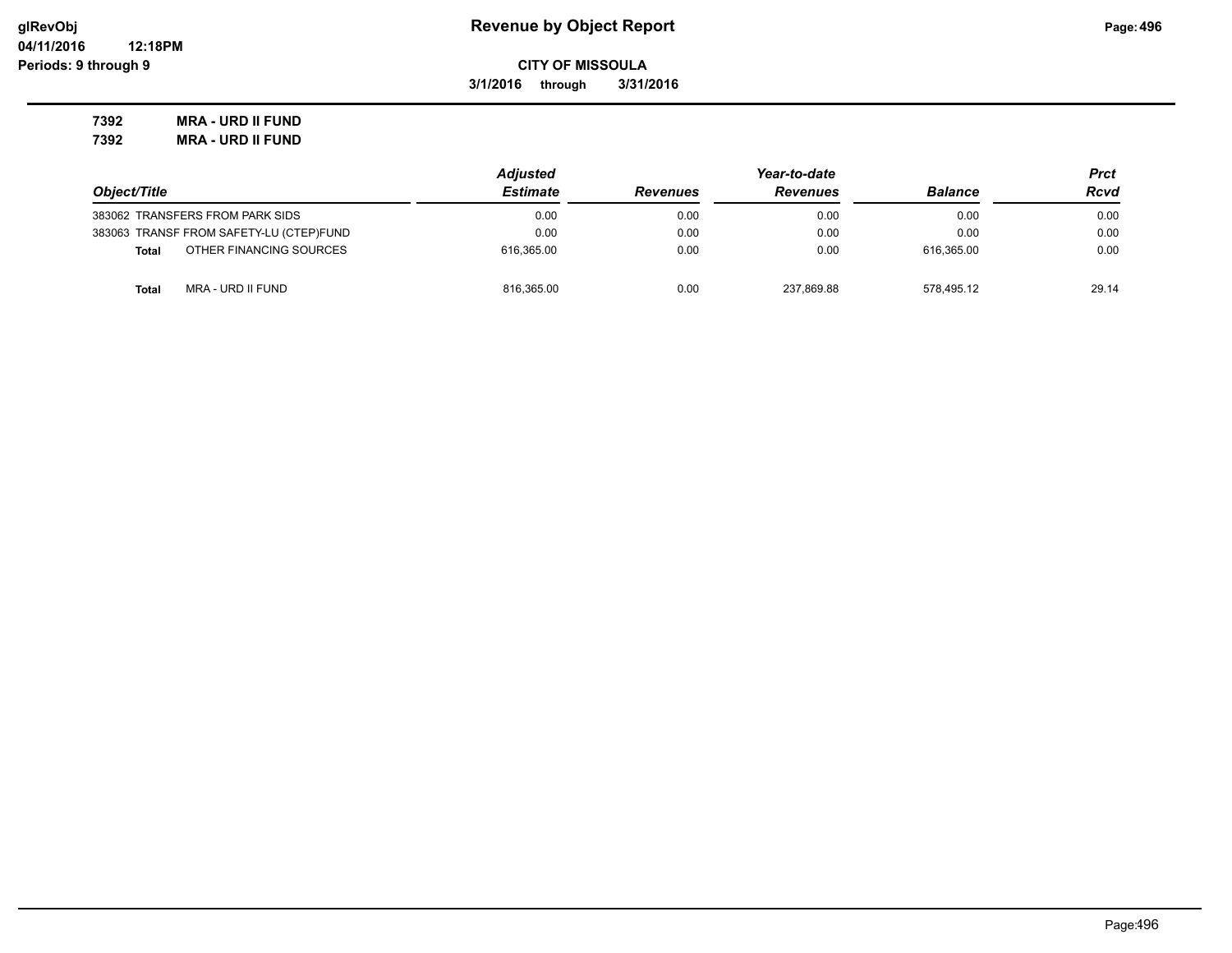**3/1/2016 through 3/31/2016**

**7392 MRA - URD II FUND 7392 MRA - URD II FUND**

|                                         | <b>Adjusted</b> | Year-to-date    |                 |                | Prct  |
|-----------------------------------------|-----------------|-----------------|-----------------|----------------|-------|
| Object/Title                            | <b>Estimate</b> | <b>Revenues</b> | <b>Revenues</b> | <b>Balance</b> | Rcvd  |
| 383062 TRANSFERS FROM PARK SIDS         | 0.00            | 0.00            | 0.00            | 0.00           | 0.00  |
| 383063 TRANSF FROM SAFETY-LU (CTEP)FUND | 0.00            | 0.00            | 0.00            | 0.00           | 0.00  |
| OTHER FINANCING SOURCES<br><b>Total</b> | 616.365.00      | 0.00            | 0.00            | 616.365.00     | 0.00  |
| MRA - URD II FUND<br><b>Total</b>       | 816,365.00      | 0.00            | 237.869.88      | 578.495.12     | 29.14 |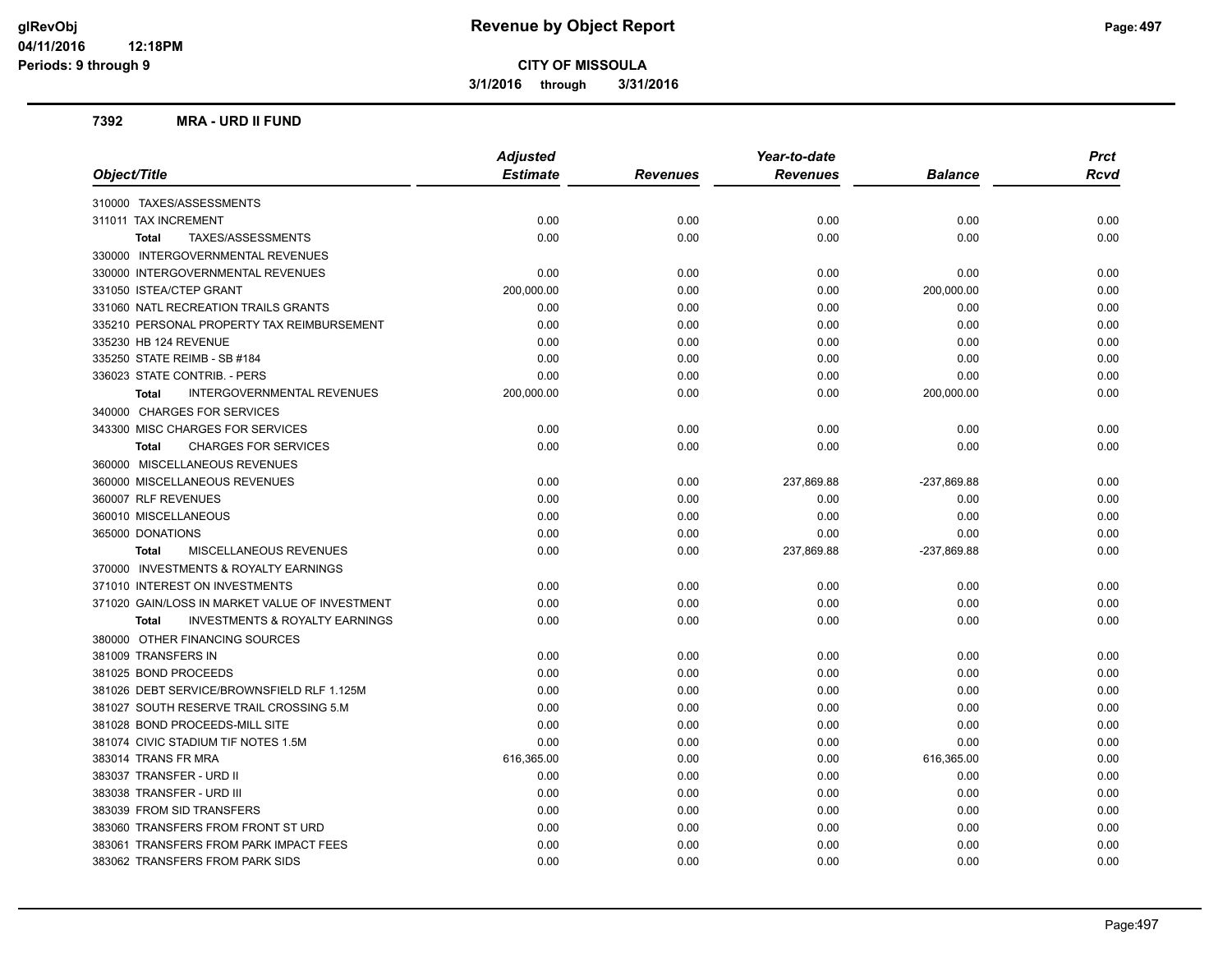**3/1/2016 through 3/31/2016**

#### **7392 MRA - URD II FUND**

| <b>Adjusted</b><br><b>Estimate</b><br>Object/Title<br><b>Revenues</b><br><b>Revenues</b><br>310000 TAXES/ASSESSMENTS | <b>Balance</b><br>0.00<br>0.00 | <b>Rcvd</b><br>0.00 |
|----------------------------------------------------------------------------------------------------------------------|--------------------------------|---------------------|
|                                                                                                                      |                                |                     |
|                                                                                                                      |                                |                     |
| 311011 TAX INCREMENT<br>0.00<br>0.00<br>0.00                                                                         |                                |                     |
| 0.00<br>0.00<br>0.00<br>TAXES/ASSESSMENTS<br>Total                                                                   |                                | 0.00                |
| 330000 INTERGOVERNMENTAL REVENUES                                                                                    |                                |                     |
| 330000 INTERGOVERNMENTAL REVENUES<br>0.00<br>0.00<br>0.00                                                            | 0.00                           | 0.00                |
| 331050 ISTEA/CTEP GRANT<br>200,000.00<br>0.00<br>0.00                                                                | 200,000.00                     | 0.00                |
| 331060 NATL RECREATION TRAILS GRANTS<br>0.00<br>0.00<br>0.00                                                         | 0.00                           | 0.00                |
| 335210 PERSONAL PROPERTY TAX REIMBURSEMENT<br>0.00<br>0.00<br>0.00                                                   | 0.00                           | 0.00                |
| 335230 HB 124 REVENUE<br>0.00<br>0.00<br>0.00                                                                        | 0.00                           | 0.00                |
| 335250 STATE REIMB - SB #184<br>0.00<br>0.00<br>0.00                                                                 | 0.00                           | 0.00                |
| 336023 STATE CONTRIB. - PERS<br>0.00<br>0.00<br>0.00                                                                 | 0.00                           | 0.00                |
| <b>INTERGOVERNMENTAL REVENUES</b><br>200,000.00<br>0.00<br>0.00<br><b>Total</b>                                      | 200,000.00                     | 0.00                |
| 340000 CHARGES FOR SERVICES                                                                                          |                                |                     |
| 343300 MISC CHARGES FOR SERVICES<br>0.00<br>0.00<br>0.00                                                             | 0.00                           | 0.00                |
| 0.00<br>0.00<br>0.00<br><b>CHARGES FOR SERVICES</b><br><b>Total</b>                                                  | 0.00                           | 0.00                |
| 360000 MISCELLANEOUS REVENUES                                                                                        |                                |                     |
| 360000 MISCELLANEOUS REVENUES<br>0.00<br>0.00<br>237,869.88                                                          | -237,869.88                    | 0.00                |
| 360007 RLF REVENUES<br>0.00<br>0.00<br>0.00                                                                          | 0.00                           | 0.00                |
| 360010 MISCELLANEOUS<br>0.00<br>0.00<br>0.00                                                                         | 0.00                           | 0.00                |
| 365000 DONATIONS<br>0.00<br>0.00<br>0.00                                                                             | 0.00                           | 0.00                |
| MISCELLANEOUS REVENUES<br>0.00<br>0.00<br>237,869.88<br><b>Total</b>                                                 | -237,869.88                    | 0.00                |
| 370000 INVESTMENTS & ROYALTY EARNINGS                                                                                |                                |                     |
| 371010 INTEREST ON INVESTMENTS<br>0.00<br>0.00<br>0.00                                                               | 0.00                           | 0.00                |
| 371020 GAIN/LOSS IN MARKET VALUE OF INVESTMENT<br>0.00<br>0.00<br>0.00                                               | 0.00                           | 0.00                |
| <b>INVESTMENTS &amp; ROYALTY EARNINGS</b><br>0.00<br>0.00<br>0.00<br><b>Total</b>                                    | 0.00                           | 0.00                |
| 380000 OTHER FINANCING SOURCES                                                                                       |                                |                     |
| 381009 TRANSFERS IN<br>0.00<br>0.00<br>0.00                                                                          | 0.00                           | 0.00                |
| 381025 BOND PROCEEDS<br>0.00<br>0.00<br>0.00                                                                         | 0.00                           | 0.00                |
| 381026 DEBT SERVICE/BROWNSFIELD RLF 1.125M<br>0.00<br>0.00<br>0.00                                                   | 0.00                           | 0.00                |
| 381027 SOUTH RESERVE TRAIL CROSSING 5.M<br>0.00<br>0.00<br>0.00                                                      | 0.00                           | 0.00                |
| 381028 BOND PROCEEDS-MILL SITE<br>0.00<br>0.00<br>0.00                                                               | 0.00                           | 0.00                |
| 381074 CIVIC STADIUM TIF NOTES 1.5M<br>0.00<br>0.00<br>0.00                                                          | 0.00                           | 0.00                |
| 383014 TRANS FR MRA<br>616,365.00<br>0.00<br>0.00                                                                    | 616,365.00                     | 0.00                |
| 383037 TRANSFER - URD II<br>0.00<br>0.00<br>0.00                                                                     | 0.00                           | 0.00                |
| 383038 TRANSFER - URD III<br>0.00<br>0.00<br>0.00                                                                    | 0.00                           | 0.00                |
| 383039 FROM SID TRANSFERS<br>0.00<br>0.00<br>0.00                                                                    | 0.00                           | 0.00                |
| 383060 TRANSFERS FROM FRONT ST URD<br>0.00<br>0.00<br>0.00                                                           | 0.00                           | 0.00                |
| 383061 TRANSFERS FROM PARK IMPACT FEES<br>0.00<br>0.00<br>0.00                                                       | 0.00                           | 0.00                |
| 383062 TRANSFERS FROM PARK SIDS<br>0.00<br>0.00<br>0.00                                                              | 0.00                           | 0.00                |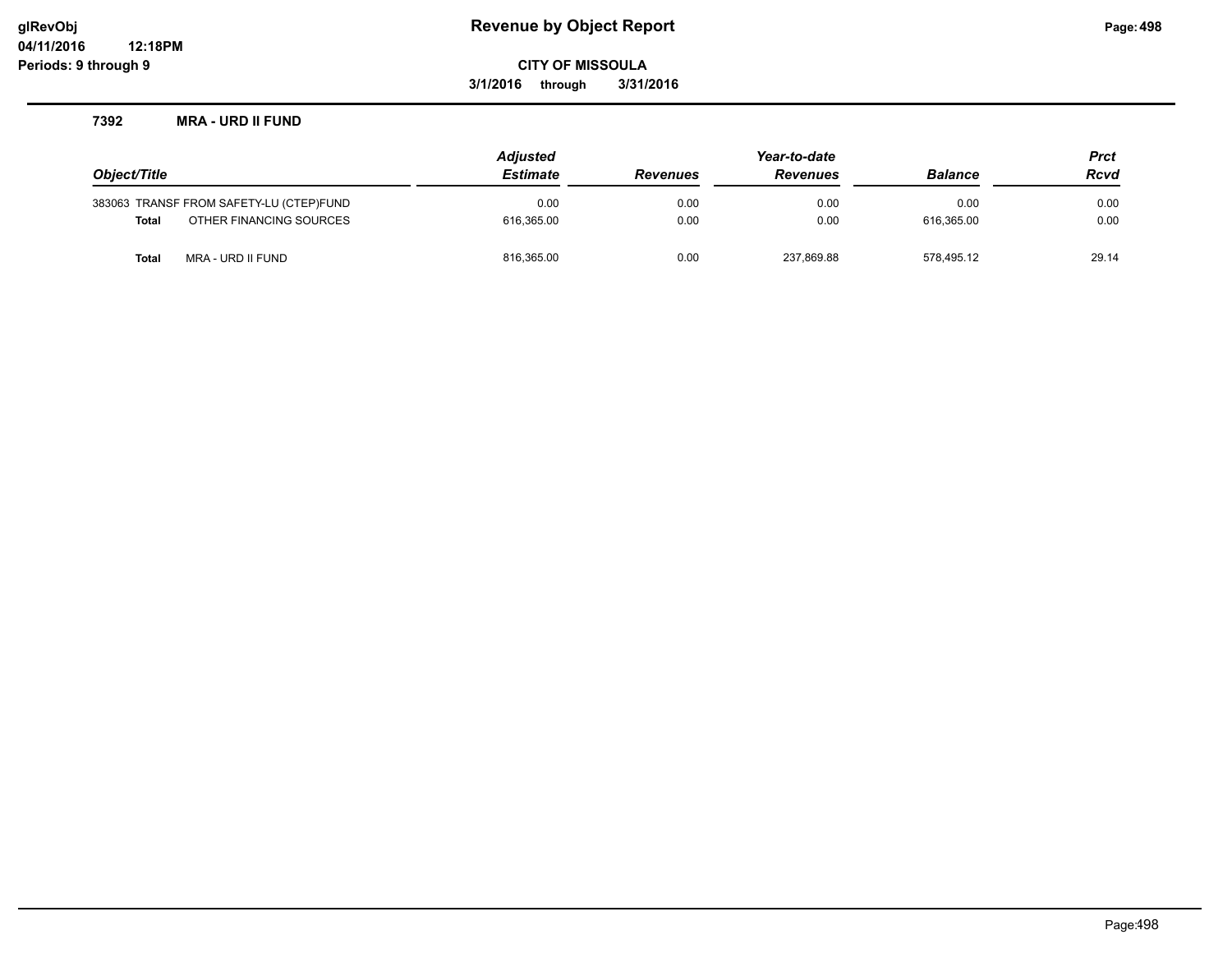## **glRevObj Revenue by Object Report Page:498**

**CITY OF MISSOULA**

**3/1/2016 through 3/31/2016**

#### **7392 MRA - URD II FUND**

|              |                                         | <b>Adjusted</b> |                 | Year-to-date    |                | <b>Prct</b> |
|--------------|-----------------------------------------|-----------------|-----------------|-----------------|----------------|-------------|
| Object/Title |                                         | <b>Estimate</b> | <b>Revenues</b> | <b>Revenues</b> | <b>Balance</b> | <b>Rcvd</b> |
|              | 383063 TRANSF FROM SAFETY-LU (CTEP)FUND | 0.00            | 0.00            | 0.00            | 0.00           | 0.00        |
| <b>Total</b> | OTHER FINANCING SOURCES                 | 616.365.00      | 0.00            | 0.00            | 616.365.00     | 0.00        |
| Total        | MRA - URD II FUND                       | 816,365.00      | 0.00            | 237,869.88      | 578.495.12     | 29.14       |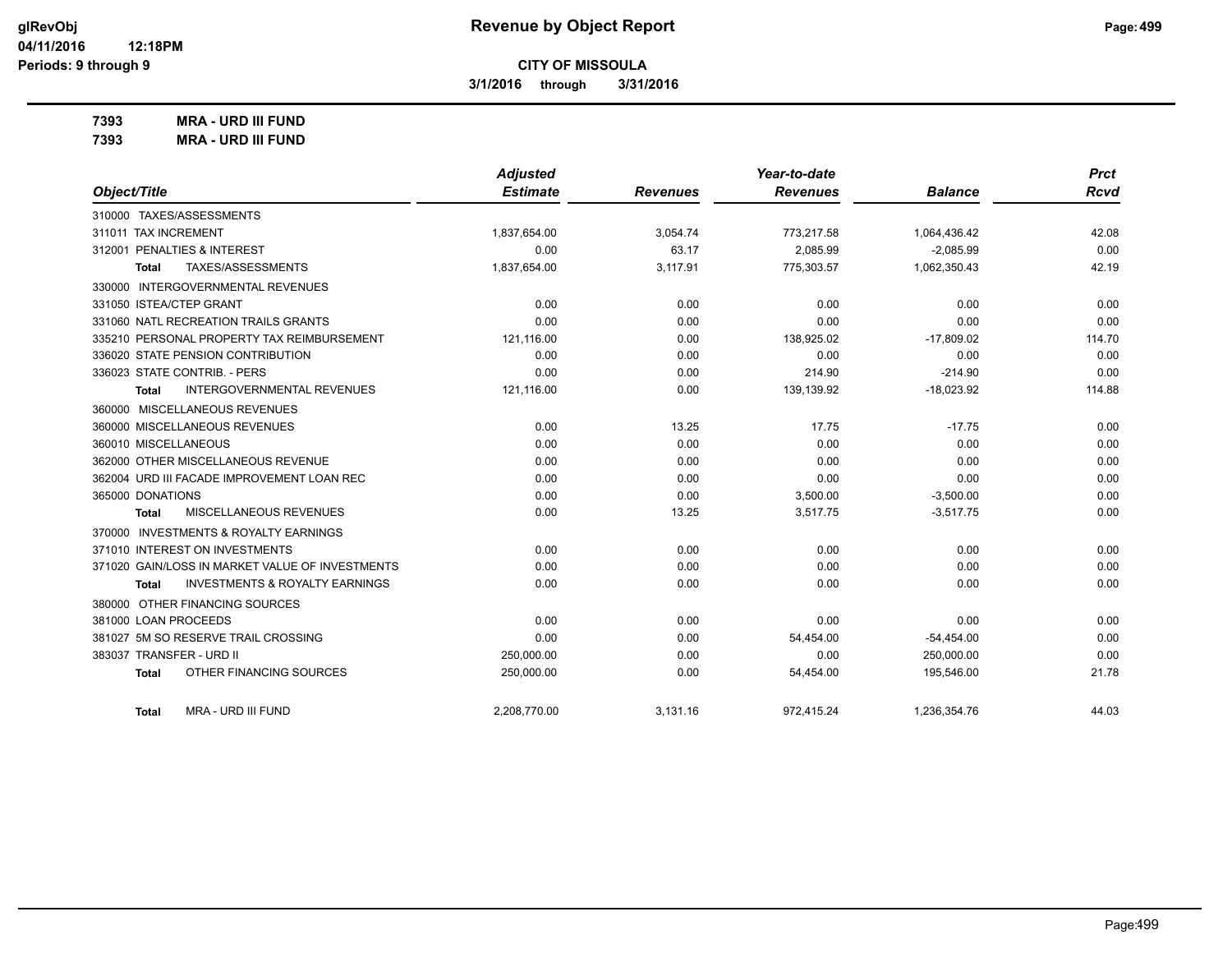**3/1/2016 through 3/31/2016**

**7393 MRA - URD III FUND**

| <b>MRA - URD III FUND</b><br>7393 |
|-----------------------------------|
|-----------------------------------|

|                                                    | <b>Adjusted</b> |                 | Year-to-date    |                | <b>Prct</b> |
|----------------------------------------------------|-----------------|-----------------|-----------------|----------------|-------------|
| Object/Title                                       | <b>Estimate</b> | <b>Revenues</b> | <b>Revenues</b> | <b>Balance</b> | <b>Rcvd</b> |
| 310000 TAXES/ASSESSMENTS                           |                 |                 |                 |                |             |
| 311011 TAX INCREMENT                               | 1,837,654.00    | 3,054.74        | 773,217.58      | 1,064,436.42   | 42.08       |
| 312001 PENALTIES & INTEREST                        | 0.00            | 63.17           | 2,085.99        | $-2,085.99$    | 0.00        |
| TAXES/ASSESSMENTS<br>Total                         | 1,837,654.00    | 3,117.91        | 775,303.57      | 1,062,350.43   | 42.19       |
| 330000 INTERGOVERNMENTAL REVENUES                  |                 |                 |                 |                |             |
| 331050 ISTEA/CTEP GRANT                            | 0.00            | 0.00            | 0.00            | 0.00           | 0.00        |
| 331060 NATL RECREATION TRAILS GRANTS               | 0.00            | 0.00            | 0.00            | 0.00           | 0.00        |
| 335210 PERSONAL PROPERTY TAX REIMBURSEMENT         | 121,116.00      | 0.00            | 138,925.02      | $-17,809.02$   | 114.70      |
| 336020 STATE PENSION CONTRIBUTION                  | 0.00            | 0.00            | 0.00            | 0.00           | 0.00        |
| 336023 STATE CONTRIB. - PERS                       | 0.00            | 0.00            | 214.90          | $-214.90$      | 0.00        |
| <b>INTERGOVERNMENTAL REVENUES</b><br>Total         | 121,116.00      | 0.00            | 139,139.92      | $-18,023.92$   | 114.88      |
| 360000 MISCELLANEOUS REVENUES                      |                 |                 |                 |                |             |
| 360000 MISCELLANEOUS REVENUES                      | 0.00            | 13.25           | 17.75           | $-17.75$       | 0.00        |
| 360010 MISCELLANEOUS                               | 0.00            | 0.00            | 0.00            | 0.00           | 0.00        |
| 362000 OTHER MISCELLANEOUS REVENUE                 | 0.00            | 0.00            | 0.00            | 0.00           | 0.00        |
| 362004 URD III FACADE IMPROVEMENT LOAN REC         | 0.00            | 0.00            | 0.00            | 0.00           | 0.00        |
| 365000 DONATIONS                                   | 0.00            | 0.00            | 3,500.00        | $-3,500.00$    | 0.00        |
| MISCELLANEOUS REVENUES<br>Total                    | 0.00            | 13.25           | 3,517.75        | $-3,517.75$    | 0.00        |
| 370000 INVESTMENTS & ROYALTY EARNINGS              |                 |                 |                 |                |             |
| 371010 INTEREST ON INVESTMENTS                     | 0.00            | 0.00            | 0.00            | 0.00           | 0.00        |
| 371020 GAIN/LOSS IN MARKET VALUE OF INVESTMENTS    | 0.00            | 0.00            | 0.00            | 0.00           | 0.00        |
| <b>INVESTMENTS &amp; ROYALTY EARNINGS</b><br>Total | 0.00            | 0.00            | 0.00            | 0.00           | 0.00        |
| 380000 OTHER FINANCING SOURCES                     |                 |                 |                 |                |             |
| 381000 LOAN PROCEEDS                               | 0.00            | 0.00            | 0.00            | 0.00           | 0.00        |
| 381027 5M SO RESERVE TRAIL CROSSING                | 0.00            | 0.00            | 54,454.00       | $-54,454.00$   | 0.00        |
| 383037 TRANSFER - URD II                           | 250,000.00      | 0.00            | 0.00            | 250,000.00     | 0.00        |
| OTHER FINANCING SOURCES<br><b>Total</b>            | 250,000.00      | 0.00            | 54,454.00       | 195,546.00     | 21.78       |
| MRA - URD III FUND<br><b>Total</b>                 | 2.208.770.00    | 3,131.16        | 972,415.24      | 1,236,354.76   | 44.03       |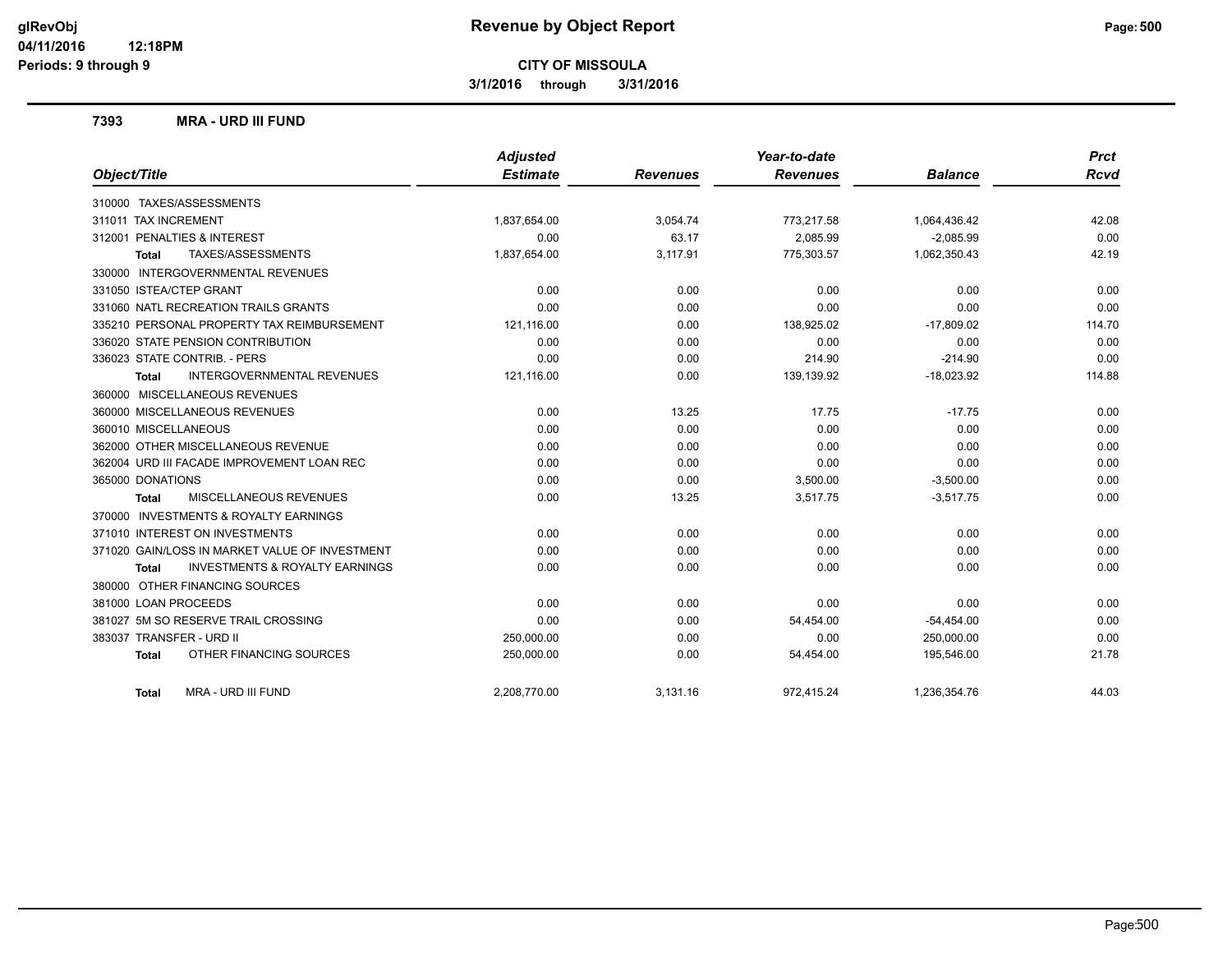**3/1/2016 through 3/31/2016**

#### **7393 MRA - URD III FUND**

|                                                    | <b>Adjusted</b> |                 | Year-to-date    |                | <b>Prct</b> |
|----------------------------------------------------|-----------------|-----------------|-----------------|----------------|-------------|
| Object/Title                                       | <b>Estimate</b> | <b>Revenues</b> | <b>Revenues</b> | <b>Balance</b> | <b>Rcvd</b> |
| 310000 TAXES/ASSESSMENTS                           |                 |                 |                 |                |             |
| 311011 TAX INCREMENT                               | 1,837,654.00    | 3,054.74        | 773,217.58      | 1,064,436.42   | 42.08       |
| 312001 PENALTIES & INTEREST                        | 0.00            | 63.17           | 2,085.99        | $-2,085.99$    | 0.00        |
| <b>TAXES/ASSESSMENTS</b><br><b>Total</b>           | 1,837,654.00    | 3,117.91        | 775,303.57      | 1,062,350.43   | 42.19       |
| 330000 INTERGOVERNMENTAL REVENUES                  |                 |                 |                 |                |             |
| 331050 ISTEA/CTEP GRANT                            | 0.00            | 0.00            | 0.00            | 0.00           | 0.00        |
| 331060 NATL RECREATION TRAILS GRANTS               | 0.00            | 0.00            | 0.00            | 0.00           | 0.00        |
| 335210 PERSONAL PROPERTY TAX REIMBURSEMENT         | 121,116.00      | 0.00            | 138,925.02      | $-17,809.02$   | 114.70      |
| 336020 STATE PENSION CONTRIBUTION                  | 0.00            | 0.00            | 0.00            | 0.00           | 0.00        |
| 336023 STATE CONTRIB. - PERS                       | 0.00            | 0.00            | 214.90          | $-214.90$      | 0.00        |
| <b>INTERGOVERNMENTAL REVENUES</b><br><b>Total</b>  | 121,116.00      | 0.00            | 139,139.92      | $-18,023.92$   | 114.88      |
| 360000 MISCELLANEOUS REVENUES                      |                 |                 |                 |                |             |
| 360000 MISCELLANEOUS REVENUES                      | 0.00            | 13.25           | 17.75           | $-17.75$       | 0.00        |
| 360010 MISCELLANEOUS                               | 0.00            | 0.00            | 0.00            | 0.00           | 0.00        |
| 362000 OTHER MISCELLANEOUS REVENUE                 | 0.00            | 0.00            | 0.00            | 0.00           | 0.00        |
| 362004 URD III FACADE IMPROVEMENT LOAN REC         | 0.00            | 0.00            | 0.00            | 0.00           | 0.00        |
| 365000 DONATIONS                                   | 0.00            | 0.00            | 3,500.00        | $-3,500.00$    | 0.00        |
| MISCELLANEOUS REVENUES<br><b>Total</b>             | 0.00            | 13.25           | 3,517.75        | $-3,517.75$    | 0.00        |
| 370000 INVESTMENTS & ROYALTY EARNINGS              |                 |                 |                 |                |             |
| 371010 INTEREST ON INVESTMENTS                     | 0.00            | 0.00            | 0.00            | 0.00           | 0.00        |
| 371020 GAIN/LOSS IN MARKET VALUE OF INVESTMENT     | 0.00            | 0.00            | 0.00            | 0.00           | 0.00        |
| <b>INVESTMENTS &amp; ROYALTY EARNINGS</b><br>Total | 0.00            | 0.00            | 0.00            | 0.00           | 0.00        |
| 380000 OTHER FINANCING SOURCES                     |                 |                 |                 |                |             |
| 381000 LOAN PROCEEDS                               | 0.00            | 0.00            | 0.00            | 0.00           | 0.00        |
| 381027 5M SO RESERVE TRAIL CROSSING                | 0.00            | 0.00            | 54,454.00       | $-54,454.00$   | 0.00        |
| 383037 TRANSFER - URD II                           | 250,000.00      | 0.00            | 0.00            | 250,000.00     | 0.00        |
| OTHER FINANCING SOURCES<br><b>Total</b>            | 250,000.00      | 0.00            | 54,454.00       | 195,546.00     | 21.78       |
| MRA - URD III FUND<br><b>Total</b>                 | 2,208,770.00    | 3,131.16        | 972,415.24      | 1,236,354.76   | 44.03       |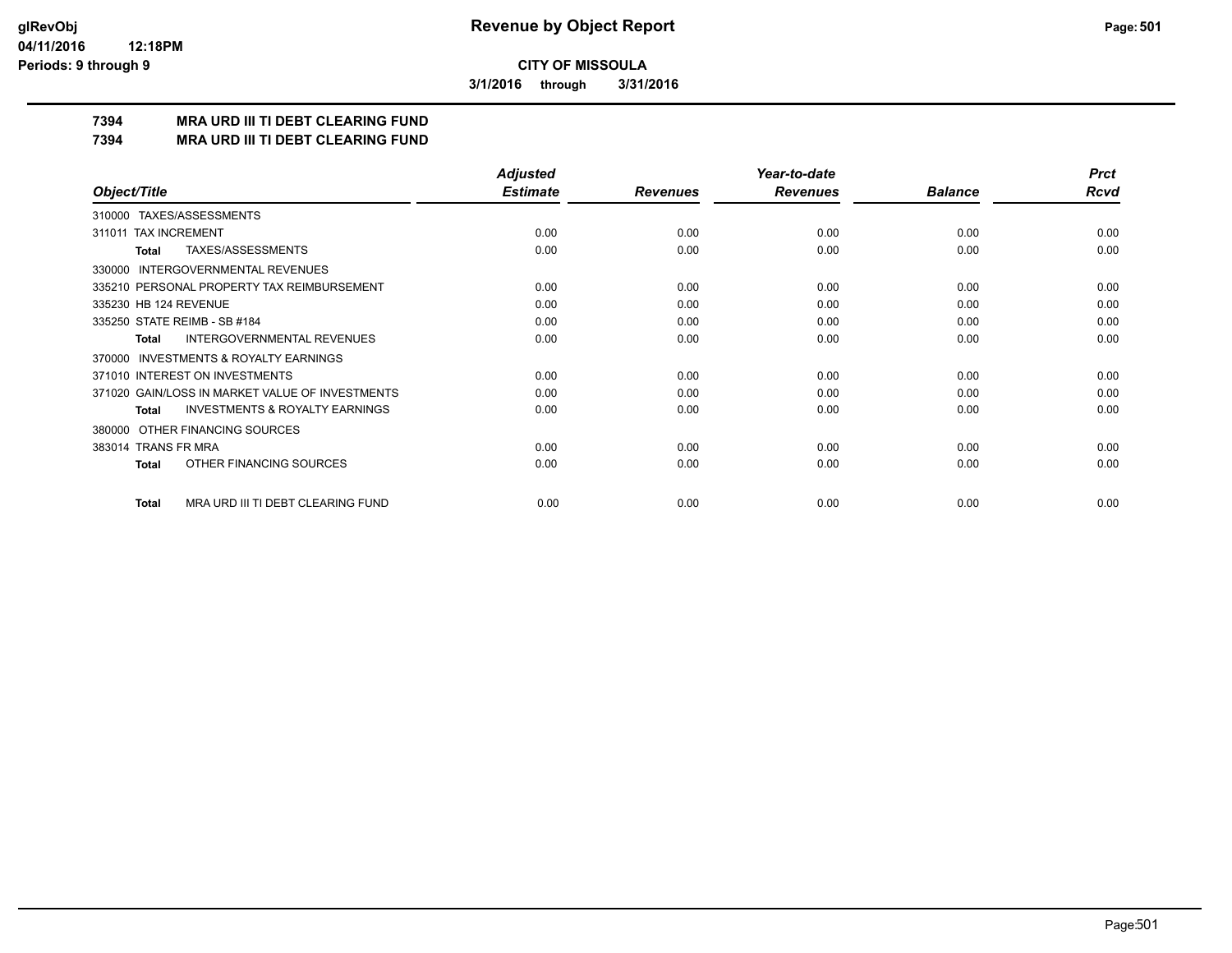**3/1/2016 through 3/31/2016**

## **7394 MRA URD III TI DEBT CLEARING FUND**

**7394 MRA URD III TI DEBT CLEARING FUND**

|                                                     | <b>Adjusted</b> |                 | Year-to-date    |                | <b>Prct</b> |
|-----------------------------------------------------|-----------------|-----------------|-----------------|----------------|-------------|
| Object/Title                                        | <b>Estimate</b> | <b>Revenues</b> | <b>Revenues</b> | <b>Balance</b> | <b>Rcvd</b> |
| 310000 TAXES/ASSESSMENTS                            |                 |                 |                 |                |             |
| <b>TAX INCREMENT</b><br>311011                      | 0.00            | 0.00            | 0.00            | 0.00           | 0.00        |
| TAXES/ASSESSMENTS<br><b>Total</b>                   | 0.00            | 0.00            | 0.00            | 0.00           | 0.00        |
| <b>INTERGOVERNMENTAL REVENUES</b><br>330000         |                 |                 |                 |                |             |
| 335210 PERSONAL PROPERTY TAX REIMBURSEMENT          | 0.00            | 0.00            | 0.00            | 0.00           | 0.00        |
| 335230 HB 124 REVENUE                               | 0.00            | 0.00            | 0.00            | 0.00           | 0.00        |
| 335250 STATE REIMB - SB #184                        | 0.00            | 0.00            | 0.00            | 0.00           | 0.00        |
| <b>INTERGOVERNMENTAL REVENUES</b><br><b>Total</b>   | 0.00            | 0.00            | 0.00            | 0.00           | 0.00        |
| <b>INVESTMENTS &amp; ROYALTY EARNINGS</b><br>370000 |                 |                 |                 |                |             |
| 371010 INTEREST ON INVESTMENTS                      | 0.00            | 0.00            | 0.00            | 0.00           | 0.00        |
| 371020 GAIN/LOSS IN MARKET VALUE OF INVESTMENTS     | 0.00            | 0.00            | 0.00            | 0.00           | 0.00        |
| <b>INVESTMENTS &amp; ROYALTY EARNINGS</b><br>Total  | 0.00            | 0.00            | 0.00            | 0.00           | 0.00        |
| OTHER FINANCING SOURCES<br>380000                   |                 |                 |                 |                |             |
| 383014 TRANS FR MRA                                 | 0.00            | 0.00            | 0.00            | 0.00           | 0.00        |
| OTHER FINANCING SOURCES<br>Total                    | 0.00            | 0.00            | 0.00            | 0.00           | 0.00        |
| MRA URD III TI DEBT CLEARING FUND<br><b>Total</b>   | 0.00            | 0.00            | 0.00            | 0.00           | 0.00        |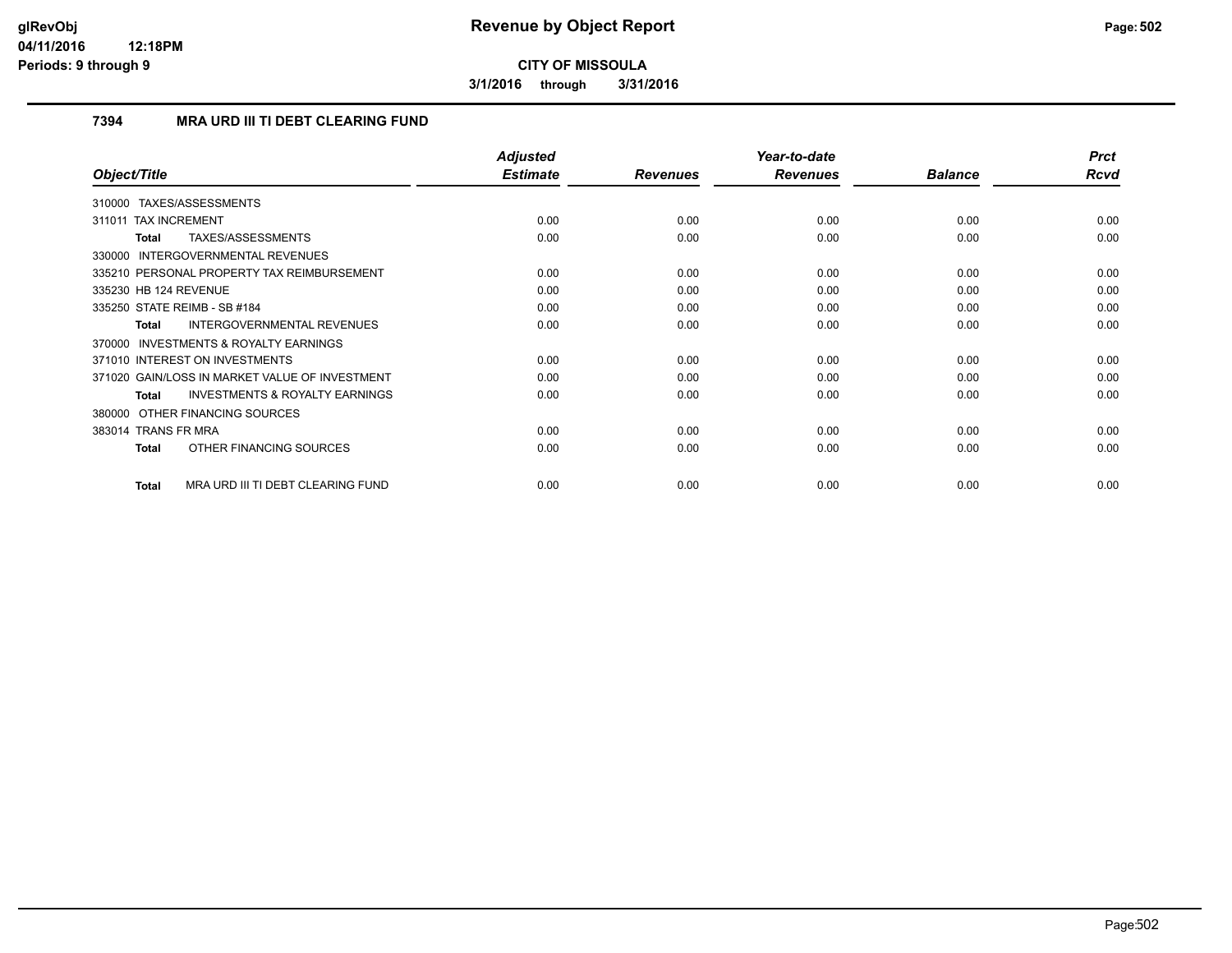**3/1/2016 through 3/31/2016**

## **7394 MRA URD III TI DEBT CLEARING FUND**

|                                                    | <b>Adjusted</b> |                 | Year-to-date    |                | <b>Prct</b> |
|----------------------------------------------------|-----------------|-----------------|-----------------|----------------|-------------|
| Object/Title                                       | <b>Estimate</b> | <b>Revenues</b> | <b>Revenues</b> | <b>Balance</b> | Rcvd        |
| TAXES/ASSESSMENTS<br>310000                        |                 |                 |                 |                |             |
| 311011 TAX INCREMENT                               | 0.00            | 0.00            | 0.00            | 0.00           | 0.00        |
| TAXES/ASSESSMENTS<br>Total                         | 0.00            | 0.00            | 0.00            | 0.00           | 0.00        |
| 330000 INTERGOVERNMENTAL REVENUES                  |                 |                 |                 |                |             |
| 335210 PERSONAL PROPERTY TAX REIMBURSEMENT         | 0.00            | 0.00            | 0.00            | 0.00           | 0.00        |
| 335230 HB 124 REVENUE                              | 0.00            | 0.00            | 0.00            | 0.00           | 0.00        |
| 335250 STATE REIMB - SB #184                       | 0.00            | 0.00            | 0.00            | 0.00           | 0.00        |
| <b>INTERGOVERNMENTAL REVENUES</b><br>Total         | 0.00            | 0.00            | 0.00            | 0.00           | 0.00        |
| 370000 INVESTMENTS & ROYALTY EARNINGS              |                 |                 |                 |                |             |
| 371010 INTEREST ON INVESTMENTS                     | 0.00            | 0.00            | 0.00            | 0.00           | 0.00        |
| 371020 GAIN/LOSS IN MARKET VALUE OF INVESTMENT     | 0.00            | 0.00            | 0.00            | 0.00           | 0.00        |
| <b>INVESTMENTS &amp; ROYALTY EARNINGS</b><br>Total | 0.00            | 0.00            | 0.00            | 0.00           | 0.00        |
| 380000 OTHER FINANCING SOURCES                     |                 |                 |                 |                |             |
| 383014 TRANS FR MRA                                | 0.00            | 0.00            | 0.00            | 0.00           | 0.00        |
| OTHER FINANCING SOURCES<br>Total                   | 0.00            | 0.00            | 0.00            | 0.00           | 0.00        |
| MRA URD III TI DEBT CLEARING FUND<br><b>Total</b>  | 0.00            | 0.00            | 0.00            | 0.00           | 0.00        |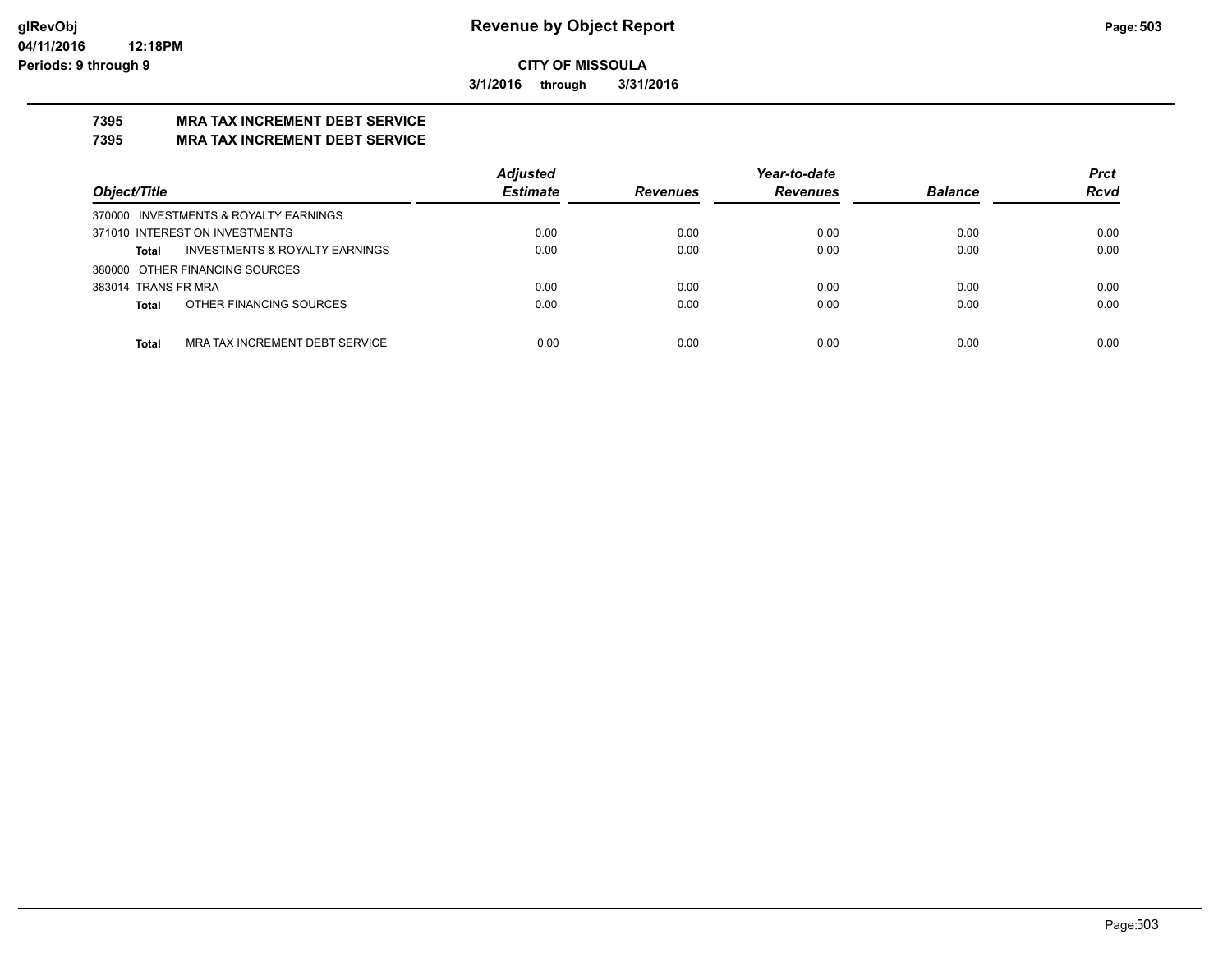**3/1/2016 through 3/31/2016**

## **7395 MRA TAX INCREMENT DEBT SERVICE**

## **7395 MRA TAX INCREMENT DEBT SERVICE**

|                                                | <b>Adjusted</b> | Year-to-date    |                 |                | <b>Prct</b> |
|------------------------------------------------|-----------------|-----------------|-----------------|----------------|-------------|
| Object/Title                                   | <b>Estimate</b> | <b>Revenues</b> | <b>Revenues</b> | <b>Balance</b> | <b>Rcvd</b> |
| 370000 INVESTMENTS & ROYALTY EARNINGS          |                 |                 |                 |                |             |
| 371010 INTEREST ON INVESTMENTS                 | 0.00            | 0.00            | 0.00            | 0.00           | 0.00        |
| INVESTMENTS & ROYALTY EARNINGS<br><b>Total</b> | 0.00            | 0.00            | 0.00            | 0.00           | 0.00        |
| 380000 OTHER FINANCING SOURCES                 |                 |                 |                 |                |             |
| 383014 TRANS FR MRA                            | 0.00            | 0.00            | 0.00            | 0.00           | 0.00        |
| OTHER FINANCING SOURCES<br><b>Total</b>        | 0.00            | 0.00            | 0.00            | 0.00           | 0.00        |
|                                                |                 |                 |                 |                |             |
| MRA TAX INCREMENT DEBT SERVICE<br><b>Total</b> | 0.00            | 0.00            | 0.00            | 0.00           | 0.00        |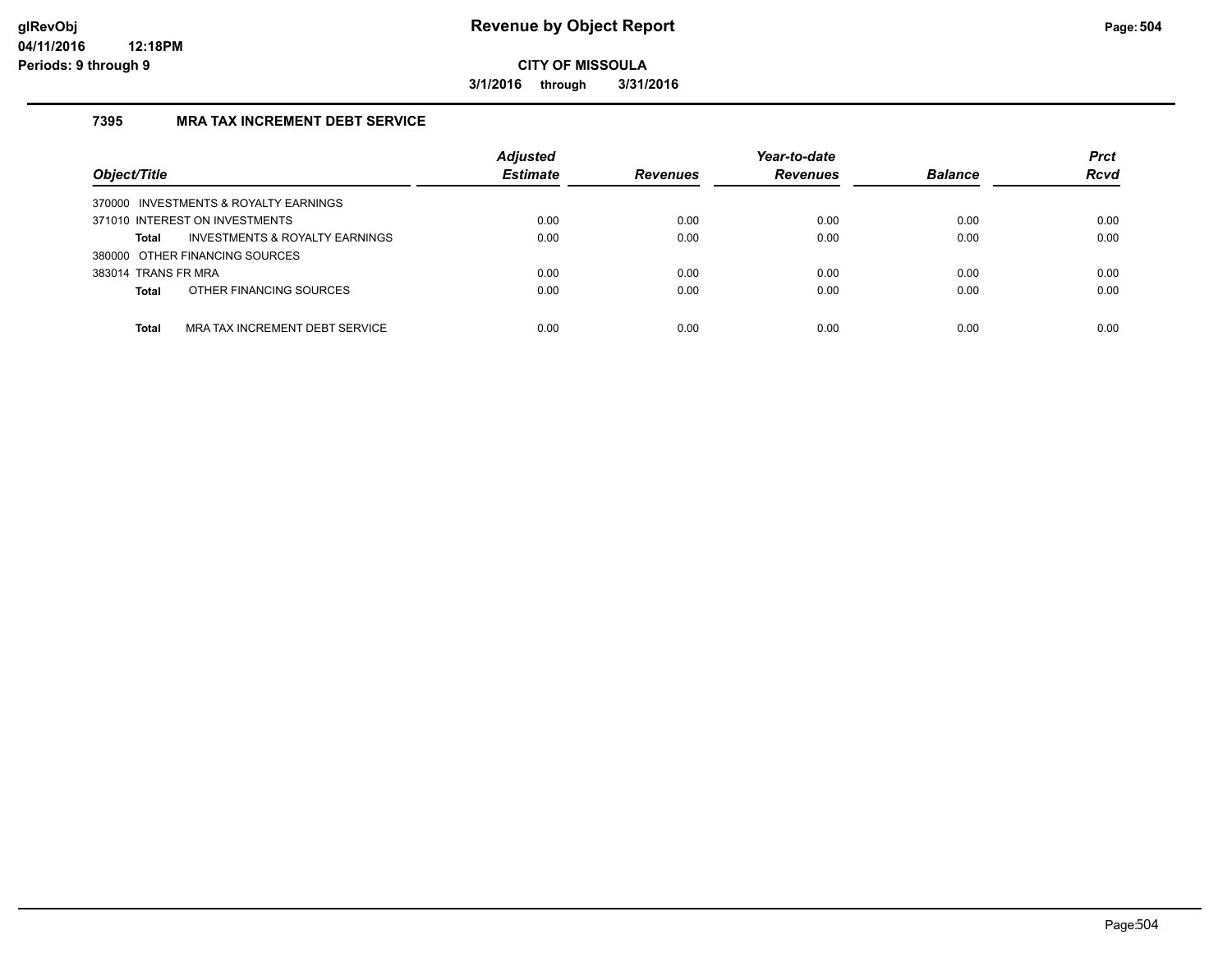**3/1/2016 through 3/31/2016**

## **7395 MRA TAX INCREMENT DEBT SERVICE**

| Object/Title                                       | <b>Adjusted</b><br><b>Estimate</b> | <b>Revenues</b> | Year-to-date<br><b>Revenues</b> | <b>Balance</b> | <b>Prct</b><br><b>Rcvd</b> |
|----------------------------------------------------|------------------------------------|-----------------|---------------------------------|----------------|----------------------------|
| 370000 INVESTMENTS & ROYALTY EARNINGS              |                                    |                 |                                 |                |                            |
| 371010 INTEREST ON INVESTMENTS                     | 0.00                               | 0.00            | 0.00                            | 0.00           | 0.00                       |
| <b>INVESTMENTS &amp; ROYALTY EARNINGS</b><br>Total | 0.00                               | 0.00            | 0.00                            | 0.00           | 0.00                       |
| 380000 OTHER FINANCING SOURCES                     |                                    |                 |                                 |                |                            |
| 383014 TRANS FR MRA                                | 0.00                               | 0.00            | 0.00                            | 0.00           | 0.00                       |
| OTHER FINANCING SOURCES<br>Total                   | 0.00                               | 0.00            | 0.00                            | 0.00           | 0.00                       |
|                                                    |                                    |                 |                                 |                |                            |
| MRA TAX INCREMENT DEBT SERVICE<br><b>Total</b>     | 0.00                               | 0.00            | 0.00                            | 0.00           | 0.00                       |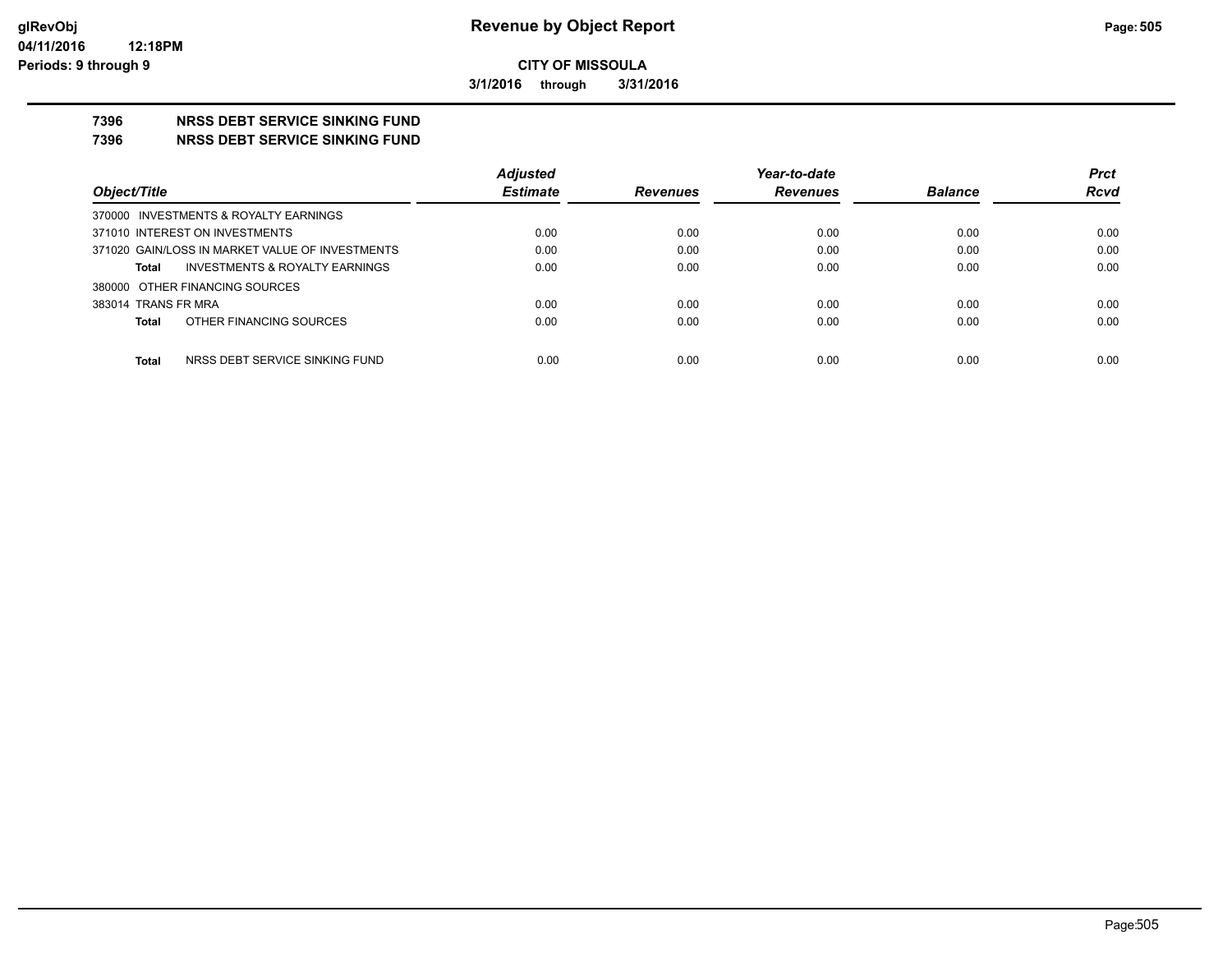**3/1/2016 through 3/31/2016**

#### **7396 NRSS DEBT SERVICE SINKING FUND**

**7396 NRSS DEBT SERVICE SINKING FUND**

|                                                 | <b>Adjusted</b> |                 | Year-to-date    |                | <b>Prct</b> |
|-------------------------------------------------|-----------------|-----------------|-----------------|----------------|-------------|
| Object/Title                                    | <b>Estimate</b> | <b>Revenues</b> | <b>Revenues</b> | <b>Balance</b> | <b>Rcvd</b> |
| 370000 INVESTMENTS & ROYALTY EARNINGS           |                 |                 |                 |                |             |
| 371010 INTEREST ON INVESTMENTS                  | 0.00            | 0.00            | 0.00            | 0.00           | 0.00        |
| 371020 GAIN/LOSS IN MARKET VALUE OF INVESTMENTS | 0.00            | 0.00            | 0.00            | 0.00           | 0.00        |
| INVESTMENTS & ROYALTY EARNINGS<br><b>Total</b>  | 0.00            | 0.00            | 0.00            | 0.00           | 0.00        |
| 380000 OTHER FINANCING SOURCES                  |                 |                 |                 |                |             |
| 383014 TRANS FR MRA                             | 0.00            | 0.00            | 0.00            | 0.00           | 0.00        |
| OTHER FINANCING SOURCES<br><b>Total</b>         | 0.00            | 0.00            | 0.00            | 0.00           | 0.00        |
|                                                 |                 |                 |                 |                |             |
| <b>Total</b><br>NRSS DEBT SERVICE SINKING FUND  | 0.00            | 0.00            | 0.00            | 0.00           | 0.00        |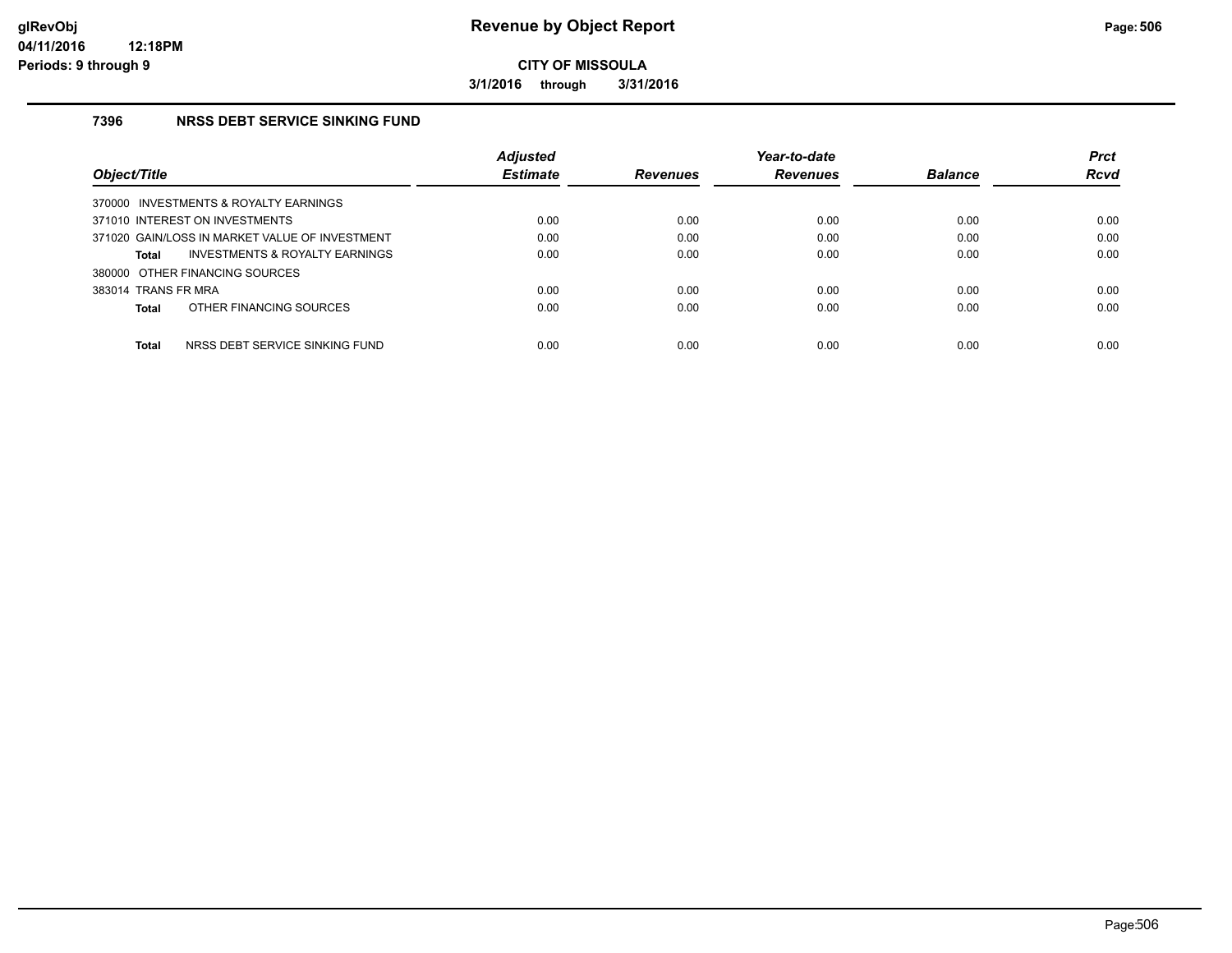**3/1/2016 through 3/31/2016**

#### **7396 NRSS DEBT SERVICE SINKING FUND**

|                                                    | <b>Adjusted</b> |                 | Year-to-date    |                | <b>Prct</b> |
|----------------------------------------------------|-----------------|-----------------|-----------------|----------------|-------------|
| Object/Title                                       | <b>Estimate</b> | <b>Revenues</b> | <b>Revenues</b> | <b>Balance</b> | Rcvd        |
| 370000 INVESTMENTS & ROYALTY EARNINGS              |                 |                 |                 |                |             |
| 371010 INTEREST ON INVESTMENTS                     | 0.00            | 0.00            | 0.00            | 0.00           | 0.00        |
| 371020 GAIN/LOSS IN MARKET VALUE OF INVESTMENT     | 0.00            | 0.00            | 0.00            | 0.00           | 0.00        |
| <b>INVESTMENTS &amp; ROYALTY EARNINGS</b><br>Total | 0.00            | 0.00            | 0.00            | 0.00           | 0.00        |
| 380000 OTHER FINANCING SOURCES                     |                 |                 |                 |                |             |
| 383014 TRANS FR MRA                                | 0.00            | 0.00            | 0.00            | 0.00           | 0.00        |
| OTHER FINANCING SOURCES<br>Total                   | 0.00            | 0.00            | 0.00            | 0.00           | 0.00        |
|                                                    |                 |                 |                 |                |             |
| <b>Total</b><br>NRSS DEBT SERVICE SINKING FUND     | 0.00            | 0.00            | 0.00            | 0.00           | 0.00        |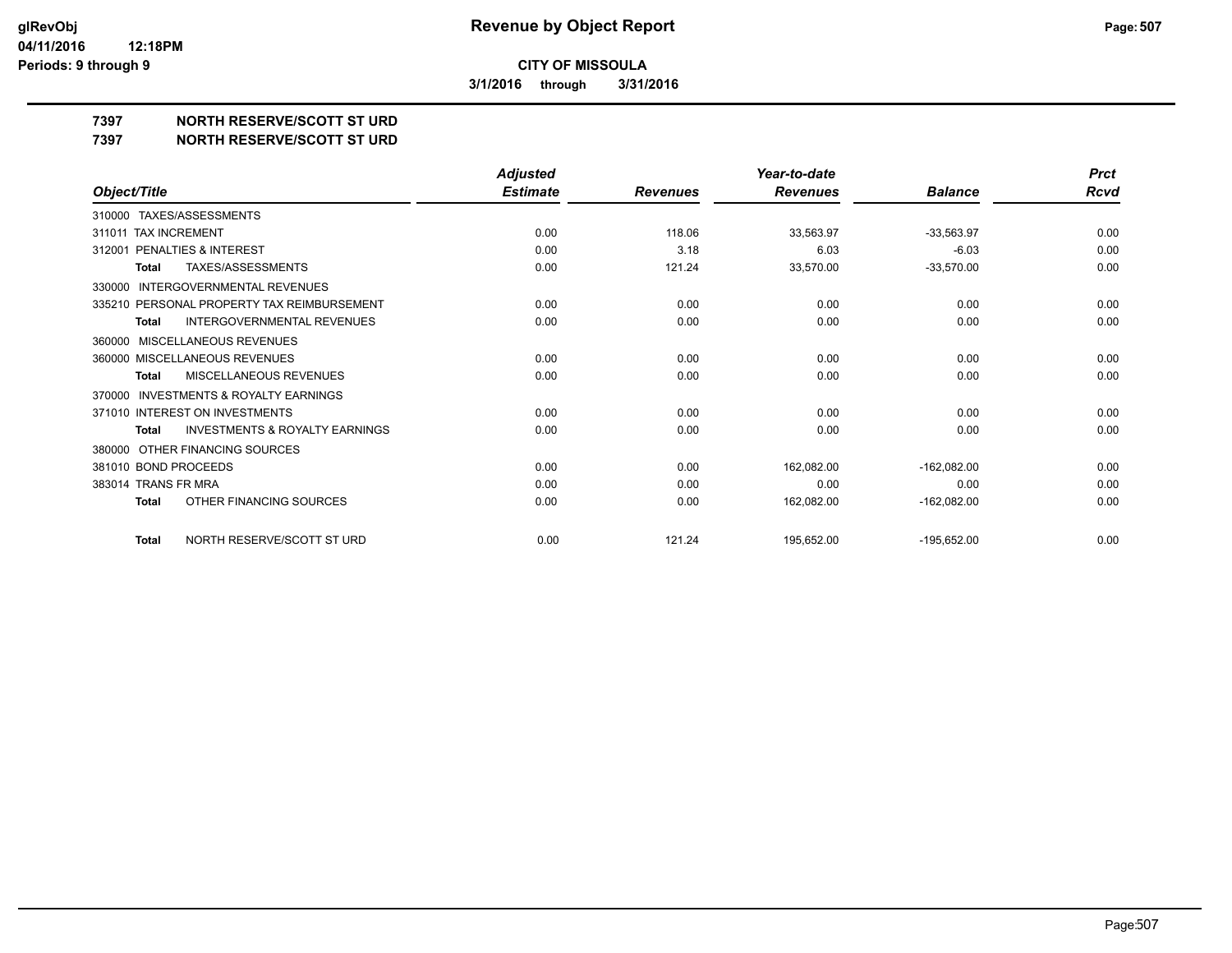**3/1/2016 through 3/31/2016**

**7397 NORTH RESERVE/SCOTT ST URD**

**7397 NORTH RESERVE/SCOTT ST URD**

|                                                           | <b>Adjusted</b> |                 | Year-to-date    |                | <b>Prct</b> |
|-----------------------------------------------------------|-----------------|-----------------|-----------------|----------------|-------------|
| Object/Title                                              | <b>Estimate</b> | <b>Revenues</b> | <b>Revenues</b> | <b>Balance</b> | Rcvd        |
| TAXES/ASSESSMENTS<br>310000                               |                 |                 |                 |                |             |
| <b>TAX INCREMENT</b><br>311011                            | 0.00            | 118.06          | 33,563.97       | $-33,563.97$   | 0.00        |
| PENALTIES & INTEREST<br>312001                            | 0.00            | 3.18            | 6.03            | $-6.03$        | 0.00        |
| TAXES/ASSESSMENTS<br><b>Total</b>                         | 0.00            | 121.24          | 33,570.00       | $-33,570.00$   | 0.00        |
| INTERGOVERNMENTAL REVENUES<br>330000                      |                 |                 |                 |                |             |
| 335210 PERSONAL PROPERTY TAX REIMBURSEMENT                | 0.00            | 0.00            | 0.00            | 0.00           | 0.00        |
| <b>INTERGOVERNMENTAL REVENUES</b><br><b>Total</b>         | 0.00            | 0.00            | 0.00            | 0.00           | 0.00        |
| MISCELLANEOUS REVENUES<br>360000                          |                 |                 |                 |                |             |
| 360000 MISCELLANEOUS REVENUES                             | 0.00            | 0.00            | 0.00            | 0.00           | 0.00        |
| MISCELLANEOUS REVENUES<br>Total                           | 0.00            | 0.00            | 0.00            | 0.00           | 0.00        |
| INVESTMENTS & ROYALTY EARNINGS<br>370000                  |                 |                 |                 |                |             |
| 371010 INTEREST ON INVESTMENTS                            | 0.00            | 0.00            | 0.00            | 0.00           | 0.00        |
| <b>INVESTMENTS &amp; ROYALTY EARNINGS</b><br><b>Total</b> | 0.00            | 0.00            | 0.00            | 0.00           | 0.00        |
| OTHER FINANCING SOURCES<br>380000                         |                 |                 |                 |                |             |
| 381010 BOND PROCEEDS                                      | 0.00            | 0.00            | 162,082.00      | $-162,082.00$  | 0.00        |
| 383014 TRANS FR MRA                                       | 0.00            | 0.00            | 0.00            | 0.00           | 0.00        |
| OTHER FINANCING SOURCES<br><b>Total</b>                   | 0.00            | 0.00            | 162,082.00      | $-162,082.00$  | 0.00        |
| NORTH RESERVE/SCOTT ST URD<br><b>Total</b>                | 0.00            | 121.24          | 195,652.00      | $-195,652.00$  | 0.00        |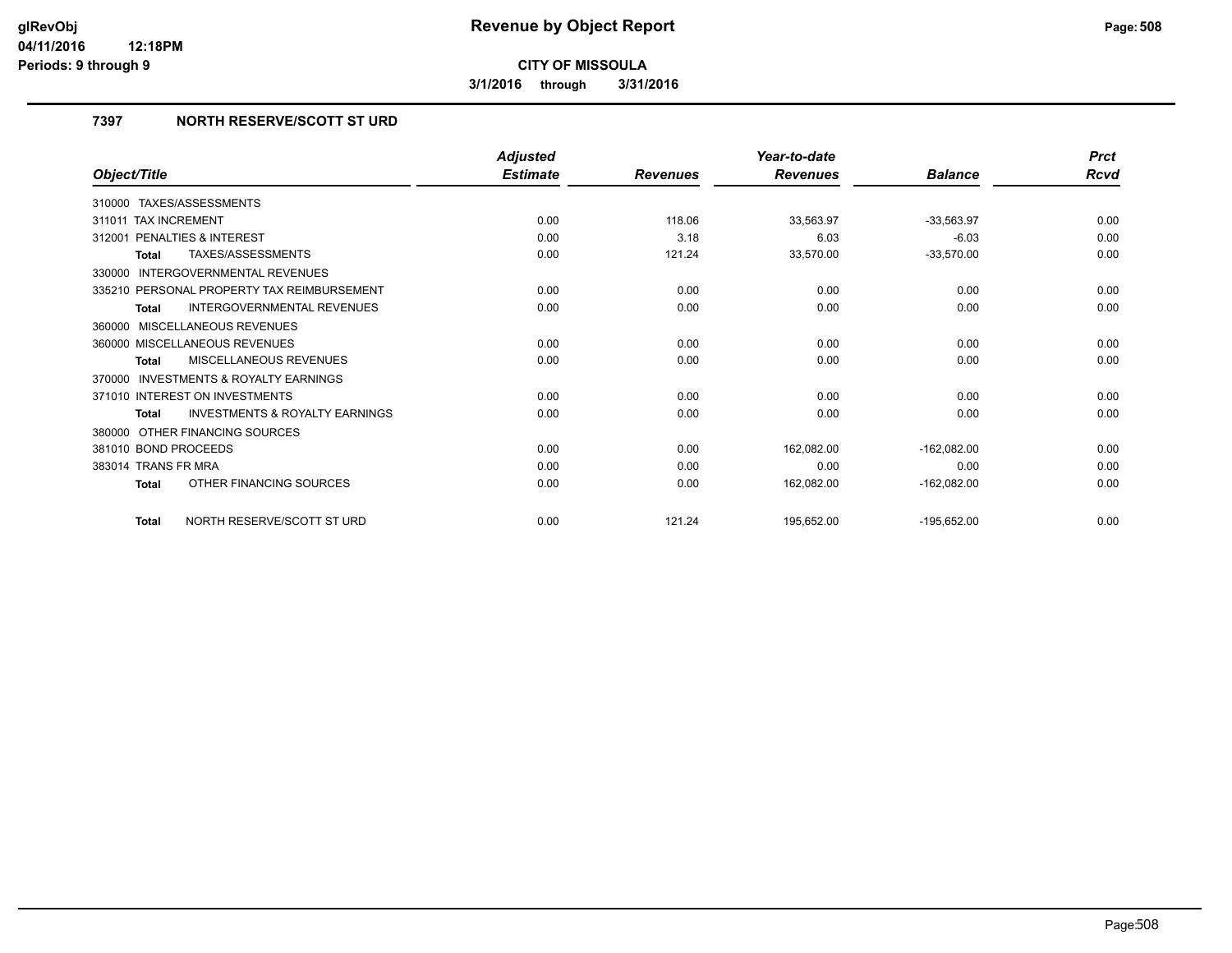**3/1/2016 through 3/31/2016**

#### **7397 NORTH RESERVE/SCOTT ST URD**

|                                                    | <b>Adjusted</b> |                 | Year-to-date    |                | <b>Prct</b> |
|----------------------------------------------------|-----------------|-----------------|-----------------|----------------|-------------|
| Object/Title                                       | <b>Estimate</b> | <b>Revenues</b> | <b>Revenues</b> | <b>Balance</b> | <b>Rcvd</b> |
| 310000 TAXES/ASSESSMENTS                           |                 |                 |                 |                |             |
| 311011 TAX INCREMENT                               | 0.00            | 118.06          | 33,563.97       | $-33,563.97$   | 0.00        |
| PENALTIES & INTEREST<br>312001                     | 0.00            | 3.18            | 6.03            | $-6.03$        | 0.00        |
| TAXES/ASSESSMENTS<br><b>Total</b>                  | 0.00            | 121.24          | 33,570.00       | $-33,570.00$   | 0.00        |
| INTERGOVERNMENTAL REVENUES<br>330000               |                 |                 |                 |                |             |
| 335210 PERSONAL PROPERTY TAX REIMBURSEMENT         | 0.00            | 0.00            | 0.00            | 0.00           | 0.00        |
| <b>INTERGOVERNMENTAL REVENUES</b><br><b>Total</b>  | 0.00            | 0.00            | 0.00            | 0.00           | 0.00        |
| 360000 MISCELLANEOUS REVENUES                      |                 |                 |                 |                |             |
| 360000 MISCELLANEOUS REVENUES                      | 0.00            | 0.00            | 0.00            | 0.00           | 0.00        |
| <b>MISCELLANEOUS REVENUES</b><br><b>Total</b>      | 0.00            | 0.00            | 0.00            | 0.00           | 0.00        |
| 370000 INVESTMENTS & ROYALTY EARNINGS              |                 |                 |                 |                |             |
| 371010 INTEREST ON INVESTMENTS                     | 0.00            | 0.00            | 0.00            | 0.00           | 0.00        |
| <b>INVESTMENTS &amp; ROYALTY EARNINGS</b><br>Total | 0.00            | 0.00            | 0.00            | 0.00           | 0.00        |
| 380000 OTHER FINANCING SOURCES                     |                 |                 |                 |                |             |
| 381010 BOND PROCEEDS                               | 0.00            | 0.00            | 162,082.00      | $-162,082.00$  | 0.00        |
| 383014 TRANS FR MRA                                | 0.00            | 0.00            | 0.00            | 0.00           | 0.00        |
| OTHER FINANCING SOURCES<br><b>Total</b>            | 0.00            | 0.00            | 162,082.00      | $-162,082.00$  | 0.00        |
| NORTH RESERVE/SCOTT ST URD<br><b>Total</b>         | 0.00            | 121.24          | 195,652.00      | $-195,652.00$  | 0.00        |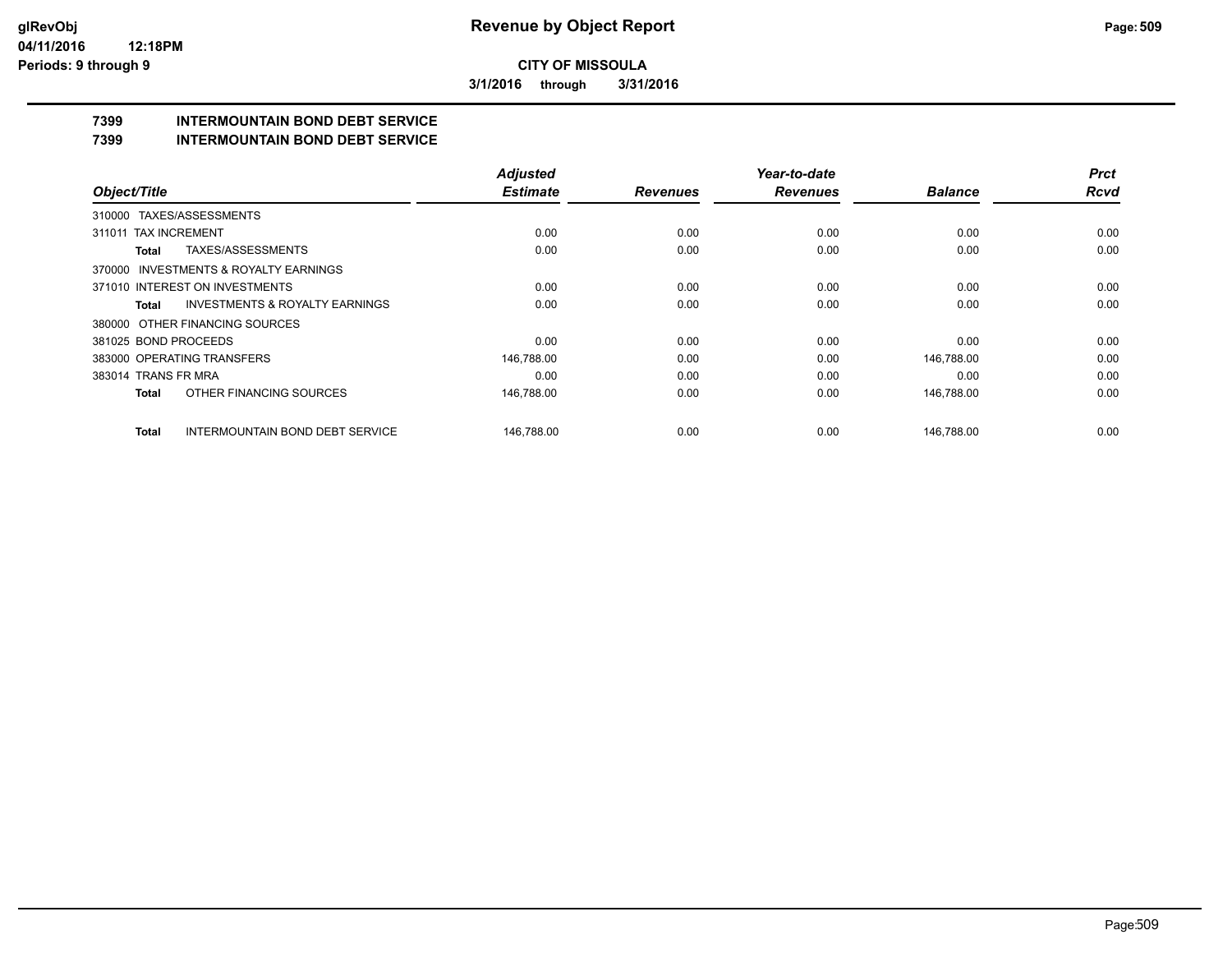**3/1/2016 through 3/31/2016**

## **7399 INTERMOUNTAIN BOND DEBT SERVICE**

**7399 INTERMOUNTAIN BOND DEBT SERVICE**

|                      |                                           | <b>Adjusted</b> |                 | Year-to-date    |                | <b>Prct</b> |
|----------------------|-------------------------------------------|-----------------|-----------------|-----------------|----------------|-------------|
| Object/Title         |                                           | <b>Estimate</b> | <b>Revenues</b> | <b>Revenues</b> | <b>Balance</b> | <b>Rcvd</b> |
|                      | 310000 TAXES/ASSESSMENTS                  |                 |                 |                 |                |             |
| 311011               | <b>TAX INCREMENT</b>                      | 0.00            | 0.00            | 0.00            | 0.00           | 0.00        |
| <b>Total</b>         | TAXES/ASSESSMENTS                         | 0.00            | 0.00            | 0.00            | 0.00           | 0.00        |
|                      | 370000 INVESTMENTS & ROYALTY EARNINGS     |                 |                 |                 |                |             |
|                      | 371010 INTEREST ON INVESTMENTS            | 0.00            | 0.00            | 0.00            | 0.00           | 0.00        |
| Total                | <b>INVESTMENTS &amp; ROYALTY EARNINGS</b> | 0.00            | 0.00            | 0.00            | 0.00           | 0.00        |
|                      | 380000 OTHER FINANCING SOURCES            |                 |                 |                 |                |             |
| 381025 BOND PROCEEDS |                                           | 0.00            | 0.00            | 0.00            | 0.00           | 0.00        |
|                      | 383000 OPERATING TRANSFERS                | 146,788.00      | 0.00            | 0.00            | 146,788.00     | 0.00        |
| 383014 TRANS FR MRA  |                                           | 0.00            | 0.00            | 0.00            | 0.00           | 0.00        |
| <b>Total</b>         | OTHER FINANCING SOURCES                   | 146,788.00      | 0.00            | 0.00            | 146,788.00     | 0.00        |
| Total                | <b>INTERMOUNTAIN BOND DEBT SERVICE</b>    | 146.788.00      | 0.00            | 0.00            | 146.788.00     | 0.00        |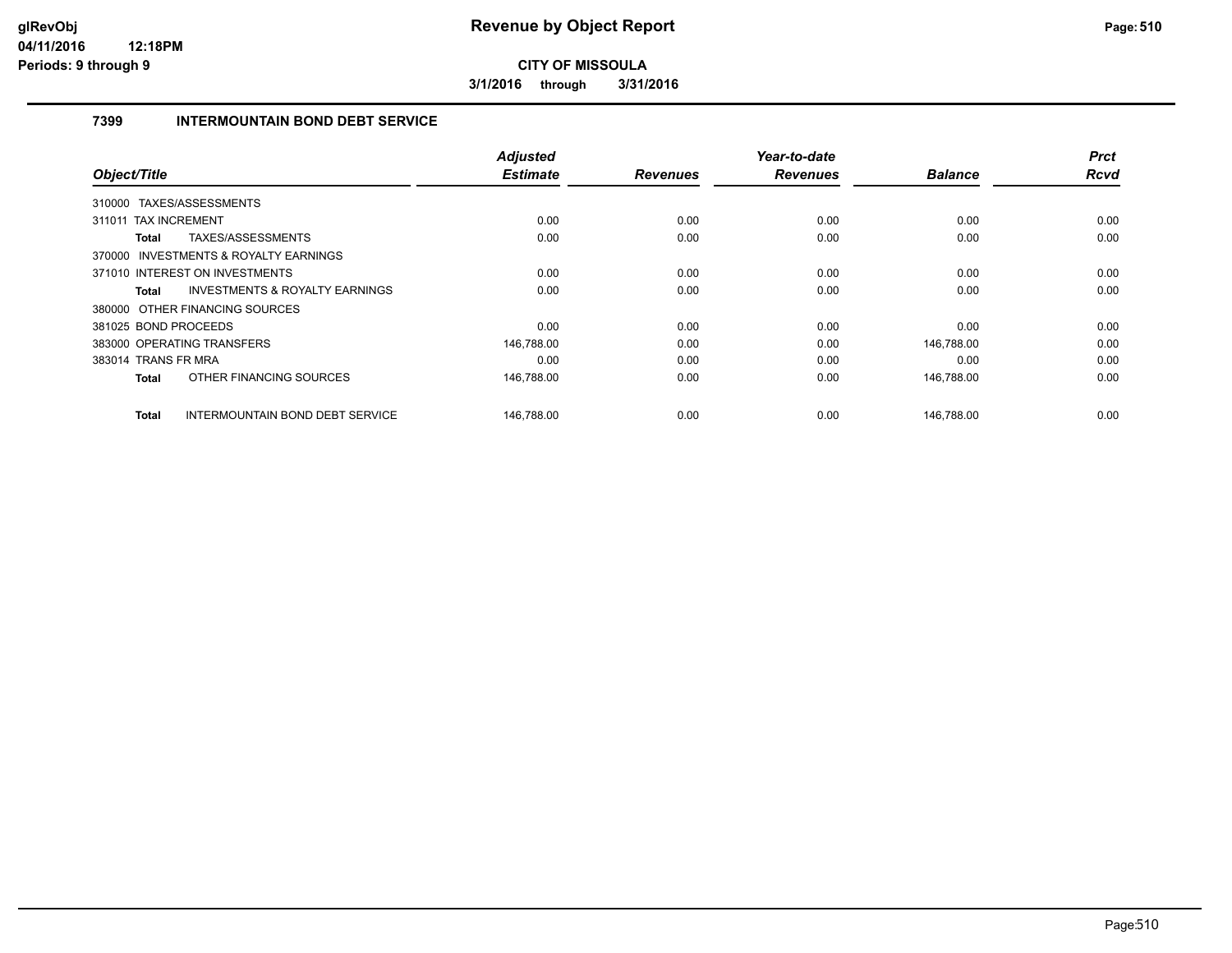**3/1/2016 through 3/31/2016**

#### **7399 INTERMOUNTAIN BOND DEBT SERVICE**

|                                                    | <b>Adjusted</b> |                 | Year-to-date    |                | <b>Prct</b> |
|----------------------------------------------------|-----------------|-----------------|-----------------|----------------|-------------|
| Object/Title                                       | <b>Estimate</b> | <b>Revenues</b> | <b>Revenues</b> | <b>Balance</b> | Rcvd        |
| TAXES/ASSESSMENTS<br>310000                        |                 |                 |                 |                |             |
| <b>TAX INCREMENT</b><br>311011                     | 0.00            | 0.00            | 0.00            | 0.00           | 0.00        |
| <b>TAXES/ASSESSMENTS</b><br><b>Total</b>           | 0.00            | 0.00            | 0.00            | 0.00           | 0.00        |
| 370000 INVESTMENTS & ROYALTY EARNINGS              |                 |                 |                 |                |             |
| 371010 INTEREST ON INVESTMENTS                     | 0.00            | 0.00            | 0.00            | 0.00           | 0.00        |
| <b>INVESTMENTS &amp; ROYALTY EARNINGS</b><br>Total | 0.00            | 0.00            | 0.00            | 0.00           | 0.00        |
| 380000 OTHER FINANCING SOURCES                     |                 |                 |                 |                |             |
| 381025 BOND PROCEEDS                               | 0.00            | 0.00            | 0.00            | 0.00           | 0.00        |
| 383000 OPERATING TRANSFERS                         | 146,788.00      | 0.00            | 0.00            | 146,788.00     | 0.00        |
| 383014 TRANS FR MRA                                | 0.00            | 0.00            | 0.00            | 0.00           | 0.00        |
| OTHER FINANCING SOURCES<br><b>Total</b>            | 146,788.00      | 0.00            | 0.00            | 146.788.00     | 0.00        |
| <b>Total</b><br>INTERMOUNTAIN BOND DEBT SERVICE    | 146,788.00      | 0.00            | 0.00            | 146,788.00     | 0.00        |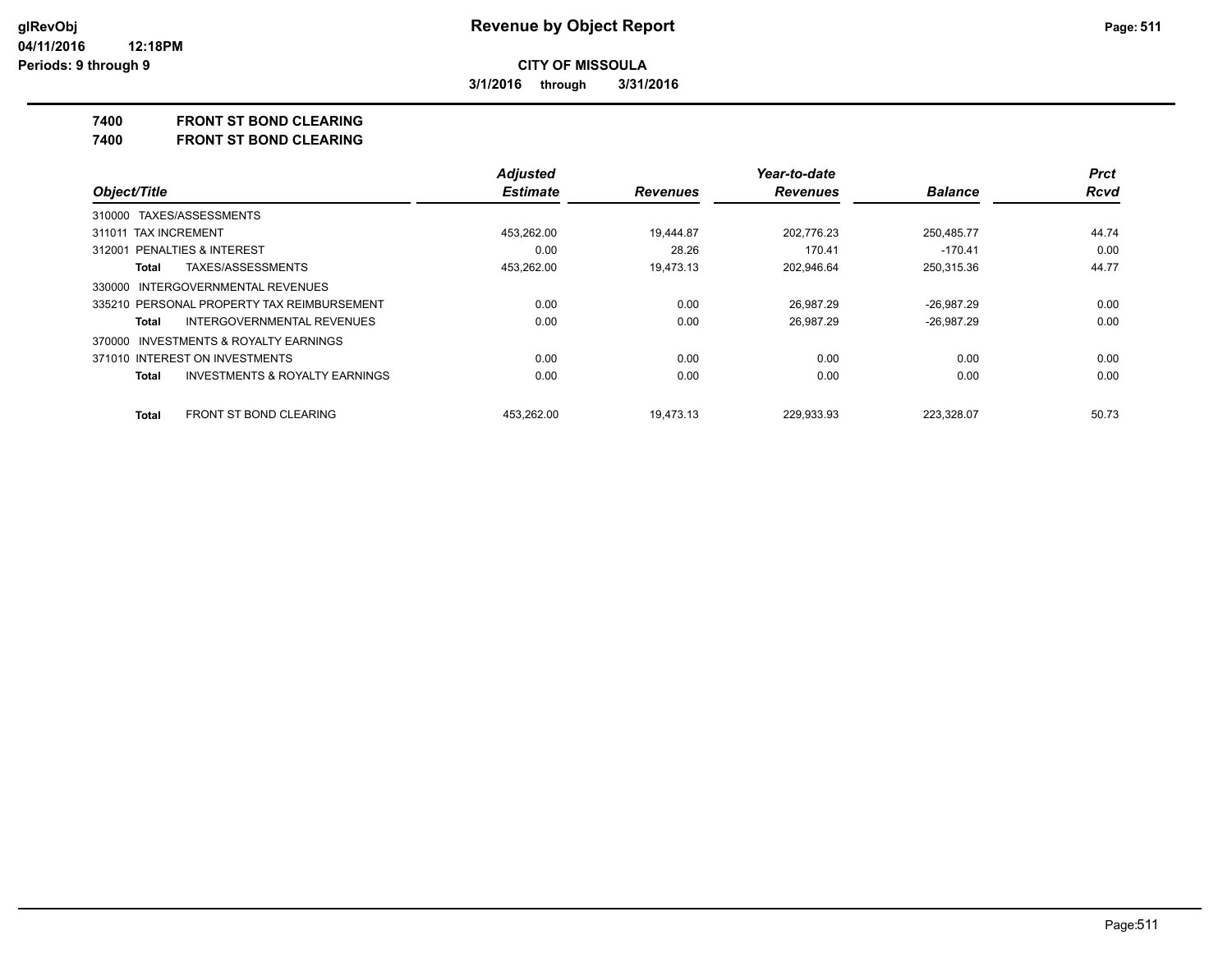**3/1/2016 through 3/31/2016**

#### **7400 FRONT ST BOND CLEARING**

**7400 FRONT ST BOND CLEARING**

|                                                    | <b>Adjusted</b> |                 | Year-to-date    |                | <b>Prct</b> |
|----------------------------------------------------|-----------------|-----------------|-----------------|----------------|-------------|
| Object/Title                                       | <b>Estimate</b> | <b>Revenues</b> | <b>Revenues</b> | <b>Balance</b> | <b>Rcvd</b> |
| 310000 TAXES/ASSESSMENTS                           |                 |                 |                 |                |             |
| 311011 TAX INCREMENT                               | 453.262.00      | 19.444.87       | 202.776.23      | 250.485.77     | 44.74       |
| <b>PENALTIES &amp; INTEREST</b><br>312001          | 0.00            | 28.26           | 170.41          | $-170.41$      | 0.00        |
| TAXES/ASSESSMENTS<br>Total                         | 453.262.00      | 19.473.13       | 202.946.64      | 250.315.36     | 44.77       |
| 330000 INTERGOVERNMENTAL REVENUES                  |                 |                 |                 |                |             |
| 335210 PERSONAL PROPERTY TAX REIMBURSEMENT         | 0.00            | 0.00            | 26.987.29       | $-26.987.29$   | 0.00        |
| INTERGOVERNMENTAL REVENUES<br>Total                | 0.00            | 0.00            | 26.987.29       | $-26.987.29$   | 0.00        |
| 370000 INVESTMENTS & ROYALTY EARNINGS              |                 |                 |                 |                |             |
| 371010 INTEREST ON INVESTMENTS                     | 0.00            | 0.00            | 0.00            | 0.00           | 0.00        |
| <b>INVESTMENTS &amp; ROYALTY EARNINGS</b><br>Total | 0.00            | 0.00            | 0.00            | 0.00           | 0.00        |
| FRONT ST BOND CLEARING<br><b>Total</b>             | 453.262.00      | 19.473.13       | 229.933.93      | 223.328.07     | 50.73       |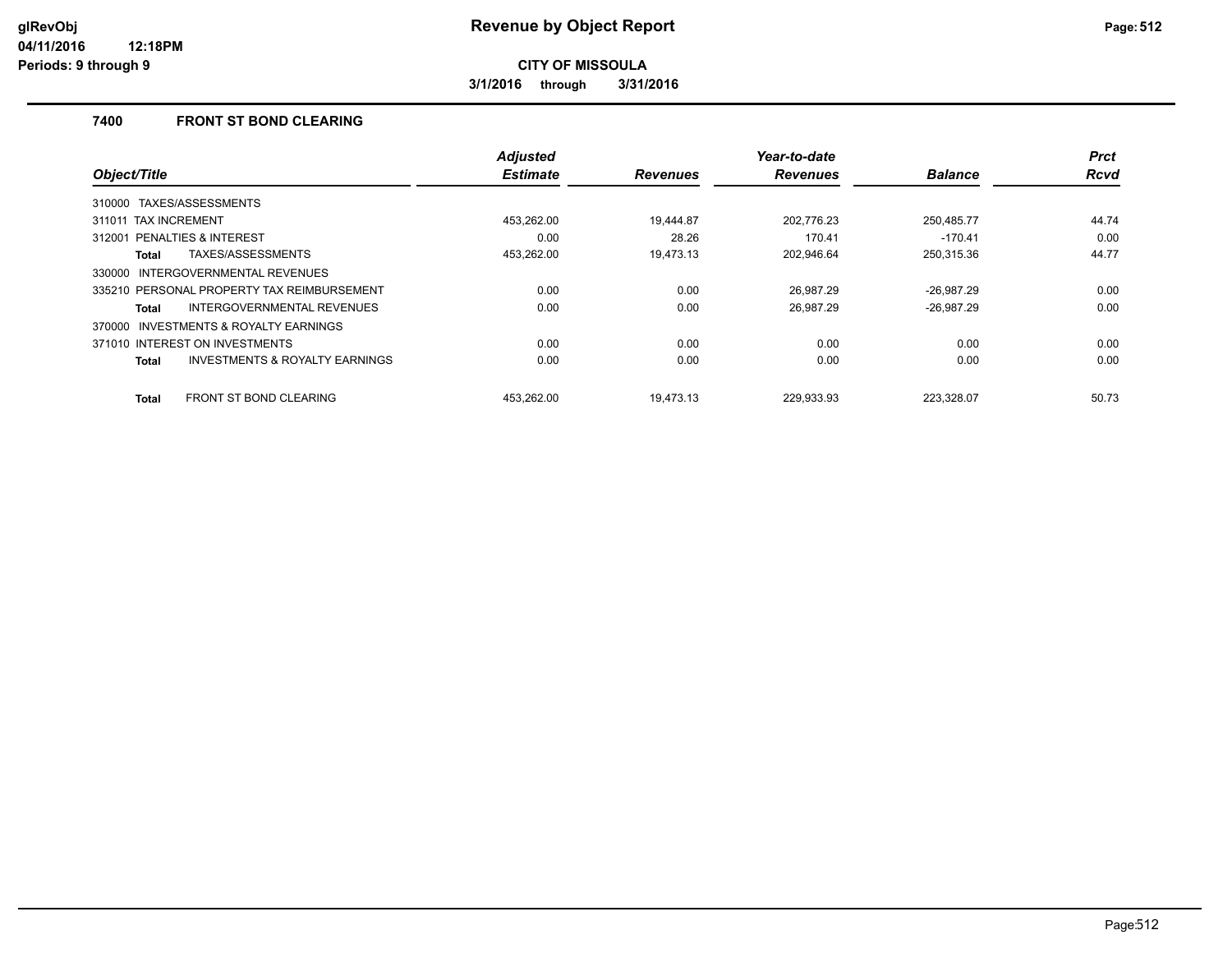**3/1/2016 through 3/31/2016**

#### **7400 FRONT ST BOND CLEARING**

|                                                     | <b>Adjusted</b> |                 | Year-to-date    |                | <b>Prct</b> |
|-----------------------------------------------------|-----------------|-----------------|-----------------|----------------|-------------|
| Object/Title                                        | <b>Estimate</b> | <b>Revenues</b> | <b>Revenues</b> | <b>Balance</b> | <b>Rcvd</b> |
| TAXES/ASSESSMENTS<br>310000                         |                 |                 |                 |                |             |
| 311011 TAX INCREMENT                                | 453.262.00      | 19.444.87       | 202.776.23      | 250.485.77     | 44.74       |
| PENALTIES & INTEREST<br>312001                      | 0.00            | 28.26           | 170.41          | $-170.41$      | 0.00        |
| TAXES/ASSESSMENTS<br>Total                          | 453.262.00      | 19.473.13       | 202.946.64      | 250,315.36     | 44.77       |
| INTERGOVERNMENTAL REVENUES<br>330000                |                 |                 |                 |                |             |
| 335210 PERSONAL PROPERTY TAX REIMBURSEMENT          | 0.00            | 0.00            | 26.987.29       | $-26,987.29$   | 0.00        |
| <b>INTERGOVERNMENTAL REVENUES</b><br>Total          | 0.00            | 0.00            | 26.987.29       | $-26,987.29$   | 0.00        |
| <b>INVESTMENTS &amp; ROYALTY EARNINGS</b><br>370000 |                 |                 |                 |                |             |
| 371010 INTEREST ON INVESTMENTS                      | 0.00            | 0.00            | 0.00            | 0.00           | 0.00        |
| <b>INVESTMENTS &amp; ROYALTY EARNINGS</b><br>Total  | 0.00            | 0.00            | 0.00            | 0.00           | 0.00        |
| <b>FRONT ST BOND CLEARING</b><br>Total              | 453.262.00      | 19.473.13       | 229.933.93      | 223.328.07     | 50.73       |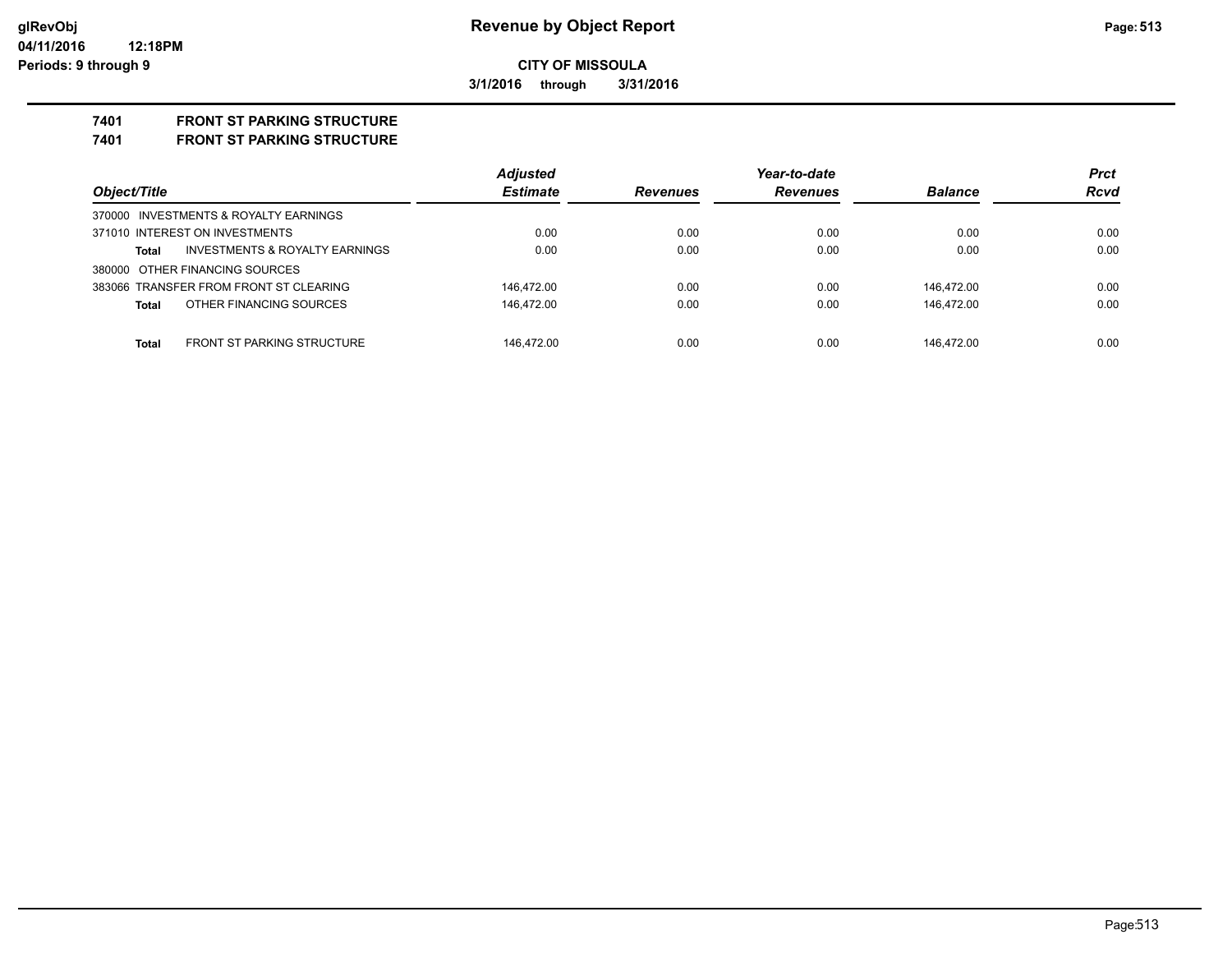**3/1/2016 through 3/31/2016**

# **7401 FRONT ST PARKING STRUCTURE**

**7401 FRONT ST PARKING STRUCTURE**

|                                         | <b>Adjusted</b> |                 | Year-to-date    |                | <b>Prct</b> |
|-----------------------------------------|-----------------|-----------------|-----------------|----------------|-------------|
| Object/Title                            | <b>Estimate</b> | <b>Revenues</b> | <b>Revenues</b> | <b>Balance</b> | Rcvd        |
| 370000 INVESTMENTS & ROYALTY EARNINGS   |                 |                 |                 |                |             |
| 371010 INTEREST ON INVESTMENTS          | 0.00            | 0.00            | 0.00            | 0.00           | 0.00        |
| INVESTMENTS & ROYALTY EARNINGS<br>Total | 0.00            | 0.00            | 0.00            | 0.00           | 0.00        |
| 380000 OTHER FINANCING SOURCES          |                 |                 |                 |                |             |
| 383066 TRANSFER FROM FRONT ST CLEARING  | 146.472.00      | 0.00            | 0.00            | 146.472.00     | 0.00        |
| OTHER FINANCING SOURCES<br>Total        | 146.472.00      | 0.00            | 0.00            | 146.472.00     | 0.00        |
|                                         |                 |                 |                 |                |             |
| FRONT ST PARKING STRUCTURE<br>Total     | 146.472.00      | 0.00            | 0.00            | 146.472.00     | 0.00        |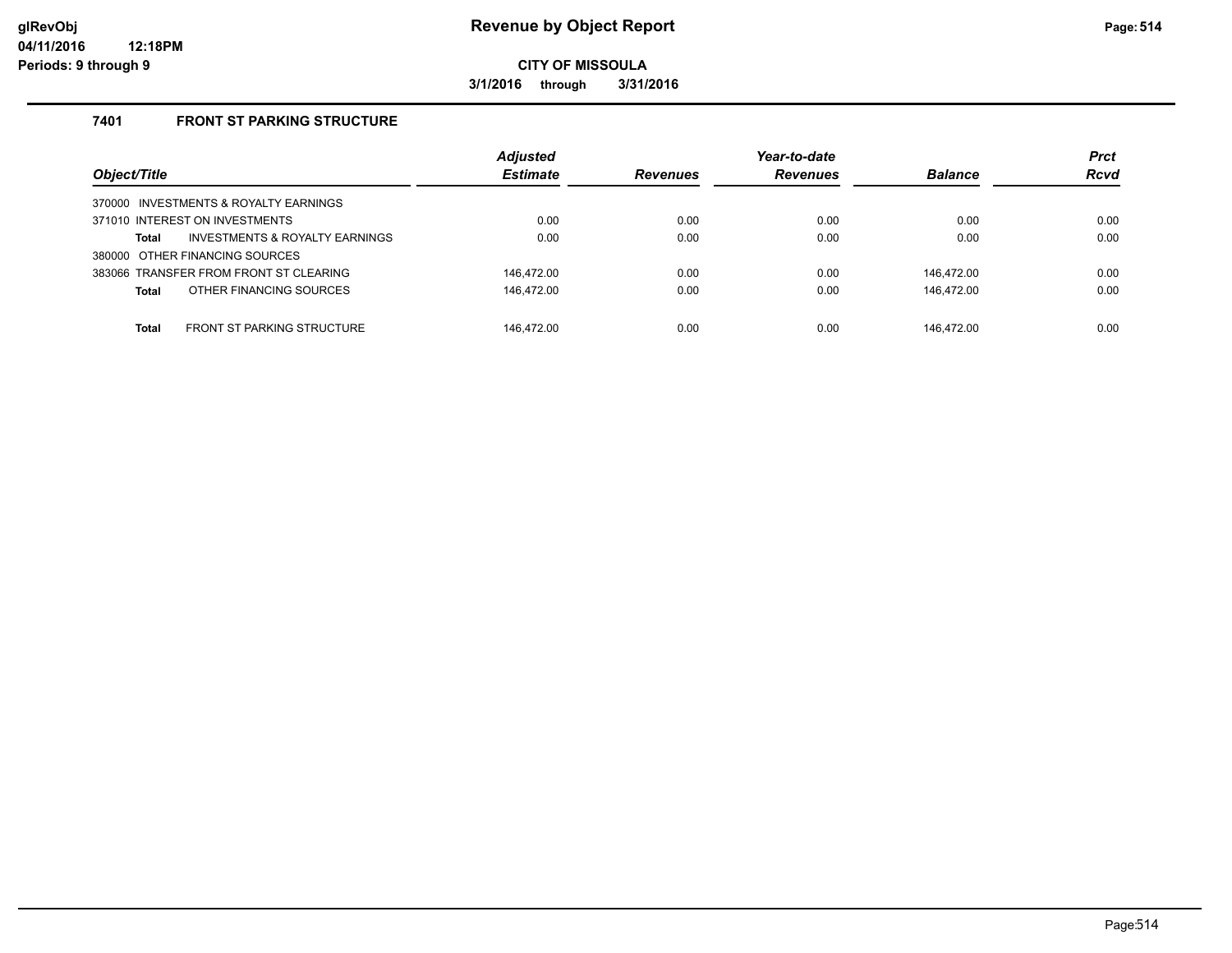**3/1/2016 through 3/31/2016**

#### **7401 FRONT ST PARKING STRUCTURE**

| Object/Title                                      | <b>Adjusted</b><br><b>Estimate</b> | <b>Revenues</b> | Year-to-date<br><b>Revenues</b> | <b>Balance</b> | <b>Prct</b><br><b>Rcvd</b> |
|---------------------------------------------------|------------------------------------|-----------------|---------------------------------|----------------|----------------------------|
| 370000 INVESTMENTS & ROYALTY EARNINGS             |                                    |                 |                                 |                |                            |
| 371010 INTEREST ON INVESTMENTS                    | 0.00                               | 0.00            | 0.00                            | 0.00           | 0.00                       |
| INVESTMENTS & ROYALTY EARNINGS<br>Total           | 0.00                               | 0.00            | 0.00                            | 0.00           | 0.00                       |
| 380000 OTHER FINANCING SOURCES                    |                                    |                 |                                 |                |                            |
| 383066 TRANSFER FROM FRONT ST CLEARING            | 146.472.00                         | 0.00            | 0.00                            | 146.472.00     | 0.00                       |
| OTHER FINANCING SOURCES<br><b>Total</b>           | 146,472.00                         | 0.00            | 0.00                            | 146.472.00     | 0.00                       |
|                                                   |                                    |                 |                                 |                |                            |
| <b>FRONT ST PARKING STRUCTURE</b><br><b>Total</b> | 146.472.00                         | 0.00            | 0.00                            | 146.472.00     | 0.00                       |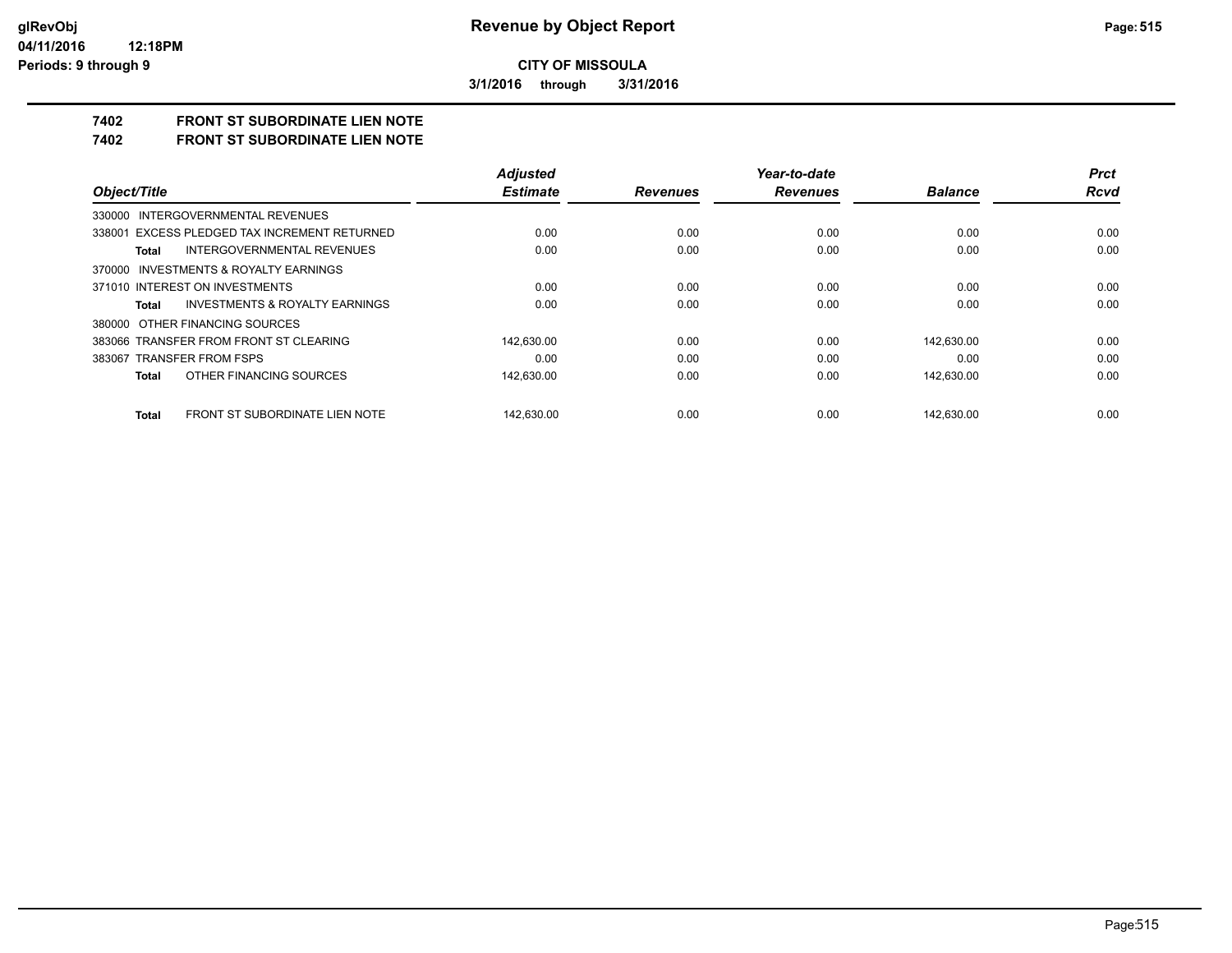**3/1/2016 through 3/31/2016**

# **7402 FRONT ST SUBORDINATE LIEN NOTE**

**7402 FRONT ST SUBORDINATE LIEN NOTE**

|                                                    | <b>Adjusted</b> |                 | Year-to-date    |                | <b>Prct</b> |
|----------------------------------------------------|-----------------|-----------------|-----------------|----------------|-------------|
| Object/Title                                       | <b>Estimate</b> | <b>Revenues</b> | <b>Revenues</b> | <b>Balance</b> | Rcvd        |
| 330000 INTERGOVERNMENTAL REVENUES                  |                 |                 |                 |                |             |
| 338001 EXCESS PLEDGED TAX INCREMENT RETURNED       | 0.00            | 0.00            | 0.00            | 0.00           | 0.00        |
| <b>INTERGOVERNMENTAL REVENUES</b><br>Total         | 0.00            | 0.00            | 0.00            | 0.00           | 0.00        |
| 370000 INVESTMENTS & ROYALTY EARNINGS              |                 |                 |                 |                |             |
| 371010 INTEREST ON INVESTMENTS                     | 0.00            | 0.00            | 0.00            | 0.00           | 0.00        |
| <b>INVESTMENTS &amp; ROYALTY EARNINGS</b><br>Total | 0.00            | 0.00            | 0.00            | 0.00           | 0.00        |
| 380000 OTHER FINANCING SOURCES                     |                 |                 |                 |                |             |
| 383066 TRANSFER FROM FRONT ST CLEARING             | 142.630.00      | 0.00            | 0.00            | 142.630.00     | 0.00        |
| 383067 TRANSFER FROM FSPS                          | 0.00            | 0.00            | 0.00            | 0.00           | 0.00        |
| OTHER FINANCING SOURCES<br>Total                   | 142,630.00      | 0.00            | 0.00            | 142,630.00     | 0.00        |
| FRONT ST SUBORDINATE LIEN NOTE<br>Total            | 142.630.00      | 0.00            | 0.00            | 142.630.00     | 0.00        |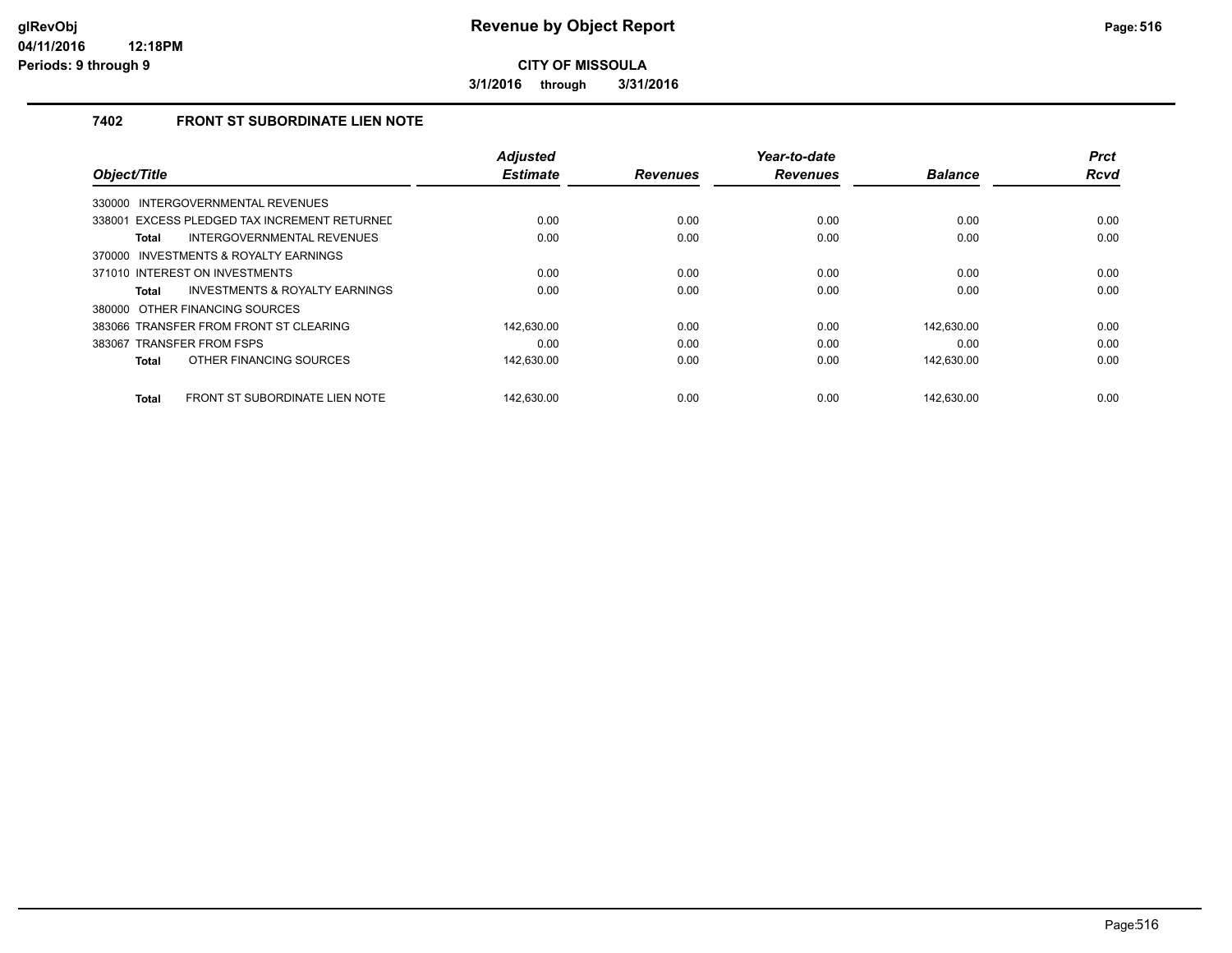**3/1/2016 through 3/31/2016**

#### **7402 FRONT ST SUBORDINATE LIEN NOTE**

|                                                | <b>Adjusted</b> |                 | Year-to-date    |                | <b>Prct</b> |
|------------------------------------------------|-----------------|-----------------|-----------------|----------------|-------------|
| Object/Title                                   | <b>Estimate</b> | <b>Revenues</b> | <b>Revenues</b> | <b>Balance</b> | <b>Rcvd</b> |
| INTERGOVERNMENTAL REVENUES<br>330000           |                 |                 |                 |                |             |
| 338001 EXCESS PLEDGED TAX INCREMENT RETURNED   | 0.00            | 0.00            | 0.00            | 0.00           | 0.00        |
| INTERGOVERNMENTAL REVENUES<br>Total            | 0.00            | 0.00            | 0.00            | 0.00           | 0.00        |
| 370000 INVESTMENTS & ROYALTY EARNINGS          |                 |                 |                 |                |             |
| 371010 INTEREST ON INVESTMENTS                 | 0.00            | 0.00            | 0.00            | 0.00           | 0.00        |
| INVESTMENTS & ROYALTY EARNINGS<br>Total        | 0.00            | 0.00            | 0.00            | 0.00           | 0.00        |
| 380000 OTHER FINANCING SOURCES                 |                 |                 |                 |                |             |
| 383066 TRANSFER FROM FRONT ST CLEARING         | 142.630.00      | 0.00            | 0.00            | 142.630.00     | 0.00        |
| 383067 TRANSFER FROM FSPS                      | 0.00            | 0.00            | 0.00            | 0.00           | 0.00        |
| OTHER FINANCING SOURCES<br><b>Total</b>        | 142,630.00      | 0.00            | 0.00            | 142,630.00     | 0.00        |
| FRONT ST SUBORDINATE LIEN NOTE<br><b>Total</b> | 142.630.00      | 0.00            | 0.00            | 142.630.00     | 0.00        |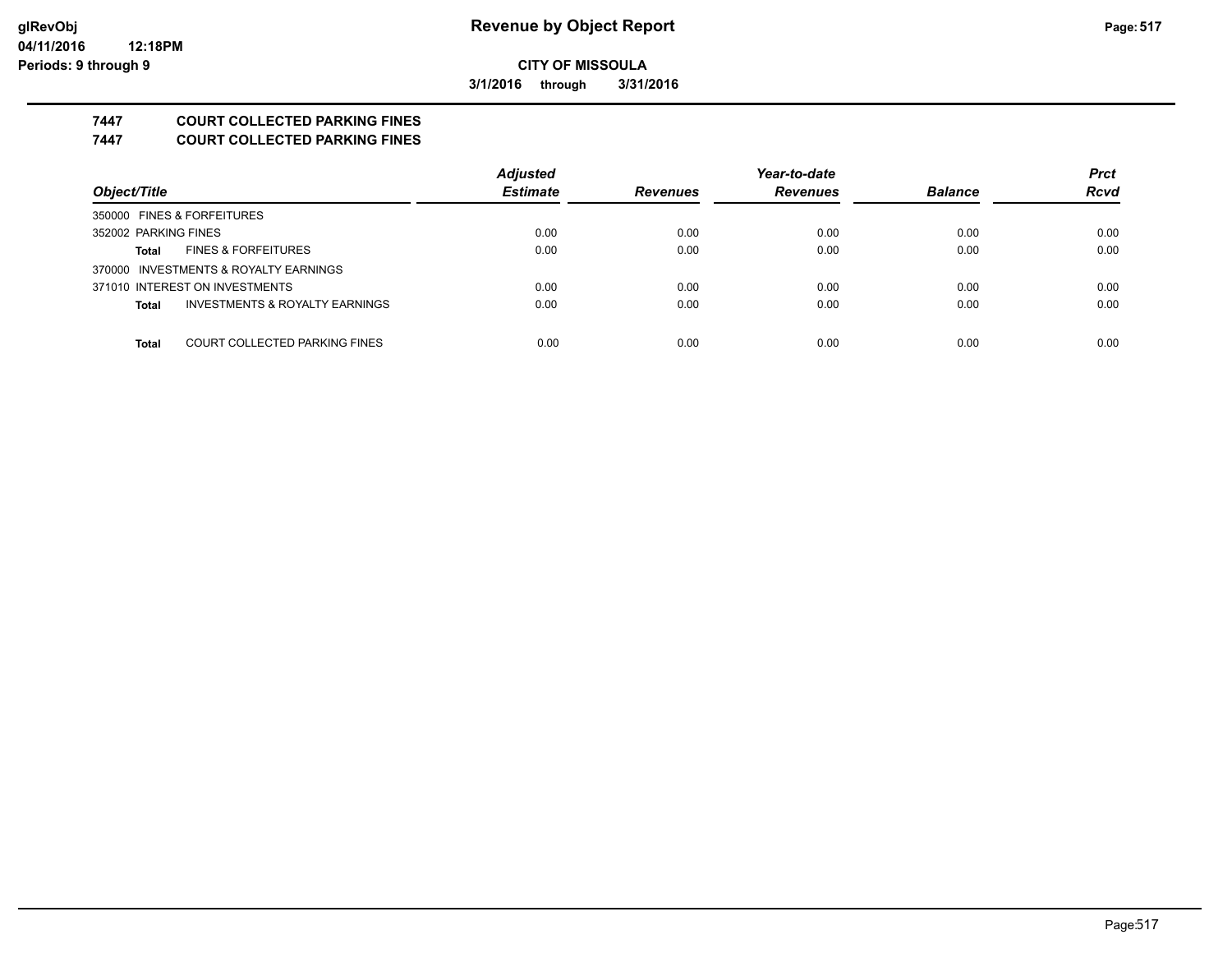**3/1/2016 through 3/31/2016**

## **7447 COURT COLLECTED PARKING FINES**

**7447 COURT COLLECTED PARKING FINES**

|                                                | <b>Adjusted</b> |                 | Year-to-date    |                | <b>Prct</b> |
|------------------------------------------------|-----------------|-----------------|-----------------|----------------|-------------|
| Object/Title                                   | <b>Estimate</b> | <b>Revenues</b> | <b>Revenues</b> | <b>Balance</b> | <b>Rcvd</b> |
| 350000 FINES & FORFEITURES                     |                 |                 |                 |                |             |
| 352002 PARKING FINES                           | 0.00            | 0.00            | 0.00            | 0.00           | 0.00        |
| <b>FINES &amp; FORFEITURES</b><br><b>Total</b> | 0.00            | 0.00            | 0.00            | 0.00           | 0.00        |
| 370000 INVESTMENTS & ROYALTY EARNINGS          |                 |                 |                 |                |             |
| 371010 INTEREST ON INVESTMENTS                 | 0.00            | 0.00            | 0.00            | 0.00           | 0.00        |
| INVESTMENTS & ROYALTY EARNINGS<br><b>Total</b> | 0.00            | 0.00            | 0.00            | 0.00           | 0.00        |
|                                                |                 |                 |                 |                |             |
| COURT COLLECTED PARKING FINES<br><b>Total</b>  | 0.00            | 0.00            | 0.00            | 0.00           | 0.00        |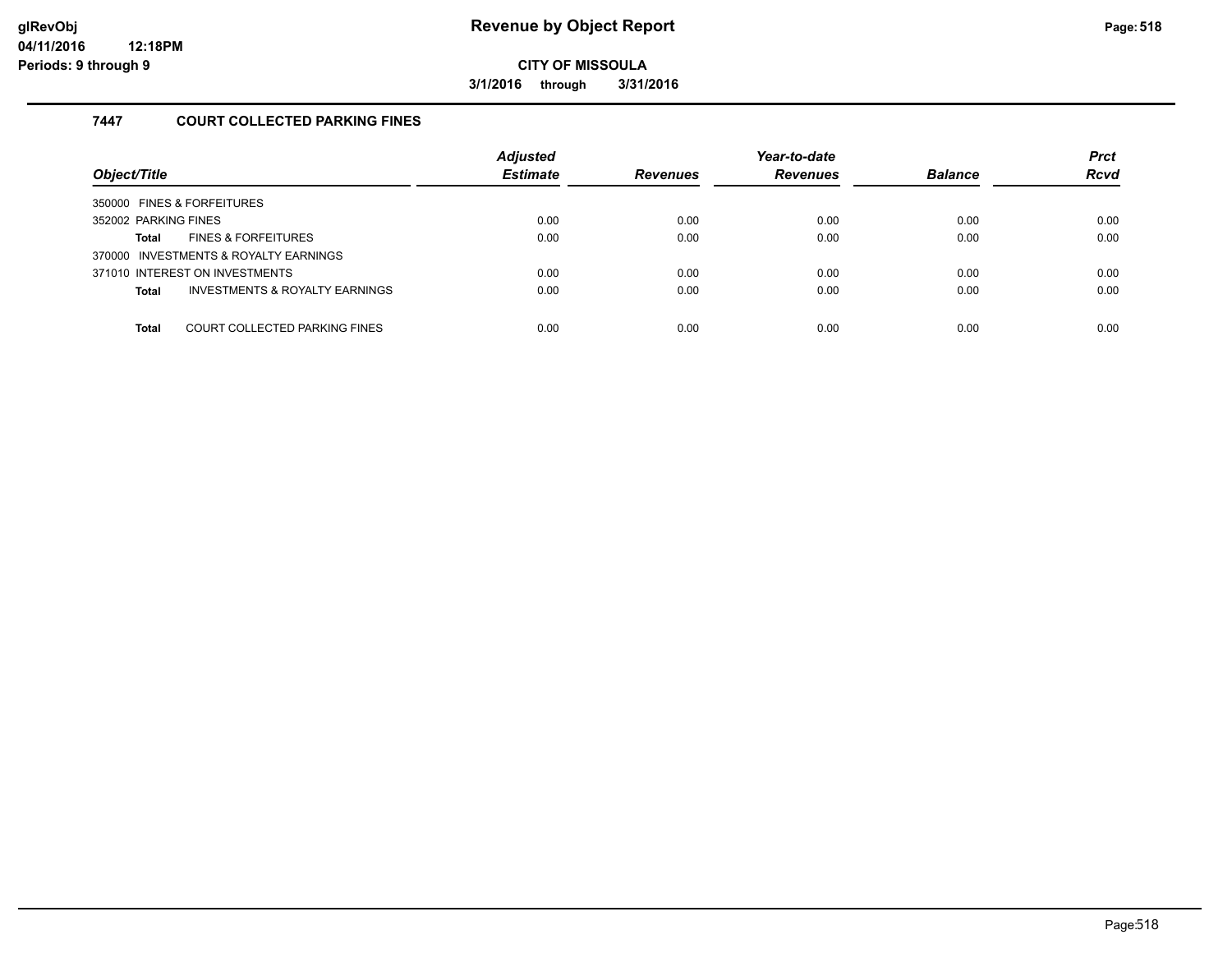**3/1/2016 through 3/31/2016**

#### **7447 COURT COLLECTED PARKING FINES**

| Object/Title                                              | <b>Adjusted</b><br><b>Estimate</b> | <b>Revenues</b> | Year-to-date<br><b>Revenues</b> | <b>Balance</b> | <b>Prct</b><br><b>Rcvd</b> |
|-----------------------------------------------------------|------------------------------------|-----------------|---------------------------------|----------------|----------------------------|
| 350000 FINES & FORFEITURES                                |                                    |                 |                                 |                |                            |
| 352002 PARKING FINES                                      | 0.00                               | 0.00            | 0.00                            | 0.00           | 0.00                       |
| <b>FINES &amp; FORFEITURES</b><br>Total                   | 0.00                               | 0.00            | 0.00                            | 0.00           | 0.00                       |
| 370000 INVESTMENTS & ROYALTY EARNINGS                     |                                    |                 |                                 |                |                            |
| 371010 INTEREST ON INVESTMENTS                            | 0.00                               | 0.00            | 0.00                            | 0.00           | 0.00                       |
| <b>INVESTMENTS &amp; ROYALTY EARNINGS</b><br><b>Total</b> | 0.00                               | 0.00            | 0.00                            | 0.00           | 0.00                       |
|                                                           |                                    |                 |                                 |                |                            |
| COURT COLLECTED PARKING FINES<br><b>Total</b>             | 0.00                               | 0.00            | 0.00                            | 0.00           | 0.00                       |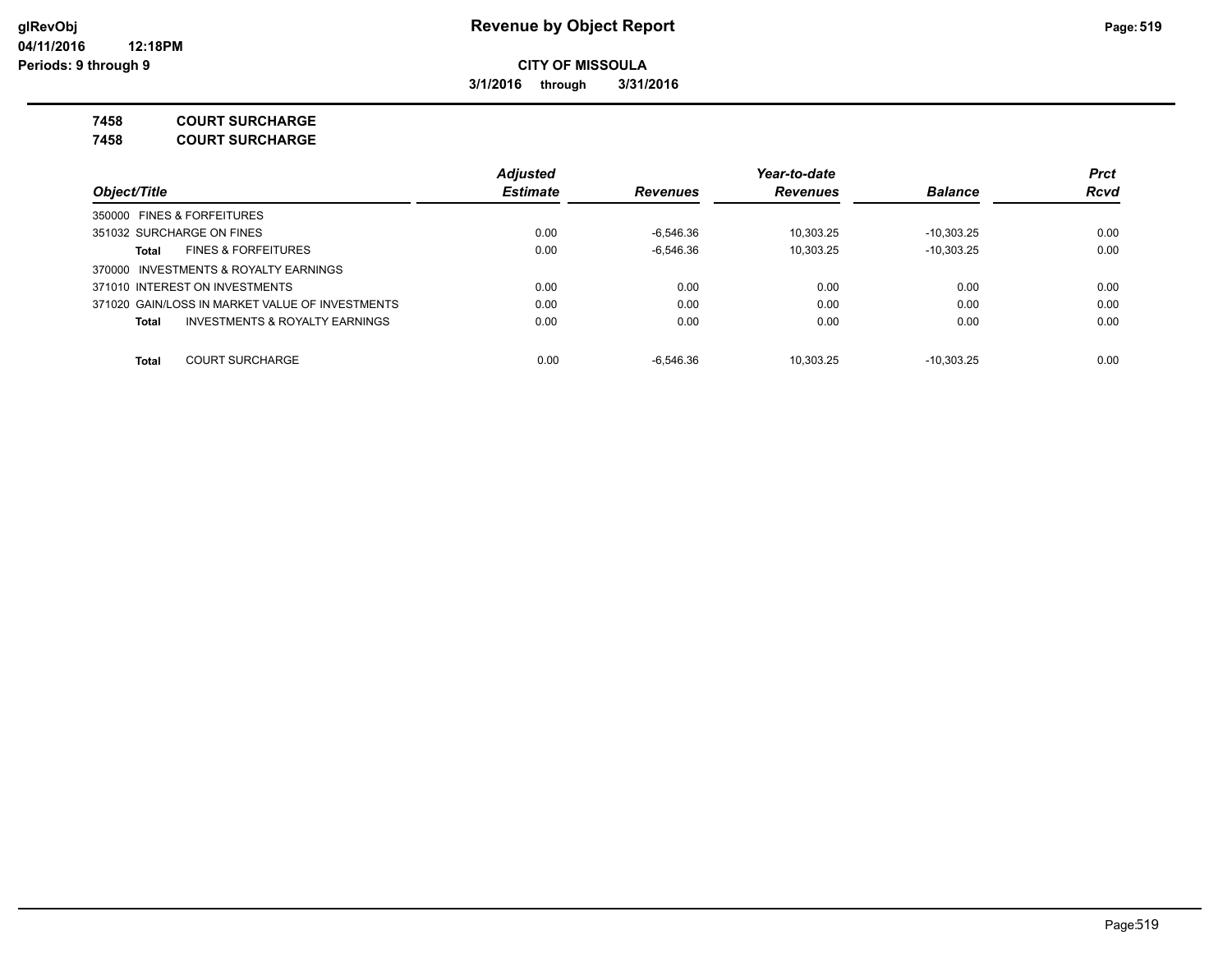**3/1/2016 through 3/31/2016**

**7458 COURT SURCHARGE**

**7458 COURT SURCHARGE**

|                                                    | <b>Adjusted</b> |                 | Year-to-date    |                | <b>Prct</b><br><b>Rcvd</b> |
|----------------------------------------------------|-----------------|-----------------|-----------------|----------------|----------------------------|
| Object/Title                                       | <b>Estimate</b> | <b>Revenues</b> | <b>Revenues</b> | <b>Balance</b> |                            |
| 350000 FINES & FORFEITURES                         |                 |                 |                 |                |                            |
| 351032 SURCHARGE ON FINES                          | 0.00            | $-6.546.36$     | 10.303.25       | $-10,303.25$   | 0.00                       |
| <b>FINES &amp; FORFEITURES</b><br>Total            | 0.00            | $-6.546.36$     | 10.303.25       | $-10,303.25$   | 0.00                       |
| 370000 INVESTMENTS & ROYALTY EARNINGS              |                 |                 |                 |                |                            |
| 371010 INTEREST ON INVESTMENTS                     | 0.00            | 0.00            | 0.00            | 0.00           | 0.00                       |
| 371020 GAIN/LOSS IN MARKET VALUE OF INVESTMENTS    | 0.00            | 0.00            | 0.00            | 0.00           | 0.00                       |
| <b>INVESTMENTS &amp; ROYALTY EARNINGS</b><br>Total | 0.00            | 0.00            | 0.00            | 0.00           | 0.00                       |
| <b>COURT SURCHARGE</b><br><b>Total</b>             | 0.00            | $-6.546.36$     | 10.303.25       | $-10.303.25$   | 0.00                       |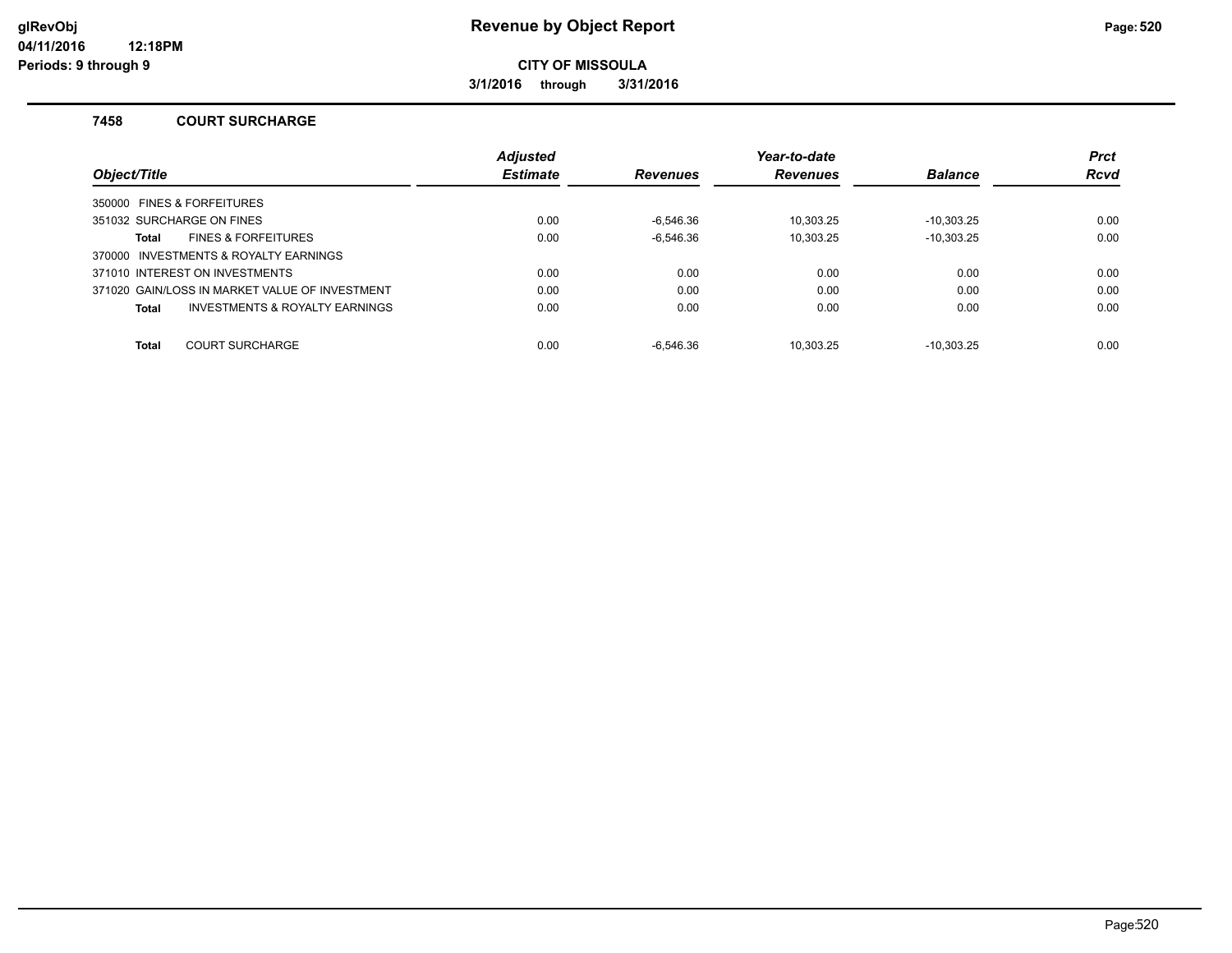**3/1/2016 through 3/31/2016**

#### **7458 COURT SURCHARGE**

|                                                | <b>Adjusted</b> |                 | Year-to-date    |                | <b>Prct</b> |
|------------------------------------------------|-----------------|-----------------|-----------------|----------------|-------------|
| Object/Title                                   | <b>Estimate</b> | <b>Revenues</b> | <b>Revenues</b> | <b>Balance</b> | <b>Rcvd</b> |
| 350000 FINES & FORFEITURES                     |                 |                 |                 |                |             |
| 351032 SURCHARGE ON FINES                      | 0.00            | -6.546.36       | 10.303.25       | $-10.303.25$   | 0.00        |
| <b>FINES &amp; FORFEITURES</b><br><b>Total</b> | 0.00            | $-6.546.36$     | 10.303.25       | $-10,303.25$   | 0.00        |
| 370000 INVESTMENTS & ROYALTY EARNINGS          |                 |                 |                 |                |             |
| 371010 INTEREST ON INVESTMENTS                 | 0.00            | 0.00            | 0.00            | 0.00           | 0.00        |
| 371020 GAIN/LOSS IN MARKET VALUE OF INVESTMENT | 0.00            | 0.00            | 0.00            | 0.00           | 0.00        |
| INVESTMENTS & ROYALTY EARNINGS<br><b>Total</b> | 0.00            | 0.00            | 0.00            | 0.00           | 0.00        |
|                                                |                 |                 |                 |                |             |
| <b>COURT SURCHARGE</b><br><b>Total</b>         | 0.00            | $-6.546.36$     | 10.303.25       | $-10.303.25$   | 0.00        |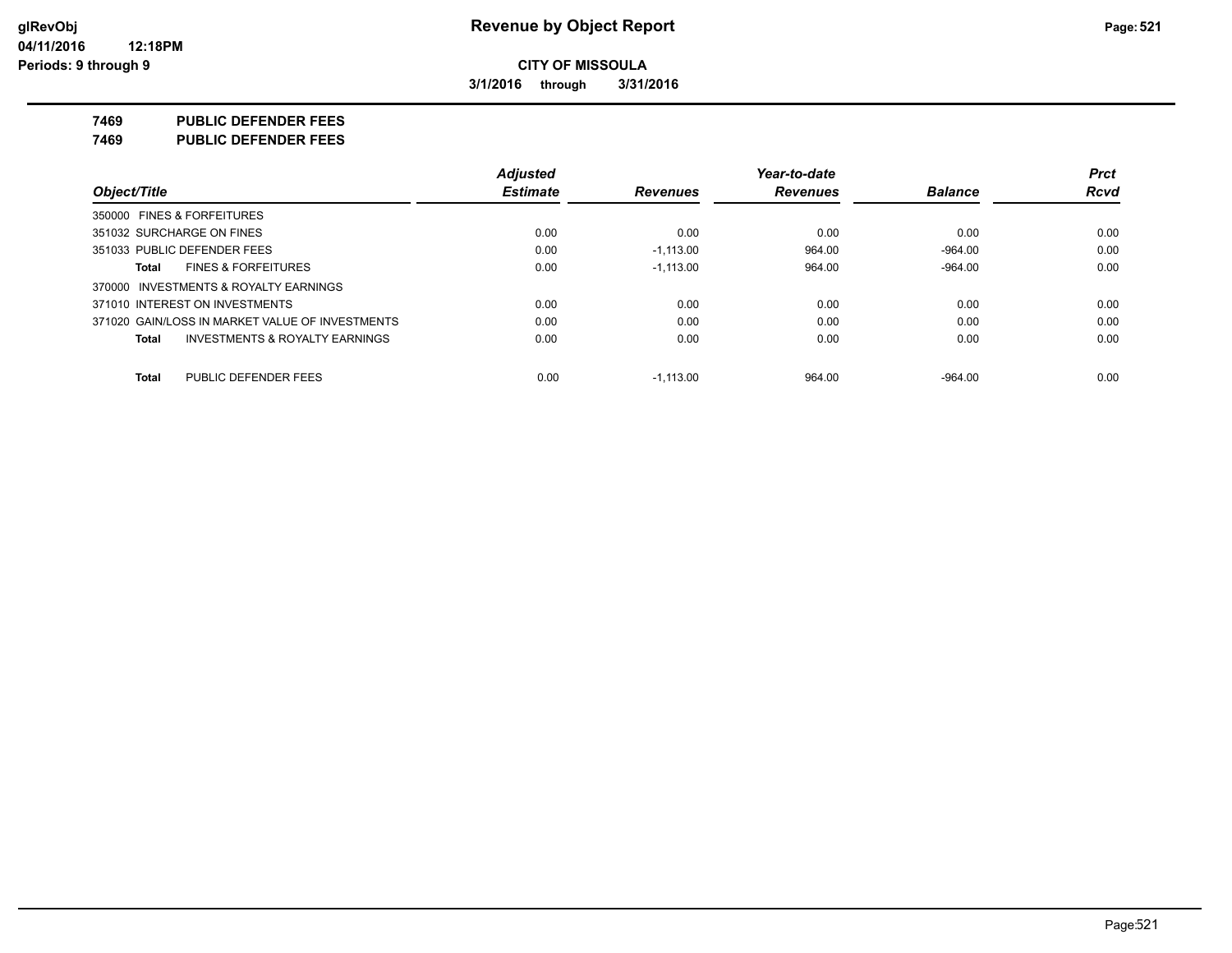**3/1/2016 through 3/31/2016**

**7469 PUBLIC DEFENDER FEES**

**7469 PUBLIC DEFENDER FEES**

|                                                    | <b>Adjusted</b> |                 | Year-to-date    |                | <b>Prct</b> |
|----------------------------------------------------|-----------------|-----------------|-----------------|----------------|-------------|
| Object/Title                                       | <b>Estimate</b> | <b>Revenues</b> | <b>Revenues</b> | <b>Balance</b> | <b>Rcvd</b> |
| 350000 FINES & FORFEITURES                         |                 |                 |                 |                |             |
| 351032 SURCHARGE ON FINES                          | 0.00            | 0.00            | 0.00            | 0.00           | 0.00        |
| 351033 PUBLIC DEFENDER FEES                        | 0.00            | $-1.113.00$     | 964.00          | $-964.00$      | 0.00        |
| <b>FINES &amp; FORFEITURES</b><br>Total            | 0.00            | $-1.113.00$     | 964.00          | $-964.00$      | 0.00        |
| 370000 INVESTMENTS & ROYALTY EARNINGS              |                 |                 |                 |                |             |
| 371010 INTEREST ON INVESTMENTS                     | 0.00            | 0.00            | 0.00            | 0.00           | 0.00        |
| 371020 GAIN/LOSS IN MARKET VALUE OF INVESTMENTS    | 0.00            | 0.00            | 0.00            | 0.00           | 0.00        |
| <b>INVESTMENTS &amp; ROYALTY EARNINGS</b><br>Total | 0.00            | 0.00            | 0.00            | 0.00           | 0.00        |
| PUBLIC DEFENDER FEES<br>Total                      | 0.00            | $-1.113.00$     | 964.00          | $-964.00$      | 0.00        |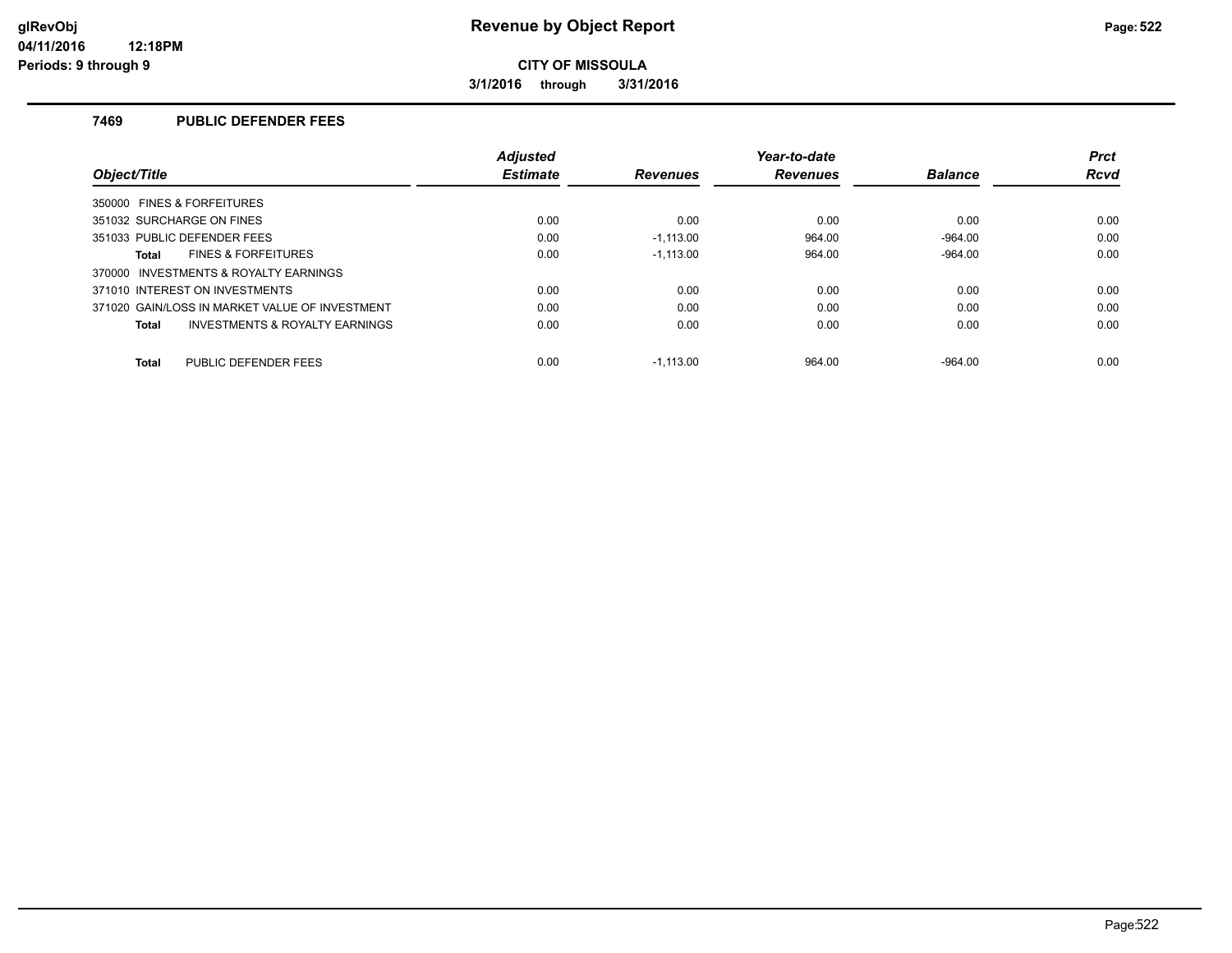**3/1/2016 through 3/31/2016**

#### **7469 PUBLIC DEFENDER FEES**

|                                                           | <b>Adjusted</b> |                 | Year-to-date    |                | <b>Prct</b> |  |
|-----------------------------------------------------------|-----------------|-----------------|-----------------|----------------|-------------|--|
| Object/Title                                              | <b>Estimate</b> | <b>Revenues</b> | <b>Revenues</b> | <b>Balance</b> | <b>Rcvd</b> |  |
| 350000 FINES & FORFEITURES                                |                 |                 |                 |                |             |  |
| 351032 SURCHARGE ON FINES                                 | 0.00            | 0.00            | 0.00            | 0.00           | 0.00        |  |
| 351033 PUBLIC DEFENDER FEES                               | 0.00            | $-1.113.00$     | 964.00          | $-964.00$      | 0.00        |  |
| <b>FINES &amp; FORFEITURES</b><br><b>Total</b>            | 0.00            | $-1.113.00$     | 964.00          | $-964.00$      | 0.00        |  |
| 370000 INVESTMENTS & ROYALTY EARNINGS                     |                 |                 |                 |                |             |  |
| 371010 INTEREST ON INVESTMENTS                            | 0.00            | 0.00            | 0.00            | 0.00           | 0.00        |  |
| 371020 GAIN/LOSS IN MARKET VALUE OF INVESTMENT            | 0.00            | 0.00            | 0.00            | 0.00           | 0.00        |  |
| <b>INVESTMENTS &amp; ROYALTY EARNINGS</b><br><b>Total</b> | 0.00            | 0.00            | 0.00            | 0.00           | 0.00        |  |
| PUBLIC DEFENDER FEES<br><b>Total</b>                      | 0.00            | $-1.113.00$     | 964.00          | $-964.00$      | 0.00        |  |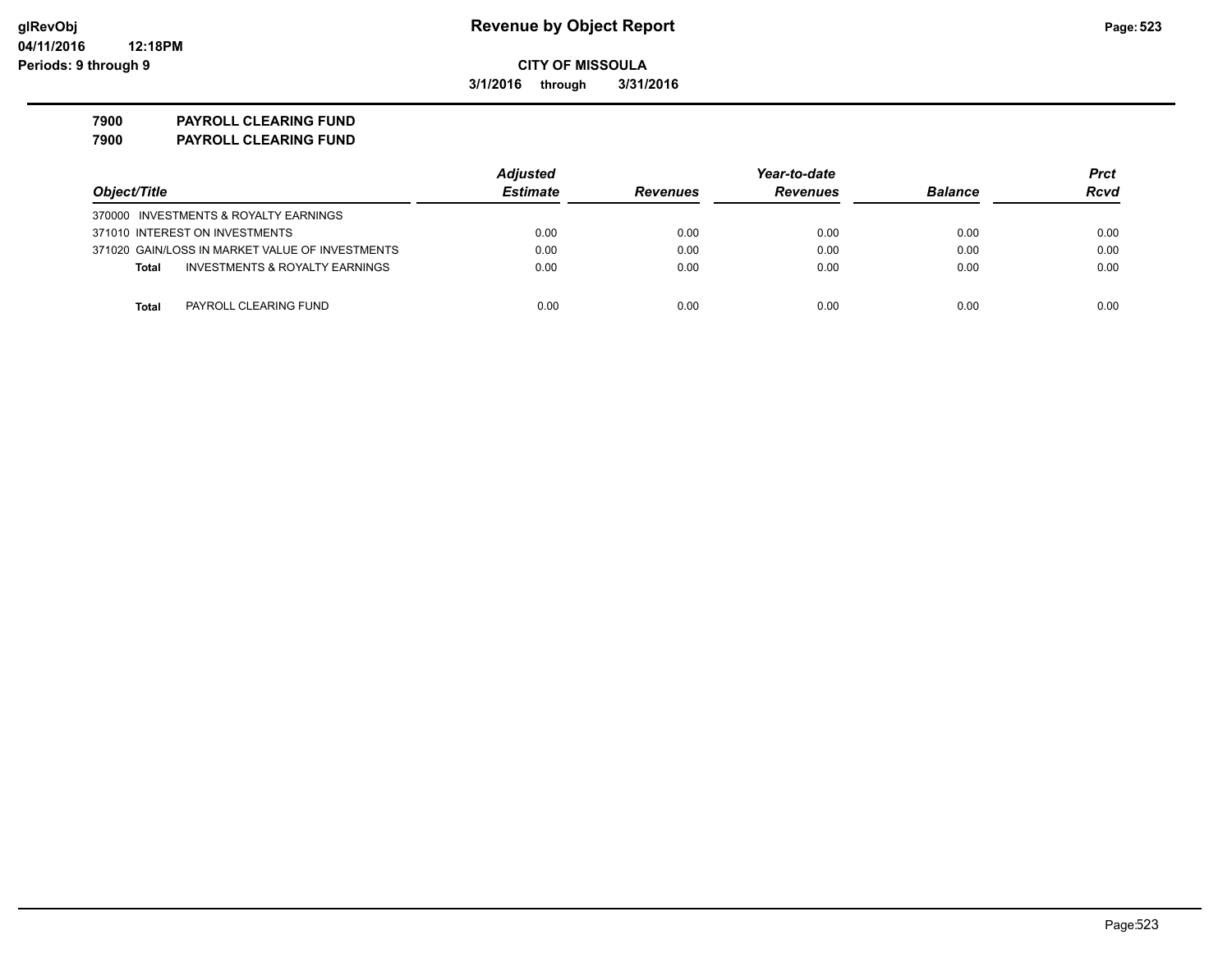**3/1/2016 through 3/31/2016**

**7900 PAYROLL CLEARING FUND**

| 7900 | <b>PAYROLL CLEARING FUND</b> |
|------|------------------------------|
|      |                              |

|                                                           | <b>Adjusted</b> |                 | Year-to-date    |                | <b>Prct</b> |
|-----------------------------------------------------------|-----------------|-----------------|-----------------|----------------|-------------|
| Object/Title                                              | <b>Estimate</b> | <b>Revenues</b> | <b>Revenues</b> | <b>Balance</b> | <b>Rcvd</b> |
| 370000 INVESTMENTS & ROYALTY EARNINGS                     |                 |                 |                 |                |             |
| 371010 INTEREST ON INVESTMENTS                            | 0.00            | 0.00            | 0.00            | 0.00           | 0.00        |
| 371020 GAIN/LOSS IN MARKET VALUE OF INVESTMENTS           | 0.00            | 0.00            | 0.00            | 0.00           | 0.00        |
| <b>INVESTMENTS &amp; ROYALTY EARNINGS</b><br><b>Total</b> | 0.00            | 0.00            | 0.00            | 0.00           | 0.00        |
| PAYROLL CLEARING FUND<br>Total                            | 0.00            | 0.00            | 0.00            | 0.00           | 0.00        |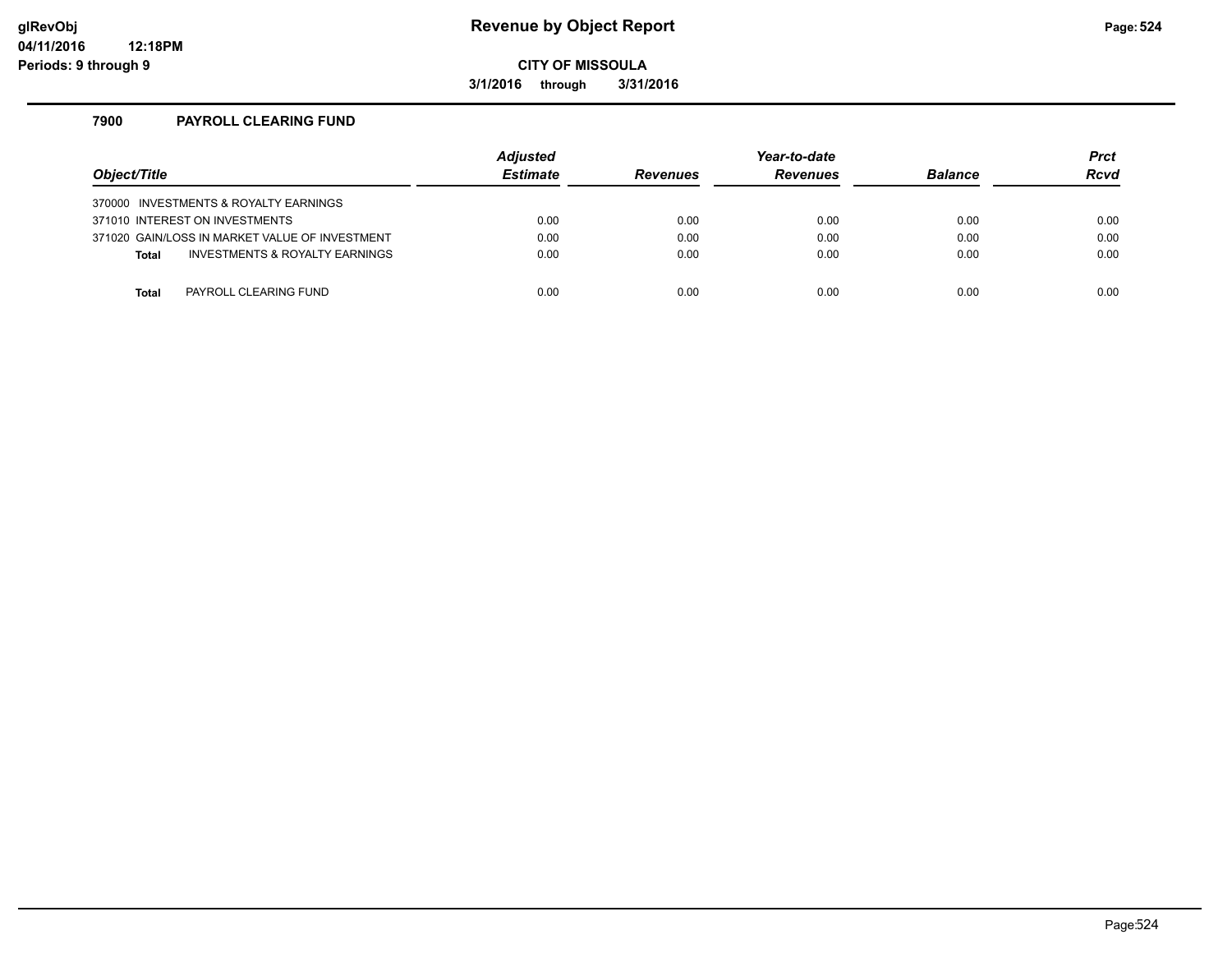#### **glRevObj Revenue by Object Report Page:524**

**CITY OF MISSOULA**

**3/1/2016 through 3/31/2016**

#### **7900 PAYROLL CLEARING FUND**

| Object/Title                                   | <b>Adjusted</b><br><b>Estimate</b> | <b>Revenues</b> | Year-to-date<br><b>Revenues</b> | <b>Balance</b> | <b>Prct</b><br>Rcvd |
|------------------------------------------------|------------------------------------|-----------------|---------------------------------|----------------|---------------------|
| 370000 INVESTMENTS & ROYALTY EARNINGS          |                                    |                 |                                 |                |                     |
| 371010 INTEREST ON INVESTMENTS                 | 0.00                               | 0.00            | 0.00                            | 0.00           | 0.00                |
| 371020 GAIN/LOSS IN MARKET VALUE OF INVESTMENT | 0.00                               | 0.00            | 0.00                            | 0.00           | 0.00                |
| INVESTMENTS & ROYALTY EARNINGS<br><b>Total</b> | 0.00                               | 0.00            | 0.00                            | 0.00           | 0.00                |
|                                                |                                    |                 |                                 |                |                     |
| PAYROLL CLEARING FUND<br>Total                 | 0.00                               | 0.00            | 0.00                            | 0.00           | 0.00                |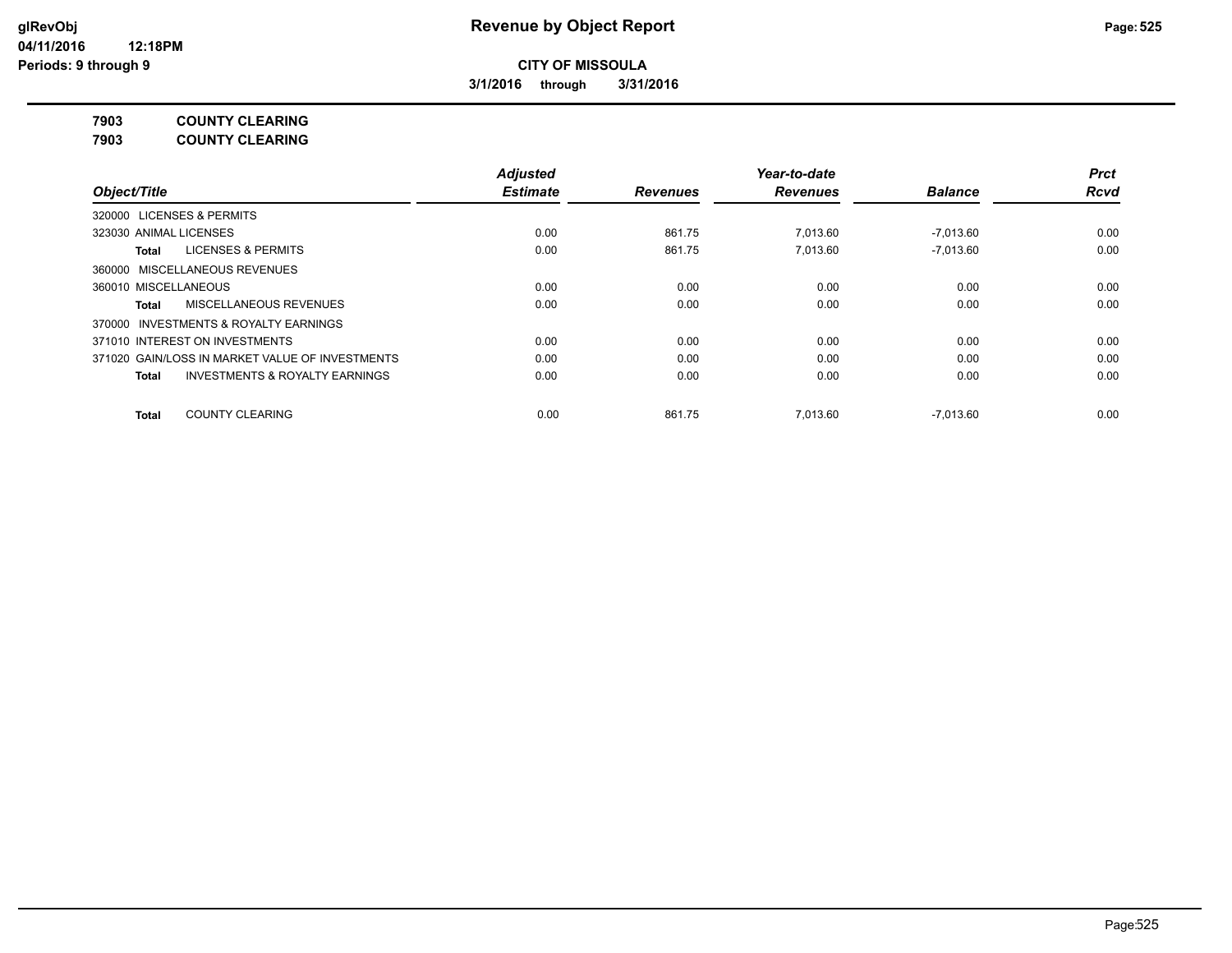**3/1/2016 through 3/31/2016**

**7903 COUNTY CLEARING**

**7903 COUNTY CLEARING**

|                                                    | <b>Adjusted</b> |                 | Year-to-date    |                | <b>Prct</b> |
|----------------------------------------------------|-----------------|-----------------|-----------------|----------------|-------------|
| Object/Title                                       | <b>Estimate</b> | <b>Revenues</b> | <b>Revenues</b> | <b>Balance</b> | <b>Rcvd</b> |
| 320000 LICENSES & PERMITS                          |                 |                 |                 |                |             |
| 323030 ANIMAL LICENSES                             | 0.00            | 861.75          | 7.013.60        | $-7,013.60$    | 0.00        |
| <b>LICENSES &amp; PERMITS</b><br>Total             | 0.00            | 861.75          | 7.013.60        | $-7.013.60$    | 0.00        |
| 360000 MISCELLANEOUS REVENUES                      |                 |                 |                 |                |             |
| 360010 MISCELLANEOUS                               | 0.00            | 0.00            | 0.00            | 0.00           | 0.00        |
| MISCELLANEOUS REVENUES<br><b>Total</b>             | 0.00            | 0.00            | 0.00            | 0.00           | 0.00        |
| 370000 INVESTMENTS & ROYALTY EARNINGS              |                 |                 |                 |                |             |
| 371010 INTEREST ON INVESTMENTS                     | 0.00            | 0.00            | 0.00            | 0.00           | 0.00        |
| 371020 GAIN/LOSS IN MARKET VALUE OF INVESTMENTS    | 0.00            | 0.00            | 0.00            | 0.00           | 0.00        |
| <b>INVESTMENTS &amp; ROYALTY EARNINGS</b><br>Total | 0.00            | 0.00            | 0.00            | 0.00           | 0.00        |
| <b>COUNTY CLEARING</b><br><b>Total</b>             | 0.00            | 861.75          | 7.013.60        | $-7.013.60$    | 0.00        |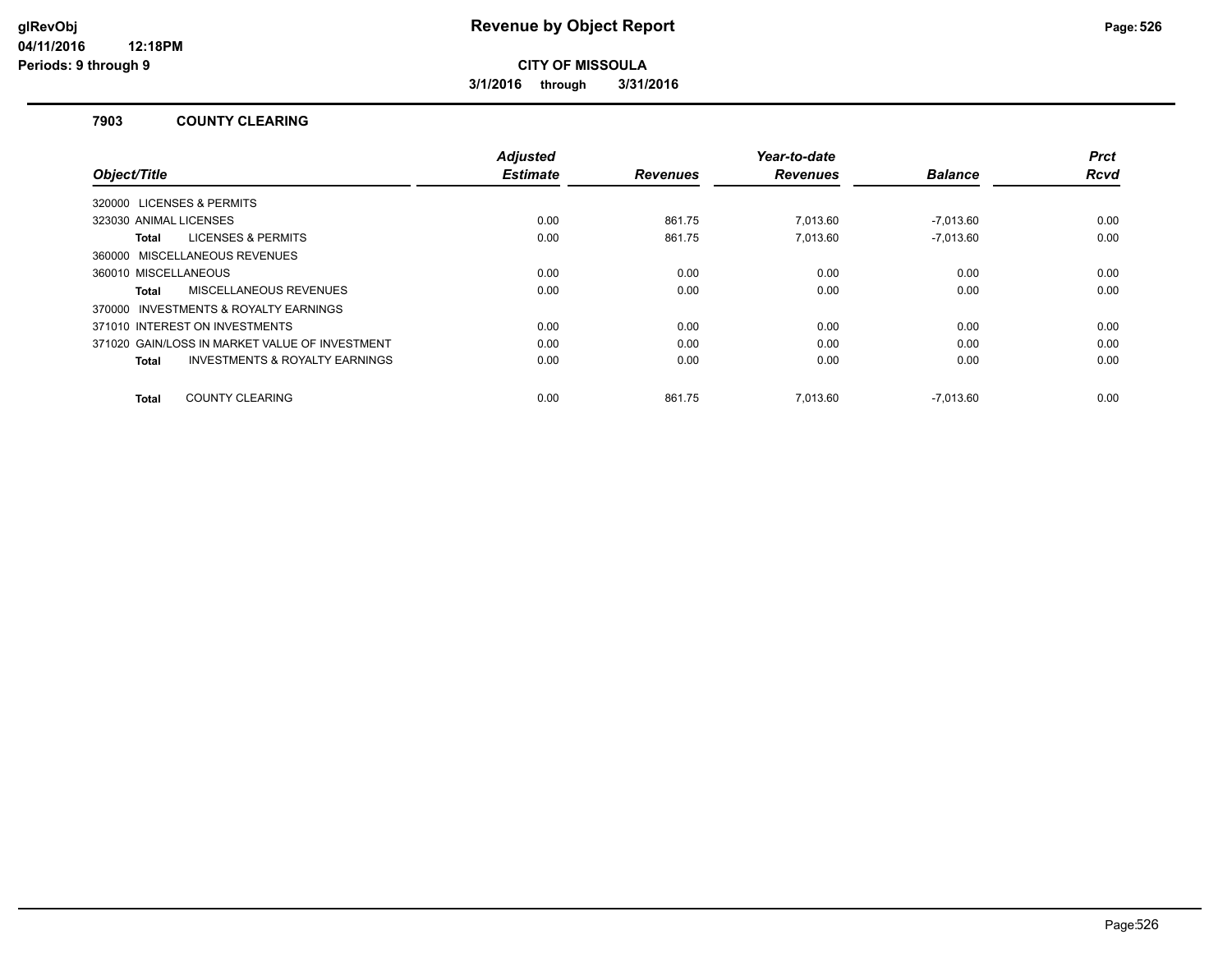**3/1/2016 through 3/31/2016**

#### **7903 COUNTY CLEARING**

|                                                    | <b>Adjusted</b> |                 | Year-to-date    |                | <b>Prct</b> |
|----------------------------------------------------|-----------------|-----------------|-----------------|----------------|-------------|
| Object/Title                                       | <b>Estimate</b> | <b>Revenues</b> | <b>Revenues</b> | <b>Balance</b> | <b>Rcvd</b> |
| 320000 LICENSES & PERMITS                          |                 |                 |                 |                |             |
| 323030 ANIMAL LICENSES                             | 0.00            | 861.75          | 7.013.60        | -7.013.60      | 0.00        |
| <b>LICENSES &amp; PERMITS</b><br>Total             | 0.00            | 861.75          | 7.013.60        | $-7.013.60$    | 0.00        |
| 360000 MISCELLANEOUS REVENUES                      |                 |                 |                 |                |             |
| 360010 MISCELLANEOUS                               | 0.00            | 0.00            | 0.00            | 0.00           | 0.00        |
| MISCELLANEOUS REVENUES<br>Total                    | 0.00            | 0.00            | 0.00            | 0.00           | 0.00        |
| 370000 INVESTMENTS & ROYALTY EARNINGS              |                 |                 |                 |                |             |
| 371010 INTEREST ON INVESTMENTS                     | 0.00            | 0.00            | 0.00            | 0.00           | 0.00        |
| 371020 GAIN/LOSS IN MARKET VALUE OF INVESTMENT     | 0.00            | 0.00            | 0.00            | 0.00           | 0.00        |
| <b>INVESTMENTS &amp; ROYALTY EARNINGS</b><br>Total | 0.00            | 0.00            | 0.00            | 0.00           | 0.00        |
|                                                    |                 |                 |                 |                |             |
| <b>COUNTY CLEARING</b><br>Total                    | 0.00            | 861.75          | 7.013.60        | $-7.013.60$    | 0.00        |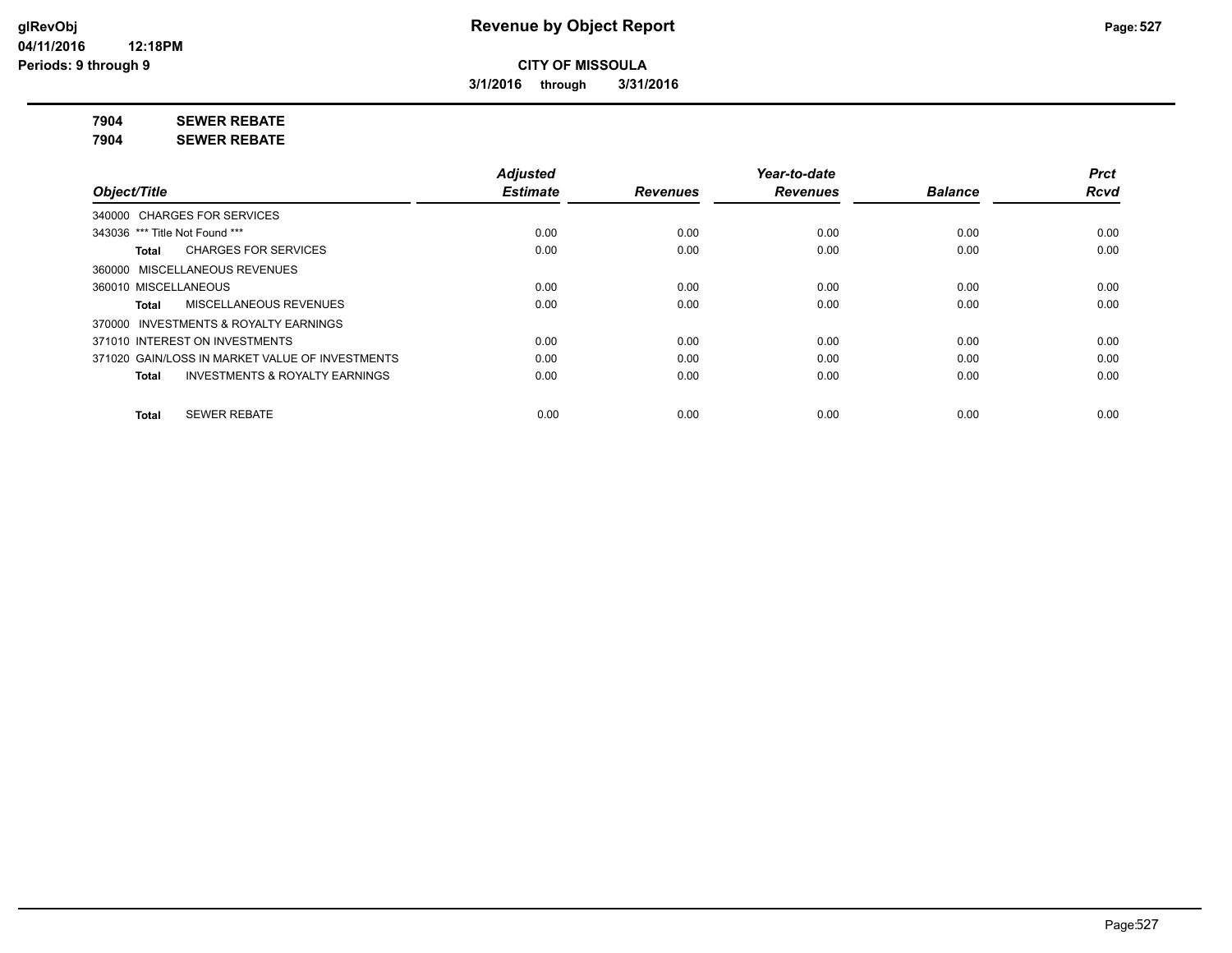**3/1/2016 through 3/31/2016**

**7904 SEWER REBATE**

**7904 SEWER REBATE**

|                                                           | <b>Adjusted</b> |                 | Year-to-date    |                | <b>Prct</b> |
|-----------------------------------------------------------|-----------------|-----------------|-----------------|----------------|-------------|
| Object/Title                                              | <b>Estimate</b> | <b>Revenues</b> | <b>Revenues</b> | <b>Balance</b> | <b>Rcvd</b> |
| 340000 CHARGES FOR SERVICES                               |                 |                 |                 |                |             |
| 343036 *** Title Not Found ***                            | 0.00            | 0.00            | 0.00            | 0.00           | 0.00        |
| <b>CHARGES FOR SERVICES</b><br>Total                      | 0.00            | 0.00            | 0.00            | 0.00           | 0.00        |
| 360000 MISCELLANEOUS REVENUES                             |                 |                 |                 |                |             |
| 360010 MISCELLANEOUS                                      | 0.00            | 0.00            | 0.00            | 0.00           | 0.00        |
| <b>MISCELLANEOUS REVENUES</b><br>Total                    | 0.00            | 0.00            | 0.00            | 0.00           | 0.00        |
| 370000 INVESTMENTS & ROYALTY EARNINGS                     |                 |                 |                 |                |             |
| 371010 INTEREST ON INVESTMENTS                            | 0.00            | 0.00            | 0.00            | 0.00           | 0.00        |
| 371020 GAIN/LOSS IN MARKET VALUE OF INVESTMENTS           | 0.00            | 0.00            | 0.00            | 0.00           | 0.00        |
| <b>INVESTMENTS &amp; ROYALTY EARNINGS</b><br><b>Total</b> | 0.00            | 0.00            | 0.00            | 0.00           | 0.00        |
| <b>SEWER REBATE</b><br><b>Total</b>                       | 0.00            | 0.00            | 0.00            | 0.00           | 0.00        |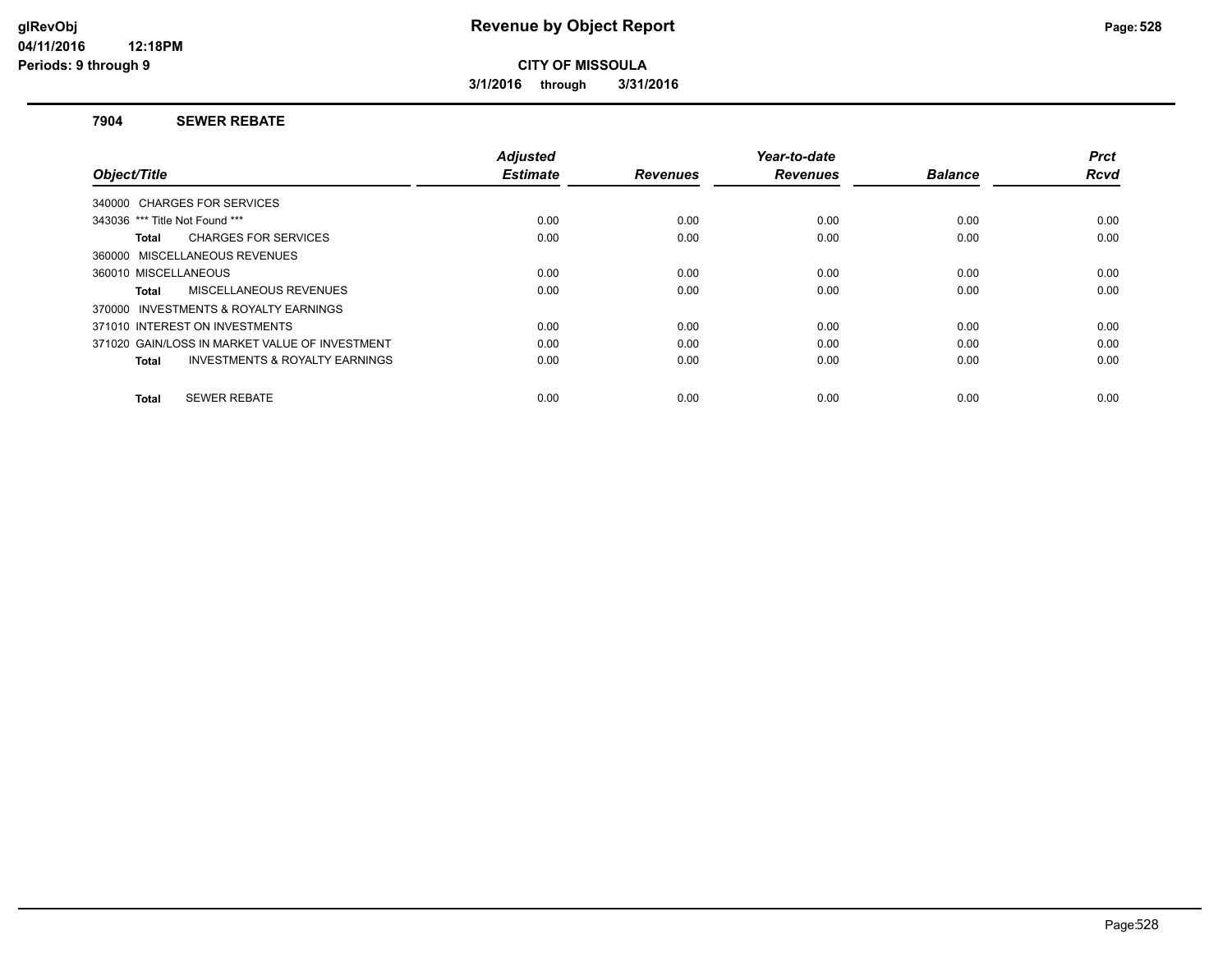**3/1/2016 through 3/31/2016**

#### **7904 SEWER REBATE**

| Object/Title                                              | <b>Adjusted</b><br><b>Estimate</b> | <b>Revenues</b> | Year-to-date<br><b>Revenues</b> | <b>Balance</b> | <b>Prct</b><br><b>Rcvd</b> |
|-----------------------------------------------------------|------------------------------------|-----------------|---------------------------------|----------------|----------------------------|
| 340000 CHARGES FOR SERVICES                               |                                    |                 |                                 |                |                            |
| 343036 *** Title Not Found ***                            | 0.00                               | 0.00            | 0.00                            | 0.00           | 0.00                       |
|                                                           |                                    |                 |                                 |                |                            |
| <b>CHARGES FOR SERVICES</b><br>Total                      | 0.00                               | 0.00            | 0.00                            | 0.00           | 0.00                       |
| 360000 MISCELLANEOUS REVENUES                             |                                    |                 |                                 |                |                            |
| 360010 MISCELLANEOUS                                      | 0.00                               | 0.00            | 0.00                            | 0.00           | 0.00                       |
| MISCELLANEOUS REVENUES<br>Total                           | 0.00                               | 0.00            | 0.00                            | 0.00           | 0.00                       |
| 370000 INVESTMENTS & ROYALTY EARNINGS                     |                                    |                 |                                 |                |                            |
| 371010 INTEREST ON INVESTMENTS                            | 0.00                               | 0.00            | 0.00                            | 0.00           | 0.00                       |
| 371020 GAIN/LOSS IN MARKET VALUE OF INVESTMENT            | 0.00                               | 0.00            | 0.00                            | 0.00           | 0.00                       |
| <b>INVESTMENTS &amp; ROYALTY EARNINGS</b><br><b>Total</b> | 0.00                               | 0.00            | 0.00                            | 0.00           | 0.00                       |
| <b>SEWER REBATE</b><br>Total                              | 0.00                               | 0.00            | 0.00                            | 0.00           | 0.00                       |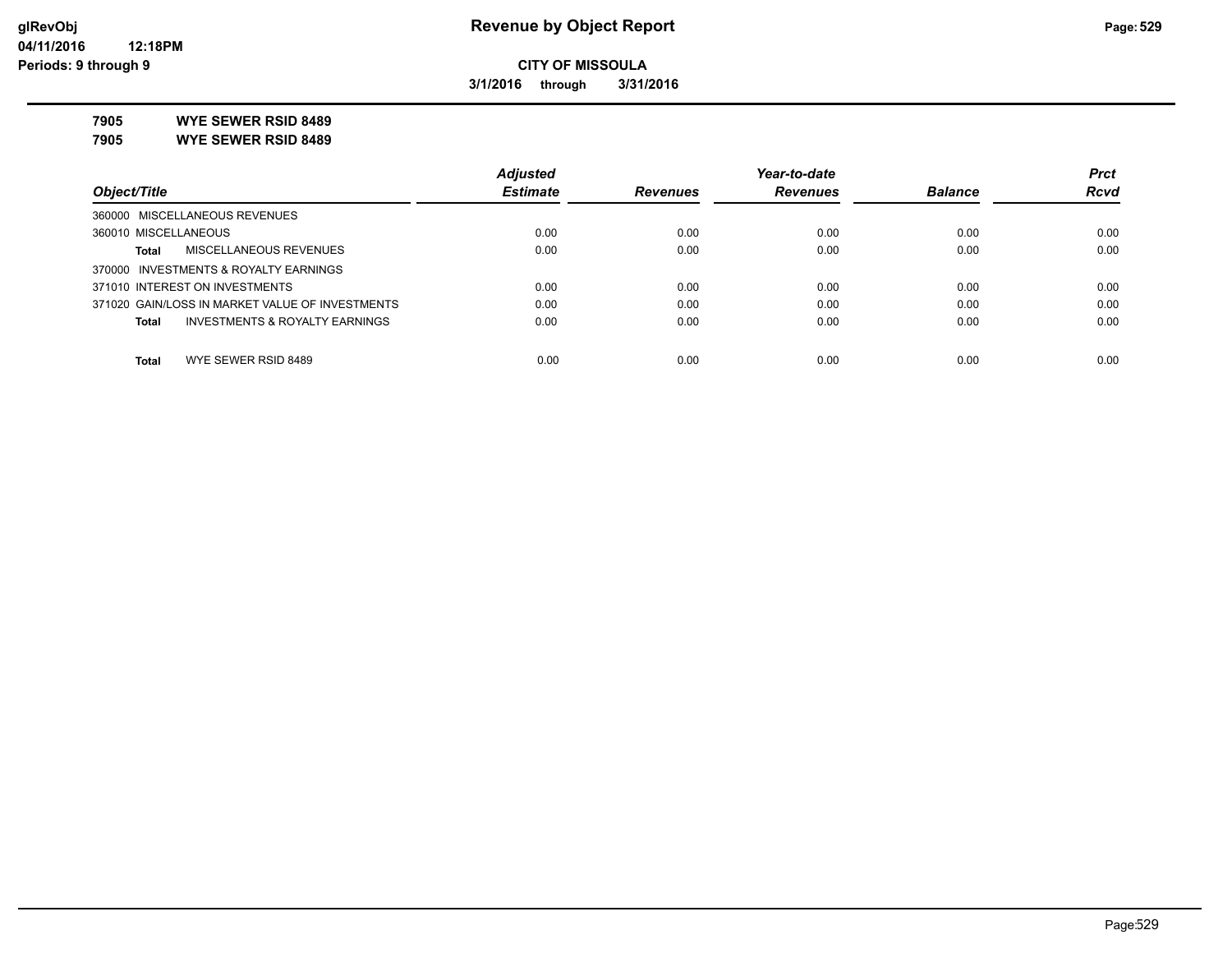**3/1/2016 through 3/31/2016**

**7905 WYE SEWER RSID 8489**

**7905 WYE SEWER RSID 8489**

|                                                           | <b>Adjusted</b> |                 | Year-to-date    |                | <b>Prct</b> |
|-----------------------------------------------------------|-----------------|-----------------|-----------------|----------------|-------------|
| Object/Title                                              | <b>Estimate</b> | <b>Revenues</b> | <b>Revenues</b> | <b>Balance</b> | <b>Rcvd</b> |
| 360000 MISCELLANEOUS REVENUES                             |                 |                 |                 |                |             |
| 360010 MISCELLANEOUS                                      | 0.00            | 0.00            | 0.00            | 0.00           | 0.00        |
| MISCELLANEOUS REVENUES<br><b>Total</b>                    | 0.00            | 0.00            | 0.00            | 0.00           | 0.00        |
| 370000 INVESTMENTS & ROYALTY EARNINGS                     |                 |                 |                 |                |             |
| 371010 INTEREST ON INVESTMENTS                            | 0.00            | 0.00            | 0.00            | 0.00           | 0.00        |
| 371020 GAIN/LOSS IN MARKET VALUE OF INVESTMENTS           | 0.00            | 0.00            | 0.00            | 0.00           | 0.00        |
| <b>INVESTMENTS &amp; ROYALTY EARNINGS</b><br><b>Total</b> | 0.00            | 0.00            | 0.00            | 0.00           | 0.00        |
| <b>Total</b><br>WYE SEWER RSID 8489                       | 0.00            | 0.00            | 0.00            | 0.00           | 0.00        |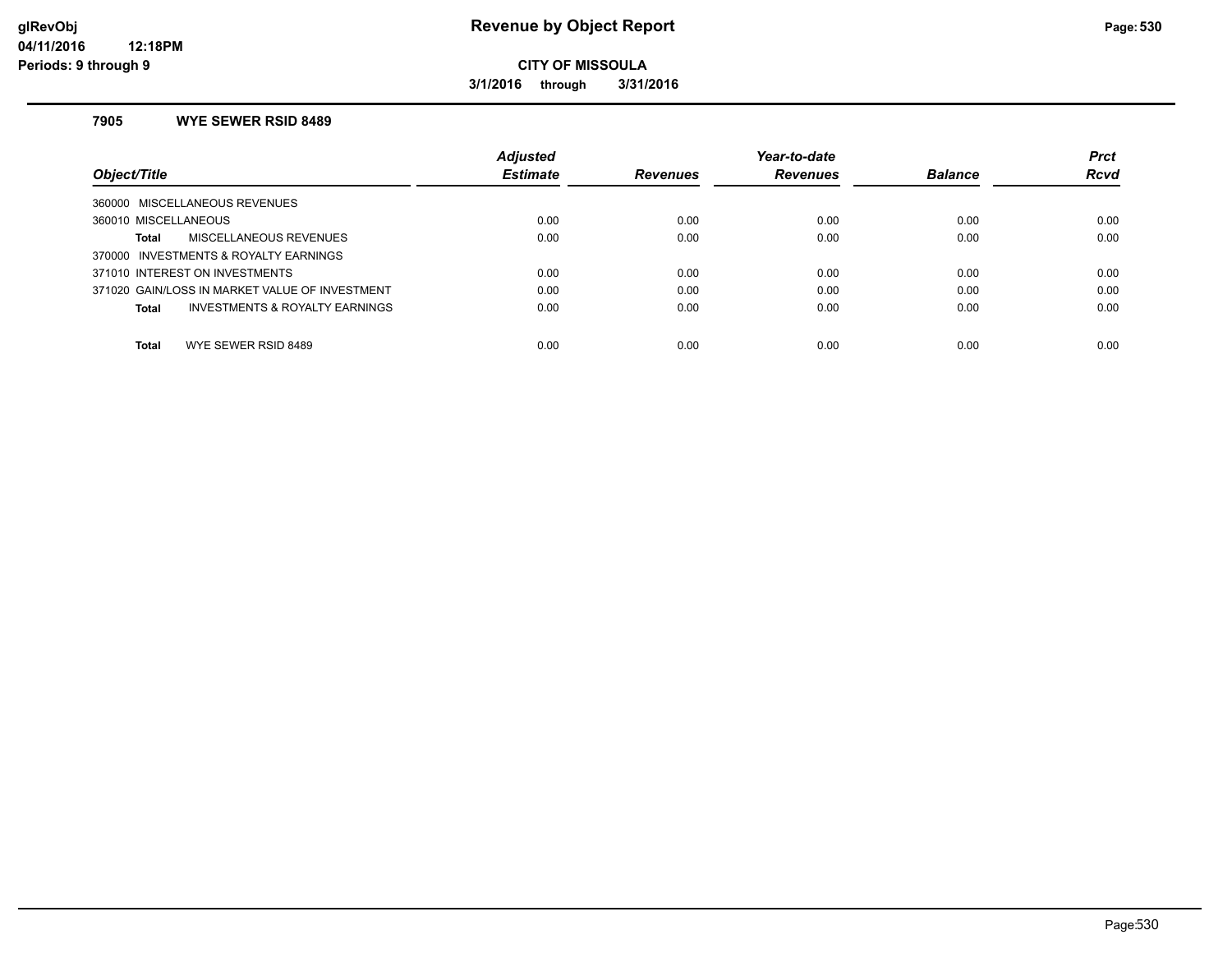**3/1/2016 through 3/31/2016**

#### **7905 WYE SEWER RSID 8489**

| Object/Title                                   | <b>Adjusted</b><br><b>Estimate</b> | <b>Revenues</b> | Year-to-date<br><b>Revenues</b> | <b>Balance</b> | <b>Prct</b><br><b>Rcvd</b> |
|------------------------------------------------|------------------------------------|-----------------|---------------------------------|----------------|----------------------------|
| 360000 MISCELLANEOUS REVENUES                  |                                    |                 |                                 |                |                            |
| 360010 MISCELLANEOUS                           | 0.00                               | 0.00            | 0.00                            | 0.00           | 0.00                       |
| <b>MISCELLANEOUS REVENUES</b><br>Total         | 0.00                               | 0.00            | 0.00                            | 0.00           | 0.00                       |
| 370000 INVESTMENTS & ROYALTY EARNINGS          |                                    |                 |                                 |                |                            |
| 371010 INTEREST ON INVESTMENTS                 | 0.00                               | 0.00            | 0.00                            | 0.00           | 0.00                       |
| 371020 GAIN/LOSS IN MARKET VALUE OF INVESTMENT | 0.00                               | 0.00            | 0.00                            | 0.00           | 0.00                       |
| INVESTMENTS & ROYALTY EARNINGS<br>Total        | 0.00                               | 0.00            | 0.00                            | 0.00           | 0.00                       |
|                                                |                                    |                 |                                 |                |                            |
| Total<br>WYE SEWER RSID 8489                   | 0.00                               | 0.00            | 0.00                            | 0.00           | 0.00                       |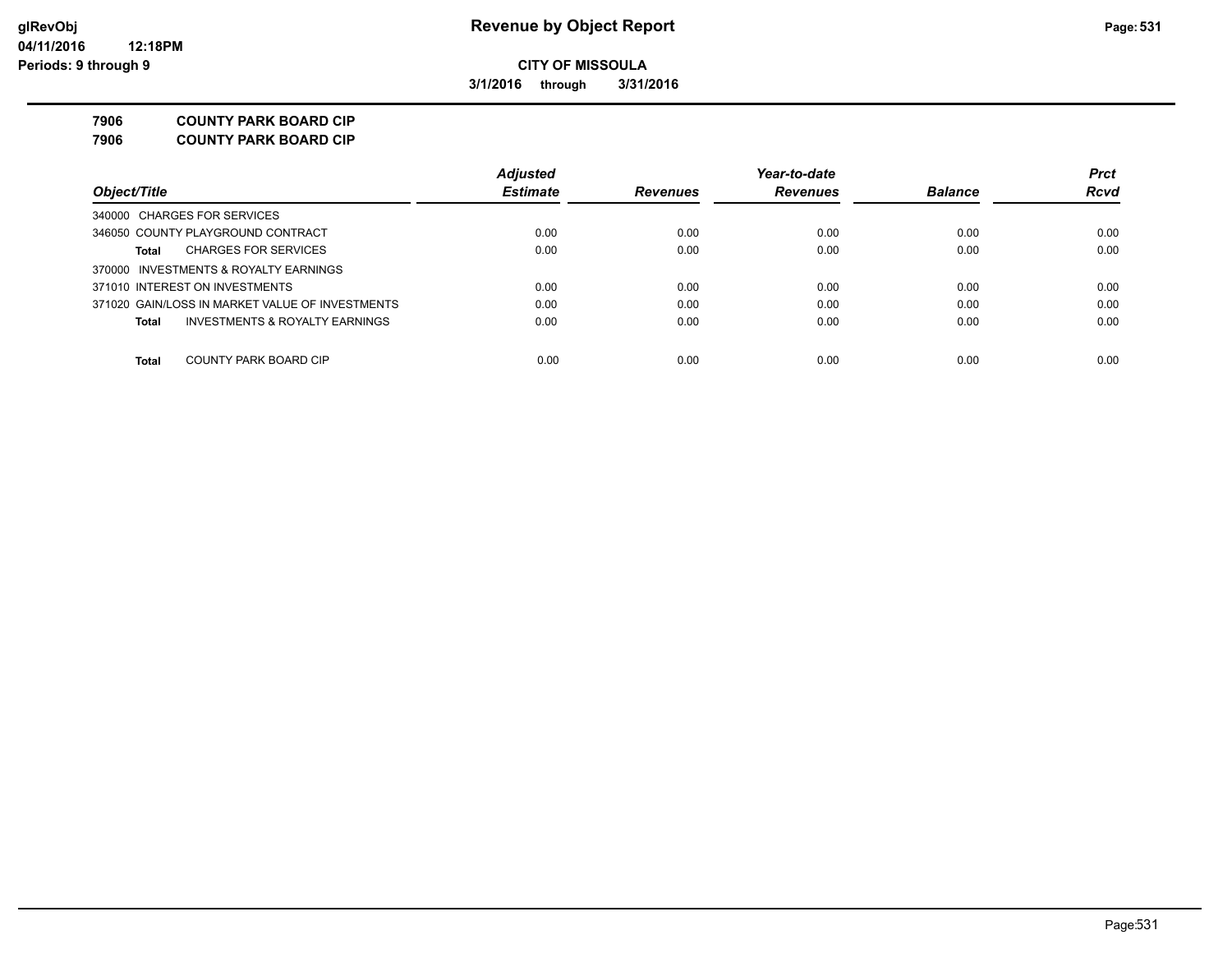**3/1/2016 through 3/31/2016**

**7906 COUNTY PARK BOARD CIP**

**7906 COUNTY PARK BOARD CIP**

|                                                 | <b>Adjusted</b> |                 | Year-to-date    |                | <b>Prct</b> |
|-------------------------------------------------|-----------------|-----------------|-----------------|----------------|-------------|
| Object/Title                                    | <b>Estimate</b> | <b>Revenues</b> | <b>Revenues</b> | <b>Balance</b> | Rcvd        |
| 340000 CHARGES FOR SERVICES                     |                 |                 |                 |                |             |
| 346050 COUNTY PLAYGROUND CONTRACT               | 0.00            | 0.00            | 0.00            | 0.00           | 0.00        |
| <b>CHARGES FOR SERVICES</b><br>Total            | 0.00            | 0.00            | 0.00            | 0.00           | 0.00        |
| 370000 INVESTMENTS & ROYALTY EARNINGS           |                 |                 |                 |                |             |
| 371010 INTEREST ON INVESTMENTS                  | 0.00            | 0.00            | 0.00            | 0.00           | 0.00        |
| 371020 GAIN/LOSS IN MARKET VALUE OF INVESTMENTS | 0.00            | 0.00            | 0.00            | 0.00           | 0.00        |
| INVESTMENTS & ROYALTY EARNINGS<br>Total         | 0.00            | 0.00            | 0.00            | 0.00           | 0.00        |
|                                                 |                 |                 |                 |                |             |
| COUNTY PARK BOARD CIP<br>Total                  | 0.00            | 0.00            | 0.00            | 0.00           | 0.00        |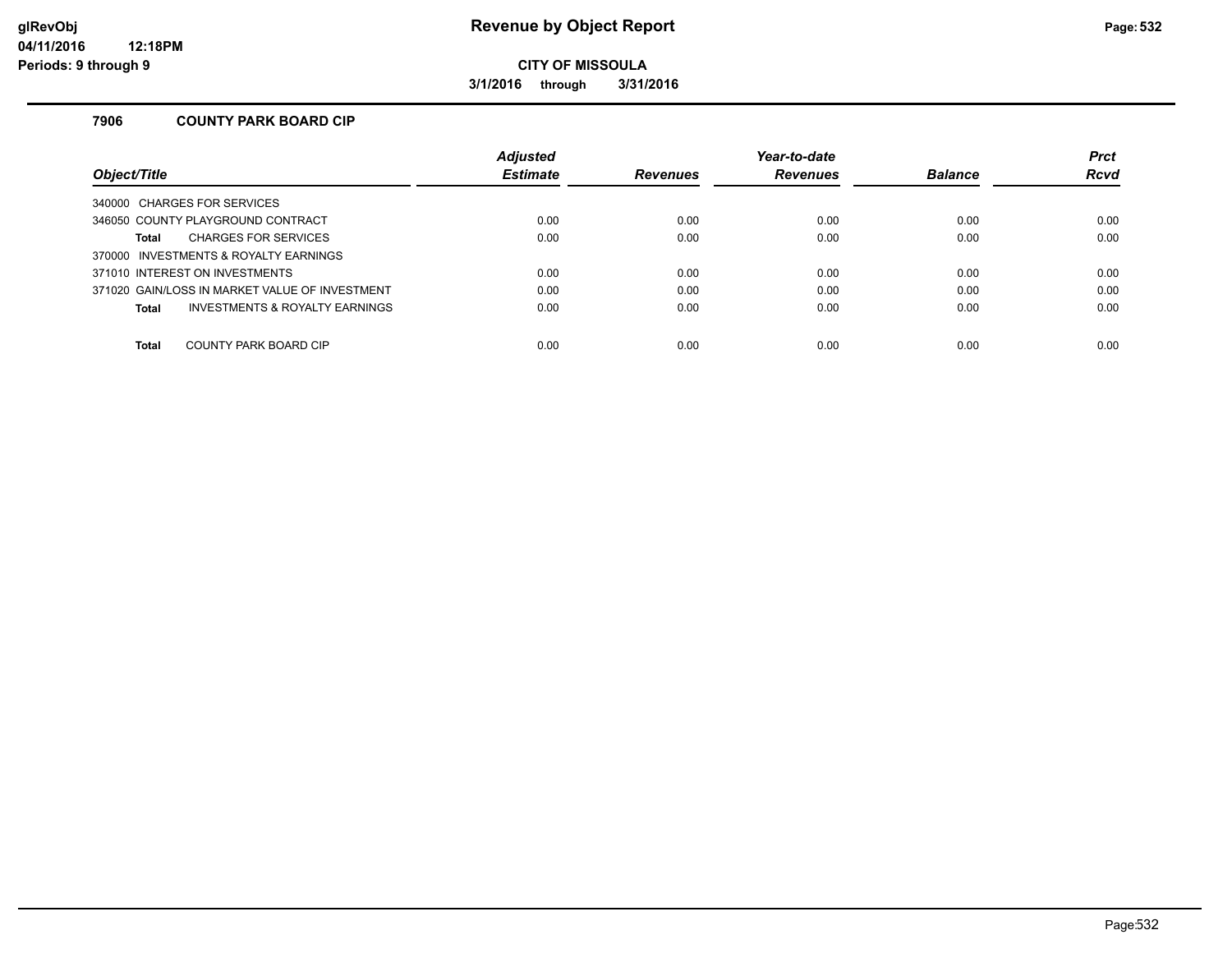**3/1/2016 through 3/31/2016**

#### **7906 COUNTY PARK BOARD CIP**

|                                                | <b>Adjusted</b> |                 | Year-to-date    |                | <b>Prct</b> |
|------------------------------------------------|-----------------|-----------------|-----------------|----------------|-------------|
| Obiect/Title                                   | <b>Estimate</b> | <b>Revenues</b> | <b>Revenues</b> | <b>Balance</b> | <b>Rcvd</b> |
| 340000 CHARGES FOR SERVICES                    |                 |                 |                 |                |             |
| 346050 COUNTY PLAYGROUND CONTRACT              | 0.00            | 0.00            | 0.00            | 0.00           | 0.00        |
| <b>CHARGES FOR SERVICES</b><br><b>Total</b>    | 0.00            | 0.00            | 0.00            | 0.00           | 0.00        |
| 370000 INVESTMENTS & ROYALTY EARNINGS          |                 |                 |                 |                |             |
| 371010 INTEREST ON INVESTMENTS                 | 0.00            | 0.00            | 0.00            | 0.00           | 0.00        |
| 371020 GAIN/LOSS IN MARKET VALUE OF INVESTMENT | 0.00            | 0.00            | 0.00            | 0.00           | 0.00        |
| INVESTMENTS & ROYALTY EARNINGS<br><b>Total</b> | 0.00            | 0.00            | 0.00            | 0.00           | 0.00        |
|                                                |                 |                 |                 |                |             |
| COUNTY PARK BOARD CIP<br><b>Total</b>          | 0.00            | 0.00            | 0.00            | 0.00           | 0.00        |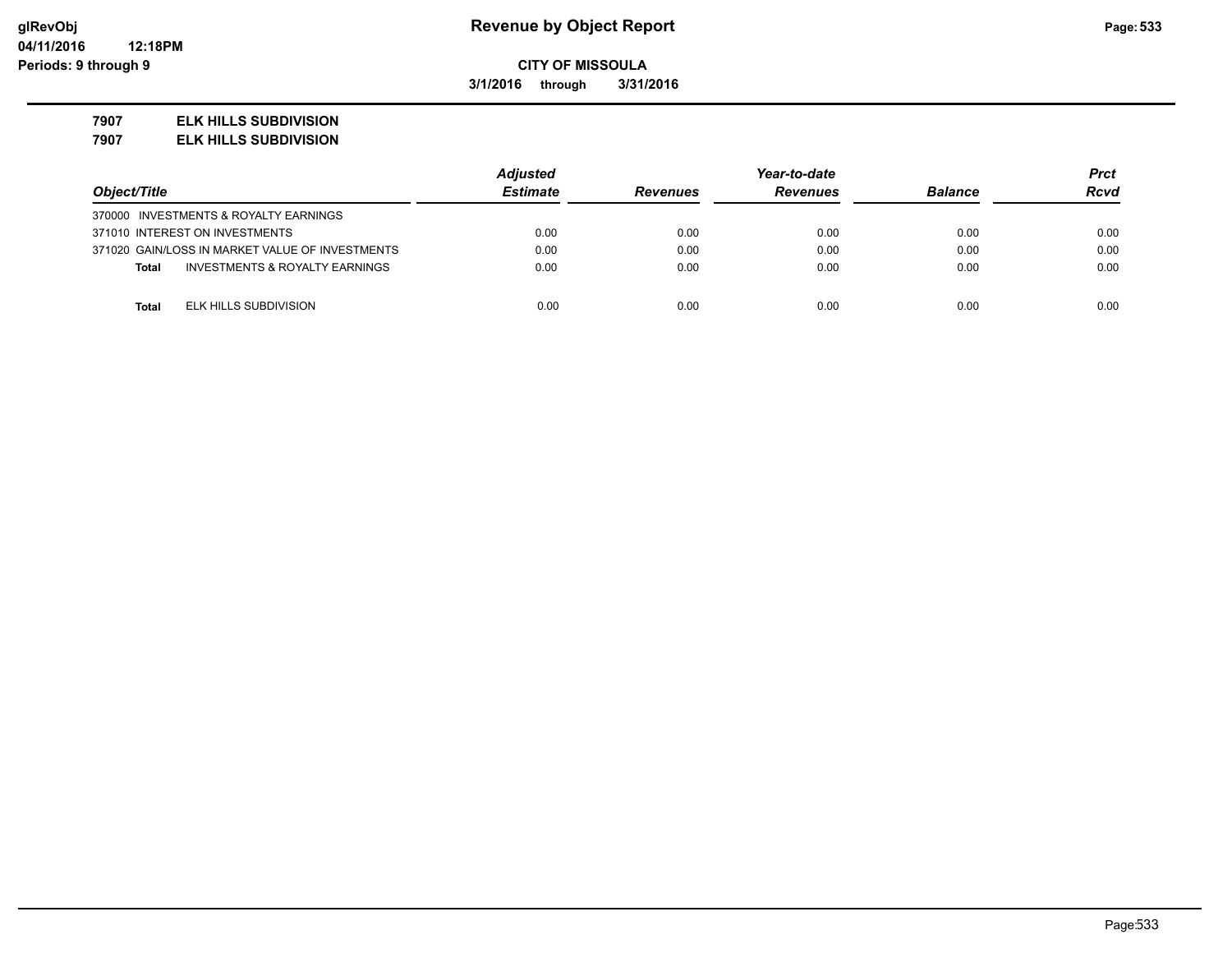**3/1/2016 through 3/31/2016**

#### **7907 ELK HILLS SUBDIVISION**

**7907 ELK HILLS SUBDIVISION**

|                                                 | <b>Adjusted</b> |                 | Year-to-date    |                | Prct        |
|-------------------------------------------------|-----------------|-----------------|-----------------|----------------|-------------|
| Object/Title                                    | <b>Estimate</b> | <b>Revenues</b> | <b>Revenues</b> | <b>Balance</b> | <b>Rcvd</b> |
| 370000 INVESTMENTS & ROYALTY EARNINGS           |                 |                 |                 |                |             |
| 371010 INTEREST ON INVESTMENTS                  | 0.00            | 0.00            | 0.00            | 0.00           | 0.00        |
| 371020 GAIN/LOSS IN MARKET VALUE OF INVESTMENTS | 0.00            | 0.00            | 0.00            | 0.00           | 0.00        |
| INVESTMENTS & ROYALTY EARNINGS<br><b>Total</b>  | 0.00            | 0.00            | 0.00            | 0.00           | 0.00        |
|                                                 |                 |                 |                 |                |             |
| ELK HILLS SUBDIVISION<br><b>Total</b>           | 0.00            | 0.00            | 0.00            | 0.00           | 0.00        |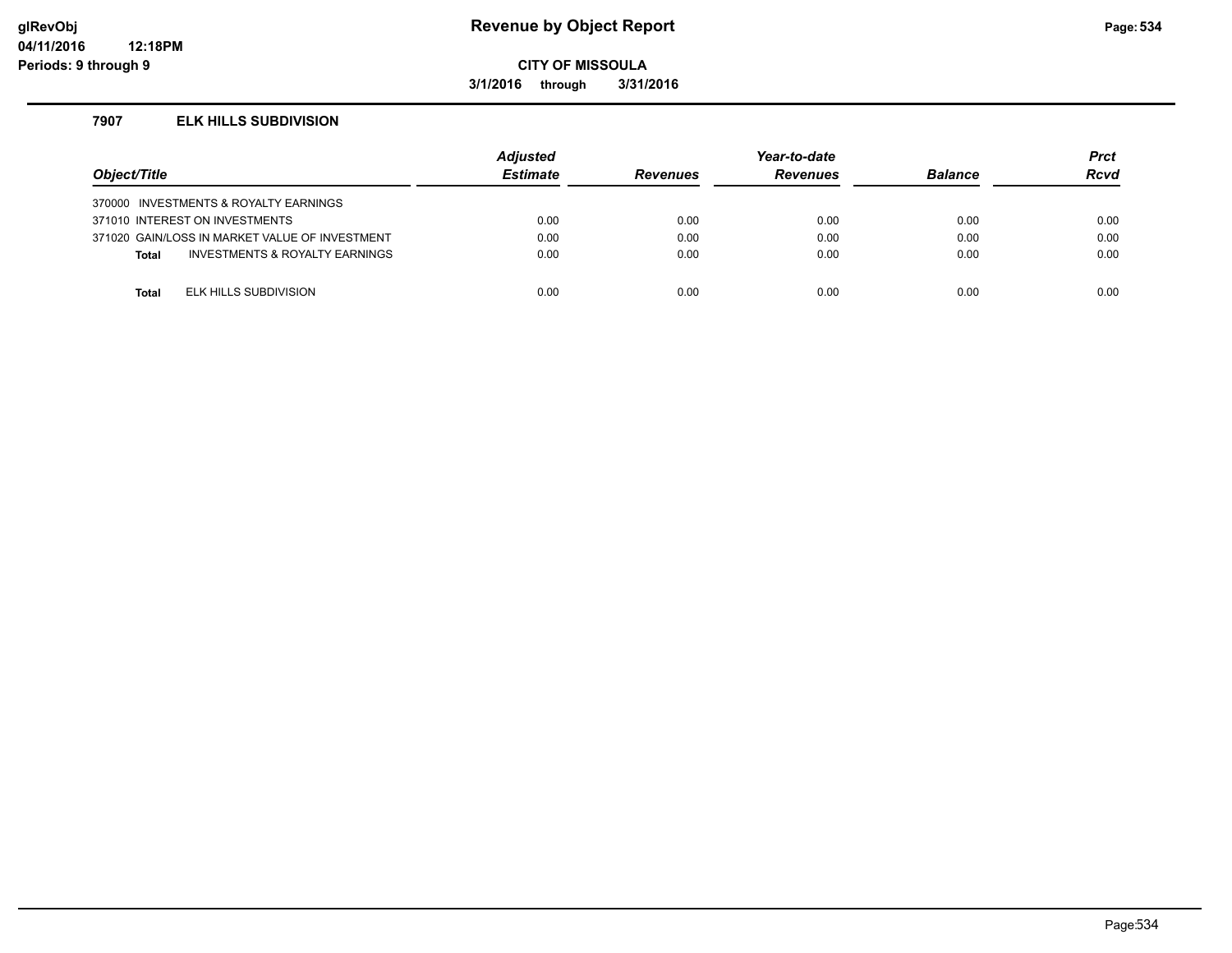## **glRevObj Revenue by Object Report Page:534**

**CITY OF MISSOULA**

**3/1/2016 through 3/31/2016**

#### **7907 ELK HILLS SUBDIVISION**

| Object/Title |                                                | <b>Adjusted</b><br><b>Estimate</b> | <b>Revenues</b> | Year-to-date<br><b>Revenues</b> | <b>Balance</b> | <b>Prct</b><br><b>Rcvd</b> |
|--------------|------------------------------------------------|------------------------------------|-----------------|---------------------------------|----------------|----------------------------|
|              | 370000 INVESTMENTS & ROYALTY EARNINGS          |                                    |                 |                                 |                |                            |
|              | 371010 INTEREST ON INVESTMENTS                 | 0.00                               | 0.00            | 0.00                            | 0.00           | 0.00                       |
|              | 371020 GAIN/LOSS IN MARKET VALUE OF INVESTMENT | 0.00                               | 0.00            | 0.00                            | 0.00           | 0.00                       |
| <b>Total</b> | INVESTMENTS & ROYALTY EARNINGS                 | 0.00                               | 0.00            | 0.00                            | 0.00           | 0.00                       |
|              |                                                |                                    |                 |                                 |                |                            |
| Total        | ELK HILLS SUBDIVISION                          | 0.00                               | 0.00            | 0.00                            | 0.00           | 0.00                       |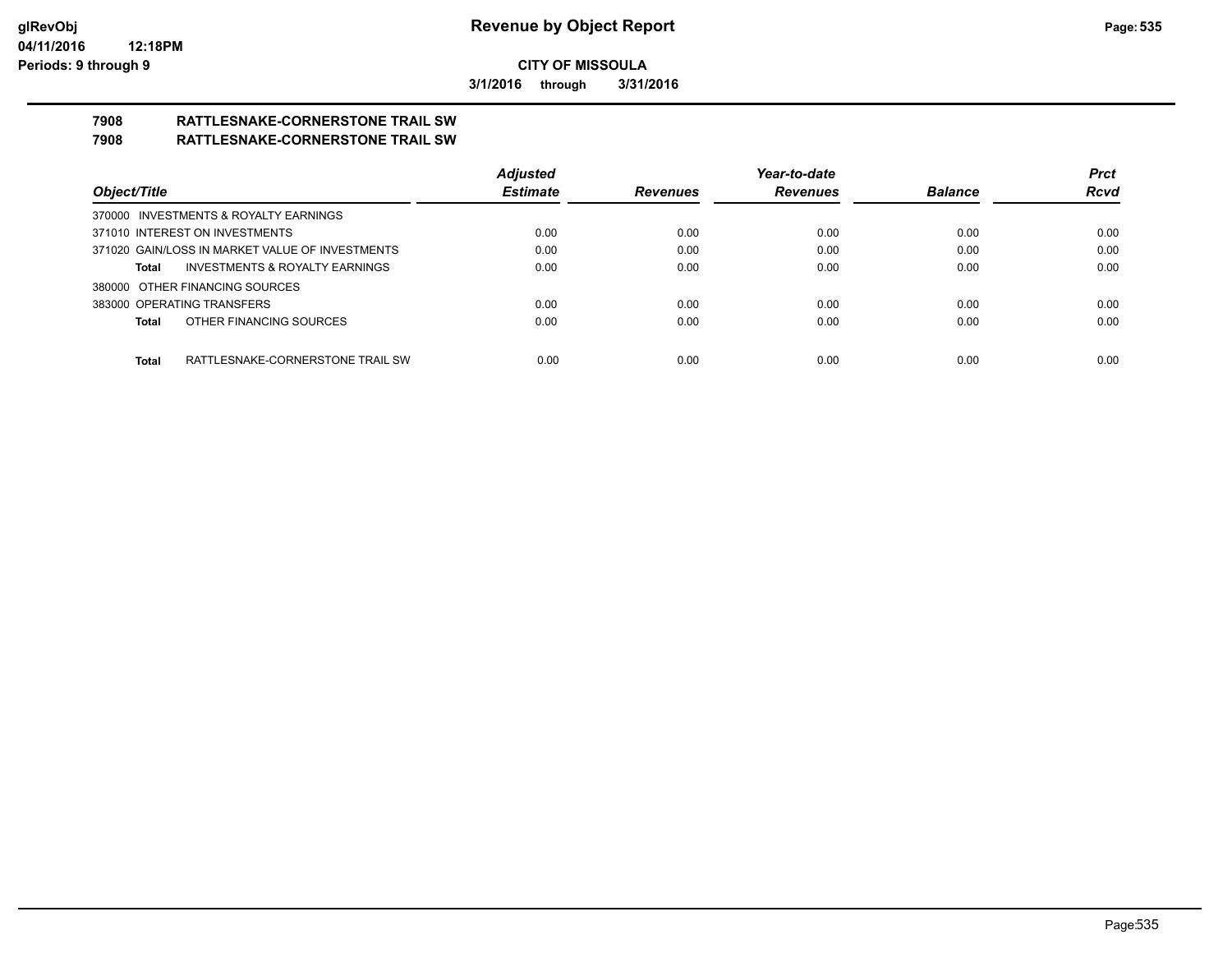**3/1/2016 through 3/31/2016**

# **7908 RATTLESNAKE-CORNERSTONE TRAIL SW**

## **7908 RATTLESNAKE-CORNERSTONE TRAIL SW**

|                                                    | <b>Adjusted</b> |                 | Year-to-date    |                | <b>Prct</b> |
|----------------------------------------------------|-----------------|-----------------|-----------------|----------------|-------------|
| Object/Title                                       | <b>Estimate</b> | <b>Revenues</b> | <b>Revenues</b> | <b>Balance</b> | <b>Rcvd</b> |
| 370000 INVESTMENTS & ROYALTY EARNINGS              |                 |                 |                 |                |             |
| 371010 INTEREST ON INVESTMENTS                     | 0.00            | 0.00            | 0.00            | 0.00           | 0.00        |
| 371020 GAIN/LOSS IN MARKET VALUE OF INVESTMENTS    | 0.00            | 0.00            | 0.00            | 0.00           | 0.00        |
| <b>INVESTMENTS &amp; ROYALTY EARNINGS</b><br>Total | 0.00            | 0.00            | 0.00            | 0.00           | 0.00        |
| 380000 OTHER FINANCING SOURCES                     |                 |                 |                 |                |             |
| 383000 OPERATING TRANSFERS                         | 0.00            | 0.00            | 0.00            | 0.00           | 0.00        |
| OTHER FINANCING SOURCES<br>Total                   | 0.00            | 0.00            | 0.00            | 0.00           | 0.00        |
|                                                    |                 |                 |                 |                |             |
| Total<br>RATTLESNAKE-CORNERSTONE TRAIL SW          | 0.00            | 0.00            | 0.00            | 0.00           | 0.00        |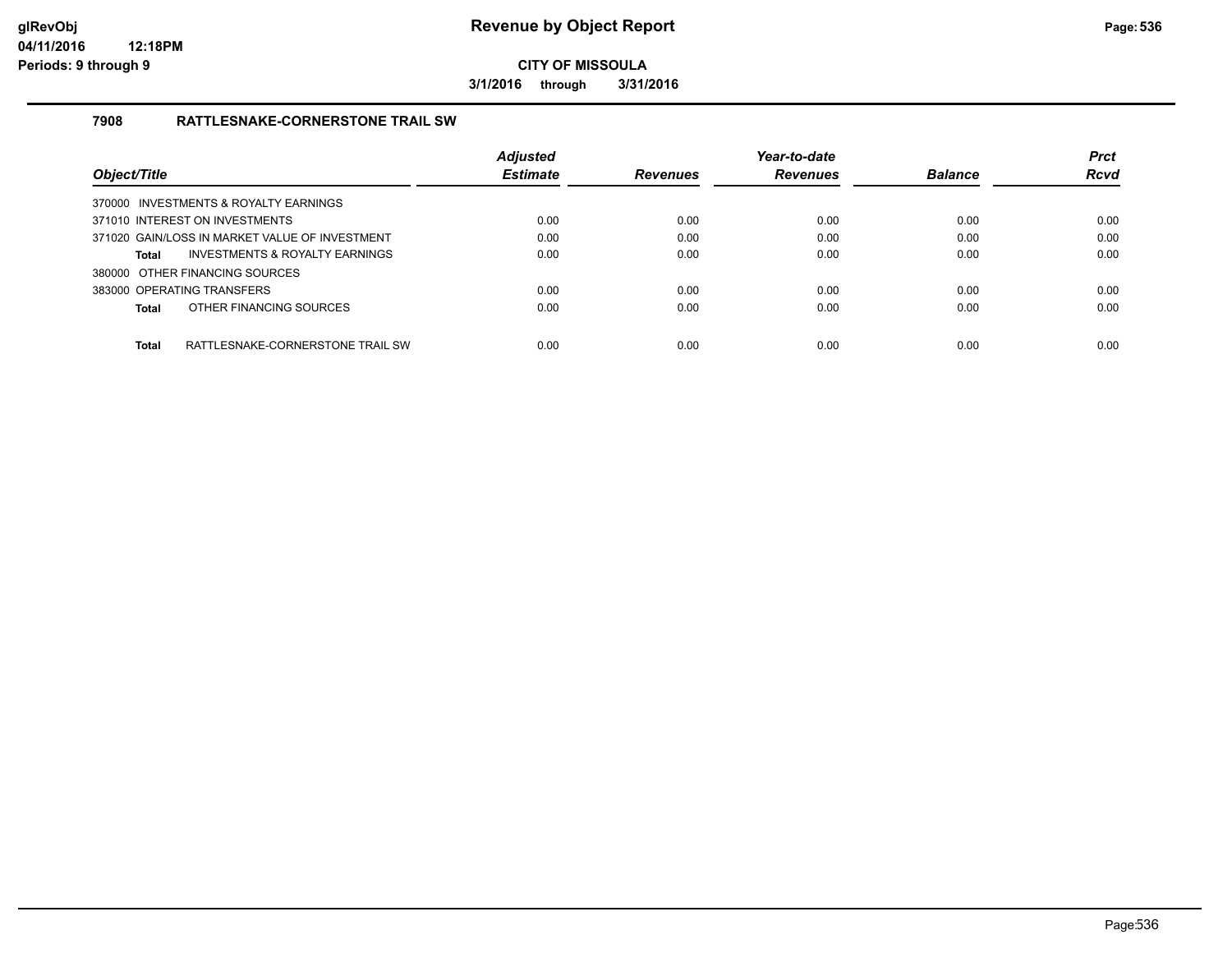**3/1/2016 through 3/31/2016**

#### **7908 RATTLESNAKE-CORNERSTONE TRAIL SW**

|                                                | <b>Adjusted</b> |                 | Year-to-date    |                | <b>Prct</b> |
|------------------------------------------------|-----------------|-----------------|-----------------|----------------|-------------|
| Object/Title                                   | <b>Estimate</b> | <b>Revenues</b> | <b>Revenues</b> | <b>Balance</b> | <b>Rcvd</b> |
| 370000 INVESTMENTS & ROYALTY EARNINGS          |                 |                 |                 |                |             |
| 371010 INTEREST ON INVESTMENTS                 | 0.00            | 0.00            | 0.00            | 0.00           | 0.00        |
| 371020 GAIN/LOSS IN MARKET VALUE OF INVESTMENT | 0.00            | 0.00            | 0.00            | 0.00           | 0.00        |
| INVESTMENTS & ROYALTY EARNINGS<br>Total        | 0.00            | 0.00            | 0.00            | 0.00           | 0.00        |
| 380000 OTHER FINANCING SOURCES                 |                 |                 |                 |                |             |
| 383000 OPERATING TRANSFERS                     | 0.00            | 0.00            | 0.00            | 0.00           | 0.00        |
| OTHER FINANCING SOURCES<br>Total               | 0.00            | 0.00            | 0.00            | 0.00           | 0.00        |
| Total<br>RATTLESNAKE-CORNERSTONE TRAIL SW      | 0.00            | 0.00            | 0.00            | 0.00           | 0.00        |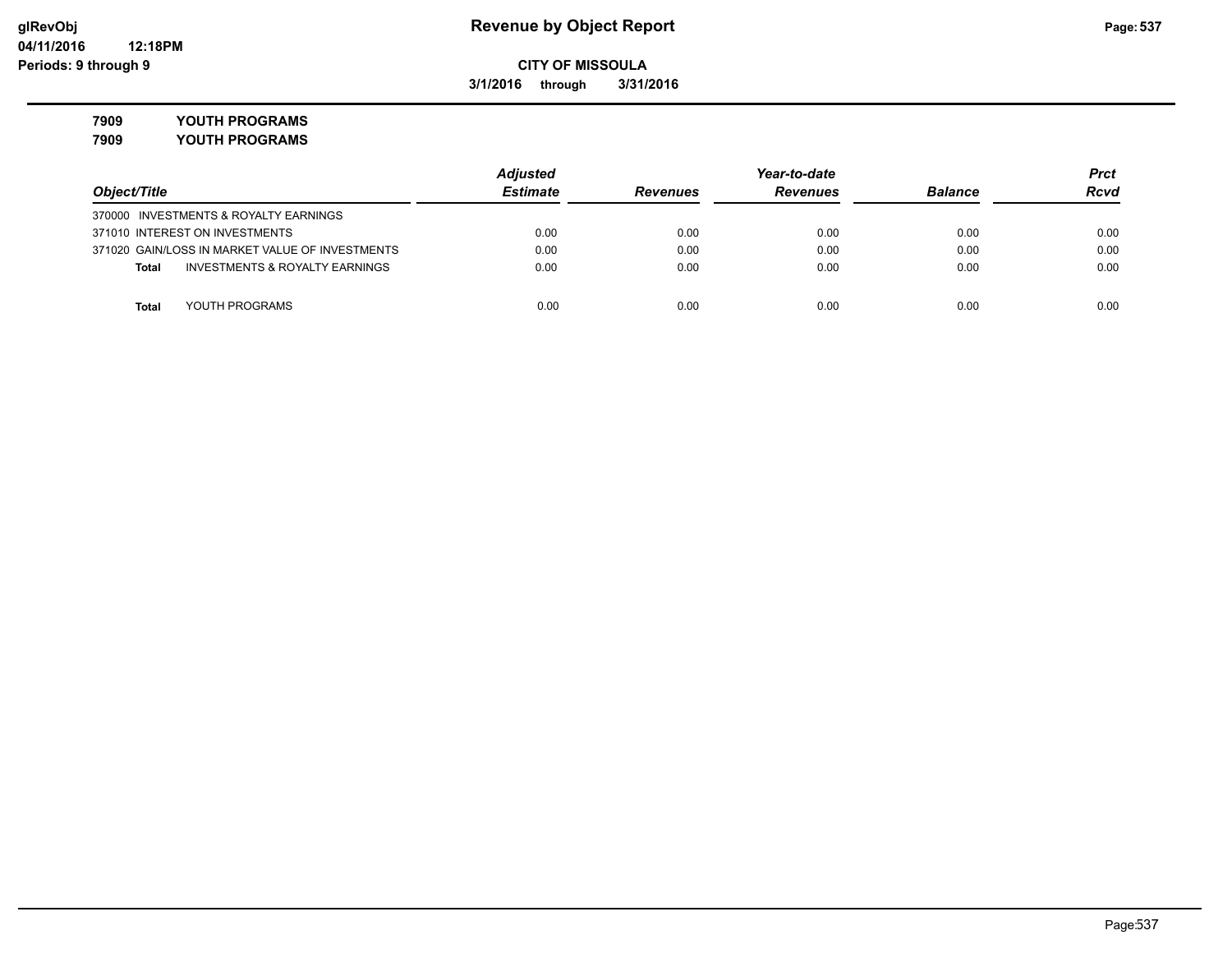**3/1/2016 through 3/31/2016**

**7909 YOUTH PROGRAMS**

**7909 YOUTH PROGRAMS**

|                                                 | <b>Adjusted</b> |                 | Year-to-date    |                |             |
|-------------------------------------------------|-----------------|-----------------|-----------------|----------------|-------------|
| Object/Title                                    | <b>Estimate</b> | <b>Revenues</b> | <b>Revenues</b> | <b>Balance</b> | <b>Rcvd</b> |
| 370000 INVESTMENTS & ROYALTY EARNINGS           |                 |                 |                 |                |             |
| 371010 INTEREST ON INVESTMENTS                  | 0.00            | 0.00            | 0.00            | 0.00           | 0.00        |
| 371020 GAIN/LOSS IN MARKET VALUE OF INVESTMENTS | 0.00            | 0.00            | 0.00            | 0.00           | 0.00        |
| INVESTMENTS & ROYALTY EARNINGS<br><b>Total</b>  | 0.00            | 0.00            | 0.00            | 0.00           | 0.00        |
|                                                 |                 |                 |                 |                |             |
| YOUTH PROGRAMS<br>Total                         | 0.00            | 0.00            | 0.00            | 0.00           | 0.00        |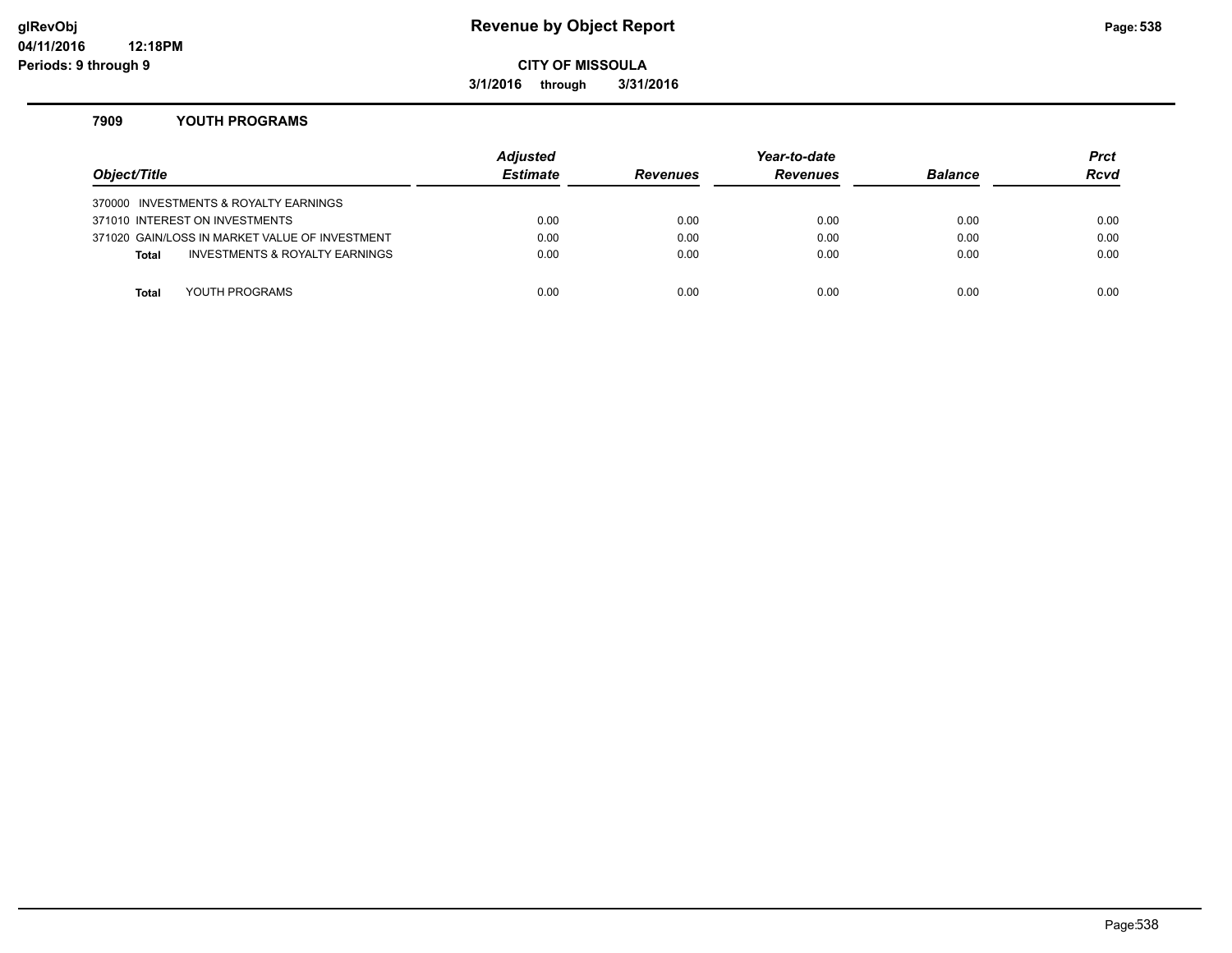#### **glRevObj Revenue by Object Report Page:538**

**CITY OF MISSOULA**

**3/1/2016 through 3/31/2016**

#### **7909 YOUTH PROGRAMS**

| Object/Title |                                                | Adjusted<br><b>Estimate</b> | <b>Revenues</b> | Year-to-date<br><b>Revenues</b> | <b>Balance</b> | <b>Prct</b><br><b>Rcvd</b> |
|--------------|------------------------------------------------|-----------------------------|-----------------|---------------------------------|----------------|----------------------------|
|              | 370000 INVESTMENTS & ROYALTY EARNINGS          |                             |                 |                                 |                |                            |
|              | 371010 INTEREST ON INVESTMENTS                 | 0.00                        | 0.00            | 0.00                            | 0.00           | 0.00                       |
|              | 371020 GAIN/LOSS IN MARKET VALUE OF INVESTMENT | 0.00                        | 0.00            | 0.00                            | 0.00           | 0.00                       |
| <b>Total</b> | INVESTMENTS & ROYALTY EARNINGS                 | 0.00                        | 0.00            | 0.00                            | 0.00           | 0.00                       |
|              |                                                |                             |                 |                                 |                |                            |
| Total        | YOUTH PROGRAMS                                 | 0.00                        | 0.00            | 0.00                            | 0.00           | 0.00                       |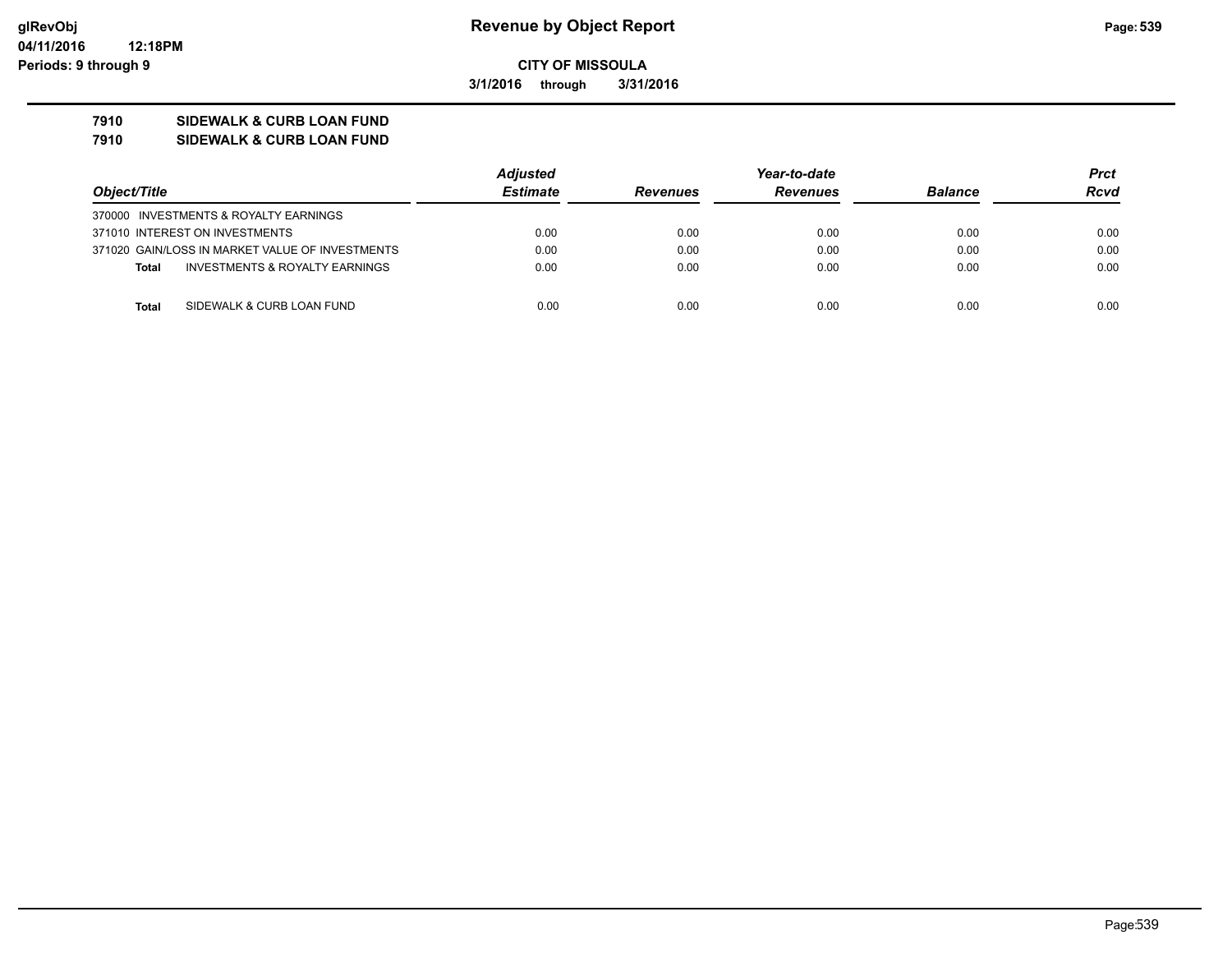**3/1/2016 through 3/31/2016**

## **7910 SIDEWALK & CURB LOAN FUND**

**7910 SIDEWALK & CURB LOAN FUND**

|                                                 | <b>Adjusted</b> |                 | Year-to-date    |                | Prct |
|-------------------------------------------------|-----------------|-----------------|-----------------|----------------|------|
| Object/Title                                    | <b>Estimate</b> | <b>Revenues</b> | <b>Revenues</b> | <b>Balance</b> | Rcvd |
| 370000 INVESTMENTS & ROYALTY EARNINGS           |                 |                 |                 |                |      |
| 371010 INTEREST ON INVESTMENTS                  | 0.00            | 0.00            | 0.00            | 0.00           | 0.00 |
| 371020 GAIN/LOSS IN MARKET VALUE OF INVESTMENTS | 0.00            | 0.00            | 0.00            | 0.00           | 0.00 |
| INVESTMENTS & ROYALTY EARNINGS<br><b>Total</b>  | 0.00            | 0.00            | 0.00            | 0.00           | 0.00 |
| SIDEWALK & CURB LOAN FUND<br><b>Total</b>       | 0.00            | 0.00            | 0.00            | 0.00           | 0.00 |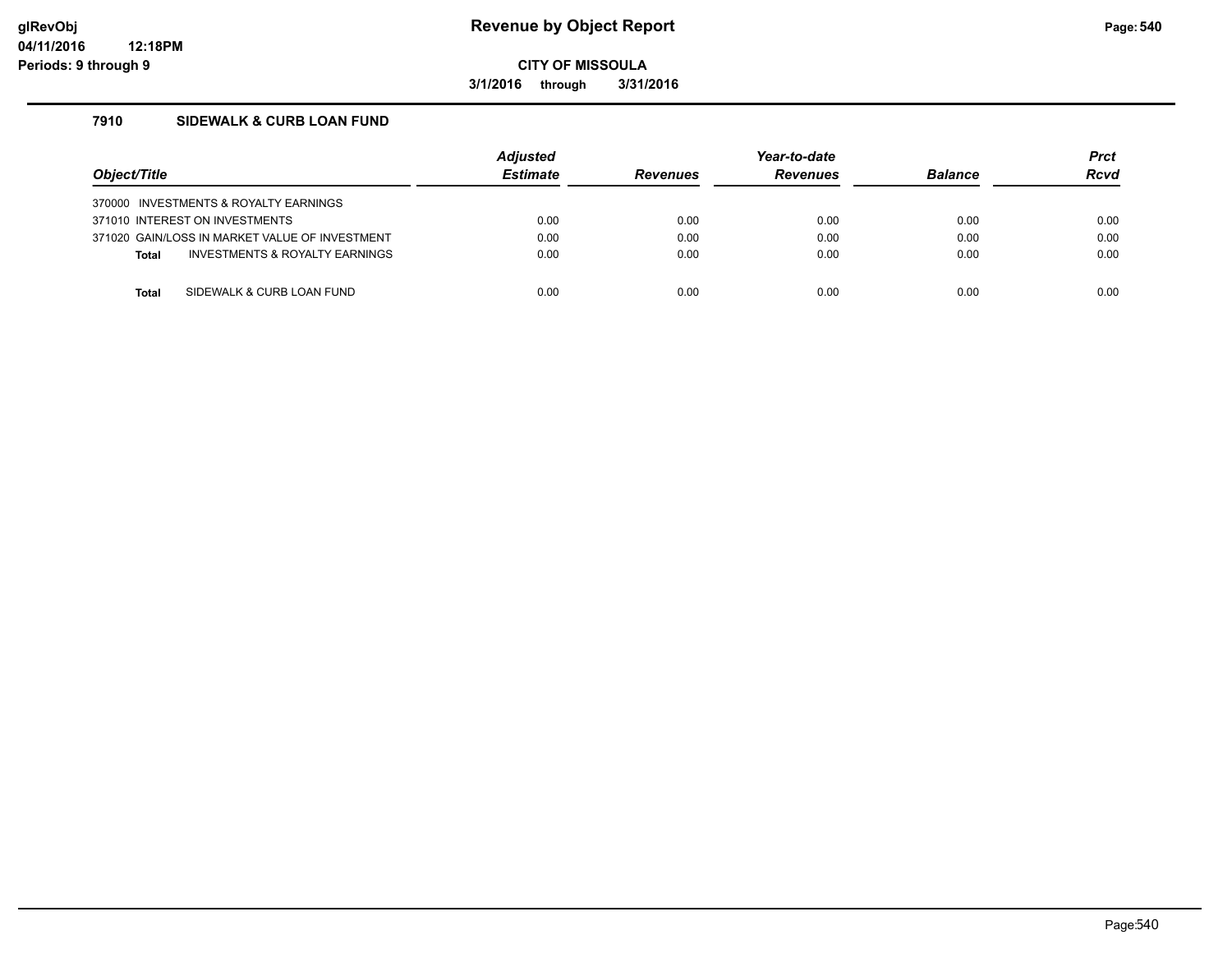**3/1/2016 through 3/31/2016**

#### **7910 SIDEWALK & CURB LOAN FUND**

| Object/Title                                   |                                | <b>Adiusted</b><br><b>Estimate</b> | <b>Revenues</b> | Year-to-date<br><b>Revenues</b> | <b>Balance</b> | <b>Prct</b><br><b>Rcvd</b> |
|------------------------------------------------|--------------------------------|------------------------------------|-----------------|---------------------------------|----------------|----------------------------|
| 370000 INVESTMENTS & ROYALTY EARNINGS          |                                |                                    |                 |                                 |                |                            |
| 371010 INTEREST ON INVESTMENTS                 |                                | 0.00                               | 0.00            | 0.00                            | 0.00           | 0.00                       |
| 371020 GAIN/LOSS IN MARKET VALUE OF INVESTMENT |                                | 0.00                               | 0.00            | 0.00                            | 0.00           | 0.00                       |
| <b>Total</b>                                   | INVESTMENTS & ROYALTY EARNINGS | 0.00                               | 0.00            | 0.00                            | 0.00           | 0.00                       |
|                                                |                                |                                    |                 |                                 |                |                            |
| Total                                          | SIDEWALK & CURB LOAN FUND      | 0.00                               | 0.00            | 0.00                            | 0.00           | 0.00                       |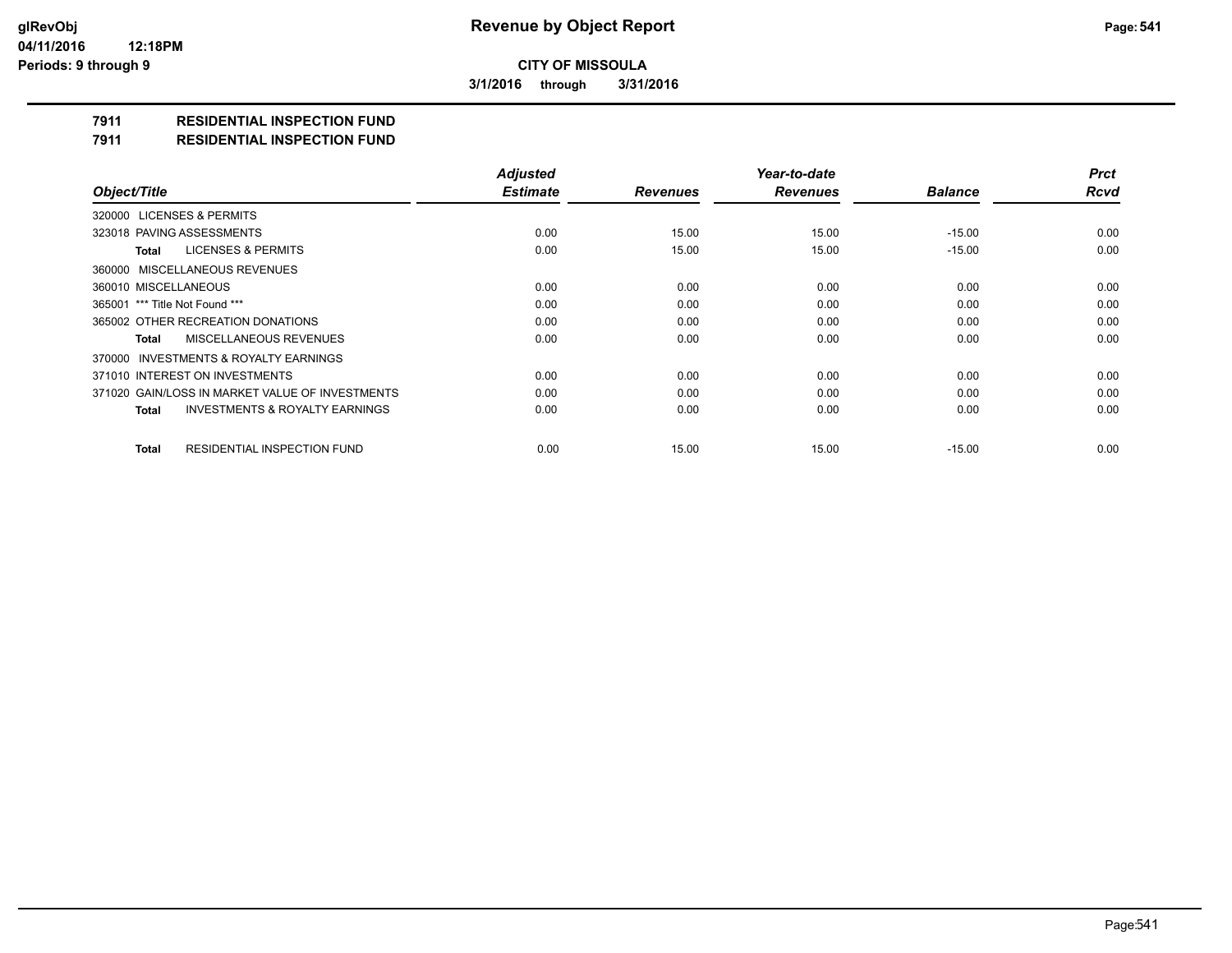**3/1/2016 through 3/31/2016**

### **7911 RESIDENTIAL INSPECTION FUND**

#### **7911 RESIDENTIAL INSPECTION FUND**

|                                                    | <b>Adjusted</b> |                 | Year-to-date    |                | <b>Prct</b> |
|----------------------------------------------------|-----------------|-----------------|-----------------|----------------|-------------|
| Object/Title                                       | <b>Estimate</b> | <b>Revenues</b> | <b>Revenues</b> | <b>Balance</b> | <b>Rcvd</b> |
| 320000 LICENSES & PERMITS                          |                 |                 |                 |                |             |
| 323018 PAVING ASSESSMENTS                          | 0.00            | 15.00           | 15.00           | $-15.00$       | 0.00        |
| <b>LICENSES &amp; PERMITS</b><br>Total             | 0.00            | 15.00           | 15.00           | $-15.00$       | 0.00        |
| 360000 MISCELLANEOUS REVENUES                      |                 |                 |                 |                |             |
| 360010 MISCELLANEOUS                               | 0.00            | 0.00            | 0.00            | 0.00           | 0.00        |
| 365001 *** Title Not Found ***                     | 0.00            | 0.00            | 0.00            | 0.00           | 0.00        |
| 365002 OTHER RECREATION DONATIONS                  | 0.00            | 0.00            | 0.00            | 0.00           | 0.00        |
| MISCELLANEOUS REVENUES<br>Total                    | 0.00            | 0.00            | 0.00            | 0.00           | 0.00        |
| 370000 INVESTMENTS & ROYALTY EARNINGS              |                 |                 |                 |                |             |
| 371010 INTEREST ON INVESTMENTS                     | 0.00            | 0.00            | 0.00            | 0.00           | 0.00        |
| 371020 GAIN/LOSS IN MARKET VALUE OF INVESTMENTS    | 0.00            | 0.00            | 0.00            | 0.00           | 0.00        |
| <b>INVESTMENTS &amp; ROYALTY EARNINGS</b><br>Total | 0.00            | 0.00            | 0.00            | 0.00           | 0.00        |
| RESIDENTIAL INSPECTION FUND<br><b>Total</b>        | 0.00            | 15.00           | 15.00           | $-15.00$       | 0.00        |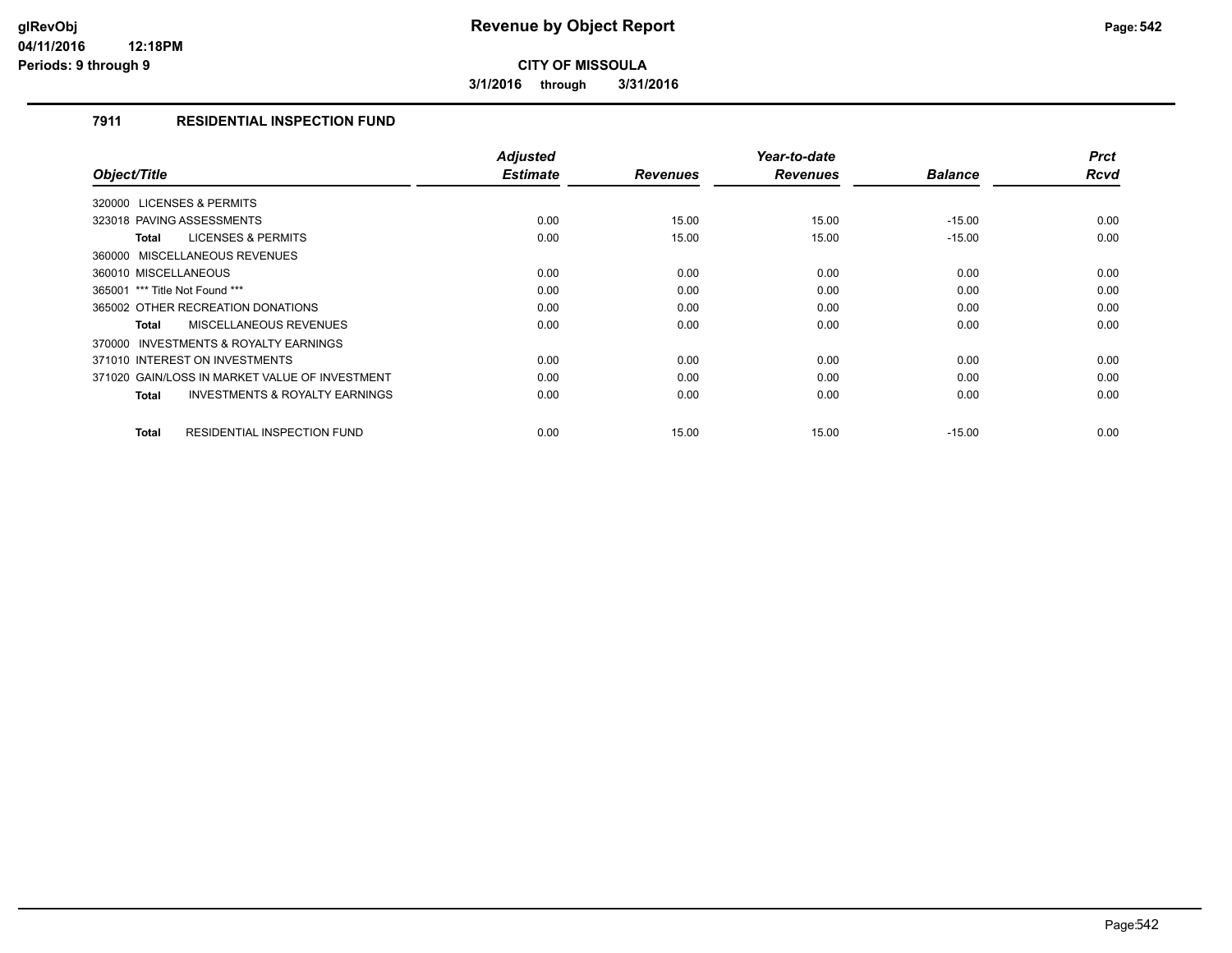**3/1/2016 through 3/31/2016**

### **7911 RESIDENTIAL INSPECTION FUND**

| Object/Title                                              | <b>Adjusted</b><br><b>Estimate</b> | <b>Revenues</b> | Year-to-date<br><b>Revenues</b> | <b>Balance</b> | <b>Prct</b><br><b>Rcvd</b> |
|-----------------------------------------------------------|------------------------------------|-----------------|---------------------------------|----------------|----------------------------|
| 320000 LICENSES & PERMITS                                 |                                    |                 |                                 |                |                            |
| 323018 PAVING ASSESSMENTS                                 | 0.00                               | 15.00           | 15.00                           | $-15.00$       | 0.00                       |
| <b>LICENSES &amp; PERMITS</b><br><b>Total</b>             | 0.00                               | 15.00           | 15.00                           | $-15.00$       | 0.00                       |
| 360000 MISCELLANEOUS REVENUES                             |                                    |                 |                                 |                |                            |
| 360010 MISCELLANEOUS                                      | 0.00                               | 0.00            | 0.00                            | 0.00           | 0.00                       |
| 365001 *** Title Not Found ***                            | 0.00                               | 0.00            | 0.00                            | 0.00           | 0.00                       |
| 365002 OTHER RECREATION DONATIONS                         | 0.00                               | 0.00            | 0.00                            | 0.00           | 0.00                       |
| <b>MISCELLANEOUS REVENUES</b><br><b>Total</b>             | 0.00                               | 0.00            | 0.00                            | 0.00           | 0.00                       |
| <b>INVESTMENTS &amp; ROYALTY EARNINGS</b><br>370000       |                                    |                 |                                 |                |                            |
| 371010 INTEREST ON INVESTMENTS                            | 0.00                               | 0.00            | 0.00                            | 0.00           | 0.00                       |
| 371020 GAIN/LOSS IN MARKET VALUE OF INVESTMENT            | 0.00                               | 0.00            | 0.00                            | 0.00           | 0.00                       |
| <b>INVESTMENTS &amp; ROYALTY EARNINGS</b><br><b>Total</b> | 0.00                               | 0.00            | 0.00                            | 0.00           | 0.00                       |
| <b>RESIDENTIAL INSPECTION FUND</b><br><b>Total</b>        | 0.00                               | 15.00           | 15.00                           | $-15.00$       | 0.00                       |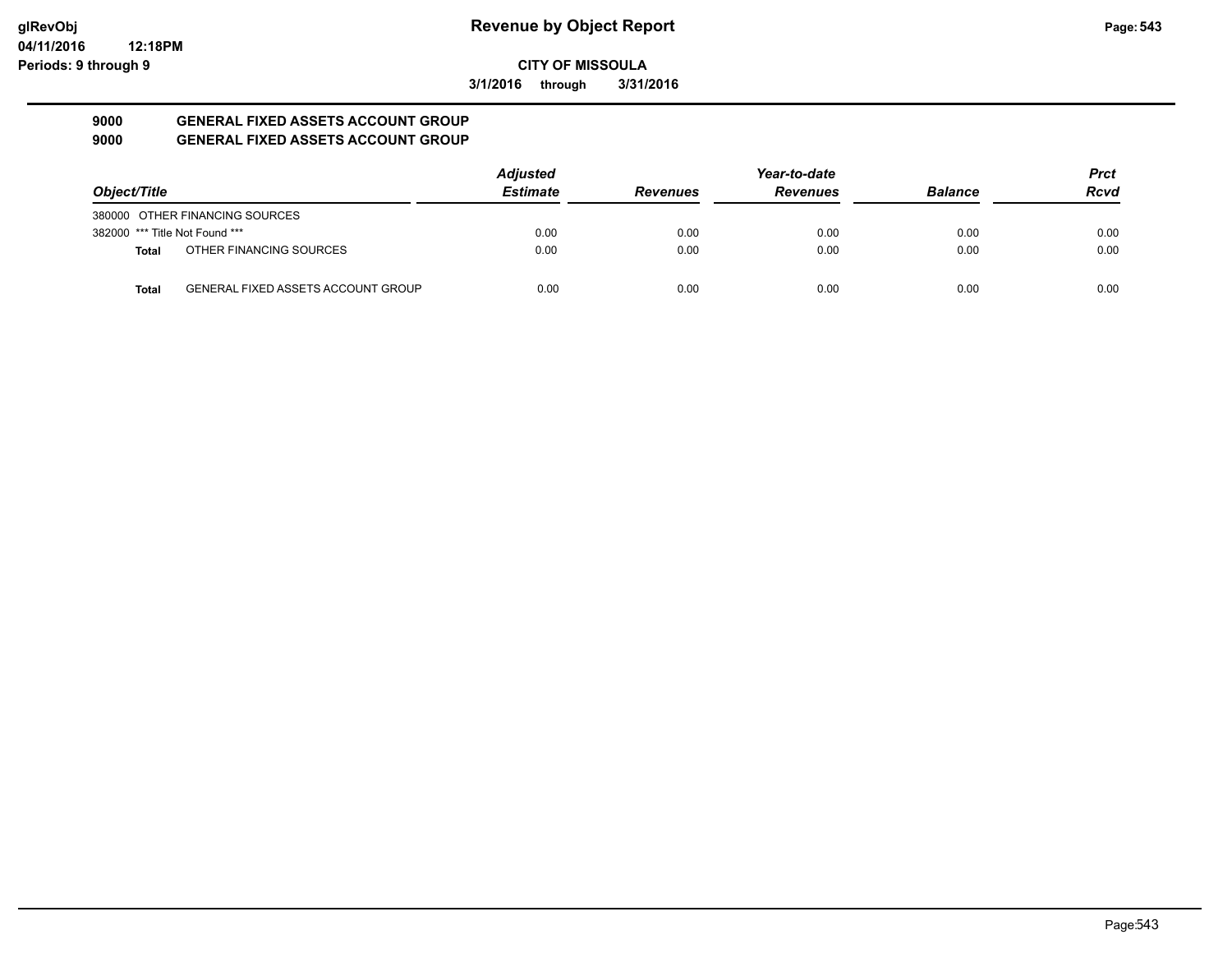**3/1/2016 through 3/31/2016**

#### **9000 GENERAL FIXED ASSETS ACCOUNT GROUP 9000 GENERAL FIXED ASSETS ACCOUNT GROUP**

|                                |                                           | <b>Adjusted</b> |                 | Year-to-date    |                | <b>Prct</b> |
|--------------------------------|-------------------------------------------|-----------------|-----------------|-----------------|----------------|-------------|
| Object/Title                   |                                           | <b>Estimate</b> | <b>Revenues</b> | <b>Revenues</b> | <b>Balance</b> | <b>Rcvd</b> |
|                                | 380000 OTHER FINANCING SOURCES            |                 |                 |                 |                |             |
| 382000 *** Title Not Found *** |                                           | 0.00            | 0.00            | 0.00            | 0.00           | 0.00        |
| <b>Total</b>                   | OTHER FINANCING SOURCES                   | 0.00            | 0.00            | 0.00            | 0.00           | 0.00        |
| <b>Total</b>                   | <b>GENERAL FIXED ASSETS ACCOUNT GROUP</b> | 0.00            | 0.00            | 0.00            | 0.00           | 0.00        |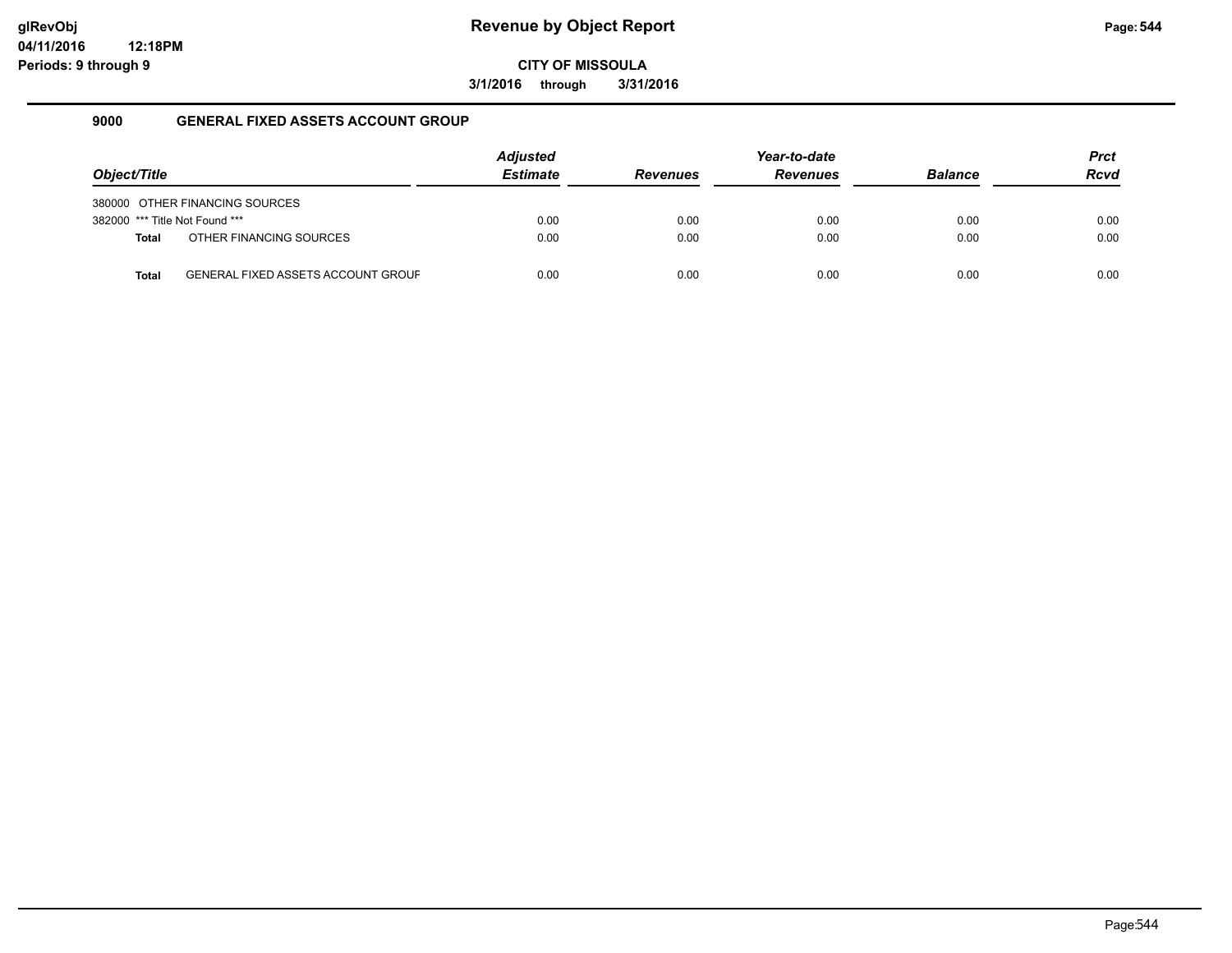**3/1/2016 through 3/31/2016**

### **9000 GENERAL FIXED ASSETS ACCOUNT GROUP**

|                                |                                           | <b>Adjusted</b> |                 | Year-to-date    |                | <b>Prct</b> |
|--------------------------------|-------------------------------------------|-----------------|-----------------|-----------------|----------------|-------------|
| Object/Title                   |                                           | <b>Estimate</b> | <b>Revenues</b> | <b>Revenues</b> | <b>Balance</b> | <b>Rcvd</b> |
|                                | 380000 OTHER FINANCING SOURCES            |                 |                 |                 |                |             |
| 382000 *** Title Not Found *** |                                           | 0.00            | 0.00            | 0.00            | 0.00           | 0.00        |
| <b>Total</b>                   | OTHER FINANCING SOURCES                   | 0.00            | 0.00            | 0.00            | 0.00           | 0.00        |
| Total                          | <b>GENERAL FIXED ASSETS ACCOUNT GROUF</b> | 0.00            | 0.00            | 0.00            | 0.00           | 0.00        |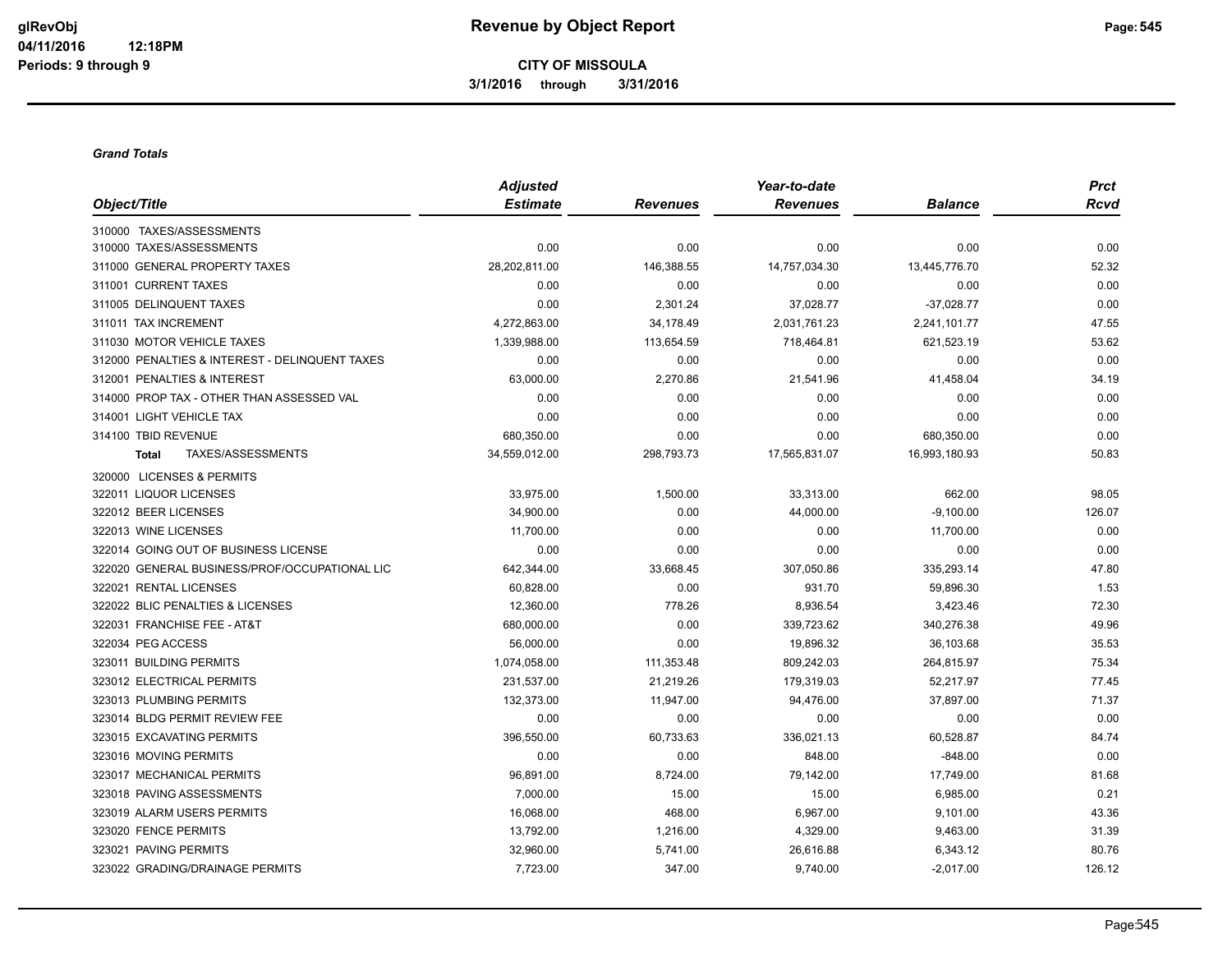**CITY OF MISSOULA 3/1/2016 through 3/31/2016**

#### *Grand Totals*

|                                                | <b>Adjusted</b> |                 | Year-to-date    |                | <b>Prct</b> |
|------------------------------------------------|-----------------|-----------------|-----------------|----------------|-------------|
| Object/Title                                   | <b>Estimate</b> | <b>Revenues</b> | <b>Revenues</b> | <b>Balance</b> | <b>Rcvd</b> |
| 310000 TAXES/ASSESSMENTS                       |                 |                 |                 |                |             |
| 310000 TAXES/ASSESSMENTS                       | 0.00            | 0.00            | 0.00            | 0.00           | 0.00        |
| 311000 GENERAL PROPERTY TAXES                  | 28,202,811.00   | 146,388.55      | 14,757,034.30   | 13,445,776.70  | 52.32       |
| 311001 CURRENT TAXES                           | 0.00            | 0.00            | 0.00            | 0.00           | 0.00        |
| 311005 DELINQUENT TAXES                        | 0.00            | 2,301.24        | 37,028.77       | $-37,028.77$   | 0.00        |
| 311011 TAX INCREMENT                           | 4,272,863.00    | 34,178.49       | 2,031,761.23    | 2,241,101.77   | 47.55       |
| 311030 MOTOR VEHICLE TAXES                     | 1,339,988.00    | 113,654.59      | 718,464.81      | 621,523.19     | 53.62       |
| 312000 PENALTIES & INTEREST - DELINQUENT TAXES | 0.00            | 0.00            | 0.00            | 0.00           | 0.00        |
| 312001 PENALTIES & INTEREST                    | 63,000.00       | 2,270.86        | 21,541.96       | 41,458.04      | 34.19       |
| 314000 PROP TAX - OTHER THAN ASSESSED VAL      | 0.00            | 0.00            | 0.00            | 0.00           | 0.00        |
| 314001 LIGHT VEHICLE TAX                       | 0.00            | 0.00            | 0.00            | 0.00           | 0.00        |
| 314100 TBID REVENUE                            | 680,350.00      | 0.00            | 0.00            | 680,350.00     | 0.00        |
| TAXES/ASSESSMENTS<br><b>Total</b>              | 34,559,012.00   | 298,793.73      | 17,565,831.07   | 16,993,180.93  | 50.83       |
| 320000 LICENSES & PERMITS                      |                 |                 |                 |                |             |
| 322011 LIQUOR LICENSES                         | 33,975.00       | 1,500.00        | 33,313.00       | 662.00         | 98.05       |
| 322012 BEER LICENSES                           | 34,900.00       | 0.00            | 44,000.00       | $-9,100.00$    | 126.07      |
| 322013 WINE LICENSES                           | 11,700.00       | 0.00            | 0.00            | 11,700.00      | 0.00        |
| 322014 GOING OUT OF BUSINESS LICENSE           | 0.00            | 0.00            | 0.00            | 0.00           | 0.00        |
| 322020 GENERAL BUSINESS/PROF/OCCUPATIONAL LIC  | 642,344.00      | 33,668.45       | 307,050.86      | 335,293.14     | 47.80       |
| 322021 RENTAL LICENSES                         | 60,828.00       | 0.00            | 931.70          | 59,896.30      | 1.53        |
| 322022 BLIC PENALTIES & LICENSES               | 12,360.00       | 778.26          | 8,936.54        | 3,423.46       | 72.30       |
| 322031 FRANCHISE FEE - AT&T                    | 680,000.00      | 0.00            | 339,723.62      | 340,276.38     | 49.96       |
| 322034 PEG ACCESS                              | 56,000.00       | 0.00            | 19,896.32       | 36,103.68      | 35.53       |
| 323011 BUILDING PERMITS                        | 1,074,058.00    | 111,353.48      | 809,242.03      | 264,815.97     | 75.34       |
| 323012 ELECTRICAL PERMITS                      | 231,537.00      | 21,219.26       | 179,319.03      | 52,217.97      | 77.45       |
| 323013 PLUMBING PERMITS                        | 132,373.00      | 11,947.00       | 94,476.00       | 37,897.00      | 71.37       |
| 323014 BLDG PERMIT REVIEW FEE                  | 0.00            | 0.00            | 0.00            | 0.00           | 0.00        |
| 323015 EXCAVATING PERMITS                      | 396,550.00      | 60,733.63       | 336,021.13      | 60,528.87      | 84.74       |
| 323016 MOVING PERMITS                          | 0.00            | 0.00            | 848.00          | $-848.00$      | 0.00        |
| 323017 MECHANICAL PERMITS                      | 96,891.00       | 8,724.00        | 79,142.00       | 17,749.00      | 81.68       |
| 323018 PAVING ASSESSMENTS                      | 7,000.00        | 15.00           | 15.00           | 6,985.00       | 0.21        |
| 323019 ALARM USERS PERMITS                     | 16,068.00       | 468.00          | 6,967.00        | 9,101.00       | 43.36       |
| 323020 FENCE PERMITS                           | 13,792.00       | 1,216.00        | 4,329.00        | 9,463.00       | 31.39       |
| 323021 PAVING PERMITS                          | 32,960.00       | 5,741.00        | 26,616.88       | 6,343.12       | 80.76       |
| 323022 GRADING/DRAINAGE PERMITS                | 7,723.00        | 347.00          | 9,740.00        | $-2,017.00$    | 126.12      |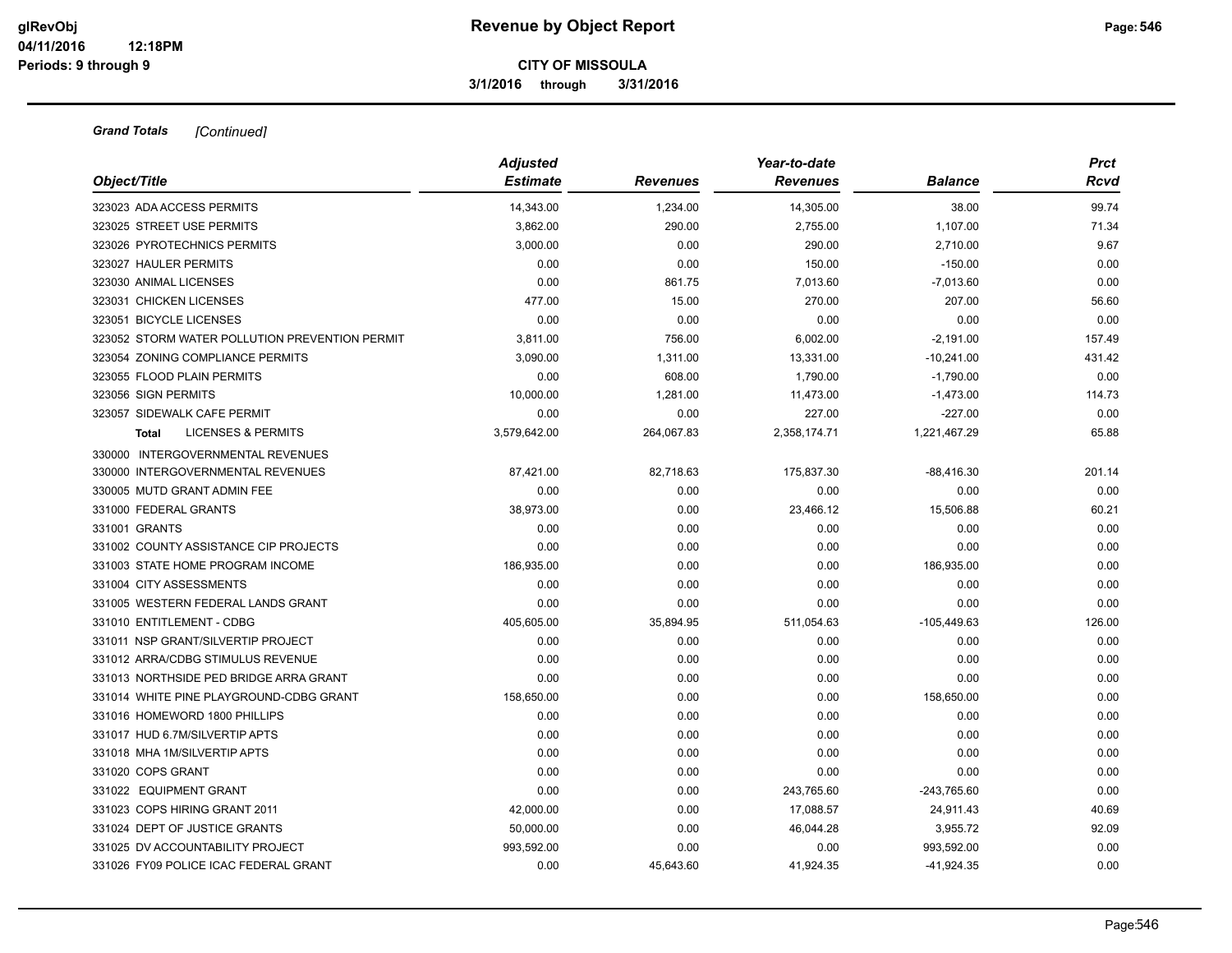**3/1/2016 through 3/31/2016**

| Object/Title                                   | <b>Adjusted</b><br><b>Estimate</b> | Revenues   | Year-to-date<br><b>Revenues</b> | <b>Balance</b> | <b>Prct</b><br>Rcvd |
|------------------------------------------------|------------------------------------|------------|---------------------------------|----------------|---------------------|
| 323023 ADA ACCESS PERMITS                      | 14.343.00                          | 1,234.00   | 14,305.00                       | 38.00          | 99.74               |
| 323025 STREET USE PERMITS                      | 3,862.00                           | 290.00     | 2,755.00                        | 1,107.00       | 71.34               |
| 323026 PYROTECHNICS PERMITS                    | 3,000.00                           | 0.00       | 290.00                          | 2,710.00       | 9.67                |
| 323027 HAULER PERMITS                          | 0.00                               | 0.00       | 150.00                          | $-150.00$      | 0.00                |
| 323030 ANIMAL LICENSES                         | 0.00                               | 861.75     | 7,013.60                        | $-7,013.60$    | 0.00                |
| 323031 CHICKEN LICENSES                        | 477.00                             | 15.00      | 270.00                          | 207.00         | 56.60               |
| 323051 BICYCLE LICENSES                        | 0.00                               | 0.00       | 0.00                            | 0.00           | 0.00                |
| 323052 STORM WATER POLLUTION PREVENTION PERMIT | 3,811.00                           | 756.00     | 6,002.00                        | $-2,191.00$    | 157.49              |
| 323054 ZONING COMPLIANCE PERMITS               | 3,090.00                           | 1,311.00   | 13,331.00                       | $-10,241.00$   | 431.42              |
| 323055 FLOOD PLAIN PERMITS                     | 0.00                               | 608.00     | 1,790.00                        | $-1,790.00$    | 0.00                |
| 323056 SIGN PERMITS                            | 10,000.00                          | 1,281.00   | 11,473.00                       | $-1,473.00$    | 114.73              |
| 323057 SIDEWALK CAFE PERMIT                    | 0.00                               | 0.00       | 227.00                          | $-227.00$      | 0.00                |
| <b>LICENSES &amp; PERMITS</b><br>Total         | 3,579,642.00                       | 264,067.83 | 2,358,174.71                    | 1,221,467.29   | 65.88               |
| 330000 INTERGOVERNMENTAL REVENUES              |                                    |            |                                 |                |                     |
| 330000 INTERGOVERNMENTAL REVENUES              | 87,421.00                          | 82,718.63  | 175,837.30                      | $-88,416.30$   | 201.14              |
| 330005 MUTD GRANT ADMIN FEE                    | 0.00                               | 0.00       | 0.00                            | 0.00           | 0.00                |
| 331000 FEDERAL GRANTS                          | 38,973.00                          | 0.00       | 23,466.12                       | 15,506.88      | 60.21               |
| 331001 GRANTS                                  | 0.00                               | 0.00       | 0.00                            | 0.00           | 0.00                |
| 331002 COUNTY ASSISTANCE CIP PROJECTS          | 0.00                               | 0.00       | 0.00                            | 0.00           | 0.00                |
| 331003 STATE HOME PROGRAM INCOME               | 186,935.00                         | 0.00       | 0.00                            | 186,935.00     | 0.00                |
| 331004 CITY ASSESSMENTS                        | 0.00                               | 0.00       | 0.00                            | 0.00           | 0.00                |
| 331005 WESTERN FEDERAL LANDS GRANT             | 0.00                               | 0.00       | 0.00                            | 0.00           | 0.00                |
| 331010 ENTITLEMENT - CDBG                      | 405,605.00                         | 35,894.95  | 511,054.63                      | $-105,449.63$  | 126.00              |
| 331011 NSP GRANT/SILVERTIP PROJECT             | 0.00                               | 0.00       | 0.00                            | 0.00           | 0.00                |
| 331012 ARRA/CDBG STIMULUS REVENUE              | 0.00                               | 0.00       | 0.00                            | 0.00           | 0.00                |
| 331013 NORTHSIDE PED BRIDGE ARRA GRANT         | 0.00                               | 0.00       | 0.00                            | 0.00           | 0.00                |
| 331014 WHITE PINE PLAYGROUND-CDBG GRANT        | 158,650.00                         | 0.00       | 0.00                            | 158,650.00     | 0.00                |
| 331016 HOMEWORD 1800 PHILLIPS                  | 0.00                               | 0.00       | 0.00                            | 0.00           | 0.00                |
| 331017 HUD 6.7M/SILVERTIP APTS                 | 0.00                               | 0.00       | 0.00                            | 0.00           | 0.00                |
| 331018 MHA 1M/SILVERTIP APTS                   | 0.00                               | 0.00       | 0.00                            | 0.00           | 0.00                |
| 331020 COPS GRANT                              | 0.00                               | 0.00       | 0.00                            | 0.00           | 0.00                |
| 331022 EQUIPMENT GRANT                         | 0.00                               | 0.00       | 243,765.60                      | $-243,765.60$  | 0.00                |
| 331023 COPS HIRING GRANT 2011                  | 42,000.00                          | 0.00       | 17,088.57                       | 24,911.43      | 40.69               |
| 331024 DEPT OF JUSTICE GRANTS                  | 50,000.00                          | 0.00       | 46,044.28                       | 3,955.72       | 92.09               |
| 331025 DV ACCOUNTABILITY PROJECT               | 993,592.00                         | 0.00       | 0.00                            | 993,592.00     | 0.00                |
| 331026 FY09 POLICE ICAC FEDERAL GRANT          | 0.00                               | 45.643.60  | 41.924.35                       | $-41.924.35$   | 0.00                |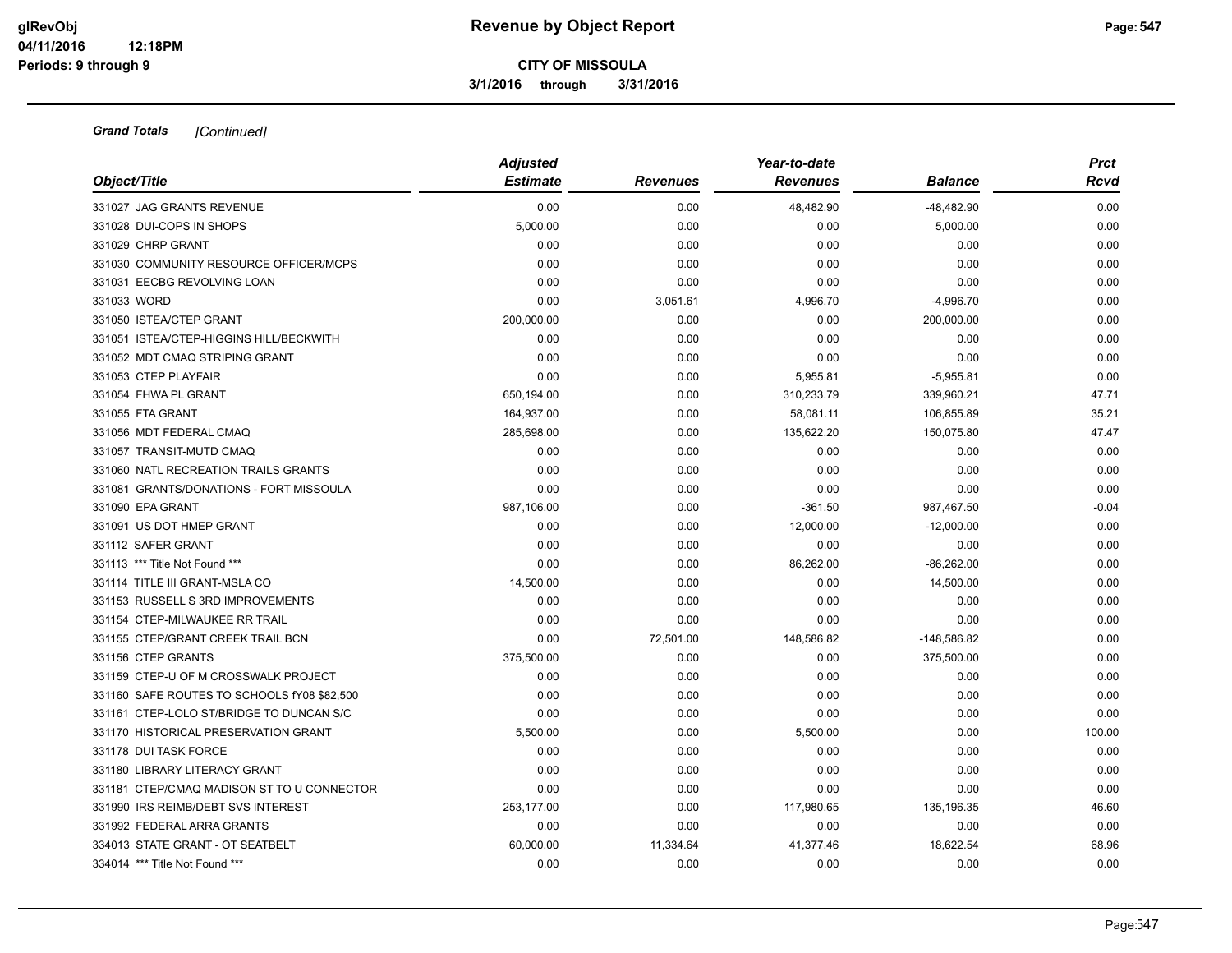**3/1/2016 through 3/31/2016**

|                                             | <b>Adjusted</b> |                 | Year-to-date    |                | <b>Prct</b> |
|---------------------------------------------|-----------------|-----------------|-----------------|----------------|-------------|
| Object/Title                                | <b>Estimate</b> | <b>Revenues</b> | <b>Revenues</b> | <b>Balance</b> | Rcvd        |
| 331027 JAG GRANTS REVENUE                   | 0.00            | 0.00            | 48,482.90       | $-48,482.90$   | 0.00        |
| 331028 DUI-COPS IN SHOPS                    | 5,000.00        | 0.00            | 0.00            | 5,000.00       | 0.00        |
| 331029 CHRP GRANT                           | 0.00            | 0.00            | 0.00            | 0.00           | 0.00        |
| 331030 COMMUNITY RESOURCE OFFICER/MCPS      | 0.00            | 0.00            | 0.00            | 0.00           | 0.00        |
| 331031 EECBG REVOLVING LOAN                 | 0.00            | 0.00            | 0.00            | 0.00           | 0.00        |
| 331033 WORD                                 | 0.00            | 3,051.61        | 4,996.70        | $-4,996.70$    | 0.00        |
| 331050 ISTEA/CTEP GRANT                     | 200,000.00      | 0.00            | 0.00            | 200,000.00     | 0.00        |
| 331051 ISTEA/CTEP-HIGGINS HILL/BECKWITH     | 0.00            | 0.00            | 0.00            | 0.00           | 0.00        |
| 331052 MDT CMAQ STRIPING GRANT              | 0.00            | 0.00            | 0.00            | 0.00           | 0.00        |
| 331053 CTEP PLAYFAIR                        | 0.00            | 0.00            | 5,955.81        | $-5,955.81$    | 0.00        |
| 331054 FHWA PL GRANT                        | 650,194.00      | 0.00            | 310,233.79      | 339,960.21     | 47.71       |
| 331055 FTA GRANT                            | 164,937.00      | 0.00            | 58,081.11       | 106,855.89     | 35.21       |
| 331056 MDT FEDERAL CMAQ                     | 285,698.00      | 0.00            | 135,622.20      | 150,075.80     | 47.47       |
| 331057 TRANSIT-MUTD CMAQ                    | 0.00            | 0.00            | 0.00            | 0.00           | 0.00        |
| 331060 NATL RECREATION TRAILS GRANTS        | 0.00            | 0.00            | 0.00            | 0.00           | 0.00        |
| 331081 GRANTS/DONATIONS - FORT MISSOULA     | 0.00            | 0.00            | 0.00            | 0.00           | 0.00        |
| 331090 EPA GRANT                            | 987,106.00      | 0.00            | $-361.50$       | 987,467.50     | $-0.04$     |
| 331091 US DOT HMEP GRANT                    | 0.00            | 0.00            | 12,000.00       | $-12,000.00$   | 0.00        |
| 331112 SAFER GRANT                          | 0.00            | 0.00            | 0.00            | 0.00           | 0.00        |
| 331113 *** Title Not Found ***              | 0.00            | 0.00            | 86,262.00       | $-86,262.00$   | 0.00        |
| 331114 TITLE III GRANT-MSLA CO              | 14,500.00       | 0.00            | 0.00            | 14,500.00      | 0.00        |
| 331153 RUSSELL S 3RD IMPROVEMENTS           | 0.00            | 0.00            | 0.00            | 0.00           | 0.00        |
| 331154 CTEP-MILWAUKEE RR TRAIL              | 0.00            | 0.00            | 0.00            | 0.00           | 0.00        |
| 331155 CTEP/GRANT CREEK TRAIL BCN           | 0.00            | 72,501.00       | 148,586.82      | $-148,586.82$  | 0.00        |
| 331156 CTEP GRANTS                          | 375,500.00      | 0.00            | 0.00            | 375,500.00     | 0.00        |
| 331159 CTEP-U OF M CROSSWALK PROJECT        | 0.00            | 0.00            | 0.00            | 0.00           | 0.00        |
| 331160 SAFE ROUTES TO SCHOOLS fY08 \$82,500 | 0.00            | 0.00            | 0.00            | 0.00           | 0.00        |
| 331161 CTEP-LOLO ST/BRIDGE TO DUNCAN S/C    | 0.00            | 0.00            | 0.00            | 0.00           | 0.00        |
| 331170 HISTORICAL PRESERVATION GRANT        | 5,500.00        | 0.00            | 5,500.00        | 0.00           | 100.00      |
| 331178 DUI TASK FORCE                       | 0.00            | 0.00            | 0.00            | 0.00           | 0.00        |
| 331180 LIBRARY LITERACY GRANT               | 0.00            | 0.00            | 0.00            | 0.00           | 0.00        |
| 331181 CTEP/CMAQ MADISON ST TO U CONNECTOR  | 0.00            | 0.00            | 0.00            | 0.00           | 0.00        |
| 331990 IRS REIMB/DEBT SVS INTEREST          | 253,177.00      | 0.00            | 117,980.65      | 135,196.35     | 46.60       |
| 331992 FEDERAL ARRA GRANTS                  | 0.00            | 0.00            | 0.00            | 0.00           | 0.00        |
| 334013 STATE GRANT - OT SEATBELT            | 60,000.00       | 11,334.64       | 41,377.46       | 18,622.54      | 68.96       |
| 334014 *** Title Not Found ***              | 0.00            | 0.00            | 0.00            | 0.00           | 0.00        |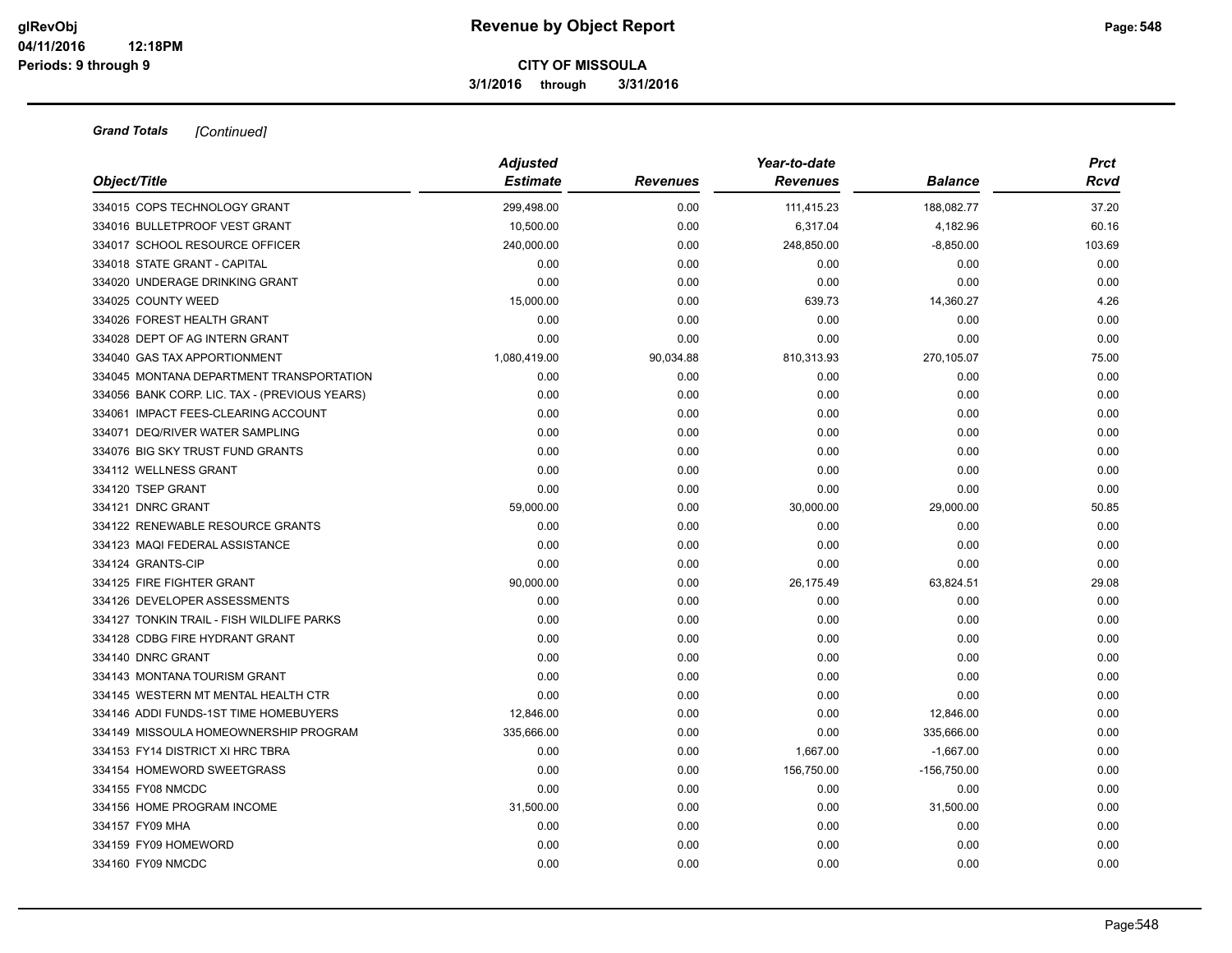**3/1/2016 through 3/31/2016**

| Object/Title                                  | <b>Adjusted</b><br><b>Estimate</b> | <b>Revenues</b> | Year-to-date<br><b>Revenues</b> | <b>Balance</b> | <b>Prct</b><br>Rcvd |
|-----------------------------------------------|------------------------------------|-----------------|---------------------------------|----------------|---------------------|
| 334015 COPS TECHNOLOGY GRANT                  | 299,498.00                         | 0.00            | 111,415.23                      | 188,082.77     | 37.20               |
| 334016 BULLETPROOF VEST GRANT                 | 10,500.00                          | 0.00            | 6,317.04                        | 4,182.96       | 60.16               |
| 334017 SCHOOL RESOURCE OFFICER                | 240,000.00                         | 0.00            | 248,850.00                      | $-8,850.00$    | 103.69              |
| 334018 STATE GRANT - CAPITAL                  | 0.00                               | 0.00            | 0.00                            | 0.00           | 0.00                |
| 334020 UNDERAGE DRINKING GRANT                | 0.00                               | 0.00            | 0.00                            | 0.00           | 0.00                |
| 334025 COUNTY WEED                            | 15,000.00                          | 0.00            | 639.73                          | 14,360.27      | 4.26                |
| 334026 FOREST HEALTH GRANT                    | 0.00                               | 0.00            | 0.00                            | 0.00           | 0.00                |
| 334028 DEPT OF AG INTERN GRANT                | 0.00                               | 0.00            | 0.00                            | 0.00           | 0.00                |
| 334040 GAS TAX APPORTIONMENT                  | 1,080,419.00                       | 90,034.88       | 810,313.93                      | 270,105.07     | 75.00               |
| 334045 MONTANA DEPARTMENT TRANSPORTATION      | 0.00                               | 0.00            | 0.00                            | 0.00           | 0.00                |
| 334056 BANK CORP. LIC. TAX - (PREVIOUS YEARS) | 0.00                               | 0.00            | 0.00                            | 0.00           | 0.00                |
| 334061 IMPACT FEES-CLEARING ACCOUNT           | 0.00                               | 0.00            | 0.00                            | 0.00           | 0.00                |
| 334071 DEQ/RIVER WATER SAMPLING               | 0.00                               | 0.00            | 0.00                            | 0.00           | 0.00                |
| 334076 BIG SKY TRUST FUND GRANTS              | 0.00                               | 0.00            | 0.00                            | 0.00           | 0.00                |
| 334112 WELLNESS GRANT                         | 0.00                               | 0.00            | 0.00                            | 0.00           | 0.00                |
| 334120 TSEP GRANT                             | 0.00                               | 0.00            | 0.00                            | 0.00           | 0.00                |
| 334121 DNRC GRANT                             | 59,000.00                          | 0.00            | 30,000.00                       | 29,000.00      | 50.85               |
| 334122 RENEWABLE RESOURCE GRANTS              | 0.00                               | 0.00            | 0.00                            | 0.00           | 0.00                |
| 334123 MAQI FEDERAL ASSISTANCE                | 0.00                               | 0.00            | 0.00                            | 0.00           | 0.00                |
| 334124 GRANTS-CIP                             | 0.00                               | 0.00            | 0.00                            | 0.00           | 0.00                |
| 334125 FIRE FIGHTER GRANT                     | 90,000.00                          | 0.00            | 26,175.49                       | 63,824.51      | 29.08               |
| 334126 DEVELOPER ASSESSMENTS                  | 0.00                               | 0.00            | 0.00                            | 0.00           | 0.00                |
| 334127 TONKIN TRAIL - FISH WILDLIFE PARKS     | 0.00                               | 0.00            | 0.00                            | 0.00           | 0.00                |
| 334128 CDBG FIRE HYDRANT GRANT                | 0.00                               | 0.00            | 0.00                            | 0.00           | 0.00                |
| 334140 DNRC GRANT                             | 0.00                               | 0.00            | 0.00                            | 0.00           | 0.00                |
| 334143 MONTANA TOURISM GRANT                  | 0.00                               | 0.00            | 0.00                            | 0.00           | 0.00                |
| 334145 WESTERN MT MENTAL HEALTH CTR           | 0.00                               | 0.00            | 0.00                            | 0.00           | 0.00                |
| 334146 ADDI FUNDS-1ST TIME HOMEBUYERS         | 12,846.00                          | 0.00            | 0.00                            | 12,846.00      | 0.00                |
| 334149 MISSOULA HOMEOWNERSHIP PROGRAM         | 335.666.00                         | 0.00            | 0.00                            | 335.666.00     | 0.00                |
| 334153 FY14 DISTRICT XI HRC TBRA              | 0.00                               | 0.00            | 1,667.00                        | $-1,667.00$    | 0.00                |
| 334154 HOMEWORD SWEETGRASS                    | 0.00                               | 0.00            | 156,750.00                      | $-156,750.00$  | 0.00                |
| 334155 FY08 NMCDC                             | 0.00                               | 0.00            | 0.00                            | 0.00           | 0.00                |
| 334156 HOME PROGRAM INCOME                    | 31,500.00                          | 0.00            | 0.00                            | 31,500.00      | 0.00                |
| 334157 FY09 MHA                               | 0.00                               | 0.00            | 0.00                            | 0.00           | 0.00                |
| 334159 FY09 HOMEWORD                          | 0.00                               | 0.00            | 0.00                            | 0.00           | 0.00                |
| 334160 FY09 NMCDC                             | 0.00                               | 0.00            | 0.00                            | 0.00           | 0.00                |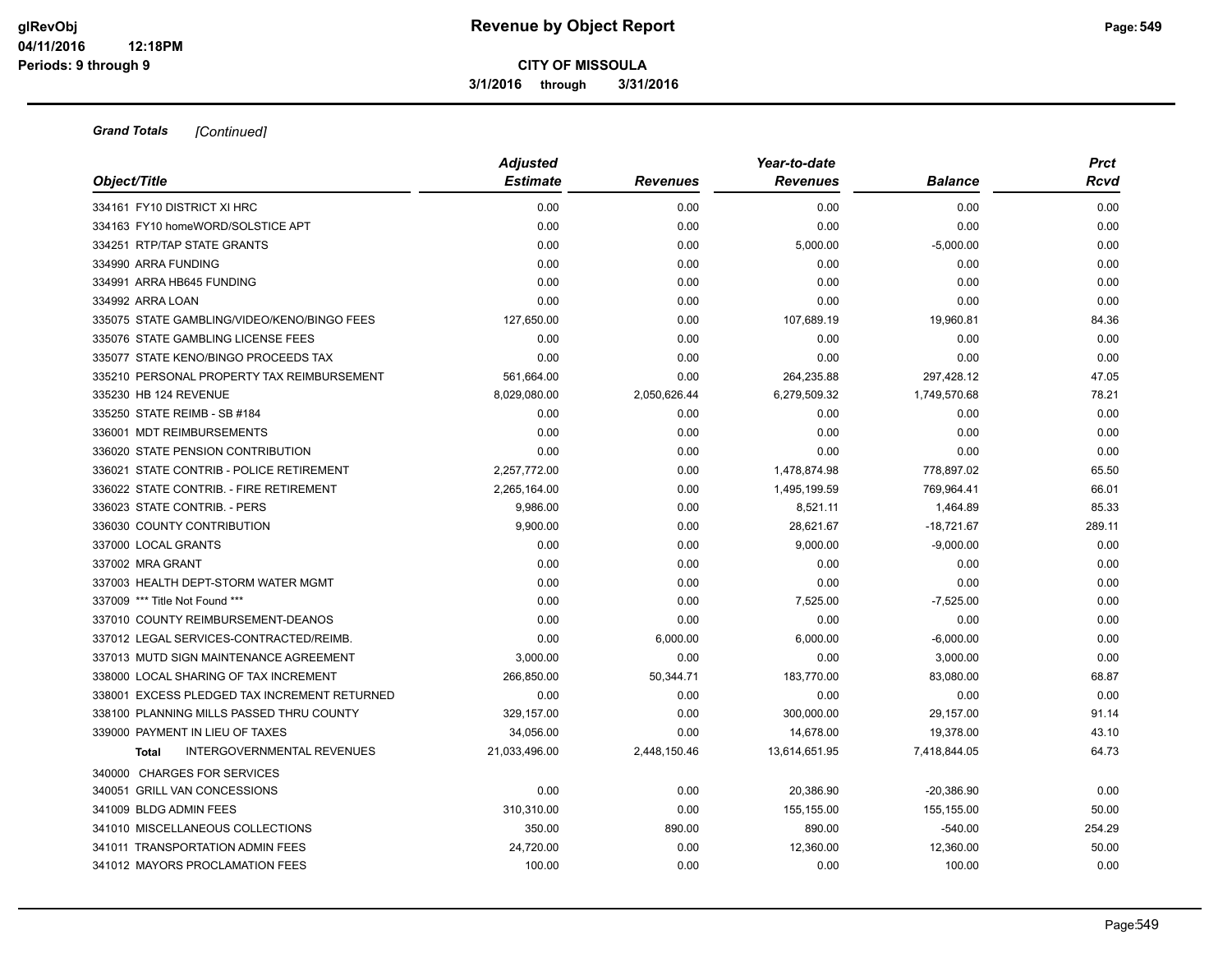**3/1/2016 through 3/31/2016**

| Object/Title                                      | <b>Adjusted</b><br><b>Estimate</b> | <b>Revenues</b> | Year-to-date<br><b>Revenues</b> | <b>Balance</b> | <b>Prct</b><br><b>Rcvd</b> |
|---------------------------------------------------|------------------------------------|-----------------|---------------------------------|----------------|----------------------------|
|                                                   |                                    |                 |                                 |                |                            |
| 334161 FY10 DISTRICT XI HRC                       | 0.00                               | 0.00            | 0.00                            | 0.00           | 0.00                       |
| 334163 FY10 homeWORD/SOLSTICE APT                 | 0.00                               | 0.00            | 0.00                            | 0.00           | 0.00                       |
| 334251 RTP/TAP STATE GRANTS                       | 0.00                               | 0.00            | 5,000.00                        | $-5,000.00$    | 0.00                       |
| 334990 ARRA FUNDING                               | 0.00                               | 0.00            | 0.00                            | 0.00           | 0.00                       |
| 334991 ARRA HB645 FUNDING                         | 0.00                               | 0.00            | 0.00                            | 0.00           | 0.00                       |
| 334992 ARRA LOAN                                  | 0.00                               | 0.00            | 0.00                            | 0.00           | 0.00                       |
| 335075 STATE GAMBLING/VIDEO/KENO/BINGO FEES       | 127,650.00                         | 0.00            | 107,689.19                      | 19,960.81      | 84.36                      |
| 335076 STATE GAMBLING LICENSE FEES                | 0.00                               | 0.00            | 0.00                            | 0.00           | 0.00                       |
| 335077 STATE KENO/BINGO PROCEEDS TAX              | 0.00                               | 0.00            | 0.00                            | 0.00           | 0.00                       |
| 335210 PERSONAL PROPERTY TAX REIMBURSEMENT        | 561,664.00                         | 0.00            | 264,235.88                      | 297,428.12     | 47.05                      |
| 335230 HB 124 REVENUE                             | 8,029,080.00                       | 2,050,626.44    | 6,279,509.32                    | 1,749,570.68   | 78.21                      |
| 335250 STATE REIMB - SB #184                      | 0.00                               | 0.00            | 0.00                            | 0.00           | 0.00                       |
| 336001 MDT REIMBURSEMENTS                         | 0.00                               | 0.00            | 0.00                            | 0.00           | 0.00                       |
| 336020 STATE PENSION CONTRIBUTION                 | 0.00                               | 0.00            | 0.00                            | 0.00           | 0.00                       |
| 336021 STATE CONTRIB - POLICE RETIREMENT          | 2,257,772.00                       | 0.00            | 1,478,874.98                    | 778,897.02     | 65.50                      |
| 336022 STATE CONTRIB. - FIRE RETIREMENT           | 2,265,164.00                       | 0.00            | 1,495,199.59                    | 769,964.41     | 66.01                      |
| 336023 STATE CONTRIB. - PERS                      | 9,986.00                           | 0.00            | 8,521.11                        | 1,464.89       | 85.33                      |
| 336030 COUNTY CONTRIBUTION                        | 9,900.00                           | 0.00            | 28,621.67                       | $-18,721.67$   | 289.11                     |
| 337000 LOCAL GRANTS                               | 0.00                               | 0.00            | 9,000.00                        | $-9,000.00$    | 0.00                       |
| 337002 MRA GRANT                                  | 0.00                               | 0.00            | 0.00                            | 0.00           | 0.00                       |
| 337003 HEALTH DEPT-STORM WATER MGMT               | 0.00                               | 0.00            | 0.00                            | 0.00           | 0.00                       |
| 337009 *** Title Not Found ***                    | 0.00                               | 0.00            | 7,525.00                        | $-7,525.00$    | 0.00                       |
| 337010 COUNTY REIMBURSEMENT-DEANOS                | 0.00                               | 0.00            | 0.00                            | 0.00           | 0.00                       |
| 337012 LEGAL SERVICES-CONTRACTED/REIMB.           | 0.00                               | 6,000.00        | 6,000.00                        | $-6,000.00$    | 0.00                       |
| 337013 MUTD SIGN MAINTENANCE AGREEMENT            | 3,000.00                           | 0.00            | 0.00                            | 3,000.00       | 0.00                       |
| 338000 LOCAL SHARING OF TAX INCREMENT             | 266,850.00                         | 50,344.71       | 183,770.00                      | 83,080.00      | 68.87                      |
| 338001 EXCESS PLEDGED TAX INCREMENT RETURNED      | 0.00                               | 0.00            | 0.00                            | 0.00           | 0.00                       |
| 338100 PLANNING MILLS PASSED THRU COUNTY          | 329,157.00                         | 0.00            | 300,000.00                      | 29,157.00      | 91.14                      |
| 339000 PAYMENT IN LIEU OF TAXES                   | 34,056.00                          | 0.00            | 14,678.00                       | 19,378.00      | 43.10                      |
| <b>INTERGOVERNMENTAL REVENUES</b><br><b>Total</b> | 21,033,496.00                      | 2,448,150.46    | 13,614,651.95                   | 7,418,844.05   | 64.73                      |
| 340000 CHARGES FOR SERVICES                       |                                    |                 |                                 |                |                            |
| 340051 GRILL VAN CONCESSIONS                      | 0.00                               | 0.00            | 20,386.90                       | $-20,386.90$   | 0.00                       |
| 341009 BLDG ADMIN FEES                            | 310,310.00                         | 0.00            | 155,155.00                      | 155,155.00     | 50.00                      |
| 341010 MISCELLANEOUS COLLECTIONS                  | 350.00                             | 890.00          | 890.00                          | $-540.00$      | 254.29                     |
| 341011 TRANSPORTATION ADMIN FEES                  | 24,720.00                          | 0.00            | 12,360.00                       | 12,360.00      | 50.00                      |
| 341012 MAYORS PROCLAMATION FEES                   | 100.00                             | 0.00            | 0.00                            | 100.00         | 0.00                       |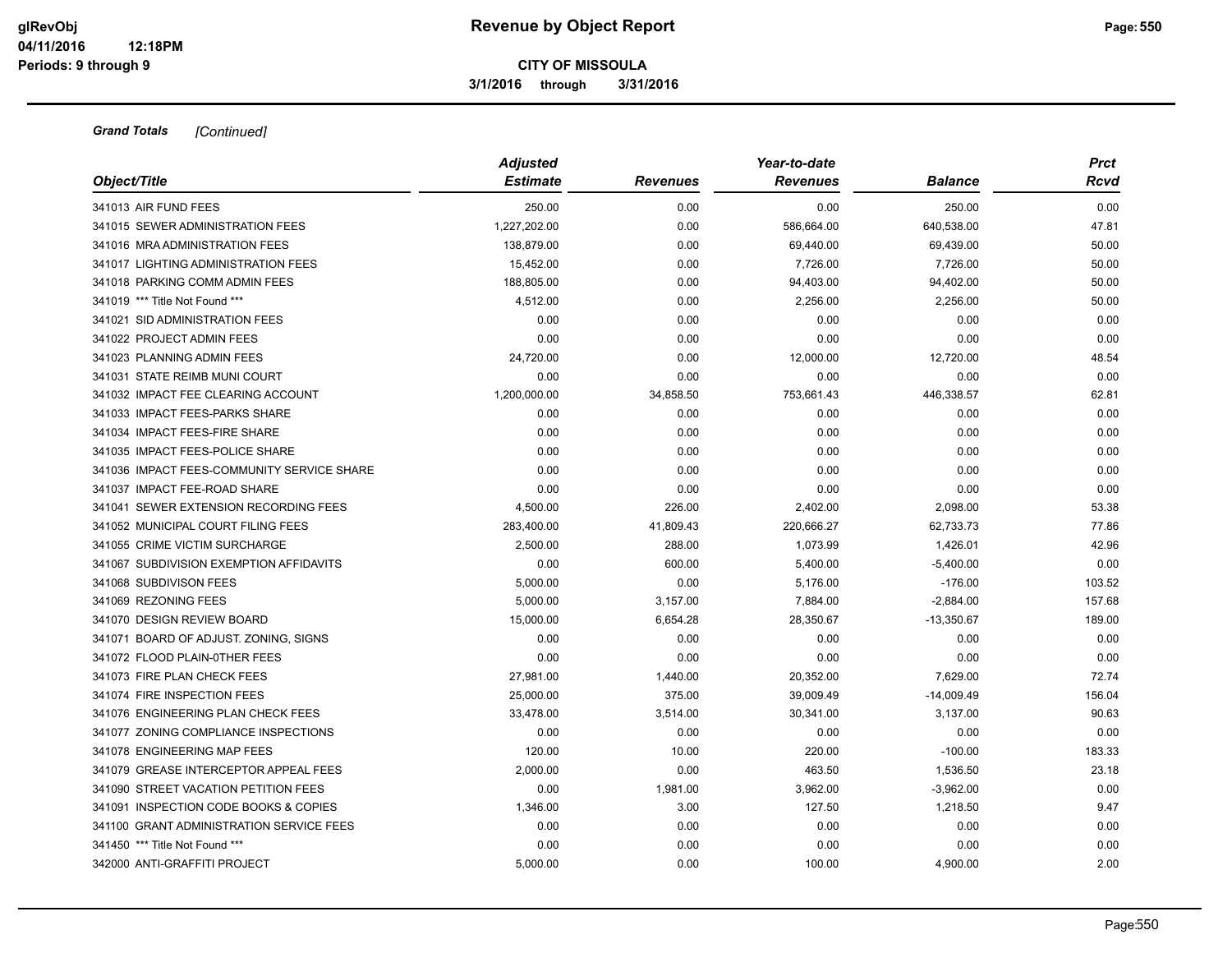**3/1/2016 through 3/31/2016**

|                                            | <b>Adjusted</b> |                 | Year-to-date    |                | <b>Prct</b> |  |
|--------------------------------------------|-----------------|-----------------|-----------------|----------------|-------------|--|
| Object/Title                               | <b>Estimate</b> | <b>Revenues</b> | <b>Revenues</b> | <b>Balance</b> | Rcvd        |  |
| 341013 AIR FUND FEES                       | 250.00          | 0.00            | 0.00            | 250.00         | 0.00        |  |
| 341015 SEWER ADMINISTRATION FEES           | 1,227,202.00    | 0.00            | 586,664.00      | 640,538.00     | 47.81       |  |
| 341016 MRA ADMINISTRATION FEES             | 138,879.00      | 0.00            | 69,440.00       | 69,439.00      | 50.00       |  |
| 341017 LIGHTING ADMINISTRATION FEES        | 15,452.00       | 0.00            | 7,726.00        | 7,726.00       | 50.00       |  |
| 341018 PARKING COMM ADMIN FEES             | 188,805.00      | 0.00            | 94,403.00       | 94,402.00      | 50.00       |  |
| 341019 *** Title Not Found ***             | 4,512.00        | 0.00            | 2,256.00        | 2,256.00       | 50.00       |  |
| 341021 SID ADMINISTRATION FEES             | 0.00            | 0.00            | 0.00            | 0.00           | 0.00        |  |
| 341022 PROJECT ADMIN FEES                  | 0.00            | 0.00            | 0.00            | 0.00           | 0.00        |  |
| 341023 PLANNING ADMIN FEES                 | 24,720.00       | 0.00            | 12,000.00       | 12,720.00      | 48.54       |  |
| 341031 STATE REIMB MUNI COURT              | 0.00            | 0.00            | 0.00            | 0.00           | 0.00        |  |
| 341032 IMPACT FEE CLEARING ACCOUNT         | 1,200,000.00    | 34,858.50       | 753,661.43      | 446,338.57     | 62.81       |  |
| 341033 IMPACT FEES-PARKS SHARE             | 0.00            | 0.00            | 0.00            | 0.00           | 0.00        |  |
| 341034 IMPACT FEES-FIRE SHARE              | 0.00            | 0.00            | 0.00            | 0.00           | 0.00        |  |
| 341035 IMPACT FEES-POLICE SHARE            | 0.00            | 0.00            | 0.00            | 0.00           | 0.00        |  |
| 341036 IMPACT FEES-COMMUNITY SERVICE SHARE | 0.00            | 0.00            | 0.00            | 0.00           | 0.00        |  |
| 341037 IMPACT FEE-ROAD SHARE               | 0.00            | 0.00            | 0.00            | 0.00           | 0.00        |  |
| 341041 SEWER EXTENSION RECORDING FEES      | 4,500.00        | 226.00          | 2,402.00        | 2,098.00       | 53.38       |  |
| 341052 MUNICIPAL COURT FILING FEES         | 283,400.00      | 41,809.43       | 220,666.27      | 62,733.73      | 77.86       |  |
| 341055 CRIME VICTIM SURCHARGE              | 2,500.00        | 288.00          | 1,073.99        | 1,426.01       | 42.96       |  |
| 341067 SUBDIVISION EXEMPTION AFFIDAVITS    | 0.00            | 600.00          | 5,400.00        | $-5,400.00$    | 0.00        |  |
| 341068 SUBDIVISON FEES                     | 5,000.00        | 0.00            | 5,176.00        | $-176.00$      | 103.52      |  |
| 341069 REZONING FEES                       | 5,000.00        | 3,157.00        | 7,884.00        | $-2,884.00$    | 157.68      |  |
| 341070 DESIGN REVIEW BOARD                 | 15,000.00       | 6,654.28        | 28,350.67       | $-13,350.67$   | 189.00      |  |
| 341071 BOARD OF ADJUST. ZONING, SIGNS      | 0.00            | 0.00            | 0.00            | 0.00           | 0.00        |  |
| 341072 FLOOD PLAIN-0THER FEES              | 0.00            | 0.00            | 0.00            | 0.00           | 0.00        |  |
| 341073 FIRE PLAN CHECK FEES                | 27,981.00       | 1,440.00        | 20,352.00       | 7,629.00       | 72.74       |  |
| 341074 FIRE INSPECTION FEES                | 25,000.00       | 375.00          | 39,009.49       | $-14,009.49$   | 156.04      |  |
| 341076 ENGINEERING PLAN CHECK FEES         | 33,478.00       | 3,514.00        | 30,341.00       | 3,137.00       | 90.63       |  |
| 341077 ZONING COMPLIANCE INSPECTIONS       | 0.00            | 0.00            | 0.00            | 0.00           | 0.00        |  |
| 341078 ENGINEERING MAP FEES                | 120.00          | 10.00           | 220.00          | $-100.00$      | 183.33      |  |
| 341079 GREASE INTERCEPTOR APPEAL FEES      | 2,000.00        | 0.00            | 463.50          | 1,536.50       | 23.18       |  |
| 341090 STREET VACATION PETITION FEES       | 0.00            | 1,981.00        | 3,962.00        | $-3,962.00$    | 0.00        |  |
| 341091 INSPECTION CODE BOOKS & COPIES      | 1,346.00        | 3.00            | 127.50          | 1,218.50       | 9.47        |  |
| 341100 GRANT ADMINISTRATION SERVICE FEES   | 0.00            | 0.00            | 0.00            | 0.00           | 0.00        |  |
| 341450 *** Title Not Found ***             | 0.00            | 0.00            | 0.00            | 0.00           | 0.00        |  |
| 342000 ANTI-GRAFFITI PROJECT               | 5,000.00        | 0.00            | 100.00          | 4,900.00       | 2.00        |  |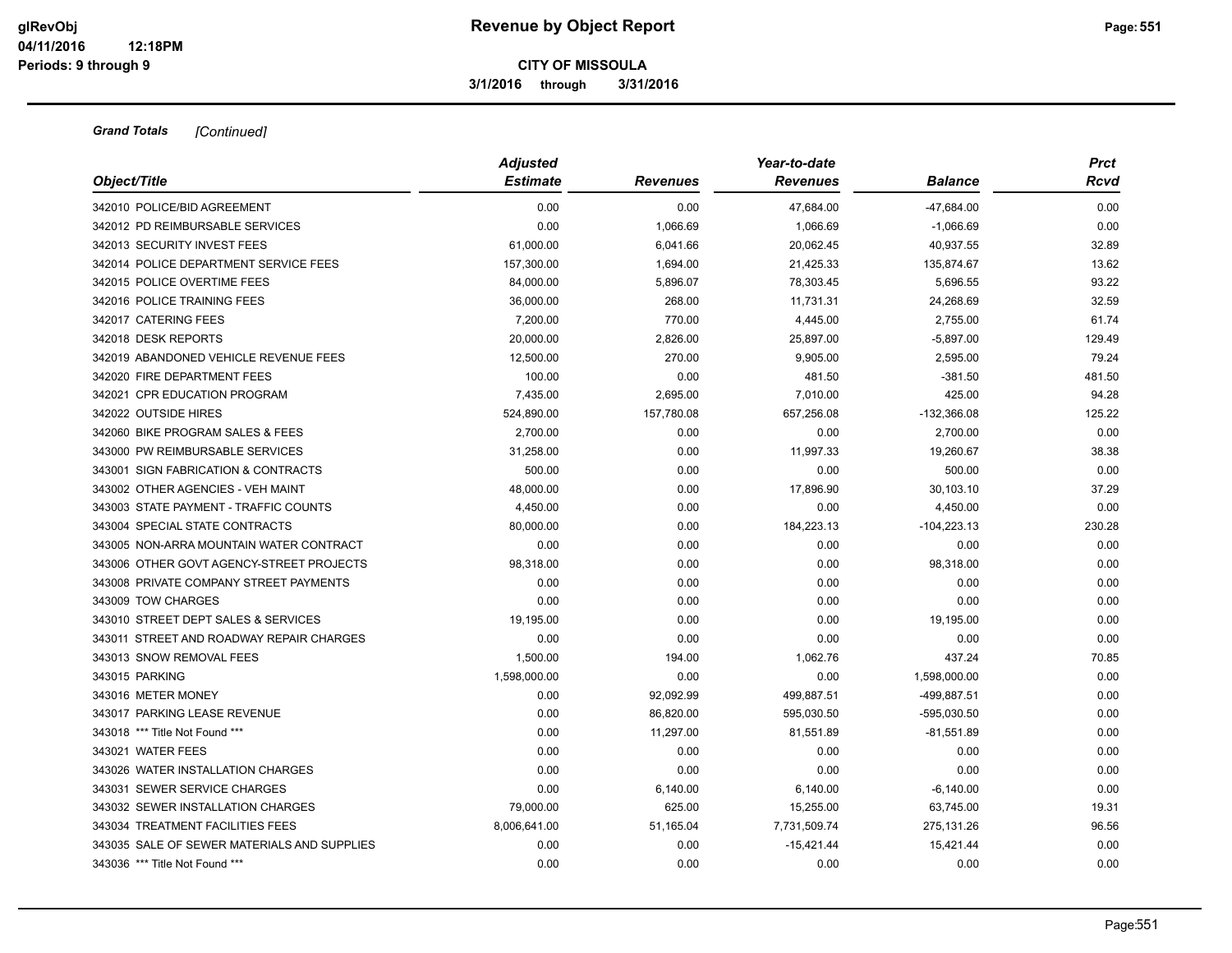**3/1/2016 through 3/31/2016**

| Object/Title                                | <b>Adjusted</b><br><b>Estimate</b> | <b>Revenues</b> | Year-to-date<br><b>Revenues</b> | <b>Balance</b> | <b>Prct</b><br>Rcvd |
|---------------------------------------------|------------------------------------|-----------------|---------------------------------|----------------|---------------------|
|                                             |                                    |                 |                                 |                |                     |
| 342010 POLICE/BID AGREEMENT                 | 0.00                               | 0.00            | 47,684.00                       | $-47,684.00$   | 0.00                |
| 342012 PD REIMBURSABLE SERVICES             | 0.00                               | 1,066.69        | 1,066.69                        | $-1,066.69$    | 0.00                |
| 342013 SECURITY INVEST FEES                 | 61,000.00                          | 6,041.66        | 20,062.45                       | 40,937.55      | 32.89               |
| 342014 POLICE DEPARTMENT SERVICE FEES       | 157,300.00                         | 1,694.00        | 21,425.33                       | 135,874.67     | 13.62               |
| 342015 POLICE OVERTIME FEES                 | 84,000.00                          | 5,896.07        | 78,303.45                       | 5,696.55       | 93.22               |
| 342016 POLICE TRAINING FEES                 | 36,000.00                          | 268.00          | 11,731.31                       | 24,268.69      | 32.59               |
| 342017 CATERING FEES                        | 7,200.00                           | 770.00          | 4,445.00                        | 2,755.00       | 61.74               |
| 342018 DESK REPORTS                         | 20,000.00                          | 2,826.00        | 25,897.00                       | $-5,897.00$    | 129.49              |
| 342019 ABANDONED VEHICLE REVENUE FEES       | 12,500.00                          | 270.00          | 9,905.00                        | 2,595.00       | 79.24               |
| 342020 FIRE DEPARTMENT FEES                 | 100.00                             | 0.00            | 481.50                          | $-381.50$      | 481.50              |
| 342021 CPR EDUCATION PROGRAM                | 7,435.00                           | 2,695.00        | 7,010.00                        | 425.00         | 94.28               |
| 342022 OUTSIDE HIRES                        | 524,890.00                         | 157,780.08      | 657,256.08                      | $-132,366.08$  | 125.22              |
| 342060 BIKE PROGRAM SALES & FEES            | 2,700.00                           | 0.00            | 0.00                            | 2,700.00       | 0.00                |
| 343000 PW REIMBURSABLE SERVICES             | 31,258.00                          | 0.00            | 11,997.33                       | 19,260.67      | 38.38               |
| 343001 SIGN FABRICATION & CONTRACTS         | 500.00                             | 0.00            | 0.00                            | 500.00         | 0.00                |
| 343002 OTHER AGENCIES - VEH MAINT           | 48,000.00                          | 0.00            | 17,896.90                       | 30,103.10      | 37.29               |
| 343003 STATE PAYMENT - TRAFFIC COUNTS       | 4,450.00                           | 0.00            | 0.00                            | 4,450.00       | 0.00                |
| 343004 SPECIAL STATE CONTRACTS              | 80,000.00                          | 0.00            | 184,223.13                      | $-104,223.13$  | 230.28              |
| 343005 NON-ARRA MOUNTAIN WATER CONTRACT     | 0.00                               | 0.00            | 0.00                            | 0.00           | 0.00                |
| 343006 OTHER GOVT AGENCY-STREET PROJECTS    | 98,318.00                          | 0.00            | 0.00                            | 98,318.00      | 0.00                |
| 343008 PRIVATE COMPANY STREET PAYMENTS      | 0.00                               | 0.00            | 0.00                            | 0.00           | 0.00                |
| 343009 TOW CHARGES                          | 0.00                               | 0.00            | 0.00                            | 0.00           | 0.00                |
| 343010 STREET DEPT SALES & SERVICES         | 19,195.00                          | 0.00            | 0.00                            | 19,195.00      | 0.00                |
| 343011 STREET AND ROADWAY REPAIR CHARGES    | 0.00                               | 0.00            | 0.00                            | 0.00           | 0.00                |
| 343013 SNOW REMOVAL FEES                    | 1,500.00                           | 194.00          | 1,062.76                        | 437.24         | 70.85               |
| 343015 PARKING                              | 1,598,000.00                       | 0.00            | 0.00                            | 1,598,000.00   | 0.00                |
| 343016 METER MONEY                          | 0.00                               | 92,092.99       | 499,887.51                      | -499,887.51    | 0.00                |
| 343017 PARKING LEASE REVENUE                | 0.00                               | 86,820.00       | 595,030.50                      | $-595,030.50$  | 0.00                |
| 343018 *** Title Not Found ***              | 0.00                               | 11,297.00       | 81,551.89                       | $-81,551.89$   | 0.00                |
| 343021 WATER FEES                           | 0.00                               | 0.00            | 0.00                            | 0.00           | 0.00                |
| 343026 WATER INSTALLATION CHARGES           | 0.00                               | 0.00            | 0.00                            | 0.00           | 0.00                |
| 343031 SEWER SERVICE CHARGES                | 0.00                               | 6,140.00        | 6,140.00                        | $-6,140.00$    | 0.00                |
| 343032 SEWER INSTALLATION CHARGES           | 79,000.00                          | 625.00          | 15,255.00                       | 63,745.00      | 19.31               |
| 343034 TREATMENT FACILITIES FEES            | 8,006,641.00                       | 51,165.04       | 7,731,509.74                    | 275,131.26     | 96.56               |
| 343035 SALE OF SEWER MATERIALS AND SUPPLIES | 0.00                               | 0.00            | $-15,421.44$                    | 15,421.44      | 0.00                |
| 343036 *** Title Not Found ***              | 0.00                               | 0.00            | 0.00                            | 0.00           | 0.00                |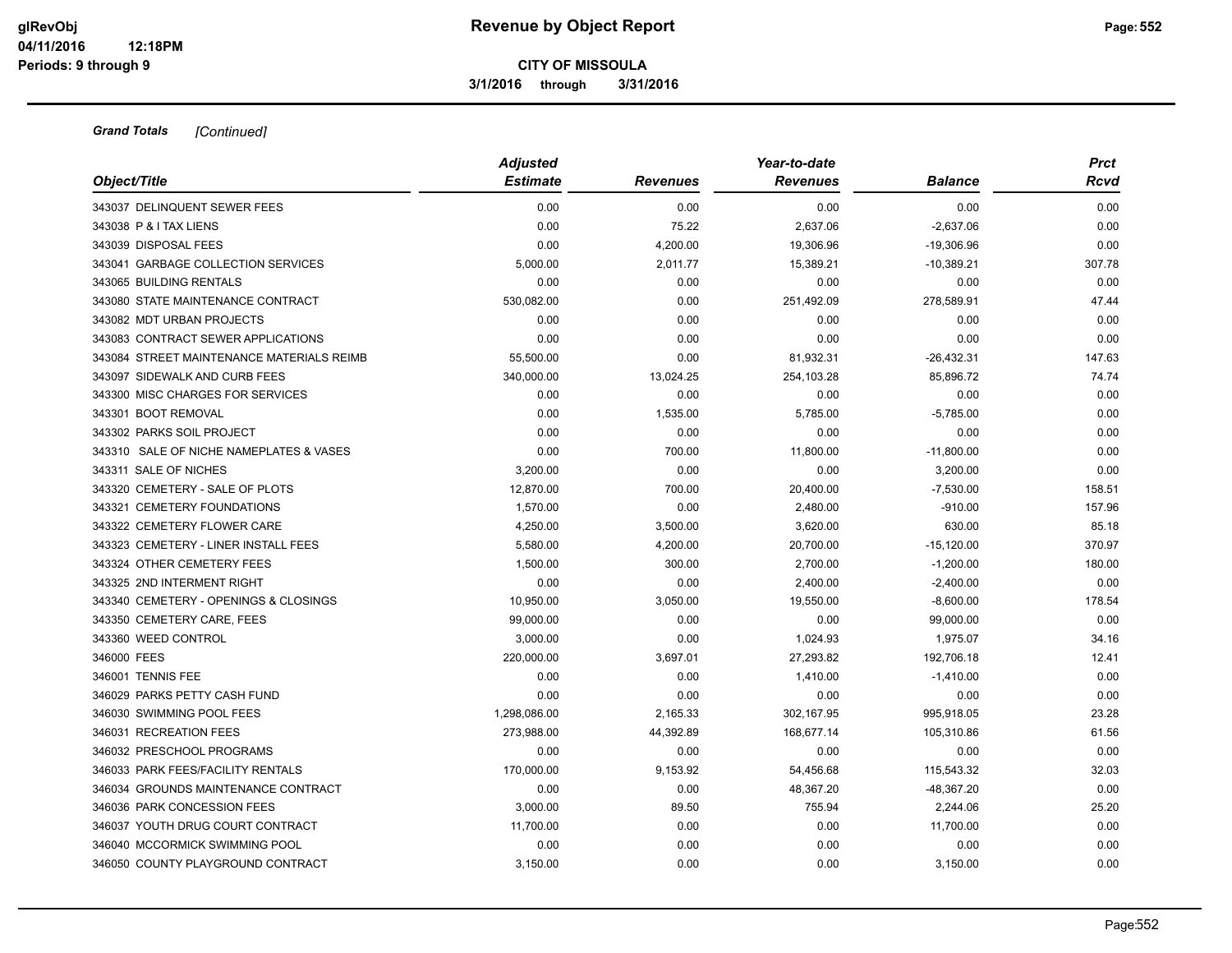**3/1/2016 through 3/31/2016**

| Object/Title                              | <b>Adjusted</b><br><b>Estimate</b> | <b>Revenues</b> | Year-to-date<br><b>Revenues</b> | <b>Balance</b> | <b>Prct</b><br>Rcvd |
|-------------------------------------------|------------------------------------|-----------------|---------------------------------|----------------|---------------------|
| 343037 DELINQUENT SEWER FEES              | 0.00                               | 0.00            | 0.00                            | 0.00           | 0.00                |
| 343038 P & I TAX LIENS                    | 0.00                               | 75.22           | 2,637.06                        | $-2,637.06$    | 0.00                |
| 343039 DISPOSAL FEES                      | 0.00                               | 4,200.00        | 19,306.96                       | $-19,306.96$   | 0.00                |
| 343041 GARBAGE COLLECTION SERVICES        | 5,000.00                           | 2,011.77        | 15,389.21                       | $-10,389.21$   | 307.78              |
| 343065 BUILDING RENTALS                   | 0.00                               | 0.00            | 0.00                            | 0.00           | 0.00                |
| 343080 STATE MAINTENANCE CONTRACT         | 530,082.00                         | 0.00            | 251,492.09                      | 278,589.91     | 47.44               |
| 343082 MDT URBAN PROJECTS                 | 0.00                               | 0.00            | 0.00                            | 0.00           | 0.00                |
| 343083 CONTRACT SEWER APPLICATIONS        | 0.00                               | 0.00            | 0.00                            | 0.00           | 0.00                |
| 343084 STREET MAINTENANCE MATERIALS REIMB | 55,500.00                          | 0.00            | 81,932.31                       | $-26,432.31$   | 147.63              |
| 343097 SIDEWALK AND CURB FEES             | 340,000.00                         | 13,024.25       | 254,103.28                      | 85,896.72      | 74.74               |
| 343300 MISC CHARGES FOR SERVICES          | 0.00                               | 0.00            | 0.00                            | 0.00           | 0.00                |
| 343301 BOOT REMOVAL                       | 0.00                               | 1,535.00        | 5,785.00                        | $-5,785.00$    | 0.00                |
| 343302 PARKS SOIL PROJECT                 | 0.00                               | 0.00            | 0.00                            | 0.00           | 0.00                |
| 343310 SALE OF NICHE NAMEPLATES & VASES   | 0.00                               | 700.00          | 11,800.00                       | $-11,800.00$   | 0.00                |
| 343311 SALE OF NICHES                     | 3,200.00                           | 0.00            | 0.00                            | 3,200.00       | 0.00                |
| 343320 CEMETERY - SALE OF PLOTS           | 12,870.00                          | 700.00          | 20,400.00                       | $-7,530.00$    | 158.51              |
| 343321 CEMETERY FOUNDATIONS               | 1,570.00                           | 0.00            | 2,480.00                        | $-910.00$      | 157.96              |
| 343322 CEMETERY FLOWER CARE               | 4,250.00                           | 3,500.00        | 3,620.00                        | 630.00         | 85.18               |
| 343323 CEMETERY - LINER INSTALL FEES      | 5,580.00                           | 4,200.00        | 20,700.00                       | $-15,120.00$   | 370.97              |
| 343324 OTHER CEMETERY FEES                | 1,500.00                           | 300.00          | 2,700.00                        | $-1,200.00$    | 180.00              |
| 343325 2ND INTERMENT RIGHT                | 0.00                               | 0.00            | 2,400.00                        | $-2,400.00$    | 0.00                |
| 343340 CEMETERY - OPENINGS & CLOSINGS     | 10,950.00                          | 3,050.00        | 19,550.00                       | $-8,600.00$    | 178.54              |
| 343350 CEMETERY CARE, FEES                | 99,000.00                          | 0.00            | 0.00                            | 99,000.00      | 0.00                |
| 343360 WEED CONTROL                       | 3,000.00                           | 0.00            | 1,024.93                        | 1,975.07       | 34.16               |
| 346000 FEES                               | 220,000.00                         | 3,697.01        | 27,293.82                       | 192,706.18     | 12.41               |
| 346001 TENNIS FEE                         | 0.00                               | 0.00            | 1,410.00                        | $-1,410.00$    | 0.00                |
| 346029 PARKS PETTY CASH FUND              | 0.00                               | 0.00            | 0.00                            | 0.00           | 0.00                |
| 346030 SWIMMING POOL FEES                 | 1,298,086.00                       | 2,165.33        | 302,167.95                      | 995,918.05     | 23.28               |
| 346031 RECREATION FEES                    | 273,988.00                         | 44,392.89       | 168,677.14                      | 105,310.86     | 61.56               |
| 346032 PRESCHOOL PROGRAMS                 | 0.00                               | 0.00            | 0.00                            | 0.00           | 0.00                |
| 346033 PARK FEES/FACILITY RENTALS         | 170,000.00                         | 9,153.92        | 54,456.68                       | 115,543.32     | 32.03               |
| 346034 GROUNDS MAINTENANCE CONTRACT       | 0.00                               | 0.00            | 48,367.20                       | $-48,367.20$   | 0.00                |
| 346036 PARK CONCESSION FEES               | 3,000.00                           | 89.50           | 755.94                          | 2,244.06       | 25.20               |
| 346037 YOUTH DRUG COURT CONTRACT          | 11,700.00                          | 0.00            | 0.00                            | 11,700.00      | 0.00                |
| 346040 MCCORMICK SWIMMING POOL            | 0.00                               | 0.00            | 0.00                            | 0.00           | 0.00                |
| 346050 COUNTY PLAYGROUND CONTRACT         | 3,150.00                           | 0.00            | 0.00                            | 3,150.00       | 0.00                |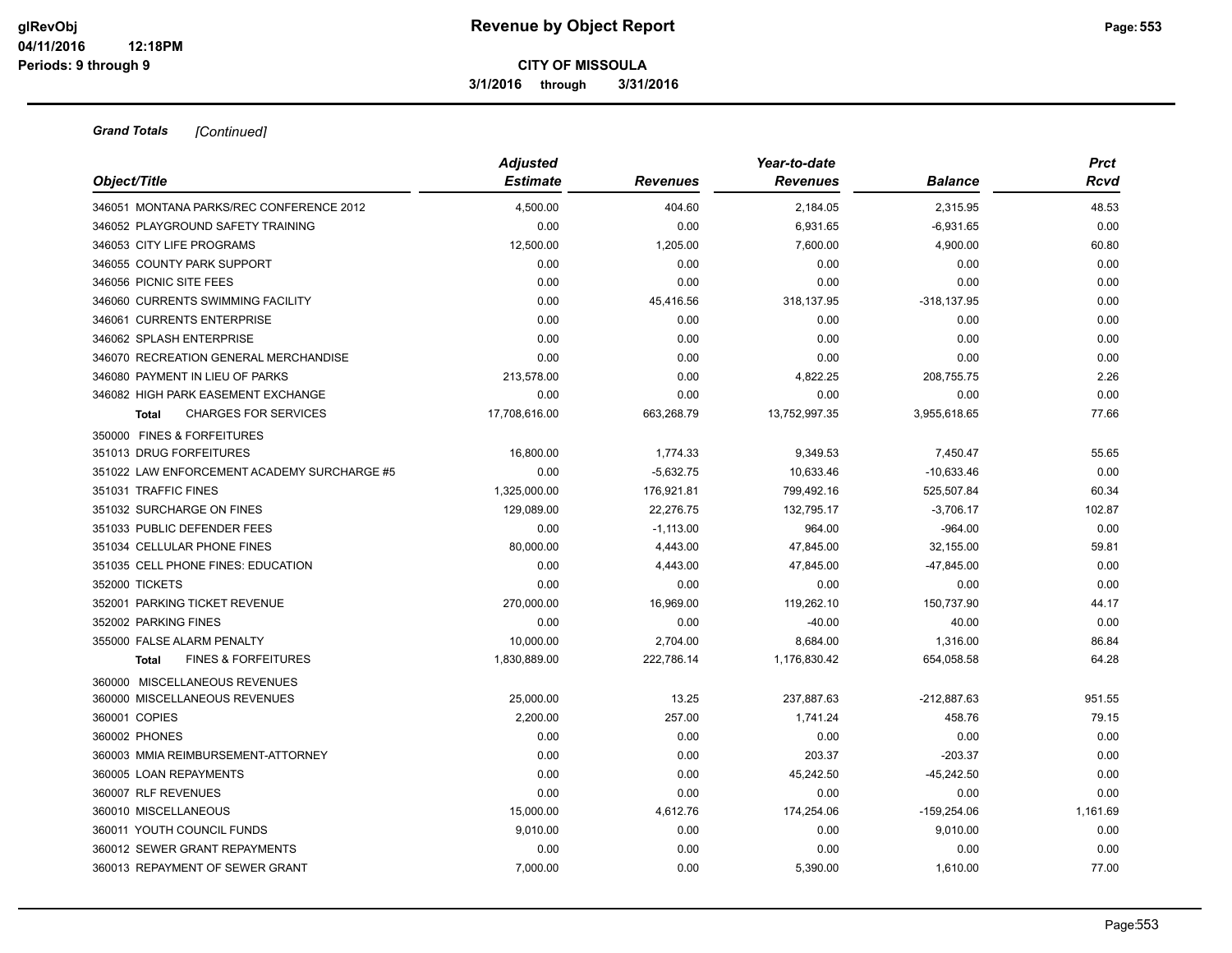**3/1/2016 through 3/31/2016**

| Object/Title                                   | <b>Adjusted</b><br><b>Estimate</b> | <b>Revenues</b> | Year-to-date<br><b>Revenues</b> | Balance        | <b>Prct</b><br>Rcvd |
|------------------------------------------------|------------------------------------|-----------------|---------------------------------|----------------|---------------------|
| 346051 MONTANA PARKS/REC CONFERENCE 2012       | 4,500.00                           | 404.60          | 2,184.05                        | 2,315.95       | 48.53               |
| 346052 PLAYGROUND SAFETY TRAINING              | 0.00                               | 0.00            | 6,931.65                        | $-6,931.65$    | 0.00                |
| 346053 CITY LIFE PROGRAMS                      | 12,500.00                          | 1,205.00        | 7,600.00                        | 4,900.00       | 60.80               |
| 346055 COUNTY PARK SUPPORT                     | 0.00                               | 0.00            | 0.00                            | 0.00           | 0.00                |
|                                                |                                    |                 |                                 |                |                     |
| 346056 PICNIC SITE FEES                        | 0.00                               | 0.00            | 0.00                            | 0.00           | 0.00                |
| 346060 CURRENTS SWIMMING FACILITY              | 0.00                               | 45,416.56       | 318,137.95                      | $-318, 137.95$ | 0.00                |
| 346061 CURRENTS ENTERPRISE                     | 0.00                               | 0.00            | 0.00                            | 0.00           | 0.00                |
| 346062 SPLASH ENTERPRISE                       | 0.00                               | 0.00            | 0.00                            | 0.00           | 0.00                |
| 346070 RECREATION GENERAL MERCHANDISE          | 0.00                               | 0.00            | 0.00                            | 0.00           | 0.00                |
| 346080 PAYMENT IN LIEU OF PARKS                | 213,578.00                         | 0.00            | 4,822.25                        | 208,755.75     | 2.26                |
| 346082 HIGH PARK EASEMENT EXCHANGE             | 0.00                               | 0.00            | 0.00                            | 0.00           | 0.00                |
| <b>CHARGES FOR SERVICES</b><br><b>Total</b>    | 17.708.616.00                      | 663,268.79      | 13,752,997.35                   | 3,955,618.65   | 77.66               |
| 350000 FINES & FORFEITURES                     |                                    |                 |                                 |                |                     |
| 351013 DRUG FORFEITURES                        | 16,800.00                          | 1,774.33        | 9,349.53                        | 7,450.47       | 55.65               |
| 351022 LAW ENFORCEMENT ACADEMY SURCHARGE #5    | 0.00                               | $-5,632.75$     | 10,633.46                       | $-10,633.46$   | 0.00                |
| 351031 TRAFFIC FINES                           | 1,325,000.00                       | 176,921.81      | 799,492.16                      | 525,507.84     | 60.34               |
| 351032 SURCHARGE ON FINES                      | 129,089.00                         | 22.276.75       | 132,795.17                      | $-3,706.17$    | 102.87              |
| 351033 PUBLIC DEFENDER FEES                    | 0.00                               | $-1,113.00$     | 964.00                          | $-964.00$      | 0.00                |
| 351034 CELLULAR PHONE FINES                    | 80,000.00                          | 4,443.00        | 47,845.00                       | 32,155.00      | 59.81               |
| 351035 CELL PHONE FINES: EDUCATION             | 0.00                               | 4,443.00        | 47,845.00                       | $-47,845.00$   | 0.00                |
| 352000 TICKETS                                 | 0.00                               | 0.00            | 0.00                            | 0.00           | 0.00                |
| 352001 PARKING TICKET REVENUE                  | 270,000.00                         | 16,969.00       | 119,262.10                      | 150,737.90     | 44.17               |
| 352002 PARKING FINES                           | 0.00                               | 0.00            | $-40.00$                        | 40.00          | 0.00                |
| 355000 FALSE ALARM PENALTY                     | 10.000.00                          | 2,704.00        | 8,684.00                        | 1,316.00       | 86.84               |
| <b>FINES &amp; FORFEITURES</b><br><b>Total</b> | 1,830,889.00                       | 222,786.14      | 1,176,830.42                    | 654,058.58     | 64.28               |
| 360000 MISCELLANEOUS REVENUES                  |                                    |                 |                                 |                |                     |
| 360000 MISCELLANEOUS REVENUES                  | 25.000.00                          | 13.25           | 237,887.63                      | -212,887.63    | 951.55              |
| 360001 COPIES                                  | 2.200.00                           | 257.00          | 1,741.24                        | 458.76         | 79.15               |
| 360002 PHONES                                  | 0.00                               | 0.00            | 0.00                            | 0.00           | 0.00                |
| 360003 MMIA REIMBURSEMENT-ATTORNEY             | 0.00                               | 0.00            | 203.37                          | $-203.37$      | 0.00                |
| 360005 LOAN REPAYMENTS                         | 0.00                               | 0.00            | 45,242.50                       | $-45,242.50$   | 0.00                |
| 360007 RLF REVENUES                            | 0.00                               | 0.00            | 0.00                            | 0.00           | 0.00                |
| 360010 MISCELLANEOUS                           | 15,000.00                          | 4,612.76        | 174,254.06                      | $-159,254.06$  | 1,161.69            |
| 360011 YOUTH COUNCIL FUNDS                     | 9,010.00                           | 0.00            | 0.00                            | 9,010.00       | 0.00                |
| 360012 SEWER GRANT REPAYMENTS                  | 0.00                               | 0.00            | 0.00                            | 0.00           | 0.00                |
| 360013 REPAYMENT OF SEWER GRANT                | 7.000.00                           | 0.00            | 5,390.00                        | 1.610.00       | 77.00               |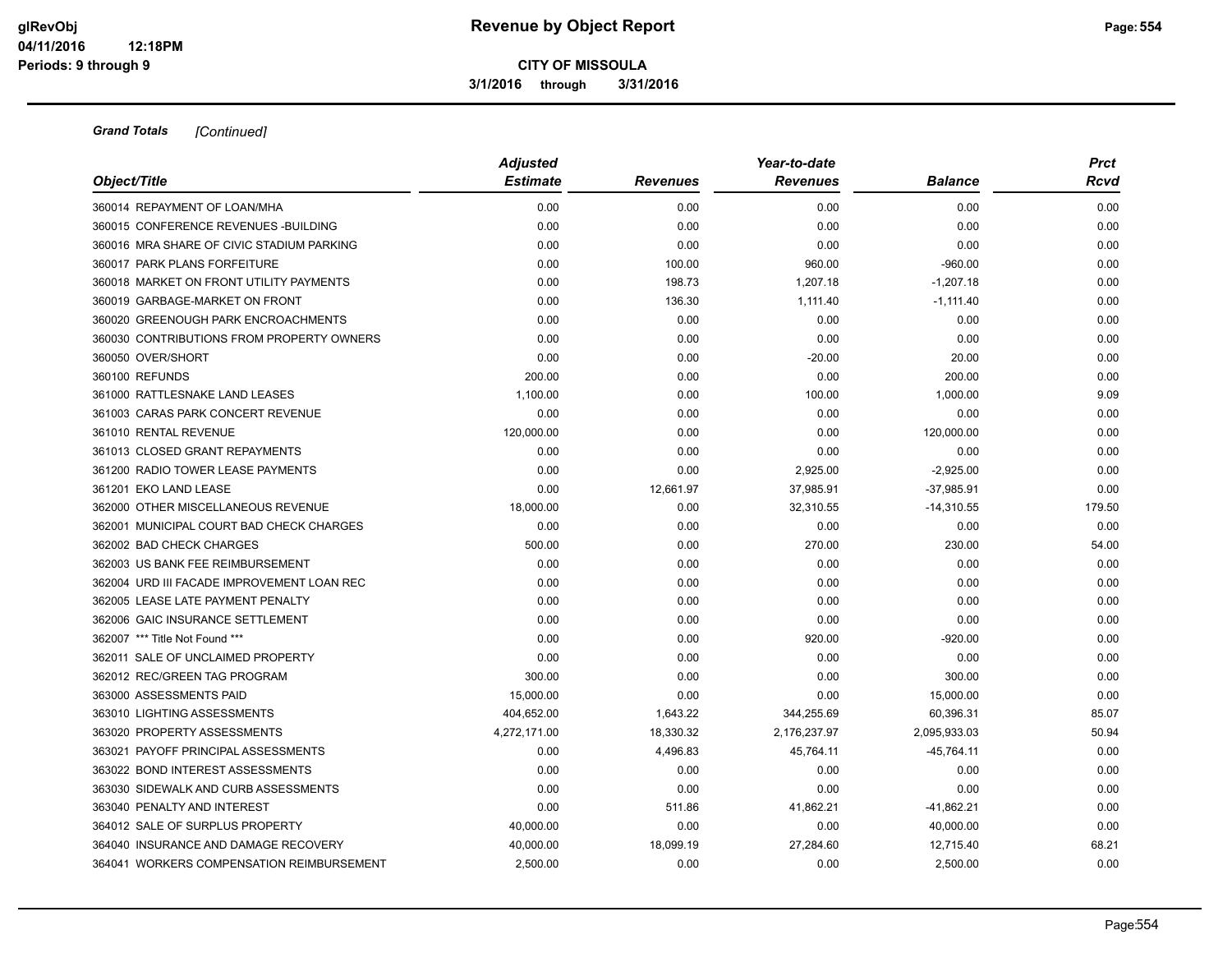**3/1/2016 through 3/31/2016**

| Object/Title                               | <b>Adjusted</b> |                 | Year-to-date    |                | <b>Prct</b> |
|--------------------------------------------|-----------------|-----------------|-----------------|----------------|-------------|
|                                            | <b>Estimate</b> | <b>Revenues</b> | <b>Revenues</b> | <b>Balance</b> | Rcvd        |
| 360014 REPAYMENT OF LOAN/MHA               | 0.00            | 0.00            | 0.00            | 0.00           | 0.00        |
| 360015 CONFERENCE REVENUES - BUILDING      | 0.00            | 0.00            | 0.00            | 0.00           | 0.00        |
| 360016 MRA SHARE OF CIVIC STADIUM PARKING  | 0.00            | 0.00            | 0.00            | 0.00           | 0.00        |
| 360017 PARK PLANS FORFEITURE               | 0.00            | 100.00          | 960.00          | $-960.00$      | 0.00        |
| 360018 MARKET ON FRONT UTILITY PAYMENTS    | 0.00            | 198.73          | 1,207.18        | $-1,207.18$    | 0.00        |
| 360019 GARBAGE-MARKET ON FRONT             | 0.00            | 136.30          | 1,111.40        | $-1,111.40$    | 0.00        |
| 360020 GREENOUGH PARK ENCROACHMENTS        | 0.00            | 0.00            | 0.00            | 0.00           | 0.00        |
| 360030 CONTRIBUTIONS FROM PROPERTY OWNERS  | 0.00            | 0.00            | 0.00            | 0.00           | 0.00        |
| 360050 OVER/SHORT                          | 0.00            | 0.00            | $-20.00$        | 20.00          | 0.00        |
| 360100 REFUNDS                             | 200.00          | 0.00            | 0.00            | 200.00         | 0.00        |
| 361000 RATTLESNAKE LAND LEASES             | 1,100.00        | 0.00            | 100.00          | 1,000.00       | 9.09        |
| 361003 CARAS PARK CONCERT REVENUE          | 0.00            | 0.00            | 0.00            | 0.00           | 0.00        |
| 361010 RENTAL REVENUE                      | 120,000.00      | 0.00            | 0.00            | 120,000.00     | 0.00        |
| 361013 CLOSED GRANT REPAYMENTS             | 0.00            | 0.00            | 0.00            | 0.00           | 0.00        |
| 361200 RADIO TOWER LEASE PAYMENTS          | 0.00            | 0.00            | 2,925.00        | $-2,925.00$    | 0.00        |
| 361201 EKO LAND LEASE                      | 0.00            | 12,661.97       | 37,985.91       | $-37,985.91$   | 0.00        |
| 362000 OTHER MISCELLANEOUS REVENUE         | 18,000.00       | 0.00            | 32,310.55       | $-14,310.55$   | 179.50      |
| 362001 MUNICIPAL COURT BAD CHECK CHARGES   | 0.00            | 0.00            | 0.00            | 0.00           | 0.00        |
| 362002 BAD CHECK CHARGES                   | 500.00          | 0.00            | 270.00          | 230.00         | 54.00       |
| 362003 US BANK FEE REIMBURSEMENT           | 0.00            | 0.00            | 0.00            | 0.00           | 0.00        |
| 362004 URD III FACADE IMPROVEMENT LOAN REC | 0.00            | 0.00            | 0.00            | 0.00           | 0.00        |
| 362005 LEASE LATE PAYMENT PENALTY          | 0.00            | 0.00            | 0.00            | 0.00           | 0.00        |
| 362006 GAIC INSURANCE SETTLEMENT           | 0.00            | 0.00            | 0.00            | 0.00           | 0.00        |
| 362007 *** Title Not Found ***             | 0.00            | 0.00            | 920.00          | $-920.00$      | 0.00        |
| 362011 SALE OF UNCLAIMED PROPERTY          | 0.00            | 0.00            | 0.00            | 0.00           | 0.00        |
| 362012 REC/GREEN TAG PROGRAM               | 300.00          | 0.00            | 0.00            | 300.00         | 0.00        |
| 363000 ASSESSMENTS PAID                    | 15,000.00       | 0.00            | 0.00            | 15,000.00      | 0.00        |
| 363010 LIGHTING ASSESSMENTS                | 404,652.00      | 1,643.22        | 344,255.69      | 60,396.31      | 85.07       |
| 363020 PROPERTY ASSESSMENTS                | 4,272,171.00    | 18,330.32       | 2,176,237.97    | 2,095,933.03   | 50.94       |
| 363021 PAYOFF PRINCIPAL ASSESSMENTS        | 0.00            | 4,496.83        | 45,764.11       | $-45,764.11$   | 0.00        |
| 363022 BOND INTEREST ASSESSMENTS           | 0.00            | 0.00            | 0.00            | 0.00           | 0.00        |
| 363030 SIDEWALK AND CURB ASSESSMENTS       | 0.00            | 0.00            | 0.00            | 0.00           | 0.00        |
| 363040 PENALTY AND INTEREST                | 0.00            | 511.86          | 41,862.21       | $-41,862.21$   | 0.00        |
| 364012 SALE OF SURPLUS PROPERTY            | 40,000.00       | 0.00            | 0.00            | 40,000.00      | 0.00        |
| 364040 INSURANCE AND DAMAGE RECOVERY       | 40,000.00       | 18,099.19       | 27,284.60       | 12,715.40      | 68.21       |
| 364041 WORKERS COMPENSATION REIMBURSEMENT  | 2,500.00        | 0.00            | 0.00            | 2,500.00       | 0.00        |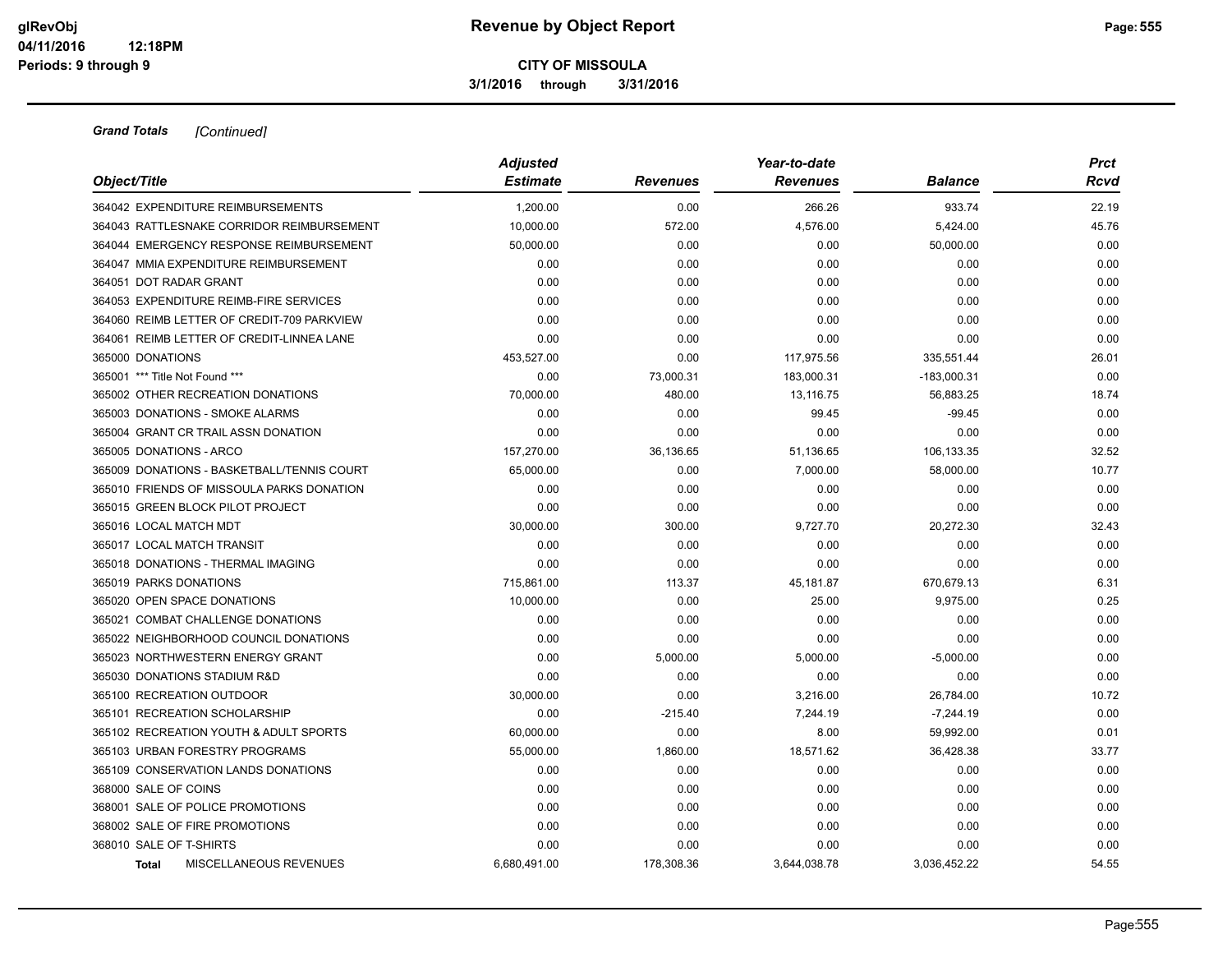**3/1/2016 through 3/31/2016**

| Object/Title                               | <b>Adjusted</b> | Year-to-date    |                 |                | <b>Prct</b> |
|--------------------------------------------|-----------------|-----------------|-----------------|----------------|-------------|
|                                            | <b>Estimate</b> | <b>Revenues</b> | <b>Revenues</b> | <b>Balance</b> | Rcvd        |
| 364042 EXPENDITURE REIMBURSEMENTS          | 1,200.00        | 0.00            | 266.26          | 933.74         | 22.19       |
| 364043 RATTLESNAKE CORRIDOR REIMBURSEMENT  | 10,000.00       | 572.00          | 4,576.00        | 5,424.00       | 45.76       |
| 364044 EMERGENCY RESPONSE REIMBURSEMENT    | 50.000.00       | 0.00            | 0.00            | 50,000.00      | 0.00        |
| 364047 MMIA EXPENDITURE REIMBURSEMENT      | 0.00            | 0.00            | 0.00            | 0.00           | 0.00        |
| 364051 DOT RADAR GRANT                     | 0.00            | 0.00            | 0.00            | 0.00           | 0.00        |
| 364053 EXPENDITURE REIMB-FIRE SERVICES     | 0.00            | 0.00            | 0.00            | 0.00           | 0.00        |
| 364060 REIMB LETTER OF CREDIT-709 PARKVIEW | 0.00            | 0.00            | 0.00            | 0.00           | 0.00        |
| 364061 REIMB LETTER OF CREDIT-LINNEA LANE  | 0.00            | 0.00            | 0.00            | 0.00           | 0.00        |
| 365000 DONATIONS                           | 453,527.00      | 0.00            | 117,975.56      | 335,551.44     | 26.01       |
| 365001 *** Title Not Found ***             | 0.00            | 73,000.31       | 183,000.31      | $-183,000.31$  | 0.00        |
| 365002 OTHER RECREATION DONATIONS          | 70,000.00       | 480.00          | 13,116.75       | 56,883.25      | 18.74       |
| 365003 DONATIONS - SMOKE ALARMS            | 0.00            | 0.00            | 99.45           | $-99.45$       | 0.00        |
| 365004 GRANT CR TRAIL ASSN DONATION        | 0.00            | 0.00            | 0.00            | 0.00           | 0.00        |
| 365005 DONATIONS - ARCO                    | 157,270.00      | 36,136.65       | 51,136.65       | 106,133.35     | 32.52       |
| 365009 DONATIONS - BASKETBALL/TENNIS COURT | 65,000.00       | 0.00            | 7,000.00        | 58,000.00      | 10.77       |
| 365010 FRIENDS OF MISSOULA PARKS DONATION  | 0.00            | 0.00            | 0.00            | 0.00           | 0.00        |
| 365015 GREEN BLOCK PILOT PROJECT           | 0.00            | 0.00            | 0.00            | 0.00           | 0.00        |
| 365016 LOCAL MATCH MDT                     | 30,000.00       | 300.00          | 9,727.70        | 20,272.30      | 32.43       |
| 365017 LOCAL MATCH TRANSIT                 | 0.00            | 0.00            | 0.00            | 0.00           | 0.00        |
| 365018 DONATIONS - THERMAL IMAGING         | 0.00            | 0.00            | 0.00            | 0.00           | 0.00        |
| 365019 PARKS DONATIONS                     | 715,861.00      | 113.37          | 45,181.87       | 670,679.13     | 6.31        |
| 365020 OPEN SPACE DONATIONS                | 10,000.00       | 0.00            | 25.00           | 9,975.00       | 0.25        |
| 365021 COMBAT CHALLENGE DONATIONS          | 0.00            | 0.00            | 0.00            | 0.00           | 0.00        |
| 365022 NEIGHBORHOOD COUNCIL DONATIONS      | 0.00            | 0.00            | 0.00            | 0.00           | 0.00        |
| 365023 NORTHWESTERN ENERGY GRANT           | 0.00            | 5,000.00        | 5,000.00        | $-5,000.00$    | 0.00        |
| 365030 DONATIONS STADIUM R&D               | 0.00            | 0.00            | 0.00            | 0.00           | 0.00        |
| 365100 RECREATION OUTDOOR                  | 30,000.00       | 0.00            | 3,216.00        | 26,784.00      | 10.72       |
| 365101 RECREATION SCHOLARSHIP              | 0.00            | $-215.40$       | 7,244.19        | $-7,244.19$    | 0.00        |
| 365102 RECREATION YOUTH & ADULT SPORTS     | 60,000.00       | 0.00            | 8.00            | 59,992.00      | 0.01        |
| 365103 URBAN FORESTRY PROGRAMS             | 55,000.00       | 1,860.00        | 18,571.62       | 36,428.38      | 33.77       |
| 365109 CONSERVATION LANDS DONATIONS        | 0.00            | 0.00            | 0.00            | 0.00           | 0.00        |
| 368000 SALE OF COINS                       | 0.00            | 0.00            | 0.00            | 0.00           | 0.00        |
| 368001 SALE OF POLICE PROMOTIONS           | 0.00            | 0.00            | 0.00            | 0.00           | 0.00        |
| 368002 SALE OF FIRE PROMOTIONS             | 0.00            | 0.00            | 0.00            | 0.00           | 0.00        |
| 368010 SALE OF T-SHIRTS                    | 0.00            | 0.00            | 0.00            | 0.00           | 0.00        |
| MISCELLANEOUS REVENUES<br><b>Total</b>     | 6,680,491.00    | 178,308.36      | 3,644,038.78    | 3,036,452.22   | 54.55       |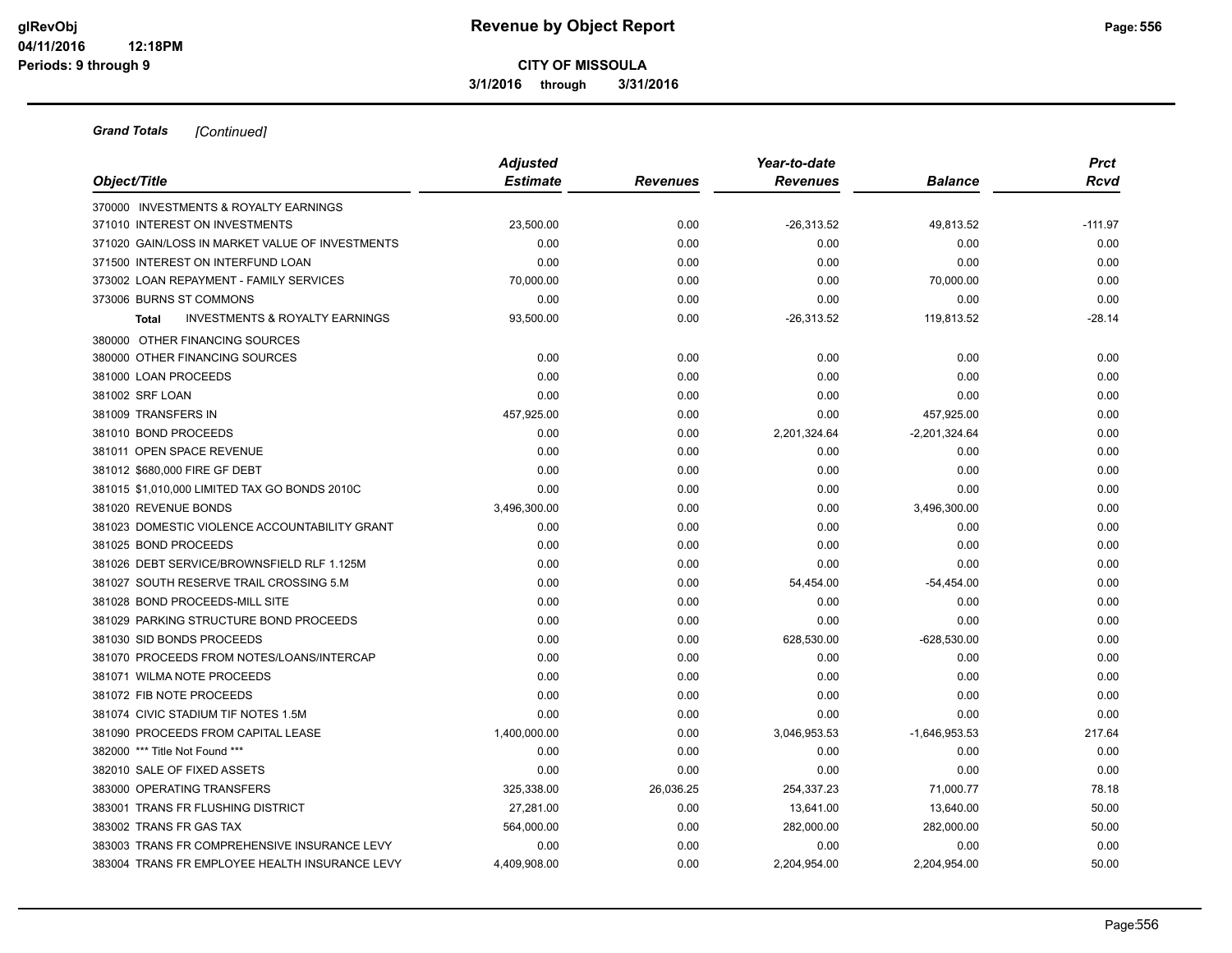**3/1/2016 through 3/31/2016**

| Object/Title                                              | <b>Adjusted</b><br><b>Estimate</b> | <b>Revenues</b> | Year-to-date<br><b>Revenues</b> | <b>Balance</b>  | <b>Prct</b><br>Rcvd |
|-----------------------------------------------------------|------------------------------------|-----------------|---------------------------------|-----------------|---------------------|
| 370000 INVESTMENTS & ROYALTY EARNINGS                     |                                    |                 |                                 |                 |                     |
| 371010 INTEREST ON INVESTMENTS                            | 23,500.00                          | 0.00            | $-26,313.52$                    | 49,813.52       | $-111.97$           |
| 371020 GAIN/LOSS IN MARKET VALUE OF INVESTMENTS           | 0.00                               | 0.00            | 0.00                            | 0.00            | 0.00                |
| 371500 INTEREST ON INTERFUND LOAN                         | 0.00                               | 0.00            | 0.00                            | 0.00            | 0.00                |
| 373002 LOAN REPAYMENT - FAMILY SERVICES                   | 70,000.00                          | 0.00            | 0.00                            | 70,000.00       | 0.00                |
| 373006 BURNS ST COMMONS                                   | 0.00                               | 0.00            | 0.00                            | 0.00            | 0.00                |
| <b>INVESTMENTS &amp; ROYALTY EARNINGS</b><br><b>Total</b> | 93,500.00                          | 0.00            | $-26,313.52$                    | 119,813.52      | $-28.14$            |
| 380000 OTHER FINANCING SOURCES                            |                                    |                 |                                 |                 |                     |
| 380000 OTHER FINANCING SOURCES                            | 0.00                               | 0.00            | 0.00                            | 0.00            | 0.00                |
| 381000 LOAN PROCEEDS                                      | 0.00                               | 0.00            | 0.00                            | 0.00            | 0.00                |
| 381002 SRF LOAN                                           | 0.00                               | 0.00            | 0.00                            | 0.00            | 0.00                |
| 381009 TRANSFERS IN                                       | 457,925.00                         | 0.00            | 0.00                            | 457,925.00      | 0.00                |
| 381010 BOND PROCEEDS                                      | 0.00                               | 0.00            | 2,201,324.64                    | $-2,201,324.64$ | 0.00                |
| 381011 OPEN SPACE REVENUE                                 | 0.00                               | 0.00            | 0.00                            | 0.00            | 0.00                |
| 381012 \$680,000 FIRE GF DEBT                             | 0.00                               | 0.00            | 0.00                            | 0.00            | 0.00                |
| 381015 \$1,010,000 LIMITED TAX GO BONDS 2010C             | 0.00                               | 0.00            | 0.00                            | 0.00            | 0.00                |
| 381020 REVENUE BONDS                                      | 3,496,300.00                       | 0.00            | 0.00                            | 3,496,300.00    | 0.00                |
| 381023 DOMESTIC VIOLENCE ACCOUNTABILITY GRANT             | 0.00                               | 0.00            | 0.00                            | 0.00            | 0.00                |
| 381025 BOND PROCEEDS                                      | 0.00                               | 0.00            | 0.00                            | 0.00            | 0.00                |
| 381026 DEBT SERVICE/BROWNSFIELD RLF 1.125M                | 0.00                               | 0.00            | 0.00                            | 0.00            | 0.00                |
| 381027 SOUTH RESERVE TRAIL CROSSING 5.M                   | 0.00                               | 0.00            | 54,454.00                       | $-54,454.00$    | 0.00                |
| 381028 BOND PROCEEDS-MILL SITE                            | 0.00                               | 0.00            | 0.00                            | 0.00            | 0.00                |
| 381029 PARKING STRUCTURE BOND PROCEEDS                    | 0.00                               | 0.00            | 0.00                            | 0.00            | 0.00                |
| 381030 SID BONDS PROCEEDS                                 | 0.00                               | 0.00            | 628,530.00                      | $-628,530.00$   | 0.00                |
| 381070 PROCEEDS FROM NOTES/LOANS/INTERCAP                 | 0.00                               | 0.00            | 0.00                            | 0.00            | 0.00                |
| 381071 WILMA NOTE PROCEEDS                                | 0.00                               | 0.00            | 0.00                            | 0.00            | 0.00                |
| 381072 FIB NOTE PROCEEDS                                  | 0.00                               | 0.00            | 0.00                            | 0.00            | 0.00                |
| 381074 CIVIC STADIUM TIF NOTES 1.5M                       | 0.00                               | 0.00            | 0.00                            | 0.00            | 0.00                |
| 381090 PROCEEDS FROM CAPITAL LEASE                        | 1,400,000.00                       | 0.00            | 3,046,953.53                    | $-1,646,953.53$ | 217.64              |
| 382000 *** Title Not Found ***                            | 0.00                               | 0.00            | 0.00                            | 0.00            | 0.00                |
| 382010 SALE OF FIXED ASSETS                               | 0.00                               | 0.00            | 0.00                            | 0.00            | 0.00                |
| 383000 OPERATING TRANSFERS                                | 325,338.00                         | 26,036.25       | 254,337.23                      | 71,000.77       | 78.18               |
| 383001 TRANS FR FLUSHING DISTRICT                         | 27,281.00                          | 0.00            | 13,641.00                       | 13,640.00       | 50.00               |
| 383002 TRANS FR GAS TAX                                   | 564,000.00                         | 0.00            | 282,000.00                      | 282,000.00      | 50.00               |
| 383003 TRANS FR COMPREHENSIVE INSURANCE LEVY              | 0.00                               | 0.00            | 0.00                            | 0.00            | 0.00                |
| 383004 TRANS FR EMPLOYEE HEALTH INSURANCE LEVY            | 4,409,908.00                       | 0.00            | 2,204,954.00                    | 2,204,954.00    | 50.00               |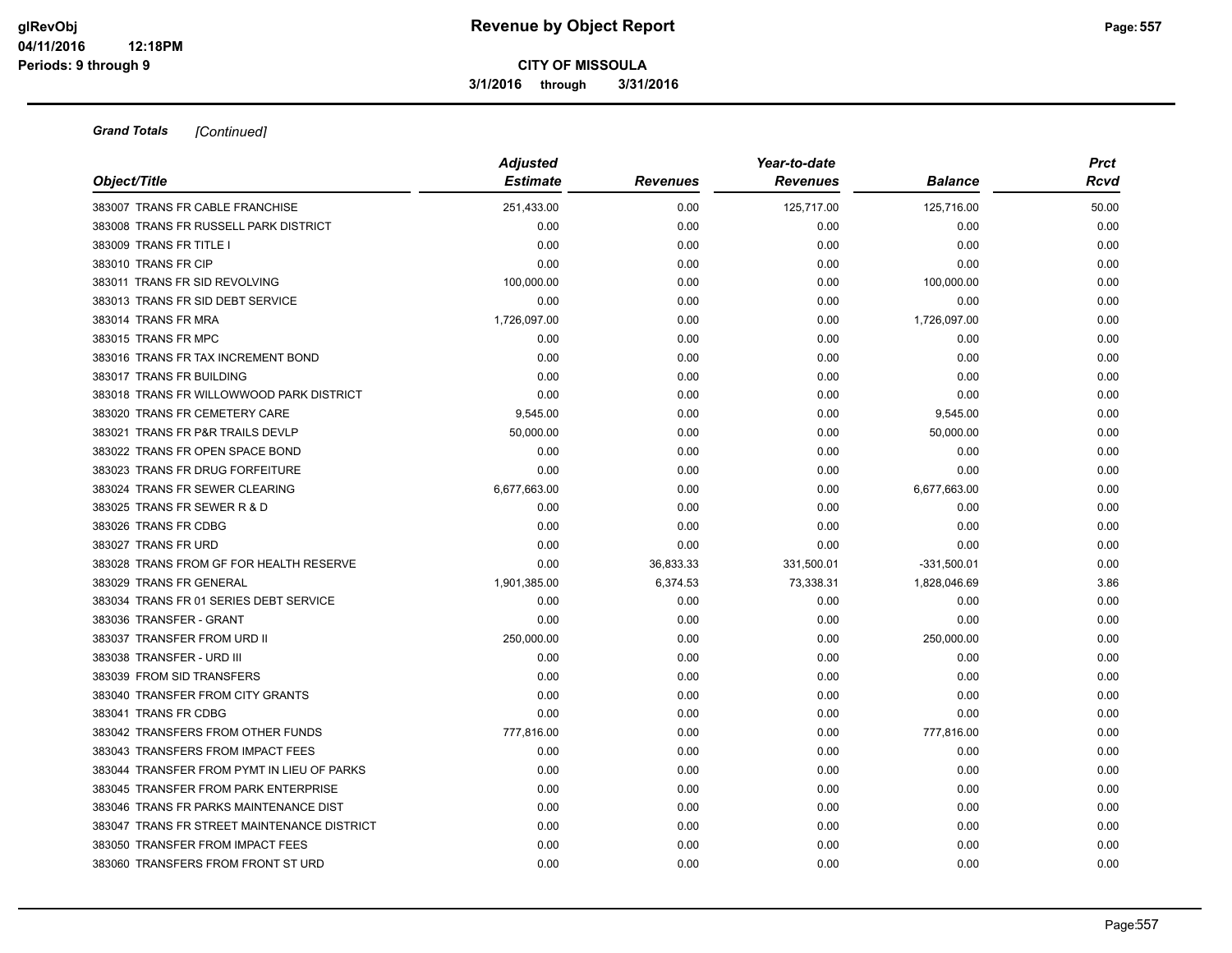**3/1/2016 through 3/31/2016**

| Object/Title                                | <b>Adjusted</b><br><b>Estimate</b> | <b>Revenues</b> | Year-to-date<br><b>Revenues</b> | <b>Balance</b> | <b>Prct</b><br>Rcvd |
|---------------------------------------------|------------------------------------|-----------------|---------------------------------|----------------|---------------------|
| 383007 TRANS FR CABLE FRANCHISE             | 251,433.00                         | 0.00            | 125,717.00                      | 125,716.00     | 50.00               |
| 383008 TRANS FR RUSSELL PARK DISTRICT       | 0.00                               | 0.00            | 0.00                            | 0.00           | 0.00                |
| 383009 TRANS FR TITLE I                     | 0.00                               | 0.00            | 0.00                            | 0.00           | 0.00                |
| 383010 TRANS FR CIP                         | 0.00                               | 0.00            | 0.00                            | 0.00           | 0.00                |
| 383011 TRANS FR SID REVOLVING               | 100,000.00                         | 0.00            | 0.00                            | 100,000.00     | 0.00                |
| 383013 TRANS FR SID DEBT SERVICE            | 0.00                               | 0.00            | 0.00                            | 0.00           | 0.00                |
| 383014 TRANS FR MRA                         | 1,726,097.00                       | 0.00            | 0.00                            | 1,726,097.00   | 0.00                |
| 383015 TRANS FR MPC                         | 0.00                               | 0.00            | 0.00                            | 0.00           | 0.00                |
| 383016 TRANS FR TAX INCREMENT BOND          | 0.00                               | 0.00            | 0.00                            | 0.00           | 0.00                |
| 383017 TRANS FR BUILDING                    | 0.00                               | 0.00            | 0.00                            | 0.00           | 0.00                |
| 383018 TRANS FR WILLOWWOOD PARK DISTRICT    | 0.00                               | 0.00            | 0.00                            | 0.00           | 0.00                |
| 383020 TRANS FR CEMETERY CARE               | 9,545.00                           | 0.00            | 0.00                            | 9,545.00       | 0.00                |
| 383021 TRANS FR P&R TRAILS DEVLP            | 50,000.00                          | 0.00            | 0.00                            | 50,000.00      | 0.00                |
| 383022 TRANS FR OPEN SPACE BOND             | 0.00                               | 0.00            | 0.00                            | 0.00           | 0.00                |
| 383023 TRANS FR DRUG FORFEITURE             | 0.00                               | 0.00            | 0.00                            | 0.00           | 0.00                |
| 383024 TRANS FR SEWER CLEARING              | 6,677,663.00                       | 0.00            | 0.00                            | 6,677,663.00   | 0.00                |
| 383025 TRANS FR SEWER R & D                 | 0.00                               | 0.00            | 0.00                            | 0.00           | 0.00                |
| 383026 TRANS FR CDBG                        | 0.00                               | 0.00            | 0.00                            | 0.00           | 0.00                |
| 383027 TRANS FR URD                         | 0.00                               | 0.00            | 0.00                            | 0.00           | 0.00                |
| 383028 TRANS FROM GF FOR HEALTH RESERVE     | 0.00                               | 36,833.33       | 331,500.01                      | $-331,500.01$  | 0.00                |
| 383029 TRANS FR GENERAL                     | 1,901,385.00                       | 6,374.53        | 73,338.31                       | 1,828,046.69   | 3.86                |
| 383034 TRANS FR 01 SERIES DEBT SERVICE      | 0.00                               | 0.00            | 0.00                            | 0.00           | 0.00                |
| 383036 TRANSFER - GRANT                     | 0.00                               | 0.00            | 0.00                            | 0.00           | 0.00                |
| 383037 TRANSFER FROM URD II                 | 250,000.00                         | 0.00            | 0.00                            | 250,000.00     | 0.00                |
| 383038 TRANSFER - URD III                   | 0.00                               | 0.00            | 0.00                            | 0.00           | 0.00                |
| 383039 FROM SID TRANSFERS                   | 0.00                               | 0.00            | 0.00                            | 0.00           | 0.00                |
| 383040 TRANSFER FROM CITY GRANTS            | 0.00                               | 0.00            | 0.00                            | 0.00           | 0.00                |
| 383041 TRANS FR CDBG                        | 0.00                               | 0.00            | 0.00                            | 0.00           | 0.00                |
| 383042 TRANSFERS FROM OTHER FUNDS           | 777,816.00                         | 0.00            | 0.00                            | 777,816.00     | 0.00                |
| 383043 TRANSFERS FROM IMPACT FEES           | 0.00                               | 0.00            | 0.00                            | 0.00           | 0.00                |
| 383044 TRANSFER FROM PYMT IN LIEU OF PARKS  | 0.00                               | 0.00            | 0.00                            | 0.00           | 0.00                |
| 383045 TRANSFER FROM PARK ENTERPRISE        | 0.00                               | 0.00            | 0.00                            | 0.00           | 0.00                |
| 383046 TRANS FR PARKS MAINTENANCE DIST      | 0.00                               | 0.00            | 0.00                            | 0.00           | 0.00                |
| 383047 TRANS FR STREET MAINTENANCE DISTRICT | 0.00                               | 0.00            | 0.00                            | 0.00           | 0.00                |
| 383050 TRANSFER FROM IMPACT FEES            | 0.00                               | 0.00            | 0.00                            | 0.00           | 0.00                |
| 383060 TRANSFERS FROM FRONT ST URD          | 0.00                               | 0.00            | 0.00                            | 0.00           | 0.00                |